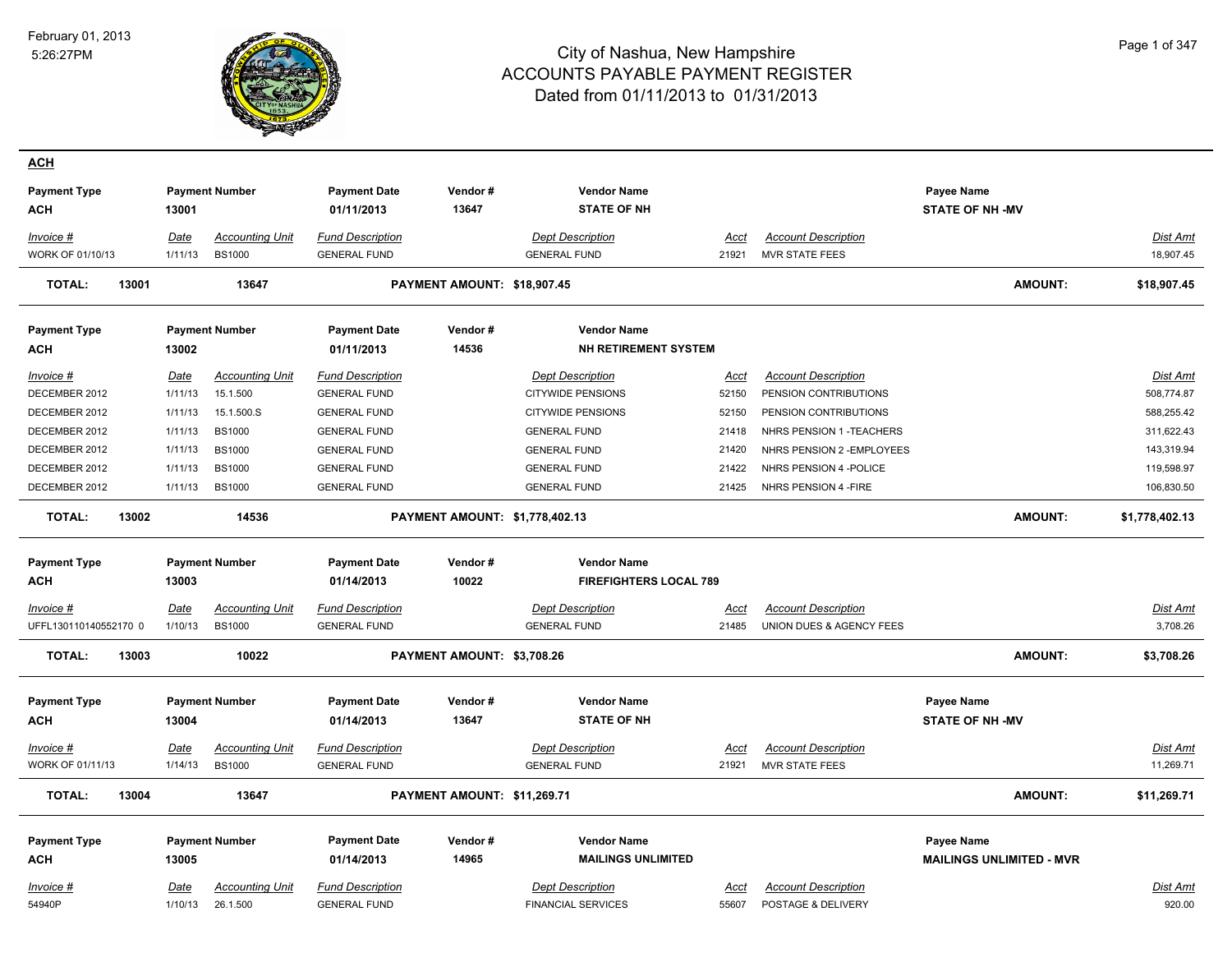

| <b>ACH</b>             |             |                        |                         |                                |                               |             |                            |                                 |                 |
|------------------------|-------------|------------------------|-------------------------|--------------------------------|-------------------------------|-------------|----------------------------|---------------------------------|-----------------|
| <b>Payment Type</b>    |             | <b>Payment Number</b>  | <b>Payment Date</b>     | Vendor#                        | <b>Vendor Name</b>            |             |                            | Payee Name                      |                 |
| ACH                    | 13001       |                        | 01/11/2013              | 13647                          | <b>STATE OF NH</b>            |             |                            | <b>STATE OF NH-MV</b>           |                 |
| Invoice #              | Date        | <b>Accounting Unit</b> | <b>Fund Description</b> |                                | <b>Dept Description</b>       | <u>Acct</u> | <b>Account Description</b> |                                 | <b>Dist Amt</b> |
| WORK OF 01/10/13       | 1/11/13     | <b>BS1000</b>          | <b>GENERAL FUND</b>     |                                | <b>GENERAL FUND</b>           | 21921       | MVR STATE FEES             |                                 | 18,907.45       |
| <b>TOTAL:</b><br>13001 |             | 13647                  |                         | PAYMENT AMOUNT: \$18,907.45    |                               |             |                            | <b>AMOUNT:</b>                  | \$18,907.45     |
| <b>Payment Type</b>    |             | <b>Payment Number</b>  | <b>Payment Date</b>     | Vendor#                        | <b>Vendor Name</b>            |             |                            |                                 |                 |
| <b>ACH</b>             | 13002       |                        | 01/11/2013              | 14536                          | NH RETIREMENT SYSTEM          |             |                            |                                 |                 |
| Invoice #              | <b>Date</b> | <b>Accounting Unit</b> | <b>Fund Description</b> |                                | <b>Dept Description</b>       | Acct        | <b>Account Description</b> |                                 | Dist Amt        |
| DECEMBER 2012          | 1/11/13     | 15.1.500               | <b>GENERAL FUND</b>     |                                | <b>CITYWIDE PENSIONS</b>      | 52150       | PENSION CONTRIBUTIONS      |                                 | 508,774.87      |
| DECEMBER 2012          | 1/11/13     | 15.1.500.S             | <b>GENERAL FUND</b>     |                                | <b>CITYWIDE PENSIONS</b>      | 52150       | PENSION CONTRIBUTIONS      |                                 | 588,255.42      |
| DECEMBER 2012          | 1/11/13     | <b>BS1000</b>          | <b>GENERAL FUND</b>     |                                | <b>GENERAL FUND</b>           | 21418       | NHRS PENSION 1 - TEACHERS  |                                 | 311,622.43      |
| DECEMBER 2012          | 1/11/13     | <b>BS1000</b>          | <b>GENERAL FUND</b>     |                                | <b>GENERAL FUND</b>           | 21420       | NHRS PENSION 2 - EMPLOYEES |                                 | 143,319.94      |
| DECEMBER 2012          | 1/11/13     | <b>BS1000</b>          | <b>GENERAL FUND</b>     |                                | <b>GENERAL FUND</b>           | 21422       | NHRS PENSION 4 - POLICE    |                                 | 119,598.97      |
| DECEMBER 2012          | 1/11/13     | <b>BS1000</b>          | <b>GENERAL FUND</b>     |                                | <b>GENERAL FUND</b>           | 21425       | NHRS PENSION 4 - FIRE      |                                 | 106,830.50      |
| <b>TOTAL:</b><br>13002 |             | 14536                  |                         | PAYMENT AMOUNT: \$1,778,402.13 |                               |             |                            | <b>AMOUNT:</b>                  | \$1,778,402.13  |
| <b>Payment Type</b>    |             | <b>Payment Number</b>  | <b>Payment Date</b>     | Vendor#                        | <b>Vendor Name</b>            |             |                            |                                 |                 |
| ACH                    | 13003       |                        | 01/14/2013              | 10022                          | <b>FIREFIGHTERS LOCAL 789</b> |             |                            |                                 |                 |
|                        |             |                        |                         |                                |                               |             |                            |                                 |                 |
| Invoice #              | <b>Date</b> | <b>Accounting Unit</b> | <b>Fund Description</b> |                                | <b>Dept Description</b>       | <u>Acct</u> | <b>Account Description</b> |                                 | Dist Amt        |
| UFFL130110140552170 0  | 1/10/13     | <b>BS1000</b>          | <b>GENERAL FUND</b>     |                                | <b>GENERAL FUND</b>           | 21485       | UNION DUES & AGENCY FEES   |                                 | 3,708.26        |
| <b>TOTAL:</b><br>13003 |             | 10022                  |                         | PAYMENT AMOUNT: \$3,708.26     |                               |             |                            | <b>AMOUNT:</b>                  | \$3,708.26      |
| <b>Payment Type</b>    |             | <b>Payment Number</b>  | <b>Payment Date</b>     | Vendor#                        | <b>Vendor Name</b>            |             |                            | Payee Name                      |                 |
| <b>ACH</b>             | 13004       |                        | 01/14/2013              | 13647                          | <b>STATE OF NH</b>            |             |                            | <b>STATE OF NH -MV</b>          |                 |
| <u>Invoice #</u>       | <u>Date</u> | <b>Accounting Unit</b> | <b>Fund Description</b> |                                | <b>Dept Description</b>       | <u>Acct</u> | <b>Account Description</b> |                                 | <u>Dist Amt</u> |
| WORK OF 01/11/13       | 1/14/13     | <b>BS1000</b>          | <b>GENERAL FUND</b>     |                                | <b>GENERAL FUND</b>           | 21921       | <b>MVR STATE FEES</b>      |                                 | 11,269.71       |
| <b>TOTAL:</b><br>13004 |             | 13647                  |                         | PAYMENT AMOUNT: \$11,269.71    |                               |             |                            | <b>AMOUNT:</b>                  | \$11,269.71     |
| <b>Payment Type</b>    |             | <b>Payment Number</b>  | <b>Payment Date</b>     | Vendor#                        | <b>Vendor Name</b>            |             |                            | <b>Payee Name</b>               |                 |
| <b>ACH</b>             | 13005       |                        | 01/14/2013              | 14965                          | <b>MAILINGS UNLIMITED</b>     |             |                            | <b>MAILINGS UNLIMITED - MVR</b> |                 |
| Invoice #              | Date        | <b>Accounting Unit</b> | <b>Fund Description</b> |                                | <b>Dept Description</b>       | Acct        | <b>Account Description</b> |                                 | Dist Amt        |
| 54940P                 | 1/10/13     | 26.1.500               | <b>GENERAL FUND</b>     |                                | <b>FINANCIAL SERVICES</b>     | 55607       | POSTAGE & DELIVERY         |                                 | 920.00          |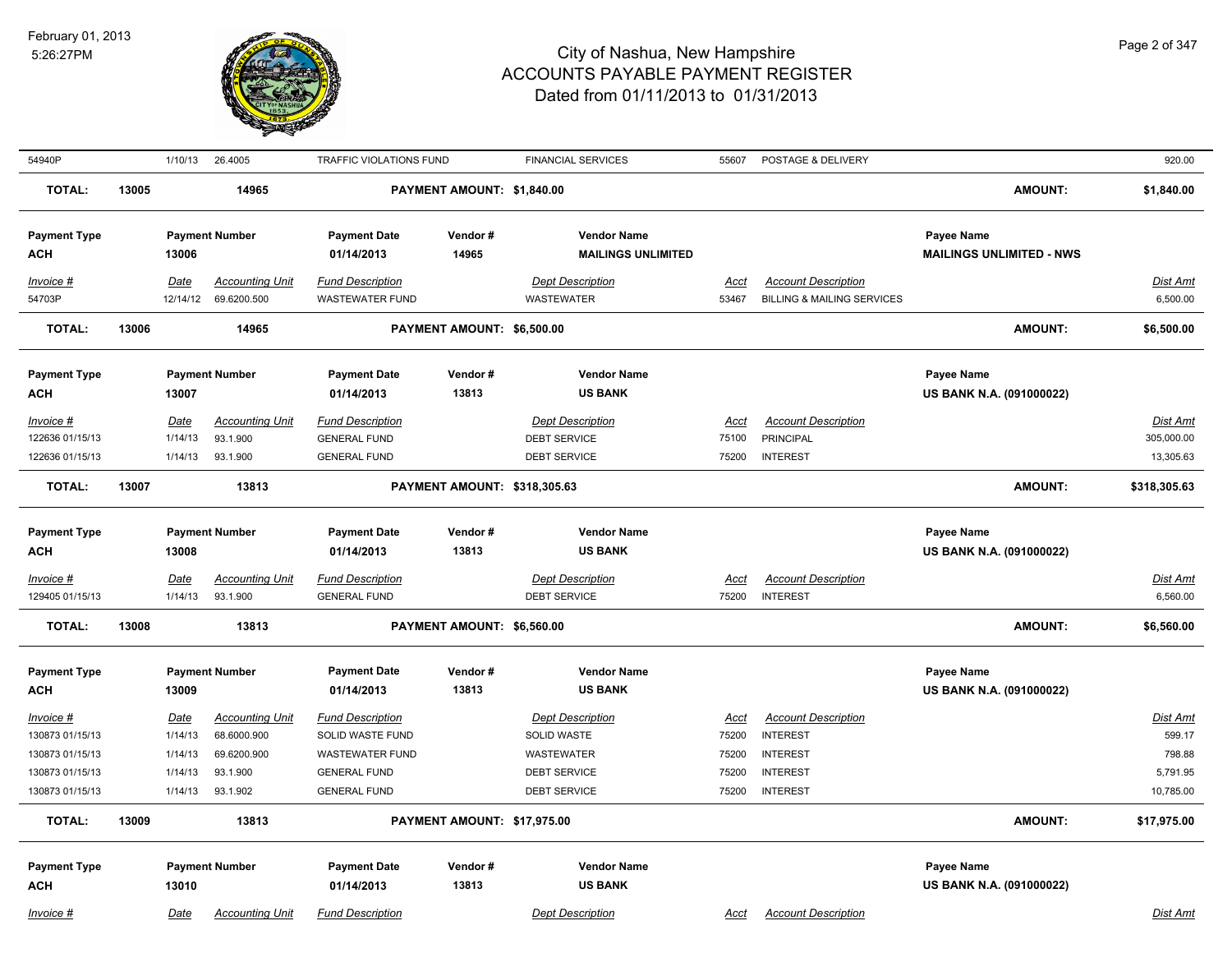

| 54940P                                                                                  |       | 1/10/13                                                 | 26.4005                                                                      | <b>TRAFFIC VIOLATIONS FUND</b>                                                                                      |                                     | <b>FINANCIAL SERVICES</b>                                                                          | 55607                                           | POSTAGE & DELIVERY                                                                                     |                                               | 920.00                                                |
|-----------------------------------------------------------------------------------------|-------|---------------------------------------------------------|------------------------------------------------------------------------------|---------------------------------------------------------------------------------------------------------------------|-------------------------------------|----------------------------------------------------------------------------------------------------|-------------------------------------------------|--------------------------------------------------------------------------------------------------------|-----------------------------------------------|-------------------------------------------------------|
| <b>TOTAL:</b>                                                                           | 13005 |                                                         | 14965                                                                        |                                                                                                                     | PAYMENT AMOUNT: \$1,840.00          |                                                                                                    |                                                 |                                                                                                        | <b>AMOUNT:</b>                                | \$1,840.00                                            |
| <b>Payment Type</b><br><b>ACH</b>                                                       |       | 13006                                                   | <b>Payment Number</b>                                                        | <b>Payment Date</b><br>01/14/2013                                                                                   | Vendor#<br>14965                    | <b>Vendor Name</b><br><b>MAILINGS UNLIMITED</b>                                                    |                                                 |                                                                                                        | Payee Name<br><b>MAILINGS UNLIMITED - NWS</b> |                                                       |
| Invoice #<br>54703P                                                                     |       | Date<br>12/14/12                                        | <b>Accounting Unit</b><br>69.6200.500                                        | <b>Fund Description</b><br><b>WASTEWATER FUND</b>                                                                   |                                     | <b>Dept Description</b><br><b>WASTEWATER</b>                                                       | Acct<br>53467                                   | <b>Account Description</b><br><b>BILLING &amp; MAILING SERVICES</b>                                    |                                               | Dist Amt<br>6,500.00                                  |
| <b>TOTAL:</b>                                                                           | 13006 |                                                         | 14965                                                                        |                                                                                                                     | PAYMENT AMOUNT: \$6,500.00          |                                                                                                    |                                                 |                                                                                                        | AMOUNT:                                       | \$6,500.00                                            |
| <b>Payment Type</b><br><b>ACH</b>                                                       |       | 13007                                                   | <b>Payment Number</b>                                                        | <b>Payment Date</b><br>01/14/2013                                                                                   | Vendor#<br>13813                    | <b>Vendor Name</b><br><b>US BANK</b>                                                               |                                                 |                                                                                                        | Payee Name<br>US BANK N.A. (091000022)        |                                                       |
| Invoice #<br>122636 01/15/13<br>122636 01/15/13                                         |       | Date<br>1/14/13<br>1/14/13                              | <b>Accounting Unit</b><br>93.1.900<br>93.1.900                               | <b>Fund Description</b><br><b>GENERAL FUND</b><br><b>GENERAL FUND</b>                                               |                                     | <b>Dept Description</b><br><b>DEBT SERVICE</b><br><b>DEBT SERVICE</b>                              | Acct<br>75100<br>75200                          | <b>Account Description</b><br><b>PRINCIPAL</b><br><b>INTEREST</b>                                      |                                               | Dist Amt<br>305,000.00<br>13,305.63                   |
| <b>TOTAL:</b>                                                                           | 13007 |                                                         | 13813                                                                        |                                                                                                                     | <b>PAYMENT AMOUNT: \$318,305.63</b> |                                                                                                    |                                                 |                                                                                                        | <b>AMOUNT:</b>                                | \$318,305.63                                          |
| <b>Payment Type</b><br><b>ACH</b>                                                       |       | 13008                                                   | <b>Payment Number</b>                                                        | <b>Payment Date</b><br>01/14/2013                                                                                   | Vendor#<br>13813                    | <b>Vendor Name</b><br><b>US BANK</b>                                                               |                                                 |                                                                                                        | Payee Name<br>US BANK N.A. (091000022)        |                                                       |
| Invoice #<br>129405 01/15/13                                                            |       | <u>Date</u><br>1/14/13                                  | <b>Accounting Unit</b><br>93.1.900                                           | <b>Fund Description</b><br><b>GENERAL FUND</b>                                                                      |                                     | <b>Dept Description</b><br><b>DEBT SERVICE</b>                                                     | <u>Acct</u><br>75200                            | <b>Account Description</b><br><b>INTEREST</b>                                                          |                                               | <u>Dist Amt</u><br>6,560.00                           |
| <b>TOTAL:</b>                                                                           | 13008 |                                                         | 13813                                                                        |                                                                                                                     | PAYMENT AMOUNT: \$6,560.00          |                                                                                                    |                                                 |                                                                                                        | AMOUNT:                                       | \$6,560.00                                            |
| <b>Payment Type</b><br><b>ACH</b>                                                       |       | 13009                                                   | <b>Payment Number</b>                                                        | <b>Payment Date</b><br>01/14/2013                                                                                   | Vendor#<br>13813                    | <b>Vendor Name</b><br><b>US BANK</b>                                                               |                                                 |                                                                                                        | Payee Name<br>US BANK N.A. (091000022)        |                                                       |
| $Invoice$ #<br>130873 01/15/13<br>130873 01/15/13<br>130873 01/15/13<br>130873 01/15/13 |       | <b>Date</b><br>1/14/13<br>1/14/13<br>1/14/13<br>1/14/13 | <b>Accounting Unit</b><br>68.6000.900<br>69.6200.900<br>93.1.900<br>93.1.902 | <b>Fund Description</b><br>SOLID WASTE FUND<br><b>WASTEWATER FUND</b><br><b>GENERAL FUND</b><br><b>GENERAL FUND</b> |                                     | <b>Dept Description</b><br>SOLID WASTE<br><b>WASTEWATER</b><br><b>DEBT SERVICE</b><br>DEBT SERVICE | <u>Acct</u><br>75200<br>75200<br>75200<br>75200 | <b>Account Description</b><br><b>INTEREST</b><br><b>INTEREST</b><br><b>INTEREST</b><br><b>INTEREST</b> |                                               | Dist Amt<br>599.17<br>798.88<br>5,791.95<br>10,785.00 |
| <b>TOTAL:</b>                                                                           | 13009 |                                                         | 13813                                                                        |                                                                                                                     | PAYMENT AMOUNT: \$17,975.00         |                                                                                                    |                                                 |                                                                                                        | <b>AMOUNT:</b>                                | \$17,975.00                                           |
| <b>Payment Type</b><br><b>ACH</b>                                                       |       | 13010                                                   | <b>Payment Number</b>                                                        | <b>Payment Date</b><br>01/14/2013                                                                                   | Vendor#<br>13813                    | <b>Vendor Name</b><br><b>US BANK</b>                                                               |                                                 |                                                                                                        | Payee Name<br>US BANK N.A. (091000022)        |                                                       |
| Invoice #                                                                               |       | Date                                                    | <b>Accounting Unit</b>                                                       | <b>Fund Description</b>                                                                                             |                                     | <b>Dept Description</b>                                                                            | Acct                                            | <b>Account Description</b>                                                                             |                                               | Dist Amt                                              |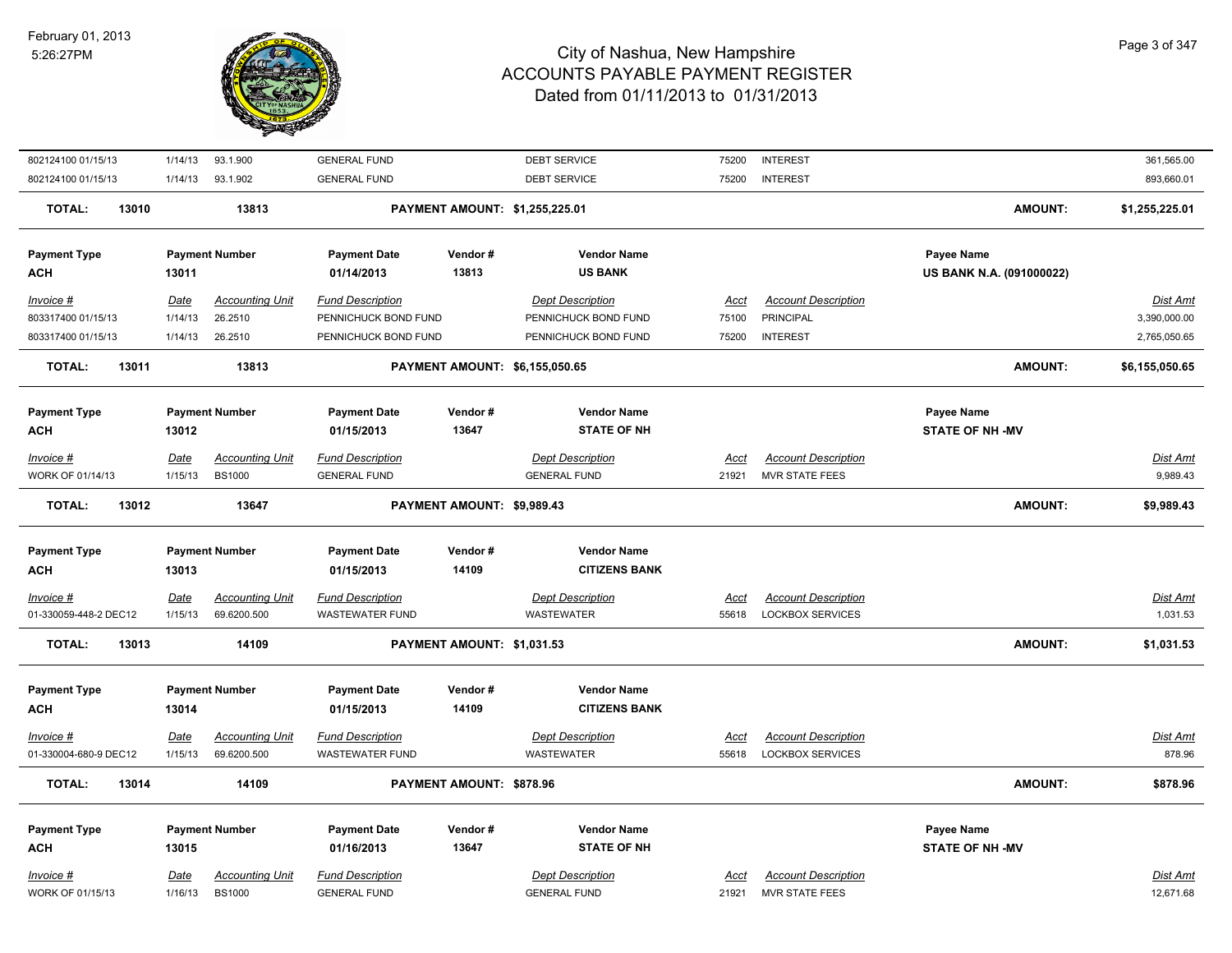

| 802124100 01/15/13     | 1/14/13                | 93.1.900                                | <b>GENERAL FUND</b>                            |                            | <b>DEBT SERVICE</b>                            | 75200                | <b>INTEREST</b>                                     |                          | 361,565.00            |
|------------------------|------------------------|-----------------------------------------|------------------------------------------------|----------------------------|------------------------------------------------|----------------------|-----------------------------------------------------|--------------------------|-----------------------|
| 802124100 01/15/13     | 1/14/13                | 93.1.902                                | <b>GENERAL FUND</b>                            |                            | <b>DEBT SERVICE</b>                            | 75200                | <b>INTEREST</b>                                     |                          | 893,660.01            |
| 13010<br><b>TOTAL:</b> |                        | 13813                                   |                                                |                            | PAYMENT AMOUNT: \$1,255,225.01                 |                      |                                                     | <b>AMOUNT:</b>           | \$1,255,225.01        |
| <b>Payment Type</b>    |                        | <b>Payment Number</b>                   | <b>Payment Date</b>                            | Vendor#                    | <b>Vendor Name</b>                             |                      |                                                     | Payee Name               |                       |
| <b>ACH</b>             | 13011                  |                                         | 01/14/2013                                     | 13813                      | <b>US BANK</b>                                 |                      |                                                     | US BANK N.A. (091000022) |                       |
| Invoice #              | <b>Date</b>            | <b>Accounting Unit</b>                  | <b>Fund Description</b>                        |                            | <b>Dept Description</b>                        | Acct                 | <b>Account Description</b>                          |                          | Dist Amt              |
| 803317400 01/15/13     | 1/14/13                | 26.2510                                 | PENNICHUCK BOND FUND                           |                            | PENNICHUCK BOND FUND                           | 75100                | <b>PRINCIPAL</b>                                    |                          | 3,390,000.00          |
| 803317400 01/15/13     | 1/14/13                | 26.2510                                 | PENNICHUCK BOND FUND                           |                            | PENNICHUCK BOND FUND                           | 75200                | <b>INTEREST</b>                                     |                          | 2,765,050.65          |
| <b>TOTAL:</b><br>13011 |                        | 13813                                   |                                                |                            | PAYMENT AMOUNT: \$6,155,050.65                 |                      |                                                     | <b>AMOUNT:</b>           | \$6,155,050.65        |
|                        |                        |                                         |                                                |                            |                                                |                      |                                                     |                          |                       |
| <b>Payment Type</b>    |                        | <b>Payment Number</b>                   | <b>Payment Date</b>                            | Vendor#                    | <b>Vendor Name</b>                             |                      |                                                     | Payee Name               |                       |
| <b>ACH</b>             | 13012                  |                                         | 01/15/2013                                     | 13647                      | <b>STATE OF NH</b>                             |                      |                                                     | <b>STATE OF NH-MV</b>    |                       |
| Invoice #              | <b>Date</b>            | <b>Accounting Unit</b>                  | <b>Fund Description</b>                        |                            | <b>Dept Description</b>                        | Acct                 | <b>Account Description</b>                          |                          | Dist Amt              |
| WORK OF 01/14/13       | 1/15/13                | <b>BS1000</b>                           | <b>GENERAL FUND</b>                            |                            | <b>GENERAL FUND</b>                            | 21921                | <b>MVR STATE FEES</b>                               |                          | 9,989.43              |
| <b>TOTAL:</b><br>13012 |                        | 13647                                   |                                                | PAYMENT AMOUNT: \$9,989.43 |                                                |                      |                                                     | <b>AMOUNT:</b>           | \$9,989.43            |
| <b>Payment Type</b>    |                        | <b>Payment Number</b>                   | <b>Payment Date</b>                            | Vendor#                    | <b>Vendor Name</b>                             |                      |                                                     |                          |                       |
| <b>ACH</b>             |                        |                                         | 01/15/2013                                     | 14109                      | <b>CITIZENS BANK</b>                           |                      |                                                     |                          |                       |
|                        | 13013                  |                                         |                                                |                            |                                                |                      |                                                     |                          |                       |
| Invoice #              | <b>Date</b>            | <b>Accounting Unit</b>                  | <b>Fund Description</b>                        |                            | <b>Dept Description</b>                        | <b>Acct</b>          | <b>Account Description</b>                          |                          | <b>Dist Amt</b>       |
| 01-330059-448-2 DEC12  | 1/15/13                | 69.6200.500                             | <b>WASTEWATER FUND</b>                         |                            | <b>WASTEWATER</b>                              | 55618                | <b>LOCKBOX SERVICES</b>                             |                          | 1,031.53              |
| <b>TOTAL:</b><br>13013 |                        | 14109                                   |                                                | PAYMENT AMOUNT: \$1,031.53 |                                                |                      |                                                     | <b>AMOUNT:</b>           | \$1,031.53            |
|                        |                        |                                         |                                                |                            |                                                |                      |                                                     |                          |                       |
| <b>Payment Type</b>    |                        | <b>Payment Number</b>                   | <b>Payment Date</b>                            | Vendor#                    | <b>Vendor Name</b>                             |                      |                                                     |                          |                       |
| <b>ACH</b>             | 13014                  |                                         | 01/15/2013                                     | 14109                      | <b>CITIZENS BANK</b>                           |                      |                                                     |                          |                       |
| Invoice #              | <b>Date</b>            | <b>Accounting Unit</b>                  | <b>Fund Description</b>                        |                            | <b>Dept Description</b>                        | <u>Acct</u>          | <b>Account Description</b>                          |                          | Dist Amt              |
| 01-330004-680-9 DEC12  | 1/15/13                | 69.6200.500                             | <b>WASTEWATER FUND</b>                         |                            | WASTEWATER                                     | 55618                | <b>LOCKBOX SERVICES</b>                             |                          | 878.96                |
| <b>TOTAL:</b><br>13014 |                        | 14109                                   |                                                | PAYMENT AMOUNT: \$878.96   |                                                |                      |                                                     | <b>AMOUNT:</b>           | \$878.96              |
| <b>Payment Type</b>    |                        | <b>Payment Number</b>                   | <b>Payment Date</b>                            | Vendor#                    | <b>Vendor Name</b>                             |                      |                                                     | Payee Name               |                       |
| <b>ACH</b>             | 13015                  |                                         | 01/16/2013                                     | 13647                      | <b>STATE OF NH</b>                             |                      |                                                     | <b>STATE OF NH -MV</b>   |                       |
| Invoice #              |                        |                                         |                                                |                            |                                                |                      |                                                     |                          |                       |
|                        |                        |                                         |                                                |                            |                                                |                      |                                                     |                          |                       |
| WORK OF 01/15/13       | <b>Date</b><br>1/16/13 | <b>Accounting Unit</b><br><b>BS1000</b> | <b>Fund Description</b><br><b>GENERAL FUND</b> |                            | <b>Dept Description</b><br><b>GENERAL FUND</b> | <b>Acct</b><br>21921 | <b>Account Description</b><br><b>MVR STATE FEES</b> |                          | Dist Amt<br>12,671.68 |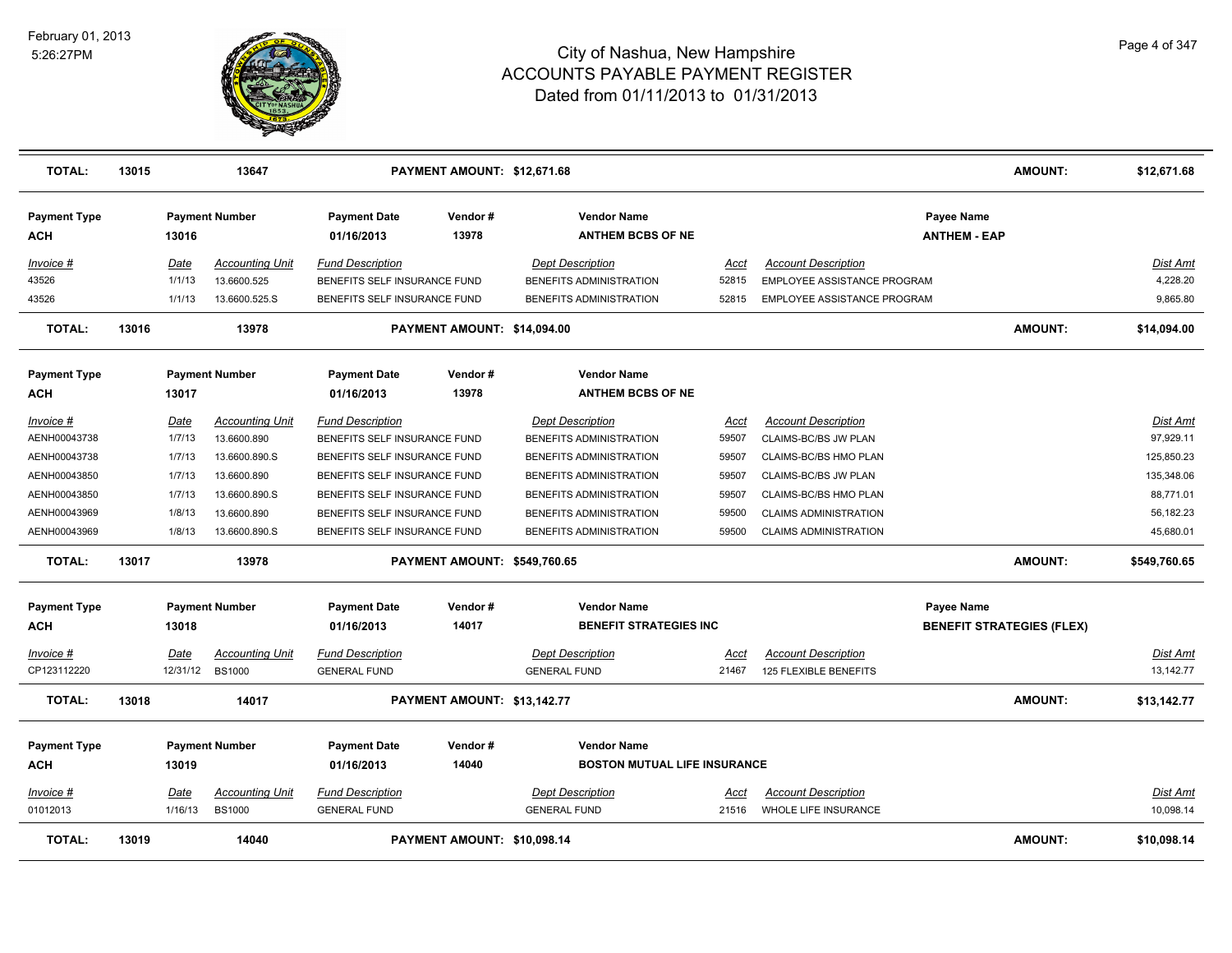

| <b>TOTAL:</b>              | 13015 |          | 13647                  |                                   | PAYMENT AMOUNT: \$12,671.68         |                                                |       |                              |                                   | <b>AMOUNT:</b> | \$12,671.68     |
|----------------------------|-------|----------|------------------------|-----------------------------------|-------------------------------------|------------------------------------------------|-------|------------------------------|-----------------------------------|----------------|-----------------|
| <b>Payment Type</b><br>ACH |       | 13016    | <b>Payment Number</b>  | <b>Payment Date</b><br>01/16/2013 | Vendor#<br>13978                    | <b>Vendor Name</b><br><b>ANTHEM BCBS OF NE</b> |       |                              | Payee Name<br><b>ANTHEM - EAP</b> |                |                 |
| Invoice #                  |       | Date     | <b>Accounting Unit</b> | <b>Fund Description</b>           |                                     | <b>Dept Description</b>                        | Acct  | <b>Account Description</b>   |                                   |                | Dist Amt        |
| 43526                      |       | 1/1/13   | 13.6600.525            | BENEFITS SELF INSURANCE FUND      |                                     | BENEFITS ADMINISTRATION                        | 52815 | EMPLOYEE ASSISTANCE PROGRAM  |                                   |                | 4,228.20        |
| 43526                      |       | 1/1/13   | 13.6600.525.S          | BENEFITS SELF INSURANCE FUND      |                                     | BENEFITS ADMINISTRATION                        | 52815 | EMPLOYEE ASSISTANCE PROGRAM  |                                   |                | 9,865.80        |
| <b>TOTAL:</b>              | 13016 |          | 13978                  |                                   | PAYMENT AMOUNT: \$14,094.00         |                                                |       |                              |                                   | <b>AMOUNT:</b> | \$14,094.00     |
| <b>Payment Type</b>        |       |          | <b>Payment Number</b>  | <b>Payment Date</b>               | Vendor#                             | <b>Vendor Name</b>                             |       |                              |                                   |                |                 |
| <b>ACH</b>                 |       | 13017    |                        | 01/16/2013                        | 13978                               | <b>ANTHEM BCBS OF NE</b>                       |       |                              |                                   |                |                 |
| Invoice #                  |       | Date     | <b>Accounting Unit</b> | <b>Fund Description</b>           |                                     | <b>Dept Description</b>                        | Acct  | <b>Account Description</b>   |                                   |                | Dist Amt        |
| AENH00043738               |       | 1/7/13   | 13.6600.890            | BENEFITS SELF INSURANCE FUND      |                                     | BENEFITS ADMINISTRATION                        | 59507 | CLAIMS-BC/BS JW PLAN         |                                   |                | 97,929.11       |
| AENH00043738               |       | 1/7/13   | 13.6600.890.S          | BENEFITS SELF INSURANCE FUND      |                                     | BENEFITS ADMINISTRATION                        | 59507 | CLAIMS-BC/BS HMO PLAN        |                                   |                | 125,850.23      |
| AENH00043850               |       | 1/7/13   | 13.6600.890            | BENEFITS SELF INSURANCE FUND      |                                     | BENEFITS ADMINISTRATION                        | 59507 | CLAIMS-BC/BS JW PLAN         |                                   |                | 135,348.06      |
| AENH00043850               |       | 1/7/13   | 13.6600.890.S          | BENEFITS SELF INSURANCE FUND      |                                     | BENEFITS ADMINISTRATION                        | 59507 | CLAIMS-BC/BS HMO PLAN        |                                   |                | 88,771.01       |
| AENH00043969               |       | 1/8/13   | 13.6600.890            | BENEFITS SELF INSURANCE FUND      |                                     | BENEFITS ADMINISTRATION                        | 59500 | <b>CLAIMS ADMINISTRATION</b> |                                   |                | 56,182.23       |
| AENH00043969               |       | 1/8/13   | 13.6600.890.S          | BENEFITS SELF INSURANCE FUND      |                                     | BENEFITS ADMINISTRATION                        | 59500 | <b>CLAIMS ADMINISTRATION</b> |                                   |                | 45,680.01       |
| <b>TOTAL:</b>              | 13017 |          | 13978                  |                                   | <b>PAYMENT AMOUNT: \$549,760.65</b> |                                                |       |                              |                                   | <b>AMOUNT:</b> | \$549,760.65    |
| <b>Payment Type</b>        |       |          | <b>Payment Number</b>  | <b>Payment Date</b>               | Vendor#                             | <b>Vendor Name</b>                             |       |                              | Payee Name                        |                |                 |
| ACH                        |       | 13018    |                        | 01/16/2013                        | 14017                               | <b>BENEFIT STRATEGIES INC</b>                  |       |                              | <b>BENEFIT STRATEGIES (FLEX)</b>  |                |                 |
|                            |       |          |                        |                                   |                                     |                                                |       |                              |                                   |                |                 |
| <u> Invoice #</u>          |       | Date     | <b>Accounting Unit</b> | <b>Fund Description</b>           |                                     | <b>Dept Description</b>                        | Acct  | <b>Account Description</b>   |                                   |                | <b>Dist Amt</b> |
| CP123112220                |       | 12/31/12 | <b>BS1000</b>          | <b>GENERAL FUND</b>               |                                     | <b>GENERAL FUND</b>                            | 21467 | 125 FLEXIBLE BENEFITS        |                                   |                | 13,142.77       |
| <b>TOTAL:</b>              | 13018 |          | 14017                  |                                   | PAYMENT AMOUNT: \$13,142.77         |                                                |       |                              |                                   | <b>AMOUNT:</b> | \$13,142.77     |
| <b>Payment Type</b>        |       |          | <b>Payment Number</b>  | <b>Payment Date</b>               | Vendor#                             | <b>Vendor Name</b>                             |       |                              |                                   |                |                 |
| ACH                        |       | 13019    |                        | 01/16/2013                        | 14040                               | <b>BOSTON MUTUAL LIFE INSURANCE</b>            |       |                              |                                   |                |                 |
| Invoice #                  |       | Date     | Accounting Unit        | <b>Fund Description</b>           |                                     | <b>Dept Description</b>                        | Acct  | <b>Account Description</b>   |                                   |                | Dist Amt        |
| 01012013                   |       | 1/16/13  | <b>BS1000</b>          | <b>GENERAL FUND</b>               |                                     | <b>GENERAL FUND</b>                            | 21516 | <b>WHOLE LIFE INSURANCE</b>  |                                   |                | 10,098.14       |
| <b>TOTAL:</b>              | 13019 |          | 14040                  |                                   | PAYMENT AMOUNT: \$10,098.14         |                                                |       |                              |                                   | <b>AMOUNT:</b> | \$10,098.14     |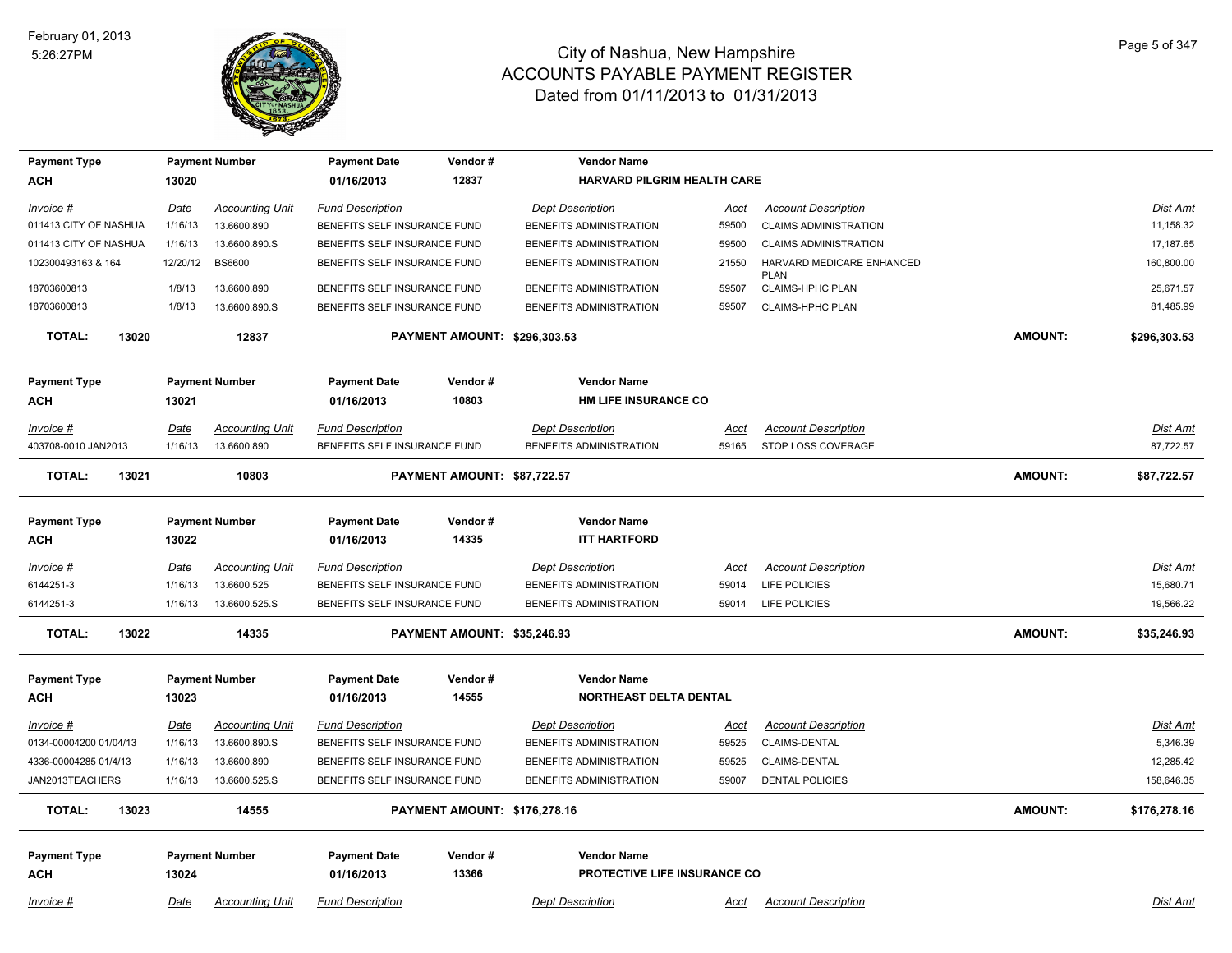

| <b>Payment Type</b>    |             | <b>Payment Number</b>  | <b>Payment Date</b>          | Vendor#                             | <b>Vendor Name</b>            |             |                                          |                |                 |
|------------------------|-------------|------------------------|------------------------------|-------------------------------------|-------------------------------|-------------|------------------------------------------|----------------|-----------------|
| ACH                    | 13020       |                        | 01/16/2013                   | 12837                               | HARVARD PILGRIM HEALTH CARE   |             |                                          |                |                 |
| Invoice #              | <b>Date</b> | <b>Accounting Unit</b> | <b>Fund Description</b>      |                                     | <b>Dept Description</b>       | <u>Acct</u> | <b>Account Description</b>               |                | Dist Amt        |
| 011413 CITY OF NASHUA  | 1/16/13     | 13.6600.890            | BENEFITS SELF INSURANCE FUND |                                     | BENEFITS ADMINISTRATION       | 59500       | <b>CLAIMS ADMINISTRATION</b>             |                | 11,158.32       |
| 011413 CITY OF NASHUA  | 1/16/13     | 13.6600.890.S          | BENEFITS SELF INSURANCE FUND |                                     | BENEFITS ADMINISTRATION       | 59500       | <b>CLAIMS ADMINISTRATION</b>             |                | 17,187.65       |
| 102300493163 & 164     | 12/20/12    | <b>BS6600</b>          | BENEFITS SELF INSURANCE FUND |                                     | BENEFITS ADMINISTRATION       | 21550       | HARVARD MEDICARE ENHANCED<br><b>PLAN</b> |                | 160,800.00      |
| 18703600813            | 1/8/13      | 13.6600.890            | BENEFITS SELF INSURANCE FUND |                                     | BENEFITS ADMINISTRATION       | 59507       | CLAIMS-HPHC PLAN                         |                | 25,671.57       |
| 18703600813            | 1/8/13      | 13.6600.890.S          | BENEFITS SELF INSURANCE FUND |                                     | BENEFITS ADMINISTRATION       | 59507       | <b>CLAIMS-HPHC PLAN</b>                  |                | 81,485.99       |
| TOTAL:<br>13020        |             | 12837                  |                              | PAYMENT AMOUNT: \$296,303.53        |                               |             |                                          | <b>AMOUNT:</b> | \$296,303.53    |
| <b>Payment Type</b>    |             | <b>Payment Number</b>  | <b>Payment Date</b>          | Vendor#                             | <b>Vendor Name</b>            |             |                                          |                |                 |
| ACH                    | 13021       |                        | 01/16/2013                   | 10803                               | <b>HM LIFE INSURANCE CO</b>   |             |                                          |                |                 |
| Invoice #              | <b>Date</b> | <b>Accounting Unit</b> | <b>Fund Description</b>      |                                     | <b>Dept Description</b>       | Acct        | <b>Account Description</b>               |                | Dist Amt        |
| 403708-0010 JAN2013    | 1/16/13     | 13.6600.890            | BENEFITS SELF INSURANCE FUND |                                     | BENEFITS ADMINISTRATION       | 59165       | STOP LOSS COVERAGE                       |                | 87,722.57       |
| <b>TOTAL:</b><br>13021 |             | 10803                  |                              | PAYMENT AMOUNT: \$87,722.57         |                               |             |                                          | <b>AMOUNT:</b> | \$87,722.57     |
| <b>Payment Type</b>    |             | <b>Payment Number</b>  | <b>Payment Date</b>          | Vendor#                             | <b>Vendor Name</b>            |             |                                          |                |                 |
| ACH                    | 13022       |                        | 01/16/2013                   | 14335                               | <b>ITT HARTFORD</b>           |             |                                          |                |                 |
| $Invoice$ #            | <b>Date</b> | <b>Accounting Unit</b> | <b>Fund Description</b>      |                                     | <b>Dept Description</b>       | <u>Acct</u> | <b>Account Description</b>               |                | <u>Dist Amt</u> |
| 6144251-3              | 1/16/13     | 13.6600.525            | BENEFITS SELF INSURANCE FUND |                                     | BENEFITS ADMINISTRATION       | 59014       | LIFE POLICIES                            |                | 15,680.71       |
| 6144251-3              | 1/16/13     | 13.6600.525.S          | BENEFITS SELF INSURANCE FUND |                                     | BENEFITS ADMINISTRATION       | 59014       | <b>LIFE POLICIES</b>                     |                | 19,566.22       |
| <b>TOTAL:</b><br>13022 |             | 14335                  |                              | PAYMENT AMOUNT: \$35,246.93         |                               |             |                                          | <b>AMOUNT:</b> | \$35,246.93     |
| <b>Payment Type</b>    |             | <b>Payment Number</b>  | <b>Payment Date</b>          | Vendor#                             | <b>Vendor Name</b>            |             |                                          |                |                 |
| ACH                    | 13023       |                        | 01/16/2013                   | 14555                               | <b>NORTHEAST DELTA DENTAL</b> |             |                                          |                |                 |
| Invoice #              | Date        | <b>Accounting Unit</b> | <b>Fund Description</b>      |                                     | <b>Dept Description</b>       | Acct        | <b>Account Description</b>               |                | Dist Amt        |
| 0134-00004200 01/04/13 | 1/16/13     | 13.6600.890.S          | BENEFITS SELF INSURANCE FUND |                                     | BENEFITS ADMINISTRATION       | 59525       | CLAIMS-DENTAL                            |                | 5,346.39        |
| 4336-00004285 01/4/13  | 1/16/13     | 13.6600.890            | BENEFITS SELF INSURANCE FUND |                                     | BENEFITS ADMINISTRATION       | 59525       | CLAIMS-DENTAL                            |                | 12,285.42       |
| JAN2013TEACHERS        | 1/16/13     | 13.6600.525.S          | BENEFITS SELF INSURANCE FUND |                                     | BENEFITS ADMINISTRATION       | 59007       | <b>DENTAL POLICIES</b>                   |                | 158,646.35      |
| <b>TOTAL:</b><br>13023 |             | 14555                  |                              | <b>PAYMENT AMOUNT: \$176,278.16</b> |                               |             |                                          | <b>AMOUNT:</b> | \$176,278.16    |
| <b>Payment Type</b>    |             | <b>Payment Number</b>  | <b>Payment Date</b>          | Vendor#                             | <b>Vendor Name</b>            |             |                                          |                |                 |
| ACH                    | 13024       |                        | 01/16/2013                   | 13366                               | PROTECTIVE LIFE INSURANCE CO  |             |                                          |                |                 |
| $Invoice$ #            | <b>Date</b> | <b>Accounting Unit</b> | <b>Fund Description</b>      |                                     | <b>Dept Description</b>       | <u>Acct</u> | <b>Account Description</b>               |                | <u>Dist Amt</u> |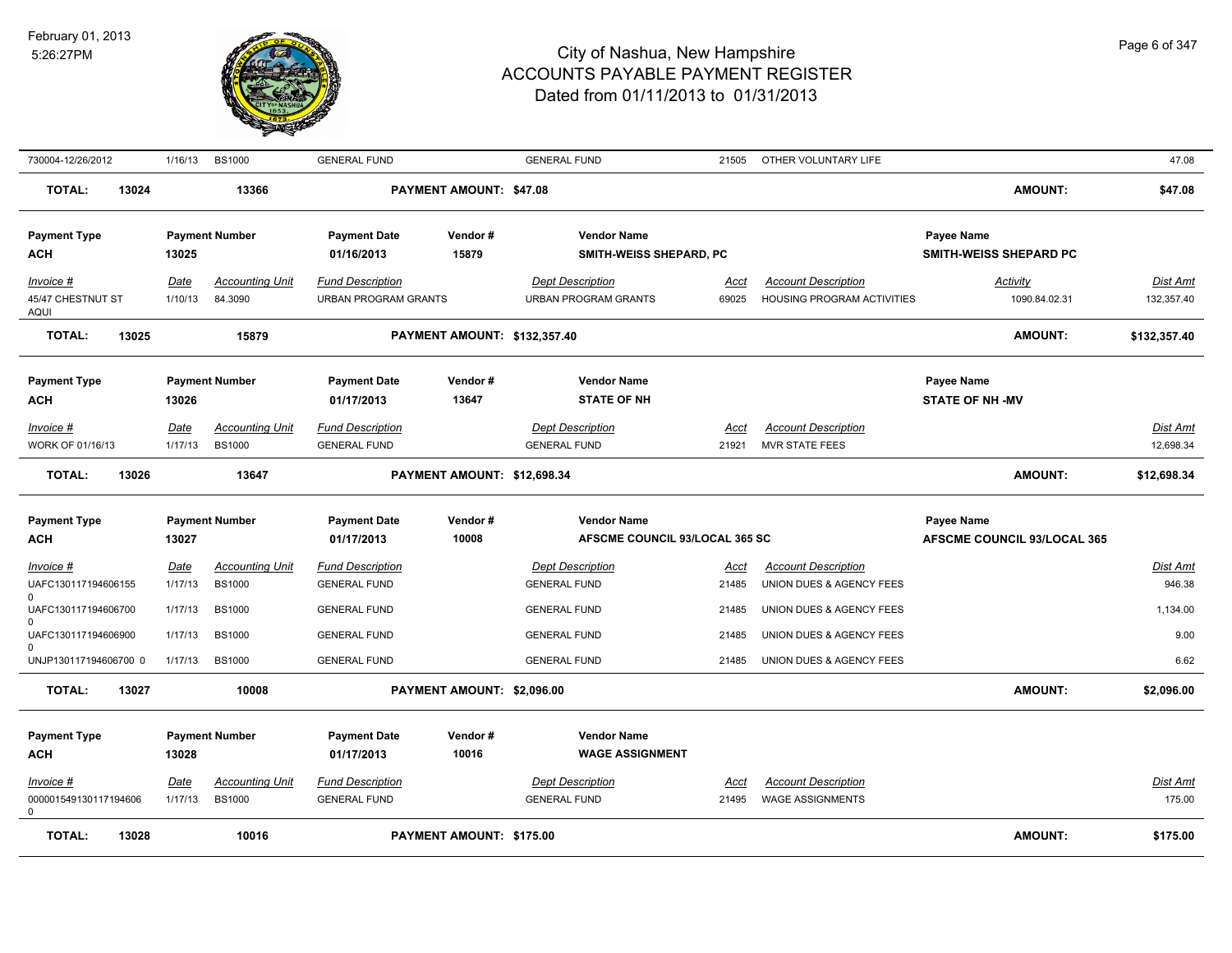

| 730004-12/26/2012                             | 1/16/13                | <b>BS1000</b>                           | <b>GENERAL FUND</b>                                    |                              | <b>GENERAL FUND</b>                                    | 21505                | OTHER VOLUNTARY LIFE                                     |                                                         | 47.08                        |
|-----------------------------------------------|------------------------|-----------------------------------------|--------------------------------------------------------|------------------------------|--------------------------------------------------------|----------------------|----------------------------------------------------------|---------------------------------------------------------|------------------------------|
| <b>TOTAL:</b><br>13024                        |                        | 13366                                   |                                                        | PAYMENT AMOUNT: \$47.08      |                                                        |                      |                                                          | <b>AMOUNT:</b>                                          | \$47.08                      |
| <b>Payment Type</b><br>ACH                    | 13025                  | <b>Payment Number</b>                   | <b>Payment Date</b><br>01/16/2013                      | Vendor#<br>15879             | <b>Vendor Name</b><br>SMITH-WEISS SHEPARD, PC          |                      |                                                          | <b>Payee Name</b><br>SMITH-WEISS SHEPARD PC             |                              |
| Invoice #<br>45/47 CHESTNUT ST<br><b>AQUI</b> | <u>Date</u><br>1/10/13 | <b>Accounting Unit</b><br>84.3090       | <b>Fund Description</b><br><b>URBAN PROGRAM GRANTS</b> |                              | <b>Dept Description</b><br><b>URBAN PROGRAM GRANTS</b> | Acct<br>69025        | <b>Account Description</b><br>HOUSING PROGRAM ACTIVITIES | <b>Activity</b><br>1090.84.02.31                        | Dist Amt<br>132,357.40       |
| <b>TOTAL:</b><br>13025                        |                        | 15879                                   |                                                        | PAYMENT AMOUNT: \$132,357.40 |                                                        |                      |                                                          | <b>AMOUNT:</b>                                          | \$132,357.40                 |
| <b>Payment Type</b><br>ACH                    | 13026                  | <b>Payment Number</b>                   | <b>Payment Date</b><br>01/17/2013                      | Vendor#<br>13647             | <b>Vendor Name</b><br><b>STATE OF NH</b>               |                      |                                                          | <b>Payee Name</b><br><b>STATE OF NH-MV</b>              |                              |
| <u>Invoice #</u><br>WORK OF 01/16/13          | <u>Date</u><br>1/17/13 | <b>Accounting Unit</b><br><b>BS1000</b> | <b>Fund Description</b><br><b>GENERAL FUND</b>         |                              | <b>Dept Description</b><br><b>GENERAL FUND</b>         | <u>Acct</u><br>21921 | <b>Account Description</b><br><b>MVR STATE FEES</b>      |                                                         | <b>Dist Amt</b><br>12,698.34 |
| 13026<br><b>TOTAL:</b>                        |                        | 13647                                   |                                                        | PAYMENT AMOUNT: \$12,698.34  |                                                        |                      |                                                          | <b>AMOUNT:</b>                                          | \$12,698.34                  |
| <b>Payment Type</b><br>ACH                    | 13027                  | <b>Payment Number</b>                   | <b>Payment Date</b><br>01/17/2013                      | Vendor#<br>10008             | <b>Vendor Name</b><br>AFSCME COUNCIL 93/LOCAL 365 SC   |                      |                                                          | <b>Payee Name</b><br><b>AFSCME COUNCIL 93/LOCAL 365</b> |                              |
| Invoice #<br>UAFC130117194606155<br>$\Omega$  | Date<br>1/17/13        | <b>Accounting Unit</b><br><b>BS1000</b> | <b>Fund Description</b><br><b>GENERAL FUND</b>         |                              | <b>Dept Description</b><br><b>GENERAL FUND</b>         | Acct<br>21485        | <b>Account Description</b><br>UNION DUES & AGENCY FEES   |                                                         | <b>Dist Amt</b><br>946.38    |
| UAFC130117194606700<br>$\Omega$               | 1/17/13                | <b>BS1000</b>                           | <b>GENERAL FUND</b>                                    |                              | <b>GENERAL FUND</b>                                    | 21485                | UNION DUES & AGENCY FEES                                 |                                                         | 1,134.00                     |
| UAFC130117194606900<br>$\Omega$               | 1/17/13                | <b>BS1000</b>                           | <b>GENERAL FUND</b>                                    |                              | <b>GENERAL FUND</b>                                    | 21485                | UNION DUES & AGENCY FEES                                 |                                                         | 9.00                         |
| UNJP130117194606700 0                         | 1/17/13                | <b>BS1000</b>                           | <b>GENERAL FUND</b>                                    |                              | <b>GENERAL FUND</b>                                    | 21485                | UNION DUES & AGENCY FEES                                 |                                                         | 6.62                         |
| <b>TOTAL:</b><br>13027                        |                        | 10008                                   |                                                        | PAYMENT AMOUNT: \$2,096.00   |                                                        |                      |                                                          | <b>AMOUNT:</b>                                          | \$2,096.00                   |
| <b>Payment Type</b><br><b>ACH</b>             | 13028                  | <b>Payment Number</b>                   | <b>Payment Date</b><br>01/17/2013                      | Vendor#<br>10016             | <b>Vendor Name</b><br><b>WAGE ASSIGNMENT</b>           |                      |                                                          |                                                         |                              |
| Invoice #<br>000001549130117194606<br>0       | Date<br>1/17/13        | <b>Accounting Unit</b><br><b>BS1000</b> | <b>Fund Description</b><br><b>GENERAL FUND</b>         |                              | <b>Dept Description</b><br><b>GENERAL FUND</b>         | Acct<br>21495        | <b>Account Description</b><br><b>WAGE ASSIGNMENTS</b>    |                                                         | <b>Dist Amt</b><br>175.00    |
| <b>TOTAL:</b><br>13028                        |                        | 10016                                   |                                                        | PAYMENT AMOUNT: \$175.00     |                                                        |                      |                                                          | <b>AMOUNT:</b>                                          | \$175.00                     |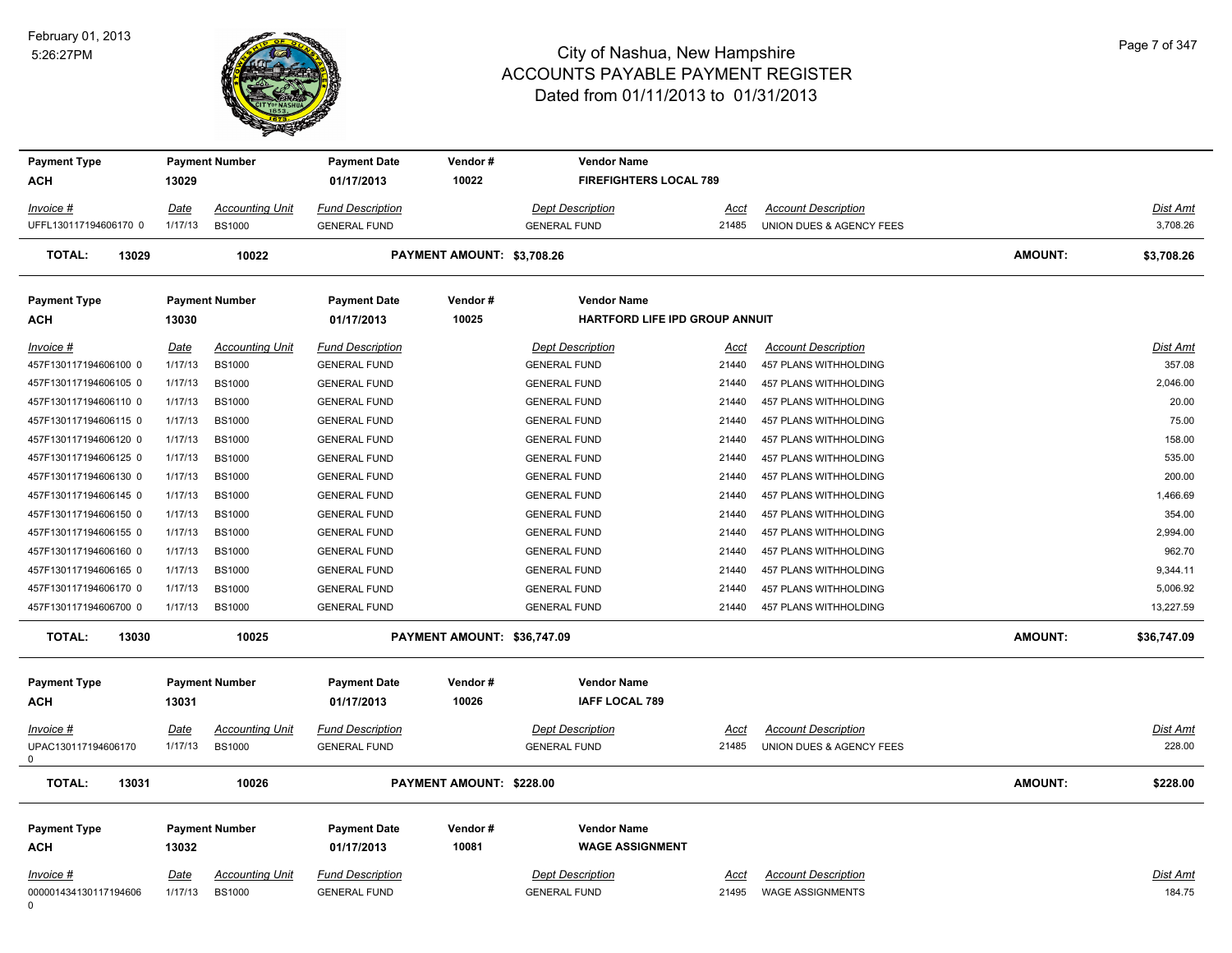0



| <b>Payment Type</b>                            |                        | <b>Payment Number</b>                   | <b>Payment Date</b>                            | Vendor#                     | <b>Vendor Name</b>                             |                      |                                                        |                |                    |
|------------------------------------------------|------------------------|-----------------------------------------|------------------------------------------------|-----------------------------|------------------------------------------------|----------------------|--------------------------------------------------------|----------------|--------------------|
| ACH                                            | 13029                  |                                         | 01/17/2013                                     | 10022                       | <b>FIREFIGHTERS LOCAL 789</b>                  |                      |                                                        |                |                    |
| Invoice #                                      | <u>Date</u>            | <b>Accounting Unit</b>                  | <b>Fund Description</b>                        |                             | <b>Dept Description</b>                        | <u>Acct</u>          | <b>Account Description</b>                             |                | Dist Amt           |
| UFFL130117194606170 0                          | 1/17/13                | <b>BS1000</b>                           | <b>GENERAL FUND</b>                            |                             | <b>GENERAL FUND</b>                            | 21485                | UNION DUES & AGENCY FEES                               |                | 3,708.26           |
| <b>TOTAL:</b><br>13029                         |                        | 10022                                   |                                                | PAYMENT AMOUNT: \$3,708.26  |                                                |                      |                                                        | <b>AMOUNT:</b> | \$3,708.26         |
| <b>Payment Type</b>                            |                        | <b>Payment Number</b>                   | <b>Payment Date</b>                            | Vendor#                     | <b>Vendor Name</b>                             |                      |                                                        |                |                    |
| ACH                                            | 13030                  |                                         | 01/17/2013                                     | 10025                       | HARTFORD LIFE IPD GROUP ANNUIT                 |                      |                                                        |                |                    |
| Invoice #                                      | <b>Date</b>            | <b>Accounting Unit</b>                  | <b>Fund Description</b>                        |                             | <b>Dept Description</b>                        | Acct                 | <b>Account Description</b>                             |                | Dist Amt           |
| 457F130117194606100 0                          | 1/17/13                | <b>BS1000</b>                           | <b>GENERAL FUND</b>                            |                             | <b>GENERAL FUND</b>                            | 21440                | 457 PLANS WITHHOLDING                                  |                | 357.08<br>2,046.00 |
| 457F130117194606105 0<br>457F130117194606110 0 | 1/17/13<br>1/17/13     | <b>BS1000</b><br><b>BS1000</b>          | <b>GENERAL FUND</b><br><b>GENERAL FUND</b>     |                             | <b>GENERAL FUND</b><br><b>GENERAL FUND</b>     | 21440<br>21440       | 457 PLANS WITHHOLDING<br>457 PLANS WITHHOLDING         |                | 20.00              |
| 457F130117194606115 0                          | 1/17/13                | <b>BS1000</b>                           | <b>GENERAL FUND</b>                            |                             | <b>GENERAL FUND</b>                            | 21440                | 457 PLANS WITHHOLDING                                  |                | 75.00              |
| 457F130117194606120 0                          | 1/17/13                | <b>BS1000</b>                           | <b>GENERAL FUND</b>                            |                             | <b>GENERAL FUND</b>                            | 21440                | 457 PLANS WITHHOLDING                                  |                | 158.00             |
| 457F130117194606125 0                          | 1/17/13                | <b>BS1000</b>                           | <b>GENERAL FUND</b>                            |                             | <b>GENERAL FUND</b>                            | 21440                | 457 PLANS WITHHOLDING                                  |                | 535.00             |
| 457F130117194606130 0                          | 1/17/13                | <b>BS1000</b>                           | <b>GENERAL FUND</b>                            |                             | <b>GENERAL FUND</b>                            | 21440                | 457 PLANS WITHHOLDING                                  |                | 200.00             |
| 457F130117194606145 0                          | 1/17/13                | <b>BS1000</b>                           | <b>GENERAL FUND</b>                            |                             | <b>GENERAL FUND</b>                            | 21440                | 457 PLANS WITHHOLDING                                  |                | 1,466.69           |
| 457F130117194606150 0                          | 1/17/13                | <b>BS1000</b>                           | <b>GENERAL FUND</b>                            |                             | <b>GENERAL FUND</b>                            | 21440                | 457 PLANS WITHHOLDING                                  |                | 354.00             |
| 457F130117194606155 0                          | 1/17/13                | <b>BS1000</b>                           | <b>GENERAL FUND</b>                            |                             | <b>GENERAL FUND</b>                            | 21440                | 457 PLANS WITHHOLDING                                  |                | 2,994.00           |
| 457F130117194606160 0                          | 1/17/13                | <b>BS1000</b>                           | <b>GENERAL FUND</b>                            |                             | <b>GENERAL FUND</b>                            | 21440                | 457 PLANS WITHHOLDING                                  |                | 962.70             |
| 457F130117194606165 0                          | 1/17/13                | <b>BS1000</b>                           | <b>GENERAL FUND</b>                            |                             | <b>GENERAL FUND</b>                            | 21440                | 457 PLANS WITHHOLDING                                  |                | 9,344.11           |
| 457F130117194606170 0                          | 1/17/13                | <b>BS1000</b>                           | <b>GENERAL FUND</b>                            |                             | <b>GENERAL FUND</b>                            | 21440                | 457 PLANS WITHHOLDING                                  |                | 5,006.92           |
| 457F130117194606700 0                          | 1/17/13                | <b>BS1000</b>                           | <b>GENERAL FUND</b>                            |                             | <b>GENERAL FUND</b>                            | 21440                | 457 PLANS WITHHOLDING                                  |                | 13,227.59          |
| <b>TOTAL:</b><br>13030                         |                        | 10025                                   |                                                | PAYMENT AMOUNT: \$36,747.09 |                                                |                      |                                                        | <b>AMOUNT:</b> | \$36,747.09        |
| <b>Payment Type</b>                            |                        | <b>Payment Number</b>                   | <b>Payment Date</b>                            | Vendor#                     | <b>Vendor Name</b>                             |                      |                                                        |                |                    |
| <b>ACH</b>                                     | 13031                  |                                         | 01/17/2013                                     | 10026                       | <b>IAFF LOCAL 789</b>                          |                      |                                                        |                |                    |
| Invoice #<br>UPAC130117194606170<br>0          | Date<br>1/17/13        | <b>Accounting Unit</b><br><b>BS1000</b> | <b>Fund Description</b><br><b>GENERAL FUND</b> |                             | <b>Dept Description</b><br><b>GENERAL FUND</b> | Acct<br>21485        | <b>Account Description</b><br>UNION DUES & AGENCY FEES |                | Dist Amt<br>228.00 |
| <b>TOTAL:</b><br>13031                         |                        | 10026                                   |                                                | PAYMENT AMOUNT: \$228.00    |                                                |                      |                                                        | <b>AMOUNT:</b> | \$228.00           |
| <b>Payment Type</b>                            |                        | <b>Payment Number</b>                   | <b>Payment Date</b>                            | Vendor#                     | <b>Vendor Name</b>                             |                      |                                                        |                |                    |
| <b>ACH</b>                                     | 13032                  |                                         | 01/17/2013                                     | 10081                       | <b>WAGE ASSIGNMENT</b>                         |                      |                                                        |                |                    |
|                                                |                        |                                         | <b>Fund Description</b>                        |                             | <b>Dept Description</b>                        |                      | <b>Account Description</b>                             |                | <b>Dist Amt</b>    |
| Invoice #<br>000001434130117194606             | <u>Date</u><br>1/17/13 | <b>Accounting Unit</b><br><b>BS1000</b> | <b>GENERAL FUND</b>                            |                             | <b>GENERAL FUND</b>                            | <u>Acct</u><br>21495 | <b>WAGE ASSIGNMENTS</b>                                |                | 184.75             |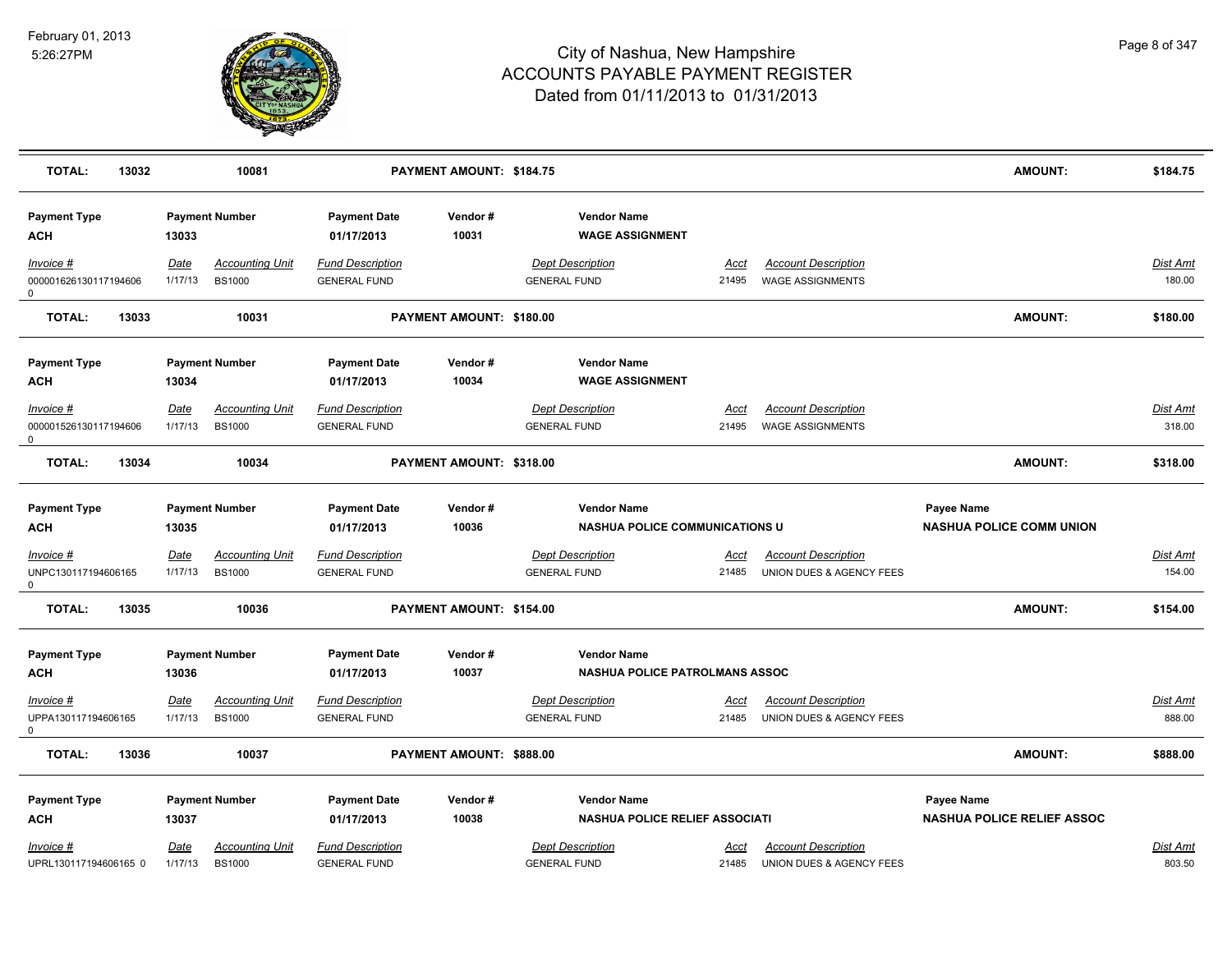

| <b>TOTAL:</b><br>13032                    |                        | 10081                                   |                                                | PAYMENT AMOUNT: \$184.75 |                                                             |                      |                                                        | <b>AMOUNT:</b>                                  | \$184.75           |
|-------------------------------------------|------------------------|-----------------------------------------|------------------------------------------------|--------------------------|-------------------------------------------------------------|----------------------|--------------------------------------------------------|-------------------------------------------------|--------------------|
| <b>Payment Type</b><br>ACH                | 13033                  | <b>Payment Number</b>                   | <b>Payment Date</b><br>01/17/2013              | Vendor#<br>10031         | <b>Vendor Name</b><br><b>WAGE ASSIGNMENT</b>                |                      |                                                        |                                                 |                    |
| Invoice #<br>000001626130117194606<br>0   | Date<br>1/17/13        | <b>Accounting Unit</b><br><b>BS1000</b> | <b>Fund Description</b><br><b>GENERAL FUND</b> |                          | <b>Dept Description</b><br><b>GENERAL FUND</b>              | Acct<br>21495        | <b>Account Description</b><br><b>WAGE ASSIGNMENTS</b>  |                                                 | Dist Amt<br>180.00 |
| <b>TOTAL:</b><br>13033                    |                        | 10031                                   |                                                | PAYMENT AMOUNT: \$180.00 |                                                             |                      |                                                        | <b>AMOUNT:</b>                                  | \$180.00           |
| <b>Payment Type</b><br><b>ACH</b>         | 13034                  | <b>Payment Number</b>                   | <b>Payment Date</b><br>01/17/2013              | Vendor#<br>10034         | <b>Vendor Name</b><br><b>WAGE ASSIGNMENT</b>                |                      |                                                        |                                                 |                    |
| $Invoice$ #<br>000001526130117194606<br>0 | Date<br>1/17/13        | <b>Accounting Unit</b><br><b>BS1000</b> | <b>Fund Description</b><br><b>GENERAL FUND</b> |                          | <b>Dept Description</b><br><b>GENERAL FUND</b>              | <b>Acct</b><br>21495 | <b>Account Description</b><br><b>WAGE ASSIGNMENTS</b>  |                                                 | Dist Amt<br>318.00 |
| <b>TOTAL:</b><br>13034                    |                        | 10034                                   |                                                | PAYMENT AMOUNT: \$318.00 |                                                             |                      |                                                        | <b>AMOUNT:</b>                                  | \$318.00           |
| <b>Payment Type</b><br><b>ACH</b>         | 13035                  | <b>Payment Number</b>                   | <b>Payment Date</b><br>01/17/2013              | Vendor#<br>10036         | <b>Vendor Name</b><br><b>NASHUA POLICE COMMUNICATIONS U</b> |                      |                                                        | Payee Name<br><b>NASHUA POLICE COMM UNION</b>   |                    |
| $Invoice$ #<br>UNPC130117194606165<br>0   | Date<br>1/17/13        | <u>Accounting Unit</u><br><b>BS1000</b> | <b>Fund Description</b><br><b>GENERAL FUND</b> |                          | <b>Dept Description</b><br><b>GENERAL FUND</b>              | Acct<br>21485        | <b>Account Description</b><br>UNION DUES & AGENCY FEES |                                                 | Dist Amt<br>154.00 |
| <b>TOTAL:</b><br>13035                    |                        | 10036                                   |                                                | PAYMENT AMOUNT: \$154.00 |                                                             |                      |                                                        | <b>AMOUNT:</b>                                  | \$154.00           |
| <b>Payment Type</b><br><b>ACH</b>         | 13036                  | <b>Payment Number</b>                   | <b>Payment Date</b><br>01/17/2013              | Vendor#<br>10037         | <b>Vendor Name</b><br><b>NASHUA POLICE PATROLMANS ASSOC</b> |                      |                                                        |                                                 |                    |
| Invoice #<br>UPPA130117194606165<br>0     | <u>Date</u><br>1/17/13 | <b>Accounting Unit</b><br><b>BS1000</b> | <b>Fund Description</b><br><b>GENERAL FUND</b> |                          | <b>Dept Description</b><br><b>GENERAL FUND</b>              | Acct<br>21485        | <b>Account Description</b><br>UNION DUES & AGENCY FEES |                                                 | Dist Amt<br>888.00 |
| <b>TOTAL:</b><br>13036                    |                        | 10037                                   |                                                | PAYMENT AMOUNT: \$888.00 |                                                             |                      |                                                        | <b>AMOUNT:</b>                                  | \$888.00           |
| <b>Payment Type</b><br><b>ACH</b>         | 13037                  | <b>Payment Number</b>                   | <b>Payment Date</b><br>01/17/2013              | Vendor#<br>10038         | <b>Vendor Name</b><br><b>NASHUA POLICE RELIEF ASSOCIATI</b> |                      |                                                        | Payee Name<br><b>NASHUA POLICE RELIEF ASSOC</b> |                    |
| Invoice #<br>UPRL130117194606165 0        | Date<br>1/17/13        | <b>Accounting Unit</b><br><b>BS1000</b> | <b>Fund Description</b><br><b>GENERAL FUND</b> |                          | <b>Dept Description</b><br><b>GENERAL FUND</b>              | Acct<br>21485        | <b>Account Description</b><br>UNION DUES & AGENCY FEES |                                                 | Dist Amt<br>803.50 |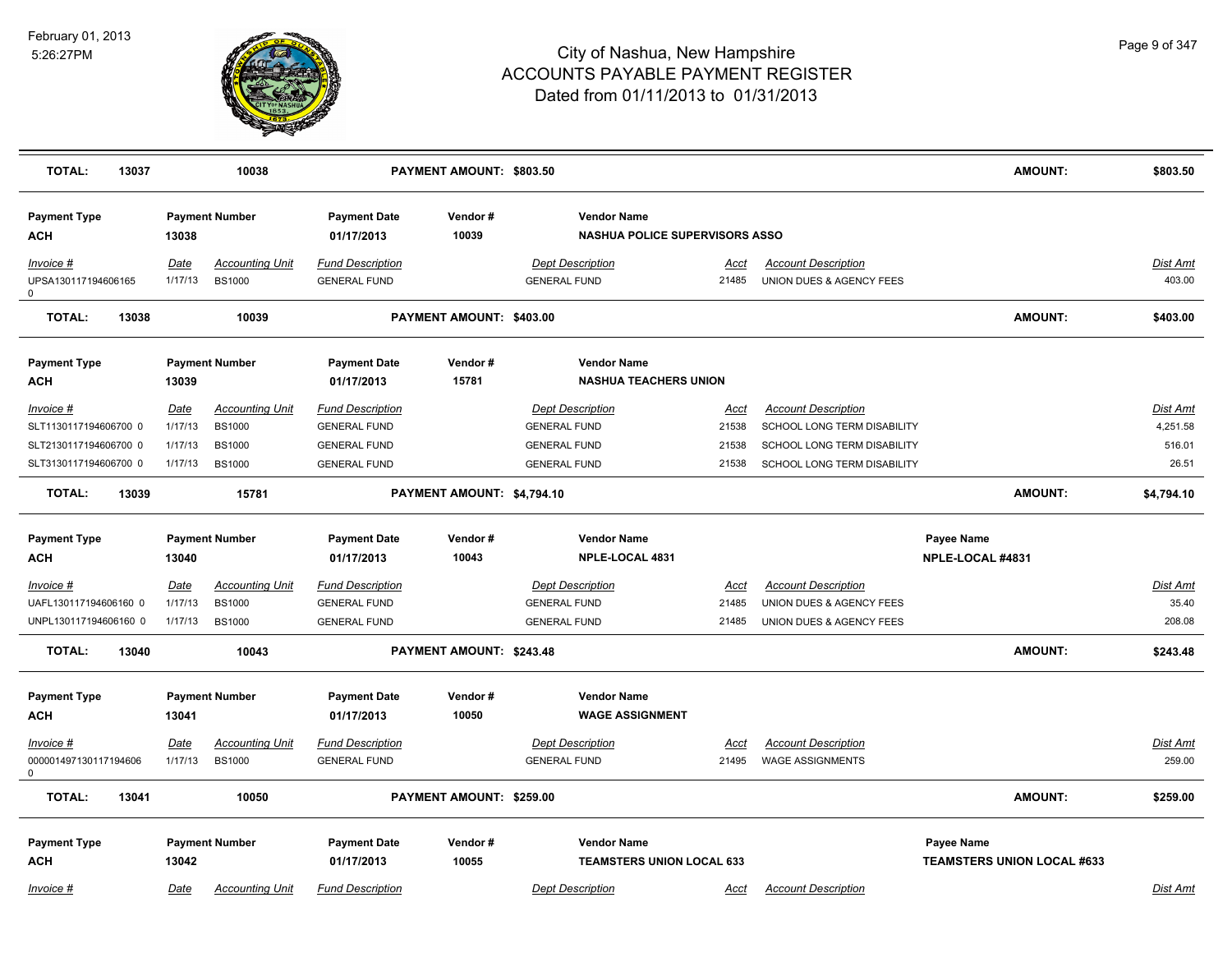

| <b>TOTAL:</b><br>13037                                                               |                                       | 10038                                                                     |                                                                                              | PAYMENT AMOUNT: \$803.50   |                                                                                              |                                        |                                                                                                                         | <b>AMOUNT:</b>                                         | \$803.50                                       |
|--------------------------------------------------------------------------------------|---------------------------------------|---------------------------------------------------------------------------|----------------------------------------------------------------------------------------------|----------------------------|----------------------------------------------------------------------------------------------|----------------------------------------|-------------------------------------------------------------------------------------------------------------------------|--------------------------------------------------------|------------------------------------------------|
| <b>Payment Type</b><br>ACH                                                           | 13038                                 | <b>Payment Number</b>                                                     | <b>Payment Date</b><br>01/17/2013                                                            | Vendor #<br>10039          | <b>Vendor Name</b><br><b>NASHUA POLICE SUPERVISORS ASSO</b>                                  |                                        |                                                                                                                         |                                                        |                                                |
| Invoice #<br>UPSA130117194606165<br>0                                                | <b>Date</b><br>1/17/13                | <b>Accounting Unit</b><br><b>BS1000</b>                                   | <b>Fund Description</b><br><b>GENERAL FUND</b>                                               |                            | <b>Dept Description</b><br><b>GENERAL FUND</b>                                               | Acct<br>21485                          | <b>Account Description</b><br>UNION DUES & AGENCY FEES                                                                  |                                                        | Dist Amt<br>403.00                             |
| <b>TOTAL:</b><br>13038                                                               |                                       | 10039                                                                     |                                                                                              | PAYMENT AMOUNT: \$403.00   |                                                                                              |                                        |                                                                                                                         | <b>AMOUNT:</b>                                         | \$403.00                                       |
| <b>Payment Type</b><br>ACH                                                           | 13039                                 | <b>Payment Number</b>                                                     | <b>Payment Date</b><br>01/17/2013                                                            | Vendor#<br>15781           | <b>Vendor Name</b><br><b>NASHUA TEACHERS UNION</b>                                           |                                        |                                                                                                                         |                                                        |                                                |
| Invoice #<br>SLT1130117194606700 0<br>SLT2130117194606700 0<br>SLT3130117194606700 0 | Date<br>1/17/13<br>1/17/13<br>1/17/13 | <b>Accounting Unit</b><br><b>BS1000</b><br><b>BS1000</b><br><b>BS1000</b> | <b>Fund Description</b><br><b>GENERAL FUND</b><br><b>GENERAL FUND</b><br><b>GENERAL FUND</b> |                            | <b>Dept Description</b><br><b>GENERAL FUND</b><br><b>GENERAL FUND</b><br><b>GENERAL FUND</b> | <u>Acct</u><br>21538<br>21538<br>21538 | <b>Account Description</b><br>SCHOOL LONG TERM DISABILITY<br>SCHOOL LONG TERM DISABILITY<br>SCHOOL LONG TERM DISABILITY |                                                        | <b>Dist Amt</b><br>4,251.58<br>516.01<br>26.51 |
| <b>TOTAL:</b><br>13039                                                               |                                       | 15781                                                                     |                                                                                              | PAYMENT AMOUNT: \$4,794.10 |                                                                                              |                                        |                                                                                                                         | <b>AMOUNT:</b>                                         | \$4,794.10                                     |
| <b>Payment Type</b><br>ACH                                                           | 13040                                 | <b>Payment Number</b>                                                     | <b>Payment Date</b><br>01/17/2013                                                            | Vendor#<br>10043           | <b>Vendor Name</b><br>NPLE-LOCAL 4831                                                        |                                        |                                                                                                                         | Payee Name<br>NPLE-LOCAL #4831                         |                                                |
| Invoice #<br>UAFL130117194606160 0<br>UNPL130117194606160 0                          | <u>Date</u><br>1/17/13<br>1/17/13     | <b>Accounting Unit</b><br><b>BS1000</b><br><b>BS1000</b>                  | <b>Fund Description</b><br><b>GENERAL FUND</b><br><b>GENERAL FUND</b>                        |                            | <b>Dept Description</b><br><b>GENERAL FUND</b><br><b>GENERAL FUND</b>                        | Acct<br>21485<br>21485                 | <b>Account Description</b><br>UNION DUES & AGENCY FEES<br>UNION DUES & AGENCY FEES                                      |                                                        | Dist Amt<br>35.40<br>208.08                    |
| <b>TOTAL:</b><br>13040                                                               |                                       | 10043                                                                     |                                                                                              | PAYMENT AMOUNT: \$243.48   |                                                                                              |                                        |                                                                                                                         | <b>AMOUNT:</b>                                         | \$243.48                                       |
| <b>Payment Type</b><br>ACH                                                           | 13041                                 | <b>Payment Number</b>                                                     | <b>Payment Date</b><br>01/17/2013                                                            | Vendor#<br>10050           | <b>Vendor Name</b><br><b>WAGE ASSIGNMENT</b>                                                 |                                        |                                                                                                                         |                                                        |                                                |
| <u>Invoice #</u><br>000001497130117194606<br>0                                       | <u>Date</u><br>1/17/13                | <b>Accounting Unit</b><br><b>BS1000</b>                                   | <b>Fund Description</b><br><b>GENERAL FUND</b>                                               |                            | <b>Dept Description</b><br><b>GENERAL FUND</b>                                               | <u>Acct</u><br>21495                   | <b>Account Description</b><br><b>WAGE ASSIGNMENTS</b>                                                                   |                                                        | Dist Amt<br>259.00                             |
| <b>TOTAL:</b><br>13041                                                               |                                       | 10050                                                                     |                                                                                              | PAYMENT AMOUNT: \$259.00   |                                                                                              |                                        |                                                                                                                         | <b>AMOUNT:</b>                                         | \$259.00                                       |
| <b>Payment Type</b><br><b>ACH</b>                                                    | 13042                                 | <b>Payment Number</b>                                                     | <b>Payment Date</b><br>01/17/2013                                                            | Vendor#<br>10055           | <b>Vendor Name</b><br><b>TEAMSTERS UNION LOCAL 633</b>                                       |                                        |                                                                                                                         | <b>Payee Name</b><br><b>TEAMSTERS UNION LOCAL #633</b> |                                                |
| $Invoice$ #                                                                          | Date                                  | <b>Accounting Unit</b>                                                    | <b>Fund Description</b>                                                                      |                            | <b>Dept Description</b>                                                                      | <u>Acct</u>                            | <b>Account Description</b>                                                                                              |                                                        | Dist Amt                                       |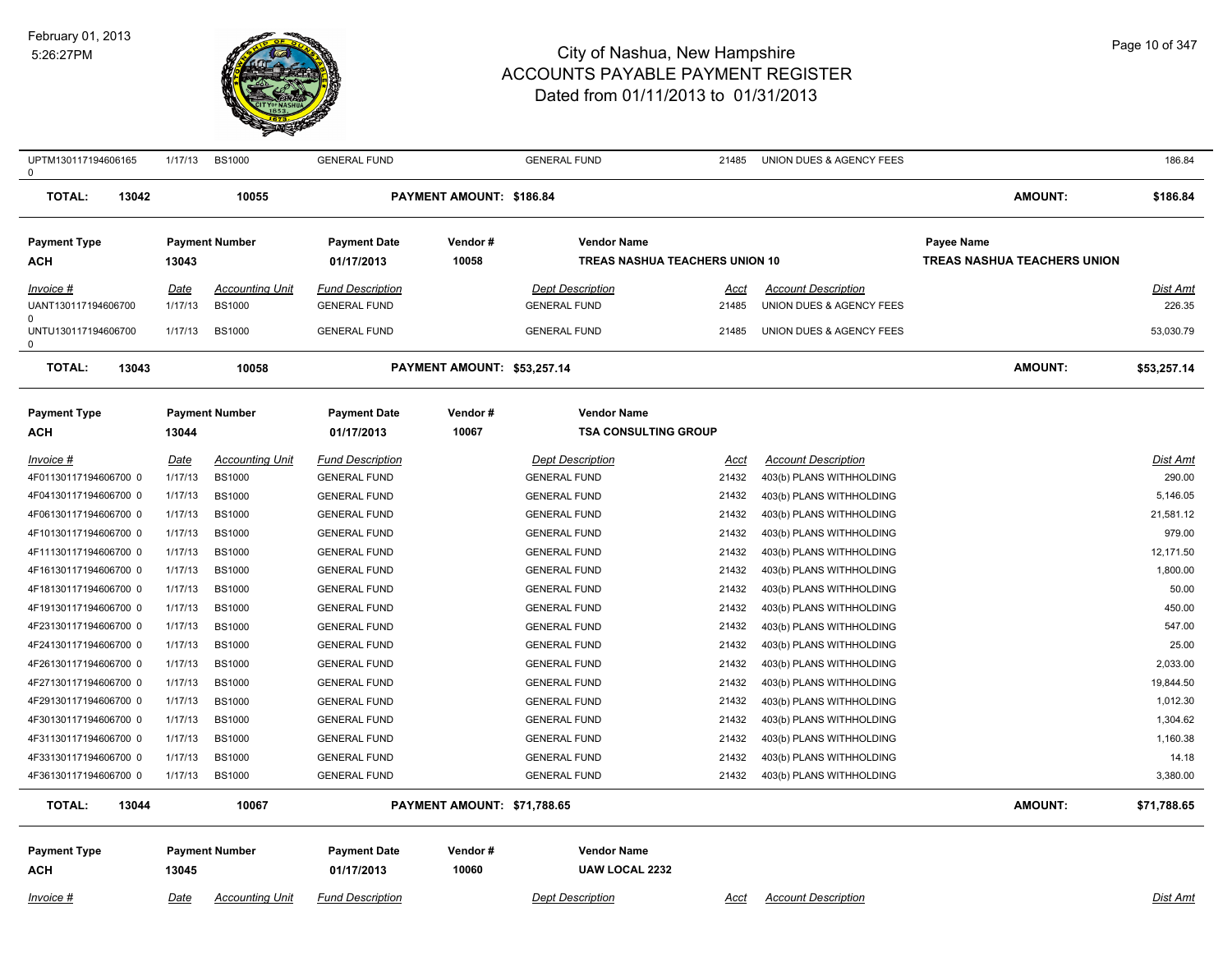#### February 01, 2013 5:26:27PM



| UPTM130117194606165<br>0   | 1/17/13     | <b>BS1000</b>          | <b>GENERAL FUND</b>               |                             | <b>GENERAL FUND</b>                               | 21485       | UNION DUES & AGENCY FEES   |                                    | 186.84          |
|----------------------------|-------------|------------------------|-----------------------------------|-----------------------------|---------------------------------------------------|-------------|----------------------------|------------------------------------|-----------------|
| <b>TOTAL:</b><br>13042     |             | 10055                  |                                   | PAYMENT AMOUNT: \$186.84    |                                                   |             |                            | <b>AMOUNT:</b>                     | \$186.84        |
| <b>Payment Type</b>        |             | <b>Payment Number</b>  | <b>Payment Date</b>               | Vendor#                     | <b>Vendor Name</b>                                |             |                            | Payee Name                         |                 |
| ACH                        | 13043       |                        | 01/17/2013                        | 10058                       | <b>TREAS NASHUA TEACHERS UNION 10</b>             |             |                            | <b>TREAS NASHUA TEACHERS UNION</b> |                 |
| <u>Invoice #</u>           | <u>Date</u> | <b>Accounting Unit</b> | <b>Fund Description</b>           |                             | <b>Dept Description</b>                           | Acct        | <b>Account Description</b> |                                    | Dist Amt        |
| UANT130117194606700        | 1/17/13     | <b>BS1000</b>          | <b>GENERAL FUND</b>               |                             | <b>GENERAL FUND</b>                               | 21485       | UNION DUES & AGENCY FEES   |                                    | 226.35          |
| UNTU130117194606700<br>0   | 1/17/13     | <b>BS1000</b>          | <b>GENERAL FUND</b>               |                             | <b>GENERAL FUND</b>                               | 21485       | UNION DUES & AGENCY FEES   |                                    | 53,030.79       |
| <b>TOTAL:</b><br>13043     |             | 10058                  |                                   | PAYMENT AMOUNT: \$53,257.14 |                                                   |             |                            | <b>AMOUNT:</b>                     | \$53,257.14     |
| <b>Payment Type</b><br>ACH | 13044       | <b>Payment Number</b>  | <b>Payment Date</b><br>01/17/2013 | Vendor#<br>10067            | <b>Vendor Name</b><br><b>TSA CONSULTING GROUP</b> |             |                            |                                    |                 |
| Invoice #                  | <b>Date</b> | <b>Accounting Unit</b> | <b>Fund Description</b>           |                             | <b>Dept Description</b>                           | <u>Acct</u> | <b>Account Description</b> |                                    | <u>Dist Amt</u> |
| 4F01130117194606700 0      | 1/17/13     | <b>BS1000</b>          | <b>GENERAL FUND</b>               |                             | <b>GENERAL FUND</b>                               | 21432       | 403(b) PLANS WITHHOLDING   |                                    | 290.00          |
| 4F04130117194606700 0      | 1/17/13     | <b>BS1000</b>          | <b>GENERAL FUND</b>               |                             | <b>GENERAL FUND</b>                               | 21432       | 403(b) PLANS WITHHOLDING   |                                    | 5.146.05        |
| 4F06130117194606700 0      | 1/17/13     | <b>BS1000</b>          | <b>GENERAL FUND</b>               |                             | <b>GENERAL FUND</b>                               | 21432       | 403(b) PLANS WITHHOLDING   |                                    | 21,581.12       |
| 4F10130117194606700 0      | 1/17/13     | <b>BS1000</b>          | <b>GENERAL FUND</b>               |                             | <b>GENERAL FUND</b>                               | 21432       | 403(b) PLANS WITHHOLDING   |                                    | 979.00          |
| 4F11130117194606700 0      | 1/17/13     | <b>BS1000</b>          | <b>GENERAL FUND</b>               |                             | <b>GENERAL FUND</b>                               | 21432       | 403(b) PLANS WITHHOLDING   |                                    | 12,171.50       |
| 4F16130117194606700 0      | 1/17/13     | <b>BS1000</b>          | <b>GENERAL FUND</b>               |                             | <b>GENERAL FUND</b>                               | 21432       | 403(b) PLANS WITHHOLDING   |                                    | 1,800.00        |
| 4F18130117194606700 0      | 1/17/13     | <b>BS1000</b>          | <b>GENERAL FUND</b>               |                             | <b>GENERAL FUND</b>                               | 21432       | 403(b) PLANS WITHHOLDING   |                                    | 50.00           |
| 4F19130117194606700 0      | 1/17/13     | <b>BS1000</b>          | <b>GENERAL FUND</b>               |                             | <b>GENERAL FUND</b>                               | 21432       | 403(b) PLANS WITHHOLDING   |                                    | 450.00          |
| 4F23130117194606700 0      | 1/17/13     | <b>BS1000</b>          | <b>GENERAL FUND</b>               |                             | <b>GENERAL FUND</b>                               | 21432       | 403(b) PLANS WITHHOLDING   |                                    | 547.00          |
| 4F24130117194606700 0      | 1/17/13     | <b>BS1000</b>          | <b>GENERAL FUND</b>               |                             | <b>GENERAL FUND</b>                               | 21432       | 403(b) PLANS WITHHOLDING   |                                    | 25.00           |
| 4F26130117194606700 0      | 1/17/13     | <b>BS1000</b>          | <b>GENERAL FUND</b>               |                             | <b>GENERAL FUND</b>                               | 21432       | 403(b) PLANS WITHHOLDING   |                                    | 2,033.00        |
| 4F27130117194606700 0      | 1/17/13     | <b>BS1000</b>          | <b>GENERAL FUND</b>               |                             | <b>GENERAL FUND</b>                               | 21432       | 403(b) PLANS WITHHOLDING   |                                    | 19,844.50       |
| 4F29130117194606700 0      | 1/17/13     | <b>BS1000</b>          | <b>GENERAL FUND</b>               |                             | <b>GENERAL FUND</b>                               | 21432       | 403(b) PLANS WITHHOLDING   |                                    | 1,012.30        |
| 4F30130117194606700 0      | 1/17/13     | <b>BS1000</b>          | <b>GENERAL FUND</b>               |                             | <b>GENERAL FUND</b>                               | 21432       | 403(b) PLANS WITHHOLDING   |                                    | 1,304.62        |
| 4F31130117194606700 0      | 1/17/13     | <b>BS1000</b>          | <b>GENERAL FUND</b>               |                             | <b>GENERAL FUND</b>                               | 21432       | 403(b) PLANS WITHHOLDING   |                                    | 1,160.38        |
| 4F33130117194606700 0      | 1/17/13     | <b>BS1000</b>          | <b>GENERAL FUND</b>               |                             | <b>GENERAL FUND</b>                               | 21432       | 403(b) PLANS WITHHOLDING   |                                    | 14.18           |
| 4F36130117194606700 0      | 1/17/13     | <b>BS1000</b>          | <b>GENERAL FUND</b>               |                             | <b>GENERAL FUND</b>                               | 21432       | 403(b) PLANS WITHHOLDING   |                                    | 3,380.00        |
| <b>TOTAL:</b><br>13044     |             | 10067                  |                                   | PAYMENT AMOUNT: \$71,788.65 |                                                   |             |                            | <b>AMOUNT:</b>                     | \$71,788.65     |
| <b>Payment Type</b>        |             | <b>Payment Number</b>  | <b>Payment Date</b>               | Vendor#                     | <b>Vendor Name</b>                                |             |                            |                                    |                 |
| ACH                        | 13045       |                        | 01/17/2013                        | 10060                       | <b>UAW LOCAL 2232</b>                             |             |                            |                                    |                 |
| <u>Invoice #</u>           | Date        | <b>Accounting Unit</b> | <b>Fund Description</b>           |                             | <b>Dept Description</b>                           | <u>Acct</u> | <b>Account Description</b> |                                    | Dist Amt        |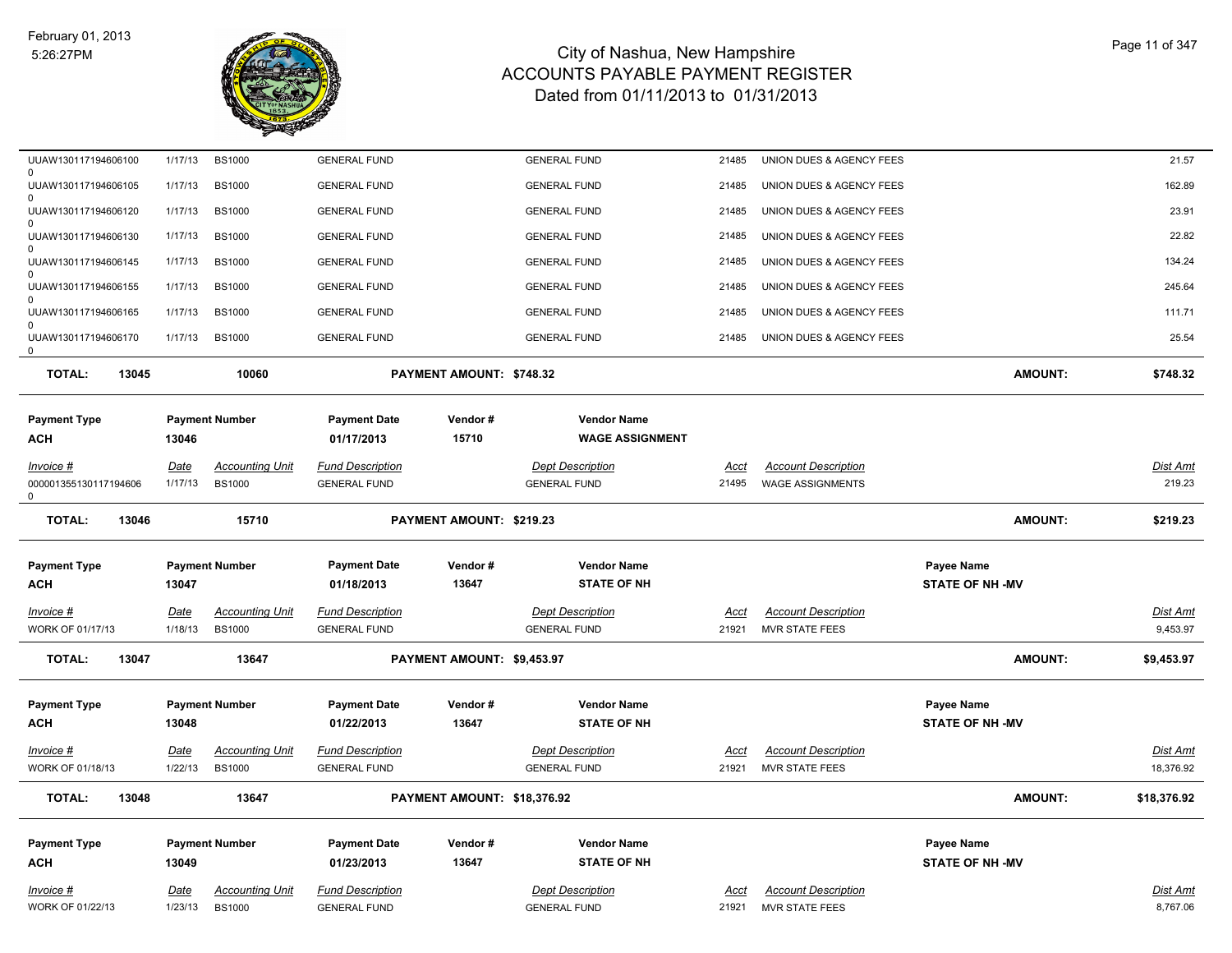

| UUAW130117194606100                             | 1/17/13                | <b>BS1000</b>                           | <b>GENERAL FUND</b>                            |                             | <b>GENERAL FUND</b>                            | 21485         | UNION DUES & AGENCY FEES                            |                        | 21.57                |
|-------------------------------------------------|------------------------|-----------------------------------------|------------------------------------------------|-----------------------------|------------------------------------------------|---------------|-----------------------------------------------------|------------------------|----------------------|
| $\Omega$<br>UUAW130117194606105<br><sup>0</sup> | 1/17/13                | <b>BS1000</b>                           | <b>GENERAL FUND</b>                            |                             | <b>GENERAL FUND</b>                            | 21485         | UNION DUES & AGENCY FEES                            |                        | 162.89               |
| UUAW130117194606120                             | 1/17/13                | <b>BS1000</b>                           | <b>GENERAL FUND</b>                            |                             | <b>GENERAL FUND</b>                            | 21485         | UNION DUES & AGENCY FEES                            |                        | 23.91                |
| 0<br>UUAW130117194606130                        | 1/17/13                | <b>BS1000</b>                           | <b>GENERAL FUND</b>                            |                             | <b>GENERAL FUND</b>                            | 21485         | UNION DUES & AGENCY FEES                            |                        | 22.82                |
| $\Omega$<br>UUAW130117194606145                 | 1/17/13                | <b>BS1000</b>                           | <b>GENERAL FUND</b>                            |                             | <b>GENERAL FUND</b>                            | 21485         | UNION DUES & AGENCY FEES                            |                        | 134.24               |
| $\Omega$<br>UUAW130117194606155                 | 1/17/13                | <b>BS1000</b>                           | <b>GENERAL FUND</b>                            |                             | <b>GENERAL FUND</b>                            | 21485         | UNION DUES & AGENCY FEES                            |                        | 245.64               |
| $\Omega$<br>UUAW130117194606165                 | 1/17/13                | <b>BS1000</b>                           | <b>GENERAL FUND</b>                            |                             | <b>GENERAL FUND</b>                            | 21485         | UNION DUES & AGENCY FEES                            |                        | 111.71               |
| $\Omega$<br>UUAW130117194606170<br>0            | 1/17/13                | <b>BS1000</b>                           | <b>GENERAL FUND</b>                            |                             | <b>GENERAL FUND</b>                            | 21485         | UNION DUES & AGENCY FEES                            |                        | 25.54                |
| <b>TOTAL:</b><br>13045                          |                        | 10060                                   |                                                | PAYMENT AMOUNT: \$748.32    |                                                |               |                                                     | <b>AMOUNT:</b>         | \$748.32             |
| <b>Payment Type</b><br><b>ACH</b>               | 13046                  | <b>Payment Number</b>                   | <b>Payment Date</b><br>01/17/2013              | Vendor#<br>15710            | <b>Vendor Name</b><br><b>WAGE ASSIGNMENT</b>   |               |                                                     |                        |                      |
| $Invoice$ #                                     | Date                   | <b>Accounting Unit</b>                  | <b>Fund Description</b>                        |                             | <b>Dept Description</b>                        | <u>Acct</u>   | <b>Account Description</b>                          |                        | <b>Dist Amt</b>      |
| 000001355130117194606<br>$\Omega$               | 1/17/13                | <b>BS1000</b>                           | <b>GENERAL FUND</b>                            |                             | <b>GENERAL FUND</b>                            | 21495         | <b>WAGE ASSIGNMENTS</b>                             |                        | 219.23               |
| <b>TOTAL:</b><br>13046                          |                        | 15710                                   |                                                | PAYMENT AMOUNT: \$219.23    |                                                |               |                                                     | <b>AMOUNT:</b>         | \$219.23             |
| <b>Payment Type</b>                             |                        | <b>Payment Number</b>                   | <b>Payment Date</b>                            | Vendor#                     | <b>Vendor Name</b>                             |               |                                                     | Payee Name             |                      |
| <b>ACH</b>                                      | 13047                  |                                         | 01/18/2013                                     | 13647                       | <b>STATE OF NH</b>                             |               |                                                     | <b>STATE OF NH -MV</b> |                      |
| Invoice #                                       | <b>Date</b>            | <b>Accounting Unit</b>                  | <b>Fund Description</b>                        |                             | <b>Dept Description</b>                        | Acct          | <b>Account Description</b>                          |                        | Dist Amt             |
| WORK OF 01/17/13                                | 1/18/13                | <b>BS1000</b>                           | <b>GENERAL FUND</b>                            |                             | <b>GENERAL FUND</b>                            | 21921         | <b>MVR STATE FEES</b>                               |                        | 9,453.97             |
| <b>TOTAL:</b><br>13047                          |                        | 13647                                   |                                                | PAYMENT AMOUNT: \$9,453.97  |                                                |               |                                                     | <b>AMOUNT:</b>         | \$9,453.97           |
| <b>Payment Type</b>                             |                        | <b>Payment Number</b>                   | <b>Payment Date</b>                            | Vendor#                     | <b>Vendor Name</b>                             |               |                                                     | Payee Name             |                      |
|                                                 |                        |                                         |                                                |                             |                                                |               |                                                     |                        |                      |
| <b>ACH</b>                                      | 13048                  |                                         | 01/22/2013                                     | 13647                       | <b>STATE OF NH</b>                             |               |                                                     | <b>STATE OF NH -MV</b> |                      |
| Invoice #                                       | <b>Date</b>            | <b>Accounting Unit</b>                  | <b>Fund Description</b>                        |                             | <b>Dept Description</b>                        | <u>Acct</u>   | <b>Account Description</b>                          |                        | <b>Dist Amt</b>      |
| WORK OF 01/18/13                                | 1/22/13                | <b>BS1000</b>                           | <b>GENERAL FUND</b>                            |                             | <b>GENERAL FUND</b>                            | 21921         | <b>MVR STATE FEES</b>                               |                        | 18,376.92            |
| <b>TOTAL:</b><br>13048                          |                        | 13647                                   |                                                | PAYMENT AMOUNT: \$18,376.92 |                                                |               |                                                     | <b>AMOUNT:</b>         | \$18,376.92          |
| <b>Payment Type</b>                             |                        | <b>Payment Number</b>                   | <b>Payment Date</b>                            | Vendor#                     | <b>Vendor Name</b>                             |               |                                                     | Payee Name             |                      |
| <b>ACH</b>                                      | 13049                  |                                         | 01/23/2013                                     | 13647                       | <b>STATE OF NH</b>                             |               |                                                     | <b>STATE OF NH-MV</b>  |                      |
| Invoice #<br>WORK OF 01/22/13                   | <u>Date</u><br>1/23/13 | <b>Accounting Unit</b><br><b>BS1000</b> | <b>Fund Description</b><br><b>GENERAL FUND</b> |                             | <b>Dept Description</b><br><b>GENERAL FUND</b> | Acct<br>21921 | <b>Account Description</b><br><b>MVR STATE FEES</b> |                        | Dist Amt<br>8,767.06 |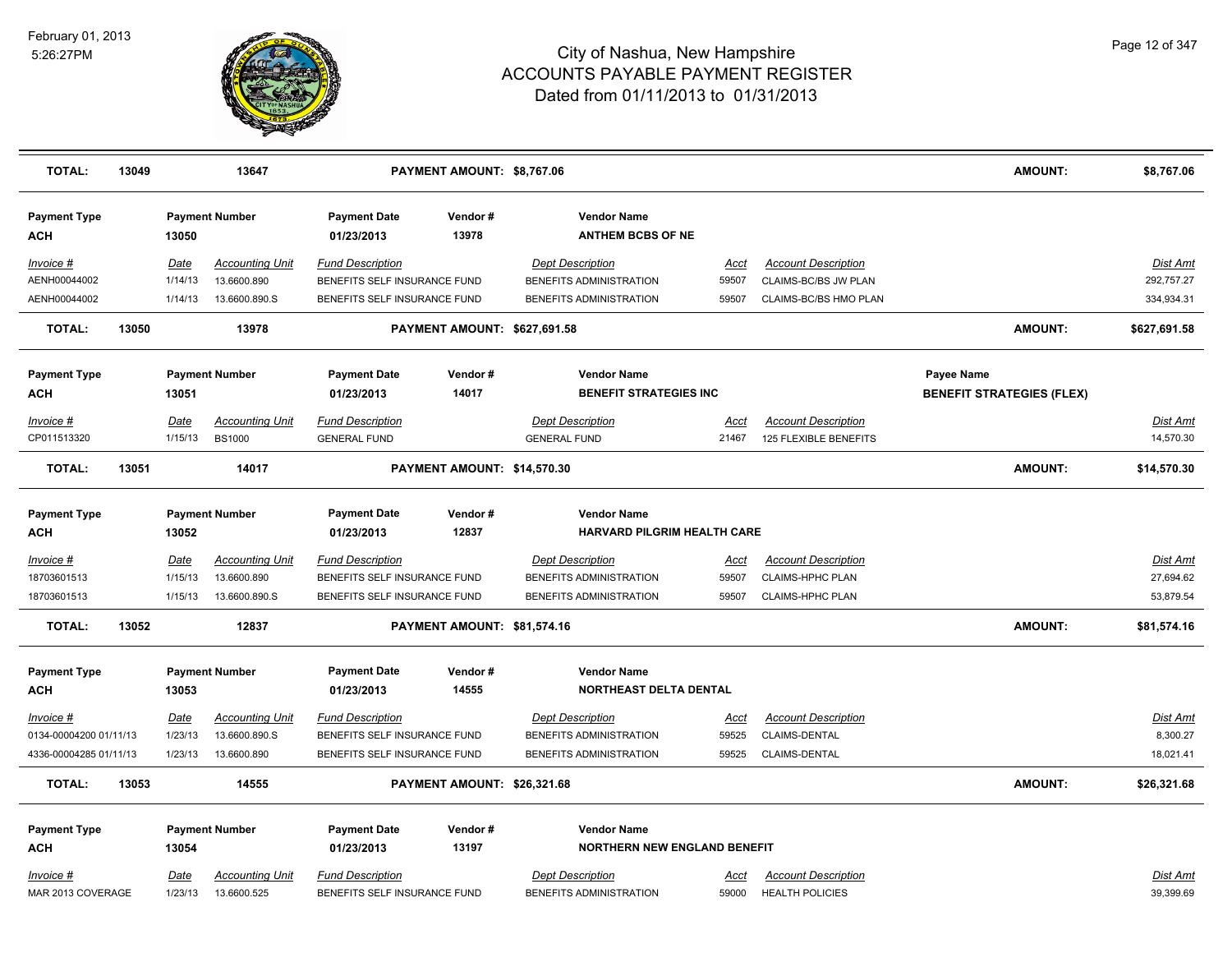

| <b>TOTAL:</b>                   | 13049 |                        | 13647                                   |                                                         | PAYMENT AMOUNT: \$8,767.06   |                                                    |                      |                                                     | <b>AMOUNT:</b>                   | \$8,767.06             |
|---------------------------------|-------|------------------------|-----------------------------------------|---------------------------------------------------------|------------------------------|----------------------------------------------------|----------------------|-----------------------------------------------------|----------------------------------|------------------------|
| <b>Payment Type</b><br>ACH      |       | 13050                  | <b>Payment Number</b>                   | <b>Payment Date</b><br>01/23/2013                       | Vendor#<br>13978             | <b>Vendor Name</b><br><b>ANTHEM BCBS OF NE</b>     |                      |                                                     |                                  |                        |
| Invoice #<br>AENH00044002       |       | Date<br>1/14/13        | <b>Accounting Unit</b><br>13.6600.890   | <b>Fund Description</b><br>BENEFITS SELF INSURANCE FUND |                              | <b>Dept Description</b><br>BENEFITS ADMINISTRATION | Acct<br>59507        | <b>Account Description</b><br>CLAIMS-BC/BS JW PLAN  |                                  | Dist Amt<br>292,757.27 |
| AENH00044002                    |       | 1/14/13                | 13.6600.890.S                           | BENEFITS SELF INSURANCE FUND                            |                              | BENEFITS ADMINISTRATION                            | 59507                | CLAIMS-BC/BS HMO PLAN                               |                                  | 334,934.31             |
| <b>TOTAL:</b>                   | 13050 |                        | 13978                                   |                                                         | PAYMENT AMOUNT: \$627,691.58 |                                                    |                      |                                                     | <b>AMOUNT:</b>                   | \$627,691.58           |
| <b>Payment Type</b>             |       |                        | <b>Payment Number</b>                   | <b>Payment Date</b>                                     | Vendor#                      | <b>Vendor Name</b>                                 |                      |                                                     | <b>Payee Name</b>                |                        |
| <b>ACH</b>                      |       | 13051                  |                                         | 01/23/2013                                              | 14017                        | <b>BENEFIT STRATEGIES INC</b>                      |                      |                                                     | <b>BENEFIT STRATEGIES (FLEX)</b> |                        |
| <u>Invoice #</u><br>CP011513320 |       | <u>Date</u><br>1/15/13 | <b>Accounting Unit</b><br><b>BS1000</b> | <u>Fund Description</u><br><b>GENERAL FUND</b>          |                              | <b>Dept Description</b><br><b>GENERAL FUND</b>     | <u>Acct</u><br>21467 | <b>Account Description</b><br>125 FLEXIBLE BENEFITS |                                  | Dist Amt<br>14,570.30  |
| <b>TOTAL:</b>                   | 13051 |                        | 14017                                   |                                                         | PAYMENT AMOUNT: \$14,570.30  |                                                    |                      |                                                     | <b>AMOUNT:</b>                   | \$14,570.30            |
| <b>Payment Type</b>             |       |                        | <b>Payment Number</b>                   | <b>Payment Date</b>                                     | Vendor#                      | <b>Vendor Name</b>                                 |                      |                                                     |                                  |                        |
| <b>ACH</b>                      |       | 13052                  |                                         | 01/23/2013                                              | 12837                        | HARVARD PILGRIM HEALTH CARE                        |                      |                                                     |                                  |                        |
| <u>Invoice #</u>                |       | <u>Date</u>            | <b>Accounting Unit</b>                  | <b>Fund Description</b>                                 |                              | <b>Dept Description</b>                            | <u>Acct</u>          | <b>Account Description</b>                          |                                  | <b>Dist Amt</b>        |
| 18703601513                     |       | 1/15/13                | 13.6600.890                             | BENEFITS SELF INSURANCE FUND                            |                              | BENEFITS ADMINISTRATION                            | 59507                | CLAIMS-HPHC PLAN                                    |                                  | 27,694.62              |
| 18703601513                     |       | 1/15/13                | 13.6600.890.S                           | BENEFITS SELF INSURANCE FUND                            |                              | BENEFITS ADMINISTRATION                            | 59507                | CLAIMS-HPHC PLAN                                    |                                  | 53,879.54              |
| <b>TOTAL:</b>                   | 13052 |                        | 12837                                   |                                                         | PAYMENT AMOUNT: \$81,574.16  |                                                    |                      |                                                     | <b>AMOUNT:</b>                   | \$81,574.16            |
| <b>Payment Type</b>             |       |                        | <b>Payment Number</b>                   | <b>Payment Date</b>                                     | Vendor#                      | <b>Vendor Name</b>                                 |                      |                                                     |                                  |                        |
| ACH                             |       | 13053                  |                                         | 01/23/2013                                              | 14555                        | <b>NORTHEAST DELTA DENTAL</b>                      |                      |                                                     |                                  |                        |
| Invoice #                       |       | Date                   | <b>Accounting Unit</b>                  | <b>Fund Description</b>                                 |                              | <b>Dept Description</b>                            | Acct                 | <b>Account Description</b>                          |                                  | Dist Amt               |
| 0134-00004200 01/11/13          |       | 1/23/13                | 13.6600.890.S                           | BENEFITS SELF INSURANCE FUND                            |                              | BENEFITS ADMINISTRATION                            | 59525                | CLAIMS-DENTAL                                       |                                  | 8,300.27               |
| 4336-00004285 01/11/13          |       | 1/23/13                | 13.6600.890                             | BENEFITS SELF INSURANCE FUND                            |                              | BENEFITS ADMINISTRATION                            | 59525                | CLAIMS-DENTAL                                       |                                  | 18,021.41              |
| <b>TOTAL:</b>                   | 13053 |                        | 14555                                   |                                                         | PAYMENT AMOUNT: \$26,321.68  |                                                    |                      |                                                     | <b>AMOUNT:</b>                   | \$26,321.68            |
| <b>Payment Type</b>             |       |                        | <b>Payment Number</b>                   | <b>Payment Date</b>                                     | Vendor#                      | <b>Vendor Name</b>                                 |                      |                                                     |                                  |                        |
| <b>ACH</b>                      |       | 13054                  |                                         | 01/23/2013                                              | 13197                        | <b>NORTHERN NEW ENGLAND BENEFIT</b>                |                      |                                                     |                                  |                        |
| Invoice #                       |       | <u>Date</u>            | <b>Accounting Unit</b>                  | <b>Fund Description</b>                                 |                              | <b>Dept Description</b>                            | <u>Acct</u>          | <b>Account Description</b>                          |                                  | Dist Amt               |
| MAR 2013 COVERAGE               |       | 1/23/13                | 13.6600.525                             | BENEFITS SELF INSURANCE FUND                            |                              | BENEFITS ADMINISTRATION                            | 59000                | <b>HEALTH POLICIES</b>                              |                                  | 39,399.69              |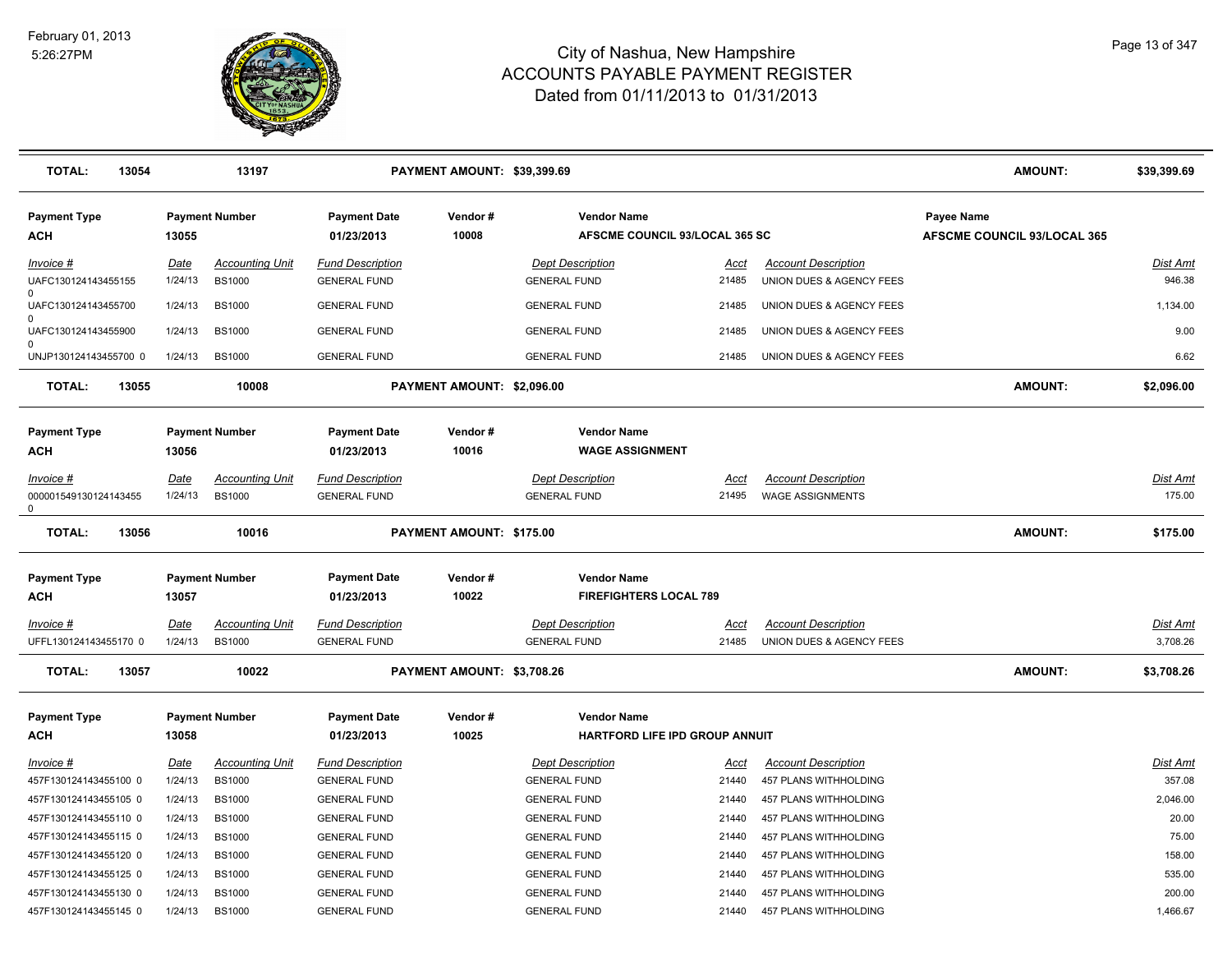

| <b>TOTAL:</b><br>13054                           |                        | 13197                                   |                                                | PAYMENT AMOUNT: \$39,399.69 |                                                      |                      |                                                        | <b>AMOUNT:</b>                                   | \$39,399.69               |
|--------------------------------------------------|------------------------|-----------------------------------------|------------------------------------------------|-----------------------------|------------------------------------------------------|----------------------|--------------------------------------------------------|--------------------------------------------------|---------------------------|
| <b>Payment Type</b><br><b>ACH</b>                | 13055                  | <b>Payment Number</b>                   | <b>Payment Date</b><br>01/23/2013              | Vendor#<br>10008            | <b>Vendor Name</b><br>AFSCME COUNCIL 93/LOCAL 365 SC |                      |                                                        | Payee Name<br><b>AFSCME COUNCIL 93/LOCAL 365</b> |                           |
| Invoice #<br>UAFC130124143455155<br>$\Omega$     | Date<br>1/24/13        | <b>Accounting Unit</b><br><b>BS1000</b> | <b>Fund Description</b><br><b>GENERAL FUND</b> |                             | <b>Dept Description</b><br><b>GENERAL FUND</b>       | Acct<br>21485        | <b>Account Description</b><br>UNION DUES & AGENCY FEES |                                                  | <b>Dist Amt</b><br>946.38 |
| UAFC130124143455700                              | 1/24/13                | <b>BS1000</b>                           | <b>GENERAL FUND</b>                            |                             | <b>GENERAL FUND</b>                                  | 21485                | UNION DUES & AGENCY FEES                               |                                                  | 1,134.00                  |
| $\Omega$<br>UAFC130124143455900                  | 1/24/13                | <b>BS1000</b>                           | <b>GENERAL FUND</b>                            |                             | <b>GENERAL FUND</b>                                  | 21485                | UNION DUES & AGENCY FEES                               |                                                  | 9.00                      |
| 0<br>UNJP130124143455700 0                       | 1/24/13                | <b>BS1000</b>                           | <b>GENERAL FUND</b>                            |                             | <b>GENERAL FUND</b>                                  | 21485                | UNION DUES & AGENCY FEES                               |                                                  | 6.62                      |
| <b>TOTAL:</b><br>13055                           |                        | 10008                                   |                                                | PAYMENT AMOUNT: \$2,096.00  |                                                      |                      |                                                        | <b>AMOUNT:</b>                                   | \$2,096.00                |
| <b>Payment Type</b><br><b>ACH</b>                | 13056                  | <b>Payment Number</b>                   | <b>Payment Date</b><br>01/23/2013              | Vendor#<br>10016            | <b>Vendor Name</b><br><b>WAGE ASSIGNMENT</b>         |                      |                                                        |                                                  |                           |
| $Invoice$ #<br>000001549130124143455<br>$\Omega$ | <u>Date</u><br>1/24/13 | <b>Accounting Unit</b><br><b>BS1000</b> | <b>Fund Description</b><br><b>GENERAL FUND</b> |                             | <b>Dept Description</b><br><b>GENERAL FUND</b>       | <u>Acct</u><br>21495 | <b>Account Description</b><br><b>WAGE ASSIGNMENTS</b>  |                                                  | Dist Amt<br>175.00        |
| <b>TOTAL:</b><br>13056                           |                        | 10016                                   |                                                | PAYMENT AMOUNT: \$175.00    |                                                      |                      |                                                        | <b>AMOUNT:</b>                                   | \$175.00                  |
| <b>Payment Type</b><br>ACH                       | 13057                  | <b>Payment Number</b>                   | <b>Payment Date</b><br>01/23/2013              | Vendor#<br>10022            | <b>Vendor Name</b><br><b>FIREFIGHTERS LOCAL 789</b>  |                      |                                                        |                                                  |                           |
| <u>Invoice #</u>                                 | <u>Date</u>            | <b>Accounting Unit</b>                  | <b>Fund Description</b>                        |                             | <b>Dept Description</b>                              | <u>Acct</u>          | <b>Account Description</b>                             |                                                  | Dist Amt                  |
| UFFL130124143455170 0                            | 1/24/13                | <b>BS1000</b>                           | <b>GENERAL FUND</b>                            |                             | <b>GENERAL FUND</b>                                  | 21485                | UNION DUES & AGENCY FEES                               |                                                  | 3,708.26                  |
| <b>TOTAL:</b><br>13057                           |                        | 10022                                   |                                                | PAYMENT AMOUNT: \$3,708.26  |                                                      |                      |                                                        | <b>AMOUNT:</b>                                   | \$3,708.26                |
| <b>Payment Type</b><br>ACH                       | 13058                  | <b>Payment Number</b>                   | <b>Payment Date</b><br>01/23/2013              | Vendor#<br>10025            | <b>Vendor Name</b><br>HARTFORD LIFE IPD GROUP ANNUIT |                      |                                                        |                                                  |                           |
| <i>Invoice</i> #                                 | Date                   | <b>Accounting Unit</b>                  | <b>Fund Description</b>                        |                             | <b>Dept Description</b>                              | Acct                 | <b>Account Description</b>                             |                                                  | <b>Dist Amt</b>           |
| 457F130124143455100 0                            | 1/24/13                | <b>BS1000</b>                           | <b>GENERAL FUND</b>                            |                             | <b>GENERAL FUND</b>                                  | 21440                | 457 PLANS WITHHOLDING                                  |                                                  | 357.08                    |
| 457F130124143455105 0                            | 1/24/13                | <b>BS1000</b>                           | <b>GENERAL FUND</b>                            |                             | <b>GENERAL FUND</b>                                  | 21440                | 457 PLANS WITHHOLDING                                  |                                                  | 2,046.00                  |
| 457F130124143455110 0                            | 1/24/13                | <b>BS1000</b>                           | <b>GENERAL FUND</b>                            |                             | <b>GENERAL FUND</b>                                  | 21440                | 457 PLANS WITHHOLDING                                  |                                                  | 20.00                     |
| 457F130124143455115 0                            | 1/24/13                | <b>BS1000</b>                           | <b>GENERAL FUND</b>                            |                             | <b>GENERAL FUND</b>                                  | 21440                | 457 PLANS WITHHOLDING                                  |                                                  | 75.00                     |
| 457F130124143455120 0                            | 1/24/13                | <b>BS1000</b>                           | <b>GENERAL FUND</b>                            |                             | <b>GENERAL FUND</b>                                  | 21440                | 457 PLANS WITHHOLDING                                  |                                                  | 158.00                    |
| 457F130124143455125 0                            | 1/24/13                | <b>BS1000</b>                           | <b>GENERAL FUND</b>                            |                             | <b>GENERAL FUND</b>                                  | 21440                | 457 PLANS WITHHOLDING                                  |                                                  | 535.00                    |
| 457F130124143455130 0                            | 1/24/13                | <b>BS1000</b>                           | <b>GENERAL FUND</b>                            |                             | <b>GENERAL FUND</b>                                  | 21440                | 457 PLANS WITHHOLDING                                  |                                                  | 200.00                    |
| 457F130124143455145 0                            | 1/24/13                | <b>BS1000</b>                           | <b>GENERAL FUND</b>                            |                             | <b>GENERAL FUND</b>                                  | 21440                | 457 PLANS WITHHOLDING                                  |                                                  | 1,466.67                  |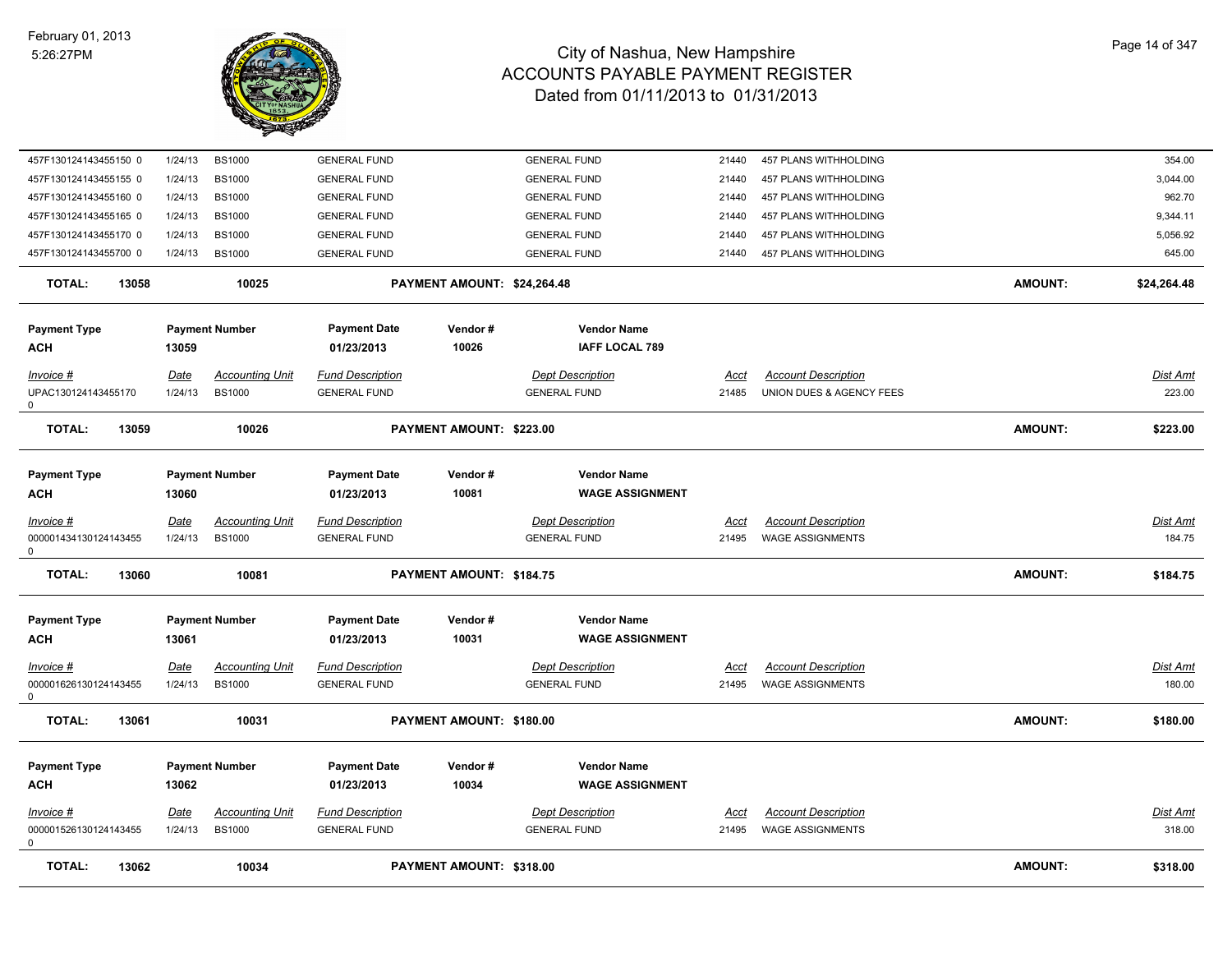

| <b>TOTAL:</b><br>13062                         |                        | 10034                                   |                                                | PAYMENT AMOUNT: \$318.00    |                                                |                      |                                                        | <b>AMOUNT:</b> | \$318.00                  |
|------------------------------------------------|------------------------|-----------------------------------------|------------------------------------------------|-----------------------------|------------------------------------------------|----------------------|--------------------------------------------------------|----------------|---------------------------|
| Invoice #<br>000001526130124143455<br>0        | Date<br>1/24/13        | <b>Accounting Unit</b><br><b>BS1000</b> | <b>Fund Description</b><br><b>GENERAL FUND</b> |                             | <b>Dept Description</b><br><b>GENERAL FUND</b> | Acct<br>21495        | <b>Account Description</b><br><b>WAGE ASSIGNMENTS</b>  |                | Dist Amt<br>318.00        |
| <b>Payment Type</b><br>ACH                     | 13062                  | <b>Payment Number</b>                   | <b>Payment Date</b><br>01/23/2013              | Vendor #<br>10034           | <b>Vendor Name</b><br><b>WAGE ASSIGNMENT</b>   |                      |                                                        |                |                           |
| <b>TOTAL:</b><br>13061                         |                        | 10031                                   |                                                | PAYMENT AMOUNT: \$180.00    |                                                |                      |                                                        | <b>AMOUNT:</b> | \$180.00                  |
| <u>Invoice #</u><br>000001626130124143455<br>0 | <u>Date</u><br>1/24/13 | <b>Accounting Unit</b><br><b>BS1000</b> | <b>Fund Description</b><br><b>GENERAL FUND</b> |                             | <b>Dept Description</b><br><b>GENERAL FUND</b> | <u>Acct</u><br>21495 | <b>Account Description</b><br><b>WAGE ASSIGNMENTS</b>  |                | Dist Amt<br>180.00        |
| <b>Payment Type</b><br>ACH                     | 13061                  | <b>Payment Number</b>                   | <b>Payment Date</b><br>01/23/2013              | Vendor#<br>10031            | <b>Vendor Name</b><br><b>WAGE ASSIGNMENT</b>   |                      |                                                        |                |                           |
| <b>TOTAL:</b><br>13060                         |                        | 10081                                   |                                                | PAYMENT AMOUNT: \$184.75    |                                                |                      |                                                        | <b>AMOUNT:</b> | \$184.75                  |
| $Invoice$ #<br>000001434130124143455<br>0      | <u>Date</u><br>1/24/13 | <b>Accounting Unit</b><br><b>BS1000</b> | <b>Fund Description</b><br><b>GENERAL FUND</b> |                             | <b>Dept Description</b><br><b>GENERAL FUND</b> | Acct<br>21495        | <b>Account Description</b><br><b>WAGE ASSIGNMENTS</b>  |                | <b>Dist Amt</b><br>184.75 |
| <b>Payment Type</b><br>ACH                     | 13060                  | <b>Payment Number</b>                   | <b>Payment Date</b><br>01/23/2013              | Vendor#<br>10081            | <b>Vendor Name</b><br><b>WAGE ASSIGNMENT</b>   |                      |                                                        |                |                           |
| <b>TOTAL:</b><br>13059                         |                        | 10026                                   |                                                | PAYMENT AMOUNT: \$223.00    |                                                |                      |                                                        | <b>AMOUNT:</b> | \$223.00                  |
| Invoice #<br>UPAC130124143455170<br>0          | Date<br>1/24/13        | <b>Accounting Unit</b><br><b>BS1000</b> | <b>Fund Description</b><br><b>GENERAL FUND</b> |                             | <b>Dept Description</b><br><b>GENERAL FUND</b> | Acct<br>21485        | <b>Account Description</b><br>UNION DUES & AGENCY FEES |                | Dist Amt<br>223.00        |
| <b>Payment Type</b><br>ACH                     | 13059                  | <b>Payment Number</b>                   | <b>Payment Date</b><br>01/23/2013              | Vendor#<br>10026            | <b>Vendor Name</b><br><b>IAFF LOCAL 789</b>    |                      |                                                        |                |                           |
| <b>TOTAL:</b><br>13058                         |                        | 10025                                   |                                                | PAYMENT AMOUNT: \$24,264.48 |                                                |                      |                                                        | <b>AMOUNT:</b> | \$24,264.48               |
| 457F130124143455700 0                          | 1/24/13                | <b>BS1000</b>                           | <b>GENERAL FUND</b>                            |                             | <b>GENERAL FUND</b>                            | 21440                | 457 PLANS WITHHOLDING                                  |                | 645.00                    |
| 457F130124143455170 0                          | 1/24/13                | <b>BS1000</b>                           | <b>GENERAL FUND</b>                            |                             | <b>GENERAL FUND</b>                            | 21440                | 457 PLANS WITHHOLDING                                  |                | 5,056.92                  |
| 457F130124143455165 0                          | 1/24/13                | <b>BS1000</b>                           | <b>GENERAL FUND</b>                            |                             | <b>GENERAL FUND</b>                            | 21440                | 457 PLANS WITHHOLDING                                  |                | 9,344.11                  |
| 457F130124143455155 0<br>457F130124143455160 0 | 1/24/13<br>1/24/13     | <b>BS1000</b><br><b>BS1000</b>          | <b>GENERAL FUND</b><br><b>GENERAL FUND</b>     |                             | <b>GENERAL FUND</b><br><b>GENERAL FUND</b>     | 21440<br>21440       | 457 PLANS WITHHOLDING<br>457 PLANS WITHHOLDING         |                | 3,044.00<br>962.70        |
| 457F130124143455150 0                          | 1/24/13                | <b>BS1000</b>                           | <b>GENERAL FUND</b>                            |                             | <b>GENERAL FUND</b>                            | 21440                | 457 PLANS WITHHOLDING                                  |                | 354.00                    |
|                                                |                        |                                         |                                                |                             |                                                |                      |                                                        |                |                           |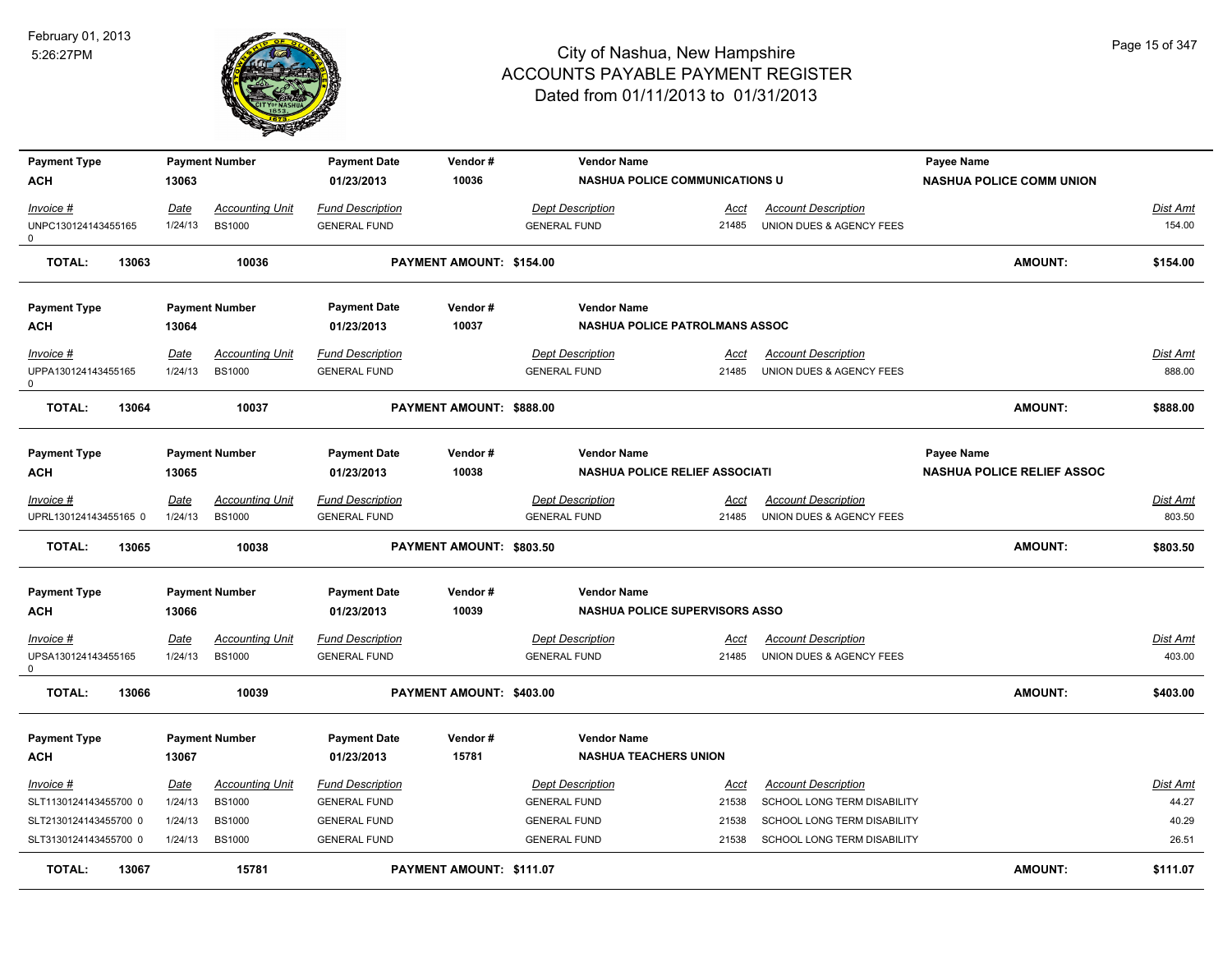

| <b>Payment Type</b>                |       |                 | <b>Payment Number</b>                   | <b>Payment Date</b>                            | Vendor#                  | <b>Vendor Name</b>                             |                      |                                                        | Payee Name                        |                           |
|------------------------------------|-------|-----------------|-----------------------------------------|------------------------------------------------|--------------------------|------------------------------------------------|----------------------|--------------------------------------------------------|-----------------------------------|---------------------------|
| ACH                                |       | 13063           |                                         | 01/23/2013                                     | 10036                    | <b>NASHUA POLICE COMMUNICATIONS U</b>          |                      |                                                        | <b>NASHUA POLICE COMM UNION</b>   |                           |
| Invoice #                          |       | <b>Date</b>     | Accounting Unit                         | <b>Fund Description</b>                        |                          | <b>Dept Description</b>                        | <u>Acct</u>          | <b>Account Description</b>                             |                                   | <b>Dist Amt</b>           |
| UNPC130124143455165                |       | 1/24/13         | <b>BS1000</b>                           | <b>GENERAL FUND</b>                            |                          | <b>GENERAL FUND</b>                            | 21485                | UNION DUES & AGENCY FEES                               |                                   | 154.00                    |
| 0                                  |       |                 |                                         |                                                |                          |                                                |                      |                                                        |                                   |                           |
| <b>TOTAL:</b>                      | 13063 |                 | 10036                                   |                                                | PAYMENT AMOUNT: \$154.00 |                                                |                      |                                                        | AMOUNT:                           | \$154.00                  |
| <b>Payment Type</b>                |       |                 | <b>Payment Number</b>                   | <b>Payment Date</b>                            | Vendor#                  | <b>Vendor Name</b>                             |                      |                                                        |                                   |                           |
| <b>ACH</b>                         |       | 13064           |                                         | 01/23/2013                                     | 10037                    | NASHUA POLICE PATROLMANS ASSOC                 |                      |                                                        |                                   |                           |
| <b>Invoice #</b>                   |       | <b>Date</b>     | <b>Accounting Unit</b>                  | <b>Fund Description</b>                        |                          | <b>Dept Description</b>                        | Acct                 | <b>Account Description</b>                             |                                   | <b>Dist Amt</b>           |
| UPPA130124143455165                |       | 1/24/13         | <b>BS1000</b>                           | <b>GENERAL FUND</b>                            |                          | <b>GENERAL FUND</b>                            | 21485                | UNION DUES & AGENCY FEES                               |                                   | 888.00                    |
| $\Omega$                           |       |                 |                                         |                                                |                          |                                                |                      |                                                        |                                   |                           |
| <b>TOTAL:</b>                      | 13064 |                 | 10037                                   |                                                | PAYMENT AMOUNT: \$888.00 |                                                |                      |                                                        | <b>AMOUNT:</b>                    | \$888.00                  |
| <b>Payment Type</b>                |       |                 | <b>Payment Number</b>                   | <b>Payment Date</b>                            | Vendor#                  | <b>Vendor Name</b>                             |                      |                                                        | Payee Name                        |                           |
| <b>ACH</b>                         |       | 13065           |                                         | 01/23/2013                                     | 10038                    | <b>NASHUA POLICE RELIEF ASSOCIATI</b>          |                      |                                                        | <b>NASHUA POLICE RELIEF ASSOC</b> |                           |
|                                    |       |                 |                                         |                                                |                          |                                                |                      |                                                        |                                   |                           |
| Invoice #<br>UPRL130124143455165 0 |       | Date<br>1/24/13 | <b>Accounting Unit</b><br><b>BS1000</b> | <b>Fund Description</b><br><b>GENERAL FUND</b> |                          | <b>Dept Description</b><br><b>GENERAL FUND</b> | Acct<br>21485        | <b>Account Description</b><br>UNION DUES & AGENCY FEES |                                   | <b>Dist Amt</b><br>803.50 |
|                                    |       |                 |                                         |                                                |                          |                                                |                      |                                                        |                                   |                           |
| <b>TOTAL:</b>                      | 13065 |                 | 10038                                   |                                                | PAYMENT AMOUNT: \$803.50 |                                                |                      |                                                        | AMOUNT:                           | \$803.50                  |
| <b>Payment Type</b>                |       |                 | <b>Payment Number</b>                   | <b>Payment Date</b>                            | Vendor#                  | <b>Vendor Name</b>                             |                      |                                                        |                                   |                           |
| ACH                                |       | 13066           |                                         | 01/23/2013                                     | 10039                    | <b>NASHUA POLICE SUPERVISORS ASSO</b>          |                      |                                                        |                                   |                           |
|                                    |       |                 |                                         |                                                |                          |                                                |                      |                                                        |                                   |                           |
| Invoice #<br>UPSA130124143455165   |       | Date<br>1/24/13 | <b>Accounting Unit</b><br><b>BS1000</b> | <b>Fund Description</b><br><b>GENERAL FUND</b> |                          | <b>Dept Description</b><br><b>GENERAL FUND</b> | <u>Acct</u><br>21485 | <b>Account Description</b><br>UNION DUES & AGENCY FEES |                                   | <b>Dist Amt</b><br>403.00 |
| 0                                  |       |                 |                                         |                                                |                          |                                                |                      |                                                        |                                   |                           |
| <b>TOTAL:</b>                      | 13066 |                 | 10039                                   |                                                | PAYMENT AMOUNT: \$403.00 |                                                |                      |                                                        | AMOUNT:                           | \$403.00                  |
| <b>Payment Type</b>                |       |                 | <b>Payment Number</b>                   | <b>Payment Date</b>                            | Vendor#                  | <b>Vendor Name</b>                             |                      |                                                        |                                   |                           |
| <b>ACH</b>                         |       | 13067           |                                         | 01/23/2013                                     | 15781                    | <b>NASHUA TEACHERS UNION</b>                   |                      |                                                        |                                   |                           |
| Invoice #                          |       | Date            | <b>Accounting Unit</b>                  | <b>Fund Description</b>                        |                          | <b>Dept Description</b>                        | Acct                 | <b>Account Description</b>                             |                                   | Dist Amt                  |
| SLT1130124143455700 0              |       | 1/24/13         | <b>BS1000</b>                           | <b>GENERAL FUND</b>                            |                          | <b>GENERAL FUND</b>                            | 21538                | SCHOOL LONG TERM DISABILITY                            |                                   | 44.27                     |
| SLT2130124143455700 0              |       | 1/24/13         | <b>BS1000</b>                           | <b>GENERAL FUND</b>                            |                          | <b>GENERAL FUND</b>                            | 21538                | SCHOOL LONG TERM DISABILITY                            |                                   | 40.29                     |
| SLT3130124143455700 0              |       | 1/24/13         | <b>BS1000</b>                           | <b>GENERAL FUND</b>                            |                          | <b>GENERAL FUND</b>                            | 21538                | SCHOOL LONG TERM DISABILITY                            |                                   | 26.51                     |
| <b>TOTAL:</b>                      | 13067 |                 | 15781                                   |                                                | PAYMENT AMOUNT: \$111.07 |                                                |                      |                                                        | AMOUNT:                           | \$111.07                  |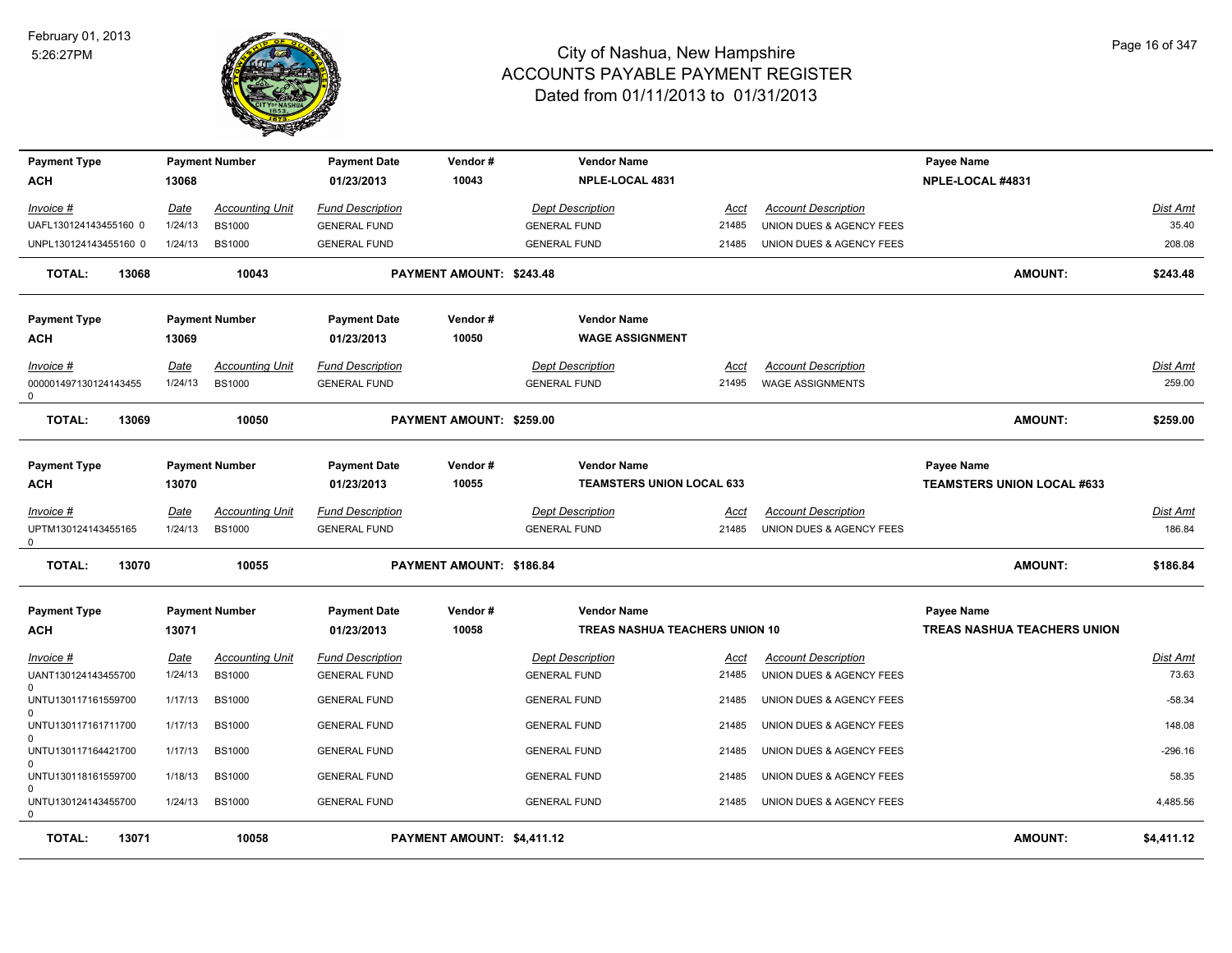

| <b>Payment Type</b>                           |       |                 | <b>Payment Number</b>                   | <b>Payment Date</b>                            | Vendor#                    | <b>Vendor Name</b>                             |                      |                                                        | Payee Name                         |                    |
|-----------------------------------------------|-------|-----------------|-----------------------------------------|------------------------------------------------|----------------------------|------------------------------------------------|----------------------|--------------------------------------------------------|------------------------------------|--------------------|
| АСН                                           |       | 13068           |                                         | 01/23/2013                                     | 10043                      | NPLE-LOCAL 4831                                |                      |                                                        | NPLE-LOCAL #4831                   |                    |
| Invoice #                                     |       | Date            | <b>Accounting Unit</b>                  | <b>Fund Description</b>                        |                            | <b>Dept Description</b>                        | Acct                 | <b>Account Description</b>                             |                                    | Dist Amt           |
| UAFL130124143455160 0                         |       | 1/24/13         | <b>BS1000</b>                           | <b>GENERAL FUND</b>                            |                            | <b>GENERAL FUND</b>                            | 21485                | UNION DUES & AGENCY FEES                               |                                    | 35.40              |
| UNPL130124143455160 0                         |       | 1/24/13         | <b>BS1000</b>                           | <b>GENERAL FUND</b>                            |                            | <b>GENERAL FUND</b>                            | 21485                | UNION DUES & AGENCY FEES                               |                                    | 208.08             |
| <b>TOTAL:</b>                                 | 13068 |                 | 10043                                   |                                                | PAYMENT AMOUNT: \$243.48   |                                                |                      |                                                        | <b>AMOUNT:</b>                     | \$243.48           |
| <b>Payment Type</b>                           |       |                 | <b>Payment Number</b>                   | <b>Payment Date</b>                            | Vendor #                   | <b>Vendor Name</b>                             |                      |                                                        |                                    |                    |
| АСН                                           |       | 13069           |                                         | 01/23/2013                                     | 10050                      | <b>WAGE ASSIGNMENT</b>                         |                      |                                                        |                                    |                    |
| Invoice #                                     |       | Date            | <b>Accounting Unit</b>                  | <b>Fund Description</b>                        |                            | <b>Dept Description</b>                        | Acct                 | <b>Account Description</b>                             |                                    | Dist Amt           |
| 000001497130124143455<br>0                    |       | 1/24/13         | <b>BS1000</b>                           | <b>GENERAL FUND</b>                            |                            | <b>GENERAL FUND</b>                            | 21495                | <b>WAGE ASSIGNMENTS</b>                                |                                    | 259.00             |
| <b>TOTAL:</b>                                 | 13069 |                 | 10050                                   |                                                | PAYMENT AMOUNT: \$259.00   |                                                |                      |                                                        | <b>AMOUNT:</b>                     | \$259.00           |
| <b>Payment Type</b>                           |       |                 | <b>Payment Number</b>                   | <b>Payment Date</b>                            | Vendor#                    | <b>Vendor Name</b>                             |                      |                                                        | Payee Name                         |                    |
| ACH                                           |       | 13070           |                                         | 01/23/2013                                     | 10055                      | <b>TEAMSTERS UNION LOCAL 633</b>               |                      |                                                        | <b>TEAMSTERS UNION LOCAL #633</b>  |                    |
| <u> Invoice #</u><br>UPTM130124143455165<br>0 |       | Date<br>1/24/13 | <b>Accounting Unit</b><br><b>BS1000</b> | <b>Fund Description</b><br><b>GENERAL FUND</b> |                            | <b>Dept Description</b><br><b>GENERAL FUND</b> | <u>Acct</u><br>21485 | <b>Account Description</b><br>UNION DUES & AGENCY FEES |                                    | Dist Amt<br>186.84 |
| <b>TOTAL:</b>                                 | 13070 |                 | 10055                                   |                                                | PAYMENT AMOUNT: \$186.84   |                                                |                      |                                                        | <b>AMOUNT:</b>                     | \$186.84           |
| <b>Payment Type</b>                           |       |                 | <b>Payment Number</b>                   | <b>Payment Date</b>                            | Vendor#                    | <b>Vendor Name</b>                             |                      |                                                        | Payee Name                         |                    |
| АСН                                           |       | 13071           |                                         | 01/23/2013                                     | 10058                      | TREAS NASHUA TEACHERS UNION 10                 |                      |                                                        | <b>TREAS NASHUA TEACHERS UNION</b> |                    |
| <u>Invoice #</u>                              |       | <b>Date</b>     | <b>Accounting Unit</b>                  | <b>Fund Description</b>                        |                            | <b>Dept Description</b>                        | <u>Acct</u>          | <b>Account Description</b>                             |                                    | Dist Amt           |
| UANT130124143455700<br>0                      |       | 1/24/13         | <b>BS1000</b>                           | <b>GENERAL FUND</b>                            |                            | <b>GENERAL FUND</b>                            | 21485                | UNION DUES & AGENCY FEES                               |                                    | 73.63              |
| UNTU130117161559700<br>$\Omega$               |       | 1/17/13         | <b>BS1000</b>                           | <b>GENERAL FUND</b>                            |                            | <b>GENERAL FUND</b>                            | 21485                | UNION DUES & AGENCY FEES                               |                                    | $-58.34$           |
| UNTU130117161711700<br>0                      |       | 1/17/13         | <b>BS1000</b>                           | <b>GENERAL FUND</b>                            |                            | <b>GENERAL FUND</b>                            | 21485                | UNION DUES & AGENCY FEES                               |                                    | 148.08             |
| UNTU130117164421700<br>0                      |       | 1/17/13         | <b>BS1000</b>                           | <b>GENERAL FUND</b>                            |                            | <b>GENERAL FUND</b>                            | 21485                | UNION DUES & AGENCY FEES                               |                                    | $-296.16$          |
| UNTU130118161559700<br>0                      |       | 1/18/13         | <b>BS1000</b>                           | <b>GENERAL FUND</b>                            |                            | <b>GENERAL FUND</b>                            | 21485                | UNION DUES & AGENCY FEES                               |                                    | 58.35              |
| UNTU130124143455700<br>0                      |       | 1/24/13         | <b>BS1000</b>                           | <b>GENERAL FUND</b>                            |                            | <b>GENERAL FUND</b>                            | 21485                | UNION DUES & AGENCY FEES                               |                                    | 4,485.56           |
| TOTAL:                                        | 13071 |                 | 10058                                   |                                                | PAYMENT AMOUNT: \$4,411.12 |                                                |                      |                                                        | <b>AMOUNT:</b>                     | \$4,411.12         |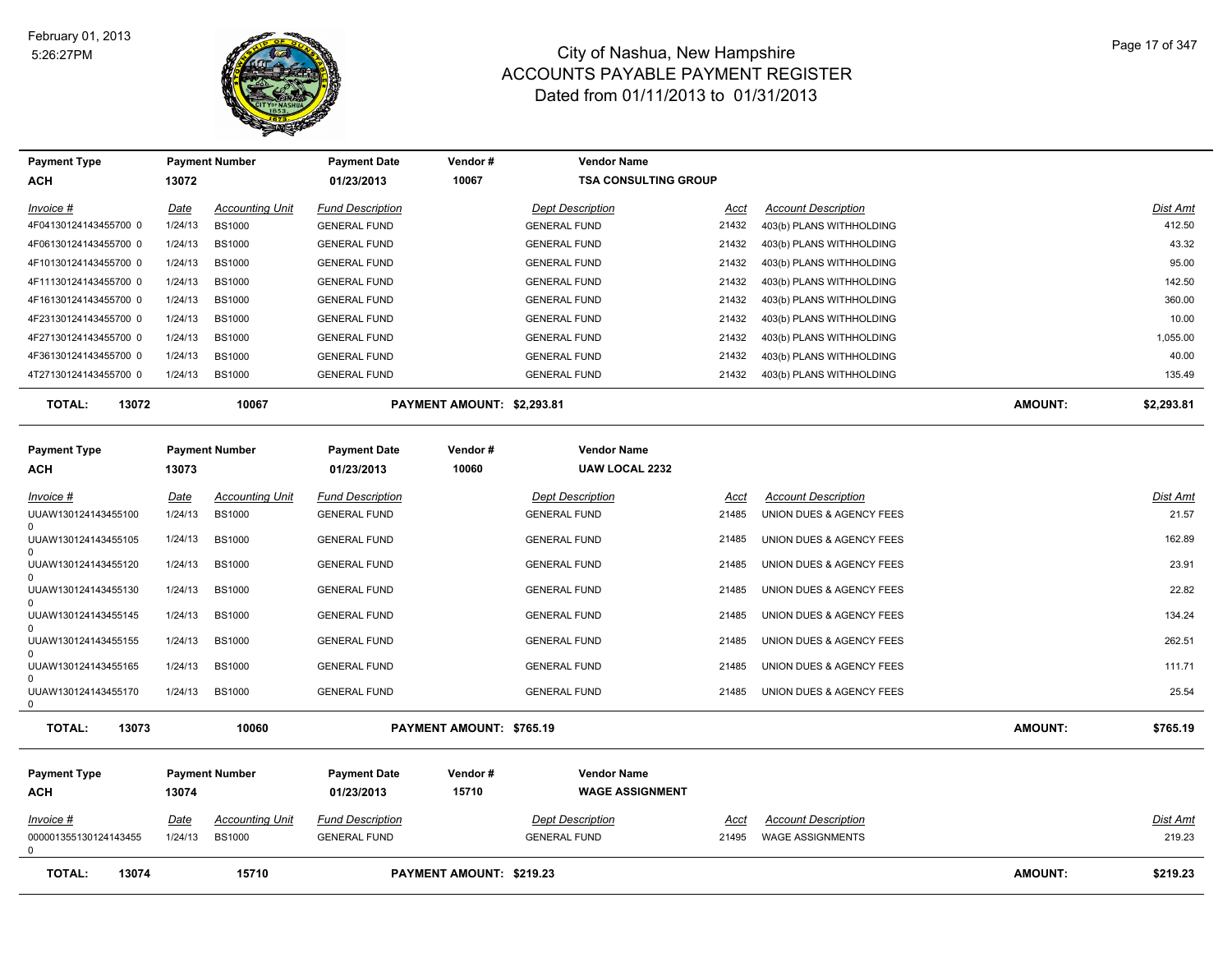

| <b>Payment Type</b>                             |             | <b>Payment Number</b>  | <b>Payment Date</b>               | Vendor#                    | <b>Vendor Name</b>                          |             |                            |         |                 |
|-------------------------------------------------|-------------|------------------------|-----------------------------------|----------------------------|---------------------------------------------|-------------|----------------------------|---------|-----------------|
| ACH                                             | 13072       |                        | 01/23/2013                        | 10067                      | <b>TSA CONSULTING GROUP</b>                 |             |                            |         |                 |
| $Invoice$ #                                     | <u>Date</u> | <b>Accounting Unit</b> | <b>Fund Description</b>           |                            | <b>Dept Description</b>                     | <u>Acct</u> | <b>Account Description</b> |         | Dist Amt        |
| 4F04130124143455700 0                           | 1/24/13     | <b>BS1000</b>          | <b>GENERAL FUND</b>               |                            | <b>GENERAL FUND</b>                         | 21432       | 403(b) PLANS WITHHOLDING   |         | 412.50          |
| 4F06130124143455700 0                           | 1/24/13     | <b>BS1000</b>          | <b>GENERAL FUND</b>               |                            | <b>GENERAL FUND</b>                         | 21432       | 403(b) PLANS WITHHOLDING   |         | 43.32           |
| 4F10130124143455700 0                           | 1/24/13     | <b>BS1000</b>          | <b>GENERAL FUND</b>               |                            | <b>GENERAL FUND</b>                         | 21432       | 403(b) PLANS WITHHOLDING   |         | 95.00           |
| 4F11130124143455700 0                           | 1/24/13     | <b>BS1000</b>          | <b>GENERAL FUND</b>               |                            | <b>GENERAL FUND</b>                         | 21432       | 403(b) PLANS WITHHOLDING   |         | 142.50          |
| 4F16130124143455700 0                           | 1/24/13     | <b>BS1000</b>          | <b>GENERAL FUND</b>               |                            | <b>GENERAL FUND</b>                         | 21432       | 403(b) PLANS WITHHOLDING   |         | 360.00          |
| 4F23130124143455700 0                           | 1/24/13     | <b>BS1000</b>          | <b>GENERAL FUND</b>               |                            | <b>GENERAL FUND</b>                         | 21432       | 403(b) PLANS WITHHOLDING   |         | 10.00           |
| 4F27130124143455700 0                           | 1/24/13     | <b>BS1000</b>          | <b>GENERAL FUND</b>               |                            | <b>GENERAL FUND</b>                         | 21432       | 403(b) PLANS WITHHOLDING   |         | 1,055.00        |
| 4F36130124143455700 0                           | 1/24/13     | <b>BS1000</b>          | <b>GENERAL FUND</b>               |                            | <b>GENERAL FUND</b>                         | 21432       | 403(b) PLANS WITHHOLDING   |         | 40.00           |
| 4T27130124143455700 0                           | 1/24/13     | <b>BS1000</b>          | <b>GENERAL FUND</b>               |                            | <b>GENERAL FUND</b>                         | 21432       | 403(b) PLANS WITHHOLDING   |         | 135.49          |
| <b>TOTAL:</b><br>13072                          |             | 10067                  |                                   | PAYMENT AMOUNT: \$2,293.81 |                                             |             |                            | AMOUNT: | \$2,293.81      |
| <b>Payment Type</b><br>ACH                      | 13073       | <b>Payment Number</b>  | <b>Payment Date</b><br>01/23/2013 | Vendor#<br>10060           | <b>Vendor Name</b><br><b>UAW LOCAL 2232</b> |             |                            |         |                 |
| Invoice #                                       | Date        | <b>Accounting Unit</b> | <b>Fund Description</b>           |                            | <b>Dept Description</b>                     | Acct        | <b>Account Description</b> |         | <b>Dist Amt</b> |
| UUAW130124143455100                             | 1/24/13     | <b>BS1000</b>          | <b>GENERAL FUND</b>               |                            | <b>GENERAL FUND</b>                         | 21485       | UNION DUES & AGENCY FEES   |         | 21.57           |
| UUAW130124143455105<br>$\Omega$                 | 1/24/13     | <b>BS1000</b>          | <b>GENERAL FUND</b>               |                            | <b>GENERAL FUND</b>                         | 21485       | UNION DUES & AGENCY FEES   |         | 162.89          |
| UUAW130124143455120                             | 1/24/13     | <b>BS1000</b>          | <b>GENERAL FUND</b>               |                            | <b>GENERAL FUND</b>                         | 21485       | UNION DUES & AGENCY FEES   |         | 23.91           |
| $\Omega$<br>UUAW130124143455130<br>$\Omega$     | 1/24/13     | <b>BS1000</b>          | <b>GENERAL FUND</b>               |                            | <b>GENERAL FUND</b>                         | 21485       | UNION DUES & AGENCY FEES   |         | 22.82           |
| UUAW130124143455145                             | 1/24/13     | <b>BS1000</b>          | <b>GENERAL FUND</b>               |                            | <b>GENERAL FUND</b>                         | 21485       | UNION DUES & AGENCY FEES   |         | 134.24          |
| $\Omega$<br>UUAW130124143455155<br>$\Omega$     | 1/24/13     | <b>BS1000</b>          | <b>GENERAL FUND</b>               |                            | <b>GENERAL FUND</b>                         | 21485       | UNION DUES & AGENCY FEES   |         | 262.51          |
| UUAW130124143455165                             | 1/24/13     | <b>BS1000</b>          | <b>GENERAL FUND</b>               |                            | <b>GENERAL FUND</b>                         | 21485       | UNION DUES & AGENCY FEES   |         | 111.71          |
| <sup>0</sup><br>UUAW130124143455170<br>$\Omega$ | 1/24/13     | <b>BS1000</b>          | <b>GENERAL FUND</b>               |                            | <b>GENERAL FUND</b>                         | 21485       | UNION DUES & AGENCY FEES   |         | 25.54           |
| <b>TOTAL:</b><br>13073                          |             | 10060                  |                                   | PAYMENT AMOUNT: \$765.19   |                                             |             |                            | AMOUNT: | \$765.19        |
| <b>Payment Type</b>                             |             | <b>Payment Number</b>  | <b>Payment Date</b>               | Vendor#                    | <b>Vendor Name</b>                          |             |                            |         |                 |
| ACH                                             | 13074       |                        | 01/23/2013                        | 15710                      | <b>WAGE ASSIGNMENT</b>                      |             |                            |         |                 |
| Invoice #                                       | Date        | <b>Accounting Unit</b> | <b>Fund Description</b>           |                            | <b>Dept Description</b>                     | Acct        | <b>Account Description</b> |         | Dist Amt        |
| 000001355130124143455<br>0                      | 1/24/13     | <b>BS1000</b>          | <b>GENERAL FUND</b>               |                            | <b>GENERAL FUND</b>                         | 21495       | <b>WAGE ASSIGNMENTS</b>    |         | 219.23          |
| <b>TOTAL:</b><br>13074                          |             | 15710                  |                                   | PAYMENT AMOUNT: \$219.23   |                                             |             |                            | AMOUNT: | \$219.23        |
|                                                 |             |                        |                                   |                            |                                             |             |                            |         |                 |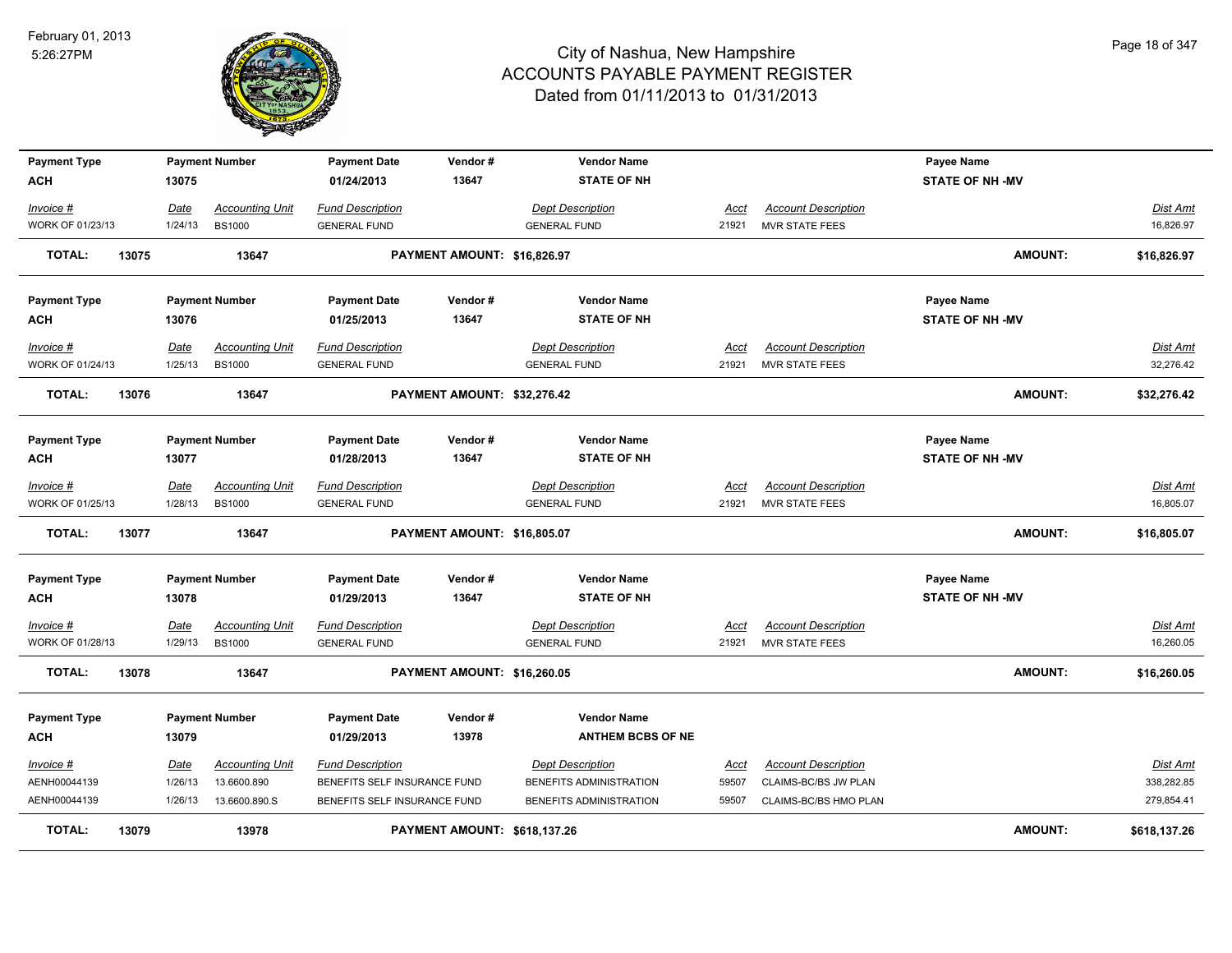

| <b>Payment Type</b>    |         | <b>Payment Number</b>  | <b>Payment Date</b>          | Vendor#                      | <b>Vendor Name</b>       |             |                            | Payee Name             |                 |
|------------------------|---------|------------------------|------------------------------|------------------------------|--------------------------|-------------|----------------------------|------------------------|-----------------|
| ACH                    | 13075   |                        | 01/24/2013                   | 13647                        | <b>STATE OF NH</b>       |             |                            | <b>STATE OF NH -MV</b> |                 |
| $Invoice$ #            | Date    | <b>Accounting Unit</b> | <b>Fund Description</b>      |                              | <b>Dept Description</b>  | Acct        | <b>Account Description</b> |                        | Dist Amt        |
| WORK OF 01/23/13       | 1/24/13 | <b>BS1000</b>          | <b>GENERAL FUND</b>          |                              | <b>GENERAL FUND</b>      | 21921       | MVR STATE FEES             |                        | 16,826.97       |
| 13075<br><b>TOTAL:</b> |         | 13647                  |                              | PAYMENT AMOUNT: \$16,826.97  |                          |             |                            | <b>AMOUNT:</b>         | \$16,826.97     |
| <b>Payment Type</b>    |         | <b>Payment Number</b>  | <b>Payment Date</b>          | Vendor#                      | <b>Vendor Name</b>       |             |                            | Payee Name             |                 |
| ACH                    | 13076   |                        | 01/25/2013                   | 13647                        | <b>STATE OF NH</b>       |             |                            | <b>STATE OF NH -MV</b> |                 |
| <u> Invoice #</u>      | Date    | <b>Accounting Unit</b> | <b>Fund Description</b>      |                              | <b>Dept Description</b>  | <u>Acct</u> | <b>Account Description</b> |                        | <u>Dist Amt</u> |
| WORK OF 01/24/13       | 1/25/13 | <b>BS1000</b>          | <b>GENERAL FUND</b>          |                              | <b>GENERAL FUND</b>      | 21921       | MVR STATE FEES             |                        | 32,276.42       |
| <b>TOTAL:</b><br>13076 |         | 13647                  |                              | PAYMENT AMOUNT: \$32,276.42  |                          |             |                            | <b>AMOUNT:</b>         | \$32,276.42     |
|                        |         |                        |                              |                              |                          |             |                            |                        |                 |
| <b>Payment Type</b>    |         | <b>Payment Number</b>  | <b>Payment Date</b>          | Vendor#                      | <b>Vendor Name</b>       |             |                            | Payee Name             |                 |
| ACH                    | 13077   |                        | 01/28/2013                   | 13647                        | <b>STATE OF NH</b>       |             |                            | <b>STATE OF NH -MV</b> |                 |
| Invoice #              | Date    | <b>Accounting Unit</b> | <b>Fund Description</b>      |                              | <b>Dept Description</b>  | Acct        | <b>Account Description</b> |                        | Dist Amt        |
| WORK OF 01/25/13       | 1/28/13 | <b>BS1000</b>          | <b>GENERAL FUND</b>          |                              | <b>GENERAL FUND</b>      | 21921       | MVR STATE FEES             |                        | 16,805.07       |
| <b>TOTAL:</b><br>13077 |         | 13647                  |                              | PAYMENT AMOUNT: \$16,805.07  |                          |             |                            | <b>AMOUNT:</b>         | \$16,805.07     |
| <b>Payment Type</b>    |         | <b>Payment Number</b>  | <b>Payment Date</b>          | Vendor#                      | <b>Vendor Name</b>       |             |                            | Payee Name             |                 |
| ACH                    | 13078   |                        | 01/29/2013                   | 13647                        | <b>STATE OF NH</b>       |             |                            | <b>STATE OF NH -MV</b> |                 |
| <u> Invoice #</u>      | Date    | <b>Accounting Unit</b> | <b>Fund Description</b>      |                              | <u> Dept Description</u> | <u>Acct</u> | <b>Account Description</b> |                        | <u>Dist Amt</u> |
| WORK OF 01/28/13       | 1/29/13 | <b>BS1000</b>          | <b>GENERAL FUND</b>          |                              | <b>GENERAL FUND</b>      | 21921       | <b>MVR STATE FEES</b>      |                        | 16,260.05       |
| <b>TOTAL:</b><br>13078 |         | 13647                  |                              | PAYMENT AMOUNT: \$16,260.05  |                          |             |                            | <b>AMOUNT:</b>         | \$16,260.05     |
| <b>Payment Type</b>    |         | <b>Payment Number</b>  | <b>Payment Date</b>          | Vendor#                      | <b>Vendor Name</b>       |             |                            |                        |                 |
| ACH                    | 13079   |                        | 01/29/2013                   | 13978                        | <b>ANTHEM BCBS OF NE</b> |             |                            |                        |                 |
| Invoice #              | Date    | <b>Accounting Unit</b> | <b>Fund Description</b>      |                              | <b>Dept Description</b>  | Acct        | <b>Account Description</b> |                        | Dist Amt        |
| AENH00044139           | 1/26/13 | 13.6600.890            | BENEFITS SELF INSURANCE FUND |                              | BENEFITS ADMINISTRATION  | 59507       | CLAIMS-BC/BS JW PLAN       |                        | 338,282.85      |
| AENH00044139           | 1/26/13 | 13.6600.890.S          | BENEFITS SELF INSURANCE FUND |                              | BENEFITS ADMINISTRATION  | 59507       | CLAIMS-BC/BS HMO PLAN      |                        | 279,854.41      |
| <b>TOTAL:</b><br>13079 |         | 13978                  |                              | PAYMENT AMOUNT: \$618,137.26 |                          |             |                            | <b>AMOUNT:</b>         | \$618,137.26    |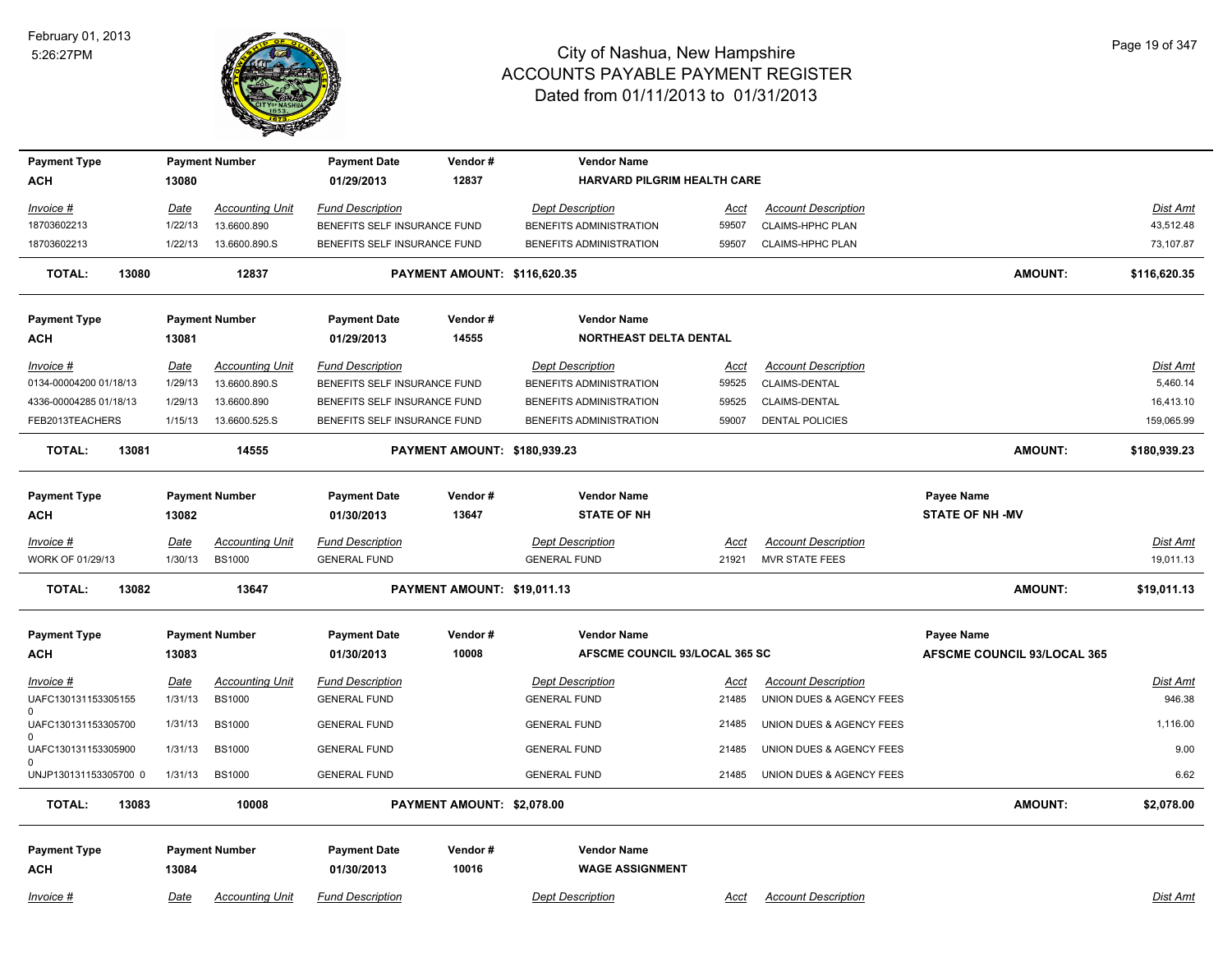

| <b>Payment Type</b>                 |             | <b>Payment Number</b>  | <b>Payment Date</b>          | Vendor#                             | <b>Vendor Name</b>             |             |                            |                             |                 |
|-------------------------------------|-------------|------------------------|------------------------------|-------------------------------------|--------------------------------|-------------|----------------------------|-----------------------------|-----------------|
| <b>ACH</b>                          | 13080       |                        | 01/29/2013                   | 12837                               | HARVARD PILGRIM HEALTH CARE    |             |                            |                             |                 |
|                                     |             |                        |                              |                                     |                                |             |                            |                             |                 |
| Invoice #                           | Date        | <b>Accounting Unit</b> | <b>Fund Description</b>      |                                     | <b>Dept Description</b>        | Acct        | <b>Account Description</b> |                             | Dist Amt        |
| 18703602213                         | 1/22/13     | 13.6600.890            | BENEFITS SELF INSURANCE FUND |                                     | BENEFITS ADMINISTRATION        | 59507       | CLAIMS-HPHC PLAN           |                             | 43,512.48       |
| 18703602213                         | 1/22/13     | 13.6600.890.S          | BENEFITS SELF INSURANCE FUND |                                     | BENEFITS ADMINISTRATION        | 59507       | <b>CLAIMS-HPHC PLAN</b>    |                             | 73,107.87       |
| <b>TOTAL:</b><br>13080              |             | 12837                  |                              | <b>PAYMENT AMOUNT: \$116,620.35</b> |                                |             |                            | <b>AMOUNT:</b>              | \$116,620.35    |
| <b>Payment Type</b>                 |             | <b>Payment Number</b>  | <b>Payment Date</b>          | Vendor#                             | <b>Vendor Name</b>             |             |                            |                             |                 |
| ACH                                 | 13081       |                        | 01/29/2013                   | 14555                               | NORTHEAST DELTA DENTAL         |             |                            |                             |                 |
| Invoice #                           | <u>Date</u> | <b>Accounting Unit</b> | <b>Fund Description</b>      |                                     | <b>Dept Description</b>        | Acct        | <b>Account Description</b> |                             | <b>Dist Amt</b> |
| 0134-00004200 01/18/13              | 1/29/13     | 13.6600.890.S          | BENEFITS SELF INSURANCE FUND |                                     | BENEFITS ADMINISTRATION        | 59525       | CLAIMS-DENTAL              |                             | 5,460.14        |
| 4336-00004285 01/18/13              | 1/29/13     | 13.6600.890            | BENEFITS SELF INSURANCE FUND |                                     | BENEFITS ADMINISTRATION        | 59525       | CLAIMS-DENTAL              |                             | 16,413.10       |
| FEB2013TEACHERS                     | 1/15/13     | 13.6600.525.S          | BENEFITS SELF INSURANCE FUND |                                     | BENEFITS ADMINISTRATION        | 59007       | <b>DENTAL POLICIES</b>     |                             | 159,065.99      |
| <b>TOTAL:</b><br>13081              |             | 14555                  |                              | PAYMENT AMOUNT: \$180,939.23        |                                |             |                            | <b>AMOUNT:</b>              | \$180,939.23    |
|                                     |             |                        |                              |                                     |                                |             |                            |                             |                 |
| <b>Payment Type</b>                 |             | <b>Payment Number</b>  | <b>Payment Date</b>          | Vendor#                             | <b>Vendor Name</b>             |             |                            | Payee Name                  |                 |
| ACH                                 | 13082       |                        | 01/30/2013                   | 13647                               | <b>STATE OF NH</b>             |             |                            | <b>STATE OF NH-MV</b>       |                 |
| Invoice #                           | Date        | <b>Accounting Unit</b> | <b>Fund Description</b>      |                                     | <b>Dept Description</b>        | Acct        | <b>Account Description</b> |                             | Dist Amt        |
| WORK OF 01/29/13                    | 1/30/13     | <b>BS1000</b>          | <b>GENERAL FUND</b>          |                                     | <b>GENERAL FUND</b>            | 21921       | <b>MVR STATE FEES</b>      |                             | 19,011.13       |
| TOTAL:<br>13082                     |             | 13647                  |                              | PAYMENT AMOUNT: \$19,011.13         |                                |             |                            | <b>AMOUNT:</b>              | \$19,011.13     |
|                                     |             |                        |                              |                                     |                                |             |                            |                             |                 |
| <b>Payment Type</b>                 |             | <b>Payment Number</b>  | <b>Payment Date</b>          | Vendor#                             | <b>Vendor Name</b>             |             |                            | Payee Name                  |                 |
| <b>ACH</b>                          | 13083       |                        | 01/30/2013                   | 10008                               | AFSCME COUNCIL 93/LOCAL 365 SC |             |                            | AFSCME COUNCIL 93/LOCAL 365 |                 |
| $Invoice$ #                         | Date        | <b>Accounting Unit</b> | <b>Fund Description</b>      |                                     | <b>Dept Description</b>        | <u>Acct</u> | <b>Account Description</b> |                             | <b>Dist Amt</b> |
| UAFC130131153305155                 | 1/31/13     | <b>BS1000</b>          | <b>GENERAL FUND</b>          |                                     | <b>GENERAL FUND</b>            | 21485       | UNION DUES & AGENCY FEES   |                             | 946.38          |
| $\Omega$<br>UAFC130131153305700     | 1/31/13     | <b>BS1000</b>          | <b>GENERAL FUND</b>          |                                     | <b>GENERAL FUND</b>            | 21485       | UNION DUES & AGENCY FEES   |                             | 1,116.00        |
| <sup>n</sup><br>UAFC130131153305900 | 1/31/13     | <b>BS1000</b>          | <b>GENERAL FUND</b>          |                                     | <b>GENERAL FUND</b>            | 21485       | UNION DUES & AGENCY FEES   |                             | 9.00            |
| $\Omega$<br>UNJP130131153305700 0   | 1/31/13     | <b>BS1000</b>          | <b>GENERAL FUND</b>          |                                     | <b>GENERAL FUND</b>            | 21485       | UNION DUES & AGENCY FEES   |                             | 6.62            |
| <b>TOTAL:</b><br>13083              |             | 10008                  |                              | PAYMENT AMOUNT: \$2,078.00          |                                |             |                            | <b>AMOUNT:</b>              | \$2,078.00      |
|                                     |             |                        |                              |                                     |                                |             |                            |                             |                 |
| <b>Payment Type</b>                 |             | <b>Payment Number</b>  | <b>Payment Date</b>          | Vendor#                             | <b>Vendor Name</b>             |             |                            |                             |                 |
| <b>ACH</b>                          | 13084       |                        | 01/30/2013                   | 10016                               | <b>WAGE ASSIGNMENT</b>         |             |                            |                             |                 |
| Invoice #                           | Date        | <b>Accounting Unit</b> | <b>Fund Description</b>      |                                     | <b>Dept Description</b>        | Acct        | <b>Account Description</b> |                             | <b>Dist Amt</b> |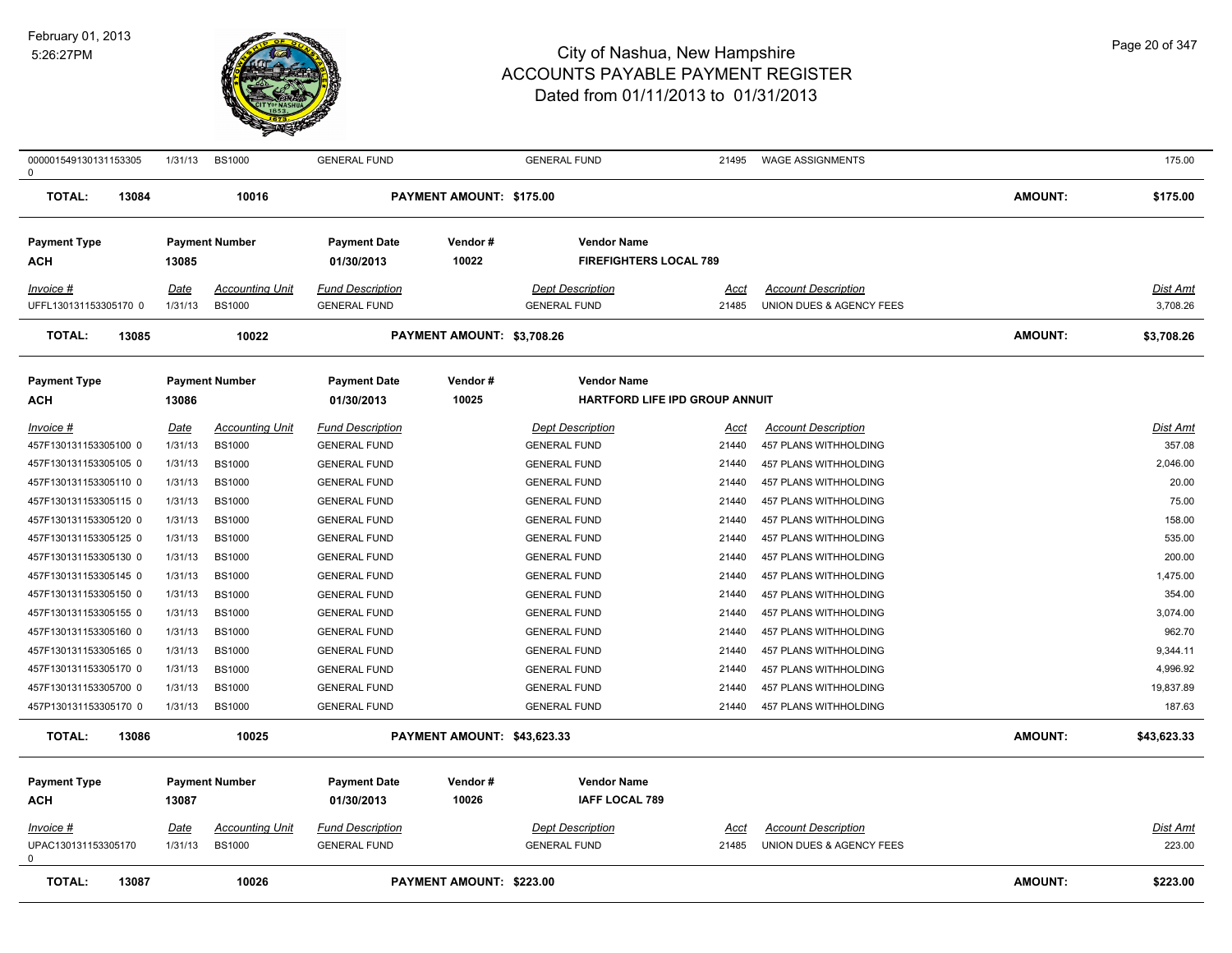

| 000001549130131153305<br>0      | 1/31/13     | <b>BS1000</b>          | <b>GENERAL FUND</b>     |                             | <b>GENERAL FUND</b>            | 21495       | <b>WAGE ASSIGNMENTS</b>    |                | 175.00          |
|---------------------------------|-------------|------------------------|-------------------------|-----------------------------|--------------------------------|-------------|----------------------------|----------------|-----------------|
| <b>TOTAL:</b><br>13084          |             | 10016                  |                         | PAYMENT AMOUNT: \$175.00    |                                |             |                            | <b>AMOUNT:</b> | \$175.00        |
| <b>Payment Type</b>             |             | <b>Payment Number</b>  | <b>Payment Date</b>     | Vendor#                     | <b>Vendor Name</b>             |             |                            |                |                 |
| ACH                             | 13085       |                        | 01/30/2013              | 10022                       | <b>FIREFIGHTERS LOCAL 789</b>  |             |                            |                |                 |
| Invoice #                       | Date        | <b>Accounting Unit</b> | <b>Fund Description</b> |                             | <b>Dept Description</b>        | Acct        | <b>Account Description</b> |                | Dist Amt        |
| UFFL130131153305170 0           | 1/31/13     | <b>BS1000</b>          | <b>GENERAL FUND</b>     |                             | <b>GENERAL FUND</b>            | 21485       | UNION DUES & AGENCY FEES   |                | 3,708.26        |
| <b>TOTAL:</b><br>13085          |             | 10022                  |                         | PAYMENT AMOUNT: \$3,708.26  |                                |             |                            | <b>AMOUNT:</b> | \$3,708.26      |
| <b>Payment Type</b>             |             | <b>Payment Number</b>  | <b>Payment Date</b>     | Vendor#                     | <b>Vendor Name</b>             |             |                            |                |                 |
| АСН                             | 13086       |                        | 01/30/2013              | 10025                       | HARTFORD LIFE IPD GROUP ANNUIT |             |                            |                |                 |
| $Invoice$ #                     | <u>Date</u> | <b>Accounting Unit</b> | <b>Fund Description</b> |                             | <b>Dept Description</b>        | <u>Acct</u> | <b>Account Description</b> |                | <b>Dist Amt</b> |
| 457F130131153305100 0           | 1/31/13     | <b>BS1000</b>          | <b>GENERAL FUND</b>     |                             | <b>GENERAL FUND</b>            | 21440       | 457 PLANS WITHHOLDING      |                | 357.08          |
| 457F130131153305105 0           | 1/31/13     | <b>BS1000</b>          | <b>GENERAL FUND</b>     |                             | <b>GENERAL FUND</b>            | 21440       | 457 PLANS WITHHOLDING      |                | 2,046.00        |
| 457F130131153305110 0           | 1/31/13     | <b>BS1000</b>          | <b>GENERAL FUND</b>     |                             | <b>GENERAL FUND</b>            | 21440       | 457 PLANS WITHHOLDING      |                | 20.00           |
| 457F130131153305115 0           | 1/31/13     | <b>BS1000</b>          | <b>GENERAL FUND</b>     |                             | <b>GENERAL FUND</b>            | 21440       | 457 PLANS WITHHOLDING      |                | 75.00           |
| 457F130131153305120 0           | 1/31/13     | <b>BS1000</b>          | <b>GENERAL FUND</b>     |                             | <b>GENERAL FUND</b>            | 21440       | 457 PLANS WITHHOLDING      |                | 158.00          |
| 457F130131153305125 0           | 1/31/13     | <b>BS1000</b>          | <b>GENERAL FUND</b>     |                             | <b>GENERAL FUND</b>            | 21440       | 457 PLANS WITHHOLDING      |                | 535.00          |
| 457F130131153305130 0           | 1/31/13     | <b>BS1000</b>          | <b>GENERAL FUND</b>     |                             | <b>GENERAL FUND</b>            | 21440       | 457 PLANS WITHHOLDING      |                | 200.00          |
| 457F130131153305145 0           | 1/31/13     | <b>BS1000</b>          | <b>GENERAL FUND</b>     |                             | <b>GENERAL FUND</b>            | 21440       | 457 PLANS WITHHOLDING      |                | 1,475.00        |
| 457F130131153305150 0           | 1/31/13     | <b>BS1000</b>          | <b>GENERAL FUND</b>     |                             | <b>GENERAL FUND</b>            | 21440       | 457 PLANS WITHHOLDING      |                | 354.00          |
| 457F130131153305155 0           | 1/31/13     | <b>BS1000</b>          | <b>GENERAL FUND</b>     |                             | <b>GENERAL FUND</b>            | 21440       | 457 PLANS WITHHOLDING      |                | 3,074.00        |
| 457F130131153305160 0           | 1/31/13     | <b>BS1000</b>          | <b>GENERAL FUND</b>     |                             | <b>GENERAL FUND</b>            | 21440       | 457 PLANS WITHHOLDING      |                | 962.70          |
| 457F130131153305165 0           | 1/31/13     | <b>BS1000</b>          | <b>GENERAL FUND</b>     |                             | <b>GENERAL FUND</b>            | 21440       | 457 PLANS WITHHOLDING      |                | 9,344.11        |
| 457F130131153305170 0           | 1/31/13     | <b>BS1000</b>          | <b>GENERAL FUND</b>     |                             | <b>GENERAL FUND</b>            | 21440       | 457 PLANS WITHHOLDING      |                | 4,996.92        |
| 457F130131153305700 0           | 1/31/13     | <b>BS1000</b>          | <b>GENERAL FUND</b>     |                             | <b>GENERAL FUND</b>            | 21440       | 457 PLANS WITHHOLDING      |                | 19,837.89       |
| 457P130131153305170 0           | 1/31/13     | <b>BS1000</b>          | <b>GENERAL FUND</b>     |                             | <b>GENERAL FUND</b>            | 21440       | 457 PLANS WITHHOLDING      |                | 187.63          |
| <b>TOTAL:</b><br>13086          |             | 10025                  |                         | PAYMENT AMOUNT: \$43,623.33 |                                |             |                            | <b>AMOUNT:</b> | \$43,623.33     |
| <b>Payment Type</b>             |             | <b>Payment Number</b>  | <b>Payment Date</b>     | Vendor#                     | <b>Vendor Name</b>             |             |                            |                |                 |
| ACH                             | 13087       |                        | 01/30/2013              | 10026                       | <b>IAFF LOCAL 789</b>          |             |                            |                |                 |
| Invoice #                       | Date        | <b>Accounting Unit</b> | <b>Fund Description</b> |                             | <b>Dept Description</b>        | Acct        | <b>Account Description</b> |                | Dist Amt        |
| UPAC130131153305170<br>$\Omega$ | 1/31/13     | <b>BS1000</b>          | <b>GENERAL FUND</b>     |                             | <b>GENERAL FUND</b>            | 21485       | UNION DUES & AGENCY FEES   |                | 223.00          |
| <b>TOTAL:</b><br>13087          |             | 10026                  |                         | PAYMENT AMOUNT: \$223.00    |                                |             |                            | <b>AMOUNT:</b> | \$223.00        |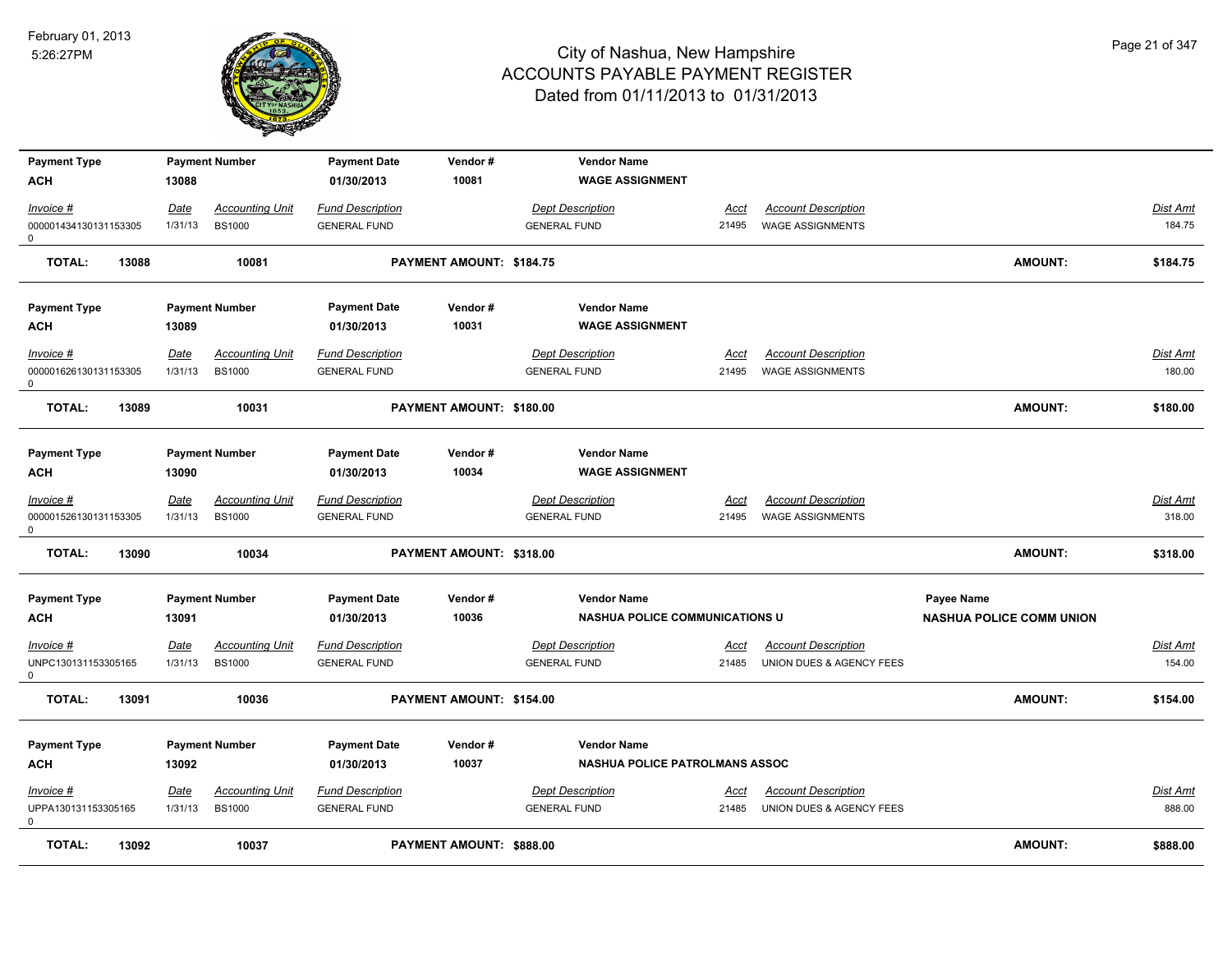

| <b>Payment Type</b>                   |             | <b>Payment Number</b>  | <b>Payment Date</b>     | Vendor#                  | <b>Vendor Name</b>                    |       |                            |                                 |          |
|---------------------------------------|-------------|------------------------|-------------------------|--------------------------|---------------------------------------|-------|----------------------------|---------------------------------|----------|
| <b>ACH</b>                            | 13088       |                        | 01/30/2013              | 10081                    | <b>WAGE ASSIGNMENT</b>                |       |                            |                                 |          |
| Invoice #                             | <b>Date</b> | <b>Accounting Unit</b> | <b>Fund Description</b> |                          | <b>Dept Description</b>               | Acct  | <b>Account Description</b> |                                 | Dist Amt |
| 000001434130131153305<br>$\mathsf{O}$ | 1/31/13     | <b>BS1000</b>          | <b>GENERAL FUND</b>     |                          | <b>GENERAL FUND</b>                   | 21495 | <b>WAGE ASSIGNMENTS</b>    |                                 | 184.75   |
| <b>TOTAL:</b><br>13088                |             | 10081                  |                         | PAYMENT AMOUNT: \$184.75 |                                       |       |                            | <b>AMOUNT:</b>                  | \$184.75 |
| <b>Payment Type</b>                   |             | <b>Payment Number</b>  | <b>Payment Date</b>     | Vendor#                  | <b>Vendor Name</b>                    |       |                            |                                 |          |
| <b>ACH</b>                            | 13089       |                        | 01/30/2013              | 10031                    | <b>WAGE ASSIGNMENT</b>                |       |                            |                                 |          |
| Invoice #                             | <u>Date</u> | <b>Accounting Unit</b> | <b>Fund Description</b> |                          | <b>Dept Description</b>               | Acct  | <b>Account Description</b> |                                 | Dist Amt |
| 000001626130131153305<br>0            | 1/31/13     | <b>BS1000</b>          | <b>GENERAL FUND</b>     |                          | <b>GENERAL FUND</b>                   | 21495 | <b>WAGE ASSIGNMENTS</b>    |                                 | 180.00   |
| <b>TOTAL:</b><br>13089                |             | 10031                  |                         | PAYMENT AMOUNT: \$180.00 |                                       |       |                            | AMOUNT:                         | \$180.00 |
| <b>Payment Type</b>                   |             | <b>Payment Number</b>  | <b>Payment Date</b>     | Vendor#                  | <b>Vendor Name</b>                    |       |                            |                                 |          |
| <b>ACH</b>                            | 13090       |                        | 01/30/2013              | 10034                    | <b>WAGE ASSIGNMENT</b>                |       |                            |                                 |          |
| Invoice #                             | Date        | <b>Accounting Unit</b> | <b>Fund Description</b> |                          | <b>Dept Description</b>               | Acct  | <b>Account Description</b> |                                 | Dist Amt |
| 000001526130131153305<br>$\mathsf{O}$ | 1/31/13     | <b>BS1000</b>          | <b>GENERAL FUND</b>     |                          | <b>GENERAL FUND</b>                   | 21495 | <b>WAGE ASSIGNMENTS</b>    |                                 | 318.00   |
| <b>TOTAL:</b><br>13090                |             | 10034                  |                         | PAYMENT AMOUNT: \$318.00 |                                       |       |                            | <b>AMOUNT:</b>                  | \$318.00 |
| <b>Payment Type</b>                   |             | <b>Payment Number</b>  | <b>Payment Date</b>     | Vendor#                  | <b>Vendor Name</b>                    |       |                            | Payee Name                      |          |
| <b>ACH</b>                            | 13091       |                        | 01/30/2013              | 10036                    | <b>NASHUA POLICE COMMUNICATIONS U</b> |       |                            | <b>NASHUA POLICE COMM UNION</b> |          |
| Invoice #                             | <b>Date</b> | <b>Accounting Unit</b> | <b>Fund Description</b> |                          | <b>Dept Description</b>               | Acct  | <b>Account Description</b> |                                 | Dist Amt |
| UNPC130131153305165<br>0              | 1/31/13     | <b>BS1000</b>          | <b>GENERAL FUND</b>     |                          | <b>GENERAL FUND</b>                   | 21485 | UNION DUES & AGENCY FEES   |                                 | 154.00   |
| <b>TOTAL:</b><br>13091                |             | 10036                  |                         | PAYMENT AMOUNT: \$154.00 |                                       |       |                            | <b>AMOUNT:</b>                  | \$154.00 |
| <b>Payment Type</b>                   |             | <b>Payment Number</b>  | <b>Payment Date</b>     | Vendor#                  | <b>Vendor Name</b>                    |       |                            |                                 |          |
| <b>ACH</b>                            | 13092       |                        | 01/30/2013              | 10037                    | NASHUA POLICE PATROLMANS ASSOC        |       |                            |                                 |          |
| $Invoice$ #                           | Date        | <b>Accounting Unit</b> | <b>Fund Description</b> |                          | <b>Dept Description</b>               | Acct  | <b>Account Description</b> |                                 | Dist Amt |
| UPPA130131153305165<br>$\mathbf 0$    | 1/31/13     | <b>BS1000</b>          | <b>GENERAL FUND</b>     |                          | <b>GENERAL FUND</b>                   | 21485 | UNION DUES & AGENCY FEES   |                                 | 888.00   |
| <b>TOTAL:</b><br>13092                |             | 10037                  |                         | PAYMENT AMOUNT: \$888.00 |                                       |       |                            | <b>AMOUNT:</b>                  | \$888.00 |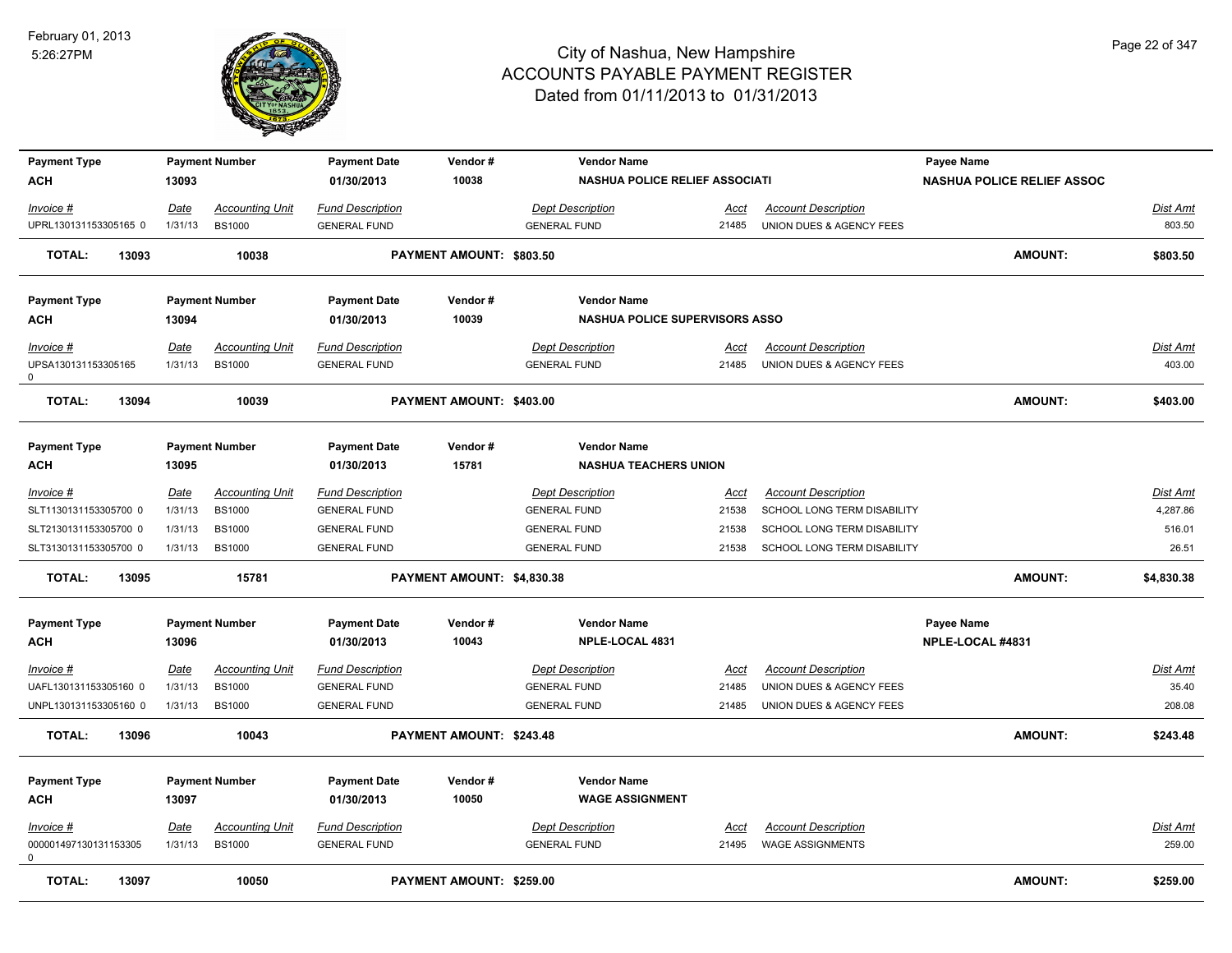

| <b>Payment Type</b>        |             | <b>Payment Number</b>  | <b>Payment Date</b>     | Vendor#                    | <b>Vendor Name</b>                    |             |                             | Payee Name                        |                 |
|----------------------------|-------------|------------------------|-------------------------|----------------------------|---------------------------------------|-------------|-----------------------------|-----------------------------------|-----------------|
| <b>ACH</b>                 | 13093       |                        | 01/30/2013              | 10038                      | <b>NASHUA POLICE RELIEF ASSOCIATI</b> |             |                             | <b>NASHUA POLICE RELIEF ASSOC</b> |                 |
| Invoice #                  | Date        | <b>Accounting Unit</b> | <b>Fund Description</b> |                            | <b>Dept Description</b>               | Acct        | <b>Account Description</b>  |                                   | <b>Dist Amt</b> |
| UPRL130131153305165 0      | 1/31/13     | <b>BS1000</b>          | <b>GENERAL FUND</b>     |                            | <b>GENERAL FUND</b>                   | 21485       | UNION DUES & AGENCY FEES    |                                   | 803.50          |
| <b>TOTAL:</b><br>13093     |             | 10038                  |                         | PAYMENT AMOUNT: \$803.50   |                                       |             |                             | <b>AMOUNT:</b>                    | \$803.50        |
|                            |             |                        |                         |                            |                                       |             |                             |                                   |                 |
| <b>Payment Type</b>        |             | <b>Payment Number</b>  | <b>Payment Date</b>     | Vendor#                    | <b>Vendor Name</b>                    |             |                             |                                   |                 |
| <b>ACH</b>                 | 13094       |                        | 01/30/2013              | 10039                      | <b>NASHUA POLICE SUPERVISORS ASSO</b> |             |                             |                                   |                 |
| Invoice #                  | Date        | <b>Accounting Unit</b> | <b>Fund Description</b> |                            | <b>Dept Description</b>               | Acct        | <b>Account Description</b>  |                                   | <b>Dist Amt</b> |
| UPSA130131153305165<br>0   | 1/31/13     | <b>BS1000</b>          | <b>GENERAL FUND</b>     |                            | <b>GENERAL FUND</b>                   | 21485       | UNION DUES & AGENCY FEES    |                                   | 403.00          |
| <b>TOTAL:</b><br>13094     |             | 10039                  |                         | PAYMENT AMOUNT: \$403.00   |                                       |             |                             | <b>AMOUNT:</b>                    | \$403.00        |
| <b>Payment Type</b>        |             | <b>Payment Number</b>  | <b>Payment Date</b>     | Vendor#                    | <b>Vendor Name</b>                    |             |                             |                                   |                 |
| <b>ACH</b>                 | 13095       |                        | 01/30/2013              | 15781                      | <b>NASHUA TEACHERS UNION</b>          |             |                             |                                   |                 |
| $Invoice$ #                | <u>Date</u> | <b>Accounting Unit</b> | <b>Fund Description</b> |                            | <b>Dept Description</b>               | <u>Acct</u> | <b>Account Description</b>  |                                   | Dist Amt        |
| SLT1130131153305700 0      | 1/31/13     | <b>BS1000</b>          | <b>GENERAL FUND</b>     |                            | <b>GENERAL FUND</b>                   | 21538       | SCHOOL LONG TERM DISABILITY |                                   | 4,287.86        |
| SLT2130131153305700 0      | 1/31/13     | <b>BS1000</b>          | <b>GENERAL FUND</b>     |                            | <b>GENERAL FUND</b>                   | 21538       | SCHOOL LONG TERM DISABILITY |                                   | 516.01          |
| SLT3130131153305700 0      | 1/31/13     | <b>BS1000</b>          | <b>GENERAL FUND</b>     |                            | <b>GENERAL FUND</b>                   | 21538       | SCHOOL LONG TERM DISABILITY |                                   | 26.51           |
| <b>TOTAL:</b><br>13095     |             | 15781                  |                         | PAYMENT AMOUNT: \$4,830.38 |                                       |             |                             | <b>AMOUNT:</b>                    | \$4,830.38      |
| <b>Payment Type</b>        |             | <b>Payment Number</b>  | <b>Payment Date</b>     | Vendor#                    | <b>Vendor Name</b>                    |             |                             | Payee Name                        |                 |
| ACH                        | 13096       |                        | 01/30/2013              | 10043                      | NPLE-LOCAL 4831                       |             |                             | NPLE-LOCAL #4831                  |                 |
| Invoice #                  | Date        | <b>Accounting Unit</b> | <b>Fund Description</b> |                            | <b>Dept Description</b>               | Acct        | <b>Account Description</b>  |                                   | <b>Dist Amt</b> |
| UAFL130131153305160 0      | 1/31/13     | <b>BS1000</b>          | <b>GENERAL FUND</b>     |                            | <b>GENERAL FUND</b>                   | 21485       | UNION DUES & AGENCY FEES    |                                   | 35.40           |
| UNPL130131153305160 0      | 1/31/13     | <b>BS1000</b>          | <b>GENERAL FUND</b>     |                            | <b>GENERAL FUND</b>                   | 21485       | UNION DUES & AGENCY FEES    |                                   | 208.08          |
| <b>TOTAL:</b><br>13096     |             | 10043                  |                         | PAYMENT AMOUNT: \$243.48   |                                       |             |                             | <b>AMOUNT:</b>                    | \$243.48        |
| <b>Payment Type</b>        |             | <b>Payment Number</b>  | <b>Payment Date</b>     | Vendor#                    | <b>Vendor Name</b>                    |             |                             |                                   |                 |
| <b>ACH</b>                 | 13097       |                        | 01/30/2013              | 10050                      | <b>WAGE ASSIGNMENT</b>                |             |                             |                                   |                 |
| $Invoice$ #                | Date        | <b>Accounting Unit</b> | <b>Fund Description</b> |                            | <b>Dept Description</b>               | <u>Acct</u> | <b>Account Description</b>  |                                   | Dist Amt        |
| 000001497130131153305<br>0 | 1/31/13     | <b>BS1000</b>          | <b>GENERAL FUND</b>     |                            | <b>GENERAL FUND</b>                   | 21495       | <b>WAGE ASSIGNMENTS</b>     |                                   | 259.00          |
| <b>TOTAL:</b><br>13097     |             | 10050                  |                         | PAYMENT AMOUNT: \$259.00   |                                       |             |                             | <b>AMOUNT:</b>                    | \$259.00        |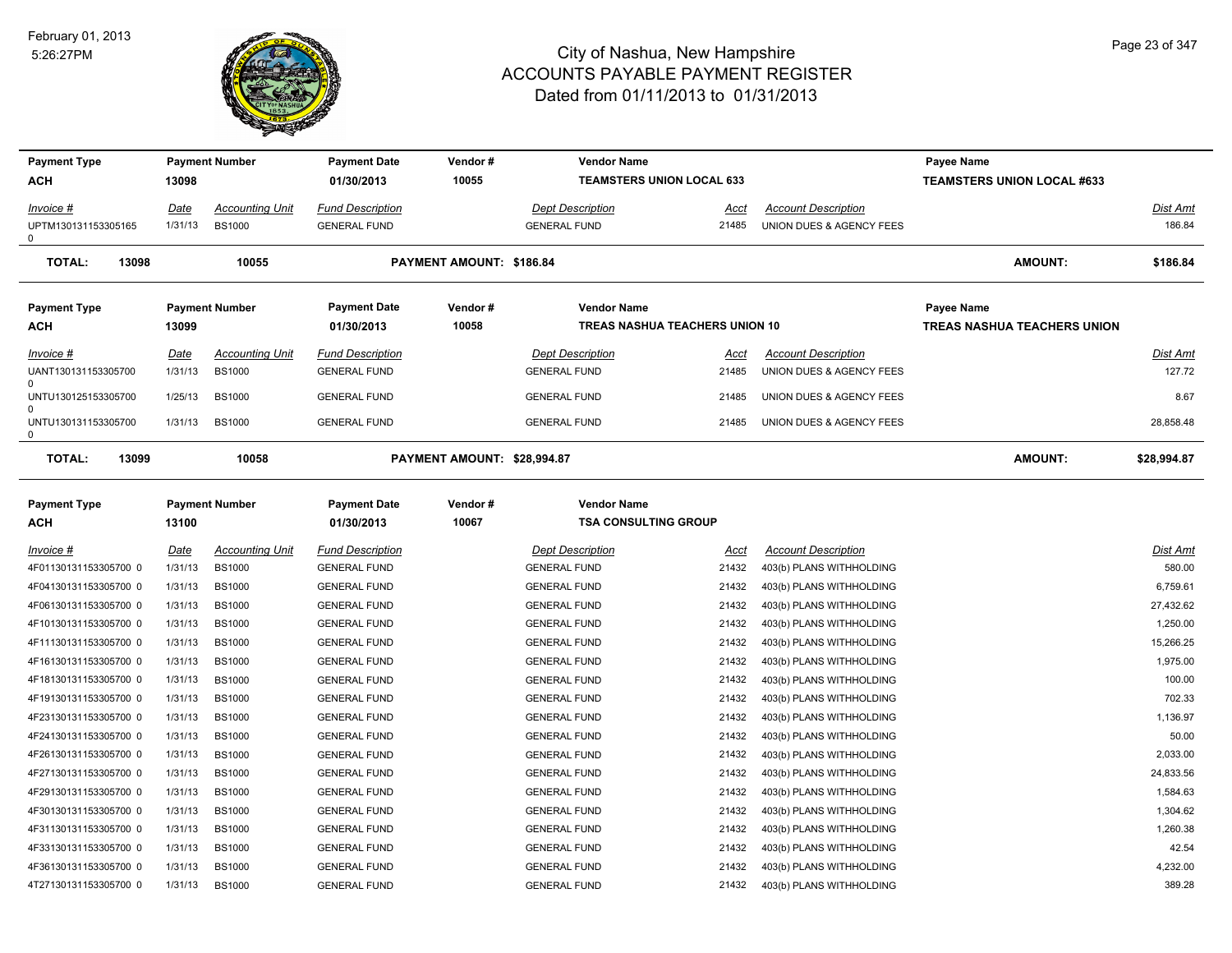

| <b>Payment Type</b>        |         | <b>Payment Number</b>  | Payment Date                      | Vendor #                    | <b>Vendor Name</b>                                |                                |                            | Payee Name                        |                 |
|----------------------------|---------|------------------------|-----------------------------------|-----------------------------|---------------------------------------------------|--------------------------------|----------------------------|-----------------------------------|-----------------|
| ACH                        | 13098   |                        | 01/30/2013                        | 10055                       | <b>TEAMSTERS UNION LOCAL 633</b>                  |                                |                            | <b>TEAMSTERS UNION LOCAL #633</b> |                 |
| Invoice #                  | Date    | <b>Accounting Unit</b> | <b>Fund Description</b>           |                             | Dept Description                                  | Acct                           | <b>Account Description</b> |                                   | <b>Dist Amt</b> |
| UPTM130131153305165<br>0   | 1/31/13 | <b>BS1000</b>          | <b>GENERAL FUND</b>               |                             | <b>GENERAL FUND</b>                               | 21485                          | UNION DUES & AGENCY FEES   |                                   | 186.84          |
| <b>TOTAL:</b><br>13098     |         | 10055                  |                                   | PAYMENT AMOUNT: \$186.84    |                                                   |                                |                            | <b>AMOUNT:</b>                    | \$186.84        |
| <b>Payment Type</b>        |         | <b>Payment Number</b>  | <b>Payment Date</b>               | Vendor#                     | <b>Vendor Name</b>                                |                                |                            | Payee Name                        |                 |
| ACH                        | 13099   |                        | 01/30/2013                        | 10058                       |                                                   | TREAS NASHUA TEACHERS UNION 10 |                            | TREAS NASHUA TEACHERS UNION       |                 |
| Invoice #                  | Date    | <b>Accounting Unit</b> | <b>Fund Description</b>           |                             | <b>Dept Description</b>                           | Acct                           | <b>Account Description</b> |                                   | Dist Amt        |
| UANT130131153305700        | 1/31/13 | <b>BS1000</b>          | <b>GENERAL FUND</b>               |                             | <b>GENERAL FUND</b>                               | 21485                          | UNION DUES & AGENCY FEES   |                                   | 127.72          |
| UNTU130125153305700        | 1/25/13 | <b>BS1000</b>          | <b>GENERAL FUND</b>               |                             | <b>GENERAL FUND</b>                               | 21485                          | UNION DUES & AGENCY FEES   |                                   | 8.67            |
| UNTU130131153305700<br>0   | 1/31/13 | <b>BS1000</b>          | <b>GENERAL FUND</b>               |                             | <b>GENERAL FUND</b>                               | 21485                          | UNION DUES & AGENCY FEES   |                                   | 28,858.48       |
| <b>TOTAL:</b><br>13099     |         | 10058                  |                                   | PAYMENT AMOUNT: \$28,994.87 |                                                   |                                |                            | <b>AMOUNT:</b>                    | \$28,994.87     |
| <b>Payment Type</b><br>ACH | 13100   | <b>Payment Number</b>  | <b>Payment Date</b><br>01/30/2013 | Vendor#<br>10067            | <b>Vendor Name</b><br><b>TSA CONSULTING GROUP</b> |                                |                            |                                   |                 |
| Invoice #                  | Date    | <b>Accounting Unit</b> | <b>Fund Description</b>           |                             | <b>Dept Description</b>                           | Acct                           | <b>Account Description</b> |                                   | <b>Dist Amt</b> |
| 4F01130131153305700 0      | 1/31/13 | <b>BS1000</b>          | <b>GENERAL FUND</b>               |                             | <b>GENERAL FUND</b>                               | 21432                          | 403(b) PLANS WITHHOLDING   |                                   | 580.00          |
| 4F04130131153305700 0      | 1/31/13 | <b>BS1000</b>          | <b>GENERAL FUND</b>               |                             | <b>GENERAL FUND</b>                               | 21432                          | 403(b) PLANS WITHHOLDING   |                                   | 6,759.61        |
| 4F06130131153305700 0      | 1/31/13 | <b>BS1000</b>          | <b>GENERAL FUND</b>               |                             | <b>GENERAL FUND</b>                               | 21432                          | 403(b) PLANS WITHHOLDING   |                                   | 27,432.62       |
| 4F10130131153305700 0      | 1/31/13 | <b>BS1000</b>          | <b>GENERAL FUND</b>               |                             | <b>GENERAL FUND</b>                               | 21432                          | 403(b) PLANS WITHHOLDING   |                                   | 1,250.00        |
| 4F11130131153305700 0      | 1/31/13 | <b>BS1000</b>          | <b>GENERAL FUND</b>               |                             | <b>GENERAL FUND</b>                               | 21432                          | 403(b) PLANS WITHHOLDING   |                                   | 15,266.25       |
| 4F16130131153305700 0      | 1/31/13 | <b>BS1000</b>          | <b>GENERAL FUND</b>               |                             | <b>GENERAL FUND</b>                               | 21432                          | 403(b) PLANS WITHHOLDING   |                                   | 1,975.00        |
| 4F18130131153305700 0      | 1/31/13 | <b>BS1000</b>          | <b>GENERAL FUND</b>               |                             | <b>GENERAL FUND</b>                               | 21432                          | 403(b) PLANS WITHHOLDING   |                                   | 100.00          |
| 4F19130131153305700 0      | 1/31/13 | <b>BS1000</b>          | <b>GENERAL FUND</b>               |                             | <b>GENERAL FUND</b>                               | 21432                          | 403(b) PLANS WITHHOLDING   |                                   | 702.33          |
| 4F23130131153305700 0      | 1/31/13 | <b>BS1000</b>          | <b>GENERAL FUND</b>               |                             | <b>GENERAL FUND</b>                               | 21432                          | 403(b) PLANS WITHHOLDING   |                                   | 1,136.97        |
| 4F24130131153305700 0      | 1/31/13 | <b>BS1000</b>          | <b>GENERAL FUND</b>               |                             | <b>GENERAL FUND</b>                               | 21432                          | 403(b) PLANS WITHHOLDING   |                                   | 50.00           |
| 4F26130131153305700 0      | 1/31/13 | <b>BS1000</b>          | <b>GENERAL FUND</b>               |                             | <b>GENERAL FUND</b>                               | 21432                          | 403(b) PLANS WITHHOLDING   |                                   | 2,033.00        |
| 4F27130131153305700 0      | 1/31/13 | <b>BS1000</b>          | <b>GENERAL FUND</b>               |                             | <b>GENERAL FUND</b>                               | 21432                          | 403(b) PLANS WITHHOLDING   |                                   | 24,833.56       |
| 4F29130131153305700 0      | 1/31/13 | <b>BS1000</b>          | <b>GENERAL FUND</b>               |                             | <b>GENERAL FUND</b>                               | 21432                          | 403(b) PLANS WITHHOLDING   |                                   | 1.584.63        |
| 4F30130131153305700 0      | 1/31/13 | <b>BS1000</b>          | <b>GENERAL FUND</b>               |                             | <b>GENERAL FUND</b>                               | 21432                          | 403(b) PLANS WITHHOLDING   |                                   | 1,304.62        |
| 4F31130131153305700 0      | 1/31/13 | <b>BS1000</b>          | <b>GENERAL FUND</b>               |                             | <b>GENERAL FUND</b>                               | 21432                          | 403(b) PLANS WITHHOLDING   |                                   | 1,260.38        |
| 4F33130131153305700 0      | 1/31/13 | <b>BS1000</b>          | <b>GENERAL FUND</b>               |                             | <b>GENERAL FUND</b>                               | 21432                          | 403(b) PLANS WITHHOLDING   |                                   | 42.54           |
| 4F36130131153305700 0      | 1/31/13 | <b>BS1000</b>          | <b>GENERAL FUND</b>               |                             | <b>GENERAL FUND</b>                               | 21432                          | 403(b) PLANS WITHHOLDING   |                                   | 4,232.00        |
| 4T27130131153305700 0      | 1/31/13 | <b>BS1000</b>          | <b>GENERAL FUND</b>               |                             | <b>GENERAL FUND</b>                               | 21432                          | 403(b) PLANS WITHHOLDING   |                                   | 389.28          |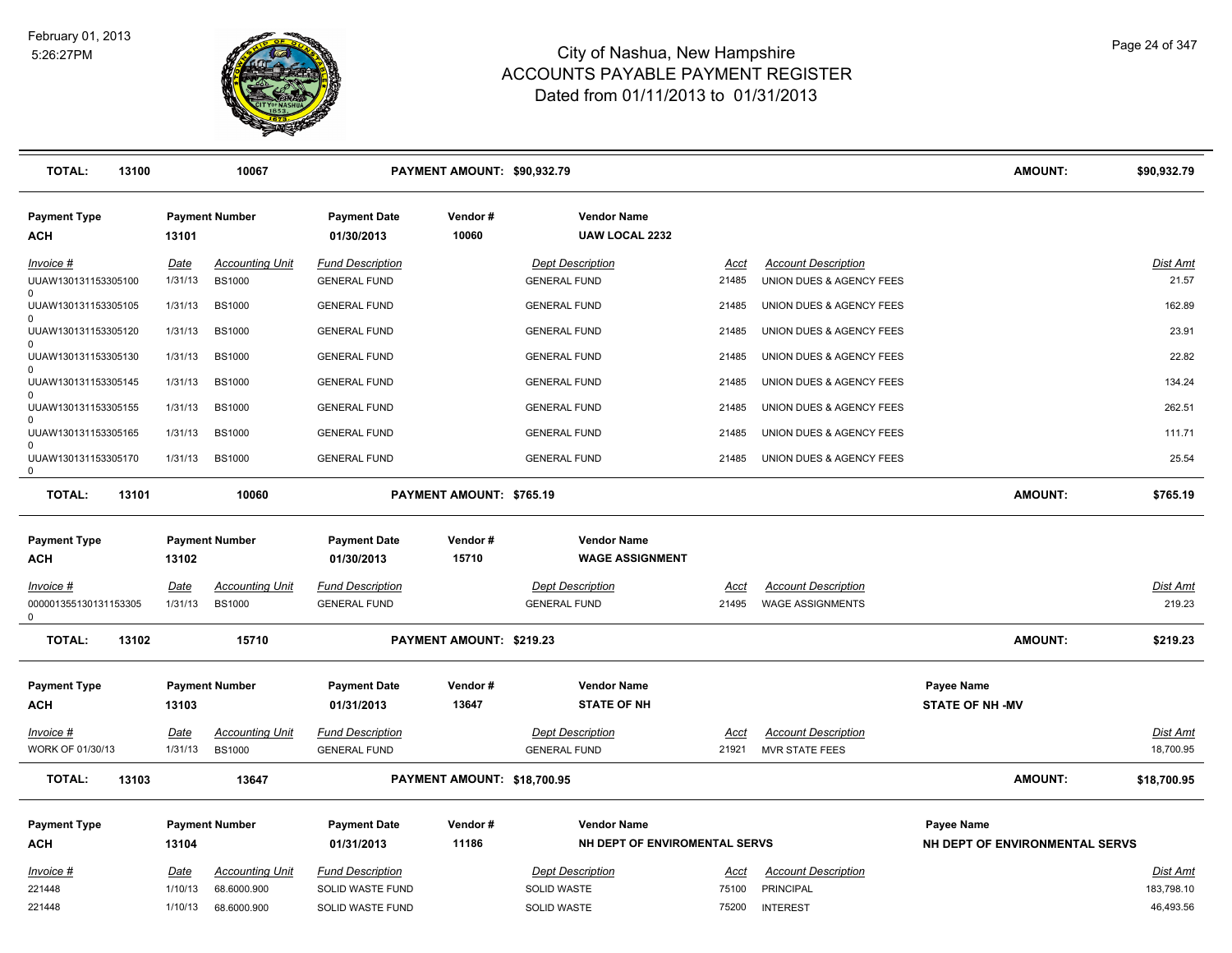

| <b>TOTAL:</b><br>13100                             |                 | 10067                                   |                                                | PAYMENT AMOUNT: \$90,932.79 |                                                |               |                                                        |                                             | <b>AMOUNT:</b>                 | \$90,932.79                   |
|----------------------------------------------------|-----------------|-----------------------------------------|------------------------------------------------|-----------------------------|------------------------------------------------|---------------|--------------------------------------------------------|---------------------------------------------|--------------------------------|-------------------------------|
| <b>Payment Type</b><br>ACH                         | 13101           | <b>Payment Number</b>                   | <b>Payment Date</b><br>01/30/2013              | Vendor#<br>10060            | <b>Vendor Name</b><br><b>UAW LOCAL 2232</b>    |               |                                                        |                                             |                                |                               |
| Invoice #<br>UUAW130131153305100                   | Date<br>1/31/13 | <b>Accounting Unit</b><br><b>BS1000</b> | <b>Fund Description</b><br><b>GENERAL FUND</b> |                             | <b>Dept Description</b><br><b>GENERAL FUND</b> | Acct<br>21485 | <b>Account Description</b><br>UNION DUES & AGENCY FEES |                                             |                                | Dist Amt<br>21.57             |
| $\Omega$<br>UUAW130131153305105                    | 1/31/13         | <b>BS1000</b>                           | <b>GENERAL FUND</b>                            |                             | <b>GENERAL FUND</b>                            | 21485         | UNION DUES & AGENCY FEES                               |                                             |                                | 162.89                        |
| UUAW130131153305120                                | 1/31/13         | <b>BS1000</b>                           | <b>GENERAL FUND</b>                            |                             | <b>GENERAL FUND</b>                            | 21485         | UNION DUES & AGENCY FEES                               |                                             |                                | 23.91                         |
| $\mathbf 0$<br>UUAW130131153305130                 | 1/31/13         | <b>BS1000</b>                           | <b>GENERAL FUND</b>                            |                             | <b>GENERAL FUND</b>                            | 21485         | UNION DUES & AGENCY FEES                               |                                             |                                | 22.82                         |
| $\Omega$<br>UUAW130131153305145                    | 1/31/13         | <b>BS1000</b>                           | <b>GENERAL FUND</b>                            |                             | <b>GENERAL FUND</b>                            | 21485         | UNION DUES & AGENCY FEES                               |                                             |                                | 134.24                        |
| $\Omega$<br>UUAW130131153305155                    | 1/31/13         | <b>BS1000</b>                           | <b>GENERAL FUND</b>                            |                             | <b>GENERAL FUND</b>                            | 21485         | UNION DUES & AGENCY FEES                               |                                             |                                | 262.51                        |
| $\Omega$<br>UUAW130131153305165                    | 1/31/13         | <b>BS1000</b>                           | <b>GENERAL FUND</b>                            |                             | <b>GENERAL FUND</b>                            | 21485         | UNION DUES & AGENCY FEES                               |                                             |                                | 111.71                        |
| $\Omega$<br>UUAW130131153305170<br>$\mathbf 0$     | 1/31/13         | <b>BS1000</b>                           | <b>GENERAL FUND</b>                            |                             | <b>GENERAL FUND</b>                            | 21485         | UNION DUES & AGENCY FEES                               |                                             |                                | 25.54                         |
| <b>TOTAL:</b><br>13101                             |                 | 10060                                   |                                                | PAYMENT AMOUNT: \$765.19    |                                                |               |                                                        |                                             | <b>AMOUNT:</b>                 | \$765.19                      |
| <b>Payment Type</b>                                |                 | <b>Payment Number</b>                   | <b>Payment Date</b>                            | Vendor#                     | <b>Vendor Name</b>                             |               |                                                        |                                             |                                |                               |
| ACH                                                | 13102           |                                         | 01/30/2013                                     | 15710                       | <b>WAGE ASSIGNMENT</b>                         |               |                                                        |                                             |                                |                               |
| Invoice #<br>000001355130131153305<br>$\mathsf{O}$ | Date<br>1/31/13 | <b>Accounting Unit</b><br><b>BS1000</b> | <b>Fund Description</b><br><b>GENERAL FUND</b> |                             | <b>Dept Description</b><br><b>GENERAL FUND</b> | Acct<br>21495 | <b>Account Description</b><br><b>WAGE ASSIGNMENTS</b>  |                                             |                                | Dist Amt<br>219.23            |
| <b>TOTAL:</b><br>13102                             |                 | 15710                                   |                                                | PAYMENT AMOUNT: \$219.23    |                                                |               |                                                        |                                             | <b>AMOUNT:</b>                 | \$219.23                      |
| <b>Payment Type</b><br>ACH                         | 13103           | <b>Payment Number</b>                   | <b>Payment Date</b><br>01/31/2013              | Vendor#<br>13647            | <b>Vendor Name</b><br><b>STATE OF NH</b>       |               |                                                        | <b>Payee Name</b><br><b>STATE OF NH -MV</b> |                                |                               |
| Invoice #                                          | Date            | <b>Accounting Unit</b>                  | <b>Fund Description</b>                        |                             | <b>Dept Description</b>                        | Acct          | <b>Account Description</b>                             |                                             |                                | Dist Amt                      |
| WORK OF 01/30/13                                   | 1/31/13         | <b>BS1000</b>                           | <b>GENERAL FUND</b>                            |                             | <b>GENERAL FUND</b>                            | 21921         | <b>MVR STATE FEES</b>                                  |                                             |                                | 18,700.95                     |
| <b>TOTAL:</b><br>13103                             |                 | 13647                                   |                                                | PAYMENT AMOUNT: \$18,700.95 |                                                |               |                                                        |                                             | <b>AMOUNT:</b>                 | \$18,700.95                   |
| <b>Payment Type</b>                                |                 | <b>Payment Number</b>                   | <b>Payment Date</b>                            | Vendor#                     | <b>Vendor Name</b>                             |               |                                                        | <b>Payee Name</b>                           |                                |                               |
| <b>ACH</b>                                         | 13104           |                                         | 01/31/2013                                     | 11186                       | NH DEPT OF ENVIROMENTAL SERVS                  |               |                                                        |                                             | NH DEPT OF ENVIRONMENTAL SERVS |                               |
| Invoice #<br>221448                                | Date<br>1/10/13 | <b>Accounting Unit</b><br>68.6000.900   | <b>Fund Description</b><br>SOLID WASTE FUND    |                             | <b>Dept Description</b><br>SOLID WASTE         | Acct<br>75100 | <b>Account Description</b><br>PRINCIPAL                |                                             |                                | <b>Dist Amt</b><br>183,798.10 |
| 221448                                             | 1/10/13         | 68.6000.900                             | SOLID WASTE FUND                               |                             | <b>SOLID WASTE</b>                             | 75200         | <b>INTEREST</b>                                        |                                             |                                | 46,493.56                     |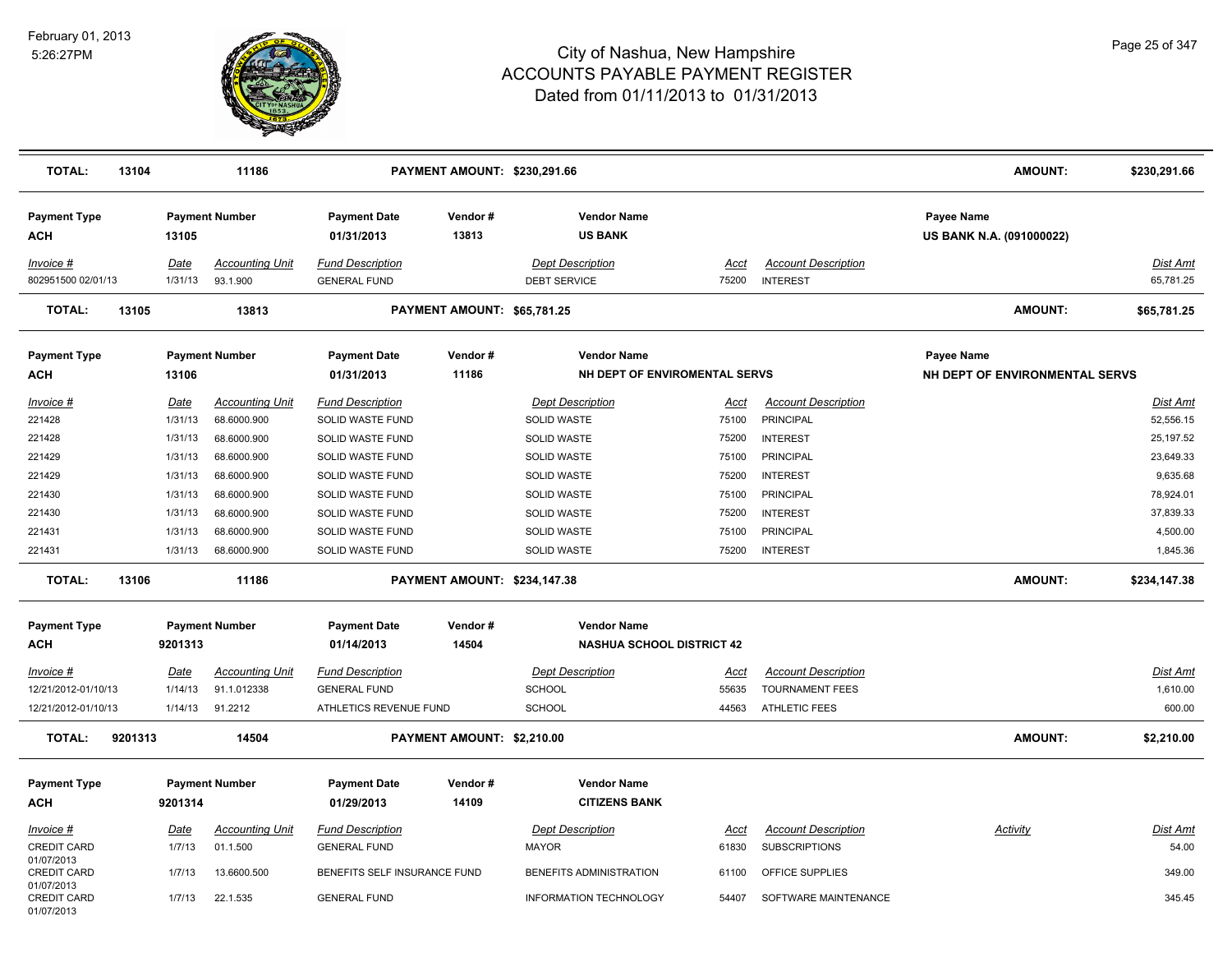

| <b>TOTAL:</b>                                  | 13104   |                               | 11186                                     |                                                          | <b>PAYMENT AMOUNT: \$230,291.66</b> |                                                                |                         |                                                      | <b>AMOUNT:</b>                                       | \$230,291.66                      |
|------------------------------------------------|---------|-------------------------------|-------------------------------------------|----------------------------------------------------------|-------------------------------------|----------------------------------------------------------------|-------------------------|------------------------------------------------------|------------------------------------------------------|-----------------------------------|
| <b>Payment Type</b><br>ACH                     |         | 13105                         | <b>Payment Number</b>                     | <b>Payment Date</b><br>01/31/2013                        | Vendor#<br>13813                    | <b>Vendor Name</b><br><b>US BANK</b>                           |                         |                                                      | <b>Payee Name</b><br><b>US BANK N.A. (091000022)</b> |                                   |
| Invoice #<br>802951500 02/01/13                |         | Date<br>1/31/13               | <b>Accounting Unit</b><br>93.1.900        | <b>Fund Description</b><br><b>GENERAL FUND</b>           |                                     | <b>Dept Description</b><br><b>DEBT SERVICE</b>                 | <u>Acct</u><br>75200    | <b>Account Description</b><br><b>INTEREST</b>        |                                                      | Dist Amt<br>65,781.25             |
| <b>TOTAL:</b>                                  | 13105   |                               | 13813                                     |                                                          | PAYMENT AMOUNT: \$65,781.25         |                                                                |                         |                                                      | <b>AMOUNT:</b>                                       | \$65,781.25                       |
| <b>Payment Type</b>                            |         |                               | <b>Payment Number</b>                     | <b>Payment Date</b>                                      | Vendor#                             | <b>Vendor Name</b>                                             |                         |                                                      | Payee Name                                           |                                   |
| <b>ACH</b>                                     |         | 13106                         |                                           | 01/31/2013                                               | 11186                               | NH DEPT OF ENVIROMENTAL SERVS                                  |                         |                                                      | NH DEPT OF ENVIRONMENTAL SERVS                       |                                   |
| Invoice #<br>221428                            |         | <u>Date</u><br>1/31/13        | <b>Accounting Unit</b><br>68.6000.900     | <b>Fund Description</b><br>SOLID WASTE FUND              |                                     | <b>Dept Description</b><br>SOLID WASTE                         | Acct<br>75100           | <b>Account Description</b><br><b>PRINCIPAL</b>       |                                                      | Dist Amt<br>52,556.15             |
| 221428<br>221429                               |         | 1/31/13<br>1/31/13            | 68.6000.900<br>68.6000.900                | SOLID WASTE FUND<br>SOLID WASTE FUND                     |                                     | <b>SOLID WASTE</b><br><b>SOLID WASTE</b>                       | 75200<br>75100          | <b>INTEREST</b><br>PRINCIPAL                         |                                                      | 25,197.52<br>23,649.33            |
| 221429<br>221430                               |         | 1/31/13<br>1/31/13            | 68.6000.900<br>68.6000.900                | SOLID WASTE FUND<br>SOLID WASTE FUND                     |                                     | <b>SOLID WASTE</b><br><b>SOLID WASTE</b>                       | 75200<br>75100          | <b>INTEREST</b><br><b>PRINCIPAL</b>                  |                                                      | 9,635.68<br>78,924.01             |
| 221430<br>221431<br>221431                     |         | 1/31/13<br>1/31/13<br>1/31/13 | 68.6000.900<br>68.6000.900<br>68.6000.900 | SOLID WASTE FUND<br>SOLID WASTE FUND<br>SOLID WASTE FUND |                                     | <b>SOLID WASTE</b><br><b>SOLID WASTE</b><br><b>SOLID WASTE</b> | 75200<br>75100<br>75200 | <b>INTEREST</b><br>PRINCIPAL<br><b>INTEREST</b>      |                                                      | 37,839.33<br>4,500.00<br>1,845.36 |
| <b>TOTAL:</b>                                  | 13106   |                               | 11186                                     |                                                          | <b>PAYMENT AMOUNT: \$234,147.38</b> |                                                                |                         |                                                      | <b>AMOUNT:</b>                                       | \$234,147.38                      |
| <b>Payment Type</b>                            |         |                               | <b>Payment Number</b>                     | <b>Payment Date</b>                                      | Vendor#                             | <b>Vendor Name</b>                                             |                         |                                                      |                                                      |                                   |
| ACH                                            |         | 9201313                       |                                           | 01/14/2013                                               | 14504                               | <b>NASHUA SCHOOL DISTRICT 42</b>                               |                         |                                                      |                                                      |                                   |
| Invoice #<br>12/21/2012-01/10/13               |         | Date<br>1/14/13               | <b>Accounting Unit</b><br>91.1.012338     | <b>Fund Description</b><br><b>GENERAL FUND</b>           |                                     | <b>Dept Description</b><br><b>SCHOOL</b>                       | <b>Acct</b><br>55635    | <b>Account Description</b><br><b>TOURNAMENT FEES</b> |                                                      | <b>Dist Amt</b><br>1,610.00       |
| 12/21/2012-01/10/13                            |         | 1/14/13                       | 91.2212                                   | ATHLETICS REVENUE FUND                                   |                                     | <b>SCHOOL</b>                                                  | 44563                   | <b>ATHLETIC FEES</b>                                 |                                                      | 600.00                            |
| <b>TOTAL:</b>                                  | 9201313 |                               | 14504                                     |                                                          | PAYMENT AMOUNT: \$2,210.00          |                                                                |                         |                                                      | AMOUNT:                                              | \$2,210.00                        |
| <b>Payment Type</b>                            |         |                               | <b>Payment Number</b>                     | Payment Date                                             | Vendor#                             | <b>Vendor Name</b>                                             |                         |                                                      |                                                      |                                   |
| <b>ACH</b>                                     |         | 9201314                       |                                           | 01/29/2013                                               | 14109                               | <b>CITIZENS BANK</b>                                           |                         |                                                      |                                                      |                                   |
| Invoice #<br><b>CREDIT CARD</b>                |         | Date<br>1/7/13                | <b>Accounting Unit</b><br>01.1.500        | <b>Fund Description</b><br><b>GENERAL FUND</b>           |                                     | <b>Dept Description</b><br><b>MAYOR</b>                        | Acct<br>61830           | <b>Account Description</b><br><b>SUBSCRIPTIONS</b>   | Activity                                             | Dist Amt<br>54.00                 |
| 01/07/2013<br><b>CREDIT CARD</b><br>01/07/2013 |         | 1/7/13                        | 13.6600.500                               | BENEFITS SELF INSURANCE FUND                             |                                     | BENEFITS ADMINISTRATION                                        | 61100                   | OFFICE SUPPLIES                                      |                                                      | 349.00                            |
| <b>CREDIT CARD</b><br>01/07/2013               |         | 1/7/13                        | 22.1.535                                  | <b>GENERAL FUND</b>                                      |                                     | INFORMATION TECHNOLOGY                                         | 54407                   | SOFTWARE MAINTENANCE                                 |                                                      | 345.45                            |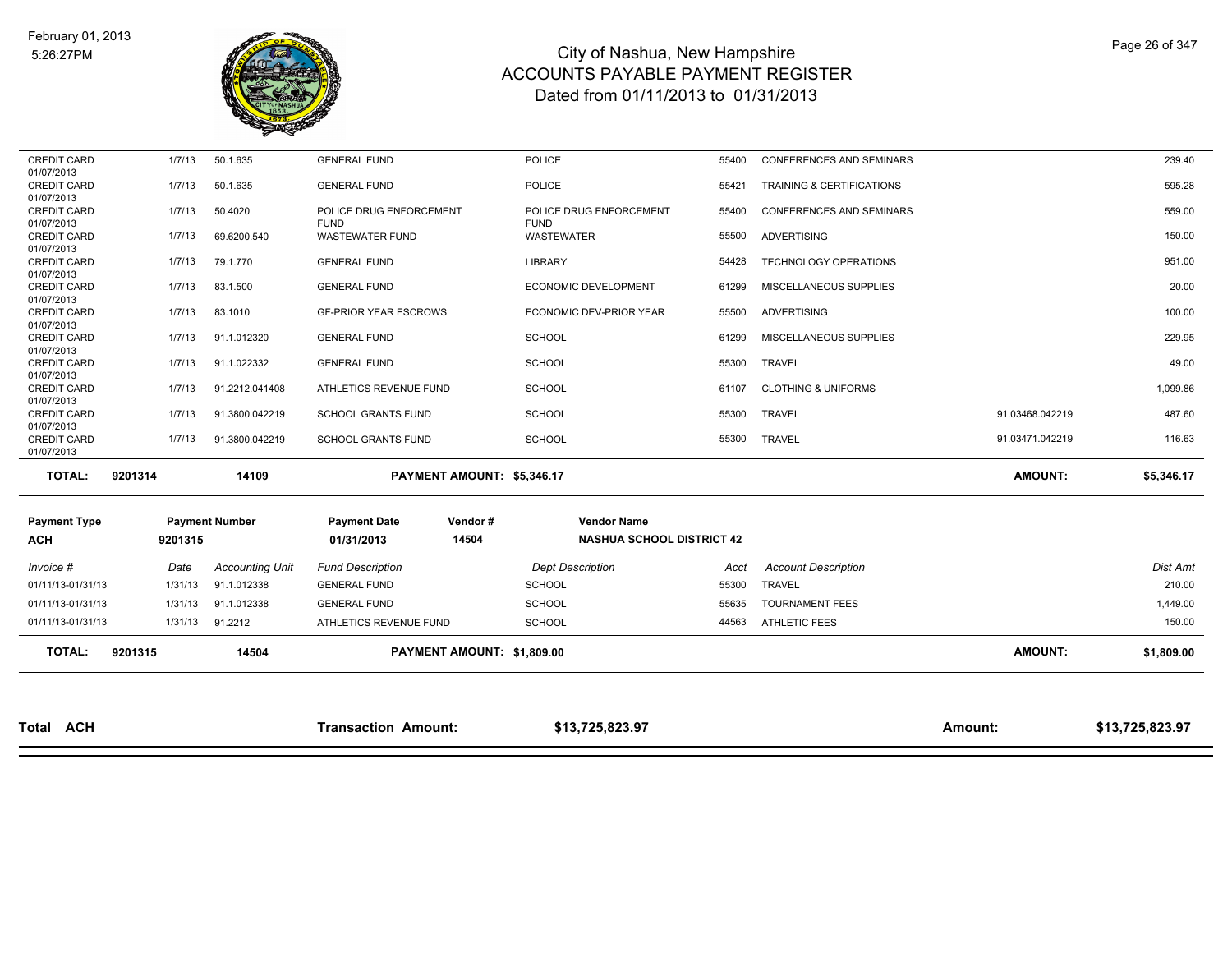

| <b>TOTAL:</b>                     | 9201315 | 14504                  |                                        | PAYMENT AMOUNT: \$1,809.00 |                                        |       |                                | <b>AMOUNT:</b>  | \$1,809.00      |
|-----------------------------------|---------|------------------------|----------------------------------------|----------------------------|----------------------------------------|-------|--------------------------------|-----------------|-----------------|
| 01/11/13-01/31/13                 | 1/31/13 | 91.2212                | ATHLETICS REVENUE FUND                 |                            | <b>SCHOOL</b>                          | 44563 | <b>ATHLETIC FEES</b>           |                 | 150.00          |
| 01/11/13-01/31/13                 | 1/31/13 | 91.1.012338            | <b>GENERAL FUND</b>                    |                            | <b>SCHOOL</b>                          | 55635 | <b>TOURNAMENT FEES</b>         |                 | 1,449.00        |
| 01/11/13-01/31/13                 | 1/31/13 | 91.1.012338            | <b>GENERAL FUND</b>                    |                            | <b>SCHOOL</b>                          | 55300 | <b>TRAVEL</b>                  |                 | 210.00          |
| Invoice #                         | Date    | <b>Accounting Unit</b> | <b>Fund Description</b>                |                            | <b>Dept Description</b>                | Acct  | <b>Account Description</b>     |                 | <b>Dist Amt</b> |
| <b>Payment Type</b><br><b>ACH</b> | 9201315 |                        | <b>Payment Date</b><br>01/31/2013      | 14504                      | <b>NASHUA SCHOOL DISTRICT 42</b>       |       |                                |                 |                 |
|                                   |         | <b>Payment Number</b>  |                                        | Vendor#                    | <b>Vendor Name</b>                     |       |                                |                 |                 |
| <b>TOTAL:</b>                     | 9201314 | 14109                  |                                        | PAYMENT AMOUNT: \$5,346.17 |                                        |       |                                | <b>AMOUNT:</b>  | \$5,346.17      |
| <b>CREDIT CARD</b><br>01/07/2013  | 1/7/13  | 91.3800.042219         | <b>SCHOOL GRANTS FUND</b>              |                            | <b>SCHOOL</b>                          | 55300 | <b>TRAVEL</b>                  | 91.03471.042219 | 116.63          |
| <b>CREDIT CARD</b><br>01/07/2013  | 1/7/13  | 91.3800.042219         | <b>SCHOOL GRANTS FUND</b>              |                            | <b>SCHOOL</b>                          | 55300 | <b>TRAVEL</b>                  | 91.03468.042219 | 487.60          |
| <b>CREDIT CARD</b><br>01/07/2013  | 1/7/13  | 91.2212.041408         | ATHLETICS REVENUE FUND                 |                            | <b>SCHOOL</b>                          | 61107 | <b>CLOTHING &amp; UNIFORMS</b> |                 | 1,099.86        |
| <b>CREDIT CARD</b><br>01/07/2013  | 1/7/13  | 91.1.022332            | <b>GENERAL FUND</b>                    |                            | SCHOOL                                 | 55300 | <b>TRAVEL</b>                  |                 | 49.00           |
| <b>CREDIT CARD</b><br>01/07/2013  | 1/7/13  | 91.1.012320            | <b>GENERAL FUND</b>                    |                            | <b>SCHOOL</b>                          | 61299 | MISCELLANEOUS SUPPLIES         |                 | 229.95          |
| 01/07/2013                        |         |                        |                                        |                            |                                        |       |                                |                 |                 |
| 01/07/2013<br><b>CREDIT CARD</b>  | 1/7/13  | 83.1010                | <b>GF-PRIOR YEAR ESCROWS</b>           |                            | ECONOMIC DEV-PRIOR YEAR                | 55500 | ADVERTISING                    |                 | 100.00          |
| 01/07/2013<br><b>CREDIT CARD</b>  | 1/7/13  | 83.1.500               | <b>GENERAL FUND</b>                    |                            | ECONOMIC DEVELOPMENT                   | 61299 | MISCELLANEOUS SUPPLIES         |                 | 20.00           |
| 01/07/2013<br><b>CREDIT CARD</b>  | 1/7/13  | 79.1.770               | <b>GENERAL FUND</b>                    |                            | LIBRARY                                | 54428 | TECHNOLOGY OPERATIONS          |                 | 951.00          |
| <b>CREDIT CARD</b>                | 1/7/13  | 69.6200.540            | <b>WASTEWATER FUND</b>                 |                            | WASTEWATER                             | 55500 | ADVERTISING                    |                 | 150.00          |
| <b>CREDIT CARD</b><br>01/07/2013  | 1/7/13  | 50.4020                | POLICE DRUG ENFORCEMENT<br><b>FUND</b> |                            | POLICE DRUG ENFORCEMENT<br><b>FUND</b> | 55400 | CONFERENCES AND SEMINARS       |                 | 559.00          |
| <b>CREDIT CARD</b><br>01/07/2013  | 1/7/13  | 50.1.635               | <b>GENERAL FUND</b>                    |                            | <b>POLICE</b>                          | 55421 | TRAINING & CERTIFICATIONS      |                 | 595.28          |
| 01/07/2013                        | 1/7/13  |                        |                                        |                            |                                        |       |                                |                 |                 |
| <b>CREDIT CARD</b>                |         | 50.1.635               | <b>GENERAL FUND</b>                    |                            | <b>POLICE</b>                          | 55400 | CONFERENCES AND SEMINARS       |                 | 239.40          |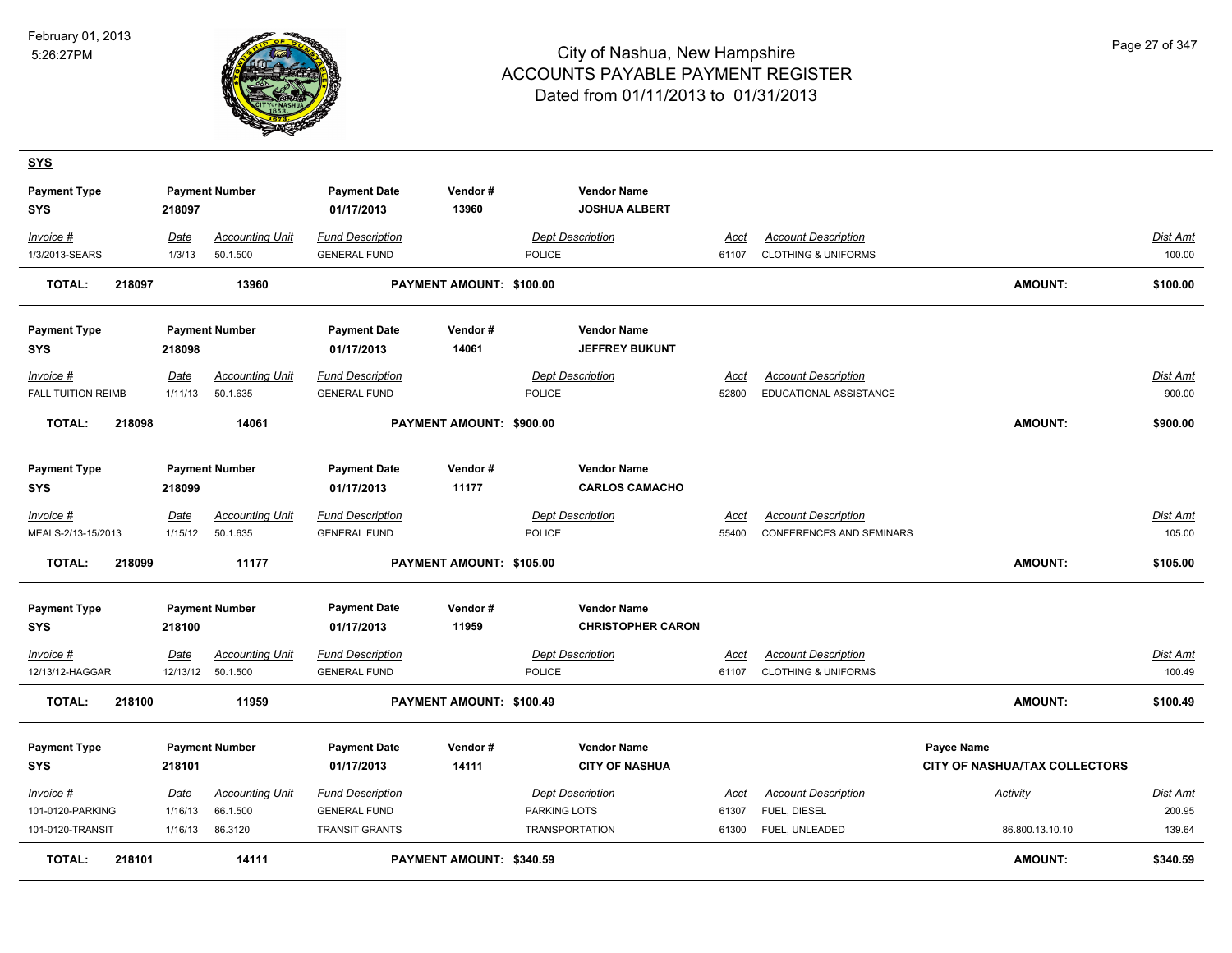**SYS**



| <b>Payment Type</b><br><b>SYS</b> |        | 218097      | <b>Payment Number</b>  | <b>Payment Date</b><br>01/17/2013 | Vendor#<br>13960         |                     | <b>Vendor Name</b><br><b>JOSHUA ALBERT</b> |             |                                |                                      |                 |
|-----------------------------------|--------|-------------|------------------------|-----------------------------------|--------------------------|---------------------|--------------------------------------------|-------------|--------------------------------|--------------------------------------|-----------------|
| Invoice #                         |        | Date        | <b>Accounting Unit</b> | <b>Fund Description</b>           |                          |                     | Dept Description                           | Acct        | <b>Account Description</b>     |                                      | Dist Amt        |
| 1/3/2013-SEARS                    |        | 1/3/13      | 50.1.500               | <b>GENERAL FUND</b>               |                          | POLICE              |                                            | 61107       | <b>CLOTHING &amp; UNIFORMS</b> |                                      | 100.00          |
| <b>TOTAL:</b>                     | 218097 |             | 13960                  |                                   | PAYMENT AMOUNT: \$100.00 |                     |                                            |             |                                | <b>AMOUNT:</b>                       | \$100.00        |
| <b>Payment Type</b>               |        |             | <b>Payment Number</b>  | <b>Payment Date</b>               | Vendor#                  |                     | <b>Vendor Name</b>                         |             |                                |                                      |                 |
| SYS                               |        | 218098      |                        | 01/17/2013                        | 14061                    |                     | <b>JEFFREY BUKUNT</b>                      |             |                                |                                      |                 |
| Invoice #                         |        | Date        | <b>Accounting Unit</b> | <b>Fund Description</b>           |                          |                     | <b>Dept Description</b>                    | Acct        | <b>Account Description</b>     |                                      | <u>Dist Amt</u> |
| <b>FALL TUITION REIMB</b>         |        | 1/11/13     | 50.1.635               | <b>GENERAL FUND</b>               |                          | POLICE              |                                            | 52800       | EDUCATIONAL ASSISTANCE         |                                      | 900.00          |
| <b>TOTAL:</b>                     | 218098 |             | 14061                  |                                   | PAYMENT AMOUNT: \$900.00 |                     |                                            |             |                                | <b>AMOUNT:</b>                       | \$900.00        |
| <b>Payment Type</b>               |        |             | <b>Payment Number</b>  | <b>Payment Date</b>               | Vendor#                  |                     | <b>Vendor Name</b>                         |             |                                |                                      |                 |
| <b>SYS</b>                        |        | 218099      |                        | 01/17/2013                        | 11177                    |                     | <b>CARLOS CAMACHO</b>                      |             |                                |                                      |                 |
| Invoice #                         |        | Date        | <b>Accounting Unit</b> | <b>Fund Description</b>           |                          |                     | <b>Dept Description</b>                    | Acct        | <b>Account Description</b>     |                                      | Dist Amt        |
| MEALS-2/13-15/2013                |        | 1/15/12     | 50.1.635               | <b>GENERAL FUND</b>               |                          | POLICE              |                                            | 55400       | CONFERENCES AND SEMINARS       |                                      | 105.00          |
| <b>TOTAL:</b>                     | 218099 |             | 11177                  |                                   | PAYMENT AMOUNT: \$105.00 |                     |                                            |             |                                | <b>AMOUNT:</b>                       | \$105.00        |
| <b>Payment Type</b>               |        |             | <b>Payment Number</b>  | <b>Payment Date</b>               | Vendor#                  |                     | <b>Vendor Name</b>                         |             |                                |                                      |                 |
| <b>SYS</b>                        |        | 218100      |                        | 01/17/2013                        | 11959                    |                     | <b>CHRISTOPHER CARON</b>                   |             |                                |                                      |                 |
| <u>Invoice #</u>                  |        | <b>Date</b> | <b>Accounting Unit</b> | <b>Fund Description</b>           |                          |                     | <b>Dept Description</b>                    | <u>Acct</u> | <b>Account Description</b>     |                                      | Dist Amt        |
| 12/13/12-HAGGAR                   |        |             | 12/13/12 50.1.500      | <b>GENERAL FUND</b>               |                          | POLICE              |                                            | 61107       | <b>CLOTHING &amp; UNIFORMS</b> |                                      | 100.49          |
| <b>TOTAL:</b>                     | 218100 |             | 11959                  |                                   | PAYMENT AMOUNT: \$100.49 |                     |                                            |             |                                | <b>AMOUNT:</b>                       | \$100.49        |
| <b>Payment Type</b>               |        |             | <b>Payment Number</b>  | <b>Payment Date</b>               | Vendor#                  |                     | <b>Vendor Name</b>                         |             |                                | Payee Name                           |                 |
| <b>SYS</b>                        |        | 218101      |                        | 01/17/2013                        | 14111                    |                     | <b>CITY OF NASHUA</b>                      |             |                                | <b>CITY OF NASHUA/TAX COLLECTORS</b> |                 |
| Invoice #                         |        | <b>Date</b> | <b>Accounting Unit</b> | <b>Fund Description</b>           |                          |                     | <b>Dept Description</b>                    | Acct        | <b>Account Description</b>     | <b>Activity</b>                      | Dist Amt        |
| 101-0120-PARKING                  |        | 1/16/13     | 66.1.500               | <b>GENERAL FUND</b>               |                          | <b>PARKING LOTS</b> |                                            | 61307       | FUEL, DIESEL                   |                                      | 200.95          |
| 101-0120-TRANSIT                  |        | 1/16/13     | 86.3120                | <b>TRANSIT GRANTS</b>             |                          | TRANSPORTATION      |                                            | 61300       | FUEL, UNLEADED                 | 86.800.13.10.10                      | 139.64          |
| TOTAL:                            | 218101 |             | 14111                  |                                   | PAYMENT AMOUNT: \$340.59 |                     |                                            |             |                                | <b>AMOUNT:</b>                       | \$340.59        |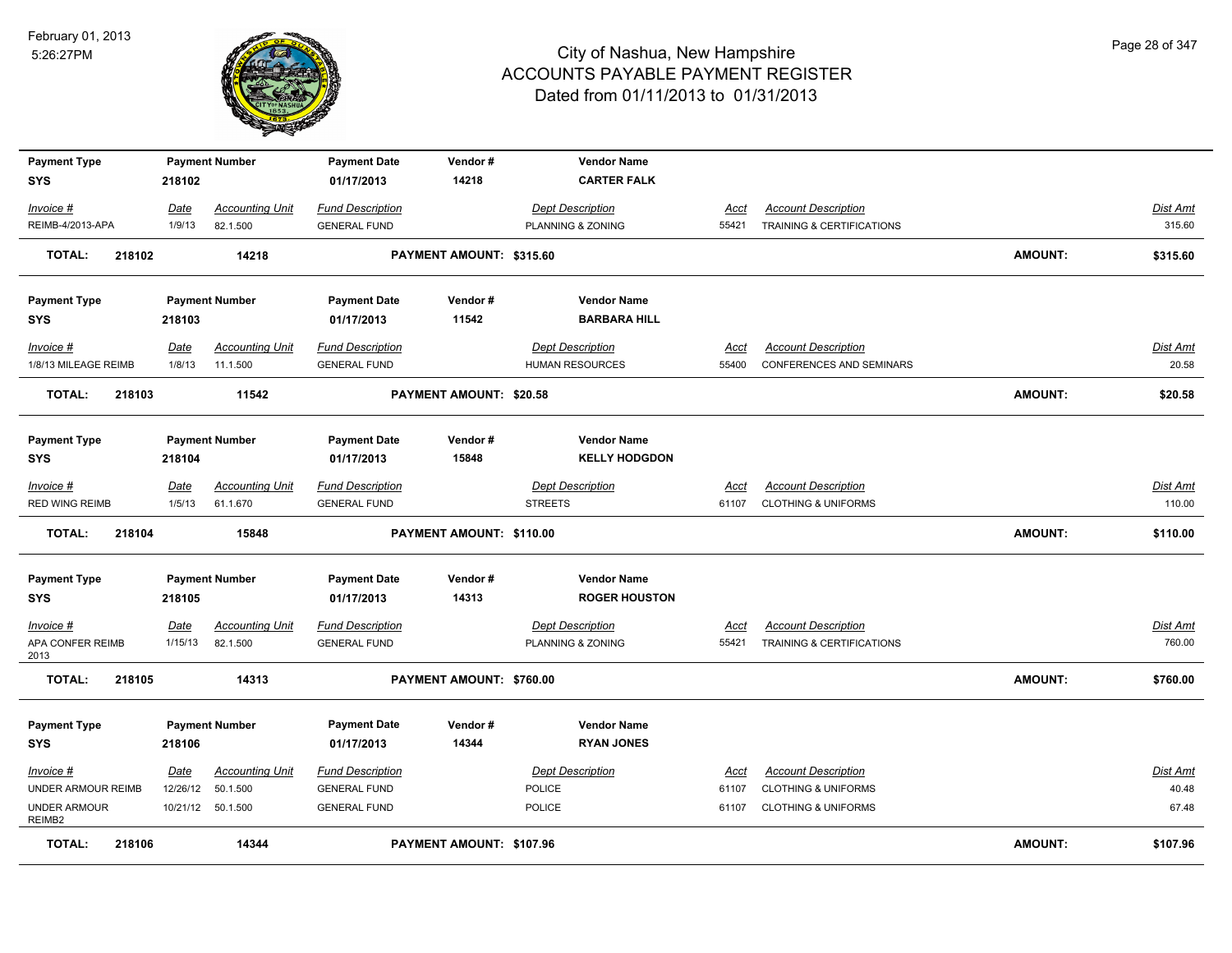

| <b>Payment Type</b>               |        |             | <b>Payment Number</b>  | <b>Payment Date</b>               | Vendor#                  | <b>Vendor Name</b>                      |             |                                      |                |                 |
|-----------------------------------|--------|-------------|------------------------|-----------------------------------|--------------------------|-----------------------------------------|-------------|--------------------------------------|----------------|-----------------|
| <b>SYS</b>                        |        | 218102      |                        | 01/17/2013                        | 14218                    | <b>CARTER FALK</b>                      |             |                                      |                |                 |
| Invoice #                         |        | Date        | <b>Accounting Unit</b> | <b>Fund Description</b>           |                          | Dept Description                        | Acct        | <b>Account Description</b>           |                | Dist Amt        |
| REIMB-4/2013-APA                  |        | 1/9/13      | 82.1.500               | <b>GENERAL FUND</b>               |                          | PLANNING & ZONING                       | 55421       | TRAINING & CERTIFICATIONS            |                | 315.60          |
|                                   |        |             |                        |                                   |                          |                                         |             |                                      |                |                 |
| <b>TOTAL:</b>                     | 218102 |             | 14218                  |                                   | PAYMENT AMOUNT: \$315.60 |                                         |             |                                      | <b>AMOUNT:</b> | \$315.60        |
| <b>Payment Type</b>               |        |             | <b>Payment Number</b>  | <b>Payment Date</b>               | Vendor#                  | <b>Vendor Name</b>                      |             |                                      |                |                 |
| <b>SYS</b>                        |        | 218103      |                        | 01/17/2013                        | 11542                    | <b>BARBARA HILL</b>                     |             |                                      |                |                 |
| Invoice #                         |        | <b>Date</b> | <b>Accounting Unit</b> | <b>Fund Description</b>           |                          | <b>Dept Description</b>                 | <u>Acct</u> | <b>Account Description</b>           |                | <b>Dist Amt</b> |
| 1/8/13 MILEAGE REIMB              |        | 1/8/13      | 11.1.500               | <b>GENERAL FUND</b>               |                          | <b>HUMAN RESOURCES</b>                  | 55400       | <b>CONFERENCES AND SEMINARS</b>      |                | 20.58           |
|                                   |        |             |                        |                                   |                          |                                         |             |                                      |                |                 |
| <b>TOTAL:</b>                     | 218103 |             | 11542                  |                                   | PAYMENT AMOUNT: \$20.58  |                                         |             |                                      | <b>AMOUNT:</b> | \$20.58         |
|                                   |        |             |                        |                                   |                          |                                         |             |                                      |                |                 |
| <b>Payment Type</b>               |        |             | <b>Payment Number</b>  | <b>Payment Date</b>               | Vendor#                  | <b>Vendor Name</b>                      |             |                                      |                |                 |
| SYS                               |        | 218104      |                        | 01/17/2013                        | 15848                    | <b>KELLY HODGDON</b>                    |             |                                      |                |                 |
| Invoice #                         |        | Date        | <b>Accounting Unit</b> | <b>Fund Description</b>           |                          | <b>Dept Description</b>                 | Acct        | <b>Account Description</b>           |                | Dist Amt        |
| <b>RED WING REIMB</b>             |        | 1/5/13      | 61.1.670               | <b>GENERAL FUND</b>               |                          | <b>STREETS</b>                          | 61107       | <b>CLOTHING &amp; UNIFORMS</b>       |                | 110.00          |
| <b>TOTAL:</b>                     | 218104 |             | 15848                  |                                   | PAYMENT AMOUNT: \$110.00 |                                         |             |                                      | <b>AMOUNT:</b> | \$110.00        |
|                                   |        |             |                        |                                   |                          |                                         |             |                                      |                |                 |
| <b>Payment Type</b>               |        |             | <b>Payment Number</b>  | <b>Payment Date</b>               | Vendor#                  | <b>Vendor Name</b>                      |             |                                      |                |                 |
| <b>SYS</b>                        |        | 218105      |                        | 01/17/2013                        | 14313                    | <b>ROGER HOUSTON</b>                    |             |                                      |                |                 |
|                                   |        |             |                        |                                   |                          |                                         |             |                                      |                |                 |
| Invoice #                         |        | Date        | <b>Accounting Unit</b> | <b>Fund Description</b>           |                          | <b>Dept Description</b>                 | <b>Acct</b> | <b>Account Description</b>           |                | <b>Dist Amt</b> |
| APA CONFER REIMB<br>2013          |        | 1/15/13     | 82.1.500               | <b>GENERAL FUND</b>               |                          | PLANNING & ZONING                       | 55421       | <b>TRAINING &amp; CERTIFICATIONS</b> |                | 760.00          |
| <b>TOTAL:</b>                     | 218105 |             | 14313                  |                                   | PAYMENT AMOUNT: \$760.00 |                                         |             |                                      | <b>AMOUNT:</b> | \$760.00        |
|                                   |        |             |                        |                                   |                          |                                         |             |                                      |                |                 |
| <b>Payment Type</b><br><b>SYS</b> |        | 218106      | <b>Payment Number</b>  | <b>Payment Date</b><br>01/17/2013 | Vendor#<br>14344         | <b>Vendor Name</b><br><b>RYAN JONES</b> |             |                                      |                |                 |
|                                   |        |             |                        |                                   |                          |                                         |             |                                      |                |                 |
| <b>Invoice #</b>                  |        | <b>Date</b> | <b>Accounting Unit</b> | <b>Fund Description</b>           |                          | <b>Dept Description</b>                 | <u>Acct</u> | <b>Account Description</b>           |                | <u>Dist Amt</u> |
| UNDER ARMOUR REIMB                |        | 12/26/12    | 50.1.500               | <b>GENERAL FUND</b>               |                          | POLICE                                  | 61107       | <b>CLOTHING &amp; UNIFORMS</b>       |                | 40.48           |
| <b>UNDER ARMOUR</b><br>REIMB2     |        | 10/21/12    | 50.1.500               | <b>GENERAL FUND</b>               |                          | POLICE                                  | 61107       | <b>CLOTHING &amp; UNIFORMS</b>       |                | 67.48           |
| <b>TOTAL:</b>                     | 218106 |             | 14344                  |                                   | PAYMENT AMOUNT: \$107.96 |                                         |             |                                      | <b>AMOUNT:</b> | \$107.96        |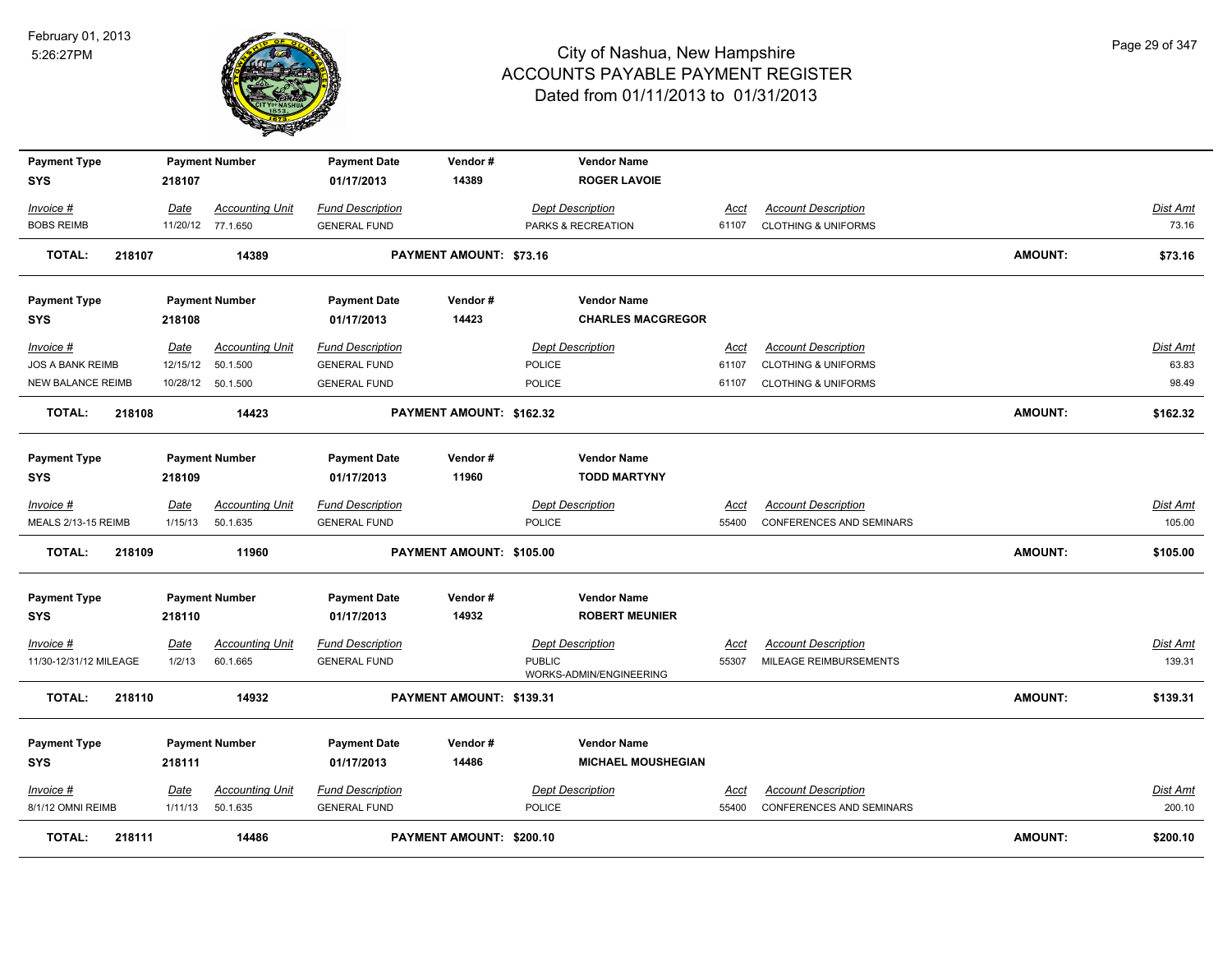

| <b>Payment Type</b>      |             | <b>Payment Number</b>  | <b>Payment Date</b>     | Vendor#                        | <b>Vendor Name</b>        |             |                                 |                |                 |
|--------------------------|-------------|------------------------|-------------------------|--------------------------------|---------------------------|-------------|---------------------------------|----------------|-----------------|
| <b>SYS</b>               | 218107      |                        | 01/17/2013              | 14389                          | <b>ROGER LAVOIE</b>       |             |                                 |                |                 |
| Invoice #                | Date        | <b>Accounting Unit</b> | <b>Fund Description</b> |                                | <b>Dept Description</b>   | Acct        | <b>Account Description</b>      |                | Dist Amt        |
| <b>BOBS REIMB</b>        |             | 11/20/12 77.1.650      | <b>GENERAL FUND</b>     |                                | PARKS & RECREATION        | 61107       | <b>CLOTHING &amp; UNIFORMS</b>  |                | 73.16           |
| TOTAL:<br>218107         |             | 14389                  |                         | <b>PAYMENT AMOUNT: \$73.16</b> |                           |             |                                 | <b>AMOUNT:</b> | \$73.16         |
| <b>Payment Type</b>      |             | <b>Payment Number</b>  | <b>Payment Date</b>     | Vendor#                        | <b>Vendor Name</b>        |             |                                 |                |                 |
| <b>SYS</b>               | 218108      |                        | 01/17/2013              | 14423                          | <b>CHARLES MACGREGOR</b>  |             |                                 |                |                 |
| Invoice #                | Date        | <b>Accounting Unit</b> | <b>Fund Description</b> |                                | <b>Dept Description</b>   | Acct        | <b>Account Description</b>      |                | Dist Amt        |
| <b>JOS A BANK REIMB</b>  | 12/15/12    | 50.1.500               | <b>GENERAL FUND</b>     |                                | POLICE                    | 61107       | <b>CLOTHING &amp; UNIFORMS</b>  |                | 63.83           |
| <b>NEW BALANCE REIMB</b> |             | 10/28/12  50.1.500     | <b>GENERAL FUND</b>     |                                | POLICE                    | 61107       | <b>CLOTHING &amp; UNIFORMS</b>  |                | 98.49           |
| <b>TOTAL:</b><br>218108  |             | 14423                  |                         | PAYMENT AMOUNT: \$162.32       |                           |             |                                 | <b>AMOUNT:</b> | \$162.32        |
| <b>Payment Type</b>      |             | <b>Payment Number</b>  | <b>Payment Date</b>     | Vendor#                        | <b>Vendor Name</b>        |             |                                 |                |                 |
| <b>SYS</b>               | 218109      |                        | 01/17/2013              | 11960                          | <b>TODD MARTYNY</b>       |             |                                 |                |                 |
| Invoice #                | Date        | <b>Accounting Unit</b> | <b>Fund Description</b> |                                | <b>Dept Description</b>   | Acct        | <b>Account Description</b>      |                | Dist Amt        |
| MEALS 2/13-15 REIMB      | 1/15/13     | 50.1.635               | <b>GENERAL FUND</b>     |                                | POLICE                    | 55400       | <b>CONFERENCES AND SEMINARS</b> |                | 105.00          |
| 218109<br><b>TOTAL:</b>  |             | 11960                  |                         | PAYMENT AMOUNT: \$105.00       |                           |             |                                 | <b>AMOUNT:</b> | \$105.00        |
| <b>Payment Type</b>      |             | <b>Payment Number</b>  | <b>Payment Date</b>     | Vendor#                        | <b>Vendor Name</b>        |             |                                 |                |                 |
| <b>SYS</b>               | 218110      |                        | 01/17/2013              | 14932                          | <b>ROBERT MEUNIER</b>     |             |                                 |                |                 |
| Invoice #                | <u>Date</u> | <b>Accounting Unit</b> | <b>Fund Description</b> |                                | <b>Dept Description</b>   | <u>Acct</u> | <b>Account Description</b>      |                | <u>Dist Amt</u> |
| 11/30-12/31/12 MILEAGE   | 1/2/13      | 60.1.665               | <b>GENERAL FUND</b>     |                                | <b>PUBLIC</b>             | 55307       | MILEAGE REIMBURSEMENTS          |                | 139.31          |
| <b>TOTAL:</b><br>218110  |             | 14932                  |                         | PAYMENT AMOUNT: \$139.31       | WORKS-ADMIN/ENGINEERING   |             |                                 | <b>AMOUNT:</b> | \$139.31        |
| <b>Payment Type</b>      |             | <b>Payment Number</b>  | <b>Payment Date</b>     | Vendor#                        | <b>Vendor Name</b>        |             |                                 |                |                 |
| <b>SYS</b>               | 218111      |                        | 01/17/2013              | 14486                          | <b>MICHAEL MOUSHEGIAN</b> |             |                                 |                |                 |
| Invoice #                | <u>Date</u> | <b>Accounting Unit</b> | <b>Fund Description</b> |                                | <b>Dept Description</b>   | <u>Acct</u> | <b>Account Description</b>      |                | <b>Dist Amt</b> |
| 8/1/12 OMNI REIMB        | 1/11/13     | 50.1.635               | <b>GENERAL FUND</b>     |                                | <b>POLICE</b>             | 55400       | <b>CONFERENCES AND SEMINARS</b> |                | 200.10          |
| TOTAL:<br>218111         |             | 14486                  |                         | PAYMENT AMOUNT: \$200.10       |                           |             |                                 | <b>AMOUNT:</b> | \$200.10        |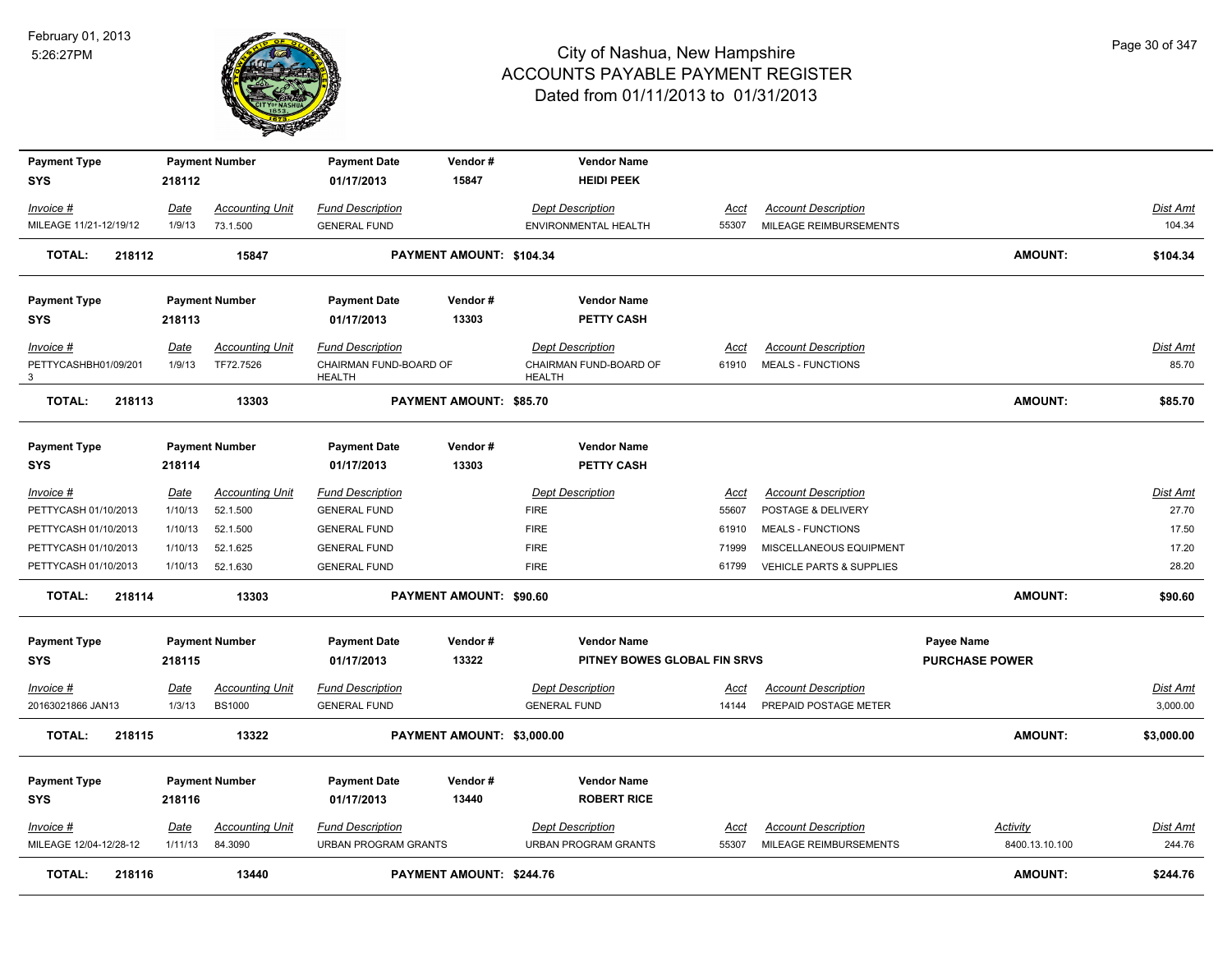

| <b>Payment Type</b>                 |                 | <b>Payment Number</b>             | <b>Payment Date</b>                                    | Vendor#                        | <b>Vendor Name</b>                                     |                      |                                                      |                                   |                           |
|-------------------------------------|-----------------|-----------------------------------|--------------------------------------------------------|--------------------------------|--------------------------------------------------------|----------------------|------------------------------------------------------|-----------------------------------|---------------------------|
| <b>SYS</b>                          | 218112          |                                   | 01/17/2013                                             | 15847                          | <b>HEIDI PEEK</b>                                      |                      |                                                      |                                   |                           |
| Invoice #                           | Date            | <b>Accounting Unit</b>            | <b>Fund Description</b>                                |                                | <b>Dept Description</b>                                | Acct                 | <b>Account Description</b>                           |                                   | Dist Amt                  |
| MILEAGE 11/21-12/19/12              | 1/9/13          | 73.1.500                          | <b>GENERAL FUND</b>                                    |                                | ENVIRONMENTAL HEALTH                                   | 55307                | MILEAGE REIMBURSEMENTS                               |                                   | 104.34                    |
| <b>TOTAL:</b><br>218112             |                 | 15847                             |                                                        | PAYMENT AMOUNT: \$104.34       |                                                        |                      |                                                      | <b>AMOUNT:</b>                    | \$104.34                  |
| <b>Payment Type</b>                 |                 | <b>Payment Number</b>             | <b>Payment Date</b>                                    | Vendor#                        | <b>Vendor Name</b>                                     |                      |                                                      |                                   |                           |
| <b>SYS</b>                          | 218113          |                                   | 01/17/2013                                             | 13303                          | PETTY CASH                                             |                      |                                                      |                                   |                           |
| Invoice #                           | Date            | <b>Accounting Unit</b>            | <b>Fund Description</b>                                |                                | <b>Dept Description</b>                                | Acct                 | <b>Account Description</b>                           |                                   | <b>Dist Amt</b>           |
| PETTYCASHBH01/09/201<br>3           | 1/9/13          | TF72.7526                         | CHAIRMAN FUND-BOARD OF<br><b>HEALTH</b>                |                                | CHAIRMAN FUND-BOARD OF<br><b>HEALTH</b>                | 61910                | <b>MEALS - FUNCTIONS</b>                             |                                   | 85.70                     |
| <b>TOTAL:</b><br>218113             |                 | 13303                             |                                                        | PAYMENT AMOUNT: \$85.70        |                                                        |                      |                                                      | <b>AMOUNT:</b>                    | \$85.70                   |
| <b>Payment Type</b>                 |                 | <b>Payment Number</b>             | <b>Payment Date</b>                                    | Vendor#                        | <b>Vendor Name</b>                                     |                      |                                                      |                                   |                           |
| <b>SYS</b>                          | 218114          |                                   | 01/17/2013                                             | 13303                          | PETTY CASH                                             |                      |                                                      |                                   |                           |
| Invoice #                           | <u>Date</u>     | <b>Accounting Unit</b>            | <b>Fund Description</b>                                |                                | <b>Dept Description</b>                                | <u>Acct</u>          | <b>Account Description</b>                           |                                   | Dist Amt                  |
| PETTYCASH 01/10/2013                | 1/10/13         | 52.1.500                          | <b>GENERAL FUND</b>                                    |                                | <b>FIRE</b>                                            | 55607                | POSTAGE & DELIVERY                                   |                                   | 27.70                     |
| PETTYCASH 01/10/2013                | 1/10/13         | 52.1.500                          | <b>GENERAL FUND</b>                                    |                                | <b>FIRE</b>                                            | 61910                | <b>MEALS - FUNCTIONS</b>                             |                                   | 17.50                     |
| PETTYCASH 01/10/2013                | 1/10/13         | 52.1.625                          | <b>GENERAL FUND</b>                                    |                                | <b>FIRE</b>                                            | 71999                | MISCELLANEOUS EQUIPMENT                              |                                   | 17.20                     |
| PETTYCASH 01/10/2013                | 1/10/13         | 52.1.630                          | <b>GENERAL FUND</b>                                    |                                | <b>FIRE</b>                                            | 61799                | VEHICLE PARTS & SUPPLIES                             |                                   | 28.20                     |
| <b>TOTAL:</b><br>218114             |                 | 13303                             |                                                        | <b>PAYMENT AMOUNT: \$90.60</b> |                                                        |                      |                                                      | <b>AMOUNT:</b>                    | \$90.60                   |
| <b>Payment Type</b>                 |                 | <b>Payment Number</b>             | <b>Payment Date</b>                                    | Vendor#                        | <b>Vendor Name</b>                                     |                      |                                                      | Payee Name                        |                           |
| <b>SYS</b>                          | 218115          |                                   | 01/17/2013                                             | 13322                          | PITNEY BOWES GLOBAL FIN SRVS                           |                      |                                                      | <b>PURCHASE POWER</b>             |                           |
| Invoice #                           | <b>Date</b>     | <b>Accounting Unit</b>            | <b>Fund Description</b>                                |                                | <b>Dept Description</b>                                | <u>Acct</u>          | <b>Account Description</b>                           |                                   | <u>Dist Amt</u>           |
| 20163021866 JAN13                   | 1/3/13          | <b>BS1000</b>                     | <b>GENERAL FUND</b>                                    |                                | <b>GENERAL FUND</b>                                    | 14144                | PREPAID POSTAGE METER                                |                                   | 3,000.00                  |
| <b>TOTAL:</b><br>218115             |                 | 13322                             |                                                        | PAYMENT AMOUNT: \$3,000.00     |                                                        |                      |                                                      | <b>AMOUNT:</b>                    | \$3,000.00                |
| <b>Payment Type</b>                 |                 | <b>Payment Number</b>             | <b>Payment Date</b>                                    | Vendor#                        | <b>Vendor Name</b>                                     |                      |                                                      |                                   |                           |
| <b>SYS</b>                          | 218116          |                                   | 01/17/2013                                             | 13440                          | <b>ROBERT RICE</b>                                     |                      |                                                      |                                   |                           |
| Invoice #<br>MILEAGE 12/04-12/28-12 | Date<br>1/11/13 | <b>Accounting Unit</b><br>84.3090 | <b>Fund Description</b><br><b>URBAN PROGRAM GRANTS</b> |                                | <b>Dept Description</b><br><b>URBAN PROGRAM GRANTS</b> | <u>Acct</u><br>55307 | <b>Account Description</b><br>MILEAGE REIMBURSEMENTS | <b>Activity</b><br>8400.13.10.100 | <b>Dist Amt</b><br>244.76 |
| <b>TOTAL:</b><br>218116             |                 | 13440                             |                                                        | PAYMENT AMOUNT: \$244.76       |                                                        |                      |                                                      | <b>AMOUNT:</b>                    | \$244.76                  |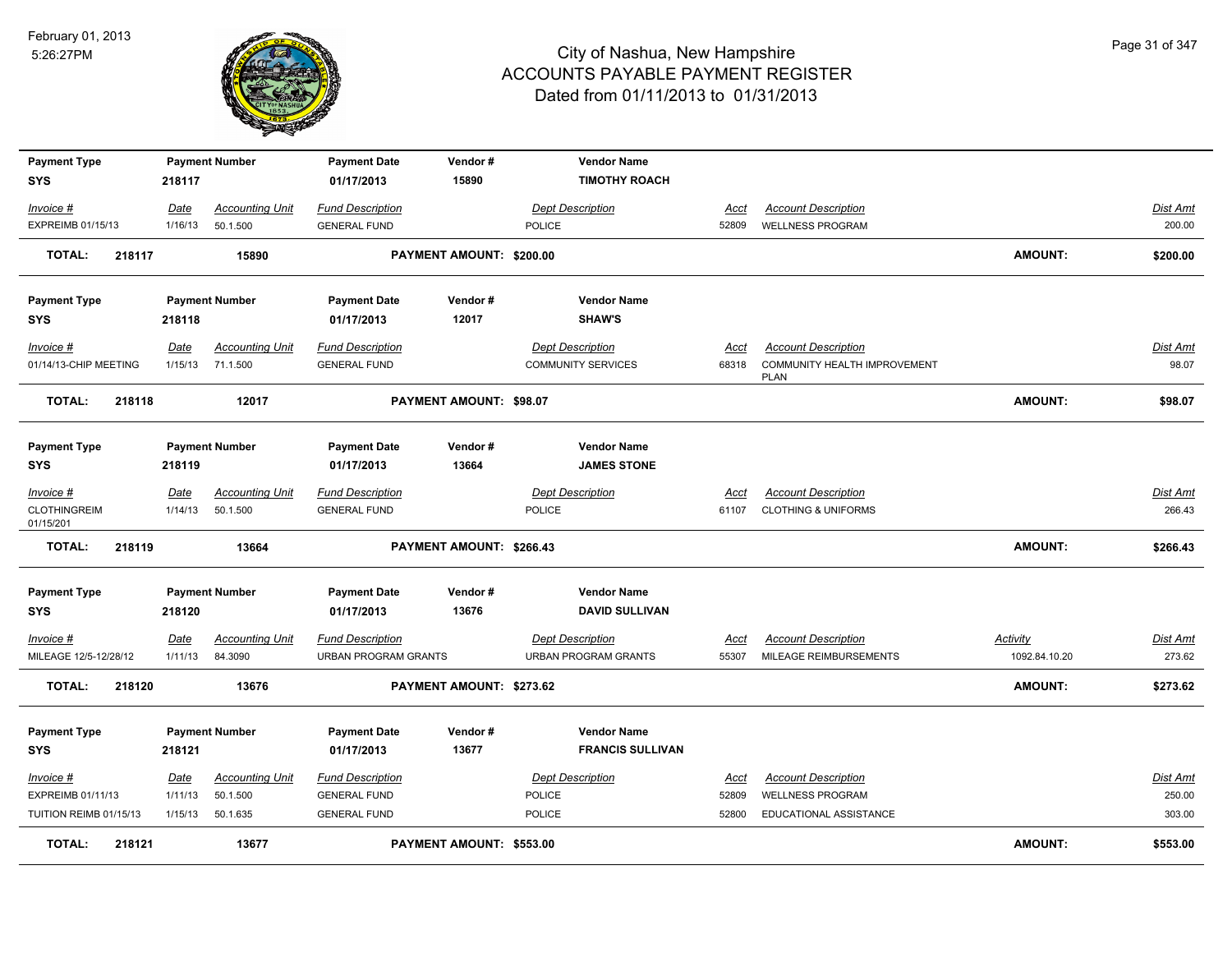

| <b>Payment Type</b>              |         | <b>Payment Number</b>  | <b>Payment Date</b>         | Vendor#                  | <b>Vendor Name</b>        |             |                                             |                 |                 |
|----------------------------------|---------|------------------------|-----------------------------|--------------------------|---------------------------|-------------|---------------------------------------------|-----------------|-----------------|
| SYS                              | 218117  |                        | 01/17/2013                  | 15890                    | <b>TIMOTHY ROACH</b>      |             |                                             |                 |                 |
| Invoice #                        | Date    | Accounting Unit        | <b>Fund Description</b>     |                          | Dept Description          | Acct        | <b>Account Description</b>                  |                 | Dist Amt        |
| EXPREIMB 01/15/13                | 1/16/13 | 50.1.500               | <b>GENERAL FUND</b>         |                          | POLICE                    | 52809       | <b>WELLNESS PROGRAM</b>                     |                 | 200.00          |
| <b>TOTAL:</b><br>218117          |         | 15890                  |                             | PAYMENT AMOUNT: \$200.00 |                           |             |                                             | <b>AMOUNT:</b>  | \$200.00        |
| <b>Payment Type</b>              |         | <b>Payment Number</b>  | <b>Payment Date</b>         | Vendor#                  | <b>Vendor Name</b>        |             |                                             |                 |                 |
| SYS                              | 218118  |                        | 01/17/2013                  | 12017                    | <b>SHAW'S</b>             |             |                                             |                 |                 |
| Invoice #                        | Date    | <b>Accounting Unit</b> | <b>Fund Description</b>     |                          | <b>Dept Description</b>   | Acct        | <b>Account Description</b>                  |                 | Dist Amt        |
| 01/14/13-CHIP MEETING            | 1/15/13 | 71.1.500               | <b>GENERAL FUND</b>         |                          | <b>COMMUNITY SERVICES</b> | 68318       | COMMUNITY HEALTH IMPROVEMENT<br><b>PLAN</b> |                 | 98.07           |
| <b>TOTAL:</b><br>218118          |         | 12017                  |                             | PAYMENT AMOUNT: \$98.07  |                           |             |                                             | <b>AMOUNT:</b>  | \$98.07         |
| <b>Payment Type</b>              |         | <b>Payment Number</b>  | <b>Payment Date</b>         | Vendor#                  | <b>Vendor Name</b>        |             |                                             |                 |                 |
| <b>SYS</b>                       | 218119  |                        | 01/17/2013                  | 13664                    | <b>JAMES STONE</b>        |             |                                             |                 |                 |
| $Invoice$ #                      | Date    | <b>Accounting Unit</b> | <b>Fund Description</b>     |                          | <b>Dept Description</b>   | <u>Acct</u> | <b>Account Description</b>                  |                 | <b>Dist Amt</b> |
| <b>CLOTHINGREIM</b><br>01/15/201 | 1/14/13 | 50.1.500               | <b>GENERAL FUND</b>         |                          | POLICE                    | 61107       | <b>CLOTHING &amp; UNIFORMS</b>              |                 | 266.43          |
| <b>TOTAL:</b><br>218119          |         | 13664                  |                             | PAYMENT AMOUNT: \$266.43 |                           |             |                                             | <b>AMOUNT:</b>  | \$266.43        |
| <b>Payment Type</b>              |         | <b>Payment Number</b>  | <b>Payment Date</b>         | Vendor#                  | <b>Vendor Name</b>        |             |                                             |                 |                 |
| <b>SYS</b>                       | 218120  |                        | 01/17/2013                  | 13676                    | <b>DAVID SULLIVAN</b>     |             |                                             |                 |                 |
| $Invoice$ #                      | Date    | <b>Accounting Unit</b> | <b>Fund Description</b>     |                          | <b>Dept Description</b>   | <u>Acct</u> | <b>Account Description</b>                  | <b>Activity</b> | <u>Dist Amt</u> |
| MILEAGE 12/5-12/28/12            | 1/11/13 | 84.3090                | <b>URBAN PROGRAM GRANTS</b> |                          | URBAN PROGRAM GRANTS      | 55307       | MILEAGE REIMBURSEMENTS                      | 1092.84.10.20   | 273.62          |
| <b>TOTAL:</b><br>218120          |         | 13676                  |                             | PAYMENT AMOUNT: \$273.62 |                           |             |                                             | <b>AMOUNT:</b>  | \$273.62        |
| <b>Payment Type</b>              |         | <b>Payment Number</b>  | <b>Payment Date</b>         | Vendor#                  | <b>Vendor Name</b>        |             |                                             |                 |                 |
| <b>SYS</b>                       | 218121  |                        | 01/17/2013                  | 13677                    | <b>FRANCIS SULLIVAN</b>   |             |                                             |                 |                 |
| Invoice #                        | Date    | <b>Accounting Unit</b> | <b>Fund Description</b>     |                          | <b>Dept Description</b>   | <b>Acct</b> | <b>Account Description</b>                  |                 | Dist Amt        |
| EXPREIMB 01/11/13                | 1/11/13 | 50.1.500               | <b>GENERAL FUND</b>         |                          | POLICE                    | 52809       | <b>WELLNESS PROGRAM</b>                     |                 | 250.00          |
| TUITION REIMB 01/15/13           | 1/15/13 | 50.1.635               | <b>GENERAL FUND</b>         |                          | <b>POLICE</b>             | 52800       | EDUCATIONAL ASSISTANCE                      |                 | 303.00          |
| <b>TOTAL:</b><br>218121          |         | 13677                  |                             | PAYMENT AMOUNT: \$553.00 |                           |             |                                             | <b>AMOUNT:</b>  | \$553.00        |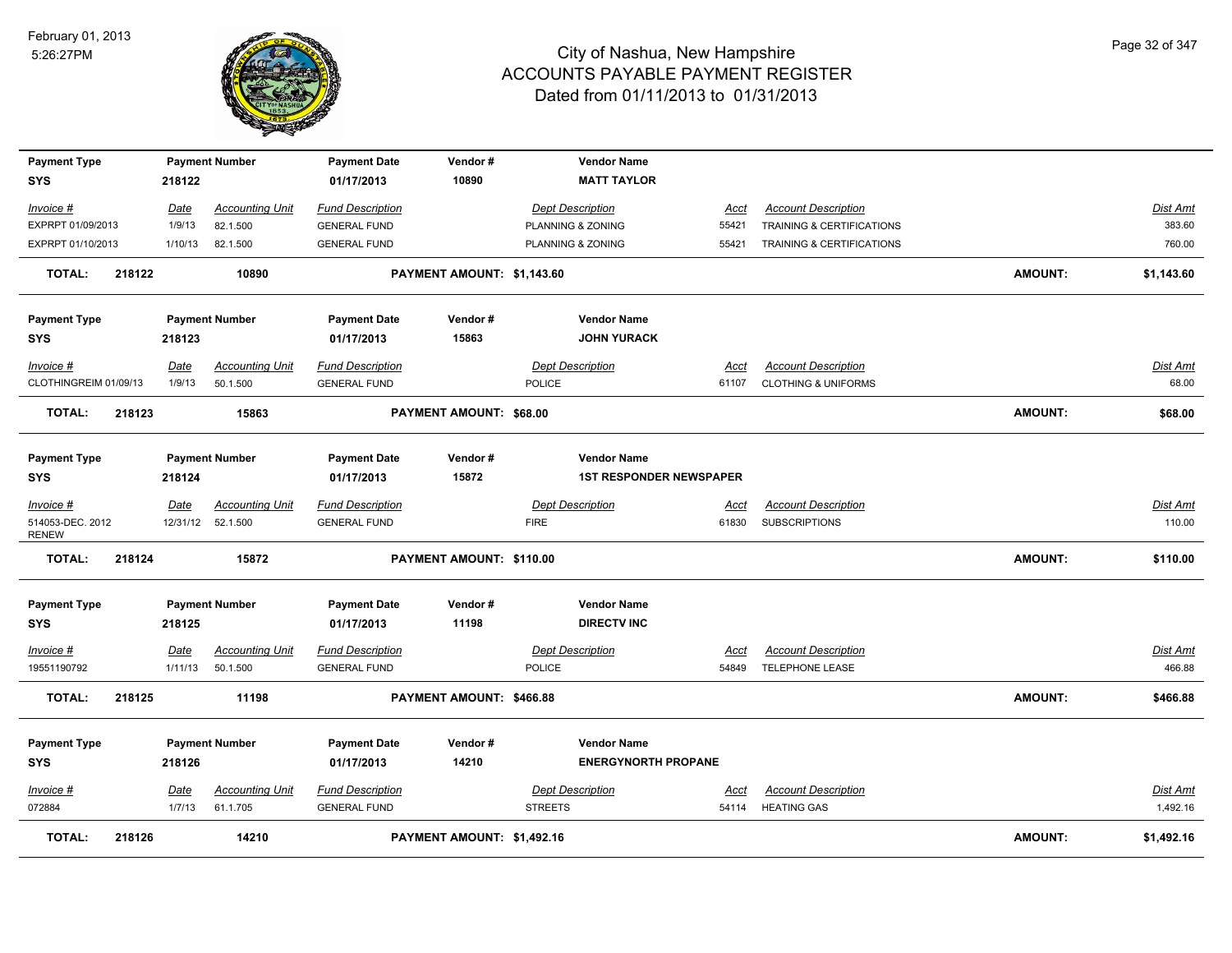

| <b>Payment Type</b><br><b>SYS</b> |        | 218122          | <b>Payment Number</b>              | <b>Payment Date</b><br>01/17/2013              | Vendor#<br>10890           |                | <b>Vendor Name</b><br><b>MATT TAYLOR</b> |               |                                                      |                |                    |
|-----------------------------------|--------|-----------------|------------------------------------|------------------------------------------------|----------------------------|----------------|------------------------------------------|---------------|------------------------------------------------------|----------------|--------------------|
|                                   |        |                 |                                    |                                                |                            |                |                                          |               |                                                      |                |                    |
| Invoice #                         |        | Date            | <b>Accounting Unit</b>             | <b>Fund Description</b>                        |                            |                | <b>Dept Description</b>                  | Acct          | <b>Account Description</b>                           |                | Dist Amt           |
| EXPRPT 01/09/2013                 |        | 1/9/13          | 82.1.500                           | <b>GENERAL FUND</b>                            |                            |                | PLANNING & ZONING                        | 55421         | TRAINING & CERTIFICATIONS                            |                | 383.60             |
| EXPRPT 01/10/2013                 |        | 1/10/13         | 82.1.500                           | <b>GENERAL FUND</b>                            |                            |                | PLANNING & ZONING                        | 55421         | <b>TRAINING &amp; CERTIFICATIONS</b>                 |                | 760.00             |
| <b>TOTAL:</b>                     | 218122 |                 | 10890                              |                                                | PAYMENT AMOUNT: \$1,143.60 |                |                                          |               |                                                      | <b>AMOUNT:</b> | \$1,143.60         |
| <b>Payment Type</b>               |        |                 | <b>Payment Number</b>              | <b>Payment Date</b>                            | Vendor#                    |                | <b>Vendor Name</b>                       |               |                                                      |                |                    |
| <b>SYS</b>                        |        | 218123          |                                    | 01/17/2013                                     | 15863                      |                | <b>JOHN YURACK</b>                       |               |                                                      |                |                    |
| Invoice #                         |        | <u>Date</u>     | <b>Accounting Unit</b>             | <b>Fund Description</b>                        |                            |                | <b>Dept Description</b>                  | <u>Acct</u>   | <b>Account Description</b>                           |                | Dist Amt           |
| CLOTHINGREIM 01/09/13             |        | 1/9/13          | 50.1.500                           | <b>GENERAL FUND</b>                            |                            | <b>POLICE</b>  |                                          | 61107         | <b>CLOTHING &amp; UNIFORMS</b>                       |                | 68.00              |
| <b>TOTAL:</b>                     | 218123 |                 | 15863                              |                                                | PAYMENT AMOUNT: \$68.00    |                |                                          |               |                                                      | <b>AMOUNT:</b> | \$68.00            |
| <b>Payment Type</b>               |        |                 | <b>Payment Number</b>              | <b>Payment Date</b>                            | Vendor#                    |                | <b>Vendor Name</b>                       |               |                                                      |                |                    |
| <b>SYS</b>                        |        | 218124          |                                    | 01/17/2013                                     | 15872                      |                | <b>1ST RESPONDER NEWSPAPER</b>           |               |                                                      |                |                    |
| Invoice #                         |        | <b>Date</b>     | <b>Accounting Unit</b>             | <b>Fund Description</b>                        |                            |                | <b>Dept Description</b>                  | Acct          | <b>Account Description</b>                           |                | Dist Amt           |
| 514053-DEC. 2012<br><b>RENEW</b>  |        |                 | 12/31/12 52.1.500                  | <b>GENERAL FUND</b>                            |                            | <b>FIRE</b>    |                                          | 61830         | <b>SUBSCRIPTIONS</b>                                 |                | 110.00             |
| <b>TOTAL:</b>                     | 218124 |                 | 15872                              |                                                | PAYMENT AMOUNT: \$110.00   |                |                                          |               |                                                      | <b>AMOUNT:</b> | \$110.00           |
| <b>Payment Type</b>               |        |                 | <b>Payment Number</b>              | <b>Payment Date</b>                            | Vendor#                    |                | <b>Vendor Name</b>                       |               |                                                      |                |                    |
| <b>SYS</b>                        |        | 218125          |                                    | 01/17/2013                                     | 11198                      |                | <b>DIRECTV INC</b>                       |               |                                                      |                |                    |
| Invoice #<br>19551190792          |        | Date<br>1/11/13 | <b>Accounting Unit</b><br>50.1.500 | <b>Fund Description</b><br><b>GENERAL FUND</b> |                            | <b>POLICE</b>  | <b>Dept Description</b>                  | Acct<br>54849 | <b>Account Description</b><br><b>TELEPHONE LEASE</b> |                | Dist Amt<br>466.88 |
|                                   |        |                 |                                    |                                                |                            |                |                                          |               |                                                      |                |                    |
| <b>TOTAL:</b>                     | 218125 |                 | 11198                              |                                                | PAYMENT AMOUNT: \$466.88   |                |                                          |               |                                                      | <b>AMOUNT:</b> | \$466.88           |
| <b>Payment Type</b>               |        |                 | <b>Payment Number</b>              | <b>Payment Date</b>                            | Vendor#                    |                | <b>Vendor Name</b>                       |               |                                                      |                |                    |
| <b>SYS</b>                        |        | 218126          |                                    | 01/17/2013                                     | 14210                      |                | <b>ENERGYNORTH PROPANE</b>               |               |                                                      |                |                    |
| Invoice #                         |        | <u>Date</u>     | <u>Accounting Unit</u>             | <b>Fund Description</b>                        |                            |                | <b>Dept Description</b>                  | <u>Acct</u>   | <b>Account Description</b>                           |                | <b>Dist Amt</b>    |
| 072884                            |        | 1/7/13          | 61.1.705                           | <b>GENERAL FUND</b>                            |                            | <b>STREETS</b> |                                          | 54114         | <b>HEATING GAS</b>                                   |                | 1,492.16           |
| TOTAL:                            | 218126 |                 | 14210                              |                                                | PAYMENT AMOUNT: \$1,492.16 |                |                                          |               |                                                      | <b>AMOUNT:</b> | \$1,492.16         |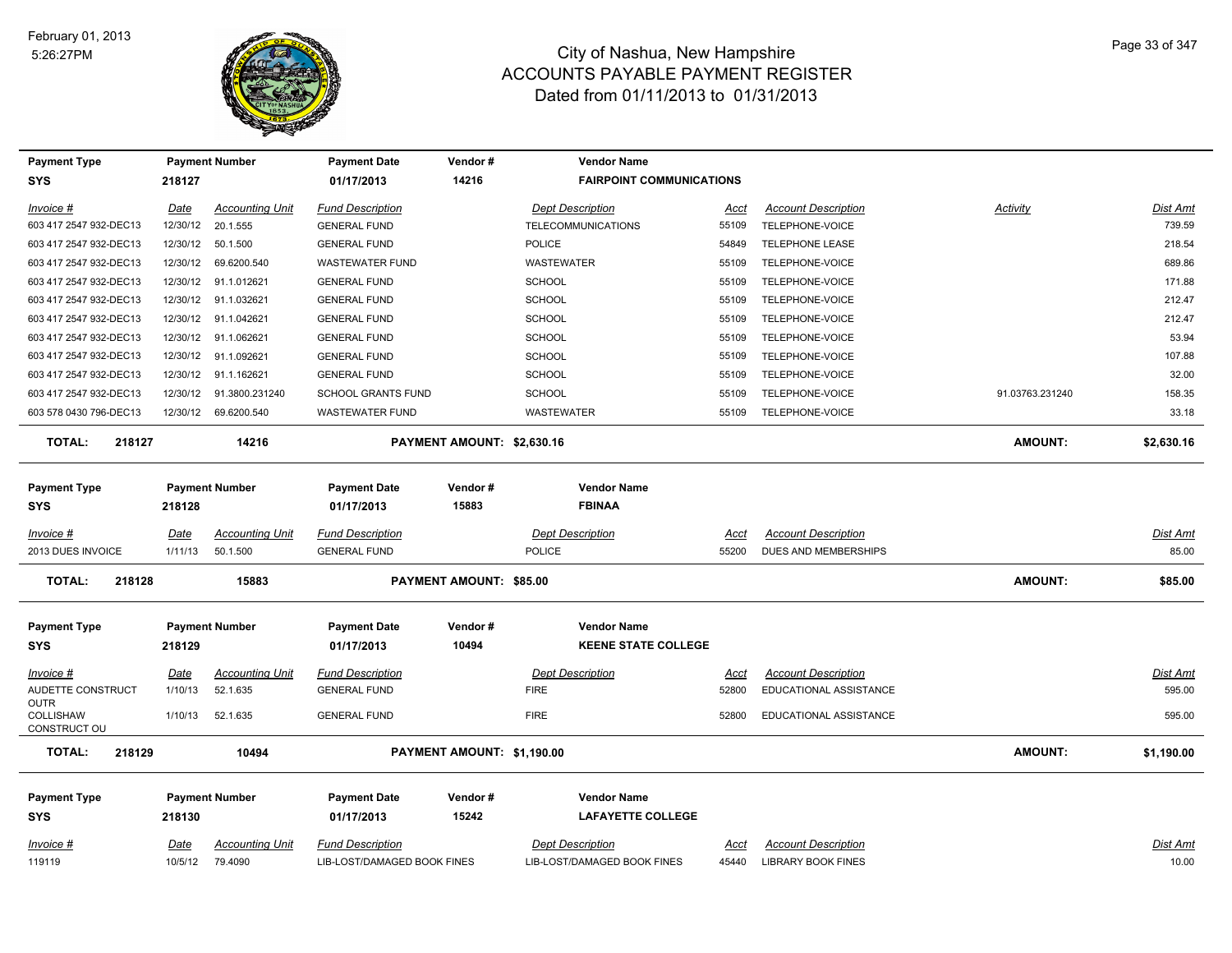

| <b>Payment Type</b>               |             | <b>Payment Number</b>    | <b>Payment Date</b>         | Vendor#                    | <b>Vendor Name</b>              |             |                             |                 |                 |
|-----------------------------------|-------------|--------------------------|-----------------------------|----------------------------|---------------------------------|-------------|-----------------------------|-----------------|-----------------|
| <b>SYS</b>                        | 218127      |                          | 01/17/2013                  | 14216                      | <b>FAIRPOINT COMMUNICATIONS</b> |             |                             |                 |                 |
| Invoice #                         | Date        | <b>Accounting Unit</b>   | <b>Fund Description</b>     |                            | <b>Dept Description</b>         | Acct        | <b>Account Description</b>  | Activity        | <b>Dist Amt</b> |
| 603 417 2547 932-DEC13            |             | 12/30/12 20.1.555        | <b>GENERAL FUND</b>         |                            | <b>TELECOMMUNICATIONS</b>       | 55109       | TELEPHONE-VOICE             |                 | 739.59          |
| 603 417 2547 932-DEC13            |             | 12/30/12  50.1.500       | <b>GENERAL FUND</b>         |                            | POLICE                          | 54849       | <b>TELEPHONE LEASE</b>      |                 | 218.54          |
| 603 417 2547 932-DEC13            | 12/30/12    | 69.6200.540              | <b>WASTEWATER FUND</b>      |                            | WASTEWATER                      | 55109       | TELEPHONE-VOICE             |                 | 689.86          |
| 603 417 2547 932-DEC13            |             | 12/30/12 91.1.012621     | <b>GENERAL FUND</b>         |                            | <b>SCHOOL</b>                   | 55109       | TELEPHONE-VOICE             |                 | 171.88          |
| 603 417 2547 932-DEC13            |             | 12/30/12 91.1.032621     | <b>GENERAL FUND</b>         |                            | <b>SCHOOL</b>                   | 55109       | TELEPHONE-VOICE             |                 | 212.47          |
| 603 417 2547 932-DEC13            |             | 12/30/12 91.1.042621     | <b>GENERAL FUND</b>         |                            | <b>SCHOOL</b>                   | 55109       | TELEPHONE-VOICE             |                 | 212.47          |
| 603 417 2547 932-DEC13            |             | 12/30/12 91.1.062621     | <b>GENERAL FUND</b>         |                            | <b>SCHOOL</b>                   | 55109       | TELEPHONE-VOICE             |                 | 53.94           |
| 603 417 2547 932-DEC13            |             | 12/30/12 91.1.092621     | <b>GENERAL FUND</b>         |                            | <b>SCHOOL</b>                   | 55109       | TELEPHONE-VOICE             |                 | 107.88          |
| 603 417 2547 932-DEC13            |             | 12/30/12 91.1.162621     | <b>GENERAL FUND</b>         |                            | <b>SCHOOL</b>                   | 55109       | TELEPHONE-VOICE             |                 | 32.00           |
| 603 417 2547 932-DEC13            |             | 12/30/12  91.3800.231240 | <b>SCHOOL GRANTS FUND</b>   |                            | SCHOOL                          | 55109       | TELEPHONE-VOICE             | 91.03763.231240 | 158.35          |
| 603 578 0430 796-DEC13            |             | 12/30/12 69.6200.540     | <b>WASTEWATER FUND</b>      |                            | WASTEWATER                      | 55109       | TELEPHONE-VOICE             |                 | 33.18           |
| TOTAL:<br>218127                  |             | 14216                    |                             | PAYMENT AMOUNT: \$2,630.16 |                                 |             |                             | <b>AMOUNT:</b>  | \$2,630.16      |
| <b>Payment Type</b>               |             | <b>Payment Number</b>    | <b>Payment Date</b>         | Vendor#                    | <b>Vendor Name</b>              |             |                             |                 |                 |
| <b>SYS</b>                        | 218128      |                          | 01/17/2013                  | 15883                      | <b>FBINAA</b>                   |             |                             |                 |                 |
| Invoice #                         | Date        | <b>Accounting Unit</b>   | <b>Fund Description</b>     |                            | <b>Dept Description</b>         | Acct        | <b>Account Description</b>  |                 | Dist Amt        |
| 2013 DUES INVOICE                 | 1/11/13     | 50.1.500                 | <b>GENERAL FUND</b>         |                            | <b>POLICE</b>                   | 55200       | <b>DUES AND MEMBERSHIPS</b> |                 | 85.00           |
| <b>TOTAL:</b><br>218128           |             | 15883                    |                             | PAYMENT AMOUNT: \$85.00    |                                 |             |                             | <b>AMOUNT:</b>  | \$85.00         |
| <b>Payment Type</b>               |             | <b>Payment Number</b>    | <b>Payment Date</b>         | Vendor#                    | <b>Vendor Name</b>              |             |                             |                 |                 |
| <b>SYS</b>                        | 218129      |                          | 01/17/2013                  | 10494                      | <b>KEENE STATE COLLEGE</b>      |             |                             |                 |                 |
| Invoice #                         | Date        | <b>Accounting Unit</b>   | <b>Fund Description</b>     |                            | <b>Dept Description</b>         | Acct        | <b>Account Description</b>  |                 | Dist Amt        |
| AUDETTE CONSTRUCT                 | 1/10/13     | 52.1.635                 | <b>GENERAL FUND</b>         |                            | <b>FIRE</b>                     | 52800       | EDUCATIONAL ASSISTANCE      |                 | 595.00          |
| OUTR<br>COLLISHAW<br>CONSTRUCT OU | 1/10/13     | 52.1.635                 | <b>GENERAL FUND</b>         |                            | <b>FIRE</b>                     | 52800       | EDUCATIONAL ASSISTANCE      |                 | 595.00          |
| <b>TOTAL:</b><br>218129           |             | 10494                    |                             | PAYMENT AMOUNT: \$1,190.00 |                                 |             |                             | <b>AMOUNT:</b>  | \$1,190.00      |
| <b>Payment Type</b>               |             | <b>Payment Number</b>    | <b>Payment Date</b>         | Vendor#                    | <b>Vendor Name</b>              |             |                             |                 |                 |
| <b>SYS</b>                        | 218130      |                          | 01/17/2013                  | 15242                      | <b>LAFAYETTE COLLEGE</b>        |             |                             |                 |                 |
| Invoice #                         | <u>Date</u> | <b>Accounting Unit</b>   | <b>Fund Description</b>     |                            | <b>Dept Description</b>         | <u>Acct</u> | <b>Account Description</b>  |                 | <b>Dist Amt</b> |
| 119119                            | 10/5/12     | 79.4090                  | LIB-LOST/DAMAGED BOOK FINES |                            | LIB-LOST/DAMAGED BOOK FINES     | 45440       | <b>LIBRARY BOOK FINES</b>   |                 | 10.00           |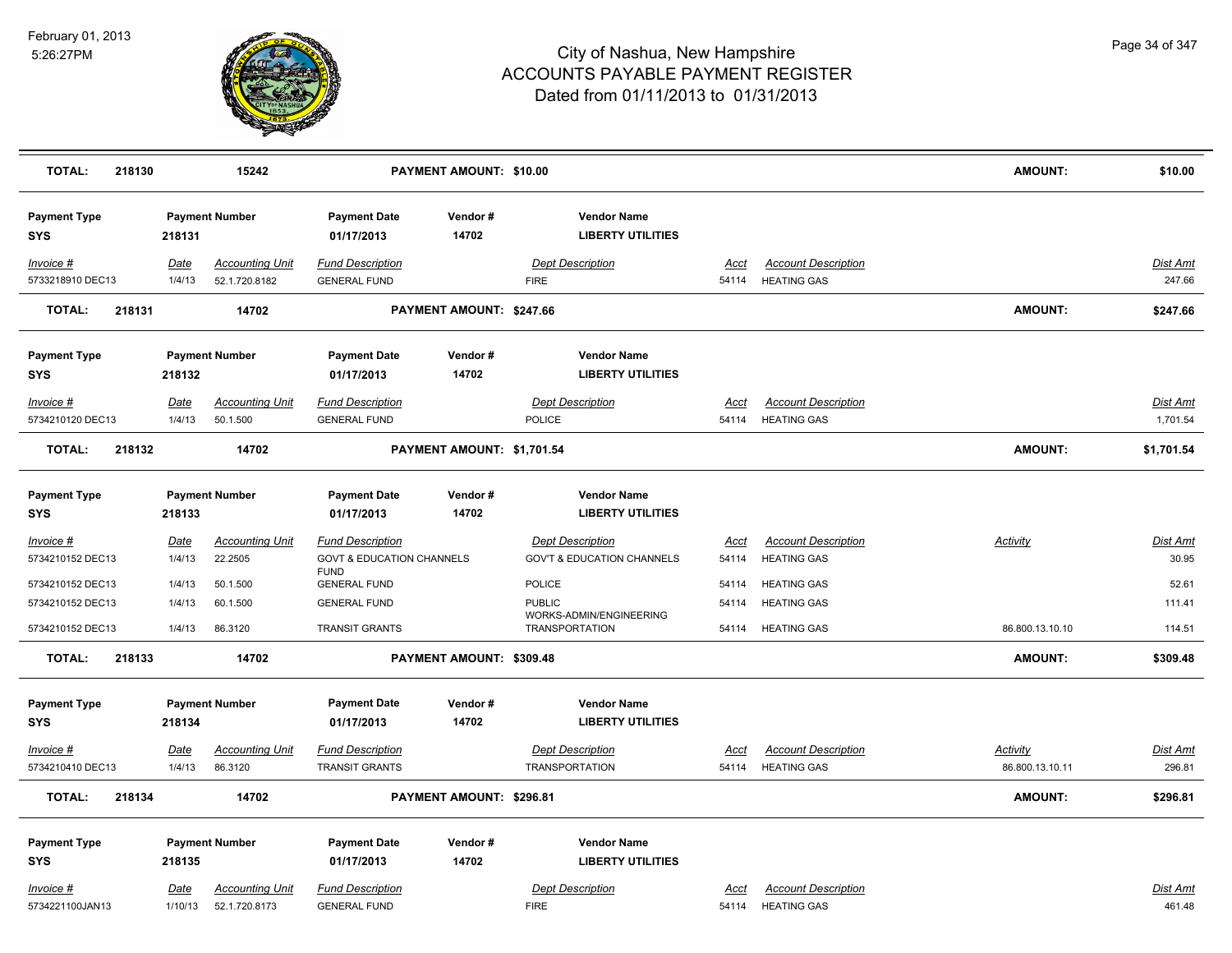

| <b>TOTAL:</b>                        | 218130 |                  | 15242                                   |                                                                                | PAYMENT AMOUNT: \$10.00    |                                                                   |                      |                                                  | <b>AMOUNT:</b>  | \$10.00                   |
|--------------------------------------|--------|------------------|-----------------------------------------|--------------------------------------------------------------------------------|----------------------------|-------------------------------------------------------------------|----------------------|--------------------------------------------------|-----------------|---------------------------|
| <b>Payment Type</b><br><b>SYS</b>    |        | 218131           | <b>Payment Number</b>                   | <b>Payment Date</b><br>01/17/2013                                              | Vendor#<br>14702           | <b>Vendor Name</b><br><b>LIBERTY UTILITIES</b>                    |                      |                                                  |                 |                           |
| Invoice #<br>5733218910 DEC13        |        | Date<br>1/4/13   | <b>Accounting Unit</b><br>52.1.720.8182 | <b>Fund Description</b><br><b>GENERAL FUND</b>                                 |                            | <b>Dept Description</b><br><b>FIRE</b>                            | Acct<br>54114        | <b>Account Description</b><br><b>HEATING GAS</b> |                 | <b>Dist Amt</b><br>247.66 |
| <b>TOTAL:</b>                        | 218131 |                  | 14702                                   |                                                                                | PAYMENT AMOUNT: \$247.66   |                                                                   |                      |                                                  | <b>AMOUNT:</b>  | \$247.66                  |
| <b>Payment Type</b><br><b>SYS</b>    |        | 218132           | <b>Payment Number</b>                   | <b>Payment Date</b><br>01/17/2013                                              | Vendor#<br>14702           | <b>Vendor Name</b><br><b>LIBERTY UTILITIES</b>                    |                      |                                                  |                 |                           |
| Invoice #<br>5734210120 DEC13        |        | Date<br>1/4/13   | <b>Accounting Unit</b><br>50.1.500      | <b>Fund Description</b><br><b>GENERAL FUND</b>                                 |                            | <b>Dept Description</b><br><b>POLICE</b>                          | Acct                 | <b>Account Description</b><br>54114 HEATING GAS  |                 | Dist Amt<br>1,701.54      |
| <b>TOTAL:</b>                        | 218132 |                  | 14702                                   |                                                                                | PAYMENT AMOUNT: \$1,701.54 |                                                                   |                      |                                                  | <b>AMOUNT:</b>  | \$1,701.54                |
| <b>Payment Type</b><br><b>SYS</b>    |        | 218133           | <b>Payment Number</b>                   | <b>Payment Date</b><br>01/17/2013                                              | Vendor#<br>14702           | <b>Vendor Name</b><br><b>LIBERTY UTILITIES</b>                    |                      |                                                  |                 |                           |
| Invoice #<br>5734210152 DEC13        |        | Date<br>1/4/13   | <b>Accounting Unit</b><br>22.2505       | <b>Fund Description</b><br><b>GOVT &amp; EDUCATION CHANNELS</b><br><b>FUND</b> |                            | <b>Dept Description</b><br><b>GOV'T &amp; EDUCATION CHANNELS</b>  | <u>Acct</u><br>54114 | <b>Account Description</b><br><b>HEATING GAS</b> | <b>Activity</b> | <u>Dist Amt</u><br>30.95  |
| 5734210152 DEC13                     |        | 1/4/13           | 50.1.500                                | <b>GENERAL FUND</b>                                                            |                            | <b>POLICE</b>                                                     | 54114                | <b>HEATING GAS</b>                               |                 | 52.61                     |
| 5734210152 DEC13<br>5734210152 DEC13 |        | 1/4/13<br>1/4/13 | 60.1.500<br>86.3120                     | <b>GENERAL FUND</b><br><b>TRANSIT GRANTS</b>                                   |                            | <b>PUBLIC</b><br>WORKS-ADMIN/ENGINEERING<br><b>TRANSPORTATION</b> | 54114<br>54114       | <b>HEATING GAS</b><br><b>HEATING GAS</b>         | 86.800.13.10.10 | 111.41<br>114.51          |
| <b>TOTAL:</b>                        | 218133 |                  | 14702                                   |                                                                                | PAYMENT AMOUNT: \$309.48   |                                                                   |                      |                                                  | <b>AMOUNT:</b>  | \$309.48                  |
| <b>Payment Type</b><br><b>SYS</b>    |        | 218134           | <b>Payment Number</b>                   | <b>Payment Date</b><br>01/17/2013                                              | Vendor#<br>14702           | <b>Vendor Name</b><br><b>LIBERTY UTILITIES</b>                    |                      |                                                  |                 |                           |
| Invoice #<br>5734210410 DEC13        |        | Date             | <b>Accounting Unit</b>                  | <b>Fund Description</b><br><b>TRANSIT GRANTS</b>                               |                            | <b>Dept Description</b><br><b>TRANSPORTATION</b>                  | <b>Acct</b>          | <b>Account Description</b><br><b>HEATING GAS</b> | <b>Activity</b> | <b>Dist Amt</b><br>296.81 |
|                                      |        | 1/4/13           | 86.3120                                 |                                                                                |                            |                                                                   | 54114                |                                                  | 86.800.13.10.11 |                           |
| <b>TOTAL:</b>                        | 218134 |                  | 14702                                   |                                                                                | PAYMENT AMOUNT: \$296.81   |                                                                   |                      |                                                  | <b>AMOUNT:</b>  | \$296.81                  |
| <b>Payment Type</b><br><b>SYS</b>    |        | 218135           | <b>Payment Number</b>                   | <b>Payment Date</b><br>01/17/2013                                              | Vendor#<br>14702           | <b>Vendor Name</b><br><b>LIBERTY UTILITIES</b>                    |                      |                                                  |                 |                           |
| Invoice #<br>5734221100JAN13         |        | Date<br>1/10/13  | <b>Accounting Unit</b><br>52.1.720.8173 | <b>Fund Description</b><br><b>GENERAL FUND</b>                                 |                            | <b>Dept Description</b><br><b>FIRE</b>                            | Acct<br>54114        | <b>Account Description</b><br><b>HEATING GAS</b> |                 | Dist Amt<br>461.48        |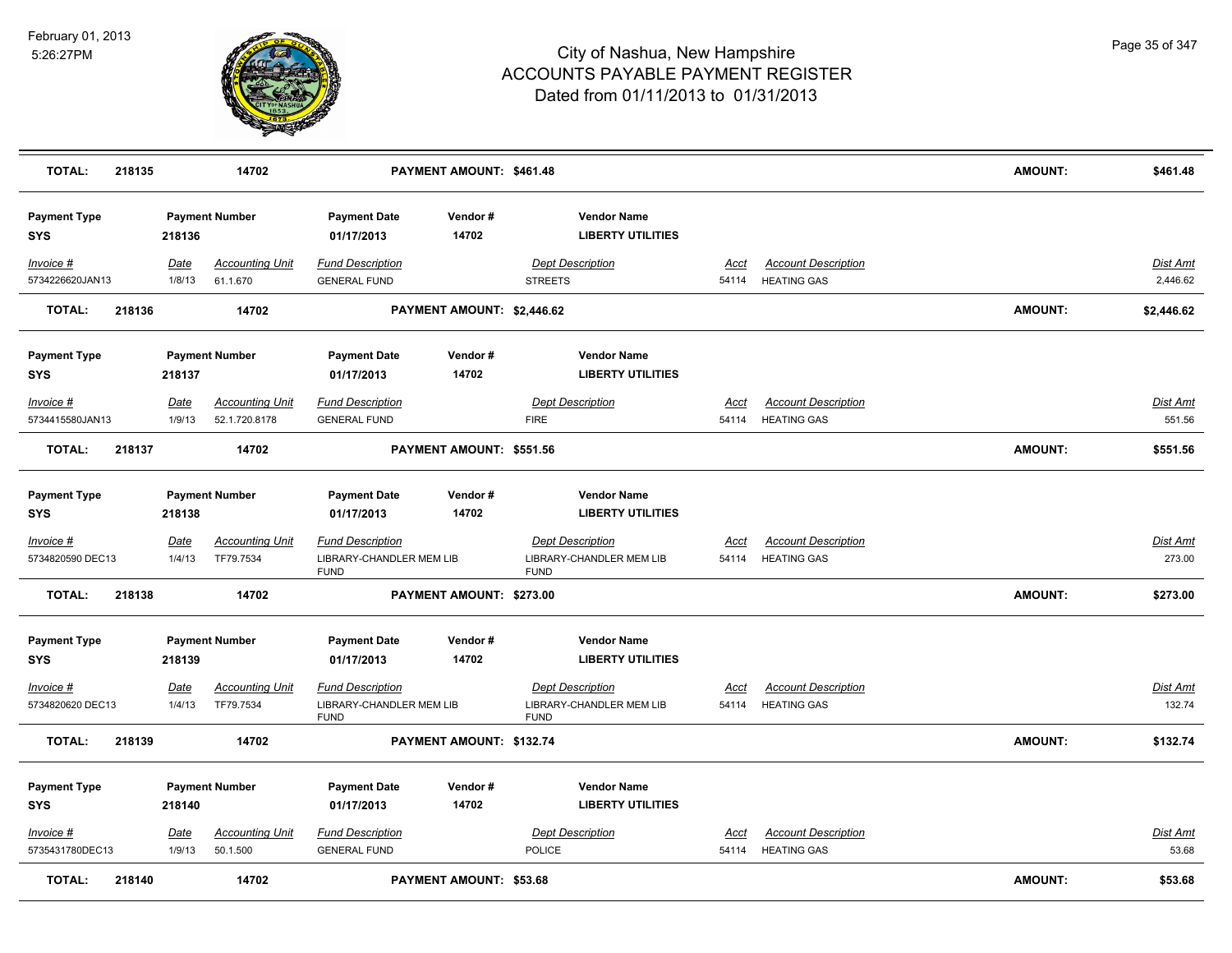

| <b>TOTAL:</b>                     | 218135 |                       | 14702                                   |                                                                    | PAYMENT AMOUNT: \$461.48       |                                                                    |                      |                                                  | <b>AMOUNT:</b> | \$461.48                  |
|-----------------------------------|--------|-----------------------|-----------------------------------------|--------------------------------------------------------------------|--------------------------------|--------------------------------------------------------------------|----------------------|--------------------------------------------------|----------------|---------------------------|
| <b>Payment Type</b><br><b>SYS</b> |        | 218136                | <b>Payment Number</b>                   | <b>Payment Date</b><br>01/17/2013                                  | Vendor#<br>14702               | <b>Vendor Name</b><br><b>LIBERTY UTILITIES</b>                     |                      |                                                  |                |                           |
| Invoice #<br>5734226620JAN13      |        | Date<br>1/8/13        | <b>Accounting Unit</b><br>61.1.670      | <b>Fund Description</b><br><b>GENERAL FUND</b>                     |                                | <b>Dept Description</b><br><b>STREETS</b>                          | Acct<br>54114        | <b>Account Description</b><br><b>HEATING GAS</b> |                | Dist Amt<br>2,446.62      |
| <b>TOTAL:</b>                     | 218136 |                       | 14702                                   |                                                                    | PAYMENT AMOUNT: \$2,446.62     |                                                                    |                      |                                                  | <b>AMOUNT:</b> | \$2,446.62                |
| <b>Payment Type</b><br>SYS        |        | 218137                | <b>Payment Number</b>                   | <b>Payment Date</b><br>01/17/2013                                  | Vendor#<br>14702               | <b>Vendor Name</b><br><b>LIBERTY UTILITIES</b>                     |                      |                                                  |                |                           |
| Invoice #<br>5734415580JAN13      |        | Date<br>1/9/13        | <b>Accounting Unit</b><br>52.1.720.8178 | <b>Fund Description</b><br><b>GENERAL FUND</b>                     |                                | <b>Dept Description</b><br><b>FIRE</b>                             | Acct<br>54114        | <b>Account Description</b><br><b>HEATING GAS</b> |                | Dist Amt<br>551.56        |
| <b>TOTAL:</b>                     | 218137 |                       | 14702                                   |                                                                    | PAYMENT AMOUNT: \$551.56       |                                                                    |                      |                                                  | <b>AMOUNT:</b> | \$551.56                  |
| <b>Payment Type</b><br><b>SYS</b> |        | 218138                | <b>Payment Number</b>                   | <b>Payment Date</b><br>01/17/2013                                  | Vendor#<br>14702               | <b>Vendor Name</b><br><b>LIBERTY UTILITIES</b>                     |                      |                                                  |                |                           |
| Invoice #<br>5734820590 DEC13     |        | <u>Date</u><br>1/4/13 | <b>Accounting Unit</b><br>TF79.7534     | <b>Fund Description</b><br>LIBRARY-CHANDLER MEM LIB<br><b>FUND</b> |                                | <b>Dept Description</b><br>LIBRARY-CHANDLER MEM LIB<br><b>FUND</b> | <u>Acct</u><br>54114 | <b>Account Description</b><br><b>HEATING GAS</b> |                | <b>Dist Amt</b><br>273.00 |
| <b>TOTAL:</b>                     | 218138 |                       | 14702                                   |                                                                    | PAYMENT AMOUNT: \$273.00       |                                                                    |                      |                                                  | <b>AMOUNT:</b> | \$273.00                  |
| <b>Payment Type</b><br><b>SYS</b> |        | 218139                | <b>Payment Number</b>                   | <b>Payment Date</b><br>01/17/2013                                  | Vendor#<br>14702               | <b>Vendor Name</b><br><b>LIBERTY UTILITIES</b>                     |                      |                                                  |                |                           |
| Invoice #<br>5734820620 DEC13     |        | Date<br>1/4/13        | <b>Accounting Unit</b><br>TF79.7534     | <b>Fund Description</b><br>LIBRARY-CHANDLER MEM LIB<br><b>FUND</b> |                                | <b>Dept Description</b><br>LIBRARY-CHANDLER MEM LIB<br><b>FUND</b> | Acct<br>54114        | <b>Account Description</b><br><b>HEATING GAS</b> |                | <b>Dist Amt</b><br>132.74 |
| <b>TOTAL:</b>                     | 218139 |                       | 14702                                   |                                                                    | PAYMENT AMOUNT: \$132.74       |                                                                    |                      |                                                  | <b>AMOUNT:</b> | \$132.74                  |
| <b>Payment Type</b><br><b>SYS</b> |        | 218140                | <b>Payment Number</b>                   | <b>Payment Date</b><br>01/17/2013                                  | Vendor#<br>14702               | <b>Vendor Name</b><br><b>LIBERTY UTILITIES</b>                     |                      |                                                  |                |                           |
| Invoice #<br>5735431780DEC13      |        | Date<br>1/9/13        | <b>Accounting Unit</b><br>50.1.500      | <b>Fund Description</b><br><b>GENERAL FUND</b>                     |                                | <b>Dept Description</b><br>POLICE                                  | Acct<br>54114        | <b>Account Description</b><br><b>HEATING GAS</b> |                | <b>Dist Amt</b><br>53.68  |
| <b>TOTAL:</b>                     | 218140 |                       | 14702                                   |                                                                    | <b>PAYMENT AMOUNT: \$53.68</b> |                                                                    |                      |                                                  | <b>AMOUNT:</b> | \$53.68                   |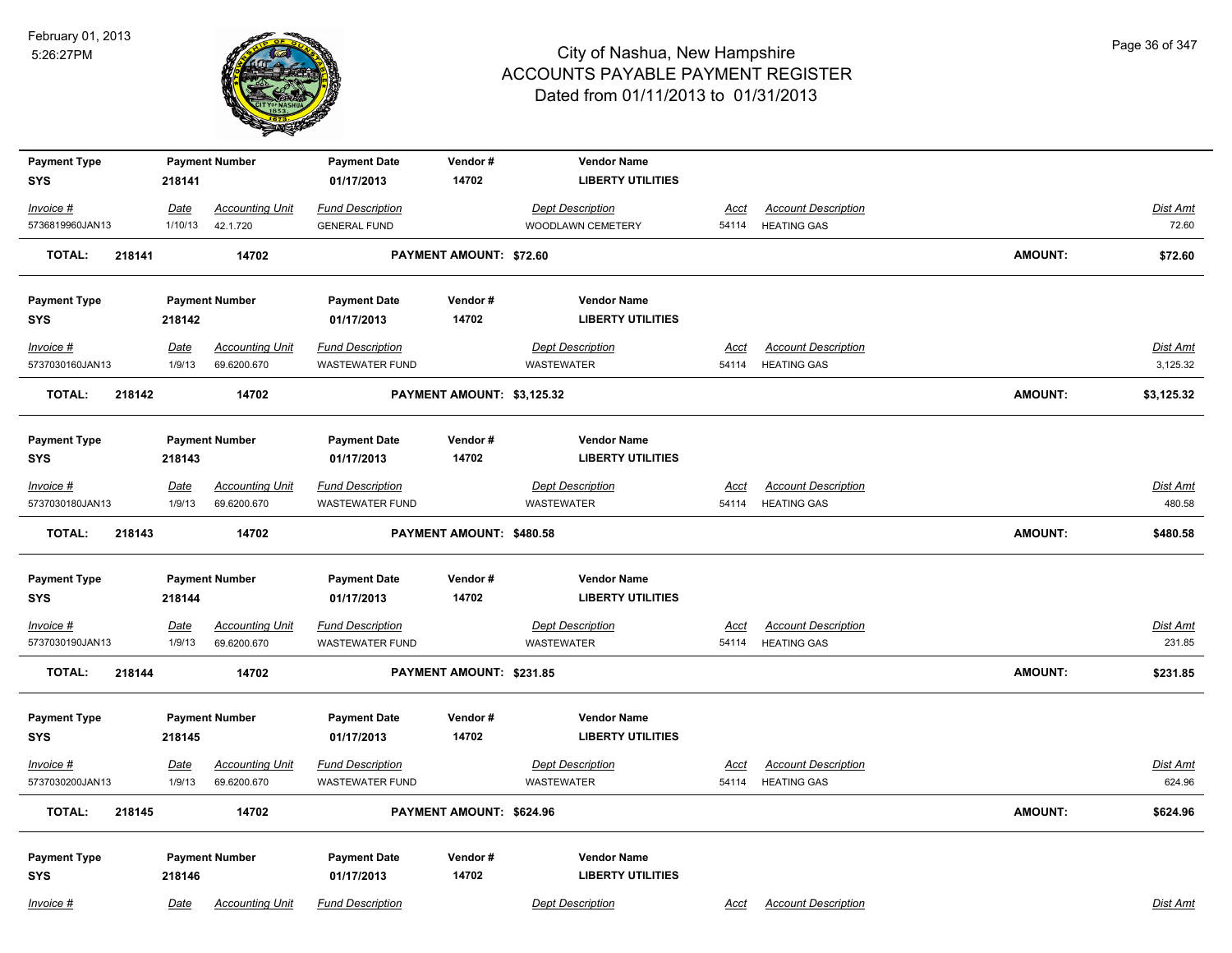

| <b>Payment Type</b>     |             | <b>Payment Number</b>  | <b>Payment Date</b>     | Vendor#                    | <b>Vendor Name</b>       |             |                            |                |                 |
|-------------------------|-------------|------------------------|-------------------------|----------------------------|--------------------------|-------------|----------------------------|----------------|-----------------|
| <b>SYS</b>              | 218141      |                        | 01/17/2013              | 14702                      | <b>LIBERTY UTILITIES</b> |             |                            |                |                 |
| Invoice #               | Date        | <b>Accounting Unit</b> | <b>Fund Description</b> |                            | <b>Dept Description</b>  | Acct        | <b>Account Description</b> |                | Dist Amt        |
| 5736819960JAN13         | 1/10/13     | 42.1.720               | <b>GENERAL FUND</b>     |                            | WOODLAWN CEMETERY        | 54114       | <b>HEATING GAS</b>         |                | 72.60           |
| <b>TOTAL:</b><br>218141 |             | 14702                  |                         | PAYMENT AMOUNT: \$72.60    |                          |             |                            | <b>AMOUNT:</b> | \$72.60         |
| <b>Payment Type</b>     |             | <b>Payment Number</b>  | <b>Payment Date</b>     | Vendor#                    | <b>Vendor Name</b>       |             |                            |                |                 |
| <b>SYS</b>              | 218142      |                        | 01/17/2013              | 14702                      | <b>LIBERTY UTILITIES</b> |             |                            |                |                 |
| $Invoice$ #             | <u>Date</u> | <b>Accounting Unit</b> | <b>Fund Description</b> |                            | <b>Dept Description</b>  | Acct        | <b>Account Description</b> |                | <b>Dist Amt</b> |
| 5737030160JAN13         | 1/9/13      | 69.6200.670            | <b>WASTEWATER FUND</b>  |                            | WASTEWATER               | 54114       | <b>HEATING GAS</b>         |                | 3,125.32        |
| <b>TOTAL:</b><br>218142 |             | 14702                  |                         | PAYMENT AMOUNT: \$3,125.32 |                          |             |                            | <b>AMOUNT:</b> | \$3,125.32      |
| <b>Payment Type</b>     |             | <b>Payment Number</b>  | <b>Payment Date</b>     | Vendor#                    | <b>Vendor Name</b>       |             |                            |                |                 |
| <b>SYS</b>              | 218143      |                        | 01/17/2013              | 14702                      | <b>LIBERTY UTILITIES</b> |             |                            |                |                 |
| $Invoice$ #             | Date        | <b>Accounting Unit</b> | <b>Fund Description</b> |                            | <b>Dept Description</b>  | Acct        | <b>Account Description</b> |                | Dist Amt        |
| 5737030180JAN13         | 1/9/13      | 69.6200.670            | <b>WASTEWATER FUND</b>  |                            | WASTEWATER               | 54114       | <b>HEATING GAS</b>         |                | 480.58          |
| <b>TOTAL:</b><br>218143 |             | 14702                  |                         | PAYMENT AMOUNT: \$480.58   |                          |             |                            | <b>AMOUNT:</b> | \$480.58        |
| <b>Payment Type</b>     |             | <b>Payment Number</b>  | <b>Payment Date</b>     | Vendor#                    | <b>Vendor Name</b>       |             |                            |                |                 |
| <b>SYS</b>              | 218144      |                        | 01/17/2013              | 14702                      | <b>LIBERTY UTILITIES</b> |             |                            |                |                 |
| <u>Invoice #</u>        | <b>Date</b> | <b>Accounting Unit</b> | <b>Fund Description</b> |                            | <b>Dept Description</b>  | <u>Acct</u> | <b>Account Description</b> |                | Dist Amt        |
| 5737030190JAN13         | 1/9/13      | 69.6200.670            | <b>WASTEWATER FUND</b>  |                            | <b>WASTEWATER</b>        | 54114       | <b>HEATING GAS</b>         |                | 231.85          |
| <b>TOTAL:</b><br>218144 |             | 14702                  |                         | PAYMENT AMOUNT: \$231.85   |                          |             |                            | <b>AMOUNT:</b> | \$231.85        |
| <b>Payment Type</b>     |             | <b>Payment Number</b>  | <b>Payment Date</b>     | Vendor#                    | <b>Vendor Name</b>       |             |                            |                |                 |
| <b>SYS</b>              | 218145      |                        | 01/17/2013              | 14702                      | <b>LIBERTY UTILITIES</b> |             |                            |                |                 |
| $Invoice$ #             | Date        | <b>Accounting Unit</b> | <b>Fund Description</b> |                            | <b>Dept Description</b>  | <u>Acct</u> | <b>Account Description</b> |                | Dist Amt        |
| 5737030200JAN13         | 1/9/13      | 69.6200.670            | <b>WASTEWATER FUND</b>  |                            | WASTEWATER               | 54114       | <b>HEATING GAS</b>         |                | 624.96          |
| <b>TOTAL:</b><br>218145 |             | 14702                  |                         | PAYMENT AMOUNT: \$624.96   |                          |             |                            | AMOUNT:        | \$624.96        |
| <b>Payment Type</b>     |             | <b>Payment Number</b>  | <b>Payment Date</b>     | Vendor#                    | <b>Vendor Name</b>       |             |                            |                |                 |
| <b>SYS</b>              | 218146      |                        | 01/17/2013              | 14702                      | <b>LIBERTY UTILITIES</b> |             |                            |                |                 |
| Invoice #               | Date        | <b>Accounting Unit</b> | <b>Fund Description</b> |                            | <b>Dept Description</b>  | Acct        | <b>Account Description</b> |                | Dist Amt        |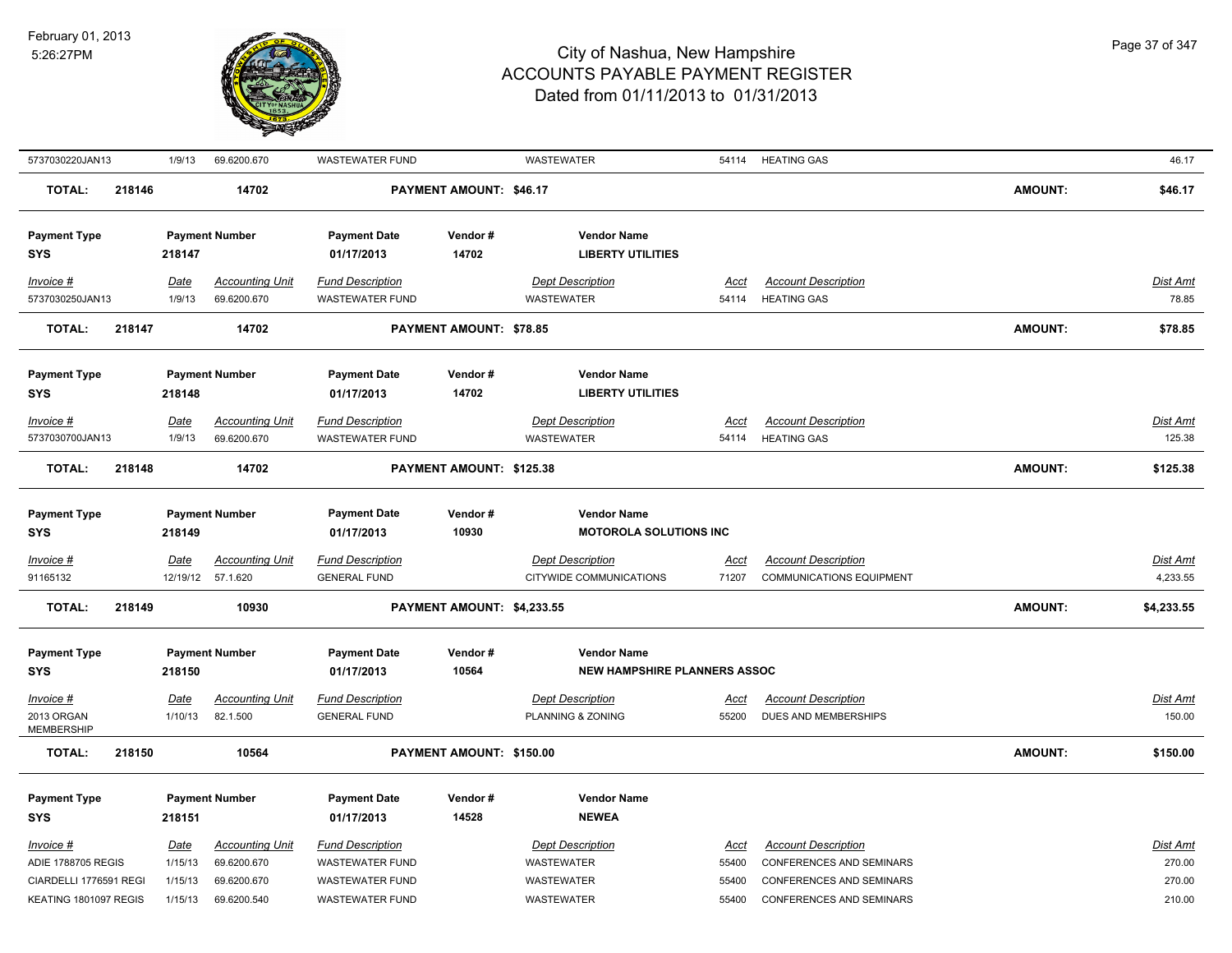

| 5737030220JAN13          | 1/9/13      | 69.6200.670            | <b>WASTEWATER FUND</b>  |                                | <b>WASTEWATER</b>                   |             | 54114 HEATING GAS               |                | 46.17           |
|--------------------------|-------------|------------------------|-------------------------|--------------------------------|-------------------------------------|-------------|---------------------------------|----------------|-----------------|
| 218146<br><b>TOTAL:</b>  |             | 14702                  |                         | <b>PAYMENT AMOUNT: \$46.17</b> |                                     |             |                                 | <b>AMOUNT:</b> | \$46.17         |
| <b>Payment Type</b>      |             | <b>Payment Number</b>  | <b>Payment Date</b>     | Vendor#                        | <b>Vendor Name</b>                  |             |                                 |                |                 |
| <b>SYS</b>               | 218147      |                        | 01/17/2013              | 14702                          | <b>LIBERTY UTILITIES</b>            |             |                                 |                |                 |
| $Invoice$ #              | Date        | <b>Accounting Unit</b> | <b>Fund Description</b> |                                | <b>Dept Description</b>             | Acct        | <b>Account Description</b>      |                | Dist Amt        |
| 5737030250JAN13          | 1/9/13      | 69.6200.670            | <b>WASTEWATER FUND</b>  |                                | WASTEWATER                          | 54114       | <b>HEATING GAS</b>              |                | 78.85           |
| <b>TOTAL:</b><br>218147  |             | 14702                  |                         | PAYMENT AMOUNT: \$78.85        |                                     |             |                                 | <b>AMOUNT:</b> | \$78.85         |
| <b>Payment Type</b>      |             | <b>Payment Number</b>  | <b>Payment Date</b>     | Vendor#                        | <b>Vendor Name</b>                  |             |                                 |                |                 |
| <b>SYS</b>               | 218148      |                        | 01/17/2013              | 14702                          | <b>LIBERTY UTILITIES</b>            |             |                                 |                |                 |
| Invoice #                | Date        | <b>Accounting Unit</b> | <b>Fund Description</b> |                                | <b>Dept Description</b>             | Acct        | <b>Account Description</b>      |                | Dist Amt        |
| 5737030700JAN13          | 1/9/13      | 69.6200.670            | <b>WASTEWATER FUND</b>  |                                | <b>WASTEWATER</b>                   | 54114       | <b>HEATING GAS</b>              |                | 125.38          |
| <b>TOTAL:</b><br>218148  |             | 14702                  |                         | PAYMENT AMOUNT: \$125.38       |                                     |             |                                 | <b>AMOUNT:</b> | \$125.38        |
| <b>Payment Type</b>      |             | <b>Payment Number</b>  | <b>Payment Date</b>     | Vendor#                        | <b>Vendor Name</b>                  |             |                                 |                |                 |
| <b>SYS</b>               | 218149      |                        | 01/17/2013              | 10930                          | <b>MOTOROLA SOLUTIONS INC</b>       |             |                                 |                |                 |
| $Invoice$ #              | Date        | <b>Accounting Unit</b> | <b>Fund Description</b> |                                | <b>Dept Description</b>             | <u>Acct</u> | <b>Account Description</b>      |                | <b>Dist Amt</b> |
| 91165132                 |             | 12/19/12 57.1.620      | <b>GENERAL FUND</b>     |                                | CITYWIDE COMMUNICATIONS             | 71207       | <b>COMMUNICATIONS EQUIPMENT</b> |                | 4,233.55        |
| <b>TOTAL:</b><br>218149  |             | 10930                  |                         | PAYMENT AMOUNT: \$4,233.55     |                                     |             |                                 | <b>AMOUNT:</b> | \$4,233.55      |
| <b>Payment Type</b>      |             | <b>Payment Number</b>  | <b>Payment Date</b>     | Vendor#                        | <b>Vendor Name</b>                  |             |                                 |                |                 |
| <b>SYS</b>               | 218150      |                        | 01/17/2013              | 10564                          | <b>NEW HAMPSHIRE PLANNERS ASSOC</b> |             |                                 |                |                 |
| Invoice #                | Date        | <b>Accounting Unit</b> | <b>Fund Description</b> |                                | <b>Dept Description</b>             | Acct        | <b>Account Description</b>      |                | Dist Amt        |
| 2013 ORGAN<br>MEMBERSHIP | 1/10/13     | 82.1.500               | <b>GENERAL FUND</b>     |                                | PLANNING & ZONING                   | 55200       | DUES AND MEMBERSHIPS            |                | 150.00          |
| <b>TOTAL:</b><br>218150  |             | 10564                  |                         | PAYMENT AMOUNT: \$150.00       |                                     |             |                                 | <b>AMOUNT:</b> | \$150.00        |
| <b>Payment Type</b>      |             | <b>Payment Number</b>  | <b>Payment Date</b>     | Vendor#                        | <b>Vendor Name</b>                  |             |                                 |                |                 |
| <b>SYS</b>               | 218151      |                        | 01/17/2013              | 14528                          | <b>NEWEA</b>                        |             |                                 |                |                 |
| $Invoice$ #              | <u>Date</u> | <b>Accounting Unit</b> | <b>Fund Description</b> |                                | <b>Dept Description</b>             | <u>Acct</u> | <b>Account Description</b>      |                | <b>Dist Amt</b> |
| ADIE 1788705 REGIS       | 1/15/13     | 69.6200.670            | <b>WASTEWATER FUND</b>  |                                | WASTEWATER                          | 55400       | CONFERENCES AND SEMINARS        |                | 270.00          |
| CIARDELLI 1776591 REGI   | 1/15/13     | 69.6200.670            | <b>WASTEWATER FUND</b>  |                                | WASTEWATER                          | 55400       | <b>CONFERENCES AND SEMINARS</b> |                | 270.00          |
| KEATING 1801097 REGIS    | 1/15/13     | 69.6200.540            | <b>WASTEWATER FUND</b>  |                                | WASTEWATER                          | 55400       | <b>CONFERENCES AND SEMINARS</b> |                | 210.00          |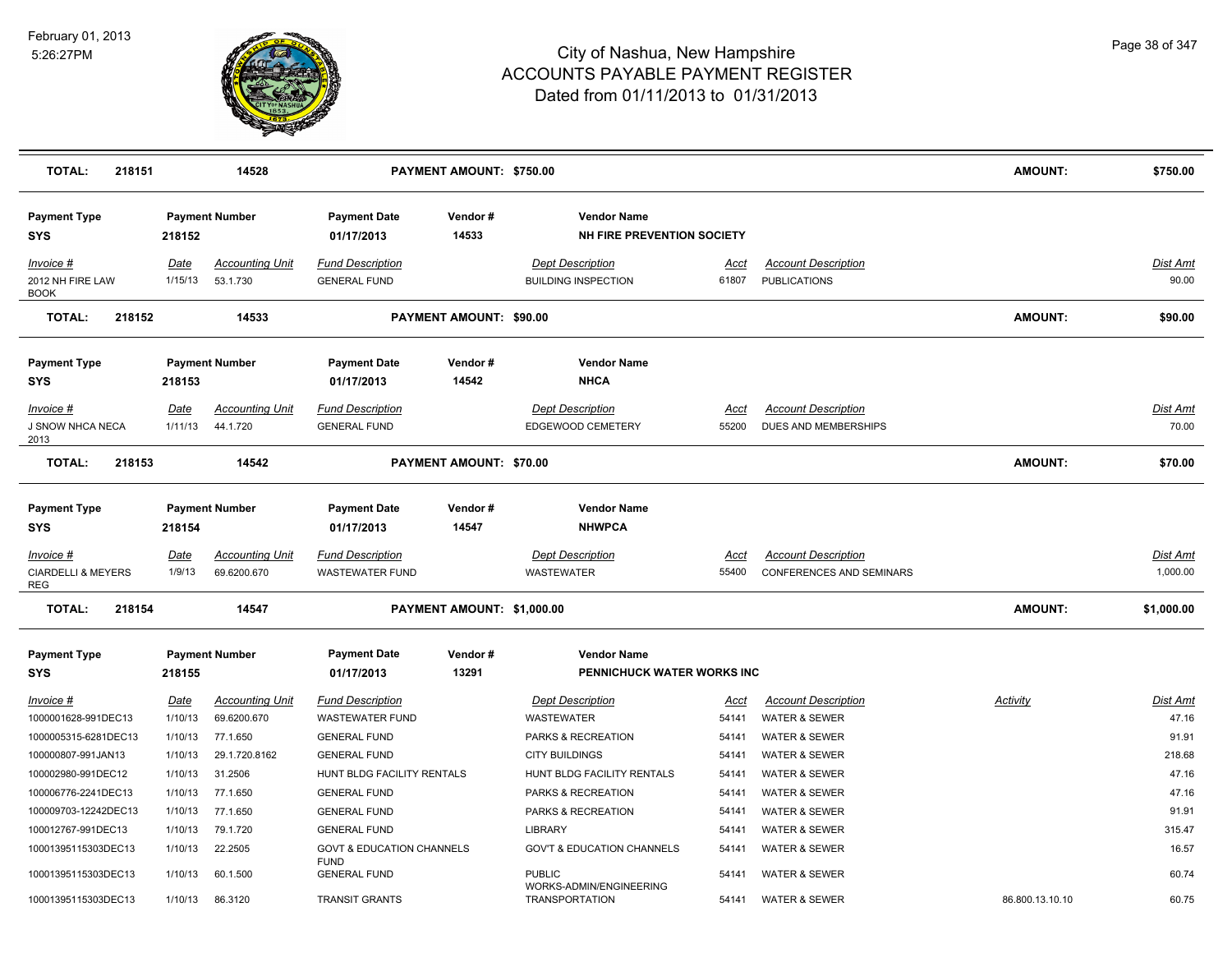

| <b>TOTAL:</b><br>218151                                  |                        | 14528                                 |                                                     | PAYMENT AMOUNT: \$750.00       |                                                         |                      |                                                        | <b>AMOUNT:</b>  | \$750.00                    |
|----------------------------------------------------------|------------------------|---------------------------------------|-----------------------------------------------------|--------------------------------|---------------------------------------------------------|----------------------|--------------------------------------------------------|-----------------|-----------------------------|
| <b>Payment Type</b><br><b>SYS</b>                        | 218152                 | <b>Payment Number</b>                 | <b>Payment Date</b><br>01/17/2013                   | Vendor#<br>14533               | <b>Vendor Name</b><br><b>NH FIRE PREVENTION SOCIETY</b> |                      |                                                        |                 |                             |
| Invoice #<br>2012 NH FIRE LAW<br><b>BOOK</b>             | Date<br>1/15/13        | <b>Accounting Unit</b><br>53.1.730    | <b>Fund Description</b><br><b>GENERAL FUND</b>      |                                | <b>Dept Description</b><br><b>BUILDING INSPECTION</b>   | Acct<br>61807        | <b>Account Description</b><br><b>PUBLICATIONS</b>      |                 | Dist Amt<br>90.00           |
| <b>TOTAL:</b><br>218152                                  |                        | 14533                                 |                                                     | <b>PAYMENT AMOUNT: \$90.00</b> |                                                         |                      |                                                        | <b>AMOUNT:</b>  | \$90.00                     |
| <b>Payment Type</b><br><b>SYS</b>                        | 218153                 | <b>Payment Number</b>                 | <b>Payment Date</b><br>01/17/2013                   | Vendor#<br>14542               | <b>Vendor Name</b><br><b>NHCA</b>                       |                      |                                                        |                 |                             |
| <u>Invoice #</u><br>J SNOW NHCA NECA<br>2013             | <b>Date</b><br>1/11/13 | <b>Accounting Unit</b><br>44.1.720    | <b>Fund Description</b><br><b>GENERAL FUND</b>      |                                | <b>Dept Description</b><br>EDGEWOOD CEMETERY            | <u>Acct</u><br>55200 | <b>Account Description</b><br>DUES AND MEMBERSHIPS     |                 | Dist Amt<br>70.00           |
| <b>TOTAL:</b><br>218153                                  |                        | 14542                                 |                                                     | PAYMENT AMOUNT: \$70.00        |                                                         |                      |                                                        | <b>AMOUNT:</b>  | \$70.00                     |
| <b>Payment Type</b><br><b>SYS</b>                        | 218154                 | <b>Payment Number</b>                 | <b>Payment Date</b><br>01/17/2013                   | Vendor#<br>14547               | <b>Vendor Name</b><br><b>NHWPCA</b>                     |                      |                                                        |                 |                             |
| <u>Invoice #</u><br><b>CIARDELLI &amp; MEYERS</b><br>REG | <u>Date</u><br>1/9/13  | <b>Accounting Unit</b><br>69.6200.670 | <b>Fund Description</b><br><b>WASTEWATER FUND</b>   |                                | <b>Dept Description</b><br><b>WASTEWATER</b>            | <u>Acct</u><br>55400 | <b>Account Description</b><br>CONFERENCES AND SEMINARS |                 | <b>Dist Amt</b><br>1,000.00 |
| <b>TOTAL:</b><br>218154                                  |                        | 14547                                 |                                                     | PAYMENT AMOUNT: \$1,000.00     |                                                         |                      |                                                        | <b>AMOUNT:</b>  | \$1,000.00                  |
| <b>Payment Type</b><br><b>SYS</b>                        | 218155                 | <b>Payment Number</b>                 | <b>Payment Date</b><br>01/17/2013                   | Vendor#<br>13291               | <b>Vendor Name</b><br>PENNICHUCK WATER WORKS INC        |                      |                                                        |                 |                             |
| <u>Invoice #</u><br>1000001628-991DEC13                  | Date<br>1/10/13        | <b>Accounting Unit</b><br>69.6200.670 | <b>Fund Description</b><br><b>WASTEWATER FUND</b>   |                                | <b>Dept Description</b><br><b>WASTEWATER</b>            | Acct<br>54141        | <b>Account Description</b><br><b>WATER &amp; SEWER</b> | Activity        | <b>Dist Amt</b><br>47.16    |
| 1000005315-6281DEC13<br>100000807-991JAN13               | 1/10/13<br>1/10/13     | 77.1.650<br>29.1.720.8162             | <b>GENERAL FUND</b><br><b>GENERAL FUND</b>          |                                | PARKS & RECREATION<br><b>CITY BUILDINGS</b>             | 54141<br>54141       | <b>WATER &amp; SEWER</b><br><b>WATER &amp; SEWER</b>   |                 | 91.91<br>218.68             |
| 100002980-991DEC12                                       | 1/10/13                | 31.2506                               | HUNT BLDG FACILITY RENTALS                          |                                | HUNT BLDG FACILITY RENTALS                              | 54141                | <b>WATER &amp; SEWER</b>                               |                 | 47.16                       |
| 100006776-2241DEC13                                      | 1/10/13                | 77.1.650                              | <b>GENERAL FUND</b>                                 |                                | PARKS & RECREATION                                      | 54141                | <b>WATER &amp; SEWER</b>                               |                 | 47.16                       |
| 100009703-12242DEC13                                     | 1/10/13                | 77.1.650                              | <b>GENERAL FUND</b>                                 |                                | PARKS & RECREATION                                      | 54141                | <b>WATER &amp; SEWER</b>                               |                 | 91.91                       |
| 100012767-991DEC13                                       | 1/10/13                | 79.1.720                              | <b>GENERAL FUND</b>                                 |                                | LIBRARY                                                 | 54141                | <b>WATER &amp; SEWER</b>                               |                 | 315.47                      |
| 10001395115303DEC13                                      | 1/10/13                | 22.2505                               | <b>GOVT &amp; EDUCATION CHANNELS</b><br><b>FUND</b> |                                | <b>GOV'T &amp; EDUCATION CHANNELS</b>                   | 54141                | <b>WATER &amp; SEWER</b>                               |                 | 16.57                       |
| 10001395115303DEC13                                      | 1/10/13                | 60.1.500                              | <b>GENERAL FUND</b>                                 |                                | <b>PUBLIC</b><br>WORKS-ADMIN/ENGINEERING                | 54141                | <b>WATER &amp; SEWER</b>                               |                 | 60.74                       |
| 10001395115303DEC13                                      | 1/10/13                | 86.3120                               | <b>TRANSIT GRANTS</b>                               |                                | <b>TRANSPORTATION</b>                                   | 54141                | <b>WATER &amp; SEWER</b>                               | 86.800.13.10.10 | 60.75                       |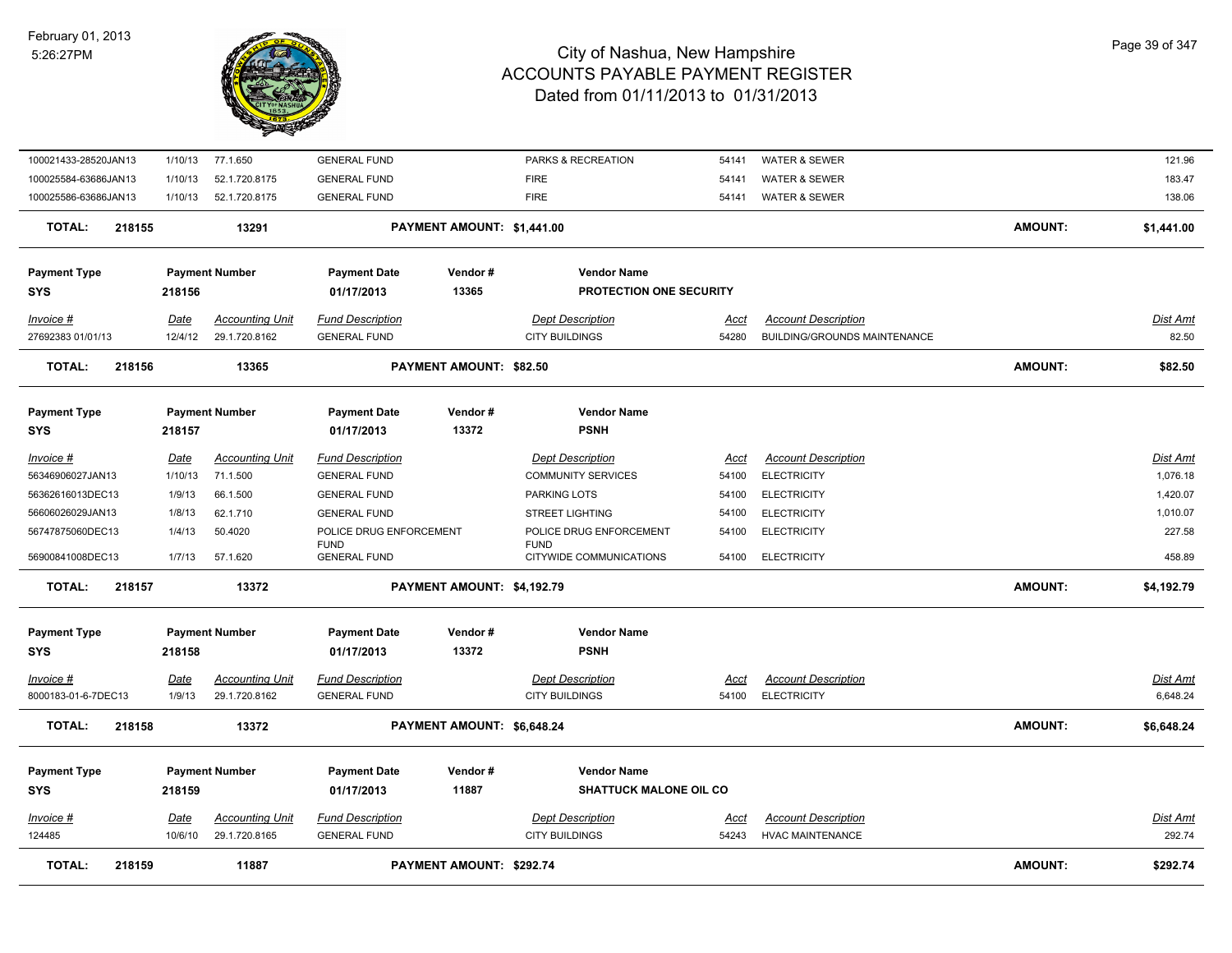#### February 01, 2013 5:26:27PM



| <b>TOTAL:</b>                         | 218159                 | 11887                              |                                                | <b>PAYMENT AMOUNT: \$292.74</b> |                                                      |                      |                                                  | <b>AMOUNT:</b> | \$292.74                    |
|---------------------------------------|------------------------|------------------------------------|------------------------------------------------|---------------------------------|------------------------------------------------------|----------------------|--------------------------------------------------|----------------|-----------------------------|
| 124485                                | 10/6/10                | 29.1.720.8165                      | <b>GENERAL FUND</b>                            |                                 | <b>CITY BUILDINGS</b>                                | 54243                | <b>HVAC MAINTENANCE</b>                          |                | 292.74                      |
| <u>Invoice #</u>                      | <u>Date</u>            | <b>Accounting Unit</b>             | <b>Fund Description</b>                        |                                 | <b>Dept Description</b>                              | <u>Acct</u>          | <b>Account Description</b>                       |                | <u>Dist Amt</u>             |
| <b>SYS</b>                            | 218159                 |                                    | 01/17/2013                                     | 11887                           | <b>SHATTUCK MALONE OIL CO</b>                        |                      |                                                  |                |                             |
| <b>Payment Type</b>                   |                        | <b>Payment Number</b>              | <b>Payment Date</b>                            | Vendor#                         | <b>Vendor Name</b>                                   |                      |                                                  |                |                             |
| TOTAL:                                | 218158                 | 13372                              |                                                | PAYMENT AMOUNT: \$6,648.24      |                                                      |                      |                                                  | <b>AMOUNT:</b> | \$6,648.24                  |
| 8000183-01-6-7DEC13                   | 1/9/13                 | 29.1.720.8162                      | <b>GENERAL FUND</b>                            |                                 | <b>CITY BUILDINGS</b>                                | 54100                | <b>ELECTRICITY</b>                               |                | 6,648.24                    |
| Invoice #                             | <u>Date</u>            | <b>Accounting Unit</b>             | <b>Fund Description</b>                        |                                 | <b>Dept Description</b>                              | Acct                 | <b>Account Description</b>                       |                | Dist Amt                    |
| <b>SYS</b>                            | 218158                 |                                    | 01/17/2013                                     | 13372                           | <b>PSNH</b>                                          |                      |                                                  |                |                             |
| <b>Payment Type</b>                   |                        | <b>Payment Number</b>              | <b>Payment Date</b>                            | Vendor#                         | <b>Vendor Name</b>                                   |                      |                                                  |                |                             |
| <b>TOTAL:</b>                         | 218157                 | 13372                              |                                                | PAYMENT AMOUNT: \$4,192.79      |                                                      |                      |                                                  | <b>AMOUNT:</b> | \$4,192.79                  |
| 56900841008DEC13                      | 1/7/13                 | 57.1.620                           | <b>FUND</b><br><b>GENERAL FUND</b>             |                                 | <b>FUND</b><br>CITYWIDE COMMUNICATIONS               | 54100                | <b>ELECTRICITY</b>                               |                | 458.89                      |
| 56747875060DEC13                      | 1/4/13                 | 50.4020                            | POLICE DRUG ENFORCEMENT                        |                                 | POLICE DRUG ENFORCEMENT                              | 54100                | <b>ELECTRICITY</b>                               |                | 227.58                      |
| 56606026029JAN13                      | 1/8/13                 | 62.1.710                           | <b>GENERAL FUND</b>                            |                                 | <b>STREET LIGHTING</b>                               | 54100                | <b>ELECTRICITY</b>                               |                | 1,010.07                    |
| 56362616013DEC13                      | 1/9/13                 | 66.1.500                           | <b>GENERAL FUND</b>                            |                                 | PARKING LOTS                                         | 54100                | <b>ELECTRICITY</b>                               |                | 1,420.07                    |
| <u> Invoice #</u><br>56346906027JAN13 | <b>Date</b><br>1/10/13 | <b>Accounting Unit</b><br>71.1.500 | <b>Fund Description</b><br><b>GENERAL FUND</b> |                                 | <b>Dept Description</b><br><b>COMMUNITY SERVICES</b> | <u>Acct</u><br>54100 | <b>Account Description</b><br><b>ELECTRICITY</b> |                | <b>Dist Amt</b><br>1,076.18 |
| <b>Payment Type</b><br><b>SYS</b>     | 218157                 | <b>Payment Number</b>              | <b>Payment Date</b><br>01/17/2013              | Vendor#<br>13372                | <b>Vendor Name</b><br><b>PSNH</b>                    |                      |                                                  |                |                             |
|                                       |                        |                                    |                                                |                                 |                                                      |                      |                                                  |                |                             |
| TOTAL:                                | 218156                 | 13365                              |                                                | <b>PAYMENT AMOUNT: \$82.50</b>  |                                                      |                      |                                                  | <b>AMOUNT:</b> | \$82.50                     |
| 27692383 01/01/13                     | 12/4/12                | 29.1.720.8162                      | <b>GENERAL FUND</b>                            |                                 | <b>CITY BUILDINGS</b>                                | 54280                | <b>BUILDING/GROUNDS MAINTENANCE</b>              |                | 82.50                       |
| Invoice #                             | Date                   | <b>Accounting Unit</b>             | <b>Fund Description</b>                        |                                 | <b>Dept Description</b>                              | Acct                 | <b>Account Description</b>                       |                | <b>Dist Amt</b>             |
| <b>Payment Type</b><br><b>SYS</b>     | 218156                 | <b>Payment Number</b>              | <b>Payment Date</b><br>01/17/2013              | Vendor#<br>13365                | <b>Vendor Name</b><br>PROTECTION ONE SECURITY        |                      |                                                  |                |                             |
| <b>TOTAL:</b>                         | 218155                 | 13291                              |                                                | PAYMENT AMOUNT: \$1,441.00      |                                                      |                      |                                                  | <b>AMOUNT:</b> | \$1,441.00                  |
| 100025586-63686JAN13                  | 1/10/13                | 52.1.720.8175                      | <b>GENERAL FUND</b>                            |                                 | <b>FIRE</b>                                          | 54141                | <b>WATER &amp; SEWER</b>                         |                | 138.06                      |
| 100025584-63686JAN13                  | 1/10/13                | 52.1.720.8175                      | <b>GENERAL FUND</b>                            |                                 | <b>FIRE</b>                                          | 54141                | WATER & SEWER                                    |                | 183.47                      |
| 100021433-28520JAN13                  | 1/10/13                | 77.1.650                           | <b>GENERAL FUND</b>                            |                                 | PARKS & RECREATION                                   | 54141                | WATER & SEWER                                    |                | 121.96                      |
|                                       |                        |                                    |                                                |                                 |                                                      |                      |                                                  |                |                             |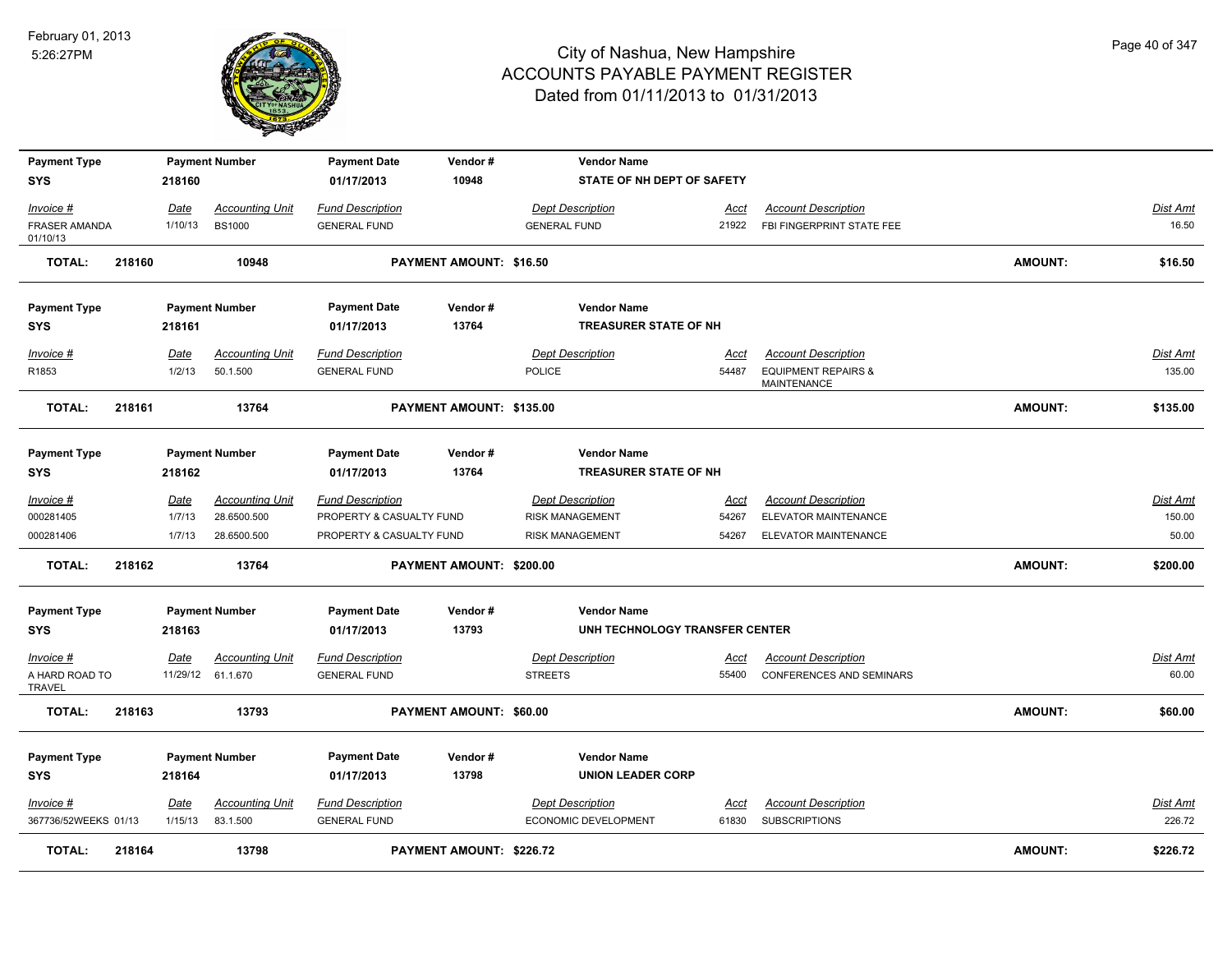

| <b>Payment Type</b><br><b>SYS</b>      |        | 218160          | <b>Payment Number</b>  | <b>Payment Date</b><br>01/17/2013              | Vendor#<br>10948         | <b>Vendor Name</b><br>STATE OF NH DEPT OF SAFETY   |               |                                                         |                |                          |
|----------------------------------------|--------|-----------------|------------------------|------------------------------------------------|--------------------------|----------------------------------------------------|---------------|---------------------------------------------------------|----------------|--------------------------|
|                                        |        |                 | <b>Accounting Unit</b> |                                                |                          | <b>Dept Description</b>                            |               |                                                         |                |                          |
| Invoice #<br>FRASER AMANDA<br>01/10/13 |        | Date<br>1/10/13 | <b>BS1000</b>          | <b>Fund Description</b><br><b>GENERAL FUND</b> |                          | <b>GENERAL FUND</b>                                | Acct<br>21922 | <b>Account Description</b><br>FBI FINGERPRINT STATE FEE |                | <b>Dist Amt</b><br>16.50 |
| TOTAL:                                 | 218160 |                 | 10948                  |                                                | PAYMENT AMOUNT: \$16.50  |                                                    |               |                                                         | AMOUNT:        | \$16.50                  |
| <b>Payment Type</b>                    |        |                 | <b>Payment Number</b>  | <b>Payment Date</b>                            | Vendor#                  | <b>Vendor Name</b>                                 |               |                                                         |                |                          |
| <b>SYS</b>                             |        | 218161          |                        | 01/17/2013                                     | 13764                    | <b>TREASURER STATE OF NH</b>                       |               |                                                         |                |                          |
| Invoice #                              |        | Date            | <b>Accounting Unit</b> | <b>Fund Description</b>                        |                          | Dept Description                                   | Acct          | <b>Account Description</b>                              |                | Dist Amt                 |
| R1853                                  |        | 1/2/13          | 50.1.500               | <b>GENERAL FUND</b>                            |                          | <b>POLICE</b>                                      | 54487         | <b>EQUIPMENT REPAIRS &amp;</b><br>MAINTENANCE           |                | 135.00                   |
| <b>TOTAL:</b>                          | 218161 |                 | 13764                  |                                                | PAYMENT AMOUNT: \$135.00 |                                                    |               |                                                         | AMOUNT:        | \$135.00                 |
| <b>Payment Type</b><br><b>SYS</b>      |        | 218162          | <b>Payment Number</b>  | <b>Payment Date</b><br>01/17/2013              | Vendor#<br>13764         | <b>Vendor Name</b><br><b>TREASURER STATE OF NH</b> |               |                                                         |                |                          |
| Invoice #                              |        | Date            | <b>Accounting Unit</b> | <b>Fund Description</b>                        |                          | <b>Dept Description</b>                            | Acct          | <b>Account Description</b>                              |                | Dist Amt                 |
| 000281405                              |        | 1/7/13          | 28.6500.500            | PROPERTY & CASUALTY FUND                       |                          | RISK MANAGEMENT                                    | 54267         | ELEVATOR MAINTENANCE                                    |                | 150.00                   |
| 000281406                              |        | 1/7/13          | 28.6500.500            | PROPERTY & CASUALTY FUND                       |                          | <b>RISK MANAGEMENT</b>                             | 54267         | ELEVATOR MAINTENANCE                                    |                | 50.00                    |
| <b>TOTAL:</b>                          | 218162 |                 | 13764                  |                                                | PAYMENT AMOUNT: \$200.00 |                                                    |               |                                                         | AMOUNT:        | \$200.00                 |
| <b>Payment Type</b>                    |        |                 | <b>Payment Number</b>  | <b>Payment Date</b>                            | Vendor#                  | <b>Vendor Name</b>                                 |               |                                                         |                |                          |
| <b>SYS</b>                             |        | 218163          |                        | 01/17/2013                                     | 13793                    | UNH TECHNOLOGY TRANSFER CENTER                     |               |                                                         |                |                          |
| $Invoice$ #                            |        | <u>Date</u>     | <b>Accounting Unit</b> | <b>Fund Description</b>                        |                          | <b>Dept Description</b>                            | <u>Acct</u>   | <b>Account Description</b>                              |                | <b>Dist Amt</b>          |
| A HARD ROAD TO<br><b>TRAVEL</b>        |        |                 | 11/29/12 61.1.670      | <b>GENERAL FUND</b>                            |                          | <b>STREETS</b>                                     | 55400         | CONFERENCES AND SEMINARS                                |                | 60.00                    |
| <b>TOTAL:</b>                          | 218163 |                 | 13793                  |                                                | PAYMENT AMOUNT: \$60.00  |                                                    |               |                                                         | AMOUNT:        | \$60.00                  |
| <b>Payment Type</b>                    |        |                 | <b>Payment Number</b>  | <b>Payment Date</b>                            | Vendor#                  | <b>Vendor Name</b>                                 |               |                                                         |                |                          |
| <b>SYS</b>                             |        | 218164          |                        | 01/17/2013                                     | 13798                    | <b>UNION LEADER CORP</b>                           |               |                                                         |                |                          |
| Invoice #                              |        | Date            | <b>Accounting Unit</b> | <b>Fund Description</b>                        |                          | <b>Dept Description</b>                            | Acct          | <b>Account Description</b>                              |                | <b>Dist Amt</b>          |
| 367736/52WEEKS 01/13                   |        | 1/15/13         | 83.1.500               | <b>GENERAL FUND</b>                            |                          | ECONOMIC DEVELOPMENT                               | 61830         | <b>SUBSCRIPTIONS</b>                                    |                | 226.72                   |
| <b>TOTAL:</b>                          | 218164 |                 | 13798                  |                                                | PAYMENT AMOUNT: \$226.72 |                                                    |               |                                                         | <b>AMOUNT:</b> | \$226.72                 |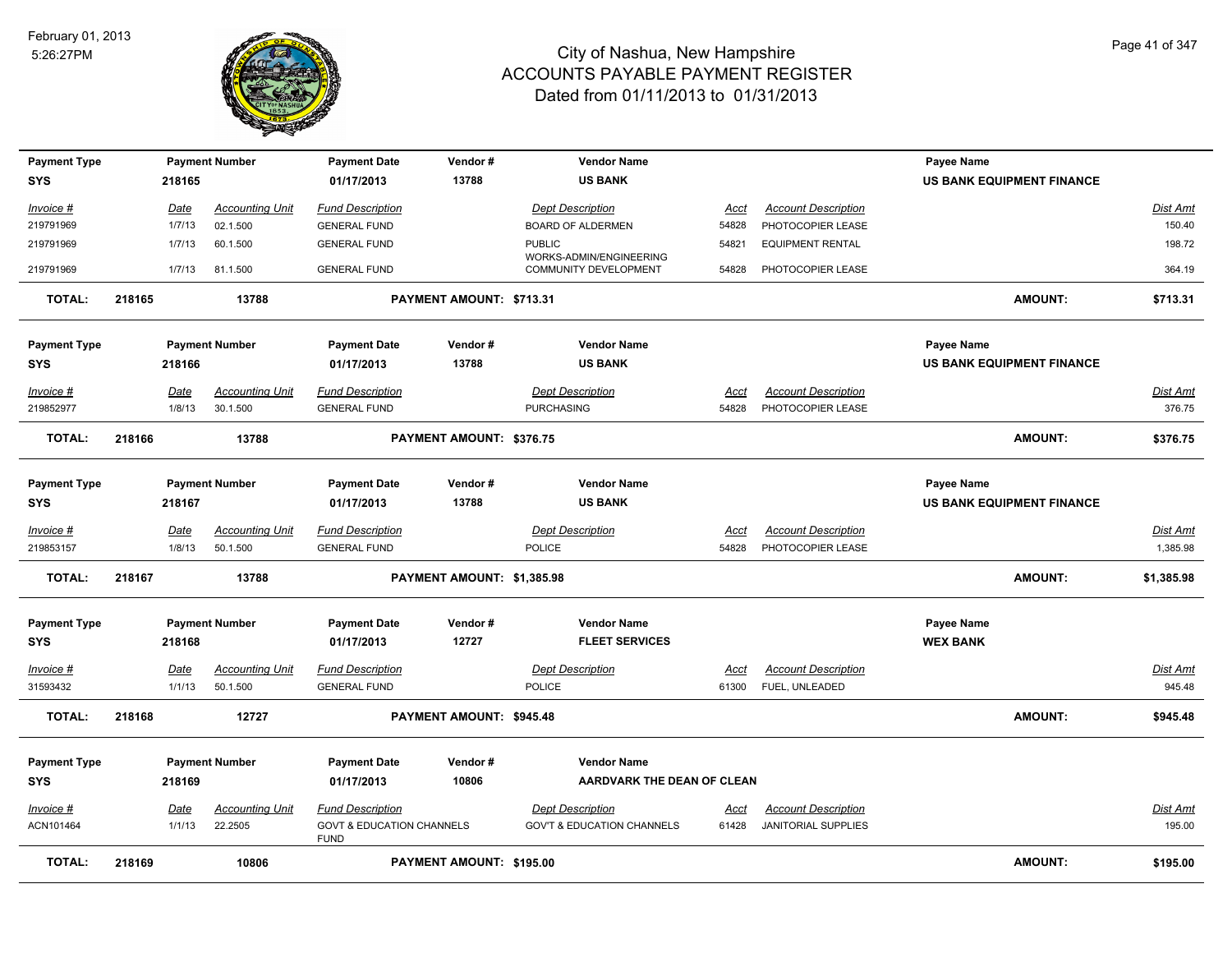

| <b>Payment Type</b><br><b>SYS</b> | 218165      | <b>Payment Number</b>  | <b>Payment Date</b><br>01/17/2013                   | Vendor#<br>13788           | <b>Vendor Name</b><br><b>US BANK</b>     |             |                            | <b>Payee Name</b><br><b>US BANK EQUIPMENT FINANCE</b> |                 |
|-----------------------------------|-------------|------------------------|-----------------------------------------------------|----------------------------|------------------------------------------|-------------|----------------------------|-------------------------------------------------------|-----------------|
|                                   |             |                        |                                                     |                            |                                          |             |                            |                                                       |                 |
| $Invoice$ #                       | Date        | <b>Accounting Unit</b> | <b>Fund Description</b>                             |                            | <b>Dept Description</b>                  | Acct        | <b>Account Description</b> |                                                       | Dist Amt        |
| 219791969                         | 1/7/13      | 02.1.500               | <b>GENERAL FUND</b>                                 |                            | <b>BOARD OF ALDERMEN</b>                 | 54828       | PHOTOCOPIER LEASE          |                                                       | 150.40          |
| 219791969                         | 1/7/13      | 60.1.500               | <b>GENERAL FUND</b>                                 |                            | <b>PUBLIC</b><br>WORKS-ADMIN/ENGINEERING | 54821       | <b>EQUIPMENT RENTAL</b>    |                                                       | 198.72          |
| 219791969                         | 1/7/13      | 81.1.500               | <b>GENERAL FUND</b>                                 |                            | COMMUNITY DEVELOPMENT                    | 54828       | PHOTOCOPIER LEASE          |                                                       | 364.19          |
| <b>TOTAL:</b>                     | 218165      | 13788                  |                                                     | PAYMENT AMOUNT: \$713.31   |                                          |             |                            | <b>AMOUNT:</b>                                        | \$713.31        |
| <b>Payment Type</b>               |             | <b>Payment Number</b>  | <b>Payment Date</b>                                 | Vendor#                    | <b>Vendor Name</b>                       |             |                            | <b>Payee Name</b>                                     |                 |
| <b>SYS</b>                        | 218166      |                        | 01/17/2013                                          | 13788                      | <b>US BANK</b>                           |             |                            | <b>US BANK EQUIPMENT FINANCE</b>                      |                 |
| Invoice #                         | Date        | <b>Accounting Unit</b> | <b>Fund Description</b>                             |                            | <b>Dept Description</b>                  | Acct        | <b>Account Description</b> |                                                       | Dist Amt        |
| 219852977                         | 1/8/13      | 30.1.500               | <b>GENERAL FUND</b>                                 |                            | <b>PURCHASING</b>                        | 54828       | PHOTOCOPIER LEASE          |                                                       | 376.75          |
| <b>TOTAL:</b>                     | 218166      | 13788                  |                                                     | PAYMENT AMOUNT: \$376.75   |                                          |             |                            | <b>AMOUNT:</b>                                        | \$376.75        |
| <b>Payment Type</b>               |             | <b>Payment Number</b>  | <b>Payment Date</b>                                 | Vendor#                    | <b>Vendor Name</b>                       |             |                            | <b>Payee Name</b>                                     |                 |
| <b>SYS</b>                        | 218167      |                        | 01/17/2013                                          | 13788                      | <b>US BANK</b>                           |             |                            | <b>US BANK EQUIPMENT FINANCE</b>                      |                 |
| Invoice #                         | <u>Date</u> | <b>Accounting Unit</b> | <b>Fund Description</b>                             |                            | <b>Dept Description</b>                  | <u>Acct</u> | <b>Account Description</b> |                                                       | <b>Dist Amt</b> |
| 219853157                         | 1/8/13      | 50.1.500               | <b>GENERAL FUND</b>                                 |                            | <b>POLICE</b>                            | 54828       | PHOTOCOPIER LEASE          |                                                       | 1,385.98        |
| <b>TOTAL:</b>                     | 218167      | 13788                  |                                                     | PAYMENT AMOUNT: \$1,385.98 |                                          |             |                            | AMOUNT:                                               | \$1,385.98      |
| <b>Payment Type</b>               |             | <b>Payment Number</b>  | <b>Payment Date</b>                                 | Vendor#                    | <b>Vendor Name</b>                       |             |                            | <b>Payee Name</b>                                     |                 |
| <b>SYS</b>                        | 218168      |                        | 01/17/2013                                          | 12727                      | <b>FLEET SERVICES</b>                    |             |                            | <b>WEX BANK</b>                                       |                 |
| Invoice #                         | Date        | Accounting Unit        | <b>Fund Description</b>                             |                            | <b>Dept Description</b>                  | Acct        | <b>Account Description</b> |                                                       | Dist Amt        |
| 31593432                          | 1/1/13      | 50.1.500               | <b>GENERAL FUND</b>                                 |                            | <b>POLICE</b>                            | 61300       | FUEL, UNLEADED             |                                                       | 945.48          |
| <b>TOTAL:</b>                     | 218168      | 12727                  |                                                     | PAYMENT AMOUNT: \$945.48   |                                          |             |                            | <b>AMOUNT:</b>                                        | \$945.48        |
| <b>Payment Type</b>               |             | <b>Payment Number</b>  | <b>Payment Date</b>                                 | Vendor#                    | <b>Vendor Name</b>                       |             |                            |                                                       |                 |
| <b>SYS</b>                        | 218169      |                        | 01/17/2013                                          | 10806                      | AARDVARK THE DEAN OF CLEAN               |             |                            |                                                       |                 |
| $Invoice$ #                       | <u>Date</u> | <b>Accounting Unit</b> | <b>Fund Description</b>                             |                            | <b>Dept Description</b>                  | <u>Acct</u> | <b>Account Description</b> |                                                       | <u>Dist Amt</u> |
| ACN101464                         | 1/1/13      | 22.2505                | <b>GOVT &amp; EDUCATION CHANNELS</b><br><b>FUND</b> |                            | <b>GOV'T &amp; EDUCATION CHANNELS</b>    | 61428       | JANITORIAL SUPPLIES        |                                                       | 195.00          |
| <b>TOTAL:</b>                     | 218169      | 10806                  |                                                     | PAYMENT AMOUNT: \$195.00   |                                          |             |                            | <b>AMOUNT:</b>                                        | \$195.00        |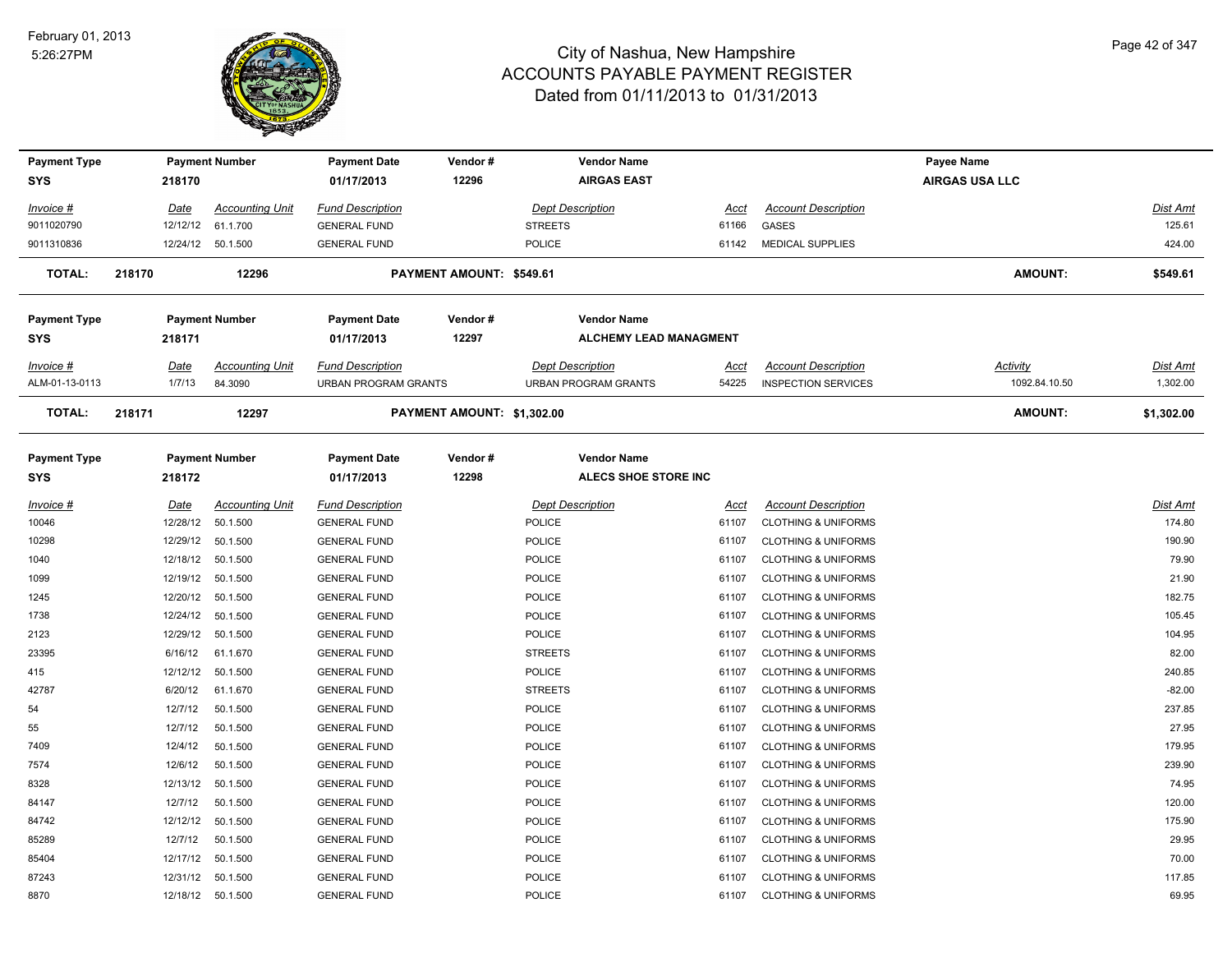

| <b>Payment Type</b><br><b>SYS</b> | 218170                | <b>Payment Number</b>              | <b>Payment Date</b><br>01/17/2013               | Vendor#<br>12296           | <b>Vendor Name</b><br><b>AIRGAS EAST</b>          |               |                                                              | Payee Name<br><b>AIRGAS USA LLC</b> |                             |
|-----------------------------------|-----------------------|------------------------------------|-------------------------------------------------|----------------------------|---------------------------------------------------|---------------|--------------------------------------------------------------|-------------------------------------|-----------------------------|
| Invoice #                         | Date                  | <b>Accounting Unit</b>             | <b>Fund Description</b>                         |                            | <b>Dept Description</b>                           | Acct          | <b>Account Description</b>                                   |                                     | <b>Dist Amt</b>             |
| 9011020790                        | 12/12/12              | 61.1.700                           | <b>GENERAL FUND</b>                             |                            | <b>STREETS</b>                                    | 61166         | <b>GASES</b>                                                 |                                     | 125.61                      |
| 9011310836                        |                       | 12/24/12  50.1.500                 | <b>GENERAL FUND</b>                             |                            | <b>POLICE</b>                                     |               | 61142 MEDICAL SUPPLIES                                       |                                     | 424.00                      |
| <b>TOTAL:</b>                     | 218170                | 12296                              |                                                 | PAYMENT AMOUNT: \$549.61   |                                                   |               |                                                              | <b>AMOUNT:</b>                      | \$549.61                    |
| <b>Payment Type</b>               |                       | <b>Payment Number</b>              | <b>Payment Date</b>                             | Vendor#                    | <b>Vendor Name</b>                                |               |                                                              |                                     |                             |
| <b>SYS</b>                        | 218171                |                                    | 01/17/2013                                      | 12297                      | <b>ALCHEMY LEAD MANAGMENT</b>                     |               |                                                              |                                     |                             |
| Invoice #<br>ALM-01-13-0113       | <b>Date</b><br>1/7/13 | <b>Accounting Unit</b><br>84.3090  | <b>Fund Description</b><br>URBAN PROGRAM GRANTS |                            | <b>Dept Description</b><br>URBAN PROGRAM GRANTS   | Acct<br>54225 | <b>Account Description</b><br><b>INSPECTION SERVICES</b>     | <b>Activity</b><br>1092.84.10.50    | <b>Dist Amt</b><br>1,302.00 |
| <b>TOTAL:</b>                     | 218171                | 12297                              |                                                 | PAYMENT AMOUNT: \$1,302.00 |                                                   |               |                                                              | <b>AMOUNT:</b>                      | \$1,302.00                  |
| <b>Payment Type</b><br><b>SYS</b> | 218172                | <b>Payment Number</b>              | <b>Payment Date</b><br>01/17/2013               | Vendor#<br>12298           | <b>Vendor Name</b><br><b>ALECS SHOE STORE INC</b> |               |                                                              |                                     |                             |
|                                   |                       |                                    |                                                 |                            |                                                   |               |                                                              |                                     |                             |
| <u>Invoice #</u><br>10046         | Date<br>12/28/12      | <b>Accounting Unit</b><br>50.1.500 | <b>Fund Description</b><br><b>GENERAL FUND</b>  |                            | <b>Dept Description</b><br><b>POLICE</b>          | Acct<br>61107 | <b>Account Description</b><br><b>CLOTHING &amp; UNIFORMS</b> |                                     | <b>Dist Amt</b><br>174.80   |
| 10298                             | 12/29/12              | 50.1.500                           | <b>GENERAL FUND</b>                             |                            | POLICE                                            | 61107         | <b>CLOTHING &amp; UNIFORMS</b>                               |                                     | 190.90                      |
| 1040                              | 12/18/12              | 50.1.500                           | <b>GENERAL FUND</b>                             |                            | <b>POLICE</b>                                     | 61107         | <b>CLOTHING &amp; UNIFORMS</b>                               |                                     | 79.90                       |
| 1099                              | 12/19/12              | 50.1.500                           | <b>GENERAL FUND</b>                             |                            | <b>POLICE</b>                                     | 61107         | <b>CLOTHING &amp; UNIFORMS</b>                               |                                     | 21.90                       |
| 1245                              | 12/20/12              | 50.1.500                           | <b>GENERAL FUND</b>                             |                            | <b>POLICE</b>                                     | 61107         | <b>CLOTHING &amp; UNIFORMS</b>                               |                                     | 182.75                      |
| 1738                              | 12/24/12              | 50.1.500                           | <b>GENERAL FUND</b>                             |                            | POLICE                                            | 61107         | <b>CLOTHING &amp; UNIFORMS</b>                               |                                     | 105.45                      |
| 2123                              | 12/29/12              | 50.1.500                           | <b>GENERAL FUND</b>                             |                            | <b>POLICE</b>                                     | 61107         | <b>CLOTHING &amp; UNIFORMS</b>                               |                                     | 104.95                      |
| 23395                             | 6/16/12               | 61.1.670                           | <b>GENERAL FUND</b>                             |                            | <b>STREETS</b>                                    | 61107         | <b>CLOTHING &amp; UNIFORMS</b>                               |                                     | 82.00                       |
| 415                               | 12/12/12              | 50.1.500                           | <b>GENERAL FUND</b>                             |                            | <b>POLICE</b>                                     | 61107         | <b>CLOTHING &amp; UNIFORMS</b>                               |                                     | 240.85                      |
| 42787                             | 6/20/12               | 61.1.670                           | <b>GENERAL FUND</b>                             |                            | <b>STREETS</b>                                    | 61107         | <b>CLOTHING &amp; UNIFORMS</b>                               |                                     | $-82.00$                    |
| 54                                | 12/7/12               | 50.1.500                           | <b>GENERAL FUND</b>                             |                            | POLICE                                            | 61107         | <b>CLOTHING &amp; UNIFORMS</b>                               |                                     | 237.85                      |
| 55                                | 12/7/12               | 50.1.500                           | <b>GENERAL FUND</b>                             |                            | <b>POLICE</b>                                     | 61107         | <b>CLOTHING &amp; UNIFORMS</b>                               |                                     | 27.95                       |
| 7409                              | 12/4/12               | 50.1.500                           | <b>GENERAL FUND</b>                             |                            | <b>POLICE</b>                                     | 61107         | <b>CLOTHING &amp; UNIFORMS</b>                               |                                     | 179.95                      |
| 7574                              | 12/6/12               | 50.1.500                           | <b>GENERAL FUND</b>                             |                            | <b>POLICE</b>                                     | 61107         | <b>CLOTHING &amp; UNIFORMS</b>                               |                                     | 239.90                      |
| 8328                              | 12/13/12              | 50.1.500                           | <b>GENERAL FUND</b>                             |                            | POLICE                                            | 61107         | <b>CLOTHING &amp; UNIFORMS</b>                               |                                     | 74.95                       |
| 84147                             | 12/7/12               | 50.1.500                           | <b>GENERAL FUND</b>                             |                            | POLICE                                            | 61107         | <b>CLOTHING &amp; UNIFORMS</b>                               |                                     | 120.00                      |
| 84742                             | 12/12/12              | 50.1.500                           | <b>GENERAL FUND</b>                             |                            | <b>POLICE</b>                                     | 61107         | <b>CLOTHING &amp; UNIFORMS</b>                               |                                     | 175.90                      |
| 85289                             | 12/7/12               | 50.1.500                           | <b>GENERAL FUND</b>                             |                            | POLICE                                            | 61107         | <b>CLOTHING &amp; UNIFORMS</b>                               |                                     | 29.95                       |
| 85404                             | 12/17/12              | 50.1.500                           | <b>GENERAL FUND</b>                             |                            | <b>POLICE</b>                                     | 61107         | <b>CLOTHING &amp; UNIFORMS</b>                               |                                     | 70.00                       |
| 87243                             | 12/31/12              | 50.1.500                           | <b>GENERAL FUND</b>                             |                            | <b>POLICE</b>                                     | 61107         | <b>CLOTHING &amp; UNIFORMS</b>                               |                                     | 117.85                      |
| 8870                              | 12/18/12              | 50.1.500                           | <b>GENERAL FUND</b>                             |                            | <b>POLICE</b>                                     | 61107         | <b>CLOTHING &amp; UNIFORMS</b>                               |                                     | 69.95                       |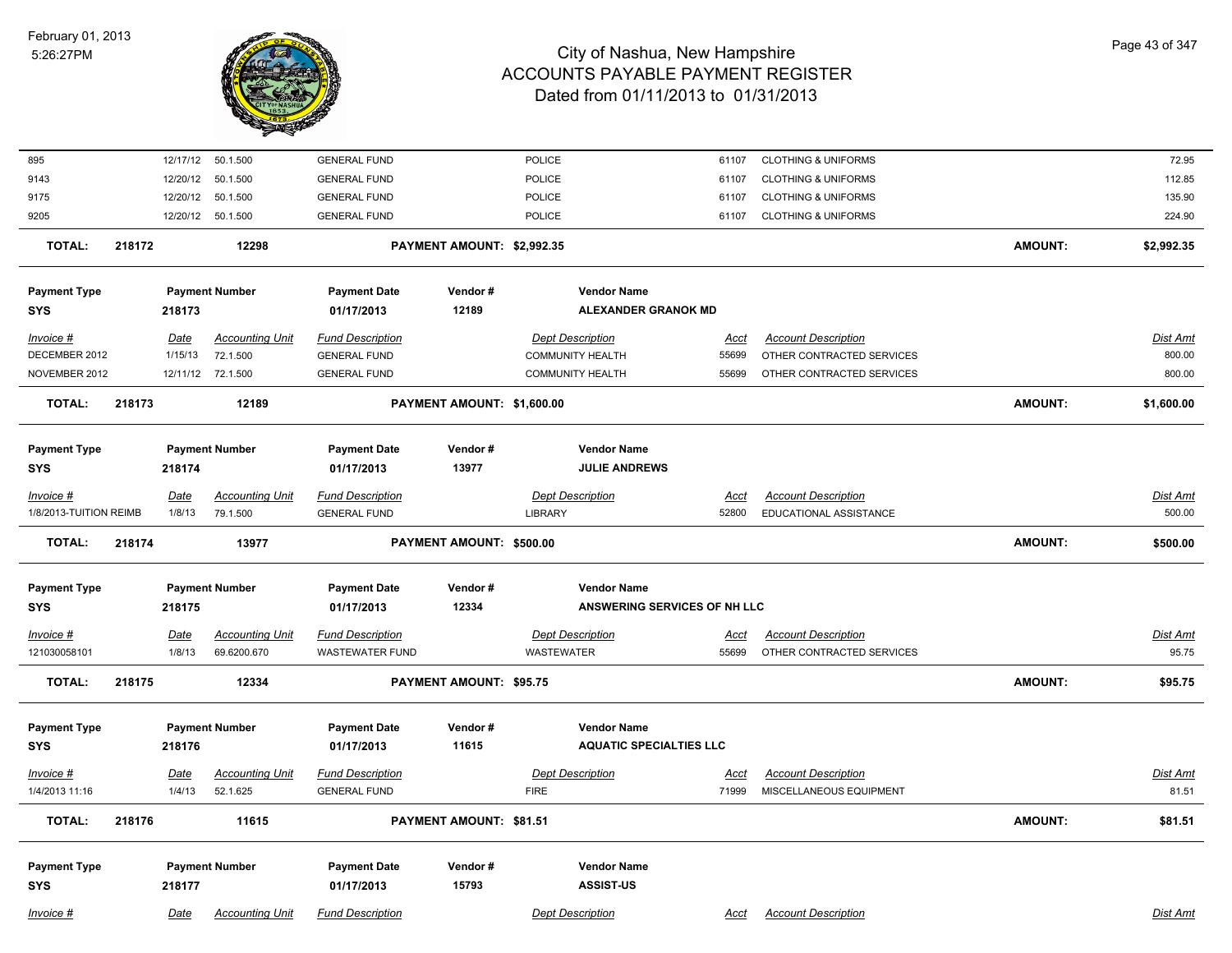

| 895                    |        |          | 12/17/12 50.1.500      | <b>GENERAL FUND</b>     |                                | POLICE                         | 61107       | <b>CLOTHING &amp; UNIFORMS</b> |                | 72.95           |
|------------------------|--------|----------|------------------------|-------------------------|--------------------------------|--------------------------------|-------------|--------------------------------|----------------|-----------------|
| 9143                   |        | 12/20/12 | 50.1.500               | <b>GENERAL FUND</b>     |                                | POLICE                         | 61107       | <b>CLOTHING &amp; UNIFORMS</b> |                | 112.85          |
| 9175                   |        | 12/20/12 | 50.1.500               | <b>GENERAL FUND</b>     |                                | POLICE                         | 61107       | <b>CLOTHING &amp; UNIFORMS</b> |                | 135.90          |
| 9205                   |        |          | 12/20/12 50.1.500      | <b>GENERAL FUND</b>     |                                | POLICE                         | 61107       | <b>CLOTHING &amp; UNIFORMS</b> |                | 224.90          |
| <b>TOTAL:</b>          | 218172 |          | 12298                  |                         | PAYMENT AMOUNT: \$2,992.35     |                                |             |                                | AMOUNT:        | \$2,992.35      |
| <b>Payment Type</b>    |        |          | <b>Payment Number</b>  | <b>Payment Date</b>     | Vendor#                        | <b>Vendor Name</b>             |             |                                |                |                 |
| <b>SYS</b>             |        | 218173   |                        | 01/17/2013              | 12189                          | <b>ALEXANDER GRANOK MD</b>     |             |                                |                |                 |
| Invoice #              |        | Date     | <b>Accounting Unit</b> | <b>Fund Description</b> |                                | <b>Dept Description</b>        | Acct        | <b>Account Description</b>     |                | Dist Amt        |
| DECEMBER 2012          |        | 1/15/13  | 72.1.500               | <b>GENERAL FUND</b>     |                                | <b>COMMUNITY HEALTH</b>        | 55699       | OTHER CONTRACTED SERVICES      |                | 800.00          |
| NOVEMBER 2012          |        |          | 12/11/12 72.1.500      | <b>GENERAL FUND</b>     |                                | <b>COMMUNITY HEALTH</b>        | 55699       | OTHER CONTRACTED SERVICES      |                | 800.00          |
| <b>TOTAL:</b>          | 218173 |          | 12189                  |                         | PAYMENT AMOUNT: \$1,600.00     |                                |             |                                | <b>AMOUNT:</b> | \$1,600.00      |
|                        |        |          |                        |                         |                                |                                |             |                                |                |                 |
| <b>Payment Type</b>    |        |          | <b>Payment Number</b>  | <b>Payment Date</b>     | Vendor#                        | <b>Vendor Name</b>             |             |                                |                |                 |
| <b>SYS</b>             |        | 218174   |                        | 01/17/2013              | 13977                          | <b>JULIE ANDREWS</b>           |             |                                |                |                 |
| Invoice #              |        | Date     | <b>Accounting Unit</b> | <b>Fund Description</b> |                                | <b>Dept Description</b>        | Acct        | <b>Account Description</b>     |                | Dist Amt        |
| 1/8/2013-TUITION REIMB |        | 1/8/13   | 79.1.500               | <b>GENERAL FUND</b>     |                                | LIBRARY                        | 52800       | EDUCATIONAL ASSISTANCE         |                | 500.00          |
| <b>TOTAL:</b>          | 218174 |          | 13977                  |                         | PAYMENT AMOUNT: \$500.00       |                                |             |                                | <b>AMOUNT:</b> | \$500.00        |
| <b>Payment Type</b>    |        |          | <b>Payment Number</b>  | <b>Payment Date</b>     | Vendor#                        | <b>Vendor Name</b>             |             |                                |                |                 |
| <b>SYS</b>             |        | 218175   |                        | 01/17/2013              | 12334                          | ANSWERING SERVICES OF NH LLC   |             |                                |                |                 |
| $Invoice$ #            |        | Date     | <b>Accounting Unit</b> | <b>Fund Description</b> |                                | <b>Dept Description</b>        | <u>Acct</u> | <b>Account Description</b>     |                | <b>Dist Amt</b> |
| 121030058101           |        | 1/8/13   | 69.6200.670            | <b>WASTEWATER FUND</b>  |                                | WASTEWATER                     | 55699       | OTHER CONTRACTED SERVICES      |                | 95.75           |
| <b>TOTAL:</b>          | 218175 |          | 12334                  |                         | <b>PAYMENT AMOUNT: \$95.75</b> |                                |             |                                | <b>AMOUNT:</b> | \$95.75         |
|                        |        |          |                        |                         |                                |                                |             |                                |                |                 |
| <b>Payment Type</b>    |        |          | <b>Payment Number</b>  | <b>Payment Date</b>     | Vendor#                        | <b>Vendor Name</b>             |             |                                |                |                 |
| <b>SYS</b>             |        | 218176   |                        | 01/17/2013              | 11615                          | <b>AQUATIC SPECIALTIES LLC</b> |             |                                |                |                 |
| Invoice #              |        | Date     | <b>Accounting Unit</b> | <b>Fund Description</b> |                                | <b>Dept Description</b>        | <u>Acct</u> | <b>Account Description</b>     |                | Dist Amt        |
| 1/4/2013 11:16         |        | 1/4/13   | 52.1.625               | <b>GENERAL FUND</b>     |                                | <b>FIRE</b>                    | 71999       | MISCELLANEOUS EQUIPMENT        |                | 81.51           |
| <b>TOTAL:</b>          | 218176 |          | 11615                  |                         | PAYMENT AMOUNT: \$81.51        |                                |             |                                | AMOUNT:        | \$81.51         |
|                        |        |          |                        |                         |                                |                                |             |                                |                |                 |
| <b>Payment Type</b>    |        |          | <b>Payment Number</b>  | <b>Payment Date</b>     | Vendor#                        | <b>Vendor Name</b>             |             |                                |                |                 |
| <b>SYS</b>             |        | 218177   |                        | 01/17/2013              | 15793                          | <b>ASSIST-US</b>               |             |                                |                |                 |
|                        |        |          |                        |                         |                                |                                |             |                                |                |                 |
| Invoice #              |        | Date     | <b>Accounting Unit</b> | <b>Fund Description</b> |                                | <b>Dept Description</b>        | Acct        | <b>Account Description</b>     |                | Dist Amt        |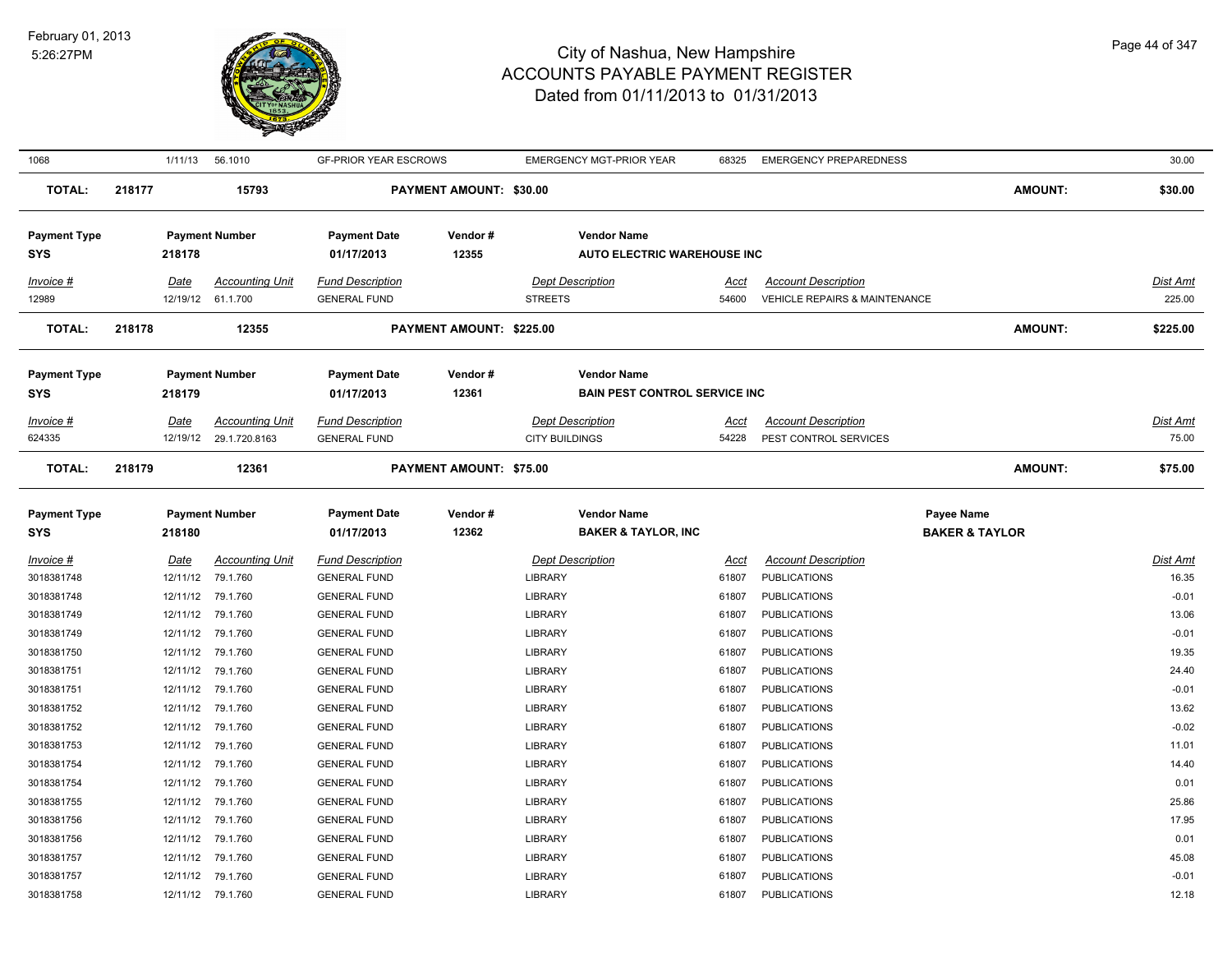

| 1068                |        |             | 1/11/13 56.1010                             | <b>GF-PRIOR YEAR ESCROWS</b> |                                | <b>EMERGENCY MGT-PRIOR YEAR</b>      | 68325                | <b>EMERGENCY PREPAREDNESS</b>            |                           | 30.00              |
|---------------------|--------|-------------|---------------------------------------------|------------------------------|--------------------------------|--------------------------------------|----------------------|------------------------------------------|---------------------------|--------------------|
| TOTAL:              | 218177 |             | 15793                                       |                              | <b>PAYMENT AMOUNT: \$30.00</b> |                                      |                      |                                          | AMOUNT:                   | \$30.00            |
| <b>Payment Type</b> |        |             | <b>Payment Number</b>                       | <b>Payment Date</b>          | Vendor#                        | <b>Vendor Name</b>                   |                      |                                          |                           |                    |
| <b>SYS</b>          |        | 218178      |                                             | 01/17/2013                   | 12355                          | <b>AUTO ELECTRIC WAREHOUSE INC</b>   |                      |                                          |                           |                    |
| Invoice #           |        |             |                                             | <b>Fund Description</b>      |                                | <b>Dept Description</b>              |                      | <b>Account Description</b>               |                           |                    |
| 12989               |        | <b>Date</b> | <b>Accounting Unit</b><br>12/19/12 61.1.700 | <b>GENERAL FUND</b>          |                                | <b>STREETS</b>                       | <u>Acct</u><br>54600 | <b>VEHICLE REPAIRS &amp; MAINTENANCE</b> |                           | Dist Amt<br>225.00 |
|                     |        |             |                                             |                              |                                |                                      |                      |                                          |                           |                    |
| <b>TOTAL:</b>       | 218178 |             | 12355                                       |                              | PAYMENT AMOUNT: \$225.00       |                                      |                      |                                          | <b>AMOUNT:</b>            | \$225.00           |
| <b>Payment Type</b> |        |             | <b>Payment Number</b>                       | <b>Payment Date</b>          | Vendor#                        | <b>Vendor Name</b>                   |                      |                                          |                           |                    |
| <b>SYS</b>          |        | 218179      |                                             | 01/17/2013                   | 12361                          | <b>BAIN PEST CONTROL SERVICE INC</b> |                      |                                          |                           |                    |
| Invoice #           |        | Date        | <b>Accounting Unit</b>                      | <b>Fund Description</b>      |                                | <b>Dept Description</b>              | <u>Acct</u>          | <b>Account Description</b>               |                           | Dist Amt           |
| 624335              |        |             | 12/19/12 29.1.720.8163                      | <b>GENERAL FUND</b>          |                                | <b>CITY BUILDINGS</b>                | 54228                | PEST CONTROL SERVICES                    |                           | 75.00              |
|                     |        |             |                                             |                              |                                |                                      |                      |                                          |                           |                    |
| <b>TOTAL:</b>       | 218179 |             | 12361                                       |                              | <b>PAYMENT AMOUNT: \$75.00</b> |                                      |                      |                                          | <b>AMOUNT:</b>            | \$75.00            |
| <b>Payment Type</b> |        |             | <b>Payment Number</b>                       | <b>Payment Date</b>          | Vendor#                        | <b>Vendor Name</b>                   |                      |                                          | <b>Payee Name</b>         |                    |
| <b>SYS</b>          |        | 218180      |                                             | 01/17/2013                   | 12362                          | <b>BAKER &amp; TAYLOR, INC</b>       |                      |                                          | <b>BAKER &amp; TAYLOR</b> |                    |
| $Invoice$ #         |        | <b>Date</b> | <b>Accounting Unit</b>                      | <b>Fund Description</b>      |                                | <b>Dept Description</b>              | <u>Acct</u>          | <b>Account Description</b>               |                           | <b>Dist Amt</b>    |
| 3018381748          |        | 12/11/12    | 79.1.760                                    | <b>GENERAL FUND</b>          |                                | LIBRARY                              | 61807                | <b>PUBLICATIONS</b>                      |                           | 16.35              |
| 3018381748          |        |             | 12/11/12 79.1.760                           | <b>GENERAL FUND</b>          |                                | LIBRARY                              | 61807                | <b>PUBLICATIONS</b>                      |                           | $-0.01$            |
| 3018381749          |        |             | 12/11/12 79.1.760                           | <b>GENERAL FUND</b>          |                                | <b>LIBRARY</b>                       | 61807                | <b>PUBLICATIONS</b>                      |                           | 13.06              |
| 3018381749          |        |             | 12/11/12 79.1.760                           | <b>GENERAL FUND</b>          |                                | LIBRARY                              | 61807                | <b>PUBLICATIONS</b>                      |                           | $-0.01$            |
| 3018381750          |        |             | 12/11/12 79.1.760                           | <b>GENERAL FUND</b>          |                                | <b>LIBRARY</b>                       | 61807                | <b>PUBLICATIONS</b>                      |                           | 19.35              |
| 3018381751          |        |             | 12/11/12 79.1.760                           | <b>GENERAL FUND</b>          |                                | <b>LIBRARY</b>                       | 61807                | <b>PUBLICATIONS</b>                      |                           | 24.40              |
| 3018381751          |        |             | 12/11/12 79.1.760                           | <b>GENERAL FUND</b>          |                                | LIBRARY                              | 61807                | <b>PUBLICATIONS</b>                      |                           | $-0.01$            |
| 3018381752          |        |             | 12/11/12 79.1.760                           | <b>GENERAL FUND</b>          |                                | LIBRARY                              | 61807                | <b>PUBLICATIONS</b>                      |                           | 13.62              |
| 3018381752          |        |             | 12/11/12 79.1.760                           | <b>GENERAL FUND</b>          |                                | <b>LIBRARY</b>                       | 61807                | <b>PUBLICATIONS</b>                      |                           | $-0.02$            |
| 3018381753          |        |             | 12/11/12 79.1.760                           | <b>GENERAL FUND</b>          |                                | LIBRARY                              | 61807                | <b>PUBLICATIONS</b>                      |                           | 11.01              |
| 3018381754          |        |             | 12/11/12 79.1.760                           | <b>GENERAL FUND</b>          |                                | <b>LIBRARY</b>                       | 61807                | <b>PUBLICATIONS</b>                      |                           | 14.40              |
| 3018381754          |        |             | 12/11/12 79.1.760                           | <b>GENERAL FUND</b>          |                                | LIBRARY                              | 61807                | <b>PUBLICATIONS</b>                      |                           | 0.01               |
| 3018381755          |        |             | 12/11/12 79.1.760                           | <b>GENERAL FUND</b>          |                                | LIBRARY                              | 61807                | <b>PUBLICATIONS</b>                      |                           | 25.86              |
| 3018381756          |        | 12/11/12    | 79.1.760                                    | <b>GENERAL FUND</b>          |                                | LIBRARY                              | 61807                | <b>PUBLICATIONS</b>                      |                           | 17.95              |
| 3018381756          |        | 12/11/12    | 79.1.760                                    | <b>GENERAL FUND</b>          |                                | LIBRARY                              | 61807                | <b>PUBLICATIONS</b>                      |                           | 0.01               |
| 3018381757          |        | 12/11/12    | 79.1.760                                    | <b>GENERAL FUND</b>          |                                | <b>LIBRARY</b>                       | 61807                | <b>PUBLICATIONS</b>                      |                           | 45.08              |
| 3018381757          |        |             | 12/11/12 79.1.760                           | <b>GENERAL FUND</b>          |                                | <b>LIBRARY</b>                       | 61807                | <b>PUBLICATIONS</b>                      |                           | $-0.01$            |
| 3018381758          |        |             | 12/11/12 79.1.760                           | <b>GENERAL FUND</b>          |                                | <b>LIBRARY</b>                       | 61807                | <b>PUBLICATIONS</b>                      |                           | 12.18              |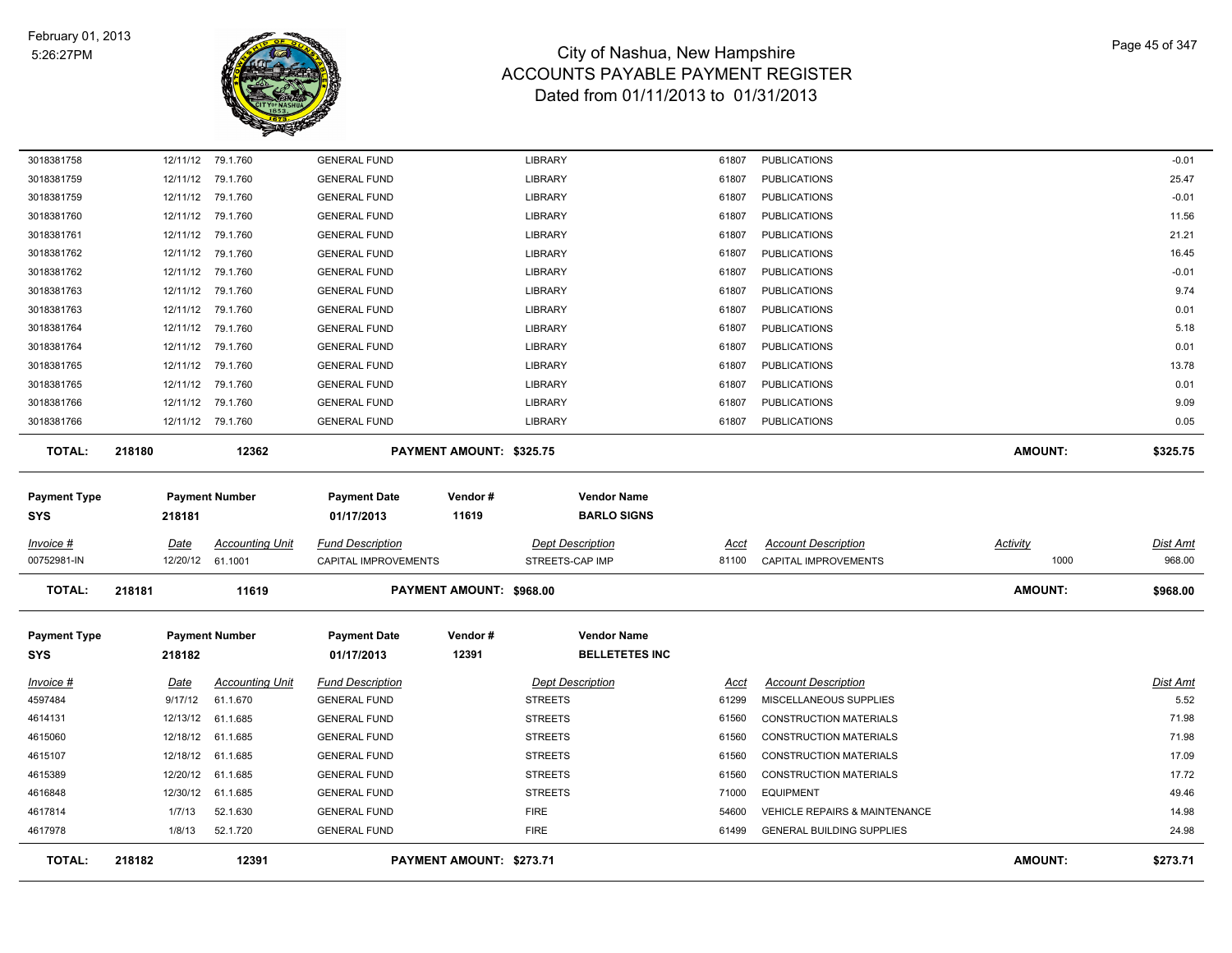

| <b>TOTAL:</b>                     | 218182      | 12391                         |                                            | PAYMENT AMOUNT: \$273.71 |                                          |                |                                            | <b>AMOUNT:</b>  | \$273.71       |
|-----------------------------------|-------------|-------------------------------|--------------------------------------------|--------------------------|------------------------------------------|----------------|--------------------------------------------|-----------------|----------------|
| 4617978                           | 1/8/13      | 52.1.720                      | <b>GENERAL FUND</b>                        |                          | <b>FIRE</b>                              | 61499          | <b>GENERAL BUILDING SUPPLIES</b>           |                 | 24.98          |
| 4617814                           | 1/7/13      | 52.1.630                      | <b>GENERAL FUND</b>                        |                          | <b>FIRE</b>                              | 54600          | <b>VEHICLE REPAIRS &amp; MAINTENANCE</b>   |                 | 14.98          |
| 4616848                           | 12/30/12    | 61.1.685                      | <b>GENERAL FUND</b>                        |                          | <b>STREETS</b>                           | 71000          | <b>EQUIPMENT</b>                           |                 | 49.46          |
| 4615389                           | 12/20/12    | 61.1.685                      | <b>GENERAL FUND</b>                        |                          | <b>STREETS</b>                           | 61560          | <b>CONSTRUCTION MATERIALS</b>              |                 | 17.72          |
| 4615107                           | 12/18/12    | 61.1.685                      | <b>GENERAL FUND</b>                        |                          | <b>STREETS</b>                           | 61560          | <b>CONSTRUCTION MATERIALS</b>              |                 | 17.09          |
| 4615060                           | 12/18/12    | 61.1.685                      | <b>GENERAL FUND</b>                        |                          | <b>STREETS</b>                           | 61560          | <b>CONSTRUCTION MATERIALS</b>              |                 | 71.98          |
| 4614131                           | 12/13/12    | 61.1.685                      | <b>GENERAL FUND</b>                        |                          | <b>STREETS</b>                           | 61560          | <b>CONSTRUCTION MATERIALS</b>              |                 | 71.98          |
| 4597484                           | 9/17/12     | 61.1.670                      | <b>GENERAL FUND</b>                        |                          | <b>STREETS</b>                           | 61299          | MISCELLANEOUS SUPPLIES                     |                 | 5.52           |
| Invoice #                         | Date        | <b>Accounting Unit</b>        | <b>Fund Description</b>                    |                          | <b>Dept Description</b>                  | Acct           | <b>Account Description</b>                 |                 | Dist Amt       |
| <b>SYS</b>                        | 218182      |                               | 01/17/2013                                 | 12391                    | <b>BELLETETES INC</b>                    |                |                                            |                 |                |
| <b>Payment Type</b>               |             | <b>Payment Number</b>         | <b>Payment Date</b>                        | Vendor#                  | <b>Vendor Name</b>                       |                |                                            |                 |                |
| <b>TOTAL:</b>                     | 218181      | 11619                         |                                            | PAYMENT AMOUNT: \$968.00 |                                          |                |                                            | AMOUNT:         | \$968.00       |
| 00752981-IN                       |             | 12/20/12 61.1001              | CAPITAL IMPROVEMENTS                       |                          | STREETS-CAP IMP                          | 81100          | <b>CAPITAL IMPROVEMENTS</b>                | 1000            | 968.00         |
| Invoice #                         | <b>Date</b> | <b>Accounting Unit</b>        | <b>Fund Description</b>                    |                          | <b>Dept Description</b>                  | Acct           | <b>Account Description</b>                 | <b>Activity</b> | Dist Amt       |
| <b>Payment Type</b><br><b>SYS</b> | 218181      | <b>Payment Number</b>         | <b>Payment Date</b><br>01/17/2013          | Vendor#<br>11619         | <b>Vendor Name</b><br><b>BARLO SIGNS</b> |                |                                            |                 |                |
| <b>TOTAL:</b>                     | 218180      | 12362                         |                                            | PAYMENT AMOUNT: \$325.75 |                                          |                |                                            | <b>AMOUNT:</b>  | \$325.75       |
| 3018381766                        |             | 12/11/12 79.1.760             | <b>GENERAL FUND</b>                        |                          | LIBRARY                                  | 61807          | <b>PUBLICATIONS</b>                        |                 | 0.05           |
| 3018381766                        |             | 12/11/12 79.1.760             | <b>GENERAL FUND</b>                        |                          | <b>LIBRARY</b>                           | 61807          | <b>PUBLICATIONS</b>                        |                 | 9.09           |
| 3018381765                        |             | 12/11/12 79.1.760             | <b>GENERAL FUND</b>                        |                          | <b>LIBRARY</b>                           | 61807          | <b>PUBLICATIONS</b>                        |                 | 0.01           |
| 3018381765                        |             | 12/11/12 79.1.760             | <b>GENERAL FUND</b>                        |                          | LIBRARY                                  | 61807          | <b>PUBLICATIONS</b>                        |                 | 13.78          |
| 3018381764                        |             | 12/11/12 79.1.760             | <b>GENERAL FUND</b>                        |                          | LIBRARY                                  | 61807          | <b>PUBLICATIONS</b>                        |                 | 0.01           |
| 3018381764                        |             | 12/11/12 79.1.760             | <b>GENERAL FUND</b>                        |                          | LIBRARY                                  | 61807          | <b>PUBLICATIONS</b>                        |                 | 5.18           |
| 3018381763                        |             | 12/11/12 79.1.760             | <b>GENERAL FUND</b>                        |                          | LIBRARY                                  | 61807          | <b>PUBLICATIONS</b>                        |                 | 0.01           |
| 3018381763                        |             | 12/11/12 79.1.760             | <b>GENERAL FUND</b>                        |                          | LIBRARY                                  | 61807          | <b>PUBLICATIONS</b>                        |                 | 9.74           |
| 3018381762<br>3018381762          | 12/11/12    | 12/11/12 79.1.760<br>79.1.760 | <b>GENERAL FUND</b><br><b>GENERAL FUND</b> |                          | LIBRARY<br>LIBRARY                       | 61807<br>61807 | <b>PUBLICATIONS</b><br><b>PUBLICATIONS</b> |                 | $-0.01$        |
| 3018381761                        |             | 12/11/12 79.1.760             | <b>GENERAL FUND</b>                        |                          | LIBRARY                                  | 61807          | <b>PUBLICATIONS</b>                        |                 | 21.21<br>16.45 |
| 3018381760                        |             | 12/11/12 79.1.760             | <b>GENERAL FUND</b>                        |                          | LIBRARY                                  | 61807          | <b>PUBLICATIONS</b>                        |                 | 11.56          |
| 3018381759                        |             | 12/11/12 79.1.760             | <b>GENERAL FUND</b>                        |                          | LIBRARY                                  | 61807          | <b>PUBLICATIONS</b>                        |                 | $-0.01$        |
| 3018381759                        |             | 12/11/12 79.1.760             | <b>GENERAL FUND</b>                        |                          | LIBRARY                                  | 61807          | <b>PUBLICATIONS</b>                        |                 | 25.47          |
| 3018381758                        |             | 12/11/12 79.1.760             | <b>GENERAL FUND</b>                        |                          | LIBRARY                                  | 61807          | <b>PUBLICATIONS</b>                        |                 | $-0.01$        |
|                                   |             |                               |                                            |                          |                                          |                |                                            |                 |                |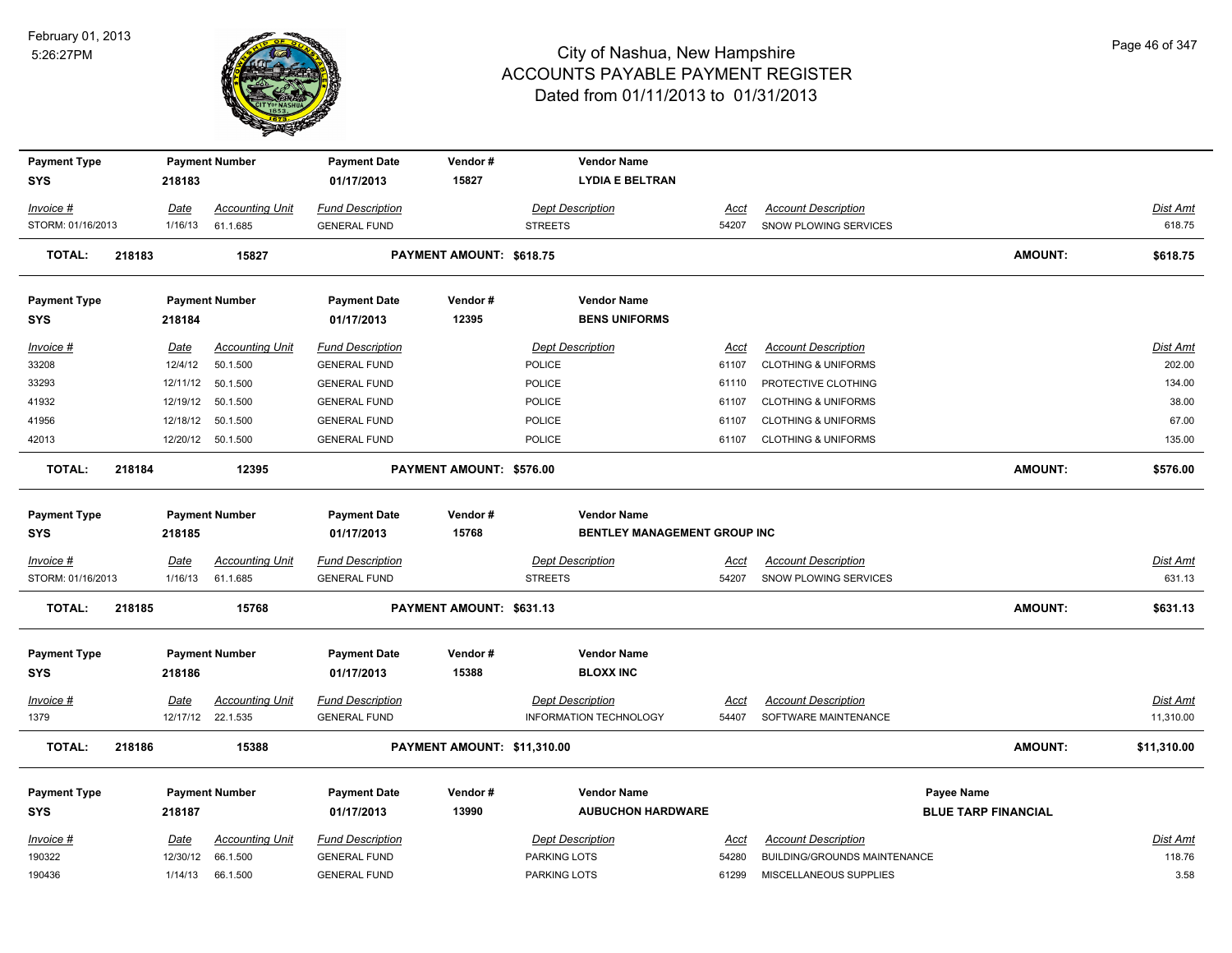

| <b>Payment Type</b> |        |             | <b>Payment Number</b>  | <b>Payment Date</b>     | Vendor#                     | <b>Vendor Name</b>                  |             |                                     |                            |                 |
|---------------------|--------|-------------|------------------------|-------------------------|-----------------------------|-------------------------------------|-------------|-------------------------------------|----------------------------|-----------------|
| <b>SYS</b>          |        | 218183      |                        | 01/17/2013              | 15827                       | <b>LYDIA E BELTRAN</b>              |             |                                     |                            |                 |
|                     |        |             |                        |                         |                             |                                     |             |                                     |                            |                 |
| Invoice #           |        | Date        | <b>Accounting Unit</b> | <b>Fund Description</b> |                             | <b>Dept Description</b>             | Acct        | <b>Account Description</b>          |                            | Dist Amt        |
| STORM: 01/16/2013   |        | 1/16/13     | 61.1.685               | <b>GENERAL FUND</b>     |                             | <b>STREETS</b>                      | 54207       | SNOW PLOWING SERVICES               |                            | 618.75          |
|                     |        |             |                        |                         |                             |                                     |             |                                     |                            |                 |
| TOTAL:              | 218183 |             | 15827                  |                         | PAYMENT AMOUNT: \$618.75    |                                     |             |                                     | <b>AMOUNT:</b>             | \$618.75        |
|                     |        |             |                        |                         |                             |                                     |             |                                     |                            |                 |
| <b>Payment Type</b> |        |             | <b>Payment Number</b>  | <b>Payment Date</b>     | Vendor#                     | <b>Vendor Name</b>                  |             |                                     |                            |                 |
| <b>SYS</b>          |        | 218184      |                        | 01/17/2013              | 12395                       | <b>BENS UNIFORMS</b>                |             |                                     |                            |                 |
| Invoice #           |        | Date        | <b>Accounting Unit</b> | <b>Fund Description</b> |                             | <b>Dept Description</b>             | Acct        | <b>Account Description</b>          |                            | Dist Amt        |
| 33208               |        | 12/4/12     | 50.1.500               | <b>GENERAL FUND</b>     |                             | POLICE                              | 61107       | <b>CLOTHING &amp; UNIFORMS</b>      |                            | 202.00          |
| 33293               |        |             | 12/11/12 50.1.500      | <b>GENERAL FUND</b>     |                             | POLICE                              | 61110       | PROTECTIVE CLOTHING                 |                            | 134.00          |
| 41932               |        | 12/19/12    | 50.1.500               | <b>GENERAL FUND</b>     |                             | POLICE                              | 61107       | <b>CLOTHING &amp; UNIFORMS</b>      |                            | 38.00           |
| 41956               |        | 12/18/12    | 50.1.500               | <b>GENERAL FUND</b>     |                             | POLICE                              | 61107       | <b>CLOTHING &amp; UNIFORMS</b>      |                            | 67.00           |
| 42013               |        |             | 12/20/12  50.1.500     | <b>GENERAL FUND</b>     |                             | POLICE                              | 61107       | <b>CLOTHING &amp; UNIFORMS</b>      |                            | 135.00          |
| <b>TOTAL:</b>       | 218184 |             | 12395                  |                         | PAYMENT AMOUNT: \$576.00    |                                     |             |                                     | <b>AMOUNT:</b>             |                 |
|                     |        |             |                        |                         |                             |                                     |             |                                     |                            | \$576.00        |
|                     |        |             |                        |                         |                             |                                     |             |                                     |                            |                 |
| <b>Payment Type</b> |        |             | <b>Payment Number</b>  | <b>Payment Date</b>     | Vendor#                     | <b>Vendor Name</b>                  |             |                                     |                            |                 |
| <b>SYS</b>          |        | 218185      |                        | 01/17/2013              | 15768                       | <b>BENTLEY MANAGEMENT GROUP INC</b> |             |                                     |                            |                 |
| Invoice #           |        | Date        | <b>Accounting Unit</b> | <b>Fund Description</b> |                             | <b>Dept Description</b>             | <u>Acct</u> | <b>Account Description</b>          |                            | <u>Dist Amt</u> |
| STORM: 01/16/2013   |        | 1/16/13     | 61.1.685               | <b>GENERAL FUND</b>     |                             | <b>STREETS</b>                      | 54207       | SNOW PLOWING SERVICES               |                            | 631.13          |
| TOTAL:              | 218185 |             | 15768                  |                         | PAYMENT AMOUNT: \$631.13    |                                     |             |                                     | <b>AMOUNT:</b>             | \$631.13        |
|                     |        |             |                        |                         |                             |                                     |             |                                     |                            |                 |
|                     |        |             |                        |                         |                             |                                     |             |                                     |                            |                 |
| <b>Payment Type</b> |        |             | <b>Payment Number</b>  | <b>Payment Date</b>     | Vendor#                     | <b>Vendor Name</b>                  |             |                                     |                            |                 |
| <b>SYS</b>          |        | 218186      |                        | 01/17/2013              | 15388                       | <b>BLOXX INC</b>                    |             |                                     |                            |                 |
| <u>Invoice #</u>    |        | <b>Date</b> | <b>Accounting Unit</b> | <b>Fund Description</b> |                             | <b>Dept Description</b>             | <u>Acct</u> | <b>Account Description</b>          |                            | <u>Dist Amt</u> |
| 1379                |        |             | 12/17/12 22.1.535      | <b>GENERAL FUND</b>     |                             | INFORMATION TECHNOLOGY              | 54407       | SOFTWARE MAINTENANCE                |                            | 11,310.00       |
| <b>TOTAL:</b>       | 218186 |             | 15388                  |                         | PAYMENT AMOUNT: \$11,310.00 |                                     |             |                                     | <b>AMOUNT:</b>             | \$11,310.00     |
|                     |        |             |                        |                         |                             |                                     |             |                                     |                            |                 |
| <b>Payment Type</b> |        |             | <b>Payment Number</b>  | <b>Payment Date</b>     | Vendor#                     | <b>Vendor Name</b>                  |             |                                     | Payee Name                 |                 |
| <b>SYS</b>          |        | 218187      |                        | 01/17/2013              | 13990                       | <b>AUBUCHON HARDWARE</b>            |             |                                     | <b>BLUE TARP FINANCIAL</b> |                 |
|                     |        |             |                        |                         |                             |                                     |             |                                     |                            |                 |
| Invoice #           |        | <u>Date</u> | <b>Accounting Unit</b> | <b>Fund Description</b> |                             | <b>Dept Description</b>             | Acct        | <b>Account Description</b>          |                            | Dist Amt        |
| 190322              |        | 12/30/12    | 66.1.500               | <b>GENERAL FUND</b>     |                             | <b>PARKING LOTS</b>                 | 54280       | <b>BUILDING/GROUNDS MAINTENANCE</b> |                            | 118.76          |
| 190436              |        | 1/14/13     | 66.1.500               | <b>GENERAL FUND</b>     |                             | PARKING LOTS                        | 61299       | MISCELLANEOUS SUPPLIES              |                            | 3.58            |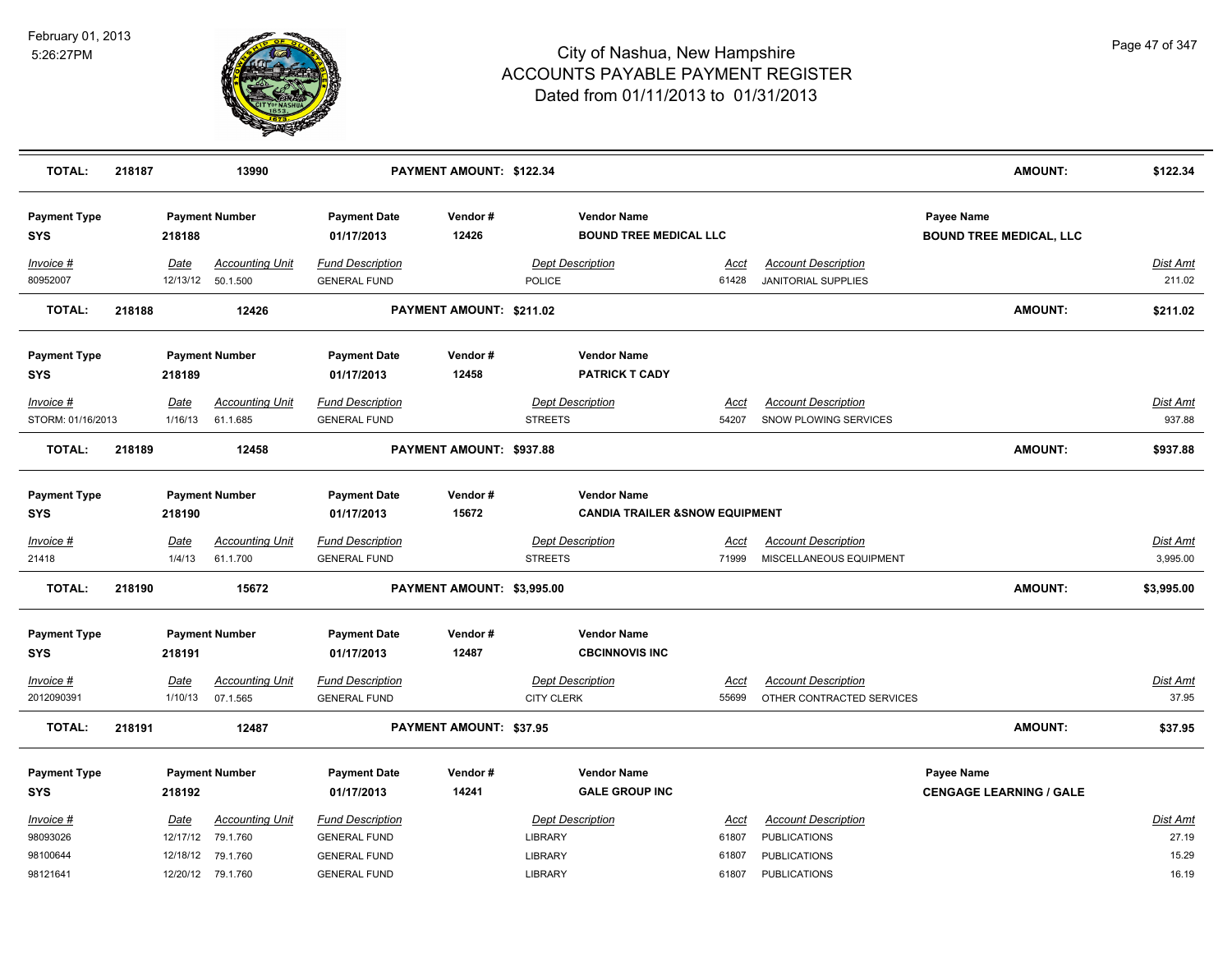

| <b>TOTAL:</b>                     | 218187 |             | 13990                  |                                   | PAYMENT AMOUNT: \$122.34       |                                                     |             |                            | <b>AMOUNT:</b>                               | \$122.34        |
|-----------------------------------|--------|-------------|------------------------|-----------------------------------|--------------------------------|-----------------------------------------------------|-------------|----------------------------|----------------------------------------------|-----------------|
| <b>Payment Type</b><br><b>SYS</b> |        | 218188      | <b>Payment Number</b>  | <b>Payment Date</b><br>01/17/2013 | Vendor#<br>12426               | <b>Vendor Name</b><br><b>BOUND TREE MEDICAL LLC</b> |             |                            | Payee Name<br><b>BOUND TREE MEDICAL, LLC</b> |                 |
| $Invoice$ #                       |        | Date        | <b>Accounting Unit</b> | <b>Fund Description</b>           |                                | <b>Dept Description</b>                             | <u>Acct</u> | <b>Account Description</b> |                                              | <b>Dist Amt</b> |
| 80952007                          |        |             | 12/13/12 50.1.500      | <b>GENERAL FUND</b>               |                                | POLICE                                              | 61428       | <b>JANITORIAL SUPPLIES</b> |                                              | 211.02          |
| <b>TOTAL:</b>                     | 218188 |             | 12426                  |                                   | PAYMENT AMOUNT: \$211.02       |                                                     |             |                            | <b>AMOUNT:</b>                               | \$211.02        |
| <b>Payment Type</b>               |        |             | <b>Payment Number</b>  | <b>Payment Date</b>               | Vendor#                        | <b>Vendor Name</b>                                  |             |                            |                                              |                 |
| <b>SYS</b>                        |        | 218189      |                        | 01/17/2013                        | 12458                          | <b>PATRICK T CADY</b>                               |             |                            |                                              |                 |
| Invoice #                         |        | Date        | <b>Accounting Unit</b> | <b>Fund Description</b>           |                                | <b>Dept Description</b>                             | Acct        | <b>Account Description</b> |                                              | Dist Amt        |
| STORM: 01/16/2013                 |        | 1/16/13     | 61.1.685               | <b>GENERAL FUND</b>               |                                | <b>STREETS</b>                                      | 54207       | SNOW PLOWING SERVICES      |                                              | 937.88          |
| <b>TOTAL:</b>                     | 218189 |             | 12458                  |                                   | PAYMENT AMOUNT: \$937.88       |                                                     |             |                            | <b>AMOUNT:</b>                               | \$937.88        |
| <b>Payment Type</b>               |        |             | <b>Payment Number</b>  | <b>Payment Date</b>               | Vendor#                        | <b>Vendor Name</b>                                  |             |                            |                                              |                 |
| <b>SYS</b>                        |        | 218190      |                        | 01/17/2013                        | 15672                          | <b>CANDIA TRAILER &amp; SNOW EQUIPMENT</b>          |             |                            |                                              |                 |
| $Invoice$ #                       |        | Date        | <b>Accounting Unit</b> | <b>Fund Description</b>           |                                | <b>Dept Description</b>                             | <u>Acct</u> | <b>Account Description</b> |                                              | <b>Dist Amt</b> |
| 21418                             |        | 1/4/13      | 61.1.700               | <b>GENERAL FUND</b>               |                                | <b>STREETS</b>                                      | 71999       | MISCELLANEOUS EQUIPMENT    |                                              | 3,995.00        |
| <b>TOTAL:</b>                     | 218190 |             | 15672                  |                                   | PAYMENT AMOUNT: \$3,995.00     |                                                     |             |                            | <b>AMOUNT:</b>                               | \$3,995.00      |
| <b>Payment Type</b>               |        |             | <b>Payment Number</b>  | <b>Payment Date</b>               | Vendor#                        | <b>Vendor Name</b>                                  |             |                            |                                              |                 |
| <b>SYS</b>                        |        | 218191      |                        | 01/17/2013                        | 12487                          | <b>CBCINNOVIS INC</b>                               |             |                            |                                              |                 |
| Invoice #                         |        | Date        | <b>Accounting Unit</b> | <b>Fund Description</b>           |                                | <b>Dept Description</b>                             | <u>Acct</u> | <b>Account Description</b> |                                              | Dist Amt        |
| 2012090391                        |        | 1/10/13     | 07.1.565               | <b>GENERAL FUND</b>               |                                | <b>CITY CLERK</b>                                   | 55699       | OTHER CONTRACTED SERVICES  |                                              | 37.95           |
| <b>TOTAL:</b>                     | 218191 |             | 12487                  |                                   | <b>PAYMENT AMOUNT: \$37.95</b> |                                                     |             |                            | <b>AMOUNT:</b>                               | \$37.95         |
| <b>Payment Type</b>               |        |             | <b>Payment Number</b>  | <b>Payment Date</b>               | Vendor#                        | <b>Vendor Name</b>                                  |             |                            | Payee Name                                   |                 |
| <b>SYS</b>                        |        | 218192      |                        | 01/17/2013                        | 14241                          | <b>GALE GROUP INC</b>                               |             |                            | <b>CENGAGE LEARNING / GALE</b>               |                 |
| Invoice #                         |        | <u>Date</u> | <b>Accounting Unit</b> | <b>Fund Description</b>           |                                | <b>Dept Description</b>                             | Acct        | <b>Account Description</b> |                                              | Dist Amt        |
| 98093026                          |        |             | 12/17/12 79.1.760      | <b>GENERAL FUND</b>               |                                | LIBRARY                                             | 61807       | <b>PUBLICATIONS</b>        |                                              | 27.19           |
| 98100644                          |        |             | 12/18/12 79.1.760      | <b>GENERAL FUND</b>               |                                | LIBRARY                                             | 61807       | <b>PUBLICATIONS</b>        |                                              | 15.29           |
| 98121641                          |        |             | 12/20/12 79.1.760      | <b>GENERAL FUND</b>               |                                | LIBRARY                                             | 61807       | <b>PUBLICATIONS</b>        |                                              | 16.19           |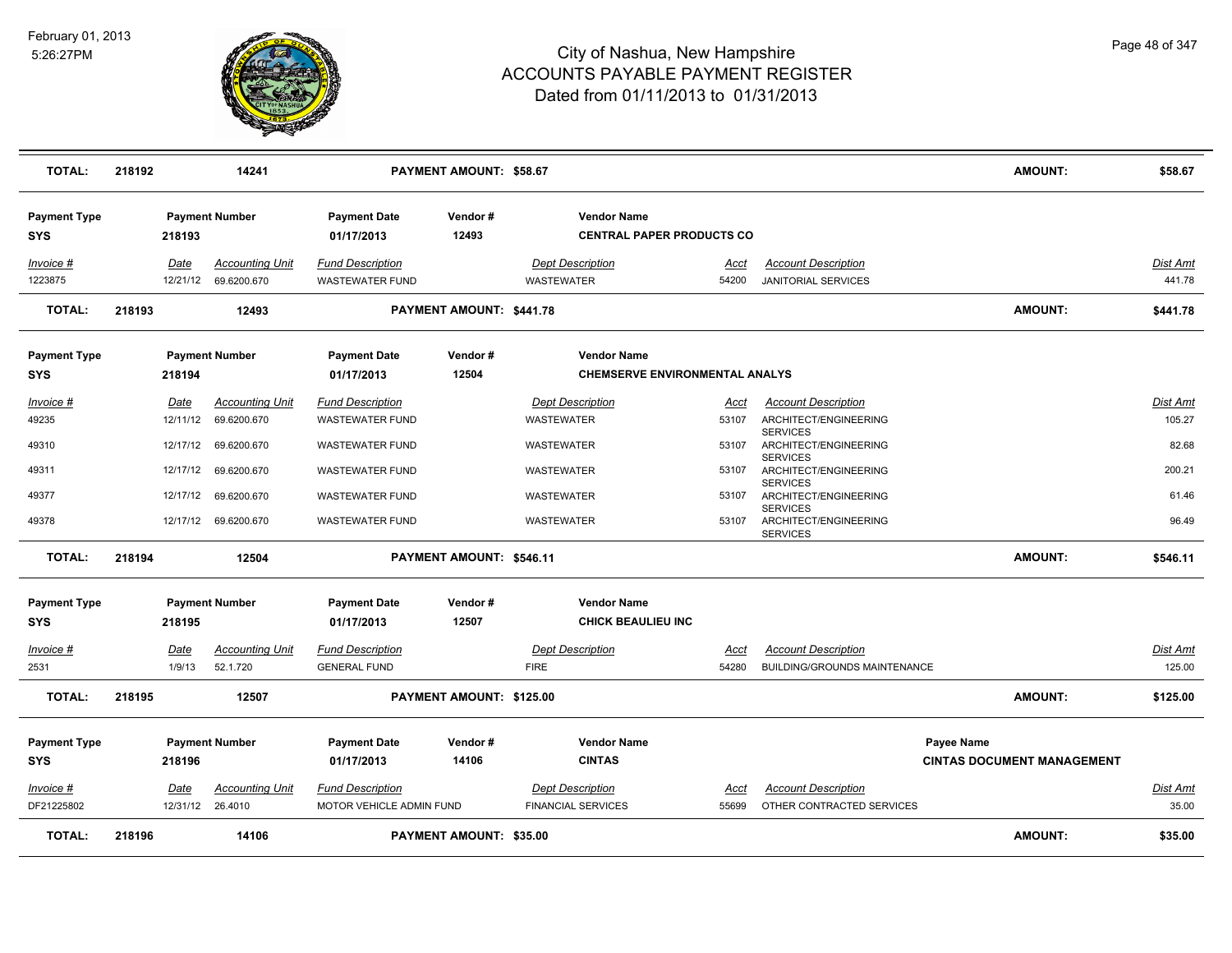

| <b>TOTAL:</b>                     | 218192 |                  | 14241                                 |                                                   | <b>PAYMENT AMOUNT: \$58.67</b> |                                                             |               |                                                             | <b>AMOUNT:</b>                                  | \$58.67                   |
|-----------------------------------|--------|------------------|---------------------------------------|---------------------------------------------------|--------------------------------|-------------------------------------------------------------|---------------|-------------------------------------------------------------|-------------------------------------------------|---------------------------|
| <b>Payment Type</b><br><b>SYS</b> |        | 218193           | <b>Payment Number</b>                 | <b>Payment Date</b><br>01/17/2013                 | Vendor#<br>12493               | <b>Vendor Name</b><br><b>CENTRAL PAPER PRODUCTS CO</b>      |               |                                                             |                                                 |                           |
| Invoice #<br>1223875              |        | Date<br>12/21/12 | <b>Accounting Unit</b><br>69.6200.670 | <b>Fund Description</b><br><b>WASTEWATER FUND</b> |                                | <b>Dept Description</b><br><b>WASTEWATER</b>                | Acct<br>54200 | <b>Account Description</b><br><b>JANITORIAL SERVICES</b>    |                                                 | Dist Amt<br>441.78        |
| <b>TOTAL:</b>                     | 218193 |                  | 12493                                 |                                                   | PAYMENT AMOUNT: \$441.78       |                                                             |               |                                                             | <b>AMOUNT:</b>                                  | \$441.78                  |
| <b>Payment Type</b><br><b>SYS</b> |        | 218194           | <b>Payment Number</b>                 | <b>Payment Date</b><br>01/17/2013                 | Vendor#<br>12504               | <b>Vendor Name</b><br><b>CHEMSERVE ENVIRONMENTAL ANALYS</b> |               |                                                             |                                                 |                           |
| Invoice #<br>49235                |        | Date<br>12/11/12 | <b>Accounting Unit</b><br>69.6200.670 | <b>Fund Description</b><br><b>WASTEWATER FUND</b> |                                | <b>Dept Description</b><br>WASTEWATER                       | Acct<br>53107 | <b>Account Description</b><br>ARCHITECT/ENGINEERING         |                                                 | <u>Dist Amt</u><br>105.27 |
| 49310                             |        | 12/17/12         | 69.6200.670                           | <b>WASTEWATER FUND</b>                            |                                | WASTEWATER                                                  | 53107         | <b>SERVICES</b><br>ARCHITECT/ENGINEERING<br><b>SERVICES</b> |                                                 | 82.68                     |
| 49311                             |        | 12/17/12         | 69.6200.670                           | <b>WASTEWATER FUND</b>                            |                                | WASTEWATER                                                  | 53107         | ARCHITECT/ENGINEERING<br><b>SERVICES</b>                    |                                                 | 200.21                    |
| 49377                             |        | 12/17/12         | 69.6200.670                           | <b>WASTEWATER FUND</b>                            |                                | WASTEWATER                                                  | 53107         | ARCHITECT/ENGINEERING<br><b>SERVICES</b>                    |                                                 | 61.46                     |
| 49378                             |        | 12/17/12         | 69.6200.670                           | <b>WASTEWATER FUND</b>                            |                                | <b>WASTEWATER</b>                                           | 53107         | ARCHITECT/ENGINEERING<br><b>SERVICES</b>                    |                                                 | 96.49                     |
| <b>TOTAL:</b>                     | 218194 |                  | 12504                                 |                                                   | PAYMENT AMOUNT: \$546.11       |                                                             |               |                                                             | <b>AMOUNT:</b>                                  | \$546.11                  |
| <b>Payment Type</b><br><b>SYS</b> |        | 218195           | <b>Payment Number</b>                 | <b>Payment Date</b><br>01/17/2013                 | Vendor#<br>12507               | <b>Vendor Name</b><br><b>CHICK BEAULIEU INC</b>             |               |                                                             |                                                 |                           |
| Invoice #                         |        | Date             | <b>Accounting Unit</b>                | <b>Fund Description</b>                           |                                | <b>Dept Description</b>                                     | Acct          | <b>Account Description</b>                                  |                                                 | Dist Amt                  |
| 2531                              |        | 1/9/13           | 52.1.720                              | <b>GENERAL FUND</b>                               |                                | <b>FIRE</b>                                                 | 54280         | BUILDING/GROUNDS MAINTENANCE                                |                                                 | 125.00                    |
| <b>TOTAL:</b>                     | 218195 |                  | 12507                                 |                                                   | PAYMENT AMOUNT: \$125.00       |                                                             |               |                                                             | <b>AMOUNT:</b>                                  | \$125.00                  |
| <b>Payment Type</b><br><b>SYS</b> |        | 218196           | <b>Payment Number</b>                 | <b>Payment Date</b><br>01/17/2013                 | Vendor#<br>14106               | <b>Vendor Name</b><br><b>CINTAS</b>                         |               |                                                             | Payee Name<br><b>CINTAS DOCUMENT MANAGEMENT</b> |                           |
| $Invoice$ #                       |        | Date             | <b>Accounting Unit</b>                | <b>Fund Description</b>                           |                                | <b>Dept Description</b>                                     | <u>Acct</u>   | <b>Account Description</b>                                  |                                                 | Dist Amt                  |
| DF21225802                        |        | 12/31/12 26.4010 |                                       | MOTOR VEHICLE ADMIN FUND                          |                                | <b>FINANCIAL SERVICES</b>                                   | 55699         | OTHER CONTRACTED SERVICES                                   |                                                 | 35.00                     |
| <b>TOTAL:</b>                     | 218196 |                  | 14106                                 |                                                   | <b>PAYMENT AMOUNT: \$35.00</b> |                                                             |               |                                                             | <b>AMOUNT:</b>                                  | \$35.00                   |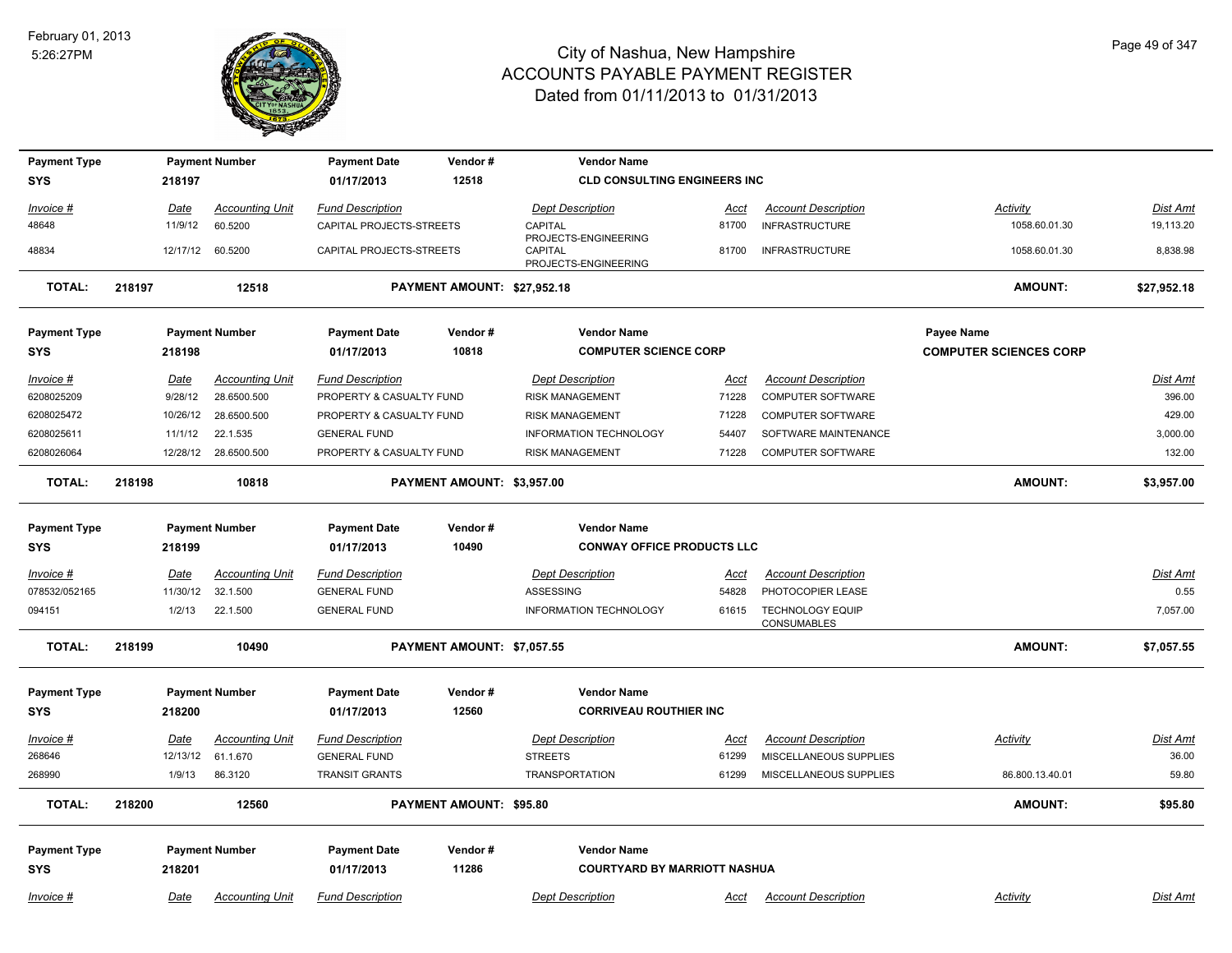

| <b>Payment Type</b> |        |             | <b>Payment Number</b>  | <b>Payment Date</b>      | Vendor#                     | <b>Vendor Name</b>                                             |             |                                               |                               |                 |
|---------------------|--------|-------------|------------------------|--------------------------|-----------------------------|----------------------------------------------------------------|-------------|-----------------------------------------------|-------------------------------|-----------------|
| <b>SYS</b>          |        | 218197      |                        | 01/17/2013               | 12518                       | <b>CLD CONSULTING ENGINEERS INC</b>                            |             |                                               |                               |                 |
| Invoice #           |        | Date        | <b>Accounting Unit</b> | <b>Fund Description</b>  |                             | <b>Dept Description</b>                                        | Acct        | <b>Account Description</b>                    | Activity                      | Dist Amt        |
| 48648               |        | 11/9/12     | 60.5200                | CAPITAL PROJECTS-STREETS |                             | CAPITAL                                                        | 81700       | <b>INFRASTRUCTURE</b>                         | 1058.60.01.30                 | 19,113.20       |
| 48834               |        |             | 12/17/12 60.5200       | CAPITAL PROJECTS-STREETS |                             | PROJECTS-ENGINEERING<br><b>CAPITAL</b><br>PROJECTS-ENGINEERING | 81700       | <b>INFRASTRUCTURE</b>                         | 1058.60.01.30                 | 8,838.98        |
| <b>TOTAL:</b>       | 218197 |             | 12518                  |                          | PAYMENT AMOUNT: \$27,952.18 |                                                                |             |                                               | <b>AMOUNT:</b>                | \$27,952.18     |
| <b>Payment Type</b> |        |             | <b>Payment Number</b>  | <b>Payment Date</b>      | Vendor#                     | <b>Vendor Name</b>                                             |             |                                               | Payee Name                    |                 |
| <b>SYS</b>          |        | 218198      |                        | 01/17/2013               | 10818                       | <b>COMPUTER SCIENCE CORP</b>                                   |             |                                               | <b>COMPUTER SCIENCES CORP</b> |                 |
| Invoice #           |        | Date        | <b>Accounting Unit</b> | <b>Fund Description</b>  |                             | <b>Dept Description</b>                                        | Acct        | <b>Account Description</b>                    |                               | Dist Amt        |
| 6208025209          |        | 9/28/12     | 28.6500.500            | PROPERTY & CASUALTY FUND |                             | <b>RISK MANAGEMENT</b>                                         | 71228       | COMPUTER SOFTWARE                             |                               | 396.00          |
| 6208025472          |        | 10/26/12    | 28.6500.500            | PROPERTY & CASUALTY FUND |                             | <b>RISK MANAGEMENT</b>                                         | 71228       | <b>COMPUTER SOFTWARE</b>                      |                               | 429.00          |
| 6208025611          |        | 11/1/12     | 22.1.535               | <b>GENERAL FUND</b>      |                             | INFORMATION TECHNOLOGY                                         | 54407       | SOFTWARE MAINTENANCE                          |                               | 3,000.00        |
| 6208026064          |        | 12/28/12    | 28.6500.500            | PROPERTY & CASUALTY FUND |                             | <b>RISK MANAGEMENT</b>                                         | 71228       | <b>COMPUTER SOFTWARE</b>                      |                               | 132.00          |
| <b>TOTAL:</b>       | 218198 |             | 10818                  |                          | PAYMENT AMOUNT: \$3,957.00  |                                                                |             |                                               | <b>AMOUNT:</b>                | \$3,957.00      |
| <b>Payment Type</b> |        |             | <b>Payment Number</b>  | <b>Payment Date</b>      | Vendor#                     | <b>Vendor Name</b>                                             |             |                                               |                               |                 |
| SYS                 |        | 218199      |                        | 01/17/2013               | 10490                       | <b>CONWAY OFFICE PRODUCTS LLC</b>                              |             |                                               |                               |                 |
| $Invoice$ #         |        | <u>Date</u> | <b>Accounting Unit</b> | <b>Fund Description</b>  |                             | <b>Dept Description</b>                                        | Acct        | <b>Account Description</b>                    |                               | <b>Dist Amt</b> |
| 078532/052165       |        | 11/30/12    | 32.1.500               | <b>GENERAL FUND</b>      |                             | ASSESSING                                                      | 54828       | PHOTOCOPIER LEASE                             |                               | 0.55            |
| 094151              |        | 1/2/13      | 22.1.500               | <b>GENERAL FUND</b>      |                             | INFORMATION TECHNOLOGY                                         | 61615       | <b>TECHNOLOGY EQUIP</b><br><b>CONSUMABLES</b> |                               | 7,057.00        |
| <b>TOTAL:</b>       | 218199 |             | 10490                  |                          | PAYMENT AMOUNT: \$7,057.55  |                                                                |             |                                               | AMOUNT:                       | \$7,057.55      |
| <b>Payment Type</b> |        |             | <b>Payment Number</b>  | <b>Payment Date</b>      | Vendor#                     | <b>Vendor Name</b>                                             |             |                                               |                               |                 |
| <b>SYS</b>          |        | 218200      |                        | 01/17/2013               | 12560                       | <b>CORRIVEAU ROUTHIER INC</b>                                  |             |                                               |                               |                 |
| Invoice #           |        | Date        | <b>Accounting Unit</b> | <b>Fund Description</b>  |                             | <b>Dept Description</b>                                        | Acct        | <b>Account Description</b>                    | Activity                      | <b>Dist Amt</b> |
| 268646              |        | 12/13/12    | 61.1.670               | <b>GENERAL FUND</b>      |                             | <b>STREETS</b>                                                 | 61299       | MISCELLANEOUS SUPPLIES                        |                               | 36.00           |
| 268990              |        | 1/9/13      | 86.3120                | <b>TRANSIT GRANTS</b>    |                             | TRANSPORTATION                                                 | 61299       | MISCELLANEOUS SUPPLIES                        | 86.800.13.40.01               | 59.80           |
| <b>TOTAL:</b>       | 218200 |             | 12560                  |                          | PAYMENT AMOUNT: \$95.80     |                                                                |             |                                               | <b>AMOUNT:</b>                | \$95.80         |
| <b>Payment Type</b> |        |             | <b>Payment Number</b>  | <b>Payment Date</b>      | Vendor#                     | <b>Vendor Name</b>                                             |             |                                               |                               |                 |
| <b>SYS</b>          |        | 218201      |                        | 01/17/2013               | 11286                       | <b>COURTYARD BY MARRIOTT NASHUA</b>                            |             |                                               |                               |                 |
| Invoice #           |        | Date        | <b>Accounting Unit</b> | <b>Fund Description</b>  |                             | <b>Dept Description</b>                                        | <u>Acct</u> | <b>Account Description</b>                    | Activity                      | <b>Dist Amt</b> |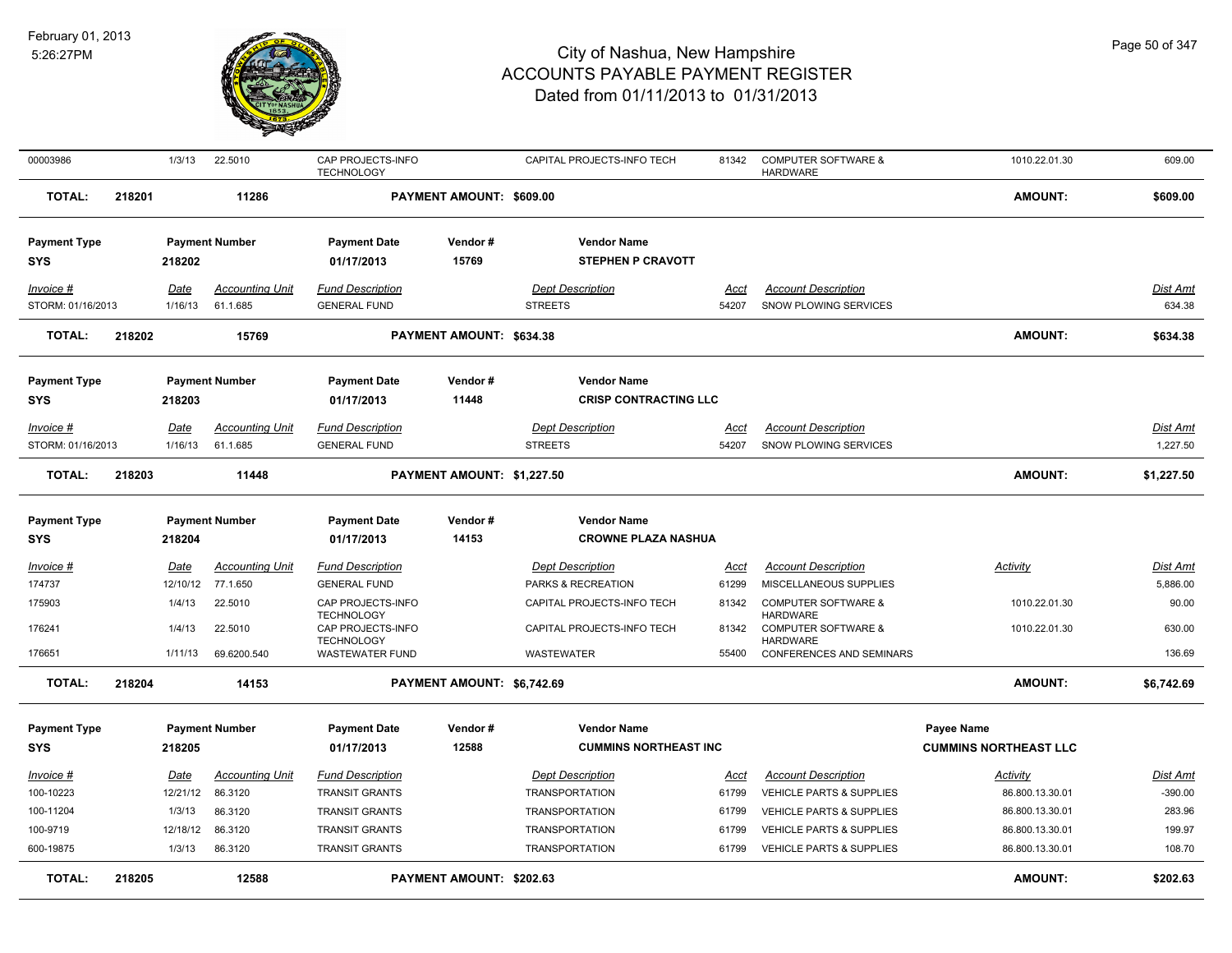

| 00003986                          |        | 1/3/13          | 22.5010                            | CAP PROJECTS-INFO<br><b>TECHNOLOGY</b>         |                            | CAPITAL PROJECTS-INFO TECH                         | 81342                | <b>COMPUTER SOFTWARE &amp;</b><br><b>HARDWARE</b>   | 1010.22.01.30                | 609.00                      |
|-----------------------------------|--------|-----------------|------------------------------------|------------------------------------------------|----------------------------|----------------------------------------------------|----------------------|-----------------------------------------------------|------------------------------|-----------------------------|
| <b>TOTAL:</b>                     | 218201 |                 | 11286                              |                                                | PAYMENT AMOUNT: \$609.00   |                                                    |                      |                                                     | <b>AMOUNT:</b>               | \$609.00                    |
| <b>Payment Type</b><br><b>SYS</b> |        | 218202          | <b>Payment Number</b>              | <b>Payment Date</b><br>01/17/2013              | Vendor#<br>15769           | <b>Vendor Name</b><br><b>STEPHEN P CRAVOTT</b>     |                      |                                                     |                              |                             |
| Invoice #                         |        | Date            | <b>Accounting Unit</b>             | <b>Fund Description</b>                        |                            | <b>Dept Description</b>                            | Acct                 | <b>Account Description</b>                          |                              | Dist Amt                    |
| STORM: 01/16/2013                 |        | 1/16/13         | 61.1.685                           | <b>GENERAL FUND</b>                            |                            | <b>STREETS</b>                                     | 54207                | SNOW PLOWING SERVICES                               |                              | 634.38                      |
| <b>TOTAL:</b>                     | 218202 |                 | 15769                              |                                                | PAYMENT AMOUNT: \$634.38   |                                                    |                      |                                                     | <b>AMOUNT:</b>               | \$634.38                    |
| <b>Payment Type</b><br><b>SYS</b> |        | 218203          | <b>Payment Number</b>              | <b>Payment Date</b><br>01/17/2013              | Vendor#<br>11448           | <b>Vendor Name</b><br><b>CRISP CONTRACTING LLC</b> |                      |                                                     |                              |                             |
| Invoice #<br>STORM: 01/16/2013    |        | Date<br>1/16/13 | <b>Accounting Unit</b><br>61.1.685 | <b>Fund Description</b><br><b>GENERAL FUND</b> |                            | <b>Dept Description</b><br><b>STREETS</b>          | <u>Acct</u><br>54207 | <b>Account Description</b><br>SNOW PLOWING SERVICES |                              | <b>Dist Amt</b><br>1,227.50 |
| <b>TOTAL:</b>                     | 218203 |                 | 11448                              |                                                | PAYMENT AMOUNT: \$1,227.50 |                                                    |                      |                                                     | <b>AMOUNT:</b>               | \$1,227.50                  |
| <b>Payment Type</b>               |        |                 | <b>Payment Number</b>              | <b>Payment Date</b>                            | Vendor#                    | <b>Vendor Name</b>                                 |                      |                                                     |                              |                             |
| <b>SYS</b>                        |        | 218204          |                                    | 01/17/2013                                     | 14153                      | <b>CROWNE PLAZA NASHUA</b>                         |                      |                                                     |                              |                             |
| Invoice #                         |        | <u>Date</u>     | <b>Accounting Unit</b>             | <b>Fund Description</b>                        |                            | <b>Dept Description</b>                            | Acct                 | <b>Account Description</b>                          | Activity                     | <b>Dist Amt</b>             |
| 174737                            |        | 12/10/12        | 77.1.650                           | <b>GENERAL FUND</b>                            |                            | PARKS & RECREATION                                 | 61299                | MISCELLANEOUS SUPPLIES                              |                              | 5,886.00                    |
| 175903                            |        | 1/4/13          | 22.5010                            | CAP PROJECTS-INFO<br><b>TECHNOLOGY</b>         |                            | CAPITAL PROJECTS-INFO TECH                         | 81342                | <b>COMPUTER SOFTWARE &amp;</b><br><b>HARDWARE</b>   | 1010.22.01.30                | 90.00                       |
| 176241                            |        | 1/4/13          | 22.5010                            | CAP PROJECTS-INFO<br><b>TECHNOLOGY</b>         |                            | CAPITAL PROJECTS-INFO TECH                         | 81342                | <b>COMPUTER SOFTWARE &amp;</b><br><b>HARDWARE</b>   | 1010.22.01.30                | 630.00                      |
| 176651                            |        | 1/11/13         | 69.6200.540                        | <b>WASTEWATER FUND</b>                         |                            | WASTEWATER                                         | 55400                | CONFERENCES AND SEMINARS                            |                              | 136.69                      |
| <b>TOTAL:</b>                     | 218204 |                 | 14153                              |                                                | PAYMENT AMOUNT: \$6,742.69 |                                                    |                      |                                                     | <b>AMOUNT:</b>               | \$6,742.69                  |
| <b>Payment Type</b>               |        |                 | <b>Payment Number</b>              | <b>Payment Date</b>                            | Vendor#                    | <b>Vendor Name</b>                                 |                      |                                                     | Payee Name                   |                             |
| <b>SYS</b>                        |        | 218205          |                                    | 01/17/2013                                     | 12588                      | <b>CUMMINS NORTHEAST INC</b>                       |                      |                                                     | <b>CUMMINS NORTHEAST LLC</b> |                             |
| Invoice #                         |        | Date            | <b>Accounting Unit</b>             | <b>Fund Description</b>                        |                            | <b>Dept Description</b>                            | Acct                 | <b>Account Description</b>                          | Activity                     | Dist Amt                    |
| 100-10223                         |        | 12/21/12        | 86.3120                            | <b>TRANSIT GRANTS</b>                          |                            | <b>TRANSPORTATION</b>                              | 61799                | <b>VEHICLE PARTS &amp; SUPPLIES</b>                 | 86.800.13.30.01              | $-390.00$                   |
| 100-11204                         |        | 1/3/13          | 86.3120                            | <b>TRANSIT GRANTS</b>                          |                            | <b>TRANSPORTATION</b>                              | 61799                | VEHICLE PARTS & SUPPLIES                            | 86.800.13.30.01              | 283.96                      |
| 100-9719                          |        | 12/18/12        | 86.3120                            | <b>TRANSIT GRANTS</b>                          |                            | <b>TRANSPORTATION</b>                              | 61799                | <b>VEHICLE PARTS &amp; SUPPLIES</b>                 | 86.800.13.30.01              | 199.97                      |
| 600-19875                         |        | 1/3/13          | 86.3120                            | <b>TRANSIT GRANTS</b>                          |                            | <b>TRANSPORTATION</b>                              | 61799                | <b>VEHICLE PARTS &amp; SUPPLIES</b>                 | 86.800.13.30.01              | 108.70                      |
| <b>TOTAL:</b>                     | 218205 |                 | 12588                              |                                                | PAYMENT AMOUNT: \$202.63   |                                                    |                      |                                                     | <b>AMOUNT:</b>               | \$202.63                    |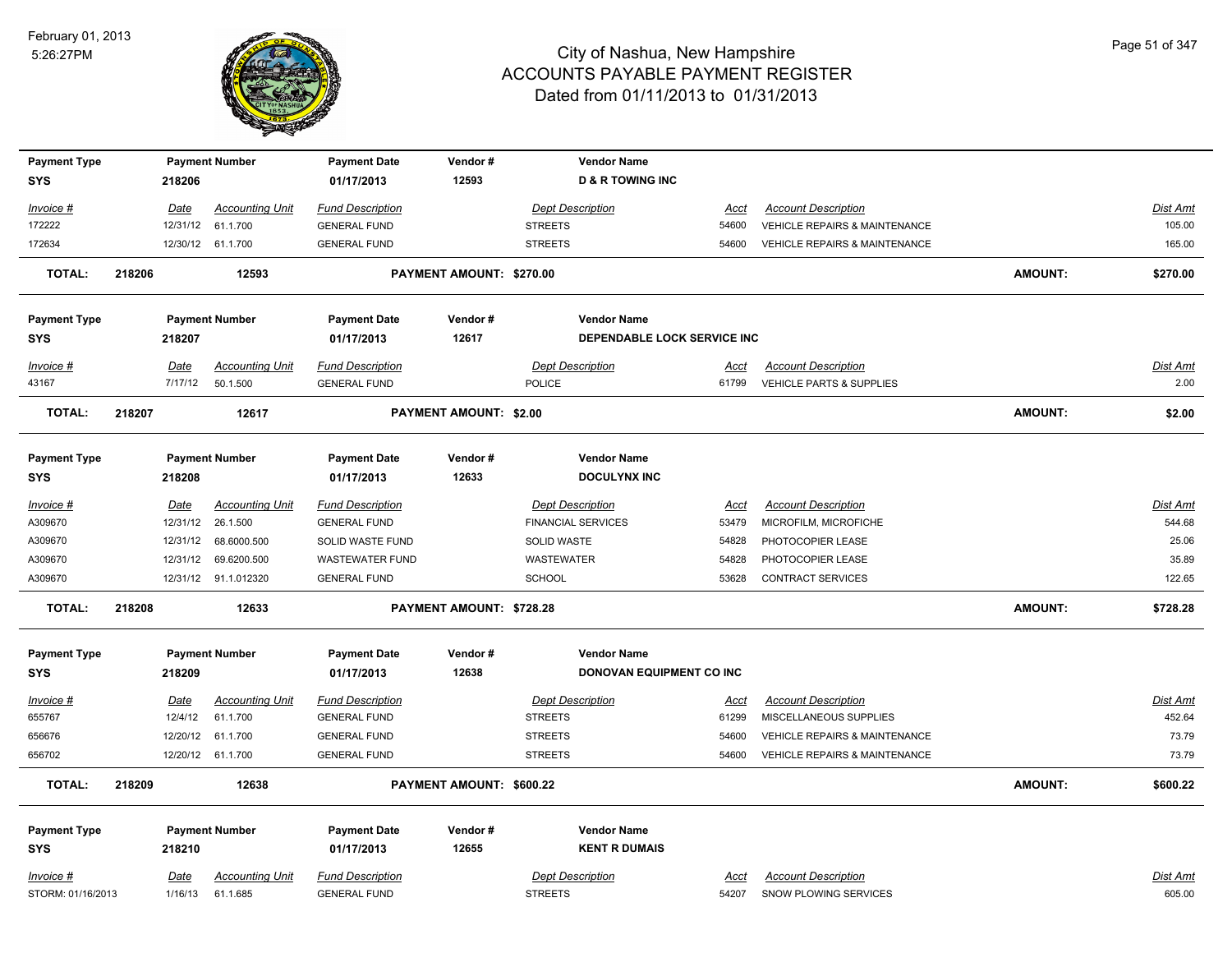

| <b>Payment Type</b> |        |             | <b>Payment Number</b>  | <b>Payment Date</b>     | Vendor#                         | <b>Vendor Name</b>          |             |                                          |                |                 |
|---------------------|--------|-------------|------------------------|-------------------------|---------------------------------|-----------------------------|-------------|------------------------------------------|----------------|-----------------|
| <b>SYS</b>          |        | 218206      |                        | 01/17/2013              | 12593                           | <b>D &amp; R TOWING INC</b> |             |                                          |                |                 |
| <u>Invoice #</u>    |        | Date        | <b>Accounting Unit</b> | <b>Fund Description</b> |                                 | <b>Dept Description</b>     | Acct        | <b>Account Description</b>               |                | Dist Amt        |
| 172222              |        | 12/31/12    | 61.1.700               | <b>GENERAL FUND</b>     |                                 | <b>STREETS</b>              | 54600       | VEHICLE REPAIRS & MAINTENANCE            |                | 105.00          |
| 172634              |        |             | 12/30/12 61.1.700      | <b>GENERAL FUND</b>     |                                 | <b>STREETS</b>              | 54600       | VEHICLE REPAIRS & MAINTENANCE            |                | 165.00          |
| TOTAL:              | 218206 |             | 12593                  |                         | PAYMENT AMOUNT: \$270.00        |                             |             |                                          | <b>AMOUNT:</b> | \$270.00        |
| <b>Payment Type</b> |        |             | <b>Payment Number</b>  | <b>Payment Date</b>     | Vendor#                         | <b>Vendor Name</b>          |             |                                          |                |                 |
| SYS                 |        | 218207      |                        | 01/17/2013              | 12617                           | DEPENDABLE LOCK SERVICE INC |             |                                          |                |                 |
| <u> Invoice #</u>   |        | Date        | <b>Accounting Unit</b> | <b>Fund Description</b> |                                 | <b>Dept Description</b>     | Acct        | <b>Account Description</b>               |                | Dist Amt        |
| 43167               |        | 7/17/12     | 50.1.500               | <b>GENERAL FUND</b>     |                                 | POLICE                      | 61799       | VEHICLE PARTS & SUPPLIES                 |                | 2.00            |
| <b>TOTAL:</b>       | 218207 |             | 12617                  |                         | <b>PAYMENT AMOUNT: \$2.00</b>   |                             |             |                                          | <b>AMOUNT:</b> | \$2.00          |
| <b>Payment Type</b> |        |             | <b>Payment Number</b>  | <b>Payment Date</b>     | Vendor#                         | <b>Vendor Name</b>          |             |                                          |                |                 |
| SYS                 |        | 218208      |                        | 01/17/2013              | 12633                           | <b>DOCULYNX INC</b>         |             |                                          |                |                 |
| <u> Invoice #</u>   |        | <u>Date</u> | <b>Accounting Unit</b> | <b>Fund Description</b> |                                 | <b>Dept Description</b>     | Acct        | <b>Account Description</b>               |                | Dist Amt        |
| A309670             |        | 12/31/12    | 26.1.500               | <b>GENERAL FUND</b>     |                                 | <b>FINANCIAL SERVICES</b>   | 53479       | MICROFILM, MICROFICHE                    |                | 544.68          |
| A309670             |        | 12/31/12    | 68.6000.500            | SOLID WASTE FUND        |                                 | SOLID WASTE                 | 54828       | PHOTOCOPIER LEASE                        |                | 25.06           |
| A309670             |        | 12/31/12    | 69.6200.500            | <b>WASTEWATER FUND</b>  |                                 | <b>WASTEWATER</b>           | 54828       | PHOTOCOPIER LEASE                        |                | 35.89           |
| A309670             |        |             | 12/31/12 91.1.012320   | <b>GENERAL FUND</b>     |                                 | <b>SCHOOL</b>               | 53628       | <b>CONTRACT SERVICES</b>                 |                | 122.65          |
| <b>TOTAL:</b>       | 218208 |             | 12633                  |                         | <b>PAYMENT AMOUNT: \$728.28</b> |                             |             |                                          | <b>AMOUNT:</b> | \$728.28        |
| Payment Type        |        |             | <b>Payment Number</b>  | <b>Payment Date</b>     | Vendor#                         | <b>Vendor Name</b>          |             |                                          |                |                 |
| <b>SYS</b>          |        | 218209      |                        | 01/17/2013              | 12638                           | DONOVAN EQUIPMENT CO INC    |             |                                          |                |                 |
| <u> Invoice #</u>   |        | <u>Date</u> | <b>Accounting Unit</b> | <b>Fund Description</b> |                                 | <b>Dept Description</b>     | <u>Acct</u> | <b>Account Description</b>               |                | <u>Dist Amt</u> |
| 655767              |        | 12/4/12     | 61.1.700               | <b>GENERAL FUND</b>     |                                 | <b>STREETS</b>              | 61299       | MISCELLANEOUS SUPPLIES                   |                | 452.64          |
| 656676              |        | 12/20/12    | 61.1.700               | <b>GENERAL FUND</b>     |                                 | <b>STREETS</b>              | 54600       | <b>VEHICLE REPAIRS &amp; MAINTENANCE</b> |                | 73.79           |
| 656702              |        |             | 12/20/12 61.1.700      | <b>GENERAL FUND</b>     |                                 | <b>STREETS</b>              | 54600       | <b>VEHICLE REPAIRS &amp; MAINTENANCE</b> |                | 73.79           |
| <b>TOTAL:</b>       | 218209 |             | 12638                  |                         | PAYMENT AMOUNT: \$600.22        |                             |             |                                          | <b>AMOUNT:</b> | \$600.22        |
| <b>Payment Type</b> |        |             | <b>Payment Number</b>  | <b>Payment Date</b>     | Vendor#                         | <b>Vendor Name</b>          |             |                                          |                |                 |
| SYS                 |        | 218210      |                        | 01/17/2013              | 12655                           | <b>KENT R DUMAIS</b>        |             |                                          |                |                 |
| <u> Invoice #</u>   |        | Date        | <b>Accounting Unit</b> | <b>Fund Description</b> |                                 | <b>Dept Description</b>     | Acct        | <b>Account Description</b>               |                | Dist Amt        |
| STORM: 01/16/2013   |        | 1/16/13     | 61.1.685               | <b>GENERAL FUND</b>     |                                 | <b>STREETS</b>              | 54207       | <b>SNOW PLOWING SERVICES</b>             |                | 605.00          |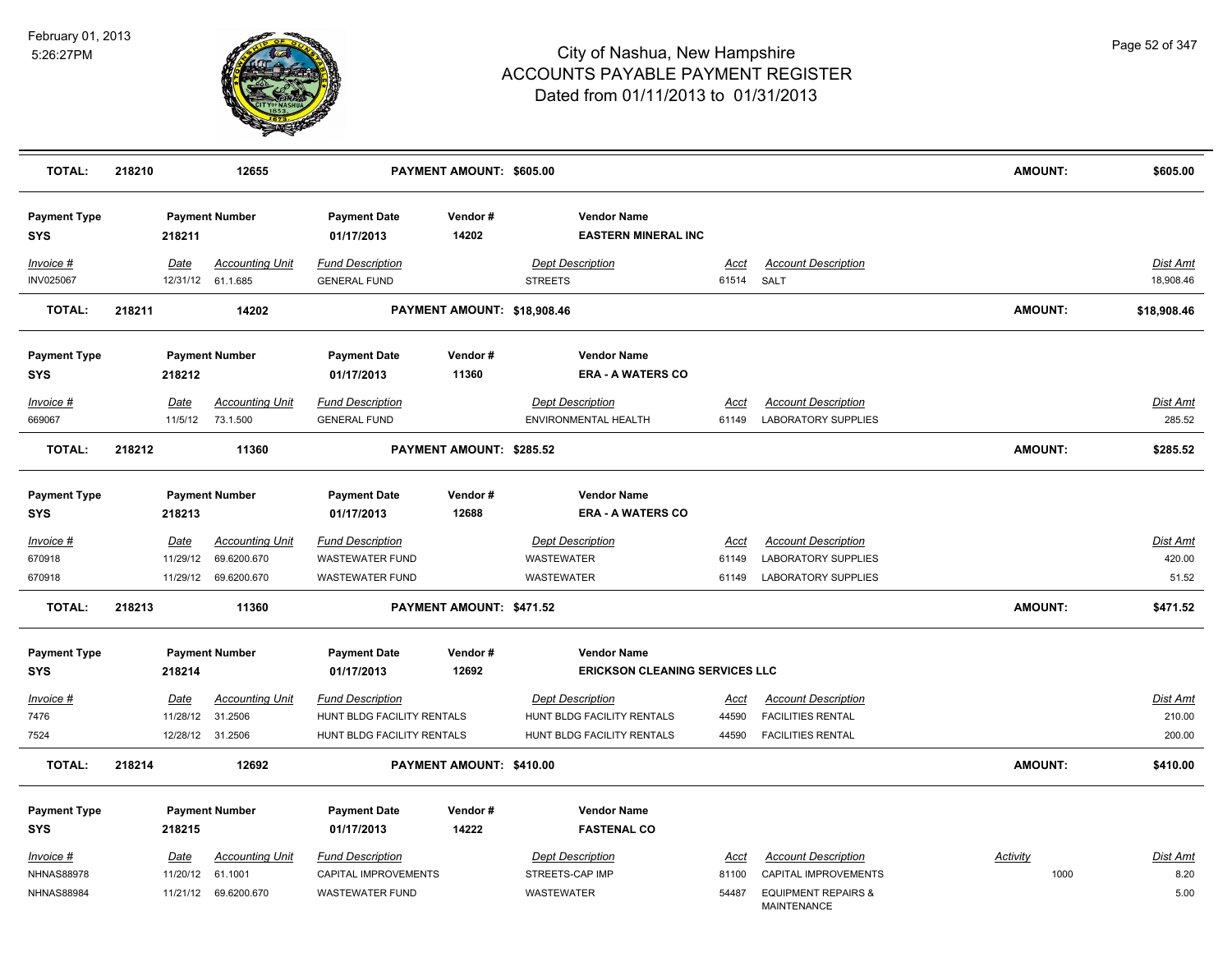

| <b>TOTAL:</b>                     | 218210 |                         | 12655                                       |                                                 | PAYMENT AMOUNT: \$605.00    |                                                  |                           |                                                      | <b>AMOUNT:</b> | \$605.00              |
|-----------------------------------|--------|-------------------------|---------------------------------------------|-------------------------------------------------|-----------------------------|--------------------------------------------------|---------------------------|------------------------------------------------------|----------------|-----------------------|
| <b>Payment Type</b><br><b>SYS</b> |        | 218211                  | <b>Payment Number</b>                       | <b>Payment Date</b><br>01/17/2013               | Vendor#<br>14202            | <b>Vendor Name</b><br><b>EASTERN MINERAL INC</b> |                           |                                                      |                |                       |
| Invoice #<br><b>INV025067</b>     |        | Date                    | <b>Accounting Unit</b><br>12/31/12 61.1.685 | <b>Fund Description</b><br><b>GENERAL FUND</b>  |                             | <b>Dept Description</b><br><b>STREETS</b>        | <u>Acct</u><br>61514 SALT | <b>Account Description</b>                           |                | Dist Amt<br>18,908.46 |
| <b>TOTAL:</b>                     | 218211 |                         | 14202                                       |                                                 | PAYMENT AMOUNT: \$18,908.46 |                                                  |                           |                                                      | <b>AMOUNT:</b> | \$18,908.46           |
| <b>Payment Type</b><br><b>SYS</b> |        | 218212                  | <b>Payment Number</b>                       | <b>Payment Date</b><br>01/17/2013               | Vendor#<br>11360            | <b>Vendor Name</b><br><b>ERA - A WATERS CO</b>   |                           |                                                      |                |                       |
| Invoice #                         |        | Date                    | <b>Accounting Unit</b>                      | <b>Fund Description</b>                         |                             | <b>Dept Description</b>                          | Acct                      | <b>Account Description</b>                           |                | Dist Amt              |
| 669067                            |        | 11/5/12                 | 73.1.500                                    | <b>GENERAL FUND</b>                             |                             | ENVIRONMENTAL HEALTH                             | 61149                     | LABORATORY SUPPLIES                                  |                | 285.52                |
| <b>TOTAL:</b>                     | 218212 |                         | 11360                                       |                                                 | PAYMENT AMOUNT: \$285.52    |                                                  |                           |                                                      | <b>AMOUNT:</b> | \$285.52              |
| <b>Payment Type</b><br><b>SYS</b> |        | 218213                  | <b>Payment Number</b>                       | <b>Payment Date</b><br>01/17/2013               | Vendor#<br>12688            | <b>Vendor Name</b><br><b>ERA - A WATERS CO</b>   |                           |                                                      |                |                       |
| Invoice #                         |        | Date                    | <b>Accounting Unit</b>                      | <b>Fund Description</b>                         |                             | <b>Dept Description</b>                          | Acct                      | <b>Account Description</b>                           |                | Dist Amt              |
| 670918                            |        | 11/29/12                | 69.6200.670                                 | WASTEWATER FUND                                 |                             | WASTEWATER                                       | 61149                     | LABORATORY SUPPLIES                                  |                | 420.00                |
| 670918                            |        | 11/29/12                | 69.6200.670                                 | <b>WASTEWATER FUND</b>                          |                             | WASTEWATER                                       | 61149                     | <b>LABORATORY SUPPLIES</b>                           |                | 51.52                 |
| <b>TOTAL:</b>                     | 218213 |                         | 11360                                       |                                                 | PAYMENT AMOUNT: \$471.52    |                                                  |                           |                                                      | AMOUNT:        | \$471.52              |
| <b>Payment Type</b>               |        |                         | <b>Payment Number</b>                       | <b>Payment Date</b>                             | Vendor#                     | <b>Vendor Name</b>                               |                           |                                                      |                |                       |
| SYS                               |        | 218214                  |                                             | 01/17/2013                                      | 12692                       | <b>ERICKSON CLEANING SERVICES LLC</b>            |                           |                                                      |                |                       |
| Invoice #                         |        | Date                    | <b>Accounting Unit</b>                      | <b>Fund Description</b>                         |                             | <b>Dept Description</b>                          | <u>Acct</u>               | <b>Account Description</b>                           |                | Dist Amt              |
| 7476                              |        | 11/28/12                | 31.2506                                     | HUNT BLDG FACILITY RENTALS                      |                             | HUNT BLDG FACILITY RENTALS                       | 44590                     | <b>FACILITIES RENTAL</b>                             |                | 210.00                |
| 7524                              |        |                         | 12/28/12 31.2506                            | HUNT BLDG FACILITY RENTALS                      |                             | HUNT BLDG FACILITY RENTALS                       | 44590                     | <b>FACILITIES RENTAL</b>                             |                | 200.00                |
| <b>TOTAL:</b>                     | 218214 |                         | 12692                                       |                                                 | PAYMENT AMOUNT: \$410.00    |                                                  |                           |                                                      | <b>AMOUNT:</b> | \$410.00              |
| <b>Payment Type</b>               |        |                         | <b>Payment Number</b>                       | <b>Payment Date</b>                             | Vendor#                     | <b>Vendor Name</b>                               |                           |                                                      |                |                       |
| <b>SYS</b>                        |        | 218215                  |                                             | 01/17/2013                                      | 14222                       | <b>FASTENAL CO</b>                               |                           |                                                      |                |                       |
| Invoice #                         |        |                         | <b>Accounting Unit</b>                      |                                                 |                             | <b>Dept Description</b>                          | Acct                      |                                                      | Activity       | Dist Amt              |
| <b>NHNAS88978</b>                 |        | <u>Date</u><br>11/20/12 | 61.1001                                     | <b>Fund Description</b><br>CAPITAL IMPROVEMENTS |                             | STREETS-CAP IMP                                  | 81100                     | <b>Account Description</b><br>CAPITAL IMPROVEMENTS   | 1000           | 8.20                  |
| <b>NHNAS88984</b>                 |        |                         | 11/21/12 69.6200.670                        | <b>WASTEWATER FUND</b>                          |                             | WASTEWATER                                       | 54487                     | <b>EQUIPMENT REPAIRS &amp;</b><br><b>MAINTENANCE</b> |                | 5.00                  |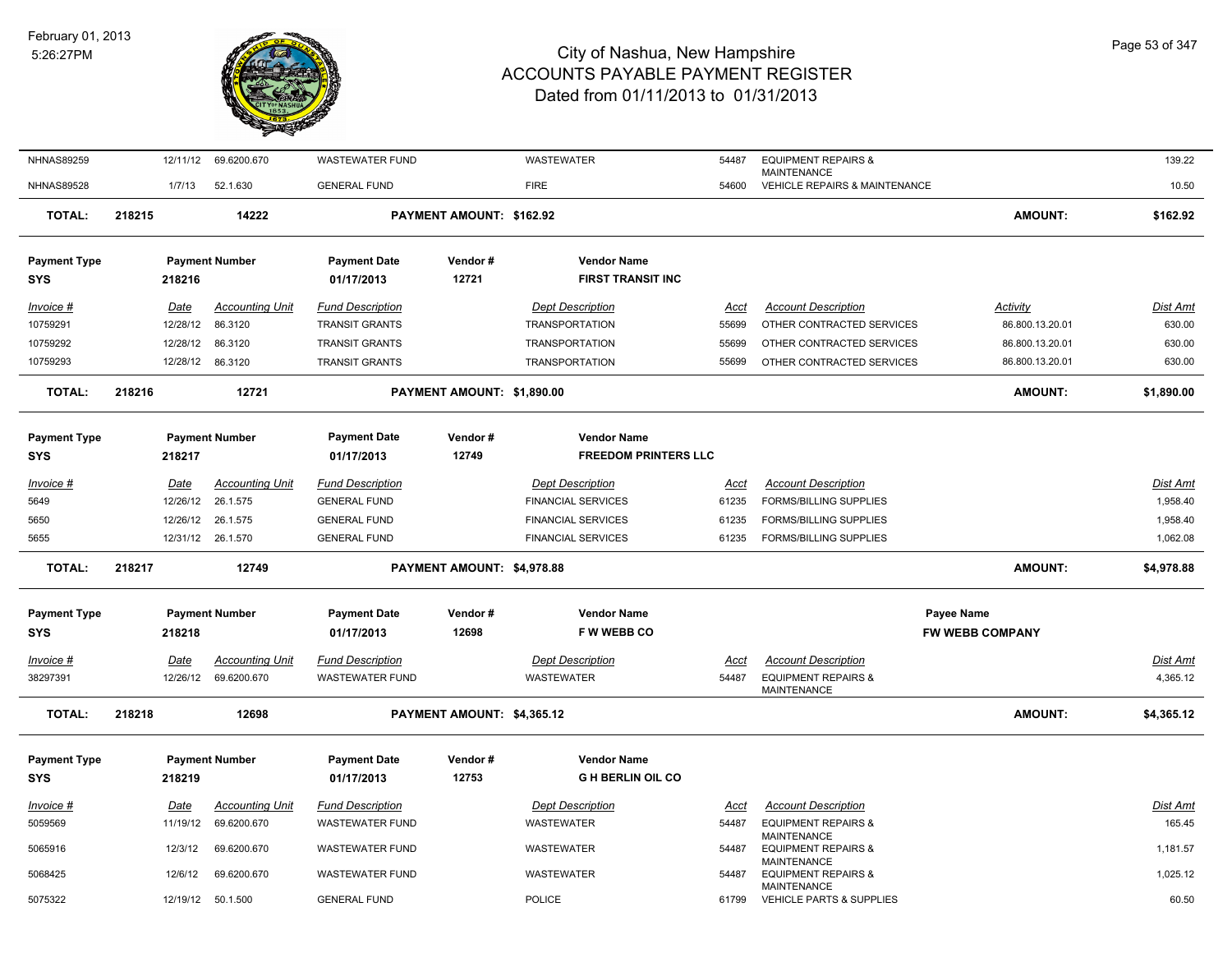

|        | 12/11/12    | 69.6200.670                | <b>WASTEWATER FUND</b>                                                                                                                                                     |                                                                 | WASTEWATER                | 54487                                                                                                                                                                                          | <b>EQUIPMENT REPAIRS &amp;</b>                       |                                                                                                                                                                                                                                                                              | 139.22                                                                                                               |
|--------|-------------|----------------------------|----------------------------------------------------------------------------------------------------------------------------------------------------------------------------|-----------------------------------------------------------------|---------------------------|------------------------------------------------------------------------------------------------------------------------------------------------------------------------------------------------|------------------------------------------------------|------------------------------------------------------------------------------------------------------------------------------------------------------------------------------------------------------------------------------------------------------------------------------|----------------------------------------------------------------------------------------------------------------------|
|        | 1/7/13      | 52.1.630                   | <b>GENERAL FUND</b>                                                                                                                                                        |                                                                 | <b>FIRE</b>               | 54600                                                                                                                                                                                          |                                                      |                                                                                                                                                                                                                                                                              | 10.50                                                                                                                |
| 218215 |             | 14222                      |                                                                                                                                                                            |                                                                 |                           |                                                                                                                                                                                                |                                                      | <b>AMOUNT:</b>                                                                                                                                                                                                                                                               | \$162.92                                                                                                             |
|        |             |                            | <b>Payment Date</b>                                                                                                                                                        | Vendor#                                                         | <b>Vendor Name</b>        |                                                                                                                                                                                                |                                                      |                                                                                                                                                                                                                                                                              |                                                                                                                      |
|        | 218216      |                            | 01/17/2013                                                                                                                                                                 | 12721                                                           | <b>FIRST TRANSIT INC</b>  |                                                                                                                                                                                                |                                                      |                                                                                                                                                                                                                                                                              |                                                                                                                      |
|        | <b>Date</b> | <b>Accounting Unit</b>     | <b>Fund Description</b>                                                                                                                                                    |                                                                 | <b>Dept Description</b>   | Acct                                                                                                                                                                                           | <b>Account Description</b>                           | <b>Activity</b>                                                                                                                                                                                                                                                              | Dist Amt                                                                                                             |
|        | 12/28/12    | 86.3120                    | <b>TRANSIT GRANTS</b>                                                                                                                                                      |                                                                 | <b>TRANSPORTATION</b>     | 55699                                                                                                                                                                                          |                                                      | 86.800.13.20.01                                                                                                                                                                                                                                                              | 630.00                                                                                                               |
|        | 12/28/12    | 86.3120                    | <b>TRANSIT GRANTS</b>                                                                                                                                                      |                                                                 | <b>TRANSPORTATION</b>     | 55699                                                                                                                                                                                          |                                                      | 86.800.13.20.01                                                                                                                                                                                                                                                              | 630.00                                                                                                               |
|        |             | 86.3120                    | <b>TRANSIT GRANTS</b>                                                                                                                                                      |                                                                 | <b>TRANSPORTATION</b>     | 55699                                                                                                                                                                                          |                                                      | 86.800.13.20.01                                                                                                                                                                                                                                                              | 630.00                                                                                                               |
| 218216 |             | 12721                      |                                                                                                                                                                            |                                                                 |                           |                                                                                                                                                                                                |                                                      | <b>AMOUNT:</b>                                                                                                                                                                                                                                                               | \$1,890.00                                                                                                           |
|        |             |                            | <b>Payment Date</b>                                                                                                                                                        | Vendor#                                                         | <b>Vendor Name</b>        |                                                                                                                                                                                                |                                                      |                                                                                                                                                                                                                                                                              |                                                                                                                      |
|        | 218217      |                            | 01/17/2013                                                                                                                                                                 | 12749                                                           |                           |                                                                                                                                                                                                |                                                      |                                                                                                                                                                                                                                                                              |                                                                                                                      |
|        |             |                            |                                                                                                                                                                            |                                                                 |                           |                                                                                                                                                                                                |                                                      |                                                                                                                                                                                                                                                                              | <b>Dist Amt</b>                                                                                                      |
|        | 12/26/12    | 26.1.575                   | <b>GENERAL FUND</b>                                                                                                                                                        |                                                                 | <b>FINANCIAL SERVICES</b> | 61235                                                                                                                                                                                          | FORMS/BILLING SUPPLIES                               |                                                                                                                                                                                                                                                                              | 1,958.40                                                                                                             |
|        | 12/26/12    | 26.1.575                   | <b>GENERAL FUND</b>                                                                                                                                                        |                                                                 | <b>FINANCIAL SERVICES</b> | 61235                                                                                                                                                                                          | FORMS/BILLING SUPPLIES                               |                                                                                                                                                                                                                                                                              | 1,958.40                                                                                                             |
|        |             |                            | <b>GENERAL FUND</b>                                                                                                                                                        |                                                                 | <b>FINANCIAL SERVICES</b> | 61235                                                                                                                                                                                          | <b>FORMS/BILLING SUPPLIES</b>                        |                                                                                                                                                                                                                                                                              | 1,062.08                                                                                                             |
| 218217 |             | 12749                      |                                                                                                                                                                            |                                                                 |                           |                                                                                                                                                                                                |                                                      | <b>AMOUNT:</b>                                                                                                                                                                                                                                                               | \$4,978.88                                                                                                           |
|        |             |                            | <b>Payment Date</b>                                                                                                                                                        | Vendor#                                                         | <b>Vendor Name</b>        |                                                                                                                                                                                                |                                                      | <b>Payee Name</b>                                                                                                                                                                                                                                                            |                                                                                                                      |
|        | 218218      |                            | 01/17/2013                                                                                                                                                                 | 12698                                                           | F W WEBB CO               |                                                                                                                                                                                                |                                                      | <b>FW WEBB COMPANY</b>                                                                                                                                                                                                                                                       |                                                                                                                      |
|        | Date        | <b>Accounting Unit</b>     | <b>Fund Description</b>                                                                                                                                                    |                                                                 | <b>Dept Description</b>   | Acct                                                                                                                                                                                           |                                                      |                                                                                                                                                                                                                                                                              | Dist Amt                                                                                                             |
|        | 12/26/12    | 69.6200.670                | <b>WASTEWATER FUND</b>                                                                                                                                                     |                                                                 | <b>WASTEWATER</b>         | 54487                                                                                                                                                                                          | <b>EQUIPMENT REPAIRS &amp;</b><br><b>MAINTENANCE</b> |                                                                                                                                                                                                                                                                              | 4,365.12                                                                                                             |
| 218218 |             | 12698                      |                                                                                                                                                                            |                                                                 |                           |                                                                                                                                                                                                |                                                      | <b>AMOUNT:</b>                                                                                                                                                                                                                                                               | \$4,365.12                                                                                                           |
|        |             |                            | <b>Payment Date</b>                                                                                                                                                        | Vendor#                                                         | <b>Vendor Name</b>        |                                                                                                                                                                                                |                                                      |                                                                                                                                                                                                                                                                              |                                                                                                                      |
|        |             |                            |                                                                                                                                                                            |                                                                 |                           |                                                                                                                                                                                                |                                                      |                                                                                                                                                                                                                                                                              |                                                                                                                      |
|        | <u>Date</u> | <b>Accounting Unit</b>     | <b>Fund Description</b>                                                                                                                                                    |                                                                 | <b>Dept Description</b>   | Acct                                                                                                                                                                                           | <b>Account Description</b>                           |                                                                                                                                                                                                                                                                              | Dist Amt                                                                                                             |
|        |             |                            |                                                                                                                                                                            |                                                                 |                           |                                                                                                                                                                                                |                                                      |                                                                                                                                                                                                                                                                              | 165.45                                                                                                               |
|        | 12/3/12     | 69.6200.670                | <b>WASTEWATER FUND</b>                                                                                                                                                     |                                                                 | WASTEWATER                | 54487                                                                                                                                                                                          | <b>EQUIPMENT REPAIRS &amp;</b>                       |                                                                                                                                                                                                                                                                              | 1,181.57                                                                                                             |
|        | 12/6/12     | 69.6200.670                | <b>WASTEWATER FUND</b>                                                                                                                                                     |                                                                 | WASTEWATER                | 54487                                                                                                                                                                                          | <b>EQUIPMENT REPAIRS &amp;</b>                       |                                                                                                                                                                                                                                                                              | 1,025.12                                                                                                             |
|        |             |                            |                                                                                                                                                                            |                                                                 |                           |                                                                                                                                                                                                | <b>MAINTENANCE</b>                                   |                                                                                                                                                                                                                                                                              | 60.50                                                                                                                |
|        |             | Date<br>218219<br>11/19/12 | <b>Payment Number</b><br>12/28/12<br><b>Payment Number</b><br><b>Accounting Unit</b><br>12/31/12 26.1.570<br><b>Payment Number</b><br><b>Payment Number</b><br>69.6200.670 | <b>Fund Description</b><br>01/17/2013<br><b>WASTEWATER FUND</b> | 12753                     | PAYMENT AMOUNT: \$162.92<br>PAYMENT AMOUNT: \$1,890.00<br><b>Dept Description</b><br>PAYMENT AMOUNT: \$4,978.88<br>PAYMENT AMOUNT: \$4,365.12<br><b>G H BERLIN OIL CO</b><br><b>WASTEWATER</b> | <b>FREEDOM PRINTERS LLC</b><br><u>Acct</u><br>54487  | <b>MAINTENANCE</b><br><b>Account Description</b><br><b>Account Description</b><br><b>EQUIPMENT REPAIRS &amp;</b><br><b>MAINTENANCE</b><br><b>MAINTENANCE</b><br>12/19/12<br><b>GENERAL FUND</b><br><b>POLICE</b><br>50.1.500<br>61799<br><b>VEHICLE PARTS &amp; SUPPLIES</b> | VEHICLE REPAIRS & MAINTENANCE<br>OTHER CONTRACTED SERVICES<br>OTHER CONTRACTED SERVICES<br>OTHER CONTRACTED SERVICES |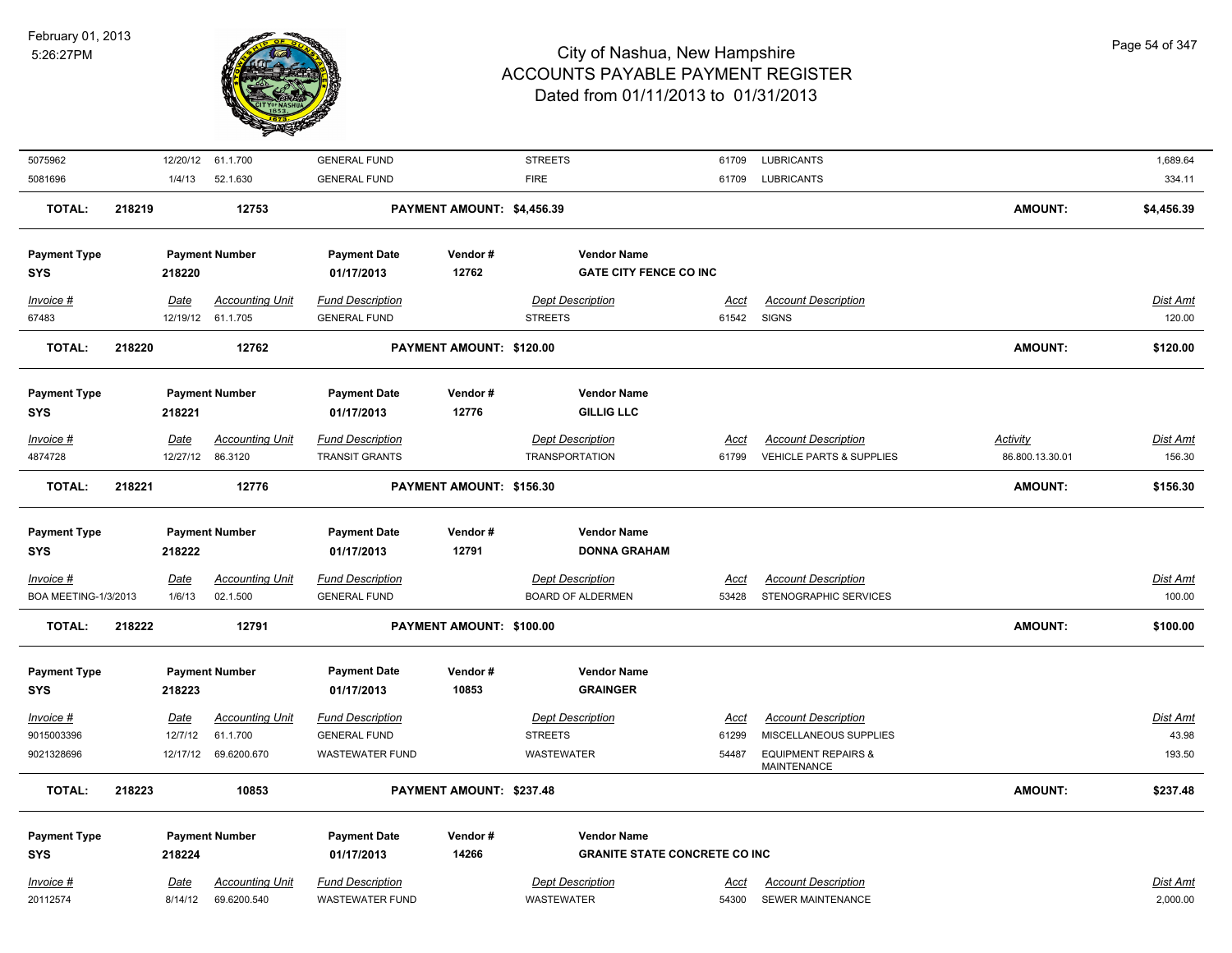

| 5075962                             |        |                | 12/20/12 61.1.700                  | <b>GENERAL FUND</b>                            |                            | <b>STREETS</b>                                             | 61709         | <b>LUBRICANTS</b>                                    |                 | 1,689.64                  |
|-------------------------------------|--------|----------------|------------------------------------|------------------------------------------------|----------------------------|------------------------------------------------------------|---------------|------------------------------------------------------|-----------------|---------------------------|
| 5081696                             |        | 1/4/13         | 52.1.630                           | <b>GENERAL FUND</b>                            |                            | <b>FIRE</b>                                                | 61709         | <b>LUBRICANTS</b>                                    |                 | 334.11                    |
| <b>TOTAL:</b>                       | 218219 |                | 12753                              |                                                | PAYMENT AMOUNT: \$4,456.39 |                                                            |               |                                                      | <b>AMOUNT:</b>  | \$4,456.39                |
| <b>Payment Type</b><br><b>SYS</b>   |        | 218220         | <b>Payment Number</b>              | <b>Payment Date</b><br>01/17/2013              | Vendor#<br>12762           | <b>Vendor Name</b><br><b>GATE CITY FENCE CO INC</b>        |               |                                                      |                 |                           |
| Invoice #                           |        | Date           | <b>Accounting Unit</b>             | <b>Fund Description</b>                        |                            | <b>Dept Description</b>                                    | <u>Acct</u>   | <b>Account Description</b>                           |                 | <b>Dist Amt</b>           |
| 67483                               |        |                | 12/19/12 61.1.705                  | <b>GENERAL FUND</b>                            |                            | <b>STREETS</b>                                             | 61542         | <b>SIGNS</b>                                         |                 | 120.00                    |
| <b>TOTAL:</b>                       | 218220 |                | 12762                              |                                                | PAYMENT AMOUNT: \$120.00   |                                                            |               |                                                      | <b>AMOUNT:</b>  | \$120.00                  |
| <b>Payment Type</b>                 |        |                | <b>Payment Number</b>              | <b>Payment Date</b>                            | Vendor#                    | <b>Vendor Name</b>                                         |               |                                                      |                 |                           |
| <b>SYS</b>                          |        | 218221         |                                    | 01/17/2013                                     | 12776                      | <b>GILLIG LLC</b>                                          |               |                                                      |                 |                           |
| Invoice #                           |        | Date           | <b>Accounting Unit</b>             | <b>Fund Description</b>                        |                            | <b>Dept Description</b>                                    | Acct          | <b>Account Description</b>                           | <b>Activity</b> | <b>Dist Amt</b>           |
| 4874728                             |        |                | 12/27/12 86.3120                   | <b>TRANSIT GRANTS</b>                          |                            | <b>TRANSPORTATION</b>                                      | 61799         | <b>VEHICLE PARTS &amp; SUPPLIES</b>                  | 86.800.13.30.01 | 156.30                    |
| <b>TOTAL:</b>                       | 218221 |                | 12776                              |                                                | PAYMENT AMOUNT: \$156.30   |                                                            |               |                                                      | <b>AMOUNT:</b>  | \$156.30                  |
| <b>Payment Type</b>                 |        |                | <b>Payment Number</b>              | <b>Payment Date</b>                            | Vendor#                    | <b>Vendor Name</b>                                         |               |                                                      |                 |                           |
| <b>SYS</b>                          |        | 218222         |                                    | 01/17/2013                                     | 12791                      | <b>DONNA GRAHAM</b>                                        |               |                                                      |                 |                           |
| $Invoice$ #<br>BOA MEETING-1/3/2013 |        | Date<br>1/6/13 | <b>Accounting Unit</b><br>02.1.500 | <b>Fund Description</b><br><b>GENERAL FUND</b> |                            | <b>Dept Description</b><br><b>BOARD OF ALDERMEN</b>        | Acct<br>53428 | <b>Account Description</b><br>STENOGRAPHIC SERVICES  |                 | <b>Dist Amt</b><br>100.00 |
| <b>TOTAL:</b>                       | 218222 |                | 12791                              |                                                | PAYMENT AMOUNT: \$100.00   |                                                            |               |                                                      | <b>AMOUNT:</b>  | \$100.00                  |
| <b>Payment Type</b><br><b>SYS</b>   |        | 218223         | <b>Payment Number</b>              | <b>Payment Date</b><br>01/17/2013              | Vendor#<br>10853           | <b>Vendor Name</b><br><b>GRAINGER</b>                      |               |                                                      |                 |                           |
| Invoice #                           |        | Date           | <b>Accounting Unit</b>             | Fund Description                               |                            | <b>Dept Description</b>                                    | Acct          | <b>Account Description</b>                           |                 | <b>Dist Amt</b>           |
| 9015003396                          |        | 12/7/12        | 61.1.700                           | <b>GENERAL FUND</b>                            |                            | <b>STREETS</b>                                             | 61299         | MISCELLANEOUS SUPPLIES                               |                 | 43.98                     |
| 9021328696                          |        | 12/17/12       | 69.6200.670                        | <b>WASTEWATER FUND</b>                         |                            | <b>WASTEWATER</b>                                          | 54487         | <b>EQUIPMENT REPAIRS &amp;</b><br><b>MAINTENANCE</b> |                 | 193.50                    |
| <b>TOTAL:</b>                       | 218223 |                | 10853                              |                                                | PAYMENT AMOUNT: \$237.48   |                                                            |               |                                                      | <b>AMOUNT:</b>  | \$237.48                  |
| <b>Payment Type</b>                 |        |                |                                    |                                                |                            |                                                            |               |                                                      |                 |                           |
| <b>SYS</b>                          |        | 218224         | <b>Payment Number</b>              | <b>Payment Date</b><br>01/17/2013              | Vendor#<br>14266           | <b>Vendor Name</b><br><b>GRANITE STATE CONCRETE CO INC</b> |               |                                                      |                 |                           |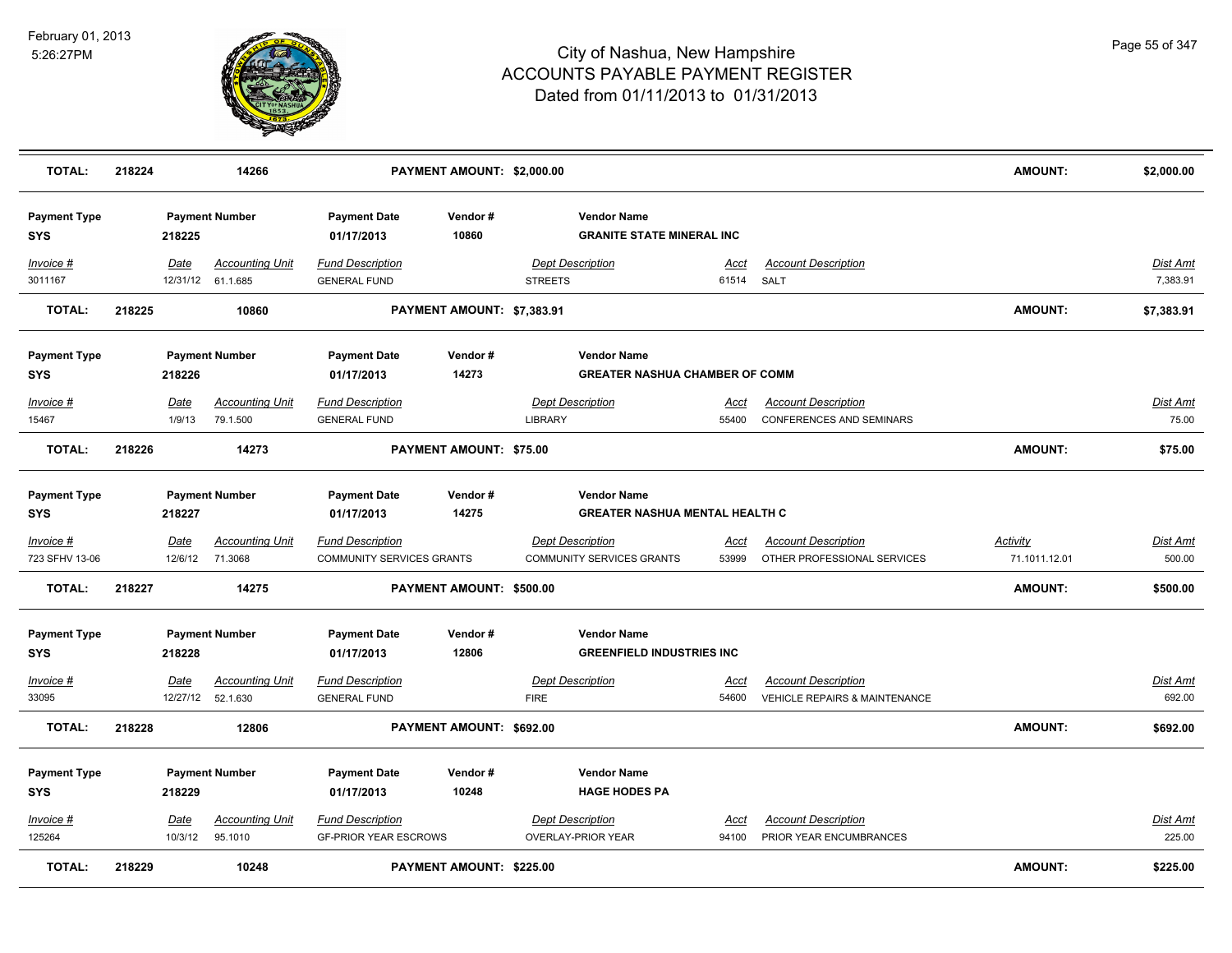

| <b>TOTAL:</b>                     | 218224 |             | 14266                                       |                                                | PAYMENT AMOUNT: \$2,000.00      |                |                                                             |               |                                          | <b>AMOUNT:</b>  | \$2,000.00           |
|-----------------------------------|--------|-------------|---------------------------------------------|------------------------------------------------|---------------------------------|----------------|-------------------------------------------------------------|---------------|------------------------------------------|-----------------|----------------------|
| <b>Payment Type</b><br><b>SYS</b> |        | 218225      | <b>Payment Number</b>                       | <b>Payment Date</b><br>01/17/2013              | Vendor#<br>10860                |                | <b>Vendor Name</b><br><b>GRANITE STATE MINERAL INC</b>      |               |                                          |                 |                      |
| Invoice #<br>3011167              |        | Date        | <b>Accounting Unit</b><br>12/31/12 61.1.685 | <b>Fund Description</b><br><b>GENERAL FUND</b> |                                 | <b>STREETS</b> | <b>Dept Description</b>                                     | Acct<br>61514 | <b>Account Description</b><br>SALT       |                 | Dist Amt<br>7,383.91 |
| <b>TOTAL:</b>                     | 218225 |             | 10860                                       |                                                | PAYMENT AMOUNT: \$7,383.91      |                |                                                             |               |                                          | <b>AMOUNT:</b>  | \$7,383.91           |
| <b>Payment Type</b>               |        |             | <b>Payment Number</b>                       | <b>Payment Date</b>                            | Vendor#                         |                | <b>Vendor Name</b>                                          |               |                                          |                 |                      |
| SYS                               |        | 218226      |                                             | 01/17/2013                                     | 14273                           |                | <b>GREATER NASHUA CHAMBER OF COMM</b>                       |               |                                          |                 |                      |
| Invoice #                         |        | Date        | <b>Accounting Unit</b>                      | <b>Fund Description</b>                        |                                 |                | <b>Dept Description</b>                                     | Acct          | <b>Account Description</b>               |                 | Dist Amt             |
| 15467                             |        | 1/9/13      | 79.1.500                                    | <b>GENERAL FUND</b>                            |                                 | LIBRARY        |                                                             | 55400         | <b>CONFERENCES AND SEMINARS</b>          |                 | 75.00                |
| <b>TOTAL:</b>                     | 218226 |             | 14273                                       |                                                | PAYMENT AMOUNT: \$75.00         |                |                                                             |               |                                          | <b>AMOUNT:</b>  | \$75.00              |
| <b>Payment Type</b><br>SYS        |        | 218227      | <b>Payment Number</b>                       | <b>Payment Date</b><br>01/17/2013              | Vendor#<br>14275                |                | <b>Vendor Name</b><br><b>GREATER NASHUA MENTAL HEALTH C</b> |               |                                          |                 |                      |
|                                   |        |             |                                             |                                                |                                 |                |                                                             |               |                                          |                 |                      |
| <u>Invoice #</u>                  |        | <u>Date</u> | <u>Accounting Unit</u>                      | <b>Fund Description</b>                        |                                 |                | <b>Dept Description</b>                                     | <u>Acct</u>   | <b>Account Description</b>               | <u>Activity</u> | <u>Dist Amt</u>      |
| 723 SFHV 13-06                    |        | 12/6/12     | 71.3068                                     | COMMUNITY SERVICES GRANTS                      |                                 |                | COMMUNITY SERVICES GRANTS                                   | 53999         | OTHER PROFESSIONAL SERVICES              | 71.1011.12.01   | 500.00               |
| <b>TOTAL:</b>                     | 218227 |             | 14275                                       |                                                | PAYMENT AMOUNT: \$500.00        |                |                                                             |               |                                          | <b>AMOUNT:</b>  | \$500.00             |
| <b>Payment Type</b>               |        |             | <b>Payment Number</b>                       | <b>Payment Date</b>                            | Vendor#                         |                | <b>Vendor Name</b>                                          |               |                                          |                 |                      |
| <b>SYS</b>                        |        | 218228      |                                             | 01/17/2013                                     | 12806                           |                | <b>GREENFIELD INDUSTRIES INC</b>                            |               |                                          |                 |                      |
| Invoice #                         |        | Date        | <b>Accounting Unit</b>                      | <b>Fund Description</b>                        |                                 |                | <b>Dept Description</b>                                     | Acct          | <b>Account Description</b>               |                 | <u>Dist Amt</u>      |
| 33095                             |        |             | 12/27/12 52.1.630                           | <b>GENERAL FUND</b>                            |                                 | <b>FIRE</b>    |                                                             | 54600         | <b>VEHICLE REPAIRS &amp; MAINTENANCE</b> |                 | 692.00               |
| <b>TOTAL:</b>                     | 218228 |             | 12806                                       |                                                | PAYMENT AMOUNT: \$692.00        |                |                                                             |               |                                          | <b>AMOUNT:</b>  | \$692.00             |
| <b>Payment Type</b>               |        |             | <b>Payment Number</b>                       | <b>Payment Date</b>                            | Vendor#                         |                | <b>Vendor Name</b>                                          |               |                                          |                 |                      |
| <b>SYS</b>                        |        | 218229      |                                             | 01/17/2013                                     | 10248                           |                | <b>HAGE HODES PA</b>                                        |               |                                          |                 |                      |
| Invoice #                         |        | <u>Date</u> | <b>Accounting Unit</b>                      | <b>Fund Description</b>                        |                                 |                | <b>Dept Description</b>                                     | Acct          | <b>Account Description</b>               |                 | Dist Amt             |
| 125264                            |        | 10/3/12     | 95.1010                                     | <b>GF-PRIOR YEAR ESCROWS</b>                   |                                 |                | OVERLAY-PRIOR YEAR                                          | 94100         | PRIOR YEAR ENCUMBRANCES                  |                 | 225.00               |
| <b>TOTAL:</b>                     | 218229 |             | 10248                                       |                                                | <b>PAYMENT AMOUNT: \$225.00</b> |                |                                                             |               |                                          | <b>AMOUNT:</b>  | \$225.00             |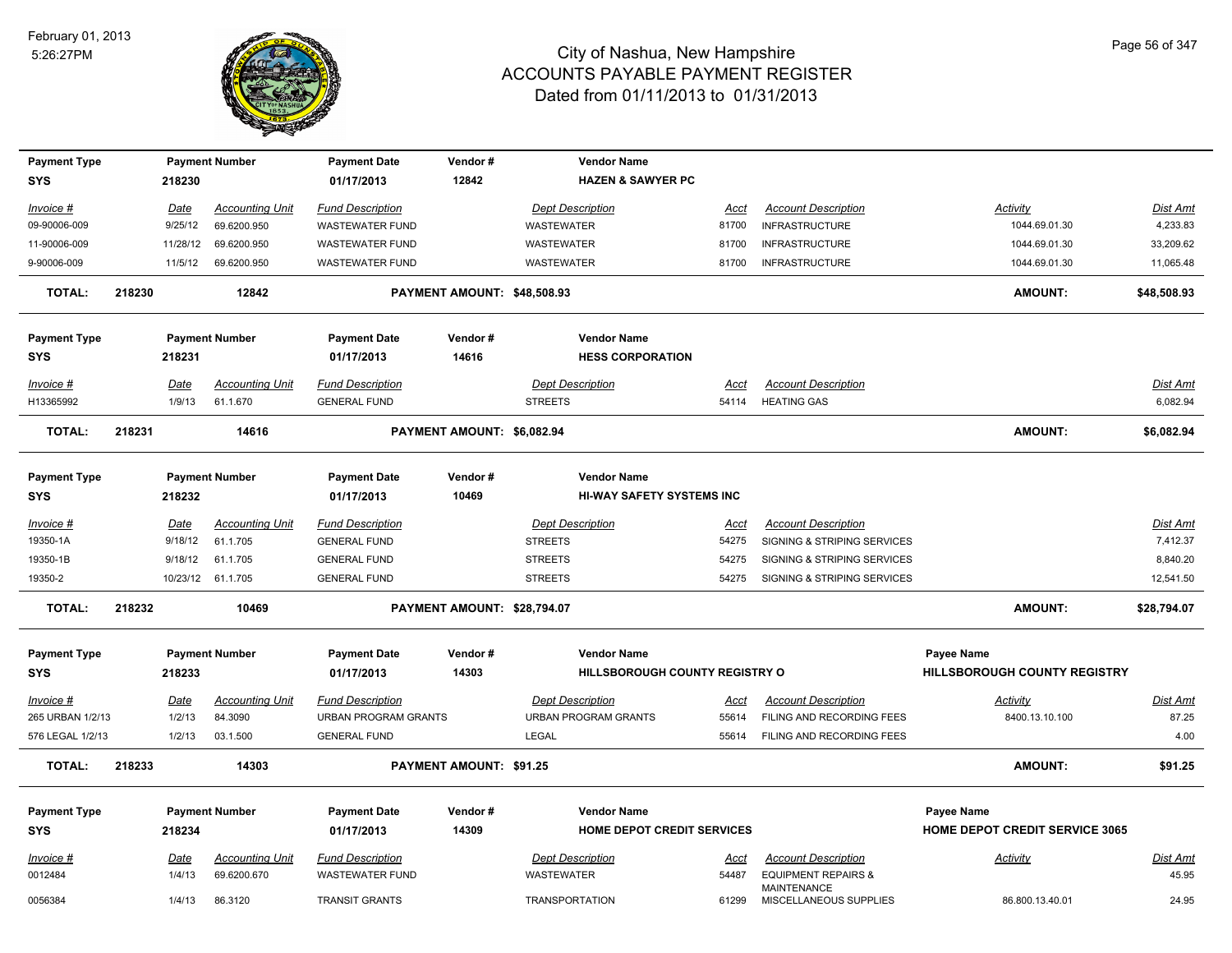

| <b>Payment Type</b>               |        |             | <b>Payment Number</b>  | <b>Payment Date</b>               | Vendor#                     | <b>Vendor Name</b>                                     |             |                                                      |                                                   |             |
|-----------------------------------|--------|-------------|------------------------|-----------------------------------|-----------------------------|--------------------------------------------------------|-------------|------------------------------------------------------|---------------------------------------------------|-------------|
| <b>SYS</b>                        |        | 218230      |                        | 01/17/2013                        | 12842                       | <b>HAZEN &amp; SAWYER PC</b>                           |             |                                                      |                                                   |             |
| Invoice #                         |        | Date        | <b>Accounting Unit</b> | <b>Fund Description</b>           |                             | <b>Dept Description</b>                                | Acct        | <b>Account Description</b>                           | Activity                                          | Dist Amt    |
| 09-90006-009                      |        | 9/25/12     | 69.6200.950            | WASTEWATER FUND                   |                             | WASTEWATER                                             | 81700       | <b>INFRASTRUCTURE</b>                                | 1044.69.01.30                                     | 4,233.83    |
| 11-90006-009                      |        | 11/28/12    | 69.6200.950            | <b>WASTEWATER FUND</b>            |                             | <b>WASTEWATER</b>                                      | 81700       | <b>INFRASTRUCTURE</b>                                | 1044.69.01.30                                     | 33,209.62   |
| 9-90006-009                       |        | 11/5/12     | 69.6200.950            | <b>WASTEWATER FUND</b>            |                             | WASTEWATER                                             | 81700       | <b>INFRASTRUCTURE</b>                                | 1044.69.01.30                                     | 11,065.48   |
| <b>TOTAL:</b>                     | 218230 |             | 12842                  |                                   | PAYMENT AMOUNT: \$48,508.93 |                                                        |             |                                                      | <b>AMOUNT:</b>                                    | \$48,508.93 |
| <b>Payment Type</b><br><b>SYS</b> |        | 218231      | <b>Payment Number</b>  | <b>Payment Date</b><br>01/17/2013 | Vendor#<br>14616            | <b>Vendor Name</b><br><b>HESS CORPORATION</b>          |             |                                                      |                                                   |             |
| $Invoice$ #                       |        | Date        | <b>Accounting Unit</b> | <b>Fund Description</b>           |                             | <b>Dept Description</b>                                | <u>Acct</u> | <b>Account Description</b>                           |                                                   | Dist Amt    |
| H13365992                         |        | 1/9/13      | 61.1.670               | <b>GENERAL FUND</b>               |                             | <b>STREETS</b>                                         | 54114       | <b>HEATING GAS</b>                                   |                                                   | 6,082.94    |
| <b>TOTAL:</b>                     | 218231 |             | 14616                  |                                   | PAYMENT AMOUNT: \$6,082.94  |                                                        |             |                                                      | AMOUNT:                                           | \$6,082.94  |
| <b>Payment Type</b><br><b>SYS</b> |        | 218232      | <b>Payment Number</b>  | <b>Payment Date</b><br>01/17/2013 | Vendor#<br>10469            | <b>Vendor Name</b><br><b>HI-WAY SAFETY SYSTEMS INC</b> |             |                                                      |                                                   |             |
| Invoice #                         |        | Date        | <b>Accounting Unit</b> | <b>Fund Description</b>           |                             | <b>Dept Description</b>                                | Acct        | <b>Account Description</b>                           |                                                   | Dist Amt    |
| 19350-1A                          |        | 9/18/12     | 61.1.705               | <b>GENERAL FUND</b>               |                             | <b>STREETS</b>                                         | 54275       | SIGNING & STRIPING SERVICES                          |                                                   | 7,412.37    |
| 19350-1B                          |        | 9/18/12     | 61.1.705               | <b>GENERAL FUND</b>               |                             | <b>STREETS</b>                                         | 54275       | SIGNING & STRIPING SERVICES                          |                                                   | 8,840.20    |
| 19350-2                           |        |             | 10/23/12 61.1.705      | <b>GENERAL FUND</b>               |                             | <b>STREETS</b>                                         | 54275       | SIGNING & STRIPING SERVICES                          |                                                   | 12,541.50   |
| <b>TOTAL:</b>                     | 218232 |             | 10469                  |                                   | PAYMENT AMOUNT: \$28,794.07 |                                                        |             |                                                      | AMOUNT:                                           | \$28,794.07 |
| <b>Payment Type</b><br><b>SYS</b> |        | 218233      | <b>Payment Number</b>  | <b>Payment Date</b><br>01/17/2013 | Vendor#<br>14303            | <b>Vendor Name</b><br>HILLSBOROUGH COUNTY REGISTRY O   |             |                                                      | Payee Name<br><b>HILLSBOROUGH COUNTY REGISTRY</b> |             |
| Invoice #                         |        | Date        | <b>Accounting Unit</b> | <b>Fund Description</b>           |                             | <b>Dept Description</b>                                | <u>Acct</u> | <b>Account Description</b>                           | <b>Activity</b>                                   | Dist Amt    |
| 265 URBAN 1/2/13                  |        | 1/2/13      | 84.3090                | URBAN PROGRAM GRANTS              |                             | <b>URBAN PROGRAM GRANTS</b>                            | 55614       | FILING AND RECORDING FEES                            | 8400.13.10.100                                    | 87.25       |
| 576 LEGAL 1/2/13                  |        | 1/2/13      | 03.1.500               | <b>GENERAL FUND</b>               |                             | <b>LEGAL</b>                                           | 55614       | FILING AND RECORDING FEES                            |                                                   | 4.00        |
| <b>TOTAL:</b>                     | 218233 |             | 14303                  |                                   | PAYMENT AMOUNT: \$91.25     |                                                        |             |                                                      | AMOUNT:                                           | \$91.25     |
| <b>Payment Type</b>               |        |             | <b>Payment Number</b>  | <b>Payment Date</b>               | Vendor#                     | <b>Vendor Name</b>                                     |             |                                                      | Payee Name                                        |             |
| <b>SYS</b>                        |        | 218234      |                        | 01/17/2013                        | 14309                       | <b>HOME DEPOT CREDIT SERVICES</b>                      |             |                                                      | <b>HOME DEPOT CREDIT SERVICE 3065</b>             |             |
| Invoice #                         |        | <u>Date</u> | <b>Accounting Unit</b> | <b>Fund Description</b>           |                             | <b>Dept Description</b>                                | Acct        | <b>Account Description</b>                           | Activity                                          | Dist Amt    |
| 0012484                           |        | 1/4/13      | 69.6200.670            | <b>WASTEWATER FUND</b>            |                             | <b>WASTEWATER</b>                                      | 54487       | <b>EQUIPMENT REPAIRS &amp;</b><br><b>MAINTENANCE</b> |                                                   | 45.95       |
| 0056384                           |        | 1/4/13      | 86.3120                | <b>TRANSIT GRANTS</b>             |                             | <b>TRANSPORTATION</b>                                  | 61299       | MISCELLANEOUS SUPPLIES                               | 86.800.13.40.01                                   | 24.95       |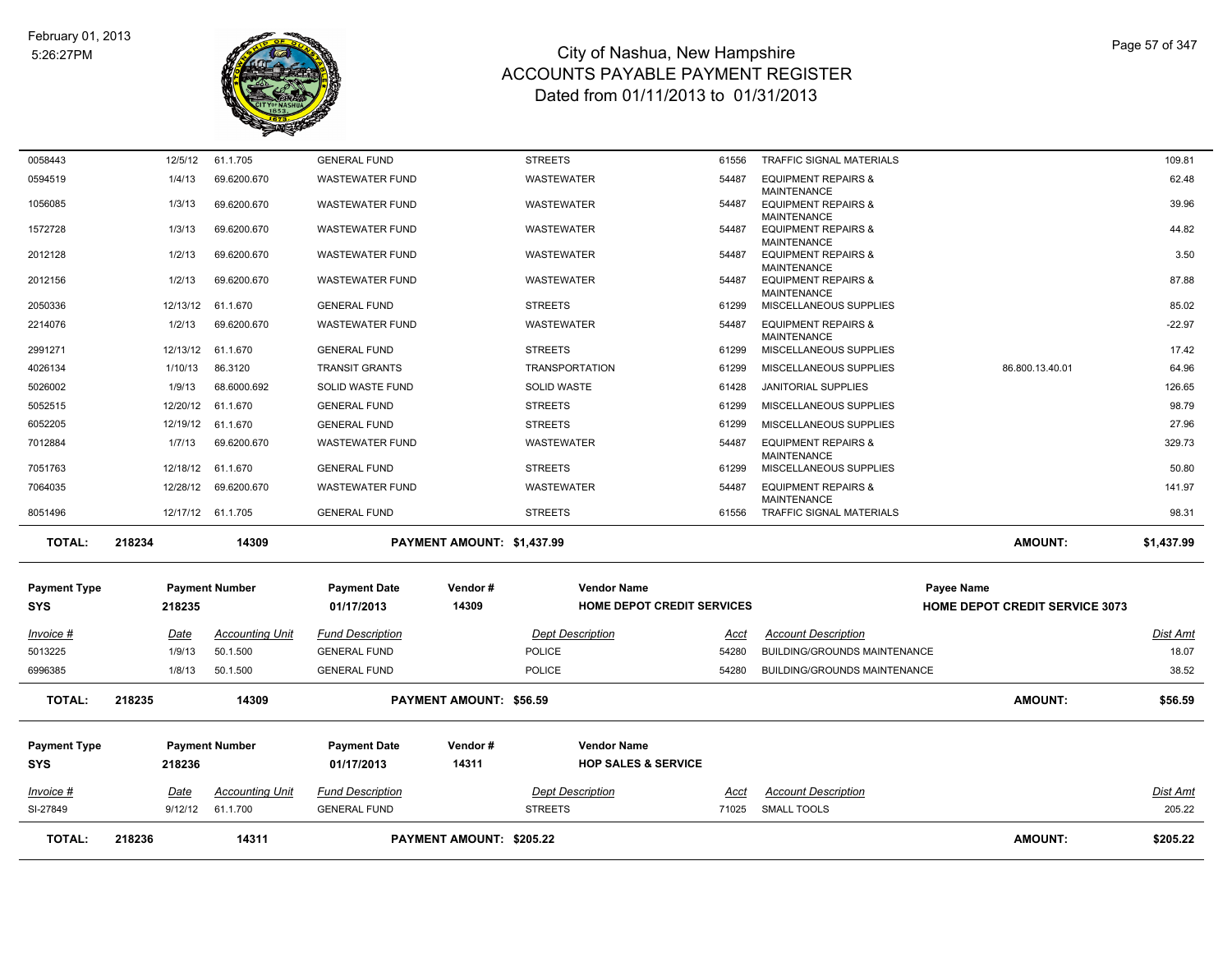

| SI-27849                          |                       |                                    |                                                |                            |                                                         |                      |                                                            |                                                     |                          |
|-----------------------------------|-----------------------|------------------------------------|------------------------------------------------|----------------------------|---------------------------------------------------------|----------------------|------------------------------------------------------------|-----------------------------------------------------|--------------------------|
| Invoice #                         | Date<br>9/12/12       | <b>Accounting Unit</b><br>61.1.700 | <b>Fund Description</b><br><b>GENERAL FUND</b> |                            | <b>Dept Description</b><br><b>STREETS</b>               | Acct<br>71025        | <b>Account Description</b><br><b>SMALL TOOLS</b>           |                                                     | Dist Amt<br>205.22       |
| <b>Payment Type</b><br><b>SYS</b> | 218236                | <b>Payment Number</b>              | <b>Payment Date</b><br>01/17/2013              | Vendor#<br>14311           | <b>Vendor Name</b><br><b>HOP SALES &amp; SERVICE</b>    |                      |                                                            |                                                     |                          |
| <b>TOTAL:</b>                     | 218235                | 14309                              |                                                | PAYMENT AMOUNT: \$56.59    |                                                         |                      |                                                            | <b>AMOUNT:</b>                                      | \$56.59                  |
| 6996385                           | 1/8/13                | 50.1.500                           | <b>GENERAL FUND</b>                            |                            | <b>POLICE</b>                                           | 54280                | BUILDING/GROUNDS MAINTENANCE                               |                                                     | 38.52                    |
| Invoice #<br>5013225              | <u>Date</u><br>1/9/13 | <b>Accounting Unit</b><br>50.1.500 | <b>Fund Description</b><br><b>GENERAL FUND</b> |                            | <b>Dept Description</b><br><b>POLICE</b>                | <u>Acct</u><br>54280 | <b>Account Description</b><br>BUILDING/GROUNDS MAINTENANCE |                                                     | <b>Dist Amt</b><br>18.07 |
| <b>Payment Type</b><br><b>SYS</b> | 218235                | <b>Payment Number</b>              | <b>Payment Date</b><br>01/17/2013              | Vendor#<br>14309           | <b>Vendor Name</b><br><b>HOME DEPOT CREDIT SERVICES</b> |                      |                                                            | Payee Name<br><b>HOME DEPOT CREDIT SERVICE 3073</b> |                          |
| <b>TOTAL:</b>                     | 218234                | 14309                              |                                                | PAYMENT AMOUNT: \$1,437.99 |                                                         |                      |                                                            | <b>AMOUNT:</b>                                      | \$1,437.99               |
| 8051496                           |                       | 12/17/12 61.1.705                  | <b>GENERAL FUND</b>                            |                            | <b>STREETS</b>                                          | 61556                | <b>MAINTENANCE</b><br><b>TRAFFIC SIGNAL MATERIALS</b>      |                                                     | 98.31                    |
| 7064035                           | 12/28/12              | 69.6200.670                        | <b>WASTEWATER FUND</b>                         |                            | <b>WASTEWATER</b>                                       | 54487                | <b>EQUIPMENT REPAIRS &amp;</b>                             |                                                     | 141.97                   |
| 7051763                           | 12/18/12              | 61.1.670                           | <b>GENERAL FUND</b>                            |                            | <b>STREETS</b>                                          | 61299                | <b>MAINTENANCE</b><br>MISCELLANEOUS SUPPLIES               |                                                     | 50.80                    |
| 6052205<br>7012884                | 12/19/12<br>1/7/13    | 61.1.670<br>69.6200.670            | <b>GENERAL FUND</b><br><b>WASTEWATER FUND</b>  |                            | <b>STREETS</b><br><b>WASTEWATER</b>                     | 61299<br>54487       | MISCELLANEOUS SUPPLIES<br><b>EQUIPMENT REPAIRS &amp;</b>   |                                                     | 329.73                   |
| 5052515                           | 12/20/12              | 61.1.670                           | <b>GENERAL FUND</b>                            |                            | <b>STREETS</b>                                          | 61299                | MISCELLANEOUS SUPPLIES                                     |                                                     | 98.79<br>27.96           |
| 5026002                           | 1/9/13                | 68.6000.692                        | SOLID WASTE FUND                               |                            | SOLID WASTE                                             | 61428                | <b>JANITORIAL SUPPLIES</b>                                 |                                                     | 126.65                   |
| 4026134                           | 1/10/13               | 86.3120                            | <b>TRANSIT GRANTS</b>                          |                            | <b>TRANSPORTATION</b>                                   | 61299                | MISCELLANEOUS SUPPLIES                                     | 86.800.13.40.01                                     | 64.96                    |
| 2991271                           | 12/13/12              | 61.1.670                           | <b>GENERAL FUND</b>                            |                            | <b>STREETS</b>                                          | 61299                | MISCELLANEOUS SUPPLIES                                     |                                                     | 17.42                    |
| 2214076                           | 1/2/13                | 69.6200.670                        | <b>WASTEWATER FUND</b>                         |                            | WASTEWATER                                              | 54487                | <b>EQUIPMENT REPAIRS &amp;</b><br><b>MAINTENANCE</b>       |                                                     | $-22.97$                 |
| 2050336                           | 12/13/12              | 61.1.670                           | <b>GENERAL FUND</b>                            |                            | <b>STREETS</b>                                          | 61299                | <b>MAINTENANCE</b><br>MISCELLANEOUS SUPPLIES               |                                                     | 85.02                    |
| 2012156                           | 1/2/13                | 69.6200.670                        | <b>WASTEWATER FUND</b>                         |                            | WASTEWATER                                              | 54487                | <b>MAINTENANCE</b><br><b>EQUIPMENT REPAIRS &amp;</b>       |                                                     | 87.88                    |
| 2012128                           | 1/2/13                | 69.6200.670                        | <b>WASTEWATER FUND</b>                         |                            | <b>WASTEWATER</b>                                       | 54487                | <b>MAINTENANCE</b><br><b>EQUIPMENT REPAIRS &amp;</b>       |                                                     | 3.50                     |
| 1572728                           | 1/3/13                | 69.6200.670                        | <b>WASTEWATER FUND</b>                         |                            | <b>WASTEWATER</b>                                       | 54487                | <b>MAINTENANCE</b><br><b>EQUIPMENT REPAIRS &amp;</b>       |                                                     | 44.82                    |
| 1056085                           | 1/3/13                | 69.6200.670                        | <b>WASTEWATER FUND</b>                         |                            | WASTEWATER                                              | 54487                | <b>MAINTENANCE</b><br><b>EQUIPMENT REPAIRS &amp;</b>       |                                                     | 39.96                    |
| 0594519                           | 1/4/13                | 69.6200.670                        | <b>WASTEWATER FUND</b>                         |                            | WASTEWATER                                              | 54487                | <b>EQUIPMENT REPAIRS &amp;</b>                             |                                                     | 62.48                    |
| 0058443                           | 12/5/12               | 61.1.705                           | <b>GENERAL FUND</b>                            |                            | <b>STREETS</b>                                          | 61556                | TRAFFIC SIGNAL MATERIALS                                   |                                                     | 109.81                   |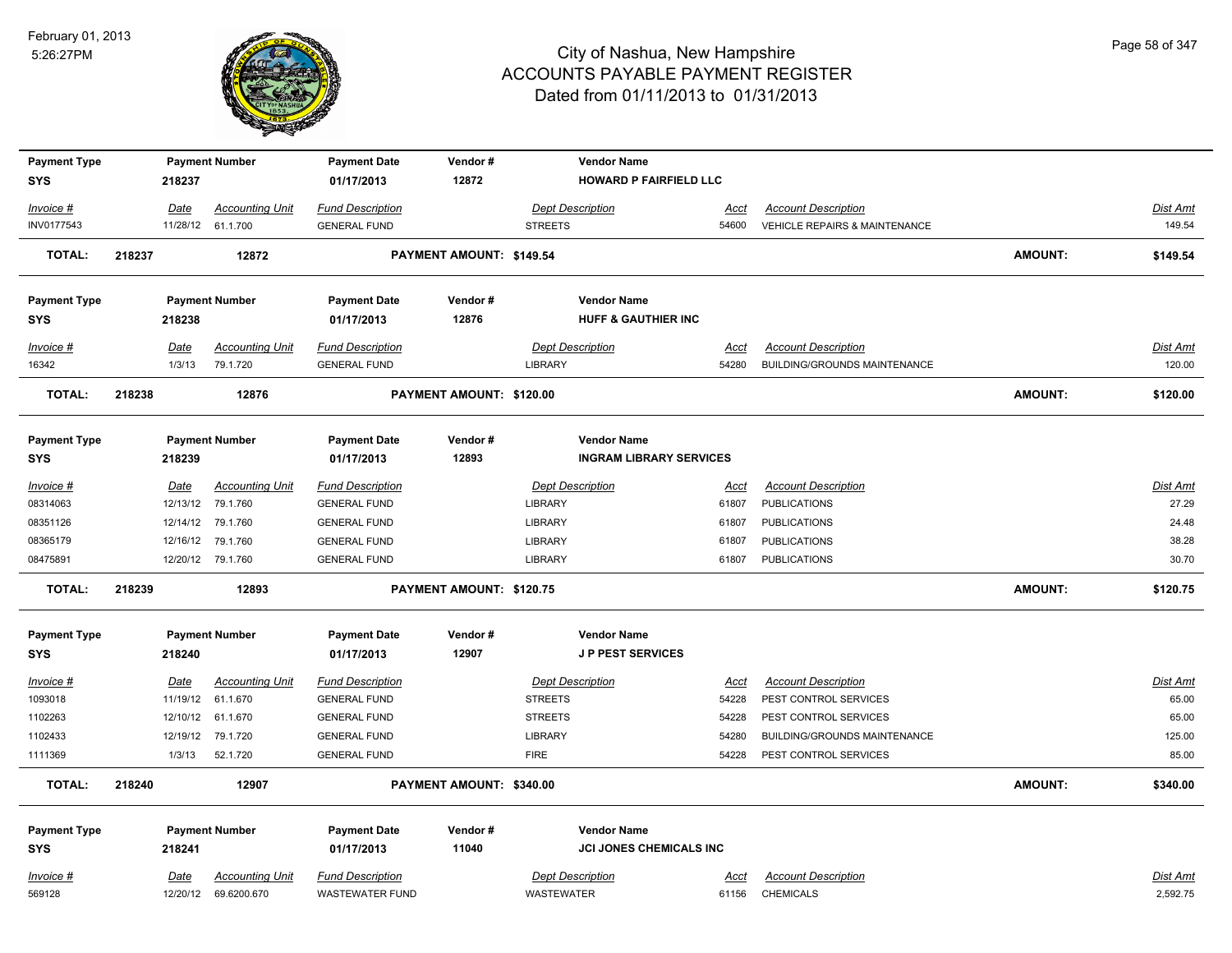

| <b>Payment Type</b> |        |             | <b>Payment Number</b>  | <b>Payment Date</b>     | Vendor#                  |                         | <b>Vendor Name</b>             |             |                                          |                |                 |
|---------------------|--------|-------------|------------------------|-------------------------|--------------------------|-------------------------|--------------------------------|-------------|------------------------------------------|----------------|-----------------|
| <b>SYS</b>          |        | 218237      |                        | 01/17/2013              | 12872                    |                         | <b>HOWARD P FAIRFIELD LLC</b>  |             |                                          |                |                 |
| Invoice #           |        | Date        | <b>Accounting Unit</b> | <b>Fund Description</b> |                          | <b>Dept Description</b> |                                | Acct        | <b>Account Description</b>               |                | Dist Amt        |
| INV0177543          |        |             | 11/28/12 61.1.700      | <b>GENERAL FUND</b>     |                          | <b>STREETS</b>          |                                | 54600       | <b>VEHICLE REPAIRS &amp; MAINTENANCE</b> |                | 149.54          |
| <b>TOTAL:</b>       | 218237 |             | 12872                  |                         | PAYMENT AMOUNT: \$149.54 |                         |                                |             |                                          | <b>AMOUNT:</b> | \$149.54        |
| <b>Payment Type</b> |        |             | <b>Payment Number</b>  | <b>Payment Date</b>     | Vendor#                  |                         | <b>Vendor Name</b>             |             |                                          |                |                 |
| <b>SYS</b>          |        | 218238      |                        | 01/17/2013              | 12876                    |                         | <b>HUFF &amp; GAUTHIER INC</b> |             |                                          |                |                 |
| Invoice #           |        | Date        | <b>Accounting Unit</b> | <b>Fund Description</b> |                          | <b>Dept Description</b> |                                | Acct        | <b>Account Description</b>               |                | Dist Amt        |
| 16342               |        | 1/3/13      | 79.1.720               | <b>GENERAL FUND</b>     |                          | <b>LIBRARY</b>          |                                | 54280       | BUILDING/GROUNDS MAINTENANCE             |                | 120.00          |
| <b>TOTAL:</b>       | 218238 |             | 12876                  |                         | PAYMENT AMOUNT: \$120.00 |                         |                                |             |                                          | <b>AMOUNT:</b> | \$120.00        |
| <b>Payment Type</b> |        |             | <b>Payment Number</b>  | <b>Payment Date</b>     | Vendor#                  |                         | <b>Vendor Name</b>             |             |                                          |                |                 |
| <b>SYS</b>          |        | 218239      |                        | 01/17/2013              | 12893                    |                         | <b>INGRAM LIBRARY SERVICES</b> |             |                                          |                |                 |
| $Invoice$ #         |        | Date        | <b>Accounting Unit</b> | <b>Fund Description</b> |                          | <b>Dept Description</b> |                                | <u>Acct</u> | <b>Account Description</b>               |                | Dist Amt        |
| 08314063            |        |             | 12/13/12 79.1.760      | <b>GENERAL FUND</b>     |                          | LIBRARY                 |                                | 61807       | <b>PUBLICATIONS</b>                      |                | 27.29           |
| 08351126            |        | 12/14/12    | 79.1.760               | <b>GENERAL FUND</b>     |                          | <b>LIBRARY</b>          |                                | 61807       | <b>PUBLICATIONS</b>                      |                | 24.48           |
| 08365179            |        | 12/16/12    | 79.1.760               | <b>GENERAL FUND</b>     |                          | <b>LIBRARY</b>          |                                | 61807       | <b>PUBLICATIONS</b>                      |                | 38.28           |
| 08475891            |        |             | 12/20/12 79.1.760      | <b>GENERAL FUND</b>     |                          | LIBRARY                 |                                | 61807       | <b>PUBLICATIONS</b>                      |                | 30.70           |
| TOTAL:              | 218239 |             | 12893                  |                         | PAYMENT AMOUNT: \$120.75 |                         |                                |             |                                          | <b>AMOUNT:</b> | \$120.75        |
| <b>Payment Type</b> |        |             | <b>Payment Number</b>  | <b>Payment Date</b>     | Vendor#                  |                         | <b>Vendor Name</b>             |             |                                          |                |                 |
| <b>SYS</b>          |        | 218240      |                        | 01/17/2013              | 12907                    |                         | <b>JP PEST SERVICES</b>        |             |                                          |                |                 |
| Invoice #           |        | <u>Date</u> | <b>Accounting Unit</b> | <b>Fund Description</b> |                          | <b>Dept Description</b> |                                | <u>Acct</u> | <b>Account Description</b>               |                | <b>Dist Amt</b> |
| 1093018             |        | 11/19/12    | 61.1.670               | <b>GENERAL FUND</b>     |                          | <b>STREETS</b>          |                                | 54228       | PEST CONTROL SERVICES                    |                | 65.00           |
| 1102263             |        | 12/10/12    | 61.1.670               | <b>GENERAL FUND</b>     |                          | <b>STREETS</b>          |                                | 54228       | PEST CONTROL SERVICES                    |                | 65.00           |
| 1102433             |        | 12/19/12    | 79.1.720               | <b>GENERAL FUND</b>     |                          | <b>LIBRARY</b>          |                                | 54280       | BUILDING/GROUNDS MAINTENANCE             |                | 125.00          |
| 1111369             |        | 1/3/13      | 52.1.720               | <b>GENERAL FUND</b>     |                          | <b>FIRE</b>             |                                | 54228       | PEST CONTROL SERVICES                    |                | 85.00           |
| <b>TOTAL:</b>       | 218240 |             | 12907                  |                         | PAYMENT AMOUNT: \$340.00 |                         |                                |             |                                          | <b>AMOUNT:</b> | \$340.00        |
| <b>Payment Type</b> |        |             | <b>Payment Number</b>  | <b>Payment Date</b>     | Vendor#                  |                         | <b>Vendor Name</b>             |             |                                          |                |                 |
| <b>SYS</b>          |        | 218241      |                        | 01/17/2013              | 11040                    |                         | JCI JONES CHEMICALS INC        |             |                                          |                |                 |
| Invoice #           |        | Date        | <b>Accounting Unit</b> | <b>Fund Description</b> |                          | <b>Dept Description</b> |                                | Acct        | <b>Account Description</b>               |                | <b>Dist Amt</b> |
| 569128              |        |             | 12/20/12 69.6200.670   | <b>WASTEWATER FUND</b>  |                          | <b>WASTEWATER</b>       |                                | 61156       | <b>CHEMICALS</b>                         |                | 2,592.75        |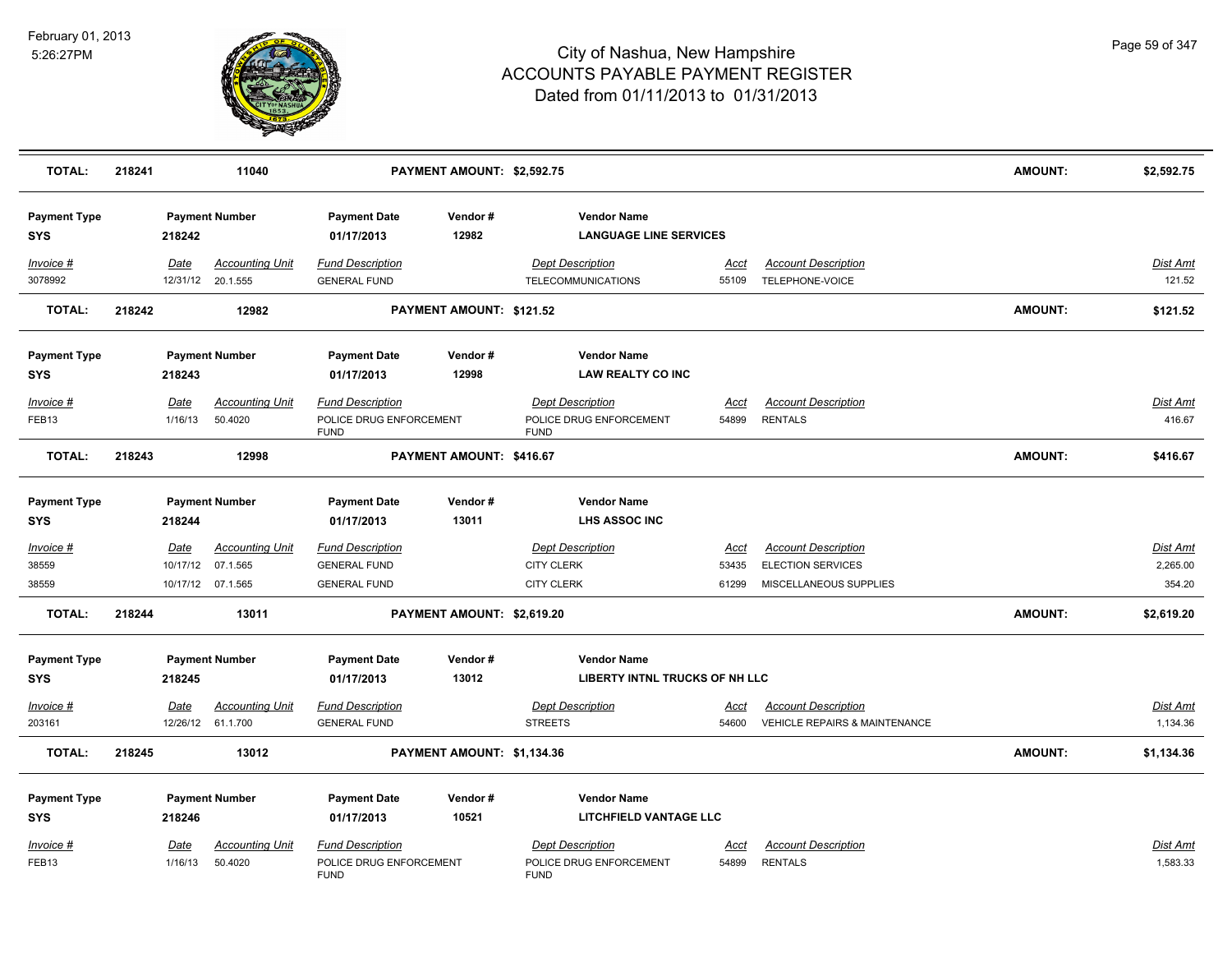

| <b>TOTAL:</b>                     | 218241 |                        | 11040                                       |                                                                   | PAYMENT AMOUNT: \$2,592.75 |                                                                   |                      |                                                        | <b>AMOUNT:</b> | \$2,592.75                  |
|-----------------------------------|--------|------------------------|---------------------------------------------|-------------------------------------------------------------------|----------------------------|-------------------------------------------------------------------|----------------------|--------------------------------------------------------|----------------|-----------------------------|
| <b>Payment Type</b><br><b>SYS</b> |        | 218242                 | <b>Payment Number</b>                       | <b>Payment Date</b><br>01/17/2013                                 | Vendor#<br>12982           | <b>Vendor Name</b><br><b>LANGUAGE LINE SERVICES</b>               |                      |                                                        |                |                             |
| Invoice #<br>3078992              |        | Date                   | <b>Accounting Unit</b><br>12/31/12 20.1.555 | <b>Fund Description</b><br><b>GENERAL FUND</b>                    |                            | <b>Dept Description</b><br>TELECOMMUNICATIONS                     | Acct<br>55109        | <b>Account Description</b><br>TELEPHONE-VOICE          |                | Dist Amt<br>121.52          |
| <b>TOTAL:</b>                     | 218242 |                        | 12982                                       |                                                                   | PAYMENT AMOUNT: \$121.52   |                                                                   |                      |                                                        | <b>AMOUNT:</b> | \$121.52                    |
| <b>Payment Type</b><br><b>SYS</b> |        | 218243                 | <b>Payment Number</b>                       | <b>Payment Date</b><br>01/17/2013                                 | Vendor#<br>12998           | <b>Vendor Name</b><br><b>LAW REALTY CO INC</b>                    |                      |                                                        |                |                             |
| Invoice #<br>FEB13                |        | <b>Date</b><br>1/16/13 | <b>Accounting Unit</b><br>50.4020           | <b>Fund Description</b><br>POLICE DRUG ENFORCEMENT<br><b>FUND</b> |                            | <b>Dept Description</b><br>POLICE DRUG ENFORCEMENT<br><b>FUND</b> | Acct<br>54899        | <b>Account Description</b><br><b>RENTALS</b>           |                | <u>Dist Amt</u><br>416.67   |
| <b>TOTAL:</b>                     | 218243 |                        | 12998                                       |                                                                   | PAYMENT AMOUNT: \$416.67   |                                                                   |                      |                                                        | <b>AMOUNT:</b> | \$416.67                    |
| <b>Payment Type</b><br><b>SYS</b> |        | 218244                 | <b>Payment Number</b>                       | <b>Payment Date</b><br>01/17/2013                                 | Vendor#<br>13011           | <b>Vendor Name</b><br><b>LHS ASSOC INC</b>                        |                      |                                                        |                |                             |
| Invoice #<br>38559                |        | Date                   | <b>Accounting Unit</b><br>10/17/12 07.1.565 | <b>Fund Description</b><br><b>GENERAL FUND</b>                    |                            | <b>Dept Description</b><br><b>CITY CLERK</b>                      | Acct<br>53435        | <b>Account Description</b><br><b>ELECTION SERVICES</b> |                | Dist Amt<br>2,265.00        |
| 38559                             |        |                        | 10/17/12 07.1.565                           | <b>GENERAL FUND</b>                                               |                            | <b>CITY CLERK</b>                                                 | 61299                | MISCELLANEOUS SUPPLIES                                 |                | 354.20                      |
| <b>TOTAL:</b>                     | 218244 |                        | 13011                                       |                                                                   | PAYMENT AMOUNT: \$2,619.20 |                                                                   |                      |                                                        | <b>AMOUNT:</b> | \$2,619.20                  |
| <b>Payment Type</b><br><b>SYS</b> |        | 218245                 | <b>Payment Number</b>                       | <b>Payment Date</b><br>01/17/2013                                 | Vendor#<br>13012           | <b>Vendor Name</b><br>LIBERTY INTNL TRUCKS OF NH LLC              |                      |                                                        |                |                             |
| Invoice #                         |        | <b>Date</b>            | <b>Accounting Unit</b>                      | <b>Fund Description</b>                                           |                            | <b>Dept Description</b>                                           | <u>Acct</u>          | <b>Account Description</b>                             |                | Dist Amt                    |
| 203161                            |        |                        | 12/26/12 61.1.700                           | <b>GENERAL FUND</b>                                               |                            | <b>STREETS</b>                                                    | 54600                | <b>VEHICLE REPAIRS &amp; MAINTENANCE</b>               |                | 1,134.36                    |
| <b>TOTAL:</b>                     | 218245 |                        | 13012                                       |                                                                   | PAYMENT AMOUNT: \$1,134.36 |                                                                   |                      |                                                        | <b>AMOUNT:</b> | \$1,134.36                  |
| <b>Payment Type</b><br><b>SYS</b> |        | 218246                 | <b>Payment Number</b>                       | <b>Payment Date</b><br>01/17/2013                                 | Vendor#<br>10521           | <b>Vendor Name</b><br>LITCHFIELD VANTAGE LLC                      |                      |                                                        |                |                             |
| <b>Invoice #</b><br>FEB13         |        | <b>Date</b><br>1/16/13 | <b>Accounting Unit</b><br>50.4020           | <b>Fund Description</b><br>POLICE DRUG ENFORCEMENT<br><b>FUND</b> |                            | <b>Dept Description</b><br>POLICE DRUG ENFORCEMENT<br><b>FUND</b> | <u>Acct</u><br>54899 | <b>Account Description</b><br><b>RENTALS</b>           |                | <u>Dist Amt</u><br>1,583.33 |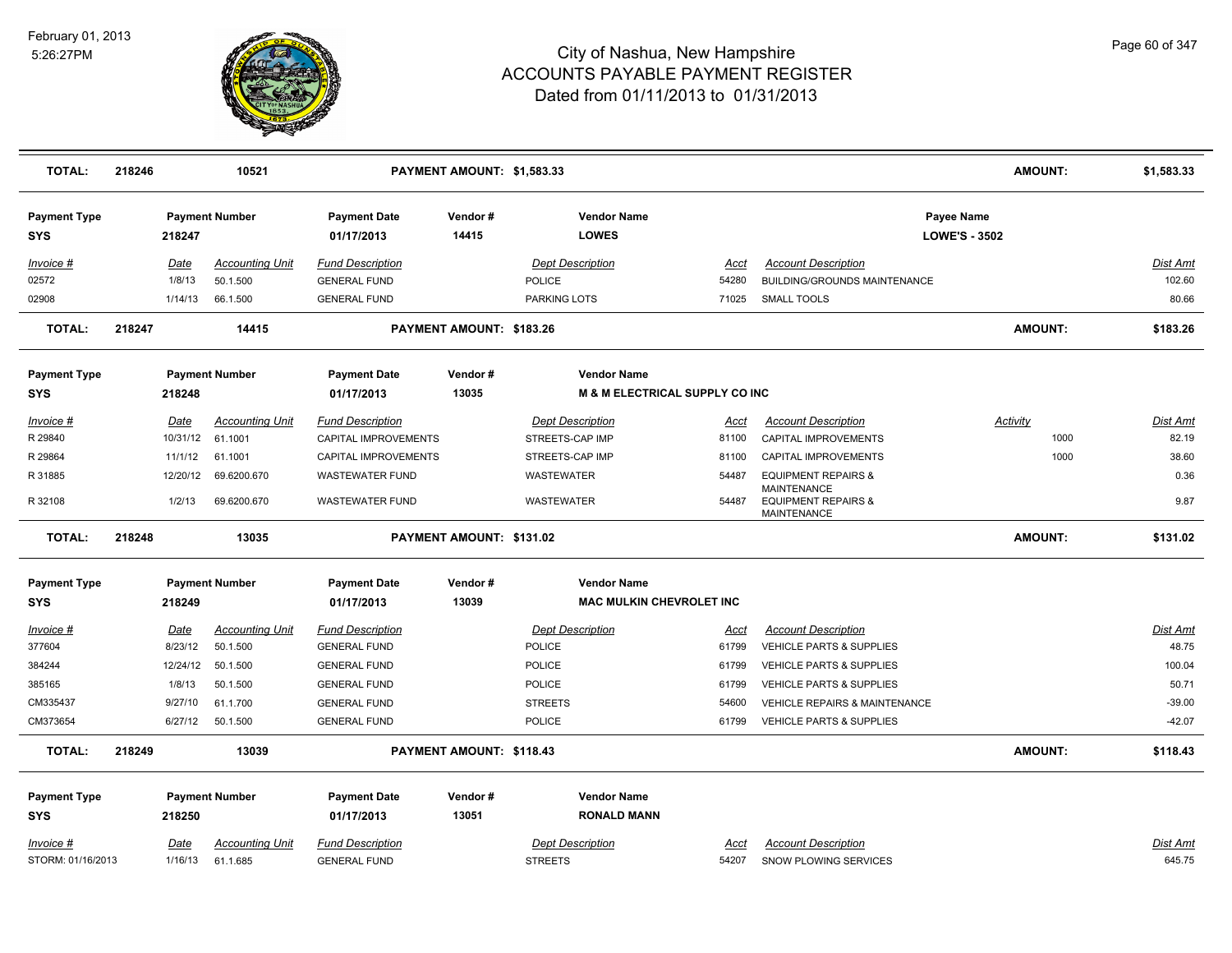

| <b>TOTAL:</b>                     | 218246 |                        | 10521                              |                                                | PAYMENT AMOUNT: \$1,583.33 |                                           |                                           |                                                                     | <b>AMOUNT:</b>                     | \$1,583.33         |
|-----------------------------------|--------|------------------------|------------------------------------|------------------------------------------------|----------------------------|-------------------------------------------|-------------------------------------------|---------------------------------------------------------------------|------------------------------------|--------------------|
| <b>Payment Type</b><br><b>SYS</b> |        | 218247                 | <b>Payment Number</b>              | <b>Payment Date</b><br>01/17/2013              | Vendor#<br>14415           | <b>Vendor Name</b><br><b>LOWES</b>        |                                           |                                                                     | Payee Name<br><b>LOWE'S - 3502</b> |                    |
| Invoice #                         |        | Date                   | <b>Accounting Unit</b>             | <b>Fund Description</b>                        |                            | <b>Dept Description</b>                   | Acct                                      | <b>Account Description</b>                                          |                                    | Dist Amt           |
| 02572                             |        | 1/8/13                 | 50.1.500                           | <b>GENERAL FUND</b>                            |                            | <b>POLICE</b>                             | 54280                                     | BUILDING/GROUNDS MAINTENANCE                                        |                                    | 102.60             |
| 02908                             |        | 1/14/13                | 66.1.500                           | <b>GENERAL FUND</b>                            |                            | <b>PARKING LOTS</b>                       | 71025                                     | <b>SMALL TOOLS</b>                                                  |                                    | 80.66              |
| <b>TOTAL:</b>                     | 218247 |                        | 14415                              |                                                | PAYMENT AMOUNT: \$183.26   |                                           |                                           |                                                                     | <b>AMOUNT:</b>                     | \$183.26           |
| <b>Payment Type</b>               |        |                        | <b>Payment Number</b>              | <b>Payment Date</b>                            | Vendor#                    | <b>Vendor Name</b>                        |                                           |                                                                     |                                    |                    |
| SYS                               |        | 218248                 |                                    | 01/17/2013                                     | 13035                      |                                           | <b>M &amp; M ELECTRICAL SUPPLY CO INC</b> |                                                                     |                                    |                    |
| Invoice #                         |        | <b>Date</b>            | <b>Accounting Unit</b>             | <b>Fund Description</b>                        |                            | <b>Dept Description</b>                   | Acct                                      | <b>Account Description</b>                                          | Activity                           | Dist Amt           |
| R 29840                           |        | 10/31/12               | 61.1001                            | CAPITAL IMPROVEMENTS                           |                            | STREETS-CAP IMP                           | 81100                                     | CAPITAL IMPROVEMENTS                                                | 1000                               | 82.19              |
| R 29864                           |        | 11/1/12                | 61.1001                            | CAPITAL IMPROVEMENTS                           |                            | STREETS-CAP IMP                           | 81100                                     | CAPITAL IMPROVEMENTS                                                | 1000                               | 38.60              |
| R 31885                           |        | 12/20/12               | 69.6200.670                        | WASTEWATER FUND                                |                            | WASTEWATER                                | 54487                                     | <b>EQUIPMENT REPAIRS &amp;</b>                                      |                                    | 0.36               |
| R 32108                           |        | 1/2/13                 | 69.6200.670                        | <b>WASTEWATER FUND</b>                         |                            | WASTEWATER                                | 54487                                     | <b>MAINTENANCE</b><br><b>EQUIPMENT REPAIRS &amp;</b><br>MAINTENANCE |                                    | 9.87               |
| <b>TOTAL:</b>                     | 218248 |                        | 13035                              |                                                | PAYMENT AMOUNT: \$131.02   |                                           |                                           |                                                                     | <b>AMOUNT:</b>                     | \$131.02           |
| <b>Payment Type</b><br><b>SYS</b> |        | 218249                 | <b>Payment Number</b>              | <b>Payment Date</b><br>01/17/2013              | Vendor#<br>13039           | <b>Vendor Name</b>                        | <b>MAC MULKIN CHEVROLET INC</b>           |                                                                     |                                    |                    |
| <u>Invoice #</u>                  |        | <u>Date</u>            | <b>Accounting Unit</b>             | <b>Fund Description</b>                        |                            | <b>Dept Description</b>                   | <u>Acct</u>                               | <b>Account Description</b>                                          |                                    | Dist Amt           |
| 377604                            |        | 8/23/12                | 50.1.500                           | <b>GENERAL FUND</b>                            |                            | <b>POLICE</b>                             | 61799                                     | VEHICLE PARTS & SUPPLIES                                            |                                    | 48.75              |
| 384244                            |        | 12/24/12               | 50.1.500                           | <b>GENERAL FUND</b>                            |                            | POLICE                                    | 61799                                     | VEHICLE PARTS & SUPPLIES                                            |                                    | 100.04             |
| 385165                            |        | 1/8/13                 | 50.1.500                           | <b>GENERAL FUND</b>                            |                            | <b>POLICE</b>                             | 61799                                     | <b>VEHICLE PARTS &amp; SUPPLIES</b>                                 |                                    | 50.71              |
| CM335437                          |        | 9/27/10                | 61.1.700                           | <b>GENERAL FUND</b>                            |                            | <b>STREETS</b>                            | 54600                                     | <b>VEHICLE REPAIRS &amp; MAINTENANCE</b>                            |                                    | $-39.00$           |
| CM373654                          |        | 6/27/12                | 50.1.500                           | <b>GENERAL FUND</b>                            |                            | <b>POLICE</b>                             | 61799                                     | <b>VEHICLE PARTS &amp; SUPPLIES</b>                                 |                                    | $-42.07$           |
| <b>TOTAL:</b>                     | 218249 |                        | 13039                              |                                                | PAYMENT AMOUNT: \$118.43   |                                           |                                           |                                                                     | <b>AMOUNT:</b>                     | \$118.43           |
| <b>Payment Type</b>               |        |                        | <b>Payment Number</b>              | <b>Payment Date</b>                            | Vendor#                    | <b>Vendor Name</b>                        |                                           |                                                                     |                                    |                    |
| <b>SYS</b>                        |        | 218250                 |                                    | 01/17/2013                                     | 13051                      | <b>RONALD MANN</b>                        |                                           |                                                                     |                                    |                    |
| Invoice #<br>STORM: 01/16/2013    |        | <b>Date</b><br>1/16/13 | <b>Accounting Unit</b><br>61.1.685 | <b>Fund Description</b><br><b>GENERAL FUND</b> |                            | <b>Dept Description</b><br><b>STREETS</b> | Acct<br>54207                             | <b>Account Description</b><br>SNOW PLOWING SERVICES                 |                                    | Dist Amt<br>645.75 |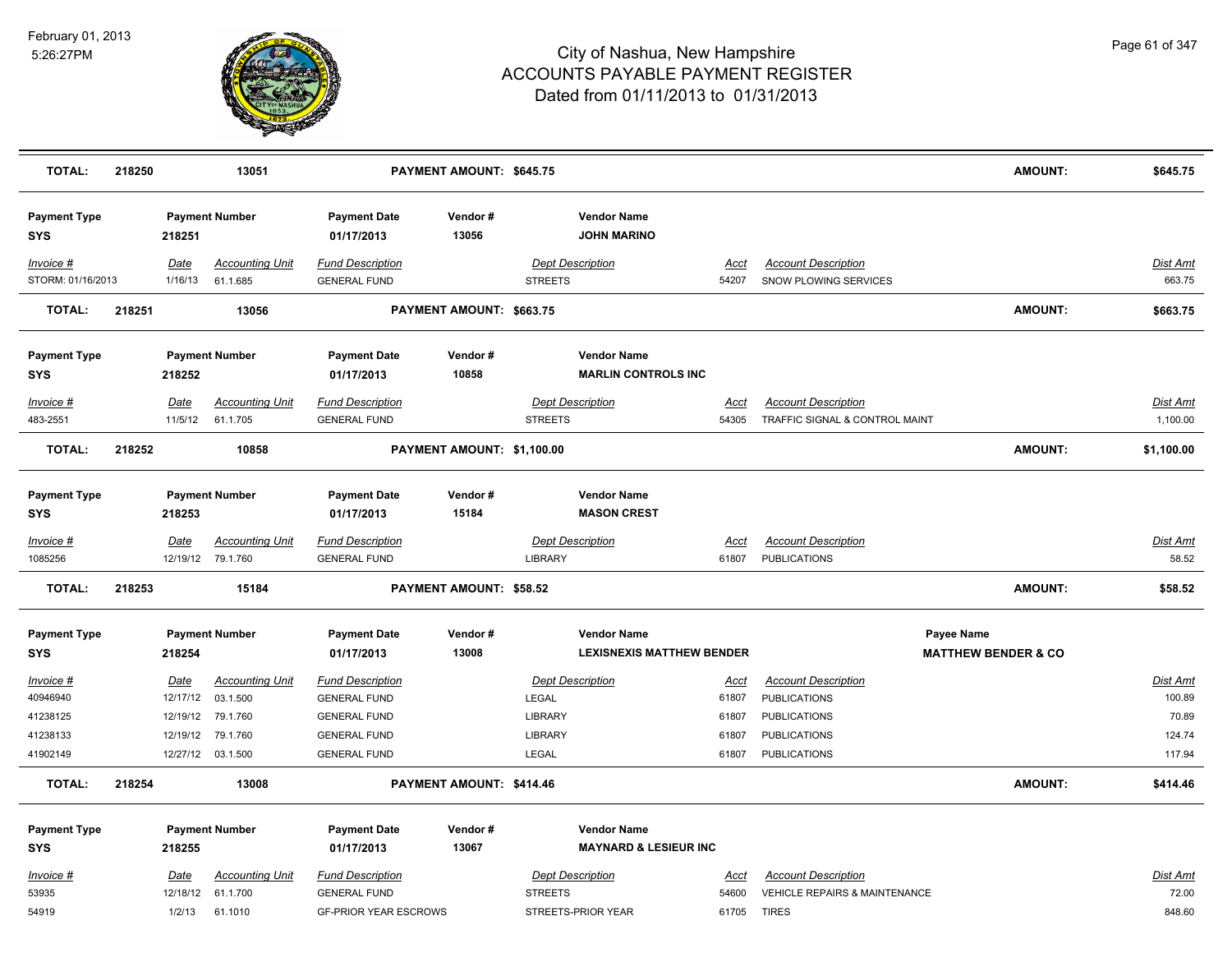

| <b>TOTAL:</b>                     | 218250 |             | 13051                  |                                   | PAYMENT AMOUNT: \$645.75   |                         |                                          |             |                                          | <b>AMOUNT:</b>                 | \$645.75        |
|-----------------------------------|--------|-------------|------------------------|-----------------------------------|----------------------------|-------------------------|------------------------------------------|-------------|------------------------------------------|--------------------------------|-----------------|
| <b>Payment Type</b><br><b>SYS</b> |        | 218251      | <b>Payment Number</b>  | <b>Payment Date</b><br>01/17/2013 | Vendor#<br>13056           |                         | <b>Vendor Name</b><br><b>JOHN MARINO</b> |             |                                          |                                |                 |
| Invoice #                         |        | Date        | <b>Accounting Unit</b> | <b>Fund Description</b>           |                            | <b>Dept Description</b> |                                          | Acct        | <b>Account Description</b>               |                                | Dist Amt        |
| STORM: 01/16/2013                 |        | 1/16/13     | 61.1.685               | <b>GENERAL FUND</b>               |                            | <b>STREETS</b>          |                                          | 54207       | SNOW PLOWING SERVICES                    |                                | 663.75          |
| <b>TOTAL:</b>                     | 218251 |             | 13056                  |                                   | PAYMENT AMOUNT: \$663.75   |                         |                                          |             |                                          | <b>AMOUNT:</b>                 | \$663.75        |
| <b>Payment Type</b>               |        |             | <b>Payment Number</b>  | <b>Payment Date</b>               | Vendor#                    |                         | <b>Vendor Name</b>                       |             |                                          |                                |                 |
| <b>SYS</b>                        |        | 218252      |                        | 01/17/2013                        | 10858                      |                         | <b>MARLIN CONTROLS INC</b>               |             |                                          |                                |                 |
| Invoice #                         |        | Date        | <b>Accounting Unit</b> | <b>Fund Description</b>           |                            | <b>Dept Description</b> |                                          | Acct        | <b>Account Description</b>               |                                | Dist Amt        |
| 483-2551                          |        | 11/5/12     | 61.1.705               | <b>GENERAL FUND</b>               |                            | <b>STREETS</b>          |                                          | 54305       | TRAFFIC SIGNAL & CONTROL MAINT           |                                | 1,100.00        |
| <b>TOTAL:</b>                     | 218252 |             | 10858                  |                                   | PAYMENT AMOUNT: \$1,100.00 |                         |                                          |             |                                          | <b>AMOUNT:</b>                 | \$1,100.00      |
| <b>Payment Type</b>               |        |             | <b>Payment Number</b>  | <b>Payment Date</b>               | Vendor#                    |                         | <b>Vendor Name</b>                       |             |                                          |                                |                 |
| <b>SYS</b>                        |        | 218253      |                        | 01/17/2013                        | 15184                      |                         | <b>MASON CREST</b>                       |             |                                          |                                |                 |
| <u>Invoice #</u>                  |        | <b>Date</b> | <b>Accounting Unit</b> | <b>Fund Description</b>           |                            | <b>Dept Description</b> |                                          | <u>Acct</u> | <b>Account Description</b>               |                                | <b>Dist Amt</b> |
| 1085256                           |        |             | 12/19/12 79.1.760      | <b>GENERAL FUND</b>               |                            | LIBRARY                 |                                          | 61807       | <b>PUBLICATIONS</b>                      |                                | 58.52           |
| <b>TOTAL:</b>                     | 218253 |             | 15184                  |                                   | PAYMENT AMOUNT: \$58.52    |                         |                                          |             |                                          | AMOUNT:                        | \$58.52         |
| <b>Payment Type</b>               |        |             | <b>Payment Number</b>  | <b>Payment Date</b>               | Vendor#                    |                         | <b>Vendor Name</b>                       |             | Payee Name                               |                                |                 |
| SYS                               |        | 218254      |                        | 01/17/2013                        | 13008                      |                         | <b>LEXISNEXIS MATTHEW BENDER</b>         |             |                                          | <b>MATTHEW BENDER &amp; CO</b> |                 |
| Invoice #                         |        | Date        | <b>Accounting Unit</b> | <b>Fund Description</b>           |                            | <b>Dept Description</b> |                                          | <u>Acct</u> | <b>Account Description</b>               |                                | <b>Dist Amt</b> |
| 40946940                          |        | 12/17/12    | 03.1.500               | <b>GENERAL FUND</b>               |                            | LEGAL                   |                                          | 61807       | <b>PUBLICATIONS</b>                      |                                | 100.89          |
| 41238125                          |        | 12/19/12    | 79.1.760               | <b>GENERAL FUND</b>               |                            | LIBRARY                 |                                          | 61807       | <b>PUBLICATIONS</b>                      |                                | 70.89           |
| 41238133                          |        | 12/19/12    | 79.1.760               | <b>GENERAL FUND</b>               |                            | <b>LIBRARY</b>          |                                          | 61807       | <b>PUBLICATIONS</b>                      |                                | 124.74          |
| 41902149                          |        |             | 12/27/12 03.1.500      | <b>GENERAL FUND</b>               |                            | LEGAL                   |                                          | 61807       | <b>PUBLICATIONS</b>                      |                                | 117.94          |
| <b>TOTAL:</b>                     | 218254 |             | 13008                  |                                   | PAYMENT AMOUNT: \$414.46   |                         |                                          |             |                                          | <b>AMOUNT:</b>                 | \$414.46        |
| <b>Payment Type</b>               |        |             | <b>Payment Number</b>  | <b>Payment Date</b>               | Vendor#                    |                         | <b>Vendor Name</b>                       |             |                                          |                                |                 |
| <b>SYS</b>                        |        | 218255      |                        | 01/17/2013                        | 13067                      |                         | <b>MAYNARD &amp; LESIEUR INC</b>         |             |                                          |                                |                 |
| Invoice #                         |        | Date        | <b>Accounting Unit</b> | <b>Fund Description</b>           |                            | <b>Dept Description</b> |                                          | <b>Acct</b> | <b>Account Description</b>               |                                | <b>Dist Amt</b> |
| 53935                             |        | 12/18/12    | 61.1.700               | <b>GENERAL FUND</b>               |                            | <b>STREETS</b>          |                                          | 54600       | <b>VEHICLE REPAIRS &amp; MAINTENANCE</b> |                                | 72.00           |
| 54919                             |        | 1/2/13      | 61.1010                | <b>GF-PRIOR YEAR ESCROWS</b>      |                            |                         | STREETS-PRIOR YEAR                       | 61705       | <b>TIRES</b>                             |                                | 848.60          |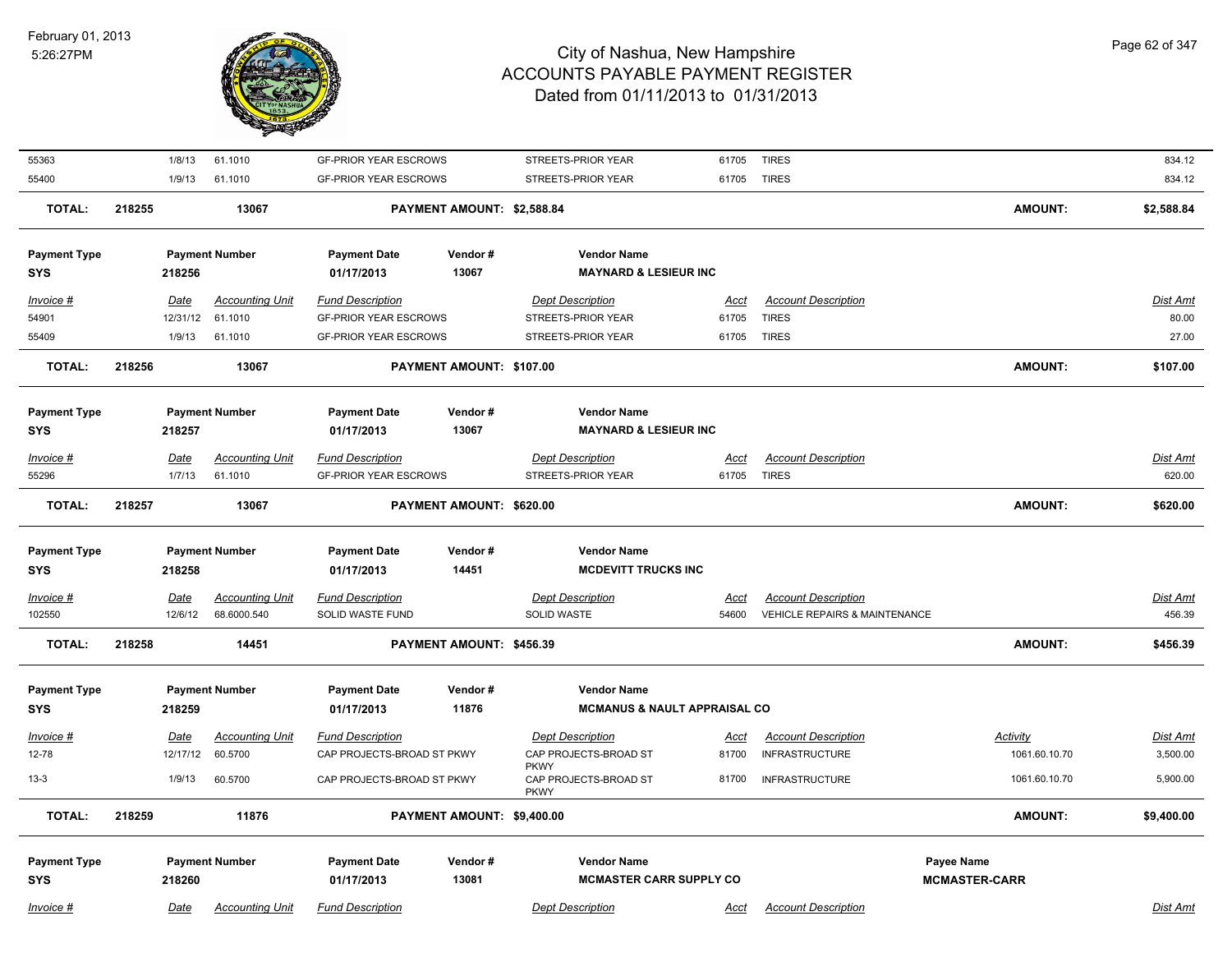

| 55363                             |             | 1/8/13<br>61.1010               | <b>GF-PRIOR YEAR ESCROWS</b>      |                            | STREETS-PRIOR YEAR                                     | 61705       | <b>TIRES</b>                  |                      | 834.12          |
|-----------------------------------|-------------|---------------------------------|-----------------------------------|----------------------------|--------------------------------------------------------|-------------|-------------------------------|----------------------|-----------------|
| 55400                             |             | 61.1010<br>1/9/13               | <b>GF-PRIOR YEAR ESCROWS</b>      |                            | STREETS-PRIOR YEAR                                     | 61705 TIRES |                               |                      | 834.12          |
| <b>TOTAL:</b>                     | 218255      | 13067                           |                                   | PAYMENT AMOUNT: \$2,588.84 |                                                        |             |                               | AMOUNT:              | \$2,588.84      |
| <b>Payment Type</b><br><b>SYS</b> |             | <b>Payment Number</b><br>218256 | <b>Payment Date</b><br>01/17/2013 | Vendor#<br>13067           | <b>Vendor Name</b><br><b>MAYNARD &amp; LESIEUR INC</b> |             |                               |                      |                 |
| Invoice #                         | Date        | <b>Accounting Unit</b>          | <b>Fund Description</b>           |                            | <b>Dept Description</b>                                | Acct        | <b>Account Description</b>    |                      | Dist Amt        |
| 54901                             |             | 12/31/12<br>61.1010             | <b>GF-PRIOR YEAR ESCROWS</b>      |                            | STREETS-PRIOR YEAR                                     | 61705       | <b>TIRES</b>                  |                      | 80.00           |
| 55409                             |             | 1/9/13<br>61.1010               | <b>GF-PRIOR YEAR ESCROWS</b>      |                            | STREETS-PRIOR YEAR                                     |             | 61705 TIRES                   |                      | 27.00           |
| <b>TOTAL:</b>                     | 218256      | 13067                           |                                   | PAYMENT AMOUNT: \$107.00   |                                                        |             |                               | AMOUNT:              | \$107.00        |
|                                   |             |                                 |                                   |                            |                                                        |             |                               |                      |                 |
| <b>Payment Type</b>               |             | <b>Payment Number</b>           | <b>Payment Date</b>               | Vendor#                    | <b>Vendor Name</b>                                     |             |                               |                      |                 |
| <b>SYS</b>                        | 218257      |                                 | 01/17/2013                        | 13067                      | <b>MAYNARD &amp; LESIEUR INC</b>                       |             |                               |                      |                 |
| Invoice #                         | <b>Date</b> | <b>Accounting Unit</b>          | <b>Fund Description</b>           |                            | <b>Dept Description</b>                                | <u>Acct</u> | <b>Account Description</b>    |                      | Dist Amt        |
| 55296                             |             | 1/7/13<br>61.1010               | <b>GF-PRIOR YEAR ESCROWS</b>      |                            | STREETS-PRIOR YEAR                                     |             | 61705 TIRES                   |                      | 620.00          |
| <b>TOTAL:</b>                     | 218257      | 13067                           |                                   | PAYMENT AMOUNT: \$620.00   |                                                        |             |                               | <b>AMOUNT:</b>       | \$620.00        |
| <b>Payment Type</b>               |             | <b>Payment Number</b>           | <b>Payment Date</b>               | Vendor#                    | <b>Vendor Name</b>                                     |             |                               |                      |                 |
| <b>SYS</b>                        |             | 218258                          | 01/17/2013                        | 14451                      | <b>MCDEVITT TRUCKS INC</b>                             |             |                               |                      |                 |
| <u>Invoice #</u>                  | <u>Date</u> | <b>Accounting Unit</b>          | <b>Fund Description</b>           |                            | <b>Dept Description</b>                                | <u>Acct</u> | <b>Account Description</b>    |                      | <u>Dist Amt</u> |
| 102550                            |             | 12/6/12<br>68.6000.540          | SOLID WASTE FUND                  |                            | SOLID WASTE                                            | 54600       | VEHICLE REPAIRS & MAINTENANCE |                      | 456.39          |
| <b>TOTAL:</b>                     | 218258      | 14451                           |                                   | PAYMENT AMOUNT: \$456.39   |                                                        |             |                               | AMOUNT:              | \$456.39        |
|                                   |             |                                 |                                   |                            |                                                        |             |                               |                      |                 |
| <b>Payment Type</b>               |             | <b>Payment Number</b>           | <b>Payment Date</b>               | Vendor#                    | <b>Vendor Name</b>                                     |             |                               |                      |                 |
| <b>SYS</b>                        | 218259      |                                 | 01/17/2013                        | 11876                      | <b>MCMANUS &amp; NAULT APPRAISAL CO</b>                |             |                               |                      |                 |
| Invoice #                         | Date        | <b>Accounting Unit</b>          | <b>Fund Description</b>           |                            | <b>Dept Description</b>                                | Acct        | <b>Account Description</b>    | Activity             | Dist Amt        |
| 12-78                             |             | 12/17/12<br>60.5700             | CAP PROJECTS-BROAD ST PKWY        |                            | CAP PROJECTS-BROAD ST                                  | 81700       | <b>INFRASTRUCTURE</b>         | 1061.60.10.70        | 3,500.00        |
| $13 - 3$                          |             | 1/9/13<br>60.5700               | CAP PROJECTS-BROAD ST PKWY        |                            | <b>PKWY</b><br>CAP PROJECTS-BROAD ST                   | 81700       | <b>INFRASTRUCTURE</b>         | 1061.60.10.70        | 5,900.00        |
|                                   |             |                                 |                                   |                            | <b>PKWY</b>                                            |             |                               |                      |                 |
| <b>TOTAL:</b>                     | 218259      | 11876                           |                                   | PAYMENT AMOUNT: \$9,400.00 |                                                        |             |                               | AMOUNT:              | \$9,400.00      |
| <b>Payment Type</b>               |             | <b>Payment Number</b>           | <b>Payment Date</b>               | Vendor#                    | <b>Vendor Name</b>                                     |             |                               | Payee Name           |                 |
| <b>SYS</b>                        |             | 218260                          | 01/17/2013                        | 13081                      | <b>MCMASTER CARR SUPPLY CO</b>                         |             |                               | <b>MCMASTER-CARR</b> |                 |
| Invoice #                         | Date        | <b>Accounting Unit</b>          | <b>Fund Description</b>           |                            | <b>Dept Description</b>                                | <u>Acct</u> | <b>Account Description</b>    |                      | Dist Amt        |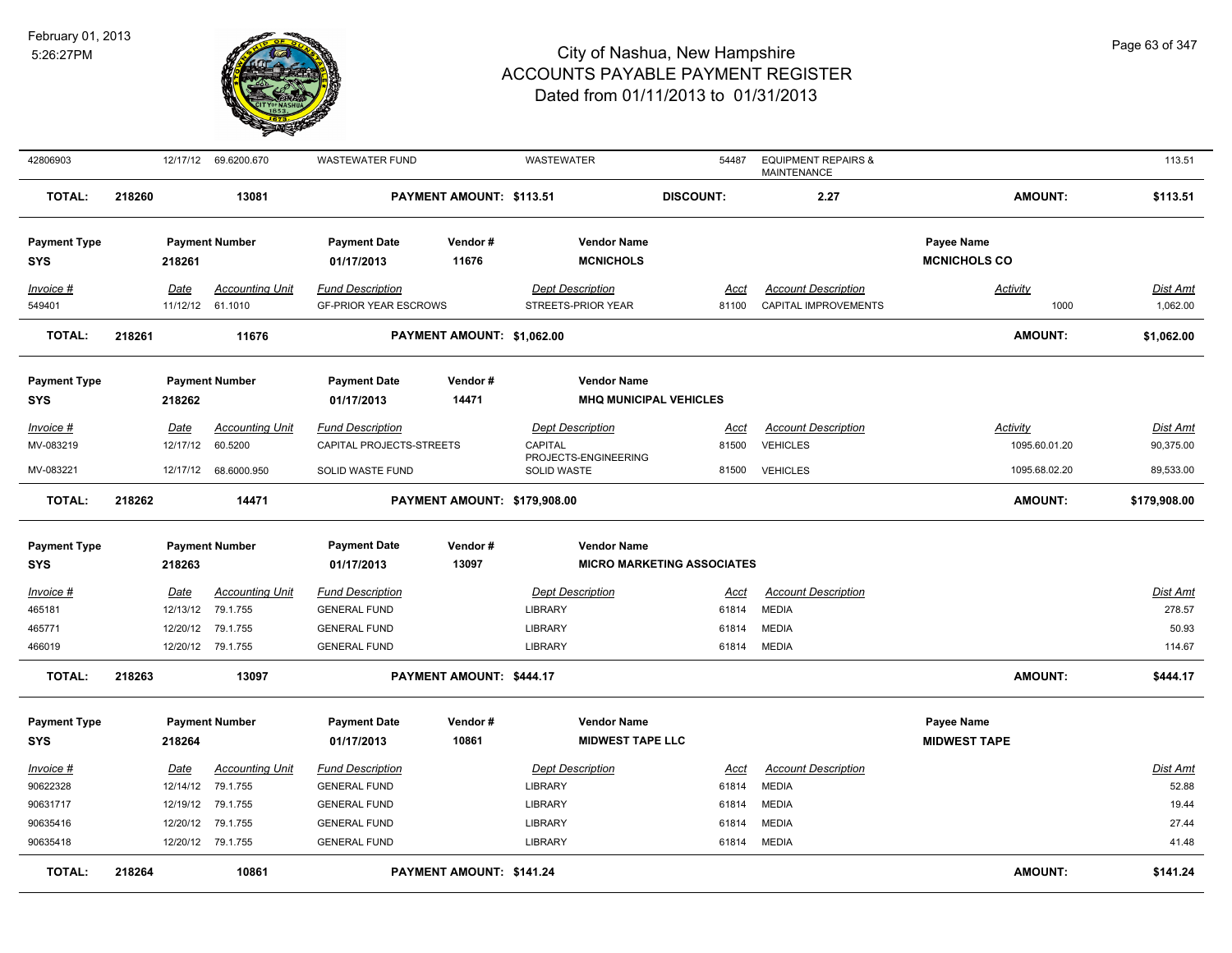

| 42806903                          |        |                          | 12/17/12 69.6200.670              | <b>WASTEWATER FUND</b>                                  |                              | WASTEWATER                                    | 54487                             | <b>EQUIPMENT REPAIRS &amp;</b><br><b>MAINTENANCE</b> |                                   | 113.51                       |
|-----------------------------------|--------|--------------------------|-----------------------------------|---------------------------------------------------------|------------------------------|-----------------------------------------------|-----------------------------------|------------------------------------------------------|-----------------------------------|------------------------------|
| <b>TOTAL:</b>                     | 218260 |                          | 13081                             |                                                         | PAYMENT AMOUNT: \$113.51     |                                               | <b>DISCOUNT:</b>                  | 2.27                                                 | <b>AMOUNT:</b>                    | \$113.51                     |
| <b>Payment Type</b><br><b>SYS</b> |        | 218261                   | <b>Payment Number</b>             | <b>Payment Date</b><br>01/17/2013                       | Vendor#<br>11676             | <b>Vendor Name</b><br><b>MCNICHOLS</b>        |                                   |                                                      | Payee Name<br><b>MCNICHOLS CO</b> |                              |
| Invoice #<br>549401               |        | Date<br>11/12/12 61.1010 | <b>Accounting Unit</b>            | <b>Fund Description</b><br><b>GF-PRIOR YEAR ESCROWS</b> |                              | <b>Dept Description</b><br>STREETS-PRIOR YEAR | Acct<br>81100                     | <b>Account Description</b><br>CAPITAL IMPROVEMENTS   | <b>Activity</b><br>1000           | Dist Amt<br>1,062.00         |
| <b>TOTAL:</b>                     | 218261 |                          | 11676                             |                                                         | PAYMENT AMOUNT: \$1,062.00   |                                               |                                   |                                                      | <b>AMOUNT:</b>                    | \$1,062.00                   |
| <b>Payment Type</b><br><b>SYS</b> |        | 218262                   | <b>Payment Number</b>             | <b>Payment Date</b><br>01/17/2013                       | Vendor#<br>14471             | <b>Vendor Name</b>                            | <b>MHQ MUNICIPAL VEHICLES</b>     |                                                      |                                   |                              |
| Invoice #<br>MV-083219            |        | <b>Date</b><br>12/17/12  | <b>Accounting Unit</b><br>60.5200 | <b>Fund Description</b><br>CAPITAL PROJECTS-STREETS     |                              | <b>Dept Description</b><br>CAPITAL            | <u>Acct</u><br>81500              | <b>Account Description</b><br><b>VEHICLES</b>        | <b>Activity</b><br>1095.60.01.20  | <b>Dist Amt</b><br>90,375.00 |
| MV-083221                         |        | 12/17/12                 | 68.6000.950                       | SOLID WASTE FUND                                        |                              | PROJECTS-ENGINEERING<br><b>SOLID WASTE</b>    | 81500                             | <b>VEHICLES</b>                                      | 1095.68.02.20                     | 89,533.00                    |
| <b>TOTAL:</b>                     | 218262 |                          | 14471                             |                                                         | PAYMENT AMOUNT: \$179,908.00 |                                               |                                   |                                                      | <b>AMOUNT:</b>                    | \$179,908.00                 |
| <b>Payment Type</b><br>SYS        |        | 218263                   | <b>Payment Number</b>             | <b>Payment Date</b><br>01/17/2013                       | Vendor#<br>13097             | <b>Vendor Name</b>                            | <b>MICRO MARKETING ASSOCIATES</b> |                                                      |                                   |                              |
|                                   |        |                          |                                   |                                                         |                              |                                               |                                   |                                                      |                                   |                              |
| Invoice #                         |        | Date                     | <b>Accounting Unit</b>            | <b>Fund Description</b>                                 |                              | <b>Dept Description</b>                       | Acct                              | <b>Account Description</b>                           |                                   | <b>Dist Amt</b>              |
| 465181                            |        | 12/13/12                 | 79.1.755                          | <b>GENERAL FUND</b>                                     |                              | LIBRARY                                       | 61814                             | <b>MEDIA</b>                                         |                                   | 278.57                       |
| 465771                            |        | 12/20/12                 | 79.1.755                          | <b>GENERAL FUND</b>                                     |                              | LIBRARY                                       | 61814                             | <b>MEDIA</b>                                         |                                   | 50.93                        |
| 466019                            |        |                          | 12/20/12 79.1.755                 | <b>GENERAL FUND</b>                                     |                              | LIBRARY                                       | 61814                             | <b>MEDIA</b>                                         |                                   | 114.67                       |
| <b>TOTAL:</b>                     | 218263 |                          | 13097                             |                                                         | PAYMENT AMOUNT: \$444.17     |                                               |                                   |                                                      | <b>AMOUNT:</b>                    | \$444.17                     |
| <b>Payment Type</b>               |        |                          | <b>Payment Number</b>             | <b>Payment Date</b>                                     | Vendor#                      | <b>Vendor Name</b>                            |                                   |                                                      | Payee Name                        |                              |
| SYS                               |        | 218264                   |                                   | 01/17/2013                                              | 10861                        | <b>MIDWEST TAPE LLC</b>                       |                                   |                                                      | <b>MIDWEST TAPE</b>               |                              |
| Invoice #                         |        | Date                     | <b>Accounting Unit</b>            | <b>Fund Description</b>                                 |                              | <b>Dept Description</b>                       | Acct                              | <b>Account Description</b>                           |                                   | Dist Amt                     |
| 90622328                          |        | 12/14/12                 | 79.1.755                          | <b>GENERAL FUND</b>                                     |                              | <b>LIBRARY</b>                                | 61814                             | <b>MEDIA</b>                                         |                                   | 52.88                        |
| 90631717                          |        | 12/19/12                 | 79.1.755                          | <b>GENERAL FUND</b>                                     |                              | LIBRARY                                       | 61814                             | <b>MEDIA</b>                                         |                                   | 19.44                        |
| 90635416                          |        |                          | 12/20/12 79.1.755                 | <b>GENERAL FUND</b>                                     |                              | LIBRARY                                       | 61814                             | <b>MEDIA</b>                                         |                                   | 27.44                        |
| 90635418                          |        |                          | 12/20/12 79.1.755                 | <b>GENERAL FUND</b>                                     |                              | LIBRARY                                       | 61814                             | <b>MEDIA</b>                                         |                                   | 41.48                        |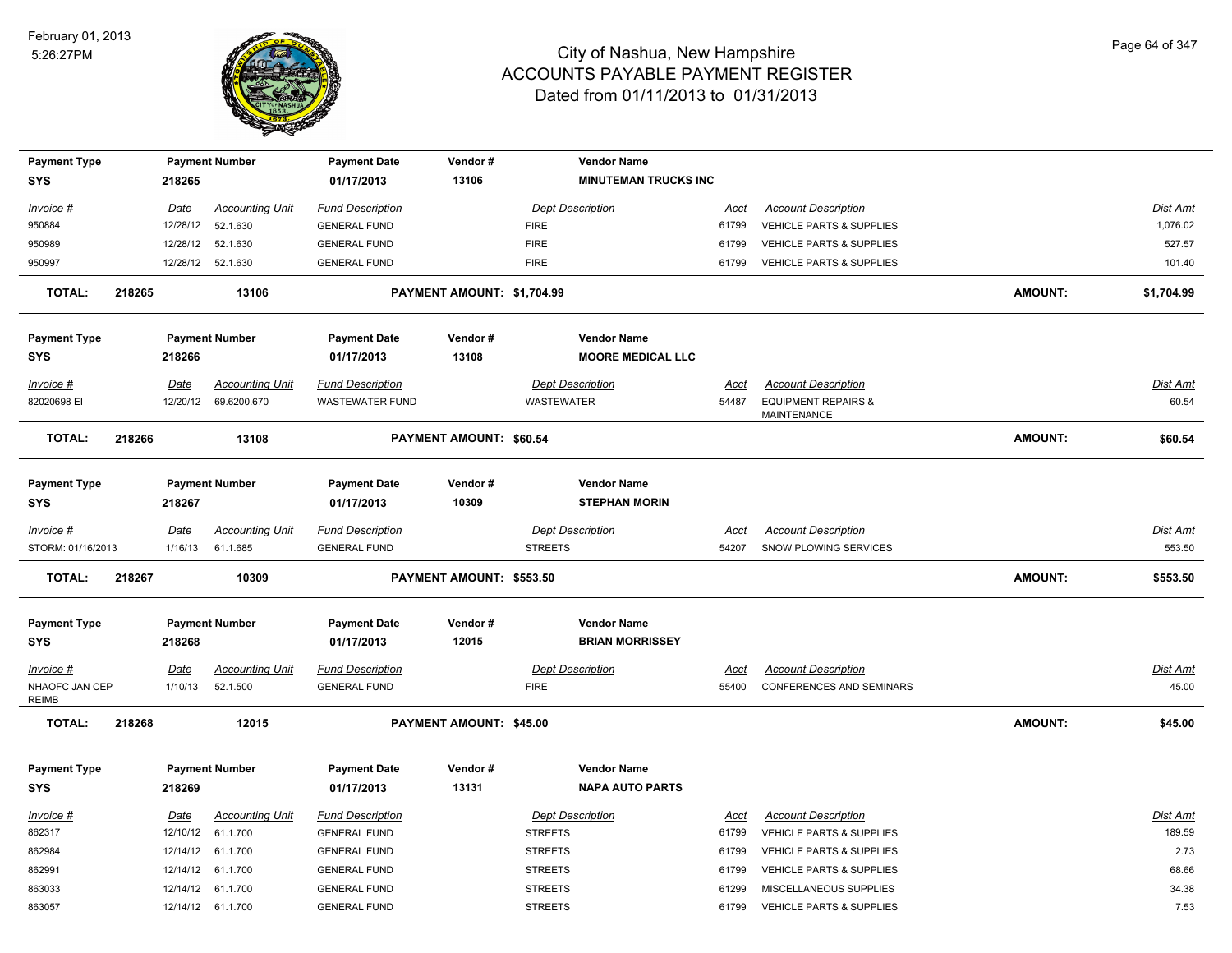

| <b>Payment Type</b>               |        |             | <b>Payment Number</b>  | <b>Payment Date</b>               | Vendor#                        | <b>Vendor Name</b>                             |             |                                               |                |                 |
|-----------------------------------|--------|-------------|------------------------|-----------------------------------|--------------------------------|------------------------------------------------|-------------|-----------------------------------------------|----------------|-----------------|
| <b>SYS</b>                        |        | 218265      |                        | 01/17/2013                        | 13106                          | <b>MINUTEMAN TRUCKS INC</b>                    |             |                                               |                |                 |
| Invoice #                         |        | Date        | <b>Accounting Unit</b> | <b>Fund Description</b>           |                                | <b>Dept Description</b>                        | <u>Acct</u> | <b>Account Description</b>                    |                | <b>Dist Amt</b> |
| 950884                            |        | 12/28/12    | 52.1.630               | <b>GENERAL FUND</b>               |                                | <b>FIRE</b>                                    | 61799       | <b>VEHICLE PARTS &amp; SUPPLIES</b>           |                | 1,076.02        |
| 950989                            |        | 12/28/12    | 52.1.630               | <b>GENERAL FUND</b>               |                                | <b>FIRE</b>                                    | 61799       | <b>VEHICLE PARTS &amp; SUPPLIES</b>           |                | 527.57          |
| 950997                            |        |             | 12/28/12 52.1.630      | <b>GENERAL FUND</b>               |                                | <b>FIRE</b>                                    | 61799       | <b>VEHICLE PARTS &amp; SUPPLIES</b>           |                | 101.40          |
| <b>TOTAL:</b>                     | 218265 |             | 13106                  |                                   | PAYMENT AMOUNT: \$1,704.99     |                                                |             |                                               | <b>AMOUNT:</b> | \$1,704.99      |
| <b>Payment Type</b><br><b>SYS</b> |        | 218266      | <b>Payment Number</b>  | <b>Payment Date</b><br>01/17/2013 | Vendor#<br>13108               | <b>Vendor Name</b><br><b>MOORE MEDICAL LLC</b> |             |                                               |                |                 |
| Invoice #                         |        | Date        | <b>Accounting Unit</b> | <b>Fund Description</b>           |                                | <b>Dept Description</b>                        | Acct        | <b>Account Description</b>                    |                | <b>Dist Amt</b> |
| 82020698 EI                       |        | 12/20/12    | 69.6200.670            | <b>WASTEWATER FUND</b>            |                                | <b>WASTEWATER</b>                              | 54487       | <b>EQUIPMENT REPAIRS &amp;</b><br>MAINTENANCE |                | 60.54           |
| <b>TOTAL:</b>                     | 218266 |             | 13108                  |                                   | <b>PAYMENT AMOUNT: \$60.54</b> |                                                |             |                                               | <b>AMOUNT:</b> | \$60.54         |
| <b>Payment Type</b><br><b>SYS</b> |        | 218267      | <b>Payment Number</b>  | <b>Payment Date</b><br>01/17/2013 | Vendor#<br>10309               | <b>Vendor Name</b><br><b>STEPHAN MORIN</b>     |             |                                               |                |                 |
| Invoice #                         |        | <u>Date</u> | <b>Accounting Unit</b> | <b>Fund Description</b>           |                                | <b>Dept Description</b>                        | <u>Acct</u> | <b>Account Description</b>                    |                | Dist Amt        |
| STORM: 01/16/2013                 |        | 1/16/13     | 61.1.685               | <b>GENERAL FUND</b>               |                                | <b>STREETS</b>                                 | 54207       | SNOW PLOWING SERVICES                         |                | 553.50          |
| <b>TOTAL:</b>                     | 218267 |             | 10309                  |                                   | PAYMENT AMOUNT: \$553.50       |                                                |             |                                               | <b>AMOUNT:</b> | \$553.50        |
| <b>Payment Type</b><br><b>SYS</b> |        | 218268      | <b>Payment Number</b>  | <b>Payment Date</b><br>01/17/2013 | Vendor#<br>12015               | <b>Vendor Name</b><br><b>BRIAN MORRISSEY</b>   |             |                                               |                |                 |
| Invoice #                         |        | Date        | <b>Accounting Unit</b> | <b>Fund Description</b>           |                                | <b>Dept Description</b>                        | Acct        | <b>Account Description</b>                    |                | Dist Amt        |
| NHAOFC JAN CEP<br><b>REIMB</b>    |        | 1/10/13     | 52.1.500               | <b>GENERAL FUND</b>               |                                | <b>FIRE</b>                                    | 55400       | CONFERENCES AND SEMINARS                      |                | 45.00           |
| <b>TOTAL:</b>                     | 218268 |             | 12015                  |                                   | PAYMENT AMOUNT: \$45.00        |                                                |             |                                               | <b>AMOUNT:</b> | \$45.00         |
| <b>Payment Type</b><br><b>SYS</b> |        | 218269      | <b>Payment Number</b>  | <b>Payment Date</b><br>01/17/2013 | Vendor#<br>13131               | <b>Vendor Name</b><br><b>NAPA AUTO PARTS</b>   |             |                                               |                |                 |
| Invoice #                         |        | Date        | <b>Accounting Unit</b> | <b>Fund Description</b>           |                                | <b>Dept Description</b>                        | Acct        | <b>Account Description</b>                    |                | Dist Amt        |
| 862317                            |        | 12/10/12    | 61.1.700               | <b>GENERAL FUND</b>               |                                | <b>STREETS</b>                                 | 61799       | <b>VEHICLE PARTS &amp; SUPPLIES</b>           |                | 189.59          |
| 862984                            |        |             | 12/14/12 61.1.700      | <b>GENERAL FUND</b>               |                                | <b>STREETS</b>                                 | 61799       | VEHICLE PARTS & SUPPLIES                      |                | 2.73            |
| 862991                            |        | 12/14/12    | 61.1.700               | <b>GENERAL FUND</b>               |                                | <b>STREETS</b>                                 | 61799       | VEHICLE PARTS & SUPPLIES                      |                | 68.66           |
| 863033                            |        | 12/14/12    | 61.1.700               | <b>GENERAL FUND</b>               |                                | <b>STREETS</b>                                 | 61299       | MISCELLANEOUS SUPPLIES                        |                | 34.38           |
| 863057                            |        |             | 12/14/12 61.1.700      | <b>GENERAL FUND</b>               |                                | <b>STREETS</b>                                 | 61799       | VEHICLE PARTS & SUPPLIES                      |                | 7.53            |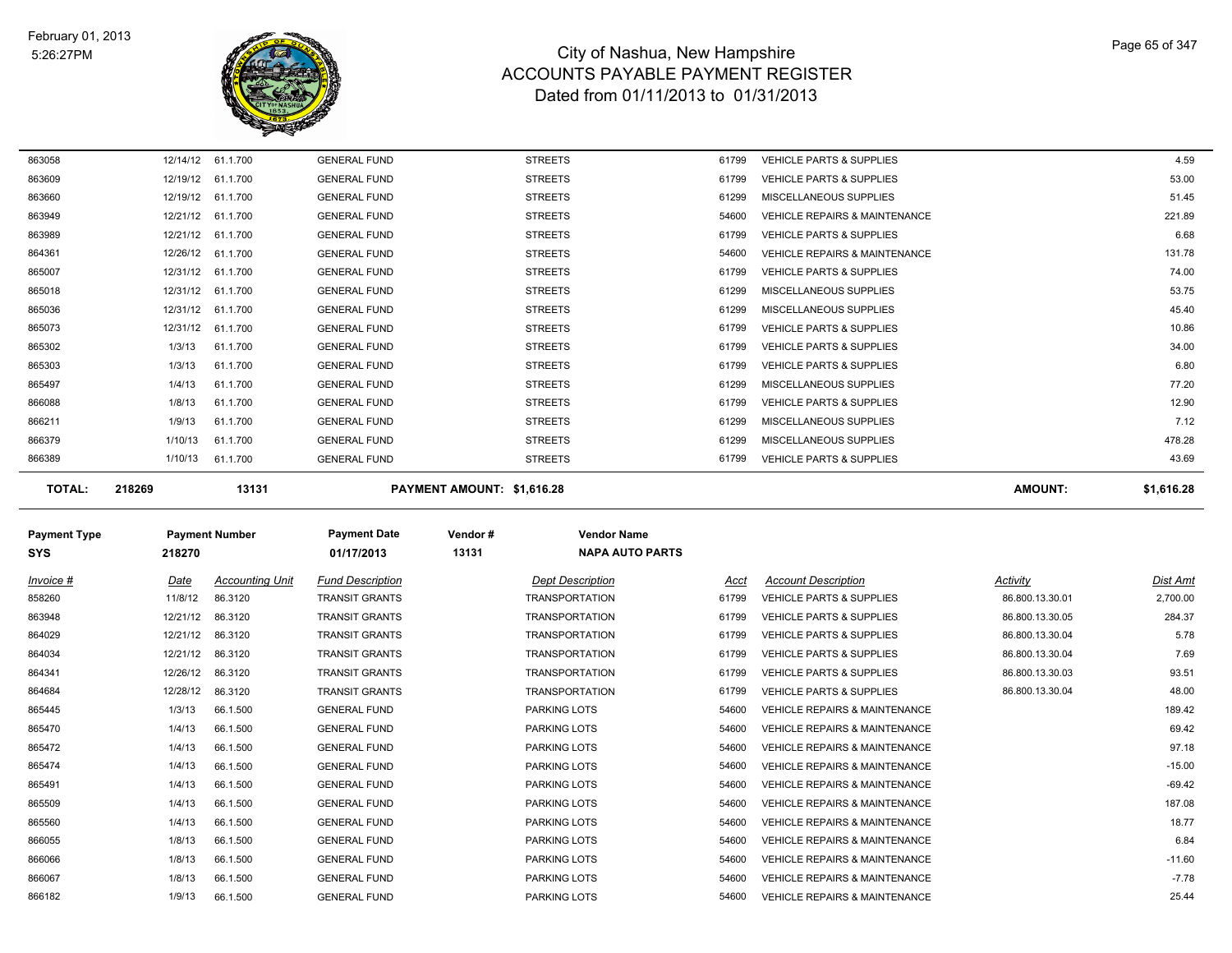

| 863058 | 12/14/12 | 61.1.700          | <b>GENERAL FUND</b> | <b>STREETS</b> | 61799 | <b>VEHICLE PARTS &amp; SUPPLIES</b>      | 4.59   |
|--------|----------|-------------------|---------------------|----------------|-------|------------------------------------------|--------|
| 863609 | 12/19/12 | 61.1.700          | <b>GENERAL FUND</b> | <b>STREETS</b> | 61799 | <b>VEHICLE PARTS &amp; SUPPLIES</b>      | 53.00  |
| 863660 |          | 12/19/12 61.1.700 | <b>GENERAL FUND</b> | <b>STREETS</b> | 61299 | MISCELLANEOUS SUPPLIES                   | 51.45  |
| 863949 |          | 12/21/12 61.1.700 | <b>GENERAL FUND</b> | <b>STREETS</b> | 54600 | <b>VEHICLE REPAIRS &amp; MAINTENANCE</b> | 221.89 |
| 863989 |          | 12/21/12 61.1.700 | <b>GENERAL FUND</b> | <b>STREETS</b> | 61799 | <b>VEHICLE PARTS &amp; SUPPLIES</b>      | 6.68   |
| 864361 |          | 12/26/12 61.1.700 | <b>GENERAL FUND</b> | <b>STREETS</b> | 54600 | <b>VEHICLE REPAIRS &amp; MAINTENANCE</b> | 131.78 |
| 865007 |          | 12/31/12 61.1.700 | <b>GENERAL FUND</b> | <b>STREETS</b> | 61799 | <b>VEHICLE PARTS &amp; SUPPLIES</b>      | 74.00  |
| 865018 |          | 12/31/12 61.1.700 | <b>GENERAL FUND</b> | <b>STREETS</b> | 61299 | MISCELLANEOUS SUPPLIES                   | 53.75  |
| 865036 |          | 12/31/12 61.1.700 | <b>GENERAL FUND</b> | <b>STREETS</b> | 61299 | MISCELLANEOUS SUPPLIES                   | 45.40  |
| 865073 |          | 12/31/12 61.1.700 | <b>GENERAL FUND</b> | <b>STREETS</b> | 61799 | <b>VEHICLE PARTS &amp; SUPPLIES</b>      | 10.86  |
| 865302 | 1/3/13   | 61.1.700          | <b>GENERAL FUND</b> | <b>STREETS</b> | 61799 | <b>VEHICLE PARTS &amp; SUPPLIES</b>      | 34.00  |
| 865303 | 1/3/13   | 61.1.700          | <b>GENERAL FUND</b> | <b>STREETS</b> | 61799 | <b>VEHICLE PARTS &amp; SUPPLIES</b>      | 6.80   |
| 865497 | 1/4/13   | 61.1.700          | <b>GENERAL FUND</b> | <b>STREETS</b> | 61299 | MISCELLANEOUS SUPPLIES                   | 77.20  |
| 866088 | 1/8/13   | 61.1.700          | <b>GENERAL FUND</b> | <b>STREETS</b> | 61799 | <b>VEHICLE PARTS &amp; SUPPLIES</b>      | 12.90  |
| 866211 | 1/9/13   | 61.1.700          | <b>GENERAL FUND</b> | <b>STREETS</b> | 61299 | MISCELLANEOUS SUPPLIES                   | 7.12   |
| 866379 | 1/10/13  | 61.1.700          | <b>GENERAL FUND</b> | <b>STREETS</b> | 61299 | MISCELLANEOUS SUPPLIES                   | 478.28 |
| 866389 | 1/10/13  | 61.1.700          | <b>GENERAL FUND</b> | <b>STREETS</b> | 61799 | <b>VEHICLE PARTS &amp; SUPPLIES</b>      | 43.69  |
|        |          |                   |                     |                |       |                                          |        |

**TOTAL: 218269 13131 PAYMENT AMOUNT: \$1,616.28 AMOUNT: \$1,616.28**

| <b>Payment Type</b><br><b>SYS</b> | 218270   | <b>Payment Number</b>  | <b>Payment Date</b><br>01/17/2013 | Vendor#<br>13131 | <b>Vendor Name</b><br><b>NAPA AUTO PARTS</b> |       |                                          |                 |                 |
|-----------------------------------|----------|------------------------|-----------------------------------|------------------|----------------------------------------------|-------|------------------------------------------|-----------------|-----------------|
| Invoice #                         | Date     | <b>Accounting Unit</b> | <b>Fund Description</b>           |                  | <b>Dept Description</b>                      | Acct  | <b>Account Description</b>               | Activity        | <b>Dist Amt</b> |
| 858260                            | 11/8/12  | 86.3120                | <b>TRANSIT GRANTS</b>             |                  | <b>TRANSPORTATION</b>                        | 61799 | <b>VEHICLE PARTS &amp; SUPPLIES</b>      | 86.800.13.30.01 | 2,700.00        |
| 863948                            | 12/21/12 | 86.3120                | <b>TRANSIT GRANTS</b>             |                  | <b>TRANSPORTATION</b>                        | 61799 | <b>VEHICLE PARTS &amp; SUPPLIES</b>      | 86.800.13.30.05 | 284.37          |
| 864029                            | 12/21/12 | 86.3120                | <b>TRANSIT GRANTS</b>             |                  | <b>TRANSPORTATION</b>                        | 61799 | <b>VEHICLE PARTS &amp; SUPPLIES</b>      | 86.800.13.30.04 | 5.78            |
| 864034                            | 12/21/12 | 86.3120                | <b>TRANSIT GRANTS</b>             |                  | <b>TRANSPORTATION</b>                        | 61799 | <b>VEHICLE PARTS &amp; SUPPLIES</b>      | 86.800.13.30.04 | 7.69            |
| 864341                            | 12/26/12 | 86.3120                | <b>TRANSIT GRANTS</b>             |                  | <b>TRANSPORTATION</b>                        | 61799 | <b>VEHICLE PARTS &amp; SUPPLIES</b>      | 86.800.13.30.03 | 93.51           |
| 864684                            | 12/28/12 | 86.3120                | <b>TRANSIT GRANTS</b>             |                  | <b>TRANSPORTATION</b>                        | 61799 | <b>VEHICLE PARTS &amp; SUPPLIES</b>      | 86.800.13.30.04 | 48.00           |
| 865445                            | 1/3/13   | 66.1.500               | <b>GENERAL FUND</b>               |                  | <b>PARKING LOTS</b>                          | 54600 | <b>VEHICLE REPAIRS &amp; MAINTENANCE</b> |                 | 189.42          |
| 865470                            | 1/4/13   | 66.1.500               | <b>GENERAL FUND</b>               |                  | <b>PARKING LOTS</b>                          | 54600 | <b>VEHICLE REPAIRS &amp; MAINTENANCE</b> |                 | 69.42           |
| 865472                            | 1/4/13   | 66.1.500               | <b>GENERAL FUND</b>               |                  | <b>PARKING LOTS</b>                          | 54600 | <b>VEHICLE REPAIRS &amp; MAINTENANCE</b> |                 | 97.18           |
| 865474                            | 1/4/13   | 66.1.500               | <b>GENERAL FUND</b>               |                  | <b>PARKING LOTS</b>                          | 54600 | <b>VEHICLE REPAIRS &amp; MAINTENANCE</b> |                 | $-15.00$        |
| 865491                            | 1/4/13   | 66.1.500               | <b>GENERAL FUND</b>               |                  | <b>PARKING LOTS</b>                          | 54600 | <b>VEHICLE REPAIRS &amp; MAINTENANCE</b> |                 | $-69.42$        |
| 865509                            | 1/4/13   | 66.1.500               | <b>GENERAL FUND</b>               |                  | <b>PARKING LOTS</b>                          | 54600 | <b>VEHICLE REPAIRS &amp; MAINTENANCE</b> |                 | 187.08          |
| 865560                            | 1/4/13   | 66.1.500               | <b>GENERAL FUND</b>               |                  | <b>PARKING LOTS</b>                          | 54600 | <b>VEHICLE REPAIRS &amp; MAINTENANCE</b> |                 | 18.77           |
| 866055                            | 1/8/13   | 66.1.500               | <b>GENERAL FUND</b>               |                  | <b>PARKING LOTS</b>                          | 54600 | <b>VEHICLE REPAIRS &amp; MAINTENANCE</b> |                 | 6.84            |
| 866066                            | 1/8/13   | 66.1.500               | <b>GENERAL FUND</b>               |                  | <b>PARKING LOTS</b>                          | 54600 | <b>VEHICLE REPAIRS &amp; MAINTENANCE</b> |                 | $-11.60$        |
| 866067                            | 1/8/13   | 66.1.500               | <b>GENERAL FUND</b>               |                  | PARKING LOTS                                 | 54600 | <b>VEHICLE REPAIRS &amp; MAINTENANCE</b> |                 | $-7.78$         |
| 866182                            | 1/9/13   | 66.1.500               | <b>GENERAL FUND</b>               |                  | <b>PARKING LOTS</b>                          | 54600 | <b>VEHICLE REPAIRS &amp; MAINTENANCE</b> |                 | 25.44           |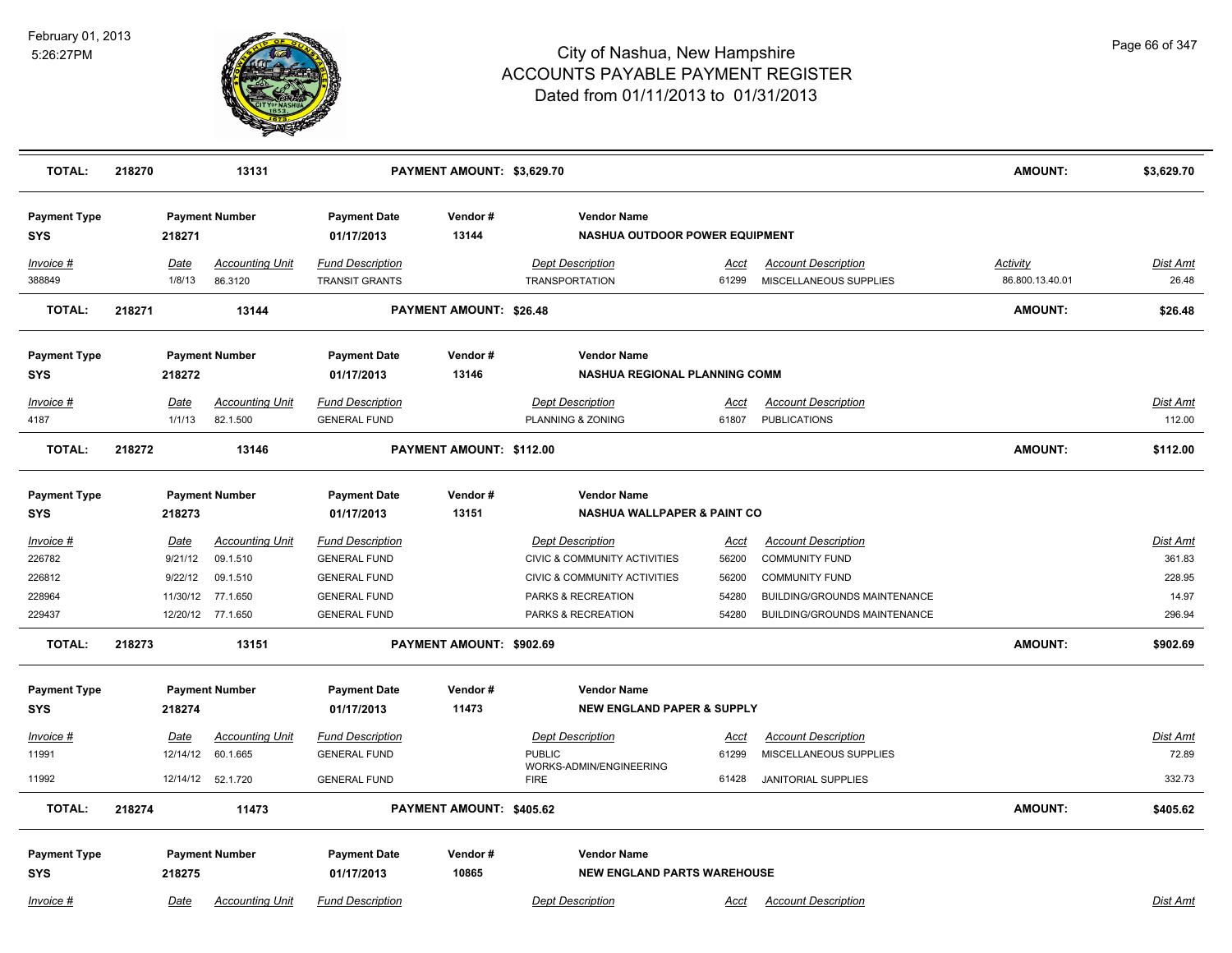

| <b>TOTAL:</b>                     | 218270 |                | 13131                             |                                                  | PAYMENT AMOUNT: \$3,629.70 |                                                              |               |                                                      | <b>AMOUNT:</b>                     | \$3,629.70               |
|-----------------------------------|--------|----------------|-----------------------------------|--------------------------------------------------|----------------------------|--------------------------------------------------------------|---------------|------------------------------------------------------|------------------------------------|--------------------------|
| <b>Payment Type</b><br><b>SYS</b> |        | 218271         | <b>Payment Number</b>             | <b>Payment Date</b><br>01/17/2013                | Vendor#<br>13144           | <b>Vendor Name</b><br>NASHUA OUTDOOR POWER EQUIPMENT         |               |                                                      |                                    |                          |
| Invoice #<br>388849               |        | Date<br>1/8/13 | <b>Accounting Unit</b><br>86.3120 | <b>Fund Description</b><br><b>TRANSIT GRANTS</b> |                            | <b>Dept Description</b><br><b>TRANSPORTATION</b>             | Acct<br>61299 | <b>Account Description</b><br>MISCELLANEOUS SUPPLIES | <b>Activity</b><br>86.800.13.40.01 | <u>Dist Amt</u><br>26.48 |
| <b>TOTAL:</b>                     | 218271 |                | 13144                             |                                                  | PAYMENT AMOUNT: \$26.48    |                                                              |               |                                                      | <b>AMOUNT:</b>                     | \$26.48                  |
| <b>Payment Type</b><br><b>SYS</b> |        | 218272         | <b>Payment Number</b>             | <b>Payment Date</b><br>01/17/2013                | Vendor#<br>13146           | <b>Vendor Name</b><br>NASHUA REGIONAL PLANNING COMM          |               |                                                      |                                    |                          |
| Invoice #                         |        | Date           | <b>Accounting Unit</b>            | <b>Fund Description</b>                          |                            | <b>Dept Description</b>                                      | Acct          | <b>Account Description</b>                           |                                    | Dist Amt                 |
| 4187                              |        | 1/1/13         | 82.1.500                          | <b>GENERAL FUND</b>                              |                            | PLANNING & ZONING                                            | 61807         | <b>PUBLICATIONS</b>                                  |                                    | 112.00                   |
| <b>TOTAL:</b>                     | 218272 |                | 13146                             |                                                  | PAYMENT AMOUNT: \$112.00   |                                                              |               |                                                      | <b>AMOUNT:</b>                     | \$112.00                 |
| <b>Payment Type</b>               |        |                | <b>Payment Number</b>             | <b>Payment Date</b>                              | Vendor#                    | <b>Vendor Name</b><br><b>NASHUA WALLPAPER &amp; PAINT CO</b> |               |                                                      |                                    |                          |
| SYS                               |        | 218273         |                                   | 01/17/2013                                       | 13151                      |                                                              |               |                                                      |                                    |                          |
| Invoice #                         |        | <b>Date</b>    | <b>Accounting Unit</b>            | <b>Fund Description</b>                          |                            | <b>Dept Description</b>                                      | <u>Acct</u>   | <b>Account Description</b>                           |                                    | <b>Dist Amt</b>          |
| 226782                            |        | 9/21/12        | 09.1.510                          | <b>GENERAL FUND</b>                              |                            | CIVIC & COMMUNITY ACTIVITIES                                 | 56200         | <b>COMMUNITY FUND</b>                                |                                    | 361.83                   |
| 226812                            |        | 9/22/12        | 09.1.510                          | <b>GENERAL FUND</b>                              |                            | CIVIC & COMMUNITY ACTIVITIES                                 | 56200         | <b>COMMUNITY FUND</b>                                |                                    | 228.95                   |
| 228964                            |        | 11/30/12       | 77.1.650                          | <b>GENERAL FUND</b>                              |                            | PARKS & RECREATION                                           | 54280         | BUILDING/GROUNDS MAINTENANCE                         |                                    | 14.97                    |
| 229437                            |        |                | 12/20/12 77.1.650                 | <b>GENERAL FUND</b>                              |                            | PARKS & RECREATION                                           | 54280         | BUILDING/GROUNDS MAINTENANCE                         |                                    | 296.94                   |
| <b>TOTAL:</b>                     | 218273 |                | 13151                             |                                                  | PAYMENT AMOUNT: \$902.69   |                                                              |               |                                                      | <b>AMOUNT:</b>                     | \$902.69                 |
| <b>Payment Type</b>               |        |                | <b>Payment Number</b>             | <b>Payment Date</b>                              | Vendor#                    | <b>Vendor Name</b>                                           |               |                                                      |                                    |                          |
| <b>SYS</b>                        |        | 218274         |                                   | 01/17/2013                                       | 11473                      | <b>NEW ENGLAND PAPER &amp; SUPPLY</b>                        |               |                                                      |                                    |                          |
| Invoice #                         |        | Date           | <b>Accounting Unit</b>            | <b>Fund Description</b>                          |                            | <b>Dept Description</b>                                      | <u>Acct</u>   | <b>Account Description</b>                           |                                    | Dist Amt                 |
| 11991                             |        | 12/14/12       | 60.1.665                          | <b>GENERAL FUND</b>                              |                            | <b>PUBLIC</b>                                                | 61299         | MISCELLANEOUS SUPPLIES                               |                                    | 72.89                    |
| 11992                             |        | 12/14/12       | 52.1.720                          | <b>GENERAL FUND</b>                              |                            | WORKS-ADMIN/ENGINEERING<br><b>FIRE</b>                       | 61428         | <b>JANITORIAL SUPPLIES</b>                           |                                    | 332.73                   |
| <b>TOTAL:</b>                     | 218274 |                | 11473                             |                                                  | PAYMENT AMOUNT: \$405.62   |                                                              |               |                                                      | <b>AMOUNT:</b>                     | \$405.62                 |
| <b>Payment Type</b>               |        |                | <b>Payment Number</b>             | <b>Payment Date</b>                              | Vendor#                    | <b>Vendor Name</b>                                           |               |                                                      |                                    |                          |
| <b>SYS</b>                        |        | 218275         |                                   | 01/17/2013                                       | 10865                      | <b>NEW ENGLAND PARTS WAREHOUSE</b>                           |               |                                                      |                                    |                          |
| $Invoice$ #                       |        | Date           | <b>Accounting Unit</b>            | <b>Fund Description</b>                          |                            | <b>Dept Description</b>                                      | <u>Acct</u>   | <b>Account Description</b>                           |                                    | Dist Amt                 |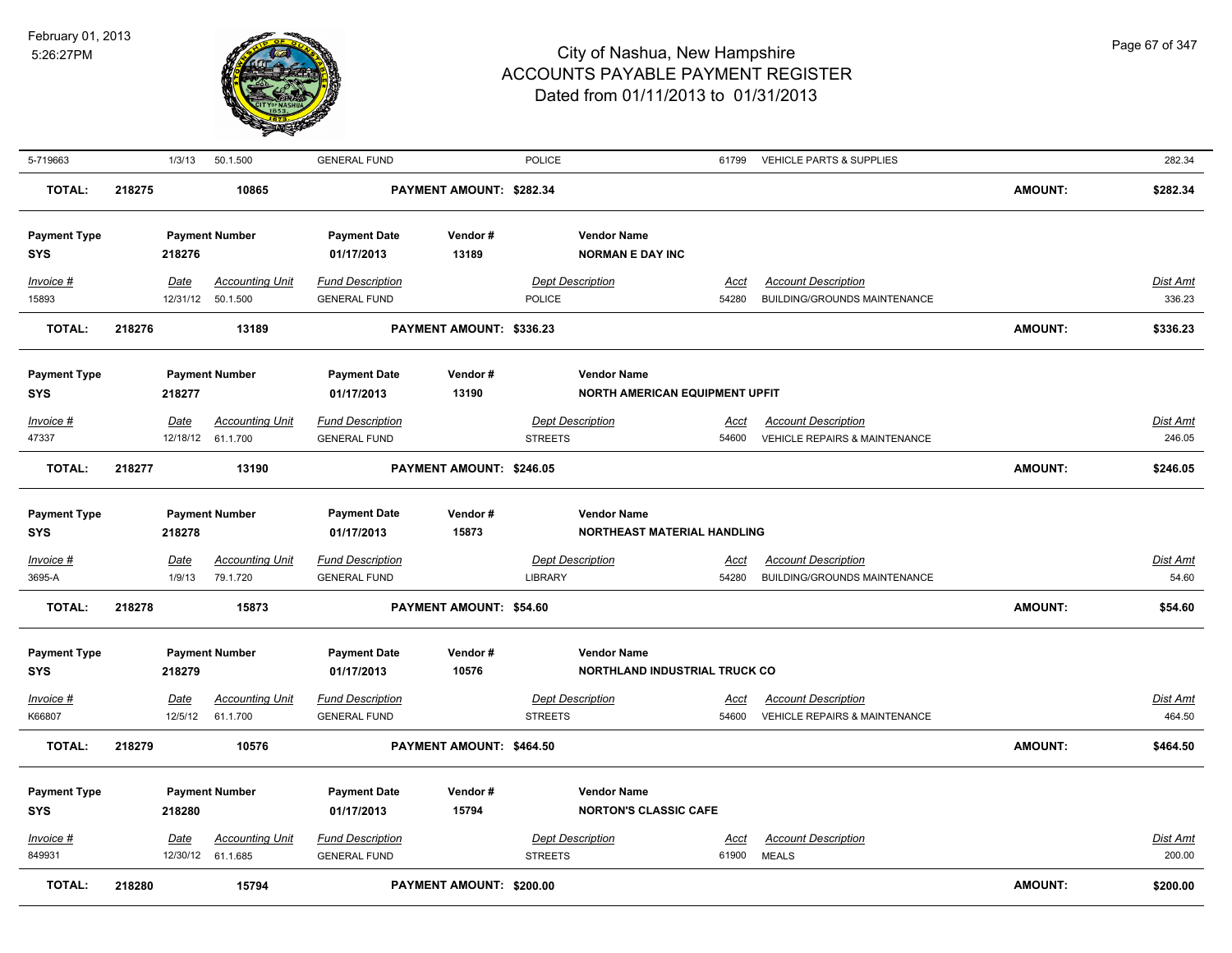

| 5-719663                          |        | 1/3/13                | 50.1.500                                     | <b>GENERAL FUND</b>                            |                          | POLICE                                    |                                                             | 61799                | <b>VEHICLE PARTS &amp; SUPPLIES</b>                        |                | 282.34                    |
|-----------------------------------|--------|-----------------------|----------------------------------------------|------------------------------------------------|--------------------------|-------------------------------------------|-------------------------------------------------------------|----------------------|------------------------------------------------------------|----------------|---------------------------|
| <b>TOTAL:</b>                     | 218275 |                       | 10865                                        |                                                | PAYMENT AMOUNT: \$282.34 |                                           |                                                             |                      |                                                            | <b>AMOUNT:</b> | \$282.34                  |
| <b>Payment Type</b><br>SYS        |        | 218276                | <b>Payment Number</b>                        | <b>Payment Date</b><br>01/17/2013              | Vendor#<br>13189         |                                           | <b>Vendor Name</b><br><b>NORMAN E DAY INC</b>               |                      |                                                            |                |                           |
| Invoice #<br>15893                |        | Date                  | <b>Accounting Unit</b><br>12/31/12  50.1.500 | <b>Fund Description</b><br><b>GENERAL FUND</b> |                          | <b>Dept Description</b><br>POLICE         |                                                             | Acct<br>54280        | <b>Account Description</b><br>BUILDING/GROUNDS MAINTENANCE |                | <b>Dist Amt</b><br>336.23 |
| <b>TOTAL:</b>                     | 218276 |                       | 13189                                        |                                                | PAYMENT AMOUNT: \$336.23 |                                           |                                                             |                      |                                                            | <b>AMOUNT:</b> | \$336.23                  |
| <b>Payment Type</b><br>SYS        |        | 218277                | <b>Payment Number</b>                        | <b>Payment Date</b><br>01/17/2013              | Vendor#<br>13190         |                                           | <b>Vendor Name</b><br><b>NORTH AMERICAN EQUIPMENT UPFIT</b> |                      |                                                            |                |                           |
| Invoice #                         |        | Date                  | <b>Accounting Unit</b>                       | <b>Fund Description</b>                        |                          | <b>Dept Description</b>                   |                                                             | Acct                 | <b>Account Description</b>                                 |                | Dist Amt                  |
| 47337                             |        |                       | 12/18/12 61.1.700                            | <b>GENERAL FUND</b>                            |                          | <b>STREETS</b>                            |                                                             | 54600                | VEHICLE REPAIRS & MAINTENANCE                              |                | 246.05                    |
| <b>TOTAL:</b>                     | 218277 |                       | 13190                                        |                                                | PAYMENT AMOUNT: \$246.05 |                                           |                                                             |                      |                                                            | <b>AMOUNT:</b> | \$246.05                  |
| <b>Payment Type</b><br><b>SYS</b> |        | 218278                | <b>Payment Number</b>                        | <b>Payment Date</b><br>01/17/2013              | Vendor#<br>15873         |                                           | <b>Vendor Name</b><br>NORTHEAST MATERIAL HANDLING           |                      |                                                            |                |                           |
| Invoice #<br>3695-A               |        | <b>Date</b><br>1/9/13 | <b>Accounting Unit</b><br>79.1.720           | <b>Fund Description</b><br><b>GENERAL FUND</b> |                          | <b>Dept Description</b><br>LIBRARY        |                                                             | <u>Acct</u><br>54280 | <b>Account Description</b><br>BUILDING/GROUNDS MAINTENANCE |                | <u>Dist Amt</u><br>54.60  |
| <b>TOTAL:</b>                     | 218278 |                       | 15873                                        |                                                | PAYMENT AMOUNT: \$54.60  |                                           |                                                             |                      |                                                            | <b>AMOUNT:</b> | \$54.60                   |
| <b>Payment Type</b><br><b>SYS</b> |        | 218279                | <b>Payment Number</b>                        | <b>Payment Date</b><br>01/17/2013              | Vendor #<br>10576        |                                           | <b>Vendor Name</b><br><b>NORTHLAND INDUSTRIAL TRUCK CO</b>  |                      |                                                            |                |                           |
| <u>Invoice #</u>                  |        | Date                  | <b>Accounting Unit</b>                       | <b>Fund Description</b>                        |                          | <b>Dept Description</b>                   |                                                             | <u>Acct</u>          | <b>Account Description</b>                                 |                | Dist Amt                  |
| K66807                            |        | 12/5/12               | 61.1.700                                     | <b>GENERAL FUND</b>                            |                          | <b>STREETS</b>                            |                                                             | 54600                | VEHICLE REPAIRS & MAINTENANCE                              |                | 464.50                    |
| <b>TOTAL:</b>                     | 218279 |                       | 10576                                        |                                                | PAYMENT AMOUNT: \$464.50 |                                           |                                                             |                      |                                                            | <b>AMOUNT:</b> | \$464.50                  |
| <b>Payment Type</b><br><b>SYS</b> |        | 218280                | <b>Payment Number</b>                        | <b>Payment Date</b><br>01/17/2013              | Vendor#<br>15794         |                                           | <b>Vendor Name</b><br><b>NORTON'S CLASSIC CAFE</b>          |                      |                                                            |                |                           |
| Invoice #<br>849931               |        | Date                  | <b>Accounting Unit</b><br>12/30/12 61.1.685  | <b>Fund Description</b><br><b>GENERAL FUND</b> |                          | <b>Dept Description</b><br><b>STREETS</b> |                                                             | Acct<br>61900        | <b>Account Description</b><br><b>MEALS</b>                 |                | <b>Dist Amt</b><br>200.00 |
| <b>TOTAL:</b>                     | 218280 |                       | 15794                                        |                                                | PAYMENT AMOUNT: \$200.00 |                                           |                                                             |                      |                                                            | <b>AMOUNT:</b> | \$200.00                  |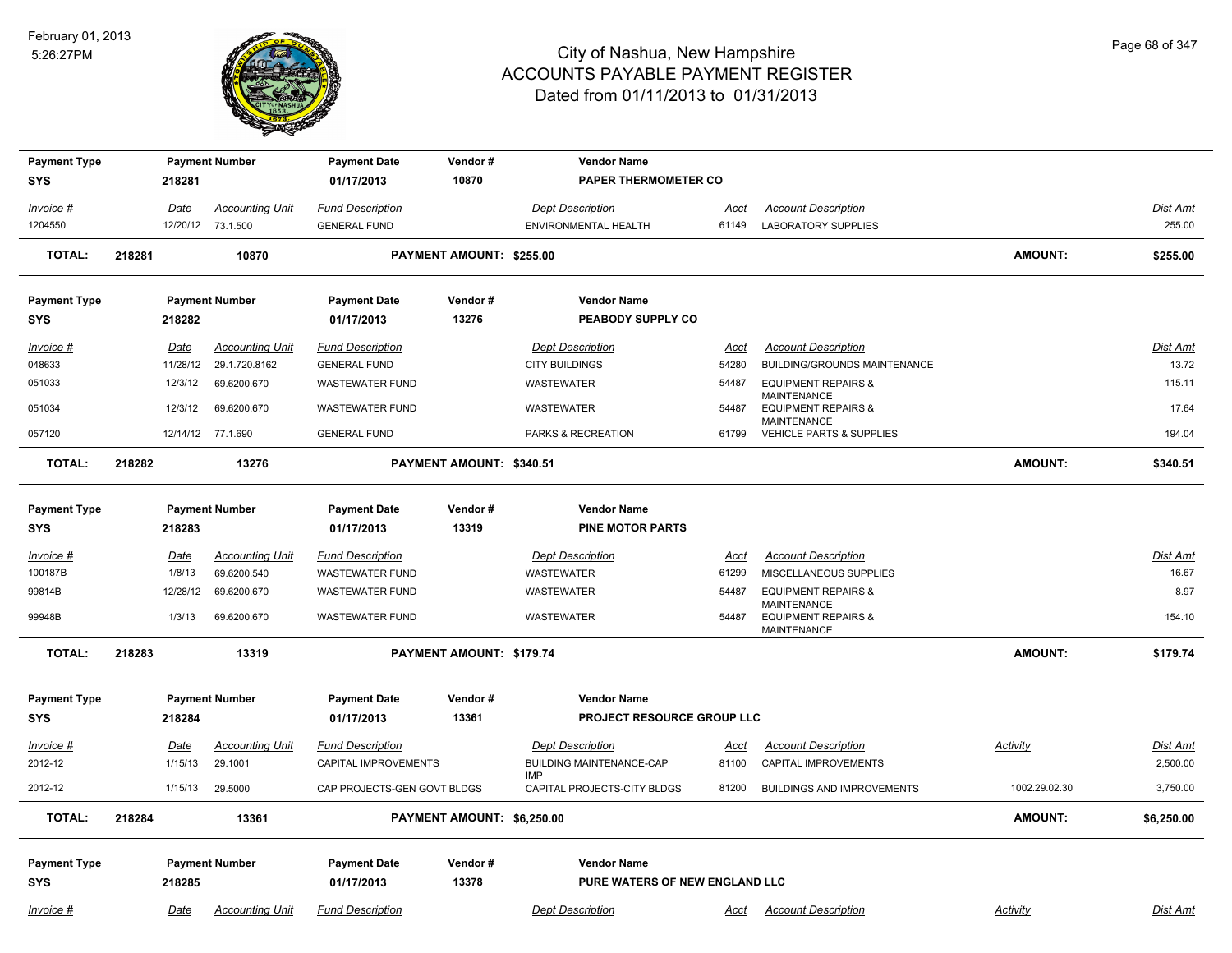

| <b>Payment Type</b>               |        |             | <b>Payment Number</b>  | <b>Payment Date</b>               | Vendor#                    | <b>Vendor Name</b>                            |             |                                                                            |                 |                 |
|-----------------------------------|--------|-------------|------------------------|-----------------------------------|----------------------------|-----------------------------------------------|-------------|----------------------------------------------------------------------------|-----------------|-----------------|
| <b>SYS</b>                        |        | 218281      |                        | 01/17/2013                        | 10870                      | <b>PAPER THERMOMETER CO</b>                   |             |                                                                            |                 |                 |
| Invoice #                         |        | Date        | <b>Accounting Unit</b> | <b>Fund Description</b>           |                            | <b>Dept Description</b>                       | <u>Acct</u> | <b>Account Description</b>                                                 |                 | Dist Amt        |
| 1204550                           |        |             | 12/20/12 73.1.500      | <b>GENERAL FUND</b>               |                            | ENVIRONMENTAL HEALTH                          | 61149       | <b>LABORATORY SUPPLIES</b>                                                 |                 | 255.00          |
| <b>TOTAL:</b>                     | 218281 |             | 10870                  |                                   | PAYMENT AMOUNT: \$255.00   |                                               |             |                                                                            | <b>AMOUNT:</b>  | \$255.00        |
| <b>Payment Type</b>               |        |             | <b>Payment Number</b>  | <b>Payment Date</b>               | Vendor#                    | <b>Vendor Name</b>                            |             |                                                                            |                 |                 |
| <b>SYS</b>                        |        | 218282      |                        | 01/17/2013                        | 13276                      | PEABODY SUPPLY CO                             |             |                                                                            |                 |                 |
| Invoice #                         |        | Date        | <b>Accounting Unit</b> | <b>Fund Description</b>           |                            | <b>Dept Description</b>                       | Acct        | <b>Account Description</b>                                                 |                 | Dist Amt        |
| 048633                            |        | 11/28/12    | 29.1.720.8162          | <b>GENERAL FUND</b>               |                            | <b>CITY BUILDINGS</b>                         | 54280       | BUILDING/GROUNDS MAINTENANCE                                               |                 | 13.72           |
| 051033                            |        | 12/3/12     | 69.6200.670            | <b>WASTEWATER FUND</b>            |                            | <b>WASTEWATER</b>                             | 54487       | <b>EQUIPMENT REPAIRS &amp;</b><br><b>MAINTENANCE</b>                       |                 | 115.11          |
| 051034                            |        | 12/3/12     | 69.6200.670            | <b>WASTEWATER FUND</b>            |                            | <b>WASTEWATER</b>                             | 54487       | <b>EQUIPMENT REPAIRS &amp;</b>                                             |                 | 17.64           |
| 057120                            |        |             | 12/14/12 77.1.690      | <b>GENERAL FUND</b>               |                            | PARKS & RECREATION                            | 61799       | <b>MAINTENANCE</b><br><b>VEHICLE PARTS &amp; SUPPLIES</b>                  |                 | 194.04          |
| <b>TOTAL:</b>                     | 218282 |             | 13276                  |                                   | PAYMENT AMOUNT: \$340.51   |                                               |             |                                                                            | <b>AMOUNT:</b>  | \$340.51        |
| <b>Payment Type</b><br><b>SYS</b> |        | 218283      | <b>Payment Number</b>  | <b>Payment Date</b><br>01/17/2013 | Vendor#<br>13319           | <b>Vendor Name</b><br><b>PINE MOTOR PARTS</b> |             |                                                                            |                 |                 |
| Invoice #                         |        | <u>Date</u> | <b>Accounting Unit</b> | <b>Fund Description</b>           |                            | <b>Dept Description</b>                       | Acct        | <b>Account Description</b>                                                 |                 | Dist Amt        |
| 100187B                           |        | 1/8/13      | 69.6200.540            | <b>WASTEWATER FUND</b>            |                            | WASTEWATER                                    | 61299       | MISCELLANEOUS SUPPLIES                                                     |                 | 16.67           |
| 99814B                            |        | 12/28/12    | 69.6200.670            | <b>WASTEWATER FUND</b>            |                            | <b>WASTEWATER</b>                             | 54487       | <b>EQUIPMENT REPAIRS &amp;</b>                                             |                 | 8.97            |
| 99948B                            |        | 1/3/13      | 69.6200.670            | <b>WASTEWATER FUND</b>            |                            | <b>WASTEWATER</b>                             | 54487       | <b>MAINTENANCE</b><br><b>EQUIPMENT REPAIRS &amp;</b><br><b>MAINTENANCE</b> |                 | 154.10          |
| <b>TOTAL:</b>                     | 218283 |             | 13319                  |                                   | PAYMENT AMOUNT: \$179.74   |                                               |             |                                                                            | <b>AMOUNT:</b>  | \$179.74        |
| <b>Payment Type</b>               |        |             | <b>Payment Number</b>  | <b>Payment Date</b>               | Vendor#                    | <b>Vendor Name</b>                            |             |                                                                            |                 |                 |
| <b>SYS</b>                        |        | 218284      |                        | 01/17/2013                        | 13361                      | PROJECT RESOURCE GROUP LLC                    |             |                                                                            |                 |                 |
| Invoice #                         |        | <u>Date</u> | <u>Accounting Unit</u> | <b>Fund Description</b>           |                            | <b>Dept Description</b>                       | <u>Acci</u> | <b>Account Description</b>                                                 | <b>Activity</b> | <b>Dist Amt</b> |
| 2012-12                           |        | 1/15/13     | 29.1001                | CAPITAL IMPROVEMENTS              |                            | <b>BUILDING MAINTENANCE-CAP</b>               | 81100       | CAPITAL IMPROVEMENTS                                                       |                 | 2,500.00        |
| 2012-12                           |        | 1/15/13     | 29.5000                | CAP PROJECTS-GEN GOVT BLDGS       |                            | <b>IMP</b><br>CAPITAL PROJECTS-CITY BLDGS     | 81200       | <b>BUILDINGS AND IMPROVEMENTS</b>                                          | 1002.29.02.30   | 3,750.00        |
| <b>TOTAL:</b>                     | 218284 |             | 13361                  |                                   | PAYMENT AMOUNT: \$6,250.00 |                                               |             |                                                                            | <b>AMOUNT:</b>  | \$6,250.00      |
| <b>Payment Type</b>               |        |             | <b>Payment Number</b>  | <b>Payment Date</b>               | Vendor#                    | <b>Vendor Name</b>                            |             |                                                                            |                 |                 |
| <b>SYS</b>                        |        | 218285      |                        | 01/17/2013                        | 13378                      | PURE WATERS OF NEW ENGLAND LLC                |             |                                                                            |                 |                 |
| Invoice #                         |        | Date        | <b>Accounting Unit</b> | <b>Fund Description</b>           |                            | <b>Dept Description</b>                       | Acct        | <b>Account Description</b>                                                 | Activity        | Dist Amt        |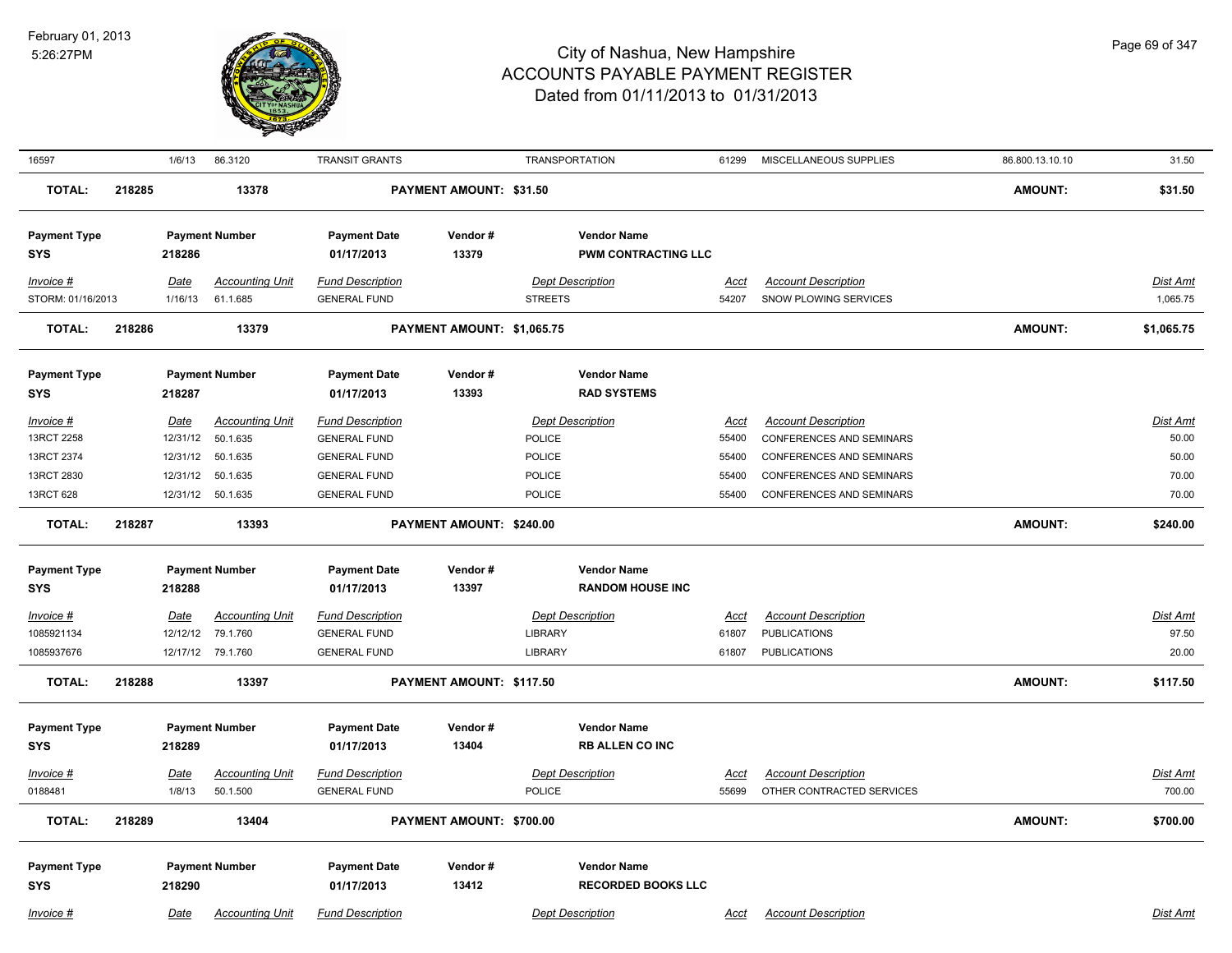

| 16597               |        | 1/6/13      | 86.3120                | <b>TRANSIT GRANTS</b>   |                            | <b>TRANSPORTATION</b> |                            | 61299       | MISCELLANEOUS SUPPLIES          | 86.800.13.10.10 | 31.50           |
|---------------------|--------|-------------|------------------------|-------------------------|----------------------------|-----------------------|----------------------------|-------------|---------------------------------|-----------------|-----------------|
| <b>TOTAL:</b>       | 218285 |             | 13378                  |                         | PAYMENT AMOUNT: \$31.50    |                       |                            |             |                                 | <b>AMOUNT:</b>  | \$31.50         |
| <b>Payment Type</b> |        |             | <b>Payment Number</b>  | <b>Payment Date</b>     | Vendor#                    |                       | <b>Vendor Name</b>         |             |                                 |                 |                 |
| SYS                 |        | 218286      |                        | 01/17/2013              | 13379                      |                       | <b>PWM CONTRACTING LLC</b> |             |                                 |                 |                 |
| Invoice #           |        | Date        | <b>Accounting Unit</b> | <b>Fund Description</b> |                            |                       | <b>Dept Description</b>    | Acct        | <b>Account Description</b>      |                 | Dist Amt        |
| STORM: 01/16/2013   |        | 1/16/13     | 61.1.685               | <b>GENERAL FUND</b>     |                            | <b>STREETS</b>        |                            | 54207       | <b>SNOW PLOWING SERVICES</b>    |                 | 1,065.75        |
|                     |        |             |                        |                         |                            |                       |                            |             |                                 |                 |                 |
| <b>TOTAL:</b>       | 218286 |             | 13379                  |                         | PAYMENT AMOUNT: \$1,065.75 |                       |                            |             |                                 | <b>AMOUNT:</b>  | \$1,065.75      |
| <b>Payment Type</b> |        |             | <b>Payment Number</b>  | <b>Payment Date</b>     | Vendor#                    |                       | <b>Vendor Name</b>         |             |                                 |                 |                 |
| <b>SYS</b>          |        | 218287      |                        | 01/17/2013              | 13393                      |                       | <b>RAD SYSTEMS</b>         |             |                                 |                 |                 |
| Invoice #           |        | Date        | <b>Accounting Unit</b> | <b>Fund Description</b> |                            |                       | <b>Dept Description</b>    | Acct        | <b>Account Description</b>      |                 | Dist Amt        |
| 13RCT 2258          |        | 12/31/12    | 50.1.635               | <b>GENERAL FUND</b>     |                            | POLICE                |                            | 55400       | CONFERENCES AND SEMINARS        |                 | 50.00           |
| 13RCT 2374          |        | 12/31/12    | 50.1.635               | <b>GENERAL FUND</b>     |                            | <b>POLICE</b>         |                            | 55400       | CONFERENCES AND SEMINARS        |                 | 50.00           |
| 13RCT 2830          |        | 12/31/12    | 50.1.635               | <b>GENERAL FUND</b>     |                            | POLICE                |                            | 55400       | CONFERENCES AND SEMINARS        |                 | 70.00           |
| 13RCT 628           |        |             | 12/31/12 50.1.635      | <b>GENERAL FUND</b>     |                            | <b>POLICE</b>         |                            | 55400       | <b>CONFERENCES AND SEMINARS</b> |                 | 70.00           |
| <b>TOTAL:</b>       | 218287 |             | 13393                  |                         | PAYMENT AMOUNT: \$240.00   |                       |                            |             |                                 | <b>AMOUNT:</b>  | \$240.00        |
| <b>Payment Type</b> |        |             | <b>Payment Number</b>  | <b>Payment Date</b>     | Vendor#                    |                       | <b>Vendor Name</b>         |             |                                 |                 |                 |
| <b>SYS</b>          |        | 218288      |                        | 01/17/2013              | 13397                      |                       | <b>RANDOM HOUSE INC</b>    |             |                                 |                 |                 |
| $Invoice$ #         |        | <u>Date</u> | <b>Accounting Unit</b> | <b>Fund Description</b> |                            |                       | <b>Dept Description</b>    | <u>Acct</u> | <b>Account Description</b>      |                 | <b>Dist Amt</b> |
| 1085921134          |        | 12/12/12    | 79.1.760               | <b>GENERAL FUND</b>     |                            | LIBRARY               |                            | 61807       | <b>PUBLICATIONS</b>             |                 | 97.50           |
| 1085937676          |        |             | 12/17/12 79.1.760      | <b>GENERAL FUND</b>     |                            | LIBRARY               |                            | 61807       | <b>PUBLICATIONS</b>             |                 | 20.00           |
| <b>TOTAL:</b>       | 218288 |             | 13397                  |                         | PAYMENT AMOUNT: \$117.50   |                       |                            |             |                                 | <b>AMOUNT:</b>  | \$117.50        |
|                     |        |             |                        |                         |                            |                       |                            |             |                                 |                 |                 |
| <b>Payment Type</b> |        |             | <b>Payment Number</b>  | <b>Payment Date</b>     | Vendor#                    |                       | <b>Vendor Name</b>         |             |                                 |                 |                 |
| <b>SYS</b>          |        | 218289      |                        | 01/17/2013              | 13404                      |                       | <b>RB ALLEN CO INC</b>     |             |                                 |                 |                 |
| Invoice #           |        | <u>Date</u> | <b>Accounting Unit</b> | <b>Fund Description</b> |                            |                       | <b>Dept Description</b>    | Acct        | <b>Account Description</b>      |                 | <b>Dist Amt</b> |
| 0188481             |        | 1/8/13      | 50.1.500               | <b>GENERAL FUND</b>     |                            | <b>POLICE</b>         |                            | 55699       | OTHER CONTRACTED SERVICES       |                 | 700.00          |
|                     |        |             |                        |                         |                            |                       |                            |             |                                 |                 |                 |
| <b>TOTAL:</b>       | 218289 |             | 13404                  |                         | PAYMENT AMOUNT: \$700.00   |                       |                            |             |                                 | <b>AMOUNT:</b>  | \$700.00        |
| <b>Payment Type</b> |        |             | <b>Payment Number</b>  | <b>Payment Date</b>     | Vendor#                    |                       | <b>Vendor Name</b>         |             |                                 |                 |                 |
| <b>SYS</b>          |        | 218290      |                        | 01/17/2013              | 13412                      |                       | <b>RECORDED BOOKS LLC</b>  |             |                                 |                 |                 |
| Invoice #           |        | Date        | <b>Accounting Unit</b> | <b>Fund Description</b> |                            |                       | <b>Dept Description</b>    | Acct        | <b>Account Description</b>      |                 | Dist Amt        |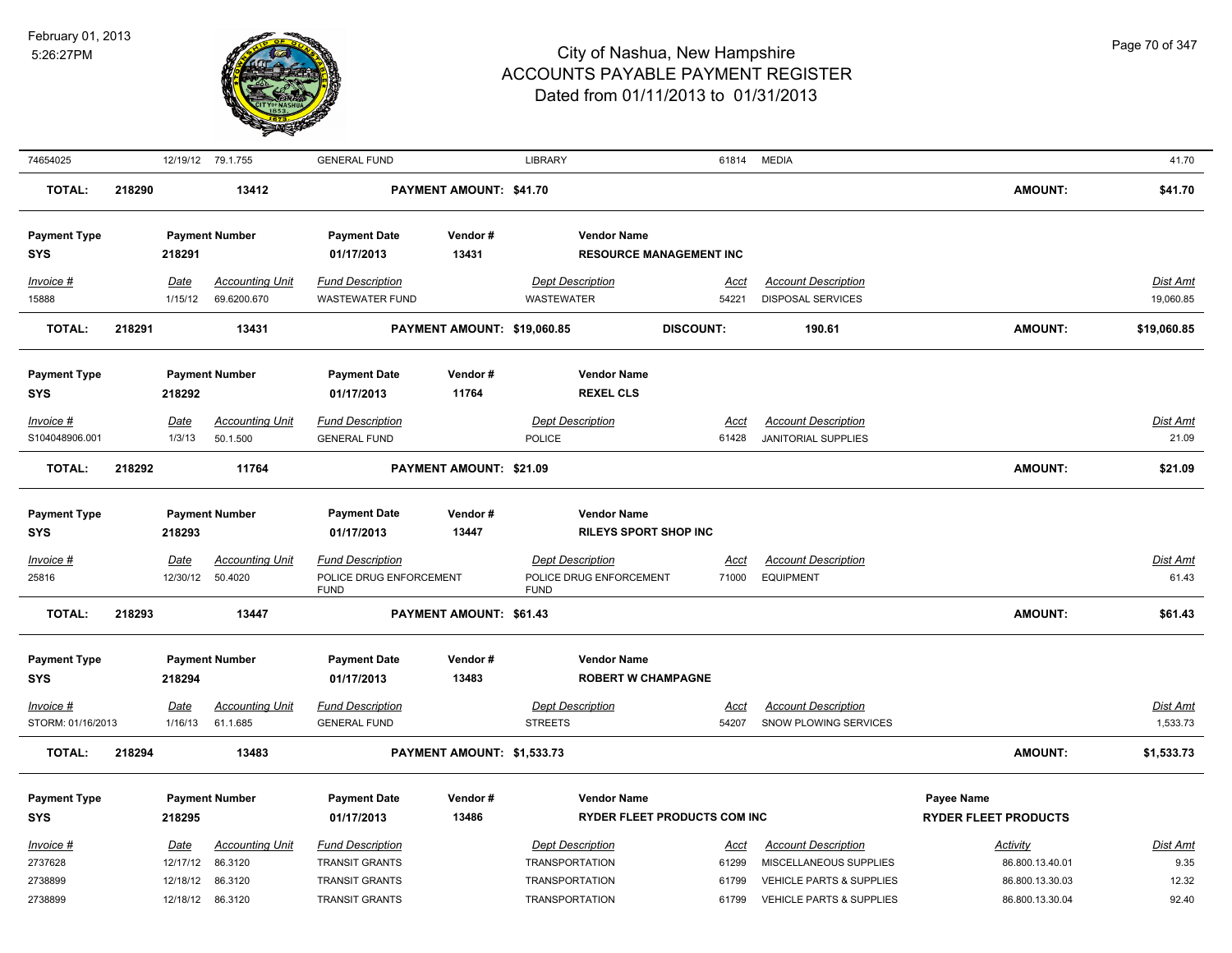

| 74654025                                       |        |                                          | 12/19/12 79.1.755                                       | <b>GENERAL FUND</b>                                                                                |                             | LIBRARY                                                                                            |                                             | 61814 MEDIA                                                                                                             |                                                                          | 41.70                              |
|------------------------------------------------|--------|------------------------------------------|---------------------------------------------------------|----------------------------------------------------------------------------------------------------|-----------------------------|----------------------------------------------------------------------------------------------------|---------------------------------------------|-------------------------------------------------------------------------------------------------------------------------|--------------------------------------------------------------------------|------------------------------------|
| <b>TOTAL:</b>                                  | 218290 |                                          | 13412                                                   |                                                                                                    | PAYMENT AMOUNT: \$41.70     |                                                                                                    |                                             |                                                                                                                         | <b>AMOUNT:</b>                                                           | \$41.70                            |
| <b>Payment Type</b><br><b>SYS</b>              |        | 218291                                   | <b>Payment Number</b>                                   | <b>Payment Date</b><br>01/17/2013                                                                  | Vendor#<br>13431            | <b>Vendor Name</b>                                                                                 | <b>RESOURCE MANAGEMENT INC</b>              |                                                                                                                         |                                                                          |                                    |
| Invoice #<br>15888                             |        | Date<br>1/15/12                          | <b>Accounting Unit</b><br>69.6200.670                   | <b>Fund Description</b><br><b>WASTEWATER FUND</b>                                                  |                             | <b>Dept Description</b><br>WASTEWATER                                                              | <u>Acct</u><br>54221                        | <b>Account Description</b><br><b>DISPOSAL SERVICES</b>                                                                  |                                                                          | <b>Dist Amt</b><br>19,060.85       |
| <b>TOTAL:</b>                                  | 218291 |                                          | 13431                                                   |                                                                                                    | PAYMENT AMOUNT: \$19,060.85 |                                                                                                    | <b>DISCOUNT:</b>                            | 190.61                                                                                                                  | <b>AMOUNT:</b>                                                           | \$19,060.85                        |
| <b>Payment Type</b><br><b>SYS</b>              |        | 218292                                   | <b>Payment Number</b>                                   | <b>Payment Date</b><br>01/17/2013                                                                  | Vendor#<br>11764            | <b>Vendor Name</b><br><b>REXEL CLS</b>                                                             |                                             |                                                                                                                         |                                                                          |                                    |
| Invoice #<br>S104048906.001                    |        | Date<br>1/3/13                           | <b>Accounting Unit</b><br>50.1.500                      | <b>Fund Description</b><br><b>GENERAL FUND</b>                                                     |                             | <b>Dept Description</b><br><b>POLICE</b>                                                           | <u>Acct</u><br>61428                        | <b>Account Description</b><br><b>JANITORIAL SUPPLIES</b>                                                                |                                                                          | <b>Dist Amt</b><br>21.09           |
| <b>TOTAL:</b>                                  | 218292 |                                          | 11764                                                   |                                                                                                    | PAYMENT AMOUNT: \$21.09     |                                                                                                    |                                             |                                                                                                                         | <b>AMOUNT:</b>                                                           | \$21.09                            |
| <b>Payment Type</b><br><b>SYS</b><br>Invoice # |        | 218293<br>Date                           | <b>Payment Number</b><br><b>Accounting Unit</b>         | <b>Payment Date</b><br>01/17/2013<br><b>Fund Description</b>                                       | Vendor#<br>13447            | <b>Vendor Name</b><br><b>Dept Description</b>                                                      | <b>RILEYS SPORT SHOP INC</b><br><u>Acct</u> | <b>Account Description</b>                                                                                              |                                                                          | <b>Dist Amt</b>                    |
| 25816                                          |        | 12/30/12                                 | 50.4020                                                 | POLICE DRUG ENFORCEMENT<br><b>FUND</b>                                                             |                             | POLICE DRUG ENFORCEMENT<br><b>FUND</b>                                                             | 71000                                       | <b>EQUIPMENT</b>                                                                                                        |                                                                          | 61.43                              |
| <b>TOTAL:</b>                                  | 218293 |                                          | 13447                                                   |                                                                                                    | PAYMENT AMOUNT: \$61.43     |                                                                                                    |                                             |                                                                                                                         | <b>AMOUNT:</b>                                                           | \$61.43                            |
| <b>Payment Type</b><br><b>SYS</b>              |        | 218294                                   | <b>Payment Number</b>                                   | <b>Payment Date</b><br>01/17/2013                                                                  | Vendor#<br>13483            | <b>Vendor Name</b>                                                                                 | <b>ROBERT W CHAMPAGNE</b>                   |                                                                                                                         |                                                                          |                                    |
| $Invoice$ #<br>STORM: 01/16/2013               |        | Date<br>1/16/13                          | <b>Accounting Unit</b><br>61.1.685                      | <b>Fund Description</b><br><b>GENERAL FUND</b>                                                     |                             | <b>Dept Description</b><br><b>STREETS</b>                                                          | <u>Acct</u><br>54207                        | <b>Account Description</b><br>SNOW PLOWING SERVICES                                                                     |                                                                          | <b>Dist Amt</b><br>1,533.73        |
| <b>TOTAL:</b>                                  | 218294 |                                          | 13483                                                   |                                                                                                    | PAYMENT AMOUNT: \$1,533.73  |                                                                                                    |                                             |                                                                                                                         | <b>AMOUNT:</b>                                                           | \$1,533.73                         |
| <b>Payment Type</b><br><b>SYS</b>              |        | 218295                                   | <b>Payment Number</b>                                   | <b>Payment Date</b><br>01/17/2013                                                                  | Vendor#<br>13486            | <b>Vendor Name</b>                                                                                 | RYDER FLEET PRODUCTS COM INC                |                                                                                                                         | <b>Payee Name</b><br><b>RYDER FLEET PRODUCTS</b>                         |                                    |
| Invoice #<br>2737628<br>2738899<br>2738899     |        | Date<br>12/17/12<br>12/18/12<br>12/18/12 | <b>Accounting Unit</b><br>86.3120<br>86.3120<br>86.3120 | <b>Fund Description</b><br><b>TRANSIT GRANTS</b><br><b>TRANSIT GRANTS</b><br><b>TRANSIT GRANTS</b> |                             | <b>Dept Description</b><br><b>TRANSPORTATION</b><br><b>TRANSPORTATION</b><br><b>TRANSPORTATION</b> | Acct<br>61299<br>61799<br>61799             | <b>Account Description</b><br>MISCELLANEOUS SUPPLIES<br>VEHICLE PARTS & SUPPLIES<br><b>VEHICLE PARTS &amp; SUPPLIES</b> | <b>Activity</b><br>86.800.13.40.01<br>86.800.13.30.03<br>86.800.13.30.04 | Dist Amt<br>9.35<br>12.32<br>92.40 |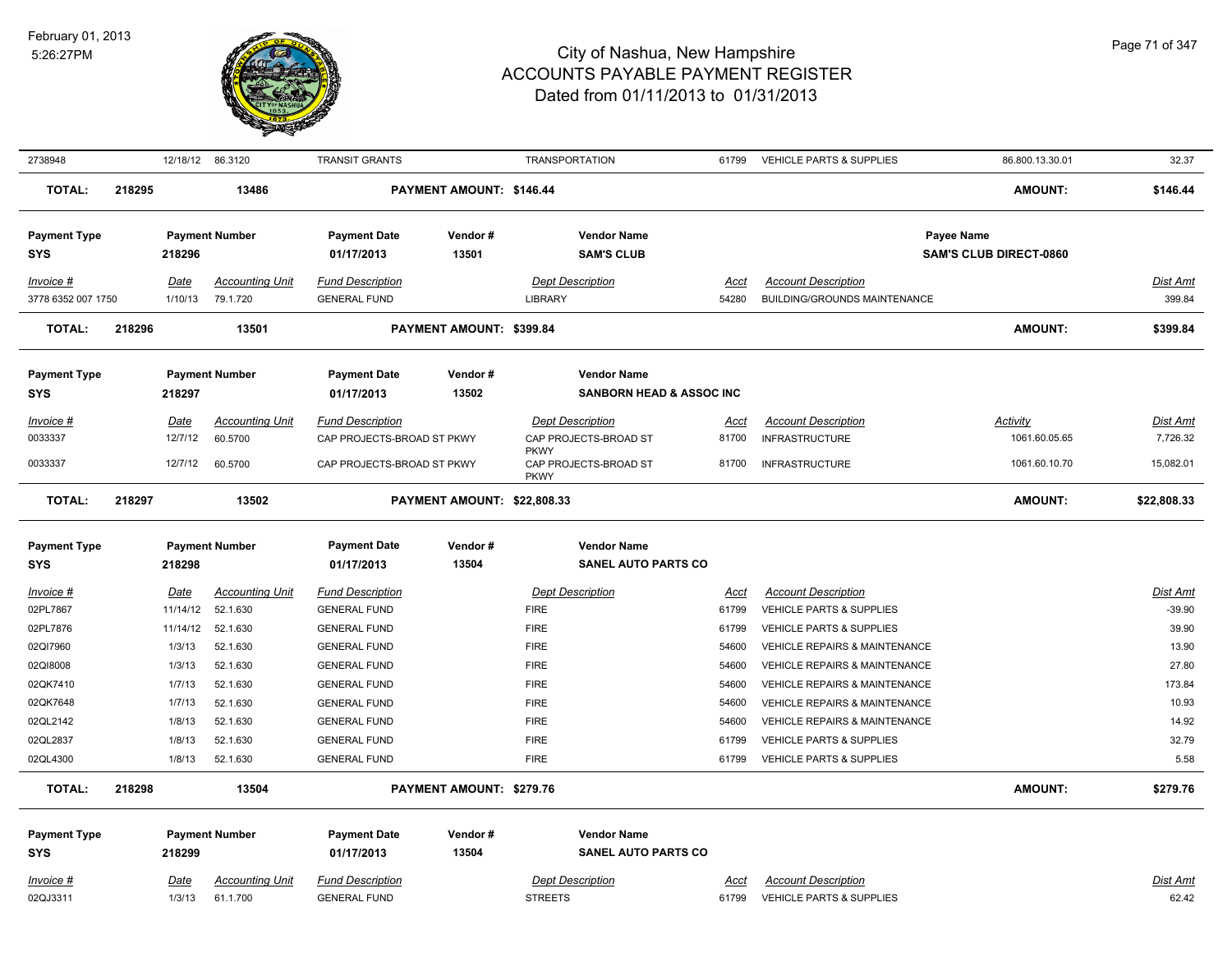

| 2738948                           |        | 12/18/12 86.3120 |                                    | <b>TRANSIT GRANTS</b>                          |                             | <b>TRANSPORTATION</b>                            | 61799         | <b>VEHICLE PARTS &amp; SUPPLIES</b>                    | 86.800.13.30.01               | 32.37                       |
|-----------------------------------|--------|------------------|------------------------------------|------------------------------------------------|-----------------------------|--------------------------------------------------|---------------|--------------------------------------------------------|-------------------------------|-----------------------------|
| <b>TOTAL:</b>                     | 218295 |                  | 13486                              |                                                | PAYMENT AMOUNT: \$146.44    |                                                  |               |                                                        | <b>AMOUNT:</b>                | \$146.44                    |
|                                   |        |                  |                                    |                                                |                             |                                                  |               |                                                        |                               |                             |
| <b>Payment Type</b>               |        |                  | <b>Payment Number</b>              | <b>Payment Date</b>                            | Vendor#                     | <b>Vendor Name</b>                               |               |                                                        | Payee Name                    |                             |
| <b>SYS</b>                        |        | 218296           |                                    | 01/17/2013                                     | 13501                       | <b>SAM'S CLUB</b>                                |               |                                                        | <b>SAM'S CLUB DIRECT-0860</b> |                             |
|                                   |        |                  |                                    |                                                |                             |                                                  |               |                                                        |                               |                             |
| Invoice #                         |        | Date             | <b>Accounting Unit</b>             | <b>Fund Description</b>                        |                             | <b>Dept Description</b>                          | Acct          | <b>Account Description</b>                             |                               | <b>Dist Amt</b>             |
| 3778 6352 007 1750                |        | 1/10/13          | 79.1.720                           | <b>GENERAL FUND</b>                            |                             | <b>LIBRARY</b>                                   | 54280         | BUILDING/GROUNDS MAINTENANCE                           |                               | 399.84                      |
| <b>TOTAL:</b>                     | 218296 |                  | 13501                              |                                                | PAYMENT AMOUNT: \$399.84    |                                                  |               |                                                        | <b>AMOUNT:</b>                | \$399.84                    |
| <b>Payment Type</b>               |        |                  | <b>Payment Number</b>              | <b>Payment Date</b>                            | Vendor#                     | <b>Vendor Name</b>                               |               |                                                        |                               |                             |
| <b>SYS</b>                        |        | 218297           |                                    | 01/17/2013                                     | 13502                       | <b>SANBORN HEAD &amp; ASSOC INC</b>              |               |                                                        |                               |                             |
| Invoice #                         |        | Date             | <b>Accounting Unit</b>             | <b>Fund Description</b>                        |                             | <b>Dept Description</b>                          | Acct          | <b>Account Description</b>                             | Activity                      | <b>Dist Amt</b>             |
| 0033337                           |        | 12/7/12          | 60.5700                            | CAP PROJECTS-BROAD ST PKWY                     |                             | CAP PROJECTS-BROAD ST                            | 81700         | <b>INFRASTRUCTURE</b>                                  | 1061.60.05.65                 | 7,726.32                    |
| 0033337                           |        | 12/7/12          | 60.5700                            | CAP PROJECTS-BROAD ST PKWY                     |                             | <b>PKWY</b><br>CAP PROJECTS-BROAD ST             | 81700         | <b>INFRASTRUCTURE</b>                                  | 1061.60.10.70                 | 15,082.01                   |
|                                   |        |                  |                                    |                                                |                             | <b>PKWY</b>                                      |               |                                                        |                               |                             |
| <b>TOTAL:</b>                     | 218297 |                  | 13502                              |                                                | PAYMENT AMOUNT: \$22,808.33 |                                                  |               |                                                        | <b>AMOUNT:</b>                | \$22,808.33                 |
|                                   |        |                  |                                    |                                                |                             |                                                  |               |                                                        |                               |                             |
| <b>Payment Type</b>               |        |                  | <b>Payment Number</b>              | <b>Payment Date</b>                            | Vendor#                     | <b>Vendor Name</b>                               |               |                                                        |                               |                             |
| <b>SYS</b>                        |        | 218298           |                                    | 01/17/2013                                     | 13504                       | <b>SANEL AUTO PARTS CO</b>                       |               |                                                        |                               |                             |
|                                   |        |                  |                                    |                                                |                             |                                                  |               |                                                        |                               |                             |
| Invoice #<br>02PL7867             |        | Date<br>11/14/12 | <b>Accounting Unit</b><br>52.1.630 | <b>Fund Description</b><br><b>GENERAL FUND</b> |                             | <b>Dept Description</b><br><b>FIRE</b>           | Acct<br>61799 | <b>Account Description</b><br>VEHICLE PARTS & SUPPLIES |                               | <b>Dist Amt</b><br>$-39.90$ |
| 02PL7876                          |        | 11/14/12         | 52.1.630                           | <b>GENERAL FUND</b>                            |                             | <b>FIRE</b>                                      | 61799         | VEHICLE PARTS & SUPPLIES                               |                               | 39.90                       |
| 02QI7960                          |        | 1/3/13           | 52.1.630                           | <b>GENERAL FUND</b>                            |                             | <b>FIRE</b>                                      | 54600         | VEHICLE REPAIRS & MAINTENANCE                          |                               | 13.90                       |
| 02QI8008                          |        | 1/3/13           | 52.1.630                           | <b>GENERAL FUND</b>                            |                             | <b>FIRE</b>                                      | 54600         | VEHICLE REPAIRS & MAINTENANCE                          |                               | 27.80                       |
| 02QK7410                          |        | 1/7/13           | 52.1.630                           | <b>GENERAL FUND</b>                            |                             | <b>FIRE</b>                                      | 54600         | <b>VEHICLE REPAIRS &amp; MAINTENANCE</b>               |                               | 173.84                      |
| 02QK7648                          |        | 1/7/13           | 52.1.630                           | <b>GENERAL FUND</b>                            |                             | <b>FIRE</b>                                      | 54600         | <b>VEHICLE REPAIRS &amp; MAINTENANCE</b>               |                               | 10.93                       |
| 02QL2142                          |        | 1/8/13           | 52.1.630                           | <b>GENERAL FUND</b>                            |                             | <b>FIRE</b>                                      | 54600         | <b>VEHICLE REPAIRS &amp; MAINTENANCE</b>               |                               | 14.92                       |
| 02QL2837                          |        | 1/8/13           | 52.1.630                           | <b>GENERAL FUND</b>                            |                             | <b>FIRE</b>                                      | 61799         | <b>VEHICLE PARTS &amp; SUPPLIES</b>                    |                               | 32.79                       |
| 02QL4300                          |        | 1/8/13           | 52.1.630                           | <b>GENERAL FUND</b>                            |                             | <b>FIRE</b>                                      | 61799         | VEHICLE PARTS & SUPPLIES                               |                               | 5.58                        |
| <b>TOTAL:</b>                     | 218298 |                  | 13504                              |                                                | PAYMENT AMOUNT: \$279.76    |                                                  |               |                                                        | <b>AMOUNT:</b>                | \$279.76                    |
|                                   |        |                  |                                    |                                                |                             |                                                  |               |                                                        |                               |                             |
| <b>Payment Type</b><br><b>SYS</b> |        | 218299           | <b>Payment Number</b>              | <b>Payment Date</b><br>01/17/2013              | Vendor#<br>13504            | <b>Vendor Name</b><br><b>SANEL AUTO PARTS CO</b> |               |                                                        |                               |                             |
|                                   |        |                  |                                    |                                                |                             |                                                  |               |                                                        |                               |                             |
| Invoice #<br>02QJ3311             |        | Date<br>1/3/13   | <b>Accounting Unit</b><br>61.1.700 | <b>Fund Description</b><br><b>GENERAL FUND</b> |                             | <b>Dept Description</b><br><b>STREETS</b>        | Acct<br>61799 | <b>Account Description</b><br>VEHICLE PARTS & SUPPLIES |                               | Dist Amt<br>62.42           |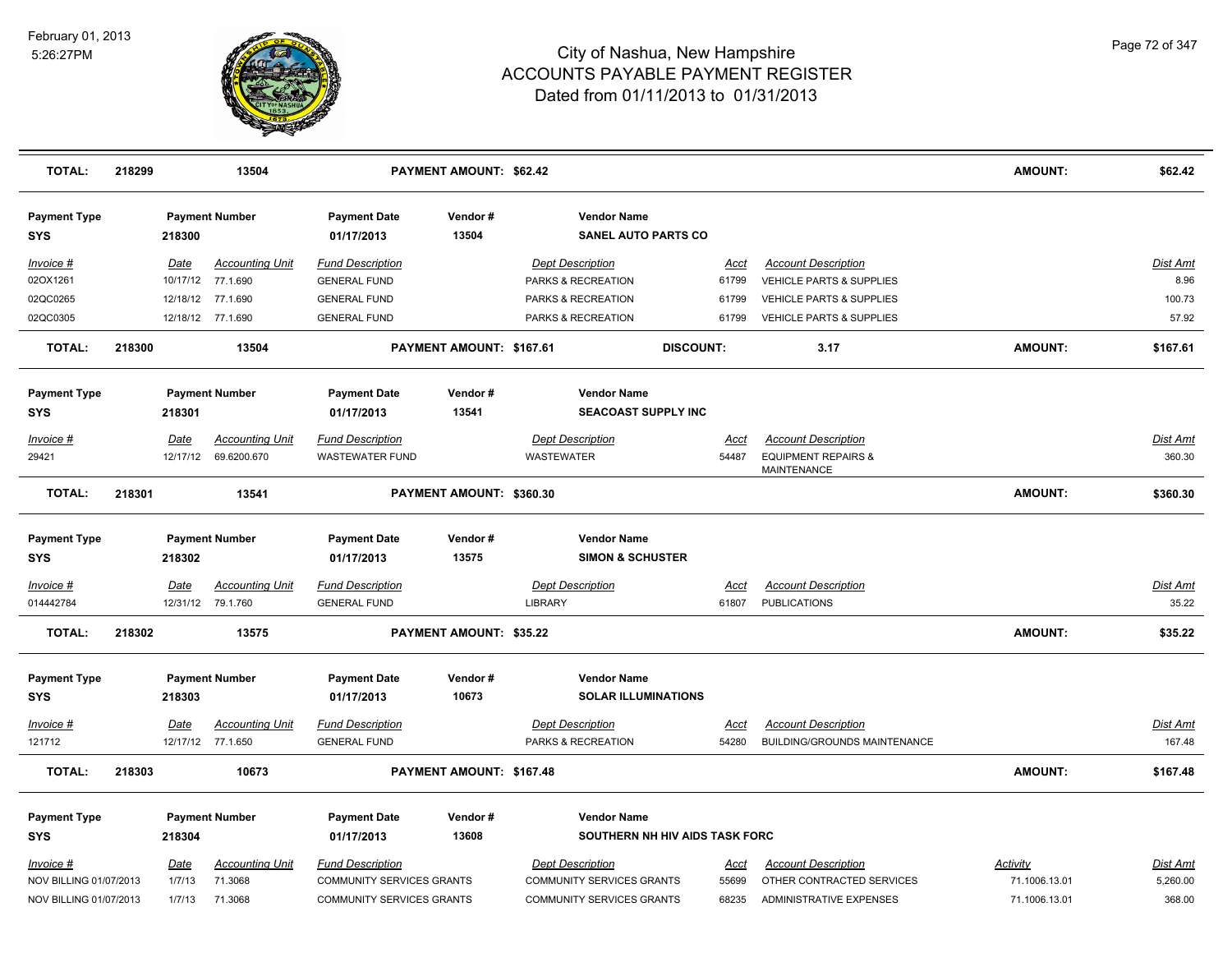

| <b>TOTAL:</b>                     | 218299<br>13504                 |                                 |                                             | <b>PAYMENT AMOUNT: \$62.42</b>                        |                                                  |                                                      |  |               |                                                      | <b>AMOUNT:</b>  | \$62.42           |
|-----------------------------------|---------------------------------|---------------------------------|---------------------------------------------|-------------------------------------------------------|--------------------------------------------------|------------------------------------------------------|--|---------------|------------------------------------------------------|-----------------|-------------------|
| <b>Payment Type</b><br><b>SYS</b> | 218300                          |                                 | <b>Payment Number</b>                       | <b>Payment Date</b><br>Vendor#<br>13504<br>01/17/2013 |                                                  | <b>Vendor Name</b><br><b>SANEL AUTO PARTS CO</b>     |  |               |                                                      |                 |                   |
| Invoice #                         |                                 | Date                            | <b>Accounting Unit</b>                      | <b>Fund Description</b>                               |                                                  | <b>Dept Description</b>                              |  | Acct          | <b>Account Description</b>                           |                 | Dist Amt          |
| 02OX1261                          |                                 |                                 | 10/17/12 77.1.690                           | <b>GENERAL FUND</b>                                   |                                                  | PARKS & RECREATION                                   |  | 61799         | VEHICLE PARTS & SUPPLIES                             |                 | 8.96              |
| 02QC0265                          |                                 |                                 | 12/18/12 77.1.690                           | <b>GENERAL FUND</b>                                   |                                                  | PARKS & RECREATION                                   |  | 61799         | <b>VEHICLE PARTS &amp; SUPPLIES</b>                  |                 | 100.73            |
| 02QC0305                          |                                 |                                 | 12/18/12 77.1.690                           | <b>GENERAL FUND</b>                                   |                                                  | PARKS & RECREATION                                   |  | 61799         | <b>VEHICLE PARTS &amp; SUPPLIES</b>                  |                 | 57.92             |
| <b>TOTAL:</b>                     | 218300                          | 13504                           |                                             | PAYMENT AMOUNT: \$167.61                              |                                                  | <b>DISCOUNT:</b>                                     |  |               | 3.17                                                 | <b>AMOUNT:</b>  | \$167.61          |
| <b>Payment Type</b><br><b>SYS</b> | <b>Payment Number</b><br>218301 |                                 | <b>Payment Date</b><br>01/17/2013           | Vendor#<br>13541                                      | <b>Vendor Name</b><br><b>SEACOAST SUPPLY INC</b> |                                                      |  |               |                                                      |                 |                   |
| Invoice #                         |                                 | Date                            | <b>Accounting Unit</b>                      | <b>Fund Description</b>                               |                                                  | <b>Dept Description</b>                              |  | Acct          | <b>Account Description</b>                           |                 | Dist Amt          |
| 29421                             |                                 | 12/17/12                        | 69.6200.670                                 | <b>WASTEWATER FUND</b>                                |                                                  | WASTEWATER                                           |  | 54487         | <b>EQUIPMENT REPAIRS &amp;</b><br><b>MAINTENANCE</b> |                 | 360.30            |
| <b>TOTAL:</b>                     | 218301                          | 13541                           |                                             | PAYMENT AMOUNT: \$360.30                              |                                                  |                                                      |  |               |                                                      | <b>AMOUNT:</b>  | \$360.30          |
| <b>Payment Type</b>               |                                 |                                 | <b>Payment Number</b>                       | <b>Payment Date</b>                                   | Vendor#                                          | <b>Vendor Name</b>                                   |  |               |                                                      |                 |                   |
| <b>SYS</b>                        | 218302                          |                                 |                                             | 13575<br>01/17/2013                                   |                                                  | <b>SIMON &amp; SCHUSTER</b>                          |  |               |                                                      |                 |                   |
| Invoice #<br>014442784            |                                 | Date                            | <b>Accounting Unit</b><br>12/31/12 79.1.760 | <b>Fund Description</b><br><b>GENERAL FUND</b>        |                                                  | <b>Dept Description</b><br><b>LIBRARY</b>            |  | Acct<br>61807 | <b>Account Description</b><br><b>PUBLICATIONS</b>    |                 | Dist Amt<br>35.22 |
| <b>TOTAL:</b>                     | 218302                          | 13575                           |                                             |                                                       | PAYMENT AMOUNT: \$35.22                          |                                                      |  |               | <b>AMOUNT:</b>                                       | \$35.22         |                   |
| <b>Payment Type</b><br><b>SYS</b> |                                 | 218303                          | <b>Payment Number</b>                       | <b>Payment Date</b><br>01/17/2013                     | Vendor#<br>10673                                 | <b>Vendor Name</b><br><b>SOLAR ILLUMINATIONS</b>     |  |               |                                                      |                 |                   |
| Invoice #                         |                                 | <b>Date</b>                     | <b>Accounting Unit</b>                      | <b>Fund Description</b>                               |                                                  | <b>Dept Description</b>                              |  | <u>Acct</u>   | <b>Account Description</b>                           |                 | <u>Dist Amt</u>   |
| 121712                            |                                 |                                 | 12/17/12 77.1.650                           | <b>GENERAL FUND</b>                                   |                                                  | PARKS & RECREATION                                   |  | 54280         | BUILDING/GROUNDS MAINTENANCE                         |                 | 167.48            |
| <b>TOTAL:</b><br>218303           |                                 | 10673                           |                                             | PAYMENT AMOUNT: \$167.48                              |                                                  |                                                      |  |               | <b>AMOUNT:</b>                                       | \$167.48        |                   |
| <b>Payment Type</b><br><b>SYS</b> |                                 | <b>Payment Number</b><br>218304 |                                             | <b>Payment Date</b><br>01/17/2013                     | Vendor#<br>13608                                 | <b>Vendor Name</b><br>SOUTHERN NH HIV AIDS TASK FORC |  |               |                                                      |                 |                   |
| Invoice #                         |                                 | Date                            | <b>Accounting Unit</b>                      | <b>Fund Description</b>                               |                                                  | <b>Dept Description</b>                              |  | Acct          | <b>Account Description</b>                           | <b>Activity</b> | Dist Amt          |
| NOV BILLING 01/07/2013            |                                 | 1/7/13                          | 71.3068                                     | <b>COMMUNITY SERVICES GRANTS</b>                      |                                                  | <b>COMMUNITY SERVICES GRANTS</b>                     |  | 55699         | OTHER CONTRACTED SERVICES                            | 71.1006.13.01   | 5,260.00          |
| NOV BILLING 01/07/2013            |                                 | 1/7/13                          | 71.3068                                     | <b>COMMUNITY SERVICES GRANTS</b>                      |                                                  | <b>COMMUNITY SERVICES GRANTS</b>                     |  | 68235         | <b>ADMINISTRATIVE EXPENSES</b>                       | 71.1006.13.01   | 368.00            |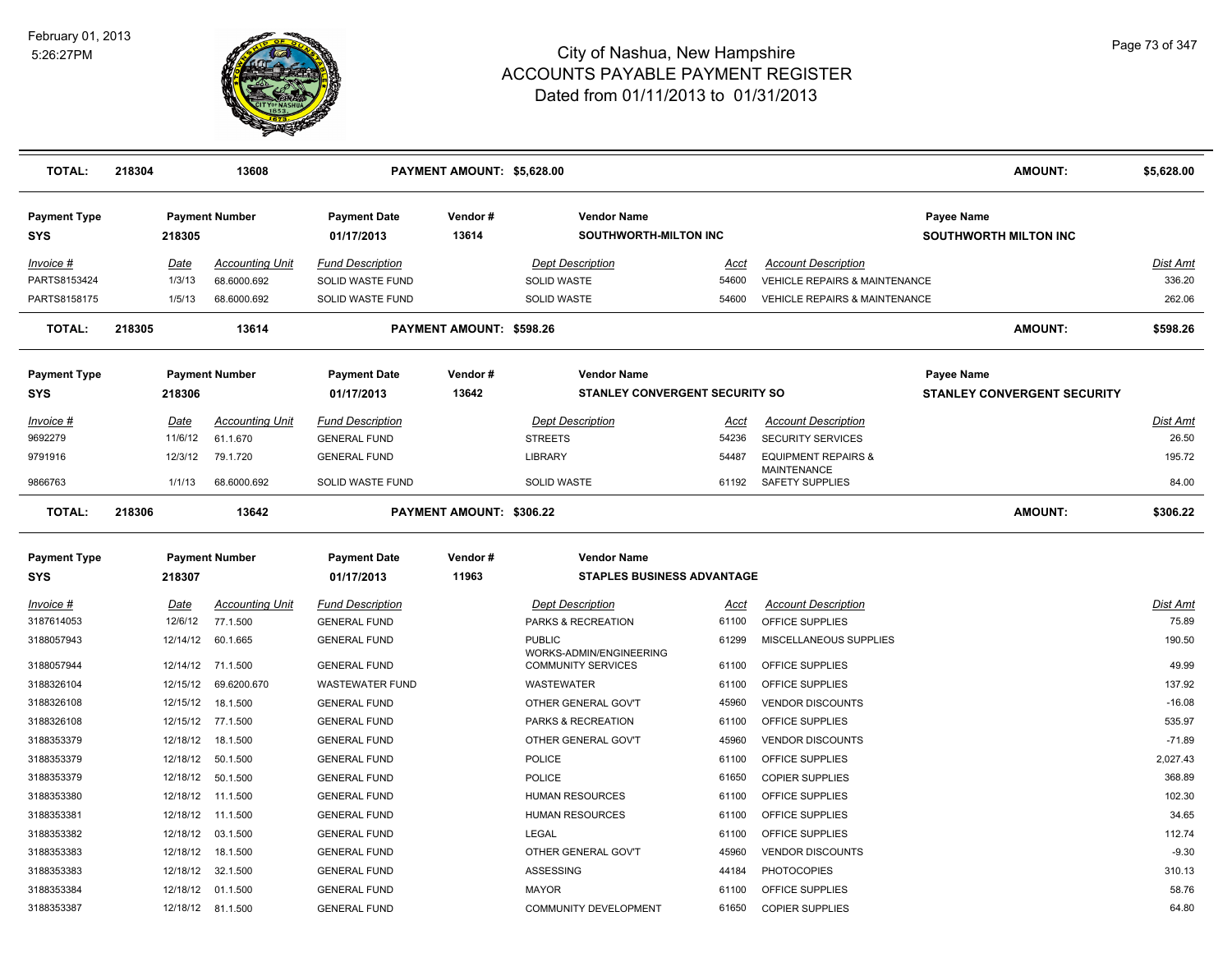

| <b>TOTAL:</b>                     | 218304          | 13608                                 |                                                    | PAYMENT AMOUNT: \$5,628.00 |                                                    |                |                                                             | <b>AMOUNT:</b>                             | \$5,628.00           |
|-----------------------------------|-----------------|---------------------------------------|----------------------------------------------------|----------------------------|----------------------------------------------------|----------------|-------------------------------------------------------------|--------------------------------------------|----------------------|
| <b>Payment Type</b><br><b>SYS</b> | 218305          | <b>Payment Number</b>                 | <b>Payment Date</b><br>01/17/2013                  | Vendor#<br>13614           | <b>Vendor Name</b><br><b>SOUTHWORTH-MILTON INC</b> |                |                                                             | Payee Name<br><b>SOUTHWORTH MILTON INC</b> |                      |
| $Invoice$ #<br>PARTS8153424       | Date<br>1/3/13  | <b>Accounting Unit</b><br>68.6000.692 | <b>Fund Description</b><br><b>SOLID WASTE FUND</b> |                            | <b>Dept Description</b><br><b>SOLID WASTE</b>      | Acct<br>54600  | <b>Account Description</b><br>VEHICLE REPAIRS & MAINTENANCE |                                            | Dist Amt<br>336.20   |
| PARTS8158175                      | 1/5/13          | 68.6000.692                           | SOLID WASTE FUND                                   |                            | <b>SOLID WASTE</b>                                 | 54600          | <b>VEHICLE REPAIRS &amp; MAINTENANCE</b>                    |                                            | 262.06               |
| <b>TOTAL:</b>                     | 218305          | 13614                                 |                                                    | PAYMENT AMOUNT: \$598.26   |                                                    |                |                                                             | <b>AMOUNT:</b>                             | \$598.26             |
| <b>Payment Type</b>               |                 | <b>Payment Number</b>                 | <b>Payment Date</b>                                | Vendor#                    | <b>Vendor Name</b>                                 |                |                                                             | Payee Name                                 |                      |
| <b>SYS</b>                        | 218306          |                                       | 01/17/2013                                         | 13642                      | <b>STANLEY CONVERGENT SECURITY SO</b>              |                |                                                             | <b>STANLEY CONVERGENT SECURITY</b>         |                      |
| Invoice #<br>9692279              | Date<br>11/6/12 | <b>Accounting Unit</b><br>61.1.670    | <b>Fund Description</b><br><b>GENERAL FUND</b>     |                            | <b>Dept Description</b><br><b>STREETS</b>          | Acct<br>54236  | <b>Account Description</b><br><b>SECURITY SERVICES</b>      |                                            | Dist Amt<br>26.50    |
| 9791916                           | 12/3/12         | 79.1.720                              | <b>GENERAL FUND</b>                                |                            | <b>LIBRARY</b>                                     | 54487          | <b>EQUIPMENT REPAIRS &amp;</b><br><b>MAINTENANCE</b>        |                                            | 195.72               |
| 9866763                           | 1/1/13          | 68.6000.692                           | SOLID WASTE FUND                                   |                            | <b>SOLID WASTE</b>                                 | 61192          | SAFETY SUPPLIES                                             |                                            | 84.00                |
| <b>TOTAL:</b>                     | 218306          | 13642                                 |                                                    | PAYMENT AMOUNT: \$306.22   |                                                    |                |                                                             | <b>AMOUNT:</b>                             | \$306.22             |
| <b>Payment Type</b>               |                 | <b>Payment Number</b>                 | <b>Payment Date</b>                                | Vendor#                    | <b>Vendor Name</b>                                 |                |                                                             |                                            |                      |
| <b>SYS</b>                        | 218307          |                                       | 01/17/2013                                         | 11963                      | <b>STAPLES BUSINESS ADVANTAGE</b>                  |                |                                                             |                                            |                      |
| Invoice #                         | Date            | <b>Accounting Unit</b>                | <b>Fund Description</b>                            |                            | <b>Dept Description</b>                            | Acct           | <b>Account Description</b>                                  |                                            | Dist Amt             |
| 3187614053                        | 12/6/12         | 77.1.500                              | <b>GENERAL FUND</b>                                |                            | PARKS & RECREATION                                 | 61100          | OFFICE SUPPLIES                                             |                                            | 75.89                |
| 3188057943                        | 12/14/12        | 60.1.665                              | <b>GENERAL FUND</b>                                |                            | <b>PUBLIC</b><br>WORKS-ADMIN/ENGINEERING           | 61299          | MISCELLANEOUS SUPPLIES                                      |                                            | 190.50               |
| 3188057944                        |                 | 12/14/12 71.1.500                     | <b>GENERAL FUND</b>                                |                            | <b>COMMUNITY SERVICES</b>                          | 61100          | OFFICE SUPPLIES                                             |                                            | 49.99                |
| 3188326104                        | 12/15/12        | 69.6200.670                           | <b>WASTEWATER FUND</b>                             |                            | WASTEWATER                                         | 61100          | OFFICE SUPPLIES                                             |                                            | 137.92               |
| 3188326108                        | 12/15/12        | 18.1.500                              | <b>GENERAL FUND</b>                                |                            | OTHER GENERAL GOV'T                                | 45960          | <b>VENDOR DISCOUNTS</b>                                     |                                            | $-16.08$             |
| 3188326108                        |                 | 12/15/12 77.1.500                     | <b>GENERAL FUND</b>                                |                            | PARKS & RECREATION                                 | 61100          | OFFICE SUPPLIES                                             |                                            | 535.97               |
| 3188353379                        | 12/18/12        | 12/18/12  18.1.500<br>50.1.500        | <b>GENERAL FUND</b><br><b>GENERAL FUND</b>         |                            | OTHER GENERAL GOV'T<br><b>POLICE</b>               | 45960<br>61100 | <b>VENDOR DISCOUNTS</b><br>OFFICE SUPPLIES                  |                                            | $-71.89$<br>2,027.43 |
| 3188353379<br>3188353379          | 12/18/12        | 50.1.500                              | <b>GENERAL FUND</b>                                |                            | <b>POLICE</b>                                      | 61650          | <b>COPIER SUPPLIES</b>                                      |                                            | 368.89               |
| 3188353380                        |                 | 12/18/12 11.1.500                     | <b>GENERAL FUND</b>                                |                            | <b>HUMAN RESOURCES</b>                             | 61100          | OFFICE SUPPLIES                                             |                                            | 102.30               |
| 3188353381                        | 12/18/12        | 11.1.500                              | <b>GENERAL FUND</b>                                |                            | <b>HUMAN RESOURCES</b>                             | 61100          | OFFICE SUPPLIES                                             |                                            | 34.65                |
| 3188353382                        | 12/18/12        | 03.1.500                              | <b>GENERAL FUND</b>                                |                            | <b>LEGAL</b>                                       | 61100          | OFFICE SUPPLIES                                             |                                            | 112.74               |
| 3188353383                        |                 | 12/18/12  18.1.500                    | <b>GENERAL FUND</b>                                |                            | OTHER GENERAL GOV'T                                | 45960          | <b>VENDOR DISCOUNTS</b>                                     |                                            | $-9.30$              |
| 3188353383                        | 12/18/12        | 32.1.500                              | <b>GENERAL FUND</b>                                |                            | ASSESSING                                          | 44184          | <b>PHOTOCOPIES</b>                                          |                                            | 310.13               |
| 3188353384                        | 12/18/12        | 01.1.500                              | <b>GENERAL FUND</b>                                |                            | <b>MAYOR</b>                                       | 61100          | OFFICE SUPPLIES                                             |                                            | 58.76                |
| 3188353387                        |                 | 12/18/12 81.1.500                     | <b>GENERAL FUND</b>                                |                            | <b>COMMUNITY DEVELOPMENT</b>                       | 61650          | <b>COPIER SUPPLIES</b>                                      |                                            | 64.80                |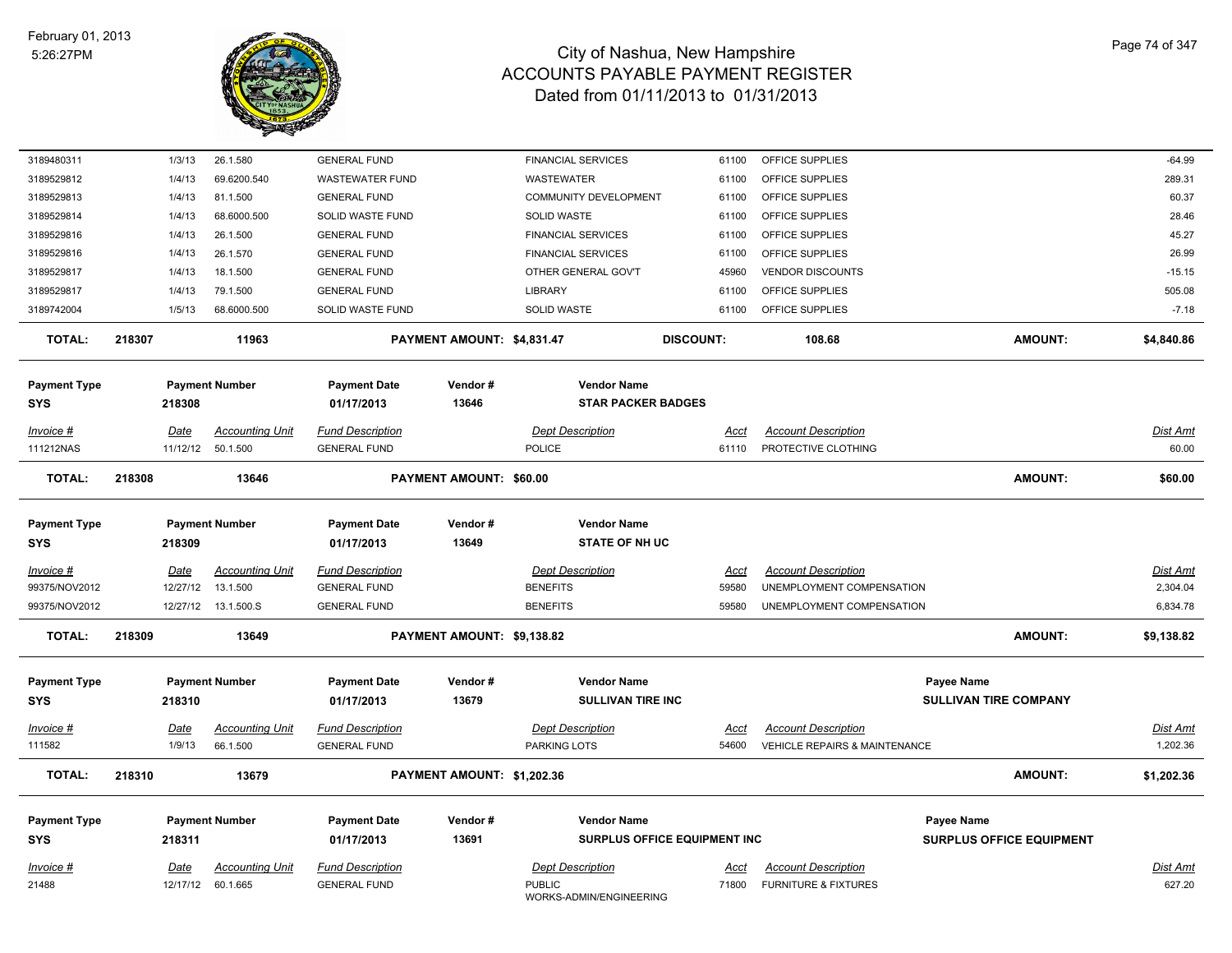

| 3189480311          | 1/3/13                | 26.1.580                           | <b>GENERAL FUND</b>                            |                            | <b>FINANCIAL SERVICES</b>                |                              | 61100                | OFFICE SUPPLIES                                             |                                 | $-64.99$                    |
|---------------------|-----------------------|------------------------------------|------------------------------------------------|----------------------------|------------------------------------------|------------------------------|----------------------|-------------------------------------------------------------|---------------------------------|-----------------------------|
| 3189529812          | 1/4/13                | 69.6200.540                        | <b>WASTEWATER FUND</b>                         |                            | <b>WASTEWATER</b>                        |                              | 61100                | OFFICE SUPPLIES                                             |                                 | 289.31                      |
| 3189529813          | 1/4/13                | 81.1.500                           | <b>GENERAL FUND</b>                            |                            | <b>COMMUNITY DEVELOPMENT</b>             |                              | 61100                | OFFICE SUPPLIES                                             |                                 | 60.37                       |
| 3189529814          | 1/4/13                | 68.6000.500                        | SOLID WASTE FUND                               |                            | SOLID WASTE                              |                              | 61100                | OFFICE SUPPLIES                                             |                                 | 28.46                       |
| 3189529816          | 1/4/13                | 26.1.500                           | <b>GENERAL FUND</b>                            |                            | <b>FINANCIAL SERVICES</b>                |                              | 61100                | OFFICE SUPPLIES                                             |                                 | 45.27                       |
| 3189529816          | 1/4/13                | 26.1.570                           | <b>GENERAL FUND</b>                            |                            | <b>FINANCIAL SERVICES</b>                |                              | 61100                | OFFICE SUPPLIES                                             |                                 | 26.99                       |
| 3189529817          | 1/4/13                | 18.1.500                           | <b>GENERAL FUND</b>                            |                            | OTHER GENERAL GOV'T                      |                              | 45960                | <b>VENDOR DISCOUNTS</b>                                     |                                 | $-15.15$                    |
| 3189529817          | 1/4/13                | 79.1.500                           | <b>GENERAL FUND</b>                            |                            | LIBRARY                                  |                              | 61100                | OFFICE SUPPLIES                                             |                                 | 505.08                      |
| 3189742004          | 1/5/13                | 68.6000.500                        | SOLID WASTE FUND                               |                            | SOLID WASTE                              |                              | 61100                | OFFICE SUPPLIES                                             |                                 | $-7.18$                     |
| <b>TOTAL:</b>       | 218307                | 11963                              |                                                | PAYMENT AMOUNT: \$4,831.47 |                                          | <b>DISCOUNT:</b>             |                      | 108.68                                                      | <b>AMOUNT:</b>                  | \$4,840.86                  |
| <b>Payment Type</b> |                       | <b>Payment Number</b>              | <b>Payment Date</b>                            | Vendor#                    |                                          | <b>Vendor Name</b>           |                      |                                                             |                                 |                             |
| <b>SYS</b>          | 218308                |                                    | 01/17/2013                                     | 13646                      |                                          | <b>STAR PACKER BADGES</b>    |                      |                                                             |                                 |                             |
| Invoice #           | Date                  | <b>Accounting Unit</b>             | <b>Fund Description</b>                        |                            | <b>Dept Description</b>                  |                              | Acct                 | <b>Account Description</b>                                  |                                 | <b>Dist Amt</b>             |
| 111212NAS           |                       | 11/12/12 50.1.500                  | <b>GENERAL FUND</b>                            |                            | POLICE                                   |                              | 61110                | PROTECTIVE CLOTHING                                         |                                 | 60.00                       |
| <b>TOTAL:</b>       | 218308                | 13646                              |                                                | PAYMENT AMOUNT: \$60.00    |                                          |                              |                      |                                                             | <b>AMOUNT:</b>                  | \$60.00                     |
|                     |                       |                                    |                                                |                            |                                          |                              |                      |                                                             |                                 |                             |
| <b>Payment Type</b> |                       | <b>Payment Number</b>              | <b>Payment Date</b>                            | Vendor#                    |                                          | <b>Vendor Name</b>           |                      |                                                             |                                 |                             |
| <b>SYS</b>          | 218309                |                                    | 01/17/2013                                     | 13649                      |                                          | <b>STATE OF NH UC</b>        |                      |                                                             |                                 |                             |
| Invoice #           | <b>Date</b>           | <b>Accounting Unit</b>             | <b>Fund Description</b>                        |                            | <b>Dept Description</b>                  |                              | <u>Acct</u>          | <b>Account Description</b>                                  |                                 | <b>Dist Amt</b>             |
| 99375/NOV2012       | 12/27/12              | 13.1.500                           | <b>GENERAL FUND</b>                            |                            | <b>BENEFITS</b>                          |                              | 59580                | UNEMPLOYMENT COMPENSATION                                   |                                 | 2,304.04                    |
| 99375/NOV2012       | 12/27/12              | 13.1.500.S                         | <b>GENERAL FUND</b>                            |                            | <b>BENEFITS</b>                          |                              | 59580                | UNEMPLOYMENT COMPENSATION                                   |                                 | 6,834.78                    |
| <b>TOTAL:</b>       | 218309                | 13649                              |                                                | PAYMENT AMOUNT: \$9,138.82 |                                          |                              |                      |                                                             | <b>AMOUNT:</b>                  | \$9,138.82                  |
| <b>Payment Type</b> |                       | <b>Payment Number</b>              | <b>Payment Date</b>                            | Vendor#                    |                                          | <b>Vendor Name</b>           |                      |                                                             | <b>Payee Name</b>               |                             |
| <b>SYS</b>          | 218310                |                                    | 01/17/2013                                     | 13679                      |                                          | <b>SULLIVAN TIRE INC</b>     |                      |                                                             | <b>SULLIVAN TIRE COMPANY</b>    |                             |
|                     |                       |                                    |                                                |                            |                                          |                              |                      |                                                             |                                 |                             |
| Invoice #<br>111582 | <u>Date</u><br>1/9/13 | <b>Accounting Unit</b><br>66.1.500 | <b>Fund Description</b><br><b>GENERAL FUND</b> |                            | <b>Dept Description</b><br>PARKING LOTS  |                              | <u>Acct</u><br>54600 | <b>Account Description</b><br>VEHICLE REPAIRS & MAINTENANCE |                                 | <b>Dist Amt</b><br>1,202.36 |
|                     |                       |                                    |                                                |                            |                                          |                              |                      |                                                             |                                 |                             |
| <b>TOTAL:</b>       | 218310                | 13679                              |                                                | PAYMENT AMOUNT: \$1,202.36 |                                          |                              |                      |                                                             | <b>AMOUNT:</b>                  | \$1,202.36                  |
| <b>Payment Type</b> |                       | <b>Payment Number</b>              | <b>Payment Date</b>                            | Vendor#                    |                                          | <b>Vendor Name</b>           |                      |                                                             | <b>Payee Name</b>               |                             |
| <b>SYS</b>          | 218311                |                                    | 01/17/2013                                     | 13691                      |                                          | SURPLUS OFFICE EQUIPMENT INC |                      |                                                             | <b>SURPLUS OFFICE EQUIPMENT</b> |                             |
| Invoice #           | Date                  | Accounting Unit                    | <b>Fund Description</b>                        |                            | <b>Dept Description</b>                  |                              | Acct                 | <b>Account Description</b>                                  |                                 | <b>Dist Amt</b>             |
| 21488               |                       | 12/17/12 60.1.665                  | <b>GENERAL FUND</b>                            |                            | <b>PUBLIC</b><br>WORKS-ADMIN/ENGINEERING |                              | 71800                | <b>FURNITURE &amp; FIXTURES</b>                             |                                 | 627.20                      |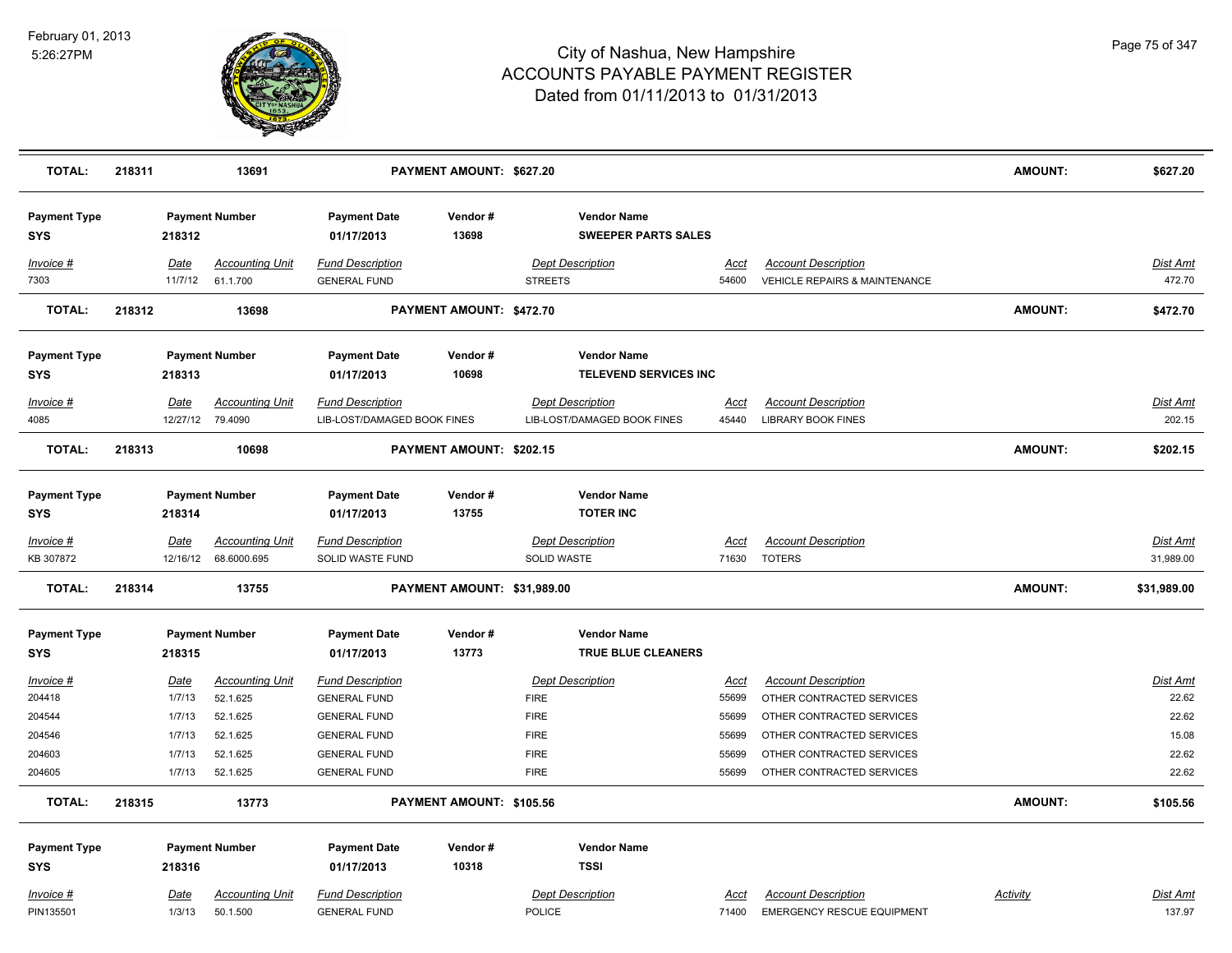

| <b>TOTAL:</b>                     | 218311 |                | 13691                              |                                                | PAYMENT AMOUNT: \$627.20    |                                                    |               |                                                                 | AMOUNT:        | \$627.20           |
|-----------------------------------|--------|----------------|------------------------------------|------------------------------------------------|-----------------------------|----------------------------------------------------|---------------|-----------------------------------------------------------------|----------------|--------------------|
| <b>Payment Type</b><br><b>SYS</b> |        | 218312         | <b>Payment Number</b>              | <b>Payment Date</b><br>01/17/2013              | Vendor#<br>13698            | <b>Vendor Name</b><br><b>SWEEPER PARTS SALES</b>   |               |                                                                 |                |                    |
| Invoice #                         |        | Date           | <b>Accounting Unit</b>             | <b>Fund Description</b>                        |                             | <b>Dept Description</b>                            | Acct          | <b>Account Description</b>                                      |                | Dist Amt           |
| 7303                              |        | 11/7/12        | 61.1.700                           | <b>GENERAL FUND</b>                            |                             | <b>STREETS</b>                                     | 54600         | <b>VEHICLE REPAIRS &amp; MAINTENANCE</b>                        |                | 472.70             |
| <b>TOTAL:</b>                     | 218312 |                | 13698                              |                                                | PAYMENT AMOUNT: \$472.70    |                                                    |               |                                                                 | <b>AMOUNT:</b> | \$472.70           |
| <b>Payment Type</b>               |        |                | <b>Payment Number</b>              | <b>Payment Date</b>                            | Vendor#<br>10698            | <b>Vendor Name</b><br><b>TELEVEND SERVICES INC</b> |               |                                                                 |                |                    |
| <b>SYS</b>                        |        | 218313         |                                    | 01/17/2013                                     |                             |                                                    |               |                                                                 |                |                    |
| Invoice #                         |        | <b>Date</b>    | <b>Accounting Unit</b>             | <b>Fund Description</b>                        |                             | <b>Dept Description</b>                            | Acct          | <b>Account Description</b>                                      |                | Dist Amt           |
| 4085                              |        |                | 12/27/12 79.4090                   | LIB-LOST/DAMAGED BOOK FINES                    |                             | LIB-LOST/DAMAGED BOOK FINES                        | 45440         | <b>LIBRARY BOOK FINES</b>                                       |                | 202.15             |
| <b>TOTAL:</b>                     | 218313 |                | 10698                              |                                                | PAYMENT AMOUNT: \$202.15    |                                                    |               |                                                                 | <b>AMOUNT:</b> | \$202.15           |
| <b>Payment Type</b>               |        |                | <b>Payment Number</b>              | <b>Payment Date</b>                            | Vendor#                     | <b>Vendor Name</b>                                 |               |                                                                 |                |                    |
| <b>SYS</b>                        |        | 218314         |                                    | 01/17/2013                                     | 13755                       | <b>TOTER INC</b>                                   |               |                                                                 |                |                    |
|                                   |        |                |                                    |                                                |                             |                                                    |               |                                                                 |                |                    |
| <u>Invoice #</u>                  |        | Date           | <b>Accounting Unit</b>             | <b>Fund Description</b>                        |                             | <b>Dept Description</b>                            | <u>Acct</u>   | <b>Account Description</b>                                      |                | <b>Dist Amt</b>    |
| KB 307872                         |        |                | 12/16/12 68.6000.695               | SOLID WASTE FUND                               |                             | SOLID WASTE                                        | 71630         | <b>TOTERS</b>                                                   |                | 31,989.00          |
| <b>TOTAL:</b>                     | 218314 |                | 13755                              |                                                | PAYMENT AMOUNT: \$31,989.00 |                                                    |               |                                                                 | <b>AMOUNT:</b> | \$31,989.00        |
| <b>Payment Type</b>               |        |                | <b>Payment Number</b>              | <b>Payment Date</b>                            | Vendor#                     | <b>Vendor Name</b>                                 |               |                                                                 |                |                    |
| <b>SYS</b>                        |        | 218315         |                                    | 01/17/2013                                     | 13773                       | <b>TRUE BLUE CLEANERS</b>                          |               |                                                                 |                |                    |
| Invoice #                         |        | <u>Date</u>    | <b>Accounting Unit</b>             | <b>Fund Description</b>                        |                             | <b>Dept Description</b>                            | Acct          | <b>Account Description</b>                                      |                | Dist Amt           |
| 204418                            |        | 1/7/13         | 52.1.625                           | <b>GENERAL FUND</b>                            |                             | <b>FIRE</b>                                        | 55699         | OTHER CONTRACTED SERVICES                                       |                | 22.62              |
| 204544                            |        | 1/7/13         | 52.1.625                           | <b>GENERAL FUND</b>                            |                             | <b>FIRE</b>                                        | 55699         | OTHER CONTRACTED SERVICES                                       |                | 22.62              |
| 204546                            |        | 1/7/13         | 52.1.625                           | <b>GENERAL FUND</b>                            |                             | <b>FIRE</b>                                        | 55699         | OTHER CONTRACTED SERVICES                                       |                | 15.08              |
| 204603                            |        | 1/7/13         | 52.1.625                           | <b>GENERAL FUND</b>                            |                             | <b>FIRE</b>                                        | 55699         | OTHER CONTRACTED SERVICES                                       |                | 22.62              |
| 204605                            |        | 1/7/13         | 52.1.625                           | <b>GENERAL FUND</b>                            |                             | <b>FIRE</b>                                        | 55699         | OTHER CONTRACTED SERVICES                                       |                | 22.62              |
| <b>TOTAL:</b>                     | 218315 |                | 13773                              |                                                | PAYMENT AMOUNT: \$105.56    |                                                    |               |                                                                 | <b>AMOUNT:</b> | \$105.56           |
| <b>Payment Type</b>               |        |                | <b>Payment Number</b>              | <b>Payment Date</b>                            | Vendor#                     | <b>Vendor Name</b>                                 |               |                                                                 |                |                    |
| <b>SYS</b>                        |        | 218316         |                                    | 01/17/2013                                     | 10318                       | <b>TSSI</b>                                        |               |                                                                 |                |                    |
|                                   |        |                |                                    |                                                |                             |                                                    |               |                                                                 |                |                    |
| Invoice #<br>PIN135501            |        | Date<br>1/3/13 | <b>Accounting Unit</b><br>50.1.500 | <b>Fund Description</b><br><b>GENERAL FUND</b> |                             | <b>Dept Description</b><br>POLICE                  | Acct<br>71400 | <b>Account Description</b><br><b>EMERGENCY RESCUE EQUIPMENT</b> | Activity       | Dist Amt<br>137.97 |
|                                   |        |                |                                    |                                                |                             |                                                    |               |                                                                 |                |                    |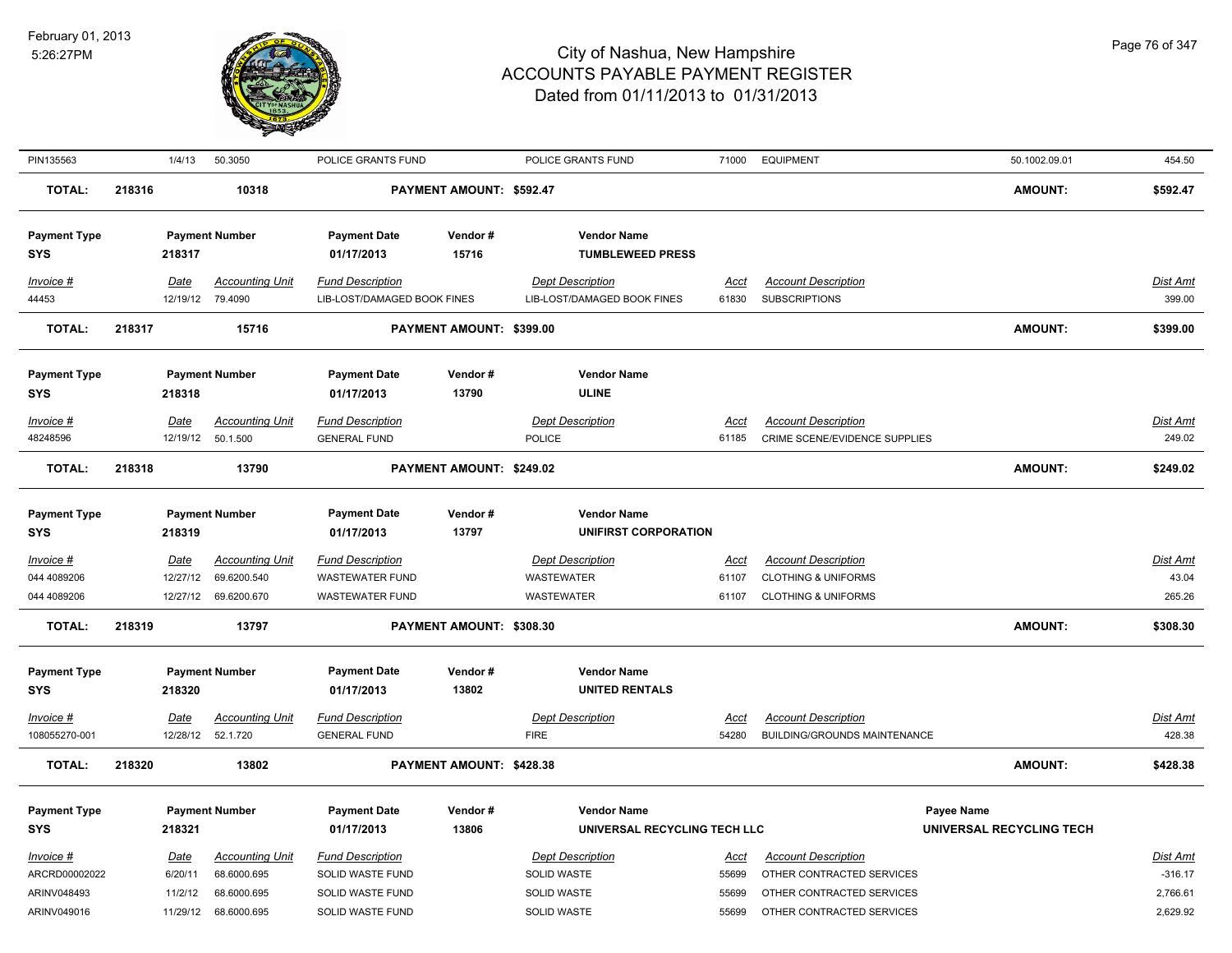

| PIN135563                                                | 1/4/13                                        | 50.3050                                                             | POLICE GRANTS FUND                                                                  |                          | POLICE GRANTS FUND                                                          | 71000                                  | <b>EQUIPMENT</b>                                                                                                  | 50.1002.09.01                          | 454.50                                               |
|----------------------------------------------------------|-----------------------------------------------|---------------------------------------------------------------------|-------------------------------------------------------------------------------------|--------------------------|-----------------------------------------------------------------------------|----------------------------------------|-------------------------------------------------------------------------------------------------------------------|----------------------------------------|------------------------------------------------------|
| <b>TOTAL:</b>                                            | 218316                                        | 10318                                                               |                                                                                     | PAYMENT AMOUNT: \$592.47 |                                                                             |                                        |                                                                                                                   | <b>AMOUNT:</b>                         | \$592.47                                             |
| <b>Payment Type</b><br><b>SYS</b>                        | 218317                                        | <b>Payment Number</b>                                               | <b>Payment Date</b><br>01/17/2013                                                   | Vendor#<br>15716         | <b>Vendor Name</b><br><b>TUMBLEWEED PRESS</b>                               |                                        |                                                                                                                   |                                        |                                                      |
| Invoice #<br>44453                                       | <b>Date</b><br>12/19/12                       | <b>Accounting Unit</b><br>79.4090                                   | <b>Fund Description</b><br>LIB-LOST/DAMAGED BOOK FINES                              |                          | <b>Dept Description</b><br>LIB-LOST/DAMAGED BOOK FINES                      | <u>Acct</u><br>61830                   | <b>Account Description</b><br><b>SUBSCRIPTIONS</b>                                                                |                                        | Dist Amt<br>399.00                                   |
| <b>TOTAL:</b>                                            | 218317                                        | 15716                                                               |                                                                                     | PAYMENT AMOUNT: \$399.00 |                                                                             |                                        |                                                                                                                   | <b>AMOUNT:</b>                         | \$399.00                                             |
| <b>Payment Type</b><br><b>SYS</b>                        | 218318                                        | <b>Payment Number</b>                                               | <b>Payment Date</b><br>01/17/2013                                                   | Vendor#<br>13790         | <b>Vendor Name</b><br><b>ULINE</b>                                          |                                        |                                                                                                                   |                                        |                                                      |
| Invoice #<br>48248596                                    | Date<br>12/19/12                              | <b>Accounting Unit</b><br>50.1.500                                  | <b>Fund Description</b><br><b>GENERAL FUND</b>                                      |                          | <b>Dept Description</b><br>POLICE                                           | Acct<br>61185                          | <b>Account Description</b><br>CRIME SCENE/EVIDENCE SUPPLIES                                                       |                                        | Dist Amt<br>249.02                                   |
| <b>TOTAL:</b>                                            | 218318                                        | 13790                                                               |                                                                                     | PAYMENT AMOUNT: \$249.02 |                                                                             |                                        |                                                                                                                   | <b>AMOUNT:</b>                         | \$249.02                                             |
| <b>Payment Type</b><br><b>SYS</b>                        | 218319                                        | <b>Payment Number</b>                                               | <b>Payment Date</b><br>01/17/2013                                                   | Vendor#<br>13797         | <b>Vendor Name</b><br>UNIFIRST CORPORATION                                  |                                        |                                                                                                                   |                                        |                                                      |
| Invoice #<br>044 4089206<br>044 4089206                  | <b>Date</b><br>12/27/12<br>12/27/12           | <b>Accounting Unit</b><br>69.6200.540<br>69.6200.670                | <b>Fund Description</b><br><b>WASTEWATER FUND</b><br><b>WASTEWATER FUND</b>         |                          | <b>Dept Description</b><br><b>WASTEWATER</b><br>WASTEWATER                  | <u>Acct</u><br>61107<br>61107          | <b>Account Description</b><br><b>CLOTHING &amp; UNIFORMS</b><br><b>CLOTHING &amp; UNIFORMS</b>                    |                                        | <u>Dist Amt</u><br>43.04<br>265.26                   |
| <b>TOTAL:</b>                                            | 218319                                        | 13797                                                               |                                                                                     | PAYMENT AMOUNT: \$308.30 |                                                                             |                                        |                                                                                                                   | AMOUNT:                                | \$308.30                                             |
| <b>Payment Type</b><br><b>SYS</b>                        | 218320                                        | <b>Payment Number</b>                                               | <b>Payment Date</b><br>01/17/2013                                                   | Vendor#<br>13802         | <b>Vendor Name</b><br><b>UNITED RENTALS</b>                                 |                                        |                                                                                                                   |                                        |                                                      |
| Invoice #<br>108055270-001                               | <b>Date</b><br>12/28/12                       | <b>Accounting Unit</b><br>52.1.720                                  | <b>Fund Description</b><br><b>GENERAL FUND</b>                                      |                          | <b>Dept Description</b><br><b>FIRE</b>                                      | <u>Acct</u><br>54280                   | <b>Account Description</b><br>BUILDING/GROUNDS MAINTENANCE                                                        |                                        | Dist Amt<br>428.38                                   |
| <b>TOTAL:</b>                                            | 218320                                        | 13802                                                               |                                                                                     | PAYMENT AMOUNT: \$428.38 |                                                                             |                                        |                                                                                                                   | <b>AMOUNT:</b>                         | \$428.38                                             |
| <b>Payment Type</b><br><b>SYS</b>                        | 218321                                        | <b>Payment Number</b>                                               | <b>Payment Date</b><br>01/17/2013                                                   | Vendor#<br>13806         | <b>Vendor Name</b><br>UNIVERSAL RECYCLING TECH LLC                          |                                        |                                                                                                                   | Payee Name<br>UNIVERSAL RECYCLING TECH |                                                      |
| Invoice #<br>ARCRD00002022<br>ARINV048493<br>ARINV049016 | <b>Date</b><br>6/20/11<br>11/2/12<br>11/29/12 | <b>Accounting Unit</b><br>68.6000.695<br>68.6000.695<br>68.6000.695 | <b>Fund Description</b><br>SOLID WASTE FUND<br>SOLID WASTE FUND<br>SOLID WASTE FUND |                          | <b>Dept Description</b><br><b>SOLID WASTE</b><br>SOLID WASTE<br>SOLID WASTE | <u>Acct</u><br>55699<br>55699<br>55699 | <b>Account Description</b><br>OTHER CONTRACTED SERVICES<br>OTHER CONTRACTED SERVICES<br>OTHER CONTRACTED SERVICES |                                        | <u>Dist Amt</u><br>$-316.17$<br>2,766.61<br>2,629.92 |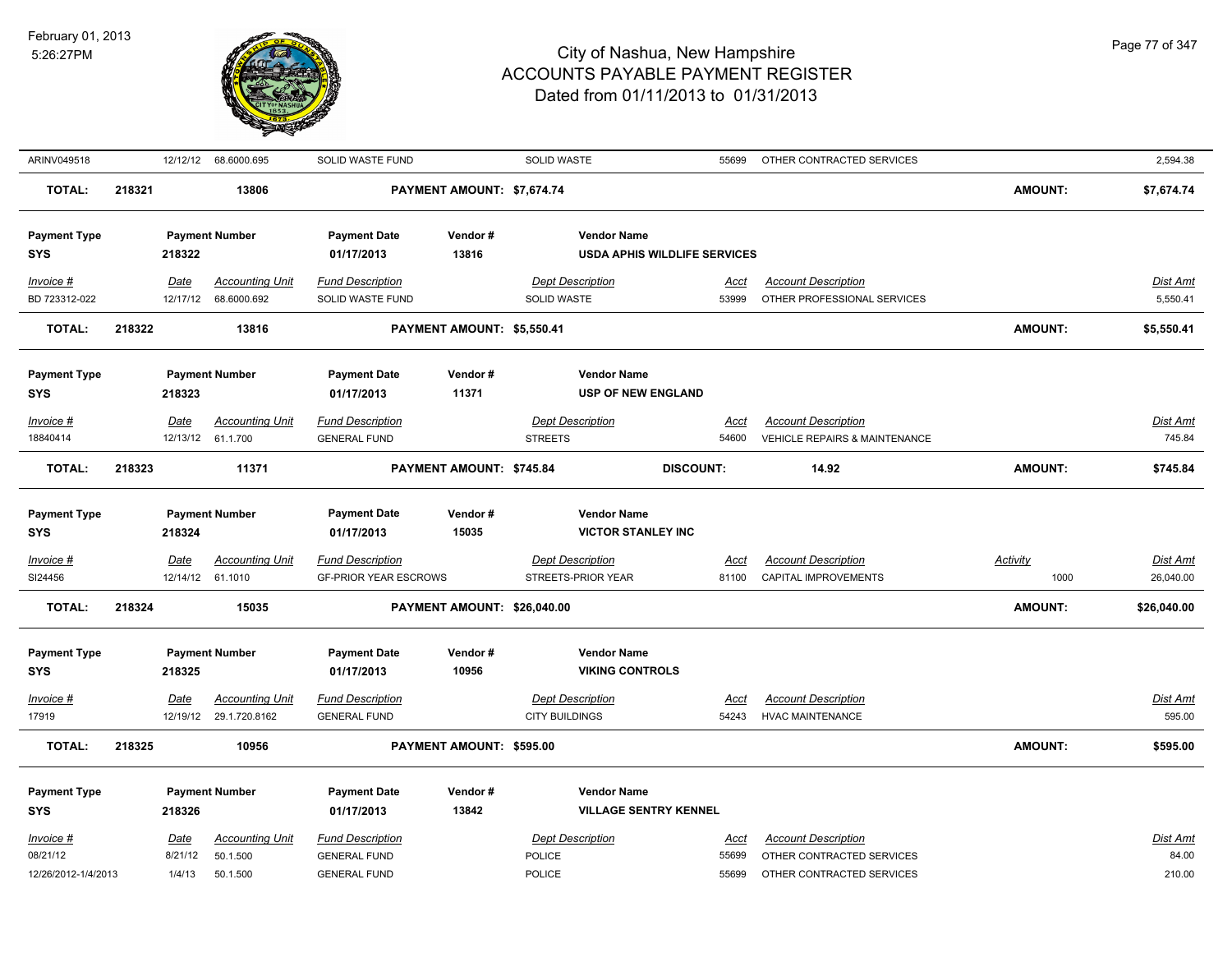

| ARINV049518                       |        | 12/12/12    | 68.6000.695            | SOLID WASTE FUND                  |                             | SOLID WASTE                                        | 55699                               | OTHER CONTRACTED SERVICES                |                 | 2,594.38        |
|-----------------------------------|--------|-------------|------------------------|-----------------------------------|-----------------------------|----------------------------------------------------|-------------------------------------|------------------------------------------|-----------------|-----------------|
| <b>TOTAL:</b>                     | 218321 |             | 13806                  |                                   | PAYMENT AMOUNT: \$7,674.74  |                                                    |                                     |                                          | <b>AMOUNT:</b>  | \$7,674.74      |
| <b>Payment Type</b>               |        |             | <b>Payment Number</b>  | <b>Payment Date</b>               | Vendor#                     | <b>Vendor Name</b>                                 |                                     |                                          |                 |                 |
| <b>SYS</b>                        |        | 218322      |                        | 01/17/2013                        | 13816                       |                                                    | <b>USDA APHIS WILDLIFE SERVICES</b> |                                          |                 |                 |
| Invoice #                         |        | Date        | <b>Accounting Unit</b> | <b>Fund Description</b>           |                             | <b>Dept Description</b>                            | Acct                                | <b>Account Description</b>               |                 | Dist Amt        |
| BD 723312-022                     |        | 12/17/12    | 68.6000.692            | SOLID WASTE FUND                  |                             | SOLID WASTE                                        | 53999                               | OTHER PROFESSIONAL SERVICES              |                 | 5,550.41        |
| <b>TOTAL:</b>                     | 218322 |             | 13816                  |                                   | PAYMENT AMOUNT: \$5,550.41  |                                                    |                                     |                                          | <b>AMOUNT:</b>  | \$5,550.41      |
| <b>Payment Type</b>               |        |             | <b>Payment Number</b>  | <b>Payment Date</b>               | Vendor#                     | <b>Vendor Name</b>                                 |                                     |                                          |                 |                 |
| <b>SYS</b>                        |        | 218323      |                        | 01/17/2013                        | 11371                       | <b>USP OF NEW ENGLAND</b>                          |                                     |                                          |                 |                 |
| Invoice #                         |        | Date        | <b>Accounting Unit</b> | <b>Fund Description</b>           |                             | <b>Dept Description</b>                            | Acct                                | <b>Account Description</b>               |                 | Dist Amt        |
| 18840414                          |        | 12/13/12    | 61.1.700               | <b>GENERAL FUND</b>               |                             | <b>STREETS</b>                                     | 54600                               | <b>VEHICLE REPAIRS &amp; MAINTENANCE</b> |                 | 745.84          |
| <b>TOTAL:</b>                     | 218323 |             | 11371                  |                                   | PAYMENT AMOUNT: \$745.84    |                                                    | <b>DISCOUNT:</b>                    | 14.92                                    | <b>AMOUNT:</b>  | \$745.84        |
| <b>Payment Type</b>               |        |             | <b>Payment Number</b>  | <b>Payment Date</b>               | Vendor#                     | <b>Vendor Name</b>                                 |                                     |                                          |                 |                 |
| <b>SYS</b>                        |        | 218324      |                        | 01/17/2013                        | 15035                       | <b>VICTOR STANLEY INC</b>                          |                                     |                                          |                 |                 |
| Invoice #                         |        | Date        | <b>Accounting Unit</b> | <b>Fund Description</b>           |                             | <b>Dept Description</b>                            | <u>Acct</u>                         | <b>Account Description</b>               | <b>Activity</b> | <u>Dist Amt</u> |
| SI24456                           |        | 12/14/12    | 61.1010                | <b>GF-PRIOR YEAR ESCROWS</b>      |                             | STREETS-PRIOR YEAR                                 | 81100                               | CAPITAL IMPROVEMENTS                     | 1000            | 26,040.00       |
| <b>TOTAL:</b>                     | 218324 |             | 15035                  |                                   | PAYMENT AMOUNT: \$26,040.00 |                                                    |                                     |                                          | <b>AMOUNT:</b>  | \$26,040.00     |
| <b>Payment Type</b>               |        |             | <b>Payment Number</b>  | <b>Payment Date</b>               | Vendor#                     | <b>Vendor Name</b>                                 |                                     |                                          |                 |                 |
| <b>SYS</b>                        |        | 218325      |                        | 01/17/2013                        | 10956                       | <b>VIKING CONTROLS</b>                             |                                     |                                          |                 |                 |
| Invoice #                         |        | Date        | <b>Accounting Unit</b> | <b>Fund Description</b>           |                             | <b>Dept Description</b>                            | Acct                                | <b>Account Description</b>               |                 | Dist Amt        |
| 17919                             |        |             | 12/19/12 29.1.720.8162 | <b>GENERAL FUND</b>               |                             | <b>CITY BUILDINGS</b>                              | 54243                               | <b>HVAC MAINTENANCE</b>                  |                 | 595.00          |
| <b>TOTAL:</b>                     | 218325 |             | 10956                  |                                   | PAYMENT AMOUNT: \$595.00    |                                                    |                                     |                                          | <b>AMOUNT:</b>  | \$595.00        |
|                                   |        |             |                        |                                   |                             |                                                    |                                     |                                          |                 |                 |
| <b>Payment Type</b><br><b>SYS</b> |        | 218326      | <b>Payment Number</b>  | <b>Payment Date</b><br>01/17/2013 | Vendor#<br>13842            | <b>Vendor Name</b><br><b>VILLAGE SENTRY KENNEL</b> |                                     |                                          |                 |                 |
| Invoice #                         |        | <u>Date</u> | <b>Accounting Unit</b> | <b>Fund Description</b>           |                             | <b>Dept Description</b>                            | Acct                                | <b>Account Description</b>               |                 | Dist Amt        |
| 08/21/12                          |        | 8/21/12     | 50.1.500               | <b>GENERAL FUND</b>               |                             | <b>POLICE</b>                                      | 55699                               | OTHER CONTRACTED SERVICES                |                 | 84.00           |
| 12/26/2012-1/4/2013               |        | 1/4/13      | 50.1.500               | <b>GENERAL FUND</b>               |                             | POLICE                                             | 55699                               | OTHER CONTRACTED SERVICES                |                 | 210.00          |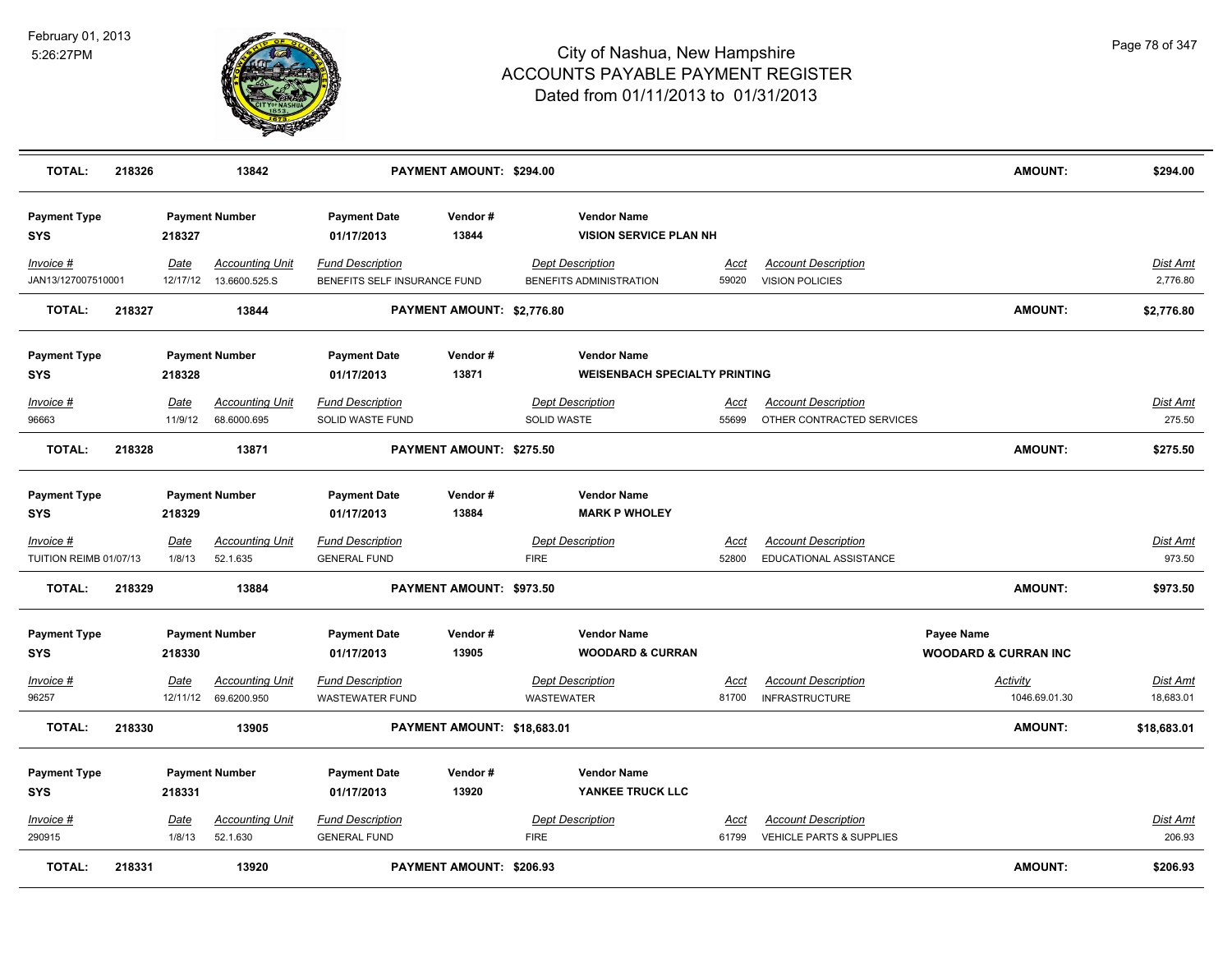

| <b>TOTAL:</b>                       | 218326 |                       | 13842                                             |                                                         | PAYMENT AMOUNT: \$294.00        |                   |                                                            |                      |                                                                   | AMOUNT:                                       | \$294.00                     |
|-------------------------------------|--------|-----------------------|---------------------------------------------------|---------------------------------------------------------|---------------------------------|-------------------|------------------------------------------------------------|----------------------|-------------------------------------------------------------------|-----------------------------------------------|------------------------------|
| <b>Payment Type</b><br><b>SYS</b>   |        | 218327                | <b>Payment Number</b>                             | <b>Payment Date</b><br>01/17/2013                       | Vendor#<br>13844                |                   | <b>Vendor Name</b><br><b>VISION SERVICE PLAN NH</b>        |                      |                                                                   |                                               |                              |
| Invoice #<br>JAN13/127007510001     |        | Date                  | <b>Accounting Unit</b><br>12/17/12  13.6600.525.S | <b>Fund Description</b><br>BENEFITS SELF INSURANCE FUND |                                 |                   | <b>Dept Description</b><br>BENEFITS ADMINISTRATION         | Acct<br>59020        | <b>Account Description</b><br><b>VISION POLICIES</b>              |                                               | <b>Dist Amt</b><br>2,776.80  |
| <b>TOTAL:</b>                       | 218327 |                       | 13844                                             |                                                         | PAYMENT AMOUNT: \$2,776.80      |                   |                                                            |                      |                                                                   | <b>AMOUNT:</b>                                | \$2,776.80                   |
| <b>Payment Type</b><br><b>SYS</b>   |        | 218328                | <b>Payment Number</b>                             | <b>Payment Date</b><br>01/17/2013                       | Vendor#<br>13871                |                   | <b>Vendor Name</b><br><b>WEISENBACH SPECIALTY PRINTING</b> |                      |                                                                   |                                               |                              |
| Invoice #<br>96663                  |        | Date<br>11/9/12       | <b>Accounting Unit</b><br>68.6000.695             | <b>Fund Description</b><br>SOLID WASTE FUND             |                                 | SOLID WASTE       | <b>Dept Description</b>                                    | Acct<br>55699        | <b>Account Description</b><br>OTHER CONTRACTED SERVICES           |                                               | Dist Amt<br>275.50           |
| <b>TOTAL:</b>                       | 218328 |                       | 13871                                             |                                                         | PAYMENT AMOUNT: \$275.50        |                   |                                                            |                      |                                                                   | <b>AMOUNT:</b>                                | \$275.50                     |
| <b>Payment Type</b><br><b>SYS</b>   |        | 218329                | <b>Payment Number</b>                             | <b>Payment Date</b><br>01/17/2013                       | Vendor#<br>13884                |                   | <b>Vendor Name</b><br><b>MARK P WHOLEY</b>                 |                      |                                                                   |                                               |                              |
| Invoice #<br>TUITION REIMB 01/07/13 |        | <b>Date</b><br>1/8/13 | <b>Accounting Unit</b><br>52.1.635                | <u>Fund Description</u><br><b>GENERAL FUND</b>          |                                 | <b>FIRE</b>       | <b>Dept Description</b>                                    | <u>Acct</u><br>52800 | <b>Account Description</b><br>EDUCATIONAL ASSISTANCE              |                                               | <u>Dist Amt</u><br>973.50    |
| <b>TOTAL:</b>                       | 218329 |                       | 13884                                             |                                                         | PAYMENT AMOUNT: \$973.50        |                   |                                                            |                      |                                                                   | <b>AMOUNT:</b>                                | \$973.50                     |
| <b>Payment Type</b><br><b>SYS</b>   |        | 218330                | <b>Payment Number</b>                             | <b>Payment Date</b><br>01/17/2013                       | Vendor#<br>13905                |                   | <b>Vendor Name</b><br><b>WOODARD &amp; CURRAN</b>          |                      |                                                                   | Payee Name<br><b>WOODARD &amp; CURRAN INC</b> |                              |
| Invoice #<br>96257                  |        | Date                  | <b>Accounting Unit</b><br>12/11/12 69.6200.950    | <b>Fund Description</b><br><b>WASTEWATER FUND</b>       |                                 | <b>WASTEWATER</b> | <b>Dept Description</b>                                    | Acct<br>81700        | <b>Account Description</b><br><b>INFRASTRUCTURE</b>               | Activity<br>1046.69.01.30                     | <u>Dist Amt</u><br>18,683.01 |
| <b>TOTAL:</b>                       | 218330 |                       | 13905                                             |                                                         | PAYMENT AMOUNT: \$18,683.01     |                   |                                                            |                      |                                                                   | <b>AMOUNT:</b>                                | \$18,683.01                  |
| <b>Payment Type</b><br><b>SYS</b>   |        | 218331                | <b>Payment Number</b>                             | <b>Payment Date</b><br>01/17/2013                       | Vendor#<br>13920                |                   | <b>Vendor Name</b><br>YANKEE TRUCK LLC                     |                      |                                                                   |                                               |                              |
| $Invoice$ #<br>290915               |        | <u>Date</u><br>1/8/13 | <b>Accounting Unit</b><br>52.1.630                | <b>Fund Description</b><br><b>GENERAL FUND</b>          |                                 | <b>FIRE</b>       | <b>Dept Description</b>                                    | Acct<br>61799        | <b>Account Description</b><br><b>VEHICLE PARTS &amp; SUPPLIES</b> |                                               | Dist Amt<br>206.93           |
| <b>TOTAL:</b>                       | 218331 |                       | 13920                                             |                                                         | <b>PAYMENT AMOUNT: \$206.93</b> |                   |                                                            |                      |                                                                   | <b>AMOUNT:</b>                                | \$206.93                     |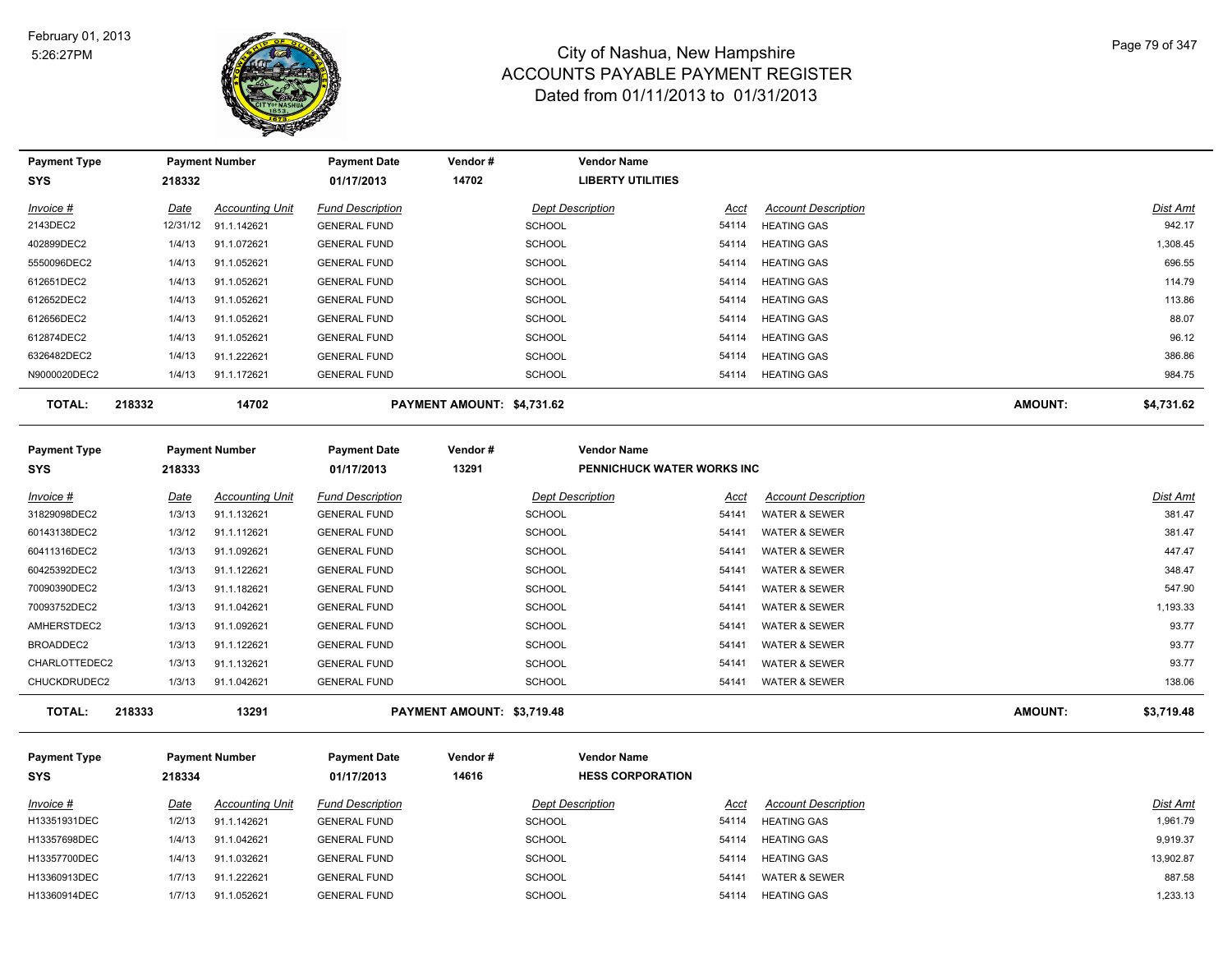

| <b>Payment Type</b> |        |             | <b>Payment Number</b>  | <b>Payment Date</b>     | Vendor#                    | <b>Vendor Name</b>         |       |                            |                |            |
|---------------------|--------|-------------|------------------------|-------------------------|----------------------------|----------------------------|-------|----------------------------|----------------|------------|
| <b>SYS</b>          |        | 218332      |                        | 01/17/2013              | 14702                      | <b>LIBERTY UTILITIES</b>   |       |                            |                |            |
| Invoice #           |        | <u>Date</u> | <b>Accounting Unit</b> | <b>Fund Description</b> |                            | <b>Dept Description</b>    | Acct  | <b>Account Description</b> |                | Dist Amt   |
| 2143DEC2            |        | 12/31/12    | 91.1.142621            | <b>GENERAL FUND</b>     |                            | <b>SCHOOL</b>              | 54114 | <b>HEATING GAS</b>         |                | 942.17     |
| 402899DEC2          |        | 1/4/13      | 91.1.072621            | <b>GENERAL FUND</b>     |                            | <b>SCHOOL</b>              | 54114 | <b>HEATING GAS</b>         |                | 1,308.45   |
| 5550096DEC2         |        | 1/4/13      | 91.1.052621            | <b>GENERAL FUND</b>     |                            | <b>SCHOOL</b>              | 54114 | <b>HEATING GAS</b>         |                | 696.55     |
| 612651DEC2          |        | 1/4/13      | 91.1.052621            | <b>GENERAL FUND</b>     |                            | SCHOOL                     | 54114 | <b>HEATING GAS</b>         |                | 114.79     |
| 612652DEC2          |        | 1/4/13      | 91.1.052621            | <b>GENERAL FUND</b>     |                            | SCHOOL                     | 54114 | <b>HEATING GAS</b>         |                | 113.86     |
| 612656DEC2          |        | 1/4/13      | 91.1.052621            | <b>GENERAL FUND</b>     |                            | SCHOOL                     | 54114 | <b>HEATING GAS</b>         |                | 88.07      |
| 612874DEC2          |        | 1/4/13      | 91.1.052621            | <b>GENERAL FUND</b>     |                            | <b>SCHOOL</b>              | 54114 | <b>HEATING GAS</b>         |                | 96.12      |
| 6326482DEC2         |        | 1/4/13      | 91.1.222621            | <b>GENERAL FUND</b>     |                            | SCHOOL                     | 54114 | <b>HEATING GAS</b>         |                | 386.86     |
| N9000020DEC2        |        | 1/4/13      | 91.1.172621            | <b>GENERAL FUND</b>     |                            | SCHOOL                     | 54114 | <b>HEATING GAS</b>         |                | 984.75     |
| <b>TOTAL:</b>       | 218332 |             | 14702                  |                         | PAYMENT AMOUNT: \$4,731.62 |                            |       |                            | <b>AMOUNT:</b> | \$4,731.62 |
| <b>Payment Type</b> |        |             | <b>Payment Number</b>  | <b>Payment Date</b>     | Vendor#                    | <b>Vendor Name</b>         |       |                            |                |            |
| <b>SYS</b>          |        | 218333      |                        | 01/17/2013              | 13291                      | PENNICHUCK WATER WORKS INC |       |                            |                |            |
| Invoice #           |        | <u>Date</u> | <b>Accounting Unit</b> | <b>Fund Description</b> |                            | <b>Dept Description</b>    | Acct  | <b>Account Description</b> |                | Dist Amt   |
| 31829098DEC2        |        | 1/3/13      | 91.1.132621            | <b>GENERAL FUND</b>     |                            | SCHOOL                     | 54141 | WATER & SEWER              |                | 381.47     |
| 60143138DEC2        |        | 1/3/12      | 91.1.112621            | <b>GENERAL FUND</b>     |                            | SCHOOL                     | 54141 | <b>WATER &amp; SEWER</b>   |                | 381.47     |
| 60411316DEC2        |        | 1/3/13      | 91.1.092621            | <b>GENERAL FUND</b>     |                            | SCHOOL                     | 54141 | <b>WATER &amp; SEWER</b>   |                | 447.47     |
| 60425392DEC2        |        | 1/3/13      | 91.1.122621            | <b>GENERAL FUND</b>     |                            | <b>SCHOOL</b>              | 54141 | <b>WATER &amp; SEWER</b>   |                | 348.47     |
| 70090390DEC2        |        | 1/3/13      | 91.1.182621            | <b>GENERAL FUND</b>     |                            | SCHOOL                     | 54141 | <b>WATER &amp; SEWER</b>   |                | 547.90     |
| 70093752DEC2        |        | 1/3/13      | 91.1.042621            | <b>GENERAL FUND</b>     |                            | <b>SCHOOL</b>              | 54141 | <b>WATER &amp; SEWER</b>   |                | 1,193.33   |
| AMHERSTDEC2         |        | 1/3/13      | 91.1.092621            | <b>GENERAL FUND</b>     |                            | <b>SCHOOL</b>              | 54141 | <b>WATER &amp; SEWER</b>   |                | 93.77      |
| BROADDEC2           |        | 1/3/13      | 91.1.122621            | <b>GENERAL FUND</b>     |                            | <b>SCHOOL</b>              | 54141 | <b>WATER &amp; SEWER</b>   |                | 93.77      |
| CHARLOTTEDEC2       |        | 1/3/13      | 91.1.132621            | <b>GENERAL FUND</b>     |                            | SCHOOL                     | 54141 | <b>WATER &amp; SEWER</b>   |                | 93.77      |
| CHUCKDRUDEC2        |        | 1/3/13      | 91.1.042621            | <b>GENERAL FUND</b>     |                            | SCHOOL                     | 54141 | <b>WATER &amp; SEWER</b>   |                | 138.06     |
| <b>TOTAL:</b>       | 218333 |             | 13291                  |                         | PAYMENT AMOUNT: \$3,719.48 |                            |       |                            | <b>AMOUNT:</b> | \$3,719.48 |

| <b>Payment Type</b><br><b>SYS</b> | 218334 | <b>Payment Number</b>  | <b>Payment Date</b><br>01/17/2013 | Vendor#<br>14616 | <b>Vendor Name</b><br><b>HESS CORPORATION</b> |       |                            |                 |
|-----------------------------------|--------|------------------------|-----------------------------------|------------------|-----------------------------------------------|-------|----------------------------|-----------------|
| Invoice #                         | Date   | <b>Accounting Unit</b> | <b>Fund Description</b>           |                  | <b>Dept Description</b>                       | Acct  | <b>Account Description</b> | <b>Dist Amt</b> |
| H13351931DEC                      | 1/2/13 | 91.1.142621            | <b>GENERAL FUND</b>               |                  | <b>SCHOOL</b>                                 | 54114 | <b>HEATING GAS</b>         | 1,961.79        |
| H13357698DEC                      | 1/4/13 | 91.1.042621            | <b>GENERAL FUND</b>               |                  | <b>SCHOOL</b>                                 | 54114 | <b>HEATING GAS</b>         | 9,919.37        |
| H13357700DEC                      | 1/4/13 | 91.1.032621            | <b>GENERAL FUND</b>               |                  | <b>SCHOOL</b>                                 | 54114 | <b>HEATING GAS</b>         | 13,902.87       |
| H13360913DEC                      | 1/7/13 | 91.1.222621            | <b>GENERAL FUND</b>               |                  | <b>SCHOOL</b>                                 | 5414  | WATER & SEWER              | 887.58          |
| H13360914DEC                      | 1/7/13 | 91.1.052621            | <b>GENERAL FUND</b>               |                  | <b>SCHOOL</b>                                 | 54114 | <b>HEATING GAS</b>         | 1,233.13        |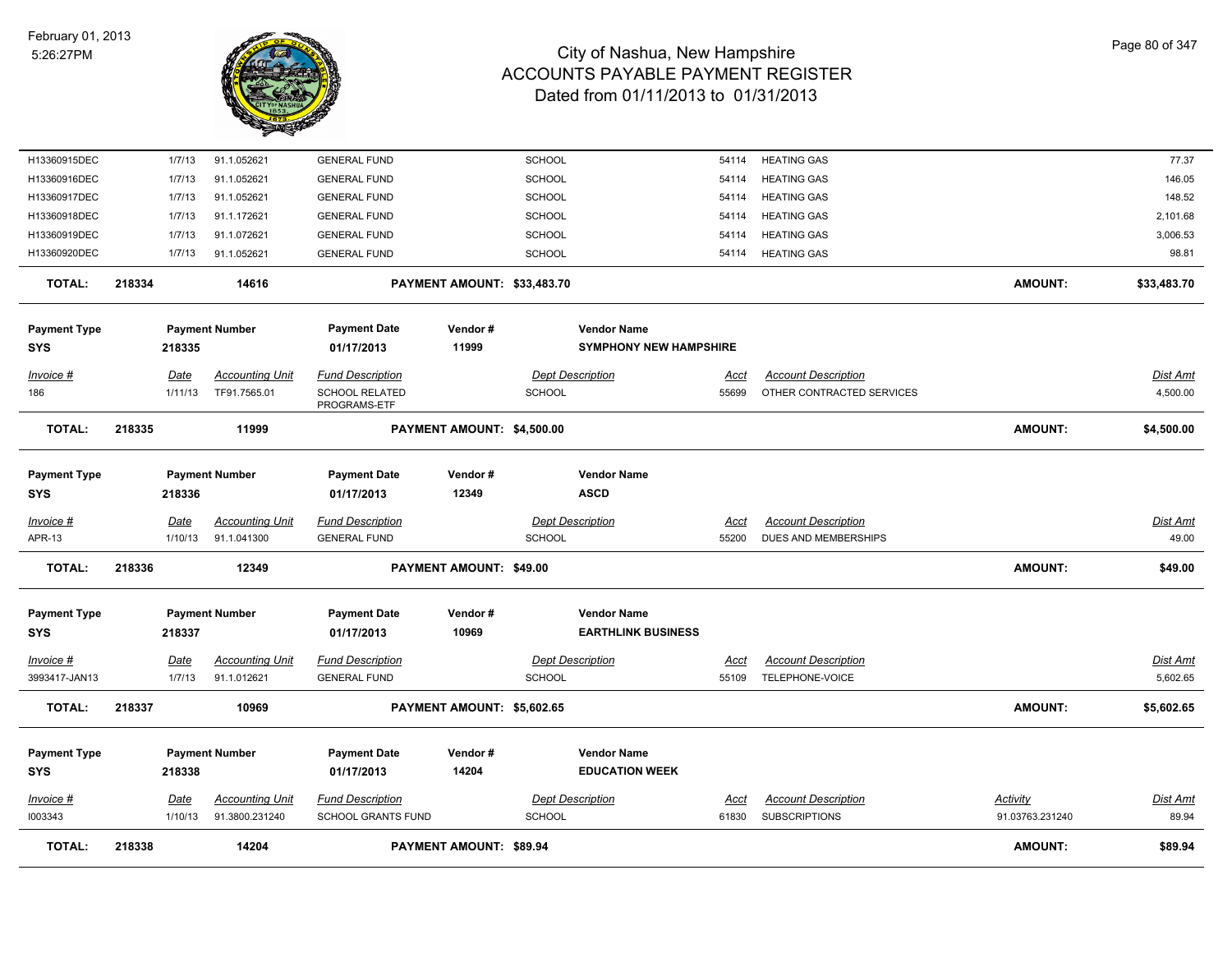

| <b>TOTAL:</b>                     | 218338 |                        | 14204                                    |                                                           | <b>PAYMENT AMOUNT: \$89.94</b> |                                |                                                 |                      |                                                         | <b>AMOUNT:</b>                     | \$89.94                     |
|-----------------------------------|--------|------------------------|------------------------------------------|-----------------------------------------------------------|--------------------------------|--------------------------------|-------------------------------------------------|----------------------|---------------------------------------------------------|------------------------------------|-----------------------------|
| $Invoice$ #<br>1003343            |        | <u>Date</u><br>1/10/13 | <b>Accounting Unit</b><br>91.3800.231240 | <b>Fund Description</b><br>SCHOOL GRANTS FUND             |                                | <b>SCHOOL</b>                  | <b>Dept Description</b>                         | <u>Acct</u><br>61830 | <b>Account Description</b><br><b>SUBSCRIPTIONS</b>      | <u>Activity</u><br>91.03763.231240 | Dist Amt<br>89.94           |
| <b>Payment Type</b><br>SYS        |        | 218338                 | <b>Payment Number</b>                    | <b>Payment Date</b><br>01/17/2013                         | Vendor#<br>14204               |                                | <b>Vendor Name</b><br><b>EDUCATION WEEK</b>     |                      |                                                         |                                    |                             |
| <b>TOTAL:</b>                     | 218337 |                        | 10969                                    |                                                           | PAYMENT AMOUNT: \$5,602.65     |                                |                                                 |                      |                                                         | <b>AMOUNT:</b>                     | \$5,602.65                  |
| $Invoice$ #<br>3993417-JAN13      |        | <u>Date</u><br>1/7/13  | <b>Accounting Unit</b><br>91.1.012621    | Fund Description<br><b>GENERAL FUND</b>                   |                                | SCHOOL                         | <b>Dept Description</b>                         | Acct<br>55109        | <b>Account Description</b><br>TELEPHONE-VOICE           |                                    | <u>Dist Amt</u><br>5,602.65 |
| <b>Payment Type</b><br>SYS        |        | 218337                 | <b>Payment Number</b>                    | <b>Payment Date</b><br>01/17/2013                         | Vendor#<br>10969               |                                | <b>Vendor Name</b><br><b>EARTHLINK BUSINESS</b> |                      |                                                         |                                    |                             |
| TOTAL:                            | 218336 |                        | 12349                                    |                                                           | PAYMENT AMOUNT: \$49.00        |                                |                                                 |                      |                                                         | <b>AMOUNT:</b>                     | \$49.00                     |
| <u>Invoice #</u><br>APR-13        |        | <b>Date</b><br>1/10/13 | <b>Accounting Unit</b><br>91.1.041300    | <b>Fund Description</b><br><b>GENERAL FUND</b>            |                                | <b>SCHOOL</b>                  | <b>Dept Description</b>                         | <u>Acct</u><br>55200 | <b>Account Description</b><br>DUES AND MEMBERSHIPS      |                                    | <b>Dist Amt</b><br>49.00    |
| <b>Payment Type</b><br><b>SYS</b> |        | 218336                 | <b>Payment Number</b>                    | <b>Payment Date</b><br>01/17/2013                         | Vendor#<br>12349               |                                | <b>Vendor Name</b><br><b>ASCD</b>               |                      |                                                         |                                    |                             |
| <b>TOTAL:</b>                     | 218335 |                        | 11999                                    |                                                           | PAYMENT AMOUNT: \$4,500.00     |                                |                                                 |                      |                                                         | <b>AMOUNT:</b>                     | \$4,500.00                  |
| $Invoice$ #<br>186                |        | Date<br>1/11/13        | <b>Accounting Unit</b><br>TF91.7565.01   | <b>Fund Description</b><br>SCHOOL RELATED<br>PROGRAMS-ETF |                                | SCHOOL                         | <b>Dept Description</b>                         | Acct<br>55699        | <b>Account Description</b><br>OTHER CONTRACTED SERVICES |                                    | Dist Amt<br>4,500.00        |
| <b>SYS</b>                        |        | 218335                 |                                          | 01/17/2013                                                | 11999                          |                                | <b>SYMPHONY NEW HAMPSHIRE</b>                   |                      |                                                         |                                    |                             |
| <b>Payment Type</b>               |        |                        | <b>Payment Number</b>                    | <b>Payment Date</b>                                       | Vendor#                        |                                | <b>Vendor Name</b>                              |                      |                                                         |                                    |                             |
| <b>TOTAL:</b>                     | 218334 |                        | 14616                                    |                                                           | PAYMENT AMOUNT: \$33,483.70    |                                |                                                 |                      |                                                         | <b>AMOUNT:</b>                     | \$33,483.70                 |
| H13360920DEC                      |        | 1/7/13                 | 91.1.052621                              | <b>GENERAL FUND</b>                                       |                                | <b>SCHOOL</b>                  |                                                 | 54114                | <b>HEATING GAS</b>                                      |                                    | 98.81                       |
| H13360918DEC<br>H13360919DEC      |        | 1/7/13                 | 91.1.072621                              | <b>GENERAL FUND</b>                                       |                                | <b>SCHOOL</b><br><b>SCHOOL</b> |                                                 | 54114<br>54114       | <b>HEATING GAS</b>                                      |                                    | 3,006.53                    |
| H13360917DEC                      |        | 1/7/13<br>1/7/13       | 91.1.052621<br>91.1.172621               | <b>GENERAL FUND</b><br><b>GENERAL FUND</b>                |                                | <b>SCHOOL</b>                  |                                                 | 54114                | <b>HEATING GAS</b><br><b>HEATING GAS</b>                |                                    | 148.52<br>2,101.68          |
| H13360916DEC                      |        | 1/7/13                 | 91.1.052621                              | <b>GENERAL FUND</b>                                       |                                | SCHOOL                         |                                                 | 54114                | <b>HEATING GAS</b>                                      |                                    | 146.05                      |
| H13360915DEC                      |        | 1/7/13                 | 91.1.052621                              | <b>GENERAL FUND</b>                                       |                                | SCHOOL                         |                                                 | 54114                | <b>HEATING GAS</b>                                      |                                    | 77.37                       |
|                                   |        |                        |                                          |                                                           |                                |                                |                                                 |                      |                                                         |                                    |                             |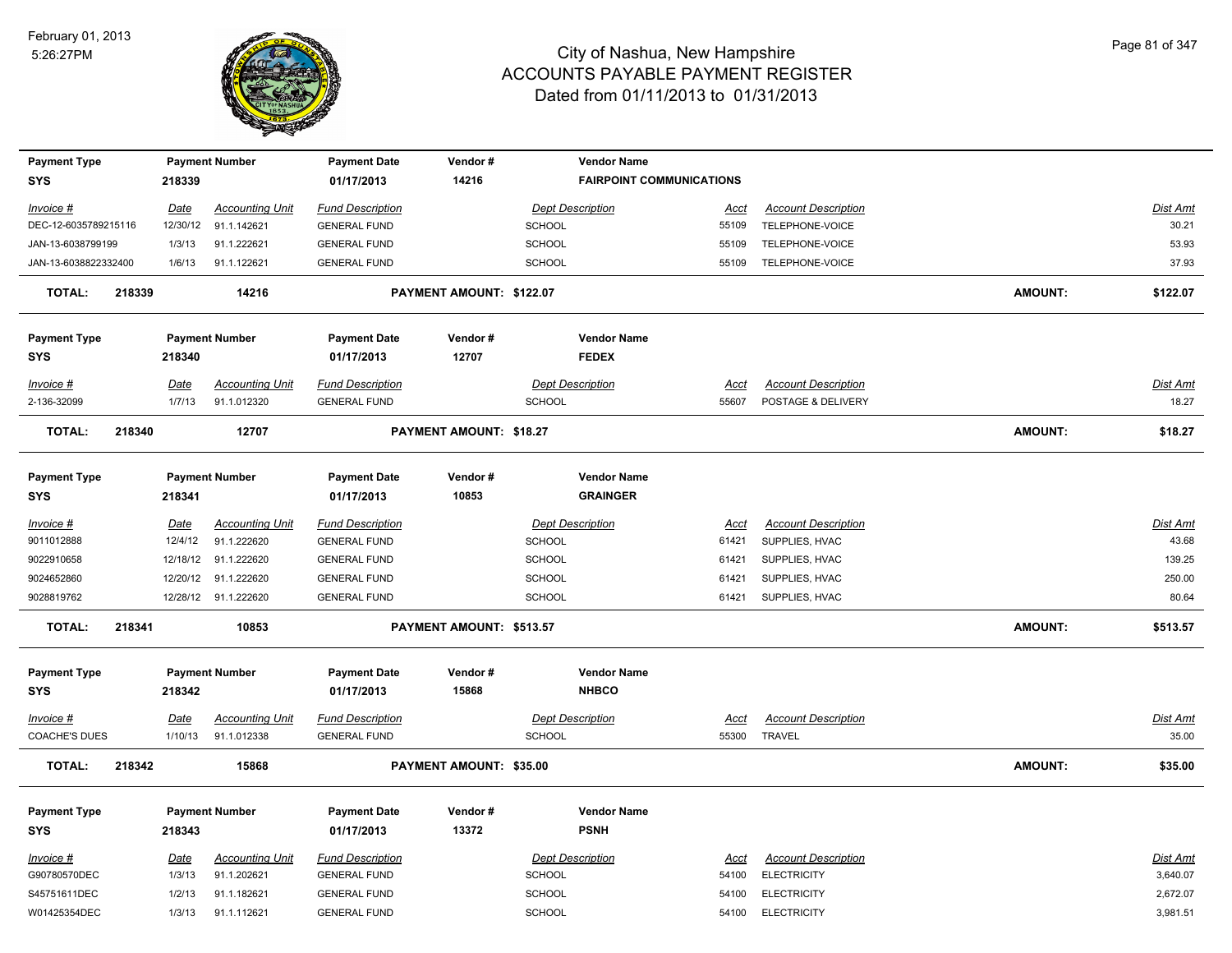

| <b>Payment Type</b>               |        |             | <b>Payment Number</b>  | <b>Payment Date</b>               | Vendor#                  | <b>Vendor Name</b>                    |             |                            |                |                 |
|-----------------------------------|--------|-------------|------------------------|-----------------------------------|--------------------------|---------------------------------------|-------------|----------------------------|----------------|-----------------|
| <b>SYS</b>                        |        | 218339      |                        | 01/17/2013                        | 14216                    | <b>FAIRPOINT COMMUNICATIONS</b>       |             |                            |                |                 |
| Invoice #                         |        | Date        | <b>Accounting Unit</b> | <b>Fund Description</b>           |                          | <b>Dept Description</b>               | <u>Acct</u> | <b>Account Description</b> |                | <b>Dist Amt</b> |
| DEC-12-6035789215116              |        | 12/30/12    | 91.1.142621            | <b>GENERAL FUND</b>               |                          | <b>SCHOOL</b>                         | 55109       | TELEPHONE-VOICE            |                | 30.21           |
| JAN-13-6038799199                 |        | 1/3/13      | 91.1.222621            | <b>GENERAL FUND</b>               |                          | <b>SCHOOL</b>                         | 55109       | TELEPHONE-VOICE            |                | 53.93           |
| JAN-13-6038822332400              |        | 1/6/13      | 91.1.122621            | <b>GENERAL FUND</b>               |                          | <b>SCHOOL</b>                         | 55109       | TELEPHONE-VOICE            |                | 37.93           |
| <b>TOTAL:</b>                     | 218339 |             | 14216                  |                                   | PAYMENT AMOUNT: \$122.07 |                                       |             |                            | <b>AMOUNT:</b> | \$122.07        |
| <b>Payment Type</b><br><b>SYS</b> |        | 218340      | <b>Payment Number</b>  | <b>Payment Date</b><br>01/17/2013 | Vendor#<br>12707         | <b>Vendor Name</b><br><b>FEDEX</b>    |             |                            |                |                 |
| Invoice #                         |        | <u>Date</u> | <b>Accounting Unit</b> | <b>Fund Description</b>           |                          | <b>Dept Description</b>               | Acct        | <b>Account Description</b> |                | Dist Amt        |
| 2-136-32099                       |        | 1/7/13      | 91.1.012320            | <b>GENERAL FUND</b>               |                          | SCHOOL                                | 55607       | POSTAGE & DELIVERY         |                | 18.27           |
| <b>TOTAL:</b>                     | 218340 |             | 12707                  |                                   | PAYMENT AMOUNT: \$18.27  |                                       |             |                            | <b>AMOUNT:</b> | \$18.27         |
| <b>Payment Type</b><br>SYS        |        | 218341      | <b>Payment Number</b>  | <b>Payment Date</b><br>01/17/2013 | Vendor#<br>10853         | <b>Vendor Name</b><br><b>GRAINGER</b> |             |                            |                |                 |
| Invoice #                         |        | Date        | <b>Accounting Unit</b> | <b>Fund Description</b>           |                          | <b>Dept Description</b>               | Acct        | <b>Account Description</b> |                | Dist Amt        |
| 9011012888                        |        | 12/4/12     | 91.1.222620            | <b>GENERAL FUND</b>               |                          | <b>SCHOOL</b>                         | 61421       | SUPPLIES, HVAC             |                | 43.68           |
| 9022910658                        |        | 12/18/12    | 91.1.222620            | <b>GENERAL FUND</b>               |                          | <b>SCHOOL</b>                         | 61421       | SUPPLIES, HVAC             |                | 139.25          |
| 9024652860                        |        | 12/20/12    | 91.1.222620            | <b>GENERAL FUND</b>               |                          | <b>SCHOOL</b>                         | 61421       | SUPPLIES, HVAC             |                | 250.00          |
| 9028819762                        |        |             | 12/28/12 91.1.222620   | <b>GENERAL FUND</b>               |                          | SCHOOL                                | 61421       | SUPPLIES, HVAC             |                | 80.64           |
| <b>TOTAL:</b>                     | 218341 |             | 10853                  |                                   | PAYMENT AMOUNT: \$513.57 |                                       |             |                            | <b>AMOUNT:</b> | \$513.57        |
| <b>Payment Type</b>               |        |             | <b>Payment Number</b>  | <b>Payment Date</b>               | Vendor#                  | <b>Vendor Name</b>                    |             |                            |                |                 |
| SYS                               |        | 218342      |                        | 01/17/2013                        | 15868                    | <b>NHBCO</b>                          |             |                            |                |                 |
| Invoice #                         |        | Date        | <b>Accounting Unit</b> | <b>Fund Description</b>           |                          | <b>Dept Description</b>               | <u>Acct</u> | <b>Account Description</b> |                | <u>Dist Amt</u> |
| <b>COACHE'S DUES</b>              |        | 1/10/13     | 91.1.012338            | <b>GENERAL FUND</b>               |                          | <b>SCHOOL</b>                         | 55300       | <b>TRAVEL</b>              |                | 35.00           |
| <b>TOTAL:</b>                     | 218342 |             | 15868                  |                                   | PAYMENT AMOUNT: \$35.00  |                                       |             |                            | <b>AMOUNT:</b> | \$35.00         |
| <b>Payment Type</b>               |        |             | <b>Payment Number</b>  | <b>Payment Date</b>               | Vendor#                  | <b>Vendor Name</b>                    |             |                            |                |                 |
| SYS                               |        | 218343      |                        | 01/17/2013                        | 13372                    | <b>PSNH</b>                           |             |                            |                |                 |
| Invoice #                         |        | Date        | <b>Accounting Unit</b> | <b>Fund Description</b>           |                          | <b>Dept Description</b>               | <b>Acct</b> | <b>Account Description</b> |                | Dist Amt        |
| G90780570DEC                      |        | 1/3/13      | 91.1.202621            | <b>GENERAL FUND</b>               |                          | <b>SCHOOL</b>                         | 54100       | <b>ELECTRICITY</b>         |                | 3,640.07        |
| S45751611DEC                      |        | 1/2/13      | 91.1.182621            | <b>GENERAL FUND</b>               |                          | <b>SCHOOL</b>                         | 54100       | <b>ELECTRICITY</b>         |                | 2,672.07        |
| W01425354DEC                      |        | 1/3/13      | 91.1.112621            | <b>GENERAL FUND</b>               |                          | <b>SCHOOL</b>                         | 54100       | <b>ELECTRICITY</b>         |                | 3,981.51        |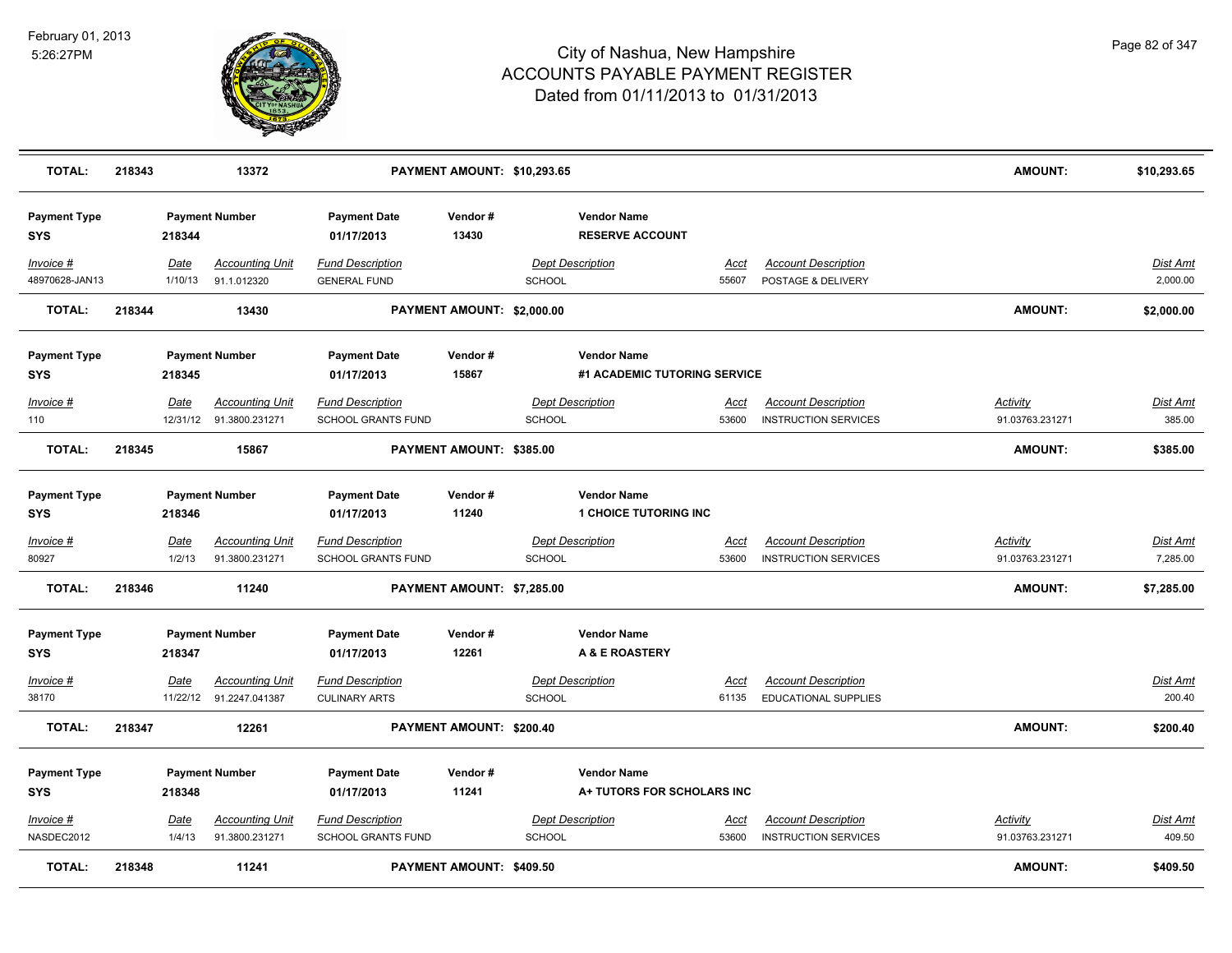

| <b>TOTAL:</b>               | 218343 |                       | 13372                                             |                                                 | PAYMENT AMOUNT: \$10,293.65     |               |                                                    |                      |                                                           | AMOUNT:                            | \$10,293.65                 |
|-----------------------------|--------|-----------------------|---------------------------------------------------|-------------------------------------------------|---------------------------------|---------------|----------------------------------------------------|----------------------|-----------------------------------------------------------|------------------------------------|-----------------------------|
| <b>Payment Type</b><br>SYS  |        | 218344                | <b>Payment Number</b>                             | <b>Payment Date</b><br>01/17/2013               | Vendor#<br>13430                |               | <b>Vendor Name</b><br><b>RESERVE ACCOUNT</b>       |                      |                                                           |                                    |                             |
| Invoice #<br>48970628-JAN13 |        | Date<br>1/10/13       | <b>Accounting Unit</b><br>91.1.012320             | <b>Fund Description</b><br><b>GENERAL FUND</b>  |                                 | SCHOOL        | <b>Dept Description</b>                            | Acct<br>55607        | <b>Account Description</b><br>POSTAGE & DELIVERY          |                                    | <u>Dist Amt</u><br>2,000.00 |
| <b>TOTAL:</b>               | 218344 |                       | 13430                                             |                                                 | PAYMENT AMOUNT: \$2,000.00      |               |                                                    |                      |                                                           | AMOUNT:                            | \$2,000.00                  |
| <b>Payment Type</b><br>SYS  |        | 218345                | <b>Payment Number</b>                             | <b>Payment Date</b><br>01/17/2013               | Vendor#<br>15867                |               | <b>Vendor Name</b><br>#1 ACADEMIC TUTORING SERVICE |                      |                                                           |                                    |                             |
| Invoice #<br>110            |        | Date                  | <b>Accounting Unit</b><br>12/31/12 91.3800.231271 | <b>Fund Description</b><br>SCHOOL GRANTS FUND   |                                 | SCHOOL        | <b>Dept Description</b>                            | <u>Acct</u><br>53600 | <b>Account Description</b><br><b>INSTRUCTION SERVICES</b> | <u>Activity</u><br>91.03763.231271 | Dist Amt<br>385.00          |
| <b>TOTAL:</b>               | 218345 |                       | 15867                                             |                                                 | PAYMENT AMOUNT: \$385.00        |               |                                                    |                      |                                                           | <b>AMOUNT:</b>                     | \$385.00                    |
| <b>Payment Type</b><br>SYS  |        | 218346                | <b>Payment Number</b>                             | <b>Payment Date</b><br>01/17/2013               | Vendor#<br>11240                |               | <b>Vendor Name</b><br><b>1 CHOICE TUTORING INC</b> |                      |                                                           |                                    |                             |
| Invoice #<br>80927          |        | <u>Date</u><br>1/2/13 | <b>Accounting Unit</b><br>91.3800.231271          | <b>Fund Description</b><br>SCHOOL GRANTS FUND   |                                 | <b>SCHOOL</b> | <b>Dept Description</b>                            | <u>Acct</u><br>53600 | <b>Account Description</b><br><b>INSTRUCTION SERVICES</b> | <u>Activity</u><br>91.03763.231271 | <u>Dist Amt</u><br>7,285.00 |
| <b>TOTAL:</b>               | 218346 |                       | 11240                                             |                                                 | PAYMENT AMOUNT: \$7,285.00      |               |                                                    |                      |                                                           | AMOUNT:                            | \$7,285.00                  |
| <b>Payment Type</b><br>SYS  |        | 218347                | <b>Payment Number</b>                             | <b>Payment Date</b><br>01/17/2013               | Vendor#<br>12261                |               | <b>Vendor Name</b><br>A & E ROASTERY               |                      |                                                           |                                    |                             |
| Invoice #<br>38170          |        | Date                  | <b>Accounting Unit</b><br>11/22/12 91.2247.041387 | <b>Fund Description</b><br><b>CULINARY ARTS</b> |                                 | <b>SCHOOL</b> | <b>Dept Description</b>                            | Acct<br>61135        | <b>Account Description</b><br><b>EDUCATIONAL SUPPLIES</b> |                                    | Dist Amt<br>200.40          |
| <b>TOTAL:</b>               | 218347 |                       | 12261                                             |                                                 | PAYMENT AMOUNT: \$200.40        |               |                                                    |                      |                                                           | <b>AMOUNT:</b>                     | \$200.40                    |
| <b>Payment Type</b><br>SYS  |        | 218348                | <b>Payment Number</b>                             | <b>Payment Date</b><br>01/17/2013               | Vendor#<br>11241                |               | <b>Vendor Name</b><br>A+ TUTORS FOR SCHOLARS INC   |                      |                                                           |                                    |                             |
| Invoice #<br>NASDEC2012     |        | <u>Date</u><br>1/4/13 | <b>Accounting Unit</b><br>91.3800.231271          | <b>Fund Description</b><br>SCHOOL GRANTS FUND   |                                 | SCHOOL        | <b>Dept Description</b>                            | <u>Acct</u><br>53600 | <b>Account Description</b><br><b>INSTRUCTION SERVICES</b> | <u>Activity</u><br>91.03763.231271 | Dist Amt<br>409.50          |
| <b>TOTAL:</b>               | 218348 |                       | 11241                                             |                                                 | <b>PAYMENT AMOUNT: \$409.50</b> |               |                                                    |                      |                                                           | <b>AMOUNT:</b>                     | \$409.50                    |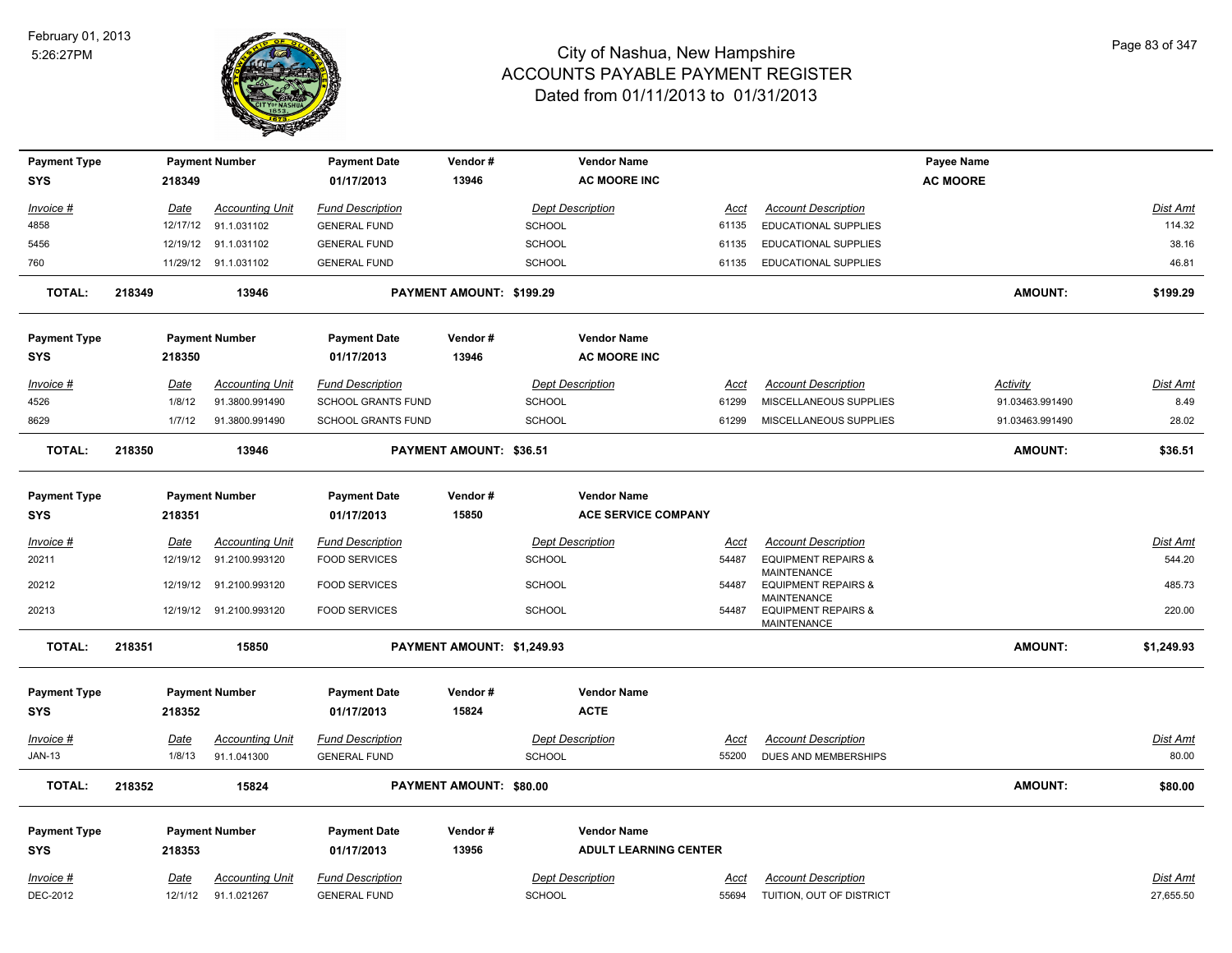

| <b>Payment Type</b> |        |             | <b>Payment Number</b>   | <b>Payment Date</b>       | Vendor#                    |               | <b>Vendor Name</b>           |             |                                                                     | Payee Name      |                 |
|---------------------|--------|-------------|-------------------------|---------------------------|----------------------------|---------------|------------------------------|-------------|---------------------------------------------------------------------|-----------------|-----------------|
| <b>SYS</b>          |        | 218349      |                         | 01/17/2013                | 13946                      |               | <b>AC MOORE INC</b>          |             |                                                                     | <b>AC MOORE</b> |                 |
| Invoice #           |        | <u>Date</u> | <b>Accounting Unit</b>  | <b>Fund Description</b>   |                            |               | <b>Dept Description</b>      | <u>Acct</u> | <b>Account Description</b>                                          |                 | Dist Amt        |
| 4858                |        |             | 12/17/12 91.1.031102    | <b>GENERAL FUND</b>       |                            | <b>SCHOOL</b> |                              | 61135       | EDUCATIONAL SUPPLIES                                                |                 | 114.32          |
| 5456                |        |             | 12/19/12 91.1.031102    | <b>GENERAL FUND</b>       |                            | <b>SCHOOL</b> |                              | 61135       | EDUCATIONAL SUPPLIES                                                |                 | 38.16           |
| 760                 |        |             | 11/29/12 91.1.031102    | <b>GENERAL FUND</b>       |                            | <b>SCHOOL</b> |                              | 61135       | EDUCATIONAL SUPPLIES                                                |                 | 46.81           |
| <b>TOTAL:</b>       | 218349 |             | 13946                   |                           | PAYMENT AMOUNT: \$199.29   |               |                              |             |                                                                     | <b>AMOUNT:</b>  | \$199.29        |
| <b>Payment Type</b> |        |             | <b>Payment Number</b>   | <b>Payment Date</b>       | Vendor#                    |               | <b>Vendor Name</b>           |             |                                                                     |                 |                 |
| <b>SYS</b>          |        | 218350      |                         | 01/17/2013                | 13946                      |               | <b>AC MOORE INC</b>          |             |                                                                     |                 |                 |
| Invoice #           |        | Date        | <b>Accounting Unit</b>  | <b>Fund Description</b>   |                            |               | <b>Dept Description</b>      | Acct        | <b>Account Description</b>                                          | <b>Activity</b> | Dist Amt        |
| 4526                |        | 1/8/12      | 91.3800.991490          | <b>SCHOOL GRANTS FUND</b> |                            | SCHOOL        |                              | 61299       | MISCELLANEOUS SUPPLIES                                              | 91.03463.991490 | 8.49            |
| 8629                |        | 1/7/12      | 91.3800.991490          | <b>SCHOOL GRANTS FUND</b> |                            | <b>SCHOOL</b> |                              | 61299       | MISCELLANEOUS SUPPLIES                                              | 91.03463.991490 | 28.02           |
| <b>TOTAL:</b>       | 218350 |             | 13946                   |                           | PAYMENT AMOUNT: \$36.51    |               |                              |             |                                                                     | <b>AMOUNT:</b>  | \$36.51         |
| <b>Payment Type</b> |        |             | <b>Payment Number</b>   | <b>Payment Date</b>       | Vendor#                    |               | <b>Vendor Name</b>           |             |                                                                     |                 |                 |
| <b>SYS</b>          |        | 218351      |                         | 01/17/2013                | 15850                      |               | <b>ACE SERVICE COMPANY</b>   |             |                                                                     |                 |                 |
| $Invoice$ #         |        | <u>Date</u> | <b>Accounting Unit</b>  | <b>Fund Description</b>   |                            |               | <b>Dept Description</b>      | <u>Acct</u> | <b>Account Description</b>                                          |                 | <b>Dist Amt</b> |
| 20211               |        |             | 12/19/12 91.2100.993120 | <b>FOOD SERVICES</b>      |                            | <b>SCHOOL</b> |                              | 54487       | <b>EQUIPMENT REPAIRS &amp;</b>                                      |                 | 544.20          |
| 20212               |        |             | 12/19/12 91.2100.993120 | <b>FOOD SERVICES</b>      |                            | <b>SCHOOL</b> |                              | 54487       | <b>MAINTENANCE</b><br><b>EQUIPMENT REPAIRS &amp;</b><br>MAINTENANCE |                 | 485.73          |
| 20213               |        |             | 12/19/12 91.2100.993120 | <b>FOOD SERVICES</b>      |                            | <b>SCHOOL</b> |                              | 54487       | <b>EQUIPMENT REPAIRS &amp;</b><br>MAINTENANCE                       |                 | 220.00          |
| TOTAL:              | 218351 |             | 15850                   |                           | PAYMENT AMOUNT: \$1,249.93 |               |                              |             |                                                                     | <b>AMOUNT:</b>  | \$1,249.93      |
| <b>Payment Type</b> |        |             | <b>Payment Number</b>   | <b>Payment Date</b>       | Vendor#                    |               | <b>Vendor Name</b>           |             |                                                                     |                 |                 |
| <b>SYS</b>          |        | 218352      |                         | 01/17/2013                | 15824                      |               | <b>ACTE</b>                  |             |                                                                     |                 |                 |
| Invoice #           |        | Date        | <b>Accounting Unit</b>  | <b>Fund Description</b>   |                            |               | <b>Dept Description</b>      | Acct        | <b>Account Description</b>                                          |                 | <b>Dist Amt</b> |
| <b>JAN-13</b>       |        | 1/8/13      | 91.1.041300             | <b>GENERAL FUND</b>       |                            | <b>SCHOOL</b> |                              | 55200       | DUES AND MEMBERSHIPS                                                |                 | 80.00           |
| <b>TOTAL:</b>       | 218352 |             | 15824                   |                           | PAYMENT AMOUNT: \$80.00    |               |                              |             |                                                                     | <b>AMOUNT:</b>  | \$80.00         |
| <b>Payment Type</b> |        |             | <b>Payment Number</b>   | <b>Payment Date</b>       | Vendor#                    |               | <b>Vendor Name</b>           |             |                                                                     |                 |                 |
| <b>SYS</b>          |        | 218353      |                         | 01/17/2013                | 13956                      |               | <b>ADULT LEARNING CENTER</b> |             |                                                                     |                 |                 |
| Invoice #           |        | <u>Date</u> | <b>Accounting Unit</b>  | <b>Fund Description</b>   |                            |               | <b>Dept Description</b>      | <u>Acct</u> | <b>Account Description</b>                                          |                 | <b>Dist Amt</b> |
| DEC-2012            |        | 12/1/12     | 91.1.021267             | <b>GENERAL FUND</b>       |                            | <b>SCHOOL</b> |                              | 55694       | TUITION, OUT OF DISTRICT                                            |                 | 27,655.50       |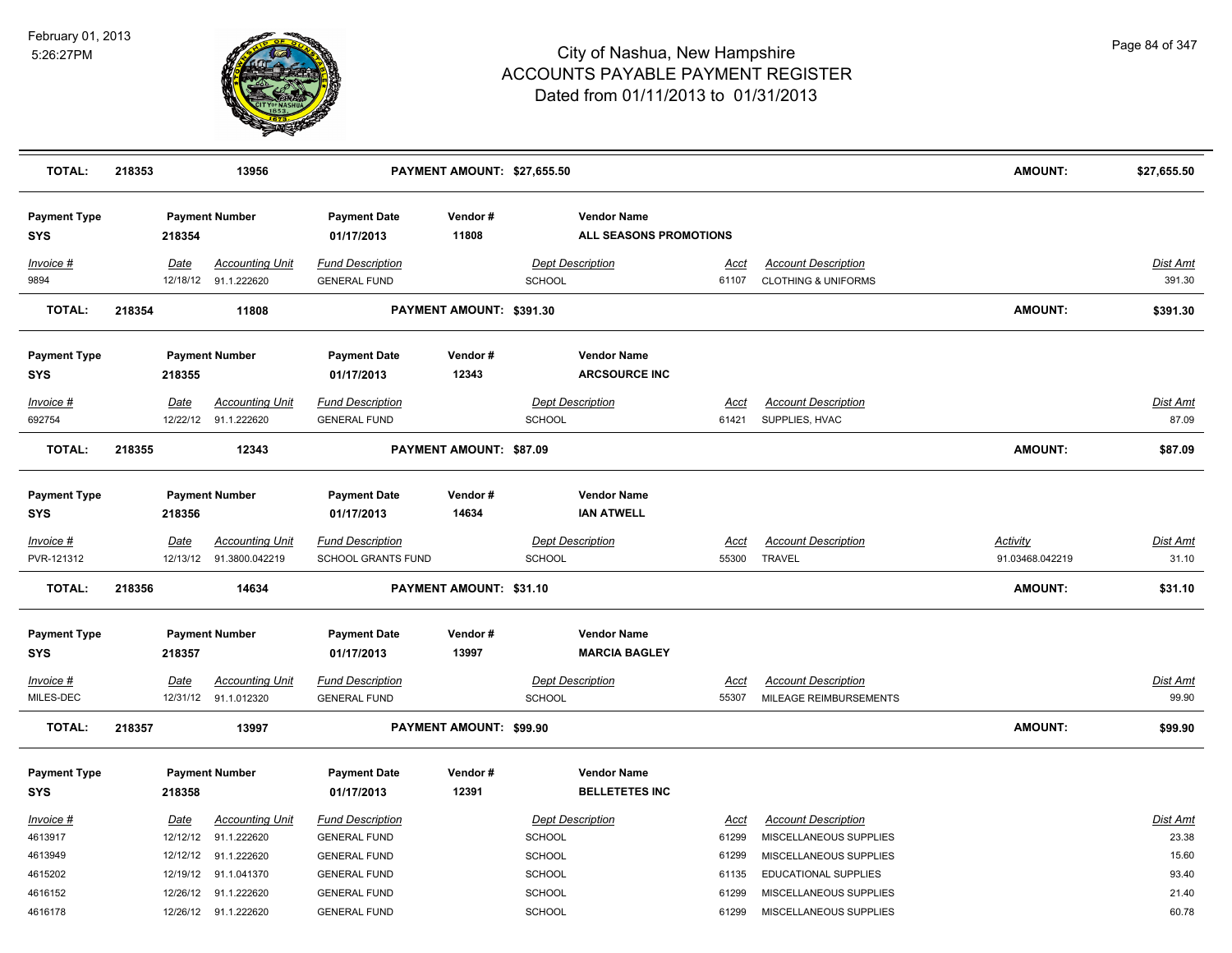

| <b>TOTAL:</b>                     | 218353 |             | 13956                                             |                                                      | PAYMENT AMOUNT: \$27,655.50 |                                              |                      |                                                              | <b>AMOUNT:</b>                     | \$27,655.50               |
|-----------------------------------|--------|-------------|---------------------------------------------------|------------------------------------------------------|-----------------------------|----------------------------------------------|----------------------|--------------------------------------------------------------|------------------------------------|---------------------------|
| <b>Payment Type</b><br><b>SYS</b> |        | 218354      | <b>Payment Number</b>                             | <b>Payment Date</b><br>01/17/2013                    | Vendor#<br>11808            | <b>Vendor Name</b><br>ALL SEASONS PROMOTIONS |                      |                                                              |                                    |                           |
| Invoice #<br>9894                 |        | Date        | <b>Accounting Unit</b><br>12/18/12 91.1.222620    | <b>Fund Description</b><br><b>GENERAL FUND</b>       |                             | <b>Dept Description</b><br><b>SCHOOL</b>     | Acct<br>61107        | <b>Account Description</b><br><b>CLOTHING &amp; UNIFORMS</b> |                                    | <b>Dist Amt</b><br>391.30 |
| <b>TOTAL:</b>                     | 218354 |             | 11808                                             |                                                      | PAYMENT AMOUNT: \$391.30    |                                              |                      |                                                              | AMOUNT:                            | \$391.30                  |
| <b>Payment Type</b><br>SYS        |        | 218355      | <b>Payment Number</b>                             | <b>Payment Date</b><br>01/17/2013                    | Vendor#<br>12343            | <b>Vendor Name</b><br><b>ARCSOURCE INC</b>   |                      |                                                              |                                    |                           |
| Invoice #                         |        | Date        | <b>Accounting Unit</b>                            | <b>Fund Description</b>                              |                             | <b>Dept Description</b>                      | Acct                 | <b>Account Description</b>                                   |                                    | Dist Amt                  |
| 692754                            |        |             | 12/22/12 91.1.222620                              | <b>GENERAL FUND</b>                                  |                             | <b>SCHOOL</b>                                | 61421                | SUPPLIES, HVAC                                               |                                    | 87.09                     |
| <b>TOTAL:</b>                     | 218355 |             | 12343                                             |                                                      | PAYMENT AMOUNT: \$87.09     |                                              |                      |                                                              | <b>AMOUNT:</b>                     | \$87.09                   |
| <b>Payment Type</b><br>SYS        |        | 218356      | <b>Payment Number</b>                             | <b>Payment Date</b><br>01/17/2013                    | Vendor#<br>14634            | <b>Vendor Name</b><br><b>IAN ATWELL</b>      |                      |                                                              |                                    |                           |
| Invoice #<br>PVR-121312           |        | <b>Date</b> | <b>Accounting Unit</b><br>12/13/12 91.3800.042219 | <b>Fund Description</b><br><b>SCHOOL GRANTS FUND</b> |                             | <b>Dept Description</b><br>SCHOOL            | <u>Acct</u><br>55300 | <b>Account Description</b><br><b>TRAVEL</b>                  | <b>Activity</b><br>91.03468.042219 | <b>Dist Amt</b><br>31.10  |
| <b>TOTAL:</b>                     | 218356 |             | 14634                                             |                                                      | PAYMENT AMOUNT: \$31.10     |                                              |                      |                                                              | <b>AMOUNT:</b>                     | \$31.10                   |
| <b>Payment Type</b><br>SYS        |        | 218357      | <b>Payment Number</b>                             | <b>Payment Date</b><br>01/17/2013                    | Vendor#<br>13997            | <b>Vendor Name</b><br><b>MARCIA BAGLEY</b>   |                      |                                                              |                                    |                           |
| Invoice #<br>MILES-DEC            |        | Date        | <b>Accounting Unit</b><br>12/31/12 91.1.012320    | <b>Fund Description</b><br><b>GENERAL FUND</b>       |                             | <b>Dept Description</b><br><b>SCHOOL</b>     | <b>Acct</b><br>55307 | <b>Account Description</b><br>MILEAGE REIMBURSEMENTS         |                                    | <b>Dist Amt</b><br>99.90  |
| <b>TOTAL:</b>                     | 218357 |             | 13997                                             |                                                      | PAYMENT AMOUNT: \$99.90     |                                              |                      |                                                              | <b>AMOUNT:</b>                     | \$99.90                   |
| <b>Payment Type</b><br><b>SYS</b> |        | 218358      | <b>Payment Number</b>                             | <b>Payment Date</b><br>01/17/2013                    | Vendor#<br>12391            | <b>Vendor Name</b><br><b>BELLETETES INC</b>  |                      |                                                              |                                    |                           |
| Invoice #                         |        | Date        | <b>Accounting Unit</b>                            | <b>Fund Description</b>                              |                             | <b>Dept Description</b>                      | Acct                 | <b>Account Description</b>                                   |                                    | Dist Amt                  |
| 4613917                           |        |             | 12/12/12 91.1.222620                              | <b>GENERAL FUND</b>                                  |                             | <b>SCHOOL</b>                                | 61299                | MISCELLANEOUS SUPPLIES                                       |                                    | 23.38                     |
| 4613949                           |        |             | 12/12/12 91.1.222620                              | <b>GENERAL FUND</b>                                  |                             | SCHOOL                                       | 61299                | MISCELLANEOUS SUPPLIES                                       |                                    | 15.60                     |
| 4615202                           |        |             | 12/19/12 91.1.041370                              | <b>GENERAL FUND</b>                                  |                             | <b>SCHOOL</b>                                | 61135                | <b>EDUCATIONAL SUPPLIES</b>                                  |                                    | 93.40                     |
| 4616152                           |        |             | 12/26/12 91.1.222620                              | <b>GENERAL FUND</b>                                  |                             | <b>SCHOOL</b>                                | 61299                | MISCELLANEOUS SUPPLIES                                       |                                    | 21.40                     |
| 4616178                           |        |             | 12/26/12 91.1.222620                              | <b>GENERAL FUND</b>                                  |                             | SCHOOL                                       | 61299                | MISCELLANEOUS SUPPLIES                                       |                                    | 60.78                     |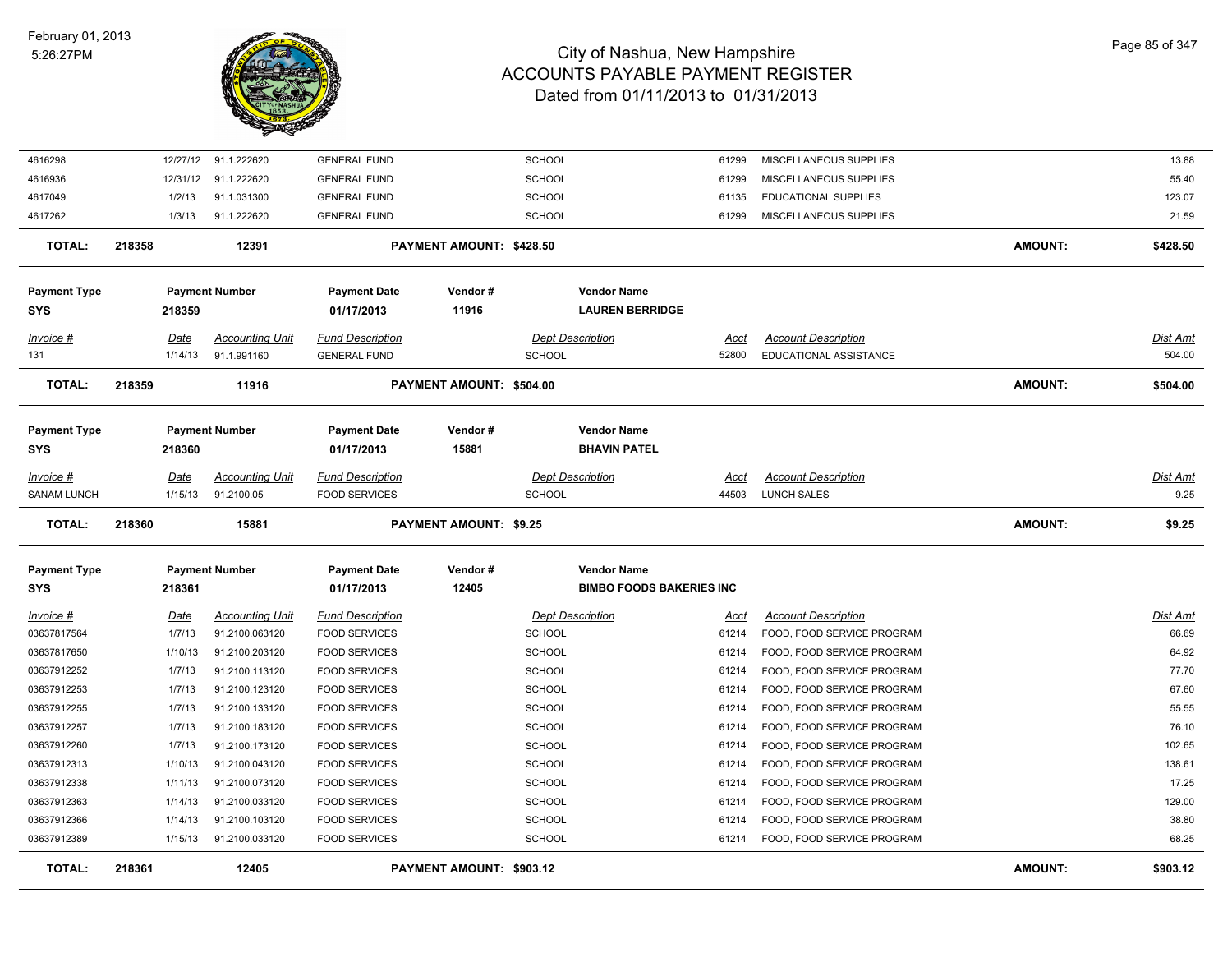

| 4616298             | 12/27/12 | 91.1.222620            | <b>GENERAL FUND</b>     |                               | <b>SCHOOL</b>           |                                 | 61299 | MISCELLANEOUS SUPPLIES     |                | 13.88    |
|---------------------|----------|------------------------|-------------------------|-------------------------------|-------------------------|---------------------------------|-------|----------------------------|----------------|----------|
| 4616936             | 12/31/12 | 91.1.222620            | <b>GENERAL FUND</b>     |                               | <b>SCHOOL</b>           |                                 | 61299 | MISCELLANEOUS SUPPLIES     |                | 55.40    |
| 4617049             | 1/2/13   | 91.1.031300            | <b>GENERAL FUND</b>     |                               | <b>SCHOOL</b>           |                                 | 61135 | EDUCATIONAL SUPPLIES       |                | 123.07   |
| 4617262             | 1/3/13   | 91.1.222620            | <b>GENERAL FUND</b>     |                               | SCHOOL                  |                                 | 61299 | MISCELLANEOUS SUPPLIES     |                | 21.59    |
| <b>TOTAL:</b>       | 218358   | 12391                  |                         | PAYMENT AMOUNT: \$428.50      |                         |                                 |       |                            | <b>AMOUNT:</b> | \$428.50 |
| <b>Payment Type</b> |          | <b>Payment Number</b>  | <b>Payment Date</b>     | Vendor#                       |                         | <b>Vendor Name</b>              |       |                            |                |          |
| SYS                 | 218359   |                        | 01/17/2013              | 11916                         |                         | <b>LAUREN BERRIDGE</b>          |       |                            |                |          |
| Invoice #           | Date     | <b>Accounting Unit</b> | <b>Fund Description</b> |                               | <b>Dept Description</b> |                                 | Acct  | <b>Account Description</b> |                | Dist Amt |
| 131                 | 1/14/13  | 91.1.991160            | <b>GENERAL FUND</b>     |                               | <b>SCHOOL</b>           |                                 | 52800 | EDUCATIONAL ASSISTANCE     |                | 504.00   |
| <b>TOTAL:</b>       | 218359   | 11916                  |                         | PAYMENT AMOUNT: \$504.00      |                         |                                 |       |                            | <b>AMOUNT:</b> | \$504.00 |
| <b>Payment Type</b> |          | <b>Payment Number</b>  | <b>Payment Date</b>     | Vendor#                       |                         | <b>Vendor Name</b>              |       |                            |                |          |
| SYS                 | 218360   |                        | 01/17/2013              | 15881                         |                         | <b>BHAVIN PATEL</b>             |       |                            |                |          |
| <u>Invoice #</u>    | Date     | <b>Accounting Unit</b> | <b>Fund Description</b> |                               | <b>Dept Description</b> |                                 | Acct  | <b>Account Description</b> |                | Dist Amt |
| <b>SANAM LUNCH</b>  | 1/15/13  | 91.2100.05             | <b>FOOD SERVICES</b>    |                               | <b>SCHOOL</b>           |                                 | 44503 | <b>LUNCH SALES</b>         |                | 9.25     |
|                     |          |                        |                         |                               |                         |                                 |       |                            |                |          |
| <b>TOTAL:</b>       | 218360   | 15881                  |                         | <b>PAYMENT AMOUNT: \$9.25</b> |                         |                                 |       |                            | <b>AMOUNT:</b> | \$9.25   |
| <b>Payment Type</b> |          | <b>Payment Number</b>  | <b>Payment Date</b>     | Vendor#                       |                         | <b>Vendor Name</b>              |       |                            |                |          |
| SYS                 | 218361   |                        | 01/17/2013              | 12405                         |                         | <b>BIMBO FOODS BAKERIES INC</b> |       |                            |                |          |
| Invoice #           | Date     | <b>Accounting Unit</b> | <b>Fund Description</b> |                               | <b>Dept Description</b> |                                 | Acct  | <b>Account Description</b> |                | Dist Amt |
| 03637817564         | 1/7/13   | 91.2100.063120         | <b>FOOD SERVICES</b>    |                               | SCHOOL                  |                                 | 61214 | FOOD, FOOD SERVICE PROGRAM |                | 66.69    |
| 03637817650         | 1/10/13  | 91.2100.203120         | <b>FOOD SERVICES</b>    |                               | <b>SCHOOL</b>           |                                 | 61214 | FOOD, FOOD SERVICE PROGRAM |                | 64.92    |
| 03637912252         | 1/7/13   | 91.2100.113120         | <b>FOOD SERVICES</b>    |                               | <b>SCHOOL</b>           |                                 | 61214 | FOOD, FOOD SERVICE PROGRAM |                | 77.70    |
| 03637912253         | 1/7/13   | 91.2100.123120         | <b>FOOD SERVICES</b>    |                               | <b>SCHOOL</b>           |                                 | 61214 | FOOD, FOOD SERVICE PROGRAM |                | 67.60    |
| 03637912255         | 1/7/13   | 91.2100.133120         | <b>FOOD SERVICES</b>    |                               | <b>SCHOOL</b>           |                                 | 61214 | FOOD, FOOD SERVICE PROGRAM |                | 55.55    |
| 03637912257         | 1/7/13   | 91.2100.183120         | <b>FOOD SERVICES</b>    |                               | <b>SCHOOL</b>           |                                 | 61214 | FOOD, FOOD SERVICE PROGRAM |                | 76.10    |
| 03637912260         | 1/7/13   | 91.2100.173120         | <b>FOOD SERVICES</b>    |                               | <b>SCHOOL</b>           |                                 | 61214 | FOOD, FOOD SERVICE PROGRAM |                | 102.65   |
| 03637912313         | 1/10/13  | 91.2100.043120         | <b>FOOD SERVICES</b>    |                               | <b>SCHOOL</b>           |                                 | 61214 | FOOD, FOOD SERVICE PROGRAM |                | 138.61   |
| 03637912338         | 1/11/13  | 91.2100.073120         | <b>FOOD SERVICES</b>    |                               | <b>SCHOOL</b>           |                                 | 61214 | FOOD, FOOD SERVICE PROGRAM |                | 17.25    |
| 03637912363         | 1/14/13  | 91.2100.033120         | <b>FOOD SERVICES</b>    |                               | SCHOOL                  |                                 | 61214 | FOOD, FOOD SERVICE PROGRAM |                | 129.00   |
| 03637912366         | 1/14/13  | 91.2100.103120         | <b>FOOD SERVICES</b>    |                               | <b>SCHOOL</b>           |                                 | 61214 | FOOD, FOOD SERVICE PROGRAM |                | 38.80    |
| 03637912389         | 1/15/13  | 91.2100.033120         | <b>FOOD SERVICES</b>    |                               | <b>SCHOOL</b>           |                                 | 61214 | FOOD, FOOD SERVICE PROGRAM |                | 68.25    |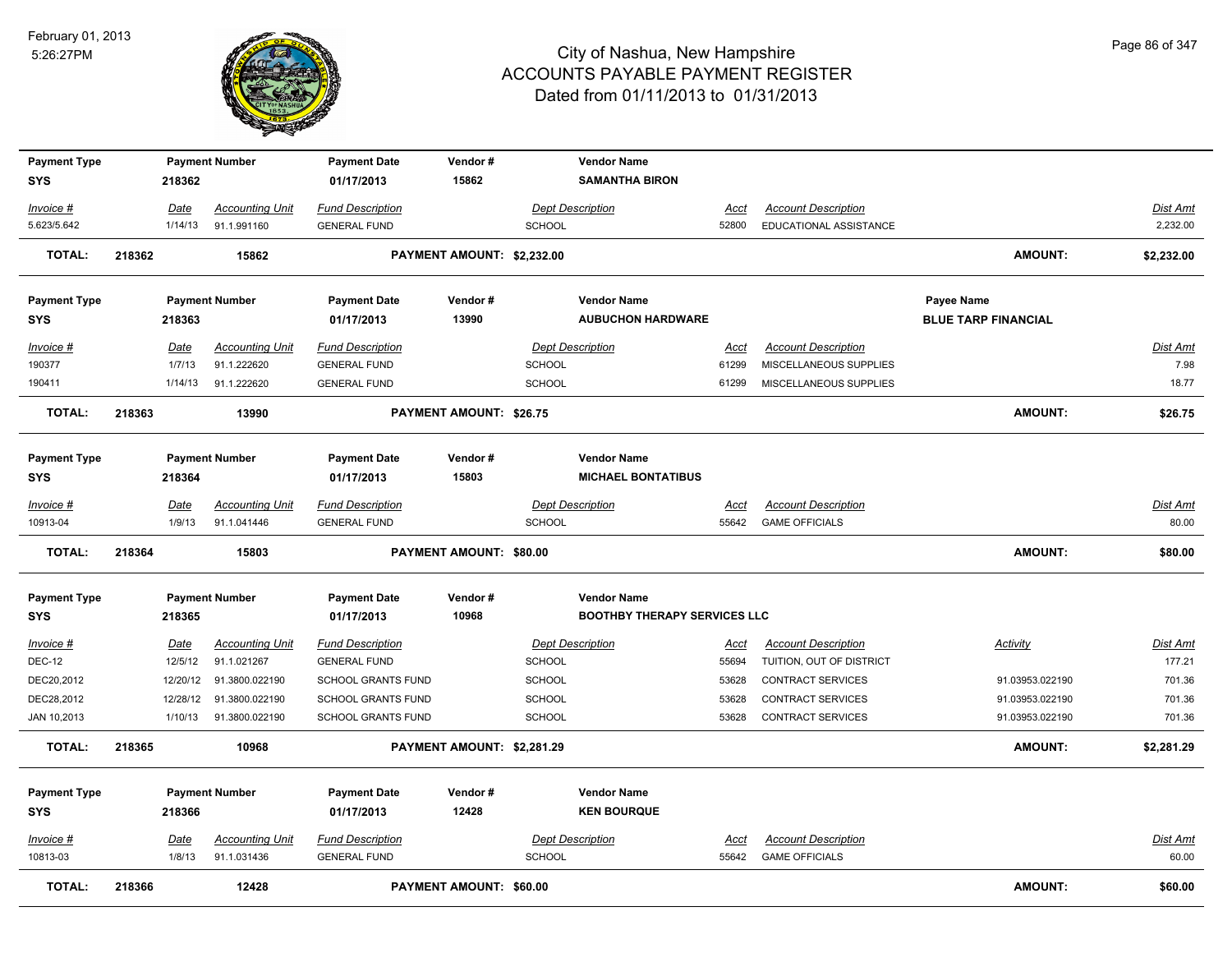

| <b>Payment Type</b> |        |             | <b>Payment Number</b>  | <b>Payment Date</b>       | Vendor#                        |               | <b>Vendor Name</b>                  |             |                            |                            |                 |
|---------------------|--------|-------------|------------------------|---------------------------|--------------------------------|---------------|-------------------------------------|-------------|----------------------------|----------------------------|-----------------|
| <b>SYS</b>          |        | 218362      |                        | 01/17/2013                | 15862                          |               | <b>SAMANTHA BIRON</b>               |             |                            |                            |                 |
| Invoice #           |        | <u>Date</u> | <b>Accounting Unit</b> | <b>Fund Description</b>   |                                |               | <b>Dept Description</b>             | Acct        | <b>Account Description</b> |                            | Dist Amt        |
| 5.623/5.642         |        | 1/14/13     | 91.1.991160            | <b>GENERAL FUND</b>       |                                | <b>SCHOOL</b> |                                     | 52800       | EDUCATIONAL ASSISTANCE     |                            | 2,232.00        |
| <b>TOTAL:</b>       | 218362 |             | 15862                  |                           | PAYMENT AMOUNT: \$2,232.00     |               |                                     |             |                            | <b>AMOUNT:</b>             | \$2,232.00      |
|                     |        |             |                        |                           |                                |               |                                     |             |                            |                            |                 |
| <b>Payment Type</b> |        |             | <b>Payment Number</b>  | <b>Payment Date</b>       | Vendor#                        |               | <b>Vendor Name</b>                  |             |                            | Payee Name                 |                 |
| <b>SYS</b>          |        | 218363      |                        | 01/17/2013                | 13990                          |               | <b>AUBUCHON HARDWARE</b>            |             |                            | <b>BLUE TARP FINANCIAL</b> |                 |
| Invoice #           |        | Date        | <b>Accounting Unit</b> | <b>Fund Description</b>   |                                |               | <b>Dept Description</b>             | Acct        | <b>Account Description</b> |                            | Dist Amt        |
| 190377              |        | 1/7/13      | 91.1.222620            | <b>GENERAL FUND</b>       |                                | <b>SCHOOL</b> |                                     | 61299       | MISCELLANEOUS SUPPLIES     |                            | 7.98            |
| 190411              |        | 1/14/13     | 91.1.222620            | <b>GENERAL FUND</b>       |                                | <b>SCHOOL</b> |                                     | 61299       | MISCELLANEOUS SUPPLIES     |                            | 18.77           |
| <b>TOTAL:</b>       | 218363 |             | 13990                  |                           | <b>PAYMENT AMOUNT: \$26.75</b> |               |                                     |             |                            | AMOUNT:                    | \$26.75         |
|                     |        |             |                        |                           |                                |               |                                     |             |                            |                            |                 |
| <b>Payment Type</b> |        |             | <b>Payment Number</b>  | <b>Payment Date</b>       | Vendor#                        |               | <b>Vendor Name</b>                  |             |                            |                            |                 |
| <b>SYS</b>          |        | 218364      |                        | 01/17/2013                | 15803                          |               | <b>MICHAEL BONTATIBUS</b>           |             |                            |                            |                 |
| Invoice #           |        | Date        | <b>Accounting Unit</b> | <b>Fund Description</b>   |                                |               | <b>Dept Description</b>             | Acct        | <b>Account Description</b> |                            | Dist Amt        |
| 10913-04            |        | 1/9/13      | 91.1.041446            | <b>GENERAL FUND</b>       |                                | <b>SCHOOL</b> |                                     | 55642       | <b>GAME OFFICIALS</b>      |                            | 80.00           |
| <b>TOTAL:</b>       | 218364 |             | 15803                  |                           | PAYMENT AMOUNT: \$80.00        |               |                                     |             |                            | AMOUNT:                    | \$80.00         |
| <b>Payment Type</b> |        |             | <b>Payment Number</b>  | <b>Payment Date</b>       | Vendor#                        |               | <b>Vendor Name</b>                  |             |                            |                            |                 |
| <b>SYS</b>          |        | 218365      |                        | 01/17/2013                | 10968                          |               | <b>BOOTHBY THERAPY SERVICES LLC</b> |             |                            |                            |                 |
| Invoice #           |        | <b>Date</b> | <b>Accounting Unit</b> | <b>Fund Description</b>   |                                |               | <b>Dept Description</b>             | <u>Acct</u> | <b>Account Description</b> | <b>Activity</b>            | <b>Dist Amt</b> |
| <b>DEC-12</b>       |        | 12/5/12     | 91.1.021267            | <b>GENERAL FUND</b>       |                                | SCHOOL        |                                     | 55694       | TUITION, OUT OF DISTRICT   |                            | 177.21          |
| DEC20,2012          |        | 12/20/12    | 91.3800.022190         | SCHOOL GRANTS FUND        |                                | SCHOOL        |                                     | 53628       | CONTRACT SERVICES          | 91.03953.022190            | 701.36          |
| DEC28,2012          |        | 12/28/12    | 91.3800.022190         | <b>SCHOOL GRANTS FUND</b> |                                | <b>SCHOOL</b> |                                     | 53628       | <b>CONTRACT SERVICES</b>   | 91.03953.022190            | 701.36          |
| JAN 10,2013         |        | 1/10/13     | 91.3800.022190         | <b>SCHOOL GRANTS FUND</b> |                                | SCHOOL        |                                     | 53628       | CONTRACT SERVICES          | 91.03953.022190            | 701.36          |
| TOTAL:              | 218365 |             | 10968                  |                           | PAYMENT AMOUNT: \$2,281.29     |               |                                     |             |                            | <b>AMOUNT:</b>             | \$2,281.29      |
| <b>Payment Type</b> |        |             | <b>Payment Number</b>  | <b>Payment Date</b>       | Vendor#                        |               | <b>Vendor Name</b>                  |             |                            |                            |                 |
| <b>SYS</b>          |        | 218366      |                        | 01/17/2013                | 12428                          |               | <b>KEN BOURQUE</b>                  |             |                            |                            |                 |
| Invoice #           |        | Date        | <b>Accounting Unit</b> | <b>Fund Description</b>   |                                |               | <b>Dept Description</b>             | <u>Acct</u> | <b>Account Description</b> |                            | Dist Amt        |
| 10813-03            |        | 1/8/13      | 91.1.031436            | <b>GENERAL FUND</b>       |                                | <b>SCHOOL</b> |                                     | 55642       | <b>GAME OFFICIALS</b>      |                            | 60.00           |
| <b>TOTAL:</b>       | 218366 |             | 12428                  |                           | PAYMENT AMOUNT: \$60.00        |               |                                     |             |                            | <b>AMOUNT:</b>             | \$60.00         |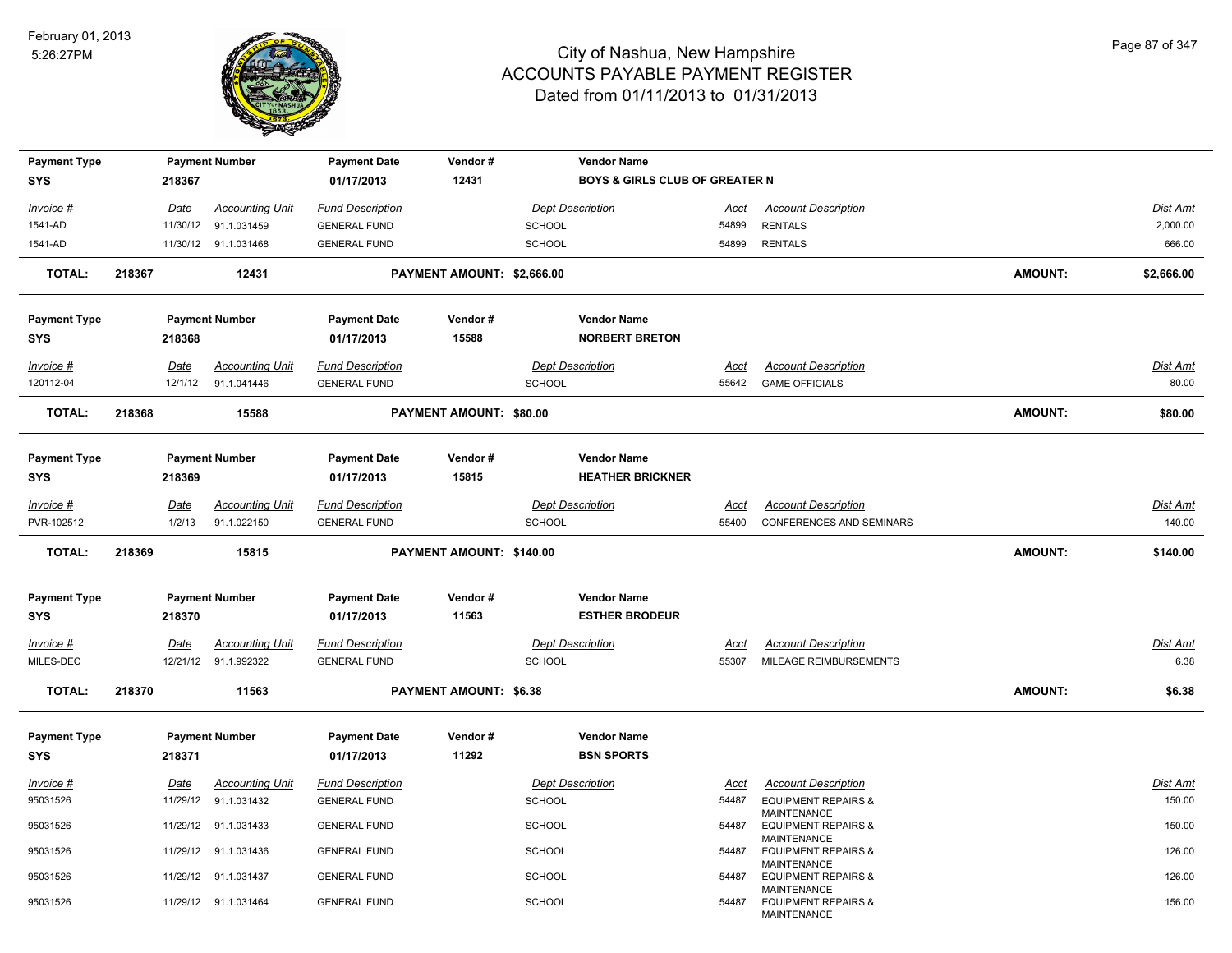

| <b>Payment Type</b>               |        |                 | <b>Payment Number</b>                          | <b>Payment Date</b>                            | Vendor#                       | <b>Vendor Name</b>                          |                      |                                                      |                |                          |
|-----------------------------------|--------|-----------------|------------------------------------------------|------------------------------------------------|-------------------------------|---------------------------------------------|----------------------|------------------------------------------------------|----------------|--------------------------|
| <b>SYS</b>                        |        | 218367          |                                                | 01/17/2013                                     | 12431                         | <b>BOYS &amp; GIRLS CLUB OF GREATER N</b>   |                      |                                                      |                |                          |
| Invoice #                         |        | <u>Date</u>     | <b>Accounting Unit</b>                         | <b>Fund Description</b>                        |                               | <b>Dept Description</b>                     | <u>Acct</u>          | <b>Account Description</b>                           |                | <b>Dist Amt</b>          |
| 1541-AD                           |        | 11/30/12        | 91.1.031459                                    | <b>GENERAL FUND</b>                            |                               | <b>SCHOOL</b>                               | 54899                | <b>RENTALS</b>                                       |                | 2,000.00                 |
| 1541-AD                           |        |                 | 11/30/12 91.1.031468                           | <b>GENERAL FUND</b>                            |                               | <b>SCHOOL</b>                               | 54899                | <b>RENTALS</b>                                       |                | 666.00                   |
| <b>TOTAL:</b>                     | 218367 |                 | 12431                                          |                                                | PAYMENT AMOUNT: \$2,666.00    |                                             |                      |                                                      | <b>AMOUNT:</b> | \$2,666.00               |
| <b>Payment Type</b>               |        |                 | <b>Payment Number</b>                          | <b>Payment Date</b>                            | Vendor#                       | <b>Vendor Name</b>                          |                      |                                                      |                |                          |
| <b>SYS</b>                        |        | 218368          |                                                | 01/17/2013                                     | 15588                         | <b>NORBERT BRETON</b>                       |                      |                                                      |                |                          |
|                                   |        |                 |                                                |                                                |                               |                                             |                      |                                                      |                |                          |
| Invoice #<br>120112-04            |        | Date<br>12/1/12 | <b>Accounting Unit</b><br>91.1.041446          | <b>Fund Description</b><br><b>GENERAL FUND</b> |                               | <b>Dept Description</b><br>SCHOOL           | Acct<br>55642        | <b>Account Description</b><br><b>GAME OFFICIALS</b>  |                | <b>Dist Amt</b><br>80.00 |
|                                   |        |                 |                                                |                                                |                               |                                             |                      |                                                      |                |                          |
| <b>TOTAL:</b>                     | 218368 |                 | 15588                                          |                                                | PAYMENT AMOUNT: \$80.00       |                                             |                      |                                                      | <b>AMOUNT:</b> | \$80.00                  |
| <b>Payment Type</b>               |        |                 | <b>Payment Number</b>                          | <b>Payment Date</b>                            | Vendor#                       | <b>Vendor Name</b>                          |                      |                                                      |                |                          |
| <b>SYS</b>                        |        | 218369          |                                                | 01/17/2013                                     | 15815                         | <b>HEATHER BRICKNER</b>                     |                      |                                                      |                |                          |
|                                   |        |                 |                                                |                                                |                               |                                             |                      |                                                      |                |                          |
| Invoice #                         |        | Date            | <b>Accounting Unit</b>                         | <b>Fund Description</b>                        |                               | <b>Dept Description</b>                     | Acct                 | <b>Account Description</b>                           |                | <b>Dist Amt</b>          |
| PVR-102512                        |        | 1/2/13          | 91.1.022150                                    | <b>GENERAL FUND</b>                            |                               | SCHOOL                                      | 55400                | <b>CONFERENCES AND SEMINARS</b>                      |                | 140.00                   |
| <b>TOTAL:</b>                     | 218369 |                 | 15815                                          |                                                | PAYMENT AMOUNT: \$140.00      |                                             |                      |                                                      | <b>AMOUNT:</b> | \$140.00                 |
|                                   |        |                 |                                                |                                                |                               |                                             |                      |                                                      |                |                          |
|                                   |        |                 |                                                |                                                |                               |                                             |                      |                                                      |                |                          |
| <b>Payment Type</b><br><b>SYS</b> |        | 218370          | <b>Payment Number</b>                          | <b>Payment Date</b><br>01/17/2013              | Vendor#<br>11563              | <b>Vendor Name</b><br><b>ESTHER BRODEUR</b> |                      |                                                      |                |                          |
|                                   |        |                 |                                                |                                                |                               |                                             |                      |                                                      |                |                          |
| $Invoice$ #<br>MILES-DEC          |        | Date            | <b>Accounting Unit</b><br>12/21/12 91.1.992322 | <b>Fund Description</b><br><b>GENERAL FUND</b> |                               | <b>Dept Description</b><br>SCHOOL           | <u>Acct</u><br>55307 | <b>Account Description</b><br>MILEAGE REIMBURSEMENTS |                | <b>Dist Amt</b><br>6.38  |
| <b>TOTAL:</b>                     | 218370 |                 | 11563                                          |                                                | <b>PAYMENT AMOUNT: \$6.38</b> |                                             |                      |                                                      | <b>AMOUNT:</b> | \$6.38                   |
|                                   |        |                 |                                                |                                                |                               |                                             |                      |                                                      |                |                          |
| <b>Payment Type</b>               |        |                 | <b>Payment Number</b>                          | <b>Payment Date</b>                            | Vendor#                       | <b>Vendor Name</b>                          |                      |                                                      |                |                          |
| <b>SYS</b>                        |        | 218371          |                                                | 01/17/2013                                     | 11292                         | <b>BSN SPORTS</b>                           |                      |                                                      |                |                          |
| Invoice #                         |        | Date            | <b>Accounting Unit</b>                         | <b>Fund Description</b>                        |                               | <b>Dept Description</b>                     | Acct                 | <b>Account Description</b>                           |                | Dist Amt                 |
| 95031526                          |        |                 | 11/29/12 91.1.031432                           | <b>GENERAL FUND</b>                            |                               | SCHOOL                                      | 54487                | <b>EQUIPMENT REPAIRS &amp;</b>                       |                | 150.00                   |
| 95031526                          |        |                 | 11/29/12 91.1.031433                           | <b>GENERAL FUND</b>                            |                               | <b>SCHOOL</b>                               | 54487                | <b>MAINTENANCE</b><br><b>EQUIPMENT REPAIRS &amp;</b> |                | 150.00                   |
| 95031526                          |        |                 | 11/29/12 91.1.031436                           | <b>GENERAL FUND</b>                            |                               | <b>SCHOOL</b>                               | 54487                | MAINTENANCE<br><b>EQUIPMENT REPAIRS &amp;</b>        |                | 126.00                   |
| 95031526                          |        |                 | 11/29/12 91.1.031437                           | <b>GENERAL FUND</b>                            |                               | <b>SCHOOL</b>                               | 54487                | MAINTENANCE<br><b>EQUIPMENT REPAIRS &amp;</b>        |                | 126.00                   |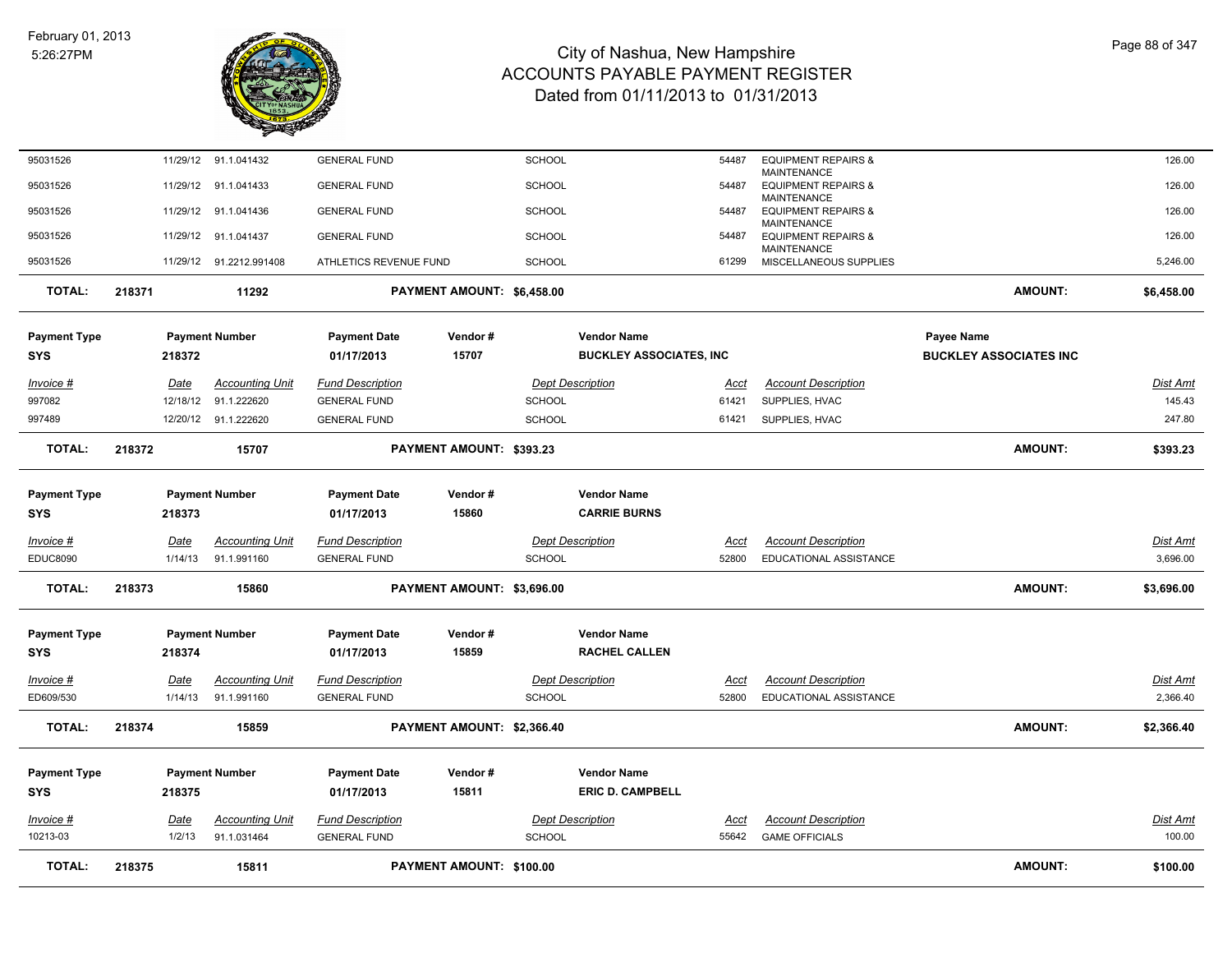

| <b>TOTAL:</b>       | 218375                  | 15811                                 |                                                | PAYMENT AMOUNT: \$100.00   |               |                                                      |                      |                                                              | <b>AMOUNT:</b>                | \$100.00                  |
|---------------------|-------------------------|---------------------------------------|------------------------------------------------|----------------------------|---------------|------------------------------------------------------|----------------------|--------------------------------------------------------------|-------------------------------|---------------------------|
| 10213-03            | 1/2/13                  | 91.1.031464                           | <b>GENERAL FUND</b>                            |                            | <b>SCHOOL</b> |                                                      | 55642                | <b>GAME OFFICIALS</b>                                        |                               | 100.00                    |
| Invoice #           | Date                    | <b>Accounting Unit</b>                | <b>Fund Description</b>                        |                            |               | <b>Dept Description</b>                              | Acct                 | <b>Account Description</b>                                   |                               | Dist Amt                  |
| <b>SYS</b>          | 218375                  |                                       | 01/17/2013                                     | 15811                      |               | <b>ERIC D. CAMPBELL</b>                              |                      |                                                              |                               |                           |
| <b>Payment Type</b> |                         | <b>Payment Number</b>                 | <b>Payment Date</b>                            | Vendor#                    |               | <b>Vendor Name</b>                                   |                      |                                                              |                               |                           |
| <b>TOTAL:</b>       | 218374                  | 15859                                 |                                                | PAYMENT AMOUNT: \$2,366.40 |               |                                                      |                      |                                                              | <b>AMOUNT:</b>                | \$2,366.40                |
| ED609/530           | 1/14/13                 | 91.1.991160                           | <b>GENERAL FUND</b>                            |                            | <b>SCHOOL</b> |                                                      | 52800                | EDUCATIONAL ASSISTANCE                                       |                               | 2,366.40                  |
| <b>Invoice #</b>    | <u>Date</u>             | Accounting Unit                       | <b>Fund Description</b>                        |                            |               | <b>Dept Description</b>                              | <u>Acct</u>          | <b>Account Description</b>                                   |                               | <b>Dist Amt</b>           |
| <b>SYS</b>          | 218374                  |                                       | 01/17/2013                                     | 15859                      |               | <b>RACHEL CALLEN</b>                                 |                      |                                                              |                               |                           |
| <b>Payment Type</b> |                         | <b>Payment Number</b>                 | <b>Payment Date</b>                            | Vendor#                    |               | <b>Vendor Name</b>                                   |                      |                                                              |                               |                           |
| <b>TOTAL:</b>       | 218373                  | 15860                                 |                                                | PAYMENT AMOUNT: \$3,696.00 |               |                                                      |                      |                                                              | <b>AMOUNT:</b>                | \$3,696.00                |
| <b>EDUC8090</b>     | 1/14/13                 | 91.1.991160                           | <b>GENERAL FUND</b>                            |                            | <b>SCHOOL</b> |                                                      | 52800                | EDUCATIONAL ASSISTANCE                                       |                               | 3,696.00                  |
| Invoice #           | <u>Date</u>             | <b>Accounting Unit</b>                | <b>Fund Description</b>                        |                            |               | <b>Dept Description</b>                              | Acct                 | <b>Account Description</b>                                   |                               | Dist Amt                  |
| <b>SYS</b>          | 218373                  |                                       | 01/17/2013                                     | 15860                      |               | <b>CARRIE BURNS</b>                                  |                      |                                                              |                               |                           |
| <b>Payment Type</b> |                         | <b>Payment Number</b>                 | <b>Payment Date</b>                            | Vendor#                    |               | <b>Vendor Name</b>                                   |                      |                                                              |                               |                           |
| <b>TOTAL:</b>       | 218372                  | 15707                                 |                                                | PAYMENT AMOUNT: \$393.23   |               |                                                      |                      |                                                              | <b>AMOUNT:</b>                | \$393.23                  |
| 997489              |                         | 12/20/12 91.1.222620                  | <b>GENERAL FUND</b>                            |                            | <b>SCHOOL</b> |                                                      | 61421                | SUPPLIES, HVAC                                               |                               | 247.80                    |
| Invoice #<br>997082 | <u>Date</u><br>12/18/12 | <u>Accounting Unit</u><br>91.1.222620 | <b>Fund Description</b><br><b>GENERAL FUND</b> |                            | <b>SCHOOL</b> | <b>Dept Description</b>                              | <u>Acct</u><br>61421 | <b>Account Description</b><br>SUPPLIES, HVAC                 |                               | <u>Dist Amt</u><br>145.43 |
| <b>SYS</b>          | 218372                  |                                       | 01/17/2013                                     |                            |               |                                                      |                      |                                                              | <b>BUCKLEY ASSOCIATES INC</b> |                           |
| <b>Payment Type</b> |                         | <b>Payment Number</b>                 | <b>Payment Date</b>                            | Vendor#<br>15707           |               | <b>Vendor Name</b><br><b>BUCKLEY ASSOCIATES, INC</b> |                      |                                                              | <b>Payee Name</b>             |                           |
| <b>TOTAL:</b>       | 218371                  | 11292                                 |                                                | PAYMENT AMOUNT: \$6,458.00 |               |                                                      |                      |                                                              | <b>AMOUNT:</b>                | \$6,458.00                |
| 95031526            |                         | 11/29/12 91.2212.991408               | ATHLETICS REVENUE FUND                         |                            | <b>SCHOOL</b> |                                                      | 61299                | MISCELLANEOUS SUPPLIES                                       |                               | 5,246.00                  |
| 95031526            |                         | 11/29/12 91.1.041437                  | <b>GENERAL FUND</b>                            |                            | <b>SCHOOL</b> |                                                      | 54487                | MAINTENANCE<br><b>EQUIPMENT REPAIRS &amp;</b><br>MAINTENANCE |                               | 126.00                    |
| 95031526            | 11/29/12                | 91.1.041436                           | <b>GENERAL FUND</b>                            |                            | <b>SCHOOL</b> |                                                      | 54487                | <b>MAINTENANCE</b><br><b>EQUIPMENT REPAIRS &amp;</b>         |                               | 126.00                    |
| 95031526            |                         | 11/29/12 91.1.041433                  | <b>GENERAL FUND</b>                            |                            | <b>SCHOOL</b> |                                                      | 54487                | MAINTENANCE<br><b>EQUIPMENT REPAIRS &amp;</b>                |                               | 126.00                    |
| 95031526            |                         | 11/29/12 91.1.041432                  | <b>GENERAL FUND</b>                            |                            | <b>SCHOOL</b> |                                                      | 54487                | <b>EQUIPMENT REPAIRS &amp;</b>                               |                               | 126.00                    |
|                     |                         |                                       |                                                |                            |               |                                                      |                      |                                                              |                               |                           |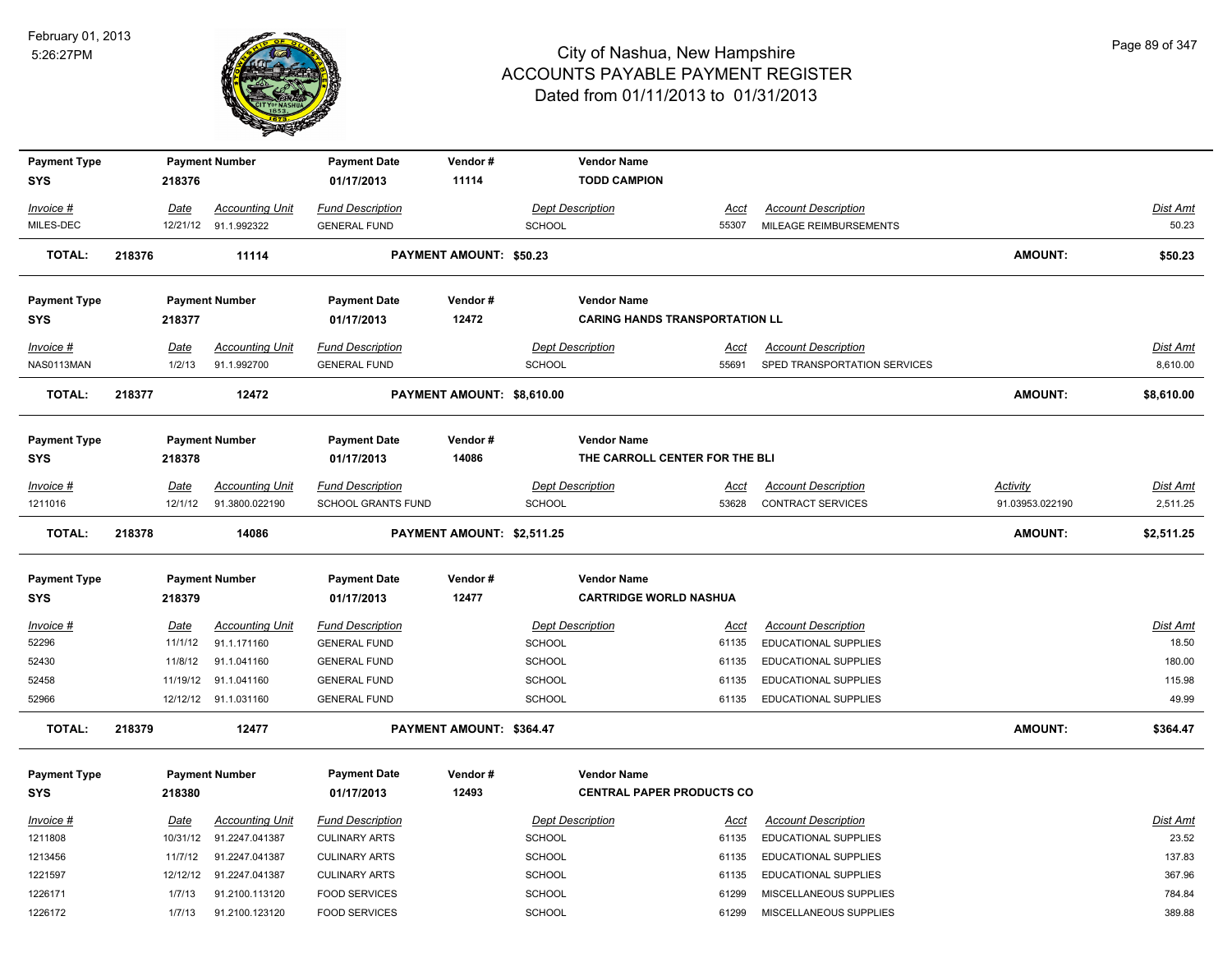

| <b>Payment Type</b> |        |             | <b>Payment Number</b>  | <b>Payment Date</b><br>01/17/2013 | Vendor#<br>11114           |               | <b>Vendor Name</b><br><b>TODD CAMPION</b> |             |                              |                 |            |
|---------------------|--------|-------------|------------------------|-----------------------------------|----------------------------|---------------|-------------------------------------------|-------------|------------------------------|-----------------|------------|
| <b>SYS</b>          |        | 218376      |                        |                                   |                            |               |                                           |             |                              |                 |            |
| Invoice #           |        | Date        | <b>Accounting Unit</b> | <b>Fund Description</b>           |                            |               | <b>Dept Description</b>                   | Acct        | <b>Account Description</b>   |                 | Dist Amt   |
| MILES-DEC           |        |             | 12/21/12 91.1.992322   | <b>GENERAL FUND</b>               |                            | <b>SCHOOL</b> |                                           | 55307       | MILEAGE REIMBURSEMENTS       |                 | 50.23      |
| <b>TOTAL:</b>       | 218376 |             | 11114                  |                                   | PAYMENT AMOUNT: \$50.23    |               |                                           |             |                              | <b>AMOUNT:</b>  | \$50.23    |
| <b>Payment Type</b> |        |             | <b>Payment Number</b>  | <b>Payment Date</b>               | Vendor#                    |               | <b>Vendor Name</b>                        |             |                              |                 |            |
| <b>SYS</b>          |        | 218377      |                        | 01/17/2013                        | 12472                      |               | <b>CARING HANDS TRANSPORTATION LL</b>     |             |                              |                 |            |
| Invoice #           |        | <u>Date</u> | <b>Accounting Unit</b> | <b>Fund Description</b>           |                            |               | <b>Dept Description</b>                   | <u>Acct</u> | <b>Account Description</b>   |                 | Dist Amt   |
| NAS0113MAN          |        | 1/2/13      | 91.1.992700            | <b>GENERAL FUND</b>               |                            | <b>SCHOOL</b> |                                           | 55691       | SPED TRANSPORTATION SERVICES |                 | 8,610.00   |
| <b>TOTAL:</b>       | 218377 |             | 12472                  |                                   | PAYMENT AMOUNT: \$8,610.00 |               |                                           |             |                              | <b>AMOUNT:</b>  | \$8,610.00 |
| <b>Payment Type</b> |        |             | <b>Payment Number</b>  | <b>Payment Date</b>               | Vendor#                    |               | <b>Vendor Name</b>                        |             |                              |                 |            |
| <b>SYS</b>          |        | 218378      |                        | 01/17/2013                        | 14086                      |               | THE CARROLL CENTER FOR THE BLI            |             |                              |                 |            |
| Invoice #           |        | Date        | <b>Accounting Unit</b> | <b>Fund Description</b>           |                            |               | <b>Dept Description</b>                   | Acct        | <b>Account Description</b>   | Activity        | Dist Amt   |
| 1211016             |        | 12/1/12     | 91.3800.022190         | <b>SCHOOL GRANTS FUND</b>         |                            | <b>SCHOOL</b> |                                           | 53628       | <b>CONTRACT SERVICES</b>     | 91.03953.022190 | 2,511.25   |
| <b>TOTAL:</b>       | 218378 |             | 14086                  |                                   | PAYMENT AMOUNT: \$2,511.25 |               |                                           |             |                              | AMOUNT:         | \$2,511.25 |
| <b>Payment Type</b> |        |             | <b>Payment Number</b>  | <b>Payment Date</b>               | Vendor#                    |               | <b>Vendor Name</b>                        |             |                              |                 |            |
| <b>SYS</b>          |        | 218379      |                        | 01/17/2013                        | 12477                      |               | <b>CARTRIDGE WORLD NASHUA</b>             |             |                              |                 |            |
| $Invoice$ #         |        | <u>Date</u> | <b>Accounting Unit</b> | <b>Fund Description</b>           |                            |               | <b>Dept Description</b>                   | <u>Acct</u> | <b>Account Description</b>   |                 | Dist Amt   |
| 52296               |        | 11/1/12     | 91.1.171160            | <b>GENERAL FUND</b>               |                            | <b>SCHOOL</b> |                                           | 61135       | EDUCATIONAL SUPPLIES         |                 | 18.50      |
| 52430               |        | 11/8/12     | 91.1.041160            | <b>GENERAL FUND</b>               |                            | <b>SCHOOL</b> |                                           | 61135       | EDUCATIONAL SUPPLIES         |                 | 180.00     |
| 52458               |        |             | 11/19/12 91.1.041160   | <b>GENERAL FUND</b>               |                            | <b>SCHOOL</b> |                                           | 61135       | EDUCATIONAL SUPPLIES         |                 | 115.98     |
| 52966               |        |             | 12/12/12 91.1.031160   | <b>GENERAL FUND</b>               |                            | <b>SCHOOL</b> |                                           | 61135       | EDUCATIONAL SUPPLIES         |                 | 49.99      |
| <b>TOTAL:</b>       | 218379 |             | 12477                  |                                   | PAYMENT AMOUNT: \$364.47   |               |                                           |             |                              | <b>AMOUNT:</b>  | \$364.47   |
| <b>Payment Type</b> |        |             | <b>Payment Number</b>  | <b>Payment Date</b>               | Vendor#                    |               | <b>Vendor Name</b>                        |             |                              |                 |            |
| <b>SYS</b>          |        | 218380      |                        | 01/17/2013                        | 12493                      |               | <b>CENTRAL PAPER PRODUCTS CO</b>          |             |                              |                 |            |
| Invoice #           |        | Date        | <b>Accounting Unit</b> | <b>Fund Description</b>           |                            |               | <b>Dept Description</b>                   | <u>Acct</u> | <b>Account Description</b>   |                 | Dist Amt   |
| 1211808             |        | 10/31/12    | 91.2247.041387         | <b>CULINARY ARTS</b>              |                            | <b>SCHOOL</b> |                                           | 61135       | EDUCATIONAL SUPPLIES         |                 | 23.52      |
| 1213456             |        | 11/7/12     | 91.2247.041387         | <b>CULINARY ARTS</b>              |                            | <b>SCHOOL</b> |                                           | 61135       | <b>EDUCATIONAL SUPPLIES</b>  |                 | 137.83     |
| 1221597             |        | 12/12/12    | 91.2247.041387         | <b>CULINARY ARTS</b>              |                            | <b>SCHOOL</b> |                                           | 61135       | EDUCATIONAL SUPPLIES         |                 | 367.96     |
| 1226171             |        | 1/7/13      | 91.2100.113120         | <b>FOOD SERVICES</b>              |                            | <b>SCHOOL</b> |                                           | 61299       | MISCELLANEOUS SUPPLIES       |                 | 784.84     |
| 1226172             |        | 1/7/13      | 91.2100.123120         | <b>FOOD SERVICES</b>              |                            | <b>SCHOOL</b> |                                           | 61299       | MISCELLANEOUS SUPPLIES       |                 | 389.88     |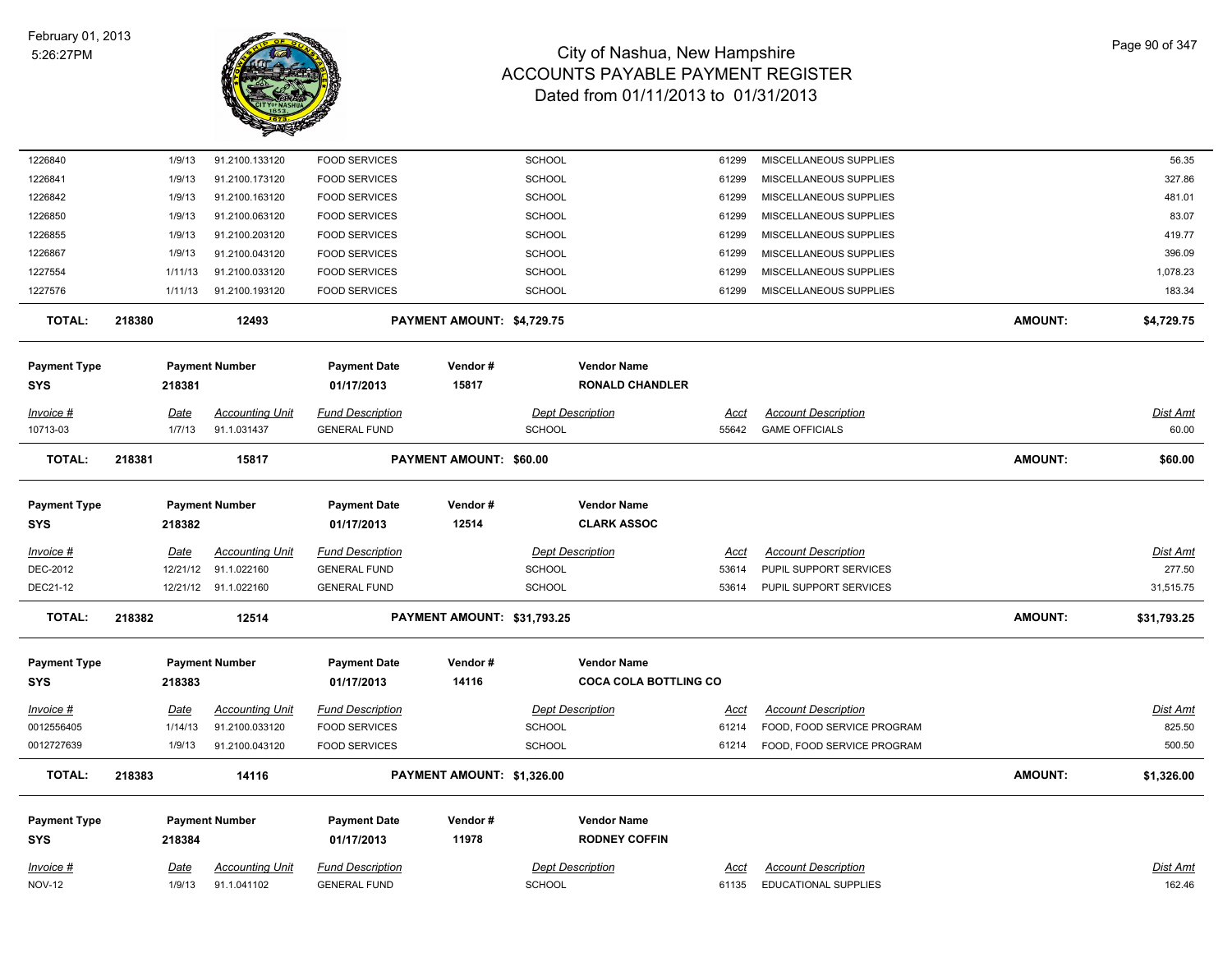

| 1226840                   |        | 1/9/13                 | 91.2100.133120                           | <b>FOOD SERVICES</b>                            |                             | SCHOOL        |                              | 61299                | MISCELLANEOUS SUPPLIES                                   |                | 56.35              |
|---------------------------|--------|------------------------|------------------------------------------|-------------------------------------------------|-----------------------------|---------------|------------------------------|----------------------|----------------------------------------------------------|----------------|--------------------|
| 1226841                   |        | 1/9/13                 | 91.2100.173120                           | <b>FOOD SERVICES</b>                            |                             | <b>SCHOOL</b> |                              | 61299                | MISCELLANEOUS SUPPLIES                                   |                | 327.86             |
| 1226842                   |        | 1/9/13                 | 91.2100.163120                           | <b>FOOD SERVICES</b>                            |                             | <b>SCHOOL</b> |                              | 61299                | MISCELLANEOUS SUPPLIES                                   |                | 481.01             |
| 1226850                   |        | 1/9/13                 | 91.2100.063120                           | <b>FOOD SERVICES</b>                            |                             | <b>SCHOOL</b> |                              | 61299                | MISCELLANEOUS SUPPLIES                                   |                | 83.07              |
| 1226855                   |        | 1/9/13                 | 91.2100.203120                           | <b>FOOD SERVICES</b>                            |                             | SCHOOL        |                              | 61299                | MISCELLANEOUS SUPPLIES                                   |                | 419.77             |
| 1226867                   |        | 1/9/13                 | 91.2100.043120                           | <b>FOOD SERVICES</b>                            |                             | SCHOOL        |                              | 61299                | MISCELLANEOUS SUPPLIES                                   |                | 396.09             |
| 1227554                   |        | 1/11/13                | 91.2100.033120                           | <b>FOOD SERVICES</b>                            |                             | <b>SCHOOL</b> |                              | 61299                | MISCELLANEOUS SUPPLIES                                   |                | 1,078.23           |
| 1227576                   |        | 1/11/13                | 91.2100.193120                           | <b>FOOD SERVICES</b>                            |                             | <b>SCHOOL</b> |                              | 61299                | MISCELLANEOUS SUPPLIES                                   |                | 183.34             |
| <b>TOTAL:</b>             | 218380 |                        | 12493                                    |                                                 | PAYMENT AMOUNT: \$4,729.75  |               |                              |                      |                                                          | <b>AMOUNT:</b> | \$4,729.75         |
| <b>Payment Type</b>       |        |                        | <b>Payment Number</b>                    | <b>Payment Date</b>                             | Vendor#                     |               | <b>Vendor Name</b>           |                      |                                                          |                |                    |
| SYS                       |        | 218381                 |                                          | 01/17/2013                                      | 15817                       |               | <b>RONALD CHANDLER</b>       |                      |                                                          |                |                    |
| Invoice #                 |        | Date                   | <b>Accounting Unit</b>                   | <b>Fund Description</b>                         |                             |               | <b>Dept Description</b>      | Acct                 | <b>Account Description</b>                               |                | <u>Dist Amt</u>    |
| 10713-03                  |        | 1/7/13                 | 91.1.031437                              | <b>GENERAL FUND</b>                             |                             | <b>SCHOOL</b> |                              | 55642                | <b>GAME OFFICIALS</b>                                    |                | 60.00              |
| <b>TOTAL:</b>             | 218381 |                        | 15817                                    |                                                 | PAYMENT AMOUNT: \$60.00     |               |                              |                      |                                                          | <b>AMOUNT:</b> | \$60.00            |
| <b>Payment Type</b>       |        |                        | <b>Payment Number</b>                    | <b>Payment Date</b>                             | Vendor#                     |               | <b>Vendor Name</b>           |                      |                                                          |                |                    |
| SYS                       |        | 218382                 |                                          | 01/17/2013                                      | 12514                       |               | <b>CLARK ASSOC</b>           |                      |                                                          |                |                    |
| Invoice #                 |        | <b>Date</b>            | <b>Accounting Unit</b>                   | <b>Fund Description</b>                         |                             |               | <b>Dept Description</b>      | Acct                 | <b>Account Description</b>                               |                | <u>Dist Amt</u>    |
| DEC-2012                  |        | 12/21/12               | 91.1.022160                              | <b>GENERAL FUND</b>                             |                             | <b>SCHOOL</b> |                              | 53614                | PUPIL SUPPORT SERVICES                                   |                | 277.50             |
| DEC21-12                  |        |                        | 12/21/12 91.1.022160                     | <b>GENERAL FUND</b>                             |                             | <b>SCHOOL</b> |                              | 53614                | PUPIL SUPPORT SERVICES                                   |                | 31,515.75          |
| <b>TOTAL:</b>             | 218382 |                        | 12514                                    |                                                 | PAYMENT AMOUNT: \$31,793.25 |               |                              |                      |                                                          | <b>AMOUNT:</b> | \$31,793.25        |
| <b>Payment Type</b>       |        |                        | <b>Payment Number</b>                    | <b>Payment Date</b>                             | Vendor#                     |               | <b>Vendor Name</b>           |                      |                                                          |                |                    |
| SYS                       |        | 218383                 |                                          | 01/17/2013                                      | 14116                       |               | <b>COCA COLA BOTTLING CO</b> |                      |                                                          |                |                    |
|                           |        |                        |                                          |                                                 |                             |               |                              |                      |                                                          |                |                    |
| $Invoice$ #<br>0012556405 |        | <u>Date</u><br>1/14/13 | <b>Accounting Unit</b><br>91.2100.033120 | <b>Fund Description</b><br><b>FOOD SERVICES</b> |                             | <b>SCHOOL</b> | <b>Dept Description</b>      | <u>Acct</u><br>61214 | <b>Account Description</b><br>FOOD, FOOD SERVICE PROGRAM |                | Dist Amt<br>825.50 |
| 0012727639                |        | 1/9/13                 | 91.2100.043120                           | <b>FOOD SERVICES</b>                            |                             | <b>SCHOOL</b> |                              | 61214                | FOOD, FOOD SERVICE PROGRAM                               |                | 500.50             |
|                           |        |                        |                                          |                                                 |                             |               |                              |                      |                                                          |                |                    |
| <b>TOTAL:</b>             | 218383 |                        | 14116                                    |                                                 | PAYMENT AMOUNT: \$1,326.00  |               |                              |                      |                                                          | <b>AMOUNT:</b> | \$1,326.00         |
| <b>Payment Type</b>       |        |                        | <b>Payment Number</b>                    | <b>Payment Date</b>                             | Vendor#                     |               | <b>Vendor Name</b>           |                      |                                                          |                |                    |
| SYS                       |        | 218384                 |                                          | 01/17/2013                                      | 11978                       |               | <b>RODNEY COFFIN</b>         |                      |                                                          |                |                    |
| Invoice #                 |        | <b>Date</b>            | <b>Accounting Unit</b>                   | <b>Fund Description</b>                         |                             |               | <b>Dept Description</b>      | Acct                 | <b>Account Description</b>                               |                | Dist Amt           |
| <b>NOV-12</b>             |        | 1/9/13                 | 91.1.041102                              | <b>GENERAL FUND</b>                             |                             | <b>SCHOOL</b> |                              | 61135                | <b>EDUCATIONAL SUPPLIES</b>                              |                | 162.46             |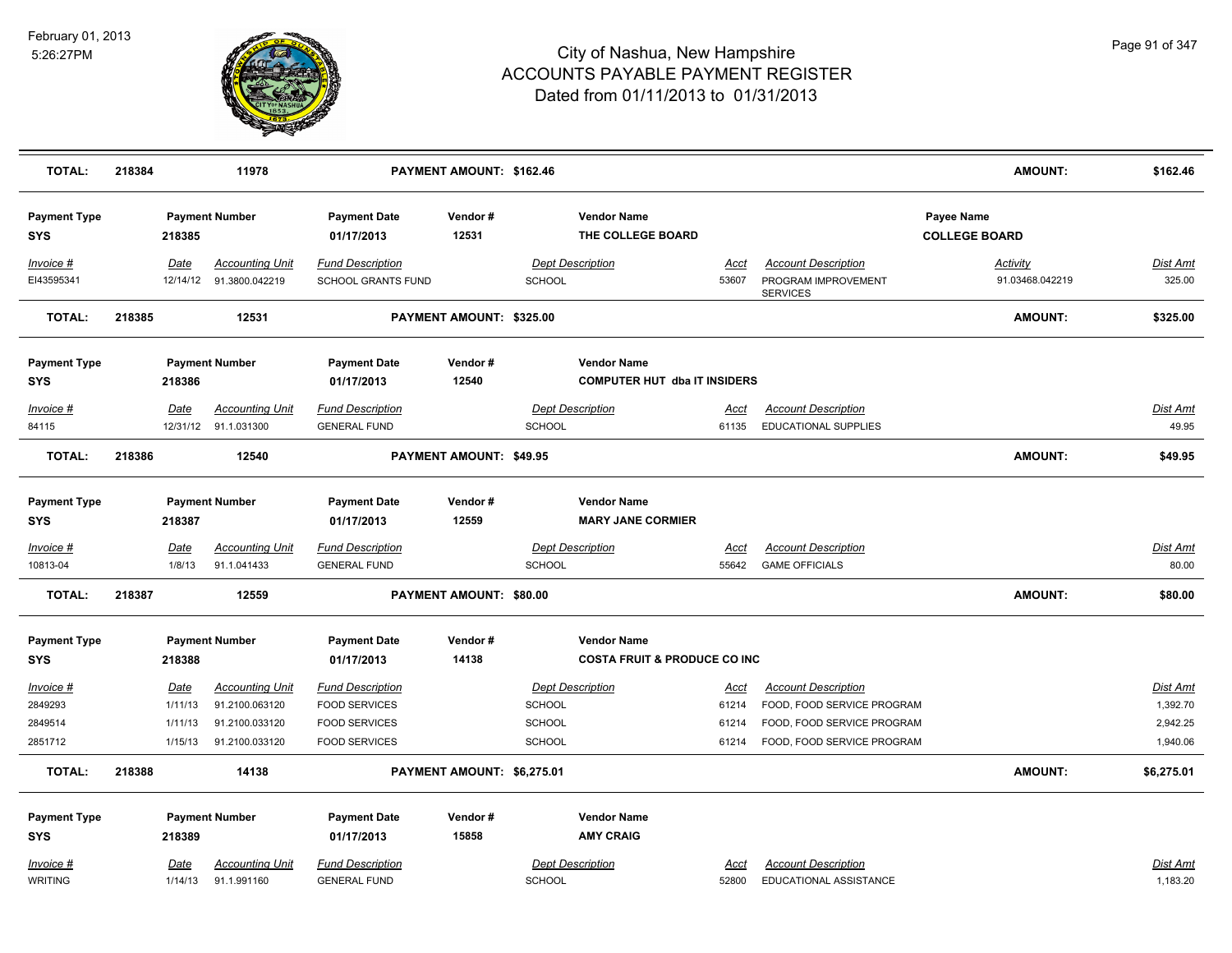

| TOTAL:                                     | 218384 |                                              | 11978                                                                        |                                                                                                 | PAYMENT AMOUNT: \$162.46       |                                          |                                                                |                                        |                                                                                                                      | <b>AMOUNT:</b>                     | \$162.46                                            |
|--------------------------------------------|--------|----------------------------------------------|------------------------------------------------------------------------------|-------------------------------------------------------------------------------------------------|--------------------------------|------------------------------------------|----------------------------------------------------------------|----------------------------------------|----------------------------------------------------------------------------------------------------------------------|------------------------------------|-----------------------------------------------------|
| <b>Payment Type</b><br><b>SYS</b>          |        | 218385                                       | <b>Payment Number</b>                                                        | <b>Payment Date</b><br>01/17/2013                                                               | Vendor#<br>12531               |                                          | <b>Vendor Name</b><br>THE COLLEGE BOARD                        |                                        |                                                                                                                      | Payee Name<br><b>COLLEGE BOARD</b> |                                                     |
| Invoice #<br>EI43595341                    |        | Date                                         | <b>Accounting Unit</b><br>12/14/12 91.3800.042219                            | <b>Fund Description</b><br>SCHOOL GRANTS FUND                                                   |                                | SCHOOL                                   | <b>Dept Description</b>                                        | Acct<br>53607                          | <b>Account Description</b><br>PROGRAM IMPROVEMENT<br><b>SERVICES</b>                                                 | Activity<br>91.03468.042219        | Dist Amt<br>325.00                                  |
| <b>TOTAL:</b>                              | 218385 |                                              | 12531                                                                        |                                                                                                 | PAYMENT AMOUNT: \$325.00       |                                          |                                                                |                                        |                                                                                                                      | <b>AMOUNT:</b>                     | \$325.00                                            |
| <b>Payment Type</b><br><b>SYS</b>          |        | 218386                                       | <b>Payment Number</b>                                                        | <b>Payment Date</b><br>01/17/2013                                                               | Vendor#<br>12540               |                                          | <b>Vendor Name</b><br><b>COMPUTER HUT dba IT INSIDERS</b>      |                                        |                                                                                                                      |                                    |                                                     |
| $Invoice$ #<br>84115                       |        | <u>Date</u>                                  | <b>Accounting Unit</b><br>12/31/12 91.1.031300                               | <b>Fund Description</b><br><b>GENERAL FUND</b>                                                  |                                | SCHOOL                                   | <b>Dept Description</b>                                        | <u>Acct</u><br>61135                   | <b>Account Description</b><br><b>EDUCATIONAL SUPPLIES</b>                                                            |                                    | <b>Dist Amt</b><br>49.95                            |
| <b>TOTAL:</b>                              | 218386 |                                              | 12540                                                                        |                                                                                                 | <b>PAYMENT AMOUNT: \$49.95</b> |                                          |                                                                |                                        |                                                                                                                      | <b>AMOUNT:</b>                     | \$49.95                                             |
| <b>Payment Type</b><br><b>SYS</b>          |        | 218387                                       | <b>Payment Number</b>                                                        | <b>Payment Date</b><br>01/17/2013                                                               | Vendor#<br>12559               |                                          | <b>Vendor Name</b><br><b>MARY JANE CORMIER</b>                 |                                        |                                                                                                                      |                                    |                                                     |
| Invoice #<br>10813-04                      |        | Date<br>1/8/13                               | <b>Accounting Unit</b><br>91.1.041433                                        | <b>Fund Description</b><br><b>GENERAL FUND</b>                                                  |                                | SCHOOL                                   | <b>Dept Description</b>                                        | Acct<br>55642                          | <b>Account Description</b><br><b>GAME OFFICIALS</b>                                                                  |                                    | Dist Amt<br>80.00                                   |
| <b>TOTAL:</b>                              | 218387 |                                              | 12559                                                                        |                                                                                                 | PAYMENT AMOUNT: \$80.00        |                                          |                                                                |                                        |                                                                                                                      | <b>AMOUNT:</b>                     | \$80.00                                             |
| <b>Payment Type</b><br><b>SYS</b>          |        | 218388                                       | <b>Payment Number</b>                                                        | <b>Payment Date</b><br>01/17/2013                                                               | Vendor#<br>14138               |                                          | <b>Vendor Name</b><br><b>COSTA FRUIT &amp; PRODUCE CO INC.</b> |                                        |                                                                                                                      |                                    |                                                     |
| Invoice #<br>2849293<br>2849514<br>2851712 |        | <b>Date</b><br>1/11/13<br>1/11/13<br>1/15/13 | <b>Accounting Unit</b><br>91.2100.063120<br>91.2100.033120<br>91.2100.033120 | <b>Fund Description</b><br><b>FOOD SERVICES</b><br><b>FOOD SERVICES</b><br><b>FOOD SERVICES</b> |                                | SCHOOL<br><b>SCHOOL</b><br><b>SCHOOL</b> | <b>Dept Description</b>                                        | <u>Acct</u><br>61214<br>61214<br>61214 | <b>Account Description</b><br>FOOD, FOOD SERVICE PROGRAM<br>FOOD, FOOD SERVICE PROGRAM<br>FOOD, FOOD SERVICE PROGRAM |                                    | <u>Dist Amt</u><br>1,392.70<br>2,942.25<br>1,940.06 |
| <b>TOTAL:</b>                              | 218388 |                                              | 14138                                                                        |                                                                                                 | PAYMENT AMOUNT: \$6,275.01     |                                          |                                                                |                                        |                                                                                                                      | <b>AMOUNT:</b>                     | \$6,275.01                                          |
| <b>Payment Type</b><br><b>SYS</b>          |        | 218389                                       | <b>Payment Number</b>                                                        | <b>Payment Date</b><br>01/17/2013                                                               | Vendor#<br>15858               |                                          | <b>Vendor Name</b><br><b>AMY CRAIG</b>                         |                                        |                                                                                                                      |                                    |                                                     |
| Invoice #<br><b>WRITING</b>                |        | <u>Date</u><br>1/14/13                       | <b>Accounting Unit</b><br>91.1.991160                                        | <b>Fund Description</b><br><b>GENERAL FUND</b>                                                  |                                | <b>SCHOOL</b>                            | <b>Dept Description</b>                                        | Acct<br>52800                          | <b>Account Description</b><br>EDUCATIONAL ASSISTANCE                                                                 |                                    | <u>Dist Amt</u><br>1,183.20                         |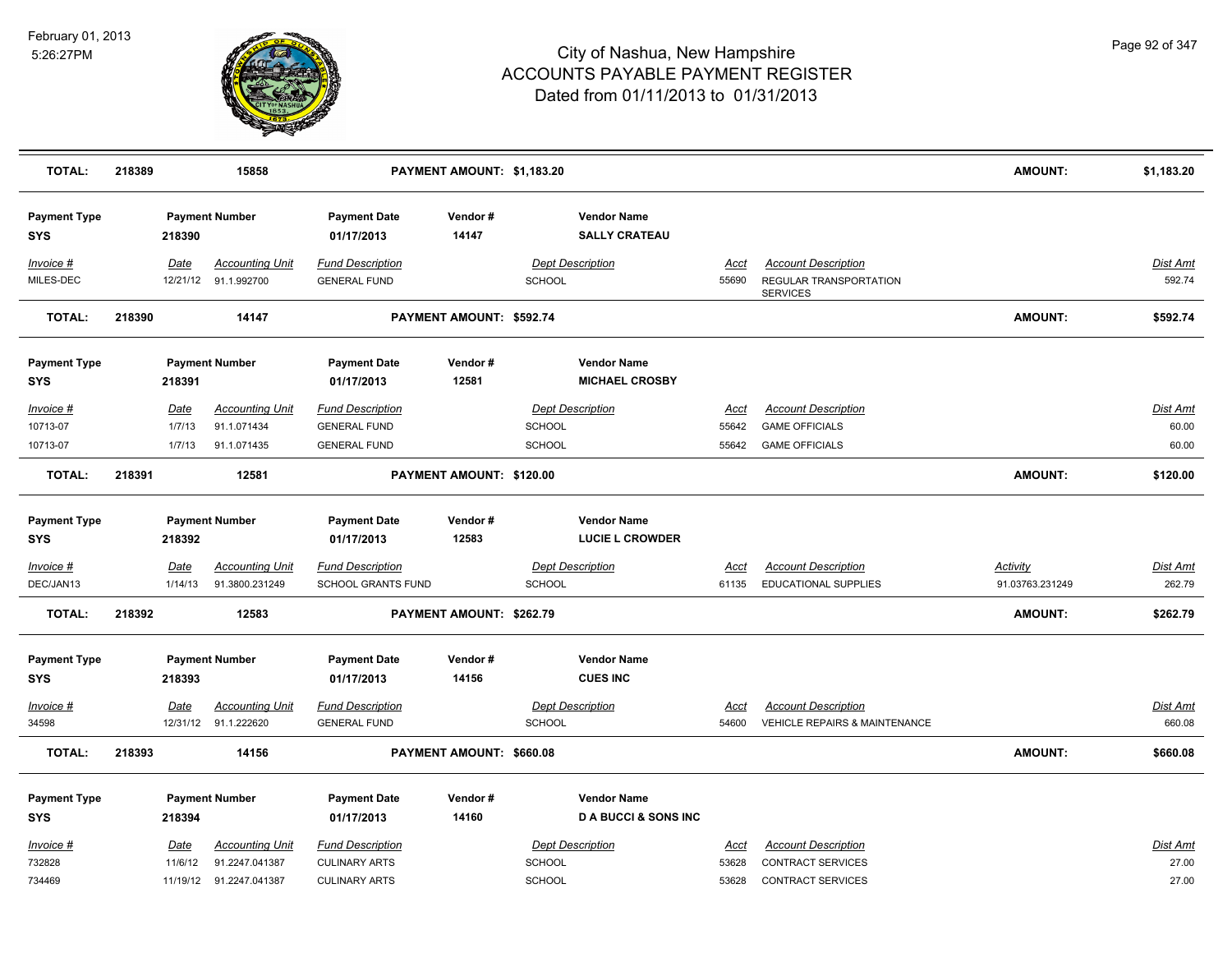

| <b>TOTAL:</b>                     | 218389 |                                 | 15858                                                               |                                                                         | PAYMENT AMOUNT: \$1,183.20 |                                                           |                                                      |                               |                                                                              | <b>AMOUNT:</b>                     | \$1,183.20                        |
|-----------------------------------|--------|---------------------------------|---------------------------------------------------------------------|-------------------------------------------------------------------------|----------------------------|-----------------------------------------------------------|------------------------------------------------------|-------------------------------|------------------------------------------------------------------------------|------------------------------------|-----------------------------------|
| <b>Payment Type</b><br><b>SYS</b> |        | 218390                          | <b>Payment Number</b>                                               | <b>Payment Date</b><br>01/17/2013                                       | Vendor#<br>14147           |                                                           | <b>Vendor Name</b><br><b>SALLY CRATEAU</b>           |                               |                                                                              |                                    |                                   |
| Invoice #<br>MILES-DEC            |        | Date                            | <b>Accounting Unit</b><br>12/21/12 91.1.992700                      | <b>Fund Description</b><br><b>GENERAL FUND</b>                          |                            | <b>Dept Description</b><br><b>SCHOOL</b>                  |                                                      | <u>Acct</u><br>55690          | <b>Account Description</b><br>REGULAR TRANSPORTATION<br><b>SERVICES</b>      |                                    | <b>Dist Amt</b><br>592.74         |
| <b>TOTAL:</b>                     | 218390 |                                 | 14147                                                               |                                                                         | PAYMENT AMOUNT: \$592.74   |                                                           |                                                      |                               |                                                                              | <b>AMOUNT:</b>                     | \$592.74                          |
| <b>Payment Type</b><br><b>SYS</b> |        | 218391                          | <b>Payment Number</b>                                               | <b>Payment Date</b><br>01/17/2013                                       | Vendor#<br>12581           |                                                           | <b>Vendor Name</b><br><b>MICHAEL CROSBY</b>          |                               |                                                                              |                                    |                                   |
| Invoice #<br>10713-07<br>10713-07 |        | <u>Date</u><br>1/7/13<br>1/7/13 | <b>Accounting Unit</b><br>91.1.071434<br>91.1.071435                | <b>Fund Description</b><br><b>GENERAL FUND</b><br><b>GENERAL FUND</b>   |                            | <b>Dept Description</b><br><b>SCHOOL</b><br><b>SCHOOL</b> |                                                      | <u>Acct</u><br>55642<br>55642 | <b>Account Description</b><br><b>GAME OFFICIALS</b><br><b>GAME OFFICIALS</b> |                                    | <b>Dist Amt</b><br>60.00<br>60.00 |
| <b>TOTAL:</b>                     | 218391 |                                 | 12581                                                               |                                                                         | PAYMENT AMOUNT: \$120.00   |                                                           |                                                      |                               |                                                                              | <b>AMOUNT:</b>                     | \$120.00                          |
| <b>Payment Type</b><br>SYS        |        | 218392                          | <b>Payment Number</b>                                               | <b>Payment Date</b><br>01/17/2013                                       | Vendor#<br>12583           |                                                           | <b>Vendor Name</b><br><b>LUCIE L CROWDER</b>         |                               |                                                                              |                                    |                                   |
| Invoice #<br>DEC/JAN13            |        | Date<br>1/14/13                 | <b>Accounting Unit</b><br>91.3800.231249                            | <b>Fund Description</b><br><b>SCHOOL GRANTS FUND</b>                    |                            | <b>Dept Description</b><br><b>SCHOOL</b>                  |                                                      | Acct<br>61135                 | <b>Account Description</b><br><b>EDUCATIONAL SUPPLIES</b>                    | <b>Activity</b><br>91.03763.231249 | <b>Dist Amt</b><br>262.79         |
| <b>TOTAL:</b>                     | 218392 |                                 | 12583                                                               |                                                                         | PAYMENT AMOUNT: \$262.79   |                                                           |                                                      |                               |                                                                              | <b>AMOUNT:</b>                     | \$262.79                          |
| <b>Payment Type</b><br><b>SYS</b> |        | 218393                          | <b>Payment Number</b>                                               | <b>Payment Date</b><br>01/17/2013                                       | Vendor#<br>14156           |                                                           | <b>Vendor Name</b><br><b>CUES INC</b>                |                               |                                                                              |                                    |                                   |
| <u>Invoice #</u><br>34598         |        | Date                            | <b>Accounting Unit</b><br>12/31/12 91.1.222620                      | <b>Fund Description</b><br><b>GENERAL FUND</b>                          |                            | <b>Dept Description</b><br><b>SCHOOL</b>                  |                                                      | <u>Acct</u><br>54600          | <b>Account Description</b><br><b>VEHICLE REPAIRS &amp; MAINTENANCE</b>       |                                    | Dist Amt<br>660.08                |
| <b>TOTAL:</b>                     | 218393 |                                 | 14156                                                               |                                                                         | PAYMENT AMOUNT: \$660.08   |                                                           |                                                      |                               |                                                                              | <b>AMOUNT:</b>                     | \$660.08                          |
| <b>Payment Type</b><br><b>SYS</b> |        | 218394                          | <b>Payment Number</b>                                               | <b>Payment Date</b><br>01/17/2013                                       | Vendor#<br>14160           |                                                           | <b>Vendor Name</b><br><b>DA BUCCI &amp; SONS INC</b> |                               |                                                                              |                                    |                                   |
| Invoice #<br>732828<br>734469     |        | Date<br>11/6/12                 | <b>Accounting Unit</b><br>91.2247.041387<br>11/19/12 91.2247.041387 | <b>Fund Description</b><br><b>CULINARY ARTS</b><br><b>CULINARY ARTS</b> |                            | <b>Dept Description</b><br><b>SCHOOL</b><br><b>SCHOOL</b> |                                                      | Acct<br>53628<br>53628        | <b>Account Description</b><br><b>CONTRACT SERVICES</b><br>CONTRACT SERVICES  |                                    | Dist Amt<br>27.00<br>27.00        |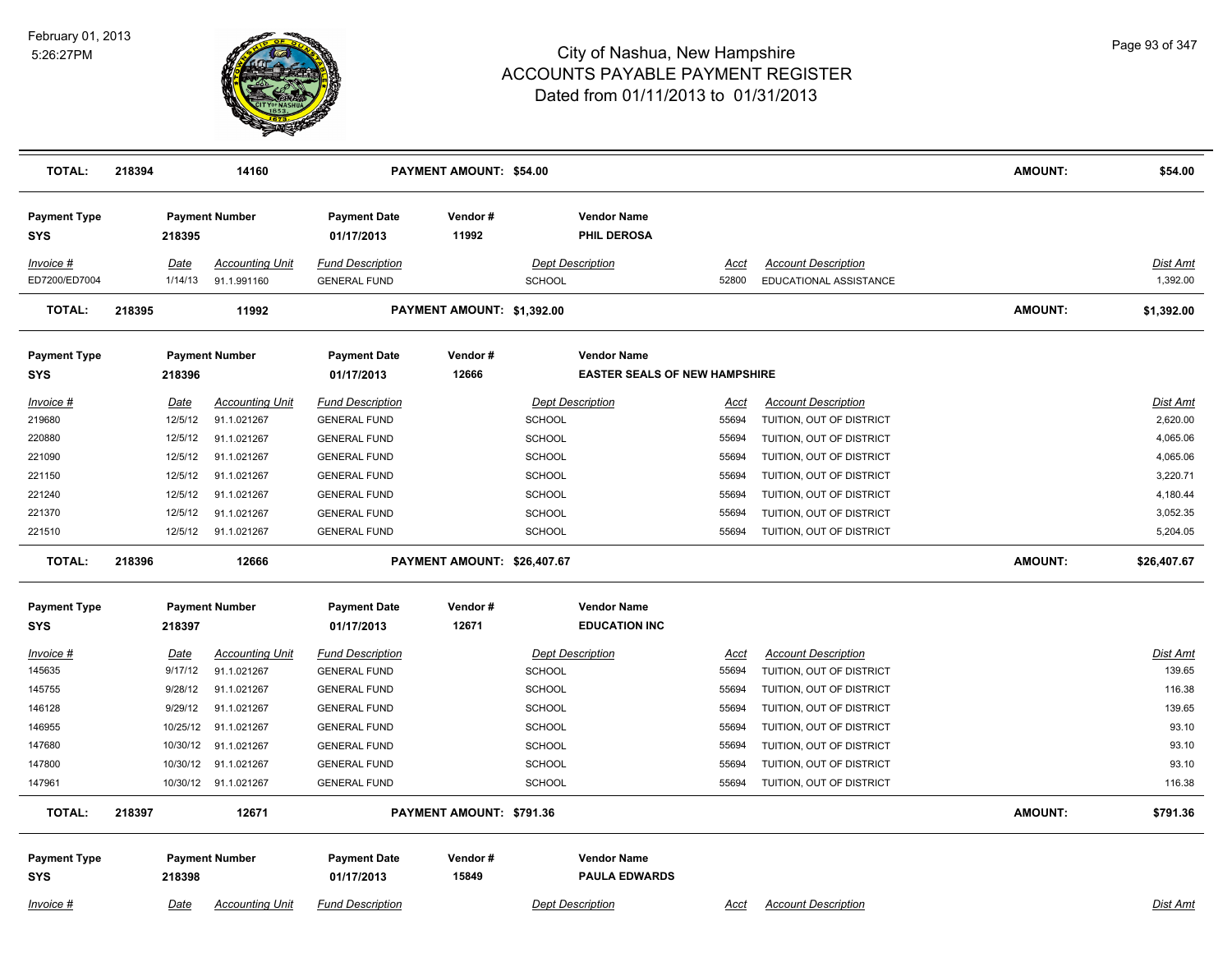

| <b>TOTAL:</b>                     | 218394 |                 | 14160                                 |                                                | PAYMENT AMOUNT: \$54.00     |                                          |                                                            |               |                                                      | <b>AMOUNT:</b> | \$54.00              |
|-----------------------------------|--------|-----------------|---------------------------------------|------------------------------------------------|-----------------------------|------------------------------------------|------------------------------------------------------------|---------------|------------------------------------------------------|----------------|----------------------|
| <b>Payment Type</b><br>SYS        |        | 218395          | <b>Payment Number</b>                 | <b>Payment Date</b><br>01/17/2013              | Vendor#<br>11992            |                                          | <b>Vendor Name</b><br>PHIL DEROSA                          |               |                                                      |                |                      |
| Invoice #<br>ED7200/ED7004        |        | Date<br>1/14/13 | <b>Accounting Unit</b><br>91.1.991160 | <b>Fund Description</b><br><b>GENERAL FUND</b> |                             | <b>Dept Description</b><br><b>SCHOOL</b> |                                                            | Acct<br>52800 | <b>Account Description</b><br>EDUCATIONAL ASSISTANCE |                | Dist Amt<br>1,392.00 |
| <b>TOTAL:</b>                     | 218395 |                 | 11992                                 |                                                | PAYMENT AMOUNT: \$1,392.00  |                                          |                                                            |               |                                                      | <b>AMOUNT:</b> | \$1,392.00           |
| <b>Payment Type</b><br><b>SYS</b> |        | 218396          | <b>Payment Number</b>                 | <b>Payment Date</b><br>01/17/2013              | Vendor#<br>12666            |                                          | <b>Vendor Name</b><br><b>EASTER SEALS OF NEW HAMPSHIRE</b> |               |                                                      |                |                      |
| $Invoice$ #                       |        | <u>Date</u>     | Accounting Unit                       | <b>Fund Description</b>                        |                             | <b>Dept Description</b>                  |                                                            | <u>Acct</u>   | <b>Account Description</b>                           |                | Dist Amt             |
| 219680                            |        | 12/5/12         | 91.1.021267                           | <b>GENERAL FUND</b>                            |                             | <b>SCHOOL</b>                            |                                                            | 55694         | TUITION, OUT OF DISTRICT                             |                | 2,620.00             |
| 220880                            |        | 12/5/12         | 91.1.021267                           | <b>GENERAL FUND</b>                            |                             | <b>SCHOOL</b>                            |                                                            | 55694         | TUITION, OUT OF DISTRICT                             |                | 4,065.06             |
| 221090                            |        | 12/5/12         | 91.1.021267                           | <b>GENERAL FUND</b>                            |                             | <b>SCHOOL</b>                            |                                                            | 55694         | TUITION, OUT OF DISTRICT                             |                | 4,065.06             |
| 221150                            |        | 12/5/12         | 91.1.021267                           | <b>GENERAL FUND</b>                            |                             | <b>SCHOOL</b>                            |                                                            | 55694         | TUITION, OUT OF DISTRICT                             |                | 3,220.71             |
| 221240                            |        | 12/5/12         | 91.1.021267                           | <b>GENERAL FUND</b>                            |                             | <b>SCHOOL</b>                            |                                                            | 55694         | TUITION, OUT OF DISTRICT                             |                | 4,180.44             |
| 221370                            |        | 12/5/12         | 91.1.021267                           | <b>GENERAL FUND</b>                            |                             | <b>SCHOOL</b>                            |                                                            | 55694         | TUITION, OUT OF DISTRICT                             |                | 3,052.35             |
| 221510                            |        | 12/5/12         | 91.1.021267                           | <b>GENERAL FUND</b>                            |                             | <b>SCHOOL</b>                            |                                                            | 55694         | TUITION, OUT OF DISTRICT                             |                | 5,204.05             |
| <b>TOTAL:</b>                     | 218396 |                 | 12666                                 |                                                | PAYMENT AMOUNT: \$26,407.67 |                                          |                                                            |               |                                                      | <b>AMOUNT:</b> | \$26,407.67          |
| <b>Payment Type</b><br>SYS        |        | 218397          | <b>Payment Number</b>                 | <b>Payment Date</b><br>01/17/2013              | Vendor#<br>12671            |                                          | <b>Vendor Name</b><br><b>EDUCATION INC</b>                 |               |                                                      |                |                      |
|                                   |        |                 |                                       |                                                |                             |                                          |                                                            |               |                                                      |                |                      |
| <b>Invoice #</b>                  |        | <u>Date</u>     | <u>Accounting Unit</u>                | <b>Fund Description</b>                        |                             | <b>Dept Description</b>                  |                                                            | <u>Acct</u>   | <b>Account Description</b>                           |                | <u>Dist Amt</u>      |
| 145635                            |        | 9/17/12         | 91.1.021267                           | <b>GENERAL FUND</b>                            |                             | <b>SCHOOL</b>                            |                                                            | 55694         | TUITION, OUT OF DISTRICT                             |                | 139.65               |
| 145755                            |        | 9/28/12         | 91.1.021267                           | <b>GENERAL FUND</b>                            |                             | SCHOOL                                   |                                                            | 55694         | TUITION, OUT OF DISTRICT                             |                | 116.38               |
| 146128                            |        | 9/29/12         | 91.1.021267                           | <b>GENERAL FUND</b>                            |                             | <b>SCHOOL</b>                            |                                                            | 55694         | TUITION, OUT OF DISTRICT                             |                | 139.65               |
| 146955                            |        | 10/25/12        | 91.1.021267                           | <b>GENERAL FUND</b>                            |                             | <b>SCHOOL</b>                            |                                                            | 55694         | TUITION, OUT OF DISTRICT                             |                | 93.10                |
| 147680                            |        | 10/30/12        | 91.1.021267                           | <b>GENERAL FUND</b>                            |                             | <b>SCHOOL</b>                            |                                                            | 55694         | TUITION, OUT OF DISTRICT                             |                | 93.10                |
| 147800                            |        | 10/30/12        | 91.1.021267                           | <b>GENERAL FUND</b>                            |                             | <b>SCHOOL</b>                            |                                                            | 55694         | TUITION, OUT OF DISTRICT                             |                | 93.10                |
| 147961                            |        |                 | 10/30/12 91.1.021267                  | <b>GENERAL FUND</b>                            |                             | <b>SCHOOL</b>                            |                                                            | 55694         | TUITION, OUT OF DISTRICT                             |                | 116.38               |
| <b>TOTAL:</b>                     | 218397 |                 | 12671                                 |                                                | PAYMENT AMOUNT: \$791.36    |                                          |                                                            |               |                                                      | <b>AMOUNT:</b> | \$791.36             |
| <b>Payment Type</b>               |        |                 | <b>Payment Number</b>                 | <b>Payment Date</b>                            | Vendor#                     |                                          | <b>Vendor Name</b>                                         |               |                                                      |                |                      |
| <b>SYS</b>                        |        | 218398          |                                       | 01/17/2013                                     | 15849                       |                                          | <b>PAULA EDWARDS</b>                                       |               |                                                      |                |                      |
| Invoice #                         |        | Date            | <b>Accounting Unit</b>                | <b>Fund Description</b>                        |                             | <b>Dept Description</b>                  |                                                            | Acct          | <b>Account Description</b>                           |                | <b>Dist Amt</b>      |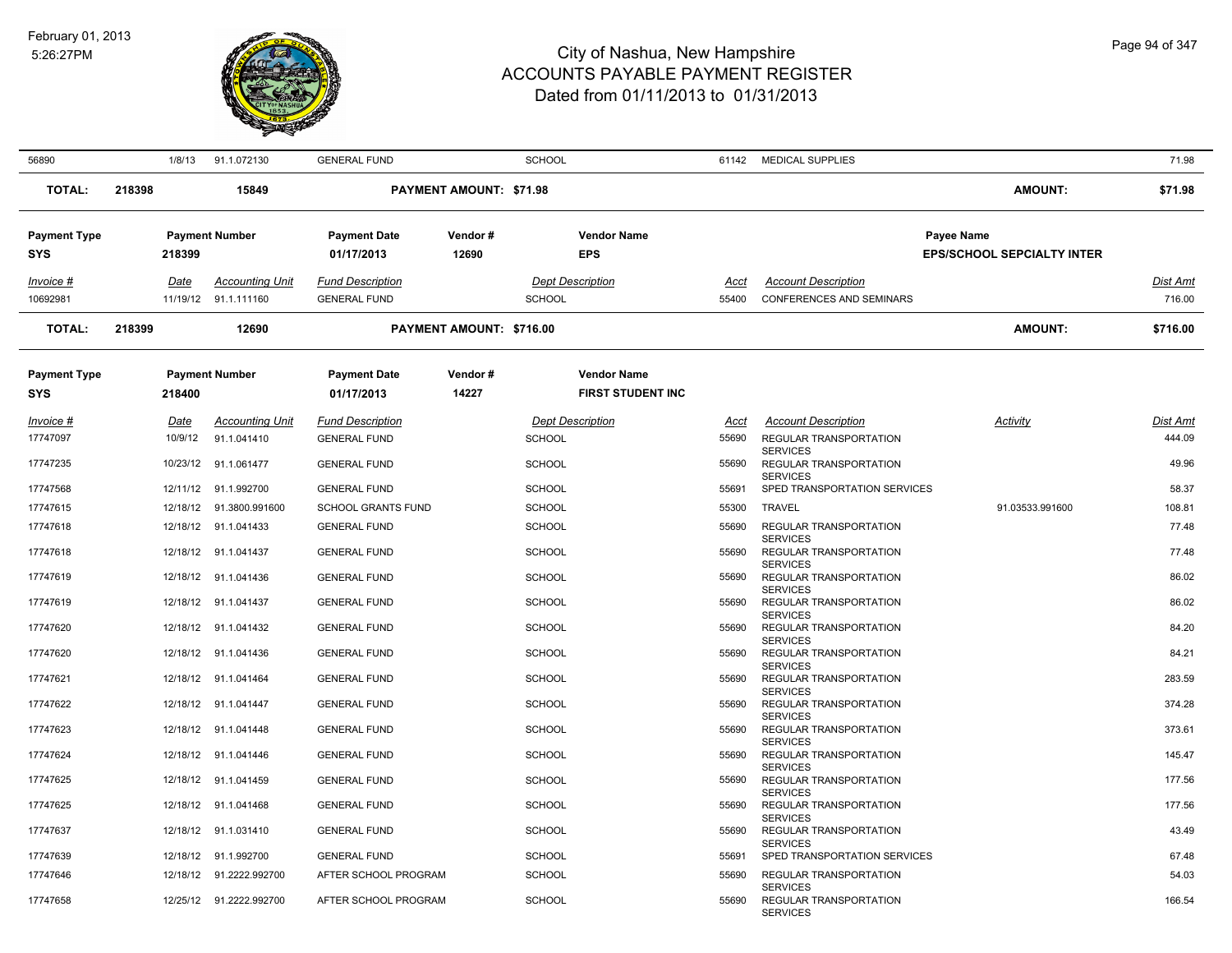

| 56890               |        | 1/8/13   | 91.1.072130              | <b>GENERAL FUND</b>       |                                | <b>SCHOOL</b> |                          |       | 61142 MEDICAL SUPPLIES                                       |                                   | 71.98    |
|---------------------|--------|----------|--------------------------|---------------------------|--------------------------------|---------------|--------------------------|-------|--------------------------------------------------------------|-----------------------------------|----------|
| <b>TOTAL:</b>       | 218398 |          | 15849                    |                           | <b>PAYMENT AMOUNT: \$71.98</b> |               |                          |       |                                                              | <b>AMOUNT:</b>                    | \$71.98  |
| <b>Payment Type</b> |        |          | <b>Payment Number</b>    | <b>Payment Date</b>       | Vendor#                        |               | <b>Vendor Name</b>       |       |                                                              | Payee Name                        |          |
| <b>SYS</b>          |        | 218399   |                          | 01/17/2013                | 12690                          |               | <b>EPS</b>               |       |                                                              | <b>EPS/SCHOOL SEPCIALTY INTER</b> |          |
| Invoice #           |        | Date     | <b>Accounting Unit</b>   | <b>Fund Description</b>   |                                |               | <b>Dept Description</b>  | Acct  | <b>Account Description</b>                                   |                                   | Dist Amt |
| 10692981            |        |          | 11/19/12 91.1.111160     | <b>GENERAL FUND</b>       |                                | <b>SCHOOL</b> |                          | 55400 | <b>CONFERENCES AND SEMINARS</b>                              |                                   | 716.00   |
| <b>TOTAL:</b>       | 218399 |          | 12690                    |                           | PAYMENT AMOUNT: \$716.00       |               |                          |       |                                                              | <b>AMOUNT:</b>                    | \$716.00 |
| <b>Payment Type</b> |        |          | <b>Payment Number</b>    | <b>Payment Date</b>       | Vendor#                        |               | <b>Vendor Name</b>       |       |                                                              |                                   |          |
| <b>SYS</b>          |        | 218400   |                          | 01/17/2013                | 14227                          |               | <b>FIRST STUDENT INC</b> |       |                                                              |                                   |          |
| Invoice #           |        | Date     | <b>Accounting Unit</b>   | <b>Fund Description</b>   |                                |               | <b>Dept Description</b>  | Acct  | <b>Account Description</b>                                   | Activity                          | Dist Amt |
| 17747097            |        | 10/9/12  | 91.1.041410              | <b>GENERAL FUND</b>       |                                | <b>SCHOOL</b> |                          | 55690 | REGULAR TRANSPORTATION                                       |                                   | 444.09   |
| 17747235            |        | 10/23/12 | 91.1.061477              | <b>GENERAL FUND</b>       |                                | <b>SCHOOL</b> |                          | 55690 | <b>SERVICES</b><br>REGULAR TRANSPORTATION<br><b>SERVICES</b> |                                   | 49.96    |
| 17747568            |        |          | 12/11/12 91.1.992700     | <b>GENERAL FUND</b>       |                                | <b>SCHOOL</b> |                          | 55691 | SPED TRANSPORTATION SERVICES                                 |                                   | 58.37    |
| 17747615            |        |          | 12/18/12  91.3800.991600 | <b>SCHOOL GRANTS FUND</b> |                                | <b>SCHOOL</b> |                          | 55300 | <b>TRAVEL</b>                                                | 91.03533.991600                   | 108.81   |
| 17747618            |        |          | 12/18/12 91.1.041433     | <b>GENERAL FUND</b>       |                                | <b>SCHOOL</b> |                          | 55690 | REGULAR TRANSPORTATION<br><b>SERVICES</b>                    |                                   | 77.48    |
| 17747618            |        |          | 12/18/12 91.1.041437     | <b>GENERAL FUND</b>       |                                | <b>SCHOOL</b> |                          | 55690 | REGULAR TRANSPORTATION<br><b>SERVICES</b>                    |                                   | 77.48    |
| 17747619            |        |          | 12/18/12 91.1.041436     | <b>GENERAL FUND</b>       |                                | <b>SCHOOL</b> |                          | 55690 | REGULAR TRANSPORTATION<br><b>SERVICES</b>                    |                                   | 86.02    |
| 17747619            |        |          | 12/18/12 91.1.041437     | <b>GENERAL FUND</b>       |                                | <b>SCHOOL</b> |                          | 55690 | REGULAR TRANSPORTATION<br><b>SERVICES</b>                    |                                   | 86.02    |
| 17747620            |        |          | 12/18/12 91.1.041432     | <b>GENERAL FUND</b>       |                                | <b>SCHOOL</b> |                          | 55690 | REGULAR TRANSPORTATION<br><b>SERVICES</b>                    |                                   | 84.20    |
| 17747620            |        |          | 12/18/12 91.1.041436     | <b>GENERAL FUND</b>       |                                | <b>SCHOOL</b> |                          | 55690 | REGULAR TRANSPORTATION                                       |                                   | 84.21    |
| 17747621            |        |          | 12/18/12 91.1.041464     | <b>GENERAL FUND</b>       |                                | <b>SCHOOL</b> |                          | 55690 | <b>SERVICES</b><br>REGULAR TRANSPORTATION                    |                                   | 283.59   |
| 17747622            |        |          | 12/18/12 91.1.041447     | <b>GENERAL FUND</b>       |                                | <b>SCHOOL</b> |                          | 55690 | <b>SERVICES</b><br>REGULAR TRANSPORTATION                    |                                   | 374.28   |
| 17747623            |        |          | 12/18/12 91.1.041448     | <b>GENERAL FUND</b>       |                                | <b>SCHOOL</b> |                          | 55690 | <b>SERVICES</b><br>REGULAR TRANSPORTATION                    |                                   | 373.61   |
| 17747624            |        |          | 12/18/12 91.1.041446     | <b>GENERAL FUND</b>       |                                | <b>SCHOOL</b> |                          | 55690 | <b>SERVICES</b><br>REGULAR TRANSPORTATION                    |                                   | 145.47   |
| 17747625            |        |          | 12/18/12 91.1.041459     | <b>GENERAL FUND</b>       |                                | <b>SCHOOL</b> |                          | 55690 | <b>SERVICES</b><br>REGULAR TRANSPORTATION<br><b>SERVICES</b> |                                   | 177.56   |
| 17747625            |        |          | 12/18/12 91.1.041468     | <b>GENERAL FUND</b>       |                                | <b>SCHOOL</b> |                          | 55690 | REGULAR TRANSPORTATION                                       |                                   | 177.56   |
| 17747637            |        |          | 12/18/12 91.1.031410     | <b>GENERAL FUND</b>       |                                | <b>SCHOOL</b> |                          | 55690 | <b>SERVICES</b><br>REGULAR TRANSPORTATION<br><b>SERVICES</b> |                                   | 43.49    |
| 17747639            |        | 12/18/12 | 91.1.992700              | <b>GENERAL FUND</b>       |                                | <b>SCHOOL</b> |                          | 55691 | SPED TRANSPORTATION SERVICES                                 |                                   | 67.48    |
| 17747646            |        |          | 12/18/12 91.2222.992700  | AFTER SCHOOL PROGRAM      |                                | <b>SCHOOL</b> |                          | 55690 | REGULAR TRANSPORTATION                                       |                                   | 54.03    |
| 17747658            |        |          | 12/25/12 91.2222.992700  | AFTER SCHOOL PROGRAM      |                                | <b>SCHOOL</b> |                          | 55690 | <b>SERVICES</b><br>REGULAR TRANSPORTATION<br><b>SERVICES</b> |                                   | 166.54   |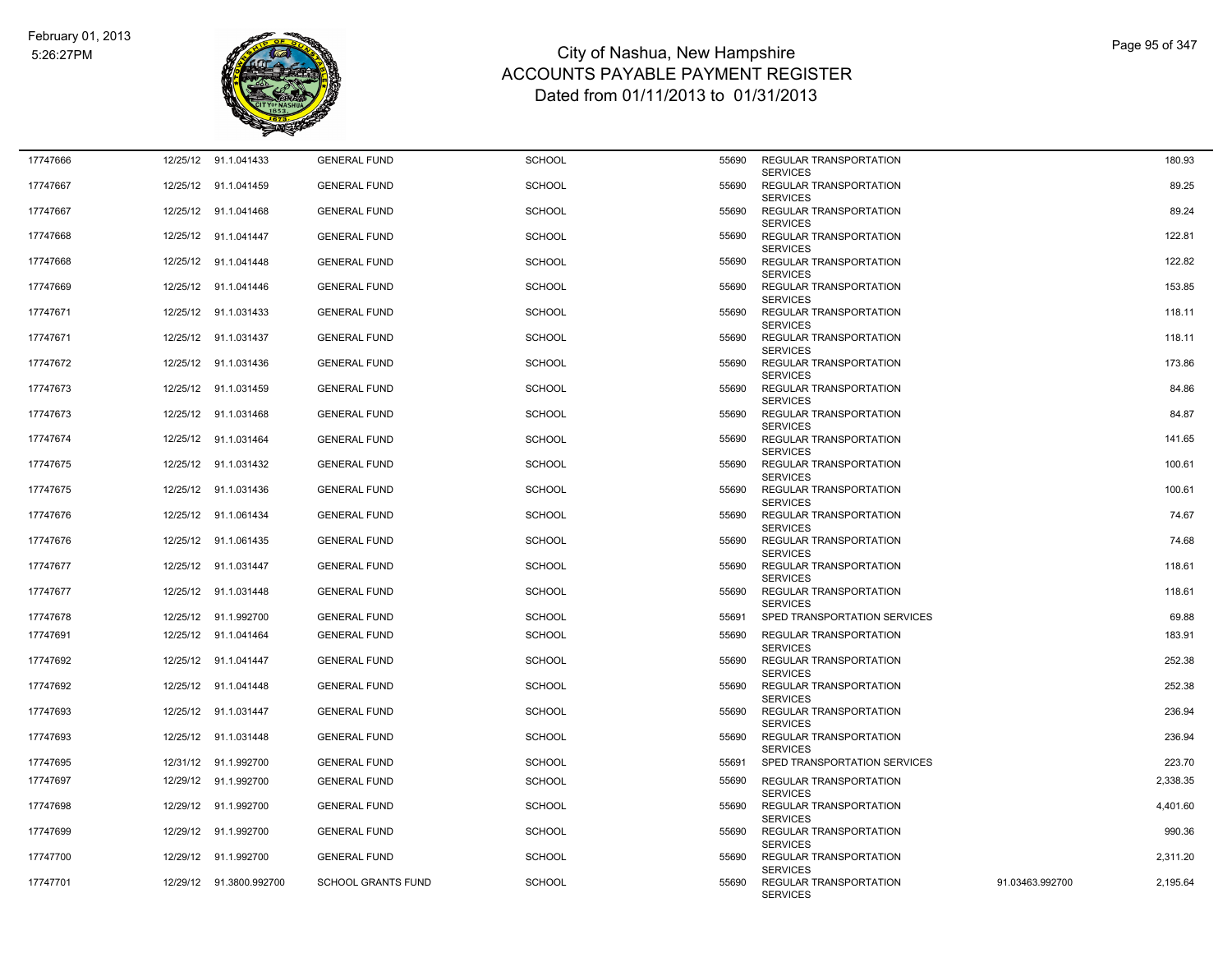

| 17747666 |          | 12/25/12 91.1.041433    | <b>GENERAL FUND</b>       | <b>SCHOOL</b> | 55690 | <b>REGULAR TRANSPORTATION</b>                                       |                 | 180.93   |
|----------|----------|-------------------------|---------------------------|---------------|-------|---------------------------------------------------------------------|-----------------|----------|
| 17747667 |          | 12/25/12 91.1.041459    | <b>GENERAL FUND</b>       | <b>SCHOOL</b> | 55690 | <b>SERVICES</b><br><b>REGULAR TRANSPORTATION</b><br><b>SERVICES</b> |                 | 89.25    |
| 17747667 |          | 12/25/12 91.1.041468    | <b>GENERAL FUND</b>       | <b>SCHOOL</b> | 55690 | REGULAR TRANSPORTATION                                              |                 | 89.24    |
| 17747668 |          | 12/25/12 91.1.041447    | <b>GENERAL FUND</b>       | <b>SCHOOL</b> | 55690 | <b>SERVICES</b><br>REGULAR TRANSPORTATION<br><b>SERVICES</b>        |                 | 122.81   |
| 17747668 |          | 12/25/12 91.1.041448    | <b>GENERAL FUND</b>       | <b>SCHOOL</b> | 55690 | <b>REGULAR TRANSPORTATION</b>                                       |                 | 122.82   |
| 17747669 |          | 12/25/12 91.1.041446    | <b>GENERAL FUND</b>       | <b>SCHOOL</b> | 55690 | <b>SERVICES</b><br>REGULAR TRANSPORTATION<br><b>SERVICES</b>        |                 | 153.85   |
| 17747671 |          | 12/25/12 91.1.031433    | <b>GENERAL FUND</b>       | <b>SCHOOL</b> | 55690 | REGULAR TRANSPORTATION<br><b>SERVICES</b>                           |                 | 118.11   |
| 17747671 |          | 12/25/12 91.1.031437    | <b>GENERAL FUND</b>       | <b>SCHOOL</b> | 55690 | <b>REGULAR TRANSPORTATION</b><br><b>SERVICES</b>                    |                 | 118.11   |
| 17747672 |          | 12/25/12 91.1.031436    | <b>GENERAL FUND</b>       | <b>SCHOOL</b> | 55690 | <b>REGULAR TRANSPORTATION</b><br><b>SERVICES</b>                    |                 | 173.86   |
| 17747673 |          | 12/25/12 91.1.031459    | <b>GENERAL FUND</b>       | <b>SCHOOL</b> | 55690 | REGULAR TRANSPORTATION<br><b>SERVICES</b>                           |                 | 84.86    |
| 17747673 |          | 12/25/12 91.1.031468    | <b>GENERAL FUND</b>       | <b>SCHOOL</b> | 55690 | REGULAR TRANSPORTATION<br><b>SERVICES</b>                           |                 | 84.87    |
| 17747674 | 12/25/12 | 91.1.031464             | <b>GENERAL FUND</b>       | <b>SCHOOL</b> | 55690 | <b>REGULAR TRANSPORTATION</b><br><b>SERVICES</b>                    |                 | 141.65   |
| 17747675 |          | 12/25/12 91.1.031432    | <b>GENERAL FUND</b>       | <b>SCHOOL</b> | 55690 | <b>REGULAR TRANSPORTATION</b><br><b>SERVICES</b>                    |                 | 100.61   |
| 17747675 |          | 12/25/12 91.1.031436    | <b>GENERAL FUND</b>       | <b>SCHOOL</b> | 55690 | REGULAR TRANSPORTATION<br><b>SERVICES</b>                           |                 | 100.61   |
| 17747676 | 12/25/12 | 91.1.061434             | <b>GENERAL FUND</b>       | <b>SCHOOL</b> | 55690 | REGULAR TRANSPORTATION<br><b>SERVICES</b>                           |                 | 74.67    |
| 17747676 |          | 12/25/12 91.1.061435    | <b>GENERAL FUND</b>       | <b>SCHOOL</b> | 55690 | <b>REGULAR TRANSPORTATION</b><br><b>SERVICES</b>                    |                 | 74.68    |
| 17747677 | 12/25/12 | 91.1.031447             | <b>GENERAL FUND</b>       | <b>SCHOOL</b> | 55690 | REGULAR TRANSPORTATION<br><b>SERVICES</b>                           |                 | 118.61   |
| 17747677 |          | 12/25/12 91.1.031448    | <b>GENERAL FUND</b>       | <b>SCHOOL</b> | 55690 | REGULAR TRANSPORTATION<br><b>SERVICES</b>                           |                 | 118.61   |
| 17747678 |          | 12/25/12 91.1.992700    | <b>GENERAL FUND</b>       | <b>SCHOOL</b> | 55691 | SPED TRANSPORTATION SERVICES                                        |                 | 69.88    |
| 17747691 |          | 12/25/12 91.1.041464    | <b>GENERAL FUND</b>       | <b>SCHOOL</b> | 55690 | REGULAR TRANSPORTATION<br><b>SERVICES</b>                           |                 | 183.91   |
| 17747692 |          | 12/25/12 91.1.041447    | <b>GENERAL FUND</b>       | <b>SCHOOL</b> | 55690 | REGULAR TRANSPORTATION<br><b>SERVICES</b>                           |                 | 252.38   |
| 17747692 |          | 12/25/12 91.1.041448    | <b>GENERAL FUND</b>       | <b>SCHOOL</b> | 55690 | <b>REGULAR TRANSPORTATION</b><br><b>SERVICES</b>                    |                 | 252.38   |
| 17747693 |          | 12/25/12 91.1.031447    | <b>GENERAL FUND</b>       | <b>SCHOOL</b> | 55690 | <b>REGULAR TRANSPORTATION</b><br><b>SERVICES</b>                    |                 | 236.94   |
| 17747693 |          | 12/25/12 91.1.031448    | <b>GENERAL FUND</b>       | <b>SCHOOL</b> | 55690 | REGULAR TRANSPORTATION<br><b>SERVICES</b>                           |                 | 236.94   |
| 17747695 |          | 12/31/12 91.1.992700    | <b>GENERAL FUND</b>       | <b>SCHOOL</b> | 55691 | SPED TRANSPORTATION SERVICES                                        |                 | 223.70   |
| 17747697 |          | 12/29/12 91.1.992700    | <b>GENERAL FUND</b>       | <b>SCHOOL</b> | 55690 | <b>REGULAR TRANSPORTATION</b><br><b>SERVICES</b>                    |                 | 2.338.35 |
| 17747698 |          | 12/29/12 91.1.992700    | <b>GENERAL FUND</b>       | <b>SCHOOL</b> | 55690 | REGULAR TRANSPORTATION<br><b>SERVICES</b>                           |                 | 4,401.60 |
| 17747699 |          | 12/29/12 91.1.992700    | <b>GENERAL FUND</b>       | <b>SCHOOL</b> | 55690 | REGULAR TRANSPORTATION<br><b>SERVICES</b>                           |                 | 990.36   |
| 17747700 |          | 12/29/12 91.1.992700    | <b>GENERAL FUND</b>       | <b>SCHOOL</b> | 55690 | REGULAR TRANSPORTATION<br><b>SERVICES</b>                           |                 | 2,311.20 |
| 17747701 |          | 12/29/12 91.3800.992700 | <b>SCHOOL GRANTS FUND</b> | <b>SCHOOL</b> | 55690 | REGULAR TRANSPORTATION<br><b>SERVICES</b>                           | 91.03463.992700 | 2,195.64 |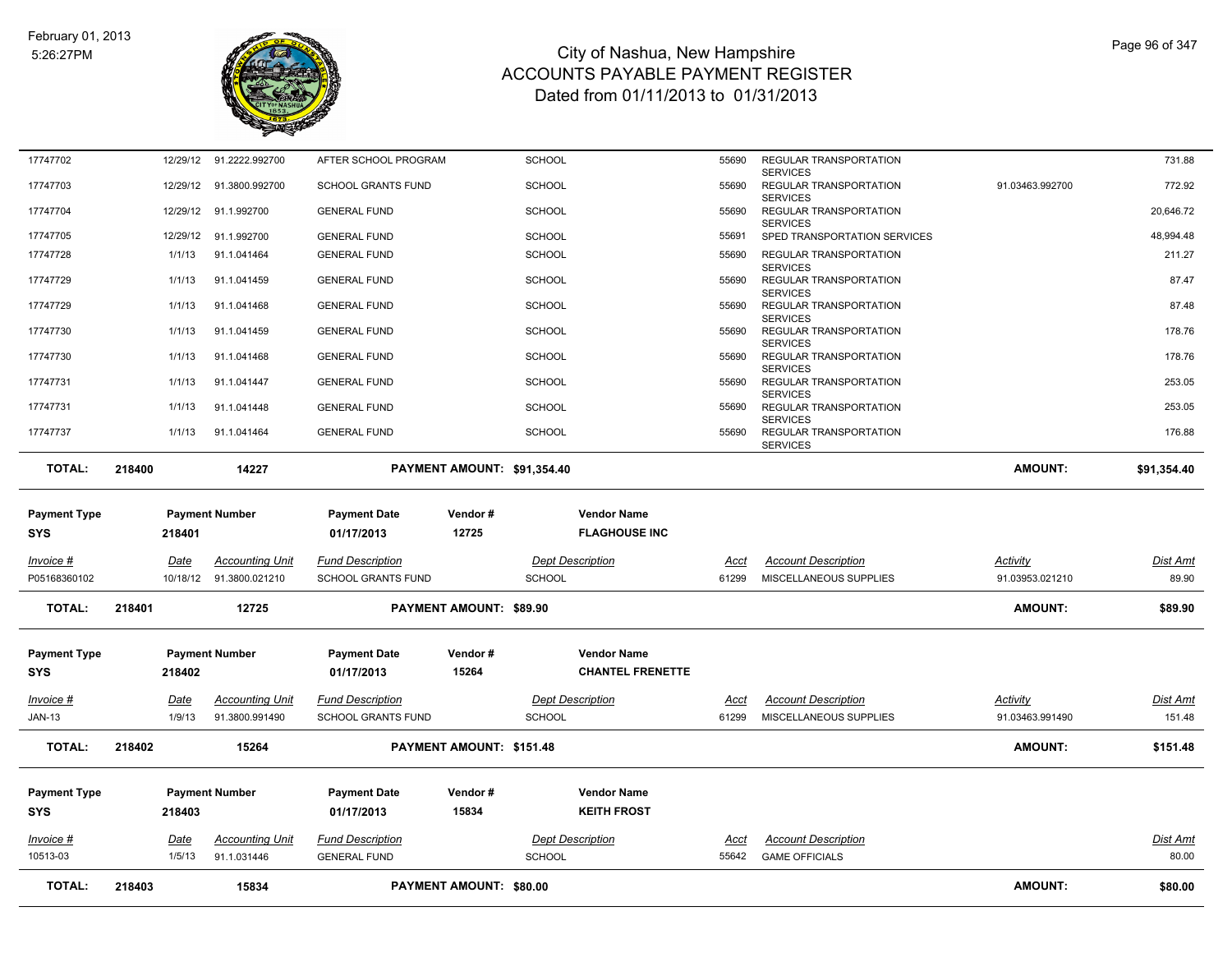

| <b>TOTAL:</b>                     | 218403 | 15834                                              |                                                      | <b>PAYMENT AMOUNT: \$80.00</b> |                                               |               |                                                              | <b>AMOUNT:</b>              | \$80.00                  |
|-----------------------------------|--------|----------------------------------------------------|------------------------------------------------------|--------------------------------|-----------------------------------------------|---------------|--------------------------------------------------------------|-----------------------------|--------------------------|
| 10513-03                          | 1/5/13 | 91.1.031446                                        | <b>GENERAL FUND</b>                                  | <b>SCHOOL</b>                  |                                               | 55642         | <b>GAME OFFICIALS</b>                                        |                             | 80.00                    |
| <b>Invoice #</b>                  | Date   | <b>Accounting Unit</b>                             | <b>Fund Description</b>                              |                                | <b>Dept Description</b>                       | Acct          | <b>Account Description</b>                                   |                             | <b>Dist Amt</b>          |
| <b>SYS</b>                        | 218403 |                                                    | 01/17/2013                                           | 15834                          | <b>KEITH FROST</b>                            |               |                                                              |                             |                          |
| <b>Payment Type</b>               |        | <b>Payment Number</b>                              | <b>Payment Date</b>                                  | Vendor#                        | <b>Vendor Name</b>                            |               |                                                              |                             |                          |
| <b>TOTAL:</b>                     | 218402 | 15264                                              |                                                      | PAYMENT AMOUNT: \$151.48       |                                               |               |                                                              | <b>AMOUNT:</b>              | \$151.48                 |
| <b>JAN-13</b>                     | 1/9/13 | 91.3800.991490                                     | <b>SCHOOL GRANTS FUND</b>                            | <b>SCHOOL</b>                  |                                               | 61299         | MISCELLANEOUS SUPPLIES                                       | 91.03463.991490             | 151.48                   |
| $Invoice$ #                       | Date   | <b>Accounting Unit</b>                             | <b>Fund Description</b>                              |                                | <b>Dept Description</b>                       | Acct          | <b>Account Description</b>                                   | Activity                    | <b>Dist Amt</b>          |
| <b>Payment Type</b><br><b>SYS</b> | 218402 | <b>Payment Number</b>                              | <b>Payment Date</b><br>01/17/2013                    | Vendor#<br>15264               | <b>Vendor Name</b><br><b>CHANTEL FRENETTE</b> |               |                                                              |                             |                          |
| <b>TOTAL:</b>                     | 218401 | 12725                                              |                                                      | PAYMENT AMOUNT: \$89.90        |                                               |               |                                                              | <b>AMOUNT:</b>              | \$89.90                  |
| Invoice #<br>P05168360102         | Date   | <b>Accounting Unit</b><br>10/18/12  91.3800.021210 | <b>Fund Description</b><br><b>SCHOOL GRANTS FUND</b> | <b>SCHOOL</b>                  | <b>Dept Description</b>                       | Acct<br>61299 | <b>Account Description</b><br>MISCELLANEOUS SUPPLIES         | Activity<br>91.03953.021210 | <b>Dist Amt</b><br>89.90 |
| <b>Payment Type</b><br><b>SYS</b> | 218401 | <b>Payment Number</b>                              | <b>Payment Date</b><br>01/17/2013                    | Vendor#<br>12725               | <b>Vendor Name</b><br><b>FLAGHOUSE INC</b>    |               |                                                              |                             |                          |
| <b>TOTAL:</b>                     | 218400 | 14227                                              |                                                      | PAYMENT AMOUNT: \$91,354.40    |                                               |               |                                                              | <b>AMOUNT:</b>              | \$91,354.40              |
| 17747737                          | 1/1/13 | 91.1.041464                                        | <b>GENERAL FUND</b>                                  | <b>SCHOOL</b>                  |                                               | 55690         | <b>SERVICES</b><br>REGULAR TRANSPORTATION<br><b>SERVICES</b> |                             | 176.88                   |
| 17747731                          | 1/1/13 | 91.1.041448                                        | <b>GENERAL FUND</b>                                  | <b>SCHOOL</b>                  |                                               | 55690         | <b>SERVICES</b><br>REGULAR TRANSPORTATION                    |                             | 253.05                   |
| 17747731                          | 1/1/13 | 91.1.041447                                        | <b>GENERAL FUND</b>                                  | <b>SCHOOL</b>                  |                                               | 55690         | <b>SERVICES</b><br>REGULAR TRANSPORTATION                    |                             | 253.05                   |
| 17747730                          | 1/1/13 | 91.1.041468                                        | <b>GENERAL FUND</b>                                  | <b>SCHOOL</b>                  |                                               | 55690         | <b>SERVICES</b><br>REGULAR TRANSPORTATION                    |                             | 178.76                   |
| 17747730                          | 1/1/13 | 91.1.041459                                        | <b>GENERAL FUND</b>                                  | <b>SCHOOL</b>                  |                                               | 55690         | <b>SERVICES</b><br>REGULAR TRANSPORTATION                    |                             | 178.76                   |
| 17747729                          | 1/1/13 | 91.1.041468                                        | <b>GENERAL FUND</b>                                  | <b>SCHOOL</b>                  |                                               | 55690         | REGULAR TRANSPORTATION                                       |                             | 87.48                    |
| 17747729                          | 1/1/13 | 91.1.041459                                        | <b>GENERAL FUND</b>                                  | <b>SCHOOL</b>                  |                                               | 55690         | REGULAR TRANSPORTATION<br><b>SERVICES</b>                    |                             | 87.47                    |
| 17747728                          | 1/1/13 | 91.1.041464                                        | <b>GENERAL FUND</b>                                  | <b>SCHOOL</b>                  |                                               | 55690         | REGULAR TRANSPORTATION<br><b>SERVICES</b>                    |                             | 211.27                   |
| 17747705                          |        | 12/29/12 91.1.992700                               | <b>GENERAL FUND</b>                                  | <b>SCHOOL</b>                  |                                               | 55691         | <b>SERVICES</b><br>SPED TRANSPORTATION SERVICES              |                             | 48,994.48                |
| 17747704                          |        | 12/29/12 91.1.992700                               | <b>GENERAL FUND</b>                                  | <b>SCHOOL</b>                  |                                               | 55690         | <b>SERVICES</b><br>REGULAR TRANSPORTATION                    |                             | 20,646.72                |
| 17747703                          |        | 12/29/12  91.3800.992700                           | <b>SCHOOL GRANTS FUND</b>                            | <b>SCHOOL</b>                  |                                               | 55690         | <b>SERVICES</b><br>REGULAR TRANSPORTATION                    | 91.03463.992700             | 772.92                   |
| 17747702                          |        | 12/29/12 91.2222.992700                            | AFTER SCHOOL PROGRAM                                 | <b>SCHOOL</b>                  |                                               | 55690         | REGULAR TRANSPORTATION                                       |                             | 731.88                   |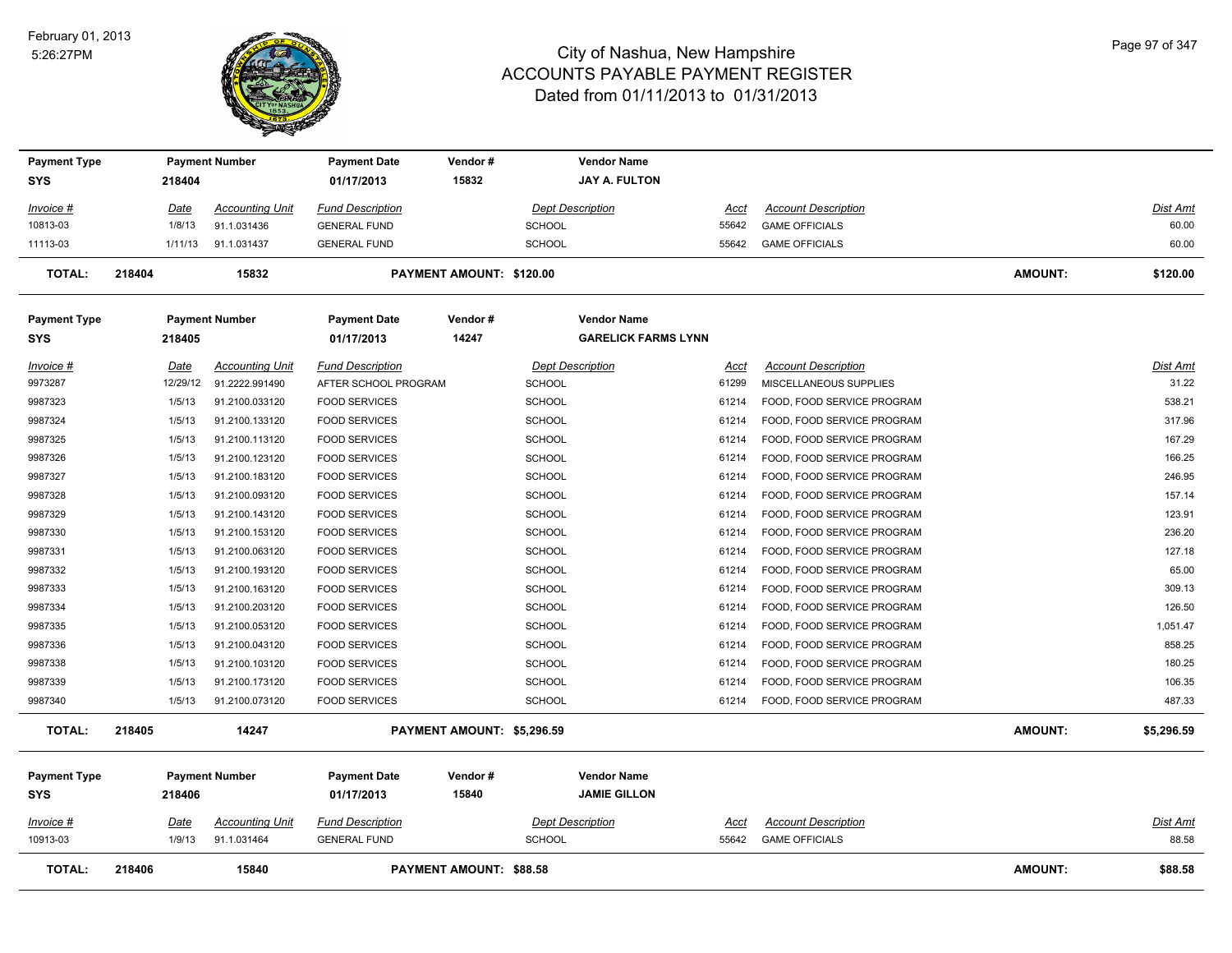

| <b>Payment Type</b><br><b>SYS</b> | 218404      | <b>Payment Number</b>  | <b>Payment Date</b><br>01/17/2013 | Vendor#<br>15832               | <b>Vendor Name</b><br><b>JAY A. FULTON</b>       |       |                            |                |                 |
|-----------------------------------|-------------|------------------------|-----------------------------------|--------------------------------|--------------------------------------------------|-------|----------------------------|----------------|-----------------|
| Invoice #                         | Date        | <b>Accounting Unit</b> | <b>Fund Description</b>           |                                | <b>Dept Description</b>                          | Acct  | <b>Account Description</b> |                | Dist Amt        |
| 10813-03                          | 1/8/13      | 91.1.031436            | <b>GENERAL FUND</b>               | <b>SCHOOL</b>                  |                                                  | 55642 | <b>GAME OFFICIALS</b>      |                | 60.00           |
| 11113-03                          | 1/11/13     | 91.1.031437            | <b>GENERAL FUND</b>               | <b>SCHOOL</b>                  |                                                  | 55642 | <b>GAME OFFICIALS</b>      |                | 60.00           |
| <b>TOTAL:</b>                     | 218404      | 15832                  |                                   | PAYMENT AMOUNT: \$120.00       |                                                  |       |                            | <b>AMOUNT:</b> | \$120.00        |
| <b>Payment Type</b><br><b>SYS</b> | 218405      | <b>Payment Number</b>  | <b>Payment Date</b><br>01/17/2013 | Vendor#<br>14247               | <b>Vendor Name</b><br><b>GARELICK FARMS LYNN</b> |       |                            |                |                 |
| Invoice #                         | <u>Date</u> | <b>Accounting Unit</b> | <b>Fund Description</b>           |                                | <b>Dept Description</b>                          | Acct  | <b>Account Description</b> |                | <b>Dist Amt</b> |
| 9973287                           | 12/29/12    | 91.2222.991490         | AFTER SCHOOL PROGRAM              | <b>SCHOOL</b>                  |                                                  | 61299 | MISCELLANEOUS SUPPLIES     |                | 31.22           |
| 9987323                           | 1/5/13      | 91.2100.033120         | <b>FOOD SERVICES</b>              | <b>SCHOOL</b>                  |                                                  | 61214 | FOOD, FOOD SERVICE PROGRAM |                | 538.21          |
| 9987324                           | 1/5/13      | 91.2100.133120         | <b>FOOD SERVICES</b>              | <b>SCHOOL</b>                  |                                                  | 61214 | FOOD, FOOD SERVICE PROGRAM |                | 317.96          |
| 9987325                           | 1/5/13      | 91.2100.113120         | <b>FOOD SERVICES</b>              | <b>SCHOOL</b>                  |                                                  | 61214 | FOOD, FOOD SERVICE PROGRAM |                | 167.29          |
| 9987326                           | 1/5/13      | 91.2100.123120         | <b>FOOD SERVICES</b>              | <b>SCHOOL</b>                  |                                                  | 61214 | FOOD, FOOD SERVICE PROGRAM |                | 166.25          |
| 9987327                           | 1/5/13      | 91.2100.183120         | <b>FOOD SERVICES</b>              | <b>SCHOOL</b>                  |                                                  | 61214 | FOOD, FOOD SERVICE PROGRAM |                | 246.95          |
| 9987328                           | 1/5/13      | 91.2100.093120         | <b>FOOD SERVICES</b>              | <b>SCHOOL</b>                  |                                                  | 61214 | FOOD, FOOD SERVICE PROGRAM |                | 157.14          |
| 9987329                           | 1/5/13      | 91.2100.143120         | <b>FOOD SERVICES</b>              | <b>SCHOOL</b>                  |                                                  | 61214 | FOOD, FOOD SERVICE PROGRAM |                | 123.91          |
| 9987330                           | 1/5/13      | 91.2100.153120         | <b>FOOD SERVICES</b>              | <b>SCHOOL</b>                  |                                                  | 61214 | FOOD, FOOD SERVICE PROGRAM |                | 236.20          |
| 9987331                           | 1/5/13      | 91.2100.063120         | <b>FOOD SERVICES</b>              | <b>SCHOOL</b>                  |                                                  | 61214 | FOOD, FOOD SERVICE PROGRAM |                | 127.18          |
| 9987332                           | 1/5/13      | 91.2100.193120         | <b>FOOD SERVICES</b>              | <b>SCHOOL</b>                  |                                                  | 61214 | FOOD, FOOD SERVICE PROGRAM |                | 65.00           |
| 9987333                           | 1/5/13      | 91.2100.163120         | <b>FOOD SERVICES</b>              | <b>SCHOOL</b>                  |                                                  | 61214 | FOOD, FOOD SERVICE PROGRAM |                | 309.13          |
| 9987334                           | 1/5/13      | 91.2100.203120         | <b>FOOD SERVICES</b>              | <b>SCHOOL</b>                  |                                                  | 61214 | FOOD, FOOD SERVICE PROGRAM |                | 126.50          |
| 9987335                           | 1/5/13      | 91.2100.053120         | <b>FOOD SERVICES</b>              | <b>SCHOOL</b>                  |                                                  | 61214 | FOOD, FOOD SERVICE PROGRAM |                | 1,051.47        |
| 9987336                           | 1/5/13      | 91.2100.043120         | <b>FOOD SERVICES</b>              | <b>SCHOOL</b>                  |                                                  | 61214 | FOOD, FOOD SERVICE PROGRAM |                | 858.25          |
| 9987338                           | 1/5/13      | 91.2100.103120         | <b>FOOD SERVICES</b>              | <b>SCHOOL</b>                  |                                                  | 61214 | FOOD, FOOD SERVICE PROGRAM |                | 180.25          |
| 9987339                           | 1/5/13      | 91.2100.173120         | <b>FOOD SERVICES</b>              | <b>SCHOOL</b>                  |                                                  | 61214 | FOOD, FOOD SERVICE PROGRAM |                | 106.35          |
| 9987340                           | 1/5/13      | 91.2100.073120         | <b>FOOD SERVICES</b>              | <b>SCHOOL</b>                  |                                                  | 61214 | FOOD, FOOD SERVICE PROGRAM |                | 487.33          |
| <b>TOTAL:</b>                     | 218405      | 14247                  |                                   | PAYMENT AMOUNT: \$5,296.59     |                                                  |       |                            | <b>AMOUNT:</b> | \$5,296.59      |
| <b>Payment Type</b><br><b>SYS</b> | 218406      | <b>Payment Number</b>  | <b>Payment Date</b><br>01/17/2013 | Vendor#<br>15840               | <b>Vendor Name</b><br><b>JAMIE GILLON</b>        |       |                            |                |                 |
| Invoice #                         | Date        | <b>Accounting Unit</b> | <b>Fund Description</b>           |                                | <b>Dept Description</b>                          | Acct  | <b>Account Description</b> |                | Dist Amt        |
| 10913-03                          | 1/9/13      | 91.1.031464            | <b>GENERAL FUND</b>               | <b>SCHOOL</b>                  |                                                  | 55642 | <b>GAME OFFICIALS</b>      |                | 88.58           |
| <b>TOTAL:</b>                     | 218406      | 15840                  |                                   | <b>PAYMENT AMOUNT: \$88.58</b> |                                                  |       |                            | <b>AMOUNT:</b> | \$88.58         |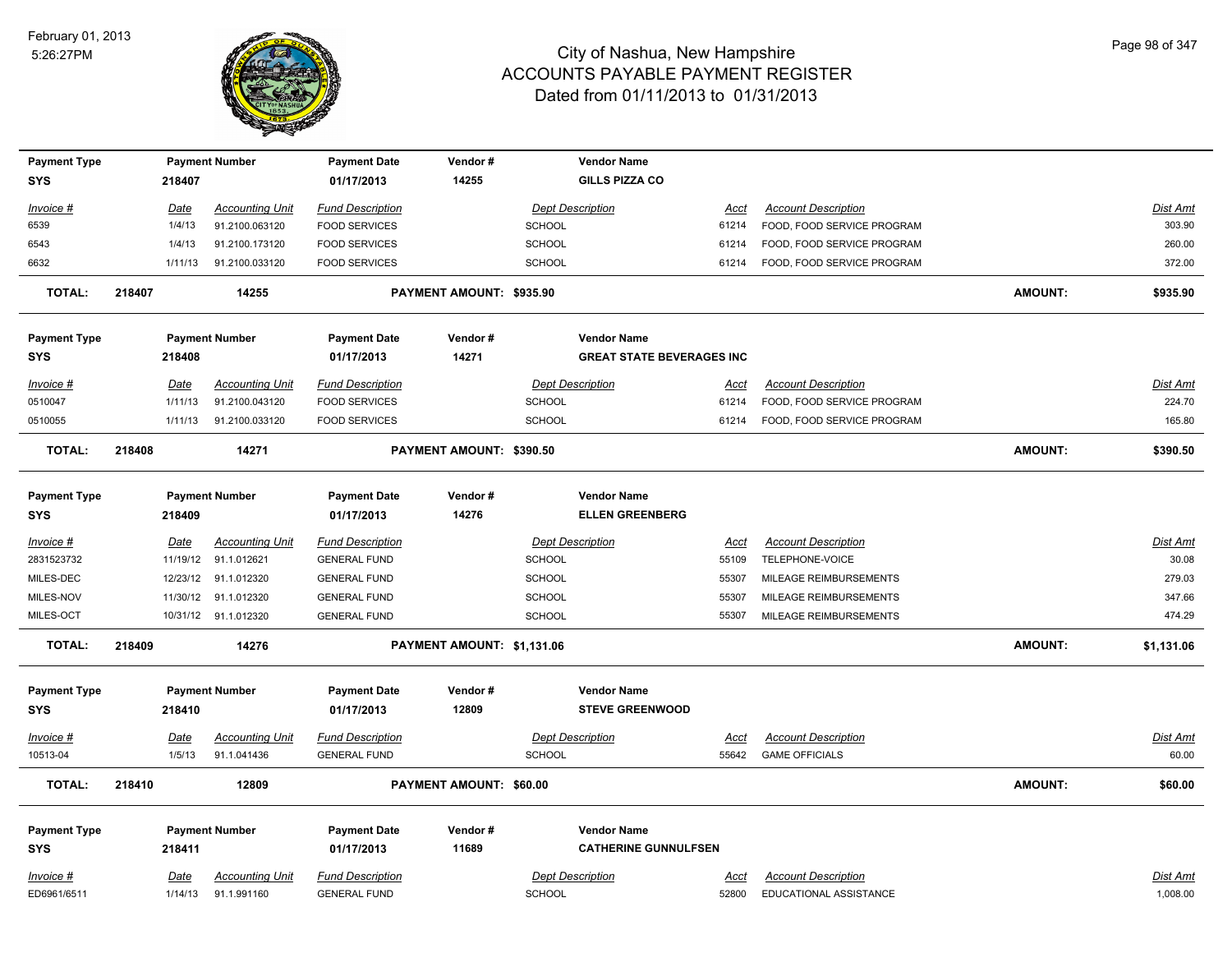

| <b>Payment Type</b> |        |             | <b>Payment Number</b>  | <b>Payment Date</b>     | Vendor#                    |               | <b>Vendor Name</b>               |             |                               |                |                 |
|---------------------|--------|-------------|------------------------|-------------------------|----------------------------|---------------|----------------------------------|-------------|-------------------------------|----------------|-----------------|
| <b>SYS</b>          |        | 218407      |                        | 01/17/2013              | 14255                      |               | <b>GILLS PIZZA CO</b>            |             |                               |                |                 |
| Invoice #           |        | <u>Date</u> | <b>Accounting Unit</b> | <b>Fund Description</b> |                            |               | <b>Dept Description</b>          | Acct        | <b>Account Description</b>    |                | Dist Amt        |
| 6539                |        | 1/4/13      | 91.2100.063120         | <b>FOOD SERVICES</b>    |                            | <b>SCHOOL</b> |                                  | 61214       | FOOD, FOOD SERVICE PROGRAM    |                | 303.90          |
| 6543                |        | 1/4/13      | 91.2100.173120         | <b>FOOD SERVICES</b>    |                            | SCHOOL        |                                  | 61214       | FOOD, FOOD SERVICE PROGRAM    |                | 260.00          |
| 6632                |        | 1/11/13     | 91.2100.033120         | <b>FOOD SERVICES</b>    |                            | SCHOOL        |                                  | 61214       | FOOD, FOOD SERVICE PROGRAM    |                | 372.00          |
| <b>TOTAL:</b>       | 218407 |             | 14255                  |                         | PAYMENT AMOUNT: \$935.90   |               |                                  |             |                               | <b>AMOUNT:</b> | \$935.90        |
| <b>Payment Type</b> |        |             | <b>Payment Number</b>  | <b>Payment Date</b>     | Vendor#                    |               | <b>Vendor Name</b>               |             |                               |                |                 |
| <b>SYS</b>          |        | 218408      |                        | 01/17/2013              | 14271                      |               | <b>GREAT STATE BEVERAGES INC</b> |             |                               |                |                 |
| Invoice #           |        | <u>Date</u> | <b>Accounting Unit</b> | <b>Fund Description</b> |                            |               | <b>Dept Description</b>          | <u>Acct</u> | <b>Account Description</b>    |                | Dist Amt        |
| 0510047             |        | 1/11/13     | 91.2100.043120         | <b>FOOD SERVICES</b>    |                            | <b>SCHOOL</b> |                                  | 61214       | FOOD, FOOD SERVICE PROGRAM    |                | 224.70          |
| 0510055             |        | 1/11/13     | 91.2100.033120         | <b>FOOD SERVICES</b>    |                            | <b>SCHOOL</b> |                                  | 61214       | FOOD, FOOD SERVICE PROGRAM    |                | 165.80          |
| <b>TOTAL:</b>       | 218408 |             | 14271                  |                         | PAYMENT AMOUNT: \$390.50   |               |                                  |             |                               | <b>AMOUNT:</b> | \$390.50        |
| <b>Payment Type</b> |        |             | <b>Payment Number</b>  | <b>Payment Date</b>     | Vendor#                    |               | <b>Vendor Name</b>               |             |                               |                |                 |
| <b>SYS</b>          |        | 218409      |                        | 01/17/2013              | 14276                      |               | <b>ELLEN GREENBERG</b>           |             |                               |                |                 |
| Invoice #           |        | Date        | <b>Accounting Unit</b> | <b>Fund Description</b> |                            |               | <b>Dept Description</b>          | Acct        | <b>Account Description</b>    |                | <b>Dist Amt</b> |
| 2831523732          |        | 11/19/12    | 91.1.012621            | <b>GENERAL FUND</b>     |                            | <b>SCHOOL</b> |                                  | 55109       | TELEPHONE-VOICE               |                | 30.08           |
| MILES-DEC           |        | 12/23/12    | 91.1.012320            | <b>GENERAL FUND</b>     |                            | SCHOOL        |                                  | 55307       | MILEAGE REIMBURSEMENTS        |                | 279.03          |
| MILES-NOV           |        | 11/30/12    | 91.1.012320            | <b>GENERAL FUND</b>     |                            | <b>SCHOOL</b> |                                  | 55307       | MILEAGE REIMBURSEMENTS        |                | 347.66          |
| MILES-OCT           |        |             | 10/31/12 91.1.012320   | <b>GENERAL FUND</b>     |                            | SCHOOL        |                                  | 55307       | MILEAGE REIMBURSEMENTS        |                | 474.29          |
| <b>TOTAL:</b>       | 218409 |             | 14276                  |                         | PAYMENT AMOUNT: \$1,131.06 |               |                                  |             |                               | <b>AMOUNT:</b> | \$1,131.06      |
| <b>Payment Type</b> |        |             | <b>Payment Number</b>  | <b>Payment Date</b>     | Vendor#                    |               | <b>Vendor Name</b>               |             |                               |                |                 |
| <b>SYS</b>          |        | 218410      |                        | 01/17/2013              | 12809                      |               | <b>STEVE GREENWOOD</b>           |             |                               |                |                 |
| <u>Invoice #</u>    |        | <b>Date</b> | <b>Accounting Unit</b> | <b>Fund Description</b> |                            |               | <b>Dept Description</b>          | <u>Acct</u> | <b>Account Description</b>    |                | <b>Dist Amt</b> |
| 10513-04            |        | 1/5/13      | 91.1.041436            | <b>GENERAL FUND</b>     |                            | <b>SCHOOL</b> |                                  | 55642       | <b>GAME OFFICIALS</b>         |                | 60.00           |
| <b>TOTAL:</b>       | 218410 |             | 12809                  |                         | PAYMENT AMOUNT: \$60.00    |               |                                  |             |                               | <b>AMOUNT:</b> | \$60.00         |
| <b>Payment Type</b> |        |             | <b>Payment Number</b>  | <b>Payment Date</b>     | Vendor#                    |               | <b>Vendor Name</b>               |             |                               |                |                 |
| <b>SYS</b>          |        | 218411      |                        | 01/17/2013              | 11689                      |               | <b>CATHERINE GUNNULFSEN</b>      |             |                               |                |                 |
| Invoice #           |        | Date        | <b>Accounting Unit</b> | <b>Fund Description</b> |                            |               | <b>Dept Description</b>          | Acct        | <b>Account Description</b>    |                | Dist Amt        |
| ED6961/6511         |        | 1/14/13     | 91.1.991160            | <b>GENERAL FUND</b>     |                            | <b>SCHOOL</b> |                                  | 52800       | <b>EDUCATIONAL ASSISTANCE</b> |                | 1,008.00        |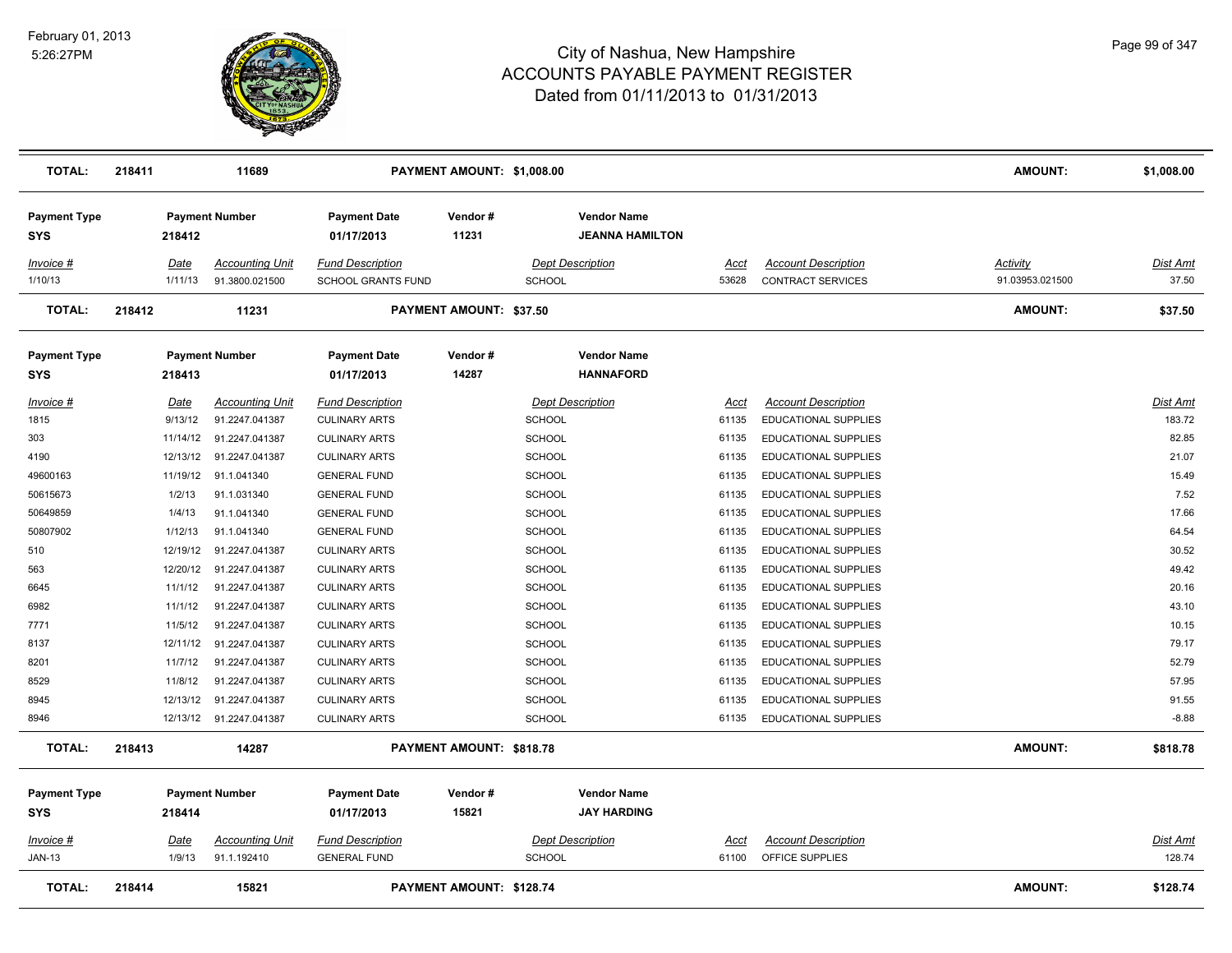

| <b>TOTAL:</b>                     | 218411 |                       | 11689                                    |                                                      | PAYMENT AMOUNT: \$1,008.00     |               |                                              |                      |                                                        | <b>AMOUNT:</b>              | \$1,008.00                |
|-----------------------------------|--------|-----------------------|------------------------------------------|------------------------------------------------------|--------------------------------|---------------|----------------------------------------------|----------------------|--------------------------------------------------------|-----------------------------|---------------------------|
| <b>Payment Type</b><br><b>SYS</b> |        | 218412                | <b>Payment Number</b>                    | <b>Payment Date</b><br>01/17/2013                    | Vendor#<br>11231               |               | <b>Vendor Name</b><br><b>JEANNA HAMILTON</b> |                      |                                                        |                             |                           |
| Invoice #<br>1/10/13              |        | Date<br>1/11/13       | <b>Accounting Unit</b><br>91.3800.021500 | <b>Fund Description</b><br><b>SCHOOL GRANTS FUND</b> |                                | <b>SCHOOL</b> | <b>Dept Description</b>                      | Acct<br>53628        | <b>Account Description</b><br><b>CONTRACT SERVICES</b> | Activity<br>91.03953.021500 | Dist Amt<br>37.50         |
| <b>TOTAL:</b>                     | 218412 |                       | 11231                                    |                                                      | <b>PAYMENT AMOUNT: \$37.50</b> |               |                                              |                      |                                                        | <b>AMOUNT:</b>              | \$37.50                   |
| <b>Payment Type</b><br><b>SYS</b> |        | 218413                | <b>Payment Number</b>                    | <b>Payment Date</b><br>01/17/2013                    | Vendor#<br>14287               |               | <b>Vendor Name</b><br><b>HANNAFORD</b>       |                      |                                                        |                             |                           |
| Invoice #                         |        | Date                  | <b>Accounting Unit</b>                   | <b>Fund Description</b>                              |                                |               | <b>Dept Description</b>                      | Acct                 | <b>Account Description</b>                             |                             | Dist Amt                  |
| 1815                              |        | 9/13/12               | 91.2247.041387                           | <b>CULINARY ARTS</b>                                 |                                | <b>SCHOOL</b> |                                              | 61135                | EDUCATIONAL SUPPLIES                                   |                             | 183.72                    |
| 303                               |        |                       | 11/14/12 91.2247.041387                  | <b>CULINARY ARTS</b>                                 |                                | SCHOOL        |                                              | 61135                | EDUCATIONAL SUPPLIES                                   |                             | 82.85                     |
| 4190                              |        |                       | 12/13/12 91.2247.041387                  | <b>CULINARY ARTS</b>                                 |                                | SCHOOL        |                                              | 61135                | <b>EDUCATIONAL SUPPLIES</b>                            |                             | 21.07                     |
| 49600163                          |        |                       | 11/19/12 91.1.041340                     | <b>GENERAL FUND</b>                                  |                                | <b>SCHOOL</b> |                                              | 61135                | <b>EDUCATIONAL SUPPLIES</b>                            |                             | 15.49                     |
| 50615673                          |        | 1/2/13                | 91.1.031340                              | <b>GENERAL FUND</b>                                  |                                | <b>SCHOOL</b> |                                              | 61135                | <b>EDUCATIONAL SUPPLIES</b>                            |                             | 7.52                      |
| 50649859                          |        | 1/4/13                | 91.1.041340                              | <b>GENERAL FUND</b>                                  |                                | <b>SCHOOL</b> |                                              | 61135                | EDUCATIONAL SUPPLIES                                   |                             | 17.66                     |
| 50807902                          |        | 1/12/13               | 91.1.041340                              | <b>GENERAL FUND</b>                                  |                                | <b>SCHOOL</b> |                                              | 61135                | EDUCATIONAL SUPPLIES                                   |                             | 64.54                     |
| 510                               |        | 12/19/12              | 91.2247.041387                           | <b>CULINARY ARTS</b>                                 |                                | <b>SCHOOL</b> |                                              | 61135                | EDUCATIONAL SUPPLIES                                   |                             | 30.52                     |
| 563                               |        | 12/20/12              | 91.2247.041387                           | <b>CULINARY ARTS</b>                                 |                                | <b>SCHOOL</b> |                                              | 61135                | <b>EDUCATIONAL SUPPLIES</b>                            |                             | 49.42                     |
| 6645                              |        | 11/1/12               | 91.2247.041387                           | <b>CULINARY ARTS</b>                                 |                                | <b>SCHOOL</b> |                                              | 61135                | <b>EDUCATIONAL SUPPLIES</b>                            |                             | 20.16                     |
| 6982                              |        | 11/1/12               | 91.2247.041387                           | <b>CULINARY ARTS</b>                                 |                                | SCHOOL        |                                              | 61135                | EDUCATIONAL SUPPLIES                                   |                             | 43.10                     |
| 7771                              |        | 11/5/12               | 91.2247.041387                           | <b>CULINARY ARTS</b>                                 |                                | <b>SCHOOL</b> |                                              | 61135                | EDUCATIONAL SUPPLIES                                   |                             | 10.15                     |
| 8137                              |        |                       | 12/11/12 91.2247.041387                  | <b>CULINARY ARTS</b>                                 |                                | <b>SCHOOL</b> |                                              | 61135                | EDUCATIONAL SUPPLIES                                   |                             | 79.17                     |
| 8201                              |        | 11/7/12               | 91.2247.041387                           | <b>CULINARY ARTS</b>                                 |                                | <b>SCHOOL</b> |                                              | 61135                | EDUCATIONAL SUPPLIES                                   |                             | 52.79                     |
| 8529                              |        | 11/8/12               | 91.2247.041387                           | <b>CULINARY ARTS</b>                                 |                                | <b>SCHOOL</b> |                                              | 61135                | <b>EDUCATIONAL SUPPLIES</b>                            |                             | 57.95                     |
| 8945                              |        | 12/13/12              | 91.2247.041387                           | <b>CULINARY ARTS</b>                                 |                                | <b>SCHOOL</b> |                                              | 61135                | <b>EDUCATIONAL SUPPLIES</b>                            |                             | 91.55                     |
| 8946                              |        |                       | 12/13/12 91.2247.041387                  | <b>CULINARY ARTS</b>                                 |                                | <b>SCHOOL</b> |                                              | 61135                | EDUCATIONAL SUPPLIES                                   |                             | $-8.88$                   |
| <b>TOTAL:</b>                     | 218413 |                       | 14287                                    |                                                      | PAYMENT AMOUNT: \$818.78       |               |                                              |                      |                                                        | <b>AMOUNT:</b>              | \$818.78                  |
| <b>Payment Type</b><br><b>SYS</b> |        | 218414                | <b>Payment Number</b>                    | <b>Payment Date</b><br>01/17/2013                    | Vendor#<br>15821               |               | <b>Vendor Name</b><br><b>JAY HARDING</b>     |                      |                                                        |                             |                           |
| <u>Invoice #</u><br><b>JAN-13</b> |        | <u>Date</u><br>1/9/13 | <b>Accounting Unit</b><br>91.1.192410    | <b>Fund Description</b><br><b>GENERAL FUND</b>       |                                | SCHOOL        | <b>Dept Description</b>                      | <u>Acct</u><br>61100 | <b>Account Description</b><br>OFFICE SUPPLIES          |                             | <b>Dist Amt</b><br>128.74 |
| <b>TOTAL:</b>                     | 218414 |                       | 15821                                    |                                                      | PAYMENT AMOUNT: \$128.74       |               |                                              |                      |                                                        | <b>AMOUNT:</b>              | \$128.74                  |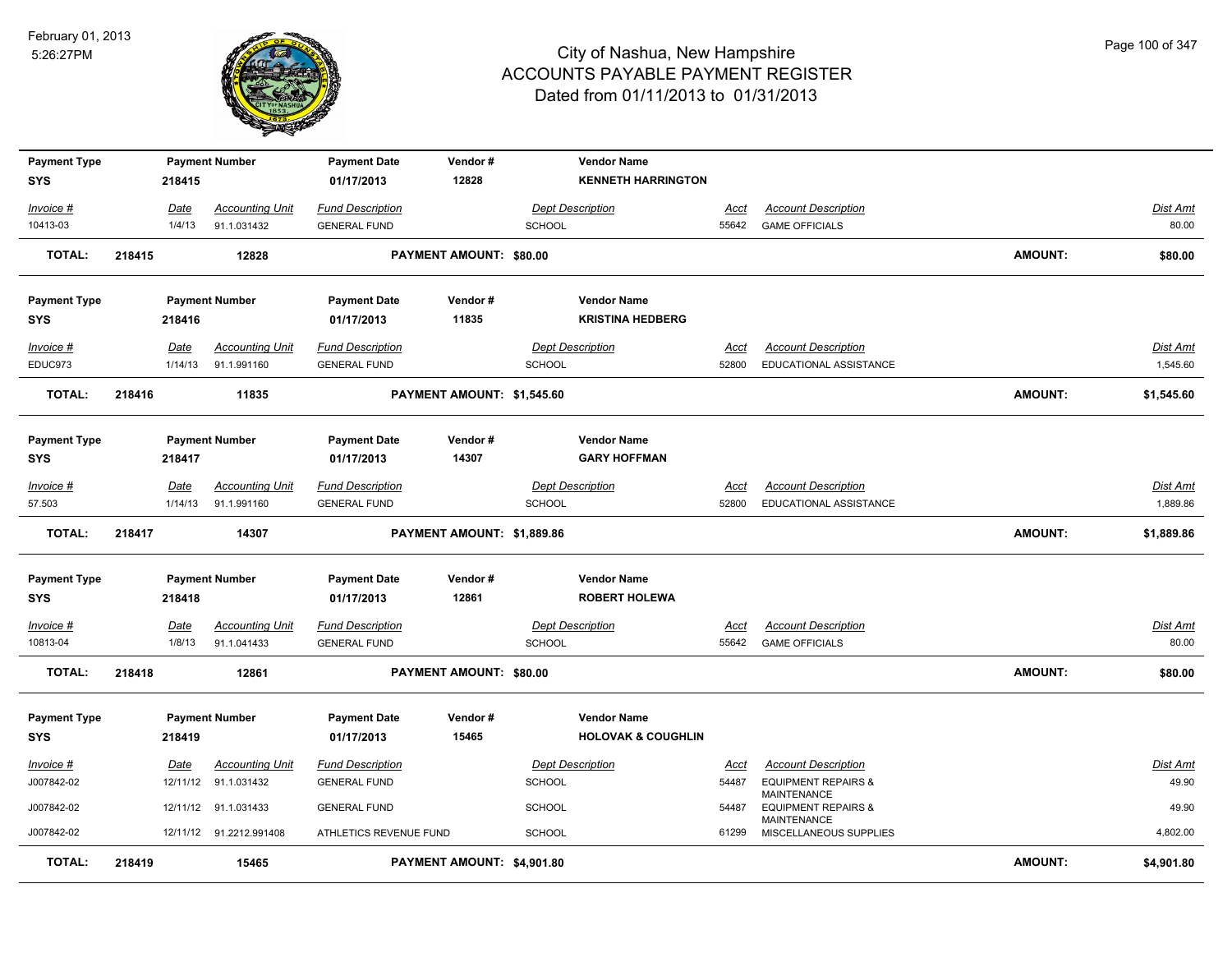

| <b>Payment Type</b><br>SYS  |        | 218415          | <b>Payment Number</b>                 | <b>Payment Date</b><br>01/17/2013              | Vendor#<br>12828           |               | <b>Vendor Name</b><br><b>KENNETH HARRINGTON</b> |                      |                                                      |                |                      |
|-----------------------------|--------|-----------------|---------------------------------------|------------------------------------------------|----------------------------|---------------|-------------------------------------------------|----------------------|------------------------------------------------------|----------------|----------------------|
| Invoice #                   |        | Date            | <b>Accounting Unit</b>                | <b>Fund Description</b>                        |                            |               | <b>Dept Description</b>                         | <u>Acct</u>          | <b>Account Description</b>                           |                | <b>Dist Amt</b>      |
| 10413-03                    |        | 1/4/13          | 91.1.031432                           | <b>GENERAL FUND</b>                            |                            | <b>SCHOOL</b> |                                                 | 55642                | <b>GAME OFFICIALS</b>                                |                | 80.00                |
| <b>TOTAL:</b>               | 218415 |                 | 12828                                 |                                                | PAYMENT AMOUNT: \$80.00    |               |                                                 |                      |                                                      | <b>AMOUNT:</b> | \$80.00              |
| <b>Payment Type</b>         |        |                 | <b>Payment Number</b>                 | <b>Payment Date</b>                            | Vendor#                    |               | <b>Vendor Name</b>                              |                      |                                                      |                |                      |
| SYS                         |        | 218416          |                                       | 01/17/2013                                     | 11835                      |               | <b>KRISTINA HEDBERG</b>                         |                      |                                                      |                |                      |
| <b>Invoice #</b><br>EDUC973 |        | Date<br>1/14/13 | <b>Accounting Unit</b><br>91.1.991160 | <b>Fund Description</b><br><b>GENERAL FUND</b> |                            | <b>SCHOOL</b> | <b>Dept Description</b>                         | <u>Acct</u><br>52800 | <b>Account Description</b><br>EDUCATIONAL ASSISTANCE |                | Dist Amt<br>1,545.60 |
| <b>TOTAL:</b>               | 218416 |                 | 11835                                 |                                                | PAYMENT AMOUNT: \$1,545.60 |               |                                                 |                      |                                                      | <b>AMOUNT:</b> | \$1,545.60           |
| <b>Payment Type</b>         |        |                 | <b>Payment Number</b>                 | <b>Payment Date</b>                            | Vendor#                    |               | <b>Vendor Name</b>                              |                      |                                                      |                |                      |
| <b>SYS</b>                  |        | 218417          |                                       | 01/17/2013                                     | 14307                      |               | <b>GARY HOFFMAN</b>                             |                      |                                                      |                |                      |
| Invoice #                   |        | Date            | <b>Accounting Unit</b>                | <b>Fund Description</b>                        |                            |               | <b>Dept Description</b>                         | <b>Acct</b>          | <b>Account Description</b>                           |                | <b>Dist Amt</b>      |
| 57.503                      |        | 1/14/13         | 91.1.991160                           | <b>GENERAL FUND</b>                            |                            | <b>SCHOOL</b> |                                                 | 52800                | EDUCATIONAL ASSISTANCE                               |                | 1,889.86             |
| <b>TOTAL:</b>               | 218417 |                 | 14307                                 |                                                | PAYMENT AMOUNT: \$1,889.86 |               |                                                 |                      |                                                      | <b>AMOUNT:</b> | \$1,889.86           |
| <b>Payment Type</b><br>SYS  |        | 218418          | <b>Payment Number</b>                 | <b>Payment Date</b><br>01/17/2013              | Vendor #<br>12861          |               | <b>Vendor Name</b><br><b>ROBERT HOLEWA</b>      |                      |                                                      |                |                      |
| <u>Invoice #</u>            |        | <u>Date</u>     | <b>Accounting Unit</b>                | <b>Fund Description</b>                        |                            |               | <b>Dept Description</b>                         | <u>Acct</u>          | <b>Account Description</b>                           |                | <b>Dist Amt</b>      |
| 10813-04                    |        | 1/8/13          | 91.1.041433                           | <b>GENERAL FUND</b>                            |                            | SCHOOL        |                                                 | 55642                | <b>GAME OFFICIALS</b>                                |                | 80.00                |
| <b>TOTAL:</b>               | 218418 |                 | 12861                                 |                                                | PAYMENT AMOUNT: \$80.00    |               |                                                 |                      |                                                      | <b>AMOUNT:</b> | \$80.00              |
| <b>Payment Type</b>         |        |                 | <b>Payment Number</b>                 | <b>Payment Date</b>                            | Vendor#                    |               | <b>Vendor Name</b>                              |                      |                                                      |                |                      |
| SYS                         |        | 218419          |                                       | 01/17/2013                                     | 15465                      |               | <b>HOLOVAK &amp; COUGHLIN</b>                   |                      |                                                      |                |                      |
| Invoice #                   |        | Date            | <b>Accounting Unit</b>                | <b>Fund Description</b>                        |                            |               | <b>Dept Description</b>                         | Acct                 | <b>Account Description</b>                           |                | Dist Amt             |
| J007842-02                  |        |                 | 12/11/12 91.1.031432                  | <b>GENERAL FUND</b>                            |                            | <b>SCHOOL</b> |                                                 | 54487                | <b>EQUIPMENT REPAIRS &amp;</b><br>MAINTENANCE        |                | 49.90                |
| J007842-02                  |        |                 | 12/11/12 91.1.031433                  | <b>GENERAL FUND</b>                            |                            | <b>SCHOOL</b> |                                                 | 54487                | <b>EQUIPMENT REPAIRS &amp;</b>                       |                | 49.90                |
| J007842-02                  |        |                 | 12/11/12 91.2212.991408               | ATHLETICS REVENUE FUND                         |                            | SCHOOL        |                                                 | 61299                | MAINTENANCE<br>MISCELLANEOUS SUPPLIES                |                | 4,802.00             |
| <b>TOTAL:</b>               | 218419 |                 | 15465                                 |                                                | PAYMENT AMOUNT: \$4,901.80 |               |                                                 |                      |                                                      | <b>AMOUNT:</b> | \$4,901.80           |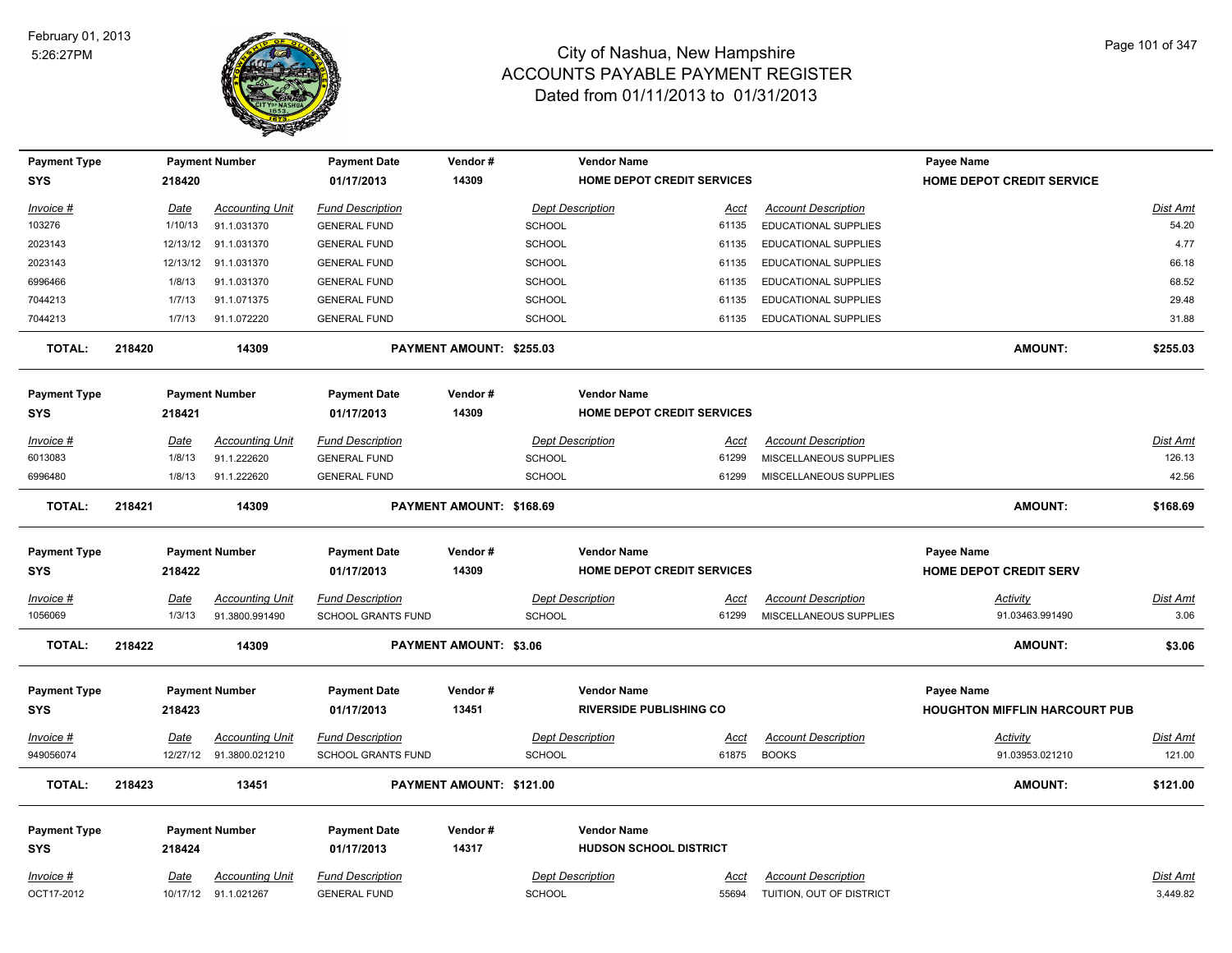

| <b>Payment Type</b><br><b>SYS</b> |        | 218420      | <b>Payment Number</b>   | <b>Payment Date</b><br>01/17/2013 | Vendor#<br>14309              |               | <b>Vendor Name</b><br>HOME DEPOT CREDIT SERVICES     |             |                             | <b>Payee Name</b><br>HOME DEPOT CREDIT SERVICE            |                 |
|-----------------------------------|--------|-------------|-------------------------|-----------------------------------|-------------------------------|---------------|------------------------------------------------------|-------------|-----------------------------|-----------------------------------------------------------|-----------------|
| Invoice #                         |        | Date        | Accounting Unit         | <b>Fund Description</b>           |                               |               | <b>Dept Description</b>                              | Acct        | <b>Account Description</b>  |                                                           | Dist Amt        |
| 103276                            |        | 1/10/13     | 91.1.031370             | <b>GENERAL FUND</b>               |                               | <b>SCHOOL</b> |                                                      | 61135       | <b>EDUCATIONAL SUPPLIES</b> |                                                           | 54.20           |
| 2023143                           |        | 12/13/12    | 91.1.031370             | <b>GENERAL FUND</b>               |                               | <b>SCHOOL</b> |                                                      | 61135       | <b>EDUCATIONAL SUPPLIES</b> |                                                           | 4.77            |
| 2023143                           |        | 12/13/12    | 91.1.031370             | <b>GENERAL FUND</b>               |                               | <b>SCHOOL</b> |                                                      | 61135       | <b>EDUCATIONAL SUPPLIES</b> |                                                           | 66.18           |
| 6996466                           |        | 1/8/13      | 91.1.031370             | <b>GENERAL FUND</b>               |                               | SCHOOL        |                                                      | 61135       | EDUCATIONAL SUPPLIES        |                                                           | 68.52           |
| 7044213                           |        | 1/7/13      | 91.1.071375             | <b>GENERAL FUND</b>               |                               | <b>SCHOOL</b> |                                                      | 61135       | EDUCATIONAL SUPPLIES        |                                                           | 29.48           |
| 7044213                           |        | 1/7/13      | 91.1.072220             | <b>GENERAL FUND</b>               |                               | <b>SCHOOL</b> |                                                      | 61135       | EDUCATIONAL SUPPLIES        |                                                           | 31.88           |
| <b>TOTAL:</b>                     | 218420 |             | 14309                   |                                   | PAYMENT AMOUNT: \$255.03      |               |                                                      |             |                             | <b>AMOUNT:</b>                                            | \$255.03        |
| <b>Payment Type</b>               |        |             | <b>Payment Number</b>   | <b>Payment Date</b>               | Vendor#                       |               | <b>Vendor Name</b>                                   |             |                             |                                                           |                 |
| SYS                               |        | 218421      |                         | 01/17/2013                        | 14309                         |               | HOME DEPOT CREDIT SERVICES                           |             |                             |                                                           |                 |
| Invoice #                         |        | Date        | <b>Accounting Unit</b>  | <b>Fund Description</b>           |                               |               | <b>Dept Description</b>                              | Acct        | <b>Account Description</b>  |                                                           | Dist Amt        |
| 6013083                           |        | 1/8/13      | 91.1.222620             | <b>GENERAL FUND</b>               |                               | <b>SCHOOL</b> |                                                      | 61299       | MISCELLANEOUS SUPPLIES      |                                                           | 126.13          |
| 6996480                           |        | 1/8/13      | 91.1.222620             | <b>GENERAL FUND</b>               |                               | <b>SCHOOL</b> |                                                      | 61299       | MISCELLANEOUS SUPPLIES      |                                                           | 42.56           |
| <b>TOTAL:</b>                     | 218421 |             | 14309                   |                                   | PAYMENT AMOUNT: \$168.69      |               |                                                      |             |                             | <b>AMOUNT:</b>                                            | \$168.69        |
| <b>Payment Type</b>               |        |             | <b>Payment Number</b>   | <b>Payment Date</b>               | Vendor#                       |               | <b>Vendor Name</b>                                   |             |                             | Payee Name                                                |                 |
| SYS                               |        | 218422      |                         | 01/17/2013                        | 14309                         |               | <b>HOME DEPOT CREDIT SERVICES</b>                    |             |                             | <b>HOME DEPOT CREDIT SERV</b>                             |                 |
| <u>Invoice #</u>                  |        | <b>Date</b> | <b>Accounting Unit</b>  | <b>Fund Description</b>           |                               |               | <b>Dept Description</b>                              | <u>Acct</u> | <b>Account Description</b>  | <u>Activity</u>                                           | <u>Dist Amt</u> |
| 1056069                           |        | 1/3/13      | 91.3800.991490          | SCHOOL GRANTS FUND                |                               | <b>SCHOOL</b> |                                                      | 61299       | MISCELLANEOUS SUPPLIES      | 91.03463.991490                                           | 3.06            |
| <b>TOTAL:</b>                     | 218422 |             | 14309                   |                                   | <b>PAYMENT AMOUNT: \$3.06</b> |               |                                                      |             |                             | <b>AMOUNT:</b>                                            | \$3.06          |
| <b>Payment Type</b><br><b>SYS</b> |        | 218423      | <b>Payment Number</b>   | <b>Payment Date</b><br>01/17/2013 | Vendor#<br>13451              |               | <b>Vendor Name</b><br><b>RIVERSIDE PUBLISHING CO</b> |             |                             | <b>Payee Name</b><br><b>HOUGHTON MIFFLIN HARCOURT PUB</b> |                 |
| $Invoice$ #                       |        | <u>Date</u> | <b>Accounting Unit</b>  | <b>Fund Description</b>           |                               |               | <b>Dept Description</b>                              | <u>Acct</u> | <b>Account Description</b>  | <u>Activity</u>                                           | <u>Dist Amt</u> |
| 949056074                         |        |             | 12/27/12 91.3800.021210 | <b>SCHOOL GRANTS FUND</b>         |                               | <b>SCHOOL</b> |                                                      | 61875       | <b>BOOKS</b>                | 91.03953.021210                                           | 121.00          |
| <b>TOTAL:</b>                     | 218423 |             | 13451                   |                                   | PAYMENT AMOUNT: \$121.00      |               |                                                      |             |                             | <b>AMOUNT:</b>                                            | \$121.00        |
| <b>Payment Type</b>               |        |             | <b>Payment Number</b>   | <b>Payment Date</b>               | Vendor#                       |               | <b>Vendor Name</b>                                   |             |                             |                                                           |                 |
| <b>SYS</b>                        |        | 218424      |                         | 01/17/2013                        | 14317                         |               | <b>HUDSON SCHOOL DISTRICT</b>                        |             |                             |                                                           |                 |
| Invoice #                         |        | <u>Date</u> | <b>Accounting Unit</b>  | <b>Fund Description</b>           |                               |               | <b>Dept Description</b>                              | <u>Acct</u> | <b>Account Description</b>  |                                                           | Dist Amt        |
| OCT17-2012                        |        |             | 10/17/12 91.1.021267    | <b>GENERAL FUND</b>               |                               | <b>SCHOOL</b> |                                                      | 55694       | TUITION, OUT OF DISTRICT    |                                                           | 3,449.82        |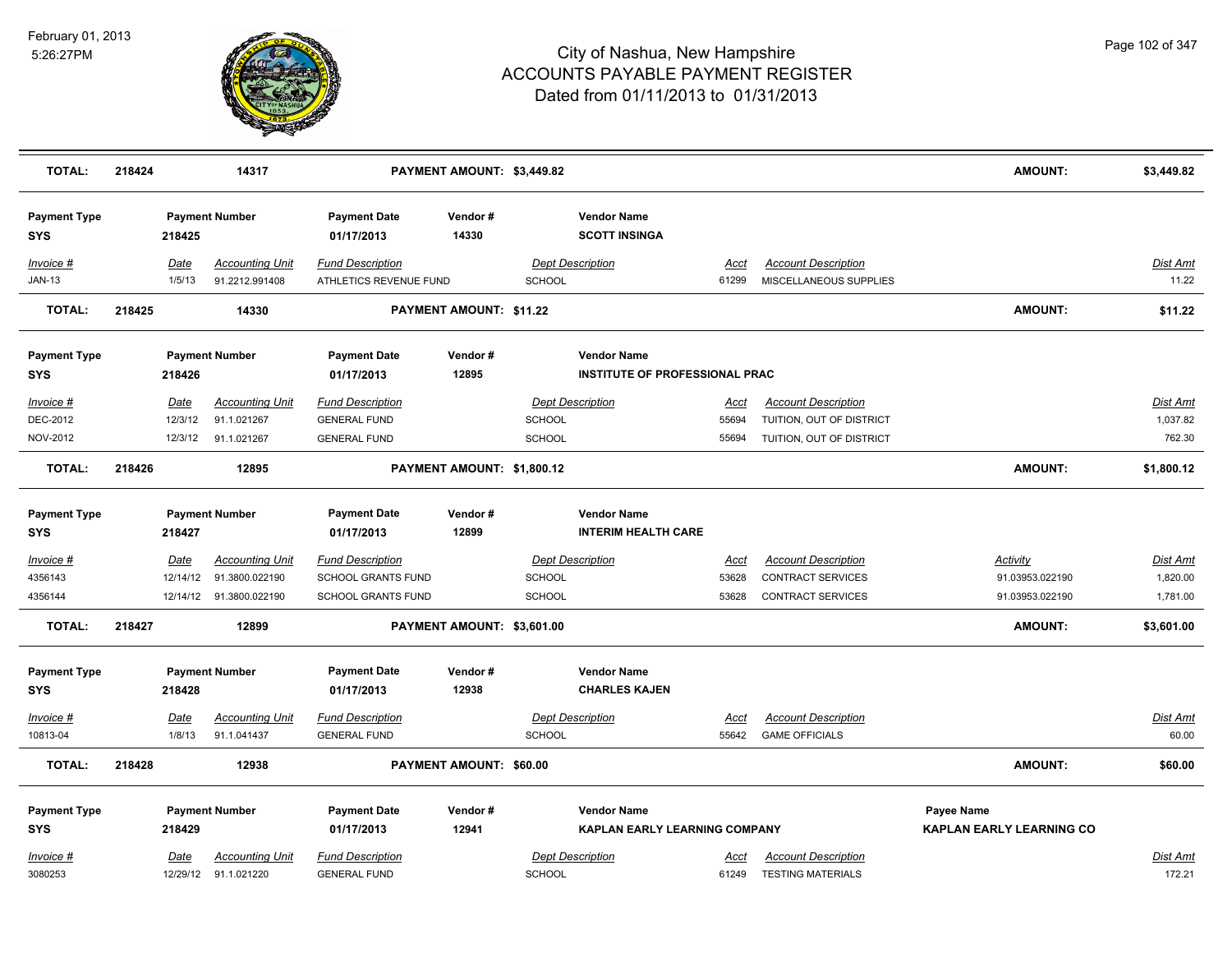

| <b>TOTAL:</b>                                  | 218424 |                                     | 14317                                                      |                                                                            | PAYMENT AMOUNT: \$3,449.82     |                         |                                                                                |                               |                                                                                    | <b>AMOUNT:</b>                                 | \$3,449.82                       |
|------------------------------------------------|--------|-------------------------------------|------------------------------------------------------------|----------------------------------------------------------------------------|--------------------------------|-------------------------|--------------------------------------------------------------------------------|-------------------------------|------------------------------------------------------------------------------------|------------------------------------------------|----------------------------------|
| <b>Payment Type</b><br><b>SYS</b>              |        | 218425                              | <b>Payment Number</b>                                      | <b>Payment Date</b><br>01/17/2013                                          | Vendor#<br>14330               |                         | <b>Vendor Name</b><br><b>SCOTT INSINGA</b>                                     |                               |                                                                                    |                                                |                                  |
| Invoice #<br><b>JAN-13</b>                     |        | Date<br>1/5/13                      | <b>Accounting Unit</b><br>91.2212.991408                   | <b>Fund Description</b><br>ATHLETICS REVENUE FUND                          |                                | <b>SCHOOL</b>           | <b>Dept Description</b>                                                        | Acct<br>61299                 | <b>Account Description</b><br>MISCELLANEOUS SUPPLIES                               |                                                | Dist Amt<br>11.22                |
| <b>TOTAL:</b>                                  | 218425 |                                     | 14330                                                      |                                                                            | <b>PAYMENT AMOUNT: \$11.22</b> |                         |                                                                                |                               |                                                                                    | <b>AMOUNT:</b>                                 | \$11.22                          |
| <b>Payment Type</b><br>SYS                     |        | 218426                              | <b>Payment Number</b>                                      | <b>Payment Date</b><br>01/17/2013                                          | Vendor#<br>12895               |                         | <b>Vendor Name</b><br><b>INSTITUTE OF PROFESSIONAL PRAC</b>                    |                               |                                                                                    |                                                |                                  |
| Invoice #<br>DEC-2012<br>NOV-2012              |        | Date<br>12/3/12<br>12/3/12          | <b>Accounting Unit</b><br>91.1.021267<br>91.1.021267       | <b>Fund Description</b><br><b>GENERAL FUND</b><br><b>GENERAL FUND</b>      |                                | SCHOOL<br><b>SCHOOL</b> | <b>Dept Description</b>                                                        | Acct<br>55694<br>55694        | <b>Account Description</b><br>TUITION, OUT OF DISTRICT<br>TUITION, OUT OF DISTRICT |                                                | Dist Amt<br>1,037.82<br>762.30   |
| <b>TOTAL:</b>                                  | 218426 |                                     | 12895                                                      |                                                                            | PAYMENT AMOUNT: \$1,800.12     |                         |                                                                                |                               |                                                                                    | <b>AMOUNT:</b>                                 | \$1,800.12                       |
| <b>Payment Type</b><br>SYS                     |        | 218427                              | <b>Payment Number</b>                                      | <b>Payment Date</b><br>01/17/2013                                          | Vendor#<br>12899               |                         | <b>Vendor Name</b><br><b>INTERIM HEALTH CARE</b>                               |                               |                                                                                    |                                                |                                  |
| <u>Invoice #</u><br>4356143<br>4356144         |        | <u>Date</u><br>12/14/12<br>12/14/12 | <b>Accounting Unit</b><br>91.3800.022190<br>91.3800.022190 | <b>Fund Description</b><br><b>SCHOOL GRANTS FUND</b><br>SCHOOL GRANTS FUND |                                | <b>SCHOOL</b><br>SCHOOL | <b>Dept Description</b>                                                        | <u>Acct</u><br>53628<br>53628 | <b>Account Description</b><br>CONTRACT SERVICES<br><b>CONTRACT SERVICES</b>        | Activity<br>91.03953.022190<br>91.03953.022190 | Dist Amt<br>1,820.00<br>1,781.00 |
| <b>TOTAL:</b>                                  | 218427 |                                     | 12899                                                      |                                                                            | PAYMENT AMOUNT: \$3,601.00     |                         |                                                                                |                               |                                                                                    | <b>AMOUNT:</b>                                 | \$3,601.00                       |
| <b>Payment Type</b><br><b>SYS</b>              |        | 218428                              | <b>Payment Number</b>                                      | <b>Payment Date</b><br>01/17/2013                                          | Vendor#<br>12938               |                         | <b>Vendor Name</b><br><b>CHARLES KAJEN</b>                                     |                               |                                                                                    |                                                |                                  |
| <b>Invoice #</b><br>10813-04                   |        | Date<br>1/8/13                      | <b>Accounting Unit</b><br>91.1.041437                      | <b>Fund Description</b><br><b>GENERAL FUND</b>                             |                                | SCHOOL                  | <b>Dept Description</b>                                                        | Acct<br>55642                 | <b>Account Description</b><br><b>GAME OFFICIALS</b>                                |                                                | Dist Amt<br>60.00                |
| <b>TOTAL:</b>                                  | 218428 |                                     | 12938                                                      |                                                                            | PAYMENT AMOUNT: \$60.00        |                         |                                                                                |                               |                                                                                    | <b>AMOUNT:</b>                                 | \$60.00                          |
| <b>Payment Type</b><br><b>SYS</b><br>Invoice # |        | 218429<br>Date                      | <b>Payment Number</b><br>Accounting Unit                   | <b>Payment Date</b><br>01/17/2013<br><b>Fund Description</b>               | Vendor#<br>12941               |                         | <b>Vendor Name</b><br>KAPLAN EARLY LEARNING COMPANY<br><b>Dept Description</b> | Acct                          | <b>Account Description</b>                                                         | Payee Name<br><b>KAPLAN EARLY LEARNING CO</b>  | Dist Amt                         |
| 3080253                                        |        |                                     | 12/29/12 91.1.021220                                       | <b>GENERAL FUND</b>                                                        |                                | <b>SCHOOL</b>           |                                                                                | 61249                         | <b>TESTING MATERIALS</b>                                                           |                                                | 172.21                           |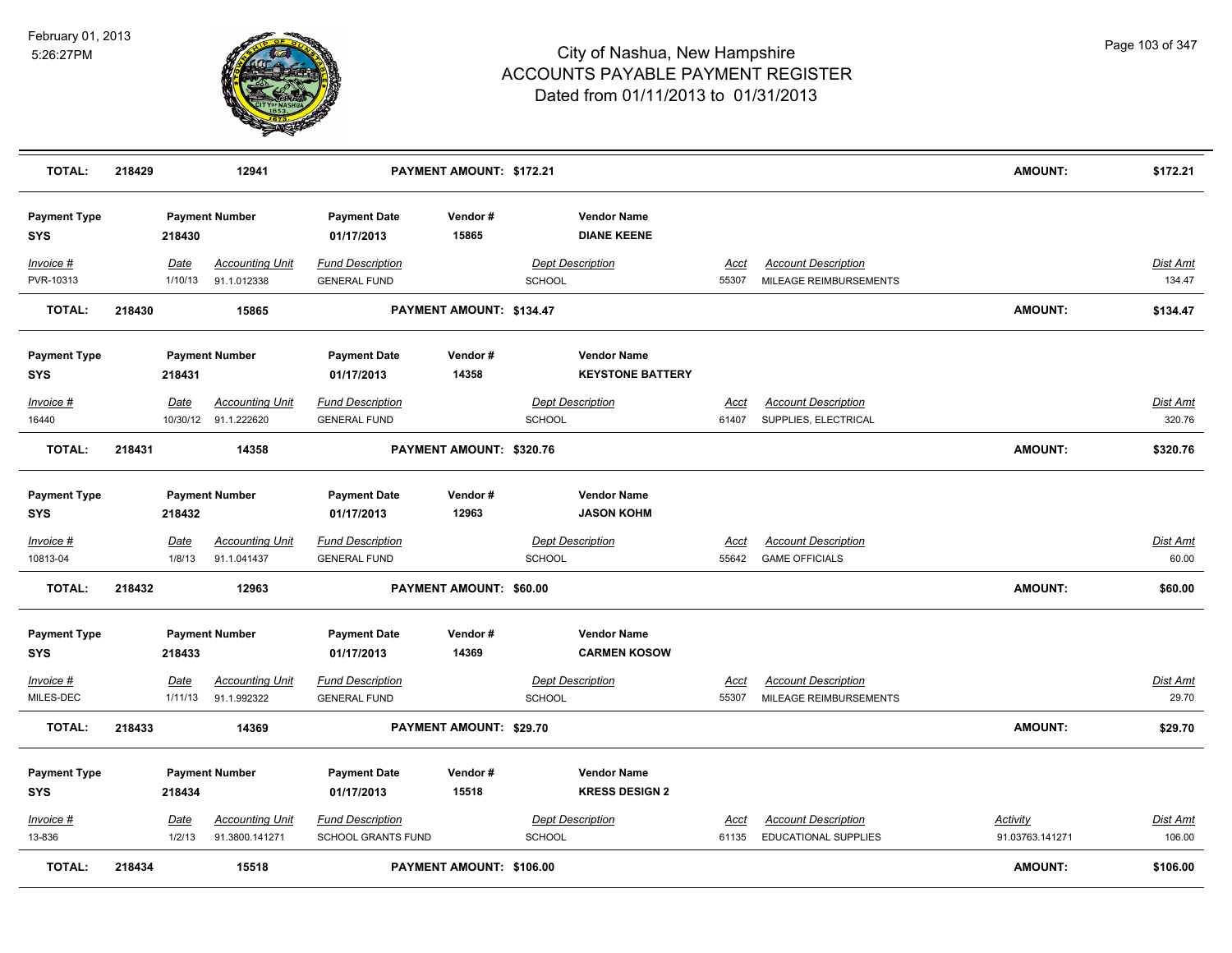

| <b>TOTAL:</b>                     | 218429 |                       | 12941                                          |                                                | PAYMENT AMOUNT: \$172.21       |               |                                               |                      |                                                           | <b>AMOUNT:</b>                     | \$172.21                  |
|-----------------------------------|--------|-----------------------|------------------------------------------------|------------------------------------------------|--------------------------------|---------------|-----------------------------------------------|----------------------|-----------------------------------------------------------|------------------------------------|---------------------------|
| <b>Payment Type</b><br><b>SYS</b> |        | 218430                | <b>Payment Number</b>                          | <b>Payment Date</b><br>01/17/2013              | Vendor#<br>15865               |               | <b>Vendor Name</b><br><b>DIANE KEENE</b>      |                      |                                                           |                                    |                           |
| Invoice #<br>PVR-10313            |        | Date<br>1/10/13       | <b>Accounting Unit</b><br>91.1.012338          | <b>Fund Description</b><br><b>GENERAL FUND</b> |                                | <b>SCHOOL</b> | <b>Dept Description</b>                       | Acct<br>55307        | <b>Account Description</b><br>MILEAGE REIMBURSEMENTS      |                                    | Dist Amt<br>134.47        |
| <b>TOTAL:</b>                     | 218430 |                       | 15865                                          |                                                | PAYMENT AMOUNT: \$134.47       |               |                                               |                      |                                                           | <b>AMOUNT:</b>                     | \$134.47                  |
| <b>Payment Type</b><br><b>SYS</b> |        | 218431                | <b>Payment Number</b>                          | <b>Payment Date</b><br>01/17/2013              | Vendor#<br>14358               |               | <b>Vendor Name</b><br><b>KEYSTONE BATTERY</b> |                      |                                                           |                                    |                           |
| Invoice #<br>16440                |        | <u>Date</u>           | <b>Accounting Unit</b><br>10/30/12 91.1.222620 | <b>Fund Description</b><br><b>GENERAL FUND</b> |                                | <b>SCHOOL</b> | <b>Dept Description</b>                       | Acct<br>61407        | <b>Account Description</b><br>SUPPLIES, ELECTRICAL        |                                    | Dist Amt<br>320.76        |
| <b>TOTAL:</b>                     | 218431 |                       | 14358                                          |                                                | PAYMENT AMOUNT: \$320.76       |               |                                               |                      |                                                           | <b>AMOUNT:</b>                     | \$320.76                  |
| <b>Payment Type</b><br><b>SYS</b> |        | 218432                | <b>Payment Number</b>                          | <b>Payment Date</b><br>01/17/2013              | Vendor#<br>12963               |               | <b>Vendor Name</b><br><b>JASON KOHM</b>       |                      |                                                           |                                    |                           |
| Invoice #<br>10813-04             |        | <u>Date</u><br>1/8/13 | <b>Accounting Unit</b><br>91.1.041437          | <b>Fund Description</b><br><b>GENERAL FUND</b> |                                | <b>SCHOOL</b> | <b>Dept Description</b>                       | <u>Acct</u><br>55642 | <b>Account Description</b><br><b>GAME OFFICIALS</b>       |                                    | Dist Amt<br>60.00         |
| <b>TOTAL:</b>                     | 218432 |                       | 12963                                          |                                                | <b>PAYMENT AMOUNT: \$60.00</b> |               |                                               |                      |                                                           | <b>AMOUNT:</b>                     | \$60.00                   |
| <b>Payment Type</b><br><b>SYS</b> |        | 218433                | <b>Payment Number</b>                          | <b>Payment Date</b><br>01/17/2013              | Vendor#<br>14369               |               | <b>Vendor Name</b><br><b>CARMEN KOSOW</b>     |                      |                                                           |                                    |                           |
| $Invoice$ #<br>MILES-DEC          |        | Date<br>1/11/13       | <b>Accounting Unit</b><br>91.1.992322          | <b>Fund Description</b><br><b>GENERAL FUND</b> |                                | <b>SCHOOL</b> | <b>Dept Description</b>                       | <u>Acct</u><br>55307 | <b>Account Description</b><br>MILEAGE REIMBURSEMENTS      |                                    | <b>Dist Amt</b><br>29.70  |
| <b>TOTAL:</b>                     | 218433 |                       | 14369                                          |                                                | PAYMENT AMOUNT: \$29.70        |               |                                               |                      |                                                           | <b>AMOUNT:</b>                     | \$29.70                   |
| <b>Payment Type</b><br><b>SYS</b> |        | 218434                | <b>Payment Number</b>                          | <b>Payment Date</b><br>01/17/2013              | Vendor#<br>15518               |               | <b>Vendor Name</b><br><b>KRESS DESIGN 2</b>   |                      |                                                           |                                    |                           |
| $Invoice$ #<br>13-836             |        | Date<br>1/2/13        | <b>Accounting Unit</b><br>91.3800.141271       | <b>Fund Description</b><br>SCHOOL GRANTS FUND  |                                | SCHOOL        | <b>Dept Description</b>                       | Acct<br>61135        | <b>Account Description</b><br><b>EDUCATIONAL SUPPLIES</b> | <b>Activity</b><br>91.03763.141271 | <b>Dist Amt</b><br>106.00 |
| <b>TOTAL:</b>                     | 218434 |                       | 15518                                          |                                                | PAYMENT AMOUNT: \$106.00       |               |                                               |                      |                                                           | <b>AMOUNT:</b>                     | \$106.00                  |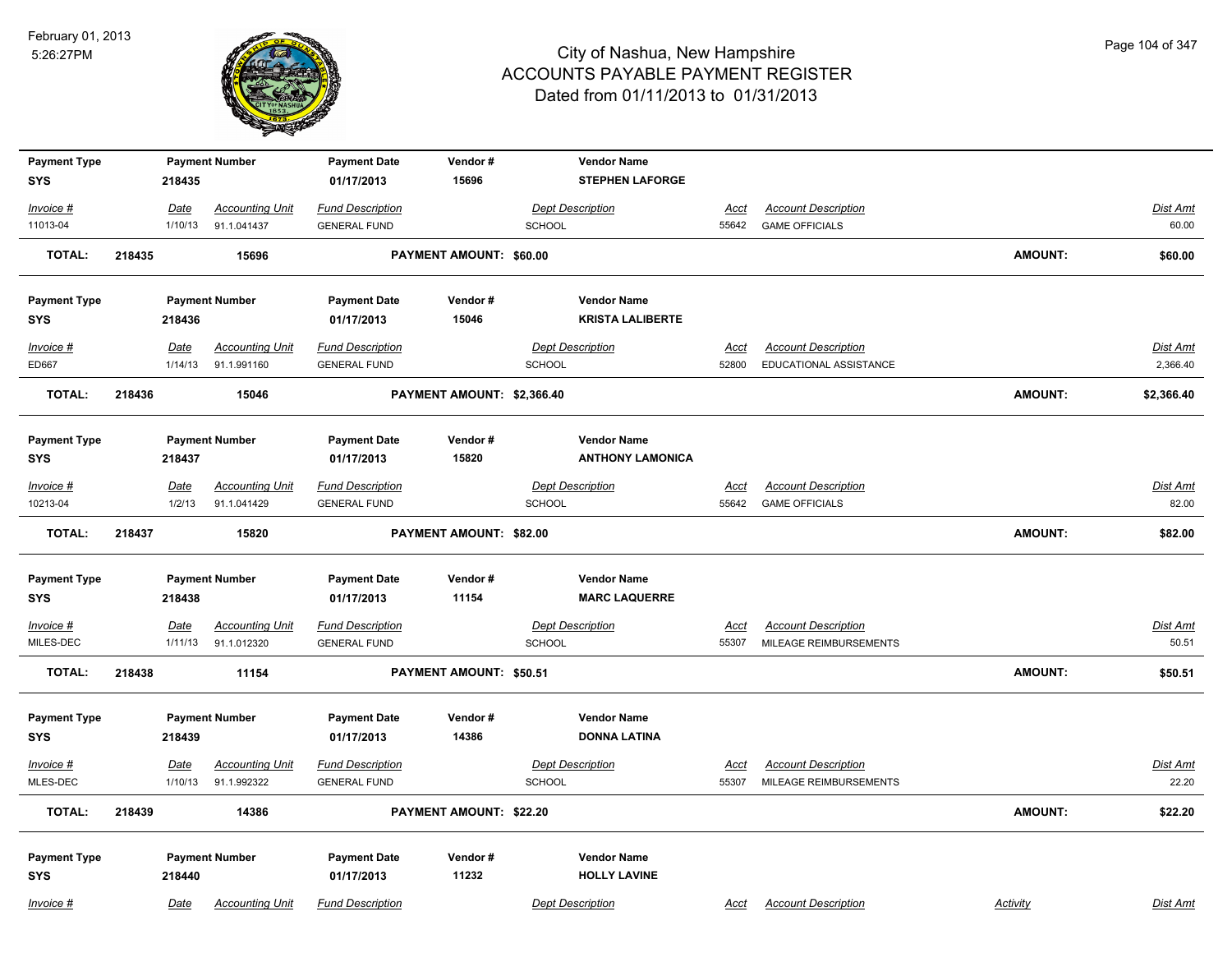

| <b>Payment Type</b>               |        |                        | <b>Payment Number</b>                 | <b>Payment Date</b>                            | Vendor#                    |                                          | <b>Vendor Name</b>                         |                      |                                                      |                |                          |
|-----------------------------------|--------|------------------------|---------------------------------------|------------------------------------------------|----------------------------|------------------------------------------|--------------------------------------------|----------------------|------------------------------------------------------|----------------|--------------------------|
| <b>SYS</b>                        |        | 218435                 |                                       | 01/17/2013                                     | 15696                      |                                          | <b>STEPHEN LAFORGE</b>                     |                      |                                                      |                |                          |
| Invoice #                         |        | Date                   | <b>Accounting Unit</b>                | <b>Fund Description</b>                        |                            | <b>Dept Description</b>                  |                                            | Acct                 | <b>Account Description</b>                           |                | Dist Amt                 |
| 11013-04                          |        | 1/10/13                | 91.1.041437                           | <b>GENERAL FUND</b>                            |                            | SCHOOL                                   |                                            | 55642                | <b>GAME OFFICIALS</b>                                |                | 60.00                    |
| <b>TOTAL:</b>                     | 218435 |                        | 15696                                 |                                                | PAYMENT AMOUNT: \$60.00    |                                          |                                            |                      |                                                      | <b>AMOUNT:</b> | \$60.00                  |
| <b>Payment Type</b>               |        |                        | <b>Payment Number</b>                 | <b>Payment Date</b>                            | Vendor#                    |                                          | <b>Vendor Name</b>                         |                      |                                                      |                |                          |
| <b>SYS</b>                        |        | 218436                 |                                       | 01/17/2013                                     | 15046                      |                                          | <b>KRISTA LALIBERTE</b>                    |                      |                                                      |                |                          |
| Invoice #                         |        | <u>Date</u>            | <b>Accounting Unit</b>                | <b>Fund Description</b>                        |                            | <b>Dept Description</b>                  |                                            | Acct                 | <b>Account Description</b>                           |                | Dist Amt                 |
| ED667                             |        | 1/14/13                | 91.1.991160                           | <b>GENERAL FUND</b>                            |                            | SCHOOL                                   |                                            | 52800                | EDUCATIONAL ASSISTANCE                               |                | 2,366.40                 |
| <b>TOTAL:</b>                     | 218436 |                        | 15046                                 |                                                | PAYMENT AMOUNT: \$2,366.40 |                                          |                                            |                      |                                                      | <b>AMOUNT:</b> | \$2,366.40               |
| <b>Payment Type</b>               |        |                        | <b>Payment Number</b>                 | <b>Payment Date</b>                            | Vendor#                    |                                          | <b>Vendor Name</b>                         |                      |                                                      |                |                          |
| <b>SYS</b>                        |        | 218437                 |                                       | 01/17/2013                                     | 15820                      |                                          | <b>ANTHONY LAMONICA</b>                    |                      |                                                      |                |                          |
| $Invoice$ #<br>10213-04           |        | Date<br>1/2/13         | <b>Accounting Unit</b><br>91.1.041429 | <b>Fund Description</b><br><b>GENERAL FUND</b> |                            | <b>Dept Description</b><br><b>SCHOOL</b> |                                            | <u>Acct</u><br>55642 | <b>Account Description</b><br><b>GAME OFFICIALS</b>  |                | Dist Amt<br>82.00        |
| <b>TOTAL:</b>                     | 218437 |                        | 15820                                 |                                                | PAYMENT AMOUNT: \$82.00    |                                          |                                            |                      |                                                      | <b>AMOUNT:</b> | \$82.00                  |
| <b>Payment Type</b><br><b>SYS</b> |        | 218438                 | <b>Payment Number</b>                 | <b>Payment Date</b><br>01/17/2013              | Vendor#<br>11154           |                                          | <b>Vendor Name</b><br><b>MARC LAQUERRE</b> |                      |                                                      |                |                          |
| $Invoice$ #                       |        | Date                   | <b>Accounting Unit</b>                | <b>Fund Description</b>                        |                            | <b>Dept Description</b>                  |                                            | <u>Acct</u>          | <b>Account Description</b>                           |                | Dist Amt                 |
| MILES-DEC                         |        | 1/11/13                | 91.1.012320                           | <b>GENERAL FUND</b>                            |                            | <b>SCHOOL</b>                            |                                            | 55307                | MILEAGE REIMBURSEMENTS                               |                | 50.51                    |
| <b>TOTAL:</b>                     | 218438 |                        | 11154                                 |                                                | PAYMENT AMOUNT: \$50.51    |                                          |                                            |                      |                                                      | <b>AMOUNT:</b> | \$50.51                  |
| <b>Payment Type</b><br><b>SYS</b> |        | 218439                 | <b>Payment Number</b>                 | <b>Payment Date</b><br>01/17/2013              | Vendor#<br>14386           |                                          | <b>Vendor Name</b><br><b>DONNA LATINA</b>  |                      |                                                      |                |                          |
| $Invoice$ #<br>MLES-DEC           |        | <b>Date</b><br>1/10/13 | <b>Accounting Unit</b><br>91.1.992322 | <b>Fund Description</b><br><b>GENERAL FUND</b> |                            | <b>Dept Description</b><br><b>SCHOOL</b> |                                            | Acct<br>55307        | <b>Account Description</b><br>MILEAGE REIMBURSEMENTS |                | <u>Dist Amt</u><br>22.20 |
| <b>TOTAL:</b>                     | 218439 |                        | 14386                                 |                                                | PAYMENT AMOUNT: \$22.20    |                                          |                                            |                      |                                                      | <b>AMOUNT:</b> | \$22.20                  |
| <b>Payment Type</b><br><b>SYS</b> |        | 218440                 | <b>Payment Number</b>                 | <b>Payment Date</b><br>01/17/2013              | Vendor#<br>11232           |                                          | <b>Vendor Name</b><br><b>HOLLY LAVINE</b>  |                      |                                                      |                |                          |
| Invoice #                         |        | Date                   | <b>Accounting Unit</b>                | <b>Fund Description</b>                        |                            | <b>Dept Description</b>                  |                                            | Acct                 | <b>Account Description</b>                           | Activity       | Dist Amt                 |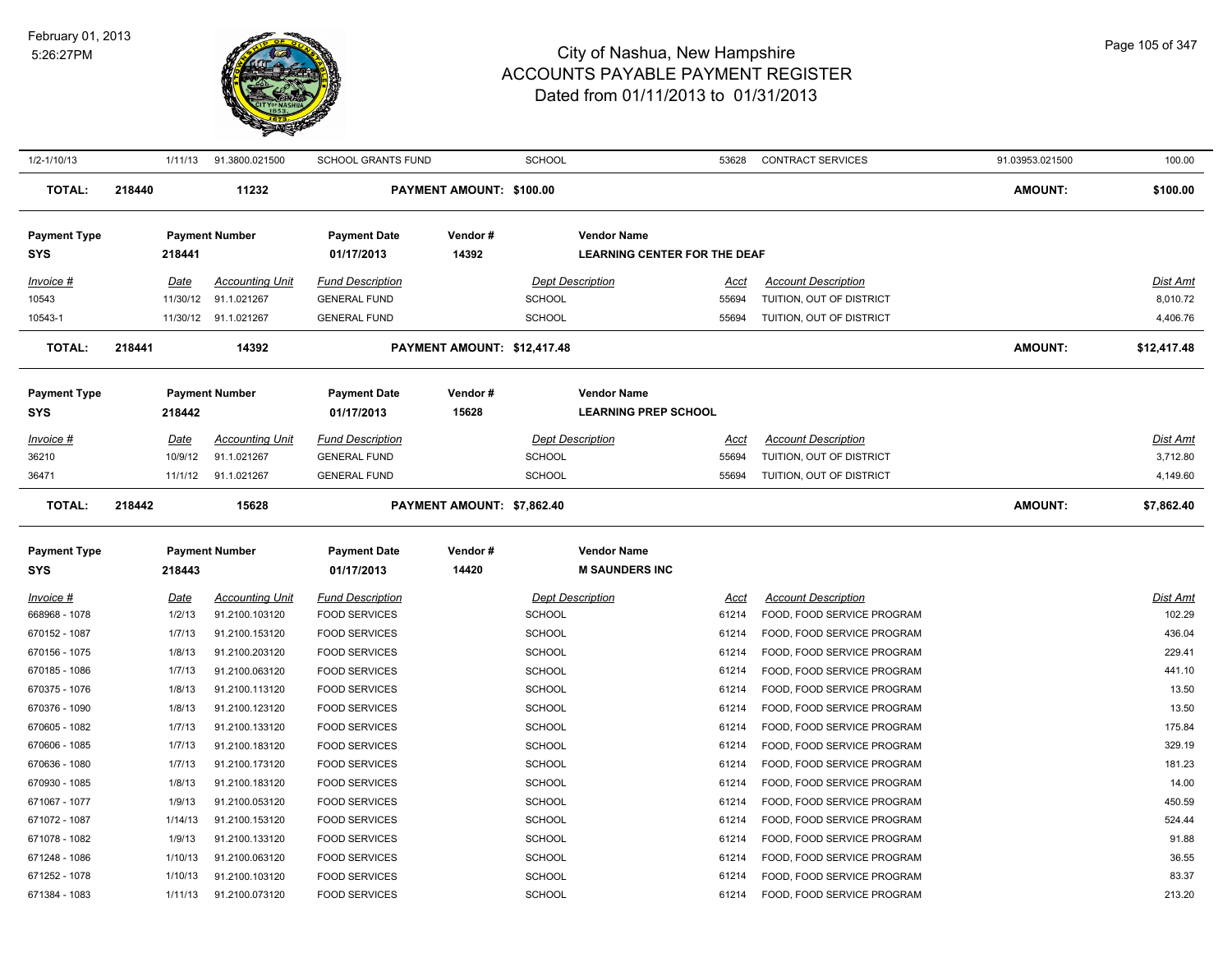

| 1/2-1/10/13                       |        | 1/11/13               | 91.3800.021500                           | <b>SCHOOL GRANTS FUND</b>                       |                             | <b>SCHOOL</b> |                                                           | 53628                | <b>CONTRACT SERVICES</b>                                 | 91.03953.021500 | 100.00             |
|-----------------------------------|--------|-----------------------|------------------------------------------|-------------------------------------------------|-----------------------------|---------------|-----------------------------------------------------------|----------------------|----------------------------------------------------------|-----------------|--------------------|
| <b>TOTAL:</b>                     | 218440 |                       | 11232                                    |                                                 | PAYMENT AMOUNT: \$100.00    |               |                                                           |                      |                                                          | <b>AMOUNT:</b>  | \$100.00           |
| <b>Payment Type</b><br>SYS        |        | 218441                | <b>Payment Number</b>                    | <b>Payment Date</b><br>01/17/2013               | Vendor#<br>14392            |               | <b>Vendor Name</b><br><b>LEARNING CENTER FOR THE DEAF</b> |                      |                                                          |                 |                    |
| Invoice #                         |        | Date                  | <b>Accounting Unit</b>                   | <b>Fund Description</b>                         |                             |               | <b>Dept Description</b>                                   | Acct                 | <b>Account Description</b>                               |                 | <u>Dist Amt</u>    |
| 10543                             |        | 11/30/12              | 91.1.021267                              | <b>GENERAL FUND</b>                             |                             | <b>SCHOOL</b> |                                                           | 55694                | TUITION, OUT OF DISTRICT                                 |                 | 8,010.72           |
| 10543-1                           |        |                       | 11/30/12 91.1.021267                     | <b>GENERAL FUND</b>                             |                             | SCHOOL        |                                                           | 55694                | TUITION, OUT OF DISTRICT                                 |                 | 4,406.76           |
|                                   |        |                       |                                          |                                                 |                             |               |                                                           |                      |                                                          |                 |                    |
| <b>TOTAL:</b>                     | 218441 |                       | 14392                                    |                                                 | PAYMENT AMOUNT: \$12,417.48 |               |                                                           |                      |                                                          | <b>AMOUNT:</b>  | \$12,417.48        |
| <b>Payment Type</b>               |        |                       | <b>Payment Number</b>                    | <b>Payment Date</b>                             | Vendor#                     |               | <b>Vendor Name</b>                                        |                      |                                                          |                 |                    |
| <b>SYS</b>                        |        | 218442                |                                          | 01/17/2013                                      | 15628                       |               | <b>LEARNING PREP SCHOOL</b>                               |                      |                                                          |                 |                    |
| Invoice #                         |        | Date                  | <b>Accounting Unit</b>                   | <b>Fund Description</b>                         |                             |               | <b>Dept Description</b>                                   | Acct                 | <b>Account Description</b>                               |                 | Dist Amt           |
| 36210                             |        | 10/9/12               | 91.1.021267                              | <b>GENERAL FUND</b>                             |                             | <b>SCHOOL</b> |                                                           | 55694                | TUITION, OUT OF DISTRICT                                 |                 | 3,712.80           |
| 36471                             |        | 11/1/12               | 91.1.021267                              | <b>GENERAL FUND</b>                             |                             | <b>SCHOOL</b> |                                                           | 55694                | TUITION, OUT OF DISTRICT                                 |                 | 4,149.60           |
| <b>TOTAL:</b>                     | 218442 |                       | 15628                                    |                                                 | PAYMENT AMOUNT: \$7,862.40  |               |                                                           |                      |                                                          | <b>AMOUNT:</b>  | \$7,862.40         |
| <b>Payment Type</b>               |        |                       | <b>Payment Number</b>                    | <b>Payment Date</b>                             | Vendor#                     |               | <b>Vendor Name</b>                                        |                      |                                                          |                 |                    |
| <b>SYS</b>                        |        | 218443                |                                          | 01/17/2013                                      | 14420                       |               | <b>M SAUNDERS INC</b>                                     |                      |                                                          |                 |                    |
|                                   |        |                       |                                          |                                                 |                             |               |                                                           |                      |                                                          |                 |                    |
| <u>Invoice #</u><br>668968 - 1078 |        | <b>Date</b><br>1/2/13 | <b>Accounting Unit</b><br>91.2100.103120 | <b>Fund Description</b><br><b>FOOD SERVICES</b> |                             | <b>SCHOOL</b> | <b>Dept Description</b>                                   | <u>Acct</u><br>61214 | <b>Account Description</b><br>FOOD, FOOD SERVICE PROGRAM |                 | Dist Amt<br>102.29 |
| 670152 - 1087                     |        | 1/7/13                | 91.2100.153120                           | <b>FOOD SERVICES</b>                            |                             | <b>SCHOOL</b> |                                                           | 61214                | FOOD, FOOD SERVICE PROGRAM                               |                 | 436.04             |
| 670156 - 1075                     |        | 1/8/13                | 91.2100.203120                           | <b>FOOD SERVICES</b>                            |                             | SCHOOL        |                                                           | 61214                | FOOD, FOOD SERVICE PROGRAM                               |                 | 229.41             |
| 670185 - 1086                     |        | 1/7/13                | 91.2100.063120                           | <b>FOOD SERVICES</b>                            |                             | <b>SCHOOL</b> |                                                           | 61214                | FOOD, FOOD SERVICE PROGRAM                               |                 | 441.10             |
| 670375 - 1076                     |        | 1/8/13                | 91.2100.113120                           | <b>FOOD SERVICES</b>                            |                             | <b>SCHOOL</b> |                                                           | 61214                | FOOD, FOOD SERVICE PROGRAM                               |                 | 13.50              |
| 670376 - 1090                     |        | 1/8/13                | 91.2100.123120                           | <b>FOOD SERVICES</b>                            |                             | <b>SCHOOL</b> |                                                           | 61214                | FOOD, FOOD SERVICE PROGRAM                               |                 | 13.50              |
| 670605 - 1082                     |        | 1/7/13                | 91.2100.133120                           | <b>FOOD SERVICES</b>                            |                             | <b>SCHOOL</b> |                                                           | 61214                | FOOD, FOOD SERVICE PROGRAM                               |                 | 175.84             |
| 670606 - 1085                     |        | 1/7/13                | 91.2100.183120                           | <b>FOOD SERVICES</b>                            |                             | <b>SCHOOL</b> |                                                           | 61214                | FOOD, FOOD SERVICE PROGRAM                               |                 | 329.19             |
| 670636 - 1080                     |        | 1/7/13                | 91.2100.173120                           | <b>FOOD SERVICES</b>                            |                             | <b>SCHOOL</b> |                                                           | 61214                | FOOD, FOOD SERVICE PROGRAM                               |                 | 181.23             |
| 670930 - 1085                     |        | 1/8/13                | 91.2100.183120                           | <b>FOOD SERVICES</b>                            |                             | <b>SCHOOL</b> |                                                           | 61214                | FOOD, FOOD SERVICE PROGRAM                               |                 | 14.00              |
| 671067 - 1077                     |        | 1/9/13                | 91.2100.053120                           | <b>FOOD SERVICES</b>                            |                             | <b>SCHOOL</b> |                                                           | 61214                | FOOD, FOOD SERVICE PROGRAM                               |                 | 450.59             |
| 671072 - 1087                     |        | 1/14/13               | 91.2100.153120                           | <b>FOOD SERVICES</b>                            |                             | <b>SCHOOL</b> |                                                           | 61214                | FOOD, FOOD SERVICE PROGRAM                               |                 | 524.44             |
| 671078 - 1082                     |        | 1/9/13                | 91.2100.133120                           | <b>FOOD SERVICES</b>                            |                             | <b>SCHOOL</b> |                                                           | 61214                | FOOD, FOOD SERVICE PROGRAM                               |                 | 91.88              |
| 671248 - 1086                     |        | 1/10/13               | 91.2100.063120                           | <b>FOOD SERVICES</b>                            |                             | SCHOOL        |                                                           | 61214                | FOOD, FOOD SERVICE PROGRAM                               |                 | 36.55              |
| 671252 - 1078                     |        | 1/10/13               | 91.2100.103120                           | <b>FOOD SERVICES</b>                            |                             | <b>SCHOOL</b> |                                                           | 61214                | FOOD, FOOD SERVICE PROGRAM                               |                 | 83.37              |
| 671384 - 1083                     |        | 1/11/13               | 91.2100.073120                           | <b>FOOD SERVICES</b>                            |                             | SCHOOL        |                                                           | 61214                | FOOD, FOOD SERVICE PROGRAM                               |                 | 213.20             |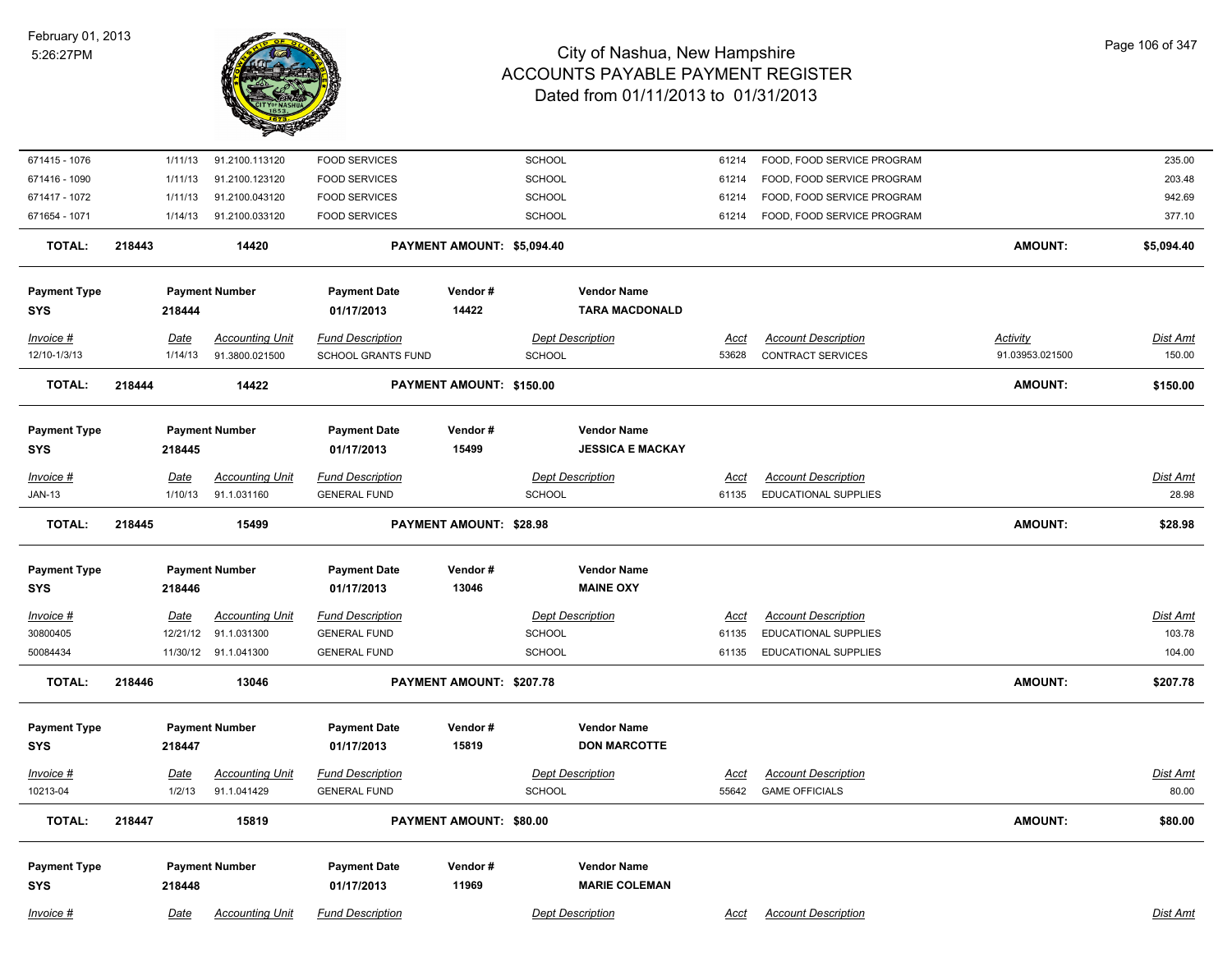

| 671415 - 1076              | 1/11/13         | 91.2100.113120                        | <b>FOOD SERVICES</b>                           |                                | <b>SCHOOL</b>                     | 61214                | FOOD, FOOD SERVICE PROGRAM                         |                 | 235.00                   |
|----------------------------|-----------------|---------------------------------------|------------------------------------------------|--------------------------------|-----------------------------------|----------------------|----------------------------------------------------|-----------------|--------------------------|
| 671416 - 1090              | 1/11/13         | 91.2100.123120                        | <b>FOOD SERVICES</b>                           |                                | SCHOOL                            | 61214                | FOOD, FOOD SERVICE PROGRAM                         |                 | 203.48                   |
| 671417 - 1072              | 1/11/13         | 91.2100.043120                        | <b>FOOD SERVICES</b>                           |                                | <b>SCHOOL</b>                     | 61214                | FOOD, FOOD SERVICE PROGRAM                         |                 | 942.69                   |
| 671654 - 1071              | 1/14/13         | 91.2100.033120                        | <b>FOOD SERVICES</b>                           |                                | <b>SCHOOL</b>                     | 61214                | FOOD, FOOD SERVICE PROGRAM                         |                 | 377.10                   |
| <b>TOTAL:</b>              | 218443          | 14420                                 |                                                | PAYMENT AMOUNT: \$5,094.40     |                                   |                      |                                                    | <b>AMOUNT:</b>  | \$5,094.40               |
| <b>Payment Type</b>        |                 | <b>Payment Number</b>                 | <b>Payment Date</b>                            | Vendor#                        | <b>Vendor Name</b>                |                      |                                                    |                 |                          |
| <b>SYS</b>                 | 218444          |                                       | 01/17/2013                                     | 14422                          | <b>TARA MACDONALD</b>             |                      |                                                    |                 |                          |
| Invoice #                  | Date            | <b>Accounting Unit</b>                | <b>Fund Description</b>                        |                                | <b>Dept Description</b>           | <u>Acct</u>          | <b>Account Description</b>                         | <b>Activity</b> | Dist Amt                 |
| 12/10-1/3/13               | 1/14/13         | 91.3800.021500                        | SCHOOL GRANTS FUND                             |                                | <b>SCHOOL</b>                     | 53628                | <b>CONTRACT SERVICES</b>                           | 91.03953.021500 | 150.00                   |
| <b>TOTAL:</b>              | 218444          | 14422                                 |                                                | PAYMENT AMOUNT: \$150.00       |                                   |                      |                                                    | AMOUNT:         | \$150.00                 |
| <b>Payment Type</b>        |                 | <b>Payment Number</b>                 | <b>Payment Date</b>                            | Vendor#                        | <b>Vendor Name</b>                |                      |                                                    |                 |                          |
| <b>SYS</b>                 | 218445          |                                       | 01/17/2013                                     | 15499                          | <b>JESSICA E MACKAY</b>           |                      |                                                    |                 |                          |
|                            |                 |                                       |                                                |                                |                                   |                      |                                                    |                 |                          |
| Invoice #<br><b>JAN-13</b> | Date<br>1/10/13 | <b>Accounting Unit</b><br>91.1.031160 | <b>Fund Description</b><br><b>GENERAL FUND</b> |                                | <b>Dept Description</b><br>SCHOOL | <u>Acct</u><br>61135 | <b>Account Description</b><br>EDUCATIONAL SUPPLIES |                 | <b>Dist Amt</b><br>28.98 |
|                            |                 |                                       |                                                |                                |                                   |                      |                                                    |                 |                          |
| <b>TOTAL:</b>              | 218445          | 15499                                 |                                                | <b>PAYMENT AMOUNT: \$28.98</b> |                                   |                      |                                                    | AMOUNT:         | \$28.98                  |
| <b>Payment Type</b>        |                 | <b>Payment Number</b>                 | <b>Payment Date</b>                            | Vendor#                        | <b>Vendor Name</b>                |                      |                                                    |                 |                          |
| SYS                        | 218446          |                                       | 01/17/2013                                     | 13046                          | <b>MAINE OXY</b>                  |                      |                                                    |                 |                          |
|                            |                 |                                       |                                                |                                |                                   |                      |                                                    |                 |                          |
| <b>Invoice #</b>           | <u>Date</u>     | <b>Accounting Unit</b>                | <b>Fund Description</b>                        |                                | <b>Dept Description</b>           | <u>Acct</u>          | <b>Account Description</b>                         |                 | <b>Dist Amt</b>          |
| 30800405                   | 12/21/12        | 91.1.031300                           | <b>GENERAL FUND</b>                            |                                | <b>SCHOOL</b>                     | 61135                | EDUCATIONAL SUPPLIES                               |                 | 103.78                   |
| 50084434                   |                 | 11/30/12 91.1.041300                  | <b>GENERAL FUND</b>                            |                                | SCHOOL                            | 61135                | EDUCATIONAL SUPPLIES                               |                 | 104.00                   |
| <b>TOTAL:</b>              | 218446          | 13046                                 |                                                | PAYMENT AMOUNT: \$207.78       |                                   |                      |                                                    | <b>AMOUNT:</b>  | \$207.78                 |
| <b>Payment Type</b>        |                 | <b>Payment Number</b>                 | <b>Payment Date</b>                            | Vendor#                        | <b>Vendor Name</b>                |                      |                                                    |                 |                          |
| <b>SYS</b>                 | 218447          |                                       | 01/17/2013                                     | 15819                          | <b>DON MARCOTTE</b>               |                      |                                                    |                 |                          |
| Invoice #                  | <u>Date</u>     | <b>Accounting Unit</b>                | <b>Fund Description</b>                        |                                | <b>Dept Description</b>           | Acct                 | <b>Account Description</b>                         |                 | <b>Dist Amt</b>          |
| 10213-04                   | 1/2/13          | 91.1.041429                           | <b>GENERAL FUND</b>                            |                                | <b>SCHOOL</b>                     | 55642                | <b>GAME OFFICIALS</b>                              |                 | 80.00                    |
| <b>TOTAL:</b>              | 218447          | 15819                                 |                                                | PAYMENT AMOUNT: \$80.00        |                                   |                      |                                                    | AMOUNT:         | \$80.00                  |
|                            |                 |                                       |                                                |                                |                                   |                      |                                                    |                 |                          |
| <b>Payment Type</b>        |                 | <b>Payment Number</b>                 | <b>Payment Date</b>                            | Vendor#                        | <b>Vendor Name</b>                |                      |                                                    |                 |                          |
| <b>SYS</b>                 | 218448          |                                       | 01/17/2013                                     | 11969                          | <b>MARIE COLEMAN</b>              |                      |                                                    |                 |                          |
| Invoice #                  | Date            | <b>Accounting Unit</b>                | <b>Fund Description</b>                        |                                | <b>Dept Description</b>           | Acct                 | <b>Account Description</b>                         |                 | Dist Amt                 |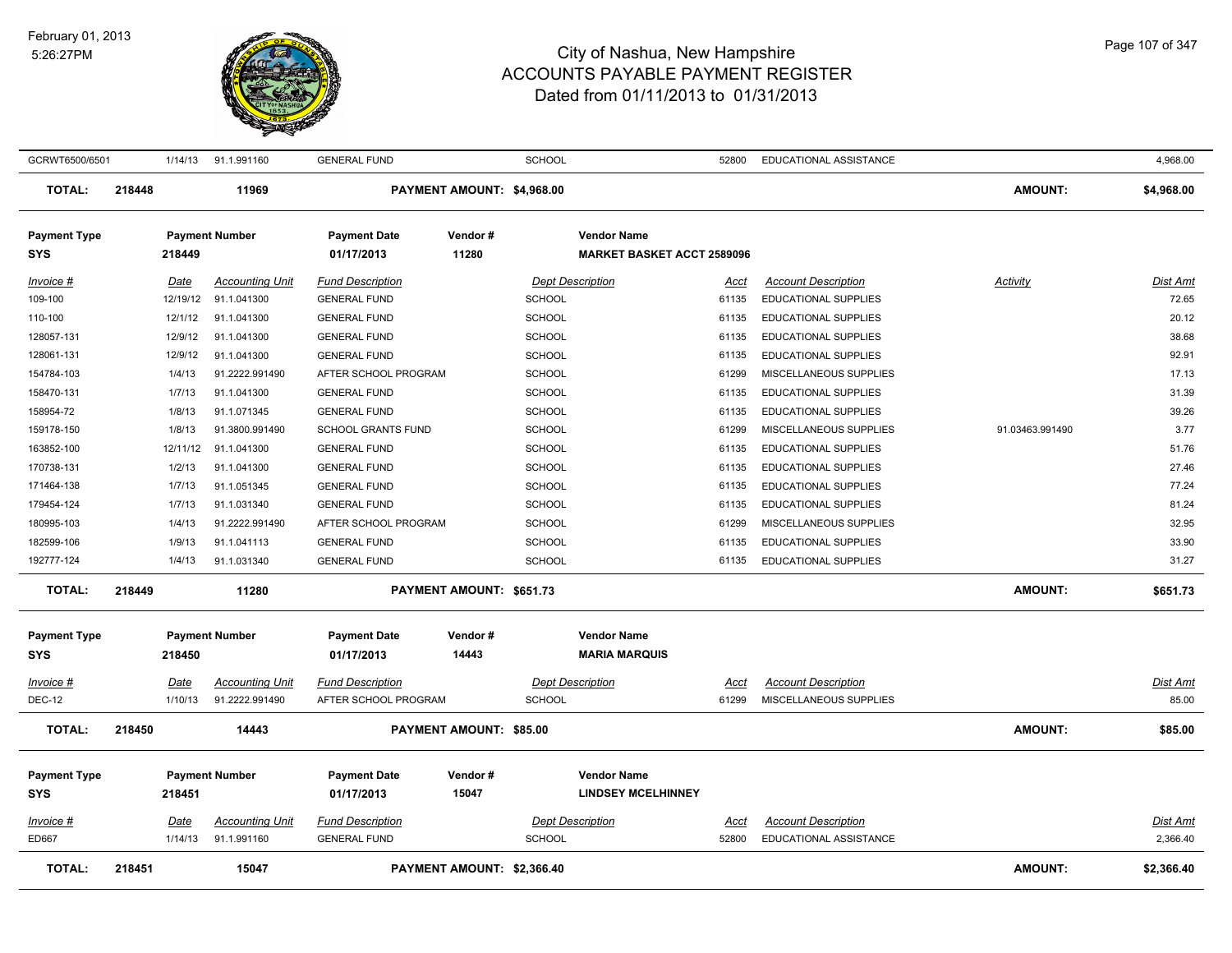

| GCRWT6500/6501                    |        | 1/14/13          | 91.1.991160                           | <b>GENERAL FUND</b>                            |                                | <b>SCHOOL</b> |                                                         | 52800         | EDUCATIONAL ASSISTANCE                                    |                 | 4,968.00          |
|-----------------------------------|--------|------------------|---------------------------------------|------------------------------------------------|--------------------------------|---------------|---------------------------------------------------------|---------------|-----------------------------------------------------------|-----------------|-------------------|
| <b>TOTAL:</b>                     | 218448 |                  | 11969                                 |                                                | PAYMENT AMOUNT: \$4,968.00     |               |                                                         |               |                                                           | <b>AMOUNT:</b>  | \$4,968.00        |
| <b>Payment Type</b><br>SYS        |        | 218449           | <b>Payment Number</b>                 | <b>Payment Date</b><br>01/17/2013              | Vendor#<br>11280               |               | <b>Vendor Name</b><br><b>MARKET BASKET ACCT 2589096</b> |               |                                                           |                 |                   |
| Invoice #<br>109-100              |        | Date<br>12/19/12 | <b>Accounting Unit</b><br>91.1.041300 | <b>Fund Description</b><br><b>GENERAL FUND</b> |                                | <b>SCHOOL</b> | <b>Dept Description</b>                                 | Acct<br>61135 | <b>Account Description</b><br><b>EDUCATIONAL SUPPLIES</b> | Activity        | Dist Amt<br>72.65 |
| 110-100                           |        | 12/1/12          | 91.1.041300                           | <b>GENERAL FUND</b>                            |                                | <b>SCHOOL</b> |                                                         | 61135         | EDUCATIONAL SUPPLIES                                      |                 | 20.12             |
| 128057-131                        |        | 12/9/12          | 91.1.041300                           | <b>GENERAL FUND</b>                            |                                | <b>SCHOOL</b> |                                                         | 61135         | <b>EDUCATIONAL SUPPLIES</b>                               |                 | 38.68             |
| 128061-131                        |        | 12/9/12          | 91.1.041300                           | <b>GENERAL FUND</b>                            |                                | SCHOOL        |                                                         | 61135         | <b>EDUCATIONAL SUPPLIES</b>                               |                 | 92.91             |
| 154784-103                        |        | 1/4/13           | 91.2222.991490                        | AFTER SCHOOL PROGRAM                           |                                | <b>SCHOOL</b> |                                                         | 61299         | MISCELLANEOUS SUPPLIES                                    |                 | 17.13             |
| 158470-131                        |        | 1/7/13           | 91.1.041300                           | <b>GENERAL FUND</b>                            |                                | <b>SCHOOL</b> |                                                         | 61135         | <b>EDUCATIONAL SUPPLIES</b>                               |                 | 31.39             |
| 158954-72                         |        | 1/8/13           | 91.1.071345                           | <b>GENERAL FUND</b>                            |                                | SCHOOL        |                                                         | 61135         | <b>EDUCATIONAL SUPPLIES</b>                               |                 | 39.26             |
| 159178-150                        |        | 1/8/13           | 91.3800.991490                        | SCHOOL GRANTS FUND                             |                                | SCHOOL        |                                                         | 61299         | MISCELLANEOUS SUPPLIES                                    | 91.03463.991490 | 3.77              |
| 163852-100                        |        | 12/11/12         | 91.1.041300                           | <b>GENERAL FUND</b>                            |                                | <b>SCHOOL</b> |                                                         | 61135         | EDUCATIONAL SUPPLIES                                      |                 | 51.76             |
| 170738-131                        |        | 1/2/13           | 91.1.041300                           | <b>GENERAL FUND</b>                            |                                | <b>SCHOOL</b> |                                                         | 61135         | <b>EDUCATIONAL SUPPLIES</b>                               |                 | 27.46             |
| 171464-138                        |        | 1/7/13           | 91.1.051345                           | <b>GENERAL FUND</b>                            |                                | <b>SCHOOL</b> |                                                         | 61135         | EDUCATIONAL SUPPLIES                                      |                 | 77.24             |
| 179454-124                        |        | 1/7/13           | 91.1.031340                           | <b>GENERAL FUND</b>                            |                                | <b>SCHOOL</b> |                                                         | 61135         | EDUCATIONAL SUPPLIES                                      |                 | 81.24             |
| 180995-103                        |        | 1/4/13           | 91.2222.991490                        | AFTER SCHOOL PROGRAM                           |                                | <b>SCHOOL</b> |                                                         | 61299         | MISCELLANEOUS SUPPLIES                                    |                 | 32.95             |
| 182599-106                        |        | 1/9/13           | 91.1.041113                           | <b>GENERAL FUND</b>                            |                                | <b>SCHOOL</b> |                                                         | 61135         | EDUCATIONAL SUPPLIES                                      |                 | 33.90             |
| 192777-124                        |        | 1/4/13           | 91.1.031340                           | <b>GENERAL FUND</b>                            |                                | <b>SCHOOL</b> |                                                         | 61135         | EDUCATIONAL SUPPLIES                                      |                 | 31.27             |
| <b>TOTAL:</b>                     | 218449 |                  | 11280                                 |                                                | PAYMENT AMOUNT: \$651.73       |               |                                                         |               |                                                           | <b>AMOUNT:</b>  | \$651.73          |
| <b>Payment Type</b><br><b>SYS</b> |        | 218450           | <b>Payment Number</b>                 | <b>Payment Date</b><br>01/17/2013              | Vendor#<br>14443               |               | <b>Vendor Name</b><br><b>MARIA MARQUIS</b>              |               |                                                           |                 |                   |
| Invoice #                         |        | Date             | <b>Accounting Unit</b>                | <b>Fund Description</b>                        |                                |               | <b>Dept Description</b>                                 | Acct          | <b>Account Description</b>                                |                 | <u>Dist Amt</u>   |
| <b>DEC-12</b>                     |        | 1/10/13          | 91.2222.991490                        | AFTER SCHOOL PROGRAM                           |                                | <b>SCHOOL</b> |                                                         | 61299         | MISCELLANEOUS SUPPLIES                                    |                 | 85.00             |
| <b>TOTAL:</b>                     | 218450 |                  | 14443                                 |                                                | <b>PAYMENT AMOUNT: \$85.00</b> |               |                                                         |               |                                                           | <b>AMOUNT:</b>  | \$85.00           |
| <b>Payment Type</b>               |        |                  | <b>Payment Number</b>                 | <b>Payment Date</b>                            | Vendor#                        |               | <b>Vendor Name</b>                                      |               |                                                           |                 |                   |
| <b>SYS</b>                        |        | 218451           |                                       | 01/17/2013                                     | 15047                          |               | <b>LINDSEY MCELHINNEY</b>                               |               |                                                           |                 |                   |
| <b>Invoice #</b>                  |        | <u>Date</u>      | <u>Accounting Unit</u>                | <b>Fund Description</b>                        |                                |               | <b>Dept Description</b>                                 | <u>Acct</u>   | <b>Account Description</b>                                |                 | <u>Dist Amt</u>   |
| ED667                             |        | 1/14/13          | 91.1.991160                           | <b>GENERAL FUND</b>                            |                                | <b>SCHOOL</b> |                                                         | 52800         | EDUCATIONAL ASSISTANCE                                    |                 | 2,366.40          |
| <b>TOTAL:</b>                     | 218451 |                  | 15047                                 |                                                | PAYMENT AMOUNT: \$2,366.40     |               |                                                         |               |                                                           | <b>AMOUNT:</b>  | \$2,366.40        |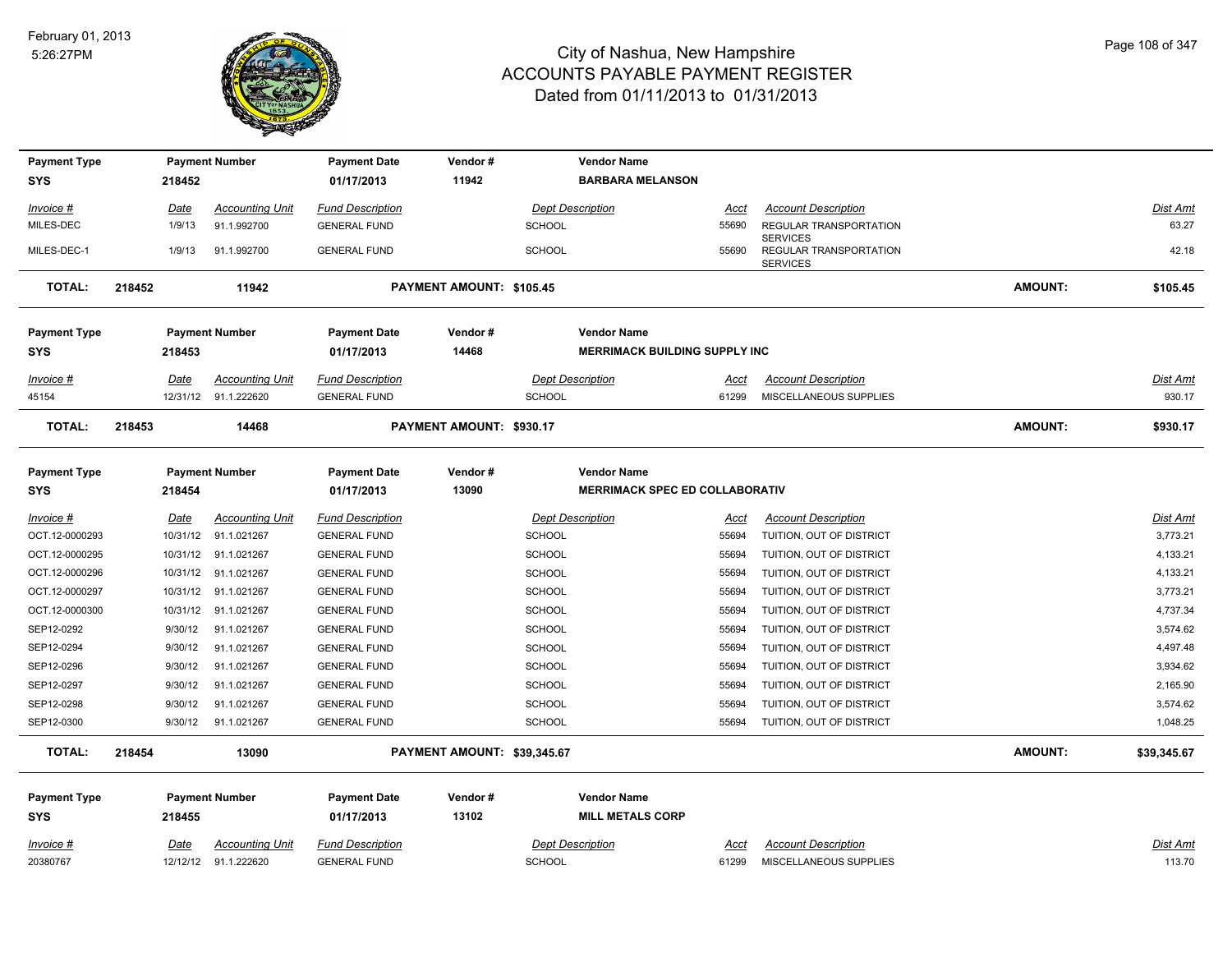

| <b>Payment Type</b> | <b>Payment Number</b><br>218452 |                                   | <b>Payment Date</b><br>01/17/2013 | Vendor#                 |                             | <b>Vendor Name</b>                   |                                       |                |                                           |                |                 |
|---------------------|---------------------------------|-----------------------------------|-----------------------------------|-------------------------|-----------------------------|--------------------------------------|---------------------------------------|----------------|-------------------------------------------|----------------|-----------------|
| SYS                 |                                 |                                   |                                   | 11942                   |                             | <b>BARBARA MELANSON</b>              |                                       |                |                                           |                |                 |
| Invoice #           |                                 | Date                              | <b>Accounting Unit</b>            | <b>Fund Description</b> |                             |                                      | <b>Dept Description</b>               | <u>Acct</u>    | <b>Account Description</b>                |                | Dist Amt        |
| MILES-DEC           |                                 | 1/9/13                            | 91.1.992700                       | <b>GENERAL FUND</b>     |                             | <b>SCHOOL</b>                        |                                       | 55690          | REGULAR TRANSPORTATION<br><b>SERVICES</b> |                | 63.27           |
| MILES-DEC-1         |                                 | 1/9/13                            | 91.1.992700                       | <b>GENERAL FUND</b>     |                             | <b>SCHOOL</b>                        |                                       | 55690          | REGULAR TRANSPORTATION<br><b>SERVICES</b> |                | 42.18           |
| <b>TOTAL:</b>       | 218452<br>11942                 |                                   |                                   |                         | PAYMENT AMOUNT: \$105.45    |                                      |                                       |                |                                           | <b>AMOUNT:</b> | \$105.45        |
| <b>Payment Type</b> |                                 |                                   | <b>Payment Number</b>             | <b>Payment Date</b>     | Vendor#                     |                                      | <b>Vendor Name</b>                    |                |                                           |                |                 |
| SYS                 | 218453                          |                                   |                                   | 14468<br>01/17/2013     |                             | <b>MERRIMACK BUILDING SUPPLY INC</b> |                                       |                |                                           |                |                 |
| Invoice #           |                                 | Date                              | <b>Accounting Unit</b>            | <b>Fund Description</b> |                             |                                      | <b>Dept Description</b>               | Acct           | <b>Account Description</b>                |                | Dist Amt        |
| 45154               |                                 |                                   | 12/31/12 91.1.222620              | <b>GENERAL FUND</b>     |                             | <b>SCHOOL</b>                        |                                       | 61299          | MISCELLANEOUS SUPPLIES                    |                | 930.17          |
| <b>TOTAL:</b>       | 218453                          | 14468<br>PAYMENT AMOUNT: \$930.17 |                                   |                         |                             |                                      |                                       | <b>AMOUNT:</b> | \$930.17                                  |                |                 |
| <b>Payment Type</b> |                                 |                                   | <b>Payment Number</b>             | <b>Payment Date</b>     | Vendor#                     |                                      | <b>Vendor Name</b>                    |                |                                           |                |                 |
| SYS                 |                                 | 218454                            |                                   | 01/17/2013              | 13090                       |                                      | <b>MERRIMACK SPEC ED COLLABORATIV</b> |                |                                           |                |                 |
| <u>Invoice #</u>    |                                 | Date                              | Accounting Unit                   | <b>Fund Description</b> |                             |                                      | <b>Dept Description</b>               | Acct           | <b>Account Description</b>                |                | Dist Amt        |
| OCT.12-0000293      |                                 | 10/31/12                          | 91.1.021267                       | <b>GENERAL FUND</b>     |                             | <b>SCHOOL</b>                        |                                       | 55694          | TUITION, OUT OF DISTRICT                  |                | 3,773.21        |
| OCT.12-0000295      |                                 |                                   | 10/31/12 91.1.021267              | <b>GENERAL FUND</b>     |                             | <b>SCHOOL</b>                        |                                       | 55694          | TUITION, OUT OF DISTRICT                  |                | 4,133.21        |
| OCT.12-0000296      |                                 |                                   | 10/31/12 91.1.021267              | <b>GENERAL FUND</b>     |                             | <b>SCHOOL</b>                        |                                       | 55694          | TUITION, OUT OF DISTRICT                  |                | 4,133.21        |
| OCT.12-0000297      |                                 |                                   | 10/31/12 91.1.021267              | <b>GENERAL FUND</b>     |                             | <b>SCHOOL</b>                        |                                       | 55694          | TUITION, OUT OF DISTRICT                  |                | 3,773.21        |
| OCT.12-0000300      |                                 |                                   | 10/31/12 91.1.021267              | <b>GENERAL FUND</b>     |                             | <b>SCHOOL</b>                        |                                       | 55694          | TUITION, OUT OF DISTRICT                  |                | 4,737.34        |
| SEP12-0292          |                                 | 9/30/12                           | 91.1.021267                       | <b>GENERAL FUND</b>     |                             | <b>SCHOOL</b>                        |                                       | 55694          | TUITION, OUT OF DISTRICT                  |                | 3,574.62        |
| SEP12-0294          |                                 | 9/30/12                           | 91.1.021267                       | <b>GENERAL FUND</b>     |                             | <b>SCHOOL</b>                        |                                       | 55694          | TUITION, OUT OF DISTRICT                  |                | 4,497.48        |
| SEP12-0296          |                                 | 9/30/12                           | 91.1.021267                       | <b>GENERAL FUND</b>     |                             | <b>SCHOOL</b>                        |                                       | 55694          | TUITION, OUT OF DISTRICT                  |                | 3,934.62        |
| SEP12-0297          |                                 | 9/30/12                           | 91.1.021267                       | <b>GENERAL FUND</b>     |                             | <b>SCHOOL</b>                        |                                       | 55694          | TUITION, OUT OF DISTRICT                  |                | 2,165.90        |
| SEP12-0298          |                                 | 9/30/12                           | 91.1.021267                       | <b>GENERAL FUND</b>     |                             | <b>SCHOOL</b>                        |                                       | 55694          | TUITION, OUT OF DISTRICT                  |                | 3,574.62        |
| SEP12-0300          |                                 | 9/30/12                           | 91.1.021267                       | <b>GENERAL FUND</b>     |                             | <b>SCHOOL</b>                        |                                       | 55694          | TUITION, OUT OF DISTRICT                  |                | 1,048.25        |
| <b>TOTAL:</b>       | 218454                          |                                   | 13090                             |                         | PAYMENT AMOUNT: \$39,345.67 |                                      |                                       |                |                                           | <b>AMOUNT:</b> | \$39,345.67     |
| <b>Payment Type</b> |                                 |                                   | <b>Payment Number</b>             | <b>Payment Date</b>     | Vendor#                     |                                      | <b>Vendor Name</b>                    |                |                                           |                |                 |
| SYS                 |                                 | 218455                            |                                   | 01/17/2013              | 13102                       |                                      | <b>MILL METALS CORP</b>               |                |                                           |                |                 |
| Invoice #           |                                 | <u>Date</u>                       | <b>Accounting Unit</b>            | <b>Fund Description</b> |                             |                                      | <b>Dept Description</b>               | <u>Acct</u>    | <b>Account Description</b>                |                | <b>Dist Amt</b> |
| 20380767            |                                 | 12/12/12                          | 91.1.222620                       | <b>GENERAL FUND</b>     |                             | SCHOOL                               |                                       | 61299          | MISCELLANEOUS SUPPLIES                    |                | 113.70          |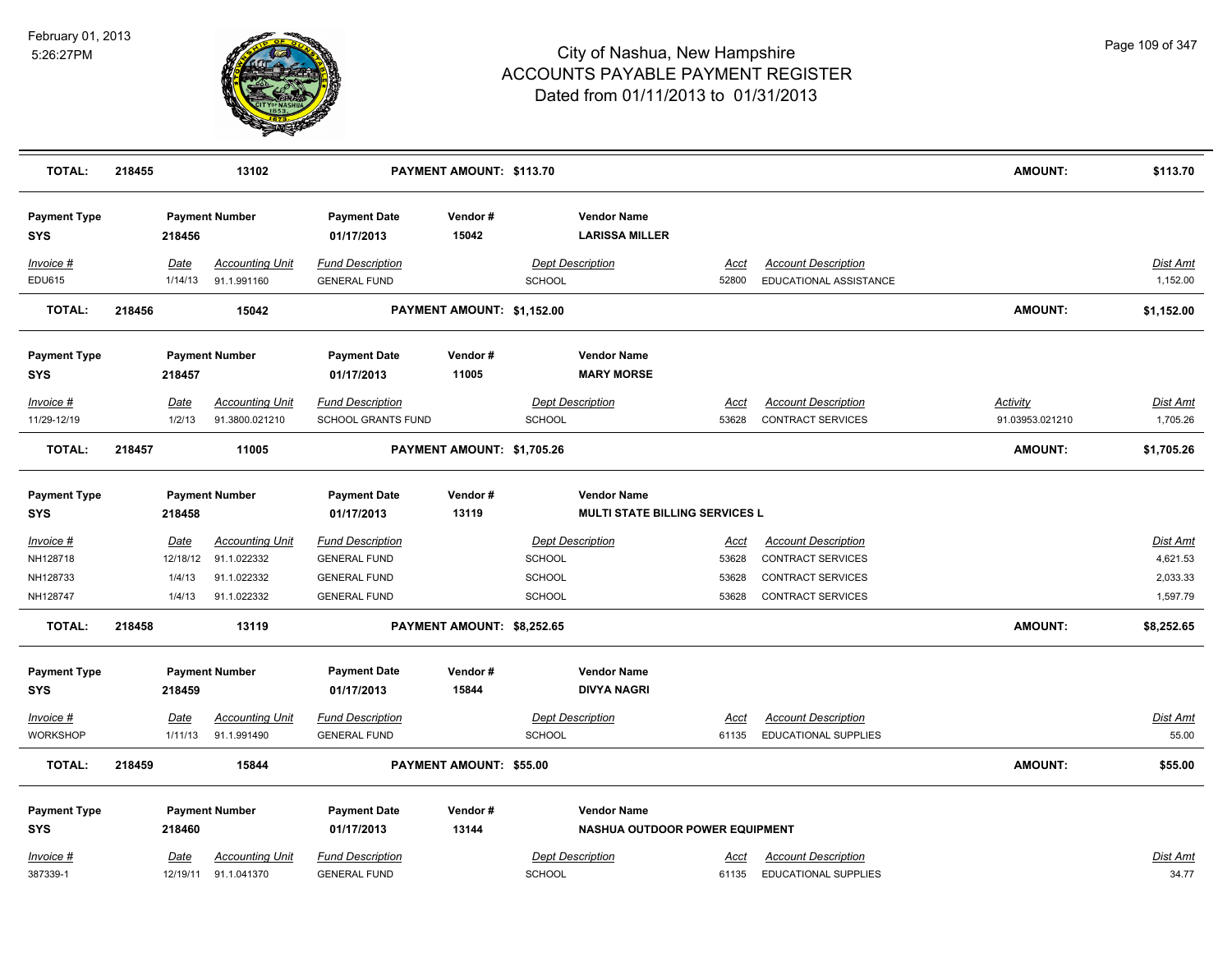

| <b>TOTAL:</b>                     | 218455 |                 | 13102                                    | PAYMENT AMOUNT: \$113.70                       |                            |        |                                                             |                      |                                                        | <b>AMOUNT:</b>              | \$113.70                    |
|-----------------------------------|--------|-----------------|------------------------------------------|------------------------------------------------|----------------------------|--------|-------------------------------------------------------------|----------------------|--------------------------------------------------------|-----------------------------|-----------------------------|
| <b>Payment Type</b><br><b>SYS</b> |        | 218456          | <b>Payment Number</b>                    | <b>Payment Date</b><br>01/17/2013              | Vendor#<br>15042           |        | <b>Vendor Name</b><br><b>LARISSA MILLER</b>                 |                      |                                                        |                             |                             |
| $Invoice$ #<br>EDU615             |        | Date<br>1/14/13 | <b>Accounting Unit</b><br>91.1.991160    | <b>Fund Description</b><br><b>GENERAL FUND</b> |                            | SCHOOL | <b>Dept Description</b>                                     | <u>Acct</u><br>52800 | <b>Account Description</b><br>EDUCATIONAL ASSISTANCE   |                             | <b>Dist Amt</b><br>1,152.00 |
| <b>TOTAL:</b>                     | 218456 |                 | 15042                                    |                                                | PAYMENT AMOUNT: \$1,152.00 |        |                                                             |                      |                                                        | <b>AMOUNT:</b>              | \$1,152.00                  |
| <b>Payment Type</b><br><b>SYS</b> |        | 218457          | <b>Payment Number</b>                    | <b>Payment Date</b><br>01/17/2013              | Vendor#<br>11005           |        | <b>Vendor Name</b><br><b>MARY MORSE</b>                     |                      |                                                        |                             |                             |
| Invoice #<br>11/29-12/19          |        | Date<br>1/2/13  | <b>Accounting Unit</b><br>91.3800.021210 | <b>Fund Description</b><br>SCHOOL GRANTS FUND  |                            | SCHOOL | <b>Dept Description</b>                                     | Acct<br>53628        | <b>Account Description</b><br><b>CONTRACT SERVICES</b> | Activity<br>91.03953.021210 | Dist Amt<br>1,705.26        |
| <b>TOTAL:</b>                     | 218457 |                 | 11005                                    |                                                | PAYMENT AMOUNT: \$1,705.26 |        |                                                             |                      |                                                        | <b>AMOUNT:</b>              | \$1,705.26                  |
| <b>Payment Type</b><br><b>SYS</b> |        | 218458          | <b>Payment Number</b>                    | <b>Payment Date</b><br>01/17/2013              | Vendor#<br>13119           |        | <b>Vendor Name</b><br><b>MULTI STATE BILLING SERVICES L</b> |                      |                                                        |                             |                             |
| Invoice #                         |        | Date            | <b>Accounting Unit</b>                   | <b>Fund Description</b>                        |                            |        | <b>Dept Description</b>                                     | <u>Acct</u>          | <b>Account Description</b>                             |                             | <b>Dist Amt</b>             |
| NH128718                          |        | 12/18/12        | 91.1.022332                              | <b>GENERAL FUND</b>                            |                            | SCHOOL |                                                             | 53628                | CONTRACT SERVICES                                      |                             | 4,621.53                    |
| NH128733                          |        | 1/4/13          | 91.1.022332                              | <b>GENERAL FUND</b>                            |                            | SCHOOL |                                                             | 53628                | <b>CONTRACT SERVICES</b>                               |                             | 2,033.33                    |
| NH128747                          |        | 1/4/13          | 91.1.022332                              | <b>GENERAL FUND</b>                            |                            | SCHOOL |                                                             | 53628                | <b>CONTRACT SERVICES</b>                               |                             | 1,597.79                    |
| <b>TOTAL:</b>                     | 218458 |                 | 13119                                    |                                                | PAYMENT AMOUNT: \$8,252.65 |        |                                                             |                      |                                                        | <b>AMOUNT:</b>              | \$8,252.65                  |
| <b>Payment Type</b><br><b>SYS</b> |        | 218459          | <b>Payment Number</b>                    | <b>Payment Date</b><br>01/17/2013              | Vendor#<br>15844           |        | <b>Vendor Name</b><br><b>DIVYA NAGRI</b>                    |                      |                                                        |                             |                             |
|                                   |        |                 |                                          |                                                |                            |        |                                                             |                      |                                                        |                             |                             |
| Invoice #                         |        | Date            | <b>Accounting Unit</b>                   | <b>Fund Description</b>                        |                            |        | <b>Dept Description</b>                                     | <u>Acct</u>          | <b>Account Description</b>                             |                             | <u>Dist Amt</u>             |
| WORKSHOP                          |        | 1/11/13         | 91.1.991490                              | <b>GENERAL FUND</b>                            |                            | SCHOOL |                                                             | 61135                | <b>EDUCATIONAL SUPPLIES</b>                            |                             | 55.00                       |
| <b>TOTAL:</b>                     | 218459 |                 | 15844                                    |                                                | PAYMENT AMOUNT: \$55.00    |        |                                                             |                      |                                                        | <b>AMOUNT:</b>              | \$55.00                     |
| <b>Payment Type</b>               |        |                 | <b>Payment Number</b>                    | <b>Payment Date</b>                            | Vendor#                    |        | <b>Vendor Name</b>                                          |                      |                                                        |                             |                             |
| <b>SYS</b>                        |        | 218460          |                                          | 01/17/2013                                     | 13144                      |        | NASHUA OUTDOOR POWER EQUIPMENT                              |                      |                                                        |                             |                             |
| Invoice #                         |        | Date            | <b>Accounting Unit</b>                   | <b>Fund Description</b>                        |                            |        | <b>Dept Description</b>                                     | Acct                 | <b>Account Description</b>                             |                             | Dist Amt                    |
| 387339-1                          |        |                 | 12/19/11 91.1.041370                     | <b>GENERAL FUND</b>                            |                            | SCHOOL |                                                             | 61135                | <b>EDUCATIONAL SUPPLIES</b>                            |                             | 34.77                       |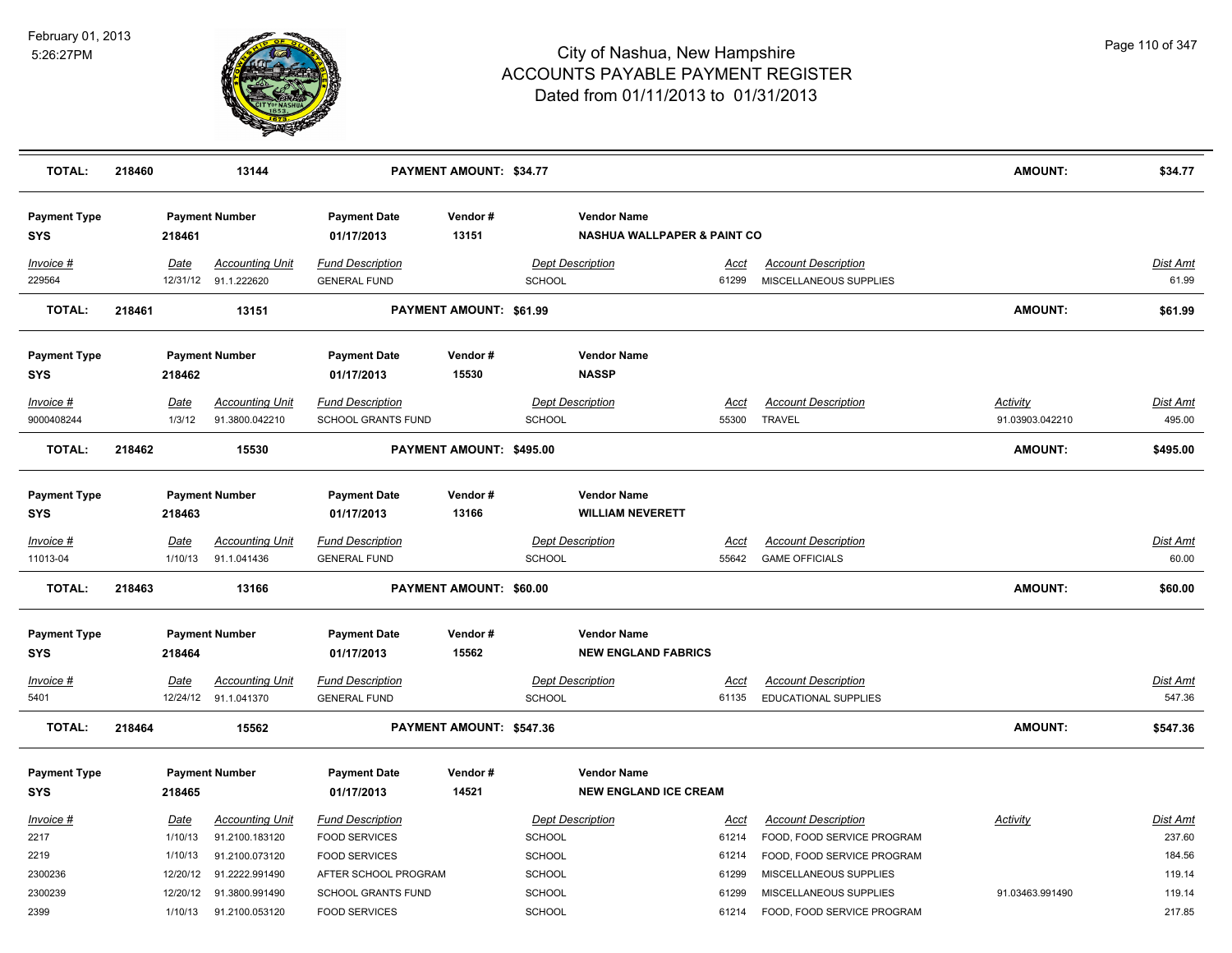

| <b>TOTAL:</b>                     | 218460 |                        | 13144                                          |                                                | PAYMENT AMOUNT: \$34.77  |               |                                                              |                      |                                                           | <b>AMOUNT:</b>  | \$34.77                  |
|-----------------------------------|--------|------------------------|------------------------------------------------|------------------------------------------------|--------------------------|---------------|--------------------------------------------------------------|----------------------|-----------------------------------------------------------|-----------------|--------------------------|
| <b>Payment Type</b><br>SYS        |        | 218461                 | <b>Payment Number</b>                          | <b>Payment Date</b><br>01/17/2013              | Vendor#<br>13151         |               | <b>Vendor Name</b><br><b>NASHUA WALLPAPER &amp; PAINT CO</b> |                      |                                                           |                 |                          |
| Invoice #<br>229564               |        | Date                   | <b>Accounting Unit</b><br>12/31/12 91.1.222620 | <b>Fund Description</b><br><b>GENERAL FUND</b> |                          | SCHOOL        | <b>Dept Description</b>                                      | Acct<br>61299        | <b>Account Description</b><br>MISCELLANEOUS SUPPLIES      |                 | Dist Amt<br>61.99        |
| <b>TOTAL:</b>                     | 218461 |                        | 13151                                          |                                                | PAYMENT AMOUNT: \$61.99  |               |                                                              |                      |                                                           | AMOUNT:         | \$61.99                  |
| <b>Payment Type</b><br>SYS        |        | 218462                 | <b>Payment Number</b>                          | <b>Payment Date</b><br>01/17/2013              | Vendor#<br>15530         |               | <b>Vendor Name</b><br><b>NASSP</b>                           |                      |                                                           |                 |                          |
| Invoice #                         |        | Date                   | <b>Accounting Unit</b>                         | <b>Fund Description</b>                        |                          |               | <b>Dept Description</b>                                      | Acct                 | <b>Account Description</b>                                | <b>Activity</b> | Dist Amt                 |
| 9000408244                        |        | 1/3/12                 | 91.3800.042210                                 | <b>SCHOOL GRANTS FUND</b>                      |                          | <b>SCHOOL</b> |                                                              | 55300                | <b>TRAVEL</b>                                             | 91.03903.042210 | 495.00                   |
| <b>TOTAL:</b>                     | 218462 |                        | 15530                                          |                                                | PAYMENT AMOUNT: \$495.00 |               |                                                              |                      |                                                           | <b>AMOUNT:</b>  | \$495.00                 |
| <b>Payment Type</b><br>SYS        |        | 218463                 | <b>Payment Number</b>                          | <b>Payment Date</b><br>01/17/2013              | Vendor#<br>13166         |               | <b>Vendor Name</b><br><b>WILLIAM NEVERETT</b>                |                      |                                                           |                 |                          |
| Invoice #<br>11013-04             |        | <b>Date</b><br>1/10/13 | <b>Accounting Unit</b><br>91.1.041436          | <b>Fund Description</b><br><b>GENERAL FUND</b> |                          | SCHOOL        | <b>Dept Description</b>                                      | <u>Acct</u><br>55642 | <b>Account Description</b><br><b>GAME OFFICIALS</b>       |                 | <b>Dist Amt</b><br>60.00 |
| <b>TOTAL:</b>                     | 218463 |                        | 13166                                          |                                                | PAYMENT AMOUNT: \$60.00  |               |                                                              |                      |                                                           | <b>AMOUNT:</b>  | \$60.00                  |
| <b>Payment Type</b><br>SYS        |        | 218464                 | <b>Payment Number</b>                          | <b>Payment Date</b><br>01/17/2013              | Vendor#<br>15562         |               | <b>Vendor Name</b><br><b>NEW ENGLAND FABRICS</b>             |                      |                                                           |                 |                          |
| Invoice #<br>5401                 |        | Date                   | <b>Accounting Unit</b><br>12/24/12 91.1.041370 | <b>Fund Description</b><br><b>GENERAL FUND</b> |                          | <b>SCHOOL</b> | <b>Dept Description</b>                                      | Acct<br>61135        | <b>Account Description</b><br><b>EDUCATIONAL SUPPLIES</b> |                 | Dist Amt<br>547.36       |
| <b>TOTAL:</b>                     | 218464 |                        | 15562                                          |                                                | PAYMENT AMOUNT: \$547.36 |               |                                                              |                      |                                                           | <b>AMOUNT:</b>  | \$547.36                 |
| <b>Payment Type</b><br><b>SYS</b> |        | 218465                 | <b>Payment Number</b>                          | <b>Payment Date</b><br>01/17/2013              | Vendor#<br>14521         |               | <b>Vendor Name</b><br><b>NEW ENGLAND ICE CREAM</b>           |                      |                                                           |                 |                          |
| Invoice #                         |        | Date                   | <b>Accounting Unit</b>                         | <b>Fund Description</b>                        |                          |               | <b>Dept Description</b>                                      | Acct                 | <b>Account Description</b>                                | Activity        | Dist Amt                 |
| 2217                              |        | 1/10/13                | 91.2100.183120                                 | <b>FOOD SERVICES</b>                           |                          | SCHOOL        |                                                              | 61214                | FOOD, FOOD SERVICE PROGRAM                                |                 | 237.60                   |
| 2219                              |        | 1/10/13                | 91.2100.073120                                 | <b>FOOD SERVICES</b>                           |                          | SCHOOL        |                                                              | 61214                | FOOD, FOOD SERVICE PROGRAM                                |                 | 184.56                   |
| 2300236                           |        | 12/20/12               | 91.2222.991490                                 | AFTER SCHOOL PROGRAM                           |                          | <b>SCHOOL</b> |                                                              | 61299                | MISCELLANEOUS SUPPLIES                                    |                 | 119.14                   |
| 2300239                           |        | 12/20/12               | 91.3800.991490                                 | SCHOOL GRANTS FUND                             |                          | <b>SCHOOL</b> |                                                              | 61299                | MISCELLANEOUS SUPPLIES                                    | 91.03463.991490 | 119.14                   |
| 2399                              |        | 1/10/13                | 91.2100.053120                                 | <b>FOOD SERVICES</b>                           |                          | SCHOOL        |                                                              | 61214                | FOOD, FOOD SERVICE PROGRAM                                |                 | 217.85                   |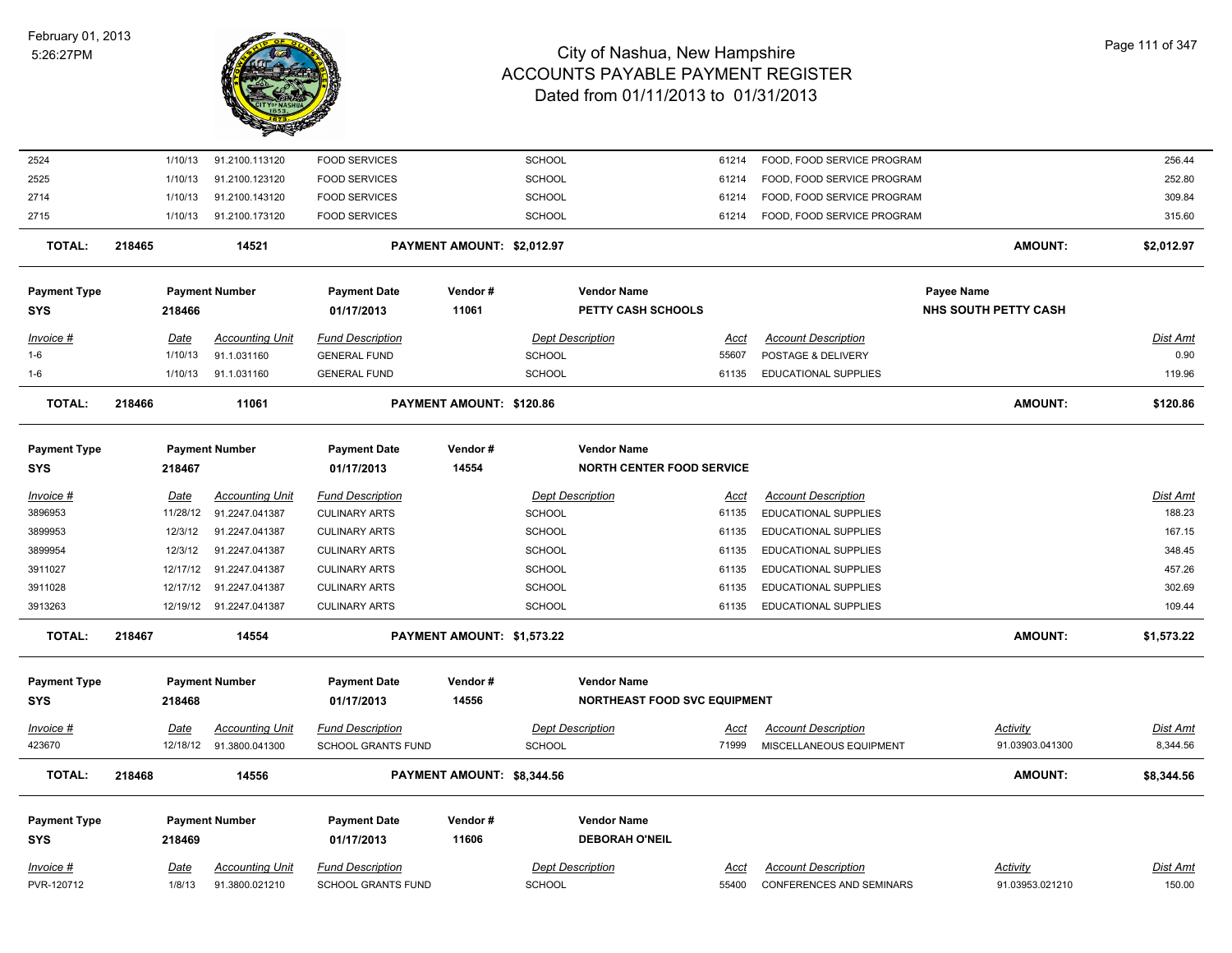

| 2524                |        | 1/10/13  | 91.2100.113120           | <b>FOOD SERVICES</b>      |                            | SCHOOL        |                                     | 61214       | FOOD, FOOD SERVICE PROGRAM      |                             | 256.44          |
|---------------------|--------|----------|--------------------------|---------------------------|----------------------------|---------------|-------------------------------------|-------------|---------------------------------|-----------------------------|-----------------|
| 2525                |        | 1/10/13  | 91.2100.123120           | <b>FOOD SERVICES</b>      |                            | <b>SCHOOL</b> |                                     | 61214       | FOOD, FOOD SERVICE PROGRAM      |                             | 252.80          |
| 2714                |        | 1/10/13  | 91.2100.143120           | <b>FOOD SERVICES</b>      |                            | SCHOOL        |                                     | 61214       | FOOD, FOOD SERVICE PROGRAM      |                             | 309.84          |
| 2715                |        | 1/10/13  | 91.2100.173120           | <b>FOOD SERVICES</b>      |                            | <b>SCHOOL</b> |                                     | 61214       | FOOD, FOOD SERVICE PROGRAM      |                             | 315.60          |
| <b>TOTAL:</b>       | 218465 |          | 14521                    |                           | PAYMENT AMOUNT: \$2,012.97 |               |                                     |             |                                 | <b>AMOUNT:</b>              | \$2,012.97      |
| <b>Payment Type</b> |        |          | <b>Payment Number</b>    | <b>Payment Date</b>       | Vendor#                    |               | <b>Vendor Name</b>                  |             |                                 | Payee Name                  |                 |
| SYS                 |        | 218466   |                          | 01/17/2013                | 11061                      |               | PETTY CASH SCHOOLS                  |             |                                 | <b>NHS SOUTH PETTY CASH</b> |                 |
| Invoice #           |        | Date     | <b>Accounting Unit</b>   | <b>Fund Description</b>   |                            |               | <b>Dept Description</b>             | Acct        | <b>Account Description</b>      |                             | Dist Amt        |
| $1 - 6$             |        | 1/10/13  | 91.1.031160              | <b>GENERAL FUND</b>       |                            | <b>SCHOOL</b> |                                     | 55607       | POSTAGE & DELIVERY              |                             | 0.90            |
| $1 - 6$             |        | 1/10/13  | 91.1.031160              | <b>GENERAL FUND</b>       |                            | SCHOOL        |                                     | 61135       | <b>EDUCATIONAL SUPPLIES</b>     |                             | 119.96          |
| <b>TOTAL:</b>       | 218466 |          | 11061                    |                           | PAYMENT AMOUNT: \$120.86   |               |                                     |             |                                 | AMOUNT:                     | \$120.86        |
| <b>Payment Type</b> |        |          | <b>Payment Number</b>    | <b>Payment Date</b>       | Vendor#                    |               | <b>Vendor Name</b>                  |             |                                 |                             |                 |
| SYS                 |        | 218467   |                          | 01/17/2013                | 14554                      |               | <b>NORTH CENTER FOOD SERVICE</b>    |             |                                 |                             |                 |
| Invoice #           |        | Date     | <b>Accounting Unit</b>   | <b>Fund Description</b>   |                            |               | <b>Dept Description</b>             | Acct        | <b>Account Description</b>      |                             | Dist Amt        |
| 3896953             |        | 11/28/12 | 91.2247.041387           | <b>CULINARY ARTS</b>      |                            | SCHOOL        |                                     | 61135       | <b>EDUCATIONAL SUPPLIES</b>     |                             | 188.23          |
| 3899953             |        | 12/3/12  | 91.2247.041387           | <b>CULINARY ARTS</b>      |                            | <b>SCHOOL</b> |                                     | 61135       | <b>EDUCATIONAL SUPPLIES</b>     |                             | 167.15          |
| 3899954             |        | 12/3/12  | 91.2247.041387           | <b>CULINARY ARTS</b>      |                            | SCHOOL        |                                     | 61135       | <b>EDUCATIONAL SUPPLIES</b>     |                             | 348.45          |
| 3911027             |        |          | 12/17/12 91.2247.041387  | <b>CULINARY ARTS</b>      |                            | <b>SCHOOL</b> |                                     | 61135       | <b>EDUCATIONAL SUPPLIES</b>     |                             | 457.26          |
| 3911028             |        | 12/17/12 | 91.2247.041387           | <b>CULINARY ARTS</b>      |                            | SCHOOL        |                                     | 61135       | <b>EDUCATIONAL SUPPLIES</b>     |                             | 302.69          |
| 3913263             |        |          | 12/19/12 91.2247.041387  | <b>CULINARY ARTS</b>      |                            | <b>SCHOOL</b> |                                     | 61135       | <b>EDUCATIONAL SUPPLIES</b>     |                             | 109.44          |
| <b>TOTAL:</b>       | 218467 |          | 14554                    |                           | PAYMENT AMOUNT: \$1,573.22 |               |                                     |             |                                 | AMOUNT:                     | \$1,573.22      |
| <b>Payment Type</b> |        |          | <b>Payment Number</b>    | <b>Payment Date</b>       | Vendor#                    |               | <b>Vendor Name</b>                  |             |                                 |                             |                 |
| <b>SYS</b>          |        | 218468   |                          | 01/17/2013                | 14556                      |               | <b>NORTHEAST FOOD SVC EQUIPMENT</b> |             |                                 |                             |                 |
| <u>Invoice #</u>    |        | Date     | <b>Accounting Unit</b>   | <b>Fund Description</b>   |                            |               | <b>Dept Description</b>             | <u>Acct</u> | <b>Account Description</b>      | Activity                    | <b>Dist Amt</b> |
| 423670              |        |          | 12/18/12  91.3800.041300 | <b>SCHOOL GRANTS FUND</b> |                            | <b>SCHOOL</b> |                                     | 71999       | MISCELLANEOUS EQUIPMENT         | 91.03903.041300             | 8,344.56        |
| <b>TOTAL:</b>       | 218468 |          | 14556                    |                           | PAYMENT AMOUNT: \$8,344.56 |               |                                     |             |                                 | AMOUNT:                     | \$8,344.56      |
| <b>Payment Type</b> |        |          | <b>Payment Number</b>    | <b>Payment Date</b>       | Vendor#                    |               | <b>Vendor Name</b>                  |             |                                 |                             |                 |
| <b>SYS</b>          |        | 218469   |                          | 01/17/2013                | 11606                      |               | <b>DEBORAH O'NEIL</b>               |             |                                 |                             |                 |
| Invoice #           |        | Date     | <b>Accounting Unit</b>   | <b>Fund Description</b>   |                            |               | <b>Dept Description</b>             | Acct        | <b>Account Description</b>      | Activity                    | Dist Amt        |
| PVR-120712          |        | 1/8/13   | 91.3800.021210           | <b>SCHOOL GRANTS FUND</b> |                            | SCHOOL        |                                     | 55400       | <b>CONFERENCES AND SEMINARS</b> | 91.03953.021210             | 150.00          |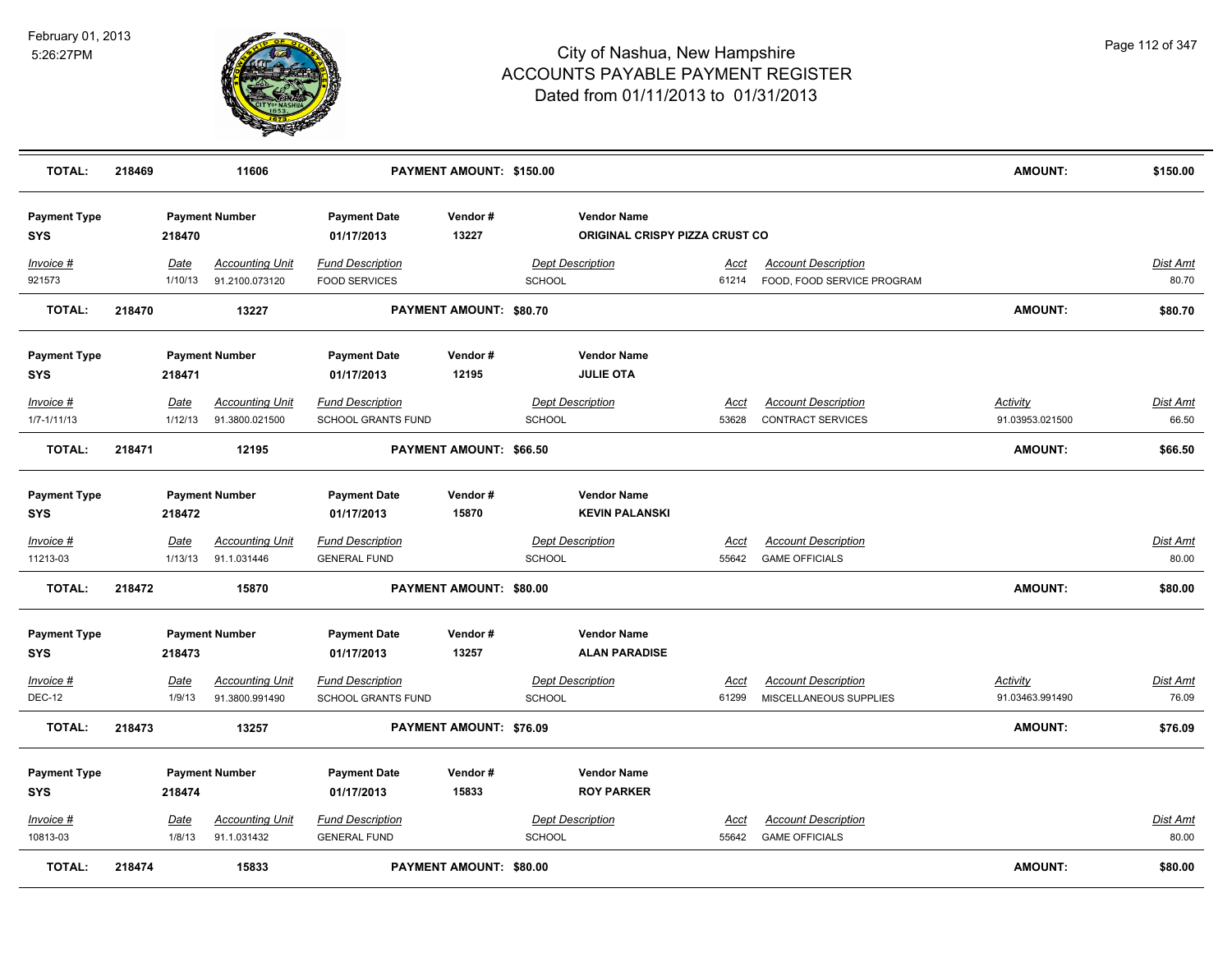

| <b>TOTAL:</b>                     | 218469 |                        | 11606                                    |                                                      | PAYMENT AMOUNT: \$150.00       |               |                                                      |                      |                                                          | <b>AMOUNT:</b>                     | \$150.00                 |
|-----------------------------------|--------|------------------------|------------------------------------------|------------------------------------------------------|--------------------------------|---------------|------------------------------------------------------|----------------------|----------------------------------------------------------|------------------------------------|--------------------------|
| <b>Payment Type</b><br><b>SYS</b> |        | 218470                 | <b>Payment Number</b>                    | <b>Payment Date</b><br>01/17/2013                    | Vendor#<br>13227               |               | <b>Vendor Name</b><br>ORIGINAL CRISPY PIZZA CRUST CO |                      |                                                          |                                    |                          |
| Invoice #<br>921573               |        | Date<br>1/10/13        | <b>Accounting Unit</b><br>91.2100.073120 | <b>Fund Description</b><br><b>FOOD SERVICES</b>      |                                | SCHOOL        | <b>Dept Description</b>                              | Acct<br>61214        | <b>Account Description</b><br>FOOD, FOOD SERVICE PROGRAM |                                    | Dist Amt<br>80.70        |
| <b>TOTAL:</b>                     | 218470 |                        | 13227                                    |                                                      | <b>PAYMENT AMOUNT: \$80.70</b> |               |                                                      |                      |                                                          | <b>AMOUNT:</b>                     | \$80.70                  |
| <b>Payment Type</b><br><b>SYS</b> |        | 218471                 | <b>Payment Number</b>                    | <b>Payment Date</b><br>01/17/2013                    | Vendor#<br>12195               |               | <b>Vendor Name</b><br><b>JULIE OTA</b>               |                      |                                                          |                                    |                          |
| Invoice #<br>$1/7 - 1/11/13$      |        | Date<br>1/12/13        | <b>Accounting Unit</b><br>91.3800.021500 | <b>Fund Description</b><br><b>SCHOOL GRANTS FUND</b> |                                | <b>SCHOOL</b> | <b>Dept Description</b>                              | <u>Acct</u><br>53628 | <b>Account Description</b><br><b>CONTRACT SERVICES</b>   | Activity<br>91.03953.021500        | <b>Dist Amt</b><br>66.50 |
| <b>TOTAL:</b>                     | 218471 |                        | 12195                                    |                                                      | PAYMENT AMOUNT: \$66.50        |               |                                                      |                      |                                                          | AMOUNT:                            | \$66.50                  |
| <b>Payment Type</b><br><b>SYS</b> |        | 218472                 | <b>Payment Number</b>                    | <b>Payment Date</b><br>01/17/2013                    | Vendor#<br>15870               |               | <b>Vendor Name</b><br><b>KEVIN PALANSKI</b>          |                      |                                                          |                                    |                          |
| Invoice #<br>11213-03             |        | <b>Date</b><br>1/13/13 | <b>Accounting Unit</b><br>91.1.031446    | <b>Fund Description</b><br><b>GENERAL FUND</b>       |                                | <b>SCHOOL</b> | <b>Dept Description</b>                              | <u>Acct</u><br>55642 | <b>Account Description</b><br><b>GAME OFFICIALS</b>      |                                    | Dist Amt<br>80.00        |
| <b>TOTAL:</b>                     | 218472 |                        | 15870                                    |                                                      | <b>PAYMENT AMOUNT: \$80.00</b> |               |                                                      |                      |                                                          | <b>AMOUNT:</b>                     | \$80.00                  |
| <b>Payment Type</b><br><b>SYS</b> |        | 218473                 | <b>Payment Number</b>                    | <b>Payment Date</b><br>01/17/2013                    | Vendor#<br>13257               |               | <b>Vendor Name</b><br><b>ALAN PARADISE</b>           |                      |                                                          |                                    |                          |
| Invoice #<br><b>DEC-12</b>        |        | Date<br>1/9/13         | <b>Accounting Unit</b><br>91.3800.991490 | <b>Fund Description</b><br><b>SCHOOL GRANTS FUND</b> |                                | SCHOOL        | <b>Dept Description</b>                              | Acct<br>61299        | <b>Account Description</b><br>MISCELLANEOUS SUPPLIES     | <b>Activity</b><br>91.03463.991490 | <u>Dist Amt</u><br>76.09 |
| TOTAL:                            | 218473 |                        | 13257                                    |                                                      | PAYMENT AMOUNT: \$76.09        |               |                                                      |                      |                                                          | <b>AMOUNT:</b>                     | \$76.09                  |
| <b>Payment Type</b><br><b>SYS</b> |        | 218474                 | <b>Payment Number</b>                    | <b>Payment Date</b><br>01/17/2013                    | Vendor#<br>15833               |               | <b>Vendor Name</b><br><b>ROY PARKER</b>              |                      |                                                          |                                    |                          |
| <b>Invoice #</b><br>10813-03      |        | <b>Date</b><br>1/8/13  | <b>Accounting Unit</b><br>91.1.031432    | <b>Fund Description</b><br><b>GENERAL FUND</b>       |                                | <b>SCHOOL</b> | <b>Dept Description</b>                              | <u>Acct</u><br>55642 | <b>Account Description</b><br><b>GAME OFFICIALS</b>      |                                    | <u>Dist Amt</u><br>80.00 |
| <b>TOTAL:</b>                     | 218474 |                        | 15833                                    |                                                      | <b>PAYMENT AMOUNT: \$80.00</b> |               |                                                      |                      |                                                          | <b>AMOUNT:</b>                     | \$80.00                  |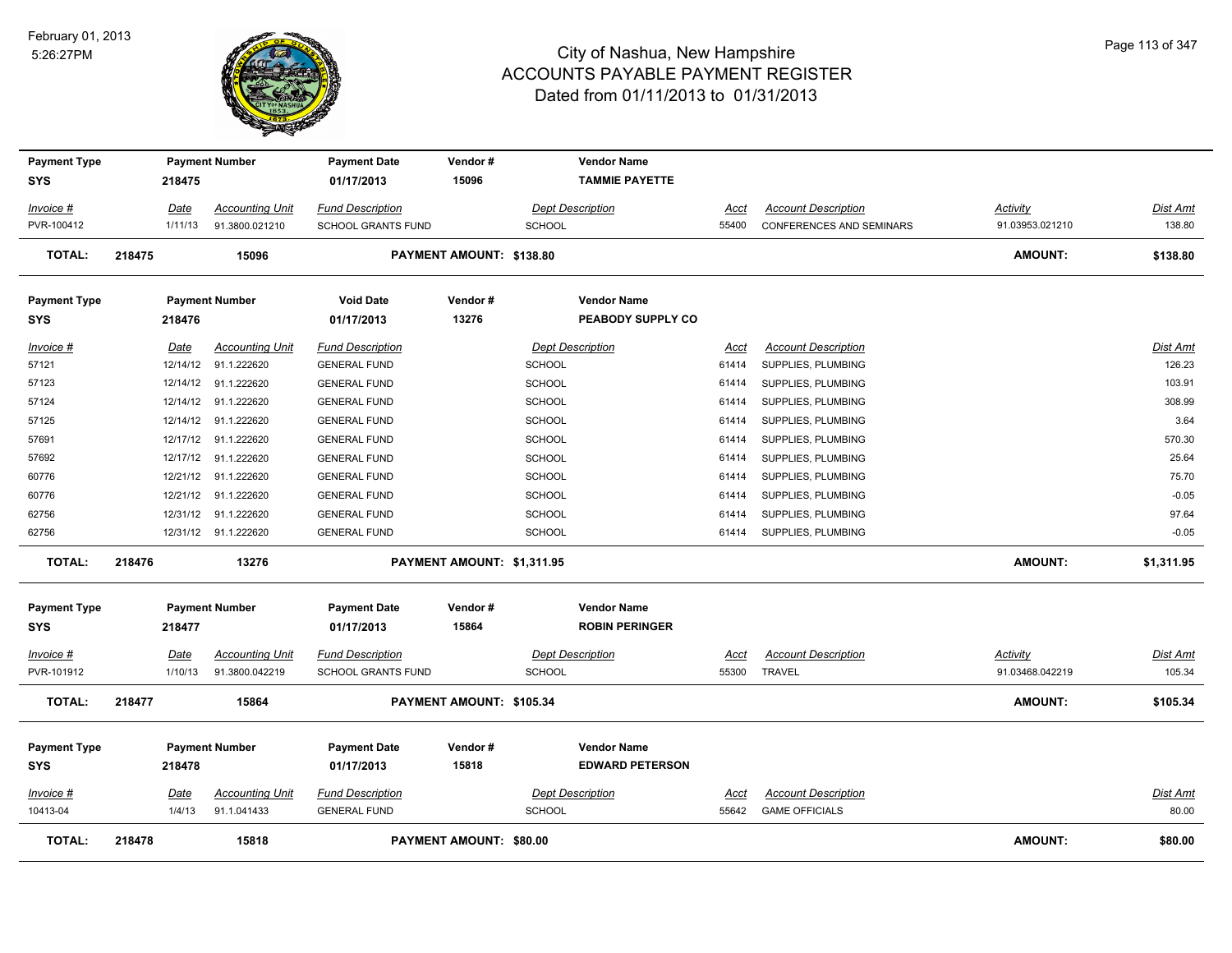

| <b>Payment Type</b><br><b>SYS</b> |        | 218475      | <b>Payment Number</b>  | <b>Payment Date</b><br>01/17/2013 | Vendor#<br>15096           |               | <b>Vendor Name</b><br><b>TAMMIE PAYETTE</b>  |             |                                 |                 |                 |
|-----------------------------------|--------|-------------|------------------------|-----------------------------------|----------------------------|---------------|----------------------------------------------|-------------|---------------------------------|-----------------|-----------------|
| <u>Invoice #</u>                  |        | <u>Date</u> | <b>Accounting Unit</b> | <b>Fund Description</b>           |                            |               | <b>Dept Description</b>                      | Acct        | <b>Account Description</b>      | <b>Activity</b> | Dist Amt        |
| PVR-100412                        |        | 1/11/13     | 91.3800.021210         | SCHOOL GRANTS FUND                |                            | <b>SCHOOL</b> |                                              | 55400       | <b>CONFERENCES AND SEMINARS</b> | 91.03953.021210 | 138.80          |
| <b>TOTAL:</b>                     | 218475 |             | 15096                  |                                   | PAYMENT AMOUNT: \$138.80   |               |                                              |             |                                 | <b>AMOUNT:</b>  | \$138.80        |
| <b>Payment Type</b>               |        |             | <b>Payment Number</b>  | <b>Void Date</b>                  | Vendor#                    |               | <b>Vendor Name</b>                           |             |                                 |                 |                 |
| <b>SYS</b>                        |        | 218476      |                        | 01/17/2013                        | 13276                      |               | PEABODY SUPPLY CO                            |             |                                 |                 |                 |
| Invoice #                         |        | Date        | <b>Accounting Unit</b> | <b>Fund Description</b>           |                            |               | <b>Dept Description</b>                      | Acct        | <b>Account Description</b>      |                 | Dist Amt        |
| 57121                             |        | 12/14/12    | 91.1.222620            | <b>GENERAL FUND</b>               |                            | SCHOOL        |                                              | 61414       | SUPPLIES, PLUMBING              |                 | 126.23          |
| 57123                             |        |             | 12/14/12 91.1.222620   | <b>GENERAL FUND</b>               |                            | <b>SCHOOL</b> |                                              | 61414       | SUPPLIES, PLUMBING              |                 | 103.91          |
| 57124                             |        | 12/14/12    | 91.1.222620            | <b>GENERAL FUND</b>               |                            | SCHOOL        |                                              | 61414       | SUPPLIES, PLUMBING              |                 | 308.99          |
| 57125                             |        | 12/14/12    | 91.1.222620            | <b>GENERAL FUND</b>               |                            | <b>SCHOOL</b> |                                              | 61414       | SUPPLIES, PLUMBING              |                 | 3.64            |
| 57691                             |        | 12/17/12    | 91.1.222620            | <b>GENERAL FUND</b>               |                            | <b>SCHOOL</b> |                                              | 61414       | SUPPLIES, PLUMBING              |                 | 570.30          |
| 57692                             |        |             | 12/17/12 91.1.222620   | <b>GENERAL FUND</b>               |                            | SCHOOL        |                                              | 61414       | SUPPLIES, PLUMBING              |                 | 25.64           |
| 60776                             |        |             | 12/21/12 91.1.222620   | <b>GENERAL FUND</b>               |                            | SCHOOL        |                                              | 61414       | SUPPLIES, PLUMBING              |                 | 75.70           |
| 60776                             |        |             | 12/21/12 91.1.222620   | <b>GENERAL FUND</b>               |                            | SCHOOL        |                                              | 61414       | SUPPLIES, PLUMBING              |                 | $-0.05$         |
| 62756                             |        |             | 12/31/12 91.1.222620   | <b>GENERAL FUND</b>               |                            | SCHOOL        |                                              | 61414       | SUPPLIES, PLUMBING              |                 | 97.64           |
| 62756                             |        |             | 12/31/12 91.1.222620   | <b>GENERAL FUND</b>               |                            | <b>SCHOOL</b> |                                              | 61414       | SUPPLIES, PLUMBING              |                 | $-0.05$         |
| <b>TOTAL:</b>                     | 218476 |             | 13276                  |                                   | PAYMENT AMOUNT: \$1,311.95 |               |                                              |             |                                 | <b>AMOUNT:</b>  | \$1,311.95      |
| <b>Payment Type</b>               |        |             | <b>Payment Number</b>  | <b>Payment Date</b>               | Vendor#                    |               | <b>Vendor Name</b>                           |             |                                 |                 |                 |
| <b>SYS</b>                        |        | 218477      |                        | 01/17/2013                        | 15864                      |               | <b>ROBIN PERINGER</b>                        |             |                                 |                 |                 |
| Invoice #                         |        | Date        | <b>Accounting Unit</b> | <b>Fund Description</b>           |                            |               | <b>Dept Description</b>                      | Acct        | <b>Account Description</b>      | Activity        | Dist Amt        |
| PVR-101912                        |        | 1/10/13     | 91.3800.042219         | <b>SCHOOL GRANTS FUND</b>         |                            | <b>SCHOOL</b> |                                              | 55300       | <b>TRAVEL</b>                   | 91.03468.042219 | 105.34          |
| <b>TOTAL:</b>                     | 218477 |             | 15864                  |                                   | PAYMENT AMOUNT: \$105.34   |               |                                              |             |                                 | <b>AMOUNT:</b>  | \$105.34        |
| <b>Payment Type</b><br><b>SYS</b> |        | 218478      | <b>Payment Number</b>  | <b>Payment Date</b><br>01/17/2013 | Vendor#<br>15818           |               | <b>Vendor Name</b><br><b>EDWARD PETERSON</b> |             |                                 |                 |                 |
| Invoice #                         |        | <b>Date</b> | <b>Accounting Unit</b> | <b>Fund Description</b>           |                            |               | <b>Dept Description</b>                      | <u>Acct</u> | <b>Account Description</b>      |                 | <b>Dist Amt</b> |
| 10413-04                          |        | 1/4/13      | 91.1.041433            | <b>GENERAL FUND</b>               |                            | <b>SCHOOL</b> |                                              | 55642       | <b>GAME OFFICIALS</b>           |                 | 80.00           |
| <b>TOTAL:</b>                     | 218478 |             | 15818                  |                                   | PAYMENT AMOUNT: \$80.00    |               |                                              |             |                                 | <b>AMOUNT:</b>  | \$80.00         |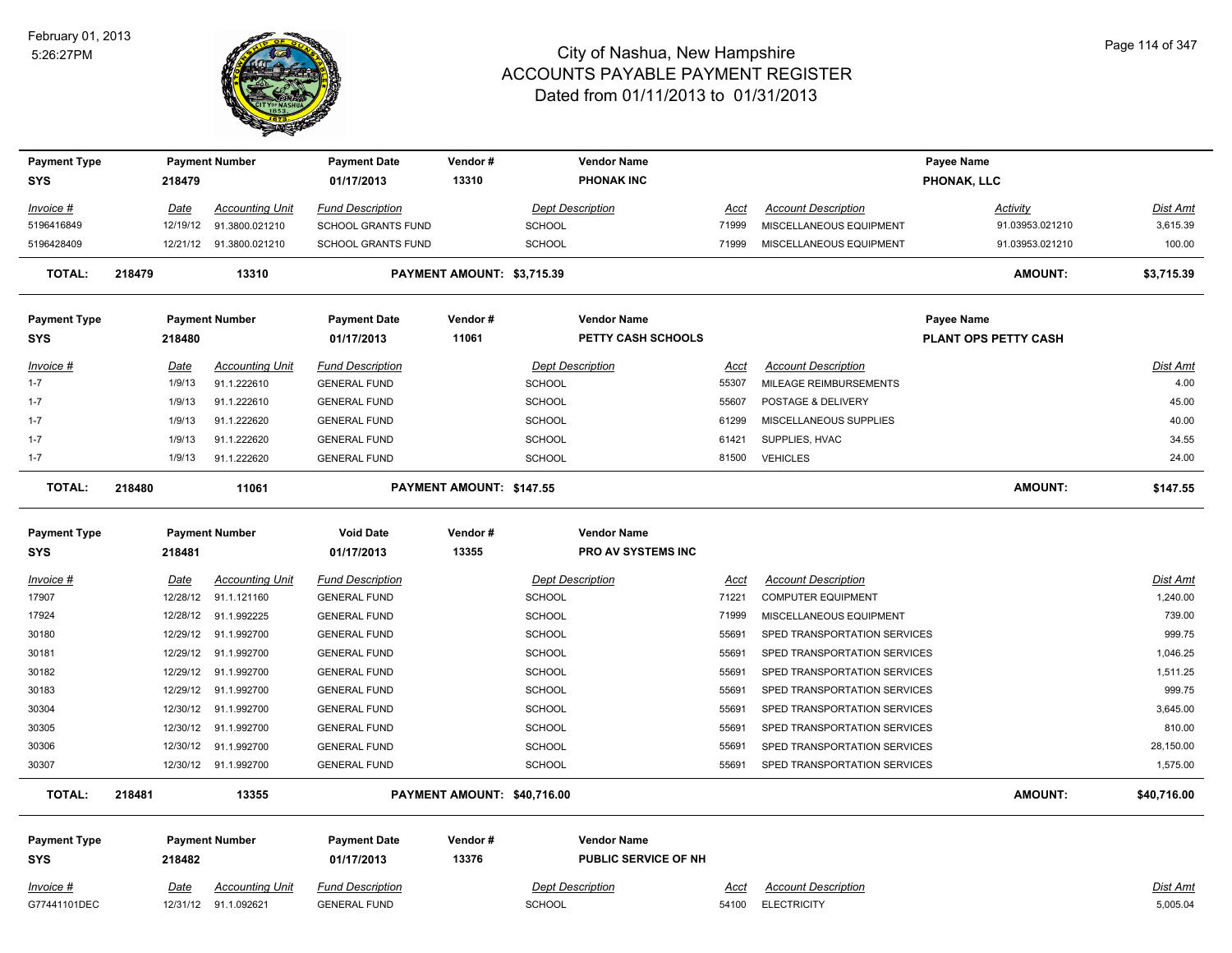

| <b>Payment Type</b><br>SYS |        | 218479      | <b>Payment Number</b>   | <b>Payment Date</b><br>01/17/2013 | Vendor#<br>13310            |               | <b>Vendor Name</b><br><b>PHONAK INC</b> |             |                              | Payee Name<br>PHONAK, LLC |                 |
|----------------------------|--------|-------------|-------------------------|-----------------------------------|-----------------------------|---------------|-----------------------------------------|-------------|------------------------------|---------------------------|-----------------|
|                            |        |             |                         |                                   |                             |               |                                         |             |                              |                           |                 |
| Invoice #                  |        | Date        | <b>Accounting Unit</b>  | <b>Fund Description</b>           |                             |               | <b>Dept Description</b>                 | Acct        | <b>Account Description</b>   | Activity                  | Dist Amt        |
| 5196416849                 |        | 12/19/12    | 91.3800.021210          | <b>SCHOOL GRANTS FUND</b>         |                             | <b>SCHOOL</b> |                                         | 71999       | MISCELLANEOUS EQUIPMENT      | 91.03953.021210           | 3,615.39        |
| 5196428409                 |        |             | 12/21/12 91.3800.021210 | SCHOOL GRANTS FUND                |                             | <b>SCHOOL</b> |                                         | 71999       | MISCELLANEOUS EQUIPMENT      | 91.03953.021210           | 100.00          |
| <b>TOTAL:</b>              | 218479 |             | 13310                   |                                   | PAYMENT AMOUNT: \$3,715.39  |               |                                         |             |                              | <b>AMOUNT:</b>            | \$3,715.39      |
| <b>Payment Type</b>        |        |             | <b>Payment Number</b>   | <b>Payment Date</b>               | Vendor#                     |               | <b>Vendor Name</b>                      |             |                              | Payee Name                |                 |
| SYS                        |        | 218480      |                         | 01/17/2013                        | 11061                       |               | PETTY CASH SCHOOLS                      |             |                              | PLANT OPS PETTY CASH      |                 |
| Invoice #                  |        | Date        | <b>Accounting Unit</b>  | <b>Fund Description</b>           |                             |               | <b>Dept Description</b>                 | <b>Acct</b> | <b>Account Description</b>   |                           | <u>Dist Amt</u> |
| $1 - 7$                    |        | 1/9/13      | 91.1.222610             | <b>GENERAL FUND</b>               |                             | SCHOOL        |                                         | 55307       | MILEAGE REIMBURSEMENTS       |                           | 4.00            |
| $1 - 7$                    |        | 1/9/13      | 91.1.222610             | <b>GENERAL FUND</b>               |                             | SCHOOL        |                                         | 55607       | POSTAGE & DELIVERY           |                           | 45.00           |
| $1 - 7$                    |        | 1/9/13      | 91.1.222620             | <b>GENERAL FUND</b>               |                             | <b>SCHOOL</b> |                                         | 61299       | MISCELLANEOUS SUPPLIES       |                           | 40.00           |
| $1 - 7$                    |        | 1/9/13      | 91.1.222620             | <b>GENERAL FUND</b>               |                             | <b>SCHOOL</b> |                                         | 61421       | SUPPLIES, HVAC               |                           | 34.55           |
| $1 - 7$                    |        | 1/9/13      | 91.1.222620             | <b>GENERAL FUND</b>               |                             | <b>SCHOOL</b> |                                         | 81500       | <b>VEHICLES</b>              |                           | 24.00           |
| <b>TOTAL:</b>              | 218480 |             | 11061                   |                                   | PAYMENT AMOUNT: \$147.55    |               |                                         |             |                              | <b>AMOUNT:</b>            | \$147.55        |
|                            |        |             |                         |                                   |                             |               |                                         |             |                              |                           |                 |
| <b>Payment Type</b>        |        |             | <b>Payment Number</b>   | <b>Void Date</b>                  | Vendor#                     |               | <b>Vendor Name</b>                      |             |                              |                           |                 |
| <b>SYS</b>                 |        | 218481      |                         | 01/17/2013                        | 13355                       |               | PRO AV SYSTEMS INC                      |             |                              |                           |                 |
| Invoice #                  |        | Date        | <b>Accounting Unit</b>  | <b>Fund Description</b>           |                             |               | <b>Dept Description</b>                 | Acct        | <b>Account Description</b>   |                           | Dist Amt        |
| 17907                      |        | 12/28/12    | 91.1.121160             | <b>GENERAL FUND</b>               |                             | <b>SCHOOL</b> |                                         | 71221       | <b>COMPUTER EQUIPMENT</b>    |                           | 1,240.00        |
| 17924                      |        | 12/28/12    | 91.1.992225             | <b>GENERAL FUND</b>               |                             | <b>SCHOOL</b> |                                         | 71999       | MISCELLANEOUS EQUIPMENT      |                           | 739.00          |
| 30180                      |        | 12/29/12    | 91.1.992700             | <b>GENERAL FUND</b>               |                             | <b>SCHOOL</b> |                                         | 55691       | SPED TRANSPORTATION SERVICES |                           | 999.75          |
| 30181                      |        |             | 12/29/12 91.1.992700    | <b>GENERAL FUND</b>               |                             | SCHOOL        |                                         | 55691       | SPED TRANSPORTATION SERVICES |                           | 1,046.25        |
| 30182                      |        |             | 12/29/12 91.1.992700    | <b>GENERAL FUND</b>               |                             | <b>SCHOOL</b> |                                         | 55691       | SPED TRANSPORTATION SERVICES |                           | 1,511.25        |
| 30183                      |        |             | 12/29/12 91.1.992700    | <b>GENERAL FUND</b>               |                             | <b>SCHOOL</b> |                                         | 55691       | SPED TRANSPORTATION SERVICES |                           | 999.75          |
| 30304                      |        |             | 12/30/12 91.1.992700    | <b>GENERAL FUND</b>               |                             | <b>SCHOOL</b> |                                         | 55691       | SPED TRANSPORTATION SERVICES |                           | 3,645.00        |
| 30305                      |        |             | 12/30/12 91.1.992700    | <b>GENERAL FUND</b>               |                             | <b>SCHOOL</b> |                                         | 55691       | SPED TRANSPORTATION SERVICES |                           | 810.00          |
| 30306                      |        |             | 12/30/12 91.1.992700    | <b>GENERAL FUND</b>               |                             | <b>SCHOOL</b> |                                         | 55691       | SPED TRANSPORTATION SERVICES |                           | 28,150.00       |
| 30307                      |        |             | 12/30/12 91.1.992700    | <b>GENERAL FUND</b>               |                             | SCHOOL        |                                         | 55691       | SPED TRANSPORTATION SERVICES |                           | 1,575.00        |
| TOTAL:                     | 218481 |             | 13355                   |                                   | PAYMENT AMOUNT: \$40,716.00 |               |                                         |             |                              | <b>AMOUNT:</b>            | \$40,716.00     |
| <b>Payment Type</b>        |        |             | <b>Payment Number</b>   | <b>Payment Date</b>               | Vendor#                     |               | <b>Vendor Name</b>                      |             |                              |                           |                 |
| <b>SYS</b>                 |        | 218482      |                         | 01/17/2013                        | 13376                       |               | PUBLIC SERVICE OF NH                    |             |                              |                           |                 |
| Invoice #                  |        | <u>Date</u> | <b>Accounting Unit</b>  | <b>Fund Description</b>           |                             |               | <b>Dept Description</b>                 | <u>Acct</u> | <b>Account Description</b>   |                           | <b>Dist Amt</b> |
| G77441101DEC               |        | 12/31/12    | 91.1.092621             | <b>GENERAL FUND</b>               |                             | SCHOOL        |                                         | 54100       | <b>ELECTRICITY</b>           |                           | 5,005.04        |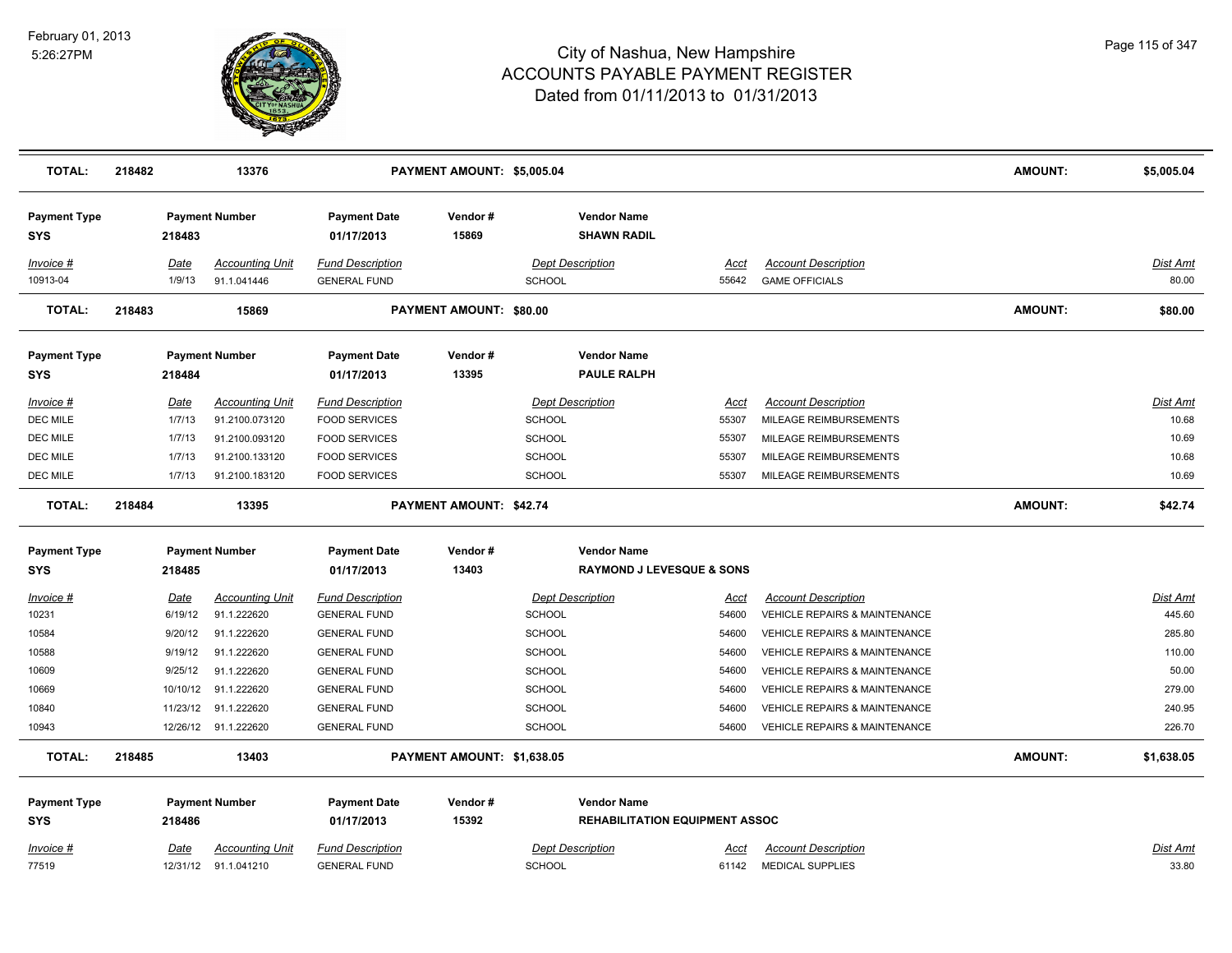

| <b>TOTAL:</b>                     | 218482 |                       | 13376                                 |                                                | PAYMENT AMOUNT: \$5,005.04     |               |                                          |               |                                                     | <b>AMOUNT:</b> | \$5,005.04        |
|-----------------------------------|--------|-----------------------|---------------------------------------|------------------------------------------------|--------------------------------|---------------|------------------------------------------|---------------|-----------------------------------------------------|----------------|-------------------|
| <b>Payment Type</b><br><b>SYS</b> |        | 218483                | <b>Payment Number</b>                 | <b>Payment Date</b><br>01/17/2013              | Vendor#<br>15869               |               | <b>Vendor Name</b><br><b>SHAWN RADIL</b> |               |                                                     |                |                   |
| Invoice #<br>10913-04             |        | <b>Date</b><br>1/9/13 | <b>Accounting Unit</b><br>91.1.041446 | <b>Fund Description</b><br><b>GENERAL FUND</b> |                                | <b>SCHOOL</b> | <b>Dept Description</b>                  | Acct<br>55642 | <b>Account Description</b><br><b>GAME OFFICIALS</b> |                | Dist Amt<br>80.00 |
| TOTAL:                            | 218483 |                       | 15869                                 |                                                | <b>PAYMENT AMOUNT: \$80.00</b> |               |                                          |               |                                                     | <b>AMOUNT:</b> | \$80.00           |
| <b>Payment Type</b><br><b>SYS</b> |        | 218484                | <b>Payment Number</b>                 | <b>Payment Date</b><br>01/17/2013              | Vendor#<br>13395               |               | <b>Vendor Name</b><br><b>PAULE RALPH</b> |               |                                                     |                |                   |
| <i>Invoice</i> #                  |        | <u>Date</u>           | <b>Accounting Unit</b>                | <b>Fund Description</b>                        |                                |               | <b>Dept Description</b>                  | <u>Acct</u>   | <b>Account Description</b>                          |                | Dist Amt          |
| DEC MILE                          |        | 1/7/13                | 91.2100.073120                        | <b>FOOD SERVICES</b>                           |                                | <b>SCHOOL</b> |                                          | 55307         | MILEAGE REIMBURSEMENTS                              |                | 10.68             |
| DEC MILE                          |        | 1/7/13                | 91.2100.093120                        | <b>FOOD SERVICES</b>                           |                                | <b>SCHOOL</b> |                                          | 55307         | MILEAGE REIMBURSEMENTS                              |                | 10.69             |
| DEC MILE                          |        | 1/7/13                | 91.2100.133120                        | <b>FOOD SERVICES</b>                           |                                | SCHOOL        |                                          | 55307         | MILEAGE REIMBURSEMENTS                              |                | 10.68             |
| DEC MILE                          |        | 1/7/13                | 91.2100.183120                        | <b>FOOD SERVICES</b>                           |                                | SCHOOL        |                                          | 55307         | MILEAGE REIMBURSEMENTS                              |                | 10.69             |
| <b>TOTAL:</b>                     | 218484 |                       | 13395                                 |                                                | PAYMENT AMOUNT: \$42.74        |               |                                          |               |                                                     | <b>AMOUNT:</b> | \$42.74           |
| <b>Payment Type</b>               |        |                       | <b>Payment Number</b>                 | <b>Payment Date</b>                            | Vendor#                        |               | <b>Vendor Name</b>                       |               |                                                     |                |                   |
| <b>SYS</b>                        |        | 218485                |                                       | 01/17/2013                                     | 13403                          |               | <b>RAYMOND J LEVESQUE &amp; SONS</b>     |               |                                                     |                |                   |
| Invoice #                         |        | <u>Date</u>           | <b>Accounting Unit</b>                | <b>Fund Description</b>                        |                                |               | <b>Dept Description</b>                  | <u>Acct</u>   | <b>Account Description</b>                          |                | <b>Dist Amt</b>   |
| 10231                             |        | 6/19/12               | 91.1.222620                           | <b>GENERAL FUND</b>                            |                                | SCHOOL        |                                          | 54600         | <b>VEHICLE REPAIRS &amp; MAINTENANCE</b>            |                | 445.60            |
| 10584                             |        | 9/20/12               | 91.1.222620                           | <b>GENERAL FUND</b>                            |                                | <b>SCHOOL</b> |                                          | 54600         | <b>VEHICLE REPAIRS &amp; MAINTENANCE</b>            |                | 285.80            |
| 10588                             |        | 9/19/12               | 91.1.222620                           | <b>GENERAL FUND</b>                            |                                | <b>SCHOOL</b> |                                          | 54600         | VEHICLE REPAIRS & MAINTENANCE                       |                | 110.00            |
| 10609                             |        | 9/25/12               | 91.1.222620                           | <b>GENERAL FUND</b>                            |                                | <b>SCHOOL</b> |                                          | 54600         | VEHICLE REPAIRS & MAINTENANCE                       |                | 50.00             |
| 10669                             |        | 10/10/12              | 91.1.222620                           | <b>GENERAL FUND</b>                            |                                | <b>SCHOOL</b> |                                          | 54600         | <b>VEHICLE REPAIRS &amp; MAINTENANCE</b>            |                | 279.00            |
| 10840                             |        | 11/23/12              | 91.1.222620                           | <b>GENERAL FUND</b>                            |                                | <b>SCHOOL</b> |                                          | 54600         | <b>VEHICLE REPAIRS &amp; MAINTENANCE</b>            |                | 240.95            |
| 10943                             |        |                       | 12/26/12 91.1.222620                  | <b>GENERAL FUND</b>                            |                                | SCHOOL        |                                          | 54600         | VEHICLE REPAIRS & MAINTENANCE                       |                | 226.70            |
| TOTAL:                            | 218485 |                       | 13403                                 |                                                | PAYMENT AMOUNT: \$1,638.05     |               |                                          |               |                                                     | <b>AMOUNT:</b> | \$1,638.05        |
| <b>Payment Type</b>               |        |                       | <b>Payment Number</b>                 | <b>Payment Date</b>                            | Vendor#                        |               | <b>Vendor Name</b>                       |               |                                                     |                |                   |
| <b>SYS</b>                        |        | 218486                |                                       | 01/17/2013                                     | 15392                          |               | <b>REHABILITATION EQUIPMENT ASSOC</b>    |               |                                                     |                |                   |
| <b>Invoice #</b>                  |        | <b>Date</b>           | <b>Accounting Unit</b>                | <b>Fund Description</b>                        |                                |               | <b>Dept Description</b>                  | Acct          | <b>Account Description</b>                          |                | Dist Amt          |
| 77519                             |        |                       | 12/31/12 91.1.041210                  | <b>GENERAL FUND</b>                            |                                | <b>SCHOOL</b> |                                          | 61142         | MEDICAL SUPPLIES                                    |                | 33.80             |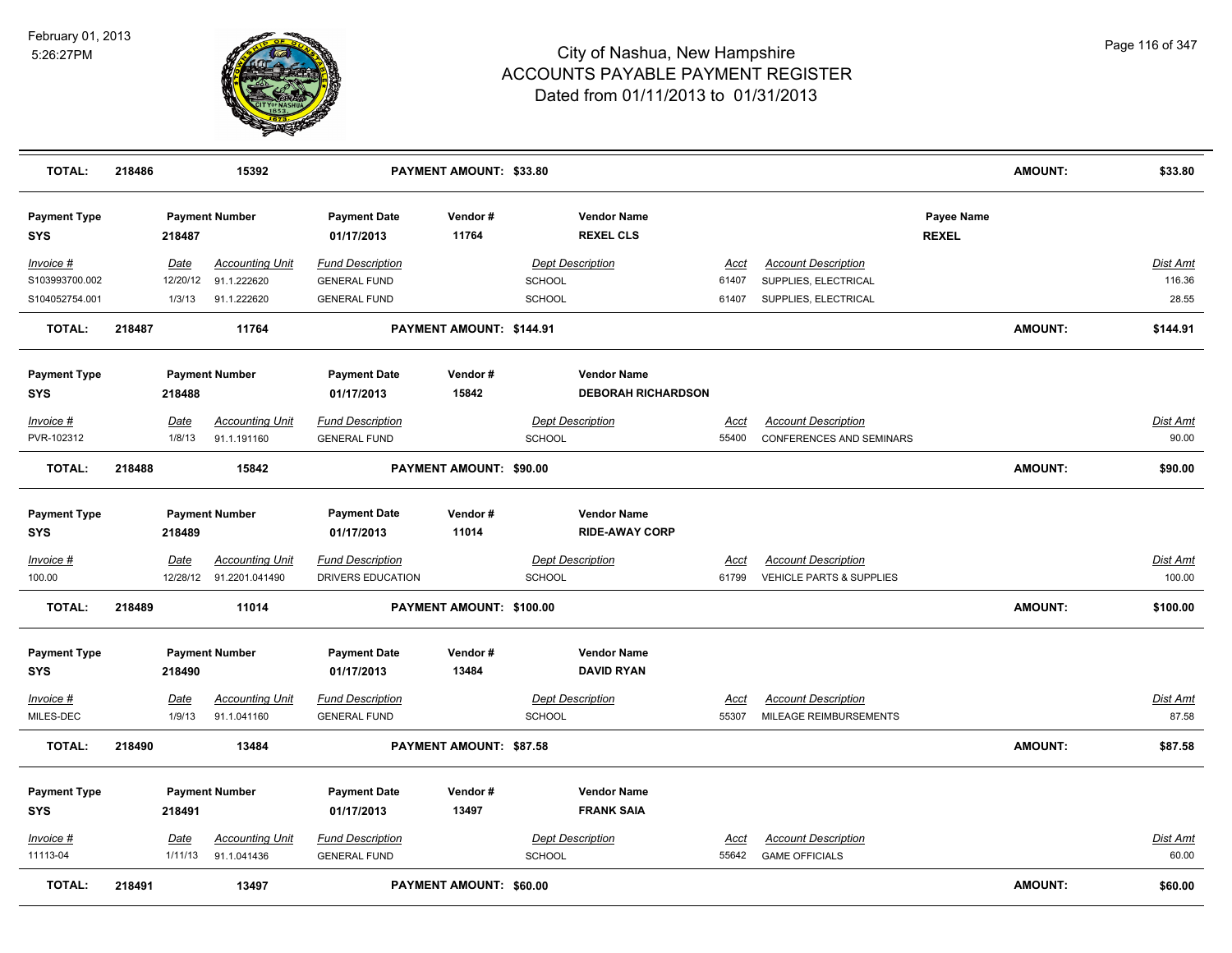

| <b>TOTAL:</b>                     | 218486 |                  | 15392                                    |                                                | PAYMENT AMOUNT: \$33.80  |               |                                        |                      |                                                               |                            | <b>AMOUNT:</b> | \$33.80            |
|-----------------------------------|--------|------------------|------------------------------------------|------------------------------------------------|--------------------------|---------------|----------------------------------------|----------------------|---------------------------------------------------------------|----------------------------|----------------|--------------------|
| <b>Payment Type</b><br><b>SYS</b> |        | 218487           | <b>Payment Number</b>                    | <b>Payment Date</b><br>01/17/2013              | Vendor#<br>11764         |               | <b>Vendor Name</b><br><b>REXEL CLS</b> |                      |                                                               | Payee Name<br><b>REXEL</b> |                |                    |
| Invoice #<br>S103993700.002       |        | Date<br>12/20/12 | <b>Accounting Unit</b><br>91.1.222620    | <b>Fund Description</b><br><b>GENERAL FUND</b> |                          | <b>SCHOOL</b> | <b>Dept Description</b>                | Acct<br>61407        | <b>Account Description</b><br>SUPPLIES, ELECTRICAL            |                            |                | Dist Amt<br>116.36 |
| S104052754.001                    |        | 1/3/13           | 91.1.222620                              | <b>GENERAL FUND</b>                            |                          | <b>SCHOOL</b> |                                        | 61407                | SUPPLIES, ELECTRICAL                                          |                            |                | 28.55              |
| <b>TOTAL:</b>                     | 218487 |                  | 11764                                    |                                                | PAYMENT AMOUNT: \$144.91 |               |                                        |                      |                                                               |                            | <b>AMOUNT:</b> | \$144.91           |
| <b>Payment Type</b>               |        |                  | <b>Payment Number</b>                    | <b>Payment Date</b>                            | Vendor#                  |               | <b>Vendor Name</b>                     |                      |                                                               |                            |                |                    |
| <b>SYS</b>                        |        | 218488           |                                          | 01/17/2013                                     | 15842                    |               | <b>DEBORAH RICHARDSON</b>              |                      |                                                               |                            |                |                    |
| Invoice #<br>PVR-102312           |        | Date<br>1/8/13   | <b>Accounting Unit</b><br>91.1.191160    | <b>Fund Description</b><br><b>GENERAL FUND</b> |                          | <b>SCHOOL</b> | <b>Dept Description</b>                | Acct<br>55400        | <b>Account Description</b><br><b>CONFERENCES AND SEMINARS</b> |                            |                | Dist Amt<br>90.00  |
| <b>TOTAL:</b>                     | 218488 |                  | 15842                                    |                                                | PAYMENT AMOUNT: \$90.00  |               |                                        |                      |                                                               |                            | <b>AMOUNT:</b> | \$90.00            |
| <b>Payment Type</b>               |        |                  | <b>Payment Number</b>                    | <b>Payment Date</b>                            | Vendor#                  |               | <b>Vendor Name</b>                     |                      |                                                               |                            |                |                    |
| <b>SYS</b>                        |        | 218489           |                                          | 01/17/2013                                     | 11014                    |               | <b>RIDE-AWAY CORP</b>                  |                      |                                                               |                            |                |                    |
| <u> Invoice #</u><br>100.00       |        | Date<br>12/28/12 | <b>Accounting Unit</b><br>91.2201.041490 | <b>Fund Description</b><br>DRIVERS EDUCATION   |                          | <b>SCHOOL</b> | <b>Dept Description</b>                | <u>Acct</u><br>61799 | <b>Account Description</b><br>VEHICLE PARTS & SUPPLIES        |                            |                | Dist Amt<br>100.00 |
| <b>TOTAL:</b>                     | 218489 |                  | 11014                                    |                                                | PAYMENT AMOUNT: \$100.00 |               |                                        |                      |                                                               |                            | <b>AMOUNT:</b> | \$100.00           |
| <b>Payment Type</b>               |        |                  | <b>Payment Number</b>                    | <b>Payment Date</b>                            | Vendor#                  |               | <b>Vendor Name</b>                     |                      |                                                               |                            |                |                    |
| <b>SYS</b>                        |        | 218490           |                                          | 01/17/2013                                     | 13484                    |               | <b>DAVID RYAN</b>                      |                      |                                                               |                            |                |                    |
| Invoice #                         |        | Date             | <b>Accounting Unit</b>                   | <b>Fund Description</b>                        |                          |               | <b>Dept Description</b>                | Acct                 | <b>Account Description</b>                                    |                            |                | <b>Dist Amt</b>    |
| MILES-DEC                         |        | 1/9/13           | 91.1.041160                              | <b>GENERAL FUND</b>                            |                          | <b>SCHOOL</b> |                                        | 55307                | MILEAGE REIMBURSEMENTS                                        |                            |                | 87.58              |
| <b>TOTAL:</b>                     | 218490 |                  | 13484                                    |                                                | PAYMENT AMOUNT: \$87.58  |               |                                        |                      |                                                               |                            | <b>AMOUNT:</b> | \$87.58            |
| <b>Payment Type</b>               |        |                  | <b>Payment Number</b>                    | <b>Payment Date</b>                            | Vendor#                  |               | <b>Vendor Name</b>                     |                      |                                                               |                            |                |                    |
| <b>SYS</b>                        |        | 218491           |                                          | 01/17/2013                                     | 13497                    |               | <b>FRANK SAIA</b>                      |                      |                                                               |                            |                |                    |
| Invoice #                         |        | <u>Date</u>      | <b>Accounting Unit</b>                   | <b>Fund Description</b>                        |                          |               | <b>Dept Description</b>                | <u>Acct</u>          | <b>Account Description</b>                                    |                            |                | Dist Amt           |
| 11113-04                          |        | 1/11/13          | 91.1.041436                              | <b>GENERAL FUND</b>                            |                          | SCHOOL        |                                        | 55642                | <b>GAME OFFICIALS</b>                                         |                            |                | 60.00              |
| <b>TOTAL:</b>                     | 218491 |                  | 13497                                    |                                                | PAYMENT AMOUNT: \$60.00  |               |                                        |                      |                                                               |                            | <b>AMOUNT:</b> | \$60.00            |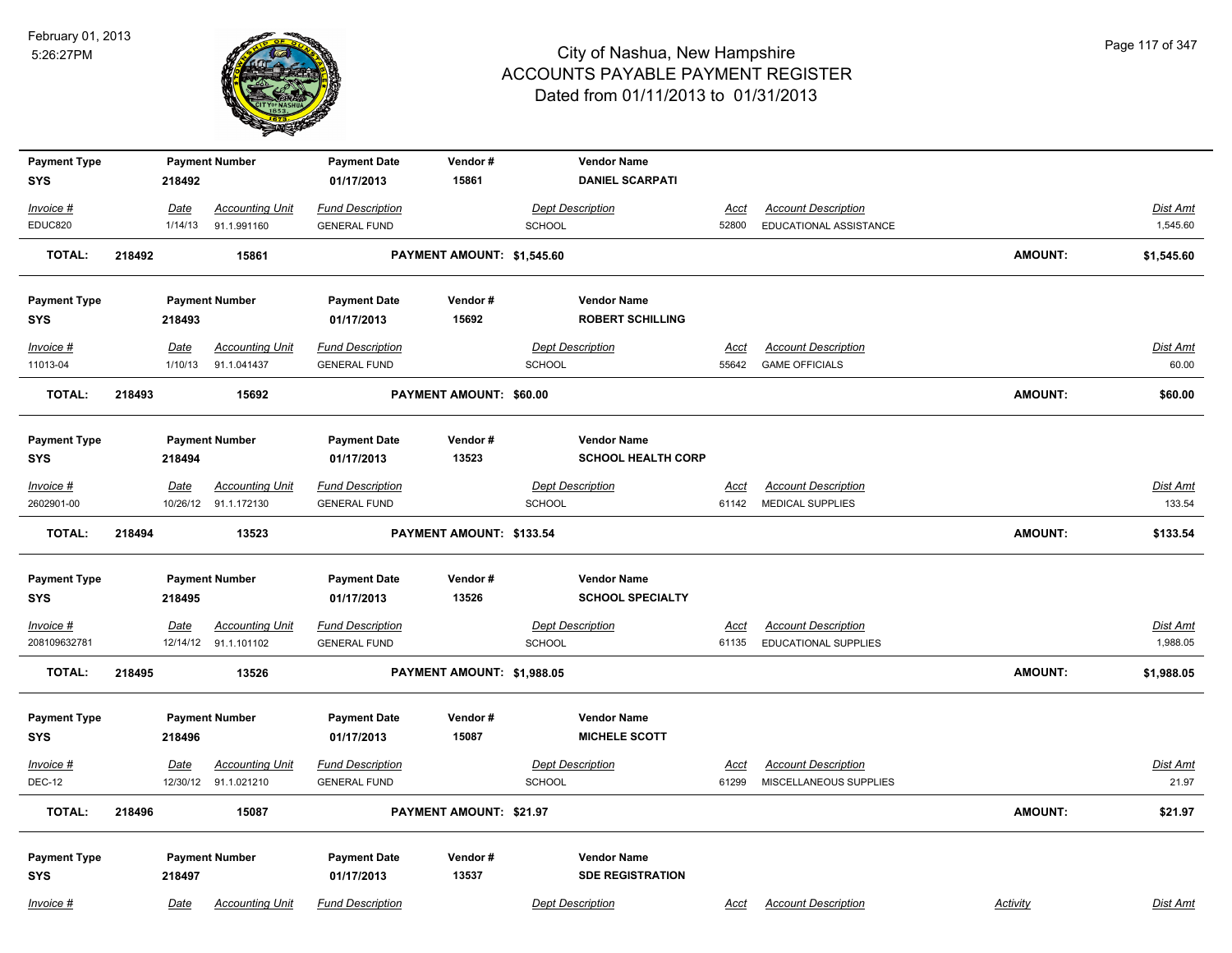

| <b>Payment Type</b> |        |             | <b>Payment Number</b>  | <b>Payment Date</b>     | Vendor#                    |               | <b>Vendor Name</b>        |             |                             |                |                 |
|---------------------|--------|-------------|------------------------|-------------------------|----------------------------|---------------|---------------------------|-------------|-----------------------------|----------------|-----------------|
| <b>SYS</b>          |        | 218492      |                        | 01/17/2013              | 15861                      |               | <b>DANIEL SCARPATI</b>    |             |                             |                |                 |
| Invoice #           |        | Date        | <b>Accounting Unit</b> | <b>Fund Description</b> |                            |               | <b>Dept Description</b>   | Acct        | <b>Account Description</b>  |                | Dist Amt        |
| EDUC820             |        | 1/14/13     | 91.1.991160            | <b>GENERAL FUND</b>     |                            | <b>SCHOOL</b> |                           | 52800       | EDUCATIONAL ASSISTANCE      |                | 1,545.60        |
| <b>TOTAL:</b>       | 218492 |             | 15861                  |                         | PAYMENT AMOUNT: \$1,545.60 |               |                           |             |                             | <b>AMOUNT:</b> | \$1,545.60      |
| <b>Payment Type</b> |        |             | <b>Payment Number</b>  | <b>Payment Date</b>     | Vendor#                    |               | <b>Vendor Name</b>        |             |                             |                |                 |
| <b>SYS</b>          |        | 218493      |                        | 01/17/2013              | 15692                      |               | <b>ROBERT SCHILLING</b>   |             |                             |                |                 |
| Invoice #           |        | Date        | <b>Accounting Unit</b> | <b>Fund Description</b> |                            |               | <b>Dept Description</b>   | <b>Acct</b> | <b>Account Description</b>  |                | <b>Dist Amt</b> |
| 11013-04            |        | 1/10/13     | 91.1.041437            | <b>GENERAL FUND</b>     |                            | <b>SCHOOL</b> |                           | 55642       | <b>GAME OFFICIALS</b>       |                | 60.00           |
| <b>TOTAL:</b>       | 218493 |             | 15692                  |                         | PAYMENT AMOUNT: \$60.00    |               |                           |             |                             | <b>AMOUNT:</b> | \$60.00         |
| <b>Payment Type</b> |        |             | <b>Payment Number</b>  | <b>Payment Date</b>     | Vendor#                    |               | <b>Vendor Name</b>        |             |                             |                |                 |
| <b>SYS</b>          |        | 218494      |                        | 01/17/2013              | 13523                      |               | <b>SCHOOL HEALTH CORP</b> |             |                             |                |                 |
| $Invoice$ #         |        | Date        | <b>Accounting Unit</b> | <b>Fund Description</b> |                            |               | <b>Dept Description</b>   | <u>Acct</u> | <b>Account Description</b>  |                | Dist Amt        |
| 2602901-00          |        | 10/26/12    | 91.1.172130            | <b>GENERAL FUND</b>     |                            | <b>SCHOOL</b> |                           | 61142       | <b>MEDICAL SUPPLIES</b>     |                | 133.54          |
| <b>TOTAL:</b>       | 218494 |             | 13523                  |                         | PAYMENT AMOUNT: \$133.54   |               |                           |             |                             | <b>AMOUNT:</b> | \$133.54        |
| <b>Payment Type</b> |        |             | <b>Payment Number</b>  | <b>Payment Date</b>     | Vendor#                    |               | <b>Vendor Name</b>        |             |                             |                |                 |
| <b>SYS</b>          |        | 218495      |                        | 01/17/2013              | 13526                      |               | <b>SCHOOL SPECIALTY</b>   |             |                             |                |                 |
| <u>Invoice #</u>    |        | <b>Date</b> | <b>Accounting Unit</b> | <b>Fund Description</b> |                            |               | <b>Dept Description</b>   | <u>Acct</u> | <b>Account Description</b>  |                | Dist Amt        |
| 208109632781        |        |             | 12/14/12 91.1.101102   | <b>GENERAL FUND</b>     |                            | SCHOOL        |                           | 61135       | <b>EDUCATIONAL SUPPLIES</b> |                | 1,988.05        |
| <b>TOTAL:</b>       | 218495 |             | 13526                  |                         | PAYMENT AMOUNT: \$1,988.05 |               |                           |             |                             | <b>AMOUNT:</b> | \$1,988.05      |
| <b>Payment Type</b> |        |             | <b>Payment Number</b>  | <b>Payment Date</b>     | Vendor#                    |               | <b>Vendor Name</b>        |             |                             |                |                 |
| <b>SYS</b>          |        | 218496      |                        | 01/17/2013              | 15087                      |               | <b>MICHELE SCOTT</b>      |             |                             |                |                 |
| Invoice #           |        | Date        | <b>Accounting Unit</b> | <b>Fund Description</b> |                            |               | <b>Dept Description</b>   | <b>Acct</b> | <b>Account Description</b>  |                | <b>Dist Amt</b> |
| <b>DEC-12</b>       |        |             | 12/30/12 91.1.021210   | <b>GENERAL FUND</b>     |                            | <b>SCHOOL</b> |                           | 61299       | MISCELLANEOUS SUPPLIES      |                | 21.97           |
| <b>TOTAL:</b>       | 218496 |             | 15087                  |                         | PAYMENT AMOUNT: \$21.97    |               |                           |             |                             | <b>AMOUNT:</b> | \$21.97         |
| <b>Payment Type</b> |        |             | <b>Payment Number</b>  | <b>Payment Date</b>     | Vendor#                    |               | <b>Vendor Name</b>        |             |                             |                |                 |
| <b>SYS</b>          |        | 218497      |                        | 01/17/2013              | 13537                      |               | <b>SDE REGISTRATION</b>   |             |                             |                |                 |
| Invoice #           |        | Date        | <b>Accounting Unit</b> | <b>Fund Description</b> |                            |               | <b>Dept Description</b>   | <b>Acct</b> | <b>Account Description</b>  | Activity       | Dist Amt        |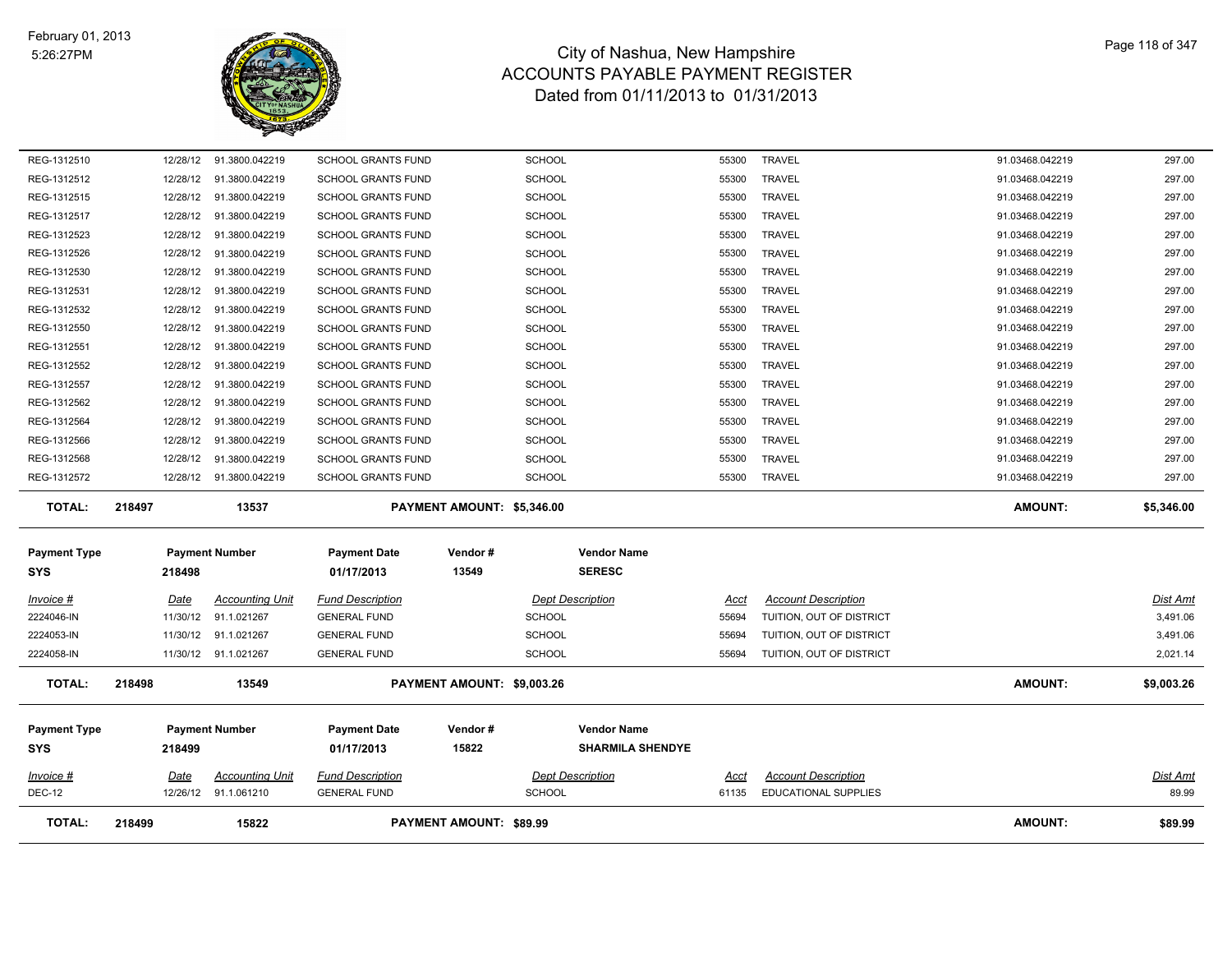

| REG-1312510         | 12/28/12 | 91.3800.042219          | <b>SCHOOL GRANTS FUND</b> | <b>SCHOOL</b>              | 55300                               | <b>TRAVEL</b>              | 91.03468.042219 | 297.00     |
|---------------------|----------|-------------------------|---------------------------|----------------------------|-------------------------------------|----------------------------|-----------------|------------|
| REG-1312512         | 12/28/12 | 91.3800.042219          | <b>SCHOOL GRANTS FUND</b> | SCHOOL                     | 55300                               | <b>TRAVEL</b>              | 91.03468.042219 | 297.00     |
| REG-1312515         | 12/28/12 | 91.3800.042219          | <b>SCHOOL GRANTS FUND</b> | <b>SCHOOL</b>              | 55300                               | <b>TRAVEL</b>              | 91.03468.042219 | 297.00     |
| REG-1312517         |          | 12/28/12 91.3800.042219 | <b>SCHOOL GRANTS FUND</b> | <b>SCHOOL</b>              | 55300                               | TRAVEL                     | 91.03468.042219 | 297.00     |
| REG-1312523         | 12/28/12 | 91.3800.042219          | <b>SCHOOL GRANTS FUND</b> | <b>SCHOOL</b>              | 55300                               | <b>TRAVEL</b>              | 91.03468.042219 | 297.00     |
| REG-1312526         | 12/28/12 | 91.3800.042219          | <b>SCHOOL GRANTS FUND</b> | <b>SCHOOL</b>              | 55300                               | <b>TRAVEL</b>              | 91.03468.042219 | 297.00     |
| REG-1312530         | 12/28/12 | 91.3800.042219          | <b>SCHOOL GRANTS FUND</b> | <b>SCHOOL</b>              | 55300                               | <b>TRAVEL</b>              | 91.03468.042219 | 297.00     |
| REG-1312531         | 12/28/12 | 91.3800.042219          | <b>SCHOOL GRANTS FUND</b> | <b>SCHOOL</b>              | 55300                               | <b>TRAVEL</b>              | 91.03468.042219 | 297.00     |
| REG-1312532         | 12/28/12 | 91.3800.042219          | <b>SCHOOL GRANTS FUND</b> | <b>SCHOOL</b>              | 55300                               | <b>TRAVEL</b>              | 91.03468.042219 | 297.00     |
| REG-1312550         | 12/28/12 | 91.3800.042219          | SCHOOL GRANTS FUND        | <b>SCHOOL</b>              | 55300                               | <b>TRAVEL</b>              | 91.03468.042219 | 297.00     |
| REG-1312551         | 12/28/12 | 91.3800.042219          | <b>SCHOOL GRANTS FUND</b> | SCHOOL                     | 55300                               | <b>TRAVEL</b>              | 91.03468.042219 | 297.00     |
| REG-1312552         | 12/28/12 | 91.3800.042219          | <b>SCHOOL GRANTS FUND</b> | SCHOOL                     | 55300                               | <b>TRAVEL</b>              | 91.03468.042219 | 297.00     |
| REG-1312557         | 12/28/12 | 91.3800.042219          | <b>SCHOOL GRANTS FUND</b> | <b>SCHOOL</b>              | 55300                               | <b>TRAVEL</b>              | 91.03468.042219 | 297.00     |
| REG-1312562         | 12/28/12 | 91.3800.042219          | <b>SCHOOL GRANTS FUND</b> | <b>SCHOOL</b>              | 55300                               | <b>TRAVEL</b>              | 91.03468.042219 | 297.00     |
| REG-1312564         | 12/28/12 | 91.3800.042219          | <b>SCHOOL GRANTS FUND</b> | <b>SCHOOL</b>              | 55300                               | <b>TRAVEL</b>              | 91.03468.042219 | 297.00     |
| REG-1312566         | 12/28/12 | 91.3800.042219          | <b>SCHOOL GRANTS FUND</b> | <b>SCHOOL</b>              | 55300                               | <b>TRAVEL</b>              | 91.03468.042219 | 297.00     |
| REG-1312568         | 12/28/12 | 91.3800.042219          | <b>SCHOOL GRANTS FUND</b> | <b>SCHOOL</b>              | 55300                               | <b>TRAVEL</b>              | 91.03468.042219 | 297.00     |
|                     |          |                         |                           |                            |                                     |                            |                 |            |
| REG-1312572         |          | 12/28/12 91.3800.042219 | <b>SCHOOL GRANTS FUND</b> | <b>SCHOOL</b>              | 55300                               | <b>TRAVEL</b>              | 91.03468.042219 | 297.00     |
| <b>TOTAL:</b>       | 218497   | 13537                   |                           | PAYMENT AMOUNT: \$5,346.00 |                                     |                            | <b>AMOUNT:</b>  | \$5,346.00 |
|                     |          |                         |                           |                            |                                     |                            |                 |            |
| <b>Payment Type</b> |          | <b>Payment Number</b>   | <b>Payment Date</b>       | Vendor#                    | <b>Vendor Name</b><br><b>SERESC</b> |                            |                 |            |
| SYS                 | 218498   |                         | 01/17/2013                | 13549                      |                                     |                            |                 |            |
| Invoice #           | Date     | Accounting Unit         | <b>Fund Description</b>   |                            | <b>Dept Description</b><br>Acct     | <b>Account Description</b> |                 | Dist Amt   |
| 2224046-IN          | 11/30/12 | 91.1.021267             | <b>GENERAL FUND</b>       | <b>SCHOOL</b>              | 55694                               | TUITION, OUT OF DISTRICT   |                 | 3,491.06   |
| 2224053-IN          | 11/30/12 | 91.1.021267             | <b>GENERAL FUND</b>       | <b>SCHOOL</b>              | 55694                               | TUITION, OUT OF DISTRICT   |                 | 3,491.06   |
| 2224058-IN          |          | 11/30/12 91.1.021267    | <b>GENERAL FUND</b>       | <b>SCHOOL</b>              | 55694                               | TUITION, OUT OF DISTRICT   |                 | 2,021.14   |
| <b>TOTAL:</b>       | 218498   | 13549                   |                           | PAYMENT AMOUNT: \$9,003.26 |                                     |                            | <b>AMOUNT:</b>  | \$9,003.26 |
|                     |          |                         |                           |                            |                                     |                            |                 |            |
| <b>Payment Type</b> |          | <b>Payment Number</b>   | <b>Payment Date</b>       | Vendor#                    | <b>Vendor Name</b>                  |                            |                 |            |
| SYS                 | 218499   |                         | 01/17/2013                | 15822                      | <b>SHARMILA SHENDYE</b>             |                            |                 |            |
| Invoice #           | Date     | <b>Accounting Unit</b>  | <b>Fund Description</b>   |                            | <b>Dept Description</b><br>Acct     | <b>Account Description</b> |                 | Dist Amt   |

**TOTAL: 218499 15822 PAYMENT AMOUNT: \$89.99 AMOUNT: \$89.99**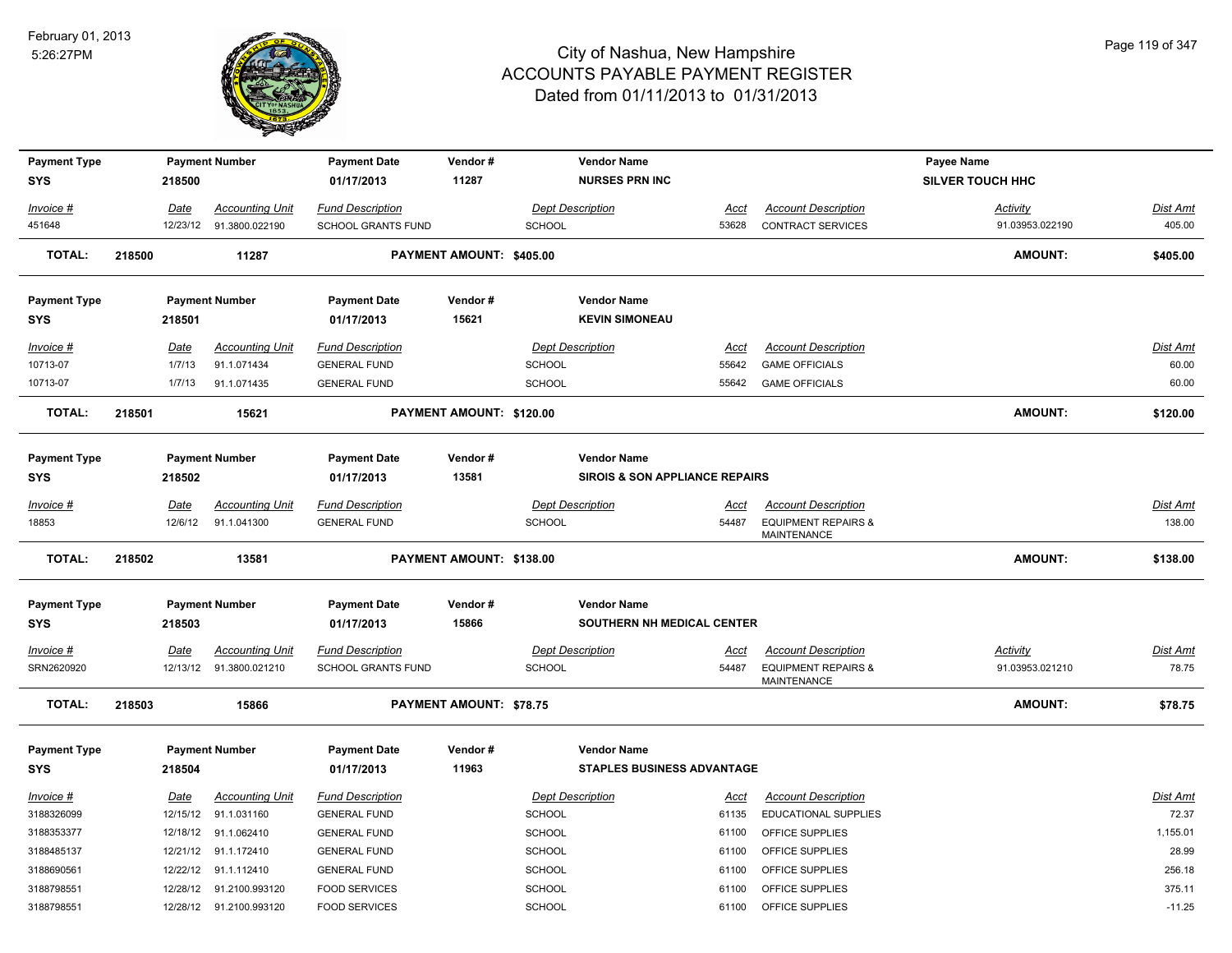

| <b>Payment Type</b> |        |          | <b>Payment Number</b>    | <b>Payment Date</b>       | Vendor#                        |               | <b>Vendor Name</b>                        |             |                                                      | Payee Name              |                 |
|---------------------|--------|----------|--------------------------|---------------------------|--------------------------------|---------------|-------------------------------------------|-------------|------------------------------------------------------|-------------------------|-----------------|
| <b>SYS</b>          |        | 218500   |                          | 01/17/2013                | 11287                          |               | <b>NURSES PRN INC</b>                     |             |                                                      | <b>SILVER TOUCH HHC</b> |                 |
| Invoice #           |        | Date     | <b>Accounting Unit</b>   | <b>Fund Description</b>   |                                |               | <b>Dept Description</b>                   | Acct        | <b>Account Description</b>                           | <b>Activity</b>         | Dist Amt        |
| 451648              |        |          | 12/23/12 91.3800.022190  | <b>SCHOOL GRANTS FUND</b> |                                | <b>SCHOOL</b> |                                           | 53628       | CONTRACT SERVICES                                    | 91.03953.022190         | 405.00          |
| <b>TOTAL:</b>       | 218500 |          | 11287                    |                           | PAYMENT AMOUNT: \$405.00       |               |                                           |             |                                                      | <b>AMOUNT:</b>          | \$405.00        |
| <b>Payment Type</b> |        |          | <b>Payment Number</b>    | <b>Payment Date</b>       | Vendor#                        |               | <b>Vendor Name</b>                        |             |                                                      |                         |                 |
| <b>SYS</b>          |        | 218501   |                          | 01/17/2013                | 15621                          |               | <b>KEVIN SIMONEAU</b>                     |             |                                                      |                         |                 |
| Invoice #           |        | Date     | <b>Accounting Unit</b>   | <b>Fund Description</b>   |                                |               | <b>Dept Description</b>                   | Acct        | <b>Account Description</b>                           |                         | Dist Amt        |
| 10713-07            |        | 1/7/13   | 91.1.071434              | <b>GENERAL FUND</b>       |                                | <b>SCHOOL</b> |                                           | 55642       | <b>GAME OFFICIALS</b>                                |                         | 60.00           |
| 10713-07            |        | 1/7/13   | 91.1.071435              | <b>GENERAL FUND</b>       |                                | <b>SCHOOL</b> |                                           | 55642       | <b>GAME OFFICIALS</b>                                |                         | 60.00           |
| <b>TOTAL:</b>       | 218501 |          | 15621                    |                           | PAYMENT AMOUNT: \$120.00       |               |                                           |             |                                                      | <b>AMOUNT:</b>          | \$120.00        |
| <b>Payment Type</b> |        |          | <b>Payment Number</b>    | <b>Payment Date</b>       | Vendor#                        |               | <b>Vendor Name</b>                        |             |                                                      |                         |                 |
| <b>SYS</b>          |        | 218502   |                          | 01/17/2013                | 13581                          |               | <b>SIROIS &amp; SON APPLIANCE REPAIRS</b> |             |                                                      |                         |                 |
|                     |        |          |                          |                           |                                |               |                                           |             |                                                      |                         |                 |
| Invoice #           |        | Date     | <b>Accounting Unit</b>   | <b>Fund Description</b>   |                                |               | <b>Dept Description</b>                   | Acct        | <b>Account Description</b>                           |                         | Dist Amt        |
| 18853               |        | 12/6/12  | 91.1.041300              | <b>GENERAL FUND</b>       |                                | <b>SCHOOL</b> |                                           | 54487       | <b>EQUIPMENT REPAIRS &amp;</b><br><b>MAINTENANCE</b> |                         | 138.00          |
| <b>TOTAL:</b>       | 218502 |          | 13581                    |                           | PAYMENT AMOUNT: \$138.00       |               |                                           |             |                                                      | <b>AMOUNT:</b>          | \$138.00        |
| <b>Payment Type</b> |        |          | <b>Payment Number</b>    | <b>Payment Date</b>       | Vendor#                        |               | <b>Vendor Name</b>                        |             |                                                      |                         |                 |
| <b>SYS</b>          |        | 218503   |                          | 01/17/2013                | 15866                          |               | SOUTHERN NH MEDICAL CENTER                |             |                                                      |                         |                 |
| Invoice #           |        | Date     | <b>Accounting Unit</b>   | <b>Fund Description</b>   |                                |               | <b>Dept Description</b>                   | <u>Acct</u> | <b>Account Description</b>                           | Activity                | Dist Amt        |
| SRN2620920          |        |          | 12/13/12  91.3800.021210 | SCHOOL GRANTS FUND        |                                | SCHOOL        |                                           | 54487       | <b>EQUIPMENT REPAIRS &amp;</b><br><b>MAINTENANCE</b> | 91.03953.021210         | 78.75           |
| <b>TOTAL:</b>       | 218503 |          | 15866                    |                           | <b>PAYMENT AMOUNT: \$78.75</b> |               |                                           |             |                                                      | <b>AMOUNT:</b>          | \$78.75         |
| <b>Payment Type</b> |        |          | <b>Payment Number</b>    | <b>Payment Date</b>       | Vendor#                        |               | <b>Vendor Name</b>                        |             |                                                      |                         |                 |
| <b>SYS</b>          |        | 218504   |                          | 01/17/2013                | 11963                          |               | <b>STAPLES BUSINESS ADVANTAGE</b>         |             |                                                      |                         |                 |
| Invoice #           |        | Date     | <b>Accounting Unit</b>   | <b>Fund Description</b>   |                                |               | <b>Dept Description</b>                   | <u>Acct</u> | <b>Account Description</b>                           |                         | <b>Dist Amt</b> |
| 3188326099          |        |          | 12/15/12 91.1.031160     | <b>GENERAL FUND</b>       |                                | <b>SCHOOL</b> |                                           | 61135       | <b>EDUCATIONAL SUPPLIES</b>                          |                         | 72.37           |
| 3188353377          |        | 12/18/12 | 91.1.062410              | <b>GENERAL FUND</b>       |                                | <b>SCHOOL</b> |                                           | 61100       | OFFICE SUPPLIES                                      |                         | 1,155.01        |
| 3188485137          |        | 12/21/12 | 91.1.172410              | <b>GENERAL FUND</b>       |                                | <b>SCHOOL</b> |                                           | 61100       | OFFICE SUPPLIES                                      |                         | 28.99           |
| 3188690561          |        |          | 12/22/12 91.1.112410     | <b>GENERAL FUND</b>       |                                | <b>SCHOOL</b> |                                           | 61100       | OFFICE SUPPLIES                                      |                         | 256.18          |
| 3188798551          |        |          | 12/28/12 91.2100.993120  | <b>FOOD SERVICES</b>      |                                | <b>SCHOOL</b> |                                           | 61100       | OFFICE SUPPLIES                                      |                         | 375.11          |
| 3188798551          |        |          | 12/28/12 91.2100.993120  | <b>FOOD SERVICES</b>      |                                | SCHOOL        |                                           | 61100       | OFFICE SUPPLIES                                      |                         | $-11.25$        |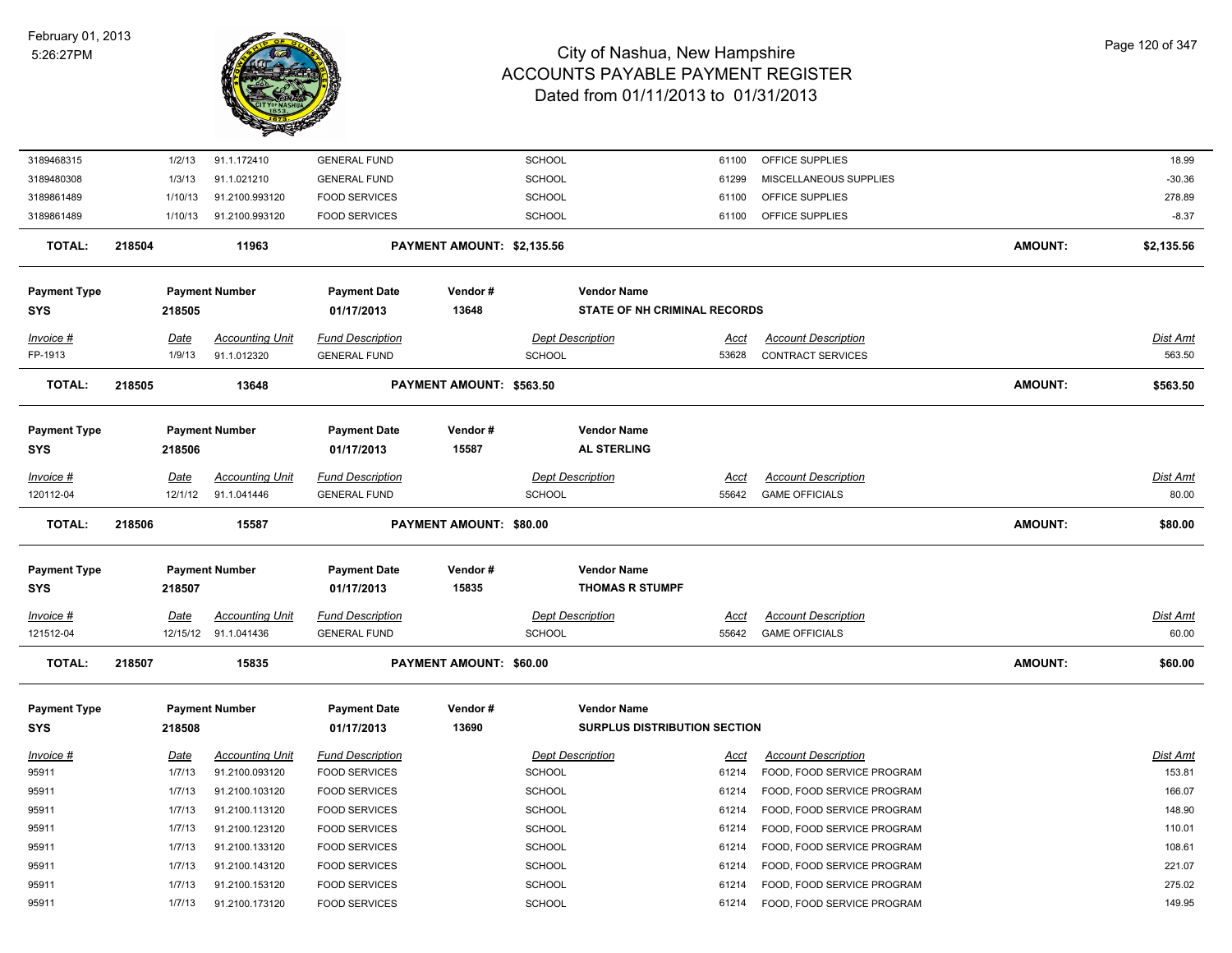

| 3189468315                        |        | 1/2/13         | 91.1.172410                           | <b>GENERAL FUND</b>                            |                                | <b>SCHOOL</b> |                                          | 61100                | OFFICE SUPPLIES                                        |                | 18.99              |
|-----------------------------------|--------|----------------|---------------------------------------|------------------------------------------------|--------------------------------|---------------|------------------------------------------|----------------------|--------------------------------------------------------|----------------|--------------------|
| 3189480308                        |        | 1/3/13         | 91.1.021210                           | <b>GENERAL FUND</b>                            |                                | <b>SCHOOL</b> |                                          | 61299                | MISCELLANEOUS SUPPLIES                                 |                | $-30.36$           |
| 3189861489                        |        | 1/10/13        | 91.2100.993120                        | <b>FOOD SERVICES</b>                           |                                | <b>SCHOOL</b> |                                          | 61100                | OFFICE SUPPLIES                                        |                | 278.89             |
| 3189861489                        |        | 1/10/13        | 91.2100.993120                        | <b>FOOD SERVICES</b>                           |                                | <b>SCHOOL</b> |                                          | 61100                | OFFICE SUPPLIES                                        |                | $-8.37$            |
| <b>TOTAL:</b>                     | 218504 |                | 11963                                 |                                                | PAYMENT AMOUNT: \$2,135.56     |               |                                          |                      |                                                        | <b>AMOUNT:</b> | \$2,135.56         |
| <b>Payment Type</b>               |        |                | <b>Payment Number</b>                 | <b>Payment Date</b>                            | Vendor#                        |               | <b>Vendor Name</b>                       |                      |                                                        |                |                    |
| <b>SYS</b>                        |        | 218505         |                                       | 01/17/2013                                     | 13648                          |               | <b>STATE OF NH CRIMINAL RECORDS</b>      |                      |                                                        |                |                    |
| Invoice #<br>FP-1913              |        | Date<br>1/9/13 | <b>Accounting Unit</b><br>91.1.012320 | <b>Fund Description</b><br><b>GENERAL FUND</b> |                                | <b>SCHOOL</b> | <b>Dept Description</b>                  | <u>Acct</u><br>53628 | <b>Account Description</b><br><b>CONTRACT SERVICES</b> |                | Dist Amt<br>563.50 |
| <b>TOTAL:</b>                     | 218505 |                | 13648                                 |                                                | PAYMENT AMOUNT: \$563.50       |               |                                          |                      |                                                        | <b>AMOUNT:</b> | \$563.50           |
| <b>Payment Type</b><br><b>SYS</b> |        | 218506         | <b>Payment Number</b>                 | <b>Payment Date</b><br>01/17/2013              | Vendor#<br>15587               |               | <b>Vendor Name</b><br><b>AL STERLING</b> |                      |                                                        |                |                    |
| Invoice #                         |        | Date           | <b>Accounting Unit</b>                | <b>Fund Description</b>                        |                                |               | <b>Dept Description</b>                  | <u>Acct</u>          | <b>Account Description</b>                             |                | Dist Amt           |
| 120112-04                         |        | 12/1/12        | 91.1.041446                           | <b>GENERAL FUND</b>                            |                                | <b>SCHOOL</b> |                                          | 55642                | <b>GAME OFFICIALS</b>                                  |                | 80.00              |
|                                   |        |                |                                       |                                                |                                |               |                                          |                      |                                                        |                |                    |
| TOTAL:                            | 218506 |                | 15587                                 |                                                | <b>PAYMENT AMOUNT: \$80.00</b> |               |                                          |                      |                                                        | <b>AMOUNT:</b> | \$80.00            |
| <b>Payment Type</b>               |        |                | <b>Payment Number</b>                 | <b>Payment Date</b>                            | Vendor#                        |               | <b>Vendor Name</b>                       |                      |                                                        |                |                    |
| <b>SYS</b>                        |        | 218507         |                                       | 01/17/2013                                     | 15835                          |               | <b>THOMAS R STUMPF</b>                   |                      |                                                        |                |                    |
| Invoice #                         |        | <u>Date</u>    | <b>Accounting Unit</b>                | <b>Fund Description</b>                        |                                |               | <b>Dept Description</b>                  | <u>Acct</u>          | <b>Account Description</b>                             |                | <b>Dist Amt</b>    |
| 121512-04                         |        |                | 12/15/12 91.1.041436                  | <b>GENERAL FUND</b>                            |                                | <b>SCHOOL</b> |                                          | 55642                | <b>GAME OFFICIALS</b>                                  |                | 60.00              |
| <b>TOTAL:</b>                     | 218507 |                | 15835                                 |                                                | PAYMENT AMOUNT: \$60.00        |               |                                          |                      |                                                        | <b>AMOUNT:</b> | \$60.00            |
| <b>Payment Type</b>               |        |                | <b>Payment Number</b>                 | <b>Payment Date</b>                            | Vendor#                        |               | <b>Vendor Name</b>                       |                      |                                                        |                |                    |
| <b>SYS</b>                        |        | 218508         |                                       | 01/17/2013                                     | 13690                          |               | <b>SURPLUS DISTRIBUTION SECTION</b>      |                      |                                                        |                |                    |
| Invoice #                         |        | Date           | <b>Accounting Unit</b>                | <b>Fund Description</b>                        |                                |               | <b>Dept Description</b>                  | Acct                 | <b>Account Description</b>                             |                | Dist Amt           |
| 95911                             |        | 1/7/13         | 91.2100.093120                        | <b>FOOD SERVICES</b>                           |                                | <b>SCHOOL</b> |                                          | 61214                | FOOD, FOOD SERVICE PROGRAM                             |                | 153.81             |
| 95911                             |        | 1/7/13         | 91.2100.103120                        | <b>FOOD SERVICES</b>                           |                                | <b>SCHOOL</b> |                                          | 61214                | FOOD, FOOD SERVICE PROGRAM                             |                | 166.07             |
| 95911                             |        | 1/7/13         | 91.2100.113120                        | <b>FOOD SERVICES</b>                           |                                | <b>SCHOOL</b> |                                          | 61214                | FOOD, FOOD SERVICE PROGRAM                             |                | 148.90             |
| 95911                             |        | 1/7/13         | 91.2100.123120                        | <b>FOOD SERVICES</b>                           |                                | <b>SCHOOL</b> |                                          | 61214                | FOOD, FOOD SERVICE PROGRAM                             |                | 110.01             |
| 95911                             |        | 1/7/13         | 91.2100.133120                        | <b>FOOD SERVICES</b>                           |                                | <b>SCHOOL</b> |                                          | 61214                | FOOD, FOOD SERVICE PROGRAM                             |                | 108.61             |
| 95911                             |        | 1/7/13         | 91.2100.143120                        | <b>FOOD SERVICES</b>                           |                                | <b>SCHOOL</b> |                                          | 61214                | FOOD, FOOD SERVICE PROGRAM                             |                | 221.07             |
| 95911                             |        | 1/7/13         | 91.2100.153120                        | <b>FOOD SERVICES</b>                           |                                | <b>SCHOOL</b> |                                          | 61214                | FOOD, FOOD SERVICE PROGRAM                             |                | 275.02             |
| 95911                             |        | 1/7/13         | 91.2100.173120                        | <b>FOOD SERVICES</b>                           |                                | <b>SCHOOL</b> |                                          | 61214                | FOOD, FOOD SERVICE PROGRAM                             |                | 149.95             |
|                                   |        |                |                                       |                                                |                                |               |                                          |                      |                                                        |                |                    |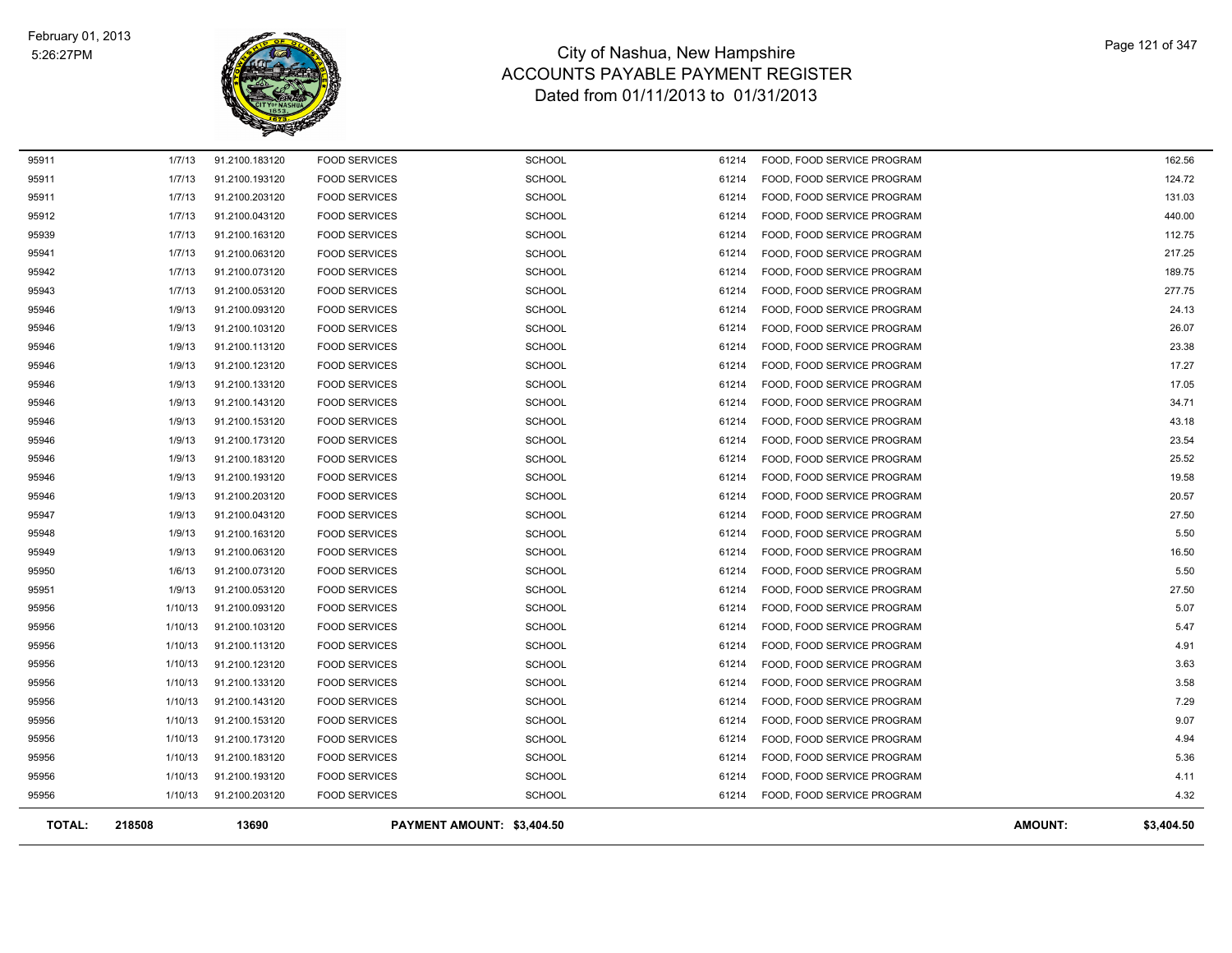

| <b>TOTAL:</b>  | 218508           | 13690                            |                                              | PAYMENT AMOUNT: \$3,404.50     |                |                                                          | <b>AMOUNT:</b> | \$3,404.50       |
|----------------|------------------|----------------------------------|----------------------------------------------|--------------------------------|----------------|----------------------------------------------------------|----------------|------------------|
| 95956          | 1/10/13          | 91.2100.203120                   | <b>FOOD SERVICES</b>                         | <b>SCHOOL</b>                  | 61214          | FOOD, FOOD SERVICE PROGRAM                               |                | 4.32             |
| 95956          | 1/10/13          | 91.2100.193120                   | <b>FOOD SERVICES</b>                         | <b>SCHOOL</b>                  | 61214          | FOOD, FOOD SERVICE PROGRAM                               |                | 4.11             |
| 95956          | 1/10/13          | 91.2100.183120                   | <b>FOOD SERVICES</b>                         | <b>SCHOOL</b>                  | 61214          | FOOD, FOOD SERVICE PROGRAM                               |                | 5.36             |
| 95956          | 1/10/13          | 91.2100.173120                   | <b>FOOD SERVICES</b>                         | <b>SCHOOL</b>                  | 61214          | FOOD, FOOD SERVICE PROGRAM                               |                | 4.94             |
| 95956          | 1/10/13          | 91.2100.153120                   | <b>FOOD SERVICES</b>                         | <b>SCHOOL</b>                  | 61214          | FOOD, FOOD SERVICE PROGRAM                               |                | 9.07             |
| 95956          | 1/10/13          | 91.2100.143120                   | <b>FOOD SERVICES</b>                         | <b>SCHOOL</b>                  | 61214          | FOOD, FOOD SERVICE PROGRAM                               |                | 7.29             |
| 95956          | 1/10/13          | 91.2100.133120                   | <b>FOOD SERVICES</b>                         | <b>SCHOOL</b>                  | 61214          | FOOD, FOOD SERVICE PROGRAM                               |                | 3.58             |
| 95956          | 1/10/13          | 91.2100.123120                   | <b>FOOD SERVICES</b>                         | <b>SCHOOL</b>                  | 61214          | FOOD, FOOD SERVICE PROGRAM                               |                | 3.63             |
| 95956          | 1/10/13          | 91.2100.113120                   | <b>FOOD SERVICES</b>                         | <b>SCHOOL</b>                  | 61214          | FOOD, FOOD SERVICE PROGRAM                               |                | 4.91             |
| 95956          | 1/10/13          | 91.2100.103120                   | <b>FOOD SERVICES</b>                         | <b>SCHOOL</b>                  | 61214          | FOOD, FOOD SERVICE PROGRAM                               |                | 5.47             |
| 95956          | 1/10/13          | 91.2100.093120                   | <b>FOOD SERVICES</b>                         | <b>SCHOOL</b>                  | 61214          | FOOD, FOOD SERVICE PROGRAM                               |                | 5.07             |
| 95951          | 1/9/13           | 91.2100.053120                   | <b>FOOD SERVICES</b>                         | <b>SCHOOL</b>                  | 61214          | FOOD, FOOD SERVICE PROGRAM                               |                | 27.50            |
| 95950          | 1/6/13           | 91.2100.073120                   | <b>FOOD SERVICES</b>                         | <b>SCHOOL</b>                  | 61214          | FOOD, FOOD SERVICE PROGRAM                               |                | 5.50             |
| 95949          | 1/9/13           | 91.2100.063120                   | <b>FOOD SERVICES</b>                         | <b>SCHOOL</b>                  | 61214          | FOOD, FOOD SERVICE PROGRAM                               |                | 16.50            |
| 95948          | 1/9/13           | 91.2100.163120                   | <b>FOOD SERVICES</b>                         | <b>SCHOOL</b>                  | 61214          | FOOD, FOOD SERVICE PROGRAM                               |                | 5.50             |
| 95947          | 1/9/13           | 91.2100.043120                   | <b>FOOD SERVICES</b>                         | <b>SCHOOL</b>                  | 61214          | FOOD, FOOD SERVICE PROGRAM                               |                | 27.50            |
| 95946          | 1/9/13           | 91.2100.203120                   | <b>FOOD SERVICES</b>                         | <b>SCHOOL</b>                  | 61214          | FOOD, FOOD SERVICE PROGRAM                               |                | 20.57            |
| 95946          | 1/9/13           | 91.2100.193120                   | <b>FOOD SERVICES</b>                         | <b>SCHOOL</b>                  | 61214          | FOOD, FOOD SERVICE PROGRAM                               |                | 19.58            |
| 95946          | 1/9/13           | 91.2100.183120                   | <b>FOOD SERVICES</b>                         | <b>SCHOOL</b>                  | 61214          | FOOD, FOOD SERVICE PROGRAM                               |                | 25.52            |
| 95946          | 1/9/13           | 91.2100.173120                   | <b>FOOD SERVICES</b>                         | <b>SCHOOL</b>                  | 61214          | FOOD, FOOD SERVICE PROGRAM                               |                | 23.54            |
| 95946          | 1/9/13           | 91.2100.153120                   | <b>FOOD SERVICES</b>                         | <b>SCHOOL</b>                  | 61214          | FOOD, FOOD SERVICE PROGRAM                               |                | 43.18            |
| 95946          | 1/9/13           | 91.2100.143120                   | <b>FOOD SERVICES</b>                         | <b>SCHOOL</b>                  | 61214          | FOOD, FOOD SERVICE PROGRAM                               |                | 34.71            |
| 95946          | 1/9/13           | 91.2100.133120                   | <b>FOOD SERVICES</b>                         | <b>SCHOOL</b>                  | 61214          | FOOD, FOOD SERVICE PROGRAM                               |                | 17.05            |
| 95946          | 1/9/13           | 91.2100.123120                   | <b>FOOD SERVICES</b>                         | <b>SCHOOL</b>                  | 61214          | FOOD, FOOD SERVICE PROGRAM                               |                | 17.27            |
| 95946          | 1/9/13           | 91.2100.113120                   | <b>FOOD SERVICES</b>                         | <b>SCHOOL</b>                  | 61214          | FOOD, FOOD SERVICE PROGRAM                               |                | 23.38            |
| 95946          | 1/9/13           | 91.2100.103120                   | <b>FOOD SERVICES</b>                         | <b>SCHOOL</b>                  | 61214          | FOOD, FOOD SERVICE PROGRAM                               |                | 26.07            |
| 95946          | 1/9/13           | 91.2100.093120                   | <b>FOOD SERVICES</b>                         | <b>SCHOOL</b>                  | 61214          | FOOD, FOOD SERVICE PROGRAM                               |                | 24.13            |
| 95943          | 1/7/13           | 91.2100.053120                   | <b>FOOD SERVICES</b>                         | <b>SCHOOL</b>                  | 61214          | FOOD, FOOD SERVICE PROGRAM                               |                | 277.75           |
| 95942          | 1/7/13           | 91.2100.073120                   | <b>FOOD SERVICES</b>                         | <b>SCHOOL</b>                  | 61214          | FOOD, FOOD SERVICE PROGRAM                               |                | 189.75           |
| 95939<br>95941 | 1/7/13<br>1/7/13 | 91.2100.063120                   | <b>FOOD SERVICES</b>                         | <b>SCHOOL</b>                  | 61214<br>61214 | FOOD, FOOD SERVICE PROGRAM                               |                | 112.75<br>217.25 |
| 95912          | 1/7/13           | 91.2100.043120<br>91.2100.163120 | <b>FOOD SERVICES</b><br><b>FOOD SERVICES</b> | <b>SCHOOL</b>                  | 61214          | FOOD, FOOD SERVICE PROGRAM<br>FOOD, FOOD SERVICE PROGRAM |                |                  |
| 95911          | 1/7/13           | 91.2100.203120                   | <b>FOOD SERVICES</b>                         | <b>SCHOOL</b><br><b>SCHOOL</b> | 61214          | FOOD, FOOD SERVICE PROGRAM                               |                | 131.03<br>440.00 |
| 95911          | 1/7/13           | 91.2100.193120                   | <b>FOOD SERVICES</b>                         | <b>SCHOOL</b>                  | 61214          | FOOD, FOOD SERVICE PROGRAM                               |                | 124.72           |
|                |                  |                                  |                                              |                                |                |                                                          |                |                  |
| 95911          | 1/7/13           | 91.2100.183120                   | <b>FOOD SERVICES</b>                         | <b>SCHOOL</b>                  | 61214          | FOOD, FOOD SERVICE PROGRAM                               |                | 162.56           |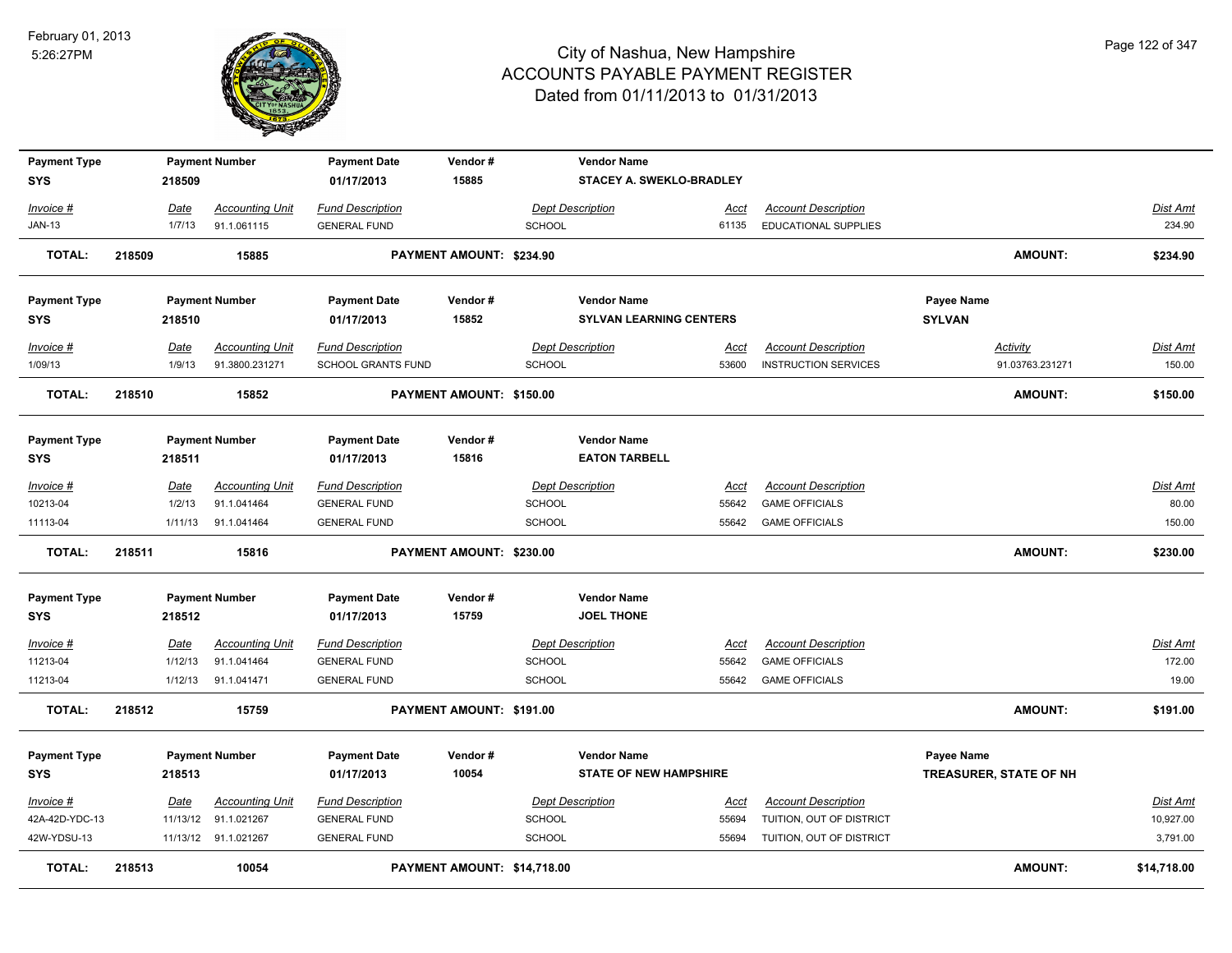

| <b>Payment Type</b>  |        |                | <b>Payment Number</b>                    | <b>Payment Date</b>                           | Vendor#                     |               | <b>Vendor Name</b>             |                      |                                                           |                                    |                           |
|----------------------|--------|----------------|------------------------------------------|-----------------------------------------------|-----------------------------|---------------|--------------------------------|----------------------|-----------------------------------------------------------|------------------------------------|---------------------------|
| <b>SYS</b>           |        | 218509         |                                          | 01/17/2013                                    | 15885                       |               | STACEY A. SWEKLO-BRADLEY       |                      |                                                           |                                    |                           |
| Invoice #            |        | Date           | <b>Accounting Unit</b>                   | <b>Fund Description</b>                       |                             |               | <b>Dept Description</b>        | Acct                 | <b>Account Description</b>                                |                                    | Dist Amt                  |
| <b>JAN-13</b>        |        | 1/7/13         | 91.1.061115                              | <b>GENERAL FUND</b>                           |                             | <b>SCHOOL</b> |                                | 61135                | EDUCATIONAL SUPPLIES                                      |                                    | 234.90                    |
| <b>TOTAL:</b>        | 218509 |                | 15885                                    |                                               | PAYMENT AMOUNT: \$234.90    |               |                                |                      |                                                           | <b>AMOUNT:</b>                     | \$234.90                  |
| <b>Payment Type</b>  |        |                | <b>Payment Number</b>                    | <b>Payment Date</b>                           | Vendor#                     |               | <b>Vendor Name</b>             |                      |                                                           | Payee Name                         |                           |
| <b>SYS</b>           |        | 218510         |                                          | 01/17/2013                                    | 15852                       |               | <b>SYLVAN LEARNING CENTERS</b> |                      |                                                           | <b>SYLVAN</b>                      |                           |
| Invoice #<br>1/09/13 |        | Date<br>1/9/13 | <b>Accounting Unit</b><br>91.3800.231271 | <b>Fund Description</b><br>SCHOOL GRANTS FUND |                             | <b>SCHOOL</b> | <b>Dept Description</b>        | <u>Acct</u><br>53600 | <b>Account Description</b><br><b>INSTRUCTION SERVICES</b> | <b>Activity</b><br>91.03763.231271 | <u>Dist Amt</u><br>150.00 |
| <b>TOTAL:</b>        | 218510 |                | 15852                                    |                                               | PAYMENT AMOUNT: \$150.00    |               |                                |                      |                                                           | <b>AMOUNT:</b>                     | \$150.00                  |
| <b>Payment Type</b>  |        |                | <b>Payment Number</b>                    | <b>Payment Date</b>                           | Vendor#                     |               | <b>Vendor Name</b>             |                      |                                                           |                                    |                           |
| <b>SYS</b>           |        | 218511         |                                          | 01/17/2013                                    | 15816                       |               | <b>EATON TARBELL</b>           |                      |                                                           |                                    |                           |
| Invoice #            |        | Date           | <b>Accounting Unit</b>                   | <b>Fund Description</b>                       |                             |               | <b>Dept Description</b>        | Acct                 | <b>Account Description</b>                                |                                    | <u>Dist Amt</u>           |
| 10213-04             |        | 1/2/13         | 91.1.041464                              | <b>GENERAL FUND</b>                           |                             | SCHOOL        |                                | 55642                | <b>GAME OFFICIALS</b>                                     |                                    | 80.00                     |
| 11113-04             |        | 1/11/13        | 91.1.041464                              | <b>GENERAL FUND</b>                           |                             | <b>SCHOOL</b> |                                | 55642                | <b>GAME OFFICIALS</b>                                     |                                    | 150.00                    |
| <b>TOTAL:</b>        | 218511 |                | 15816                                    |                                               | PAYMENT AMOUNT: \$230.00    |               |                                |                      |                                                           | <b>AMOUNT:</b>                     | \$230.00                  |
| <b>Payment Type</b>  |        |                | <b>Payment Number</b>                    | <b>Payment Date</b>                           | Vendor#                     |               | <b>Vendor Name</b>             |                      |                                                           |                                    |                           |
| <b>SYS</b>           |        | 218512         |                                          | 01/17/2013                                    | 15759                       |               | <b>JOEL THONE</b>              |                      |                                                           |                                    |                           |
| <u>Invoice #</u>     |        | <u>Date</u>    | <b>Accounting Unit</b>                   | <b>Fund Description</b>                       |                             |               | <b>Dept Description</b>        | <u>Acct</u>          | <b>Account Description</b>                                |                                    | <u>Dist Amt</u>           |
| 11213-04             |        | 1/12/13        | 91.1.041464                              | <b>GENERAL FUND</b>                           |                             | <b>SCHOOL</b> |                                | 55642                | <b>GAME OFFICIALS</b>                                     |                                    | 172.00                    |
| 11213-04             |        | 1/12/13        | 91.1.041471                              | <b>GENERAL FUND</b>                           |                             | <b>SCHOOL</b> |                                | 55642                | <b>GAME OFFICIALS</b>                                     |                                    | 19.00                     |
| <b>TOTAL:</b>        | 218512 |                | 15759                                    |                                               | PAYMENT AMOUNT: \$191.00    |               |                                |                      |                                                           | <b>AMOUNT:</b>                     | \$191.00                  |
| <b>Payment Type</b>  |        |                | <b>Payment Number</b>                    | <b>Payment Date</b>                           | Vendor#                     |               | <b>Vendor Name</b>             |                      |                                                           | Payee Name                         |                           |
| <b>SYS</b>           |        | 218513         |                                          | 01/17/2013                                    | 10054                       |               | <b>STATE OF NEW HAMPSHIRE</b>  |                      |                                                           | TREASURER, STATE OF NH             |                           |
| Invoice #            |        | Date           | <b>Accounting Unit</b>                   | <b>Fund Description</b>                       |                             |               | <b>Dept Description</b>        | Acct                 | <b>Account Description</b>                                |                                    | Dist Amt                  |
| 42A-42D-YDC-13       |        | 11/13/12       | 91.1.021267                              | <b>GENERAL FUND</b>                           |                             | <b>SCHOOL</b> |                                | 55694                | TUITION, OUT OF DISTRICT                                  |                                    | 10,927.00                 |
| 42W-YDSU-13          |        |                | 11/13/12 91.1.021267                     | <b>GENERAL FUND</b>                           |                             | <b>SCHOOL</b> |                                | 55694                | TUITION, OUT OF DISTRICT                                  |                                    | 3,791.00                  |
| <b>TOTAL:</b>        | 218513 |                | 10054                                    |                                               | PAYMENT AMOUNT: \$14,718.00 |               |                                |                      |                                                           | <b>AMOUNT:</b>                     | \$14,718.00               |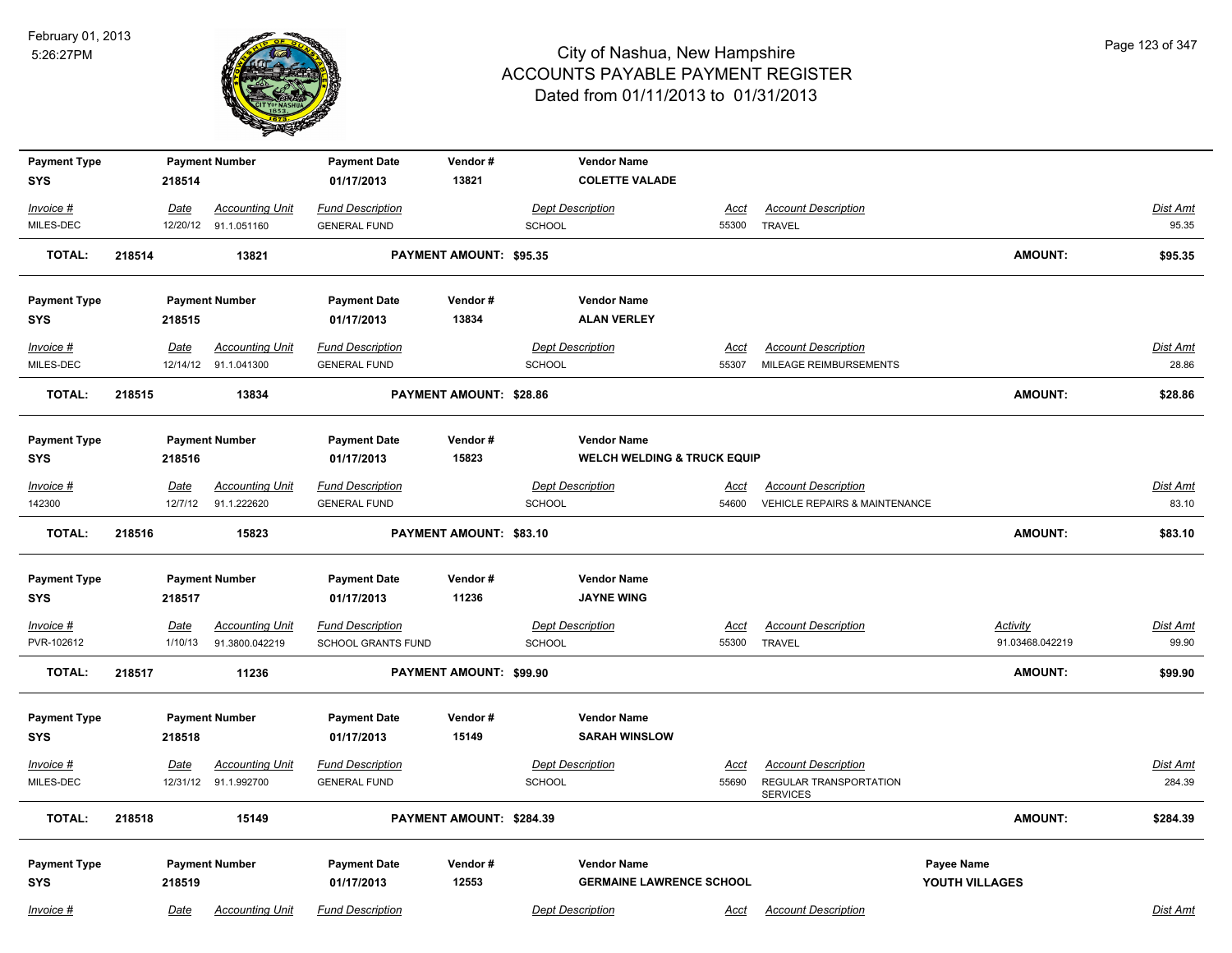

| <b>Payment Type</b>               |        |             | <b>Payment Number</b>  | <b>Payment Date</b>               | Vendor#                        |               | <b>Vendor Name</b>                                    |             |                                           |                              |                 |
|-----------------------------------|--------|-------------|------------------------|-----------------------------------|--------------------------------|---------------|-------------------------------------------------------|-------------|-------------------------------------------|------------------------------|-----------------|
| <b>SYS</b>                        |        | 218514      |                        | 01/17/2013                        | 13821                          |               | <b>COLETTE VALADE</b>                                 |             |                                           |                              |                 |
| Invoice #                         |        | Date        | <b>Accounting Unit</b> | <b>Fund Description</b>           |                                |               | <b>Dept Description</b>                               | Acct        | <b>Account Description</b>                |                              | Dist Amt        |
| MILES-DEC                         |        |             | 12/20/12 91.1.051160   | <b>GENERAL FUND</b>               |                                | <b>SCHOOL</b> |                                                       | 55300       | <b>TRAVEL</b>                             |                              | 95.35           |
| <b>TOTAL:</b>                     | 218514 |             | 13821                  |                                   | PAYMENT AMOUNT: \$95.35        |               |                                                       |             |                                           | <b>AMOUNT:</b>               | \$95.35         |
| <b>Payment Type</b>               |        |             | <b>Payment Number</b>  | <b>Payment Date</b>               | Vendor#                        |               | <b>Vendor Name</b>                                    |             |                                           |                              |                 |
| <b>SYS</b>                        |        | 218515      |                        | 01/17/2013                        | 13834                          |               | <b>ALAN VERLEY</b>                                    |             |                                           |                              |                 |
| Invoice #                         |        | Date        | <b>Accounting Unit</b> | <b>Fund Description</b>           |                                |               | <b>Dept Description</b>                               | <u>Acct</u> | <b>Account Description</b>                |                              | <b>Dist Amt</b> |
| MILES-DEC                         |        |             | 12/14/12 91.1.041300   | <b>GENERAL FUND</b>               |                                | SCHOOL        |                                                       | 55307       | MILEAGE REIMBURSEMENTS                    |                              | 28.86           |
| <b>TOTAL:</b>                     | 218515 |             | 13834                  |                                   | <b>PAYMENT AMOUNT: \$28.86</b> |               |                                                       |             |                                           | <b>AMOUNT:</b>               | \$28.86         |
| <b>Payment Type</b>               |        |             | <b>Payment Number</b>  | <b>Payment Date</b>               | Vendor#                        |               | <b>Vendor Name</b>                                    |             |                                           |                              |                 |
| <b>SYS</b>                        |        | 218516      |                        | 01/17/2013                        | 15823                          |               | <b>WELCH WELDING &amp; TRUCK EQUIP</b>                |             |                                           |                              |                 |
| Invoice #                         |        | <b>Date</b> | <b>Accounting Unit</b> | <b>Fund Description</b>           |                                |               | <b>Dept Description</b>                               | Acct        | <b>Account Description</b>                |                              | <b>Dist Amt</b> |
| 142300                            |        | 12/7/12     | 91.1.222620            | <b>GENERAL FUND</b>               |                                | <b>SCHOOL</b> |                                                       | 54600       | <b>VEHICLE REPAIRS &amp; MAINTENANCE</b>  |                              | 83.10           |
| <b>TOTAL:</b>                     | 218516 |             | 15823                  |                                   | <b>PAYMENT AMOUNT: \$83.10</b> |               |                                                       |             |                                           | <b>AMOUNT:</b>               | \$83.10         |
| <b>Payment Type</b><br><b>SYS</b> |        | 218517      | <b>Payment Number</b>  | <b>Payment Date</b><br>01/17/2013 | Vendor#<br>11236               |               | <b>Vendor Name</b><br><b>JAYNE WING</b>               |             |                                           |                              |                 |
| $Invoice$ #                       |        | Date        | <b>Accounting Unit</b> | <b>Fund Description</b>           |                                |               | <b>Dept Description</b>                               | <u>Acct</u> | <b>Account Description</b>                | <b>Activity</b>              | <b>Dist Amt</b> |
| PVR-102612                        |        | 1/10/13     | 91.3800.042219         | SCHOOL GRANTS FUND                |                                | <b>SCHOOL</b> |                                                       | 55300       | <b>TRAVEL</b>                             | 91.03468.042219              | 99.90           |
| <b>TOTAL:</b>                     | 218517 |             | 11236                  |                                   | PAYMENT AMOUNT: \$99.90        |               |                                                       |             |                                           | AMOUNT:                      | \$99.90         |
| <b>Payment Type</b>               |        |             | <b>Payment Number</b>  | <b>Payment Date</b>               | Vendor#                        |               | <b>Vendor Name</b>                                    |             |                                           |                              |                 |
| <b>SYS</b>                        |        | 218518      |                        | 01/17/2013                        | 15149                          |               | <b>SARAH WINSLOW</b>                                  |             |                                           |                              |                 |
| Invoice #                         |        | Date        | <b>Accounting Unit</b> | <b>Fund Description</b>           |                                |               | <b>Dept Description</b>                               | Acct        | <b>Account Description</b>                |                              | Dist Amt        |
| MILES-DEC                         |        |             | 12/31/12 91.1.992700   | <b>GENERAL FUND</b>               |                                | SCHOOL        |                                                       | 55690       | REGULAR TRANSPORTATION<br><b>SERVICES</b> |                              | 284.39          |
| <b>TOTAL:</b>                     | 218518 |             | 15149                  |                                   | PAYMENT AMOUNT: \$284.39       |               |                                                       |             |                                           | AMOUNT:                      | \$284.39        |
| <b>Payment Type</b><br><b>SYS</b> |        | 218519      | <b>Payment Number</b>  | <b>Payment Date</b><br>01/17/2013 | Vendor#<br>12553               |               | <b>Vendor Name</b><br><b>GERMAINE LAWRENCE SCHOOL</b> |             |                                           | Payee Name<br>YOUTH VILLAGES |                 |
| Invoice #                         |        | Date        | <b>Accounting Unit</b> | <b>Fund Description</b>           |                                |               | <b>Dept Description</b>                               | Acct        | <b>Account Description</b>                |                              | Dist Amt        |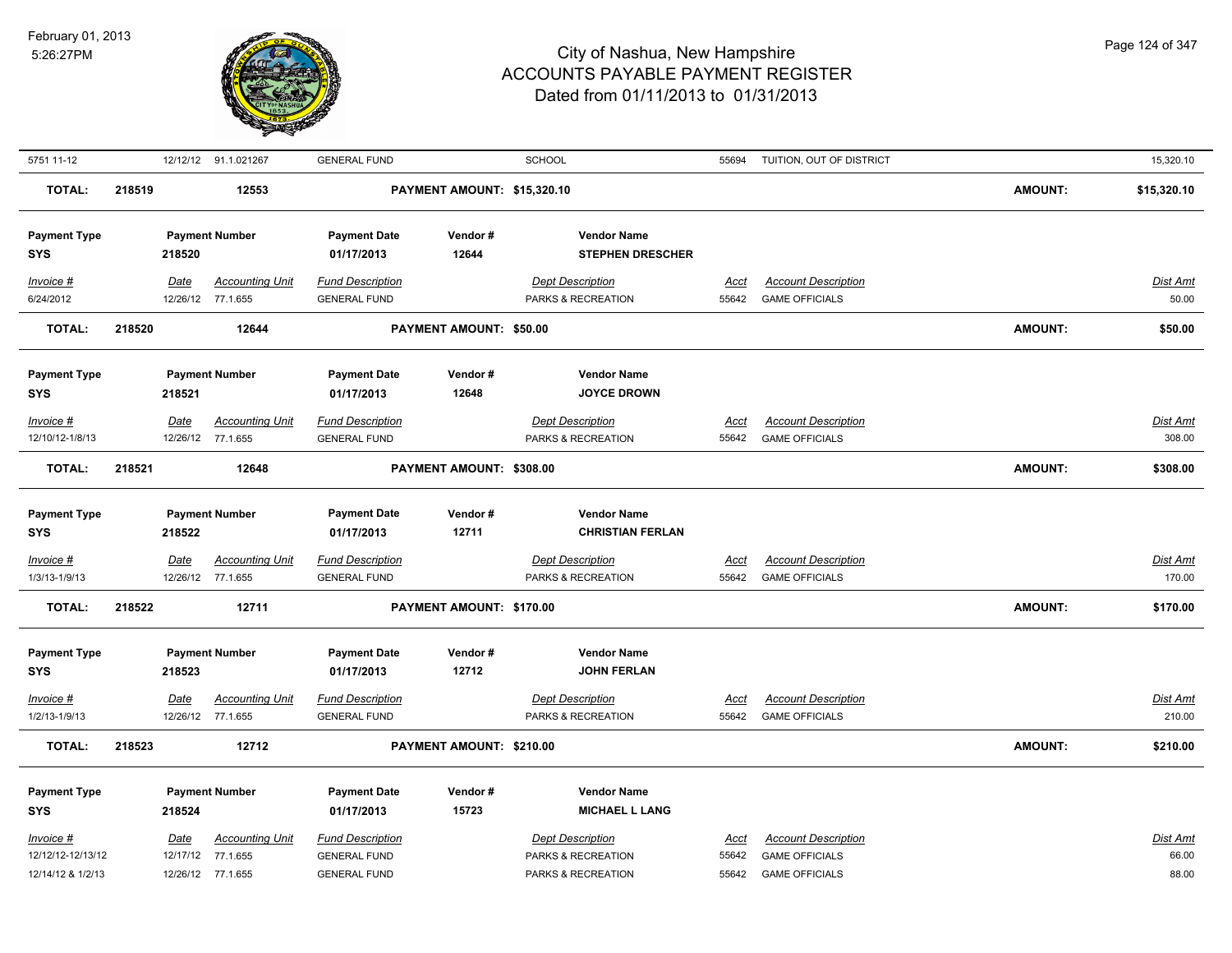

| 5751 11-12          |        |             | 12/12/12 91.1.021267   | <b>GENERAL FUND</b>     |                             | <b>SCHOOL</b>           | 55694       | TUITION, OUT OF DISTRICT   |                | 15,320.10       |
|---------------------|--------|-------------|------------------------|-------------------------|-----------------------------|-------------------------|-------------|----------------------------|----------------|-----------------|
| <b>TOTAL:</b>       | 218519 |             | 12553                  |                         | PAYMENT AMOUNT: \$15,320.10 |                         |             |                            | <b>AMOUNT:</b> | \$15,320.10     |
| <b>Payment Type</b> |        |             | <b>Payment Number</b>  | <b>Payment Date</b>     | Vendor#                     | <b>Vendor Name</b>      |             |                            |                |                 |
| <b>SYS</b>          |        | 218520      |                        | 01/17/2013              | 12644                       | <b>STEPHEN DRESCHER</b> |             |                            |                |                 |
| $Invoice$ #         |        | Date        | <b>Accounting Unit</b> | <b>Fund Description</b> |                             | <b>Dept Description</b> | <u>Acct</u> | <b>Account Description</b> |                | Dist Amt        |
| 6/24/2012           |        |             | 12/26/12 77.1.655      | <b>GENERAL FUND</b>     |                             | PARKS & RECREATION      | 55642       | <b>GAME OFFICIALS</b>      |                | 50.00           |
| <b>TOTAL:</b>       | 218520 |             | 12644                  |                         | PAYMENT AMOUNT: \$50.00     |                         |             |                            | <b>AMOUNT:</b> | \$50.00         |
| <b>Payment Type</b> |        |             | <b>Payment Number</b>  | <b>Payment Date</b>     | Vendor#                     | <b>Vendor Name</b>      |             |                            |                |                 |
| <b>SYS</b>          |        | 218521      |                        | 01/17/2013              | 12648                       | <b>JOYCE DROWN</b>      |             |                            |                |                 |
| $Invoice$ #         |        | Date        | <b>Accounting Unit</b> | <b>Fund Description</b> |                             | <b>Dept Description</b> | Acct        | <b>Account Description</b> |                | Dist Amt        |
| 12/10/12-1/8/13     |        |             | 12/26/12 77.1.655      | <b>GENERAL FUND</b>     |                             | PARKS & RECREATION      | 55642       | <b>GAME OFFICIALS</b>      |                | 308.00          |
| <b>TOTAL:</b>       | 218521 |             | 12648                  |                         | PAYMENT AMOUNT: \$308.00    |                         |             |                            | <b>AMOUNT:</b> | \$308.00        |
|                     |        |             |                        |                         |                             |                         |             |                            |                |                 |
| <b>Payment Type</b> |        |             | <b>Payment Number</b>  | <b>Payment Date</b>     | Vendor#                     | <b>Vendor Name</b>      |             |                            |                |                 |
| <b>SYS</b>          |        | 218522      |                        | 01/17/2013              | 12711                       | <b>CHRISTIAN FERLAN</b> |             |                            |                |                 |
| $Invoice$ #         |        | <u>Date</u> | <u>Accounting Unit</u> | <b>Fund Description</b> |                             | <b>Dept Description</b> | <u>Acct</u> | <b>Account Description</b> |                | <u>Dist Amt</u> |
| 1/3/13-1/9/13       |        |             | 12/26/12 77.1.655      | <b>GENERAL FUND</b>     |                             | PARKS & RECREATION      | 55642       | <b>GAME OFFICIALS</b>      |                | 170.00          |
| <b>TOTAL:</b>       | 218522 |             | 12711                  |                         | PAYMENT AMOUNT: \$170.00    |                         |             |                            | <b>AMOUNT:</b> | \$170.00        |
|                     |        |             |                        |                         |                             |                         |             |                            |                |                 |
| <b>Payment Type</b> |        |             | <b>Payment Number</b>  | <b>Payment Date</b>     | Vendor#                     | <b>Vendor Name</b>      |             |                            |                |                 |
| <b>SYS</b>          |        | 218523      |                        | 01/17/2013              | 12712                       | <b>JOHN FERLAN</b>      |             |                            |                |                 |
| $Invoice$ #         |        | <b>Date</b> | <b>Accounting Unit</b> | <b>Fund Description</b> |                             | <b>Dept Description</b> | Acct        | <b>Account Description</b> |                | <u>Dist Amt</u> |
| 1/2/13-1/9/13       |        |             | 12/26/12 77.1.655      | <b>GENERAL FUND</b>     |                             | PARKS & RECREATION      | 55642       | <b>GAME OFFICIALS</b>      |                | 210.00          |
| <b>TOTAL:</b>       | 218523 |             | 12712                  |                         | PAYMENT AMOUNT: \$210.00    |                         |             |                            | <b>AMOUNT:</b> | \$210.00        |
| <b>Payment Type</b> |        |             | <b>Payment Number</b>  | <b>Payment Date</b>     | Vendor#                     | <b>Vendor Name</b>      |             |                            |                |                 |
| <b>SYS</b>          |        | 218524      |                        | 01/17/2013              | 15723                       | <b>MICHAEL L LANG</b>   |             |                            |                |                 |
| $Invoice$ #         |        | <u>Date</u> | <b>Accounting Unit</b> | <b>Fund Description</b> |                             | <b>Dept Description</b> | Acct        | <b>Account Description</b> |                | Dist Amt        |
| 12/12/12-12/13/12   |        |             | 12/17/12 77.1.655      | <b>GENERAL FUND</b>     |                             | PARKS & RECREATION      | 55642       | <b>GAME OFFICIALS</b>      |                | 66.00           |
| 12/14/12 & 1/2/13   |        |             | 12/26/12 77.1.655      | <b>GENERAL FUND</b>     |                             | PARKS & RECREATION      | 55642       | <b>GAME OFFICIALS</b>      |                | 88.00           |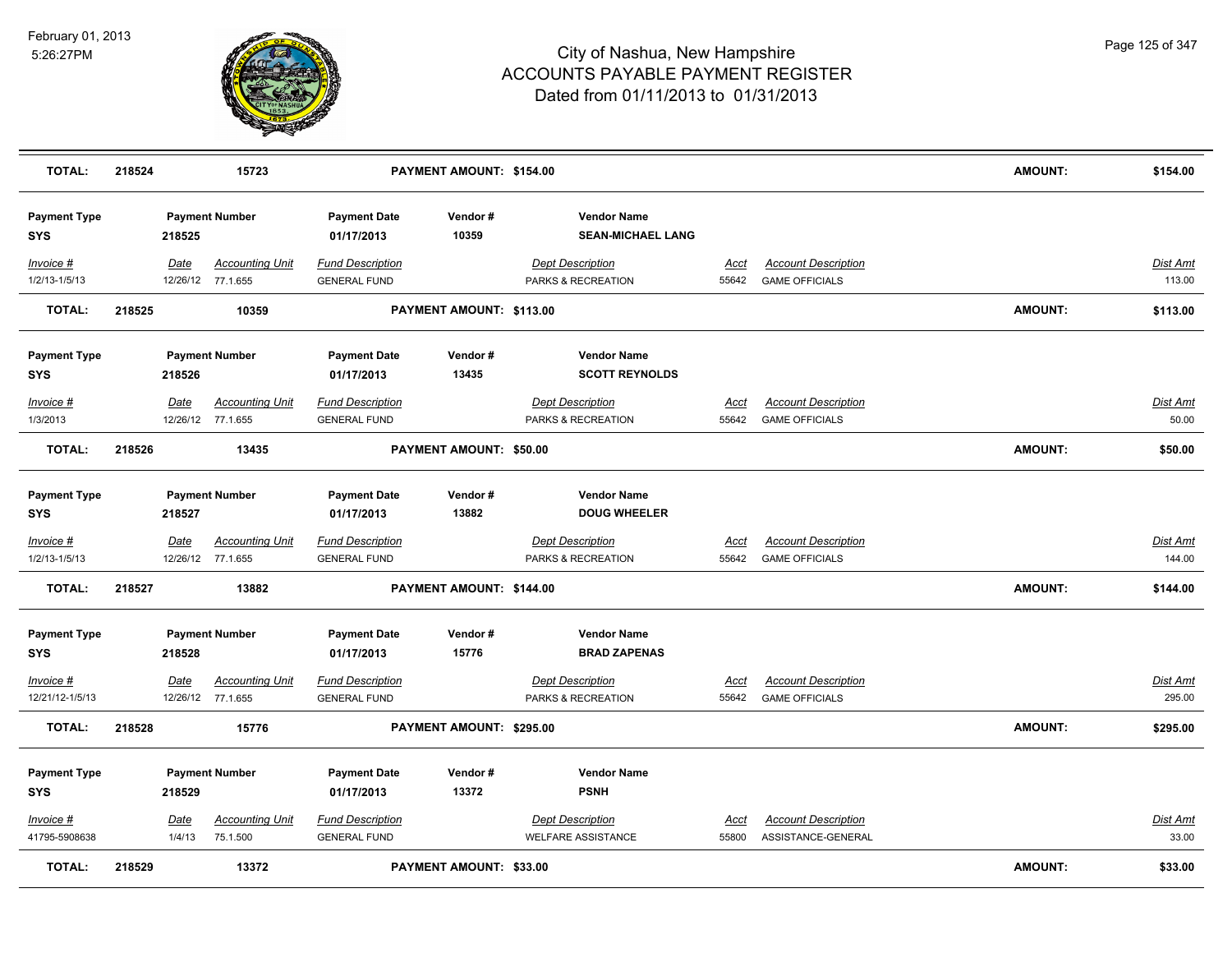

| <b>TOTAL:</b>                     | 218524 |                | 15723                                       |                                                | PAYMENT AMOUNT: \$154.00       |                                                      |                      |                                                     | <b>AMOUNT:</b> | \$154.00                  |
|-----------------------------------|--------|----------------|---------------------------------------------|------------------------------------------------|--------------------------------|------------------------------------------------------|----------------------|-----------------------------------------------------|----------------|---------------------------|
| <b>Payment Type</b><br><b>SYS</b> |        | 218525         | <b>Payment Number</b>                       | <b>Payment Date</b><br>01/17/2013              | Vendor#<br>10359               | <b>Vendor Name</b><br><b>SEAN-MICHAEL LANG</b>       |                      |                                                     |                |                           |
| Invoice #<br>1/2/13-1/5/13        |        | Date           | <b>Accounting Unit</b><br>12/26/12 77.1.655 | <b>Fund Description</b><br><b>GENERAL FUND</b> |                                | <b>Dept Description</b><br>PARKS & RECREATION        | Acct<br>55642        | <b>Account Description</b><br><b>GAME OFFICIALS</b> |                | Dist Amt<br>113.00        |
| <b>TOTAL:</b>                     | 218525 |                | 10359                                       |                                                | PAYMENT AMOUNT: \$113.00       |                                                      |                      |                                                     | <b>AMOUNT:</b> | \$113.00                  |
| <b>Payment Type</b><br><b>SYS</b> |        | 218526         | <b>Payment Number</b>                       | <b>Payment Date</b><br>01/17/2013              | Vendor#<br>13435               | <b>Vendor Name</b><br><b>SCOTT REYNOLDS</b>          |                      |                                                     |                |                           |
| Invoice #<br>1/3/2013             |        | Date           | <b>Accounting Unit</b><br>12/26/12 77.1.655 | <b>Fund Description</b><br><b>GENERAL FUND</b> |                                | <b>Dept Description</b><br>PARKS & RECREATION        | <u>Acct</u><br>55642 | <b>Account Description</b><br><b>GAME OFFICIALS</b> |                | Dist Amt<br>50.00         |
| <b>TOTAL:</b>                     | 218526 |                | 13435                                       |                                                | PAYMENT AMOUNT: \$50.00        |                                                      |                      |                                                     | <b>AMOUNT:</b> | \$50.00                   |
| <b>Payment Type</b><br><b>SYS</b> |        | 218527         | <b>Payment Number</b>                       | <b>Payment Date</b><br>01/17/2013              | Vendor#<br>13882               | <b>Vendor Name</b><br><b>DOUG WHEELER</b>            |                      |                                                     |                |                           |
| Invoice #<br>1/2/13-1/5/13        |        | <b>Date</b>    | <b>Accounting Unit</b><br>12/26/12 77.1.655 | <b>Fund Description</b><br><b>GENERAL FUND</b> |                                | <b>Dept Description</b><br>PARKS & RECREATION        | <u>Acct</u><br>55642 | <b>Account Description</b><br><b>GAME OFFICIALS</b> |                | <u>Dist Amt</u><br>144.00 |
| <b>TOTAL:</b>                     | 218527 |                | 13882                                       |                                                | PAYMENT AMOUNT: \$144.00       |                                                      |                      |                                                     | <b>AMOUNT:</b> | \$144.00                  |
| <b>Payment Type</b><br><b>SYS</b> |        | 218528         | <b>Payment Number</b>                       | <b>Payment Date</b><br>01/17/2013              | Vendor#<br>15776               | <b>Vendor Name</b><br><b>BRAD ZAPENAS</b>            |                      |                                                     |                |                           |
| Invoice #<br>12/21/12-1/5/13      |        | Date           | <b>Accounting Unit</b><br>12/26/12 77.1.655 | <b>Fund Description</b><br><b>GENERAL FUND</b> |                                | <b>Dept Description</b><br>PARKS & RECREATION        | <b>Acct</b><br>55642 | <b>Account Description</b><br><b>GAME OFFICIALS</b> |                | Dist Amt<br>295.00        |
| <b>TOTAL:</b>                     | 218528 |                | 15776                                       |                                                | PAYMENT AMOUNT: \$295.00       |                                                      |                      |                                                     | <b>AMOUNT:</b> | \$295.00                  |
| <b>Payment Type</b><br><b>SYS</b> |        | 218529         | <b>Payment Number</b>                       | <b>Payment Date</b><br>01/17/2013              | Vendor#<br>13372               | <b>Vendor Name</b><br><b>PSNH</b>                    |                      |                                                     |                |                           |
| Invoice #<br>41795-5908638        |        | Date<br>1/4/13 | <b>Accounting Unit</b><br>75.1.500          | <b>Fund Description</b><br><b>GENERAL FUND</b> |                                | <b>Dept Description</b><br><b>WELFARE ASSISTANCE</b> | <u>Acct</u><br>55800 | <b>Account Description</b><br>ASSISTANCE-GENERAL    |                | <b>Dist Amt</b><br>33.00  |
| <b>TOTAL:</b>                     | 218529 |                | 13372                                       |                                                | <b>PAYMENT AMOUNT: \$33.00</b> |                                                      |                      |                                                     | <b>AMOUNT:</b> | \$33.00                   |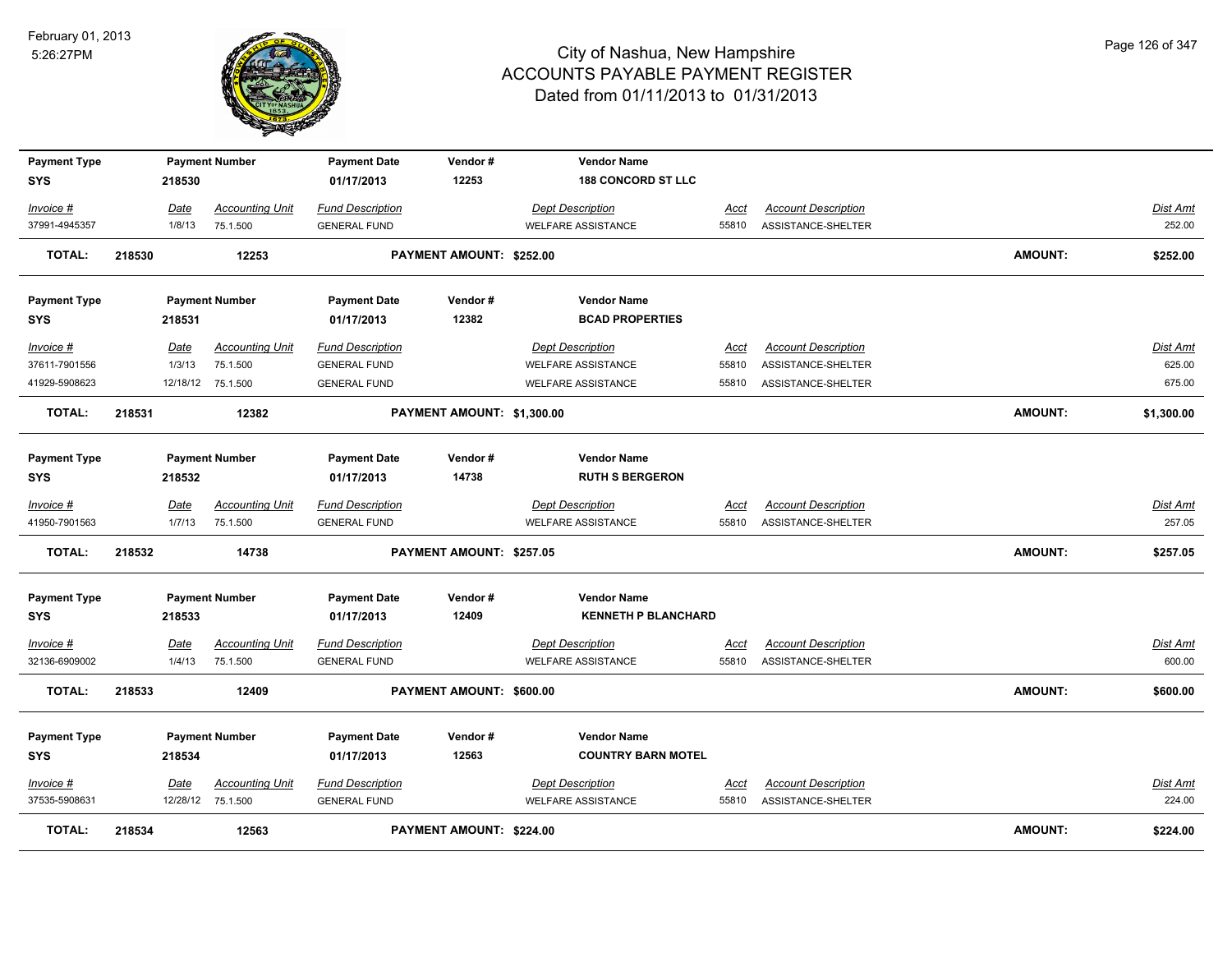

| <b>Payment Type</b>               |        |             | <b>Payment Number</b>  | <b>Payment Date</b>               | Vendor#                    | <b>Vendor Name</b>         |             |                            |                |                 |
|-----------------------------------|--------|-------------|------------------------|-----------------------------------|----------------------------|----------------------------|-------------|----------------------------|----------------|-----------------|
| <b>SYS</b>                        |        | 218530      |                        | 01/17/2013                        | 12253                      | <b>188 CONCORD ST LLC</b>  |             |                            |                |                 |
| Invoice #                         |        | Date        | <b>Accounting Unit</b> | <b>Fund Description</b>           |                            | <b>Dept Description</b>    | Acct        | <b>Account Description</b> |                | Dist Amt        |
| 37991-4945357                     |        | 1/8/13      | 75.1.500               | <b>GENERAL FUND</b>               |                            | <b>WELFARE ASSISTANCE</b>  | 55810       | ASSISTANCE-SHELTER         |                | 252.00          |
| TOTAL:                            | 218530 |             | 12253                  |                                   | PAYMENT AMOUNT: \$252.00   |                            |             |                            | AMOUNT:        | \$252.00        |
|                                   |        |             |                        |                                   |                            |                            |             |                            |                |                 |
| <b>Payment Type</b>               |        |             | <b>Payment Number</b>  | <b>Payment Date</b>               | Vendor#                    | <b>Vendor Name</b>         |             |                            |                |                 |
| <b>SYS</b>                        |        | 218531      |                        | 01/17/2013                        | 12382                      | <b>BCAD PROPERTIES</b>     |             |                            |                |                 |
| Invoice #                         |        | Date        | <b>Accounting Unit</b> | <b>Fund Description</b>           |                            | <b>Dept Description</b>    | Acct        | <b>Account Description</b> |                | Dist Amt        |
| 37611-7901556                     |        | 1/3/13      | 75.1.500               | <b>GENERAL FUND</b>               |                            | <b>WELFARE ASSISTANCE</b>  | 55810       | ASSISTANCE-SHELTER         |                | 625.00          |
| 41929-5908623                     |        |             | 12/18/12 75.1.500      | <b>GENERAL FUND</b>               |                            | <b>WELFARE ASSISTANCE</b>  | 55810       | ASSISTANCE-SHELTER         |                | 675.00          |
| TOTAL:                            | 218531 |             | 12382                  |                                   | PAYMENT AMOUNT: \$1,300.00 |                            |             |                            | <b>AMOUNT:</b> | \$1,300.00      |
|                                   |        |             |                        |                                   |                            |                            |             |                            |                |                 |
| <b>Payment Type</b>               |        |             | <b>Payment Number</b>  | <b>Payment Date</b>               | Vendor#                    | <b>Vendor Name</b>         |             |                            |                |                 |
| <b>SYS</b>                        |        | 218532      |                        | 01/17/2013                        | 14738                      | <b>RUTH S BERGERON</b>     |             |                            |                |                 |
| Invoice #                         |        | Date        | <b>Accounting Unit</b> | <b>Fund Description</b>           |                            | <b>Dept Description</b>    | Acct        | <b>Account Description</b> |                | Dist Amt        |
| 41950-7901563                     |        | 1/7/13      | 75.1.500               | <b>GENERAL FUND</b>               |                            | <b>WELFARE ASSISTANCE</b>  | 55810       | ASSISTANCE-SHELTER         |                | 257.05          |
| <b>TOTAL:</b>                     | 218532 |             | 14738                  |                                   | PAYMENT AMOUNT: \$257.05   |                            |             |                            | <b>AMOUNT:</b> | \$257.05        |
|                                   |        |             |                        |                                   | Vendor#                    | <b>Vendor Name</b>         |             |                            |                |                 |
| <b>Payment Type</b><br><b>SYS</b> |        | 218533      | <b>Payment Number</b>  | <b>Payment Date</b><br>01/17/2013 | 12409                      | <b>KENNETH P BLANCHARD</b> |             |                            |                |                 |
|                                   |        |             |                        |                                   |                            |                            |             |                            |                |                 |
| Invoice #                         |        | <u>Date</u> | <b>Accounting Unit</b> | <b>Fund Description</b>           |                            | <b>Dept Description</b>    | <u>Acct</u> | <b>Account Description</b> |                | <b>Dist Amt</b> |
| 32136-6909002                     |        | 1/4/13      | 75.1.500               | <b>GENERAL FUND</b>               |                            | <b>WELFARE ASSISTANCE</b>  | 55810       | ASSISTANCE-SHELTER         |                | 600.00          |
| <b>TOTAL:</b>                     | 218533 |             | 12409                  |                                   | PAYMENT AMOUNT: \$600.00   |                            |             |                            | <b>AMOUNT:</b> | \$600.00        |
| <b>Payment Type</b>               |        |             | <b>Payment Number</b>  | <b>Payment Date</b>               | Vendor#                    | <b>Vendor Name</b>         |             |                            |                |                 |
| <b>SYS</b>                        |        | 218534      |                        | 01/17/2013                        | 12563                      | <b>COUNTRY BARN MOTEL</b>  |             |                            |                |                 |
|                                   |        |             |                        |                                   |                            |                            |             |                            |                |                 |
| Invoice #                         |        | Date        | <b>Accounting Unit</b> | <b>Fund Description</b>           |                            | <b>Dept Description</b>    | <u>Acct</u> | <b>Account Description</b> |                | Dist Amt        |
| 37535-5908631                     |        |             | 12/28/12 75.1.500      | <b>GENERAL FUND</b>               |                            | <b>WELFARE ASSISTANCE</b>  | 55810       | ASSISTANCE-SHELTER         |                | 224.00          |
| <b>TOTAL:</b>                     | 218534 |             | 12563                  |                                   | PAYMENT AMOUNT: \$224.00   |                            |             |                            | <b>AMOUNT:</b> | \$224.00        |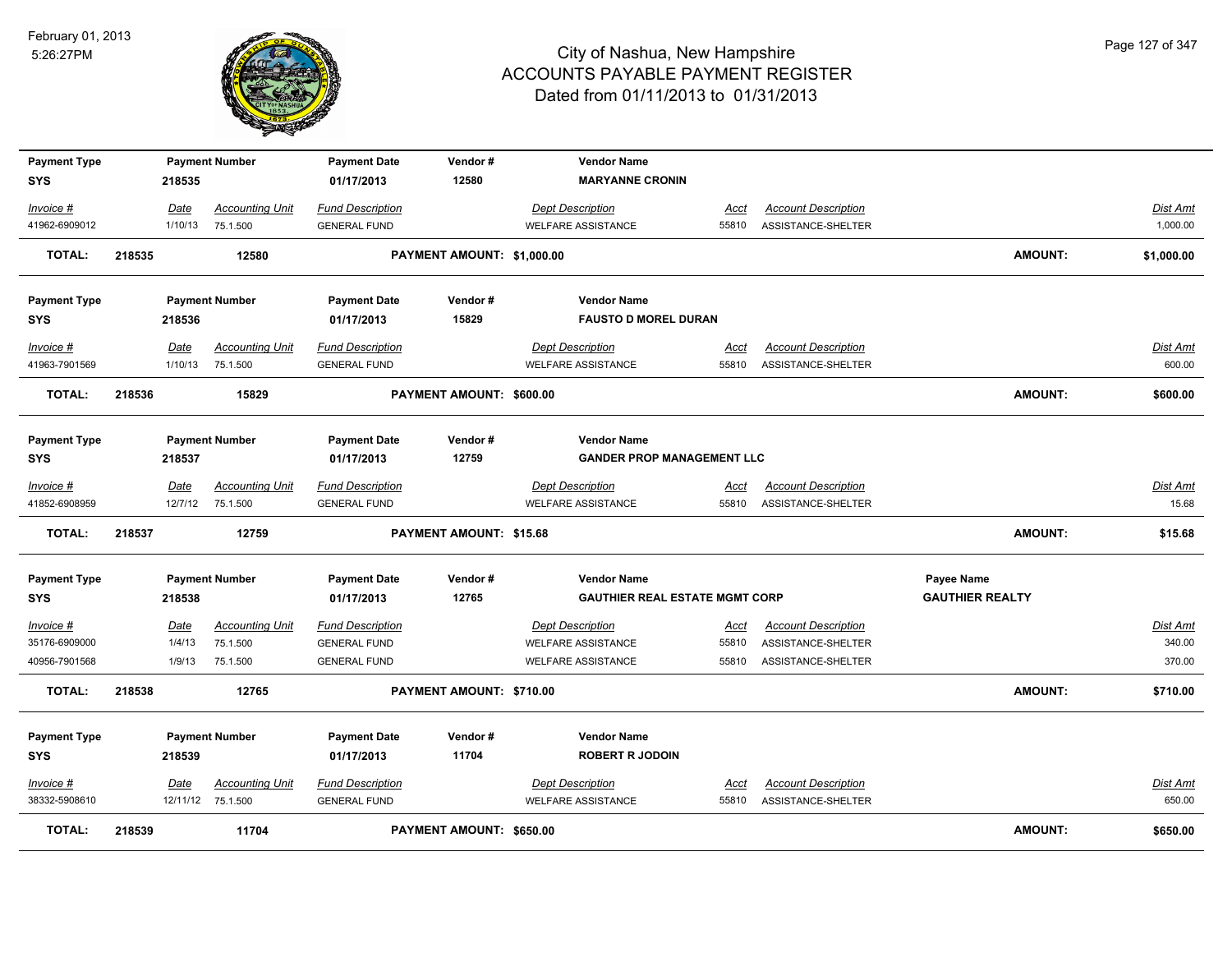

| <b>Payment Type</b><br>SYS |        | 218535      | <b>Payment Number</b>  | <b>Payment Date</b><br>01/17/2013 | Vendor#<br>12580               | <b>Vendor Name</b><br><b>MARYANNE CRONIN</b> |             |                            |                        |            |
|----------------------------|--------|-------------|------------------------|-----------------------------------|--------------------------------|----------------------------------------------|-------------|----------------------------|------------------------|------------|
| Invoice #                  |        | Date        | <b>Accounting Unit</b> | <b>Fund Description</b>           |                                | <b>Dept Description</b>                      | Acct        | <b>Account Description</b> |                        | Dist Amt   |
| 41962-6909012              |        | 1/10/13     | 75.1.500               | <b>GENERAL FUND</b>               |                                | <b>WELFARE ASSISTANCE</b>                    | 55810       | ASSISTANCE-SHELTER         |                        | 1,000.00   |
| <b>TOTAL:</b>              | 218535 |             | 12580                  |                                   | PAYMENT AMOUNT: \$1,000.00     |                                              |             |                            | <b>AMOUNT:</b>         | \$1,000.00 |
| <b>Payment Type</b>        |        |             | <b>Payment Number</b>  | <b>Payment Date</b>               | Vendor#                        | <b>Vendor Name</b>                           |             |                            |                        |            |
| SYS                        |        | 218536      |                        | 01/17/2013                        | 15829                          | <b>FAUSTO D MOREL DURAN</b>                  |             |                            |                        |            |
| Invoice #                  |        | Date        | <b>Accounting Unit</b> | <b>Fund Description</b>           |                                | <b>Dept Description</b>                      | <u>Acct</u> | <b>Account Description</b> |                        | Dist Amt   |
| 41963-7901569              |        | 1/10/13     | 75.1.500               | <b>GENERAL FUND</b>               |                                | WELFARE ASSISTANCE                           | 55810       | ASSISTANCE-SHELTER         |                        | 600.00     |
| <b>TOTAL:</b>              | 218536 |             | 15829                  |                                   | PAYMENT AMOUNT: \$600.00       |                                              |             |                            | <b>AMOUNT:</b>         | \$600.00   |
| <b>Payment Type</b>        |        |             | <b>Payment Number</b>  | <b>Payment Date</b>               | Vendor#                        | <b>Vendor Name</b>                           |             |                            |                        |            |
| SYS                        |        | 218537      |                        | 01/17/2013                        | 12759                          | <b>GANDER PROP MANAGEMENT LLC</b>            |             |                            |                        |            |
| Invoice #                  |        | Date        | <b>Accounting Unit</b> | <b>Fund Description</b>           |                                | <b>Dept Description</b>                      | Acct        | <b>Account Description</b> |                        | Dist Amt   |
| 41852-6908959              |        |             | 12/7/12 75.1.500       | <b>GENERAL FUND</b>               |                                | <b>WELFARE ASSISTANCE</b>                    | 55810       | ASSISTANCE-SHELTER         |                        | 15.68      |
| <b>TOTAL:</b>              | 218537 |             | 12759                  |                                   | <b>PAYMENT AMOUNT: \$15.68</b> |                                              |             |                            | <b>AMOUNT:</b>         | \$15.68    |
| <b>Payment Type</b>        |        |             | <b>Payment Number</b>  | <b>Payment Date</b>               | Vendor#                        | <b>Vendor Name</b>                           |             |                            | Payee Name             |            |
| <b>SYS</b>                 |        | 218538      |                        | 01/17/2013                        | 12765                          | <b>GAUTHIER REAL ESTATE MGMT CORP</b>        |             |                            | <b>GAUTHIER REALTY</b> |            |
| <u>Invoice #</u>           |        | <u>Date</u> | <b>Accounting Unit</b> | <b>Fund Description</b>           |                                | <b>Dept Description</b>                      | <u>Acct</u> | <b>Account Description</b> |                        | Dist Amt   |
| 35176-6909000              |        | 1/4/13      | 75.1.500               | <b>GENERAL FUND</b>               |                                | <b>WELFARE ASSISTANCE</b>                    | 55810       | ASSISTANCE-SHELTER         |                        | 340.00     |
| 40956-7901568              |        | 1/9/13      | 75.1.500               | <b>GENERAL FUND</b>               |                                | <b>WELFARE ASSISTANCE</b>                    | 55810       | ASSISTANCE-SHELTER         |                        | 370.00     |
| <b>TOTAL:</b>              | 218538 |             | 12765                  |                                   | PAYMENT AMOUNT: \$710.00       |                                              |             |                            | <b>AMOUNT:</b>         | \$710.00   |
| <b>Payment Type</b>        |        |             | <b>Payment Number</b>  | <b>Payment Date</b>               | Vendor#                        | <b>Vendor Name</b>                           |             |                            |                        |            |
| <b>SYS</b>                 |        | 218539      |                        | 01/17/2013                        | 11704                          | <b>ROBERT R JODOIN</b>                       |             |                            |                        |            |
| Invoice #                  |        | Date        | <b>Accounting Unit</b> | <b>Fund Description</b>           |                                | <b>Dept Description</b>                      | Acct        | <b>Account Description</b> |                        | Dist Amt   |
| 38332-5908610              |        |             | 12/11/12 75.1.500      | <b>GENERAL FUND</b>               |                                | <b>WELFARE ASSISTANCE</b>                    | 55810       | ASSISTANCE-SHELTER         |                        | 650.00     |
| <b>TOTAL:</b>              | 218539 |             | 11704                  |                                   | PAYMENT AMOUNT: \$650.00       |                                              |             |                            | <b>AMOUNT:</b>         | \$650.00   |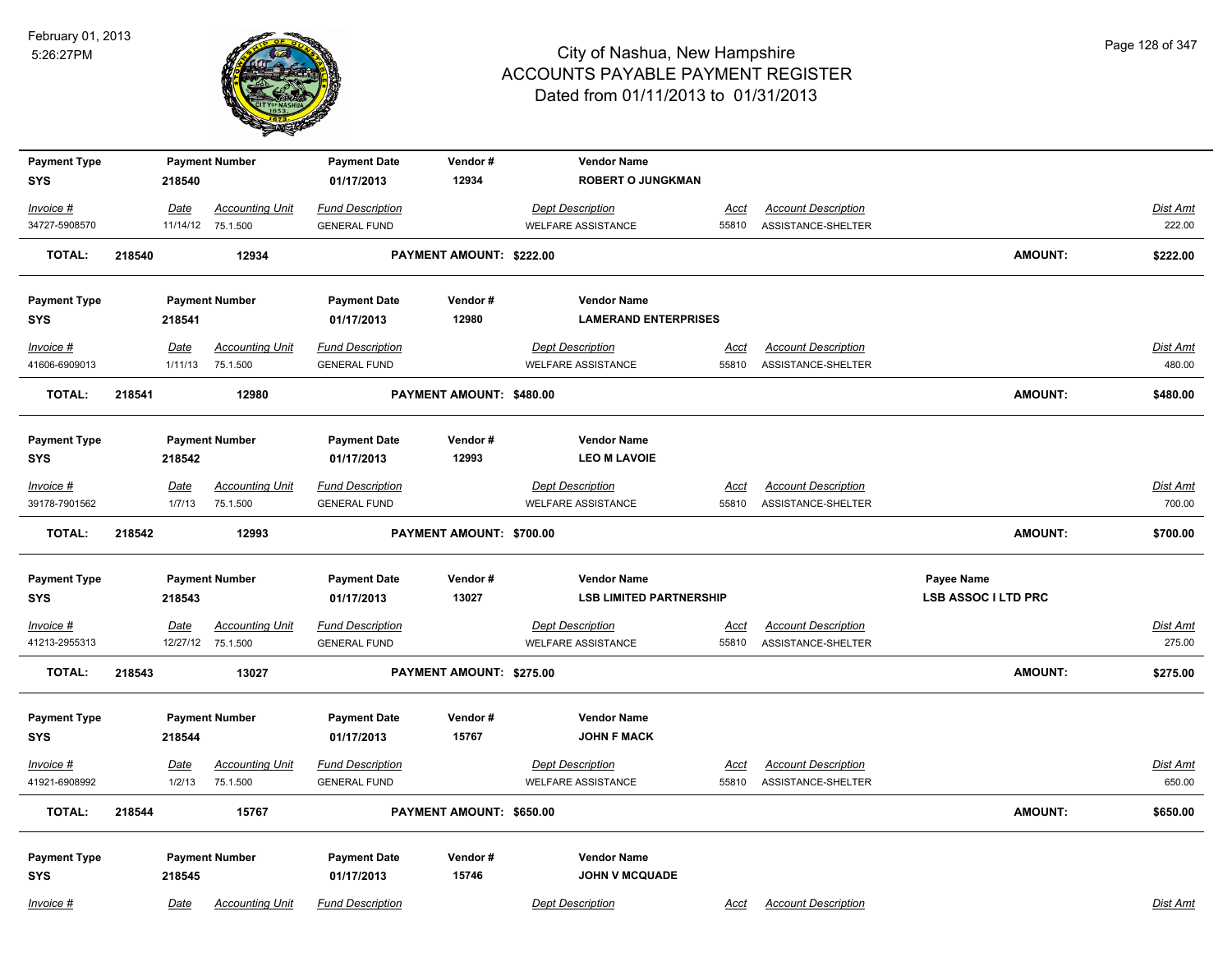

| <b>Payment Type</b><br><b>SYS</b> |        | 218540      | <b>Payment Number</b>  | <b>Payment Date</b><br>01/17/2013 | Vendor#<br>12934         | <b>Vendor Name</b><br><b>ROBERT O JUNGKMAN</b> |             |                            |                            |                 |
|-----------------------------------|--------|-------------|------------------------|-----------------------------------|--------------------------|------------------------------------------------|-------------|----------------------------|----------------------------|-----------------|
|                                   |        |             |                        |                                   |                          |                                                |             |                            |                            |                 |
| Invoice #                         |        | Date        | <b>Accounting Unit</b> | <b>Fund Description</b>           |                          | <b>Dept Description</b>                        | <u>Acct</u> | <b>Account Description</b> |                            | Dist Amt        |
| 34727-5908570                     |        |             | 11/14/12 75.1.500      | <b>GENERAL FUND</b>               |                          | <b>WELFARE ASSISTANCE</b>                      | 55810       | ASSISTANCE-SHELTER         |                            | 222.00          |
| <b>TOTAL:</b>                     | 218540 |             | 12934                  |                                   | PAYMENT AMOUNT: \$222.00 |                                                |             |                            | <b>AMOUNT:</b>             | \$222.00        |
| <b>Payment Type</b>               |        |             | <b>Payment Number</b>  | <b>Payment Date</b>               | Vendor#                  | <b>Vendor Name</b>                             |             |                            |                            |                 |
| <b>SYS</b>                        |        | 218541      |                        | 01/17/2013                        | 12980                    | <b>LAMERAND ENTERPRISES</b>                    |             |                            |                            |                 |
| Invoice #                         |        | <u>Date</u> | <b>Accounting Unit</b> | <b>Fund Description</b>           |                          | <b>Dept Description</b>                        | <u>Acct</u> | <b>Account Description</b> |                            | <b>Dist Amt</b> |
| 41606-6909013                     |        | 1/11/13     | 75.1.500               | <b>GENERAL FUND</b>               |                          | <b>WELFARE ASSISTANCE</b>                      | 55810       | ASSISTANCE-SHELTER         |                            | 480.00          |
| <b>TOTAL:</b>                     | 218541 |             | 12980                  |                                   | PAYMENT AMOUNT: \$480.00 |                                                |             |                            | <b>AMOUNT:</b>             | \$480.00        |
| <b>Payment Type</b>               |        |             | <b>Payment Number</b>  | <b>Payment Date</b>               | Vendor#                  | <b>Vendor Name</b>                             |             |                            |                            |                 |
| <b>SYS</b>                        |        | 218542      |                        | 01/17/2013                        | 12993                    | <b>LEO M LAVOIE</b>                            |             |                            |                            |                 |
| Invoice #                         |        | Date        | <b>Accounting Unit</b> | <b>Fund Description</b>           |                          | <b>Dept Description</b>                        | Acct        | <b>Account Description</b> |                            | <b>Dist Amt</b> |
| 39178-7901562                     |        | 1/7/13      | 75.1.500               | <b>GENERAL FUND</b>               |                          | <b>WELFARE ASSISTANCE</b>                      | 55810       | ASSISTANCE-SHELTER         |                            | 700.00          |
| <b>TOTAL:</b>                     | 218542 |             | 12993                  |                                   | PAYMENT AMOUNT: \$700.00 |                                                |             |                            | <b>AMOUNT:</b>             | \$700.00        |
|                                   |        |             |                        |                                   |                          |                                                |             |                            |                            |                 |
| <b>Payment Type</b>               |        |             | <b>Payment Number</b>  | <b>Payment Date</b>               | Vendor#                  | <b>Vendor Name</b>                             |             |                            | Payee Name                 |                 |
| <b>SYS</b>                        |        | 218543      |                        | 01/17/2013                        | 13027                    | <b>LSB LIMITED PARTNERSHIP</b>                 |             |                            | <b>LSB ASSOC I LTD PRC</b> |                 |
| $Invoice$ #                       |        | <u>Date</u> | <b>Accounting Unit</b> | <b>Fund Description</b>           |                          | <b>Dept Description</b>                        | <u>Acct</u> | <b>Account Description</b> |                            | <b>Dist Amt</b> |
| 41213-2955313                     |        |             | 12/27/12 75.1.500      | <b>GENERAL FUND</b>               |                          | <b>WELFARE ASSISTANCE</b>                      | 55810       | ASSISTANCE-SHELTER         |                            | 275.00          |
| <b>TOTAL:</b>                     | 218543 |             | 13027                  |                                   | PAYMENT AMOUNT: \$275.00 |                                                |             |                            | <b>AMOUNT:</b>             | \$275.00        |
| <b>Payment Type</b>               |        |             | <b>Payment Number</b>  | <b>Payment Date</b>               | Vendor#                  | <b>Vendor Name</b>                             |             |                            |                            |                 |
| <b>SYS</b>                        |        | 218544      |                        | 01/17/2013                        | 15767                    | <b>JOHN F MACK</b>                             |             |                            |                            |                 |
| Invoice #                         |        | Date        | <b>Accounting Unit</b> | <b>Fund Description</b>           |                          | <b>Dept Description</b>                        | <u>Acct</u> | <b>Account Description</b> |                            | <b>Dist Amt</b> |
| 41921-6908992                     |        | 1/2/13      | 75.1.500               | <b>GENERAL FUND</b>               |                          | <b>WELFARE ASSISTANCE</b>                      | 55810       | ASSISTANCE-SHELTER         |                            | 650.00          |
| TOTAL:                            | 218544 |             | 15767                  |                                   | PAYMENT AMOUNT: \$650.00 |                                                |             |                            | <b>AMOUNT:</b>             | \$650.00        |
|                                   |        |             |                        |                                   |                          |                                                |             |                            |                            |                 |
| <b>Payment Type</b><br><b>SYS</b> |        | 218545      | <b>Payment Number</b>  | <b>Payment Date</b><br>01/17/2013 | Vendor#<br>15746         | <b>Vendor Name</b><br><b>JOHN V MCQUADE</b>    |             |                            |                            |                 |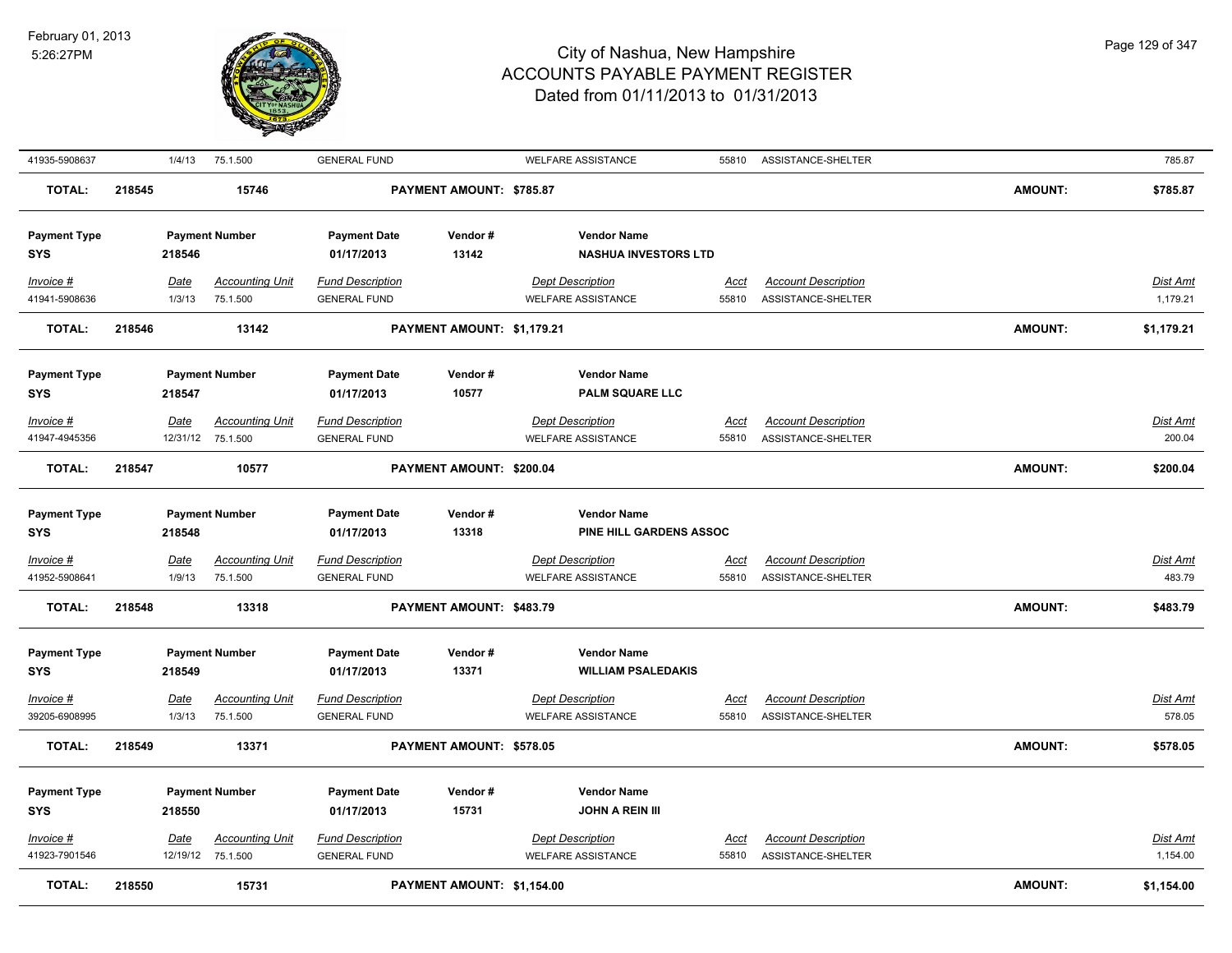

| 41935-5908637                                            |        | 1/4/13                          | 75.1.500                                                    | <b>GENERAL FUND</b>                                                                 |                            | <b>WELFARE ASSISTANCE</b>                                                                               | 55810                | ASSISTANCE-SHELTER                               |                | 785.87                      |
|----------------------------------------------------------|--------|---------------------------------|-------------------------------------------------------------|-------------------------------------------------------------------------------------|----------------------------|---------------------------------------------------------------------------------------------------------|----------------------|--------------------------------------------------|----------------|-----------------------------|
| <b>TOTAL:</b>                                            | 218545 |                                 | 15746                                                       |                                                                                     | PAYMENT AMOUNT: \$785.87   |                                                                                                         |                      |                                                  | <b>AMOUNT:</b> | \$785.87                    |
| <b>Payment Type</b><br>SYS                               |        | 218546                          | <b>Payment Number</b>                                       | <b>Payment Date</b><br>01/17/2013                                                   | Vendor#<br>13142           | <b>Vendor Name</b><br><b>NASHUA INVESTORS LTD</b>                                                       |                      |                                                  |                |                             |
| Invoice #<br>41941-5908636                               |        | <u>Date</u><br>1/3/13           | <b>Accounting Unit</b><br>75.1.500                          | <b>Fund Description</b><br><b>GENERAL FUND</b>                                      |                            | <b>Dept Description</b><br><b>WELFARE ASSISTANCE</b>                                                    | <u>Acct</u><br>55810 | <b>Account Description</b><br>ASSISTANCE-SHELTER |                | Dist Amt<br>1,179.21        |
| <b>TOTAL:</b>                                            | 218546 |                                 | 13142                                                       |                                                                                     | PAYMENT AMOUNT: \$1,179.21 |                                                                                                         |                      |                                                  | <b>AMOUNT:</b> | \$1,179.21                  |
| <b>Payment Type</b><br>SYS                               |        | 218547                          | <b>Payment Number</b>                                       | <b>Payment Date</b><br>01/17/2013                                                   | Vendor#<br>10577           | <b>Vendor Name</b><br><b>PALM SQUARE LLC</b>                                                            |                      |                                                  |                |                             |
| Invoice #<br>41947-4945356                               |        | Date                            | <b>Accounting Unit</b><br>12/31/12 75.1.500                 | <b>Fund Description</b><br><b>GENERAL FUND</b>                                      |                            | <b>Dept Description</b><br><b>WELFARE ASSISTANCE</b>                                                    | Acct<br>55810        | <b>Account Description</b><br>ASSISTANCE-SHELTER |                | Dist Amt<br>200.04          |
| TOTAL:                                                   | 218547 |                                 | 10577                                                       |                                                                                     | PAYMENT AMOUNT: \$200.04   |                                                                                                         |                      |                                                  | <b>AMOUNT:</b> | \$200.04                    |
| <b>Payment Type</b><br>SYS                               |        | 218548                          | <b>Payment Number</b>                                       | <b>Payment Date</b><br>01/17/2013                                                   | Vendor#<br>13318           | <b>Vendor Name</b><br>PINE HILL GARDENS ASSOC                                                           |                      |                                                  |                |                             |
| $Invoice$ #<br>41952-5908641                             |        | Date<br>1/9/13                  | <b>Accounting Unit</b><br>75.1.500                          | <b>Fund Description</b><br><b>GENERAL FUND</b>                                      |                            | <b>Dept Description</b><br><b>WELFARE ASSISTANCE</b>                                                    | <u>Acct</u><br>55810 | <b>Account Description</b><br>ASSISTANCE-SHELTER |                | Dist Amt<br>483.79          |
| <b>TOTAL:</b>                                            | 218548 |                                 | 13318                                                       |                                                                                     | PAYMENT AMOUNT: \$483.79   |                                                                                                         |                      |                                                  | <b>AMOUNT:</b> | \$483.79                    |
| <b>Payment Type</b><br>SYS<br>Invoice #<br>39205-6908995 |        | 218549<br><u>Date</u><br>1/3/13 | <b>Payment Number</b><br><b>Accounting Unit</b><br>75.1.500 | <b>Payment Date</b><br>01/17/2013<br><b>Fund Description</b><br><b>GENERAL FUND</b> | Vendor#<br>13371           | <b>Vendor Name</b><br><b>WILLIAM PSALEDAKIS</b><br><b>Dept Description</b><br><b>WELFARE ASSISTANCE</b> | <u>Acct</u><br>55810 | <b>Account Description</b><br>ASSISTANCE-SHELTER |                | <u>Dist Amt</u><br>578.05   |
| <b>TOTAL:</b>                                            | 218549 |                                 | 13371                                                       |                                                                                     | PAYMENT AMOUNT: \$578.05   |                                                                                                         |                      |                                                  | <b>AMOUNT:</b> | \$578.05                    |
| <b>Payment Type</b><br><b>SYS</b>                        |        | 218550                          | <b>Payment Number</b>                                       | <b>Payment Date</b><br>01/17/2013                                                   | Vendor#<br>15731           | <b>Vendor Name</b><br><b>JOHN A REIN III</b>                                                            |                      |                                                  |                |                             |
| Invoice #<br>41923-7901546                               |        | <u>Date</u>                     | <b>Accounting Unit</b><br>12/19/12 75.1.500                 | <b>Fund Description</b><br><b>GENERAL FUND</b>                                      |                            | <b>Dept Description</b><br><b>WELFARE ASSISTANCE</b>                                                    | <u>Acct</u><br>55810 | <b>Account Description</b><br>ASSISTANCE-SHELTER |                | <u>Dist Amt</u><br>1,154.00 |
| <b>TOTAL:</b>                                            | 218550 |                                 | 15731                                                       |                                                                                     | PAYMENT AMOUNT: \$1,154.00 |                                                                                                         |                      |                                                  | <b>AMOUNT:</b> | \$1,154.00                  |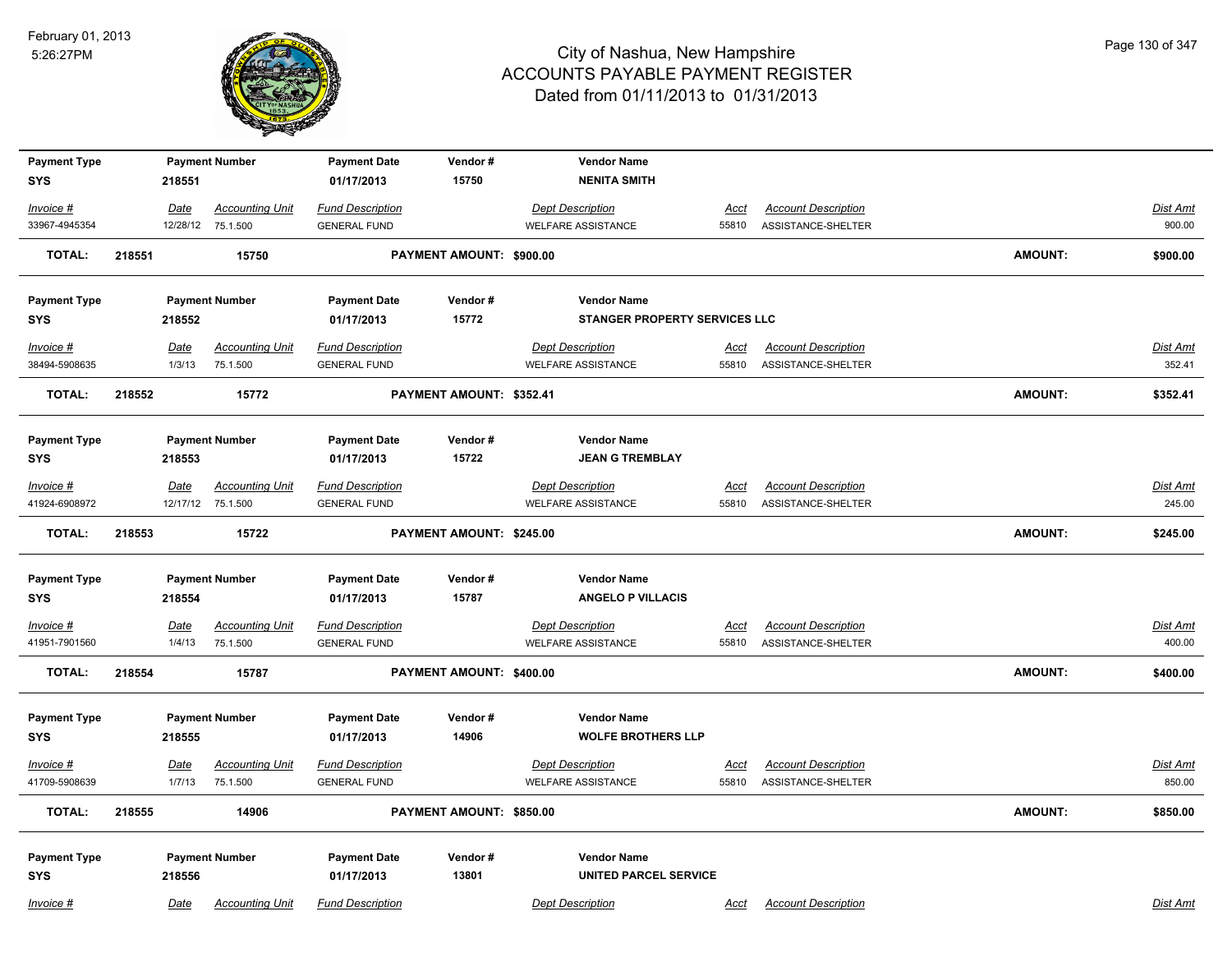

| <b>Payment Type</b><br><b>SYS</b> |        | 218551      | <b>Payment Number</b>                       | <b>Payment Date</b><br>01/17/2013              | Vendor#<br>15750         | <b>Vendor Name</b><br><b>NENITA SMITH</b>            |               |                                                  |         |                    |
|-----------------------------------|--------|-------------|---------------------------------------------|------------------------------------------------|--------------------------|------------------------------------------------------|---------------|--------------------------------------------------|---------|--------------------|
|                                   |        |             |                                             |                                                |                          |                                                      |               |                                                  |         |                    |
| Invoice #                         |        | Date        | <b>Accounting Unit</b>                      | <b>Fund Description</b>                        |                          | <b>Dept Description</b>                              | Acct          | <b>Account Description</b>                       |         | Dist Amt           |
| 33967-4945354                     |        | 12/28/12    | 75.1.500                                    | <b>GENERAL FUND</b>                            |                          | <b>WELFARE ASSISTANCE</b>                            | 55810         | ASSISTANCE-SHELTER                               |         | 900.00             |
| <b>TOTAL:</b>                     | 218551 |             | 15750                                       |                                                | PAYMENT AMOUNT: \$900.00 |                                                      |               |                                                  | AMOUNT: | \$900.00           |
| <b>Payment Type</b>               |        |             | <b>Payment Number</b>                       | <b>Payment Date</b>                            | Vendor#                  | <b>Vendor Name</b>                                   |               |                                                  |         |                    |
| <b>SYS</b>                        |        | 218552      |                                             | 01/17/2013                                     | 15772                    | STANGER PROPERTY SERVICES LLC                        |               |                                                  |         |                    |
| Invoice #                         |        | <u>Date</u> | <b>Accounting Unit</b>                      | <b>Fund Description</b>                        |                          | <b>Dept Description</b>                              | <u>Acct</u>   | <b>Account Description</b>                       |         | <b>Dist Amt</b>    |
| 38494-5908635                     |        | 1/3/13      | 75.1.500                                    | <b>GENERAL FUND</b>                            |                          | <b>WELFARE ASSISTANCE</b>                            | 55810         | ASSISTANCE-SHELTER                               |         | 352.41             |
| <b>TOTAL:</b>                     | 218552 |             | 15772                                       |                                                | PAYMENT AMOUNT: \$352.41 |                                                      |               |                                                  | AMOUNT: | \$352.41           |
| <b>Payment Type</b>               |        |             | <b>Payment Number</b>                       | <b>Payment Date</b>                            | Vendor#                  | <b>Vendor Name</b>                                   |               |                                                  |         |                    |
| <b>SYS</b>                        |        | 218553      |                                             | 01/17/2013                                     | 15722                    | <b>JEAN G TREMBLAY</b>                               |               |                                                  |         |                    |
|                                   |        |             |                                             |                                                |                          |                                                      |               |                                                  |         |                    |
| $Invoice$ #<br>41924-6908972      |        | Date        | <b>Accounting Unit</b><br>12/17/12 75.1.500 | <b>Fund Description</b><br><b>GENERAL FUND</b> |                          | <b>Dept Description</b><br><b>WELFARE ASSISTANCE</b> | Acct<br>55810 | <b>Account Description</b><br>ASSISTANCE-SHELTER |         | Dist Amt<br>245.00 |
|                                   |        |             |                                             |                                                |                          |                                                      |               |                                                  |         |                    |
| <b>TOTAL:</b>                     | 218553 |             | 15722                                       |                                                | PAYMENT AMOUNT: \$245.00 |                                                      |               |                                                  | AMOUNT: | \$245.00           |
| <b>Payment Type</b>               |        |             | <b>Payment Number</b>                       | <b>Payment Date</b>                            | Vendor#                  | <b>Vendor Name</b>                                   |               |                                                  |         |                    |
| <b>SYS</b>                        |        | 218554      |                                             | 01/17/2013                                     | 15787                    | <b>ANGELO P VILLACIS</b>                             |               |                                                  |         |                    |
| Invoice #                         |        | <u>Date</u> | <b>Accounting Unit</b>                      | <b>Fund Description</b>                        |                          | <b>Dept Description</b>                              | <u>Acct</u>   | <b>Account Description</b>                       |         | <u>Dist Amt</u>    |
| 41951-7901560                     |        | 1/4/13      | 75.1.500                                    | <b>GENERAL FUND</b>                            |                          | <b>WELFARE ASSISTANCE</b>                            | 55810         | ASSISTANCE-SHELTER                               |         | 400.00             |
| <b>TOTAL:</b>                     | 218554 |             | 15787                                       |                                                | PAYMENT AMOUNT: \$400.00 |                                                      |               |                                                  | AMOUNT: | \$400.00           |
|                                   |        |             |                                             |                                                |                          |                                                      |               |                                                  |         |                    |
| <b>Payment Type</b><br><b>SYS</b> |        | 218555      | <b>Payment Number</b>                       | <b>Payment Date</b><br>01/17/2013              | Vendor#<br>14906         | <b>Vendor Name</b><br><b>WOLFE BROTHERS LLP</b>      |               |                                                  |         |                    |
|                                   |        |             |                                             |                                                |                          |                                                      |               |                                                  |         |                    |
| Invoice #                         |        | Date        | <b>Accounting Unit</b>                      | <b>Fund Description</b>                        |                          | <b>Dept Description</b>                              | <u>Acct</u>   | <b>Account Description</b>                       |         | <b>Dist Amt</b>    |
| 41709-5908639                     |        | 1/7/13      | 75.1.500                                    | <b>GENERAL FUND</b>                            |                          | <b>WELFARE ASSISTANCE</b>                            | 55810         | ASSISTANCE-SHELTER                               |         | 850.00             |
| <b>TOTAL:</b>                     | 218555 |             | 14906                                       |                                                | PAYMENT AMOUNT: \$850.00 |                                                      |               |                                                  | AMOUNT: | \$850.00           |
| <b>Payment Type</b>               |        |             | <b>Payment Number</b>                       | <b>Payment Date</b>                            | Vendor#                  | <b>Vendor Name</b>                                   |               |                                                  |         |                    |
| <b>SYS</b>                        |        | 218556      |                                             | 01/17/2013                                     | 13801                    | <b>UNITED PARCEL SERVICE</b>                         |               |                                                  |         |                    |
| Invoice #                         |        | Date        | <b>Accounting Unit</b>                      | <b>Fund Description</b>                        |                          | <b>Dept Description</b>                              | Acct          | <b>Account Description</b>                       |         | Dist Amt           |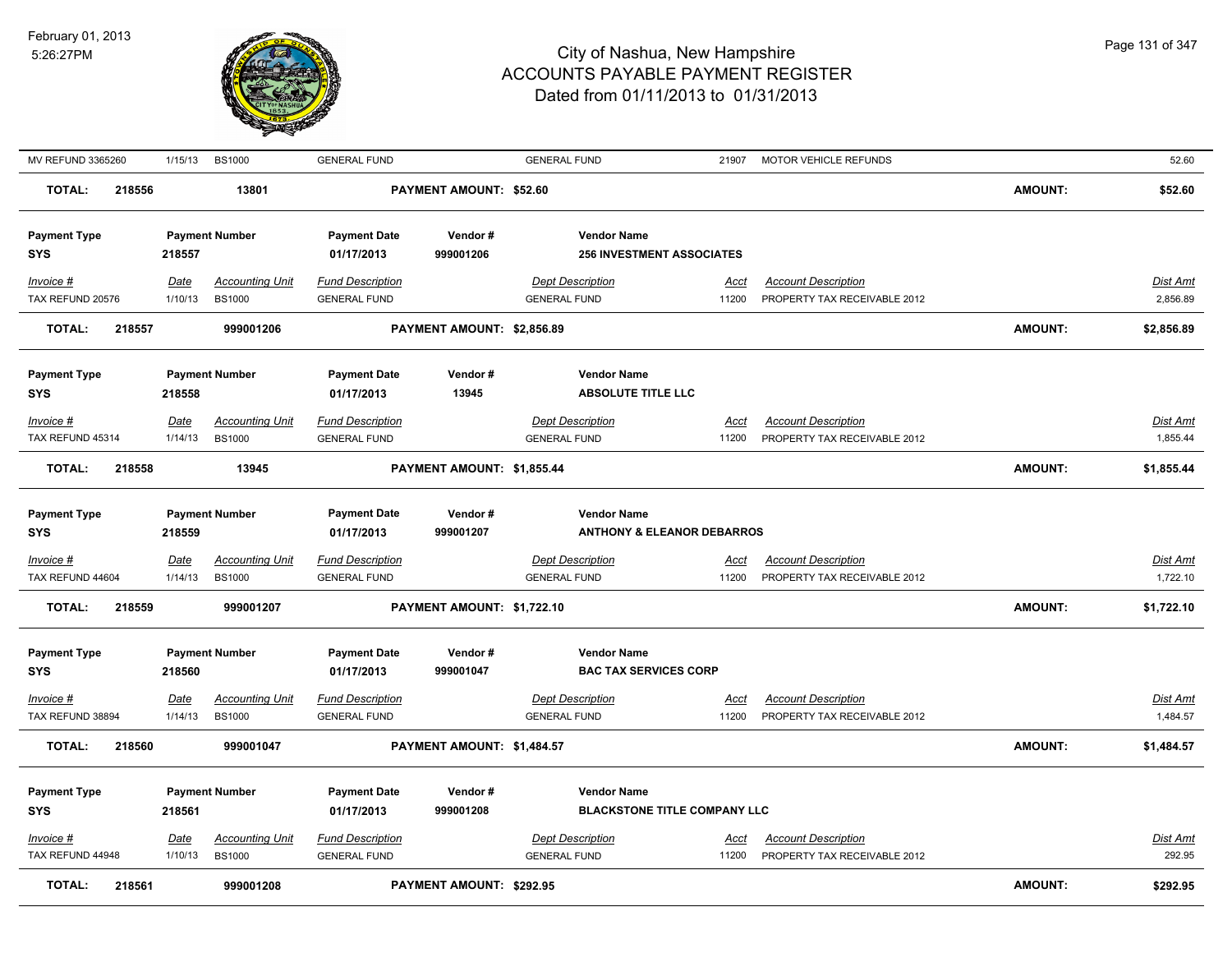

| MV REFUND 3365260             | 1/15/13                | <b>BS1000</b>                           | <b>GENERAL FUND</b>                            |                            | <b>GENERAL FUND</b>                                         | 21907                | MOTOR VEHICLE REFUNDS                                      |                | 52.60                       |
|-------------------------------|------------------------|-----------------------------------------|------------------------------------------------|----------------------------|-------------------------------------------------------------|----------------------|------------------------------------------------------------|----------------|-----------------------------|
| <b>TOTAL:</b>                 | 218556                 | 13801                                   |                                                | PAYMENT AMOUNT: \$52.60    |                                                             |                      |                                                            | <b>AMOUNT:</b> | \$52.60                     |
| <b>Payment Type</b><br>SYS    | 218557                 | <b>Payment Number</b>                   | <b>Payment Date</b><br>01/17/2013              | Vendor#<br>999001206       | <b>Vendor Name</b><br><b>256 INVESTMENT ASSOCIATES</b>      |                      |                                                            |                |                             |
| Invoice #<br>TAX REFUND 20576 | Date<br>1/10/13        | <b>Accounting Unit</b><br><b>BS1000</b> | <b>Fund Description</b><br><b>GENERAL FUND</b> |                            | <b>Dept Description</b><br><b>GENERAL FUND</b>              | Acct<br>11200        | <b>Account Description</b><br>PROPERTY TAX RECEIVABLE 2012 |                | Dist Amt<br>2,856.89        |
| <b>TOTAL:</b>                 | 218557                 | 999001206                               |                                                | PAYMENT AMOUNT: \$2,856.89 |                                                             |                      |                                                            | <b>AMOUNT:</b> | \$2,856.89                  |
| <b>Payment Type</b><br>SYS    | 218558                 | <b>Payment Number</b>                   | <b>Payment Date</b><br>01/17/2013              | Vendor#<br>13945           | <b>Vendor Name</b><br><b>ABSOLUTE TITLE LLC</b>             |                      |                                                            |                |                             |
| Invoice #                     | <b>Date</b>            | <b>Accounting Unit</b>                  | <b>Fund Description</b>                        |                            | <b>Dept Description</b>                                     | <u>Acct</u>          | <b>Account Description</b>                                 |                | Dist Amt                    |
| TAX REFUND 45314              | 1/14/13                | <b>BS1000</b>                           | <b>GENERAL FUND</b>                            |                            | <b>GENERAL FUND</b>                                         | 11200                | PROPERTY TAX RECEIVABLE 2012                               |                | 1,855.44                    |
| <b>TOTAL:</b>                 | 218558                 | 13945                                   |                                                | PAYMENT AMOUNT: \$1,855.44 |                                                             |                      |                                                            | <b>AMOUNT:</b> | \$1,855.44                  |
| <b>Payment Type</b><br>SYS    | 218559                 | <b>Payment Number</b>                   | <b>Payment Date</b><br>01/17/2013              | Vendor#<br>999001207       | <b>Vendor Name</b><br><b>ANTHONY &amp; ELEANOR DEBARROS</b> |                      |                                                            |                |                             |
| Invoice #<br>TAX REFUND 44604 | <b>Date</b><br>1/14/13 | <b>Accounting Unit</b><br><b>BS1000</b> | <b>Fund Description</b><br><b>GENERAL FUND</b> |                            | <b>Dept Description</b><br><b>GENERAL FUND</b>              | <u>Acct</u><br>11200 | <b>Account Description</b><br>PROPERTY TAX RECEIVABLE 2012 |                | Dist Amt<br>1,722.10        |
| <b>TOTAL:</b>                 | 218559                 | 999001207                               |                                                | PAYMENT AMOUNT: \$1,722.10 |                                                             |                      |                                                            | <b>AMOUNT:</b> | \$1,722.10                  |
| <b>Payment Type</b><br>SYS    | 218560                 | <b>Payment Number</b>                   | <b>Payment Date</b><br>01/17/2013              | Vendor#<br>999001047       | <b>Vendor Name</b><br><b>BAC TAX SERVICES CORP</b>          |                      |                                                            |                |                             |
| Invoice #<br>TAX REFUND 38894 | <b>Date</b><br>1/14/13 | <b>Accounting Unit</b><br><b>BS1000</b> | <b>Fund Description</b><br><b>GENERAL FUND</b> |                            | <b>Dept Description</b><br><b>GENERAL FUND</b>              | Acct<br>11200        | <b>Account Description</b><br>PROPERTY TAX RECEIVABLE 2012 |                | <b>Dist Amt</b><br>1,484.57 |
| <b>TOTAL:</b>                 | 218560                 | 999001047                               |                                                | PAYMENT AMOUNT: \$1,484.57 |                                                             |                      |                                                            | <b>AMOUNT:</b> | \$1,484.57                  |
| <b>Payment Type</b><br>SYS    | 218561                 | <b>Payment Number</b>                   | <b>Payment Date</b><br>01/17/2013              | Vendor#<br>999001208       | <b>Vendor Name</b><br><b>BLACKSTONE TITLE COMPANY LLC</b>   |                      |                                                            |                |                             |
| Invoice #<br>TAX REFUND 44948 | Date<br>1/10/13        | <b>Accounting Unit</b><br><b>BS1000</b> | <b>Fund Description</b><br><b>GENERAL FUND</b> |                            | <b>Dept Description</b><br><b>GENERAL FUND</b>              | Acct<br>11200        | <b>Account Description</b><br>PROPERTY TAX RECEIVABLE 2012 |                | Dist Amt<br>292.95          |
| <b>TOTAL:</b>                 | 218561                 | 999001208                               |                                                | PAYMENT AMOUNT: \$292.95   |                                                             |                      |                                                            | <b>AMOUNT:</b> | \$292.95                    |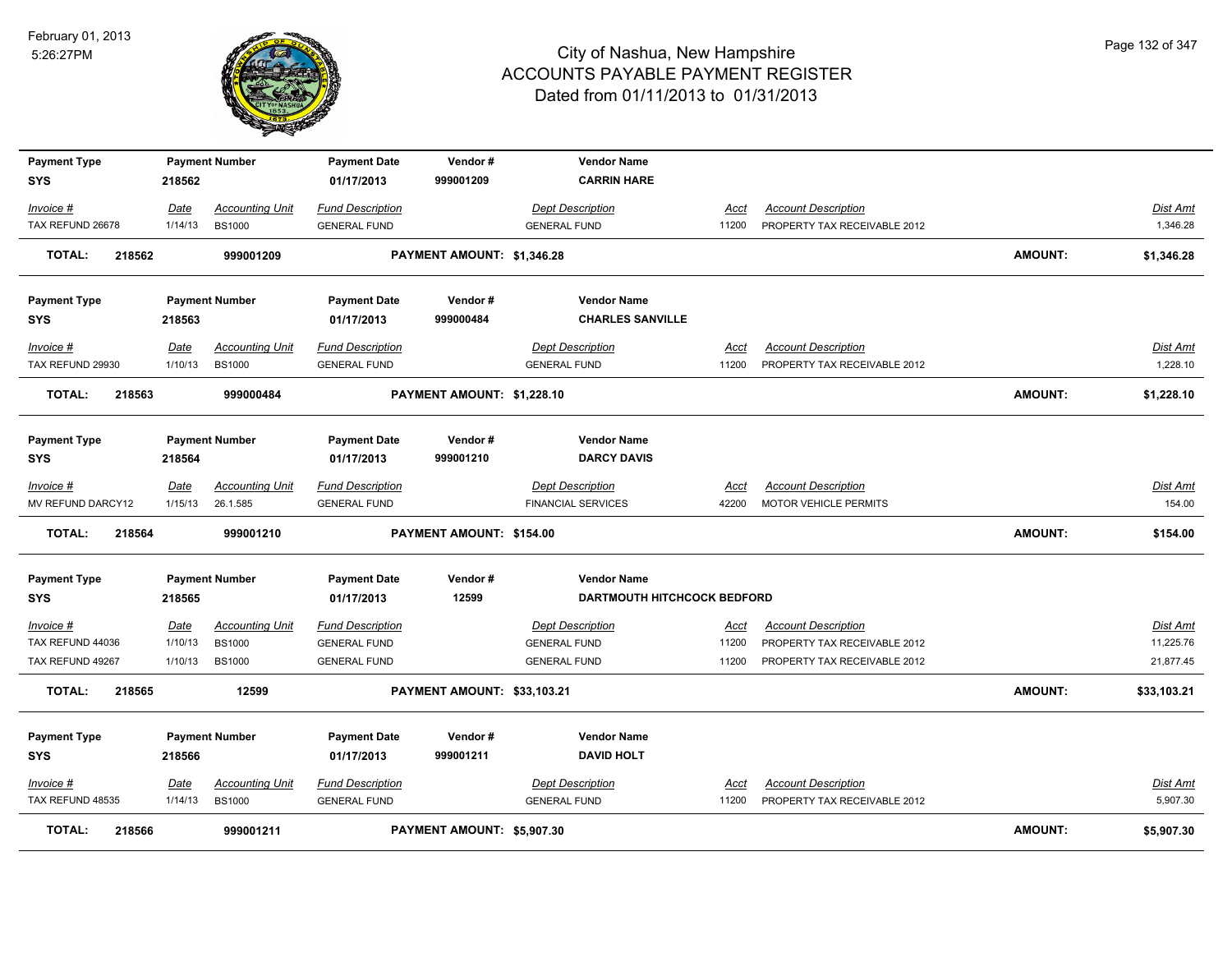

| <b>Payment Type</b>     |             | <b>Payment Number</b>  | <b>Payment Date</b>     | Vendor#                     | <b>Vendor Name</b>                 |             |                              |                |                 |
|-------------------------|-------------|------------------------|-------------------------|-----------------------------|------------------------------------|-------------|------------------------------|----------------|-----------------|
| <b>SYS</b>              | 218562      |                        | 01/17/2013              | 999001209                   | <b>CARRIN HARE</b>                 |             |                              |                |                 |
| Invoice #               | <b>Date</b> | <b>Accounting Unit</b> | <b>Fund Description</b> |                             | <b>Dept Description</b>            | Acct        | <b>Account Description</b>   |                | <b>Dist Amt</b> |
| TAX REFUND 26678        | 1/14/13     | <b>BS1000</b>          | <b>GENERAL FUND</b>     |                             | <b>GENERAL FUND</b>                | 11200       | PROPERTY TAX RECEIVABLE 2012 |                | 1,346.28        |
| 218562<br><b>TOTAL:</b> |             | 999001209              |                         | PAYMENT AMOUNT: \$1,346.28  |                                    |             |                              | <b>AMOUNT:</b> | \$1,346.28      |
| <b>Payment Type</b>     |             | <b>Payment Number</b>  | <b>Payment Date</b>     | Vendor#                     | <b>Vendor Name</b>                 |             |                              |                |                 |
| <b>SYS</b>              | 218563      |                        | 01/17/2013              | 999000484                   | <b>CHARLES SANVILLE</b>            |             |                              |                |                 |
| Invoice #               | Date        | <b>Accounting Unit</b> | <b>Fund Description</b> |                             | <b>Dept Description</b>            | Acct        | <b>Account Description</b>   |                | Dist Amt        |
| TAX REFUND 29930        | 1/10/13     | <b>BS1000</b>          | <b>GENERAL FUND</b>     |                             | <b>GENERAL FUND</b>                | 11200       | PROPERTY TAX RECEIVABLE 2012 |                | 1,228.10        |
| <b>TOTAL:</b><br>218563 |             | 999000484              |                         | PAYMENT AMOUNT: \$1,228.10  |                                    |             |                              | <b>AMOUNT:</b> | \$1,228.10      |
| <b>Payment Type</b>     |             | <b>Payment Number</b>  | <b>Payment Date</b>     | Vendor#                     | <b>Vendor Name</b>                 |             |                              |                |                 |
| <b>SYS</b>              | 218564      |                        | 01/17/2013              | 999001210                   | <b>DARCY DAVIS</b>                 |             |                              |                |                 |
| Invoice #               | Date        | <b>Accounting Unit</b> | <b>Fund Description</b> |                             | <b>Dept Description</b>            | Acct        | <b>Account Description</b>   |                | Dist Amt        |
| MV REFUND DARCY12       | 1/15/13     | 26.1.585               | <b>GENERAL FUND</b>     |                             | <b>FINANCIAL SERVICES</b>          | 42200       | <b>MOTOR VEHICLE PERMITS</b> |                | 154.00          |
| <b>TOTAL:</b><br>218564 |             | 999001210              |                         | PAYMENT AMOUNT: \$154.00    |                                    |             |                              | <b>AMOUNT:</b> | \$154.00        |
| <b>Payment Type</b>     |             | <b>Payment Number</b>  | <b>Payment Date</b>     | Vendor#                     | <b>Vendor Name</b>                 |             |                              |                |                 |
| <b>SYS</b>              | 218565      |                        | 01/17/2013              | 12599                       | <b>DARTMOUTH HITCHCOCK BEDFORD</b> |             |                              |                |                 |
| $Invoice$ #             | Date        | <b>Accounting Unit</b> | <b>Fund Description</b> |                             | <b>Dept Description</b>            | <u>Acct</u> | <b>Account Description</b>   |                | <b>Dist Amt</b> |
| TAX REFUND 44036        | 1/10/13     | <b>BS1000</b>          | <b>GENERAL FUND</b>     |                             | <b>GENERAL FUND</b>                | 11200       | PROPERTY TAX RECEIVABLE 2012 |                | 11,225.76       |
| TAX REFUND 49267        | 1/10/13     | <b>BS1000</b>          | <b>GENERAL FUND</b>     |                             | <b>GENERAL FUND</b>                | 11200       | PROPERTY TAX RECEIVABLE 2012 |                | 21,877.45       |
| <b>TOTAL:</b><br>218565 |             | 12599                  |                         | PAYMENT AMOUNT: \$33,103.21 |                                    |             |                              | <b>AMOUNT:</b> | \$33,103.21     |
| <b>Payment Type</b>     |             | <b>Payment Number</b>  | <b>Payment Date</b>     | Vendor#                     | <b>Vendor Name</b>                 |             |                              |                |                 |
| <b>SYS</b>              | 218566      |                        | 01/17/2013              | 999001211                   | <b>DAVID HOLT</b>                  |             |                              |                |                 |
| Invoice #               | <b>Date</b> | <b>Accounting Unit</b> | <b>Fund Description</b> |                             | <b>Dept Description</b>            | <u>Acct</u> | <b>Account Description</b>   |                | Dist Amt        |
| TAX REFUND 48535        | 1/14/13     | <b>BS1000</b>          | <b>GENERAL FUND</b>     |                             | <b>GENERAL FUND</b>                | 11200       | PROPERTY TAX RECEIVABLE 2012 |                | 5,907.30        |
| <b>TOTAL:</b><br>218566 |             | 999001211              |                         | PAYMENT AMOUNT: \$5,907.30  |                                    |             |                              | <b>AMOUNT:</b> | \$5,907.30      |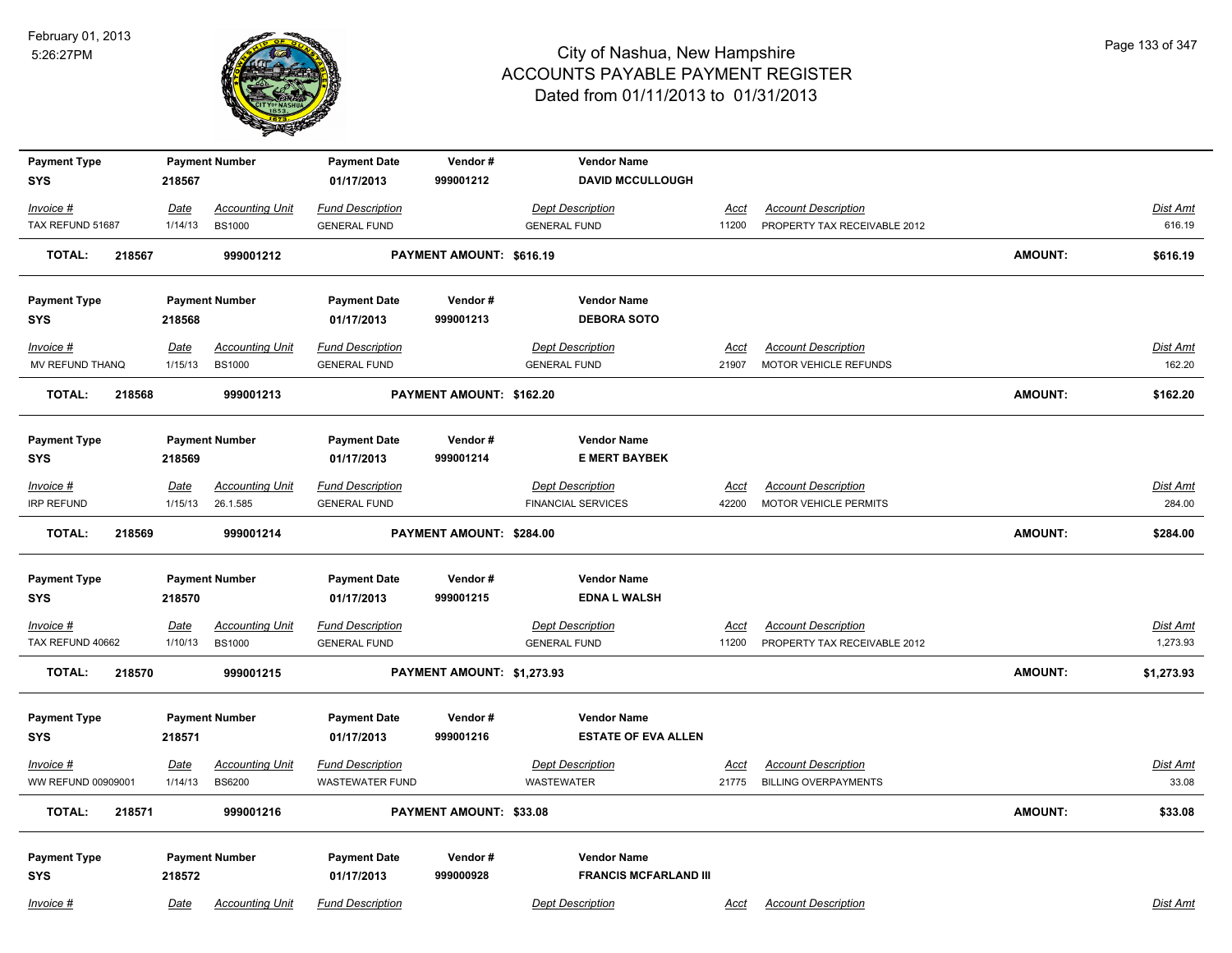

| <b>Payment Type</b><br><b>SYS</b> | 218567                 | <b>Payment Number</b>                   | <b>Payment Date</b><br>01/17/2013                 | Vendor#<br>999001212       | <b>Vendor Name</b><br><b>DAVID MCCULLOUGH</b> |                      |                                                           |                |                          |
|-----------------------------------|------------------------|-----------------------------------------|---------------------------------------------------|----------------------------|-----------------------------------------------|----------------------|-----------------------------------------------------------|----------------|--------------------------|
|                                   |                        |                                         |                                                   |                            |                                               |                      |                                                           |                |                          |
| Invoice #                         | <u>Date</u>            | <b>Accounting Unit</b>                  | <b>Fund Description</b>                           |                            | <b>Dept Description</b>                       | <u>Acct</u>          | <b>Account Description</b>                                |                | <b>Dist Amt</b>          |
| TAX REFUND 51687                  | 1/14/13                | <b>BS1000</b>                           | <b>GENERAL FUND</b>                               |                            | <b>GENERAL FUND</b>                           | 11200                | PROPERTY TAX RECEIVABLE 2012                              |                | 616.19                   |
| <b>TOTAL:</b><br>218567           |                        | 999001212                               |                                                   | PAYMENT AMOUNT: \$616.19   |                                               |                      |                                                           | <b>AMOUNT:</b> | \$616.19                 |
| <b>Payment Type</b>               |                        | <b>Payment Number</b>                   | <b>Payment Date</b>                               | Vendor#                    | <b>Vendor Name</b>                            |                      |                                                           |                |                          |
| <b>SYS</b>                        | 218568                 |                                         | 01/17/2013                                        | 999001213                  | <b>DEBORA SOTO</b>                            |                      |                                                           |                |                          |
| Invoice #                         | <u>Date</u>            | <b>Accounting Unit</b>                  | <b>Fund Description</b>                           |                            | <b>Dept Description</b>                       | Acct                 | <b>Account Description</b>                                |                | Dist Amt                 |
| MV REFUND THANQ                   | 1/15/13                | <b>BS1000</b>                           | <b>GENERAL FUND</b>                               |                            | <b>GENERAL FUND</b>                           | 21907                | MOTOR VEHICLE REFUNDS                                     |                | 162.20                   |
| <b>TOTAL:</b><br>218568           |                        | 999001213                               |                                                   | PAYMENT AMOUNT: \$162.20   |                                               |                      |                                                           | <b>AMOUNT:</b> | \$162.20                 |
| <b>Payment Type</b>               |                        | <b>Payment Number</b>                   | <b>Payment Date</b>                               | Vendor#                    | <b>Vendor Name</b>                            |                      |                                                           |                |                          |
| <b>SYS</b>                        | 218569                 |                                         | 01/17/2013                                        | 999001214                  | <b>E MERT BAYBEK</b>                          |                      |                                                           |                |                          |
| Invoice #                         | Date                   | <b>Accounting Unit</b>                  | <b>Fund Description</b>                           |                            | <b>Dept Description</b>                       | Acct                 | <b>Account Description</b>                                |                | Dist Amt                 |
| <b>IRP REFUND</b>                 | 1/15/13                | 26.1.585                                | <b>GENERAL FUND</b>                               |                            | <b>FINANCIAL SERVICES</b>                     | 42200                | MOTOR VEHICLE PERMITS                                     |                | 284.00                   |
|                                   |                        |                                         |                                                   |                            |                                               |                      |                                                           |                |                          |
| <b>TOTAL:</b><br>218569           |                        | 999001214                               |                                                   | PAYMENT AMOUNT: \$284.00   |                                               |                      |                                                           | <b>AMOUNT:</b> | \$284.00                 |
|                                   |                        |                                         |                                                   |                            |                                               |                      |                                                           |                |                          |
| <b>Payment Type</b>               |                        | <b>Payment Number</b>                   | <b>Payment Date</b>                               | Vendor#                    | <b>Vendor Name</b>                            |                      |                                                           |                |                          |
| <b>SYS</b>                        | 218570                 |                                         | 01/17/2013                                        | 999001215                  | <b>EDNA L WALSH</b>                           |                      |                                                           |                |                          |
| Invoice #                         | <u>Date</u>            | <b>Accounting Unit</b>                  | <u>Fund Description</u>                           |                            | <b>Dept Description</b>                       | <u>Acct</u>          | <b>Account Description</b>                                |                | <b>Dist Amt</b>          |
| TAX REFUND 40662                  | 1/10/13                | <b>BS1000</b>                           | <b>GENERAL FUND</b>                               |                            | <b>GENERAL FUND</b>                           | 11200                | PROPERTY TAX RECEIVABLE 2012                              |                | 1,273.93                 |
| <b>TOTAL:</b><br>218570           |                        | 999001215                               |                                                   | PAYMENT AMOUNT: \$1,273.93 |                                               |                      |                                                           | <b>AMOUNT:</b> | \$1,273.93               |
| <b>Payment Type</b>               |                        | <b>Payment Number</b>                   | <b>Payment Date</b>                               | Vendor#                    | <b>Vendor Name</b>                            |                      |                                                           |                |                          |
| <b>SYS</b>                        | 218571                 |                                         | 01/17/2013                                        | 999001216                  | <b>ESTATE OF EVA ALLEN</b>                    |                      |                                                           |                |                          |
|                                   |                        |                                         |                                                   |                            |                                               |                      |                                                           |                |                          |
| Invoice #<br>WW REFUND 00909001   | <u>Date</u><br>1/14/13 | <b>Accounting Unit</b><br><b>BS6200</b> | <b>Fund Description</b><br><b>WASTEWATER FUND</b> |                            | <b>Dept Description</b><br><b>WASTEWATER</b>  | <u>Acct</u><br>21775 | <b>Account Description</b><br><b>BILLING OVERPAYMENTS</b> |                | <b>Dist Amt</b><br>33.08 |
|                                   |                        |                                         |                                                   |                            |                                               |                      |                                                           |                |                          |
| <b>TOTAL:</b><br>218571           |                        | 999001216                               |                                                   | PAYMENT AMOUNT: \$33.08    |                                               |                      |                                                           | AMOUNT:        | \$33.08                  |
| <b>Payment Type</b>               |                        | <b>Payment Number</b>                   | <b>Payment Date</b>                               | Vendor#                    | <b>Vendor Name</b>                            |                      |                                                           |                |                          |
| <b>SYS</b>                        | 218572                 |                                         | 01/17/2013                                        | 999000928                  | <b>FRANCIS MCFARLAND III</b>                  |                      |                                                           |                |                          |
| Invoice #                         | Date                   | <b>Accounting Unit</b>                  | <b>Fund Description</b>                           |                            | <b>Dept Description</b>                       | Acct                 | <b>Account Description</b>                                |                | Dist Amt                 |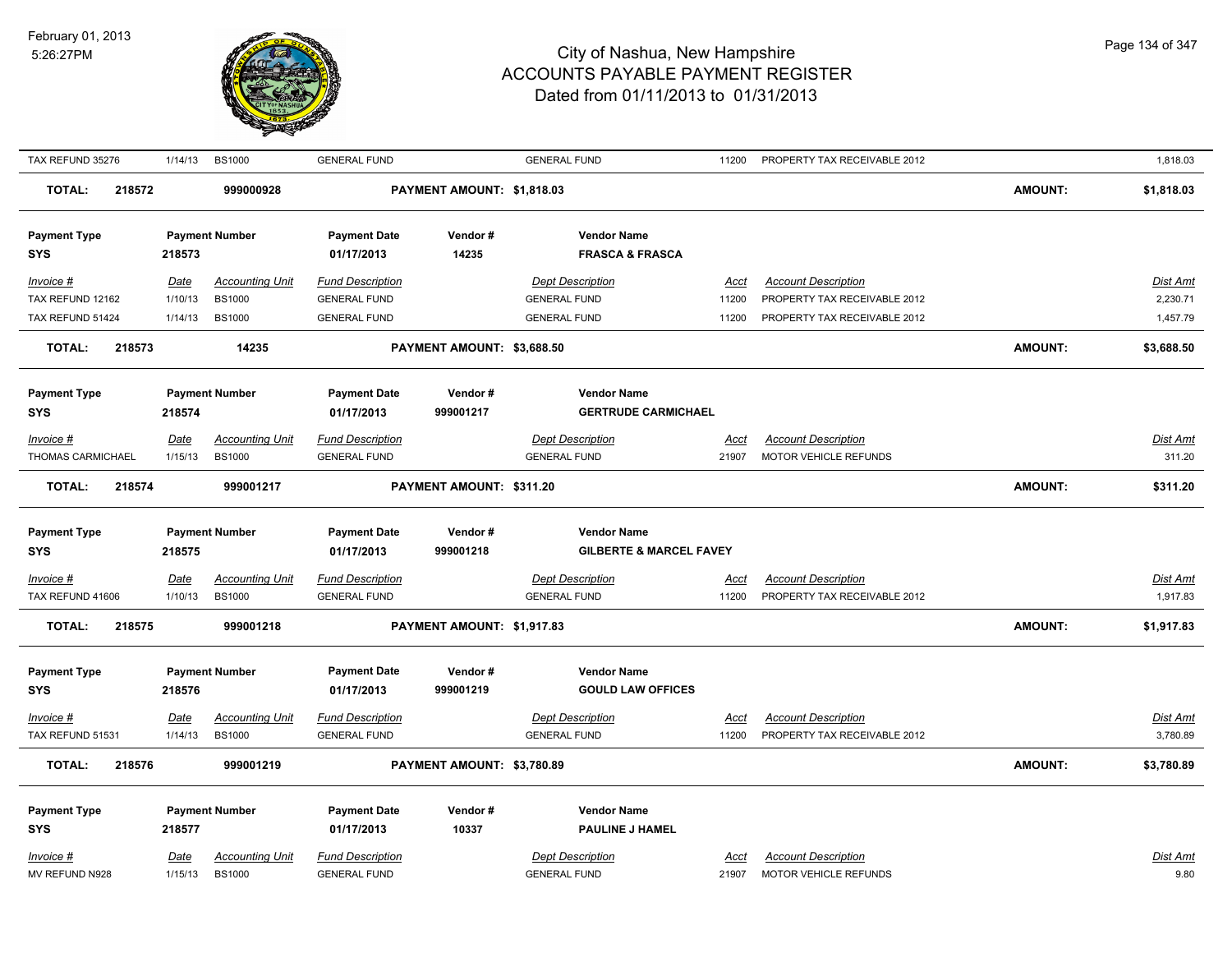

| TAX REFUND 35276                  | 1/14/13                | <b>BS1000</b>                           | <b>GENERAL FUND</b>                            |                            | <b>GENERAL FUND</b>                            | 11200                | PROPERTY TAX RECEIVABLE 2012                               |                | 1,818.03                    |
|-----------------------------------|------------------------|-----------------------------------------|------------------------------------------------|----------------------------|------------------------------------------------|----------------------|------------------------------------------------------------|----------------|-----------------------------|
| <b>TOTAL:</b><br>218572           |                        | 999000928                               |                                                | PAYMENT AMOUNT: \$1,818.03 |                                                |                      |                                                            | <b>AMOUNT:</b> | \$1,818.03                  |
| <b>Payment Type</b>               |                        | <b>Payment Number</b>                   | <b>Payment Date</b>                            | Vendor#                    | <b>Vendor Name</b>                             |                      |                                                            |                |                             |
| <b>SYS</b>                        | 218573                 |                                         | 01/17/2013                                     | 14235                      | <b>FRASCA &amp; FRASCA</b>                     |                      |                                                            |                |                             |
| $Invoice$ #                       | <u>Date</u>            | <b>Accounting Unit</b>                  | <b>Fund Description</b>                        |                            | <b>Dept Description</b>                        | Acct                 | <b>Account Description</b>                                 |                | Dist Amt                    |
| TAX REFUND 12162                  | 1/10/13                | <b>BS1000</b>                           | <b>GENERAL FUND</b>                            |                            | <b>GENERAL FUND</b>                            | 11200                | PROPERTY TAX RECEIVABLE 2012                               |                | 2,230.71                    |
| TAX REFUND 51424                  | 1/14/13                | <b>BS1000</b>                           | <b>GENERAL FUND</b>                            |                            | <b>GENERAL FUND</b>                            | 11200                | PROPERTY TAX RECEIVABLE 2012                               |                | 1,457.79                    |
| <b>TOTAL:</b><br>218573           |                        | 14235                                   |                                                | PAYMENT AMOUNT: \$3,688.50 |                                                |                      |                                                            | <b>AMOUNT:</b> | \$3,688.50                  |
| <b>Payment Type</b>               |                        | <b>Payment Number</b>                   | <b>Payment Date</b>                            | Vendor#                    | <b>Vendor Name</b>                             |                      |                                                            |                |                             |
| <b>SYS</b>                        | 218574                 |                                         | 01/17/2013                                     | 999001217                  | <b>GERTRUDE CARMICHAEL</b>                     |                      |                                                            |                |                             |
| Invoice #                         | Date                   | <b>Accounting Unit</b>                  | <b>Fund Description</b>                        |                            | <b>Dept Description</b>                        | Acct                 | <b>Account Description</b>                                 |                | Dist Amt                    |
| THOMAS CARMICHAEL                 | 1/15/13                | <b>BS1000</b>                           | <b>GENERAL FUND</b>                            |                            | <b>GENERAL FUND</b>                            | 21907                | MOTOR VEHICLE REFUNDS                                      |                | 311.20                      |
| <b>TOTAL:</b><br>218574           |                        | 999001217                               |                                                | PAYMENT AMOUNT: \$311.20   |                                                |                      |                                                            | <b>AMOUNT:</b> | \$311.20                    |
| <b>Payment Type</b>               |                        | <b>Payment Number</b>                   | <b>Payment Date</b>                            | Vendor#                    | <b>Vendor Name</b>                             |                      |                                                            |                |                             |
| <b>SYS</b>                        | 218575                 |                                         | 01/17/2013                                     | 999001218                  | <b>GILBERTE &amp; MARCEL FAVEY</b>             |                      |                                                            |                |                             |
|                                   |                        |                                         |                                                |                            |                                                |                      |                                                            |                |                             |
| Invoice #<br>TAX REFUND 41606     | <b>Date</b><br>1/10/13 | <b>Accounting Unit</b><br><b>BS1000</b> | <b>Fund Description</b><br><b>GENERAL FUND</b> |                            | <b>Dept Description</b><br><b>GENERAL FUND</b> | <u>Acct</u><br>11200 | <b>Account Description</b><br>PROPERTY TAX RECEIVABLE 2012 |                | <u>Dist Amt</u><br>1,917.83 |
|                                   |                        |                                         |                                                |                            |                                                |                      |                                                            |                |                             |
| <b>TOTAL:</b><br>218575           |                        | 999001218                               |                                                | PAYMENT AMOUNT: \$1,917.83 |                                                |                      |                                                            | <b>AMOUNT:</b> | \$1,917.83                  |
|                                   |                        | <b>Payment Number</b>                   | <b>Payment Date</b>                            | Vendor#                    | <b>Vendor Name</b>                             |                      |                                                            |                |                             |
| <b>Payment Type</b><br><b>SYS</b> | 218576                 |                                         | 01/17/2013                                     | 999001219                  | <b>GOULD LAW OFFICES</b>                       |                      |                                                            |                |                             |
|                                   |                        |                                         |                                                |                            |                                                |                      |                                                            |                |                             |
| $Invoice$ #<br>TAX REFUND 51531   | Date<br>1/14/13        | <b>Accounting Unit</b>                  | <b>Fund Description</b>                        |                            | <b>Dept Description</b>                        | <u>Acct</u><br>11200 | <b>Account Description</b><br>PROPERTY TAX RECEIVABLE 2012 |                | <b>Dist Amt</b><br>3,780.89 |
|                                   |                        | <b>BS1000</b>                           | <b>GENERAL FUND</b>                            |                            | <b>GENERAL FUND</b>                            |                      |                                                            |                |                             |
| <b>TOTAL:</b><br>218576           |                        | 999001219                               |                                                | PAYMENT AMOUNT: \$3,780.89 |                                                |                      |                                                            | <b>AMOUNT:</b> | \$3,780.89                  |
|                                   |                        |                                         |                                                |                            |                                                |                      |                                                            |                |                             |
| <b>Payment Type</b>               |                        | <b>Payment Number</b>                   | <b>Payment Date</b>                            | Vendor#                    | <b>Vendor Name</b>                             |                      |                                                            |                |                             |
| <b>SYS</b>                        | 218577                 |                                         | 01/17/2013                                     | 10337                      | <b>PAULINE J HAMEL</b>                         |                      |                                                            |                |                             |
| Invoice #                         | <u>Date</u>            | <b>Accounting Unit</b>                  | <b>Fund Description</b>                        |                            | <b>Dept Description</b>                        | Acct                 | <b>Account Description</b>                                 |                | <b>Dist Amt</b>             |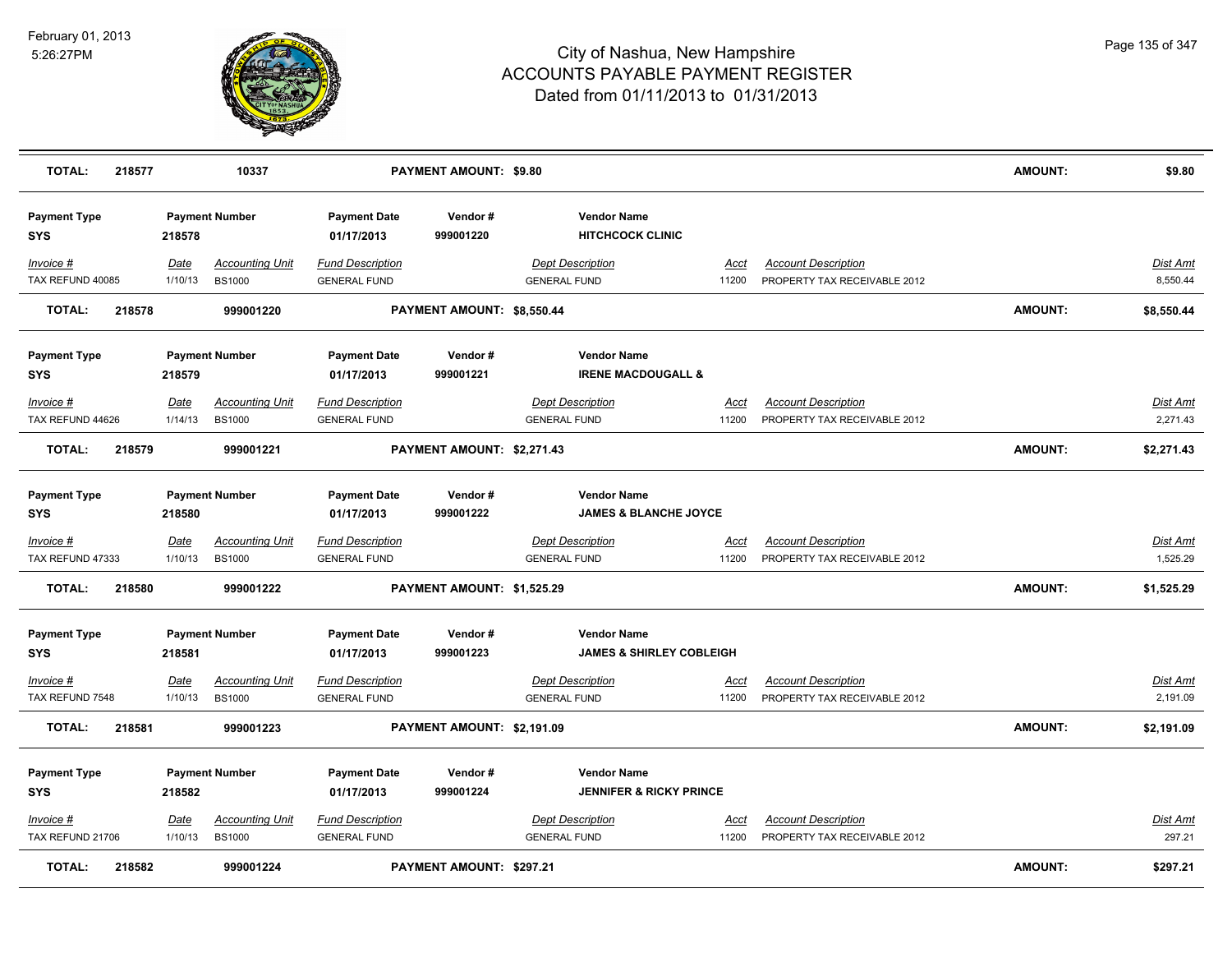

| <b>TOTAL:</b>                     | 218577 |                        | 10337                                   |                                                | PAYMENT AMOUNT: \$9.80          |                                                |                                     |                                                            | <b>AMOUNT:</b> | \$9.80                      |
|-----------------------------------|--------|------------------------|-----------------------------------------|------------------------------------------------|---------------------------------|------------------------------------------------|-------------------------------------|------------------------------------------------------------|----------------|-----------------------------|
| <b>Payment Type</b><br><b>SYS</b> |        | 218578                 | <b>Payment Number</b>                   | <b>Payment Date</b><br>01/17/2013              | Vendor#<br>999001220            | <b>Vendor Name</b>                             | <b>HITCHCOCK CLINIC</b>             |                                                            |                |                             |
| Invoice #<br>TAX REFUND 40085     |        | Date<br>1/10/13        | <b>Accounting Unit</b><br><b>BS1000</b> | <b>Fund Description</b><br><b>GENERAL FUND</b> |                                 | <b>Dept Description</b><br><b>GENERAL FUND</b> | Accl<br>11200                       | <b>Account Description</b><br>PROPERTY TAX RECEIVABLE 2012 |                | <b>Dist Amt</b><br>8,550.44 |
| <b>TOTAL:</b>                     | 218578 |                        | 999001220                               |                                                | PAYMENT AMOUNT: \$8,550.44      |                                                |                                     |                                                            | <b>AMOUNT:</b> | \$8,550.44                  |
| <b>Payment Type</b><br><b>SYS</b> |        | 218579                 | <b>Payment Number</b>                   | <b>Payment Date</b><br>01/17/2013              | Vendor#<br>999001221            | <b>Vendor Name</b>                             | <b>IRENE MACDOUGALL &amp;</b>       |                                                            |                |                             |
| Invoice #<br>TAX REFUND 44626     |        | Date<br>1/14/13        | <b>Accounting Unit</b><br><b>BS1000</b> | <b>Fund Description</b><br><b>GENERAL FUND</b> |                                 | <b>Dept Description</b><br><b>GENERAL FUND</b> | Acct<br>11200                       | <b>Account Description</b><br>PROPERTY TAX RECEIVABLE 2012 |                | Dist Amt<br>2,271.43        |
| <b>TOTAL:</b>                     | 218579 |                        | 999001221                               |                                                | PAYMENT AMOUNT: \$2,271.43      |                                                |                                     |                                                            | <b>AMOUNT:</b> | \$2,271.43                  |
| <b>Payment Type</b><br><b>SYS</b> |        | 218580                 | <b>Payment Number</b>                   | <b>Payment Date</b><br>01/17/2013              | Vendor#<br>999001222            | <b>Vendor Name</b>                             | <b>JAMES &amp; BLANCHE JOYCE</b>    |                                                            |                |                             |
| Invoice #<br>TAX REFUND 47333     |        | <u>Date</u><br>1/10/13 | <u>Accounting Unit</u><br><b>BS1000</b> | <b>Fund Description</b><br><b>GENERAL FUND</b> |                                 | <b>Dept Description</b><br><b>GENERAL FUND</b> | <u>Acci</u><br>11200                | <b>Account Description</b><br>PROPERTY TAX RECEIVABLE 2012 |                | <u>Dist Amt</u><br>1,525.29 |
| <b>TOTAL:</b>                     | 218580 |                        | 999001222                               |                                                | PAYMENT AMOUNT: \$1,525.29      |                                                |                                     |                                                            | <b>AMOUNT:</b> | \$1,525.29                  |
| <b>Payment Type</b><br><b>SYS</b> |        | 218581                 | <b>Payment Number</b>                   | <b>Payment Date</b><br>01/17/2013              | Vendor#<br>999001223            | <b>Vendor Name</b>                             | <b>JAMES &amp; SHIRLEY COBLEIGH</b> |                                                            |                |                             |
| $Invoice$ #<br>TAX REFUND 7548    |        | Date<br>1/10/13        | <b>Accounting Unit</b><br><b>BS1000</b> | <b>Fund Description</b><br><b>GENERAL FUND</b> |                                 | <b>Dept Description</b><br><b>GENERAL FUND</b> | <u>Acct</u><br>11200                | <b>Account Description</b><br>PROPERTY TAX RECEIVABLE 2012 |                | Dist Amt<br>2,191.09        |
| TOTAL:                            | 218581 |                        | 999001223                               |                                                | PAYMENT AMOUNT: \$2,191.09      |                                                |                                     |                                                            | <b>AMOUNT:</b> | \$2,191.09                  |
| <b>Payment Type</b><br><b>SYS</b> |        | 218582                 | <b>Payment Number</b>                   | <b>Payment Date</b><br>01/17/2013              | Vendor#<br>999001224            | <b>Vendor Name</b>                             | <b>JENNIFER &amp; RICKY PRINCE</b>  |                                                            |                |                             |
| Invoice #<br>TAX REFUND 21706     |        | <u>Date</u><br>1/10/13 | <b>Accounting Unit</b><br><b>BS1000</b> | <b>Fund Description</b><br><b>GENERAL FUND</b> |                                 | <b>Dept Description</b><br><b>GENERAL FUND</b> | <u>Acct</u><br>11200                | <b>Account Description</b><br>PROPERTY TAX RECEIVABLE 2012 |                | Dist Amt<br>297.21          |
| <b>TOTAL:</b>                     | 218582 |                        | 999001224                               |                                                | <b>PAYMENT AMOUNT: \$297.21</b> |                                                |                                     |                                                            | AMOUNT:        | \$297.21                    |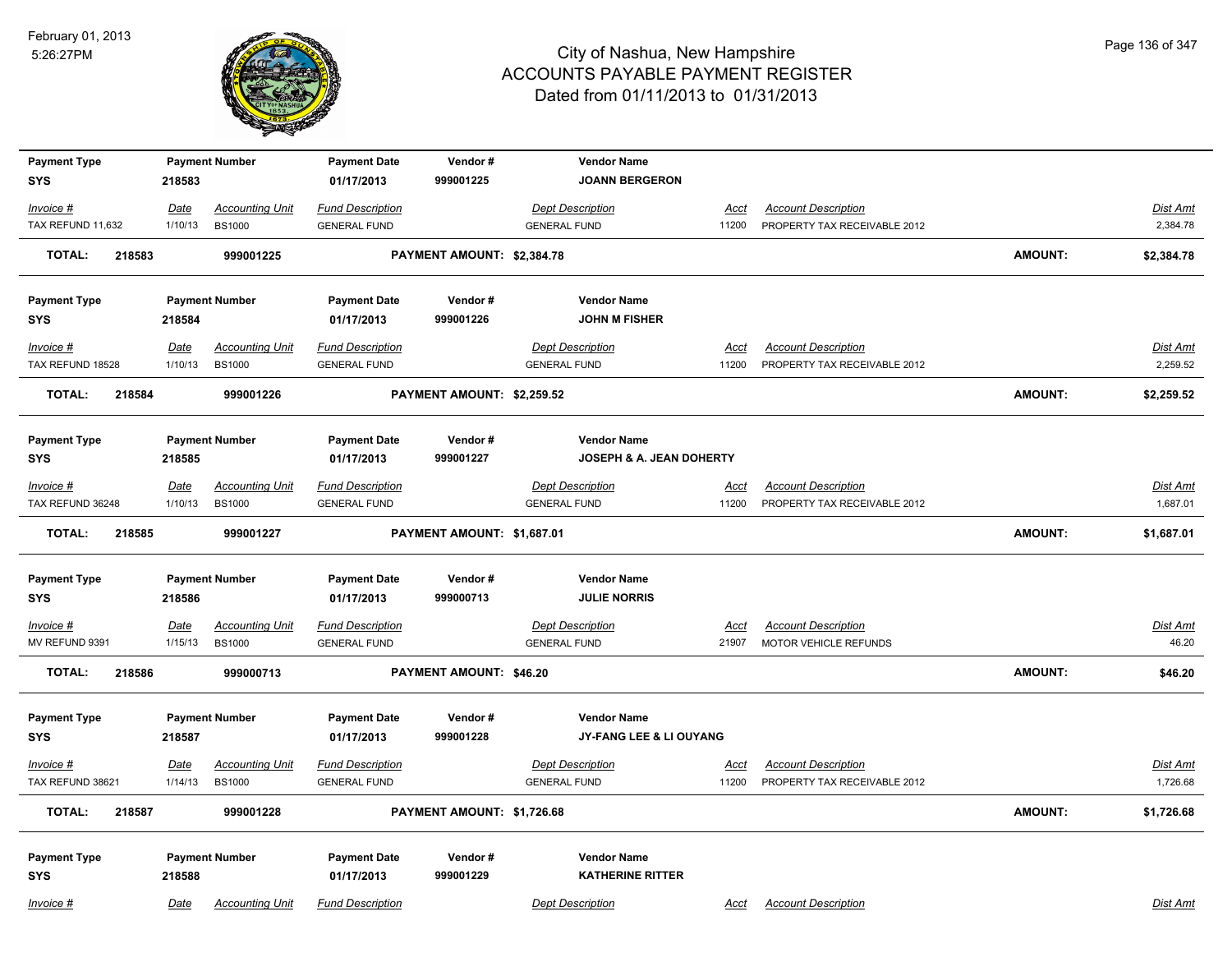

| <b>Payment Type</b>               |             | <b>Payment Number</b>  | <b>Payment Date</b>               | Vendor#                    | <b>Vendor Name</b>                  |             |                              |                |                 |
|-----------------------------------|-------------|------------------------|-----------------------------------|----------------------------|-------------------------------------|-------------|------------------------------|----------------|-----------------|
| <b>SYS</b>                        | 218583      |                        | 01/17/2013                        | 999001225                  | <b>JOANN BERGERON</b>               |             |                              |                |                 |
| Invoice #                         | <u>Date</u> | <b>Accounting Unit</b> | <b>Fund Description</b>           |                            | <b>Dept Description</b>             | <u>Acct</u> | <b>Account Description</b>   |                | Dist Amt        |
| TAX REFUND 11,632                 | 1/10/13     | <b>BS1000</b>          | <b>GENERAL FUND</b>               |                            | <b>GENERAL FUND</b>                 | 11200       | PROPERTY TAX RECEIVABLE 2012 |                | 2,384.78        |
| TOTAL:<br>218583                  |             | 999001225              |                                   | PAYMENT AMOUNT: \$2,384.78 |                                     |             |                              | <b>AMOUNT:</b> | \$2,384.78      |
| <b>Payment Type</b>               |             | <b>Payment Number</b>  | <b>Payment Date</b>               | Vendor#                    | <b>Vendor Name</b>                  |             |                              |                |                 |
| SYS                               | 218584      |                        | 01/17/2013                        | 999001226                  | <b>JOHN M FISHER</b>                |             |                              |                |                 |
| Invoice #                         | Date        | <b>Accounting Unit</b> | <b>Fund Description</b>           |                            | <b>Dept Description</b>             | <b>Acct</b> | <b>Account Description</b>   |                | Dist Amt        |
| TAX REFUND 18528                  | 1/10/13     | <b>BS1000</b>          | <b>GENERAL FUND</b>               |                            | <b>GENERAL FUND</b>                 | 11200       | PROPERTY TAX RECEIVABLE 2012 |                | 2,259.52        |
| 218584<br>TOTAL:                  |             | 999001226              |                                   | PAYMENT AMOUNT: \$2,259.52 |                                     |             |                              | <b>AMOUNT:</b> | \$2,259.52      |
| <b>Payment Type</b>               |             | <b>Payment Number</b>  | <b>Payment Date</b>               | Vendor#                    | <b>Vendor Name</b>                  |             |                              |                |                 |
| <b>SYS</b>                        | 218585      |                        | 01/17/2013                        | 999001227                  | <b>JOSEPH &amp; A. JEAN DOHERTY</b> |             |                              |                |                 |
| Invoice #                         | Date        | <b>Accounting Unit</b> | <b>Fund Description</b>           |                            | <b>Dept Description</b>             | <u>Acct</u> | <b>Account Description</b>   |                | <u>Dist Amt</u> |
| TAX REFUND 36248                  | 1/10/13     | <b>BS1000</b>          | <b>GENERAL FUND</b>               |                            | <b>GENERAL FUND</b>                 | 11200       | PROPERTY TAX RECEIVABLE 2012 |                | 1,687.01        |
| <b>TOTAL:</b><br>218585           |             | 999001227              |                                   | PAYMENT AMOUNT: \$1,687.01 |                                     |             |                              | <b>AMOUNT:</b> | \$1,687.01      |
| <b>Payment Type</b>               |             | <b>Payment Number</b>  | <b>Payment Date</b>               | Vendor#                    | <b>Vendor Name</b>                  |             |                              |                |                 |
| <b>SYS</b>                        | 218586      |                        | 01/17/2013                        | 999000713                  | <b>JULIE NORRIS</b>                 |             |                              |                |                 |
| Invoice #                         | <b>Date</b> | <b>Accounting Unit</b> | <b>Fund Description</b>           |                            | <b>Dept Description</b>             | <u>Acct</u> | <b>Account Description</b>   |                | <b>Dist Amt</b> |
| MV REFUND 9391                    | 1/15/13     | <b>BS1000</b>          | <b>GENERAL FUND</b>               |                            | <b>GENERAL FUND</b>                 | 21907       | <b>MOTOR VEHICLE REFUNDS</b> |                | 46.20           |
| <b>TOTAL:</b><br>218586           |             | 999000713              |                                   | PAYMENT AMOUNT: \$46.20    |                                     |             |                              | <b>AMOUNT:</b> | \$46.20         |
| <b>Payment Type</b>               |             | <b>Payment Number</b>  | <b>Payment Date</b>               | Vendor#                    | <b>Vendor Name</b>                  |             |                              |                |                 |
| <b>SYS</b>                        | 218587      |                        | 01/17/2013                        | 999001228                  | JY-FANG LEE & LI OUYANG             |             |                              |                |                 |
| Invoice #                         | Date        | <b>Accounting Unit</b> | <b>Fund Description</b>           |                            | <b>Dept Description</b>             | Acct        | <b>Account Description</b>   |                | <b>Dist Amt</b> |
| TAX REFUND 38621                  | 1/14/13     | <b>BS1000</b>          | <b>GENERAL FUND</b>               |                            | <b>GENERAL FUND</b>                 | 11200       | PROPERTY TAX RECEIVABLE 2012 |                | 1,726.68        |
| <b>TOTAL:</b><br>218587           |             | 999001228              |                                   | PAYMENT AMOUNT: \$1,726.68 |                                     |             |                              | <b>AMOUNT:</b> | \$1,726.68      |
|                                   |             |                        |                                   |                            | <b>Vendor Name</b>                  |             |                              |                |                 |
| <b>Payment Type</b><br><b>SYS</b> | 218588      | <b>Payment Number</b>  | <b>Payment Date</b><br>01/17/2013 | Vendor#<br>999001229       | <b>KATHERINE RITTER</b>             |             |                              |                |                 |
| Invoice #                         | Date        | <b>Accounting Unit</b> | <b>Fund Description</b>           |                            | <b>Dept Description</b>             | Acct        | <b>Account Description</b>   |                | Dist Amt        |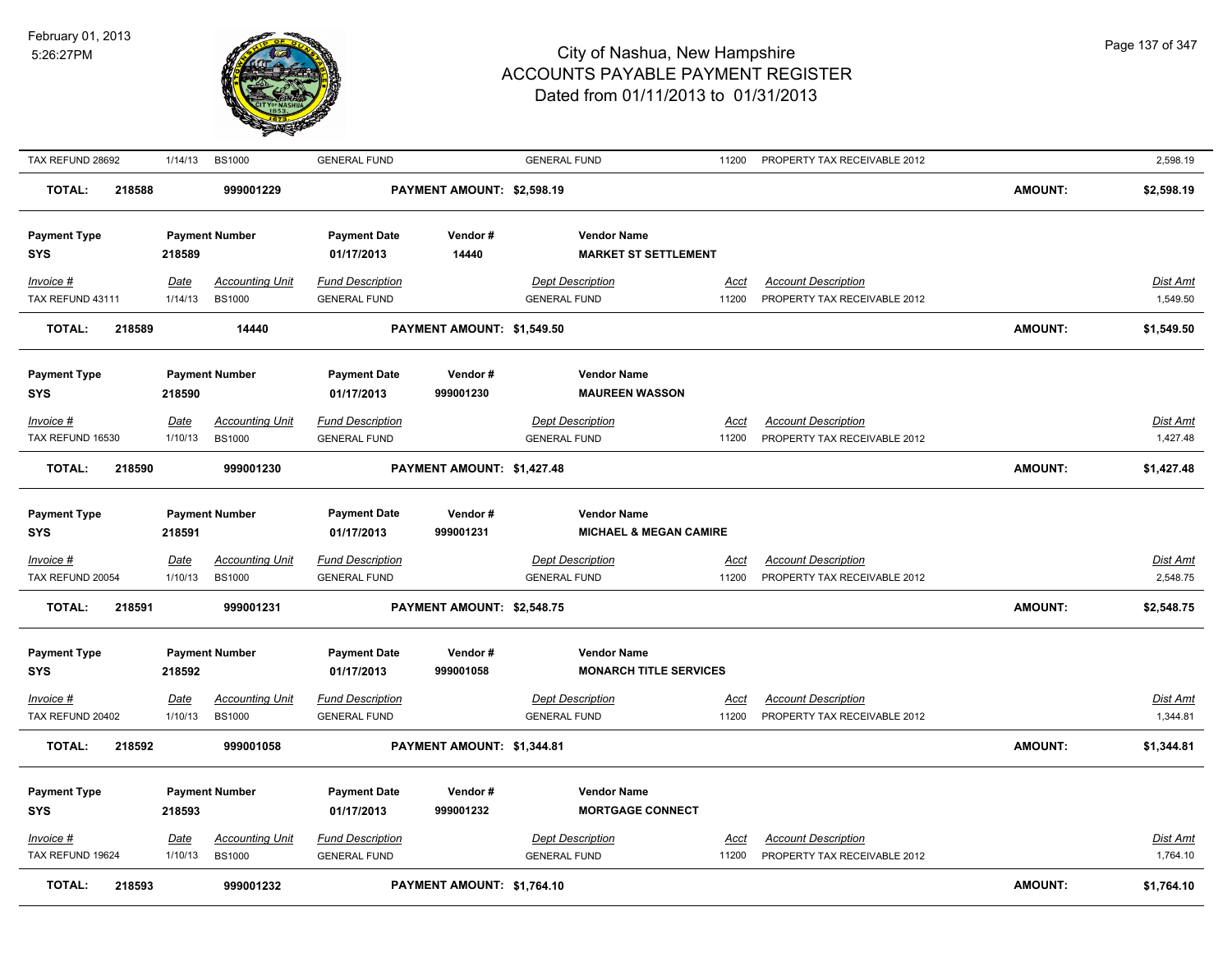

| TAX REFUND 28692                  | 1/14/13                | <b>BS1000</b>                           | <b>GENERAL FUND</b>                            |                            | <b>GENERAL FUND</b>                                 | 11200                | PROPERTY TAX RECEIVABLE 2012                               |                | 2,598.19                    |
|-----------------------------------|------------------------|-----------------------------------------|------------------------------------------------|----------------------------|-----------------------------------------------------|----------------------|------------------------------------------------------------|----------------|-----------------------------|
| <b>TOTAL:</b><br>218588           |                        | 999001229                               |                                                | PAYMENT AMOUNT: \$2,598.19 |                                                     |                      |                                                            | <b>AMOUNT:</b> | \$2,598.19                  |
| <b>Payment Type</b><br><b>SYS</b> | 218589                 | <b>Payment Number</b>                   | <b>Payment Date</b><br>01/17/2013              | Vendor #<br>14440          | <b>Vendor Name</b><br><b>MARKET ST SETTLEMENT</b>   |                      |                                                            |                |                             |
| $Invoice$ #<br>TAX REFUND 43111   | <b>Date</b><br>1/14/13 | <b>Accounting Unit</b><br><b>BS1000</b> | <b>Fund Description</b><br><b>GENERAL FUND</b> |                            | <b>Dept Description</b><br><b>GENERAL FUND</b>      | <u>Acct</u><br>11200 | <b>Account Description</b><br>PROPERTY TAX RECEIVABLE 2012 |                | <b>Dist Amt</b><br>1,549.50 |
| <b>TOTAL:</b><br>218589           |                        | 14440                                   |                                                | PAYMENT AMOUNT: \$1,549.50 |                                                     |                      |                                                            | <b>AMOUNT:</b> | \$1,549.50                  |
| <b>Payment Type</b><br><b>SYS</b> | 218590                 | <b>Payment Number</b>                   | <b>Payment Date</b><br>01/17/2013              | Vendor#<br>999001230       | <b>Vendor Name</b><br><b>MAUREEN WASSON</b>         |                      |                                                            |                |                             |
| $Invoice$ #                       | <b>Date</b>            | <b>Accounting Unit</b>                  | <b>Fund Description</b>                        |                            | <b>Dept Description</b>                             | Acct                 | <b>Account Description</b>                                 |                | <b>Dist Amt</b>             |
| TAX REFUND 16530                  | 1/10/13                | <b>BS1000</b>                           | <b>GENERAL FUND</b>                            |                            | <b>GENERAL FUND</b>                                 | 11200                | PROPERTY TAX RECEIVABLE 2012                               |                | 1,427.48                    |
| <b>TOTAL:</b><br>218590           |                        | 999001230                               |                                                | PAYMENT AMOUNT: \$1,427.48 |                                                     |                      |                                                            | <b>AMOUNT:</b> | \$1,427.48                  |
| <b>Payment Type</b>               |                        | <b>Payment Number</b>                   | <b>Payment Date</b>                            | Vendor#                    | <b>Vendor Name</b>                                  |                      |                                                            |                |                             |
| <b>SYS</b>                        | 218591                 |                                         | 01/17/2013                                     | 999001231                  | <b>MICHAEL &amp; MEGAN CAMIRE</b>                   |                      |                                                            |                |                             |
| $Invoice$ #                       | Date                   | <b>Accounting Unit</b>                  | <b>Fund Description</b>                        |                            | <b>Dept Description</b>                             | Acct                 | <b>Account Description</b>                                 |                | Dist Amt                    |
| TAX REFUND 20054                  | 1/10/13                | <b>BS1000</b>                           | <b>GENERAL FUND</b>                            |                            | <b>GENERAL FUND</b>                                 | 11200                | PROPERTY TAX RECEIVABLE 2012                               |                | 2,548.75                    |
| 218591<br><b>TOTAL:</b>           |                        | 999001231                               |                                                | PAYMENT AMOUNT: \$2,548.75 |                                                     |                      |                                                            | <b>AMOUNT:</b> | \$2,548.75                  |
| <b>Payment Type</b><br><b>SYS</b> | 218592                 | <b>Payment Number</b>                   | <b>Payment Date</b><br>01/17/2013              | Vendor#<br>999001058       | <b>Vendor Name</b><br><b>MONARCH TITLE SERVICES</b> |                      |                                                            |                |                             |
| $Invoice$ #                       | <u>Date</u>            | <b>Accounting Unit</b>                  | <b>Fund Description</b>                        |                            | <b>Dept Description</b>                             | <b>Acct</b>          | <b>Account Description</b>                                 |                | Dist Amt                    |
| TAX REFUND 20402                  | 1/10/13                | <b>BS1000</b>                           | <b>GENERAL FUND</b>                            |                            | <b>GENERAL FUND</b>                                 | 11200                | PROPERTY TAX RECEIVABLE 2012                               |                | 1,344.81                    |
| <b>TOTAL:</b><br>218592           |                        | 999001058                               |                                                | PAYMENT AMOUNT: \$1,344.81 |                                                     |                      |                                                            | <b>AMOUNT:</b> | \$1,344.81                  |
| <b>Payment Type</b><br><b>SYS</b> | 218593                 | <b>Payment Number</b>                   | <b>Payment Date</b><br>01/17/2013              | Vendor#<br>999001232       | <b>Vendor Name</b><br><b>MORTGAGE CONNECT</b>       |                      |                                                            |                |                             |
| $Invoice$ #<br>TAX REFUND 19624   | <u>Date</u><br>1/10/13 | <b>Accounting Unit</b><br><b>BS1000</b> | <b>Fund Description</b><br><b>GENERAL FUND</b> |                            | <b>Dept Description</b><br><b>GENERAL FUND</b>      | Acct<br>11200        | <b>Account Description</b><br>PROPERTY TAX RECEIVABLE 2012 |                | Dist Amt<br>1,764.10        |
| <b>TOTAL:</b><br>218593           |                        | 999001232                               |                                                | PAYMENT AMOUNT: \$1,764.10 |                                                     |                      |                                                            | <b>AMOUNT:</b> | \$1,764.10                  |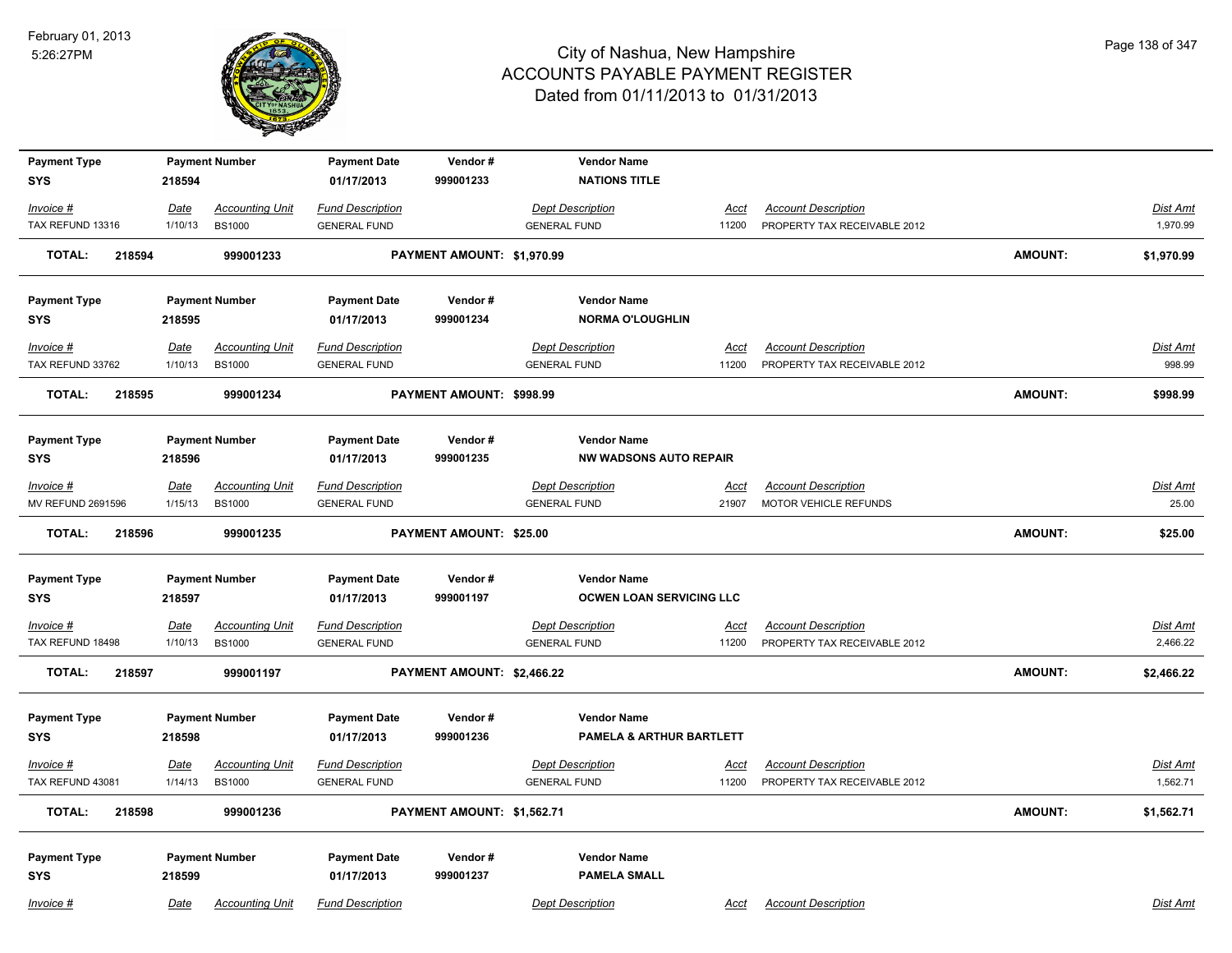

| <b>Payment Type</b>               |             | <b>Payment Number</b>  | <b>Payment Date</b>     | Vendor#                    | <b>Vendor Name</b>              |             |                              |                |                 |
|-----------------------------------|-------------|------------------------|-------------------------|----------------------------|---------------------------------|-------------|------------------------------|----------------|-----------------|
| <b>SYS</b>                        | 218594      |                        | 01/17/2013              | 999001233                  | <b>NATIONS TITLE</b>            |             |                              |                |                 |
| Invoice #                         | Date        | <b>Accounting Unit</b> | <b>Fund Description</b> |                            | <b>Dept Description</b>         | Acct        | <b>Account Description</b>   |                | Dist Amt        |
| TAX REFUND 13316                  | 1/10/13     | <b>BS1000</b>          | <b>GENERAL FUND</b>     |                            | <b>GENERAL FUND</b>             | 11200       | PROPERTY TAX RECEIVABLE 2012 |                | 1,970.99        |
| <b>TOTAL:</b><br>218594           |             | 999001233              |                         | PAYMENT AMOUNT: \$1,970.99 |                                 |             |                              | <b>AMOUNT:</b> | \$1,970.99      |
| <b>Payment Type</b>               |             | <b>Payment Number</b>  | <b>Payment Date</b>     | Vendor#                    | <b>Vendor Name</b>              |             |                              |                |                 |
| <b>SYS</b>                        | 218595      |                        | 01/17/2013              | 999001234                  | <b>NORMA O'LOUGHLIN</b>         |             |                              |                |                 |
| Invoice #                         | <u>Date</u> | <b>Accounting Unit</b> | <b>Fund Description</b> |                            | <b>Dept Description</b>         | Acct        | <b>Account Description</b>   |                | <b>Dist Amt</b> |
| TAX REFUND 33762                  | 1/10/13     | <b>BS1000</b>          | <b>GENERAL FUND</b>     |                            | <b>GENERAL FUND</b>             | 11200       | PROPERTY TAX RECEIVABLE 2012 |                | 998.99          |
| <b>TOTAL:</b><br>218595           |             | 999001234              |                         | PAYMENT AMOUNT: \$998.99   |                                 |             |                              | <b>AMOUNT:</b> | \$998.99        |
| <b>Payment Type</b>               |             | <b>Payment Number</b>  | <b>Payment Date</b>     | Vendor#                    | <b>Vendor Name</b>              |             |                              |                |                 |
| <b>SYS</b>                        | 218596      |                        | 01/17/2013              | 999001235                  | <b>NW WADSONS AUTO REPAIR</b>   |             |                              |                |                 |
| $Invoice$ #                       | Date        | <b>Accounting Unit</b> | <b>Fund Description</b> |                            | <b>Dept Description</b>         | Acct        | <b>Account Description</b>   |                | Dist Amt        |
| MV REFUND 2691596                 | 1/15/13     | <b>BS1000</b>          | <b>GENERAL FUND</b>     |                            | <b>GENERAL FUND</b>             | 21907       | MOTOR VEHICLE REFUNDS        |                | 25.00           |
| <b>TOTAL:</b><br>218596           |             | 999001235              |                         | PAYMENT AMOUNT: \$25.00    |                                 |             |                              | <b>AMOUNT:</b> | \$25.00         |
| <b>Payment Type</b>               |             | <b>Payment Number</b>  | <b>Payment Date</b>     | Vendor#                    | <b>Vendor Name</b>              |             |                              |                |                 |
| <b>SYS</b>                        | 218597      |                        | 01/17/2013              | 999001197                  | <b>OCWEN LOAN SERVICING LLC</b> |             |                              |                |                 |
| <u>Invoice #</u>                  | <b>Date</b> | <b>Accounting Unit</b> | <b>Fund Description</b> |                            | <b>Dept Description</b>         | <u>Acct</u> | <b>Account Description</b>   |                | <u>Dist Amt</u> |
| TAX REFUND 18498                  | 1/10/13     | <b>BS1000</b>          | <b>GENERAL FUND</b>     |                            | <b>GENERAL FUND</b>             | 11200       | PROPERTY TAX RECEIVABLE 2012 |                | 2,466.22        |
| <b>TOTAL:</b><br>218597           |             | 999001197              |                         | PAYMENT AMOUNT: \$2,466.22 |                                 |             |                              | <b>AMOUNT:</b> | \$2,466.22      |
| <b>Payment Type</b>               |             | <b>Payment Number</b>  | <b>Payment Date</b>     | Vendor#                    | <b>Vendor Name</b>              |             |                              |                |                 |
| <b>SYS</b>                        | 218598      |                        | 01/17/2013              | 999001236                  | PAMELA & ARTHUR BARTLETT        |             |                              |                |                 |
| Invoice #                         | <u>Date</u> | <b>Accounting Unit</b> | <b>Fund Description</b> |                            | <b>Dept Description</b>         | <u>Acct</u> | <b>Account Description</b>   |                | Dist Amt        |
| TAX REFUND 43081                  | 1/14/13     | <b>BS1000</b>          | <b>GENERAL FUND</b>     |                            | <b>GENERAL FUND</b>             | 11200       | PROPERTY TAX RECEIVABLE 2012 |                | 1,562.71        |
| <b>TOTAL:</b><br>218598           |             | 999001236              |                         | PAYMENT AMOUNT: \$1,562.71 |                                 |             |                              | <b>AMOUNT:</b> | \$1,562.71      |
|                                   |             | <b>Payment Number</b>  | <b>Payment Date</b>     | Vendor#                    | <b>Vendor Name</b>              |             |                              |                |                 |
| <b>Payment Type</b><br><b>SYS</b> | 218599      |                        | 01/17/2013              | 999001237                  | <b>PAMELA SMALL</b>             |             |                              |                |                 |
| Invoice #                         | Date        | <b>Accounting Unit</b> | <b>Fund Description</b> |                            | <b>Dept Description</b>         | Acct        | <b>Account Description</b>   |                | Dist Amt        |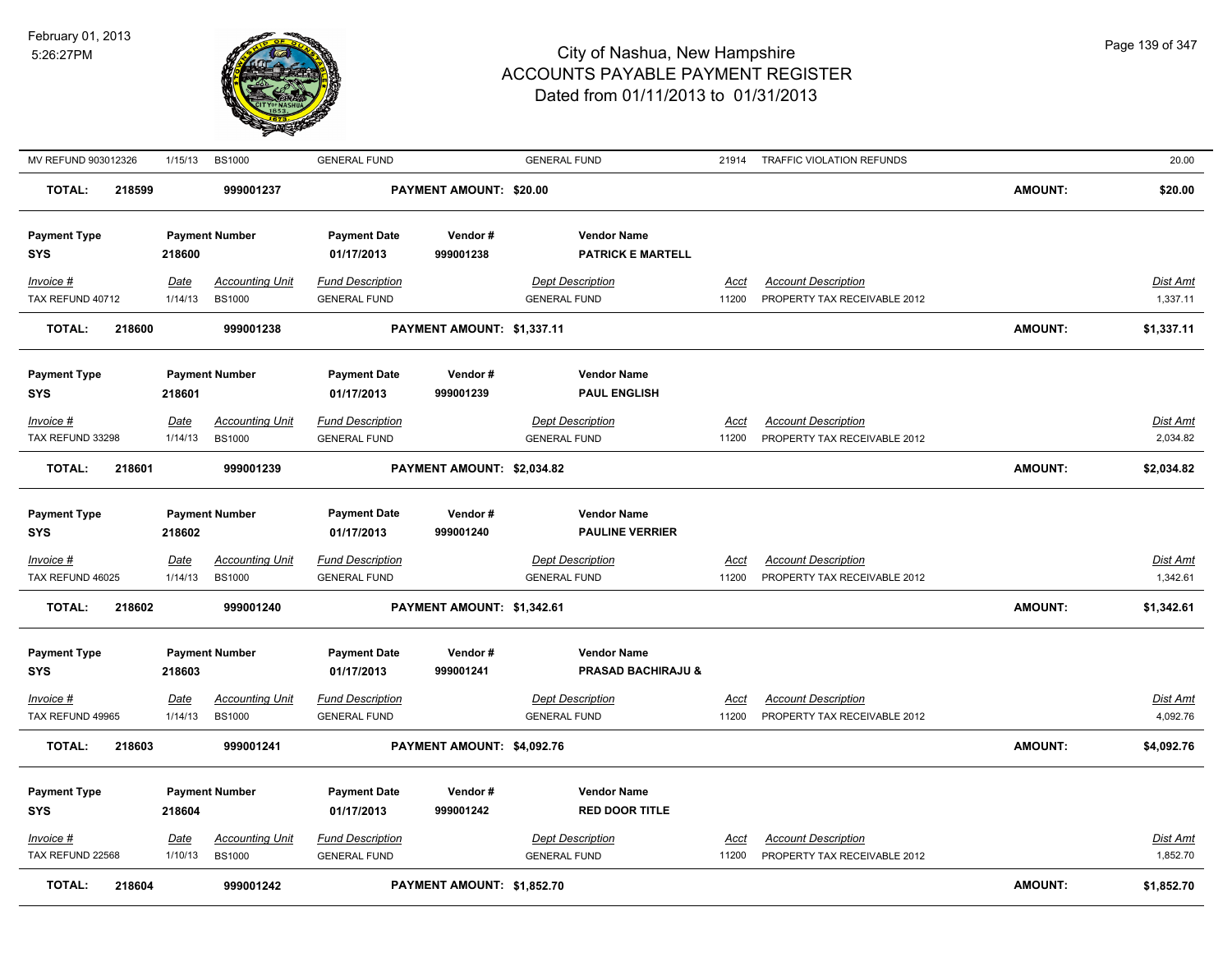

| MV REFUND 903012326               | 1/15/13                | <b>BS1000</b>                           | <b>GENERAL FUND</b>                            |                            | <b>GENERAL FUND</b>                                 | 21914                | TRAFFIC VIOLATION REFUNDS                                  |                | 20.00                       |
|-----------------------------------|------------------------|-----------------------------------------|------------------------------------------------|----------------------------|-----------------------------------------------------|----------------------|------------------------------------------------------------|----------------|-----------------------------|
| 218599<br><b>TOTAL:</b>           |                        | 999001237                               |                                                | PAYMENT AMOUNT: \$20.00    |                                                     |                      |                                                            | <b>AMOUNT:</b> | \$20.00                     |
| <b>Payment Type</b><br><b>SYS</b> | 218600                 | <b>Payment Number</b>                   | <b>Payment Date</b><br>01/17/2013              | Vendor#<br>999001238       | <b>Vendor Name</b><br><b>PATRICK E MARTELL</b>      |                      |                                                            |                |                             |
| Invoice #<br>TAX REFUND 40712     | Date<br>1/14/13        | <b>Accounting Unit</b><br><b>BS1000</b> | <b>Fund Description</b><br><b>GENERAL FUND</b> |                            | <b>Dept Description</b><br><b>GENERAL FUND</b>      | Acct<br>11200        | <b>Account Description</b><br>PROPERTY TAX RECEIVABLE 2012 |                | Dist Amt<br>1,337.11        |
| <b>TOTAL:</b><br>218600           |                        | 999001238                               |                                                | PAYMENT AMOUNT: \$1,337.11 |                                                     |                      |                                                            | <b>AMOUNT:</b> | \$1,337.11                  |
| <b>Payment Type</b><br><b>SYS</b> | 218601                 | <b>Payment Number</b>                   | <b>Payment Date</b><br>01/17/2013              | Vendor#<br>999001239       | <b>Vendor Name</b><br><b>PAUL ENGLISH</b>           |                      |                                                            |                |                             |
| Invoice #                         | <u>Date</u>            | <b>Accounting Unit</b>                  | <b>Fund Description</b>                        |                            | <b>Dept Description</b>                             | <u>Acct</u>          | <b>Account Description</b>                                 |                | <u>Dist Amt</u>             |
| TAX REFUND 33298                  | 1/14/13                | <b>BS1000</b>                           | <b>GENERAL FUND</b>                            |                            | <b>GENERAL FUND</b>                                 | 11200                | PROPERTY TAX RECEIVABLE 2012                               |                | 2,034.82                    |
| <b>TOTAL:</b><br>218601           |                        | 999001239                               |                                                | PAYMENT AMOUNT: \$2,034.82 |                                                     |                      |                                                            | <b>AMOUNT:</b> | \$2,034.82                  |
| <b>Payment Type</b><br><b>SYS</b> | 218602                 | <b>Payment Number</b>                   | <b>Payment Date</b><br>01/17/2013              | Vendor#<br>999001240       | <b>Vendor Name</b><br><b>PAULINE VERRIER</b>        |                      |                                                            |                |                             |
| Invoice #<br>TAX REFUND 46025     | <u>Date</u><br>1/14/13 | <b>Accounting Unit</b><br><b>BS1000</b> | <b>Fund Description</b><br><b>GENERAL FUND</b> |                            | <b>Dept Description</b><br><b>GENERAL FUND</b>      | <u>Acct</u><br>11200 | <b>Account Description</b><br>PROPERTY TAX RECEIVABLE 2012 |                | <u>Dist Amt</u><br>1,342.61 |
| 218602<br><b>TOTAL:</b>           |                        | 999001240                               |                                                | PAYMENT AMOUNT: \$1,342.61 |                                                     |                      |                                                            | <b>AMOUNT:</b> | \$1,342.61                  |
| <b>Payment Type</b><br><b>SYS</b> | 218603                 | <b>Payment Number</b>                   | <b>Payment Date</b><br>01/17/2013              | Vendor#<br>999001241       | <b>Vendor Name</b><br><b>PRASAD BACHIRAJU &amp;</b> |                      |                                                            |                |                             |
| Invoice #                         | Date                   | <b>Accounting Unit</b>                  | <b>Fund Description</b>                        |                            | <b>Dept Description</b>                             | Acct                 | <b>Account Description</b>                                 |                | Dist Amt                    |
| TAX REFUND 49965                  | 1/14/13                | <b>BS1000</b>                           | <b>GENERAL FUND</b>                            |                            | <b>GENERAL FUND</b>                                 | 11200                | PROPERTY TAX RECEIVABLE 2012                               |                | 4,092.76                    |
| <b>TOTAL:</b><br>218603           |                        | 999001241                               |                                                | PAYMENT AMOUNT: \$4,092.76 |                                                     |                      |                                                            | <b>AMOUNT:</b> | \$4,092.76                  |
| <b>Payment Type</b><br><b>SYS</b> | 218604                 | <b>Payment Number</b>                   | <b>Payment Date</b><br>01/17/2013              | Vendor#<br>999001242       | <b>Vendor Name</b><br><b>RED DOOR TITLE</b>         |                      |                                                            |                |                             |
| $Invoice$ #                       | Date                   | <b>Accounting Unit</b>                  | <b>Fund Description</b>                        |                            | <b>Dept Description</b>                             | <u>Acct</u>          | <b>Account Description</b>                                 |                | <u>Dist Amt</u>             |
| TAX REFUND 22568                  | 1/10/13                | <b>BS1000</b>                           | <b>GENERAL FUND</b>                            |                            | <b>GENERAL FUND</b>                                 | 11200                | PROPERTY TAX RECEIVABLE 2012                               |                | 1,852.70                    |
| <b>TOTAL:</b><br>218604           |                        | 999001242                               |                                                | PAYMENT AMOUNT: \$1,852.70 |                                                     |                      |                                                            | <b>AMOUNT:</b> | \$1,852.70                  |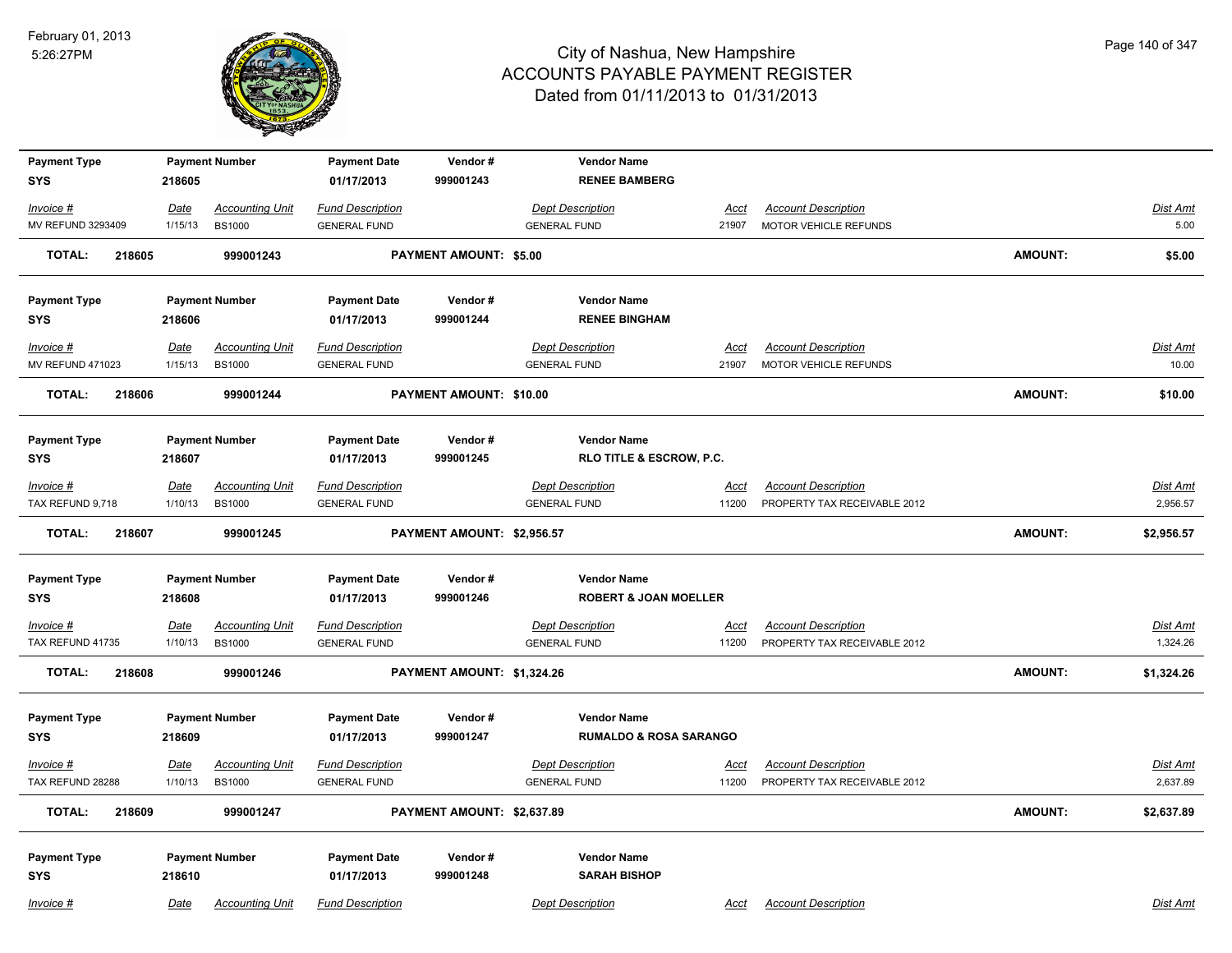

| <b>Payment Type</b>     |             | <b>Payment Number</b>  | <b>Payment Date</b>     | Vendor#                       | <b>Vendor Name</b>                  |             |                              |                |                 |
|-------------------------|-------------|------------------------|-------------------------|-------------------------------|-------------------------------------|-------------|------------------------------|----------------|-----------------|
| <b>SYS</b>              | 218605      |                        | 01/17/2013              | 999001243                     | <b>RENEE BAMBERG</b>                |             |                              |                |                 |
| Invoice #               | Date        | <b>Accounting Unit</b> | <b>Fund Description</b> |                               | <b>Dept Description</b>             | <u>Acct</u> | <b>Account Description</b>   |                | <b>Dist Amt</b> |
| MV REFUND 3293409       | 1/15/13     | <b>BS1000</b>          | <b>GENERAL FUND</b>     |                               | <b>GENERAL FUND</b>                 | 21907       | MOTOR VEHICLE REFUNDS        |                | 5.00            |
| <b>TOTAL:</b><br>218605 |             | 999001243              |                         | <b>PAYMENT AMOUNT: \$5.00</b> |                                     |             |                              | <b>AMOUNT:</b> | \$5.00          |
| <b>Payment Type</b>     |             | <b>Payment Number</b>  | <b>Payment Date</b>     | Vendor#                       | <b>Vendor Name</b>                  |             |                              |                |                 |
| <b>SYS</b>              | 218606      |                        | 01/17/2013              | 999001244                     | <b>RENEE BINGHAM</b>                |             |                              |                |                 |
| Invoice #               | Date        | <b>Accounting Unit</b> | <b>Fund Description</b> |                               | <b>Dept Description</b>             | Acct        | <b>Account Description</b>   |                | Dist Amt        |
| <b>MV REFUND 471023</b> | 1/15/13     | <b>BS1000</b>          | <b>GENERAL FUND</b>     |                               | <b>GENERAL FUND</b>                 | 21907       | MOTOR VEHICLE REFUNDS        |                | 10.00           |
| 218606<br>TOTAL:        |             | 999001244              |                         | PAYMENT AMOUNT: \$10.00       |                                     |             |                              | <b>AMOUNT:</b> | \$10.00         |
| <b>Payment Type</b>     |             | <b>Payment Number</b>  | <b>Payment Date</b>     | Vendor#                       | <b>Vendor Name</b>                  |             |                              |                |                 |
| <b>SYS</b>              | 218607      |                        | 01/17/2013              | 999001245                     | <b>RLO TITLE &amp; ESCROW, P.C.</b> |             |                              |                |                 |
| Invoice #               | Date        | <b>Accounting Unit</b> | <b>Fund Description</b> |                               | <b>Dept Description</b>             | Acct        | <b>Account Description</b>   |                | Dist Amt        |
| TAX REFUND 9,718        | 1/10/13     | <b>BS1000</b>          | <b>GENERAL FUND</b>     |                               | <b>GENERAL FUND</b>                 | 11200       | PROPERTY TAX RECEIVABLE 2012 |                | 2,956.57        |
| TOTAL:<br>218607        |             | 999001245              |                         | PAYMENT AMOUNT: \$2,956.57    |                                     |             |                              | <b>AMOUNT:</b> | \$2,956.57      |
| <b>Payment Type</b>     |             | <b>Payment Number</b>  | <b>Payment Date</b>     | Vendor#                       | <b>Vendor Name</b>                  |             |                              |                |                 |
| <b>SYS</b>              | 218608      |                        | 01/17/2013              | 999001246                     | <b>ROBERT &amp; JOAN MOELLER</b>    |             |                              |                |                 |
| Invoice #               | <b>Date</b> | <b>Accounting Unit</b> | <b>Fund Description</b> |                               | <b>Dept Description</b>             | <b>Acct</b> | <b>Account Description</b>   |                | <b>Dist Amt</b> |
| TAX REFUND 41735        | 1/10/13     | <b>BS1000</b>          | <b>GENERAL FUND</b>     |                               | <b>GENERAL FUND</b>                 | 11200       | PROPERTY TAX RECEIVABLE 2012 |                | 1,324.26        |
| <b>TOTAL:</b><br>218608 |             | 999001246              |                         | PAYMENT AMOUNT: \$1,324.26    |                                     |             |                              | AMOUNT:        | \$1,324.26      |
| <b>Payment Type</b>     |             | <b>Payment Number</b>  | <b>Payment Date</b>     | Vendor#                       | <b>Vendor Name</b>                  |             |                              |                |                 |
| <b>SYS</b>              | 218609      |                        | 01/17/2013              | 999001247                     | <b>RUMALDO &amp; ROSA SARANGO</b>   |             |                              |                |                 |
| Invoice #               | <u>Date</u> | <b>Accounting Unit</b> | <b>Fund Description</b> |                               | <b>Dept Description</b>             | Acct        | <b>Account Description</b>   |                | Dist Amt        |
| TAX REFUND 28288        | 1/10/13     | <b>BS1000</b>          | <b>GENERAL FUND</b>     |                               | <b>GENERAL FUND</b>                 | 11200       | PROPERTY TAX RECEIVABLE 2012 |                | 2,637.89        |
| <b>TOTAL:</b><br>218609 |             | 999001247              |                         | PAYMENT AMOUNT: \$2,637.89    |                                     |             |                              | <b>AMOUNT:</b> | \$2,637.89      |
| <b>Payment Type</b>     |             | <b>Payment Number</b>  | <b>Payment Date</b>     | Vendor#                       | <b>Vendor Name</b>                  |             |                              |                |                 |
| <b>SYS</b>              | 218610      |                        | 01/17/2013              | 999001248                     | <b>SARAH BISHOP</b>                 |             |                              |                |                 |
| Invoice #               | Date        | <b>Accounting Unit</b> | <b>Fund Description</b> |                               | <b>Dept Description</b>             | Acct        | <b>Account Description</b>   |                | Dist Amt        |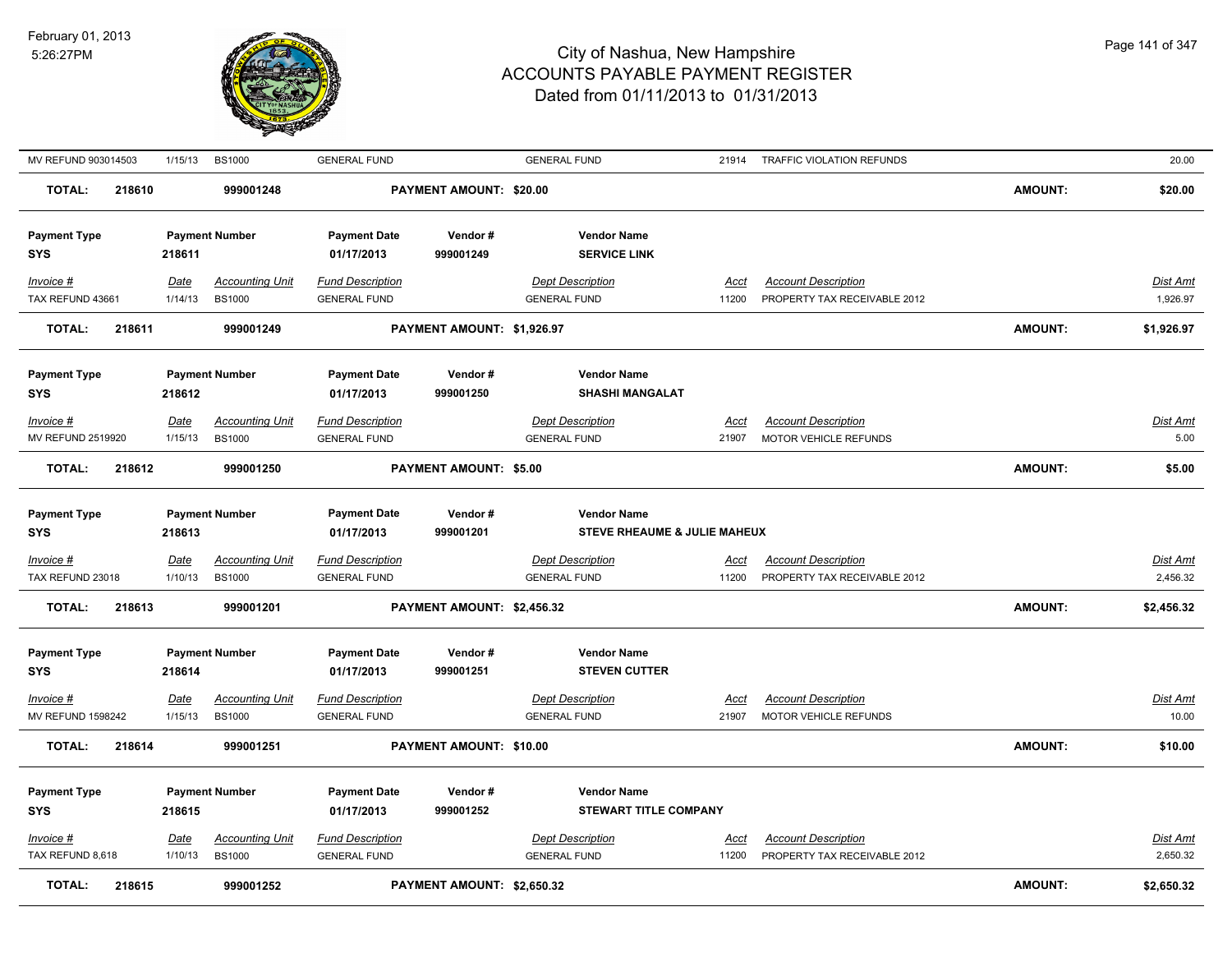

| MV REFUND 903014503               | 1/15/13                | <b>BS1000</b>                           | <b>GENERAL FUND</b>                            |                               | <b>GENERAL FUND</b>                                |                      | 21914 TRAFFIC VIOLATION REFUNDS                            |                | 20.00                       |
|-----------------------------------|------------------------|-----------------------------------------|------------------------------------------------|-------------------------------|----------------------------------------------------|----------------------|------------------------------------------------------------|----------------|-----------------------------|
| <b>TOTAL:</b><br>218610           |                        | 999001248                               |                                                | PAYMENT AMOUNT: \$20.00       |                                                    |                      |                                                            | <b>AMOUNT:</b> | \$20.00                     |
| <b>Payment Type</b><br><b>SYS</b> | 218611                 | <b>Payment Number</b>                   | <b>Payment Date</b><br>01/17/2013              | Vendor#<br>999001249          | <b>Vendor Name</b><br><b>SERVICE LINK</b>          |                      |                                                            |                |                             |
| Invoice #<br>TAX REFUND 43661     | Date<br>1/14/13        | <b>Accounting Unit</b><br><b>BS1000</b> | <b>Fund Description</b><br><b>GENERAL FUND</b> |                               | <b>Dept Description</b><br><b>GENERAL FUND</b>     | Acct<br>11200        | <b>Account Description</b><br>PROPERTY TAX RECEIVABLE 2012 |                | Dist Amt<br>1,926.97        |
| <b>TOTAL:</b><br>218611           |                        | 999001249                               |                                                | PAYMENT AMOUNT: \$1,926.97    |                                                    |                      |                                                            | <b>AMOUNT:</b> | \$1,926.97                  |
| <b>Payment Type</b><br><b>SYS</b> | 218612                 | <b>Payment Number</b>                   | <b>Payment Date</b><br>01/17/2013              | Vendor#<br>999001250          | <b>Vendor Name</b><br><b>SHASHI MANGALAT</b>       |                      |                                                            |                |                             |
| Invoice #                         | Date                   | <b>Accounting Unit</b>                  | <b>Fund Description</b>                        |                               | <b>Dept Description</b>                            | Acct                 | <b>Account Description</b>                                 |                | Dist Amt                    |
| MV REFUND 2519920                 | 1/15/13                | <b>BS1000</b>                           | <b>GENERAL FUND</b>                            |                               | <b>GENERAL FUND</b>                                | 21907                | MOTOR VEHICLE REFUNDS                                      |                | 5.00                        |
| <b>TOTAL:</b><br>218612           |                        | 999001250                               |                                                | <b>PAYMENT AMOUNT: \$5.00</b> |                                                    |                      |                                                            | <b>AMOUNT:</b> | \$5.00                      |
| <b>Payment Type</b><br><b>SYS</b> | 218613                 | <b>Payment Number</b>                   | <b>Payment Date</b><br>01/17/2013              | Vendor#<br>999001201          | <b>Vendor Name</b><br>STEVE RHEAUME & JULIE MAHEUX |                      |                                                            |                |                             |
|                                   |                        |                                         |                                                |                               |                                                    |                      |                                                            |                |                             |
| Invoice #<br>TAX REFUND 23018     | <u>Date</u><br>1/10/13 | <u>Accounting Unit</u><br><b>BS1000</b> | <b>Fund Description</b><br><b>GENERAL FUND</b> |                               | <b>Dept Description</b><br><b>GENERAL FUND</b>     | <u>Acci</u><br>11200 | <b>Account Description</b><br>PROPERTY TAX RECEIVABLE 2012 |                | Dist Amt<br>2,456.32        |
| <b>TOTAL:</b><br>218613           |                        | 999001201                               |                                                | PAYMENT AMOUNT: \$2,456.32    |                                                    |                      |                                                            | <b>AMOUNT:</b> | \$2,456.32                  |
| <b>Payment Type</b><br><b>SYS</b> | 218614                 | <b>Payment Number</b>                   | <b>Payment Date</b><br>01/17/2013              | Vendor#<br>999001251          | <b>Vendor Name</b><br><b>STEVEN CUTTER</b>         |                      |                                                            |                |                             |
| Invoice #                         | Date                   | <b>Accounting Unit</b>                  | <b>Fund Description</b>                        |                               | <b>Dept Description</b>                            | Accl                 | <b>Account Description</b>                                 |                | Dist Amt                    |
| <b>MV REFUND 1598242</b>          | 1/15/13                | <b>BS1000</b>                           | <b>GENERAL FUND</b>                            |                               | <b>GENERAL FUND</b>                                | 21907                | MOTOR VEHICLE REFUNDS                                      |                | 10.00                       |
| <b>TOTAL:</b><br>218614           |                        | 999001251                               |                                                | PAYMENT AMOUNT: \$10.00       |                                                    |                      |                                                            | <b>AMOUNT:</b> | \$10.00                     |
| <b>Payment Type</b><br><b>SYS</b> | 218615                 | <b>Payment Number</b>                   | <b>Payment Date</b><br>01/17/2013              | Vendor#<br>999001252          | <b>Vendor Name</b><br>STEWART TITLE COMPANY        |                      |                                                            |                |                             |
| Invoice #<br>TAX REFUND 8,618     | <u>Date</u><br>1/10/13 | <b>Accounting Unit</b><br><b>BS1000</b> | <b>Fund Description</b><br><b>GENERAL FUND</b> |                               | <b>Dept Description</b><br><b>GENERAL FUND</b>     | <u>Acct</u><br>11200 | <b>Account Description</b><br>PROPERTY TAX RECEIVABLE 2012 |                | <b>Dist Amt</b><br>2,650.32 |
| <b>TOTAL:</b><br>218615           |                        | 999001252                               |                                                | PAYMENT AMOUNT: \$2,650.32    |                                                    |                      |                                                            | <b>AMOUNT:</b> | \$2,650.32                  |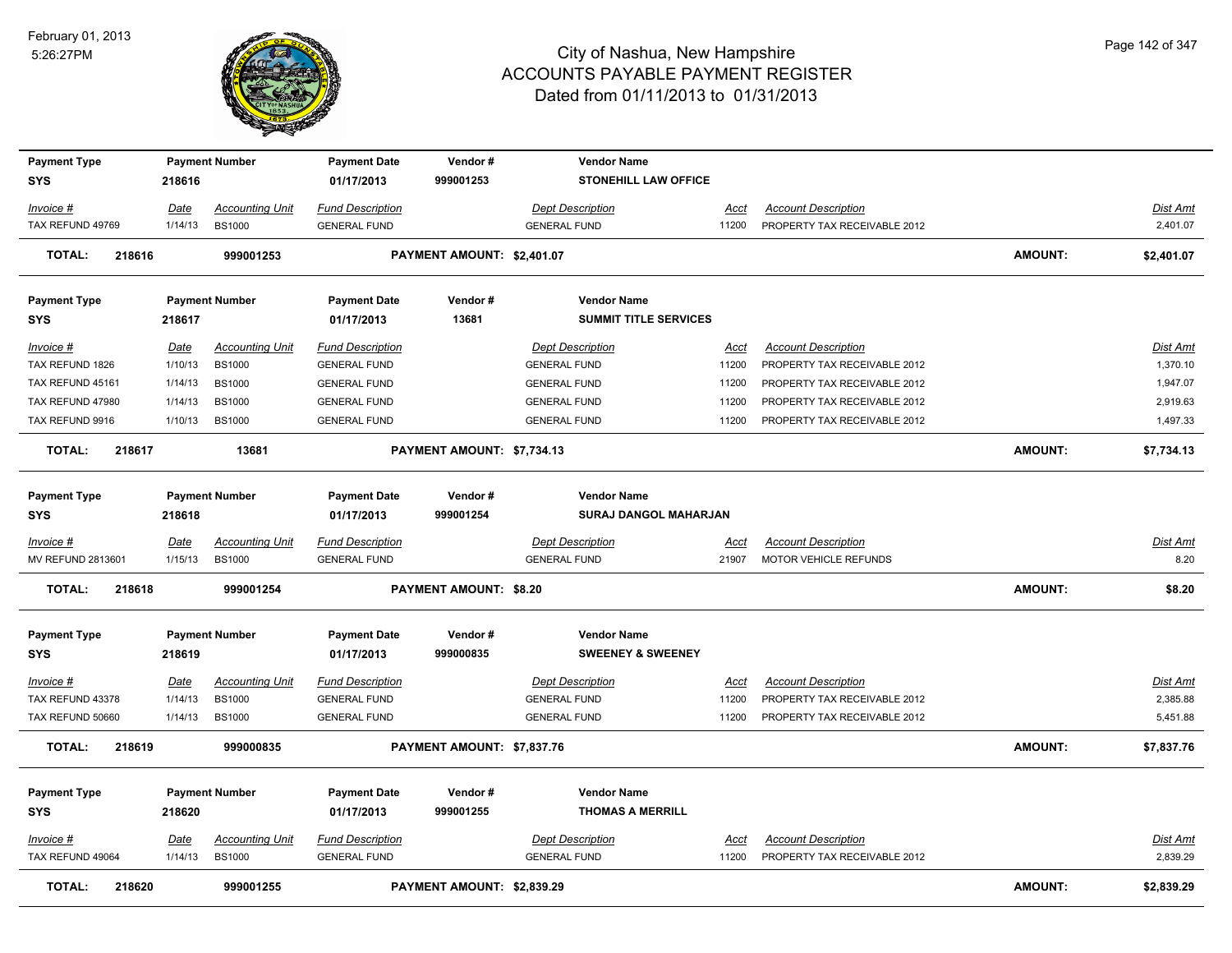

| <b>Payment Type</b>                  |                        | <b>Payment Number</b>                   | <b>Payment Date</b>                            | Vendor#                       | <b>Vendor Name</b>                             |                      |                                                            |                |                      |
|--------------------------------------|------------------------|-----------------------------------------|------------------------------------------------|-------------------------------|------------------------------------------------|----------------------|------------------------------------------------------------|----------------|----------------------|
| <b>SYS</b>                           | 218616                 |                                         | 01/17/2013                                     | 999001253                     | STONEHILL LAW OFFICE                           |                      |                                                            |                |                      |
| <u>Invoice #</u>                     | <u>Date</u>            | <b>Accounting Unit</b>                  | <b>Fund Description</b>                        |                               | <b>Dept Description</b>                        | <u>Acct</u>          | <b>Account Description</b>                                 |                | <b>Dist Amt</b>      |
| TAX REFUND 49769                     | 1/14/13                | <b>BS1000</b>                           | <b>GENERAL FUND</b>                            |                               | <b>GENERAL FUND</b>                            | 11200                | PROPERTY TAX RECEIVABLE 2012                               |                | 2,401.07             |
| 218616<br>TOTAL:                     |                        | 999001253                               |                                                | PAYMENT AMOUNT: \$2,401.07    |                                                |                      |                                                            | <b>AMOUNT:</b> | \$2,401.07           |
| <b>Payment Type</b>                  |                        | <b>Payment Number</b>                   | <b>Payment Date</b>                            | Vendor#                       | <b>Vendor Name</b>                             |                      |                                                            |                |                      |
| SYS                                  | 218617                 |                                         | 01/17/2013                                     | 13681                         | <b>SUMMIT TITLE SERVICES</b>                   |                      |                                                            |                |                      |
| <u>Invoice #</u><br>TAX REFUND 1826  | <u>Date</u><br>1/10/13 | <b>Accounting Unit</b><br><b>BS1000</b> | <b>Fund Description</b><br><b>GENERAL FUND</b> |                               | <b>Dept Description</b><br><b>GENERAL FUND</b> | <u>Acct</u><br>11200 | <b>Account Description</b><br>PROPERTY TAX RECEIVABLE 2012 |                | Dist Amt<br>1,370.10 |
| TAX REFUND 45161                     | 1/14/13                | <b>BS1000</b>                           | <b>GENERAL FUND</b>                            |                               | <b>GENERAL FUND</b>                            | 11200                | PROPERTY TAX RECEIVABLE 2012                               |                | 1,947.07             |
| TAX REFUND 47980                     | 1/14/13                | <b>BS1000</b>                           | <b>GENERAL FUND</b>                            |                               | <b>GENERAL FUND</b>                            | 11200                | PROPERTY TAX RECEIVABLE 2012                               |                | 2,919.63             |
| TAX REFUND 9916                      | 1/10/13                | <b>BS1000</b>                           | <b>GENERAL FUND</b>                            |                               | <b>GENERAL FUND</b>                            | 11200                | PROPERTY TAX RECEIVABLE 2012                               |                | 1,497.33             |
| TOTAL:<br>218617                     |                        | 13681                                   |                                                | PAYMENT AMOUNT: \$7,734.13    |                                                |                      |                                                            | <b>AMOUNT:</b> | \$7,734.13           |
| <b>Payment Type</b>                  |                        | <b>Payment Number</b>                   | <b>Payment Date</b>                            | Vendor#                       | <b>Vendor Name</b>                             |                      |                                                            |                |                      |
| <b>SYS</b>                           | 218618                 |                                         | 01/17/2013                                     | 999001254                     | SURAJ DANGOL MAHARJAN                          |                      |                                                            |                |                      |
| <u>Invoice #</u>                     | Date                   | <b>Accounting Unit</b>                  | <b>Fund Description</b>                        |                               | <b>Dept Description</b>                        | Acct                 | <b>Account Description</b>                                 |                | Dist Amt             |
| MV REFUND 2813601                    | 1/15/13                | <b>BS1000</b>                           | <b>GENERAL FUND</b>                            |                               | <b>GENERAL FUND</b>                            | 21907                | MOTOR VEHICLE REFUNDS                                      |                | 8.20                 |
| <b>TOTAL:</b><br>218618              |                        | 999001254                               |                                                | <b>PAYMENT AMOUNT: \$8.20</b> |                                                |                      |                                                            | <b>AMOUNT:</b> | \$8.20               |
| <b>Payment Type</b>                  |                        | <b>Payment Number</b>                   | <b>Payment Date</b>                            | Vendor#                       | <b>Vendor Name</b>                             |                      |                                                            |                |                      |
| <b>SYS</b>                           | 218619                 |                                         | 01/17/2013                                     | 999000835                     | <b>SWEENEY &amp; SWEENEY</b>                   |                      |                                                            |                |                      |
| <u>Invoice #</u><br>TAX REFUND 43378 | <u>Date</u><br>1/14/13 | <b>Accounting Unit</b><br><b>BS1000</b> | <b>Fund Description</b><br><b>GENERAL FUND</b> |                               | <b>Dept Description</b><br><b>GENERAL FUND</b> | <u>Acct</u><br>11200 | <b>Account Description</b><br>PROPERTY TAX RECEIVABLE 2012 |                | Dist Amt<br>2,385.88 |
| TAX REFUND 50660                     | 1/14/13                | <b>BS1000</b>                           | <b>GENERAL FUND</b>                            |                               | <b>GENERAL FUND</b>                            | 11200                | PROPERTY TAX RECEIVABLE 2012                               |                | 5,451.88             |
| TOTAL:<br>218619                     |                        | 999000835                               |                                                | PAYMENT AMOUNT: \$7,837.76    |                                                |                      |                                                            | <b>AMOUNT:</b> | \$7,837.76           |
| <b>Payment Type</b>                  |                        | <b>Payment Number</b>                   | <b>Payment Date</b>                            | Vendor#                       | <b>Vendor Name</b>                             |                      |                                                            |                |                      |
| <b>SYS</b>                           | 218620                 |                                         | 01/17/2013                                     | 999001255                     | <b>THOMAS A MERRILL</b>                        |                      |                                                            |                |                      |
| Invoice #                            | Date                   | <b>Accounting Unit</b>                  | <b>Fund Description</b>                        |                               | <b>Dept Description</b>                        |                      | <b>Account Description</b>                                 |                | Dist Amt             |
| TAX REFUND 49064                     | 1/14/13                | <b>BS1000</b>                           | <b>GENERAL FUND</b>                            |                               | <b>GENERAL FUND</b>                            | <u>Acct</u><br>11200 | PROPERTY TAX RECEIVABLE 2012                               |                | 2,839.29             |
| <b>TOTAL:</b><br>218620              |                        | 999001255                               |                                                | PAYMENT AMOUNT: \$2,839.29    |                                                |                      |                                                            | <b>AMOUNT:</b> | \$2,839.29           |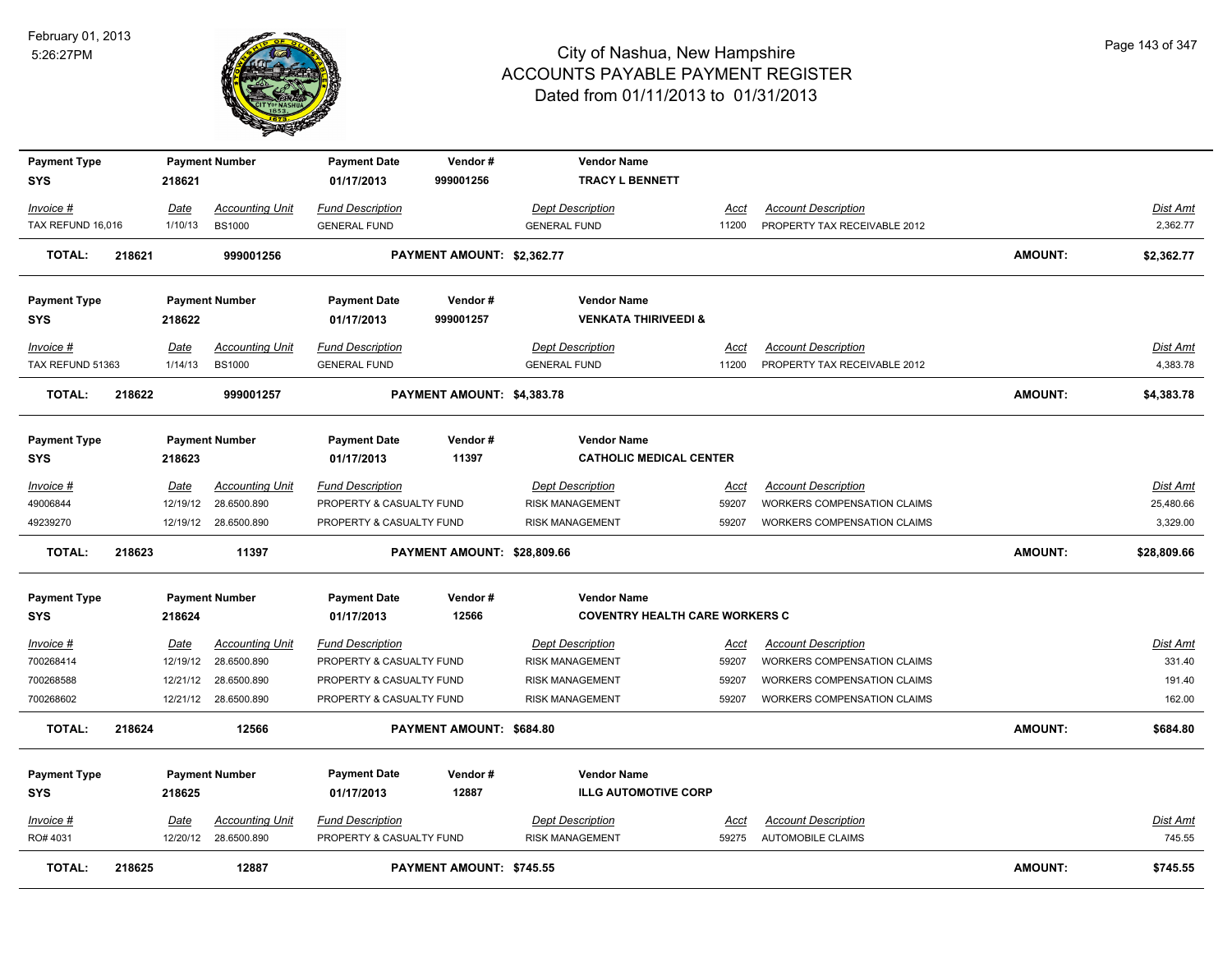

| <b>Payment Type</b> |        |             | <b>Payment Number</b>  | <b>Payment Date</b>      | Vendor#                     | <b>Vendor Name</b>                    |             |                                    |                |                 |
|---------------------|--------|-------------|------------------------|--------------------------|-----------------------------|---------------------------------------|-------------|------------------------------------|----------------|-----------------|
| <b>SYS</b>          |        | 218621      |                        | 01/17/2013               | 999001256                   | <b>TRACY L BENNETT</b>                |             |                                    |                |                 |
| Invoice #           |        | <u>Date</u> | <b>Accounting Unit</b> | <b>Fund Description</b>  |                             | <b>Dept Description</b>               | Acct        | <b>Account Description</b>         |                | Dist Amt        |
| TAX REFUND 16,016   |        | 1/10/13     | <b>BS1000</b>          | <b>GENERAL FUND</b>      |                             | <b>GENERAL FUND</b>                   | 11200       | PROPERTY TAX RECEIVABLE 2012       |                | 2,362.77        |
| <b>TOTAL:</b>       | 218621 |             | 999001256              |                          | PAYMENT AMOUNT: \$2,362.77  |                                       |             |                                    | <b>AMOUNT:</b> | \$2,362.77      |
| <b>Payment Type</b> |        |             | <b>Payment Number</b>  | <b>Payment Date</b>      | Vendor#                     | <b>Vendor Name</b>                    |             |                                    |                |                 |
| <b>SYS</b>          |        | 218622      |                        | 01/17/2013               | 999001257                   | <b>VENKATA THIRIVEEDI &amp;</b>       |             |                                    |                |                 |
| Invoice #           |        | Date        | <b>Accounting Unit</b> | <b>Fund Description</b>  |                             | <b>Dept Description</b>               | Acct        | <b>Account Description</b>         |                | <u>Dist Amt</u> |
| TAX REFUND 51363    |        | 1/14/13     | <b>BS1000</b>          | <b>GENERAL FUND</b>      |                             | <b>GENERAL FUND</b>                   | 11200       | PROPERTY TAX RECEIVABLE 2012       |                | 4,383.78        |
| <b>TOTAL:</b>       | 218622 |             | 999001257              |                          | PAYMENT AMOUNT: \$4,383.78  |                                       |             |                                    | <b>AMOUNT:</b> | \$4,383.78      |
| <b>Payment Type</b> |        |             | <b>Payment Number</b>  | <b>Payment Date</b>      | Vendor#                     | <b>Vendor Name</b>                    |             |                                    |                |                 |
| <b>SYS</b>          |        | 218623      |                        | 01/17/2013               | 11397                       | <b>CATHOLIC MEDICAL CENTER</b>        |             |                                    |                |                 |
| Invoice #           |        | Date        | <b>Accounting Unit</b> | <b>Fund Description</b>  |                             | <b>Dept Description</b>               | <u>Acct</u> | <b>Account Description</b>         |                | Dist Amt        |
| 49006844            |        | 12/19/12    | 28.6500.890            | PROPERTY & CASUALTY FUND |                             | RISK MANAGEMENT                       | 59207       | WORKERS COMPENSATION CLAIMS        |                | 25,480.66       |
| 49239270            |        |             | 12/19/12 28.6500.890   | PROPERTY & CASUALTY FUND |                             | <b>RISK MANAGEMENT</b>                | 59207       | WORKERS COMPENSATION CLAIMS        |                | 3,329.00        |
| <b>TOTAL:</b>       | 218623 |             | 11397                  |                          | PAYMENT AMOUNT: \$28,809.66 |                                       |             |                                    | <b>AMOUNT:</b> | \$28,809.66     |
| <b>Payment Type</b> |        |             | <b>Payment Number</b>  | <b>Payment Date</b>      | Vendor#                     | <b>Vendor Name</b>                    |             |                                    |                |                 |
| <b>SYS</b>          |        | 218624      |                        | 01/17/2013               | 12566                       | <b>COVENTRY HEALTH CARE WORKERS C</b> |             |                                    |                |                 |
| <u>Invoice #</u>    |        | Date        | <b>Accounting Unit</b> | <b>Fund Description</b>  |                             | <b>Dept Description</b>               | <u>Acct</u> | <b>Account Description</b>         |                | <u>Dist Amt</u> |
| 700268414           |        | 12/19/12    | 28.6500.890            | PROPERTY & CASUALTY FUND |                             | RISK MANAGEMENT                       | 59207       | <b>WORKERS COMPENSATION CLAIMS</b> |                | 331.40          |
| 700268588           |        | 12/21/12    | 28.6500.890            | PROPERTY & CASUALTY FUND |                             | <b>RISK MANAGEMENT</b>                | 59207       | WORKERS COMPENSATION CLAIMS        |                | 191.40          |
| 700268602           |        |             | 12/21/12 28.6500.890   | PROPERTY & CASUALTY FUND |                             | <b>RISK MANAGEMENT</b>                | 59207       | <b>WORKERS COMPENSATION CLAIMS</b> |                | 162.00          |
| <b>TOTAL:</b>       | 218624 |             | 12566                  |                          | PAYMENT AMOUNT: \$684.80    |                                       |             |                                    | <b>AMOUNT:</b> | \$684.80        |
| <b>Payment Type</b> |        |             | <b>Payment Number</b>  | <b>Payment Date</b>      | Vendor#                     | <b>Vendor Name</b>                    |             |                                    |                |                 |
| <b>SYS</b>          |        | 218625      |                        | 01/17/2013               | 12887                       | <b>ILLG AUTOMOTIVE CORP</b>           |             |                                    |                |                 |
| Invoice #           |        | Date        | <b>Accounting Unit</b> | <b>Fund Description</b>  |                             | <b>Dept Description</b>               | Acct        | <b>Account Description</b>         |                | Dist Amt        |
| RO# 4031            |        |             | 12/20/12 28.6500.890   | PROPERTY & CASUALTY FUND |                             | <b>RISK MANAGEMENT</b>                | 59275       | <b>AUTOMOBILE CLAIMS</b>           |                | 745.55          |
| <b>TOTAL:</b>       | 218625 |             | 12887                  |                          | PAYMENT AMOUNT: \$745.55    |                                       |             |                                    | <b>AMOUNT:</b> | \$745.55        |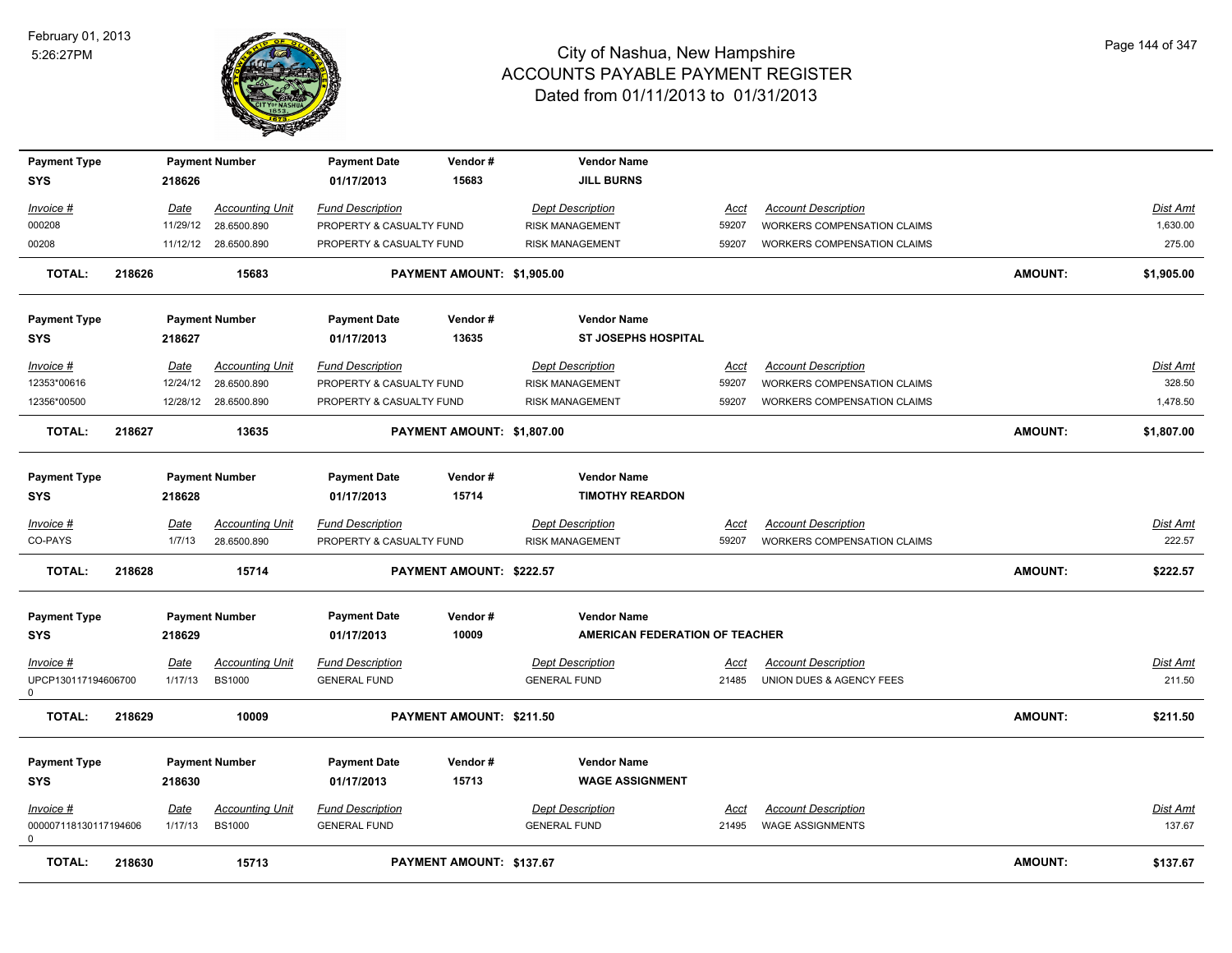

| <b>Payment Type</b>                                 |        |                 | <b>Payment Number</b>                   | <b>Payment Date</b>                            | Vendor#                    | <b>Vendor Name</b>                             |                      |                                                       |                |                    |
|-----------------------------------------------------|--------|-----------------|-----------------------------------------|------------------------------------------------|----------------------------|------------------------------------------------|----------------------|-------------------------------------------------------|----------------|--------------------|
| <b>SYS</b>                                          |        | 218626          |                                         | 01/17/2013                                     | 15683                      | <b>JILL BURNS</b>                              |                      |                                                       |                |                    |
| Invoice #                                           |        | Date            | <b>Accounting Unit</b>                  | <b>Fund Description</b>                        |                            | <b>Dept Description</b>                        | Acct                 | <b>Account Description</b>                            |                | <b>Dist Amt</b>    |
| 000208                                              |        |                 | 11/29/12 28.6500.890                    | PROPERTY & CASUALTY FUND                       |                            | <b>RISK MANAGEMENT</b>                         | 59207                | <b>WORKERS COMPENSATION CLAIMS</b>                    |                | 1,630.00           |
| 00208                                               |        |                 | 11/12/12 28.6500.890                    | PROPERTY & CASUALTY FUND                       |                            | <b>RISK MANAGEMENT</b>                         | 59207                | <b>WORKERS COMPENSATION CLAIMS</b>                    |                | 275.00             |
| <b>TOTAL:</b>                                       | 218626 |                 | 15683                                   |                                                | PAYMENT AMOUNT: \$1,905.00 |                                                |                      |                                                       | <b>AMOUNT:</b> | \$1,905.00         |
| <b>Payment Type</b>                                 |        |                 | <b>Payment Number</b>                   | <b>Payment Date</b>                            | Vendor#                    | <b>Vendor Name</b>                             |                      |                                                       |                |                    |
| <b>SYS</b>                                          |        | 218627          |                                         | 01/17/2013                                     | 13635                      | <b>ST JOSEPHS HOSPITAL</b>                     |                      |                                                       |                |                    |
| Invoice #                                           |        | Date            | <b>Accounting Unit</b>                  | <b>Fund Description</b>                        |                            | <b>Dept Description</b>                        | Acct                 | <b>Account Description</b>                            |                | Dist Amt           |
| 12353*00616                                         |        | 12/24/12        | 28.6500.890                             | PROPERTY & CASUALTY FUND                       |                            | <b>RISK MANAGEMENT</b>                         | 59207                | <b>WORKERS COMPENSATION CLAIMS</b>                    |                | 328.50             |
| 12356*00500                                         |        |                 | 12/28/12 28.6500.890                    | PROPERTY & CASUALTY FUND                       |                            | <b>RISK MANAGEMENT</b>                         | 59207                | <b>WORKERS COMPENSATION CLAIMS</b>                    |                | 1,478.50           |
| <b>TOTAL:</b>                                       | 218627 |                 | 13635                                   |                                                | PAYMENT AMOUNT: \$1,807.00 |                                                |                      |                                                       | <b>AMOUNT:</b> | \$1,807.00         |
| <b>Payment Type</b>                                 |        |                 | <b>Payment Number</b>                   | <b>Payment Date</b>                            | Vendor#                    | <b>Vendor Name</b>                             |                      |                                                       |                |                    |
| <b>SYS</b>                                          |        | 218628          |                                         | 01/17/2013                                     | 15714                      | <b>TIMOTHY REARDON</b>                         |                      |                                                       |                |                    |
| Invoice #                                           |        | Date            | <b>Accounting Unit</b>                  | <b>Fund Description</b>                        |                            | <b>Dept Description</b>                        | Acct                 | <b>Account Description</b>                            |                | <b>Dist Amt</b>    |
| CO-PAYS                                             |        | 1/7/13          | 28.6500.890                             | PROPERTY & CASUALTY FUND                       |                            | <b>RISK MANAGEMENT</b>                         | 59207                | WORKERS COMPENSATION CLAIMS                           |                | 222.57             |
| <b>TOTAL:</b>                                       | 218628 |                 | 15714                                   |                                                | PAYMENT AMOUNT: \$222.57   |                                                |                      |                                                       | <b>AMOUNT:</b> | \$222.57           |
| <b>Payment Type</b>                                 |        |                 | <b>Payment Number</b>                   | <b>Payment Date</b>                            | Vendor#                    | <b>Vendor Name</b>                             |                      |                                                       |                |                    |
| <b>SYS</b>                                          |        | 218629          |                                         | 01/17/2013                                     | 10009                      | AMERICAN FEDERATION OF TEACHER                 |                      |                                                       |                |                    |
| Invoice #                                           |        | <u>Date</u>     | <b>Accounting Unit</b>                  | <b>Fund Description</b>                        |                            | <b>Dept Description</b>                        | <u>Acct</u>          | <b>Account Description</b>                            |                | Dist Amt           |
| UPCP130117194606700<br>$\mathbf 0$                  |        | 1/17/13         | <b>BS1000</b>                           | <b>GENERAL FUND</b>                            |                            | <b>GENERAL FUND</b>                            | 21485                | UNION DUES & AGENCY FEES                              |                | 211.50             |
| <b>TOTAL:</b>                                       | 218629 |                 | 10009                                   |                                                | PAYMENT AMOUNT: \$211.50   |                                                |                      |                                                       | <b>AMOUNT:</b> | \$211.50           |
| <b>Payment Type</b><br><b>SYS</b>                   |        | 218630          | <b>Payment Number</b>                   | <b>Payment Date</b><br>01/17/2013              | Vendor#<br>15713           | <b>Vendor Name</b><br><b>WAGE ASSIGNMENT</b>   |                      |                                                       |                |                    |
| $Invoice$ #<br>000007118130117194606<br>$\mathbf 0$ |        | Date<br>1/17/13 | <b>Accounting Unit</b><br><b>BS1000</b> | <b>Fund Description</b><br><b>GENERAL FUND</b> |                            | <b>Dept Description</b><br><b>GENERAL FUND</b> | <u>Acct</u><br>21495 | <b>Account Description</b><br><b>WAGE ASSIGNMENTS</b> |                | Dist Amt<br>137.67 |
| <b>TOTAL:</b>                                       | 218630 |                 | 15713                                   |                                                | PAYMENT AMOUNT: \$137.67   |                                                |                      |                                                       | <b>AMOUNT:</b> | \$137.67           |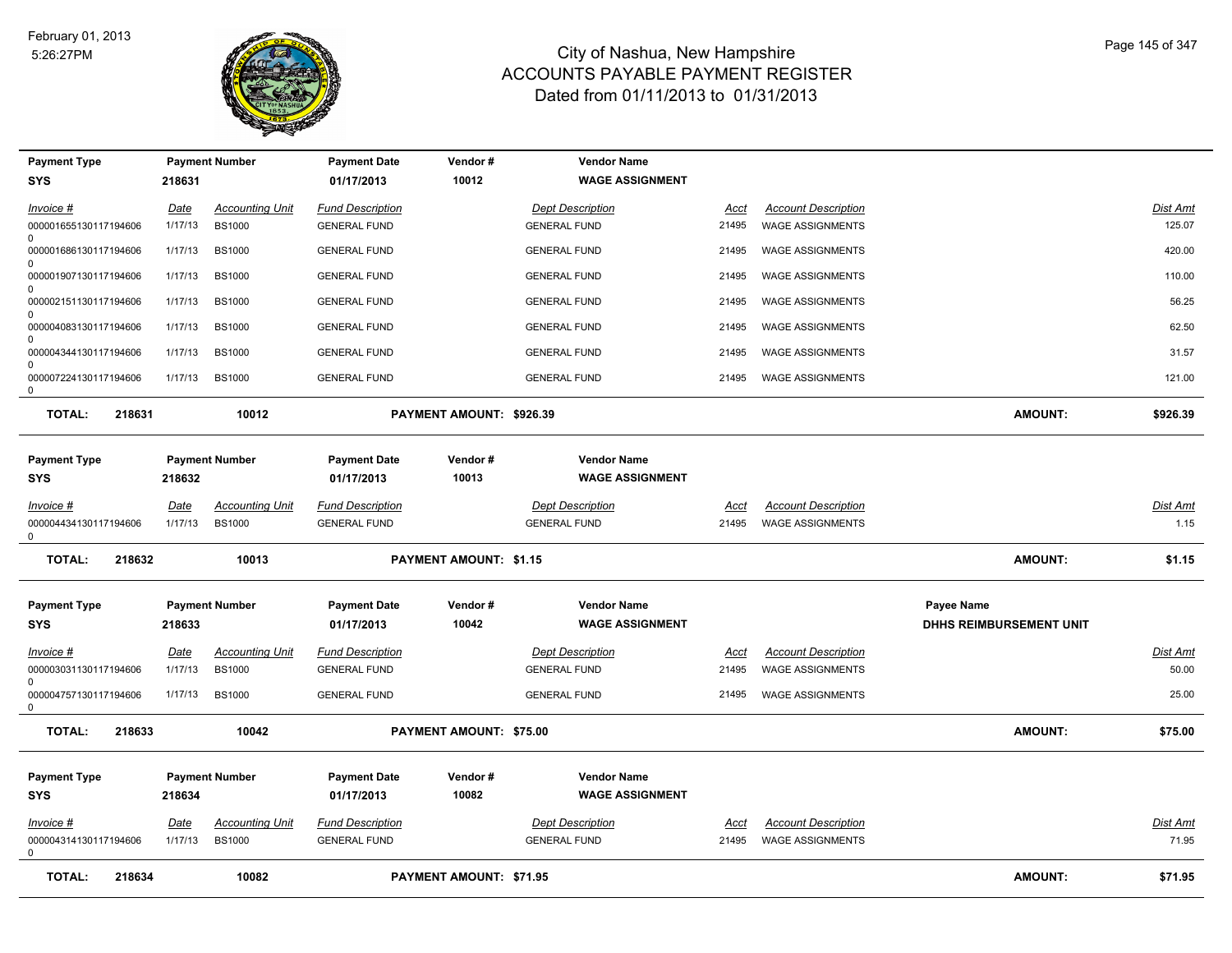

| <b>Payment Type</b>                  |             | <b>Payment Number</b>  | <b>Payment Date</b>               | Vendor#                  | <b>Vendor Name</b>                           |       |                            |                                |                 |
|--------------------------------------|-------------|------------------------|-----------------------------------|--------------------------|----------------------------------------------|-------|----------------------------|--------------------------------|-----------------|
| <b>SYS</b>                           | 218631      |                        | 01/17/2013                        | 10012                    | <b>WAGE ASSIGNMENT</b>                       |       |                            |                                |                 |
| Invoice #                            | Date        | <b>Accounting Unit</b> | <b>Fund Description</b>           |                          | <b>Dept Description</b>                      | Acct  | <b>Account Description</b> |                                | Dist Amt        |
| 000001655130117194606<br>0           | 1/17/13     | <b>BS1000</b>          | <b>GENERAL FUND</b>               |                          | <b>GENERAL FUND</b>                          | 21495 | <b>WAGE ASSIGNMENTS</b>    |                                | 125.07          |
| 000001686130117194606<br>$\Omega$    | 1/17/13     | <b>BS1000</b>          | <b>GENERAL FUND</b>               |                          | <b>GENERAL FUND</b>                          | 21495 | <b>WAGE ASSIGNMENTS</b>    |                                | 420.00          |
| 000001907130117194606<br>$\Omega$    | 1/17/13     | <b>BS1000</b>          | <b>GENERAL FUND</b>               |                          | <b>GENERAL FUND</b>                          | 21495 | <b>WAGE ASSIGNMENTS</b>    |                                | 110.00          |
| 000002151130117194606<br>$\Omega$    | 1/17/13     | <b>BS1000</b>          | <b>GENERAL FUND</b>               |                          | <b>GENERAL FUND</b>                          | 21495 | <b>WAGE ASSIGNMENTS</b>    |                                | 56.25           |
| 000004083130117194606<br>$\Omega$    | 1/17/13     | <b>BS1000</b>          | <b>GENERAL FUND</b>               |                          | <b>GENERAL FUND</b>                          | 21495 | <b>WAGE ASSIGNMENTS</b>    |                                | 62.50           |
| 000004344130117194606<br>$\Omega$    | 1/17/13     | <b>BS1000</b>          | <b>GENERAL FUND</b>               |                          | <b>GENERAL FUND</b>                          | 21495 | <b>WAGE ASSIGNMENTS</b>    |                                | 31.57           |
| 000007224130117194606<br>0           | 1/17/13     | <b>BS1000</b>          | <b>GENERAL FUND</b>               |                          | <b>GENERAL FUND</b>                          | 21495 | <b>WAGE ASSIGNMENTS</b>    |                                | 121.00          |
| <b>TOTAL:</b><br>218631              |             | 10012                  |                                   | PAYMENT AMOUNT: \$926.39 |                                              |       |                            | AMOUNT:                        | \$926.39        |
| <b>Payment Type</b>                  |             | <b>Payment Number</b>  | <b>Payment Date</b>               | Vendor#<br>10013         | <b>Vendor Name</b><br><b>WAGE ASSIGNMENT</b> |       |                            |                                |                 |
| <b>SYS</b>                           | 218632      |                        | 01/17/2013                        |                          |                                              |       |                            |                                |                 |
| Invoice #                            | <b>Date</b> | <b>Accounting Unit</b> | <b>Fund Description</b>           |                          | <b>Dept Description</b>                      | Acct  | <b>Account Description</b> |                                | <b>Dist Amt</b> |
| 000004434130117194606<br>0           | 1/17/13     | <b>BS1000</b>          | <b>GENERAL FUND</b>               |                          | <b>GENERAL FUND</b>                          | 21495 | <b>WAGE ASSIGNMENTS</b>    |                                | 1.15            |
| <b>TOTAL:</b><br>218632              |             | 10013                  |                                   | PAYMENT AMOUNT: \$1.15   |                                              |       |                            | AMOUNT:                        | \$1.15          |
| <b>Payment Type</b>                  |             | <b>Payment Number</b>  | <b>Payment Date</b>               | Vendor#                  | <b>Vendor Name</b>                           |       |                            | Payee Name                     |                 |
| <b>SYS</b>                           | 218633      |                        | 01/17/2013                        | 10042                    | <b>WAGE ASSIGNMENT</b>                       |       |                            | <b>DHHS REIMBURSEMENT UNIT</b> |                 |
| Invoice #                            | <u>Date</u> | <b>Accounting Unit</b> | <b>Fund Description</b>           |                          | <b>Dept Description</b>                      | Acct  | <b>Account Description</b> |                                | <b>Dist Amt</b> |
| 000003031130117194606<br>$\Omega$    | 1/17/13     | <b>BS1000</b>          | <b>GENERAL FUND</b>               |                          | <b>GENERAL FUND</b>                          | 21495 | <b>WAGE ASSIGNMENTS</b>    |                                | 50.00           |
| 000004757130117194606<br>$\mathbf 0$ | 1/17/13     | <b>BS1000</b>          | <b>GENERAL FUND</b>               |                          | <b>GENERAL FUND</b>                          | 21495 | <b>WAGE ASSIGNMENTS</b>    |                                | 25.00           |
| <b>TOTAL:</b><br>218633              |             | 10042                  |                                   | PAYMENT AMOUNT: \$75.00  |                                              |       |                            | AMOUNT:                        | \$75.00         |
| <b>Payment Type</b><br><b>SYS</b>    | 218634      | <b>Payment Number</b>  | <b>Payment Date</b><br>01/17/2013 | Vendor#<br>10082         | <b>Vendor Name</b><br><b>WAGE ASSIGNMENT</b> |       |                            |                                |                 |
| Invoice #                            | Date        | <b>Accounting Unit</b> | <b>Fund Description</b>           |                          | <b>Dept Description</b>                      | Acct  | <b>Account Description</b> |                                | <b>Dist Amt</b> |
| 000004314130117194606<br>0           | 1/17/13     | <b>BS1000</b>          | <b>GENERAL FUND</b>               |                          | <b>GENERAL FUND</b>                          | 21495 | <b>WAGE ASSIGNMENTS</b>    |                                | 71.95           |
| <b>TOTAL:</b><br>218634              |             | 10082                  |                                   | PAYMENT AMOUNT: \$71.95  |                                              |       |                            | <b>AMOUNT:</b>                 | \$71.95         |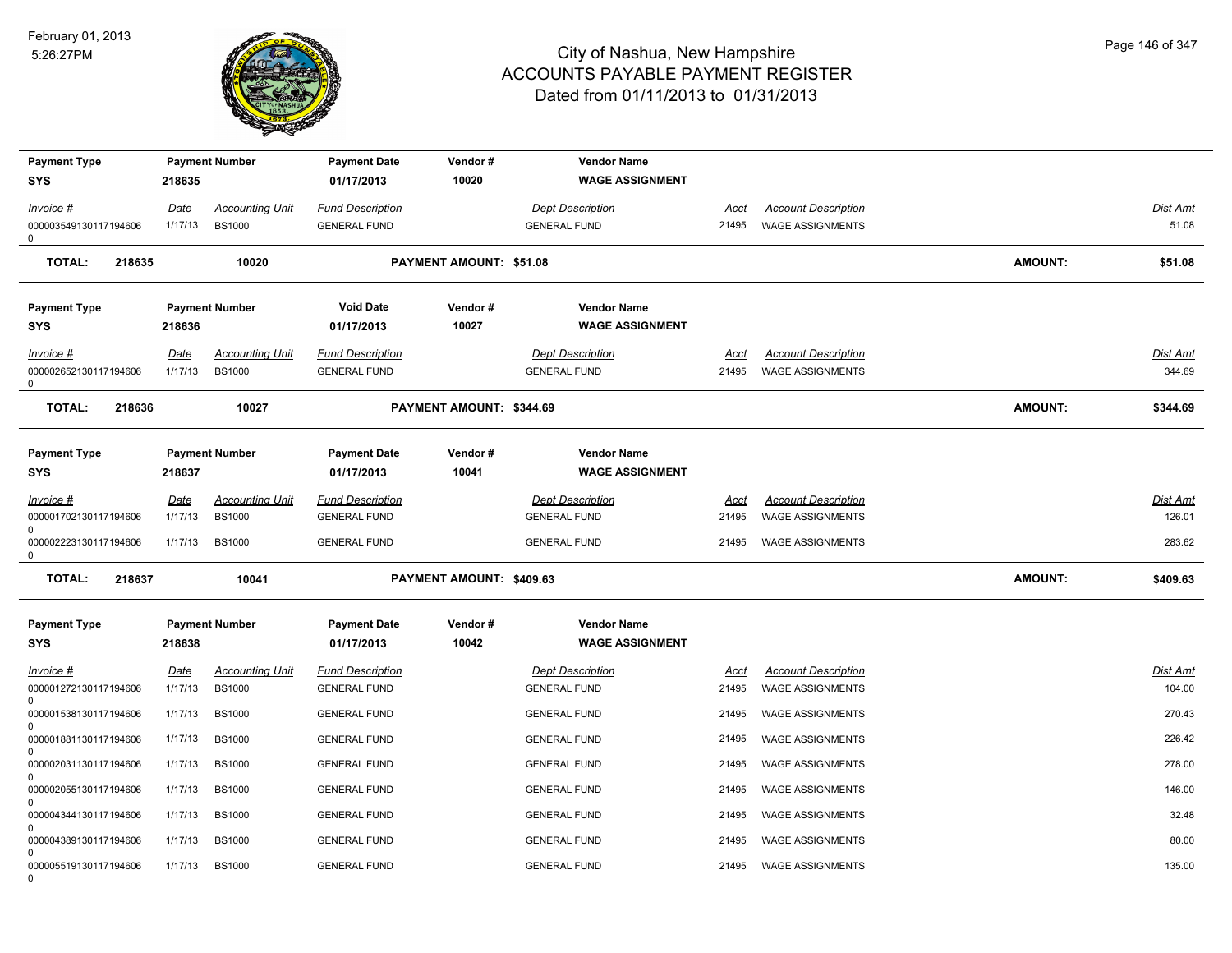

| <b>Payment Type</b><br><b>SYS</b>          | 218635          | <b>Payment Number</b>                   | <b>Payment Date</b><br>01/17/2013              | Vendor#<br>10020         | <b>Vendor Name</b><br><b>WAGE ASSIGNMENT</b>   |               |                                                       |         |                    |
|--------------------------------------------|-----------------|-----------------------------------------|------------------------------------------------|--------------------------|------------------------------------------------|---------------|-------------------------------------------------------|---------|--------------------|
| Invoice #                                  | Date            | <b>Accounting Unit</b>                  | <b>Fund Description</b>                        |                          | <b>Dept Description</b>                        | Acct          | <b>Account Description</b>                            |         | Dist Amt           |
| 000003549130117194606<br>0                 | 1/17/13         | <b>BS1000</b>                           | <b>GENERAL FUND</b>                            |                          | <b>GENERAL FUND</b>                            | 21495         | <b>WAGE ASSIGNMENTS</b>                               |         | 51.08              |
| <b>TOTAL:</b><br>218635                    |                 | 10020                                   |                                                | PAYMENT AMOUNT: \$51.08  |                                                |               |                                                       | AMOUNT: | \$51.08            |
| <b>Payment Type</b>                        |                 | <b>Payment Number</b>                   | <b>Void Date</b>                               | Vendor#                  | <b>Vendor Name</b>                             |               |                                                       |         |                    |
| <b>SYS</b>                                 | 218636          |                                         | 01/17/2013                                     | 10027                    | <b>WAGE ASSIGNMENT</b>                         |               |                                                       |         |                    |
| Invoice #<br>000002652130117194606<br>0    | Date<br>1/17/13 | <b>Accounting Unit</b><br><b>BS1000</b> | <b>Fund Description</b><br><b>GENERAL FUND</b> |                          | <b>Dept Description</b><br><b>GENERAL FUND</b> | Acct<br>21495 | <b>Account Description</b><br><b>WAGE ASSIGNMENTS</b> |         | Dist Amt<br>344.69 |
| <b>TOTAL:</b><br>218636                    |                 | 10027                                   |                                                | PAYMENT AMOUNT: \$344.69 |                                                |               |                                                       | AMOUNT: | \$344.69           |
| <b>Payment Type</b><br>SYS                 | 218637          | <b>Payment Number</b>                   | <b>Payment Date</b><br>01/17/2013              | Vendor#<br>10041         | <b>Vendor Name</b><br><b>WAGE ASSIGNMENT</b>   |               |                                                       |         |                    |
| $Invoice$ #                                | Date            | <b>Accounting Unit</b>                  | <b>Fund Description</b>                        |                          | <b>Dept Description</b>                        | Acct          | <b>Account Description</b>                            |         | Dist Amt           |
| 000001702130117194606                      | 1/17/13         | <b>BS1000</b>                           | <b>GENERAL FUND</b>                            |                          | <b>GENERAL FUND</b>                            | 21495         | <b>WAGE ASSIGNMENTS</b>                               |         | 126.01             |
| 0<br>000002223130117194606<br>$\mathsf{O}$ | 1/17/13         | <b>BS1000</b>                           | <b>GENERAL FUND</b>                            |                          | <b>GENERAL FUND</b>                            | 21495         | <b>WAGE ASSIGNMENTS</b>                               |         | 283.62             |
| <b>TOTAL:</b><br>218637                    |                 | 10041                                   |                                                | PAYMENT AMOUNT: \$409.63 |                                                |               |                                                       | AMOUNT: | \$409.63           |
| <b>Payment Type</b><br><b>SYS</b>          | 218638          | <b>Payment Number</b>                   | <b>Payment Date</b><br>01/17/2013              | Vendor#<br>10042         | <b>Vendor Name</b><br><b>WAGE ASSIGNMENT</b>   |               |                                                       |         |                    |
| $Invoice$ #                                | <u>Date</u>     | <b>Accounting Unit</b>                  | <b>Fund Description</b>                        |                          | <b>Dept Description</b>                        | <u>Acct</u>   | <b>Account Description</b>                            |         | <u>Dist Amt</u>    |
| 000001272130117194606                      | 1/17/13         | <b>BS1000</b>                           | <b>GENERAL FUND</b>                            |                          | <b>GENERAL FUND</b>                            | 21495         | <b>WAGE ASSIGNMENTS</b>                               |         | 104.00             |
| 000001538130117194606                      | 1/17/13         | <b>BS1000</b>                           | <b>GENERAL FUND</b>                            |                          | <b>GENERAL FUND</b>                            | 21495         | <b>WAGE ASSIGNMENTS</b>                               |         | 270.43             |
| $\Omega$<br>000001881130117194606          | 1/17/13         | <b>BS1000</b>                           | <b>GENERAL FUND</b>                            |                          | <b>GENERAL FUND</b>                            | 21495         | <b>WAGE ASSIGNMENTS</b>                               |         | 226.42             |
| 0<br>000002031130117194606                 | 1/17/13         | <b>BS1000</b>                           | <b>GENERAL FUND</b>                            |                          | <b>GENERAL FUND</b>                            | 21495         | <b>WAGE ASSIGNMENTS</b>                               |         | 278.00             |
| $\Omega$<br>000002055130117194606          | 1/17/13         | <b>BS1000</b>                           | <b>GENERAL FUND</b>                            |                          | <b>GENERAL FUND</b>                            | 21495         | <b>WAGE ASSIGNMENTS</b>                               |         | 146.00             |
| 0<br>000004344130117194606                 | 1/17/13         | <b>BS1000</b>                           | <b>GENERAL FUND</b>                            |                          | <b>GENERAL FUND</b>                            | 21495         | <b>WAGE ASSIGNMENTS</b>                               |         | 32.48              |
| $\Omega$<br>000004389130117194606          | 1/17/13         | <b>BS1000</b>                           | <b>GENERAL FUND</b>                            |                          | <b>GENERAL FUND</b>                            | 21495         | <b>WAGE ASSIGNMENTS</b>                               |         | 80.00              |
| $\Omega$                                   |                 |                                         |                                                |                          |                                                |               |                                                       |         |                    |
| 000005519130117194606<br>$\Omega$          | 1/17/13         | <b>BS1000</b>                           | <b>GENERAL FUND</b>                            |                          | <b>GENERAL FUND</b>                            | 21495         | <b>WAGE ASSIGNMENTS</b>                               |         | 135.00             |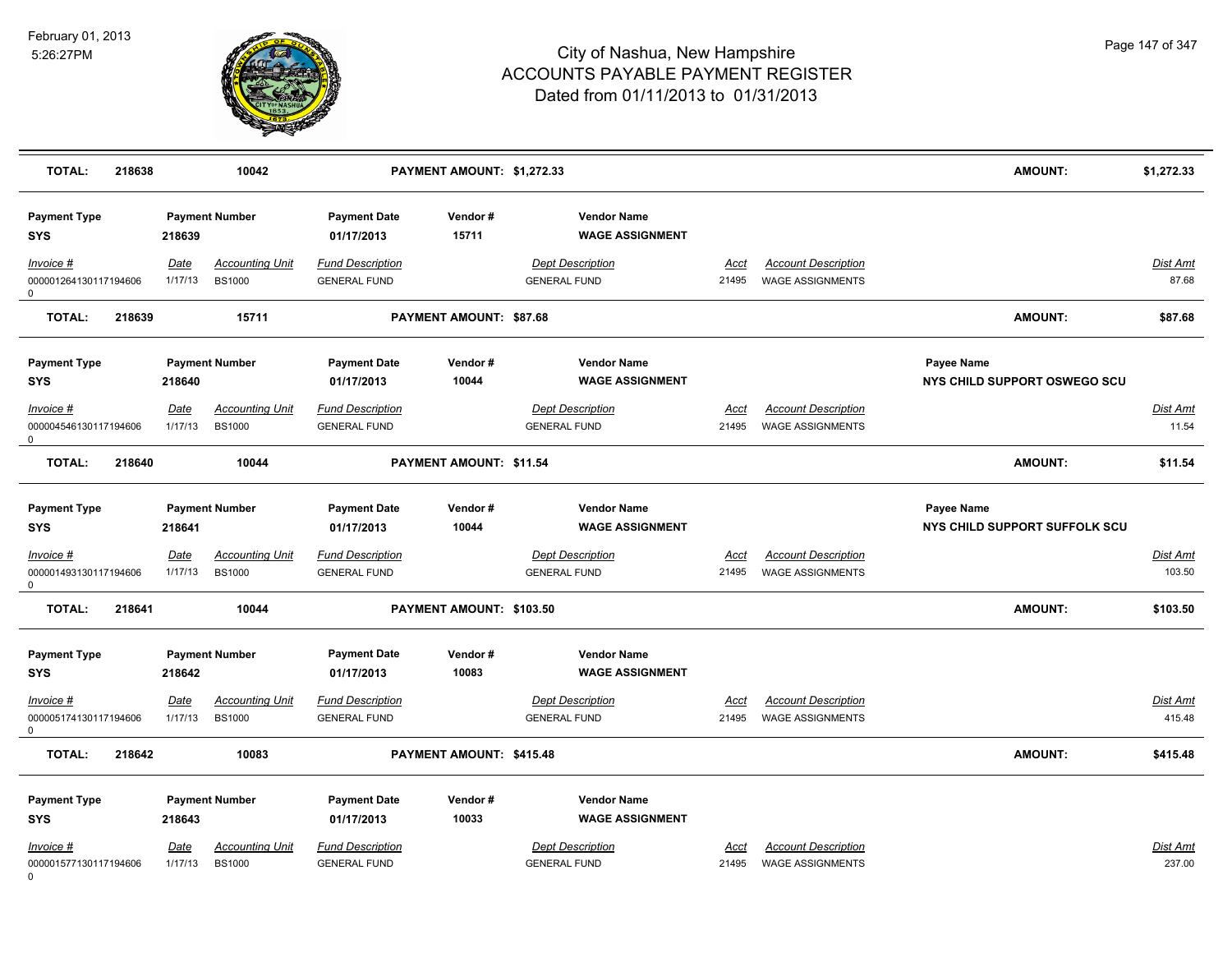

| <b>TOTAL:</b><br>218638                        |                 | 10042                                   |                                                | PAYMENT AMOUNT: \$1,272.33     |                                                |                      |                                                       | <b>AMOUNT:</b>                | \$1,272.33         |
|------------------------------------------------|-----------------|-----------------------------------------|------------------------------------------------|--------------------------------|------------------------------------------------|----------------------|-------------------------------------------------------|-------------------------------|--------------------|
| <b>Payment Type</b><br><b>SYS</b>              | 218639          | <b>Payment Number</b>                   | <b>Payment Date</b><br>01/17/2013              | Vendor#<br>15711               | <b>Vendor Name</b><br><b>WAGE ASSIGNMENT</b>   |                      |                                                       |                               |                    |
| Invoice #                                      | Date            | <b>Accounting Unit</b>                  | <b>Fund Description</b>                        |                                | <b>Dept Description</b>                        | Acct                 | <b>Account Description</b>                            |                               | <b>Dist Amt</b>    |
| 000001264130117194606<br>$\Omega$              | 1/17/13         | <b>BS1000</b>                           | <b>GENERAL FUND</b>                            |                                | <b>GENERAL FUND</b>                            | 21495                | <b>WAGE ASSIGNMENTS</b>                               |                               | 87.68              |
| <b>TOTAL:</b><br>218639                        |                 | 15711                                   |                                                | <b>PAYMENT AMOUNT: \$87.68</b> |                                                |                      |                                                       | <b>AMOUNT:</b>                | \$87.68            |
| <b>Payment Type</b>                            |                 | <b>Payment Number</b>                   | <b>Payment Date</b>                            | Vendor#                        | <b>Vendor Name</b>                             |                      |                                                       | Payee Name                    |                    |
| <b>SYS</b>                                     | 218640          |                                         | 01/17/2013                                     | 10044                          | <b>WAGE ASSIGNMENT</b>                         |                      |                                                       | NYS CHILD SUPPORT OSWEGO SCU  |                    |
| $Invoice$ #                                    | <u>Date</u>     | <b>Accounting Unit</b>                  | <b>Fund Description</b>                        |                                | <b>Dept Description</b>                        | <u>Acct</u>          | <b>Account Description</b>                            |                               | <u>Dist Amt</u>    |
| 000004546130117194606<br>0                     | 1/17/13         | <b>BS1000</b>                           | <b>GENERAL FUND</b>                            |                                | <b>GENERAL FUND</b>                            | 21495                | <b>WAGE ASSIGNMENTS</b>                               |                               | 11.54              |
| <b>TOTAL:</b><br>218640                        |                 | 10044                                   |                                                | PAYMENT AMOUNT: \$11.54        |                                                |                      |                                                       | <b>AMOUNT:</b>                | \$11.54            |
| <b>Payment Type</b>                            |                 | <b>Payment Number</b>                   | <b>Payment Date</b>                            | Vendor#                        | <b>Vendor Name</b>                             |                      |                                                       | Payee Name                    |                    |
| <b>SYS</b>                                     | 218641          |                                         | 01/17/2013                                     | 10044                          | <b>WAGE ASSIGNMENT</b>                         |                      |                                                       | NYS CHILD SUPPORT SUFFOLK SCU |                    |
| <u>Invoice #</u><br>000001493130117194606<br>0 | Date<br>1/17/13 | <b>Accounting Unit</b><br><b>BS1000</b> | <b>Fund Description</b><br><b>GENERAL FUND</b> |                                | <b>Dept Description</b><br><b>GENERAL FUND</b> | <u>Acct</u><br>21495 | <b>Account Description</b><br><b>WAGE ASSIGNMENTS</b> |                               | Dist Amt<br>103.50 |
| <b>TOTAL:</b><br>218641                        |                 | 10044                                   |                                                | PAYMENT AMOUNT: \$103.50       |                                                |                      |                                                       | <b>AMOUNT:</b>                | \$103.50           |
| <b>Payment Type</b>                            |                 | <b>Payment Number</b>                   | <b>Payment Date</b>                            | Vendor#                        | <b>Vendor Name</b>                             |                      |                                                       |                               |                    |
| <b>SYS</b>                                     | 218642          |                                         | 01/17/2013                                     | 10083                          | <b>WAGE ASSIGNMENT</b>                         |                      |                                                       |                               |                    |
| Invoice #                                      | Date            | <b>Accounting Unit</b>                  | <u>Fund Description</u>                        |                                | <b>Dept Description</b>                        | Acct                 | <b>Account Description</b>                            |                               | <u>Dist Amt</u>    |
| 000005174130117194606<br>$\mathbf 0$           | 1/17/13         | <b>BS1000</b>                           | <b>GENERAL FUND</b>                            |                                | <b>GENERAL FUND</b>                            | 21495                | WAGE ASSIGNMENTS                                      |                               | 415.48             |
| <b>TOTAL:</b><br>218642                        |                 | 10083                                   |                                                | PAYMENT AMOUNT: \$415.48       |                                                |                      |                                                       | <b>AMOUNT:</b>                | \$415.48           |
| <b>Payment Type</b>                            |                 | <b>Payment Number</b>                   | <b>Payment Date</b>                            | Vendor#                        | <b>Vendor Name</b>                             |                      |                                                       |                               |                    |
| <b>SYS</b>                                     | 218643          |                                         | 01/17/2013                                     | 10033                          | <b>WAGE ASSIGNMENT</b>                         |                      |                                                       |                               |                    |
| Invoice #                                      | <b>Date</b>     | <b>Accounting Unit</b>                  | <b>Fund Description</b>                        |                                | <b>Dept Description</b>                        | Acct                 | <b>Account Description</b>                            |                               | Dist Amt           |
| 000001577130117194606                          | 1/17/13         | <b>BS1000</b>                           | <b>GENERAL FUND</b>                            |                                | <b>GENERAL FUND</b>                            | 21495                | <b>WAGE ASSIGNMENTS</b>                               |                               | 237.00             |

0

Page 147 of 347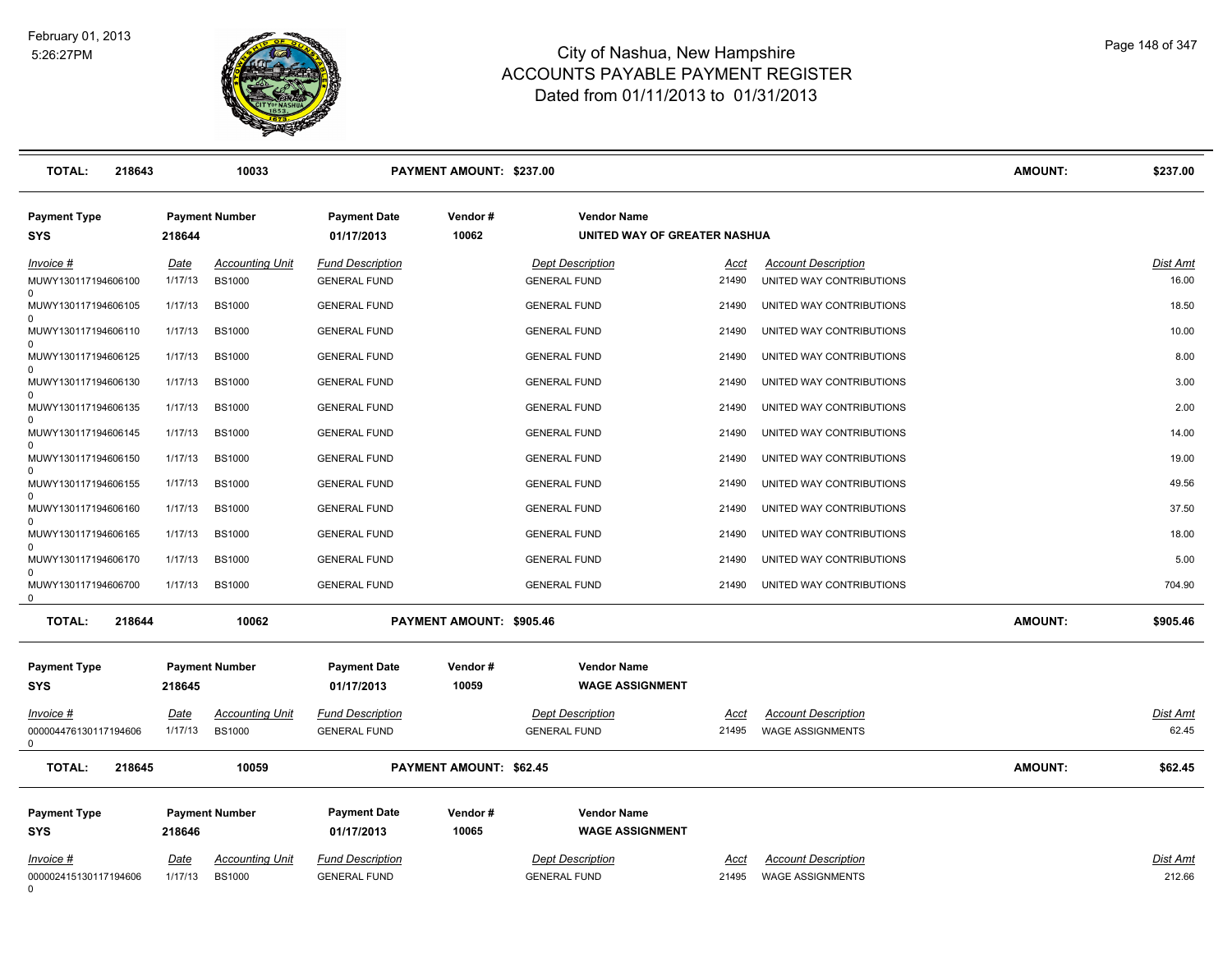

| <b>TOTAL:</b><br>218643                        |                        | 10033                                   |                                                | PAYMENT AMOUNT: \$237.00       |                                                    |                      |                                                        | <b>AMOUNT:</b> | \$237.00           |
|------------------------------------------------|------------------------|-----------------------------------------|------------------------------------------------|--------------------------------|----------------------------------------------------|----------------------|--------------------------------------------------------|----------------|--------------------|
| <b>Payment Type</b><br><b>SYS</b>              | 218644                 | <b>Payment Number</b>                   | <b>Payment Date</b><br>01/17/2013              | Vendor#<br>10062               | <b>Vendor Name</b><br>UNITED WAY OF GREATER NASHUA |                      |                                                        |                |                    |
| Invoice #<br>MUWY130117194606100               | <b>Date</b><br>1/17/13 | <b>Accounting Unit</b><br><b>BS1000</b> | <b>Fund Description</b><br><b>GENERAL FUND</b> |                                | <b>Dept Description</b><br><b>GENERAL FUND</b>     | <u>Acct</u><br>21490 | <b>Account Description</b><br>UNITED WAY CONTRIBUTIONS |                | Dist Amt<br>16.00  |
| MUWY130117194606105                            | 1/17/13                | <b>BS1000</b>                           | <b>GENERAL FUND</b>                            |                                | <b>GENERAL FUND</b>                                | 21490                | UNITED WAY CONTRIBUTIONS                               |                | 18.50              |
| $\Omega$<br>MUWY130117194606110                | 1/17/13                | <b>BS1000</b>                           | <b>GENERAL FUND</b>                            |                                | <b>GENERAL FUND</b>                                | 21490                | UNITED WAY CONTRIBUTIONS                               |                | 10.00              |
| MUWY130117194606125                            | 1/17/13                | <b>BS1000</b>                           | <b>GENERAL FUND</b>                            |                                | <b>GENERAL FUND</b>                                | 21490                | UNITED WAY CONTRIBUTIONS                               |                | 8.00               |
| $\Omega$<br>MUWY130117194606130                | 1/17/13                | <b>BS1000</b>                           | <b>GENERAL FUND</b>                            |                                | <b>GENERAL FUND</b>                                | 21490                | UNITED WAY CONTRIBUTIONS                               |                | 3.00               |
| MUWY130117194606135                            | 1/17/13                | <b>BS1000</b>                           | <b>GENERAL FUND</b>                            |                                | <b>GENERAL FUND</b>                                | 21490                | UNITED WAY CONTRIBUTIONS                               |                | 2.00               |
| MUWY130117194606145<br>$\Omega$                | 1/17/13                | <b>BS1000</b>                           | <b>GENERAL FUND</b>                            |                                | <b>GENERAL FUND</b>                                | 21490                | UNITED WAY CONTRIBUTIONS                               |                | 14.00              |
| MUWY130117194606150<br>$\Omega$                | 1/17/13                | <b>BS1000</b>                           | <b>GENERAL FUND</b>                            |                                | <b>GENERAL FUND</b>                                | 21490                | UNITED WAY CONTRIBUTIONS                               |                | 19.00              |
| MUWY130117194606155<br>$\Omega$                | 1/17/13                | <b>BS1000</b>                           | <b>GENERAL FUND</b>                            |                                | <b>GENERAL FUND</b>                                | 21490                | UNITED WAY CONTRIBUTIONS                               |                | 49.56              |
| MUWY130117194606160                            | 1/17/13                | <b>BS1000</b>                           | <b>GENERAL FUND</b>                            |                                | <b>GENERAL FUND</b>                                | 21490                | UNITED WAY CONTRIBUTIONS                               |                | 37.50              |
| MUWY130117194606165<br>$\Omega$                | 1/17/13                | <b>BS1000</b>                           | <b>GENERAL FUND</b>                            |                                | <b>GENERAL FUND</b>                                | 21490                | UNITED WAY CONTRIBUTIONS                               |                | 18.00              |
| MUWY130117194606170<br>$\Omega$                | 1/17/13                | <b>BS1000</b>                           | <b>GENERAL FUND</b>                            |                                | <b>GENERAL FUND</b>                                | 21490                | UNITED WAY CONTRIBUTIONS                               |                | 5.00               |
| MUWY130117194606700<br>0                       | 1/17/13                | <b>BS1000</b>                           | <b>GENERAL FUND</b>                            |                                | <b>GENERAL FUND</b>                                | 21490                | UNITED WAY CONTRIBUTIONS                               |                | 704.90             |
| <b>TOTAL:</b><br>218644                        |                        | 10062                                   |                                                | PAYMENT AMOUNT: \$905.46       |                                                    |                      |                                                        | <b>AMOUNT:</b> | \$905.46           |
| <b>Payment Type</b><br><b>SYS</b>              | 218645                 | <b>Payment Number</b>                   | <b>Payment Date</b><br>01/17/2013              | Vendor#<br>10059               | <b>Vendor Name</b><br><b>WAGE ASSIGNMENT</b>       |                      |                                                        |                |                    |
| Invoice #<br>000004476130117194606<br>$\Omega$ | Date<br>1/17/13        | <b>Accounting Unit</b><br><b>BS1000</b> | <b>Fund Description</b><br><b>GENERAL FUND</b> |                                | <b>Dept Description</b><br><b>GENERAL FUND</b>     | Acct<br>21495        | <b>Account Description</b><br><b>WAGE ASSIGNMENTS</b>  |                | Dist Amt<br>62.45  |
| <b>TOTAL:</b><br>218645                        |                        | 10059                                   |                                                | <b>PAYMENT AMOUNT: \$62.45</b> |                                                    |                      |                                                        | <b>AMOUNT:</b> | \$62.45            |
| <b>Payment Type</b><br><b>SYS</b>              | 218646                 | <b>Payment Number</b>                   | <b>Payment Date</b><br>01/17/2013              | Vendor#<br>10065               | <b>Vendor Name</b><br><b>WAGE ASSIGNMENT</b>       |                      |                                                        |                |                    |
| Invoice #<br>000002415130117194606<br>$\Omega$ | <u>Date</u><br>1/17/13 | <u>Accounting Unit</u><br><b>BS1000</b> | <b>Fund Description</b><br><b>GENERAL FUND</b> |                                | <b>Dept Description</b><br><b>GENERAL FUND</b>     | Acct<br>21495        | <b>Account Description</b><br><b>WAGE ASSIGNMENTS</b>  |                | Dist Amt<br>212.66 |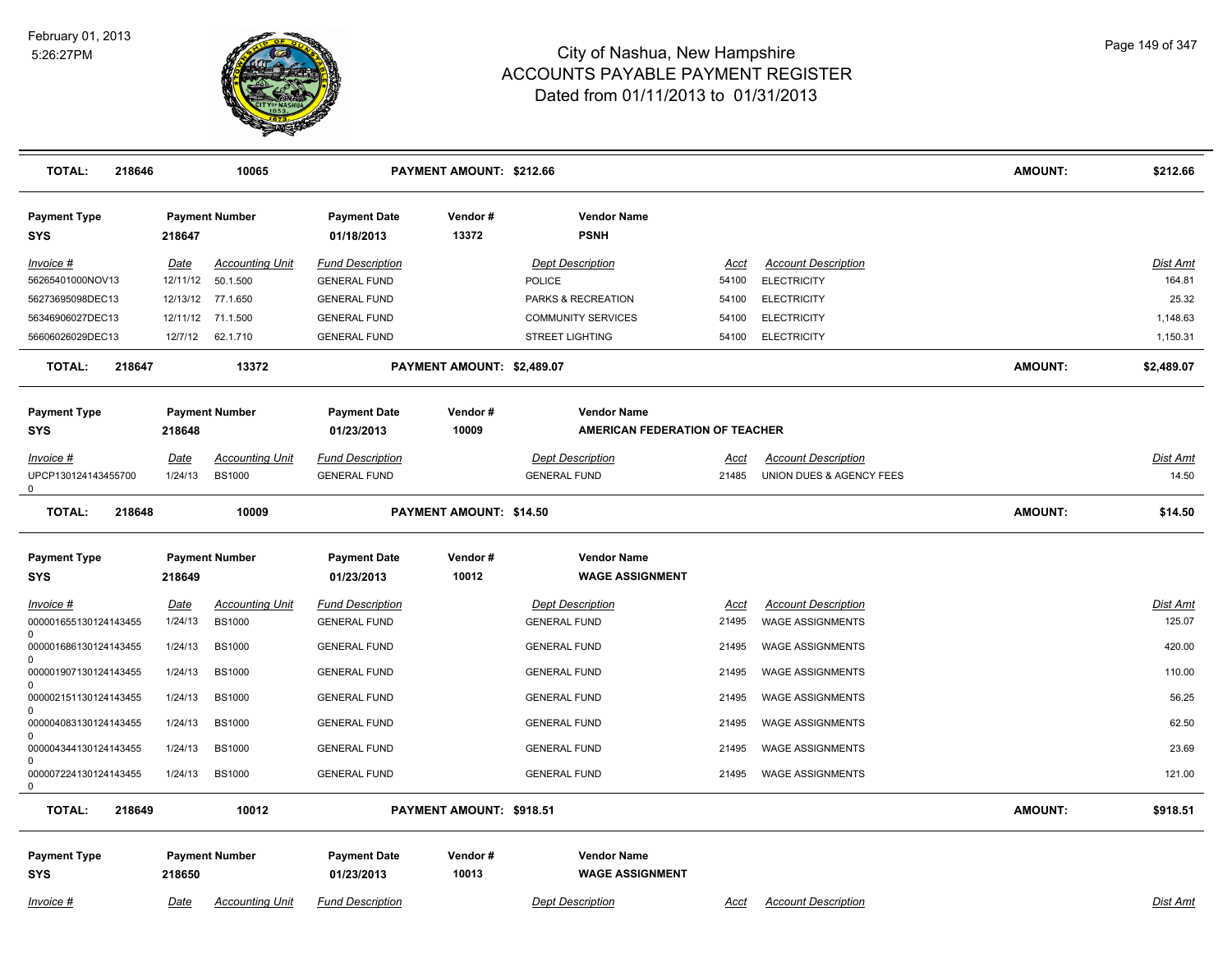

| <b>TOTAL:</b><br>218646           |             | 10065                  |                                   | PAYMENT AMOUNT: \$212.66       |                                              |             |                            | <b>AMOUNT:</b> | \$212.66        |
|-----------------------------------|-------------|------------------------|-----------------------------------|--------------------------------|----------------------------------------------|-------------|----------------------------|----------------|-----------------|
| <b>Payment Type</b><br><b>SYS</b> | 218647      | <b>Payment Number</b>  | <b>Payment Date</b><br>01/18/2013 | Vendor#<br>13372               | <b>Vendor Name</b><br><b>PSNH</b>            |             |                            |                |                 |
| $Invoice$ #                       | <u>Date</u> | <b>Accounting Unit</b> | <b>Fund Description</b>           |                                | <b>Dept Description</b>                      | Acct        | <b>Account Description</b> |                | Dist Amt        |
| 56265401000NOV13                  | 12/11/12    | 50.1.500               | <b>GENERAL FUND</b>               |                                | <b>POLICE</b>                                | 54100       | <b>ELECTRICITY</b>         |                | 164.81          |
| 56273695098DEC13                  |             | 12/13/12 77.1.650      | <b>GENERAL FUND</b>               |                                | PARKS & RECREATION                           | 54100       | <b>ELECTRICITY</b>         |                | 25.32           |
| 56346906027DEC13                  |             | 12/11/12 71.1.500      | <b>GENERAL FUND</b>               |                                | <b>COMMUNITY SERVICES</b>                    | 54100       | <b>ELECTRICITY</b>         |                | 1,148.63        |
| 56606026029DEC13                  | 12/7/12     | 62.1.710               | <b>GENERAL FUND</b>               |                                | <b>STREET LIGHTING</b>                       | 54100       | <b>ELECTRICITY</b>         |                | 1,150.31        |
| <b>TOTAL:</b><br>218647           |             | 13372                  |                                   | PAYMENT AMOUNT: \$2,489.07     |                                              |             |                            | <b>AMOUNT:</b> | \$2,489.07      |
| <b>Payment Type</b>               |             | <b>Payment Number</b>  | <b>Payment Date</b>               | Vendor#                        | <b>Vendor Name</b>                           |             |                            |                |                 |
| SYS                               | 218648      |                        | 01/23/2013                        | 10009                          | AMERICAN FEDERATION OF TEACHER               |             |                            |                |                 |
| Invoice #                         | Date        | <b>Accounting Unit</b> | <b>Fund Description</b>           |                                | <b>Dept Description</b>                      | Acct        | <b>Account Description</b> |                | <b>Dist Amt</b> |
| UPCP130124143455700<br>0          | 1/24/13     | <b>BS1000</b>          | <b>GENERAL FUND</b>               |                                | <b>GENERAL FUND</b>                          | 21485       | UNION DUES & AGENCY FEES   |                | 14.50           |
| <b>TOTAL:</b><br>218648           |             | 10009                  |                                   | <b>PAYMENT AMOUNT: \$14.50</b> |                                              |             |                            | <b>AMOUNT:</b> | \$14.50         |
| <b>Payment Type</b><br>SYS        | 218649      | <b>Payment Number</b>  | <b>Payment Date</b><br>01/23/2013 | Vendor#<br>10012               | <b>Vendor Name</b><br><b>WAGE ASSIGNMENT</b> |             |                            |                |                 |
| Invoice #                         | <u>Date</u> | <b>Accounting Unit</b> | <b>Fund Description</b>           |                                | <b>Dept Description</b>                      | <u>Acct</u> | <b>Account Description</b> |                | Dist Amt        |
| 000001655130124143455<br>0        | 1/24/13     | <b>BS1000</b>          | <b>GENERAL FUND</b>               |                                | <b>GENERAL FUND</b>                          | 21495       | <b>WAGE ASSIGNMENTS</b>    |                | 125.07          |
| 000001686130124143455             | 1/24/13     | <b>BS1000</b>          | <b>GENERAL FUND</b>               |                                | <b>GENERAL FUND</b>                          | 21495       | <b>WAGE ASSIGNMENTS</b>    |                | 420.00          |
| 0<br>000001907130124143455        | 1/24/13     | <b>BS1000</b>          | <b>GENERAL FUND</b>               |                                | <b>GENERAL FUND</b>                          | 21495       | <b>WAGE ASSIGNMENTS</b>    |                | 110.00          |
| 0<br>000002151130124143455        | 1/24/13     | <b>BS1000</b>          | <b>GENERAL FUND</b>               |                                | <b>GENERAL FUND</b>                          | 21495       | <b>WAGE ASSIGNMENTS</b>    |                | 56.25           |
| 0<br>000004083130124143455        | 1/24/13     | <b>BS1000</b>          | <b>GENERAL FUND</b>               |                                | <b>GENERAL FUND</b>                          | 21495       | <b>WAGE ASSIGNMENTS</b>    |                | 62.50           |
| 0<br>000004344130124143455        | 1/24/13     | <b>BS1000</b>          | <b>GENERAL FUND</b>               |                                | <b>GENERAL FUND</b>                          | 21495       | <b>WAGE ASSIGNMENTS</b>    |                | 23.69           |
| 0<br>000007224130124143455<br>0   | 1/24/13     | <b>BS1000</b>          | <b>GENERAL FUND</b>               |                                | <b>GENERAL FUND</b>                          | 21495       | <b>WAGE ASSIGNMENTS</b>    |                | 121.00          |
| <b>TOTAL:</b><br>218649           |             | 10012                  |                                   | PAYMENT AMOUNT: \$918.51       |                                              |             |                            | <b>AMOUNT:</b> | \$918.51        |
| <b>Payment Type</b><br><b>SYS</b> | 218650      | <b>Payment Number</b>  | <b>Payment Date</b><br>01/23/2013 | Vendor#<br>10013               | <b>Vendor Name</b><br><b>WAGE ASSIGNMENT</b> |             |                            |                |                 |
| Invoice #                         | Date        | <b>Accounting Unit</b> | <b>Fund Description</b>           |                                | <b>Dept Description</b>                      | Acct        | <b>Account Description</b> |                | Dist Amt        |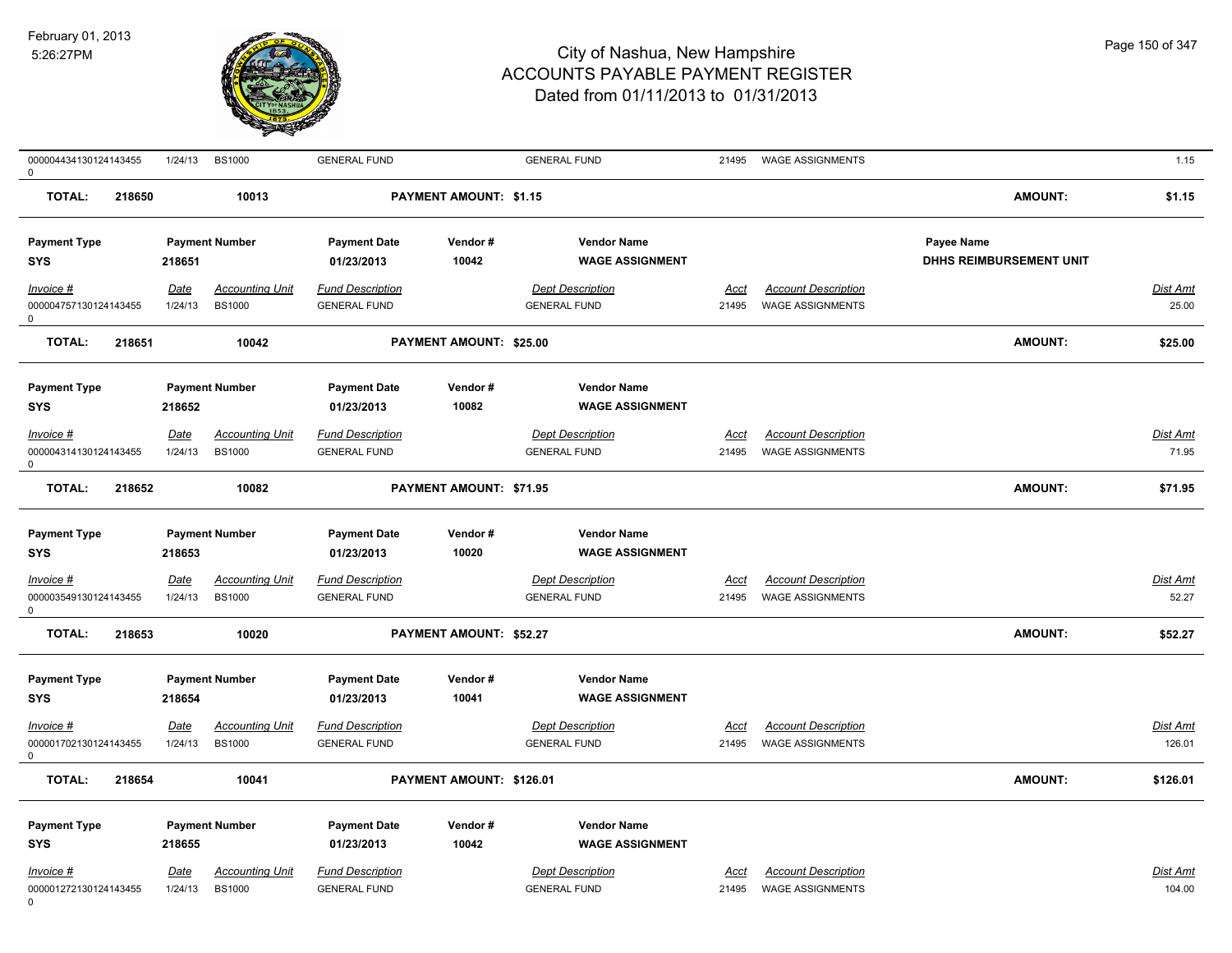

| 000004434130124143455<br>$\mathbf 0$                                                     | 1/24/13                          | <b>BS1000</b>                                                    | <b>GENERAL FUND</b>                                                                 |                               | <b>GENERAL FUND</b>                                                                            | 21495         | WAGE ASSIGNMENTS                                      |                                              | 1.15                     |
|------------------------------------------------------------------------------------------|----------------------------------|------------------------------------------------------------------|-------------------------------------------------------------------------------------|-------------------------------|------------------------------------------------------------------------------------------------|---------------|-------------------------------------------------------|----------------------------------------------|--------------------------|
| TOTAL:<br>218650                                                                         |                                  | 10013                                                            |                                                                                     | <b>PAYMENT AMOUNT: \$1.15</b> |                                                                                                |               |                                                       | <b>AMOUNT:</b>                               | \$1.15                   |
| <b>Payment Type</b><br><b>SYS</b>                                                        | 218651                           | <b>Payment Number</b>                                            | <b>Payment Date</b><br>01/23/2013                                                   | Vendor#<br>10042              | <b>Vendor Name</b><br><b>WAGE ASSIGNMENT</b>                                                   |               |                                                       | <b>Payee Name</b><br>DHHS REIMBURSEMENT UNIT |                          |
| $Invoice$ #<br>000004757130124143455<br>0                                                | Date<br>1/24/13                  | <b>Accounting Unit</b><br><b>BS1000</b>                          | <b>Fund Description</b><br><b>GENERAL FUND</b>                                      |                               | <b>Dept Description</b><br><b>GENERAL FUND</b>                                                 | Acct<br>21495 | <b>Account Description</b><br><b>WAGE ASSIGNMENTS</b> |                                              | <b>Dist Amt</b><br>25.00 |
| <b>TOTAL:</b><br>218651                                                                  |                                  | 10042                                                            |                                                                                     | PAYMENT AMOUNT: \$25.00       |                                                                                                |               |                                                       | AMOUNT:                                      | \$25.00                  |
| <b>Payment Type</b><br><b>SYS</b><br>$Invoice$ #<br>000004314130124143455                | 218652<br><u>Date</u><br>1/24/13 | <b>Payment Number</b><br><b>Accounting Unit</b><br><b>BS1000</b> | <b>Payment Date</b><br>01/23/2013<br><b>Fund Description</b><br><b>GENERAL FUND</b> | Vendor#<br>10082              | <b>Vendor Name</b><br><b>WAGE ASSIGNMENT</b><br><b>Dept Description</b><br><b>GENERAL FUND</b> | Acct<br>21495 | <b>Account Description</b><br><b>WAGE ASSIGNMENTS</b> |                                              | Dist Amt<br>71.95        |
| $\Omega$<br><b>TOTAL:</b><br>218652                                                      |                                  | 10082                                                            |                                                                                     | PAYMENT AMOUNT: \$71.95       |                                                                                                |               |                                                       | AMOUNT:                                      | \$71.95                  |
| <b>Payment Type</b><br><b>SYS</b><br>$Invoice$ #<br>000003549130124143455<br>$\mathbf 0$ | 218653<br>Date<br>1/24/13        | <b>Payment Number</b><br><b>Accounting Unit</b><br><b>BS1000</b> | <b>Payment Date</b><br>01/23/2013<br><b>Fund Description</b><br><b>GENERAL FUND</b> | Vendor#<br>10020              | <b>Vendor Name</b><br><b>WAGE ASSIGNMENT</b><br><b>Dept Description</b><br><b>GENERAL FUND</b> | Acct<br>21495 | <b>Account Description</b><br><b>WAGE ASSIGNMENTS</b> |                                              | Dist Amt<br>52.27        |
| <b>TOTAL:</b><br>218653                                                                  |                                  | 10020                                                            |                                                                                     | PAYMENT AMOUNT: \$52.27       |                                                                                                |               |                                                       | AMOUNT:                                      | \$52.27                  |
| <b>Payment Type</b><br><b>SYS</b><br>$Invoice$ #<br>000001702130124143455                | 218654<br>Date<br>1/24/13        | <b>Payment Number</b><br><b>Accounting Unit</b><br><b>BS1000</b> | <b>Payment Date</b><br>01/23/2013<br><b>Fund Description</b><br><b>GENERAL FUND</b> | Vendor#<br>10041              | <b>Vendor Name</b><br><b>WAGE ASSIGNMENT</b><br><b>Dept Description</b><br><b>GENERAL FUND</b> | Acct<br>21495 | <b>Account Description</b><br><b>WAGE ASSIGNMENTS</b> |                                              | Dist Amt<br>126.01       |
| $\Omega$<br><b>TOTAL:</b><br>218654                                                      |                                  | 10041                                                            |                                                                                     | PAYMENT AMOUNT: \$126.01      |                                                                                                |               |                                                       | AMOUNT:                                      | \$126.01                 |
| <b>Payment Type</b><br><b>SYS</b><br>Invoice #                                           | 218655<br>Date                   | <b>Payment Number</b><br><b>Accounting Unit</b>                  | <b>Payment Date</b><br>01/23/2013<br><b>Fund Description</b>                        | Vendor#<br>10042              | <b>Vendor Name</b><br><b>WAGE ASSIGNMENT</b><br><b>Dept Description</b>                        | Acct          | <b>Account Description</b>                            |                                              | Dist Amt                 |
| 000001272130124143455                                                                    | 1/24/13                          | <b>BS1000</b>                                                    | <b>GENERAL FUND</b>                                                                 |                               | <b>GENERAL FUND</b>                                                                            | 21495         | <b>WAGE ASSIGNMENTS</b>                               |                                              | 104.00                   |

0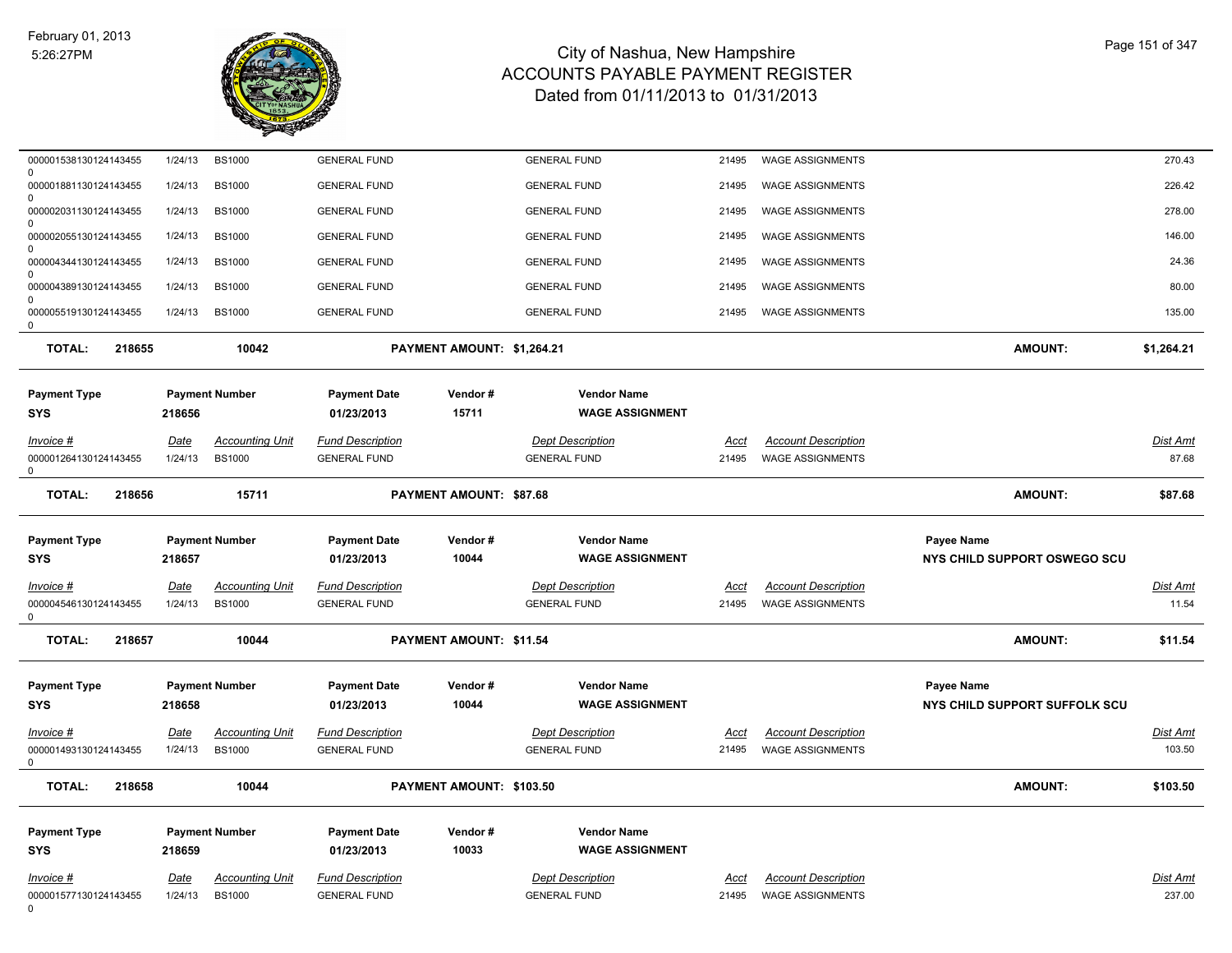

| 000001538130124143455<br>$\Omega$      | 1/24/13                | <b>BS1000</b>                           | <b>GENERAL FUND</b>                            |                            | <b>GENERAL FUND</b>                            | 21495         | <b>WAGE ASSIGNMENTS</b>                               |                               | 270.43             |
|----------------------------------------|------------------------|-----------------------------------------|------------------------------------------------|----------------------------|------------------------------------------------|---------------|-------------------------------------------------------|-------------------------------|--------------------|
| 000001881130124143455<br>$\Omega$      | 1/24/13                | <b>BS1000</b>                           | <b>GENERAL FUND</b>                            |                            | <b>GENERAL FUND</b>                            | 21495         | <b>WAGE ASSIGNMENTS</b>                               |                               | 226.42             |
| 000002031130124143455<br>$\Omega$      | 1/24/13                | <b>BS1000</b>                           | <b>GENERAL FUND</b>                            |                            | <b>GENERAL FUND</b>                            | 21495         | <b>WAGE ASSIGNMENTS</b>                               |                               | 278.00             |
| 000002055130124143455                  | 1/24/13                | <b>BS1000</b>                           | <b>GENERAL FUND</b>                            |                            | <b>GENERAL FUND</b>                            | 21495         | <b>WAGE ASSIGNMENTS</b>                               |                               | 146.00             |
| $\Omega$<br>000004344130124143455      | 1/24/13                | <b>BS1000</b>                           | <b>GENERAL FUND</b>                            |                            | <b>GENERAL FUND</b>                            | 21495         | <b>WAGE ASSIGNMENTS</b>                               |                               | 24.36              |
| $\Omega$<br>000004389130124143455      | 1/24/13                | <b>BS1000</b>                           | <b>GENERAL FUND</b>                            |                            | <b>GENERAL FUND</b>                            | 21495         | <b>WAGE ASSIGNMENTS</b>                               |                               | 80.00              |
| $\Omega$<br>000005519130124143455<br>0 | 1/24/13                | <b>BS1000</b>                           | <b>GENERAL FUND</b>                            |                            | <b>GENERAL FUND</b>                            | 21495         | <b>WAGE ASSIGNMENTS</b>                               |                               | 135.00             |
| <b>TOTAL:</b><br>218655                |                        | 10042                                   |                                                | PAYMENT AMOUNT: \$1,264.21 |                                                |               |                                                       | <b>AMOUNT:</b>                | \$1,264.21         |
| <b>Payment Type</b>                    |                        | <b>Payment Number</b>                   | <b>Payment Date</b>                            | Vendor#                    | <b>Vendor Name</b>                             |               |                                                       |                               |                    |
| <b>SYS</b>                             | 218656                 |                                         | 01/23/2013                                     | 15711                      | <b>WAGE ASSIGNMENT</b>                         |               |                                                       |                               |                    |
| Invoice #                              | Date                   | <b>Accounting Unit</b>                  | <b>Fund Description</b>                        |                            | <b>Dept Description</b>                        | Acct          | <b>Account Description</b>                            |                               | Dist Amt           |
| 000001264130124143455<br>0             | 1/24/13                | <b>BS1000</b>                           | <b>GENERAL FUND</b>                            |                            | <b>GENERAL FUND</b>                            | 21495         | <b>WAGE ASSIGNMENTS</b>                               |                               | 87.68              |
| <b>TOTAL:</b><br>218656                |                        | 15711                                   |                                                | PAYMENT AMOUNT: \$87.68    |                                                |               |                                                       | <b>AMOUNT:</b>                | \$87.68            |
| <b>Payment Type</b>                    |                        | <b>Payment Number</b>                   | <b>Payment Date</b>                            | Vendor#                    | <b>Vendor Name</b>                             |               |                                                       | <b>Payee Name</b>             |                    |
| SYS                                    | 218657                 |                                         | 01/23/2013                                     | 10044                      | <b>WAGE ASSIGNMENT</b>                         |               |                                                       | NYS CHILD SUPPORT OSWEGO SCU  |                    |
| Invoice #                              | Date                   | <b>Accounting Unit</b>                  | <b>Fund Description</b>                        |                            | <b>Dept Description</b>                        | Acct          | <b>Account Description</b>                            |                               | <b>Dist Amt</b>    |
| 000004546130124143455<br>$\Omega$      | 1/24/13                | <b>BS1000</b>                           | <b>GENERAL FUND</b>                            |                            | <b>GENERAL FUND</b>                            | 21495         | <b>WAGE ASSIGNMENTS</b>                               |                               | 11.54              |
| <b>TOTAL:</b><br>218657                |                        | 10044                                   |                                                | PAYMENT AMOUNT: \$11.54    |                                                |               |                                                       | <b>AMOUNT:</b>                | \$11.54            |
| <b>Payment Type</b>                    |                        | <b>Payment Number</b>                   | <b>Payment Date</b>                            | Vendor#                    | <b>Vendor Name</b>                             |               |                                                       | <b>Payee Name</b>             |                    |
| <b>SYS</b>                             |                        |                                         |                                                |                            |                                                |               |                                                       |                               |                    |
|                                        | 218658                 |                                         | 01/23/2013                                     | 10044                      | <b>WAGE ASSIGNMENT</b>                         |               |                                                       | NYS CHILD SUPPORT SUFFOLK SCU |                    |
| Invoice #<br>000001493130124143455     | <b>Date</b><br>1/24/13 | <b>Accounting Unit</b><br><b>BS1000</b> | <b>Fund Description</b><br><b>GENERAL FUND</b> |                            | <b>Dept Description</b><br><b>GENERAL FUND</b> | Acct<br>21495 | <b>Account Description</b><br><b>WAGE ASSIGNMENTS</b> |                               | Dist Amt<br>103.50 |
| 0<br><b>TOTAL:</b><br>218658           |                        | 10044                                   |                                                | PAYMENT AMOUNT: \$103.50   |                                                |               |                                                       | <b>AMOUNT:</b>                | \$103.50           |
|                                        |                        |                                         |                                                |                            |                                                |               |                                                       |                               |                    |
| <b>Payment Type</b><br><b>SYS</b>      | 218659                 | <b>Payment Number</b>                   | <b>Payment Date</b><br>01/23/2013              | Vendor#<br>10033           | <b>Vendor Name</b><br><b>WAGE ASSIGNMENT</b>   |               |                                                       |                               |                    |
| Invoice #                              | <u>Date</u>            | <b>Accounting Unit</b>                  | <b>Fund Description</b>                        |                            | <b>Dept Description</b>                        | <u>Acct</u>   | <b>Account Description</b>                            |                               | Dist Amt           |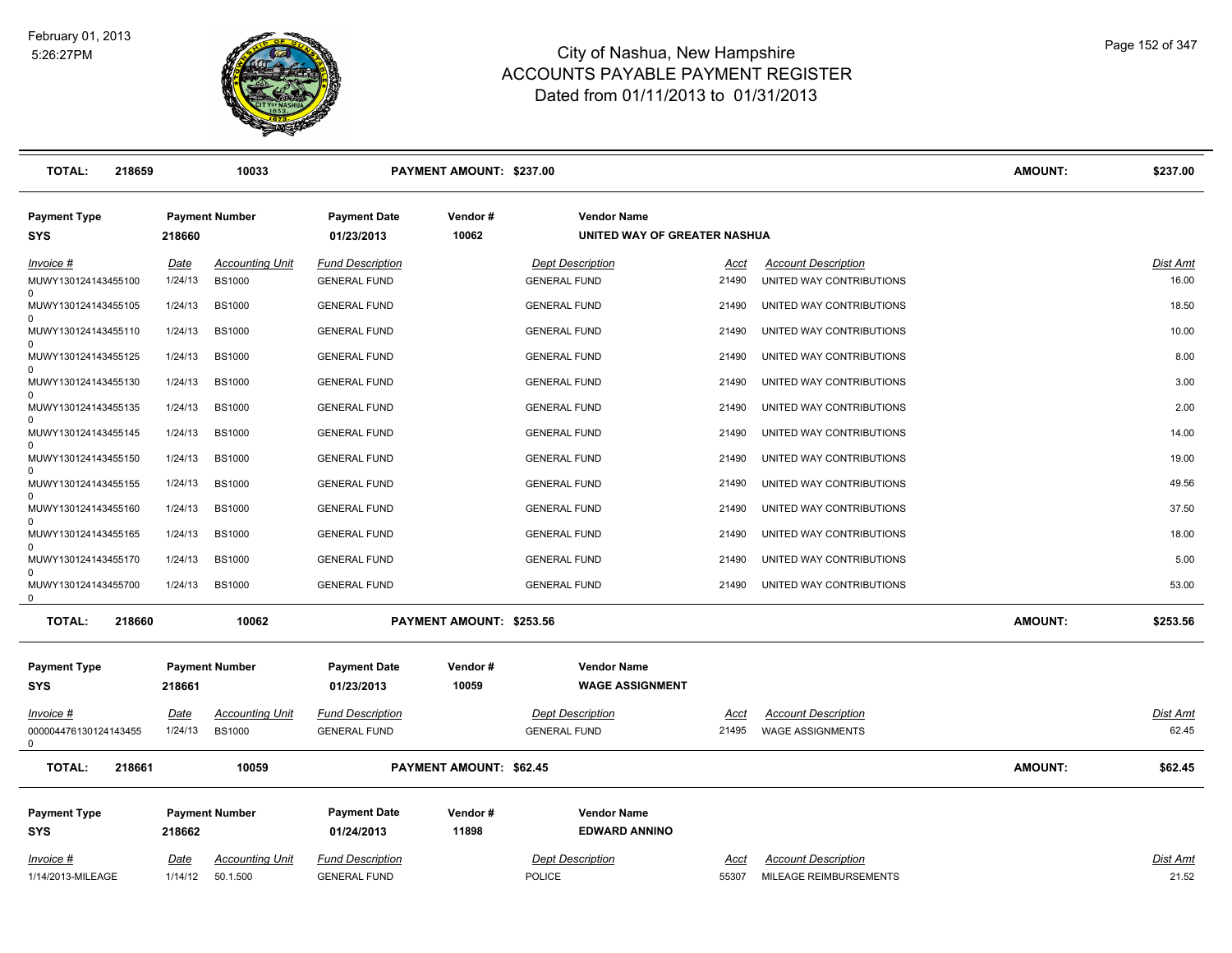

| <b>TOTAL:</b><br>218659                     |         | 10033                  |                                   | PAYMENT AMOUNT: \$237.00       |                                                    |             |                            | <b>AMOUNT:</b> | \$237.00 |
|---------------------------------------------|---------|------------------------|-----------------------------------|--------------------------------|----------------------------------------------------|-------------|----------------------------|----------------|----------|
| <b>Payment Type</b><br><b>SYS</b>           | 218660  | <b>Payment Number</b>  | <b>Payment Date</b><br>01/23/2013 | Vendor#<br>10062               | <b>Vendor Name</b><br>UNITED WAY OF GREATER NASHUA |             |                            |                |          |
| Invoice #                                   | Date    | <b>Accounting Unit</b> | <b>Fund Description</b>           |                                | <b>Dept Description</b>                            | <u>Acct</u> | <b>Account Description</b> |                | Dist Amt |
| MUWY130124143455100                         | 1/24/13 | <b>BS1000</b>          | <b>GENERAL FUND</b>               |                                | <b>GENERAL FUND</b>                                | 21490       | UNITED WAY CONTRIBUTIONS   |                | 16.00    |
| MUWY130124143455105                         | 1/24/13 | <b>BS1000</b>          | <b>GENERAL FUND</b>               |                                | <b>GENERAL FUND</b>                                | 21490       | UNITED WAY CONTRIBUTIONS   |                | 18.50    |
| MUWY130124143455110<br>$\Omega$             | 1/24/13 | <b>BS1000</b>          | <b>GENERAL FUND</b>               |                                | <b>GENERAL FUND</b>                                | 21490       | UNITED WAY CONTRIBUTIONS   |                | 10.00    |
| MUWY130124143455125<br>$\Omega$             | 1/24/13 | <b>BS1000</b>          | <b>GENERAL FUND</b>               |                                | <b>GENERAL FUND</b>                                | 21490       | UNITED WAY CONTRIBUTIONS   |                | 8.00     |
| MUWY130124143455130                         | 1/24/13 | <b>BS1000</b>          | <b>GENERAL FUND</b>               |                                | <b>GENERAL FUND</b>                                | 21490       | UNITED WAY CONTRIBUTIONS   |                | 3.00     |
| $\Omega$<br>MUWY130124143455135             | 1/24/13 | <b>BS1000</b>          | <b>GENERAL FUND</b>               |                                | <b>GENERAL FUND</b>                                | 21490       | UNITED WAY CONTRIBUTIONS   |                | 2.00     |
| $\Omega$<br>MUWY130124143455145             | 1/24/13 | <b>BS1000</b>          | <b>GENERAL FUND</b>               |                                | <b>GENERAL FUND</b>                                | 21490       | UNITED WAY CONTRIBUTIONS   |                | 14.00    |
| MUWY130124143455150                         | 1/24/13 | <b>BS1000</b>          | <b>GENERAL FUND</b>               |                                | <b>GENERAL FUND</b>                                | 21490       | UNITED WAY CONTRIBUTIONS   |                | 19.00    |
| $\Omega$<br>MUWY130124143455155             | 1/24/13 | <b>BS1000</b>          | <b>GENERAL FUND</b>               |                                | <b>GENERAL FUND</b>                                | 21490       | UNITED WAY CONTRIBUTIONS   |                | 49.56    |
| MUWY130124143455160                         | 1/24/13 | <b>BS1000</b>          | <b>GENERAL FUND</b>               |                                | <b>GENERAL FUND</b>                                | 21490       | UNITED WAY CONTRIBUTIONS   |                | 37.50    |
| $\Omega$<br>MUWY130124143455165             | 1/24/13 | <b>BS1000</b>          | <b>GENERAL FUND</b>               |                                | <b>GENERAL FUND</b>                                | 21490       | UNITED WAY CONTRIBUTIONS   |                | 18.00    |
| MUWY130124143455170                         | 1/24/13 | <b>BS1000</b>          | <b>GENERAL FUND</b>               |                                | <b>GENERAL FUND</b>                                | 21490       | UNITED WAY CONTRIBUTIONS   |                | 5.00     |
| $\Omega$<br>MUWY130124143455700<br>$\Omega$ | 1/24/13 | <b>BS1000</b>          | <b>GENERAL FUND</b>               |                                | <b>GENERAL FUND</b>                                | 21490       | UNITED WAY CONTRIBUTIONS   |                | 53.00    |
| <b>TOTAL:</b><br>218660                     |         | 10062                  |                                   | PAYMENT AMOUNT: \$253.56       |                                                    |             |                            | <b>AMOUNT:</b> | \$253.56 |
| <b>Payment Type</b><br><b>SYS</b>           | 218661  | <b>Payment Number</b>  | <b>Payment Date</b><br>01/23/2013 | Vendor#<br>10059               | <b>Vendor Name</b><br><b>WAGE ASSIGNMENT</b>       |             |                            |                |          |
| Invoice #                                   | Date    | <b>Accounting Unit</b> | <b>Fund Description</b>           |                                | <b>Dept Description</b>                            | Acct        | <b>Account Description</b> |                | Dist Amt |
| 000004476130124143455<br>$\Omega$           | 1/24/13 | <b>BS1000</b>          | <b>GENERAL FUND</b>               |                                | <b>GENERAL FUND</b>                                | 21495       | <b>WAGE ASSIGNMENTS</b>    |                | 62.45    |
| <b>TOTAL:</b><br>218661                     |         | 10059                  |                                   | <b>PAYMENT AMOUNT: \$62.45</b> |                                                    |             |                            | <b>AMOUNT:</b> | \$62.45  |
| <b>Payment Type</b>                         |         | <b>Payment Number</b>  | <b>Payment Date</b>               | Vendor#                        | <b>Vendor Name</b>                                 |             |                            |                |          |
| <b>SYS</b>                                  | 218662  |                        | 01/24/2013                        | 11898                          | <b>EDWARD ANNINO</b>                               |             |                            |                |          |
| Invoice #                                   | Date    | <b>Accounting Unit</b> | <b>Fund Description</b>           |                                | <b>Dept Description</b>                            | <b>Acct</b> | <b>Account Description</b> |                | Dist Amt |
| 1/14/2013-MILEAGE                           | 1/14/12 | 50.1.500               | <b>GENERAL FUND</b>               |                                | POLICE                                             | 55307       | MILEAGE REIMBURSEMENTS     |                | 21.52    |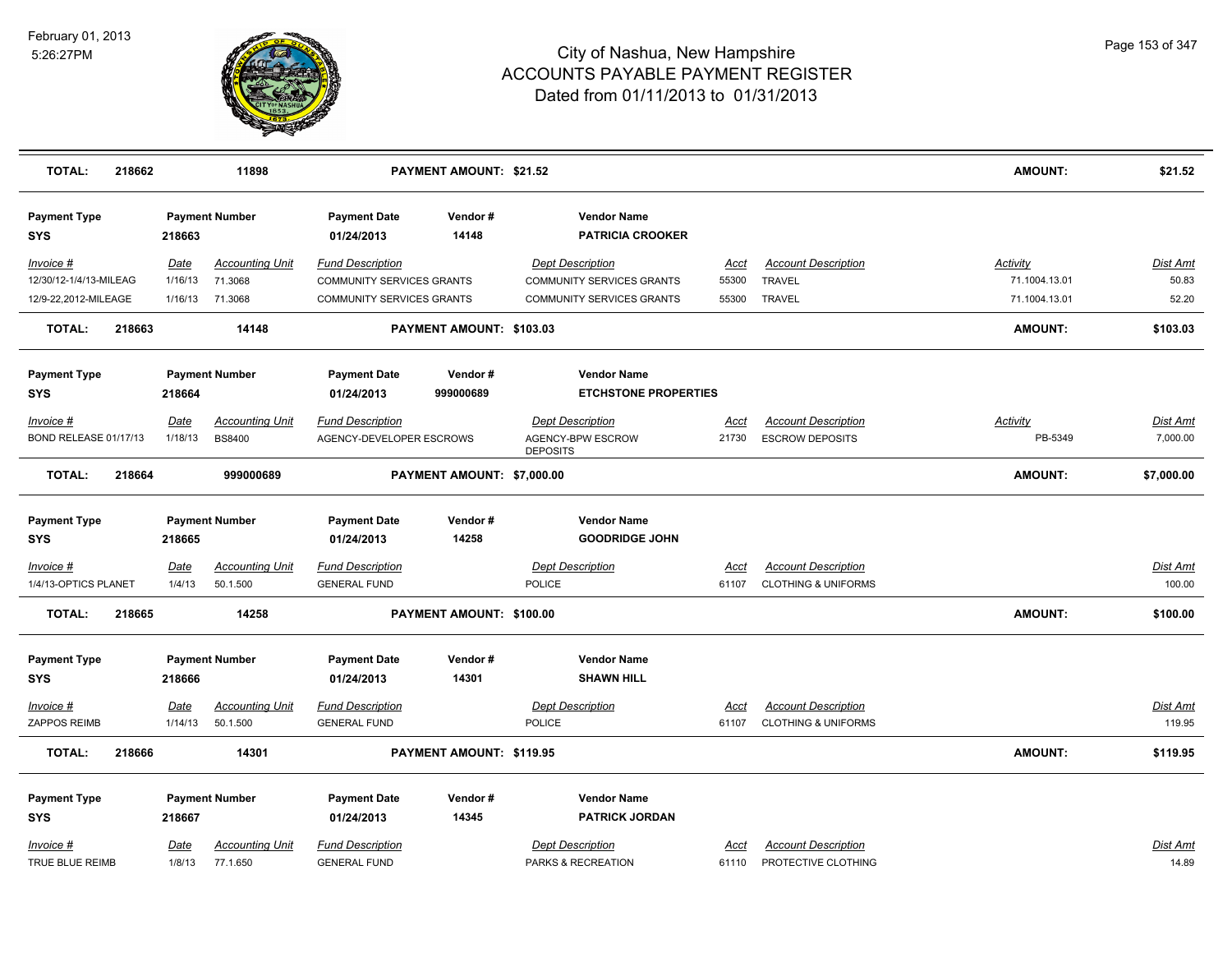

| <b>TOTAL:</b>              | 218662 |             | 11898                  |                                   | <b>PAYMENT AMOUNT: \$21.52</b> |                                               |             |                                | AMOUNT:         | \$21.52         |
|----------------------------|--------|-------------|------------------------|-----------------------------------|--------------------------------|-----------------------------------------------|-------------|--------------------------------|-----------------|-----------------|
| <b>Payment Type</b><br>SYS |        | 218663      | <b>Payment Number</b>  | <b>Payment Date</b><br>01/24/2013 | Vendor#<br>14148               | <b>Vendor Name</b><br><b>PATRICIA CROOKER</b> |             |                                |                 |                 |
| Invoice #                  |        | Date        | <b>Accounting Unit</b> | <b>Fund Description</b>           |                                | Dept Description                              | Acct        | <b>Account Description</b>     | <b>Activity</b> | Dist Amt        |
| 12/30/12-1/4/13-MILEAG     |        | 1/16/13     | 71.3068                | COMMUNITY SERVICES GRANTS         |                                | COMMUNITY SERVICES GRANTS                     | 55300       | <b>TRAVEL</b>                  | 71.1004.13.01   | 50.83           |
| 12/9-22,2012-MILEAGE       |        | 1/16/13     | 71.3068                | COMMUNITY SERVICES GRANTS         |                                | COMMUNITY SERVICES GRANTS                     | 55300       | TRAVEL                         | 71.1004.13.01   | 52.20           |
| <b>TOTAL:</b>              | 218663 |             | 14148                  |                                   | PAYMENT AMOUNT: \$103.03       |                                               |             |                                | <b>AMOUNT:</b>  | \$103.03        |
| <b>Payment Type</b>        |        |             | <b>Payment Number</b>  | <b>Payment Date</b>               | Vendor#                        | <b>Vendor Name</b>                            |             |                                |                 |                 |
| SYS                        |        | 218664      |                        | 01/24/2013                        | 999000689                      | <b>ETCHSTONE PROPERTIES</b>                   |             |                                |                 |                 |
| Invoice #                  |        | Date        | <b>Accounting Unit</b> | <b>Fund Description</b>           |                                | <b>Dept Description</b>                       | Acct        | <b>Account Description</b>     | <b>Activity</b> | <b>Dist Amt</b> |
| BOND RELEASE 01/17/13      |        | 1/18/13     | <b>BS8400</b>          | AGENCY-DEVELOPER ESCROWS          |                                | AGENCY-BPW ESCROW<br><b>DEPOSITS</b>          | 21730       | <b>ESCROW DEPOSITS</b>         | PB-5349         | 7,000.00        |
| <b>TOTAL:</b>              | 218664 |             | 999000689              |                                   | PAYMENT AMOUNT: \$7,000.00     |                                               |             |                                | <b>AMOUNT:</b>  | \$7,000.00      |
| <b>Payment Type</b>        |        |             | <b>Payment Number</b>  | <b>Payment Date</b>               | Vendor#                        | <b>Vendor Name</b>                            |             |                                |                 |                 |
| SYS                        |        | 218665      |                        | 01/24/2013                        | 14258                          | <b>GOODRIDGE JOHN</b>                         |             |                                |                 |                 |
| Invoice #                  |        | <u>Date</u> | <b>Accounting Unit</b> | <b>Fund Description</b>           |                                | <b>Dept Description</b>                       | Acct        | <b>Account Description</b>     |                 | <u>Dist Amt</u> |
| 1/4/13-OPTICS PLANET       |        | 1/4/13      | 50.1.500               | <b>GENERAL FUND</b>               |                                | <b>POLICE</b>                                 | 61107       | <b>CLOTHING &amp; UNIFORMS</b> |                 | 100.00          |
| <b>TOTAL:</b>              | 218665 |             | 14258                  |                                   | PAYMENT AMOUNT: \$100.00       |                                               |             |                                | <b>AMOUNT:</b>  | \$100.00        |
| <b>Payment Type</b>        |        |             | <b>Payment Number</b>  | <b>Payment Date</b>               | Vendor#                        | <b>Vendor Name</b>                            |             |                                |                 |                 |
| SYS                        |        | 218666      |                        | 01/24/2013                        | 14301                          | <b>SHAWN HILL</b>                             |             |                                |                 |                 |
| <u>Invoice #</u>           |        | <u>Date</u> | <b>Accounting Unit</b> | <b>Fund Description</b>           |                                | <b>Dept Description</b>                       | <u>Acct</u> | <b>Account Description</b>     |                 | <b>Dist Amt</b> |
| ZAPPOS REIMB               |        | 1/14/13     | 50.1.500               | <b>GENERAL FUND</b>               |                                | <b>POLICE</b>                                 | 61107       | <b>CLOTHING &amp; UNIFORMS</b> |                 | 119.95          |
| <b>TOTAL:</b>              | 218666 |             | 14301                  |                                   | PAYMENT AMOUNT: \$119.95       |                                               |             |                                | <b>AMOUNT:</b>  | \$119.95        |
| <b>Payment Type</b>        |        |             | <b>Payment Number</b>  | <b>Payment Date</b>               | Vendor#                        | <b>Vendor Name</b>                            |             |                                |                 |                 |
| <b>SYS</b>                 |        | 218667      |                        | 01/24/2013                        | 14345                          | <b>PATRICK JORDAN</b>                         |             |                                |                 |                 |
| Invoice #                  |        | Date        | <b>Accounting Unit</b> | <b>Fund Description</b>           |                                | <b>Dept Description</b>                       | Acct        | <b>Account Description</b>     |                 | Dist Amt        |
| TRUE BLUE REIMB            |        | 1/8/13      | 77.1.650               | <b>GENERAL FUND</b>               |                                | PARKS & RECREATION                            | 61110       | PROTECTIVE CLOTHING            |                 | 14.89           |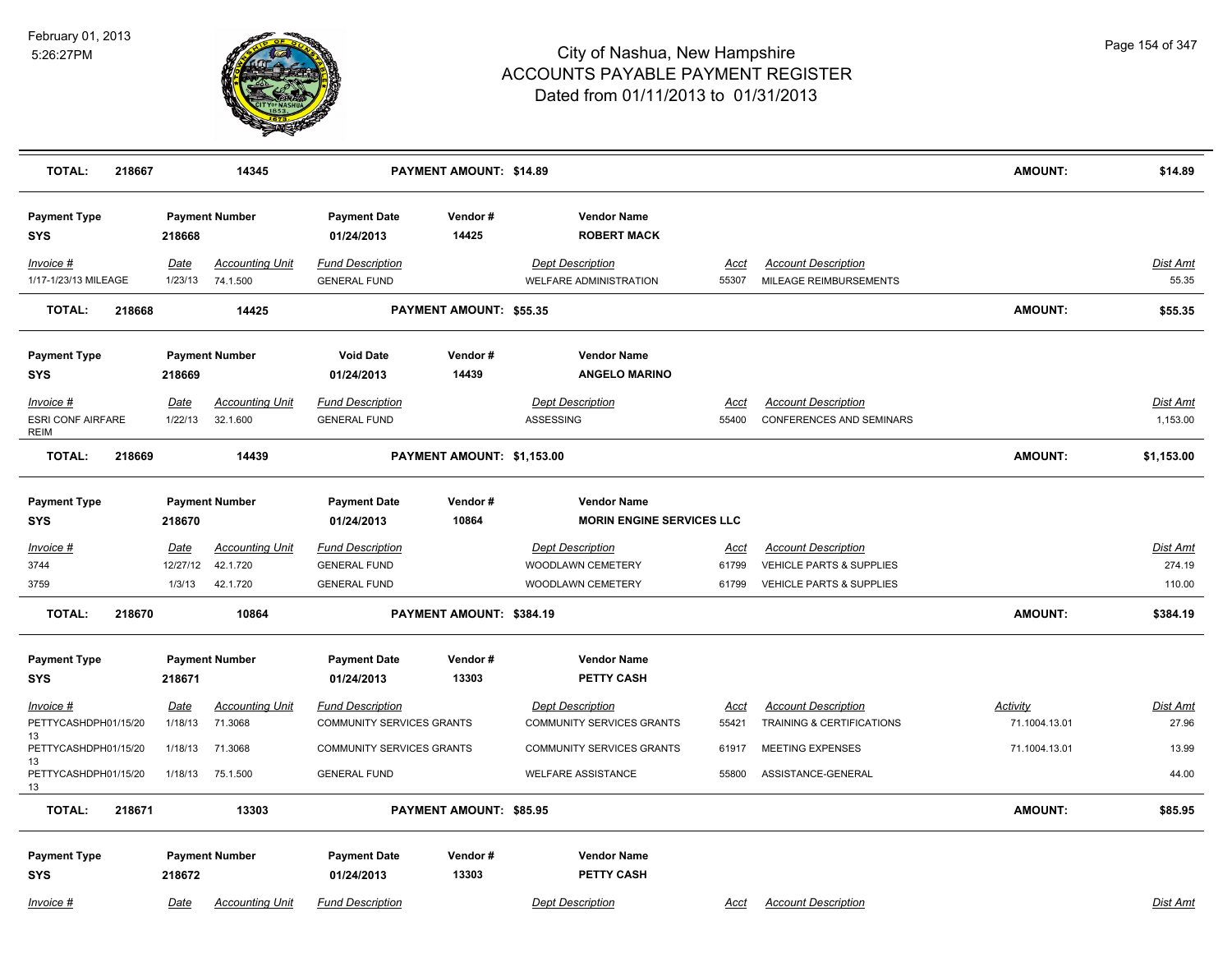

| <b>TOTAL:</b><br>218667           |                 | 14345                              |                                                | PAYMENT AMOUNT: \$14.89        |                                                   |               |                                                      | <b>AMOUNT:</b>  | \$14.89                  |
|-----------------------------------|-----------------|------------------------------------|------------------------------------------------|--------------------------------|---------------------------------------------------|---------------|------------------------------------------------------|-----------------|--------------------------|
| <b>Payment Type</b><br>SYS        | 218668          | <b>Payment Number</b>              | <b>Payment Date</b><br>01/24/2013              | Vendor#<br>14425               | <b>Vendor Name</b><br><b>ROBERT MACK</b>          |               |                                                      |                 |                          |
| Invoice #<br>1/17-1/23/13 MILEAGE | Date<br>1/23/13 | <b>Accounting Unit</b><br>74.1.500 | <b>Fund Description</b><br><b>GENERAL FUND</b> |                                | <b>Dept Description</b><br>WELFARE ADMINISTRATION | Acct<br>55307 | <b>Account Description</b><br>MILEAGE REIMBURSEMENTS |                 | <b>Dist Amt</b><br>55.35 |
| <b>TOTAL:</b><br>218668           |                 | 14425                              |                                                | <b>PAYMENT AMOUNT: \$55.35</b> |                                                   |               |                                                      | <b>AMOUNT:</b>  | \$55.35                  |
| <b>Payment Type</b><br><b>SYS</b> | 218669          | <b>Payment Number</b>              | <b>Void Date</b><br>01/24/2013                 | Vendor#<br>14439               | <b>Vendor Name</b><br><b>ANGELO MARINO</b>        |               |                                                      |                 |                          |
| Invoice #                         | <u>Date</u>     | <b>Accounting Unit</b>             | <b>Fund Description</b>                        |                                | <b>Dept Description</b>                           | <u>Acct</u>   | <b>Account Description</b>                           |                 | <b>Dist Amt</b>          |
| <b>ESRI CONF AIRFARE</b><br>REIM  | 1/22/13         | 32.1.600                           | <b>GENERAL FUND</b>                            |                                | ASSESSING                                         | 55400         | <b>CONFERENCES AND SEMINARS</b>                      |                 | 1,153.00                 |
| <b>TOTAL:</b><br>218669           |                 | 14439                              |                                                | PAYMENT AMOUNT: \$1,153.00     |                                                   |               |                                                      | <b>AMOUNT:</b>  | \$1,153.00               |
| <b>Payment Type</b>               |                 | <b>Payment Number</b>              | <b>Payment Date</b>                            | Vendor#                        | <b>Vendor Name</b>                                |               |                                                      |                 |                          |
| <b>SYS</b>                        | 218670          |                                    | 01/24/2013                                     | 10864                          | <b>MORIN ENGINE SERVICES LLC</b>                  |               |                                                      |                 |                          |
| Invoice #                         | Date            | <b>Accounting Unit</b>             | <b>Fund Description</b>                        |                                | <b>Dept Description</b>                           | Acct          | <b>Account Description</b>                           |                 | <b>Dist Amt</b>          |
| 3744                              | 12/27/12        | 42.1.720                           | <b>GENERAL FUND</b>                            |                                | WOODLAWN CEMETERY                                 | 61799         | VEHICLE PARTS & SUPPLIES                             |                 | 274.19                   |
| 3759                              | 1/3/13          | 42.1.720                           | <b>GENERAL FUND</b>                            |                                | WOODLAWN CEMETERY                                 | 61799         | VEHICLE PARTS & SUPPLIES                             |                 | 110.00                   |
| <b>TOTAL:</b><br>218670           |                 | 10864                              |                                                | PAYMENT AMOUNT: \$384.19       |                                                   |               |                                                      | <b>AMOUNT:</b>  | \$384.19                 |
| <b>Payment Type</b><br><b>SYS</b> | 218671          | <b>Payment Number</b>              | <b>Payment Date</b><br>01/24/2013              | Vendor#<br>13303               | <b>Vendor Name</b><br>PETTY CASH                  |               |                                                      |                 |                          |
| $Invoice$ #                       | <u>Date</u>     | <b>Accounting Unit</b>             | <b>Fund Description</b>                        |                                | <b>Dept Description</b>                           | <u>Acct</u>   | <b>Account Description</b>                           | <b>Activity</b> | <u>Dist Amt</u>          |
| PETTYCASHDPH01/15/20              | 1/18/13         | 71.3068                            | COMMUNITY SERVICES GRANTS                      |                                | COMMUNITY SERVICES GRANTS                         | 55421         | TRAINING & CERTIFICATIONS                            | 71.1004.13.01   | 27.96                    |
| 13<br>PETTYCASHDPH01/15/20<br>13  | 1/18/13         | 71.3068                            | COMMUNITY SERVICES GRANTS                      |                                | COMMUNITY SERVICES GRANTS                         | 61917         | MEETING EXPENSES                                     | 71.1004.13.01   | 13.99                    |
| PETTYCASHDPH01/15/20<br>13        | 1/18/13         | 75.1.500                           | <b>GENERAL FUND</b>                            |                                | <b>WELFARE ASSISTANCE</b>                         | 55800         | ASSISTANCE-GENERAL                                   |                 | 44.00                    |
| <b>TOTAL:</b><br>218671           |                 | 13303                              |                                                | PAYMENT AMOUNT: \$85.95        |                                                   |               |                                                      | <b>AMOUNT:</b>  | \$85.95                  |
| <b>Payment Type</b><br><b>SYS</b> | 218672          | <b>Payment Number</b>              | <b>Payment Date</b><br>01/24/2013              | Vendor#<br>13303               | <b>Vendor Name</b><br>PETTY CASH                  |               |                                                      |                 |                          |
| Invoice #                         | Date            | <b>Accounting Unit</b>             | <b>Fund Description</b>                        |                                | <b>Dept Description</b>                           | Acct          | <b>Account Description</b>                           |                 | Dist Amt                 |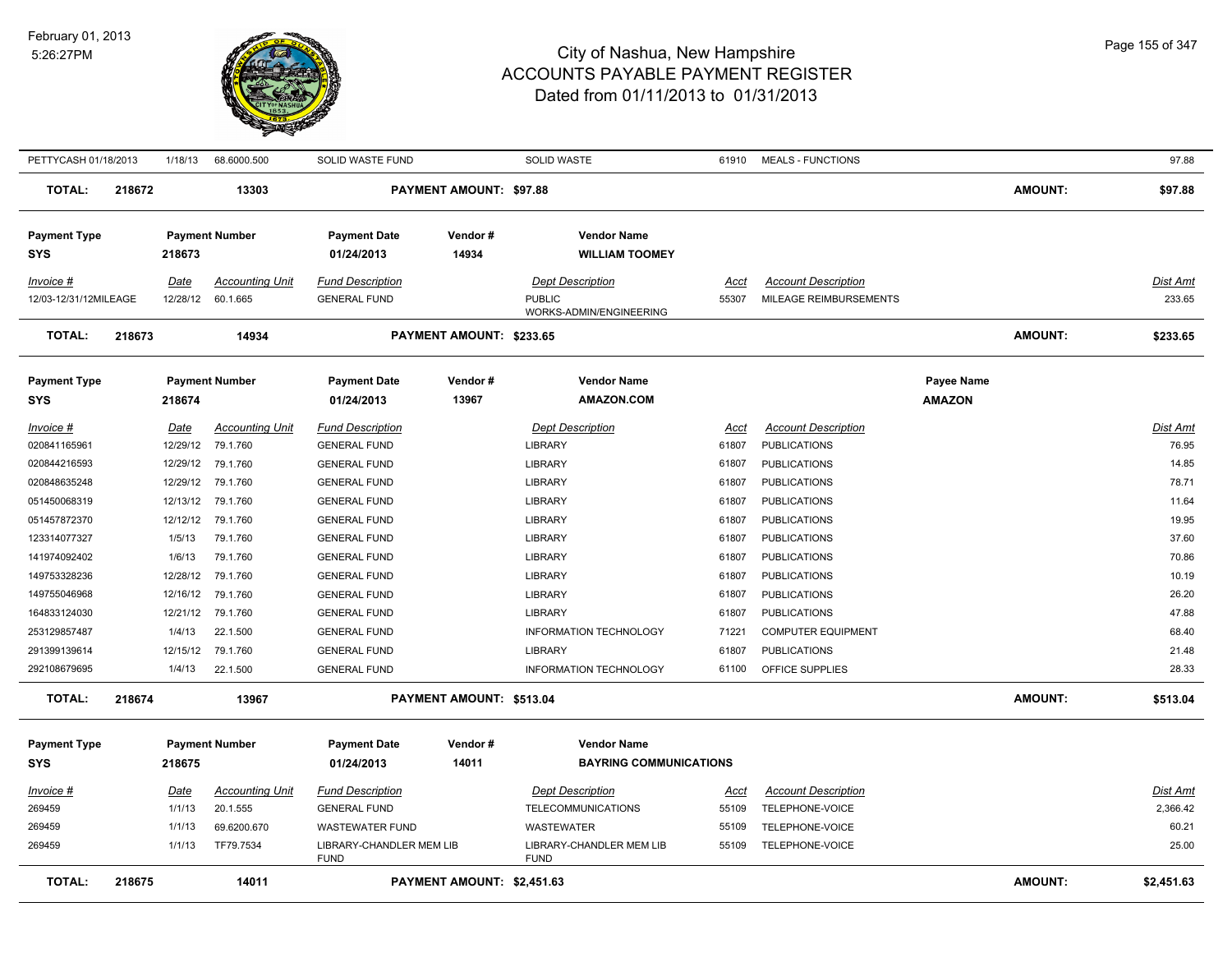

| PETTYCASH 01/18/2013  |        | 1/18/13           | 68.6000.500            | SOLID WASTE FUND                        |                            | <b>SOLID WASTE</b>                      | 61910       | <b>MEALS - FUNCTIONS</b>   |                   |                | 97.88           |
|-----------------------|--------|-------------------|------------------------|-----------------------------------------|----------------------------|-----------------------------------------|-------------|----------------------------|-------------------|----------------|-----------------|
| <b>TOTAL:</b>         | 218672 |                   | 13303                  |                                         | PAYMENT AMOUNT: \$97.88    |                                         |             |                            |                   | <b>AMOUNT:</b> | \$97.88         |
| <b>Payment Type</b>   |        |                   | <b>Payment Number</b>  | <b>Payment Date</b>                     | Vendor#                    | <b>Vendor Name</b>                      |             |                            |                   |                |                 |
| <b>SYS</b>            |        | 218673            |                        | 01/24/2013                              | 14934                      | <b>WILLIAM TOOMEY</b>                   |             |                            |                   |                |                 |
| Invoice #             |        | Date              | <b>Accounting Unit</b> | <b>Fund Description</b>                 |                            | <b>Dept Description</b>                 | Acct        | <b>Account Description</b> |                   |                | Dist Amt        |
| 12/03-12/31/12MILEAGE |        | 12/28/12          | 60.1.665               | <b>GENERAL FUND</b>                     |                            | <b>PUBLIC</b>                           | 55307       | MILEAGE REIMBURSEMENTS     |                   |                | 233.65          |
|                       |        |                   |                        |                                         |                            | WORKS-ADMIN/ENGINEERING                 |             |                            |                   |                |                 |
| <b>TOTAL:</b>         | 218673 |                   | 14934                  |                                         | PAYMENT AMOUNT: \$233.65   |                                         |             |                            |                   | <b>AMOUNT:</b> | \$233.65        |
| <b>Payment Type</b>   |        |                   | <b>Payment Number</b>  | <b>Payment Date</b>                     | Vendor#                    | <b>Vendor Name</b>                      |             |                            | <b>Payee Name</b> |                |                 |
| <b>SYS</b>            |        | 218674            |                        | 01/24/2013                              | 13967                      | <b>AMAZON.COM</b>                       |             |                            | <b>AMAZON</b>     |                |                 |
| <u>Invoice #</u>      |        | <u>Date</u>       | <b>Accounting Unit</b> | <b>Fund Description</b>                 |                            | <b>Dept Description</b>                 | <u>Acct</u> | <b>Account Description</b> |                   |                | Dist Amt        |
| 020841165961          |        |                   | 12/29/12 79.1.760      | <b>GENERAL FUND</b>                     |                            | LIBRARY                                 | 61807       | <b>PUBLICATIONS</b>        |                   |                | 76.95           |
| 020844216593          |        |                   | 12/29/12 79.1.760      | <b>GENERAL FUND</b>                     |                            | LIBRARY                                 | 61807       | <b>PUBLICATIONS</b>        |                   |                | 14.85           |
| 020848635248          |        |                   | 12/29/12 79.1.760      | <b>GENERAL FUND</b>                     |                            | LIBRARY                                 | 61807       | <b>PUBLICATIONS</b>        |                   |                | 78.71           |
| 051450068319          |        | 12/13/12 79.1.760 |                        | <b>GENERAL FUND</b>                     |                            | LIBRARY                                 | 61807       | <b>PUBLICATIONS</b>        |                   |                | 11.64           |
| 051457872370          |        | 12/12/12          | 79.1.760               | <b>GENERAL FUND</b>                     |                            | <b>LIBRARY</b>                          | 61807       | <b>PUBLICATIONS</b>        |                   |                | 19.95           |
| 123314077327          |        | 1/5/13            | 79.1.760               | <b>GENERAL FUND</b>                     |                            | <b>LIBRARY</b>                          | 61807       | <b>PUBLICATIONS</b>        |                   |                | 37.60           |
| 141974092402          |        | 1/6/13            | 79.1.760               | <b>GENERAL FUND</b>                     |                            | <b>LIBRARY</b>                          | 61807       | <b>PUBLICATIONS</b>        |                   |                | 70.86           |
| 149753328236          |        | 12/28/12          | 79.1.760               | <b>GENERAL FUND</b>                     |                            | <b>LIBRARY</b>                          | 61807       | <b>PUBLICATIONS</b>        |                   |                | 10.19           |
| 149755046968          |        | 12/16/12          | 79.1.760               | <b>GENERAL FUND</b>                     |                            | <b>LIBRARY</b>                          | 61807       | <b>PUBLICATIONS</b>        |                   |                | 26.20           |
| 164833124030          |        | 12/21/12          | 79.1.760               | <b>GENERAL FUND</b>                     |                            | <b>LIBRARY</b>                          | 61807       | <b>PUBLICATIONS</b>        |                   |                | 47.88           |
| 253129857487          |        | 1/4/13            | 22.1.500               | <b>GENERAL FUND</b>                     |                            | <b>INFORMATION TECHNOLOGY</b>           | 71221       | <b>COMPUTER EQUIPMENT</b>  |                   |                | 68.40           |
| 291399139614          |        | 12/15/12          | 79.1.760               | <b>GENERAL FUND</b>                     |                            | <b>LIBRARY</b>                          | 61807       | <b>PUBLICATIONS</b>        |                   |                | 21.48           |
| 292108679695          |        | 1/4/13            | 22.1.500               | <b>GENERAL FUND</b>                     |                            | INFORMATION TECHNOLOGY                  | 61100       | OFFICE SUPPLIES            |                   |                | 28.33           |
| <b>TOTAL:</b>         | 218674 |                   | 13967                  |                                         | PAYMENT AMOUNT: \$513.04   |                                         |             |                            |                   | <b>AMOUNT:</b> | \$513.04        |
| <b>Payment Type</b>   |        |                   | <b>Payment Number</b>  | <b>Payment Date</b>                     | Vendor#                    | <b>Vendor Name</b>                      |             |                            |                   |                |                 |
| <b>SYS</b>            |        | 218675            |                        | 01/24/2013                              | 14011                      | <b>BAYRING COMMUNICATIONS</b>           |             |                            |                   |                |                 |
| Invoice #             |        | <u>Date</u>       | <b>Accounting Unit</b> | <b>Fund Description</b>                 |                            | <b>Dept Description</b>                 | Acct        | <b>Account Description</b> |                   |                | <b>Dist Amt</b> |
| 269459                |        | 1/1/13            | 20.1.555               | <b>GENERAL FUND</b>                     |                            | <b>TELECOMMUNICATIONS</b>               | 55109       | TELEPHONE-VOICE            |                   |                | 2,366.42        |
| 269459                |        | 1/1/13            | 69.6200.670            | <b>WASTEWATER FUND</b>                  |                            | WASTEWATER                              | 55109       | TELEPHONE-VOICE            |                   |                | 60.21           |
| 269459                |        | 1/1/13            | TF79.7534              | LIBRARY-CHANDLER MEM LIB<br><b>FUND</b> |                            | LIBRARY-CHANDLER MEM LIB<br><b>FUND</b> | 55109       | TELEPHONE-VOICE            |                   |                | 25.00           |
| <b>TOTAL:</b>         | 218675 |                   | 14011                  |                                         | PAYMENT AMOUNT: \$2,451.63 |                                         |             |                            |                   | <b>AMOUNT:</b> | \$2,451.63      |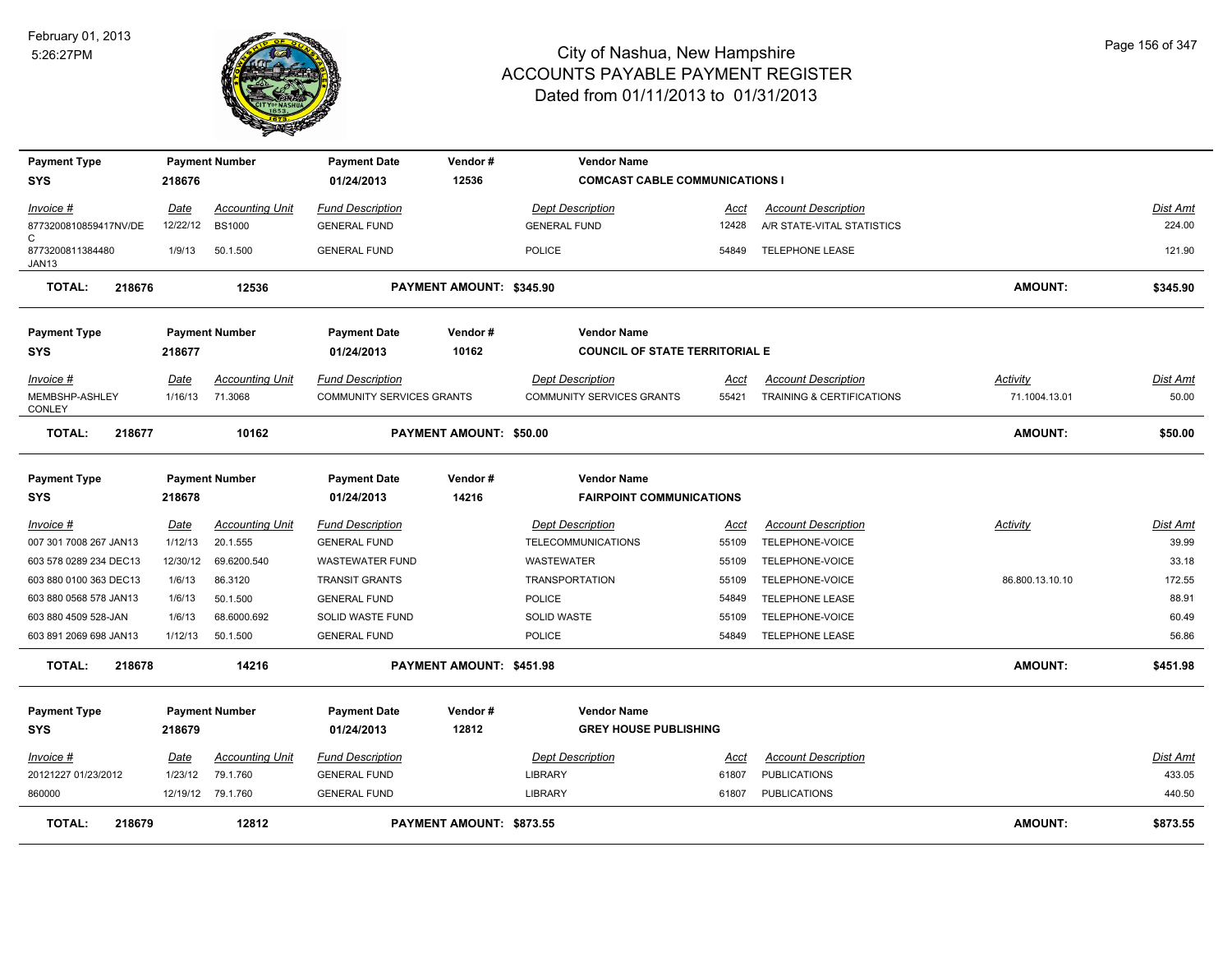

| <b>Payment Type</b>            |             | <b>Payment Number</b>  | <b>Payment Date</b>       | Vendor#                         | <b>Vendor Name</b>                    |             |                            |                 |                 |
|--------------------------------|-------------|------------------------|---------------------------|---------------------------------|---------------------------------------|-------------|----------------------------|-----------------|-----------------|
| <b>SYS</b>                     | 218676      |                        | 01/24/2013                | 12536                           | <b>COMCAST CABLE COMMUNICATIONS I</b> |             |                            |                 |                 |
| Invoice #                      | Date        | <b>Accounting Unit</b> | <b>Fund Description</b>   |                                 | <b>Dept Description</b>               | Acct        | <b>Account Description</b> |                 | Dist Amt        |
| 8773200810859417NV/DE          | 12/22/12    | <b>BS1000</b>          | <b>GENERAL FUND</b>       |                                 | <b>GENERAL FUND</b>                   | 12428       | A/R STATE-VITAL STATISTICS |                 | 224.00          |
| C<br>8773200811384480<br>JAN13 | 1/9/13      | 50.1.500               | <b>GENERAL FUND</b>       |                                 | <b>POLICE</b>                         | 54849       | <b>TELEPHONE LEASE</b>     |                 | 121.90          |
| <b>TOTAL:</b><br>218676        |             | 12536                  |                           | <b>PAYMENT AMOUNT: \$345.90</b> |                                       |             |                            | <b>AMOUNT:</b>  | \$345.90        |
| <b>Payment Type</b>            |             | <b>Payment Number</b>  | <b>Payment Date</b>       | Vendor#                         | <b>Vendor Name</b>                    |             |                            |                 |                 |
| SYS                            | 218677      |                        | 01/24/2013                | 10162                           | <b>COUNCIL OF STATE TERRITORIAL E</b> |             |                            |                 |                 |
| Invoice #                      | Date        | <b>Accounting Unit</b> | <b>Fund Description</b>   |                                 | <b>Dept Description</b>               | Acct        | <b>Account Description</b> | <b>Activity</b> | Dist Amt        |
| MEMBSHP-ASHLEY<br>CONLEY       | 1/16/13     | 71.3068                | COMMUNITY SERVICES GRANTS |                                 | COMMUNITY SERVICES GRANTS             | 55421       | TRAINING & CERTIFICATIONS  | 71.1004.13.01   | 50.00           |
| <b>TOTAL:</b><br>218677        |             | 10162                  |                           | PAYMENT AMOUNT: \$50.00         |                                       |             |                            | <b>AMOUNT:</b>  | \$50.00         |
| <b>Payment Type</b>            |             | <b>Payment Number</b>  | <b>Payment Date</b>       | Vendor#                         | <b>Vendor Name</b>                    |             |                            |                 |                 |
| SYS                            | 218678      |                        | 01/24/2013                | 14216                           | <b>FAIRPOINT COMMUNICATIONS</b>       |             |                            |                 |                 |
| <u>Invoice #</u>               | <u>Date</u> | <b>Accounting Unit</b> | <b>Fund Description</b>   |                                 | <b>Dept Description</b>               | <u>Acct</u> | <b>Account Description</b> | <b>Activity</b> | <b>Dist Amt</b> |
| 007 301 7008 267 JAN13         | 1/12/13     | 20.1.555               | <b>GENERAL FUND</b>       |                                 | <b>TELECOMMUNICATIONS</b>             | 55109       | TELEPHONE-VOICE            |                 | 39.99           |
| 603 578 0289 234 DEC13         | 12/30/12    | 69.6200.540            | <b>WASTEWATER FUND</b>    |                                 | WASTEWATER                            | 55109       | TELEPHONE-VOICE            |                 | 33.18           |
| 603 880 0100 363 DEC13         | 1/6/13      | 86.3120                | <b>TRANSIT GRANTS</b>     |                                 | <b>TRANSPORTATION</b>                 | 55109       | TELEPHONE-VOICE            | 86.800.13.10.10 | 172.55          |
| 603 880 0568 578 JAN13         | 1/6/13      | 50.1.500               | <b>GENERAL FUND</b>       |                                 | <b>POLICE</b>                         | 54849       | <b>TELEPHONE LEASE</b>     |                 | 88.91           |
| 603 880 4509 528-JAN           | 1/6/13      | 68.6000.692            | SOLID WASTE FUND          |                                 | <b>SOLID WASTE</b>                    | 55109       | TELEPHONE-VOICE            |                 | 60.49           |
| 603 891 2069 698 JAN13         | 1/12/13     | 50.1.500               | <b>GENERAL FUND</b>       |                                 | <b>POLICE</b>                         | 54849       | <b>TELEPHONE LEASE</b>     |                 | 56.86           |
| <b>TOTAL:</b><br>218678        |             | 14216                  |                           | PAYMENT AMOUNT: \$451.98        |                                       |             |                            | <b>AMOUNT:</b>  | \$451.98        |
| <b>Payment Type</b>            |             | <b>Payment Number</b>  | <b>Payment Date</b>       | Vendor#                         | <b>Vendor Name</b>                    |             |                            |                 |                 |
| <b>SYS</b>                     | 218679      |                        | 01/24/2013                | 12812                           | <b>GREY HOUSE PUBLISHING</b>          |             |                            |                 |                 |
| Invoice #                      | Date        | <b>Accounting Unit</b> | <b>Fund Description</b>   |                                 | <b>Dept Description</b>               | Acct        | <b>Account Description</b> |                 | Dist Amt        |
| 20121227 01/23/2012            | 1/23/12     | 79.1.760               | <b>GENERAL FUND</b>       |                                 | LIBRARY                               | 61807       | <b>PUBLICATIONS</b>        |                 | 433.05          |
| 860000                         |             | 12/19/12 79.1.760      | <b>GENERAL FUND</b>       |                                 | <b>LIBRARY</b>                        | 61807       | <b>PUBLICATIONS</b>        |                 | 440.50          |
| <b>TOTAL:</b><br>218679        |             | 12812                  |                           | PAYMENT AMOUNT: \$873.55        |                                       |             |                            | <b>AMOUNT:</b>  | \$873.55        |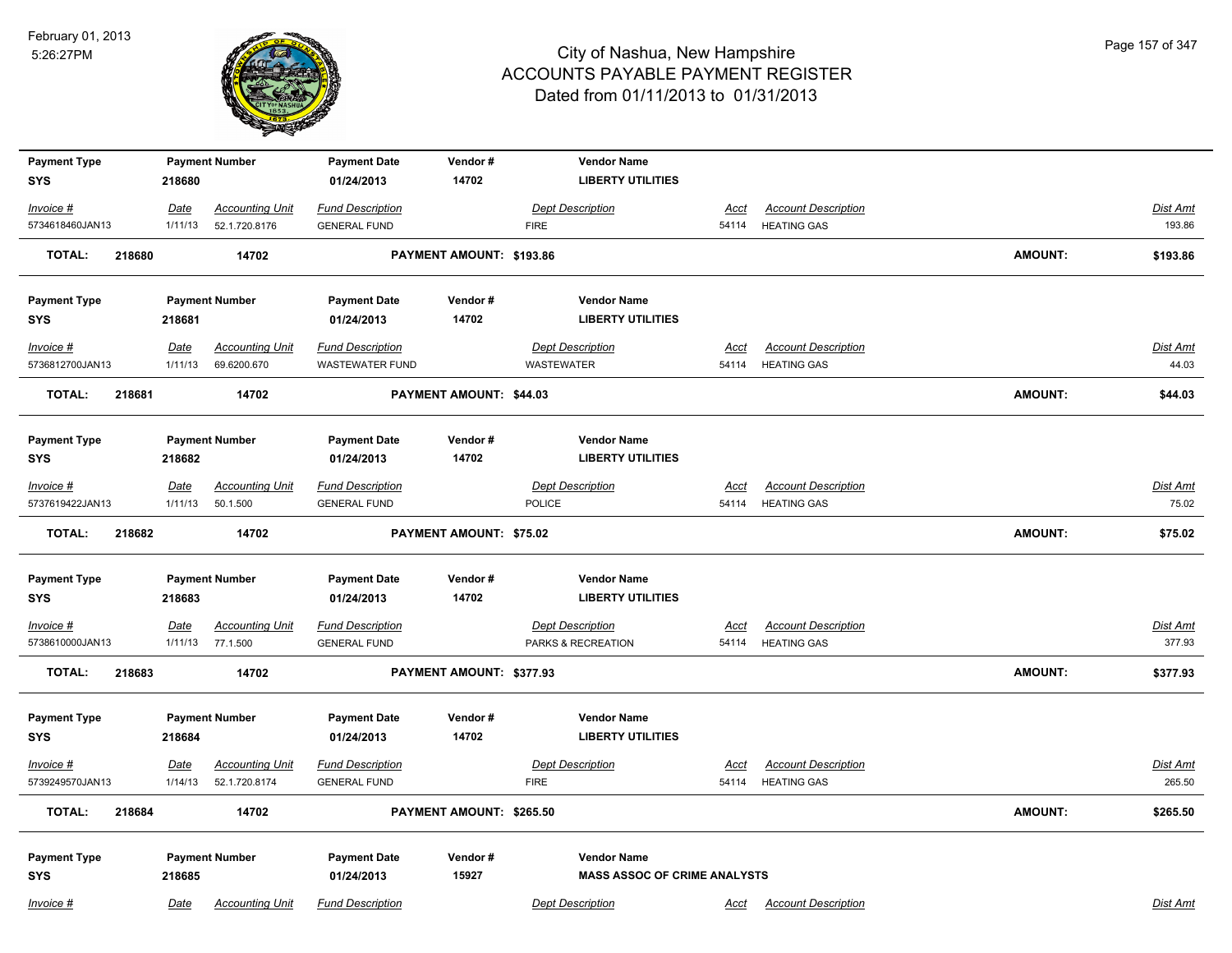

| <b>Payment Type</b>            |                 | <b>Payment Number</b>              | <b>Payment Date</b>                            | Vendor#                  | <b>Vendor Name</b>                  |                      |                                                  |                |                   |
|--------------------------------|-----------------|------------------------------------|------------------------------------------------|--------------------------|-------------------------------------|----------------------|--------------------------------------------------|----------------|-------------------|
| <b>SYS</b>                     | 218680          |                                    | 01/24/2013                                     | 14702                    | <b>LIBERTY UTILITIES</b>            |                      |                                                  |                |                   |
| Invoice #                      | Date            | <b>Accounting Unit</b>             | <b>Fund Description</b>                        |                          | <b>Dept Description</b>             | <u>Acct</u>          | <b>Account Description</b>                       |                | Dist Amt          |
| 5734618460JAN13                | 1/11/13         | 52.1.720.8176                      | <b>GENERAL FUND</b>                            |                          | <b>FIRE</b>                         | 54114                | <b>HEATING GAS</b>                               |                | 193.86            |
| <b>TOTAL:</b>                  | 218680          | 14702                              |                                                | PAYMENT AMOUNT: \$193.86 |                                     |                      |                                                  | <b>AMOUNT:</b> | \$193.86          |
| <b>Payment Type</b>            |                 | <b>Payment Number</b>              | <b>Payment Date</b>                            | Vendor#                  | <b>Vendor Name</b>                  |                      |                                                  |                |                   |
| <b>SYS</b>                     | 218681          |                                    | 01/24/2013                                     | 14702                    | <b>LIBERTY UTILITIES</b>            |                      |                                                  |                |                   |
| Invoice #                      | Date            | <b>Accounting Unit</b>             | <b>Fund Description</b>                        |                          | <b>Dept Description</b>             | Acct                 | <b>Account Description</b>                       |                | Dist Amt          |
| 5736812700JAN13                | 1/11/13         | 69.6200.670                        | <b>WASTEWATER FUND</b>                         |                          | <b>WASTEWATER</b>                   | 54114                | <b>HEATING GAS</b>                               |                | 44.03             |
| <b>TOTAL:</b><br>218681        |                 | 14702                              |                                                | PAYMENT AMOUNT: \$44.03  |                                     |                      |                                                  | <b>AMOUNT:</b> | \$44.03           |
| <b>Payment Type</b>            |                 | <b>Payment Number</b>              | <b>Payment Date</b>                            | Vendor#                  | <b>Vendor Name</b>                  |                      |                                                  |                |                   |
| <b>SYS</b>                     | 218682          |                                    | 01/24/2013                                     | 14702                    | <b>LIBERTY UTILITIES</b>            |                      |                                                  |                |                   |
| $Invoice$ #<br>5737619422JAN13 | Date<br>1/11/13 | <b>Accounting Unit</b><br>50.1.500 | <b>Fund Description</b><br><b>GENERAL FUND</b> |                          | <b>Dept Description</b><br>POLICE   | <u>Acct</u><br>54114 | <b>Account Description</b><br><b>HEATING GAS</b> |                | Dist Amt<br>75.02 |
| <b>TOTAL:</b>                  | 218682          | 14702                              |                                                | PAYMENT AMOUNT: \$75.02  |                                     |                      |                                                  | <b>AMOUNT:</b> | \$75.02           |
| <b>Payment Type</b>            |                 | <b>Payment Number</b>              | <b>Payment Date</b>                            | Vendor#                  | <b>Vendor Name</b>                  |                      |                                                  |                |                   |
| <b>SYS</b>                     | 218683          |                                    | 01/24/2013                                     | 14702                    | <b>LIBERTY UTILITIES</b>            |                      |                                                  |                |                   |
| Invoice #                      | Date            | <b>Accounting Unit</b>             | <b>Fund Description</b>                        |                          | <b>Dept Description</b>             | Acct                 | <b>Account Description</b>                       |                | Dist Amt          |
| 5738610000JAN13                | 1/11/13         | 77.1.500                           | <b>GENERAL FUND</b>                            |                          | PARKS & RECREATION                  | 54114                | <b>HEATING GAS</b>                               |                | 377.93            |
| <b>TOTAL:</b>                  | 218683          | 14702                              |                                                | PAYMENT AMOUNT: \$377.93 |                                     |                      |                                                  | <b>AMOUNT:</b> | \$377.93          |
| <b>Payment Type</b>            |                 | <b>Payment Number</b>              | <b>Payment Date</b>                            | Vendor#                  | <b>Vendor Name</b>                  |                      |                                                  |                |                   |
| <b>SYS</b>                     | 218684          |                                    | 01/24/2013                                     | 14702                    | <b>LIBERTY UTILITIES</b>            |                      |                                                  |                |                   |
| Invoice #                      | Date            | <b>Accounting Unit</b>             | <b>Fund Description</b>                        |                          | <b>Dept Description</b>             | <u>Acct</u>          | <b>Account Description</b>                       |                | <b>Dist Amt</b>   |
| 5739249570JAN13                | 1/14/13         | 52.1.720.8174                      | <b>GENERAL FUND</b>                            |                          | <b>FIRE</b>                         | 54114                | <b>HEATING GAS</b>                               |                | 265.50            |
| <b>TOTAL:</b>                  | 218684          | 14702                              |                                                | PAYMENT AMOUNT: \$265.50 |                                     |                      |                                                  | <b>AMOUNT:</b> | \$265.50          |
| <b>Payment Type</b>            |                 | <b>Payment Number</b>              | <b>Payment Date</b>                            | Vendor#                  | <b>Vendor Name</b>                  |                      |                                                  |                |                   |
| <b>SYS</b>                     | 218685          |                                    | 01/24/2013                                     | 15927                    | <b>MASS ASSOC OF CRIME ANALYSTS</b> |                      |                                                  |                |                   |
| Invoice #                      | Date            | <b>Accounting Unit</b>             | <b>Fund Description</b>                        |                          | <b>Dept Description</b>             | Acct                 | <b>Account Description</b>                       |                | Dist Amt          |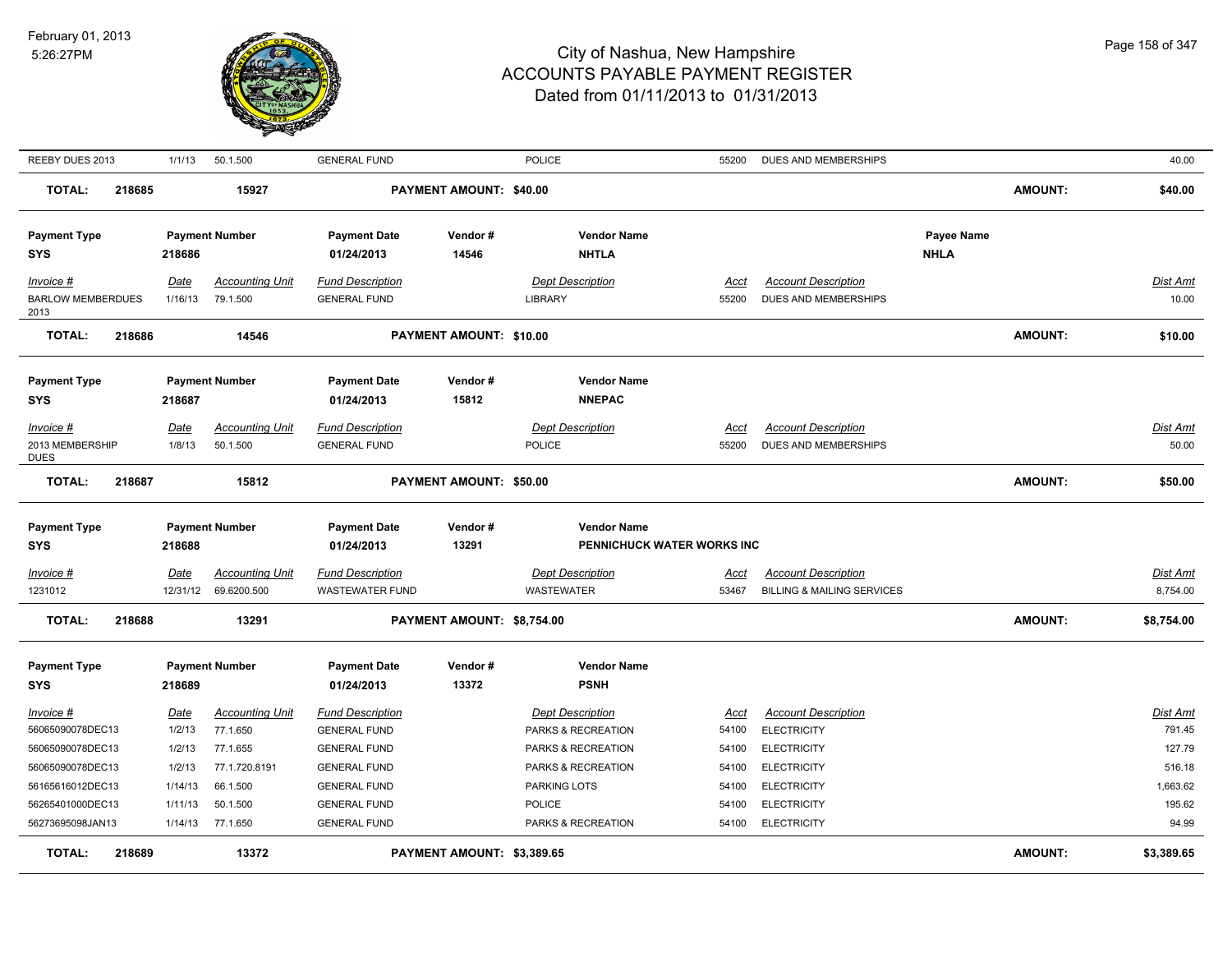

| REEBY DUES 2013                                                       | 1/1/13                             | 50.1.500                                                        | <b>GENERAL FUND</b>                                                                          |                            | <b>POLICE</b>                                                                             | 55200                           | DUES AND MEMBERSHIPS                                                                         |                           |                | 40.00                                  |
|-----------------------------------------------------------------------|------------------------------------|-----------------------------------------------------------------|----------------------------------------------------------------------------------------------|----------------------------|-------------------------------------------------------------------------------------------|---------------------------------|----------------------------------------------------------------------------------------------|---------------------------|----------------|----------------------------------------|
| <b>TOTAL:</b><br>218685                                               |                                    | 15927                                                           |                                                                                              | PAYMENT AMOUNT: \$40.00    |                                                                                           |                                 |                                                                                              |                           | <b>AMOUNT:</b> | \$40.00                                |
| <b>Payment Type</b><br>SYS                                            | 218686                             | <b>Payment Number</b>                                           | <b>Payment Date</b><br>01/24/2013                                                            | Vendor#<br>14546           | <b>Vendor Name</b><br><b>NHTLA</b>                                                        |                                 |                                                                                              | Payee Name<br><b>NHLA</b> |                |                                        |
| Invoice #<br><b>BARLOW MEMBERDUES</b><br>2013                         | Date<br>1/16/13                    | <b>Accounting Unit</b><br>79.1.500                              | <b>Fund Description</b><br><b>GENERAL FUND</b>                                               |                            | <b>Dept Description</b><br>LIBRARY                                                        | Acct<br>55200                   | <b>Account Description</b><br>DUES AND MEMBERSHIPS                                           |                           |                | Dist Amt<br>10.00                      |
| <b>TOTAL:</b><br>218686                                               |                                    | 14546                                                           |                                                                                              | PAYMENT AMOUNT: \$10.00    |                                                                                           |                                 |                                                                                              |                           | <b>AMOUNT:</b> | \$10.00                                |
| <b>Payment Type</b><br><b>SYS</b>                                     | 218687                             | <b>Payment Number</b>                                           | <b>Payment Date</b><br>01/24/2013                                                            | Vendor#<br>15812           | <b>Vendor Name</b><br><b>NNEPAC</b>                                                       |                                 |                                                                                              |                           |                |                                        |
| $Invoice$ #<br>2013 MEMBERSHIP<br><b>DUES</b>                         | Date<br>1/8/13                     | <b>Accounting Unit</b><br>50.1.500                              | <b>Fund Description</b><br><b>GENERAL FUND</b>                                               |                            | <b>Dept Description</b><br>POLICE                                                         | <u>Acct</u><br>55200            | <b>Account Description</b><br>DUES AND MEMBERSHIPS                                           |                           |                | Dist Amt<br>50.00                      |
| <b>TOTAL:</b><br>218687                                               |                                    | 15812                                                           |                                                                                              | PAYMENT AMOUNT: \$50.00    |                                                                                           |                                 |                                                                                              |                           | <b>AMOUNT:</b> | \$50.00                                |
|                                                                       |                                    |                                                                 |                                                                                              |                            |                                                                                           |                                 |                                                                                              |                           |                |                                        |
| <b>Payment Type</b><br><b>SYS</b>                                     | 218688                             | <b>Payment Number</b>                                           | <b>Payment Date</b><br>01/24/2013                                                            | Vendor#<br>13291           | <b>Vendor Name</b><br>PENNICHUCK WATER WORKS INC                                          |                                 |                                                                                              |                           |                |                                        |
| Invoice #<br>1231012                                                  | Date<br>12/31/12                   | <b>Accounting Unit</b><br>69.6200.500                           | <b>Fund Description</b><br><b>WASTEWATER FUND</b>                                            |                            | <b>Dept Description</b><br><b>WASTEWATER</b>                                              | <u>Acct</u><br>53467            | <b>Account Description</b><br><b>BILLING &amp; MAILING SERVICES</b>                          |                           |                | <u>Dist Amt</u><br>8,754.00            |
| <b>TOTAL:</b><br>218688                                               |                                    | 13291                                                           |                                                                                              | PAYMENT AMOUNT: \$8,754.00 |                                                                                           |                                 |                                                                                              |                           | <b>AMOUNT:</b> | \$8,754.00                             |
| <b>Payment Type</b><br><b>SYS</b>                                     | 218689                             | <b>Payment Number</b>                                           | <b>Payment Date</b><br>01/24/2013                                                            | Vendor#<br>13372           | <b>Vendor Name</b><br><b>PSNH</b>                                                         |                                 |                                                                                              |                           |                |                                        |
| Invoice #<br>56065090078DEC13<br>56065090078DEC13<br>56065090078DEC13 | Date<br>1/2/13<br>1/2/13<br>1/2/13 | <b>Accounting Unit</b><br>77.1.650<br>77.1.655<br>77.1.720.8191 | <b>Fund Description</b><br><b>GENERAL FUND</b><br><b>GENERAL FUND</b><br><b>GENERAL FUND</b> |                            | <b>Dept Description</b><br>PARKS & RECREATION<br>PARKS & RECREATION<br>PARKS & RECREATION | Acct<br>54100<br>54100<br>54100 | <b>Account Description</b><br><b>ELECTRICITY</b><br><b>ELECTRICITY</b><br><b>ELECTRICITY</b> |                           |                | Dist Amt<br>791.45<br>127.79<br>516.18 |
| 56165616012DEC13<br>56265401000DEC13<br>56273695098JAN13              | 1/14/13<br>1/11/13                 | 66.1.500<br>50.1.500<br>1/14/13 77.1.650                        | <b>GENERAL FUND</b><br><b>GENERAL FUND</b><br><b>GENERAL FUND</b>                            |                            | <b>PARKING LOTS</b><br><b>POLICE</b><br>PARKS & RECREATION                                | 54100<br>54100<br>54100         | <b>ELECTRICITY</b><br><b>ELECTRICITY</b><br><b>ELECTRICITY</b>                               |                           |                | 1,663.62<br>195.62<br>94.99            |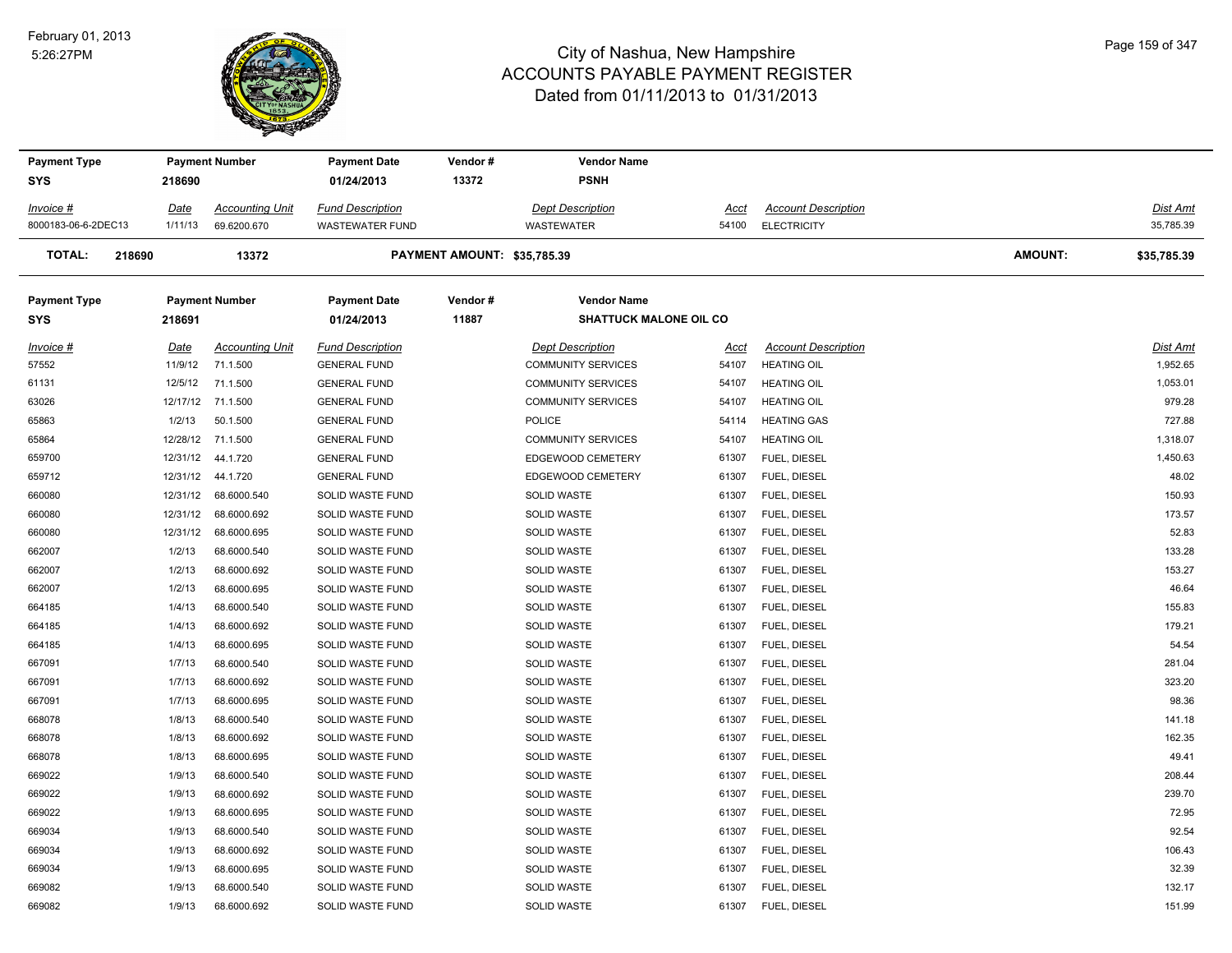#### February 01, 2013 5:26:27PM



| <b>Payment Type</b> |             | <b>Payment Number</b>  | <b>Payment Date</b>     | Vendor#                     | <b>Vendor Name</b>            |       |                            |         |             |
|---------------------|-------------|------------------------|-------------------------|-----------------------------|-------------------------------|-------|----------------------------|---------|-------------|
| <b>SYS</b>          | 218690      |                        | 01/24/2013              | 13372                       | <b>PSNH</b>                   |       |                            |         |             |
| Invoice #           | <u>Date</u> | <b>Accounting Unit</b> | <b>Fund Description</b> |                             | <b>Dept Description</b>       | Acct  | <b>Account Description</b> |         | Dist Amt    |
| 8000183-06-6-2DEC13 | 1/11/13     | 69.6200.670            | <b>WASTEWATER FUND</b>  |                             | WASTEWATER                    | 54100 | <b>ELECTRICITY</b>         |         | 35,785.39   |
| <b>TOTAL:</b>       | 218690      | 13372                  |                         | PAYMENT AMOUNT: \$35,785.39 |                               |       |                            | AMOUNT: | \$35,785.39 |
| <b>Payment Type</b> |             | <b>Payment Number</b>  | <b>Payment Date</b>     | Vendor#                     | <b>Vendor Name</b>            |       |                            |         |             |
| SYS                 | 218691      |                        | 01/24/2013              | 11887                       | <b>SHATTUCK MALONE OIL CO</b> |       |                            |         |             |
| Invoice #           | Date        | <b>Accounting Unit</b> | <b>Fund Description</b> |                             | <b>Dept Description</b>       | Acct  | <b>Account Description</b> |         | Dist Amt    |
| 57552               | 11/9/12     | 71.1.500               | <b>GENERAL FUND</b>     |                             | <b>COMMUNITY SERVICES</b>     | 54107 | <b>HEATING OIL</b>         |         | 1,952.65    |
| 61131               | 12/5/12     | 71.1.500               | <b>GENERAL FUND</b>     |                             | <b>COMMUNITY SERVICES</b>     | 54107 | <b>HEATING OIL</b>         |         | 1,053.01    |
| 63026               |             | 12/17/12 71.1.500      | <b>GENERAL FUND</b>     |                             | <b>COMMUNITY SERVICES</b>     | 54107 | <b>HEATING OIL</b>         |         | 979.28      |
| 65863               | 1/2/13      | 50.1.500               | <b>GENERAL FUND</b>     |                             | POLICE                        | 54114 | <b>HEATING GAS</b>         |         | 727.88      |
| 65864               |             | 12/28/12 71.1.500      | <b>GENERAL FUND</b>     |                             | <b>COMMUNITY SERVICES</b>     | 54107 | <b>HEATING OIL</b>         |         | 1,318.07    |
| 659700              | 12/31/12    | 44.1.720               | <b>GENERAL FUND</b>     |                             | EDGEWOOD CEMETERY             | 61307 | FUEL, DIESEL               |         | 1,450.63    |
| 659712              | 12/31/12    | 44.1.720               | <b>GENERAL FUND</b>     |                             | EDGEWOOD CEMETERY             | 61307 | FUEL, DIESEL               |         | 48.02       |
| 660080              | 12/31/12    | 68.6000.540            | SOLID WASTE FUND        |                             | <b>SOLID WASTE</b>            | 61307 | FUEL, DIESEL               |         | 150.93      |
| 660080              | 12/31/12    | 68.6000.692            | SOLID WASTE FUND        |                             | SOLID WASTE                   | 61307 | FUEL, DIESEL               |         | 173.57      |
| 660080              | 12/31/12    | 68.6000.695            | SOLID WASTE FUND        |                             | <b>SOLID WASTE</b>            | 61307 | FUEL, DIESEL               |         | 52.83       |
| 662007              | 1/2/13      | 68.6000.540            | SOLID WASTE FUND        |                             | <b>SOLID WASTE</b>            | 61307 | FUEL, DIESEL               |         | 133.28      |
| 662007              | 1/2/13      | 68.6000.692            | SOLID WASTE FUND        |                             | <b>SOLID WASTE</b>            | 61307 | FUEL, DIESEL               |         | 153.27      |
| 662007              | 1/2/13      | 68.6000.695            | SOLID WASTE FUND        |                             | SOLID WASTE                   | 61307 | FUEL, DIESEL               |         | 46.64       |
| 664185              | 1/4/13      | 68.6000.540            | SOLID WASTE FUND        |                             | SOLID WASTE                   | 61307 | FUEL, DIESEL               |         | 155.83      |
| 664185              | 1/4/13      | 68.6000.692            | SOLID WASTE FUND        |                             | <b>SOLID WASTE</b>            | 61307 | FUEL, DIESEL               |         | 179.21      |
| 664185              | 1/4/13      | 68.6000.695            | SOLID WASTE FUND        |                             | SOLID WASTE                   | 61307 | FUEL, DIESEL               |         | 54.54       |
| 667091              | 1/7/13      | 68.6000.540            | SOLID WASTE FUND        |                             | SOLID WASTE                   | 61307 | FUEL, DIESEL               |         | 281.04      |
| 667091              | 1/7/13      | 68.6000.692            | SOLID WASTE FUND        |                             | <b>SOLID WASTE</b>            | 61307 | FUEL, DIESEL               |         | 323.20      |
| 667091              | 1/7/13      | 68.6000.695            | SOLID WASTE FUND        |                             | <b>SOLID WASTE</b>            | 61307 | FUEL, DIESEL               |         | 98.36       |
| 668078              | 1/8/13      | 68.6000.540            | SOLID WASTE FUND        |                             | <b>SOLID WASTE</b>            | 61307 | FUEL, DIESEL               |         | 141.18      |
| 668078              | 1/8/13      | 68.6000.692            | SOLID WASTE FUND        |                             | <b>SOLID WASTE</b>            | 61307 | FUEL, DIESEL               |         | 162.35      |
| 668078              | 1/8/13      | 68.6000.695            | SOLID WASTE FUND        |                             | <b>SOLID WASTE</b>            | 61307 | FUEL, DIESEL               |         | 49.41       |
| 669022              | 1/9/13      | 68.6000.540            | SOLID WASTE FUND        |                             | <b>SOLID WASTE</b>            | 61307 | FUEL, DIESEL               |         | 208.44      |
| 669022              | 1/9/13      | 68.6000.692            | SOLID WASTE FUND        |                             | <b>SOLID WASTE</b>            | 61307 | FUEL, DIESEL               |         | 239.70      |
| 669022              | 1/9/13      | 68.6000.695            | SOLID WASTE FUND        |                             | <b>SOLID WASTE</b>            | 61307 | FUEL, DIESEL               |         | 72.95       |
| 669034              | 1/9/13      | 68.6000.540            | SOLID WASTE FUND        |                             | <b>SOLID WASTE</b>            | 61307 | FUEL, DIESEL               |         | 92.54       |
| 669034              | 1/9/13      | 68.6000.692            | SOLID WASTE FUND        |                             | <b>SOLID WASTE</b>            | 61307 | FUEL, DIESEL               |         | 106.43      |
| 669034              | 1/9/13      | 68.6000.695            | SOLID WASTE FUND        |                             | <b>SOLID WASTE</b>            | 61307 | FUEL, DIESEL               |         | 32.39       |
| 669082              | 1/9/13      | 68.6000.540            | SOLID WASTE FUND        |                             | <b>SOLID WASTE</b>            | 61307 | FUEL, DIESEL               |         | 132.17      |
| 669082              | 1/9/13      | 68.6000.692            | SOLID WASTE FUND        |                             | <b>SOLID WASTE</b>            | 61307 | FUEL, DIESEL               |         | 151.99      |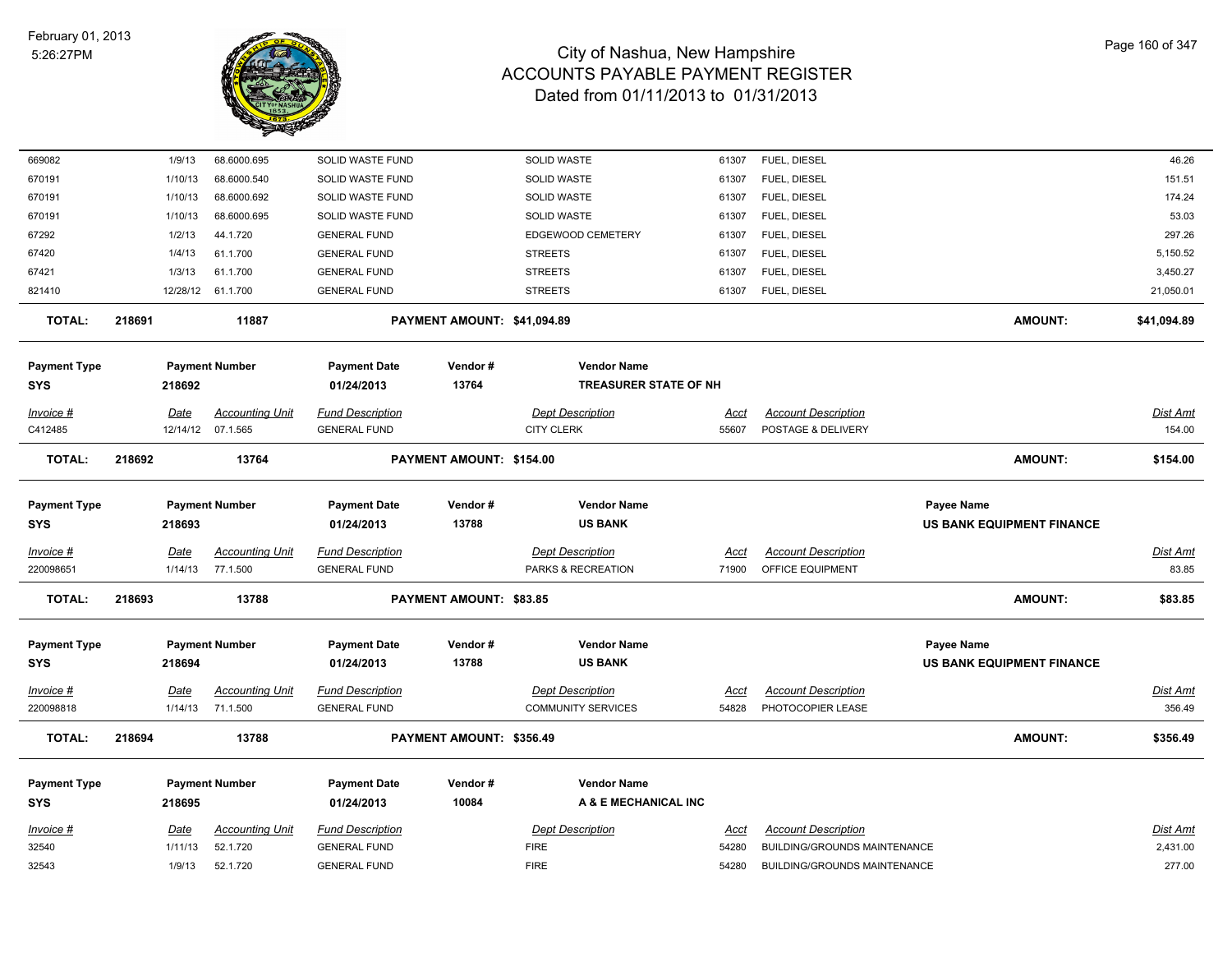

| 669082                            |        | 1/9/13  | 68.6000.695            | SOLID WASTE FUND                  |                             | SOLID WASTE                          | 61307 | FUEL, DIESEL                        |                                                       | 46.26           |
|-----------------------------------|--------|---------|------------------------|-----------------------------------|-----------------------------|--------------------------------------|-------|-------------------------------------|-------------------------------------------------------|-----------------|
| 670191                            |        | 1/10/13 | 68.6000.540            | SOLID WASTE FUND                  |                             | <b>SOLID WASTE</b>                   | 61307 | FUEL, DIESEL                        |                                                       | 151.51          |
| 670191                            |        | 1/10/13 | 68.6000.692            | SOLID WASTE FUND                  |                             | SOLID WASTE                          | 61307 | FUEL, DIESEL                        |                                                       | 174.24          |
| 670191                            |        | 1/10/13 | 68.6000.695            | SOLID WASTE FUND                  |                             | SOLID WASTE                          | 61307 | FUEL, DIESEL                        |                                                       | 53.03           |
| 67292                             |        | 1/2/13  | 44.1.720               | <b>GENERAL FUND</b>               |                             | EDGEWOOD CEMETERY                    | 61307 | FUEL, DIESEL                        |                                                       | 297.26          |
| 67420                             |        | 1/4/13  | 61.1.700               | <b>GENERAL FUND</b>               |                             | <b>STREETS</b>                       | 61307 | FUEL, DIESEL                        |                                                       | 5,150.52        |
| 67421                             |        | 1/3/13  | 61.1.700               | <b>GENERAL FUND</b>               |                             | <b>STREETS</b>                       | 61307 | FUEL, DIESEL                        |                                                       | 3,450.27        |
| 821410                            |        |         | 12/28/12 61.1.700      | <b>GENERAL FUND</b>               |                             | <b>STREETS</b>                       | 61307 | FUEL, DIESEL                        |                                                       | 21,050.01       |
| <b>TOTAL:</b>                     | 218691 |         | 11887                  |                                   | PAYMENT AMOUNT: \$41,094.89 |                                      |       |                                     | <b>AMOUNT:</b>                                        | \$41,094.89     |
| <b>Payment Type</b>               |        |         | <b>Payment Number</b>  | <b>Payment Date</b>               | Vendor#                     | <b>Vendor Name</b>                   |       |                                     |                                                       |                 |
| SYS                               |        | 218692  |                        | 01/24/2013                        | 13764                       | <b>TREASURER STATE OF NH</b>         |       |                                     |                                                       |                 |
| Invoice #                         |        | Date    | <b>Accounting Unit</b> | <b>Fund Description</b>           |                             | <b>Dept Description</b>              | Acct  | <b>Account Description</b>          |                                                       | Dist Amt        |
| C412485                           |        |         | 12/14/12 07.1.565      | <b>GENERAL FUND</b>               |                             | <b>CITY CLERK</b>                    | 55607 | POSTAGE & DELIVERY                  |                                                       | 154.00          |
| <b>TOTAL:</b>                     | 218692 |         | 13764                  |                                   | PAYMENT AMOUNT: \$154.00    |                                      |       |                                     | <b>AMOUNT:</b>                                        | \$154.00        |
|                                   |        |         |                        |                                   |                             |                                      |       |                                     |                                                       |                 |
| <b>Payment Type</b>               |        |         | <b>Payment Number</b>  | <b>Payment Date</b>               | Vendor#                     | <b>Vendor Name</b>                   |       |                                     | <b>Payee Name</b>                                     |                 |
| <b>SYS</b>                        |        | 218693  |                        | 01/24/2013                        | 13788                       | <b>US BANK</b>                       |       |                                     | US BANK EQUIPMENT FINANCE                             |                 |
| Invoice #                         |        | Date    | <b>Accounting Unit</b> | <b>Fund Description</b>           |                             | <b>Dept Description</b>              | Acct  | <b>Account Description</b>          |                                                       | Dist Amt        |
| 220098651                         |        | 1/14/13 | 77.1.500               | <b>GENERAL FUND</b>               |                             | PARKS & RECREATION                   | 71900 | OFFICE EQUIPMENT                    |                                                       | 83.85           |
| <b>TOTAL:</b>                     | 218693 |         | 13788                  |                                   | PAYMENT AMOUNT: \$83.85     |                                      |       |                                     | <b>AMOUNT:</b>                                        | \$83.85         |
|                                   |        |         |                        |                                   |                             |                                      |       |                                     |                                                       |                 |
| <b>Payment Type</b><br><b>SYS</b> |        | 218694  | <b>Payment Number</b>  | <b>Payment Date</b><br>01/24/2013 | Vendor#<br>13788            | <b>Vendor Name</b><br><b>US BANK</b> |       |                                     | <b>Payee Name</b><br><b>US BANK EQUIPMENT FINANCE</b> |                 |
|                                   |        |         |                        |                                   |                             |                                      |       |                                     |                                                       |                 |
| Invoice #                         |        | Date    | <b>Accounting Unit</b> | <b>Fund Description</b>           |                             | <b>Dept Description</b>              | Acct  | <b>Account Description</b>          |                                                       | <b>Dist Amt</b> |
| 220098818                         |        | 1/14/13 | 71.1.500               | <b>GENERAL FUND</b>               |                             | <b>COMMUNITY SERVICES</b>            | 54828 | PHOTOCOPIER LEASE                   |                                                       | 356.49          |
| <b>TOTAL:</b>                     | 218694 |         | 13788                  |                                   | PAYMENT AMOUNT: \$356.49    |                                      |       |                                     | <b>AMOUNT:</b>                                        | \$356.49        |
| <b>Payment Type</b>               |        |         | <b>Payment Number</b>  | <b>Payment Date</b>               | Vendor#                     | <b>Vendor Name</b>                   |       |                                     |                                                       |                 |
| SYS                               |        | 218695  |                        | 01/24/2013                        | 10084                       | A & E MECHANICAL INC                 |       |                                     |                                                       |                 |
| Invoice #                         |        | Date    | <b>Accounting Unit</b> | <b>Fund Description</b>           |                             | <b>Dept Description</b>              | Acct  | <b>Account Description</b>          |                                                       | Dist Amt        |
| 32540                             |        | 1/11/13 | 52.1.720               | <b>GENERAL FUND</b>               |                             | <b>FIRE</b>                          | 54280 | BUILDING/GROUNDS MAINTENANCE        |                                                       | 2,431.00        |
| 32543                             |        | 1/9/13  | 52.1.720               | <b>GENERAL FUND</b>               |                             | <b>FIRE</b>                          | 54280 | <b>BUILDING/GROUNDS MAINTENANCE</b> |                                                       | 277.00          |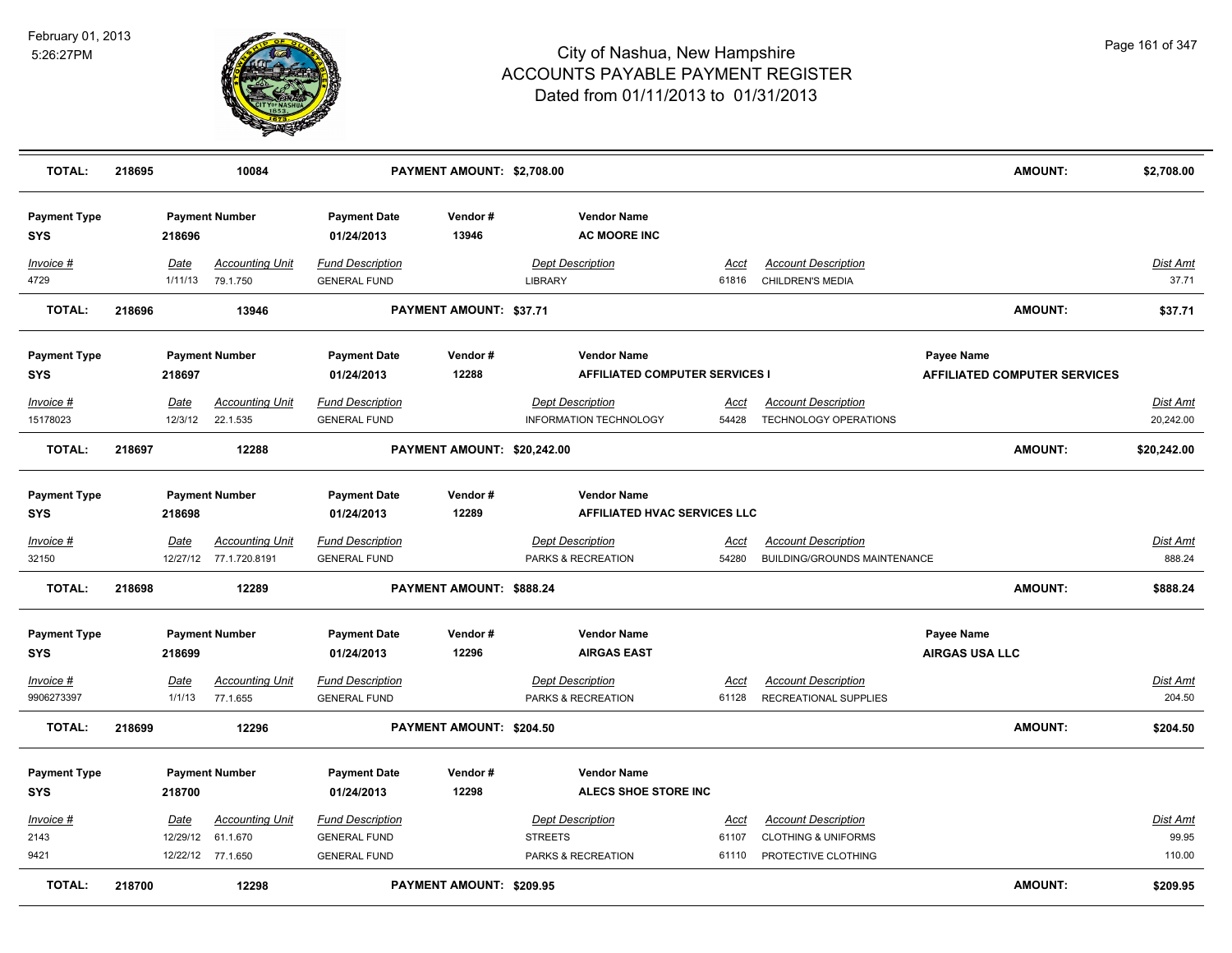

| <b>TOTAL:</b>                     | 218695 |                 | 10084                                            |                                                | PAYMENT AMOUNT: \$2,708.00  |                                                             |                      |                                                            | <b>AMOUNT:</b>                                           | \$2,708.00                |
|-----------------------------------|--------|-----------------|--------------------------------------------------|------------------------------------------------|-----------------------------|-------------------------------------------------------------|----------------------|------------------------------------------------------------|----------------------------------------------------------|---------------------------|
| <b>Payment Type</b><br><b>SYS</b> |        | 218696          | <b>Payment Number</b>                            | <b>Payment Date</b><br>01/24/2013              | Vendor#<br>13946            | <b>Vendor Name</b><br><b>AC MOORE INC</b>                   |                      |                                                            |                                                          |                           |
| Invoice #<br>4729                 |        | Date<br>1/11/13 | <b>Accounting Unit</b><br>79.1.750               | <b>Fund Description</b><br><b>GENERAL FUND</b> |                             | <b>Dept Description</b><br>LIBRARY                          | Acct<br>61816        | <b>Account Description</b><br>CHILDREN'S MEDIA             |                                                          | Dist Amt<br>37.71         |
| <b>TOTAL:</b>                     | 218696 |                 | 13946                                            |                                                | PAYMENT AMOUNT: \$37.71     |                                                             |                      |                                                            | <b>AMOUNT:</b>                                           | \$37.71                   |
| <b>Payment Type</b><br><b>SYS</b> |        | 218697          | <b>Payment Number</b>                            | <b>Payment Date</b><br>01/24/2013              | Vendor#<br>12288            | <b>Vendor Name</b><br><b>AFFILIATED COMPUTER SERVICES I</b> |                      |                                                            | <b>Payee Name</b><br><b>AFFILIATED COMPUTER SERVICES</b> |                           |
| Invoice #                         |        | Date            | <b>Accounting Unit</b>                           | <b>Fund Description</b>                        |                             | <b>Dept Description</b>                                     | <u>Acct</u>          | <b>Account Description</b>                                 |                                                          | Dist Amt                  |
| 15178023                          |        | 12/3/12         | 22.1.535                                         | <b>GENERAL FUND</b>                            |                             | INFORMATION TECHNOLOGY                                      | 54428                | <b>TECHNOLOGY OPERATIONS</b>                               |                                                          | 20,242.00                 |
| <b>TOTAL:</b>                     | 218697 |                 | 12288                                            |                                                | PAYMENT AMOUNT: \$20,242.00 |                                                             |                      |                                                            | <b>AMOUNT:</b>                                           | \$20,242.00               |
| <b>Payment Type</b><br><b>SYS</b> |        | 218698          | <b>Payment Number</b>                            | <b>Payment Date</b><br>01/24/2013              | Vendor#<br>12289            | <b>Vendor Name</b><br><b>AFFILIATED HVAC SERVICES LLC</b>   |                      |                                                            |                                                          |                           |
| $Invoice$ #<br>32150              |        | Date            | <b>Accounting Unit</b><br>12/27/12 77.1.720.8191 | <b>Fund Description</b><br><b>GENERAL FUND</b> |                             | <b>Dept Description</b><br><b>PARKS &amp; RECREATION</b>    | <u>Acct</u><br>54280 | <b>Account Description</b><br>BUILDING/GROUNDS MAINTENANCE |                                                          | <b>Dist Amt</b><br>888.24 |
| <b>TOTAL:</b>                     | 218698 |                 | 12289                                            |                                                | PAYMENT AMOUNT: \$888.24    |                                                             |                      |                                                            | <b>AMOUNT:</b>                                           | \$888.24                  |
| <b>Payment Type</b><br><b>SYS</b> |        | 218699          | <b>Payment Number</b>                            | <b>Payment Date</b><br>01/24/2013              | Vendor#<br>12296            | <b>Vendor Name</b><br><b>AIRGAS EAST</b>                    |                      |                                                            | <b>Payee Name</b><br><b>AIRGAS USA LLC</b>               |                           |
| Invoice #                         |        | Date            | <b>Accounting Unit</b>                           | <b>Fund Description</b>                        |                             | <b>Dept Description</b>                                     | Acct                 | <b>Account Description</b>                                 |                                                          | Dist Amt                  |
| 9906273397                        |        | 1/1/13          | 77.1.655                                         | <b>GENERAL FUND</b>                            |                             | PARKS & RECREATION                                          | 61128                | <b>RECREATIONAL SUPPLIES</b>                               |                                                          | 204.50                    |
| <b>TOTAL:</b>                     | 218699 |                 | 12296                                            |                                                | PAYMENT AMOUNT: \$204.50    |                                                             |                      |                                                            | <b>AMOUNT:</b>                                           | \$204.50                  |
| <b>Payment Type</b><br><b>SYS</b> |        | 218700          | <b>Payment Number</b>                            | <b>Payment Date</b><br>01/24/2013              | Vendor#<br>12298            | <b>Vendor Name</b><br>ALECS SHOE STORE INC                  |                      |                                                            |                                                          |                           |
| Invoice #                         |        | Date            | <b>Accounting Unit</b>                           | <b>Fund Description</b>                        |                             | <b>Dept Description</b>                                     | Acct                 | <b>Account Description</b>                                 |                                                          | Dist Amt                  |
| 2143                              |        | 12/29/12        | 61.1.670                                         | <b>GENERAL FUND</b>                            |                             | <b>STREETS</b>                                              | 61107                | <b>CLOTHING &amp; UNIFORMS</b>                             |                                                          | 99.95                     |
| 9421                              |        |                 | 12/22/12 77.1.650                                | <b>GENERAL FUND</b>                            |                             | PARKS & RECREATION                                          | 61110                | PROTECTIVE CLOTHING                                        |                                                          | 110.00                    |
| <b>TOTAL:</b>                     | 218700 |                 | 12298                                            |                                                | PAYMENT AMOUNT: \$209.95    |                                                             |                      |                                                            | <b>AMOUNT:</b>                                           | \$209.95                  |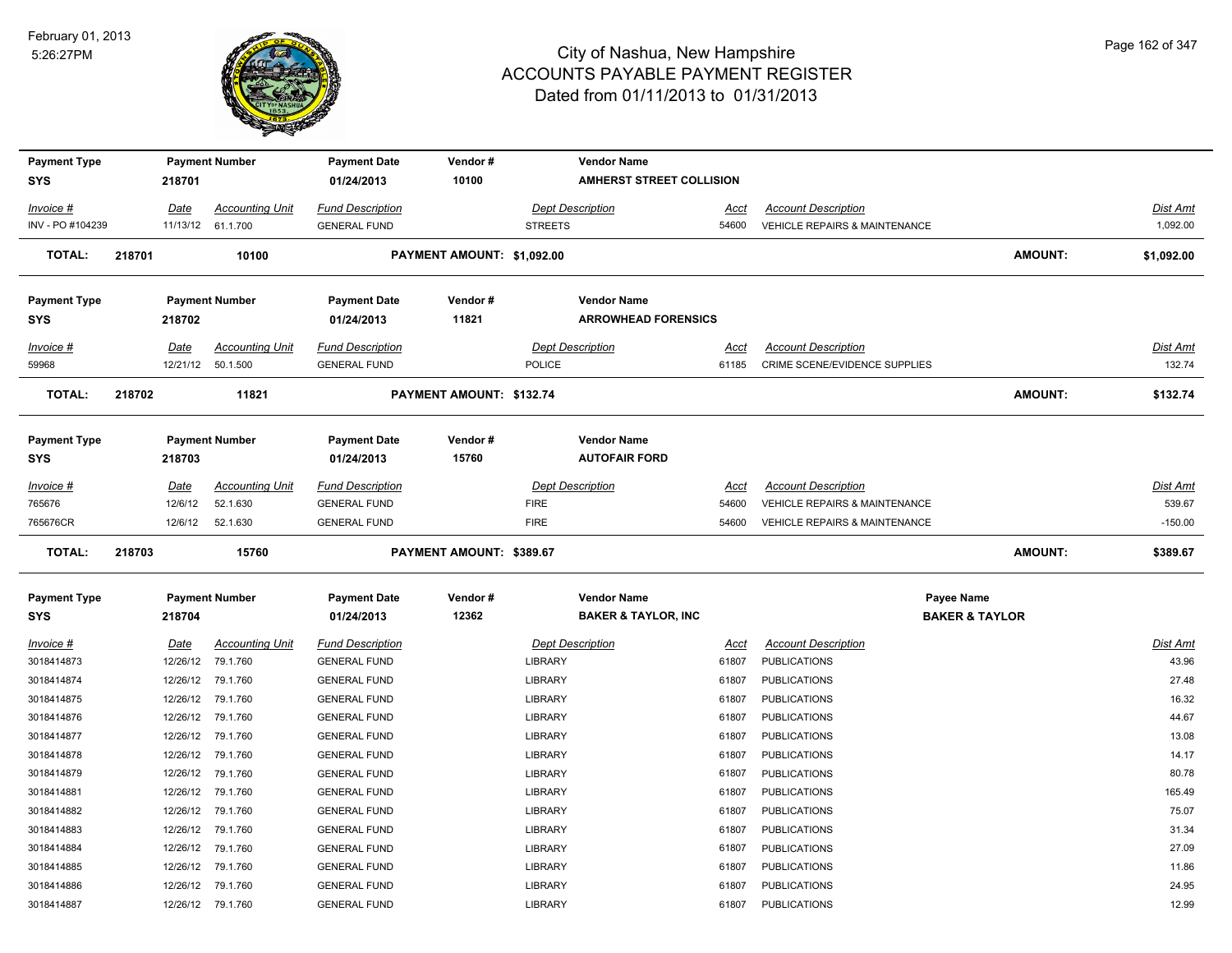

| <b>Payment Type</b><br>SYS |        | 218701      | <b>Payment Number</b>  | <b>Payment Date</b><br>01/24/2013 | Vendor#<br>10100                |                | <b>Vendor Name</b><br><b>AMHERST STREET COLLISION</b> |       |                                          |                |            |
|----------------------------|--------|-------------|------------------------|-----------------------------------|---------------------------------|----------------|-------------------------------------------------------|-------|------------------------------------------|----------------|------------|
|                            |        |             |                        |                                   |                                 |                |                                                       |       |                                          |                |            |
| Invoice #                  |        | Date        | <b>Accounting Unit</b> | <b>Fund Description</b>           |                                 |                | <b>Dept Description</b>                               | Acct  | <b>Account Description</b>               |                | Dist Amt   |
| INV - PO #104239           |        |             | 11/13/12 61.1.700      | <b>GENERAL FUND</b>               |                                 | <b>STREETS</b> |                                                       | 54600 | <b>VEHICLE REPAIRS &amp; MAINTENANCE</b> |                | 1,092.00   |
| <b>TOTAL:</b>              | 218701 |             | 10100                  |                                   | PAYMENT AMOUNT: \$1,092.00      |                |                                                       |       |                                          | <b>AMOUNT:</b> | \$1,092.00 |
| <b>Payment Type</b>        |        |             | <b>Payment Number</b>  | <b>Payment Date</b>               | Vendor#                         |                | <b>Vendor Name</b>                                    |       |                                          |                |            |
| <b>SYS</b>                 |        | 218702      |                        | 01/24/2013                        | 11821                           |                | <b>ARROWHEAD FORENSICS</b>                            |       |                                          |                |            |
| <u>Invoice #</u>           |        | <u>Date</u> | <b>Accounting Unit</b> | <b>Fund Description</b>           |                                 |                | <b>Dept Description</b>                               | Acct  | <b>Account Description</b>               |                | Dist Amt   |
| 59968                      |        |             | 12/21/12 50.1.500      | <b>GENERAL FUND</b>               |                                 | <b>POLICE</b>  |                                                       | 61185 | CRIME SCENE/EVIDENCE SUPPLIES            |                | 132.74     |
| <b>TOTAL:</b>              | 218702 |             | 11821                  |                                   | <b>PAYMENT AMOUNT: \$132.74</b> |                |                                                       |       |                                          | <b>AMOUNT:</b> | \$132.74   |
| <b>Payment Type</b>        |        |             | <b>Payment Number</b>  | <b>Payment Date</b>               | Vendor#                         |                | <b>Vendor Name</b>                                    |       |                                          |                |            |
| SYS                        |        | 218703      |                        | 01/24/2013                        | 15760                           |                | <b>AUTOFAIR FORD</b>                                  |       |                                          |                |            |
|                            |        |             |                        |                                   |                                 |                |                                                       |       |                                          |                |            |
| Invoice #                  |        | Date        | <b>Accounting Unit</b> | <b>Fund Description</b>           |                                 |                | <b>Dept Description</b>                               | Acct  | <b>Account Description</b>               |                | Dist Amt   |
| 765676                     |        | 12/6/12     | 52.1.630               | <b>GENERAL FUND</b>               |                                 | <b>FIRE</b>    |                                                       | 54600 | VEHICLE REPAIRS & MAINTENANCE            |                | 539.67     |
| 765676CR                   |        | 12/6/12     | 52.1.630               | <b>GENERAL FUND</b>               |                                 | <b>FIRE</b>    |                                                       | 54600 | <b>VEHICLE REPAIRS &amp; MAINTENANCE</b> |                | $-150.00$  |
| <b>TOTAL:</b>              | 218703 |             | 15760                  |                                   | PAYMENT AMOUNT: \$389.67        |                |                                                       |       |                                          | <b>AMOUNT:</b> | \$389.67   |
| <b>Payment Type</b>        |        |             | <b>Payment Number</b>  | <b>Payment Date</b>               | Vendor#                         |                | <b>Vendor Name</b>                                    |       | <b>Payee Name</b>                        |                |            |
| <b>SYS</b>                 |        | 218704      |                        | 01/24/2013                        | 12362                           |                | <b>BAKER &amp; TAYLOR, INC</b>                        |       | <b>BAKER &amp; TAYLOR</b>                |                |            |
| Invoice #                  |        | <u>Date</u> | <b>Accounting Unit</b> | <b>Fund Description</b>           |                                 |                | <b>Dept Description</b>                               | Acct  | <b>Account Description</b>               |                | Dist Amt   |
| 3018414873                 |        | 12/26/12    | 79.1.760               | <b>GENERAL FUND</b>               |                                 | <b>LIBRARY</b> |                                                       | 61807 | <b>PUBLICATIONS</b>                      |                | 43.96      |
| 3018414874                 |        |             | 12/26/12 79.1.760      | <b>GENERAL FUND</b>               |                                 | <b>LIBRARY</b> |                                                       | 61807 | <b>PUBLICATIONS</b>                      |                | 27.48      |
| 3018414875                 |        | 12/26/12    | 79.1.760               | <b>GENERAL FUND</b>               |                                 | <b>LIBRARY</b> |                                                       | 61807 | <b>PUBLICATIONS</b>                      |                | 16.32      |
| 3018414876                 |        | 12/26/12    | 79.1.760               | <b>GENERAL FUND</b>               |                                 | <b>LIBRARY</b> |                                                       | 61807 | <b>PUBLICATIONS</b>                      |                | 44.67      |
| 3018414877                 |        | 12/26/12    | 79.1.760               | <b>GENERAL FUND</b>               |                                 | <b>LIBRARY</b> |                                                       | 61807 | <b>PUBLICATIONS</b>                      |                | 13.08      |
| 3018414878                 |        | 12/26/12    | 79.1.760               | <b>GENERAL FUND</b>               |                                 | <b>LIBRARY</b> |                                                       | 61807 | <b>PUBLICATIONS</b>                      |                | 14.17      |
| 3018414879                 |        |             | 12/26/12 79.1.760      | <b>GENERAL FUND</b>               |                                 | <b>LIBRARY</b> |                                                       | 61807 | <b>PUBLICATIONS</b>                      |                | 80.78      |
| 3018414881                 |        |             | 12/26/12 79.1.760      | <b>GENERAL FUND</b>               |                                 | <b>LIBRARY</b> |                                                       | 61807 | <b>PUBLICATIONS</b>                      |                | 165.49     |
| 3018414882                 |        |             | 12/26/12 79.1.760      | <b>GENERAL FUND</b>               |                                 | <b>LIBRARY</b> |                                                       | 61807 | <b>PUBLICATIONS</b>                      |                | 75.07      |
| 3018414883                 |        |             | 12/26/12 79.1.760      | <b>GENERAL FUND</b>               |                                 | LIBRARY        |                                                       | 61807 | <b>PUBLICATIONS</b>                      |                | 31.34      |
| 3018414884                 |        | 12/26/12    | 79.1.760               | <b>GENERAL FUND</b>               |                                 | <b>LIBRARY</b> |                                                       | 61807 | <b>PUBLICATIONS</b>                      |                | 27.09      |
|                            |        |             |                        |                                   |                                 |                |                                                       |       |                                          |                |            |
| 3018414885                 |        | 12/26/12    | 79.1.760               | <b>GENERAL FUND</b>               |                                 | <b>LIBRARY</b> |                                                       | 61807 | <b>PUBLICATIONS</b>                      |                | 11.86      |
| 3018414886                 |        |             | 12/26/12 79.1.760      | <b>GENERAL FUND</b>               |                                 | <b>LIBRARY</b> |                                                       | 61807 | <b>PUBLICATIONS</b>                      |                | 24.95      |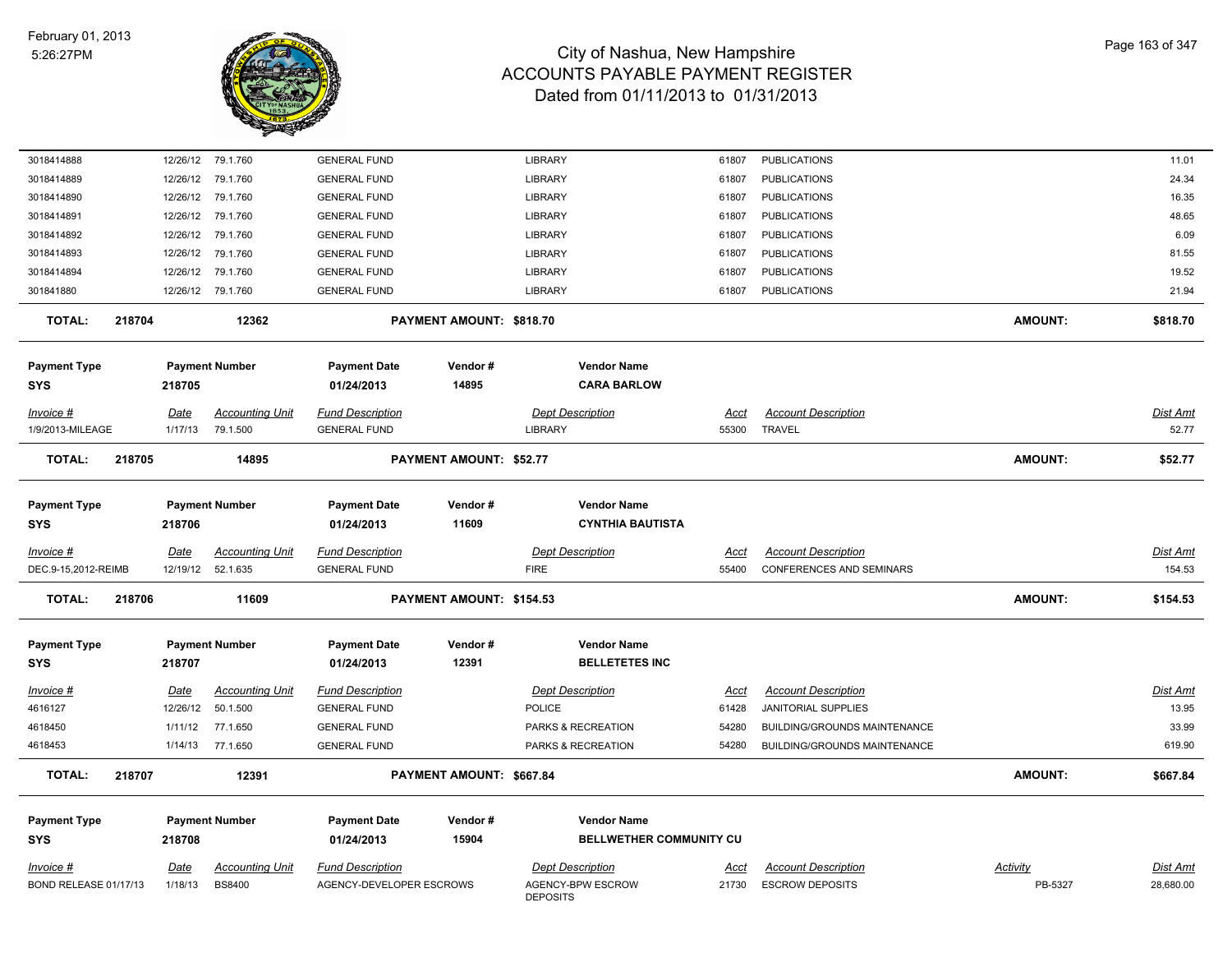

| 3018414888              | 12/26/12    | 79.1.760               | <b>GENERAL FUND</b>      |                          | <b>LIBRARY</b>                       | 61807       | <b>PUBLICATIONS</b>                 |                | 11.01     |
|-------------------------|-------------|------------------------|--------------------------|--------------------------|--------------------------------------|-------------|-------------------------------------|----------------|-----------|
| 3018414889              |             | 12/26/12 79.1.760      | <b>GENERAL FUND</b>      |                          | <b>LIBRARY</b>                       | 61807       | <b>PUBLICATIONS</b>                 |                | 24.34     |
| 3018414890              | 12/26/12    | 79.1.760               | <b>GENERAL FUND</b>      |                          | LIBRARY                              | 61807       | <b>PUBLICATIONS</b>                 |                | 16.35     |
| 3018414891              | 12/26/12    | 79.1.760               | <b>GENERAL FUND</b>      |                          | <b>LIBRARY</b>                       | 61807       | <b>PUBLICATIONS</b>                 |                | 48.65     |
| 3018414892              | 12/26/12    | 79.1.760               | <b>GENERAL FUND</b>      |                          | LIBRARY                              | 61807       | <b>PUBLICATIONS</b>                 |                | 6.09      |
| 3018414893              | 12/26/12    | 79.1.760               | <b>GENERAL FUND</b>      |                          | LIBRARY                              | 61807       | <b>PUBLICATIONS</b>                 |                | 81.55     |
| 3018414894              | 12/26/12    | 79.1.760               | <b>GENERAL FUND</b>      |                          | LIBRARY                              | 61807       | <b>PUBLICATIONS</b>                 |                | 19.52     |
| 301841880               |             | 12/26/12 79.1.760      | <b>GENERAL FUND</b>      |                          | LIBRARY                              | 61807       | <b>PUBLICATIONS</b>                 |                | 21.94     |
| <b>TOTAL:</b><br>218704 |             | 12362                  |                          | PAYMENT AMOUNT: \$818.70 |                                      |             |                                     | <b>AMOUNT:</b> | \$818.70  |
| <b>Payment Type</b>     |             | <b>Payment Number</b>  | <b>Payment Date</b>      | Vendor#                  | <b>Vendor Name</b>                   |             |                                     |                |           |
| SYS                     | 218705      |                        | 01/24/2013               | 14895                    | <b>CARA BARLOW</b>                   |             |                                     |                |           |
|                         |             |                        |                          |                          |                                      |             |                                     |                |           |
| Invoice #               | Date        | <b>Accounting Unit</b> | <b>Fund Description</b>  |                          | <b>Dept Description</b>              | Acct        | <b>Account Description</b>          |                | Dist Amt  |
| 1/9/2013-MILEAGE        | 1/17/13     | 79.1.500               | <b>GENERAL FUND</b>      |                          | <b>LIBRARY</b>                       | 55300       | <b>TRAVEL</b>                       |                | 52.77     |
| <b>TOTAL:</b><br>218705 |             | 14895                  |                          | PAYMENT AMOUNT: \$52.77  |                                      |             |                                     | <b>AMOUNT:</b> | \$52.77   |
| <b>Payment Type</b>     |             | <b>Payment Number</b>  | <b>Payment Date</b>      | Vendor#                  | <b>Vendor Name</b>                   |             |                                     |                |           |
| SYS                     | 218706      |                        | 01/24/2013               | 11609                    | <b>CYNTHIA BAUTISTA</b>              |             |                                     |                |           |
| Invoice #               | Date        | <b>Accounting Unit</b> | <b>Fund Description</b>  |                          | <b>Dept Description</b>              | Acct        | <b>Account Description</b>          |                | Dist Amt  |
| DEC.9-15,2012-REIMB     | 12/19/12    | 52.1.635               | <b>GENERAL FUND</b>      |                          | <b>FIRE</b>                          | 55400       | <b>CONFERENCES AND SEMINARS</b>     |                | 154.53    |
| <b>TOTAL:</b><br>218706 |             | 11609                  |                          | PAYMENT AMOUNT: \$154.53 |                                      |             |                                     | <b>AMOUNT:</b> | \$154.53  |
| <b>Payment Type</b>     |             | <b>Payment Number</b>  | <b>Payment Date</b>      | Vendor#                  | <b>Vendor Name</b>                   |             |                                     |                |           |
| <b>SYS</b>              | 218707      |                        | 01/24/2013               | 12391                    | <b>BELLETETES INC</b>                |             |                                     |                |           |
| <u>Invoice #</u>        | <u>Date</u> | <b>Accounting Unit</b> | <b>Fund Description</b>  |                          | <b>Dept Description</b>              | <u>Acct</u> | <b>Account Description</b>          |                | Dist Amt  |
| 4616127                 | 12/26/12    | 50.1.500               | <b>GENERAL FUND</b>      |                          | <b>POLICE</b>                        | 61428       | JANITORIAL SUPPLIES                 |                | 13.95     |
| 4618450                 | 1/11/12     | 77.1.650               | <b>GENERAL FUND</b>      |                          | PARKS & RECREATION                   | 54280       | <b>BUILDING/GROUNDS MAINTENANCE</b> |                | 33.99     |
| 4618453                 |             | 1/14/13 77.1.650       | <b>GENERAL FUND</b>      |                          | PARKS & RECREATION                   | 54280       | BUILDING/GROUNDS MAINTENANCE        |                | 619.90    |
| <b>TOTAL:</b><br>218707 |             | 12391                  |                          | PAYMENT AMOUNT: \$667.84 |                                      |             |                                     | <b>AMOUNT:</b> | \$667.84  |
| <b>Payment Type</b>     |             | <b>Payment Number</b>  | <b>Payment Date</b>      | Vendor#                  | <b>Vendor Name</b>                   |             |                                     |                |           |
| <b>SYS</b>              | 218708      |                        | 01/24/2013               | 15904                    | BELLWETHER COMMUNITY CU              |             |                                     |                |           |
| Invoice #               | <u>Date</u> | Accounting Unit        | <b>Fund Description</b>  |                          | <b>Dept Description</b>              | Acct        | <b>Account Description</b>          | Activity       | Dist Amt  |
| BOND RELEASE 01/17/13   | 1/18/13     | <b>BS8400</b>          | AGENCY-DEVELOPER ESCROWS |                          | AGENCY-BPW ESCROW<br><b>DEPOSITS</b> | 21730       | <b>ESCROW DEPOSITS</b>              | PB-5327        | 28,680.00 |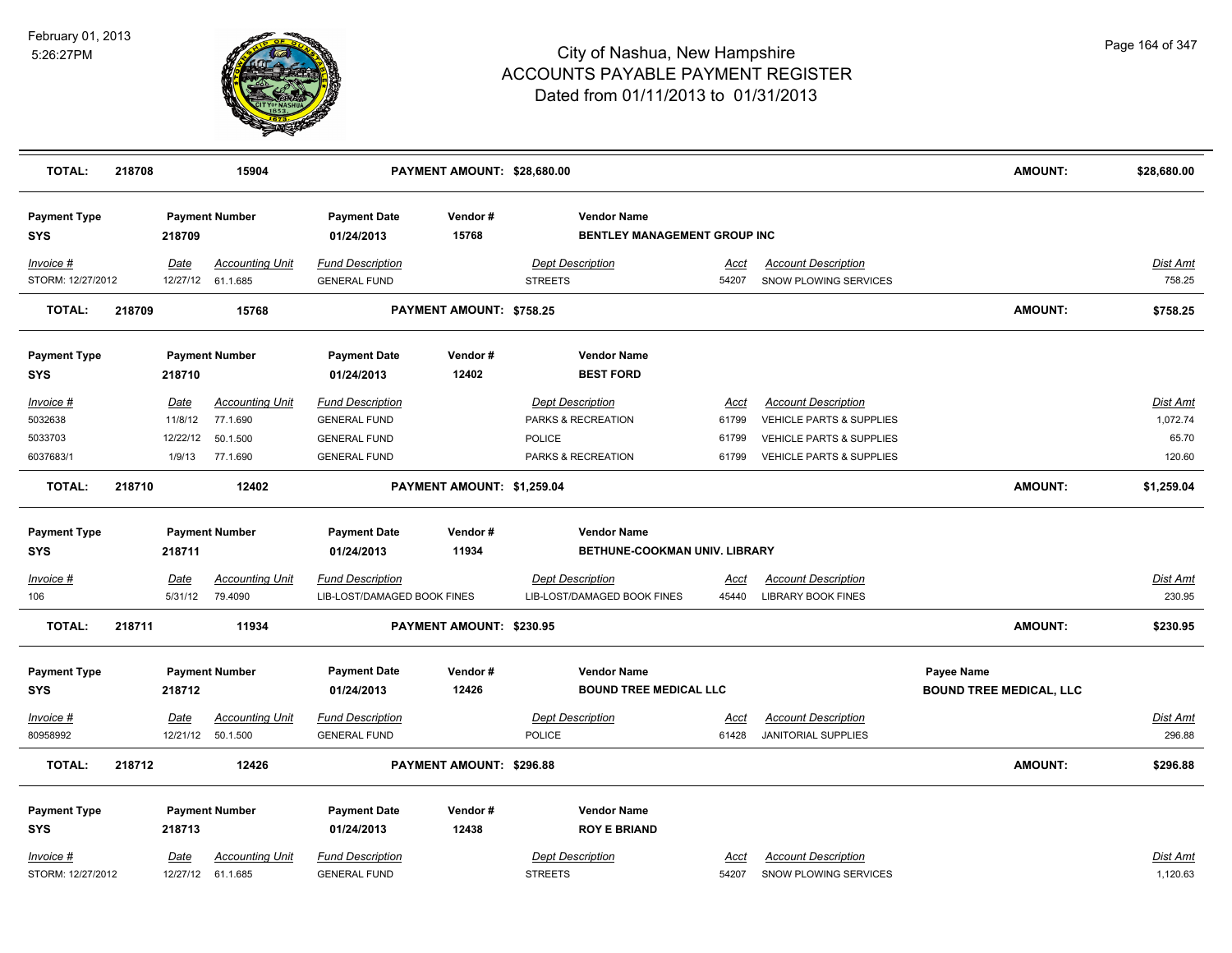

| <b>TOTAL:</b>                                         | 218708 |                                       | 15904                                                      |                                                                                              | PAYMENT AMOUNT: \$28,680.00 |                                                                                      |                                 |                                                                                                                | AMOUNT:                                      | \$28,680.00                             |
|-------------------------------------------------------|--------|---------------------------------------|------------------------------------------------------------|----------------------------------------------------------------------------------------------|-----------------------------|--------------------------------------------------------------------------------------|---------------------------------|----------------------------------------------------------------------------------------------------------------|----------------------------------------------|-----------------------------------------|
| <b>Payment Type</b><br>SYS                            |        | 218709                                | <b>Payment Number</b>                                      | <b>Payment Date</b><br>01/24/2013                                                            | Vendor#<br>15768            | <b>Vendor Name</b><br>BENTLEY MANAGEMENT GROUP INC                                   |                                 |                                                                                                                |                                              |                                         |
| Invoice #<br>STORM: 12/27/2012                        |        | Date                                  | <b>Accounting Unit</b><br>12/27/12 61.1.685                | <b>Fund Description</b><br><b>GENERAL FUND</b>                                               |                             | <b>Dept Description</b><br><b>STREETS</b>                                            | Acct<br>54207                   | <b>Account Description</b><br>SNOW PLOWING SERVICES                                                            |                                              | Dist Amt<br>758.25                      |
| <b>TOTAL:</b>                                         | 218709 |                                       | 15768                                                      |                                                                                              | PAYMENT AMOUNT: \$758.25    |                                                                                      |                                 |                                                                                                                | AMOUNT:                                      | \$758.25                                |
| <b>Payment Type</b><br>SYS                            |        | 218710                                | <b>Payment Number</b>                                      | <b>Payment Date</b><br>01/24/2013                                                            | Vendor#<br>12402            | <b>Vendor Name</b><br><b>BEST FORD</b>                                               |                                 |                                                                                                                |                                              |                                         |
| Invoice #<br>5032638<br>5033703<br>6037683/1          |        | Date<br>11/8/12<br>12/22/12<br>1/9/13 | <b>Accounting Unit</b><br>77.1.690<br>50.1.500<br>77.1.690 | <b>Fund Description</b><br><b>GENERAL FUND</b><br><b>GENERAL FUND</b><br><b>GENERAL FUND</b> |                             | <b>Dept Description</b><br>PARKS & RECREATION<br><b>POLICE</b><br>PARKS & RECREATION | Acct<br>61799<br>61799<br>61799 | <b>Account Description</b><br>VEHICLE PARTS & SUPPLIES<br>VEHICLE PARTS & SUPPLIES<br>VEHICLE PARTS & SUPPLIES |                                              | Dist Amt<br>1,072.74<br>65.70<br>120.60 |
| <b>TOTAL:</b>                                         | 218710 |                                       | 12402                                                      |                                                                                              | PAYMENT AMOUNT: \$1,259.04  |                                                                                      |                                 |                                                                                                                | AMOUNT:                                      | \$1,259.04                              |
| <b>Payment Type</b><br><b>SYS</b><br><u>Invoice #</u> |        | 218711<br><b>Date</b>                 | <b>Payment Number</b><br><b>Accounting Unit</b>            | <b>Payment Date</b><br>01/24/2013<br><b>Fund Description</b>                                 | Vendor#<br>11934            | <b>Vendor Name</b><br>BETHUNE-COOKMAN UNIV. LIBRARY<br><b>Dept Description</b>       | <u>Acct</u>                     | <b>Account Description</b>                                                                                     |                                              | <b>Dist Amt</b>                         |
| 106<br><b>TOTAL:</b>                                  | 218711 | 5/31/12                               | 79.4090<br>11934                                           | LIB-LOST/DAMAGED BOOK FINES                                                                  | PAYMENT AMOUNT: \$230.95    | LIB-LOST/DAMAGED BOOK FINES                                                          | 45440                           | <b>LIBRARY BOOK FINES</b>                                                                                      | <b>AMOUNT:</b>                               | 230.95<br>\$230.95                      |
| <b>Payment Type</b><br><b>SYS</b>                     |        | 218712                                | <b>Payment Number</b>                                      | <b>Payment Date</b><br>01/24/2013                                                            | Vendor#<br>12426            | <b>Vendor Name</b><br><b>BOUND TREE MEDICAL LLC</b>                                  |                                 |                                                                                                                | Payee Name<br><b>BOUND TREE MEDICAL, LLC</b> |                                         |
| Invoice #<br>80958992                                 |        | <b>Date</b>                           | <b>Accounting Unit</b><br>12/21/12 50.1.500                | <b>Fund Description</b><br><b>GENERAL FUND</b>                                               |                             | <b>Dept Description</b><br><b>POLICE</b>                                             | Acct<br>61428                   | <b>Account Description</b><br><b>JANITORIAL SUPPLIES</b>                                                       |                                              | Dist Amt<br>296.88                      |
| <b>TOTAL:</b>                                         | 218712 |                                       | 12426                                                      |                                                                                              | PAYMENT AMOUNT: \$296.88    |                                                                                      |                                 |                                                                                                                | AMOUNT:                                      | \$296.88                                |
| <b>Payment Type</b><br><b>SYS</b><br>Invoice #        |        | 218713<br>Date                        | <b>Payment Number</b><br><b>Accounting Unit</b>            | <b>Payment Date</b><br>01/24/2013<br><b>Fund Description</b>                                 | Vendor#<br>12438            | <b>Vendor Name</b><br><b>ROY E BRIAND</b><br><b>Dept Description</b>                 | Acct                            | <b>Account Description</b>                                                                                     |                                              | Dist Amt                                |
| STORM: 12/27/2012                                     |        | 12/27/12                              | 61.1.685                                                   | <b>GENERAL FUND</b>                                                                          |                             | <b>STREETS</b>                                                                       | 54207                           | SNOW PLOWING SERVICES                                                                                          |                                              | 1,120.63                                |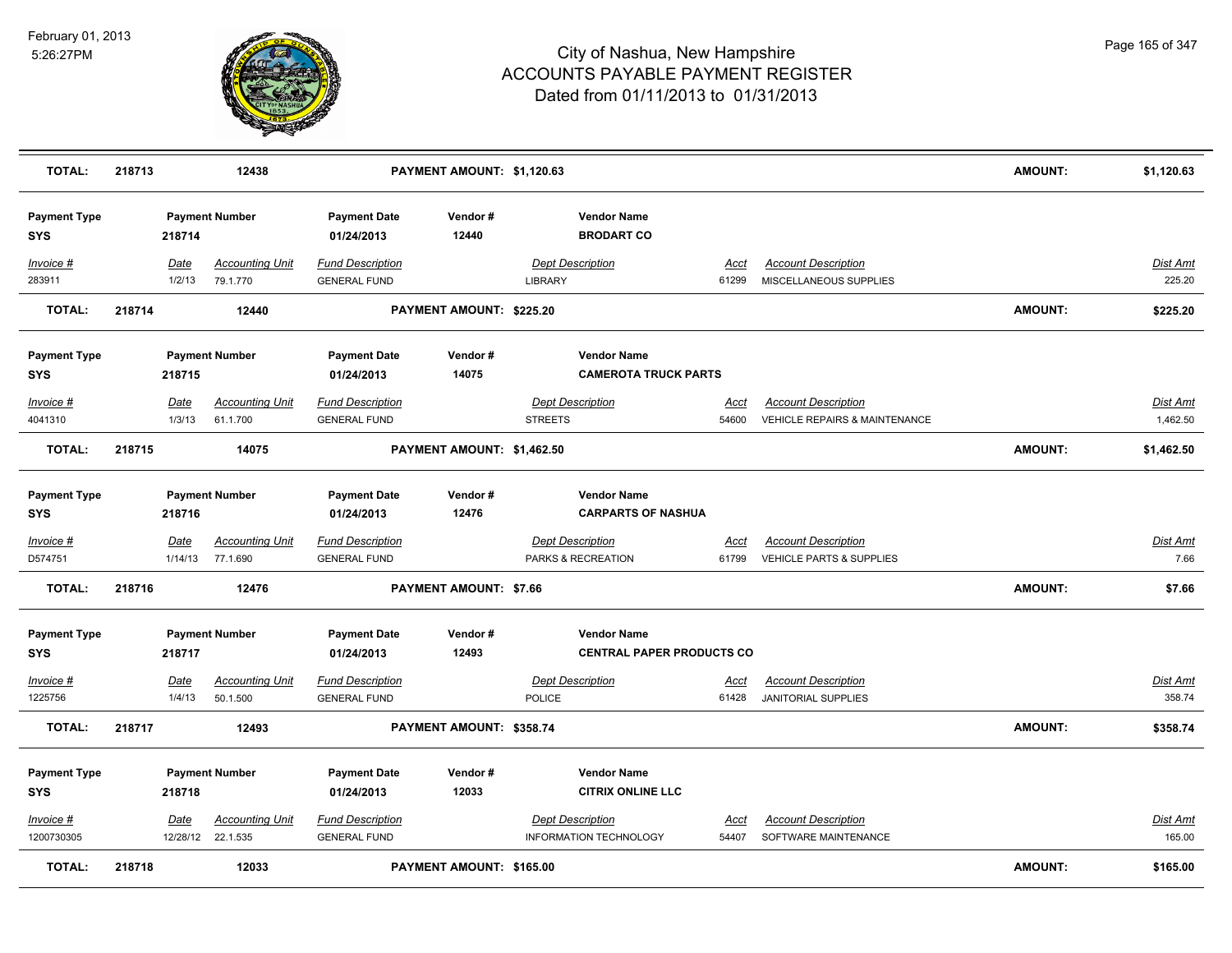

| <b>TOTAL:</b>                     | 218713 |                       | 12438                                       |                                                | PAYMENT AMOUNT: \$1,120.63 |                |                                                        |                      |                                                                        | AMOUNT:        | \$1,120.63                |
|-----------------------------------|--------|-----------------------|---------------------------------------------|------------------------------------------------|----------------------------|----------------|--------------------------------------------------------|----------------------|------------------------------------------------------------------------|----------------|---------------------------|
| <b>Payment Type</b><br><b>SYS</b> |        | 218714                | <b>Payment Number</b>                       | <b>Payment Date</b><br>01/24/2013              | Vendor#<br>12440           |                | <b>Vendor Name</b><br><b>BRODART CO</b>                |                      |                                                                        |                |                           |
| Invoice #<br>283911               |        | Date<br>1/2/13        | <b>Accounting Unit</b><br>79.1.770          | <b>Fund Description</b><br><b>GENERAL FUND</b> |                            | <b>LIBRARY</b> | <b>Dept Description</b>                                | Acct<br>61299        | <b>Account Description</b><br>MISCELLANEOUS SUPPLIES                   |                | <b>Dist Amt</b><br>225.20 |
| <b>TOTAL:</b>                     | 218714 |                       | 12440                                       |                                                | PAYMENT AMOUNT: \$225.20   |                |                                                        |                      |                                                                        | <b>AMOUNT:</b> | \$225.20                  |
| <b>Payment Type</b><br><b>SYS</b> |        | 218715                | <b>Payment Number</b>                       | <b>Payment Date</b><br>01/24/2013              | Vendor#<br>14075           |                | <b>Vendor Name</b><br><b>CAMEROTA TRUCK PARTS</b>      |                      |                                                                        |                |                           |
| Invoice #<br>4041310              |        | <u>Date</u><br>1/3/13 | <b>Accounting Unit</b><br>61.1.700          | <b>Fund Description</b><br><b>GENERAL FUND</b> |                            | <b>STREETS</b> | <b>Dept Description</b>                                | Acct<br>54600        | <b>Account Description</b><br><b>VEHICLE REPAIRS &amp; MAINTENANCE</b> |                | Dist Amt<br>1,462.50      |
| <b>TOTAL:</b>                     | 218715 |                       | 14075                                       |                                                | PAYMENT AMOUNT: \$1,462.50 |                |                                                        |                      |                                                                        | <b>AMOUNT:</b> | \$1,462.50                |
| <b>Payment Type</b><br><b>SYS</b> |        | 218716                | <b>Payment Number</b>                       | <b>Payment Date</b><br>01/24/2013              | Vendor#<br>12476           |                | <b>Vendor Name</b><br><b>CARPARTS OF NASHUA</b>        |                      |                                                                        |                |                           |
| Invoice #<br>D574751              |        | Date<br>1/14/13       | <b>Accounting Unit</b><br>77.1.690          | <b>Fund Description</b><br><b>GENERAL FUND</b> |                            |                | <b>Dept Description</b><br>PARKS & RECREATION          | <u>Acct</u><br>61799 | <b>Account Description</b><br>VEHICLE PARTS & SUPPLIES                 |                | Dist Amt<br>7.66          |
| <b>TOTAL:</b>                     | 218716 |                       | 12476                                       |                                                | PAYMENT AMOUNT: \$7.66     |                |                                                        |                      |                                                                        | AMOUNT:        | \$7.66                    |
| <b>Payment Type</b><br><b>SYS</b> |        | 218717                | <b>Payment Number</b>                       | <b>Payment Date</b><br>01/24/2013              | Vendor#<br>12493           |                | <b>Vendor Name</b><br><b>CENTRAL PAPER PRODUCTS CO</b> |                      |                                                                        |                |                           |
| Invoice #<br>1225756              |        | <b>Date</b><br>1/4/13 | <b>Accounting Unit</b><br>50.1.500          | <b>Fund Description</b><br><b>GENERAL FUND</b> |                            | <b>POLICE</b>  | <b>Dept Description</b>                                | <u>Acct</u><br>61428 | <b>Account Description</b><br><b>JANITORIAL SUPPLIES</b>               |                | Dist Amt<br>358.74        |
| <b>TOTAL:</b>                     | 218717 |                       | 12493                                       |                                                | PAYMENT AMOUNT: \$358.74   |                |                                                        |                      |                                                                        | <b>AMOUNT:</b> | \$358.74                  |
| <b>Payment Type</b><br><b>SYS</b> |        | 218718                | <b>Payment Number</b>                       | <b>Payment Date</b><br>01/24/2013              | Vendor#<br>12033           |                | <b>Vendor Name</b><br><b>CITRIX ONLINE LLC</b>         |                      |                                                                        |                |                           |
| Invoice #<br>1200730305           |        | Date                  | <b>Accounting Unit</b><br>12/28/12 22.1.535 | <b>Fund Description</b><br><b>GENERAL FUND</b> |                            |                | <b>Dept Description</b><br>INFORMATION TECHNOLOGY      | Acct<br>54407        | <b>Account Description</b><br>SOFTWARE MAINTENANCE                     |                | <u>Dist Amt</u><br>165.00 |
| <b>TOTAL:</b>                     | 218718 |                       | 12033                                       |                                                | PAYMENT AMOUNT: \$165.00   |                |                                                        |                      |                                                                        | AMOUNT:        | \$165.00                  |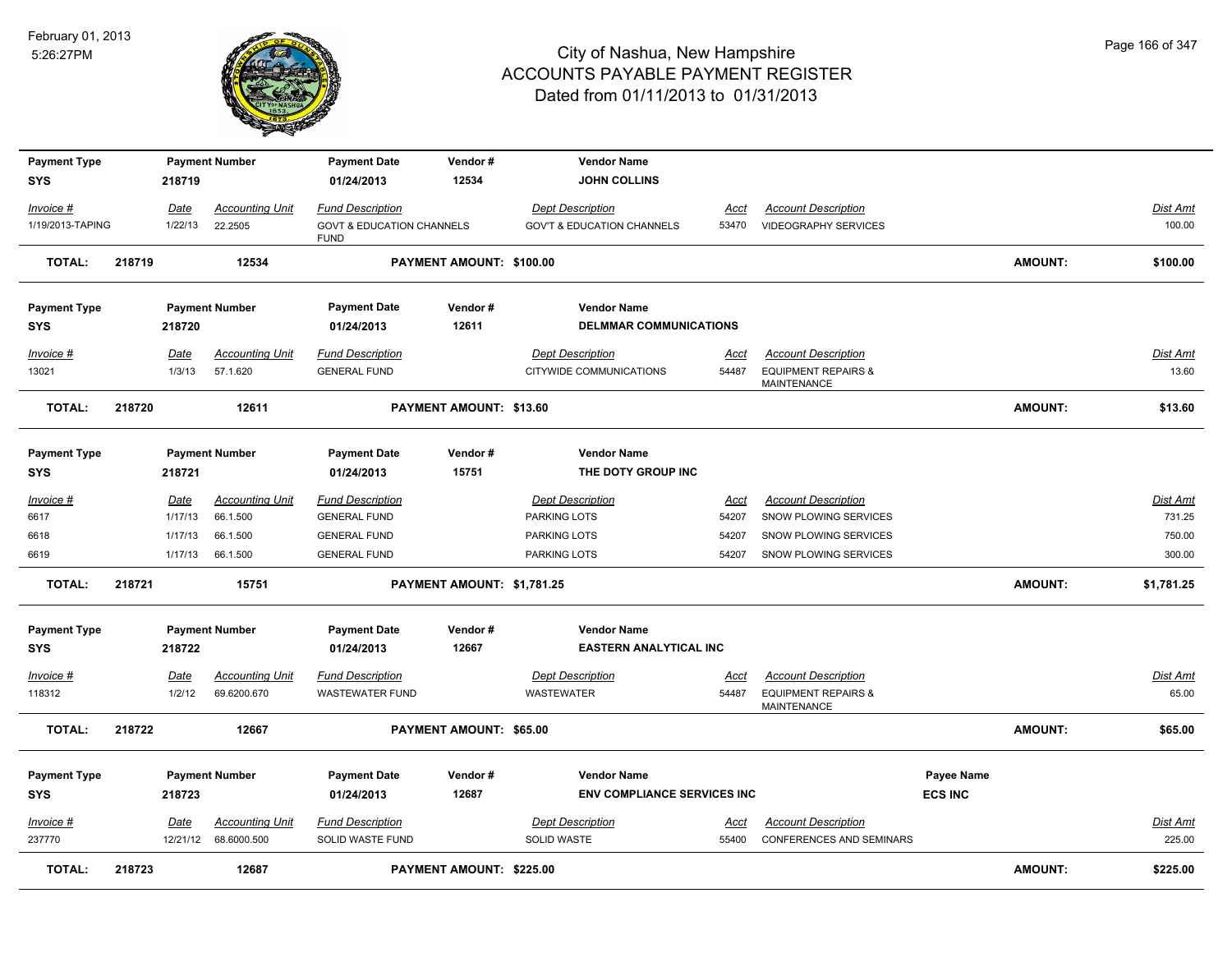

| <b>Payment Type</b> |        |             | <b>Payment Number</b>              | <b>Payment Date</b>                            | Vendor#                        | <b>Vendor Name</b>                                 |             |                                                              |                |                |                   |
|---------------------|--------|-------------|------------------------------------|------------------------------------------------|--------------------------------|----------------------------------------------------|-------------|--------------------------------------------------------------|----------------|----------------|-------------------|
| <b>SYS</b>          |        | 218719      |                                    | 01/24/2013                                     | 12534                          | <b>JOHN COLLINS</b>                                |             |                                                              |                |                |                   |
| Invoice #           |        | Date        | <b>Accounting Unit</b>             | <b>Fund Description</b>                        |                                | <b>Dept Description</b>                            | Acct        | <b>Account Description</b>                                   |                |                | Dist Amt          |
| 1/19/2013-TAPING    |        | 1/22/13     | 22.2505                            | <b>GOVT &amp; EDUCATION CHANNELS</b>           |                                | <b>GOV'T &amp; EDUCATION CHANNELS</b>              | 53470       | <b>VIDEOGRAPHY SERVICES</b>                                  |                |                | 100.00            |
|                     |        |             |                                    | <b>FUND</b>                                    |                                |                                                    |             |                                                              |                |                |                   |
| <b>TOTAL:</b>       | 218719 |             | 12534                              |                                                | PAYMENT AMOUNT: \$100.00       |                                                    |             |                                                              |                | <b>AMOUNT:</b> | \$100.00          |
| <b>Payment Type</b> |        |             | <b>Payment Number</b>              | <b>Payment Date</b>                            | Vendor#                        | <b>Vendor Name</b>                                 |             |                                                              |                |                |                   |
| <b>SYS</b>          |        | 218720      |                                    | 01/24/2013                                     | 12611                          | <b>DELMMAR COMMUNICATIONS</b>                      |             |                                                              |                |                |                   |
|                     |        |             |                                    |                                                |                                |                                                    |             |                                                              |                |                |                   |
| Invoice #           |        | Date        | <b>Accounting Unit</b><br>57.1.620 | <b>Fund Description</b><br><b>GENERAL FUND</b> |                                | <b>Dept Description</b><br>CITYWIDE COMMUNICATIONS | Acct        | <b>Account Description</b><br><b>EQUIPMENT REPAIRS &amp;</b> |                |                | Dist Amt<br>13.60 |
| 13021               |        | 1/3/13      |                                    |                                                |                                |                                                    | 54487       | MAINTENANCE                                                  |                |                |                   |
| <b>TOTAL:</b>       | 218720 |             | 12611                              |                                                | <b>PAYMENT AMOUNT: \$13.60</b> |                                                    |             |                                                              |                | AMOUNT:        | \$13.60           |
| <b>Payment Type</b> |        |             | <b>Payment Number</b>              | <b>Payment Date</b>                            | Vendor#                        | <b>Vendor Name</b>                                 |             |                                                              |                |                |                   |
| <b>SYS</b>          |        | 218721      |                                    | 01/24/2013                                     | 15751                          | THE DOTY GROUP INC                                 |             |                                                              |                |                |                   |
| Invoice #           |        | Date        | <b>Accounting Unit</b>             | <b>Fund Description</b>                        |                                | <b>Dept Description</b>                            | <u>Acct</u> | <b>Account Description</b>                                   |                |                | <b>Dist Amt</b>   |
| 6617                |        | 1/17/13     | 66.1.500                           | <b>GENERAL FUND</b>                            |                                | PARKING LOTS                                       | 54207       | SNOW PLOWING SERVICES                                        |                |                | 731.25            |
| 6618                |        | 1/17/13     | 66.1.500                           | <b>GENERAL FUND</b>                            |                                | PARKING LOTS                                       | 54207       | SNOW PLOWING SERVICES                                        |                |                | 750.00            |
| 6619                |        | 1/17/13     | 66.1.500                           | <b>GENERAL FUND</b>                            |                                | PARKING LOTS                                       | 54207       | SNOW PLOWING SERVICES                                        |                |                | 300.00            |
| <b>TOTAL:</b>       | 218721 |             | 15751                              |                                                | PAYMENT AMOUNT: \$1,781.25     |                                                    |             |                                                              |                | <b>AMOUNT:</b> | \$1,781.25        |
| <b>Payment Type</b> |        |             | <b>Payment Number</b>              | <b>Payment Date</b>                            | Vendor#                        | <b>Vendor Name</b>                                 |             |                                                              |                |                |                   |
| <b>SYS</b>          |        | 218722      |                                    | 01/24/2013                                     | 12667                          | <b>EASTERN ANALYTICAL INC</b>                      |             |                                                              |                |                |                   |
| Invoice #           |        | <u>Date</u> | <b>Accounting Unit</b>             | <b>Fund Description</b>                        |                                | <b>Dept Description</b>                            | <u>Acct</u> | <b>Account Description</b>                                   |                |                | <b>Dist Amt</b>   |
| 118312              |        | 1/2/12      | 69.6200.670                        | <b>WASTEWATER FUND</b>                         |                                | WASTEWATER                                         | 54487       | <b>EQUIPMENT REPAIRS &amp;</b><br>MAINTENANCE                |                |                | 65.00             |
| <b>TOTAL:</b>       | 218722 |             | 12667                              |                                                | PAYMENT AMOUNT: \$65.00        |                                                    |             |                                                              |                | AMOUNT:        | \$65.00           |
| <b>Payment Type</b> |        |             | <b>Payment Number</b>              | <b>Payment Date</b>                            | Vendor#                        | <b>Vendor Name</b>                                 |             |                                                              | Payee Name     |                |                   |
| <b>SYS</b>          |        | 218723      |                                    | 01/24/2013                                     | 12687                          | <b>ENV COMPLIANCE SERVICES INC</b>                 |             |                                                              | <b>ECS INC</b> |                |                   |
|                     |        |             |                                    |                                                |                                |                                                    |             |                                                              |                |                |                   |
| Invoice #<br>237770 |        | Date        | <b>Accounting Unit</b>             | <b>Fund Description</b>                        |                                | <b>Dept Description</b>                            | Acct        | <b>Account Description</b>                                   |                |                | Dist Amt          |
|                     |        |             | 12/21/12 68.6000.500               | SOLID WASTE FUND                               |                                | SOLID WASTE                                        | 55400       | <b>CONFERENCES AND SEMINARS</b>                              |                |                | 225.00            |
| <b>TOTAL:</b>       | 218723 |             | 12687                              |                                                | PAYMENT AMOUNT: \$225.00       |                                                    |             |                                                              |                | <b>AMOUNT:</b> | \$225.00          |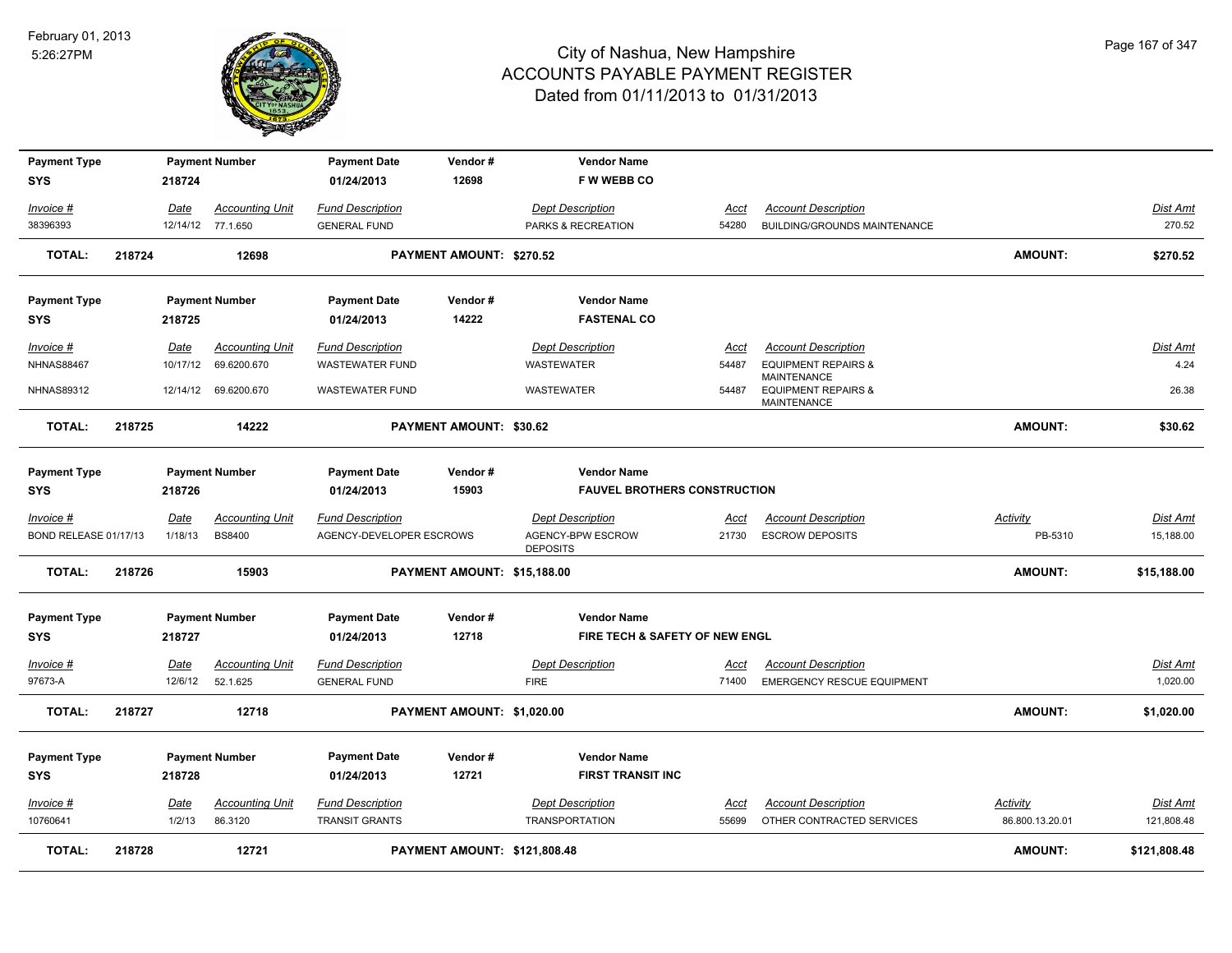

| <b>Payment Type</b><br>SYS |        | 218724   | <b>Payment Number</b>  | <b>Payment Date</b><br>01/24/2013 | Vendor#<br>12698             | <b>Vendor Name</b><br><b>FW WEBB CO</b> |             |                                                      |                 |                 |
|----------------------------|--------|----------|------------------------|-----------------------------------|------------------------------|-----------------------------------------|-------------|------------------------------------------------------|-----------------|-----------------|
| Invoice #                  |        | Date     | <b>Accounting Unit</b> | <b>Fund Description</b>           |                              | <b>Dept Description</b>                 | <b>Acct</b> | <b>Account Description</b>                           |                 | <b>Dist Amt</b> |
| 38396393                   |        |          | 12/14/12 77.1.650      | <b>GENERAL FUND</b>               |                              | PARKS & RECREATION                      | 54280       | BUILDING/GROUNDS MAINTENANCE                         |                 | 270.52          |
| <b>TOTAL:</b>              | 218724 |          | 12698                  |                                   | PAYMENT AMOUNT: \$270.52     |                                         |             |                                                      | <b>AMOUNT:</b>  | \$270.52        |
| <b>Payment Type</b>        |        |          | <b>Payment Number</b>  | <b>Payment Date</b>               | Vendor#                      | <b>Vendor Name</b>                      |             |                                                      |                 |                 |
| SYS                        |        | 218725   |                        | 01/24/2013                        | 14222                        | <b>FASTENAL CO</b>                      |             |                                                      |                 |                 |
| Invoice #                  |        | Date     | <b>Accounting Unit</b> | <b>Fund Description</b>           |                              | <b>Dept Description</b>                 | Acct        | <b>Account Description</b>                           |                 | <u>Dist Amt</u> |
| <b>NHNAS88467</b>          |        | 10/17/12 | 69.6200.670            | <b>WASTEWATER FUND</b>            |                              | WASTEWATER                              | 54487       | <b>EQUIPMENT REPAIRS &amp;</b><br>MAINTENANCE        |                 | 4.24            |
| <b>NHNAS89312</b>          |        |          | 12/14/12 69.6200.670   | <b>WASTEWATER FUND</b>            |                              | WASTEWATER                              | 54487       | <b>EQUIPMENT REPAIRS &amp;</b><br><b>MAINTENANCE</b> |                 | 26.38           |
| <b>TOTAL:</b>              | 218725 |          | 14222                  |                                   | PAYMENT AMOUNT: \$30.62      |                                         |             |                                                      | <b>AMOUNT:</b>  | \$30.62         |
| <b>Payment Type</b>        |        |          | <b>Payment Number</b>  | <b>Payment Date</b>               | Vendor#                      | <b>Vendor Name</b>                      |             |                                                      |                 |                 |
| SYS                        |        | 218726   |                        | 01/24/2013                        | 15903                        | <b>FAUVEL BROTHERS CONSTRUCTION</b>     |             |                                                      |                 |                 |
| Invoice #                  |        | Date     | <b>Accounting Unit</b> | <b>Fund Description</b>           |                              | <b>Dept Description</b>                 | Acct        | <b>Account Description</b>                           | Activity        | Dist Amt        |
| BOND RELEASE 01/17/13      |        | 1/18/13  | <b>BS8400</b>          | AGENCY-DEVELOPER ESCROWS          |                              | AGENCY-BPW ESCROW<br><b>DEPOSITS</b>    | 21730       | <b>ESCROW DEPOSITS</b>                               | PB-5310         | 15,188.00       |
| <b>TOTAL:</b>              | 218726 |          | 15903                  |                                   | PAYMENT AMOUNT: \$15,188.00  |                                         |             |                                                      | <b>AMOUNT:</b>  | \$15,188.00     |
| <b>Payment Type</b>        |        |          | <b>Payment Number</b>  | <b>Payment Date</b>               | Vendor#                      | <b>Vendor Name</b>                      |             |                                                      |                 |                 |
| <b>SYS</b>                 |        | 218727   |                        | 01/24/2013                        | 12718                        | FIRE TECH & SAFETY OF NEW ENGL          |             |                                                      |                 |                 |
| <b>Invoice #</b>           |        | Date     | <b>Accounting Unit</b> | <b>Fund Description</b>           |                              | <b>Dept Description</b>                 | Acct        | <b>Account Description</b>                           |                 | <u>Dist Amt</u> |
| 97673-A                    |        | 12/6/12  | 52.1.625               | <b>GENERAL FUND</b>               |                              | <b>FIRE</b>                             | 71400       | <b>EMERGENCY RESCUE EQUIPMENT</b>                    |                 | 1,020.00        |
| <b>TOTAL:</b>              | 218727 |          | 12718                  |                                   | PAYMENT AMOUNT: \$1,020.00   |                                         |             |                                                      | <b>AMOUNT:</b>  | \$1,020.00      |
| <b>Payment Type</b>        |        |          | <b>Payment Number</b>  | <b>Payment Date</b>               | Vendor#                      | <b>Vendor Name</b>                      |             |                                                      |                 |                 |
| <b>SYS</b>                 |        | 218728   |                        | 01/24/2013                        | 12721                        | <b>FIRST TRANSIT INC</b>                |             |                                                      |                 |                 |
| Invoice #                  |        | Date     | <b>Accounting Unit</b> | <b>Fund Description</b>           |                              | <b>Dept Description</b>                 | Acct        | <b>Account Description</b>                           | Activity        | Dist Amt        |
| 10760641                   |        | 1/2/13   | 86.3120                | <b>TRANSIT GRANTS</b>             |                              | <b>TRANSPORTATION</b>                   | 55699       | OTHER CONTRACTED SERVICES                            | 86.800.13.20.01 | 121,808.48      |
| <b>TOTAL:</b>              | 218728 |          | 12721                  |                                   | PAYMENT AMOUNT: \$121.808.48 |                                         |             |                                                      | <b>AMOUNT:</b>  | \$121.808.48    |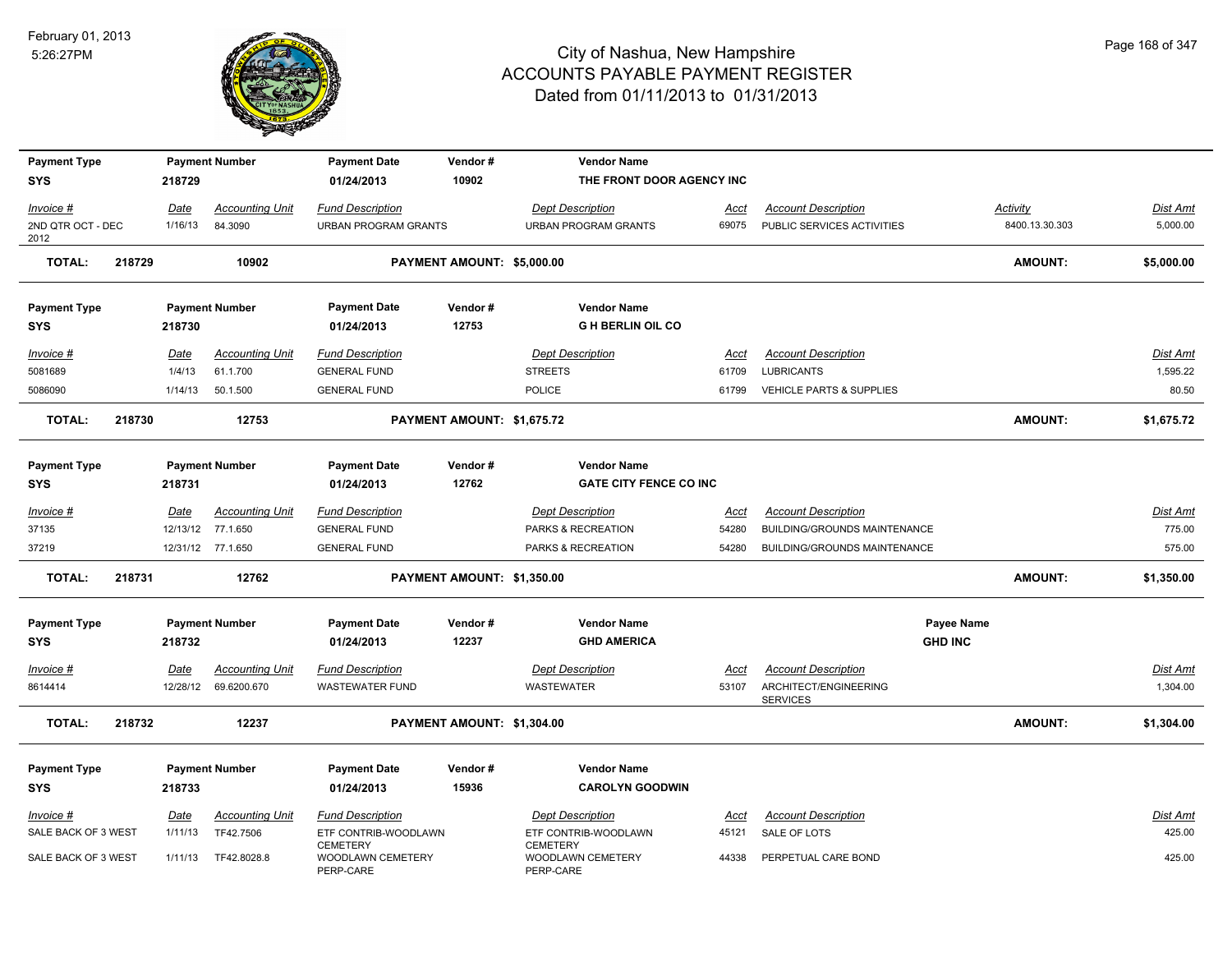

| <b>Payment Type</b><br><b>SYS</b> |        | 218729  | <b>Payment Number</b>  | <b>Payment Date</b><br>01/24/2013                 | Vendor#<br>10902           | <b>Vendor Name</b><br>THE FRONT DOOR AGENCY INC     |             |                                          |                   |                |            |
|-----------------------------------|--------|---------|------------------------|---------------------------------------------------|----------------------------|-----------------------------------------------------|-------------|------------------------------------------|-------------------|----------------|------------|
| Invoice #                         |        | Date    | <b>Accounting Unit</b> | <b>Fund Description</b>                           |                            | <b>Dept Description</b>                             | Acct        | <b>Account Description</b>               |                   | Activity       | Dist Amt   |
| 2ND QTR OCT - DEC<br>2012         |        | 1/16/13 | 84.3090                | <b>URBAN PROGRAM GRANTS</b>                       |                            | <b>URBAN PROGRAM GRANTS</b>                         | 69075       | PUBLIC SERVICES ACTIVITIES               |                   | 8400.13.30.303 | 5,000.00   |
| <b>TOTAL:</b>                     | 218729 |         | 10902                  |                                                   | PAYMENT AMOUNT: \$5,000.00 |                                                     |             |                                          |                   | <b>AMOUNT:</b> | \$5,000.00 |
| <b>Payment Type</b>               |        |         | <b>Payment Number</b>  | <b>Payment Date</b>                               | Vendor#                    | <b>Vendor Name</b>                                  |             |                                          |                   |                |            |
| <b>SYS</b>                        |        | 218730  |                        | 01/24/2013                                        | 12753                      | <b>G H BERLIN OIL CO</b>                            |             |                                          |                   |                |            |
| Invoice #                         |        | Date    | <b>Accounting Unit</b> | <b>Fund Description</b>                           |                            | <b>Dept Description</b>                             | Acct        | <b>Account Description</b>               |                   |                | Dist Amt   |
| 5081689                           |        | 1/4/13  | 61.1.700               | <b>GENERAL FUND</b>                               |                            | <b>STREETS</b>                                      | 61709       | <b>LUBRICANTS</b>                        |                   |                | 1,595.22   |
| 5086090                           |        | 1/14/13 | 50.1.500               | <b>GENERAL FUND</b>                               |                            | POLICE                                              | 61799       | VEHICLE PARTS & SUPPLIES                 |                   |                | 80.50      |
| <b>TOTAL:</b>                     | 218730 |         | 12753                  |                                                   | PAYMENT AMOUNT: \$1,675.72 |                                                     |             |                                          |                   | <b>AMOUNT:</b> | \$1,675.72 |
| <b>Payment Type</b><br><b>SYS</b> |        | 218731  | <b>Payment Number</b>  | <b>Payment Date</b><br>01/24/2013                 | Vendor#<br>12762           | <b>Vendor Name</b><br><b>GATE CITY FENCE CO INC</b> |             |                                          |                   |                |            |
| $Invoice$ #                       |        | Date    | <b>Accounting Unit</b> | <b>Fund Description</b>                           |                            | <b>Dept Description</b>                             | <u>Acct</u> | <b>Account Description</b>               |                   |                | Dist Amt   |
| 37135                             |        |         | 12/13/12 77.1.650      | <b>GENERAL FUND</b>                               |                            | PARKS & RECREATION                                  | 54280       | BUILDING/GROUNDS MAINTENANCE             |                   |                | 775.00     |
| 37219                             |        |         | 12/31/12 77.1.650      | <b>GENERAL FUND</b>                               |                            | PARKS & RECREATION                                  | 54280       | BUILDING/GROUNDS MAINTENANCE             |                   |                | 575.00     |
| <b>TOTAL:</b>                     | 218731 |         | 12762                  |                                                   | PAYMENT AMOUNT: \$1,350.00 |                                                     |             |                                          |                   | <b>AMOUNT:</b> | \$1,350.00 |
| <b>Payment Type</b>               |        |         | <b>Payment Number</b>  | <b>Payment Date</b>                               | Vendor#                    | <b>Vendor Name</b>                                  |             |                                          | <b>Payee Name</b> |                |            |
| <b>SYS</b>                        |        | 218732  |                        | 01/24/2013                                        | 12237                      | <b>GHD AMERICA</b>                                  |             |                                          | <b>GHD INC</b>    |                |            |
| Invoice #                         |        | Date    | <b>Accounting Unit</b> | <b>Fund Description</b>                           |                            | <b>Dept Description</b>                             | Acct        | <b>Account Description</b>               |                   |                | Dist Amt   |
| 8614414                           |        |         | 12/28/12 69.6200.670   | <b>WASTEWATER FUND</b>                            |                            | <b>WASTEWATER</b>                                   | 53107       | ARCHITECT/ENGINEERING<br><b>SERVICES</b> |                   |                | 1,304.00   |
| <b>TOTAL:</b>                     | 218732 |         | 12237                  |                                                   | PAYMENT AMOUNT: \$1,304.00 |                                                     |             |                                          |                   | <b>AMOUNT:</b> | \$1,304.00 |
| <b>Payment Type</b>               |        |         | <b>Payment Number</b>  | <b>Payment Date</b>                               | Vendor#                    | <b>Vendor Name</b>                                  |             |                                          |                   |                |            |
| <b>SYS</b>                        |        | 218733  |                        | 01/24/2013                                        | 15936                      | <b>CAROLYN GOODWIN</b>                              |             |                                          |                   |                |            |
| Invoice #                         |        | Date    | <b>Accounting Unit</b> | <b>Fund Description</b>                           |                            | <b>Dept Description</b>                             | Acct        | <b>Account Description</b>               |                   |                | Dist Amt   |
| SALE BACK OF 3 WEST               |        | 1/11/13 | TF42.7506              | ETF CONTRIB-WOODLAWN                              |                            | ETF CONTRIB-WOODLAWN                                | 45121       | SALE OF LOTS                             |                   |                | 425.00     |
| SALE BACK OF 3 WEST               |        | 1/11/13 | TF42.8028.8            | <b>CEMETERY</b><br>WOODLAWN CEMETERY<br>PERP-CARE |                            | <b>CEMETERY</b><br>WOODLAWN CEMETERY<br>PERP-CARE   | 44338       | PERPETUAL CARE BOND                      |                   |                | 425.00     |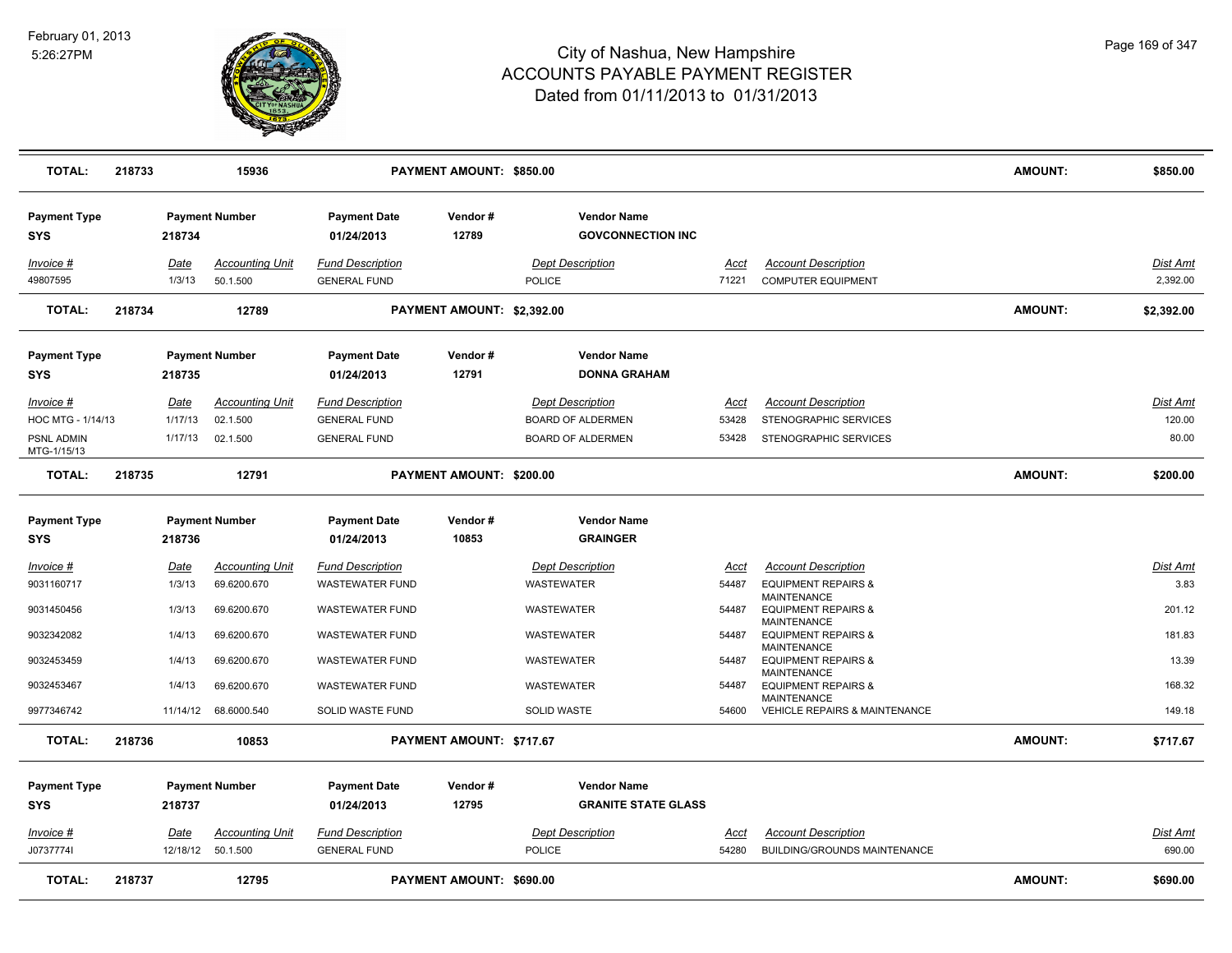

| <b>TOTAL:</b>                     | 218733 |                | 15936                              |                                                | PAYMENT AMOUNT: \$850.00   |                                                  |               |                                                                | <b>AMOUNT:</b> | \$850.00             |
|-----------------------------------|--------|----------------|------------------------------------|------------------------------------------------|----------------------------|--------------------------------------------------|---------------|----------------------------------------------------------------|----------------|----------------------|
| <b>Payment Type</b><br>SYS        |        | 218734         | <b>Payment Number</b>              | <b>Payment Date</b><br>01/24/2013              | Vendor#<br>12789           | <b>Vendor Name</b><br><b>GOVCONNECTION INC</b>   |               |                                                                |                |                      |
| Invoice #<br>49807595             |        | Date<br>1/3/13 | <b>Accounting Unit</b><br>50.1.500 | <b>Fund Description</b><br><b>GENERAL FUND</b> |                            | <b>Dept Description</b><br><b>POLICE</b>         | Acct<br>71221 | <b>Account Description</b><br><b>COMPUTER EQUIPMENT</b>        |                | Dist Amt<br>2,392.00 |
| <b>TOTAL:</b>                     | 218734 |                | 12789                              |                                                | PAYMENT AMOUNT: \$2,392.00 |                                                  |               |                                                                | <b>AMOUNT:</b> | \$2,392.00           |
| <b>Payment Type</b><br>SYS        |        | 218735         | <b>Payment Number</b>              | <b>Payment Date</b><br>01/24/2013              | Vendor#<br>12791           | <b>Vendor Name</b><br><b>DONNA GRAHAM</b>        |               |                                                                |                |                      |
| Invoice #                         |        | Date           | <b>Accounting Unit</b>             | <b>Fund Description</b>                        |                            | <b>Dept Description</b>                          | Acct          | <b>Account Description</b>                                     |                | Dist Amt             |
| HOC MTG - 1/14/13                 |        | 1/17/13        | 02.1.500                           | <b>GENERAL FUND</b>                            |                            | <b>BOARD OF ALDERMEN</b>                         | 53428         | STENOGRAPHIC SERVICES                                          |                | 120.00               |
| PSNL ADMIN<br>MTG-1/15/13         |        | 1/17/13        | 02.1.500                           | <b>GENERAL FUND</b>                            |                            | <b>BOARD OF ALDERMEN</b>                         | 53428         | STENOGRAPHIC SERVICES                                          |                | 80.00                |
| <b>TOTAL:</b>                     | 218735 |                | 12791                              |                                                | PAYMENT AMOUNT: \$200.00   |                                                  |               |                                                                | <b>AMOUNT:</b> | \$200.00             |
| <b>Payment Type</b>               |        |                | <b>Payment Number</b>              | <b>Payment Date</b>                            | Vendor#                    | <b>Vendor Name</b>                               |               |                                                                |                |                      |
| <b>SYS</b>                        |        | 218736         |                                    | 01/24/2013                                     | 10853                      | <b>GRAINGER</b>                                  |               |                                                                |                |                      |
| Invoice #                         |        | Date           | <b>Accounting Unit</b>             | <b>Fund Description</b>                        |                            | <b>Dept Description</b>                          | Acct          | <b>Account Description</b>                                     |                | Dist Amt             |
| 9031160717                        |        | 1/3/13         | 69.6200.670                        | <b>WASTEWATER FUND</b>                         |                            | WASTEWATER                                       | 54487         | <b>EQUIPMENT REPAIRS &amp;</b>                                 |                | 3.83                 |
| 9031450456                        |        | 1/3/13         | 69.6200.670                        | <b>WASTEWATER FUND</b>                         |                            | WASTEWATER                                       | 54487         | MAINTENANCE<br><b>EQUIPMENT REPAIRS &amp;</b>                  |                | 201.12               |
| 9032342082                        |        | 1/4/13         | 69.6200.670                        | <b>WASTEWATER FUND</b>                         |                            | WASTEWATER                                       | 54487         | <b>MAINTENANCE</b><br><b>EQUIPMENT REPAIRS &amp;</b>           |                | 181.83               |
| 9032453459                        |        | 1/4/13         | 69.6200.670                        | <b>WASTEWATER FUND</b>                         |                            | WASTEWATER                                       | 54487         | <b>MAINTENANCE</b><br><b>EQUIPMENT REPAIRS &amp;</b>           |                | 13.39                |
| 9032453467                        |        | 1/4/13         | 69.6200.670                        | <b>WASTEWATER FUND</b>                         |                            | WASTEWATER                                       | 54487         | <b>MAINTENANCE</b><br><b>EQUIPMENT REPAIRS &amp;</b>           |                | 168.32               |
| 9977346742                        |        | 11/14/12       | 68.6000.540                        | SOLID WASTE FUND                               |                            | <b>SOLID WASTE</b>                               | 54600         | <b>MAINTENANCE</b><br><b>VEHICLE REPAIRS &amp; MAINTENANCE</b> |                | 149.18               |
| <b>TOTAL:</b>                     | 218736 |                | 10853                              |                                                | PAYMENT AMOUNT: \$717.67   |                                                  |               |                                                                | <b>AMOUNT:</b> | \$717.67             |
| <b>Payment Type</b><br><b>SYS</b> |        | 218737         | <b>Payment Number</b>              | <b>Payment Date</b><br>01/24/2013              | Vendor#<br>12795           | <b>Vendor Name</b><br><b>GRANITE STATE GLASS</b> |               |                                                                |                |                      |
| Invoice #                         |        | <b>Date</b>    | <b>Accounting Unit</b>             | <b>Fund Description</b>                        |                            | <b>Dept Description</b>                          | Acct          | <b>Account Description</b>                                     |                | Dist Amt             |
| J0737774I                         |        | 12/18/12       | 50.1.500                           | <b>GENERAL FUND</b>                            |                            | <b>POLICE</b>                                    | 54280         | <b>BUILDING/GROUNDS MAINTENANCE</b>                            |                | 690.00               |
| <b>TOTAL:</b>                     | 218737 |                | 12795                              |                                                | PAYMENT AMOUNT: \$690.00   |                                                  |               |                                                                | <b>AMOUNT:</b> | \$690.00             |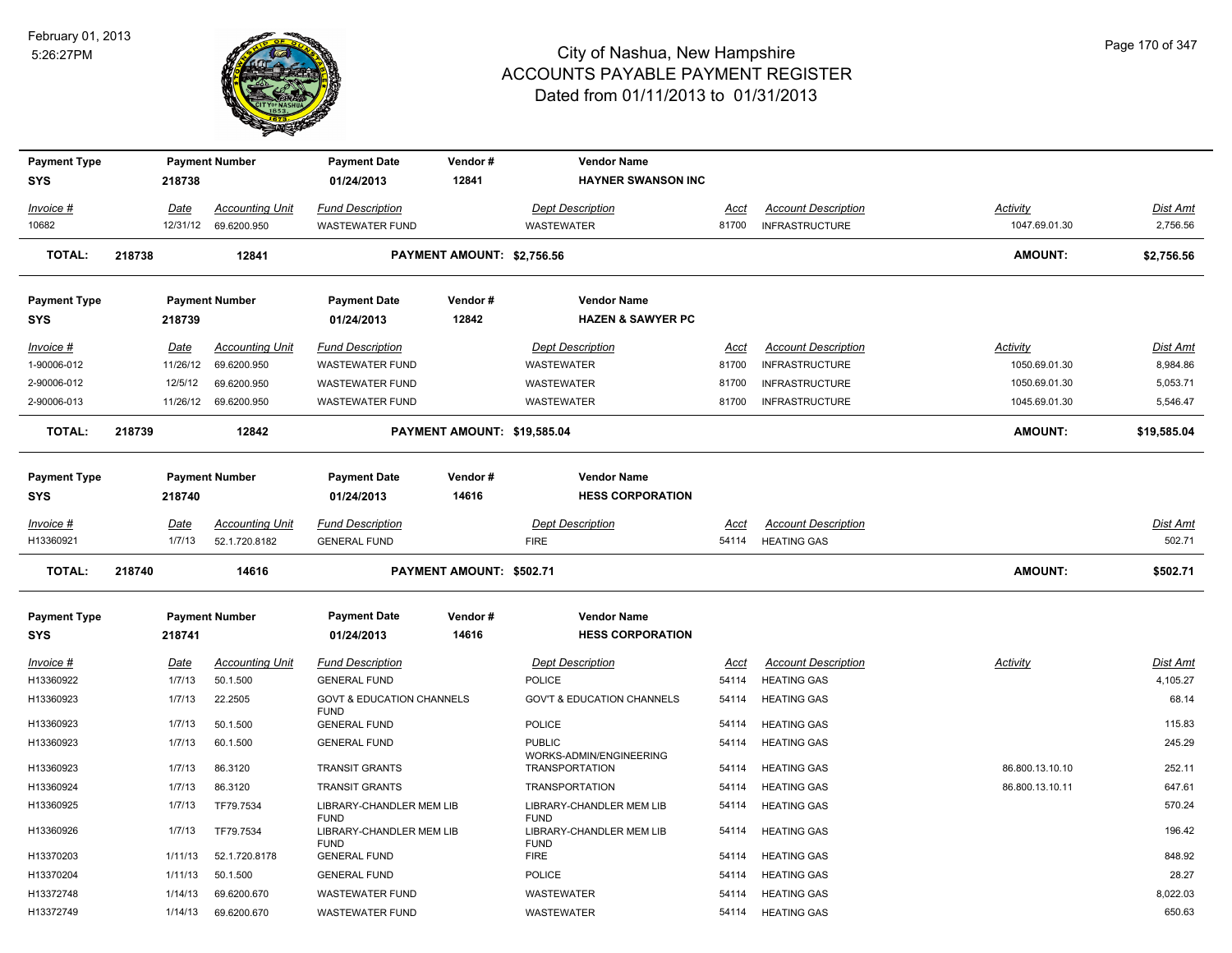

| <b>Payment Type</b> |        |             | <b>Payment Number</b>  | <b>Payment Date</b>                                 | Vendor#                     | <b>Vendor Name</b>                               |             |                            |                 |             |
|---------------------|--------|-------------|------------------------|-----------------------------------------------------|-----------------------------|--------------------------------------------------|-------------|----------------------------|-----------------|-------------|
| <b>SYS</b>          |        | 218738      |                        | 01/24/2013                                          | 12841                       | <b>HAYNER SWANSON INC</b>                        |             |                            |                 |             |
| Invoice #           |        | Date        | <b>Accounting Unit</b> | <b>Fund Description</b>                             |                             | <b>Dept Description</b>                          | Acct        | <b>Account Description</b> | Activity        | Dist Amt    |
| 10682               |        | 12/31/12    | 69.6200.950            | WASTEWATER FUND                                     |                             | <b>WASTEWATER</b>                                | 81700       | <b>INFRASTRUCTURE</b>      | 1047.69.01.30   | 2,756.56    |
| <b>TOTAL:</b>       | 218738 |             | 12841                  |                                                     | PAYMENT AMOUNT: \$2,756.56  |                                                  |             |                            | <b>AMOUNT:</b>  | \$2,756.56  |
| <b>Payment Type</b> |        |             | <b>Payment Number</b>  | <b>Payment Date</b>                                 | Vendor#                     | <b>Vendor Name</b>                               |             |                            |                 |             |
| <b>SYS</b>          |        | 218739      |                        | 01/24/2013                                          | 12842                       | <b>HAZEN &amp; SAWYER PC</b>                     |             |                            |                 |             |
| Invoice #           |        | Date        | <b>Accounting Unit</b> | <b>Fund Description</b>                             |                             | <b>Dept Description</b>                          | Acct        | <b>Account Description</b> | Activity        | Dist Amt    |
| 1-90006-012         |        | 11/26/12    | 69.6200.950            | <b>WASTEWATER FUND</b>                              |                             | WASTEWATER                                       | 81700       | <b>INFRASTRUCTURE</b>      | 1050.69.01.30   | 8,984.86    |
| 2-90006-012         |        | 12/5/12     | 69.6200.950            | <b>WASTEWATER FUND</b>                              |                             | <b>WASTEWATER</b>                                | 81700       | <b>INFRASTRUCTURE</b>      | 1050.69.01.30   | 5,053.71    |
| 2-90006-013         |        |             | 11/26/12 69.6200.950   | <b>WASTEWATER FUND</b>                              |                             | <b>WASTEWATER</b>                                | 81700       | <b>INFRASTRUCTURE</b>      | 1045.69.01.30   | 5,546.47    |
| <b>TOTAL:</b>       | 218739 |             | 12842                  |                                                     | PAYMENT AMOUNT: \$19,585.04 |                                                  |             |                            | <b>AMOUNT:</b>  | \$19,585.04 |
| <b>Payment Type</b> |        |             | <b>Payment Number</b>  | <b>Payment Date</b>                                 | Vendor#                     | <b>Vendor Name</b>                               |             |                            |                 |             |
| <b>SYS</b>          |        | 218740      |                        | 01/24/2013                                          | 14616                       | <b>HESS CORPORATION</b>                          |             |                            |                 |             |
| Invoice #           |        | <u>Date</u> | <b>Accounting Unit</b> | <b>Fund Description</b>                             |                             | <b>Dept Description</b>                          | Acct        | <b>Account Description</b> |                 | Dist Amt    |
| H13360921           |        | 1/7/13      | 52.1.720.8182          | <b>GENERAL FUND</b>                                 |                             | <b>FIRE</b>                                      | 54114       | <b>HEATING GAS</b>         |                 | 502.71      |
| <b>TOTAL:</b>       | 218740 |             | 14616                  |                                                     | PAYMENT AMOUNT: \$502.71    |                                                  |             |                            | <b>AMOUNT:</b>  | \$502.71    |
| <b>Payment Type</b> |        |             | <b>Payment Number</b>  | <b>Payment Date</b>                                 | Vendor#                     | <b>Vendor Name</b>                               |             |                            |                 |             |
| <b>SYS</b>          |        | 218741      |                        | 01/24/2013                                          | 14616                       | <b>HESS CORPORATION</b>                          |             |                            |                 |             |
| $Invoice$ #         |        | Date        | <b>Accounting Unit</b> | <b>Fund Description</b>                             |                             | <b>Dept Description</b>                          | <b>Acct</b> | <b>Account Description</b> | Activity        | Dist Amt    |
| H13360922           |        | 1/7/13      | 50.1.500               | <b>GENERAL FUND</b>                                 |                             | <b>POLICE</b>                                    | 54114       | <b>HEATING GAS</b>         |                 | 4,105.27    |
| H13360923           |        | 1/7/13      | 22.2505                | <b>GOVT &amp; EDUCATION CHANNELS</b><br><b>FUND</b> |                             | <b>GOV'T &amp; EDUCATION CHANNELS</b>            | 54114       | <b>HEATING GAS</b>         |                 | 68.14       |
| H13360923           |        | 1/7/13      | 50.1.500               | <b>GENERAL FUND</b>                                 |                             | <b>POLICE</b>                                    | 54114       | <b>HEATING GAS</b>         |                 | 115.83      |
| H13360923           |        | 1/7/13      | 60.1.500               | <b>GENERAL FUND</b>                                 |                             | <b>PUBLIC</b>                                    | 54114       | <b>HEATING GAS</b>         |                 | 245.29      |
| H13360923           |        | 1/7/13      | 86.3120                | <b>TRANSIT GRANTS</b>                               |                             | WORKS-ADMIN/ENGINEERING<br><b>TRANSPORTATION</b> | 54114       | <b>HEATING GAS</b>         | 86.800.13.10.10 | 252.11      |
| H13360924           |        | 1/7/13      | 86.3120                | <b>TRANSIT GRANTS</b>                               |                             | <b>TRANSPORTATION</b>                            | 54114       | <b>HEATING GAS</b>         | 86.800.13.10.11 | 647.61      |
| H13360925           |        | 1/7/13      | TF79.7534              | LIBRARY-CHANDLER MEM LIB                            |                             | LIBRARY-CHANDLER MEM LIB                         | 54114       | <b>HEATING GAS</b>         |                 | 570.24      |
| H13360926           |        | 1/7/13      | TF79.7534              | <b>FUND</b><br>LIBRARY-CHANDLER MEM LIB             |                             | <b>FUND</b><br>LIBRARY-CHANDLER MEM LIB          | 54114       | <b>HEATING GAS</b>         |                 | 196.42      |
| H13370203           |        | 1/11/13     | 52.1.720.8178          | <b>FUND</b><br><b>GENERAL FUND</b>                  |                             | <b>FUND</b><br><b>FIRE</b>                       | 54114       | <b>HEATING GAS</b>         |                 | 848.92      |
| H13370204           |        | 1/11/13     | 50.1.500               | <b>GENERAL FUND</b>                                 |                             | POLICE                                           | 54114       | <b>HEATING GAS</b>         |                 | 28.27       |
| H13372748           |        | 1/14/13     | 69.6200.670            | <b>WASTEWATER FUND</b>                              |                             | <b>WASTEWATER</b>                                | 54114       | <b>HEATING GAS</b>         |                 | 8,022.03    |
| H13372749           |        | 1/14/13     | 69.6200.670            | <b>WASTEWATER FUND</b>                              |                             | <b>WASTEWATER</b>                                | 54114       | <b>HEATING GAS</b>         |                 | 650.63      |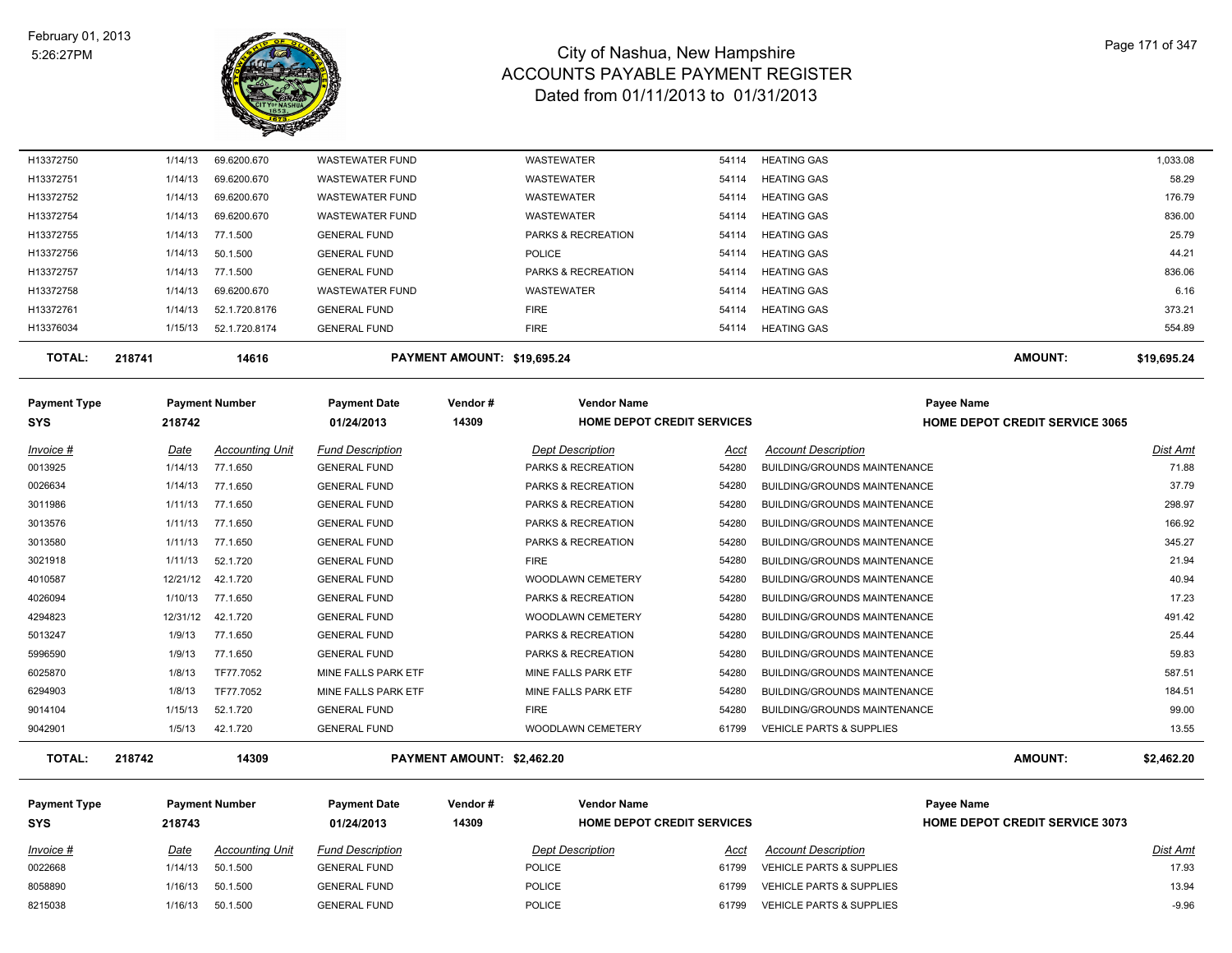

| 1/15/13 | 52.1.720.8174 | <b>GENERAL FUND</b>              | <b>FIRE</b>                   | 54114 | <b>HEATING GAS</b> | 554.89   |
|---------|---------------|----------------------------------|-------------------------------|-------|--------------------|----------|
|         |               |                                  |                               |       |                    |          |
| 1/14/13 | 52.1.720.8176 | <b>GENERAL FUND</b>              | <b>FIRE</b>                   | 54114 | <b>HEATING GAS</b> | 373.21   |
| 1/14/13 | 69.6200.670   | <b>WASTEWATER FUND</b>           | <b>WASTEWATER</b>             | 54114 | <b>HEATING GAS</b> | 6.16     |
| 1/14/13 |               | <b>GENERAL FUND</b>              | <b>PARKS &amp; RECREATION</b> | 54114 | <b>HEATING GAS</b> | 836.06   |
| 1/14/13 |               | <b>GENERAL FUND</b>              | POLICE                        | 54114 | <b>HEATING GAS</b> | 44.21    |
| 1/14/13 |               | <b>GENERAL FUND</b>              | <b>PARKS &amp; RECREATION</b> | 54114 | <b>HEATING GAS</b> | 25.79    |
| 1/14/13 | 69.6200.670   | <b>WASTEWATER FUND</b>           | <b>WASTEWATER</b>             | 54114 | <b>HEATING GAS</b> | 836.00   |
| 1/14/13 | 69.6200.670   | <b>WASTEWATER FUND</b>           | <b>WASTEWATER</b>             | 54114 | <b>HEATING GAS</b> | 176.79   |
| 1/14/13 | 69.6200.670   | <b>WASTEWATER FUND</b>           | <b>WASTEWATER</b>             | 54114 | <b>HEATING GAS</b> | 58.29    |
| 1/14/13 | 69.6200.670   | <b>WASTEWATER FUND</b>           | <b>WASTEWATER</b>             | 54114 | <b>HEATING GAS</b> | 1,033.08 |
|         |               | 77.1.500<br>50.1.500<br>77.1.500 |                               |       |                    |          |

| <b>Payment Type</b> | <b>Payment Number</b> |                        | <b>Payment Date</b>     | Vendor# | <b>Vendor Name</b>                |       | <b>Payee Name</b>                   |                                       |  |
|---------------------|-----------------------|------------------------|-------------------------|---------|-----------------------------------|-------|-------------------------------------|---------------------------------------|--|
| <b>SYS</b>          | 218742                |                        | 01/24/2013              | 14309   | <b>HOME DEPOT CREDIT SERVICES</b> |       |                                     | <b>HOME DEPOT CREDIT SERVICE 3065</b> |  |
| Invoice #           | Date                  | <b>Accounting Unit</b> | <b>Fund Description</b> |         | <b>Dept Description</b>           | Acct  | <b>Account Description</b>          | Dist Amt                              |  |
| 0013925             | 1/14/13               | 77.1.650               | <b>GENERAL FUND</b>     |         | <b>PARKS &amp; RECREATION</b>     | 54280 | <b>BUILDING/GROUNDS MAINTENANCE</b> | 71.88                                 |  |
| 0026634             | 1/14/13               | 77.1.650               | <b>GENERAL FUND</b>     |         | <b>PARKS &amp; RECREATION</b>     | 54280 | <b>BUILDING/GROUNDS MAINTENANCE</b> | 37.79                                 |  |
| 3011986             | 1/11/13               | 77.1.650               | <b>GENERAL FUND</b>     |         | <b>PARKS &amp; RECREATION</b>     | 54280 | <b>BUILDING/GROUNDS MAINTENANCE</b> | 298.97                                |  |
| 3013576             | 1/11/13               | 77.1.650               | <b>GENERAL FUND</b>     |         | <b>PARKS &amp; RECREATION</b>     | 54280 | <b>BUILDING/GROUNDS MAINTENANCE</b> | 166.92                                |  |
| 3013580             | 1/11/13               | 77.1.650               | <b>GENERAL FUND</b>     |         | <b>PARKS &amp; RECREATION</b>     | 54280 | <b>BUILDING/GROUNDS MAINTENANCE</b> | 345.27                                |  |
| 3021918             | 1/11/13               | 52.1.720               | <b>GENERAL FUND</b>     |         | <b>FIRE</b>                       | 54280 | <b>BUILDING/GROUNDS MAINTENANCE</b> | 21.94                                 |  |
| 4010587             | 12/21/12              | 42.1.720               | <b>GENERAL FUND</b>     |         | <b>WOODLAWN CEMETERY</b>          | 54280 | <b>BUILDING/GROUNDS MAINTENANCE</b> | 40.94                                 |  |
| 4026094             | 1/10/13               | 77.1.650               | <b>GENERAL FUND</b>     |         | <b>PARKS &amp; RECREATION</b>     | 54280 | <b>BUILDING/GROUNDS MAINTENANCE</b> | 17.23                                 |  |
| 4294823             | 12/31/12              | 42.1.720               | <b>GENERAL FUND</b>     |         | <b>WOODLAWN CEMETERY</b>          | 54280 | BUILDING/GROUNDS MAINTENANCE        | 491.42                                |  |
| 5013247             | 1/9/13                | 77.1.650               | <b>GENERAL FUND</b>     |         | <b>PARKS &amp; RECREATION</b>     | 54280 | BUILDING/GROUNDS MAINTENANCE        | 25.44                                 |  |
| 5996590             | 1/9/13                | 77.1.650               | <b>GENERAL FUND</b>     |         | <b>PARKS &amp; RECREATION</b>     | 54280 | BUILDING/GROUNDS MAINTENANCE        | 59.83                                 |  |
| 6025870             | 1/8/13                | TF77.7052              | MINE FALLS PARK ETF     |         | MINE FALLS PARK ETF               | 54280 | BUILDING/GROUNDS MAINTENANCE        | 587.51                                |  |
| 6294903             | 1/8/13                | TF77.7052              | MINE FALLS PARK ETF     |         | MINE FALLS PARK ETF               | 54280 | <b>BUILDING/GROUNDS MAINTENANCE</b> | 184.51                                |  |
| 9014104             | 1/15/13               | 52.1.720               | <b>GENERAL FUND</b>     |         | <b>FIRE</b>                       | 54280 | <b>BUILDING/GROUNDS MAINTENANCE</b> | 99.00                                 |  |
| 9042901             | 1/5/13                | 42.1.720               | <b>GENERAL FUND</b>     |         | WOODLAWN CEMETERY                 | 61799 | <b>VEHICLE PARTS &amp; SUPPLIES</b> | 13.55                                 |  |

**TOTAL: 218742 14309 PAYMENT AMOUNT: \$2,462.20 AMOUNT: \$2,462.20**

| <b>Payment Type</b><br><b>SYS</b> | 218743  | <b>Payment Number</b>  | <b>Payment Date</b><br>01/24/2013 | Vendor#<br>14309 | <b>Vendor Name</b><br><b>HOME DEPOT CREDIT SERVICES</b> |       |                                     | Payee Name<br><b>HOME DEPOT CREDIT SERVICE 3073</b> |          |  |
|-----------------------------------|---------|------------------------|-----------------------------------|------------------|---------------------------------------------------------|-------|-------------------------------------|-----------------------------------------------------|----------|--|
| Invoice #                         | Date    | <b>Accounting Unit</b> | <b>Fund Description</b>           |                  | <b>Dept Description</b>                                 | Acct  | <b>Account Description</b>          |                                                     | Dist Amt |  |
| 0022668                           | 1/14/13 | 50.1.500               | <b>GENERAL FUND</b>               |                  | POLICE                                                  | 61799 | <b>VEHICLE PARTS &amp; SUPPLIES</b> |                                                     | 17.93    |  |
| 8058890                           | 1/16/13 | 50.1.500               | <b>GENERAL FUND</b>               |                  | POLICE                                                  | 61799 | <b>VEHICLE PARTS &amp; SUPPLIES</b> |                                                     | 13.94    |  |
| 8215038                           | 1/16/13 | 50.1.500               | <b>GENERAL FUND</b>               |                  | <b>POLICE</b>                                           | 61799 | <b>VEHICLE PARTS &amp; SUPPLIES</b> |                                                     | $-9.96$  |  |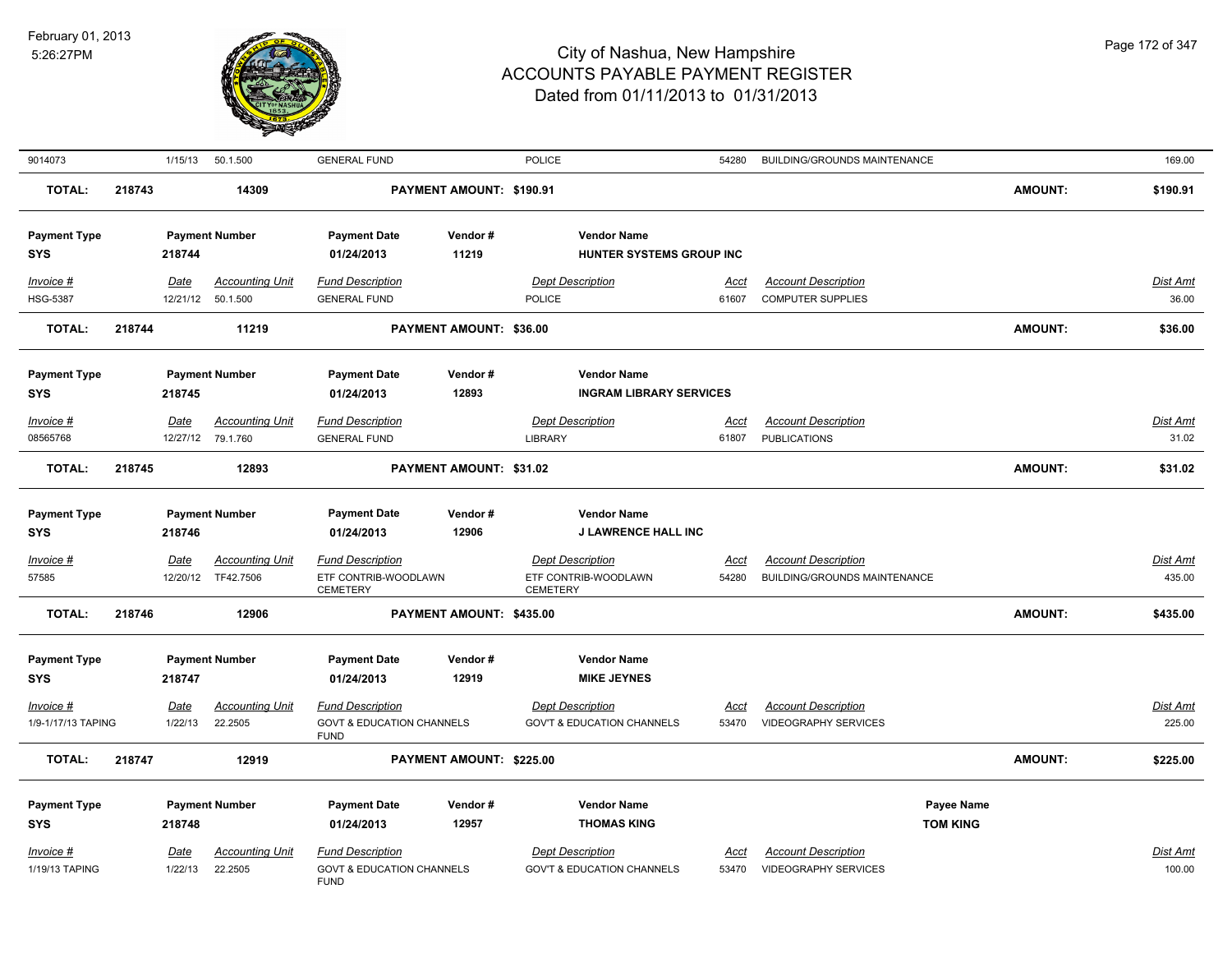

| 9014073                                                         |        | 1/15/13                          | 50.1.500                                                   | <b>GENERAL FUND</b>                                                                                  |                          | POLICE                                                                                                       | 54280                | BUILDING/GROUNDS MAINTENANCE                               |                               |                | 169.00                    |
|-----------------------------------------------------------------|--------|----------------------------------|------------------------------------------------------------|------------------------------------------------------------------------------------------------------|--------------------------|--------------------------------------------------------------------------------------------------------------|----------------------|------------------------------------------------------------|-------------------------------|----------------|---------------------------|
| <b>TOTAL:</b>                                                   | 218743 |                                  | 14309                                                      |                                                                                                      | PAYMENT AMOUNT: \$190.91 |                                                                                                              |                      |                                                            |                               | <b>AMOUNT:</b> | \$190.91                  |
| <b>Payment Type</b><br><b>SYS</b>                               |        | 218744                           | <b>Payment Number</b>                                      | <b>Payment Date</b><br>01/24/2013                                                                    | Vendor#<br>11219         | <b>Vendor Name</b><br>HUNTER SYSTEMS GROUP INC                                                               |                      |                                                            |                               |                |                           |
| Invoice #<br><b>HSG-5387</b>                                    |        | Date<br>12/21/12                 | <b>Accounting Unit</b><br>50.1.500                         | <b>Fund Description</b><br><b>GENERAL FUND</b>                                                       |                          | <b>Dept Description</b><br>POLICE                                                                            | Acct<br>61607        | <b>Account Description</b><br><b>COMPUTER SUPPLIES</b>     |                               |                | Dist Amt<br>36.00         |
| <b>TOTAL:</b>                                                   | 218744 |                                  | 11219                                                      |                                                                                                      | PAYMENT AMOUNT: \$36.00  |                                                                                                              |                      |                                                            |                               | AMOUNT:        | \$36.00                   |
| <b>Payment Type</b><br><b>SYS</b><br>Invoice #                  |        | 218745<br>Date                   | <b>Payment Number</b><br><b>Accounting Unit</b>            | <b>Payment Date</b><br>01/24/2013<br><b>Fund Description</b>                                         | Vendor#<br>12893         | <b>Vendor Name</b><br><b>INGRAM LIBRARY SERVICES</b><br><b>Dept Description</b>                              | Acct                 | <b>Account Description</b>                                 |                               |                | Dist Amt                  |
| 08565768                                                        |        |                                  | 12/27/12 79.1.760                                          | <b>GENERAL FUND</b>                                                                                  |                          | <b>LIBRARY</b>                                                                                               | 61807                | <b>PUBLICATIONS</b>                                        |                               |                | 31.02                     |
| <b>TOTAL:</b>                                                   | 218745 |                                  | 12893                                                      |                                                                                                      | PAYMENT AMOUNT: \$31.02  |                                                                                                              |                      |                                                            |                               | <b>AMOUNT:</b> | \$31.02                   |
| <b>Payment Type</b><br><b>SYS</b>                               |        | 218746                           | <b>Payment Number</b>                                      | <b>Payment Date</b><br>01/24/2013                                                                    | Vendor#<br>12906         | <b>Vendor Name</b><br><b>J LAWRENCE HALL INC</b>                                                             |                      |                                                            |                               |                |                           |
| $Invoice$ #<br>57585                                            |        | <b>Date</b><br>12/20/12          | <b>Accounting Unit</b><br>TF42.7506                        | <b>Fund Description</b><br>ETF CONTRIB-WOODLAWN<br><b>CEMETERY</b>                                   |                          | <b>Dept Description</b><br>ETF CONTRIB-WOODLAWN<br><b>CEMETERY</b>                                           | <u>Acct</u><br>54280 | <b>Account Description</b><br>BUILDING/GROUNDS MAINTENANCE |                               |                | Dist Amt<br>435.00        |
| <b>TOTAL:</b>                                                   | 218746 |                                  | 12906                                                      |                                                                                                      | PAYMENT AMOUNT: \$435.00 |                                                                                                              |                      |                                                            |                               | <b>AMOUNT:</b> | \$435.00                  |
| <b>Payment Type</b><br>SYS<br>$Invoice$ #<br>1/9-1/17/13 TAPING |        | 218747<br><b>Date</b><br>1/22/13 | <b>Payment Number</b><br><u>Accounting Unit</u><br>22.2505 | <b>Payment Date</b><br>01/24/2013<br><b>Fund Description</b><br><b>GOVT &amp; EDUCATION CHANNELS</b> | Vendor#<br>12919         | <b>Vendor Name</b><br><b>MIKE JEYNES</b><br><b>Dept Description</b><br><b>GOV'T &amp; EDUCATION CHANNELS</b> | <u>Acct</u><br>53470 | <b>Account Description</b><br><b>VIDEOGRAPHY SERVICES</b>  |                               |                | <u>Dist Amt</u><br>225.00 |
| <b>TOTAL:</b>                                                   | 218747 |                                  | 12919                                                      | <b>FUND</b>                                                                                          | PAYMENT AMOUNT: \$225.00 |                                                                                                              |                      |                                                            |                               | <b>AMOUNT:</b> | \$225.00                  |
| <b>Payment Type</b><br>SYS                                      |        | 218748                           | <b>Payment Number</b>                                      | <b>Payment Date</b><br>01/24/2013                                                                    | Vendor#<br>12957         | <b>Vendor Name</b><br><b>THOMAS KING</b>                                                                     |                      |                                                            | Payee Name<br><b>TOM KING</b> |                |                           |
| $Invoice$ #<br>1/19/13 TAPING                                   |        | <u>Date</u><br>1/22/13           | <b>Accounting Unit</b><br>22.2505                          | <b>Fund Description</b><br><b>GOVT &amp; EDUCATION CHANNELS</b><br><b>FUND</b>                       |                          | <b>Dept Description</b><br><b>GOV'T &amp; EDUCATION CHANNELS</b>                                             | <u>Acct</u><br>53470 | <b>Account Description</b><br><b>VIDEOGRAPHY SERVICES</b>  |                               |                | Dist Amt<br>100.00        |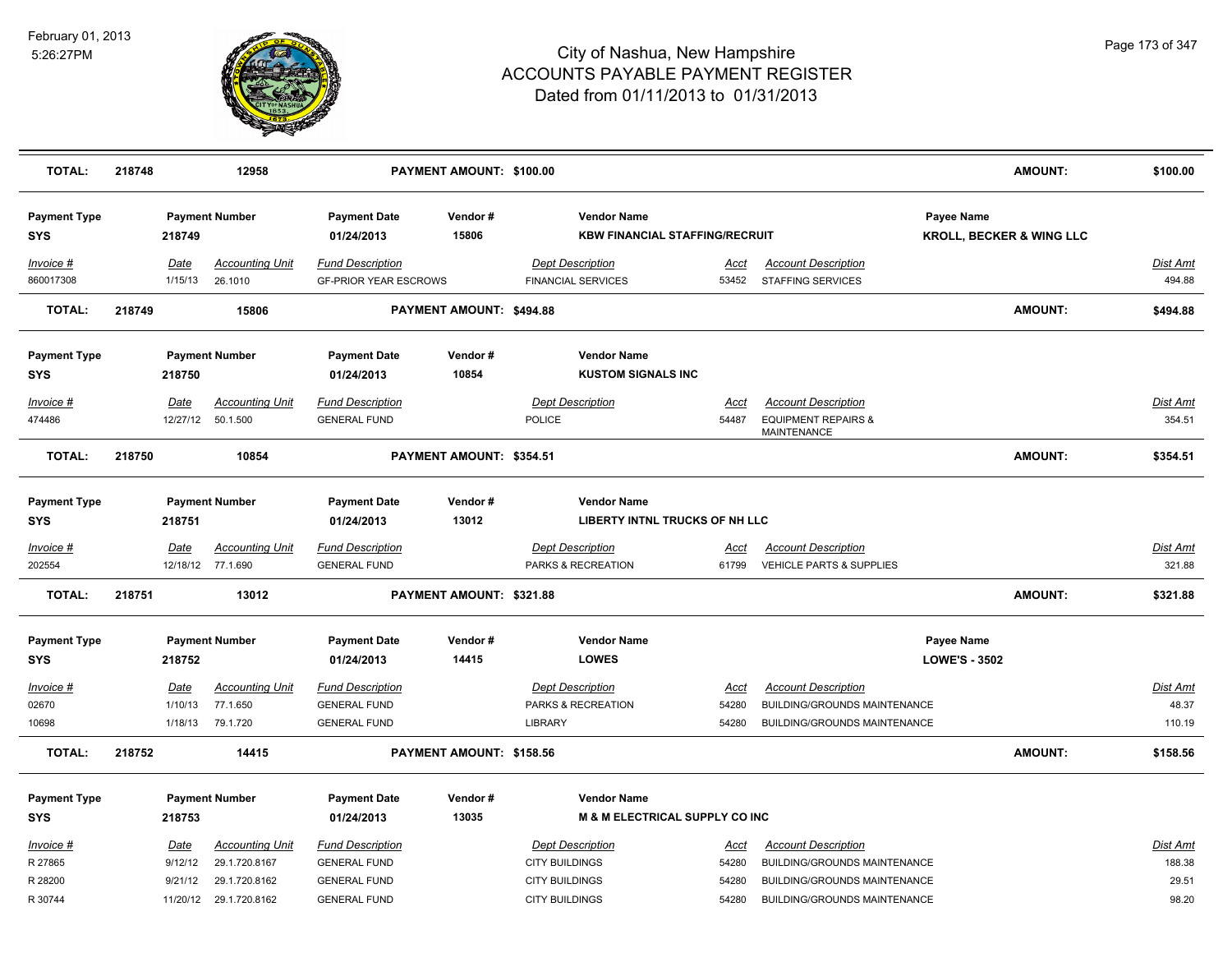

| <b>TOTAL:</b>                     | 218748          | 12958                                       |                                                         | PAYMENT AMOUNT: \$100.00 |                                                                 |                      |                                                                   |                                    | <b>AMOUNT:</b>                      | \$100.00           |
|-----------------------------------|-----------------|---------------------------------------------|---------------------------------------------------------|--------------------------|-----------------------------------------------------------------|----------------------|-------------------------------------------------------------------|------------------------------------|-------------------------------------|--------------------|
| <b>Payment Type</b><br><b>SYS</b> | 218749          | <b>Payment Number</b>                       | <b>Payment Date</b><br>01/24/2013                       | Vendor#<br>15806         | <b>Vendor Name</b><br><b>KBW FINANCIAL STAFFING/RECRUIT</b>     |                      |                                                                   | Payee Name                         | <b>KROLL, BECKER &amp; WING LLC</b> |                    |
| Invoice #<br>860017308            | Date<br>1/15/13 | <b>Accounting Unit</b><br>26.1010           | <b>Fund Description</b><br><b>GF-PRIOR YEAR ESCROWS</b> |                          | <b>Dept Description</b><br><b>FINANCIAL SERVICES</b>            | <u>Acct</u><br>53452 | <b>Account Description</b><br><b>STAFFING SERVICES</b>            |                                    |                                     | Dist Amt<br>494.88 |
| <b>TOTAL:</b>                     | 218749          | 15806                                       |                                                         | PAYMENT AMOUNT: \$494.88 |                                                                 |                      |                                                                   |                                    | <b>AMOUNT:</b>                      | \$494.88           |
| <b>Payment Type</b><br><b>SYS</b> | 218750          | <b>Payment Number</b>                       | <b>Payment Date</b><br>01/24/2013                       | Vendor#<br>10854         | <b>Vendor Name</b><br><b>KUSTOM SIGNALS INC</b>                 |                      |                                                                   |                                    |                                     |                    |
| Invoice #                         | Date            | <b>Accounting Unit</b>                      | <b>Fund Description</b>                                 |                          | <b>Dept Description</b>                                         | Acct                 | <b>Account Description</b>                                        |                                    |                                     | Dist Amt           |
| 474486                            |                 | 12/27/12 50.1.500                           | <b>GENERAL FUND</b>                                     |                          | <b>POLICE</b>                                                   | 54487                | <b>EQUIPMENT REPAIRS &amp;</b><br>MAINTENANCE                     |                                    |                                     | 354.51             |
| <b>TOTAL:</b>                     | 218750          | 10854                                       |                                                         | PAYMENT AMOUNT: \$354.51 |                                                                 |                      |                                                                   |                                    | <b>AMOUNT:</b>                      | \$354.51           |
| <b>Payment Type</b><br><b>SYS</b> | 218751          | <b>Payment Number</b>                       | <b>Payment Date</b><br>01/24/2013                       | Vendor#<br>13012         | <b>Vendor Name</b><br>LIBERTY INTNL TRUCKS OF NH LLC            |                      |                                                                   |                                    |                                     |                    |
| Invoice #<br>202554               | <b>Date</b>     | <b>Accounting Unit</b><br>12/18/12 77.1.690 | <b>Fund Description</b><br><b>GENERAL FUND</b>          |                          | <b>Dept Description</b><br>PARKS & RECREATION                   | Acct<br>61799        | <b>Account Description</b><br><b>VEHICLE PARTS &amp; SUPPLIES</b> |                                    |                                     | Dist Amt<br>321.88 |
| <b>TOTAL:</b>                     | 218751          | 13012                                       |                                                         | PAYMENT AMOUNT: \$321.88 |                                                                 |                      |                                                                   |                                    | <b>AMOUNT:</b>                      | \$321.88           |
| <b>Payment Type</b><br><b>SYS</b> | 218752          | <b>Payment Number</b>                       | <b>Payment Date</b><br>01/24/2013                       | Vendor#<br>14415         | <b>Vendor Name</b><br><b>LOWES</b>                              |                      |                                                                   | Payee Name<br><b>LOWE'S - 3502</b> |                                     |                    |
| $Invoice$ #                       | Date            | <b>Accounting Unit</b>                      | <b>Fund Description</b>                                 |                          | <b>Dept Description</b>                                         | <u>Acct</u>          | <b>Account Description</b>                                        |                                    |                                     | <u>Dist Amt</u>    |
| 02670                             | 1/10/13         | 77.1.650                                    | <b>GENERAL FUND</b>                                     |                          | PARKS & RECREATION                                              | 54280                | <b>BUILDING/GROUNDS MAINTENANCE</b>                               |                                    |                                     | 48.37              |
| 10698                             | 1/18/13         | 79.1.720                                    | <b>GENERAL FUND</b>                                     |                          | LIBRARY                                                         | 54280                | <b>BUILDING/GROUNDS MAINTENANCE</b>                               |                                    |                                     | 110.19             |
| <b>TOTAL:</b>                     | 218752          | 14415                                       |                                                         | PAYMENT AMOUNT: \$158.56 |                                                                 |                      |                                                                   |                                    | <b>AMOUNT:</b>                      | \$158.56           |
| <b>Payment Type</b><br><b>SYS</b> | 218753          | <b>Payment Number</b>                       | <b>Payment Date</b><br>01/24/2013                       | Vendor#<br>13035         | <b>Vendor Name</b><br><b>M &amp; M ELECTRICAL SUPPLY CO INC</b> |                      |                                                                   |                                    |                                     |                    |
| $Invoice$ #                       | <u>Date</u>     | <b>Accounting Unit</b>                      | <b>Fund Description</b>                                 |                          | <b>Dept Description</b>                                         | <u>Acct</u>          | <b>Account Description</b>                                        |                                    |                                     | Dist Amt           |
| R 27865                           | 9/12/12         | 29.1.720.8167                               | <b>GENERAL FUND</b>                                     |                          | <b>CITY BUILDINGS</b>                                           | 54280                | <b>BUILDING/GROUNDS MAINTENANCE</b>                               |                                    |                                     | 188.38             |
| R 28200                           | 9/21/12         | 29.1.720.8162                               | <b>GENERAL FUND</b>                                     |                          | <b>CITY BUILDINGS</b>                                           | 54280                | <b>BUILDING/GROUNDS MAINTENANCE</b>                               |                                    |                                     | 29.51              |
| R 30744                           |                 | 11/20/12 29.1.720.8162                      | <b>GENERAL FUND</b>                                     |                          | <b>CITY BUILDINGS</b>                                           | 54280                | <b>BUILDING/GROUNDS MAINTENANCE</b>                               |                                    |                                     | 98.20              |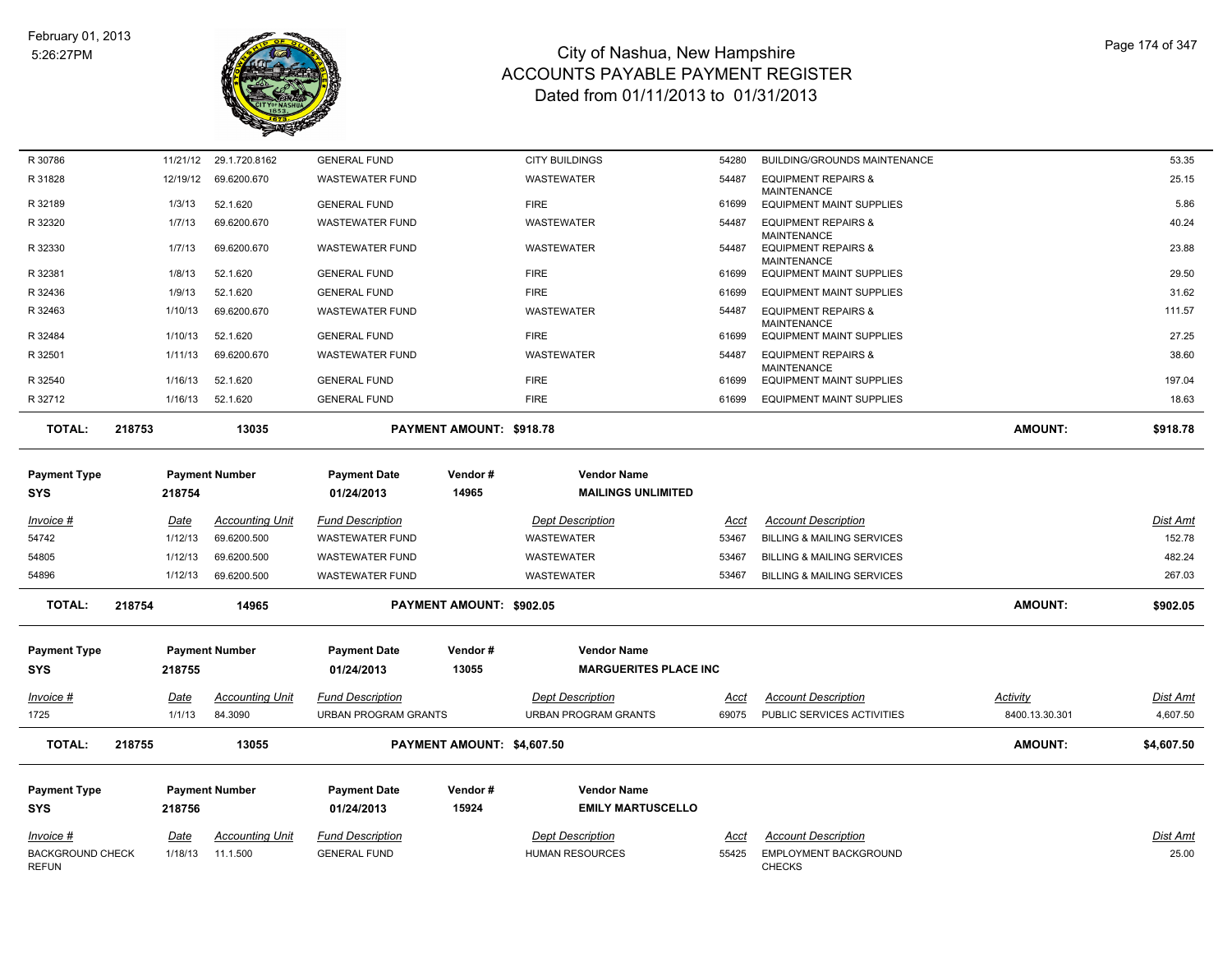

| R 30786                                 |        |             | 11/21/12 29.1.720.8162 | <b>GENERAL FUND</b>               |                                 | <b>CITY BUILDINGS</b>                           | 54280       | BUILDING/GROUNDS MAINTENANCE                                               |                 | 53.35           |
|-----------------------------------------|--------|-------------|------------------------|-----------------------------------|---------------------------------|-------------------------------------------------|-------------|----------------------------------------------------------------------------|-----------------|-----------------|
| R 31828                                 |        | 12/19/12    | 69.6200.670            | <b>WASTEWATER FUND</b>            |                                 | WASTEWATER                                      | 54487       | <b>EQUIPMENT REPAIRS &amp;</b>                                             |                 | 25.15           |
| R 32189                                 |        | 1/3/13      | 52.1.620               | <b>GENERAL FUND</b>               |                                 | <b>FIRE</b>                                     | 61699       | <b>MAINTENANCE</b><br><b>EQUIPMENT MAINT SUPPLIES</b>                      |                 | 5.86            |
| R 32320                                 |        | 1/7/13      | 69.6200.670            | <b>WASTEWATER FUND</b>            |                                 | WASTEWATER                                      | 54487       | <b>EQUIPMENT REPAIRS &amp;</b>                                             |                 | 40.24           |
| R 32330                                 |        | 1/7/13      | 69.6200.670            | <b>WASTEWATER FUND</b>            |                                 | WASTEWATER                                      | 54487       | <b>MAINTENANCE</b><br><b>EQUIPMENT REPAIRS &amp;</b><br><b>MAINTENANCE</b> |                 | 23.88           |
| R 32381                                 |        | 1/8/13      | 52.1.620               | <b>GENERAL FUND</b>               |                                 | <b>FIRE</b>                                     | 61699       | <b>EQUIPMENT MAINT SUPPLIES</b>                                            |                 | 29.50           |
| R 32436                                 |        | 1/9/13      | 52.1.620               | <b>GENERAL FUND</b>               |                                 | <b>FIRE</b>                                     | 61699       | <b>EQUIPMENT MAINT SUPPLIES</b>                                            |                 | 31.62           |
| R 32463                                 |        | 1/10/13     | 69.6200.670            | <b>WASTEWATER FUND</b>            |                                 | <b>WASTEWATER</b>                               | 54487       | <b>EQUIPMENT REPAIRS &amp;</b><br>MAINTENANCE                              |                 | 111.57          |
| R 32484                                 |        | 1/10/13     | 52.1.620               | <b>GENERAL FUND</b>               |                                 | <b>FIRE</b>                                     | 61699       | <b>EQUIPMENT MAINT SUPPLIES</b>                                            |                 | 27.25           |
| R 32501                                 |        | 1/11/13     | 69.6200.670            | <b>WASTEWATER FUND</b>            |                                 | WASTEWATER                                      | 54487       | <b>EQUIPMENT REPAIRS &amp;</b><br><b>MAINTENANCE</b>                       |                 | 38.60           |
| R 32540                                 |        | 1/16/13     | 52.1.620               | <b>GENERAL FUND</b>               |                                 | <b>FIRE</b>                                     | 61699       | <b>EQUIPMENT MAINT SUPPLIES</b>                                            |                 | 197.04          |
| R 32712                                 |        | 1/16/13     | 52.1.620               | <b>GENERAL FUND</b>               |                                 | <b>FIRE</b>                                     | 61699       | <b>EQUIPMENT MAINT SUPPLIES</b>                                            |                 | 18.63           |
| <b>TOTAL:</b>                           | 218753 |             | 13035                  |                                   | <b>PAYMENT AMOUNT: \$918.78</b> |                                                 |             |                                                                            | <b>AMOUNT:</b>  | \$918.78        |
| <b>Payment Type</b><br><b>SYS</b>       |        | 218754      | <b>Payment Number</b>  | <b>Payment Date</b><br>01/24/2013 | Vendor#<br>14965                | <b>Vendor Name</b><br><b>MAILINGS UNLIMITED</b> |             |                                                                            |                 |                 |
| Invoice #                               |        | Date        | <b>Accounting Unit</b> | <b>Fund Description</b>           |                                 | <b>Dept Description</b>                         | Acct        | <b>Account Description</b>                                                 |                 | <b>Dist Amt</b> |
| 54742                                   |        | 1/12/13     | 69.6200.500            | <b>WASTEWATER FUND</b>            |                                 | WASTEWATER                                      | 53467       | <b>BILLING &amp; MAILING SERVICES</b>                                      |                 | 152.78          |
| 54805                                   |        | 1/12/13     | 69.6200.500            | <b>WASTEWATER FUND</b>            |                                 | WASTEWATER                                      | 53467       | <b>BILLING &amp; MAILING SERVICES</b>                                      |                 | 482.24          |
| 54896                                   |        | 1/12/13     | 69.6200.500            | <b>WASTEWATER FUND</b>            |                                 | <b>WASTEWATER</b>                               | 53467       | <b>BILLING &amp; MAILING SERVICES</b>                                      |                 | 267.03          |
| <b>TOTAL:</b>                           | 218754 |             | 14965                  |                                   | PAYMENT AMOUNT: \$902.05        |                                                 |             |                                                                            | <b>AMOUNT:</b>  | \$902.05        |
| <b>Payment Type</b>                     |        |             | <b>Payment Number</b>  | <b>Payment Date</b>               | Vendor#                         | <b>Vendor Name</b>                              |             |                                                                            |                 |                 |
| <b>SYS</b>                              |        | 218755      |                        | 01/24/2013                        | 13055                           | <b>MARGUERITES PLACE INC</b>                    |             |                                                                            |                 |                 |
|                                         |        |             |                        |                                   |                                 |                                                 |             |                                                                            |                 |                 |
| <u>Invoice #</u>                        |        | <u>Date</u> | <b>Accounting Unit</b> | <b>Fund Description</b>           |                                 | <b>Dept Description</b>                         | <u>Acct</u> | <b>Account Description</b>                                                 | <u>Activity</u> | <u>Dist Amt</u> |
| 1725                                    |        | 1/1/13      | 84.3090                | <b>URBAN PROGRAM GRANTS</b>       |                                 | <b>URBAN PROGRAM GRANTS</b>                     | 69075       | PUBLIC SERVICES ACTIVITIES                                                 | 8400.13.30.301  | 4,607.50        |
| <b>TOTAL:</b>                           | 218755 |             | 13055                  |                                   | PAYMENT AMOUNT: \$4,607.50      |                                                 |             |                                                                            | <b>AMOUNT:</b>  | \$4,607.50      |
| <b>Payment Type</b>                     |        |             | <b>Payment Number</b>  | <b>Payment Date</b>               | Vendor#                         | <b>Vendor Name</b>                              |             |                                                                            |                 |                 |
|                                         |        |             |                        |                                   | 15924                           | <b>EMILY MARTUSCELLO</b>                        |             |                                                                            |                 |                 |
| <b>SYS</b>                              |        | 218756      |                        | 01/24/2013                        |                                 |                                                 |             |                                                                            |                 |                 |
| Invoice #                               |        | Date        | <b>Accounting Unit</b> | <b>Fund Description</b>           |                                 | <b>Dept Description</b>                         | Acct        | <b>Account Description</b>                                                 |                 | Dist Amt        |
| <b>BACKGROUND CHECK</b><br><b>REFUN</b> |        | 1/18/13     | 11.1.500               | <b>GENERAL FUND</b>               |                                 | <b>HUMAN RESOURCES</b>                          | 55425       | EMPLOYMENT BACKGROUND<br><b>CHECKS</b>                                     |                 | 25.00           |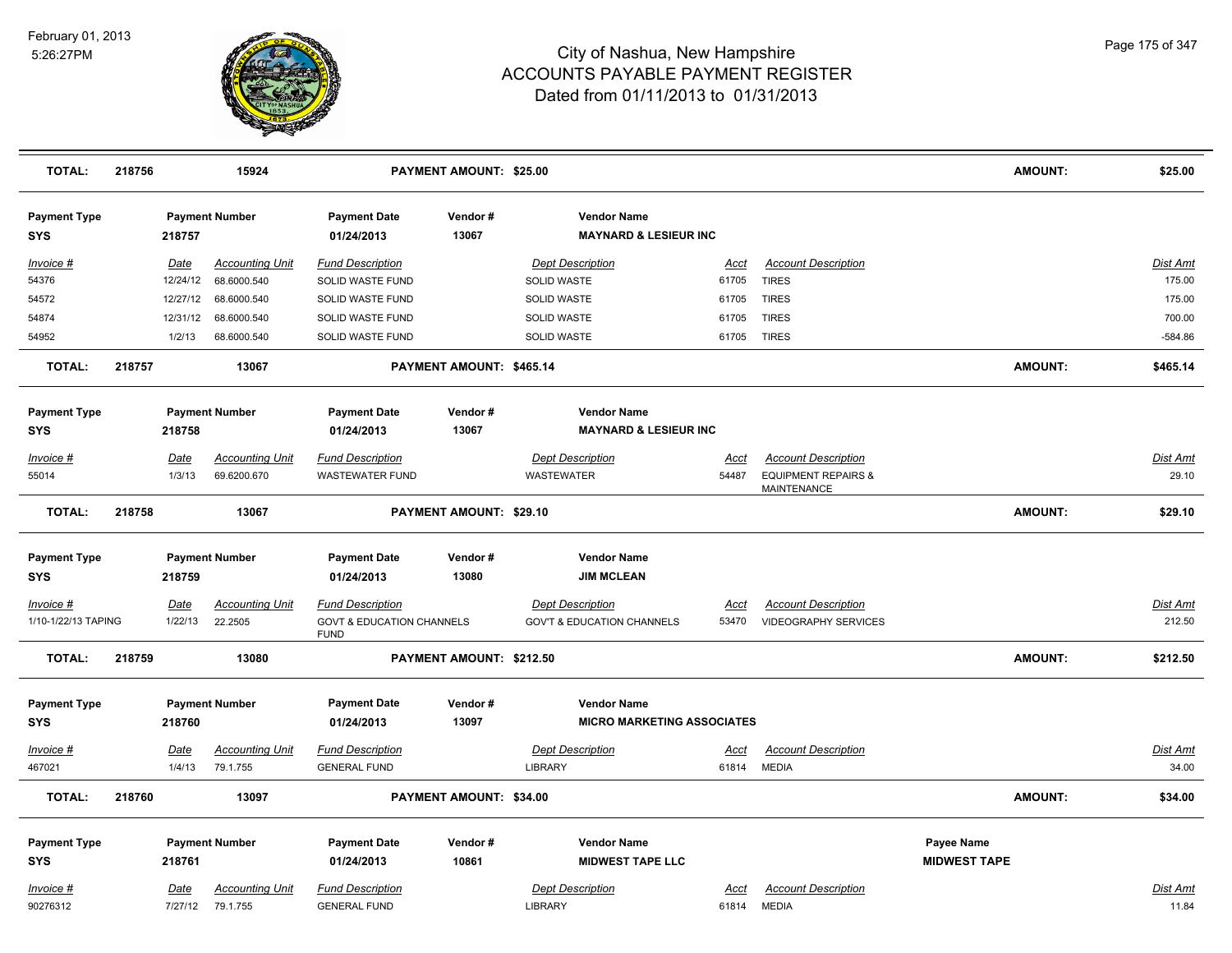

| <b>TOTAL:</b>                     | 218756 |          | 15924                  |                                                     | <b>PAYMENT AMOUNT: \$25.00</b> |                                                        |             |                                               | <b>AMOUNT:</b>      | \$25.00         |
|-----------------------------------|--------|----------|------------------------|-----------------------------------------------------|--------------------------------|--------------------------------------------------------|-------------|-----------------------------------------------|---------------------|-----------------|
| <b>Payment Type</b><br><b>SYS</b> |        | 218757   | <b>Payment Number</b>  | <b>Payment Date</b><br>01/24/2013                   | Vendor#<br>13067               | <b>Vendor Name</b><br><b>MAYNARD &amp; LESIEUR INC</b> |             |                                               |                     |                 |
| Invoice #                         |        | Date     | <b>Accounting Unit</b> | <b>Fund Description</b>                             |                                | <b>Dept Description</b>                                | Acct        | <b>Account Description</b>                    |                     | Dist Amt        |
| 54376                             |        | 12/24/12 | 68.6000.540            | SOLID WASTE FUND                                    |                                | SOLID WASTE                                            | 61705       | <b>TIRES</b>                                  |                     | 175.00          |
| 54572                             |        | 12/27/12 | 68.6000.540            | SOLID WASTE FUND                                    |                                | SOLID WASTE                                            | 61705       | <b>TIRES</b>                                  |                     | 175.00          |
| 54874                             |        | 12/31/12 | 68.6000.540            | SOLID WASTE FUND                                    |                                | SOLID WASTE                                            | 61705       | <b>TIRES</b>                                  |                     | 700.00          |
| 54952                             |        | 1/2/13   | 68.6000.540            | SOLID WASTE FUND                                    |                                | SOLID WASTE                                            | 61705       | <b>TIRES</b>                                  |                     | $-584.86$       |
| <b>TOTAL:</b>                     | 218757 |          | 13067                  |                                                     | PAYMENT AMOUNT: \$465.14       |                                                        |             |                                               | <b>AMOUNT:</b>      | \$465.14        |
| <b>Payment Type</b>               |        |          | <b>Payment Number</b>  | <b>Payment Date</b>                                 | Vendor#                        | <b>Vendor Name</b>                                     |             |                                               |                     |                 |
| <b>SYS</b>                        |        | 218758   |                        | 01/24/2013                                          | 13067                          | <b>MAYNARD &amp; LESIEUR INC</b>                       |             |                                               |                     |                 |
| Invoice #                         |        | Date     | <b>Accounting Unit</b> | <b>Fund Description</b>                             |                                | <b>Dept Description</b>                                | Acct        | <b>Account Description</b>                    |                     | Dist Amt        |
| 55014                             |        | 1/3/13   | 69.6200.670            | <b>WASTEWATER FUND</b>                              |                                | <b>WASTEWATER</b>                                      | 54487       | <b>EQUIPMENT REPAIRS &amp;</b><br>MAINTENANCE |                     | 29.10           |
| <b>TOTAL:</b>                     | 218758 |          | 13067                  |                                                     | PAYMENT AMOUNT: \$29.10        |                                                        |             |                                               | <b>AMOUNT:</b>      | \$29.10         |
| <b>Payment Type</b>               |        |          | <b>Payment Number</b>  | <b>Payment Date</b>                                 | Vendor#                        | <b>Vendor Name</b>                                     |             |                                               |                     |                 |
| <b>SYS</b>                        |        | 218759   |                        | 01/24/2013                                          | 13080                          | <b>JIM MCLEAN</b>                                      |             |                                               |                     |                 |
| Invoice #                         |        | Date     | <b>Accounting Unit</b> | <b>Fund Description</b>                             |                                | <b>Dept Description</b>                                | Acct        | <b>Account Description</b>                    |                     | Dist Amt        |
| 1/10-1/22/13 TAPING               |        | 1/22/13  | 22.2505                | <b>GOVT &amp; EDUCATION CHANNELS</b><br><b>FUND</b> |                                | <b>GOV'T &amp; EDUCATION CHANNELS</b>                  | 53470       | VIDEOGRAPHY SERVICES                          |                     | 212.50          |
| <b>TOTAL:</b>                     | 218759 |          | 13080                  |                                                     | PAYMENT AMOUNT: \$212.50       |                                                        |             |                                               | <b>AMOUNT:</b>      | \$212.50        |
| <b>Payment Type</b>               |        |          | <b>Payment Number</b>  | <b>Payment Date</b>                                 | Vendor#                        | <b>Vendor Name</b>                                     |             |                                               |                     |                 |
| <b>SYS</b>                        |        | 218760   |                        | 01/24/2013                                          | 13097                          | <b>MICRO MARKETING ASSOCIATES</b>                      |             |                                               |                     |                 |
| Invoice #                         |        | Date     | <b>Accounting Unit</b> | <b>Fund Description</b>                             |                                | <b>Dept Description</b>                                | <u>Acct</u> | <b>Account Description</b>                    |                     | <b>Dist Amt</b> |
| 467021                            |        | 1/4/13   | 79.1.755               | <b>GENERAL FUND</b>                                 |                                | LIBRARY                                                | 61814       | <b>MEDIA</b>                                  |                     | 34.00           |
| <b>TOTAL:</b>                     | 218760 |          | 13097                  |                                                     | PAYMENT AMOUNT: \$34.00        |                                                        |             |                                               | <b>AMOUNT:</b>      | \$34.00         |
| <b>Payment Type</b>               |        |          | <b>Payment Number</b>  | <b>Payment Date</b>                                 | Vendor #                       | <b>Vendor Name</b>                                     |             |                                               | <b>Payee Name</b>   |                 |
| SYS                               |        | 218761   |                        | 01/24/2013                                          | 10861                          | <b>MIDWEST TAPE LLC</b>                                |             |                                               | <b>MIDWEST TAPE</b> |                 |
| <b>Invoice #</b>                  |        | Date     | <b>Accounting Unit</b> | <b>Fund Description</b>                             |                                | <b>Dept Description</b>                                | Acct        | <b>Account Description</b>                    |                     | Dist Amt        |
| 90276312                          |        | 7/27/12  | 79.1.755               | <b>GENERAL FUND</b>                                 |                                | <b>LIBRARY</b>                                         | 61814       | <b>MEDIA</b>                                  |                     | 11.84           |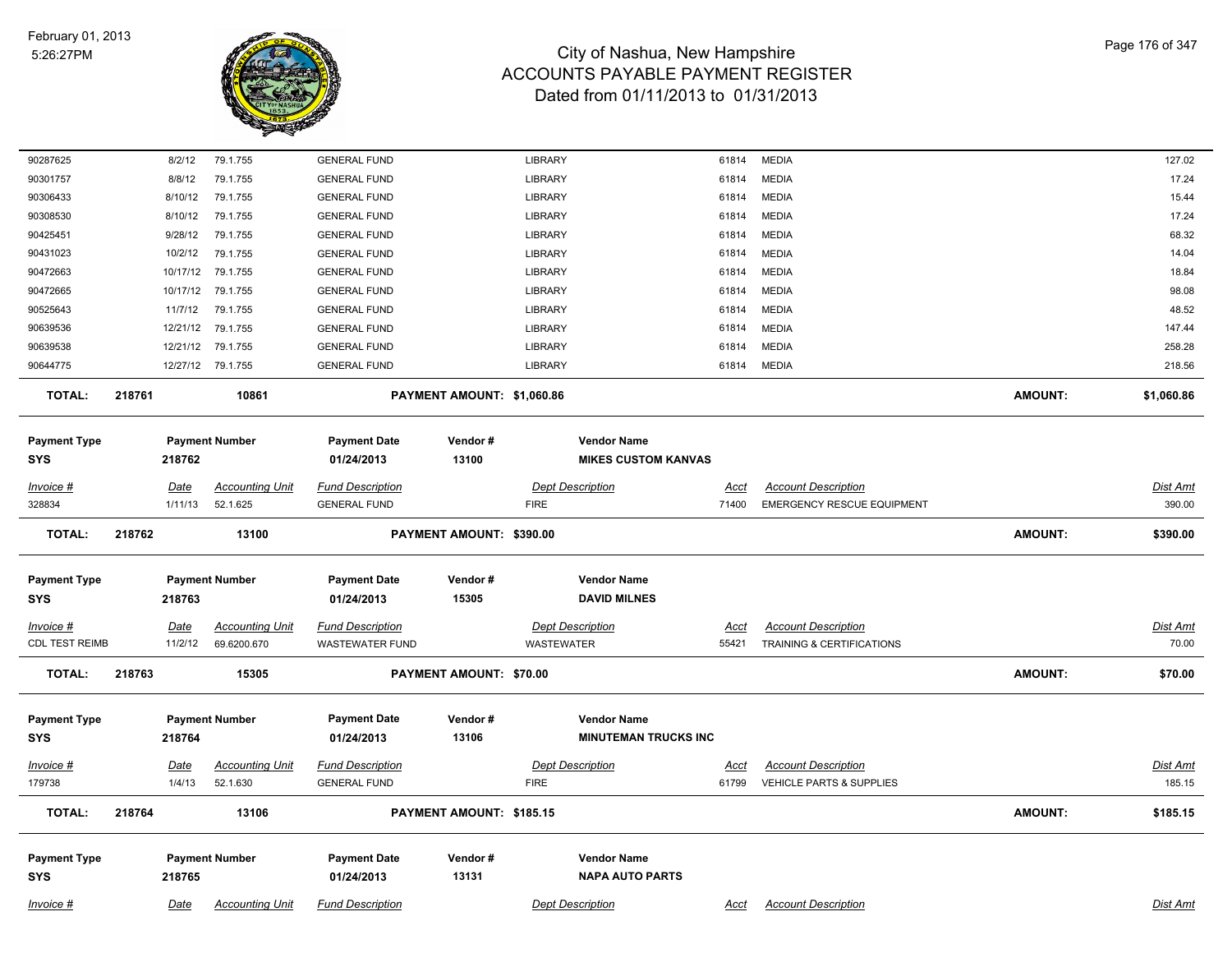

| Invoice #                          | Date                | <b>Accounting Unit</b>                | <b>Fund Description</b>                           |                            | <b>Dept Description</b>                      |                                                   | Acct                 | <b>Account Description</b>                                      |                | Dist Amt                 |
|------------------------------------|---------------------|---------------------------------------|---------------------------------------------------|----------------------------|----------------------------------------------|---------------------------------------------------|----------------------|-----------------------------------------------------------------|----------------|--------------------------|
| Payment Type<br><b>SYS</b>         | 218765              | <b>Payment Number</b>                 | <b>Payment Date</b><br>01/24/2013                 | Vendor#<br>13131           |                                              | <b>Vendor Name</b><br><b>NAPA AUTO PARTS</b>      |                      |                                                                 |                |                          |
| <b>TOTAL:</b>                      | 218764              | 13106                                 |                                                   | PAYMENT AMOUNT: \$185.15   |                                              |                                                   |                      |                                                                 | <b>AMOUNT:</b> | \$185.15                 |
| <u> Invoice #</u><br>179738        | Date<br>1/4/13      | <b>Accounting Unit</b><br>52.1.630    | <b>Fund Description</b><br><b>GENERAL FUND</b>    |                            | <b>Dept Description</b><br><b>FIRE</b>       |                                                   | <u>Acct</u><br>61799 | <b>Account Description</b><br>VEHICLE PARTS & SUPPLIES          |                | Dist Amt<br>185.15       |
| <b>Payment Type</b><br><b>SYS</b>  | 218764              | <b>Payment Number</b>                 | <b>Payment Date</b><br>01/24/2013                 | Vendor#<br>13106           |                                              | <b>Vendor Name</b><br><b>MINUTEMAN TRUCKS INC</b> |                      |                                                                 |                |                          |
| <b>TOTAL:</b>                      | 218763              | 15305                                 |                                                   | PAYMENT AMOUNT: \$70.00    |                                              |                                                   |                      |                                                                 | <b>AMOUNT:</b> | \$70.00                  |
| Invoice #<br><b>CDL TEST REIMB</b> | Date<br>11/2/12     | <b>Accounting Unit</b><br>69.6200.670 | <b>Fund Description</b><br><b>WASTEWATER FUND</b> |                            | <b>Dept Description</b><br><b>WASTEWATER</b> |                                                   | Acct<br>55421        | <b>Account Description</b><br>TRAINING & CERTIFICATIONS         |                | <u>Dist Amt</u><br>70.00 |
| <b>Payment Type</b><br><b>SYS</b>  | 218763              | <b>Payment Number</b>                 | <b>Payment Date</b><br>01/24/2013                 | Vendor#<br>15305           |                                              | <b>Vendor Name</b><br><b>DAVID MILNES</b>         |                      |                                                                 |                |                          |
| <b>TOTAL:</b>                      | 218762              | 13100                                 |                                                   | PAYMENT AMOUNT: \$390.00   |                                              |                                                   |                      |                                                                 | <b>AMOUNT:</b> | \$390.00                 |
| Invoice #<br>328834                | Date<br>1/11/13     | <b>Accounting Unit</b><br>52.1.625    | <b>Fund Description</b><br><b>GENERAL FUND</b>    |                            | <b>Dept Description</b><br><b>FIRE</b>       |                                                   | Acct<br>71400        | <b>Account Description</b><br><b>EMERGENCY RESCUE EQUIPMENT</b> |                | Dist Amt<br>390.00       |
| <b>Payment Type</b><br><b>SYS</b>  | 218762              | <b>Payment Number</b>                 | <b>Payment Date</b><br>01/24/2013                 | Vendor#<br>13100           |                                              | <b>Vendor Name</b><br><b>MIKES CUSTOM KANVAS</b>  |                      |                                                                 |                |                          |
| <b>TOTAL:</b>                      | 218761              | 10861                                 |                                                   | PAYMENT AMOUNT: \$1,060.86 |                                              |                                                   |                      |                                                                 | AMOUNT:        | \$1,060.86               |
| 90644775                           |                     | 12/27/12 79.1.755                     | <b>GENERAL FUND</b>                               |                            | LIBRARY                                      |                                                   | 61814                | MEDIA                                                           |                | 218.56                   |
| 90639538                           | 12/21/12            | 79.1.755                              | <b>GENERAL FUND</b>                               |                            | LIBRARY                                      |                                                   | 61814                | <b>MEDIA</b>                                                    |                | 258.28                   |
| 90525643<br>90639536               | 11/7/12<br>12/21/12 | 79.1.755<br>79.1.755                  | <b>GENERAL FUND</b><br><b>GENERAL FUND</b>        |                            | LIBRARY<br>LIBRARY                           |                                                   | 61814<br>61814       | <b>MEDIA</b><br><b>MEDIA</b>                                    |                | 48.52<br>147.44          |
| 90472665                           | 10/17/12            | 79.1.755                              | <b>GENERAL FUND</b>                               |                            | <b>LIBRARY</b>                               |                                                   | 61814                | <b>MEDIA</b>                                                    |                | 98.08                    |
| 90472663                           | 10/17/12            | 79.1.755                              | <b>GENERAL FUND</b>                               |                            | LIBRARY                                      |                                                   | 61814                | <b>MEDIA</b>                                                    |                | 18.84                    |
| 90431023                           | 10/2/12             | 79.1.755                              | <b>GENERAL FUND</b>                               |                            | LIBRARY                                      |                                                   | 61814                | <b>MEDIA</b>                                                    |                | 14.04                    |
| 90425451                           | 9/28/12             | 79.1.755                              | <b>GENERAL FUND</b>                               |                            | LIBRARY                                      |                                                   | 61814                | <b>MEDIA</b>                                                    |                | 68.32                    |
| 90308530                           | 8/10/12             | 79.1.755                              | <b>GENERAL FUND</b>                               |                            | LIBRARY                                      |                                                   | 61814                | <b>MEDIA</b>                                                    |                | 17.24                    |
| 90306433                           | 8/10/12             | 79.1.755                              | <b>GENERAL FUND</b>                               |                            | LIBRARY                                      |                                                   | 61814                | <b>MEDIA</b>                                                    |                | 15.44                    |
| 90301757                           | 8/8/12              | 79.1.755                              | <b>GENERAL FUND</b>                               |                            | LIBRARY                                      |                                                   | 61814                | <b>MEDIA</b>                                                    |                | 17.24                    |
| 90287625                           | 8/2/12              | 79.1.755                              | <b>GENERAL FUND</b>                               |                            | LIBRARY                                      |                                                   | 61814                | <b>MEDIA</b>                                                    |                | 127.02                   |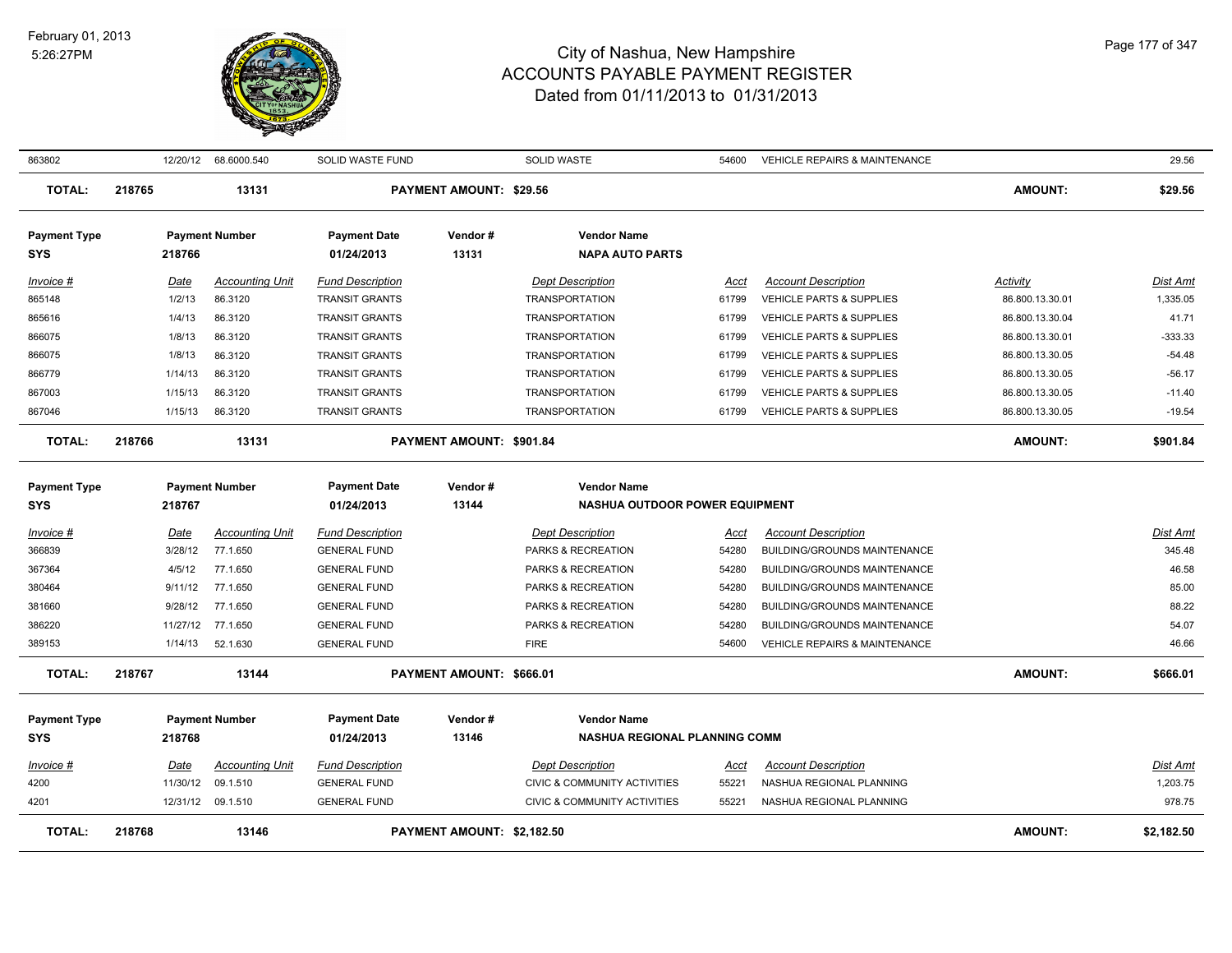

| 863802                            |             | 12/20/12 68.6000.540   | SOLID WASTE FUND                  |                                | <b>SOLID WASTE</b>                           | 54600       | <b>VEHICLE REPAIRS &amp; MAINTENANCE</b> |                 | 29.56           |
|-----------------------------------|-------------|------------------------|-----------------------------------|--------------------------------|----------------------------------------------|-------------|------------------------------------------|-----------------|-----------------|
| <b>TOTAL:</b>                     | 218765      | 13131                  |                                   | <b>PAYMENT AMOUNT: \$29.56</b> |                                              |             |                                          | <b>AMOUNT:</b>  | \$29.56         |
| <b>Payment Type</b><br><b>SYS</b> | 218766      | <b>Payment Number</b>  | <b>Payment Date</b><br>01/24/2013 | Vendor#<br>13131               | <b>Vendor Name</b><br><b>NAPA AUTO PARTS</b> |             |                                          |                 |                 |
| Invoice #                         | Date        | <b>Accounting Unit</b> | <b>Fund Description</b>           |                                | <b>Dept Description</b>                      | Acct        | <b>Account Description</b>               | Activity        | <b>Dist Amt</b> |
| 865148                            | 1/2/13      | 86.3120                | <b>TRANSIT GRANTS</b>             |                                | <b>TRANSPORTATION</b>                        | 61799       | VEHICLE PARTS & SUPPLIES                 | 86.800.13.30.01 | 1,335.05        |
| 865616                            | 1/4/13      | 86.3120                | <b>TRANSIT GRANTS</b>             |                                | <b>TRANSPORTATION</b>                        | 61799       | VEHICLE PARTS & SUPPLIES                 | 86.800.13.30.04 | 41.71           |
| 866075                            | 1/8/13      | 86.3120                | <b>TRANSIT GRANTS</b>             |                                | <b>TRANSPORTATION</b>                        | 61799       | <b>VEHICLE PARTS &amp; SUPPLIES</b>      | 86.800.13.30.01 | $-333.33$       |
| 866075                            | 1/8/13      | 86.3120                | <b>TRANSIT GRANTS</b>             |                                | <b>TRANSPORTATION</b>                        | 61799       | <b>VEHICLE PARTS &amp; SUPPLIES</b>      | 86.800.13.30.05 | $-54.48$        |
| 866779                            | 1/14/13     | 86.3120                | <b>TRANSIT GRANTS</b>             |                                | <b>TRANSPORTATION</b>                        | 61799       | VEHICLE PARTS & SUPPLIES                 | 86.800.13.30.05 | $-56.17$        |
| 867003                            | 1/15/13     | 86.3120                | <b>TRANSIT GRANTS</b>             |                                | <b>TRANSPORTATION</b>                        | 61799       | <b>VEHICLE PARTS &amp; SUPPLIES</b>      | 86.800.13.30.05 | $-11.40$        |
| 867046                            | 1/15/13     | 86.3120                | <b>TRANSIT GRANTS</b>             |                                | <b>TRANSPORTATION</b>                        | 61799       | VEHICLE PARTS & SUPPLIES                 | 86.800.13.30.05 | $-19.54$        |
| <b>TOTAL:</b>                     | 218766      | 13131                  |                                   | PAYMENT AMOUNT: \$901.84       |                                              |             |                                          | <b>AMOUNT:</b>  | \$901.84        |
| <b>Payment Type</b>               |             | <b>Payment Number</b>  | <b>Payment Date</b>               | Vendor#                        | <b>Vendor Name</b>                           |             |                                          |                 |                 |
| <b>SYS</b>                        | 218767      |                        | 01/24/2013                        | 13144                          | NASHUA OUTDOOR POWER EQUIPMENT               |             |                                          |                 |                 |
| Invoice #                         | Date        | <b>Accounting Unit</b> | <b>Fund Description</b>           |                                | <b>Dept Description</b>                      | Acct        | <b>Account Description</b>               |                 | <b>Dist Amt</b> |
| 366839                            | 3/28/12     | 77.1.650               | <b>GENERAL FUND</b>               |                                | PARKS & RECREATION                           | 54280       | <b>BUILDING/GROUNDS MAINTENANCE</b>      |                 | 345.48          |
| 367364                            | 4/5/12      | 77.1.650               | <b>GENERAL FUND</b>               |                                | PARKS & RECREATION                           | 54280       | BUILDING/GROUNDS MAINTENANCE             |                 | 46.58           |
| 380464                            | 9/11/12     | 77.1.650               | <b>GENERAL FUND</b>               |                                | PARKS & RECREATION                           | 54280       | <b>BUILDING/GROUNDS MAINTENANCE</b>      |                 | 85.00           |
| 381660                            | 9/28/12     | 77.1.650               | <b>GENERAL FUND</b>               |                                | PARKS & RECREATION                           | 54280       | <b>BUILDING/GROUNDS MAINTENANCE</b>      |                 | 88.22           |
| 386220                            | 11/27/12    | 77.1.650               | <b>GENERAL FUND</b>               |                                | PARKS & RECREATION                           | 54280       | BUILDING/GROUNDS MAINTENANCE             |                 | 54.07           |
| 389153                            | 1/14/13     | 52.1.630               | <b>GENERAL FUND</b>               |                                | <b>FIRE</b>                                  | 54600       | VEHICLE REPAIRS & MAINTENANCE            |                 | 46.66           |
| <b>TOTAL:</b>                     | 218767      | 13144                  |                                   | PAYMENT AMOUNT: \$666.01       |                                              |             |                                          | <b>AMOUNT:</b>  | \$666.01        |
| <b>Payment Type</b>               |             | <b>Payment Number</b>  | <b>Payment Date</b>               | Vendor#                        | <b>Vendor Name</b>                           |             |                                          |                 |                 |
| <b>SYS</b>                        | 218768      |                        | 01/24/2013                        | 13146                          | <b>NASHUA REGIONAL PLANNING COMM</b>         |             |                                          |                 |                 |
| Invoice #                         | <u>Date</u> | <b>Accounting Unit</b> | <b>Fund Description</b>           |                                | <b>Dept Description</b>                      | <u>Acct</u> | <b>Account Description</b>               |                 | <b>Dist Amt</b> |
| 4200                              | 11/30/12    | 09.1.510               | <b>GENERAL FUND</b>               |                                | CIVIC & COMMUNITY ACTIVITIES                 | 55221       | NASHUA REGIONAL PLANNING                 |                 | 1,203.75        |
| 4201                              |             | 12/31/12 09.1.510      | <b>GENERAL FUND</b>               |                                | CIVIC & COMMUNITY ACTIVITIES                 | 55221       | NASHUA REGIONAL PLANNING                 |                 | 978.75          |
| <b>TOTAL:</b>                     | 218768      | 13146                  |                                   | PAYMENT AMOUNT: \$2,182.50     |                                              |             |                                          | <b>AMOUNT:</b>  | \$2,182.50      |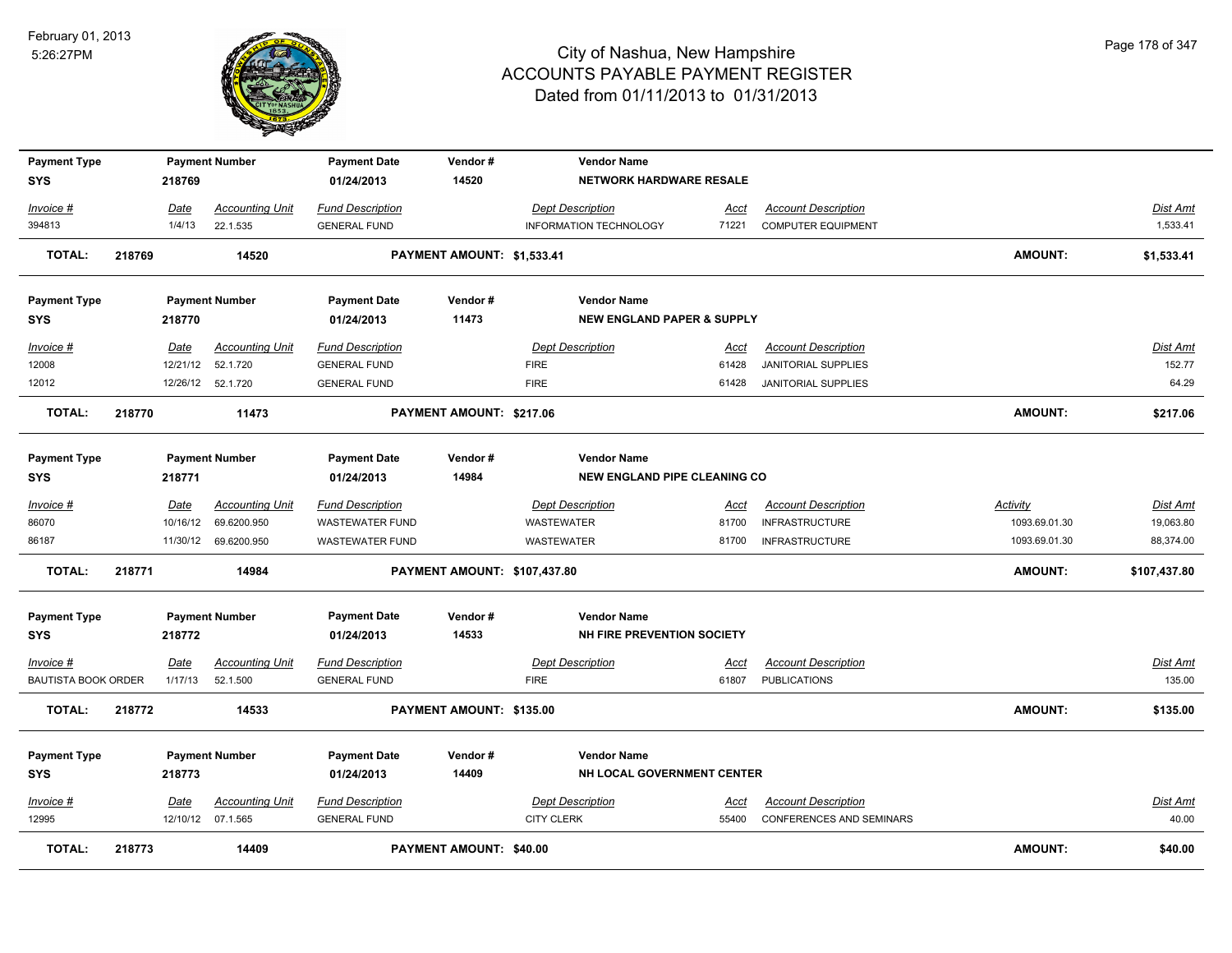

| <b>Payment Type</b><br><b>SYS</b> |                                             | 218769   | <b>Payment Number</b>  | <b>Payment Date</b><br>01/24/2013 | Vendor#<br>14520             | <b>Vendor Name</b><br>NETWORK HARDWARE RESALE             |             |                                 |                |                 |
|-----------------------------------|---------------------------------------------|----------|------------------------|-----------------------------------|------------------------------|-----------------------------------------------------------|-------------|---------------------------------|----------------|-----------------|
| Invoice #                         |                                             | Date     | <b>Accounting Unit</b> | <b>Fund Description</b>           |                              | <b>Dept Description</b>                                   | Acct        | <b>Account Description</b>      |                | Dist Amt        |
| 394813                            |                                             | 1/4/13   | 22.1.535               | <b>GENERAL FUND</b>               |                              | <b>INFORMATION TECHNOLOGY</b>                             | 71221       | <b>COMPUTER EQUIPMENT</b>       |                | 1,533.41        |
| <b>TOTAL:</b>                     | 218769                                      |          | 14520                  |                                   | PAYMENT AMOUNT: \$1,533.41   |                                                           |             |                                 | <b>AMOUNT:</b> | \$1,533.41      |
| <b>Payment Type</b>               |                                             |          | <b>Payment Number</b>  | <b>Payment Date</b>               | Vendor#                      | <b>Vendor Name</b>                                        |             |                                 |                |                 |
| <b>SYS</b>                        |                                             | 218770   |                        | 01/24/2013                        | 11473                        | <b>NEW ENGLAND PAPER &amp; SUPPLY</b>                     |             |                                 |                |                 |
| Invoice #                         |                                             | Date     | <b>Accounting Unit</b> | <b>Fund Description</b>           |                              | <b>Dept Description</b>                                   | Acct        | <b>Account Description</b>      |                | Dist Amt        |
| 12008                             |                                             | 12/21/12 | 52.1.720               | <b>GENERAL FUND</b>               |                              | <b>FIRE</b>                                               | 61428       | <b>JANITORIAL SUPPLIES</b>      |                | 152.77          |
| 12012                             |                                             |          | 12/26/12 52.1.720      | <b>GENERAL FUND</b>               |                              | <b>FIRE</b>                                               | 61428       | <b>JANITORIAL SUPPLIES</b>      |                | 64.29           |
| <b>TOTAL:</b>                     | 218770<br>11473                             |          |                        | PAYMENT AMOUNT: \$217.06          |                              |                                                           |             |                                 | <b>AMOUNT:</b> | \$217.06        |
| <b>Payment Type</b><br><b>SYS</b> |                                             | 218771   | <b>Payment Number</b>  | <b>Payment Date</b><br>01/24/2013 | Vendor#<br>14984             | <b>Vendor Name</b><br><b>NEW ENGLAND PIPE CLEANING CO</b> |             |                                 |                |                 |
| Invoice #                         |                                             | Date     | <b>Accounting Unit</b> | <b>Fund Description</b>           |                              | <b>Dept Description</b>                                   | Acct        | <b>Account Description</b>      | Activity       | Dist Amt        |
| 86070                             |                                             | 10/16/12 | 69.6200.950            | <b>WASTEWATER FUND</b>            |                              | <b>WASTEWATER</b>                                         | 81700       | <b>INFRASTRUCTURE</b>           | 1093.69.01.30  | 19,063.80       |
| 86187                             |                                             |          | 11/30/12 69.6200.950   | WASTEWATER FUND                   |                              | WASTEWATER                                                | 81700       | <b>INFRASTRUCTURE</b>           | 1093.69.01.30  | 88,374.00       |
| <b>TOTAL:</b>                     | 218771                                      |          | 14984                  |                                   | PAYMENT AMOUNT: \$107,437.80 |                                                           |             |                                 | AMOUNT:        | \$107,437.80    |
| <b>Payment Type</b><br><b>SYS</b> |                                             | 218772   | <b>Payment Number</b>  | <b>Payment Date</b><br>01/24/2013 | Vendor#<br>14533             | <b>Vendor Name</b><br>NH FIRE PREVENTION SOCIETY          |             |                                 |                |                 |
| $Invoice$ #                       |                                             | Date     | <b>Accounting Unit</b> | <b>Fund Description</b>           |                              | <b>Dept Description</b>                                   | <u>Acct</u> | <b>Account Description</b>      |                | <b>Dist Amt</b> |
| <b>BAUTISTA BOOK ORDER</b>        |                                             | 1/17/13  | 52.1.500               | <b>GENERAL FUND</b>               |                              | <b>FIRE</b>                                               | 61807       | <b>PUBLICATIONS</b>             |                | 135.00          |
| <b>TOTAL:</b>                     | 218772<br>14533<br>PAYMENT AMOUNT: \$135.00 |          |                        |                                   |                              |                                                           |             | <b>AMOUNT:</b>                  | \$135.00       |                 |
| <b>Payment Type</b>               |                                             |          | <b>Payment Number</b>  | <b>Payment Date</b>               | Vendor#                      | <b>Vendor Name</b>                                        |             |                                 |                |                 |
| <b>SYS</b>                        | 218773                                      |          | 01/24/2013             | 14409                             | NH LOCAL GOVERNMENT CENTER   |                                                           |             |                                 |                |                 |
| Invoice #                         |                                             | Date     | <b>Accounting Unit</b> | <b>Fund Description</b>           |                              | <b>Dept Description</b>                                   | <u>Acct</u> | <b>Account Description</b>      |                | Dist Amt        |
| 12995                             |                                             |          | 12/10/12 07.1.565      | <b>GENERAL FUND</b>               |                              | <b>CITY CLERK</b>                                         | 55400       | <b>CONFERENCES AND SEMINARS</b> |                | 40.00           |
| <b>TOTAL:</b>                     | 218773                                      |          | 14409                  |                                   | PAYMENT AMOUNT: \$40.00      |                                                           |             |                                 | <b>AMOUNT:</b> | \$40.00         |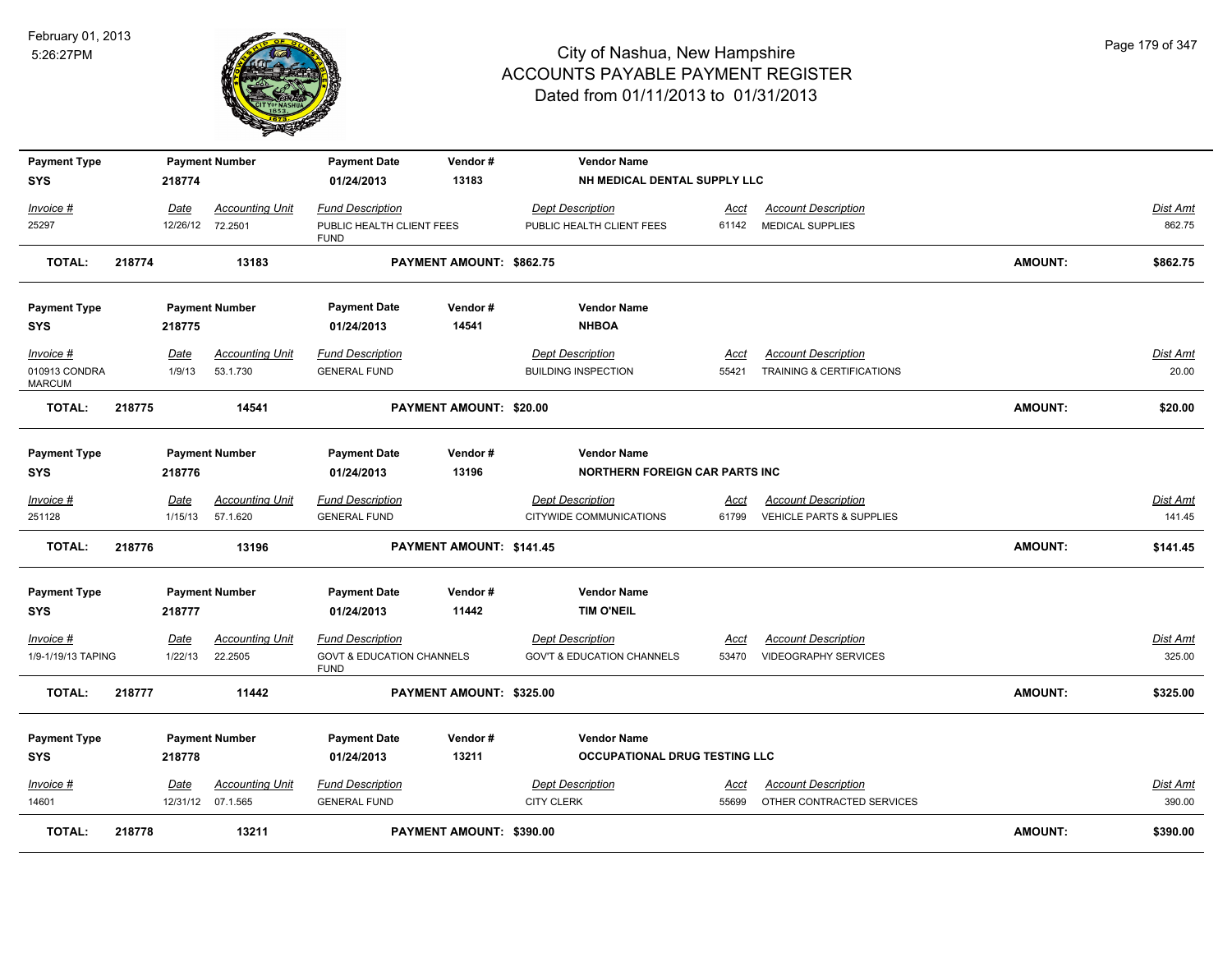

| <b>Payment Type</b>            |        |                | <b>Payment Number</b>              | <b>Payment Date</b>                                 | Vendor#                  | <b>Vendor Name</b>                                    |               |                                                         |                |                   |
|--------------------------------|--------|----------------|------------------------------------|-----------------------------------------------------|--------------------------|-------------------------------------------------------|---------------|---------------------------------------------------------|----------------|-------------------|
| <b>SYS</b>                     |        | 218774         |                                    | 01/24/2013                                          | 13183                    | NH MEDICAL DENTAL SUPPLY LLC                          |               |                                                         |                |                   |
| Invoice #                      |        | Date           | <b>Accounting Unit</b>             | <b>Fund Description</b>                             |                          | <b>Dept Description</b>                               | Acct          | <b>Account Description</b>                              |                | <b>Dist Amt</b>   |
| 25297                          |        |                | 12/26/12 72.2501                   | PUBLIC HEALTH CLIENT FEES<br><b>FUND</b>            |                          | PUBLIC HEALTH CLIENT FEES                             | 61142         | MEDICAL SUPPLIES                                        |                | 862.75            |
| <b>TOTAL:</b>                  | 218774 |                | 13183                              |                                                     | PAYMENT AMOUNT: \$862.75 |                                                       |               |                                                         | <b>AMOUNT:</b> | \$862.75          |
| <b>Payment Type</b>            |        |                | <b>Payment Number</b>              | <b>Payment Date</b>                                 | Vendor#                  | <b>Vendor Name</b>                                    |               |                                                         |                |                   |
| SYS                            |        | 218775         |                                    | 01/24/2013                                          | 14541                    | <b>NHBOA</b>                                          |               |                                                         |                |                   |
| Invoice #<br>010913 CONDRA     |        | Date<br>1/9/13 | <b>Accounting Unit</b><br>53.1.730 | <b>Fund Description</b><br><b>GENERAL FUND</b>      |                          | <b>Dept Description</b><br><b>BUILDING INSPECTION</b> | Acct<br>55421 | <b>Account Description</b><br>TRAINING & CERTIFICATIONS |                | Dist Amt<br>20.00 |
| <b>MARCUM</b><br><b>TOTAL:</b> | 218775 |                | 14541                              |                                                     | PAYMENT AMOUNT: \$20.00  |                                                       |               |                                                         | <b>AMOUNT:</b> | \$20.00           |
|                                |        |                |                                    |                                                     |                          |                                                       |               |                                                         |                |                   |
| <b>Payment Type</b>            |        |                | <b>Payment Number</b>              | <b>Payment Date</b>                                 | Vendor#                  | <b>Vendor Name</b>                                    |               |                                                         |                |                   |
| SYS                            |        | 218776         |                                    | 01/24/2013                                          | 13196                    | <b>NORTHERN FOREIGN CAR PARTS INC.</b>                |               |                                                         |                |                   |
| Invoice #                      |        | Date           | <b>Accounting Unit</b>             | <b>Fund Description</b>                             |                          | <b>Dept Description</b>                               | Acct          | <b>Account Description</b>                              |                | <b>Dist Amt</b>   |
| 251128                         |        | 1/15/13        | 57.1.620                           | <b>GENERAL FUND</b>                                 |                          | CITYWIDE COMMUNICATIONS                               | 61799         | <b>VEHICLE PARTS &amp; SUPPLIES</b>                     |                | 141.45            |
| <b>TOTAL:</b>                  | 218776 |                | 13196                              |                                                     | PAYMENT AMOUNT: \$141.45 |                                                       |               |                                                         | <b>AMOUNT:</b> | \$141.45          |
| <b>Payment Type</b>            |        |                | <b>Payment Number</b>              | <b>Payment Date</b>                                 | Vendor#                  | <b>Vendor Name</b>                                    |               |                                                         |                |                   |
| SYS                            |        | 218777         |                                    | 01/24/2013                                          | 11442                    | <b>TIM O'NEIL</b>                                     |               |                                                         |                |                   |
| Invoice #                      |        | Date           | <b>Accounting Unit</b>             | <b>Fund Description</b>                             |                          | <b>Dept Description</b>                               | <u>Acct</u>   | <b>Account Description</b>                              |                | <b>Dist Amt</b>   |
| 1/9-1/19/13 TAPING             |        | 1/22/13        | 22.2505                            | <b>GOVT &amp; EDUCATION CHANNELS</b><br><b>FUND</b> |                          | <b>GOV'T &amp; EDUCATION CHANNELS</b>                 | 53470         | <b>VIDEOGRAPHY SERVICES</b>                             |                | 325.00            |
| <b>TOTAL:</b>                  | 218777 |                | 11442                              |                                                     | PAYMENT AMOUNT: \$325.00 |                                                       |               |                                                         | <b>AMOUNT:</b> | \$325.00          |
| <b>Payment Type</b>            |        |                | <b>Payment Number</b>              | <b>Payment Date</b>                                 | Vendor#                  | <b>Vendor Name</b>                                    |               |                                                         |                |                   |
| <b>SYS</b>                     |        | 218778         |                                    | 01/24/2013                                          | 13211                    | OCCUPATIONAL DRUG TESTING LLC                         |               |                                                         |                |                   |
| Invoice #                      |        | Date           | <b>Accounting Unit</b>             | <b>Fund Description</b>                             |                          | <b>Dept Description</b>                               | <u>Acct</u>   | <b>Account Description</b>                              |                | <b>Dist Amt</b>   |
| 14601                          |        |                | 12/31/12 07.1.565                  | <b>GENERAL FUND</b>                                 |                          | <b>CITY CLERK</b>                                     | 55699         | OTHER CONTRACTED SERVICES                               |                | 390.00            |
| <b>TOTAL:</b>                  | 218778 |                | 13211                              |                                                     | PAYMENT AMOUNT: \$390.00 |                                                       |               |                                                         | <b>AMOUNT:</b> | \$390.00          |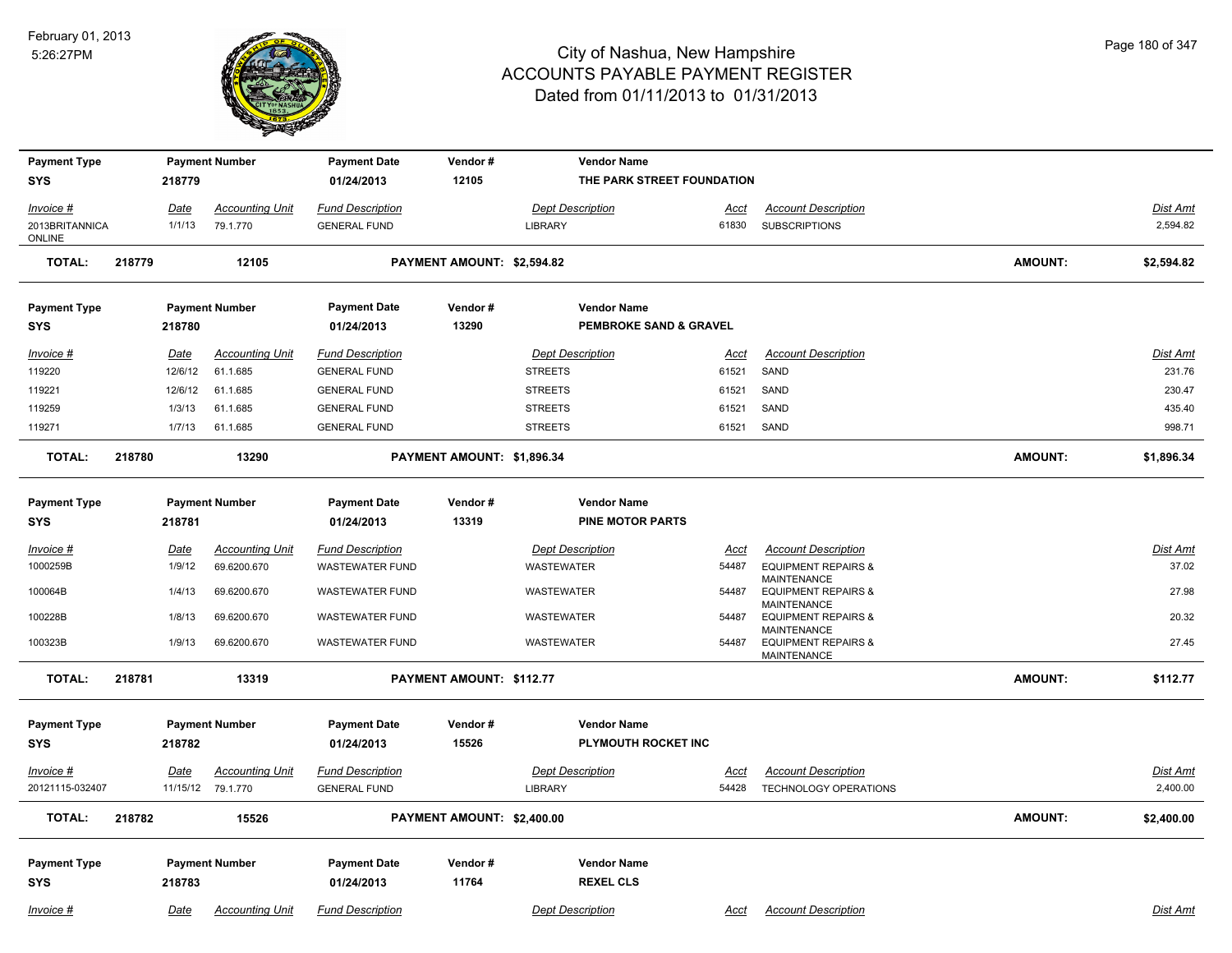

| <b>Payment Type</b>               |        |             | <b>Payment Number</b>  | <b>Payment Date</b>               | Vendor#                    | <b>Vendor Name</b>                        |             |                                                                     |                |                 |
|-----------------------------------|--------|-------------|------------------------|-----------------------------------|----------------------------|-------------------------------------------|-------------|---------------------------------------------------------------------|----------------|-----------------|
| <b>SYS</b>                        |        | 218779      |                        | 01/24/2013                        | 12105                      | THE PARK STREET FOUNDATION                |             |                                                                     |                |                 |
| Invoice #                         |        | Date        | <b>Accounting Unit</b> | <b>Fund Description</b>           |                            | <b>Dept Description</b>                   | Acct        | <b>Account Description</b>                                          |                | Dist Amt        |
| 2013BRITANNICA<br>ONLINE          |        | 1/1/13      | 79.1.770               | <b>GENERAL FUND</b>               |                            | LIBRARY                                   | 61830       | <b>SUBSCRIPTIONS</b>                                                |                | 2,594.82        |
| <b>TOTAL:</b>                     | 218779 |             | 12105                  |                                   | PAYMENT AMOUNT: \$2,594.82 |                                           |             |                                                                     | <b>AMOUNT:</b> | \$2,594.82      |
| <b>Payment Type</b>               |        |             | <b>Payment Number</b>  | <b>Payment Date</b>               | Vendor#                    | <b>Vendor Name</b>                        |             |                                                                     |                |                 |
| SYS                               |        | 218780      |                        | 01/24/2013                        | 13290                      | <b>PEMBROKE SAND &amp; GRAVEL</b>         |             |                                                                     |                |                 |
| Invoice #                         |        | <u>Date</u> | <b>Accounting Unit</b> | <b>Fund Description</b>           |                            | <b>Dept Description</b>                   | Acct        | <b>Account Description</b>                                          |                | Dist Amt        |
| 119220                            |        | 12/6/12     | 61.1.685               | <b>GENERAL FUND</b>               |                            | <b>STREETS</b>                            | 61521       | SAND                                                                |                | 231.76          |
| 119221                            |        | 12/6/12     | 61.1.685               | <b>GENERAL FUND</b>               |                            | <b>STREETS</b>                            | 61521       | SAND                                                                |                | 230.47          |
| 119259                            |        | 1/3/13      | 61.1.685               | <b>GENERAL FUND</b>               |                            | <b>STREETS</b>                            | 61521       | SAND                                                                |                | 435.40          |
| 119271                            |        | 1/7/13      | 61.1.685               | <b>GENERAL FUND</b>               |                            | <b>STREETS</b>                            | 61521       | SAND                                                                |                | 998.71          |
| <b>TOTAL:</b>                     | 218780 |             | 13290                  |                                   | PAYMENT AMOUNT: \$1,896.34 |                                           |             |                                                                     | <b>AMOUNT:</b> | \$1,896.34      |
| <b>Payment Type</b>               |        |             | <b>Payment Number</b>  | <b>Payment Date</b>               | Vendor#                    | <b>Vendor Name</b>                        |             |                                                                     |                |                 |
| SYS                               |        | 218781      |                        | 01/24/2013                        | 13319                      | <b>PINE MOTOR PARTS</b>                   |             |                                                                     |                |                 |
| $Invoice$ #                       |        | Date        | <b>Accounting Unit</b> | <b>Fund Description</b>           |                            | <b>Dept Description</b>                   | Acct        | <b>Account Description</b>                                          |                | <b>Dist Amt</b> |
| 1000259B                          |        | 1/9/12      | 69.6200.670            | <b>WASTEWATER FUND</b>            |                            | <b>WASTEWATER</b>                         | 54487       | <b>EQUIPMENT REPAIRS &amp;</b>                                      |                | 37.02           |
| 100064B                           |        | 1/4/13      | 69.6200.670            | <b>WASTEWATER FUND</b>            |                            | <b>WASTEWATER</b>                         | 54487       | MAINTENANCE<br><b>EQUIPMENT REPAIRS &amp;</b><br>MAINTENANCE        |                | 27.98           |
| 100228B                           |        | 1/8/13      | 69.6200.670            | <b>WASTEWATER FUND</b>            |                            | <b>WASTEWATER</b>                         | 54487       | <b>EQUIPMENT REPAIRS &amp;</b>                                      |                | 20.32           |
| 100323B                           |        | 1/9/13      | 69.6200.670            | <b>WASTEWATER FUND</b>            |                            | <b>WASTEWATER</b>                         | 54487       | MAINTENANCE<br><b>EQUIPMENT REPAIRS &amp;</b><br><b>MAINTENANCE</b> |                | 27.45           |
| <b>TOTAL:</b>                     | 218781 |             | 13319                  |                                   | PAYMENT AMOUNT: \$112.77   |                                           |             |                                                                     | <b>AMOUNT:</b> | \$112.77        |
| <b>Payment Type</b><br><b>SYS</b> |        | 218782      | <b>Payment Number</b>  | <b>Payment Date</b><br>01/24/2013 | Vendor#<br>15526           | <b>Vendor Name</b><br>PLYMOUTH ROCKET INC |             |                                                                     |                |                 |
| Invoice #                         |        | <u>Date</u> | <b>Accounting Unit</b> | <b>Fund Description</b>           |                            | <b>Dept Description</b>                   | <u>Acct</u> | <b>Account Description</b>                                          |                | Dist Amt        |
| 20121115-032407                   |        |             | 11/15/12 79.1.770      | <b>GENERAL FUND</b>               |                            | LIBRARY                                   | 54428       | TECHNOLOGY OPERATIONS                                               |                | 2,400.00        |
| <b>TOTAL:</b>                     | 218782 |             | 15526                  |                                   | PAYMENT AMOUNT: \$2,400.00 |                                           |             |                                                                     | <b>AMOUNT:</b> | \$2,400.00      |
|                                   |        |             |                        |                                   |                            |                                           |             |                                                                     |                |                 |
| <b>Payment Type</b>               |        |             | <b>Payment Number</b>  | <b>Payment Date</b>               | Vendor#                    | <b>Vendor Name</b>                        |             |                                                                     |                |                 |
| <b>SYS</b>                        |        | 218783      |                        | 01/24/2013                        | 11764                      | <b>REXEL CLS</b>                          |             |                                                                     |                |                 |
| Invoice #                         |        | Date        | <b>Accounting Unit</b> | <b>Fund Description</b>           |                            | <b>Dept Description</b>                   | Acct        | <b>Account Description</b>                                          |                | Dist Amt        |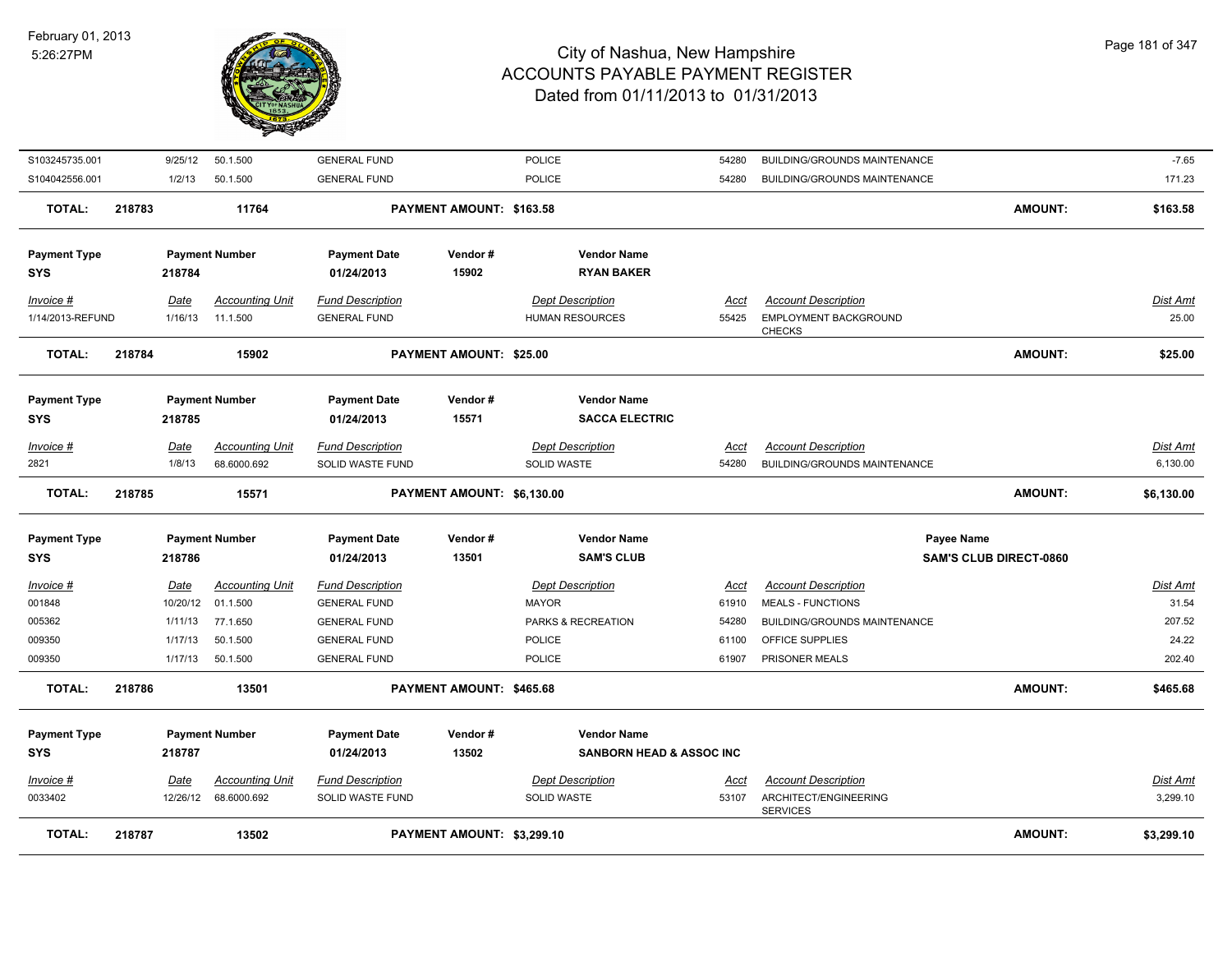

| <b>TOTAL:</b>       | 218787 |                  | 13502                              |                                                | PAYMENT AMOUNT: \$3,299.10     |                                         |               |                                                        | <b>AMOUNT:</b>                | \$3,299.10        |
|---------------------|--------|------------------|------------------------------------|------------------------------------------------|--------------------------------|-----------------------------------------|---------------|--------------------------------------------------------|-------------------------------|-------------------|
| 0033402             |        | 12/26/12         | 68.6000.692                        | SOLID WASTE FUND                               |                                | SOLID WASTE                             | 53107         | ARCHITECT/ENGINEERING<br><b>SERVICES</b>               |                               | 3,299.10          |
| <u>Invoice #</u>    |        | <b>Date</b>      | <b>Accounting Unit</b>             | <b>Fund Description</b>                        |                                | <b>Dept Description</b>                 | <u>Acct</u>   | <b>Account Description</b>                             |                               | <b>Dist Amt</b>   |
| <b>SYS</b>          |        | 218787           |                                    | 01/24/2013                                     | 13502                          | <b>SANBORN HEAD &amp; ASSOC INC.</b>    |               |                                                        |                               |                   |
| <b>Payment Type</b> |        |                  | <b>Payment Number</b>              | <b>Payment Date</b>                            | Vendor#                        | <b>Vendor Name</b>                      |               |                                                        |                               |                   |
| <b>TOTAL:</b>       | 218786 |                  | 13501                              |                                                | PAYMENT AMOUNT: \$465.68       |                                         |               |                                                        | <b>AMOUNT:</b>                | \$465.68          |
| 009350              |        | 1/17/13          | 50.1.500                           | <b>GENERAL FUND</b>                            |                                | POLICE                                  | 61907         | PRISONER MEALS                                         |                               | 202.40            |
| 009350              |        | 1/17/13          | 50.1.500                           | <b>GENERAL FUND</b>                            |                                | POLICE                                  | 61100         | OFFICE SUPPLIES                                        |                               | 24.22             |
| 005362              |        | 1/11/13          | 77.1.650                           | <b>GENERAL FUND</b>                            |                                | PARKS & RECREATION                      | 54280         | BUILDING/GROUNDS MAINTENANCE                           |                               | 207.52            |
| Invoice #<br>001848 |        | Date<br>10/20/12 | <b>Accounting Unit</b><br>01.1.500 | <b>Fund Description</b><br><b>GENERAL FUND</b> |                                | <b>Dept Description</b><br><b>MAYOR</b> | Acct<br>61910 | <b>Account Description</b><br><b>MEALS - FUNCTIONS</b> |                               | Dist Amt<br>31.54 |
|                     |        |                  |                                    |                                                |                                |                                         |               |                                                        |                               |                   |
| SYS                 |        | 218786           |                                    | 01/24/2013                                     | 13501                          | <b>SAM'S CLUB</b>                       |               |                                                        | <b>SAM'S CLUB DIRECT-0860</b> |                   |
| <b>Payment Type</b> |        |                  | <b>Payment Number</b>              | <b>Payment Date</b>                            | Vendor#                        | <b>Vendor Name</b>                      |               | Payee Name                                             |                               |                   |
| <b>TOTAL:</b>       | 218785 |                  | 15571                              |                                                | PAYMENT AMOUNT: \$6,130.00     |                                         |               |                                                        | AMOUNT:                       | \$6,130.00        |
| 2821                |        | 1/8/13           | 68.6000.692                        | SOLID WASTE FUND                               |                                | SOLID WASTE                             | 54280         | BUILDING/GROUNDS MAINTENANCE                           |                               | 6,130.00          |
| $Invoice$ #         |        | Date             | <b>Accounting Unit</b>             | <b>Fund Description</b>                        |                                | <b>Dept Description</b>                 | <u>Acct</u>   | <b>Account Description</b>                             |                               | <b>Dist Amt</b>   |
| <b>SYS</b>          |        | 218785           |                                    | 01/24/2013                                     | 15571                          | <b>SACCA ELECTRIC</b>                   |               |                                                        |                               |                   |
| <b>Payment Type</b> |        |                  | <b>Payment Number</b>              | <b>Payment Date</b>                            | Vendor#                        | <b>Vendor Name</b>                      |               |                                                        |                               |                   |
| <b>TOTAL:</b>       | 218784 |                  | 15902                              |                                                | <b>PAYMENT AMOUNT: \$25.00</b> |                                         |               |                                                        | AMOUNT:                       | \$25.00           |
| 1/14/2013-REFUND    |        | 1/16/13          | 11.1.500                           | <b>GENERAL FUND</b>                            |                                | <b>HUMAN RESOURCES</b>                  | 55425         | EMPLOYMENT BACKGROUND<br><b>CHECKS</b>                 |                               | 25.00             |
| Invoice #           |        | Date             | <b>Accounting Unit</b>             | <b>Fund Description</b>                        |                                | <b>Dept Description</b>                 | Acct          | <b>Account Description</b>                             |                               | Dist Amt          |
| <b>SYS</b>          |        | 218784           |                                    | 01/24/2013                                     | 15902                          | <b>RYAN BAKER</b>                       |               |                                                        |                               |                   |
| <b>Payment Type</b> |        |                  | <b>Payment Number</b>              | <b>Payment Date</b>                            | Vendor#                        | <b>Vendor Name</b>                      |               |                                                        |                               |                   |
| <b>TOTAL:</b>       | 218783 |                  | 11764                              |                                                | PAYMENT AMOUNT: \$163.58       |                                         |               |                                                        | AMOUNT:                       | \$163.58          |
| S104042556.001      |        | 1/2/13           | 50.1.500                           | <b>GENERAL FUND</b>                            |                                | POLICE                                  | 54280         | BUILDING/GROUNDS MAINTENANCE                           |                               | 171.23            |
| S103245735.001      |        | 9/25/12          | 50.1.500                           | <b>GENERAL FUND</b>                            |                                | POLICE                                  | 54280         | BUILDING/GROUNDS MAINTENANCE                           |                               | $-7.65$           |
|                     |        |                  |                                    |                                                |                                |                                         |               |                                                        |                               |                   |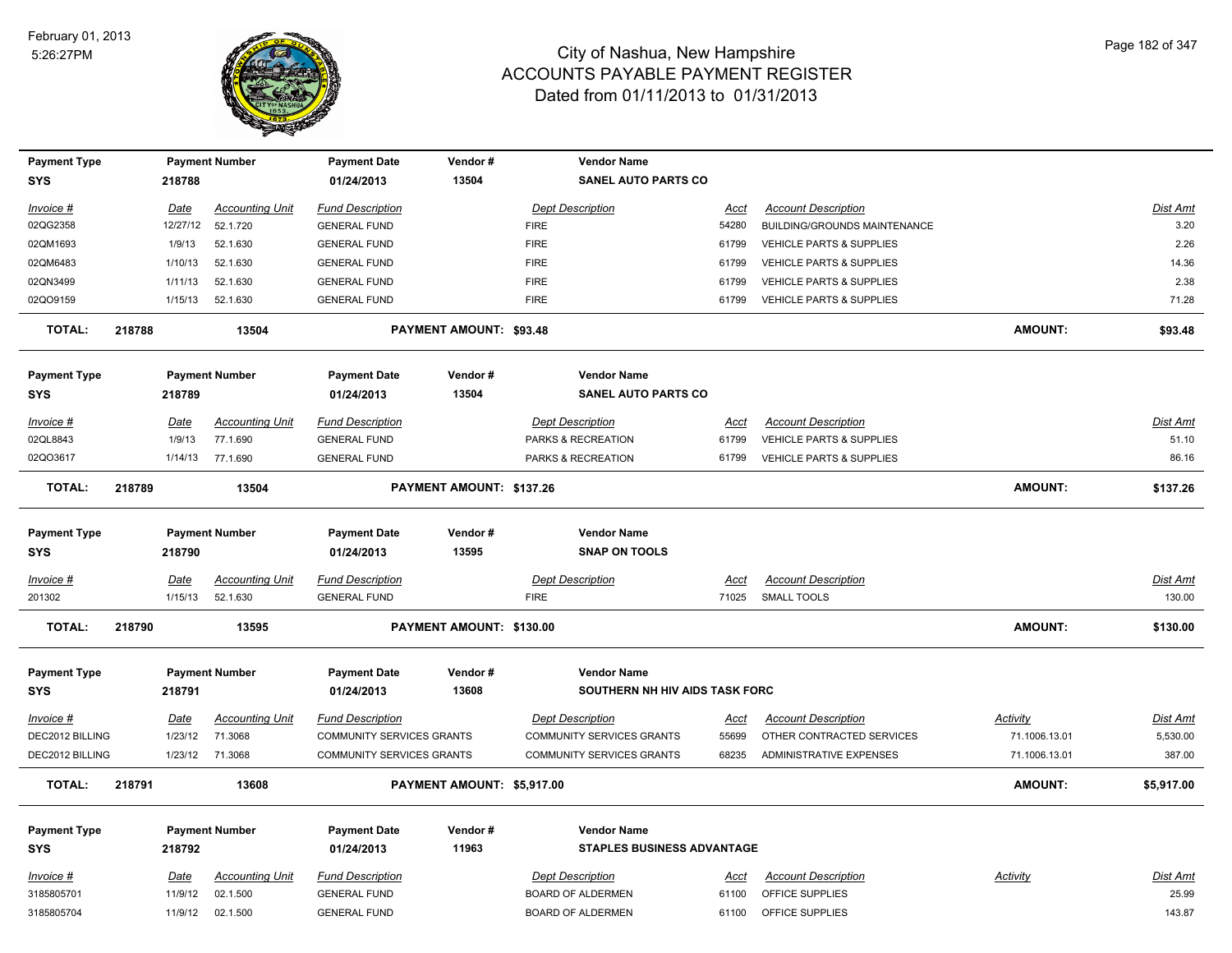

| <b>Payment Type</b> |        |          | <b>Payment Number</b>  | <b>Payment Date</b>              | Vendor#                        | <b>Vendor Name</b>                |             |                                     |                 |                 |
|---------------------|--------|----------|------------------------|----------------------------------|--------------------------------|-----------------------------------|-------------|-------------------------------------|-----------------|-----------------|
| SYS                 |        | 218788   |                        | 01/24/2013                       | 13504                          | <b>SANEL AUTO PARTS CO</b>        |             |                                     |                 |                 |
| Invoice #           |        | Date     | <b>Accounting Unit</b> | <b>Fund Description</b>          |                                | <b>Dept Description</b>           | <u>Acct</u> | <b>Account Description</b>          |                 | <b>Dist Amt</b> |
| 02QG2358            |        | 12/27/12 | 52.1.720               | <b>GENERAL FUND</b>              |                                | <b>FIRE</b>                       | 54280       | BUILDING/GROUNDS MAINTENANCE        |                 | 3.20            |
| 02QM1693            |        | 1/9/13   | 52.1.630               | <b>GENERAL FUND</b>              |                                | <b>FIRE</b>                       | 61799       | <b>VEHICLE PARTS &amp; SUPPLIES</b> |                 | 2.26            |
| 02QM6483            |        | 1/10/13  | 52.1.630               | <b>GENERAL FUND</b>              |                                | <b>FIRE</b>                       | 61799       | VEHICLE PARTS & SUPPLIES            |                 | 14.36           |
| 02QN3499            |        | 1/11/13  | 52.1.630               | <b>GENERAL FUND</b>              |                                | <b>FIRE</b>                       | 61799       | <b>VEHICLE PARTS &amp; SUPPLIES</b> |                 | 2.38            |
| 02QO9159            |        | 1/15/13  | 52.1.630               | <b>GENERAL FUND</b>              |                                | <b>FIRE</b>                       | 61799       | <b>VEHICLE PARTS &amp; SUPPLIES</b> |                 | 71.28           |
| <b>TOTAL:</b>       | 218788 |          | 13504                  |                                  | <b>PAYMENT AMOUNT: \$93.48</b> |                                   |             |                                     | <b>AMOUNT:</b>  | \$93.48         |
| <b>Payment Type</b> |        |          | <b>Payment Number</b>  | <b>Payment Date</b>              | Vendor#                        | <b>Vendor Name</b>                |             |                                     |                 |                 |
| <b>SYS</b>          |        | 218789   |                        | 01/24/2013                       | 13504                          | <b>SANEL AUTO PARTS CO</b>        |             |                                     |                 |                 |
| Invoice #           |        | Date     | <b>Accounting Unit</b> | <b>Fund Description</b>          |                                | <b>Dept Description</b>           | Acct        | <b>Account Description</b>          |                 | Dist Amt        |
| 02QL8843            |        | 1/9/13   | 77.1.690               | <b>GENERAL FUND</b>              |                                | PARKS & RECREATION                | 61799       | VEHICLE PARTS & SUPPLIES            |                 | 51.10           |
| 02QO3617            |        | 1/14/13  | 77.1.690               | <b>GENERAL FUND</b>              |                                | PARKS & RECREATION                | 61799       | VEHICLE PARTS & SUPPLIES            |                 | 86.16           |
|                     |        |          |                        |                                  |                                |                                   |             |                                     |                 |                 |
| <b>TOTAL:</b>       | 218789 |          | 13504                  |                                  | PAYMENT AMOUNT: \$137.26       |                                   |             |                                     | <b>AMOUNT:</b>  | \$137.26        |
|                     |        |          |                        |                                  |                                |                                   |             |                                     |                 |                 |
| <b>Payment Type</b> |        |          | <b>Payment Number</b>  | <b>Payment Date</b>              | Vendor#                        | <b>Vendor Name</b>                |             |                                     |                 |                 |
| <b>SYS</b>          |        | 218790   |                        | 01/24/2013                       | 13595                          | <b>SNAP ON TOOLS</b>              |             |                                     |                 |                 |
| Invoice #           |        | Date     | <b>Accounting Unit</b> | <b>Fund Description</b>          |                                | <b>Dept Description</b>           | Acct        | <b>Account Description</b>          |                 | Dist Amt        |
| 201302              |        | 1/15/13  | 52.1.630               | <b>GENERAL FUND</b>              |                                | <b>FIRE</b>                       | 71025       | <b>SMALL TOOLS</b>                  |                 | 130.00          |
| <b>TOTAL:</b>       | 218790 |          | 13595                  |                                  | PAYMENT AMOUNT: \$130.00       |                                   |             |                                     | <b>AMOUNT:</b>  | \$130.00        |
| <b>Payment Type</b> |        |          | <b>Payment Number</b>  | <b>Payment Date</b>              | Vendor#                        | <b>Vendor Name</b>                |             |                                     |                 |                 |
| <b>SYS</b>          |        | 218791   |                        | 01/24/2013                       | 13608                          | SOUTHERN NH HIV AIDS TASK FORC    |             |                                     |                 |                 |
|                     |        |          |                        |                                  |                                |                                   |             |                                     |                 |                 |
| Invoice #           |        | Date     | <b>Accounting Unit</b> | <b>Fund Description</b>          |                                | <b>Dept Description</b>           | <u>Acct</u> | <b>Account Description</b>          | <b>Activity</b> | <b>Dist Amt</b> |
| DEC2012 BILLING     |        | 1/23/12  | 71.3068                | <b>COMMUNITY SERVICES GRANTS</b> |                                | COMMUNITY SERVICES GRANTS         | 55699       | OTHER CONTRACTED SERVICES           | 71.1006.13.01   | 5,530.00        |
| DEC2012 BILLING     |        |          | 1/23/12 71.3068        | <b>COMMUNITY SERVICES GRANTS</b> |                                | <b>COMMUNITY SERVICES GRANTS</b>  | 68235       | <b>ADMINISTRATIVE EXPENSES</b>      | 71.1006.13.01   | 387.00          |
| <b>TOTAL:</b>       | 218791 |          | 13608                  |                                  | PAYMENT AMOUNT: \$5,917.00     |                                   |             |                                     | <b>AMOUNT:</b>  | \$5,917.00      |
| <b>Payment Type</b> |        |          | <b>Payment Number</b>  | <b>Payment Date</b>              | Vendor#                        | <b>Vendor Name</b>                |             |                                     |                 |                 |
| <b>SYS</b>          |        | 218792   |                        | 01/24/2013                       | 11963                          | <b>STAPLES BUSINESS ADVANTAGE</b> |             |                                     |                 |                 |
| Invoice #           |        | Date     | <b>Accounting Unit</b> | <b>Fund Description</b>          |                                | <b>Dept Description</b>           | <u>Acct</u> | <b>Account Description</b>          | <b>Activity</b> | Dist Amt        |
| 3185805701          |        |          |                        |                                  |                                |                                   |             |                                     |                 |                 |
|                     |        | 11/9/12  | 02.1.500               | <b>GENERAL FUND</b>              |                                | <b>BOARD OF ALDERMEN</b>          | 61100       | OFFICE SUPPLIES                     |                 | 25.99           |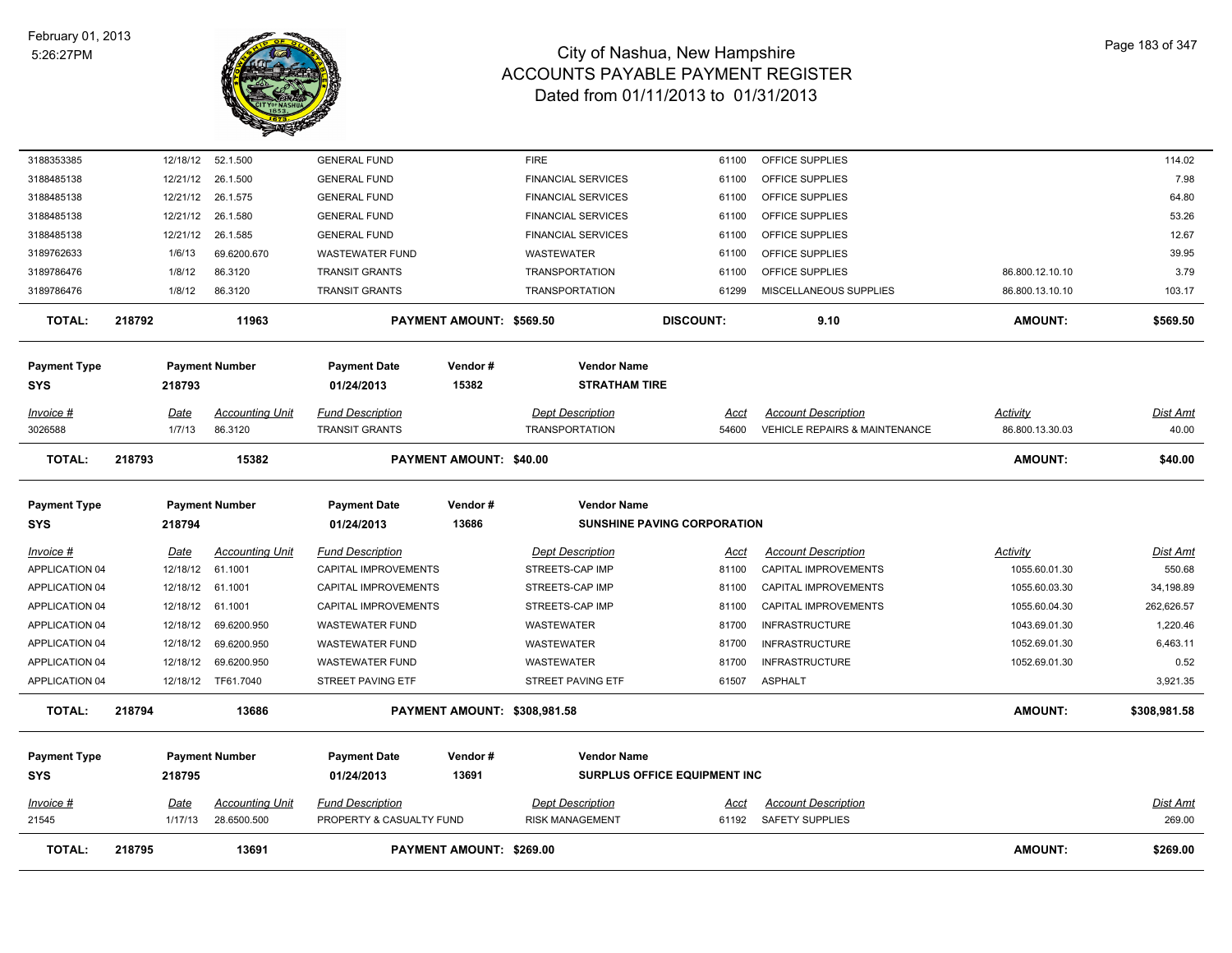

| <b>TOTAL:</b>                     | 218795          | 13691                                 |                                                     | PAYMENT AMOUNT: \$269.00       |                                                   |                                     |                                                      | <b>AMOUNT:</b>  | \$269.00           |
|-----------------------------------|-----------------|---------------------------------------|-----------------------------------------------------|--------------------------------|---------------------------------------------------|-------------------------------------|------------------------------------------------------|-----------------|--------------------|
| <u> Invoice #</u><br>21545        | Date<br>1/17/13 | <b>Accounting Unit</b><br>28.6500.500 | <b>Fund Description</b><br>PROPERTY & CASUALTY FUND |                                | <b>Dept Description</b><br><b>RISK MANAGEMENT</b> | <u>Acct</u><br>61192                | <b>Account Description</b><br><b>SAFETY SUPPLIES</b> |                 | Dist Amt<br>269.00 |
| <b>Payment Type</b><br><b>SYS</b> | 218795          | <b>Payment Number</b>                 | <b>Payment Date</b><br>01/24/2013                   | Vendor#<br>13691               | <b>Vendor Name</b>                                | <b>SURPLUS OFFICE EQUIPMENT INC</b> |                                                      |                 |                    |
| <b>TOTAL:</b>                     | 218794          | 13686                                 |                                                     | PAYMENT AMOUNT: \$308,981.58   |                                                   |                                     |                                                      | <b>AMOUNT:</b>  | \$308,981.58       |
| APPLICATION 04                    |                 | 12/18/12 TF61.7040                    | STREET PAVING ETF                                   |                                | STREET PAVING ETF                                 | 61507                               | <b>ASPHALT</b>                                       |                 | 3,921.35           |
| APPLICATION 04                    | 12/18/12        | 69.6200.950                           | <b>WASTEWATER FUND</b>                              |                                | WASTEWATER                                        | 81700                               | <b>INFRASTRUCTURE</b>                                | 1052.69.01.30   | 0.52               |
| APPLICATION 04                    | 12/18/12        | 69.6200.950                           | <b>WASTEWATER FUND</b>                              |                                | WASTEWATER                                        | 81700                               | <b>INFRASTRUCTURE</b>                                | 1052.69.01.30   | 6,463.11           |
| <b>APPLICATION 04</b>             | 12/18/12        | 69.6200.950                           | <b>WASTEWATER FUND</b>                              |                                | WASTEWATER                                        | 81700                               | <b>INFRASTRUCTURE</b>                                | 1043.69.01.30   | 1,220.46           |
| APPLICATION 04                    | 12/18/12        | 61.1001                               | <b>CAPITAL IMPROVEMENTS</b>                         |                                | STREETS-CAP IMP                                   | 81100                               | CAPITAL IMPROVEMENTS                                 | 1055.60.04.30   | 262,626.57         |
| APPLICATION 04                    | 12/18/12        | 61.1001                               | CAPITAL IMPROVEMENTS                                |                                | STREETS-CAP IMP                                   | 81100                               | CAPITAL IMPROVEMENTS                                 | 1055.60.03.30   | 34,198.89          |
| APPLICATION 04                    | 12/18/12        | 61.1001                               | CAPITAL IMPROVEMENTS                                |                                | STREETS-CAP IMP                                   | 81100                               | CAPITAL IMPROVEMENTS                                 | 1055.60.01.30   | 550.68             |
| <u> Invoice #</u>                 | <b>Date</b>     | <b>Accounting Unit</b>                | <b>Fund Description</b>                             |                                | <b>Dept Description</b>                           | <u>Acct</u>                         | <b>Account Description</b>                           | <b>Activity</b> | <u>Dist Amt</u>    |
| <b>Payment Type</b><br><b>SYS</b> | 218794          | <b>Payment Number</b>                 | <b>Payment Date</b><br>01/24/2013                   | Vendor#<br>13686               | <b>Vendor Name</b>                                | <b>SUNSHINE PAVING CORPORATION</b>  |                                                      |                 |                    |
|                                   |                 |                                       |                                                     |                                |                                                   |                                     |                                                      |                 |                    |
| <b>TOTAL:</b>                     | 218793          | 15382                                 |                                                     | <b>PAYMENT AMOUNT: \$40.00</b> |                                                   |                                     |                                                      | <b>AMOUNT:</b>  | \$40.00            |
| 3026588                           | 1/7/13          | 86.3120                               | <b>TRANSIT GRANTS</b>                               |                                | <b>TRANSPORTATION</b>                             | 54600                               | <b>VEHICLE REPAIRS &amp; MAINTENANCE</b>             | 86.800.13.30.03 | 40.00              |
| Invoice #                         | Date            | <b>Accounting Unit</b>                | <b>Fund Description</b>                             |                                | <b>Dept Description</b>                           | Acct                                | <b>Account Description</b>                           | Activity        | Dist Amt           |
| <b>SYS</b>                        | 218793          |                                       | 01/24/2013                                          | 15382                          | <b>STRATHAM TIRE</b>                              |                                     |                                                      |                 |                    |
| <b>Payment Type</b>               |                 | <b>Payment Number</b>                 | <b>Payment Date</b>                                 | Vendor#                        | <b>Vendor Name</b>                                |                                     |                                                      |                 |                    |
| <b>TOTAL:</b>                     | 218792          | 11963                                 |                                                     | PAYMENT AMOUNT: \$569.50       |                                                   | <b>DISCOUNT:</b>                    | 9.10                                                 | <b>AMOUNT:</b>  | \$569.50           |
| 3189786476                        | 1/8/12          | 86.3120                               | <b>TRANSIT GRANTS</b>                               |                                | <b>TRANSPORTATION</b>                             | 61299                               | MISCELLANEOUS SUPPLIES                               | 86.800.13.10.10 | 103.17             |
| 3189786476                        | 1/8/12          | 86.3120                               | <b>TRANSIT GRANTS</b>                               |                                | <b>TRANSPORTATION</b>                             | 61100                               | OFFICE SUPPLIES                                      | 86.800.12.10.10 | 3.79               |
| 3189762633                        | 1/6/13          | 69.6200.670                           | <b>WASTEWATER FUND</b>                              |                                | <b>WASTEWATER</b>                                 | 61100                               | OFFICE SUPPLIES                                      |                 | 39.95              |
| 3188485138                        | 12/21/12        | 26.1.585                              | <b>GENERAL FUND</b>                                 |                                | <b>FINANCIAL SERVICES</b>                         | 61100                               | OFFICE SUPPLIES                                      |                 | 12.67              |
| 3188485138                        | 12/21/12        | 26.1.580                              | <b>GENERAL FUND</b>                                 |                                | <b>FINANCIAL SERVICES</b>                         | 61100                               | OFFICE SUPPLIES                                      |                 | 53.26              |
| 3188485138                        | 12/21/12        | 26.1.575                              | <b>GENERAL FUND</b>                                 |                                | <b>FINANCIAL SERVICES</b>                         | 61100                               | OFFICE SUPPLIES                                      |                 | 64.80              |
| 3188485138                        | 12/21/12        | 26.1.500                              | <b>GENERAL FUND</b>                                 |                                | <b>FINANCIAL SERVICES</b>                         | 61100                               | OFFICE SUPPLIES                                      |                 | 7.98               |
| 3188353385                        | 12/18/12        | 52.1.500                              | <b>GENERAL FUND</b>                                 |                                | <b>FIRE</b>                                       | 61100                               | OFFICE SUPPLIES                                      |                 | 114.02             |
|                                   |                 |                                       |                                                     |                                |                                                   |                                     |                                                      |                 |                    |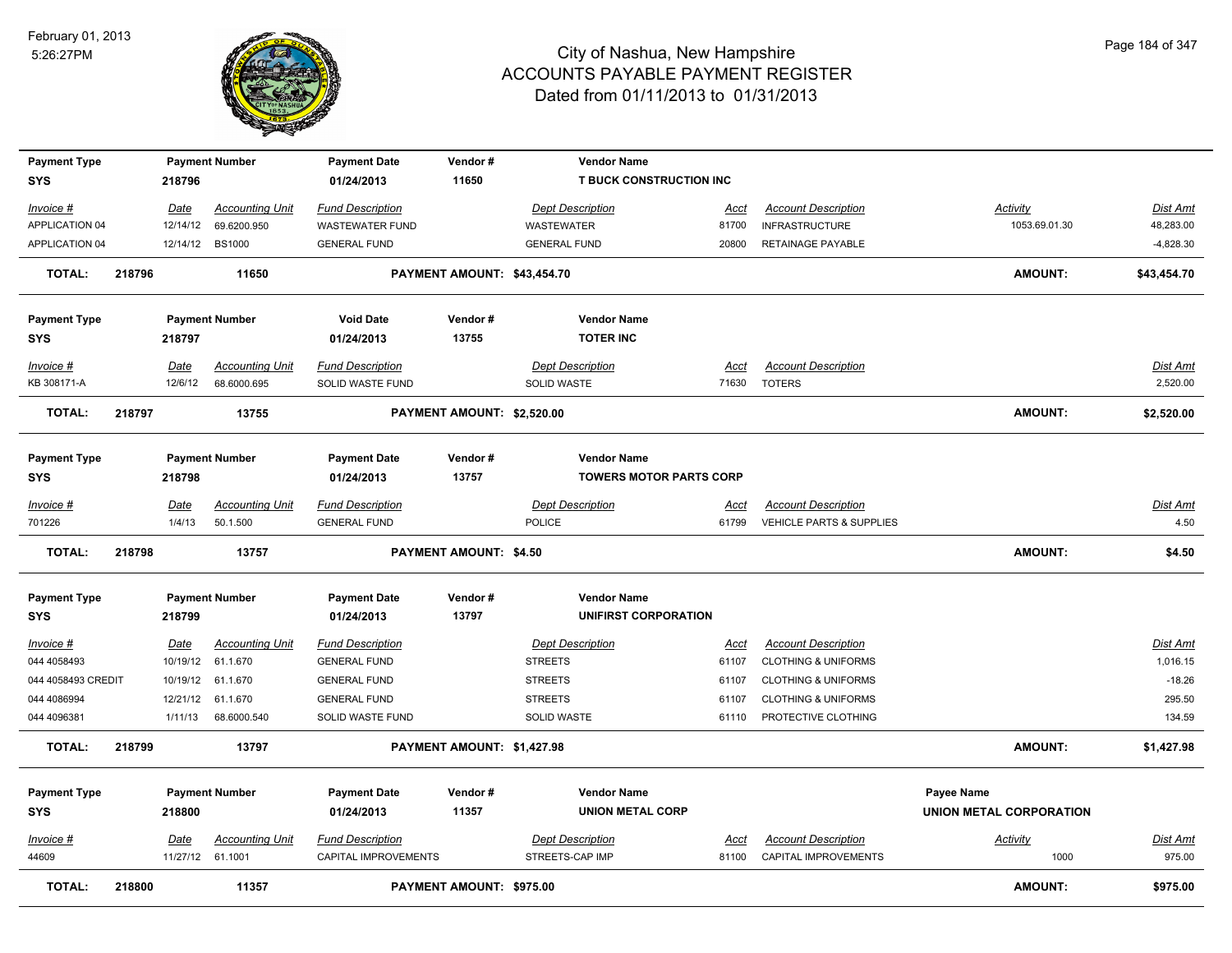

| <b>Payment Type</b> |        |             | <b>Payment Number</b>  | <b>Payment Date</b>     | Vendor#                       | <b>Vendor Name</b>             |             |                                |                         |                 |
|---------------------|--------|-------------|------------------------|-------------------------|-------------------------------|--------------------------------|-------------|--------------------------------|-------------------------|-----------------|
| <b>SYS</b>          |        | 218796      |                        | 01/24/2013              | 11650                         | <b>T BUCK CONSTRUCTION INC</b> |             |                                |                         |                 |
| Invoice #           |        | Date        | <b>Accounting Unit</b> | <b>Fund Description</b> |                               | <b>Dept Description</b>        | Acct        | <b>Account Description</b>     | <b>Activity</b>         | Dist Amt        |
| APPLICATION 04      |        | 12/14/12    | 69.6200.950            | <b>WASTEWATER FUND</b>  |                               | <b>WASTEWATER</b>              | 81700       | <b>INFRASTRUCTURE</b>          | 1053.69.01.30           | 48,283.00       |
| APPLICATION 04      |        |             | 12/14/12 BS1000        | <b>GENERAL FUND</b>     |                               | <b>GENERAL FUND</b>            | 20800       | RETAINAGE PAYABLE              |                         | $-4,828.30$     |
|                     |        |             |                        |                         |                               |                                |             |                                |                         |                 |
| <b>TOTAL:</b>       | 218796 |             | 11650                  |                         | PAYMENT AMOUNT: \$43,454.70   |                                |             |                                | AMOUNT:                 | \$43,454.70     |
| <b>Payment Type</b> |        |             | <b>Payment Number</b>  | <b>Void Date</b>        | Vendor#                       | <b>Vendor Name</b>             |             |                                |                         |                 |
| <b>SYS</b>          |        | 218797      |                        | 01/24/2013              | 13755                         | <b>TOTER INC</b>               |             |                                |                         |                 |
|                     |        |             |                        |                         |                               |                                |             |                                |                         |                 |
| Invoice #           |        | Date        | <b>Accounting Unit</b> | <b>Fund Description</b> |                               | <b>Dept Description</b>        | <u>Acct</u> | <b>Account Description</b>     |                         | Dist Amt        |
| KB 308171-A         |        | 12/6/12     | 68.6000.695            | SOLID WASTE FUND        |                               | SOLID WASTE                    | 71630       | <b>TOTERS</b>                  |                         | 2,520.00        |
| <b>TOTAL:</b>       | 218797 |             | 13755                  |                         | PAYMENT AMOUNT: \$2,520.00    |                                |             |                                | AMOUNT:                 | \$2,520.00      |
|                     |        |             |                        |                         |                               |                                |             |                                |                         |                 |
| <b>Payment Type</b> |        |             | <b>Payment Number</b>  | <b>Payment Date</b>     | Vendor#                       | <b>Vendor Name</b>             |             |                                |                         |                 |
| <b>SYS</b>          |        | 218798      |                        | 01/24/2013              | 13757                         | <b>TOWERS MOTOR PARTS CORP</b> |             |                                |                         |                 |
|                     |        |             |                        |                         |                               |                                |             |                                |                         |                 |
| Invoice #           |        | Date        | <b>Accounting Unit</b> | <b>Fund Description</b> |                               | <b>Dept Description</b>        | <u>Acct</u> | <b>Account Description</b>     |                         | Dist Amt        |
| 701226              |        | 1/4/13      | 50.1.500               | <b>GENERAL FUND</b>     |                               | <b>POLICE</b>                  | 61799       | VEHICLE PARTS & SUPPLIES       |                         | 4.50            |
| <b>TOTAL:</b>       | 218798 |             | 13757                  |                         | <b>PAYMENT AMOUNT: \$4.50</b> |                                |             |                                | AMOUNT:                 | \$4.50          |
|                     |        |             | <b>Payment Number</b>  | <b>Payment Date</b>     | Vendor#                       | <b>Vendor Name</b>             |             |                                |                         |                 |
| <b>Payment Type</b> |        |             |                        |                         | 13797                         |                                |             |                                |                         |                 |
| <b>SYS</b>          |        | 218799      |                        | 01/24/2013              |                               | UNIFIRST CORPORATION           |             |                                |                         |                 |
| <u>Invoice #</u>    |        | <u>Date</u> | <b>Accounting Unit</b> | <b>Fund Description</b> |                               | <b>Dept Description</b>        | <u>Acct</u> | <b>Account Description</b>     |                         | <b>Dist Amt</b> |
| 044 4058493         |        | 10/19/12    | 61.1.670               | <b>GENERAL FUND</b>     |                               | <b>STREETS</b>                 | 61107       | <b>CLOTHING &amp; UNIFORMS</b> |                         | 1,016.15        |
| 044 4058493 CREDIT  |        | 10/19/12    | 61.1.670               | <b>GENERAL FUND</b>     |                               | <b>STREETS</b>                 | 61107       | <b>CLOTHING &amp; UNIFORMS</b> |                         | $-18.26$        |
| 044 4086994         |        | 12/21/12    | 61.1.670               | <b>GENERAL FUND</b>     |                               | <b>STREETS</b>                 | 61107       | <b>CLOTHING &amp; UNIFORMS</b> |                         | 295.50          |
| 044 4096381         |        | 1/11/13     | 68.6000.540            | SOLID WASTE FUND        |                               | SOLID WASTE                    | 61110       | PROTECTIVE CLOTHING            |                         | 134.59          |
| <b>TOTAL:</b>       | 218799 |             | 13797                  |                         | PAYMENT AMOUNT: \$1,427.98    |                                |             |                                | <b>AMOUNT:</b>          | \$1,427.98      |
| <b>Payment Type</b> |        |             | <b>Payment Number</b>  | <b>Payment Date</b>     | Vendor#                       | <b>Vendor Name</b>             |             |                                | Payee Name              |                 |
| <b>SYS</b>          |        | 218800      |                        | 01/24/2013              | 11357                         | <b>UNION METAL CORP</b>        |             |                                | UNION METAL CORPORATION |                 |
|                     |        |             |                        |                         |                               |                                |             |                                |                         |                 |
| Invoice #           |        | Date        | <b>Accounting Unit</b> | <b>Fund Description</b> |                               | <b>Dept Description</b>        | Acct        | <b>Account Description</b>     | <b>Activity</b>         | Dist Amt        |
| 44609               |        |             | 11/27/12 61.1001       | CAPITAL IMPROVEMENTS    |                               | STREETS-CAP IMP                | 81100       | CAPITAL IMPROVEMENTS           | 1000                    | 975.00          |
| <b>TOTAL:</b>       | 218800 |             | 11357                  |                         | PAYMENT AMOUNT: \$975.00      |                                |             |                                | <b>AMOUNT:</b>          | \$975.00        |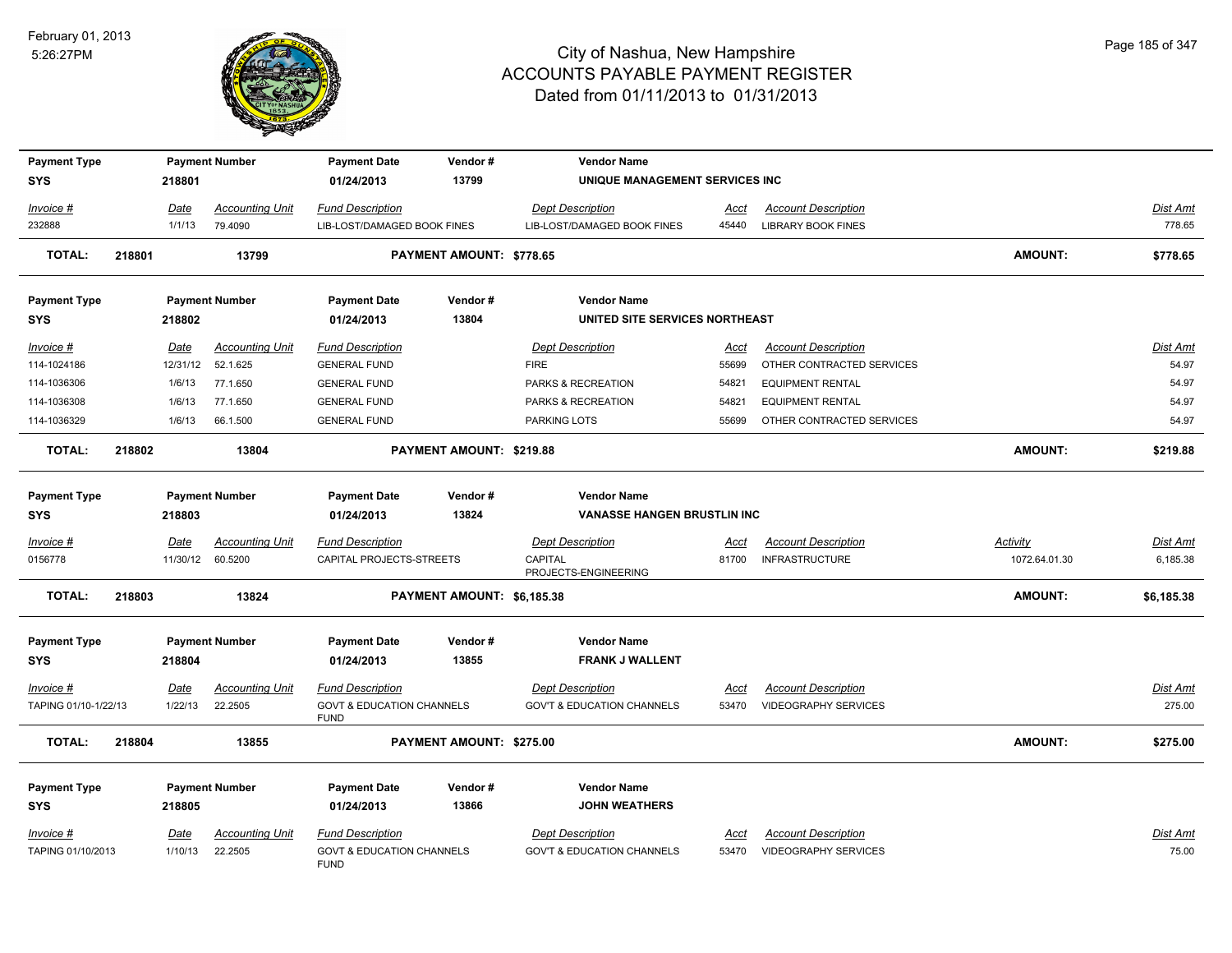

| <b>Payment Type</b><br><b>SYS</b> |        | 218801      | <b>Payment Number</b>  | <b>Payment Date</b><br>01/24/2013                   | Vendor#<br>13799           | <b>Vendor Name</b><br>UNIQUE MANAGEMENT SERVICES INC |       |                             |                 |                 |
|-----------------------------------|--------|-------------|------------------------|-----------------------------------------------------|----------------------------|------------------------------------------------------|-------|-----------------------------|-----------------|-----------------|
| Invoice #                         |        | Date        | <b>Accounting Unit</b> | <b>Fund Description</b>                             |                            | <b>Dept Description</b>                              | Acct  | <b>Account Description</b>  |                 | Dist Amt        |
| 232888                            |        | 1/1/13      | 79.4090                | LIB-LOST/DAMAGED BOOK FINES                         |                            | LIB-LOST/DAMAGED BOOK FINES                          | 45440 | <b>LIBRARY BOOK FINES</b>   |                 | 778.65          |
| <b>TOTAL:</b>                     | 218801 |             | 13799                  |                                                     | PAYMENT AMOUNT: \$778.65   |                                                      |       |                             | <b>AMOUNT:</b>  | \$778.65        |
| <b>Payment Type</b>               |        |             | <b>Payment Number</b>  | <b>Payment Date</b>                                 | Vendor#                    | <b>Vendor Name</b>                                   |       |                             |                 |                 |
| <b>SYS</b>                        |        | 218802      |                        | 01/24/2013                                          | 13804                      | UNITED SITE SERVICES NORTHEAST                       |       |                             |                 |                 |
| $Invoice$ #                       |        | Date        | <b>Accounting Unit</b> | <b>Fund Description</b>                             |                            | <b>Dept Description</b>                              | Acct  | <b>Account Description</b>  |                 | Dist Amt        |
| 114-1024186                       |        | 12/31/12    | 52.1.625               | <b>GENERAL FUND</b>                                 |                            | <b>FIRE</b>                                          | 55699 | OTHER CONTRACTED SERVICES   |                 | 54.97           |
| 114-1036306                       |        | 1/6/13      | 77.1.650               | <b>GENERAL FUND</b>                                 |                            | PARKS & RECREATION                                   | 54821 | <b>EQUIPMENT RENTAL</b>     |                 | 54.97           |
| 114-1036308                       |        | 1/6/13      | 77.1.650               | <b>GENERAL FUND</b>                                 |                            | PARKS & RECREATION                                   | 54821 | <b>EQUIPMENT RENTAL</b>     |                 | 54.97           |
| 114-1036329                       |        | 1/6/13      | 66.1.500               | <b>GENERAL FUND</b>                                 |                            | <b>PARKING LOTS</b>                                  | 55699 | OTHER CONTRACTED SERVICES   |                 | 54.97           |
| <b>TOTAL:</b>                     | 218802 |             | 13804                  |                                                     | PAYMENT AMOUNT: \$219.88   |                                                      |       |                             | <b>AMOUNT:</b>  | \$219.88        |
| <b>Payment Type</b>               |        |             | <b>Payment Number</b>  | <b>Payment Date</b>                                 | Vendor#                    | <b>Vendor Name</b>                                   |       |                             |                 |                 |
| <b>SYS</b>                        |        | 218803      |                        | 01/24/2013                                          | 13824                      | <b>VANASSE HANGEN BRUSTLIN INC</b>                   |       |                             |                 |                 |
| Invoice #                         |        | Date        | <b>Accounting Unit</b> | <b>Fund Description</b>                             |                            | <b>Dept Description</b>                              | Acct  | <b>Account Description</b>  | <b>Activity</b> | <u>Dist Amt</u> |
| 0156778                           |        | 11/30/12    | 60.5200                | CAPITAL PROJECTS-STREETS                            |                            | CAPITAL<br>PROJECTS-ENGINEERING                      | 81700 | <b>INFRASTRUCTURE</b>       | 1072.64.01.30   | 6,185.38        |
| <b>TOTAL:</b>                     | 218803 |             | 13824                  |                                                     | PAYMENT AMOUNT: \$6,185.38 |                                                      |       |                             | <b>AMOUNT:</b>  | \$6,185.38      |
| <b>Payment Type</b>               |        |             | <b>Payment Number</b>  | <b>Payment Date</b>                                 | Vendor#                    | <b>Vendor Name</b>                                   |       |                             |                 |                 |
| <b>SYS</b>                        |        | 218804      |                        | 01/24/2013                                          | 13855                      | <b>FRANK J WALLENT</b>                               |       |                             |                 |                 |
| Invoice #                         |        | Date        | <b>Accounting Unit</b> | <b>Fund Description</b>                             |                            | <b>Dept Description</b>                              | Acct  | <b>Account Description</b>  |                 | Dist Amt        |
| TAPING 01/10-1/22/13              |        | 1/22/13     | 22.2505                | <b>GOVT &amp; EDUCATION CHANNELS</b><br><b>FUND</b> |                            | <b>GOV'T &amp; EDUCATION CHANNELS</b>                | 53470 | <b>VIDEOGRAPHY SERVICES</b> |                 | 275.00          |
| <b>TOTAL:</b>                     | 218804 |             | 13855                  |                                                     | PAYMENT AMOUNT: \$275.00   |                                                      |       |                             | <b>AMOUNT:</b>  | \$275.00        |
| <b>Payment Type</b>               |        |             | <b>Payment Number</b>  | <b>Payment Date</b>                                 | Vendor#                    | <b>Vendor Name</b>                                   |       |                             |                 |                 |
| <b>SYS</b>                        |        | 218805      |                        | 01/24/2013                                          | 13866                      | <b>JOHN WEATHERS</b>                                 |       |                             |                 |                 |
| Invoice #                         |        | <b>Date</b> | <b>Accounting Unit</b> | <b>Fund Description</b>                             |                            | <b>Dept Description</b>                              | Acct  | <b>Account Description</b>  |                 | Dist Amt        |
| TAPING 01/10/2013                 |        | 1/10/13     | 22.2505                | <b>GOVT &amp; EDUCATION CHANNELS</b><br><b>FUND</b> |                            | <b>GOV'T &amp; EDUCATION CHANNELS</b>                | 53470 | <b>VIDEOGRAPHY SERVICES</b> |                 | 75.00           |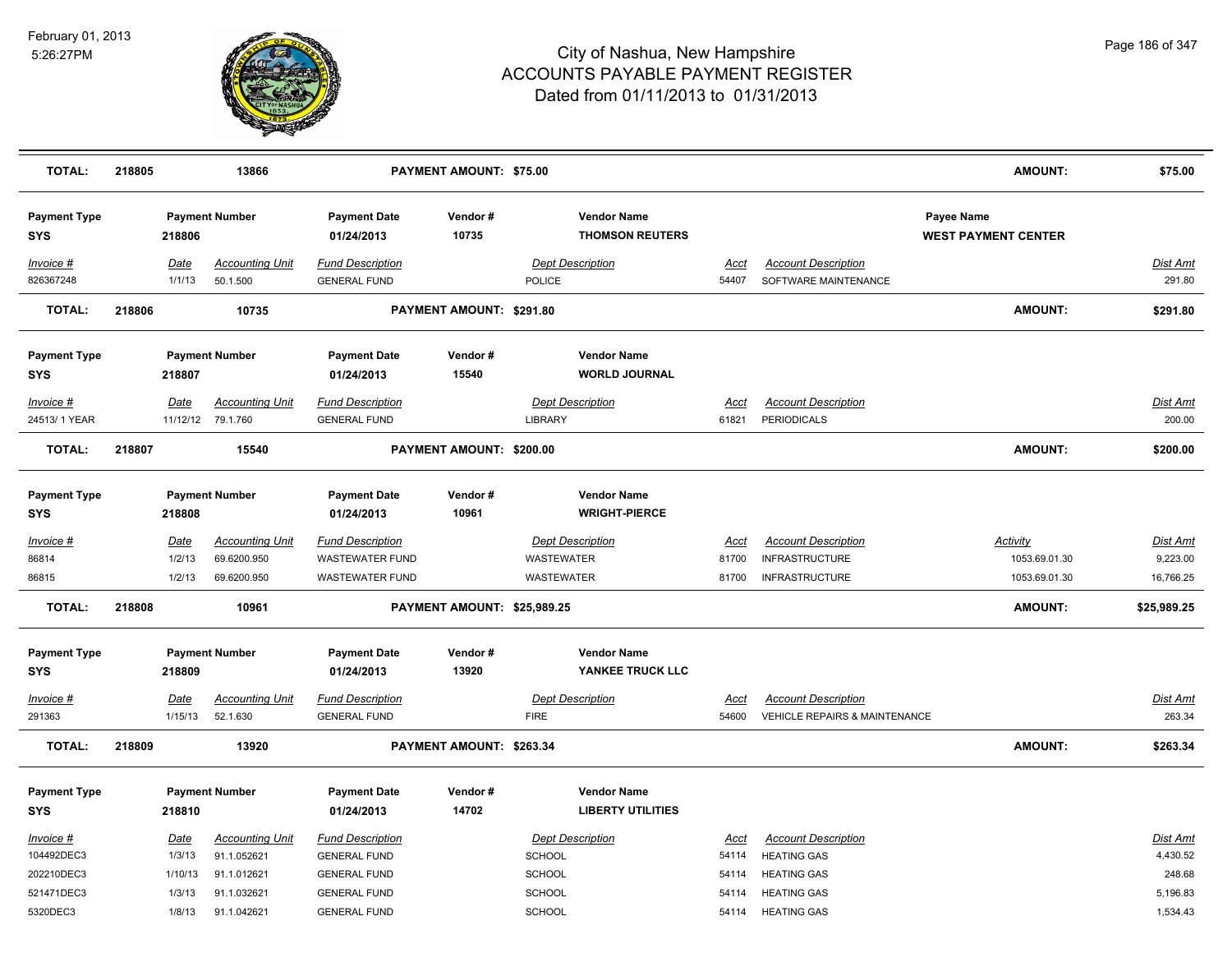

| <b>TOTAL:</b>                     | 218805 |                | 13866                              |                                                | <b>PAYMENT AMOUNT: \$75.00</b> |                                                |                      |                                                    | <b>AMOUNT:</b>                           | \$75.00            |
|-----------------------------------|--------|----------------|------------------------------------|------------------------------------------------|--------------------------------|------------------------------------------------|----------------------|----------------------------------------------------|------------------------------------------|--------------------|
| <b>Payment Type</b><br><b>SYS</b> |        | 218806         | <b>Payment Number</b>              | <b>Payment Date</b><br>01/24/2013              | Vendor#<br>10735               | <b>Vendor Name</b><br><b>THOMSON REUTERS</b>   |                      |                                                    | Payee Name<br><b>WEST PAYMENT CENTER</b> |                    |
| Invoice #<br>826367248            |        | Date<br>1/1/13 | <b>Accounting Unit</b><br>50.1.500 | <b>Fund Description</b><br><b>GENERAL FUND</b> |                                | <b>Dept Description</b><br><b>POLICE</b>       | <u>Acct</u><br>54407 | <b>Account Description</b><br>SOFTWARE MAINTENANCE |                                          | Dist Amt<br>291.80 |
| <b>TOTAL:</b>                     | 218806 |                | 10735                              |                                                | PAYMENT AMOUNT: \$291.80       |                                                |                      |                                                    | <b>AMOUNT:</b>                           | \$291.80           |
| <b>Payment Type</b><br><b>SYS</b> |        | 218807         | <b>Payment Number</b>              | <b>Payment Date</b><br>01/24/2013              | Vendor#<br>15540               | <b>Vendor Name</b><br><b>WORLD JOURNAL</b>     |                      |                                                    |                                          |                    |
| Invoice #                         |        | Date           | <b>Accounting Unit</b>             | <b>Fund Description</b>                        |                                | <b>Dept Description</b>                        | <u>Acct</u>          | <b>Account Description</b>                         |                                          | <u>Dist Amt</u>    |
| 24513/1 YEAR                      |        |                | 11/12/12 79.1.760                  | <b>GENERAL FUND</b>                            |                                | LIBRARY                                        | 61821                | <b>PERIODICALS</b>                                 |                                          | 200.00             |
| <b>TOTAL:</b>                     | 218807 |                | 15540                              |                                                | PAYMENT AMOUNT: \$200.00       |                                                |                      |                                                    | <b>AMOUNT:</b>                           | \$200.00           |
| <b>Payment Type</b><br><b>SYS</b> |        | 218808         | <b>Payment Number</b>              | <b>Payment Date</b><br>01/24/2013              | Vendor#<br>10961               | <b>Vendor Name</b><br><b>WRIGHT-PIERCE</b>     |                      |                                                    |                                          |                    |
| $Invoice$ #                       |        | Date           | <b>Accounting Unit</b>             | <b>Fund Description</b>                        |                                | <b>Dept Description</b>                        | <u>Acct</u>          | <b>Account Description</b>                         | <u>Activity</u>                          | <b>Dist Amt</b>    |
| 86814                             |        | 1/2/13         | 69.6200.950                        | <b>WASTEWATER FUND</b>                         |                                | <b>WASTEWATER</b>                              | 81700                | <b>INFRASTRUCTURE</b>                              | 1053.69.01.30                            | 9,223.00           |
| 86815                             |        | 1/2/13         | 69.6200.950                        | <b>WASTEWATER FUND</b>                         |                                | <b>WASTEWATER</b>                              | 81700                | <b>INFRASTRUCTURE</b>                              | 1053.69.01.30                            | 16,766.25          |
| <b>TOTAL:</b>                     | 218808 |                | 10961                              |                                                | PAYMENT AMOUNT: \$25,989.25    |                                                |                      |                                                    | <b>AMOUNT:</b>                           | \$25,989.25        |
| <b>Payment Type</b>               |        |                | <b>Payment Number</b>              | <b>Payment Date</b>                            | Vendor#                        | <b>Vendor Name</b>                             |                      |                                                    |                                          |                    |
| <b>SYS</b>                        |        | 218809         |                                    | 01/24/2013                                     | 13920                          | YANKEE TRUCK LLC                               |                      |                                                    |                                          |                    |
| $Invoice$ #                       |        | Date           | <b>Accounting Unit</b>             | <b>Fund Description</b>                        |                                | <b>Dept Description</b>                        | <u>Acct</u>          | <b>Account Description</b>                         |                                          | Dist Amt           |
| 291363                            |        | 1/15/13        | 52.1.630                           | <b>GENERAL FUND</b>                            |                                | <b>FIRE</b>                                    | 54600                | <b>VEHICLE REPAIRS &amp; MAINTENANCE</b>           |                                          | 263.34             |
| <b>TOTAL:</b>                     | 218809 |                | 13920                              |                                                | PAYMENT AMOUNT: \$263.34       |                                                |                      |                                                    | <b>AMOUNT:</b>                           | \$263.34           |
| <b>Payment Type</b><br><b>SYS</b> |        | 218810         | <b>Payment Number</b>              | <b>Payment Date</b><br>01/24/2013              | Vendor#<br>14702               | <b>Vendor Name</b><br><b>LIBERTY UTILITIES</b> |                      |                                                    |                                          |                    |
| Invoice #                         |        | Date           | <b>Accounting Unit</b>             | <b>Fund Description</b>                        |                                | <b>Dept Description</b>                        | Acct                 | <b>Account Description</b>                         |                                          | Dist Amt           |
| 104492DEC3                        |        | 1/3/13         | 91.1.052621                        | <b>GENERAL FUND</b>                            |                                | SCHOOL                                         | 54114                | <b>HEATING GAS</b>                                 |                                          | 4,430.52           |
| 202210DEC3                        |        | 1/10/13        | 91.1.012621                        | <b>GENERAL FUND</b>                            |                                | SCHOOL                                         | 54114                | <b>HEATING GAS</b>                                 |                                          | 248.68             |
| 521471DEC3                        |        | 1/3/13         | 91.1.032621                        | <b>GENERAL FUND</b>                            |                                | SCHOOL                                         | 54114                | <b>HEATING GAS</b>                                 |                                          | 5,196.83           |
| 5320DEC3                          |        | 1/8/13         | 91.1.042621                        | <b>GENERAL FUND</b>                            |                                | SCHOOL                                         | 54114                | <b>HEATING GAS</b>                                 |                                          | 1,534.43           |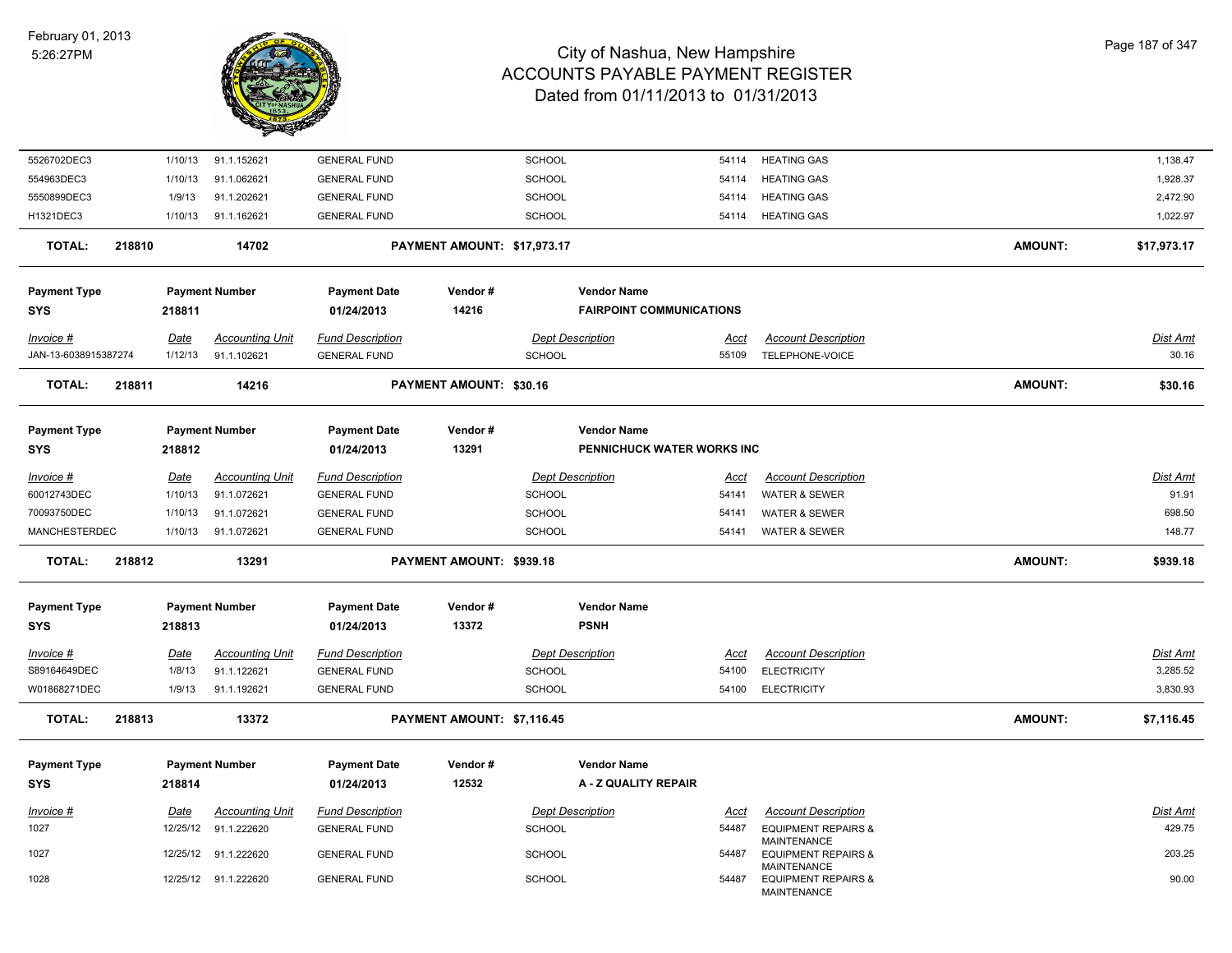

| 5526702DEC3          |        | 1/10/13     | 91.1.152621            | <b>GENERAL FUND</b>     |                                | SCHOOL        |                                 | 54114       | <b>HEATING GAS</b>                                                         |                | 1,138.47        |
|----------------------|--------|-------------|------------------------|-------------------------|--------------------------------|---------------|---------------------------------|-------------|----------------------------------------------------------------------------|----------------|-----------------|
| 554963DEC3           |        | 1/10/13     | 91.1.062621            | <b>GENERAL FUND</b>     |                                | <b>SCHOOL</b> |                                 | 54114       | <b>HEATING GAS</b>                                                         |                | 1,928.37        |
| 5550899DEC3          |        | 1/9/13      | 91.1.202621            | <b>GENERAL FUND</b>     |                                | <b>SCHOOL</b> |                                 | 54114       | <b>HEATING GAS</b>                                                         |                | 2,472.90        |
| H1321DEC3            |        | 1/10/13     | 91.1.162621            | <b>GENERAL FUND</b>     |                                | SCHOOL        |                                 | 54114       | <b>HEATING GAS</b>                                                         |                | 1,022.97        |
| <b>TOTAL:</b>        | 218810 |             | 14702                  |                         | PAYMENT AMOUNT: \$17,973.17    |               |                                 |             |                                                                            | <b>AMOUNT:</b> | \$17,973.17     |
| <b>Payment Type</b>  |        |             | <b>Payment Number</b>  | <b>Payment Date</b>     | Vendor#                        |               | <b>Vendor Name</b>              |             |                                                                            |                |                 |
| <b>SYS</b>           |        | 218811      |                        | 01/24/2013              | 14216                          |               | <b>FAIRPOINT COMMUNICATIONS</b> |             |                                                                            |                |                 |
| $Invoice$ #          |        | Date        | <b>Accounting Unit</b> | <b>Fund Description</b> |                                |               | <b>Dept Description</b>         | <u>Acct</u> | <b>Account Description</b>                                                 |                | Dist Amt        |
| JAN-13-6038915387274 |        | 1/12/13     | 91.1.102621            | <b>GENERAL FUND</b>     |                                | <b>SCHOOL</b> |                                 | 55109       | TELEPHONE-VOICE                                                            |                | 30.16           |
| <b>TOTAL:</b>        | 218811 |             | 14216                  |                         | <b>PAYMENT AMOUNT: \$30.16</b> |               |                                 |             |                                                                            | <b>AMOUNT:</b> | \$30.16         |
| <b>Payment Type</b>  |        |             | <b>Payment Number</b>  | <b>Payment Date</b>     | Vendor#                        |               | <b>Vendor Name</b>              |             |                                                                            |                |                 |
| <b>SYS</b>           |        | 218812      |                        | 01/24/2013              | 13291                          |               | PENNICHUCK WATER WORKS INC      |             |                                                                            |                |                 |
| Invoice #            |        | Date        | <b>Accounting Unit</b> | <b>Fund Description</b> |                                |               | <b>Dept Description</b>         | Acct        | <b>Account Description</b>                                                 |                | Dist Amt        |
| 60012743DEC          |        | 1/10/13     | 91.1.072621            | <b>GENERAL FUND</b>     |                                | SCHOOL        |                                 | 54141       | <b>WATER &amp; SEWER</b>                                                   |                | 91.91           |
| 70093750DEC          |        | 1/10/13     | 91.1.072621            | <b>GENERAL FUND</b>     |                                | SCHOOL        |                                 | 54141       | <b>WATER &amp; SEWER</b>                                                   |                | 698.50          |
| <b>MANCHESTERDEC</b> |        | 1/10/13     | 91.1.072621            | <b>GENERAL FUND</b>     |                                | SCHOOL        |                                 | 54141       | <b>WATER &amp; SEWER</b>                                                   |                | 148.77          |
| TOTAL:               | 218812 |             | 13291                  |                         | PAYMENT AMOUNT: \$939.18       |               |                                 |             |                                                                            | <b>AMOUNT:</b> | \$939.18        |
| <b>Payment Type</b>  |        |             | <b>Payment Number</b>  | <b>Payment Date</b>     | Vendor#                        |               | <b>Vendor Name</b>              |             |                                                                            |                |                 |
| <b>SYS</b>           |        | 218813      |                        | 01/24/2013              | 13372                          |               | <b>PSNH</b>                     |             |                                                                            |                |                 |
| $Invoice$ #          |        | <b>Date</b> | <b>Accounting Unit</b> | <b>Fund Description</b> |                                |               | <b>Dept Description</b>         | <u>Acct</u> | <b>Account Description</b>                                                 |                | <u>Dist Amt</u> |
| S89164649DEC         |        | 1/8/13      | 91.1.122621            | <b>GENERAL FUND</b>     |                                | <b>SCHOOL</b> |                                 | 54100       | <b>ELECTRICITY</b>                                                         |                | 3,285.52        |
| W01868271DEC         |        | 1/9/13      | 91.1.192621            | <b>GENERAL FUND</b>     |                                | <b>SCHOOL</b> |                                 | 54100       | <b>ELECTRICITY</b>                                                         |                | 3,830.93        |
| <b>TOTAL:</b>        | 218813 |             | 13372                  |                         | PAYMENT AMOUNT: \$7,116.45     |               |                                 |             |                                                                            | <b>AMOUNT:</b> | \$7,116.45      |
| <b>Payment Type</b>  |        |             | <b>Payment Number</b>  | <b>Payment Date</b>     | Vendor#                        |               | <b>Vendor Name</b>              |             |                                                                            |                |                 |
| <b>SYS</b>           |        | 218814      |                        | 01/24/2013              | 12532                          |               | A - Z QUALITY REPAIR            |             |                                                                            |                |                 |
| Invoice #            |        | Date        | <b>Accounting Unit</b> | <b>Fund Description</b> |                                |               | <b>Dept Description</b>         | <b>Acct</b> | <b>Account Description</b>                                                 |                | Dist Amt        |
| 1027                 |        |             | 12/25/12 91.1.222620   | <b>GENERAL FUND</b>     |                                | <b>SCHOOL</b> |                                 | 54487       | <b>EQUIPMENT REPAIRS &amp;</b>                                             |                | 429.75          |
| 1027                 |        |             | 12/25/12 91.1.222620   | <b>GENERAL FUND</b>     |                                | <b>SCHOOL</b> |                                 | 54487       | <b>MAINTENANCE</b><br><b>EQUIPMENT REPAIRS &amp;</b>                       |                | 203.25          |
| 1028                 |        |             | 12/25/12 91.1.222620   | <b>GENERAL FUND</b>     |                                | <b>SCHOOL</b> |                                 | 54487       | <b>MAINTENANCE</b><br><b>EQUIPMENT REPAIRS &amp;</b><br><b>MAINTENANCE</b> |                | 90.00           |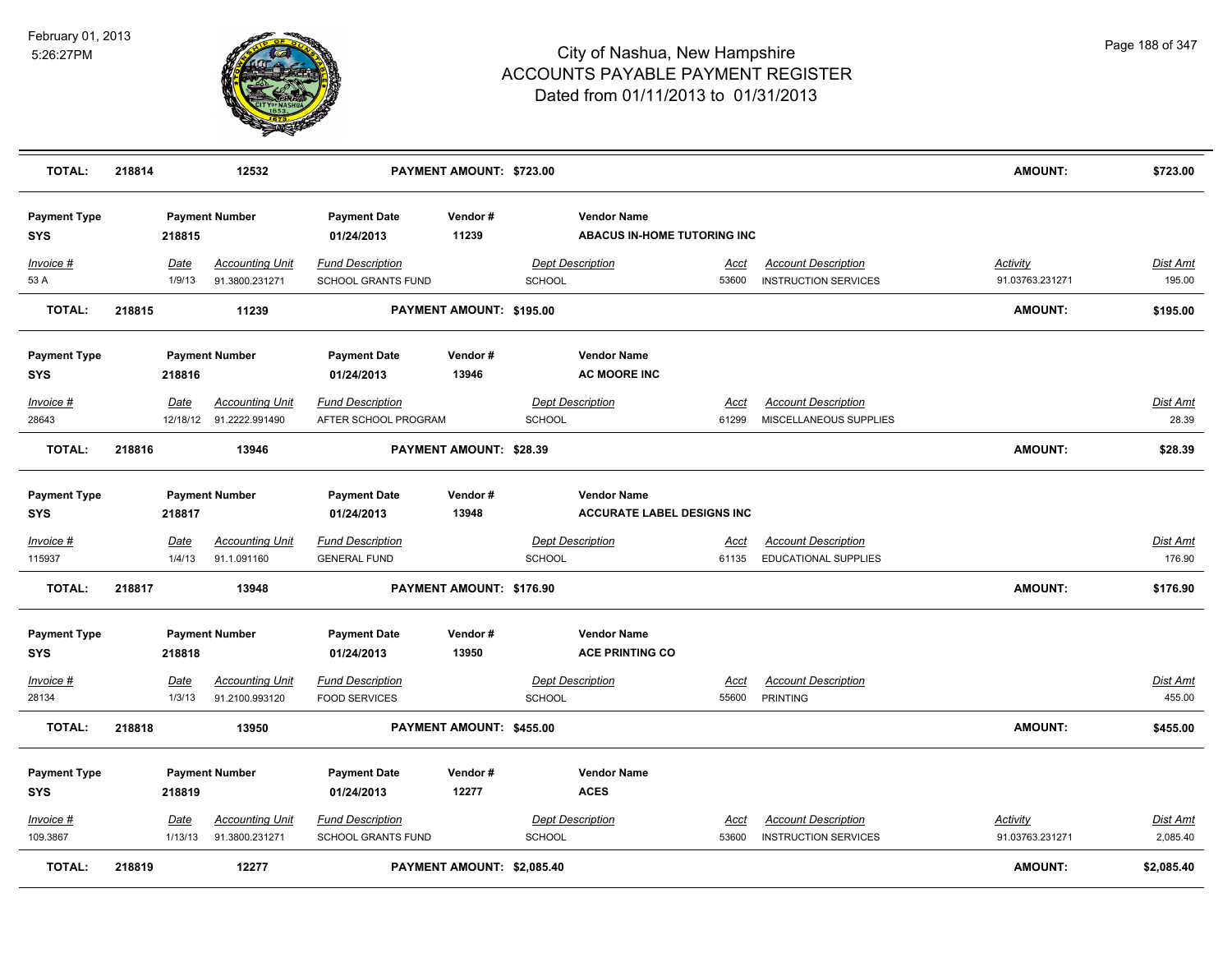

| <b>TOTAL:</b>                     | 218814 |                 | 12532                                    |                                                      | PAYMENT AMOUNT: \$723.00   |               |                                                          |               |                                                           | <b>AMOUNT:</b>              | \$723.00                  |
|-----------------------------------|--------|-----------------|------------------------------------------|------------------------------------------------------|----------------------------|---------------|----------------------------------------------------------|---------------|-----------------------------------------------------------|-----------------------------|---------------------------|
| <b>Payment Type</b><br><b>SYS</b> |        | 218815          | <b>Payment Number</b>                    | <b>Payment Date</b><br>01/24/2013                    | Vendor#<br>11239           |               | <b>Vendor Name</b><br><b>ABACUS IN-HOME TUTORING INC</b> |               |                                                           |                             |                           |
| Invoice #<br>53 A                 |        | Date<br>1/9/13  | <b>Accounting Unit</b><br>91.3800.231271 | <b>Fund Description</b><br><b>SCHOOL GRANTS FUND</b> |                            | SCHOOL        | <b>Dept Description</b>                                  | Acct<br>53600 | <b>Account Description</b><br><b>INSTRUCTION SERVICES</b> | Activity<br>91.03763.231271 | <b>Dist Amt</b><br>195.00 |
| <b>TOTAL:</b>                     | 218815 |                 | 11239                                    |                                                      | PAYMENT AMOUNT: \$195.00   |               |                                                          |               |                                                           | AMOUNT:                     | \$195.00                  |
| <b>Payment Type</b>               |        |                 | <b>Payment Number</b>                    | <b>Payment Date</b>                                  | Vendor#                    |               | <b>Vendor Name</b>                                       |               |                                                           |                             |                           |
| <b>SYS</b>                        |        | 218816          |                                          | 01/24/2013                                           | 13946                      |               | <b>AC MOORE INC</b>                                      |               |                                                           |                             |                           |
| Invoice #                         |        | Date            | <b>Accounting Unit</b>                   | <b>Fund Description</b>                              |                            |               | <b>Dept Description</b>                                  | Acct          | <b>Account Description</b>                                |                             | Dist Amt                  |
| 28643                             |        |                 | 12/18/12 91.2222.991490                  | AFTER SCHOOL PROGRAM                                 |                            | SCHOOL        |                                                          | 61299         | MISCELLANEOUS SUPPLIES                                    |                             | 28.39                     |
| <b>TOTAL:</b>                     | 218816 |                 | 13946                                    |                                                      | PAYMENT AMOUNT: \$28.39    |               |                                                          |               |                                                           | AMOUNT:                     | \$28.39                   |
| <b>Payment Type</b>               |        |                 | <b>Payment Number</b>                    | <b>Payment Date</b>                                  | Vendor#                    |               | <b>Vendor Name</b>                                       |               |                                                           |                             |                           |
| <b>SYS</b>                        |        | 218817          |                                          | 01/24/2013                                           | 13948                      |               | <b>ACCURATE LABEL DESIGNS INC</b>                        |               |                                                           |                             |                           |
| Invoice #                         |        | Date            | <b>Accounting Unit</b>                   | <b>Fund Description</b>                              |                            |               | <b>Dept Description</b>                                  | <u>Acct</u>   | <b>Account Description</b>                                |                             | Dist Amt                  |
| 115937                            |        | 1/4/13          | 91.1.091160                              | <b>GENERAL FUND</b>                                  |                            | SCHOOL        |                                                          | 61135         | EDUCATIONAL SUPPLIES                                      |                             | 176.90                    |
| <b>TOTAL:</b>                     | 218817 |                 | 13948                                    |                                                      | PAYMENT AMOUNT: \$176.90   |               |                                                          |               |                                                           | <b>AMOUNT:</b>              | \$176.90                  |
| <b>Payment Type</b><br><b>SYS</b> |        | 218818          | <b>Payment Number</b>                    | <b>Payment Date</b><br>01/24/2013                    | Vendor#<br>13950           |               | <b>Vendor Name</b><br><b>ACE PRINTING CO</b>             |               |                                                           |                             |                           |
|                                   |        |                 |                                          |                                                      |                            |               |                                                          |               |                                                           |                             |                           |
| Invoice #<br>28134                |        | Date<br>1/3/13  | <b>Accounting Unit</b><br>91.2100.993120 | <b>Fund Description</b><br><b>FOOD SERVICES</b>      |                            | SCHOOL        | <b>Dept Description</b>                                  | Acct<br>55600 | <b>Account Description</b><br><b>PRINTING</b>             |                             | Dist Amt<br>455.00        |
| <b>TOTAL:</b>                     | 218818 |                 | 13950                                    |                                                      | PAYMENT AMOUNT: \$455.00   |               |                                                          |               |                                                           | AMOUNT:                     | \$455.00                  |
|                                   |        |                 |                                          |                                                      |                            |               |                                                          |               |                                                           |                             |                           |
| <b>Payment Type</b>               |        |                 | <b>Payment Number</b>                    | <b>Payment Date</b>                                  | Vendor#                    |               | <b>Vendor Name</b>                                       |               |                                                           |                             |                           |
| <b>SYS</b>                        |        | 218819          |                                          | 01/24/2013                                           | 12277                      |               | <b>ACES</b>                                              |               |                                                           |                             |                           |
| Invoice #<br>109.3867             |        | Date<br>1/13/13 | <b>Accounting Unit</b><br>91.3800.231271 | <b>Fund Description</b><br><b>SCHOOL GRANTS FUND</b> |                            | <b>SCHOOL</b> | Dept Description                                         | Acct<br>53600 | <b>Account Description</b><br><b>INSTRUCTION SERVICES</b> | Activity<br>91.03763.231271 | Dist Amt<br>2,085.40      |
| <b>TOTAL:</b>                     | 218819 |                 | 12277                                    |                                                      | PAYMENT AMOUNT: \$2,085.40 |               |                                                          |               |                                                           | <b>AMOUNT:</b>              | \$2.085.40                |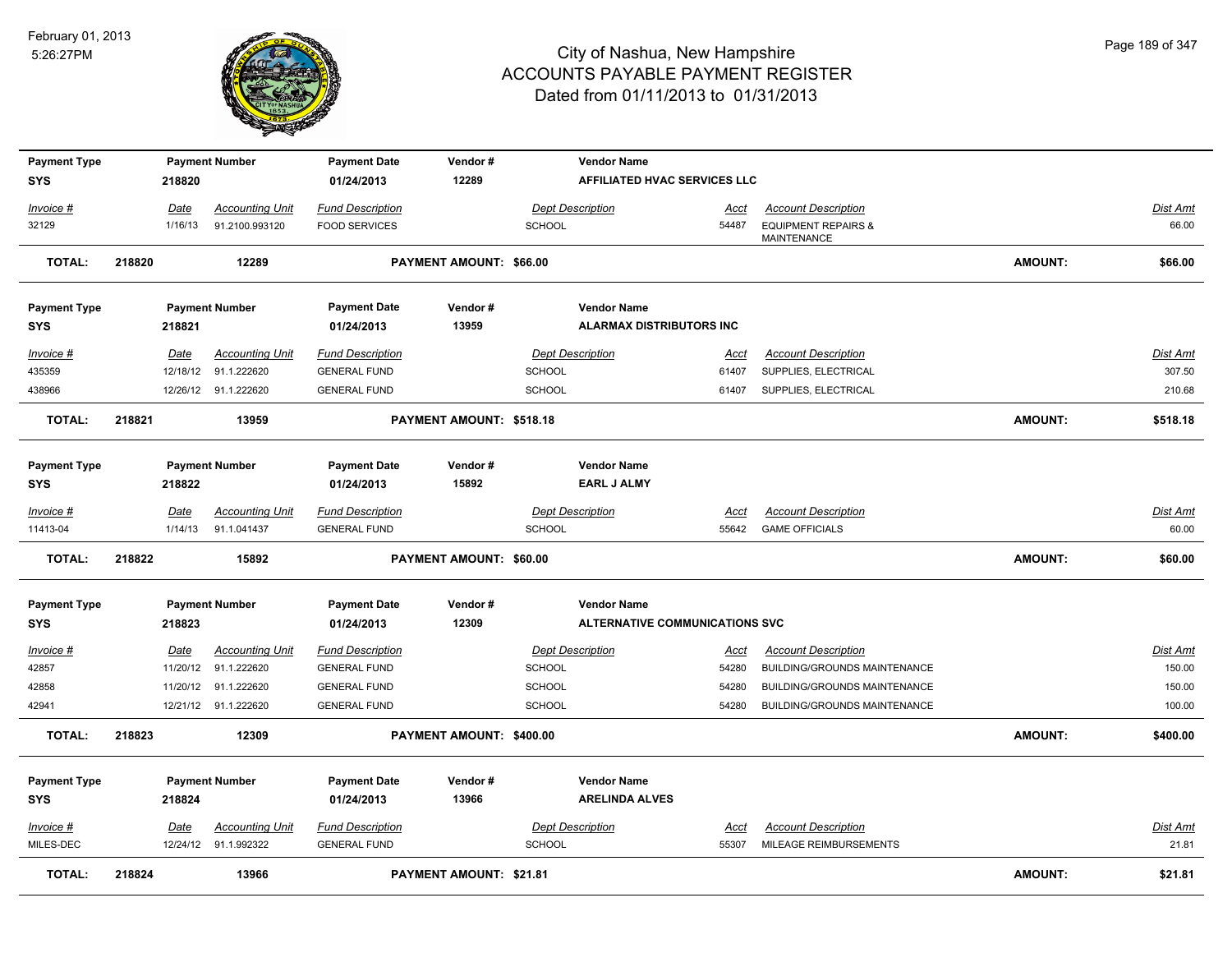

| <b>Payment Type</b><br><b>SYS</b> |        | 218820      | <b>Payment Number</b>  | <b>Payment Date</b><br>01/24/2013 | Vendor#<br>12289         |               | <b>Vendor Name</b><br>AFFILIATED HVAC SERVICES LLC |             |                                               |                |                 |
|-----------------------------------|--------|-------------|------------------------|-----------------------------------|--------------------------|---------------|----------------------------------------------------|-------------|-----------------------------------------------|----------------|-----------------|
| Invoice #                         |        | <u>Date</u> | <b>Accounting Unit</b> | <b>Fund Description</b>           |                          |               | <b>Dept Description</b>                            | <u>Acct</u> | <b>Account Description</b>                    |                | <b>Dist Amt</b> |
| 32129                             |        | 1/16/13     | 91.2100.993120         | <b>FOOD SERVICES</b>              |                          | SCHOOL        |                                                    | 54487       | <b>EQUIPMENT REPAIRS &amp;</b><br>MAINTENANCE |                | 66.00           |
| <b>TOTAL:</b>                     | 218820 |             | 12289                  |                                   | PAYMENT AMOUNT: \$66.00  |               |                                                    |             |                                               | AMOUNT:        | \$66.00         |
| <b>Payment Type</b>               |        |             | <b>Payment Number</b>  | <b>Payment Date</b>               | Vendor#                  |               | <b>Vendor Name</b>                                 |             |                                               |                |                 |
| <b>SYS</b>                        |        | 218821      |                        | 01/24/2013                        | 13959                    |               | <b>ALARMAX DISTRIBUTORS INC</b>                    |             |                                               |                |                 |
| Invoice #                         |        | Date        | <b>Accounting Unit</b> | <b>Fund Description</b>           |                          |               | <b>Dept Description</b>                            | Acct        | <b>Account Description</b>                    |                | Dist Amt        |
| 435359                            |        | 12/18/12    | 91.1.222620            | <b>GENERAL FUND</b>               |                          | SCHOOL        |                                                    | 61407       | SUPPLIES, ELECTRICAL                          |                | 307.50          |
| 438966                            |        |             | 12/26/12 91.1.222620   | <b>GENERAL FUND</b>               |                          | <b>SCHOOL</b> |                                                    | 61407       | SUPPLIES, ELECTRICAL                          |                | 210.68          |
| <b>TOTAL:</b>                     | 218821 |             | 13959                  |                                   | PAYMENT AMOUNT: \$518.18 |               |                                                    |             |                                               | AMOUNT:        | \$518.18        |
| <b>Payment Type</b>               |        |             | <b>Payment Number</b>  | <b>Payment Date</b>               | Vendor#                  |               | <b>Vendor Name</b>                                 |             |                                               |                |                 |
| <b>SYS</b>                        |        | 218822      |                        | 01/24/2013                        | 15892                    |               | <b>EARL J ALMY</b>                                 |             |                                               |                |                 |
| $Invoice$ #                       |        | <u>Date</u> | <b>Accounting Unit</b> | <b>Fund Description</b>           |                          |               | <b>Dept Description</b>                            | <u>Acct</u> | <b>Account Description</b>                    |                | <b>Dist Amt</b> |
| 11413-04                          |        | 1/14/13     | 91.1.041437            | <b>GENERAL FUND</b>               |                          | <b>SCHOOL</b> |                                                    | 55642       | <b>GAME OFFICIALS</b>                         |                | 60.00           |
| <b>TOTAL:</b>                     | 218822 |             | 15892                  |                                   | PAYMENT AMOUNT: \$60.00  |               |                                                    |             |                                               | AMOUNT:        | \$60.00         |
| <b>Payment Type</b>               |        |             | <b>Payment Number</b>  | <b>Payment Date</b>               | Vendor#                  |               | <b>Vendor Name</b>                                 |             |                                               |                |                 |
| <b>SYS</b>                        |        | 218823      |                        | 01/24/2013                        | 12309                    |               | <b>ALTERNATIVE COMMUNICATIONS SVC</b>              |             |                                               |                |                 |
| Invoice #                         |        | Date        | <b>Accounting Unit</b> | <b>Fund Description</b>           |                          |               | <b>Dept Description</b>                            | <u>Acct</u> | <b>Account Description</b>                    |                | <b>Dist Amt</b> |
| 42857                             |        | 11/20/12    | 91.1.222620            | <b>GENERAL FUND</b>               |                          | SCHOOL        |                                                    | 54280       | BUILDING/GROUNDS MAINTENANCE                  |                | 150.00          |
| 42858                             |        |             | 11/20/12 91.1.222620   | <b>GENERAL FUND</b>               |                          | SCHOOL        |                                                    | 54280       | BUILDING/GROUNDS MAINTENANCE                  |                | 150.00          |
| 42941                             |        |             | 12/21/12 91.1.222620   | <b>GENERAL FUND</b>               |                          | SCHOOL        |                                                    | 54280       | <b>BUILDING/GROUNDS MAINTENANCE</b>           |                | 100.00          |
| <b>TOTAL:</b>                     | 218823 |             | 12309                  |                                   | PAYMENT AMOUNT: \$400.00 |               |                                                    |             |                                               | AMOUNT:        | \$400.00        |
| <b>Payment Type</b>               |        |             | <b>Payment Number</b>  | <b>Payment Date</b>               | Vendor#                  |               | <b>Vendor Name</b>                                 |             |                                               |                |                 |
| <b>SYS</b>                        |        | 218824      |                        | 01/24/2013                        | 13966                    |               | <b>ARELINDA ALVES</b>                              |             |                                               |                |                 |
| Invoice #                         |        | <b>Date</b> | <b>Accounting Unit</b> | <b>Fund Description</b>           |                          |               | <b>Dept Description</b>                            | <u>Acct</u> | <b>Account Description</b>                    |                | Dist Amt        |
| MILES-DEC                         |        |             | 12/24/12 91.1.992322   | <b>GENERAL FUND</b>               |                          | <b>SCHOOL</b> |                                                    | 55307       | MILEAGE REIMBURSEMENTS                        |                | 21.81           |
| TOTAL:                            | 218824 |             | 13966                  |                                   | PAYMENT AMOUNT: \$21.81  |               |                                                    |             |                                               | <b>AMOUNT:</b> | \$21.81         |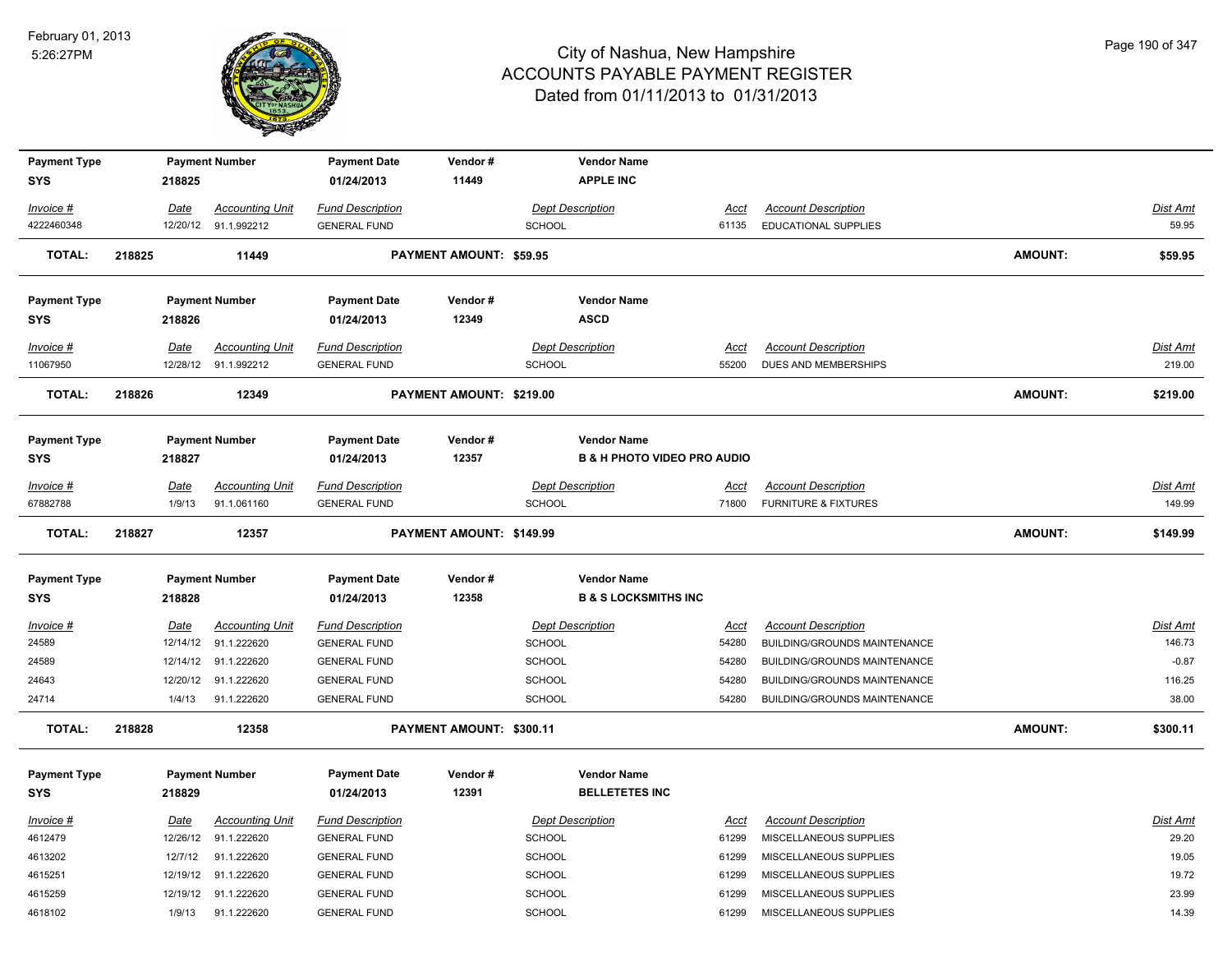

| <b>Payment Type</b> |        |             | <b>Payment Number</b>  | <b>Payment Date</b>     | Vendor#                        |               | <b>Vendor Name</b>                     |             |                                 |                |                 |
|---------------------|--------|-------------|------------------------|-------------------------|--------------------------------|---------------|----------------------------------------|-------------|---------------------------------|----------------|-----------------|
| <b>SYS</b>          |        | 218825      |                        | 01/24/2013              | 11449                          |               | <b>APPLE INC</b>                       |             |                                 |                |                 |
| Invoice #           |        | Date        | <b>Accounting Unit</b> | <b>Fund Description</b> |                                |               | <b>Dept Description</b>                | Acct        | <b>Account Description</b>      |                | Dist Amt        |
| 4222460348          |        |             | 12/20/12 91.1.992212   | <b>GENERAL FUND</b>     |                                | <b>SCHOOL</b> |                                        | 61135       | <b>EDUCATIONAL SUPPLIES</b>     |                | 59.95           |
| <b>TOTAL:</b>       | 218825 |             | 11449                  |                         | <b>PAYMENT AMOUNT: \$59.95</b> |               |                                        |             |                                 | <b>AMOUNT:</b> | \$59.95         |
| <b>Payment Type</b> |        |             | <b>Payment Number</b>  | <b>Payment Date</b>     | Vendor#                        |               | <b>Vendor Name</b>                     |             |                                 |                |                 |
| <b>SYS</b>          |        | 218826      |                        | 01/24/2013              | 12349                          |               | <b>ASCD</b>                            |             |                                 |                |                 |
| Invoice #           |        | <b>Date</b> | <b>Accounting Unit</b> | <b>Fund Description</b> |                                |               | <b>Dept Description</b>                | <u>Acct</u> | <b>Account Description</b>      |                | <u>Dist Amt</u> |
| 11067950            |        |             | 12/28/12 91.1.992212   | <b>GENERAL FUND</b>     |                                | <b>SCHOOL</b> |                                        | 55200       | DUES AND MEMBERSHIPS            |                | 219.00          |
| <b>TOTAL:</b>       | 218826 |             | 12349                  |                         | PAYMENT AMOUNT: \$219.00       |               |                                        |             |                                 | <b>AMOUNT:</b> | \$219.00        |
| <b>Payment Type</b> |        |             | <b>Payment Number</b>  | <b>Payment Date</b>     | Vendor#                        |               | <b>Vendor Name</b>                     |             |                                 |                |                 |
| <b>SYS</b>          |        | 218827      |                        | 01/24/2013              | 12357                          |               | <b>B &amp; H PHOTO VIDEO PRO AUDIO</b> |             |                                 |                |                 |
| Invoice #           |        | Date        | <b>Accounting Unit</b> | <b>Fund Description</b> |                                |               | <b>Dept Description</b>                | Acct        | <b>Account Description</b>      |                | Dist Amt        |
| 67882788            |        | 1/9/13      | 91.1.061160            | <b>GENERAL FUND</b>     |                                | <b>SCHOOL</b> |                                        | 71800       | <b>FURNITURE &amp; FIXTURES</b> |                | 149.99          |
| <b>TOTAL:</b>       | 218827 |             | 12357                  |                         | PAYMENT AMOUNT: \$149.99       |               |                                        |             |                                 | <b>AMOUNT:</b> | \$149.99        |
| <b>Payment Type</b> |        |             | <b>Payment Number</b>  | <b>Payment Date</b>     | Vendor#                        |               | <b>Vendor Name</b>                     |             |                                 |                |                 |
| <b>SYS</b>          |        | 218828      |                        | 01/24/2013              | 12358                          |               | <b>B &amp; S LOCKSMITHS INC</b>        |             |                                 |                |                 |
| $Invoice$ #         |        | <u>Date</u> | <b>Accounting Unit</b> | <b>Fund Description</b> |                                |               | <b>Dept Description</b>                | <u>Acct</u> | <b>Account Description</b>      |                | Dist Amt        |
| 24589               |        |             | 12/14/12 91.1.222620   | <b>GENERAL FUND</b>     |                                | <b>SCHOOL</b> |                                        | 54280       | BUILDING/GROUNDS MAINTENANCE    |                | 146.73          |
| 24589               |        |             | 12/14/12 91.1.222620   | <b>GENERAL FUND</b>     |                                | <b>SCHOOL</b> |                                        | 54280       | BUILDING/GROUNDS MAINTENANCE    |                | $-0.87$         |
| 24643               |        | 12/20/12    | 91.1.222620            | <b>GENERAL FUND</b>     |                                | <b>SCHOOL</b> |                                        | 54280       | BUILDING/GROUNDS MAINTENANCE    |                | 116.25          |
| 24714               |        | 1/4/13      | 91.1.222620            | <b>GENERAL FUND</b>     |                                | <b>SCHOOL</b> |                                        | 54280       | BUILDING/GROUNDS MAINTENANCE    |                | 38.00           |
| <b>TOTAL:</b>       | 218828 |             | 12358                  |                         | PAYMENT AMOUNT: \$300.11       |               |                                        |             |                                 | <b>AMOUNT:</b> | \$300.11        |
| <b>Payment Type</b> |        |             | <b>Payment Number</b>  | <b>Payment Date</b>     | Vendor#                        |               | <b>Vendor Name</b>                     |             |                                 |                |                 |
| <b>SYS</b>          |        | 218829      |                        | 01/24/2013              | 12391                          |               | <b>BELLETETES INC</b>                  |             |                                 |                |                 |
| Invoice #           |        | Date        | <b>Accounting Unit</b> | <b>Fund Description</b> |                                |               | <b>Dept Description</b>                | Acct        | <b>Account Description</b>      |                | Dist Amt        |
| 4612479             |        | 12/26/12    | 91.1.222620            | <b>GENERAL FUND</b>     |                                | <b>SCHOOL</b> |                                        | 61299       | MISCELLANEOUS SUPPLIES          |                | 29.20           |
| 4613202             |        | 12/7/12     | 91.1.222620            | <b>GENERAL FUND</b>     |                                | <b>SCHOOL</b> |                                        | 61299       | MISCELLANEOUS SUPPLIES          |                | 19.05           |
| 4615251             |        | 12/19/12    | 91.1.222620            | <b>GENERAL FUND</b>     |                                | <b>SCHOOL</b> |                                        | 61299       | MISCELLANEOUS SUPPLIES          |                | 19.72           |
| 4615259             |        | 12/19/12    | 91.1.222620            | <b>GENERAL FUND</b>     |                                | <b>SCHOOL</b> |                                        | 61299       | MISCELLANEOUS SUPPLIES          |                | 23.99           |
| 4618102             |        | 1/9/13      | 91.1.222620            | <b>GENERAL FUND</b>     |                                | SCHOOL        |                                        | 61299       | MISCELLANEOUS SUPPLIES          |                | 14.39           |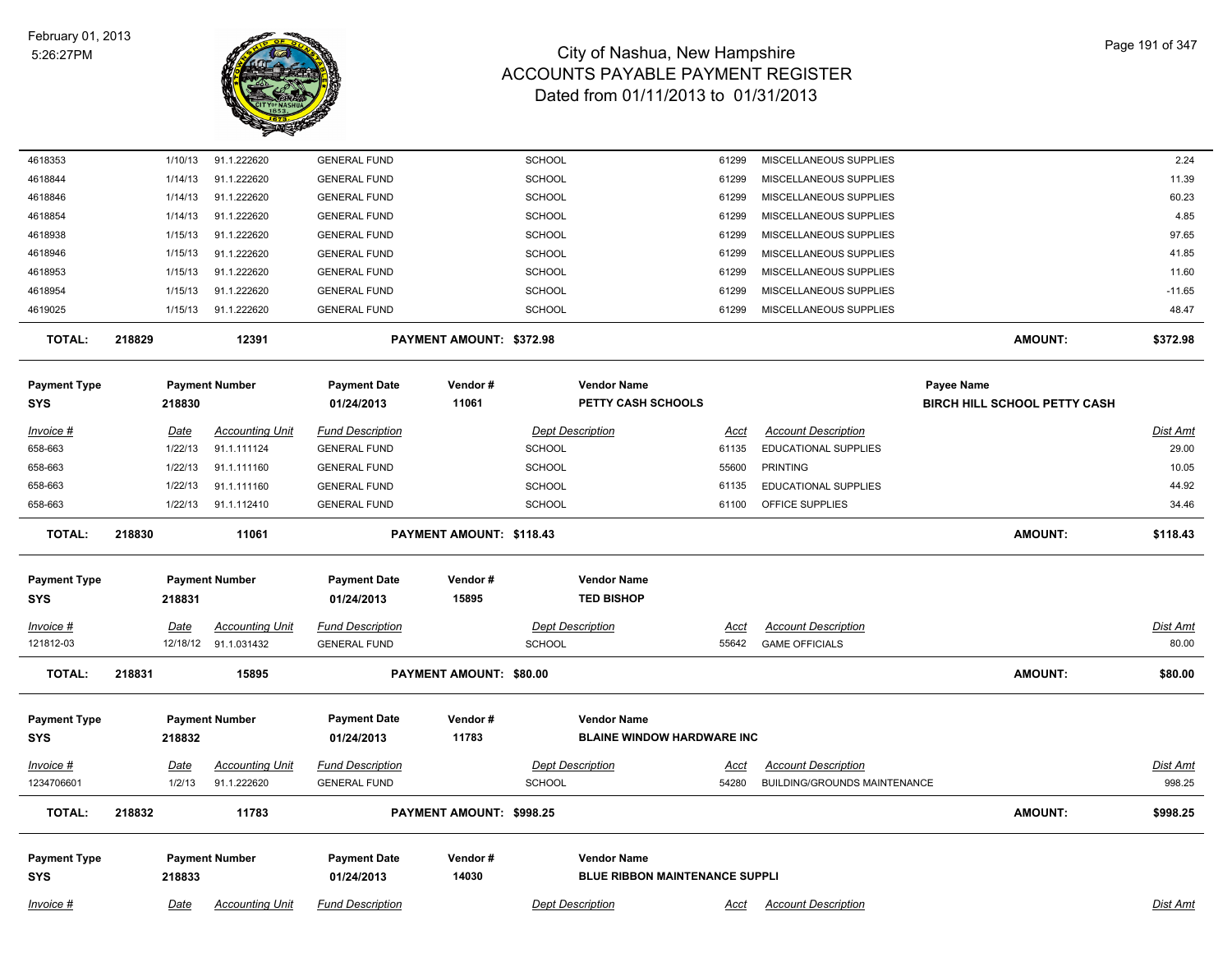

| 4618353             |        | 1/10/13     | 91.1.222620            | <b>GENERAL FUND</b>     |                          | <b>SCHOOL</b> |                                       | 61299       | MISCELLANEOUS SUPPLIES       |                                     |                | 2.24            |
|---------------------|--------|-------------|------------------------|-------------------------|--------------------------|---------------|---------------------------------------|-------------|------------------------------|-------------------------------------|----------------|-----------------|
| 4618844             |        | 1/14/13     | 91.1.222620            | <b>GENERAL FUND</b>     |                          | <b>SCHOOL</b> |                                       | 61299       | MISCELLANEOUS SUPPLIES       |                                     |                | 11.39           |
| 4618846             |        | 1/14/13     | 91.1.222620            | <b>GENERAL FUND</b>     |                          | <b>SCHOOL</b> |                                       | 61299       | MISCELLANEOUS SUPPLIES       |                                     |                | 60.23           |
| 4618854             |        | 1/14/13     | 91.1.222620            | <b>GENERAL FUND</b>     |                          | <b>SCHOOL</b> |                                       | 61299       | MISCELLANEOUS SUPPLIES       |                                     |                | 4.85            |
| 4618938             |        | 1/15/13     | 91.1.222620            | <b>GENERAL FUND</b>     |                          | SCHOOL        |                                       | 61299       | MISCELLANEOUS SUPPLIES       |                                     |                | 97.65           |
| 4618946             |        | 1/15/13     | 91.1.222620            | <b>GENERAL FUND</b>     |                          | <b>SCHOOL</b> |                                       | 61299       | MISCELLANEOUS SUPPLIES       |                                     |                | 41.85           |
| 4618953             |        | 1/15/13     | 91.1.222620            | <b>GENERAL FUND</b>     |                          | <b>SCHOOL</b> |                                       | 61299       | MISCELLANEOUS SUPPLIES       |                                     |                | 11.60           |
| 4618954             |        | 1/15/13     | 91.1.222620            | <b>GENERAL FUND</b>     |                          | <b>SCHOOL</b> |                                       | 61299       | MISCELLANEOUS SUPPLIES       |                                     |                | $-11.65$        |
| 4619025             |        | 1/15/13     | 91.1.222620            | <b>GENERAL FUND</b>     |                          | <b>SCHOOL</b> |                                       | 61299       | MISCELLANEOUS SUPPLIES       |                                     |                | 48.47           |
| <b>TOTAL:</b>       | 218829 |             | 12391                  |                         | PAYMENT AMOUNT: \$372.98 |               |                                       |             |                              |                                     | <b>AMOUNT:</b> | \$372.98        |
| <b>Payment Type</b> |        |             | <b>Payment Number</b>  | <b>Payment Date</b>     | Vendor#                  |               | <b>Vendor Name</b>                    |             |                              | Payee Name                          |                |                 |
| <b>SYS</b>          |        | 218830      |                        | 01/24/2013              | 11061                    |               | PETTY CASH SCHOOLS                    |             |                              | <b>BIRCH HILL SCHOOL PETTY CASH</b> |                |                 |
| Invoice #           |        | <u>Date</u> | <b>Accounting Unit</b> | <b>Fund Description</b> |                          |               | <b>Dept Description</b>               | Acct        | <b>Account Description</b>   |                                     |                | Dist Amt        |
| 658-663             |        | 1/22/13     | 91.1.111124            | <b>GENERAL FUND</b>     |                          | <b>SCHOOL</b> |                                       | 61135       | EDUCATIONAL SUPPLIES         |                                     |                | 29.00           |
| 658-663             |        | 1/22/13     | 91.1.111160            | <b>GENERAL FUND</b>     |                          | <b>SCHOOL</b> |                                       | 55600       | <b>PRINTING</b>              |                                     |                | 10.05           |
| 658-663             |        | 1/22/13     | 91.1.111160            | <b>GENERAL FUND</b>     |                          | <b>SCHOOL</b> |                                       | 61135       | EDUCATIONAL SUPPLIES         |                                     |                | 44.92           |
| 658-663             |        | 1/22/13     | 91.1.112410            | <b>GENERAL FUND</b>     |                          | <b>SCHOOL</b> |                                       | 61100       | OFFICE SUPPLIES              |                                     |                | 34.46           |
| <b>TOTAL:</b>       | 218830 |             | 11061                  |                         | PAYMENT AMOUNT: \$118.43 |               |                                       |             |                              |                                     | <b>AMOUNT:</b> | \$118.43        |
| <b>Payment Type</b> |        |             | <b>Payment Number</b>  | <b>Payment Date</b>     | Vendor#                  |               | <b>Vendor Name</b>                    |             |                              |                                     |                |                 |
| <b>SYS</b>          |        | 218831      |                        | 01/24/2013              | 15895                    |               | <b>TED BISHOP</b>                     |             |                              |                                     |                |                 |
|                     |        |             |                        |                         |                          |               |                                       |             |                              |                                     |                |                 |
| $Invoice$ #         |        | <u>Date</u> | <b>Accounting Unit</b> | <b>Fund Description</b> |                          |               | <b>Dept Description</b>               | <u>Acct</u> | <b>Account Description</b>   |                                     |                | Dist Amt        |
| 121812-03           |        |             | 12/18/12 91.1.031432   | <b>GENERAL FUND</b>     |                          | <b>SCHOOL</b> |                                       | 55642       | <b>GAME OFFICIALS</b>        |                                     |                | 80.00           |
| <b>TOTAL:</b>       | 218831 |             | 15895                  |                         | PAYMENT AMOUNT: \$80.00  |               |                                       |             |                              |                                     | <b>AMOUNT:</b> | \$80.00         |
| <b>Payment Type</b> |        |             | <b>Payment Number</b>  | <b>Payment Date</b>     | Vendor#                  |               | <b>Vendor Name</b>                    |             |                              |                                     |                |                 |
| <b>SYS</b>          |        | 218832      |                        | 01/24/2013              | 11783                    |               | <b>BLAINE WINDOW HARDWARE INC</b>     |             |                              |                                     |                |                 |
| <b>Invoice #</b>    |        | <u>Date</u> | <u>Accounting Unit</u> | <b>Fund Description</b> |                          |               | <b>Dept Description</b>               | <u>Acct</u> | <b>Account Description</b>   |                                     |                | <u>Dist Amt</u> |
| 1234706601          |        | 1/2/13      | 91.1.222620            | <b>GENERAL FUND</b>     |                          | <b>SCHOOL</b> |                                       | 54280       | BUILDING/GROUNDS MAINTENANCE |                                     |                | 998.25          |
| <b>TOTAL:</b>       | 218832 |             | 11783                  |                         | PAYMENT AMOUNT: \$998.25 |               |                                       |             |                              |                                     | <b>AMOUNT:</b> | \$998.25        |
|                     |        |             |                        |                         |                          |               |                                       |             |                              |                                     |                |                 |
| <b>Payment Type</b> |        |             | <b>Payment Number</b>  | <b>Payment Date</b>     | Vendor#                  |               | <b>Vendor Name</b>                    |             |                              |                                     |                |                 |
| <b>SYS</b>          |        | 218833      |                        | 01/24/2013              | 14030                    |               | <b>BLUE RIBBON MAINTENANCE SUPPLI</b> |             |                              |                                     |                |                 |
| Invoice #           |        | Date        | <b>Accounting Unit</b> | <b>Fund Description</b> |                          |               | <b>Dept Description</b>               | Acct        | <b>Account Description</b>   |                                     |                | <b>Dist Amt</b> |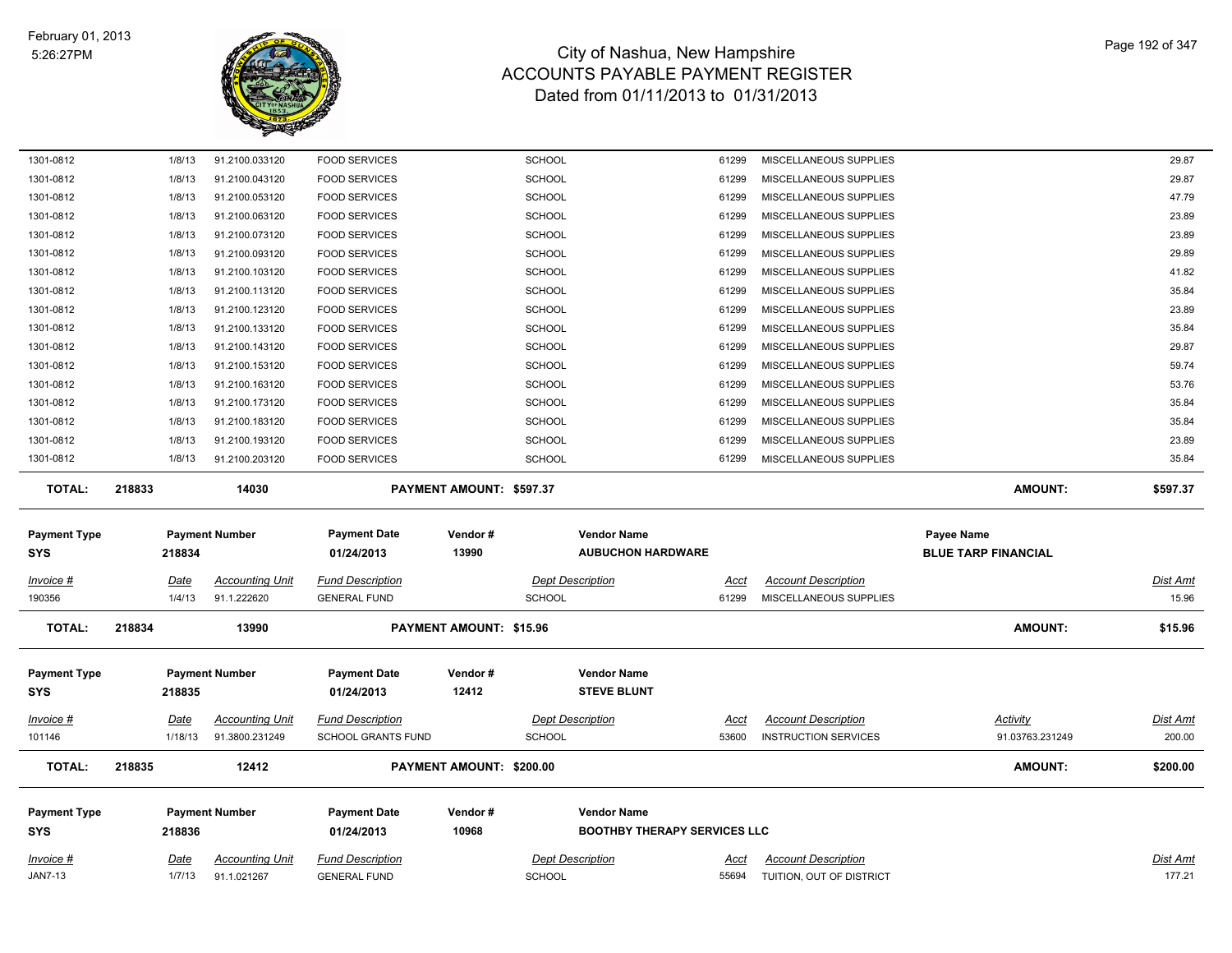

| 1301-0812                         | 1/8/13                | 91.2100.033120                        | <b>FOOD SERVICES</b>                           |                                 | <b>SCHOOL</b>                                  | 61299                | MISCELLANEOUS SUPPLIES                                 |                            | 29.87                     |
|-----------------------------------|-----------------------|---------------------------------------|------------------------------------------------|---------------------------------|------------------------------------------------|----------------------|--------------------------------------------------------|----------------------------|---------------------------|
| 1301-0812                         | 1/8/13                | 91.2100.043120                        | <b>FOOD SERVICES</b>                           |                                 | <b>SCHOOL</b>                                  | 61299                | MISCELLANEOUS SUPPLIES                                 |                            | 29.87                     |
| 1301-0812                         | 1/8/13                | 91.2100.053120                        | <b>FOOD SERVICES</b>                           |                                 | <b>SCHOOL</b>                                  | 61299                | MISCELLANEOUS SUPPLIES                                 |                            | 47.79                     |
| 1301-0812                         | 1/8/13                | 91.2100.063120                        | <b>FOOD SERVICES</b>                           |                                 | <b>SCHOOL</b>                                  | 61299                | MISCELLANEOUS SUPPLIES                                 |                            | 23.89                     |
| 1301-0812                         | 1/8/13                | 91.2100.073120                        | <b>FOOD SERVICES</b>                           |                                 | <b>SCHOOL</b>                                  | 61299                | MISCELLANEOUS SUPPLIES                                 |                            | 23.89                     |
| 1301-0812                         | 1/8/13                | 91.2100.093120                        | <b>FOOD SERVICES</b>                           |                                 | SCHOOL                                         | 61299                | MISCELLANEOUS SUPPLIES                                 |                            | 29.89                     |
| 1301-0812                         | 1/8/13                | 91.2100.103120                        | <b>FOOD SERVICES</b>                           |                                 | <b>SCHOOL</b>                                  | 61299                | MISCELLANEOUS SUPPLIES                                 |                            | 41.82                     |
| 1301-0812                         | 1/8/13                | 91.2100.113120                        | <b>FOOD SERVICES</b>                           |                                 | <b>SCHOOL</b>                                  | 61299                | MISCELLANEOUS SUPPLIES                                 |                            | 35.84                     |
| 1301-0812                         | 1/8/13                | 91.2100.123120                        | <b>FOOD SERVICES</b>                           |                                 | <b>SCHOOL</b>                                  | 61299                | MISCELLANEOUS SUPPLIES                                 |                            | 23.89                     |
| 1301-0812                         | 1/8/13                | 91.2100.133120                        | <b>FOOD SERVICES</b>                           |                                 | <b>SCHOOL</b>                                  | 61299                | MISCELLANEOUS SUPPLIES                                 |                            | 35.84                     |
| 1301-0812                         | 1/8/13                | 91.2100.143120                        | <b>FOOD SERVICES</b>                           |                                 | SCHOOL                                         | 61299                | MISCELLANEOUS SUPPLIES                                 |                            | 29.87                     |
| 1301-0812                         | 1/8/13                | 91.2100.153120                        | <b>FOOD SERVICES</b>                           |                                 | <b>SCHOOL</b>                                  | 61299                | MISCELLANEOUS SUPPLIES                                 |                            | 59.74                     |
| 1301-0812                         | 1/8/13                | 91.2100.163120                        | <b>FOOD SERVICES</b>                           |                                 | <b>SCHOOL</b>                                  | 61299                | MISCELLANEOUS SUPPLIES                                 |                            | 53.76                     |
| 1301-0812                         | 1/8/13                | 91.2100.173120                        | <b>FOOD SERVICES</b>                           |                                 | <b>SCHOOL</b>                                  | 61299                | MISCELLANEOUS SUPPLIES                                 |                            | 35.84                     |
| 1301-0812                         | 1/8/13                | 91.2100.183120                        | <b>FOOD SERVICES</b>                           |                                 | <b>SCHOOL</b>                                  | 61299                | MISCELLANEOUS SUPPLIES                                 |                            | 35.84                     |
| 1301-0812                         | 1/8/13                | 91.2100.193120                        | <b>FOOD SERVICES</b>                           |                                 | <b>SCHOOL</b>                                  | 61299                | MISCELLANEOUS SUPPLIES                                 |                            | 23.89                     |
| 1301-0812                         | 1/8/13                | 91.2100.203120                        | <b>FOOD SERVICES</b>                           |                                 | <b>SCHOOL</b>                                  | 61299                | MISCELLANEOUS SUPPLIES                                 |                            | 35.84                     |
| <b>TOTAL:</b>                     | 218833                | 14030                                 |                                                | <b>PAYMENT AMOUNT: \$597.37</b> |                                                |                      |                                                        | <b>AMOUNT:</b>             | \$597.37                  |
|                                   |                       |                                       |                                                |                                 |                                                |                      |                                                        |                            |                           |
|                                   |                       |                                       |                                                |                                 |                                                |                      |                                                        |                            |                           |
| <b>Payment Type</b>               |                       | <b>Payment Number</b>                 | <b>Payment Date</b>                            | Vendor#                         | <b>Vendor Name</b><br><b>AUBUCHON HARDWARE</b> |                      |                                                        | <b>Payee Name</b>          |                           |
| <b>SYS</b>                        | 218834                |                                       | 01/24/2013                                     | 13990                           |                                                |                      |                                                        | <b>BLUE TARP FINANCIAL</b> |                           |
| Invoice #                         | Date                  | <b>Accounting Unit</b>                | <b>Fund Description</b>                        |                                 | <b>Dept Description</b>                        | Acct                 | <b>Account Description</b>                             |                            | <b>Dist Amt</b>           |
| 190356                            | 1/4/13                | 91.1.222620                           | <b>GENERAL FUND</b>                            |                                 | <b>SCHOOL</b>                                  | 61299                | MISCELLANEOUS SUPPLIES                                 |                            | 15.96                     |
| <b>TOTAL:</b>                     | 218834                | 13990                                 |                                                | PAYMENT AMOUNT: \$15.96         |                                                |                      |                                                        | <b>AMOUNT:</b>             | \$15.96                   |
|                                   |                       |                                       |                                                |                                 |                                                |                      |                                                        |                            |                           |
| <b>Payment Type</b><br><b>SYS</b> | 218835                | <b>Payment Number</b>                 | <b>Payment Date</b><br>01/24/2013              | Vendor#<br>12412                | <b>Vendor Name</b><br><b>STEVE BLUNT</b>       |                      |                                                        |                            |                           |
|                                   |                       |                                       |                                                |                                 |                                                |                      |                                                        |                            |                           |
| Invoice #                         | Date                  | <b>Accounting Unit</b>                | <b>Fund Description</b>                        |                                 | <b>Dept Description</b>                        | Acct                 | <b>Account Description</b>                             | <b>Activity</b>            | Dist Amt                  |
| 101146                            | 1/18/13               | 91.3800.231249                        | SCHOOL GRANTS FUND                             |                                 | <b>SCHOOL</b>                                  | 53600                | <b>INSTRUCTION SERVICES</b>                            | 91.03763.231249            | 200.00                    |
| <b>TOTAL:</b>                     | 218835                | 12412                                 |                                                | PAYMENT AMOUNT: \$200.00        |                                                |                      |                                                        | <b>AMOUNT:</b>             | \$200.00                  |
| <b>Payment Type</b>               |                       | <b>Payment Number</b>                 | <b>Payment Date</b>                            | Vendor#                         | <b>Vendor Name</b>                             |                      |                                                        |                            |                           |
| <b>SYS</b>                        | 218836                |                                       | 01/24/2013                                     | 10968                           | <b>BOOTHBY THERAPY SERVICES LLC</b>            |                      |                                                        |                            |                           |
|                                   |                       |                                       |                                                |                                 |                                                |                      |                                                        |                            |                           |
| $Invoice$ #<br><b>JAN7-13</b>     | <u>Date</u><br>1/7/13 | <b>Accounting Unit</b><br>91.1.021267 | <b>Fund Description</b><br><b>GENERAL FUND</b> |                                 | <b>Dept Description</b><br><b>SCHOOL</b>       | <u>Acct</u><br>55694 | <b>Account Description</b><br>TUITION, OUT OF DISTRICT |                            | <b>Dist Amt</b><br>177.21 |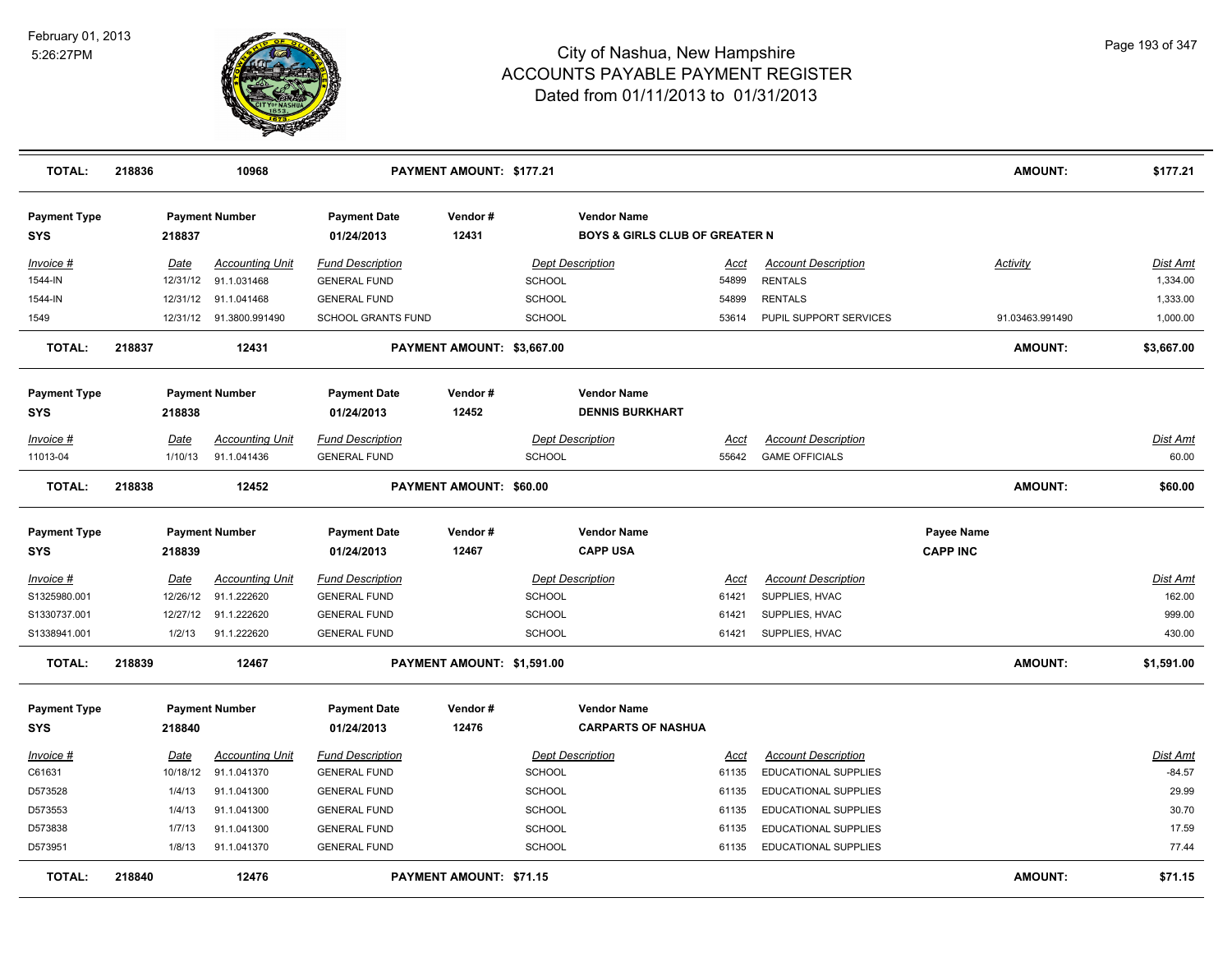

| <b>TOTAL:</b>                     | 218836 |                  | 10968                                 |                                                | PAYMENT AMOUNT: \$177.21       |                                   |                                                                 |               |                                              |                 | <b>AMOUNT:</b>  | \$177.21             |
|-----------------------------------|--------|------------------|---------------------------------------|------------------------------------------------|--------------------------------|-----------------------------------|-----------------------------------------------------------------|---------------|----------------------------------------------|-----------------|-----------------|----------------------|
| <b>Payment Type</b><br><b>SYS</b> |        | 218837           | <b>Payment Number</b>                 | <b>Payment Date</b><br>01/24/2013              | Vendor#<br>12431               |                                   | <b>Vendor Name</b><br><b>BOYS &amp; GIRLS CLUB OF GREATER N</b> |               |                                              |                 |                 |                      |
| Invoice #<br>1544-IN              |        | Date<br>12/31/12 | <b>Accounting Unit</b><br>91.1.031468 | <b>Fund Description</b><br><b>GENERAL FUND</b> |                                | <b>Dept Description</b><br>SCHOOL |                                                                 | Acct<br>54899 | <b>Account Description</b><br><b>RENTALS</b> |                 | Activity        | Dist Amt<br>1,334.00 |
| 1544-IN                           |        | 12/31/12         | 91.1.041468                           | <b>GENERAL FUND</b>                            |                                | <b>SCHOOL</b>                     |                                                                 | 54899         | <b>RENTALS</b>                               |                 |                 | 1,333.00             |
| 1549                              |        | 12/31/12         | 91.3800.991490                        | <b>SCHOOL GRANTS FUND</b>                      |                                | <b>SCHOOL</b>                     |                                                                 | 53614         | PUPIL SUPPORT SERVICES                       |                 | 91.03463.991490 | 1,000.00             |
| <b>TOTAL:</b>                     | 218837 |                  | 12431                                 |                                                | PAYMENT AMOUNT: \$3,667.00     |                                   |                                                                 |               |                                              |                 | <b>AMOUNT:</b>  | \$3,667.00           |
| <b>Payment Type</b><br><b>SYS</b> |        | 218838           | <b>Payment Number</b>                 | <b>Payment Date</b><br>01/24/2013              | Vendor#<br>12452               |                                   | <b>Vendor Name</b><br><b>DENNIS BURKHART</b>                    |               |                                              |                 |                 |                      |
| Invoice #                         |        | Date             | <b>Accounting Unit</b>                | <u>Fund Description</u>                        |                                | <b>Dept Description</b>           |                                                                 | Acct          | <b>Account Description</b>                   |                 |                 | <u>Dist Amt</u>      |
| 11013-04                          |        | 1/10/13          | 91.1.041436                           | <b>GENERAL FUND</b>                            |                                | SCHOOL                            |                                                                 | 55642         | <b>GAME OFFICIALS</b>                        |                 |                 | 60.00                |
| <b>TOTAL:</b>                     | 218838 |                  | 12452                                 |                                                | PAYMENT AMOUNT: \$60.00        |                                   |                                                                 |               |                                              |                 | <b>AMOUNT:</b>  | \$60.00              |
| <b>Payment Type</b>               |        |                  | <b>Payment Number</b>                 | <b>Payment Date</b>                            | Vendor#                        |                                   | <b>Vendor Name</b>                                              |               |                                              | Payee Name      |                 |                      |
| <b>SYS</b>                        |        | 218839           |                                       | 01/24/2013                                     | 12467                          |                                   | <b>CAPP USA</b>                                                 |               |                                              | <b>CAPP INC</b> |                 |                      |
| $Invoice$ #                       |        | Date             | <b>Accounting Unit</b>                | <b>Fund Description</b>                        |                                | <b>Dept Description</b>           |                                                                 | Acct          | <b>Account Description</b>                   |                 |                 | <b>Dist Amt</b>      |
| S1325980.001                      |        | 12/26/12         | 91.1.222620                           | <b>GENERAL FUND</b>                            |                                | SCHOOL                            |                                                                 | 61421         | SUPPLIES, HVAC                               |                 |                 | 162.00               |
| S1330737.001                      |        | 12/27/12         | 91.1.222620                           | <b>GENERAL FUND</b>                            |                                | <b>SCHOOL</b>                     |                                                                 | 61421         | SUPPLIES, HVAC                               |                 |                 | 999.00               |
| S1338941.001                      |        | 1/2/13           | 91.1.222620                           | <b>GENERAL FUND</b>                            |                                | <b>SCHOOL</b>                     |                                                                 | 61421         | SUPPLIES, HVAC                               |                 |                 | 430.00               |
| <b>TOTAL:</b>                     | 218839 |                  | 12467                                 |                                                | PAYMENT AMOUNT: \$1,591.00     |                                   |                                                                 |               |                                              |                 | AMOUNT:         | \$1,591.00           |
| <b>Payment Type</b>               |        |                  | <b>Payment Number</b>                 | <b>Payment Date</b>                            | Vendor#                        |                                   | <b>Vendor Name</b>                                              |               |                                              |                 |                 |                      |
| <b>SYS</b>                        |        | 218840           |                                       | 01/24/2013                                     | 12476                          |                                   | <b>CARPARTS OF NASHUA</b>                                       |               |                                              |                 |                 |                      |
| Invoice #                         |        | Date             | <b>Accounting Unit</b>                | <b>Fund Description</b>                        |                                | <b>Dept Description</b>           |                                                                 | Acct          | <b>Account Description</b>                   |                 |                 | Dist Amt             |
| C61631                            |        | 10/18/12         | 91.1.041370                           | <b>GENERAL FUND</b>                            |                                | SCHOOL                            |                                                                 | 61135         | EDUCATIONAL SUPPLIES                         |                 |                 | $-84.57$             |
| D573528                           |        | 1/4/13           | 91.1.041300                           | <b>GENERAL FUND</b>                            |                                | <b>SCHOOL</b>                     |                                                                 | 61135         | EDUCATIONAL SUPPLIES                         |                 |                 | 29.99                |
| D573553                           |        | 1/4/13           | 91.1.041300                           | <b>GENERAL FUND</b>                            |                                | <b>SCHOOL</b>                     |                                                                 | 61135         | EDUCATIONAL SUPPLIES                         |                 |                 | 30.70                |
| D573838                           |        | 1/7/13           | 91.1.041300                           | <b>GENERAL FUND</b>                            |                                | <b>SCHOOL</b>                     |                                                                 | 61135         | <b>EDUCATIONAL SUPPLIES</b>                  |                 |                 | 17.59                |
| D573951                           |        | 1/8/13           | 91.1.041370                           | <b>GENERAL FUND</b>                            |                                | <b>SCHOOL</b>                     |                                                                 | 61135         | <b>EDUCATIONAL SUPPLIES</b>                  |                 |                 | 77.44                |
| <b>TOTAL:</b>                     | 218840 |                  | 12476                                 |                                                | <b>PAYMENT AMOUNT: \$71.15</b> |                                   |                                                                 |               |                                              |                 | <b>AMOUNT:</b>  | \$71.15              |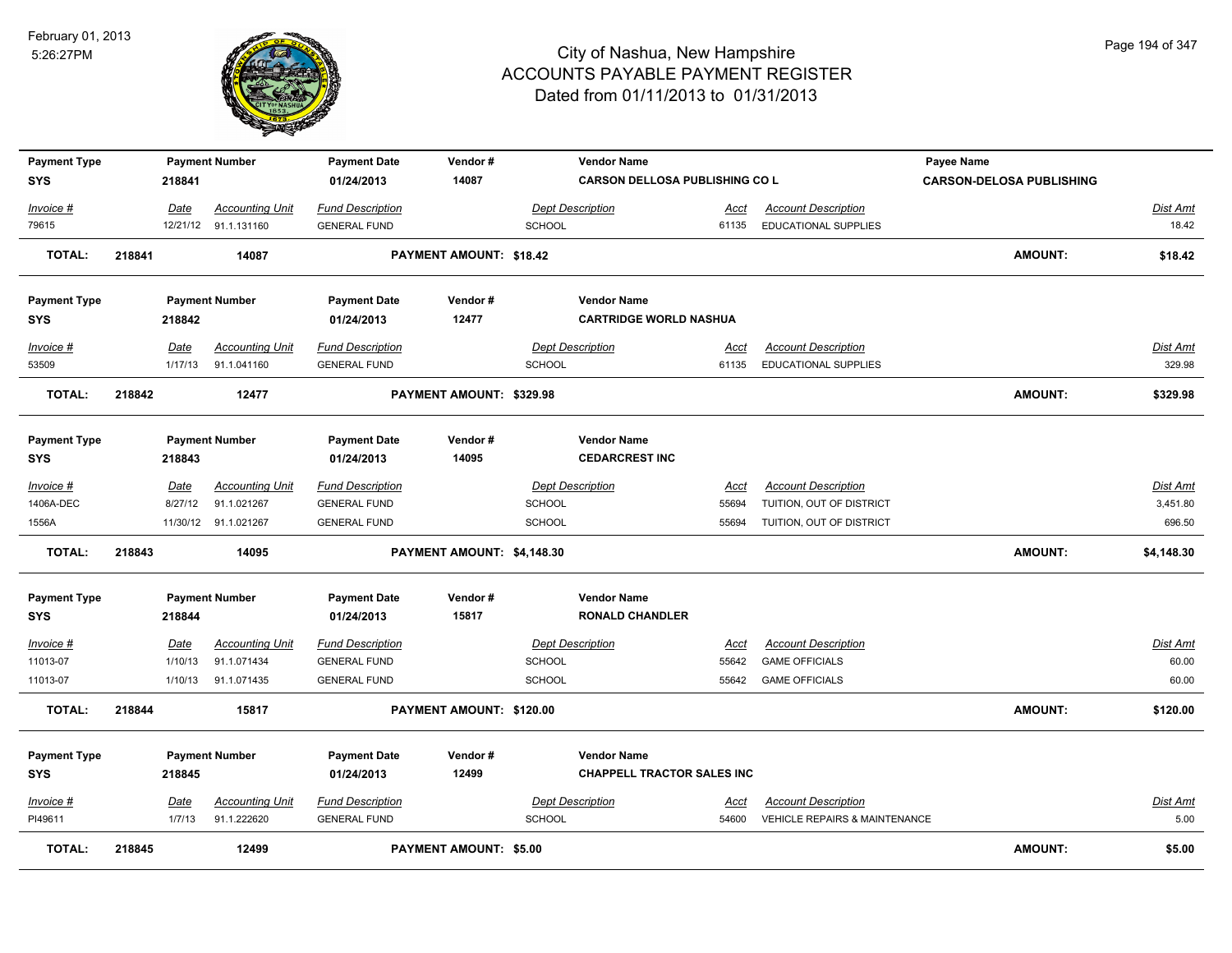

| <b>Payment Type</b> |        |             | <b>Payment Number</b>  | <b>Payment Date</b>     | Vendor#                       |               | <b>Vendor Name</b>                    |             |                               | <b>Payee Name</b>               |                 |
|---------------------|--------|-------------|------------------------|-------------------------|-------------------------------|---------------|---------------------------------------|-------------|-------------------------------|---------------------------------|-----------------|
| <b>SYS</b>          |        | 218841      |                        | 01/24/2013              | 14087                         |               | <b>CARSON DELLOSA PUBLISHING CO L</b> |             |                               | <b>CARSON-DELOSA PUBLISHING</b> |                 |
| Invoice #           |        | Date        | <b>Accounting Unit</b> | <b>Fund Description</b> |                               |               | Dept Description                      | Acct        | <b>Account Description</b>    |                                 | <u>Dist Amt</u> |
| 79615               |        |             | 12/21/12 91.1.131160   | <b>GENERAL FUND</b>     |                               | SCHOOL        |                                       | 61135       | EDUCATIONAL SUPPLIES          |                                 | 18.42           |
|                     |        |             |                        |                         |                               |               |                                       |             |                               |                                 |                 |
| <b>TOTAL:</b>       | 218841 |             | 14087                  |                         | PAYMENT AMOUNT: \$18.42       |               |                                       |             |                               | <b>AMOUNT:</b>                  | \$18.42         |
|                     |        |             |                        |                         | Vendor#                       |               | <b>Vendor Name</b>                    |             |                               |                                 |                 |
| <b>Payment Type</b> |        |             | <b>Payment Number</b>  | <b>Payment Date</b>     |                               |               |                                       |             |                               |                                 |                 |
| <b>SYS</b>          |        | 218842      |                        | 01/24/2013              | 12477                         |               | <b>CARTRIDGE WORLD NASHUA</b>         |             |                               |                                 |                 |
| Invoice #           |        | Date        | <b>Accounting Unit</b> | <b>Fund Description</b> |                               |               | <b>Dept Description</b>               | Acct        | <b>Account Description</b>    |                                 | <b>Dist Amt</b> |
| 53509               |        | 1/17/13     | 91.1.041160            | <b>GENERAL FUND</b>     |                               | <b>SCHOOL</b> |                                       | 61135       | <b>EDUCATIONAL SUPPLIES</b>   |                                 | 329.98          |
| <b>TOTAL:</b>       | 218842 |             | 12477                  |                         | PAYMENT AMOUNT: \$329.98      |               |                                       |             |                               | <b>AMOUNT:</b>                  | \$329.98        |
|                     |        |             |                        |                         |                               |               | <b>Vendor Name</b>                    |             |                               |                                 |                 |
| <b>Payment Type</b> |        |             | <b>Payment Number</b>  | <b>Payment Date</b>     | Vendor#<br>14095              |               | <b>CEDARCREST INC</b>                 |             |                               |                                 |                 |
| <b>SYS</b>          |        | 218843      |                        | 01/24/2013              |                               |               |                                       |             |                               |                                 |                 |
| Invoice #           |        | Date        | <b>Accounting Unit</b> | <b>Fund Description</b> |                               |               | <b>Dept Description</b>               | Acct        | <b>Account Description</b>    |                                 | Dist Amt        |
| 1406A-DEC           |        | 8/27/12     | 91.1.021267            | <b>GENERAL FUND</b>     |                               | SCHOOL        |                                       | 55694       | TUITION, OUT OF DISTRICT      |                                 | 3,451.80        |
| 1556A               |        |             | 11/30/12 91.1.021267   | <b>GENERAL FUND</b>     |                               | <b>SCHOOL</b> |                                       | 55694       | TUITION, OUT OF DISTRICT      |                                 | 696.50          |
| <b>TOTAL:</b>       | 218843 |             | 14095                  |                         | PAYMENT AMOUNT: \$4,148.30    |               |                                       |             |                               | <b>AMOUNT:</b>                  | \$4,148.30      |
| <b>Payment Type</b> |        |             | <b>Payment Number</b>  | <b>Payment Date</b>     | Vendor#                       |               | <b>Vendor Name</b>                    |             |                               |                                 |                 |
| <b>SYS</b>          |        | 218844      |                        | 01/24/2013              | 15817                         |               | <b>RONALD CHANDLER</b>                |             |                               |                                 |                 |
| Invoice #           |        | <b>Date</b> | <b>Accounting Unit</b> | <b>Fund Description</b> |                               |               | <b>Dept Description</b>               | <u>Acct</u> | <b>Account Description</b>    |                                 | <u>Dist Amt</u> |
| 11013-07            |        | 1/10/13     | 91.1.071434            | <b>GENERAL FUND</b>     |                               | <b>SCHOOL</b> |                                       | 55642       | <b>GAME OFFICIALS</b>         |                                 | 60.00           |
| 11013-07            |        | 1/10/13     | 91.1.071435            | <b>GENERAL FUND</b>     |                               | <b>SCHOOL</b> |                                       | 55642       | <b>GAME OFFICIALS</b>         |                                 | 60.00           |
| <b>TOTAL:</b>       | 218844 |             | 15817                  |                         | PAYMENT AMOUNT: \$120.00      |               |                                       |             |                               | <b>AMOUNT:</b>                  | \$120.00        |
|                     |        |             |                        |                         |                               |               |                                       |             |                               |                                 |                 |
| <b>Payment Type</b> |        |             | <b>Payment Number</b>  | <b>Payment Date</b>     | Vendor#                       |               | <b>Vendor Name</b>                    |             |                               |                                 |                 |
| <b>SYS</b>          |        | 218845      |                        | 01/24/2013              | 12499                         |               | <b>CHAPPELL TRACTOR SALES INC</b>     |             |                               |                                 |                 |
| Invoice #           |        | Date        | <b>Accounting Unit</b> | <b>Fund Description</b> |                               |               | <b>Dept Description</b>               | Acct        | <b>Account Description</b>    |                                 | <b>Dist Amt</b> |
| PI49611             |        | 1/7/13      | 91.1.222620            | <b>GENERAL FUND</b>     |                               | SCHOOL        |                                       | 54600       | VEHICLE REPAIRS & MAINTENANCE |                                 | 5.00            |
| <b>TOTAL:</b>       | 218845 |             | 12499                  |                         | <b>PAYMENT AMOUNT: \$5.00</b> |               |                                       |             |                               | <b>AMOUNT:</b>                  | \$5.00          |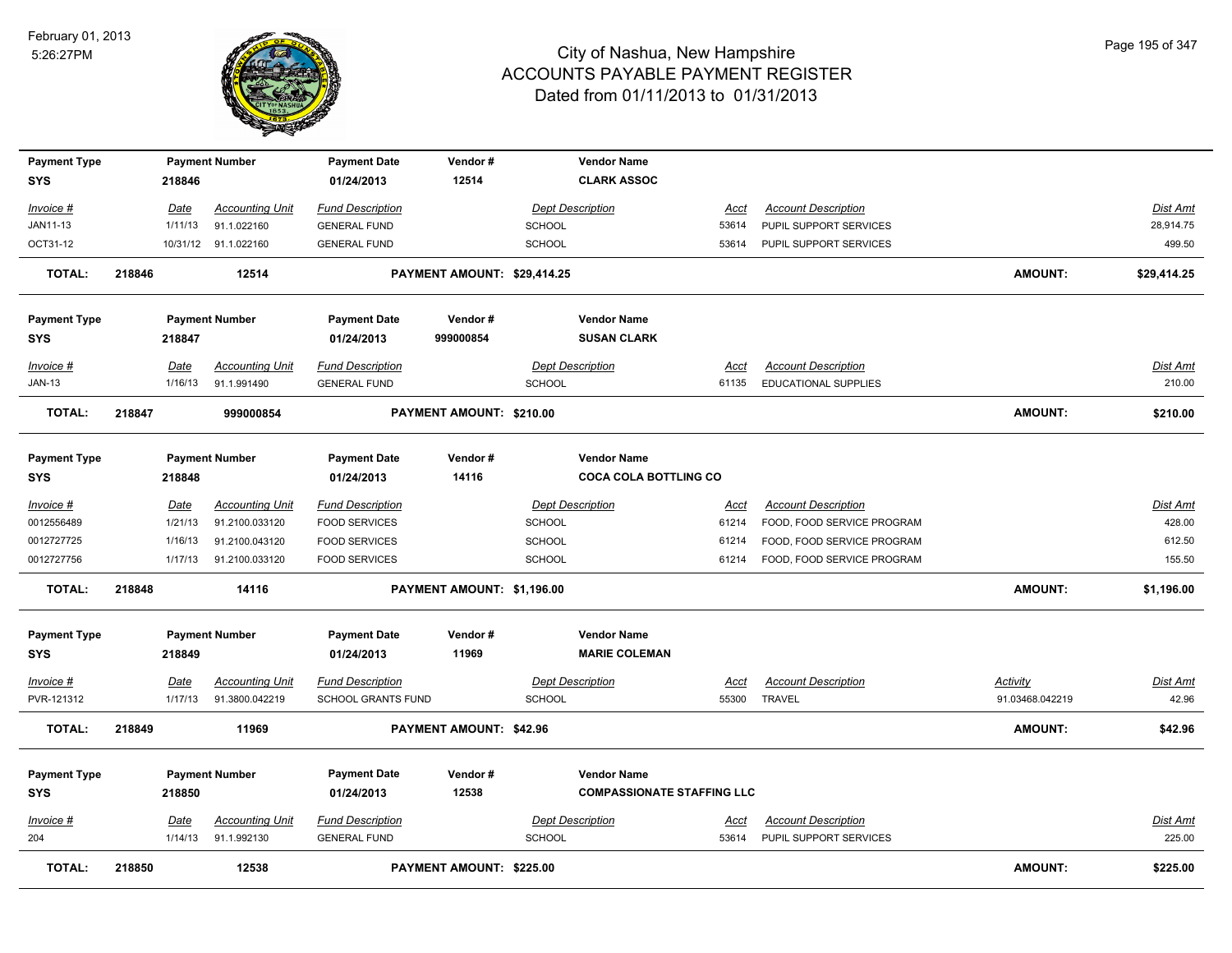

| <b>Payment Type</b><br><b>SYS</b> |        | 218846                 | <b>Payment Number</b>                 | <b>Payment Date</b><br>01/24/2013              | Vendor#<br>12514            |               | <b>Vendor Name</b><br><b>CLARK ASSOC</b>   |                      |                                                      |                 |                    |
|-----------------------------------|--------|------------------------|---------------------------------------|------------------------------------------------|-----------------------------|---------------|--------------------------------------------|----------------------|------------------------------------------------------|-----------------|--------------------|
| Invoice #                         |        | <b>Date</b>            | <b>Accounting Unit</b>                | <b>Fund Description</b>                        |                             |               | <b>Dept Description</b>                    | <u>Acct</u>          | <b>Account Description</b>                           |                 | <b>Dist Amt</b>    |
| JAN11-13                          |        | 1/11/13                | 91.1.022160                           | <b>GENERAL FUND</b>                            |                             | SCHOOL        |                                            | 53614                | PUPIL SUPPORT SERVICES                               |                 | 28,914.75          |
| OCT31-12                          |        |                        | 10/31/12 91.1.022160                  | <b>GENERAL FUND</b>                            |                             | <b>SCHOOL</b> |                                            | 53614                | PUPIL SUPPORT SERVICES                               |                 | 499.50             |
| <b>TOTAL:</b>                     | 218846 |                        | 12514                                 |                                                | PAYMENT AMOUNT: \$29,414.25 |               |                                            |                      |                                                      | <b>AMOUNT:</b>  | \$29,414.25        |
| <b>Payment Type</b>               |        |                        | <b>Payment Number</b>                 | <b>Payment Date</b>                            | Vendor#                     |               | <b>Vendor Name</b>                         |                      |                                                      |                 |                    |
| <b>SYS</b>                        |        | 218847                 |                                       | 01/24/2013                                     | 999000854                   |               | <b>SUSAN CLARK</b>                         |                      |                                                      |                 |                    |
| Invoice #                         |        | <b>Date</b>            | <b>Accounting Unit</b>                | <b>Fund Description</b>                        |                             |               | <b>Dept Description</b>                    | Acct                 | <b>Account Description</b>                           |                 | Dist Amt           |
| <b>JAN-13</b>                     |        | 1/16/13                | 91.1.991490                           | <b>GENERAL FUND</b>                            |                             | <b>SCHOOL</b> |                                            | 61135                | EDUCATIONAL SUPPLIES                                 |                 | 210.00             |
| <b>TOTAL:</b>                     | 218847 |                        | 999000854                             |                                                | PAYMENT AMOUNT: \$210.00    |               |                                            |                      |                                                      | <b>AMOUNT:</b>  | \$210.00           |
| <b>Payment Type</b>               |        |                        | <b>Payment Number</b>                 | <b>Payment Date</b>                            | Vendor#                     |               | <b>Vendor Name</b>                         |                      |                                                      |                 |                    |
| <b>SYS</b>                        |        | 218848                 |                                       | 01/24/2013                                     | 14116                       |               | <b>COCA COLA BOTTLING CO</b>               |                      |                                                      |                 |                    |
| Invoice #                         |        | Date                   | <b>Accounting Unit</b>                | <b>Fund Description</b>                        |                             |               | <b>Dept Description</b>                    | Acct                 | <b>Account Description</b>                           |                 | Dist Amt           |
| 0012556489                        |        | 1/21/13                | 91.2100.033120                        | <b>FOOD SERVICES</b>                           |                             | <b>SCHOOL</b> |                                            | 61214                | FOOD, FOOD SERVICE PROGRAM                           |                 | 428.00             |
| 0012727725                        |        | 1/16/13                | 91.2100.043120                        | <b>FOOD SERVICES</b>                           |                             | <b>SCHOOL</b> |                                            | 61214                | FOOD, FOOD SERVICE PROGRAM                           |                 | 612.50             |
| 0012727756                        |        | 1/17/13                | 91.2100.033120                        | <b>FOOD SERVICES</b>                           |                             | <b>SCHOOL</b> |                                            | 61214                | FOOD, FOOD SERVICE PROGRAM                           |                 | 155.50             |
| <b>TOTAL:</b>                     | 218848 |                        | 14116                                 |                                                | PAYMENT AMOUNT: \$1,196.00  |               |                                            |                      |                                                      | <b>AMOUNT:</b>  | \$1,196.00         |
| <b>Payment Type</b><br><b>SYS</b> |        | 218849                 | <b>Payment Number</b>                 | <b>Payment Date</b><br>01/24/2013              | Vendor#<br>11969            |               | <b>Vendor Name</b><br><b>MARIE COLEMAN</b> |                      |                                                      |                 |                    |
| <u>Invoice #</u>                  |        | <b>Date</b>            | <b>Accounting Unit</b>                | <b>Fund Description</b>                        |                             |               | <b>Dept Description</b>                    | <u>Acct</u>          | <b>Account Description</b>                           | <u>Activity</u> | <u>Dist Amt</u>    |
| PVR-121312                        |        | 1/17/13                | 91.3800.042219                        | <b>SCHOOL GRANTS FUND</b>                      |                             | <b>SCHOOL</b> |                                            | 55300                | <b>TRAVEL</b>                                        | 91.03468.042219 | 42.96              |
| <b>TOTAL:</b>                     | 218849 |                        | 11969                                 |                                                | PAYMENT AMOUNT: \$42.96     |               |                                            |                      |                                                      | <b>AMOUNT:</b>  | \$42.96            |
| <b>Payment Type</b>               |        |                        | <b>Payment Number</b>                 | <b>Payment Date</b>                            | Vendor#                     |               | <b>Vendor Name</b>                         |                      |                                                      |                 |                    |
| <b>SYS</b>                        |        | 218850                 |                                       | 01/24/2013                                     | 12538                       |               | <b>COMPASSIONATE STAFFING LLC</b>          |                      |                                                      |                 |                    |
|                                   |        |                        |                                       |                                                |                             |               |                                            |                      |                                                      |                 |                    |
| <b>Invoice #</b><br>204           |        | <b>Date</b><br>1/14/13 | <b>Accounting Unit</b><br>91.1.992130 | <b>Fund Description</b><br><b>GENERAL FUND</b> |                             | <b>SCHOOL</b> | <b>Dept Description</b>                    | <u>Acct</u><br>53614 | <b>Account Description</b><br>PUPIL SUPPORT SERVICES |                 | Dist Amt<br>225.00 |
|                                   |        |                        |                                       |                                                |                             |               |                                            |                      |                                                      |                 |                    |
| <b>TOTAL:</b>                     | 218850 |                        | 12538                                 |                                                | PAYMENT AMOUNT: \$225.00    |               |                                            |                      |                                                      | <b>AMOUNT:</b>  | \$225.00           |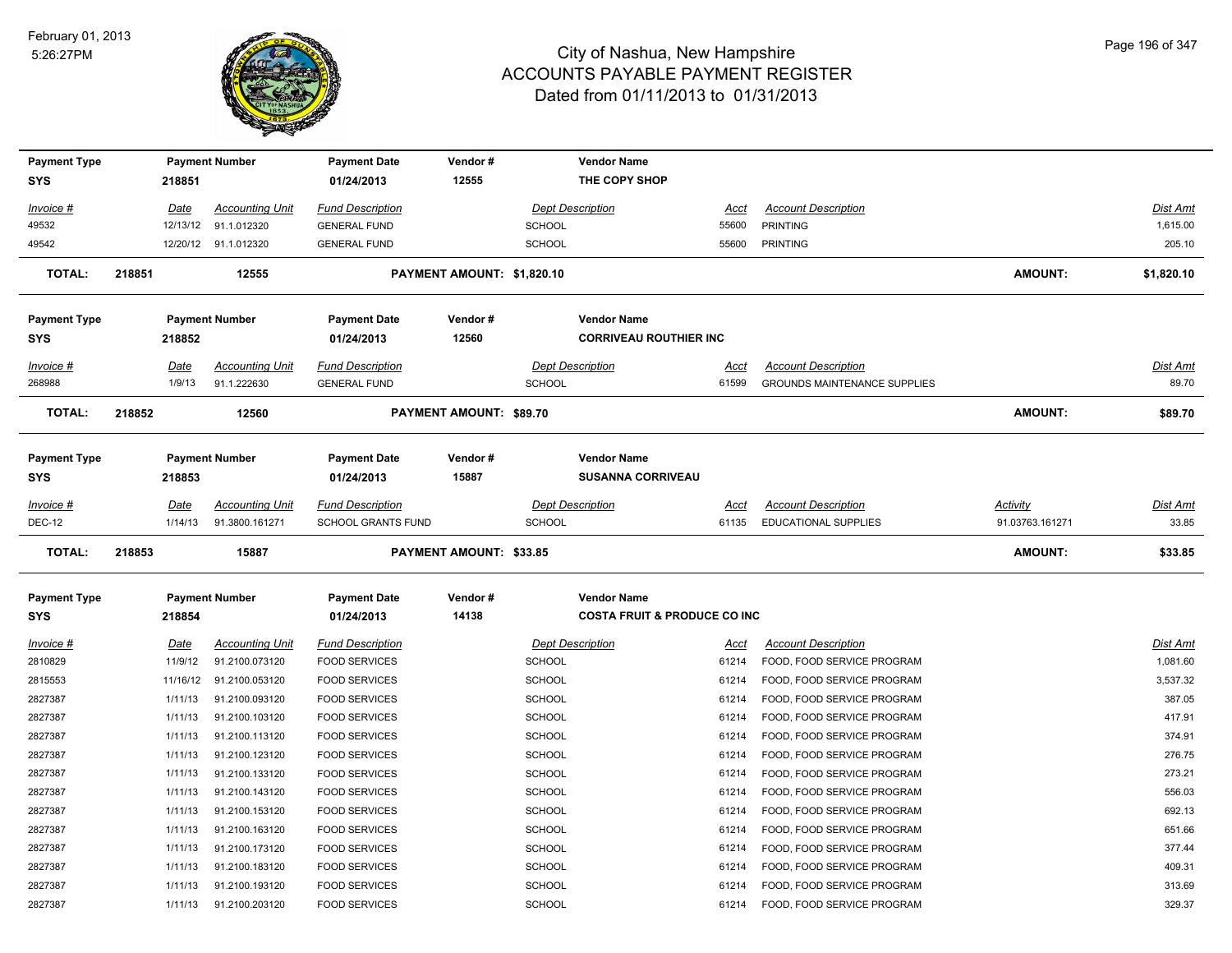

| <b>Payment Type</b>        |        |                        | <b>Payment Number</b>                    | <b>Payment Date</b>                                  | Vendor#                        |                                          | <b>Vendor Name</b>                      |                      |                                                           |                                    |                   |
|----------------------------|--------|------------------------|------------------------------------------|------------------------------------------------------|--------------------------------|------------------------------------------|-----------------------------------------|----------------------|-----------------------------------------------------------|------------------------------------|-------------------|
| <b>SYS</b>                 |        | 218851                 |                                          | 01/24/2013                                           | 12555                          |                                          | THE COPY SHOP                           |                      |                                                           |                                    |                   |
| Invoice #                  |        | Date                   | <b>Accounting Unit</b>                   | <b>Fund Description</b>                              |                                | <b>Dept Description</b>                  |                                         | Acct                 | <b>Account Description</b>                                |                                    | Dist Amt          |
| 49532                      |        | 12/13/12               | 91.1.012320                              | <b>GENERAL FUND</b>                                  |                                | SCHOOL                                   |                                         | 55600                | <b>PRINTING</b>                                           |                                    | 1,615.00          |
| 49542                      |        |                        | 12/20/12 91.1.012320                     | <b>GENERAL FUND</b>                                  |                                | <b>SCHOOL</b>                            |                                         | 55600                | <b>PRINTING</b>                                           |                                    | 205.10            |
| <b>TOTAL:</b>              | 218851 |                        | 12555                                    |                                                      | PAYMENT AMOUNT: \$1,820.10     |                                          |                                         |                      |                                                           | <b>AMOUNT:</b>                     | \$1,820.10        |
| <b>Payment Type</b>        |        |                        | <b>Payment Number</b>                    | <b>Payment Date</b>                                  | Vendor#                        |                                          | <b>Vendor Name</b>                      |                      |                                                           |                                    |                   |
| <b>SYS</b>                 |        | 218852                 |                                          | 01/24/2013                                           | 12560                          |                                          | <b>CORRIVEAU ROUTHIER INC</b>           |                      |                                                           |                                    |                   |
| Invoice #                  |        | Date                   | <b>Accounting Unit</b>                   | <b>Fund Description</b>                              |                                | <b>Dept Description</b>                  |                                         | Acct                 | <b>Account Description</b>                                |                                    | Dist Amt          |
| 268988                     |        | 1/9/13                 | 91.1.222630                              | <b>GENERAL FUND</b>                                  |                                | <b>SCHOOL</b>                            |                                         | 61599                | <b>GROUNDS MAINTENANCE SUPPLIES</b>                       |                                    | 89.70             |
| <b>TOTAL:</b>              | 218852 |                        | 12560                                    |                                                      | PAYMENT AMOUNT: \$89.70        |                                          |                                         |                      |                                                           | <b>AMOUNT:</b>                     | \$89.70           |
| <b>Payment Type</b>        |        |                        | <b>Payment Number</b>                    | <b>Payment Date</b>                                  | Vendor#                        |                                          | <b>Vendor Name</b>                      |                      |                                                           |                                    |                   |
| SYS                        |        | 218853                 |                                          | 01/24/2013                                           | 15887                          |                                          | <b>SUSANNA CORRIVEAU</b>                |                      |                                                           |                                    |                   |
|                            |        |                        |                                          |                                                      |                                |                                          |                                         |                      |                                                           |                                    |                   |
| Invoice #<br><b>DEC-12</b> |        | <b>Date</b><br>1/14/13 | <b>Accounting Unit</b><br>91.3800.161271 | <b>Fund Description</b><br><b>SCHOOL GRANTS FUND</b> |                                | <b>Dept Description</b><br><b>SCHOOL</b> |                                         | <u>Acct</u><br>61135 | <b>Account Description</b><br><b>EDUCATIONAL SUPPLIES</b> | <b>Activity</b><br>91.03763.161271 | Dist Amt<br>33.85 |
|                            |        |                        |                                          |                                                      |                                |                                          |                                         |                      |                                                           |                                    |                   |
|                            |        |                        |                                          |                                                      |                                |                                          |                                         |                      |                                                           |                                    |                   |
| <b>TOTAL:</b>              | 218853 |                        | 15887                                    |                                                      | <b>PAYMENT AMOUNT: \$33.85</b> |                                          |                                         |                      |                                                           | <b>AMOUNT:</b>                     | \$33.85           |
| <b>Payment Type</b>        |        |                        | <b>Payment Number</b>                    | <b>Payment Date</b>                                  | Vendor#                        |                                          | <b>Vendor Name</b>                      |                      |                                                           |                                    |                   |
| <b>SYS</b>                 |        | 218854                 |                                          | 01/24/2013                                           | 14138                          |                                          | <b>COSTA FRUIT &amp; PRODUCE CO INC</b> |                      |                                                           |                                    |                   |
| Invoice #                  |        | <u>Date</u>            | <b>Accounting Unit</b>                   | <b>Fund Description</b>                              |                                | <b>Dept Description</b>                  |                                         | <u>Acct</u>          | <b>Account Description</b>                                |                                    | <u>Dist Amt</u>   |
| 2810829                    |        | 11/9/12                | 91.2100.073120                           | <b>FOOD SERVICES</b>                                 |                                | <b>SCHOOL</b>                            |                                         | 61214                | FOOD, FOOD SERVICE PROGRAM                                |                                    | 1,081.60          |
| 2815553                    |        | 11/16/12               | 91.2100.053120                           | <b>FOOD SERVICES</b>                                 |                                | <b>SCHOOL</b>                            |                                         | 61214                | FOOD, FOOD SERVICE PROGRAM                                |                                    | 3,537.32          |
| 2827387                    |        | 1/11/13                | 91.2100.093120                           | <b>FOOD SERVICES</b>                                 |                                | <b>SCHOOL</b>                            |                                         | 61214                | FOOD, FOOD SERVICE PROGRAM                                |                                    | 387.05            |
| 2827387                    |        | 1/11/13                | 91.2100.103120                           | <b>FOOD SERVICES</b>                                 |                                | <b>SCHOOL</b>                            |                                         | 61214                | FOOD, FOOD SERVICE PROGRAM                                |                                    | 417.91            |
| 2827387                    |        | 1/11/13                | 91.2100.113120                           | <b>FOOD SERVICES</b>                                 |                                | <b>SCHOOL</b>                            |                                         | 61214                | FOOD, FOOD SERVICE PROGRAM                                |                                    | 374.91            |
| 2827387                    |        | 1/11/13                | 91.2100.123120                           | <b>FOOD SERVICES</b>                                 |                                | <b>SCHOOL</b>                            |                                         | 61214                | FOOD, FOOD SERVICE PROGRAM                                |                                    | 276.75            |
| 2827387                    |        | 1/11/13                | 91.2100.133120                           | <b>FOOD SERVICES</b>                                 |                                | <b>SCHOOL</b>                            |                                         | 61214                | FOOD, FOOD SERVICE PROGRAM                                |                                    | 273.21            |
| 2827387                    |        | 1/11/13                | 91.2100.143120                           | <b>FOOD SERVICES</b>                                 |                                | <b>SCHOOL</b>                            |                                         | 61214                | FOOD, FOOD SERVICE PROGRAM                                |                                    | 556.03            |
| 2827387                    |        | 1/11/13                | 91.2100.153120                           | <b>FOOD SERVICES</b>                                 |                                | SCHOOL                                   |                                         | 61214                | FOOD, FOOD SERVICE PROGRAM                                |                                    | 692.13            |
| 2827387                    |        | 1/11/13                | 91.2100.163120                           | <b>FOOD SERVICES</b>                                 |                                | SCHOOL                                   |                                         | 61214                | FOOD, FOOD SERVICE PROGRAM                                |                                    | 651.66            |
| 2827387                    |        | 1/11/13                | 91.2100.173120                           | <b>FOOD SERVICES</b>                                 |                                | <b>SCHOOL</b>                            |                                         | 61214                | FOOD, FOOD SERVICE PROGRAM                                |                                    | 377.44            |
| 2827387                    |        | 1/11/13                | 91.2100.183120                           | <b>FOOD SERVICES</b>                                 |                                | <b>SCHOOL</b>                            |                                         | 61214                | FOOD, FOOD SERVICE PROGRAM                                |                                    | 409.31            |
| 2827387                    |        | 1/11/13                | 91.2100.193120                           | <b>FOOD SERVICES</b>                                 |                                | <b>SCHOOL</b>                            |                                         | 61214                | FOOD, FOOD SERVICE PROGRAM                                |                                    | 313.69            |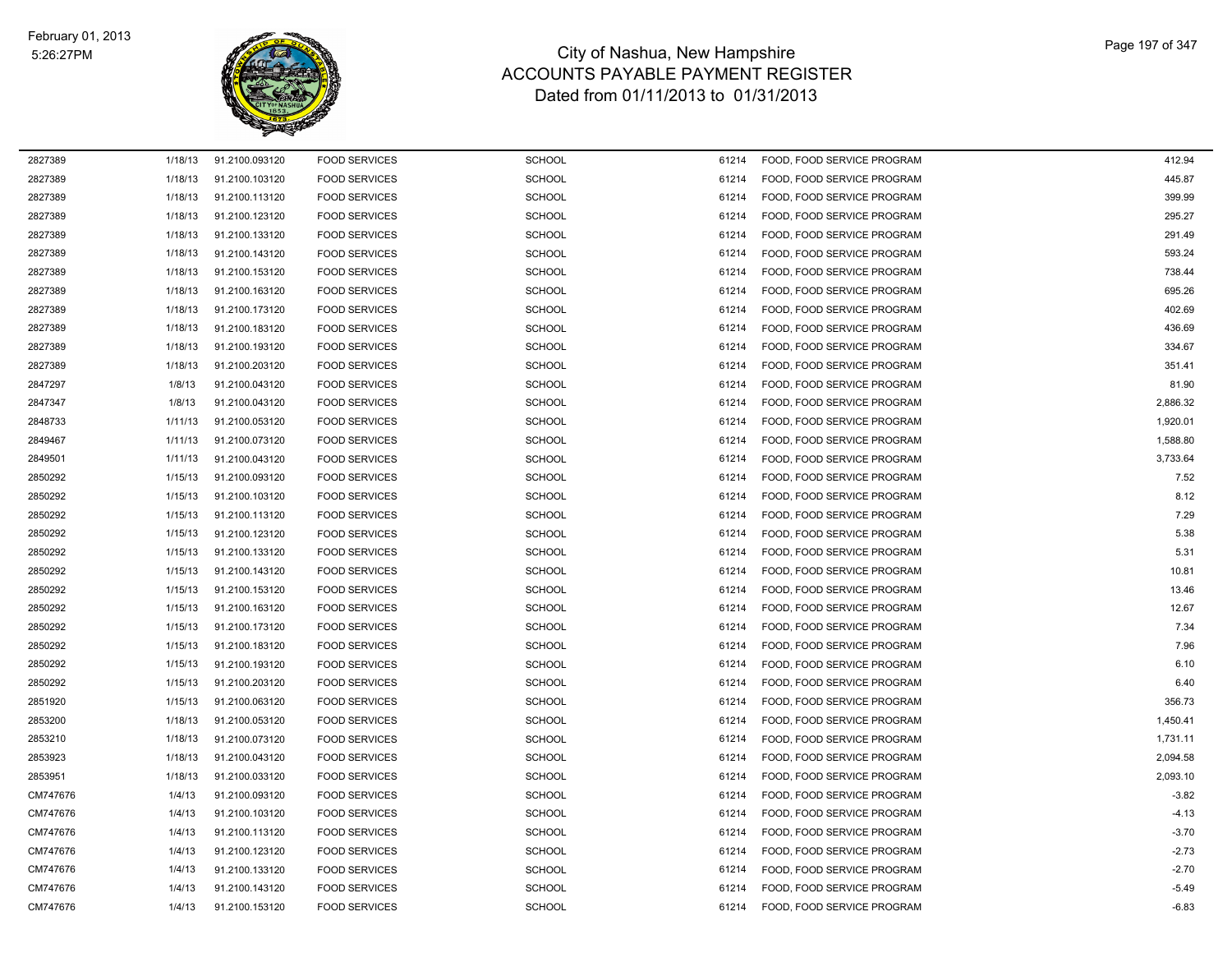

| 2827389  | 1/18/13 | 91.2100.093120 | <b>FOOD SERVICES</b> | <b>SCHOOL</b> | 61214 | FOOD, FOOD SERVICE PROGRAM | 412.94   |
|----------|---------|----------------|----------------------|---------------|-------|----------------------------|----------|
| 2827389  | 1/18/13 | 91.2100.103120 | <b>FOOD SERVICES</b> | <b>SCHOOL</b> | 61214 | FOOD, FOOD SERVICE PROGRAM | 445.87   |
| 2827389  | 1/18/13 | 91.2100.113120 | <b>FOOD SERVICES</b> | <b>SCHOOL</b> | 61214 | FOOD, FOOD SERVICE PROGRAM | 399.99   |
| 2827389  | 1/18/13 | 91.2100.123120 | <b>FOOD SERVICES</b> | <b>SCHOOL</b> | 61214 | FOOD, FOOD SERVICE PROGRAM | 295.27   |
| 2827389  | 1/18/13 | 91.2100.133120 | <b>FOOD SERVICES</b> | <b>SCHOOL</b> | 61214 | FOOD, FOOD SERVICE PROGRAM | 291.49   |
| 2827389  | 1/18/13 | 91.2100.143120 | <b>FOOD SERVICES</b> | <b>SCHOOL</b> | 61214 | FOOD, FOOD SERVICE PROGRAM | 593.24   |
| 2827389  | 1/18/13 | 91.2100.153120 | <b>FOOD SERVICES</b> | <b>SCHOOL</b> | 61214 | FOOD, FOOD SERVICE PROGRAM | 738.44   |
| 2827389  | 1/18/13 | 91.2100.163120 | <b>FOOD SERVICES</b> | <b>SCHOOL</b> | 61214 | FOOD, FOOD SERVICE PROGRAM | 695.26   |
| 2827389  | 1/18/13 | 91.2100.173120 | <b>FOOD SERVICES</b> | <b>SCHOOL</b> | 61214 | FOOD, FOOD SERVICE PROGRAM | 402.69   |
| 2827389  | 1/18/13 | 91.2100.183120 | <b>FOOD SERVICES</b> | <b>SCHOOL</b> | 61214 | FOOD, FOOD SERVICE PROGRAM | 436.69   |
| 2827389  | 1/18/13 | 91.2100.193120 | <b>FOOD SERVICES</b> | <b>SCHOOL</b> | 61214 | FOOD, FOOD SERVICE PROGRAM | 334.67   |
| 2827389  | 1/18/13 | 91.2100.203120 | <b>FOOD SERVICES</b> | <b>SCHOOL</b> | 61214 | FOOD, FOOD SERVICE PROGRAM | 351.41   |
| 2847297  | 1/8/13  | 91.2100.043120 | <b>FOOD SERVICES</b> | <b>SCHOOL</b> | 61214 | FOOD, FOOD SERVICE PROGRAM | 81.90    |
| 2847347  | 1/8/13  | 91.2100.043120 | <b>FOOD SERVICES</b> | <b>SCHOOL</b> | 61214 | FOOD, FOOD SERVICE PROGRAM | 2,886.32 |
| 2848733  | 1/11/13 | 91.2100.053120 | <b>FOOD SERVICES</b> | <b>SCHOOL</b> | 61214 | FOOD, FOOD SERVICE PROGRAM | 1,920.01 |
| 2849467  | 1/11/13 | 91.2100.073120 | <b>FOOD SERVICES</b> | <b>SCHOOL</b> | 61214 | FOOD, FOOD SERVICE PROGRAM | 1,588.80 |
| 2849501  | 1/11/13 | 91.2100.043120 | <b>FOOD SERVICES</b> | <b>SCHOOL</b> | 61214 | FOOD, FOOD SERVICE PROGRAM | 3,733.64 |
| 2850292  | 1/15/13 | 91.2100.093120 | <b>FOOD SERVICES</b> | <b>SCHOOL</b> | 61214 | FOOD, FOOD SERVICE PROGRAM | 7.52     |
| 2850292  | 1/15/13 | 91.2100.103120 | <b>FOOD SERVICES</b> | <b>SCHOOL</b> | 61214 | FOOD, FOOD SERVICE PROGRAM | 8.12     |
| 2850292  | 1/15/13 | 91.2100.113120 | <b>FOOD SERVICES</b> | <b>SCHOOL</b> | 61214 | FOOD, FOOD SERVICE PROGRAM | 7.29     |
| 2850292  | 1/15/13 | 91.2100.123120 | <b>FOOD SERVICES</b> | <b>SCHOOL</b> | 61214 | FOOD, FOOD SERVICE PROGRAM | 5.38     |
| 2850292  | 1/15/13 | 91.2100.133120 | <b>FOOD SERVICES</b> | <b>SCHOOL</b> | 61214 | FOOD, FOOD SERVICE PROGRAM | 5.31     |
| 2850292  | 1/15/13 | 91.2100.143120 | <b>FOOD SERVICES</b> | <b>SCHOOL</b> | 61214 | FOOD, FOOD SERVICE PROGRAM | 10.81    |
| 2850292  | 1/15/13 | 91.2100.153120 | <b>FOOD SERVICES</b> | <b>SCHOOL</b> | 61214 | FOOD, FOOD SERVICE PROGRAM | 13.46    |
| 2850292  | 1/15/13 | 91.2100.163120 | <b>FOOD SERVICES</b> | <b>SCHOOL</b> | 61214 | FOOD, FOOD SERVICE PROGRAM | 12.67    |
| 2850292  | 1/15/13 | 91.2100.173120 | <b>FOOD SERVICES</b> | <b>SCHOOL</b> | 61214 | FOOD, FOOD SERVICE PROGRAM | 7.34     |
| 2850292  | 1/15/13 | 91.2100.183120 | <b>FOOD SERVICES</b> | <b>SCHOOL</b> | 61214 | FOOD, FOOD SERVICE PROGRAM | 7.96     |
| 2850292  | 1/15/13 | 91.2100.193120 | <b>FOOD SERVICES</b> | <b>SCHOOL</b> | 61214 | FOOD, FOOD SERVICE PROGRAM | 6.10     |
| 2850292  | 1/15/13 | 91.2100.203120 | <b>FOOD SERVICES</b> | <b>SCHOOL</b> | 61214 | FOOD, FOOD SERVICE PROGRAM | 6.40     |
| 2851920  | 1/15/13 | 91.2100.063120 | <b>FOOD SERVICES</b> | <b>SCHOOL</b> | 61214 | FOOD, FOOD SERVICE PROGRAM | 356.73   |
| 2853200  | 1/18/13 | 91.2100.053120 | <b>FOOD SERVICES</b> | <b>SCHOOL</b> | 61214 | FOOD, FOOD SERVICE PROGRAM | 1,450.41 |
| 2853210  | 1/18/13 | 91.2100.073120 | <b>FOOD SERVICES</b> | <b>SCHOOL</b> | 61214 | FOOD, FOOD SERVICE PROGRAM | 1,731.11 |
| 2853923  | 1/18/13 | 91.2100.043120 | <b>FOOD SERVICES</b> | <b>SCHOOL</b> | 61214 | FOOD, FOOD SERVICE PROGRAM | 2,094.58 |
| 2853951  | 1/18/13 | 91.2100.033120 | <b>FOOD SERVICES</b> | <b>SCHOOL</b> | 61214 | FOOD, FOOD SERVICE PROGRAM | 2,093.10 |
| CM747676 | 1/4/13  | 91.2100.093120 | <b>FOOD SERVICES</b> | <b>SCHOOL</b> | 61214 | FOOD, FOOD SERVICE PROGRAM | $-3.82$  |
| CM747676 | 1/4/13  | 91.2100.103120 | <b>FOOD SERVICES</b> | <b>SCHOOL</b> | 61214 | FOOD, FOOD SERVICE PROGRAM | $-4.13$  |
| CM747676 | 1/4/13  | 91.2100.113120 | <b>FOOD SERVICES</b> | <b>SCHOOL</b> | 61214 | FOOD, FOOD SERVICE PROGRAM | $-3.70$  |
| CM747676 | 1/4/13  | 91.2100.123120 | <b>FOOD SERVICES</b> | <b>SCHOOL</b> | 61214 | FOOD, FOOD SERVICE PROGRAM | $-2.73$  |
| CM747676 | 1/4/13  | 91.2100.133120 | <b>FOOD SERVICES</b> | <b>SCHOOL</b> | 61214 | FOOD, FOOD SERVICE PROGRAM | $-2.70$  |
| CM747676 | 1/4/13  | 91.2100.143120 | <b>FOOD SERVICES</b> | <b>SCHOOL</b> | 61214 | FOOD, FOOD SERVICE PROGRAM | $-5.49$  |
| CM747676 | 1/4/13  | 91.2100.153120 | <b>FOOD SERVICES</b> | <b>SCHOOL</b> | 61214 | FOOD, FOOD SERVICE PROGRAM | $-6.83$  |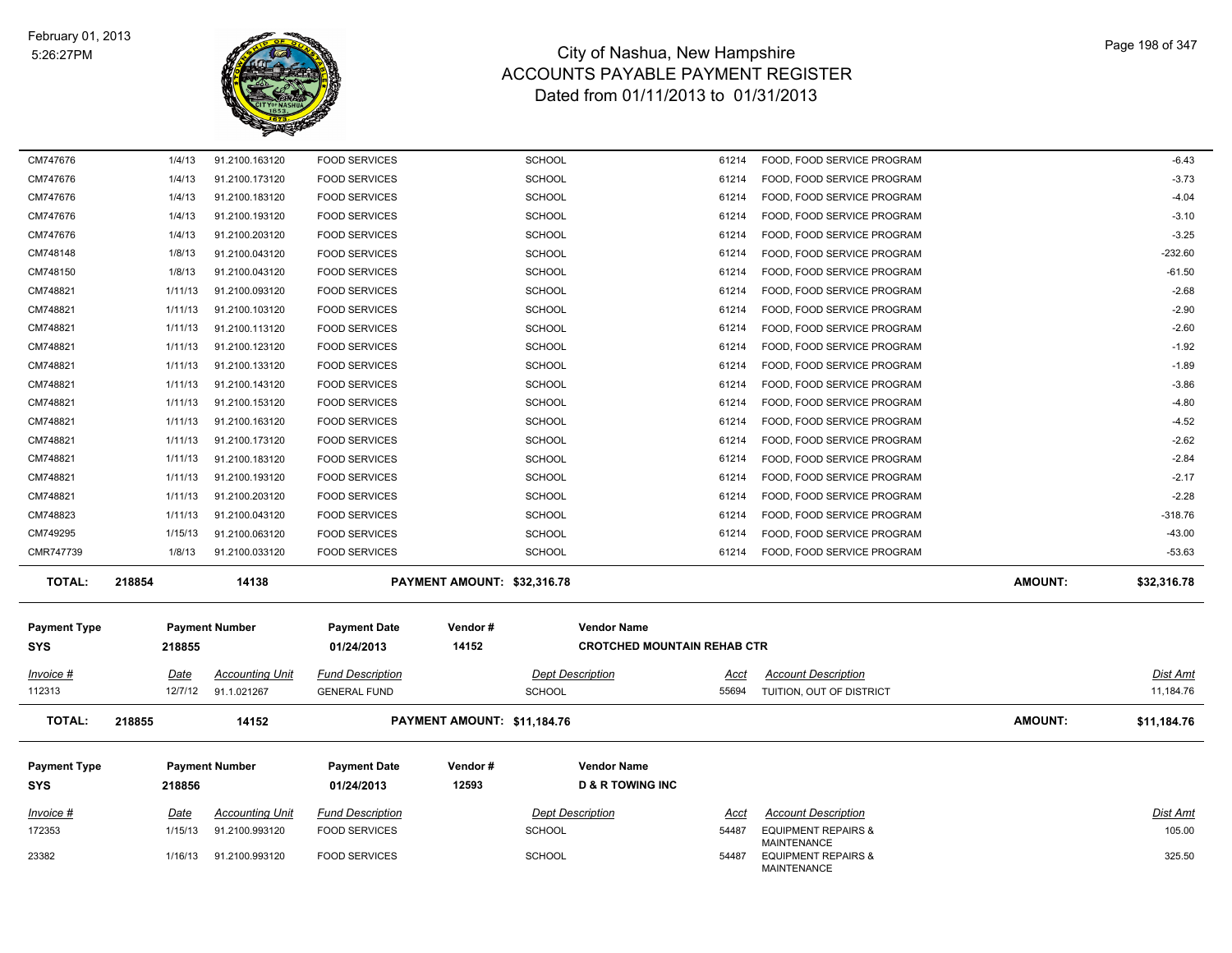

| CM747676                   | 1/4/13      | 91.2100.163120         | <b>FOOD SERVICES</b>              |                             | <b>SCHOOL</b>                                            | 61214 | FOOD, FOOD SERVICE PROGRAM                           |                | $-6.43$         |
|----------------------------|-------------|------------------------|-----------------------------------|-----------------------------|----------------------------------------------------------|-------|------------------------------------------------------|----------------|-----------------|
| CM747676                   | 1/4/13      | 91.2100.173120         | <b>FOOD SERVICES</b>              |                             | <b>SCHOOL</b>                                            | 61214 | FOOD, FOOD SERVICE PROGRAM                           |                | $-3.73$         |
| CM747676                   | 1/4/13      | 91.2100.183120         | <b>FOOD SERVICES</b>              |                             | <b>SCHOOL</b>                                            | 61214 | FOOD, FOOD SERVICE PROGRAM                           |                | $-4.04$         |
| CM747676                   | 1/4/13      | 91.2100.193120         | <b>FOOD SERVICES</b>              |                             | <b>SCHOOL</b>                                            | 61214 | FOOD, FOOD SERVICE PROGRAM                           |                | $-3.10$         |
| CM747676                   | 1/4/13      | 91.2100.203120         | <b>FOOD SERVICES</b>              |                             | <b>SCHOOL</b>                                            | 61214 | FOOD, FOOD SERVICE PROGRAM                           |                | $-3.25$         |
| CM748148                   | 1/8/13      | 91.2100.043120         | <b>FOOD SERVICES</b>              |                             | <b>SCHOOL</b>                                            | 61214 | FOOD, FOOD SERVICE PROGRAM                           |                | $-232.60$       |
| CM748150                   | 1/8/13      | 91.2100.043120         | <b>FOOD SERVICES</b>              |                             | <b>SCHOOL</b>                                            | 61214 | FOOD, FOOD SERVICE PROGRAM                           |                | $-61.50$        |
| CM748821                   | 1/11/13     | 91.2100.093120         | <b>FOOD SERVICES</b>              |                             | <b>SCHOOL</b>                                            | 61214 | FOOD, FOOD SERVICE PROGRAM                           |                | $-2.68$         |
| CM748821                   | 1/11/13     | 91.2100.103120         | <b>FOOD SERVICES</b>              |                             | <b>SCHOOL</b>                                            | 61214 | FOOD, FOOD SERVICE PROGRAM                           |                | $-2.90$         |
| CM748821                   | 1/11/13     | 91.2100.113120         | <b>FOOD SERVICES</b>              |                             | <b>SCHOOL</b>                                            | 61214 | FOOD, FOOD SERVICE PROGRAM                           |                | $-2.60$         |
| CM748821                   | 1/11/13     | 91.2100.123120         | <b>FOOD SERVICES</b>              |                             | <b>SCHOOL</b>                                            | 61214 | FOOD, FOOD SERVICE PROGRAM                           |                | $-1.92$         |
| CM748821                   | 1/11/13     | 91.2100.133120         | <b>FOOD SERVICES</b>              |                             | <b>SCHOOL</b>                                            | 61214 | FOOD, FOOD SERVICE PROGRAM                           |                | $-1.89$         |
| CM748821                   | 1/11/13     | 91.2100.143120         | <b>FOOD SERVICES</b>              |                             | <b>SCHOOL</b>                                            | 61214 | FOOD, FOOD SERVICE PROGRAM                           |                | $-3.86$         |
| CM748821                   | 1/11/13     | 91.2100.153120         | <b>FOOD SERVICES</b>              |                             | <b>SCHOOL</b>                                            | 61214 | FOOD, FOOD SERVICE PROGRAM                           |                | $-4.80$         |
| CM748821                   | 1/11/13     | 91.2100.163120         | <b>FOOD SERVICES</b>              |                             | <b>SCHOOL</b>                                            | 61214 | FOOD, FOOD SERVICE PROGRAM                           |                | $-4.52$         |
| CM748821                   | 1/11/13     | 91.2100.173120         | <b>FOOD SERVICES</b>              |                             | <b>SCHOOL</b>                                            | 61214 | FOOD, FOOD SERVICE PROGRAM                           |                | $-2.62$         |
| CM748821                   | 1/11/13     | 91.2100.183120         | <b>FOOD SERVICES</b>              |                             | <b>SCHOOL</b>                                            | 61214 | FOOD, FOOD SERVICE PROGRAM                           |                | $-2.84$         |
| CM748821                   | 1/11/13     | 91.2100.193120         | <b>FOOD SERVICES</b>              |                             | <b>SCHOOL</b>                                            | 61214 | FOOD, FOOD SERVICE PROGRAM                           |                | $-2.17$         |
| CM748821                   | 1/11/13     | 91.2100.203120         | <b>FOOD SERVICES</b>              |                             | <b>SCHOOL</b>                                            | 61214 | FOOD, FOOD SERVICE PROGRAM                           |                | $-2.28$         |
| CM748823                   | 1/11/13     | 91.2100.043120         | <b>FOOD SERVICES</b>              |                             | <b>SCHOOL</b>                                            | 61214 | FOOD, FOOD SERVICE PROGRAM                           |                | $-318.76$       |
| CM749295                   | 1/15/13     | 91.2100.063120         | <b>FOOD SERVICES</b>              |                             | <b>SCHOOL</b>                                            | 61214 | FOOD, FOOD SERVICE PROGRAM                           |                | $-43.00$        |
| CMR747739                  | 1/8/13      | 91.2100.033120         | <b>FOOD SERVICES</b>              |                             | <b>SCHOOL</b>                                            | 61214 | FOOD, FOOD SERVICE PROGRAM                           |                | $-53.63$        |
| <b>TOTAL:</b>              | 218854      | 14138                  |                                   | PAYMENT AMOUNT: \$32,316.78 |                                                          |       |                                                      | AMOUNT:        | \$32,316.78     |
| <b>Payment Type</b><br>SYS | 218855      | <b>Payment Number</b>  | <b>Payment Date</b><br>01/24/2013 | Vendor#<br>14152            | <b>Vendor Name</b><br><b>CROTCHED MOUNTAIN REHAB CTR</b> |       |                                                      |                |                 |
|                            |             |                        |                                   |                             |                                                          |       |                                                      |                |                 |
| Invoice #                  | <u>Date</u> | <b>Accounting Unit</b> | <b>Fund Description</b>           |                             | <b>Dept Description</b>                                  | Acct  | <b>Account Description</b>                           |                | <u>Dist Amt</u> |
| 112313                     | 12/7/12     | 91.1.021267            | <b>GENERAL FUND</b>               |                             | <b>SCHOOL</b>                                            | 55694 | TUITION, OUT OF DISTRICT                             |                | 11,184.76       |
| <b>TOTAL:</b>              | 218855      | 14152                  |                                   | PAYMENT AMOUNT: \$11,184.76 |                                                          |       |                                                      | <b>AMOUNT:</b> | \$11,184.76     |
| <b>Payment Type</b>        |             | <b>Payment Number</b>  | <b>Payment Date</b>               | Vendor#                     | <b>Vendor Name</b>                                       |       |                                                      |                |                 |
|                            |             |                        |                                   |                             |                                                          |       |                                                      |                |                 |
|                            |             |                        |                                   |                             |                                                          |       |                                                      |                |                 |
| <b>SYS</b>                 | 218856      |                        | 01/24/2013                        | 12593                       | <b>D &amp; R TOWING INC</b>                              |       |                                                      |                |                 |
| Invoice #                  | <u>Date</u> | <b>Accounting Unit</b> | <b>Fund Description</b>           |                             | <b>Dept Description</b>                                  | Acct  | <b>Account Description</b>                           |                | <u>Dist Amt</u> |
| 172353                     | 1/15/13     | 91.2100.993120         | <b>FOOD SERVICES</b>              |                             | <b>SCHOOL</b>                                            | 54487 | <b>EQUIPMENT REPAIRS &amp;</b><br><b>MAINTENANCE</b> |                | 105.00          |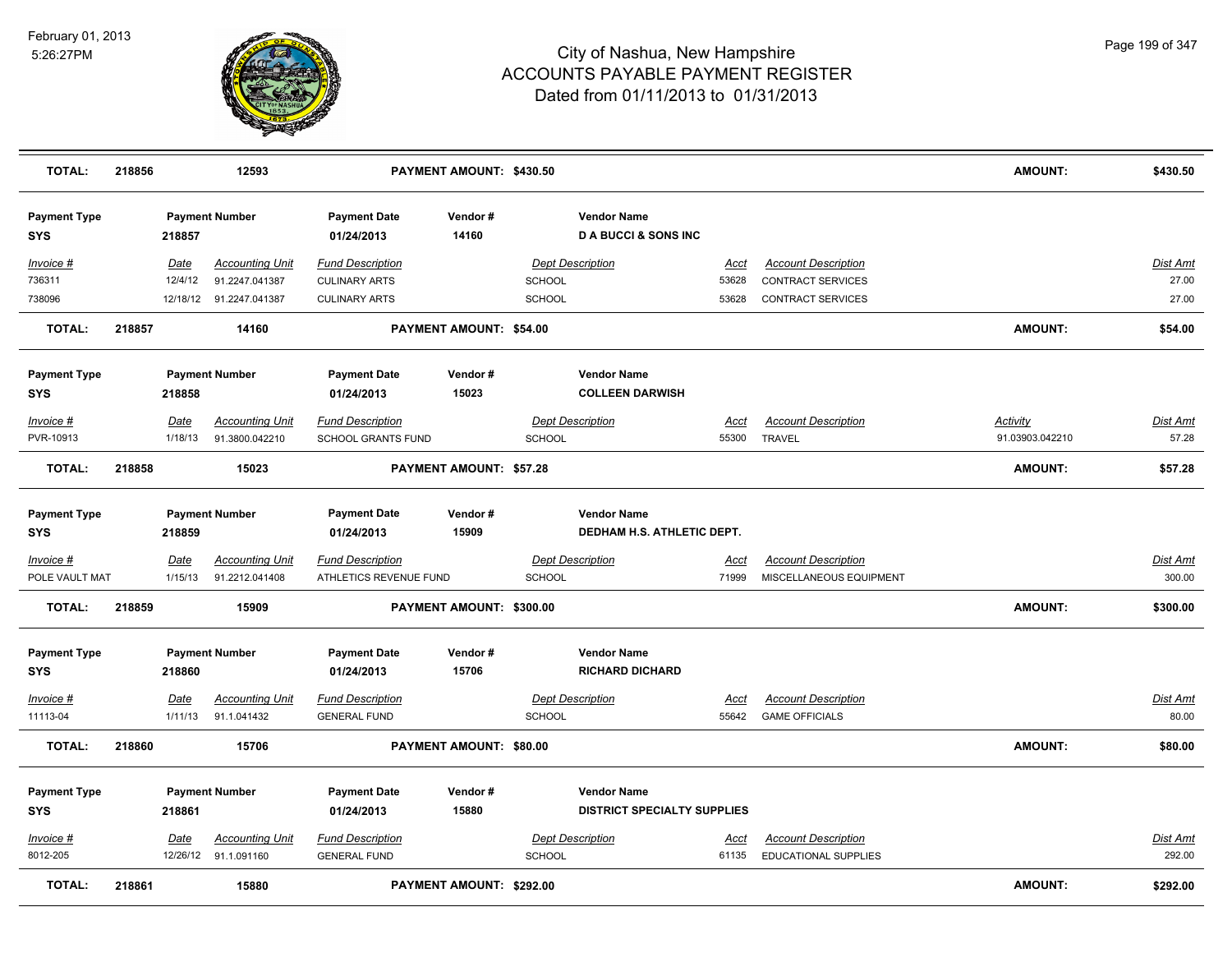

| <b>TOTAL:</b>                     | 218856 |             | 12593                   |                                   | PAYMENT AMOUNT: \$430.50       |               |                                                      |             |                            | <b>AMOUNT:</b>  | \$430.50        |
|-----------------------------------|--------|-------------|-------------------------|-----------------------------------|--------------------------------|---------------|------------------------------------------------------|-------------|----------------------------|-----------------|-----------------|
| <b>Payment Type</b><br><b>SYS</b> |        | 218857      | <b>Payment Number</b>   | <b>Payment Date</b><br>01/24/2013 | Vendor#<br>14160               |               | <b>Vendor Name</b><br><b>DA BUCCI &amp; SONS INC</b> |             |                            |                 |                 |
| Invoice #                         |        | Date        | <b>Accounting Unit</b>  | <b>Fund Description</b>           |                                |               | <b>Dept Description</b>                              | Acct        | <b>Account Description</b> |                 | <b>Dist Amt</b> |
| 736311                            |        | 12/4/12     | 91.2247.041387          | <b>CULINARY ARTS</b>              |                                | <b>SCHOOL</b> |                                                      | 53628       | <b>CONTRACT SERVICES</b>   |                 | 27.00           |
| 738096                            |        |             | 12/18/12 91.2247.041387 | <b>CULINARY ARTS</b>              |                                | <b>SCHOOL</b> |                                                      | 53628       | CONTRACT SERVICES          |                 | 27.00           |
| <b>TOTAL:</b>                     | 218857 |             | 14160                   |                                   | PAYMENT AMOUNT: \$54.00        |               |                                                      |             |                            | AMOUNT:         | \$54.00         |
| <b>Payment Type</b>               |        |             | <b>Payment Number</b>   | <b>Payment Date</b>               | Vendor#                        |               | <b>Vendor Name</b>                                   |             |                            |                 |                 |
| <b>SYS</b>                        |        | 218858      |                         | 01/24/2013                        | 15023                          |               | <b>COLLEEN DARWISH</b>                               |             |                            |                 |                 |
| Invoice #                         |        | Date        | <b>Accounting Unit</b>  | <b>Fund Description</b>           |                                |               | <b>Dept Description</b>                              | <u>Acct</u> | <b>Account Description</b> | <b>Activity</b> | <u>Dist Amt</u> |
| PVR-10913                         |        | 1/18/13     | 91.3800.042210          | <b>SCHOOL GRANTS FUND</b>         |                                | <b>SCHOOL</b> |                                                      | 55300       | <b>TRAVEL</b>              | 91.03903.042210 | 57.28           |
| <b>TOTAL:</b>                     | 218858 |             | 15023                   |                                   | <b>PAYMENT AMOUNT: \$57.28</b> |               |                                                      |             |                            | AMOUNT:         | \$57.28         |
| <b>Payment Type</b>               |        |             | <b>Payment Number</b>   | <b>Payment Date</b>               | Vendor#                        |               | <b>Vendor Name</b>                                   |             |                            |                 |                 |
| <b>SYS</b>                        |        | 218859      |                         | 01/24/2013                        | 15909                          |               | DEDHAM H.S. ATHLETIC DEPT.                           |             |                            |                 |                 |
| $Invoice$ #                       |        | <b>Date</b> | <b>Accounting Unit</b>  | <b>Fund Description</b>           |                                |               | <b>Dept Description</b>                              | <u>Acct</u> | <b>Account Description</b> |                 | <b>Dist Amt</b> |
| POLE VAULT MAT                    |        | 1/15/13     | 91.2212.041408          | ATHLETICS REVENUE FUND            |                                | <b>SCHOOL</b> |                                                      | 71999       | MISCELLANEOUS EQUIPMENT    |                 | 300.00          |
| <b>TOTAL:</b>                     | 218859 |             | 15909                   |                                   | PAYMENT AMOUNT: \$300.00       |               |                                                      |             |                            | <b>AMOUNT:</b>  | \$300.00        |
| <b>Payment Type</b>               |        |             | <b>Payment Number</b>   | <b>Payment Date</b>               | Vendor#                        |               | <b>Vendor Name</b>                                   |             |                            |                 |                 |
| <b>SYS</b>                        |        | 218860      |                         | 01/24/2013                        | 15706                          |               | <b>RICHARD DICHARD</b>                               |             |                            |                 |                 |
| Invoice #                         |        | Date        | <b>Accounting Unit</b>  | <b>Fund Description</b>           |                                |               | <b>Dept Description</b>                              | <u>Acct</u> | <b>Account Description</b> |                 | <b>Dist Amt</b> |
| 11113-04                          |        | 1/11/13     | 91.1.041432             | <b>GENERAL FUND</b>               |                                | <b>SCHOOL</b> |                                                      | 55642       | <b>GAME OFFICIALS</b>      |                 | 80.00           |
| <b>TOTAL:</b>                     | 218860 |             | 15706                   |                                   | PAYMENT AMOUNT: \$80.00        |               |                                                      |             |                            | <b>AMOUNT:</b>  | \$80.00         |
| <b>Payment Type</b>               |        |             | <b>Payment Number</b>   | <b>Payment Date</b>               | Vendor#                        |               | <b>Vendor Name</b>                                   |             |                            |                 |                 |
| <b>SYS</b>                        |        | 218861      |                         | 01/24/2013                        | 15880                          |               | <b>DISTRICT SPECIALTY SUPPLIES</b>                   |             |                            |                 |                 |
| Invoice #                         |        | Date        | <b>Accounting Unit</b>  | <b>Fund Description</b>           |                                |               | <b>Dept Description</b>                              | Acct        | <b>Account Description</b> |                 | Dist Amt        |
| 8012-205                          |        |             | 12/26/12 91.1.091160    | <b>GENERAL FUND</b>               |                                | <b>SCHOOL</b> |                                                      | 61135       | EDUCATIONAL SUPPLIES       |                 | 292.00          |
| <b>TOTAL:</b>                     | 218861 |             | 15880                   |                                   | PAYMENT AMOUNT: \$292.00       |               |                                                      |             |                            | <b>AMOUNT:</b>  | \$292.00        |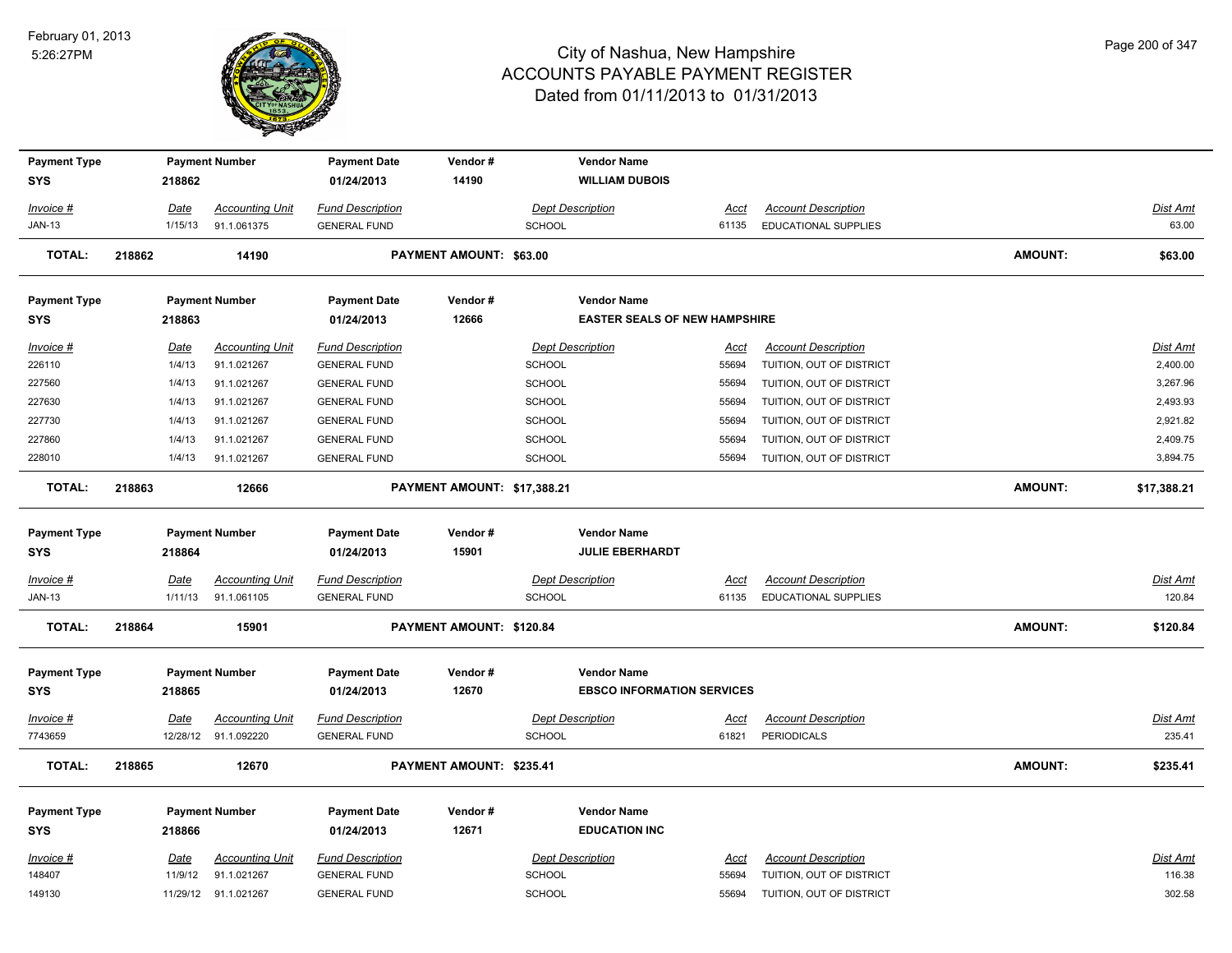

| <b>Payment Type</b>         |                       | <b>Payment Number</b>                 | <b>Payment Date</b>                            | Vendor#                        |                                   | <b>Vendor Name</b>                   |                      |                                                        |                |                      |
|-----------------------------|-----------------------|---------------------------------------|------------------------------------------------|--------------------------------|-----------------------------------|--------------------------------------|----------------------|--------------------------------------------------------|----------------|----------------------|
| <b>SYS</b>                  | 218862                |                                       | 01/24/2013                                     | 14190                          |                                   | <b>WILLIAM DUBOIS</b>                |                      |                                                        |                |                      |
| Invoice #                   | Date                  | <b>Accounting Unit</b>                | <b>Fund Description</b>                        |                                | <b>Dept Description</b>           |                                      | Acct                 | <b>Account Description</b>                             |                | Dist Amt             |
| <b>JAN-13</b>               | 1/15/13               | 91.1.061375                           | <b>GENERAL FUND</b>                            |                                | <b>SCHOOL</b>                     |                                      | 61135                | <b>EDUCATIONAL SUPPLIES</b>                            |                | 63.00                |
| <b>TOTAL:</b>               | 218862                | 14190                                 |                                                | <b>PAYMENT AMOUNT: \$63.00</b> |                                   |                                      |                      |                                                        | <b>AMOUNT:</b> | \$63.00              |
| <b>Payment Type</b>         |                       | <b>Payment Number</b>                 | <b>Payment Date</b>                            | Vendor#                        |                                   | <b>Vendor Name</b>                   |                      |                                                        |                |                      |
| <b>SYS</b>                  | 218863                |                                       | 01/24/2013                                     | 12666                          |                                   | <b>EASTER SEALS OF NEW HAMPSHIRE</b> |                      |                                                        |                |                      |
| <u> Invoice #</u><br>226110 | <u>Date</u><br>1/4/13 | <b>Accounting Unit</b><br>91.1.021267 | <b>Fund Description</b><br><b>GENERAL FUND</b> |                                | <b>Dept Description</b><br>SCHOOL |                                      | <u>Acct</u><br>55694 | <b>Account Description</b><br>TUITION, OUT OF DISTRICT |                | Dist Amt<br>2,400.00 |
| 227560                      | 1/4/13                | 91.1.021267                           | <b>GENERAL FUND</b>                            |                                | <b>SCHOOL</b>                     |                                      | 55694                | TUITION, OUT OF DISTRICT                               |                | 3,267.96             |
| 227630                      | 1/4/13                | 91.1.021267                           | <b>GENERAL FUND</b>                            |                                | SCHOOL                            |                                      | 55694                | TUITION, OUT OF DISTRICT                               |                | 2,493.93             |
| 227730                      | 1/4/13                | 91.1.021267                           | <b>GENERAL FUND</b>                            |                                | SCHOOL                            |                                      | 55694                | TUITION, OUT OF DISTRICT                               |                | 2,921.82             |
| 227860                      | 1/4/13                | 91.1.021267                           | <b>GENERAL FUND</b>                            |                                | SCHOOL                            |                                      | 55694                | TUITION, OUT OF DISTRICT                               |                | 2,409.75             |
| 228010                      | 1/4/13                | 91.1.021267                           | <b>GENERAL FUND</b>                            |                                | <b>SCHOOL</b>                     |                                      | 55694                | TUITION, OUT OF DISTRICT                               |                | 3,894.75             |
| <b>TOTAL:</b>               | 218863                | 12666                                 |                                                | PAYMENT AMOUNT: \$17,388.21    |                                   |                                      |                      |                                                        | <b>AMOUNT:</b> | \$17,388.21          |
| <b>Payment Type</b>         |                       | <b>Payment Number</b>                 | <b>Payment Date</b>                            | Vendor#                        |                                   | <b>Vendor Name</b>                   |                      |                                                        |                |                      |
| SYS                         | 218864                |                                       | 01/24/2013                                     | 15901                          |                                   | <b>JULIE EBERHARDT</b>               |                      |                                                        |                |                      |
| Invoice #                   | Date                  | <b>Accounting Unit</b>                | <b>Fund Description</b>                        |                                | <b>Dept Description</b>           |                                      | Acct                 | <b>Account Description</b>                             |                | Dist Amt             |
| <b>JAN-13</b>               | 1/11/13               | 91.1.061105                           | <b>GENERAL FUND</b>                            |                                | <b>SCHOOL</b>                     |                                      | 61135                | <b>EDUCATIONAL SUPPLIES</b>                            |                | 120.84               |
| <b>TOTAL:</b>               | 218864                | 15901                                 |                                                | PAYMENT AMOUNT: \$120.84       |                                   |                                      |                      |                                                        | AMOUNT:        | \$120.84             |
| <b>Payment Type</b>         |                       | <b>Payment Number</b>                 | <b>Payment Date</b>                            | Vendor#                        |                                   | <b>Vendor Name</b>                   |                      |                                                        |                |                      |
| <b>SYS</b>                  | 218865                |                                       | 01/24/2013                                     | 12670                          |                                   | <b>EBSCO INFORMATION SERVICES</b>    |                      |                                                        |                |                      |
| <u>Invoice #</u>            | <u>Date</u>           | <b>Accounting Unit</b>                | <b>Fund Description</b>                        |                                | <b>Dept Description</b>           |                                      | <u>Acct</u>          | <b>Account Description</b>                             |                | <u>Dist Amt</u>      |
| 7743659                     |                       | 12/28/12 91.1.092220                  | <b>GENERAL FUND</b>                            |                                | <b>SCHOOL</b>                     |                                      | 61821                | <b>PERIODICALS</b>                                     |                | 235.41               |
| <b>TOTAL:</b>               | 218865                | 12670                                 |                                                | PAYMENT AMOUNT: \$235.41       |                                   |                                      |                      |                                                        | <b>AMOUNT:</b> | \$235.41             |
| <b>Payment Type</b>         |                       | <b>Payment Number</b>                 | <b>Payment Date</b>                            | Vendor#                        |                                   | <b>Vendor Name</b>                   |                      |                                                        |                |                      |
| SYS                         | 218866                |                                       | 01/24/2013                                     | 12671                          |                                   | <b>EDUCATION INC</b>                 |                      |                                                        |                |                      |
| Invoice #                   | Date                  | <b>Accounting Unit</b>                | <b>Fund Description</b>                        |                                | <b>Dept Description</b>           |                                      | Acct                 | <b>Account Description</b>                             |                | Dist Amt             |
| 148407                      | 11/9/12               | 91.1.021267                           | <b>GENERAL FUND</b>                            |                                | <b>SCHOOL</b>                     |                                      | 55694                | TUITION, OUT OF DISTRICT                               |                | 116.38               |
| 149130                      |                       | 11/29/12 91.1.021267                  | <b>GENERAL FUND</b>                            |                                | SCHOOL                            |                                      | 55694                | TUITION, OUT OF DISTRICT                               |                | 302.58               |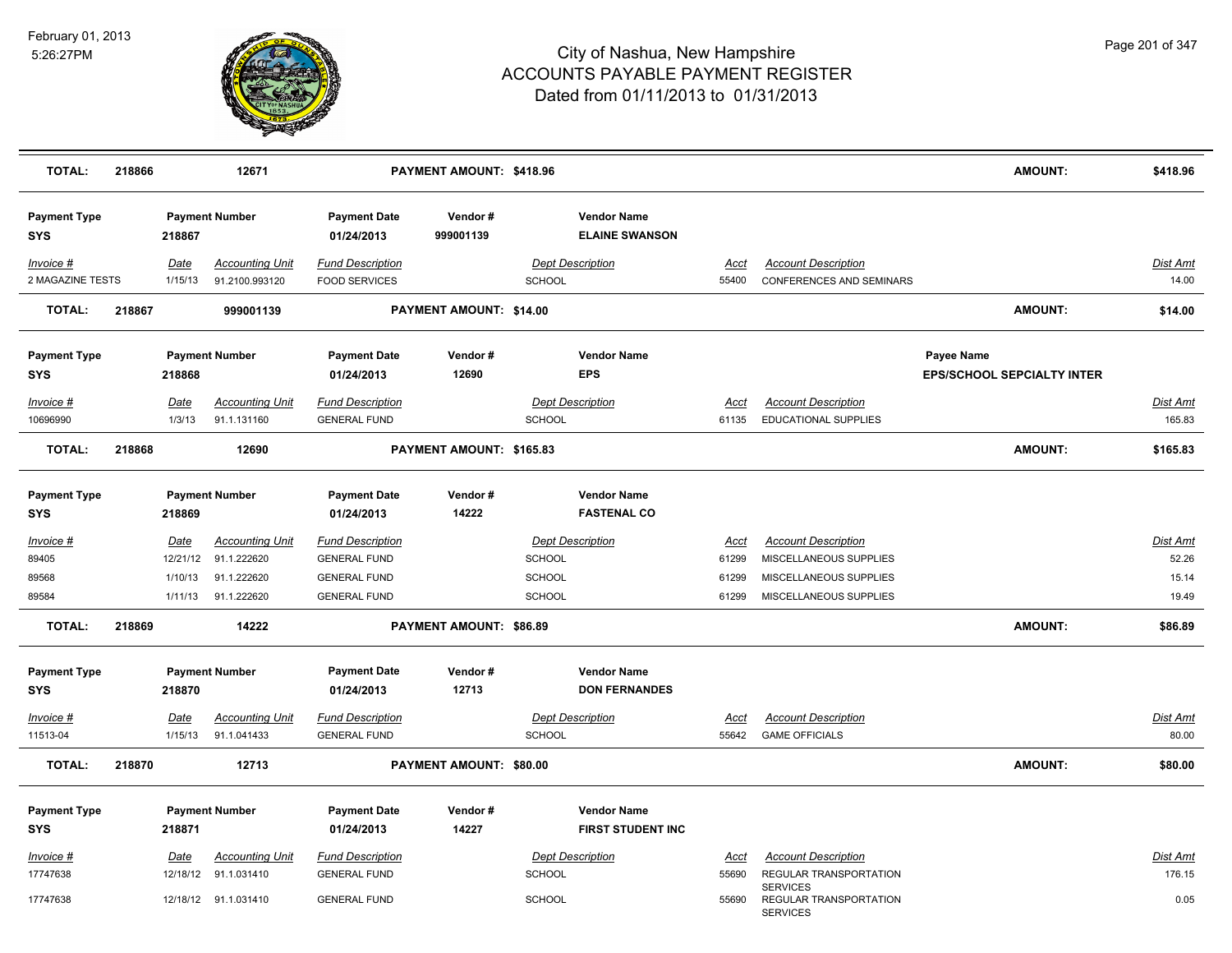

| <b>TOTAL:</b>                     | 218866 |                                    | 12671                                                |                                                                       | PAYMENT AMOUNT: \$418.96       |                                                           |                               |                                                                                | AMOUNT:                                         | \$418.96                          |
|-----------------------------------|--------|------------------------------------|------------------------------------------------------|-----------------------------------------------------------------------|--------------------------------|-----------------------------------------------------------|-------------------------------|--------------------------------------------------------------------------------|-------------------------------------------------|-----------------------------------|
| <b>Payment Type</b><br><b>SYS</b> |        | 218867                             | <b>Payment Number</b>                                | <b>Payment Date</b><br>01/24/2013                                     | Vendor#<br>999001139           | <b>Vendor Name</b><br><b>ELAINE SWANSON</b>               |                               |                                                                                |                                                 |                                   |
| Invoice #<br>2 MAGAZINE TESTS     |        | Date<br>1/15/13                    | <b>Accounting Unit</b><br>91.2100.993120             | <b>Fund Description</b><br><b>FOOD SERVICES</b>                       |                                | <b>Dept Description</b><br><b>SCHOOL</b>                  | Acct<br>55400                 | <b>Account Description</b><br><b>CONFERENCES AND SEMINARS</b>                  |                                                 | <b>Dist Amt</b><br>14.00          |
| <b>TOTAL:</b>                     | 218867 |                                    | 999001139                                            |                                                                       | <b>PAYMENT AMOUNT: \$14.00</b> |                                                           |                               |                                                                                | AMOUNT:                                         | \$14.00                           |
| <b>Payment Type</b><br><b>SYS</b> |        | 218868                             | <b>Payment Number</b>                                | <b>Payment Date</b><br>01/24/2013                                     | Vendor#<br>12690               | <b>Vendor Name</b><br><b>EPS</b>                          |                               |                                                                                | Payee Name<br><b>EPS/SCHOOL SEPCIALTY INTER</b> |                                   |
| Invoice #<br>10696990             |        | Date<br>1/3/13                     | <b>Accounting Unit</b><br>91.1.131160                | <b>Fund Description</b><br><b>GENERAL FUND</b>                        |                                | <b>Dept Description</b><br><b>SCHOOL</b>                  | Acct<br>61135                 | <b>Account Description</b><br><b>EDUCATIONAL SUPPLIES</b>                      |                                                 | Dist Amt<br>165.83                |
| <b>TOTAL:</b>                     | 218868 |                                    | 12690                                                |                                                                       | PAYMENT AMOUNT: \$165.83       |                                                           |                               |                                                                                | <b>AMOUNT:</b>                                  | \$165.83                          |
| <b>Payment Type</b><br><b>SYS</b> |        | 218869                             | <b>Payment Number</b>                                | <b>Payment Date</b><br>01/24/2013                                     | Vendor#<br>14222               | <b>Vendor Name</b><br><b>FASTENAL CO</b>                  |                               |                                                                                |                                                 |                                   |
| Invoice #<br>89405<br>89568       |        | <u>Date</u><br>12/21/12<br>1/10/13 | <b>Accounting Unit</b><br>91.1.222620<br>91.1.222620 | <b>Fund Description</b><br><b>GENERAL FUND</b><br><b>GENERAL FUND</b> |                                | <b>Dept Description</b><br><b>SCHOOL</b><br><b>SCHOOL</b> | <u>Acct</u><br>61299<br>61299 | <b>Account Description</b><br>MISCELLANEOUS SUPPLIES<br>MISCELLANEOUS SUPPLIES |                                                 | <b>Dist Amt</b><br>52.26<br>15.14 |
| 89584<br><b>TOTAL:</b>            | 218869 | 1/11/13                            | 91.1.222620<br>14222                                 | <b>GENERAL FUND</b>                                                   | PAYMENT AMOUNT: \$86.89        | <b>SCHOOL</b>                                             | 61299                         | MISCELLANEOUS SUPPLIES                                                         | <b>AMOUNT:</b>                                  | 19.49<br>\$86.89                  |
| <b>Payment Type</b><br><b>SYS</b> |        | 218870                             | <b>Payment Number</b>                                | <b>Payment Date</b><br>01/24/2013                                     | Vendor#<br>12713               | <b>Vendor Name</b><br><b>DON FERNANDES</b>                |                               |                                                                                |                                                 |                                   |
| Invoice #<br>11513-04             |        | Date<br>1/15/13                    | <b>Accounting Unit</b><br>91.1.041433                | <b>Fund Description</b><br><b>GENERAL FUND</b>                        |                                | <b>Dept Description</b><br><b>SCHOOL</b>                  | <u>Acct</u><br>55642          | <b>Account Description</b><br><b>GAME OFFICIALS</b>                            |                                                 | Dist Amt<br>80.00                 |
| <b>TOTAL:</b>                     | 218870 |                                    | 12713                                                |                                                                       | <b>PAYMENT AMOUNT: \$80.00</b> |                                                           |                               |                                                                                | <b>AMOUNT:</b>                                  | \$80.00                           |
| <b>Payment Type</b><br><b>SYS</b> |        | 218871                             | <b>Payment Number</b>                                | <b>Payment Date</b><br>01/24/2013                                     | Vendor#<br>14227               | <b>Vendor Name</b><br><b>FIRST STUDENT INC</b>            |                               |                                                                                |                                                 |                                   |
| Invoice #<br>17747638             |        | Date<br>12/18/12                   | <b>Accounting Unit</b><br>91.1.031410                | <b>Fund Description</b><br><b>GENERAL FUND</b>                        |                                | <b>Dept Description</b><br><b>SCHOOL</b>                  | Acct<br>55690                 | <b>Account Description</b><br>REGULAR TRANSPORTATION                           |                                                 | Dist Amt<br>176.15                |
| 17747638                          |        |                                    | 12/18/12 91.1.031410                                 | <b>GENERAL FUND</b>                                                   |                                | <b>SCHOOL</b>                                             | 55690                         | <b>SERVICES</b><br>REGULAR TRANSPORTATION<br><b>SERVICES</b>                   |                                                 | 0.05                              |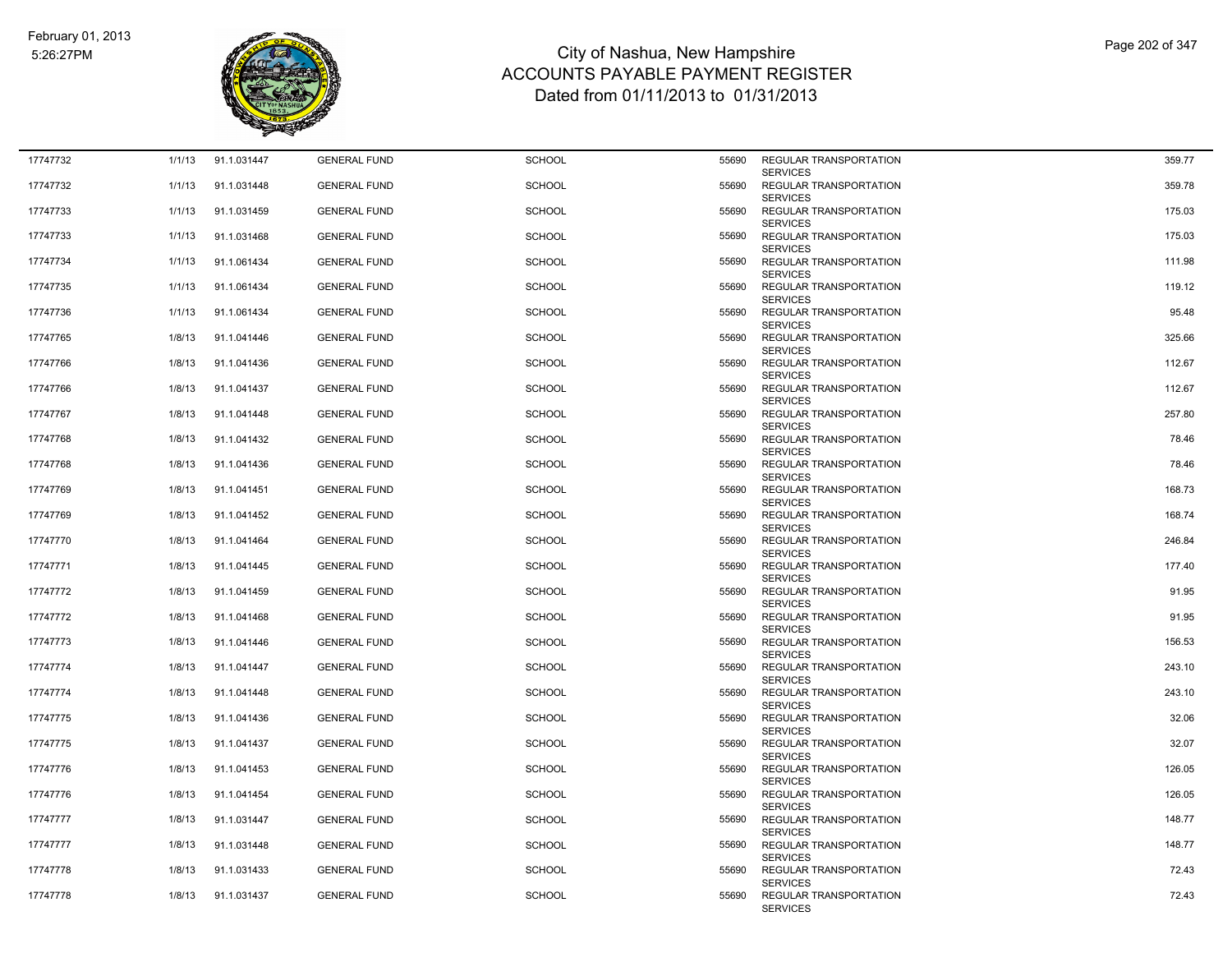

| 17747732 | 1/1/13 | 91.1.031447 | <b>GENERAL FUND</b> | <b>SCHOOL</b> | 55690 | REGULAR TRANSPORTATION                                       | 359.77 |
|----------|--------|-------------|---------------------|---------------|-------|--------------------------------------------------------------|--------|
| 17747732 | 1/1/13 | 91.1.031448 | <b>GENERAL FUND</b> | <b>SCHOOL</b> | 55690 | <b>SERVICES</b><br>REGULAR TRANSPORTATION<br><b>SERVICES</b> | 359.78 |
| 17747733 | 1/1/13 | 91.1.031459 | <b>GENERAL FUND</b> | <b>SCHOOL</b> | 55690 | REGULAR TRANSPORTATION<br><b>SERVICES</b>                    | 175.03 |
| 17747733 | 1/1/13 | 91.1.031468 | <b>GENERAL FUND</b> | <b>SCHOOL</b> | 55690 | REGULAR TRANSPORTATION<br><b>SERVICES</b>                    | 175.03 |
| 17747734 | 1/1/13 | 91.1.061434 | <b>GENERAL FUND</b> | <b>SCHOOL</b> | 55690 | REGULAR TRANSPORTATION<br><b>SERVICES</b>                    | 111.98 |
| 17747735 | 1/1/13 | 91.1.061434 | <b>GENERAL FUND</b> | <b>SCHOOL</b> | 55690 | REGULAR TRANSPORTATION<br><b>SERVICES</b>                    | 119.12 |
| 17747736 | 1/1/13 | 91.1.061434 | <b>GENERAL FUND</b> | <b>SCHOOL</b> | 55690 | <b>REGULAR TRANSPORTATION</b><br><b>SERVICES</b>             | 95.48  |
| 17747765 | 1/8/13 | 91.1.041446 | <b>GENERAL FUND</b> | <b>SCHOOL</b> | 55690 | REGULAR TRANSPORTATION<br><b>SERVICES</b>                    | 325.66 |
| 17747766 | 1/8/13 | 91.1.041436 | <b>GENERAL FUND</b> | <b>SCHOOL</b> | 55690 | REGULAR TRANSPORTATION<br><b>SERVICES</b>                    | 112.67 |
| 17747766 | 1/8/13 | 91.1.041437 | <b>GENERAL FUND</b> | <b>SCHOOL</b> | 55690 | REGULAR TRANSPORTATION<br><b>SERVICES</b>                    | 112.67 |
| 17747767 | 1/8/13 | 91.1.041448 | <b>GENERAL FUND</b> | <b>SCHOOL</b> | 55690 | REGULAR TRANSPORTATION<br><b>SERVICES</b>                    | 257.80 |
| 17747768 | 1/8/13 | 91.1.041432 | <b>GENERAL FUND</b> | <b>SCHOOL</b> | 55690 | REGULAR TRANSPORTATION<br><b>SERVICES</b>                    | 78.46  |
| 17747768 | 1/8/13 | 91.1.041436 | <b>GENERAL FUND</b> | <b>SCHOOL</b> | 55690 | <b>REGULAR TRANSPORTATION</b><br><b>SERVICES</b>             | 78.46  |
| 17747769 | 1/8/13 | 91.1.041451 | <b>GENERAL FUND</b> | <b>SCHOOL</b> | 55690 | REGULAR TRANSPORTATION<br><b>SERVICES</b>                    | 168.73 |
| 17747769 | 1/8/13 | 91.1.041452 | <b>GENERAL FUND</b> | <b>SCHOOL</b> | 55690 | <b>REGULAR TRANSPORTATION</b><br><b>SERVICES</b>             | 168.74 |
| 17747770 | 1/8/13 | 91.1.041464 | <b>GENERAL FUND</b> | <b>SCHOOL</b> | 55690 | <b>REGULAR TRANSPORTATION</b><br><b>SERVICES</b>             | 246.84 |
| 17747771 | 1/8/13 | 91.1.041445 | <b>GENERAL FUND</b> | <b>SCHOOL</b> | 55690 | REGULAR TRANSPORTATION<br><b>SERVICES</b>                    | 177.40 |
| 17747772 | 1/8/13 | 91.1.041459 | <b>GENERAL FUND</b> | <b>SCHOOL</b> | 55690 | REGULAR TRANSPORTATION<br><b>SERVICES</b>                    | 91.95  |
| 17747772 | 1/8/13 | 91.1.041468 | <b>GENERAL FUND</b> | <b>SCHOOL</b> | 55690 | REGULAR TRANSPORTATION<br><b>SERVICES</b>                    | 91.95  |
| 17747773 | 1/8/13 | 91.1.041446 | <b>GENERAL FUND</b> | <b>SCHOOL</b> | 55690 | REGULAR TRANSPORTATION<br><b>SERVICES</b>                    | 156.53 |
| 17747774 | 1/8/13 | 91.1.041447 | <b>GENERAL FUND</b> | <b>SCHOOL</b> | 55690 | REGULAR TRANSPORTATION<br><b>SERVICES</b>                    | 243.10 |
| 17747774 | 1/8/13 | 91.1.041448 | <b>GENERAL FUND</b> | <b>SCHOOL</b> | 55690 | <b>REGULAR TRANSPORTATION</b><br><b>SERVICES</b>             | 243.10 |
| 17747775 | 1/8/13 | 91.1.041436 | <b>GENERAL FUND</b> | <b>SCHOOL</b> | 55690 | REGULAR TRANSPORTATION<br><b>SERVICES</b>                    | 32.06  |
| 17747775 | 1/8/13 | 91.1.041437 | <b>GENERAL FUND</b> | <b>SCHOOL</b> | 55690 | REGULAR TRANSPORTATION<br><b>SERVICES</b>                    | 32.07  |
| 17747776 | 1/8/13 | 91.1.041453 | <b>GENERAL FUND</b> | <b>SCHOOL</b> | 55690 | REGULAR TRANSPORTATION<br><b>SERVICES</b>                    | 126.05 |
| 17747776 | 1/8/13 | 91.1.041454 | <b>GENERAL FUND</b> | <b>SCHOOL</b> | 55690 | REGULAR TRANSPORTATION<br><b>SERVICES</b>                    | 126.05 |
| 17747777 | 1/8/13 | 91.1.031447 | <b>GENERAL FUND</b> | <b>SCHOOL</b> | 55690 | REGULAR TRANSPORTATION<br><b>SERVICES</b>                    | 148.77 |
| 17747777 | 1/8/13 | 91.1.031448 | <b>GENERAL FUND</b> | <b>SCHOOL</b> | 55690 | REGULAR TRANSPORTATION<br><b>SERVICES</b>                    | 148.77 |
| 17747778 | 1/8/13 | 91.1.031433 | <b>GENERAL FUND</b> | <b>SCHOOL</b> | 55690 | REGULAR TRANSPORTATION<br><b>SERVICES</b>                    | 72.43  |
| 17747778 | 1/8/13 | 91.1.031437 | <b>GENERAL FUND</b> | <b>SCHOOL</b> | 55690 | <b>REGULAR TRANSPORTATION</b><br><b>SERVICES</b>             | 72.43  |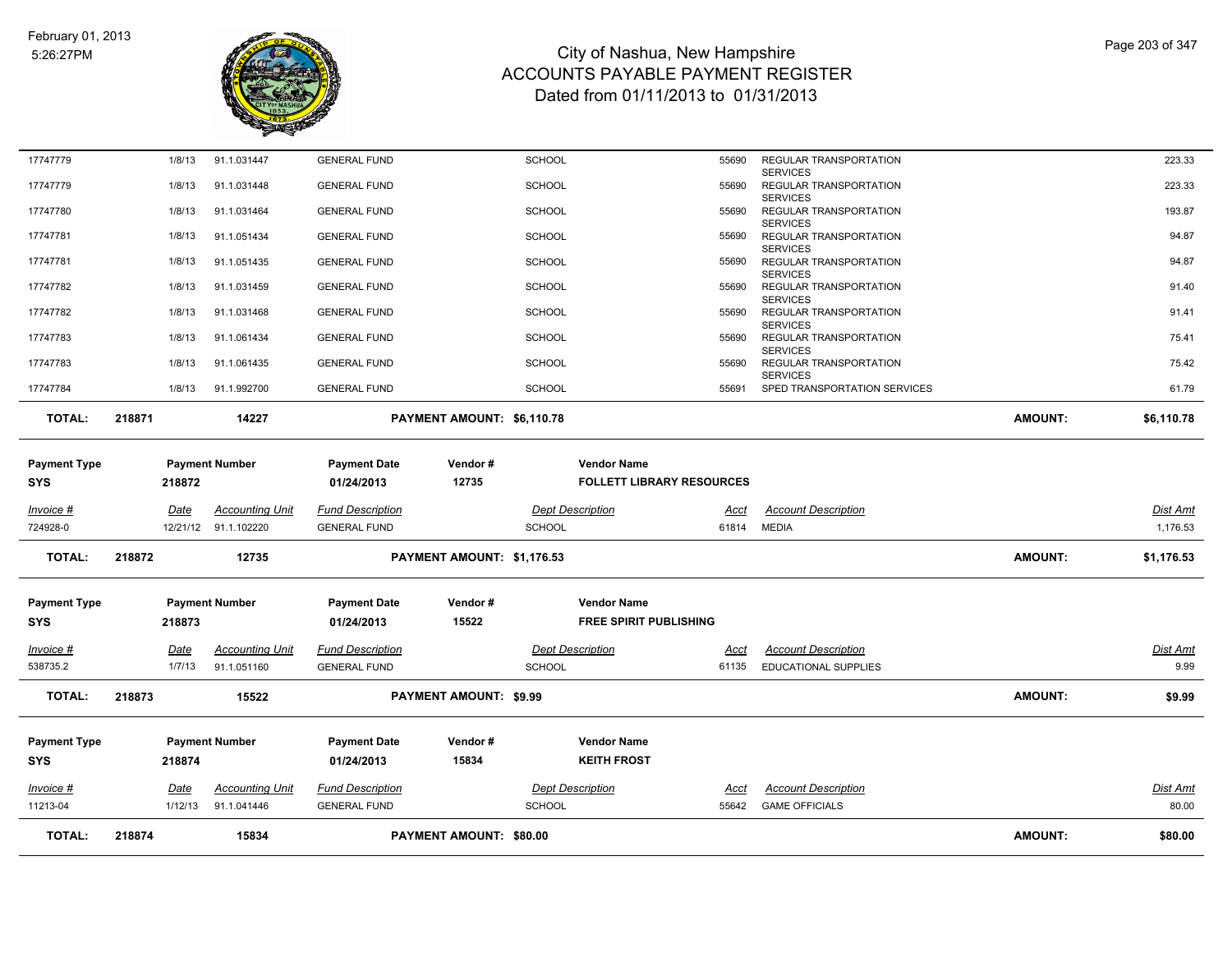

| <b>TOTAL:</b>                     | 218874         | 15834                                          |                                                | PAYMENT AMOUNT: \$80.00       |                                          |                                          |                      |                                                              | <b>AMOUNT:</b> | \$80.00              |
|-----------------------------------|----------------|------------------------------------------------|------------------------------------------------|-------------------------------|------------------------------------------|------------------------------------------|----------------------|--------------------------------------------------------------|----------------|----------------------|
| 11213-04                          | 1/12/13        | 91.1.041446                                    | <b>GENERAL FUND</b>                            |                               | <b>SCHOOL</b>                            |                                          | 55642                | <b>GAME OFFICIALS</b>                                        |                | 80.00                |
| Invoice #                         | Date           | Accounting Unit                                | <b>Fund Description</b>                        |                               | <b>Dept Description</b>                  |                                          | Acct                 | <b>Account Description</b>                                   |                | Dist Amt             |
| <b>Payment Type</b><br><b>SYS</b> | 218874         | <b>Payment Number</b>                          | <b>Payment Date</b><br>01/24/2013              | Vendor#<br>15834              |                                          | <b>Vendor Name</b><br><b>KEITH FROST</b> |                      |                                                              |                |                      |
| <b>TOTAL:</b>                     | 218873         | 15522                                          |                                                | <b>PAYMENT AMOUNT: \$9.99</b> |                                          |                                          |                      |                                                              | <b>AMOUNT:</b> | \$9.99               |
| Invoice #<br>538735.2             | Date<br>1/7/13 | <b>Accounting Unit</b><br>91.1.051160          | <b>Fund Description</b><br><b>GENERAL FUND</b> |                               | <b>Dept Description</b><br><b>SCHOOL</b> |                                          | Acct<br>61135        | <b>Account Description</b><br><b>EDUCATIONAL SUPPLIES</b>    |                | Dist Amt<br>9.99     |
| SYS                               | 218873         |                                                | 01/24/2013                                     | 15522                         |                                          | <b>FREE SPIRIT PUBLISHING</b>            |                      |                                                              |                |                      |
| <b>Payment Type</b>               |                | <b>Payment Number</b>                          | <b>Payment Date</b>                            | Vendor#                       |                                          | <b>Vendor Name</b>                       |                      |                                                              |                |                      |
| <b>TOTAL:</b>                     | 218872         | 12735                                          |                                                | PAYMENT AMOUNT: \$1,176.53    |                                          |                                          |                      |                                                              | <b>AMOUNT:</b> | \$1,176.53           |
| Invoice #<br>724928-0             | <u>Date</u>    | <b>Accounting Unit</b><br>12/21/12 91.1.102220 | <b>Fund Description</b><br><b>GENERAL FUND</b> |                               | <b>Dept Description</b><br><b>SCHOOL</b> |                                          | <u>Acct</u><br>61814 | <b>Account Description</b><br><b>MEDIA</b>                   |                | Dist Amt<br>1,176.53 |
| SYS                               | 218872         |                                                | 01/24/2013                                     | 12735                         |                                          | <b>FOLLETT LIBRARY RESOURCES</b>         |                      |                                                              |                |                      |
| <b>Payment Type</b>               |                | <b>Payment Number</b>                          | <b>Payment Date</b>                            | Vendor#                       |                                          | <b>Vendor Name</b>                       |                      |                                                              |                |                      |
| <b>TOTAL:</b>                     | 218871         | 14227                                          |                                                | PAYMENT AMOUNT: \$6,110.78    |                                          |                                          |                      |                                                              | <b>AMOUNT:</b> | \$6,110.78           |
| 17747784                          | 1/8/13         | 91.1.992700                                    | <b>GENERAL FUND</b>                            |                               | <b>SCHOOL</b>                            |                                          | 55691                | SPED TRANSPORTATION SERVICES                                 |                | 61.79                |
| 17747783                          | 1/8/13         | 91.1.061435                                    | <b>GENERAL FUND</b>                            |                               | <b>SCHOOL</b>                            |                                          | 55690                | <b>SERVICES</b><br>REGULAR TRANSPORTATION<br><b>SERVICES</b> |                | 75.42                |
| 17747783                          | 1/8/13         | 91.1.061434                                    | <b>GENERAL FUND</b>                            |                               | <b>SCHOOL</b>                            |                                          | 55690                | <b>SERVICES</b><br>REGULAR TRANSPORTATION                    |                | 75.41                |
| 17747782                          | 1/8/13         | 91.1.031468                                    | <b>GENERAL FUND</b>                            |                               | <b>SCHOOL</b>                            |                                          | 55690                | <b>SERVICES</b><br>REGULAR TRANSPORTATION                    |                | 91.41                |
| 17747782                          | 1/8/13         | 91.1.031459                                    | <b>GENERAL FUND</b>                            |                               | <b>SCHOOL</b>                            |                                          | 55690                | <b>SERVICES</b><br>REGULAR TRANSPORTATION                    |                | 91.40                |
| 17747781                          | 1/8/13         | 91.1.051435                                    | <b>GENERAL FUND</b>                            |                               | <b>SCHOOL</b>                            |                                          | 55690                | <b>SERVICES</b><br>REGULAR TRANSPORTATION                    |                | 94.87                |
| 17747781                          | 1/8/13         | 91.1.051434                                    | <b>GENERAL FUND</b>                            |                               | <b>SCHOOL</b>                            |                                          | 55690                | <b>SERVICES</b><br>REGULAR TRANSPORTATION                    |                | 94.87                |
| 17747780                          | 1/8/13         | 91.1.031464                                    | <b>GENERAL FUND</b>                            |                               | <b>SCHOOL</b>                            |                                          | 55690                | <b>SERVICES</b><br>REGULAR TRANSPORTATION                    |                | 193.87               |
| 17747779                          | 1/8/13         | 91.1.031448                                    | <b>GENERAL FUND</b>                            |                               | <b>SCHOOL</b>                            |                                          | 55690                | <b>SERVICES</b><br>REGULAR TRANSPORTATION                    |                | 223.33               |
| 17747779                          | 1/8/13         | 91.1.031447                                    | <b>GENERAL FUND</b>                            |                               | <b>SCHOOL</b>                            |                                          | 55690                | REGULAR TRANSPORTATION                                       |                | 223.33               |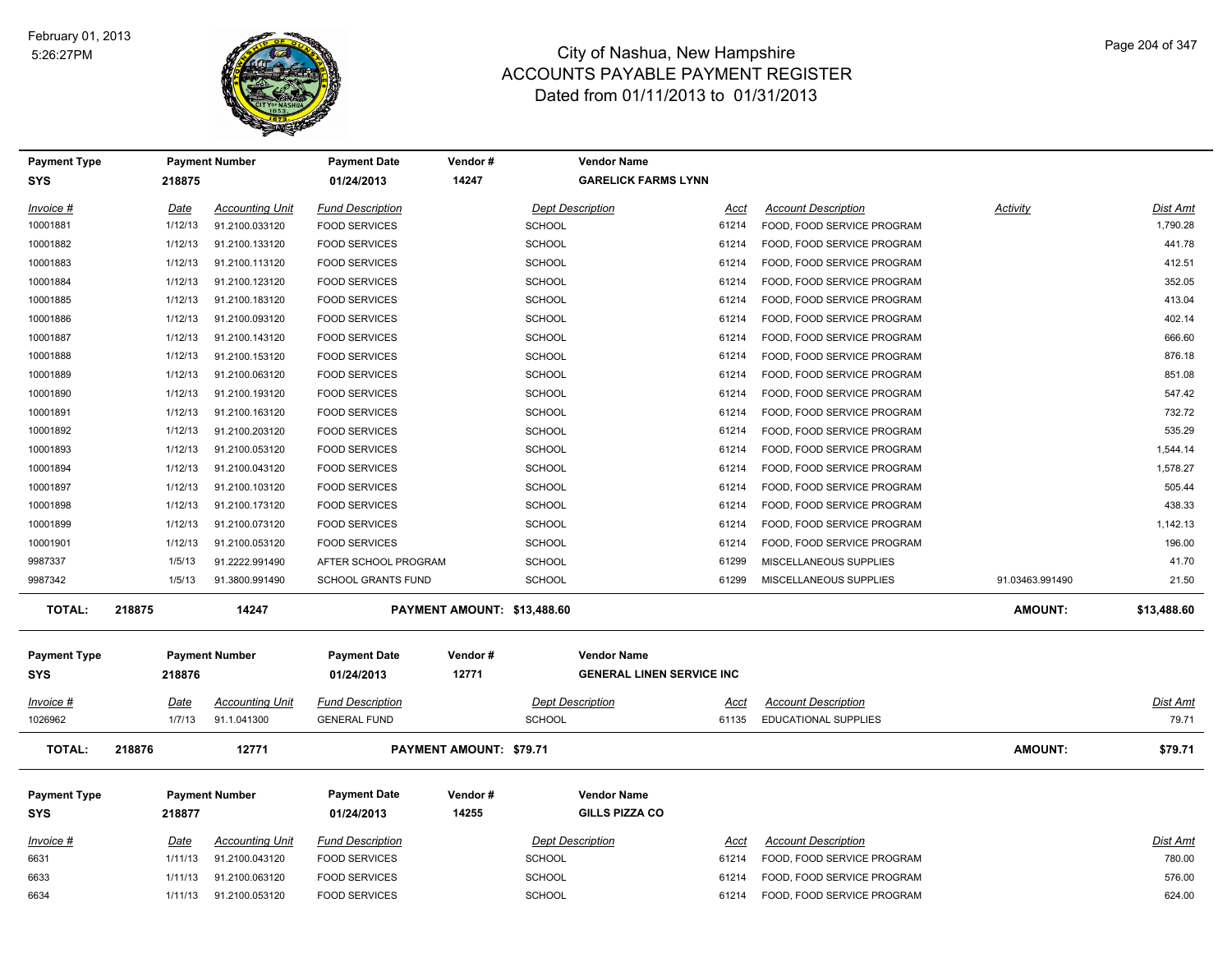

| <b>Payment Type</b>               |         | <b>Payment Number</b>  | <b>Payment Date</b>               | Vendor#                     | <b>Vendor Name</b>                                     |                             |                 |                 |
|-----------------------------------|---------|------------------------|-----------------------------------|-----------------------------|--------------------------------------------------------|-----------------------------|-----------------|-----------------|
| <b>SYS</b>                        | 218875  |                        | 01/24/2013                        | 14247                       | <b>GARELICK FARMS LYNN</b>                             |                             |                 |                 |
| Invoice #                         | Date    | <b>Accounting Unit</b> | <b>Fund Description</b>           |                             | <b>Dept Description</b><br>Acct                        | <b>Account Description</b>  | <b>Activity</b> | <b>Dist Amt</b> |
| 10001881                          | 1/12/13 | 91.2100.033120         | <b>FOOD SERVICES</b>              | <b>SCHOOL</b>               | 61214                                                  | FOOD, FOOD SERVICE PROGRAM  |                 | 1,790.28        |
| 10001882                          | 1/12/13 | 91.2100.133120         | <b>FOOD SERVICES</b>              | <b>SCHOOL</b>               | 61214                                                  | FOOD, FOOD SERVICE PROGRAM  |                 | 441.78          |
| 10001883                          | 1/12/13 | 91.2100.113120         | <b>FOOD SERVICES</b>              | SCHOOL                      | 61214                                                  | FOOD, FOOD SERVICE PROGRAM  |                 | 412.51          |
| 10001884                          | 1/12/13 | 91.2100.123120         | <b>FOOD SERVICES</b>              | <b>SCHOOL</b>               | 61214                                                  | FOOD, FOOD SERVICE PROGRAM  |                 | 352.05          |
| 10001885                          | 1/12/13 | 91.2100.183120         | <b>FOOD SERVICES</b>              | <b>SCHOOL</b>               | 61214                                                  | FOOD, FOOD SERVICE PROGRAM  |                 | 413.04          |
| 10001886                          | 1/12/13 | 91.2100.093120         | <b>FOOD SERVICES</b>              | SCHOOL                      | 61214                                                  | FOOD, FOOD SERVICE PROGRAM  |                 | 402.14          |
| 10001887                          | 1/12/13 | 91.2100.143120         | <b>FOOD SERVICES</b>              | <b>SCHOOL</b>               | 61214                                                  | FOOD, FOOD SERVICE PROGRAM  |                 | 666.60          |
| 10001888                          | 1/12/13 | 91.2100.153120         | <b>FOOD SERVICES</b>              | <b>SCHOOL</b>               | 61214                                                  | FOOD, FOOD SERVICE PROGRAM  |                 | 876.18          |
| 10001889                          | 1/12/13 | 91.2100.063120         | <b>FOOD SERVICES</b>              | <b>SCHOOL</b>               | 61214                                                  | FOOD, FOOD SERVICE PROGRAM  |                 | 851.08          |
| 10001890                          | 1/12/13 | 91.2100.193120         | <b>FOOD SERVICES</b>              | <b>SCHOOL</b>               | 61214                                                  | FOOD, FOOD SERVICE PROGRAM  |                 | 547.42          |
| 10001891                          | 1/12/13 | 91.2100.163120         | <b>FOOD SERVICES</b>              | SCHOOL                      | 61214                                                  | FOOD, FOOD SERVICE PROGRAM  |                 | 732.72          |
| 10001892                          | 1/12/13 | 91.2100.203120         | <b>FOOD SERVICES</b>              | <b>SCHOOL</b>               | 61214                                                  | FOOD, FOOD SERVICE PROGRAM  |                 | 535.29          |
| 10001893                          | 1/12/13 | 91.2100.053120         | <b>FOOD SERVICES</b>              | <b>SCHOOL</b>               | 61214                                                  | FOOD, FOOD SERVICE PROGRAM  |                 | 1,544.14        |
| 10001894                          | 1/12/13 | 91.2100.043120         | <b>FOOD SERVICES</b>              | SCHOOL                      | 61214                                                  | FOOD, FOOD SERVICE PROGRAM  |                 | 1,578.27        |
| 10001897                          | 1/12/13 | 91.2100.103120         | <b>FOOD SERVICES</b>              | <b>SCHOOL</b>               | 61214                                                  | FOOD, FOOD SERVICE PROGRAM  |                 | 505.44          |
| 10001898                          | 1/12/13 | 91.2100.173120         | <b>FOOD SERVICES</b>              | <b>SCHOOL</b>               | 61214                                                  | FOOD, FOOD SERVICE PROGRAM  |                 | 438.33          |
| 10001899                          | 1/12/13 | 91.2100.073120         | <b>FOOD SERVICES</b>              | SCHOOL                      | 61214                                                  | FOOD, FOOD SERVICE PROGRAM  |                 | 1,142.13        |
| 10001901                          | 1/12/13 | 91.2100.053120         | <b>FOOD SERVICES</b>              | <b>SCHOOL</b>               | 61214                                                  | FOOD, FOOD SERVICE PROGRAM  |                 | 196.00          |
| 9987337                           | 1/5/13  | 91.2222.991490         | AFTER SCHOOL PROGRAM              | <b>SCHOOL</b>               | 61299                                                  | MISCELLANEOUS SUPPLIES      |                 | 41.70           |
| 9987342                           | 1/5/13  | 91.3800.991490         | SCHOOL GRANTS FUND                | SCHOOL                      | 61299                                                  | MISCELLANEOUS SUPPLIES      | 91.03463.991490 | 21.50           |
| <b>TOTAL:</b>                     | 218875  | 14247                  |                                   | PAYMENT AMOUNT: \$13,488.60 |                                                        |                             | <b>AMOUNT:</b>  | \$13,488.60     |
| <b>Payment Type</b><br><b>SYS</b> | 218876  | <b>Payment Number</b>  | <b>Payment Date</b><br>01/24/2013 | Vendor#<br>12771            | <b>Vendor Name</b><br><b>GENERAL LINEN SERVICE INC</b> |                             |                 |                 |
| $Invoice$ #                       | Date    | <b>Accounting Unit</b> | <b>Fund Description</b>           |                             | <b>Dept Description</b><br><u>Acct</u>                 | <b>Account Description</b>  |                 | Dist Amt        |
| 1026962                           | 1/7/13  | 91.1.041300            | <b>GENERAL FUND</b>               | <b>SCHOOL</b>               | 61135                                                  | <b>EDUCATIONAL SUPPLIES</b> |                 | 79.71           |
| <b>TOTAL:</b>                     | 218876  | 12771                  |                                   | PAYMENT AMOUNT: \$79.71     |                                                        |                             | <b>AMOUNT:</b>  | \$79.71         |
| <b>Payment Type</b><br><b>SYS</b> | 218877  | <b>Payment Number</b>  | <b>Payment Date</b><br>01/24/2013 | Vendor#<br>14255            | <b>Vendor Name</b><br>GILLS PIZZA CO                   |                             |                 |                 |
| $Invoice$ #                       | Date    | <b>Accounting Unit</b> | <b>Fund Description</b>           |                             | <b>Dept Description</b><br><b>Acct</b>                 | <b>Account Description</b>  |                 | Dist Amt        |
| 6631                              |         | 91.2100.043120         | <b>FOOD SERVICES</b>              | <b>SCHOOL</b>               | 61214                                                  | FOOD, FOOD SERVICE PROGRAM  |                 | 780.00          |
|                                   | 1/11/13 |                        |                                   |                             |                                                        |                             |                 |                 |
| 6633                              | 1/11/13 | 91.2100.063120         | <b>FOOD SERVICES</b>              | <b>SCHOOL</b>               | 61214                                                  | FOOD, FOOD SERVICE PROGRAM  |                 | 576.00          |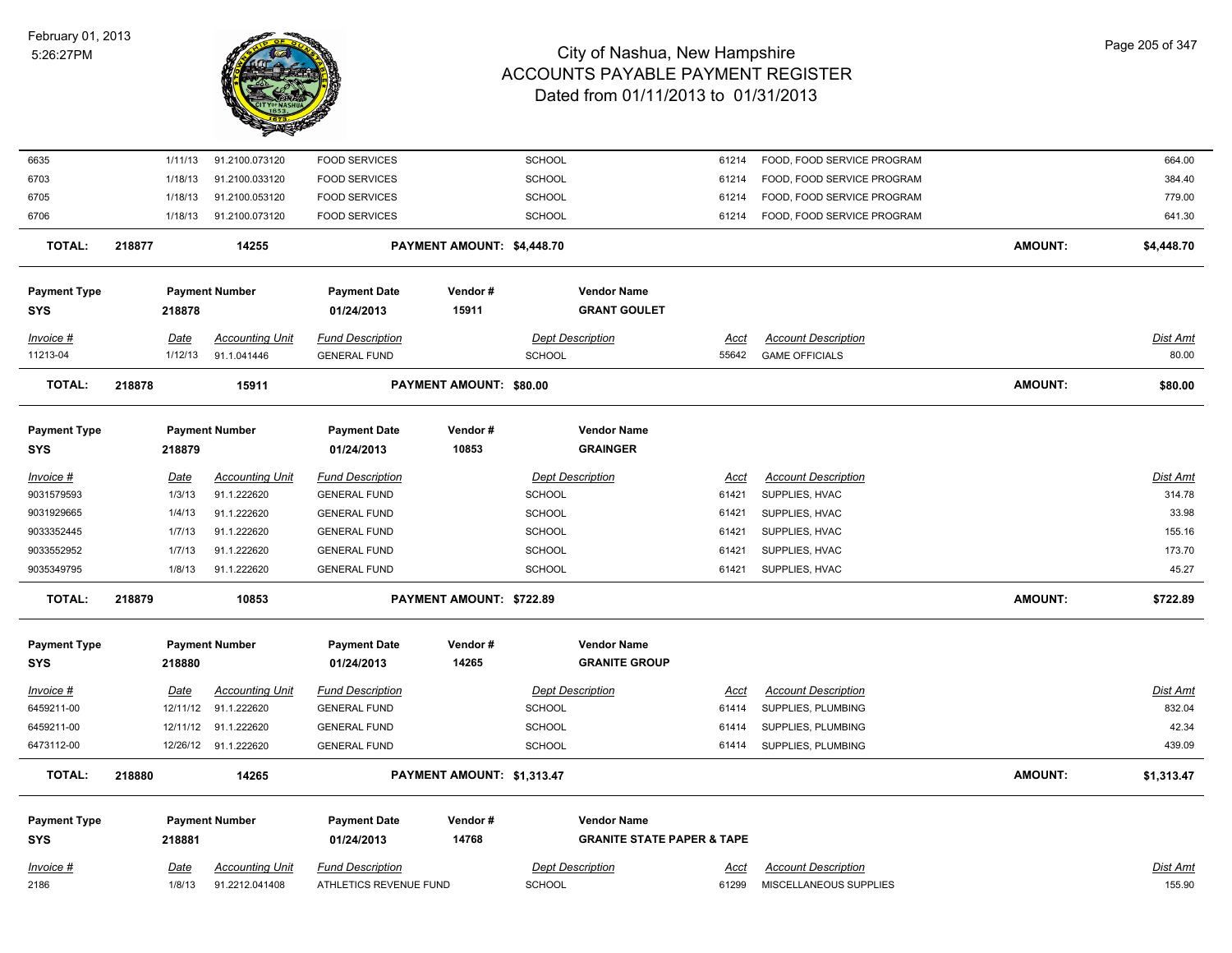

| 6635                |        | 1/11/13     | 91.2100.073120         | <b>FOOD SERVICES</b>    |                                | <b>SCHOOL</b> |                                       | 61214       | FOOD, FOOD SERVICE PROGRAM |                | 664.00          |
|---------------------|--------|-------------|------------------------|-------------------------|--------------------------------|---------------|---------------------------------------|-------------|----------------------------|----------------|-----------------|
| 6703                |        | 1/18/13     | 91.2100.033120         | <b>FOOD SERVICES</b>    |                                | <b>SCHOOL</b> |                                       | 61214       | FOOD, FOOD SERVICE PROGRAM |                | 384.40          |
| 6705                |        | 1/18/13     | 91.2100.053120         | <b>FOOD SERVICES</b>    |                                | SCHOOL        |                                       | 61214       | FOOD, FOOD SERVICE PROGRAM |                | 779.00          |
| 6706                |        | 1/18/13     | 91.2100.073120         | <b>FOOD SERVICES</b>    |                                | SCHOOL        |                                       | 61214       | FOOD, FOOD SERVICE PROGRAM |                | 641.30          |
| <b>TOTAL:</b>       | 218877 |             | 14255                  |                         | PAYMENT AMOUNT: \$4,448.70     |               |                                       |             |                            | <b>AMOUNT:</b> | \$4,448.70      |
| <b>Payment Type</b> |        |             | <b>Payment Number</b>  | <b>Payment Date</b>     | Vendor#                        |               | <b>Vendor Name</b>                    |             |                            |                |                 |
| <b>SYS</b>          |        | 218878      |                        | 01/24/2013              | 15911                          |               | <b>GRANT GOULET</b>                   |             |                            |                |                 |
| Invoice #           |        | <u>Date</u> | <b>Accounting Unit</b> | <b>Fund Description</b> |                                |               | <b>Dept Description</b>               | Acct        | <b>Account Description</b> |                | <u>Dist Amt</u> |
| 11213-04            |        | 1/12/13     | 91.1.041446            | <b>GENERAL FUND</b>     |                                | <b>SCHOOL</b> |                                       | 55642       | <b>GAME OFFICIALS</b>      |                | 80.00           |
| <b>TOTAL:</b>       | 218878 |             | 15911                  |                         | <b>PAYMENT AMOUNT: \$80.00</b> |               |                                       |             |                            | <b>AMOUNT:</b> | \$80.00         |
| <b>Payment Type</b> |        |             | <b>Payment Number</b>  | <b>Payment Date</b>     | Vendor#                        |               | <b>Vendor Name</b>                    |             |                            |                |                 |
| <b>SYS</b>          |        | 218879      |                        | 01/24/2013              | 10853                          |               | <b>GRAINGER</b>                       |             |                            |                |                 |
| Invoice #           |        | <b>Date</b> | <b>Accounting Unit</b> | <b>Fund Description</b> |                                |               | <b>Dept Description</b>               | Acct        | <b>Account Description</b> |                | Dist Amt        |
| 9031579593          |        | 1/3/13      | 91.1.222620            | <b>GENERAL FUND</b>     |                                | SCHOOL        |                                       | 61421       | SUPPLIES, HVAC             |                | 314.78          |
| 9031929665          |        | 1/4/13      | 91.1.222620            | <b>GENERAL FUND</b>     |                                | <b>SCHOOL</b> |                                       | 61421       | SUPPLIES, HVAC             |                | 33.98           |
| 9033352445          |        | 1/7/13      | 91.1.222620            | <b>GENERAL FUND</b>     |                                | <b>SCHOOL</b> |                                       | 61421       | SUPPLIES, HVAC             |                | 155.16          |
| 9033552952          |        | 1/7/13      | 91.1.222620            | <b>GENERAL FUND</b>     |                                | <b>SCHOOL</b> |                                       | 61421       | SUPPLIES, HVAC             |                | 173.70          |
| 9035349795          |        | 1/8/13      | 91.1.222620            | <b>GENERAL FUND</b>     |                                | <b>SCHOOL</b> |                                       | 61421       | SUPPLIES, HVAC             |                | 45.27           |
| <b>TOTAL:</b>       | 218879 |             | 10853                  |                         | PAYMENT AMOUNT: \$722.89       |               |                                       |             |                            | <b>AMOUNT:</b> | \$722.89        |
| <b>Payment Type</b> |        |             | <b>Payment Number</b>  | <b>Payment Date</b>     | Vendor#                        |               | <b>Vendor Name</b>                    |             |                            |                |                 |
| <b>SYS</b>          |        | 218880      |                        | 01/24/2013              | 14265                          |               | <b>GRANITE GROUP</b>                  |             |                            |                |                 |
| <u>Invoice #</u>    |        | <u>Date</u> | <b>Accounting Unit</b> | <b>Fund Description</b> |                                |               | <b>Dept Description</b>               | <u>Acct</u> | <b>Account Description</b> |                | <u>Dist Amt</u> |
| 6459211-00          |        | 12/11/12    | 91.1.222620            | <b>GENERAL FUND</b>     |                                | SCHOOL        |                                       | 61414       | SUPPLIES, PLUMBING         |                | 832.04          |
| 6459211-00          |        | 12/11/12    | 91.1.222620            | <b>GENERAL FUND</b>     |                                | <b>SCHOOL</b> |                                       | 61414       | SUPPLIES, PLUMBING         |                | 42.34           |
| 6473112-00          |        |             | 12/26/12 91.1.222620   | <b>GENERAL FUND</b>     |                                | SCHOOL        |                                       | 61414       | SUPPLIES, PLUMBING         |                | 439.09          |
| <b>TOTAL:</b>       | 218880 |             | 14265                  |                         | PAYMENT AMOUNT: \$1,313.47     |               |                                       |             |                            | <b>AMOUNT:</b> | \$1,313.47      |
| <b>Payment Type</b> |        |             | <b>Payment Number</b>  | <b>Payment Date</b>     | Vendor#                        |               | <b>Vendor Name</b>                    |             |                            |                |                 |
| <b>SYS</b>          |        | 218881      |                        | 01/24/2013              | 14768                          |               | <b>GRANITE STATE PAPER &amp; TAPE</b> |             |                            |                |                 |
| Invoice #           |        | <u>Date</u> | <b>Accounting Unit</b> | <b>Fund Description</b> |                                |               | <b>Dept Description</b>               | <u>Acct</u> | <b>Account Description</b> |                | Dist Amt        |
| 2186                |        | 1/8/13      | 91.2212.041408         | ATHLETICS REVENUE FUND  |                                | <b>SCHOOL</b> |                                       | 61299       | MISCELLANEOUS SUPPLIES     |                | 155.90          |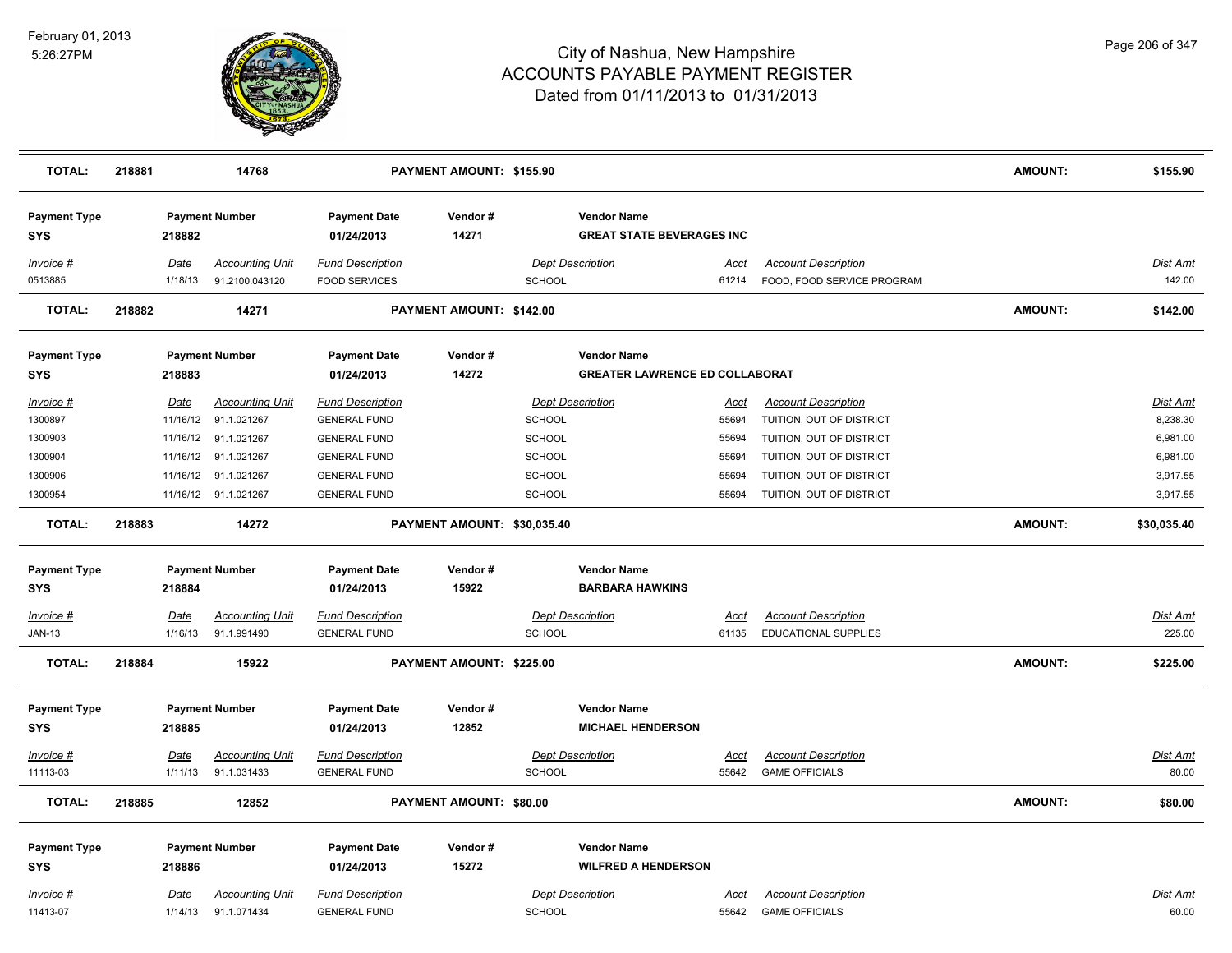

| <b>TOTAL:</b>                     | 218881 |                 | 14768                                    |                                                 | PAYMENT AMOUNT: \$155.90    |                                          |                                                             |               |                                                          | <b>AMOUNT:</b> | \$155.90                  |
|-----------------------------------|--------|-----------------|------------------------------------------|-------------------------------------------------|-----------------------------|------------------------------------------|-------------------------------------------------------------|---------------|----------------------------------------------------------|----------------|---------------------------|
| <b>Payment Type</b><br><b>SYS</b> |        | 218882          | <b>Payment Number</b>                    | <b>Payment Date</b><br>01/24/2013               | Vendor#<br>14271            |                                          | <b>Vendor Name</b><br><b>GREAT STATE BEVERAGES INC</b>      |               |                                                          |                |                           |
| <b>Invoice #</b><br>0513885       |        | Date<br>1/18/13 | <b>Accounting Unit</b><br>91.2100.043120 | <b>Fund Description</b><br><b>FOOD SERVICES</b> |                             | <b>Dept Description</b><br><b>SCHOOL</b> |                                                             | Acct<br>61214 | <b>Account Description</b><br>FOOD, FOOD SERVICE PROGRAM |                | <b>Dist Amt</b><br>142.00 |
| <b>TOTAL:</b>                     | 218882 |                 | 14271                                    |                                                 | PAYMENT AMOUNT: \$142.00    |                                          |                                                             |               |                                                          | <b>AMOUNT:</b> | \$142.00                  |
| <b>Payment Type</b><br>SYS        |        | 218883          | <b>Payment Number</b>                    | <b>Payment Date</b><br>01/24/2013               | Vendor#<br>14272            |                                          | <b>Vendor Name</b><br><b>GREATER LAWRENCE ED COLLABORAT</b> |               |                                                          |                |                           |
| Invoice #                         |        | Date            | <b>Accounting Unit</b>                   | <b>Fund Description</b>                         |                             | <b>Dept Description</b>                  |                                                             | Acct          | <b>Account Description</b>                               |                | Dist Amt                  |
| 1300897                           |        |                 | 11/16/12 91.1.021267                     | <b>GENERAL FUND</b>                             |                             | <b>SCHOOL</b>                            |                                                             | 55694         | TUITION, OUT OF DISTRICT                                 |                | 8,238.30                  |
| 1300903                           |        | 11/16/12        | 91.1.021267                              | <b>GENERAL FUND</b>                             |                             | <b>SCHOOL</b>                            |                                                             | 55694         | TUITION, OUT OF DISTRICT                                 |                | 6,981.00                  |
| 1300904                           |        | 11/16/12        | 91.1.021267                              | <b>GENERAL FUND</b>                             |                             | <b>SCHOOL</b>                            |                                                             | 55694         | TUITION, OUT OF DISTRICT                                 |                | 6,981.00                  |
| 1300906                           |        |                 | 11/16/12 91.1.021267                     | <b>GENERAL FUND</b>                             |                             | <b>SCHOOL</b>                            |                                                             | 55694         | TUITION, OUT OF DISTRICT                                 |                | 3,917.55                  |
| 1300954                           |        |                 | 11/16/12 91.1.021267                     | <b>GENERAL FUND</b>                             |                             | <b>SCHOOL</b>                            |                                                             | 55694         | TUITION, OUT OF DISTRICT                                 |                | 3,917.55                  |
| <b>TOTAL:</b>                     | 218883 |                 | 14272                                    |                                                 | PAYMENT AMOUNT: \$30,035.40 |                                          |                                                             |               |                                                          | <b>AMOUNT:</b> | \$30,035.40               |
| <b>Payment Type</b>               |        |                 | <b>Payment Number</b>                    | <b>Payment Date</b>                             | Vendor#                     |                                          | <b>Vendor Name</b>                                          |               |                                                          |                |                           |
| SYS                               |        | 218884          |                                          | 01/24/2013                                      | 15922                       |                                          | <b>BARBARA HAWKINS</b>                                      |               |                                                          |                |                           |
| <u>Invoice #</u>                  |        | <u>Date</u>     | <b>Accounting Unit</b>                   | <b>Fund Description</b>                         |                             | <b>Dept Description</b>                  |                                                             | <u>Acct</u>   | <b>Account Description</b>                               |                | <b>Dist Amt</b>           |
| <b>JAN-13</b>                     |        | 1/16/13         | 91.1.991490                              | <b>GENERAL FUND</b>                             |                             | SCHOOL                                   |                                                             | 61135         | EDUCATIONAL SUPPLIES                                     |                | 225.00                    |
| <b>TOTAL:</b>                     | 218884 |                 | 15922                                    |                                                 | PAYMENT AMOUNT: \$225.00    |                                          |                                                             |               |                                                          | <b>AMOUNT:</b> | \$225.00                  |
| <b>Payment Type</b><br><b>SYS</b> |        | 218885          | <b>Payment Number</b>                    | <b>Payment Date</b><br>01/24/2013               | Vendor#<br>12852            |                                          | <b>Vendor Name</b><br><b>MICHAEL HENDERSON</b>              |               |                                                          |                |                           |
| Invoice #                         |        | Date            | <b>Accounting Unit</b>                   | <b>Fund Description</b>                         |                             | <b>Dept Description</b>                  |                                                             | <b>Acct</b>   | <b>Account Description</b>                               |                | <b>Dist Amt</b>           |
| 11113-03                          |        | 1/11/13         | 91.1.031433                              | <b>GENERAL FUND</b>                             |                             | <b>SCHOOL</b>                            |                                                             | 55642         | <b>GAME OFFICIALS</b>                                    |                | 80.00                     |
| <b>TOTAL:</b>                     | 218885 |                 | 12852                                    |                                                 | PAYMENT AMOUNT: \$80.00     |                                          |                                                             |               |                                                          | <b>AMOUNT:</b> | \$80.00                   |
| <b>Payment Type</b>               |        |                 | <b>Payment Number</b>                    | <b>Payment Date</b>                             | Vendor#                     |                                          | <b>Vendor Name</b>                                          |               |                                                          |                |                           |
| <b>SYS</b>                        |        | 218886          |                                          | 01/24/2013                                      | 15272                       |                                          | <b>WILFRED A HENDERSON</b>                                  |               |                                                          |                |                           |
| Invoice #                         |        | <u>Date</u>     | <b>Accounting Unit</b>                   | <b>Fund Description</b>                         |                             | <b>Dept Description</b>                  |                                                             | Acct          | <b>Account Description</b>                               |                | Dist Amt                  |
| 11413-07                          |        | 1/14/13         | 91.1.071434                              | <b>GENERAL FUND</b>                             |                             | <b>SCHOOL</b>                            |                                                             | 55642         | <b>GAME OFFICIALS</b>                                    |                | 60.00                     |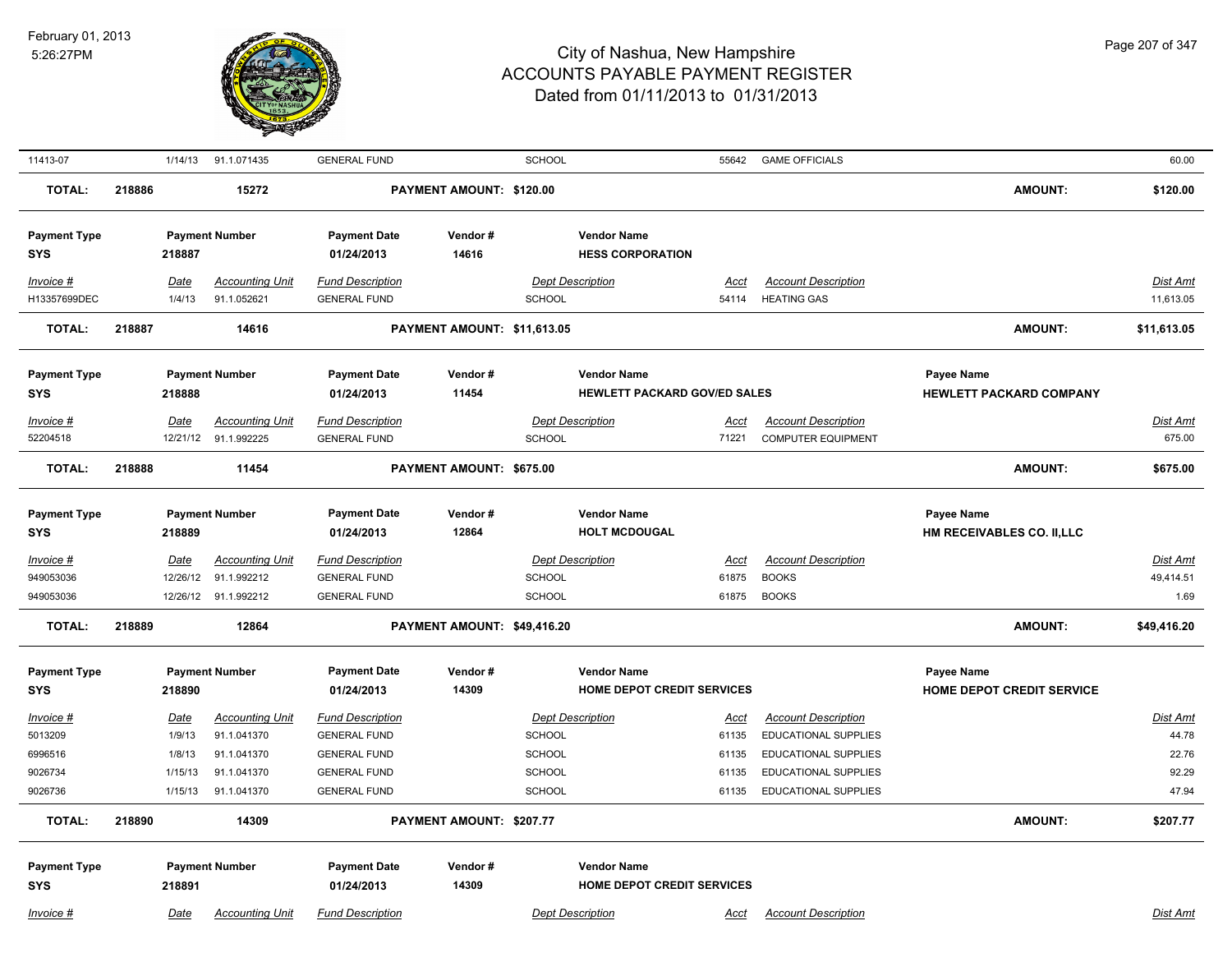

| 11413-07                                              |        | 1/14/13                                        | 91.1.071435                                                                        | <b>GENERAL FUND</b>                                                                                                 |                             | SCHOOL                                      |                                                    | 55642                                           | <b>GAME OFFICIALS</b>                                                                                                                           |                                                 | 60.00                                        |
|-------------------------------------------------------|--------|------------------------------------------------|------------------------------------------------------------------------------------|---------------------------------------------------------------------------------------------------------------------|-----------------------------|---------------------------------------------|----------------------------------------------------|-------------------------------------------------|-------------------------------------------------------------------------------------------------------------------------------------------------|-------------------------------------------------|----------------------------------------------|
| <b>TOTAL:</b>                                         | 218886 |                                                | 15272                                                                              |                                                                                                                     | PAYMENT AMOUNT: \$120.00    |                                             |                                                    |                                                 |                                                                                                                                                 | <b>AMOUNT:</b>                                  | \$120.00                                     |
| <b>Payment Type</b><br><b>SYS</b>                     |        | 218887                                         | <b>Payment Number</b>                                                              | <b>Payment Date</b><br>01/24/2013                                                                                   | Vendor#<br>14616            |                                             | <b>Vendor Name</b><br><b>HESS CORPORATION</b>      |                                                 |                                                                                                                                                 |                                                 |                                              |
| Invoice #<br>H13357699DEC                             |        | Date<br>1/4/13                                 | <b>Accounting Unit</b><br>91.1.052621                                              | <b>Fund Description</b><br><b>GENERAL FUND</b>                                                                      |                             | SCHOOL                                      | <b>Dept Description</b>                            | <u>Acct</u><br>54114                            | <b>Account Description</b><br><b>HEATING GAS</b>                                                                                                |                                                 | <b>Dist Amt</b><br>11,613.05                 |
| <b>TOTAL:</b>                                         | 218887 |                                                | 14616                                                                              |                                                                                                                     | PAYMENT AMOUNT: \$11,613.05 |                                             |                                                    |                                                 |                                                                                                                                                 | <b>AMOUNT:</b>                                  | \$11,613.05                                  |
| <b>Payment Type</b><br><b>SYS</b>                     |        | 218888                                         | <b>Payment Number</b>                                                              | <b>Payment Date</b><br>01/24/2013                                                                                   | Vendor#<br>11454            |                                             | <b>Vendor Name</b><br>HEWLETT PACKARD GOV/ED SALES |                                                 |                                                                                                                                                 | Payee Name<br><b>HEWLETT PACKARD COMPANY</b>    |                                              |
| Invoice #<br>52204518                                 |        | Date<br>12/21/12                               | <b>Accounting Unit</b><br>91.1.992225                                              | <b>Fund Description</b><br><b>GENERAL FUND</b>                                                                      |                             | <b>SCHOOL</b>                               | <b>Dept Description</b>                            | Acct<br>71221                                   | <b>Account Description</b><br><b>COMPUTER EQUIPMENT</b>                                                                                         |                                                 | <b>Dist Amt</b><br>675.00                    |
| <b>TOTAL:</b>                                         | 218888 |                                                | 11454                                                                              |                                                                                                                     | PAYMENT AMOUNT: \$675.00    |                                             |                                                    |                                                 |                                                                                                                                                 | <b>AMOUNT:</b>                                  | \$675.00                                     |
| <b>Payment Type</b><br><b>SYS</b>                     |        | 218889                                         | <b>Payment Number</b>                                                              | <b>Payment Date</b><br>01/24/2013                                                                                   | Vendor#<br>12864            |                                             | <b>Vendor Name</b><br><b>HOLT MCDOUGAL</b>         |                                                 |                                                                                                                                                 | <b>Payee Name</b><br>HM RECEIVABLES CO. II, LLC |                                              |
| Invoice #<br>949053036<br>949053036                   |        | <b>Date</b><br>12/26/12                        | <b>Accounting Unit</b><br>91.1.992212<br>12/26/12 91.1.992212                      | <b>Fund Description</b><br><b>GENERAL FUND</b><br><b>GENERAL FUND</b>                                               |                             | SCHOOL<br>SCHOOL                            | <b>Dept Description</b>                            | <b>Acct</b><br>61875<br>61875                   | <b>Account Description</b><br><b>BOOKS</b><br><b>BOOKS</b>                                                                                      |                                                 | <b>Dist Amt</b><br>49,414.51<br>1.69         |
| <b>TOTAL:</b>                                         | 218889 |                                                | 12864                                                                              |                                                                                                                     | PAYMENT AMOUNT: \$49,416.20 |                                             |                                                    |                                                 |                                                                                                                                                 | <b>AMOUNT:</b>                                  | \$49,416.20                                  |
| <b>Payment Type</b><br><b>SYS</b>                     |        | 218890                                         | <b>Payment Number</b>                                                              | <b>Payment Date</b><br>01/24/2013                                                                                   | Vendor#<br>14309            |                                             | <b>Vendor Name</b><br>HOME DEPOT CREDIT SERVICES   |                                                 |                                                                                                                                                 | Payee Name<br>HOME DEPOT CREDIT SERVICE         |                                              |
| Invoice #<br>5013209<br>6996516<br>9026734<br>9026736 |        | Date<br>1/9/13<br>1/8/13<br>1/15/13<br>1/15/13 | <b>Accounting Unit</b><br>91.1.041370<br>91.1.041370<br>91.1.041370<br>91.1.041370 | <b>Fund Description</b><br><b>GENERAL FUND</b><br><b>GENERAL FUND</b><br><b>GENERAL FUND</b><br><b>GENERAL FUND</b> |                             | <b>SCHOOL</b><br>SCHOOL<br>SCHOOL<br>SCHOOL | <b>Dept Description</b>                            | <u>Acct</u><br>61135<br>61135<br>61135<br>61135 | <b>Account Description</b><br><b>EDUCATIONAL SUPPLIES</b><br><b>EDUCATIONAL SUPPLIES</b><br>EDUCATIONAL SUPPLIES<br><b>EDUCATIONAL SUPPLIES</b> |                                                 | Dist Amt<br>44.78<br>22.76<br>92.29<br>47.94 |
| <b>TOTAL:</b>                                         | 218890 |                                                | 14309                                                                              |                                                                                                                     | PAYMENT AMOUNT: \$207.77    |                                             |                                                    |                                                 |                                                                                                                                                 | <b>AMOUNT:</b>                                  | \$207.77                                     |
| <b>Payment Type</b><br><b>SYS</b>                     |        | 218891                                         | <b>Payment Number</b>                                                              | <b>Payment Date</b><br>01/24/2013                                                                                   | Vendor#<br>14309            |                                             | <b>Vendor Name</b><br>HOME DEPOT CREDIT SERVICES   |                                                 |                                                                                                                                                 |                                                 |                                              |
| Invoice #                                             |        | Date                                           | <b>Accounting Unit</b>                                                             | <b>Fund Description</b>                                                                                             |                             |                                             | <b>Dept Description</b>                            | Acct                                            | <b>Account Description</b>                                                                                                                      |                                                 | Dist Amt                                     |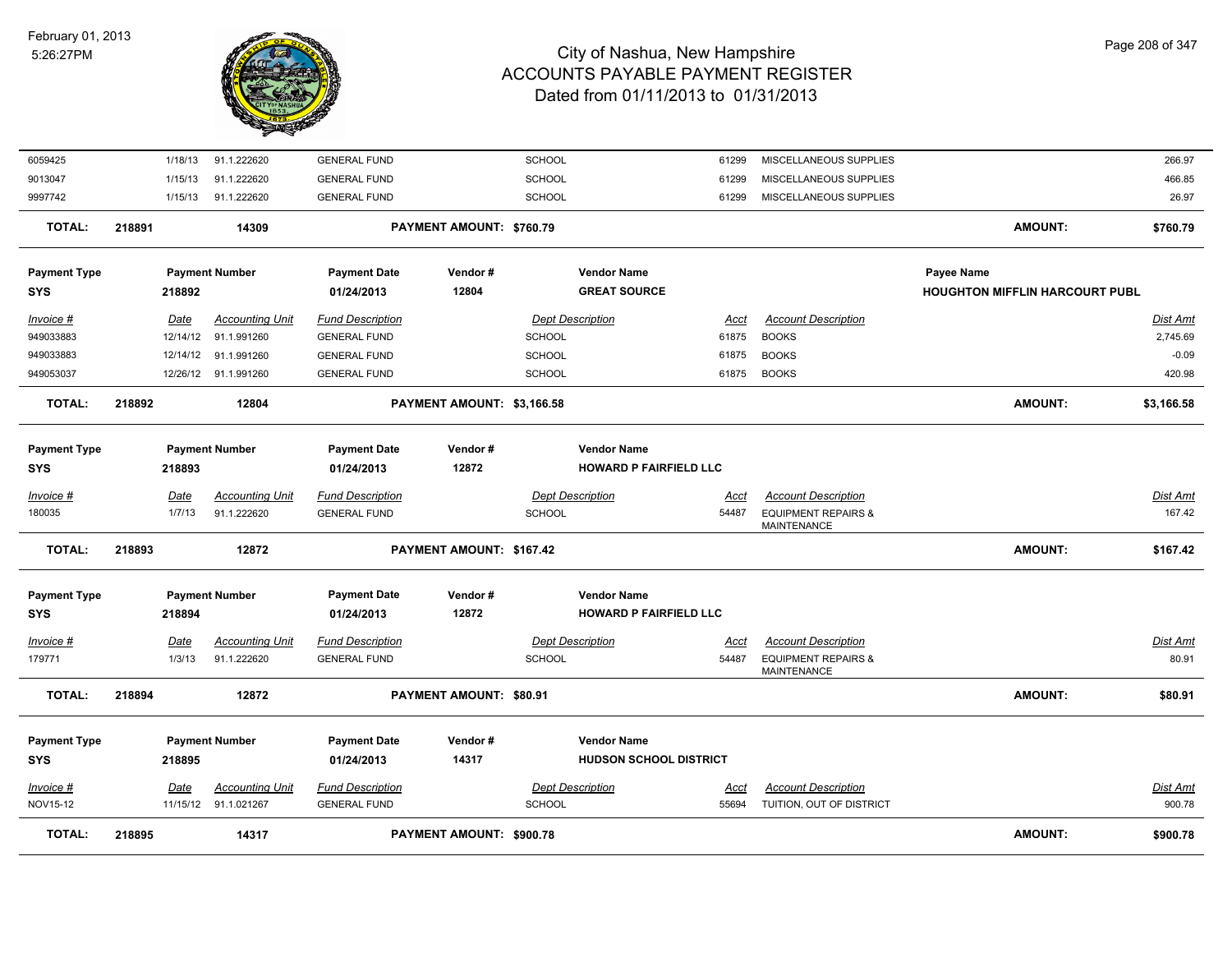

| Invoice #<br>NOV15-12             | Date                  | Accounting Unit<br>11/15/12 91.1.021267 | <b>Fund Description</b><br><b>GENERAL FUND</b> |                            | <b>Dept Description</b><br><b>SCHOOL</b> |                                                     | Acct<br>55694        | <b>Account Description</b><br>TUITION, OUT OF DISTRICT                             |                                                     | Dist Amt<br>900.78   |
|-----------------------------------|-----------------------|-----------------------------------------|------------------------------------------------|----------------------------|------------------------------------------|-----------------------------------------------------|----------------------|------------------------------------------------------------------------------------|-----------------------------------------------------|----------------------|
| <b>Payment Type</b><br><b>SYS</b> | 218895                | <b>Payment Number</b>                   | <b>Payment Date</b><br>01/24/2013              | Vendor#<br>14317           |                                          | <b>Vendor Name</b><br><b>HUDSON SCHOOL DISTRICT</b> |                      |                                                                                    |                                                     |                      |
| <b>TOTAL:</b>                     | 218894                | 12872                                   |                                                | PAYMENT AMOUNT: \$80.91    |                                          |                                                     |                      |                                                                                    | AMOUNT:                                             | \$80.91              |
| Invoice #<br>179771               | <b>Date</b><br>1/3/13 | <b>Accounting Unit</b><br>91.1.222620   | <b>Fund Description</b><br><b>GENERAL FUND</b> |                            | <b>Dept Description</b><br><b>SCHOOL</b> |                                                     | Acct<br>54487        | <b>Account Description</b><br><b>EQUIPMENT REPAIRS &amp;</b><br><b>MAINTENANCE</b> |                                                     | Dist Amt<br>80.91    |
| <b>Payment Type</b><br><b>SYS</b> | 218894                | <b>Payment Number</b>                   | <b>Payment Date</b><br>01/24/2013              | Vendor#<br>12872           |                                          | <b>Vendor Name</b><br><b>HOWARD P FAIRFIELD LLC</b> |                      |                                                                                    |                                                     |                      |
| <b>TOTAL:</b>                     | 218893                | 12872                                   |                                                | PAYMENT AMOUNT: \$167.42   |                                          |                                                     |                      |                                                                                    | AMOUNT:                                             | \$167.42             |
| Invoice #<br>180035               | <b>Date</b><br>1/7/13 | <b>Accounting Unit</b><br>91.1.222620   | <b>Fund Description</b><br><b>GENERAL FUND</b> |                            | <b>Dept Description</b><br><b>SCHOOL</b> |                                                     | <u>Acct</u><br>54487 | <b>Account Description</b><br><b>EQUIPMENT REPAIRS &amp;</b><br>MAINTENANCE        |                                                     | Dist Amt<br>167.42   |
| <b>Payment Type</b><br><b>SYS</b> | 218893                | <b>Payment Number</b>                   | <b>Payment Date</b><br>01/24/2013              | Vendor#<br>12872           |                                          | <b>Vendor Name</b><br><b>HOWARD P FAIRFIELD LLC</b> |                      |                                                                                    |                                                     |                      |
| <b>TOTAL:</b>                     | 218892                | 12804                                   |                                                | PAYMENT AMOUNT: \$3,166.58 |                                          |                                                     |                      |                                                                                    | <b>AMOUNT:</b>                                      | \$3,166.58           |
| 949053037                         |                       | 12/26/12 91.1.991260                    | <b>GENERAL FUND</b>                            |                            | <b>SCHOOL</b>                            |                                                     | 61875                | <b>BOOKS</b>                                                                       |                                                     | 420.98               |
| 949033883                         |                       | 12/14/12 91.1.991260                    | <b>GENERAL FUND</b>                            |                            | <b>SCHOOL</b>                            |                                                     | 61875                | <b>BOOKS</b>                                                                       |                                                     | $-0.09$              |
| Invoice #<br>949033883            | Date<br>12/14/12      | <b>Accounting Unit</b><br>91.1.991260   | <b>Fund Description</b><br><b>GENERAL FUND</b> |                            | <b>Dept Description</b><br><b>SCHOOL</b> |                                                     | Acct<br>61875        | <b>Account Description</b><br><b>BOOKS</b>                                         |                                                     | Dist Amt<br>2,745.69 |
| <b>Payment Type</b><br><b>SYS</b> | 218892                | <b>Payment Number</b>                   | <b>Payment Date</b><br>01/24/2013              | Vendor#<br>12804           |                                          | <b>Vendor Name</b><br><b>GREAT SOURCE</b>           |                      |                                                                                    | Payee Name<br><b>HOUGHTON MIFFLIN HARCOURT PUBL</b> |                      |
| <b>TOTAL:</b>                     | 218891                | 14309                                   |                                                | PAYMENT AMOUNT: \$760.79   |                                          |                                                     |                      |                                                                                    | <b>AMOUNT:</b>                                      | \$760.79             |
| 9997742                           | 1/15/13               | 91.1.222620                             | <b>GENERAL FUND</b>                            |                            | <b>SCHOOL</b>                            |                                                     | 61299                | MISCELLANEOUS SUPPLIES                                                             |                                                     | 26.97                |
| 9013047                           | 1/15/13               | 91.1.222620                             | <b>GENERAL FUND</b>                            |                            | <b>SCHOOL</b>                            |                                                     | 61299                | MISCELLANEOUS SUPPLIES                                                             |                                                     | 466.85               |
| 6059425                           | 1/18/13               | 91.1.222620                             | <b>GENERAL FUND</b>                            |                            | <b>SCHOOL</b>                            |                                                     | 61299                | MISCELLANEOUS SUPPLIES                                                             |                                                     | 266.97               |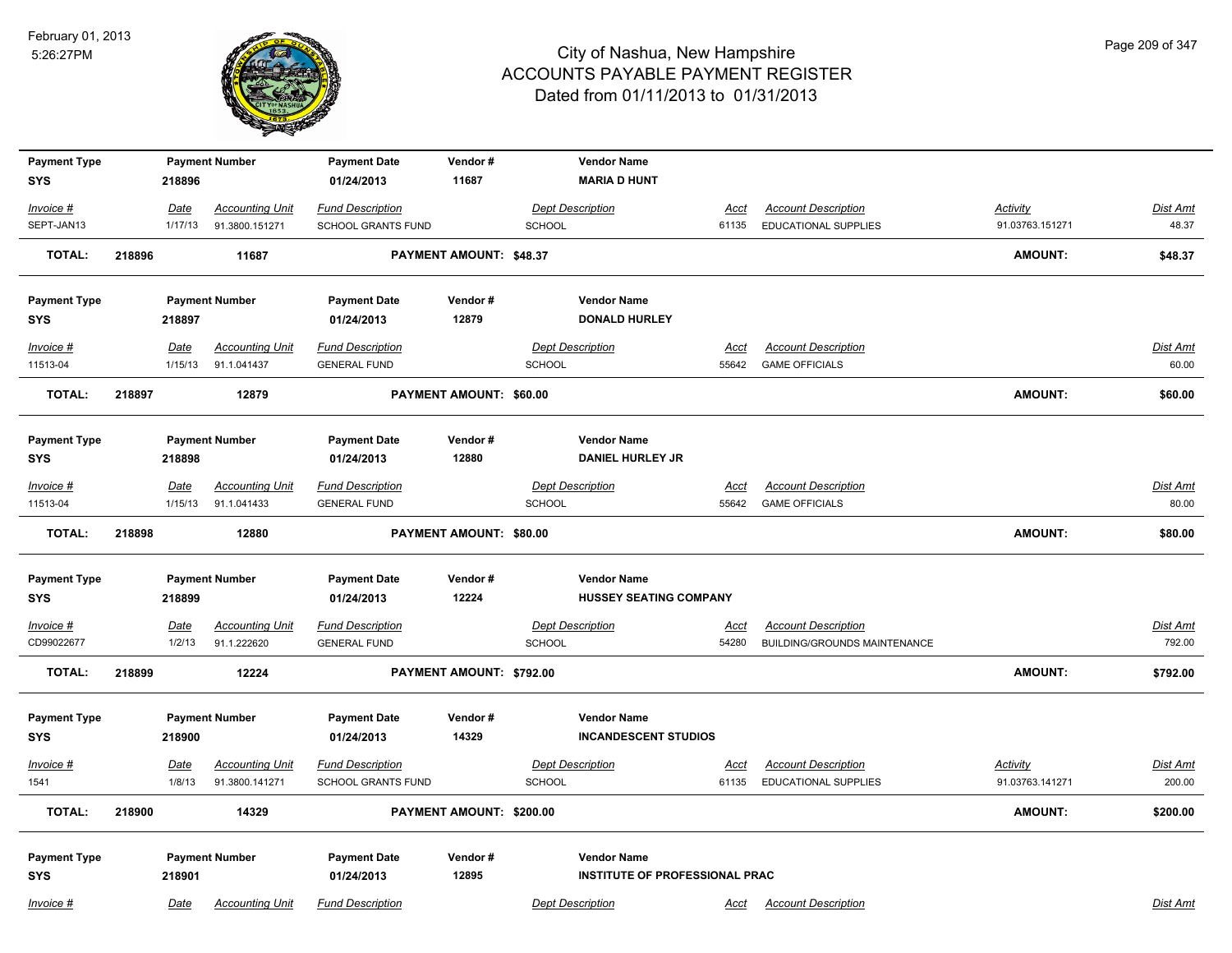

| <b>Payment Type</b> |        |                       | <b>Payment Number</b>                    | <b>Payment Date</b>                                  | Vendor#                  |               | <b>Vendor Name</b>                    |                      |                                                           |                                    |                    |
|---------------------|--------|-----------------------|------------------------------------------|------------------------------------------------------|--------------------------|---------------|---------------------------------------|----------------------|-----------------------------------------------------------|------------------------------------|--------------------|
| <b>SYS</b>          |        | 218896                |                                          | 01/24/2013                                           | 11687                    |               | <b>MARIA D HUNT</b>                   |                      |                                                           |                                    |                    |
| Invoice #           |        | Date                  | <b>Accounting Unit</b>                   | <b>Fund Description</b>                              |                          |               | <b>Dept Description</b>               | <u>Acct</u>          | <b>Account Description</b>                                | <b>Activity</b>                    | Dist Amt           |
| SEPT-JAN13          |        | 1/17/13               | 91.3800.151271                           | SCHOOL GRANTS FUND                                   |                          | <b>SCHOOL</b> |                                       | 61135                | <b>EDUCATIONAL SUPPLIES</b>                               | 91.03763.151271                    | 48.37              |
| <b>TOTAL:</b>       | 218896 |                       | 11687                                    |                                                      | PAYMENT AMOUNT: \$48.37  |               |                                       |                      |                                                           | <b>AMOUNT:</b>                     | \$48.37            |
| <b>Payment Type</b> |        |                       | <b>Payment Number</b>                    | <b>Payment Date</b>                                  | Vendor#                  |               | <b>Vendor Name</b>                    |                      |                                                           |                                    |                    |
| SYS                 |        | 218897                |                                          | 01/24/2013                                           | 12879                    |               | <b>DONALD HURLEY</b>                  |                      |                                                           |                                    |                    |
| Invoice #           |        | Date                  | <b>Accounting Unit</b>                   | <b>Fund Description</b>                              |                          |               | <b>Dept Description</b>               | Acct                 | <b>Account Description</b>                                |                                    | Dist Amt           |
| 11513-04            |        | 1/15/13               | 91.1.041437                              | <b>GENERAL FUND</b>                                  |                          | <b>SCHOOL</b> |                                       | 55642                | <b>GAME OFFICIALS</b>                                     |                                    | 60.00              |
| <b>TOTAL:</b>       | 218897 |                       | 12879                                    |                                                      | PAYMENT AMOUNT: \$60.00  |               |                                       |                      |                                                           | <b>AMOUNT:</b>                     | \$60.00            |
| <b>Payment Type</b> |        |                       | <b>Payment Number</b>                    | <b>Payment Date</b>                                  | Vendor#                  |               | <b>Vendor Name</b>                    |                      |                                                           |                                    |                    |
| <b>SYS</b>          |        | 218898                |                                          | 01/24/2013                                           | 12880                    |               | <b>DANIEL HURLEY JR</b>               |                      |                                                           |                                    |                    |
| Invoice #           |        | Date                  | <b>Accounting Unit</b>                   | <b>Fund Description</b>                              |                          |               | <b>Dept Description</b>               | <u>Acct</u>          | <b>Account Description</b>                                |                                    | Dist Amt           |
| 11513-04            |        | 1/15/13               | 91.1.041433                              | <b>GENERAL FUND</b>                                  |                          | <b>SCHOOL</b> |                                       | 55642                | <b>GAME OFFICIALS</b>                                     |                                    | 80.00              |
| <b>TOTAL:</b>       | 218898 |                       | 12880                                    |                                                      | PAYMENT AMOUNT: \$80.00  |               |                                       |                      |                                                           | <b>AMOUNT:</b>                     | \$80.00            |
| <b>Payment Type</b> |        |                       | <b>Payment Number</b>                    | <b>Payment Date</b>                                  | Vendor#                  |               | <b>Vendor Name</b>                    |                      |                                                           |                                    |                    |
| <b>SYS</b>          |        | 218899                |                                          | 01/24/2013                                           | 12224                    |               | <b>HUSSEY SEATING COMPANY</b>         |                      |                                                           |                                    |                    |
| Invoice #           |        | <u>Date</u>           | <b>Accounting Unit</b>                   | <b>Fund Description</b>                              |                          |               | <b>Dept Description</b>               | <u>Acct</u>          | <b>Account Description</b>                                |                                    | <b>Dist Amt</b>    |
| CD99022677          |        | 1/2/13                | 91.1.222620                              | <b>GENERAL FUND</b>                                  |                          | <b>SCHOOL</b> |                                       | 54280                | BUILDING/GROUNDS MAINTENANCE                              |                                    | 792.00             |
| <b>TOTAL:</b>       | 218899 |                       | 12224                                    |                                                      | PAYMENT AMOUNT: \$792.00 |               |                                       |                      |                                                           | AMOUNT:                            | \$792.00           |
| <b>Payment Type</b> |        |                       | <b>Payment Number</b>                    | <b>Payment Date</b>                                  | Vendor#                  |               | <b>Vendor Name</b>                    |                      |                                                           |                                    |                    |
| <b>SYS</b>          |        | 218900                |                                          | 01/24/2013                                           | 14329                    |               | <b>INCANDESCENT STUDIOS</b>           |                      |                                                           |                                    |                    |
| Invoice #<br>1541   |        | <b>Date</b><br>1/8/13 | <b>Accounting Unit</b><br>91.3800.141271 | <b>Fund Description</b><br><b>SCHOOL GRANTS FUND</b> |                          | <b>SCHOOL</b> | <b>Dept Description</b>               | <b>Acct</b><br>61135 | <b>Account Description</b><br><b>EDUCATIONAL SUPPLIES</b> | <b>Activity</b><br>91.03763.141271 | Dist Amt<br>200.00 |
| TOTAL:              | 218900 |                       | 14329                                    |                                                      | PAYMENT AMOUNT: \$200.00 |               |                                       |                      |                                                           | <b>AMOUNT:</b>                     | \$200.00           |
| <b>Payment Type</b> |        |                       | <b>Payment Number</b>                    | <b>Payment Date</b>                                  | Vendor#                  |               | <b>Vendor Name</b>                    |                      |                                                           |                                    |                    |
| <b>SYS</b>          |        | 218901                |                                          | 01/24/2013                                           | 12895                    |               | <b>INSTITUTE OF PROFESSIONAL PRAC</b> |                      |                                                           |                                    |                    |
| Invoice #           |        | Date                  | <b>Accounting Unit</b>                   | <b>Fund Description</b>                              |                          |               | <b>Dept Description</b>               | Acct                 | <b>Account Description</b>                                |                                    | Dist Amt           |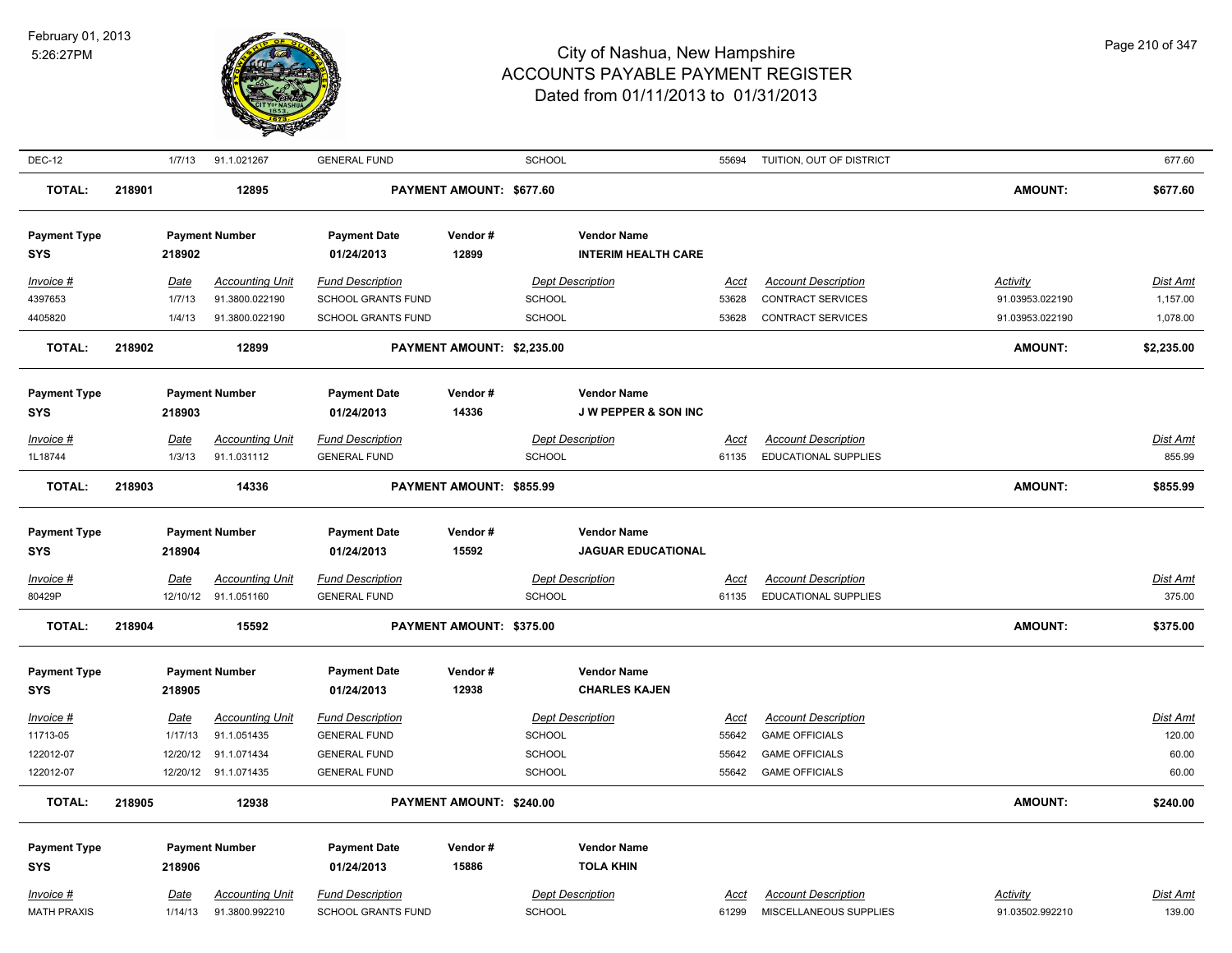

| <b>DEC-12</b>              |        | 1/7/13      | 91.1.021267            | <b>GENERAL FUND</b>               |                            | <b>SCHOOL</b> |                                                  | 55694       | TUITION, OUT OF DISTRICT    |                 | 677.60          |
|----------------------------|--------|-------------|------------------------|-----------------------------------|----------------------------|---------------|--------------------------------------------------|-------------|-----------------------------|-----------------|-----------------|
| <b>TOTAL:</b>              | 218901 |             | 12895                  |                                   | PAYMENT AMOUNT: \$677.60   |               |                                                  |             |                             | <b>AMOUNT:</b>  | \$677.60        |
| <b>Payment Type</b><br>SYS |        | 218902      | <b>Payment Number</b>  | <b>Payment Date</b><br>01/24/2013 | Vendor#<br>12899           |               | <b>Vendor Name</b><br><b>INTERIM HEALTH CARE</b> |             |                             |                 |                 |
| Invoice #                  |        | Date        | <b>Accounting Unit</b> | <b>Fund Description</b>           |                            |               | <b>Dept Description</b>                          | Acct        | <b>Account Description</b>  | <b>Activity</b> | Dist Amt        |
| 4397653                    |        | 1/7/13      | 91.3800.022190         | <b>SCHOOL GRANTS FUND</b>         |                            | <b>SCHOOL</b> |                                                  | 53628       | CONTRACT SERVICES           | 91.03953.022190 | 1,157.00        |
| 4405820                    |        | 1/4/13      | 91.3800.022190         | SCHOOL GRANTS FUND                |                            | <b>SCHOOL</b> |                                                  | 53628       | <b>CONTRACT SERVICES</b>    | 91.03953.022190 | 1,078.00        |
| <b>TOTAL:</b>              | 218902 |             | 12899                  |                                   | PAYMENT AMOUNT: \$2,235.00 |               |                                                  |             |                             | <b>AMOUNT:</b>  | \$2,235.00      |
| <b>Payment Type</b>        |        |             | <b>Payment Number</b>  | <b>Payment Date</b>               | Vendor#                    |               | <b>Vendor Name</b>                               |             |                             |                 |                 |
| <b>SYS</b>                 |        | 218903      |                        | 01/24/2013                        | 14336                      |               | <b>JW PEPPER &amp; SON INC</b>                   |             |                             |                 |                 |
| Invoice #                  |        | <b>Date</b> | <b>Accounting Unit</b> | <b>Fund Description</b>           |                            |               | <b>Dept Description</b>                          | Acct        | <b>Account Description</b>  |                 | Dist Amt        |
| 1L18744                    |        | 1/3/13      | 91.1.031112            | <b>GENERAL FUND</b>               |                            | <b>SCHOOL</b> |                                                  | 61135       | <b>EDUCATIONAL SUPPLIES</b> |                 | 855.99          |
| <b>TOTAL:</b>              | 218903 |             | 14336                  |                                   | PAYMENT AMOUNT: \$855.99   |               |                                                  |             |                             | <b>AMOUNT:</b>  | \$855.99        |
| <b>Payment Type</b>        |        |             | <b>Payment Number</b>  | <b>Payment Date</b>               | Vendor#                    |               | <b>Vendor Name</b>                               |             |                             |                 |                 |
| <b>SYS</b>                 |        | 218904      |                        | 01/24/2013                        | 15592                      |               | <b>JAGUAR EDUCATIONAL</b>                        |             |                             |                 |                 |
| Invoice #                  |        | <u>Date</u> | <b>Accounting Unit</b> | <b>Fund Description</b>           |                            |               | <b>Dept Description</b>                          | <u>Acct</u> | <b>Account Description</b>  |                 | <u>Dist Amt</u> |
| 80429P                     |        |             | 12/10/12 91.1.051160   | <b>GENERAL FUND</b>               |                            | <b>SCHOOL</b> |                                                  | 61135       | <b>EDUCATIONAL SUPPLIES</b> |                 | 375.00          |
| <b>TOTAL:</b>              | 218904 |             | 15592                  |                                   | PAYMENT AMOUNT: \$375.00   |               |                                                  |             |                             | <b>AMOUNT:</b>  | \$375.00        |
| <b>Payment Type</b>        |        |             | <b>Payment Number</b>  | <b>Payment Date</b>               | Vendor#                    |               | <b>Vendor Name</b>                               |             |                             |                 |                 |
| <b>SYS</b>                 |        | 218905      |                        | 01/24/2013                        | 12938                      |               | <b>CHARLES KAJEN</b>                             |             |                             |                 |                 |
| $Invoice$ #                |        | Date        | <b>Accounting Unit</b> | <b>Fund Description</b>           |                            |               | <b>Dept Description</b>                          | Acct        | <b>Account Description</b>  |                 | Dist Amt        |
| 11713-05                   |        | 1/17/13     | 91.1.051435            | <b>GENERAL FUND</b>               |                            | <b>SCHOOL</b> |                                                  | 55642       | <b>GAME OFFICIALS</b>       |                 | 120.00          |
| 122012-07                  |        | 12/20/12    | 91.1.071434            | <b>GENERAL FUND</b>               |                            | <b>SCHOOL</b> |                                                  | 55642       | <b>GAME OFFICIALS</b>       |                 | 60.00           |
| 122012-07                  |        |             | 12/20/12 91.1.071435   | <b>GENERAL FUND</b>               |                            | SCHOOL        |                                                  | 55642       | <b>GAME OFFICIALS</b>       |                 | 60.00           |
| <b>TOTAL:</b>              | 218905 |             | 12938                  |                                   | PAYMENT AMOUNT: \$240.00   |               |                                                  |             |                             | <b>AMOUNT:</b>  | \$240.00        |
| <b>Payment Type</b>        |        |             | <b>Payment Number</b>  | <b>Payment Date</b>               | Vendor#                    |               | <b>Vendor Name</b>                               |             |                             |                 |                 |
| <b>SYS</b>                 |        | 218906      |                        | 01/24/2013                        | 15886                      |               | <b>TOLA KHIN</b>                                 |             |                             |                 |                 |
| Invoice #                  |        | <b>Date</b> | <b>Accounting Unit</b> | <b>Fund Description</b>           |                            |               | <b>Dept Description</b>                          | <u>Acct</u> | <b>Account Description</b>  | Activity        | Dist Amt        |
| <b>MATH PRAXIS</b>         |        | 1/14/13     | 91.3800.992210         | <b>SCHOOL GRANTS FUND</b>         |                            | <b>SCHOOL</b> |                                                  | 61299       | MISCELLANEOUS SUPPLIES      | 91.03502.992210 | 139.00          |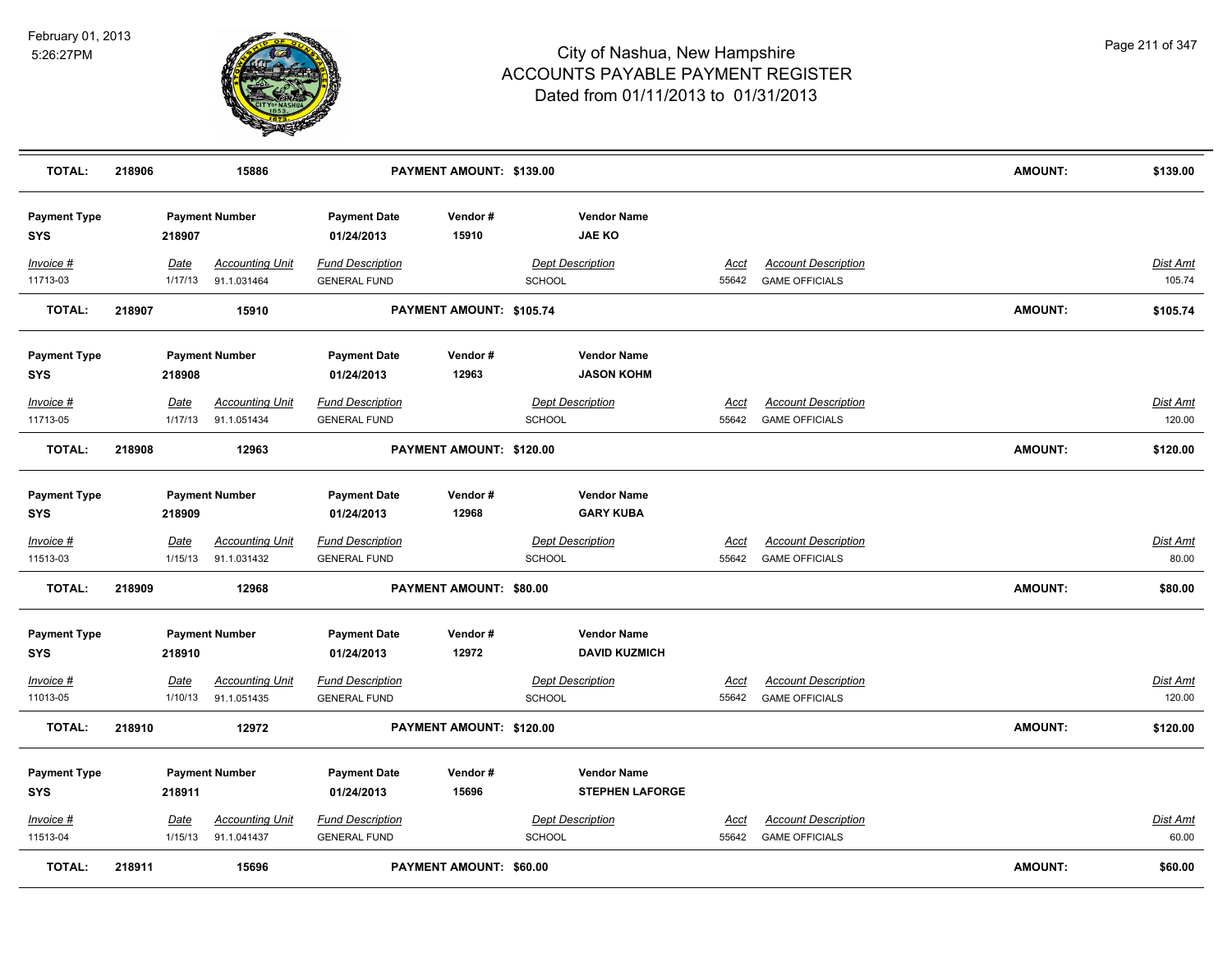

| <b>TOTAL:</b>                     | 218906 |                 | 15886                                 |                                                | PAYMENT AMOUNT: \$139.00       |               |                                              |                      |                                                     | <b>AMOUNT:</b> | \$139.00                  |
|-----------------------------------|--------|-----------------|---------------------------------------|------------------------------------------------|--------------------------------|---------------|----------------------------------------------|----------------------|-----------------------------------------------------|----------------|---------------------------|
| <b>Payment Type</b><br>SYS        |        | 218907          | <b>Payment Number</b>                 | <b>Payment Date</b><br>01/24/2013              | Vendor#<br>15910               |               | <b>Vendor Name</b><br><b>JAE KO</b>          |                      |                                                     |                |                           |
| Invoice #<br>11713-03             |        | Date<br>1/17/13 | <b>Accounting Unit</b><br>91.1.031464 | <b>Fund Description</b><br><b>GENERAL FUND</b> |                                | SCHOOL        | <b>Dept Description</b>                      | Acct<br>55642        | <b>Account Description</b><br><b>GAME OFFICIALS</b> |                | Dist Amt<br>105.74        |
| <b>TOTAL:</b>                     | 218907 |                 | 15910                                 |                                                | PAYMENT AMOUNT: \$105.74       |               |                                              |                      |                                                     | <b>AMOUNT:</b> | \$105.74                  |
| <b>Payment Type</b><br><b>SYS</b> |        | 218908          | <b>Payment Number</b>                 | <b>Payment Date</b><br>01/24/2013              | Vendor#<br>12963               |               | <b>Vendor Name</b><br><b>JASON KOHM</b>      |                      |                                                     |                |                           |
| Invoice #<br>11713-05             |        | Date<br>1/17/13 | <b>Accounting Unit</b><br>91.1.051434 | <b>Fund Description</b><br><b>GENERAL FUND</b> |                                | <b>SCHOOL</b> | <b>Dept Description</b>                      | <u>Acct</u><br>55642 | <b>Account Description</b><br><b>GAME OFFICIALS</b> |                | <b>Dist Amt</b><br>120.00 |
| <b>TOTAL:</b>                     | 218908 |                 | 12963                                 |                                                | PAYMENT AMOUNT: \$120.00       |               |                                              |                      |                                                     | <b>AMOUNT:</b> | \$120.00                  |
| <b>Payment Type</b><br>SYS        |        | 218909          | <b>Payment Number</b>                 | <b>Payment Date</b><br>01/24/2013              | Vendor#<br>12968               |               | <b>Vendor Name</b><br><b>GARY KUBA</b>       |                      |                                                     |                |                           |
| <b>Invoice #</b><br>11513-03      |        | Date<br>1/15/13 | <b>Accounting Unit</b><br>91.1.031432 | <b>Fund Description</b><br><b>GENERAL FUND</b> |                                | <b>SCHOOL</b> | <b>Dept Description</b>                      | <b>Acct</b><br>55642 | <b>Account Description</b><br><b>GAME OFFICIALS</b> |                | Dist Amt<br>80.00         |
| <b>TOTAL:</b>                     | 218909 |                 | 12968                                 |                                                | PAYMENT AMOUNT: \$80.00        |               |                                              |                      |                                                     | <b>AMOUNT:</b> | \$80.00                   |
| <b>Payment Type</b><br><b>SYS</b> |        | 218910          | <b>Payment Number</b>                 | <b>Payment Date</b><br>01/24/2013              | Vendor#<br>12972               |               | <b>Vendor Name</b><br><b>DAVID KUZMICH</b>   |                      |                                                     |                |                           |
| Invoice #<br>11013-05             |        | Date<br>1/10/13 | <b>Accounting Unit</b><br>91.1.051435 | <b>Fund Description</b><br><b>GENERAL FUND</b> |                                | <b>SCHOOL</b> | <b>Dept Description</b>                      | Acct<br>55642        | <b>Account Description</b><br><b>GAME OFFICIALS</b> |                | Dist Amt<br>120.00        |
| TOTAL:                            | 218910 |                 | 12972                                 |                                                | PAYMENT AMOUNT: \$120.00       |               |                                              |                      |                                                     | <b>AMOUNT:</b> | \$120.00                  |
| <b>Payment Type</b><br><b>SYS</b> |        | 218911          | <b>Payment Number</b>                 | <b>Payment Date</b><br>01/24/2013              | Vendor#<br>15696               |               | <b>Vendor Name</b><br><b>STEPHEN LAFORGE</b> |                      |                                                     |                |                           |
| Invoice #<br>11513-04             |        | Date<br>1/15/13 | <b>Accounting Unit</b><br>91.1.041437 | <b>Fund Description</b><br><b>GENERAL FUND</b> |                                | SCHOOL        | <b>Dept Description</b>                      | Acct<br>55642        | <b>Account Description</b><br><b>GAME OFFICIALS</b> |                | Dist Amt<br>60.00         |
| <b>TOTAL:</b>                     | 218911 |                 | 15696                                 |                                                | <b>PAYMENT AMOUNT: \$60.00</b> |               |                                              |                      |                                                     | <b>AMOUNT:</b> | \$60.00                   |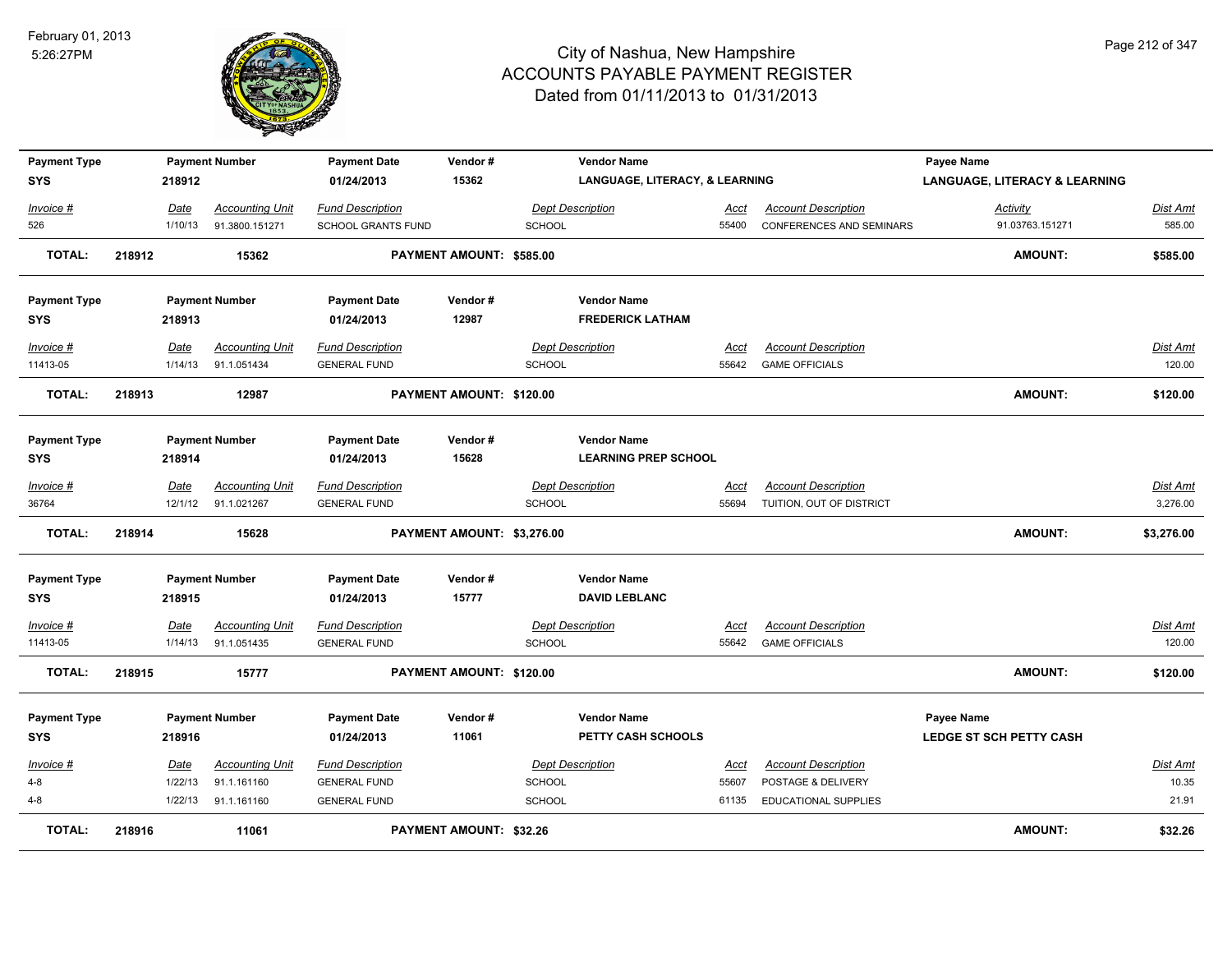

| <b>Payment Type</b> |        |         | <b>Payment Number</b>  | <b>Payment Date</b>     | Vendor#                    |               | <b>Vendor Name</b>                        |             |                             | Payee Name                               |                 |
|---------------------|--------|---------|------------------------|-------------------------|----------------------------|---------------|-------------------------------------------|-------------|-----------------------------|------------------------------------------|-----------------|
| <b>SYS</b>          |        | 218912  |                        | 01/24/2013              | 15362                      |               | <b>LANGUAGE, LITERACY, &amp; LEARNING</b> |             |                             | <b>LANGUAGE, LITERACY &amp; LEARNING</b> |                 |
| Invoice #           |        | Date    | <b>Accounting Unit</b> | <b>Fund Description</b> |                            |               | <b>Dept Description</b>                   | Acct        | <b>Account Description</b>  | Activity                                 | Dist Amt        |
| 526                 |        | 1/10/13 | 91.3800.151271         | SCHOOL GRANTS FUND      |                            | <b>SCHOOL</b> |                                           | 55400       | CONFERENCES AND SEMINARS    | 91.03763.151271                          | 585.00          |
| <b>TOTAL:</b>       | 218912 |         | 15362                  |                         | PAYMENT AMOUNT: \$585.00   |               |                                           |             |                             | <b>AMOUNT:</b>                           | \$585.00        |
|                     |        |         |                        |                         |                            |               |                                           |             |                             |                                          |                 |
| <b>Payment Type</b> |        |         | <b>Payment Number</b>  | <b>Payment Date</b>     | Vendor#                    |               | <b>Vendor Name</b>                        |             |                             |                                          |                 |
| <b>SYS</b>          |        | 218913  |                        | 01/24/2013              | 12987                      |               | <b>FREDERICK LATHAM</b>                   |             |                             |                                          |                 |
|                     |        |         |                        |                         |                            |               |                                           |             |                             |                                          |                 |
| Invoice #           |        | Date    | <b>Accounting Unit</b> | <b>Fund Description</b> |                            |               | <b>Dept Description</b>                   | Acct        | <b>Account Description</b>  |                                          | <b>Dist Amt</b> |
| 11413-05            |        | 1/14/13 | 91.1.051434            | <b>GENERAL FUND</b>     |                            | <b>SCHOOL</b> |                                           | 55642       | <b>GAME OFFICIALS</b>       |                                          | 120.00          |
| <b>TOTAL:</b>       | 218913 |         | 12987                  |                         | PAYMENT AMOUNT: \$120.00   |               |                                           |             |                             | <b>AMOUNT:</b>                           | \$120.00        |
|                     |        |         |                        |                         |                            |               |                                           |             |                             |                                          |                 |
| <b>Payment Type</b> |        |         | <b>Payment Number</b>  | <b>Payment Date</b>     | Vendor#                    |               | <b>Vendor Name</b>                        |             |                             |                                          |                 |
| <b>SYS</b>          |        | 218914  |                        | 01/24/2013              | 15628                      |               | <b>LEARNING PREP SCHOOL</b>               |             |                             |                                          |                 |
| Invoice #           |        | Date    | <b>Accounting Unit</b> | <b>Fund Description</b> |                            |               | <b>Dept Description</b>                   | Acct        | <b>Account Description</b>  |                                          | <b>Dist Amt</b> |
| 36764               |        |         | 12/1/12 91.1.021267    | <b>GENERAL FUND</b>     |                            | <b>SCHOOL</b> |                                           | 55694       | TUITION, OUT OF DISTRICT    |                                          | 3,276.00        |
| <b>TOTAL:</b>       | 218914 |         | 15628                  |                         | PAYMENT AMOUNT: \$3,276.00 |               |                                           |             |                             | <b>AMOUNT:</b>                           | \$3,276.00      |
|                     |        |         |                        |                         |                            |               |                                           |             |                             |                                          |                 |
| <b>Payment Type</b> |        |         | <b>Payment Number</b>  | <b>Payment Date</b>     | Vendor#                    |               | <b>Vendor Name</b>                        |             |                             |                                          |                 |
| <b>SYS</b>          |        | 218915  |                        | 01/24/2013              | 15777                      |               | <b>DAVID LEBLANC</b>                      |             |                             |                                          |                 |
|                     |        |         |                        |                         |                            |               |                                           |             |                             |                                          |                 |
| Invoice #           |        | Date    | Accounting Unit        | <b>Fund Description</b> |                            |               | <b>Dept Description</b>                   | <u>Acct</u> | <b>Account Description</b>  |                                          | <b>Dist Amt</b> |
| 11413-05            |        | 1/14/13 | 91.1.051435            | <b>GENERAL FUND</b>     |                            | SCHOOL        |                                           | 55642       | <b>GAME OFFICIALS</b>       |                                          | 120.00          |
| <b>TOTAL:</b>       | 218915 |         | 15777                  |                         | PAYMENT AMOUNT: \$120.00   |               |                                           |             |                             | <b>AMOUNT:</b>                           | \$120.00        |
| <b>Payment Type</b> |        |         | <b>Payment Number</b>  | <b>Payment Date</b>     | Vendor#                    |               | <b>Vendor Name</b>                        |             |                             | <b>Payee Name</b>                        |                 |
| <b>SYS</b>          |        | 218916  |                        | 01/24/2013              | 11061                      |               | PETTY CASH SCHOOLS                        |             |                             | <b>LEDGE ST SCH PETTY CASH</b>           |                 |
|                     |        |         |                        |                         |                            |               |                                           |             |                             |                                          |                 |
| Invoice #           |        | Date    | <b>Accounting Unit</b> | <b>Fund Description</b> |                            |               | <b>Dept Description</b>                   | Acct        | <b>Account Description</b>  |                                          | Dist Amt        |
| $4 - 8$             |        | 1/22/13 | 91.1.161160            | <b>GENERAL FUND</b>     |                            | <b>SCHOOL</b> |                                           | 55607       | POSTAGE & DELIVERY          |                                          | 10.35           |
| $4 - 8$             |        | 1/22/13 | 91.1.161160            | <b>GENERAL FUND</b>     |                            | SCHOOL        |                                           | 61135       | <b>EDUCATIONAL SUPPLIES</b> |                                          | 21.91           |
| <b>TOTAL:</b>       | 218916 |         | 11061                  |                         | PAYMENT AMOUNT: \$32.26    |               |                                           |             |                             | <b>AMOUNT:</b>                           | \$32.26         |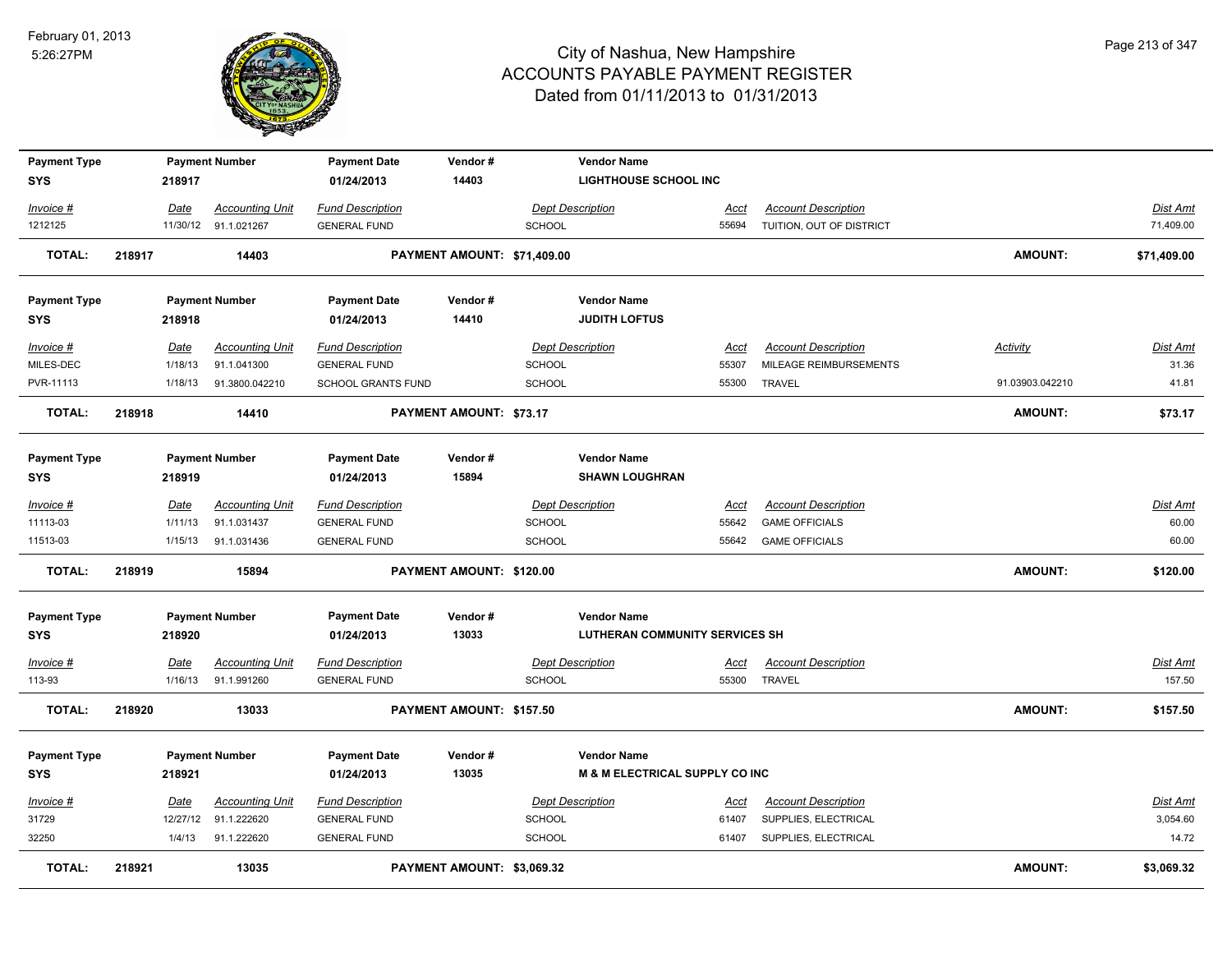

| <b>Payment Type</b> |        |          | <b>Payment Number</b>  | <b>Payment Date</b>       | Vendor#                     |               | <b>Vendor Name</b>                    |             |                            |                 |             |
|---------------------|--------|----------|------------------------|---------------------------|-----------------------------|---------------|---------------------------------------|-------------|----------------------------|-----------------|-------------|
| <b>SYS</b>          |        | 218917   |                        | 01/24/2013                | 14403                       |               | <b>LIGHTHOUSE SCHOOL INC</b>          |             |                            |                 |             |
| Invoice #           |        | Date     | <b>Accounting Unit</b> | <b>Fund Description</b>   |                             |               | <b>Dept Description</b>               | Acct        | <b>Account Description</b> |                 | Dist Amt    |
| 1212125             |        |          | 11/30/12 91.1.021267   | <b>GENERAL FUND</b>       |                             | <b>SCHOOL</b> |                                       | 55694       | TUITION, OUT OF DISTRICT   |                 | 71,409.00   |
| <b>TOTAL:</b>       | 218917 |          | 14403                  |                           | PAYMENT AMOUNT: \$71,409.00 |               |                                       |             |                            | <b>AMOUNT:</b>  | \$71,409.00 |
| <b>Payment Type</b> |        |          | <b>Payment Number</b>  | <b>Payment Date</b>       | Vendor#                     |               | <b>Vendor Name</b>                    |             |                            |                 |             |
| <b>SYS</b>          |        | 218918   |                        | 01/24/2013                | 14410                       |               | <b>JUDITH LOFTUS</b>                  |             |                            |                 |             |
| Invoice #           |        | Date     | <b>Accounting Unit</b> | <b>Fund Description</b>   |                             |               | <b>Dept Description</b>               | Acct        | <b>Account Description</b> | <b>Activity</b> | Dist Amt    |
| MILES-DEC           |        | 1/18/13  | 91.1.041300            | <b>GENERAL FUND</b>       |                             | SCHOOL        |                                       | 55307       | MILEAGE REIMBURSEMENTS     |                 | 31.36       |
| PVR-11113           |        | 1/18/13  | 91.3800.042210         | <b>SCHOOL GRANTS FUND</b> |                             | SCHOOL        |                                       | 55300       | <b>TRAVEL</b>              | 91.03903.042210 | 41.81       |
| <b>TOTAL:</b>       | 218918 |          | 14410                  |                           | PAYMENT AMOUNT: \$73.17     |               |                                       |             |                            | <b>AMOUNT:</b>  | \$73.17     |
| <b>Payment Type</b> |        |          | <b>Payment Number</b>  | <b>Payment Date</b>       | Vendor#                     |               | <b>Vendor Name</b>                    |             |                            |                 |             |
| <b>SYS</b>          |        | 218919   |                        | 01/24/2013                | 15894                       |               | <b>SHAWN LOUGHRAN</b>                 |             |                            |                 |             |
| Invoice #           |        | Date     | <b>Accounting Unit</b> | <b>Fund Description</b>   |                             |               | <b>Dept Description</b>               | <b>Acct</b> | <b>Account Description</b> |                 | Dist Amt    |
| 11113-03            |        | 1/11/13  | 91.1.031437            | <b>GENERAL FUND</b>       |                             | SCHOOL        |                                       | 55642       | <b>GAME OFFICIALS</b>      |                 | 60.00       |
| 11513-03            |        | 1/15/13  | 91.1.031436            | <b>GENERAL FUND</b>       |                             | SCHOOL        |                                       | 55642       | <b>GAME OFFICIALS</b>      |                 | 60.00       |
| <b>TOTAL:</b>       | 218919 |          | 15894                  |                           | PAYMENT AMOUNT: \$120.00    |               |                                       |             |                            | <b>AMOUNT:</b>  | \$120.00    |
| <b>Payment Type</b> |        |          | <b>Payment Number</b>  | <b>Payment Date</b>       | Vendor#                     |               | <b>Vendor Name</b>                    |             |                            |                 |             |
| <b>SYS</b>          |        | 218920   |                        | 01/24/2013                | 13033                       |               | <b>LUTHERAN COMMUNITY SERVICES SH</b> |             |                            |                 |             |
| <u> Invoice #</u>   |        | Date     | <b>Accounting Unit</b> | <b>Fund Description</b>   |                             |               | <b>Dept Description</b>               | <u>Acct</u> | <b>Account Description</b> |                 | Dist Amt    |
| 113-93              |        | 1/16/13  | 91.1.991260            | <b>GENERAL FUND</b>       |                             | SCHOOL        |                                       | 55300       | <b>TRAVEL</b>              |                 | 157.50      |
| <b>TOTAL:</b>       | 218920 |          | 13033                  |                           | PAYMENT AMOUNT: \$157.50    |               |                                       |             |                            | <b>AMOUNT:</b>  | \$157.50    |
| <b>Payment Type</b> |        |          | <b>Payment Number</b>  | <b>Payment Date</b>       | Vendor#                     |               | <b>Vendor Name</b>                    |             |                            |                 |             |
| <b>SYS</b>          |        | 218921   |                        | 01/24/2013                | 13035                       |               | M & M ELECTRICAL SUPPLY CO INC        |             |                            |                 |             |
| Invoice #           |        | Date     | <b>Accounting Unit</b> | <b>Fund Description</b>   |                             |               | <b>Dept Description</b>               | Acct        | <b>Account Description</b> |                 | Dist Amt    |
| 31729               |        | 12/27/12 | 91.1.222620            | <b>GENERAL FUND</b>       |                             | SCHOOL        |                                       | 61407       | SUPPLIES, ELECTRICAL       |                 | 3,054.60    |
| 32250               |        | 1/4/13   | 91.1.222620            | <b>GENERAL FUND</b>       |                             | SCHOOL        |                                       | 61407       | SUPPLIES, ELECTRICAL       |                 | 14.72       |
| <b>TOTAL:</b>       | 218921 |          | 13035                  |                           | PAYMENT AMOUNT: \$3,069.32  |               |                                       |             |                            | <b>AMOUNT:</b>  | \$3,069.32  |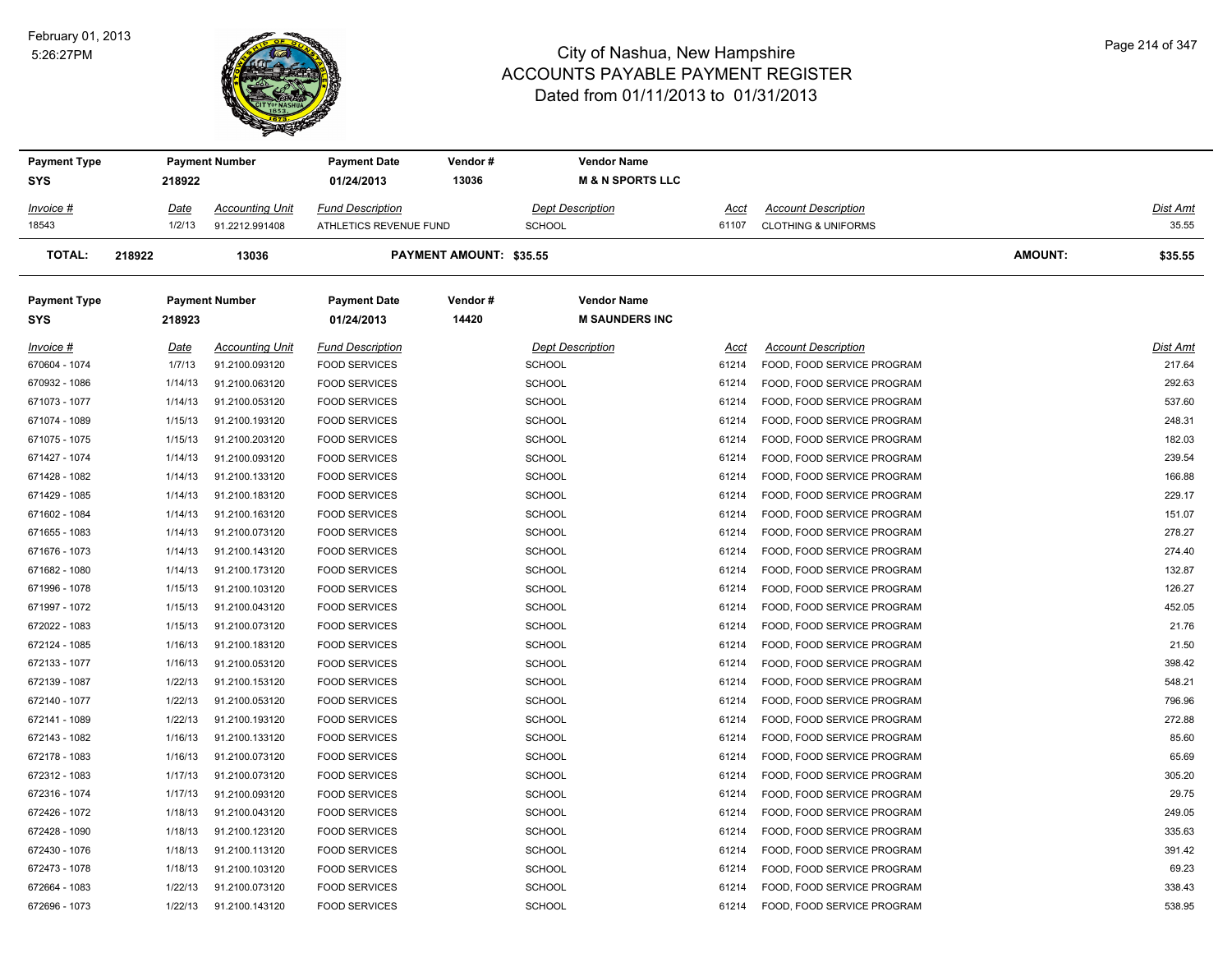#### February 01, 2013 5:26:27PM



| <b>Payment Type</b> |             | <b>Payment Number</b>  | <b>Payment Date</b>     | Vendor#                 | <b>Vendor Name</b>          |       |                                |                |          |
|---------------------|-------------|------------------------|-------------------------|-------------------------|-----------------------------|-------|--------------------------------|----------------|----------|
| <b>SYS</b>          | 218922      |                        | 01/24/2013              | 13036                   | <b>M &amp; N SPORTS LLC</b> |       |                                |                |          |
| Invoice #           | <u>Date</u> | <b>Accounting Unit</b> | <b>Fund Description</b> |                         | Dept Description            | Acct  | <b>Account Description</b>     |                | Dist Amt |
| 18543               | 1/2/13      | 91.2212.991408         | ATHLETICS REVENUE FUND  |                         | <b>SCHOOL</b>               | 61107 | <b>CLOTHING &amp; UNIFORMS</b> |                | 35.55    |
| <b>TOTAL:</b>       | 218922      | 13036                  |                         | PAYMENT AMOUNT: \$35.55 |                             |       |                                | <b>AMOUNT:</b> | \$35.55  |
| <b>Payment Type</b> |             | <b>Payment Number</b>  | Payment Date            | Vendor#                 | <b>Vendor Name</b>          |       |                                |                |          |
| <b>SYS</b>          | 218923      |                        | 01/24/2013              | 14420                   | <b>M SAUNDERS INC</b>       |       |                                |                |          |
| Invoice #           | <u>Date</u> | <b>Accounting Unit</b> | <b>Fund Description</b> |                         | <b>Dept Description</b>     | Acct  | <b>Account Description</b>     |                | Dist Amt |
| 670604 - 1074       | 1/7/13      | 91.2100.093120         | <b>FOOD SERVICES</b>    |                         | <b>SCHOOL</b>               | 61214 | FOOD, FOOD SERVICE PROGRAM     |                | 217.64   |
| 670932 - 1086       | 1/14/13     | 91.2100.063120         | <b>FOOD SERVICES</b>    |                         | <b>SCHOOL</b>               | 61214 | FOOD, FOOD SERVICE PROGRAM     |                | 292.63   |
| 671073 - 1077       | 1/14/13     | 91.2100.053120         | <b>FOOD SERVICES</b>    |                         | <b>SCHOOL</b>               | 61214 | FOOD, FOOD SERVICE PROGRAM     |                | 537.60   |
| 671074 - 1089       | 1/15/13     | 91.2100.193120         | <b>FOOD SERVICES</b>    |                         | <b>SCHOOL</b>               | 61214 | FOOD, FOOD SERVICE PROGRAM     |                | 248.31   |
| 671075 - 1075       | 1/15/13     | 91.2100.203120         | <b>FOOD SERVICES</b>    |                         | <b>SCHOOL</b>               | 61214 | FOOD, FOOD SERVICE PROGRAM     |                | 182.03   |
| 671427 - 1074       | 1/14/13     | 91.2100.093120         | <b>FOOD SERVICES</b>    |                         | <b>SCHOOL</b>               | 61214 | FOOD, FOOD SERVICE PROGRAM     |                | 239.54   |
| 671428 - 1082       | 1/14/13     | 91.2100.133120         | <b>FOOD SERVICES</b>    |                         | <b>SCHOOL</b>               | 61214 | FOOD, FOOD SERVICE PROGRAM     |                | 166.88   |
| 671429 - 1085       | 1/14/13     | 91.2100.183120         | <b>FOOD SERVICES</b>    |                         | <b>SCHOOL</b>               | 61214 | FOOD, FOOD SERVICE PROGRAM     |                | 229.17   |
| 671602 - 1084       | 1/14/13     | 91.2100.163120         | <b>FOOD SERVICES</b>    |                         | <b>SCHOOL</b>               | 61214 | FOOD, FOOD SERVICE PROGRAM     |                | 151.07   |
| 671655 - 1083       | 1/14/13     | 91.2100.073120         | <b>FOOD SERVICES</b>    |                         | <b>SCHOOL</b>               | 61214 | FOOD, FOOD SERVICE PROGRAM     |                | 278.27   |
| 671676 - 1073       | 1/14/13     | 91.2100.143120         | <b>FOOD SERVICES</b>    |                         | <b>SCHOOL</b>               | 61214 | FOOD, FOOD SERVICE PROGRAM     |                | 274.40   |
| 671682 - 1080       | 1/14/13     | 91.2100.173120         | <b>FOOD SERVICES</b>    |                         | <b>SCHOOL</b>               | 61214 | FOOD, FOOD SERVICE PROGRAM     |                | 132.87   |
| 671996 - 1078       | 1/15/13     | 91.2100.103120         | <b>FOOD SERVICES</b>    |                         | <b>SCHOOL</b>               | 61214 | FOOD, FOOD SERVICE PROGRAM     |                | 126.27   |
| 671997 - 1072       | 1/15/13     | 91.2100.043120         | <b>FOOD SERVICES</b>    |                         | <b>SCHOOL</b>               | 61214 | FOOD, FOOD SERVICE PROGRAM     |                | 452.05   |
| 672022 - 1083       | 1/15/13     | 91.2100.073120         | <b>FOOD SERVICES</b>    |                         | <b>SCHOOL</b>               | 61214 | FOOD, FOOD SERVICE PROGRAM     |                | 21.76    |
| 672124 - 1085       | 1/16/13     | 91.2100.183120         | <b>FOOD SERVICES</b>    |                         | <b>SCHOOL</b>               | 61214 | FOOD, FOOD SERVICE PROGRAM     |                | 21.50    |
| 672133 - 1077       | 1/16/13     | 91.2100.053120         | <b>FOOD SERVICES</b>    |                         | <b>SCHOOL</b>               | 61214 | FOOD, FOOD SERVICE PROGRAM     |                | 398.42   |
| 672139 - 1087       | 1/22/13     | 91.2100.153120         | <b>FOOD SERVICES</b>    |                         | <b>SCHOOL</b>               | 61214 | FOOD, FOOD SERVICE PROGRAM     |                | 548.21   |
| 672140 - 1077       | 1/22/13     | 91.2100.053120         | <b>FOOD SERVICES</b>    |                         | <b>SCHOOL</b>               | 61214 | FOOD, FOOD SERVICE PROGRAM     |                | 796.96   |
| 672141 - 1089       | 1/22/13     | 91.2100.193120         | <b>FOOD SERVICES</b>    |                         | <b>SCHOOL</b>               | 61214 | FOOD, FOOD SERVICE PROGRAM     |                | 272.88   |
| 672143 - 1082       | 1/16/13     | 91.2100.133120         | <b>FOOD SERVICES</b>    |                         | <b>SCHOOL</b>               | 61214 | FOOD, FOOD SERVICE PROGRAM     |                | 85.60    |
| 672178 - 1083       | 1/16/13     | 91.2100.073120         | <b>FOOD SERVICES</b>    |                         | <b>SCHOOL</b>               | 61214 | FOOD, FOOD SERVICE PROGRAM     |                | 65.69    |
| 672312 - 1083       | 1/17/13     | 91.2100.073120         | <b>FOOD SERVICES</b>    |                         | <b>SCHOOL</b>               | 61214 | FOOD, FOOD SERVICE PROGRAM     |                | 305.20   |
| 672316 - 1074       | 1/17/13     | 91.2100.093120         | <b>FOOD SERVICES</b>    |                         | <b>SCHOOL</b>               | 61214 | FOOD, FOOD SERVICE PROGRAM     |                | 29.75    |
| 672426 - 1072       | 1/18/13     | 91.2100.043120         | <b>FOOD SERVICES</b>    |                         | <b>SCHOOL</b>               | 61214 | FOOD, FOOD SERVICE PROGRAM     |                | 249.05   |
| 672428 - 1090       | 1/18/13     | 91.2100.123120         | <b>FOOD SERVICES</b>    |                         | <b>SCHOOL</b>               | 61214 | FOOD, FOOD SERVICE PROGRAM     |                | 335.63   |
| 672430 - 1076       | 1/18/13     | 91.2100.113120         | <b>FOOD SERVICES</b>    |                         | <b>SCHOOL</b>               | 61214 | FOOD, FOOD SERVICE PROGRAM     |                | 391.42   |
| 672473 - 1078       | 1/18/13     | 91.2100.103120         | <b>FOOD SERVICES</b>    |                         | <b>SCHOOL</b>               | 61214 | FOOD, FOOD SERVICE PROGRAM     |                | 69.23    |
| 672664 - 1083       | 1/22/13     | 91.2100.073120         | <b>FOOD SERVICES</b>    |                         | <b>SCHOOL</b>               | 61214 | FOOD, FOOD SERVICE PROGRAM     |                | 338.43   |
| 672696 - 1073       | 1/22/13     | 91.2100.143120         | <b>FOOD SERVICES</b>    |                         | <b>SCHOOL</b>               | 61214 | FOOD, FOOD SERVICE PROGRAM     |                | 538.95   |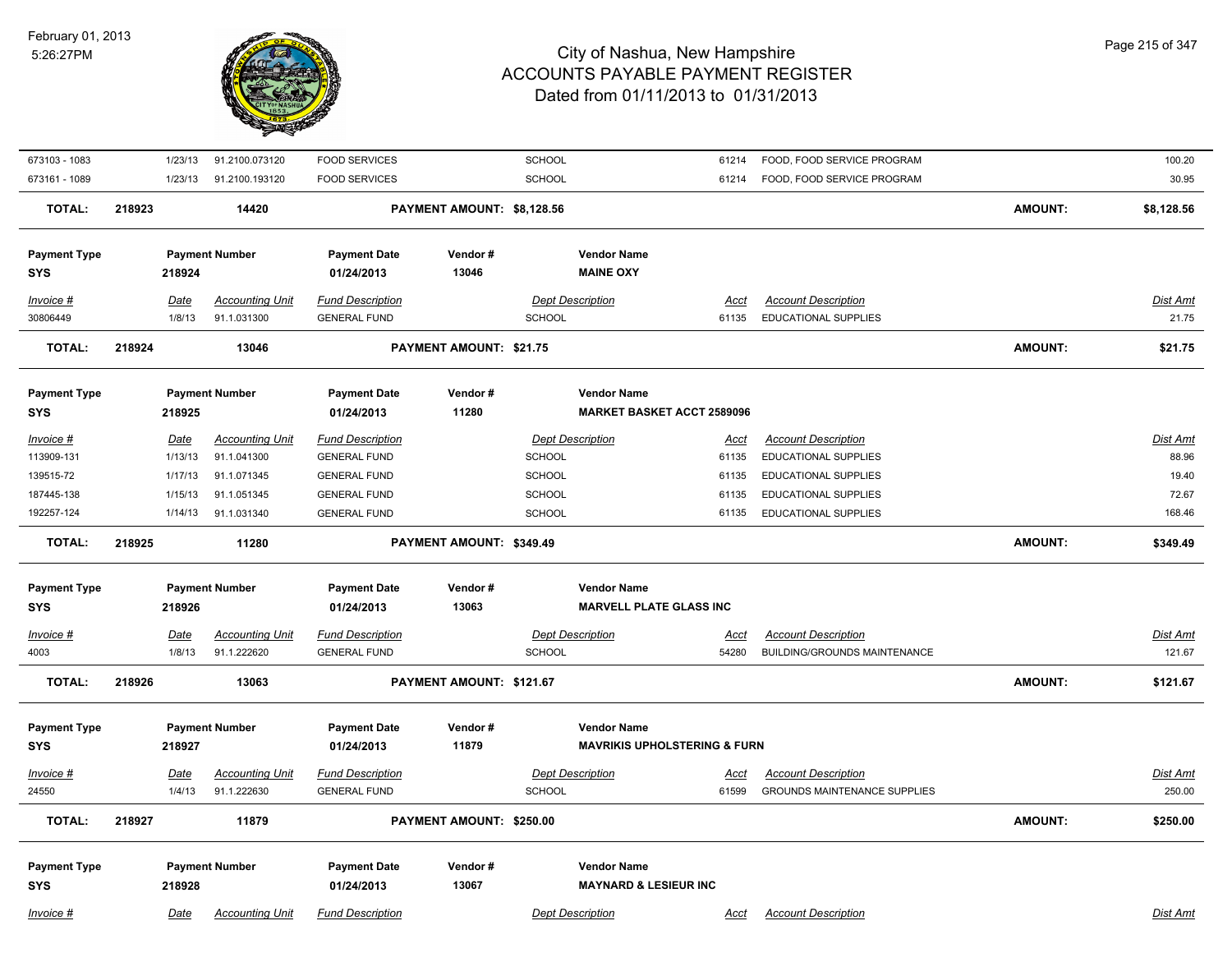

| 673103 - 1083                     | 1/23/13     | 91.2100.073120         | <b>FOOD SERVICES</b>              |                                | <b>SCHOOL</b> |                                                        | 61214       | FOOD, FOOD SERVICE PROGRAM          |                | 100.20          |
|-----------------------------------|-------------|------------------------|-----------------------------------|--------------------------------|---------------|--------------------------------------------------------|-------------|-------------------------------------|----------------|-----------------|
| 673161 - 1089                     | 1/23/13     | 91.2100.193120         | <b>FOOD SERVICES</b>              |                                | <b>SCHOOL</b> |                                                        | 61214       | FOOD, FOOD SERVICE PROGRAM          |                | 30.95           |
| <b>TOTAL:</b>                     | 218923      | 14420                  |                                   | PAYMENT AMOUNT: \$8,128.56     |               |                                                        |             |                                     | <b>AMOUNT:</b> | \$8,128.56      |
| <b>Payment Type</b>               |             | <b>Payment Number</b>  | <b>Payment Date</b>               | Vendor#                        |               | <b>Vendor Name</b>                                     |             |                                     |                |                 |
| <b>SYS</b>                        | 218924      |                        | 01/24/2013                        | 13046                          |               | <b>MAINE OXY</b>                                       |             |                                     |                |                 |
| $Invoice$ #                       | Date        | <b>Accounting Unit</b> | <b>Fund Description</b>           |                                |               | <b>Dept Description</b>                                | Acct        | <b>Account Description</b>          |                | Dist Amt        |
| 30806449                          | 1/8/13      | 91.1.031300            | <b>GENERAL FUND</b>               |                                | <b>SCHOOL</b> |                                                        | 61135       | <b>EDUCATIONAL SUPPLIES</b>         |                | 21.75           |
| <b>TOTAL:</b>                     | 218924      | 13046                  |                                   | <b>PAYMENT AMOUNT: \$21.75</b> |               |                                                        |             |                                     | <b>AMOUNT:</b> | \$21.75         |
| <b>Payment Type</b>               |             | <b>Payment Number</b>  | <b>Payment Date</b>               | Vendor#                        |               | <b>Vendor Name</b>                                     |             |                                     |                |                 |
| <b>SYS</b>                        | 218925      |                        | 01/24/2013                        | 11280                          |               | <b>MARKET BASKET ACCT 2589096</b>                      |             |                                     |                |                 |
| Invoice #                         | <b>Date</b> | <b>Accounting Unit</b> | <b>Fund Description</b>           |                                |               | <b>Dept Description</b>                                | <u>Acct</u> | <b>Account Description</b>          |                | Dist Amt        |
| 113909-131                        | 1/13/13     | 91.1.041300            | <b>GENERAL FUND</b>               |                                | <b>SCHOOL</b> |                                                        | 61135       | <b>EDUCATIONAL SUPPLIES</b>         |                | 88.96           |
| 139515-72                         | 1/17/13     | 91.1.071345            | <b>GENERAL FUND</b>               |                                | <b>SCHOOL</b> |                                                        | 61135       | EDUCATIONAL SUPPLIES                |                | 19.40           |
| 187445-138                        | 1/15/13     | 91.1.051345            | <b>GENERAL FUND</b>               |                                | <b>SCHOOL</b> |                                                        | 61135       | EDUCATIONAL SUPPLIES                |                | 72.67           |
| 192257-124                        | 1/14/13     | 91.1.031340            | <b>GENERAL FUND</b>               |                                | <b>SCHOOL</b> |                                                        | 61135       | EDUCATIONAL SUPPLIES                |                | 168.46          |
| <b>TOTAL:</b>                     | 218925      | 11280                  |                                   | PAYMENT AMOUNT: \$349.49       |               |                                                        |             |                                     | <b>AMOUNT:</b> | \$349.49        |
| <b>Payment Type</b>               |             | <b>Payment Number</b>  | <b>Payment Date</b>               | Vendor#                        |               | <b>Vendor Name</b>                                     |             |                                     |                |                 |
| <b>SYS</b>                        | 218926      |                        | 01/24/2013                        | 13063                          |               | <b>MARVELL PLATE GLASS INC</b>                         |             |                                     |                |                 |
| <b>Invoice #</b>                  | <u>Date</u> | <b>Accounting Unit</b> | <b>Fund Description</b>           |                                |               | <b>Dept Description</b>                                | <u>Acct</u> | <b>Account Description</b>          |                | <u>Dist Amt</u> |
| 4003                              | 1/8/13      | 91.1.222620            | <b>GENERAL FUND</b>               |                                | <b>SCHOOL</b> |                                                        | 54280       | BUILDING/GROUNDS MAINTENANCE        |                | 121.67          |
| <b>TOTAL:</b>                     | 218926      | 13063                  |                                   | PAYMENT AMOUNT: \$121.67       |               |                                                        |             |                                     | <b>AMOUNT:</b> | \$121.67        |
| <b>Payment Type</b>               |             | <b>Payment Number</b>  | <b>Payment Date</b>               | Vendor#                        |               | <b>Vendor Name</b>                                     |             |                                     |                |                 |
| <b>SYS</b>                        | 218927      |                        | 01/24/2013                        | 11879                          |               | <b>MAVRIKIS UPHOLSTERING &amp; FURN</b>                |             |                                     |                |                 |
| Invoice #                         | <u>Date</u> | <b>Accounting Unit</b> | <b>Fund Description</b>           |                                |               | <b>Dept Description</b>                                | <u>Acct</u> | <b>Account Description</b>          |                | <u>Dist Amt</u> |
| 24550                             | 1/4/13      | 91.1.222630            | <b>GENERAL FUND</b>               |                                | <b>SCHOOL</b> |                                                        | 61599       | <b>GROUNDS MAINTENANCE SUPPLIES</b> |                | 250.00          |
| <b>TOTAL:</b>                     | 218927      | 11879                  |                                   | PAYMENT AMOUNT: \$250.00       |               |                                                        |             |                                     | <b>AMOUNT:</b> | \$250.00        |
|                                   |             |                        |                                   |                                |               |                                                        |             |                                     |                |                 |
| <b>Payment Type</b><br><b>SYS</b> | 218928      | <b>Payment Number</b>  | <b>Payment Date</b><br>01/24/2013 | Vendor#<br>13067               |               | <b>Vendor Name</b><br><b>MAYNARD &amp; LESIEUR INC</b> |             |                                     |                |                 |
| Invoice #                         | Date        | <b>Accounting Unit</b> | <b>Fund Description</b>           |                                |               | <b>Dept Description</b>                                | Acct        | <b>Account Description</b>          |                | Dist Amt        |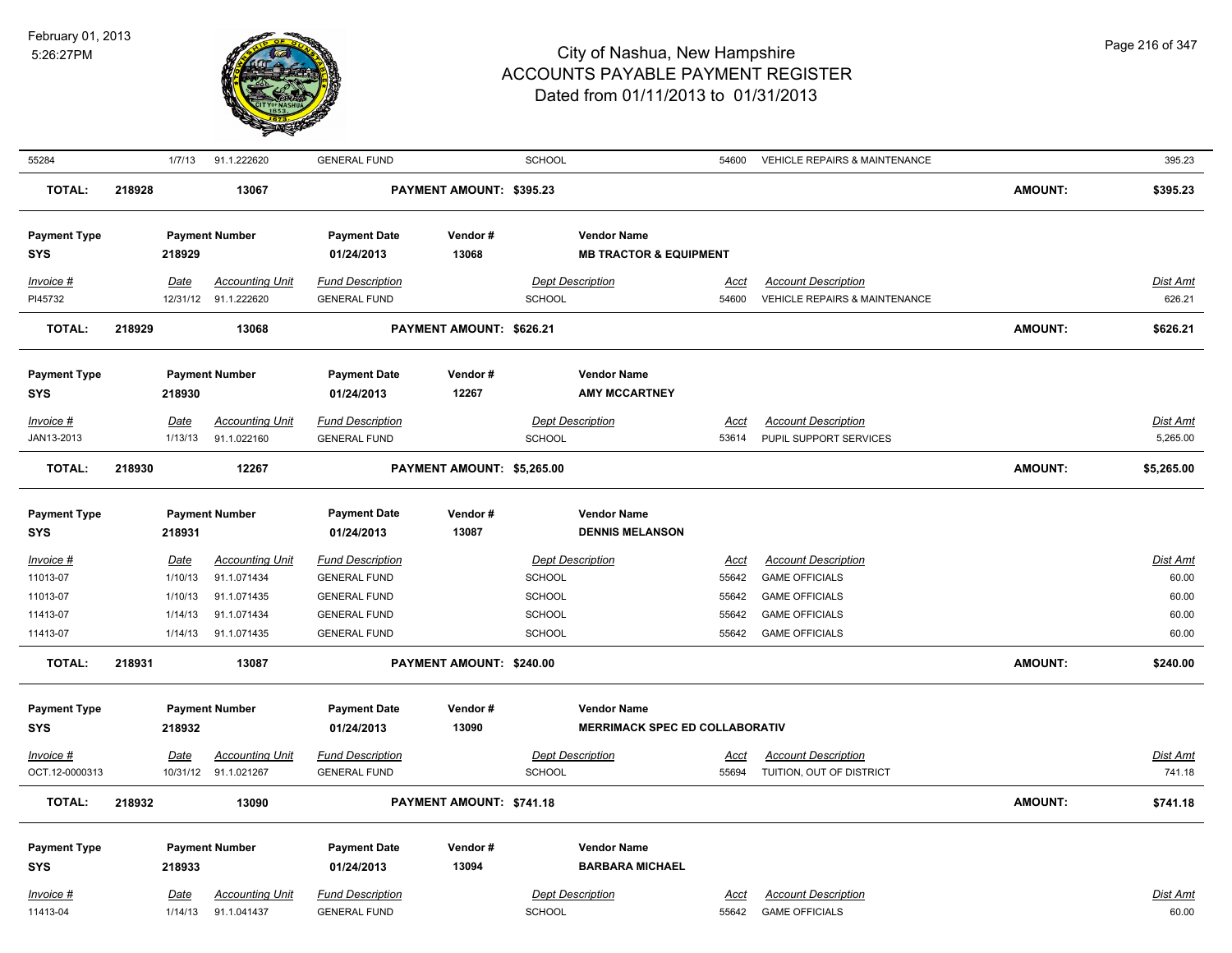

| 55284                |        | 1/7/13  | 91.1.222620                                    | <b>GENERAL FUND</b>                            |                            | <b>SCHOOL</b> |                                       | 54600                | VEHICLE REPAIRS & MAINTENANCE                               |                | 395.23                    |
|----------------------|--------|---------|------------------------------------------------|------------------------------------------------|----------------------------|---------------|---------------------------------------|----------------------|-------------------------------------------------------------|----------------|---------------------------|
| <b>TOTAL:</b>        | 218928 |         | 13067                                          |                                                | PAYMENT AMOUNT: \$395.23   |               |                                       |                      |                                                             | <b>AMOUNT:</b> | \$395.23                  |
| <b>Payment Type</b>  |        |         | <b>Payment Number</b>                          | <b>Payment Date</b>                            | Vendor#                    |               | <b>Vendor Name</b>                    |                      |                                                             |                |                           |
| <b>SYS</b>           |        | 218929  |                                                | 01/24/2013                                     | 13068                      |               | <b>MB TRACTOR &amp; EQUIPMENT</b>     |                      |                                                             |                |                           |
|                      |        |         |                                                |                                                |                            |               |                                       |                      |                                                             |                |                           |
| Invoice #<br>PI45732 |        | Date    | <b>Accounting Unit</b><br>12/31/12 91.1.222620 | <b>Fund Description</b><br><b>GENERAL FUND</b> |                            | <b>SCHOOL</b> | <b>Dept Description</b>               | <b>Acct</b><br>54600 | <b>Account Description</b><br>VEHICLE REPAIRS & MAINTENANCE |                | <b>Dist Amt</b><br>626.21 |
|                      |        |         |                                                |                                                |                            |               |                                       |                      |                                                             |                |                           |
| <b>TOTAL:</b>        | 218929 |         | 13068                                          |                                                | PAYMENT AMOUNT: \$626.21   |               |                                       |                      |                                                             | <b>AMOUNT:</b> | \$626.21                  |
| <b>Payment Type</b>  |        |         | <b>Payment Number</b>                          | <b>Payment Date</b>                            | Vendor#                    |               | <b>Vendor Name</b>                    |                      |                                                             |                |                           |
| <b>SYS</b>           |        | 218930  |                                                | 01/24/2013                                     | 12267                      |               | <b>AMY MCCARTNEY</b>                  |                      |                                                             |                |                           |
| Invoice #            |        | Date    | <b>Accounting Unit</b>                         | <b>Fund Description</b>                        |                            |               | <b>Dept Description</b>               | Acct                 | <b>Account Description</b>                                  |                | <b>Dist Amt</b>           |
| JAN13-2013           |        | 1/13/13 | 91.1.022160                                    | <b>GENERAL FUND</b>                            |                            | <b>SCHOOL</b> |                                       | 53614                | PUPIL SUPPORT SERVICES                                      |                | 5,265.00                  |
| <b>TOTAL:</b>        | 218930 |         | 12267                                          |                                                | PAYMENT AMOUNT: \$5,265.00 |               |                                       |                      |                                                             | <b>AMOUNT:</b> | \$5,265.00                |
| <b>Payment Type</b>  |        |         | <b>Payment Number</b>                          | <b>Payment Date</b>                            | Vendor#                    |               | <b>Vendor Name</b>                    |                      |                                                             |                |                           |
| <b>SYS</b>           |        | 218931  |                                                | 01/24/2013                                     | 13087                      |               | <b>DENNIS MELANSON</b>                |                      |                                                             |                |                           |
| Invoice #            |        | Date    | <b>Accounting Unit</b>                         | <b>Fund Description</b>                        |                            |               | <b>Dept Description</b>               | <u>Acct</u>          | <b>Account Description</b>                                  |                | Dist Amt                  |
| 11013-07             |        | 1/10/13 | 91.1.071434                                    | <b>GENERAL FUND</b>                            |                            | SCHOOL        |                                       | 55642                | <b>GAME OFFICIALS</b>                                       |                | 60.00                     |
| 11013-07             |        | 1/10/13 | 91.1.071435                                    | <b>GENERAL FUND</b>                            |                            | <b>SCHOOL</b> |                                       | 55642                | <b>GAME OFFICIALS</b>                                       |                | 60.00                     |
| 11413-07             |        | 1/14/13 | 91.1.071434                                    | <b>GENERAL FUND</b>                            |                            | <b>SCHOOL</b> |                                       | 55642                | <b>GAME OFFICIALS</b>                                       |                | 60.00                     |
| 11413-07             |        | 1/14/13 | 91.1.071435                                    | <b>GENERAL FUND</b>                            |                            | SCHOOL        |                                       | 55642                | <b>GAME OFFICIALS</b>                                       |                | 60.00                     |
| <b>TOTAL:</b>        | 218931 |         | 13087                                          |                                                | PAYMENT AMOUNT: \$240.00   |               |                                       |                      |                                                             | <b>AMOUNT:</b> | \$240.00                  |
| <b>Payment Type</b>  |        |         | <b>Payment Number</b>                          | <b>Payment Date</b>                            | Vendor#                    |               | <b>Vendor Name</b>                    |                      |                                                             |                |                           |
| <b>SYS</b>           |        | 218932  |                                                | 01/24/2013                                     | 13090                      |               | <b>MERRIMACK SPEC ED COLLABORATIV</b> |                      |                                                             |                |                           |
| Invoice #            |        | Date    | <b>Accounting Unit</b>                         | <b>Fund Description</b>                        |                            |               | <b>Dept Description</b>               | <u>Acct</u>          | <b>Account Description</b>                                  |                | Dist Amt                  |
| OCT.12-0000313       |        |         | 10/31/12 91.1.021267                           | <b>GENERAL FUND</b>                            |                            | SCHOOL        |                                       | 55694                | TUITION, OUT OF DISTRICT                                    |                | 741.18                    |
|                      |        |         |                                                |                                                |                            |               |                                       |                      |                                                             |                |                           |
| <b>TOTAL:</b>        | 218932 |         | 13090                                          |                                                | PAYMENT AMOUNT: \$741.18   |               |                                       |                      |                                                             | <b>AMOUNT:</b> | \$741.18                  |
| <b>Payment Type</b>  |        |         | <b>Payment Number</b>                          | <b>Payment Date</b>                            | Vendor#                    |               | <b>Vendor Name</b>                    |                      |                                                             |                |                           |
| <b>SYS</b>           |        | 218933  |                                                | 01/24/2013                                     | 13094                      |               | <b>BARBARA MICHAEL</b>                |                      |                                                             |                |                           |
| Invoice #            |        | Date    | <b>Accounting Unit</b>                         | <b>Fund Description</b>                        |                            |               | <b>Dept Description</b>               | <u>Acct</u>          | <b>Account Description</b>                                  |                | <b>Dist Amt</b>           |
| 11413-04             |        | 1/14/13 | 91.1.041437                                    | <b>GENERAL FUND</b>                            |                            | SCHOOL        |                                       | 55642                | <b>GAME OFFICIALS</b>                                       |                | 60.00                     |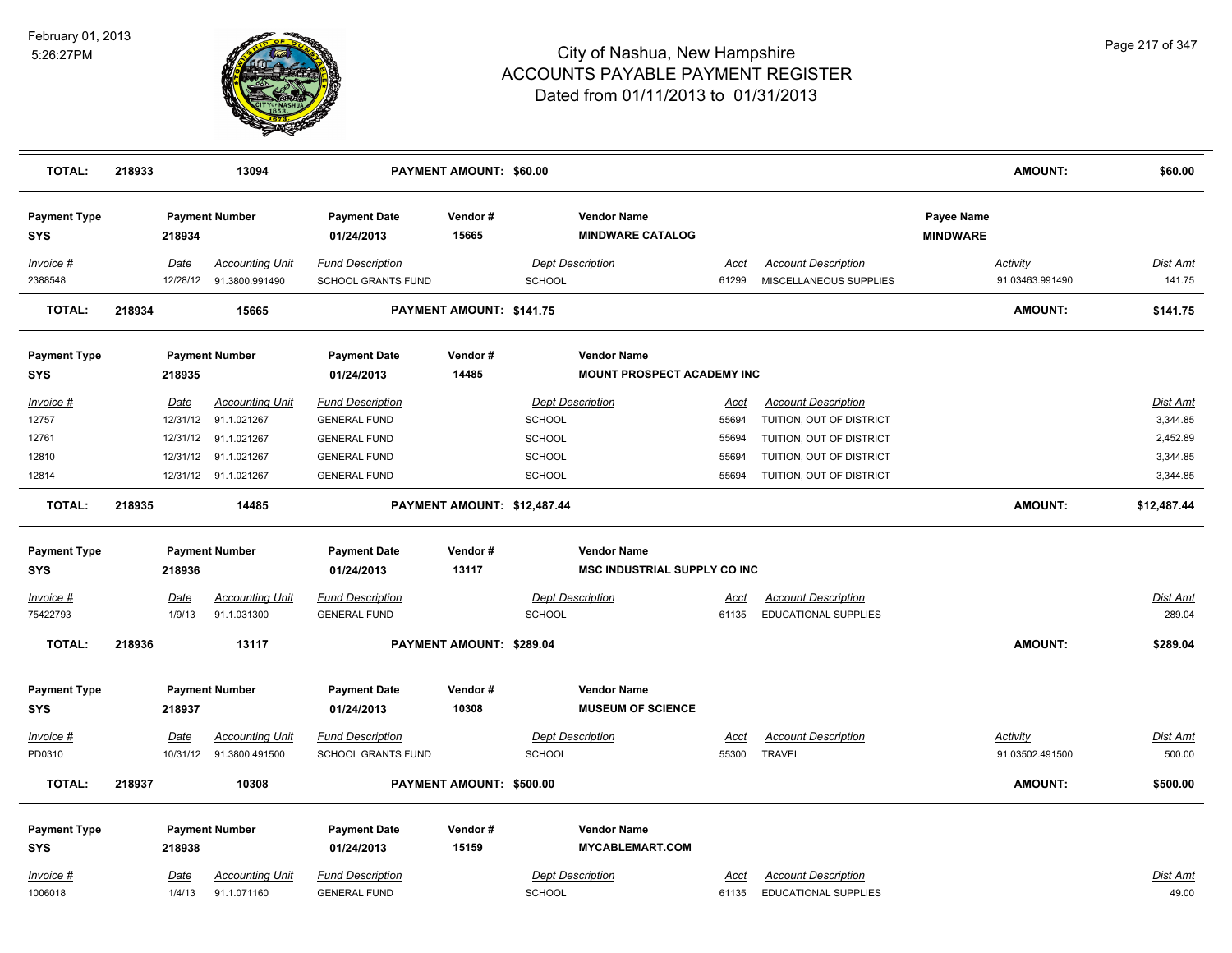

| <b>TOTAL:</b>                     | 218933 |                  | 13094                                    |                                                      | PAYMENT AMOUNT: \$60.00     |                         |                                                  |                      |                                                           |                               | <b>AMOUNT:</b>                     | \$60.00            |
|-----------------------------------|--------|------------------|------------------------------------------|------------------------------------------------------|-----------------------------|-------------------------|--------------------------------------------------|----------------------|-----------------------------------------------------------|-------------------------------|------------------------------------|--------------------|
| <b>Payment Type</b><br><b>SYS</b> |        | 218934           | <b>Payment Number</b>                    | <b>Payment Date</b><br>01/24/2013                    | Vendor#<br>15665            |                         | <b>Vendor Name</b><br><b>MINDWARE CATALOG</b>    |                      |                                                           | Payee Name<br><b>MINDWARE</b> |                                    |                    |
| Invoice #<br>2388548              |        | Date<br>12/28/12 | <b>Accounting Unit</b><br>91.3800.991490 | <b>Fund Description</b><br><b>SCHOOL GRANTS FUND</b> |                             | <b>SCHOOL</b>           | <b>Dept Description</b>                          | Acct<br>61299        | <b>Account Description</b><br>MISCELLANEOUS SUPPLIES      |                               | <b>Activity</b><br>91.03463.991490 | Dist Amt<br>141.75 |
| <b>TOTAL:</b>                     | 218934 |                  | 15665                                    |                                                      | PAYMENT AMOUNT: \$141.75    |                         |                                                  |                      |                                                           |                               | <b>AMOUNT:</b>                     | \$141.75           |
| <b>Payment Type</b><br><b>SYS</b> |        | 218935           | <b>Payment Number</b>                    | <b>Payment Date</b><br>01/24/2013                    | Vendor#<br>14485            |                         | <b>Vendor Name</b><br>MOUNT PROSPECT ACADEMY INC |                      |                                                           |                               |                                    |                    |
| Invoice #                         |        | Date             | <b>Accounting Unit</b>                   | <b>Fund Description</b>                              |                             | <b>Dept Description</b> |                                                  | Acct                 | <b>Account Description</b>                                |                               |                                    | Dist Amt           |
| 12757                             |        | 12/31/12         | 91.1.021267                              | <b>GENERAL FUND</b>                                  |                             | <b>SCHOOL</b>           |                                                  | 55694                | TUITION, OUT OF DISTRICT                                  |                               |                                    | 3,344.85           |
| 12761                             |        | 12/31/12         | 91.1.021267                              | <b>GENERAL FUND</b>                                  |                             | SCHOOL                  |                                                  | 55694                | TUITION, OUT OF DISTRICT                                  |                               |                                    | 2,452.89           |
| 12810                             |        | 12/31/12         | 91.1.021267                              | <b>GENERAL FUND</b>                                  |                             | <b>SCHOOL</b>           |                                                  | 55694                | TUITION, OUT OF DISTRICT                                  |                               |                                    | 3,344.85           |
| 12814                             |        |                  | 12/31/12 91.1.021267                     | <b>GENERAL FUND</b>                                  |                             | <b>SCHOOL</b>           |                                                  | 55694                | TUITION, OUT OF DISTRICT                                  |                               |                                    | 3,344.85           |
| <b>TOTAL:</b>                     | 218935 |                  | 14485                                    |                                                      | PAYMENT AMOUNT: \$12,487.44 |                         |                                                  |                      |                                                           |                               | <b>AMOUNT:</b>                     | \$12,487.44        |
| <b>Payment Type</b>               |        |                  | <b>Payment Number</b>                    | <b>Payment Date</b>                                  | Vendor#                     |                         | <b>Vendor Name</b>                               |                      |                                                           |                               |                                    |                    |
| <b>SYS</b>                        |        | 218936           |                                          | 01/24/2013                                           | 13117                       |                         | <b>MSC INDUSTRIAL SUPPLY CO INC</b>              |                      |                                                           |                               |                                    |                    |
| Invoice #                         |        | <b>Date</b>      | <b>Accounting Unit</b>                   | <b>Fund Description</b>                              |                             | <b>Dept Description</b> |                                                  | <u>Acct</u>          | <b>Account Description</b>                                |                               |                                    | <b>Dist Amt</b>    |
| 75422793                          |        | 1/9/13           | 91.1.031300                              | <b>GENERAL FUND</b>                                  |                             | SCHOOL                  |                                                  | 61135                | EDUCATIONAL SUPPLIES                                      |                               |                                    | 289.04             |
| <b>TOTAL:</b>                     | 218936 |                  | 13117                                    |                                                      | PAYMENT AMOUNT: \$289.04    |                         |                                                  |                      |                                                           |                               | <b>AMOUNT:</b>                     | \$289.04           |
| <b>Payment Type</b>               |        |                  | <b>Payment Number</b>                    | <b>Payment Date</b>                                  | Vendor#                     |                         | <b>Vendor Name</b>                               |                      |                                                           |                               |                                    |                    |
| <b>SYS</b>                        |        | 218937           |                                          | 01/24/2013                                           | 10308                       |                         | <b>MUSEUM OF SCIENCE</b>                         |                      |                                                           |                               |                                    |                    |
| Invoice #                         |        | Date             | <b>Accounting Unit</b>                   | <b>Fund Description</b>                              |                             | <b>Dept Description</b> |                                                  | Acct                 | <b>Account Description</b>                                |                               | <b>Activity</b>                    | Dist Amt           |
| PD0310                            |        | 10/31/12         | 91.3800.491500                           | <b>SCHOOL GRANTS FUND</b>                            |                             | <b>SCHOOL</b>           |                                                  | 55300                | <b>TRAVEL</b>                                             |                               | 91.03502.491500                    | 500.00             |
| <b>TOTAL:</b>                     | 218937 |                  | 10308                                    |                                                      | PAYMENT AMOUNT: \$500.00    |                         |                                                  |                      |                                                           |                               | <b>AMOUNT:</b>                     | \$500.00           |
| <b>Payment Type</b>               |        |                  | <b>Payment Number</b>                    | <b>Payment Date</b>                                  | Vendor#                     |                         | <b>Vendor Name</b>                               |                      |                                                           |                               |                                    |                    |
| <b>SYS</b>                        |        | 218938           |                                          | 01/24/2013                                           | 15159                       |                         | <b>MYCABLEMART.COM</b>                           |                      |                                                           |                               |                                    |                    |
|                                   |        |                  |                                          |                                                      |                             |                         |                                                  |                      |                                                           |                               |                                    |                    |
| Invoice #<br>1006018              |        | Date<br>1/4/13   | <b>Accounting Unit</b><br>91.1.071160    | <b>Fund Description</b><br><b>GENERAL FUND</b>       |                             | <b>SCHOOL</b>           | <b>Dept Description</b>                          | <u>Acct</u><br>61135 | <b>Account Description</b><br><b>EDUCATIONAL SUPPLIES</b> |                               |                                    | Dist Amt<br>49.00  |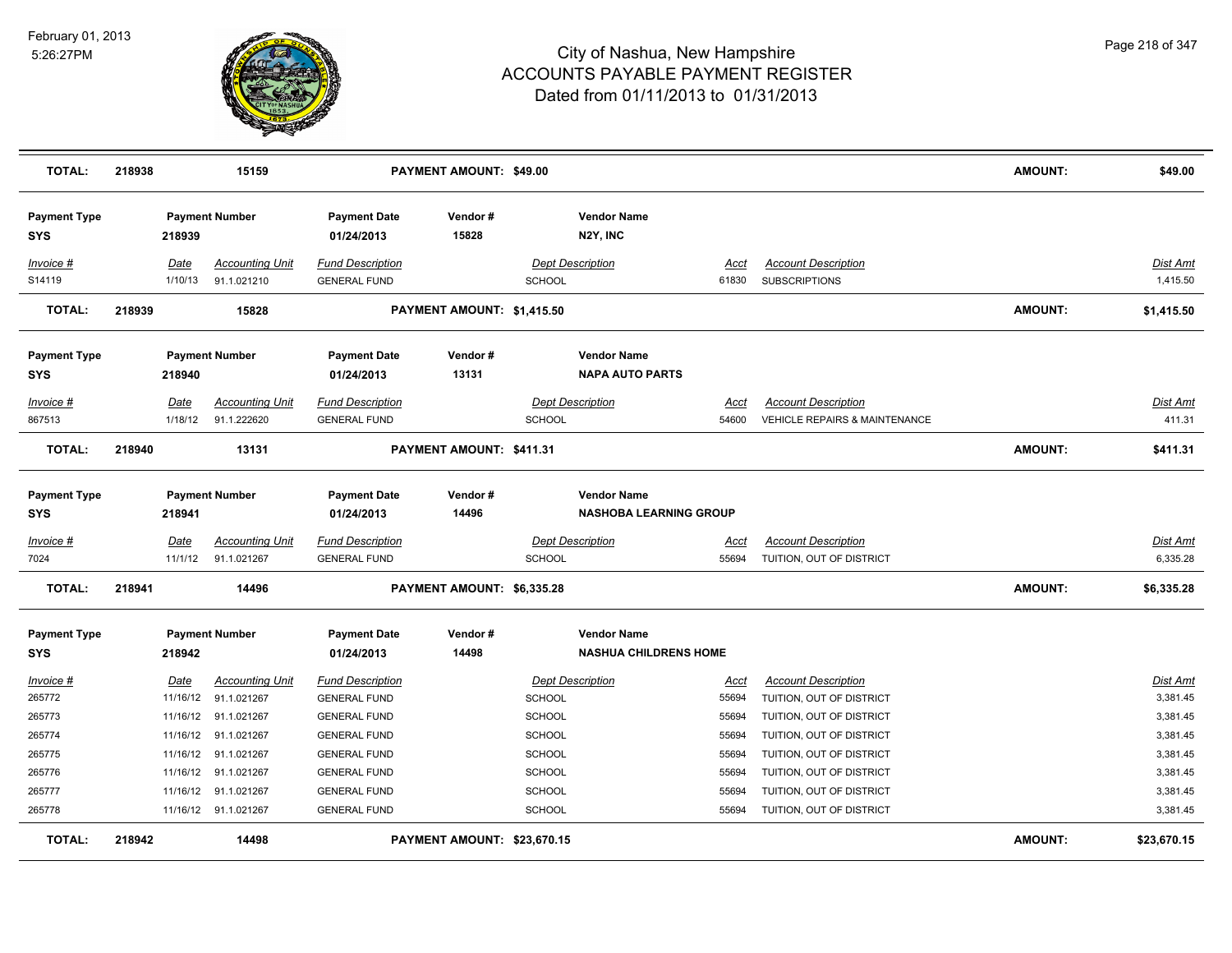

| <b>TOTAL:</b>                     | 218938 |             | 15159                  |                                   | PAYMENT AMOUNT: \$49.00     |               |                                              |             |                                          | <b>AMOUNT:</b> | \$49.00         |
|-----------------------------------|--------|-------------|------------------------|-----------------------------------|-----------------------------|---------------|----------------------------------------------|-------------|------------------------------------------|----------------|-----------------|
| <b>Payment Type</b><br><b>SYS</b> |        | 218939      | <b>Payment Number</b>  | <b>Payment Date</b><br>01/24/2013 | Vendor#<br>15828            |               | <b>Vendor Name</b><br>N2Y, INC               |             |                                          |                |                 |
| Invoice #                         |        | <u>Date</u> | <b>Accounting Unit</b> | <b>Fund Description</b>           |                             |               | <b>Dept Description</b>                      | <u>Acct</u> | <b>Account Description</b>               |                | <b>Dist Amt</b> |
| S14119                            |        | 1/10/13     | 91.1.021210            | <b>GENERAL FUND</b>               |                             | <b>SCHOOL</b> |                                              | 61830       | <b>SUBSCRIPTIONS</b>                     |                | 1,415.50        |
| <b>TOTAL:</b>                     | 218939 |             | 15828                  |                                   | PAYMENT AMOUNT: \$1,415.50  |               |                                              |             |                                          | <b>AMOUNT:</b> | \$1,415.50      |
| <b>Payment Type</b><br><b>SYS</b> |        | 218940      | <b>Payment Number</b>  | <b>Payment Date</b><br>01/24/2013 | Vendor#<br>13131            |               | <b>Vendor Name</b><br><b>NAPA AUTO PARTS</b> |             |                                          |                |                 |
| Invoice #                         |        | Date        | <b>Accounting Unit</b> | <b>Fund Description</b>           |                             |               | <b>Dept Description</b>                      | Acct        | <b>Account Description</b>               |                | Dist Amt        |
| 867513                            |        | 1/18/12     | 91.1.222620            | <b>GENERAL FUND</b>               |                             | <b>SCHOOL</b> |                                              | 54600       | <b>VEHICLE REPAIRS &amp; MAINTENANCE</b> |                | 411.31          |
| <b>TOTAL:</b>                     | 218940 |             | 13131                  |                                   | PAYMENT AMOUNT: \$411.31    |               |                                              |             |                                          | <b>AMOUNT:</b> | \$411.31        |
| <b>Payment Type</b>               |        |             | <b>Payment Number</b>  | <b>Payment Date</b>               | Vendor#                     |               | <b>Vendor Name</b>                           |             |                                          |                |                 |
| <b>SYS</b>                        |        | 218941      |                        | 01/24/2013                        | 14496                       |               | <b>NASHOBA LEARNING GROUP</b>                |             |                                          |                |                 |
| $Invoice$ #                       |        | Date        | <b>Accounting Unit</b> | <b>Fund Description</b>           |                             |               | <b>Dept Description</b>                      | <u>Acct</u> | <b>Account Description</b>               |                | <b>Dist Amt</b> |
| 7024                              |        | 11/1/12     | 91.1.021267            | <b>GENERAL FUND</b>               |                             | <b>SCHOOL</b> |                                              | 55694       | TUITION, OUT OF DISTRICT                 |                | 6,335.28        |
| <b>TOTAL:</b>                     | 218941 |             | 14496                  |                                   | PAYMENT AMOUNT: \$6,335.28  |               |                                              |             |                                          | <b>AMOUNT:</b> | \$6,335.28      |
| <b>Payment Type</b>               |        |             | <b>Payment Number</b>  | <b>Payment Date</b>               | Vendor#                     |               | <b>Vendor Name</b>                           |             |                                          |                |                 |
| <b>SYS</b>                        |        | 218942      |                        | 01/24/2013                        | 14498                       |               | <b>NASHUA CHILDRENS HOME</b>                 |             |                                          |                |                 |
| Invoice #                         |        | Date        | <b>Accounting Unit</b> | <b>Fund Description</b>           |                             |               | <b>Dept Description</b>                      | Acct        | <b>Account Description</b>               |                | <b>Dist Amt</b> |
| 265772                            |        | 11/16/12    | 91.1.021267            | <b>GENERAL FUND</b>               |                             | <b>SCHOOL</b> |                                              | 55694       | TUITION, OUT OF DISTRICT                 |                | 3,381.45        |
| 265773                            |        |             | 11/16/12 91.1.021267   | <b>GENERAL FUND</b>               |                             | <b>SCHOOL</b> |                                              | 55694       | TUITION, OUT OF DISTRICT                 |                | 3,381.45        |
| 265774                            |        |             | 11/16/12 91.1.021267   | <b>GENERAL FUND</b>               |                             | <b>SCHOOL</b> |                                              | 55694       | TUITION, OUT OF DISTRICT                 |                | 3,381.45        |
| 265775                            |        |             | 11/16/12 91.1.021267   | <b>GENERAL FUND</b>               |                             | <b>SCHOOL</b> |                                              | 55694       | TUITION, OUT OF DISTRICT                 |                | 3,381.45        |
| 265776                            |        |             | 11/16/12 91.1.021267   | <b>GENERAL FUND</b>               |                             | <b>SCHOOL</b> |                                              | 55694       | TUITION, OUT OF DISTRICT                 |                | 3,381.45        |
| 265777                            |        |             | 11/16/12 91.1.021267   | <b>GENERAL FUND</b>               |                             | <b>SCHOOL</b> |                                              | 55694       | TUITION, OUT OF DISTRICT                 |                | 3,381.45        |
| 265778                            |        |             | 11/16/12 91.1.021267   | <b>GENERAL FUND</b>               |                             | <b>SCHOOL</b> |                                              | 55694       | TUITION, OUT OF DISTRICT                 |                | 3,381.45        |
| TOTAL:                            | 218942 |             | 14498                  |                                   | PAYMENT AMOUNT: \$23,670.15 |               |                                              |             |                                          | <b>AMOUNT:</b> | \$23,670.15     |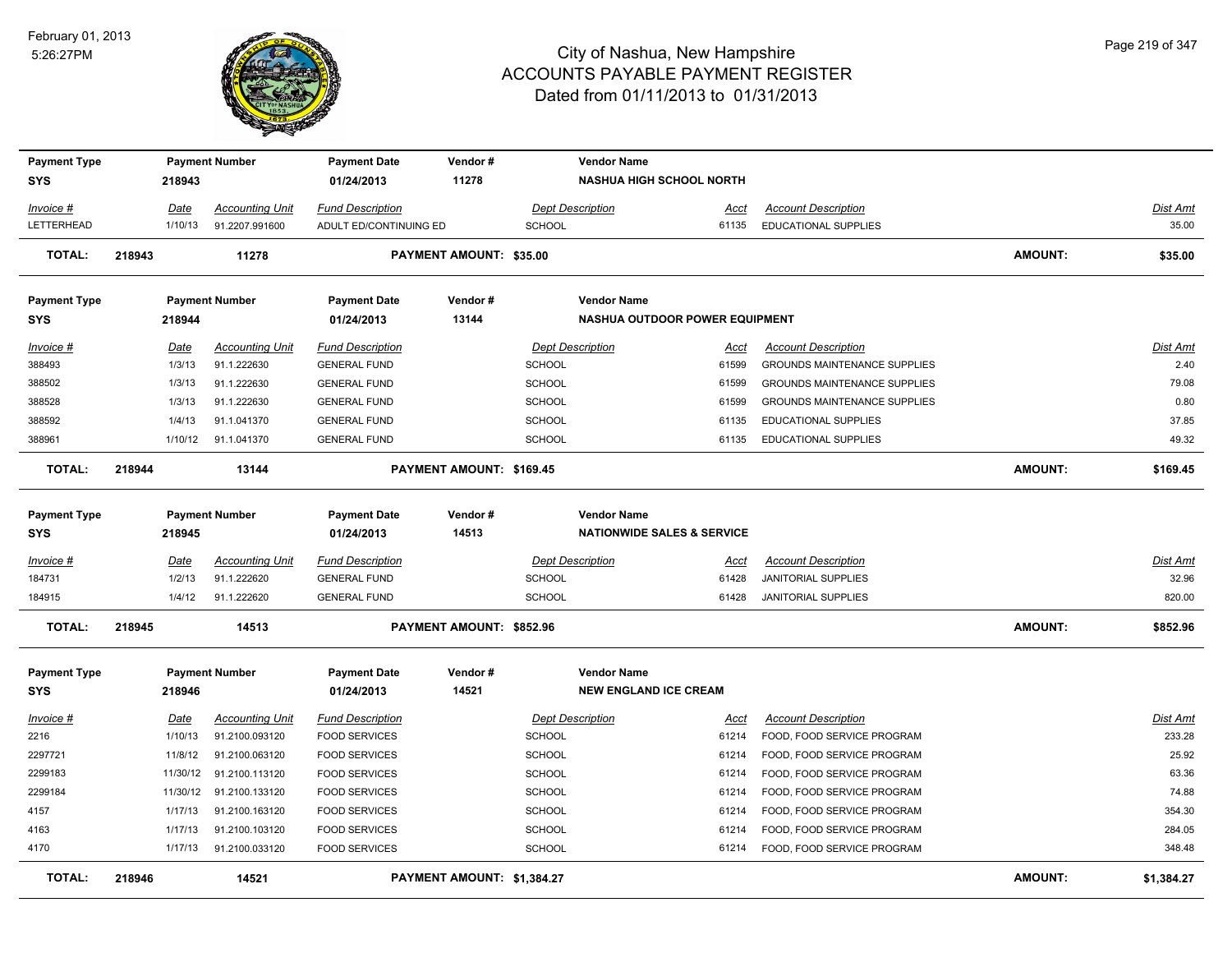

| <b>Payment Type</b> |                        | <b>Payment Number</b>                    | <b>Payment Date</b>                             | Vendor#                        |                                          | <b>Vendor Name</b>                    |                                                                   |                |                    |
|---------------------|------------------------|------------------------------------------|-------------------------------------------------|--------------------------------|------------------------------------------|---------------------------------------|-------------------------------------------------------------------|----------------|--------------------|
| SYS                 | 218943                 |                                          | 01/24/2013                                      | 11278                          |                                          | <b>NASHUA HIGH SCHOOL NORTH</b>       |                                                                   |                |                    |
| Invoice #           | Date                   | <b>Accounting Unit</b>                   | <b>Fund Description</b>                         |                                | <b>Dept Description</b>                  | Acct                                  | <b>Account Description</b>                                        |                | Dist Amt           |
| LETTERHEAD          | 1/10/13                | 91.2207.991600                           | ADULT ED/CONTINUING ED                          |                                | <b>SCHOOL</b>                            | 61135                                 | <b>EDUCATIONAL SUPPLIES</b>                                       |                | 35.00              |
| <b>TOTAL:</b>       | 218943                 | 11278                                    |                                                 | <b>PAYMENT AMOUNT: \$35.00</b> |                                          |                                       |                                                                   | <b>AMOUNT:</b> | \$35.00            |
| <b>Payment Type</b> |                        | <b>Payment Number</b>                    | <b>Payment Date</b>                             | Vendor#                        |                                          | <b>Vendor Name</b>                    |                                                                   |                |                    |
| <b>SYS</b>          | 218944                 |                                          | 01/24/2013                                      | 13144                          |                                          | <b>NASHUA OUTDOOR POWER EQUIPMENT</b> |                                                                   |                |                    |
| Invoice #<br>388493 | Date<br>1/3/13         | <b>Accounting Unit</b><br>91.1.222630    | <b>Fund Description</b><br><b>GENERAL FUND</b>  |                                | <b>Dept Description</b><br>SCHOOL        | Acct<br>61599                         | <b>Account Description</b><br><b>GROUNDS MAINTENANCE SUPPLIES</b> |                | Dist Amt<br>2.40   |
| 388502              | 1/3/13                 | 91.1.222630                              | <b>GENERAL FUND</b>                             |                                | <b>SCHOOL</b>                            | 61599                                 | GROUNDS MAINTENANCE SUPPLIES                                      |                | 79.08              |
| 388528              | 1/3/13                 | 91.1.222630                              | <b>GENERAL FUND</b>                             |                                | <b>SCHOOL</b>                            | 61599                                 | <b>GROUNDS MAINTENANCE SUPPLIES</b>                               |                | 0.80               |
| 388592              | 1/4/13                 | 91.1.041370                              | <b>GENERAL FUND</b>                             |                                | <b>SCHOOL</b>                            | 61135                                 | EDUCATIONAL SUPPLIES                                              |                | 37.85              |
| 388961              | 1/10/12                | 91.1.041370                              | <b>GENERAL FUND</b>                             |                                | <b>SCHOOL</b>                            | 61135                                 | EDUCATIONAL SUPPLIES                                              |                | 49.32              |
| <b>TOTAL:</b>       | 218944                 | 13144                                    |                                                 | PAYMENT AMOUNT: \$169.45       |                                          |                                       |                                                                   | <b>AMOUNT:</b> | \$169.45           |
| <b>Payment Type</b> |                        | <b>Payment Number</b>                    | <b>Payment Date</b>                             | Vendor#                        |                                          | <b>Vendor Name</b>                    |                                                                   |                |                    |
| <b>SYS</b>          | 218945                 |                                          | 01/24/2013                                      | 14513                          |                                          | <b>NATIONWIDE SALES &amp; SERVICE</b> |                                                                   |                |                    |
| Invoice #           | Date                   | <b>Accounting Unit</b>                   | <b>Fund Description</b>                         |                                | <b>Dept Description</b>                  | Acct                                  | <b>Account Description</b>                                        |                | Dist Amt           |
| 184731              | 1/2/13                 | 91.1.222620                              | <b>GENERAL FUND</b>                             |                                | <b>SCHOOL</b>                            | 61428                                 | <b>JANITORIAL SUPPLIES</b>                                        |                | 32.96              |
| 184915              | 1/4/12                 | 91.1.222620                              | <b>GENERAL FUND</b>                             |                                | <b>SCHOOL</b>                            | 61428                                 | JANITORIAL SUPPLIES                                               |                | 820.00             |
| <b>TOTAL:</b>       | 218945                 | 14513                                    |                                                 | PAYMENT AMOUNT: \$852.96       |                                          |                                       |                                                                   | <b>AMOUNT:</b> | \$852.96           |
| <b>Payment Type</b> |                        | <b>Payment Number</b>                    | <b>Payment Date</b>                             | Vendor#                        |                                          | <b>Vendor Name</b>                    |                                                                   |                |                    |
| <b>SYS</b>          | 218946                 |                                          | 01/24/2013                                      | 14521                          |                                          | <b>NEW ENGLAND ICE CREAM</b>          |                                                                   |                |                    |
| $Invoice$ #<br>2216 | <u>Date</u><br>1/10/13 | <b>Accounting Unit</b><br>91.2100.093120 | <b>Fund Description</b><br><b>FOOD SERVICES</b> |                                | <b>Dept Description</b><br><b>SCHOOL</b> | <u>Acct</u><br>61214                  | <b>Account Description</b><br>FOOD, FOOD SERVICE PROGRAM          |                | Dist Amt<br>233.28 |
| 2297721             | 11/8/12                | 91.2100.063120                           | <b>FOOD SERVICES</b>                            |                                | <b>SCHOOL</b>                            | 61214                                 | FOOD, FOOD SERVICE PROGRAM                                        |                | 25.92              |
| 2299183             | 11/30/12               | 91.2100.113120                           | <b>FOOD SERVICES</b>                            |                                | <b>SCHOOL</b>                            | 61214                                 | FOOD, FOOD SERVICE PROGRAM                                        |                | 63.36              |
| 2299184             | 11/30/12               | 91.2100.133120                           | <b>FOOD SERVICES</b>                            |                                | <b>SCHOOL</b>                            | 61214                                 | FOOD, FOOD SERVICE PROGRAM                                        |                | 74.88              |
| 4157                | 1/17/13                | 91.2100.163120                           | <b>FOOD SERVICES</b>                            |                                | <b>SCHOOL</b>                            | 61214                                 | FOOD, FOOD SERVICE PROGRAM                                        |                | 354.30             |
| 4163                | 1/17/13                | 91.2100.103120                           | <b>FOOD SERVICES</b>                            |                                | SCHOOL                                   | 61214                                 | FOOD, FOOD SERVICE PROGRAM                                        |                | 284.05             |
| 4170                | 1/17/13                | 91.2100.033120                           | <b>FOOD SERVICES</b>                            |                                | SCHOOL                                   | 61214                                 | FOOD, FOOD SERVICE PROGRAM                                        |                | 348.48             |
| <b>TOTAL:</b>       | 218946                 | 14521                                    |                                                 | PAYMENT AMOUNT: \$1,384.27     |                                          |                                       |                                                                   | <b>AMOUNT:</b> | \$1,384.27         |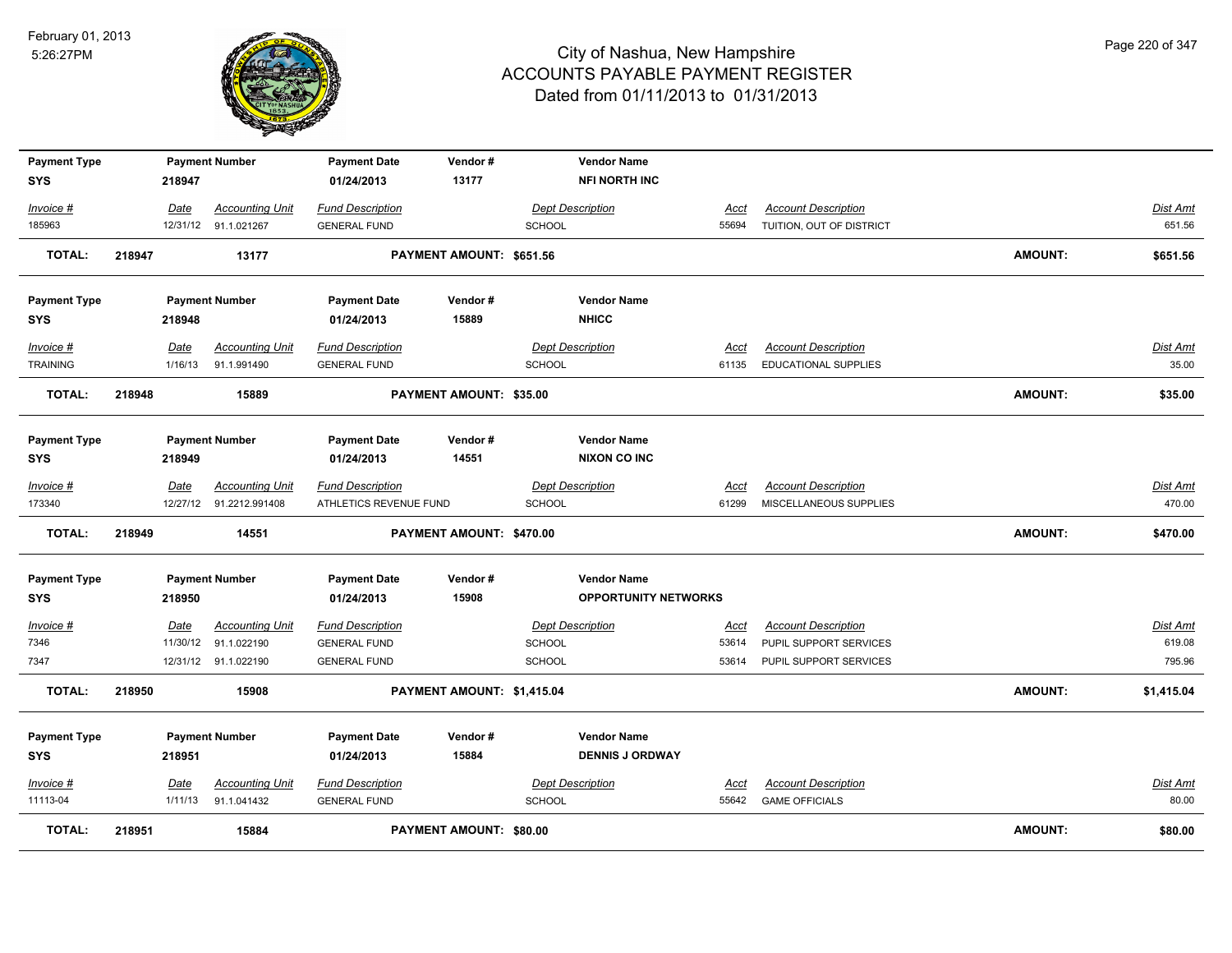

| <b>Payment Type</b> |        |         | <b>Payment Number</b>   | <b>Payment Date</b>     | Vendor#                    |               | <b>Vendor Name</b>          |             |                            |                |                 |
|---------------------|--------|---------|-------------------------|-------------------------|----------------------------|---------------|-----------------------------|-------------|----------------------------|----------------|-----------------|
| SYS                 |        | 218947  |                         | 01/24/2013              | 13177                      |               | <b>NFI NORTH INC</b>        |             |                            |                |                 |
| Invoice #           |        | Date    | <b>Accounting Unit</b>  | <b>Fund Description</b> |                            |               | <b>Dept Description</b>     | Acct        | <b>Account Description</b> |                | Dist Amt        |
| 185963              |        |         | 12/31/12 91.1.021267    | <b>GENERAL FUND</b>     |                            | <b>SCHOOL</b> |                             | 55694       | TUITION, OUT OF DISTRICT   |                | 651.56          |
| TOTAL:              | 218947 |         | 13177                   |                         | PAYMENT AMOUNT: \$651.56   |               |                             |             |                            | <b>AMOUNT:</b> | \$651.56        |
|                     |        |         |                         |                         |                            |               |                             |             |                            |                |                 |
| <b>Payment Type</b> |        |         | <b>Payment Number</b>   | <b>Payment Date</b>     | Vendor#                    |               | <b>Vendor Name</b>          |             |                            |                |                 |
| <b>SYS</b>          |        | 218948  |                         | 01/24/2013              | 15889                      |               | <b>NHICC</b>                |             |                            |                |                 |
| Invoice #           |        | Date    | <b>Accounting Unit</b>  | <b>Fund Description</b> |                            |               | <b>Dept Description</b>     | Acct        | <b>Account Description</b> |                | Dist Amt        |
| <b>TRAINING</b>     |        | 1/16/13 | 91.1.991490             | <b>GENERAL FUND</b>     |                            | <b>SCHOOL</b> |                             | 61135       | EDUCATIONAL SUPPLIES       |                | 35.00           |
| <b>TOTAL:</b>       | 218948 |         | 15889                   |                         | PAYMENT AMOUNT: \$35.00    |               |                             |             |                            | <b>AMOUNT:</b> | \$35.00         |
|                     |        |         |                         |                         |                            |               |                             |             |                            |                |                 |
| <b>Payment Type</b> |        |         | <b>Payment Number</b>   | <b>Payment Date</b>     | Vendor#                    |               | <b>Vendor Name</b>          |             |                            |                |                 |
| SYS                 |        | 218949  |                         | 01/24/2013              | 14551                      |               | <b>NIXON CO INC</b>         |             |                            |                |                 |
| Invoice #           |        | Date    | <b>Accounting Unit</b>  | <b>Fund Description</b> |                            |               | <b>Dept Description</b>     | Acct        | <b>Account Description</b> |                | Dist Amt        |
| 173340              |        |         | 12/27/12 91.2212.991408 | ATHLETICS REVENUE FUND  |                            | SCHOOL        |                             | 61299       | MISCELLANEOUS SUPPLIES     |                | 470.00          |
| <b>TOTAL:</b>       | 218949 |         | 14551                   |                         | PAYMENT AMOUNT: \$470.00   |               |                             |             |                            | <b>AMOUNT:</b> | \$470.00        |
| <b>Payment Type</b> |        |         | <b>Payment Number</b>   | <b>Payment Date</b>     | Vendor#                    |               | <b>Vendor Name</b>          |             |                            |                |                 |
| SYS                 |        | 218950  |                         | 01/24/2013              | 15908                      |               | <b>OPPORTUNITY NETWORKS</b> |             |                            |                |                 |
| $Invoice$ #         |        | Date    | <b>Accounting Unit</b>  | <b>Fund Description</b> |                            |               | <b>Dept Description</b>     | <u>Acct</u> | <b>Account Description</b> |                | <b>Dist Amt</b> |
| 7346                |        |         | 11/30/12 91.1.022190    | <b>GENERAL FUND</b>     |                            | <b>SCHOOL</b> |                             | 53614       | PUPIL SUPPORT SERVICES     |                | 619.08          |
| 7347                |        |         | 12/31/12 91.1.022190    | <b>GENERAL FUND</b>     |                            | SCHOOL        |                             | 53614       | PUPIL SUPPORT SERVICES     |                | 795.96          |
| <b>TOTAL:</b>       | 218950 |         | 15908                   |                         | PAYMENT AMOUNT: \$1,415.04 |               |                             |             |                            | <b>AMOUNT:</b> | \$1,415.04      |
| <b>Payment Type</b> |        |         | <b>Payment Number</b>   | <b>Payment Date</b>     | Vendor#                    |               | <b>Vendor Name</b>          |             |                            |                |                 |
| SYS                 |        | 218951  |                         | 01/24/2013              | 15884                      |               | <b>DENNIS J ORDWAY</b>      |             |                            |                |                 |
| <b>Invoice #</b>    |        | Date    | <b>Accounting Unit</b>  | <b>Fund Description</b> |                            |               | <b>Dept Description</b>     | <u>Acct</u> | <b>Account Description</b> |                | Dist Amt        |
| 11113-04            |        | 1/11/13 | 91.1.041432             | <b>GENERAL FUND</b>     |                            | <b>SCHOOL</b> |                             | 55642       | <b>GAME OFFICIALS</b>      |                | 80.00           |
| <b>TOTAL:</b>       | 218951 |         | 15884                   |                         | PAYMENT AMOUNT: \$80.00    |               |                             |             |                            | <b>AMOUNT:</b> | \$80.00         |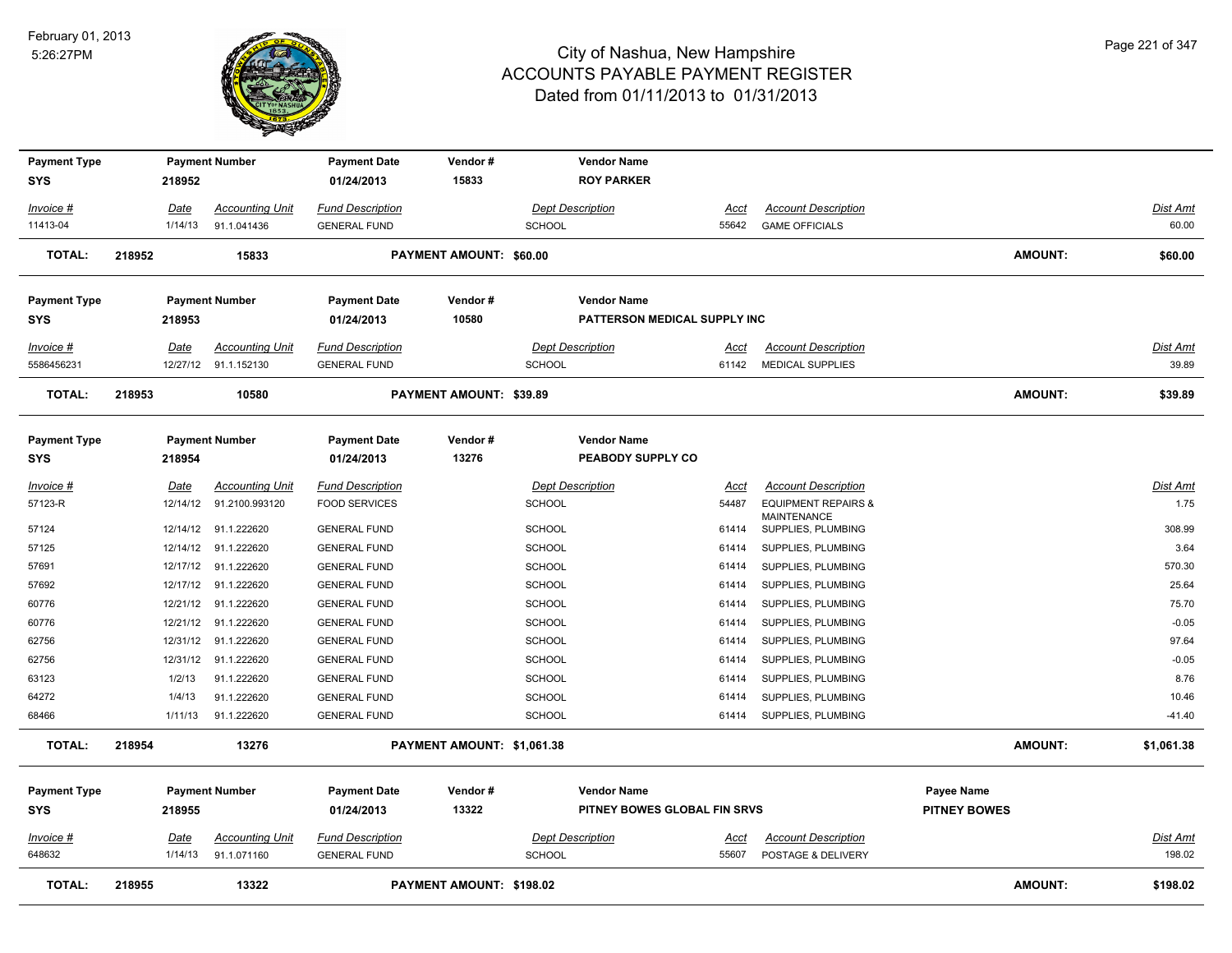

| <b>Payment Type</b>               |                 | <b>Payment Number</b>                 | <b>Payment Date</b>                            | Vendor#                        | <b>Vendor Name</b>                       |                              |                                                  |                     |                           |
|-----------------------------------|-----------------|---------------------------------------|------------------------------------------------|--------------------------------|------------------------------------------|------------------------------|--------------------------------------------------|---------------------|---------------------------|
| SYS                               | 218952          |                                       | 01/24/2013                                     | 15833                          | <b>ROY PARKER</b>                        |                              |                                                  |                     |                           |
| $Invoice$ #                       | <u>Date</u>     | <b>Accounting Unit</b>                | <b>Fund Description</b>                        |                                | <b>Dept Description</b>                  | <u>Acct</u>                  | <b>Account Description</b>                       |                     | Dist Amt                  |
| 11413-04                          | 1/14/13         | 91.1.041436                           | <b>GENERAL FUND</b>                            |                                | <b>SCHOOL</b>                            | 55642                        | <b>GAME OFFICIALS</b>                            |                     | 60.00                     |
|                                   |                 |                                       |                                                |                                |                                          |                              |                                                  |                     |                           |
| <b>TOTAL:</b>                     | 218952          | 15833                                 |                                                | <b>PAYMENT AMOUNT: \$60.00</b> |                                          |                              |                                                  | <b>AMOUNT:</b>      | \$60.00                   |
| <b>Payment Type</b>               |                 | <b>Payment Number</b>                 | <b>Payment Date</b>                            | Vendor#                        | <b>Vendor Name</b>                       |                              |                                                  |                     |                           |
| SYS                               | 218953          |                                       | 01/24/2013                                     | 10580                          |                                          | PATTERSON MEDICAL SUPPLY INC |                                                  |                     |                           |
| Invoice #                         | Date            | <b>Accounting Unit</b>                | <b>Fund Description</b>                        |                                | <b>Dept Description</b>                  | Acct                         | <b>Account Description</b>                       |                     | Dist Amt                  |
| 5586456231                        |                 | 12/27/12 91.1.152130                  | <b>GENERAL FUND</b>                            |                                | <b>SCHOOL</b>                            | 61142                        | <b>MEDICAL SUPPLIES</b>                          |                     | 39.89                     |
| <b>TOTAL:</b>                     | 218953          | 10580                                 |                                                | PAYMENT AMOUNT: \$39.89        |                                          |                              |                                                  | <b>AMOUNT:</b>      | \$39.89                   |
|                                   |                 |                                       |                                                |                                |                                          |                              |                                                  |                     |                           |
| <b>Payment Type</b><br><b>SYS</b> | 218954          | <b>Payment Number</b>                 | <b>Payment Date</b><br>01/24/2013              | Vendor#<br>13276               | <b>Vendor Name</b><br>PEABODY SUPPLY CO  |                              |                                                  |                     |                           |
| $Invoice$ #                       | <u>Date</u>     | <b>Accounting Unit</b>                | <b>Fund Description</b>                        |                                | <b>Dept Description</b>                  | <u>Acct</u>                  | <b>Account Description</b>                       |                     | <b>Dist Amt</b>           |
| 57123-R                           | 12/14/12        | 91.2100.993120                        | <b>FOOD SERVICES</b>                           |                                | <b>SCHOOL</b>                            | 54487                        | <b>EQUIPMENT REPAIRS &amp;</b>                   |                     | 1.75                      |
| 57124                             | 12/14/12        | 91.1.222620                           | <b>GENERAL FUND</b>                            |                                | <b>SCHOOL</b>                            | 61414                        | MAINTENANCE<br>SUPPLIES, PLUMBING                |                     | 308.99                    |
| 57125                             | 12/14/12        | 91.1.222620                           | <b>GENERAL FUND</b>                            |                                | <b>SCHOOL</b>                            | 61414                        | SUPPLIES, PLUMBING                               |                     | 3.64                      |
| 57691                             | 12/17/12        | 91.1.222620                           | <b>GENERAL FUND</b>                            |                                | <b>SCHOOL</b>                            | 61414                        | SUPPLIES, PLUMBING                               |                     | 570.30                    |
| 57692                             | 12/17/12        | 91.1.222620                           | <b>GENERAL FUND</b>                            |                                | <b>SCHOOL</b>                            | 61414                        | SUPPLIES, PLUMBING                               |                     | 25.64                     |
| 60776                             |                 | 12/21/12 91.1.222620                  | <b>GENERAL FUND</b>                            |                                | SCHOOL                                   | 61414                        | SUPPLIES, PLUMBING                               |                     | 75.70                     |
| 60776                             | 12/21/12        | 91.1.222620                           | <b>GENERAL FUND</b>                            |                                | <b>SCHOOL</b>                            | 61414                        | SUPPLIES, PLUMBING                               |                     | $-0.05$                   |
| 62756                             | 12/31/12        | 91.1.222620                           | <b>GENERAL FUND</b>                            |                                | <b>SCHOOL</b>                            | 61414                        | SUPPLIES, PLUMBING                               |                     | 97.64                     |
| 62756                             | 12/31/12        | 91.1.222620                           | <b>GENERAL FUND</b>                            |                                | <b>SCHOOL</b>                            | 61414                        | SUPPLIES, PLUMBING                               |                     | $-0.05$                   |
| 63123                             | 1/2/13          | 91.1.222620                           | <b>GENERAL FUND</b>                            |                                | <b>SCHOOL</b>                            | 61414                        | SUPPLIES, PLUMBING                               |                     | 8.76                      |
| 64272                             | 1/4/13          | 91.1.222620                           | <b>GENERAL FUND</b>                            |                                | <b>SCHOOL</b>                            | 61414                        | SUPPLIES, PLUMBING                               |                     | 10.46                     |
| 68466                             | 1/11/13         | 91.1.222620                           | <b>GENERAL FUND</b>                            |                                | <b>SCHOOL</b>                            | 61414                        | SUPPLIES, PLUMBING                               |                     | $-41.40$                  |
| <b>TOTAL:</b>                     | 218954          | 13276                                 |                                                | PAYMENT AMOUNT: \$1,061.38     |                                          |                              |                                                  | <b>AMOUNT:</b>      | \$1,061.38                |
| <b>Payment Type</b>               |                 | <b>Payment Number</b>                 | <b>Payment Date</b>                            | Vendor#                        | <b>Vendor Name</b>                       |                              |                                                  | Payee Name          |                           |
| SYS                               | 218955          |                                       | 01/24/2013                                     | 13322                          |                                          | PITNEY BOWES GLOBAL FIN SRVS |                                                  | <b>PITNEY BOWES</b> |                           |
| Invoice #<br>648632               | Date<br>1/14/13 | <b>Accounting Unit</b><br>91.1.071160 | <b>Fund Description</b><br><b>GENERAL FUND</b> |                                | <b>Dept Description</b><br><b>SCHOOL</b> | Acct<br>55607                | <b>Account Description</b><br>POSTAGE & DELIVERY |                     | <b>Dist Amt</b><br>198.02 |
| TOTAL:                            | 218955          | 13322                                 |                                                | PAYMENT AMOUNT: \$198.02       |                                          |                              |                                                  | <b>AMOUNT:</b>      | \$198.02                  |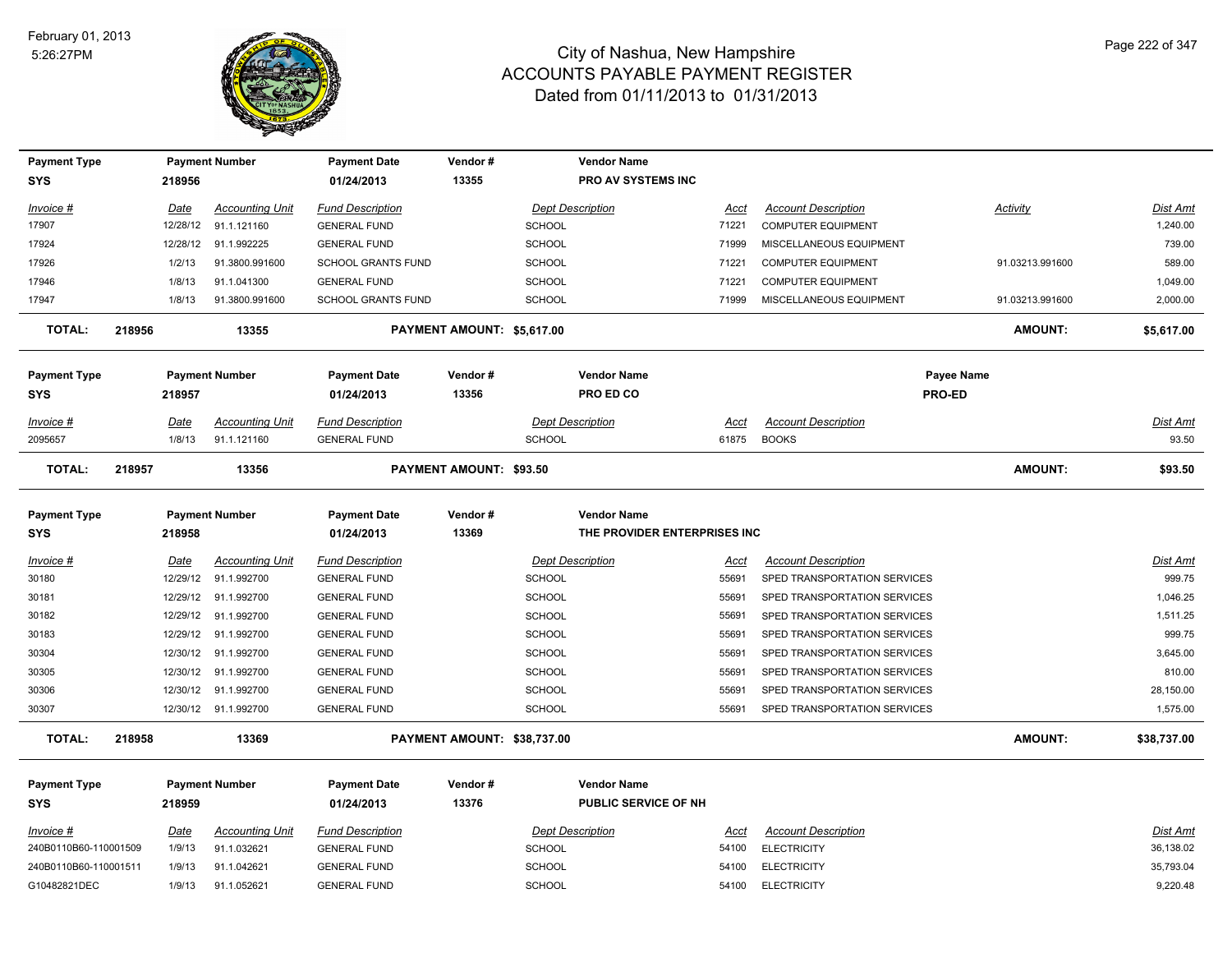

| <b>Payment Type</b>               |             | <b>Payment Number</b>  | <b>Payment Date</b>               | Vendor#                        | <b>Vendor Name</b>                         |       |                              |                 |                 |
|-----------------------------------|-------------|------------------------|-----------------------------------|--------------------------------|--------------------------------------------|-------|------------------------------|-----------------|-----------------|
| <b>SYS</b>                        | 218956      |                        | 01/24/2013                        | 13355                          | PRO AV SYSTEMS INC                         |       |                              |                 |                 |
| Invoice #                         | Date        | <b>Accounting Unit</b> | <b>Fund Description</b>           |                                | <b>Dept Description</b>                    | Acct  | <b>Account Description</b>   | Activity        | <b>Dist Amt</b> |
| 17907                             | 12/28/12    | 91.1.121160            | <b>GENERAL FUND</b>               | <b>SCHOOL</b>                  |                                            | 71221 | <b>COMPUTER EQUIPMENT</b>    |                 | 1,240.00        |
| 17924                             | 12/28/12    | 91.1.992225            | <b>GENERAL FUND</b>               | <b>SCHOOL</b>                  |                                            | 71999 | MISCELLANEOUS EQUIPMENT      |                 | 739.00          |
| 17926                             | 1/2/13      | 91.3800.991600         | <b>SCHOOL GRANTS FUND</b>         | SCHOOL                         |                                            | 71221 | <b>COMPUTER EQUIPMENT</b>    | 91.03213.991600 | 589.00          |
| 17946                             | 1/8/13      | 91.1.041300            | <b>GENERAL FUND</b>               | SCHOOL                         |                                            | 71221 | <b>COMPUTER EQUIPMENT</b>    |                 | 1,049.00        |
| 17947                             | 1/8/13      | 91.3800.991600         | <b>SCHOOL GRANTS FUND</b>         | SCHOOL                         |                                            | 71999 | MISCELLANEOUS EQUIPMENT      | 91.03213.991600 | 2,000.00        |
| <b>TOTAL:</b>                     | 218956      | 13355                  |                                   | PAYMENT AMOUNT: \$5,617.00     |                                            |       |                              | <b>AMOUNT:</b>  | \$5,617.00      |
| <b>Payment Type</b>               |             | <b>Payment Number</b>  | <b>Payment Date</b>               | Vendor#                        | <b>Vendor Name</b>                         |       |                              | Payee Name      |                 |
| <b>SYS</b>                        | 218957      |                        | 01/24/2013                        | 13356                          | PRO ED CO                                  |       | PRO-ED                       |                 |                 |
| Invoice #                         | Date        | <b>Accounting Unit</b> | <b>Fund Description</b>           |                                | <b>Dept Description</b>                    | Acct  | <b>Account Description</b>   |                 | <b>Dist Amt</b> |
| 2095657                           | 1/8/13      | 91.1.121160            | <b>GENERAL FUND</b>               | <b>SCHOOL</b>                  |                                            | 61875 | <b>BOOKS</b>                 |                 | 93.50           |
| <b>TOTAL:</b>                     | 218957      | 13356                  |                                   | <b>PAYMENT AMOUNT: \$93.50</b> |                                            |       |                              | <b>AMOUNT:</b>  | \$93.50         |
| <b>Payment Type</b>               |             | <b>Payment Number</b>  | <b>Payment Date</b>               | Vendor#                        | <b>Vendor Name</b>                         |       |                              |                 |                 |
| <b>SYS</b>                        | 218958      |                        | 01/24/2013                        | 13369                          | THE PROVIDER ENTERPRISES INC               |       |                              |                 |                 |
| Invoice #                         | Date        | <b>Accounting Unit</b> | <b>Fund Description</b>           |                                | <b>Dept Description</b>                    | Acct  | <b>Account Description</b>   |                 | Dist Amt        |
| 30180                             | 12/29/12    | 91.1.992700            | <b>GENERAL FUND</b>               | SCHOOL                         |                                            | 55691 | SPED TRANSPORTATION SERVICES |                 | 999.75          |
| 30181                             | 12/29/12    | 91.1.992700            | <b>GENERAL FUND</b>               | <b>SCHOOL</b>                  |                                            | 55691 | SPED TRANSPORTATION SERVICES |                 | 1,046.25        |
| 30182                             | 12/29/12    | 91.1.992700            | <b>GENERAL FUND</b>               | <b>SCHOOL</b>                  |                                            | 55691 | SPED TRANSPORTATION SERVICES |                 | 1,511.25        |
| 30183                             | 12/29/12    | 91.1.992700            | <b>GENERAL FUND</b>               | <b>SCHOOL</b>                  |                                            | 55691 | SPED TRANSPORTATION SERVICES |                 | 999.75          |
| 30304                             | 12/30/12    | 91.1.992700            | <b>GENERAL FUND</b>               | <b>SCHOOL</b>                  |                                            | 55691 | SPED TRANSPORTATION SERVICES |                 | 3,645.00        |
| 30305                             |             |                        |                                   |                                |                                            |       |                              |                 | 810.00          |
|                                   | 12/30/12    | 91.1.992700            | <b>GENERAL FUND</b>               | <b>SCHOOL</b>                  |                                            | 55691 | SPED TRANSPORTATION SERVICES |                 |                 |
| 30306                             | 12/30/12    | 91.1.992700            | <b>GENERAL FUND</b>               | <b>SCHOOL</b>                  |                                            | 55691 | SPED TRANSPORTATION SERVICES |                 | 28,150.00       |
| 30307                             |             | 12/30/12 91.1.992700   | <b>GENERAL FUND</b>               | <b>SCHOOL</b>                  |                                            | 55691 | SPED TRANSPORTATION SERVICES |                 | 1,575.00        |
| <b>TOTAL:</b>                     | 218958      | 13369                  |                                   | PAYMENT AMOUNT: \$38,737.00    |                                            |       |                              | <b>AMOUNT:</b>  | \$38,737.00     |
| <b>Payment Type</b><br><b>SYS</b> | 218959      | <b>Payment Number</b>  | <b>Payment Date</b><br>01/24/2013 | Vendor#<br>13376               | <b>Vendor Name</b><br>PUBLIC SERVICE OF NH |       |                              |                 |                 |
| $Invoice$ #                       | <b>Date</b> | <b>Accounting Unit</b> | <b>Fund Description</b>           |                                | <b>Dept Description</b>                    | Acct  | <b>Account Description</b>   |                 | <b>Dist Amt</b> |
| 240B0110B60-110001509             | 1/9/13      | 91.1.032621            | <b>GENERAL FUND</b>               | <b>SCHOOL</b>                  |                                            | 54100 | <b>ELECTRICITY</b>           |                 | 36,138.02       |
| 240B0110B60-110001511             | 1/9/13      | 91.1.042621            | <b>GENERAL FUND</b>               | <b>SCHOOL</b>                  |                                            | 54100 | <b>ELECTRICITY</b>           |                 | 35,793.04       |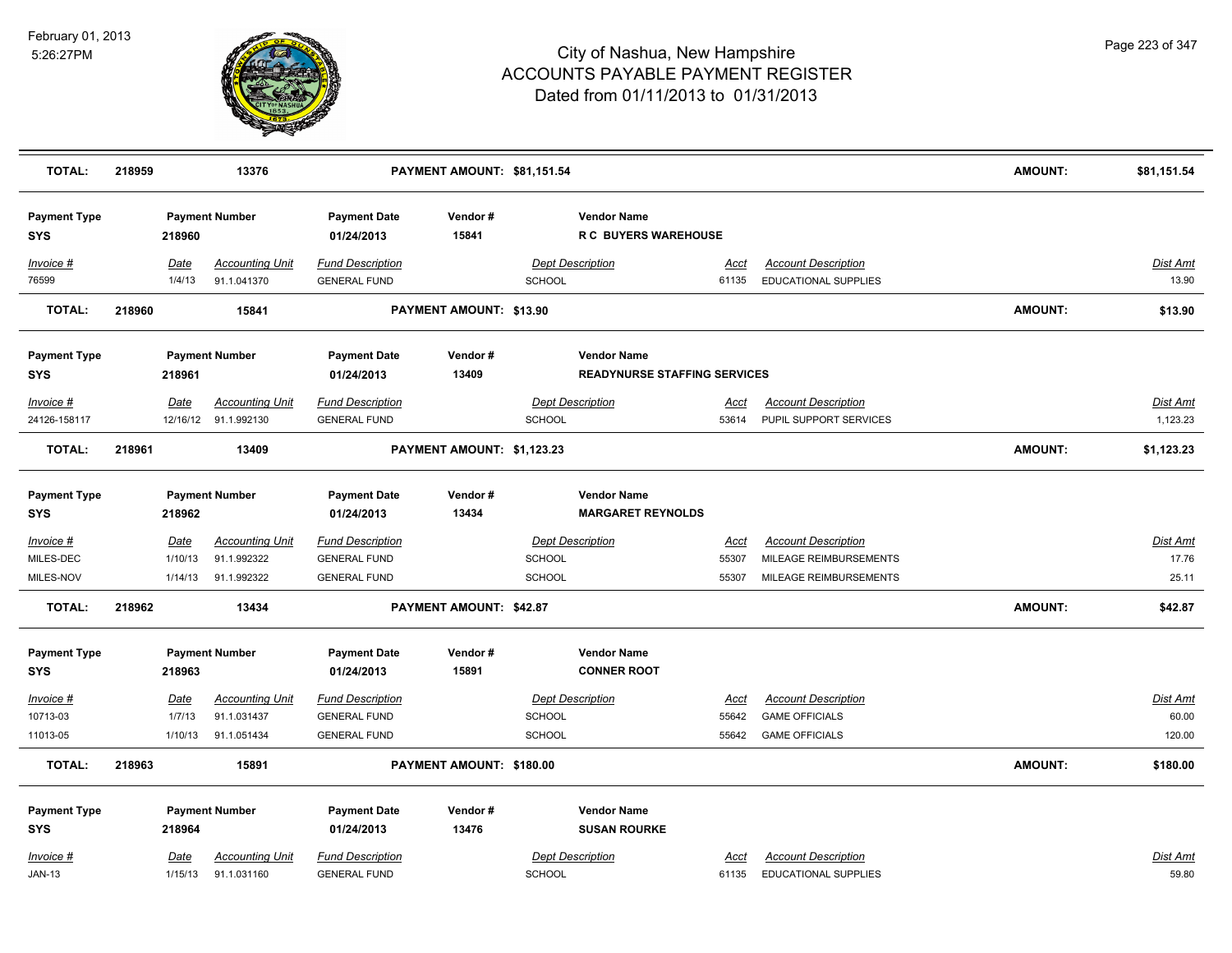

| <b>TOTAL:</b>                     | 218959 |                | 13376                                          |                                                | PAYMENT AMOUNT: \$81,151.54 |               |                                                   |               |                                                           | <b>AMOUNT:</b> | \$81,151.54                 |
|-----------------------------------|--------|----------------|------------------------------------------------|------------------------------------------------|-----------------------------|---------------|---------------------------------------------------|---------------|-----------------------------------------------------------|----------------|-----------------------------|
| <b>Payment Type</b><br><b>SYS</b> |        | 218960         | <b>Payment Number</b>                          | <b>Payment Date</b><br>01/24/2013              | Vendor#<br>15841            |               | <b>Vendor Name</b><br><b>R C BUYERS WAREHOUSE</b> |               |                                                           |                |                             |
| Invoice #<br>76599                |        | Date<br>1/4/13 | <b>Accounting Unit</b><br>91.1.041370          | <b>Fund Description</b><br><b>GENERAL FUND</b> |                             | <b>SCHOOL</b> | <b>Dept Description</b>                           | Acct<br>61135 | <b>Account Description</b><br><b>EDUCATIONAL SUPPLIES</b> |                | Dist Amt<br>13.90           |
| <b>TOTAL:</b>                     | 218960 |                | 15841                                          |                                                | PAYMENT AMOUNT: \$13.90     |               |                                                   |               |                                                           | <b>AMOUNT:</b> | \$13.90                     |
| <b>Payment Type</b>               |        |                | <b>Payment Number</b>                          | <b>Payment Date</b>                            | Vendor#                     |               | <b>Vendor Name</b>                                |               |                                                           |                |                             |
| <b>SYS</b>                        |        | 218961         |                                                | 01/24/2013                                     | 13409                       |               | <b>READYNURSE STAFFING SERVICES</b>               |               |                                                           |                |                             |
| Invoice #<br>24126-158117         |        | Date           | <b>Accounting Unit</b><br>12/16/12 91.1.992130 | <b>Fund Description</b><br><b>GENERAL FUND</b> |                             | <b>SCHOOL</b> | <b>Dept Description</b>                           | Acct<br>53614 | <b>Account Description</b><br>PUPIL SUPPORT SERVICES      |                | <b>Dist Amt</b><br>1,123.23 |
| <b>TOTAL:</b>                     | 218961 |                | 13409                                          |                                                | PAYMENT AMOUNT: \$1,123.23  |               |                                                   |               |                                                           | <b>AMOUNT:</b> | \$1,123.23                  |
| <b>Payment Type</b><br><b>SYS</b> |        | 218962         | <b>Payment Number</b>                          | <b>Payment Date</b><br>01/24/2013              | Vendor#<br>13434            |               | <b>Vendor Name</b><br><b>MARGARET REYNOLDS</b>    |               |                                                           |                |                             |
| $Invoice$ #                       |        | Date           | <b>Accounting Unit</b>                         | <b>Fund Description</b>                        |                             |               | <b>Dept Description</b>                           | <u>Acct</u>   | <b>Account Description</b>                                |                | <b>Dist Amt</b>             |
| MILES-DEC                         |        | 1/10/13        | 91.1.992322                                    | <b>GENERAL FUND</b>                            |                             | <b>SCHOOL</b> |                                                   | 55307         | MILEAGE REIMBURSEMENTS                                    |                | 17.76                       |
| MILES-NOV                         |        | 1/14/13        | 91.1.992322                                    | <b>GENERAL FUND</b>                            |                             | <b>SCHOOL</b> |                                                   | 55307         | MILEAGE REIMBURSEMENTS                                    |                | 25.11                       |
| TOTAL:                            | 218962 |                | 13434                                          |                                                | PAYMENT AMOUNT: \$42.87     |               |                                                   |               |                                                           | <b>AMOUNT:</b> | \$42.87                     |
| <b>Payment Type</b>               |        |                | <b>Payment Number</b>                          | <b>Payment Date</b>                            | Vendor#                     |               | <b>Vendor Name</b>                                |               |                                                           |                |                             |
| <b>SYS</b>                        |        | 218963         |                                                | 01/24/2013                                     | 15891                       |               | <b>CONNER ROOT</b>                                |               |                                                           |                |                             |
| Invoice #                         |        | Date           | <b>Accounting Unit</b>                         | <b>Fund Description</b>                        |                             |               | <b>Dept Description</b>                           | Acct          | <b>Account Description</b>                                |                | <u>Dist Amt</u>             |
| 10713-03                          |        | 1/7/13         | 91.1.031437                                    | <b>GENERAL FUND</b>                            |                             | <b>SCHOOL</b> |                                                   | 55642         | <b>GAME OFFICIALS</b>                                     |                | 60.00                       |
| 11013-05                          |        | 1/10/13        | 91.1.051434                                    | <b>GENERAL FUND</b>                            |                             | <b>SCHOOL</b> |                                                   | 55642         | <b>GAME OFFICIALS</b>                                     |                | 120.00                      |
| <b>TOTAL:</b>                     | 218963 |                | 15891                                          |                                                | PAYMENT AMOUNT: \$180.00    |               |                                                   |               |                                                           | <b>AMOUNT:</b> | \$180.00                    |
| <b>Payment Type</b>               |        |                | <b>Payment Number</b>                          | <b>Payment Date</b>                            | Vendor#                     |               | <b>Vendor Name</b>                                |               |                                                           |                |                             |
| <b>SYS</b>                        |        | 218964         |                                                | 01/24/2013                                     | 13476                       |               | <b>SUSAN ROURKE</b>                               |               |                                                           |                |                             |
| Invoice #                         |        | Date           | <b>Accounting Unit</b>                         | <b>Fund Description</b>                        |                             |               | <b>Dept Description</b>                           | Acct          | <b>Account Description</b>                                |                | <b>Dist Amt</b>             |
| <b>JAN-13</b>                     |        | 1/15/13        | 91.1.031160                                    | <b>GENERAL FUND</b>                            |                             | <b>SCHOOL</b> |                                                   | 61135         | <b>EDUCATIONAL SUPPLIES</b>                               |                | 59.80                       |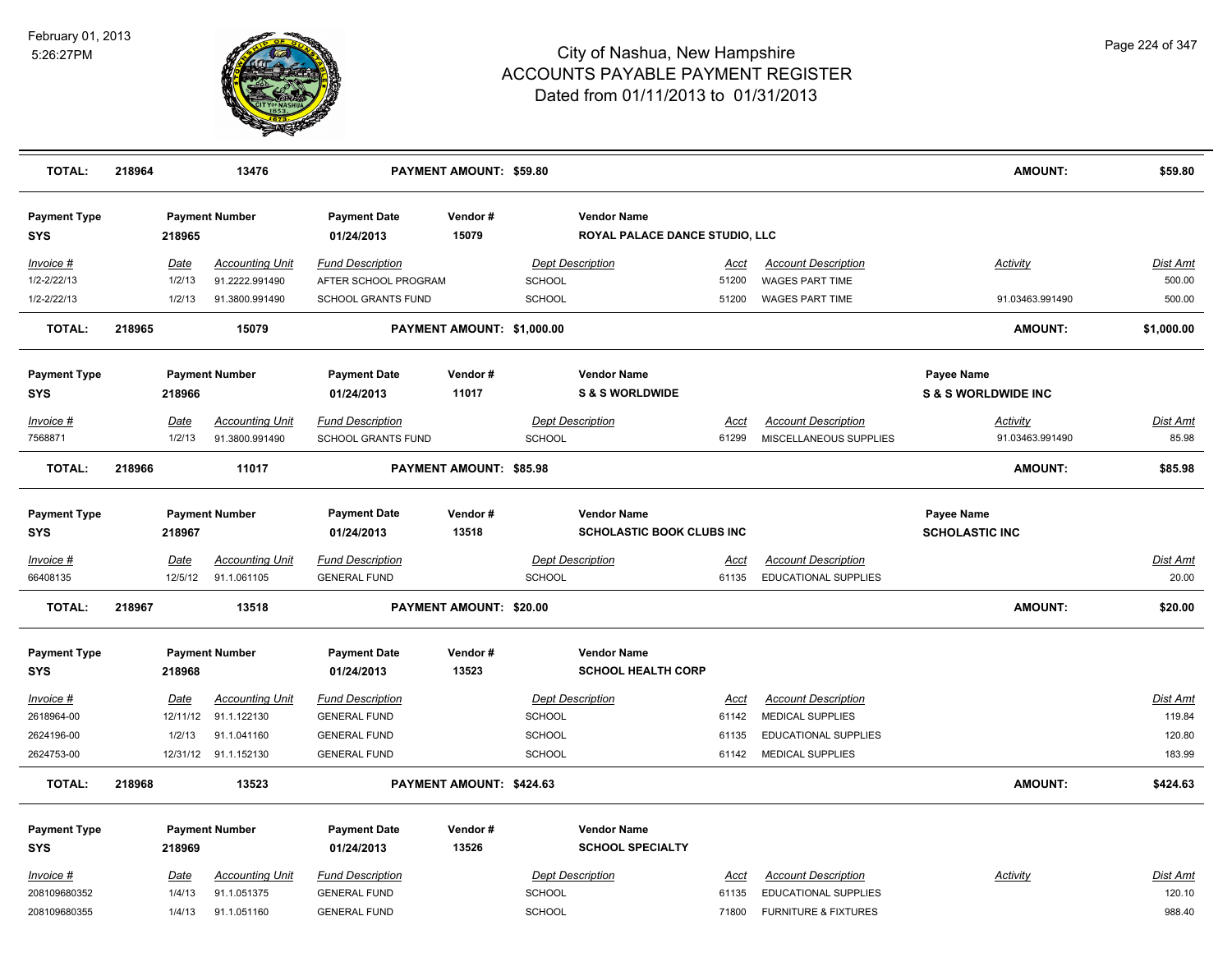

| <b>TOTAL:</b>                     | 218964 |                         | 13476                                    |                                                 | <b>PAYMENT AMOUNT: \$59.80</b> |               |                                                        |                      |                                                      | <b>AMOUNT:</b>                                      | \$59.80            |
|-----------------------------------|--------|-------------------------|------------------------------------------|-------------------------------------------------|--------------------------------|---------------|--------------------------------------------------------|----------------------|------------------------------------------------------|-----------------------------------------------------|--------------------|
| <b>Payment Type</b><br><b>SYS</b> |        | 218965                  | <b>Payment Number</b>                    | <b>Payment Date</b><br>01/24/2013               | Vendor#<br>15079               |               | <b>Vendor Name</b><br>ROYAL PALACE DANCE STUDIO, LLC   |                      |                                                      |                                                     |                    |
| Invoice #<br>1/2-2/22/13          |        | Date<br>1/2/13          | <b>Accounting Unit</b><br>91.2222.991490 | <b>Fund Description</b><br>AFTER SCHOOL PROGRAM |                                | <b>SCHOOL</b> | <b>Dept Description</b>                                | Acct<br>51200        | <b>Account Description</b><br>WAGES PART TIME        | Activity                                            | Dist Amt<br>500.00 |
| 1/2-2/22/13                       |        | 1/2/13                  | 91.3800.991490                           | <b>SCHOOL GRANTS FUND</b>                       |                                | SCHOOL        |                                                        | 51200                | <b>WAGES PART TIME</b>                               | 91.03463.991490                                     | 500.00             |
| <b>TOTAL:</b>                     | 218965 |                         | 15079                                    |                                                 | PAYMENT AMOUNT: \$1,000.00     |               |                                                        |                      |                                                      | <b>AMOUNT:</b>                                      | \$1,000.00         |
| <b>Payment Type</b><br><b>SYS</b> |        | 218966                  | <b>Payment Number</b>                    | <b>Payment Date</b><br>01/24/2013               | Vendor#<br>11017               |               | <b>Vendor Name</b><br><b>S &amp; S WORLDWIDE</b>       |                      |                                                      | <b>Payee Name</b><br><b>S &amp; S WORLDWIDE INC</b> |                    |
| Invoice #<br>7568871              |        | Date<br>1/2/13          | <b>Accounting Unit</b><br>91.3800.991490 | <b>Fund Description</b><br>SCHOOL GRANTS FUND   |                                | SCHOOL        | <b>Dept Description</b>                                | Acct<br>61299        | <b>Account Description</b><br>MISCELLANEOUS SUPPLIES | <b>Activity</b><br>91.03463.991490                  | Dist Amt<br>85.98  |
| <b>TOTAL:</b>                     | 218966 |                         | 11017                                    |                                                 | <b>PAYMENT AMOUNT: \$85.98</b> |               |                                                        |                      |                                                      | AMOUNT:                                             | \$85.98            |
| <b>Payment Type</b><br><b>SYS</b> |        | 218967                  | <b>Payment Number</b>                    | <b>Payment Date</b><br>01/24/2013               | Vendor#<br>13518               |               | <b>Vendor Name</b><br><b>SCHOLASTIC BOOK CLUBS INC</b> |                      |                                                      | Payee Name<br><b>SCHOLASTIC INC</b>                 |                    |
| Invoice #                         |        | Date                    | <b>Accounting Unit</b>                   | <b>Fund Description</b>                         |                                |               | <b>Dept Description</b>                                | <u>Acct</u>          | <b>Account Description</b>                           |                                                     | <b>Dist Amt</b>    |
| 66408135                          |        | 12/5/12                 | 91.1.061105                              | <b>GENERAL FUND</b>                             |                                | SCHOOL        |                                                        | 61135                | EDUCATIONAL SUPPLIES                                 |                                                     | 20.00              |
| <b>TOTAL:</b>                     | 218967 |                         | 13518                                    |                                                 | <b>PAYMENT AMOUNT: \$20.00</b> |               |                                                        |                      |                                                      | <b>AMOUNT:</b>                                      | \$20.00            |
| <b>Payment Type</b>               |        |                         | <b>Payment Number</b>                    | <b>Payment Date</b>                             | Vendor#                        |               | <b>Vendor Name</b>                                     |                      |                                                      |                                                     |                    |
| <b>SYS</b>                        |        | 218968                  |                                          | 01/24/2013                                      | 13523                          |               | <b>SCHOOL HEALTH CORP</b>                              |                      |                                                      |                                                     |                    |
| Invoice #<br>2618964-00           |        | <b>Date</b><br>12/11/12 | <b>Accounting Unit</b><br>91.1.122130    | <b>Fund Description</b><br><b>GENERAL FUND</b>  |                                | <b>SCHOOL</b> | <b>Dept Description</b>                                | <u>Acct</u><br>61142 | <b>Account Description</b><br>MEDICAL SUPPLIES       |                                                     | Dist Amt<br>119.84 |
| 2624196-00                        |        | 1/2/13                  | 91.1.041160                              | <b>GENERAL FUND</b>                             |                                | SCHOOL        |                                                        | 61135                | <b>EDUCATIONAL SUPPLIES</b>                          |                                                     | 120.80             |
| 2624753-00                        |        |                         | 12/31/12 91.1.152130                     | <b>GENERAL FUND</b>                             |                                | <b>SCHOOL</b> |                                                        | 61142                | <b>MEDICAL SUPPLIES</b>                              |                                                     | 183.99             |
| <b>TOTAL:</b>                     | 218968 |                         | 13523                                    |                                                 | PAYMENT AMOUNT: \$424.63       |               |                                                        |                      |                                                      | <b>AMOUNT:</b>                                      | \$424.63           |
| <b>Payment Type</b>               |        |                         | <b>Payment Number</b>                    | <b>Payment Date</b>                             | Vendor#                        |               | <b>Vendor Name</b>                                     |                      |                                                      |                                                     |                    |
| <b>SYS</b>                        |        | 218969                  |                                          | 01/24/2013                                      | 13526                          |               | <b>SCHOOL SPECIALTY</b>                                |                      |                                                      |                                                     |                    |
| $Invoice$ #<br>208109680352       |        | <b>Date</b><br>1/4/13   | <b>Accounting Unit</b><br>91.1.051375    | <b>Fund Description</b><br><b>GENERAL FUND</b>  |                                | SCHOOL        | <b>Dept Description</b>                                | <b>Acct</b><br>61135 | <b>Account Description</b><br>EDUCATIONAL SUPPLIES   | <b>Activity</b>                                     | Dist Amt<br>120.10 |
| 208109680355                      |        | 1/4/13                  | 91.1.051160                              | <b>GENERAL FUND</b>                             |                                | <b>SCHOOL</b> |                                                        | 71800                | <b>FURNITURE &amp; FIXTURES</b>                      |                                                     | 988.40             |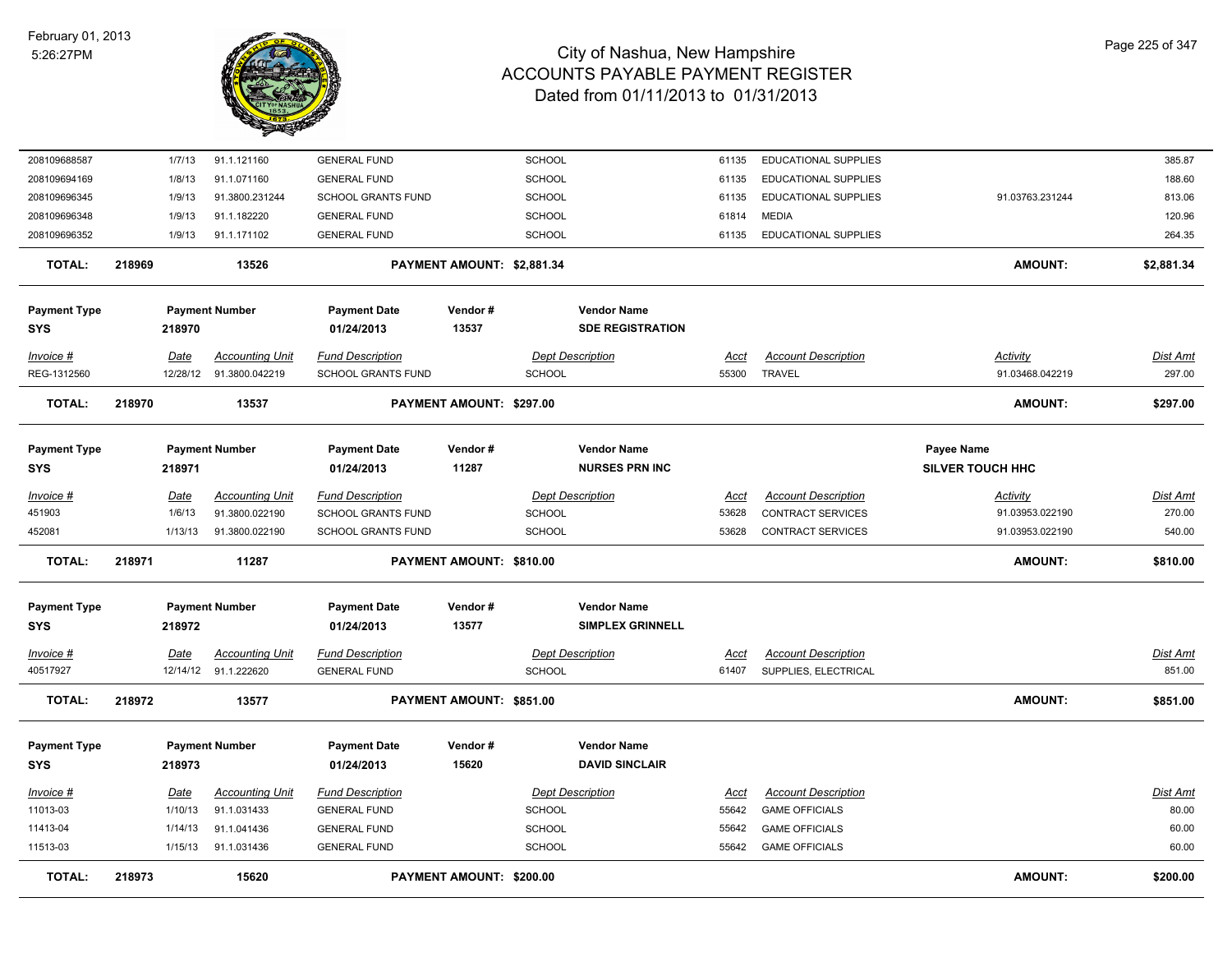

| 208109688587        |        | 1/7/13         | 91.1.121160                              | <b>GENERAL FUND</b>                                  |                            | <b>SCHOOL</b> |                         | 61135         | EDUCATIONAL SUPPLIES                                   |                             | 385.87             |
|---------------------|--------|----------------|------------------------------------------|------------------------------------------------------|----------------------------|---------------|-------------------------|---------------|--------------------------------------------------------|-----------------------------|--------------------|
| 208109694169        |        | 1/8/13         | 91.1.071160                              | <b>GENERAL FUND</b>                                  |                            | <b>SCHOOL</b> |                         | 61135         | EDUCATIONAL SUPPLIES                                   |                             | 188.60             |
| 208109696345        |        | 1/9/13         | 91.3800.231244                           | <b>SCHOOL GRANTS FUND</b>                            |                            | <b>SCHOOL</b> |                         | 61135         | <b>EDUCATIONAL SUPPLIES</b>                            | 91.03763.231244             | 813.06             |
| 208109696348        |        | 1/9/13         | 91.1.182220                              | <b>GENERAL FUND</b>                                  |                            | <b>SCHOOL</b> |                         | 61814         | <b>MEDIA</b>                                           |                             | 120.96             |
| 208109696352        |        | 1/9/13         | 91.1.171102                              | <b>GENERAL FUND</b>                                  |                            | SCHOOL        |                         | 61135         | <b>EDUCATIONAL SUPPLIES</b>                            |                             | 264.35             |
| <b>TOTAL:</b>       | 218969 |                | 13526                                    |                                                      | PAYMENT AMOUNT: \$2,881.34 |               |                         |               |                                                        | <b>AMOUNT:</b>              | \$2,881.34         |
|                     |        |                |                                          |                                                      |                            |               |                         |               |                                                        |                             |                    |
| <b>Payment Type</b> |        |                | <b>Payment Number</b>                    | <b>Payment Date</b>                                  | Vendor#                    |               | <b>Vendor Name</b>      |               |                                                        |                             |                    |
| <b>SYS</b>          |        | 218970         |                                          | 01/24/2013                                           | 13537                      |               | <b>SDE REGISTRATION</b> |               |                                                        |                             |                    |
| Invoice #           |        | Date           | <b>Accounting Unit</b>                   | <b>Fund Description</b>                              |                            |               | <b>Dept Description</b> | Acct          | <b>Account Description</b>                             | Activity                    | Dist Amt           |
| REG-1312560         |        | 12/28/12       | 91.3800.042219                           | SCHOOL GRANTS FUND                                   |                            | SCHOOL        |                         | 55300         | <b>TRAVEL</b>                                          | 91.03468.042219             | 297.00             |
| TOTAL:              | 218970 |                | 13537                                    |                                                      | PAYMENT AMOUNT: \$297.00   |               |                         |               |                                                        | <b>AMOUNT:</b>              | \$297.00           |
| <b>Payment Type</b> |        |                | <b>Payment Number</b>                    | <b>Payment Date</b>                                  | Vendor#                    |               | <b>Vendor Name</b>      |               |                                                        | <b>Payee Name</b>           |                    |
| <b>SYS</b>          |        | 218971         |                                          | 01/24/2013                                           | 11287                      |               | <b>NURSES PRN INC</b>   |               |                                                        | <b>SILVER TOUCH HHC</b>     |                    |
|                     |        |                |                                          |                                                      |                            |               |                         |               |                                                        |                             |                    |
| Invoice #<br>451903 |        | Date<br>1/6/13 | <b>Accounting Unit</b><br>91.3800.022190 | <b>Fund Description</b><br><b>SCHOOL GRANTS FUND</b> |                            | <b>SCHOOL</b> | <b>Dept Description</b> | Acct<br>53628 | <b>Account Description</b><br><b>CONTRACT SERVICES</b> | Activity<br>91.03953.022190 | Dist Amt<br>270.00 |
| 452081              |        | 1/13/13        | 91.3800.022190                           | SCHOOL GRANTS FUND                                   |                            | SCHOOL        |                         | 53628         | <b>CONTRACT SERVICES</b>                               | 91.03953.022190             | 540.00             |
|                     |        |                |                                          |                                                      |                            |               |                         |               |                                                        |                             |                    |
| <b>TOTAL:</b>       | 218971 |                | 11287                                    |                                                      | PAYMENT AMOUNT: \$810.00   |               |                         |               |                                                        | <b>AMOUNT:</b>              | \$810.00           |
| <b>Payment Type</b> |        |                | <b>Payment Number</b>                    | <b>Payment Date</b>                                  | Vendor#                    |               | <b>Vendor Name</b>      |               |                                                        |                             |                    |
| <b>SYS</b>          |        | 218972         |                                          | 01/24/2013                                           | 13577                      |               | <b>SIMPLEX GRINNELL</b> |               |                                                        |                             |                    |
| <u> Invoice #</u>   |        | Date           | <b>Accounting Unit</b>                   | <b>Fund Description</b>                              |                            |               | <b>Dept Description</b> | <u>Acct</u>   | <b>Account Description</b>                             |                             | Dist Amt           |
| 40517927            |        |                | 12/14/12 91.1.222620                     | <b>GENERAL FUND</b>                                  |                            | <b>SCHOOL</b> |                         | 61407         | SUPPLIES, ELECTRICAL                                   |                             | 851.00             |
| <b>TOTAL:</b>       | 218972 |                | 13577                                    |                                                      | PAYMENT AMOUNT: \$851.00   |               |                         |               |                                                        | <b>AMOUNT:</b>              | \$851.00           |
| <b>Payment Type</b> |        |                | <b>Payment Number</b>                    | <b>Payment Date</b>                                  | Vendor#                    |               | <b>Vendor Name</b>      |               |                                                        |                             |                    |
| <b>SYS</b>          |        | 218973         |                                          | 01/24/2013                                           | 15620                      |               | <b>DAVID SINCLAIR</b>   |               |                                                        |                             |                    |
| Invoice #           |        | Date           | <b>Accounting Unit</b>                   | <b>Fund Description</b>                              |                            |               | <b>Dept Description</b> | Acct          | <b>Account Description</b>                             |                             | Dist Amt           |
| 11013-03            |        | 1/10/13        | 91.1.031433                              | <b>GENERAL FUND</b>                                  |                            | <b>SCHOOL</b> |                         | 55642         | <b>GAME OFFICIALS</b>                                  |                             | 80.00              |
| 11413-04            |        | 1/14/13        | 91.1.041436                              | <b>GENERAL FUND</b>                                  |                            | <b>SCHOOL</b> |                         | 55642         | <b>GAME OFFICIALS</b>                                  |                             | 60.00              |
| 11513-03            |        | 1/15/13        | 91.1.031436                              | <b>GENERAL FUND</b>                                  |                            | <b>SCHOOL</b> |                         | 55642         | <b>GAME OFFICIALS</b>                                  |                             | 60.00              |
| <b>TOTAL:</b>       | 218973 |                | 15620                                    |                                                      | PAYMENT AMOUNT: \$200.00   |               |                         |               |                                                        | <b>AMOUNT:</b>              | \$200.00           |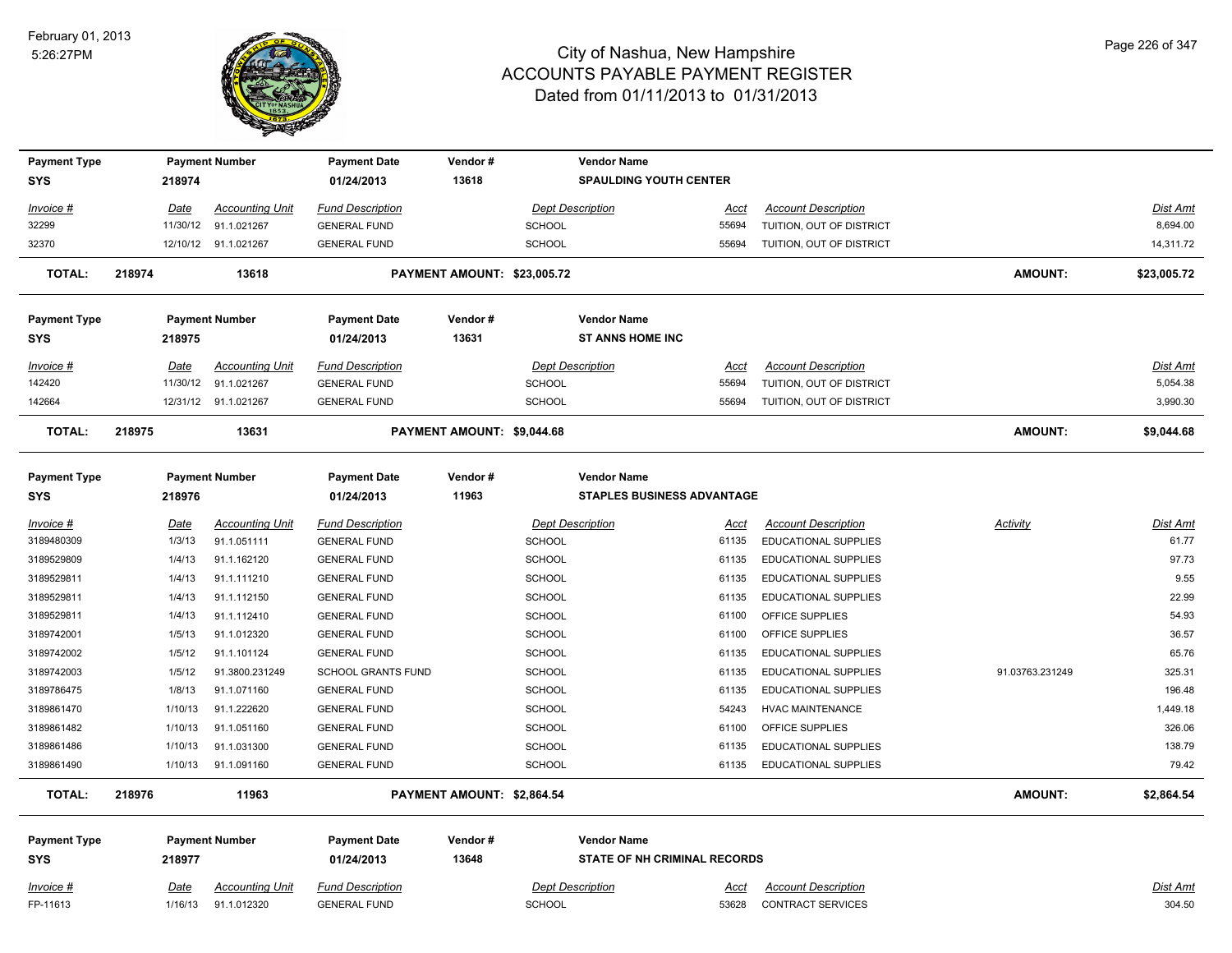

| <b>Payment Type</b><br>SYS |        | 218974      | <b>Payment Number</b>  | <b>Payment Date</b><br>01/24/2013 | Vendor#<br>13618            |                         | <b>Vendor Name</b><br><b>SPAULDING YOUTH CENTER</b> |             |                             |                 |             |
|----------------------------|--------|-------------|------------------------|-----------------------------------|-----------------------------|-------------------------|-----------------------------------------------------|-------------|-----------------------------|-----------------|-------------|
| Invoice #                  |        | Date        | <b>Accounting Unit</b> | <b>Fund Description</b>           |                             |                         | <b>Dept Description</b>                             | Acct        | <b>Account Description</b>  |                 | Dist Amt    |
| 32299                      |        | 11/30/12    | 91.1.021267            | <b>GENERAL FUND</b>               |                             | <b>SCHOOL</b>           |                                                     | 55694       | TUITION, OUT OF DISTRICT    |                 | 8,694.00    |
| 32370                      |        |             | 12/10/12 91.1.021267   | <b>GENERAL FUND</b>               |                             | <b>SCHOOL</b>           |                                                     | 55694       | TUITION, OUT OF DISTRICT    |                 | 14,311.72   |
| <b>TOTAL:</b>              | 218974 |             | 13618                  |                                   | PAYMENT AMOUNT: \$23,005.72 |                         |                                                     |             |                             | <b>AMOUNT:</b>  | \$23,005.72 |
| <b>Payment Type</b>        |        |             | <b>Payment Number</b>  | <b>Payment Date</b>               | Vendor#                     |                         | <b>Vendor Name</b>                                  |             |                             |                 |             |
| SYS                        |        | 218975      |                        | 01/24/2013                        | 13631                       |                         | <b>ST ANNS HOME INC</b>                             |             |                             |                 |             |
| <u> Invoice #</u>          |        | Date        | <b>Accounting Unit</b> | <b>Fund Description</b>           |                             |                         | <b>Dept Description</b>                             | <u>Acct</u> | <b>Account Description</b>  |                 | Dist Amt    |
| 142420                     |        | 11/30/12    | 91.1.021267            | <b>GENERAL FUND</b>               |                             | <b>SCHOOL</b>           |                                                     | 55694       | TUITION, OUT OF DISTRICT    |                 | 5,054.38    |
| 142664                     |        |             | 12/31/12 91.1.021267   | <b>GENERAL FUND</b>               |                             | <b>SCHOOL</b>           |                                                     | 55694       | TUITION, OUT OF DISTRICT    |                 | 3,990.30    |
| <b>TOTAL:</b>              | 218975 |             | 13631                  |                                   | PAYMENT AMOUNT: \$9,044.68  |                         |                                                     |             |                             | <b>AMOUNT:</b>  | \$9,044.68  |
| Payment Type<br><b>SYS</b> |        | 218976      | <b>Payment Number</b>  | <b>Payment Date</b><br>01/24/2013 | Vendor#<br>11963            |                         | <b>Vendor Name</b><br>STAPLES BUSINESS ADVANTAGE    |             |                             |                 |             |
| Invoice #                  |        | Date        | <b>Accounting Unit</b> | <b>Fund Description</b>           |                             | <b>Dept Description</b> |                                                     | Acct        | <b>Account Description</b>  | Activity        | Dist Amt    |
| 3189480309                 |        | 1/3/13      | 91.1.051111            | <b>GENERAL FUND</b>               |                             | <b>SCHOOL</b>           |                                                     | 61135       | EDUCATIONAL SUPPLIES        |                 | 61.77       |
| 3189529809                 |        | 1/4/13      | 91.1.162120            | <b>GENERAL FUND</b>               |                             | <b>SCHOOL</b>           |                                                     | 61135       | EDUCATIONAL SUPPLIES        |                 | 97.73       |
| 3189529811                 |        | 1/4/13      | 91.1.111210            | <b>GENERAL FUND</b>               |                             | <b>SCHOOL</b>           |                                                     | 61135       | EDUCATIONAL SUPPLIES        |                 | 9.55        |
| 3189529811                 |        | 1/4/13      | 91.1.112150            | <b>GENERAL FUND</b>               |                             | <b>SCHOOL</b>           |                                                     | 61135       | EDUCATIONAL SUPPLIES        |                 | 22.99       |
| 3189529811                 |        | 1/4/13      | 91.1.112410            | <b>GENERAL FUND</b>               |                             | <b>SCHOOL</b>           |                                                     | 61100       | OFFICE SUPPLIES             |                 | 54.93       |
| 3189742001                 |        | 1/5/13      | 91.1.012320            | <b>GENERAL FUND</b>               |                             | <b>SCHOOL</b>           |                                                     | 61100       | OFFICE SUPPLIES             |                 | 36.57       |
| 3189742002                 |        | 1/5/12      | 91.1.101124            | <b>GENERAL FUND</b>               |                             | SCHOOL                  |                                                     | 61135       | <b>EDUCATIONAL SUPPLIES</b> |                 | 65.76       |
| 3189742003                 |        | 1/5/12      | 91.3800.231249         | <b>SCHOOL GRANTS FUND</b>         |                             | <b>SCHOOL</b>           |                                                     | 61135       | EDUCATIONAL SUPPLIES        | 91.03763.231249 | 325.31      |
| 3189786475                 |        | 1/8/13      | 91.1.071160            | <b>GENERAL FUND</b>               |                             | SCHOOL                  |                                                     | 61135       | EDUCATIONAL SUPPLIES        |                 | 196.48      |
| 3189861470                 |        | 1/10/13     | 91.1.222620            | <b>GENERAL FUND</b>               |                             | <b>SCHOOL</b>           |                                                     | 54243       | <b>HVAC MAINTENANCE</b>     |                 | 1,449.18    |
| 3189861482                 |        | 1/10/13     | 91.1.051160            | <b>GENERAL FUND</b>               |                             | <b>SCHOOL</b>           |                                                     | 61100       | OFFICE SUPPLIES             |                 | 326.06      |
| 3189861486                 |        | 1/10/13     | 91.1.031300            | <b>GENERAL FUND</b>               |                             | <b>SCHOOL</b>           |                                                     | 61135       | EDUCATIONAL SUPPLIES        |                 | 138.79      |
| 3189861490                 |        | 1/10/13     | 91.1.091160            | <b>GENERAL FUND</b>               |                             | <b>SCHOOL</b>           |                                                     | 61135       | <b>EDUCATIONAL SUPPLIES</b> |                 | 79.42       |
| <b>TOTAL:</b>              | 218976 |             | 11963                  |                                   | PAYMENT AMOUNT: \$2,864.54  |                         |                                                     |             |                             | <b>AMOUNT:</b>  | \$2,864.54  |
| Payment Type               |        |             | <b>Payment Number</b>  | <b>Payment Date</b>               | Vendor#                     |                         | <b>Vendor Name</b>                                  |             |                             |                 |             |
| SYS                        |        | 218977      |                        | 01/24/2013                        | 13648                       |                         | <b>STATE OF NH CRIMINAL RECORDS</b>                 |             |                             |                 |             |
| <u> Invoice #</u>          |        | <u>Date</u> | <b>Accounting Unit</b> | <b>Fund Description</b>           |                             |                         | <b>Dept Description</b>                             | <u>Acct</u> | <b>Account Description</b>  |                 | Dist Amt    |
| FP-11613                   |        | 1/16/13     | 91.1.012320            | <b>GENERAL FUND</b>               |                             | <b>SCHOOL</b>           |                                                     | 53628       | <b>CONTRACT SERVICES</b>    |                 | 304.50      |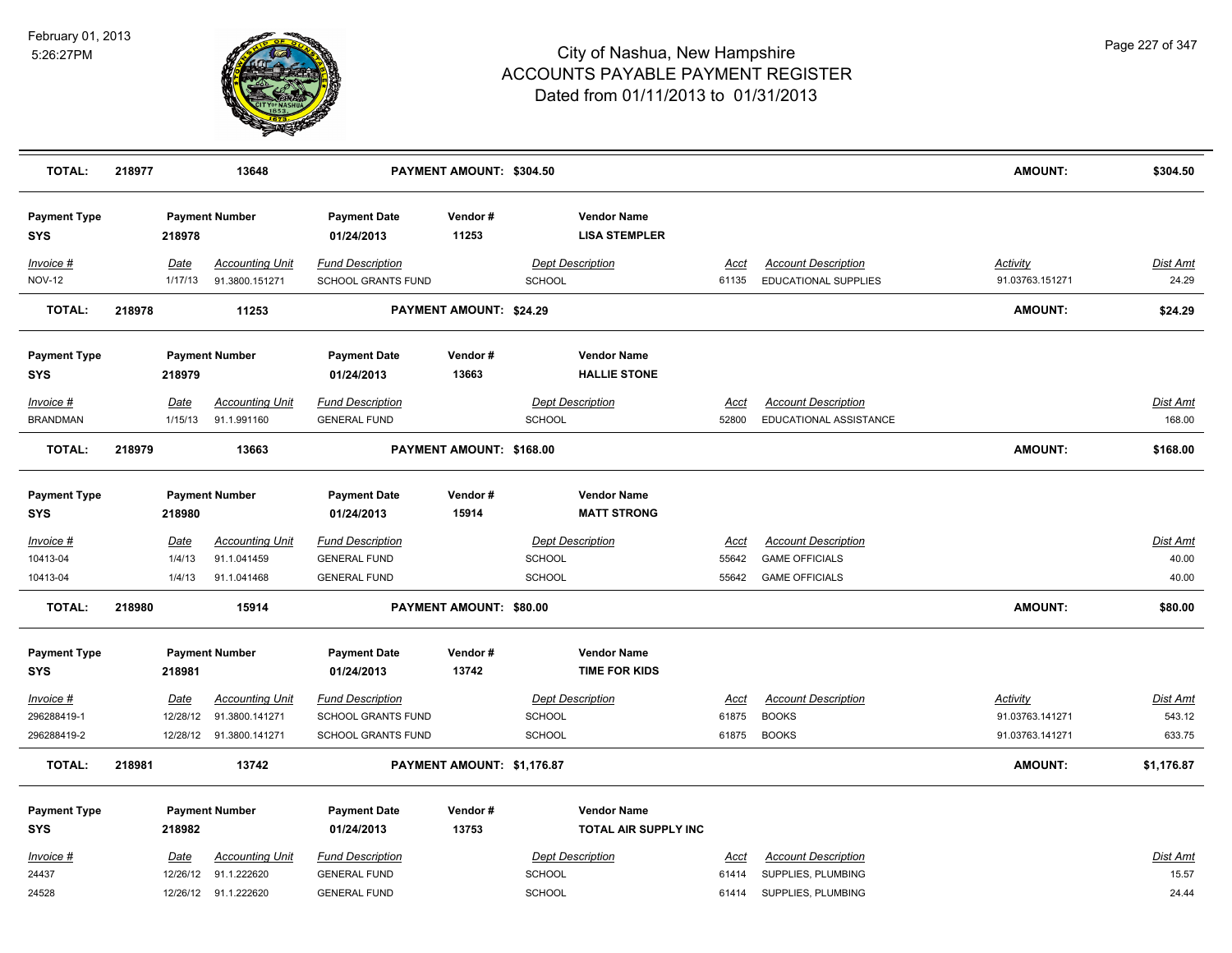

| <b>TOTAL:</b>                     | 218977 |             | 13648                               |                                            | PAYMENT AMOUNT: \$304.50   |                                |                                            |                |                                          | <b>AMOUNT:</b>  | \$304.50        |
|-----------------------------------|--------|-------------|-------------------------------------|--------------------------------------------|----------------------------|--------------------------------|--------------------------------------------|----------------|------------------------------------------|-----------------|-----------------|
| <b>Payment Type</b><br><b>SYS</b> |        | 218978      | <b>Payment Number</b>               | <b>Payment Date</b><br>01/24/2013          | Vendor#<br>11253           |                                | <b>Vendor Name</b><br><b>LISA STEMPLER</b> |                |                                          |                 |                 |
| Invoice #                         |        | Date        | <b>Accounting Unit</b>              | <b>Fund Description</b>                    |                            | <b>Dept Description</b>        |                                            | Acct           | <b>Account Description</b>               | Activity        | Dist Amt        |
| <b>NOV-12</b>                     |        | 1/17/13     | 91.3800.151271                      | SCHOOL GRANTS FUND                         |                            | <b>SCHOOL</b>                  |                                            | 61135          | EDUCATIONAL SUPPLIES                     | 91.03763.151271 | 24.29           |
| <b>TOTAL:</b>                     | 218978 |             | 11253                               |                                            | PAYMENT AMOUNT: \$24.29    |                                |                                            |                |                                          | AMOUNT:         | \$24.29         |
| <b>Payment Type</b><br><b>SYS</b> |        | 218979      | <b>Payment Number</b>               | <b>Payment Date</b><br>01/24/2013          | Vendor#<br>13663           |                                | <b>Vendor Name</b><br><b>HALLIE STONE</b>  |                |                                          |                 |                 |
| Invoice #                         |        | Date        | <b>Accounting Unit</b>              | <b>Fund Description</b>                    |                            | <b>Dept Description</b>        |                                            | <b>Acct</b>    | <b>Account Description</b>               |                 | <b>Dist Amt</b> |
| <b>BRANDMAN</b>                   |        | 1/15/13     | 91.1.991160                         | <b>GENERAL FUND</b>                        |                            | <b>SCHOOL</b>                  |                                            | 52800          | EDUCATIONAL ASSISTANCE                   |                 | 168.00          |
| <b>TOTAL:</b>                     | 218979 |             | 13663                               |                                            | PAYMENT AMOUNT: \$168.00   |                                |                                            |                |                                          | AMOUNT:         | \$168.00        |
| <b>Payment Type</b><br><b>SYS</b> |        | 218980      | <b>Payment Number</b>               | <b>Payment Date</b><br>01/24/2013          | Vendor#<br>15914           |                                | <b>Vendor Name</b><br><b>MATT STRONG</b>   |                |                                          |                 |                 |
| Invoice #                         |        | <b>Date</b> | <b>Accounting Unit</b>              | <b>Fund Description</b>                    |                            | <b>Dept Description</b>        |                                            | <u>Acct</u>    | <b>Account Description</b>               |                 | <u>Dist Amt</u> |
| 10413-04                          |        | 1/4/13      | 91.1.041459                         | <b>GENERAL FUND</b>                        |                            | <b>SCHOOL</b>                  |                                            | 55642          | <b>GAME OFFICIALS</b>                    |                 | 40.00           |
| 10413-04                          |        | 1/4/13      | 91.1.041468                         | <b>GENERAL FUND</b>                        |                            | <b>SCHOOL</b>                  |                                            | 55642          | <b>GAME OFFICIALS</b>                    |                 | 40.00           |
| <b>TOTAL:</b>                     | 218980 |             | 15914                               |                                            | PAYMENT AMOUNT: \$80.00    |                                |                                            |                |                                          | AMOUNT:         | \$80.00         |
| <b>Payment Type</b>               |        |             | <b>Payment Number</b>               | <b>Payment Date</b>                        | Vendor#                    |                                | <b>Vendor Name</b>                         |                |                                          |                 |                 |
| <b>SYS</b>                        |        | 218981      |                                     | 01/24/2013                                 | 13742                      |                                | <b>TIME FOR KIDS</b>                       |                |                                          |                 |                 |
| Invoice #                         |        | Date        | <b>Accounting Unit</b>              | <b>Fund Description</b>                    |                            | <b>Dept Description</b>        |                                            | <b>Acct</b>    | <b>Account Description</b>               | <b>Activity</b> | Dist Amt        |
| 296288419-1                       |        | 12/28/12    | 91.3800.141271                      | SCHOOL GRANTS FUND                         |                            | <b>SCHOOL</b>                  |                                            | 61875          | <b>BOOKS</b>                             | 91.03763.141271 | 543.12          |
| 296288419-2                       |        |             | 12/28/12 91.3800.141271             | SCHOOL GRANTS FUND                         |                            | <b>SCHOOL</b>                  |                                            | 61875          | <b>BOOKS</b>                             | 91.03763.141271 | 633.75          |
| <b>TOTAL:</b>                     | 218981 |             | 13742                               |                                            | PAYMENT AMOUNT: \$1,176.87 |                                |                                            |                |                                          | AMOUNT:         | \$1,176.87      |
| <b>Payment Type</b>               |        |             | <b>Payment Number</b>               | <b>Payment Date</b>                        | Vendor#                    |                                | <b>Vendor Name</b>                         |                |                                          |                 |                 |
| <b>SYS</b>                        |        | 218982      |                                     | 01/24/2013                                 | 13753                      |                                | TOTAL AIR SUPPLY INC                       |                |                                          |                 |                 |
| Invoice #                         |        | Date        | <b>Accounting Unit</b>              | <b>Fund Description</b>                    |                            | <b>Dept Description</b>        |                                            | Acct           | <b>Account Description</b>               |                 | <b>Dist Amt</b> |
| 24437<br>24528                    |        | 12/26/12    | 91.1.222620<br>12/26/12 91.1.222620 | <b>GENERAL FUND</b><br><b>GENERAL FUND</b> |                            | <b>SCHOOL</b><br><b>SCHOOL</b> |                                            | 61414<br>61414 | SUPPLIES, PLUMBING<br>SUPPLIES, PLUMBING |                 | 15.57<br>24.44  |
|                                   |        |             |                                     |                                            |                            |                                |                                            |                |                                          |                 |                 |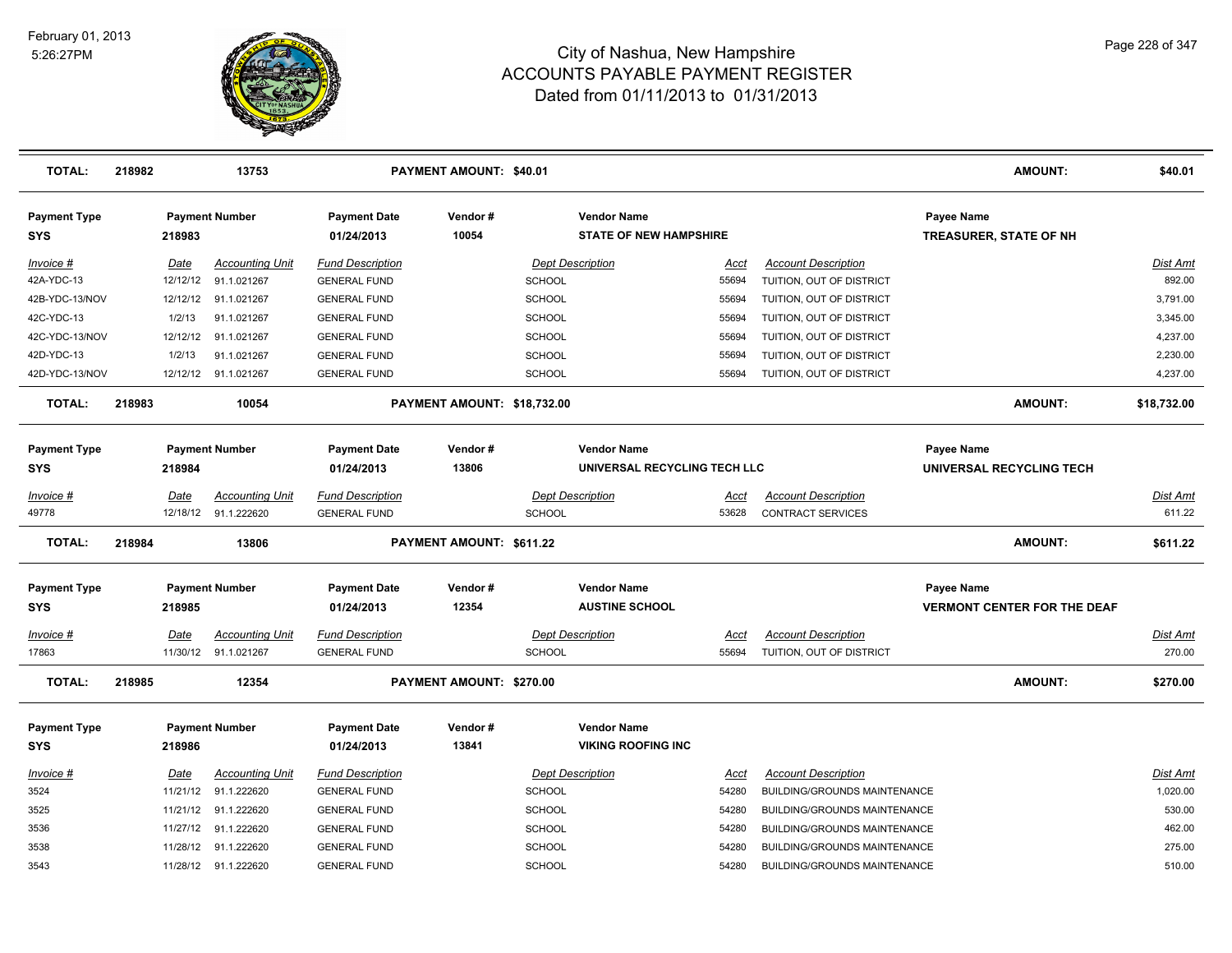

| <b>TOTAL:</b>                     | 218982 |          | 13753                  |                                   | PAYMENT AMOUNT: \$40.01     |               |                                                     |             |                              | <b>AMOUNT:</b>                              | \$40.01         |
|-----------------------------------|--------|----------|------------------------|-----------------------------------|-----------------------------|---------------|-----------------------------------------------------|-------------|------------------------------|---------------------------------------------|-----------------|
| <b>Payment Type</b><br><b>SYS</b> |        | 218983   | <b>Payment Number</b>  | <b>Payment Date</b><br>01/24/2013 | Vendor#<br>10054            |               | <b>Vendor Name</b><br><b>STATE OF NEW HAMPSHIRE</b> |             |                              | Payee Name<br><b>TREASURER, STATE OF NH</b> |                 |
| Invoice #                         |        | Date     | <b>Accounting Unit</b> | <b>Fund Description</b>           |                             |               | <b>Dept Description</b>                             | Acct        | <b>Account Description</b>   |                                             | <b>Dist Amt</b> |
| 42A-YDC-13                        |        | 12/12/12 | 91.1.021267            | <b>GENERAL FUND</b>               |                             | <b>SCHOOL</b> |                                                     | 55694       | TUITION, OUT OF DISTRICT     |                                             | 892.00          |
| 42B-YDC-13/NOV                    |        | 12/12/12 | 91.1.021267            | <b>GENERAL FUND</b>               |                             | <b>SCHOOL</b> |                                                     | 55694       | TUITION, OUT OF DISTRICT     |                                             | 3,791.00        |
| 42C-YDC-13                        |        | 1/2/13   | 91.1.021267            | <b>GENERAL FUND</b>               |                             | <b>SCHOOL</b> |                                                     | 55694       | TUITION, OUT OF DISTRICT     |                                             | 3,345.00        |
| 42C-YDC-13/NOV                    |        | 12/12/12 | 91.1.021267            | <b>GENERAL FUND</b>               |                             | <b>SCHOOL</b> |                                                     | 55694       | TUITION, OUT OF DISTRICT     |                                             | 4,237.00        |
| 42D-YDC-13                        |        | 1/2/13   | 91.1.021267            | <b>GENERAL FUND</b>               |                             | <b>SCHOOL</b> |                                                     | 55694       | TUITION, OUT OF DISTRICT     |                                             | 2,230.00        |
| 42D-YDC-13/NOV                    |        | 12/12/12 | 91.1.021267            | <b>GENERAL FUND</b>               |                             | <b>SCHOOL</b> |                                                     | 55694       | TUITION, OUT OF DISTRICT     |                                             | 4,237.00        |
| <b>TOTAL:</b>                     | 218983 |          | 10054                  |                                   | PAYMENT AMOUNT: \$18,732.00 |               |                                                     |             |                              | <b>AMOUNT:</b>                              | \$18,732.00     |
| <b>Payment Type</b>               |        |          | <b>Payment Number</b>  | <b>Payment Date</b>               | Vendor#                     |               | <b>Vendor Name</b>                                  |             |                              | Payee Name                                  |                 |
| <b>SYS</b>                        |        | 218984   |                        | 01/24/2013                        | 13806                       |               | UNIVERSAL RECYCLING TECH LLC                        |             |                              | UNIVERSAL RECYCLING TECH                    |                 |
| Invoice #                         |        | Date     | <b>Accounting Unit</b> | <b>Fund Description</b>           |                             |               | <b>Dept Description</b>                             | Acct        | <b>Account Description</b>   |                                             | <b>Dist Amt</b> |
| 49778                             |        |          | 12/18/12 91.1.222620   | <b>GENERAL FUND</b>               |                             | SCHOOL        |                                                     | 53628       | <b>CONTRACT SERVICES</b>     |                                             | 611.22          |
| <b>TOTAL:</b>                     | 218984 |          | 13806                  |                                   | PAYMENT AMOUNT: \$611.22    |               |                                                     |             |                              | <b>AMOUNT:</b>                              | \$611.22        |
| <b>Payment Type</b>               |        |          | <b>Payment Number</b>  | <b>Payment Date</b>               | Vendor#                     |               | <b>Vendor Name</b>                                  |             |                              | Payee Name                                  |                 |
| <b>SYS</b>                        |        | 218985   |                        | 01/24/2013                        | 12354                       |               | <b>AUSTINE SCHOOL</b>                               |             |                              | <b>VERMONT CENTER FOR THE DEAF</b>          |                 |
| $Invoice$ #                       |        | Date     | <u>Accounting Unit</u> | <b>Fund Description</b>           |                             |               | <b>Dept Description</b>                             | <u>Acct</u> | <b>Account Description</b>   |                                             | <b>Dist Amt</b> |
| 17863                             |        |          | 11/30/12 91.1.021267   | <b>GENERAL FUND</b>               |                             | <b>SCHOOL</b> |                                                     | 55694       | TUITION, OUT OF DISTRICT     |                                             | 270.00          |
| <b>TOTAL:</b>                     | 218985 |          | 12354                  |                                   | PAYMENT AMOUNT: \$270.00    |               |                                                     |             |                              | <b>AMOUNT:</b>                              | \$270.00        |
| <b>Payment Type</b>               |        |          | <b>Payment Number</b>  | <b>Payment Date</b>               | Vendor#                     |               | <b>Vendor Name</b>                                  |             |                              |                                             |                 |
| <b>SYS</b>                        |        | 218986   |                        | 01/24/2013                        | 13841                       |               | <b>VIKING ROOFING INC</b>                           |             |                              |                                             |                 |
| Invoice #                         |        | Date     | <b>Accounting Unit</b> | <b>Fund Description</b>           |                             |               | <b>Dept Description</b>                             | Acct        | <b>Account Description</b>   |                                             | Dist Amt        |
| 3524                              |        | 11/21/12 | 91.1.222620            | <b>GENERAL FUND</b>               |                             | SCHOOL        |                                                     | 54280       | BUILDING/GROUNDS MAINTENANCE |                                             | 1,020.00        |
| 3525                              |        | 11/21/12 | 91.1.222620            | <b>GENERAL FUND</b>               |                             | <b>SCHOOL</b> |                                                     | 54280       | BUILDING/GROUNDS MAINTENANCE |                                             | 530.00          |
| 3536                              |        | 11/27/12 | 91.1.222620            | <b>GENERAL FUND</b>               |                             | <b>SCHOOL</b> |                                                     | 54280       | BUILDING/GROUNDS MAINTENANCE |                                             | 462.00          |
| 3538                              |        |          | 11/28/12 91.1.222620   | <b>GENERAL FUND</b>               |                             | SCHOOL        |                                                     | 54280       | BUILDING/GROUNDS MAINTENANCE |                                             | 275.00          |
| 3543                              |        |          | 11/28/12 91.1.222620   | <b>GENERAL FUND</b>               |                             | SCHOOL        |                                                     | 54280       | BUILDING/GROUNDS MAINTENANCE |                                             | 510.00          |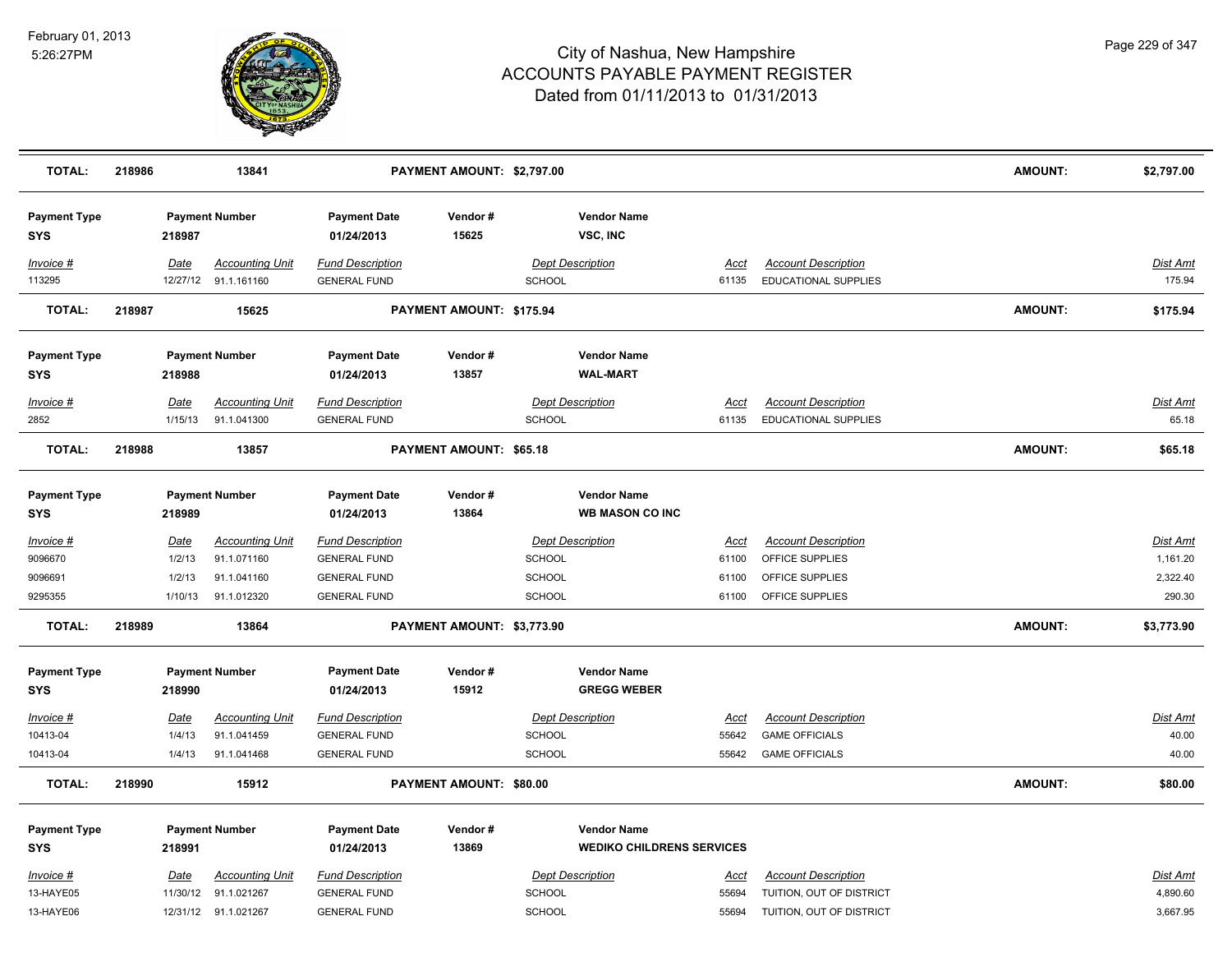

| <b>TOTAL:</b>                     | 218986 |             | 13841                                          |                                                | PAYMENT AMOUNT: \$2,797.00 |                         |                                              |               |                                                           | <b>AMOUNT:</b> | \$2,797.00                |
|-----------------------------------|--------|-------------|------------------------------------------------|------------------------------------------------|----------------------------|-------------------------|----------------------------------------------|---------------|-----------------------------------------------------------|----------------|---------------------------|
| <b>Payment Type</b><br><b>SYS</b> |        | 218987      | <b>Payment Number</b>                          | <b>Payment Date</b><br>01/24/2013              | Vendor#<br>15625           |                         | <b>Vendor Name</b><br>VSC, INC               |               |                                                           |                |                           |
| Invoice #<br>113295               |        | <b>Date</b> | <b>Accounting Unit</b><br>12/27/12 91.1.161160 | <b>Fund Description</b><br><b>GENERAL FUND</b> |                            | SCHOOL                  | <b>Dept Description</b>                      | Acct<br>61135 | <b>Account Description</b><br><b>EDUCATIONAL SUPPLIES</b> |                | <b>Dist Amt</b><br>175.94 |
| <b>TOTAL:</b>                     | 218987 |             | 15625                                          |                                                | PAYMENT AMOUNT: \$175.94   |                         |                                              |               |                                                           | <b>AMOUNT:</b> | \$175.94                  |
| <b>Payment Type</b><br><b>SYS</b> |        | 218988      | <b>Payment Number</b>                          | <b>Payment Date</b><br>01/24/2013              | Vendor#<br>13857           |                         | <b>Vendor Name</b><br><b>WAL-MART</b>        |               |                                                           |                |                           |
| Invoice #                         |        | Date        | <b>Accounting Unit</b>                         | <b>Fund Description</b>                        |                            |                         | <b>Dept Description</b>                      | Acct          | <b>Account Description</b>                                |                | Dist Amt                  |
| 2852                              |        | 1/15/13     | 91.1.041300                                    | <b>GENERAL FUND</b>                            |                            | <b>SCHOOL</b>           |                                              | 61135         | <b>EDUCATIONAL SUPPLIES</b>                               |                | 65.18                     |
| <b>TOTAL:</b>                     | 218988 |             | 13857                                          |                                                | PAYMENT AMOUNT: \$65.18    |                         |                                              |               |                                                           | <b>AMOUNT:</b> | \$65.18                   |
| <b>Payment Type</b><br><b>SYS</b> |        | 218989      | <b>Payment Number</b>                          | <b>Payment Date</b><br>01/24/2013              | Vendor#<br>13864           |                         | <b>Vendor Name</b><br><b>WB MASON CO INC</b> |               |                                                           |                |                           |
| $Invoice$ #                       |        | <u>Date</u> | <b>Accounting Unit</b>                         | <b>Fund Description</b>                        |                            | <b>Dept Description</b> |                                              | <u>Acct</u>   | <b>Account Description</b>                                |                | <b>Dist Amt</b>           |
| 9096670                           |        | 1/2/13      | 91.1.071160                                    | <b>GENERAL FUND</b>                            |                            | <b>SCHOOL</b>           |                                              | 61100         | OFFICE SUPPLIES                                           |                | 1,161.20                  |
| 9096691                           |        | 1/2/13      | 91.1.041160                                    | <b>GENERAL FUND</b>                            |                            | SCHOOL                  |                                              | 61100         | OFFICE SUPPLIES                                           |                | 2,322.40                  |
| 9295355                           |        | 1/10/13     | 91.1.012320                                    | <b>GENERAL FUND</b>                            |                            | SCHOOL                  |                                              | 61100         | OFFICE SUPPLIES                                           |                | 290.30                    |
| <b>TOTAL:</b>                     | 218989 |             | 13864                                          |                                                | PAYMENT AMOUNT: \$3,773.90 |                         |                                              |               |                                                           | <b>AMOUNT:</b> | \$3,773.90                |
| <b>Payment Type</b>               |        |             | <b>Payment Number</b>                          | <b>Payment Date</b>                            | Vendor#                    |                         | <b>Vendor Name</b>                           |               |                                                           |                |                           |
| <b>SYS</b>                        |        | 218990      |                                                | 01/24/2013                                     | 15912                      |                         | <b>GREGG WEBER</b>                           |               |                                                           |                |                           |
| Invoice #                         |        | Date        | <b>Accounting Unit</b>                         | <b>Fund Description</b>                        |                            | <b>Dept Description</b> |                                              | Acct          | <b>Account Description</b>                                |                | <b>Dist Amt</b>           |
| 10413-04                          |        | 1/4/13      | 91.1.041459                                    | <b>GENERAL FUND</b>                            |                            | <b>SCHOOL</b>           |                                              | 55642         | <b>GAME OFFICIALS</b>                                     |                | 40.00                     |
| 10413-04                          |        | 1/4/13      | 91.1.041468                                    | <b>GENERAL FUND</b>                            |                            | SCHOOL                  |                                              | 55642         | <b>GAME OFFICIALS</b>                                     |                | 40.00                     |
| <b>TOTAL:</b>                     | 218990 |             | 15912                                          |                                                | PAYMENT AMOUNT: \$80.00    |                         |                                              |               |                                                           | <b>AMOUNT:</b> | \$80.00                   |
| <b>Payment Type</b>               |        |             | <b>Payment Number</b>                          | <b>Payment Date</b>                            | Vendor#                    |                         | <b>Vendor Name</b>                           |               |                                                           |                |                           |
| <b>SYS</b>                        |        | 218991      |                                                | 01/24/2013                                     | 13869                      |                         | <b>WEDIKO CHILDRENS SERVICES</b>             |               |                                                           |                |                           |
| Invoice #                         |        | <b>Date</b> | <b>Accounting Unit</b>                         | <b>Fund Description</b>                        |                            |                         | <b>Dept Description</b>                      | <u>Acct</u>   | <b>Account Description</b>                                |                | Dist Amt                  |
| 13-HAYE05                         |        | 11/30/12    | 91.1.021267                                    | <b>GENERAL FUND</b>                            |                            | <b>SCHOOL</b>           |                                              | 55694         | TUITION, OUT OF DISTRICT                                  |                | 4,890.60                  |
| 13-HAYE06                         |        |             | 12/31/12 91.1.021267                           | <b>GENERAL FUND</b>                            |                            | SCHOOL                  |                                              | 55694         | TUITION, OUT OF DISTRICT                                  |                | 3,667.95                  |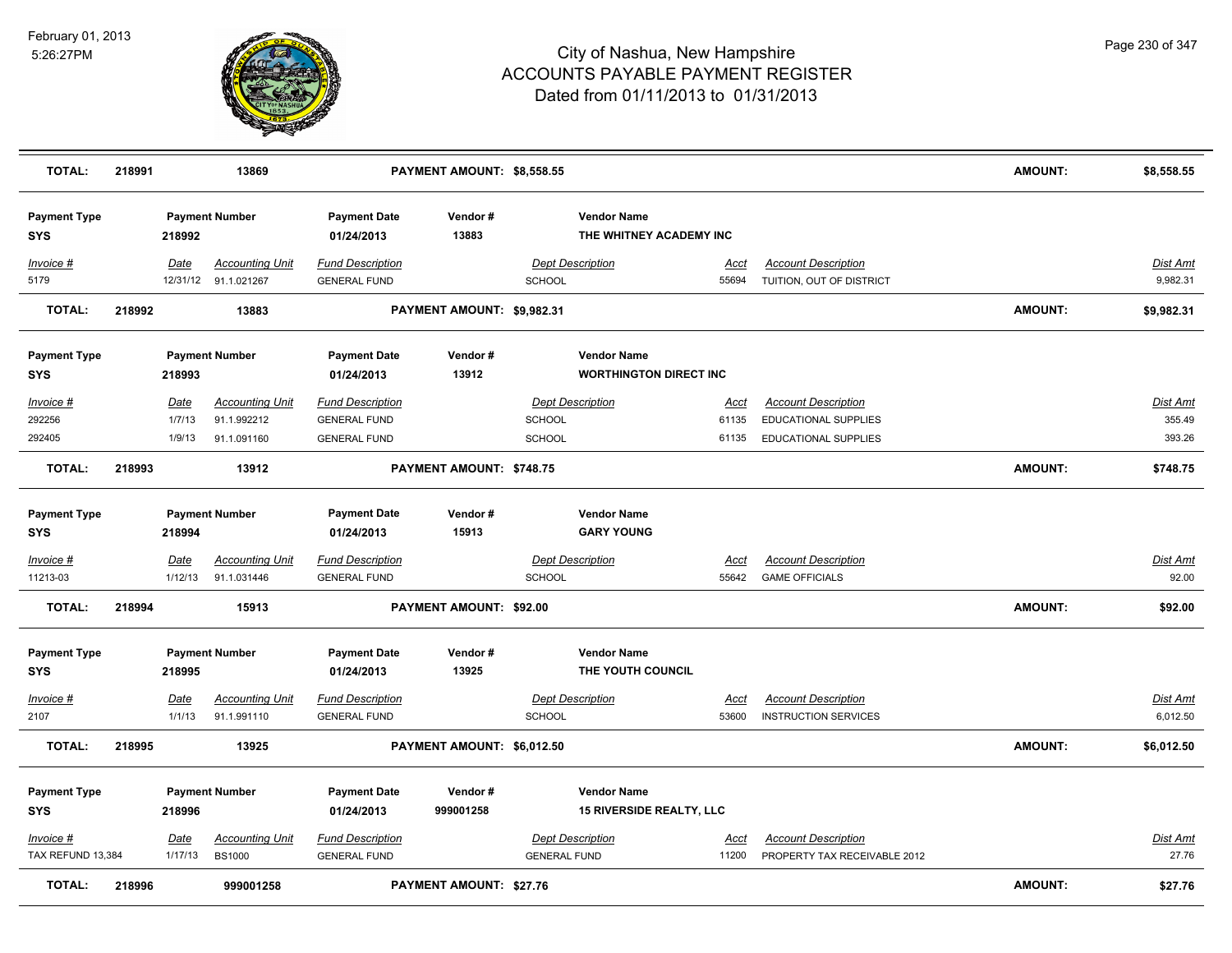

| <b>TOTAL:</b>                     | 218991 |                  | 13869                                   |                                                | PAYMENT AMOUNT: \$8,558.55     |                                                |                                                       |               |                                                            | <b>AMOUNT:</b> | \$8,558.55           |
|-----------------------------------|--------|------------------|-----------------------------------------|------------------------------------------------|--------------------------------|------------------------------------------------|-------------------------------------------------------|---------------|------------------------------------------------------------|----------------|----------------------|
| <b>Payment Type</b><br>SYS        |        | 218992           | <b>Payment Number</b>                   | <b>Payment Date</b><br>01/24/2013              | Vendor#<br>13883               |                                                | <b>Vendor Name</b><br>THE WHITNEY ACADEMY INC         |               |                                                            |                |                      |
| Invoice #<br>5179                 |        | Date<br>12/31/12 | <b>Accounting Unit</b><br>91.1.021267   | <b>Fund Description</b><br><b>GENERAL FUND</b> |                                | <b>Dept Description</b><br><b>SCHOOL</b>       |                                                       | Acct<br>55694 | <b>Account Description</b><br>TUITION, OUT OF DISTRICT     |                | Dist Amt<br>9,982.31 |
| <b>TOTAL:</b>                     | 218992 |                  | 13883                                   |                                                | PAYMENT AMOUNT: \$9,982.31     |                                                |                                                       |               |                                                            | <b>AMOUNT:</b> | \$9,982.31           |
| <b>Payment Type</b><br><b>SYS</b> |        | 218993           | <b>Payment Number</b>                   | <b>Payment Date</b><br>01/24/2013              | Vendor#<br>13912               |                                                | <b>Vendor Name</b><br><b>WORTHINGTON DIRECT INC</b>   |               |                                                            |                |                      |
| Invoice #                         |        | Date             | <b>Accounting Unit</b>                  | <b>Fund Description</b>                        |                                | <b>Dept Description</b>                        |                                                       | Acct          | <b>Account Description</b>                                 |                | Dist Amt             |
| 292256                            |        | 1/7/13           | 91.1.992212                             | <b>GENERAL FUND</b>                            |                                | SCHOOL                                         |                                                       | 61135         | <b>EDUCATIONAL SUPPLIES</b>                                |                | 355.49               |
| 292405                            |        | 1/9/13           | 91.1.091160                             | <b>GENERAL FUND</b>                            |                                | <b>SCHOOL</b>                                  |                                                       | 61135         | <b>EDUCATIONAL SUPPLIES</b>                                |                | 393.26               |
| <b>TOTAL:</b>                     | 218993 |                  | 13912                                   |                                                | PAYMENT AMOUNT: \$748.75       |                                                |                                                       |               |                                                            | <b>AMOUNT:</b> | \$748.75             |
| <b>Payment Type</b>               |        |                  | <b>Payment Number</b>                   | <b>Payment Date</b>                            | Vendor#                        |                                                | <b>Vendor Name</b>                                    |               |                                                            |                |                      |
| <b>SYS</b>                        |        | 218994           |                                         | 01/24/2013                                     | 15913                          |                                                | <b>GARY YOUNG</b>                                     |               |                                                            |                |                      |
| Invoice #                         |        | Date             | <b>Accounting Unit</b>                  | <b>Fund Description</b>                        |                                | <b>Dept Description</b>                        |                                                       | <u>Acct</u>   | <b>Account Description</b>                                 |                | <b>Dist Amt</b>      |
| 11213-03                          |        | 1/12/13          | 91.1.031446                             | <b>GENERAL FUND</b>                            |                                | <b>SCHOOL</b>                                  |                                                       | 55642         | <b>GAME OFFICIALS</b>                                      |                | 92.00                |
| <b>TOTAL:</b>                     | 218994 |                  | 15913                                   |                                                | PAYMENT AMOUNT: \$92.00        |                                                |                                                       |               |                                                            | <b>AMOUNT:</b> | \$92.00              |
| <b>Payment Type</b><br><b>SYS</b> |        | 218995           | <b>Payment Number</b>                   | <b>Payment Date</b><br>01/24/2013              | Vendor#<br>13925               |                                                | <b>Vendor Name</b><br>THE YOUTH COUNCIL               |               |                                                            |                |                      |
|                                   |        |                  |                                         |                                                |                                |                                                |                                                       |               |                                                            |                |                      |
| <u>Invoice #</u>                  |        | Date             | <b>Accounting Unit</b>                  | <b>Fund Description</b>                        |                                | <b>Dept Description</b>                        |                                                       | Acct          | <b>Account Description</b>                                 |                | Dist Amt             |
| 2107                              |        | 1/1/13           | 91.1.991110                             | <b>GENERAL FUND</b>                            |                                | <b>SCHOOL</b>                                  |                                                       | 53600         | <b>INSTRUCTION SERVICES</b>                                |                | 6,012.50             |
| <b>TOTAL:</b>                     | 218995 |                  | 13925                                   |                                                | PAYMENT AMOUNT: \$6,012.50     |                                                |                                                       |               |                                                            | <b>AMOUNT:</b> | \$6,012.50           |
| <b>Payment Type</b><br><b>SYS</b> |        | 218996           | <b>Payment Number</b>                   | <b>Payment Date</b><br>01/24/2013              | Vendor#<br>999001258           |                                                | <b>Vendor Name</b><br><b>15 RIVERSIDE REALTY, LLC</b> |               |                                                            |                |                      |
| Invoice #<br>TAX REFUND 13,384    |        | Date<br>1/17/13  | <b>Accounting Unit</b><br><b>BS1000</b> | <b>Fund Description</b><br><b>GENERAL FUND</b> |                                | <b>Dept Description</b><br><b>GENERAL FUND</b> |                                                       | Acct<br>11200 | <b>Account Description</b><br>PROPERTY TAX RECEIVABLE 2012 |                | Dist Amt<br>27.76    |
| <b>TOTAL:</b>                     | 218996 |                  | 999001258                               |                                                | <b>PAYMENT AMOUNT: \$27.76</b> |                                                |                                                       |               |                                                            | <b>AMOUNT:</b> | \$27.76              |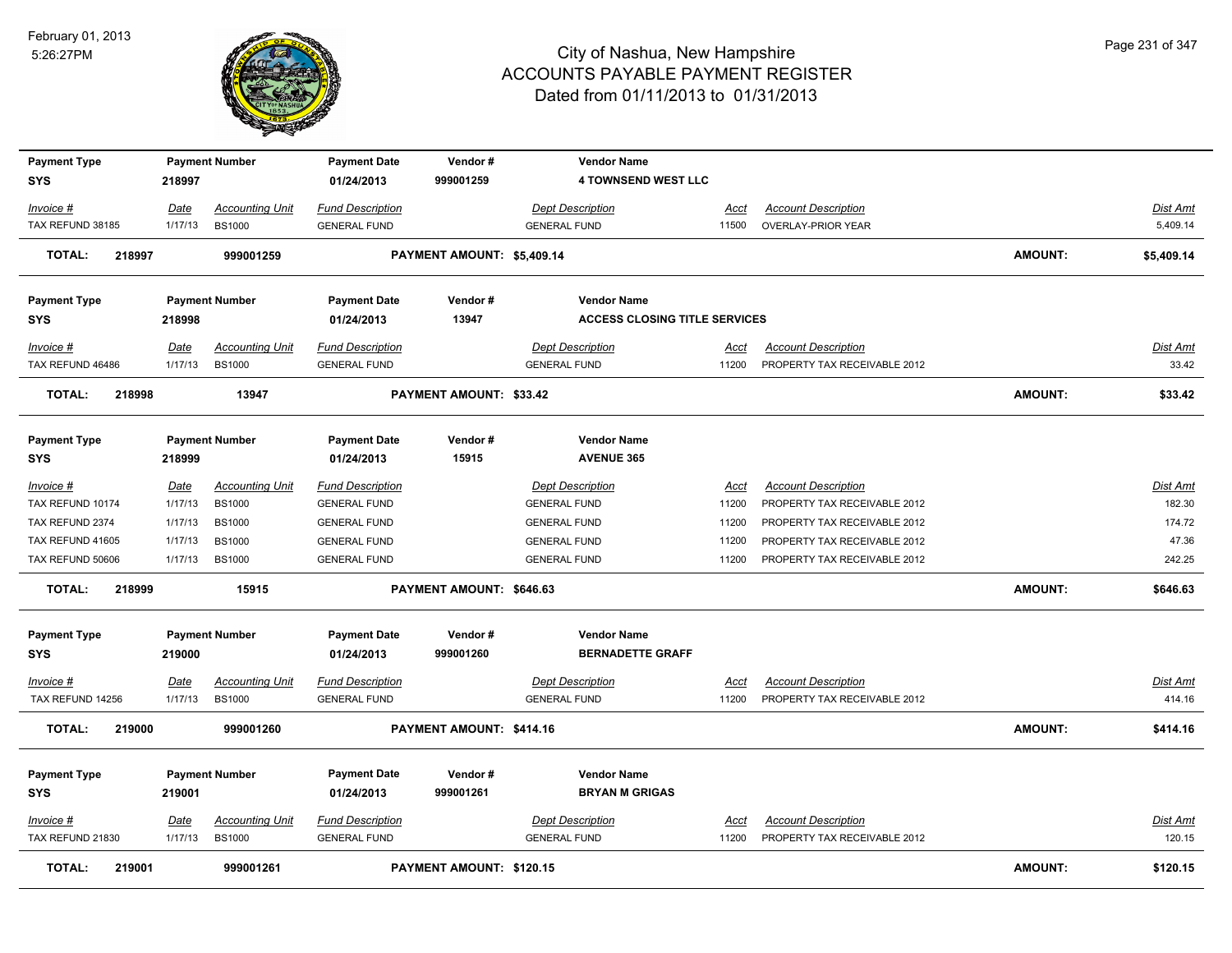

| <b>Payment Type</b>     |             | <b>Payment Number</b>  | <b>Payment Date</b>     | Vendor#                        | <b>Vendor Name</b>                   |             |                              |                |                 |
|-------------------------|-------------|------------------------|-------------------------|--------------------------------|--------------------------------------|-------------|------------------------------|----------------|-----------------|
| <b>SYS</b>              | 218997      |                        | 01/24/2013              | 999001259                      | <b>4 TOWNSEND WEST LLC</b>           |             |                              |                |                 |
| Invoice #               | Date        | <b>Accounting Unit</b> | <b>Fund Description</b> |                                | <b>Dept Description</b>              | Acct        | <b>Account Description</b>   |                | Dist Amt        |
| TAX REFUND 38185        | 1/17/13     | <b>BS1000</b>          | <b>GENERAL FUND</b>     |                                | <b>GENERAL FUND</b>                  | 11500       | <b>OVERLAY-PRIOR YEAR</b>    |                | 5,409.14        |
| <b>TOTAL:</b><br>218997 |             | 999001259              |                         | PAYMENT AMOUNT: \$5,409.14     |                                      |             |                              | <b>AMOUNT:</b> | \$5,409.14      |
| <b>Payment Type</b>     |             | <b>Payment Number</b>  | <b>Payment Date</b>     | Vendor#                        | <b>Vendor Name</b>                   |             |                              |                |                 |
| <b>SYS</b>              | 218998      |                        | 01/24/2013              | 13947                          | <b>ACCESS CLOSING TITLE SERVICES</b> |             |                              |                |                 |
| Invoice #               | <b>Date</b> | <b>Accounting Unit</b> | <b>Fund Description</b> |                                | <b>Dept Description</b>              | <u>Acct</u> | <b>Account Description</b>   |                | <u>Dist Amt</u> |
| TAX REFUND 46486        | 1/17/13     | <b>BS1000</b>          | <b>GENERAL FUND</b>     |                                | <b>GENERAL FUND</b>                  | 11200       | PROPERTY TAX RECEIVABLE 2012 |                | 33.42           |
| TOTAL:<br>218998        |             | 13947                  |                         | <b>PAYMENT AMOUNT: \$33.42</b> |                                      |             |                              | <b>AMOUNT:</b> | \$33.42         |
| <b>Payment Type</b>     |             | <b>Payment Number</b>  | <b>Payment Date</b>     | Vendor#                        | <b>Vendor Name</b>                   |             |                              |                |                 |
| <b>SYS</b>              | 218999      |                        | 01/24/2013              | 15915                          | <b>AVENUE 365</b>                    |             |                              |                |                 |
| Invoice #               | Date        | <b>Accounting Unit</b> | <b>Fund Description</b> |                                | <b>Dept Description</b>              | <b>Acct</b> | <b>Account Description</b>   |                | <u>Dist Amt</u> |
| TAX REFUND 10174        | 1/17/13     | <b>BS1000</b>          | <b>GENERAL FUND</b>     |                                | <b>GENERAL FUND</b>                  | 11200       | PROPERTY TAX RECEIVABLE 2012 |                | 182.30          |
| TAX REFUND 2374         | 1/17/13     | <b>BS1000</b>          | <b>GENERAL FUND</b>     |                                | <b>GENERAL FUND</b>                  | 11200       | PROPERTY TAX RECEIVABLE 2012 |                | 174.72          |
| TAX REFUND 41605        | 1/17/13     | <b>BS1000</b>          | <b>GENERAL FUND</b>     |                                | <b>GENERAL FUND</b>                  | 11200       | PROPERTY TAX RECEIVABLE 2012 |                | 47.36           |
| TAX REFUND 50606        | 1/17/13     | <b>BS1000</b>          | <b>GENERAL FUND</b>     |                                | <b>GENERAL FUND</b>                  | 11200       | PROPERTY TAX RECEIVABLE 2012 |                | 242.25          |
| <b>TOTAL:</b><br>218999 |             | 15915                  |                         | PAYMENT AMOUNT: \$646.63       |                                      |             |                              | <b>AMOUNT:</b> | \$646.63        |
| <b>Payment Type</b>     |             | <b>Payment Number</b>  | <b>Payment Date</b>     | Vendor#                        | <b>Vendor Name</b>                   |             |                              |                |                 |
| <b>SYS</b>              | 219000      |                        | 01/24/2013              | 999001260                      | <b>BERNADETTE GRAFF</b>              |             |                              |                |                 |
| Invoice #               | <u>Date</u> | <b>Accounting Unit</b> | <b>Fund Description</b> |                                | <b>Dept Description</b>              | <u>Acct</u> | <b>Account Description</b>   |                | <u>Dist Amt</u> |
| TAX REFUND 14256        | 1/17/13     | <b>BS1000</b>          | <b>GENERAL FUND</b>     |                                | <b>GENERAL FUND</b>                  | 11200       | PROPERTY TAX RECEIVABLE 2012 |                | 414.16          |
| 219000<br>TOTAL:        |             | 999001260              |                         | PAYMENT AMOUNT: \$414.16       |                                      |             |                              | <b>AMOUNT:</b> | \$414.16        |
| <b>Payment Type</b>     |             | <b>Payment Number</b>  | <b>Payment Date</b>     | Vendor#                        | <b>Vendor Name</b>                   |             |                              |                |                 |
| <b>SYS</b>              | 219001      |                        | 01/24/2013              | 999001261                      | <b>BRYAN M GRIGAS</b>                |             |                              |                |                 |
| Invoice #               | <u>Date</u> | <b>Accounting Unit</b> | <b>Fund Description</b> |                                | <b>Dept Description</b>              | <u>Acct</u> | <b>Account Description</b>   |                | <u>Dist Amt</u> |
| TAX REFUND 21830        | 1/17/13     | <b>BS1000</b>          | <b>GENERAL FUND</b>     |                                | <b>GENERAL FUND</b>                  | 11200       | PROPERTY TAX RECEIVABLE 2012 |                | 120.15          |
| <b>TOTAL:</b><br>219001 |             | 999001261              |                         | PAYMENT AMOUNT: \$120.15       |                                      |             |                              | <b>AMOUNT:</b> | \$120.15        |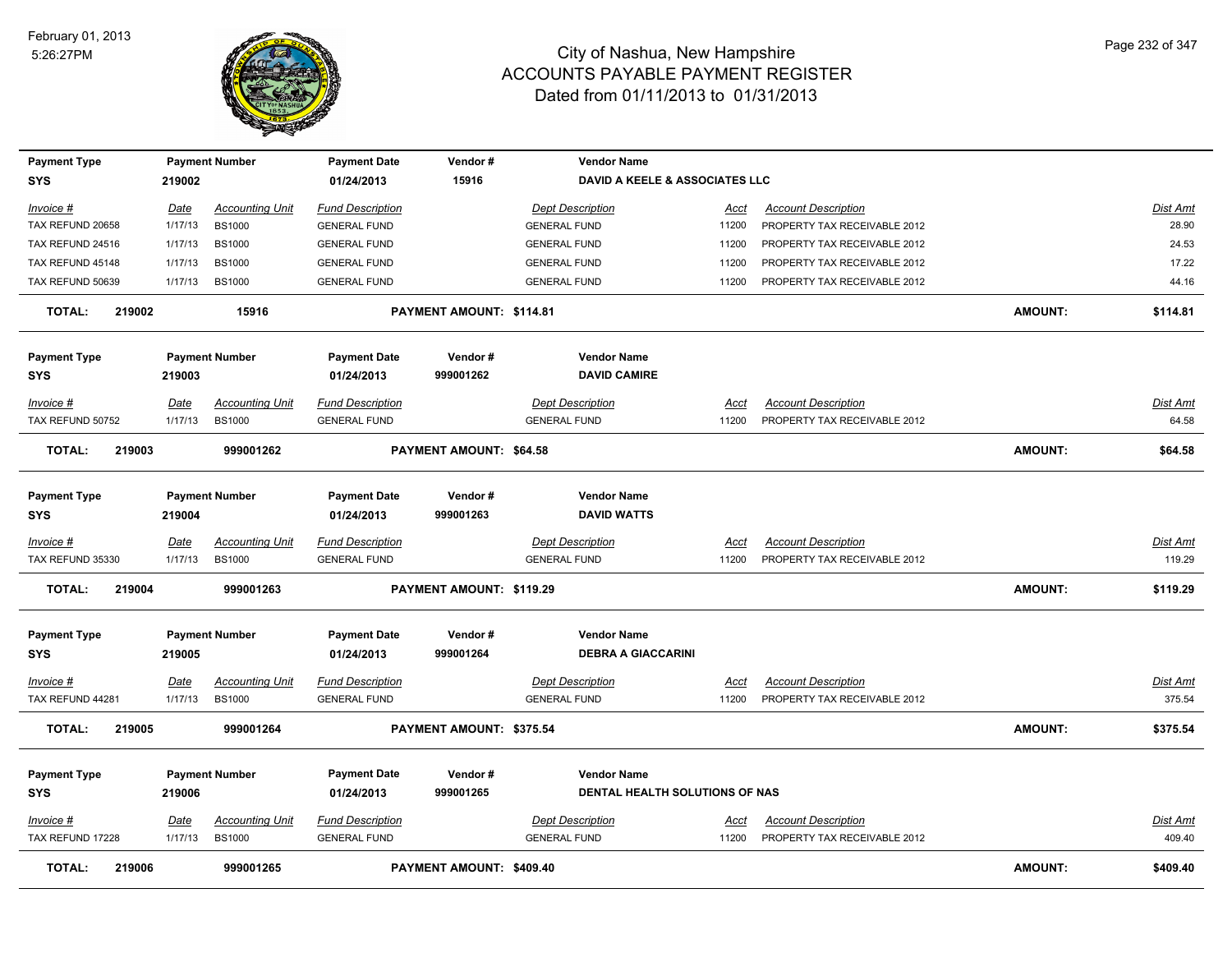

| <b>Payment Type</b>     |             | <b>Payment Number</b>  | <b>Payment Date</b>     | Vendor#                        | <b>Vendor Name</b>             |             |                              |                |                 |
|-------------------------|-------------|------------------------|-------------------------|--------------------------------|--------------------------------|-------------|------------------------------|----------------|-----------------|
| SYS                     | 219002      |                        | 01/24/2013              | 15916                          | DAVID A KEELE & ASSOCIATES LLC |             |                              |                |                 |
| Invoice #               | Date        | <b>Accounting Unit</b> | <b>Fund Description</b> |                                | <b>Dept Description</b>        | Acct        | <b>Account Description</b>   |                | Dist Amt        |
| TAX REFUND 20658        | 1/17/13     | <b>BS1000</b>          | <b>GENERAL FUND</b>     |                                | <b>GENERAL FUND</b>            | 11200       | PROPERTY TAX RECEIVABLE 2012 |                | 28.90           |
| TAX REFUND 24516        | 1/17/13     | <b>BS1000</b>          | <b>GENERAL FUND</b>     |                                | <b>GENERAL FUND</b>            | 11200       | PROPERTY TAX RECEIVABLE 2012 |                | 24.53           |
| TAX REFUND 45148        | 1/17/13     | <b>BS1000</b>          | <b>GENERAL FUND</b>     |                                | <b>GENERAL FUND</b>            | 11200       | PROPERTY TAX RECEIVABLE 2012 |                | 17.22           |
| TAX REFUND 50639        | 1/17/13     | <b>BS1000</b>          | <b>GENERAL FUND</b>     |                                | <b>GENERAL FUND</b>            | 11200       | PROPERTY TAX RECEIVABLE 2012 |                | 44.16           |
| 219002<br><b>TOTAL:</b> |             | 15916                  |                         | PAYMENT AMOUNT: \$114.81       |                                |             |                              | <b>AMOUNT:</b> | \$114.81        |
| <b>Payment Type</b>     |             | <b>Payment Number</b>  | <b>Payment Date</b>     | Vendor#                        | <b>Vendor Name</b>             |             |                              |                |                 |
| <b>SYS</b>              | 219003      |                        | 01/24/2013              | 999001262                      | <b>DAVID CAMIRE</b>            |             |                              |                |                 |
| Invoice #               | Date        | <b>Accounting Unit</b> | <b>Fund Description</b> |                                | <b>Dept Description</b>        | Acct        | <b>Account Description</b>   |                | <u>Dist Amt</u> |
| TAX REFUND 50752        | 1/17/13     | <b>BS1000</b>          | <b>GENERAL FUND</b>     |                                | <b>GENERAL FUND</b>            | 11200       | PROPERTY TAX RECEIVABLE 2012 |                | 64.58           |
| 219003<br><b>TOTAL:</b> |             | 999001262              |                         | <b>PAYMENT AMOUNT: \$64.58</b> |                                |             |                              | <b>AMOUNT:</b> | \$64.58         |
| <b>Payment Type</b>     |             | <b>Payment Number</b>  | <b>Payment Date</b>     | Vendor#                        | <b>Vendor Name</b>             |             |                              |                |                 |
| <b>SYS</b>              | 219004      |                        | 01/24/2013              | 999001263                      | <b>DAVID WATTS</b>             |             |                              |                |                 |
| $Invoice$ #             | Date        | <b>Accounting Unit</b> | <b>Fund Description</b> |                                | <b>Dept Description</b>        | Acct        | <b>Account Description</b>   |                | Dist Amt        |
| TAX REFUND 35330        | 1/17/13     | <b>BS1000</b>          | <b>GENERAL FUND</b>     |                                | <b>GENERAL FUND</b>            | 11200       | PROPERTY TAX RECEIVABLE 2012 |                | 119.29          |
| <b>TOTAL:</b><br>219004 |             | 999001263              |                         | PAYMENT AMOUNT: \$119.29       |                                |             |                              | <b>AMOUNT:</b> | \$119.29        |
| <b>Payment Type</b>     |             | <b>Payment Number</b>  | <b>Payment Date</b>     | Vendor#                        | <b>Vendor Name</b>             |             |                              |                |                 |
| <b>SYS</b>              | 219005      |                        | 01/24/2013              | 999001264                      | <b>DEBRA A GIACCARINI</b>      |             |                              |                |                 |
| Invoice #               | <u>Date</u> | <b>Accounting Unit</b> | <b>Fund Description</b> |                                | <b>Dept Description</b>        | <u>Acct</u> | <b>Account Description</b>   |                | <u>Dist Amt</u> |
| TAX REFUND 44281        | 1/17/13     | <b>BS1000</b>          | <b>GENERAL FUND</b>     |                                | <b>GENERAL FUND</b>            | 11200       | PROPERTY TAX RECEIVABLE 2012 |                | 375.54          |
| <b>TOTAL:</b><br>219005 |             | 999001264              |                         | PAYMENT AMOUNT: \$375.54       |                                |             |                              | <b>AMOUNT:</b> | \$375.54        |
| <b>Payment Type</b>     |             | <b>Payment Number</b>  | <b>Payment Date</b>     | Vendor#                        | <b>Vendor Name</b>             |             |                              |                |                 |
| SYS                     | 219006      |                        | 01/24/2013              | 999001265                      | DENTAL HEALTH SOLUTIONS OF NAS |             |                              |                |                 |
| Invoice #               | Date        | <b>Accounting Unit</b> | <b>Fund Description</b> |                                | <b>Dept Description</b>        | <u>Acct</u> | <b>Account Description</b>   |                | <u>Dist Amt</u> |
| TAX REFUND 17228        | 1/17/13     | <b>BS1000</b>          | <b>GENERAL FUND</b>     |                                | <b>GENERAL FUND</b>            | 11200       | PROPERTY TAX RECEIVABLE 2012 |                | 409.40          |
| <b>TOTAL:</b><br>219006 |             | 999001265              |                         | PAYMENT AMOUNT: \$409.40       |                                |             |                              | <b>AMOUNT:</b> | \$409.40        |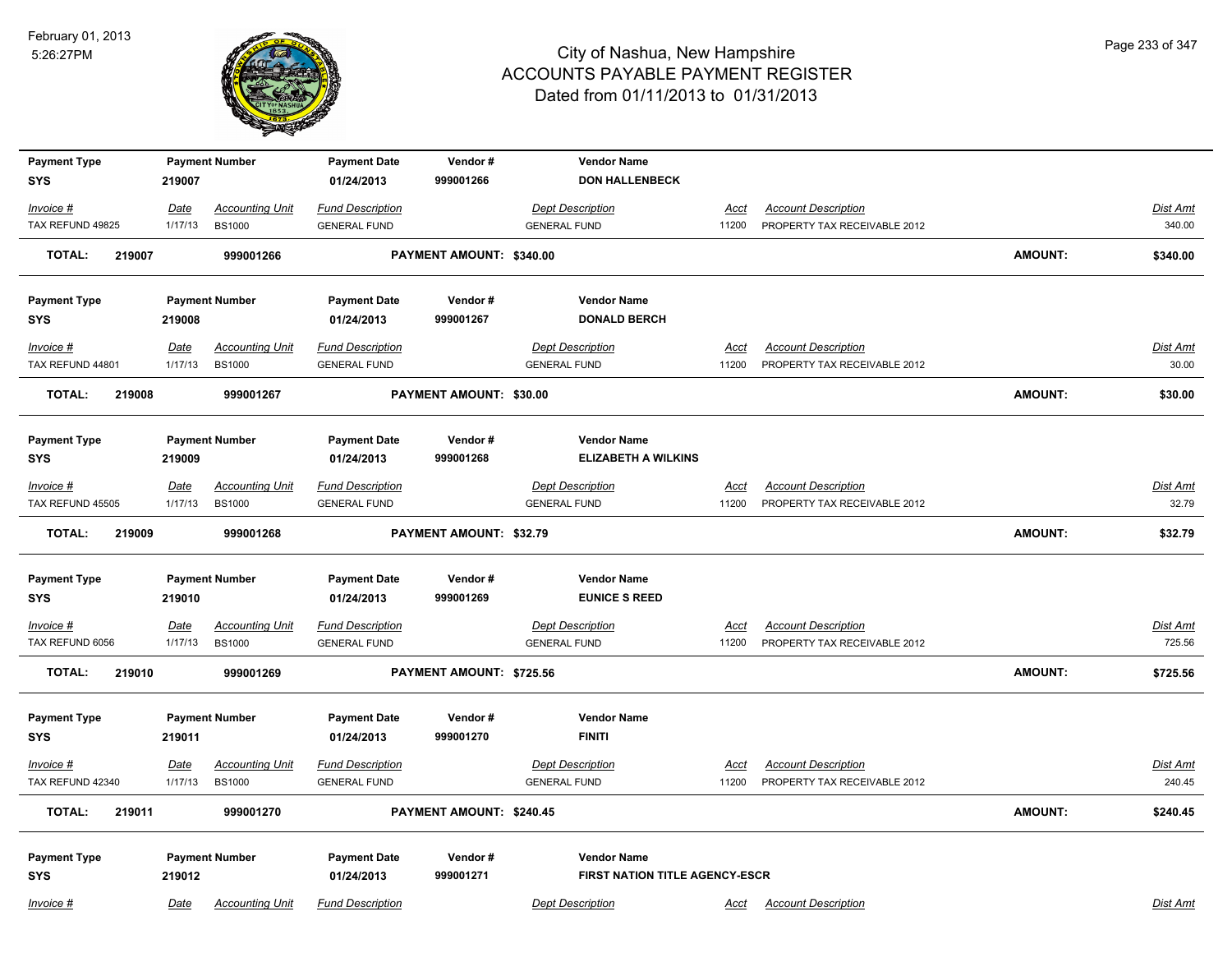

| <b>Payment Type</b>               |         | <b>Payment Number</b>  | <b>Payment Date</b>               | Vendor#                  | <b>Vendor Name</b>                                   |             |                              |                |                 |
|-----------------------------------|---------|------------------------|-----------------------------------|--------------------------|------------------------------------------------------|-------------|------------------------------|----------------|-----------------|
| <b>SYS</b>                        | 219007  |                        | 01/24/2013                        | 999001266                | <b>DON HALLENBECK</b>                                |             |                              |                |                 |
| Invoice #                         | Date    | <b>Accounting Unit</b> | <b>Fund Description</b>           |                          | <b>Dept Description</b>                              | <u>Acct</u> | <b>Account Description</b>   |                | <b>Dist Amt</b> |
| TAX REFUND 49825                  | 1/17/13 | <b>BS1000</b>          | <b>GENERAL FUND</b>               |                          | <b>GENERAL FUND</b>                                  | 11200       | PROPERTY TAX RECEIVABLE 2012 |                | 340.00          |
| <b>TOTAL:</b><br>219007           |         | 999001266              |                                   | PAYMENT AMOUNT: \$340.00 |                                                      |             |                              | <b>AMOUNT:</b> | \$340.00        |
| <b>Payment Type</b>               |         | <b>Payment Number</b>  | <b>Payment Date</b>               | Vendor#                  | <b>Vendor Name</b>                                   |             |                              |                |                 |
| <b>SYS</b>                        | 219008  |                        | 01/24/2013                        | 999001267                | <b>DONALD BERCH</b>                                  |             |                              |                |                 |
| Invoice #                         | Date    | <b>Accounting Unit</b> | <b>Fund Description</b>           |                          | <b>Dept Description</b>                              | Acct        | <b>Account Description</b>   |                | Dist Amt        |
| TAX REFUND 44801                  | 1/17/13 | <b>BS1000</b>          | <b>GENERAL FUND</b>               |                          | <b>GENERAL FUND</b>                                  | 11200       | PROPERTY TAX RECEIVABLE 2012 |                | 30.00           |
| <b>TOTAL:</b><br>219008           |         | 999001267              |                                   | PAYMENT AMOUNT: \$30.00  |                                                      |             |                              | <b>AMOUNT:</b> | \$30.00         |
| <b>Payment Type</b>               |         | <b>Payment Number</b>  | <b>Payment Date</b>               | Vendor#                  | <b>Vendor Name</b>                                   |             |                              |                |                 |
| <b>SYS</b>                        | 219009  |                        | 01/24/2013                        | 999001268                | <b>ELIZABETH A WILKINS</b>                           |             |                              |                |                 |
| Invoice #                         | Date    | <b>Accounting Unit</b> | <b>Fund Description</b>           |                          | <b>Dept Description</b>                              | Acct        | <b>Account Description</b>   |                | Dist Amt        |
| TAX REFUND 45505                  | 1/17/13 | <b>BS1000</b>          | <b>GENERAL FUND</b>               |                          | <b>GENERAL FUND</b>                                  | 11200       | PROPERTY TAX RECEIVABLE 2012 |                | 32.79           |
| <b>TOTAL:</b><br>219009           |         | 999001268              |                                   | PAYMENT AMOUNT: \$32.79  |                                                      |             |                              | <b>AMOUNT:</b> | \$32.79         |
| <b>Payment Type</b>               |         | <b>Payment Number</b>  | <b>Payment Date</b>               | Vendor#                  | <b>Vendor Name</b>                                   |             |                              |                |                 |
| <b>SYS</b>                        | 219010  |                        | 01/24/2013                        | 999001269                | <b>EUNICE S REED</b>                                 |             |                              |                |                 |
| $Invoice$ #                       | Date    | <b>Accounting Unit</b> | <b>Fund Description</b>           |                          | <b>Dept Description</b>                              | <b>Acct</b> | <b>Account Description</b>   |                | <b>Dist Amt</b> |
| TAX REFUND 6056                   | 1/17/13 | <b>BS1000</b>          | <b>GENERAL FUND</b>               |                          | <b>GENERAL FUND</b>                                  | 11200       | PROPERTY TAX RECEIVABLE 2012 |                | 725.56          |
| <b>TOTAL:</b><br>219010           |         | 999001269              |                                   | PAYMENT AMOUNT: \$725.56 |                                                      |             |                              | <b>AMOUNT:</b> | \$725.56        |
| <b>Payment Type</b>               |         | <b>Payment Number</b>  | <b>Payment Date</b>               | Vendor#                  | <b>Vendor Name</b>                                   |             |                              |                |                 |
| <b>SYS</b>                        | 219011  |                        | 01/24/2013                        | 999001270                | <b>FINITI</b>                                        |             |                              |                |                 |
| Invoice #                         | Date    | <b>Accounting Unit</b> | <b>Fund Description</b>           |                          | <b>Dept Description</b>                              | Acct        | <b>Account Description</b>   |                | <b>Dist Amt</b> |
| TAX REFUND 42340                  | 1/17/13 | <b>BS1000</b>          | <b>GENERAL FUND</b>               |                          | <b>GENERAL FUND</b>                                  | 11200       | PROPERTY TAX RECEIVABLE 2012 |                | 240.45          |
| <b>TOTAL:</b><br>219011           |         | 999001270              |                                   | PAYMENT AMOUNT: \$240.45 |                                                      |             |                              | <b>AMOUNT:</b> | \$240.45        |
|                                   |         |                        |                                   |                          |                                                      |             |                              |                |                 |
| <b>Payment Type</b><br><b>SYS</b> | 219012  | <b>Payment Number</b>  | <b>Payment Date</b><br>01/24/2013 | Vendor#<br>999001271     | <b>Vendor Name</b><br>FIRST NATION TITLE AGENCY-ESCR |             |                              |                |                 |
|                                   |         |                        |                                   |                          |                                                      |             |                              |                |                 |
| Invoice #                         | Date    | <b>Accounting Unit</b> | <b>Fund Description</b>           |                          | <b>Dept Description</b>                              | Acct        | <b>Account Description</b>   |                | Dist Amt        |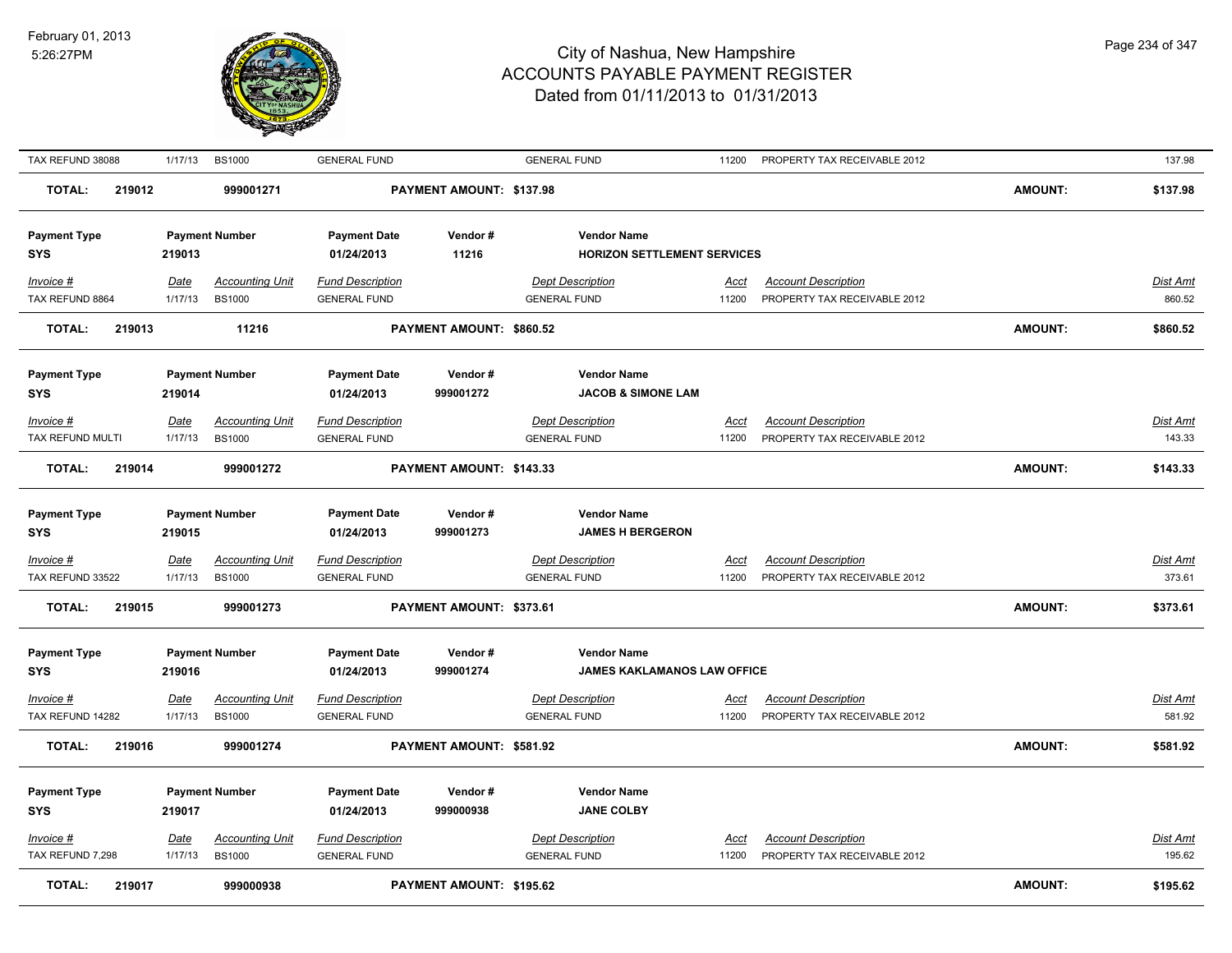

| TAX REFUND 38088                  | 1/17/13                | <b>BS1000</b>                           | <b>GENERAL FUND</b>                            |                          | <b>GENERAL FUND</b>                                      | 11200                | PROPERTY TAX RECEIVABLE 2012                               |                | 137.98                    |
|-----------------------------------|------------------------|-----------------------------------------|------------------------------------------------|--------------------------|----------------------------------------------------------|----------------------|------------------------------------------------------------|----------------|---------------------------|
| TOTAL:<br>219012                  |                        | 999001271                               |                                                | PAYMENT AMOUNT: \$137.98 |                                                          |                      |                                                            | <b>AMOUNT:</b> | \$137.98                  |
| <b>Payment Type</b><br>SYS        | 219013                 | <b>Payment Number</b>                   | <b>Payment Date</b><br>01/24/2013              | Vendor#<br>11216         | <b>Vendor Name</b><br><b>HORIZON SETTLEMENT SERVICES</b> |                      |                                                            |                |                           |
| Invoice #<br>TAX REFUND 8864      | Date<br>1/17/13        | <b>Accounting Unit</b><br><b>BS1000</b> | <b>Fund Description</b><br><b>GENERAL FUND</b> |                          | <b>Dept Description</b><br><b>GENERAL FUND</b>           | Acct<br>11200        | <b>Account Description</b><br>PROPERTY TAX RECEIVABLE 2012 |                | Dist Amt<br>860.52        |
| <b>TOTAL:</b><br>219013           |                        | 11216                                   |                                                | PAYMENT AMOUNT: \$860.52 |                                                          |                      |                                                            | <b>AMOUNT:</b> | \$860.52                  |
| <b>Payment Type</b><br>SYS        | 219014                 | <b>Payment Number</b>                   | <b>Payment Date</b><br>01/24/2013              | Vendor#<br>999001272     | <b>Vendor Name</b><br><b>JACOB &amp; SIMONE LAM</b>      |                      |                                                            |                |                           |
| Invoice #                         | <b>Date</b>            | <b>Accounting Unit</b>                  | <b>Fund Description</b>                        |                          | <b>Dept Description</b>                                  | Acct                 | <b>Account Description</b>                                 |                | Dist Amt                  |
| TAX REFUND MULTI                  | 1/17/13                | <b>BS1000</b>                           | <b>GENERAL FUND</b>                            |                          | <b>GENERAL FUND</b>                                      | 11200                | PROPERTY TAX RECEIVABLE 2012                               |                | 143.33                    |
| <b>TOTAL:</b><br>219014           |                        | 999001272                               |                                                | PAYMENT AMOUNT: \$143.33 |                                                          |                      |                                                            | <b>AMOUNT:</b> | \$143.33                  |
| <b>Payment Type</b><br>SYS        | 219015                 | <b>Payment Number</b>                   | <b>Payment Date</b><br>01/24/2013              | Vendor#<br>999001273     | <b>Vendor Name</b><br><b>JAMES H BERGERON</b>            |                      |                                                            |                |                           |
| Invoice #<br>TAX REFUND 33522     | <u>Date</u><br>1/17/13 | <b>Accounting Unit</b><br><b>BS1000</b> | <b>Fund Description</b><br><b>GENERAL FUND</b> |                          | <b>Dept Description</b><br><b>GENERAL FUND</b>           | <u>Acct</u><br>11200 | <b>Account Description</b><br>PROPERTY TAX RECEIVABLE 2012 |                | Dist Amt<br>373.61        |
| <b>TOTAL:</b><br>219015           |                        | 999001273                               |                                                | PAYMENT AMOUNT: \$373.61 |                                                          |                      |                                                            | <b>AMOUNT:</b> | \$373.61                  |
| <b>Payment Type</b><br><b>SYS</b> | 219016                 | <b>Payment Number</b>                   | <b>Payment Date</b><br>01/24/2013              | Vendor#<br>999001274     | <b>Vendor Name</b><br><b>JAMES KAKLAMANOS LAW OFFICE</b> |                      |                                                            |                |                           |
| Invoice #                         | <b>Date</b>            | <b>Accounting Unit</b>                  | <b>Fund Description</b>                        |                          | <b>Dept Description</b>                                  | Acct                 | <b>Account Description</b>                                 |                | <u>Dist Amt</u>           |
| TAX REFUND 14282                  | 1/17/13                | <b>BS1000</b>                           | <b>GENERAL FUND</b>                            |                          | <b>GENERAL FUND</b>                                      | 11200                | PROPERTY TAX RECEIVABLE 2012                               |                | 581.92                    |
| <b>TOTAL:</b><br>219016           |                        | 999001274                               |                                                | PAYMENT AMOUNT: \$581.92 |                                                          |                      |                                                            | <b>AMOUNT:</b> | \$581.92                  |
| <b>Payment Type</b><br><b>SYS</b> | 219017                 | <b>Payment Number</b>                   | <b>Payment Date</b><br>01/24/2013              | Vendor#<br>999000938     | <b>Vendor Name</b><br><b>JANE COLBY</b>                  |                      |                                                            |                |                           |
| Invoice #<br>TAX REFUND 7,298     | <u>Date</u><br>1/17/13 | <b>Accounting Unit</b><br><b>BS1000</b> | <b>Fund Description</b><br><b>GENERAL FUND</b> |                          | <b>Dept Description</b><br><b>GENERAL FUND</b>           | <u>Acct</u><br>11200 | <b>Account Description</b><br>PROPERTY TAX RECEIVABLE 2012 |                | <u>Dist Amt</u><br>195.62 |
| <b>TOTAL:</b><br>219017           |                        | 999000938                               |                                                | PAYMENT AMOUNT: \$195.62 |                                                          |                      |                                                            | <b>AMOUNT:</b> | \$195.62                  |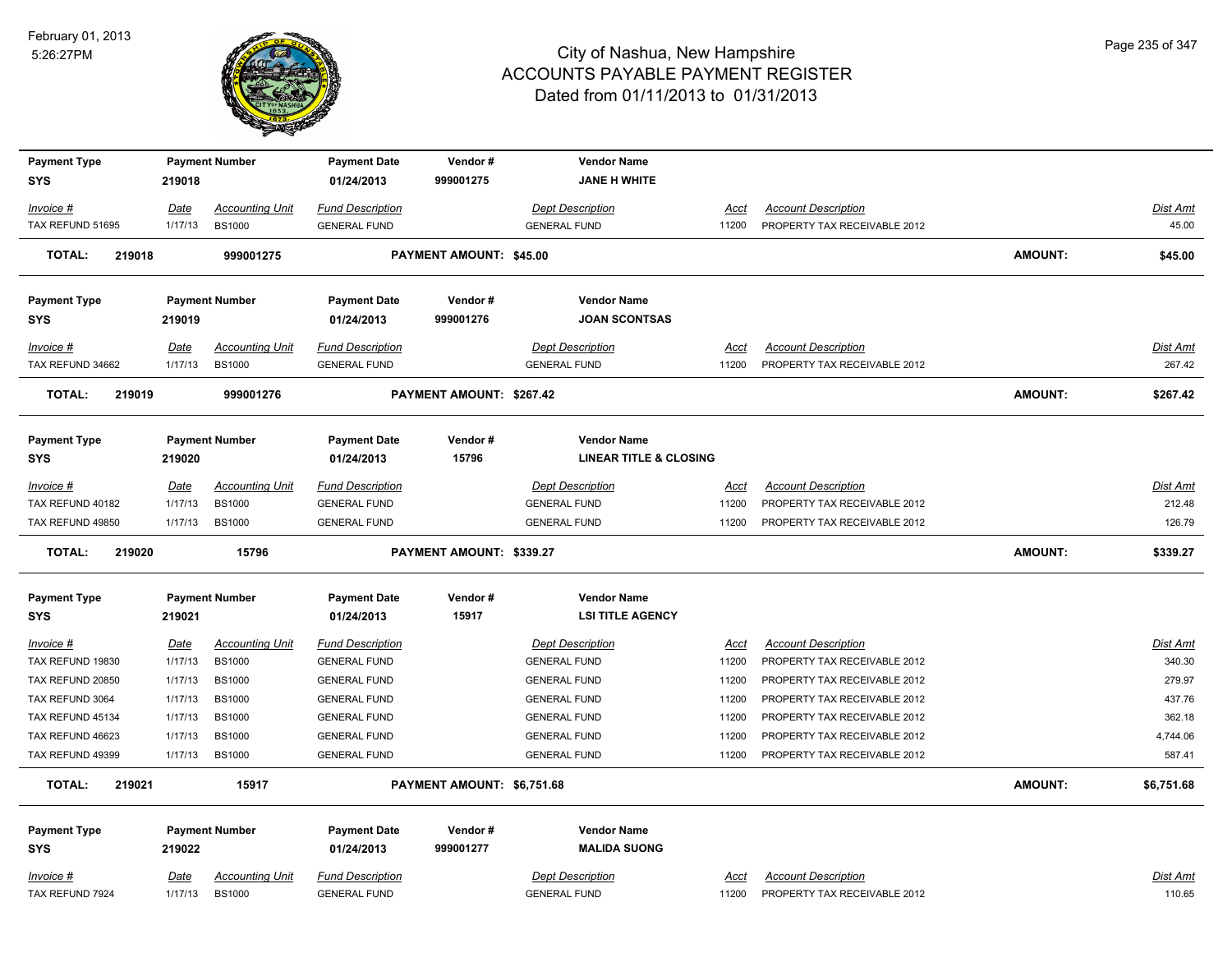

| <b>Payment Type</b>               |             | <b>Payment Number</b>  | <b>Payment Date</b>     | Vendor#                    | <b>Vendor Name</b>                |             |                              |                |                 |
|-----------------------------------|-------------|------------------------|-------------------------|----------------------------|-----------------------------------|-------------|------------------------------|----------------|-----------------|
| <b>SYS</b>                        | 219018      |                        | 01/24/2013              | 999001275                  | <b>JANE H WHITE</b>               |             |                              |                |                 |
| Invoice #                         | Date        | <b>Accounting Unit</b> | <b>Fund Description</b> |                            | <b>Dept Description</b>           | <u>Acct</u> | <b>Account Description</b>   |                | Dist Amt        |
| TAX REFUND 51695                  | 1/17/13     | <b>BS1000</b>          | <b>GENERAL FUND</b>     |                            | <b>GENERAL FUND</b>               | 11200       | PROPERTY TAX RECEIVABLE 2012 |                | 45.00           |
| <b>TOTAL:</b><br>219018           |             | 999001275              |                         | PAYMENT AMOUNT: \$45.00    |                                   |             |                              | <b>AMOUNT:</b> | \$45.00         |
| <b>Payment Type</b>               |             | <b>Payment Number</b>  | <b>Payment Date</b>     | Vendor#                    | <b>Vendor Name</b>                |             |                              |                |                 |
| <b>SYS</b>                        | 219019      |                        | 01/24/2013              | 999001276                  | <b>JOAN SCONTSAS</b>              |             |                              |                |                 |
|                                   |             |                        |                         |                            |                                   |             |                              |                |                 |
| Invoice #                         | Date        | <b>Accounting Unit</b> | <b>Fund Description</b> |                            | <b>Dept Description</b>           | Acct        | <b>Account Description</b>   |                | Dist Amt        |
| TAX REFUND 34662                  | 1/17/13     | <b>BS1000</b>          | <b>GENERAL FUND</b>     |                            | <b>GENERAL FUND</b>               | 11200       | PROPERTY TAX RECEIVABLE 2012 |                | 267.42          |
| <b>TOTAL:</b><br>219019           |             | 999001276              |                         | PAYMENT AMOUNT: \$267.42   |                                   |             |                              | <b>AMOUNT:</b> | \$267.42        |
| <b>Payment Type</b>               |             | <b>Payment Number</b>  | <b>Payment Date</b>     | Vendor#                    | <b>Vendor Name</b>                |             |                              |                |                 |
| <b>SYS</b>                        | 219020      |                        | 01/24/2013              | 15796                      | <b>LINEAR TITLE &amp; CLOSING</b> |             |                              |                |                 |
| <i>Invoice</i> #                  | Date        | <b>Accounting Unit</b> | <b>Fund Description</b> |                            | <b>Dept Description</b>           | Acct        | <b>Account Description</b>   |                | Dist Amt        |
| TAX REFUND 40182                  | 1/17/13     | <b>BS1000</b>          | <b>GENERAL FUND</b>     |                            | <b>GENERAL FUND</b>               | 11200       | PROPERTY TAX RECEIVABLE 2012 |                | 212.48          |
| TAX REFUND 49850                  | 1/17/13     | <b>BS1000</b>          | <b>GENERAL FUND</b>     |                            | <b>GENERAL FUND</b>               | 11200       | PROPERTY TAX RECEIVABLE 2012 |                | 126.79          |
| 219020<br><b>TOTAL:</b>           |             | 15796                  |                         | PAYMENT AMOUNT: \$339.27   |                                   |             |                              | <b>AMOUNT:</b> | \$339.27        |
| <b>Payment Type</b>               |             | <b>Payment Number</b>  | <b>Payment Date</b>     | Vendor#                    | <b>Vendor Name</b>                |             |                              |                |                 |
| <b>SYS</b>                        | 219021      |                        | 01/24/2013              | 15917                      | <b>LSI TITLE AGENCY</b>           |             |                              |                |                 |
| Invoice #                         | <b>Date</b> | <b>Accounting Unit</b> | <b>Fund Description</b> |                            | <b>Dept Description</b>           | <u>Acct</u> | <b>Account Description</b>   |                | <b>Dist Amt</b> |
| TAX REFUND 19830                  | 1/17/13     | <b>BS1000</b>          | <b>GENERAL FUND</b>     |                            | <b>GENERAL FUND</b>               | 11200       | PROPERTY TAX RECEIVABLE 2012 |                | 340.30          |
| TAX REFUND 20850                  | 1/17/13     | <b>BS1000</b>          | <b>GENERAL FUND</b>     |                            | <b>GENERAL FUND</b>               | 11200       | PROPERTY TAX RECEIVABLE 2012 |                | 279.97          |
| TAX REFUND 3064                   | 1/17/13     | <b>BS1000</b>          | <b>GENERAL FUND</b>     |                            | <b>GENERAL FUND</b>               | 11200       | PROPERTY TAX RECEIVABLE 2012 |                | 437.76          |
| TAX REFUND 45134                  | 1/17/13     | <b>BS1000</b>          | <b>GENERAL FUND</b>     |                            | <b>GENERAL FUND</b>               | 11200       | PROPERTY TAX RECEIVABLE 2012 |                | 362.18          |
| TAX REFUND 46623                  | 1/17/13     | <b>BS1000</b>          | <b>GENERAL FUND</b>     |                            | <b>GENERAL FUND</b>               | 11200       | PROPERTY TAX RECEIVABLE 2012 |                | 4,744.06        |
| TAX REFUND 49399                  | 1/17/13     | <b>BS1000</b>          | <b>GENERAL FUND</b>     |                            | <b>GENERAL FUND</b>               | 11200       | PROPERTY TAX RECEIVABLE 2012 |                | 587.41          |
| <b>TOTAL:</b><br>219021           |             | 15917                  |                         | PAYMENT AMOUNT: \$6,751.68 |                                   |             |                              | <b>AMOUNT:</b> | \$6,751.68      |
|                                   |             | <b>Payment Number</b>  | <b>Payment Date</b>     | Vendor#                    | <b>Vendor Name</b>                |             |                              |                |                 |
|                                   |             |                        |                         |                            |                                   |             |                              |                |                 |
| <b>Payment Type</b><br><b>SYS</b> | 219022      |                        | 01/24/2013              | 999001277                  | <b>MALIDA SUONG</b>               |             |                              |                |                 |
| Invoice #                         | Date        | <b>Accounting Unit</b> | <b>Fund Description</b> |                            | Dept Description                  | Acct        | <b>Account Description</b>   |                | Dist Amt        |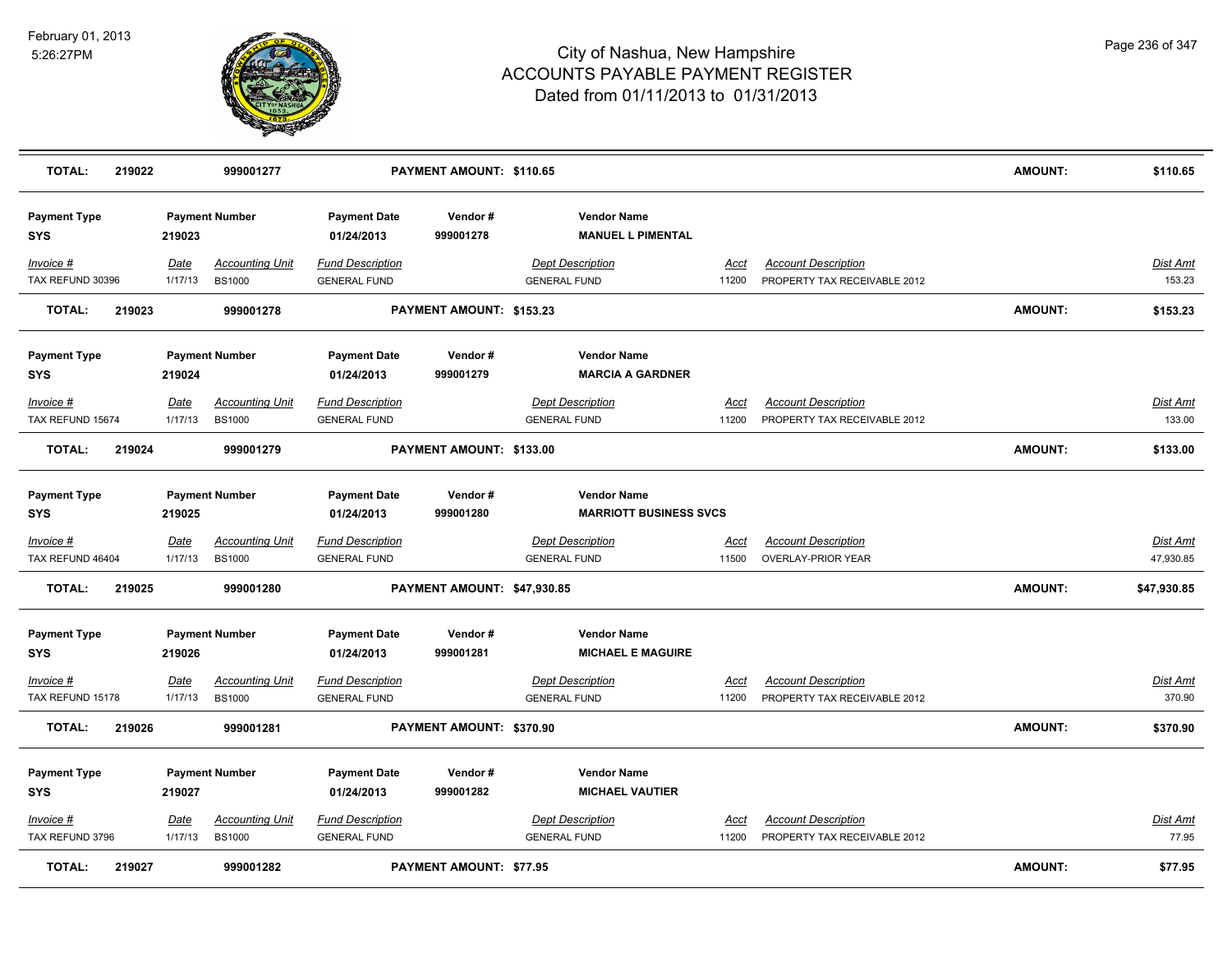

| <b>TOTAL:</b>                        | 219022 |                        | 999001277                               |                                                | PAYMENT AMOUNT: \$110.65       |                                                |                                                     |             |                                                            | <b>AMOUNT:</b> | \$110.65                 |
|--------------------------------------|--------|------------------------|-----------------------------------------|------------------------------------------------|--------------------------------|------------------------------------------------|-----------------------------------------------------|-------------|------------------------------------------------------------|----------------|--------------------------|
| <b>Payment Type</b><br>SYS           |        | 219023                 | <b>Payment Number</b>                   | <b>Payment Date</b><br>01/24/2013              | Vendor#<br>999001278           |                                                | <b>Vendor Name</b><br><b>MANUEL L PIMENTAL</b>      |             |                                                            |                |                          |
| Invoice #<br>TAX REFUND 30396        |        | Date<br>1/17/13        | <b>Accounting Unit</b><br><b>BS1000</b> | <b>Fund Description</b><br><b>GENERAL FUND</b> |                                | <b>Dept Description</b><br><b>GENERAL FUND</b> | 11200                                               | Acct        | <b>Account Description</b><br>PROPERTY TAX RECEIVABLE 2012 |                | Dist Amt<br>153.23       |
| <b>TOTAL:</b>                        | 219023 |                        | 999001278                               |                                                | PAYMENT AMOUNT: \$153.23       |                                                |                                                     |             |                                                            | AMOUNT:        | \$153.23                 |
| <b>Payment Type</b><br>SYS           |        | 219024                 | <b>Payment Number</b>                   | <b>Payment Date</b><br>01/24/2013              | Vendor#<br>999001279           |                                                | <b>Vendor Name</b><br><b>MARCIA A GARDNER</b>       |             |                                                            |                |                          |
| Invoice #<br>TAX REFUND 15674        |        | <u>Date</u><br>1/17/13 | <b>Accounting Unit</b><br><b>BS1000</b> | <b>Fund Description</b><br><b>GENERAL FUND</b> |                                | <b>Dept Description</b><br><b>GENERAL FUND</b> | 11200                                               | <u>Acct</u> | <b>Account Description</b><br>PROPERTY TAX RECEIVABLE 2012 |                | Dist Amt<br>133.00       |
| <b>TOTAL:</b>                        | 219024 |                        | 999001279                               |                                                | PAYMENT AMOUNT: \$133.00       |                                                |                                                     |             |                                                            | <b>AMOUNT:</b> | \$133.00                 |
| <b>Payment Type</b><br><b>SYS</b>    |        | 219025                 | <b>Payment Number</b>                   | <b>Payment Date</b><br>01/24/2013              | Vendor#<br>999001280           |                                                | <b>Vendor Name</b><br><b>MARRIOTT BUSINESS SVCS</b> |             |                                                            |                |                          |
| <u>Invoice #</u><br>TAX REFUND 46404 |        | Date<br>1/17/13        | <b>Accounting Unit</b><br><b>BS1000</b> | <b>Fund Description</b><br><b>GENERAL FUND</b> |                                | <b>Dept Description</b><br><b>GENERAL FUND</b> | 11500                                               | <u>Acct</u> | <b>Account Description</b><br><b>OVERLAY-PRIOR YEAR</b>    |                | Dist Amt<br>47,930.85    |
| <b>TOTAL:</b>                        | 219025 |                        | 999001280                               |                                                | PAYMENT AMOUNT: \$47,930.85    |                                                |                                                     |             |                                                            | <b>AMOUNT:</b> | \$47,930.85              |
| <b>Payment Type</b><br>SYS           |        | 219026                 | <b>Payment Number</b>                   | <b>Payment Date</b><br>01/24/2013              | Vendor#<br>999001281           |                                                | <b>Vendor Name</b><br><b>MICHAEL E MAGUIRE</b>      |             |                                                            |                |                          |
| Invoice #<br>TAX REFUND 15178        |        | Date<br>1/17/13        | <b>Accounting Unit</b><br><b>BS1000</b> | <b>Fund Description</b><br><b>GENERAL FUND</b> |                                | <b>Dept Description</b><br><b>GENERAL FUND</b> | 11200                                               | Acct        | <b>Account Description</b><br>PROPERTY TAX RECEIVABLE 2012 |                | Dist Amt<br>370.90       |
| <b>TOTAL:</b>                        | 219026 |                        | 999001281                               |                                                | PAYMENT AMOUNT: \$370.90       |                                                |                                                     |             |                                                            | <b>AMOUNT:</b> | \$370.90                 |
| <b>Payment Type</b><br>SYS           |        | 219027                 | <b>Payment Number</b>                   | <b>Payment Date</b><br>01/24/2013              | Vendor#<br>999001282           |                                                | <b>Vendor Name</b><br><b>MICHAEL VAUTIER</b>        |             |                                                            |                |                          |
| Invoice #<br>TAX REFUND 3796         |        | Date<br>1/17/13        | <b>Accounting Unit</b><br><b>BS1000</b> | <b>Fund Description</b><br><b>GENERAL FUND</b> |                                | <b>Dept Description</b><br><b>GENERAL FUND</b> | 11200                                               | Acct        | <b>Account Description</b><br>PROPERTY TAX RECEIVABLE 2012 |                | <u>Dist Amt</u><br>77.95 |
| <b>TOTAL:</b>                        | 219027 |                        | 999001282                               |                                                | <b>PAYMENT AMOUNT: \$77.95</b> |                                                |                                                     |             |                                                            | <b>AMOUNT:</b> | \$77.95                  |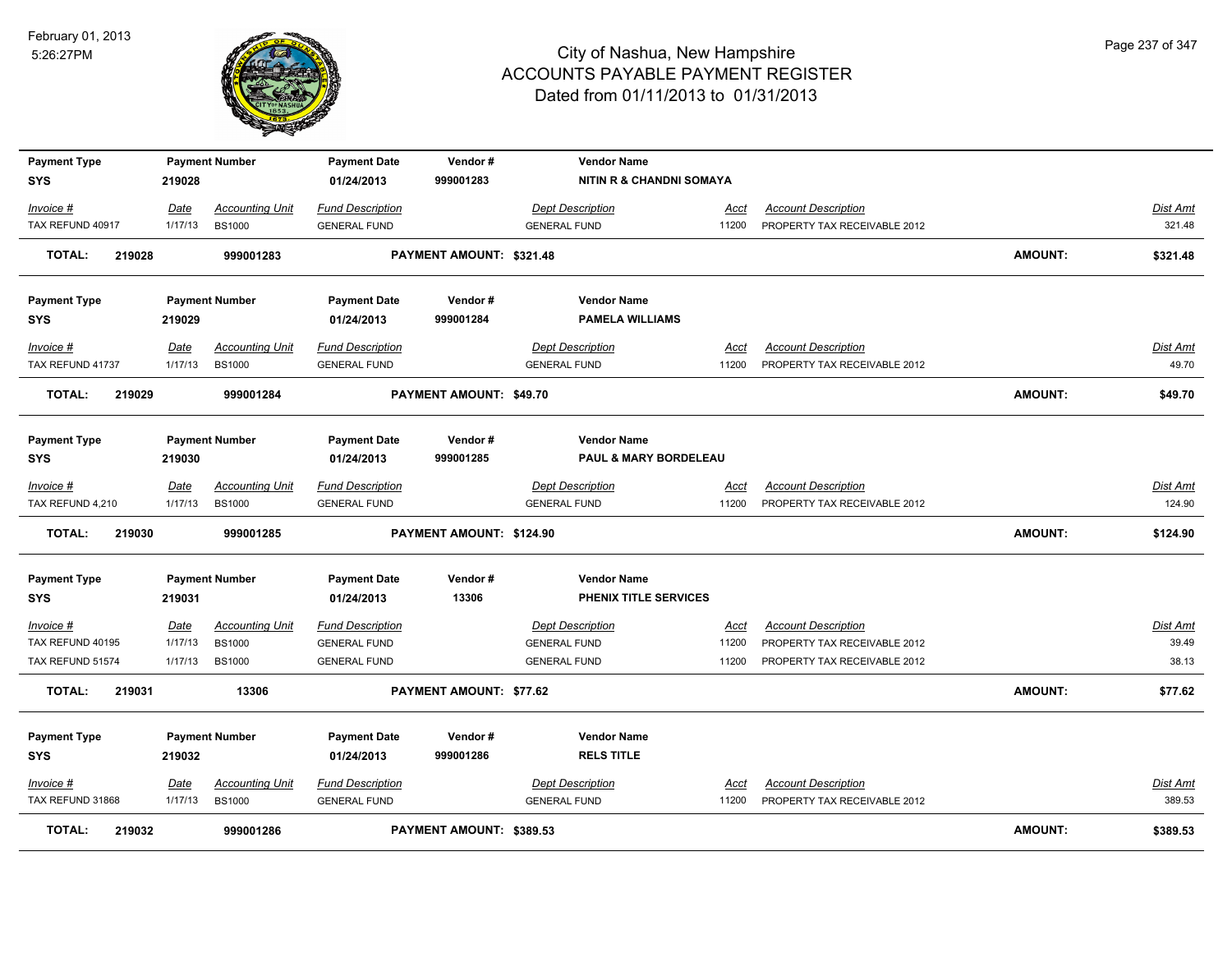

| <b>Payment Type</b><br><b>SYS</b> | 219028      | <b>Payment Number</b>  | <b>Payment Date</b><br>01/24/2013 | Vendor#<br>999001283           | <b>Vendor Name</b><br><b>NITIN R &amp; CHANDNI SOMAYA</b> |             |                              |                |                 |
|-----------------------------------|-------------|------------------------|-----------------------------------|--------------------------------|-----------------------------------------------------------|-------------|------------------------------|----------------|-----------------|
| Invoice #                         | Date        | <b>Accounting Unit</b> | <b>Fund Description</b>           |                                | <b>Dept Description</b>                                   | Acct        | <b>Account Description</b>   |                | Dist Amt        |
| TAX REFUND 40917                  | 1/17/13     | <b>BS1000</b>          | <b>GENERAL FUND</b>               |                                | <b>GENERAL FUND</b>                                       | 11200       | PROPERTY TAX RECEIVABLE 2012 |                | 321.48          |
| <b>TOTAL:</b><br>219028           |             | 999001283              |                                   | PAYMENT AMOUNT: \$321.48       |                                                           |             |                              | <b>AMOUNT:</b> | \$321.48        |
| <b>Payment Type</b><br><b>SYS</b> | 219029      | <b>Payment Number</b>  | <b>Payment Date</b><br>01/24/2013 | Vendor#<br>999001284           | <b>Vendor Name</b><br><b>PAMELA WILLIAMS</b>              |             |                              |                |                 |
| <u> Invoice #</u>                 | Date        | <b>Accounting Unit</b> | <b>Fund Description</b>           |                                | <b>Dept Description</b>                                   | Acct        | <b>Account Description</b>   |                | Dist Amt        |
| TAX REFUND 41737                  | 1/17/13     | <b>BS1000</b>          | <b>GENERAL FUND</b>               |                                | <b>GENERAL FUND</b>                                       | 11200       | PROPERTY TAX RECEIVABLE 2012 |                | 49.70           |
| <b>TOTAL:</b><br>219029           |             | 999001284              |                                   | <b>PAYMENT AMOUNT: \$49.70</b> |                                                           |             |                              | <b>AMOUNT:</b> | \$49.70         |
| <b>Payment Type</b><br><b>SYS</b> | 219030      | <b>Payment Number</b>  | <b>Payment Date</b><br>01/24/2013 | Vendor#<br>999001285           | <b>Vendor Name</b><br>PAUL & MARY BORDELEAU               |             |                              |                |                 |
| Invoice #                         | Date        | <b>Accounting Unit</b> | <b>Fund Description</b>           |                                | <b>Dept Description</b>                                   | Acct        | <b>Account Description</b>   |                | Dist Amt        |
| TAX REFUND 4,210                  | 1/17/13     | <b>BS1000</b>          | <b>GENERAL FUND</b>               |                                | <b>GENERAL FUND</b>                                       | 11200       | PROPERTY TAX RECEIVABLE 2012 |                | 124.90          |
| <b>TOTAL:</b><br>219030           |             | 999001285              |                                   | PAYMENT AMOUNT: \$124.90       |                                                           |             |                              | <b>AMOUNT:</b> | \$124.90        |
| <b>Payment Type</b><br><b>SYS</b> | 219031      | <b>Payment Number</b>  | <b>Payment Date</b><br>01/24/2013 | Vendor#<br>13306               | <b>Vendor Name</b><br>PHENIX TITLE SERVICES               |             |                              |                |                 |
| <u>Invoice #</u>                  | <b>Date</b> | <b>Accounting Unit</b> | <b>Fund Description</b>           |                                | <b>Dept Description</b>                                   | <u>Acct</u> | <b>Account Description</b>   |                | <b>Dist Amt</b> |
| TAX REFUND 40195                  | 1/17/13     | <b>BS1000</b>          | <b>GENERAL FUND</b>               |                                | <b>GENERAL FUND</b>                                       | 11200       | PROPERTY TAX RECEIVABLE 2012 |                | 39.49           |
| TAX REFUND 51574                  | 1/17/13     | <b>BS1000</b>          | <b>GENERAL FUND</b>               |                                | <b>GENERAL FUND</b>                                       | 11200       | PROPERTY TAX RECEIVABLE 2012 |                | 38.13           |
| 219031<br><b>TOTAL:</b>           |             | 13306                  |                                   | <b>PAYMENT AMOUNT: \$77.62</b> |                                                           |             |                              | <b>AMOUNT:</b> | \$77.62         |
| <b>Payment Type</b><br><b>SYS</b> | 219032      | <b>Payment Number</b>  | <b>Payment Date</b><br>01/24/2013 | Vendor#<br>999001286           | <b>Vendor Name</b><br><b>RELS TITLE</b>                   |             |                              |                |                 |
| Invoice #                         | Date        | <b>Accounting Unit</b> | <b>Fund Description</b>           |                                | <b>Dept Description</b>                                   | Acct        | <b>Account Description</b>   |                | Dist Amt        |
| TAX REFUND 31868                  | 1/17/13     | <b>BS1000</b>          | <b>GENERAL FUND</b>               |                                | <b>GENERAL FUND</b>                                       | 11200       | PROPERTY TAX RECEIVABLE 2012 |                | 389.53          |
| <b>TOTAL:</b><br>219032           |             | 999001286              |                                   | PAYMENT AMOUNT: \$389.53       |                                                           |             |                              | <b>AMOUNT:</b> | \$389.53        |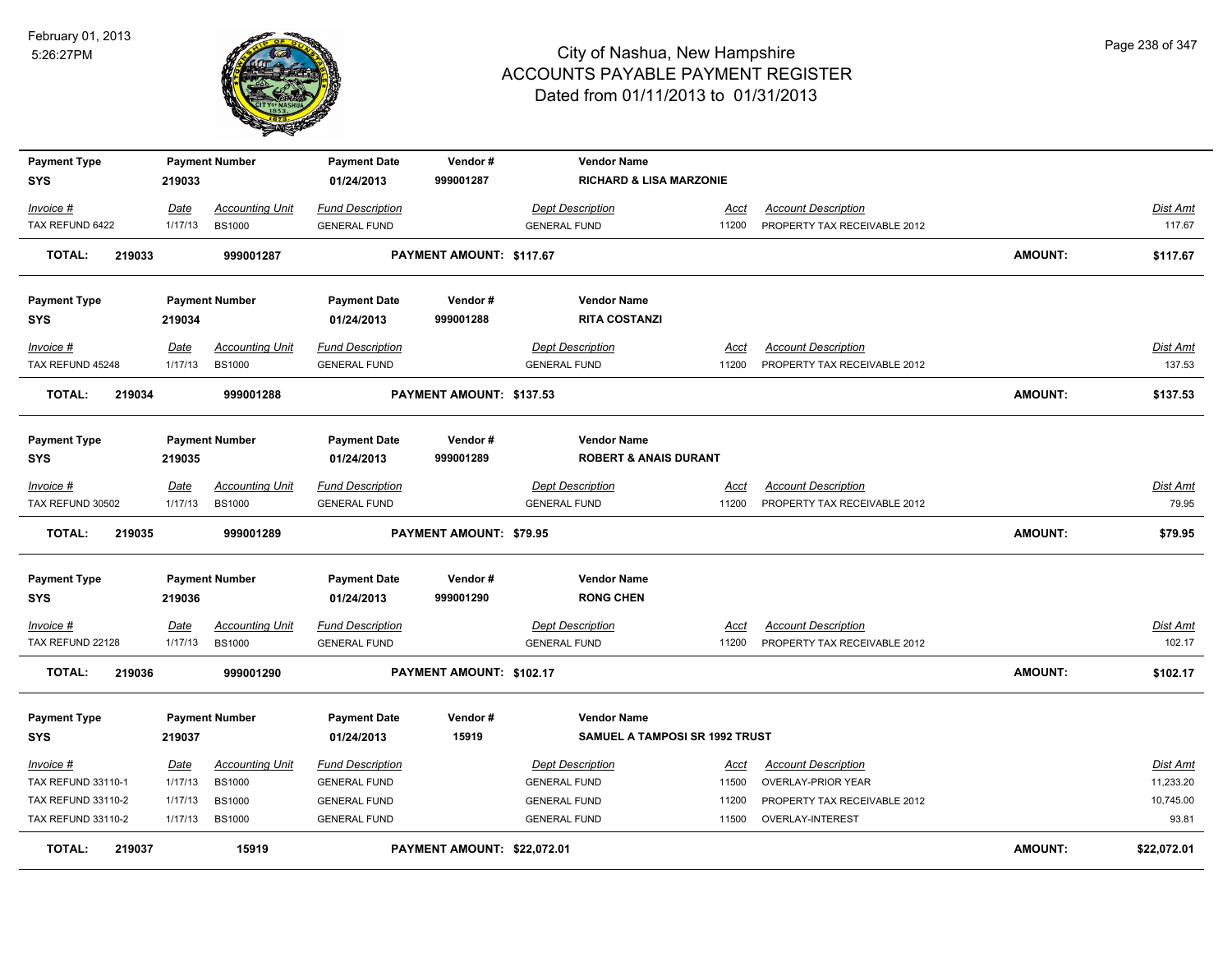

| <b>Payment Type</b>           |                 | <b>Payment Number</b>                   | <b>Payment Date</b>                            | Vendor#                     | <b>Vendor Name</b>                             |               |                                                            |                |                   |
|-------------------------------|-----------------|-----------------------------------------|------------------------------------------------|-----------------------------|------------------------------------------------|---------------|------------------------------------------------------------|----------------|-------------------|
| <b>SYS</b>                    | 219033          |                                         | 01/24/2013                                     | 999001287                   | <b>RICHARD &amp; LISA MARZONIE</b>             |               |                                                            |                |                   |
| Invoice #                     | Date            | <b>Accounting Unit</b>                  | <b>Fund Description</b>                        |                             | <b>Dept Description</b>                        | Acct          | <b>Account Description</b>                                 |                | Dist Amt          |
| TAX REFUND 6422               | 1/17/13         | <b>BS1000</b>                           | <b>GENERAL FUND</b>                            |                             | <b>GENERAL FUND</b>                            | 11200         | PROPERTY TAX RECEIVABLE 2012                               |                | 117.67            |
| <b>TOTAL:</b><br>219033       |                 | 999001287                               |                                                | PAYMENT AMOUNT: \$117.67    |                                                |               |                                                            | <b>AMOUNT:</b> | \$117.67          |
| <b>Payment Type</b>           |                 | <b>Payment Number</b>                   | <b>Payment Date</b>                            | Vendor#                     | <b>Vendor Name</b>                             |               |                                                            |                |                   |
| <b>SYS</b>                    | 219034          |                                         | 01/24/2013                                     | 999001288                   | <b>RITA COSTANZI</b>                           |               |                                                            |                |                   |
| Invoice #                     | Date            | <b>Accounting Unit</b>                  | <b>Fund Description</b>                        |                             | <b>Dept Description</b>                        | Acct          | <b>Account Description</b>                                 |                | <u>Dist Amt</u>   |
| TAX REFUND 45248              | 1/17/13         | <b>BS1000</b>                           | <b>GENERAL FUND</b>                            |                             | <b>GENERAL FUND</b>                            | 11200         | PROPERTY TAX RECEIVABLE 2012                               |                | 137.53            |
| 219034<br><b>TOTAL:</b>       |                 | 999001288                               |                                                | PAYMENT AMOUNT: \$137.53    |                                                |               |                                                            | <b>AMOUNT:</b> | \$137.53          |
| <b>Payment Type</b>           |                 | <b>Payment Number</b>                   | <b>Payment Date</b>                            | Vendor#                     | <b>Vendor Name</b>                             |               |                                                            |                |                   |
| <b>SYS</b>                    | 219035          |                                         | 01/24/2013                                     | 999001289                   | <b>ROBERT &amp; ANAIS DURANT</b>               |               |                                                            |                |                   |
| Invoice #<br>TAX REFUND 30502 | Date<br>1/17/13 | <b>Accounting Unit</b><br><b>BS1000</b> | <b>Fund Description</b><br><b>GENERAL FUND</b> |                             | <b>Dept Description</b><br><b>GENERAL FUND</b> | Acct<br>11200 | <b>Account Description</b><br>PROPERTY TAX RECEIVABLE 2012 |                | Dist Amt<br>79.95 |
| <b>TOTAL:</b><br>219035       |                 | 999001289                               |                                                | PAYMENT AMOUNT: \$79.95     |                                                |               |                                                            | <b>AMOUNT:</b> | \$79.95           |
| <b>Payment Type</b>           |                 | <b>Payment Number</b>                   | <b>Payment Date</b>                            | Vendor#                     | <b>Vendor Name</b>                             |               |                                                            |                |                   |
| <b>SYS</b>                    | 219036          |                                         | 01/24/2013                                     | 999001290                   | <b>RONG CHEN</b>                               |               |                                                            |                |                   |
| Invoice #                     | <b>Date</b>     | <b>Accounting Unit</b>                  | <b>Fund Description</b>                        |                             | <b>Dept Description</b>                        | <u>Acct</u>   | <b>Account Description</b>                                 |                | <u>Dist Amt</u>   |
| TAX REFUND 22128              | 1/17/13         | <b>BS1000</b>                           | <b>GENERAL FUND</b>                            |                             | <b>GENERAL FUND</b>                            | 11200         | PROPERTY TAX RECEIVABLE 2012                               |                | 102.17            |
| <b>TOTAL:</b><br>219036       |                 | 999001290                               |                                                | PAYMENT AMOUNT: \$102.17    |                                                |               |                                                            | <b>AMOUNT:</b> | \$102.17          |
| <b>Payment Type</b>           |                 | <b>Payment Number</b>                   | <b>Payment Date</b>                            | Vendor#                     | <b>Vendor Name</b>                             |               |                                                            |                |                   |
| <b>SYS</b>                    | 219037          |                                         | 01/24/2013                                     | 15919                       | SAMUEL A TAMPOSI SR 1992 TRUST                 |               |                                                            |                |                   |
| Invoice #                     | <u>Date</u>     | <b>Accounting Unit</b>                  | <b>Fund Description</b>                        |                             | <b>Dept Description</b>                        | Acct          | <b>Account Description</b>                                 |                | Dist Amt          |
| TAX REFUND 33110-1            | 1/17/13         | <b>BS1000</b>                           | <b>GENERAL FUND</b>                            |                             | <b>GENERAL FUND</b>                            | 11500         | <b>OVERLAY-PRIOR YEAR</b>                                  |                | 11,233.20         |
| <b>TAX REFUND 33110-2</b>     | 1/17/13         | <b>BS1000</b>                           | <b>GENERAL FUND</b>                            |                             | <b>GENERAL FUND</b>                            | 11200         | PROPERTY TAX RECEIVABLE 2012                               |                | 10,745.00         |
| <b>TAX REFUND 33110-2</b>     | 1/17/13         | <b>BS1000</b>                           | <b>GENERAL FUND</b>                            |                             | <b>GENERAL FUND</b>                            | 11500         | OVERLAY-INTEREST                                           |                | 93.81             |
| <b>TOTAL:</b><br>219037       |                 | 15919                                   |                                                | PAYMENT AMOUNT: \$22,072.01 |                                                |               |                                                            | <b>AMOUNT:</b> | \$22,072.01       |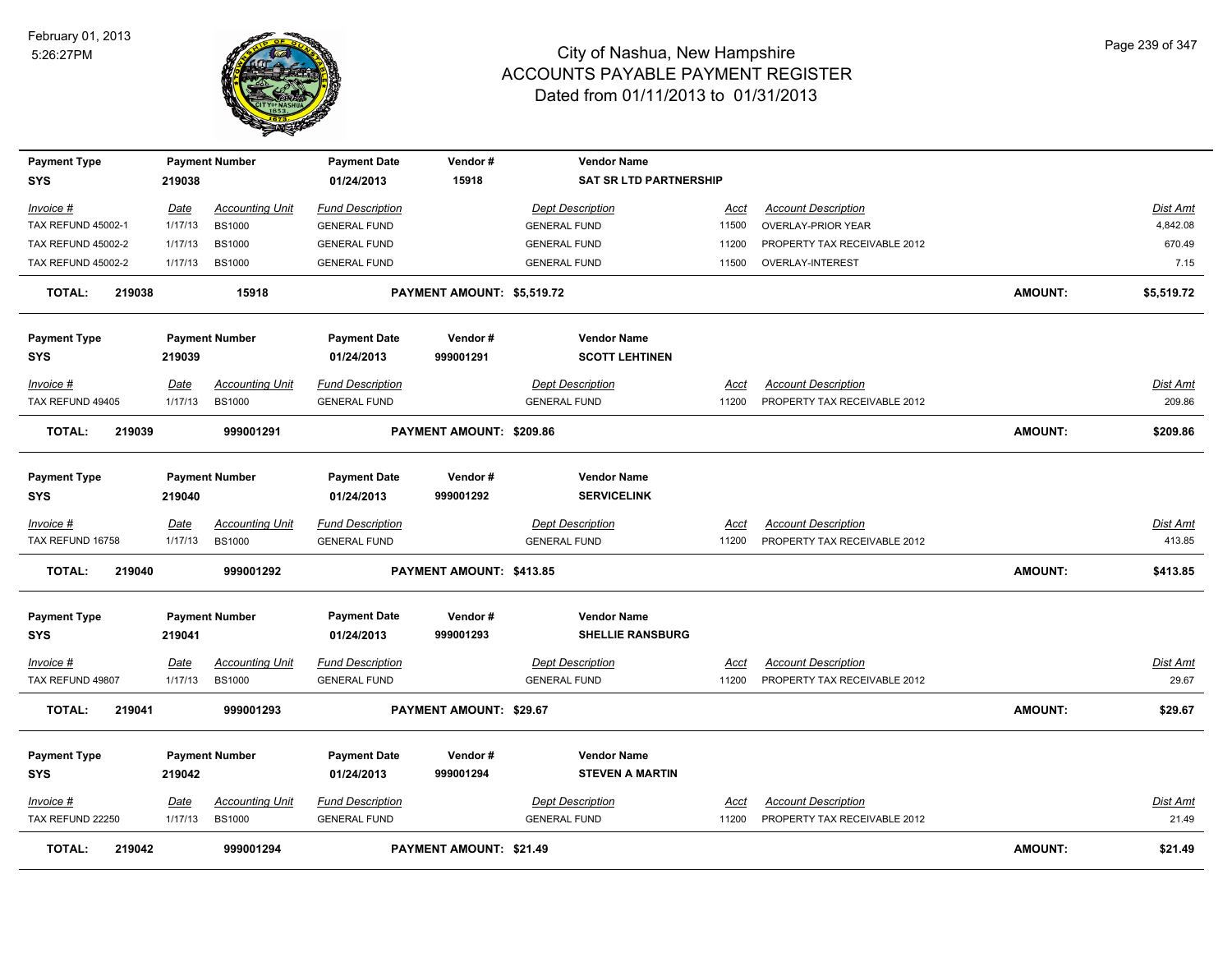

| <b>Payment Type</b>       |             | <b>Payment Number</b>  | <b>Payment Date</b>     | Vendor#                    | <b>Vendor Name</b>            |             |                              |                |                 |
|---------------------------|-------------|------------------------|-------------------------|----------------------------|-------------------------------|-------------|------------------------------|----------------|-----------------|
| <b>SYS</b>                | 219038      |                        | 01/24/2013              | 15918                      | <b>SAT SR LTD PARTNERSHIP</b> |             |                              |                |                 |
| Invoice #                 | Date        | <b>Accounting Unit</b> | <b>Fund Description</b> |                            | <b>Dept Description</b>       | Acct        | <b>Account Description</b>   |                | Dist Amt        |
| TAX REFUND 45002-1        | 1/17/13     | <b>BS1000</b>          | <b>GENERAL FUND</b>     |                            | <b>GENERAL FUND</b>           | 11500       | <b>OVERLAY-PRIOR YEAR</b>    |                | 4,842.08        |
| <b>TAX REFUND 45002-2</b> | 1/17/13     | <b>BS1000</b>          | <b>GENERAL FUND</b>     |                            | <b>GENERAL FUND</b>           | 11200       | PROPERTY TAX RECEIVABLE 2012 |                | 670.49          |
| <b>TAX REFUND 45002-2</b> | 1/17/13     | <b>BS1000</b>          | <b>GENERAL FUND</b>     |                            | <b>GENERAL FUND</b>           | 11500       | OVERLAY-INTEREST             |                | 7.15            |
| <b>TOTAL:</b><br>219038   |             | 15918                  |                         | PAYMENT AMOUNT: \$5,519.72 |                               |             |                              | <b>AMOUNT:</b> | \$5,519.72      |
| <b>Payment Type</b>       |             | <b>Payment Number</b>  | <b>Payment Date</b>     | Vendor#                    | <b>Vendor Name</b>            |             |                              |                |                 |
| <b>SYS</b>                | 219039      |                        | 01/24/2013              | 999001291                  | <b>SCOTT LEHTINEN</b>         |             |                              |                |                 |
| Invoice #                 | Date        | <b>Accounting Unit</b> | <b>Fund Description</b> |                            | <b>Dept Description</b>       | Acct        | <b>Account Description</b>   |                | Dist Amt        |
| TAX REFUND 49405          | 1/17/13     | <b>BS1000</b>          | <b>GENERAL FUND</b>     |                            | <b>GENERAL FUND</b>           | 11200       | PROPERTY TAX RECEIVABLE 2012 |                | 209.86          |
| <b>TOTAL:</b><br>219039   |             | 999001291              |                         | PAYMENT AMOUNT: \$209.86   |                               |             |                              | <b>AMOUNT:</b> | \$209.86        |
| <b>Payment Type</b>       |             | <b>Payment Number</b>  | <b>Payment Date</b>     | Vendor#                    | <b>Vendor Name</b>            |             |                              |                |                 |
| <b>SYS</b>                | 219040      |                        | 01/24/2013              | 999001292                  | <b>SERVICELINK</b>            |             |                              |                |                 |
| Invoice #                 | <b>Date</b> | <b>Accounting Unit</b> | <b>Fund Description</b> |                            | <b>Dept Description</b>       | Acct        | <b>Account Description</b>   |                | Dist Amt        |
| TAX REFUND 16758          | 1/17/13     | <b>BS1000</b>          | <b>GENERAL FUND</b>     |                            | <b>GENERAL FUND</b>           | 11200       | PROPERTY TAX RECEIVABLE 2012 |                | 413.85          |
| <b>TOTAL:</b><br>219040   |             | 999001292              |                         | PAYMENT AMOUNT: \$413.85   |                               |             |                              | <b>AMOUNT:</b> | \$413.85        |
| <b>Payment Type</b>       |             | <b>Payment Number</b>  | <b>Payment Date</b>     | Vendor#                    | <b>Vendor Name</b>            |             |                              |                |                 |
| <b>SYS</b>                | 219041      |                        | 01/24/2013              | 999001293                  | <b>SHELLIE RANSBURG</b>       |             |                              |                |                 |
| Invoice #                 | <b>Date</b> | <b>Accounting Unit</b> | <b>Fund Description</b> |                            | <b>Dept Description</b>       | <u>Acct</u> | <b>Account Description</b>   |                | <u>Dist Amt</u> |
| TAX REFUND 49807          | 1/17/13     | <b>BS1000</b>          | <b>GENERAL FUND</b>     |                            | <b>GENERAL FUND</b>           | 11200       | PROPERTY TAX RECEIVABLE 2012 |                | 29.67           |
| <b>TOTAL:</b><br>219041   |             | 999001293              |                         | PAYMENT AMOUNT: \$29.67    |                               |             |                              | <b>AMOUNT:</b> | \$29.67         |
| <b>Payment Type</b>       |             | <b>Payment Number</b>  | <b>Payment Date</b>     | Vendor#                    | <b>Vendor Name</b>            |             |                              |                |                 |
| SYS                       | 219042      |                        | 01/24/2013              | 999001294                  | <b>STEVEN A MARTIN</b>        |             |                              |                |                 |
| Invoice #                 | <u>Date</u> | <b>Accounting Unit</b> | <b>Fund Description</b> |                            | <b>Dept Description</b>       | Acct        | <b>Account Description</b>   |                | <b>Dist Amt</b> |
| TAX REFUND 22250          | 1/17/13     | <b>BS1000</b>          | <b>GENERAL FUND</b>     |                            | <b>GENERAL FUND</b>           | 11200       | PROPERTY TAX RECEIVABLE 2012 |                | 21.49           |
| <b>TOTAL:</b><br>219042   |             | 999001294              |                         | PAYMENT AMOUNT: \$21.49    |                               |             |                              | AMOUNT:        | \$21.49         |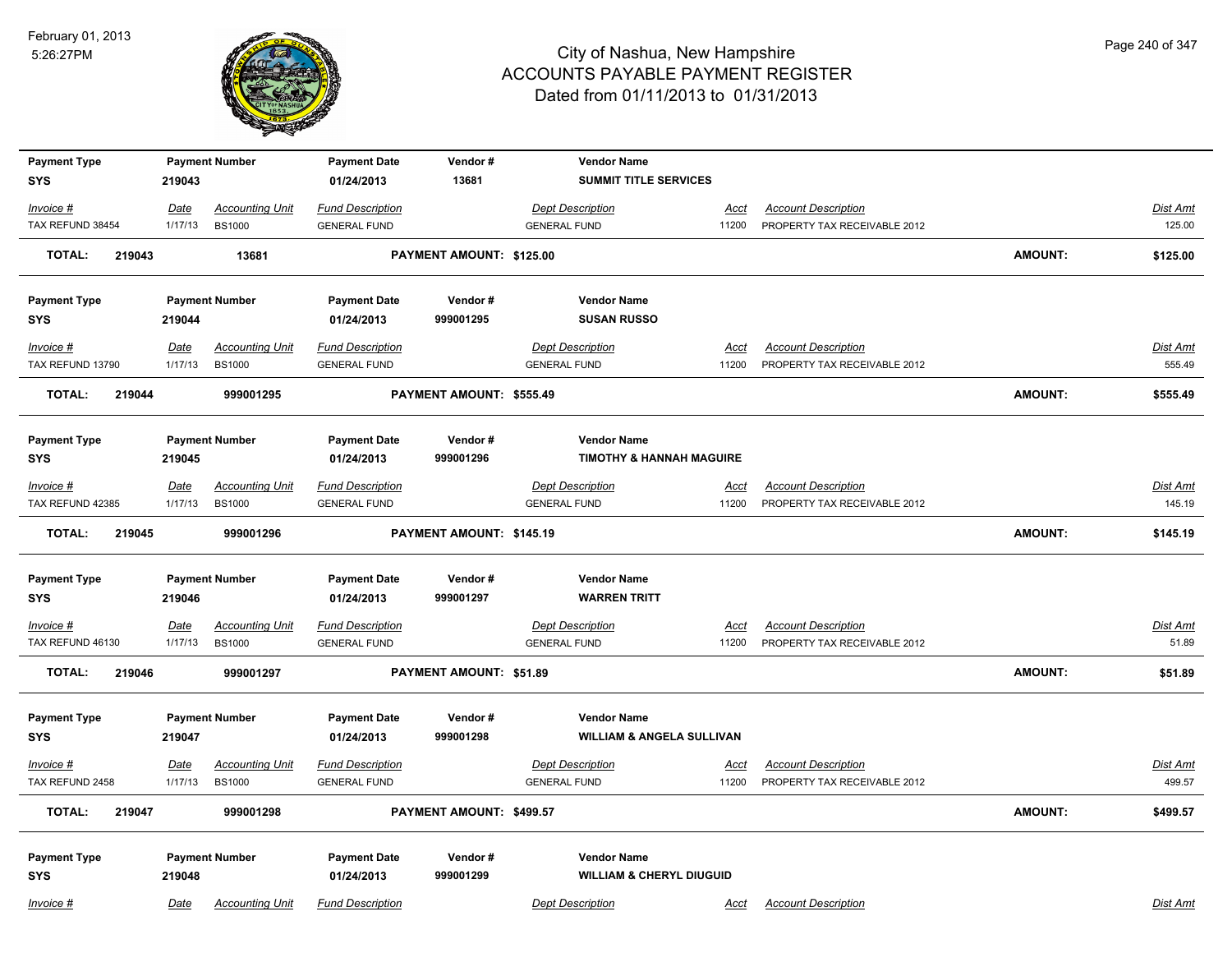

| <b>Payment Type</b>          |                 | <b>Payment Number</b>                   | <b>Payment Date</b>                            | Vendor#                        | <b>Vendor Name</b>                             |                      |                                                            |                |                           |
|------------------------------|-----------------|-----------------------------------------|------------------------------------------------|--------------------------------|------------------------------------------------|----------------------|------------------------------------------------------------|----------------|---------------------------|
| <b>SYS</b>                   | 219043          |                                         | 01/24/2013                                     | 13681                          | <b>SUMMIT TITLE SERVICES</b>                   |                      |                                                            |                |                           |
| Invoice #                    | Date            | <b>Accounting Unit</b>                  | <b>Fund Description</b>                        |                                | <b>Dept Description</b>                        | Acct                 | <b>Account Description</b>                                 |                | <u>Dist Amt</u>           |
| TAX REFUND 38454             | 1/17/13         | <b>BS1000</b>                           | <b>GENERAL FUND</b>                            |                                | <b>GENERAL FUND</b>                            | 11200                | PROPERTY TAX RECEIVABLE 2012                               |                | 125.00                    |
| <b>TOTAL:</b><br>219043      |                 | 13681                                   |                                                | PAYMENT AMOUNT: \$125.00       |                                                |                      |                                                            | <b>AMOUNT:</b> | \$125.00                  |
| <b>Payment Type</b>          |                 | <b>Payment Number</b>                   | <b>Payment Date</b>                            | Vendor#                        | <b>Vendor Name</b>                             |                      |                                                            |                |                           |
| SYS                          | 219044          |                                         | 01/24/2013                                     | 999001295                      | <b>SUSAN RUSSO</b>                             |                      |                                                            |                |                           |
| Invoice #                    | Date            | <b>Accounting Unit</b>                  | <b>Fund Description</b>                        |                                | <b>Dept Description</b>                        | Acct                 | <b>Account Description</b>                                 |                | Dist Amt                  |
| TAX REFUND 13790             | 1/17/13         | <b>BS1000</b>                           | <b>GENERAL FUND</b>                            |                                | <b>GENERAL FUND</b>                            | 11200                | PROPERTY TAX RECEIVABLE 2012                               |                | 555.49                    |
| 219044<br><b>TOTAL:</b>      |                 | 999001295                               |                                                | PAYMENT AMOUNT: \$555.49       |                                                |                      |                                                            | <b>AMOUNT:</b> | \$555.49                  |
| <b>Payment Type</b>          |                 | <b>Payment Number</b>                   | <b>Payment Date</b>                            | Vendor#                        | <b>Vendor Name</b>                             |                      |                                                            |                |                           |
| SYS                          | 219045          |                                         | 01/24/2013                                     | 999001296                      | <b>TIMOTHY &amp; HANNAH MAGUIRE</b>            |                      |                                                            |                |                           |
| Invoice #                    | <u>Date</u>     | <b>Accounting Unit</b>                  | <b>Fund Description</b>                        |                                | <b>Dept Description</b>                        | <u>Acct</u>          | <b>Account Description</b>                                 |                | <b>Dist Amt</b>           |
| TAX REFUND 42385             | 1/17/13         | <b>BS1000</b>                           | <b>GENERAL FUND</b>                            |                                | <b>GENERAL FUND</b>                            | 11200                | PROPERTY TAX RECEIVABLE 2012                               |                | 145.19                    |
| <b>TOTAL:</b><br>219045      |                 | 999001296                               |                                                | PAYMENT AMOUNT: \$145.19       |                                                |                      |                                                            | <b>AMOUNT:</b> | \$145.19                  |
| <b>Payment Type</b>          |                 | <b>Payment Number</b>                   | <b>Payment Date</b>                            | Vendor#                        | <b>Vendor Name</b>                             |                      |                                                            |                |                           |
| <b>SYS</b>                   | 219046          |                                         | 01/24/2013                                     | 999001297                      | <b>WARREN TRITT</b>                            |                      |                                                            |                |                           |
| <u>Invoice #</u>             | <u>Date</u>     | <b>Accounting Unit</b>                  | <b>Fund Description</b>                        |                                | <b>Dept Description</b>                        | <u>Acct</u>          | <b>Account Description</b>                                 |                | Dist Amt                  |
| TAX REFUND 46130             | 1/17/13         | <b>BS1000</b>                           | <b>GENERAL FUND</b>                            |                                | <b>GENERAL FUND</b>                            | 11200                | PROPERTY TAX RECEIVABLE 2012                               |                | 51.89                     |
| <b>TOTAL:</b><br>219046      |                 | 999001297                               |                                                | <b>PAYMENT AMOUNT: \$51.89</b> |                                                |                      |                                                            | <b>AMOUNT:</b> | \$51.89                   |
| <b>Payment Type</b>          |                 | <b>Payment Number</b>                   | <b>Payment Date</b>                            | Vendor#                        | <b>Vendor Name</b>                             |                      |                                                            |                |                           |
| SYS                          | 219047          |                                         | 01/24/2013                                     | 999001298                      | <b>WILLIAM &amp; ANGELA SULLIVAN</b>           |                      |                                                            |                |                           |
|                              |                 |                                         |                                                |                                |                                                |                      |                                                            |                |                           |
| Invoice #<br>TAX REFUND 2458 | Date<br>1/17/13 | <b>Accounting Unit</b><br><b>BS1000</b> | <b>Fund Description</b><br><b>GENERAL FUND</b> |                                | <b>Dept Description</b><br><b>GENERAL FUND</b> | <u>Acct</u><br>11200 | <b>Account Description</b><br>PROPERTY TAX RECEIVABLE 2012 |                | <u>Dist Amt</u><br>499.57 |
|                              |                 |                                         |                                                |                                |                                                |                      |                                                            |                |                           |
| <b>TOTAL:</b><br>219047      |                 | 999001298                               |                                                | PAYMENT AMOUNT: \$499.57       |                                                |                      |                                                            | <b>AMOUNT:</b> | \$499.57                  |
| <b>Payment Type</b>          |                 | <b>Payment Number</b>                   | <b>Payment Date</b>                            | Vendor#                        | <b>Vendor Name</b>                             |                      |                                                            |                |                           |
| <b>SYS</b>                   | 219048          |                                         | 01/24/2013                                     | 999001299                      | <b>WILLIAM &amp; CHERYL DIUGUID</b>            |                      |                                                            |                |                           |
| Invoice #                    | Date            | <b>Accounting Unit</b>                  | <b>Fund Description</b>                        |                                | <b>Dept Description</b>                        | Acct                 | <b>Account Description</b>                                 |                | Dist Amt                  |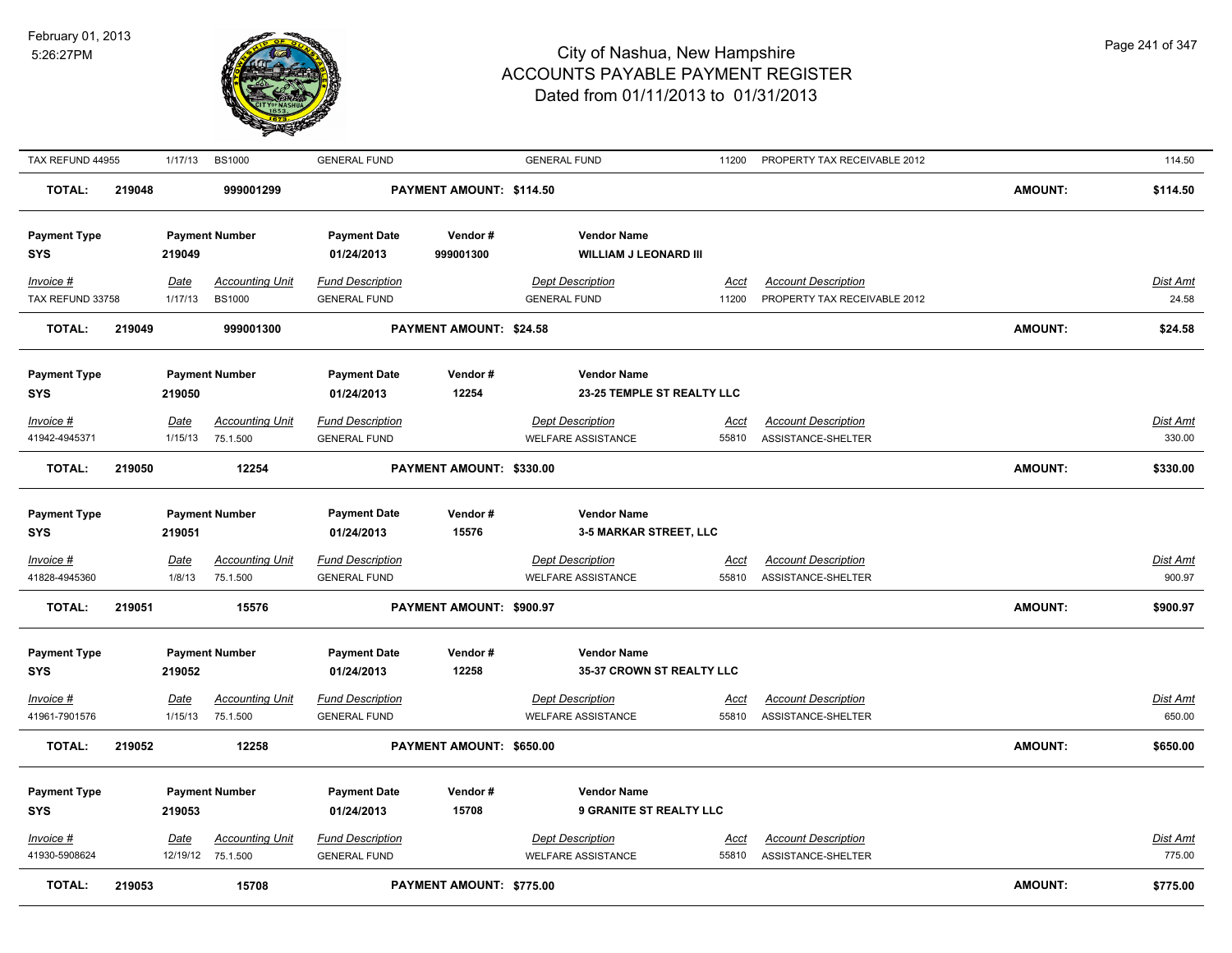

| TAX REFUND 44955                                 |        | 1/17/13                | <b>BS1000</b>                                   | <b>GENERAL FUND</b>                                          |                                 | <b>GENERAL FUND</b>                                                            | 11200                | PROPERTY TAX RECEIVABLE 2012                               |                | 114.50                    |
|--------------------------------------------------|--------|------------------------|-------------------------------------------------|--------------------------------------------------------------|---------------------------------|--------------------------------------------------------------------------------|----------------------|------------------------------------------------------------|----------------|---------------------------|
| <b>TOTAL:</b>                                    | 219048 |                        | 999001299                                       |                                                              | PAYMENT AMOUNT: \$114.50        |                                                                                |                      |                                                            | <b>AMOUNT:</b> | \$114.50                  |
| <b>Payment Type</b><br><b>SYS</b>                |        | 219049                 | <b>Payment Number</b>                           | <b>Payment Date</b><br>01/24/2013                            | Vendor#<br>999001300            | <b>Vendor Name</b><br><b>WILLIAM J LEONARD III</b>                             |                      |                                                            |                |                           |
| $Invoice$ #<br>TAX REFUND 33758                  |        | <b>Date</b><br>1/17/13 | <b>Accounting Unit</b><br><b>BS1000</b>         | <b>Fund Description</b><br><b>GENERAL FUND</b>               |                                 | <b>Dept Description</b><br><b>GENERAL FUND</b>                                 | <u>Acct</u><br>11200 | <b>Account Description</b><br>PROPERTY TAX RECEIVABLE 2012 |                | <b>Dist Amt</b><br>24.58  |
| <b>TOTAL:</b>                                    | 219049 |                        | 999001300                                       |                                                              | PAYMENT AMOUNT: \$24.58         |                                                                                |                      |                                                            | <b>AMOUNT:</b> | \$24.58                   |
| <b>Payment Type</b><br><b>SYS</b>                |        | 219050                 | <b>Payment Number</b>                           | <b>Payment Date</b><br>01/24/2013                            | Vendor#<br>12254                | <b>Vendor Name</b><br>23-25 TEMPLE ST REALTY LLC                               |                      |                                                            |                |                           |
| $Invoice$ #<br>41942-4945371                     |        | Date<br>1/15/13        | <b>Accounting Unit</b><br>75.1.500              | <b>Fund Description</b><br><b>GENERAL FUND</b>               |                                 | <b>Dept Description</b><br><b>WELFARE ASSISTANCE</b>                           | <u>Acct</u><br>55810 | <b>Account Description</b><br>ASSISTANCE-SHELTER           |                | <u>Dist Amt</u><br>330.00 |
| <b>TOTAL:</b>                                    | 219050 |                        | 12254                                           |                                                              | PAYMENT AMOUNT: \$330.00        |                                                                                |                      |                                                            | <b>AMOUNT:</b> | \$330.00                  |
| <b>Payment Type</b><br><b>SYS</b><br>$Invoice$ # |        | 219051<br>Date         | <b>Payment Number</b><br><b>Accounting Unit</b> | <b>Payment Date</b><br>01/24/2013<br><b>Fund Description</b> | Vendor#<br>15576                | <b>Vendor Name</b><br><b>3-5 MARKAR STREET, LLC</b><br><b>Dept Description</b> | <u>Acct</u>          | <b>Account Description</b>                                 |                | <b>Dist Amt</b>           |
| 41828-4945360<br><b>TOTAL:</b>                   | 219051 | 1/8/13                 | 75.1.500<br>15576                               | <b>GENERAL FUND</b>                                          | PAYMENT AMOUNT: \$900.97        | WELFARE ASSISTANCE                                                             | 55810                | ASSISTANCE-SHELTER                                         | <b>AMOUNT:</b> | 900.97<br>\$900.97        |
|                                                  |        |                        |                                                 |                                                              |                                 |                                                                                |                      |                                                            |                |                           |
| <b>Payment Type</b><br><b>SYS</b>                |        | 219052                 | <b>Payment Number</b>                           | <b>Payment Date</b><br>01/24/2013                            | Vendor#<br>12258                | <b>Vendor Name</b><br>35-37 CROWN ST REALTY LLC                                |                      |                                                            |                |                           |
| Invoice #<br>41961-7901576                       |        | <u>Date</u><br>1/15/13 | <b>Accounting Unit</b><br>75.1.500              | <b>Fund Description</b><br><b>GENERAL FUND</b>               |                                 | <b>Dept Description</b><br><b>WELFARE ASSISTANCE</b>                           | <u>Acct</u><br>55810 | <b>Account Description</b><br>ASSISTANCE-SHELTER           |                | <u>Dist Amt</u><br>650.00 |
| TOTAL:                                           | 219052 |                        | 12258                                           |                                                              | PAYMENT AMOUNT: \$650.00        |                                                                                |                      |                                                            | <b>AMOUNT:</b> | \$650.00                  |
| <b>Payment Type</b><br><b>SYS</b>                |        | 219053                 | <b>Payment Number</b>                           | <b>Payment Date</b><br>01/24/2013                            | Vendor#<br>15708                | <b>Vendor Name</b><br>9 GRANITE ST REALTY LLC                                  |                      |                                                            |                |                           |
| $Invoice$ #<br>41930-5908624                     |        | <b>Date</b>            | <b>Accounting Unit</b><br>12/19/12 75.1.500     | <b>Fund Description</b><br><b>GENERAL FUND</b>               |                                 | <b>Dept Description</b><br>WELFARE ASSISTANCE                                  | <u>Acct</u><br>55810 | <b>Account Description</b><br>ASSISTANCE-SHELTER           |                | Dist Amt<br>775.00        |
| <b>TOTAL:</b>                                    | 219053 |                        | 15708                                           |                                                              | <b>PAYMENT AMOUNT: \$775.00</b> |                                                                                |                      |                                                            | <b>AMOUNT:</b> | \$775.00                  |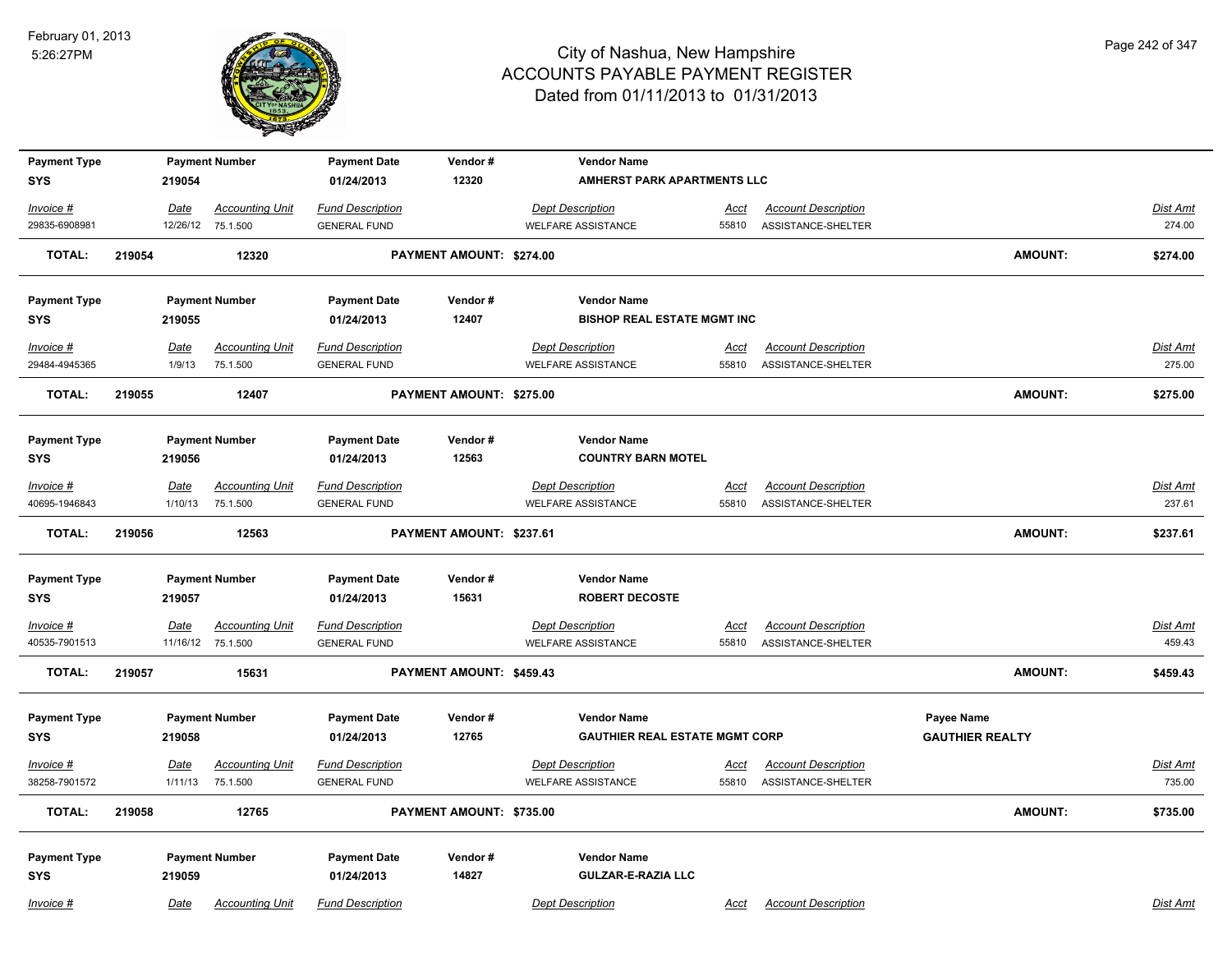

| <b>Payment Type</b>        |        |                 | <b>Payment Number</b>              | <b>Payment Date</b>                            | Vendor#                  | <b>Vendor Name</b>                                   |                                       |                                                  |                        |                           |
|----------------------------|--------|-----------------|------------------------------------|------------------------------------------------|--------------------------|------------------------------------------------------|---------------------------------------|--------------------------------------------------|------------------------|---------------------------|
| <b>SYS</b>                 |        | 219054          |                                    | 01/24/2013                                     | 12320                    |                                                      | <b>AMHERST PARK APARTMENTS LLC</b>    |                                                  |                        |                           |
| Invoice #                  |        | Date            | <b>Accounting Unit</b>             | <b>Fund Description</b>                        |                          | <b>Dept Description</b>                              | <u>Acct</u>                           | <b>Account Description</b>                       |                        | Dist Amt                  |
| 29835-6908981              |        |                 | 12/26/12 75.1.500                  | <b>GENERAL FUND</b>                            |                          | <b>WELFARE ASSISTANCE</b>                            | 55810                                 | ASSISTANCE-SHELTER                               |                        | 274.00                    |
| <b>TOTAL:</b>              | 219054 |                 | 12320                              |                                                | PAYMENT AMOUNT: \$274.00 |                                                      |                                       |                                                  | AMOUNT:                | \$274.00                  |
| <b>Payment Type</b>        |        |                 | <b>Payment Number</b>              | <b>Payment Date</b>                            | Vendor#                  | <b>Vendor Name</b>                                   |                                       |                                                  |                        |                           |
| <b>SYS</b>                 |        | 219055          |                                    | 01/24/2013                                     | 12407                    |                                                      | <b>BISHOP REAL ESTATE MGMT INC</b>    |                                                  |                        |                           |
| Invoice #                  |        | Date            | <b>Accounting Unit</b>             | <b>Fund Description</b>                        |                          | <b>Dept Description</b>                              | Acct                                  | <b>Account Description</b>                       |                        | Dist Amt                  |
| 29484-4945365              |        | 1/9/13          | 75.1.500                           | <b>GENERAL FUND</b>                            |                          | <b>WELFARE ASSISTANCE</b>                            | 55810                                 | ASSISTANCE-SHELTER                               |                        | 275.00                    |
| <b>TOTAL:</b>              | 219055 |                 | 12407                              |                                                | PAYMENT AMOUNT: \$275.00 |                                                      |                                       |                                                  | AMOUNT:                | \$275.00                  |
| <b>Payment Type</b>        |        |                 | <b>Payment Number</b>              | <b>Payment Date</b>                            | Vendor#                  | <b>Vendor Name</b>                                   |                                       |                                                  |                        |                           |
| <b>SYS</b>                 |        | 219056          |                                    | 01/24/2013                                     | 12563                    | <b>COUNTRY BARN MOTEL</b>                            |                                       |                                                  |                        |                           |
| Invoice #<br>40695-1946843 |        | Date<br>1/10/13 | <b>Accounting Unit</b><br>75.1.500 | <b>Fund Description</b><br><b>GENERAL FUND</b> |                          | <b>Dept Description</b><br><b>WELFARE ASSISTANCE</b> | <u>Acct</u><br>55810                  | <b>Account Description</b><br>ASSISTANCE-SHELTER |                        | Dist Amt<br>237.61        |
| <b>TOTAL:</b>              | 219056 |                 | 12563                              |                                                | PAYMENT AMOUNT: \$237.61 |                                                      |                                       |                                                  | AMOUNT:                | \$237.61                  |
| <b>Payment Type</b>        |        |                 | <b>Payment Number</b>              | <b>Payment Date</b>                            | Vendor#                  | <b>Vendor Name</b>                                   |                                       |                                                  |                        |                           |
| <b>SYS</b>                 |        | 219057          |                                    | 01/24/2013                                     | 15631                    | <b>ROBERT DECOSTE</b>                                |                                       |                                                  |                        |                           |
| $Invoice$ #                |        | <b>Date</b>     | <b>Accounting Unit</b>             | <b>Fund Description</b>                        |                          | <b>Dept Description</b>                              | <u>Acct</u>                           | <b>Account Description</b>                       |                        | Dist Amt                  |
| 40535-7901513              |        |                 | 11/16/12 75.1.500                  | <b>GENERAL FUND</b>                            |                          | <b>WELFARE ASSISTANCE</b>                            | 55810                                 | ASSISTANCE-SHELTER                               |                        | 459.43                    |
| <b>TOTAL:</b>              | 219057 |                 | 15631                              |                                                | PAYMENT AMOUNT: \$459.43 |                                                      |                                       |                                                  | AMOUNT:                | \$459.43                  |
| <b>Payment Type</b>        |        |                 | <b>Payment Number</b>              | <b>Payment Date</b>                            | Vendor#                  | <b>Vendor Name</b>                                   |                                       |                                                  | Payee Name             |                           |
| <b>SYS</b>                 |        | 219058          |                                    | 01/24/2013                                     | 12765                    |                                                      | <b>GAUTHIER REAL ESTATE MGMT CORP</b> |                                                  | <b>GAUTHIER REALTY</b> |                           |
| Invoice #<br>38258-7901572 |        | Date<br>1/11/13 | <b>Accounting Unit</b><br>75.1.500 | <b>Fund Description</b><br><b>GENERAL FUND</b> |                          | <b>Dept Description</b><br><b>WELFARE ASSISTANCE</b> | Acct<br>55810                         | <b>Account Description</b><br>ASSISTANCE-SHELTER |                        | <b>Dist Amt</b><br>735.00 |
| TOTAL:                     | 219058 |                 | 12765                              |                                                | PAYMENT AMOUNT: \$735.00 |                                                      |                                       |                                                  | AMOUNT:                | \$735.00                  |
| <b>Payment Type</b>        |        |                 | <b>Payment Number</b>              | <b>Payment Date</b>                            | Vendor#                  | <b>Vendor Name</b>                                   |                                       |                                                  |                        |                           |
| <b>SYS</b>                 |        | 219059          |                                    | 01/24/2013                                     | 14827                    | <b>GULZAR-E-RAZIA LLC</b>                            |                                       |                                                  |                        |                           |
| Invoice #                  |        | Date            | <b>Accounting Unit</b>             | <b>Fund Description</b>                        |                          | <b>Dept Description</b>                              | Acct                                  | <b>Account Description</b>                       |                        | Dist Amt                  |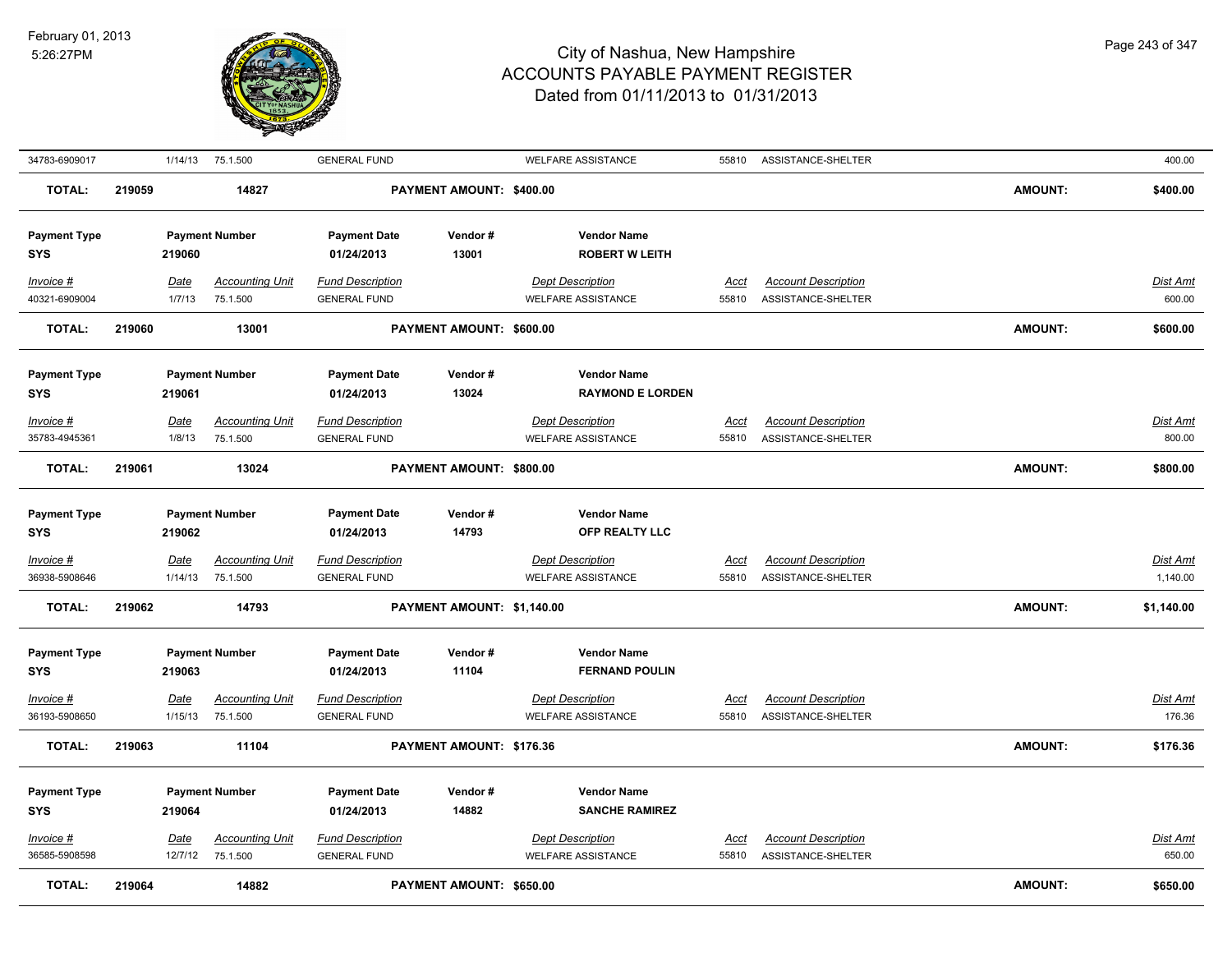

| 34783-6909017                     |        | 1/14/13                | 75.1.500                           | <b>GENERAL FUND</b>                            |                            | <b>WELFARE ASSISTANCE</b>                            | 55810                | ASSISTANCE-SHELTER                               |                | 400.00               |
|-----------------------------------|--------|------------------------|------------------------------------|------------------------------------------------|----------------------------|------------------------------------------------------|----------------------|--------------------------------------------------|----------------|----------------------|
| <b>TOTAL:</b>                     | 219059 |                        | 14827                              |                                                | PAYMENT AMOUNT: \$400.00   |                                                      |                      |                                                  | <b>AMOUNT:</b> | \$400.00             |
| <b>Payment Type</b><br><b>SYS</b> |        | 219060                 | <b>Payment Number</b>              | <b>Payment Date</b><br>01/24/2013              | Vendor#<br>13001           | <b>Vendor Name</b><br><b>ROBERT W LEITH</b>          |                      |                                                  |                |                      |
| Invoice #<br>40321-6909004        |        | Date<br>1/7/13         | <b>Accounting Unit</b><br>75.1.500 | <b>Fund Description</b><br><b>GENERAL FUND</b> |                            | <b>Dept Description</b><br><b>WELFARE ASSISTANCE</b> | Acct<br>55810        | <b>Account Description</b><br>ASSISTANCE-SHELTER |                | Dist Amt<br>600.00   |
| <b>TOTAL:</b>                     | 219060 |                        | 13001                              |                                                | PAYMENT AMOUNT: \$600.00   |                                                      |                      |                                                  | <b>AMOUNT:</b> | \$600.00             |
| <b>Payment Type</b><br><b>SYS</b> |        | 219061                 | <b>Payment Number</b>              | <b>Payment Date</b><br>01/24/2013              | Vendor#<br>13024           | <b>Vendor Name</b><br><b>RAYMOND E LORDEN</b>        |                      |                                                  |                |                      |
| $Invoice$ #                       |        | <b>Date</b>            | <b>Accounting Unit</b>             | <u>Fund Description</u>                        |                            | <b>Dept Description</b>                              | <u>Acct</u>          | <b>Account Description</b>                       |                | <u>Dist Amt</u>      |
| 35783-4945361                     |        | 1/8/13                 | 75.1.500                           | <b>GENERAL FUND</b>                            |                            | <b>WELFARE ASSISTANCE</b>                            | 55810                | ASSISTANCE-SHELTER                               |                | 800.00               |
| <b>TOTAL:</b>                     | 219061 |                        | 13024                              |                                                | PAYMENT AMOUNT: \$800.00   |                                                      |                      |                                                  | <b>AMOUNT:</b> | \$800.00             |
| <b>Payment Type</b><br><b>SYS</b> |        | 219062                 | <b>Payment Number</b>              | <b>Payment Date</b><br>01/24/2013              | Vendor#<br>14793           | <b>Vendor Name</b><br>OFP REALTY LLC                 |                      |                                                  |                |                      |
| $Invoice$ #<br>36938-5908646      |        | <u>Date</u><br>1/14/13 | <b>Accounting Unit</b><br>75.1.500 | <b>Fund Description</b><br><b>GENERAL FUND</b> |                            | <b>Dept Description</b><br><b>WELFARE ASSISTANCE</b> | <u>Acct</u><br>55810 | <b>Account Description</b><br>ASSISTANCE-SHELTER |                | Dist Amt<br>1,140.00 |
| <b>TOTAL:</b>                     | 219062 |                        | 14793                              |                                                | PAYMENT AMOUNT: \$1,140.00 |                                                      |                      |                                                  | <b>AMOUNT:</b> | \$1,140.00           |
| <b>Payment Type</b><br><b>SYS</b> |        | 219063                 | <b>Payment Number</b>              | <b>Payment Date</b><br>01/24/2013              | Vendor#<br>11104           | <b>Vendor Name</b><br><b>FERNAND POULIN</b>          |                      |                                                  |                |                      |
| Invoice #                         |        | <u>Date</u>            | <b>Accounting Unit</b>             | <b>Fund Description</b>                        |                            | <b>Dept Description</b>                              | Acct                 | <b>Account Description</b>                       |                | Dist Amt             |
| 36193-5908650                     |        | 1/15/13                | 75.1.500                           | <b>GENERAL FUND</b>                            |                            | <b>WELFARE ASSISTANCE</b>                            | 55810                | ASSISTANCE-SHELTER                               |                | 176.36               |
| TOTAL:                            | 219063 |                        | 11104                              |                                                | PAYMENT AMOUNT: \$176.36   |                                                      |                      |                                                  | <b>AMOUNT:</b> | \$176.36             |
| <b>Payment Type</b><br><b>SYS</b> |        | 219064                 | <b>Payment Number</b>              | <b>Payment Date</b><br>01/24/2013              | Vendor#<br>14882           | <b>Vendor Name</b><br><b>SANCHE RAMIREZ</b>          |                      |                                                  |                |                      |
| Invoice #                         |        | <b>Date</b>            | <b>Accounting Unit</b>             | <b>Fund Description</b>                        |                            | <b>Dept Description</b>                              | <u>Acct</u>          | <b>Account Description</b>                       |                | <u>Dist Amt</u>      |
| 36585-5908598                     |        | 12/7/12                | 75.1.500                           | <b>GENERAL FUND</b>                            |                            | <b>WELFARE ASSISTANCE</b>                            | 55810                | ASSISTANCE-SHELTER                               |                | 650.00               |
| <b>TOTAL:</b>                     | 219064 |                        | 14882                              |                                                | PAYMENT AMOUNT: \$650.00   |                                                      |                      |                                                  | <b>AMOUNT:</b> | \$650.00             |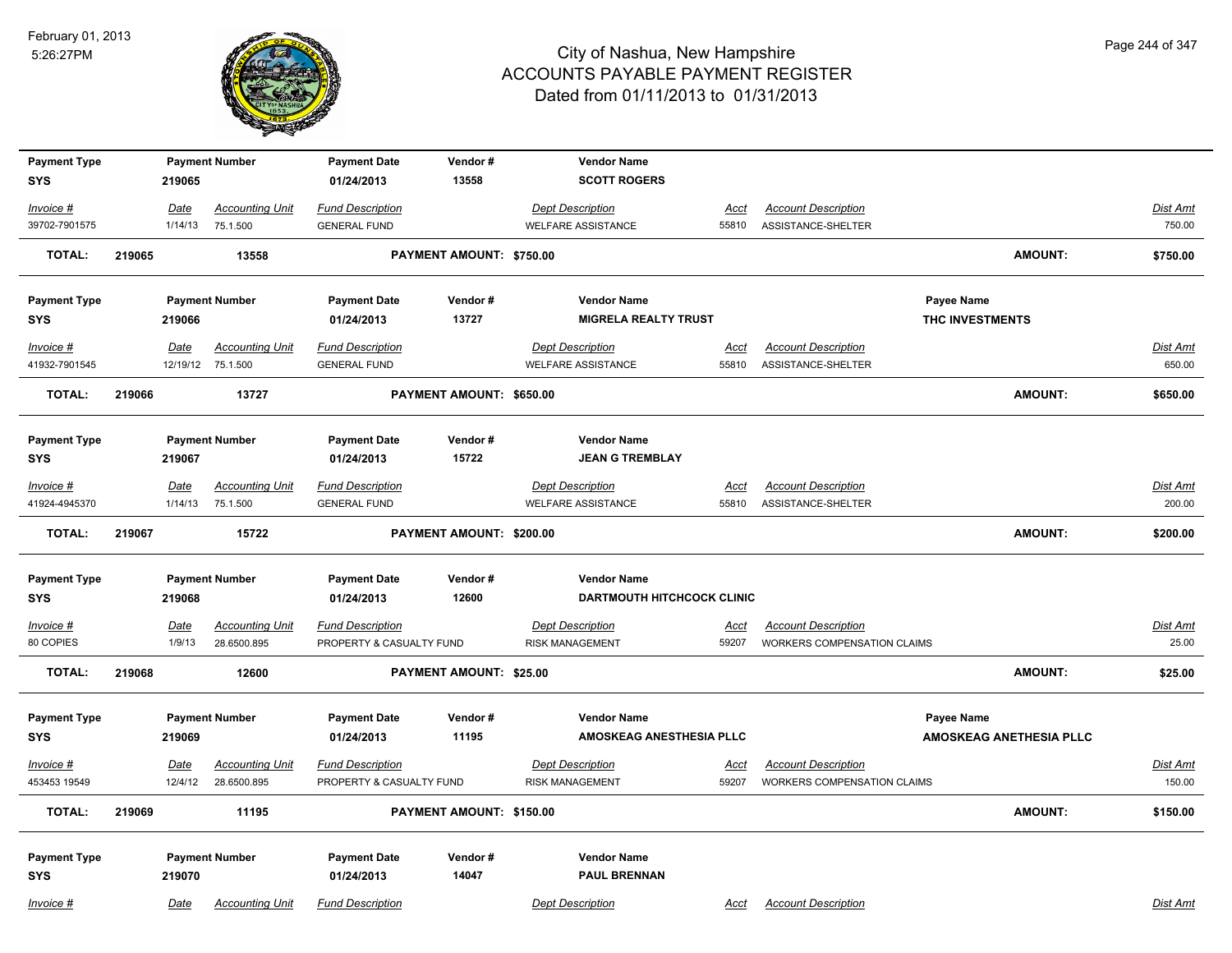

| <b>Payment Type</b><br><b>SYS</b> |        | 219065          | <b>Payment Number</b>              | <b>Payment Date</b><br>01/24/2013              | Vendor#<br>13558               | <b>Vendor Name</b>                                   | <b>SCOTT ROGERS</b>               |                                                  |                 |                                |                    |
|-----------------------------------|--------|-----------------|------------------------------------|------------------------------------------------|--------------------------------|------------------------------------------------------|-----------------------------------|--------------------------------------------------|-----------------|--------------------------------|--------------------|
|                                   |        |                 |                                    |                                                |                                |                                                      |                                   |                                                  |                 |                                |                    |
| Invoice #                         |        | Date            | <b>Accounting Unit</b>             | <b>Fund Description</b>                        |                                | <b>Dept Description</b>                              | <u>Acct</u>                       | <b>Account Description</b>                       |                 |                                | Dist Amt           |
| 39702-7901575                     |        | 1/14/13         | 75.1.500                           | <b>GENERAL FUND</b>                            |                                | WELFARE ASSISTANCE                                   | 55810                             | ASSISTANCE-SHELTER                               |                 |                                | 750.00             |
| <b>TOTAL:</b>                     | 219065 |                 | 13558                              |                                                | PAYMENT AMOUNT: \$750.00       |                                                      |                                   |                                                  |                 | <b>AMOUNT:</b>                 | \$750.00           |
| <b>Payment Type</b>               |        |                 | <b>Payment Number</b>              | <b>Payment Date</b>                            | Vendor#                        | <b>Vendor Name</b>                                   |                                   |                                                  | Payee Name      |                                |                    |
| SYS                               |        | 219066          |                                    | 01/24/2013                                     | 13727                          |                                                      | <b>MIGRELA REALTY TRUST</b>       |                                                  | THC INVESTMENTS |                                |                    |
| Invoice #                         |        | <b>Date</b>     | <b>Accounting Unit</b>             | <b>Fund Description</b>                        |                                | <b>Dept Description</b>                              | <u>Acct</u>                       | <b>Account Description</b>                       |                 |                                | <b>Dist Amt</b>    |
| 41932-7901545                     |        |                 | 12/19/12 75.1.500                  | <b>GENERAL FUND</b>                            |                                | <b>WELFARE ASSISTANCE</b>                            | 55810                             | ASSISTANCE-SHELTER                               |                 |                                | 650.00             |
| <b>TOTAL:</b>                     | 219066 |                 | 13727                              |                                                | PAYMENT AMOUNT: \$650.00       |                                                      |                                   |                                                  |                 | <b>AMOUNT:</b>                 | \$650.00           |
| <b>Payment Type</b>               |        |                 | <b>Payment Number</b>              | <b>Payment Date</b>                            | Vendor#                        | <b>Vendor Name</b>                                   |                                   |                                                  |                 |                                |                    |
| SYS                               |        | 219067          |                                    | 01/24/2013                                     | 15722                          |                                                      | <b>JEAN G TREMBLAY</b>            |                                                  |                 |                                |                    |
| Invoice #<br>41924-4945370        |        | Date<br>1/14/13 | <b>Accounting Unit</b><br>75.1.500 | <b>Fund Description</b><br><b>GENERAL FUND</b> |                                | <b>Dept Description</b><br><b>WELFARE ASSISTANCE</b> | Acct<br>55810                     | <b>Account Description</b><br>ASSISTANCE-SHELTER |                 |                                | Dist Amt<br>200.00 |
|                                   |        |                 |                                    |                                                |                                |                                                      |                                   |                                                  |                 |                                |                    |
| <b>TOTAL:</b>                     | 219067 |                 | 15722                              |                                                | PAYMENT AMOUNT: \$200.00       |                                                      |                                   |                                                  |                 | <b>AMOUNT:</b>                 | \$200.00           |
| <b>Payment Type</b>               |        |                 | <b>Payment Number</b>              | <b>Payment Date</b>                            | Vendor#                        | <b>Vendor Name</b>                                   |                                   |                                                  |                 |                                |                    |
| <b>SYS</b>                        |        | 219068          |                                    | 01/24/2013                                     | 12600                          |                                                      | <b>DARTMOUTH HITCHCOCK CLINIC</b> |                                                  |                 |                                |                    |
| Invoice #                         |        | <b>Date</b>     | <b>Accounting Unit</b>             | <b>Fund Description</b>                        |                                | <b>Dept Description</b>                              | <u>Acct</u>                       | <b>Account Description</b>                       |                 |                                | Dist Amt           |
| 80 COPIES                         |        | 1/9/13          | 28.6500.895                        | PROPERTY & CASUALTY FUND                       |                                | <b>RISK MANAGEMENT</b>                               | 59207                             | <b>WORKERS COMPENSATION CLAIMS</b>               |                 |                                | 25.00              |
| <b>TOTAL:</b>                     | 219068 |                 | 12600                              |                                                | <b>PAYMENT AMOUNT: \$25.00</b> |                                                      |                                   |                                                  |                 | <b>AMOUNT:</b>                 | \$25.00            |
|                                   |        |                 |                                    |                                                |                                |                                                      |                                   |                                                  |                 |                                |                    |
| <b>Payment Type</b>               |        |                 | <b>Payment Number</b>              | <b>Payment Date</b>                            | Vendor#<br>11195               | <b>Vendor Name</b>                                   | AMOSKEAG ANESTHESIA PLLC          |                                                  | Payee Name      | <b>AMOSKEAG ANETHESIA PLLC</b> |                    |
| <b>SYS</b>                        |        | 219069          |                                    | 01/24/2013                                     |                                |                                                      |                                   |                                                  |                 |                                |                    |
| Invoice #                         |        | Date            | <b>Accounting Unit</b>             | <b>Fund Description</b>                        |                                | <b>Dept Description</b>                              | Acct                              | <b>Account Description</b>                       |                 |                                | Dist Amt           |
| 453453 19549                      |        | 12/4/12         | 28.6500.895                        | PROPERTY & CASUALTY FUND                       |                                | <b>RISK MANAGEMENT</b>                               | 59207                             | WORKERS COMPENSATION CLAIMS                      |                 |                                | 150.00             |
| <b>TOTAL:</b>                     | 219069 |                 | 11195                              |                                                | PAYMENT AMOUNT: \$150.00       |                                                      |                                   |                                                  |                 | <b>AMOUNT:</b>                 | \$150.00           |
| <b>Payment Type</b>               |        |                 | <b>Payment Number</b>              | <b>Payment Date</b>                            | Vendor#                        | <b>Vendor Name</b>                                   |                                   |                                                  |                 |                                |                    |
| <b>SYS</b>                        |        | 219070          |                                    | 01/24/2013                                     | 14047                          |                                                      | <b>PAUL BRENNAN</b>               |                                                  |                 |                                |                    |
| Invoice #                         |        | Date            | <b>Accounting Unit</b>             | <b>Fund Description</b>                        |                                | <b>Dept Description</b>                              | Acct                              | <b>Account Description</b>                       |                 |                                | Dist Amt           |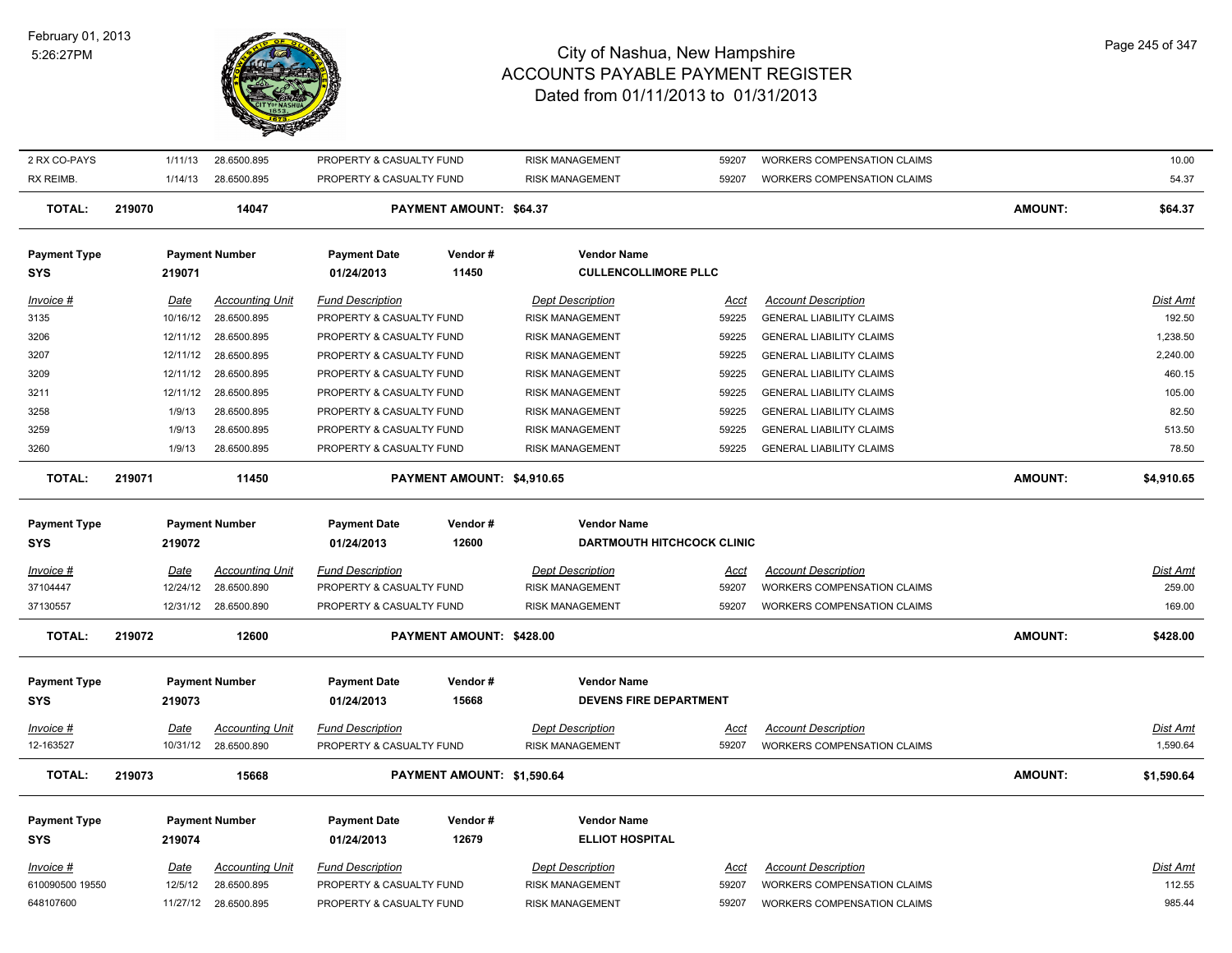

|                              |        | 1/11/13             | 28.6500.895                |                                                      |                            | <b>RISK MANAGEMENT</b>                           |                |                                                                          |                | 10.00            |
|------------------------------|--------|---------------------|----------------------------|------------------------------------------------------|----------------------------|--------------------------------------------------|----------------|--------------------------------------------------------------------------|----------------|------------------|
| 2 RX CO-PAYS                 |        |                     |                            | PROPERTY & CASUALTY FUND                             |                            |                                                  | 59207          | WORKERS COMPENSATION CLAIMS                                              |                |                  |
| RX REIMB.                    |        | 1/14/13             | 28.6500.895                | PROPERTY & CASUALTY FUND                             |                            | <b>RISK MANAGEMENT</b>                           | 59207          | <b>WORKERS COMPENSATION CLAIMS</b>                                       |                | 54.37            |
| <b>TOTAL:</b>                | 219070 |                     | 14047                      |                                                      | PAYMENT AMOUNT: \$64.37    |                                                  |                |                                                                          | <b>AMOUNT:</b> | \$64.37          |
| <b>Payment Type</b>          |        |                     | <b>Payment Number</b>      | <b>Payment Date</b>                                  | Vendor#                    | <b>Vendor Name</b>                               |                |                                                                          |                |                  |
| <b>SYS</b>                   |        | 219071              |                            | 01/24/2013                                           | 11450                      | <b>CULLENCOLLIMORE PLLC</b>                      |                |                                                                          |                |                  |
| Invoice #                    |        | Date                | <b>Accounting Unit</b>     | <b>Fund Description</b>                              |                            | <b>Dept Description</b>                          | <u>Acct</u>    | <b>Account Description</b>                                               |                | Dist Amt         |
| 3135                         |        | 10/16/12            | 28.6500.895                | PROPERTY & CASUALTY FUND                             |                            | <b>RISK MANAGEMENT</b>                           | 59225          | <b>GENERAL LIABILITY CLAIMS</b>                                          |                | 192.50           |
| 3206                         |        | 12/11/12            | 28.6500.895                | PROPERTY & CASUALTY FUND                             |                            | <b>RISK MANAGEMENT</b>                           | 59225          | <b>GENERAL LIABILITY CLAIMS</b>                                          |                | 1,238.50         |
| 3207                         |        | 12/11/12            | 28.6500.895                | PROPERTY & CASUALTY FUND                             |                            | <b>RISK MANAGEMENT</b>                           | 59225          | <b>GENERAL LIABILITY CLAIMS</b>                                          |                | 2,240.00         |
| 3209                         |        | 12/11/12            | 28.6500.895                | PROPERTY & CASUALTY FUND                             |                            | <b>RISK MANAGEMENT</b>                           | 59225          | <b>GENERAL LIABILITY CLAIMS</b>                                          |                | 460.15           |
| 3211                         |        | 12/11/12            | 28.6500.895                | PROPERTY & CASUALTY FUND                             |                            | <b>RISK MANAGEMENT</b>                           | 59225          | <b>GENERAL LIABILITY CLAIMS</b>                                          |                | 105.00           |
| 3258                         |        | 1/9/13              | 28.6500.895                | PROPERTY & CASUALTY FUND                             |                            | <b>RISK MANAGEMENT</b>                           | 59225          | <b>GENERAL LIABILITY CLAIMS</b>                                          |                | 82.50            |
| 3259                         |        | 1/9/13              | 28.6500.895                | PROPERTY & CASUALTY FUND                             |                            | <b>RISK MANAGEMENT</b>                           | 59225          | <b>GENERAL LIABILITY CLAIMS</b>                                          |                | 513.50           |
| 3260                         |        | 1/9/13              | 28.6500.895                | PROPERTY & CASUALTY FUND                             |                            | <b>RISK MANAGEMENT</b>                           | 59225          | <b>GENERAL LIABILITY CLAIMS</b>                                          |                | 78.50            |
| <b>TOTAL:</b>                | 219071 |                     | 11450                      |                                                      | PAYMENT AMOUNT: \$4,910.65 |                                                  |                |                                                                          | <b>AMOUNT:</b> | \$4,910.65       |
|                              |        |                     |                            |                                                      |                            |                                                  |                |                                                                          |                |                  |
| <b>Payment Type</b>          |        |                     | <b>Payment Number</b>      | <b>Payment Date</b>                                  | Vendor#                    | <b>Vendor Name</b>                               |                |                                                                          |                |                  |
| <b>SYS</b>                   |        | 219072              |                            | 01/24/2013                                           | 12600                      | DARTMOUTH HITCHCOCK CLINIC                       |                |                                                                          |                |                  |
|                              |        |                     |                            |                                                      |                            |                                                  |                |                                                                          |                |                  |
| Invoice #                    |        | Date                | <b>Accounting Unit</b>     | <b>Fund Description</b>                              |                            | <b>Dept Description</b>                          | Acct           | <b>Account Description</b>                                               |                | Dist Amt         |
| 37104447                     |        | 12/24/12            | 28.6500.890                | PROPERTY & CASUALTY FUND                             |                            | <b>RISK MANAGEMENT</b>                           | 59207          | <b>WORKERS COMPENSATION CLAIMS</b>                                       |                | 259.00           |
| 37130557                     |        |                     | 12/31/12 28.6500.890       | PROPERTY & CASUALTY FUND                             |                            | <b>RISK MANAGEMENT</b>                           | 59207          | <b>WORKERS COMPENSATION CLAIMS</b>                                       |                | 169.00           |
| <b>TOTAL:</b>                | 219072 |                     | 12600                      |                                                      | PAYMENT AMOUNT: \$428.00   |                                                  |                |                                                                          | <b>AMOUNT:</b> | \$428.00         |
| <b>Payment Type</b>          |        |                     | <b>Payment Number</b>      | <b>Payment Date</b>                                  | Vendor#                    | <b>Vendor Name</b>                               |                |                                                                          |                |                  |
| <b>SYS</b>                   |        | 219073              |                            | 01/24/2013                                           | 15668                      | <b>DEVENS FIRE DEPARTMENT</b>                    |                |                                                                          |                |                  |
|                              |        |                     |                            |                                                      |                            |                                                  |                |                                                                          |                |                  |
|                              |        |                     |                            |                                                      |                            |                                                  |                |                                                                          |                |                  |
| $Invoice$ #                  |        | <u>Date</u>         | <b>Accounting Unit</b>     | <b>Fund Description</b>                              |                            | <b>Dept Description</b>                          | <u>Acct</u>    | <b>Account Description</b>                                               |                | Dist Amt         |
| 12-163527                    |        |                     | 10/31/12 28.6500.890       | PROPERTY & CASUALTY FUND                             |                            | <b>RISK MANAGEMENT</b>                           | 59207          | <b>WORKERS COMPENSATION CLAIMS</b>                                       |                | 1,590.64         |
| <b>TOTAL:</b>                | 219073 |                     | 15668                      |                                                      | PAYMENT AMOUNT: \$1,590.64 |                                                  |                |                                                                          | <b>AMOUNT:</b> | \$1,590.64       |
| <b>Payment Type</b>          |        |                     | <b>Payment Number</b>      | <b>Payment Date</b>                                  | Vendor#                    | <b>Vendor Name</b>                               |                |                                                                          |                |                  |
| <b>SYS</b>                   |        | 219074              |                            | 01/24/2013                                           | 12679                      | <b>ELLIOT HOSPITAL</b>                           |                |                                                                          |                |                  |
|                              |        |                     |                            |                                                      |                            |                                                  |                |                                                                          |                |                  |
| Invoice #                    |        | Date                | <b>Accounting Unit</b>     | <b>Fund Description</b>                              |                            | <b>Dept Description</b>                          | Acct           | <b>Account Description</b>                                               |                | Dist Amt         |
| 610090500 19550<br>648107600 |        | 12/5/12<br>11/27/12 | 28.6500.895<br>28.6500.895 | PROPERTY & CASUALTY FUND<br>PROPERTY & CASUALTY FUND |                            | <b>RISK MANAGEMENT</b><br><b>RISK MANAGEMENT</b> | 59207<br>59207 | <b>WORKERS COMPENSATION CLAIMS</b><br><b>WORKERS COMPENSATION CLAIMS</b> |                | 112.55<br>985.44 |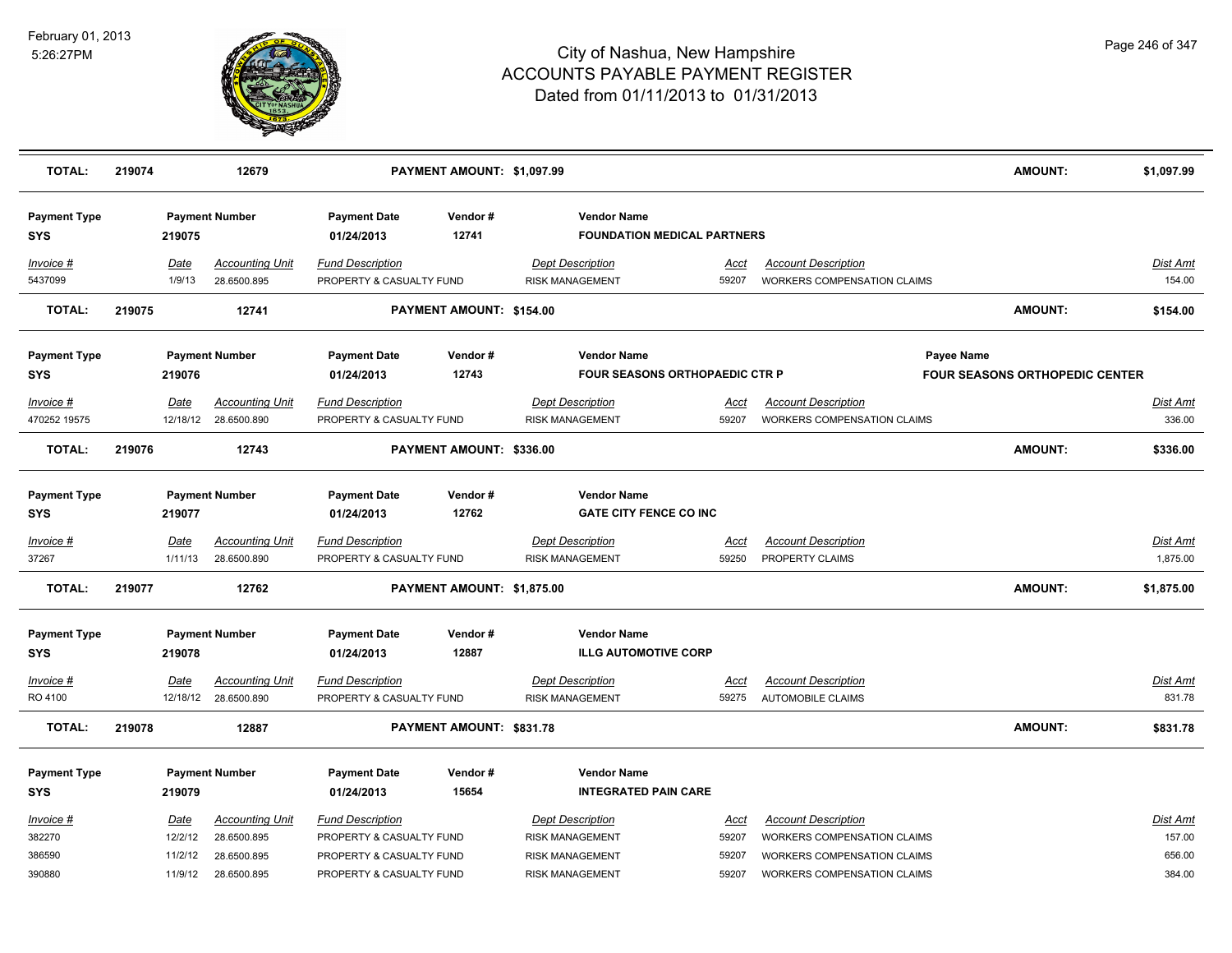

| <b>TOTAL:</b>                     | 219074 |                        | 12679                                          |                                                      | PAYMENT AMOUNT: \$1,097.99 |                                                             |                      |                                                                   |            | <b>AMOUNT:</b>                        | \$1,097.99                  |
|-----------------------------------|--------|------------------------|------------------------------------------------|------------------------------------------------------|----------------------------|-------------------------------------------------------------|----------------------|-------------------------------------------------------------------|------------|---------------------------------------|-----------------------------|
| <b>Payment Type</b><br><b>SYS</b> |        | 219075                 | <b>Payment Number</b>                          | <b>Payment Date</b><br>01/24/2013                    | Vendor#<br>12741           | <b>Vendor Name</b><br><b>FOUNDATION MEDICAL PARTNERS</b>    |                      |                                                                   |            |                                       |                             |
| Invoice #<br>5437099              |        | Date<br>1/9/13         | <b>Accounting Unit</b><br>28.6500.895          | <b>Fund Description</b><br>PROPERTY & CASUALTY FUND  |                            | <b>Dept Description</b><br><b>RISK MANAGEMENT</b>           | Acct<br>59207        | <b>Account Description</b><br><b>WORKERS COMPENSATION CLAIMS</b>  |            |                                       | Dist Amt<br>154.00          |
| <b>TOTAL:</b>                     | 219075 |                        | 12741                                          |                                                      | PAYMENT AMOUNT: \$154.00   |                                                             |                      |                                                                   |            | <b>AMOUNT:</b>                        | \$154.00                    |
| <b>Payment Type</b><br><b>SYS</b> |        | 219076                 | <b>Payment Number</b>                          | <b>Payment Date</b><br>01/24/2013                    | Vendor#<br>12743           | <b>Vendor Name</b><br><b>FOUR SEASONS ORTHOPAEDIC CTR P</b> |                      |                                                                   | Payee Name | <b>FOUR SEASONS ORTHOPEDIC CENTER</b> |                             |
| Invoice #<br>470252 19575         |        | Date                   | <b>Accounting Unit</b><br>12/18/12 28.6500.890 | <b>Fund Description</b><br>PROPERTY & CASUALTY FUND  |                            | <b>Dept Description</b><br>RISK MANAGEMENT                  | Acct<br>59207        | <b>Account Description</b><br>WORKERS COMPENSATION CLAIMS         |            |                                       | Dist Amt<br>336.00          |
| <b>TOTAL:</b>                     | 219076 |                        | 12743                                          |                                                      | PAYMENT AMOUNT: \$336.00   |                                                             |                      |                                                                   |            | <b>AMOUNT:</b>                        | \$336.00                    |
| <b>Payment Type</b><br><b>SYS</b> |        | 219077                 | <b>Payment Number</b>                          | <b>Payment Date</b><br>01/24/2013                    | Vendor#<br>12762           | <b>Vendor Name</b><br><b>GATE CITY FENCE CO INC</b>         |                      |                                                                   |            |                                       |                             |
| <u>Invoice #</u><br>37267         |        | <u>Date</u><br>1/11/13 | <u>Accounting Unit</u><br>28.6500.890          | <b>Fund Description</b><br>PROPERTY & CASUALTY FUND  |                            | <b>Dept Description</b><br><b>RISK MANAGEMENT</b>           | <u>Acct</u><br>59250 | <b>Account Description</b><br>PROPERTY CLAIMS                     |            |                                       | <b>Dist Amt</b><br>1,875.00 |
| <b>TOTAL:</b>                     | 219077 |                        | 12762                                          |                                                      | PAYMENT AMOUNT: \$1,875.00 |                                                             |                      |                                                                   |            | <b>AMOUNT:</b>                        | \$1,875.00                  |
| <b>Payment Type</b><br><b>SYS</b> |        | 219078                 | <b>Payment Number</b>                          | <b>Payment Date</b><br>01/24/2013                    | Vendor#<br>12887           | <b>Vendor Name</b><br><b>ILLG AUTOMOTIVE CORP</b>           |                      |                                                                   |            |                                       |                             |
| Invoice #<br>RO 4100              |        | <b>Date</b>            | <b>Accounting Unit</b><br>12/18/12 28.6500.890 | <b>Fund Description</b><br>PROPERTY & CASUALTY FUND  |                            | <b>Dept Description</b><br><b>RISK MANAGEMENT</b>           | <u>Acct</u><br>59275 | <b>Account Description</b><br><b>AUTOMOBILE CLAIMS</b>            |            |                                       | <u>Dist Amt</u><br>831.78   |
| <b>TOTAL:</b>                     | 219078 |                        | 12887                                          |                                                      | PAYMENT AMOUNT: \$831.78   |                                                             |                      |                                                                   |            | <b>AMOUNT:</b>                        | \$831.78                    |
| <b>Payment Type</b><br><b>SYS</b> |        | 219079                 | <b>Payment Number</b>                          | <b>Payment Date</b><br>01/24/2013                    | Vendor#<br>15654           | <b>Vendor Name</b><br><b>INTEGRATED PAIN CARE</b>           |                      |                                                                   |            |                                       |                             |
| Invoice #<br>382270               |        | <u>Date</u><br>12/2/12 | <b>Accounting Unit</b><br>28.6500.895          | <b>Fund Description</b><br>PROPERTY & CASUALTY FUND  |                            | <b>Dept Description</b><br><b>RISK MANAGEMENT</b>           | Acct<br>59207        | <b>Account Description</b><br><b>WORKERS COMPENSATION CLAIMS</b>  |            |                                       | Dist Amt<br>157.00          |
| 386590<br>390880                  |        | 11/2/12<br>11/9/12     | 28.6500.895<br>28.6500.895                     | PROPERTY & CASUALTY FUND<br>PROPERTY & CASUALTY FUND |                            | <b>RISK MANAGEMENT</b><br><b>RISK MANAGEMENT</b>            | 59207<br>59207       | WORKERS COMPENSATION CLAIMS<br><b>WORKERS COMPENSATION CLAIMS</b> |            |                                       | 656.00<br>384.00            |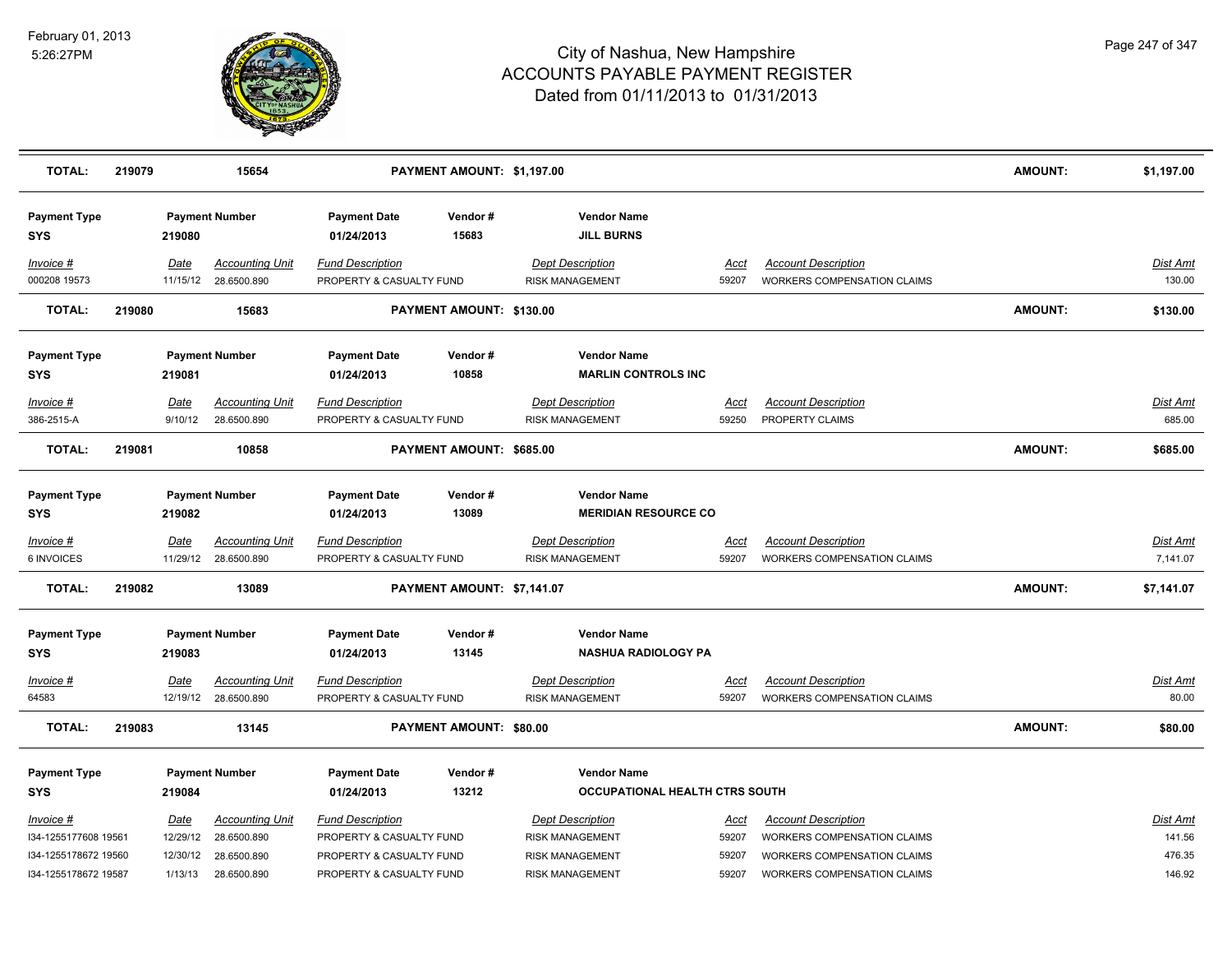

| <b>TOTAL:</b>                                                                     | 219079 |                                         | 15654                                                               |                                                                                                             | PAYMENT AMOUNT: \$1,197.00 |                                                                                                       |                                 |                                                                                                                                | <b>AMOUNT:</b> | \$1,197.00                             |
|-----------------------------------------------------------------------------------|--------|-----------------------------------------|---------------------------------------------------------------------|-------------------------------------------------------------------------------------------------------------|----------------------------|-------------------------------------------------------------------------------------------------------|---------------------------------|--------------------------------------------------------------------------------------------------------------------------------|----------------|----------------------------------------|
| <b>Payment Type</b><br><b>SYS</b>                                                 |        | 219080                                  | <b>Payment Number</b>                                               | <b>Payment Date</b><br>01/24/2013                                                                           | Vendor#<br>15683           | <b>Vendor Name</b><br><b>JILL BURNS</b>                                                               |                                 |                                                                                                                                |                |                                        |
| Invoice #<br>000208 19573                                                         |        | Date<br>11/15/12                        | <b>Accounting Unit</b><br>28.6500.890                               | <b>Fund Description</b><br>PROPERTY & CASUALTY FUND                                                         |                            | <b>Dept Description</b><br><b>RISK MANAGEMENT</b>                                                     | Acct<br>59207                   | <b>Account Description</b><br>WORKERS COMPENSATION CLAIMS                                                                      |                | <b>Dist Amt</b><br>130.00              |
| <b>TOTAL:</b>                                                                     | 219080 |                                         | 15683                                                               |                                                                                                             | PAYMENT AMOUNT: \$130.00   |                                                                                                       |                                 |                                                                                                                                | <b>AMOUNT:</b> | \$130.00                               |
| <b>Payment Type</b><br><b>SYS</b>                                                 |        | 219081                                  | <b>Payment Number</b>                                               | <b>Payment Date</b><br>01/24/2013                                                                           | Vendor#<br>10858           | <b>Vendor Name</b><br><b>MARLIN CONTROLS INC</b>                                                      |                                 |                                                                                                                                |                |                                        |
| Invoice #<br>386-2515-A                                                           |        | Date<br>9/10/12                         | <b>Accounting Unit</b><br>28.6500.890                               | <b>Fund Description</b><br>PROPERTY & CASUALTY FUND                                                         |                            | <b>Dept Description</b><br><b>RISK MANAGEMENT</b>                                                     | Acct<br>59250                   | <b>Account Description</b><br>PROPERTY CLAIMS                                                                                  |                | Dist Amt<br>685.00                     |
| <b>TOTAL:</b>                                                                     | 219081 |                                         | 10858                                                               |                                                                                                             | PAYMENT AMOUNT: \$685.00   |                                                                                                       |                                 |                                                                                                                                | <b>AMOUNT:</b> | \$685.00                               |
| <b>Payment Type</b><br><b>SYS</b>                                                 |        | 219082                                  | <b>Payment Number</b>                                               | <b>Payment Date</b><br>01/24/2013                                                                           | Vendor#<br>13089           | <b>Vendor Name</b><br><b>MERIDIAN RESOURCE CO</b>                                                     |                                 |                                                                                                                                |                |                                        |
| <u>Invoice #</u><br>6 INVOICES                                                    |        | <b>Date</b>                             | <b>Accounting Unit</b><br>11/29/12 28.6500.890                      | <b>Fund Description</b><br>PROPERTY & CASUALTY FUND                                                         |                            | <b>Dept Description</b><br><b>RISK MANAGEMENT</b>                                                     | <u>Acct</u><br>59207            | <b>Account Description</b><br>WORKERS COMPENSATION CLAIMS                                                                      |                | Dist Amt<br>7,141.07                   |
| <b>TOTAL:</b>                                                                     | 219082 |                                         | 13089                                                               |                                                                                                             | PAYMENT AMOUNT: \$7,141.07 |                                                                                                       |                                 |                                                                                                                                | <b>AMOUNT:</b> | \$7,141.07                             |
| <b>Payment Type</b><br><b>SYS</b>                                                 |        | 219083                                  | <b>Payment Number</b>                                               | <b>Payment Date</b><br>01/24/2013                                                                           | Vendor#<br>13145           | <b>Vendor Name</b><br><b>NASHUA RADIOLOGY PA</b>                                                      |                                 |                                                                                                                                |                |                                        |
| Invoice #<br>64583                                                                |        | <b>Date</b>                             | <b>Accounting Unit</b><br>12/19/12 28.6500.890                      | <b>Fund Description</b><br>PROPERTY & CASUALTY FUND                                                         |                            | Dept Description<br><b>RISK MANAGEMENT</b>                                                            | <u>Acct</u><br>59207            | <b>Account Description</b><br>WORKERS COMPENSATION CLAIMS                                                                      |                | Dist Amt<br>80.00                      |
| <b>TOTAL:</b>                                                                     | 219083 |                                         | 13145                                                               |                                                                                                             | PAYMENT AMOUNT: \$80.00    |                                                                                                       |                                 |                                                                                                                                | <b>AMOUNT:</b> | \$80.00                                |
| <b>Payment Type</b><br><b>SYS</b>                                                 |        | 219084                                  | <b>Payment Number</b>                                               | <b>Payment Date</b><br>01/24/2013                                                                           | Vendor#<br>13212           | <b>Vendor Name</b><br><b>OCCUPATIONAL HEALTH CTRS SOUTH</b>                                           |                                 |                                                                                                                                |                |                                        |
| Invoice #<br>I34-1255177608 19561<br>I34-1255178672 19560<br>I34-1255178672 19587 |        | Date<br>12/29/12<br>12/30/12<br>1/13/13 | <b>Accounting Unit</b><br>28.6500.890<br>28.6500.890<br>28.6500.890 | <b>Fund Description</b><br>PROPERTY & CASUALTY FUND<br>PROPERTY & CASUALTY FUND<br>PROPERTY & CASUALTY FUND |                            | <b>Dept Description</b><br><b>RISK MANAGEMENT</b><br><b>RISK MANAGEMENT</b><br><b>RISK MANAGEMENT</b> | Acct<br>59207<br>59207<br>59207 | <b>Account Description</b><br>WORKERS COMPENSATION CLAIMS<br>WORKERS COMPENSATION CLAIMS<br><b>WORKERS COMPENSATION CLAIMS</b> |                | Dist Amt<br>141.56<br>476.35<br>146.92 |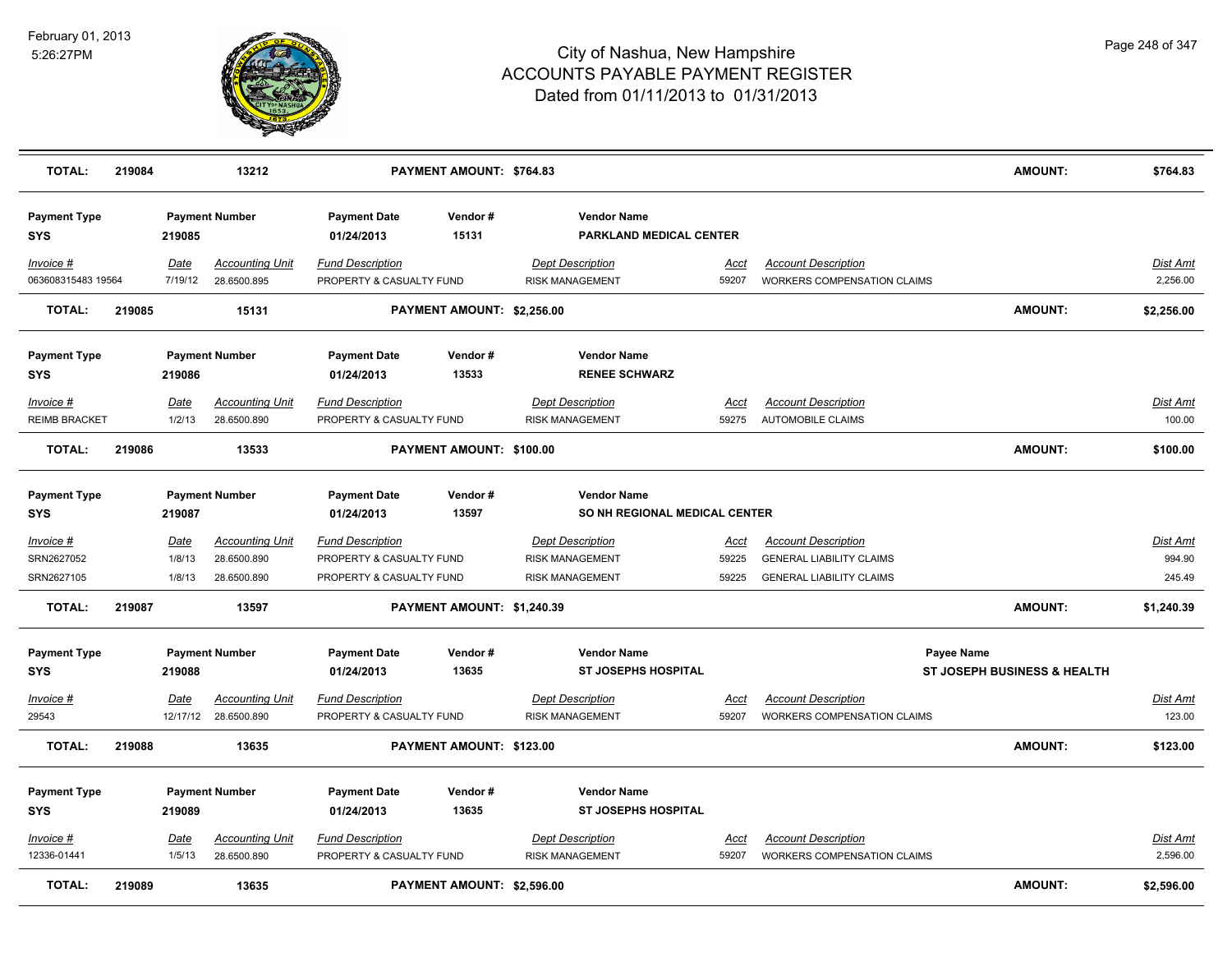

| <b>TOTAL:</b>                         | 219084 |                                 | 13212                                                |                                                                                 | PAYMENT AMOUNT: \$764.83   |                                                                             |                               |                                                                                                  | <b>AMOUNT:</b>                            | \$764.83                            |
|---------------------------------------|--------|---------------------------------|------------------------------------------------------|---------------------------------------------------------------------------------|----------------------------|-----------------------------------------------------------------------------|-------------------------------|--------------------------------------------------------------------------------------------------|-------------------------------------------|-------------------------------------|
| <b>Payment Type</b><br><b>SYS</b>     |        | 219085                          | <b>Payment Number</b>                                | <b>Payment Date</b><br>01/24/2013                                               | Vendor#<br>15131           | <b>Vendor Name</b><br>PARKLAND MEDICAL CENTER                               |                               |                                                                                                  |                                           |                                     |
| Invoice #<br>063608315483 19564       |        | Date<br>7/19/12                 | <b>Accounting Unit</b><br>28.6500.895                | <b>Fund Description</b><br>PROPERTY & CASUALTY FUND                             |                            | <b>Dept Description</b><br><b>RISK MANAGEMENT</b>                           | Acct<br>59207                 | <b>Account Description</b><br>WORKERS COMPENSATION CLAIMS                                        |                                           | Dist Amt<br>2,256.00                |
| <b>TOTAL:</b>                         | 219085 |                                 | 15131                                                |                                                                                 | PAYMENT AMOUNT: \$2,256.00 |                                                                             |                               |                                                                                                  | <b>AMOUNT:</b>                            | \$2,256.00                          |
| <b>Payment Type</b><br><b>SYS</b>     |        | 219086                          | <b>Payment Number</b>                                | <b>Payment Date</b><br>01/24/2013                                               | Vendor#<br>13533           | <b>Vendor Name</b><br><b>RENEE SCHWARZ</b>                                  |                               |                                                                                                  |                                           |                                     |
| Invoice #<br><b>REIMB BRACKET</b>     |        | Date<br>1/2/13                  | <b>Accounting Unit</b><br>28.6500.890                | <b>Fund Description</b><br>PROPERTY & CASUALTY FUND                             |                            | <b>Dept Description</b><br><b>RISK MANAGEMENT</b>                           | Acct<br>59275                 | <b>Account Description</b><br>AUTOMOBILE CLAIMS                                                  |                                           | Dist Amt<br>100.00                  |
| <b>TOTAL:</b>                         | 219086 |                                 | 13533                                                |                                                                                 | PAYMENT AMOUNT: \$100.00   |                                                                             |                               |                                                                                                  | <b>AMOUNT:</b>                            | \$100.00                            |
| <b>Payment Type</b><br><b>SYS</b>     |        | 219087                          | <b>Payment Number</b>                                | <b>Payment Date</b><br>01/24/2013                                               | Vendor#<br>13597           | <b>Vendor Name</b><br>SO NH REGIONAL MEDICAL CENTER                         |                               |                                                                                                  |                                           |                                     |
| Invoice #<br>SRN2627052<br>SRN2627105 |        | <b>Date</b><br>1/8/13<br>1/8/13 | <b>Accounting Unit</b><br>28.6500.890<br>28.6500.890 | <b>Fund Description</b><br>PROPERTY & CASUALTY FUND<br>PROPERTY & CASUALTY FUND |                            | <b>Dept Description</b><br><b>RISK MANAGEMENT</b><br><b>RISK MANAGEMENT</b> | <u>Acct</u><br>59225<br>59225 | <b>Account Description</b><br><b>GENERAL LIABILITY CLAIMS</b><br><b>GENERAL LIABILITY CLAIMS</b> |                                           | <b>Dist Amt</b><br>994.90<br>245.49 |
| <b>TOTAL:</b>                         | 219087 |                                 | 13597                                                |                                                                                 | PAYMENT AMOUNT: \$1,240.39 |                                                                             |                               |                                                                                                  | <b>AMOUNT:</b>                            | \$1,240.39                          |
| <b>Payment Type</b><br><b>SYS</b>     |        | 219088                          | <b>Payment Number</b>                                | <b>Payment Date</b><br>01/24/2013                                               | Vendor#<br>13635           | <b>Vendor Name</b><br><b>ST JOSEPHS HOSPITAL</b>                            |                               |                                                                                                  | Payee Name<br>ST JOSEPH BUSINESS & HEALTH |                                     |
| Invoice #<br>29543                    |        | Date<br>12/17/12                | <b>Accounting Unit</b><br>28.6500.890                | Fund Description<br>PROPERTY & CASUALTY FUND                                    |                            | <b>Dept Description</b><br><b>RISK MANAGEMENT</b>                           | Acct<br>59207                 | <b>Account Description</b><br>WORKERS COMPENSATION CLAIMS                                        |                                           | Dist Amt<br>123.00                  |
| <b>TOTAL:</b>                         | 219088 |                                 | 13635                                                |                                                                                 | PAYMENT AMOUNT: \$123.00   |                                                                             |                               |                                                                                                  | <b>AMOUNT:</b>                            | \$123.00                            |
| <b>Payment Type</b><br>SYS            |        | 219089                          | <b>Payment Number</b>                                | <b>Payment Date</b><br>01/24/2013                                               | Vendor#<br>13635           | <b>Vendor Name</b><br><b>ST JOSEPHS HOSPITAL</b>                            |                               |                                                                                                  |                                           |                                     |
| <u>Invoice #</u><br>12336-01441       |        | <u>Date</u><br>1/5/13           | <b>Accounting Unit</b><br>28.6500.890                | <b>Fund Description</b><br>PROPERTY & CASUALTY FUND                             |                            | <b>Dept Description</b><br><b>RISK MANAGEMENT</b>                           | Acct<br>59207                 | <b>Account Description</b><br><b>WORKERS COMPENSATION CLAIMS</b>                                 |                                           | Dist Amt<br>2.596.00                |
| <b>TOTAL:</b>                         | 219089 |                                 | 13635                                                |                                                                                 | PAYMENT AMOUNT: \$2,596.00 |                                                                             |                               |                                                                                                  | <b>AMOUNT:</b>                            | \$2,596.00                          |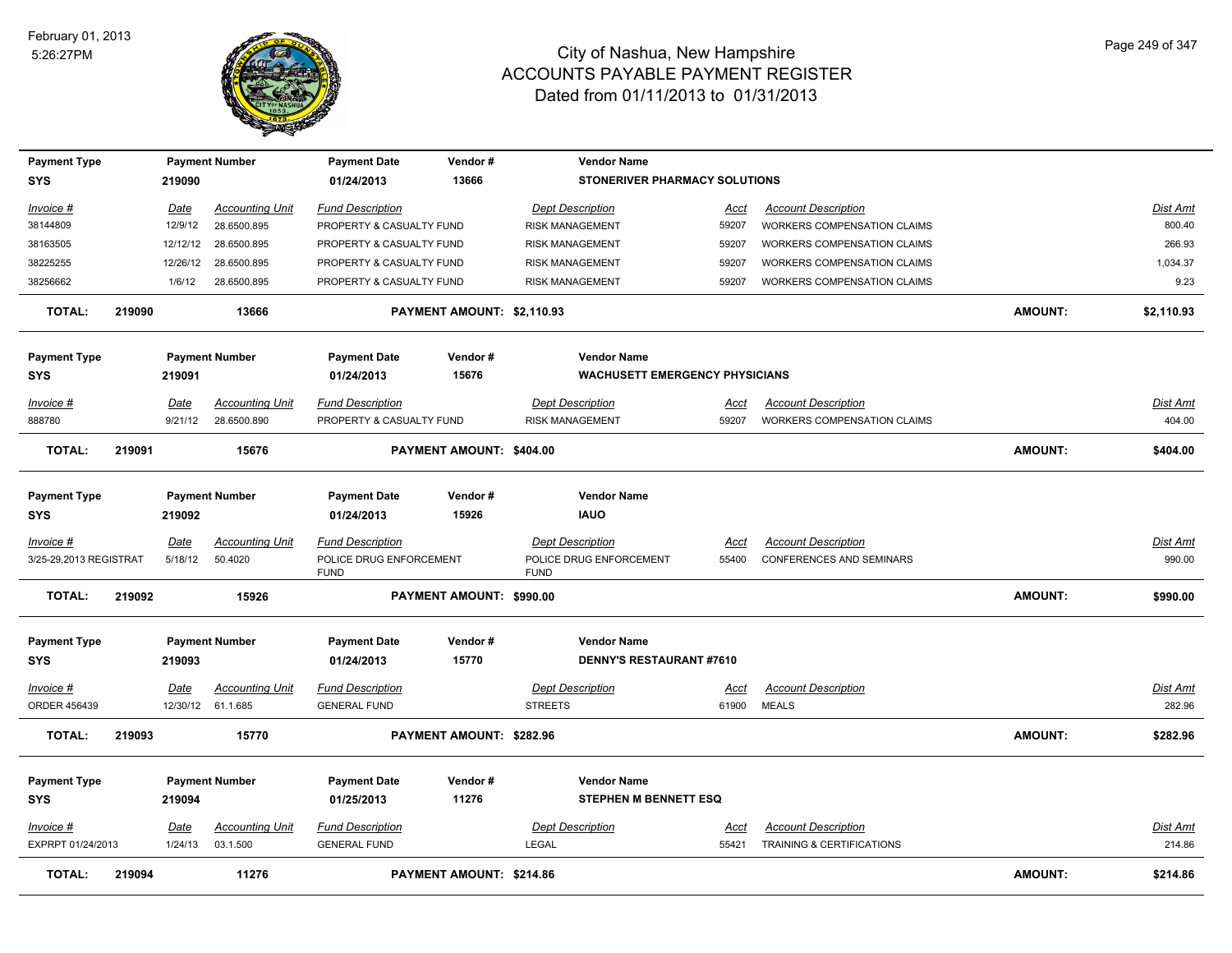

| <b>Payment Type</b>    |        |             | <b>Payment Number</b>  | <b>Payment Date</b>                    | Vendor#                    | <b>Vendor Name</b>                     |             |                                    |                |                 |
|------------------------|--------|-------------|------------------------|----------------------------------------|----------------------------|----------------------------------------|-------------|------------------------------------|----------------|-----------------|
| <b>SYS</b>             |        | 219090      |                        | 01/24/2013                             | 13666                      | STONERIVER PHARMACY SOLUTIONS          |             |                                    |                |                 |
| Invoice #              |        | Date        | <b>Accounting Unit</b> | <b>Fund Description</b>                |                            | <b>Dept Description</b>                | Acct        | <b>Account Description</b>         |                | Dist Amt        |
| 38144809               |        | 12/9/12     | 28.6500.895            | PROPERTY & CASUALTY FUND               |                            | <b>RISK MANAGEMENT</b>                 | 59207       | WORKERS COMPENSATION CLAIMS        |                | 800.40          |
| 38163505               |        | 12/12/12    | 28.6500.895            | PROPERTY & CASUALTY FUND               |                            | <b>RISK MANAGEMENT</b>                 | 59207       | <b>WORKERS COMPENSATION CLAIMS</b> |                | 266.93          |
| 38225255               |        | 12/26/12    | 28.6500.895            | PROPERTY & CASUALTY FUND               |                            | <b>RISK MANAGEMENT</b>                 | 59207       | WORKERS COMPENSATION CLAIMS        |                | 1,034.37        |
| 38256662               |        | 1/6/12      | 28.6500.895            | PROPERTY & CASUALTY FUND               |                            | <b>RISK MANAGEMENT</b>                 | 59207       | <b>WORKERS COMPENSATION CLAIMS</b> |                | 9.23            |
| <b>TOTAL:</b>          | 219090 |             | 13666                  |                                        | PAYMENT AMOUNT: \$2,110.93 |                                        |             |                                    | <b>AMOUNT:</b> | \$2,110.93      |
| <b>Payment Type</b>    |        |             | <b>Payment Number</b>  | <b>Payment Date</b>                    | Vendor#                    | <b>Vendor Name</b>                     |             |                                    |                |                 |
| <b>SYS</b>             |        | 219091      |                        | 01/24/2013                             | 15676                      | <b>WACHUSETT EMERGENCY PHYSICIANS</b>  |             |                                    |                |                 |
| Invoice #              |        | Date        | <b>Accounting Unit</b> | <b>Fund Description</b>                |                            | <b>Dept Description</b>                | Acct        | <b>Account Description</b>         |                | Dist Amt        |
| 888780                 |        | 9/21/12     | 28.6500.890            | PROPERTY & CASUALTY FUND               |                            | <b>RISK MANAGEMENT</b>                 | 59207       | <b>WORKERS COMPENSATION CLAIMS</b> |                | 404.00          |
| <b>TOTAL:</b>          | 219091 |             | 15676                  |                                        | PAYMENT AMOUNT: \$404.00   |                                        |             |                                    | <b>AMOUNT:</b> | \$404.00        |
|                        |        |             |                        |                                        |                            |                                        |             |                                    |                |                 |
| <b>Payment Type</b>    |        |             | <b>Payment Number</b>  | <b>Payment Date</b>                    | Vendor#                    | <b>Vendor Name</b>                     |             |                                    |                |                 |
| <b>SYS</b>             |        | 219092      |                        | 01/24/2013                             | 15926                      | <b>IAUO</b>                            |             |                                    |                |                 |
| Invoice #              |        | <b>Date</b> | <b>Accounting Unit</b> | <b>Fund Description</b>                |                            | <b>Dept Description</b>                | Acct        | <b>Account Description</b>         |                | <b>Dist Amt</b> |
| 3/25-29,2013 REGISTRAT |        | 5/18/12     | 50.4020                | POLICE DRUG ENFORCEMENT<br><b>FUND</b> |                            | POLICE DRUG ENFORCEMENT<br><b>FUND</b> | 55400       | <b>CONFERENCES AND SEMINARS</b>    |                | 990.00          |
| <b>TOTAL:</b>          | 219092 |             | 15926                  |                                        | PAYMENT AMOUNT: \$990.00   |                                        |             |                                    | <b>AMOUNT:</b> | \$990.00        |
| <b>Payment Type</b>    |        |             | <b>Payment Number</b>  | <b>Payment Date</b>                    | Vendor#                    | <b>Vendor Name</b>                     |             |                                    |                |                 |
| <b>SYS</b>             |        | 219093      |                        | 01/24/2013                             | 15770                      | <b>DENNY'S RESTAURANT #7610</b>        |             |                                    |                |                 |
| Invoice #              |        | Date        | <b>Accounting Unit</b> | <b>Fund Description</b>                |                            | <b>Dept Description</b>                | <u>Acct</u> | <b>Account Description</b>         |                | <u>Dist Amt</u> |
| ORDER 456439           |        |             | 12/30/12 61.1.685      | <b>GENERAL FUND</b>                    |                            | <b>STREETS</b>                         | 61900       | <b>MEALS</b>                       |                | 282.96          |
| <b>TOTAL:</b>          | 219093 |             | 15770                  |                                        | PAYMENT AMOUNT: \$282.96   |                                        |             |                                    | <b>AMOUNT:</b> | \$282.96        |
|                        |        |             |                        |                                        |                            |                                        |             |                                    |                |                 |
| <b>Payment Type</b>    |        |             | <b>Payment Number</b>  | <b>Payment Date</b>                    | Vendor#                    | <b>Vendor Name</b>                     |             |                                    |                |                 |
| <b>SYS</b>             |        | 219094      |                        | 01/25/2013                             | 11276                      | <b>STEPHEN M BENNETT ESQ</b>           |             |                                    |                |                 |
| <u>Invoice #</u>       |        | <u>Date</u> | <b>Accounting Unit</b> | <b>Fund Description</b>                |                            | <b>Dept Description</b>                | <u>Acct</u> | <b>Account Description</b>         |                | <u>Dist Amt</u> |
| EXPRPT 01/24/2013      |        | 1/24/13     | 03.1.500               | <b>GENERAL FUND</b>                    |                            | <b>LEGAL</b>                           | 55421       | TRAINING & CERTIFICATIONS          |                | 214.86          |
| <b>TOTAL:</b>          | 219094 |             | 11276                  |                                        | PAYMENT AMOUNT: \$214.86   |                                        |             |                                    | <b>AMOUNT:</b> | \$214.86        |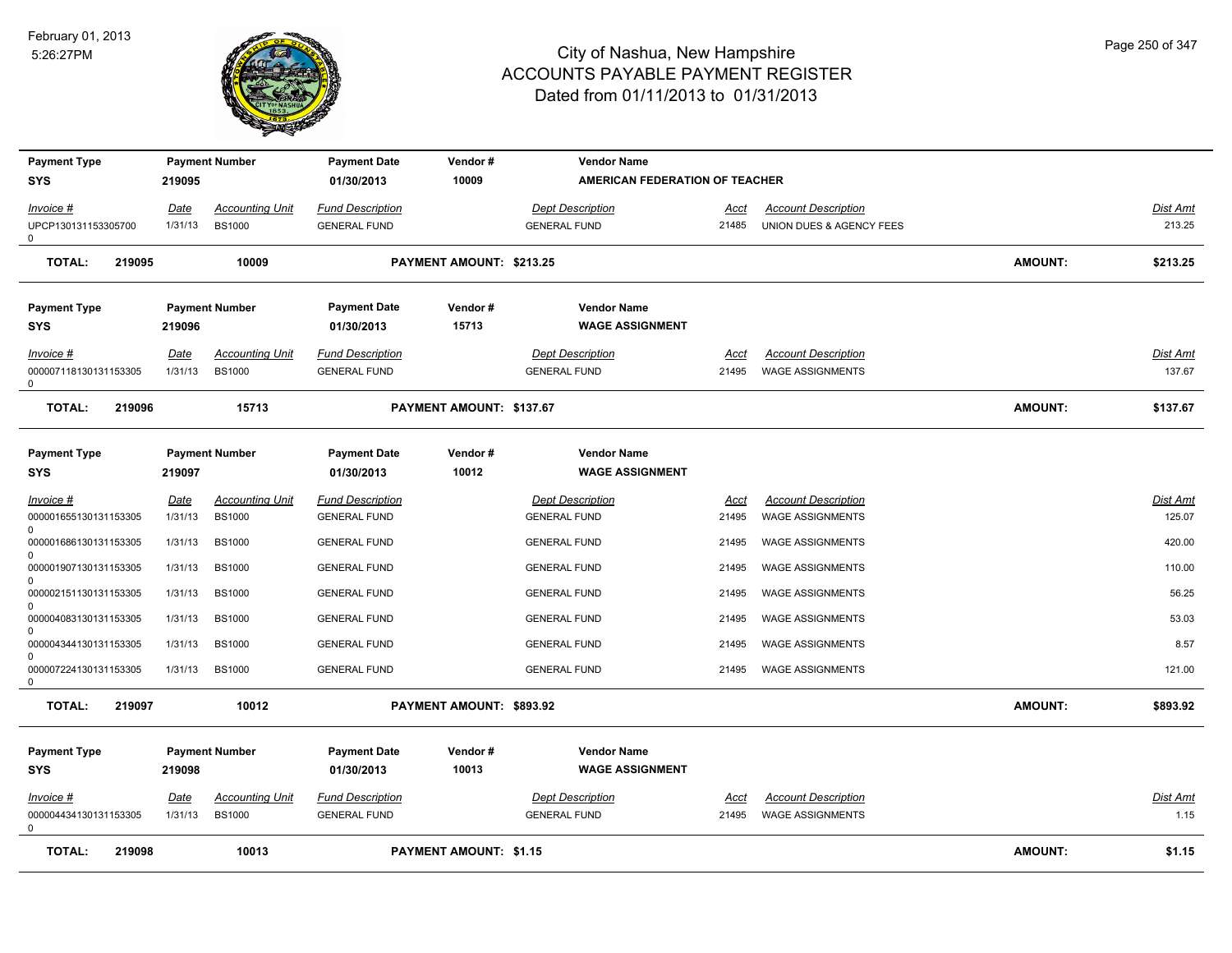

| <b>Payment Type</b><br>SYS        | 219095          | <b>Payment Number</b>                   | <b>Payment Date</b><br>01/30/2013              | Vendor#<br>10009              | <b>Vendor Name</b><br>AMERICAN FEDERATION OF TEACHER |               |                                                        |                |                    |
|-----------------------------------|-----------------|-----------------------------------------|------------------------------------------------|-------------------------------|------------------------------------------------------|---------------|--------------------------------------------------------|----------------|--------------------|
|                                   |                 |                                         |                                                |                               |                                                      |               |                                                        |                |                    |
| Invoice #<br>UPCP130131153305700  | Date<br>1/31/13 | <b>Accounting Unit</b><br><b>BS1000</b> | <b>Fund Description</b><br><b>GENERAL FUND</b> |                               | <b>Dept Description</b><br><b>GENERAL FUND</b>       | Acct<br>21485 | <b>Account Description</b><br>UNION DUES & AGENCY FEES |                | Dist Amt<br>213.25 |
| 0                                 |                 |                                         |                                                |                               |                                                      |               |                                                        |                |                    |
| <b>TOTAL:</b><br>219095           |                 | 10009                                   |                                                | PAYMENT AMOUNT: \$213.25      |                                                      |               |                                                        | <b>AMOUNT:</b> | \$213.25           |
| <b>Payment Type</b>               |                 | <b>Payment Number</b>                   | <b>Payment Date</b>                            | Vendor#                       | <b>Vendor Name</b>                                   |               |                                                        |                |                    |
| SYS                               | 219096          |                                         | 01/30/2013                                     | 15713                         | <b>WAGE ASSIGNMENT</b>                               |               |                                                        |                |                    |
| Invoice #                         | Date            | <b>Accounting Unit</b>                  | <b>Fund Description</b>                        |                               | <b>Dept Description</b>                              | Acct          | <b>Account Description</b>                             |                | Dist Amt           |
| 000007118130131153305<br>$\Omega$ | 1/31/13         | <b>BS1000</b>                           | <b>GENERAL FUND</b>                            |                               | <b>GENERAL FUND</b>                                  | 21495         | <b>WAGE ASSIGNMENTS</b>                                |                | 137.67             |
| <b>TOTAL:</b><br>219096           |                 | 15713                                   |                                                | PAYMENT AMOUNT: \$137.67      |                                                      |               |                                                        | <b>AMOUNT:</b> | \$137.67           |
| <b>Payment Type</b>               |                 | <b>Payment Number</b>                   | <b>Payment Date</b>                            | Vendor#                       | <b>Vendor Name</b>                                   |               |                                                        |                |                    |
| <b>SYS</b>                        | 219097          |                                         | 01/30/2013                                     | 10012                         | <b>WAGE ASSIGNMENT</b>                               |               |                                                        |                |                    |
| Invoice #                         | Date            | <b>Accounting Unit</b>                  | <b>Fund Description</b>                        |                               | <b>Dept Description</b>                              | <u>Acct</u>   | <b>Account Description</b>                             |                | Dist Amt           |
| 000001655130131153305<br>0        | 1/31/13         | <b>BS1000</b>                           | <b>GENERAL FUND</b>                            |                               | <b>GENERAL FUND</b>                                  | 21495         | <b>WAGE ASSIGNMENTS</b>                                |                | 125.07             |
| 000001686130131153305             | 1/31/13         | <b>BS1000</b>                           | <b>GENERAL FUND</b>                            |                               | <b>GENERAL FUND</b>                                  | 21495         | <b>WAGE ASSIGNMENTS</b>                                |                | 420.00             |
| O<br>000001907130131153305        | 1/31/13         | <b>BS1000</b>                           | <b>GENERAL FUND</b>                            |                               | <b>GENERAL FUND</b>                                  | 21495         | <b>WAGE ASSIGNMENTS</b>                                |                | 110.00             |
| 0<br>000002151130131153305        | 1/31/13         | <b>BS1000</b>                           | <b>GENERAL FUND</b>                            |                               | <b>GENERAL FUND</b>                                  | 21495         | <b>WAGE ASSIGNMENTS</b>                                |                | 56.25              |
| U<br>000004083130131153305        | 1/31/13         | <b>BS1000</b>                           | <b>GENERAL FUND</b>                            |                               | <b>GENERAL FUND</b>                                  | 21495         | WAGE ASSIGNMENTS                                       |                | 53.03              |
| 0<br>000004344130131153305        | 1/31/13         | <b>BS1000</b>                           | <b>GENERAL FUND</b>                            |                               | <b>GENERAL FUND</b>                                  | 21495         | <b>WAGE ASSIGNMENTS</b>                                |                | 8.57               |
| $\Omega$<br>000007224130131153305 | 1/31/13         | <b>BS1000</b>                           | <b>GENERAL FUND</b>                            |                               | <b>GENERAL FUND</b>                                  | 21495         | WAGE ASSIGNMENTS                                       |                | 121.00             |
| 0                                 |                 |                                         |                                                |                               |                                                      |               |                                                        |                |                    |
| <b>TOTAL:</b><br>219097           |                 | 10012                                   |                                                | PAYMENT AMOUNT: \$893.92      |                                                      |               |                                                        | <b>AMOUNT:</b> | \$893.92           |
| <b>Payment Type</b><br><b>SYS</b> | 219098          | <b>Payment Number</b>                   | <b>Payment Date</b><br>01/30/2013              | Vendor#<br>10013              | <b>Vendor Name</b><br><b>WAGE ASSIGNMENT</b>         |               |                                                        |                |                    |
| Invoice #                         | Date            | <b>Accounting Unit</b>                  | <b>Fund Description</b>                        |                               | <b>Dept Description</b>                              | Acct          | <b>Account Description</b>                             |                | <u>Dist Amt</u>    |
| 000004434130131153305<br>$\Omega$ | 1/31/13         | <b>BS1000</b>                           | <b>GENERAL FUND</b>                            |                               | <b>GENERAL FUND</b>                                  | 21495         | <b>WAGE ASSIGNMENTS</b>                                |                | 1.15               |
| <b>TOTAL:</b><br>219098           |                 | 10013                                   |                                                | <b>PAYMENT AMOUNT: \$1.15</b> |                                                      |               |                                                        | <b>AMOUNT:</b> | \$1.15             |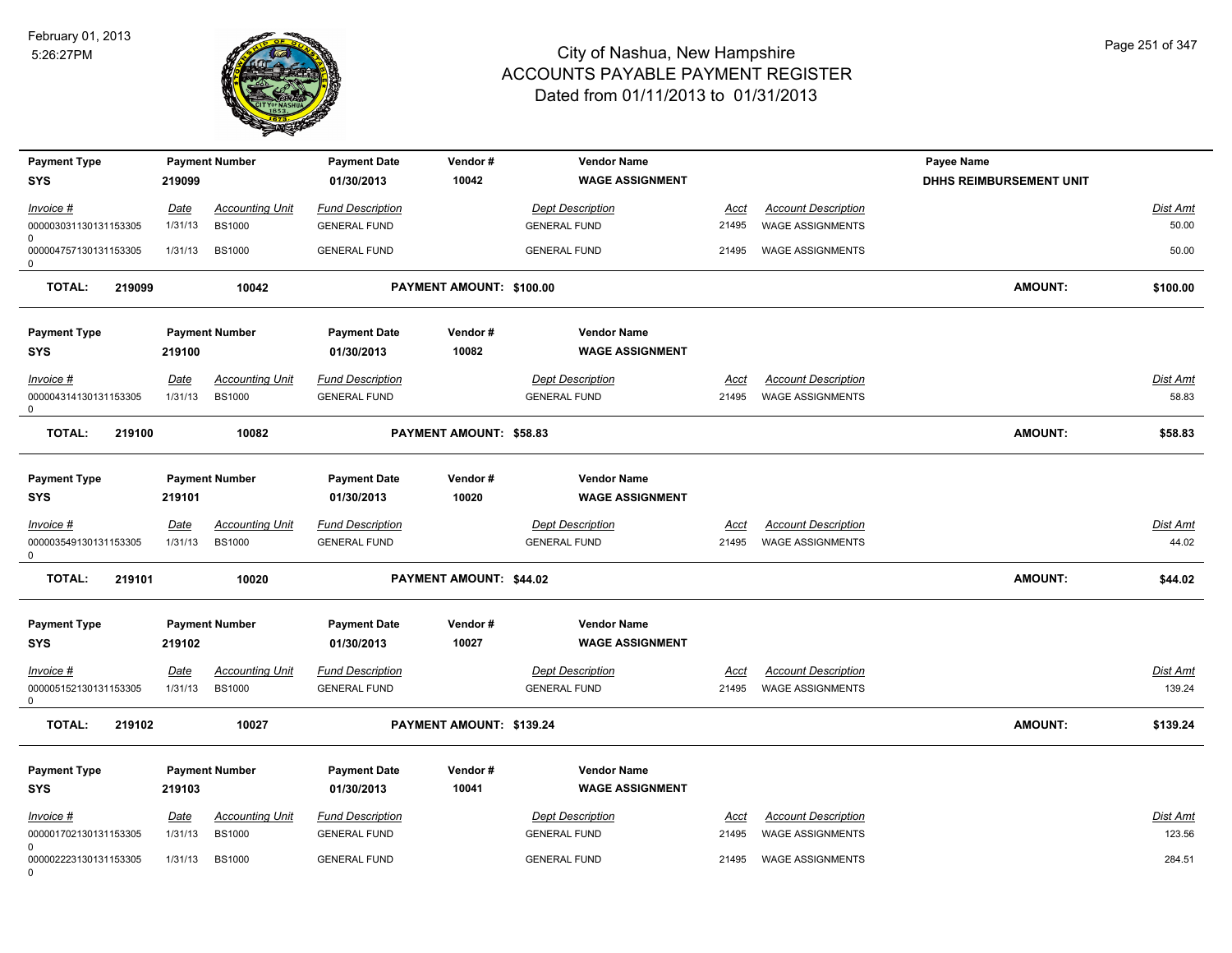

| <b>Payment Type</b><br><b>SYS</b>                   | 219099                 | <b>Payment Number</b>                   | <b>Payment Date</b><br>01/30/2013              | Vendor#<br>10042         | <b>Vendor Name</b><br><b>WAGE ASSIGNMENT</b>   |                      |                                                       | Payee Name<br><b>DHHS REIMBURSEMENT UNIT</b> |                          |
|-----------------------------------------------------|------------------------|-----------------------------------------|------------------------------------------------|--------------------------|------------------------------------------------|----------------------|-------------------------------------------------------|----------------------------------------------|--------------------------|
| Invoice #<br>000003031130131153305                  | <u>Date</u><br>1/31/13 | <b>Accounting Unit</b><br><b>BS1000</b> | <b>Fund Description</b><br><b>GENERAL FUND</b> |                          | <b>Dept Description</b><br><b>GENERAL FUND</b> | Acct<br>21495        | <b>Account Description</b><br><b>WAGE ASSIGNMENTS</b> |                                              | Dist Amt<br>50.00        |
| $\Omega$<br>000004757130131153305<br>0              | 1/31/13                | <b>BS1000</b>                           | <b>GENERAL FUND</b>                            |                          | <b>GENERAL FUND</b>                            | 21495                | <b>WAGE ASSIGNMENTS</b>                               |                                              | 50.00                    |
| <b>TOTAL:</b><br>219099                             |                        | 10042                                   |                                                | PAYMENT AMOUNT: \$100.00 |                                                |                      |                                                       | <b>AMOUNT:</b>                               | \$100.00                 |
| <b>Payment Type</b><br>SYS                          | 219100                 | <b>Payment Number</b>                   | <b>Payment Date</b><br>01/30/2013              | Vendor#<br>10082         | <b>Vendor Name</b><br><b>WAGE ASSIGNMENT</b>   |                      |                                                       |                                              |                          |
| Invoice #<br>000004314130131153305<br>0             | <b>Date</b><br>1/31/13 | <b>Accounting Unit</b><br><b>BS1000</b> | <b>Fund Description</b><br><b>GENERAL FUND</b> |                          | <b>Dept Description</b><br><b>GENERAL FUND</b> | Acct<br>21495        | <b>Account Description</b><br><b>WAGE ASSIGNMENTS</b> |                                              | Dist Amt<br>58.83        |
| <b>TOTAL:</b><br>219100                             |                        | 10082                                   |                                                | PAYMENT AMOUNT: \$58.83  |                                                |                      |                                                       | <b>AMOUNT:</b>                               | \$58.83                  |
| <b>Payment Type</b><br><b>SYS</b>                   | 219101                 | <b>Payment Number</b>                   | <b>Payment Date</b><br>01/30/2013              | Vendor#<br>10020         | <b>Vendor Name</b><br><b>WAGE ASSIGNMENT</b>   |                      |                                                       |                                              |                          |
| $Invoice$ #<br>000003549130131153305<br>$\Omega$    | <b>Date</b><br>1/31/13 | <u>Accounting Unit</u><br><b>BS1000</b> | <b>Fund Description</b><br><b>GENERAL FUND</b> |                          | <b>Dept Description</b><br><b>GENERAL FUND</b> | <u>Acct</u><br>21495 | <b>Account Description</b><br><b>WAGE ASSIGNMENTS</b> |                                              | <u>Dist Amt</u><br>44.02 |
| <b>TOTAL:</b><br>219101                             |                        | 10020                                   |                                                | PAYMENT AMOUNT: \$44.02  |                                                |                      |                                                       | <b>AMOUNT:</b>                               | \$44.02                  |
| <b>Payment Type</b><br><b>SYS</b>                   | 219102                 | <b>Payment Number</b>                   | <b>Payment Date</b><br>01/30/2013              | Vendor#<br>10027         | <b>Vendor Name</b><br><b>WAGE ASSIGNMENT</b>   |                      |                                                       |                                              |                          |
| $Invoice$ #<br>000005152130131153305<br>$\mathbf 0$ | <b>Date</b><br>1/31/13 | <b>Accounting Unit</b><br><b>BS1000</b> | <b>Fund Description</b><br><b>GENERAL FUND</b> |                          | <b>Dept Description</b><br><b>GENERAL FUND</b> | <u>Acct</u><br>21495 | <b>Account Description</b><br><b>WAGE ASSIGNMENTS</b> |                                              | Dist Amt<br>139.24       |
| <b>TOTAL:</b><br>219102                             |                        | 10027                                   |                                                | PAYMENT AMOUNT: \$139.24 |                                                |                      |                                                       | <b>AMOUNT:</b>                               | \$139.24                 |
| <b>Payment Type</b><br><b>SYS</b>                   | 219103                 | <b>Payment Number</b>                   | <b>Payment Date</b><br>01/30/2013              | Vendor#<br>10041         | <b>Vendor Name</b><br><b>WAGE ASSIGNMENT</b>   |                      |                                                       |                                              |                          |
| Invoice #<br>000001702130131153305                  | Date<br>1/31/13        | Accounting Unit<br><b>BS1000</b>        | <b>Fund Description</b><br><b>GENERAL FUND</b> |                          | <b>Dept Description</b><br><b>GENERAL FUND</b> | Acct<br>21495        | <b>Account Description</b><br><b>WAGE ASSIGNMENTS</b> |                                              | Dist Amt<br>123.56       |
| $\Omega$<br>000002223130131153305<br>$\Omega$       | 1/31/13                | <b>BS1000</b>                           | <b>GENERAL FUND</b>                            |                          | <b>GENERAL FUND</b>                            | 21495                | <b>WAGE ASSIGNMENTS</b>                               |                                              | 284.51                   |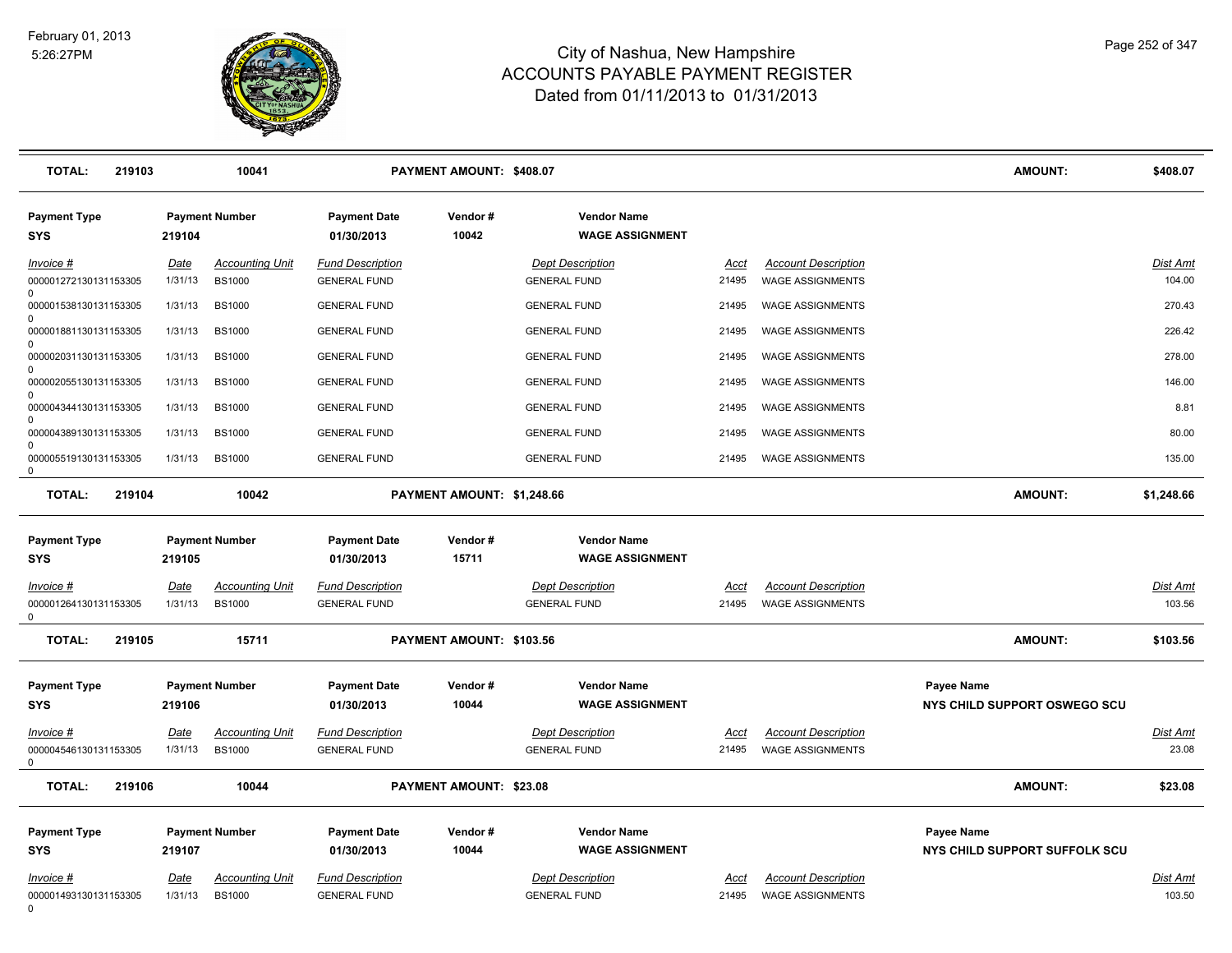

| <b>TOTAL:</b><br>219103                        |                        | 10041                                   |                                                | PAYMENT AMOUNT: \$408.07   |                                                |                      |                                                       | <b>AMOUNT:</b>                                     | \$408.07                  |
|------------------------------------------------|------------------------|-----------------------------------------|------------------------------------------------|----------------------------|------------------------------------------------|----------------------|-------------------------------------------------------|----------------------------------------------------|---------------------------|
| <b>Payment Type</b><br><b>SYS</b>              | 219104                 | <b>Payment Number</b>                   | <b>Payment Date</b><br>01/30/2013              | Vendor#<br>10042           | <b>Vendor Name</b><br><b>WAGE ASSIGNMENT</b>   |                      |                                                       |                                                    |                           |
| Invoice #<br>000001272130131153305             | <u>Date</u><br>1/31/13 | <b>Accounting Unit</b><br><b>BS1000</b> | <b>Fund Description</b><br><b>GENERAL FUND</b> |                            | <b>Dept Description</b><br><b>GENERAL FUND</b> | Acct<br>21495        | <b>Account Description</b><br><b>WAGE ASSIGNMENTS</b> |                                                    | Dist Amt<br>104.00        |
| $\Omega$<br>000001538130131153305              | 1/31/13                | <b>BS1000</b>                           | <b>GENERAL FUND</b>                            |                            | <b>GENERAL FUND</b>                            | 21495                | WAGE ASSIGNMENTS                                      |                                                    | 270.43                    |
| 000001881130131153305                          | 1/31/13                | <b>BS1000</b>                           | <b>GENERAL FUND</b>                            |                            | <b>GENERAL FUND</b>                            | 21495                | <b>WAGE ASSIGNMENTS</b>                               |                                                    | 226.42                    |
| 0<br>000002031130131153305                     | 1/31/13                | <b>BS1000</b>                           | <b>GENERAL FUND</b>                            |                            | <b>GENERAL FUND</b>                            | 21495                | WAGE ASSIGNMENTS                                      |                                                    | 278.00                    |
| $\Omega$<br>000002055130131153305              | 1/31/13                | <b>BS1000</b>                           | <b>GENERAL FUND</b>                            |                            | <b>GENERAL FUND</b>                            | 21495                | <b>WAGE ASSIGNMENTS</b>                               |                                                    | 146.00                    |
| $\Omega$<br>000004344130131153305              | 1/31/13                | <b>BS1000</b>                           | <b>GENERAL FUND</b>                            |                            | <b>GENERAL FUND</b>                            | 21495                | <b>WAGE ASSIGNMENTS</b>                               |                                                    | 8.81                      |
| 000004389130131153305                          | 1/31/13                | <b>BS1000</b>                           | <b>GENERAL FUND</b>                            |                            | <b>GENERAL FUND</b>                            | 21495                | WAGE ASSIGNMENTS                                      |                                                    | 80.00                     |
| $\Omega$<br>000005519130131153305<br>0         | 1/31/13                | <b>BS1000</b>                           | <b>GENERAL FUND</b>                            |                            | <b>GENERAL FUND</b>                            | 21495                | WAGE ASSIGNMENTS                                      |                                                    | 135.00                    |
| <b>TOTAL:</b><br>219104                        |                        | 10042                                   |                                                | PAYMENT AMOUNT: \$1,248.66 |                                                |                      |                                                       | <b>AMOUNT:</b>                                     | \$1,248.66                |
| <b>Payment Type</b>                            |                        | <b>Payment Number</b>                   | <b>Payment Date</b>                            | Vendor#                    | <b>Vendor Name</b>                             |                      |                                                       |                                                    |                           |
| <b>SYS</b>                                     | 219105                 |                                         | 01/30/2013                                     | 15711                      | <b>WAGE ASSIGNMENT</b>                         |                      |                                                       |                                                    |                           |
| Invoice #<br>000001264130131153305<br>$\Omega$ | Date<br>1/31/13        | <b>Accounting Unit</b><br><b>BS1000</b> | <b>Fund Description</b><br><b>GENERAL FUND</b> |                            | <b>Dept Description</b><br><b>GENERAL FUND</b> | Acct<br>21495        | <b>Account Description</b><br><b>WAGE ASSIGNMENTS</b> |                                                    | Dist Amt<br>103.56        |
| <b>TOTAL:</b><br>219105                        |                        | 15711                                   |                                                | PAYMENT AMOUNT: \$103.56   |                                                |                      |                                                       | <b>AMOUNT:</b>                                     | \$103.56                  |
| <b>Payment Type</b><br><b>SYS</b>              | 219106                 | <b>Payment Number</b>                   | <b>Payment Date</b><br>01/30/2013              | Vendor#<br>10044           | <b>Vendor Name</b><br><b>WAGE ASSIGNMENT</b>   |                      |                                                       | Payee Name<br>NYS CHILD SUPPORT OSWEGO SCU         |                           |
| Invoice #<br>000004546130131153305<br>0        | Date<br>1/31/13        | <b>Accounting Unit</b><br><b>BS1000</b> | <b>Fund Description</b><br><b>GENERAL FUND</b> |                            | <b>Dept Description</b><br><b>GENERAL FUND</b> | Acct<br>21495        | <b>Account Description</b><br><b>WAGE ASSIGNMENTS</b> |                                                    | Dist Amt<br>23.08         |
| <b>TOTAL:</b><br>219106                        |                        | 10044                                   |                                                | PAYMENT AMOUNT: \$23.08    |                                                |                      |                                                       | <b>AMOUNT:</b>                                     | \$23.08                   |
| <b>Payment Type</b><br><b>SYS</b>              | 219107                 | <b>Payment Number</b>                   | <b>Payment Date</b><br>01/30/2013              | Vendor#<br>10044           | <b>Vendor Name</b><br><b>WAGE ASSIGNMENT</b>   |                      |                                                       | <b>Payee Name</b><br>NYS CHILD SUPPORT SUFFOLK SCU |                           |
| <u>Invoice #</u><br>000001493130131153305<br>0 | <u>Date</u><br>1/31/13 | <u>Accounting Unit</u><br><b>BS1000</b> | <b>Fund Description</b><br><b>GENERAL FUND</b> |                            | <b>Dept Description</b><br><b>GENERAL FUND</b> | <u>Acct</u><br>21495 | <b>Account Description</b><br><b>WAGE ASSIGNMENTS</b> |                                                    | <u>Dist Amt</u><br>103.50 |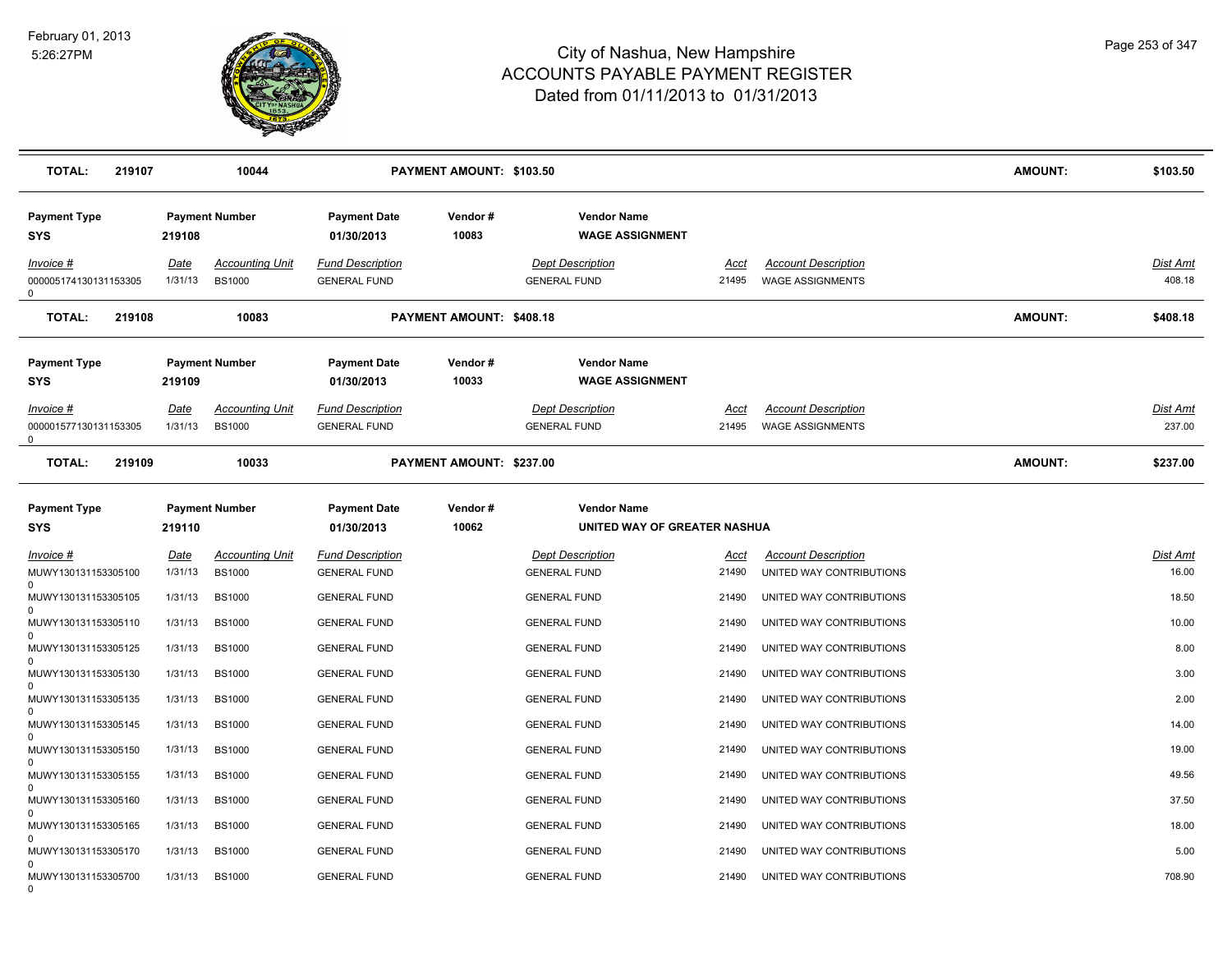

| <b>TOTAL:</b><br>219107                     |                        | 10044                                   |                                                | <b>PAYMENT AMOUNT: \$103.50</b> |                                                    |                      |                                                        | <b>AMOUNT:</b> | \$103.50                  |
|---------------------------------------------|------------------------|-----------------------------------------|------------------------------------------------|---------------------------------|----------------------------------------------------|----------------------|--------------------------------------------------------|----------------|---------------------------|
| <b>Payment Type</b><br><b>SYS</b>           | 219108                 | <b>Payment Number</b>                   | <b>Payment Date</b><br>01/30/2013              | Vendor#<br>10083                | <b>Vendor Name</b><br><b>WAGE ASSIGNMENT</b>       |                      |                                                        |                |                           |
| $Invoice$ #<br>000005174130131153305        | Date<br>1/31/13        | <b>Accounting Unit</b><br><b>BS1000</b> | <b>Fund Description</b><br><b>GENERAL FUND</b> |                                 | <b>Dept Description</b><br><b>GENERAL FUND</b>     | <u>Acct</u><br>21495 | <b>Account Description</b><br><b>WAGE ASSIGNMENTS</b>  |                | <u>Dist Amt</u><br>408.18 |
| <b>TOTAL:</b><br>219108                     |                        | 10083                                   |                                                | PAYMENT AMOUNT: \$408.18        |                                                    |                      |                                                        | <b>AMOUNT:</b> | \$408.18                  |
| <b>Payment Type</b><br><b>SYS</b>           | 219109                 | <b>Payment Number</b>                   | <b>Payment Date</b><br>01/30/2013              | Vendor#<br>10033                | <b>Vendor Name</b><br><b>WAGE ASSIGNMENT</b>       |                      |                                                        |                |                           |
| Invoice #<br>000001577130131153305<br>0     | <u>Date</u><br>1/31/13 | <b>Accounting Unit</b><br><b>BS1000</b> | <b>Fund Description</b><br><b>GENERAL FUND</b> |                                 | <b>Dept Description</b><br><b>GENERAL FUND</b>     | <u>Acct</u><br>21495 | <b>Account Description</b><br><b>WAGE ASSIGNMENTS</b>  |                | Dist Amt<br>237.00        |
| <b>TOTAL:</b><br>219109                     |                        | 10033                                   |                                                | PAYMENT AMOUNT: \$237.00        |                                                    |                      |                                                        | <b>AMOUNT:</b> | \$237.00                  |
| <b>Payment Type</b><br><b>SYS</b>           | 219110                 | <b>Payment Number</b>                   | <b>Payment Date</b><br>01/30/2013              | Vendor#<br>10062                | <b>Vendor Name</b><br>UNITED WAY OF GREATER NASHUA |                      |                                                        |                |                           |
| $Invoice$ #<br>MUWY130131153305100          | Date<br>1/31/13        | <b>Accounting Unit</b><br><b>BS1000</b> | <b>Fund Description</b><br><b>GENERAL FUND</b> |                                 | <b>Dept Description</b><br><b>GENERAL FUND</b>     | <u>Acct</u><br>21490 | <b>Account Description</b><br>UNITED WAY CONTRIBUTIONS |                | Dist Amt<br>16.00         |
| 0<br>MUWY130131153305105                    | 1/31/13                | <b>BS1000</b>                           | <b>GENERAL FUND</b>                            |                                 | <b>GENERAL FUND</b>                                | 21490                | UNITED WAY CONTRIBUTIONS                               |                | 18.50                     |
| $\Omega$<br>MUWY130131153305110             | 1/31/13                | <b>BS1000</b>                           | <b>GENERAL FUND</b>                            |                                 | <b>GENERAL FUND</b>                                | 21490                | UNITED WAY CONTRIBUTIONS                               |                | 10.00                     |
| $\Omega$<br>MUWY130131153305125             | 1/31/13                | <b>BS1000</b>                           | <b>GENERAL FUND</b>                            |                                 | <b>GENERAL FUND</b>                                | 21490                | UNITED WAY CONTRIBUTIONS                               |                | 8.00                      |
| MUWY130131153305130                         | 1/31/13                | <b>BS1000</b>                           | <b>GENERAL FUND</b>                            |                                 | <b>GENERAL FUND</b>                                | 21490                | UNITED WAY CONTRIBUTIONS                               |                | 3.00                      |
| $\Omega$<br>MUWY130131153305135<br>$\Omega$ | 1/31/13                | <b>BS1000</b>                           | <b>GENERAL FUND</b>                            |                                 | <b>GENERAL FUND</b>                                | 21490                | UNITED WAY CONTRIBUTIONS                               |                | 2.00                      |
| MUWY130131153305145                         | 1/31/13                | <b>BS1000</b>                           | <b>GENERAL FUND</b>                            |                                 | <b>GENERAL FUND</b>                                | 21490                | UNITED WAY CONTRIBUTIONS                               |                | 14.00                     |
| MUWY130131153305150<br>0                    | 1/31/13                | <b>BS1000</b>                           | <b>GENERAL FUND</b>                            |                                 | <b>GENERAL FUND</b>                                | 21490                | UNITED WAY CONTRIBUTIONS                               |                | 19.00                     |
| MUWY130131153305155                         | 1/31/13                | <b>BS1000</b>                           | <b>GENERAL FUND</b>                            |                                 | <b>GENERAL FUND</b>                                | 21490                | UNITED WAY CONTRIBUTIONS                               |                | 49.56                     |
| MUWY130131153305160<br>$\Omega$             | 1/31/13                | <b>BS1000</b>                           | <b>GENERAL FUND</b>                            |                                 | <b>GENERAL FUND</b>                                | 21490                | UNITED WAY CONTRIBUTIONS                               |                | 37.50                     |
| MUWY130131153305165                         | 1/31/13                | <b>BS1000</b>                           | <b>GENERAL FUND</b>                            |                                 | <b>GENERAL FUND</b>                                | 21490                | UNITED WAY CONTRIBUTIONS                               |                | 18.00                     |
| MUWY130131153305170<br>$\Omega$             | 1/31/13                | <b>BS1000</b>                           | <b>GENERAL FUND</b>                            |                                 | <b>GENERAL FUND</b>                                | 21490                | UNITED WAY CONTRIBUTIONS                               |                | 5.00                      |
| MUWY130131153305700<br>$\Omega$             | 1/31/13                | <b>BS1000</b>                           | <b>GENERAL FUND</b>                            |                                 | <b>GENERAL FUND</b>                                | 21490                | UNITED WAY CONTRIBUTIONS                               |                | 708.90                    |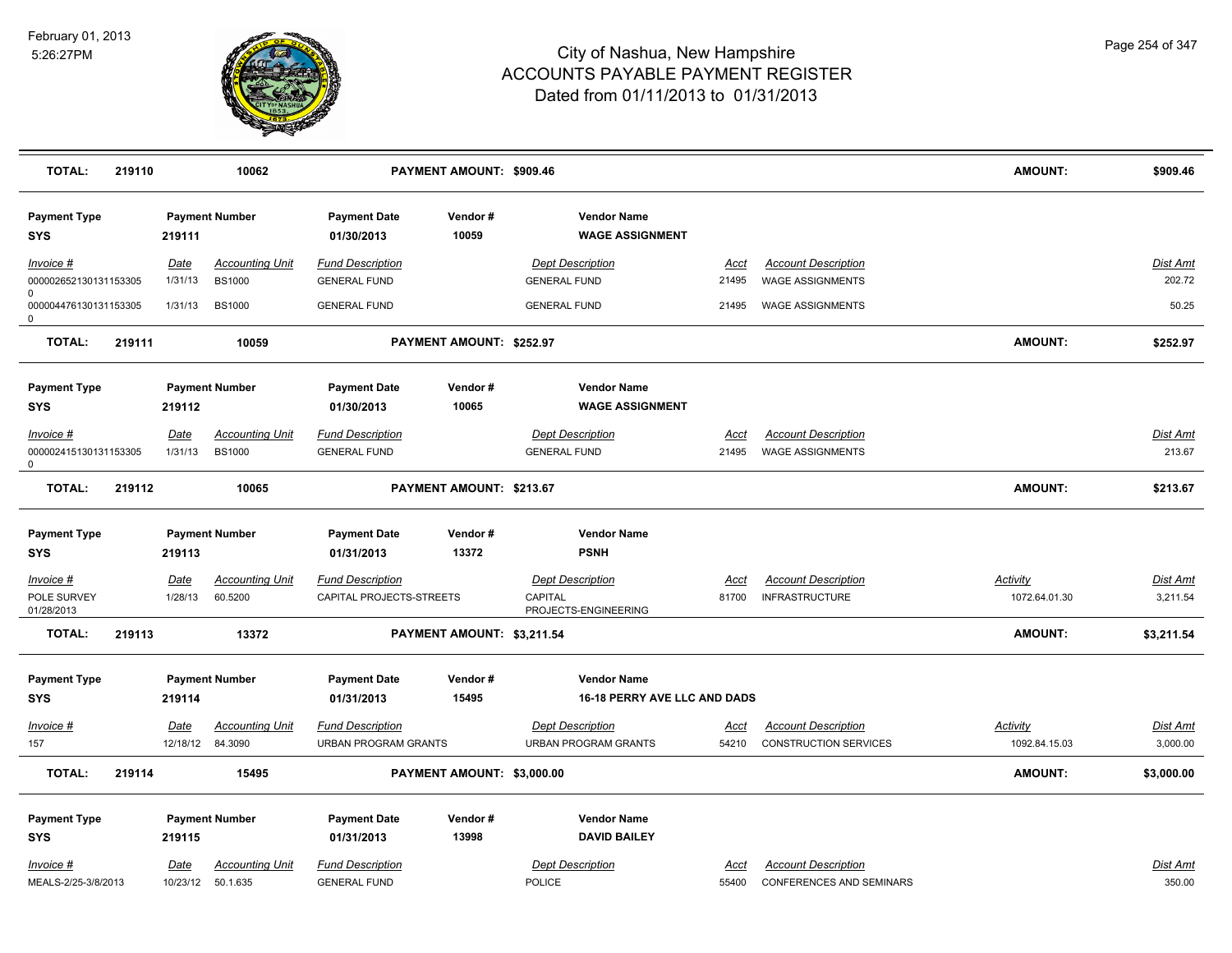

| <b>TOTAL:</b>                                      | 219110 |                  | 10062                                       |                                                        | PAYMENT AMOUNT: \$909.46   |                                                           |                      |                                                               | <b>AMOUNT:</b>                   | \$909.46             |
|----------------------------------------------------|--------|------------------|---------------------------------------------|--------------------------------------------------------|----------------------------|-----------------------------------------------------------|----------------------|---------------------------------------------------------------|----------------------------------|----------------------|
| <b>Payment Type</b><br><b>SYS</b>                  |        | 219111           | <b>Payment Number</b>                       | <b>Payment Date</b><br>01/30/2013                      | Vendor#<br>10059           | <b>Vendor Name</b><br><b>WAGE ASSIGNMENT</b>              |                      |                                                               |                                  |                      |
| Invoice #<br>000002652130131153305                 |        | Date<br>1/31/13  | <b>Accounting Unit</b><br><b>BS1000</b>     | <b>Fund Description</b><br><b>GENERAL FUND</b>         |                            | <b>Dept Description</b><br><b>GENERAL FUND</b>            | Acct<br>21495        | <b>Account Description</b><br><b>WAGE ASSIGNMENTS</b>         |                                  | Dist Amt<br>202.72   |
| $\Omega$<br>000004476130131153305<br>0             |        | 1/31/13          | <b>BS1000</b>                               | <b>GENERAL FUND</b>                                    |                            | <b>GENERAL FUND</b>                                       | 21495                | <b>WAGE ASSIGNMENTS</b>                                       |                                  | 50.25                |
| <b>TOTAL:</b>                                      | 219111 |                  | 10059                                       |                                                        | PAYMENT AMOUNT: \$252.97   |                                                           |                      |                                                               | <b>AMOUNT:</b>                   | \$252.97             |
| <b>Payment Type</b><br><b>SYS</b>                  |        | 219112           | <b>Payment Number</b>                       | <b>Payment Date</b><br>01/30/2013                      | Vendor#<br>10065           | <b>Vendor Name</b><br><b>WAGE ASSIGNMENT</b>              |                      |                                                               |                                  |                      |
| Invoice #<br>000002415130131153305<br>$\mathsf{O}$ |        | Date<br>1/31/13  | <b>Accounting Unit</b><br><b>BS1000</b>     | <b>Fund Description</b><br><b>GENERAL FUND</b>         |                            | <b>Dept Description</b><br><b>GENERAL FUND</b>            | <u>Acct</u><br>21495 | <b>Account Description</b><br><b>WAGE ASSIGNMENTS</b>         |                                  | Dist Amt<br>213.67   |
| <b>TOTAL:</b>                                      | 219112 |                  | 10065                                       |                                                        | PAYMENT AMOUNT: \$213.67   |                                                           |                      |                                                               | <b>AMOUNT:</b>                   | \$213.67             |
| <b>Payment Type</b><br><b>SYS</b>                  |        | 219113           | <b>Payment Number</b>                       | <b>Payment Date</b><br>01/31/2013                      | Vendor#<br>13372           | <b>Vendor Name</b><br><b>PSNH</b>                         |                      |                                                               |                                  |                      |
| Invoice #                                          |        | <u>Date</u>      | <b>Accounting Unit</b>                      | <b>Fund Description</b>                                |                            | <b>Dept Description</b>                                   | <u>Acct</u>          | <b>Account Description</b>                                    | Activity                         | <u>Dist Amt</u>      |
| POLE SURVEY<br>01/28/2013                          |        | 1/28/13          | 60.5200                                     | CAPITAL PROJECTS-STREETS                               |                            | CAPITAL<br>PROJECTS-ENGINEERING                           | 81700                | <b>INFRASTRUCTURE</b>                                         | 1072.64.01.30                    | 3,211.54             |
| <b>TOTAL:</b>                                      | 219113 |                  | 13372                                       |                                                        | PAYMENT AMOUNT: \$3,211.54 |                                                           |                      |                                                               | <b>AMOUNT:</b>                   | \$3,211.54           |
| <b>Payment Type</b><br><b>SYS</b>                  |        | 219114           | <b>Payment Number</b>                       | <b>Payment Date</b><br>01/31/2013                      | Vendor#<br>15495           | <b>Vendor Name</b><br><b>16-18 PERRY AVE LLC AND DADS</b> |                      |                                                               |                                  |                      |
| Invoice #<br>157                                   |        | Date<br>12/18/12 | <b>Accounting Unit</b><br>84.3090           | <b>Fund Description</b><br><b>URBAN PROGRAM GRANTS</b> |                            | <b>Dept Description</b><br><b>URBAN PROGRAM GRANTS</b>    | <u>Acct</u><br>54210 | <b>Account Description</b><br><b>CONSTRUCTION SERVICES</b>    | <b>Activity</b><br>1092.84.15.03 | Dist Amt<br>3,000.00 |
| <b>TOTAL:</b>                                      | 219114 |                  | 15495                                       |                                                        | PAYMENT AMOUNT: \$3,000.00 |                                                           |                      |                                                               | <b>AMOUNT:</b>                   | \$3,000.00           |
| <b>Payment Type</b><br><b>SYS</b>                  |        | 219115           | <b>Payment Number</b>                       | <b>Payment Date</b><br>01/31/2013                      | Vendor#<br>13998           | <b>Vendor Name</b><br><b>DAVID BAILEY</b>                 |                      |                                                               |                                  |                      |
| Invoice #<br>MEALS-2/25-3/8/2013                   |        | <u>Date</u>      | <b>Accounting Unit</b><br>10/23/12 50.1.635 | <b>Fund Description</b><br><b>GENERAL FUND</b>         |                            | <b>Dept Description</b><br><b>POLICE</b>                  | Acct<br>55400        | <b>Account Description</b><br><b>CONFERENCES AND SEMINARS</b> |                                  | Dist Amt<br>350.00   |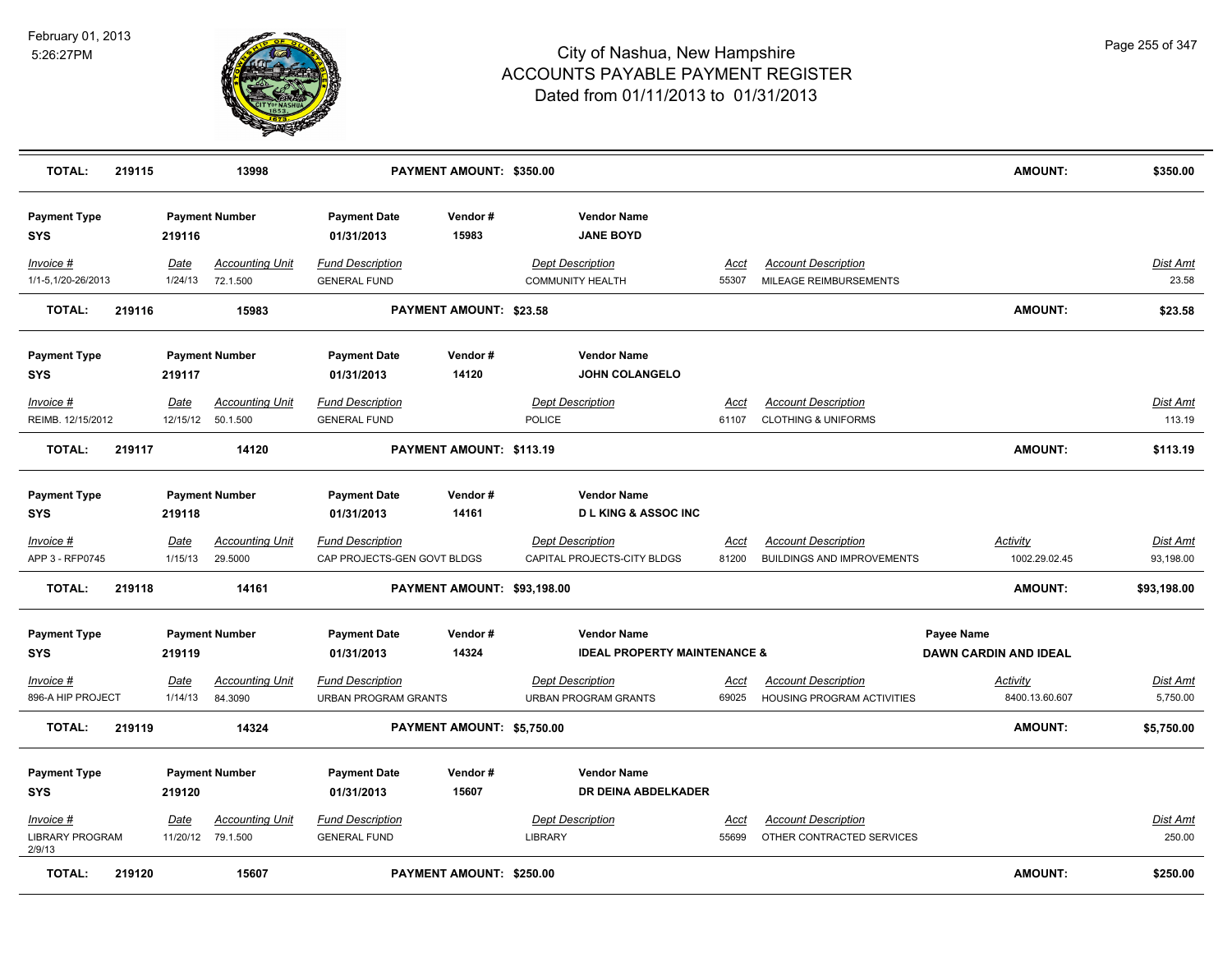

| <b>TOTAL:</b>                                 | 219115 |                 | 13998                                        |                                                        | PAYMENT AMOUNT: \$350.00    |                                                               |                      |                                                                 | <b>AMOUNT:</b>                             | \$350.00                     |
|-----------------------------------------------|--------|-----------------|----------------------------------------------|--------------------------------------------------------|-----------------------------|---------------------------------------------------------------|----------------------|-----------------------------------------------------------------|--------------------------------------------|------------------------------|
| <b>Payment Type</b><br><b>SYS</b>             |        | 219116          | <b>Payment Number</b>                        | <b>Payment Date</b><br>01/31/2013                      | Vendor#<br>15983            | <b>Vendor Name</b><br><b>JANE BOYD</b>                        |                      |                                                                 |                                            |                              |
| Invoice #<br>1/1-5,1/20-26/2013               |        | Date<br>1/24/13 | <b>Accounting Unit</b><br>72.1.500           | <b>Fund Description</b><br><b>GENERAL FUND</b>         |                             | <b>Dept Description</b><br><b>COMMUNITY HEALTH</b>            | Acct<br>55307        | <b>Account Description</b><br>MILEAGE REIMBURSEMENTS            |                                            | Dist Amt<br>23.58            |
| <b>TOTAL:</b>                                 | 219116 |                 | 15983                                        |                                                        | PAYMENT AMOUNT: \$23.58     |                                                               |                      |                                                                 | <b>AMOUNT:</b>                             | \$23.58                      |
| <b>Payment Type</b><br>SYS                    |        | 219117          | <b>Payment Number</b>                        | <b>Payment Date</b><br>01/31/2013                      | Vendor#<br>14120            | <b>Vendor Name</b><br><b>JOHN COLANGELO</b>                   |                      |                                                                 |                                            |                              |
| Invoice #<br>REIMB. 12/15/2012                |        | Date            | <b>Accounting Unit</b><br>12/15/12  50.1.500 | <b>Fund Description</b><br><b>GENERAL FUND</b>         |                             | <b>Dept Description</b><br><b>POLICE</b>                      | Acct<br>61107        | <b>Account Description</b><br><b>CLOTHING &amp; UNIFORMS</b>    |                                            | <b>Dist Amt</b><br>113.19    |
| <b>TOTAL:</b>                                 | 219117 |                 | 14120                                        |                                                        | PAYMENT AMOUNT: \$113.19    |                                                               |                      |                                                                 | <b>AMOUNT:</b>                             | \$113.19                     |
| <b>Payment Type</b><br>SYS                    |        | 219118          | <b>Payment Number</b>                        | <b>Payment Date</b><br>01/31/2013                      | Vendor#<br>14161            | <b>Vendor Name</b><br><b>D L KING &amp; ASSOC INC</b>         |                      |                                                                 |                                            |                              |
| Invoice #<br>APP 3 - RFP0745                  |        | Date<br>1/15/13 | <b>Accounting Unit</b><br>29.5000            | <b>Fund Description</b><br>CAP PROJECTS-GEN GOVT BLDGS |                             | <b>Dept Description</b><br>CAPITAL PROJECTS-CITY BLDGS        | <u>Acct</u><br>81200 | <b>Account Description</b><br><b>BUILDINGS AND IMPROVEMENTS</b> | <b>Activity</b><br>1002.29.02.45           | <b>Dist Amt</b><br>93,198.00 |
| <b>TOTAL:</b>                                 | 219118 |                 | 14161                                        |                                                        | PAYMENT AMOUNT: \$93,198.00 |                                                               |                      |                                                                 | AMOUNT:                                    | \$93,198.00                  |
| <b>Payment Type</b><br><b>SYS</b>             |        | 219119          | <b>Payment Number</b>                        | <b>Payment Date</b><br>01/31/2013                      | Vendor#<br>14324            | <b>Vendor Name</b><br><b>IDEAL PROPERTY MAINTENANCE &amp;</b> |                      |                                                                 | Payee Name<br><b>DAWN CARDIN AND IDEAL</b> |                              |
| Invoice #<br>896-A HIP PROJECT                |        | Date<br>1/14/13 | <b>Accounting Unit</b><br>84.3090            | <b>Fund Description</b><br>URBAN PROGRAM GRANTS        |                             | <b>Dept Description</b><br><b>URBAN PROGRAM GRANTS</b>        | Acct<br>69025        | <b>Account Description</b><br>HOUSING PROGRAM ACTIVITIES        | Activity<br>8400.13.60.607                 | Dist Amt<br>5,750.00         |
| <b>TOTAL:</b>                                 | 219119 |                 | 14324                                        |                                                        | PAYMENT AMOUNT: \$5,750.00  |                                                               |                      |                                                                 | AMOUNT:                                    | \$5,750.00                   |
| <b>Payment Type</b><br><b>SYS</b>             |        | 219120          | <b>Payment Number</b>                        | <b>Payment Date</b><br>01/31/2013                      | Vendor#<br>15607            | <b>Vendor Name</b><br>DR DEINA ABDELKADER                     |                      |                                                                 |                                            |                              |
| Invoice #<br><b>LIBRARY PROGRAM</b><br>2/9/13 |        | Date            | Accounting Unit<br>11/20/12 79.1.500         | <b>Fund Description</b><br><b>GENERAL FUND</b>         |                             | <b>Dept Description</b><br>LIBRARY                            | Acct<br>55699        | <b>Account Description</b><br>OTHER CONTRACTED SERVICES         |                                            | Dist Amt<br>250.00           |
| <b>TOTAL:</b>                                 | 219120 |                 | 15607                                        |                                                        | PAYMENT AMOUNT: \$250.00    |                                                               |                      |                                                                 | <b>AMOUNT:</b>                             | \$250.00                     |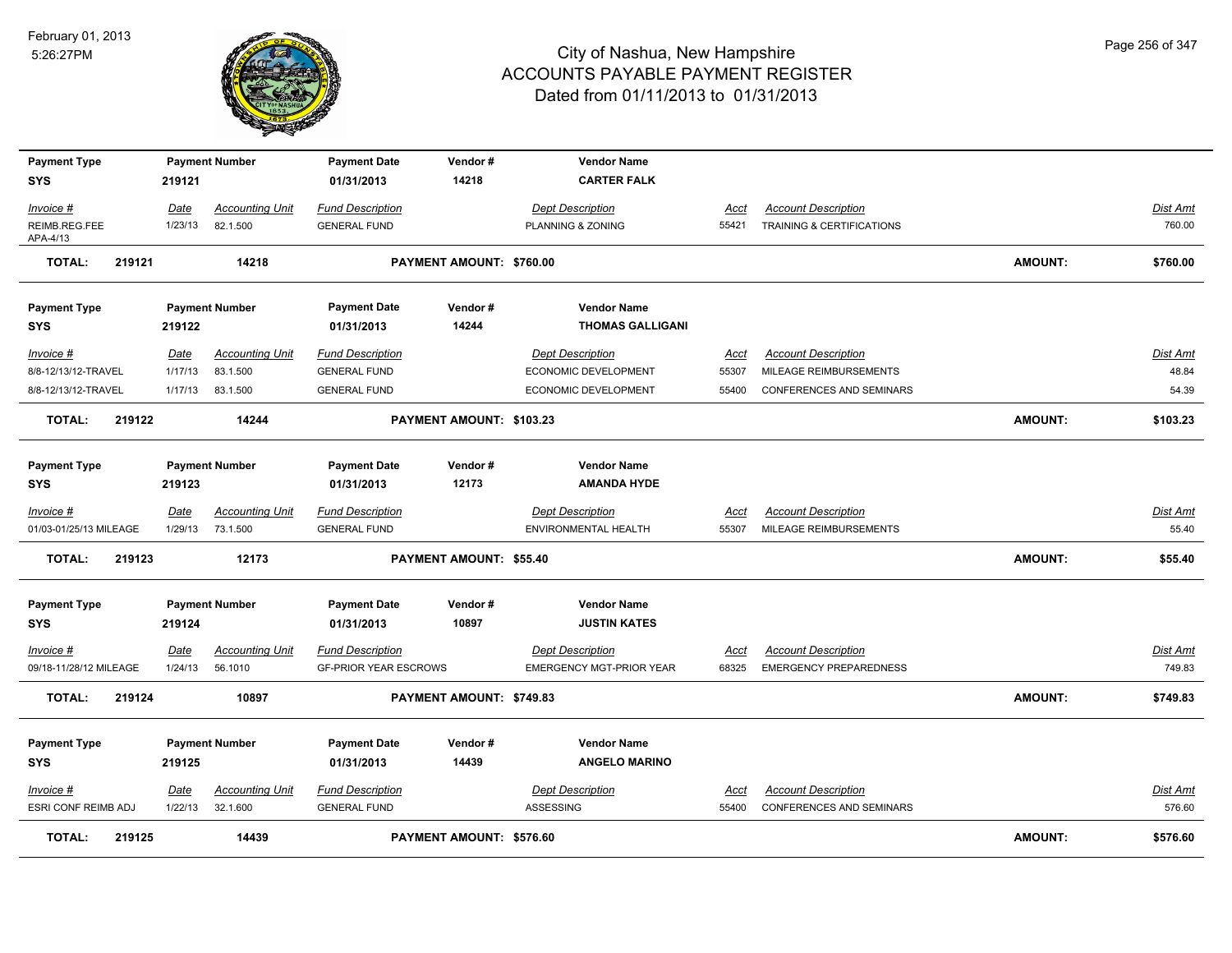

| <b>Payment Type</b><br><b>SYS</b> | 219121      | <b>Payment Number</b>  | <b>Payment Date</b><br>01/31/2013 | Vendor#<br>14218         | <b>Vendor Name</b><br><b>CARTER FALK</b> |             |                               |                |                 |
|-----------------------------------|-------------|------------------------|-----------------------------------|--------------------------|------------------------------------------|-------------|-------------------------------|----------------|-----------------|
|                                   |             |                        |                                   |                          |                                          |             |                               |                |                 |
| Invoice #                         | Date        | <b>Accounting Unit</b> | <b>Fund Description</b>           |                          | <b>Dept Description</b>                  | Acct        | <b>Account Description</b>    |                | Dist Amt        |
| REIMB.REG.FEE<br>APA-4/13         | 1/23/13     | 82.1.500               | <b>GENERAL FUND</b>               |                          | PLANNING & ZONING                        | 55421       | TRAINING & CERTIFICATIONS     |                | 760.00          |
| <b>TOTAL:</b><br>219121           |             | 14218                  |                                   | PAYMENT AMOUNT: \$760.00 |                                          |             |                               | <b>AMOUNT:</b> | \$760.00        |
| <b>Payment Type</b>               |             | <b>Payment Number</b>  | <b>Payment Date</b>               | Vendor#                  | <b>Vendor Name</b>                       |             |                               |                |                 |
| <b>SYS</b>                        | 219122      |                        | 01/31/2013                        | 14244                    | <b>THOMAS GALLIGANI</b>                  |             |                               |                |                 |
| Invoice #                         | <u>Date</u> | <b>Accounting Unit</b> | <b>Fund Description</b>           |                          | <b>Dept Description</b>                  | Acct        | <b>Account Description</b>    |                | Dist Amt        |
| 8/8-12/13/12-TRAVEL               | 1/17/13     | 83.1.500               | <b>GENERAL FUND</b>               |                          | ECONOMIC DEVELOPMENT                     | 55307       | MILEAGE REIMBURSEMENTS        |                | 48.84           |
| 8/8-12/13/12-TRAVEL               | 1/17/13     | 83.1.500               | <b>GENERAL FUND</b>               |                          | ECONOMIC DEVELOPMENT                     | 55400       | CONFERENCES AND SEMINARS      |                | 54.39           |
| 219122<br><b>TOTAL:</b>           |             | 14244                  |                                   | PAYMENT AMOUNT: \$103.23 |                                          |             |                               | <b>AMOUNT:</b> | \$103.23        |
| <b>Payment Type</b>               |             | <b>Payment Number</b>  | <b>Payment Date</b>               | Vendor#                  | <b>Vendor Name</b>                       |             |                               |                |                 |
| <b>SYS</b>                        | 219123      |                        | 01/31/2013                        | 12173                    | <b>AMANDA HYDE</b>                       |             |                               |                |                 |
| $Invoice$ #                       | Date        | <b>Accounting Unit</b> | <b>Fund Description</b>           |                          | <b>Dept Description</b>                  | <b>Acct</b> | <b>Account Description</b>    |                | <b>Dist Amt</b> |
| 01/03-01/25/13 MILEAGE            | 1/29/13     | 73.1.500               | <b>GENERAL FUND</b>               |                          | <b>ENVIRONMENTAL HEALTH</b>              | 55307       | MILEAGE REIMBURSEMENTS        |                | 55.40           |
| <b>TOTAL:</b><br>219123           |             | 12173                  |                                   | PAYMENT AMOUNT: \$55.40  |                                          |             |                               | <b>AMOUNT:</b> | \$55.40         |
|                                   |             |                        |                                   |                          |                                          |             |                               |                |                 |
| <b>Payment Type</b>               |             | <b>Payment Number</b>  | <b>Payment Date</b>               | Vendor#                  | <b>Vendor Name</b>                       |             |                               |                |                 |
| <b>SYS</b>                        | 219124      |                        | 01/31/2013                        | 10897                    | <b>JUSTIN KATES</b>                      |             |                               |                |                 |
| Invoice #                         | Date        | <b>Accounting Unit</b> | <b>Fund Description</b>           |                          | <b>Dept Description</b>                  | Acct        | <b>Account Description</b>    |                | Dist Amt        |
| 09/18-11/28/12 MILEAGE            | 1/24/13     | 56.1010                | <b>GF-PRIOR YEAR ESCROWS</b>      |                          | <b>EMERGENCY MGT-PRIOR YEAR</b>          | 68325       | <b>EMERGENCY PREPAREDNESS</b> |                | 749.83          |
| <b>TOTAL:</b><br>219124           |             | 10897                  |                                   | PAYMENT AMOUNT: \$749.83 |                                          |             |                               | <b>AMOUNT:</b> | \$749.83        |
| <b>Payment Type</b>               |             | <b>Payment Number</b>  | <b>Payment Date</b>               | Vendor#                  | <b>Vendor Name</b>                       |             |                               |                |                 |
| <b>SYS</b>                        | 219125      |                        | 01/31/2013                        | 14439                    | <b>ANGELO MARINO</b>                     |             |                               |                |                 |
| $Invoice$ #                       | Date        | <u>Accounting Unit</u> | <b>Fund Description</b>           |                          | <b>Dept Description</b>                  | <u>Acct</u> | <b>Account Description</b>    |                | Dist Amt        |
| ESRI CONF REIMB ADJ               | 1/22/13     | 32.1.600               | <b>GENERAL FUND</b>               |                          | ASSESSING                                | 55400       | CONFERENCES AND SEMINARS      |                | 576.60          |
| <b>TOTAL:</b><br>219125           |             | 14439                  |                                   | PAYMENT AMOUNT: \$576.60 |                                          |             |                               | <b>AMOUNT:</b> | \$576.60        |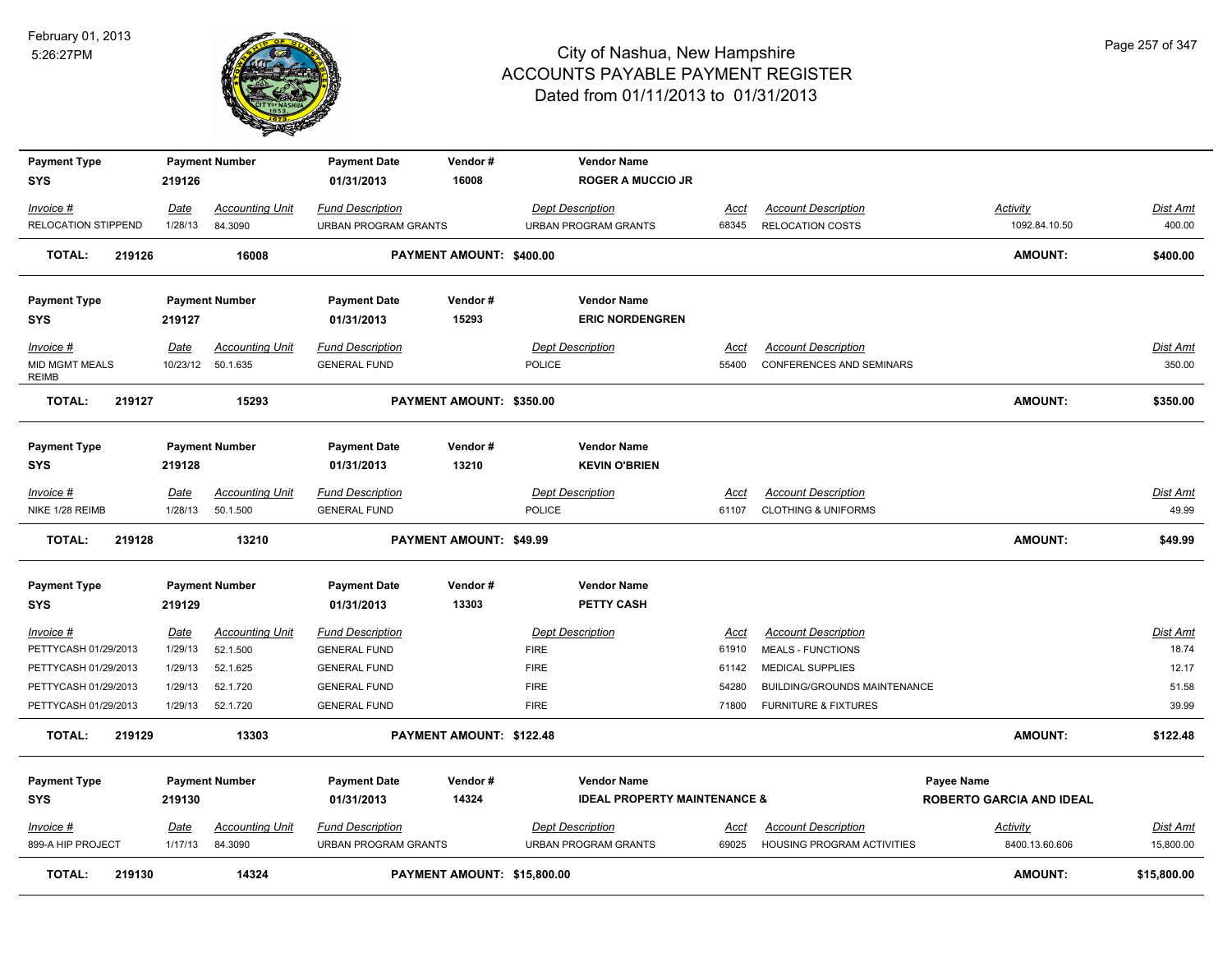

| <b>Payment Type</b><br><b>SYS</b>     | 219126          | <b>Payment Number</b>             | <b>Payment Date</b><br>01/31/2013                      | Vendor#<br>16008            | <b>Vendor Name</b><br><b>ROGER A MUCCIO JR</b>         |               |                                                       |                                  |                    |
|---------------------------------------|-----------------|-----------------------------------|--------------------------------------------------------|-----------------------------|--------------------------------------------------------|---------------|-------------------------------------------------------|----------------------------------|--------------------|
|                                       |                 |                                   |                                                        |                             |                                                        |               |                                                       |                                  |                    |
| Invoice #<br>RELOCATION STIPPEND      | Date<br>1/28/13 | <b>Accounting Unit</b><br>84.3090 | <b>Fund Description</b><br><b>URBAN PROGRAM GRANTS</b> |                             | <b>Dept Description</b><br><b>URBAN PROGRAM GRANTS</b> | Acct<br>68345 | <b>Account Description</b><br><b>RELOCATION COSTS</b> | <b>Activity</b><br>1092.84.10.50 | Dist Amt<br>400.00 |
|                                       |                 |                                   |                                                        |                             |                                                        |               |                                                       |                                  |                    |
| <b>TOTAL:</b><br>219126               |                 | 16008                             |                                                        | PAYMENT AMOUNT: \$400.00    |                                                        |               |                                                       | <b>AMOUNT:</b>                   | \$400.00           |
| <b>Payment Type</b>                   |                 | <b>Payment Number</b>             | <b>Payment Date</b>                                    | Vendor#                     | <b>Vendor Name</b>                                     |               |                                                       |                                  |                    |
| <b>SYS</b>                            | 219127          |                                   | 01/31/2013                                             | 15293                       | <b>ERIC NORDENGREN</b>                                 |               |                                                       |                                  |                    |
| Invoice #                             | Date            | <b>Accounting Unit</b>            | <b>Fund Description</b>                                |                             | <b>Dept Description</b>                                | Acct          | <b>Account Description</b>                            |                                  | <b>Dist Amt</b>    |
| <b>MID MGMT MEALS</b><br><b>REIMB</b> | 10/23/12        | 50.1.635                          | <b>GENERAL FUND</b>                                    |                             | <b>POLICE</b>                                          | 55400         | <b>CONFERENCES AND SEMINARS</b>                       |                                  | 350.00             |
| <b>TOTAL:</b><br>219127               |                 | 15293                             |                                                        | PAYMENT AMOUNT: \$350.00    |                                                        |               |                                                       | <b>AMOUNT:</b>                   | \$350.00           |
| <b>Payment Type</b>                   |                 | <b>Payment Number</b>             | <b>Payment Date</b>                                    | Vendor#                     | <b>Vendor Name</b>                                     |               |                                                       |                                  |                    |
| <b>SYS</b>                            | 219128          |                                   | 01/31/2013                                             | 13210                       | <b>KEVIN O'BRIEN</b>                                   |               |                                                       |                                  |                    |
| $Invoice$ #                           | <b>Date</b>     | <b>Accounting Unit</b>            | <b>Fund Description</b>                                |                             | <b>Dept Description</b>                                | <b>Acct</b>   | <b>Account Description</b>                            |                                  | Dist Amt           |
| NIKE 1/28 REIMB                       | 1/28/13         | 50.1.500                          | <b>GENERAL FUND</b>                                    |                             | POLICE                                                 | 61107         | <b>CLOTHING &amp; UNIFORMS</b>                        |                                  | 49.99              |
| <b>TOTAL:</b><br>219128               |                 | 13210                             |                                                        | PAYMENT AMOUNT: \$49.99     |                                                        |               |                                                       | AMOUNT:                          | \$49.99            |
| <b>Payment Type</b>                   |                 | <b>Payment Number</b>             | <b>Payment Date</b>                                    | Vendor#                     | <b>Vendor Name</b>                                     |               |                                                       |                                  |                    |
| <b>SYS</b>                            | 219129          |                                   | 01/31/2013                                             | 13303                       | PETTY CASH                                             |               |                                                       |                                  |                    |
| Invoice #                             | Date            | <b>Accounting Unit</b>            | <b>Fund Description</b>                                |                             | <b>Dept Description</b>                                | Acct          | <b>Account Description</b>                            |                                  | Dist Amt           |
| PETTYCASH 01/29/2013                  | 1/29/13         | 52.1.500                          | <b>GENERAL FUND</b>                                    |                             | <b>FIRE</b>                                            | 61910         | <b>MEALS - FUNCTIONS</b>                              |                                  | 18.74              |
| PETTYCASH 01/29/2013                  | 1/29/13         | 52.1.625                          | <b>GENERAL FUND</b>                                    |                             | <b>FIRE</b>                                            | 61142         | <b>MEDICAL SUPPLIES</b>                               |                                  | 12.17              |
| PETTYCASH 01/29/2013                  | 1/29/13         | 52.1.720                          | <b>GENERAL FUND</b>                                    |                             | <b>FIRE</b>                                            | 54280         | BUILDING/GROUNDS MAINTENANCE                          |                                  | 51.58              |
| PETTYCASH 01/29/2013                  | 1/29/13         | 52.1.720                          | <b>GENERAL FUND</b>                                    |                             | <b>FIRE</b>                                            | 71800         | <b>FURNITURE &amp; FIXTURES</b>                       |                                  | 39.99              |
| <b>TOTAL:</b><br>219129               |                 | 13303                             |                                                        | PAYMENT AMOUNT: \$122.48    |                                                        |               |                                                       | <b>AMOUNT:</b>                   | \$122.48           |
| <b>Payment Type</b>                   |                 | <b>Payment Number</b>             | <b>Payment Date</b>                                    | Vendor#                     | <b>Vendor Name</b>                                     |               |                                                       | Payee Name                       |                    |
| <b>SYS</b>                            | 219130          |                                   | 01/31/2013                                             | 14324                       | <b>IDEAL PROPERTY MAINTENANCE &amp;</b>                |               |                                                       | <b>ROBERTO GARCIA AND IDEAL</b>  |                    |
| Invoice #                             | <b>Date</b>     | <b>Accounting Unit</b>            | <b>Fund Description</b>                                |                             | <b>Dept Description</b>                                | <u>Acct</u>   | <b>Account Description</b>                            | <b>Activity</b>                  | <b>Dist Amt</b>    |
| 899-A HIP PROJECT                     | 1/17/13         | 84.3090                           | <b>URBAN PROGRAM GRANTS</b>                            |                             | <b>URBAN PROGRAM GRANTS</b>                            | 69025         | <b>HOUSING PROGRAM ACTIVITIES</b>                     | 8400.13.60.606                   | 15,800.00          |
| <b>TOTAL:</b><br>219130               |                 | 14324                             |                                                        | PAYMENT AMOUNT: \$15,800.00 |                                                        |               |                                                       | AMOUNT:                          | \$15,800.00        |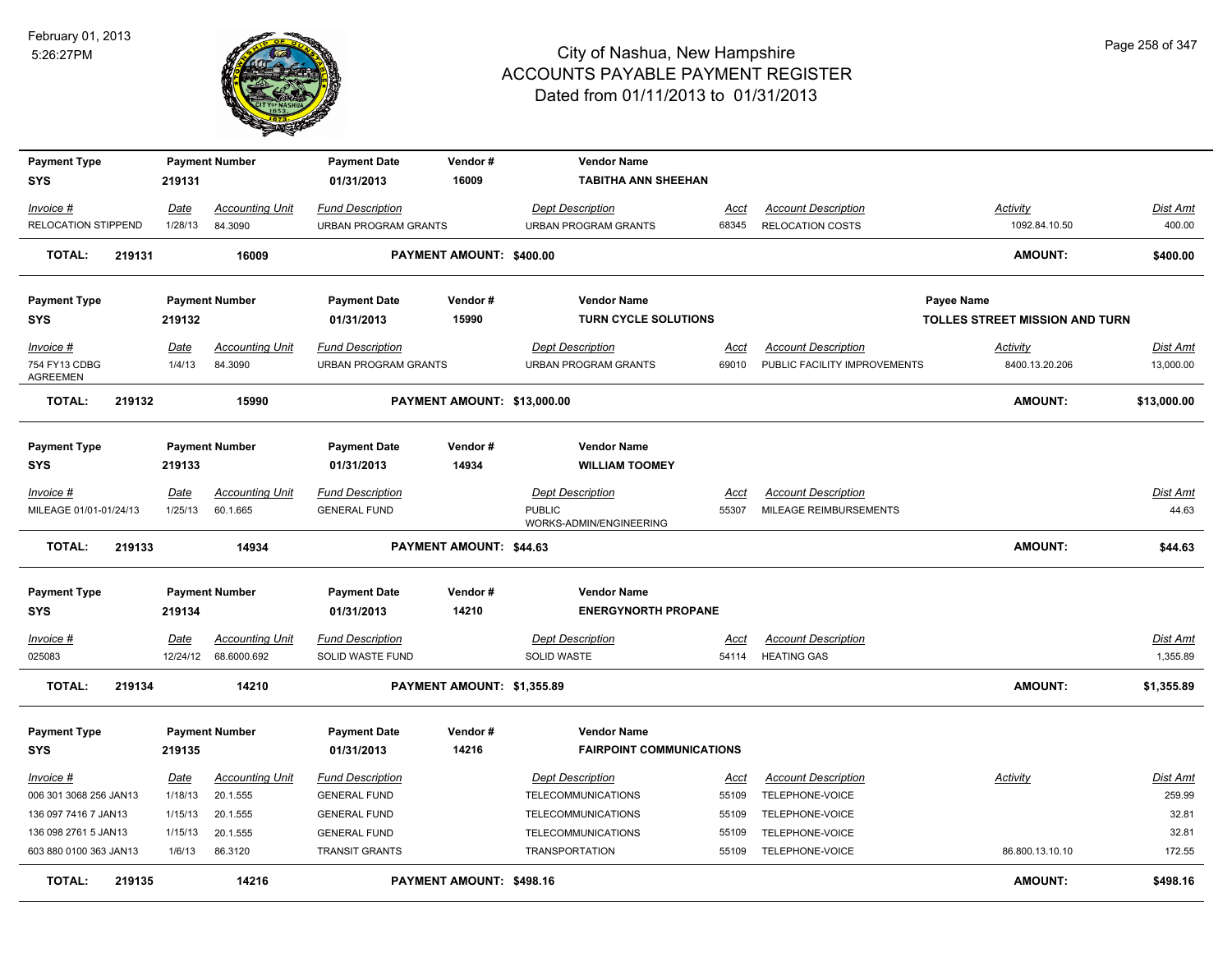

| <b>Payment Type</b>                           |        |                       | <b>Payment Number</b>              | <b>Payment Date</b>                             | Vendor#                     | <b>Vendor Name</b>                              |               |                                                            |                                   |                              |
|-----------------------------------------------|--------|-----------------------|------------------------------------|-------------------------------------------------|-----------------------------|-------------------------------------------------|---------------|------------------------------------------------------------|-----------------------------------|------------------------------|
| <b>SYS</b>                                    |        | 219131                |                                    | 01/31/2013                                      | 16009                       | <b>TABITHA ANN SHEEHAN</b>                      |               |                                                            |                                   |                              |
| Invoice #                                     |        | <b>Date</b>           | <b>Accounting Unit</b>             | <b>Fund Description</b>                         |                             | <b>Dept Description</b>                         | Acct          | <b>Account Description</b>                                 | <b>Activity</b>                   | Dist Amt                     |
| RELOCATION STIPPEND                           |        | 1/28/13               | 84.3090                            | <b>URBAN PROGRAM GRANTS</b>                     |                             | <b>URBAN PROGRAM GRANTS</b>                     | 68345         | <b>RELOCATION COSTS</b>                                    | 1092.84.10.50                     | 400.00                       |
| <b>TOTAL:</b>                                 | 219131 |                       | 16009                              |                                                 | PAYMENT AMOUNT: \$400.00    |                                                 |               |                                                            | <b>AMOUNT:</b>                    | \$400.00                     |
| <b>Payment Type</b>                           |        |                       | <b>Payment Number</b>              | <b>Payment Date</b>                             | Vendor#                     | <b>Vendor Name</b>                              |               |                                                            | <b>Payee Name</b>                 |                              |
| <b>SYS</b>                                    |        | 219132                |                                    | 01/31/2013                                      | 15990                       | <b>TURN CYCLE SOLUTIONS</b>                     |               |                                                            | TOLLES STREET MISSION AND TURN    |                              |
| Invoice #<br>754 FY13 CDBG<br><b>AGREEMEN</b> |        | <u>Date</u><br>1/4/13 | <b>Accounting Unit</b><br>84.3090  | <b>Fund Description</b><br>URBAN PROGRAM GRANTS |                             | <b>Dept Description</b><br>URBAN PROGRAM GRANTS | Acct<br>69010 | <b>Account Description</b><br>PUBLIC FACILITY IMPROVEMENTS | <b>Activity</b><br>8400.13.20.206 | <u>Dist Amt</u><br>13,000.00 |
| <b>TOTAL:</b>                                 | 219132 |                       | 15990                              |                                                 | PAYMENT AMOUNT: \$13,000.00 |                                                 |               |                                                            | <b>AMOUNT:</b>                    | \$13,000.00                  |
| <b>Payment Type</b>                           |        |                       | <b>Payment Number</b>              | <b>Payment Date</b>                             | Vendor#                     | <b>Vendor Name</b>                              |               |                                                            |                                   |                              |
| <b>SYS</b>                                    |        | 219133                |                                    | 01/31/2013                                      | 14934                       | <b>WILLIAM TOOMEY</b>                           |               |                                                            |                                   |                              |
| $Invoice$ #<br>MILEAGE 01/01-01/24/13         |        | Date<br>1/25/13       | <b>Accounting Unit</b><br>60.1.665 | <b>Fund Description</b><br><b>GENERAL FUND</b>  |                             | <b>Dept Description</b><br><b>PUBLIC</b>        | Acct<br>55307 | <b>Account Description</b><br>MILEAGE REIMBURSEMENTS       |                                   | <u>Dist Amt</u><br>44.63     |
|                                               |        |                       |                                    |                                                 |                             | WORKS-ADMIN/ENGINEERING                         |               |                                                            |                                   |                              |
| <b>TOTAL:</b>                                 | 219133 |                       | 14934                              |                                                 | PAYMENT AMOUNT: \$44.63     |                                                 |               |                                                            | <b>AMOUNT:</b>                    | \$44.63                      |
| <b>Payment Type</b>                           |        |                       | <b>Payment Number</b>              | <b>Payment Date</b>                             | Vendor#                     | <b>Vendor Name</b>                              |               |                                                            |                                   |                              |
| <b>SYS</b>                                    |        | 219134                |                                    | 01/31/2013                                      | 14210                       | <b>ENERGYNORTH PROPANE</b>                      |               |                                                            |                                   |                              |
| Invoice #                                     |        | <b>Date</b>           | <b>Accounting Unit</b>             | <b>Fund Description</b>                         |                             | <b>Dept Description</b>                         | <b>Acct</b>   | <b>Account Description</b>                                 |                                   | <u>Dist Amt</u>              |
| 025083                                        |        | 12/24/12              | 68.6000.692                        | SOLID WASTE FUND                                |                             | SOLID WASTE                                     | 54114         | <b>HEATING GAS</b>                                         |                                   | 1,355.89                     |
| <b>TOTAL:</b>                                 | 219134 |                       | 14210                              |                                                 | PAYMENT AMOUNT: \$1,355.89  |                                                 |               |                                                            | <b>AMOUNT:</b>                    | \$1,355.89                   |
| <b>Payment Type</b>                           |        |                       | <b>Payment Number</b>              | <b>Payment Date</b>                             | Vendor#                     | <b>Vendor Name</b>                              |               |                                                            |                                   |                              |
| <b>SYS</b>                                    |        | 219135                |                                    | 01/31/2013                                      | 14216                       | <b>FAIRPOINT COMMUNICATIONS</b>                 |               |                                                            |                                   |                              |
| Invoice #                                     |        | <u>Date</u>           | <b>Accounting Unit</b>             | <b>Fund Description</b>                         |                             | <b>Dept Description</b>                         | <u>Acct</u>   | <b>Account Description</b>                                 | Activity                          | <u>Dist Amt</u>              |
| 006 301 3068 256 JAN13                        |        | 1/18/13               | 20.1.555                           | <b>GENERAL FUND</b>                             |                             | TELECOMMUNICATIONS                              | 55109         | TELEPHONE-VOICE                                            |                                   | 259.99                       |
| 136 097 7416 7 JAN13                          |        | 1/15/13               | 20.1.555                           | <b>GENERAL FUND</b>                             |                             | <b>TELECOMMUNICATIONS</b>                       | 55109         | TELEPHONE-VOICE                                            |                                   | 32.81                        |
| 136 098 2761 5 JAN13                          |        | 1/15/13               | 20.1.555                           | <b>GENERAL FUND</b>                             |                             | <b>TELECOMMUNICATIONS</b>                       | 55109         | TELEPHONE-VOICE                                            |                                   | 32.81                        |
| 603 880 0100 363 JAN13                        |        | 1/6/13                | 86.3120                            | <b>TRANSIT GRANTS</b>                           |                             | <b>TRANSPORTATION</b>                           | 55109         | TELEPHONE-VOICE                                            | 86.800.13.10.10                   | 172.55                       |
| TOTAL:                                        | 219135 |                       | 14216                              |                                                 | PAYMENT AMOUNT: \$498.16    |                                                 |               |                                                            | <b>AMOUNT:</b>                    | \$498.16                     |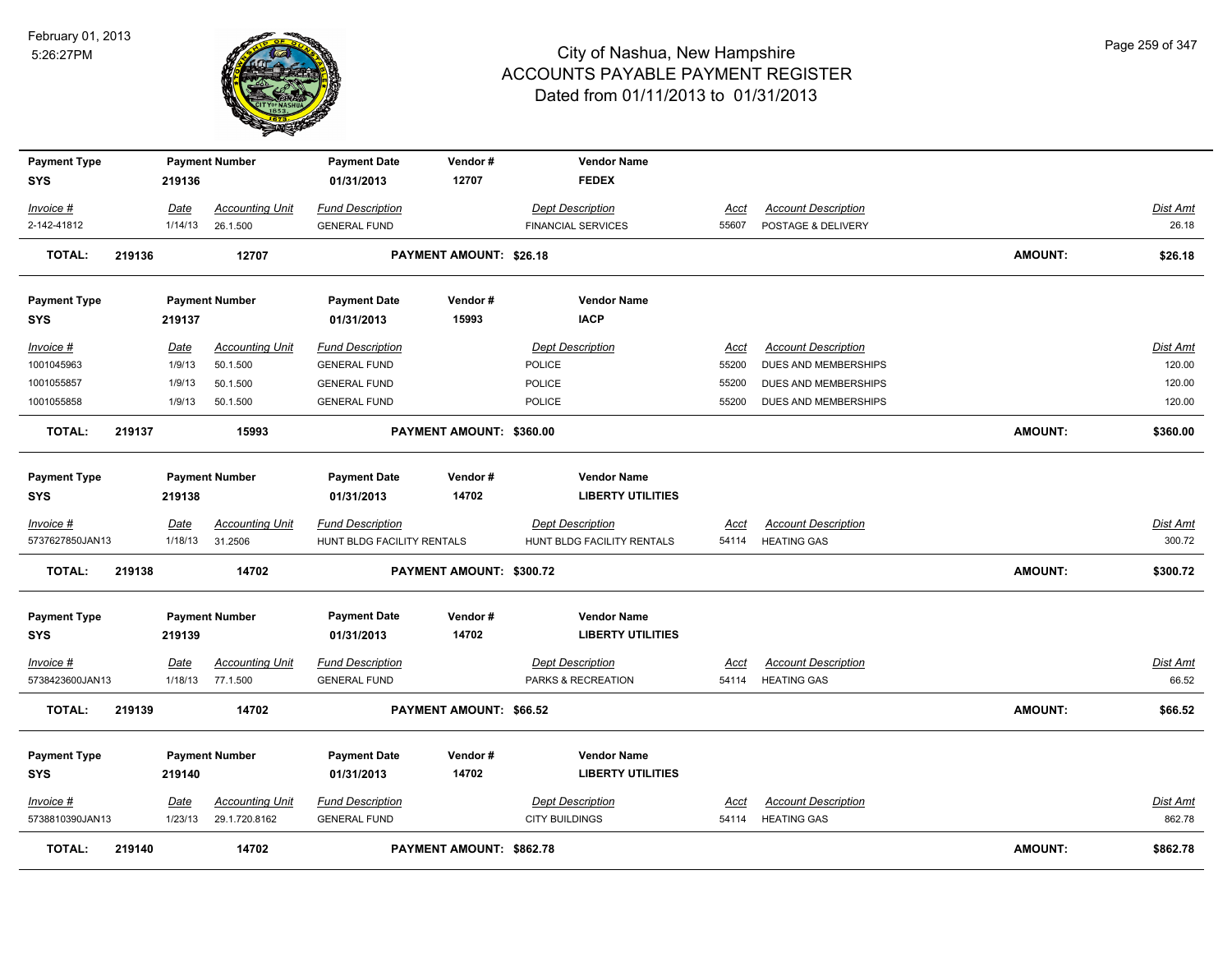

| <b>Payment Type</b><br><b>SYS</b> |        | 219136      | <b>Payment Number</b>  | <b>Payment Date</b><br>01/31/2013 | Vendor#<br>12707         | <b>Vendor Name</b><br><b>FEDEX</b> |             |                            |                |                 |
|-----------------------------------|--------|-------------|------------------------|-----------------------------------|--------------------------|------------------------------------|-------------|----------------------------|----------------|-----------------|
| Invoice #                         |        | Date        | <b>Accounting Unit</b> | <b>Fund Description</b>           |                          | <b>Dept Description</b>            | Acct        | <b>Account Description</b> |                | Dist Amt        |
| 2-142-41812                       |        | 1/14/13     | 26.1.500               | <b>GENERAL FUND</b>               |                          | <b>FINANCIAL SERVICES</b>          | 55607       | POSTAGE & DELIVERY         |                | 26.18           |
| <b>TOTAL:</b>                     | 219136 |             | 12707                  |                                   | PAYMENT AMOUNT: \$26.18  |                                    |             |                            | <b>AMOUNT:</b> | \$26.18         |
| <b>Payment Type</b>               |        |             | <b>Payment Number</b>  | <b>Payment Date</b>               | Vendor#                  | <b>Vendor Name</b>                 |             |                            |                |                 |
| <b>SYS</b>                        |        | 219137      |                        | 01/31/2013                        | 15993                    | <b>IACP</b>                        |             |                            |                |                 |
| Invoice #                         |        | <u>Date</u> | <b>Accounting Unit</b> | <b>Fund Description</b>           |                          | <b>Dept Description</b>            | <b>Acct</b> | <b>Account Description</b> |                | <b>Dist Amt</b> |
| 1001045963                        |        | 1/9/13      | 50.1.500               | <b>GENERAL FUND</b>               |                          | POLICE                             | 55200       | DUES AND MEMBERSHIPS       |                | 120.00          |
| 1001055857                        |        | 1/9/13      | 50.1.500               | <b>GENERAL FUND</b>               |                          | POLICE                             | 55200       | DUES AND MEMBERSHIPS       |                | 120.00          |
| 1001055858                        |        | 1/9/13      | 50.1.500               | <b>GENERAL FUND</b>               |                          | POLICE                             | 55200       | DUES AND MEMBERSHIPS       |                | 120.00          |
| <b>TOTAL:</b>                     | 219137 |             | 15993                  |                                   | PAYMENT AMOUNT: \$360.00 |                                    |             |                            | <b>AMOUNT:</b> | \$360.00        |
| <b>Payment Type</b>               |        |             | <b>Payment Number</b>  | <b>Payment Date</b>               | Vendor#                  | <b>Vendor Name</b>                 |             |                            |                |                 |
| <b>SYS</b>                        |        | 219138      |                        | 01/31/2013                        | 14702                    | <b>LIBERTY UTILITIES</b>           |             |                            |                |                 |
| Invoice #                         |        | Date        | Accounting Unit        | <b>Fund Description</b>           |                          | <b>Dept Description</b>            | Acct        | <b>Account Description</b> |                | Dist Amt        |
| 5737627850JAN13                   |        |             | 1/18/13 31.2506        | HUNT BLDG FACILITY RENTALS        |                          | HUNT BLDG FACILITY RENTALS         |             | 54114 HEATING GAS          |                | 300.72          |
| <b>TOTAL:</b>                     | 219138 |             | 14702                  |                                   | PAYMENT AMOUNT: \$300.72 |                                    |             |                            | <b>AMOUNT:</b> | \$300.72        |
| <b>Payment Type</b>               |        |             | <b>Payment Number</b>  | <b>Payment Date</b>               | Vendor#                  | <b>Vendor Name</b>                 |             |                            |                |                 |
| <b>SYS</b>                        |        | 219139      |                        | 01/31/2013                        | 14702                    | <b>LIBERTY UTILITIES</b>           |             |                            |                |                 |
| Invoice #                         |        | Date        | <b>Accounting Unit</b> | <b>Fund Description</b>           |                          | <b>Dept Description</b>            | <b>Acct</b> | <b>Account Description</b> |                | Dist Amt        |
| 5738423600JAN13                   |        | 1/18/13     | 77.1.500               | <b>GENERAL FUND</b>               |                          | PARKS & RECREATION                 | 54114       | <b>HEATING GAS</b>         |                | 66.52           |
| <b>TOTAL:</b>                     | 219139 |             | 14702                  |                                   | PAYMENT AMOUNT: \$66.52  |                                    |             |                            | <b>AMOUNT:</b> | \$66.52         |
| <b>Payment Type</b>               |        |             | <b>Payment Number</b>  | <b>Payment Date</b>               | Vendor#                  | <b>Vendor Name</b>                 |             |                            |                |                 |
| <b>SYS</b>                        |        | 219140      |                        | 01/31/2013                        | 14702                    | <b>LIBERTY UTILITIES</b>           |             |                            |                |                 |
| $Invoice$ #                       |        | <u>Date</u> | <b>Accounting Unit</b> | <b>Fund Description</b>           |                          | <b>Dept Description</b>            | Acct        | <b>Account Description</b> |                | Dist Amt        |
| 5738810390JAN13                   |        | 1/23/13     | 29.1.720.8162          | <b>GENERAL FUND</b>               |                          | <b>CITY BUILDINGS</b>              | 54114       | <b>HEATING GAS</b>         |                | 862.78          |
| <b>TOTAL:</b>                     | 219140 |             | 14702                  |                                   | PAYMENT AMOUNT: \$862.78 |                                    |             |                            | <b>AMOUNT:</b> | \$862.78        |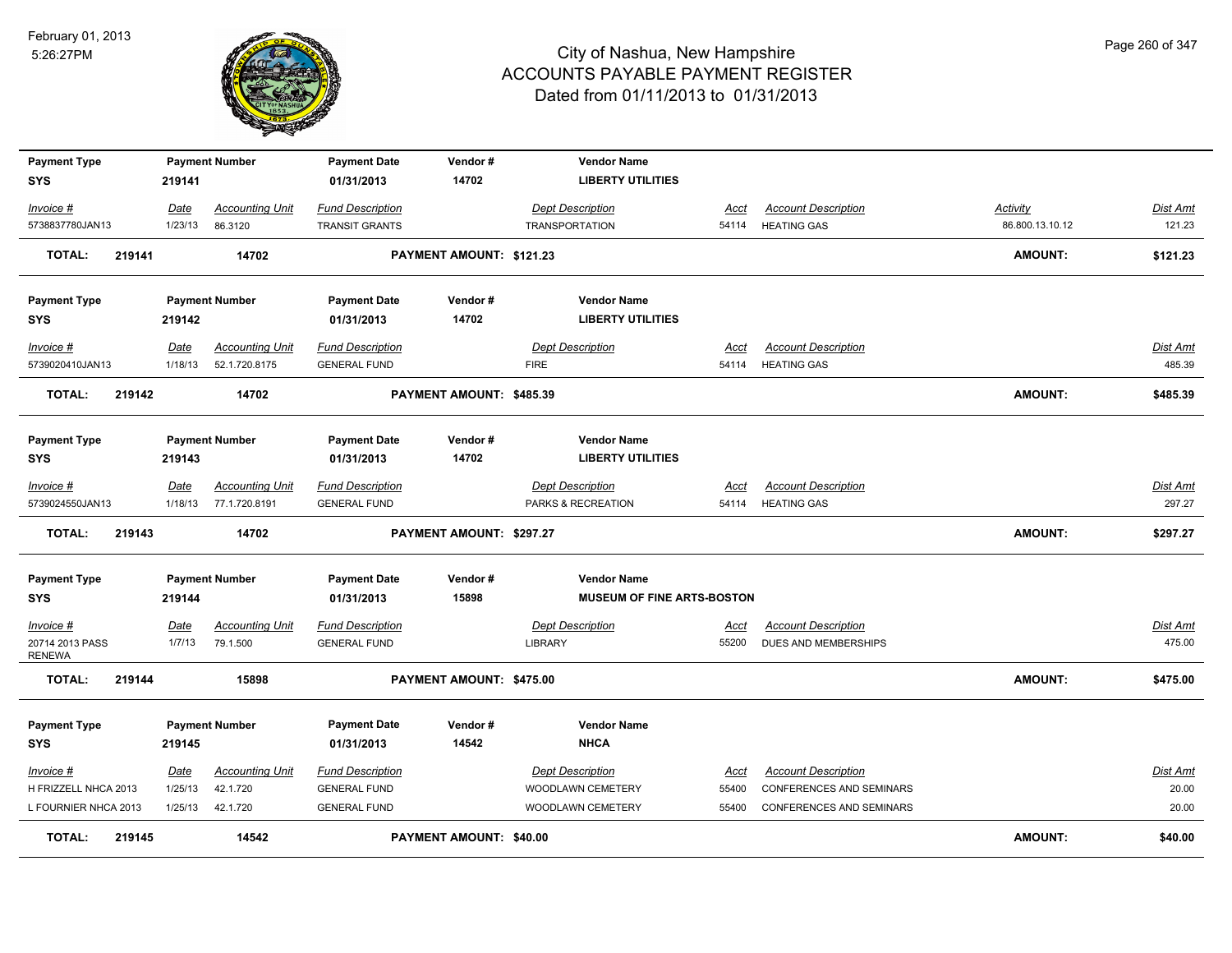

| <b>Payment Type</b><br><b>SYS</b>             | 219141         | <b>Payment Number</b>              | <b>Payment Date</b><br>01/31/2013              | Vendor#<br>14702               | <b>Vendor Name</b><br><b>LIBERTY UTILITIES</b> |                      |                                                    |                 |                           |
|-----------------------------------------------|----------------|------------------------------------|------------------------------------------------|--------------------------------|------------------------------------------------|----------------------|----------------------------------------------------|-----------------|---------------------------|
| Invoice #                                     | Date           | <b>Accounting Unit</b>             | <b>Fund Description</b>                        |                                | <b>Dept Description</b>                        | Acct                 | <b>Account Description</b>                         | Activity        | Dist Amt                  |
| 5738837780JAN13                               | 1/23/13        | 86.3120                            | <b>TRANSIT GRANTS</b>                          |                                | <b>TRANSPORTATION</b>                          | 54114                | <b>HEATING GAS</b>                                 | 86.800.13.10.12 | 121.23                    |
| 219141<br><b>TOTAL:</b>                       |                | 14702                              |                                                | PAYMENT AMOUNT: \$121.23       |                                                |                      |                                                    | AMOUNT:         | \$121.23                  |
| <b>Payment Type</b>                           |                | <b>Payment Number</b>              | <b>Payment Date</b>                            | Vendor#                        | <b>Vendor Name</b>                             |                      |                                                    |                 |                           |
| <b>SYS</b>                                    | 219142         |                                    | 01/31/2013                                     | 14702                          | <b>LIBERTY UTILITIES</b>                       |                      |                                                    |                 |                           |
| Invoice #                                     | Date           | <b>Accounting Unit</b>             | <b>Fund Description</b>                        |                                | <b>Dept Description</b>                        | Acct                 | <b>Account Description</b>                         |                 | Dist Amt                  |
| 5739020410JAN13                               | 1/18/13        | 52.1.720.8175                      | <b>GENERAL FUND</b>                            |                                | <b>FIRE</b>                                    | 54114                | <b>HEATING GAS</b>                                 |                 | 485.39                    |
| <b>TOTAL:</b><br>219142                       |                | 14702                              |                                                | PAYMENT AMOUNT: \$485.39       |                                                |                      |                                                    | <b>AMOUNT:</b>  | \$485.39                  |
| <b>Payment Type</b>                           |                | <b>Payment Number</b>              | <b>Payment Date</b>                            | Vendor#                        | <b>Vendor Name</b>                             |                      |                                                    |                 |                           |
| <b>SYS</b>                                    | 219143         |                                    | 01/31/2013                                     | 14702                          | <b>LIBERTY UTILITIES</b>                       |                      |                                                    |                 |                           |
| Invoice #                                     | Date           | <b>Accounting Unit</b>             | <b>Fund Description</b>                        |                                | <b>Dept Description</b>                        | Acct                 | <b>Account Description</b>                         |                 | Dist Amt                  |
| 5739024550JAN13                               | 1/18/13        | 77.1.720.8191                      | <b>GENERAL FUND</b>                            |                                | PARKS & RECREATION                             | 54114                | <b>HEATING GAS</b>                                 |                 | 297.27                    |
| <b>TOTAL:</b><br>219143                       |                | 14702                              |                                                | PAYMENT AMOUNT: \$297.27       |                                                |                      |                                                    | AMOUNT:         | \$297.27                  |
| <b>Payment Type</b>                           |                | <b>Payment Number</b>              | <b>Payment Date</b>                            | Vendor#                        | <b>Vendor Name</b>                             |                      |                                                    |                 |                           |
| SYS                                           | 219144         |                                    | 01/31/2013                                     | 15898                          | <b>MUSEUM OF FINE ARTS-BOSTON</b>              |                      |                                                    |                 |                           |
| Invoice #<br>20714 2013 PASS<br><b>RENEWA</b> | Date<br>1/7/13 | <b>Accounting Unit</b><br>79.1.500 | <b>Fund Description</b><br><b>GENERAL FUND</b> |                                | <b>Dept Description</b><br>LIBRARY             | <b>Acct</b><br>55200 | <b>Account Description</b><br>DUES AND MEMBERSHIPS |                 | <b>Dist Amt</b><br>475.00 |
| <b>TOTAL:</b><br>219144                       |                | 15898                              |                                                | PAYMENT AMOUNT: \$475.00       |                                                |                      |                                                    | AMOUNT:         | \$475.00                  |
| <b>Payment Type</b>                           |                | <b>Payment Number</b>              | <b>Payment Date</b>                            | Vendor#                        | <b>Vendor Name</b>                             |                      |                                                    |                 |                           |
| <b>SYS</b>                                    | 219145         |                                    | 01/31/2013                                     | 14542                          | <b>NHCA</b>                                    |                      |                                                    |                 |                           |
| Invoice #                                     | Date           | <b>Accounting Unit</b>             | <b>Fund Description</b>                        |                                | <b>Dept Description</b>                        | <b>Acct</b>          | <b>Account Description</b>                         |                 | Dist Amt                  |
| H FRIZZELL NHCA 2013                          | 1/25/13        | 42.1.720                           | <b>GENERAL FUND</b>                            |                                | WOODLAWN CEMETERY                              | 55400                | <b>CONFERENCES AND SEMINARS</b>                    |                 | 20.00                     |
| L FOURNIER NHCA 2013                          | 1/25/13        | 42.1.720                           | <b>GENERAL FUND</b>                            |                                | WOODLAWN CEMETERY                              | 55400                | <b>CONFERENCES AND SEMINARS</b>                    |                 | 20.00                     |
| <b>TOTAL:</b><br>219145                       |                | 14542                              |                                                | <b>PAYMENT AMOUNT: \$40.00</b> |                                                |                      |                                                    | <b>AMOUNT:</b>  | \$40.00                   |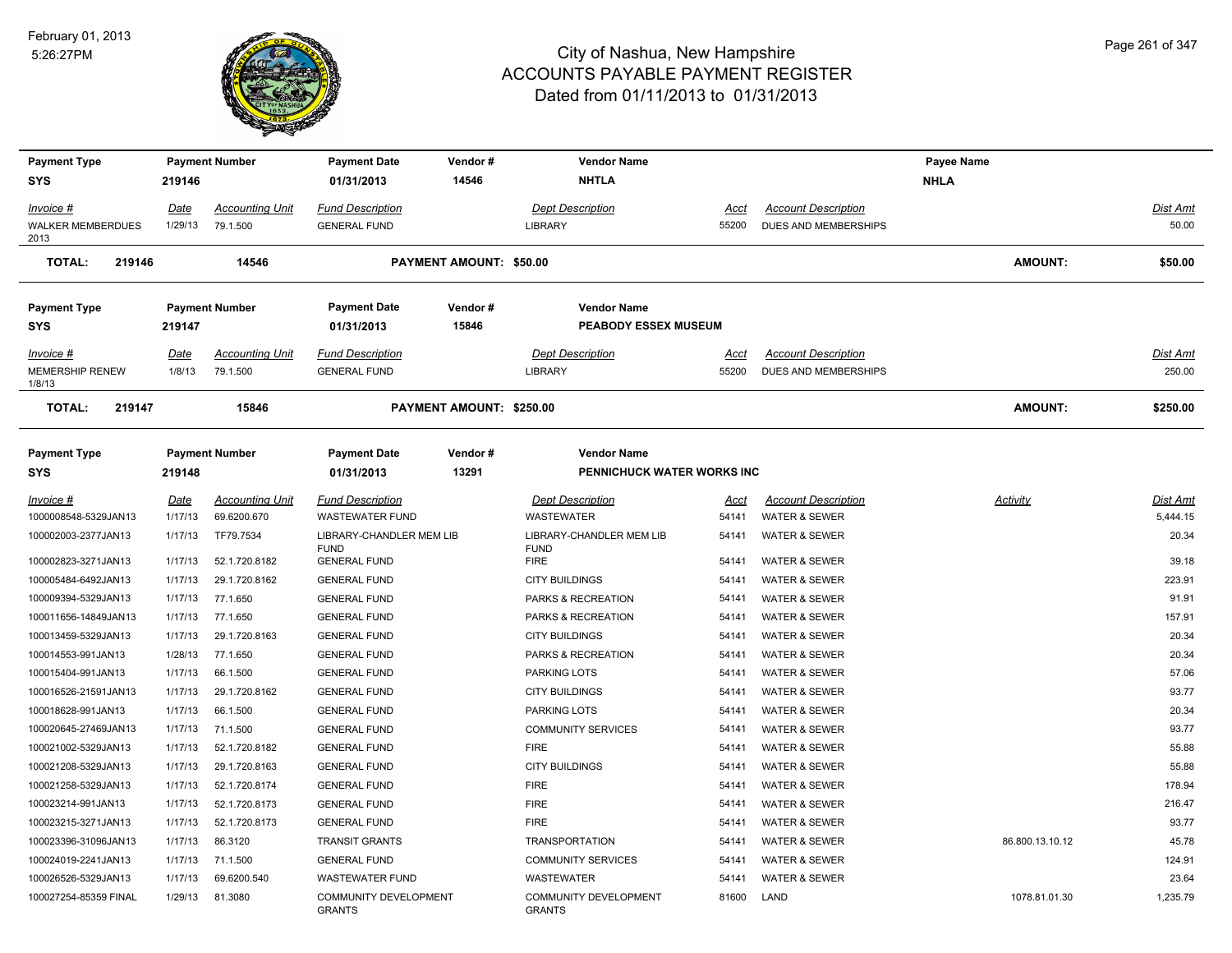

| <b>Payment Type</b>              |         | <b>Payment Number</b>  | <b>Payment Date</b>                           | Vendor#                        | <b>Vendor Name</b>                      |       |                            | <b>Payee Name</b> |          |
|----------------------------------|---------|------------------------|-----------------------------------------------|--------------------------------|-----------------------------------------|-------|----------------------------|-------------------|----------|
| SYS                              | 219146  |                        | 01/31/2013                                    | 14546                          | <b>NHTLA</b>                            |       |                            | <b>NHLA</b>       |          |
| Invoice #                        | Date    | <b>Accounting Unit</b> | <b>Fund Description</b>                       |                                | <b>Dept Description</b>                 | Acct  | <b>Account Description</b> |                   | Dist Amt |
| WALKER MEMBERDUES<br>2013        | 1/29/13 | 79.1.500               | <b>GENERAL FUND</b>                           |                                | LIBRARY                                 | 55200 | DUES AND MEMBERSHIPS       |                   | 50.00    |
| <b>TOTAL:</b><br>219146          |         | 14546                  |                                               | <b>PAYMENT AMOUNT: \$50.00</b> |                                         |       |                            | <b>AMOUNT:</b>    | \$50.00  |
| Payment Type                     |         | <b>Payment Number</b>  | <b>Payment Date</b>                           | Vendor#                        | <b>Vendor Name</b>                      |       |                            |                   |          |
| SYS                              | 219147  |                        | 01/31/2013                                    | 15846                          | <b>PEABODY ESSEX MUSEUM</b>             |       |                            |                   |          |
| Invoice #                        | Date    | <b>Accounting Unit</b> | <b>Fund Description</b>                       |                                | <b>Dept Description</b>                 | Acct  | <b>Account Description</b> |                   | Dist Amt |
| <b>MEMERSHIP RENEW</b><br>1/8/13 | 1/8/13  | 79.1.500               | <b>GENERAL FUND</b>                           |                                | <b>LIBRARY</b>                          | 55200 | DUES AND MEMBERSHIPS       |                   | 250.00   |
| <b>TOTAL:</b><br>219147          |         | 15846                  |                                               | PAYMENT AMOUNT: \$250.00       |                                         |       |                            | <b>AMOUNT:</b>    | \$250.00 |
| Payment Type                     |         | <b>Payment Number</b>  | <b>Payment Date</b>                           | Vendor#                        | <b>Vendor Name</b>                      |       |                            |                   |          |
| SYS                              | 219148  |                        | 01/31/2013                                    | 13291                          | PENNICHUCK WATER WORKS INC              |       |                            |                   |          |
| Invoice #                        | Date    | <b>Accounting Unit</b> | <b>Fund Description</b>                       |                                | <b>Dept Description</b>                 | Acct  | <b>Account Description</b> | Activity          | Dist Amt |
| 1000008548-5329JAN13             | 1/17/13 | 69.6200.670            | <b>WASTEWATER FUND</b>                        |                                | <b>WASTEWATER</b>                       | 54141 | <b>WATER &amp; SEWER</b>   |                   | 5,444.15 |
| 100002003-2377JAN13              | 1/17/13 | TF79.7534              | LIBRARY-CHANDLER MEM LIB<br><b>FUND</b>       |                                | LIBRARY-CHANDLER MEM LIB<br><b>FUND</b> | 54141 | <b>WATER &amp; SEWER</b>   |                   | 20.34    |
| 100002823-3271JAN13              | 1/17/13 | 52.1.720.8182          | <b>GENERAL FUND</b>                           |                                | <b>FIRE</b>                             | 54141 | <b>WATER &amp; SEWER</b>   |                   | 39.18    |
| 100005484-6492JAN13              | 1/17/13 | 29.1.720.8162          | <b>GENERAL FUND</b>                           |                                | <b>CITY BUILDINGS</b>                   | 54141 | <b>WATER &amp; SEWER</b>   |                   | 223.91   |
| 100009394-5329JAN13              | 1/17/13 | 77.1.650               | <b>GENERAL FUND</b>                           |                                | PARKS & RECREATION                      | 54141 | <b>WATER &amp; SEWER</b>   |                   | 91.91    |
| 100011656-14849JAN13             | 1/17/13 | 77.1.650               | <b>GENERAL FUND</b>                           |                                | PARKS & RECREATION                      | 54141 | <b>WATER &amp; SEWER</b>   |                   | 157.91   |
| 100013459-5329JAN13              | 1/17/13 | 29.1.720.8163          | <b>GENERAL FUND</b>                           |                                | <b>CITY BUILDINGS</b>                   | 54141 | <b>WATER &amp; SEWER</b>   |                   | 20.34    |
| 100014553-991JAN13               | 1/28/13 | 77.1.650               | <b>GENERAL FUND</b>                           |                                | PARKS & RECREATION                      | 54141 | <b>WATER &amp; SEWER</b>   |                   | 20.34    |
| 100015404-991JAN13               | 1/17/13 | 66.1.500               | <b>GENERAL FUND</b>                           |                                | <b>PARKING LOTS</b>                     | 54141 | <b>WATER &amp; SEWER</b>   |                   | 57.06    |
| 100016526-21591JAN13             | 1/17/13 | 29.1.720.8162          | <b>GENERAL FUND</b>                           |                                | <b>CITY BUILDINGS</b>                   | 54141 | <b>WATER &amp; SEWER</b>   |                   | 93.77    |
| 100018628-991JAN13               | 1/17/13 | 66.1.500               | <b>GENERAL FUND</b>                           |                                | <b>PARKING LOTS</b>                     | 54141 | <b>WATER &amp; SEWER</b>   |                   | 20.34    |
| 100020645-27469JAN13             | 1/17/13 | 71.1.500               | <b>GENERAL FUND</b>                           |                                | <b>COMMUNITY SERVICES</b>               | 54141 | <b>WATER &amp; SEWER</b>   |                   | 93.77    |
| 100021002-5329JAN13              | 1/17/13 | 52.1.720.8182          | <b>GENERAL FUND</b>                           |                                | <b>FIRE</b>                             | 54141 | <b>WATER &amp; SEWER</b>   |                   | 55.88    |
| 100021208-5329JAN13              | 1/17/13 | 29.1.720.8163          | <b>GENERAL FUND</b>                           |                                | <b>CITY BUILDINGS</b>                   | 54141 | <b>WATER &amp; SEWER</b>   |                   | 55.88    |
| 100021258-5329JAN13              | 1/17/13 | 52.1.720.8174          | <b>GENERAL FUND</b>                           |                                | <b>FIRE</b>                             | 54141 | <b>WATER &amp; SEWER</b>   |                   | 178.94   |
| 100023214-991JAN13               | 1/17/13 | 52.1.720.8173          | <b>GENERAL FUND</b>                           |                                | <b>FIRE</b>                             | 54141 | <b>WATER &amp; SEWER</b>   |                   | 216.47   |
| 100023215-3271JAN13              | 1/17/13 | 52.1.720.8173          | <b>GENERAL FUND</b>                           |                                | <b>FIRE</b>                             | 54141 | <b>WATER &amp; SEWER</b>   |                   | 93.77    |
| 100023396-31096JAN13             | 1/17/13 | 86.3120                | <b>TRANSIT GRANTS</b>                         |                                | <b>TRANSPORTATION</b>                   | 54141 | <b>WATER &amp; SEWER</b>   | 86.800.13.10.12   | 45.78    |
| 100024019-2241JAN13              | 1/17/13 | 71.1.500               | <b>GENERAL FUND</b>                           |                                | <b>COMMUNITY SERVICES</b>               | 54141 | <b>WATER &amp; SEWER</b>   |                   | 124.91   |
| 100026526-5329JAN13              | 1/17/13 | 69.6200.540            | <b>WASTEWATER FUND</b>                        |                                | <b>WASTEWATER</b>                       | 54141 | <b>WATER &amp; SEWER</b>   |                   | 23.64    |
| 100027254-85359 FINAL            | 1/29/13 | 81.3080                | <b>COMMUNITY DEVELOPMENT</b><br><b>GRANTS</b> |                                | COMMUNITY DEVELOPMENT<br><b>GRANTS</b>  | 81600 | LAND                       | 1078.81.01.30     | 1,235.79 |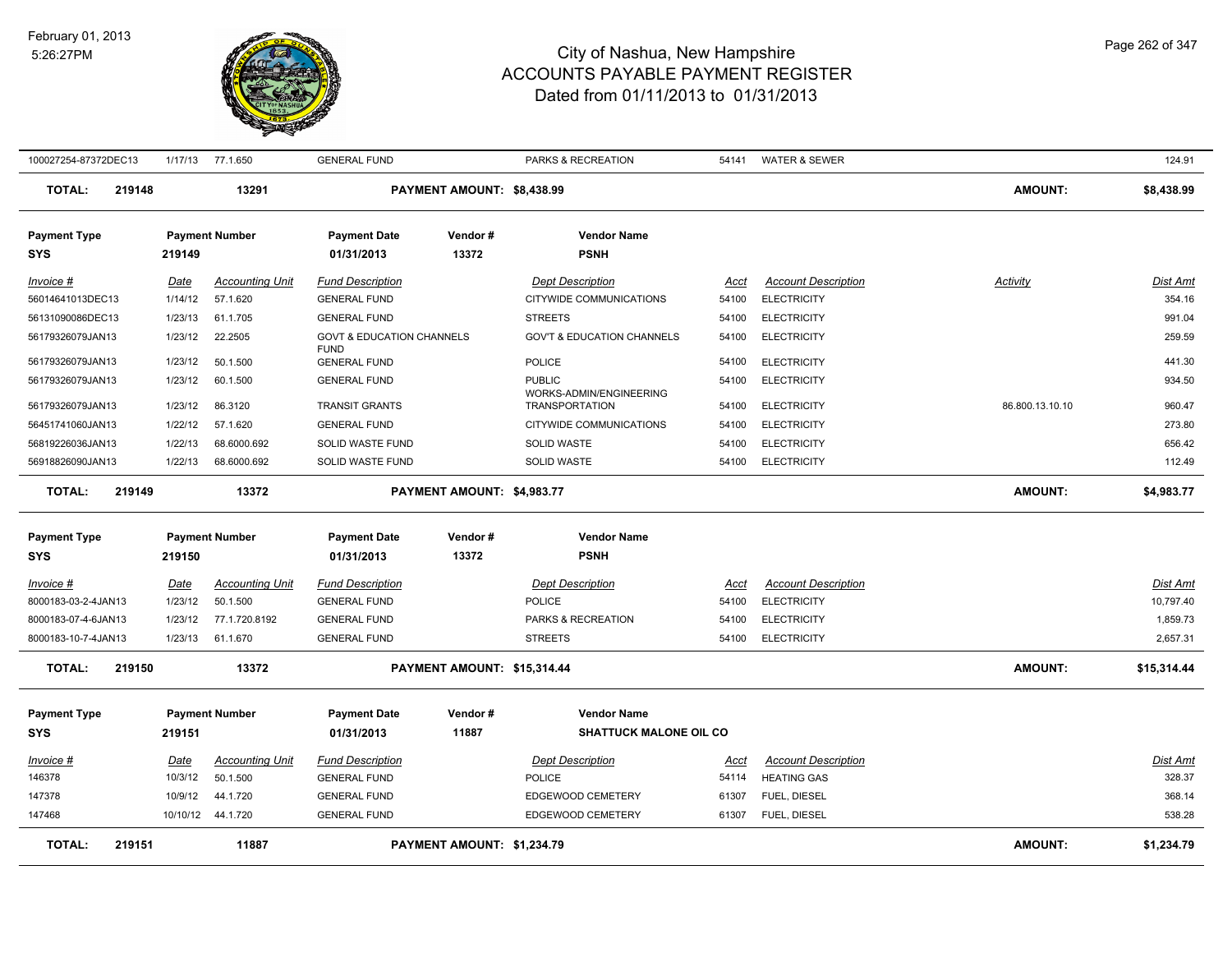

| 100027254-87372DEC13                       |        |                    | 1/17/13 77.1.650          | <b>GENERAL FUND</b>                                 |                             | PARKS & RECREATION                               | 54141          | <b>WATER &amp; SEWER</b>                 |                 | 124.91                |
|--------------------------------------------|--------|--------------------|---------------------------|-----------------------------------------------------|-----------------------------|--------------------------------------------------|----------------|------------------------------------------|-----------------|-----------------------|
| <b>TOTAL:</b>                              | 219148 |                    | 13291                     |                                                     | PAYMENT AMOUNT: \$8,438.99  |                                                  |                |                                          | <b>AMOUNT:</b>  | \$8,438.99            |
| <b>Payment Type</b>                        |        |                    | <b>Payment Number</b>     | <b>Payment Date</b>                                 | Vendor#                     | <b>Vendor Name</b>                               |                |                                          |                 |                       |
| <b>SYS</b>                                 |        | 219149             |                           | 01/31/2013                                          | 13372                       | <b>PSNH</b>                                      |                |                                          |                 |                       |
| Invoice #                                  |        | Date               | <b>Accounting Unit</b>    | <b>Fund Description</b>                             |                             | <b>Dept Description</b>                          | Acct           | <b>Account Description</b>               | Activity        | Dist Amt              |
| 56014641013DEC13                           |        | 1/14/12            | 57.1.620                  | <b>GENERAL FUND</b>                                 |                             | CITYWIDE COMMUNICATIONS                          | 54100          | <b>ELECTRICITY</b>                       |                 | 354.16                |
| 56131090086DEC13                           |        | 1/23/13            | 61.1.705                  | <b>GENERAL FUND</b>                                 |                             | <b>STREETS</b>                                   | 54100          | <b>ELECTRICITY</b>                       |                 | 991.04                |
| 56179326079JAN13                           |        | 1/23/12            | 22.2505                   | <b>GOVT &amp; EDUCATION CHANNELS</b><br><b>FUND</b> |                             | <b>GOV'T &amp; EDUCATION CHANNELS</b>            | 54100          | <b>ELECTRICITY</b>                       |                 | 259.59                |
| 56179326079JAN13                           |        | 1/23/12            | 50.1.500                  | <b>GENERAL FUND</b>                                 |                             | POLICE                                           | 54100          | <b>ELECTRICITY</b>                       |                 | 441.30                |
| 56179326079JAN13                           |        | 1/23/12            | 60.1.500                  | <b>GENERAL FUND</b>                                 |                             | <b>PUBLIC</b>                                    | 54100          | <b>ELECTRICITY</b>                       |                 | 934.50                |
| 56179326079JAN13                           |        | 1/23/12            | 86.3120                   | <b>TRANSIT GRANTS</b>                               |                             | WORKS-ADMIN/ENGINEERING<br><b>TRANSPORTATION</b> | 54100          | <b>ELECTRICITY</b>                       | 86.800.13.10.10 | 960.47                |
| 56451741060JAN13                           |        | 1/22/12            | 57.1.620                  | <b>GENERAL FUND</b>                                 |                             | CITYWIDE COMMUNICATIONS                          | 54100          | <b>ELECTRICITY</b>                       |                 | 273.80                |
| 56819226036JAN13                           |        | 1/22/13            | 68.6000.692               | SOLID WASTE FUND                                    |                             | <b>SOLID WASTE</b>                               | 54100          | <b>ELECTRICITY</b>                       |                 | 656.42                |
| 56918826090JAN13                           |        | 1/22/13            | 68.6000.692               | SOLID WASTE FUND                                    |                             | <b>SOLID WASTE</b>                               | 54100          | <b>ELECTRICITY</b>                       |                 | 112.49                |
| <b>TOTAL:</b>                              | 219149 |                    | 13372                     |                                                     | PAYMENT AMOUNT: \$4,983.77  |                                                  |                |                                          | <b>AMOUNT:</b>  | \$4,983.77            |
|                                            |        |                    |                           | <b>Payment Date</b>                                 |                             | <b>Vendor Name</b>                               |                |                                          |                 |                       |
| <b>Payment Type</b><br><b>SYS</b>          |        | 219150             | <b>Payment Number</b>     | 01/31/2013                                          | Vendor#<br>13372            | <b>PSNH</b>                                      |                |                                          |                 |                       |
|                                            |        |                    |                           |                                                     |                             |                                                  |                |                                          |                 |                       |
| Invoice #                                  |        | Date               | <b>Accounting Unit</b>    | <b>Fund Description</b>                             |                             | <b>Dept Description</b>                          | Acct           | <b>Account Description</b>               |                 | Dist Amt              |
| 8000183-03-2-4JAN13<br>8000183-07-4-6JAN13 |        | 1/23/12<br>1/23/12 | 50.1.500                  | <b>GENERAL FUND</b>                                 |                             | POLICE                                           | 54100<br>54100 | <b>ELECTRICITY</b>                       |                 | 10,797.40<br>1,859.73 |
| 8000183-10-7-4JAN13                        |        | 1/23/13            | 77.1.720.8192<br>61.1.670 | <b>GENERAL FUND</b><br><b>GENERAL FUND</b>          |                             | PARKS & RECREATION<br><b>STREETS</b>             | 54100          | <b>ELECTRICITY</b><br><b>ELECTRICITY</b> |                 | 2,657.31              |
|                                            |        |                    |                           |                                                     |                             |                                                  |                |                                          |                 |                       |
| <b>TOTAL:</b>                              | 219150 |                    | 13372                     |                                                     | PAYMENT AMOUNT: \$15,314.44 |                                                  |                |                                          | <b>AMOUNT:</b>  | \$15,314.44           |
| <b>Payment Type</b>                        |        |                    | <b>Payment Number</b>     | <b>Payment Date</b>                                 | Vendor#                     | <b>Vendor Name</b>                               |                |                                          |                 |                       |
| <b>SYS</b>                                 |        | 219151             |                           | 01/31/2013                                          | 11887                       | <b>SHATTUCK MALONE OIL CO</b>                    |                |                                          |                 |                       |
| Invoice #                                  |        | Date               | <b>Accounting Unit</b>    | <b>Fund Description</b>                             |                             | <b>Dept Description</b>                          | <u>Acct</u>    | <b>Account Description</b>               |                 | <u>Dist Amt</u>       |
| 146378                                     |        | 10/3/12            | 50.1.500                  | <b>GENERAL FUND</b>                                 |                             | <b>POLICE</b>                                    | 54114          | <b>HEATING GAS</b>                       |                 | 328.37                |
| 147378                                     |        | 10/9/12            | 44.1.720                  | <b>GENERAL FUND</b>                                 |                             | EDGEWOOD CEMETERY                                | 61307          | FUEL, DIESEL                             |                 | 368.14                |
| 147468                                     |        |                    | 10/10/12  44.1.720        | <b>GENERAL FUND</b>                                 |                             | EDGEWOOD CEMETERY                                | 61307          | FUEL, DIESEL                             |                 | 538.28                |
| <b>TOTAL:</b>                              | 219151 |                    | 11887                     |                                                     | PAYMENT AMOUNT: \$1,234.79  |                                                  |                |                                          | <b>AMOUNT:</b>  | \$1,234.79            |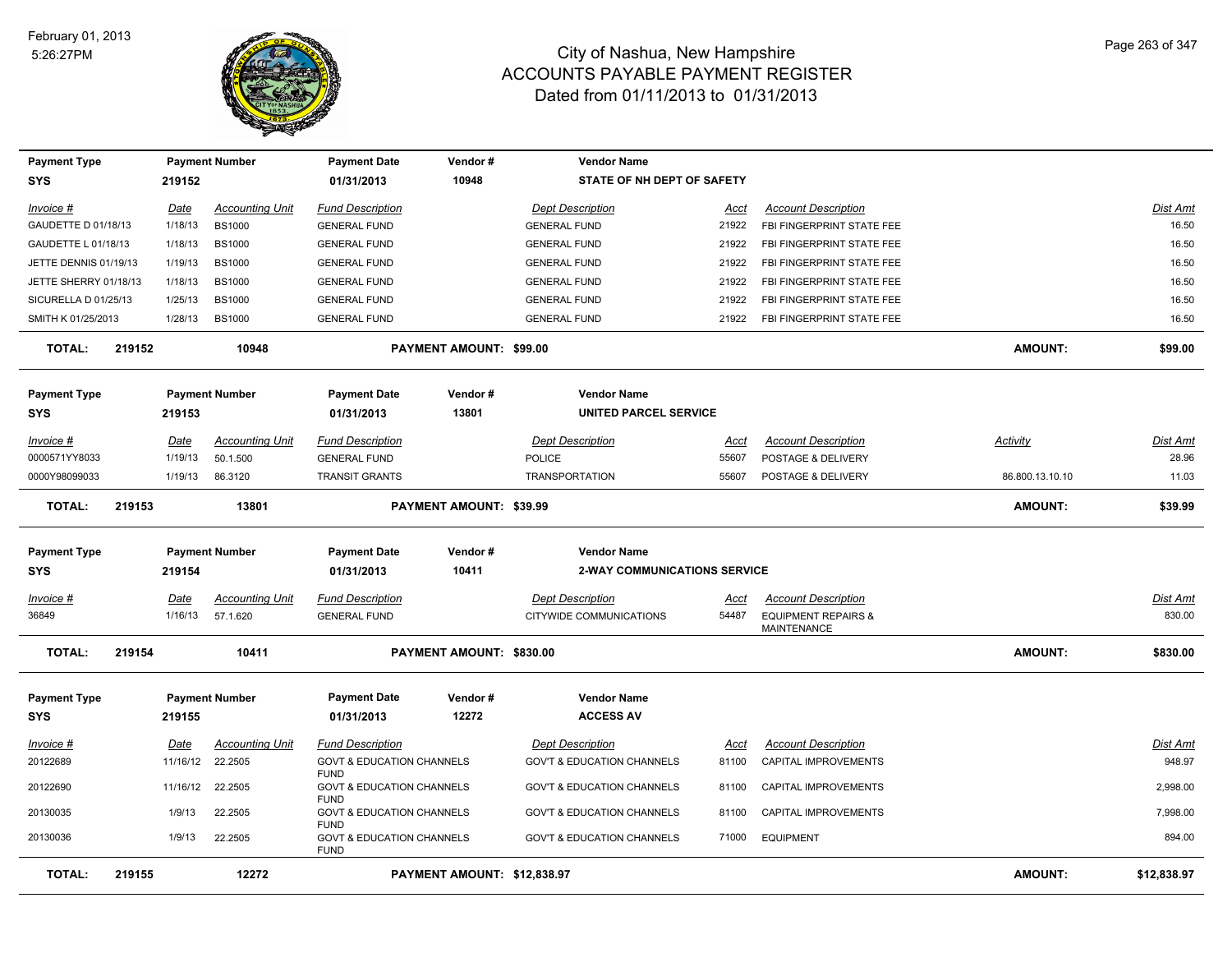

| <b>Payment Type</b>   |        |          | <b>Payment Number</b>  | <b>Payment Date</b>                                                | Vendor#                     | <b>Vendor Name</b>                    |       |                                               |                 |                 |
|-----------------------|--------|----------|------------------------|--------------------------------------------------------------------|-----------------------------|---------------------------------------|-------|-----------------------------------------------|-----------------|-----------------|
| <b>SYS</b>            |        | 219152   |                        | 01/31/2013                                                         | 10948                       | STATE OF NH DEPT OF SAFETY            |       |                                               |                 |                 |
| Invoice #             |        | Date     | <b>Accounting Unit</b> | <b>Fund Description</b>                                            |                             | <b>Dept Description</b>               | Acct  | <b>Account Description</b>                    |                 | <b>Dist Amt</b> |
| GAUDETTE D 01/18/13   |        | 1/18/13  | <b>BS1000</b>          | <b>GENERAL FUND</b>                                                |                             | <b>GENERAL FUND</b>                   | 21922 | FBI FINGERPRINT STATE FEE                     |                 | 16.50           |
| GAUDETTE L 01/18/13   |        | 1/18/13  | <b>BS1000</b>          | <b>GENERAL FUND</b>                                                |                             | <b>GENERAL FUND</b>                   | 21922 | FBI FINGERPRINT STATE FEE                     |                 | 16.50           |
| JETTE DENNIS 01/19/13 |        | 1/19/13  | <b>BS1000</b>          | <b>GENERAL FUND</b>                                                |                             | <b>GENERAL FUND</b>                   | 21922 | FBI FINGERPRINT STATE FEE                     |                 | 16.50           |
| JETTE SHERRY 01/18/13 |        | 1/18/13  | <b>BS1000</b>          | <b>GENERAL FUND</b>                                                |                             | <b>GENERAL FUND</b>                   | 21922 | FBI FINGERPRINT STATE FEE                     |                 | 16.50           |
| SICURELLA D 01/25/13  |        | 1/25/13  | <b>BS1000</b>          | <b>GENERAL FUND</b>                                                |                             | <b>GENERAL FUND</b>                   | 21922 | FBI FINGERPRINT STATE FEE                     |                 | 16.50           |
| SMITH K 01/25/2013    |        | 1/28/13  | <b>BS1000</b>          | <b>GENERAL FUND</b>                                                |                             | <b>GENERAL FUND</b>                   | 21922 | FBI FINGERPRINT STATE FEE                     |                 | 16.50           |
| <b>TOTAL:</b>         | 219152 |          | 10948                  |                                                                    | PAYMENT AMOUNT: \$99.00     |                                       |       |                                               | <b>AMOUNT:</b>  | \$99.00         |
| <b>Payment Type</b>   |        |          | <b>Payment Number</b>  | <b>Payment Date</b>                                                | Vendor#                     | <b>Vendor Name</b>                    |       |                                               |                 |                 |
| <b>SYS</b>            |        | 219153   |                        | 01/31/2013                                                         | 13801                       | <b>UNITED PARCEL SERVICE</b>          |       |                                               |                 |                 |
| Invoice #             |        | Date     | <b>Accounting Unit</b> | <b>Fund Description</b>                                            |                             | <b>Dept Description</b>               | Acct  | <b>Account Description</b>                    | Activity        | <b>Dist Amt</b> |
| 0000571YY8033         |        | 1/19/13  | 50.1.500               | <b>GENERAL FUND</b>                                                |                             | <b>POLICE</b>                         | 55607 | POSTAGE & DELIVERY                            |                 | 28.96           |
| 0000Y98099033         |        | 1/19/13  | 86.3120                | <b>TRANSIT GRANTS</b>                                              |                             | <b>TRANSPORTATION</b>                 | 55607 | POSTAGE & DELIVERY                            | 86.800.13.10.10 | 11.03           |
| <b>TOTAL:</b>         | 219153 |          | 13801                  |                                                                    | PAYMENT AMOUNT: \$39.99     |                                       |       |                                               | <b>AMOUNT:</b>  | \$39.99         |
| <b>Payment Type</b>   |        |          | <b>Payment Number</b>  | <b>Payment Date</b>                                                | Vendor#                     | <b>Vendor Name</b>                    |       |                                               |                 |                 |
| <b>SYS</b>            |        | 219154   |                        | 01/31/2013                                                         | 10411                       | <b>2-WAY COMMUNICATIONS SERVICE</b>   |       |                                               |                 |                 |
| Invoice #             |        | Date     | <b>Accounting Unit</b> | <b>Fund Description</b>                                            |                             | <b>Dept Description</b>               | Acct  | <b>Account Description</b>                    |                 | Dist Amt        |
| 36849                 |        | 1/16/13  | 57.1.620               | <b>GENERAL FUND</b>                                                |                             | CITYWIDE COMMUNICATIONS               | 54487 | <b>EQUIPMENT REPAIRS &amp;</b><br>MAINTENANCE |                 | 830.00          |
| <b>TOTAL:</b>         | 219154 |          | 10411                  |                                                                    | PAYMENT AMOUNT: \$830.00    |                                       |       |                                               | AMOUNT:         | \$830.00        |
| <b>Payment Type</b>   |        |          | <b>Payment Number</b>  | <b>Payment Date</b>                                                | Vendor#                     | <b>Vendor Name</b>                    |       |                                               |                 |                 |
| <b>SYS</b>            |        | 219155   |                        | 01/31/2013                                                         | 12272                       | <b>ACCESS AV</b>                      |       |                                               |                 |                 |
| $Invoice$ #           |        | Date     | <b>Accounting Unit</b> | <b>Fund Description</b>                                            |                             | <b>Dept Description</b>               | Acct  | <b>Account Description</b>                    |                 | Dist Amt        |
| 20122689              |        | 11/16/12 | 22.2505                | <b>GOVT &amp; EDUCATION CHANNELS</b><br><b>FUND</b>                |                             | <b>GOV'T &amp; EDUCATION CHANNELS</b> | 81100 | CAPITAL IMPROVEMENTS                          |                 | 948.97          |
| 20122690              |        | 11/16/12 | 22.2505                | <b>GOVT &amp; EDUCATION CHANNELS</b><br><b>FUND</b>                |                             | <b>GOV'T &amp; EDUCATION CHANNELS</b> | 81100 | CAPITAL IMPROVEMENTS                          |                 | 2.998.00        |
| 20130035              |        | 1/9/13   | 22.2505                | <b>GOVT &amp; EDUCATION CHANNELS</b>                               |                             | <b>GOV'T &amp; EDUCATION CHANNELS</b> | 81100 | CAPITAL IMPROVEMENTS                          |                 | 7,998.00        |
| 20130036              |        | 1/9/13   | 22.2505                | <b>FUND</b><br><b>GOVT &amp; EDUCATION CHANNELS</b><br><b>FUND</b> |                             | <b>GOV'T &amp; EDUCATION CHANNELS</b> | 71000 | <b>EQUIPMENT</b>                              |                 | 894.00          |
| <b>TOTAL:</b>         | 219155 |          | 12272                  |                                                                    | PAYMENT AMOUNT: \$12,838.97 |                                       |       |                                               | <b>AMOUNT:</b>  | \$12,838.97     |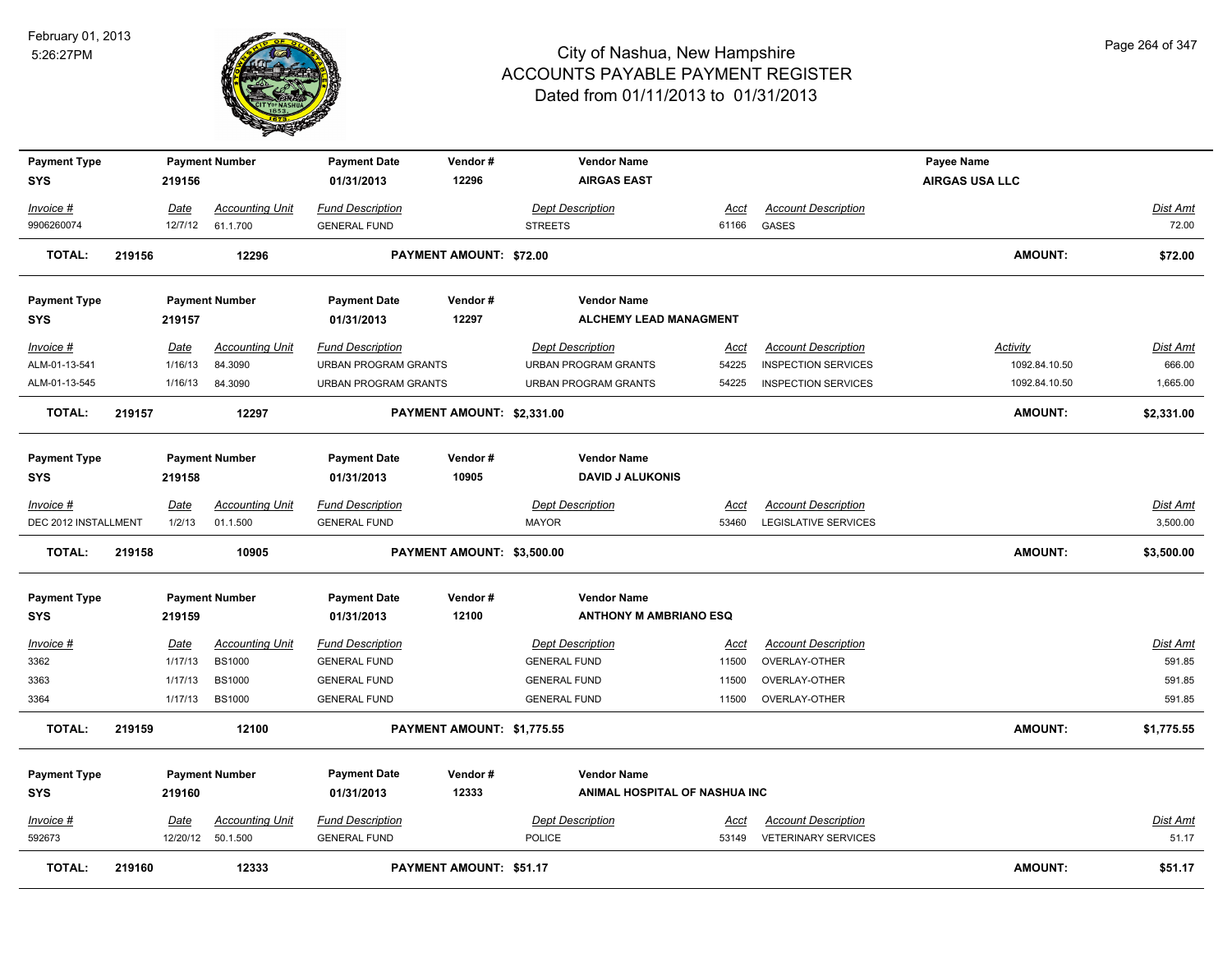

| <b>Payment Type</b>  |        |             | <b>Payment Number</b>  | <b>Payment Date</b>         | Vendor#                        | <b>Vendor Name</b>            |             |                             | Payee Name            |                 |
|----------------------|--------|-------------|------------------------|-----------------------------|--------------------------------|-------------------------------|-------------|-----------------------------|-----------------------|-----------------|
| <b>SYS</b>           |        | 219156      |                        | 01/31/2013                  | 12296                          | <b>AIRGAS EAST</b>            |             |                             | <b>AIRGAS USA LLC</b> |                 |
| Invoice #            |        | Date        | <b>Accounting Unit</b> | <b>Fund Description</b>     |                                | <b>Dept Description</b>       | Acct        | <b>Account Description</b>  |                       | Dist Amt        |
| 9906260074           |        | 12/7/12     | 61.1.700               | <b>GENERAL FUND</b>         |                                | <b>STREETS</b>                | 61166       | GASES                       |                       | 72.00           |
| TOTAL:               | 219156 |             | 12296                  |                             | <b>PAYMENT AMOUNT: \$72.00</b> |                               |             |                             | <b>AMOUNT:</b>        | \$72.00         |
| <b>Payment Type</b>  |        |             | <b>Payment Number</b>  | <b>Payment Date</b>         | Vendor#                        | <b>Vendor Name</b>            |             |                             |                       |                 |
| <b>SYS</b>           |        | 219157      |                        | 01/31/2013                  | 12297                          | ALCHEMY LEAD MANAGMENT        |             |                             |                       |                 |
| Invoice #            |        | Date        | <b>Accounting Unit</b> | <b>Fund Description</b>     |                                | <b>Dept Description</b>       | <u>Acct</u> | <b>Account Description</b>  | <b>Activity</b>       | <u>Dist Amt</u> |
| ALM-01-13-541        |        | 1/16/13     | 84.3090                | <b>URBAN PROGRAM GRANTS</b> |                                | URBAN PROGRAM GRANTS          | 54225       | <b>INSPECTION SERVICES</b>  | 1092.84.10.50         | 666.00          |
| ALM-01-13-545        |        | 1/16/13     | 84.3090                | <b>URBAN PROGRAM GRANTS</b> |                                | <b>URBAN PROGRAM GRANTS</b>   | 54225       | <b>INSPECTION SERVICES</b>  | 1092.84.10.50         | 1,665.00        |
| <b>TOTAL:</b>        | 219157 |             | 12297                  |                             | PAYMENT AMOUNT: \$2,331.00     |                               |             |                             | <b>AMOUNT:</b>        | \$2,331.00      |
| <b>Payment Type</b>  |        |             | <b>Payment Number</b>  | <b>Payment Date</b>         | Vendor#                        | <b>Vendor Name</b>            |             |                             |                       |                 |
| <b>SYS</b>           |        | 219158      |                        | 01/31/2013                  | 10905                          | <b>DAVID J ALUKONIS</b>       |             |                             |                       |                 |
| Invoice #            |        | Date        | <b>Accounting Unit</b> | <b>Fund Description</b>     |                                | <b>Dept Description</b>       | Acct        | <b>Account Description</b>  |                       | Dist Amt        |
| DEC 2012 INSTALLMENT |        | 1/2/13      | 01.1.500               | <b>GENERAL FUND</b>         |                                | <b>MAYOR</b>                  | 53460       | <b>LEGISLATIVE SERVICES</b> |                       | 3,500.00        |
| <b>TOTAL:</b>        | 219158 |             | 10905                  |                             | PAYMENT AMOUNT: \$3,500.00     |                               |             |                             | <b>AMOUNT:</b>        | \$3,500.00      |
| <b>Payment Type</b>  |        |             | <b>Payment Number</b>  | <b>Payment Date</b>         | Vendor#                        | <b>Vendor Name</b>            |             |                             |                       |                 |
| <b>SYS</b>           |        | 219159      |                        | 01/31/2013                  | 12100                          | <b>ANTHONY M AMBRIANO ESQ</b> |             |                             |                       |                 |
| <u>Invoice #</u>     |        | <u>Date</u> | <b>Accounting Unit</b> | <b>Fund Description</b>     |                                | <b>Dept Description</b>       | <u>Acct</u> | <b>Account Description</b>  |                       | Dist Amt        |
| 3362                 |        | 1/17/13     | <b>BS1000</b>          | <b>GENERAL FUND</b>         |                                | <b>GENERAL FUND</b>           | 11500       | OVERLAY-OTHER               |                       | 591.85          |
| 3363                 |        | 1/17/13     | <b>BS1000</b>          | <b>GENERAL FUND</b>         |                                | <b>GENERAL FUND</b>           | 11500       | OVERLAY-OTHER               |                       | 591.85          |
| 3364                 |        | 1/17/13     | <b>BS1000</b>          | <b>GENERAL FUND</b>         |                                | <b>GENERAL FUND</b>           | 11500       | OVERLAY-OTHER               |                       | 591.85          |
| <b>TOTAL:</b>        | 219159 |             | 12100                  |                             | PAYMENT AMOUNT: \$1,775.55     |                               |             |                             | <b>AMOUNT:</b>        | \$1,775.55      |
| <b>Payment Type</b>  |        |             | <b>Payment Number</b>  | <b>Payment Date</b>         | Vendor#                        | <b>Vendor Name</b>            |             |                             |                       |                 |
| <b>SYS</b>           |        | 219160      |                        | 01/31/2013                  | 12333                          | ANIMAL HOSPITAL OF NASHUA INC |             |                             |                       |                 |
| Invoice #            |        | Date        | <b>Accounting Unit</b> | <b>Fund Description</b>     |                                | <b>Dept Description</b>       | Acct        | <b>Account Description</b>  |                       | Dist Amt        |
| 592673               |        |             | 12/20/12 50.1.500      | <b>GENERAL FUND</b>         |                                | POLICE                        | 53149       | <b>VETERINARY SERVICES</b>  |                       | 51.17           |
| <b>TOTAL:</b>        | 219160 |             | 12333                  |                             | PAYMENT AMOUNT: \$51.17        |                               |             |                             | <b>AMOUNT:</b>        | \$51.17         |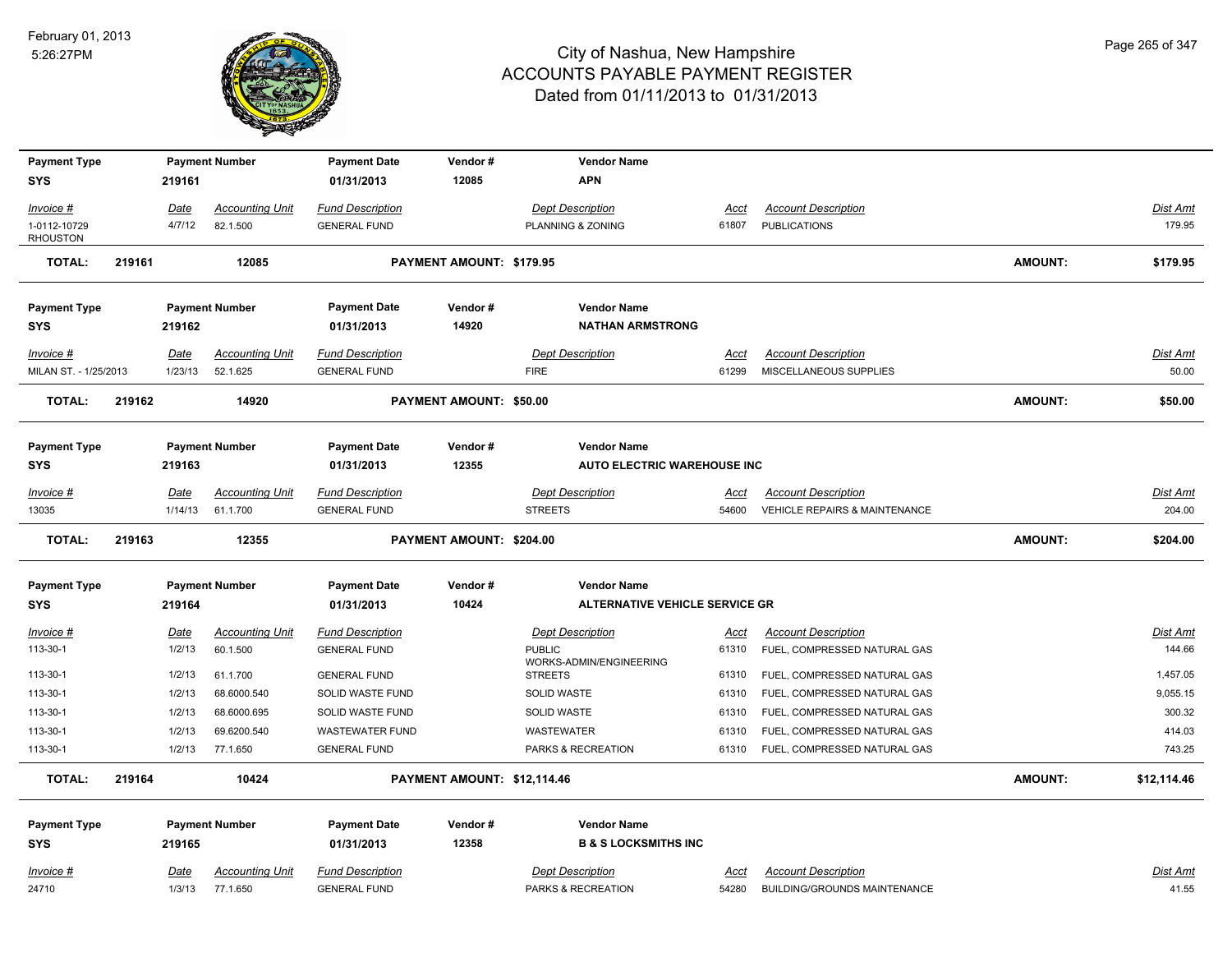

| <b>Payment Type</b>               |        |                | <b>Payment Number</b>              | <b>Payment Date</b>                            | Vendor#                     | <b>Vendor Name</b>                                          |                      |                                                            |                |                 |
|-----------------------------------|--------|----------------|------------------------------------|------------------------------------------------|-----------------------------|-------------------------------------------------------------|----------------------|------------------------------------------------------------|----------------|-----------------|
| SYS                               |        | 219161         |                                    | 01/31/2013                                     | 12085                       | <b>APN</b>                                                  |                      |                                                            |                |                 |
| Invoice #                         |        | Date           | <b>Accounting Unit</b>             | <b>Fund Description</b>                        |                             | <b>Dept Description</b>                                     | Acct                 | <b>Account Description</b>                                 |                | Dist Amt        |
| 1-0112-10729<br><b>RHOUSTON</b>   |        | 4/7/12         | 82.1.500                           | <b>GENERAL FUND</b>                            |                             | PLANNING & ZONING                                           | 61807                | <b>PUBLICATIONS</b>                                        |                | 179.95          |
| <b>TOTAL:</b>                     | 219161 |                | 12085                              |                                                | PAYMENT AMOUNT: \$179.95    |                                                             |                      |                                                            | <b>AMOUNT:</b> | \$179.95        |
| <b>Payment Type</b>               |        |                | <b>Payment Number</b>              | <b>Payment Date</b>                            | Vendor#                     | <b>Vendor Name</b>                                          |                      |                                                            |                |                 |
| <b>SYS</b>                        |        | 219162         |                                    | 01/31/2013                                     | 14920                       | <b>NATHAN ARMSTRONG</b>                                     |                      |                                                            |                |                 |
| Invoice #                         |        | Date           | <b>Accounting Unit</b>             | <b>Fund Description</b>                        |                             | <b>Dept Description</b>                                     | Acct                 | <b>Account Description</b>                                 |                | Dist Amt        |
| MILAN ST. - 1/25/2013             |        | 1/23/13        | 52.1.625                           | <b>GENERAL FUND</b>                            |                             | <b>FIRE</b>                                                 | 61299                | MISCELLANEOUS SUPPLIES                                     |                | 50.00           |
| <b>TOTAL:</b>                     | 219162 |                | 14920                              |                                                | PAYMENT AMOUNT: \$50.00     |                                                             |                      |                                                            | <b>AMOUNT:</b> | \$50.00         |
| <b>Payment Type</b>               |        |                | <b>Payment Number</b>              | <b>Payment Date</b>                            | Vendor#                     | <b>Vendor Name</b>                                          |                      |                                                            |                |                 |
| <b>SYS</b>                        |        | 219163         |                                    | 01/31/2013                                     | 12355                       | <b>AUTO ELECTRIC WAREHOUSE INC</b>                          |                      |                                                            |                |                 |
| Invoice #                         |        | Date           | <b>Accounting Unit</b>             | <b>Fund Description</b>                        |                             | <b>Dept Description</b>                                     | <u>Acct</u>          | <b>Account Description</b>                                 |                | <u>Dist Amt</u> |
| 13035                             |        | 1/14/13        | 61.1.700                           | <b>GENERAL FUND</b>                            |                             | <b>STREETS</b>                                              | 54600                | VEHICLE REPAIRS & MAINTENANCE                              |                | 204.00          |
|                                   |        |                |                                    |                                                |                             |                                                             |                      |                                                            |                |                 |
| <b>TOTAL:</b>                     | 219163 |                | 12355                              |                                                | PAYMENT AMOUNT: \$204.00    |                                                             |                      |                                                            | <b>AMOUNT:</b> | \$204.00        |
|                                   |        |                |                                    |                                                |                             |                                                             |                      |                                                            |                |                 |
| <b>Payment Type</b><br><b>SYS</b> |        | 219164         | <b>Payment Number</b>              | <b>Payment Date</b><br>01/31/2013              | Vendor#<br>10424            | <b>Vendor Name</b><br><b>ALTERNATIVE VEHICLE SERVICE GR</b> |                      |                                                            |                |                 |
|                                   |        |                |                                    |                                                |                             |                                                             |                      |                                                            |                | Dist Amt        |
| Invoice #<br>113-30-1             |        | Date<br>1/2/13 | <b>Accounting Unit</b><br>60.1.500 | <b>Fund Description</b><br><b>GENERAL FUND</b> |                             | <b>Dept Description</b><br><b>PUBLIC</b>                    | <u>Acct</u><br>61310 | <b>Account Description</b><br>FUEL, COMPRESSED NATURAL GAS |                | 144.66          |
| 113-30-1                          |        | 1/2/13         | 61.1.700                           | <b>GENERAL FUND</b>                            |                             | WORKS-ADMIN/ENGINEERING<br><b>STREETS</b>                   | 61310                | FUEL, COMPRESSED NATURAL GAS                               |                | 1,457.05        |
| 113-30-1                          |        | 1/2/13         | 68.6000.540                        | SOLID WASTE FUND                               |                             | <b>SOLID WASTE</b>                                          | 61310                | FUEL, COMPRESSED NATURAL GAS                               |                | 9,055.15        |
| 113-30-1                          |        | 1/2/13         | 68.6000.695                        | SOLID WASTE FUND                               |                             | SOLID WASTE                                                 | 61310                | FUEL, COMPRESSED NATURAL GAS                               |                | 300.32          |
| 113-30-1                          |        | 1/2/13         | 69.6200.540                        | <b>WASTEWATER FUND</b>                         |                             | <b>WASTEWATER</b>                                           | 61310                | FUEL, COMPRESSED NATURAL GAS                               |                | 414.03          |
| 113-30-1                          |        | 1/2/13         | 77.1.650                           | <b>GENERAL FUND</b>                            |                             | PARKS & RECREATION                                          | 61310                | FUEL, COMPRESSED NATURAL GAS                               |                | 743.25          |
| <b>TOTAL:</b>                     | 219164 |                | 10424                              |                                                | PAYMENT AMOUNT: \$12,114.46 |                                                             |                      |                                                            | <b>AMOUNT:</b> | \$12,114.46     |
| <b>Payment Type</b>               |        |                | <b>Payment Number</b>              | <b>Payment Date</b>                            | Vendor#                     | <b>Vendor Name</b>                                          |                      |                                                            |                |                 |
| <b>SYS</b>                        |        | 219165         |                                    | 01/31/2013                                     | 12358                       | <b>B &amp; S LOCKSMITHS INC</b>                             |                      |                                                            |                |                 |
| Invoice #                         |        | Date           | <b>Accounting Unit</b>             | <b>Fund Description</b>                        |                             | <b>Dept Description</b>                                     | Acct                 | <b>Account Description</b>                                 |                | Dist Amt        |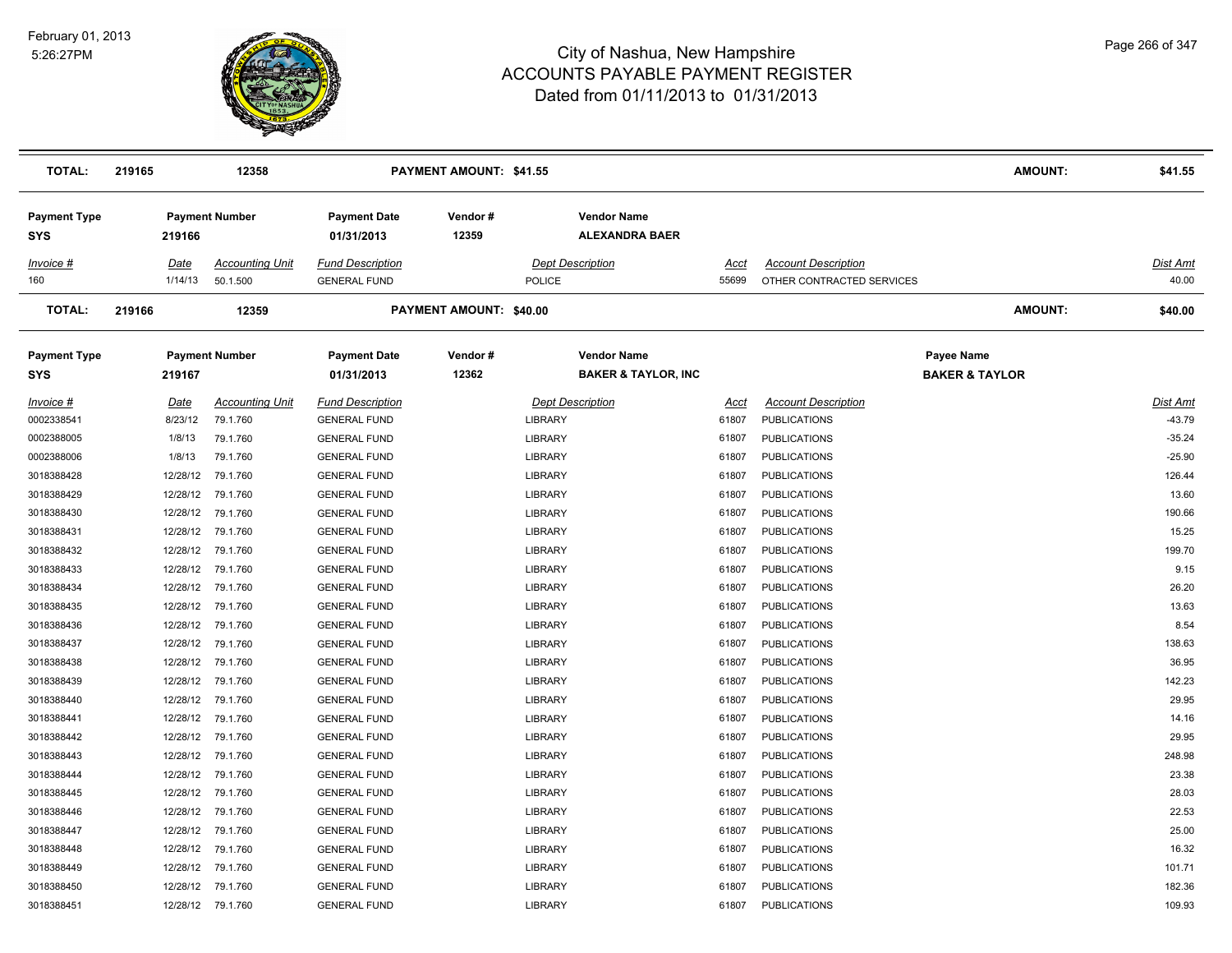

| <b>TOTAL:</b>                     | 219165   | 12358                  |                                   | <b>PAYMENT AMOUNT: \$41.55</b> |                                                      |       |                            | <b>AMOUNT:</b>                          | \$41.55  |
|-----------------------------------|----------|------------------------|-----------------------------------|--------------------------------|------------------------------------------------------|-------|----------------------------|-----------------------------------------|----------|
| <b>Payment Type</b><br><b>SYS</b> | 219166   | <b>Payment Number</b>  | <b>Payment Date</b><br>01/31/2013 | Vendor#<br>12359               | <b>Vendor Name</b><br><b>ALEXANDRA BAER</b>          |       |                            |                                         |          |
| Invoice #                         | Date     | <b>Accounting Unit</b> | <b>Fund Description</b>           |                                | <b>Dept Description</b>                              | Acct  | <b>Account Description</b> |                                         | Dist Amt |
| 160                               | 1/14/13  | 50.1.500               | <b>GENERAL FUND</b>               |                                | <b>POLICE</b>                                        | 55699 | OTHER CONTRACTED SERVICES  |                                         | 40.00    |
| <b>TOTAL:</b>                     | 219166   | 12359                  |                                   | <b>PAYMENT AMOUNT: \$40.00</b> |                                                      |       |                            | AMOUNT:                                 | \$40.00  |
| <b>Payment Type</b><br><b>SYS</b> | 219167   | <b>Payment Number</b>  | <b>Payment Date</b><br>01/31/2013 | Vendor#<br>12362               | <b>Vendor Name</b><br><b>BAKER &amp; TAYLOR, INC</b> |       |                            | Payee Name<br><b>BAKER &amp; TAYLOR</b> |          |
| Invoice #                         | Date     | <b>Accounting Unit</b> | <b>Fund Description</b>           |                                | <b>Dept Description</b>                              | Acct  | <b>Account Description</b> |                                         | Dist Amt |
| 0002338541                        | 8/23/12  | 79.1.760               | <b>GENERAL FUND</b>               |                                | LIBRARY                                              | 61807 | <b>PUBLICATIONS</b>        |                                         | $-43.79$ |
| 0002388005                        | 1/8/13   | 79.1.760               | <b>GENERAL FUND</b>               |                                | LIBRARY                                              | 61807 | <b>PUBLICATIONS</b>        |                                         | $-35.24$ |
| 0002388006                        | 1/8/13   | 79.1.760               | <b>GENERAL FUND</b>               |                                | LIBRARY                                              | 61807 | <b>PUBLICATIONS</b>        |                                         | $-25.90$ |
| 3018388428                        | 12/28/12 | 79.1.760               | <b>GENERAL FUND</b>               |                                | LIBRARY                                              | 61807 | <b>PUBLICATIONS</b>        |                                         | 126.44   |
| 3018388429                        | 12/28/12 | 79.1.760               | <b>GENERAL FUND</b>               |                                | LIBRARY                                              | 61807 | <b>PUBLICATIONS</b>        |                                         | 13.60    |
| 3018388430                        | 12/28/12 | 79.1.760               | <b>GENERAL FUND</b>               |                                | LIBRARY                                              | 61807 | <b>PUBLICATIONS</b>        |                                         | 190.66   |
| 3018388431                        |          | 12/28/12 79.1.760      | <b>GENERAL FUND</b>               |                                | LIBRARY                                              | 61807 | <b>PUBLICATIONS</b>        |                                         | 15.25    |
| 3018388432                        |          | 12/28/12 79.1.760      | <b>GENERAL FUND</b>               |                                | LIBRARY                                              | 61807 | <b>PUBLICATIONS</b>        |                                         | 199.70   |
| 3018388433                        | 12/28/12 | 79.1.760               | <b>GENERAL FUND</b>               |                                | LIBRARY                                              | 61807 | <b>PUBLICATIONS</b>        |                                         | 9.15     |
| 3018388434                        | 12/28/12 | 79.1.760               | <b>GENERAL FUND</b>               |                                | LIBRARY                                              | 61807 | <b>PUBLICATIONS</b>        |                                         | 26.20    |
| 3018388435                        | 12/28/12 | 79.1.760               | <b>GENERAL FUND</b>               |                                | LIBRARY                                              | 61807 | <b>PUBLICATIONS</b>        |                                         | 13.63    |
| 3018388436                        | 12/28/12 | 79.1.760               | <b>GENERAL FUND</b>               |                                | LIBRARY                                              | 61807 | <b>PUBLICATIONS</b>        |                                         | 8.54     |
| 3018388437                        | 12/28/12 | 79.1.760               | <b>GENERAL FUND</b>               |                                | LIBRARY                                              | 61807 | <b>PUBLICATIONS</b>        |                                         | 138.63   |
| 3018388438                        | 12/28/12 | 79.1.760               | <b>GENERAL FUND</b>               |                                | LIBRARY                                              | 61807 | <b>PUBLICATIONS</b>        |                                         | 36.95    |
| 3018388439                        | 12/28/12 | 79.1.760               | <b>GENERAL FUND</b>               |                                | LIBRARY                                              | 61807 | <b>PUBLICATIONS</b>        |                                         | 142.23   |
| 3018388440                        | 12/28/12 | 79.1.760               | <b>GENERAL FUND</b>               |                                | LIBRARY                                              | 61807 | <b>PUBLICATIONS</b>        |                                         | 29.95    |
| 3018388441                        | 12/28/12 | 79.1.760               | <b>GENERAL FUND</b>               |                                | LIBRARY                                              | 61807 | <b>PUBLICATIONS</b>        |                                         | 14.16    |
| 3018388442                        | 12/28/12 | 79.1.760               | <b>GENERAL FUND</b>               |                                | <b>LIBRARY</b>                                       | 61807 | <b>PUBLICATIONS</b>        |                                         | 29.95    |
| 3018388443                        | 12/28/12 | 79.1.760               | <b>GENERAL FUND</b>               |                                | LIBRARY                                              | 61807 | <b>PUBLICATIONS</b>        |                                         | 248.98   |
| 3018388444                        | 12/28/12 | 79.1.760               | <b>GENERAL FUND</b>               |                                | LIBRARY                                              | 61807 | <b>PUBLICATIONS</b>        |                                         | 23.38    |
| 3018388445                        |          | 12/28/12 79.1.760      | <b>GENERAL FUND</b>               |                                | LIBRARY                                              | 61807 | <b>PUBLICATIONS</b>        |                                         | 28.03    |
| 3018388446                        |          | 12/28/12 79.1.760      | <b>GENERAL FUND</b>               |                                | LIBRARY                                              | 61807 | <b>PUBLICATIONS</b>        |                                         | 22.53    |
| 3018388447                        | 12/28/12 | 79.1.760               | <b>GENERAL FUND</b>               |                                | LIBRARY                                              | 61807 | <b>PUBLICATIONS</b>        |                                         | 25.00    |
| 3018388448                        | 12/28/12 | 79.1.760               | <b>GENERAL FUND</b>               |                                | LIBRARY                                              | 61807 | <b>PUBLICATIONS</b>        |                                         | 16.32    |
| 3018388449                        | 12/28/12 | 79.1.760               | <b>GENERAL FUND</b>               |                                | LIBRARY                                              | 61807 | <b>PUBLICATIONS</b>        |                                         | 101.71   |
| 3018388450                        |          | 12/28/12 79.1.760      | <b>GENERAL FUND</b>               |                                | LIBRARY                                              | 61807 | <b>PUBLICATIONS</b>        |                                         | 182.36   |
| 3018388451                        |          | 12/28/12 79.1.760      | <b>GENERAL FUND</b>               |                                | <b>LIBRARY</b>                                       | 61807 | <b>PUBLICATIONS</b>        |                                         | 109.93   |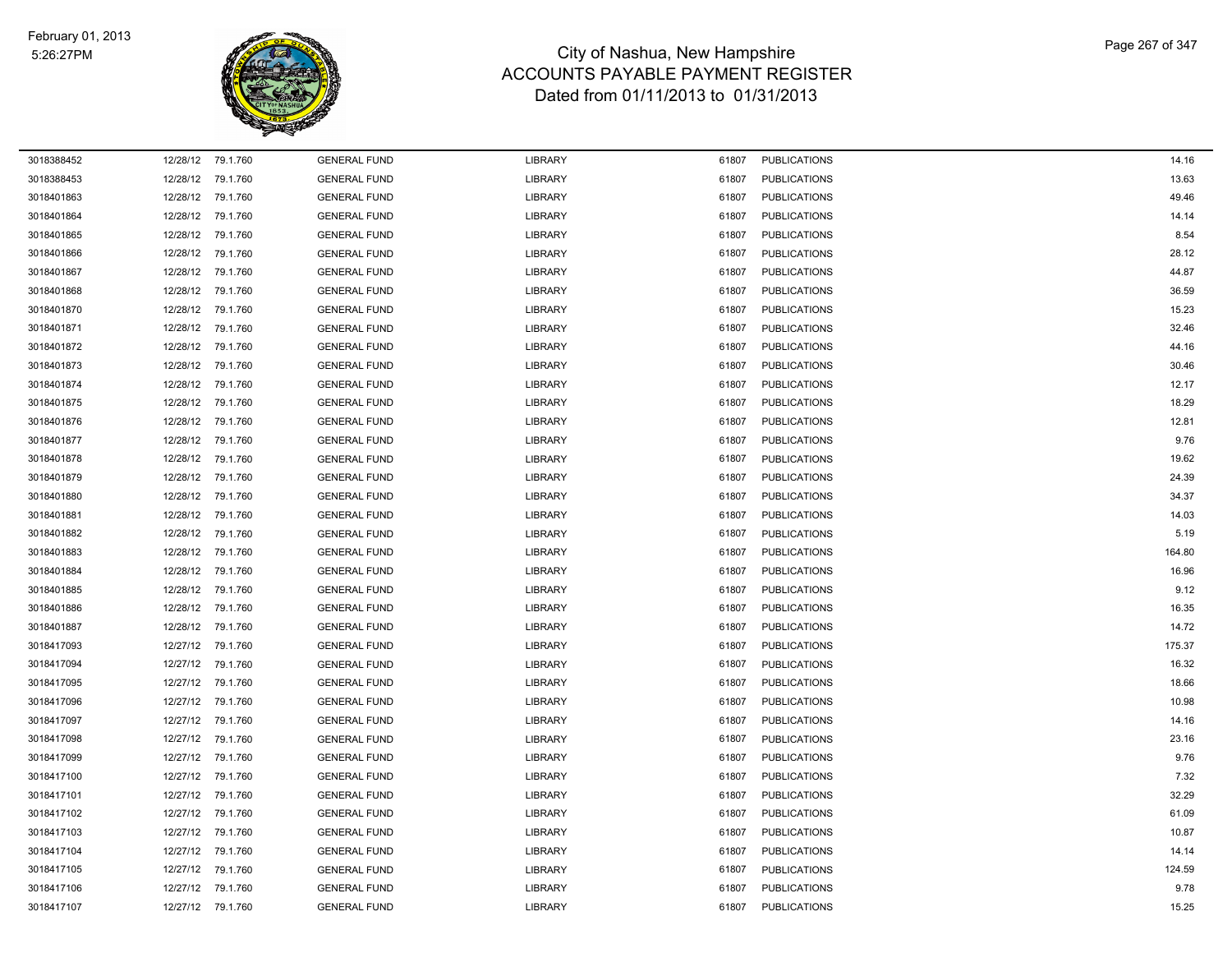

| 3018388452 |          | 12/28/12 79.1.760 | <b>GENERAL FUND</b> | LIBRARY | 61807 | <b>PUBLICATIONS</b> | 14.16  |
|------------|----------|-------------------|---------------------|---------|-------|---------------------|--------|
| 3018388453 |          | 12/28/12 79.1.760 | <b>GENERAL FUND</b> | LIBRARY | 61807 | <b>PUBLICATIONS</b> | 13.63  |
| 3018401863 |          | 12/28/12 79.1.760 | <b>GENERAL FUND</b> | LIBRARY | 61807 | <b>PUBLICATIONS</b> | 49.46  |
| 3018401864 |          | 12/28/12 79.1.760 | <b>GENERAL FUND</b> | LIBRARY | 61807 | <b>PUBLICATIONS</b> | 14.14  |
| 3018401865 | 12/28/12 | 79.1.760          | <b>GENERAL FUND</b> | LIBRARY | 61807 | <b>PUBLICATIONS</b> | 8.54   |
| 3018401866 |          | 12/28/12 79.1.760 | <b>GENERAL FUND</b> | LIBRARY | 61807 | <b>PUBLICATIONS</b> | 28.12  |
| 3018401867 |          | 12/28/12 79.1.760 | <b>GENERAL FUND</b> | LIBRARY | 61807 | <b>PUBLICATIONS</b> | 44.87  |
| 3018401868 |          | 12/28/12 79.1.760 | <b>GENERAL FUND</b> | LIBRARY | 61807 | <b>PUBLICATIONS</b> | 36.59  |
| 3018401870 |          | 12/28/12 79.1.760 | <b>GENERAL FUND</b> | LIBRARY | 61807 | <b>PUBLICATIONS</b> | 15.23  |
| 3018401871 | 12/28/12 | 79.1.760          | <b>GENERAL FUND</b> | LIBRARY | 61807 | <b>PUBLICATIONS</b> | 32.46  |
| 3018401872 |          | 12/28/12 79.1.760 | <b>GENERAL FUND</b> | LIBRARY | 61807 | <b>PUBLICATIONS</b> | 44.16  |
| 3018401873 |          | 12/28/12 79.1.760 | <b>GENERAL FUND</b> | LIBRARY | 61807 | <b>PUBLICATIONS</b> | 30.46  |
| 3018401874 |          | 12/28/12 79.1.760 | <b>GENERAL FUND</b> | LIBRARY | 61807 | <b>PUBLICATIONS</b> | 12.17  |
| 3018401875 |          | 12/28/12 79.1.760 | <b>GENERAL FUND</b> | LIBRARY | 61807 | <b>PUBLICATIONS</b> | 18.29  |
| 3018401876 | 12/28/12 | 79.1.760          | <b>GENERAL FUND</b> | LIBRARY | 61807 | <b>PUBLICATIONS</b> | 12.81  |
| 3018401877 | 12/28/12 | 79.1.760          | <b>GENERAL FUND</b> | LIBRARY | 61807 | <b>PUBLICATIONS</b> | 9.76   |
| 3018401878 |          | 12/28/12 79.1.760 | <b>GENERAL FUND</b> | LIBRARY | 61807 | <b>PUBLICATIONS</b> | 19.62  |
| 3018401879 |          | 12/28/12 79.1.760 | <b>GENERAL FUND</b> | LIBRARY | 61807 | <b>PUBLICATIONS</b> | 24.39  |
| 3018401880 |          | 12/28/12 79.1.760 | <b>GENERAL FUND</b> | LIBRARY | 61807 | <b>PUBLICATIONS</b> | 34.37  |
| 3018401881 |          | 12/28/12 79.1.760 | <b>GENERAL FUND</b> | LIBRARY | 61807 | <b>PUBLICATIONS</b> | 14.03  |
| 3018401882 | 12/28/12 | 79.1.760          | <b>GENERAL FUND</b> | LIBRARY | 61807 | <b>PUBLICATIONS</b> | 5.19   |
| 3018401883 |          | 12/28/12 79.1.760 | <b>GENERAL FUND</b> | LIBRARY | 61807 | <b>PUBLICATIONS</b> | 164.80 |
| 3018401884 |          | 12/28/12 79.1.760 | <b>GENERAL FUND</b> | LIBRARY | 61807 | <b>PUBLICATIONS</b> | 16.96  |
| 3018401885 |          | 12/28/12 79.1.760 | <b>GENERAL FUND</b> | LIBRARY | 61807 | <b>PUBLICATIONS</b> | 9.12   |
| 3018401886 |          | 12/28/12 79.1.760 | <b>GENERAL FUND</b> | LIBRARY | 61807 | <b>PUBLICATIONS</b> | 16.35  |
| 3018401887 | 12/28/12 | 79.1.760          | <b>GENERAL FUND</b> | LIBRARY | 61807 | <b>PUBLICATIONS</b> | 14.72  |
| 3018417093 | 12/27/12 | 79.1.760          | <b>GENERAL FUND</b> | LIBRARY | 61807 | <b>PUBLICATIONS</b> | 175.37 |
| 3018417094 |          | 12/27/12 79.1.760 | <b>GENERAL FUND</b> | LIBRARY | 61807 | <b>PUBLICATIONS</b> | 16.32  |
| 3018417095 |          | 12/27/12 79.1.760 | <b>GENERAL FUND</b> | LIBRARY | 61807 | <b>PUBLICATIONS</b> | 18.66  |
| 3018417096 |          | 12/27/12 79.1.760 | <b>GENERAL FUND</b> | LIBRARY | 61807 | <b>PUBLICATIONS</b> | 10.98  |
| 3018417097 | 12/27/12 | 79.1.760          | <b>GENERAL FUND</b> | LIBRARY | 61807 | <b>PUBLICATIONS</b> | 14.16  |
| 3018417098 | 12/27/12 | 79.1.760          | <b>GENERAL FUND</b> | LIBRARY | 61807 | <b>PUBLICATIONS</b> | 23.16  |
| 3018417099 |          | 12/27/12 79.1.760 | <b>GENERAL FUND</b> | LIBRARY | 61807 | <b>PUBLICATIONS</b> | 9.76   |
| 3018417100 |          | 12/27/12 79.1.760 | <b>GENERAL FUND</b> | LIBRARY | 61807 | <b>PUBLICATIONS</b> | 7.32   |
| 3018417101 |          | 12/27/12 79.1.760 | <b>GENERAL FUND</b> | LIBRARY | 61807 | <b>PUBLICATIONS</b> | 32.29  |
| 3018417102 |          | 12/27/12 79.1.760 | <b>GENERAL FUND</b> | LIBRARY | 61807 | <b>PUBLICATIONS</b> | 61.09  |
| 3018417103 | 12/27/12 | 79.1.760          | <b>GENERAL FUND</b> | LIBRARY | 61807 | <b>PUBLICATIONS</b> | 10.87  |
| 3018417104 | 12/27/12 | 79.1.760          | <b>GENERAL FUND</b> | LIBRARY | 61807 | <b>PUBLICATIONS</b> | 14.14  |
| 3018417105 |          | 12/27/12 79.1.760 | <b>GENERAL FUND</b> | LIBRARY | 61807 | <b>PUBLICATIONS</b> | 124.59 |
| 3018417106 |          | 12/27/12 79.1.760 | <b>GENERAL FUND</b> | LIBRARY | 61807 | <b>PUBLICATIONS</b> | 9.78   |
| 3018417107 |          | 12/27/12 79.1.760 | <b>GENERAL FUND</b> | LIBRARY | 61807 | <b>PUBLICATIONS</b> | 15.25  |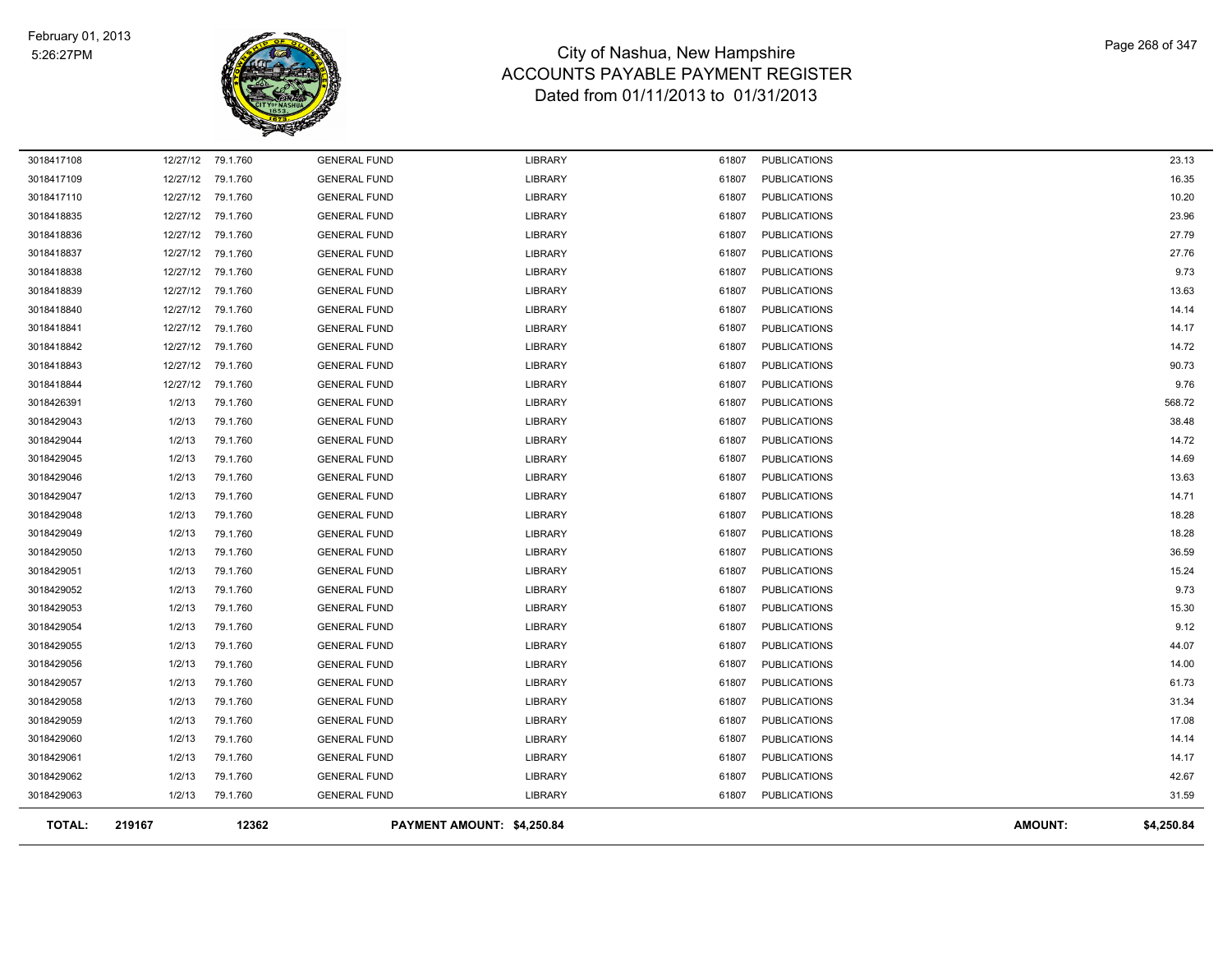

| <b>TOTAL:</b> | 219167   | 12362             |                     | PAYMENT AMOUNT: \$4,250.84 |       |                     | <b>AMOUNT:</b> | \$4,250.84 |
|---------------|----------|-------------------|---------------------|----------------------------|-------|---------------------|----------------|------------|
| 3018429063    | 1/2/13   | 79.1.760          | <b>GENERAL FUND</b> | <b>LIBRARY</b>             | 61807 | <b>PUBLICATIONS</b> |                | 31.59      |
| 3018429062    | 1/2/13   | 79.1.760          | <b>GENERAL FUND</b> | LIBRARY                    | 61807 | <b>PUBLICATIONS</b> |                | 42.67      |
| 3018429061    | 1/2/13   | 79.1.760          | <b>GENERAL FUND</b> | <b>LIBRARY</b>             | 61807 | <b>PUBLICATIONS</b> |                | 14.17      |
| 3018429060    | 1/2/13   | 79.1.760          | <b>GENERAL FUND</b> | LIBRARY                    | 61807 | <b>PUBLICATIONS</b> |                | 14.14      |
| 3018429059    | 1/2/13   | 79.1.760          | <b>GENERAL FUND</b> | <b>LIBRARY</b>             | 61807 | <b>PUBLICATIONS</b> |                | 17.08      |
| 3018429058    | 1/2/13   | 79.1.760          | <b>GENERAL FUND</b> | LIBRARY                    | 61807 | <b>PUBLICATIONS</b> |                | 31.34      |
| 3018429057    | 1/2/13   | 79.1.760          | <b>GENERAL FUND</b> | <b>LIBRARY</b>             | 61807 | <b>PUBLICATIONS</b> |                | 61.73      |
| 3018429056    | 1/2/13   | 79.1.760          | <b>GENERAL FUND</b> | <b>LIBRARY</b>             | 61807 | <b>PUBLICATIONS</b> |                | 14.00      |
| 3018429055    | 1/2/13   | 79.1.760          | <b>GENERAL FUND</b> | <b>LIBRARY</b>             | 61807 | <b>PUBLICATIONS</b> |                | 44.07      |
| 3018429054    | 1/2/13   | 79.1.760          | <b>GENERAL FUND</b> | <b>LIBRARY</b>             | 61807 | <b>PUBLICATIONS</b> |                | 9.12       |
| 3018429053    | 1/2/13   | 79.1.760          | <b>GENERAL FUND</b> | <b>LIBRARY</b>             | 61807 | <b>PUBLICATIONS</b> |                | 15.30      |
| 3018429052    | 1/2/13   | 79.1.760          | <b>GENERAL FUND</b> | <b>LIBRARY</b>             | 61807 | <b>PUBLICATIONS</b> |                | 9.73       |
| 3018429051    | 1/2/13   | 79.1.760          | <b>GENERAL FUND</b> | <b>LIBRARY</b>             | 61807 | <b>PUBLICATIONS</b> |                | 15.24      |
| 3018429050    | 1/2/13   | 79.1.760          | <b>GENERAL FUND</b> | <b>LIBRARY</b>             | 61807 | <b>PUBLICATIONS</b> |                | 36.59      |
| 3018429049    | 1/2/13   | 79.1.760          | <b>GENERAL FUND</b> | <b>LIBRARY</b>             | 61807 | <b>PUBLICATIONS</b> |                | 18.28      |
| 3018429048    | 1/2/13   | 79.1.760          | <b>GENERAL FUND</b> | <b>LIBRARY</b>             | 61807 | <b>PUBLICATIONS</b> |                | 18.28      |
| 3018429047    | 1/2/13   | 79.1.760          | <b>GENERAL FUND</b> | <b>LIBRARY</b>             | 61807 | <b>PUBLICATIONS</b> |                | 14.71      |
| 3018429046    | 1/2/13   | 79.1.760          | <b>GENERAL FUND</b> | <b>LIBRARY</b>             | 61807 | <b>PUBLICATIONS</b> |                | 13.63      |
| 3018429045    | 1/2/13   | 79.1.760          | <b>GENERAL FUND</b> | <b>LIBRARY</b>             | 61807 | <b>PUBLICATIONS</b> |                | 14.69      |
| 3018429044    | 1/2/13   | 79.1.760          | <b>GENERAL FUND</b> | <b>LIBRARY</b>             | 61807 | <b>PUBLICATIONS</b> |                | 14.72      |
| 3018429043    | 1/2/13   | 79.1.760          | <b>GENERAL FUND</b> | <b>LIBRARY</b>             | 61807 | <b>PUBLICATIONS</b> |                | 38.48      |
| 3018426391    | 1/2/13   | 79.1.760          | <b>GENERAL FUND</b> | <b>LIBRARY</b>             | 61807 | <b>PUBLICATIONS</b> |                | 568.72     |
| 3018418844    | 12/27/12 | 79.1.760          | <b>GENERAL FUND</b> | <b>LIBRARY</b>             | 61807 | <b>PUBLICATIONS</b> |                | 9.76       |
| 3018418843    | 12/27/12 | 79.1.760          | <b>GENERAL FUND</b> | <b>LIBRARY</b>             | 61807 | <b>PUBLICATIONS</b> |                | 90.73      |
| 3018418842    | 12/27/12 | 79.1.760          | <b>GENERAL FUND</b> | <b>LIBRARY</b>             | 61807 | <b>PUBLICATIONS</b> |                | 14.72      |
| 3018418841    |          | 12/27/12 79.1.760 | <b>GENERAL FUND</b> | <b>LIBRARY</b>             | 61807 | <b>PUBLICATIONS</b> |                | 14.17      |
| 3018418840    | 12/27/12 | 79.1.760          | <b>GENERAL FUND</b> | <b>LIBRARY</b>             | 61807 | <b>PUBLICATIONS</b> |                | 14.14      |
| 3018418839    | 12/27/12 | 79.1.760          | <b>GENERAL FUND</b> | <b>LIBRARY</b>             | 61807 | <b>PUBLICATIONS</b> |                | 13.63      |
| 3018418838    |          | 12/27/12 79.1.760 | <b>GENERAL FUND</b> | <b>LIBRARY</b>             | 61807 | <b>PUBLICATIONS</b> |                | 9.73       |
| 3018418837    | 12/27/12 | 79.1.760          | <b>GENERAL FUND</b> | <b>LIBRARY</b>             | 61807 | <b>PUBLICATIONS</b> |                | 27.76      |
| 3018418836    | 12/27/12 | 79.1.760          | <b>GENERAL FUND</b> | <b>LIBRARY</b>             | 61807 | <b>PUBLICATIONS</b> |                | 27.79      |
| 3018418835    | 12/27/12 | 79.1.760          | <b>GENERAL FUND</b> | <b>LIBRARY</b>             | 61807 | <b>PUBLICATIONS</b> |                | 23.96      |
| 3018417110    | 12/27/12 | 79.1.760          | <b>GENERAL FUND</b> | LIBRARY                    | 61807 | <b>PUBLICATIONS</b> |                | 10.20      |
| 3018417109    | 12/27/12 | 79.1.760          | <b>GENERAL FUND</b> | <b>LIBRARY</b>             | 61807 | <b>PUBLICATIONS</b> |                | 16.35      |
| 3018417108    |          | 12/27/12 79.1.760 | <b>GENERAL FUND</b> | <b>LIBRARY</b>             | 61807 | <b>PUBLICATIONS</b> |                | 23.13      |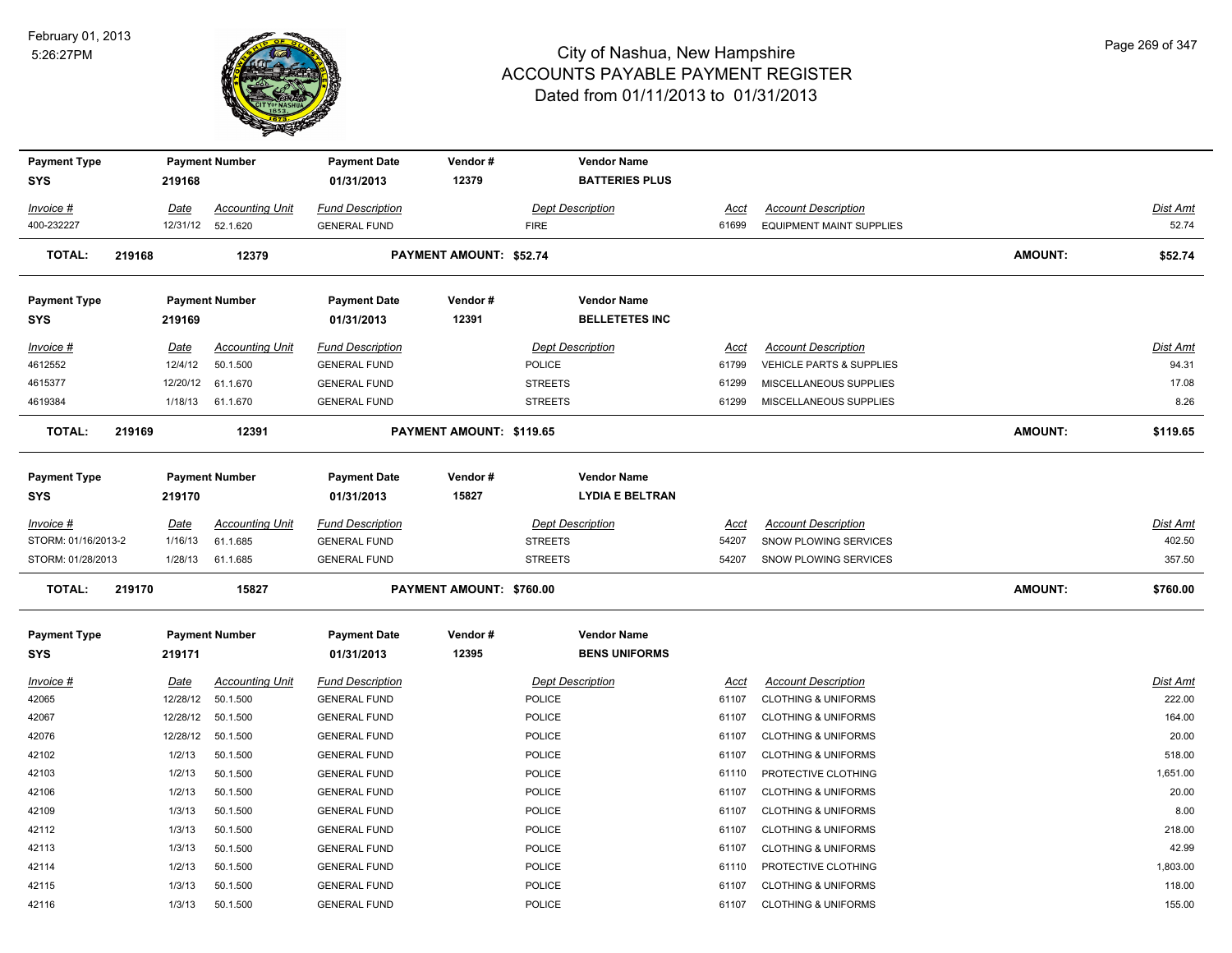

| <b>Payment Type</b>        |        |             | <b>Payment Number</b>  | <b>Payment Date</b>               | Vendor#                        | <b>Vendor Name</b>                           |             |                                 |                |          |
|----------------------------|--------|-------------|------------------------|-----------------------------------|--------------------------------|----------------------------------------------|-------------|---------------------------------|----------------|----------|
| <b>SYS</b>                 |        | 219168      |                        | 01/31/2013                        | 12379                          | <b>BATTERIES PLUS</b>                        |             |                                 |                |          |
| Invoice #                  |        | <b>Date</b> | <b>Accounting Unit</b> | <b>Fund Description</b>           |                                | <b>Dept Description</b>                      | <u>Acct</u> | <b>Account Description</b>      |                | Dist Amt |
| 400-232227                 |        | 12/31/12    | 52.1.620               | <b>GENERAL FUND</b>               |                                | <b>FIRE</b>                                  | 61699       | <b>EQUIPMENT MAINT SUPPLIES</b> |                | 52.74    |
| <b>TOTAL:</b>              | 219168 |             | 12379                  |                                   | <b>PAYMENT AMOUNT: \$52.74</b> |                                              |             |                                 | <b>AMOUNT:</b> | \$52.74  |
| <b>Payment Type</b>        |        |             | <b>Payment Number</b>  | <b>Payment Date</b>               | Vendor#                        | <b>Vendor Name</b>                           |             |                                 |                |          |
| SYS                        |        | 219169      |                        | 01/31/2013                        | 12391                          | <b>BELLETETES INC</b>                        |             |                                 |                |          |
| Invoice #                  |        | <u>Date</u> | <b>Accounting Unit</b> | <b>Fund Description</b>           |                                | <b>Dept Description</b>                      | Acct        | <b>Account Description</b>      |                | Dist Amt |
| 4612552                    |        | 12/4/12     | 50.1.500               | <b>GENERAL FUND</b>               |                                | POLICE                                       | 61799       | VEHICLE PARTS & SUPPLIES        |                | 94.31    |
| 4615377                    |        | 12/20/12    | 61.1.670               | <b>GENERAL FUND</b>               |                                | <b>STREETS</b>                               | 61299       | MISCELLANEOUS SUPPLIES          |                | 17.08    |
| 4619384                    |        | 1/18/13     | 61.1.670               | <b>GENERAL FUND</b>               |                                | <b>STREETS</b>                               | 61299       | MISCELLANEOUS SUPPLIES          |                | 8.26     |
| <b>TOTAL:</b>              | 219169 |             | 12391                  |                                   | PAYMENT AMOUNT: \$119.65       |                                              |             |                                 | <b>AMOUNT:</b> | \$119.65 |
|                            |        |             |                        |                                   |                                |                                              |             |                                 |                |          |
| <b>Payment Type</b><br>SYS |        | 219170      | <b>Payment Number</b>  | <b>Payment Date</b><br>01/31/2013 | Vendor#<br>15827               | <b>Vendor Name</b><br><b>LYDIA E BELTRAN</b> |             |                                 |                |          |
| Invoice #                  |        | <b>Date</b> | <b>Accounting Unit</b> | <b>Fund Description</b>           |                                | <b>Dept Description</b>                      | Acct        | <b>Account Description</b>      |                | Dist Amt |
| STORM: 01/16/2013-2        |        | 1/16/13     | 61.1.685               | <b>GENERAL FUND</b>               |                                | <b>STREETS</b>                               | 54207       | SNOW PLOWING SERVICES           |                | 402.50   |
| STORM: 01/28/2013          |        | 1/28/13     | 61.1.685               | <b>GENERAL FUND</b>               |                                | <b>STREETS</b>                               | 54207       | SNOW PLOWING SERVICES           |                | 357.50   |
| <b>TOTAL:</b>              | 219170 |             | 15827                  |                                   | PAYMENT AMOUNT: \$760.00       |                                              |             |                                 | <b>AMOUNT:</b> | \$760.00 |
| <b>Payment Type</b>        |        |             | <b>Payment Number</b>  | <b>Payment Date</b>               | Vendor#                        | <b>Vendor Name</b>                           |             |                                 |                |          |
| <b>SYS</b>                 |        | 219171      |                        | 01/31/2013                        | 12395                          | <b>BENS UNIFORMS</b>                         |             |                                 |                |          |
| Invoice #                  |        | <b>Date</b> | <b>Accounting Unit</b> | <b>Fund Description</b>           |                                | <b>Dept Description</b>                      | <b>Acct</b> | <b>Account Description</b>      |                | Dist Amt |
| 42065                      |        | 12/28/12    | 50.1.500               | <b>GENERAL FUND</b>               |                                | POLICE                                       | 61107       | <b>CLOTHING &amp; UNIFORMS</b>  |                | 222.00   |
| 42067                      |        | 12/28/12    | 50.1.500               | <b>GENERAL FUND</b>               |                                | POLICE                                       | 61107       | <b>CLOTHING &amp; UNIFORMS</b>  |                | 164.00   |
| 42076                      |        | 12/28/12    | 50.1.500               | <b>GENERAL FUND</b>               |                                | POLICE                                       | 61107       | <b>CLOTHING &amp; UNIFORMS</b>  |                | 20.00    |
| 42102                      |        | 1/2/13      | 50.1.500               | <b>GENERAL FUND</b>               |                                | POLICE                                       | 61107       | <b>CLOTHING &amp; UNIFORMS</b>  |                | 518.00   |
| 42103                      |        | 1/2/13      | 50.1.500               | <b>GENERAL FUND</b>               |                                | POLICE                                       | 61110       | PROTECTIVE CLOTHING             |                | 1,651.00 |
| 42106                      |        | 1/2/13      | 50.1.500               | <b>GENERAL FUND</b>               |                                | POLICE                                       | 61107       | <b>CLOTHING &amp; UNIFORMS</b>  |                | 20.00    |
| 42109                      |        | 1/3/13      | 50.1.500               | <b>GENERAL FUND</b>               |                                | POLICE                                       | 61107       | <b>CLOTHING &amp; UNIFORMS</b>  |                | 8.00     |
| 42112                      |        | 1/3/13      | 50.1.500               | <b>GENERAL FUND</b>               |                                | POLICE                                       | 61107       | <b>CLOTHING &amp; UNIFORMS</b>  |                | 218.00   |
| 42113                      |        | 1/3/13      | 50.1.500               | <b>GENERAL FUND</b>               |                                | POLICE                                       | 61107       | <b>CLOTHING &amp; UNIFORMS</b>  |                | 42.99    |
| 42114                      |        | 1/2/13      | 50.1.500               | <b>GENERAL FUND</b>               |                                | POLICE                                       | 61110       | PROTECTIVE CLOTHING             |                | 1,803.00 |
| 42115                      |        | 1/3/13      | 50.1.500               | <b>GENERAL FUND</b>               |                                | POLICE                                       | 61107       | <b>CLOTHING &amp; UNIFORMS</b>  |                | 118.00   |
| 42116                      |        | 1/3/13      | 50.1.500               | <b>GENERAL FUND</b>               |                                | <b>POLICE</b>                                | 61107       | <b>CLOTHING &amp; UNIFORMS</b>  |                | 155.00   |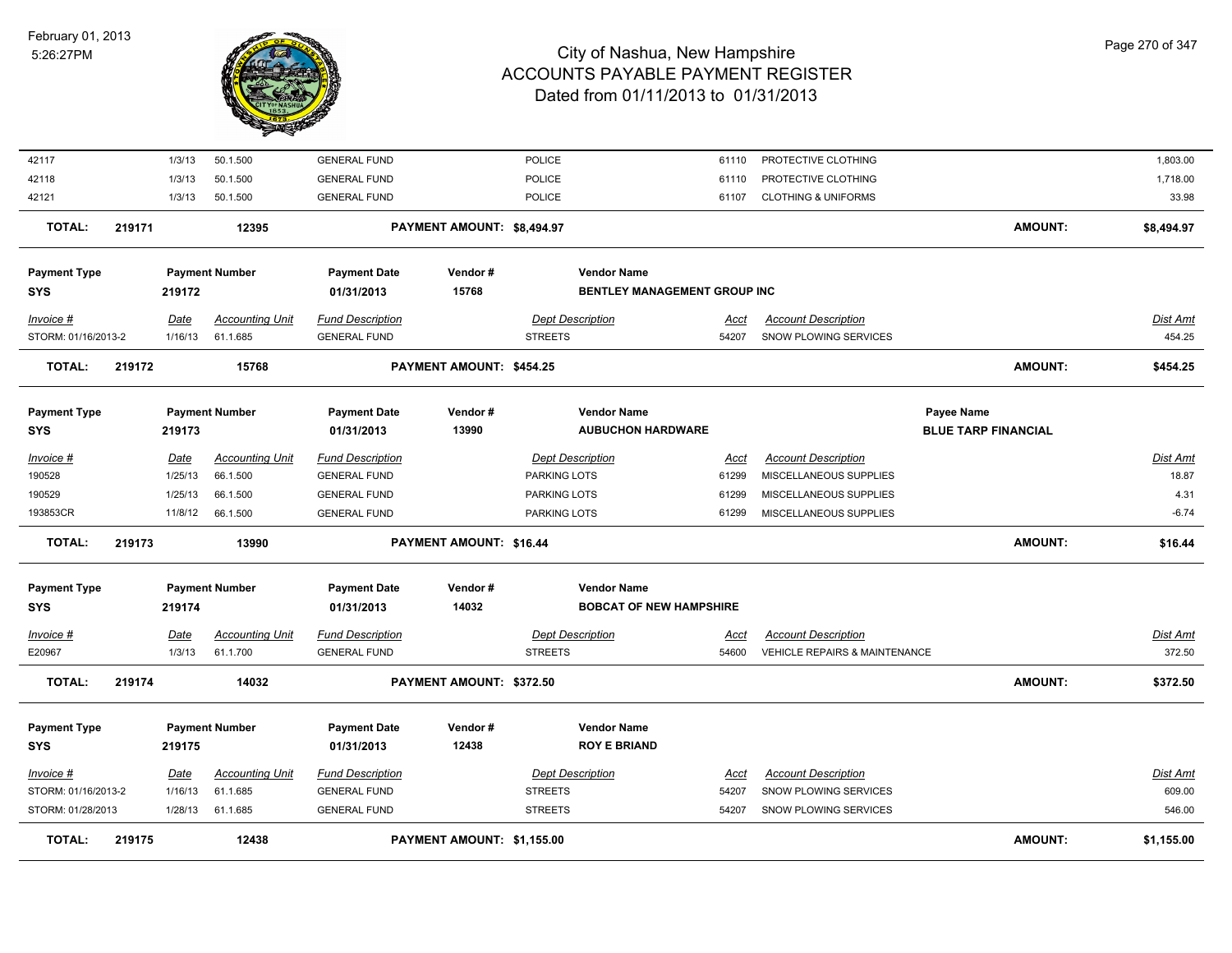

| Invoice #                         | Date            | Accounting Unit                    | <b>Fund Description</b>                        |                            | <b>Dept Description</b>                 |                                                      | Acct                 | <b>Account Description</b>                           |                            | Dist Amt          |
|-----------------------------------|-----------------|------------------------------------|------------------------------------------------|----------------------------|-----------------------------------------|------------------------------------------------------|----------------------|------------------------------------------------------|----------------------------|-------------------|
| <b>Payment Type</b><br><b>SYS</b> | 219175          | <b>Payment Number</b>              | <b>Payment Date</b><br>01/31/2013              | Vendor#<br>12438           |                                         | <b>Vendor Name</b><br><b>ROY E BRIAND</b>            |                      |                                                      |                            |                   |
| <b>TOTAL:</b>                     | 219174          | 14032                              |                                                | PAYMENT AMOUNT: \$372.50   |                                         |                                                      |                      |                                                      | <b>AMOUNT:</b>             | \$372.50          |
| E20967                            | 1/3/13          | 61.1.700                           | <b>GENERAL FUND</b>                            |                            | <b>STREETS</b>                          |                                                      | 54600                | VEHICLE REPAIRS & MAINTENANCE                        |                            | 372.50            |
| Invoice #                         | <b>Date</b>     | <b>Accounting Unit</b>             | <b>Fund Description</b>                        |                            | <b>Dept Description</b>                 |                                                      | <u>Acct</u>          | <b>Account Description</b>                           |                            | <b>Dist Amt</b>   |
| <b>Payment Type</b><br><b>SYS</b> | 219174          | <b>Payment Number</b>              | <b>Payment Date</b><br>01/31/2013              | Vendor#<br>14032           |                                         | <b>Vendor Name</b><br><b>BOBCAT OF NEW HAMPSHIRE</b> |                      |                                                      |                            |                   |
| <b>TOTAL:</b>                     | 219173          | 13990                              |                                                | PAYMENT AMOUNT: \$16.44    |                                         |                                                      |                      |                                                      | <b>AMOUNT:</b>             | \$16.44           |
| 193853CR                          | 11/8/12         | 66.1.500                           | <b>GENERAL FUND</b>                            |                            | PARKING LOTS                            |                                                      | 61299                | MISCELLANEOUS SUPPLIES                               |                            | $-6.74$           |
| 190529                            | 1/25/13         | 66.1.500                           | <b>GENERAL FUND</b>                            |                            | PARKING LOTS                            |                                                      | 61299                | MISCELLANEOUS SUPPLIES                               |                            | 4.31              |
| $Invoice$ #<br>190528             | Date<br>1/25/13 | <b>Accounting Unit</b><br>66.1.500 | <b>Fund Description</b><br><b>GENERAL FUND</b> |                            | <b>Dept Description</b><br>PARKING LOTS |                                                      | <u>Acct</u><br>61299 | <b>Account Description</b><br>MISCELLANEOUS SUPPLIES |                            | Dist Amt<br>18.87 |
| <b>SYS</b>                        | 219173          |                                    | 01/31/2013                                     | 13990                      |                                         | <b>AUBUCHON HARDWARE</b>                             |                      |                                                      | <b>BLUE TARP FINANCIAL</b> |                   |
| <b>Payment Type</b>               |                 | <b>Payment Number</b>              | <b>Payment Date</b>                            | Vendor#                    |                                         | <b>Vendor Name</b>                                   |                      |                                                      | Payee Name                 |                   |
| <b>TOTAL:</b>                     | 219172          | 15768                              |                                                | PAYMENT AMOUNT: \$454.25   |                                         |                                                      |                      |                                                      | <b>AMOUNT:</b>             | \$454.25          |
| STORM: 01/16/2013-2               | 1/16/13         | 61.1.685                           | <b>GENERAL FUND</b>                            |                            | <b>STREETS</b>                          |                                                      | 54207                | SNOW PLOWING SERVICES                                |                            | 454.25            |
| $Invoice$ #                       | Date            | <b>Accounting Unit</b>             | <b>Fund Description</b>                        |                            | <b>Dept Description</b>                 |                                                      | Acct                 | <b>Account Description</b>                           |                            | <b>Dist Amt</b>   |
| <b>Payment Type</b><br><b>SYS</b> | 219172          | <b>Payment Number</b>              | <b>Payment Date</b><br>01/31/2013              | Vendor#<br>15768           |                                         | <b>Vendor Name</b><br>BENTLEY MANAGEMENT GROUP INC   |                      |                                                      |                            |                   |
| <b>TOTAL:</b>                     | 219171          | 12395                              |                                                | PAYMENT AMOUNT: \$8,494.97 |                                         |                                                      |                      |                                                      | <b>AMOUNT:</b>             | \$8,494.97        |
| 42121                             | 1/3/13          | 50.1.500                           | <b>GENERAL FUND</b>                            |                            | POLICE                                  |                                                      | 61107                | <b>CLOTHING &amp; UNIFORMS</b>                       |                            | 33.98             |
| 42118                             | 1/3/13          | 50.1.500                           | <b>GENERAL FUND</b>                            |                            | POLICE                                  |                                                      | 61110                | PROTECTIVE CLOTHING                                  |                            | 1,718.00          |
| 42117                             | 1/3/13          | 50.1.500                           | <b>GENERAL FUND</b>                            |                            | POLICE                                  |                                                      | 61110                | PROTECTIVE CLOTHING                                  |                            | 1,803.00          |
|                                   |                 |                                    |                                                |                            |                                         |                                                      |                      |                                                      |                            |                   |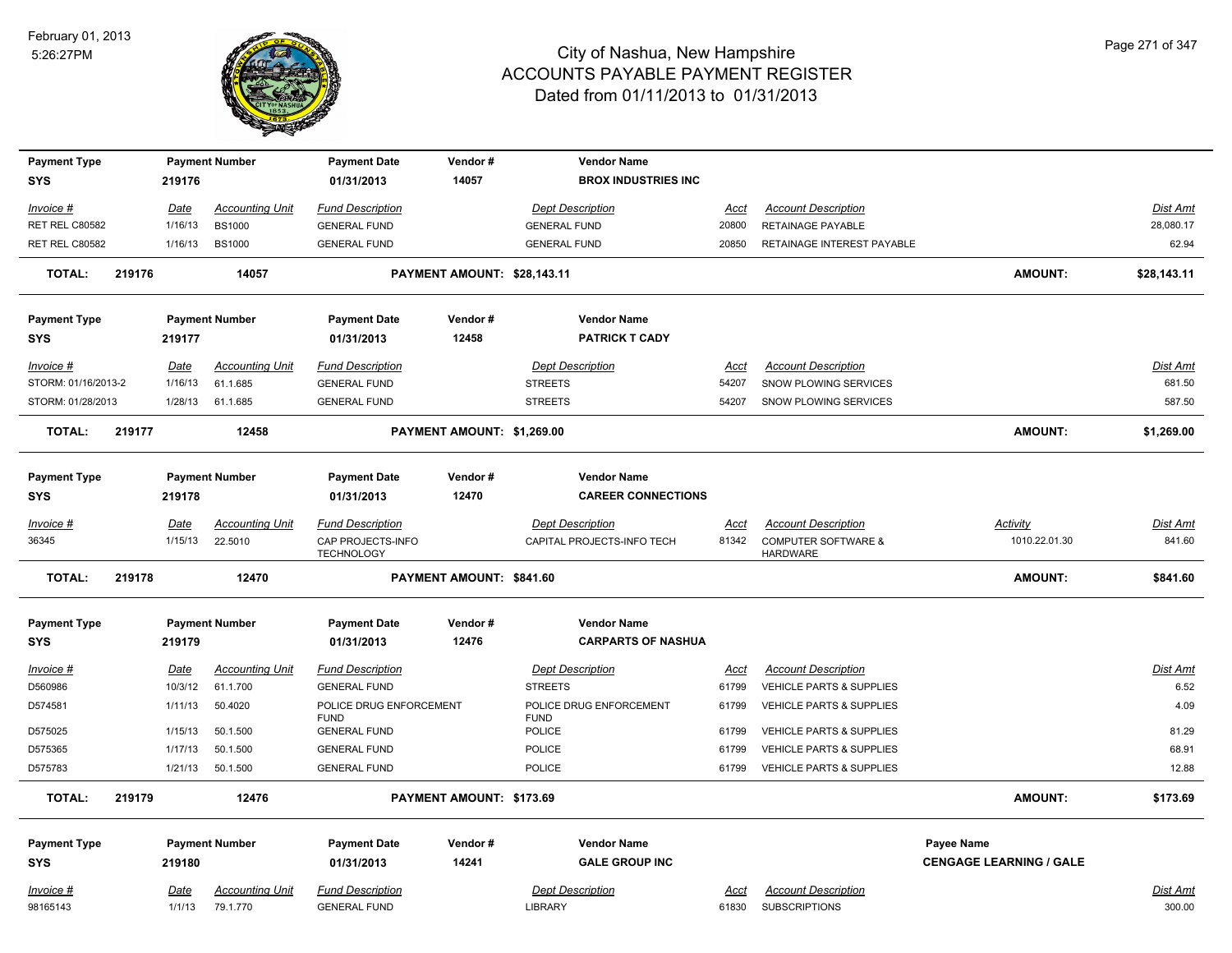

|                     |        |                |                                    |                                                |                             | <b>Vendor Name</b>                     |               |                                                    |                                |                    |
|---------------------|--------|----------------|------------------------------------|------------------------------------------------|-----------------------------|----------------------------------------|---------------|----------------------------------------------------|--------------------------------|--------------------|
| <b>Payment Type</b> |        |                | <b>Payment Number</b>              | <b>Payment Date</b>                            | Vendor#                     |                                        |               |                                                    |                                |                    |
| <b>SYS</b>          |        | 219176         |                                    | 01/31/2013                                     | 14057                       | <b>BROX INDUSTRIES INC</b>             |               |                                                    |                                |                    |
| Invoice #           |        | <b>Date</b>    | <b>Accounting Unit</b>             | <b>Fund Description</b>                        |                             | <b>Dept Description</b>                | Acct          | <b>Account Description</b>                         |                                | Dist Amt           |
| RET REL C80582      |        | 1/16/13        | <b>BS1000</b>                      | <b>GENERAL FUND</b>                            |                             | <b>GENERAL FUND</b>                    | 20800         | <b>RETAINAGE PAYABLE</b>                           |                                | 28,080.17          |
| RET REL C80582      |        | 1/16/13        | <b>BS1000</b>                      | <b>GENERAL FUND</b>                            |                             | <b>GENERAL FUND</b>                    | 20850         | RETAINAGE INTEREST PAYABLE                         |                                | 62.94              |
|                     |        |                |                                    |                                                |                             |                                        |               |                                                    |                                |                    |
| <b>TOTAL:</b>       | 219176 |                | 14057                              |                                                | PAYMENT AMOUNT: \$28,143.11 |                                        |               |                                                    | <b>AMOUNT:</b>                 | \$28,143.11        |
| <b>Payment Type</b> |        |                | <b>Payment Number</b>              | <b>Payment Date</b>                            | Vendor#                     | <b>Vendor Name</b>                     |               |                                                    |                                |                    |
| <b>SYS</b>          |        | 219177         |                                    | 01/31/2013                                     | 12458                       | <b>PATRICK T CADY</b>                  |               |                                                    |                                |                    |
| Invoice #           |        | <u>Date</u>    | <b>Accounting Unit</b>             | <b>Fund Description</b>                        |                             | <b>Dept Description</b>                | <u>Acct</u>   | <b>Account Description</b>                         |                                | <b>Dist Amt</b>    |
| STORM: 01/16/2013-2 |        | 1/16/13        | 61.1.685                           | <b>GENERAL FUND</b>                            |                             | <b>STREETS</b>                         | 54207         | SNOW PLOWING SERVICES                              |                                | 681.50             |
| STORM: 01/28/2013   |        | 1/28/13        | 61.1.685                           | <b>GENERAL FUND</b>                            |                             | <b>STREETS</b>                         | 54207         | SNOW PLOWING SERVICES                              |                                | 587.50             |
| <b>TOTAL:</b>       | 219177 |                | 12458                              |                                                | PAYMENT AMOUNT: \$1,269.00  |                                        |               |                                                    | <b>AMOUNT:</b>                 | \$1,269.00         |
| <b>Payment Type</b> |        |                | <b>Payment Number</b>              | <b>Payment Date</b>                            | Vendor#                     | <b>Vendor Name</b>                     |               |                                                    |                                |                    |
| <b>SYS</b>          |        | 219178         |                                    | 01/31/2013                                     | 12470                       | <b>CAREER CONNECTIONS</b>              |               |                                                    |                                |                    |
| Invoice #           |        | <b>Date</b>    | <b>Accounting Unit</b>             | <b>Fund Description</b>                        |                             | <b>Dept Description</b>                | Acct          | <b>Account Description</b>                         | <b>Activity</b>                | Dist Amt           |
| 36345               |        | 1/15/13        | 22.5010                            | CAP PROJECTS-INFO<br><b>TECHNOLOGY</b>         |                             | CAPITAL PROJECTS-INFO TECH             | 81342         | <b>COMPUTER SOFTWARE &amp;</b><br><b>HARDWARE</b>  | 1010.22.01.30                  | 841.60             |
| <b>TOTAL:</b>       | 219178 |                | 12470                              |                                                | PAYMENT AMOUNT: \$841.60    |                                        |               |                                                    | <b>AMOUNT:</b>                 | \$841.60           |
| <b>Payment Type</b> |        |                | <b>Payment Number</b>              | <b>Payment Date</b>                            | Vendor#                     | <b>Vendor Name</b>                     |               |                                                    |                                |                    |
| <b>SYS</b>          |        | 219179         |                                    | 01/31/2013                                     | 12476                       | <b>CARPARTS OF NASHUA</b>              |               |                                                    |                                |                    |
| Invoice #           |        | Date           | <b>Accounting Unit</b>             | <b>Fund Description</b>                        |                             | <b>Dept Description</b>                | Acct          | <b>Account Description</b>                         |                                | Dist Amt           |
| D560986             |        | 10/3/12        | 61.1.700                           | <b>GENERAL FUND</b>                            |                             | <b>STREETS</b>                         | 61799         | VEHICLE PARTS & SUPPLIES                           |                                | 6.52               |
| D574581             |        | 1/11/13        | 50.4020                            | POLICE DRUG ENFORCEMENT<br><b>FUND</b>         |                             | POLICE DRUG ENFORCEMENT<br><b>FUND</b> | 61799         | VEHICLE PARTS & SUPPLIES                           |                                | 4.09               |
| D575025             |        | 1/15/13        | 50.1.500                           | <b>GENERAL FUND</b>                            |                             | POLICE                                 | 61799         | VEHICLE PARTS & SUPPLIES                           |                                | 81.29              |
| D575365             |        | 1/17/13        | 50.1.500                           | <b>GENERAL FUND</b>                            |                             | POLICE                                 | 61799         | <b>VEHICLE PARTS &amp; SUPPLIES</b>                |                                | 68.91              |
| D575783             |        | 1/21/13        | 50.1.500                           | <b>GENERAL FUND</b>                            |                             | <b>POLICE</b>                          | 61799         | <b>VEHICLE PARTS &amp; SUPPLIES</b>                |                                | 12.88              |
| <b>TOTAL:</b>       | 219179 |                | 12476                              |                                                | PAYMENT AMOUNT: \$173.69    |                                        |               |                                                    | <b>AMOUNT:</b>                 | \$173.69           |
| <b>Payment Type</b> |        |                | <b>Payment Number</b>              | <b>Payment Date</b>                            | Vendor#                     | <b>Vendor Name</b>                     |               |                                                    | Payee Name                     |                    |
| <b>SYS</b>          |        | 219180         |                                    | 01/31/2013                                     | 14241                       | <b>GALE GROUP INC</b>                  |               |                                                    | <b>CENGAGE LEARNING / GALE</b> |                    |
|                     |        |                |                                    |                                                |                             |                                        |               |                                                    |                                |                    |
| Invoice #           |        | Date<br>1/1/13 | <b>Accounting Unit</b><br>79.1.770 | <b>Fund Description</b><br><b>GENERAL FUND</b> |                             | <b>Dept Description</b><br>LIBRARY     | Acct<br>61830 | <b>Account Description</b><br><b>SUBSCRIPTIONS</b> |                                | Dist Amt<br>300.00 |
| 98165143            |        |                |                                    |                                                |                             |                                        |               |                                                    |                                |                    |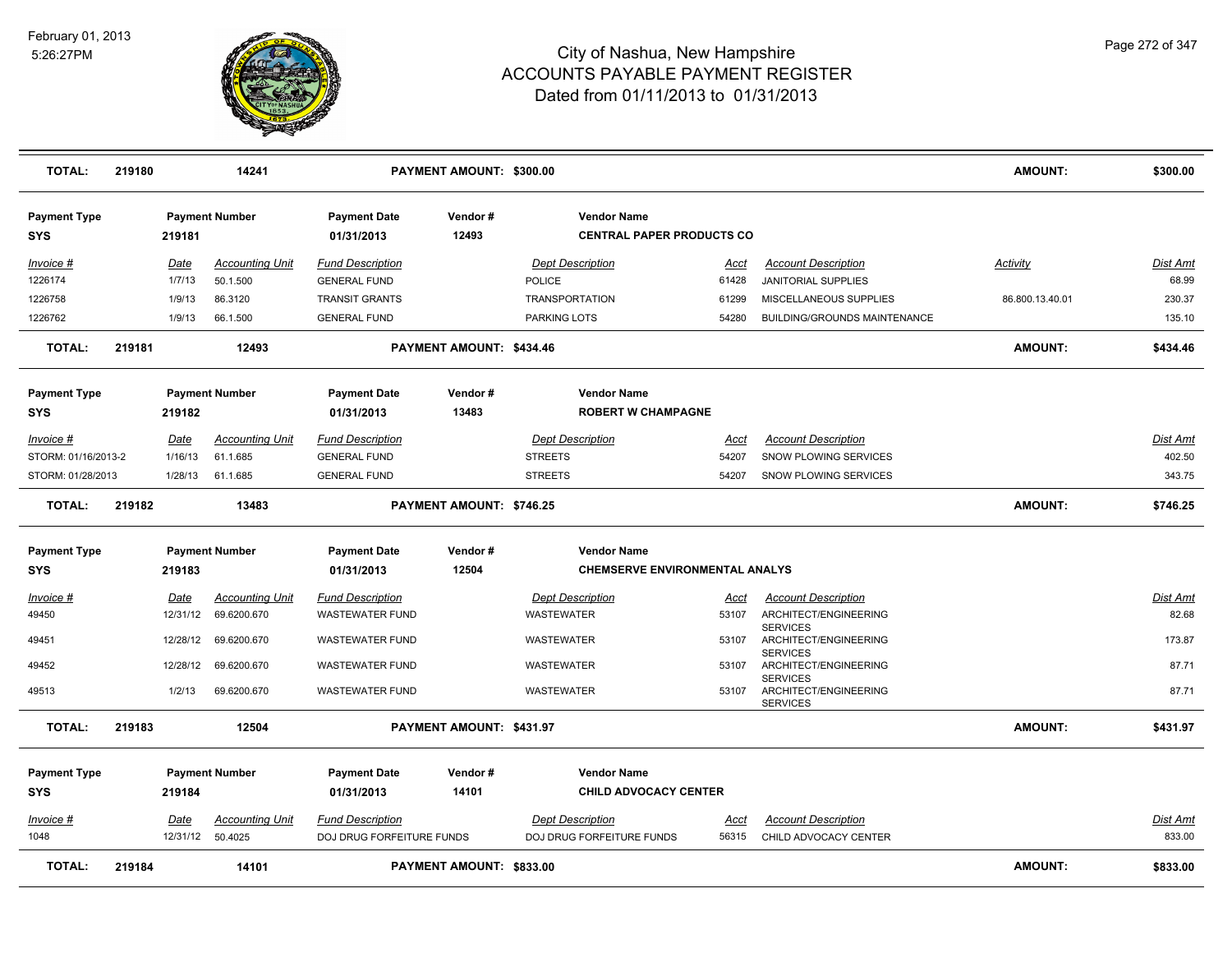

| <b>TOTAL:</b>              | 219180 |                       | 14241                                 |                                                   | PAYMENT AMOUNT: \$300.00 |                                                        |                      |                                                             | <b>AMOUNT:</b>  | \$300.00                 |
|----------------------------|--------|-----------------------|---------------------------------------|---------------------------------------------------|--------------------------|--------------------------------------------------------|----------------------|-------------------------------------------------------------|-----------------|--------------------------|
| <b>Payment Type</b><br>SYS |        | 219181                | <b>Payment Number</b>                 | <b>Payment Date</b><br>01/31/2013                 | Vendor#<br>12493         | <b>Vendor Name</b><br><b>CENTRAL PAPER PRODUCTS CO</b> |                      |                                                             |                 |                          |
| Invoice #<br>1226174       |        | <u>Date</u><br>1/7/13 | <b>Accounting Unit</b><br>50.1.500    | <b>Fund Description</b><br><b>GENERAL FUND</b>    |                          | <b>Dept Description</b><br><b>POLICE</b>               | Acct<br>61428        | <b>Account Description</b><br>JANITORIAL SUPPLIES           | Activity        | <b>Dist Amt</b><br>68.99 |
| 1226758                    |        | 1/9/13                | 86.3120                               | <b>TRANSIT GRANTS</b>                             |                          | <b>TRANSPORTATION</b>                                  | 61299                | MISCELLANEOUS SUPPLIES                                      | 86.800.13.40.01 | 230.37                   |
| 1226762                    |        | 1/9/13                | 66.1.500                              | <b>GENERAL FUND</b>                               |                          | PARKING LOTS                                           | 54280                | <b>BUILDING/GROUNDS MAINTENANCE</b>                         |                 | 135.10                   |
| <b>TOTAL:</b>              | 219181 |                       | 12493                                 |                                                   | PAYMENT AMOUNT: \$434.46 |                                                        |                      |                                                             | <b>AMOUNT:</b>  | \$434.46                 |
| <b>Payment Type</b><br>SYS |        | 219182                | <b>Payment Number</b>                 | <b>Payment Date</b><br>01/31/2013                 | Vendor#<br>13483         | <b>Vendor Name</b><br><b>ROBERT W CHAMPAGNE</b>        |                      |                                                             |                 |                          |
| Invoice #                  |        | Date                  | <b>Accounting Unit</b>                | <b>Fund Description</b>                           |                          | <b>Dept Description</b>                                | Acct                 | <b>Account Description</b>                                  |                 | <b>Dist Amt</b>          |
| STORM: 01/16/2013-2        |        | 1/16/13               | 61.1.685                              | <b>GENERAL FUND</b>                               |                          | <b>STREETS</b>                                         | 54207                | SNOW PLOWING SERVICES                                       |                 | 402.50                   |
| STORM: 01/28/2013          |        | 1/28/13               | 61.1.685                              | <b>GENERAL FUND</b>                               |                          | <b>STREETS</b>                                         | 54207                | SNOW PLOWING SERVICES                                       |                 | 343.75                   |
| <b>TOTAL:</b>              | 219182 |                       | 13483                                 |                                                   | PAYMENT AMOUNT: \$746.25 |                                                        |                      |                                                             | <b>AMOUNT:</b>  | \$746.25                 |
| <b>Payment Type</b>        |        |                       | <b>Payment Number</b>                 | <b>Payment Date</b>                               | Vendor#                  | <b>Vendor Name</b>                                     |                      |                                                             |                 |                          |
| SYS                        |        | 219183                |                                       | 01/31/2013                                        | 12504                    | <b>CHEMSERVE ENVIRONMENTAL ANALYS</b>                  |                      |                                                             |                 |                          |
| $Invoice$ #<br>49450       |        | Date<br>12/31/12      | <b>Accounting Unit</b><br>69.6200.670 | <b>Fund Description</b><br><b>WASTEWATER FUND</b> |                          | <b>Dept Description</b><br><b>WASTEWATER</b>           | <u>Acct</u><br>53107 | <b>Account Description</b><br>ARCHITECT/ENGINEERING         |                 | Dist Amt<br>82.68        |
| 49451                      |        | 12/28/12              | 69.6200.670                           | <b>WASTEWATER FUND</b>                            |                          | WASTEWATER                                             | 53107                | <b>SERVICES</b><br>ARCHITECT/ENGINEERING<br><b>SERVICES</b> |                 | 173.87                   |
| 49452                      |        | 12/28/12              | 69.6200.670                           | <b>WASTEWATER FUND</b>                            |                          | <b>WASTEWATER</b>                                      | 53107                | ARCHITECT/ENGINEERING<br><b>SERVICES</b>                    |                 | 87.71                    |
| 49513                      |        | 1/2/13                | 69.6200.670                           | <b>WASTEWATER FUND</b>                            |                          | WASTEWATER                                             | 53107                | ARCHITECT/ENGINEERING<br><b>SERVICES</b>                    |                 | 87.71                    |
| <b>TOTAL:</b>              | 219183 |                       | 12504                                 |                                                   | PAYMENT AMOUNT: \$431.97 |                                                        |                      |                                                             | <b>AMOUNT:</b>  | \$431.97                 |
| <b>Payment Type</b><br>SYS |        | 219184                | <b>Payment Number</b>                 | <b>Payment Date</b><br>01/31/2013                 | Vendor#<br>14101         | <b>Vendor Name</b><br><b>CHILD ADVOCACY CENTER</b>     |                      |                                                             |                 |                          |
| Invoice #                  |        | Date                  | <b>Accounting Unit</b>                | <b>Fund Description</b>                           |                          | <b>Dept Description</b>                                | <u>Acct</u>          | <b>Account Description</b>                                  |                 | Dist Amt                 |
| 1048                       |        |                       | 12/31/12 50.4025                      | DOJ DRUG FORFEITURE FUNDS                         |                          | DOJ DRUG FORFEITURE FUNDS                              | 56315                | CHILD ADVOCACY CENTER                                       |                 | 833.00                   |
| <b>TOTAL:</b>              | 219184 |                       | 14101                                 |                                                   | PAYMENT AMOUNT: \$833.00 |                                                        |                      |                                                             | <b>AMOUNT:</b>  | \$833.00                 |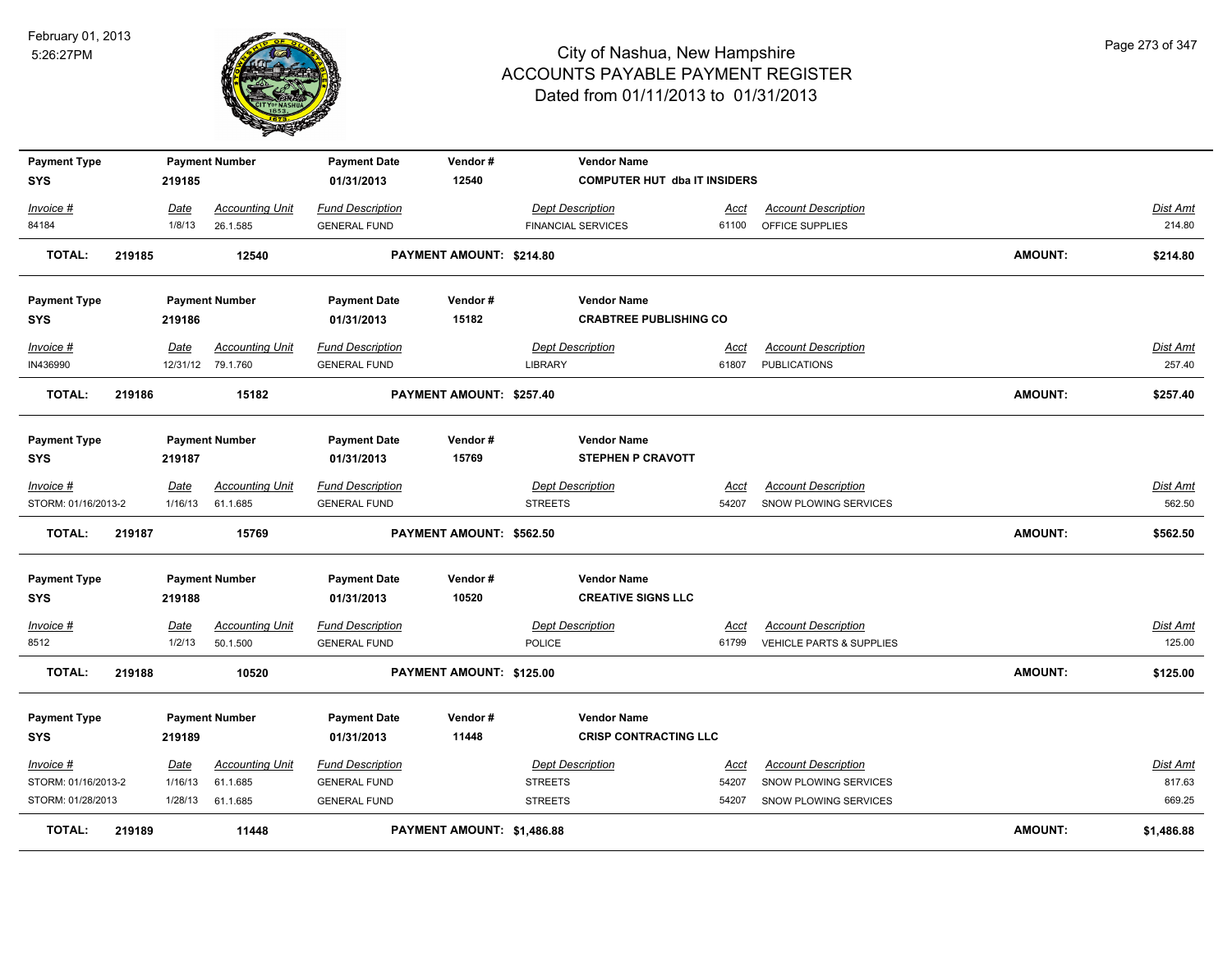

| <b>Payment Type</b> |        |         | <b>Payment Number</b>  | <b>Payment Date</b>     | Vendor#                    |                | <b>Vendor Name</b>                  |             |                                     |                |                 |
|---------------------|--------|---------|------------------------|-------------------------|----------------------------|----------------|-------------------------------------|-------------|-------------------------------------|----------------|-----------------|
| <b>SYS</b>          |        | 219185  |                        | 01/31/2013              | 12540                      |                | <b>COMPUTER HUT dba IT INSIDERS</b> |             |                                     |                |                 |
| Invoice #           |        | Date    | <b>Accounting Unit</b> | <b>Fund Description</b> |                            |                | <b>Dept Description</b>             | Acct        | <b>Account Description</b>          |                | Dist Amt        |
| 84184               |        | 1/8/13  | 26.1.585               | <b>GENERAL FUND</b>     |                            |                | <b>FINANCIAL SERVICES</b>           | 61100       | OFFICE SUPPLIES                     |                | 214.80          |
| <b>TOTAL:</b>       | 219185 |         | 12540                  |                         | PAYMENT AMOUNT: \$214.80   |                |                                     |             |                                     | <b>AMOUNT:</b> | \$214.80        |
| <b>Payment Type</b> |        |         | <b>Payment Number</b>  | <b>Payment Date</b>     | Vendor#                    |                | <b>Vendor Name</b>                  |             |                                     |                |                 |
| <b>SYS</b>          |        | 219186  |                        | 01/31/2013              | 15182                      |                | <b>CRABTREE PUBLISHING CO</b>       |             |                                     |                |                 |
| Invoice #           |        | Date    | <b>Accounting Unit</b> | <b>Fund Description</b> |                            |                | <b>Dept Description</b>             | Acct        | <b>Account Description</b>          |                | <b>Dist Amt</b> |
| IN436990            |        |         | 12/31/12 79.1.760      | <b>GENERAL FUND</b>     |                            | LIBRARY        |                                     | 61807       | <b>PUBLICATIONS</b>                 |                | 257.40          |
| <b>TOTAL:</b>       | 219186 |         | 15182                  |                         | PAYMENT AMOUNT: \$257.40   |                |                                     |             |                                     | <b>AMOUNT:</b> | \$257.40        |
| <b>Payment Type</b> |        |         | <b>Payment Number</b>  | <b>Payment Date</b>     | Vendor#                    |                | <b>Vendor Name</b>                  |             |                                     |                |                 |
| <b>SYS</b>          |        | 219187  |                        | 01/31/2013              | 15769                      |                | <b>STEPHEN P CRAVOTT</b>            |             |                                     |                |                 |
| Invoice #           |        | Date    | <b>Accounting Unit</b> | <b>Fund Description</b> |                            |                | <b>Dept Description</b>             | Acct        | <b>Account Description</b>          |                | <b>Dist Amt</b> |
| STORM: 01/16/2013-2 |        | 1/16/13 | 61.1.685               | <b>GENERAL FUND</b>     |                            | <b>STREETS</b> |                                     | 54207       | SNOW PLOWING SERVICES               |                | 562.50          |
| <b>TOTAL:</b>       | 219187 |         | 15769                  |                         | PAYMENT AMOUNT: \$562.50   |                |                                     |             |                                     | <b>AMOUNT:</b> | \$562.50        |
| <b>Payment Type</b> |        |         | <b>Payment Number</b>  | <b>Payment Date</b>     | Vendor#                    |                | <b>Vendor Name</b>                  |             |                                     |                |                 |
| <b>SYS</b>          |        | 219188  |                        | 01/31/2013              | 10520                      |                | <b>CREATIVE SIGNS LLC</b>           |             |                                     |                |                 |
| Invoice #           |        | Date    | <b>Accounting Unit</b> | <b>Fund Description</b> |                            |                | <b>Dept Description</b>             | <u>Acct</u> | <b>Account Description</b>          |                | <b>Dist Amt</b> |
| 8512                |        | 1/2/13  | 50.1.500               | <b>GENERAL FUND</b>     |                            | <b>POLICE</b>  |                                     | 61799       | <b>VEHICLE PARTS &amp; SUPPLIES</b> |                | 125.00          |
| <b>TOTAL:</b>       | 219188 |         | 10520                  |                         | PAYMENT AMOUNT: \$125.00   |                |                                     |             |                                     | <b>AMOUNT:</b> | \$125.00        |
| <b>Payment Type</b> |        |         | <b>Payment Number</b>  | <b>Payment Date</b>     | Vendor#                    |                | <b>Vendor Name</b>                  |             |                                     |                |                 |
| <b>SYS</b>          |        | 219189  |                        | 01/31/2013              | 11448                      |                | <b>CRISP CONTRACTING LLC</b>        |             |                                     |                |                 |
| Invoice #           |        | Date    | <b>Accounting Unit</b> | <b>Fund Description</b> |                            |                | <b>Dept Description</b>             | Acct        | <b>Account Description</b>          |                | Dist Amt        |
| STORM: 01/16/2013-2 |        | 1/16/13 | 61.1.685               | <b>GENERAL FUND</b>     |                            | <b>STREETS</b> |                                     | 54207       | SNOW PLOWING SERVICES               |                | 817.63          |
| STORM: 01/28/2013   |        | 1/28/13 | 61.1.685               | <b>GENERAL FUND</b>     |                            | <b>STREETS</b> |                                     | 54207       | SNOW PLOWING SERVICES               |                | 669.25          |
| <b>TOTAL:</b>       | 219189 |         | 11448                  |                         | PAYMENT AMOUNT: \$1,486.88 |                |                                     |             |                                     | <b>AMOUNT:</b> | \$1,486.88      |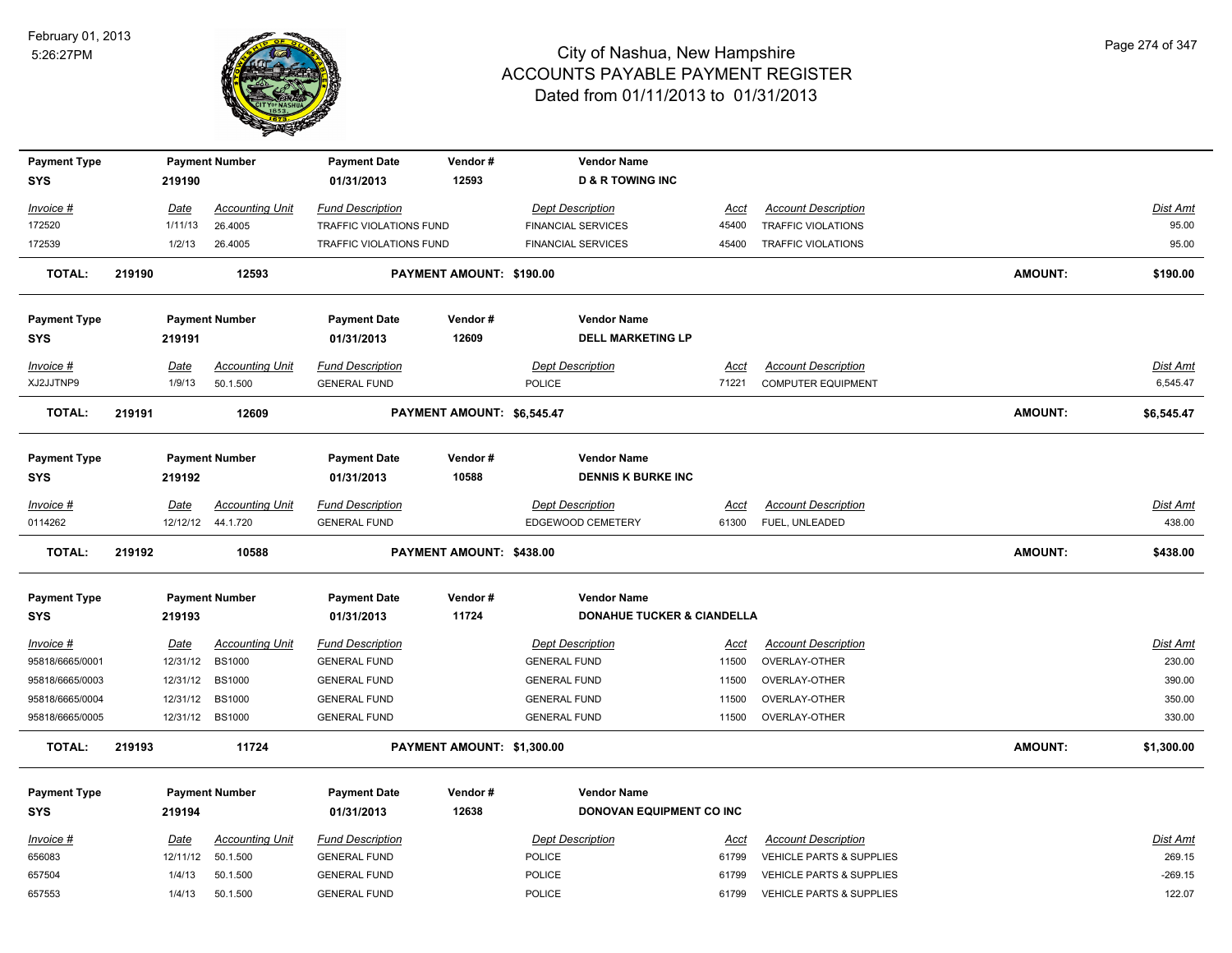

| <b>Payment Type</b> |        |             | <b>Payment Number</b>  | <b>Payment Date</b>                            | Vendor#                    | <b>Vendor Name</b>                    |             |                                     |                |                 |
|---------------------|--------|-------------|------------------------|------------------------------------------------|----------------------------|---------------------------------------|-------------|-------------------------------------|----------------|-----------------|
| <b>SYS</b>          |        | 219190      |                        | 01/31/2013                                     | 12593                      | <b>D &amp; R TOWING INC</b>           |             |                                     |                |                 |
| Invoice #           |        | <u>Date</u> | <b>Accounting Unit</b> | <b>Fund Description</b>                        |                            | <b>Dept Description</b>               | Acct        | <b>Account Description</b>          |                | <b>Dist Amt</b> |
| 172520              |        | 1/11/13     | 26.4005                | TRAFFIC VIOLATIONS FUND                        |                            | <b>FINANCIAL SERVICES</b>             | 45400       | <b>TRAFFIC VIOLATIONS</b>           |                | 95.00           |
| 172539              |        | 1/2/13      | 26.4005                | TRAFFIC VIOLATIONS FUND                        |                            | <b>FINANCIAL SERVICES</b>             | 45400       | TRAFFIC VIOLATIONS                  |                | 95.00           |
| <b>TOTAL:</b>       | 219190 |             | 12593                  |                                                | PAYMENT AMOUNT: \$190.00   |                                       |             |                                     | <b>AMOUNT:</b> | \$190.00        |
| <b>Payment Type</b> |        |             | <b>Payment Number</b>  | <b>Payment Date</b>                            | Vendor#                    | <b>Vendor Name</b>                    |             |                                     |                |                 |
| <b>SYS</b>          |        | 219191      |                        | 01/31/2013                                     | 12609                      | <b>DELL MARKETING LP</b>              |             |                                     |                |                 |
| Invoice #           |        | <u>Date</u> | <b>Accounting Unit</b> | <b>Fund Description</b>                        |                            | <b>Dept Description</b>               | Acct        | <b>Account Description</b>          |                | <b>Dist Amt</b> |
| XJ2JJTNP9           |        | 1/9/13      | 50.1.500               | <b>GENERAL FUND</b>                            |                            | <b>POLICE</b>                         | 71221       | <b>COMPUTER EQUIPMENT</b>           |                | 6,545.47        |
| <b>TOTAL:</b>       | 219191 |             | 12609                  |                                                | PAYMENT AMOUNT: \$6,545.47 |                                       |             |                                     | <b>AMOUNT:</b> | \$6,545.47      |
| <b>Payment Type</b> |        |             | <b>Payment Number</b>  | <b>Payment Date</b>                            | Vendor#                    | <b>Vendor Name</b>                    |             |                                     |                |                 |
| SYS                 |        | 219192      |                        | 01/31/2013                                     | 10588                      | <b>DENNIS K BURKE INC</b>             |             |                                     |                |                 |
| Invoice #           |        | Date        | <b>Accounting Unit</b> | <b>Fund Description</b>                        |                            | <b>Dept Description</b>               | Acct        | <b>Account Description</b>          |                | <b>Dist Amt</b> |
| 0114262             |        |             | 12/12/12 44.1.720      | <b>GENERAL FUND</b>                            |                            | EDGEWOOD CEMETERY                     | 61300       | FUEL, UNLEADED                      |                | 438.00          |
|                     |        |             |                        |                                                |                            |                                       |             |                                     |                |                 |
| <b>TOTAL:</b>       | 219192 |             | 10588                  |                                                | PAYMENT AMOUNT: \$438.00   |                                       |             |                                     | <b>AMOUNT:</b> | \$438.00        |
| <b>Payment Type</b> |        |             | <b>Payment Number</b>  | <b>Payment Date</b>                            | Vendor#                    | <b>Vendor Name</b>                    |             |                                     |                |                 |
| <b>SYS</b>          |        | 219193      |                        | 01/31/2013                                     | 11724                      | <b>DONAHUE TUCKER &amp; CIANDELLA</b> |             |                                     |                |                 |
| <u>Invoice #</u>    |        | <u>Date</u> | <b>Accounting Unit</b> |                                                |                            | <b>Dept Description</b>               | <u>Acct</u> | <b>Account Description</b>          |                | Dist Amt        |
| 95818/6665/0001     |        | 12/31/12    | <b>BS1000</b>          | <b>Fund Description</b><br><b>GENERAL FUND</b> |                            | <b>GENERAL FUND</b>                   | 11500       | OVERLAY-OTHER                       |                | 230.00          |
| 95818/6665/0003     |        | 12/31/12    | <b>BS1000</b>          | <b>GENERAL FUND</b>                            |                            | <b>GENERAL FUND</b>                   | 11500       | OVERLAY-OTHER                       |                | 390.00          |
| 95818/6665/0004     |        | 12/31/12    | <b>BS1000</b>          | <b>GENERAL FUND</b>                            |                            | <b>GENERAL FUND</b>                   | 11500       | OVERLAY-OTHER                       |                | 350.00          |
| 95818/6665/0005     |        |             | 12/31/12 BS1000        | <b>GENERAL FUND</b>                            |                            | <b>GENERAL FUND</b>                   | 11500       | OVERLAY-OTHER                       |                | 330.00          |
| <b>TOTAL:</b>       | 219193 |             | 11724                  |                                                | PAYMENT AMOUNT: \$1,300.00 |                                       |             |                                     | <b>AMOUNT:</b> | \$1,300.00      |
| <b>Payment Type</b> |        |             | <b>Payment Number</b>  | <b>Payment Date</b>                            | Vendor#                    | <b>Vendor Name</b>                    |             |                                     |                |                 |
| <b>SYS</b>          |        | 219194      |                        | 01/31/2013                                     | 12638                      | DONOVAN EQUIPMENT CO INC              |             |                                     |                |                 |
| Invoice #           |        | Date        | <b>Accounting Unit</b> | <b>Fund Description</b>                        |                            |                                       | Acct        | <b>Account Description</b>          |                | <b>Dist Amt</b> |
| 656083              |        | 12/11/12    | 50.1.500               | <b>GENERAL FUND</b>                            |                            | <b>Dept Description</b><br>POLICE     | 61799       | VEHICLE PARTS & SUPPLIES            |                | 269.15          |
| 657504              |        | 1/4/13      | 50.1.500               | <b>GENERAL FUND</b>                            |                            | POLICE                                | 61799       | <b>VEHICLE PARTS &amp; SUPPLIES</b> |                | $-269.15$       |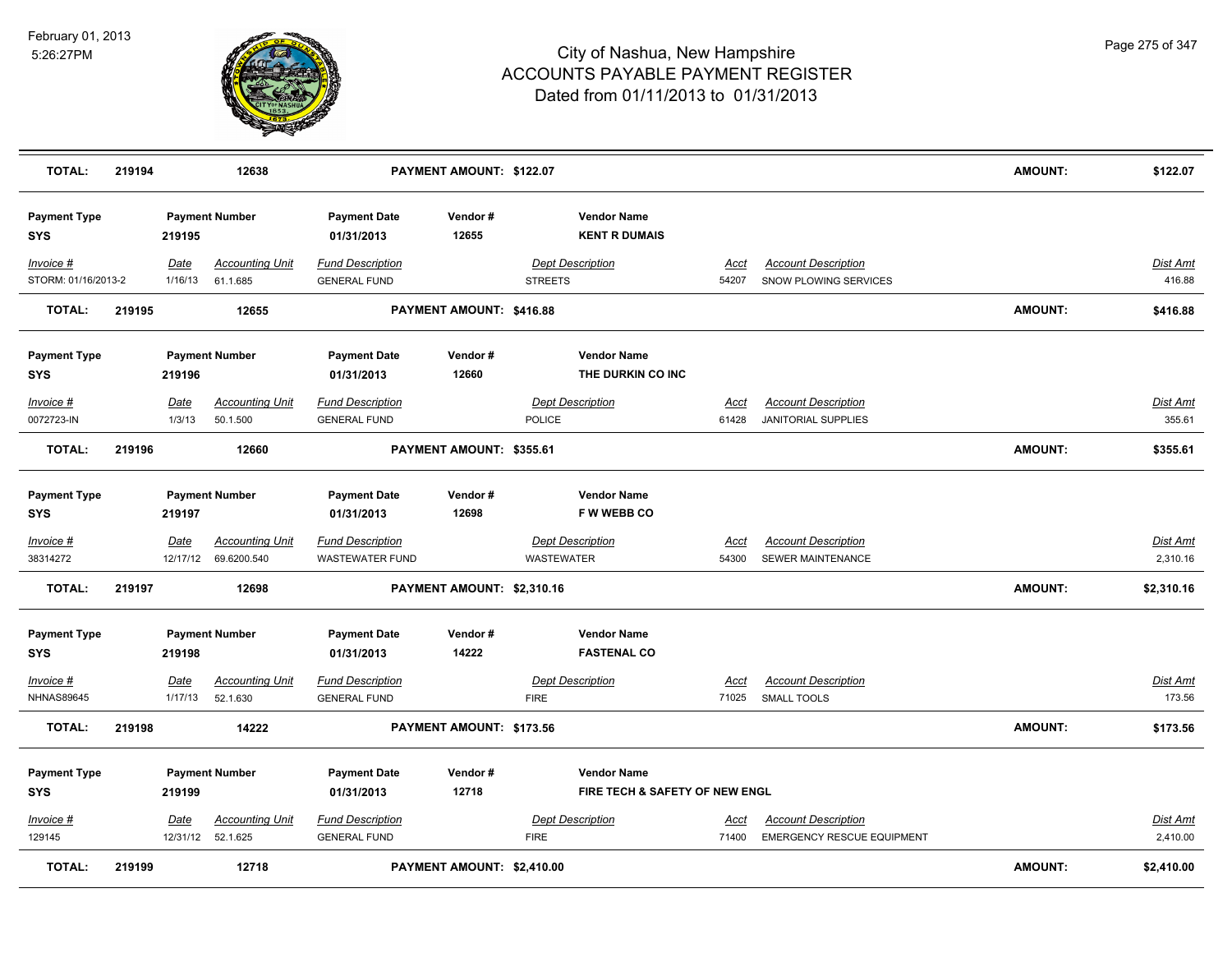

| <b>TOTAL:</b>                     | 219194 |                 | 12638                                          |                                                   | PAYMENT AMOUNT: \$122.07   |                |                                                      |                      |                                                          | <b>AMOUNT:</b> | \$122.07                    |
|-----------------------------------|--------|-----------------|------------------------------------------------|---------------------------------------------------|----------------------------|----------------|------------------------------------------------------|----------------------|----------------------------------------------------------|----------------|-----------------------------|
| <b>Payment Type</b><br>SYS        |        | 219195          | <b>Payment Number</b>                          | <b>Payment Date</b><br>01/31/2013                 | Vendor#<br>12655           |                | <b>Vendor Name</b><br><b>KENT R DUMAIS</b>           |                      |                                                          |                |                             |
| Invoice #<br>STORM: 01/16/2013-2  |        | Date<br>1/16/13 | <b>Accounting Unit</b><br>61.1.685             | <b>Fund Description</b><br><b>GENERAL FUND</b>    |                            | <b>STREETS</b> | <b>Dept Description</b>                              | Acct<br>54207        | <b>Account Description</b><br>SNOW PLOWING SERVICES      |                | Dist Amt<br>416.88          |
| <b>TOTAL:</b>                     | 219195 |                 | 12655                                          |                                                   | PAYMENT AMOUNT: \$416.88   |                |                                                      |                      |                                                          | <b>AMOUNT:</b> | \$416.88                    |
| <b>Payment Type</b><br>SYS        |        | 219196          | <b>Payment Number</b>                          | <b>Payment Date</b><br>01/31/2013                 | Vendor#<br>12660           |                | <b>Vendor Name</b><br>THE DURKIN CO INC              |                      |                                                          |                |                             |
| Invoice #<br>0072723-IN           |        | Date<br>1/3/13  | <b>Accounting Unit</b><br>50.1.500             | <b>Fund Description</b><br><b>GENERAL FUND</b>    |                            | <b>POLICE</b>  | <b>Dept Description</b>                              | Acct<br>61428        | <b>Account Description</b><br><b>JANITORIAL SUPPLIES</b> |                | Dist Amt<br>355.61          |
| <b>TOTAL:</b>                     | 219196 |                 | 12660                                          |                                                   | PAYMENT AMOUNT: \$355.61   |                |                                                      |                      |                                                          | <b>AMOUNT:</b> | \$355.61                    |
| <b>Payment Type</b><br>SYS        |        | 219197          | <b>Payment Number</b>                          | <b>Payment Date</b><br>01/31/2013                 | Vendor#<br>12698           |                | <b>Vendor Name</b><br><b>FW WEBB CO</b>              |                      |                                                          |                |                             |
| Invoice #<br>38314272             |        | <u>Date</u>     | <b>Accounting Unit</b><br>12/17/12 69.6200.540 | <b>Fund Description</b><br><b>WASTEWATER FUND</b> |                            | WASTEWATER     | <b>Dept Description</b>                              | <b>Acct</b><br>54300 | <b>Account Description</b><br>SEWER MAINTENANCE          |                | <u>Dist Amt</u><br>2,310.16 |
| <b>TOTAL:</b>                     | 219197 |                 | 12698                                          |                                                   | PAYMENT AMOUNT: \$2,310.16 |                |                                                      |                      |                                                          | <b>AMOUNT:</b> | \$2,310.16                  |
| <b>Payment Type</b><br><b>SYS</b> |        | 219198          | <b>Payment Number</b>                          | <b>Payment Date</b><br>01/31/2013                 | Vendor#<br>14222           |                | <b>Vendor Name</b><br><b>FASTENAL CO</b>             |                      |                                                          |                |                             |
| Invoice #<br><b>NHNAS89645</b>    |        | Date<br>1/17/13 | <b>Accounting Unit</b><br>52.1.630             | <b>Fund Description</b><br><b>GENERAL FUND</b>    |                            | <b>FIRE</b>    | <b>Dept Description</b>                              | Acct<br>71025        | <b>Account Description</b><br><b>SMALL TOOLS</b>         |                | <u>Dist Amt</u><br>173.56   |
| <b>TOTAL:</b>                     | 219198 |                 | 14222                                          |                                                   | PAYMENT AMOUNT: \$173.56   |                |                                                      |                      |                                                          | <b>AMOUNT:</b> | \$173.56                    |
| <b>Payment Type</b><br><b>SYS</b> |        | 219199          | <b>Payment Number</b>                          | <b>Payment Date</b><br>01/31/2013                 | Vendor#<br>12718           |                | <b>Vendor Name</b><br>FIRE TECH & SAFETY OF NEW ENGL |                      |                                                          |                |                             |
| Invoice #<br>129145               |        | <u>Date</u>     | <b>Accounting Unit</b><br>12/31/12 52.1.625    | <b>Fund Description</b><br><b>GENERAL FUND</b>    |                            | <b>FIRE</b>    | <b>Dept Description</b>                              | Acct<br>71400        | <b>Account Description</b><br>EMERGENCY RESCUE EQUIPMENT |                | Dist Amt<br>2,410.00        |
| <b>TOTAL:</b>                     | 219199 |                 | 12718                                          |                                                   | PAYMENT AMOUNT: \$2,410.00 |                |                                                      |                      |                                                          | <b>AMOUNT:</b> | \$2,410.00                  |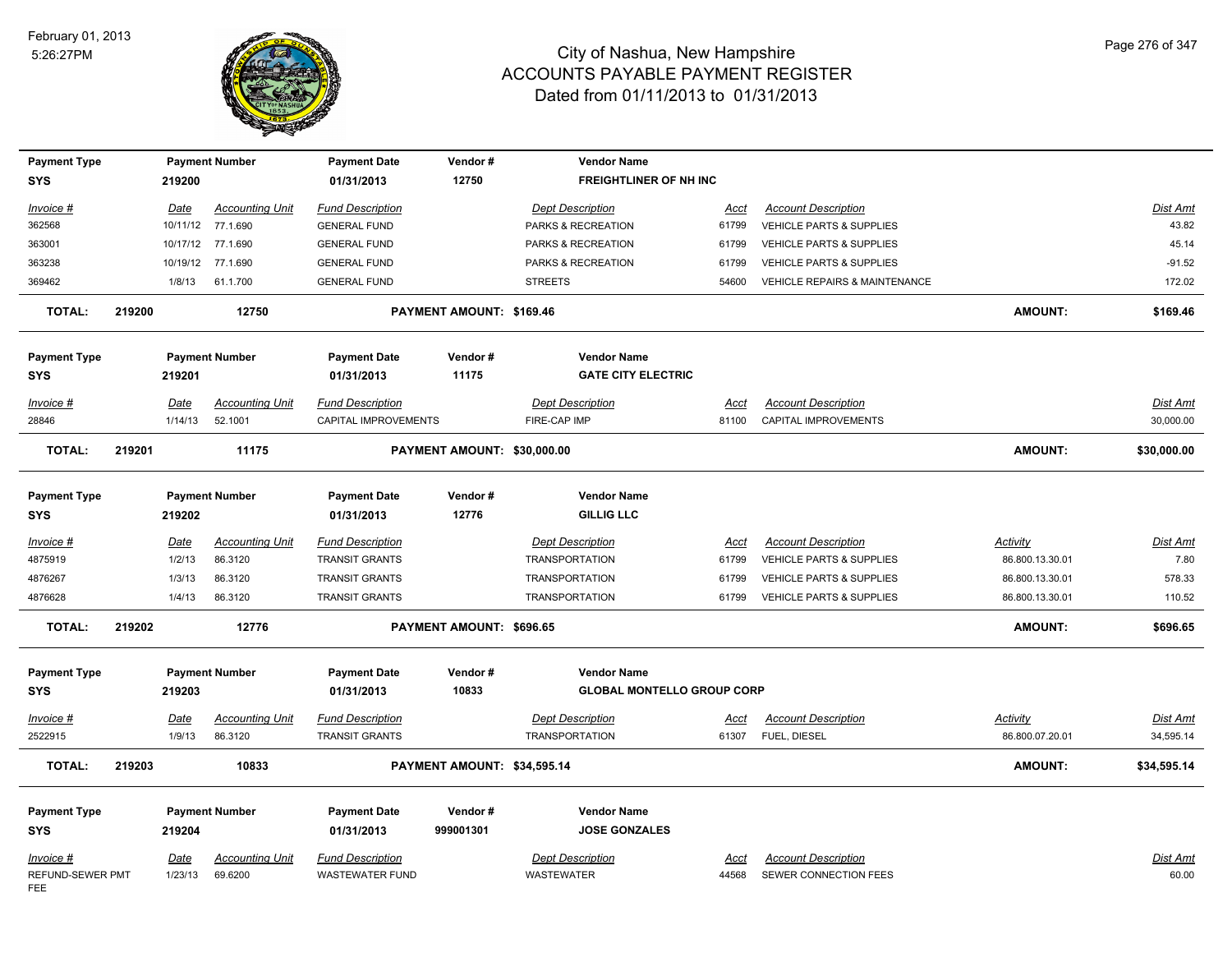

| <b>Payment Type</b><br><b>SYS</b> |        | 219200      | <b>Payment Number</b>  | <b>Payment Date</b><br>01/31/2013 | Vendor#<br>12750            | <b>Vendor Name</b><br><b>FREIGHTLINER OF NH INC</b> |             |                                          |                 |                 |
|-----------------------------------|--------|-------------|------------------------|-----------------------------------|-----------------------------|-----------------------------------------------------|-------------|------------------------------------------|-----------------|-----------------|
|                                   |        |             |                        |                                   |                             |                                                     |             |                                          |                 |                 |
| Invoice #                         |        | Date        | <b>Accounting Unit</b> | <b>Fund Description</b>           |                             | <b>Dept Description</b>                             | Acct        | <b>Account Description</b>               |                 | Dist Amt        |
| 362568                            |        |             | 10/11/12 77.1.690      | <b>GENERAL FUND</b>               |                             | PARKS & RECREATION                                  | 61799       | VEHICLE PARTS & SUPPLIES                 |                 | 43.82           |
| 363001                            |        |             | 10/17/12 77.1.690      | <b>GENERAL FUND</b>               |                             | PARKS & RECREATION                                  | 61799       | VEHICLE PARTS & SUPPLIES                 |                 | 45.14           |
| 363238                            |        |             | 10/19/12 77.1.690      | <b>GENERAL FUND</b>               |                             | PARKS & RECREATION                                  | 61799       | VEHICLE PARTS & SUPPLIES                 |                 | $-91.52$        |
| 369462                            |        | 1/8/13      | 61.1.700               | <b>GENERAL FUND</b>               |                             | <b>STREETS</b>                                      | 54600       | <b>VEHICLE REPAIRS &amp; MAINTENANCE</b> |                 | 172.02          |
| <b>TOTAL:</b>                     | 219200 |             | 12750                  |                                   | PAYMENT AMOUNT: \$169.46    |                                                     |             |                                          | <b>AMOUNT:</b>  | \$169.46        |
| <b>Payment Type</b>               |        |             | <b>Payment Number</b>  | <b>Payment Date</b>               | Vendor#                     | <b>Vendor Name</b>                                  |             |                                          |                 |                 |
| <b>SYS</b>                        |        | 219201      |                        | 01/31/2013                        | 11175                       | <b>GATE CITY ELECTRIC</b>                           |             |                                          |                 |                 |
| Invoice #                         |        | Date        | <b>Accounting Unit</b> | <b>Fund Description</b>           |                             | <b>Dept Description</b>                             | Acct        | <b>Account Description</b>               |                 | Dist Amt        |
| 28846                             |        | 1/14/13     | 52.1001                | CAPITAL IMPROVEMENTS              |                             | FIRE-CAP IMP                                        | 81100       | <b>CAPITAL IMPROVEMENTS</b>              |                 | 30,000.00       |
| <b>TOTAL:</b>                     | 219201 |             | 11175                  |                                   | PAYMENT AMOUNT: \$30,000.00 |                                                     |             |                                          | <b>AMOUNT:</b>  | \$30,000.00     |
|                                   |        |             |                        |                                   |                             |                                                     |             |                                          |                 |                 |
| <b>Payment Type</b>               |        |             | <b>Payment Number</b>  | <b>Payment Date</b>               | Vendor#                     | <b>Vendor Name</b>                                  |             |                                          |                 |                 |
| <b>SYS</b>                        |        | 219202      |                        | 01/31/2013                        | 12776                       | <b>GILLIG LLC</b>                                   |             |                                          |                 |                 |
| Invoice #                         |        | Date        | <b>Accounting Unit</b> | <b>Fund Description</b>           |                             | <b>Dept Description</b>                             | Acct        | <b>Account Description</b>               | Activity        | Dist Amt        |
| 4875919                           |        | 1/2/13      | 86.3120                | <b>TRANSIT GRANTS</b>             |                             | <b>TRANSPORTATION</b>                               | 61799       | VEHICLE PARTS & SUPPLIES                 | 86.800.13.30.01 | 7.80            |
| 4876267                           |        | 1/3/13      | 86.3120                | <b>TRANSIT GRANTS</b>             |                             | <b>TRANSPORTATION</b>                               | 61799       | VEHICLE PARTS & SUPPLIES                 | 86.800.13.30.01 | 578.33          |
| 4876628                           |        | 1/4/13      | 86.3120                | TRANSIT GRANTS                    |                             | <b>TRANSPORTATION</b>                               | 61799       | VEHICLE PARTS & SUPPLIES                 | 86.800.13.30.01 | 110.52          |
| <b>TOTAL:</b>                     | 219202 |             | 12776                  |                                   | PAYMENT AMOUNT: \$696.65    |                                                     |             |                                          | <b>AMOUNT:</b>  | \$696.65        |
| <b>Payment Type</b>               |        |             | <b>Payment Number</b>  | <b>Payment Date</b>               | Vendor#                     | <b>Vendor Name</b>                                  |             |                                          |                 |                 |
| <b>SYS</b>                        |        | 219203      |                        | 01/31/2013                        | 10833                       | <b>GLOBAL MONTELLO GROUP CORP</b>                   |             |                                          |                 |                 |
| <u>Invoice #</u>                  |        | <u>Date</u> | <b>Accounting Unit</b> | <b>Fund Description</b>           |                             | <b>Dept Description</b>                             | <u>Acct</u> | <b>Account Description</b>               | <b>Activity</b> | <b>Dist Amt</b> |
| 2522915                           |        | 1/9/13      | 86.3120                | <b>TRANSIT GRANTS</b>             |                             | <b>TRANSPORTATION</b>                               | 61307       | FUEL, DIESEL                             | 86.800.07.20.01 | 34,595.14       |
| <b>TOTAL:</b>                     | 219203 |             | 10833                  |                                   | PAYMENT AMOUNT: \$34,595.14 |                                                     |             |                                          | <b>AMOUNT:</b>  | \$34,595.14     |
|                                   |        |             |                        |                                   |                             |                                                     |             |                                          |                 |                 |
| <b>Payment Type</b>               |        |             | <b>Payment Number</b>  | <b>Payment Date</b>               | Vendor#                     | <b>Vendor Name</b>                                  |             |                                          |                 |                 |
| <b>SYS</b>                        |        | 219204      |                        | 01/31/2013                        | 999001301                   | <b>JOSE GONZALES</b>                                |             |                                          |                 |                 |
| Invoice #                         |        | <u>Date</u> | <b>Accounting Unit</b> | <b>Fund Description</b>           |                             | <b>Dept Description</b>                             | Acct        | <b>Account Description</b>               |                 | Dist Amt        |
| REFUND-SEWER PMT<br>FEE.          |        | 1/23/13     | 69.6200                | <b>WASTEWATER FUND</b>            |                             | <b>WASTEWATER</b>                                   | 44568       | SEWER CONNECTION FEES                    |                 | 60.00           |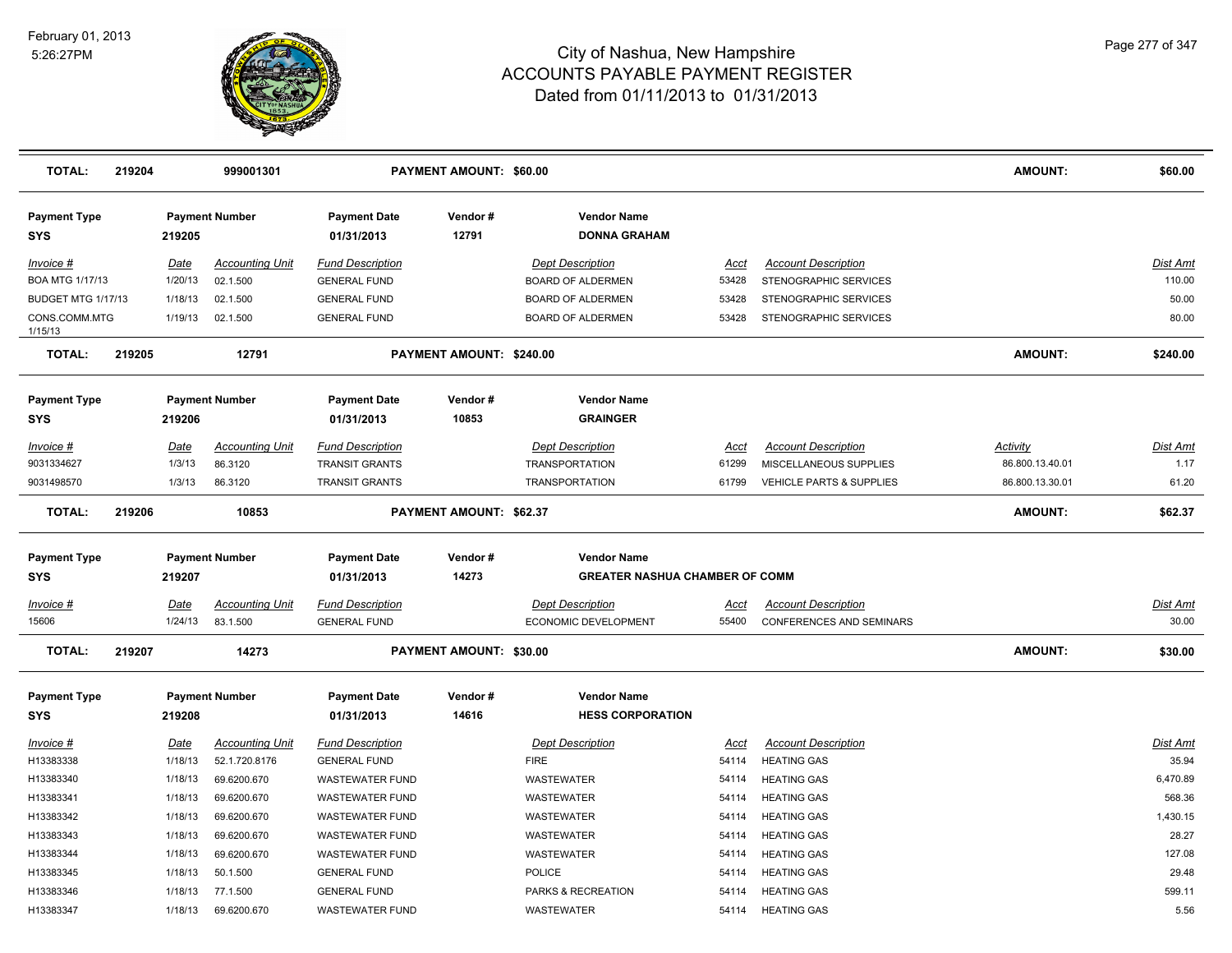

| <b>TOTAL:</b>                     | 219204 |                       | 999001301                               |                                                  | PAYMENT AMOUNT: \$60.00        |                                                             |                      |                                                      | AMOUNT:                            | \$60.00                  |
|-----------------------------------|--------|-----------------------|-----------------------------------------|--------------------------------------------------|--------------------------------|-------------------------------------------------------------|----------------------|------------------------------------------------------|------------------------------------|--------------------------|
| <b>Payment Type</b><br><b>SYS</b> |        | 219205                | <b>Payment Number</b>                   | <b>Payment Date</b><br>01/31/2013                | Vendor#<br>12791               | <b>Vendor Name</b><br><b>DONNA GRAHAM</b>                   |                      |                                                      |                                    |                          |
| Invoice #<br>BOA MTG 1/17/13      |        | Date<br>1/20/13       | <b>Accounting Unit</b><br>02.1.500      | <b>Fund Description</b><br><b>GENERAL FUND</b>   |                                | <b>Dept Description</b><br>BOARD OF ALDERMEN                | Acct<br>53428        | <b>Account Description</b><br>STENOGRAPHIC SERVICES  |                                    | Dist Amt<br>110.00       |
| <b>BUDGET MTG 1/17/13</b>         |        | 1/18/13               | 02.1.500                                | <b>GENERAL FUND</b>                              |                                | <b>BOARD OF ALDERMEN</b>                                    | 53428                | STENOGRAPHIC SERVICES                                |                                    | 50.00                    |
| CONS.COMM.MTG<br>1/15/13          |        | 1/19/13               | 02.1.500                                | <b>GENERAL FUND</b>                              |                                | BOARD OF ALDERMEN                                           | 53428                | STENOGRAPHIC SERVICES                                |                                    | 80.00                    |
| <b>TOTAL:</b>                     | 219205 |                       | 12791                                   |                                                  | PAYMENT AMOUNT: \$240.00       |                                                             |                      |                                                      | AMOUNT:                            | \$240.00                 |
| <b>Payment Type</b>               |        |                       | <b>Payment Number</b>                   | <b>Payment Date</b>                              | Vendor#                        | <b>Vendor Name</b>                                          |                      |                                                      |                                    |                          |
| <b>SYS</b>                        |        | 219206                |                                         | 01/31/2013                                       | 10853                          | <b>GRAINGER</b>                                             |                      |                                                      |                                    |                          |
| Invoice #<br>9031334627           |        | <b>Date</b><br>1/3/13 | <b>Accounting Unit</b><br>86.3120       | <b>Fund Description</b><br><b>TRANSIT GRANTS</b> |                                | <b>Dept Description</b><br><b>TRANSPORTATION</b>            | <b>Acct</b><br>61299 | <b>Account Description</b><br>MISCELLANEOUS SUPPLIES | <b>Activity</b><br>86.800.13.40.01 | Dist Amt<br>1.17         |
| 9031498570                        |        | 1/3/13                | 86.3120                                 | <b>TRANSIT GRANTS</b>                            |                                | <b>TRANSPORTATION</b>                                       | 61799                | VEHICLE PARTS & SUPPLIES                             | 86.800.13.30.01                    | 61.20                    |
| <b>TOTAL:</b>                     | 219206 |                       | 10853                                   |                                                  | <b>PAYMENT AMOUNT: \$62.37</b> |                                                             |                      |                                                      | AMOUNT:                            | \$62.37                  |
| <b>Payment Type</b><br><b>SYS</b> |        | 219207                | <b>Payment Number</b>                   | <b>Payment Date</b><br>01/31/2013                | Vendor#<br>14273               | <b>Vendor Name</b><br><b>GREATER NASHUA CHAMBER OF COMM</b> |                      |                                                      |                                    |                          |
| Invoice #                         |        | Date                  | <b>Accounting Unit</b>                  | <b>Fund Description</b>                          |                                | <b>Dept Description</b>                                     | Acct                 | <b>Account Description</b>                           |                                    | Dist Amt                 |
| 15606                             |        | 1/24/13               | 83.1.500                                | <b>GENERAL FUND</b>                              |                                | ECONOMIC DEVELOPMENT                                        | 55400                | <b>CONFERENCES AND SEMINARS</b>                      |                                    | 30.00                    |
| <b>TOTAL:</b>                     | 219207 |                       | 14273                                   |                                                  | PAYMENT AMOUNT: \$30.00        |                                                             |                      |                                                      | AMOUNT:                            | \$30.00                  |
| <b>Payment Type</b><br><b>SYS</b> |        | 219208                | <b>Payment Number</b>                   | <b>Payment Date</b><br>01/31/2013                | Vendor#<br>14616               | <b>Vendor Name</b><br><b>HESS CORPORATION</b>               |                      |                                                      |                                    |                          |
| Invoice #<br>H13383338            |        | Date<br>1/18/13       | <b>Accounting Unit</b><br>52.1.720.8176 | <b>Fund Description</b><br><b>GENERAL FUND</b>   |                                | <b>Dept Description</b><br><b>FIRE</b>                      | <b>Acct</b><br>54114 | <b>Account Description</b><br><b>HEATING GAS</b>     |                                    | <b>Dist Amt</b><br>35.94 |
| H13383340                         |        | 1/18/13               | 69.6200.670                             | <b>WASTEWATER FUND</b>                           |                                | <b>WASTEWATER</b>                                           | 54114                | <b>HEATING GAS</b>                                   |                                    | 6,470.89                 |
| H13383341                         |        | 1/18/13               | 69.6200.670                             | <b>WASTEWATER FUND</b>                           |                                | <b>WASTEWATER</b>                                           | 54114                | <b>HEATING GAS</b>                                   |                                    | 568.36                   |
| H13383342                         |        | 1/18/13               | 69.6200.670                             | <b>WASTEWATER FUND</b>                           |                                | <b>WASTEWATER</b>                                           | 54114                | <b>HEATING GAS</b>                                   |                                    | 1,430.15                 |
| H13383343                         |        | 1/18/13               | 69.6200.670                             | <b>WASTEWATER FUND</b>                           |                                | WASTEWATER                                                  | 54114                | <b>HEATING GAS</b>                                   |                                    | 28.27                    |
| H13383344                         |        | 1/18/13               | 69.6200.670                             | <b>WASTEWATER FUND</b>                           |                                | WASTEWATER                                                  | 54114                | <b>HEATING GAS</b>                                   |                                    | 127.08                   |
| H13383345                         |        | 1/18/13               | 50.1.500                                | <b>GENERAL FUND</b>                              |                                | POLICE                                                      | 54114                | <b>HEATING GAS</b>                                   |                                    | 29.48                    |
| H13383346                         |        | 1/18/13               | 77.1.500                                | <b>GENERAL FUND</b>                              |                                | PARKS & RECREATION                                          | 54114                | <b>HEATING GAS</b>                                   |                                    | 599.11                   |
| H13383347                         |        | 1/18/13               | 69.6200.670                             | <b>WASTEWATER FUND</b>                           |                                | <b>WASTEWATER</b>                                           | 54114                | <b>HEATING GAS</b>                                   |                                    | 5.56                     |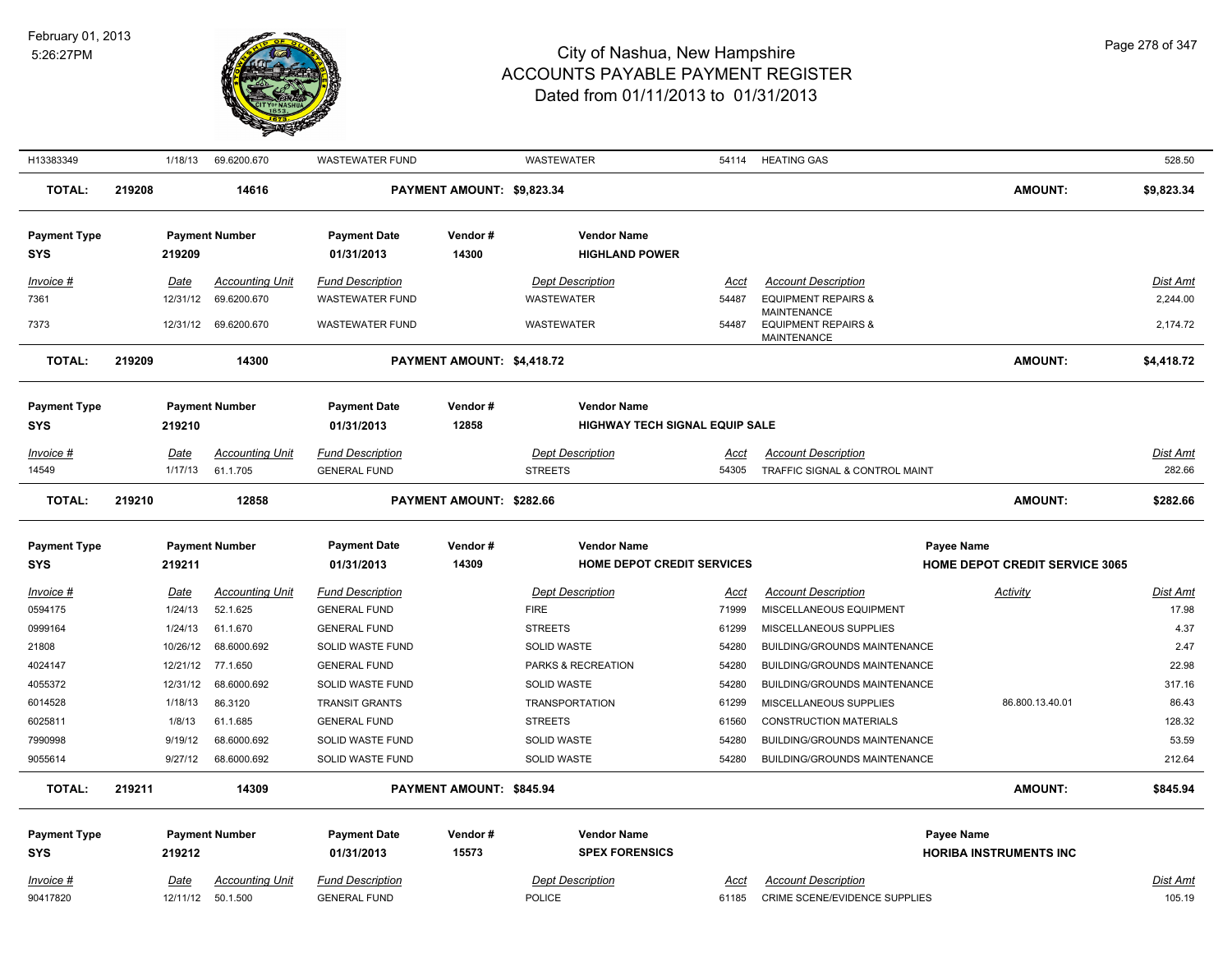

| H13383349                   | 1/18/13                | 69.6200.670                        | <b>WASTEWATER FUND</b>                         |                            | <b>WASTEWATER</b>                                       | 54114                | <b>HEATING GAS</b>                                           |                                                     | 528.50            |
|-----------------------------|------------------------|------------------------------------|------------------------------------------------|----------------------------|---------------------------------------------------------|----------------------|--------------------------------------------------------------|-----------------------------------------------------|-------------------|
| <b>TOTAL:</b>               | 219208                 | 14616                              |                                                | PAYMENT AMOUNT: \$9,823.34 |                                                         |                      |                                                              | <b>AMOUNT:</b>                                      | \$9,823.34        |
| <b>Payment Type</b><br>SYS  | 219209                 | <b>Payment Number</b>              | <b>Payment Date</b><br>01/31/2013              | Vendor#<br>14300           | <b>Vendor Name</b><br><b>HIGHLAND POWER</b>             |                      |                                                              |                                                     |                   |
| Invoice #                   | Date                   | <b>Accounting Unit</b>             | <b>Fund Description</b>                        |                            | <b>Dept Description</b>                                 | Acct                 | <b>Account Description</b>                                   |                                                     | Dist Amt          |
| 7361                        | 12/31/12               | 69.6200.670                        | <b>WASTEWATER FUND</b>                         |                            | WASTEWATER                                              | 54487                | <b>EQUIPMENT REPAIRS &amp;</b>                               |                                                     | 2,244.00          |
| 7373                        |                        | 12/31/12 69.6200.670               | <b>WASTEWATER FUND</b>                         |                            | <b>WASTEWATER</b>                                       | 54487                | MAINTENANCE<br><b>EQUIPMENT REPAIRS &amp;</b><br>MAINTENANCE |                                                     | 2,174.72          |
| <b>TOTAL:</b>               | 219209                 | 14300                              |                                                | PAYMENT AMOUNT: \$4,418.72 |                                                         |                      |                                                              | <b>AMOUNT:</b>                                      | \$4,418.72        |
| <b>Payment Type</b>         |                        | <b>Payment Number</b>              | <b>Payment Date</b>                            | Vendor#                    | <b>Vendor Name</b>                                      |                      |                                                              |                                                     |                   |
| <b>SYS</b>                  | 219210                 |                                    | 01/31/2013                                     | 12858                      | <b>HIGHWAY TECH SIGNAL EQUIP SALE</b>                   |                      |                                                              |                                                     |                   |
| Invoice #                   | Date                   | <b>Accounting Unit</b>             | <b>Fund Description</b>                        |                            | <b>Dept Description</b>                                 | Acct                 | <b>Account Description</b>                                   |                                                     | Dist Amt          |
| 14549                       | 1/17/13                | 61.1.705                           | <b>GENERAL FUND</b>                            |                            | <b>STREETS</b>                                          | 54305                | TRAFFIC SIGNAL & CONTROL MAINT                               |                                                     | 282.66            |
| <b>TOTAL:</b>               | 219210                 | 12858                              |                                                | PAYMENT AMOUNT: \$282.66   |                                                         |                      |                                                              | <b>AMOUNT:</b>                                      | \$282.66          |
|                             |                        |                                    |                                                |                            |                                                         |                      |                                                              |                                                     |                   |
| <b>Payment Type</b><br>SYS  | 219211                 | <b>Payment Number</b>              | <b>Payment Date</b><br>01/31/2013              | Vendor#<br>14309           | <b>Vendor Name</b><br><b>HOME DEPOT CREDIT SERVICES</b> |                      |                                                              | Payee Name<br><b>HOME DEPOT CREDIT SERVICE 3065</b> |                   |
|                             |                        |                                    |                                                |                            |                                                         |                      |                                                              |                                                     |                   |
| <b>Invoice #</b><br>0594175 | <b>Date</b><br>1/24/13 | <b>Accounting Unit</b><br>52.1.625 | <b>Fund Description</b><br><b>GENERAL FUND</b> |                            | <b>Dept Description</b><br><b>FIRE</b>                  | <u>Acct</u><br>71999 | <b>Account Description</b><br>MISCELLANEOUS EQUIPMENT        | <b>Activity</b>                                     | Dist Amt<br>17.98 |
| 0999164                     | 1/24/13                | 61.1.670                           | <b>GENERAL FUND</b>                            |                            | <b>STREETS</b>                                          | 61299                | MISCELLANEOUS SUPPLIES                                       |                                                     | 4.37              |
| 21808                       | 10/26/12               | 68.6000.692                        | SOLID WASTE FUND                               |                            | SOLID WASTE                                             | 54280                | BUILDING/GROUNDS MAINTENANCE                                 |                                                     | 2.47              |
| 4024147                     |                        | 12/21/12 77.1.650                  | <b>GENERAL FUND</b>                            |                            | PARKS & RECREATION                                      | 54280                | BUILDING/GROUNDS MAINTENANCE                                 |                                                     | 22.98             |
| 4055372                     | 12/31/12               | 68.6000.692                        | SOLID WASTE FUND                               |                            | SOLID WASTE                                             | 54280                | BUILDING/GROUNDS MAINTENANCE                                 |                                                     | 317.16            |
| 6014528                     | 1/18/13                | 86.3120                            | <b>TRANSIT GRANTS</b>                          |                            | <b>TRANSPORTATION</b>                                   | 61299                | MISCELLANEOUS SUPPLIES                                       | 86.800.13.40.01                                     | 86.43             |
| 6025811                     | 1/8/13                 | 61.1.685                           | <b>GENERAL FUND</b>                            |                            | <b>STREETS</b>                                          | 61560                | <b>CONSTRUCTION MATERIALS</b>                                |                                                     | 128.32            |
| 7990998                     | 9/19/12                | 68.6000.692                        | SOLID WASTE FUND                               |                            | SOLID WASTE                                             | 54280                | BUILDING/GROUNDS MAINTENANCE                                 |                                                     | 53.59             |
| 9055614                     | 9/27/12                | 68.6000.692                        | SOLID WASTE FUND                               |                            | SOLID WASTE                                             | 54280                | <b>BUILDING/GROUNDS MAINTENANCE</b>                          |                                                     | 212.64            |
| <b>TOTAL:</b>               | 219211                 | 14309                              |                                                | PAYMENT AMOUNT: \$845.94   |                                                         |                      |                                                              | <b>AMOUNT:</b>                                      | \$845.94          |
| <b>Payment Type</b>         |                        | <b>Payment Number</b>              | <b>Payment Date</b>                            | Vendor#                    | <b>Vendor Name</b>                                      |                      |                                                              | Payee Name                                          |                   |
| <b>SYS</b>                  | 219212                 |                                    | 01/31/2013                                     | 15573                      | <b>SPEX FORENSICS</b>                                   |                      |                                                              | <b>HORIBA INSTRUMENTS INC</b>                       |                   |
| <u>Invoice #</u>            | Date                   | Accounting Unit                    | <b>Fund Description</b>                        |                            | <b>Dept Description</b>                                 | Acct                 | <b>Account Description</b>                                   |                                                     | Dist Amt          |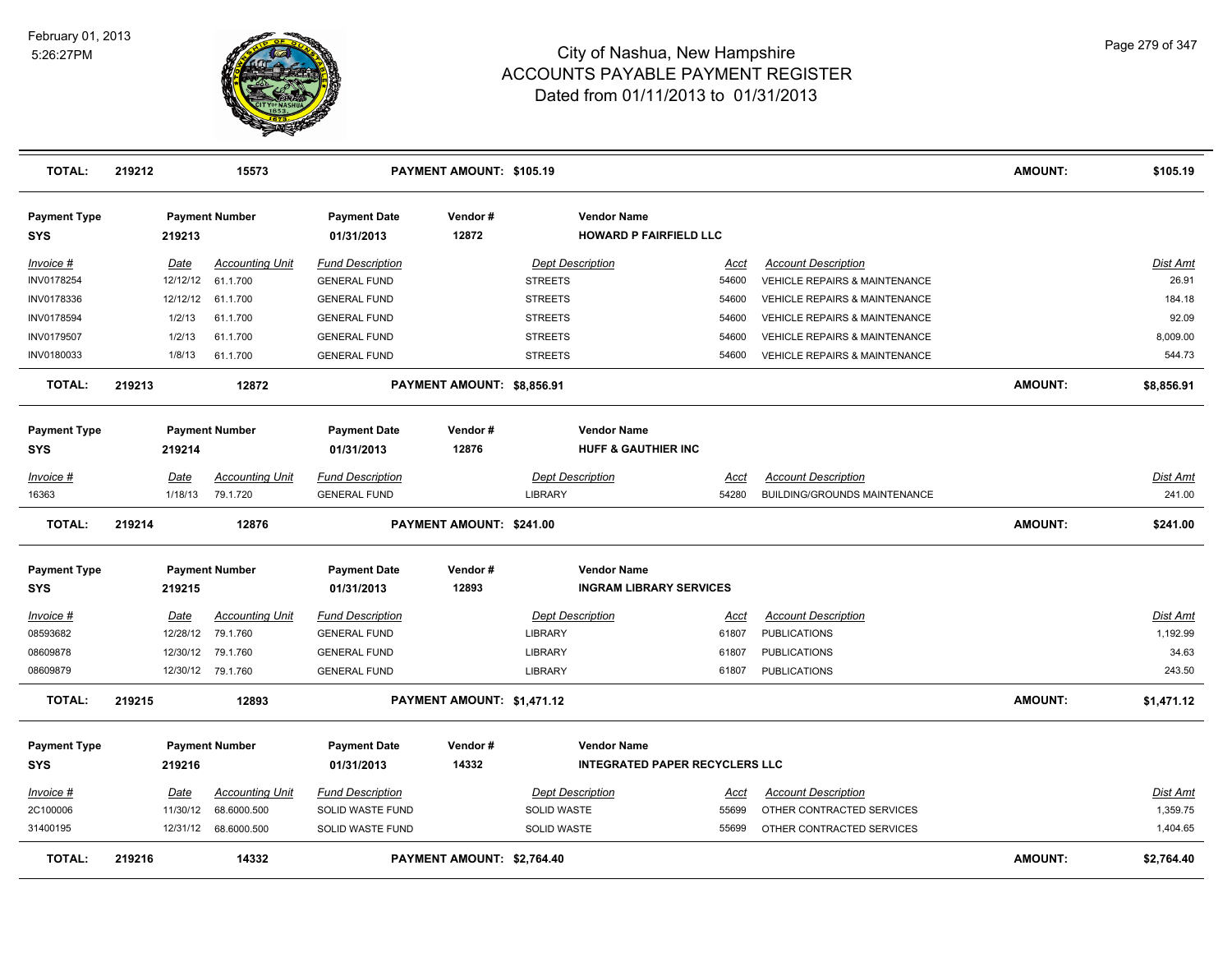

| <b>TOTAL:</b>                     | 219212 |             | 15573                  |                                   | PAYMENT AMOUNT: \$105.19   |                    |                                                             |             |                                          | <b>AMOUNT:</b> | \$105.19        |
|-----------------------------------|--------|-------------|------------------------|-----------------------------------|----------------------------|--------------------|-------------------------------------------------------------|-------------|------------------------------------------|----------------|-----------------|
| <b>Payment Type</b><br><b>SYS</b> |        | 219213      | <b>Payment Number</b>  | <b>Payment Date</b><br>01/31/2013 | Vendor#<br>12872           |                    | <b>Vendor Name</b><br><b>HOWARD P FAIRFIELD LLC</b>         |             |                                          |                |                 |
| Invoice #                         |        | Date        | <b>Accounting Unit</b> | <b>Fund Description</b>           |                            |                    | <b>Dept Description</b>                                     | Acct        | <b>Account Description</b>               |                | <b>Dist Amt</b> |
| INV0178254                        |        | 12/12/12    | 61.1.700               | <b>GENERAL FUND</b>               |                            | <b>STREETS</b>     |                                                             | 54600       | VEHICLE REPAIRS & MAINTENANCE            |                | 26.91           |
| INV0178336                        |        | 12/12/12    | 61.1.700               | <b>GENERAL FUND</b>               |                            | <b>STREETS</b>     |                                                             | 54600       | <b>VEHICLE REPAIRS &amp; MAINTENANCE</b> |                | 184.18          |
| <b>INV0178594</b>                 |        | 1/2/13      | 61.1.700               | <b>GENERAL FUND</b>               |                            | <b>STREETS</b>     |                                                             | 54600       | <b>VEHICLE REPAIRS &amp; MAINTENANCE</b> |                | 92.09           |
| INV0179507                        |        | 1/2/13      | 61.1.700               | <b>GENERAL FUND</b>               |                            | <b>STREETS</b>     |                                                             | 54600       | <b>VEHICLE REPAIRS &amp; MAINTENANCE</b> |                | 8,009.00        |
| INV0180033                        |        | 1/8/13      | 61.1.700               | <b>GENERAL FUND</b>               |                            | <b>STREETS</b>     |                                                             | 54600       | <b>VEHICLE REPAIRS &amp; MAINTENANCE</b> |                | 544.73          |
| <b>TOTAL:</b>                     | 219213 |             | 12872                  |                                   | PAYMENT AMOUNT: \$8,856.91 |                    |                                                             |             |                                          | <b>AMOUNT:</b> | \$8,856.91      |
| <b>Payment Type</b>               |        |             | <b>Payment Number</b>  | <b>Payment Date</b>               | Vendor#                    |                    | <b>Vendor Name</b>                                          |             |                                          |                |                 |
| <b>SYS</b>                        |        | 219214      |                        | 01/31/2013                        | 12876                      |                    | <b>HUFF &amp; GAUTHIER INC</b>                              |             |                                          |                |                 |
| Invoice #                         |        | Date        | <b>Accounting Unit</b> | <b>Fund Description</b>           |                            |                    | Dept Description                                            | Acct        | <b>Account Description</b>               |                | <b>Dist Amt</b> |
| 16363                             |        | 1/18/13     | 79.1.720               | <b>GENERAL FUND</b>               |                            | LIBRARY            |                                                             | 54280       | BUILDING/GROUNDS MAINTENANCE             |                | 241.00          |
| <b>TOTAL:</b>                     | 219214 |             | 12876                  |                                   | PAYMENT AMOUNT: \$241.00   |                    |                                                             |             |                                          | <b>AMOUNT:</b> | \$241.00        |
| <b>Payment Type</b><br><b>SYS</b> |        | 219215      | <b>Payment Number</b>  | <b>Payment Date</b><br>01/31/2013 | Vendor#<br>12893           |                    | <b>Vendor Name</b><br><b>INGRAM LIBRARY SERVICES</b>        |             |                                          |                |                 |
| Invoice #                         |        | <b>Date</b> | <b>Accounting Unit</b> | <b>Fund Description</b>           |                            |                    | <b>Dept Description</b>                                     | <u>Acci</u> | <b>Account Description</b>               |                | <u>Dist Amt</u> |
| 08593682                          |        | 12/28/12    | 79.1.760               | <b>GENERAL FUND</b>               |                            | LIBRARY            |                                                             | 61807       | <b>PUBLICATIONS</b>                      |                | 1,192.99        |
| 08609878                          |        | 12/30/12    | 79.1.760               | <b>GENERAL FUND</b>               |                            | <b>LIBRARY</b>     |                                                             | 61807       | <b>PUBLICATIONS</b>                      |                | 34.63           |
| 08609879                          |        |             | 12/30/12 79.1.760      | <b>GENERAL FUND</b>               |                            | <b>LIBRARY</b>     |                                                             | 61807       | <b>PUBLICATIONS</b>                      |                | 243.50          |
| <b>TOTAL:</b>                     | 219215 |             | 12893                  |                                   | PAYMENT AMOUNT: \$1,471.12 |                    |                                                             |             |                                          | <b>AMOUNT:</b> | \$1,471.12      |
| <b>Payment Type</b><br><b>SYS</b> |        | 219216      | <b>Payment Number</b>  | <b>Payment Date</b><br>01/31/2013 | Vendor#<br>14332           |                    | <b>Vendor Name</b><br><b>INTEGRATED PAPER RECYCLERS LLC</b> |             |                                          |                |                 |
|                                   |        |             |                        |                                   |                            |                    |                                                             |             |                                          |                |                 |
| Invoice #                         |        | Date        | <b>Accounting Unit</b> | <b>Fund Description</b>           |                            |                    | <b>Dept Description</b>                                     | Acct        | <b>Account Description</b>               |                | <u>Dist Amt</u> |
| 2C100006                          |        | 11/30/12    | 68.6000.500            | SOLID WASTE FUND                  |                            | SOLID WASTE        |                                                             | 55699       | OTHER CONTRACTED SERVICES                |                | 1,359.75        |
| 31400195                          |        | 12/31/12    | 68.6000.500            | SOLID WASTE FUND                  |                            | <b>SOLID WASTE</b> |                                                             | 55699       | OTHER CONTRACTED SERVICES                |                | 1,404.65        |
| <b>TOTAL:</b>                     | 219216 |             | 14332                  |                                   | PAYMENT AMOUNT: \$2,764.40 |                    |                                                             |             |                                          | <b>AMOUNT:</b> | \$2,764.40      |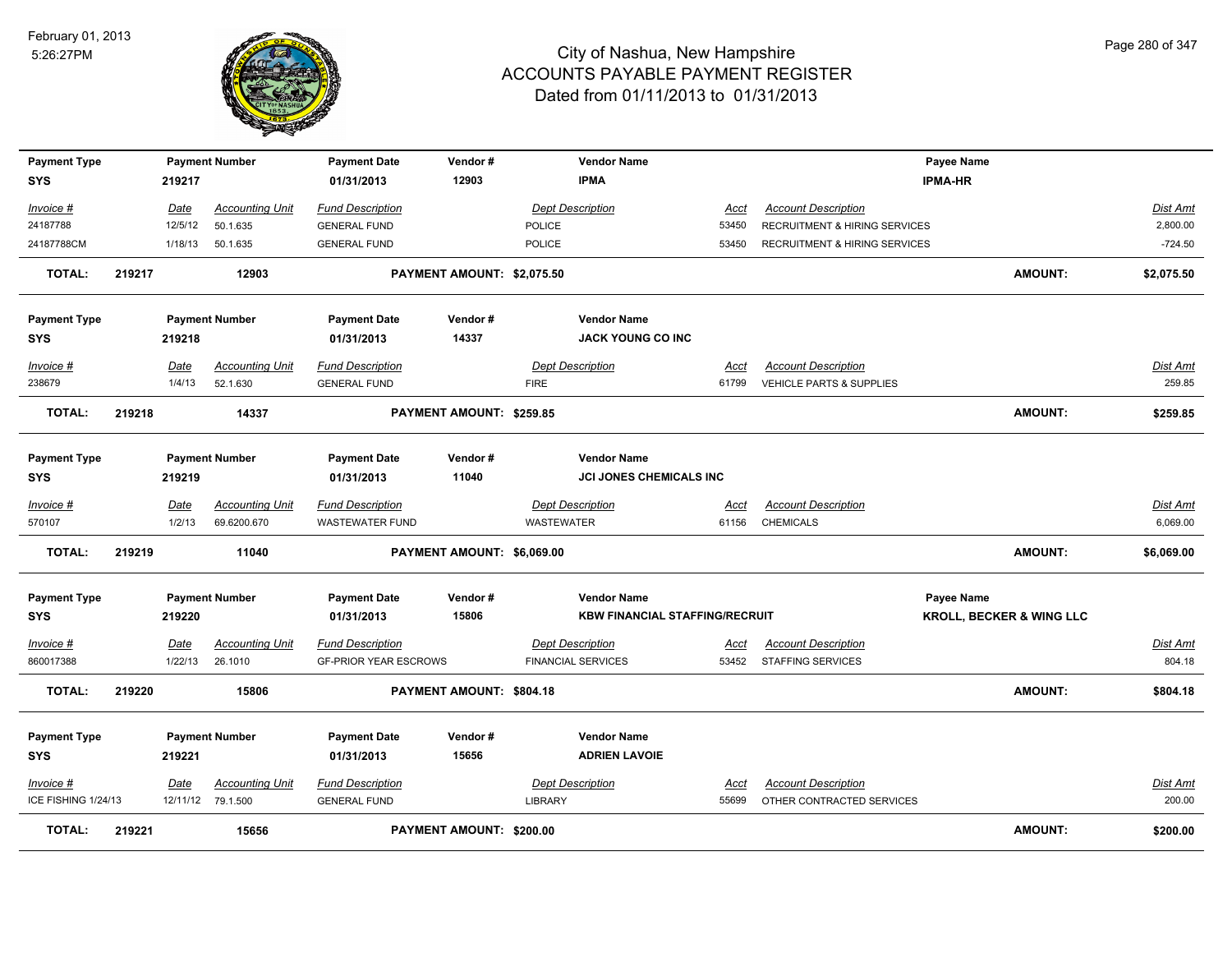

| <b>Payment Type</b> |        |             | <b>Payment Number</b>  | <b>Payment Date</b>          | Vendor#                    |               | <b>Vendor Name</b>                    |             |                                          | <b>Payee Name</b>                   |                |                 |
|---------------------|--------|-------------|------------------------|------------------------------|----------------------------|---------------|---------------------------------------|-------------|------------------------------------------|-------------------------------------|----------------|-----------------|
| <b>SYS</b>          |        | 219217      |                        | 01/31/2013                   | 12903                      |               | <b>IPMA</b>                           |             |                                          | <b>IPMA-HR</b>                      |                |                 |
| Invoice #           |        | <b>Date</b> | <b>Accounting Unit</b> | <b>Fund Description</b>      |                            |               | <b>Dept Description</b>               | Acct        | <b>Account Description</b>               |                                     |                | <b>Dist Amt</b> |
| 24187788            |        | 12/5/12     | 50.1.635               | <b>GENERAL FUND</b>          |                            | <b>POLICE</b> |                                       | 53450       | <b>RECRUITMENT &amp; HIRING SERVICES</b> |                                     |                | 2,800.00        |
| 24187788CM          |        | 1/18/13     | 50.1.635               | <b>GENERAL FUND</b>          |                            | <b>POLICE</b> |                                       | 53450       | RECRUITMENT & HIRING SERVICES            |                                     |                | $-724.50$       |
| <b>TOTAL:</b>       | 219217 |             | 12903                  |                              | PAYMENT AMOUNT: \$2,075.50 |               |                                       |             |                                          |                                     | <b>AMOUNT:</b> | \$2,075.50      |
|                     |        |             |                        |                              |                            |               |                                       |             |                                          |                                     |                |                 |
| <b>Payment Type</b> |        |             | <b>Payment Number</b>  | <b>Payment Date</b>          | Vendor#                    |               | <b>Vendor Name</b>                    |             |                                          |                                     |                |                 |
| <b>SYS</b>          |        | 219218      |                        | 01/31/2013                   | 14337                      |               | <b>JACK YOUNG CO INC</b>              |             |                                          |                                     |                |                 |
| Invoice #           |        | <b>Date</b> | <b>Accounting Unit</b> | <b>Fund Description</b>      |                            |               | <b>Dept Description</b>               | Acct        | <b>Account Description</b>               |                                     |                | Dist Amt        |
| 238679              |        | 1/4/13      | 52.1.630               | <b>GENERAL FUND</b>          |                            | <b>FIRE</b>   |                                       | 61799       | <b>VEHICLE PARTS &amp; SUPPLIES</b>      |                                     |                | 259.85          |
| <b>TOTAL:</b>       | 219218 |             | 14337                  |                              | PAYMENT AMOUNT: \$259.85   |               |                                       |             |                                          |                                     | <b>AMOUNT:</b> | \$259.85        |
|                     |        |             |                        |                              |                            |               |                                       |             |                                          |                                     |                |                 |
| <b>Payment Type</b> |        |             | <b>Payment Number</b>  | <b>Payment Date</b>          | Vendor#                    |               | <b>Vendor Name</b>                    |             |                                          |                                     |                |                 |
| <b>SYS</b>          |        | 219219      |                        | 01/31/2013                   | 11040                      |               | JCI JONES CHEMICALS INC               |             |                                          |                                     |                |                 |
| Invoice #           |        | Date        | <b>Accounting Unit</b> | <b>Fund Description</b>      |                            |               | <b>Dept Description</b>               | Acct        | <b>Account Description</b>               |                                     |                | Dist Amt        |
| 570107              |        | 1/2/13      | 69.6200.670            | <b>WASTEWATER FUND</b>       |                            | WASTEWATER    |                                       | 61156       | <b>CHEMICALS</b>                         |                                     |                | 6,069.00        |
| <b>TOTAL:</b>       | 219219 |             | 11040                  |                              | PAYMENT AMOUNT: \$6,069.00 |               |                                       |             |                                          |                                     | <b>AMOUNT:</b> | \$6,069.00      |
|                     |        |             |                        |                              |                            |               |                                       |             |                                          |                                     |                |                 |
| <b>Payment Type</b> |        |             | <b>Payment Number</b>  | <b>Payment Date</b>          | Vendor#                    |               | <b>Vendor Name</b>                    |             |                                          | <b>Payee Name</b>                   |                |                 |
| <b>SYS</b>          |        | 219220      |                        | 01/31/2013                   | 15806                      |               | <b>KBW FINANCIAL STAFFING/RECRUIT</b> |             |                                          | <b>KROLL, BECKER &amp; WING LLC</b> |                |                 |
| $Invoice$ #         |        | Date        | <b>Accounting Unit</b> | <b>Fund Description</b>      |                            |               | <b>Dept Description</b>               | <u>Acct</u> | <b>Account Description</b>               |                                     |                | <b>Dist Amt</b> |
| 860017388           |        | 1/22/13     | 26.1010                | <b>GF-PRIOR YEAR ESCROWS</b> |                            |               | <b>FINANCIAL SERVICES</b>             | 53452       | <b>STAFFING SERVICES</b>                 |                                     |                | 804.18          |
| <b>TOTAL:</b>       | 219220 |             | 15806                  |                              | PAYMENT AMOUNT: \$804.18   |               |                                       |             |                                          |                                     | <b>AMOUNT:</b> | \$804.18        |
|                     |        |             |                        |                              |                            |               |                                       |             |                                          |                                     |                |                 |
| <b>Payment Type</b> |        |             | <b>Payment Number</b>  | <b>Payment Date</b>          | Vendor#                    |               | <b>Vendor Name</b>                    |             |                                          |                                     |                |                 |
| <b>SYS</b>          |        | 219221      |                        | 01/31/2013                   | 15656                      |               | <b>ADRIEN LAVOIE</b>                  |             |                                          |                                     |                |                 |
| Invoice #           |        | <b>Date</b> | <b>Accounting Unit</b> | <b>Fund Description</b>      |                            |               | <b>Dept Description</b>               | <u>Acct</u> | <b>Account Description</b>               |                                     |                | Dist Amt        |
| ICE FISHING 1/24/13 |        |             | 12/11/12 79.1.500      | <b>GENERAL FUND</b>          |                            | LIBRARY       |                                       | 55699       | OTHER CONTRACTED SERVICES                |                                     |                | 200.00          |
| <b>TOTAL:</b>       | 219221 |             | 15656                  |                              | PAYMENT AMOUNT: \$200.00   |               |                                       |             |                                          |                                     | <b>AMOUNT:</b> | \$200.00        |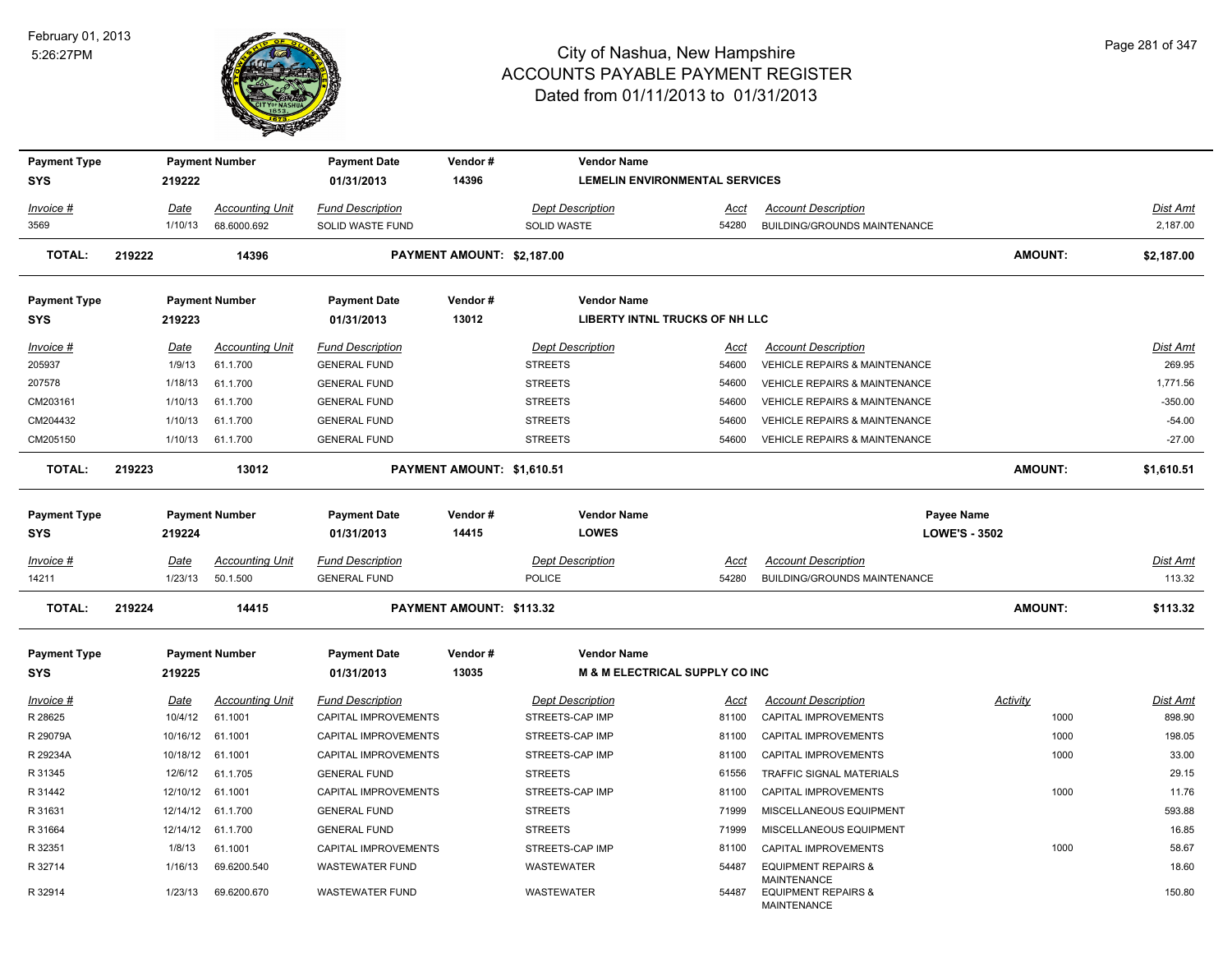

| <b>Payment Type</b>               |        |             | <b>Payment Number</b>  | <b>Payment Date</b>               | Vendor#                    | <b>Vendor Name</b>                    |             |                                                                            |                      |                 |
|-----------------------------------|--------|-------------|------------------------|-----------------------------------|----------------------------|---------------------------------------|-------------|----------------------------------------------------------------------------|----------------------|-----------------|
| <b>SYS</b>                        |        | 219222      |                        | 01/31/2013                        | 14396                      | <b>LEMELIN ENVIRONMENTAL SERVICES</b> |             |                                                                            |                      |                 |
| Invoice #                         |        | Date        | <b>Accounting Unit</b> | <b>Fund Description</b>           |                            | <b>Dept Description</b>               | Acct        | <b>Account Description</b>                                                 |                      | Dist Amt        |
| 3569                              |        | 1/10/13     | 68.6000.692            | SOLID WASTE FUND                  |                            | SOLID WASTE                           | 54280       | BUILDING/GROUNDS MAINTENANCE                                               |                      | 2,187.00        |
| <b>TOTAL:</b>                     | 219222 |             | 14396                  |                                   | PAYMENT AMOUNT: \$2,187.00 |                                       |             |                                                                            | <b>AMOUNT:</b>       | \$2,187.00      |
| <b>Payment Type</b>               |        |             | <b>Payment Number</b>  | <b>Payment Date</b>               | Vendor#                    | <b>Vendor Name</b>                    |             |                                                                            |                      |                 |
| <b>SYS</b>                        |        | 219223      |                        | 01/31/2013                        | 13012                      | <b>LIBERTY INTNL TRUCKS OF NH LLC</b> |             |                                                                            |                      |                 |
| Invoice #                         |        | Date        | <b>Accounting Unit</b> | <b>Fund Description</b>           |                            | <b>Dept Description</b>               | Acct        | <b>Account Description</b>                                                 |                      | Dist Amt        |
| 205937                            |        | 1/9/13      | 61.1.700               | <b>GENERAL FUND</b>               |                            | <b>STREETS</b>                        | 54600       | VEHICLE REPAIRS & MAINTENANCE                                              |                      | 269.95          |
| 207578                            |        | 1/18/13     | 61.1.700               | <b>GENERAL FUND</b>               |                            | <b>STREETS</b>                        | 54600       | VEHICLE REPAIRS & MAINTENANCE                                              |                      | 1,771.56        |
| CM203161                          |        | 1/10/13     | 61.1.700               | <b>GENERAL FUND</b>               |                            | <b>STREETS</b>                        | 54600       | VEHICLE REPAIRS & MAINTENANCE                                              |                      | $-350.00$       |
| CM204432                          |        | 1/10/13     | 61.1.700               | <b>GENERAL FUND</b>               |                            | <b>STREETS</b>                        | 54600       | <b>VEHICLE REPAIRS &amp; MAINTENANCE</b>                                   |                      | $-54.00$        |
| CM205150                          |        | 1/10/13     | 61.1.700               | <b>GENERAL FUND</b>               |                            | <b>STREETS</b>                        | 54600       | <b>VEHICLE REPAIRS &amp; MAINTENANCE</b>                                   |                      | $-27.00$        |
| <b>TOTAL:</b>                     | 219223 |             | 13012                  |                                   | PAYMENT AMOUNT: \$1,610.51 |                                       |             |                                                                            | <b>AMOUNT:</b>       | \$1,610.51      |
| <b>Payment Type</b><br><b>SYS</b> |        | 219224      | <b>Payment Number</b>  | <b>Payment Date</b><br>01/31/2013 | Vendor#<br>14415           | <b>Vendor Name</b><br><b>LOWES</b>    |             | Payee Name                                                                 | <b>LOWE'S - 3502</b> |                 |
| Invoice #                         |        | Date        | <b>Accounting Unit</b> | <b>Fund Description</b>           |                            | <b>Dept Description</b>               | <b>Acct</b> | <b>Account Description</b>                                                 |                      | Dist Amt        |
| 14211                             |        | 1/23/13     | 50.1.500               | <b>GENERAL FUND</b>               |                            | POLICE                                | 54280       | BUILDING/GROUNDS MAINTENANCE                                               |                      | 113.32          |
| <b>TOTAL:</b>                     | 219224 |             | 14415                  |                                   | PAYMENT AMOUNT: \$113.32   |                                       |             |                                                                            | <b>AMOUNT:</b>       | \$113.32        |
| <b>Payment Type</b>               |        |             | <b>Payment Number</b>  | <b>Payment Date</b>               | Vendor#                    | <b>Vendor Name</b>                    |             |                                                                            |                      |                 |
| <b>SYS</b>                        |        | 219225      |                        | 01/31/2013                        | 13035                      | M & M ELECTRICAL SUPPLY CO INC        |             |                                                                            |                      |                 |
| Invoice #                         |        | <u>Date</u> | <b>Accounting Unit</b> | <b>Fund Description</b>           |                            | <b>Dept Description</b>               | <u>Acct</u> | <b>Account Description</b>                                                 | <b>Activity</b>      | <u>Dist Amt</u> |
| R 28625                           |        | 10/4/12     | 61.1001                | CAPITAL IMPROVEMENTS              |                            | STREETS-CAP IMP                       | 81100       | CAPITAL IMPROVEMENTS                                                       | 1000                 | 898.90          |
| R 29079A                          |        | 10/16/12    | 61.1001                | CAPITAL IMPROVEMENTS              |                            | STREETS-CAP IMP                       | 81100       | CAPITAL IMPROVEMENTS                                                       | 1000                 | 198.05          |
| R 29234A                          |        | 10/18/12    | 61.1001                | CAPITAL IMPROVEMENTS              |                            | STREETS-CAP IMP                       | 81100       | CAPITAL IMPROVEMENTS                                                       | 1000                 | 33.00           |
| R 31345                           |        | 12/6/12     | 61.1.705               | <b>GENERAL FUND</b>               |                            | <b>STREETS</b>                        | 61556       | TRAFFIC SIGNAL MATERIALS                                                   |                      | 29.15           |
| R 31442                           |        |             | 12/10/12 61.1001       | CAPITAL IMPROVEMENTS              |                            | STREETS-CAP IMP                       | 81100       | CAPITAL IMPROVEMENTS                                                       | 1000                 | 11.76           |
| R 31631                           |        | 12/14/12    | 61.1.700               | <b>GENERAL FUND</b>               |                            | <b>STREETS</b>                        | 71999       | MISCELLANEOUS EQUIPMENT                                                    |                      | 593.88          |
| R 31664                           |        | 12/14/12    | 61.1.700               | <b>GENERAL FUND</b>               |                            | <b>STREETS</b>                        | 71999       | MISCELLANEOUS EQUIPMENT                                                    |                      | 16.85           |
| R 32351                           |        | 1/8/13      | 61.1001                | CAPITAL IMPROVEMENTS              |                            | STREETS-CAP IMP                       | 81100       | CAPITAL IMPROVEMENTS                                                       | 1000                 | 58.67           |
| R 32714                           |        | 1/16/13     | 69.6200.540            | <b>WASTEWATER FUND</b>            |                            | WASTEWATER                            | 54487       | <b>EQUIPMENT REPAIRS &amp;</b>                                             |                      | 18.60           |
| R 32914                           |        | 1/23/13     | 69.6200.670            | <b>WASTEWATER FUND</b>            |                            | <b>WASTEWATER</b>                     | 54487       | <b>MAINTENANCE</b><br><b>EQUIPMENT REPAIRS &amp;</b><br><b>MAINTENANCE</b> |                      | 150.80          |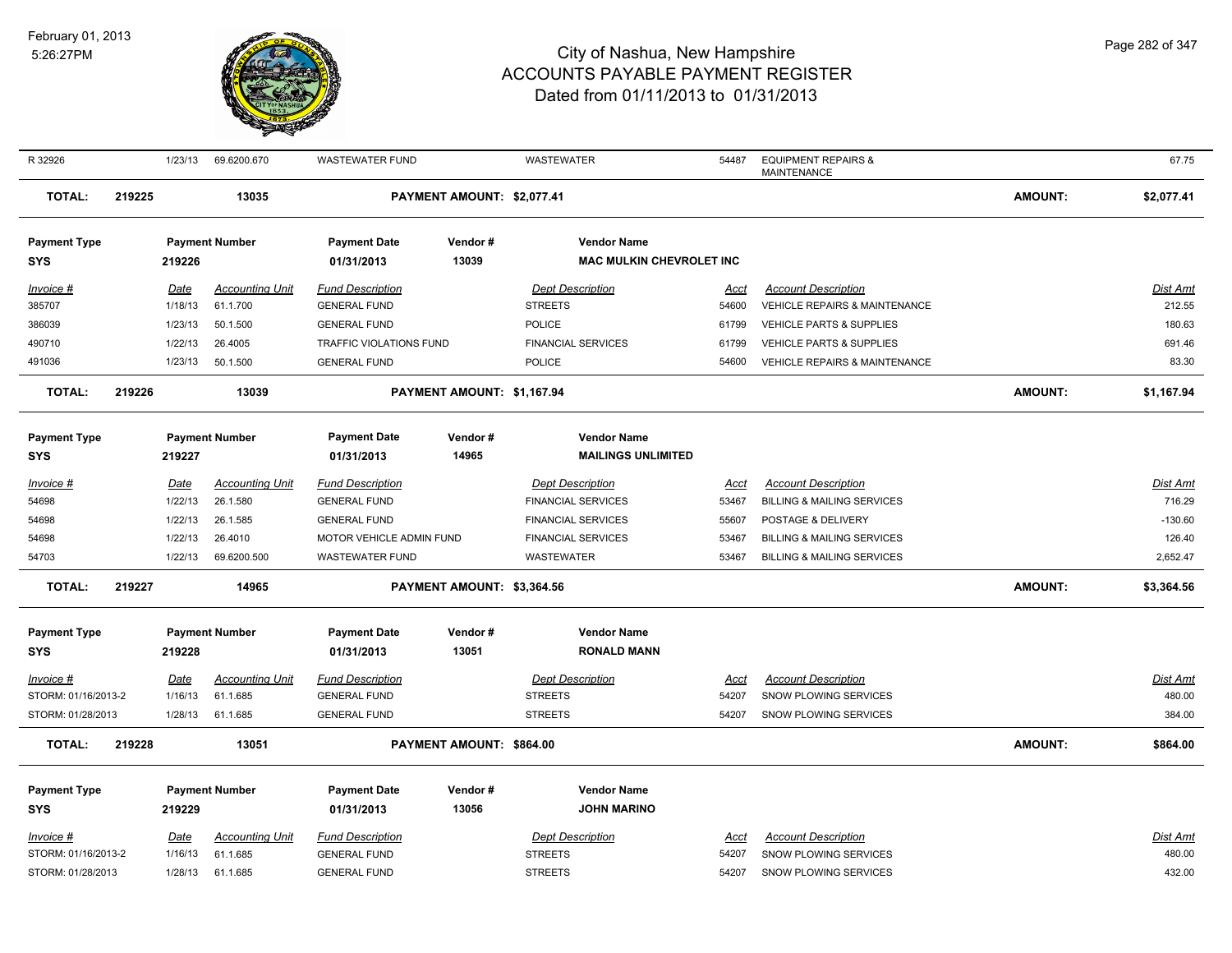

| R 32926                           |        | 1/23/13     | 69.6200.670            | <b>WASTEWATER FUND</b>   |                            | WASTEWATER                      | 54487       | <b>EQUIPMENT REPAIRS &amp;</b><br><b>MAINTENANCE</b> |                | 67.75           |
|-----------------------------------|--------|-------------|------------------------|--------------------------|----------------------------|---------------------------------|-------------|------------------------------------------------------|----------------|-----------------|
| <b>TOTAL:</b>                     | 219225 |             | 13035                  |                          | PAYMENT AMOUNT: \$2,077.41 |                                 |             |                                                      | <b>AMOUNT:</b> | \$2,077.41      |
| <b>Payment Type</b>               |        |             | <b>Payment Number</b>  | <b>Payment Date</b>      | Vendor#                    | <b>Vendor Name</b>              |             |                                                      |                |                 |
| <b>SYS</b>                        |        | 219226      |                        | 01/31/2013               | 13039                      | <b>MAC MULKIN CHEVROLET INC</b> |             |                                                      |                |                 |
| Invoice #                         |        | Date        | <b>Accounting Unit</b> | <b>Fund Description</b>  |                            | <b>Dept Description</b>         | Acct        | <b>Account Description</b>                           |                | Dist Amt        |
| 385707                            |        | 1/18/13     | 61.1.700               | <b>GENERAL FUND</b>      |                            | <b>STREETS</b>                  | 54600       | VEHICLE REPAIRS & MAINTENANCE                        |                | 212.55          |
| 386039                            |        | 1/23/13     | 50.1.500               | <b>GENERAL FUND</b>      |                            | <b>POLICE</b>                   | 61799       | <b>VEHICLE PARTS &amp; SUPPLIES</b>                  |                | 180.63          |
| 490710                            |        | 1/22/13     | 26.4005                | TRAFFIC VIOLATIONS FUND  |                            | <b>FINANCIAL SERVICES</b>       | 61799       | VEHICLE PARTS & SUPPLIES                             |                | 691.46          |
| 491036                            |        | 1/23/13     | 50.1.500               | <b>GENERAL FUND</b>      |                            | <b>POLICE</b>                   | 54600       | <b>VEHICLE REPAIRS &amp; MAINTENANCE</b>             |                | 83.30           |
| <b>TOTAL:</b>                     | 219226 |             | 13039                  |                          | PAYMENT AMOUNT: \$1,167.94 |                                 |             |                                                      | <b>AMOUNT:</b> | \$1,167.94      |
|                                   |        |             |                        |                          |                            |                                 |             |                                                      |                |                 |
| <b>Payment Type</b>               |        |             | <b>Payment Number</b>  | <b>Payment Date</b>      | Vendor#                    | <b>Vendor Name</b>              |             |                                                      |                |                 |
| <b>SYS</b>                        |        | 219227      |                        | 01/31/2013               | 14965                      | <b>MAILINGS UNLIMITED</b>       |             |                                                      |                |                 |
| Invoice #                         |        | <b>Date</b> | <b>Accounting Unit</b> | <u>Fund Description</u>  |                            | <b>Dept Description</b>         | <u>Acct</u> | <b>Account Description</b>                           |                | <b>Dist Amt</b> |
| 54698                             |        | 1/22/13     | 26.1.580               | <b>GENERAL FUND</b>      |                            | <b>FINANCIAL SERVICES</b>       | 53467       | <b>BILLING &amp; MAILING SERVICES</b>                |                | 716.29          |
| 54698                             |        | 1/22/13     | 26.1.585               | <b>GENERAL FUND</b>      |                            | <b>FINANCIAL SERVICES</b>       | 55607       | POSTAGE & DELIVERY                                   |                | $-130.60$       |
| 54698                             |        | 1/22/13     | 26.4010                | MOTOR VEHICLE ADMIN FUND |                            | <b>FINANCIAL SERVICES</b>       | 53467       | <b>BILLING &amp; MAILING SERVICES</b>                |                | 126.40          |
| 54703                             |        | 1/22/13     | 69.6200.500            | <b>WASTEWATER FUND</b>   |                            | WASTEWATER                      | 53467       | <b>BILLING &amp; MAILING SERVICES</b>                |                | 2,652.47        |
| <b>TOTAL:</b>                     | 219227 |             | 14965                  |                          | PAYMENT AMOUNT: \$3,364.56 |                                 |             |                                                      | <b>AMOUNT:</b> | \$3,364.56      |
| <b>Payment Type</b>               |        |             | <b>Payment Number</b>  | <b>Payment Date</b>      | Vendor#                    | <b>Vendor Name</b>              |             |                                                      |                |                 |
| <b>SYS</b>                        |        | 219228      |                        | 01/31/2013               | 13051                      | <b>RONALD MANN</b>              |             |                                                      |                |                 |
| Invoice #                         |        | Date        | <b>Accounting Unit</b> | <b>Fund Description</b>  |                            | <b>Dept Description</b>         | <u>Acct</u> | <b>Account Description</b>                           |                | <b>Dist Amt</b> |
| STORM: 01/16/2013-2               |        | 1/16/13     | 61.1.685               | <b>GENERAL FUND</b>      |                            | <b>STREETS</b>                  | 54207       | SNOW PLOWING SERVICES                                |                | 480.00          |
| STORM: 01/28/2013                 |        | 1/28/13     | 61.1.685               | <b>GENERAL FUND</b>      |                            | <b>STREETS</b>                  | 54207       | SNOW PLOWING SERVICES                                |                | 384.00          |
| <b>TOTAL:</b>                     | 219228 |             | 13051                  |                          | PAYMENT AMOUNT: \$864.00   |                                 |             |                                                      | <b>AMOUNT:</b> | \$864.00        |
|                                   |        |             | <b>Payment Number</b>  | <b>Payment Date</b>      | Vendor#                    | <b>Vendor Name</b>              |             |                                                      |                |                 |
| <b>Payment Type</b><br><b>SYS</b> |        | 219229      |                        | 01/31/2013               | 13056                      | <b>JOHN MARINO</b>              |             |                                                      |                |                 |
| $Invoice$ #                       |        | Date        | <b>Accounting Unit</b> | <b>Fund Description</b>  |                            | <b>Dept Description</b>         | <u>Acct</u> | <b>Account Description</b>                           |                | <b>Dist Amt</b> |
| STORM: 01/16/2013-2               |        | 1/16/13     | 61.1.685               | <b>GENERAL FUND</b>      |                            | <b>STREETS</b>                  | 54207       | SNOW PLOWING SERVICES                                |                | 480.00          |
| STORM: 01/28/2013                 |        | 1/28/13     | 61.1.685               | <b>GENERAL FUND</b>      |                            | <b>STREETS</b>                  | 54207       | SNOW PLOWING SERVICES                                |                | 432.00          |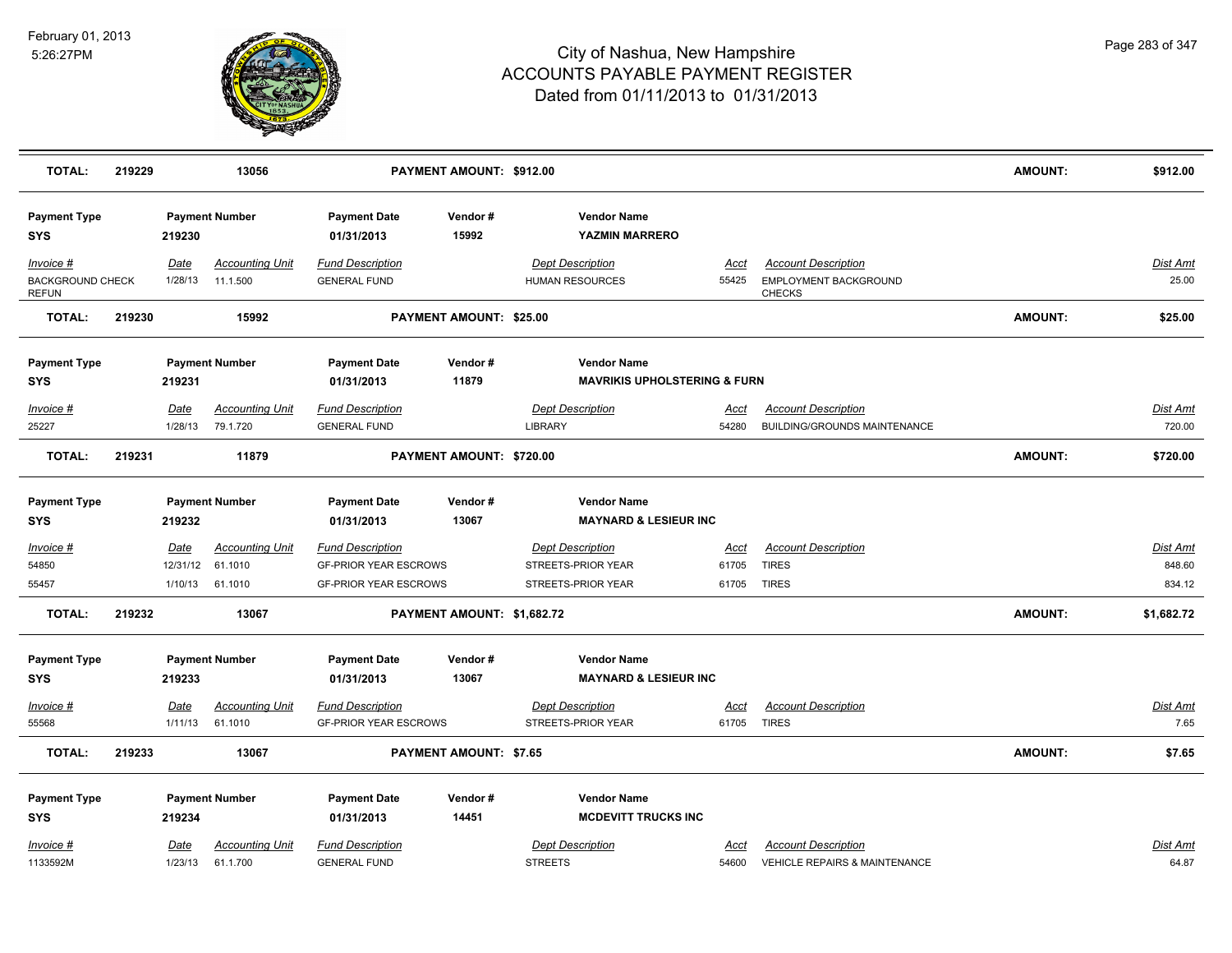

| <b>TOTAL:</b>                                        | 219229 |                 | 13056                              |                                                | PAYMENT AMOUNT: \$912.00      |                                                               |               |                                                                      | <b>AMOUNT:</b> | \$912.00          |
|------------------------------------------------------|--------|-----------------|------------------------------------|------------------------------------------------|-------------------------------|---------------------------------------------------------------|---------------|----------------------------------------------------------------------|----------------|-------------------|
| <b>Payment Type</b><br><b>SYS</b>                    |        | 219230          | <b>Payment Number</b>              | <b>Payment Date</b><br>01/31/2013              | Vendor#<br>15992              | <b>Vendor Name</b><br><b>YAZMIN MARRERO</b>                   |               |                                                                      |                |                   |
| Invoice #<br><b>BACKGROUND CHECK</b><br><b>REFUN</b> |        | Date<br>1/28/13 | <b>Accounting Unit</b><br>11.1.500 | <b>Fund Description</b><br><b>GENERAL FUND</b> |                               | <b>Dept Description</b><br><b>HUMAN RESOURCES</b>             | Acct<br>55425 | <b>Account Description</b><br>EMPLOYMENT BACKGROUND<br><b>CHECKS</b> |                | Dist Amt<br>25.00 |
| <b>TOTAL:</b>                                        | 219230 |                 | 15992                              |                                                | PAYMENT AMOUNT: \$25.00       |                                                               |               |                                                                      | <b>AMOUNT:</b> | \$25.00           |
| <b>Payment Type</b><br><b>SYS</b>                    |        | 219231          | <b>Payment Number</b>              | <b>Payment Date</b><br>01/31/2013              | Vendor#<br>11879              | <b>Vendor Name</b><br><b>MAVRIKIS UPHOLSTERING &amp; FURN</b> |               |                                                                      |                |                   |
| Invoice #                                            |        | Date            | <b>Accounting Unit</b>             | <b>Fund Description</b>                        |                               | <b>Dept Description</b>                                       | <u>Acct</u>   | <b>Account Description</b>                                           |                | <u>Dist Amt</u>   |
| 25227                                                |        | 1/28/13         | 79.1.720                           | <b>GENERAL FUND</b>                            |                               | <b>LIBRARY</b>                                                | 54280         | BUILDING/GROUNDS MAINTENANCE                                         |                | 720.00            |
| <b>TOTAL:</b>                                        | 219231 |                 | 11879                              |                                                | PAYMENT AMOUNT: \$720.00      |                                                               |               |                                                                      | <b>AMOUNT:</b> | \$720.00          |
| <b>Payment Type</b>                                  |        |                 | <b>Payment Number</b>              | <b>Payment Date</b>                            | Vendor#                       | <b>Vendor Name</b>                                            |               |                                                                      |                |                   |
| <b>SYS</b>                                           |        | 219232          |                                    | 01/31/2013                                     | 13067                         | <b>MAYNARD &amp; LESIEUR INC</b>                              |               |                                                                      |                |                   |
| Invoice #                                            |        | <b>Date</b>     | <b>Accounting Unit</b>             | <b>Fund Description</b>                        |                               | <b>Dept Description</b>                                       | <u>Acct</u>   | <b>Account Description</b>                                           |                | Dist Amt          |
| 54850                                                |        | 12/31/12        | 61.1010                            | <b>GF-PRIOR YEAR ESCROWS</b>                   |                               | STREETS-PRIOR YEAR                                            | 61705         | <b>TIRES</b>                                                         |                | 848.60            |
| 55457                                                |        |                 | 1/10/13 61.1010                    | <b>GF-PRIOR YEAR ESCROWS</b>                   |                               | STREETS-PRIOR YEAR                                            | 61705 TIRES   |                                                                      |                | 834.12            |
| <b>TOTAL:</b>                                        | 219232 |                 | 13067                              |                                                | PAYMENT AMOUNT: \$1,682.72    |                                                               |               |                                                                      | <b>AMOUNT:</b> | \$1,682.72        |
| <b>Payment Type</b>                                  |        |                 | <b>Payment Number</b>              | <b>Payment Date</b>                            | Vendor#                       | <b>Vendor Name</b>                                            |               |                                                                      |                |                   |
| <b>SYS</b>                                           |        | 219233          |                                    | 01/31/2013                                     | 13067                         | <b>MAYNARD &amp; LESIEUR INC</b>                              |               |                                                                      |                |                   |
| <u>Invoice #</u>                                     |        | <b>Date</b>     | <b>Accounting Unit</b>             | <b>Fund Description</b>                        |                               | <b>Dept Description</b>                                       | <b>Acct</b>   | <b>Account Description</b>                                           |                | Dist Amt          |
| 55568                                                |        | 1/11/13         | 61.1010                            | <b>GF-PRIOR YEAR ESCROWS</b>                   |                               | STREETS-PRIOR YEAR                                            | 61705         | <b>TIRES</b>                                                         |                | 7.65              |
| <b>TOTAL:</b>                                        | 219233 |                 | 13067                              |                                                | <b>PAYMENT AMOUNT: \$7.65</b> |                                                               |               |                                                                      | <b>AMOUNT:</b> | \$7.65            |
| <b>Payment Type</b>                                  |        |                 | <b>Payment Number</b>              | <b>Payment Date</b>                            | Vendor#                       | <b>Vendor Name</b>                                            |               |                                                                      |                |                   |
| <b>SYS</b>                                           |        | 219234          |                                    | 01/31/2013                                     | 14451                         | <b>MCDEVITT TRUCKS INC</b>                                    |               |                                                                      |                |                   |
| Invoice #                                            |        | Date            | <b>Accounting Unit</b>             | <b>Fund Description</b>                        |                               | <b>Dept Description</b>                                       | Acct          | <b>Account Description</b>                                           |                | Dist Amt          |
| 1133592M                                             |        | 1/23/13         | 61.1.700                           | <b>GENERAL FUND</b>                            |                               | <b>STREETS</b>                                                | 54600         | <b>VEHICLE REPAIRS &amp; MAINTENANCE</b>                             |                | 64.87             |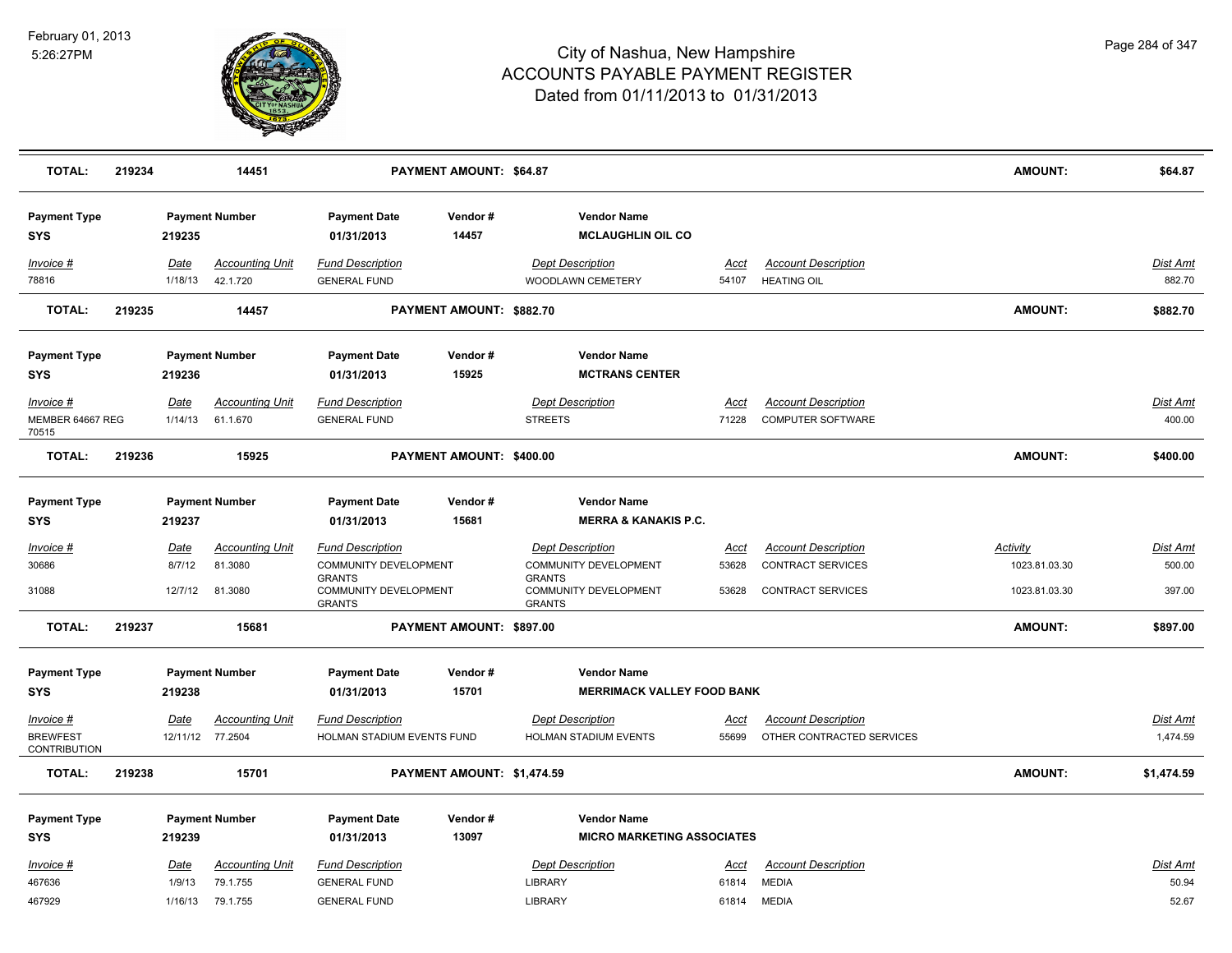

| <b>TOTAL:</b>                     | 219234 |                 | 14451                              |                                                         | PAYMENT AMOUNT: \$64.87    |                                                         |               |                                                  | <b>AMOUNT:</b>                   | \$64.87            |
|-----------------------------------|--------|-----------------|------------------------------------|---------------------------------------------------------|----------------------------|---------------------------------------------------------|---------------|--------------------------------------------------|----------------------------------|--------------------|
| <b>Payment Type</b><br><b>SYS</b> |        | 219235          | <b>Payment Number</b>              | <b>Payment Date</b><br>01/31/2013                       | Vendor#<br>14457           | <b>Vendor Name</b><br><b>MCLAUGHLIN OIL CO</b>          |               |                                                  |                                  |                    |
| Invoice #<br>78816                |        | Date<br>1/18/13 | <b>Accounting Unit</b><br>42.1.720 | <b>Fund Description</b><br><b>GENERAL FUND</b>          |                            | <b>Dept Description</b><br>WOODLAWN CEMETERY            | Acct<br>54107 | <b>Account Description</b><br><b>HEATING OIL</b> |                                  | Dist Amt<br>882.70 |
| <b>TOTAL:</b>                     | 219235 |                 | 14457                              |                                                         | PAYMENT AMOUNT: \$882.70   |                                                         |               |                                                  | AMOUNT:                          | \$882.70           |
| <b>Payment Type</b><br><b>SYS</b> |        | 219236          | <b>Payment Number</b>              | <b>Payment Date</b><br>01/31/2013                       | Vendor#<br>15925           | <b>Vendor Name</b><br><b>MCTRANS CENTER</b>             |               |                                                  |                                  |                    |
| Invoice #                         |        | Date            | <b>Accounting Unit</b>             | <b>Fund Description</b>                                 |                            | <b>Dept Description</b>                                 | Acct          | <b>Account Description</b>                       |                                  | <u>Dist Amt</u>    |
| MEMBER 64667 REG<br>70515         |        | 1/14/13         | 61.1.670                           | <b>GENERAL FUND</b>                                     |                            | <b>STREETS</b>                                          | 71228         | <b>COMPUTER SOFTWARE</b>                         |                                  | 400.00             |
| <b>TOTAL:</b>                     | 219236 |                 | 15925                              |                                                         | PAYMENT AMOUNT: \$400.00   |                                                         |               |                                                  | <b>AMOUNT:</b>                   | \$400.00           |
| <b>Payment Type</b><br>SYS        |        | 219237          | <b>Payment Number</b>              | <b>Payment Date</b><br>01/31/2013                       | Vendor#<br>15681           | <b>Vendor Name</b><br><b>MERRA &amp; KANAKIS P.C.</b>   |               |                                                  |                                  |                    |
|                                   |        |                 |                                    |                                                         |                            | <b>Dept Description</b>                                 |               |                                                  |                                  |                    |
| Invoice #<br>30686                |        | Date<br>8/7/12  | <b>Accounting Unit</b><br>81.3080  | <b>Fund Description</b><br>COMMUNITY DEVELOPMENT        |                            | COMMUNITY DEVELOPMENT                                   | Acct<br>53628 | <b>Account Description</b><br>CONTRACT SERVICES  | <b>Activity</b><br>1023.81.03.30 | Dist Amt<br>500.00 |
| 31088                             |        | 12/7/12         | 81.3080                            | <b>GRANTS</b><br>COMMUNITY DEVELOPMENT<br><b>GRANTS</b> |                            | <b>GRANTS</b><br>COMMUNITY DEVELOPMENT<br><b>GRANTS</b> | 53628         | <b>CONTRACT SERVICES</b>                         | 1023.81.03.30                    | 397.00             |
| <b>TOTAL:</b>                     | 219237 |                 | 15681                              |                                                         | PAYMENT AMOUNT: \$897.00   |                                                         |               |                                                  | <b>AMOUNT:</b>                   | \$897.00           |
| <b>Payment Type</b><br><b>SYS</b> |        | 219238          | <b>Payment Number</b>              | <b>Payment Date</b><br>01/31/2013                       | Vendor#<br>15701           | <b>Vendor Name</b><br><b>MERRIMACK VALLEY FOOD BANK</b> |               |                                                  |                                  |                    |
| Invoice #                         |        | Date            | <b>Accounting Unit</b>             | <b>Fund Description</b>                                 |                            | <b>Dept Description</b>                                 | Acct          | <b>Account Description</b>                       |                                  | Dist Amt           |
| <b>BREWFEST</b><br>CONTRIBUTION   |        |                 | 12/11/12 77.2504                   | HOLMAN STADIUM EVENTS FUND                              |                            | HOLMAN STADIUM EVENTS                                   | 55699         | OTHER CONTRACTED SERVICES                        |                                  | 1,474.59           |
| <b>TOTAL:</b>                     | 219238 |                 | 15701                              |                                                         | PAYMENT AMOUNT: \$1,474.59 |                                                         |               |                                                  | <b>AMOUNT:</b>                   | \$1,474.59         |
| <b>Payment Type</b>               |        |                 | <b>Payment Number</b>              | <b>Payment Date</b>                                     | Vendor#                    | <b>Vendor Name</b>                                      |               |                                                  |                                  |                    |
| <b>SYS</b>                        |        | 219239          |                                    | 01/31/2013                                              | 13097                      | <b>MICRO MARKETING ASSOCIATES</b>                       |               |                                                  |                                  |                    |
| Invoice #<br>467636               |        | Date<br>1/9/13  | <b>Accounting Unit</b><br>79.1.755 | <b>Fund Description</b><br><b>GENERAL FUND</b>          |                            | <b>Dept Description</b><br>LIBRARY                      | Acct<br>61814 | <b>Account Description</b><br><b>MEDIA</b>       |                                  | Dist Amt<br>50.94  |
| 467929                            |        | 1/16/13         | 79.1.755                           | <b>GENERAL FUND</b>                                     |                            | LIBRARY                                                 | 61814         | <b>MEDIA</b>                                     |                                  | 52.67              |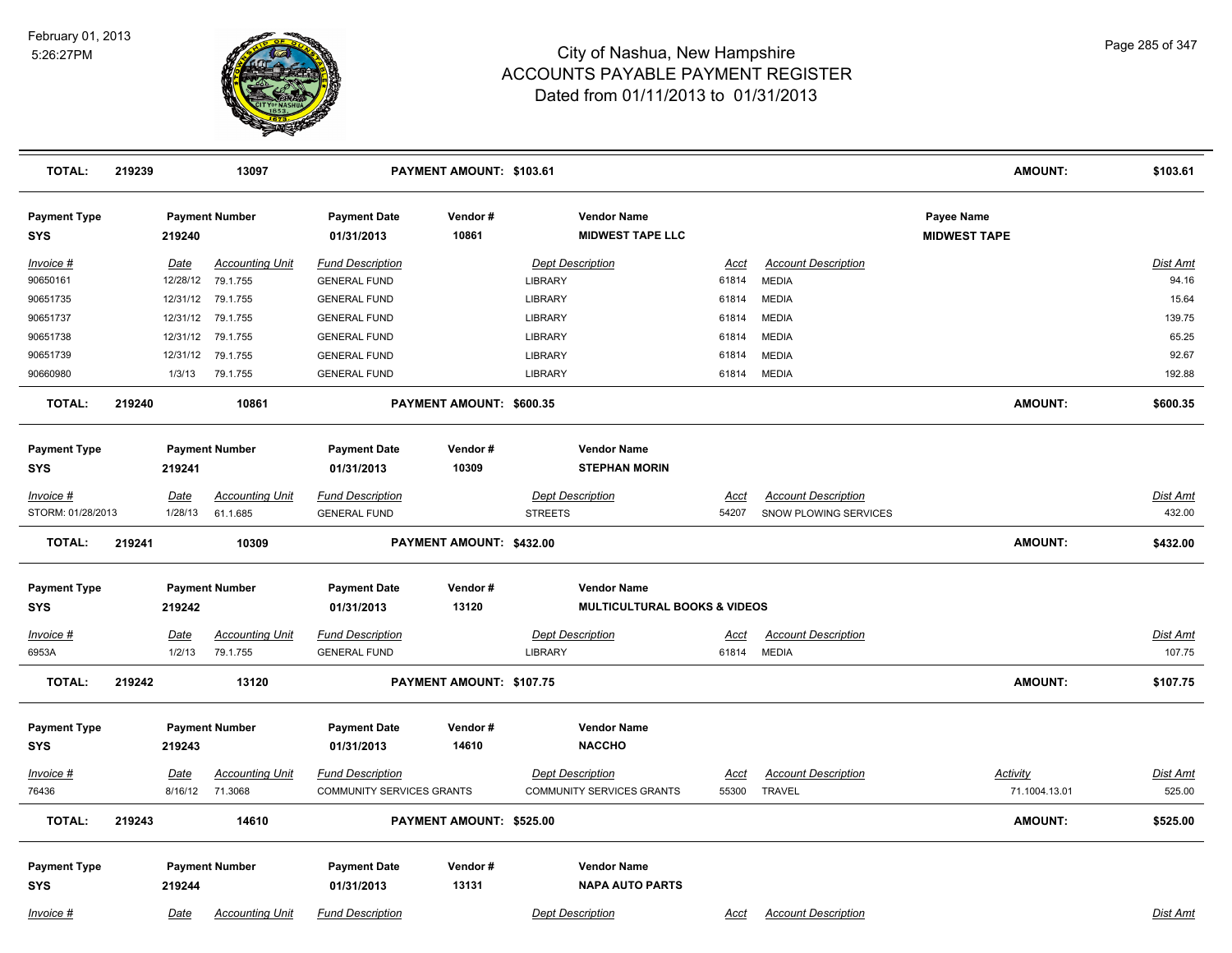

| <b>TOTAL:</b>                     | 219239 |                | 13097                                       |                                                | PAYMENT AMOUNT: \$103.61 |                |                                               |                      |                                            |                                   | <b>AMOUNT:</b> | \$103.61                  |
|-----------------------------------|--------|----------------|---------------------------------------------|------------------------------------------------|--------------------------|----------------|-----------------------------------------------|----------------------|--------------------------------------------|-----------------------------------|----------------|---------------------------|
| <b>Payment Type</b><br><b>SYS</b> |        | 219240         | <b>Payment Number</b>                       | <b>Payment Date</b><br>01/31/2013              | Vendor#<br>10861         |                | <b>Vendor Name</b><br><b>MIDWEST TAPE LLC</b> |                      |                                            | Payee Name<br><b>MIDWEST TAPE</b> |                |                           |
| Invoice #<br>90650161             |        | Date           | <b>Accounting Unit</b><br>12/28/12 79.1.755 | <b>Fund Description</b><br><b>GENERAL FUND</b> |                          | LIBRARY        | <b>Dept Description</b>                       | Acct<br>61814        | <b>Account Description</b><br><b>MEDIA</b> |                                   |                | Dist Amt<br>94.16         |
| 90651735                          |        |                | 12/31/12 79.1.755                           | <b>GENERAL FUND</b>                            |                          | LIBRARY        |                                               | 61814                | <b>MEDIA</b>                               |                                   |                | 15.64                     |
| 90651737                          |        | 12/31/12       | 79.1.755                                    | <b>GENERAL FUND</b>                            |                          | LIBRARY        |                                               | 61814                | <b>MEDIA</b>                               |                                   |                | 139.75                    |
| 90651738                          |        | 12/31/12       | 79.1.755                                    | <b>GENERAL FUND</b>                            |                          | LIBRARY        |                                               | 61814                | <b>MEDIA</b>                               |                                   |                | 65.25                     |
| 90651739                          |        | 12/31/12       | 79.1.755                                    | <b>GENERAL FUND</b>                            |                          | LIBRARY        |                                               | 61814                | <b>MEDIA</b>                               |                                   |                | 92.67                     |
| 90660980                          |        | 1/3/13         | 79.1.755                                    | <b>GENERAL FUND</b>                            |                          | LIBRARY        |                                               | 61814                | <b>MEDIA</b>                               |                                   |                | 192.88                    |
| <b>TOTAL:</b>                     | 219240 |                | 10861                                       |                                                | PAYMENT AMOUNT: \$600.35 |                |                                               |                      |                                            |                                   | <b>AMOUNT:</b> | \$600.35                  |
| <b>Payment Type</b>               |        |                | <b>Payment Number</b>                       | <b>Payment Date</b>                            | Vendor#                  |                | <b>Vendor Name</b>                            |                      |                                            |                                   |                |                           |
| SYS                               |        | 219241         |                                             | 01/31/2013                                     | 10309                    |                | <b>STEPHAN MORIN</b>                          |                      |                                            |                                   |                |                           |
| $Invoice$ #                       |        | <b>Date</b>    | <b>Accounting Unit</b>                      | <b>Fund Description</b>                        |                          |                | <b>Dept Description</b>                       | Acct                 | <b>Account Description</b>                 |                                   |                | Dist Amt                  |
| STORM: 01/28/2013                 |        | 1/28/13        | 61.1.685                                    | <b>GENERAL FUND</b>                            |                          | <b>STREETS</b> |                                               | 54207                | SNOW PLOWING SERVICES                      |                                   |                | 432.00                    |
| <b>TOTAL:</b>                     | 219241 |                | 10309                                       |                                                | PAYMENT AMOUNT: \$432.00 |                |                                               |                      |                                            |                                   | <b>AMOUNT:</b> | \$432.00                  |
| <b>Payment Type</b>               |        |                | <b>Payment Number</b>                       | <b>Payment Date</b>                            | Vendor#                  |                | <b>Vendor Name</b>                            |                      |                                            |                                   |                |                           |
| SYS                               |        | 219242         |                                             | 01/31/2013                                     | 13120                    |                | <b>MULTICULTURAL BOOKS &amp; VIDEOS</b>       |                      |                                            |                                   |                |                           |
| Invoice #<br>6953A                |        | Date<br>1/2/13 | <b>Accounting Unit</b><br>79.1.755          | <b>Fund Description</b><br><b>GENERAL FUND</b> |                          | <b>LIBRARY</b> | <b>Dept Description</b>                       | <u>Acct</u><br>61814 | <b>Account Description</b><br><b>MEDIA</b> |                                   |                | <b>Dist Amt</b><br>107.75 |
| <b>TOTAL:</b>                     | 219242 |                | 13120                                       |                                                | PAYMENT AMOUNT: \$107.75 |                |                                               |                      |                                            |                                   | <b>AMOUNT:</b> | \$107.75                  |
| <b>Payment Type</b><br>SYS        |        | 219243         | <b>Payment Number</b>                       | <b>Payment Date</b><br>01/31/2013              | Vendor#<br>14610         |                | <b>Vendor Name</b><br><b>NACCHO</b>           |                      |                                            |                                   |                |                           |
| Invoice #                         |        | <b>Date</b>    | <b>Accounting Unit</b>                      | <b>Fund Description</b>                        |                          |                | <b>Dept Description</b>                       | Acct                 | <b>Account Description</b>                 | Activity                          |                | Dist Amt                  |
| 76436                             |        |                | 8/16/12 71.3068                             | COMMUNITY SERVICES GRANTS                      |                          |                | <b>COMMUNITY SERVICES GRANTS</b>              | 55300                | <b>TRAVEL</b>                              |                                   | 71.1004.13.01  | 525.00                    |
| <b>TOTAL:</b>                     | 219243 |                | 14610                                       |                                                | PAYMENT AMOUNT: \$525.00 |                |                                               |                      |                                            |                                   | <b>AMOUNT:</b> | \$525.00                  |
| <b>Payment Type</b>               |        |                | <b>Payment Number</b>                       | <b>Payment Date</b>                            | Vendor#                  |                | <b>Vendor Name</b>                            |                      |                                            |                                   |                |                           |
| <b>SYS</b>                        |        | 219244         |                                             | 01/31/2013                                     | 13131                    |                | <b>NAPA AUTO PARTS</b>                        |                      |                                            |                                   |                |                           |
| Invoice #                         |        | Date           | <b>Accounting Unit</b>                      | <b>Fund Description</b>                        |                          |                | <b>Dept Description</b>                       | Acct                 | <b>Account Description</b>                 |                                   |                | Dist Amt                  |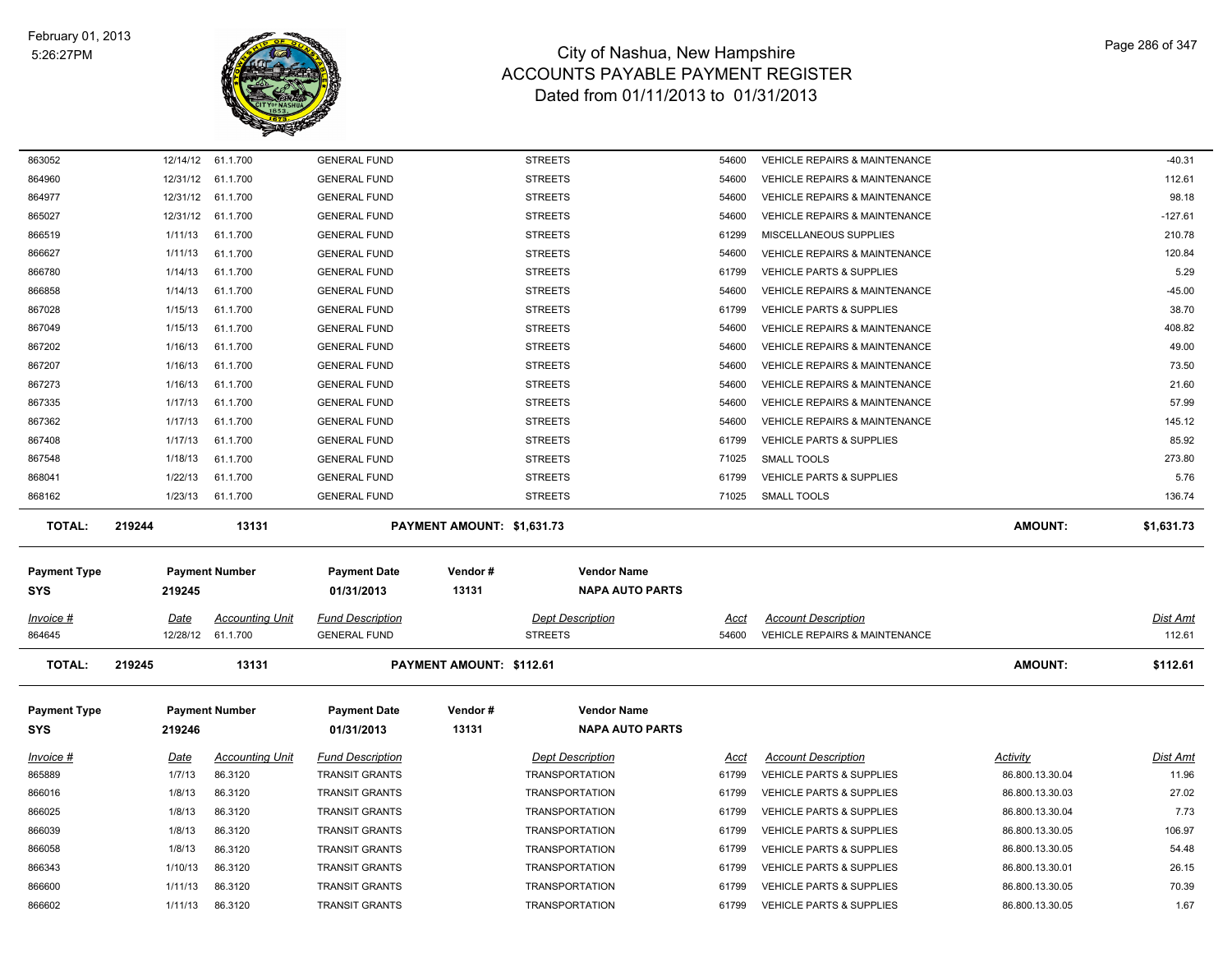

| 863052                      |                       | 12/14/12 61.1.700                 | <b>GENERAL FUND</b>                            |                            | <b>STREETS</b>                                   | 54600          | <b>VEHICLE REPAIRS &amp; MAINTENANCE</b>                                   |                                    | $-40.31$          |
|-----------------------------|-----------------------|-----------------------------------|------------------------------------------------|----------------------------|--------------------------------------------------|----------------|----------------------------------------------------------------------------|------------------------------------|-------------------|
| 864960                      |                       | 12/31/12 61.1.700                 | <b>GENERAL FUND</b>                            |                            | <b>STREETS</b>                                   | 54600          | <b>VEHICLE REPAIRS &amp; MAINTENANCE</b>                                   |                                    | 112.61            |
| 864977                      | 12/31/12              | 61.1.700                          | <b>GENERAL FUND</b>                            |                            | <b>STREETS</b>                                   | 54600          | <b>VEHICLE REPAIRS &amp; MAINTENANCE</b>                                   |                                    | 98.18             |
| 865027                      | 12/31/12              | 61.1.700                          | <b>GENERAL FUND</b>                            |                            | <b>STREETS</b>                                   | 54600          | VEHICLE REPAIRS & MAINTENANCE                                              |                                    | $-127.61$         |
| 866519                      | 1/11/13               | 61.1.700                          | <b>GENERAL FUND</b>                            |                            | <b>STREETS</b>                                   | 61299          | MISCELLANEOUS SUPPLIES                                                     |                                    | 210.78            |
| 866627                      | 1/11/13               | 61.1.700                          | <b>GENERAL FUND</b>                            |                            | <b>STREETS</b>                                   | 54600          | <b>VEHICLE REPAIRS &amp; MAINTENANCE</b>                                   |                                    | 120.84            |
| 866780                      | 1/14/13               | 61.1.700                          | <b>GENERAL FUND</b>                            |                            | <b>STREETS</b>                                   | 61799          | <b>VEHICLE PARTS &amp; SUPPLIES</b>                                        |                                    | 5.29              |
| 866858                      | 1/14/13               | 61.1.700                          | <b>GENERAL FUND</b>                            |                            | <b>STREETS</b>                                   | 54600          | VEHICLE REPAIRS & MAINTENANCE                                              |                                    | $-45.00$          |
| 867028                      | 1/15/13               | 61.1.700                          | <b>GENERAL FUND</b>                            |                            | <b>STREETS</b>                                   | 61799          | VEHICLE PARTS & SUPPLIES                                                   |                                    | 38.70             |
| 867049                      | 1/15/13               | 61.1.700                          | <b>GENERAL FUND</b>                            |                            | <b>STREETS</b>                                   | 54600          | <b>VEHICLE REPAIRS &amp; MAINTENANCE</b>                                   |                                    | 408.82            |
| 867202                      | 1/16/13               | 61.1.700                          | <b>GENERAL FUND</b>                            |                            | <b>STREETS</b>                                   | 54600          | <b>VEHICLE REPAIRS &amp; MAINTENANCE</b>                                   |                                    | 49.00             |
| 867207                      | 1/16/13               | 61.1.700                          | <b>GENERAL FUND</b>                            |                            | <b>STREETS</b>                                   | 54600          | <b>VEHICLE REPAIRS &amp; MAINTENANCE</b>                                   |                                    | 73.50             |
| 867273                      | 1/16/13               | 61.1.700                          | <b>GENERAL FUND</b>                            |                            | <b>STREETS</b>                                   | 54600          | <b>VEHICLE REPAIRS &amp; MAINTENANCE</b>                                   |                                    | 21.60             |
| 867335                      | 1/17/13               | 61.1.700                          | <b>GENERAL FUND</b>                            |                            | <b>STREETS</b>                                   | 54600          | VEHICLE REPAIRS & MAINTENANCE                                              |                                    | 57.99             |
| 867362                      | 1/17/13               | 61.1.700                          | <b>GENERAL FUND</b>                            |                            | <b>STREETS</b>                                   | 54600          | <b>VEHICLE REPAIRS &amp; MAINTENANCE</b>                                   |                                    | 145.12            |
| 867408                      | 1/17/13               | 61.1.700                          | <b>GENERAL FUND</b>                            |                            | <b>STREETS</b>                                   | 61799          | <b>VEHICLE PARTS &amp; SUPPLIES</b>                                        |                                    | 85.92             |
| 867548                      | 1/18/13               | 61.1.700                          | <b>GENERAL FUND</b>                            |                            | <b>STREETS</b>                                   | 71025          | <b>SMALL TOOLS</b>                                                         |                                    | 273.80            |
| 868041                      | 1/22/13               | 61.1.700                          | <b>GENERAL FUND</b>                            |                            | <b>STREETS</b>                                   | 61799          | VEHICLE PARTS & SUPPLIES                                                   |                                    | 5.76              |
| 868162                      | 1/23/13               | 61.1.700                          | <b>GENERAL FUND</b>                            |                            | <b>STREETS</b>                                   | 71025          | <b>SMALL TOOLS</b>                                                         |                                    | 136.74            |
| <b>TOTAL:</b>               | 219244                | 13131                             |                                                | PAYMENT AMOUNT: \$1,631.73 |                                                  |                |                                                                            | AMOUNT:                            | \$1,631.73        |
| Payment Type                |                       | <b>Payment Number</b>             | <b>Payment Date</b>                            | Vendor#                    | <b>Vendor Name</b>                               |                |                                                                            |                                    |                   |
| SYS                         | 219245                |                                   | 01/31/2013                                     | 13131                      | <b>NAPA AUTO PARTS</b>                           |                |                                                                            |                                    |                   |
|                             |                       |                                   |                                                |                            |                                                  |                |                                                                            |                                    |                   |
| Invoice #                   | Date                  | <b>Accounting Unit</b>            | <b>Fund Description</b>                        |                            | <b>Dept Description</b>                          | Acct           | <b>Account Description</b>                                                 |                                    | Dist Amt          |
| 864645                      |                       | 12/28/12 61.1.700                 | <b>GENERAL FUND</b>                            |                            | <b>STREETS</b>                                   | 54600          | <b>VEHICLE REPAIRS &amp; MAINTENANCE</b>                                   |                                    | 112.61            |
| <b>TOTAL:</b>               | 219245                | 13131                             |                                                | PAYMENT AMOUNT: \$112.61   |                                                  |                |                                                                            | <b>AMOUNT:</b>                     | \$112.61          |
| Payment Type                |                       | <b>Payment Number</b>             | <b>Payment Date</b>                            | Vendor#                    | <b>Vendor Name</b>                               |                |                                                                            |                                    |                   |
| SYS                         | 219246                |                                   | 01/31/2013                                     | 13131                      | <b>NAPA AUTO PARTS</b>                           |                |                                                                            |                                    |                   |
|                             |                       |                                   | <b>Fund Description</b>                        |                            |                                                  |                |                                                                            | Activity                           |                   |
| <u> Invoice #</u><br>865889 | <b>Date</b><br>1/7/13 | <b>Accounting Unit</b><br>86.3120 | <b>TRANSIT GRANTS</b>                          |                            | <b>Dept Description</b><br><b>TRANSPORTATION</b> | Acct<br>61799  | <b>Account Description</b><br><b>VEHICLE PARTS &amp; SUPPLIES</b>          | 86.800.13.30.04                    | Dist Amt<br>11.96 |
| 866016                      | 1/8/13                | 86.3120                           | <b>TRANSIT GRANTS</b>                          |                            | <b>TRANSPORTATION</b>                            | 61799          | VEHICLE PARTS & SUPPLIES                                                   | 86.800.13.30.03                    | 27.02             |
| 866025                      | 1/8/13                | 86.3120                           | <b>TRANSIT GRANTS</b>                          |                            | <b>TRANSPORTATION</b>                            | 61799          | <b>VEHICLE PARTS &amp; SUPPLIES</b>                                        | 86.800.13.30.04                    | 7.73              |
| 866039                      | 1/8/13                | 86.3120                           | <b>TRANSIT GRANTS</b>                          |                            | <b>TRANSPORTATION</b>                            | 61799          | <b>VEHICLE PARTS &amp; SUPPLIES</b>                                        | 86.800.13.30.05                    | 106.97            |
| 866058                      | 1/8/13                | 86.3120                           | <b>TRANSIT GRANTS</b>                          |                            | <b>TRANSPORTATION</b>                            | 61799          | VEHICLE PARTS & SUPPLIES                                                   | 86.800.13.30.05                    | 54.48             |
| 866343                      | 1/10/13               | 86.3120                           | <b>TRANSIT GRANTS</b>                          |                            | <b>TRANSPORTATION</b>                            | 61799          | VEHICLE PARTS & SUPPLIES                                                   | 86.800.13.30.01                    | 26.15             |
| 866600                      |                       | 86.3120                           |                                                |                            |                                                  |                |                                                                            |                                    | 70.39             |
|                             |                       |                                   |                                                |                            |                                                  |                |                                                                            |                                    |                   |
| 866602                      | 1/11/13<br>1/11/13    | 86.3120                           | <b>TRANSIT GRANTS</b><br><b>TRANSIT GRANTS</b> |                            | <b>TRANSPORTATION</b><br><b>TRANSPORTATION</b>   | 61799<br>61799 | <b>VEHICLE PARTS &amp; SUPPLIES</b><br><b>VEHICLE PARTS &amp; SUPPLIES</b> | 86.800.13.30.05<br>86.800.13.30.05 | 1.67              |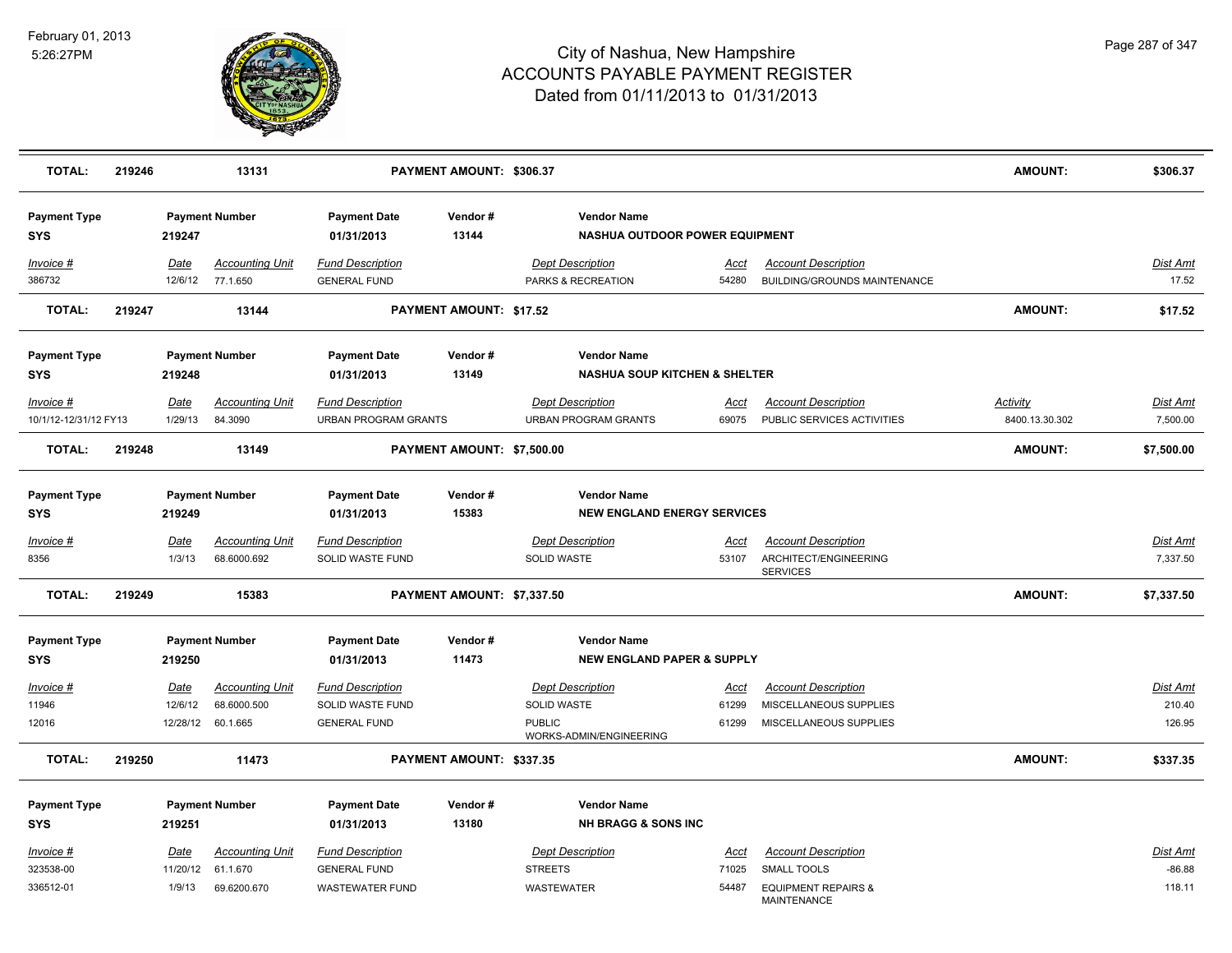

| <b>TOTAL:</b>                     | 219246 |                 | 13131                                 |                                                | PAYMENT AMOUNT: \$306.37       |                                                                |                      |                                                                        | <b>AMOUNT:</b>  | \$306.37                 |
|-----------------------------------|--------|-----------------|---------------------------------------|------------------------------------------------|--------------------------------|----------------------------------------------------------------|----------------------|------------------------------------------------------------------------|-----------------|--------------------------|
| <b>Payment Type</b><br><b>SYS</b> |        | 219247          | <b>Payment Number</b>                 | <b>Payment Date</b><br>01/31/2013              | Vendor#<br>13144               | <b>Vendor Name</b><br>NASHUA OUTDOOR POWER EQUIPMENT           |                      |                                                                        |                 |                          |
| Invoice #<br>386732               |        | Date<br>12/6/12 | <b>Accounting Unit</b><br>77.1.650    | <b>Fund Description</b><br><b>GENERAL FUND</b> |                                | <b>Dept Description</b><br>PARKS & RECREATION                  | Acct<br>54280        | <b>Account Description</b><br>BUILDING/GROUNDS MAINTENANCE             |                 | <b>Dist Amt</b><br>17.52 |
| <b>TOTAL:</b>                     | 219247 |                 | 13144                                 |                                                | <b>PAYMENT AMOUNT: \$17.52</b> |                                                                |                      |                                                                        | <b>AMOUNT:</b>  | \$17.52                  |
| <b>Payment Type</b><br><b>SYS</b> |        | 219248          | <b>Payment Number</b>                 | <b>Payment Date</b><br>01/31/2013              | Vendor#<br>13149               | <b>Vendor Name</b><br><b>NASHUA SOUP KITCHEN &amp; SHELTER</b> |                      |                                                                        |                 |                          |
| Invoice #                         |        | Date            | <b>Accounting Unit</b>                | <b>Fund Description</b>                        |                                | <b>Dept Description</b>                                        | Acct                 | <b>Account Description</b>                                             | <b>Activity</b> | <u>Dist Amt</u>          |
| 10/1/12-12/31/12 FY13             |        | 1/29/13         | 84.3090                               | <b>URBAN PROGRAM GRANTS</b>                    |                                | <b>URBAN PROGRAM GRANTS</b>                                    | 69075                | PUBLIC SERVICES ACTIVITIES                                             | 8400.13.30.302  | 7,500.00                 |
| <b>TOTAL:</b>                     | 219248 |                 | 13149                                 |                                                | PAYMENT AMOUNT: \$7,500.00     |                                                                |                      |                                                                        | AMOUNT:         | \$7,500.00               |
| <b>Payment Type</b><br><b>SYS</b> |        | 219249          | <b>Payment Number</b>                 | <b>Payment Date</b><br>01/31/2013              | Vendor#<br>15383               | <b>Vendor Name</b><br><b>NEW ENGLAND ENERGY SERVICES</b>       |                      |                                                                        |                 |                          |
| $Invoice$ #<br>8356               |        | Date<br>1/3/13  | <b>Accounting Unit</b><br>68.6000.692 | <b>Fund Description</b><br>SOLID WASTE FUND    |                                | <b>Dept Description</b><br>SOLID WASTE                         | <u>Acct</u><br>53107 | <b>Account Description</b><br>ARCHITECT/ENGINEERING<br><b>SERVICES</b> |                 | Dist Amt<br>7,337.50     |
| <b>TOTAL:</b>                     | 219249 |                 | 15383                                 |                                                | PAYMENT AMOUNT: \$7,337.50     |                                                                |                      |                                                                        | <b>AMOUNT:</b>  | \$7,337.50               |
| <b>Payment Type</b><br><b>SYS</b> |        | 219250          | <b>Payment Number</b>                 | <b>Payment Date</b><br>01/31/2013              | Vendor#<br>11473               | <b>Vendor Name</b><br><b>NEW ENGLAND PAPER &amp; SUPPLY</b>    |                      |                                                                        |                 |                          |
| Invoice #                         |        | <u>Date</u>     | <b>Accounting Unit</b>                | <b>Fund Description</b>                        |                                | <b>Dept Description</b>                                        | <u>Acct</u>          | <b>Account Description</b>                                             |                 | <u>Dist Amt</u>          |
| 11946                             |        | 12/6/12         | 68.6000.500                           | SOLID WASTE FUND                               |                                | SOLID WASTE                                                    | 61299                | MISCELLANEOUS SUPPLIES                                                 |                 | 210.40                   |
| 12016                             |        |                 | 12/28/12 60.1.665                     | <b>GENERAL FUND</b>                            |                                | <b>PUBLIC</b><br>WORKS-ADMIN/ENGINEERING                       | 61299                | MISCELLANEOUS SUPPLIES                                                 |                 | 126.95                   |
| <b>TOTAL:</b>                     | 219250 |                 | 11473                                 |                                                | PAYMENT AMOUNT: \$337.35       |                                                                |                      |                                                                        | <b>AMOUNT:</b>  | \$337.35                 |
| <b>Payment Type</b>               |        |                 | <b>Payment Number</b>                 | <b>Payment Date</b>                            | Vendor#                        | <b>Vendor Name</b>                                             |                      |                                                                        |                 |                          |
| <b>SYS</b>                        |        | 219251          |                                       | 01/31/2013                                     | 13180                          | <b>NH BRAGG &amp; SONS INC</b>                                 |                      |                                                                        |                 |                          |
| $Invoice$ #                       |        | Date            | <b>Accounting Unit</b>                | <b>Fund Description</b>                        |                                | <b>Dept Description</b>                                        | <u>Acct</u>          | <b>Account Description</b>                                             |                 | Dist Amt                 |
| 323538-00                         |        | 11/20/12        | 61.1.670                              | <b>GENERAL FUND</b>                            |                                | <b>STREETS</b>                                                 | 71025                | <b>SMALL TOOLS</b>                                                     |                 | $-86.88$                 |
| 336512-01                         |        | 1/9/13          | 69.6200.670                           | <b>WASTEWATER FUND</b>                         |                                | WASTEWATER                                                     | 54487                | <b>EQUIPMENT REPAIRS &amp;</b><br>MAINTENANCE                          |                 | 118.11                   |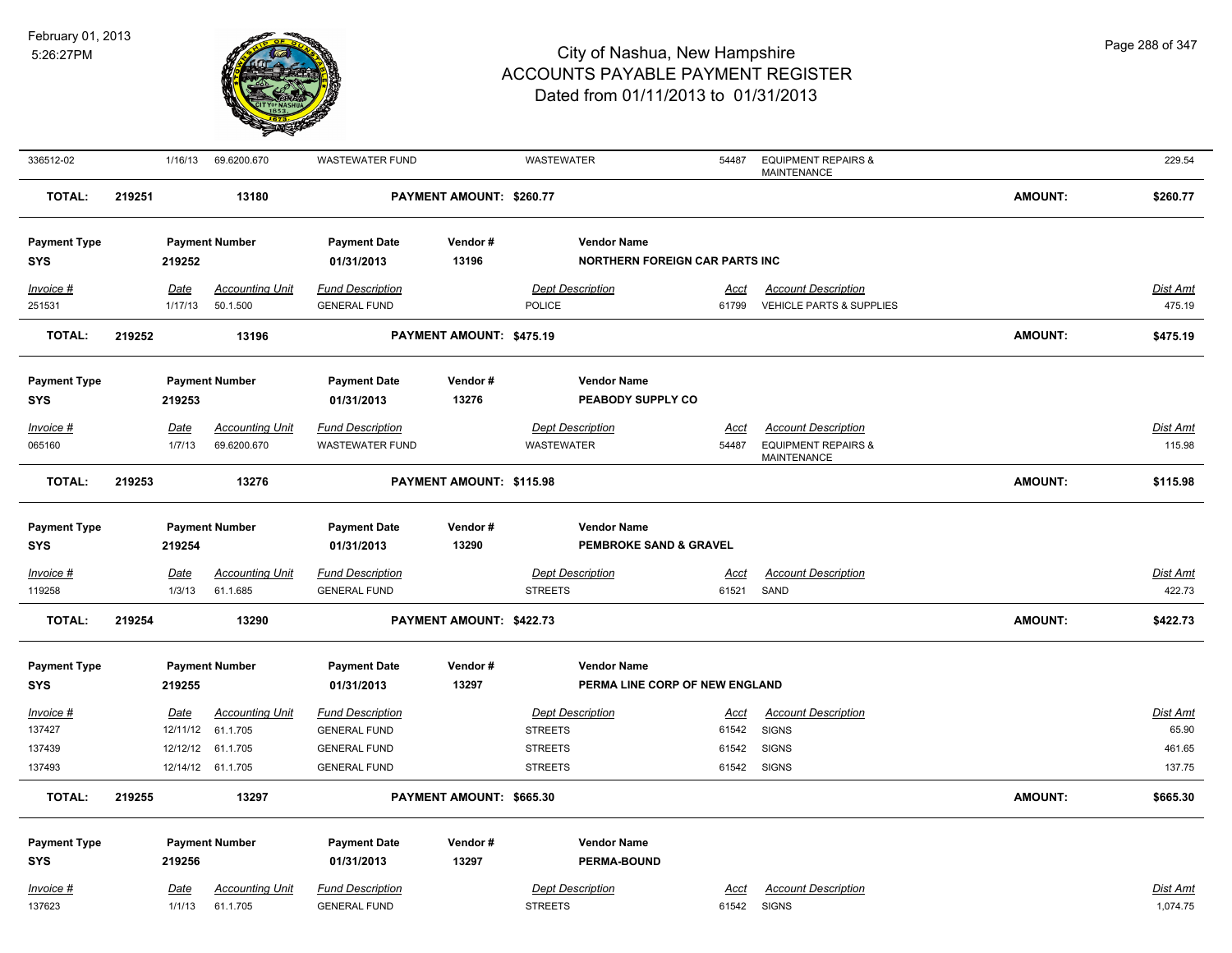

| 336512-02                  |        | 1/16/13     | 69.6200.670            | <b>WASTEWATER FUND</b>  |                          | WASTEWATER                            | 54487       | <b>EQUIPMENT REPAIRS &amp;</b><br><b>MAINTENANCE</b> |                | 229.54          |
|----------------------------|--------|-------------|------------------------|-------------------------|--------------------------|---------------------------------------|-------------|------------------------------------------------------|----------------|-----------------|
| <b>TOTAL:</b>              | 219251 |             | 13180                  |                         | PAYMENT AMOUNT: \$260.77 |                                       |             |                                                      | <b>AMOUNT:</b> | \$260.77        |
| <b>Payment Type</b>        |        |             | <b>Payment Number</b>  | <b>Payment Date</b>     | Vendor#                  | <b>Vendor Name</b>                    |             |                                                      |                |                 |
| <b>SYS</b>                 |        | 219252      |                        | 01/31/2013              | 13196                    | <b>NORTHERN FOREIGN CAR PARTS INC</b> |             |                                                      |                |                 |
| Invoice #                  |        | Date        | <b>Accounting Unit</b> | <b>Fund Description</b> |                          | <b>Dept Description</b>               | <u>Acct</u> | <b>Account Description</b>                           |                | Dist Amt        |
| 251531                     |        | 1/17/13     | 50.1.500               | <b>GENERAL FUND</b>     |                          | POLICE                                | 61799       | <b>VEHICLE PARTS &amp; SUPPLIES</b>                  |                | 475.19          |
| <b>TOTAL:</b>              | 219252 |             | 13196                  |                         | PAYMENT AMOUNT: \$475.19 |                                       |             |                                                      | <b>AMOUNT:</b> | \$475.19        |
|                            |        |             | <b>Payment Number</b>  | <b>Payment Date</b>     | Vendor#                  | <b>Vendor Name</b>                    |             |                                                      |                |                 |
| <b>Payment Type</b><br>SYS |        | 219253      |                        | 01/31/2013              | 13276                    | PEABODY SUPPLY CO                     |             |                                                      |                |                 |
| <b>Invoice #</b>           |        | <u>Date</u> | <b>Accounting Unit</b> | <b>Fund Description</b> |                          | <b>Dept Description</b>               | <u>Acct</u> | <b>Account Description</b>                           |                | Dist Amt        |
| 065160                     |        | 1/7/13      | 69.6200.670            | WASTEWATER FUND         |                          | <b>WASTEWATER</b>                     | 54487       | <b>EQUIPMENT REPAIRS &amp;</b><br>MAINTENANCE        |                | 115.98          |
| <b>TOTAL:</b>              | 219253 |             | 13276                  |                         | PAYMENT AMOUNT: \$115.98 |                                       |             |                                                      | <b>AMOUNT:</b> | \$115.98        |
| <b>Payment Type</b>        |        |             | <b>Payment Number</b>  | <b>Payment Date</b>     | Vendor#                  | <b>Vendor Name</b>                    |             |                                                      |                |                 |
| SYS                        |        | 219254      |                        | 01/31/2013              | 13290                    | <b>PEMBROKE SAND &amp; GRAVEL</b>     |             |                                                      |                |                 |
| Invoice #                  |        | Date        | <b>Accounting Unit</b> | <b>Fund Description</b> |                          | <b>Dept Description</b>               | <u>Acct</u> | <b>Account Description</b>                           |                | <b>Dist Amt</b> |
| 119258                     |        | 1/3/13      | 61.1.685               | <b>GENERAL FUND</b>     |                          | <b>STREETS</b>                        | 61521       | SAND                                                 |                | 422.73          |
| <b>TOTAL:</b>              | 219254 |             | 13290                  |                         | PAYMENT AMOUNT: \$422.73 |                                       |             |                                                      | <b>AMOUNT:</b> | \$422.73        |
| <b>Payment Type</b>        |        |             | <b>Payment Number</b>  | <b>Payment Date</b>     | Vendor#                  | <b>Vendor Name</b>                    |             |                                                      |                |                 |
| SYS                        |        | 219255      |                        | 01/31/2013              | 13297                    | PERMA LINE CORP OF NEW ENGLAND        |             |                                                      |                |                 |
| Invoice #                  |        | Date        | <b>Accounting Unit</b> | <b>Fund Description</b> |                          | <b>Dept Description</b>               | <u>Acct</u> | <b>Account Description</b>                           |                | <b>Dist Amt</b> |
| 137427                     |        | 12/11/12    | 61.1.705               | <b>GENERAL FUND</b>     |                          | <b>STREETS</b>                        | 61542       | <b>SIGNS</b>                                         |                | 65.90           |
| 137439                     |        | 12/12/12    | 61.1.705               | <b>GENERAL FUND</b>     |                          | <b>STREETS</b>                        | 61542       | <b>SIGNS</b>                                         |                | 461.65          |
| 137493                     |        |             | 12/14/12 61.1.705      | <b>GENERAL FUND</b>     |                          | <b>STREETS</b>                        |             | 61542 SIGNS                                          |                | 137.75          |
| <b>TOTAL:</b>              | 219255 |             | 13297                  |                         | PAYMENT AMOUNT: \$665.30 |                                       |             |                                                      | <b>AMOUNT:</b> | \$665.30        |
| <b>Payment Type</b>        |        |             | <b>Payment Number</b>  | <b>Payment Date</b>     | Vendor#                  | <b>Vendor Name</b>                    |             |                                                      |                |                 |
| <b>SYS</b>                 |        | 219256      |                        | 01/31/2013              | 13297                    | PERMA-BOUND                           |             |                                                      |                |                 |
| Invoice #                  |        | <u>Date</u> | <b>Accounting Unit</b> | <b>Fund Description</b> |                          | <b>Dept Description</b>               | <u>Acct</u> | <b>Account Description</b>                           |                | <b>Dist Amt</b> |
| 137623                     |        | 1/1/13      | 61.1.705               | <b>GENERAL FUND</b>     |                          | <b>STREETS</b>                        | 61542       | <b>SIGNS</b>                                         |                | 1,074.75        |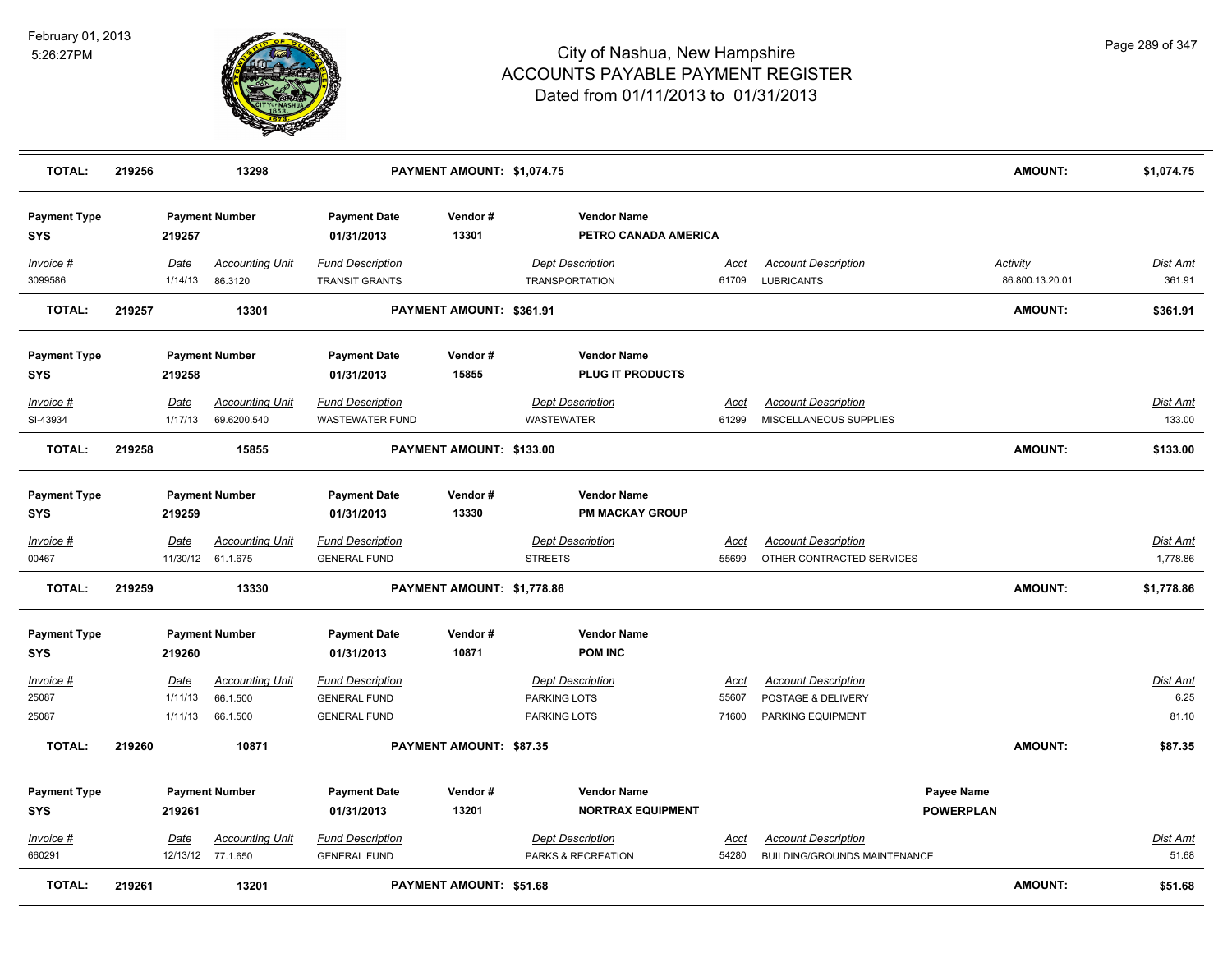

| <b>TOTAL:</b>                     | 219256 |                 | 13298                                       |                                                  | PAYMENT AMOUNT: \$1,074.75     |                                                  |                      |                                                            | <b>AMOUNT:</b>                     | \$1,074.75         |
|-----------------------------------|--------|-----------------|---------------------------------------------|--------------------------------------------------|--------------------------------|--------------------------------------------------|----------------------|------------------------------------------------------------|------------------------------------|--------------------|
| <b>Payment Type</b><br><b>SYS</b> |        | 219257          | <b>Payment Number</b>                       | <b>Payment Date</b><br>01/31/2013                | Vendor#<br>13301               | <b>Vendor Name</b><br>PETRO CANADA AMERICA       |                      |                                                            |                                    |                    |
| Invoice #<br>3099586              |        | Date<br>1/14/13 | <b>Accounting Unit</b><br>86.3120           | <b>Fund Description</b><br><b>TRANSIT GRANTS</b> |                                | <b>Dept Description</b><br><b>TRANSPORTATION</b> | <u>Acct</u><br>61709 | <b>Account Description</b><br><b>LUBRICANTS</b>            | <b>Activity</b><br>86.800.13.20.01 | Dist Amt<br>361.91 |
| <b>TOTAL:</b>                     | 219257 |                 | 13301                                       |                                                  | PAYMENT AMOUNT: \$361.91       |                                                  |                      |                                                            | <b>AMOUNT:</b>                     | \$361.91           |
| <b>Payment Type</b><br><b>SYS</b> |        | 219258          | <b>Payment Number</b>                       | <b>Payment Date</b><br>01/31/2013                | Vendor#<br>15855               | <b>Vendor Name</b><br><b>PLUG IT PRODUCTS</b>    |                      |                                                            |                                    |                    |
| Invoice #                         |        | Date            | <b>Accounting Unit</b>                      | <b>Fund Description</b>                          |                                | <b>Dept Description</b>                          | Acct                 | <b>Account Description</b>                                 |                                    | Dist Amt           |
| SI-43934                          |        | 1/17/13         | 69.6200.540                                 | <b>WASTEWATER FUND</b>                           |                                | WASTEWATER                                       | 61299                | MISCELLANEOUS SUPPLIES                                     |                                    | 133.00             |
| <b>TOTAL:</b>                     | 219258 |                 | 15855                                       |                                                  | PAYMENT AMOUNT: \$133.00       |                                                  |                      |                                                            | <b>AMOUNT:</b>                     | \$133.00           |
| <b>Payment Type</b><br><b>SYS</b> |        | 219259          | <b>Payment Number</b>                       | <b>Payment Date</b><br>01/31/2013                | Vendor#<br>13330               | <b>Vendor Name</b><br><b>PM MACKAY GROUP</b>     |                      |                                                            |                                    |                    |
| <u>Invoice #</u>                  |        | <u>Date</u>     | <b>Accounting Unit</b>                      | <b>Fund Description</b>                          |                                | <b>Dept Description</b>                          | <u>Acct</u>          | <b>Account Description</b>                                 |                                    | <u>Dist Amt</u>    |
| 00467                             |        |                 | 11/30/12 61.1.675                           | <b>GENERAL FUND</b>                              |                                | <b>STREETS</b>                                   | 55699                | OTHER CONTRACTED SERVICES                                  |                                    | 1,778.86           |
| <b>TOTAL:</b>                     | 219259 |                 | 13330                                       |                                                  | PAYMENT AMOUNT: \$1,778.86     |                                                  |                      |                                                            | <b>AMOUNT:</b>                     | \$1,778.86         |
| <b>Payment Type</b><br><b>SYS</b> |        | 219260          | <b>Payment Number</b>                       | <b>Payment Date</b><br>01/31/2013                | Vendor#<br>10871               | <b>Vendor Name</b><br><b>POM INC</b>             |                      |                                                            |                                    |                    |
| Invoice #                         |        | Date            | <b>Accounting Unit</b>                      | <b>Fund Description</b>                          |                                | <b>Dept Description</b>                          | Acct                 | <b>Account Description</b>                                 |                                    | Dist Amt           |
| 25087                             |        | 1/11/13         | 66.1.500                                    | <b>GENERAL FUND</b>                              |                                | PARKING LOTS                                     | 55607                | POSTAGE & DELIVERY                                         |                                    | 6.25               |
| 25087                             |        | 1/11/13         | 66.1.500                                    | <b>GENERAL FUND</b>                              |                                | PARKING LOTS                                     | 71600                | PARKING EQUIPMENT                                          |                                    | 81.10              |
| <b>TOTAL:</b>                     | 219260 |                 | 10871                                       |                                                  | <b>PAYMENT AMOUNT: \$87.35</b> |                                                  |                      |                                                            | <b>AMOUNT:</b>                     | \$87.35            |
| <b>Payment Type</b>               |        |                 | <b>Payment Number</b>                       | <b>Payment Date</b>                              | Vendor#                        | <b>Vendor Name</b>                               |                      | Payee Name                                                 |                                    |                    |
| <b>SYS</b>                        |        | 219261          |                                             | 01/31/2013                                       | 13201                          | <b>NORTRAX EQUIPMENT</b>                         |                      | <b>POWERPLAN</b>                                           |                                    |                    |
| Invoice #<br>660291               |        | Date            | <b>Accounting Unit</b><br>12/13/12 77.1.650 | <b>Fund Description</b><br><b>GENERAL FUND</b>   |                                | <b>Dept Description</b><br>PARKS & RECREATION    | Acct<br>54280        | <b>Account Description</b><br>BUILDING/GROUNDS MAINTENANCE |                                    | Dist Amt<br>51.68  |
| <b>TOTAL:</b>                     | 219261 |                 | 13201                                       |                                                  | PAYMENT AMOUNT: \$51.68        |                                                  |                      |                                                            | <b>AMOUNT:</b>                     | \$51.68            |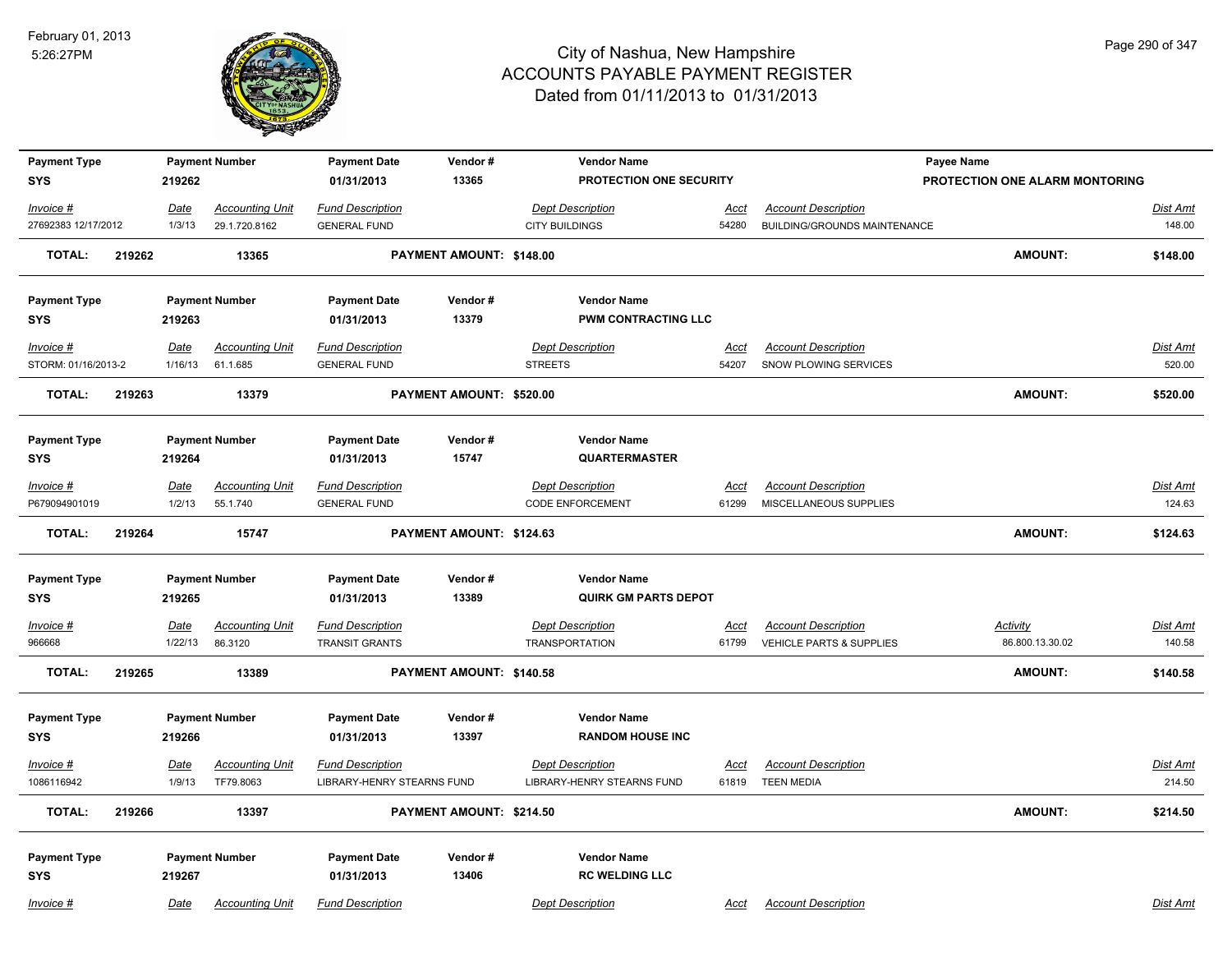

| Page 290 of 347 |  |  |
|-----------------|--|--|
|                 |  |  |

| <b>Payment Type</b>               |        |                | <b>Payment Number</b>               | <b>Payment Date</b>                                   | Vendor#                  | <b>Vendor Name</b>                                    |               |                                                      | <b>Payee Name</b>              |                           |
|-----------------------------------|--------|----------------|-------------------------------------|-------------------------------------------------------|--------------------------|-------------------------------------------------------|---------------|------------------------------------------------------|--------------------------------|---------------------------|
| <b>SYS</b>                        |        | 219262         |                                     | 01/31/2013                                            | 13365                    | PROTECTION ONE SECURITY                               |               |                                                      | PROTECTION ONE ALARM MONTORING |                           |
| Invoice #                         |        | Date           | <b>Accounting Unit</b>              | <b>Fund Description</b>                               |                          | <b>Dept Description</b>                               | Acct          | <b>Account Description</b>                           |                                | Dist Amt                  |
| 27692383 12/17/2012               |        | 1/3/13         | 29.1.720.8162                       | <b>GENERAL FUND</b>                                   |                          | <b>CITY BUILDINGS</b>                                 | 54280         | <b>BUILDING/GROUNDS MAINTENANCE</b>                  |                                | 148.00                    |
| <b>TOTAL:</b>                     | 219262 |                | 13365                               |                                                       | PAYMENT AMOUNT: \$148.00 |                                                       |               |                                                      | <b>AMOUNT:</b>                 | \$148.00                  |
| <b>Payment Type</b>               |        |                | <b>Payment Number</b>               | <b>Payment Date</b>                                   | Vendor#                  | <b>Vendor Name</b>                                    |               |                                                      |                                |                           |
| <b>SYS</b>                        |        | 219263         |                                     | 01/31/2013                                            | 13379                    | PWM CONTRACTING LLC                                   |               |                                                      |                                |                           |
| Invoice #                         |        | Date           | <b>Accounting Unit</b>              | <b>Fund Description</b>                               |                          | <b>Dept Description</b>                               | Acct          | <b>Account Description</b>                           |                                | Dist Amt                  |
| STORM: 01/16/2013-2               |        | 1/16/13        | 61.1.685                            | <b>GENERAL FUND</b>                                   |                          | <b>STREETS</b>                                        | 54207         | SNOW PLOWING SERVICES                                |                                | 520.00                    |
| <b>TOTAL:</b>                     | 219263 |                | 13379                               |                                                       | PAYMENT AMOUNT: \$520.00 |                                                       |               |                                                      | <b>AMOUNT:</b>                 | \$520.00                  |
| <b>Payment Type</b>               |        |                | <b>Payment Number</b>               | <b>Payment Date</b>                                   | Vendor#                  | <b>Vendor Name</b>                                    |               |                                                      |                                |                           |
| <b>SYS</b>                        |        | 219264         |                                     | 01/31/2013                                            | 15747                    | <b>QUARTERMASTER</b>                                  |               |                                                      |                                |                           |
| Invoice #<br>P679094901019        |        | Date<br>1/2/13 | <b>Accounting Unit</b><br>55.1.740  | <b>Fund Description</b><br><b>GENERAL FUND</b>        |                          | <b>Dept Description</b><br><b>CODE ENFORCEMENT</b>    | Acct<br>61299 | <b>Account Description</b><br>MISCELLANEOUS SUPPLIES |                                | Dist Amt<br>124.63        |
| <b>TOTAL:</b>                     | 219264 |                | 15747                               |                                                       | PAYMENT AMOUNT: \$124.63 |                                                       |               |                                                      | <b>AMOUNT:</b>                 | \$124.63                  |
| <b>Payment Type</b><br><b>SYS</b> |        | 219265         | <b>Payment Number</b>               | <b>Payment Date</b><br>01/31/2013                     | Vendor#<br>13389         | <b>Vendor Name</b><br><b>QUIRK GM PARTS DEPOT</b>     |               |                                                      |                                |                           |
| Invoice #                         |        | Date           | <b>Accounting Unit</b>              | <b>Fund Description</b>                               |                          | <b>Dept Description</b>                               | Acct          | <b>Account Description</b>                           | <b>Activity</b>                | <b>Dist Amt</b>           |
| 966668                            |        | 1/22/13        | 86.3120                             | <b>TRANSIT GRANTS</b>                                 |                          | <b>TRANSPORTATION</b>                                 | 61799         | <b>VEHICLE PARTS &amp; SUPPLIES</b>                  | 86.800.13.30.02                | 140.58                    |
| <b>TOTAL:</b>                     | 219265 |                | 13389                               |                                                       | PAYMENT AMOUNT: \$140.58 |                                                       |               |                                                      | <b>AMOUNT:</b>                 | \$140.58                  |
| <b>Payment Type</b><br><b>SYS</b> |        | 219266         | <b>Payment Number</b>               | <b>Payment Date</b><br>01/31/2013                     | Vendor#<br>13397         | <b>Vendor Name</b><br><b>RANDOM HOUSE INC</b>         |               |                                                      |                                |                           |
| $Invoice$ #<br>1086116942         |        | Date<br>1/9/13 | <b>Accounting Unit</b><br>TF79.8063 | <b>Fund Description</b><br>LIBRARY-HENRY STEARNS FUND |                          | <b>Dept Description</b><br>LIBRARY-HENRY STEARNS FUND | Acct<br>61819 | <b>Account Description</b><br><b>TEEN MEDIA</b>      |                                | <b>Dist Amt</b><br>214.50 |
| <b>TOTAL:</b>                     | 219266 |                | 13397                               |                                                       | PAYMENT AMOUNT: \$214.50 |                                                       |               |                                                      | <b>AMOUNT:</b>                 | \$214.50                  |
| <b>Payment Type</b><br><b>SYS</b> |        | 219267         | <b>Payment Number</b>               | <b>Payment Date</b><br>01/31/2013                     | Vendor#<br>13406         | <b>Vendor Name</b><br><b>RC WELDING LLC</b>           |               |                                                      |                                |                           |
| Invoice #                         |        | Date           | <b>Accounting Unit</b>              | <b>Fund Description</b>                               |                          | <b>Dept Description</b>                               | Acct          | <b>Account Description</b>                           |                                | Dist Amt                  |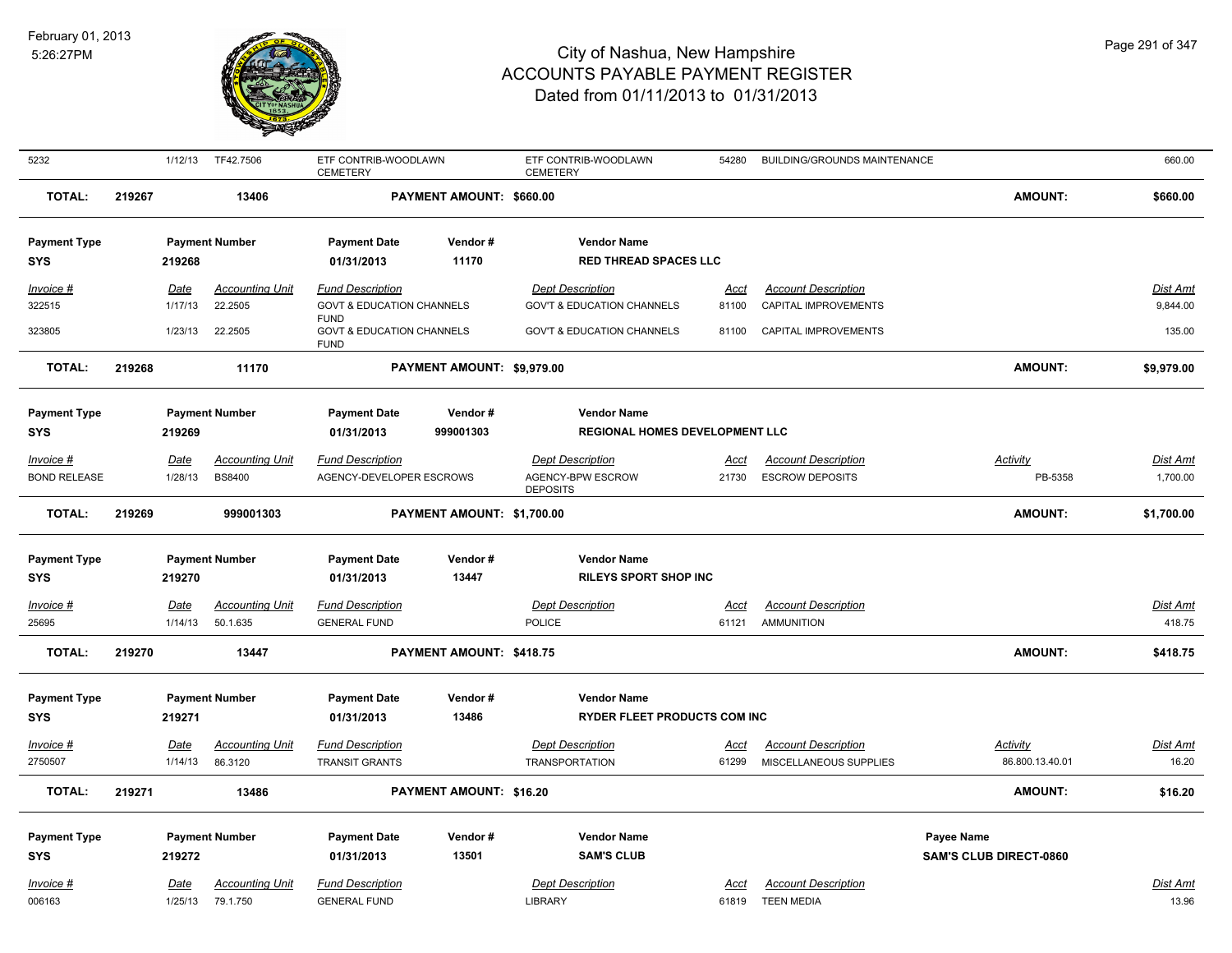

| 5232                | 1/12/13     | TF42.7506              | ETF CONTRIB-WOODLAWN<br><b>CEMETERY</b>                            |                            | ETF CONTRIB-WOODLAWN<br><b>CEMETERY</b> | 54280       | <b>BUILDING/GROUNDS MAINTENANCE</b> |                               | 660.00          |
|---------------------|-------------|------------------------|--------------------------------------------------------------------|----------------------------|-----------------------------------------|-------------|-------------------------------------|-------------------------------|-----------------|
| <b>TOTAL:</b>       | 219267      | 13406                  |                                                                    | PAYMENT AMOUNT: \$660.00   |                                         |             |                                     | <b>AMOUNT:</b>                | \$660.00        |
| <b>Payment Type</b> |             | <b>Payment Number</b>  | <b>Payment Date</b>                                                | Vendor#                    | <b>Vendor Name</b>                      |             |                                     |                               |                 |
| <b>SYS</b>          | 219268      |                        | 01/31/2013                                                         | 11170                      | <b>RED THREAD SPACES LLC</b>            |             |                                     |                               |                 |
| Invoice #           | Date        | <b>Accounting Unit</b> | <b>Fund Description</b>                                            |                            | <b>Dept Description</b>                 | <u>Acct</u> | <b>Account Description</b>          |                               | Dist Amt        |
| 322515              | 1/17/13     | 22.2505                | <b>GOVT &amp; EDUCATION CHANNELS</b>                               |                            | <b>GOV'T &amp; EDUCATION CHANNELS</b>   | 81100       | CAPITAL IMPROVEMENTS                |                               | 9,844.00        |
| 323805              | 1/23/13     | 22.2505                | <b>FUND</b><br><b>GOVT &amp; EDUCATION CHANNELS</b><br><b>FUND</b> |                            | <b>GOV'T &amp; EDUCATION CHANNELS</b>   | 81100       | CAPITAL IMPROVEMENTS                |                               | 135.00          |
| <b>TOTAL:</b>       | 219268      | 11170                  |                                                                    | PAYMENT AMOUNT: \$9,979.00 |                                         |             |                                     | <b>AMOUNT:</b>                | \$9,979.00      |
| <b>Payment Type</b> |             | <b>Payment Number</b>  | <b>Payment Date</b>                                                | Vendor#                    | <b>Vendor Name</b>                      |             |                                     |                               |                 |
| <b>SYS</b>          | 219269      |                        | 01/31/2013                                                         | 999001303                  | <b>REGIONAL HOMES DEVELOPMENT LLC</b>   |             |                                     |                               |                 |
| Invoice #           | <b>Date</b> | <b>Accounting Unit</b> | <b>Fund Description</b>                                            |                            | <b>Dept Description</b>                 | <u>Acct</u> | <b>Account Description</b>          | <b>Activity</b>               | <u>Dist Amt</u> |
| <b>BOND RELEASE</b> | 1/28/13     | <b>BS8400</b>          | AGENCY-DEVELOPER ESCROWS                                           |                            | AGENCY-BPW ESCROW<br><b>DEPOSITS</b>    | 21730       | <b>ESCROW DEPOSITS</b>              | PB-5358                       | 1,700.00        |
| <b>TOTAL:</b>       | 219269      | 999001303              |                                                                    | PAYMENT AMOUNT: \$1,700.00 |                                         |             |                                     | <b>AMOUNT:</b>                | \$1,700.00      |
| <b>Payment Type</b> |             | <b>Payment Number</b>  | <b>Payment Date</b>                                                | Vendor#                    | <b>Vendor Name</b>                      |             |                                     |                               |                 |
| <b>SYS</b>          | 219270      |                        | 01/31/2013                                                         | 13447                      | <b>RILEYS SPORT SHOP INC</b>            |             |                                     |                               |                 |
| <b>Invoice #</b>    | <b>Date</b> | <b>Accounting Unit</b> | <b>Fund Description</b>                                            |                            | <b>Dept Description</b>                 | <u>Acct</u> | <b>Account Description</b>          |                               | <u>Dist Amt</u> |
| 25695               | 1/14/13     | 50.1.635               | <b>GENERAL FUND</b>                                                |                            | POLICE                                  | 61121       | <b>AMMUNITION</b>                   |                               | 418.75          |
| <b>TOTAL:</b>       | 219270      | 13447                  |                                                                    | PAYMENT AMOUNT: \$418.75   |                                         |             |                                     | <b>AMOUNT:</b>                | \$418.75        |
| <b>Payment Type</b> |             | <b>Payment Number</b>  | <b>Payment Date</b>                                                | Vendor#                    | <b>Vendor Name</b>                      |             |                                     |                               |                 |
| <b>SYS</b>          | 219271      |                        | 01/31/2013                                                         | 13486                      | <b>RYDER FLEET PRODUCTS COM INC</b>     |             |                                     |                               |                 |
| Invoice #           | Date        | <b>Accounting Unit</b> | <b>Fund Description</b>                                            |                            | <b>Dept Description</b>                 | Acct        | <b>Account Description</b>          | Activity                      | Dist Amt        |
| 2750507             | 1/14/13     | 86.3120                | <b>TRANSIT GRANTS</b>                                              |                            | <b>TRANSPORTATION</b>                   | 61299       | MISCELLANEOUS SUPPLIES              | 86.800.13.40.01               | 16.20           |
| <b>TOTAL:</b>       | 219271      | 13486                  |                                                                    | PAYMENT AMOUNT: \$16.20    |                                         |             |                                     | <b>AMOUNT:</b>                | \$16.20         |
| <b>Payment Type</b> |             | <b>Payment Number</b>  | <b>Payment Date</b>                                                | Vendor#                    | <b>Vendor Name</b>                      |             |                                     | Payee Name                    |                 |
| <b>SYS</b>          | 219272      |                        | 01/31/2013                                                         | 13501                      | <b>SAM'S CLUB</b>                       |             |                                     | <b>SAM'S CLUB DIRECT-0860</b> |                 |
| Invoice #           | Date        | <b>Accounting Unit</b> | <b>Fund Description</b>                                            |                            | <b>Dept Description</b>                 | Acct        | <b>Account Description</b>          |                               | Dist Amt        |
| 006163              | 1/25/13     | 79.1.750               | <b>GENERAL FUND</b>                                                |                            | LIBRARY                                 | 61819       | <b>TEEN MEDIA</b>                   |                               | 13.96           |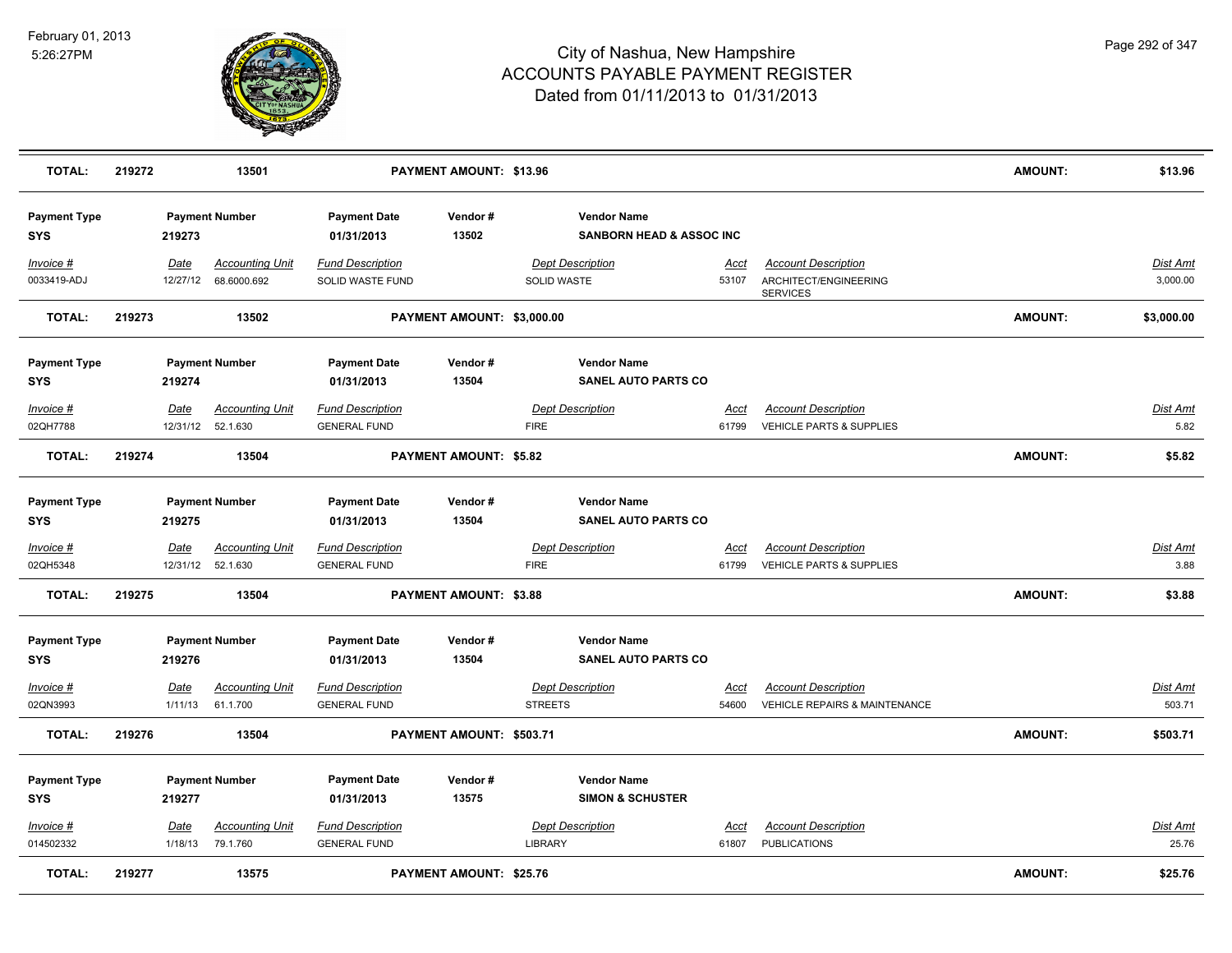

| <b>TOTAL:</b>                     | 219272 |                 | 13501                                          |                                                | <b>PAYMENT AMOUNT: \$13.96</b> |                |                                                           |                      |                                                                        | <b>AMOUNT:</b> | \$13.96                  |
|-----------------------------------|--------|-----------------|------------------------------------------------|------------------------------------------------|--------------------------------|----------------|-----------------------------------------------------------|----------------------|------------------------------------------------------------------------|----------------|--------------------------|
| <b>Payment Type</b><br><b>SYS</b> |        | 219273          | <b>Payment Number</b>                          | <b>Payment Date</b><br>01/31/2013              | Vendor#<br>13502               |                | <b>Vendor Name</b><br><b>SANBORN HEAD &amp; ASSOC INC</b> |                      |                                                                        |                |                          |
| Invoice #<br>0033419-ADJ          |        | Date            | <b>Accounting Unit</b><br>12/27/12 68.6000.692 | <b>Fund Description</b><br>SOLID WASTE FUND    |                                | SOLID WASTE    | <b>Dept Description</b>                                   | Acct<br>53107        | <b>Account Description</b><br>ARCHITECT/ENGINEERING<br><b>SERVICES</b> |                | Dist Amt<br>3,000.00     |
| <b>TOTAL:</b>                     | 219273 |                 | 13502                                          |                                                | PAYMENT AMOUNT: \$3,000.00     |                |                                                           |                      |                                                                        | <b>AMOUNT:</b> | \$3,000.00               |
| <b>Payment Type</b><br><b>SYS</b> |        | 219274          | <b>Payment Number</b>                          | <b>Payment Date</b><br>01/31/2013              | Vendor#<br>13504               |                | <b>Vendor Name</b><br><b>SANEL AUTO PARTS CO</b>          |                      |                                                                        |                |                          |
| Invoice #<br>02QH7788             |        | <b>Date</b>     | <b>Accounting Unit</b><br>12/31/12 52.1.630    | <b>Fund Description</b><br><b>GENERAL FUND</b> |                                | <b>FIRE</b>    | <b>Dept Description</b>                                   | <u>Acct</u><br>61799 | <b>Account Description</b><br>VEHICLE PARTS & SUPPLIES                 |                | <u>Dist Amt</u><br>5.82  |
| <b>TOTAL:</b>                     | 219274 |                 | 13504                                          |                                                | <b>PAYMENT AMOUNT: \$5.82</b>  |                |                                                           |                      |                                                                        | <b>AMOUNT:</b> | \$5.82                   |
| <b>Payment Type</b><br>SYS        |        | 219275          | <b>Payment Number</b>                          | <b>Payment Date</b><br>01/31/2013              | Vendor#<br>13504               |                | <b>Vendor Name</b><br><b>SANEL AUTO PARTS CO</b>          |                      |                                                                        |                |                          |
| Invoice #                         |        | Date            | <b>Accounting Unit</b>                         | <b>Fund Description</b>                        |                                |                | <b>Dept Description</b>                                   | Acct                 | <b>Account Description</b>                                             |                | <u>Dist Amt</u>          |
| 02QH5348                          |        |                 | 12/31/12 52.1.630                              | <b>GENERAL FUND</b>                            |                                | <b>FIRE</b>    |                                                           | 61799                | <b>VEHICLE PARTS &amp; SUPPLIES</b>                                    |                | 3.88                     |
| TOTAL:                            | 219275 |                 | 13504                                          |                                                | <b>PAYMENT AMOUNT: \$3.88</b>  |                |                                                           |                      |                                                                        | <b>AMOUNT:</b> | \$3.88                   |
| <b>Payment Type</b><br><b>SYS</b> |        | 219276          | <b>Payment Number</b>                          | <b>Payment Date</b><br>01/31/2013              | Vendor#<br>13504               |                | <b>Vendor Name</b><br><b>SANEL AUTO PARTS CO</b>          |                      |                                                                        |                |                          |
| Invoice #                         |        | Date            | <b>Accounting Unit</b>                         | <b>Fund Description</b>                        |                                |                | <b>Dept Description</b>                                   | <u>Acct</u>          | <b>Account Description</b>                                             |                | <b>Dist Amt</b>          |
| 02QN3993                          |        | 1/11/13         | 61.1.700                                       | <b>GENERAL FUND</b>                            |                                | <b>STREETS</b> |                                                           | 54600                | <b>VEHICLE REPAIRS &amp; MAINTENANCE</b>                               |                | 503.71                   |
| <b>TOTAL:</b>                     | 219276 |                 | 13504                                          |                                                | PAYMENT AMOUNT: \$503.71       |                |                                                           |                      |                                                                        | <b>AMOUNT:</b> | \$503.71                 |
| <b>Payment Type</b><br><b>SYS</b> |        | 219277          | <b>Payment Number</b>                          | <b>Payment Date</b><br>01/31/2013              | Vendor#<br>13575               |                | <b>Vendor Name</b><br><b>SIMON &amp; SCHUSTER</b>         |                      |                                                                        |                |                          |
| Invoice #<br>014502332            |        | Date<br>1/18/13 | <b>Accounting Unit</b><br>79.1.760             | <b>Fund Description</b><br><b>GENERAL FUND</b> |                                | <b>LIBRARY</b> | <b>Dept Description</b>                                   | Acct<br>61807        | <b>Account Description</b><br><b>PUBLICATIONS</b>                      |                | <b>Dist Amt</b><br>25.76 |
| TOTAL:                            | 219277 |                 | 13575                                          |                                                | PAYMENT AMOUNT: \$25.76        |                |                                                           |                      |                                                                        | AMOUNT:        | \$25.76                  |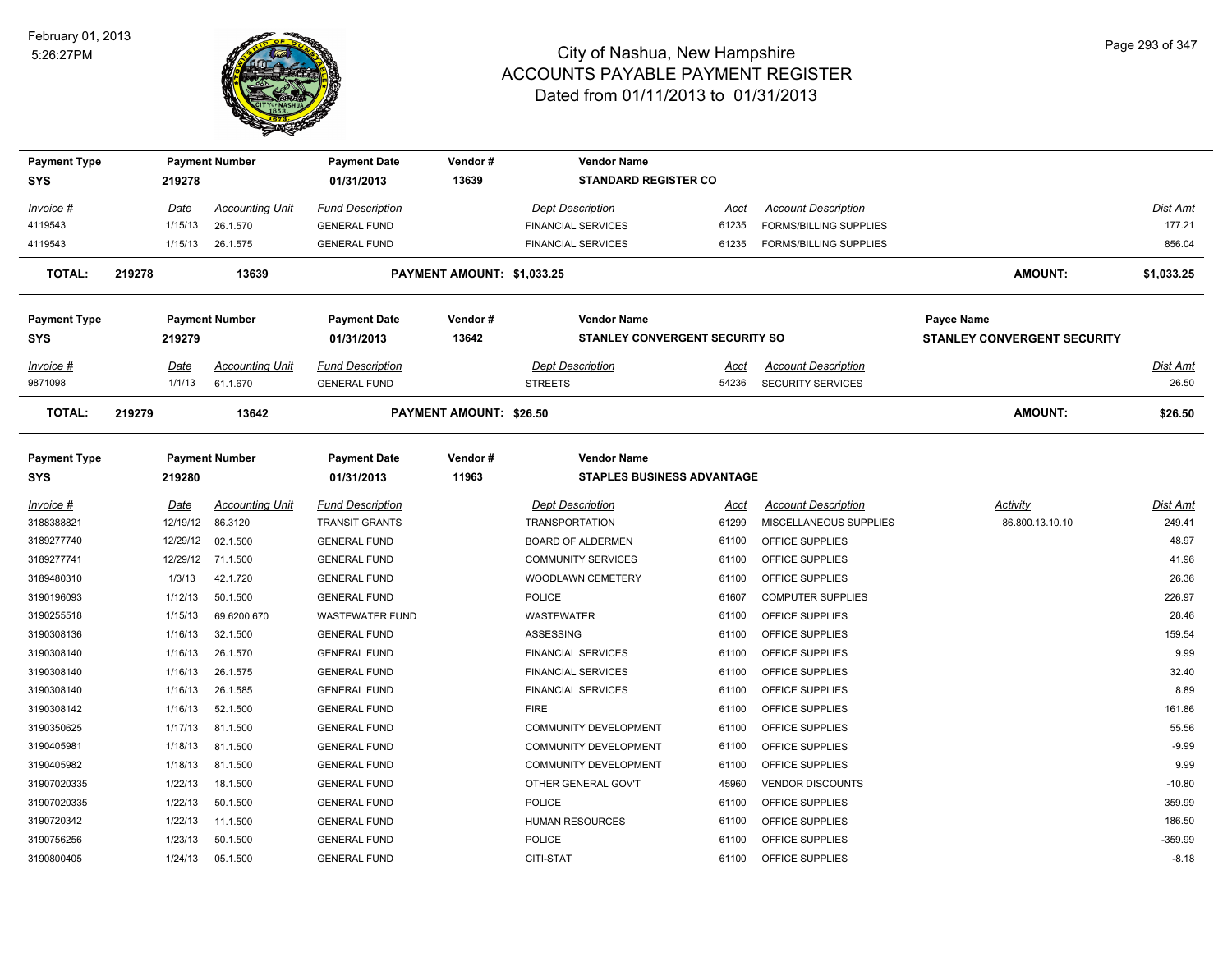

| <b>Payment Type</b><br><b>SYS</b> |        | <b>Payment Number</b><br>219278 |                        | <b>Payment Date</b><br>01/31/2013 | Vendor#<br>13639               | <b>Vendor Name</b><br><b>STANDARD REGISTER CO</b>       |       |                               |                                    |            |
|-----------------------------------|--------|---------------------------------|------------------------|-----------------------------------|--------------------------------|---------------------------------------------------------|-------|-------------------------------|------------------------------------|------------|
| Invoice #                         |        | Date                            | <b>Accounting Unit</b> | <b>Fund Description</b>           |                                | <b>Dept Description</b>                                 | Acct  | <b>Account Description</b>    |                                    | Dist Amt   |
| 4119543                           |        | 1/15/13                         | 26.1.570               | <b>GENERAL FUND</b>               |                                | <b>FINANCIAL SERVICES</b>                               | 61235 | <b>FORMS/BILLING SUPPLIES</b> |                                    | 177.21     |
| 4119543                           |        | 1/15/13                         | 26.1.575               | <b>GENERAL FUND</b>               |                                | <b>FINANCIAL SERVICES</b>                               | 61235 | <b>FORMS/BILLING SUPPLIES</b> |                                    | 856.04     |
| <b>TOTAL:</b>                     | 219278 |                                 | 13639                  |                                   | PAYMENT AMOUNT: \$1,033.25     |                                                         |       |                               | <b>AMOUNT:</b>                     | \$1,033.25 |
| <b>Payment Type</b>               |        |                                 | <b>Payment Number</b>  | <b>Payment Date</b>               | Vendor#                        | <b>Vendor Name</b>                                      |       |                               | <b>Payee Name</b>                  |            |
| <b>SYS</b>                        |        | 219279                          |                        | 01/31/2013                        | 13642                          | <b>STANLEY CONVERGENT SECURITY SO</b>                   |       |                               | <b>STANLEY CONVERGENT SECURITY</b> |            |
| Invoice #                         |        | Date                            | <b>Accounting Unit</b> | <b>Fund Description</b>           |                                | <b>Dept Description</b>                                 | Acct  | <b>Account Description</b>    |                                    | Dist Amt   |
| 9871098                           |        | 1/1/13                          | 61.1.670               | <b>GENERAL FUND</b>               |                                | <b>STREETS</b>                                          | 54236 | SECURITY SERVICES             |                                    | 26.50      |
| <b>TOTAL:</b>                     | 219279 |                                 | 13642                  |                                   | <b>PAYMENT AMOUNT: \$26.50</b> |                                                         |       |                               | <b>AMOUNT:</b>                     | \$26.50    |
| <b>Payment Type</b><br><b>SYS</b> |        | 219280                          | <b>Payment Number</b>  | <b>Payment Date</b><br>01/31/2013 | Vendor#<br>11963               | <b>Vendor Name</b><br><b>STAPLES BUSINESS ADVANTAGE</b> |       |                               |                                    |            |
| $Invoice$ #                       |        | <u>Date</u>                     | <b>Accounting Unit</b> | Fund Description                  |                                | <b>Dept Description</b>                                 | Acct  | <b>Account Description</b>    | Activity                           | Dist Amt   |
| 3188388821                        |        | 12/19/12                        | 86.3120                | <b>TRANSIT GRANTS</b>             |                                | <b>TRANSPORTATION</b>                                   | 61299 | MISCELLANEOUS SUPPLIES        | 86.800.13.10.10                    | 249.41     |
| 3189277740                        |        | 12/29/12                        | 02.1.500               | <b>GENERAL FUND</b>               |                                | <b>BOARD OF ALDERMEN</b>                                | 61100 | OFFICE SUPPLIES               |                                    | 48.97      |
| 3189277741                        |        | 12/29/12                        | 71.1.500               | <b>GENERAL FUND</b>               |                                | <b>COMMUNITY SERVICES</b>                               | 61100 | OFFICE SUPPLIES               |                                    | 41.96      |
| 3189480310                        |        | 1/3/13                          | 42.1.720               | <b>GENERAL FUND</b>               |                                | WOODLAWN CEMETERY                                       | 61100 | OFFICE SUPPLIES               |                                    | 26.36      |
| 3190196093                        |        | 1/12/13                         | 50.1.500               | <b>GENERAL FUND</b>               |                                | POLICE                                                  | 61607 | <b>COMPUTER SUPPLIES</b>      |                                    | 226.97     |
| 3190255518                        |        | 1/15/13                         | 69.6200.670            | <b>WASTEWATER FUND</b>            |                                | WASTEWATER                                              | 61100 | OFFICE SUPPLIES               |                                    | 28.46      |
| 3190308136                        |        | 1/16/13                         | 32.1.500               | <b>GENERAL FUND</b>               |                                | <b>ASSESSING</b>                                        | 61100 | OFFICE SUPPLIES               |                                    | 159.54     |
| 3190308140                        |        | 1/16/13                         | 26.1.570               | <b>GENERAL FUND</b>               |                                | <b>FINANCIAL SERVICES</b>                               | 61100 | OFFICE SUPPLIES               |                                    | 9.99       |
| 3190308140                        |        | 1/16/13                         | 26.1.575               | <b>GENERAL FUND</b>               |                                | <b>FINANCIAL SERVICES</b>                               | 61100 | OFFICE SUPPLIES               |                                    | 32.40      |
| 3190308140                        |        | 1/16/13                         | 26.1.585               | <b>GENERAL FUND</b>               |                                | <b>FINANCIAL SERVICES</b>                               | 61100 | OFFICE SUPPLIES               |                                    | 8.89       |
| 3190308142                        |        | 1/16/13                         | 52.1.500               | <b>GENERAL FUND</b>               |                                | <b>FIRE</b>                                             | 61100 | OFFICE SUPPLIES               |                                    | 161.86     |
| 3190350625                        |        | 1/17/13                         | 81.1.500               | <b>GENERAL FUND</b>               |                                | COMMUNITY DEVELOPMENT                                   | 61100 | OFFICE SUPPLIES               |                                    | 55.56      |
| 3190405981                        |        | 1/18/13                         | 81.1.500               | <b>GENERAL FUND</b>               |                                | <b>COMMUNITY DEVELOPMENT</b>                            | 61100 | OFFICE SUPPLIES               |                                    | $-9.99$    |
| 3190405982                        |        | 1/18/13                         | 81.1.500               | <b>GENERAL FUND</b>               |                                | <b>COMMUNITY DEVELOPMENT</b>                            | 61100 | OFFICE SUPPLIES               |                                    | 9.99       |
| 31907020335                       |        | 1/22/13                         | 18.1.500               | <b>GENERAL FUND</b>               |                                | OTHER GENERAL GOV'T                                     | 45960 | <b>VENDOR DISCOUNTS</b>       |                                    | $-10.80$   |
| 31907020335                       |        | 1/22/13                         | 50.1.500               | <b>GENERAL FUND</b>               |                                | POLICE                                                  | 61100 | OFFICE SUPPLIES               |                                    | 359.99     |
| 3190720342                        |        | 1/22/13                         | 11.1.500               | <b>GENERAL FUND</b>               |                                | HUMAN RESOURCES                                         | 61100 | OFFICE SUPPLIES               |                                    | 186.50     |
| 3190756256                        |        | 1/23/13                         | 50.1.500               | <b>GENERAL FUND</b>               |                                | <b>POLICE</b>                                           | 61100 | OFFICE SUPPLIES               |                                    | $-359.99$  |
| 3190800405                        |        | 1/24/13                         | 05.1.500               | <b>GENERAL FUND</b>               |                                | CITI-STAT                                               | 61100 | OFFICE SUPPLIES               |                                    | $-8.18$    |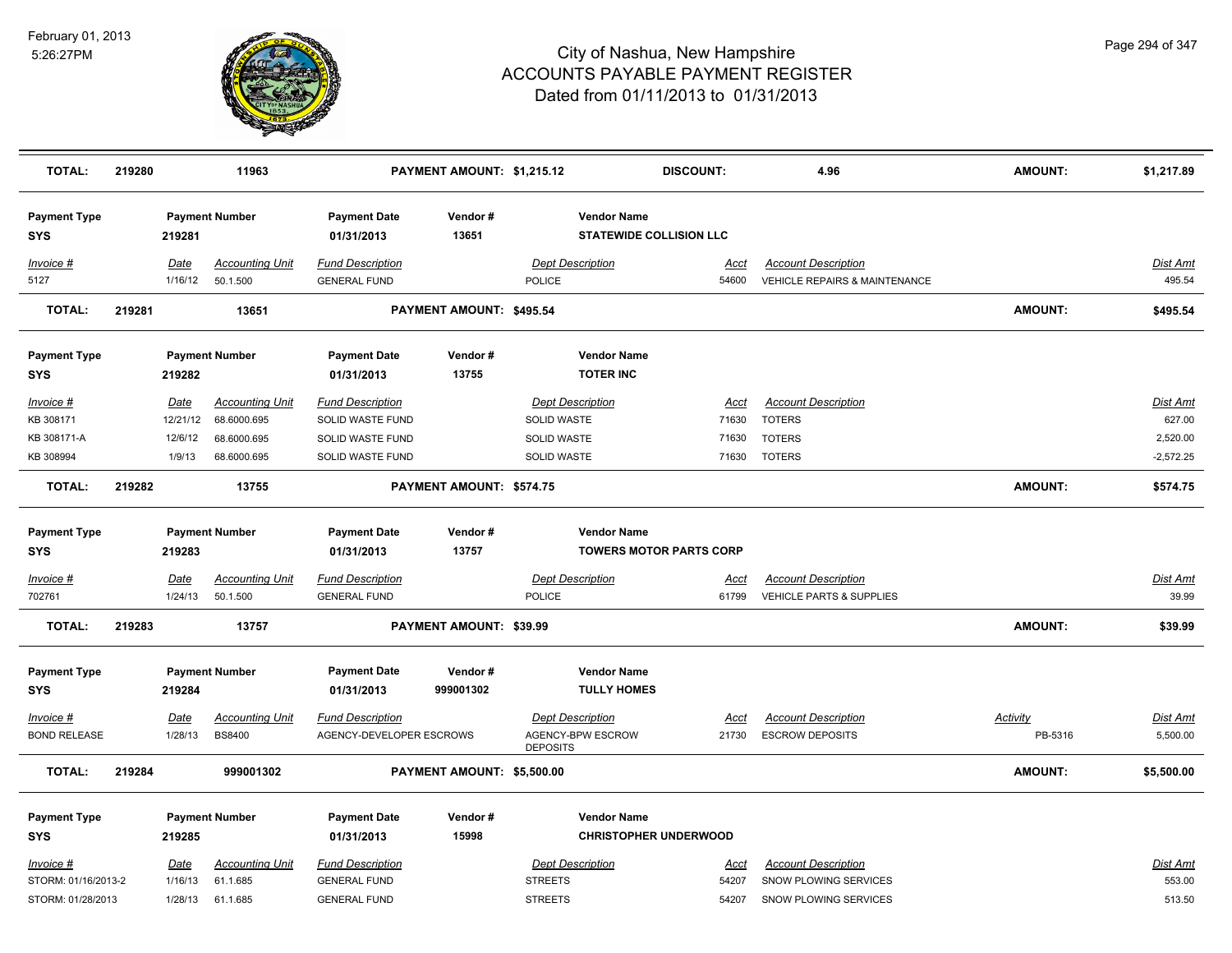

| <b>TOTAL:</b>                           | 219280 |                        | 11963                              |                                                | PAYMENT AMOUNT: \$1,215.12 |                                           | <b>DISCOUNT:</b>               | 4.96                                                                   | <b>AMOUNT:</b>  | \$1,217.89                |
|-----------------------------------------|--------|------------------------|------------------------------------|------------------------------------------------|----------------------------|-------------------------------------------|--------------------------------|------------------------------------------------------------------------|-----------------|---------------------------|
| <b>Payment Type</b><br>SYS              |        | 219281                 | <b>Payment Number</b>              | <b>Payment Date</b><br>01/31/2013              | Vendor#<br>13651           | <b>Vendor Name</b>                        | <b>STATEWIDE COLLISION LLC</b> |                                                                        |                 |                           |
| Invoice #<br>5127                       |        | Date<br>1/16/12        | <b>Accounting Unit</b><br>50.1.500 | <b>Fund Description</b><br><b>GENERAL FUND</b> |                            | <b>Dept Description</b><br><b>POLICE</b>  | Acct<br>54600                  | <b>Account Description</b><br><b>VEHICLE REPAIRS &amp; MAINTENANCE</b> |                 | <u>Dist Amt</u><br>495.54 |
| TOTAL:                                  | 219281 |                        | 13651                              |                                                | PAYMENT AMOUNT: \$495.54   |                                           |                                |                                                                        | <b>AMOUNT:</b>  | \$495.54                  |
| <b>Payment Type</b><br><b>SYS</b>       |        | 219282                 | <b>Payment Number</b>              | <b>Payment Date</b><br>01/31/2013              | Vendor#<br>13755           | <b>Vendor Name</b><br><b>TOTER INC</b>    |                                |                                                                        |                 |                           |
| Invoice #                               |        | Date                   | <b>Accounting Unit</b>             | <b>Fund Description</b>                        |                            | <b>Dept Description</b>                   | Acct                           | <b>Account Description</b>                                             |                 | Dist Amt                  |
| KB 308171                               |        | 12/21/12               | 68.6000.695                        | SOLID WASTE FUND                               |                            | SOLID WASTE                               | 71630                          | <b>TOTERS</b>                                                          |                 | 627.00                    |
| KB 308171-A                             |        | 12/6/12                | 68.6000.695                        | SOLID WASTE FUND                               |                            | <b>SOLID WASTE</b>                        | 71630                          | <b>TOTERS</b>                                                          |                 | 2,520.00                  |
| KB 308994                               |        | 1/9/13                 | 68.6000.695                        | SOLID WASTE FUND                               |                            | SOLID WASTE                               | 71630                          | <b>TOTERS</b>                                                          |                 | $-2,572.25$               |
| <b>TOTAL:</b>                           | 219282 |                        | 13755                              |                                                | PAYMENT AMOUNT: \$574.75   |                                           |                                |                                                                        | AMOUNT:         | \$574.75                  |
| <b>Payment Type</b><br><b>SYS</b>       |        | 219283                 | <b>Payment Number</b>              | <b>Payment Date</b><br>01/31/2013              | Vendor#<br>13757           | <b>Vendor Name</b>                        | <b>TOWERS MOTOR PARTS CORP</b> |                                                                        |                 |                           |
| Invoice #<br>702761                     |        | <b>Date</b><br>1/24/13 | <b>Accounting Unit</b><br>50.1.500 | <b>Fund Description</b><br><b>GENERAL FUND</b> |                            | <b>Dept Description</b><br><b>POLICE</b>  | <u>Acct</u><br>61799           | <b>Account Description</b><br>VEHICLE PARTS & SUPPLIES                 |                 | <b>Dist Amt</b><br>39.99  |
| <b>TOTAL:</b>                           | 219283 |                        | 13757                              |                                                | PAYMENT AMOUNT: \$39.99    |                                           |                                |                                                                        | AMOUNT:         | \$39.99                   |
| <b>Payment Type</b><br><b>SYS</b>       |        | 219284                 | <b>Payment Number</b>              | <b>Payment Date</b><br>01/31/2013              | Vendor#<br>999001302       | <b>Vendor Name</b><br><b>TULLY HOMES</b>  |                                |                                                                        |                 |                           |
| Invoice #                               |        | Date                   | <b>Accounting Unit</b>             | <b>Fund Description</b>                        |                            | <b>Dept Description</b>                   | Acct                           | <b>Account Description</b>                                             | <b>Activity</b> | <u>Dist Amt</u>           |
| <b>BOND RELEASE</b>                     |        | 1/28/13                | <b>BS8400</b>                      | AGENCY-DEVELOPER ESCROWS                       |                            | AGENCY-BPW ESCROW<br><b>DEPOSITS</b>      | 21730                          | <b>ESCROW DEPOSITS</b>                                                 | PB-5316         | 5,500.00                  |
| <b>TOTAL:</b>                           | 219284 |                        | 999001302                          |                                                | PAYMENT AMOUNT: \$5,500.00 |                                           |                                |                                                                        | AMOUNT:         | \$5,500.00                |
| <b>Payment Type</b>                     |        |                        | <b>Payment Number</b>              | <b>Payment Date</b>                            | Vendor#                    | <b>Vendor Name</b>                        |                                |                                                                        |                 |                           |
| SYS                                     |        | 219285                 |                                    | 01/31/2013                                     | 15998                      |                                           | <b>CHRISTOPHER UNDERWOOD</b>   |                                                                        |                 |                           |
| <b>Invoice #</b><br>STORM: 01/16/2013-2 |        | <u>Date</u><br>1/16/13 | <b>Accounting Unit</b><br>61.1.685 | <b>Fund Description</b><br><b>GENERAL FUND</b> |                            | <b>Dept Description</b><br><b>STREETS</b> | Acct<br>54207                  | <b>Account Description</b><br>SNOW PLOWING SERVICES                    |                 | Dist Amt<br>553.00        |
| STORM: 01/28/2013                       |        | 1/28/13                | 61.1.685                           | <b>GENERAL FUND</b>                            |                            | <b>STREETS</b>                            | 54207                          | SNOW PLOWING SERVICES                                                  |                 | 513.50                    |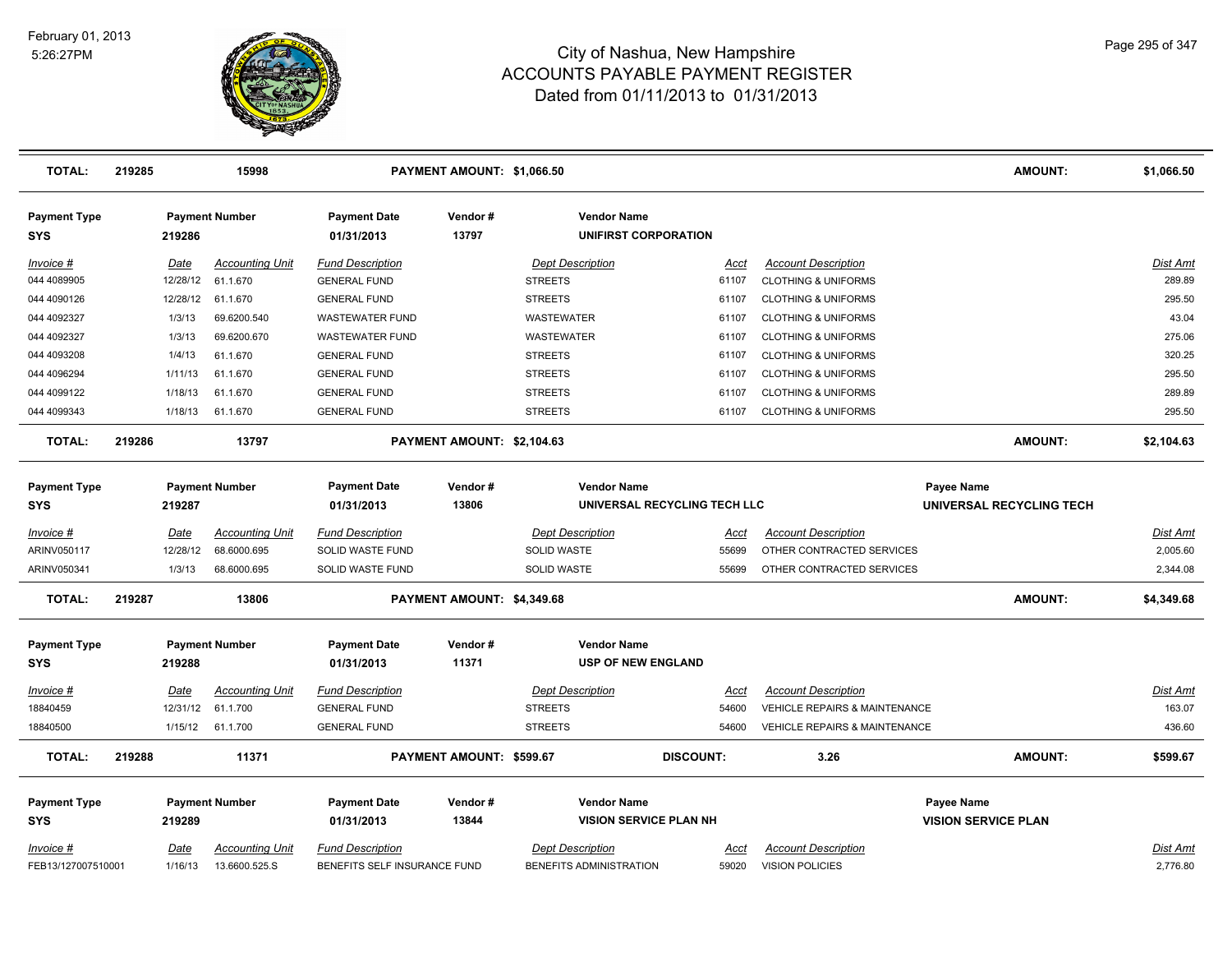

| <b>TOTAL:</b>                     | 219285 |                 | 15998                                   |                                                         | PAYMENT AMOUNT: \$1,066.50 |                                                    |                              |                                                      | <b>AMOUNT:</b>             | \$1,066.50           |
|-----------------------------------|--------|-----------------|-----------------------------------------|---------------------------------------------------------|----------------------------|----------------------------------------------------|------------------------------|------------------------------------------------------|----------------------------|----------------------|
| <b>Payment Type</b><br>SYS        |        | 219286          | <b>Payment Number</b>                   | <b>Payment Date</b><br>01/31/2013                       | Vendor#<br>13797           | <b>Vendor Name</b><br>UNIFIRST CORPORATION         |                              |                                                      |                            |                      |
| Invoice #                         |        | Date            | <b>Accounting Unit</b>                  | <b>Fund Description</b>                                 |                            | <b>Dept Description</b>                            | Acct                         | <b>Account Description</b>                           |                            | Dist Amt             |
| 044 4089905                       |        | 12/28/12        | 61.1.670                                | <b>GENERAL FUND</b>                                     |                            | <b>STREETS</b>                                     | 61107                        | <b>CLOTHING &amp; UNIFORMS</b>                       |                            | 289.89               |
| 044 4090126                       |        | 12/28/12        | 61.1.670                                | <b>GENERAL FUND</b>                                     |                            | <b>STREETS</b>                                     | 61107                        | <b>CLOTHING &amp; UNIFORMS</b>                       |                            | 295.50               |
| 044 4092327                       |        | 1/3/13          | 69.6200.540                             | <b>WASTEWATER FUND</b>                                  |                            | <b>WASTEWATER</b>                                  | 61107                        | <b>CLOTHING &amp; UNIFORMS</b>                       |                            | 43.04                |
| 044 4092327                       |        | 1/3/13          | 69.6200.670                             | <b>WASTEWATER FUND</b>                                  |                            | WASTEWATER                                         | 61107                        | <b>CLOTHING &amp; UNIFORMS</b>                       |                            | 275.06               |
| 044 4093208                       |        | 1/4/13          | 61.1.670                                | <b>GENERAL FUND</b>                                     |                            | <b>STREETS</b>                                     | 61107                        | <b>CLOTHING &amp; UNIFORMS</b>                       |                            | 320.25               |
| 044 4096294                       |        | 1/11/13         | 61.1.670                                | <b>GENERAL FUND</b>                                     |                            | <b>STREETS</b>                                     | 61107                        | <b>CLOTHING &amp; UNIFORMS</b>                       |                            | 295.50               |
| 044 4099122                       |        | 1/18/13         | 61.1.670                                | <b>GENERAL FUND</b>                                     |                            | <b>STREETS</b>                                     | 61107                        | <b>CLOTHING &amp; UNIFORMS</b>                       |                            | 289.89               |
| 044 4099343                       |        | 1/18/13         | 61.1.670                                | <b>GENERAL FUND</b>                                     |                            | <b>STREETS</b>                                     | 61107                        | <b>CLOTHING &amp; UNIFORMS</b>                       |                            | 295.50               |
| <b>TOTAL:</b>                     | 219286 |                 | 13797                                   |                                                         | PAYMENT AMOUNT: \$2,104.63 |                                                    |                              |                                                      | <b>AMOUNT:</b>             | \$2,104.63           |
| <b>Payment Type</b>               |        |                 | <b>Payment Number</b>                   | <b>Payment Date</b>                                     | Vendor#                    | <b>Vendor Name</b>                                 |                              |                                                      | Payee Name                 |                      |
| <b>SYS</b>                        |        | 219287          |                                         | 01/31/2013                                              | 13806                      |                                                    | UNIVERSAL RECYCLING TECH LLC |                                                      | UNIVERSAL RECYCLING TECH   |                      |
| Invoice #                         |        | <b>Date</b>     | <b>Accounting Unit</b>                  | <b>Fund Description</b>                                 |                            | <b>Dept Description</b>                            | Acct                         | <b>Account Description</b>                           |                            | <b>Dist Amt</b>      |
| ARINV050117                       |        | 12/28/12        | 68.6000.695                             | SOLID WASTE FUND                                        |                            | SOLID WASTE                                        | 55699                        | OTHER CONTRACTED SERVICES                            |                            | 2,005.60             |
| ARINV050341                       |        | 1/3/13          | 68.6000.695                             | SOLID WASTE FUND                                        |                            | <b>SOLID WASTE</b>                                 | 55699                        | OTHER CONTRACTED SERVICES                            |                            | 2,344.08             |
| <b>TOTAL:</b>                     | 219287 |                 | 13806                                   |                                                         | PAYMENT AMOUNT: \$4,349.68 |                                                    |                              |                                                      | <b>AMOUNT:</b>             | \$4,349.68           |
| <b>Payment Type</b><br><b>SYS</b> |        | 219288          | <b>Payment Number</b>                   | <b>Payment Date</b><br>01/31/2013                       | Vendor#<br>11371           | <b>Vendor Name</b><br><b>USP OF NEW ENGLAND</b>    |                              |                                                      |                            |                      |
| $Invoice$ #                       |        | <u>Date</u>     | <u>Accounting Unit</u>                  | <b>Fund Description</b>                                 |                            | <b>Dept Description</b>                            | Acct                         | <b>Account Description</b>                           |                            | <u>Dist Amt</u>      |
| 18840459                          |        | 12/31/12        | 61.1.700                                | <b>GENERAL FUND</b>                                     |                            | <b>STREETS</b>                                     | 54600                        | VEHICLE REPAIRS & MAINTENANCE                        |                            | 163.07               |
| 18840500                          |        | 1/15/12         | 61.1.700                                | <b>GENERAL FUND</b>                                     |                            | <b>STREETS</b>                                     | 54600                        | VEHICLE REPAIRS & MAINTENANCE                        |                            | 436.60               |
| <b>TOTAL:</b>                     | 219288 |                 | 11371                                   |                                                         | PAYMENT AMOUNT: \$599.67   |                                                    | <b>DISCOUNT:</b>             | 3.26                                                 | <b>AMOUNT:</b>             | \$599.67             |
| <b>Payment Type</b>               |        |                 | <b>Payment Number</b>                   | <b>Payment Date</b>                                     | Vendor#                    | <b>Vendor Name</b>                                 |                              |                                                      | Payee Name                 |                      |
| <b>SYS</b>                        |        | 219289          |                                         | 01/31/2013                                              | 13844                      | <b>VISION SERVICE PLAN NH</b>                      |                              |                                                      | <b>VISION SERVICE PLAN</b> |                      |
|                                   |        |                 |                                         |                                                         |                            |                                                    |                              |                                                      |                            |                      |
| Invoice #<br>FEB13/127007510001   |        | Date<br>1/16/13 | <b>Accounting Unit</b><br>13.6600.525.S | <b>Fund Description</b><br>BENEFITS SELF INSURANCE FUND |                            | <b>Dept Description</b><br>BENEFITS ADMINISTRATION | Acct<br>59020                | <b>Account Description</b><br><b>VISION POLICIES</b> |                            | Dist Amt<br>2,776.80 |
|                                   |        |                 |                                         |                                                         |                            |                                                    |                              |                                                      |                            |                      |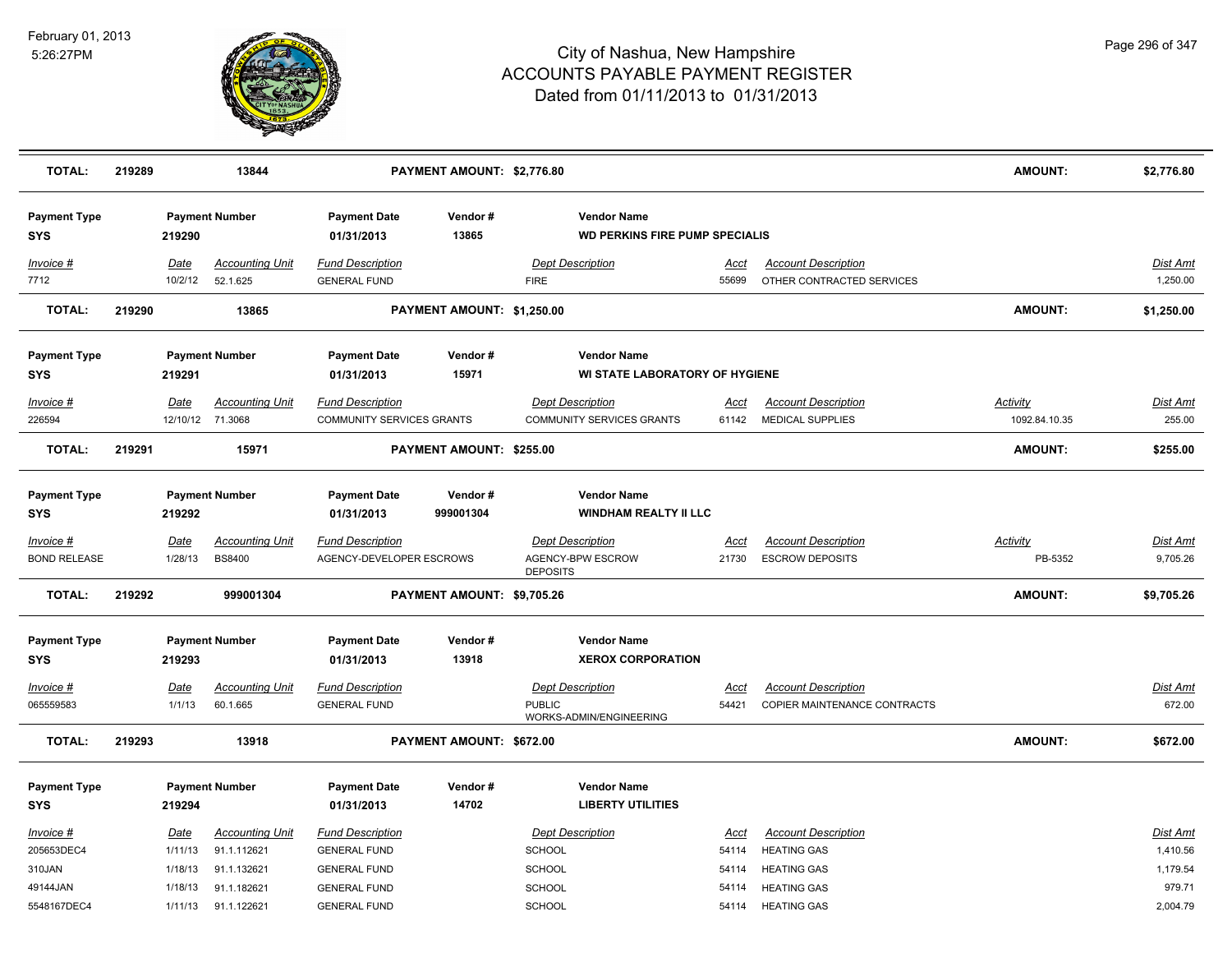

| <b>TOTAL:</b>                      | 219289 |                        | 13844                                   |                                                     | PAYMENT AMOUNT: \$2,776.80 |                                                                 |                      |                                                         | <b>AMOUNT:</b>             | \$2,776.80           |
|------------------------------------|--------|------------------------|-----------------------------------------|-----------------------------------------------------|----------------------------|-----------------------------------------------------------------|----------------------|---------------------------------------------------------|----------------------------|----------------------|
| <b>Payment Type</b><br><b>SYS</b>  |        | 219290                 | <b>Payment Number</b>                   | <b>Payment Date</b><br>01/31/2013                   | Vendor#<br>13865           | <b>Vendor Name</b><br><b>WD PERKINS FIRE PUMP SPECIALIS</b>     |                      |                                                         |                            |                      |
| Invoice #<br>7712                  |        | <b>Date</b><br>10/2/12 | <b>Accounting Unit</b><br>52.1.625      | <b>Fund Description</b><br><b>GENERAL FUND</b>      |                            | <b>Dept Description</b><br><b>FIRE</b>                          | <u>Acct</u><br>55699 | <b>Account Description</b><br>OTHER CONTRACTED SERVICES |                            | Dist Amt<br>1,250.00 |
| <b>TOTAL:</b>                      | 219290 |                        | 13865                                   |                                                     | PAYMENT AMOUNT: \$1,250.00 |                                                                 |                      |                                                         | <b>AMOUNT:</b>             | \$1,250.00           |
| <b>Payment Type</b><br><b>SYS</b>  |        | 219291                 | <b>Payment Number</b>                   | <b>Payment Date</b><br>01/31/2013                   | Vendor#<br>15971           | <b>Vendor Name</b><br><b>WI STATE LABORATORY OF HYGIENE</b>     |                      |                                                         |                            |                      |
| Invoice #                          |        | <b>Date</b>            | <b>Accounting Unit</b>                  | <b>Fund Description</b>                             |                            | <b>Dept Description</b>                                         | Acct                 | <b>Account Description</b>                              | <b>Activity</b>            | Dist Amt             |
| 226594                             |        |                        | 12/10/12 71.3068                        | <b>COMMUNITY SERVICES GRANTS</b>                    |                            | <b>COMMUNITY SERVICES GRANTS</b>                                | 61142                | <b>MEDICAL SUPPLIES</b>                                 | 1092.84.10.35              | 255.00               |
| <b>TOTAL:</b>                      | 219291 |                        | 15971                                   |                                                     | PAYMENT AMOUNT: \$255.00   |                                                                 |                      |                                                         | <b>AMOUNT:</b>             | \$255.00             |
| <b>Payment Type</b><br><b>SYS</b>  |        | 219292                 | <b>Payment Number</b>                   | <b>Payment Date</b><br>01/31/2013                   | Vendor#<br>999001304       | <b>Vendor Name</b><br><b>WINDHAM REALTY II LLC</b>              |                      |                                                         |                            |                      |
| $Invoice$ #<br><b>BOND RELEASE</b> |        | <u>Date</u><br>1/28/13 | <b>Accounting Unit</b><br><b>BS8400</b> | <b>Fund Description</b><br>AGENCY-DEVELOPER ESCROWS |                            | <b>Dept Description</b><br>AGENCY-BPW ESCROW<br><b>DEPOSITS</b> | <u>Acct</u><br>21730 | <b>Account Description</b><br><b>ESCROW DEPOSITS</b>    | <b>Activity</b><br>PB-5352 | Dist Amt<br>9,705.26 |
| <b>TOTAL:</b>                      | 219292 |                        | 999001304                               |                                                     | PAYMENT AMOUNT: \$9,705.26 |                                                                 |                      |                                                         | <b>AMOUNT:</b>             | \$9,705.26           |
| <b>Payment Type</b><br><b>SYS</b>  |        | 219293                 | <b>Payment Number</b>                   | <b>Payment Date</b><br>01/31/2013                   | Vendor#<br>13918           | <b>Vendor Name</b><br><b>XEROX CORPORATION</b>                  |                      |                                                         |                            |                      |
| $Invoice$ #                        |        | Date                   | <u>Accounting Unit</u>                  | <b>Fund Description</b>                             |                            | <b>Dept Description</b>                                         | <u>Acct</u>          | <b>Account Description</b>                              |                            | Dist Amt             |
| 065559583                          |        | 1/1/13                 | 60.1.665                                | <b>GENERAL FUND</b>                                 |                            | <b>PUBLIC</b><br>WORKS-ADMIN/ENGINEERING                        | 54421                | COPIER MAINTENANCE CONTRACTS                            |                            | 672.00               |
| <b>TOTAL:</b>                      | 219293 |                        | 13918                                   |                                                     | PAYMENT AMOUNT: \$672.00   |                                                                 |                      |                                                         | <b>AMOUNT:</b>             | \$672.00             |
| <b>Payment Type</b><br><b>SYS</b>  |        | 219294                 | <b>Payment Number</b>                   | <b>Payment Date</b><br>01/31/2013                   | Vendor#<br>14702           | <b>Vendor Name</b><br><b>LIBERTY UTILITIES</b>                  |                      |                                                         |                            |                      |
| Invoice #                          |        | <u>Date</u>            | <b>Accounting Unit</b>                  | <b>Fund Description</b>                             |                            | <b>Dept Description</b>                                         | Acct                 | <b>Account Description</b>                              |                            | Dist Amt             |
| 205653DEC4                         |        | 1/11/13                | 91.1.112621                             | <b>GENERAL FUND</b>                                 |                            | SCHOOL                                                          | 54114                | <b>HEATING GAS</b>                                      |                            | 1,410.56             |
| 310JAN                             |        | 1/18/13                | 91.1.132621                             | <b>GENERAL FUND</b>                                 |                            | <b>SCHOOL</b>                                                   | 54114                | <b>HEATING GAS</b>                                      |                            | 1,179.54             |
| 49144JAN                           |        | 1/18/13                | 91.1.182621                             | <b>GENERAL FUND</b>                                 |                            | SCHOOL                                                          | 54114                | <b>HEATING GAS</b>                                      |                            | 979.71               |
| 5548167DEC4                        |        | 1/11/13                | 91.1.122621                             | <b>GENERAL FUND</b>                                 |                            | <b>SCHOOL</b>                                                   | 54114                | <b>HEATING GAS</b>                                      |                            | 2,004.79             |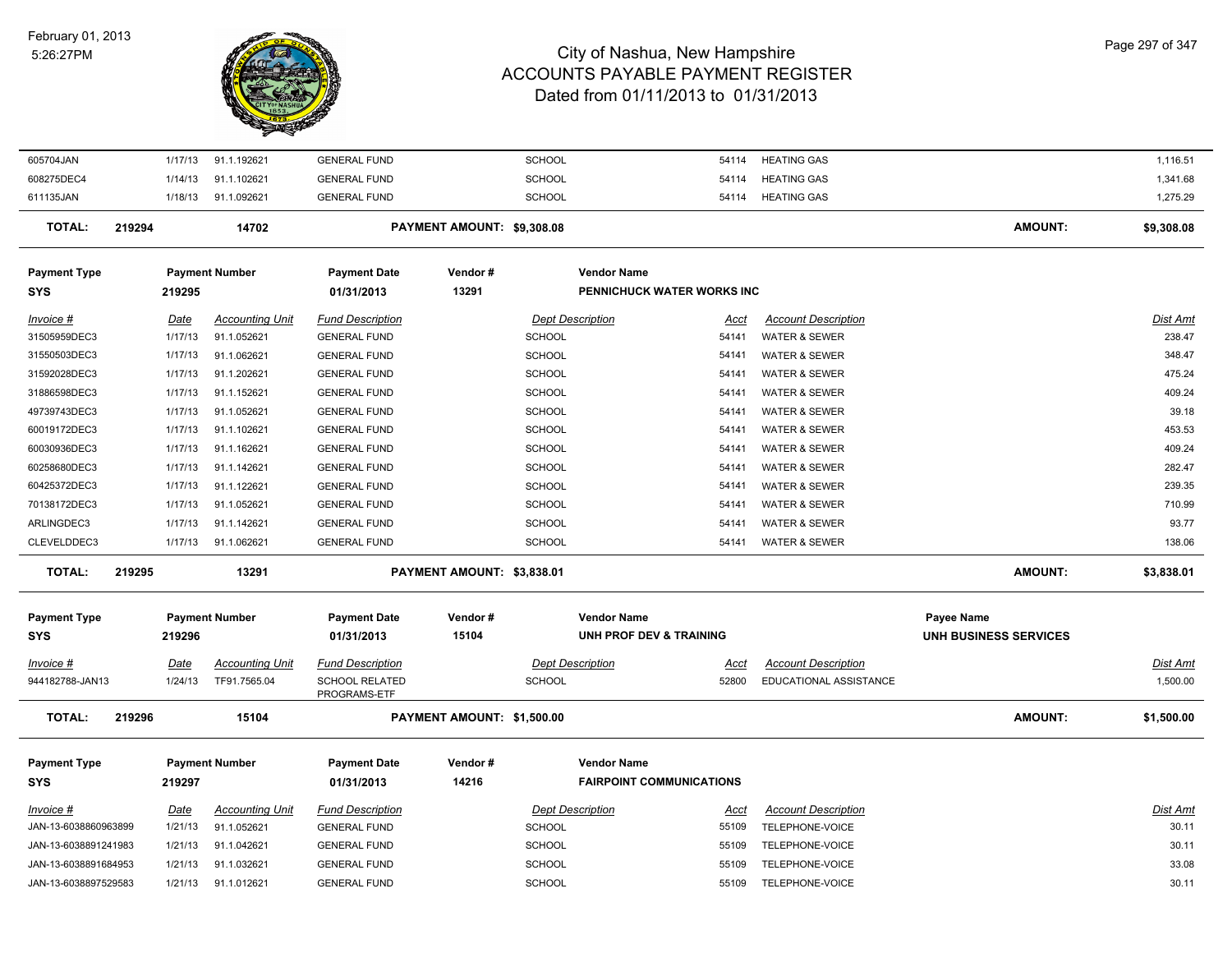#### February 01, 2013 5:26:27PM



| 605704JAN            | 1/17/13     | 91.1.192621            | <b>GENERAL FUND</b>                   |                            | SCHOOL                  | 54114                           | <b>HEATING GAS</b>         |                       | 1,116.51   |
|----------------------|-------------|------------------------|---------------------------------------|----------------------------|-------------------------|---------------------------------|----------------------------|-----------------------|------------|
| 608275DEC4           | 1/14/13     | 91.1.102621            | <b>GENERAL FUND</b>                   |                            | <b>SCHOOL</b>           | 54114                           | <b>HEATING GAS</b>         |                       | 1,341.68   |
| 611135JAN            | 1/18/13     | 91.1.092621            | <b>GENERAL FUND</b>                   |                            | SCHOOL                  | 54114                           | <b>HEATING GAS</b>         |                       | 1,275.29   |
| <b>TOTAL:</b>        | 219294      | 14702                  |                                       | PAYMENT AMOUNT: \$9,308.08 |                         |                                 |                            | <b>AMOUNT:</b>        | \$9,308.08 |
| <b>Payment Type</b>  |             | <b>Payment Number</b>  | <b>Payment Date</b>                   | Vendor#                    | <b>Vendor Name</b>      |                                 |                            |                       |            |
| <b>SYS</b>           | 219295      |                        | 01/31/2013                            | 13291                      |                         | PENNICHUCK WATER WORKS INC      |                            |                       |            |
| Invoice #            | Date        | <b>Accounting Unit</b> | <b>Fund Description</b>               |                            | <b>Dept Description</b> | <u>Acct</u>                     | <b>Account Description</b> |                       | Dist Amt   |
| 31505959DEC3         | 1/17/13     | 91.1.052621            | <b>GENERAL FUND</b>                   |                            | SCHOOL                  | 54141                           | <b>WATER &amp; SEWER</b>   |                       | 238.47     |
| 31550503DEC3         | 1/17/13     | 91.1.062621            | <b>GENERAL FUND</b>                   |                            | <b>SCHOOL</b>           | 54141                           | <b>WATER &amp; SEWER</b>   |                       | 348.47     |
| 31592028DEC3         | 1/17/13     | 91.1.202621            | <b>GENERAL FUND</b>                   |                            | SCHOOL                  | 54141                           | <b>WATER &amp; SEWER</b>   |                       | 475.24     |
| 31886598DEC3         | 1/17/13     | 91.1.152621            | <b>GENERAL FUND</b>                   |                            | SCHOOL                  | 54141                           | <b>WATER &amp; SEWER</b>   |                       | 409.24     |
| 49739743DEC3         | 1/17/13     | 91.1.052621            | <b>GENERAL FUND</b>                   |                            | <b>SCHOOL</b>           | 54141                           | <b>WATER &amp; SEWER</b>   |                       | 39.18      |
| 60019172DEC3         | 1/17/13     | 91.1.102621            | <b>GENERAL FUND</b>                   |                            | <b>SCHOOL</b>           | 54141                           | <b>WATER &amp; SEWER</b>   |                       | 453.53     |
| 60030936DEC3         | 1/17/13     | 91.1.162621            | <b>GENERAL FUND</b>                   |                            | <b>SCHOOL</b>           | 54141                           | <b>WATER &amp; SEWER</b>   |                       | 409.24     |
| 60258680DEC3         | 1/17/13     | 91.1.142621            | <b>GENERAL FUND</b>                   |                            | SCHOOL                  | 54141                           | <b>WATER &amp; SEWER</b>   |                       | 282.47     |
| 60425372DEC3         | 1/17/13     | 91.1.122621            | <b>GENERAL FUND</b>                   |                            | <b>SCHOOL</b>           | 54141                           | <b>WATER &amp; SEWER</b>   |                       | 239.35     |
| 70138172DEC3         | 1/17/13     | 91.1.052621            | <b>GENERAL FUND</b>                   |                            | SCHOOL                  | 54141                           | <b>WATER &amp; SEWER</b>   |                       | 710.99     |
| ARLINGDEC3           | 1/17/13     | 91.1.142621            | <b>GENERAL FUND</b>                   |                            | SCHOOL                  | 54141                           | <b>WATER &amp; SEWER</b>   |                       | 93.77      |
| CLEVELDDEC3          | 1/17/13     | 91.1.062621            | <b>GENERAL FUND</b>                   |                            | <b>SCHOOL</b>           | 54141                           | <b>WATER &amp; SEWER</b>   |                       | 138.06     |
| <b>TOTAL:</b>        | 219295      | 13291                  |                                       | PAYMENT AMOUNT: \$3,838.01 |                         |                                 |                            | <b>AMOUNT:</b>        | \$3,838.01 |
| <b>Payment Type</b>  |             | <b>Payment Number</b>  | <b>Payment Date</b>                   | Vendor#                    | <b>Vendor Name</b>      |                                 |                            | Payee Name            |            |
| <b>SYS</b>           | 219296      |                        | 01/31/2013                            | 15104                      |                         | UNH PROF DEV & TRAINING         |                            | UNH BUSINESS SERVICES |            |
|                      |             |                        |                                       |                            |                         |                                 |                            |                       |            |
| <i>Invoice</i> #     | Date        | <b>Accounting Unit</b> | <b>Fund Description</b>               |                            | <b>Dept Description</b> | Acct                            | <b>Account Description</b> |                       | Dist Amt   |
| 944182788-JAN13      | 1/24/13     | TF91.7565.04           | <b>SCHOOL RELATED</b><br>PROGRAMS-ETF |                            | SCHOOL                  | 52800                           | EDUCATIONAL ASSISTANCE     |                       | 1,500.00   |
| <b>TOTAL:</b>        | 219296      | 15104                  |                                       | PAYMENT AMOUNT: \$1,500.00 |                         |                                 |                            | <b>AMOUNT:</b>        | \$1,500.00 |
| <b>Payment Type</b>  |             | <b>Payment Number</b>  | <b>Payment Date</b>                   | Vendor#                    | <b>Vendor Name</b>      |                                 |                            |                       |            |
| <b>SYS</b>           | 219297      |                        | 01/31/2013                            | 14216                      |                         | <b>FAIRPOINT COMMUNICATIONS</b> |                            |                       |            |
| Invoice #            | <u>Date</u> | <b>Accounting Unit</b> | <b>Fund Description</b>               |                            | <b>Dept Description</b> | <u>Acct</u>                     | <b>Account Description</b> |                       | Dist Amt   |
| JAN-13-6038860963899 | 1/21/13     | 91.1.052621            | <b>GENERAL FUND</b>                   |                            | <b>SCHOOL</b>           | 55109                           | TELEPHONE-VOICE            |                       | 30.11      |
| JAN-13-6038891241983 | 1/21/13     | 91.1.042621            | <b>GENERAL FUND</b>                   |                            | <b>SCHOOL</b>           | 55109                           | TELEPHONE-VOICE            |                       | 30.11      |
| JAN-13-6038891684953 | 1/21/13     | 91.1.032621            | <b>GENERAL FUND</b>                   |                            | <b>SCHOOL</b>           | 55109                           | TELEPHONE-VOICE            |                       | 33.08      |
| JAN-13-6038897529583 | 1/21/13     | 91.1.012621            | <b>GENERAL FUND</b>                   |                            | <b>SCHOOL</b>           | 55109                           | TELEPHONE-VOICE            |                       | 30.11      |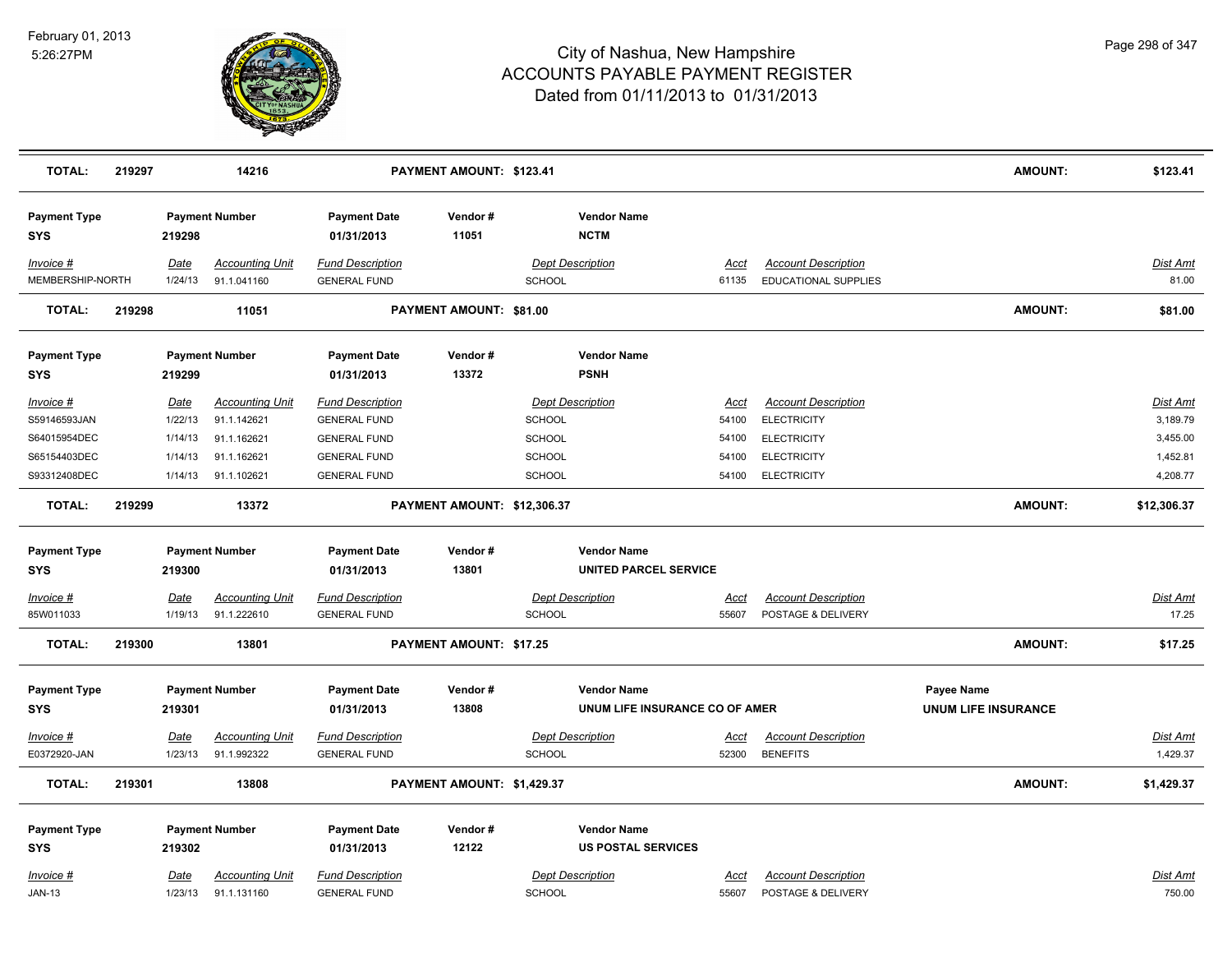

| <b>TOTAL:</b>                     | 219297 |                 | 14216                                 |                                                | PAYMENT AMOUNT: \$123.41    |                                   |                                   |                      |                                                           | <b>AMOUNT:</b>             | \$123.41          |
|-----------------------------------|--------|-----------------|---------------------------------------|------------------------------------------------|-----------------------------|-----------------------------------|-----------------------------------|----------------------|-----------------------------------------------------------|----------------------------|-------------------|
| <b>Payment Type</b><br><b>SYS</b> |        | 219298          | <b>Payment Number</b>                 | <b>Payment Date</b><br>01/31/2013              | Vendor#<br>11051            |                                   | <b>Vendor Name</b><br><b>NCTM</b> |                      |                                                           |                            |                   |
| Invoice #<br>MEMBERSHIP-NORTH     |        | Date<br>1/24/13 | <b>Accounting Unit</b><br>91.1.041160 | <b>Fund Description</b><br><b>GENERAL FUND</b> |                             | <b>Dept Description</b><br>SCHOOL |                                   | Acct<br>61135        | <b>Account Description</b><br><b>EDUCATIONAL SUPPLIES</b> |                            | Dist Amt<br>81.00 |
| <b>TOTAL:</b>                     | 219298 |                 | 11051                                 |                                                | PAYMENT AMOUNT: \$81.00     |                                   |                                   |                      |                                                           | <b>AMOUNT:</b>             | \$81.00           |
| <b>Payment Type</b><br><b>SYS</b> |        | 219299          | <b>Payment Number</b>                 | <b>Payment Date</b><br>01/31/2013              | Vendor#<br>13372            |                                   | <b>Vendor Name</b><br><b>PSNH</b> |                      |                                                           |                            |                   |
| Invoice #                         |        | Date            | <b>Accounting Unit</b>                | <b>Fund Description</b>                        |                             | <b>Dept Description</b>           |                                   | <u>Acct</u>          | <b>Account Description</b>                                |                            | Dist Amt          |
| S59146593JAN                      |        | 1/22/13         | 91.1.142621                           | <b>GENERAL FUND</b>                            |                             | <b>SCHOOL</b>                     |                                   | 54100                | <b>ELECTRICITY</b>                                        |                            | 3,189.79          |
| S64015954DEC                      |        | 1/14/13         | 91.1.162621                           | <b>GENERAL FUND</b>                            |                             | <b>SCHOOL</b>                     |                                   | 54100                | <b>ELECTRICITY</b>                                        |                            | 3,455.00          |
| S65154403DEC                      |        | 1/14/13         | 91.1.162621                           | <b>GENERAL FUND</b>                            |                             | <b>SCHOOL</b>                     |                                   | 54100                | <b>ELECTRICITY</b>                                        |                            | 1,452.81          |
| S93312408DEC                      |        | 1/14/13         | 91.1.102621                           | <b>GENERAL FUND</b>                            |                             | SCHOOL                            |                                   | 54100                | <b>ELECTRICITY</b>                                        |                            | 4,208.77          |
| <b>TOTAL:</b>                     | 219299 |                 | 13372                                 |                                                | PAYMENT AMOUNT: \$12,306.37 |                                   |                                   |                      |                                                           | <b>AMOUNT:</b>             | \$12,306.37       |
| <b>Payment Type</b>               |        |                 | <b>Payment Number</b>                 | <b>Payment Date</b>                            | Vendor#                     |                                   | <b>Vendor Name</b>                |                      |                                                           |                            |                   |
| <b>SYS</b>                        |        | 219300          |                                       | 01/31/2013                                     | 13801                       |                                   | <b>UNITED PARCEL SERVICE</b>      |                      |                                                           |                            |                   |
| Invoice #                         |        | <b>Date</b>     | <b>Accounting Unit</b>                | <b>Fund Description</b>                        |                             | <b>Dept Description</b>           |                                   | <u>Acct</u>          | <b>Account Description</b>                                |                            | Dist Amt          |
| 85W011033                         |        | 1/19/13         | 91.1.222610                           | <b>GENERAL FUND</b>                            |                             | <b>SCHOOL</b>                     |                                   | 55607                | POSTAGE & DELIVERY                                        |                            | 17.25             |
| <b>TOTAL:</b>                     | 219300 |                 | 13801                                 |                                                | PAYMENT AMOUNT: \$17.25     |                                   |                                   |                      |                                                           | <b>AMOUNT:</b>             | \$17.25           |
| <b>Payment Type</b>               |        |                 | <b>Payment Number</b>                 | <b>Payment Date</b>                            | Vendor#                     |                                   | <b>Vendor Name</b>                |                      |                                                           | Payee Name                 |                   |
| <b>SYS</b>                        |        | 219301          |                                       | 01/31/2013                                     | 13808                       |                                   | UNUM LIFE INSURANCE CO OF AMER    |                      |                                                           | <b>UNUM LIFE INSURANCE</b> |                   |
| Invoice #                         |        | Date            | <b>Accounting Unit</b>                | <b>Fund Description</b>                        |                             | <b>Dept Description</b>           |                                   | Acct                 | <b>Account Description</b>                                |                            | <u>Dist Amt</u>   |
| E0372920-JAN                      |        | 1/23/13         | 91.1.992322                           | <b>GENERAL FUND</b>                            |                             | <b>SCHOOL</b>                     |                                   | 52300                | <b>BENEFITS</b>                                           |                            | 1,429.37          |
| <b>TOTAL:</b>                     | 219301 |                 | 13808                                 |                                                | PAYMENT AMOUNT: \$1,429.37  |                                   |                                   |                      |                                                           | <b>AMOUNT:</b>             | \$1,429.37        |
|                                   |        |                 |                                       |                                                |                             |                                   |                                   |                      |                                                           |                            |                   |
| <b>Payment Type</b>               |        |                 | <b>Payment Number</b>                 | <b>Payment Date</b>                            | Vendor#                     |                                   | <b>Vendor Name</b>                |                      |                                                           |                            |                   |
| <b>SYS</b>                        |        | 219302          |                                       | 01/31/2013                                     | 12122                       |                                   | <b>US POSTAL SERVICES</b>         |                      |                                                           |                            |                   |
| Invoice #                         |        | <u>Date</u>     | <b>Accounting Unit</b>                | <b>Fund Description</b>                        |                             | <b>Dept Description</b>           |                                   |                      | <b>Account Description</b>                                |                            | <u>Dist Amt</u>   |
| <b>JAN-13</b>                     |        | 1/23/13         | 91.1.131160                           | <b>GENERAL FUND</b>                            |                             | <b>SCHOOL</b>                     |                                   | <u>Acct</u><br>55607 | POSTAGE & DELIVERY                                        |                            | 750.00            |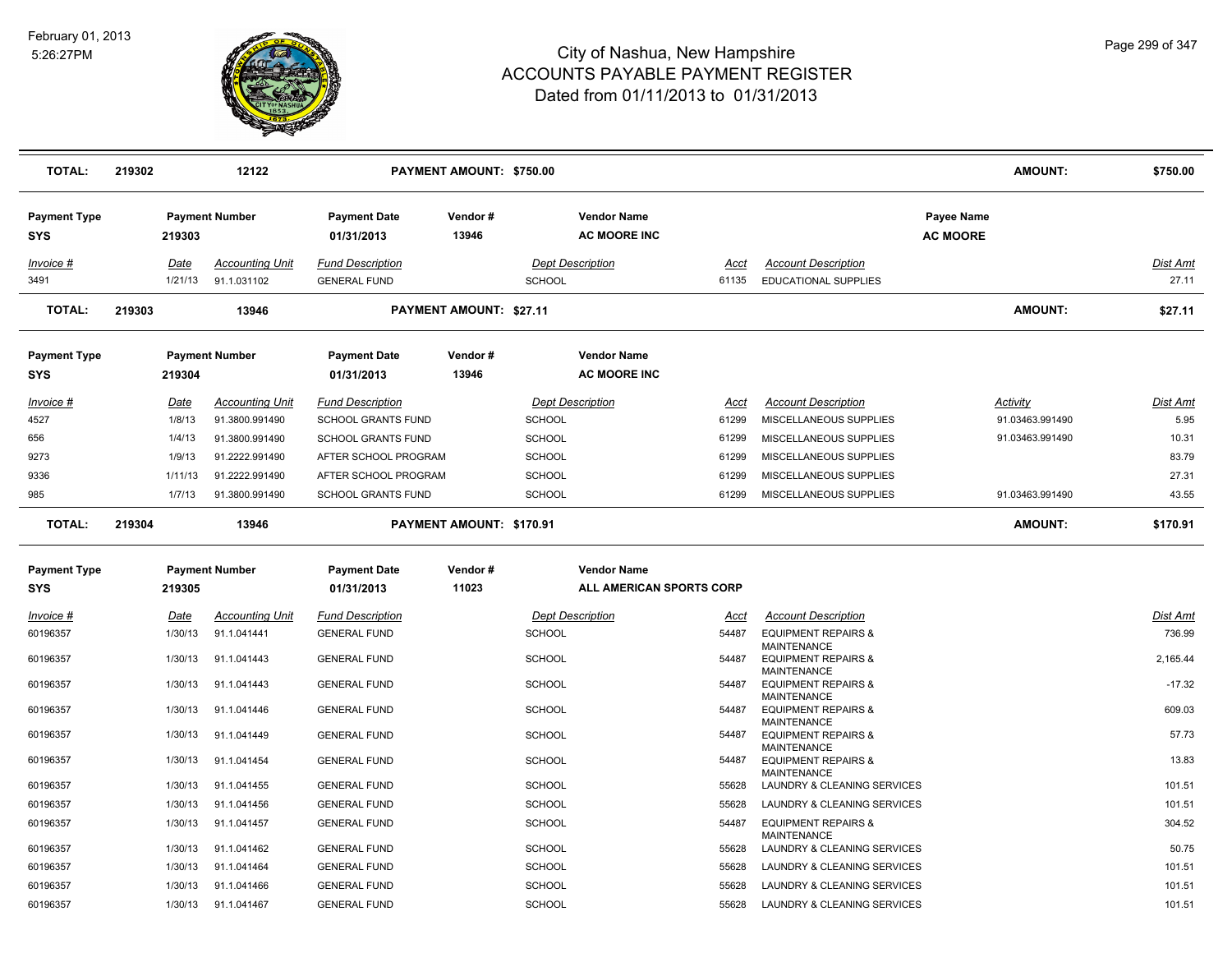

| <b>TOTAL:</b>                     | 219302          | 12122                                 |                                                | PAYMENT AMOUNT: \$750.00       |                                           |               |                                                                     | <b>AMOUNT:</b>                       | \$750.00          |
|-----------------------------------|-----------------|---------------------------------------|------------------------------------------------|--------------------------------|-------------------------------------------|---------------|---------------------------------------------------------------------|--------------------------------------|-------------------|
| <b>Payment Type</b><br><b>SYS</b> | 219303          | <b>Payment Number</b>                 | <b>Payment Date</b><br>01/31/2013              | Vendor#<br>13946               | <b>Vendor Name</b><br><b>AC MOORE INC</b> |               |                                                                     | <b>Payee Name</b><br><b>AC MOORE</b> |                   |
| Invoice #<br>3491                 | Date<br>1/21/13 | <b>Accounting Unit</b><br>91.1.031102 | <b>Fund Description</b><br><b>GENERAL FUND</b> |                                | <b>Dept Description</b><br><b>SCHOOL</b>  | Acct<br>61135 | <b>Account Description</b><br><b>EDUCATIONAL SUPPLIES</b>           |                                      | Dist Amt<br>27.11 |
| <b>TOTAL:</b>                     | 219303          | 13946                                 |                                                | <b>PAYMENT AMOUNT: \$27.11</b> |                                           |               |                                                                     | <b>AMOUNT:</b>                       | \$27.11           |
| <b>Payment Type</b><br><b>SYS</b> | 219304          | <b>Payment Number</b>                 | Payment Date<br>01/31/2013                     | Vendor#<br>13946               | <b>Vendor Name</b><br><b>AC MOORE INC</b> |               |                                                                     |                                      |                   |
| Invoice #                         | <b>Date</b>     | <b>Accounting Unit</b>                | <b>Fund Description</b>                        |                                | <b>Dept Description</b>                   | Acct          | <b>Account Description</b>                                          | <b>Activity</b>                      | Dist Amt          |
| 4527                              | 1/8/13          | 91.3800.991490                        | <b>SCHOOL GRANTS FUND</b>                      |                                | <b>SCHOOL</b>                             | 61299         | MISCELLANEOUS SUPPLIES                                              | 91.03463.991490                      | 5.95              |
| 656                               | 1/4/13          | 91.3800.991490                        | <b>SCHOOL GRANTS FUND</b>                      |                                | <b>SCHOOL</b>                             | 61299         | MISCELLANEOUS SUPPLIES                                              | 91.03463.991490                      | 10.31             |
| 9273                              | 1/9/13          | 91.2222.991490                        | AFTER SCHOOL PROGRAM                           |                                | <b>SCHOOL</b>                             | 61299         | MISCELLANEOUS SUPPLIES                                              |                                      | 83.79             |
| 9336                              | 1/11/13         | 91.2222.991490                        | AFTER SCHOOL PROGRAM                           |                                | <b>SCHOOL</b>                             | 61299         | MISCELLANEOUS SUPPLIES                                              |                                      | 27.31             |
| 985                               | 1/7/13          | 91.3800.991490                        | <b>SCHOOL GRANTS FUND</b>                      |                                | <b>SCHOOL</b>                             | 61299         | MISCELLANEOUS SUPPLIES                                              | 91.03463.991490                      | 43.55             |
| <b>TOTAL:</b>                     | 219304          | 13946                                 |                                                | PAYMENT AMOUNT: \$170.91       |                                           |               |                                                                     | <b>AMOUNT:</b>                       | \$170.91          |
| <b>Payment Type</b>               |                 | <b>Payment Number</b>                 | <b>Payment Date</b>                            | Vendor#                        | <b>Vendor Name</b>                        |               |                                                                     |                                      |                   |
| SYS                               | 219305          |                                       | 01/31/2013                                     | 11023                          | ALL AMERICAN SPORTS CORP                  |               |                                                                     |                                      |                   |
| $Invoice$ #                       | <u>Date</u>     | <b>Accounting Unit</b>                | <b>Fund Description</b>                        |                                | <b>Dept Description</b>                   | <u>Acct</u>   | <b>Account Description</b>                                          |                                      | <b>Dist Amt</b>   |
| 60196357                          | 1/30/13         | 91.1.041441                           | <b>GENERAL FUND</b>                            |                                | <b>SCHOOL</b>                             | 54487         | <b>EQUIPMENT REPAIRS &amp;</b>                                      |                                      | 736.99            |
| 60196357                          | 1/30/13         | 91.1.041443                           | <b>GENERAL FUND</b>                            |                                | <b>SCHOOL</b>                             | 54487         | MAINTENANCE<br><b>EQUIPMENT REPAIRS &amp;</b><br><b>MAINTENANCE</b> |                                      | 2,165.44          |
| 60196357                          | 1/30/13         | 91.1.041443                           | <b>GENERAL FUND</b>                            |                                | <b>SCHOOL</b>                             | 54487         | <b>EQUIPMENT REPAIRS &amp;</b>                                      |                                      | $-17.32$          |
| 60196357                          | 1/30/13         | 91.1.041446                           | <b>GENERAL FUND</b>                            |                                | <b>SCHOOL</b>                             | 54487         | MAINTENANCE<br><b>EQUIPMENT REPAIRS &amp;</b>                       |                                      | 609.03            |
| 60196357                          | 1/30/13         | 91.1.041449                           | <b>GENERAL FUND</b>                            |                                | <b>SCHOOL</b>                             | 54487         | <b>MAINTENANCE</b><br><b>EQUIPMENT REPAIRS &amp;</b>                |                                      | 57.73             |
| 60196357                          | 1/30/13         | 91.1.041454                           | <b>GENERAL FUND</b>                            |                                | <b>SCHOOL</b>                             | 54487         | <b>MAINTENANCE</b><br><b>EQUIPMENT REPAIRS &amp;</b>                |                                      | 13.83             |
| 60196357                          | 1/30/13         | 91.1.041455                           | <b>GENERAL FUND</b>                            |                                | <b>SCHOOL</b>                             | 55628         | MAINTENANCE<br>LAUNDRY & CLEANING SERVICES                          |                                      | 101.51            |
| 60196357                          | 1/30/13         | 91.1.041456                           | <b>GENERAL FUND</b>                            |                                | <b>SCHOOL</b>                             | 55628         | LAUNDRY & CLEANING SERVICES                                         |                                      | 101.51            |
| 60196357                          | 1/30/13         | 91.1.041457                           | <b>GENERAL FUND</b>                            |                                | <b>SCHOOL</b>                             | 54487         | <b>EQUIPMENT REPAIRS &amp;</b>                                      |                                      | 304.52            |
| 60196357                          | 1/30/13         | 91.1.041462                           | <b>GENERAL FUND</b>                            |                                | <b>SCHOOL</b>                             | 55628         | MAINTENANCE<br>LAUNDRY & CLEANING SERVICES                          |                                      | 50.75             |
| 60196357                          | 1/30/13         | 91.1.041464                           | <b>GENERAL FUND</b>                            |                                | <b>SCHOOL</b>                             | 55628         | LAUNDRY & CLEANING SERVICES                                         |                                      | 101.51            |
| 60196357                          | 1/30/13         | 91.1.041466                           | <b>GENERAL FUND</b>                            |                                | <b>SCHOOL</b>                             | 55628         | LAUNDRY & CLEANING SERVICES                                         |                                      | 101.51            |
| 60196357                          | 1/30/13         | 91.1.041467                           | <b>GENERAL FUND</b>                            |                                | <b>SCHOOL</b>                             | 55628         | LAUNDRY & CLEANING SERVICES                                         |                                      | 101.51            |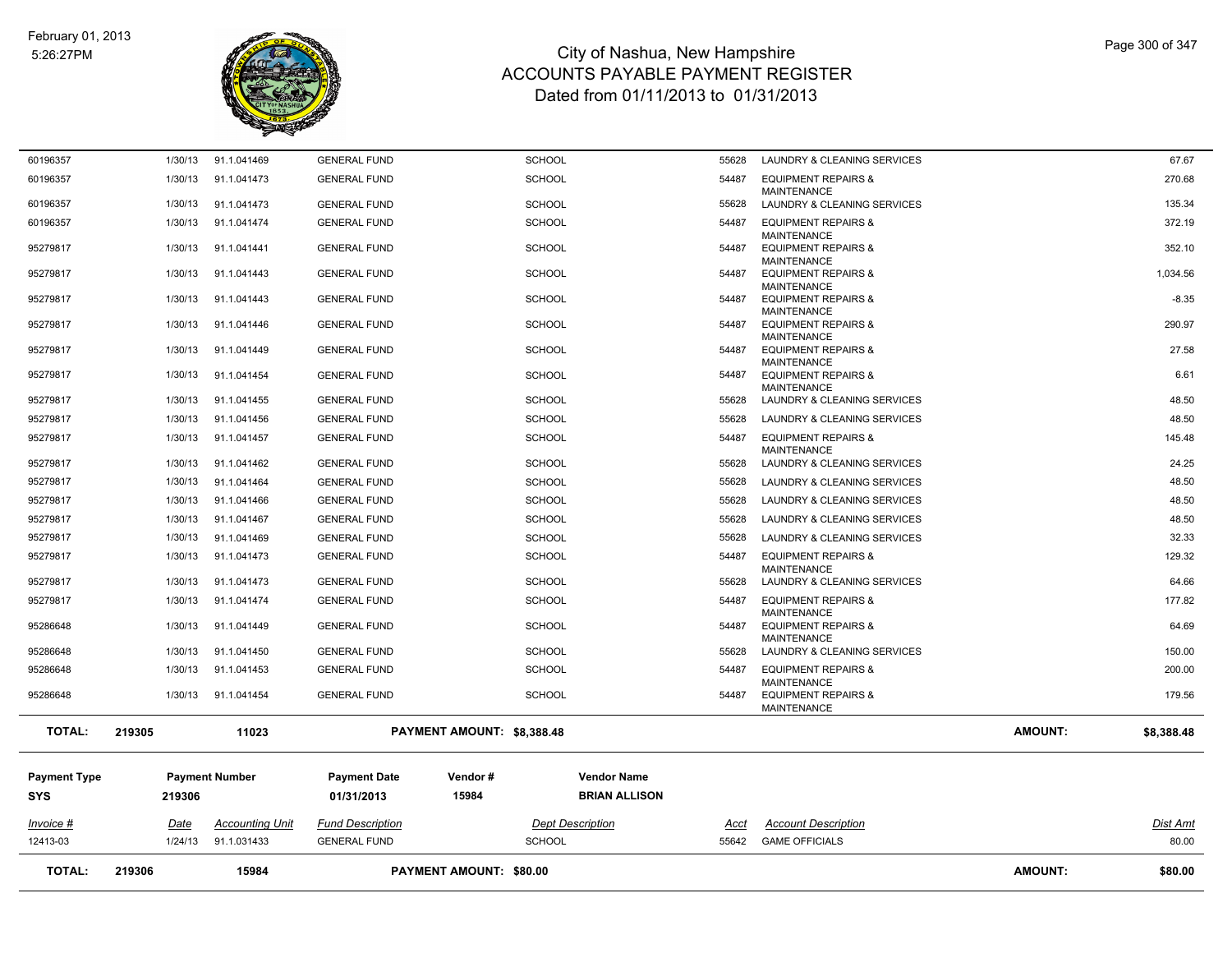

| 60196357<br>91.1.041473<br><b>SCHOOL</b><br>54487<br><b>EQUIPMENT REPAIRS &amp;</b><br>1/30/13<br><b>GENERAL FUND</b><br><b>MAINTENANCE</b><br>60196357<br>1/30/13<br>91.1.041473<br><b>GENERAL FUND</b><br><b>SCHOOL</b><br>55628<br>LAUNDRY & CLEANING SERVICES<br><b>SCHOOL</b><br><b>EQUIPMENT REPAIRS &amp;</b><br>60196357<br>1/30/13<br>91.1.041474<br><b>GENERAL FUND</b><br>54487<br><b>MAINTENANCE</b><br><b>SCHOOL</b><br>95279817<br>1/30/13<br>91.1.041441<br><b>GENERAL FUND</b><br>54487<br><b>EQUIPMENT REPAIRS &amp;</b><br><b>MAINTENANCE</b><br><b>SCHOOL</b><br><b>EQUIPMENT REPAIRS &amp;</b><br>95279817<br>1/30/13<br>91.1.041443<br><b>GENERAL FUND</b><br>54487<br><b>MAINTENANCE</b><br><b>SCHOOL</b><br><b>EQUIPMENT REPAIRS &amp;</b><br>95279817<br>1/30/13<br>91.1.041443<br><b>GENERAL FUND</b><br>54487<br><b>MAINTENANCE</b><br>95279817<br>1/30/13<br>91.1.041446<br><b>GENERAL FUND</b><br><b>SCHOOL</b><br>54487<br><b>EQUIPMENT REPAIRS &amp;</b><br><b>MAINTENANCE</b><br>95279817<br>1/30/13<br>91.1.041449<br><b>SCHOOL</b><br>54487<br><b>EQUIPMENT REPAIRS &amp;</b><br><b>GENERAL FUND</b><br>MAINTENANCE<br><b>SCHOOL</b><br><b>EQUIPMENT REPAIRS &amp;</b><br>95279817<br>1/30/13<br>91.1.041454<br><b>GENERAL FUND</b><br>54487<br><b>MAINTENANCE</b><br>95279817<br>1/30/13<br><b>SCHOOL</b><br>55628<br>LAUNDRY & CLEANING SERVICES<br>91.1.041455<br><b>GENERAL FUND</b><br>95279817<br>1/30/13<br><b>SCHOOL</b><br>55628<br>LAUNDRY & CLEANING SERVICES<br>91.1.041456<br><b>GENERAL FUND</b><br>54487<br>95279817<br>1/30/13<br>91.1.041457<br><b>GENERAL FUND</b><br><b>SCHOOL</b><br><b>EQUIPMENT REPAIRS &amp;</b><br><b>MAINTENANCE</b><br><b>SCHOOL</b><br>95279817<br>1/30/13<br>91.1.041462<br><b>GENERAL FUND</b><br>55628<br>LAUNDRY & CLEANING SERVICES<br>91.1.041464<br><b>GENERAL FUND</b><br><b>SCHOOL</b><br>55628<br>LAUNDRY & CLEANING SERVICES<br>95279817<br>1/30/13<br><b>SCHOOL</b><br>95279817<br>1/30/13<br>91.1.041466<br><b>GENERAL FUND</b><br>55628<br>LAUNDRY & CLEANING SERVICES<br><b>SCHOOL</b><br>55628<br>LAUNDRY & CLEANING SERVICES<br>95279817<br>1/30/13<br>91.1.041467<br><b>GENERAL FUND</b><br>1/30/13<br><b>SCHOOL</b><br>55628<br>LAUNDRY & CLEANING SERVICES<br>95279817<br>91.1.041469<br><b>GENERAL FUND</b><br><b>EQUIPMENT REPAIRS &amp;</b><br>95279817<br>1/30/13<br>91.1.041473<br><b>GENERAL FUND</b><br><b>SCHOOL</b><br>54487<br><b>MAINTENANCE</b><br>95279817<br>1/30/13<br>91.1.041473<br><b>SCHOOL</b><br>55628<br>LAUNDRY & CLEANING SERVICES<br><b>GENERAL FUND</b><br>95279817<br>54487<br><b>EQUIPMENT REPAIRS &amp;</b><br>1/30/13<br>91.1.041474<br><b>GENERAL FUND</b><br><b>SCHOOL</b><br><b>MAINTENANCE</b><br>1/30/13<br>91.1.041449<br><b>GENERAL FUND</b><br><b>SCHOOL</b><br><b>EQUIPMENT REPAIRS &amp;</b><br>95286648<br>54487<br><b>MAINTENANCE</b><br>95286648<br>1/30/13<br><b>SCHOOL</b><br>55628<br>91.1.041450<br><b>GENERAL FUND</b><br>LAUNDRY & CLEANING SERVICES<br>95286648<br>1/30/13<br>91.1.041453<br><b>GENERAL FUND</b><br><b>SCHOOL</b><br>54487<br><b>EQUIPMENT REPAIRS &amp;</b><br><b>MAINTENANCE</b><br><b>SCHOOL</b><br><b>EQUIPMENT REPAIRS &amp;</b><br>95286648<br>1/30/13<br>91.1.041454<br><b>GENERAL FUND</b><br>54487<br><b>MAINTENANCE</b><br>AMOUNT:<br><b>TOTAL:</b><br>PAYMENT AMOUNT: \$8,388.48<br>219305<br>11023<br>Vendor#<br><b>Vendor Name</b><br><b>Payment Type</b><br><b>Payment Number</b><br><b>Payment Date</b><br>15984<br><b>BRIAN ALLISON</b><br><b>SYS</b><br>219306<br>01/31/2013<br><b>Fund Description</b><br>Dept Description<br><b>Account Description</b><br>Invoice #<br><b>Accounting Unit</b><br>Date<br>Acct<br><b>SCHOOL</b><br><b>GAME OFFICIALS</b><br>12413-03<br>1/24/13<br>91.1.031433<br><b>GENERAL FUND</b><br>55642 | <b>TOTAL:</b> | 219306 | 15984 | <b>PAYMENT AMOUNT: \$80.00</b> |  | <b>AMOUNT:</b> | \$80.00           |
|---------------------------------------------------------------------------------------------------------------------------------------------------------------------------------------------------------------------------------------------------------------------------------------------------------------------------------------------------------------------------------------------------------------------------------------------------------------------------------------------------------------------------------------------------------------------------------------------------------------------------------------------------------------------------------------------------------------------------------------------------------------------------------------------------------------------------------------------------------------------------------------------------------------------------------------------------------------------------------------------------------------------------------------------------------------------------------------------------------------------------------------------------------------------------------------------------------------------------------------------------------------------------------------------------------------------------------------------------------------------------------------------------------------------------------------------------------------------------------------------------------------------------------------------------------------------------------------------------------------------------------------------------------------------------------------------------------------------------------------------------------------------------------------------------------------------------------------------------------------------------------------------------------------------------------------------------------------------------------------------------------------------------------------------------------------------------------------------------------------------------------------------------------------------------------------------------------------------------------------------------------------------------------------------------------------------------------------------------------------------------------------------------------------------------------------------------------------------------------------------------------------------------------------------------------------------------------------------------------------------------------------------------------------------------------------------------------------------------------------------------------------------------------------------------------------------------------------------------------------------------------------------------------------------------------------------------------------------------------------------------------------------------------------------------------------------------------------------------------------------------------------------------------------------------------------------------------------------------------------------------------------------------------------------------------------------------------------------------------------------------------------------------------------------------------------------------------------------------------------------------------------------------------------------------------------------------------------------------------------------------------------------------------------------------------------------------------------------------------------------------------------------------------------------------------------------|---------------|--------|-------|--------------------------------|--|----------------|-------------------|
|                                                                                                                                                                                                                                                                                                                                                                                                                                                                                                                                                                                                                                                                                                                                                                                                                                                                                                                                                                                                                                                                                                                                                                                                                                                                                                                                                                                                                                                                                                                                                                                                                                                                                                                                                                                                                                                                                                                                                                                                                                                                                                                                                                                                                                                                                                                                                                                                                                                                                                                                                                                                                                                                                                                                                                                                                                                                                                                                                                                                                                                                                                                                                                                                                                                                                                                                                                                                                                                                                                                                                                                                                                                                                                                                                                                                                     |               |        |       |                                |  |                | Dist Amt<br>80.00 |
|                                                                                                                                                                                                                                                                                                                                                                                                                                                                                                                                                                                                                                                                                                                                                                                                                                                                                                                                                                                                                                                                                                                                                                                                                                                                                                                                                                                                                                                                                                                                                                                                                                                                                                                                                                                                                                                                                                                                                                                                                                                                                                                                                                                                                                                                                                                                                                                                                                                                                                                                                                                                                                                                                                                                                                                                                                                                                                                                                                                                                                                                                                                                                                                                                                                                                                                                                                                                                                                                                                                                                                                                                                                                                                                                                                                                                     |               |        |       |                                |  |                |                   |
|                                                                                                                                                                                                                                                                                                                                                                                                                                                                                                                                                                                                                                                                                                                                                                                                                                                                                                                                                                                                                                                                                                                                                                                                                                                                                                                                                                                                                                                                                                                                                                                                                                                                                                                                                                                                                                                                                                                                                                                                                                                                                                                                                                                                                                                                                                                                                                                                                                                                                                                                                                                                                                                                                                                                                                                                                                                                                                                                                                                                                                                                                                                                                                                                                                                                                                                                                                                                                                                                                                                                                                                                                                                                                                                                                                                                                     |               |        |       |                                |  |                | \$8,388.48        |
|                                                                                                                                                                                                                                                                                                                                                                                                                                                                                                                                                                                                                                                                                                                                                                                                                                                                                                                                                                                                                                                                                                                                                                                                                                                                                                                                                                                                                                                                                                                                                                                                                                                                                                                                                                                                                                                                                                                                                                                                                                                                                                                                                                                                                                                                                                                                                                                                                                                                                                                                                                                                                                                                                                                                                                                                                                                                                                                                                                                                                                                                                                                                                                                                                                                                                                                                                                                                                                                                                                                                                                                                                                                                                                                                                                                                                     |               |        |       |                                |  |                | 179.56            |
|                                                                                                                                                                                                                                                                                                                                                                                                                                                                                                                                                                                                                                                                                                                                                                                                                                                                                                                                                                                                                                                                                                                                                                                                                                                                                                                                                                                                                                                                                                                                                                                                                                                                                                                                                                                                                                                                                                                                                                                                                                                                                                                                                                                                                                                                                                                                                                                                                                                                                                                                                                                                                                                                                                                                                                                                                                                                                                                                                                                                                                                                                                                                                                                                                                                                                                                                                                                                                                                                                                                                                                                                                                                                                                                                                                                                                     |               |        |       |                                |  |                | 200.00            |
|                                                                                                                                                                                                                                                                                                                                                                                                                                                                                                                                                                                                                                                                                                                                                                                                                                                                                                                                                                                                                                                                                                                                                                                                                                                                                                                                                                                                                                                                                                                                                                                                                                                                                                                                                                                                                                                                                                                                                                                                                                                                                                                                                                                                                                                                                                                                                                                                                                                                                                                                                                                                                                                                                                                                                                                                                                                                                                                                                                                                                                                                                                                                                                                                                                                                                                                                                                                                                                                                                                                                                                                                                                                                                                                                                                                                                     |               |        |       |                                |  |                | 150.00            |
|                                                                                                                                                                                                                                                                                                                                                                                                                                                                                                                                                                                                                                                                                                                                                                                                                                                                                                                                                                                                                                                                                                                                                                                                                                                                                                                                                                                                                                                                                                                                                                                                                                                                                                                                                                                                                                                                                                                                                                                                                                                                                                                                                                                                                                                                                                                                                                                                                                                                                                                                                                                                                                                                                                                                                                                                                                                                                                                                                                                                                                                                                                                                                                                                                                                                                                                                                                                                                                                                                                                                                                                                                                                                                                                                                                                                                     |               |        |       |                                |  |                | 64.69             |
|                                                                                                                                                                                                                                                                                                                                                                                                                                                                                                                                                                                                                                                                                                                                                                                                                                                                                                                                                                                                                                                                                                                                                                                                                                                                                                                                                                                                                                                                                                                                                                                                                                                                                                                                                                                                                                                                                                                                                                                                                                                                                                                                                                                                                                                                                                                                                                                                                                                                                                                                                                                                                                                                                                                                                                                                                                                                                                                                                                                                                                                                                                                                                                                                                                                                                                                                                                                                                                                                                                                                                                                                                                                                                                                                                                                                                     |               |        |       |                                |  |                | 177.82            |
|                                                                                                                                                                                                                                                                                                                                                                                                                                                                                                                                                                                                                                                                                                                                                                                                                                                                                                                                                                                                                                                                                                                                                                                                                                                                                                                                                                                                                                                                                                                                                                                                                                                                                                                                                                                                                                                                                                                                                                                                                                                                                                                                                                                                                                                                                                                                                                                                                                                                                                                                                                                                                                                                                                                                                                                                                                                                                                                                                                                                                                                                                                                                                                                                                                                                                                                                                                                                                                                                                                                                                                                                                                                                                                                                                                                                                     |               |        |       |                                |  |                | 64.66             |
|                                                                                                                                                                                                                                                                                                                                                                                                                                                                                                                                                                                                                                                                                                                                                                                                                                                                                                                                                                                                                                                                                                                                                                                                                                                                                                                                                                                                                                                                                                                                                                                                                                                                                                                                                                                                                                                                                                                                                                                                                                                                                                                                                                                                                                                                                                                                                                                                                                                                                                                                                                                                                                                                                                                                                                                                                                                                                                                                                                                                                                                                                                                                                                                                                                                                                                                                                                                                                                                                                                                                                                                                                                                                                                                                                                                                                     |               |        |       |                                |  |                | 129.32            |
|                                                                                                                                                                                                                                                                                                                                                                                                                                                                                                                                                                                                                                                                                                                                                                                                                                                                                                                                                                                                                                                                                                                                                                                                                                                                                                                                                                                                                                                                                                                                                                                                                                                                                                                                                                                                                                                                                                                                                                                                                                                                                                                                                                                                                                                                                                                                                                                                                                                                                                                                                                                                                                                                                                                                                                                                                                                                                                                                                                                                                                                                                                                                                                                                                                                                                                                                                                                                                                                                                                                                                                                                                                                                                                                                                                                                                     |               |        |       |                                |  |                | 32.33             |
|                                                                                                                                                                                                                                                                                                                                                                                                                                                                                                                                                                                                                                                                                                                                                                                                                                                                                                                                                                                                                                                                                                                                                                                                                                                                                                                                                                                                                                                                                                                                                                                                                                                                                                                                                                                                                                                                                                                                                                                                                                                                                                                                                                                                                                                                                                                                                                                                                                                                                                                                                                                                                                                                                                                                                                                                                                                                                                                                                                                                                                                                                                                                                                                                                                                                                                                                                                                                                                                                                                                                                                                                                                                                                                                                                                                                                     |               |        |       |                                |  |                | 48.50             |
|                                                                                                                                                                                                                                                                                                                                                                                                                                                                                                                                                                                                                                                                                                                                                                                                                                                                                                                                                                                                                                                                                                                                                                                                                                                                                                                                                                                                                                                                                                                                                                                                                                                                                                                                                                                                                                                                                                                                                                                                                                                                                                                                                                                                                                                                                                                                                                                                                                                                                                                                                                                                                                                                                                                                                                                                                                                                                                                                                                                                                                                                                                                                                                                                                                                                                                                                                                                                                                                                                                                                                                                                                                                                                                                                                                                                                     |               |        |       |                                |  |                | 48.50             |
|                                                                                                                                                                                                                                                                                                                                                                                                                                                                                                                                                                                                                                                                                                                                                                                                                                                                                                                                                                                                                                                                                                                                                                                                                                                                                                                                                                                                                                                                                                                                                                                                                                                                                                                                                                                                                                                                                                                                                                                                                                                                                                                                                                                                                                                                                                                                                                                                                                                                                                                                                                                                                                                                                                                                                                                                                                                                                                                                                                                                                                                                                                                                                                                                                                                                                                                                                                                                                                                                                                                                                                                                                                                                                                                                                                                                                     |               |        |       |                                |  |                | 48.50             |
|                                                                                                                                                                                                                                                                                                                                                                                                                                                                                                                                                                                                                                                                                                                                                                                                                                                                                                                                                                                                                                                                                                                                                                                                                                                                                                                                                                                                                                                                                                                                                                                                                                                                                                                                                                                                                                                                                                                                                                                                                                                                                                                                                                                                                                                                                                                                                                                                                                                                                                                                                                                                                                                                                                                                                                                                                                                                                                                                                                                                                                                                                                                                                                                                                                                                                                                                                                                                                                                                                                                                                                                                                                                                                                                                                                                                                     |               |        |       |                                |  |                | 24.25             |
|                                                                                                                                                                                                                                                                                                                                                                                                                                                                                                                                                                                                                                                                                                                                                                                                                                                                                                                                                                                                                                                                                                                                                                                                                                                                                                                                                                                                                                                                                                                                                                                                                                                                                                                                                                                                                                                                                                                                                                                                                                                                                                                                                                                                                                                                                                                                                                                                                                                                                                                                                                                                                                                                                                                                                                                                                                                                                                                                                                                                                                                                                                                                                                                                                                                                                                                                                                                                                                                                                                                                                                                                                                                                                                                                                                                                                     |               |        |       |                                |  |                | 145.48            |
|                                                                                                                                                                                                                                                                                                                                                                                                                                                                                                                                                                                                                                                                                                                                                                                                                                                                                                                                                                                                                                                                                                                                                                                                                                                                                                                                                                                                                                                                                                                                                                                                                                                                                                                                                                                                                                                                                                                                                                                                                                                                                                                                                                                                                                                                                                                                                                                                                                                                                                                                                                                                                                                                                                                                                                                                                                                                                                                                                                                                                                                                                                                                                                                                                                                                                                                                                                                                                                                                                                                                                                                                                                                                                                                                                                                                                     |               |        |       |                                |  |                | 48.50             |
|                                                                                                                                                                                                                                                                                                                                                                                                                                                                                                                                                                                                                                                                                                                                                                                                                                                                                                                                                                                                                                                                                                                                                                                                                                                                                                                                                                                                                                                                                                                                                                                                                                                                                                                                                                                                                                                                                                                                                                                                                                                                                                                                                                                                                                                                                                                                                                                                                                                                                                                                                                                                                                                                                                                                                                                                                                                                                                                                                                                                                                                                                                                                                                                                                                                                                                                                                                                                                                                                                                                                                                                                                                                                                                                                                                                                                     |               |        |       |                                |  |                | 6.61<br>48.50     |
|                                                                                                                                                                                                                                                                                                                                                                                                                                                                                                                                                                                                                                                                                                                                                                                                                                                                                                                                                                                                                                                                                                                                                                                                                                                                                                                                                                                                                                                                                                                                                                                                                                                                                                                                                                                                                                                                                                                                                                                                                                                                                                                                                                                                                                                                                                                                                                                                                                                                                                                                                                                                                                                                                                                                                                                                                                                                                                                                                                                                                                                                                                                                                                                                                                                                                                                                                                                                                                                                                                                                                                                                                                                                                                                                                                                                                     |               |        |       |                                |  |                | 27.58             |
|                                                                                                                                                                                                                                                                                                                                                                                                                                                                                                                                                                                                                                                                                                                                                                                                                                                                                                                                                                                                                                                                                                                                                                                                                                                                                                                                                                                                                                                                                                                                                                                                                                                                                                                                                                                                                                                                                                                                                                                                                                                                                                                                                                                                                                                                                                                                                                                                                                                                                                                                                                                                                                                                                                                                                                                                                                                                                                                                                                                                                                                                                                                                                                                                                                                                                                                                                                                                                                                                                                                                                                                                                                                                                                                                                                                                                     |               |        |       |                                |  |                | 290.97            |
|                                                                                                                                                                                                                                                                                                                                                                                                                                                                                                                                                                                                                                                                                                                                                                                                                                                                                                                                                                                                                                                                                                                                                                                                                                                                                                                                                                                                                                                                                                                                                                                                                                                                                                                                                                                                                                                                                                                                                                                                                                                                                                                                                                                                                                                                                                                                                                                                                                                                                                                                                                                                                                                                                                                                                                                                                                                                                                                                                                                                                                                                                                                                                                                                                                                                                                                                                                                                                                                                                                                                                                                                                                                                                                                                                                                                                     |               |        |       |                                |  |                | $-8.35$           |
|                                                                                                                                                                                                                                                                                                                                                                                                                                                                                                                                                                                                                                                                                                                                                                                                                                                                                                                                                                                                                                                                                                                                                                                                                                                                                                                                                                                                                                                                                                                                                                                                                                                                                                                                                                                                                                                                                                                                                                                                                                                                                                                                                                                                                                                                                                                                                                                                                                                                                                                                                                                                                                                                                                                                                                                                                                                                                                                                                                                                                                                                                                                                                                                                                                                                                                                                                                                                                                                                                                                                                                                                                                                                                                                                                                                                                     |               |        |       |                                |  |                | 1,034.56          |
|                                                                                                                                                                                                                                                                                                                                                                                                                                                                                                                                                                                                                                                                                                                                                                                                                                                                                                                                                                                                                                                                                                                                                                                                                                                                                                                                                                                                                                                                                                                                                                                                                                                                                                                                                                                                                                                                                                                                                                                                                                                                                                                                                                                                                                                                                                                                                                                                                                                                                                                                                                                                                                                                                                                                                                                                                                                                                                                                                                                                                                                                                                                                                                                                                                                                                                                                                                                                                                                                                                                                                                                                                                                                                                                                                                                                                     |               |        |       |                                |  |                | 352.10            |
|                                                                                                                                                                                                                                                                                                                                                                                                                                                                                                                                                                                                                                                                                                                                                                                                                                                                                                                                                                                                                                                                                                                                                                                                                                                                                                                                                                                                                                                                                                                                                                                                                                                                                                                                                                                                                                                                                                                                                                                                                                                                                                                                                                                                                                                                                                                                                                                                                                                                                                                                                                                                                                                                                                                                                                                                                                                                                                                                                                                                                                                                                                                                                                                                                                                                                                                                                                                                                                                                                                                                                                                                                                                                                                                                                                                                                     |               |        |       |                                |  |                | 372.19            |
|                                                                                                                                                                                                                                                                                                                                                                                                                                                                                                                                                                                                                                                                                                                                                                                                                                                                                                                                                                                                                                                                                                                                                                                                                                                                                                                                                                                                                                                                                                                                                                                                                                                                                                                                                                                                                                                                                                                                                                                                                                                                                                                                                                                                                                                                                                                                                                                                                                                                                                                                                                                                                                                                                                                                                                                                                                                                                                                                                                                                                                                                                                                                                                                                                                                                                                                                                                                                                                                                                                                                                                                                                                                                                                                                                                                                                     |               |        |       |                                |  |                | 135.34            |
|                                                                                                                                                                                                                                                                                                                                                                                                                                                                                                                                                                                                                                                                                                                                                                                                                                                                                                                                                                                                                                                                                                                                                                                                                                                                                                                                                                                                                                                                                                                                                                                                                                                                                                                                                                                                                                                                                                                                                                                                                                                                                                                                                                                                                                                                                                                                                                                                                                                                                                                                                                                                                                                                                                                                                                                                                                                                                                                                                                                                                                                                                                                                                                                                                                                                                                                                                                                                                                                                                                                                                                                                                                                                                                                                                                                                                     |               |        |       |                                |  |                | 270.68            |
| SCHOOL<br>60196357<br>1/30/13<br>91.1.041469<br><b>GENERAL FUND</b><br>55628<br>LAUNDRY & CLEANING SERVICES                                                                                                                                                                                                                                                                                                                                                                                                                                                                                                                                                                                                                                                                                                                                                                                                                                                                                                                                                                                                                                                                                                                                                                                                                                                                                                                                                                                                                                                                                                                                                                                                                                                                                                                                                                                                                                                                                                                                                                                                                                                                                                                                                                                                                                                                                                                                                                                                                                                                                                                                                                                                                                                                                                                                                                                                                                                                                                                                                                                                                                                                                                                                                                                                                                                                                                                                                                                                                                                                                                                                                                                                                                                                                                         |               |        |       |                                |  |                | 67.67             |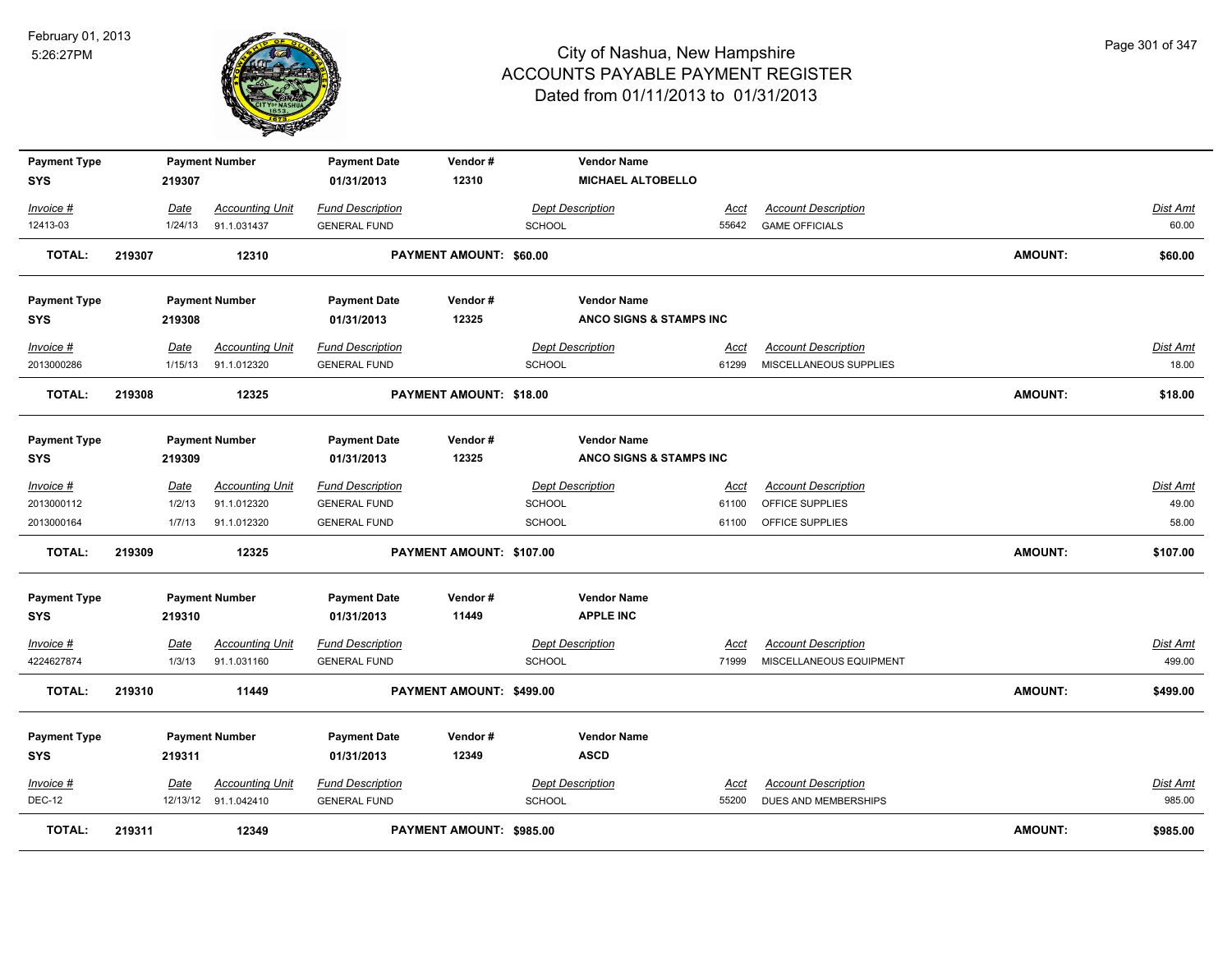

| <b>Payment Type</b><br>SYS |        | 219307      | <b>Payment Number</b>  | <b>Payment Date</b><br>01/31/2013 | Vendor#<br>12310               |                         | <b>Vendor Name</b><br><b>MICHAEL ALTOBELLO</b> |             |                             |                |          |
|----------------------------|--------|-------------|------------------------|-----------------------------------|--------------------------------|-------------------------|------------------------------------------------|-------------|-----------------------------|----------------|----------|
| Invoice #                  |        | Date        | <b>Accounting Unit</b> | <b>Fund Description</b>           |                                | <b>Dept Description</b> |                                                | Acct        | <b>Account Description</b>  |                | Dist Amt |
| 12413-03                   |        | 1/24/13     | 91.1.031437            | <b>GENERAL FUND</b>               |                                | <b>SCHOOL</b>           |                                                | 55642       | <b>GAME OFFICIALS</b>       |                | 60.00    |
| <b>TOTAL:</b>              | 219307 |             | 12310                  |                                   | <b>PAYMENT AMOUNT: \$60.00</b> |                         |                                                |             |                             | <b>AMOUNT:</b> | \$60.00  |
| <b>Payment Type</b>        |        |             | <b>Payment Number</b>  | <b>Payment Date</b>               | Vendor#                        |                         | <b>Vendor Name</b>                             |             |                             |                |          |
| <b>SYS</b>                 |        | 219308      |                        | 01/31/2013                        | 12325                          |                         | ANCO SIGNS & STAMPS INC                        |             |                             |                |          |
| Invoice #                  |        | Date        | <b>Accounting Unit</b> | <b>Fund Description</b>           |                                | <b>Dept Description</b> |                                                | <u>Acct</u> | <b>Account Description</b>  |                | Dist Amt |
| 2013000286                 |        | 1/15/13     | 91.1.012320            | <b>GENERAL FUND</b>               |                                | <b>SCHOOL</b>           |                                                | 61299       | MISCELLANEOUS SUPPLIES      |                | 18.00    |
| <b>TOTAL:</b>              | 219308 |             | 12325                  |                                   | PAYMENT AMOUNT: \$18.00        |                         |                                                |             |                             | <b>AMOUNT:</b> | \$18.00  |
| <b>Payment Type</b>        |        |             | <b>Payment Number</b>  | <b>Payment Date</b>               | Vendor#                        |                         | <b>Vendor Name</b>                             |             |                             |                |          |
| <b>SYS</b>                 |        | 219309      |                        | 01/31/2013                        | 12325                          |                         | ANCO SIGNS & STAMPS INC                        |             |                             |                |          |
| Invoice #                  |        | Date        | <b>Accounting Unit</b> | <b>Fund Description</b>           |                                | <b>Dept Description</b> |                                                | Acct        | <b>Account Description</b>  |                | Dist Amt |
| 2013000112                 |        | 1/2/13      | 91.1.012320            | <b>GENERAL FUND</b>               |                                | <b>SCHOOL</b>           |                                                | 61100       | OFFICE SUPPLIES             |                | 49.00    |
| 2013000164                 |        | 1/7/13      | 91.1.012320            | <b>GENERAL FUND</b>               |                                | SCHOOL                  |                                                | 61100       | OFFICE SUPPLIES             |                | 58.00    |
| <b>TOTAL:</b>              | 219309 |             | 12325                  |                                   | PAYMENT AMOUNT: \$107.00       |                         |                                                |             |                             | <b>AMOUNT:</b> | \$107.00 |
| <b>Payment Type</b>        |        |             | <b>Payment Number</b>  | <b>Payment Date</b>               | Vendor#                        |                         | <b>Vendor Name</b>                             |             |                             |                |          |
| SYS                        |        | 219310      |                        | 01/31/2013                        | 11449                          |                         | <b>APPLE INC</b>                               |             |                             |                |          |
| Invoice #                  |        | <b>Date</b> | <b>Accounting Unit</b> | <b>Fund Description</b>           |                                | <b>Dept Description</b> |                                                | <u>Acct</u> | <b>Account Description</b>  |                | Dist Amt |
| 4224627874                 |        | 1/3/13      | 91.1.031160            | <b>GENERAL FUND</b>               |                                | <b>SCHOOL</b>           |                                                | 71999       | MISCELLANEOUS EQUIPMENT     |                | 499.00   |
| <b>TOTAL:</b>              | 219310 |             | 11449                  |                                   | PAYMENT AMOUNT: \$499.00       |                         |                                                |             |                             | <b>AMOUNT:</b> | \$499.00 |
| <b>Payment Type</b>        |        |             | <b>Payment Number</b>  | <b>Payment Date</b>               | Vendor#                        |                         | <b>Vendor Name</b>                             |             |                             |                |          |
| <b>SYS</b>                 |        | 219311      |                        | 01/31/2013                        | 12349                          |                         | <b>ASCD</b>                                    |             |                             |                |          |
| Invoice #                  |        | Date        | <b>Accounting Unit</b> | <b>Fund Description</b>           |                                | <b>Dept Description</b> |                                                | Acct        | <b>Account Description</b>  |                | Dist Amt |
| <b>DEC-12</b>              |        |             | 12/13/12 91.1.042410   | <b>GENERAL FUND</b>               |                                | <b>SCHOOL</b>           |                                                | 55200       | <b>DUES AND MEMBERSHIPS</b> |                | 985.00   |
| TOTAL:                     | 219311 |             | 12349                  |                                   | PAYMENT AMOUNT: \$985.00       |                         |                                                |             |                             | <b>AMOUNT:</b> | \$985.00 |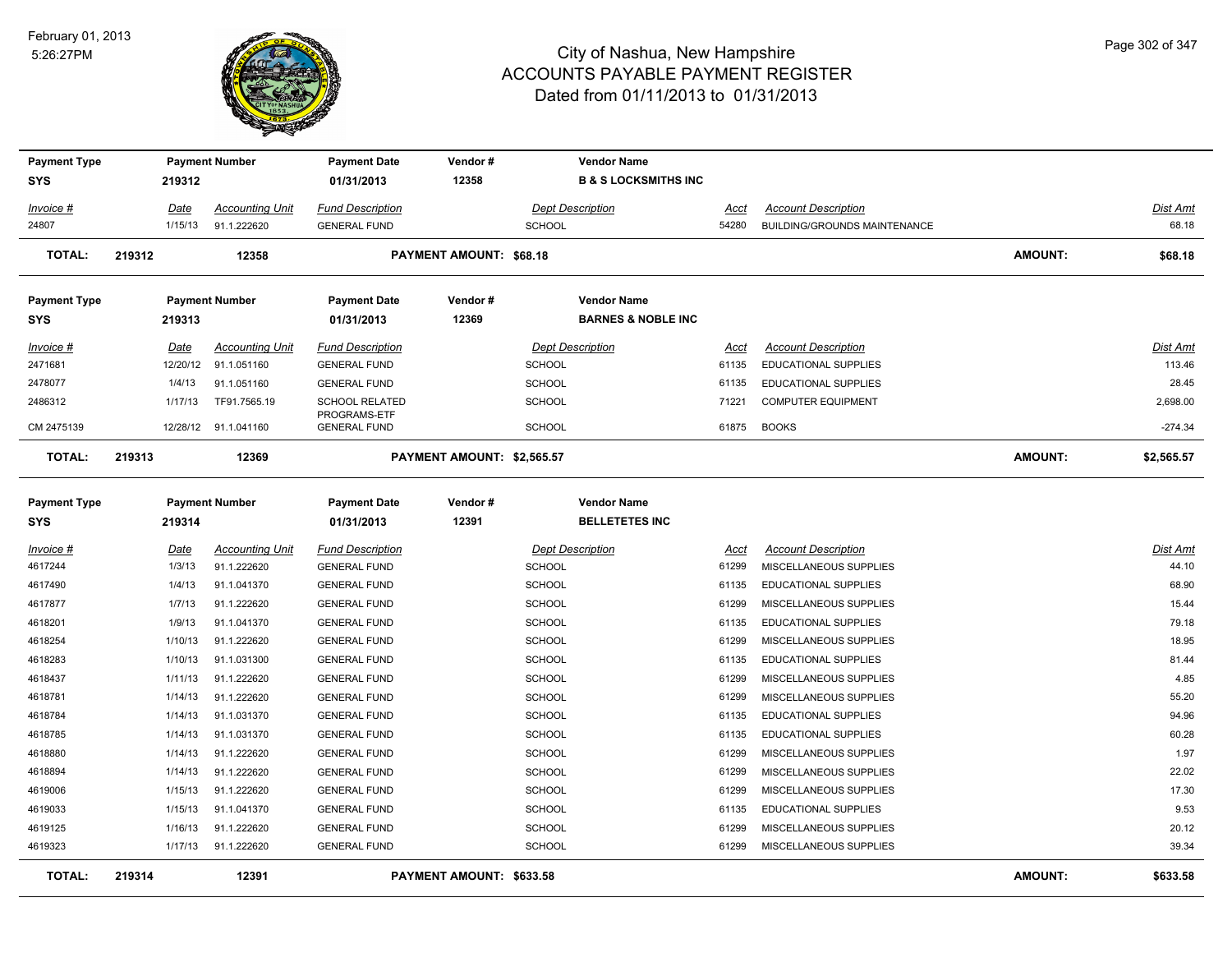

| <b>Payment Type</b>               |        |             | <b>Payment Number</b>  | <b>Payment Date</b>                 | Vendor#                        |               | <b>Vendor Name</b>                          |             |                              |                |                 |
|-----------------------------------|--------|-------------|------------------------|-------------------------------------|--------------------------------|---------------|---------------------------------------------|-------------|------------------------------|----------------|-----------------|
| <b>SYS</b>                        |        | 219312      |                        | 01/31/2013                          | 12358                          |               | <b>B &amp; S LOCKSMITHS INC</b>             |             |                              |                |                 |
| Invoice #                         |        | Date        | <b>Accounting Unit</b> | <b>Fund Description</b>             |                                |               | <b>Dept Description</b>                     | Acct        | <b>Account Description</b>   |                | <b>Dist Amt</b> |
| 24807                             |        | 1/15/13     | 91.1.222620            | <b>GENERAL FUND</b>                 |                                | <b>SCHOOL</b> |                                             | 54280       | BUILDING/GROUNDS MAINTENANCE |                | 68.18           |
| TOTAL:                            | 219312 |             | 12358                  |                                     | <b>PAYMENT AMOUNT: \$68.18</b> |               |                                             |             |                              | <b>AMOUNT:</b> | \$68.18         |
| <b>Payment Type</b>               |        |             | <b>Payment Number</b>  | <b>Payment Date</b>                 | Vendor#                        |               | <b>Vendor Name</b>                          |             |                              |                |                 |
| SYS                               |        | 219313      |                        | 01/31/2013                          | 12369                          |               | <b>BARNES &amp; NOBLE INC</b>               |             |                              |                |                 |
| Invoice #                         |        | Date        | <b>Accounting Unit</b> | <b>Fund Description</b>             |                                |               | <b>Dept Description</b>                     | Acct        | <b>Account Description</b>   |                | Dist Amt        |
| 2471681                           |        | 12/20/12    | 91.1.051160            | <b>GENERAL FUND</b>                 |                                | <b>SCHOOL</b> |                                             | 61135       | <b>EDUCATIONAL SUPPLIES</b>  |                | 113.46          |
| 2478077                           |        | 1/4/13      | 91.1.051160            | <b>GENERAL FUND</b>                 |                                | <b>SCHOOL</b> |                                             | 61135       | <b>EDUCATIONAL SUPPLIES</b>  |                | 28.45           |
| 2486312                           |        | 1/17/13     | TF91.7565.19           | <b>SCHOOL RELATED</b>               |                                | SCHOOL        |                                             | 71221       | <b>COMPUTER EQUIPMENT</b>    |                | 2,698.00        |
| CM 2475139                        |        |             | 12/28/12 91.1.041160   | PROGRAMS-ETF<br><b>GENERAL FUND</b> |                                | <b>SCHOOL</b> |                                             | 61875       | <b>BOOKS</b>                 |                | $-274.34$       |
| <b>TOTAL:</b>                     | 219313 |             | 12369                  |                                     | PAYMENT AMOUNT: \$2,565.57     |               |                                             |             |                              | <b>AMOUNT:</b> | \$2,565.57      |
| <b>Payment Type</b><br><b>SYS</b> |        | 219314      | <b>Payment Number</b>  | <b>Payment Date</b><br>01/31/2013   | Vendor#<br>12391               |               | <b>Vendor Name</b><br><b>BELLETETES INC</b> |             |                              |                |                 |
| <u>Invoice #</u>                  |        | <b>Date</b> | <b>Accounting Unit</b> | <b>Fund Description</b>             |                                |               | <b>Dept Description</b>                     | <u>Acct</u> | <b>Account Description</b>   |                | <b>Dist Amt</b> |
| 4617244                           |        | 1/3/13      | 91.1.222620            | <b>GENERAL FUND</b>                 |                                | <b>SCHOOL</b> |                                             | 61299       | MISCELLANEOUS SUPPLIES       |                | 44.10           |
| 4617490                           |        | 1/4/13      | 91.1.041370            | <b>GENERAL FUND</b>                 |                                | <b>SCHOOL</b> |                                             | 61135       | <b>EDUCATIONAL SUPPLIES</b>  |                | 68.90           |
| 4617877                           |        | 1/7/13      | 91.1.222620            | <b>GENERAL FUND</b>                 |                                | SCHOOL        |                                             | 61299       | MISCELLANEOUS SUPPLIES       |                | 15.44           |
| 4618201                           |        | 1/9/13      | 91.1.041370            | <b>GENERAL FUND</b>                 |                                | <b>SCHOOL</b> |                                             | 61135       | EDUCATIONAL SUPPLIES         |                | 79.18           |
| 4618254                           |        | 1/10/13     | 91.1.222620            | <b>GENERAL FUND</b>                 |                                | <b>SCHOOL</b> |                                             | 61299       | MISCELLANEOUS SUPPLIES       |                | 18.95           |
| 4618283                           |        | 1/10/13     | 91.1.031300            | <b>GENERAL FUND</b>                 |                                | SCHOOL        |                                             | 61135       | EDUCATIONAL SUPPLIES         |                | 81.44           |
| 4618437                           |        | 1/11/13     | 91.1.222620            | <b>GENERAL FUND</b>                 |                                | <b>SCHOOL</b> |                                             | 61299       | MISCELLANEOUS SUPPLIES       |                | 4.85            |
| 4618781                           |        | 1/14/13     | 91.1.222620            | <b>GENERAL FUND</b>                 |                                | <b>SCHOOL</b> |                                             | 61299       | MISCELLANEOUS SUPPLIES       |                | 55.20           |
| 4618784                           |        | 1/14/13     | 91.1.031370            | <b>GENERAL FUND</b>                 |                                | <b>SCHOOL</b> |                                             | 61135       | <b>EDUCATIONAL SUPPLIES</b>  |                | 94.96           |
| 4618785                           |        | 1/14/13     | 91.1.031370            | <b>GENERAL FUND</b>                 |                                | SCHOOL        |                                             | 61135       | <b>EDUCATIONAL SUPPLIES</b>  |                | 60.28           |
| 4618880                           |        | 1/14/13     | 91.1.222620            | <b>GENERAL FUND</b>                 |                                | <b>SCHOOL</b> |                                             | 61299       | MISCELLANEOUS SUPPLIES       |                | 1.97            |
| 4618894                           |        | 1/14/13     | 91.1.222620            | <b>GENERAL FUND</b>                 |                                | <b>SCHOOL</b> |                                             | 61299       | MISCELLANEOUS SUPPLIES       |                | 22.02           |
| 4619006                           |        | 1/15/13     | 91.1.222620            | <b>GENERAL FUND</b>                 |                                | SCHOOL        |                                             | 61299       | MISCELLANEOUS SUPPLIES       |                | 17.30           |
| 4619033                           |        | 1/15/13     | 91.1.041370            | <b>GENERAL FUND</b>                 |                                | SCHOOL        |                                             | 61135       | <b>EDUCATIONAL SUPPLIES</b>  |                | 9.53            |
| 4619125                           |        | 1/16/13     | 91.1.222620            | <b>GENERAL FUND</b>                 |                                | <b>SCHOOL</b> |                                             | 61299       | MISCELLANEOUS SUPPLIES       |                | 20.12           |
| 4619323                           |        | 1/17/13     | 91.1.222620            | <b>GENERAL FUND</b>                 |                                | <b>SCHOOL</b> |                                             | 61299       | MISCELLANEOUS SUPPLIES       |                | 39.34           |
| <b>TOTAL:</b>                     | 219314 |             | 12391                  |                                     | PAYMENT AMOUNT: \$633.58       |               |                                             |             |                              | AMOUNT:        | \$633.58        |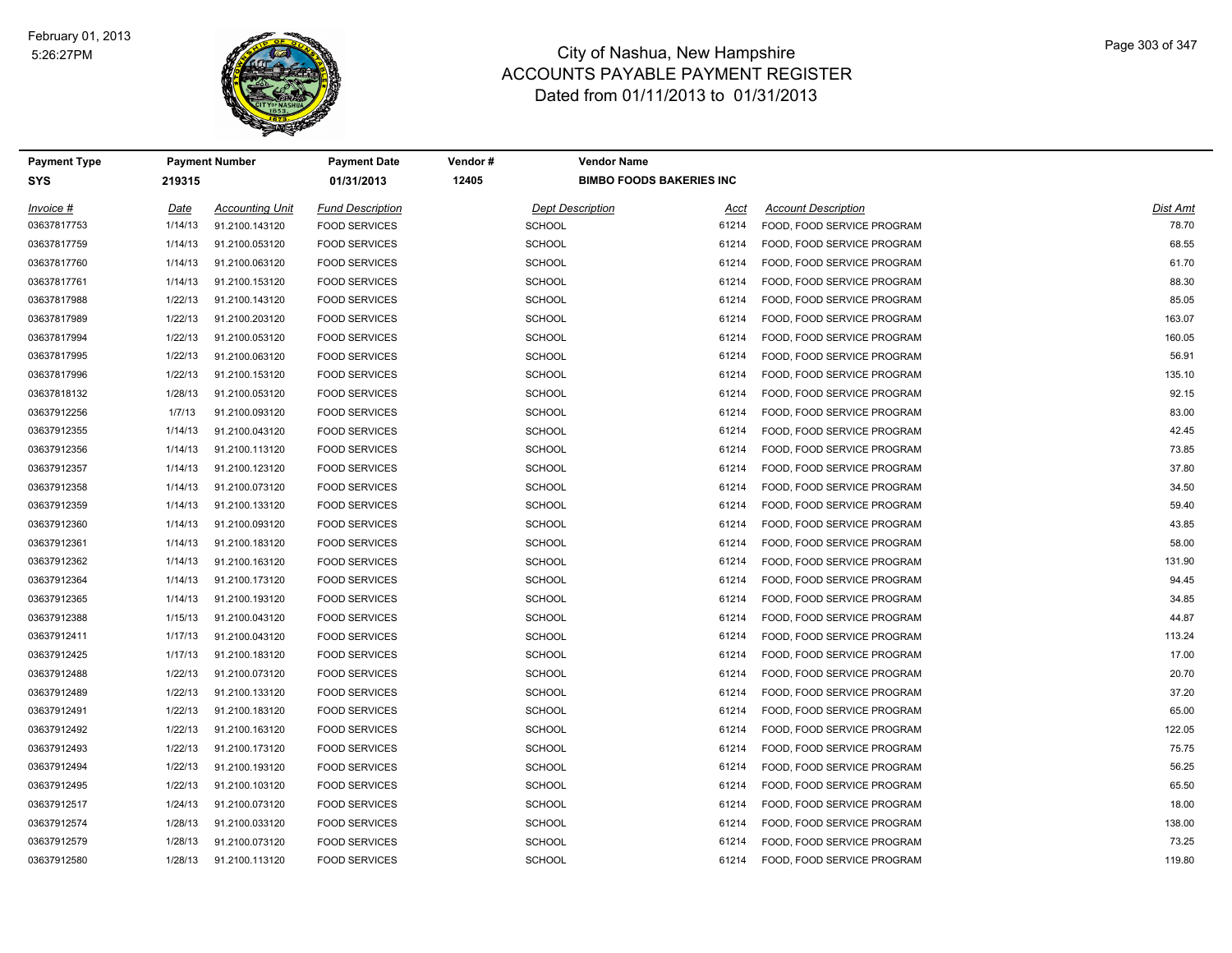

| Payment Type |         | <b>Payment Number</b>  | Payment Date            | Vendor#       | <b>Vendor Name</b>              |                            |          |
|--------------|---------|------------------------|-------------------------|---------------|---------------------------------|----------------------------|----------|
| <b>SYS</b>   | 219315  |                        | 01/31/2013              | 12405         | <b>BIMBO FOODS BAKERIES INC</b> |                            |          |
| Invoice #    | Date    | <b>Accounting Unit</b> | <b>Fund Description</b> |               | <b>Dept Description</b><br>Acct | <b>Account Description</b> | Dist Amt |
| 03637817753  | 1/14/13 | 91.2100.143120         | <b>FOOD SERVICES</b>    | <b>SCHOOL</b> | 61214                           | FOOD, FOOD SERVICE PROGRAM | 78.70    |
| 03637817759  | 1/14/13 | 91.2100.053120         | <b>FOOD SERVICES</b>    | <b>SCHOOL</b> | 61214                           | FOOD, FOOD SERVICE PROGRAM | 68.55    |
| 03637817760  | 1/14/13 | 91.2100.063120         | <b>FOOD SERVICES</b>    | <b>SCHOOL</b> | 61214                           | FOOD, FOOD SERVICE PROGRAM | 61.70    |
| 03637817761  | 1/14/13 | 91.2100.153120         | <b>FOOD SERVICES</b>    | <b>SCHOOL</b> | 61214                           | FOOD, FOOD SERVICE PROGRAM | 88.30    |
| 03637817988  | 1/22/13 | 91.2100.143120         | <b>FOOD SERVICES</b>    | <b>SCHOOL</b> | 61214                           | FOOD, FOOD SERVICE PROGRAM | 85.05    |
| 03637817989  | 1/22/13 | 91.2100.203120         | <b>FOOD SERVICES</b>    | <b>SCHOOL</b> | 61214                           | FOOD, FOOD SERVICE PROGRAM | 163.07   |
| 03637817994  | 1/22/13 | 91.2100.053120         | <b>FOOD SERVICES</b>    | <b>SCHOOL</b> | 61214                           | FOOD, FOOD SERVICE PROGRAM | 160.05   |
| 03637817995  | 1/22/13 | 91.2100.063120         | <b>FOOD SERVICES</b>    | <b>SCHOOL</b> | 61214                           | FOOD, FOOD SERVICE PROGRAM | 56.91    |
| 03637817996  | 1/22/13 | 91.2100.153120         | <b>FOOD SERVICES</b>    | <b>SCHOOL</b> | 61214                           | FOOD, FOOD SERVICE PROGRAM | 135.10   |
| 03637818132  | 1/28/13 | 91.2100.053120         | <b>FOOD SERVICES</b>    | <b>SCHOOL</b> | 61214                           | FOOD, FOOD SERVICE PROGRAM | 92.15    |
| 03637912256  | 1/7/13  | 91.2100.093120         | <b>FOOD SERVICES</b>    | <b>SCHOOL</b> | 61214                           | FOOD, FOOD SERVICE PROGRAM | 83.00    |
| 03637912355  | 1/14/13 | 91.2100.043120         | <b>FOOD SERVICES</b>    | <b>SCHOOL</b> | 61214                           | FOOD, FOOD SERVICE PROGRAM | 42.45    |
| 03637912356  | 1/14/13 | 91.2100.113120         | <b>FOOD SERVICES</b>    | <b>SCHOOL</b> | 61214                           | FOOD, FOOD SERVICE PROGRAM | 73.85    |
| 03637912357  | 1/14/13 | 91.2100.123120         | <b>FOOD SERVICES</b>    | <b>SCHOOL</b> | 61214                           | FOOD, FOOD SERVICE PROGRAM | 37.80    |
| 03637912358  | 1/14/13 | 91.2100.073120         | <b>FOOD SERVICES</b>    | <b>SCHOOL</b> | 61214                           | FOOD, FOOD SERVICE PROGRAM | 34.50    |
| 03637912359  | 1/14/13 | 91.2100.133120         | <b>FOOD SERVICES</b>    | <b>SCHOOL</b> | 61214                           | FOOD, FOOD SERVICE PROGRAM | 59.40    |
| 03637912360  | 1/14/13 | 91.2100.093120         | <b>FOOD SERVICES</b>    | <b>SCHOOL</b> | 61214                           | FOOD, FOOD SERVICE PROGRAM | 43.85    |
| 03637912361  | 1/14/13 | 91.2100.183120         | <b>FOOD SERVICES</b>    | <b>SCHOOL</b> | 61214                           | FOOD, FOOD SERVICE PROGRAM | 58.00    |
| 03637912362  | 1/14/13 | 91.2100.163120         | <b>FOOD SERVICES</b>    | <b>SCHOOL</b> | 61214                           | FOOD, FOOD SERVICE PROGRAM | 131.90   |
| 03637912364  | 1/14/13 | 91.2100.173120         | <b>FOOD SERVICES</b>    | <b>SCHOOL</b> | 61214                           | FOOD, FOOD SERVICE PROGRAM | 94.45    |
| 03637912365  | 1/14/13 | 91.2100.193120         | <b>FOOD SERVICES</b>    | <b>SCHOOL</b> | 61214                           | FOOD, FOOD SERVICE PROGRAM | 34.85    |
| 03637912388  | 1/15/13 | 91.2100.043120         | <b>FOOD SERVICES</b>    | <b>SCHOOL</b> | 61214                           | FOOD, FOOD SERVICE PROGRAM | 44.87    |
| 03637912411  | 1/17/13 | 91.2100.043120         | <b>FOOD SERVICES</b>    | <b>SCHOOL</b> | 61214                           | FOOD, FOOD SERVICE PROGRAM | 113.24   |
| 03637912425  | 1/17/13 | 91.2100.183120         | <b>FOOD SERVICES</b>    | <b>SCHOOL</b> | 61214                           | FOOD, FOOD SERVICE PROGRAM | 17.00    |
| 03637912488  | 1/22/13 | 91.2100.073120         | <b>FOOD SERVICES</b>    | <b>SCHOOL</b> | 61214                           | FOOD, FOOD SERVICE PROGRAM | 20.70    |
| 03637912489  | 1/22/13 | 91.2100.133120         | <b>FOOD SERVICES</b>    | <b>SCHOOL</b> | 61214                           | FOOD, FOOD SERVICE PROGRAM | 37.20    |
| 03637912491  | 1/22/13 | 91.2100.183120         | <b>FOOD SERVICES</b>    | <b>SCHOOL</b> | 61214                           | FOOD, FOOD SERVICE PROGRAM | 65.00    |
| 03637912492  | 1/22/13 | 91.2100.163120         | <b>FOOD SERVICES</b>    | <b>SCHOOL</b> | 61214                           | FOOD, FOOD SERVICE PROGRAM | 122.05   |
| 03637912493  | 1/22/13 | 91.2100.173120         | <b>FOOD SERVICES</b>    | <b>SCHOOL</b> | 61214                           | FOOD, FOOD SERVICE PROGRAM | 75.75    |
| 03637912494  | 1/22/13 | 91.2100.193120         | <b>FOOD SERVICES</b>    | <b>SCHOOL</b> | 61214                           | FOOD, FOOD SERVICE PROGRAM | 56.25    |
| 03637912495  | 1/22/13 | 91.2100.103120         | <b>FOOD SERVICES</b>    | <b>SCHOOL</b> | 61214                           | FOOD, FOOD SERVICE PROGRAM | 65.50    |
| 03637912517  | 1/24/13 | 91.2100.073120         | <b>FOOD SERVICES</b>    | <b>SCHOOL</b> | 61214                           | FOOD, FOOD SERVICE PROGRAM | 18.00    |
| 03637912574  | 1/28/13 | 91.2100.033120         | <b>FOOD SERVICES</b>    | <b>SCHOOL</b> | 61214                           | FOOD, FOOD SERVICE PROGRAM | 138.00   |
| 03637912579  | 1/28/13 | 91.2100.073120         | <b>FOOD SERVICES</b>    | <b>SCHOOL</b> | 61214                           | FOOD, FOOD SERVICE PROGRAM | 73.25    |
| 03637912580  | 1/28/13 | 91.2100.113120         | <b>FOOD SERVICES</b>    | SCHOOL        | 61214                           | FOOD, FOOD SERVICE PROGRAM | 119.80   |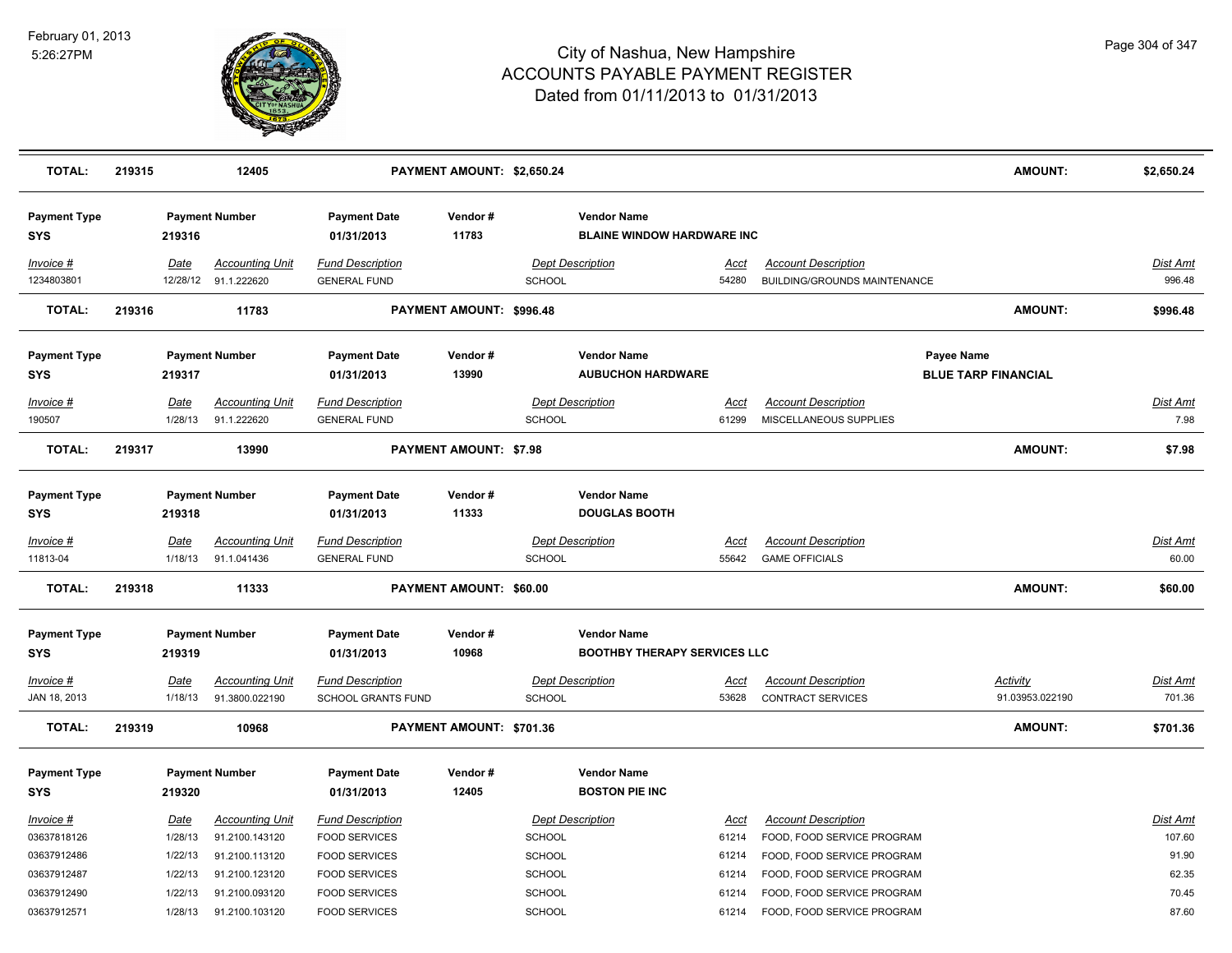

| <b>TOTAL:</b>                     | 219315 |                        | 12405                                    |                                                      | PAYMENT AMOUNT: \$2,650.24    |               |                                                           |                      |                                                                   | <b>AMOUNT:</b>                           | \$2,650.24                |
|-----------------------------------|--------|------------------------|------------------------------------------|------------------------------------------------------|-------------------------------|---------------|-----------------------------------------------------------|----------------------|-------------------------------------------------------------------|------------------------------------------|---------------------------|
| <b>Payment Type</b><br><b>SYS</b> |        | 219316                 | <b>Payment Number</b>                    | <b>Payment Date</b><br>01/31/2013                    | Vendor#<br>11783              |               | <b>Vendor Name</b><br><b>BLAINE WINDOW HARDWARE INC</b>   |                      |                                                                   |                                          |                           |
| Invoice #<br>1234803801           |        | Date<br>12/28/12       | <b>Accounting Unit</b><br>91.1.222620    | <b>Fund Description</b><br><b>GENERAL FUND</b>       |                               | SCHOOL        | <b>Dept Description</b>                                   | Acct<br>54280        | <b>Account Description</b><br><b>BUILDING/GROUNDS MAINTENANCE</b> |                                          | Dist Amt<br>996.48        |
| <b>TOTAL:</b>                     | 219316 |                        | 11783                                    |                                                      | PAYMENT AMOUNT: \$996.48      |               |                                                           |                      |                                                                   | <b>AMOUNT:</b>                           | \$996.48                  |
| <b>Payment Type</b><br><b>SYS</b> |        | 219317                 | <b>Payment Number</b>                    | <b>Payment Date</b><br>01/31/2013                    | Vendor#<br>13990              |               | <b>Vendor Name</b><br><b>AUBUCHON HARDWARE</b>            |                      |                                                                   | Payee Name<br><b>BLUE TARP FINANCIAL</b> |                           |
| Invoice #                         |        | Date                   | <b>Accounting Unit</b>                   | <b>Fund Description</b>                              |                               |               | <b>Dept Description</b>                                   | Acct                 | <b>Account Description</b>                                        |                                          | <u>Dist Amt</u>           |
| 190507                            |        | 1/28/13                | 91.1.222620                              | <b>GENERAL FUND</b>                                  |                               | SCHOOL        |                                                           | 61299                | MISCELLANEOUS SUPPLIES                                            |                                          | 7.98                      |
| <b>TOTAL:</b>                     | 219317 |                        | 13990                                    |                                                      | <b>PAYMENT AMOUNT: \$7.98</b> |               |                                                           |                      |                                                                   | <b>AMOUNT:</b>                           | \$7.98                    |
| <b>Payment Type</b><br><b>SYS</b> |        | 219318                 | <b>Payment Number</b>                    | <b>Payment Date</b><br>01/31/2013                    | Vendor#<br>11333              |               | <b>Vendor Name</b><br><b>DOUGLAS BOOTH</b>                |                      |                                                                   |                                          |                           |
| Invoice #<br>11813-04             |        | <u>Date</u><br>1/18/13 | <b>Accounting Unit</b><br>91.1.041436    | <b>Fund Description</b><br><b>GENERAL FUND</b>       |                               | SCHOOL        | <b>Dept Description</b>                                   | <u>Acct</u><br>55642 | <b>Account Description</b><br><b>GAME OFFICIALS</b>               |                                          | Dist Amt<br>60.00         |
| <b>TOTAL:</b>                     | 219318 |                        | 11333                                    |                                                      | PAYMENT AMOUNT: \$60.00       |               |                                                           |                      |                                                                   | <b>AMOUNT:</b>                           | \$60.00                   |
| <b>Payment Type</b><br><b>SYS</b> |        | 219319                 | <b>Payment Number</b>                    | <b>Payment Date</b><br>01/31/2013                    | Vendor#<br>10968              |               | <b>Vendor Name</b><br><b>BOOTHBY THERAPY SERVICES LLC</b> |                      |                                                                   |                                          |                           |
| Invoice #<br>JAN 18, 2013         |        | Date<br>1/18/13        | <b>Accounting Unit</b><br>91.3800.022190 | <b>Fund Description</b><br><b>SCHOOL GRANTS FUND</b> |                               | <b>SCHOOL</b> | <b>Dept Description</b>                                   | Acct<br>53628        | <b>Account Description</b><br><b>CONTRACT SERVICES</b>            | Activity<br>91.03953.022190              | <b>Dist Amt</b><br>701.36 |
| <b>TOTAL:</b>                     | 219319 |                        | 10968                                    |                                                      | PAYMENT AMOUNT: \$701.36      |               |                                                           |                      |                                                                   | <b>AMOUNT:</b>                           | \$701.36                  |
| <b>Payment Type</b><br><b>SYS</b> |        | 219320                 | <b>Payment Number</b>                    | <b>Payment Date</b><br>01/31/2013                    | Vendor#<br>12405              |               | <b>Vendor Name</b><br><b>BOSTON PIE INC</b>               |                      |                                                                   |                                          |                           |
| Invoice #                         |        | Date                   | <b>Accounting Unit</b>                   | <b>Fund Description</b>                              |                               |               | <b>Dept Description</b>                                   | Acct                 | <b>Account Description</b>                                        |                                          | Dist Amt                  |
| 03637818126                       |        | 1/28/13                | 91.2100.143120                           | <b>FOOD SERVICES</b>                                 |                               | <b>SCHOOL</b> |                                                           | 61214                | FOOD, FOOD SERVICE PROGRAM                                        |                                          | 107.60                    |
| 03637912486                       |        | 1/22/13                | 91.2100.113120                           | <b>FOOD SERVICES</b>                                 |                               | <b>SCHOOL</b> |                                                           | 61214                | FOOD, FOOD SERVICE PROGRAM                                        |                                          | 91.90                     |
| 03637912487                       |        | 1/22/13                | 91.2100.123120                           | <b>FOOD SERVICES</b>                                 |                               | <b>SCHOOL</b> |                                                           | 61214                | FOOD, FOOD SERVICE PROGRAM                                        |                                          | 62.35                     |
| 03637912490                       |        | 1/22/13                | 91.2100.093120                           | <b>FOOD SERVICES</b>                                 |                               | <b>SCHOOL</b> |                                                           | 61214                | FOOD, FOOD SERVICE PROGRAM                                        |                                          | 70.45                     |
| 03637912571                       |        | 1/28/13                | 91.2100.103120                           | <b>FOOD SERVICES</b>                                 |                               | SCHOOL        |                                                           | 61214                | FOOD, FOOD SERVICE PROGRAM                                        |                                          | 87.60                     |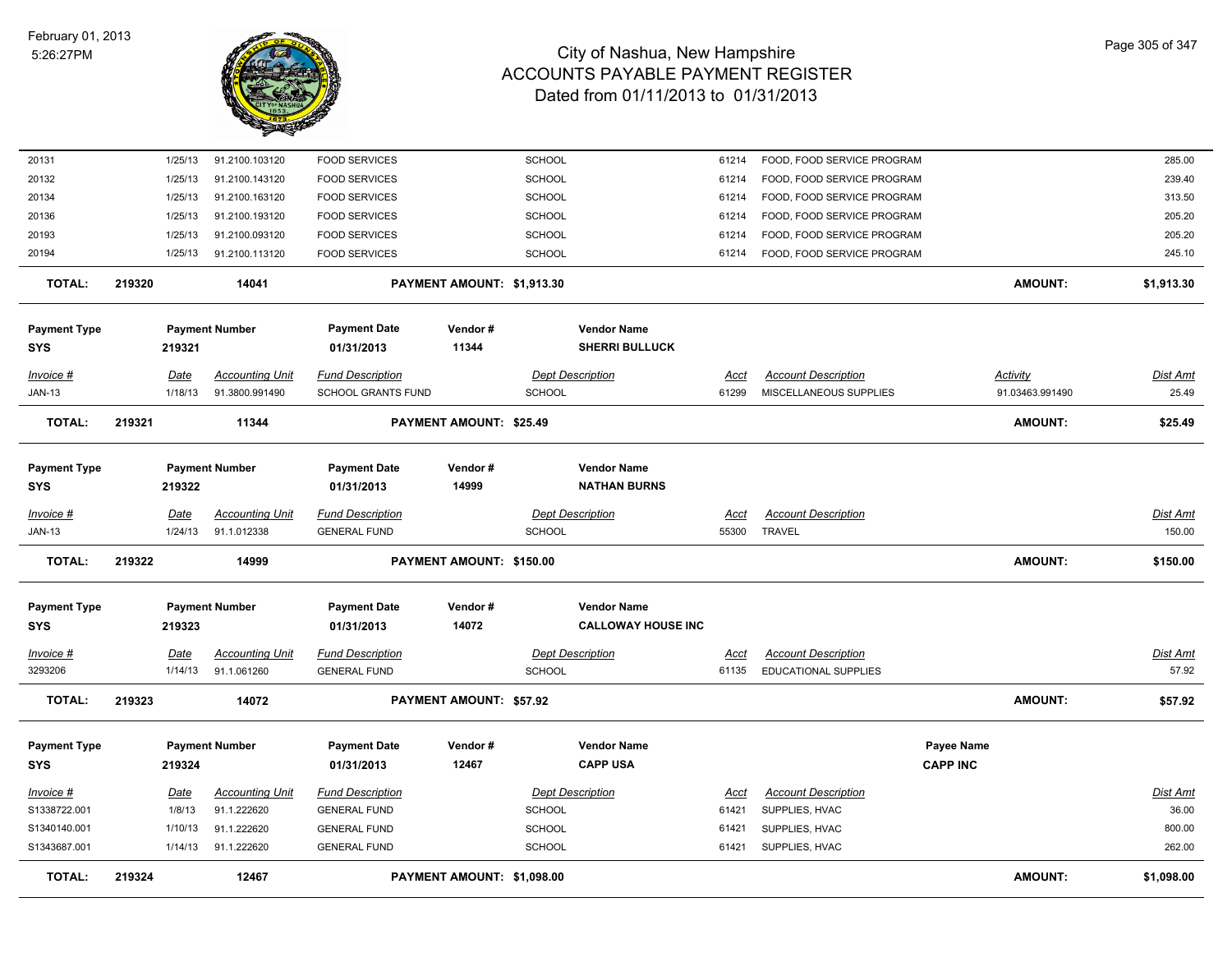

| <b>TOTAL:</b>                     | 219324 |                    | 12467                                    |                                                      | PAYMENT AMOUNT: \$1,098.00     |                                |                                                 |                      |                                                          |                 | <b>AMOUNT:</b>                     | \$1,098.00               |
|-----------------------------------|--------|--------------------|------------------------------------------|------------------------------------------------------|--------------------------------|--------------------------------|-------------------------------------------------|----------------------|----------------------------------------------------------|-----------------|------------------------------------|--------------------------|
| S1343687.001                      |        | 1/14/13            | 91.1.222620                              | <b>GENERAL FUND</b>                                  |                                | SCHOOL                         |                                                 | 61421                | SUPPLIES, HVAC                                           |                 |                                    | 262.00                   |
| S1340140.001                      |        | 1/10/13            | 91.1.222620                              | <b>GENERAL FUND</b>                                  |                                | <b>SCHOOL</b>                  |                                                 | 61421                | SUPPLIES, HVAC                                           |                 |                                    | 800.00                   |
| S1338722.001                      |        | 1/8/13             | 91.1.222620                              | <b>GENERAL FUND</b>                                  |                                | <b>SCHOOL</b>                  |                                                 | 61421                | SUPPLIES, HVAC                                           |                 |                                    | 36.00                    |
| $Invoice$ #                       |        | <u>Date</u>        | <b>Accounting Unit</b>                   | <b>Fund Description</b>                              |                                |                                | <b>Dept Description</b>                         | Acct                 | <b>Account Description</b>                               |                 |                                    | <b>Dist Amt</b>          |
| <b>SYS</b>                        |        | 219324             |                                          | 01/31/2013                                           | 12467                          |                                | <b>CAPP USA</b>                                 |                      |                                                          | <b>CAPP INC</b> |                                    |                          |
| <b>Payment Type</b>               |        |                    | <b>Payment Number</b>                    | <b>Payment Date</b>                                  | Vendor#                        |                                | <b>Vendor Name</b>                              |                      |                                                          | Payee Name      |                                    |                          |
| <b>TOTAL:</b>                     | 219323 |                    | 14072                                    |                                                      | <b>PAYMENT AMOUNT: \$57.92</b> |                                |                                                 |                      |                                                          |                 | <b>AMOUNT:</b>                     | \$57.92                  |
| 3293206                           |        | 1/14/13            | 91.1.061260                              | <b>GENERAL FUND</b>                                  |                                | SCHOOL                         |                                                 | 61135                | <b>EDUCATIONAL SUPPLIES</b>                              |                 |                                    | 57.92                    |
| <u>Invoice #</u>                  |        | <u>Date</u>        | <b>Accounting Unit</b>                   | <b>Fund Description</b>                              |                                |                                | <b>Dept Description</b>                         | <u>Acct</u>          | <b>Account Description</b>                               |                 |                                    | Dist Amt                 |
|                                   |        |                    |                                          |                                                      |                                |                                |                                                 |                      |                                                          |                 |                                    |                          |
| <b>Payment Type</b><br><b>SYS</b> |        | 219323             | <b>Payment Number</b>                    | <b>Payment Date</b><br>01/31/2013                    | Vendor#<br>14072               |                                | <b>Vendor Name</b><br><b>CALLOWAY HOUSE INC</b> |                      |                                                          |                 |                                    |                          |
| <b>TOTAL:</b>                     | 219322 |                    | 14999                                    |                                                      | PAYMENT AMOUNT: \$150.00       |                                |                                                 |                      |                                                          |                 | <b>AMOUNT:</b>                     | \$150.00                 |
| <b>JAN-13</b>                     |        | 1/24/13            | 91.1.012338                              | <b>GENERAL FUND</b>                                  |                                | <b>SCHOOL</b>                  |                                                 | 55300                | <b>TRAVEL</b>                                            |                 |                                    | 150.00                   |
| Invoice #                         |        | Date               | <b>Accounting Unit</b>                   | <b>Fund Description</b>                              |                                |                                | <b>Dept Description</b>                         | Acct                 | <b>Account Description</b>                               |                 |                                    | <b>Dist Amt</b>          |
| <b>Payment Type</b><br><b>SYS</b> |        | 219322             | <b>Payment Number</b>                    | <b>Payment Date</b><br>01/31/2013                    | Vendor#<br>14999               |                                | <b>Vendor Name</b><br><b>NATHAN BURNS</b>       |                      |                                                          |                 |                                    |                          |
| <b>TOTAL:</b>                     | 219321 |                    | 11344                                    |                                                      | <b>PAYMENT AMOUNT: \$25.49</b> |                                |                                                 |                      |                                                          |                 | <b>AMOUNT:</b>                     | \$25.49                  |
| Invoice #<br><b>JAN-13</b>        |        | Date<br>1/18/13    | <b>Accounting Unit</b><br>91.3800.991490 | <b>Fund Description</b><br><b>SCHOOL GRANTS FUND</b> |                                | <b>SCHOOL</b>                  | <b>Dept Description</b>                         | <u>Acct</u><br>61299 | <b>Account Description</b><br>MISCELLANEOUS SUPPLIES     |                 | <b>Activity</b><br>91.03463.991490 | <b>Dist Amt</b><br>25.49 |
| <b>Payment Type</b><br><b>SYS</b> |        | 219321             | <b>Payment Number</b>                    | <b>Payment Date</b><br>01/31/2013                    | Vendor#<br>11344               |                                | <b>Vendor Name</b><br><b>SHERRI BULLUCK</b>     |                      |                                                          |                 |                                    |                          |
|                                   |        |                    |                                          |                                                      |                                |                                |                                                 |                      |                                                          |                 |                                    |                          |
| <b>TOTAL:</b>                     | 219320 |                    | 14041                                    |                                                      | PAYMENT AMOUNT: \$1,913.30     |                                |                                                 |                      |                                                          |                 | <b>AMOUNT:</b>                     | \$1,913.30               |
| 20194                             |        | 1/25/13            | 91.2100.113120                           | <b>FOOD SERVICES</b>                                 |                                | <b>SCHOOL</b>                  |                                                 | 61214                | FOOD, FOOD SERVICE PROGRAM                               |                 |                                    | 245.10                   |
| 20136<br>20193                    |        | 1/25/13<br>1/25/13 | 91.2100.193120<br>91.2100.093120         | <b>FOOD SERVICES</b><br><b>FOOD SERVICES</b>         |                                | <b>SCHOOL</b><br><b>SCHOOL</b> |                                                 | 61214<br>61214       | FOOD, FOOD SERVICE PROGRAM<br>FOOD, FOOD SERVICE PROGRAM |                 |                                    | 205.20<br>205.20         |
| 20134                             |        | 1/25/13            | 91.2100.163120                           | <b>FOOD SERVICES</b>                                 |                                | <b>SCHOOL</b>                  |                                                 | 61214                | FOOD, FOOD SERVICE PROGRAM                               |                 |                                    | 313.50                   |
| 20132                             |        | 1/25/13            | 91.2100.143120                           | <b>FOOD SERVICES</b>                                 |                                | <b>SCHOOL</b>                  |                                                 | 61214                | FOOD, FOOD SERVICE PROGRAM                               |                 |                                    | 239.40                   |
| 20131                             |        | 1/25/13            | 91.2100.103120                           | <b>FOOD SERVICES</b>                                 |                                | <b>SCHOOL</b>                  |                                                 | 61214                | FOOD, FOOD SERVICE PROGRAM                               |                 |                                    | 285.00                   |
|                                   |        |                    |                                          |                                                      |                                |                                |                                                 |                      |                                                          |                 |                                    |                          |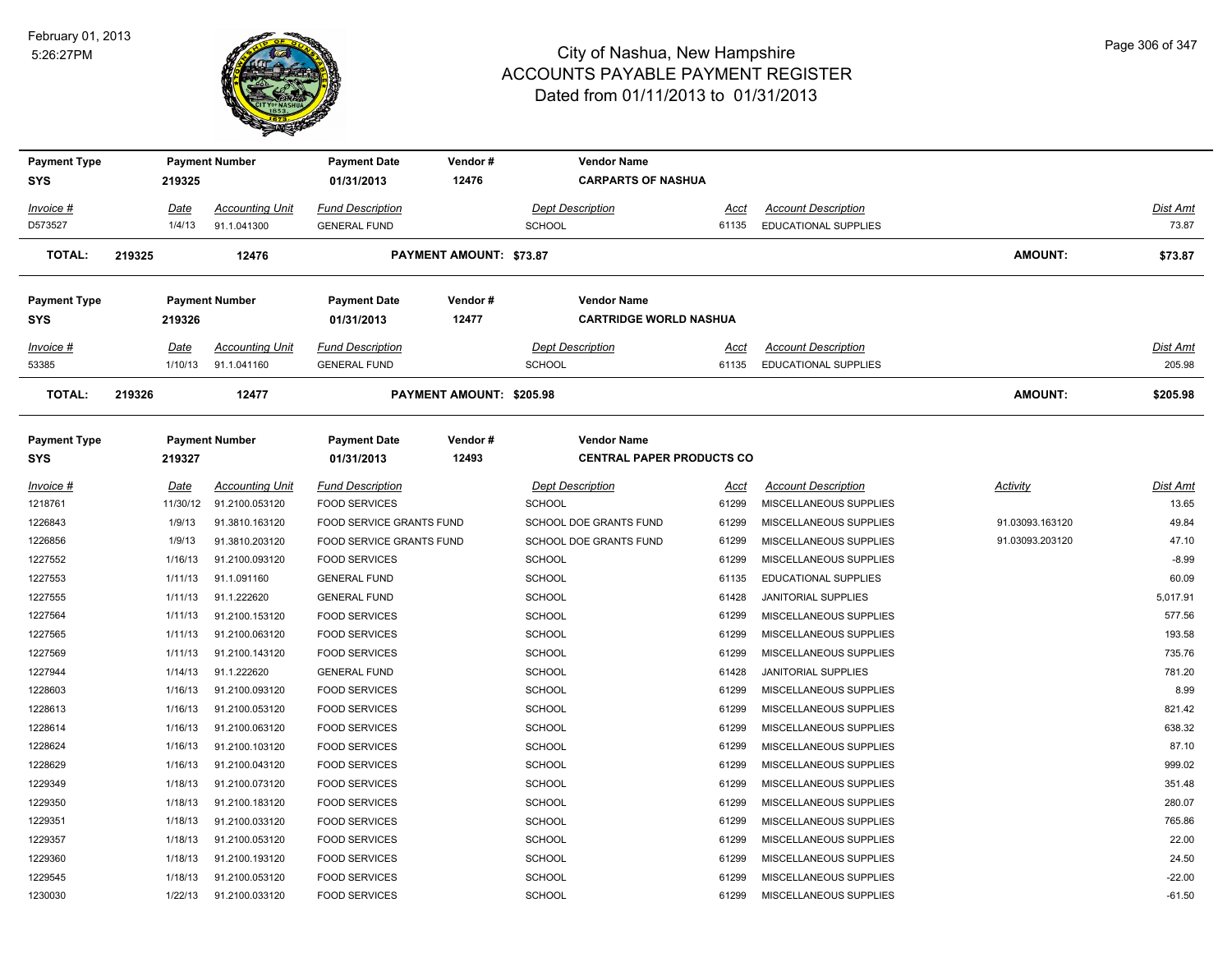

| <b>Payment Type</b> |             | <b>Payment Number</b>  | <b>Payment Date</b>      | Vendor#                         |                         | <b>Vendor Name</b>               |             |                            |                 |                 |
|---------------------|-------------|------------------------|--------------------------|---------------------------------|-------------------------|----------------------------------|-------------|----------------------------|-----------------|-----------------|
| <b>SYS</b>          | 219325      |                        | 01/31/2013               | 12476                           |                         | <b>CARPARTS OF NASHUA</b>        |             |                            |                 |                 |
| <u> Invoice #</u>   | <u>Date</u> | <b>Accounting Unit</b> | <b>Fund Description</b>  |                                 | <b>Dept Description</b> |                                  | <u>Acct</u> | <b>Account Description</b> |                 | Dist Amt        |
| D573527             | 1/4/13      | 91.1.041300            | <b>GENERAL FUND</b>      |                                 | <b>SCHOOL</b>           |                                  | 61135       | EDUCATIONAL SUPPLIES       |                 | 73.87           |
| TOTAL:              | 219325      | 12476                  |                          | <b>PAYMENT AMOUNT: \$73.87</b>  |                         |                                  |             |                            | <b>AMOUNT:</b>  | \$73.87         |
| Payment Type        |             | <b>Payment Number</b>  | <b>Payment Date</b>      | Vendor#                         |                         | <b>Vendor Name</b>               |             |                            |                 |                 |
| <b>SYS</b>          | 219326      |                        | 01/31/2013               | 12477                           |                         | <b>CARTRIDGE WORLD NASHUA</b>    |             |                            |                 |                 |
| <u> Invoice #</u>   | <u>Date</u> | <b>Accounting Unit</b> | <b>Fund Description</b>  |                                 | <b>Dept Description</b> |                                  | <u>Acct</u> | <b>Account Description</b> |                 | <u>Dist Amt</u> |
| 53385               | 1/10/13     | 91.1.041160            | <b>GENERAL FUND</b>      |                                 | <b>SCHOOL</b>           |                                  | 61135       | EDUCATIONAL SUPPLIES       |                 | 205.98          |
| TOTAL:              | 219326      | 12477                  |                          | <b>PAYMENT AMOUNT: \$205.98</b> |                         |                                  |             |                            | <b>AMOUNT:</b>  | \$205.98        |
| Payment Type        |             | <b>Payment Number</b>  | <b>Payment Date</b>      | Vendor#                         |                         | <b>Vendor Name</b>               |             |                            |                 |                 |
| <b>SYS</b>          | 219327      |                        | 01/31/2013               | 12493                           |                         | <b>CENTRAL PAPER PRODUCTS CO</b> |             |                            |                 |                 |
| <u> Invoice #</u>   | <u>Date</u> | <b>Accounting Unit</b> | <b>Fund Description</b>  |                                 | <b>Dept Description</b> |                                  | <u>Acct</u> | <b>Account Description</b> | <b>Activity</b> | Dist Amt        |
| 1218761             | 11/30/12    | 91.2100.053120         | <b>FOOD SERVICES</b>     |                                 | <b>SCHOOL</b>           |                                  | 61299       | MISCELLANEOUS SUPPLIES     |                 | 13.65           |
| 1226843             | 1/9/13      | 91.3810.163120         | FOOD SERVICE GRANTS FUND |                                 |                         | SCHOOL DOE GRANTS FUND           | 61299       | MISCELLANEOUS SUPPLIES     | 91.03093.163120 | 49.84           |
| 1226856             | 1/9/13      | 91.3810.203120         | FOOD SERVICE GRANTS FUND |                                 |                         | <b>SCHOOL DOE GRANTS FUND</b>    | 61299       | MISCELLANEOUS SUPPLIES     | 91.03093.203120 | 47.10           |
| 1227552             | 1/16/13     | 91.2100.093120         | <b>FOOD SERVICES</b>     |                                 | SCHOOL                  |                                  | 61299       | MISCELLANEOUS SUPPLIES     |                 | $-8.99$         |
| 1227553             | 1/11/13     | 91.1.091160            | <b>GENERAL FUND</b>      |                                 | <b>SCHOOL</b>           |                                  | 61135       | EDUCATIONAL SUPPLIES       |                 | 60.09           |
| 1227555             | 1/11/13     | 91.1.222620            | <b>GENERAL FUND</b>      |                                 | <b>SCHOOL</b>           |                                  | 61428       | <b>JANITORIAL SUPPLIES</b> |                 | 5,017.91        |
| 1227564             | 1/11/13     | 91.2100.153120         | <b>FOOD SERVICES</b>     |                                 | <b>SCHOOL</b>           |                                  | 61299       | MISCELLANEOUS SUPPLIES     |                 | 577.56          |
| 1227565             | 1/11/13     | 91.2100.063120         | <b>FOOD SERVICES</b>     |                                 | <b>SCHOOL</b>           |                                  | 61299       | MISCELLANEOUS SUPPLIES     |                 | 193.58          |
| 1227569             | 1/11/13     | 91.2100.143120         | <b>FOOD SERVICES</b>     |                                 | <b>SCHOOL</b>           |                                  | 61299       | MISCELLANEOUS SUPPLIES     |                 | 735.76          |
| 1227944             | 1/14/13     | 91.1.222620            | <b>GENERAL FUND</b>      |                                 | <b>SCHOOL</b>           |                                  | 61428       | <b>JANITORIAL SUPPLIES</b> |                 | 781.20          |
| 1228603             | 1/16/13     | 91.2100.093120         | <b>FOOD SERVICES</b>     |                                 | <b>SCHOOL</b>           |                                  | 61299       | MISCELLANEOUS SUPPLIES     |                 | 8.99            |
| 1228613             | 1/16/13     | 91.2100.053120         | <b>FOOD SERVICES</b>     |                                 | <b>SCHOOL</b>           |                                  | 61299       | MISCELLANEOUS SUPPLIES     |                 | 821.42          |
| 1228614             | 1/16/13     | 91.2100.063120         | <b>FOOD SERVICES</b>     |                                 | <b>SCHOOL</b>           |                                  | 61299       | MISCELLANEOUS SUPPLIES     |                 | 638.32          |
| 1228624             | 1/16/13     | 91.2100.103120         | <b>FOOD SERVICES</b>     |                                 | <b>SCHOOL</b>           |                                  | 61299       | MISCELLANEOUS SUPPLIES     |                 | 87.10           |
| 1228629             | 1/16/13     | 91.2100.043120         | <b>FOOD SERVICES</b>     |                                 | <b>SCHOOL</b>           |                                  | 61299       | MISCELLANEOUS SUPPLIES     |                 | 999.02          |
| 1229349             | 1/18/13     | 91.2100.073120         | <b>FOOD SERVICES</b>     |                                 | SCHOOL                  |                                  | 61299       | MISCELLANEOUS SUPPLIES     |                 | 351.48          |
| 1229350             | 1/18/13     | 91.2100.183120         | <b>FOOD SERVICES</b>     |                                 | <b>SCHOOL</b>           |                                  | 61299       | MISCELLANEOUS SUPPLIES     |                 | 280.07          |
| 1229351             | 1/18/13     | 91.2100.033120         | <b>FOOD SERVICES</b>     |                                 | <b>SCHOOL</b>           |                                  | 61299       | MISCELLANEOUS SUPPLIES     |                 | 765.86          |
| 1229357             | 1/18/13     | 91.2100.053120         | <b>FOOD SERVICES</b>     |                                 | <b>SCHOOL</b>           |                                  | 61299       | MISCELLANEOUS SUPPLIES     |                 | 22.00           |
| 1229360             | 1/18/13     | 91.2100.193120         | <b>FOOD SERVICES</b>     |                                 | <b>SCHOOL</b>           |                                  | 61299       | MISCELLANEOUS SUPPLIES     |                 | 24.50           |
| 1229545             | 1/18/13     | 91.2100.053120         | <b>FOOD SERVICES</b>     |                                 | SCHOOL                  |                                  | 61299       | MISCELLANEOUS SUPPLIES     |                 | $-22.00$        |
| 1230030             | 1/22/13     | 91.2100.033120         | <b>FOOD SERVICES</b>     |                                 | SCHOOL                  |                                  | 61299       | MISCELLANEOUS SUPPLIES     |                 | $-61.50$        |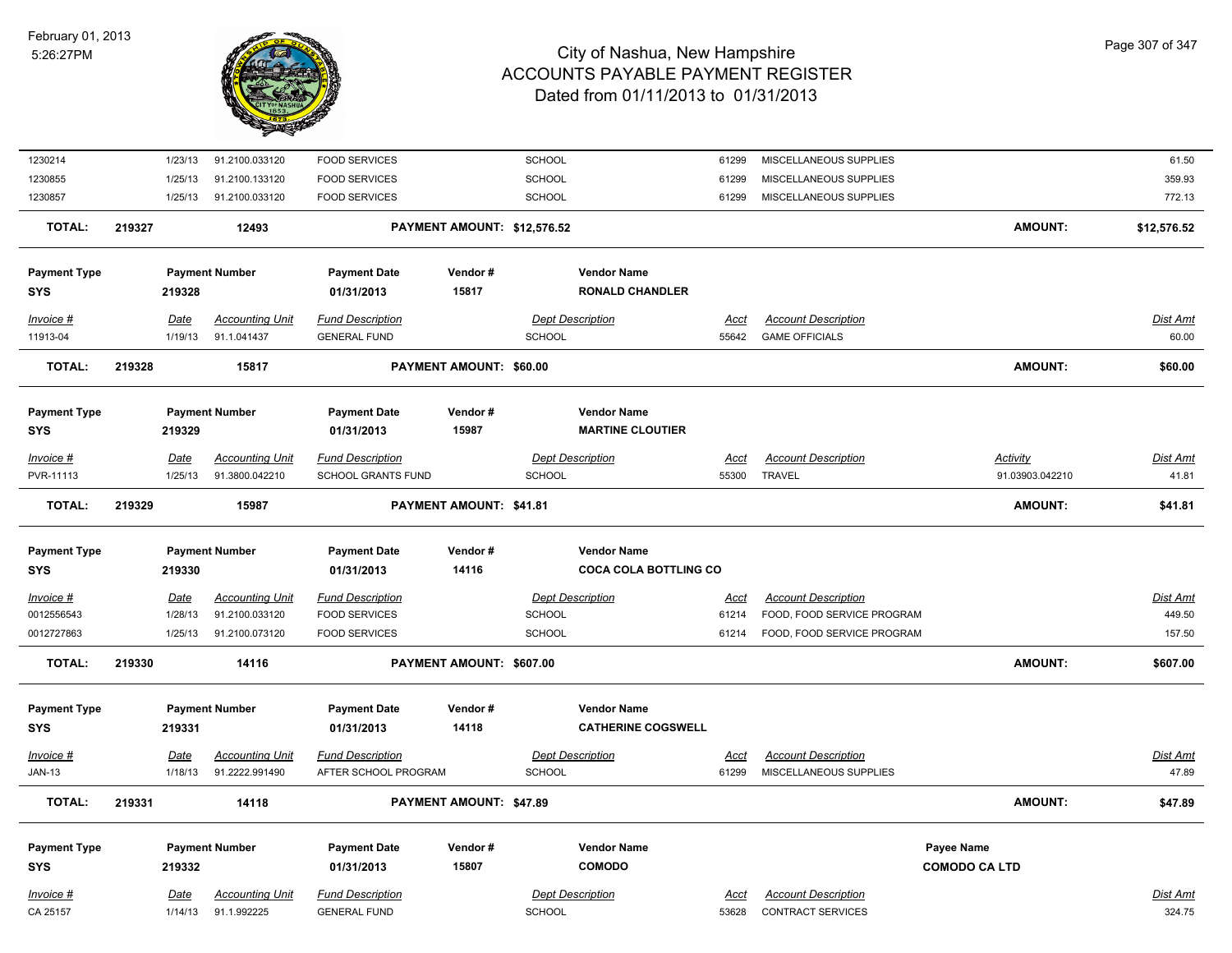

| 1230214                           | 1/23/13         | 91.2100.033120                        | <b>FOOD SERVICES</b>                           |                             | SCHOOL                                          | 61299                | MISCELLANEOUS SUPPLIES                                 |                                           | 61.50              |
|-----------------------------------|-----------------|---------------------------------------|------------------------------------------------|-----------------------------|-------------------------------------------------|----------------------|--------------------------------------------------------|-------------------------------------------|--------------------|
| 1230855                           | 1/25/13         | 91.2100.133120                        | <b>FOOD SERVICES</b>                           |                             | <b>SCHOOL</b>                                   | 61299                | MISCELLANEOUS SUPPLIES                                 |                                           | 359.93             |
| 1230857                           | 1/25/13         | 91.2100.033120                        | <b>FOOD SERVICES</b>                           |                             | SCHOOL                                          | 61299                | MISCELLANEOUS SUPPLIES                                 |                                           | 772.13             |
| <b>TOTAL:</b>                     | 219327          | 12493                                 |                                                | PAYMENT AMOUNT: \$12,576.52 |                                                 |                      |                                                        | <b>AMOUNT:</b>                            | \$12,576.52        |
| <b>Payment Type</b><br>SYS        | 219328          | <b>Payment Number</b>                 | <b>Payment Date</b><br>01/31/2013              | Vendor#<br>15817            | <b>Vendor Name</b><br><b>RONALD CHANDLER</b>    |                      |                                                        |                                           |                    |
| Invoice #                         | Date            | <b>Accounting Unit</b>                | <b>Fund Description</b>                        |                             | <b>Dept Description</b>                         | Acct                 | <b>Account Description</b>                             |                                           | Dist Amt           |
| 11913-04                          | 1/19/13         | 91.1.041437                           | <b>GENERAL FUND</b>                            |                             | SCHOOL                                          | 55642                | <b>GAME OFFICIALS</b>                                  |                                           | 60.00              |
| <b>TOTAL:</b>                     | 219328          | 15817                                 |                                                | PAYMENT AMOUNT: \$60.00     |                                                 |                      |                                                        | <b>AMOUNT:</b>                            | \$60.00            |
| <b>Payment Type</b><br>SYS        | 219329          | <b>Payment Number</b>                 | <b>Payment Date</b><br>01/31/2013              | Vendor#<br>15987            | <b>Vendor Name</b><br><b>MARTINE CLOUTIER</b>   |                      |                                                        |                                           |                    |
| Invoice #                         | <b>Date</b>     | <b>Accounting Unit</b>                | <b>Fund Description</b>                        |                             | <b>Dept Description</b>                         | Acct                 | <b>Account Description</b>                             | <b>Activity</b>                           | Dist Amt           |
| PVR-11113                         | 1/25/13         | 91.3800.042210                        | <b>SCHOOL GRANTS FUND</b>                      |                             | <b>SCHOOL</b>                                   | 55300                | <b>TRAVEL</b>                                          | 91.03903.042210                           | 41.81              |
| <b>TOTAL:</b>                     | 219329          | 15987                                 |                                                | PAYMENT AMOUNT: \$41.81     |                                                 |                      |                                                        | <b>AMOUNT:</b>                            | \$41.81            |
| <b>Payment Type</b>               |                 | <b>Payment Number</b>                 | <b>Payment Date</b>                            | Vendor#                     | <b>Vendor Name</b>                              |                      |                                                        |                                           |                    |
| <b>SYS</b>                        | 219330          |                                       | 01/31/2013                                     | 14116                       | <b>COCA COLA BOTTLING CO</b>                    |                      |                                                        |                                           |                    |
| $Invoice$ #                       | Date            | <b>Accounting Unit</b>                | <b>Fund Description</b>                        |                             | <b>Dept Description</b>                         | <u>Acct</u>          | <b>Account Description</b>                             |                                           | Dist Amt           |
| 0012556543                        | 1/28/13         | 91.2100.033120                        | <b>FOOD SERVICES</b>                           |                             | SCHOOL                                          | 61214                | FOOD, FOOD SERVICE PROGRAM                             |                                           | 449.50             |
| 0012727863                        | 1/25/13         | 91.2100.073120                        | <b>FOOD SERVICES</b>                           |                             | SCHOOL                                          | 61214                | FOOD, FOOD SERVICE PROGRAM                             |                                           | 157.50             |
| <b>TOTAL:</b>                     | 219330          | 14116                                 |                                                | PAYMENT AMOUNT: \$607.00    |                                                 |                      |                                                        | <b>AMOUNT:</b>                            | \$607.00           |
| <b>Payment Type</b><br><b>SYS</b> | 219331          | <b>Payment Number</b>                 | <b>Payment Date</b><br>01/31/2013              | Vendor#<br>14118            | <b>Vendor Name</b><br><b>CATHERINE COGSWELL</b> |                      |                                                        |                                           |                    |
| Invoice #                         | <u>Date</u>     | <b>Accounting Unit</b>                | <b>Fund Description</b>                        |                             | <b>Dept Description</b>                         | <u>Acct</u>          | <b>Account Description</b>                             |                                           | Dist Amt           |
| <b>JAN-13</b>                     | 1/18/13         | 91.2222.991490                        | AFTER SCHOOL PROGRAM                           |                             | SCHOOL                                          | 61299                | MISCELLANEOUS SUPPLIES                                 |                                           | 47.89              |
| <b>TOTAL:</b>                     | 219331          | 14118                                 |                                                | PAYMENT AMOUNT: \$47.89     |                                                 |                      |                                                        | <b>AMOUNT:</b>                            | \$47.89            |
|                                   |                 |                                       |                                                |                             |                                                 |                      |                                                        |                                           |                    |
| <b>Payment Type</b><br>SYS        | 219332          | <b>Payment Number</b>                 | <b>Payment Date</b><br>01/31/2013              | Vendor#<br>15807            | <b>Vendor Name</b><br><b>COMODO</b>             |                      |                                                        | <b>Payee Name</b><br><b>COMODO CA LTD</b> |                    |
|                                   |                 |                                       |                                                |                             |                                                 |                      |                                                        |                                           |                    |
| Invoice #<br>CA 25157             | Date<br>1/14/13 | <b>Accounting Unit</b><br>91.1.992225 | <b>Fund Description</b><br><b>GENERAL FUND</b> |                             | <b>Dept Description</b><br><b>SCHOOL</b>        | <b>Acct</b><br>53628 | <b>Account Description</b><br><b>CONTRACT SERVICES</b> |                                           | Dist Amt<br>324.75 |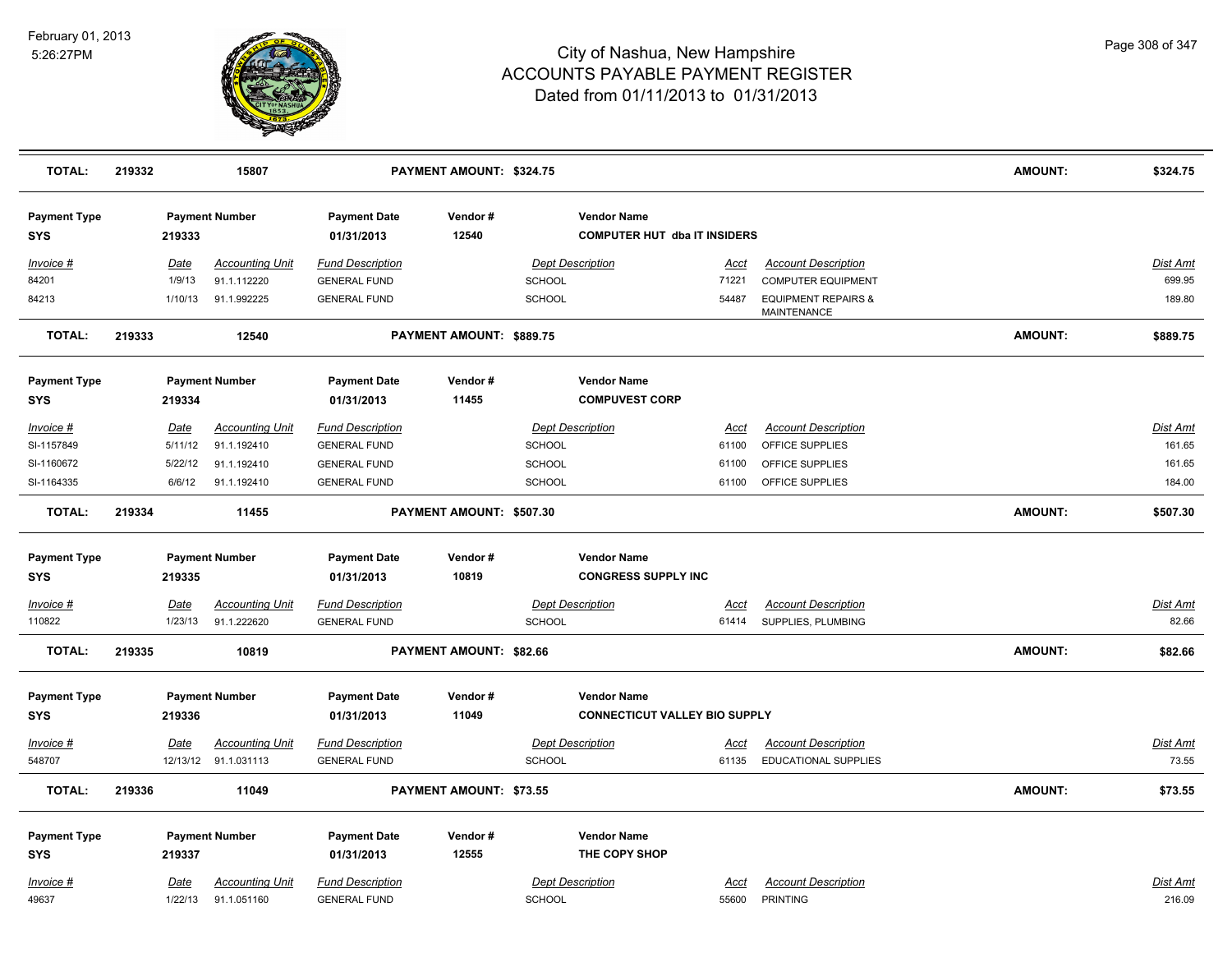

| <b>TOTAL:</b>                     | 219332      | 15807                  |                                   | PAYMENT AMOUNT: \$324.75 |                         |                                                           |                                                  | AMOUNT:        | \$324.75        |
|-----------------------------------|-------------|------------------------|-----------------------------------|--------------------------|-------------------------|-----------------------------------------------------------|--------------------------------------------------|----------------|-----------------|
| <b>Payment Type</b><br><b>SYS</b> | 219333      | <b>Payment Number</b>  | <b>Payment Date</b><br>01/31/2013 | Vendor#<br>12540         |                         | <b>Vendor Name</b><br><b>COMPUTER HUT dba IT INSIDERS</b> |                                                  |                |                 |
| Invoice #                         | Date        | <b>Accounting Unit</b> | <b>Fund Description</b>           |                          | <b>Dept Description</b> | Acct                                                      | <b>Account Description</b>                       |                | <b>Dist Amt</b> |
| 84201                             | 1/9/13      | 91.1.112220            | <b>GENERAL FUND</b>               |                          | <b>SCHOOL</b>           | 71221                                                     | <b>COMPUTER EQUIPMENT</b>                        |                | 699.95          |
| 84213                             | 1/10/13     | 91.1.992225            | <b>GENERAL FUND</b>               |                          | SCHOOL                  | 54487                                                     | <b>EQUIPMENT REPAIRS &amp;</b><br>MAINTENANCE    |                | 189.80          |
| <b>TOTAL:</b>                     | 219333      | 12540                  |                                   | PAYMENT AMOUNT: \$889.75 |                         |                                                           |                                                  | <b>AMOUNT:</b> | \$889.75        |
| <b>Payment Type</b>               |             | <b>Payment Number</b>  | <b>Payment Date</b>               | Vendor#                  |                         | <b>Vendor Name</b>                                        |                                                  |                |                 |
| <b>SYS</b>                        | 219334      |                        | 01/31/2013                        | 11455                    |                         | <b>COMPUVEST CORP</b>                                     |                                                  |                |                 |
| Invoice #                         | <b>Date</b> | <b>Accounting Unit</b> | <b>Fund Description</b>           |                          | <b>Dept Description</b> | <u>Acct</u>                                               | <b>Account Description</b>                       |                | <b>Dist Amt</b> |
| SI-1157849                        | 5/11/12     | 91.1.192410            | <b>GENERAL FUND</b>               |                          | <b>SCHOOL</b>           | 61100                                                     | OFFICE SUPPLIES                                  |                | 161.65          |
| SI-1160672                        | 5/22/12     | 91.1.192410            | <b>GENERAL FUND</b>               |                          | <b>SCHOOL</b>           | 61100                                                     | OFFICE SUPPLIES                                  |                | 161.65          |
| SI-1164335                        | 6/6/12      | 91.1.192410            | <b>GENERAL FUND</b>               |                          | <b>SCHOOL</b>           | 61100                                                     | OFFICE SUPPLIES                                  |                | 184.00          |
| <b>TOTAL:</b>                     | 219334      | 11455                  |                                   | PAYMENT AMOUNT: \$507.30 |                         |                                                           |                                                  | <b>AMOUNT:</b> | \$507.30        |
|                                   |             |                        |                                   |                          |                         |                                                           |                                                  |                |                 |
|                                   |             |                        |                                   |                          |                         |                                                           |                                                  |                |                 |
| <b>Payment Type</b><br><b>SYS</b> | 219335      | <b>Payment Number</b>  | <b>Payment Date</b><br>01/31/2013 | Vendor#<br>10819         |                         | <b>Vendor Name</b><br><b>CONGRESS SUPPLY INC</b>          |                                                  |                |                 |
| Invoice #                         | Date        | <b>Accounting Unit</b> | <b>Fund Description</b>           |                          | <b>Dept Description</b> | Acct                                                      |                                                  |                | Dist Amt        |
| 110822                            | 1/23/13     | 91.1.222620            | <b>GENERAL FUND</b>               |                          | SCHOOL                  | 61414                                                     | <b>Account Description</b><br>SUPPLIES, PLUMBING |                | 82.66           |
| <b>TOTAL:</b>                     | 219335      | 10819                  |                                   | PAYMENT AMOUNT: \$82.66  |                         |                                                           |                                                  | <b>AMOUNT:</b> | \$82.66         |
|                                   |             |                        |                                   |                          |                         | <b>Vendor Name</b>                                        |                                                  |                |                 |
| <b>Payment Type</b><br><b>SYS</b> | 219336      | <b>Payment Number</b>  | <b>Payment Date</b><br>01/31/2013 | Vendor#<br>11049         |                         | <b>CONNECTICUT VALLEY BIO SUPPLY</b>                      |                                                  |                |                 |
| $Invoice$ #                       | Date        | <b>Accounting Unit</b> | <b>Fund Description</b>           |                          | <b>Dept Description</b> | <u>Acct</u>                                               | <b>Account Description</b>                       |                | <b>Dist Amt</b> |
| 548707                            |             | 12/13/12 91.1.031113   | <b>GENERAL FUND</b>               |                          | <b>SCHOOL</b>           | 61135                                                     | <b>EDUCATIONAL SUPPLIES</b>                      |                | 73.55           |
| <b>TOTAL:</b>                     | 219336      | 11049                  |                                   | PAYMENT AMOUNT: \$73.55  |                         |                                                           |                                                  | <b>AMOUNT:</b> | \$73.55         |
| <b>Payment Type</b>               |             | <b>Payment Number</b>  | <b>Payment Date</b>               | Vendor#                  |                         | <b>Vendor Name</b>                                        |                                                  |                |                 |
| <b>SYS</b>                        | 219337      |                        | 01/31/2013                        | 12555                    |                         | THE COPY SHOP                                             |                                                  |                |                 |
| Invoice #                         | Date        | <b>Accounting Unit</b> | <b>Fund Description</b>           |                          | <b>Dept Description</b> | Acct                                                      | <b>Account Description</b>                       |                | Dist Amt        |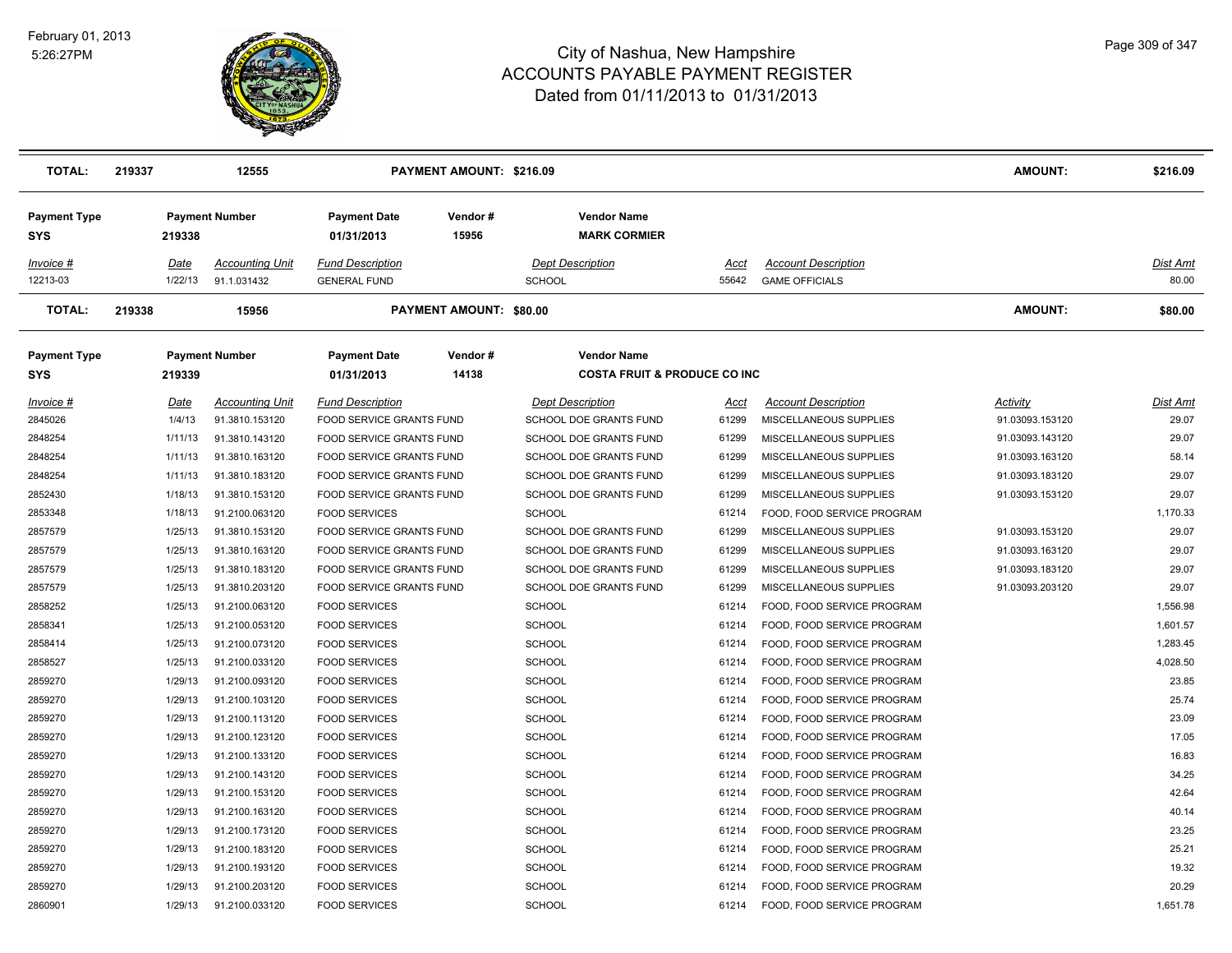

| <b>TOTAL:</b>              | 219337          | 12555                                 |                                                | PAYMENT AMOUNT: \$216.09       |                                                               |               |                                                     | <b>AMOUNT:</b>  | \$216.09          |
|----------------------------|-----------------|---------------------------------------|------------------------------------------------|--------------------------------|---------------------------------------------------------------|---------------|-----------------------------------------------------|-----------------|-------------------|
| <b>Payment Type</b><br>SYS | 219338          | <b>Payment Number</b>                 | <b>Payment Date</b><br>01/31/2013              | Vendor#<br>15956               | <b>Vendor Name</b><br><b>MARK CORMIER</b>                     |               |                                                     |                 |                   |
| Invoice #<br>12213-03      | Date<br>1/22/13 | <b>Accounting Unit</b><br>91.1.031432 | <b>Fund Description</b><br><b>GENERAL FUND</b> |                                | <b>Dept Description</b><br><b>SCHOOL</b>                      | Acct<br>55642 | <b>Account Description</b><br><b>GAME OFFICIALS</b> |                 | Dist Amt<br>80.00 |
| <b>TOTAL:</b>              | 219338          | 15956                                 |                                                | <b>PAYMENT AMOUNT: \$80.00</b> |                                                               |               |                                                     | <b>AMOUNT:</b>  | \$80.00           |
| <b>Payment Type</b><br>SYS | 219339          | <b>Payment Number</b>                 | <b>Payment Date</b><br>01/31/2013              | Vendor#<br>14138               | <b>Vendor Name</b><br><b>COSTA FRUIT &amp; PRODUCE CO INC</b> |               |                                                     |                 |                   |
| Invoice #                  | Date            | <b>Accounting Unit</b>                | <b>Fund Description</b>                        |                                | <b>Dept Description</b>                                       | Acct          | <b>Account Description</b>                          | Activity        | Dist Amt          |
| 2845026                    | 1/4/13          | 91.3810.153120                        | FOOD SERVICE GRANTS FUND                       |                                | SCHOOL DOE GRANTS FUND                                        | 61299         | MISCELLANEOUS SUPPLIES                              | 91.03093.153120 | 29.07             |
| 2848254                    | 1/11/13         | 91.3810.143120                        | FOOD SERVICE GRANTS FUND                       |                                | SCHOOL DOE GRANTS FUND                                        | 61299         | MISCELLANEOUS SUPPLIES                              | 91.03093.143120 | 29.07             |
| 2848254                    | 1/11/13         | 91.3810.163120                        | FOOD SERVICE GRANTS FUND                       |                                | SCHOOL DOE GRANTS FUND                                        | 61299         | MISCELLANEOUS SUPPLIES                              | 91.03093.163120 | 58.14             |
| 2848254                    | 1/11/13         | 91.3810.183120                        | <b>FOOD SERVICE GRANTS FUND</b>                |                                | <b>SCHOOL DOE GRANTS FUND</b>                                 | 61299         | MISCELLANEOUS SUPPLIES                              | 91.03093.183120 | 29.07             |
| 2852430                    | 1/18/13         | 91.3810.153120                        | FOOD SERVICE GRANTS FUND                       |                                | SCHOOL DOE GRANTS FUND                                        | 61299         | MISCELLANEOUS SUPPLIES                              | 91.03093.153120 | 29.07             |
| 2853348                    | 1/18/13         | 91.2100.063120                        | <b>FOOD SERVICES</b>                           |                                | <b>SCHOOL</b>                                                 | 61214         | FOOD, FOOD SERVICE PROGRAM                          |                 | 1,170.33          |
| 2857579                    | 1/25/13         | 91.3810.153120                        | FOOD SERVICE GRANTS FUND                       |                                | SCHOOL DOE GRANTS FUND                                        | 61299         | MISCELLANEOUS SUPPLIES                              | 91.03093.153120 | 29.07             |
| 2857579                    | 1/25/13         | 91.3810.163120                        | FOOD SERVICE GRANTS FUND                       |                                | SCHOOL DOE GRANTS FUND                                        | 61299         | MISCELLANEOUS SUPPLIES                              | 91.03093.163120 | 29.07             |
| 2857579                    | 1/25/13         | 91.3810.183120                        | FOOD SERVICE GRANTS FUND                       |                                | SCHOOL DOE GRANTS FUND                                        | 61299         | MISCELLANEOUS SUPPLIES                              | 91.03093.183120 | 29.07             |
| 2857579                    | 1/25/13         | 91.3810.203120                        | FOOD SERVICE GRANTS FUND                       |                                | SCHOOL DOE GRANTS FUND                                        | 61299         | MISCELLANEOUS SUPPLIES                              | 91.03093.203120 | 29.07             |
| 2858252                    | 1/25/13         | 91.2100.063120                        | <b>FOOD SERVICES</b>                           |                                | <b>SCHOOL</b>                                                 | 61214         | FOOD, FOOD SERVICE PROGRAM                          |                 | 1,556.98          |
| 2858341                    | 1/25/13         | 91.2100.053120                        | <b>FOOD SERVICES</b>                           |                                | <b>SCHOOL</b>                                                 | 61214         | FOOD, FOOD SERVICE PROGRAM                          |                 | 1,601.57          |
| 2858414                    | 1/25/13         | 91.2100.073120                        | <b>FOOD SERVICES</b>                           |                                | <b>SCHOOL</b>                                                 | 61214         | FOOD, FOOD SERVICE PROGRAM                          |                 | 1,283.45          |
| 2858527                    | 1/25/13         | 91.2100.033120                        | <b>FOOD SERVICES</b>                           |                                | <b>SCHOOL</b>                                                 | 61214         | FOOD, FOOD SERVICE PROGRAM                          |                 | 4,028.50          |
| 2859270                    | 1/29/13         | 91.2100.093120                        | <b>FOOD SERVICES</b>                           |                                | <b>SCHOOL</b>                                                 | 61214         | FOOD, FOOD SERVICE PROGRAM                          |                 | 23.85             |
| 2859270                    | 1/29/13         | 91.2100.103120                        | <b>FOOD SERVICES</b>                           |                                | <b>SCHOOL</b>                                                 | 61214         | FOOD, FOOD SERVICE PROGRAM                          |                 | 25.74             |
| 2859270                    | 1/29/13         | 91.2100.113120                        | <b>FOOD SERVICES</b>                           |                                | <b>SCHOOL</b>                                                 | 61214         | FOOD, FOOD SERVICE PROGRAM                          |                 | 23.09             |
| 2859270                    | 1/29/13         | 91.2100.123120                        | <b>FOOD SERVICES</b>                           |                                | <b>SCHOOL</b>                                                 | 61214         | FOOD, FOOD SERVICE PROGRAM                          |                 | 17.05             |
| 2859270                    | 1/29/13         | 91.2100.133120                        | <b>FOOD SERVICES</b>                           |                                | <b>SCHOOL</b>                                                 | 61214         | FOOD, FOOD SERVICE PROGRAM                          |                 | 16.83             |
| 2859270                    | 1/29/13         | 91.2100.143120                        | <b>FOOD SERVICES</b>                           |                                | <b>SCHOOL</b>                                                 | 61214         | FOOD, FOOD SERVICE PROGRAM                          |                 | 34.25             |
| 2859270                    | 1/29/13         | 91.2100.153120                        | <b>FOOD SERVICES</b>                           |                                | <b>SCHOOL</b>                                                 | 61214         | FOOD, FOOD SERVICE PROGRAM                          |                 | 42.64             |
| 2859270                    | 1/29/13         | 91.2100.163120                        | <b>FOOD SERVICES</b>                           |                                | <b>SCHOOL</b>                                                 | 61214         | FOOD, FOOD SERVICE PROGRAM                          |                 | 40.14             |
| 2859270                    | 1/29/13         | 91.2100.173120                        | <b>FOOD SERVICES</b>                           |                                | <b>SCHOOL</b>                                                 | 61214         | FOOD, FOOD SERVICE PROGRAM                          |                 | 23.25             |
| 2859270                    | 1/29/13         | 91.2100.183120                        | <b>FOOD SERVICES</b>                           |                                | <b>SCHOOL</b>                                                 | 61214         | FOOD, FOOD SERVICE PROGRAM                          |                 | 25.21             |
| 2859270                    | 1/29/13         | 91.2100.193120                        | <b>FOOD SERVICES</b>                           |                                | <b>SCHOOL</b>                                                 | 61214         | FOOD, FOOD SERVICE PROGRAM                          |                 | 19.32             |
| 2859270                    | 1/29/13         | 91.2100.203120                        | <b>FOOD SERVICES</b>                           |                                | <b>SCHOOL</b>                                                 | 61214         | FOOD, FOOD SERVICE PROGRAM                          |                 | 20.29             |
| 2860901                    | 1/29/13         | 91.2100.033120                        | <b>FOOD SERVICES</b>                           |                                | <b>SCHOOL</b>                                                 | 61214         | FOOD, FOOD SERVICE PROGRAM                          |                 | 1,651.78          |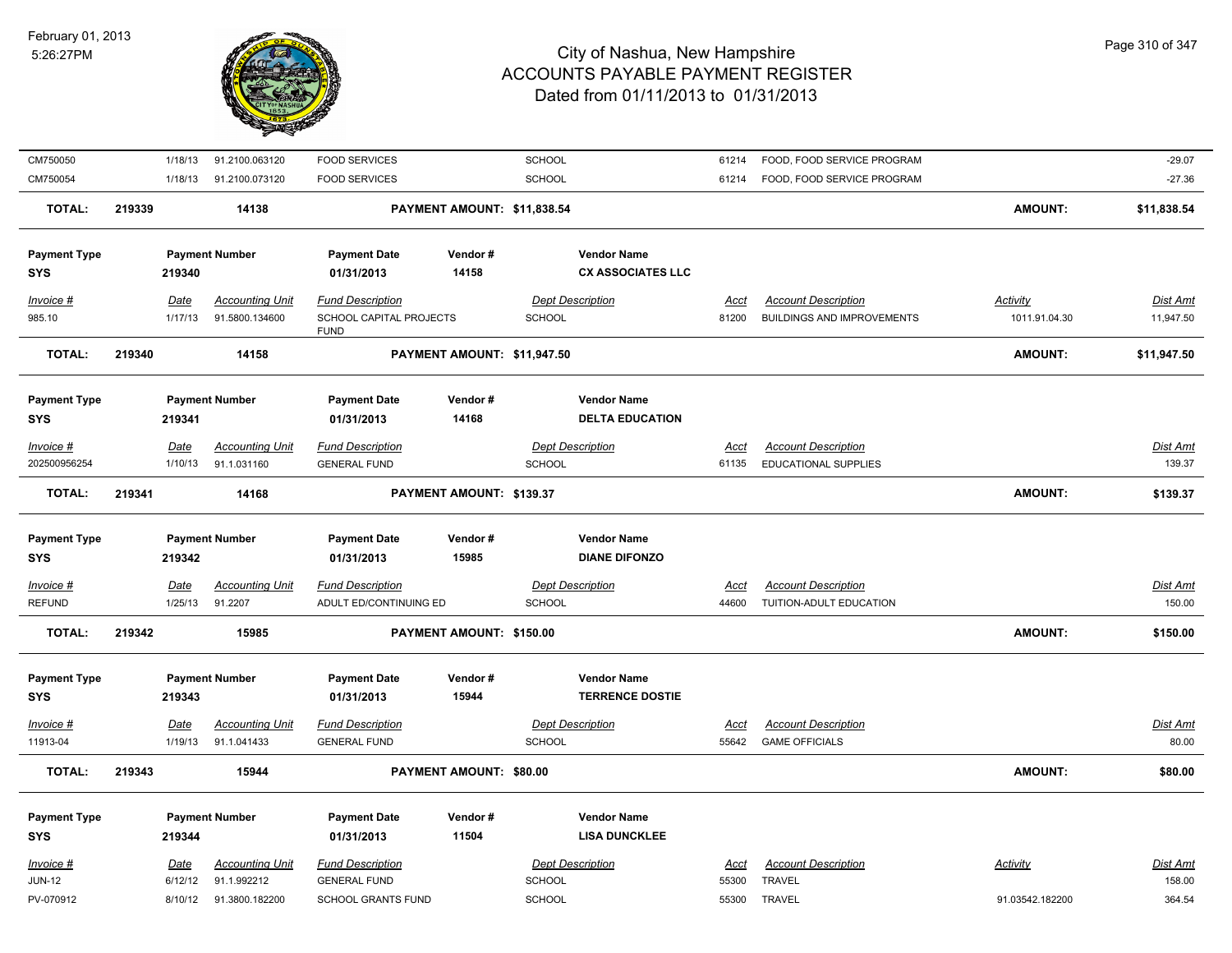

| CM750050                          | 1/18/13         | 91.2100.063120                        | <b>FOOD SERVICES</b>                              |                                | <b>SCHOOL</b>                                  | 61214                | FOOD, FOOD SERVICE PROGRAM                            |                 | $-29.07$                  |
|-----------------------------------|-----------------|---------------------------------------|---------------------------------------------------|--------------------------------|------------------------------------------------|----------------------|-------------------------------------------------------|-----------------|---------------------------|
| CM750054                          | 1/18/13         | 91.2100.073120                        | <b>FOOD SERVICES</b>                              |                                | SCHOOL                                         | 61214                | FOOD, FOOD SERVICE PROGRAM                            |                 | $-27.36$                  |
| <b>TOTAL:</b>                     | 219339          | 14138                                 |                                                   | PAYMENT AMOUNT: \$11,838.54    |                                                |                      |                                                       | <b>AMOUNT:</b>  | \$11,838.54               |
| <b>Payment Type</b><br><b>SYS</b> | 219340          | <b>Payment Number</b>                 | <b>Payment Date</b><br>01/31/2013                 | Vendor#<br>14158               | <b>Vendor Name</b><br><b>CX ASSOCIATES LLC</b> |                      |                                                       |                 |                           |
| Invoice #                         | Date            | <b>Accounting Unit</b>                | <b>Fund Description</b>                           |                                | <b>Dept Description</b>                        | Acct                 | <b>Account Description</b>                            | <b>Activity</b> | Dist Amt                  |
| 985.10                            | 1/17/13         | 91.5800.134600                        | SCHOOL CAPITAL PROJECTS<br><b>FUND</b>            |                                | <b>SCHOOL</b>                                  | 81200                | <b>BUILDINGS AND IMPROVEMENTS</b>                     | 1011.91.04.30   | 11,947.50                 |
| <b>TOTAL:</b>                     | 219340          | 14158                                 |                                                   | PAYMENT AMOUNT: \$11,947.50    |                                                |                      |                                                       | <b>AMOUNT:</b>  | \$11,947.50               |
| <b>Payment Type</b><br><b>SYS</b> | 219341          | <b>Payment Number</b>                 | <b>Payment Date</b><br>01/31/2013                 | Vendor#<br>14168               | <b>Vendor Name</b><br><b>DELTA EDUCATION</b>   |                      |                                                       |                 |                           |
| $Invoice$ #                       | <u>Date</u>     | <b>Accounting Unit</b>                | <b>Fund Description</b>                           |                                | <b>Dept Description</b>                        | <u>Acct</u>          | <b>Account Description</b>                            |                 | <b>Dist Amt</b>           |
| 202500956254                      | 1/10/13         | 91.1.031160                           | <b>GENERAL FUND</b>                               |                                | <b>SCHOOL</b>                                  | 61135                | EDUCATIONAL SUPPLIES                                  |                 | 139.37                    |
| <b>TOTAL:</b>                     | 219341          | 14168                                 |                                                   | PAYMENT AMOUNT: \$139.37       |                                                |                      |                                                       | AMOUNT:         | \$139.37                  |
|                                   |                 |                                       |                                                   |                                |                                                |                      |                                                       |                 |                           |
| <b>Payment Type</b><br><b>SYS</b> | 219342          | <b>Payment Number</b>                 | <b>Payment Date</b><br>01/31/2013                 | Vendor#<br>15985               | <b>Vendor Name</b><br><b>DIANE DIFONZO</b>     |                      |                                                       |                 |                           |
|                                   |                 |                                       |                                                   |                                |                                                |                      |                                                       |                 |                           |
| Invoice #<br><b>REFUND</b>        | Date<br>1/25/13 | <b>Accounting Unit</b><br>91.2207     | <b>Fund Description</b><br>ADULT ED/CONTINUING ED |                                | <b>Dept Description</b><br><b>SCHOOL</b>       | <b>Acct</b><br>44600 | <b>Account Description</b><br>TUITION-ADULT EDUCATION |                 | Dist Amt<br>150.00        |
| <b>TOTAL:</b>                     | 219342          | 15985                                 |                                                   | PAYMENT AMOUNT: \$150.00       |                                                |                      |                                                       | <b>AMOUNT:</b>  | \$150.00                  |
| <b>Payment Type</b><br>SYS        | 219343          | <b>Payment Number</b>                 | <b>Payment Date</b><br>01/31/2013                 | Vendor#<br>15944               | <b>Vendor Name</b><br><b>TERRENCE DOSTIE</b>   |                      |                                                       |                 |                           |
|                                   |                 |                                       |                                                   |                                |                                                |                      |                                                       |                 |                           |
| $Invoice$ #<br>11913-04           | Date<br>1/19/13 | <b>Accounting Unit</b><br>91.1.041433 | <b>Fund Description</b><br><b>GENERAL FUND</b>    |                                | <b>Dept Description</b><br><b>SCHOOL</b>       | <u>Acct</u><br>55642 | <b>Account Description</b><br><b>GAME OFFICIALS</b>   |                 | <b>Dist Amt</b><br>80.00  |
| <b>TOTAL:</b>                     | 219343          | 15944                                 |                                                   | <b>PAYMENT AMOUNT: \$80.00</b> |                                                |                      |                                                       | <b>AMOUNT:</b>  | \$80.00                   |
| <b>Payment Type</b><br><b>SYS</b> | 219344          | <b>Payment Number</b>                 | <b>Payment Date</b><br>01/31/2013                 | Vendor#<br>11504               | <b>Vendor Name</b><br><b>LISA DUNCKLEE</b>     |                      |                                                       |                 |                           |
| Invoice #<br>$JUN-12$             | Date<br>6/12/12 | <b>Accounting Unit</b><br>91.1.992212 | <b>Fund Description</b><br><b>GENERAL FUND</b>    |                                | <b>Dept Description</b><br><b>SCHOOL</b>       | Acct<br>55300        | <b>Account Description</b><br><b>TRAVEL</b>           | Activity        | <b>Dist Amt</b><br>158.00 |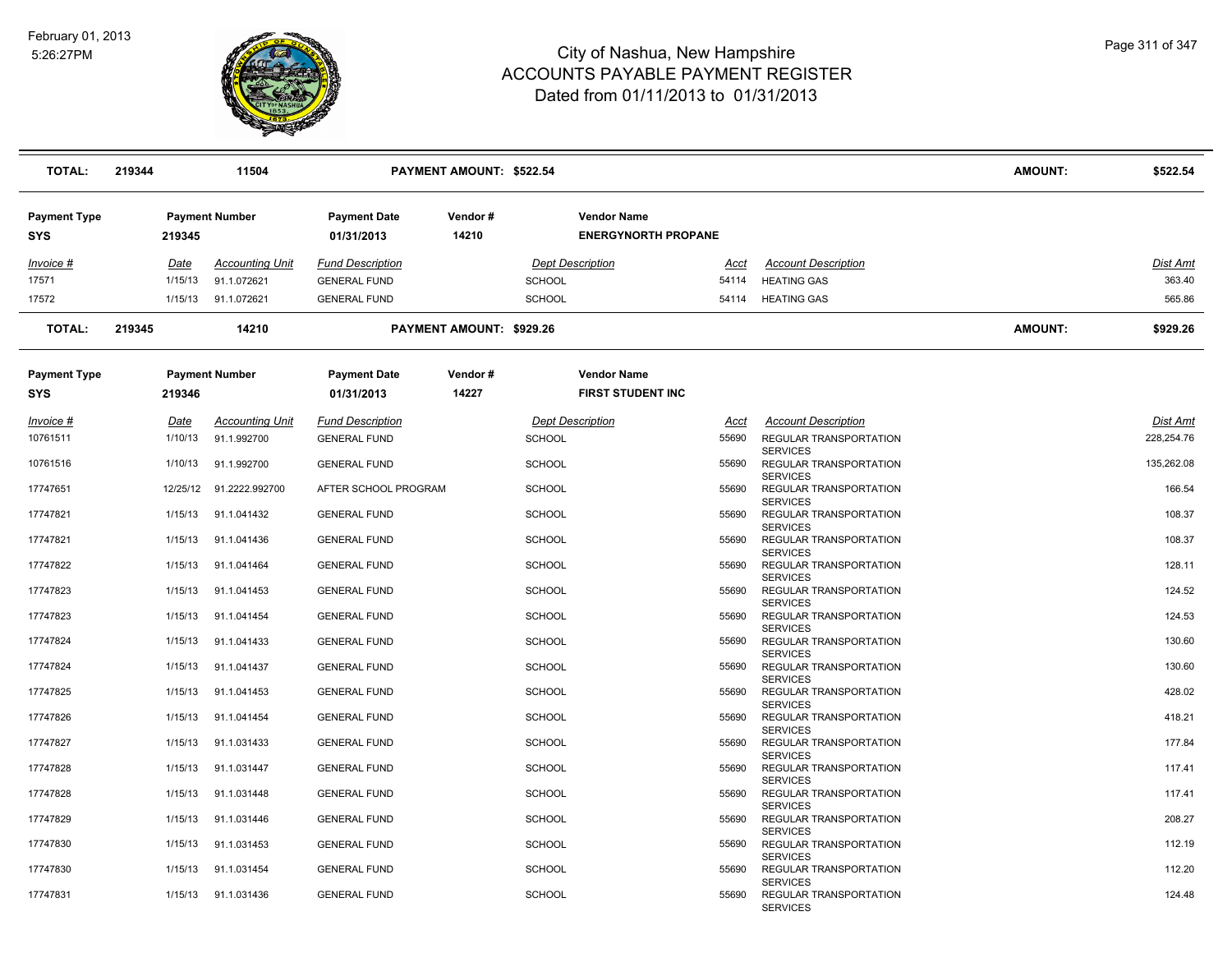

| <b>TOTAL:</b>              | 219344          |                       | 11504                                 |                                                | <b>PAYMENT AMOUNT: \$522.54</b> |               |                                                  |               |                                                              | <b>AMOUNT:</b> | \$522.54   |
|----------------------------|-----------------|-----------------------|---------------------------------------|------------------------------------------------|---------------------------------|---------------|--------------------------------------------------|---------------|--------------------------------------------------------------|----------------|------------|
| <b>Payment Type</b><br>SYS | 219345          | <b>Payment Number</b> |                                       | <b>Payment Date</b><br>01/31/2013              | Vendor#<br>14210                |               | <b>Vendor Name</b><br><b>ENERGYNORTH PROPANE</b> |               |                                                              |                |            |
| Invoice #                  | <u>Date</u>     |                       | <b>Accounting Unit</b>                | <b>Fund Description</b>                        |                                 |               | <b>Dept Description</b>                          | Acct          | <b>Account Description</b>                                   |                | Dist Amt   |
| 17571                      | 1/15/13         |                       | 91.1.072621                           | <b>GENERAL FUND</b>                            |                                 | <b>SCHOOL</b> |                                                  | 54114         | <b>HEATING GAS</b>                                           |                | 363.40     |
| 17572                      | 1/15/13         |                       | 91.1.072621                           | <b>GENERAL FUND</b>                            |                                 | SCHOOL        |                                                  | 54114         | <b>HEATING GAS</b>                                           |                | 565.86     |
| <b>TOTAL:</b>              | 219345          |                       | 14210                                 |                                                | PAYMENT AMOUNT: \$929.26        |               |                                                  |               |                                                              | <b>AMOUNT:</b> | \$929.26   |
| Payment Type<br>SYS        | 219346          | <b>Payment Number</b> |                                       | <b>Payment Date</b><br>01/31/2013              | Vendor#<br>14227                |               | <b>Vendor Name</b><br><b>FIRST STUDENT INC</b>   |               |                                                              |                |            |
|                            |                 |                       |                                       |                                                |                                 |               |                                                  |               |                                                              |                | Dist Amt   |
| Invoice #<br>10761511      | Date<br>1/10/13 |                       | <b>Accounting Unit</b><br>91.1.992700 | <b>Fund Description</b><br><b>GENERAL FUND</b> |                                 | <b>SCHOOL</b> | <b>Dept Description</b>                          | Acct<br>55690 | <b>Account Description</b><br><b>REGULAR TRANSPORTATION</b>  |                | 228.254.76 |
| 10761516                   | 1/10/13         |                       | 91.1.992700                           | <b>GENERAL FUND</b>                            |                                 | <b>SCHOOL</b> |                                                  | 55690         | <b>SERVICES</b><br>REGULAR TRANSPORTATION                    |                | 135,262.08 |
| 17747651                   | 12/25/12        |                       | 91.2222.992700                        | AFTER SCHOOL PROGRAM                           |                                 | <b>SCHOOL</b> |                                                  | 55690         | <b>SERVICES</b><br>REGULAR TRANSPORTATION                    |                | 166.54     |
| 17747821                   | 1/15/13         |                       | 91.1.041432                           | <b>GENERAL FUND</b>                            |                                 | <b>SCHOOL</b> |                                                  | 55690         | <b>SERVICES</b><br>REGULAR TRANSPORTATION                    |                | 108.37     |
| 17747821                   | 1/15/13         |                       | 91.1.041436                           | <b>GENERAL FUND</b>                            |                                 | <b>SCHOOL</b> |                                                  | 55690         | <b>SERVICES</b><br>REGULAR TRANSPORTATION                    |                | 108.37     |
| 17747822                   | 1/15/13         |                       | 91.1.041464                           | <b>GENERAL FUND</b>                            |                                 | <b>SCHOOL</b> |                                                  | 55690         | <b>SERVICES</b><br>REGULAR TRANSPORTATION<br><b>SERVICES</b> |                | 128.11     |
| 17747823                   | 1/15/13         |                       | 91.1.041453                           | <b>GENERAL FUND</b>                            |                                 | <b>SCHOOL</b> |                                                  | 55690         | REGULAR TRANSPORTATION<br><b>SERVICES</b>                    |                | 124.52     |
| 17747823                   | 1/15/13         |                       | 91.1.041454                           | <b>GENERAL FUND</b>                            |                                 | <b>SCHOOL</b> |                                                  | 55690         | REGULAR TRANSPORTATION<br><b>SERVICES</b>                    |                | 124.53     |
| 17747824                   | 1/15/13         |                       | 91.1.041433                           | <b>GENERAL FUND</b>                            |                                 | <b>SCHOOL</b> |                                                  | 55690         | REGULAR TRANSPORTATION<br><b>SERVICES</b>                    |                | 130.60     |
| 17747824                   | 1/15/13         |                       | 91.1.041437                           | <b>GENERAL FUND</b>                            |                                 | <b>SCHOOL</b> |                                                  | 55690         | REGULAR TRANSPORTATION<br><b>SERVICES</b>                    |                | 130.60     |
| 17747825                   | 1/15/13         |                       | 91.1.041453                           | <b>GENERAL FUND</b>                            |                                 | <b>SCHOOL</b> |                                                  | 55690         | REGULAR TRANSPORTATION<br><b>SERVICES</b>                    |                | 428.02     |
| 17747826                   | 1/15/13         |                       | 91.1.041454                           | <b>GENERAL FUND</b>                            |                                 | <b>SCHOOL</b> |                                                  | 55690         | REGULAR TRANSPORTATION<br><b>SERVICES</b>                    |                | 418.21     |
| 17747827                   | 1/15/13         |                       | 91.1.031433                           | <b>GENERAL FUND</b>                            |                                 | <b>SCHOOL</b> |                                                  | 55690         | REGULAR TRANSPORTATION<br><b>SERVICES</b>                    |                | 177.84     |
| 17747828                   | 1/15/13         |                       | 91.1.031447                           | <b>GENERAL FUND</b>                            |                                 | <b>SCHOOL</b> |                                                  | 55690         | REGULAR TRANSPORTATION<br><b>SERVICES</b>                    |                | 117.41     |
| 17747828                   | 1/15/13         |                       | 91.1.031448                           | <b>GENERAL FUND</b>                            |                                 | <b>SCHOOL</b> |                                                  | 55690         | REGULAR TRANSPORTATION<br><b>SERVICES</b>                    |                | 117.41     |
| 17747829                   | 1/15/13         |                       | 91.1.031446                           | <b>GENERAL FUND</b>                            |                                 | <b>SCHOOL</b> |                                                  | 55690         | REGULAR TRANSPORTATION<br><b>SERVICES</b>                    |                | 208.27     |
| 17747830                   | 1/15/13         |                       | 91.1.031453                           | <b>GENERAL FUND</b>                            |                                 | <b>SCHOOL</b> |                                                  | 55690         | REGULAR TRANSPORTATION<br><b>SERVICES</b>                    |                | 112.19     |
| 17747830                   | 1/15/13         |                       | 91.1.031454                           | <b>GENERAL FUND</b>                            |                                 | <b>SCHOOL</b> |                                                  | 55690         | REGULAR TRANSPORTATION<br><b>SERVICES</b>                    |                | 112.20     |
| 17747831                   | 1/15/13         |                       | 91.1.031436                           | <b>GENERAL FUND</b>                            |                                 | <b>SCHOOL</b> |                                                  | 55690         | REGULAR TRANSPORTATION<br><b>SERVICES</b>                    |                | 124.48     |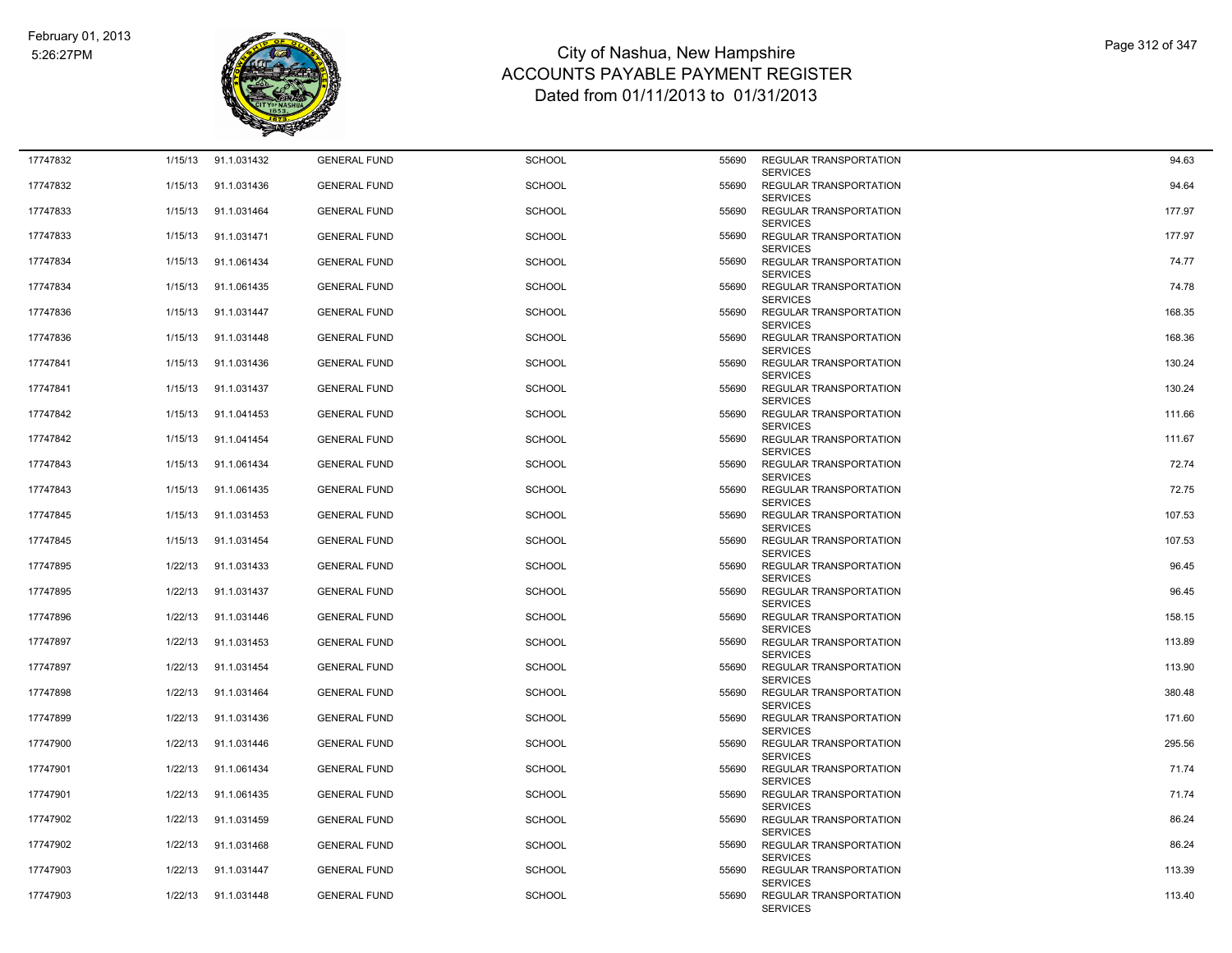

| 17747832 | 1/15/13 | 91.1.031432 | <b>GENERAL FUND</b> | <b>SCHOOL</b> | 55690 | REGULAR TRANSPORTATION                                       | 94.63  |
|----------|---------|-------------|---------------------|---------------|-------|--------------------------------------------------------------|--------|
| 17747832 | 1/15/13 | 91.1.031436 | <b>GENERAL FUND</b> | <b>SCHOOL</b> | 55690 | <b>SERVICES</b><br>REGULAR TRANSPORTATION<br><b>SERVICES</b> | 94.64  |
| 17747833 | 1/15/13 | 91.1.031464 | <b>GENERAL FUND</b> | <b>SCHOOL</b> | 55690 | REGULAR TRANSPORTATION<br><b>SERVICES</b>                    | 177.97 |
| 17747833 | 1/15/13 | 91.1.031471 | <b>GENERAL FUND</b> | <b>SCHOOL</b> | 55690 | REGULAR TRANSPORTATION<br><b>SERVICES</b>                    | 177.97 |
| 17747834 | 1/15/13 | 91.1.061434 | <b>GENERAL FUND</b> | <b>SCHOOL</b> | 55690 | REGULAR TRANSPORTATION                                       | 74.77  |
| 17747834 | 1/15/13 | 91.1.061435 | <b>GENERAL FUND</b> | <b>SCHOOL</b> | 55690 | <b>SERVICES</b><br>REGULAR TRANSPORTATION                    | 74.78  |
| 17747836 | 1/15/13 | 91.1.031447 | <b>GENERAL FUND</b> | <b>SCHOOL</b> | 55690 | <b>SERVICES</b><br>REGULAR TRANSPORTATION                    | 168.35 |
| 17747836 | 1/15/13 | 91.1.031448 | <b>GENERAL FUND</b> | <b>SCHOOL</b> | 55690 | <b>SERVICES</b><br>REGULAR TRANSPORTATION<br><b>SERVICES</b> | 168.36 |
| 17747841 | 1/15/13 | 91.1.031436 | <b>GENERAL FUND</b> | <b>SCHOOL</b> | 55690 | REGULAR TRANSPORTATION<br><b>SERVICES</b>                    | 130.24 |
| 17747841 | 1/15/13 | 91.1.031437 | <b>GENERAL FUND</b> | <b>SCHOOL</b> | 55690 | REGULAR TRANSPORTATION<br><b>SERVICES</b>                    | 130.24 |
| 17747842 | 1/15/13 | 91.1.041453 | <b>GENERAL FUND</b> | <b>SCHOOL</b> | 55690 | REGULAR TRANSPORTATION<br><b>SERVICES</b>                    | 111.66 |
| 17747842 | 1/15/13 | 91.1.041454 | <b>GENERAL FUND</b> | <b>SCHOOL</b> | 55690 | REGULAR TRANSPORTATION<br><b>SERVICES</b>                    | 111.67 |
| 17747843 | 1/15/13 | 91.1.061434 | <b>GENERAL FUND</b> | <b>SCHOOL</b> | 55690 | REGULAR TRANSPORTATION<br><b>SERVICES</b>                    | 72.74  |
| 17747843 | 1/15/13 | 91.1.061435 | <b>GENERAL FUND</b> | <b>SCHOOL</b> | 55690 | REGULAR TRANSPORTATION<br><b>SERVICES</b>                    | 72.75  |
| 17747845 | 1/15/13 | 91.1.031453 | <b>GENERAL FUND</b> | <b>SCHOOL</b> | 55690 | REGULAR TRANSPORTATION<br><b>SERVICES</b>                    | 107.53 |
| 17747845 | 1/15/13 | 91.1.031454 | <b>GENERAL FUND</b> | <b>SCHOOL</b> | 55690 | REGULAR TRANSPORTATION<br><b>SERVICES</b>                    | 107.53 |
| 17747895 | 1/22/13 | 91.1.031433 | <b>GENERAL FUND</b> | <b>SCHOOL</b> | 55690 | REGULAR TRANSPORTATION<br><b>SERVICES</b>                    | 96.45  |
| 17747895 | 1/22/13 | 91.1.031437 | <b>GENERAL FUND</b> | <b>SCHOOL</b> | 55690 | REGULAR TRANSPORTATION<br><b>SERVICES</b>                    | 96.45  |
| 17747896 | 1/22/13 | 91.1.031446 | <b>GENERAL FUND</b> | <b>SCHOOL</b> | 55690 | REGULAR TRANSPORTATION<br><b>SERVICES</b>                    | 158.15 |
| 17747897 | 1/22/13 | 91.1.031453 | <b>GENERAL FUND</b> | <b>SCHOOL</b> | 55690 | REGULAR TRANSPORTATION<br><b>SERVICES</b>                    | 113.89 |
| 17747897 | 1/22/13 | 91.1.031454 | <b>GENERAL FUND</b> | <b>SCHOOL</b> | 55690 | REGULAR TRANSPORTATION<br><b>SERVICES</b>                    | 113.90 |
| 17747898 | 1/22/13 | 91.1.031464 | <b>GENERAL FUND</b> | <b>SCHOOL</b> | 55690 | REGULAR TRANSPORTATION<br><b>SERVICES</b>                    | 380.48 |
| 17747899 | 1/22/13 | 91.1.031436 | <b>GENERAL FUND</b> | <b>SCHOOL</b> | 55690 | REGULAR TRANSPORTATION<br><b>SERVICES</b>                    | 171.60 |
| 17747900 | 1/22/13 | 91.1.031446 | <b>GENERAL FUND</b> | <b>SCHOOL</b> | 55690 | REGULAR TRANSPORTATION<br><b>SERVICES</b>                    | 295.56 |
| 17747901 | 1/22/13 | 91.1.061434 | <b>GENERAL FUND</b> | <b>SCHOOL</b> | 55690 | REGULAR TRANSPORTATION<br><b>SERVICES</b>                    | 71.74  |
| 17747901 | 1/22/13 | 91.1.061435 | <b>GENERAL FUND</b> | <b>SCHOOL</b> | 55690 | REGULAR TRANSPORTATION<br><b>SERVICES</b>                    | 71.74  |
| 17747902 | 1/22/13 | 91.1.031459 | <b>GENERAL FUND</b> | <b>SCHOOL</b> | 55690 | REGULAR TRANSPORTATION<br><b>SERVICES</b>                    | 86.24  |
| 17747902 | 1/22/13 | 91.1.031468 | <b>GENERAL FUND</b> | <b>SCHOOL</b> | 55690 | REGULAR TRANSPORTATION<br><b>SERVICES</b>                    | 86.24  |
| 17747903 | 1/22/13 | 91.1.031447 | <b>GENERAL FUND</b> | <b>SCHOOL</b> | 55690 | REGULAR TRANSPORTATION<br><b>SERVICES</b>                    | 113.39 |
| 17747903 | 1/22/13 | 91.1.031448 | <b>GENERAL FUND</b> | <b>SCHOOL</b> | 55690 | REGULAR TRANSPORTATION<br><b>SERVICES</b>                    | 113.40 |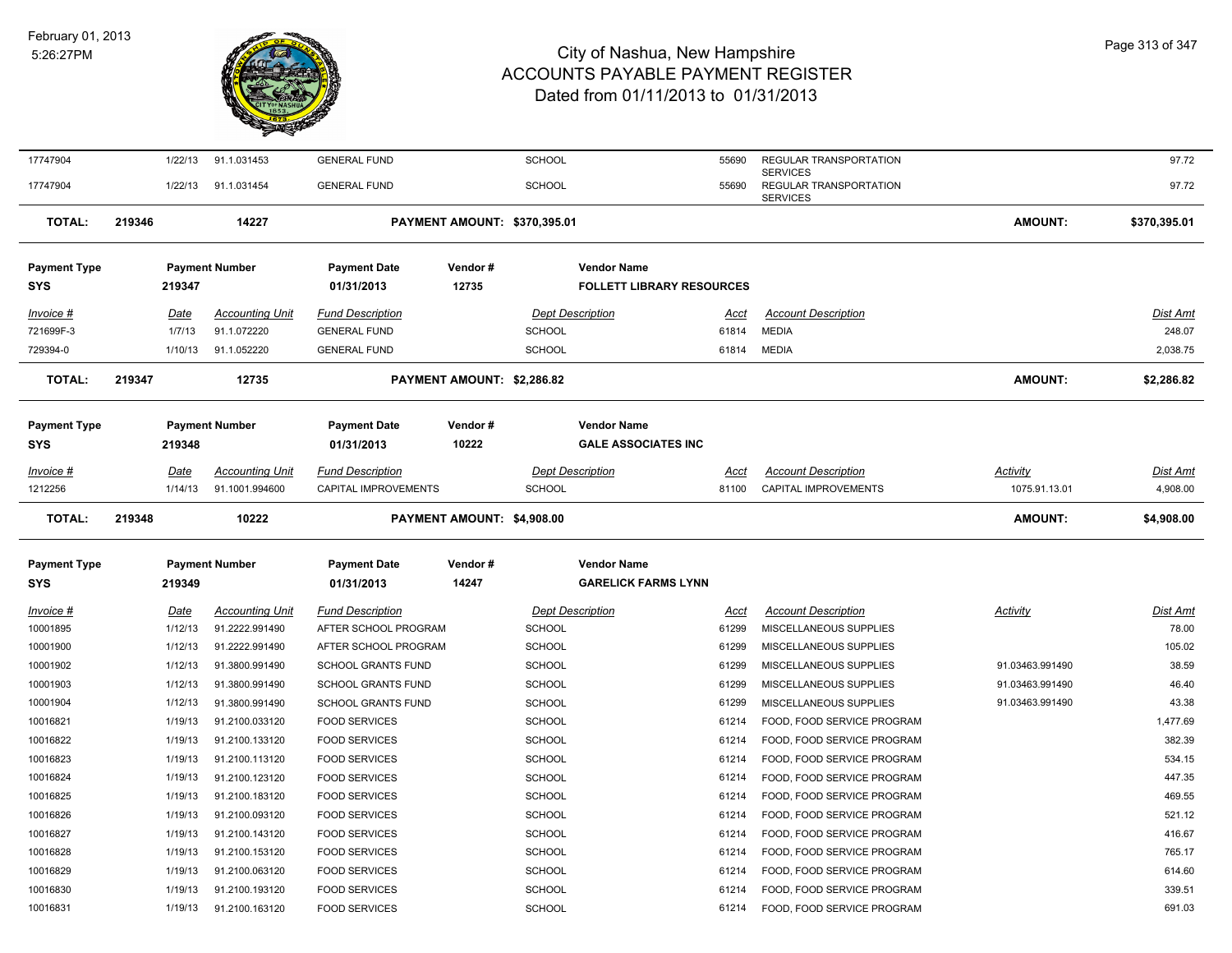

| 17747904            |             | 1/22/13 | 91.1.031453            | <b>GENERAL FUND</b>         |                            | <b>SCHOOL</b>                |                                  | 55690       | REGULAR TRANSPORTATION                                       |                 | 97.72           |
|---------------------|-------------|---------|------------------------|-----------------------------|----------------------------|------------------------------|----------------------------------|-------------|--------------------------------------------------------------|-----------------|-----------------|
| 17747904            |             | 1/22/13 | 91.1.031454            | <b>GENERAL FUND</b>         |                            | <b>SCHOOL</b>                |                                  | 55690       | <b>SERVICES</b><br>REGULAR TRANSPORTATION<br><b>SERVICES</b> |                 | 97.72           |
| <b>TOTAL:</b>       | 219346      |         | 14227                  |                             |                            | PAYMENT AMOUNT: \$370,395.01 |                                  |             |                                                              | <b>AMOUNT:</b>  | \$370,395.01    |
| Payment Type        |             |         | <b>Payment Number</b>  | <b>Payment Date</b>         | Vendor#                    |                              | <b>Vendor Name</b>               |             |                                                              |                 |                 |
| SYS                 | 219347      |         |                        | 01/31/2013                  | 12735                      |                              | <b>FOLLETT LIBRARY RESOURCES</b> |             |                                                              |                 |                 |
| <u>Invoice #</u>    | Date        |         | <b>Accounting Unit</b> | <b>Fund Description</b>     |                            |                              | <b>Dept Description</b>          | Acct        | <b>Account Description</b>                                   |                 | Dist Amt        |
| 721699F-3           |             | 1/7/13  | 91.1.072220            | <b>GENERAL FUND</b>         |                            | SCHOOL                       |                                  | 61814       | <b>MEDIA</b>                                                 |                 | 248.07          |
| 729394-0            |             | 1/10/13 | 91.1.052220            | <b>GENERAL FUND</b>         |                            | <b>SCHOOL</b>                |                                  | 61814       | <b>MEDIA</b>                                                 |                 | 2,038.75        |
| <b>TOTAL:</b>       | 219347      |         | 12735                  |                             | PAYMENT AMOUNT: \$2,286.82 |                              |                                  |             |                                                              | <b>AMOUNT:</b>  | \$2,286.82      |
|                     |             |         | <b>Payment Number</b>  | <b>Payment Date</b>         | Vendor#                    |                              | <b>Vendor Name</b>               |             |                                                              |                 |                 |
| Payment Type<br>SYS | 219348      |         |                        | 01/31/2013                  | 10222                      |                              | <b>GALE ASSOCIATES INC</b>       |             |                                                              |                 |                 |
|                     |             |         |                        |                             |                            |                              |                                  |             |                                                              |                 |                 |
| <u>Invoice #</u>    | <u>Date</u> |         | <b>Accounting Unit</b> | <b>Fund Description</b>     |                            |                              | <b>Dept Description</b>          | <u>Acct</u> | <b>Account Description</b>                                   | <b>Activity</b> | <u>Dist Amt</u> |
| 1212256             |             | 1/14/13 | 91.1001.994600         | <b>CAPITAL IMPROVEMENTS</b> |                            | <b>SCHOOL</b>                |                                  | 81100       | <b>CAPITAL IMPROVEMENTS</b>                                  | 1075.91.13.01   | 4,908.00        |
| <b>TOTAL:</b>       | 219348      |         | 10222                  |                             | PAYMENT AMOUNT: \$4,908.00 |                              |                                  |             |                                                              | <b>AMOUNT:</b>  | \$4,908.00      |
| <b>Payment Type</b> |             |         | <b>Payment Number</b>  | <b>Payment Date</b>         | Vendor#                    |                              | <b>Vendor Name</b>               |             |                                                              |                 |                 |
| SYS                 | 219349      |         |                        | 01/31/2013                  | 14247                      |                              | <b>GARELICK FARMS LYNN</b>       |             |                                                              |                 |                 |
| <u>Invoice #</u>    | <u>Date</u> |         | <b>Accounting Unit</b> | <b>Fund Description</b>     |                            |                              | <b>Dept Description</b>          | <u>Acct</u> | <b>Account Description</b>                                   | <u>Activity</u> | <u>Dist Amt</u> |
| 10001895            |             | 1/12/13 | 91.2222.991490         | AFTER SCHOOL PROGRAM        |                            | <b>SCHOOL</b>                |                                  | 61299       | MISCELLANEOUS SUPPLIES                                       |                 | 78.00           |
| 10001900            |             | 1/12/13 | 91.2222.991490         | AFTER SCHOOL PROGRAM        |                            | <b>SCHOOL</b>                |                                  | 61299       | MISCELLANEOUS SUPPLIES                                       |                 | 105.02          |
| 10001902            |             | 1/12/13 | 91.3800.991490         | <b>SCHOOL GRANTS FUND</b>   |                            | <b>SCHOOL</b>                |                                  | 61299       | MISCELLANEOUS SUPPLIES                                       | 91.03463.991490 | 38.59           |
| 10001903            |             | 1/12/13 | 91.3800.991490         | SCHOOL GRANTS FUND          |                            | <b>SCHOOL</b>                |                                  | 61299       | MISCELLANEOUS SUPPLIES                                       | 91.03463.991490 | 46.40           |
| 10001904            |             | 1/12/13 | 91.3800.991490         | <b>SCHOOL GRANTS FUND</b>   |                            | <b>SCHOOL</b>                |                                  | 61299       | MISCELLANEOUS SUPPLIES                                       | 91.03463.991490 | 43.38           |
| 10016821            |             | 1/19/13 | 91.2100.033120         | <b>FOOD SERVICES</b>        |                            | <b>SCHOOL</b>                |                                  | 61214       | FOOD, FOOD SERVICE PROGRAM                                   |                 | 1,477.69        |
| 10016822            |             | 1/19/13 | 91.2100.133120         | <b>FOOD SERVICES</b>        |                            | <b>SCHOOL</b>                |                                  | 61214       | FOOD, FOOD SERVICE PROGRAM                                   |                 | 382.39          |
| 10016823            |             | 1/19/13 | 91.2100.113120         | <b>FOOD SERVICES</b>        |                            | <b>SCHOOL</b>                |                                  | 61214       | FOOD, FOOD SERVICE PROGRAM                                   |                 | 534.15          |
| 10016824            |             | 1/19/13 | 91.2100.123120         | <b>FOOD SERVICES</b>        |                            | <b>SCHOOL</b>                |                                  | 61214       | FOOD, FOOD SERVICE PROGRAM                                   |                 | 447.35          |
| 10016825            |             | 1/19/13 | 91.2100.183120         | <b>FOOD SERVICES</b>        |                            | <b>SCHOOL</b>                |                                  | 61214       | FOOD, FOOD SERVICE PROGRAM                                   |                 | 469.55          |
| 10016826            |             | 1/19/13 | 91.2100.093120         | <b>FOOD SERVICES</b>        |                            | <b>SCHOOL</b>                |                                  | 61214       | FOOD, FOOD SERVICE PROGRAM                                   |                 | 521.12          |
| 10016827            |             | 1/19/13 | 91.2100.143120         | <b>FOOD SERVICES</b>        |                            | SCHOOL                       |                                  | 61214       | FOOD, FOOD SERVICE PROGRAM                                   |                 | 416.67          |
| 10016828            |             | 1/19/13 | 91.2100.153120         | <b>FOOD SERVICES</b>        |                            | <b>SCHOOL</b>                |                                  | 61214       | FOOD, FOOD SERVICE PROGRAM                                   |                 | 765.17          |
| 10016829            |             | 1/19/13 | 91.2100.063120         | <b>FOOD SERVICES</b>        |                            | <b>SCHOOL</b>                |                                  | 61214       | FOOD, FOOD SERVICE PROGRAM                                   |                 | 614.60          |
| 10016830            |             | 1/19/13 | 91.2100.193120         | <b>FOOD SERVICES</b>        |                            | SCHOOL                       |                                  | 61214       | FOOD, FOOD SERVICE PROGRAM                                   |                 | 339.51          |
| 10016831            |             | 1/19/13 | 91.2100.163120         | <b>FOOD SERVICES</b>        |                            | SCHOOL                       |                                  | 61214       | FOOD, FOOD SERVICE PROGRAM                                   |                 | 691.03          |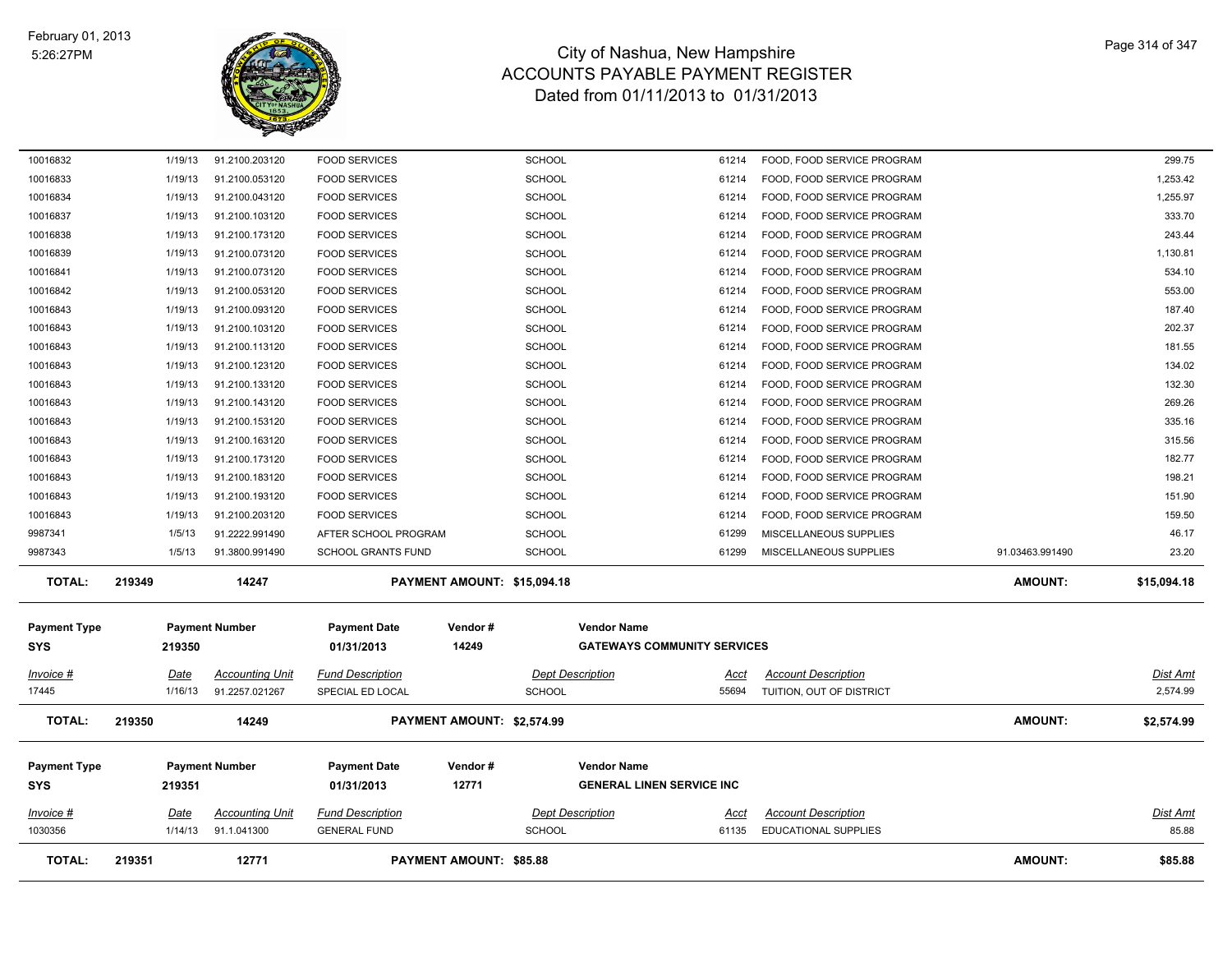

| 10016833                          | 1/19/13     | 91.2100.053120         | <b>FOOD SERVICES</b>              |                                | <b>SCHOOL</b>           | 61214                              | FOOD, FOOD SERVICE PROGRAM  |                 | 1,253.42        |
|-----------------------------------|-------------|------------------------|-----------------------------------|--------------------------------|-------------------------|------------------------------------|-----------------------------|-----------------|-----------------|
| 10016834                          | 1/19/13     | 91.2100.043120         | <b>FOOD SERVICES</b>              |                                | <b>SCHOOL</b>           | 61214                              | FOOD, FOOD SERVICE PROGRAM  |                 | 1,255.97        |
| 10016837                          | 1/19/13     | 91.2100.103120         | <b>FOOD SERVICES</b>              |                                | <b>SCHOOL</b>           | 61214                              | FOOD, FOOD SERVICE PROGRAM  |                 | 333.70          |
| 10016838                          | 1/19/13     | 91.2100.173120         | <b>FOOD SERVICES</b>              |                                | <b>SCHOOL</b>           | 61214                              | FOOD, FOOD SERVICE PROGRAM  |                 | 243.44          |
| 10016839                          | 1/19/13     | 91.2100.073120         | <b>FOOD SERVICES</b>              |                                | <b>SCHOOL</b>           | 61214                              | FOOD, FOOD SERVICE PROGRAM  |                 | 1,130.81        |
| 10016841                          | 1/19/13     | 91.2100.073120         | <b>FOOD SERVICES</b>              |                                | <b>SCHOOL</b>           | 61214                              | FOOD, FOOD SERVICE PROGRAM  |                 | 534.10          |
| 10016842                          | 1/19/13     | 91.2100.053120         | <b>FOOD SERVICES</b>              |                                | <b>SCHOOL</b>           | 61214                              | FOOD, FOOD SERVICE PROGRAM  |                 | 553.00          |
| 10016843                          | 1/19/13     | 91.2100.093120         | <b>FOOD SERVICES</b>              |                                | <b>SCHOOL</b>           | 61214                              | FOOD, FOOD SERVICE PROGRAM  |                 | 187.40          |
| 10016843                          | 1/19/13     | 91.2100.103120         | <b>FOOD SERVICES</b>              |                                | <b>SCHOOL</b>           | 61214                              | FOOD, FOOD SERVICE PROGRAM  |                 | 202.37          |
| 10016843                          | 1/19/13     | 91.2100.113120         | <b>FOOD SERVICES</b>              |                                | <b>SCHOOL</b>           | 61214                              | FOOD, FOOD SERVICE PROGRAM  |                 | 181.55          |
| 10016843                          | 1/19/13     | 91.2100.123120         | <b>FOOD SERVICES</b>              |                                | <b>SCHOOL</b>           | 61214                              | FOOD, FOOD SERVICE PROGRAM  |                 | 134.02          |
| 10016843                          | 1/19/13     | 91.2100.133120         | <b>FOOD SERVICES</b>              |                                | <b>SCHOOL</b>           | 61214                              | FOOD, FOOD SERVICE PROGRAM  |                 | 132.30          |
| 10016843                          | 1/19/13     | 91.2100.143120         | <b>FOOD SERVICES</b>              |                                | <b>SCHOOL</b>           | 61214                              | FOOD, FOOD SERVICE PROGRAM  |                 | 269.26          |
| 10016843                          | 1/19/13     | 91.2100.153120         | <b>FOOD SERVICES</b>              |                                | <b>SCHOOL</b>           | 61214                              | FOOD, FOOD SERVICE PROGRAM  |                 | 335.16          |
| 10016843                          | 1/19/13     | 91.2100.163120         | <b>FOOD SERVICES</b>              |                                | <b>SCHOOL</b>           | 61214                              | FOOD, FOOD SERVICE PROGRAM  |                 | 315.56          |
| 10016843                          | 1/19/13     | 91.2100.173120         | <b>FOOD SERVICES</b>              |                                | <b>SCHOOL</b>           | 61214                              | FOOD, FOOD SERVICE PROGRAM  |                 | 182.77          |
| 10016843                          | 1/19/13     | 91.2100.183120         | <b>FOOD SERVICES</b>              |                                | <b>SCHOOL</b>           | 61214                              | FOOD, FOOD SERVICE PROGRAM  |                 | 198.21          |
| 10016843                          | 1/19/13     | 91.2100.193120         | <b>FOOD SERVICES</b>              |                                | <b>SCHOOL</b>           | 61214                              | FOOD, FOOD SERVICE PROGRAM  |                 | 151.90          |
| 10016843                          | 1/19/13     | 91.2100.203120         | <b>FOOD SERVICES</b>              |                                | <b>SCHOOL</b>           | 61214                              | FOOD, FOOD SERVICE PROGRAM  |                 | 159.50          |
| 9987341                           | 1/5/13      | 91.2222.991490         | AFTER SCHOOL PROGRAM              |                                | <b>SCHOOL</b>           | 61299                              | MISCELLANEOUS SUPPLIES      |                 | 46.17           |
| 9987343                           | 1/5/13      | 91.3800.991490         | <b>SCHOOL GRANTS FUND</b>         |                                | <b>SCHOOL</b>           | 61299                              | MISCELLANEOUS SUPPLIES      | 91.03463.991490 | 23.20           |
| <b>TOTAL:</b>                     | 219349      | 14247                  |                                   | PAYMENT AMOUNT: \$15,094.18    |                         |                                    |                             | <b>AMOUNT:</b>  | \$15,094.18     |
|                                   |             |                        |                                   | Vendor#                        | <b>Vendor Name</b>      |                                    |                             |                 |                 |
| <b>Payment Type</b><br><b>SYS</b> | 219350      | <b>Payment Number</b>  | <b>Payment Date</b><br>01/31/2013 | 14249                          |                         | <b>GATEWAYS COMMUNITY SERVICES</b> |                             |                 |                 |
|                                   |             |                        |                                   |                                |                         |                                    |                             |                 |                 |
| $Invoice$ #                       | Date        | <b>Accounting Unit</b> | <b>Fund Description</b>           |                                | <b>Dept Description</b> | Acct                               | <b>Account Description</b>  |                 | <u>Dist Amt</u> |
| 17445                             | 1/16/13     | 91.2257.021267         | SPECIAL ED LOCAL                  |                                | <b>SCHOOL</b>           | 55694                              | TUITION, OUT OF DISTRICT    |                 | 2,574.99        |
| <b>TOTAL:</b>                     | 219350      | 14249                  |                                   | PAYMENT AMOUNT: \$2,574.99     |                         |                                    |                             | <b>AMOUNT:</b>  | \$2,574.99      |
|                                   |             |                        |                                   |                                |                         |                                    |                             |                 |                 |
| <b>Payment Type</b>               |             | <b>Payment Number</b>  | <b>Payment Date</b>               | Vendor#                        | <b>Vendor Name</b>      | <b>GENERAL LINEN SERVICE INC</b>   |                             |                 |                 |
| <b>SYS</b>                        | 219351      |                        | 01/31/2013                        | 12771                          |                         |                                    |                             |                 |                 |
| $Invoice$ #                       | <u>Date</u> | <b>Accounting Unit</b> | <b>Fund Description</b>           |                                | <b>Dept Description</b> | <u>Acct</u>                        | <b>Account Description</b>  |                 | <b>Dist Amt</b> |
| 1030356                           | 1/14/13     | 91.1.041300            | <b>GENERAL FUND</b>               |                                | <b>SCHOOL</b>           | 61135                              | <b>EDUCATIONAL SUPPLIES</b> |                 | 85.88           |
| <b>TOTAL:</b>                     | 219351      | 12771                  |                                   | <b>PAYMENT AMOUNT: \$85.88</b> |                         |                                    |                             | <b>AMOUNT:</b>  | \$85.88         |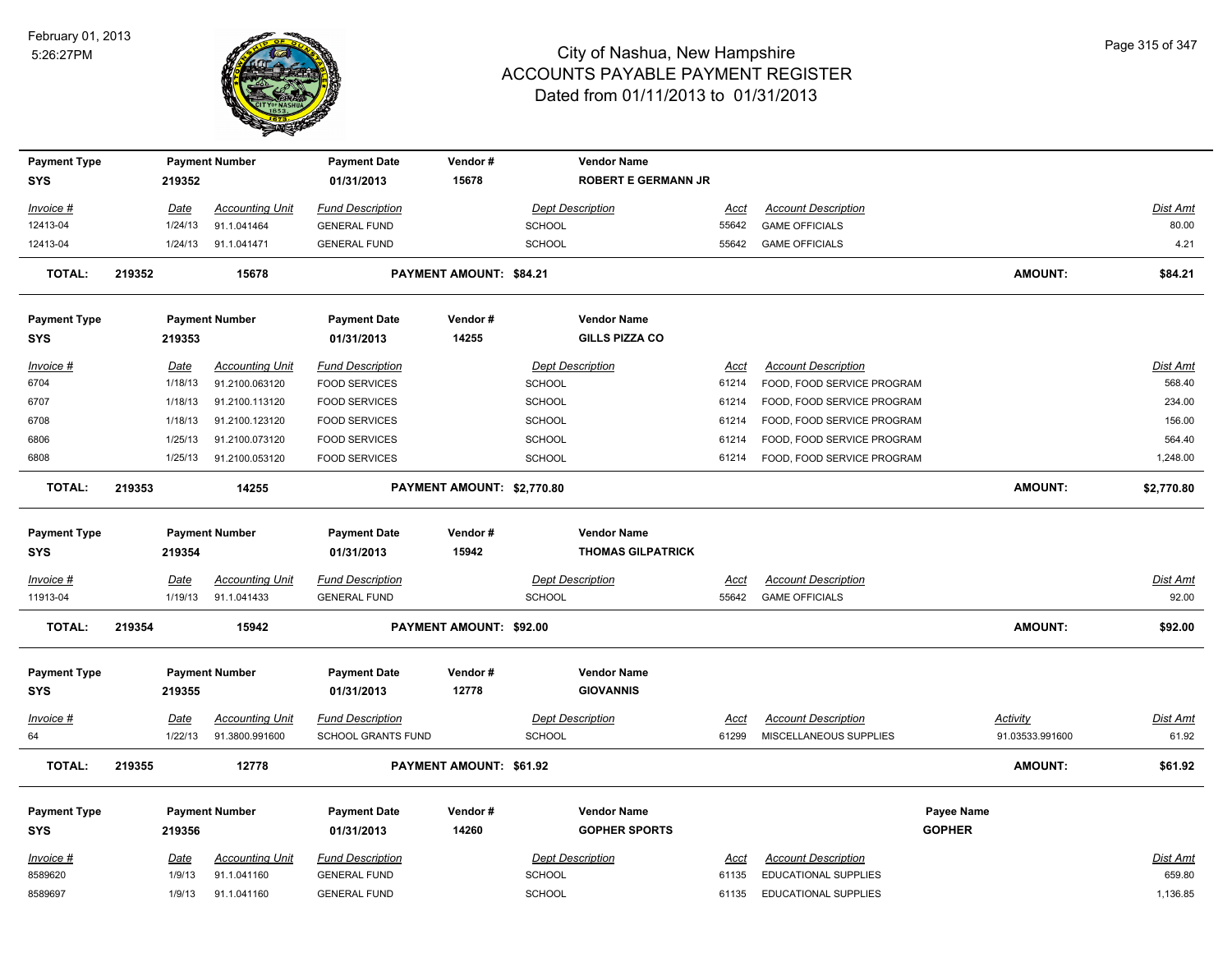

| <b>Payment Type</b>   |                        | <b>Payment Number</b>                    | <b>Payment Date</b>                                  | Vendor#                    |               | <b>Vendor Name</b>         |                      |                                                      |               |                                    |                          |
|-----------------------|------------------------|------------------------------------------|------------------------------------------------------|----------------------------|---------------|----------------------------|----------------------|------------------------------------------------------|---------------|------------------------------------|--------------------------|
| <b>SYS</b>            | 219352                 |                                          | 01/31/2013                                           | 15678                      |               | <b>ROBERT E GERMANN JR</b> |                      |                                                      |               |                                    |                          |
|                       |                        |                                          |                                                      |                            |               |                            |                      |                                                      |               |                                    |                          |
| Invoice #<br>12413-04 | Date<br>1/24/13        | <b>Accounting Unit</b><br>91.1.041464    | <b>Fund Description</b><br><b>GENERAL FUND</b>       |                            | SCHOOL        | <b>Dept Description</b>    | <u>Acct</u><br>55642 | <b>Account Description</b><br><b>GAME OFFICIALS</b>  |               |                                    | <b>Dist Amt</b><br>80.00 |
| 12413-04              | 1/24/13                | 91.1.041471                              | <b>GENERAL FUND</b>                                  |                            | SCHOOL        |                            | 55642                | <b>GAME OFFICIALS</b>                                |               |                                    | 4.21                     |
|                       |                        |                                          |                                                      |                            |               |                            |                      |                                                      |               |                                    |                          |
| TOTAL:                | 219352                 | 15678                                    |                                                      | PAYMENT AMOUNT: \$84.21    |               |                            |                      |                                                      |               | <b>AMOUNT:</b>                     | \$84.21                  |
| <b>Payment Type</b>   |                        | <b>Payment Number</b>                    | <b>Payment Date</b>                                  | Vendor#                    |               | <b>Vendor Name</b>         |                      |                                                      |               |                                    |                          |
| <b>SYS</b>            | 219353                 |                                          | 01/31/2013                                           | 14255                      |               | <b>GILLS PIZZA CO</b>      |                      |                                                      |               |                                    |                          |
| Invoice #             |                        | <b>Accounting Unit</b>                   | <b>Fund Description</b>                              |                            |               | <b>Dept Description</b>    |                      | <b>Account Description</b>                           |               |                                    | Dist Amt                 |
| 6704                  | Date<br>1/18/13        | 91.2100.063120                           | <b>FOOD SERVICES</b>                                 |                            | SCHOOL        |                            | Acct<br>61214        | FOOD, FOOD SERVICE PROGRAM                           |               |                                    | 568.40                   |
| 6707                  | 1/18/13                | 91.2100.113120                           | <b>FOOD SERVICES</b>                                 |                            | SCHOOL        |                            | 61214                | FOOD, FOOD SERVICE PROGRAM                           |               |                                    | 234.00                   |
| 6708                  | 1/18/13                | 91.2100.123120                           | <b>FOOD SERVICES</b>                                 |                            | SCHOOL        |                            | 61214                | FOOD, FOOD SERVICE PROGRAM                           |               |                                    | 156.00                   |
| 6806                  | 1/25/13                | 91.2100.073120                           | <b>FOOD SERVICES</b>                                 |                            | <b>SCHOOL</b> |                            | 61214                | FOOD, FOOD SERVICE PROGRAM                           |               |                                    | 564.40                   |
| 6808                  | 1/25/13                | 91.2100.053120                           | <b>FOOD SERVICES</b>                                 |                            | <b>SCHOOL</b> |                            | 61214                | FOOD, FOOD SERVICE PROGRAM                           |               |                                    | 1,248.00                 |
|                       |                        |                                          |                                                      |                            |               |                            |                      |                                                      |               |                                    |                          |
| <b>TOTAL:</b>         | 219353                 | 14255                                    |                                                      | PAYMENT AMOUNT: \$2,770.80 |               |                            |                      |                                                      |               | <b>AMOUNT:</b>                     | \$2,770.80               |
| <b>Payment Type</b>   |                        | <b>Payment Number</b>                    | <b>Payment Date</b>                                  | Vendor#                    |               | <b>Vendor Name</b>         |                      |                                                      |               |                                    |                          |
| <b>SYS</b>            | 219354                 |                                          | 01/31/2013                                           | 15942                      |               | <b>THOMAS GILPATRICK</b>   |                      |                                                      |               |                                    |                          |
| Invoice #             | Date                   | <b>Accounting Unit</b>                   | <b>Fund Description</b>                              |                            |               | <b>Dept Description</b>    | Acct                 | <b>Account Description</b>                           |               |                                    | Dist Amt                 |
| 11913-04              | 1/19/13                | 91.1.041433                              | <b>GENERAL FUND</b>                                  |                            | <b>SCHOOL</b> |                            | 55642                | <b>GAME OFFICIALS</b>                                |               |                                    | 92.00                    |
|                       |                        |                                          |                                                      |                            |               |                            |                      |                                                      |               |                                    |                          |
| <b>TOTAL:</b>         | 219354                 | 15942                                    |                                                      | PAYMENT AMOUNT: \$92.00    |               |                            |                      |                                                      |               | AMOUNT:                            | \$92.00                  |
| <b>Payment Type</b>   |                        | <b>Payment Number</b>                    | <b>Payment Date</b>                                  | Vendor#                    |               | <b>Vendor Name</b>         |                      |                                                      |               |                                    |                          |
| <b>SYS</b>            | 219355                 |                                          | 01/31/2013                                           | 12778                      |               | <b>GIOVANNIS</b>           |                      |                                                      |               |                                    |                          |
|                       |                        |                                          |                                                      |                            |               |                            |                      |                                                      |               |                                    |                          |
| $Invoice$ #<br>64     | <u>Date</u><br>1/22/13 | <b>Accounting Unit</b><br>91.3800.991600 | <b>Fund Description</b><br><b>SCHOOL GRANTS FUND</b> |                            | SCHOOL        | <b>Dept Description</b>    | <u>Acct</u><br>61299 | <b>Account Description</b><br>MISCELLANEOUS SUPPLIES |               | <b>Activity</b><br>91.03533.991600 | Dist Amt<br>61.92        |
|                       |                        |                                          |                                                      |                            |               |                            |                      |                                                      |               |                                    |                          |
| <b>TOTAL:</b>         | 219355                 | 12778                                    |                                                      | PAYMENT AMOUNT: \$61.92    |               |                            |                      |                                                      |               | AMOUNT:                            | \$61.92                  |
| <b>Payment Type</b>   |                        | <b>Payment Number</b>                    | <b>Payment Date</b>                                  | Vendor#                    |               | <b>Vendor Name</b>         |                      |                                                      | Payee Name    |                                    |                          |
| <b>SYS</b>            | 219356                 |                                          | 01/31/2013                                           | 14260                      |               | <b>GOPHER SPORTS</b>       |                      |                                                      | <b>GOPHER</b> |                                    |                          |
| Invoice #             | Date                   | <b>Accounting Unit</b>                   | <b>Fund Description</b>                              |                            |               | <b>Dept Description</b>    | Acct                 | <b>Account Description</b>                           |               |                                    | Dist Amt                 |
| 8589620               | 1/9/13                 | 91.1.041160                              | <b>GENERAL FUND</b>                                  |                            | SCHOOL        |                            | 61135                | <b>EDUCATIONAL SUPPLIES</b>                          |               |                                    | 659.80                   |
| 8589697               | 1/9/13                 | 91.1.041160                              | <b>GENERAL FUND</b>                                  |                            | SCHOOL        |                            | 61135                | <b>EDUCATIONAL SUPPLIES</b>                          |               |                                    | 1,136.85                 |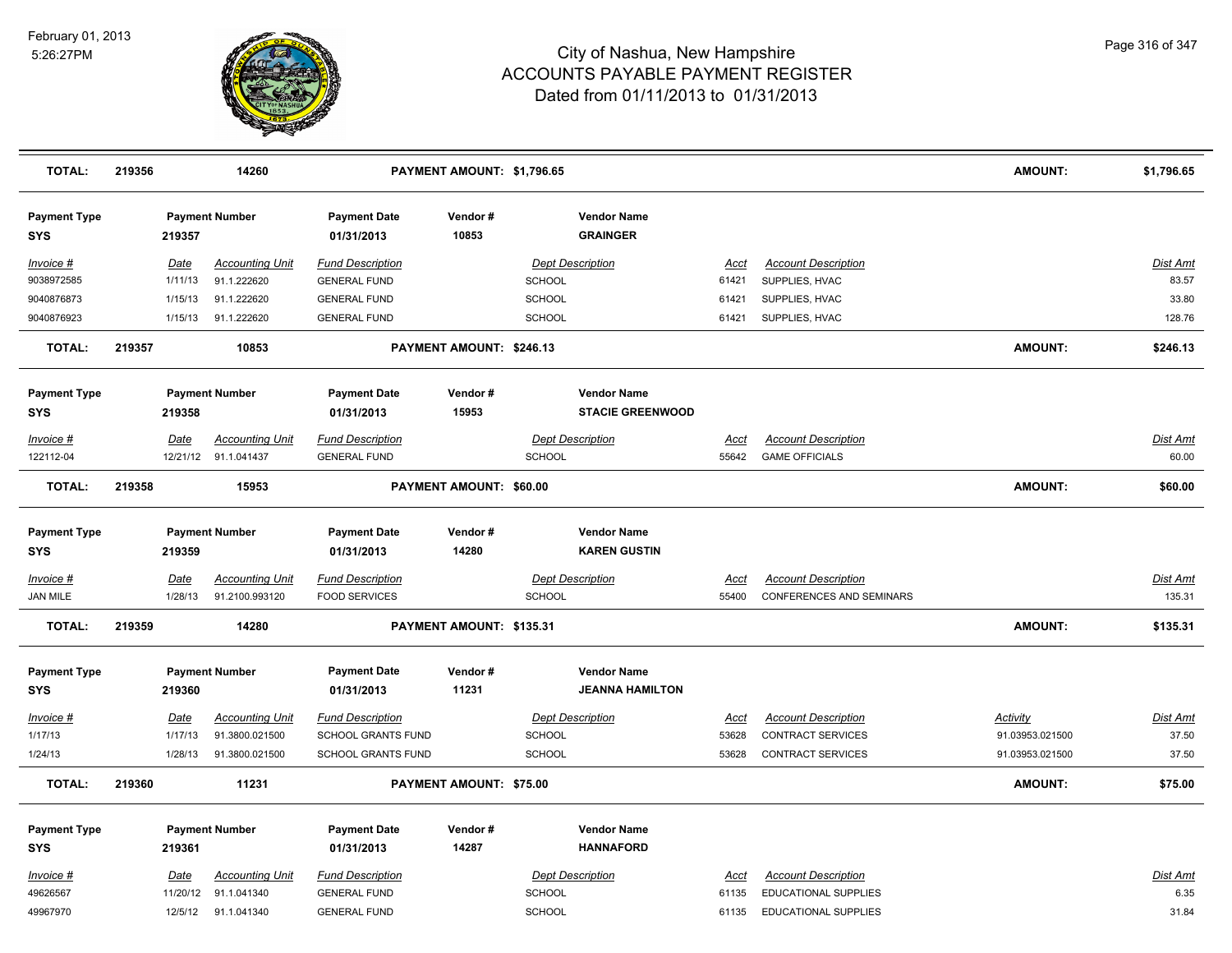

| <b>TOTAL:</b>                     | 219356      |          | 14260                  |                                   | PAYMENT AMOUNT: \$1,796.65 |               |                                               |             |                            | <b>AMOUNT:</b>  | \$1,796.65      |
|-----------------------------------|-------------|----------|------------------------|-----------------------------------|----------------------------|---------------|-----------------------------------------------|-------------|----------------------------|-----------------|-----------------|
| <b>Payment Type</b><br><b>SYS</b> | 219357      |          | <b>Payment Number</b>  | <b>Payment Date</b><br>01/31/2013 | Vendor#<br>10853           |               | <b>Vendor Name</b><br><b>GRAINGER</b>         |             |                            |                 |                 |
| Invoice #                         | Date        |          | Accounting Unit        | <b>Fund Description</b>           |                            |               | <b>Dept Description</b>                       | Acct        | <b>Account Description</b> |                 | Dist Amt        |
| 9038972585                        |             | 1/11/13  | 91.1.222620            | <b>GENERAL FUND</b>               |                            | <b>SCHOOL</b> |                                               | 61421       | SUPPLIES, HVAC             |                 | 83.57           |
| 9040876873                        |             | 1/15/13  | 91.1.222620            | <b>GENERAL FUND</b>               |                            | <b>SCHOOL</b> |                                               | 61421       | SUPPLIES, HVAC             |                 | 33.80           |
| 9040876923                        |             | 1/15/13  | 91.1.222620            | <b>GENERAL FUND</b>               |                            | <b>SCHOOL</b> |                                               | 61421       | SUPPLIES, HVAC             |                 | 128.76          |
| <b>TOTAL:</b>                     | 219357      |          | 10853                  |                                   | PAYMENT AMOUNT: \$246.13   |               |                                               |             |                            | <b>AMOUNT:</b>  | \$246.13        |
| <b>Payment Type</b><br><b>SYS</b> | 219358      |          | <b>Payment Number</b>  | <b>Payment Date</b><br>01/31/2013 | Vendor#<br>15953           |               | <b>Vendor Name</b><br><b>STACIE GREENWOOD</b> |             |                            |                 |                 |
| <u>Invoice #</u>                  | <u>Date</u> |          | <b>Accounting Unit</b> | <b>Fund Description</b>           |                            |               | <b>Dept Description</b>                       | Acct        | <b>Account Description</b> |                 | Dist Amt        |
| 122112-04                         |             |          | 12/21/12 91.1.041437   | <b>GENERAL FUND</b>               |                            | SCHOOL        |                                               | 55642       | <b>GAME OFFICIALS</b>      |                 | 60.00           |
| <b>TOTAL:</b>                     | 219358      |          | 15953                  |                                   | PAYMENT AMOUNT: \$60.00    |               |                                               |             |                            | <b>AMOUNT:</b>  | \$60.00         |
| <b>Payment Type</b><br><b>SYS</b> |             | 219359   | <b>Payment Number</b>  | <b>Payment Date</b><br>01/31/2013 | Vendor#<br>14280           |               | <b>Vendor Name</b><br><b>KAREN GUSTIN</b>     |             |                            |                 |                 |
| <u>Invoice #</u>                  | <b>Date</b> |          | <b>Accounting Unit</b> | <b>Fund Description</b>           |                            |               | <b>Dept Description</b>                       | <u>Acct</u> | <b>Account Description</b> |                 | <b>Dist Amt</b> |
| <b>JAN MILE</b>                   |             | 1/28/13  | 91.2100.993120         | <b>FOOD SERVICES</b>              |                            | <b>SCHOOL</b> |                                               | 55400       | CONFERENCES AND SEMINARS   |                 | 135.31          |
| <b>TOTAL:</b>                     | 219359      |          | 14280                  |                                   | PAYMENT AMOUNT: \$135.31   |               |                                               |             |                            | <b>AMOUNT:</b>  | \$135.31        |
| <b>Payment Type</b>               |             |          | <b>Payment Number</b>  | <b>Payment Date</b>               | Vendor#                    |               | <b>Vendor Name</b>                            |             |                            |                 |                 |
| SYS                               | 219360      |          |                        | 01/31/2013                        | 11231                      |               | <b>JEANNA HAMILTON</b>                        |             |                            |                 |                 |
| Invoice #                         | Date        |          | <b>Accounting Unit</b> | <b>Fund Description</b>           |                            |               | <b>Dept Description</b>                       | Acct        | <b>Account Description</b> | <b>Activity</b> | <b>Dist Amt</b> |
| 1/17/13                           |             | 1/17/13  | 91.3800.021500         | SCHOOL GRANTS FUND                |                            | <b>SCHOOL</b> |                                               | 53628       | <b>CONTRACT SERVICES</b>   | 91.03953.021500 | 37.50           |
| 1/24/13                           |             | 1/28/13  | 91.3800.021500         | SCHOOL GRANTS FUND                |                            | SCHOOL        |                                               | 53628       | <b>CONTRACT SERVICES</b>   | 91.03953.021500 | 37.50           |
| <b>TOTAL:</b>                     | 219360      |          | 11231                  |                                   | PAYMENT AMOUNT: \$75.00    |               |                                               |             |                            | <b>AMOUNT:</b>  | \$75.00         |
| <b>Payment Type</b>               |             |          | <b>Payment Number</b>  | <b>Payment Date</b>               | Vendor#                    |               | <b>Vendor Name</b>                            |             |                            |                 |                 |
| SYS                               | 219361      |          |                        | 01/31/2013                        | 14287                      |               | <b>HANNAFORD</b>                              |             |                            |                 |                 |
| Invoice #                         | Date        |          | <b>Accounting Unit</b> | <b>Fund Description</b>           |                            |               | <b>Dept Description</b>                       | Acct        | <b>Account Description</b> |                 | Dist Amt        |
| 49626567                          |             | 11/20/12 | 91.1.041340            | <b>GENERAL FUND</b>               |                            | SCHOOL        |                                               | 61135       | EDUCATIONAL SUPPLIES       |                 | 6.35            |
| 49967970                          |             |          | 12/5/12 91.1.041340    | <b>GENERAL FUND</b>               |                            | <b>SCHOOL</b> |                                               | 61135       | EDUCATIONAL SUPPLIES       |                 | 31.84           |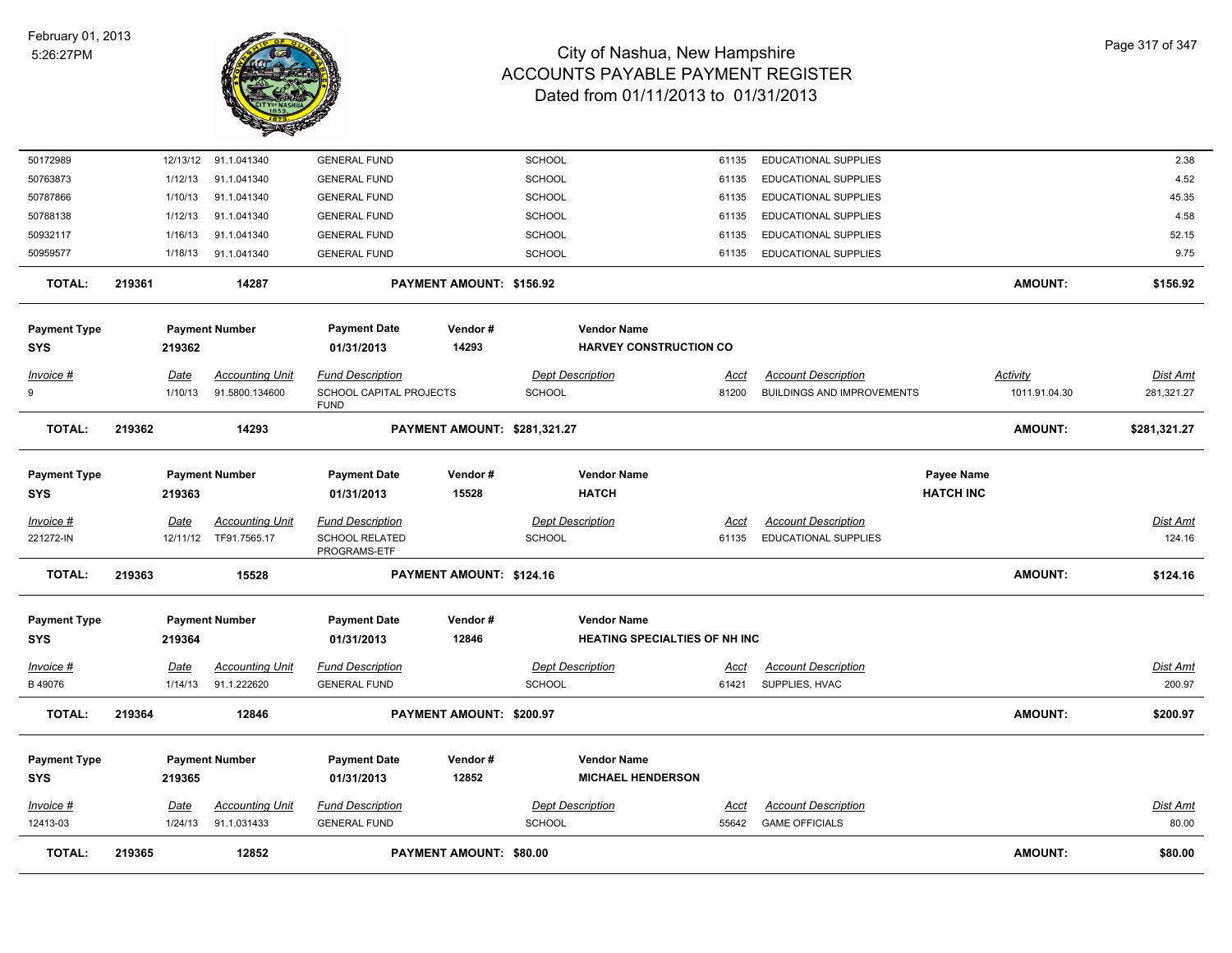

| <b>TOTAL:</b>                     | 219365 |                    | 12852                                    |                                                                   | PAYMENT AMOUNT: \$80.00      |                                |                                                            |                      |                                                                 |                                | <b>AMOUNT:</b>                   | \$80.00                   |
|-----------------------------------|--------|--------------------|------------------------------------------|-------------------------------------------------------------------|------------------------------|--------------------------------|------------------------------------------------------------|----------------------|-----------------------------------------------------------------|--------------------------------|----------------------------------|---------------------------|
| Invoice #<br>12413-03             |        | Date<br>1/24/13    | <b>Accounting Unit</b><br>91.1.031433    | <b>Fund Description</b><br><b>GENERAL FUND</b>                    |                              | <b>SCHOOL</b>                  | <b>Dept Description</b>                                    | Acct<br>55642        | <b>Account Description</b><br><b>GAME OFFICIALS</b>             |                                |                                  | <b>Dist Amt</b><br>80.00  |
| <b>Payment Type</b><br><b>SYS</b> |        | 219365             | <b>Payment Number</b>                    | <b>Payment Date</b><br>01/31/2013                                 | Vendor#<br>12852             |                                | <b>Vendor Name</b><br><b>MICHAEL HENDERSON</b>             |                      |                                                                 |                                |                                  |                           |
| <b>TOTAL:</b>                     | 219364 |                    | 12846                                    |                                                                   | PAYMENT AMOUNT: \$200.97     |                                |                                                            |                      |                                                                 |                                | <b>AMOUNT:</b>                   | \$200.97                  |
| <u>Invoice #</u><br>B 49076       |        | Date<br>1/14/13    | <b>Accounting Unit</b><br>91.1.222620    | <b>Fund Description</b><br><b>GENERAL FUND</b>                    |                              | <b>SCHOOL</b>                  | <b>Dept Description</b>                                    | <u>Acct</u><br>61421 | <b>Account Description</b><br>SUPPLIES, HVAC                    |                                |                                  | <u>Dist Amt</u><br>200.97 |
| <b>Payment Type</b><br>SYS        |        | 219364             | <b>Payment Number</b>                    | <b>Payment Date</b><br>01/31/2013                                 | Vendor#<br>12846             |                                | <b>Vendor Name</b><br><b>HEATING SPECIALTIES OF NH INC</b> |                      |                                                                 |                                |                                  |                           |
| <b>TOTAL:</b>                     | 219363 |                    | 15528                                    |                                                                   | PAYMENT AMOUNT: \$124.16     |                                |                                                            |                      |                                                                 |                                | <b>AMOUNT:</b>                   | \$124.16                  |
| $Invoice$ #<br>221272-IN          |        | Date<br>12/11/12   | <b>Accounting Unit</b><br>TF91.7565.17   | <b>Fund Description</b><br><b>SCHOOL RELATED</b><br>PROGRAMS-ETF  |                              | <b>SCHOOL</b>                  | <b>Dept Description</b>                                    | Acct<br>61135        | <b>Account Description</b><br>EDUCATIONAL SUPPLIES              |                                |                                  | <b>Dist Amt</b><br>124.16 |
| <b>Payment Type</b><br><b>SYS</b> |        | 219363             | <b>Payment Number</b>                    | <b>Payment Date</b><br>01/31/2013                                 | Vendor#<br>15528             |                                | <b>Vendor Name</b><br><b>HATCH</b>                         |                      |                                                                 | Payee Name<br><b>HATCH INC</b> |                                  |                           |
| <b>TOTAL:</b>                     | 219362 |                    | 14293                                    |                                                                   | PAYMENT AMOUNT: \$281,321.27 |                                |                                                            |                      |                                                                 |                                | <b>AMOUNT:</b>                   | \$281,321.27              |
| <u>Invoice #</u><br>9             |        | Date<br>1/10/13    | <b>Accounting Unit</b><br>91.5800.134600 | <b>Fund Description</b><br>SCHOOL CAPITAL PROJECTS<br><b>FUND</b> |                              | <b>SCHOOL</b>                  | <b>Dept Description</b>                                    | Acct<br>81200        | <b>Account Description</b><br><b>BUILDINGS AND IMPROVEMENTS</b> |                                | <b>Activity</b><br>1011.91.04.30 | Dist Amt<br>281,321.27    |
| <b>Payment Type</b><br>SYS        |        | 219362             | <b>Payment Number</b>                    | <b>Payment Date</b><br>01/31/2013                                 | Vendor#<br>14293             |                                | <b>Vendor Name</b><br><b>HARVEY CONSTRUCTION CO</b>        |                      |                                                                 |                                |                                  |                           |
| <b>TOTAL:</b>                     | 219361 |                    | 14287                                    |                                                                   | PAYMENT AMOUNT: \$156.92     |                                |                                                            |                      |                                                                 |                                | <b>AMOUNT:</b>                   | \$156.92                  |
| 50959577                          |        | 1/18/13            | 91.1.041340                              | <b>GENERAL FUND</b>                                               |                              | SCHOOL                         |                                                            | 61135                | EDUCATIONAL SUPPLIES                                            |                                |                                  | 9.75                      |
| 50932117                          |        | 1/16/13            | 91.1.041340                              | <b>GENERAL FUND</b>                                               |                              | SCHOOL                         |                                                            | 61135                | EDUCATIONAL SUPPLIES                                            |                                |                                  | 52.15                     |
| 50788138                          |        | 1/12/13            | 91.1.041340                              | <b>GENERAL FUND</b>                                               |                              | <b>SCHOOL</b>                  |                                                            | 61135                | EDUCATIONAL SUPPLIES                                            |                                |                                  | 4.58                      |
| 50763873<br>50787866              |        | 1/12/13<br>1/10/13 | 91.1.041340<br>91.1.041340               | <b>GENERAL FUND</b><br><b>GENERAL FUND</b>                        |                              | <b>SCHOOL</b><br><b>SCHOOL</b> |                                                            | 61135<br>61135       | EDUCATIONAL SUPPLIES<br>EDUCATIONAL SUPPLIES                    |                                |                                  | 4.52<br>45.35             |
| 50172989                          |        | 12/13/12           | 91.1.041340                              | <b>GENERAL FUND</b>                                               |                              | SCHOOL                         |                                                            | 61135                | <b>EDUCATIONAL SUPPLIES</b>                                     |                                |                                  | 2.38                      |
|                                   |        |                    |                                          |                                                                   |                              |                                |                                                            |                      |                                                                 |                                |                                  |                           |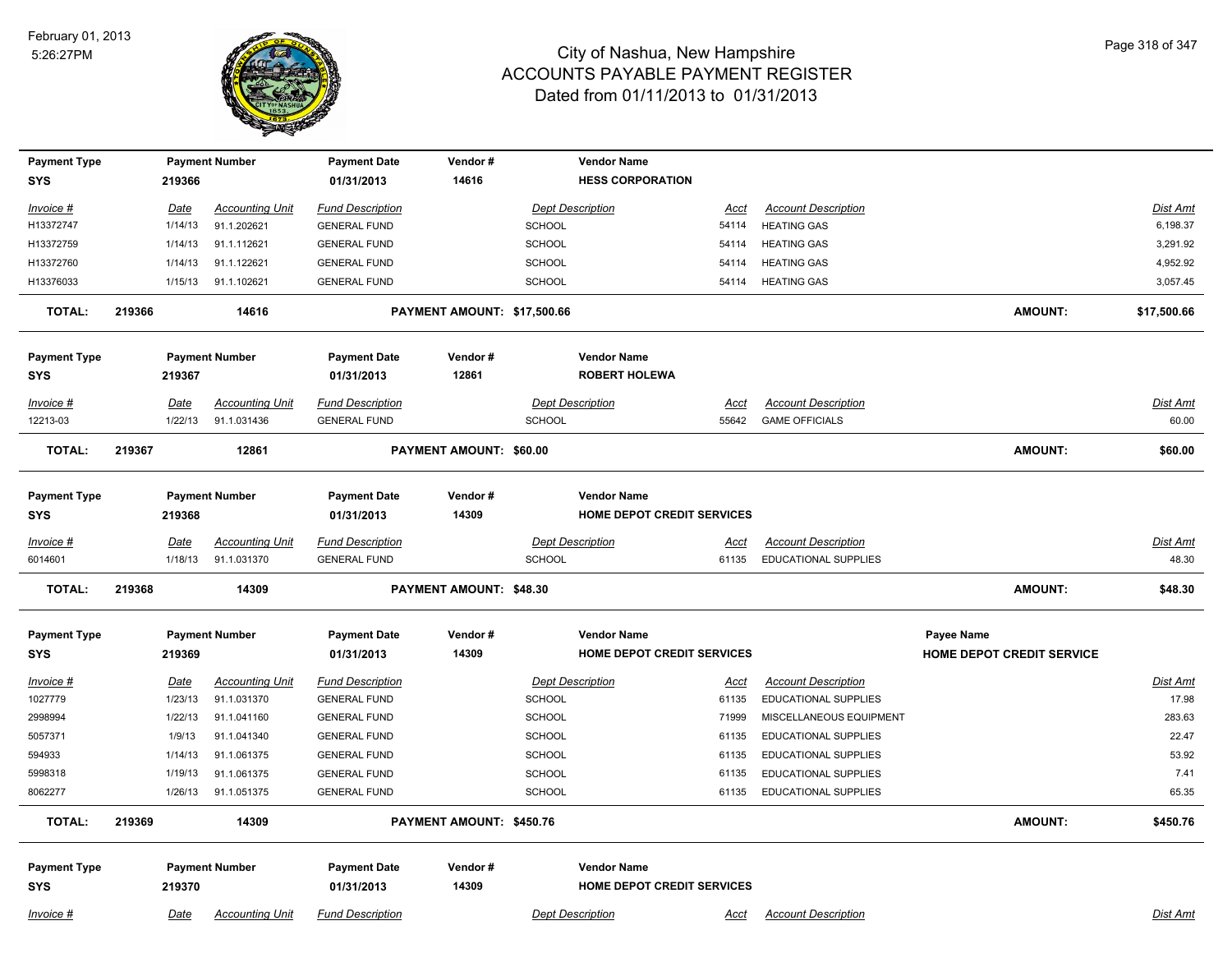

| <b>Payment Type</b><br><b>SYS</b> | 219366                 | <b>Payment Number</b>                 | <b>Payment Date</b><br>01/31/2013              | Vendor#<br>14616               |               | <b>Vendor Name</b><br><b>HESS CORPORATION</b>    |                      |                                                           |                                  |                 |
|-----------------------------------|------------------------|---------------------------------------|------------------------------------------------|--------------------------------|---------------|--------------------------------------------------|----------------------|-----------------------------------------------------------|----------------------------------|-----------------|
|                                   |                        |                                       |                                                |                                |               |                                                  |                      |                                                           |                                  |                 |
| Invoice #                         | Date                   | <b>Accounting Unit</b>                | <b>Fund Description</b>                        |                                |               | <b>Dept Description</b>                          | Acct                 | <b>Account Description</b>                                |                                  | Dist Amt        |
| H13372747                         | 1/14/13                | 91.1.202621                           | <b>GENERAL FUND</b>                            |                                | <b>SCHOOL</b> |                                                  | 54114                | <b>HEATING GAS</b>                                        |                                  | 6,198.37        |
| H13372759                         | 1/14/13                | 91.1.112621                           | <b>GENERAL FUND</b>                            |                                | <b>SCHOOL</b> |                                                  | 54114                | <b>HEATING GAS</b>                                        |                                  | 3,291.92        |
| H13372760                         | 1/14/13                | 91.1.122621                           | <b>GENERAL FUND</b>                            |                                | <b>SCHOOL</b> |                                                  | 54114                | <b>HEATING GAS</b>                                        |                                  | 4,952.92        |
| H13376033                         | 1/15/13                | 91.1.102621                           | <b>GENERAL FUND</b>                            |                                | SCHOOL        |                                                  | 54114                | <b>HEATING GAS</b>                                        |                                  | 3,057.45        |
| <b>TOTAL:</b>                     | 219366                 | 14616                                 |                                                | PAYMENT AMOUNT: \$17,500.66    |               |                                                  |                      |                                                           | <b>AMOUNT:</b>                   | \$17,500.66     |
| <b>Payment Type</b>               |                        | <b>Payment Number</b>                 | <b>Payment Date</b>                            | Vendor#                        |               | <b>Vendor Name</b>                               |                      |                                                           |                                  |                 |
| <b>SYS</b>                        | 219367                 |                                       | 01/31/2013                                     | 12861                          |               | <b>ROBERT HOLEWA</b>                             |                      |                                                           |                                  |                 |
| Invoice #                         | Date                   | <b>Accounting Unit</b>                | <b>Fund Description</b>                        |                                |               | <b>Dept Description</b>                          | Acct                 | <b>Account Description</b>                                |                                  | Dist Amt        |
| 12213-03                          | 1/22/13                | 91.1.031436                           | <b>GENERAL FUND</b>                            |                                | <b>SCHOOL</b> |                                                  | 55642                | <b>GAME OFFICIALS</b>                                     |                                  | 60.00           |
| TOTAL:                            | 219367                 | 12861                                 |                                                | <b>PAYMENT AMOUNT: \$60.00</b> |               |                                                  |                      |                                                           | <b>AMOUNT:</b>                   | \$60.00         |
| <b>Payment Type</b>               |                        | <b>Payment Number</b>                 | <b>Payment Date</b>                            | Vendor#                        |               | <b>Vendor Name</b>                               |                      |                                                           |                                  |                 |
| <b>SYS</b>                        | 219368                 |                                       | 01/31/2013                                     | 14309                          |               | <b>HOME DEPOT CREDIT SERVICES</b>                |                      |                                                           |                                  |                 |
|                                   |                        |                                       |                                                |                                |               |                                                  |                      |                                                           |                                  | Dist Amt        |
| Invoice #<br>6014601              | <b>Date</b><br>1/18/13 | <b>Accounting Unit</b><br>91.1.031370 | <b>Fund Description</b><br><b>GENERAL FUND</b> |                                | <b>SCHOOL</b> | <b>Dept Description</b>                          | <u>Acct</u><br>61135 | <b>Account Description</b><br><b>EDUCATIONAL SUPPLIES</b> |                                  | 48.30           |
|                                   |                        |                                       |                                                |                                |               |                                                  |                      |                                                           |                                  |                 |
| <b>TOTAL:</b>                     | 219368                 | 14309                                 |                                                | PAYMENT AMOUNT: \$48.30        |               |                                                  |                      |                                                           | <b>AMOUNT:</b>                   | \$48.30         |
| <b>Payment Type</b>               |                        | <b>Payment Number</b>                 | <b>Payment Date</b>                            | Vendor#                        |               | <b>Vendor Name</b>                               |                      |                                                           | Payee Name                       |                 |
| <b>SYS</b>                        | 219369                 |                                       | 01/31/2013                                     | 14309                          |               | <b>HOME DEPOT CREDIT SERVICES</b>                |                      |                                                           | <b>HOME DEPOT CREDIT SERVICE</b> |                 |
| $Invoice$ #                       | <b>Date</b>            | <b>Accounting Unit</b>                | <b>Fund Description</b>                        |                                |               | <b>Dept Description</b>                          | <u>Acct</u>          | <b>Account Description</b>                                |                                  | <b>Dist Amt</b> |
| 1027779                           | 1/23/13                | 91.1.031370                           | <b>GENERAL FUND</b>                            |                                | <b>SCHOOL</b> |                                                  | 61135                | EDUCATIONAL SUPPLIES                                      |                                  | 17.98           |
| 2998994                           | 1/22/13                | 91.1.041160                           | <b>GENERAL FUND</b>                            |                                | <b>SCHOOL</b> |                                                  | 71999                | MISCELLANEOUS EQUIPMENT                                   |                                  | 283.63          |
| 5057371                           | 1/9/13                 | 91.1.041340                           | <b>GENERAL FUND</b>                            |                                | <b>SCHOOL</b> |                                                  | 61135                | EDUCATIONAL SUPPLIES                                      |                                  | 22.47           |
| 594933                            | 1/14/13                | 91.1.061375                           | <b>GENERAL FUND</b>                            |                                | <b>SCHOOL</b> |                                                  | 61135                | <b>EDUCATIONAL SUPPLIES</b>                               |                                  | 53.92           |
| 5998318                           | 1/19/13                | 91.1.061375                           | <b>GENERAL FUND</b>                            |                                | <b>SCHOOL</b> |                                                  | 61135                | EDUCATIONAL SUPPLIES                                      |                                  | 7.41            |
| 8062277                           | 1/26/13                | 91.1.051375                           | <b>GENERAL FUND</b>                            |                                | <b>SCHOOL</b> |                                                  | 61135                | EDUCATIONAL SUPPLIES                                      |                                  | 65.35           |
| <b>TOTAL:</b>                     | 219369                 | 14309                                 |                                                | PAYMENT AMOUNT: \$450.76       |               |                                                  |                      |                                                           | <b>AMOUNT:</b>                   | \$450.76        |
|                                   |                        |                                       |                                                |                                |               |                                                  |                      |                                                           |                                  |                 |
| <b>Payment Type</b>               |                        | <b>Payment Number</b>                 | <b>Payment Date</b>                            | Vendor#<br>14309               |               | <b>Vendor Name</b><br>HOME DEPOT CREDIT SERVICES |                      |                                                           |                                  |                 |
| <b>SYS</b>                        | 219370                 |                                       | 01/31/2013                                     |                                |               |                                                  |                      |                                                           |                                  |                 |
| $Invoice$ #                       | Date                   | <b>Accounting Unit</b>                | <b>Fund Description</b>                        |                                |               | <b>Dept Description</b>                          | <u>Acct</u>          | <b>Account Description</b>                                |                                  | Dist Amt        |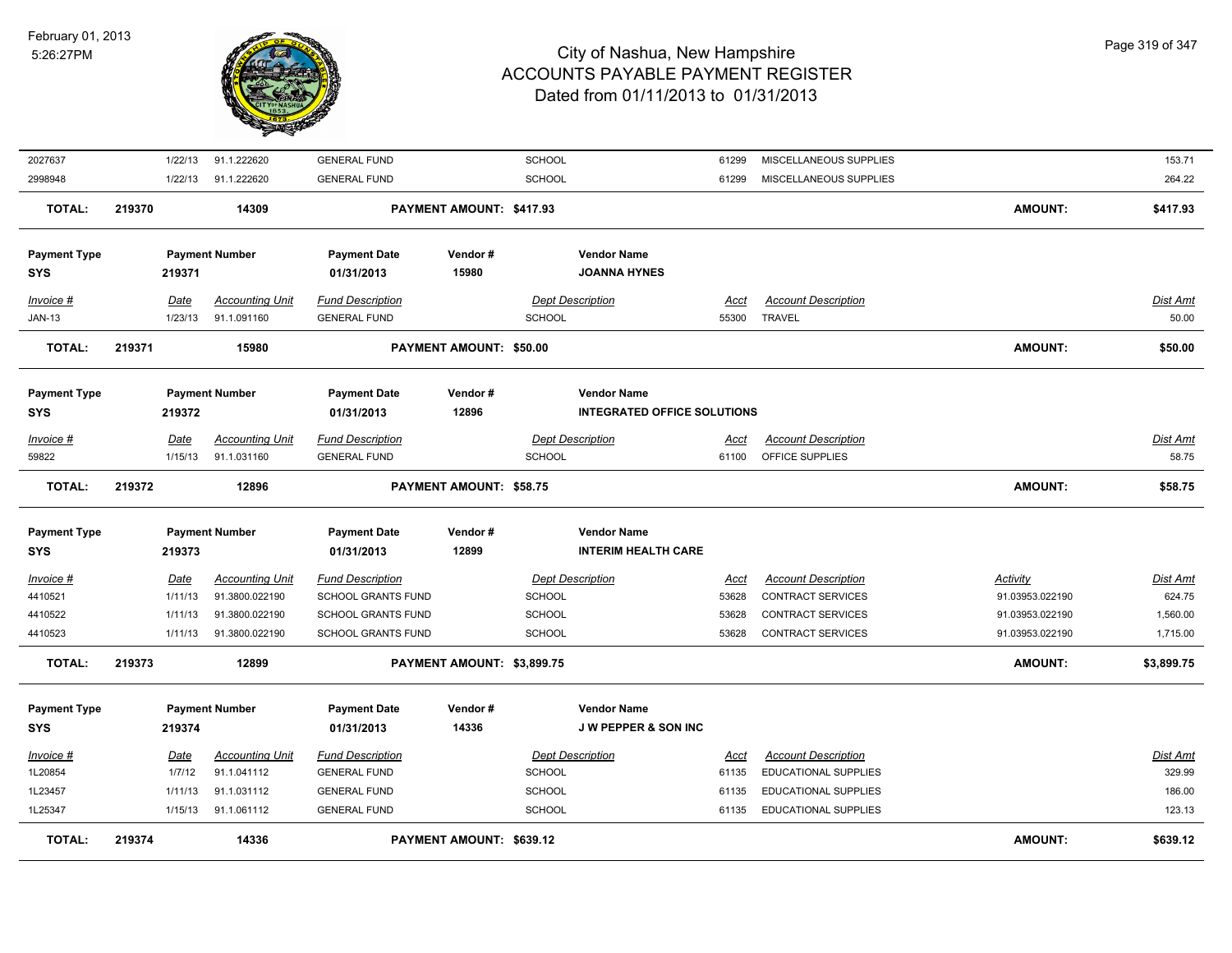

| <b>TOTAL:</b>          | 219374 |                        | 14336                                    |                                                      | PAYMENT AMOUNT: \$639.12       |               |                                    |                      |                                                        | <b>AMOUNT:</b>                     | \$639.12                  |
|------------------------|--------|------------------------|------------------------------------------|------------------------------------------------------|--------------------------------|---------------|------------------------------------|----------------------|--------------------------------------------------------|------------------------------------|---------------------------|
| 1L25347                |        | 1/15/13                | 91.1.061112                              | <b>GENERAL FUND</b>                                  |                                | <b>SCHOOL</b> |                                    | 61135                | <b>EDUCATIONAL SUPPLIES</b>                            |                                    | 123.13                    |
| 1L23457                |        | 1/11/13                | 91.1.031112                              | <b>GENERAL FUND</b>                                  |                                | <b>SCHOOL</b> |                                    | 61135                | EDUCATIONAL SUPPLIES                                   |                                    | 186.00                    |
| 1L20854                |        | 1/7/12                 | 91.1.041112                              | <b>GENERAL FUND</b>                                  |                                | <b>SCHOOL</b> |                                    | 61135                | EDUCATIONAL SUPPLIES                                   |                                    | 329.99                    |
| Invoice #              |        | Date                   | <b>Accounting Unit</b>                   | <b>Fund Description</b>                              |                                |               | <b>Dept Description</b>            | Acct                 | <b>Account Description</b>                             |                                    | Dist Amt                  |
| <b>SYS</b>             |        | 219374                 |                                          | 01/31/2013                                           | 14336                          |               | J W PEPPER & SON INC               |                      |                                                        |                                    |                           |
| <b>Payment Type</b>    |        |                        | <b>Payment Number</b>                    | <b>Payment Date</b>                                  | Vendor#                        |               | <b>Vendor Name</b>                 |                      |                                                        |                                    |                           |
|                        |        |                        |                                          |                                                      |                                |               |                                    |                      |                                                        |                                    |                           |
| <b>TOTAL:</b>          | 219373 |                        | 12899                                    |                                                      | PAYMENT AMOUNT: \$3,899.75     |               |                                    |                      |                                                        | <b>AMOUNT:</b>                     | \$3,899.75                |
| 4410523                |        | 1/11/13                | 91.3800.022190                           | <b>SCHOOL GRANTS FUND</b>                            |                                | <b>SCHOOL</b> |                                    | 53628                | <b>CONTRACT SERVICES</b>                               | 91.03953.022190                    | 1,715.00                  |
| 4410522                |        | 1/11/13                | 91.3800.022190                           | <b>SCHOOL GRANTS FUND</b>                            |                                | <b>SCHOOL</b> |                                    | 53628                | <b>CONTRACT SERVICES</b>                               | 91.03953.022190                    | 1,560.00                  |
| $Invoice$ #<br>4410521 |        | <b>Date</b><br>1/11/13 | <b>Accounting Unit</b><br>91.3800.022190 | <b>Fund Description</b><br><b>SCHOOL GRANTS FUND</b> |                                | <b>SCHOOL</b> | <b>Dept Description</b>            | <u>Acct</u><br>53628 | <b>Account Description</b><br><b>CONTRACT SERVICES</b> | <b>Activity</b><br>91.03953.022190 | <u>Dist Amt</u><br>624.75 |
|                        |        |                        |                                          |                                                      |                                |               |                                    |                      |                                                        |                                    |                           |
| <b>SYS</b>             |        | 219373                 |                                          | 01/31/2013                                           | 12899                          |               | <b>INTERIM HEALTH CARE</b>         |                      |                                                        |                                    |                           |
| <b>Payment Type</b>    |        |                        | <b>Payment Number</b>                    | <b>Payment Date</b>                                  | Vendor#                        |               | <b>Vendor Name</b>                 |                      |                                                        |                                    |                           |
| <b>TOTAL:</b>          | 219372 |                        | 12896                                    |                                                      | <b>PAYMENT AMOUNT: \$58.75</b> |               |                                    |                      |                                                        | <b>AMOUNT:</b>                     | \$58.75                   |
| 59822                  |        | 1/15/13                | 91.1.031160                              | <b>GENERAL FUND</b>                                  |                                | <b>SCHOOL</b> |                                    | 61100                | OFFICE SUPPLIES                                        |                                    | 58.75                     |
| Invoice #              |        | Date                   | <b>Accounting Unit</b>                   | Fund Description                                     |                                |               | <b>Dept Description</b>            | Acct                 | <b>Account Description</b>                             |                                    | Dist Amt                  |
| <b>SYS</b>             |        | 219372                 |                                          | 01/31/2013                                           | 12896                          |               | <b>INTEGRATED OFFICE SOLUTIONS</b> |                      |                                                        |                                    |                           |
| <b>Payment Type</b>    |        |                        | <b>Payment Number</b>                    | <b>Payment Date</b>                                  | Vendor#                        |               | <b>Vendor Name</b>                 |                      |                                                        |                                    |                           |
| <b>TOTAL:</b>          | 219371 |                        | 15980                                    |                                                      | <b>PAYMENT AMOUNT: \$50.00</b> |               |                                    |                      |                                                        | <b>AMOUNT:</b>                     | \$50.00                   |
| <b>JAN-13</b>          |        | 1/23/13                | 91.1.091160                              | <b>GENERAL FUND</b>                                  |                                | SCHOOL        |                                    | 55300                | <b>TRAVEL</b>                                          |                                    | 50.00                     |
| Invoice #              |        | Date                   | <b>Accounting Unit</b>                   | <b>Fund Description</b>                              |                                |               | <b>Dept Description</b>            | Acct                 | <b>Account Description</b>                             |                                    | Dist Amt                  |
| <b>SYS</b>             |        | 219371                 |                                          | 01/31/2013                                           | 15980                          |               | <b>JOANNA HYNES</b>                |                      |                                                        |                                    |                           |
| <b>Payment Type</b>    |        |                        | <b>Payment Number</b>                    | <b>Payment Date</b>                                  | Vendor#                        |               | <b>Vendor Name</b>                 |                      |                                                        |                                    |                           |
| TOTAL:                 | 219370 |                        | 14309                                    |                                                      | PAYMENT AMOUNT: \$417.93       |               |                                    |                      |                                                        | <b>AMOUNT:</b>                     | \$417.93                  |
|                        |        |                        |                                          |                                                      |                                |               |                                    |                      |                                                        |                                    |                           |
| 2998948                |        | 1/22/13                | 91.1.222620                              | <b>GENERAL FUND</b>                                  |                                | <b>SCHOOL</b> |                                    | 61299                | MISCELLANEOUS SUPPLIES                                 |                                    | 264.22                    |
| 2027637                |        | 1/22/13                | 91.1.222620                              | <b>GENERAL FUND</b>                                  |                                | <b>SCHOOL</b> |                                    | 61299                | MISCELLANEOUS SUPPLIES                                 |                                    | 153.71                    |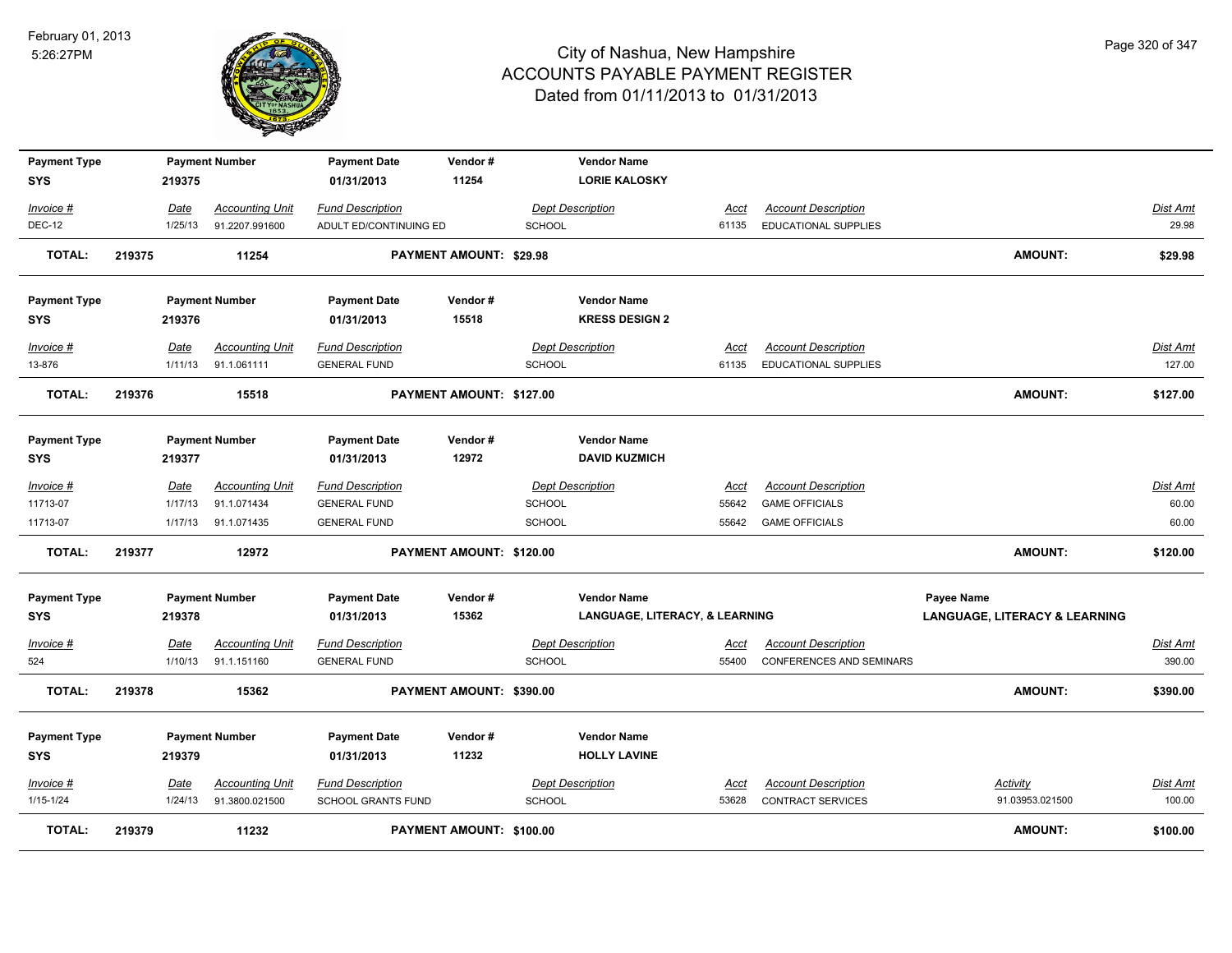

| <b>Payment Type</b><br><b>SYS</b> |        | 219375          | <b>Payment Number</b>                 | <b>Payment Date</b><br>01/31/2013              | Vendor#<br>11254               |               | <b>Vendor Name</b><br><b>LORIE KALOSKY</b>  |                      |                                                               |                                          |                           |
|-----------------------------------|--------|-----------------|---------------------------------------|------------------------------------------------|--------------------------------|---------------|---------------------------------------------|----------------------|---------------------------------------------------------------|------------------------------------------|---------------------------|
| Invoice #                         |        | Date            | <b>Accounting Unit</b>                | <b>Fund Description</b>                        |                                |               | <b>Dept Description</b>                     | Acct                 | <b>Account Description</b>                                    |                                          | Dist Amt                  |
| <b>DEC-12</b>                     |        | 1/25/13         | 91.2207.991600                        | ADULT ED/CONTINUING ED                         |                                | <b>SCHOOL</b> |                                             | 61135                | EDUCATIONAL SUPPLIES                                          |                                          | 29.98                     |
| <b>TOTAL:</b>                     | 219375 |                 | 11254                                 |                                                | <b>PAYMENT AMOUNT: \$29.98</b> |               |                                             |                      |                                                               | <b>AMOUNT:</b>                           | \$29.98                   |
| <b>Payment Type</b><br><b>SYS</b> |        | 219376          | <b>Payment Number</b>                 | <b>Payment Date</b><br>01/31/2013              | Vendor#<br>15518               |               | <b>Vendor Name</b><br><b>KRESS DESIGN 2</b> |                      |                                                               |                                          |                           |
| Invoice #                         |        | Date            | <b>Accounting Unit</b>                | <b>Fund Description</b>                        |                                |               | <b>Dept Description</b>                     | Acct                 | <b>Account Description</b>                                    |                                          | Dist Amt                  |
| 13-876                            |        | 1/11/13         | 91.1.061111                           | <b>GENERAL FUND</b>                            |                                | SCHOOL        |                                             | 61135                | EDUCATIONAL SUPPLIES                                          |                                          | 127.00                    |
| <b>TOTAL:</b>                     | 219376 |                 | 15518                                 |                                                | PAYMENT AMOUNT: \$127.00       |               |                                             |                      |                                                               | <b>AMOUNT:</b>                           | \$127.00                  |
| <b>Payment Type</b><br><b>SYS</b> |        | 219377          | <b>Payment Number</b>                 | <b>Payment Date</b><br>01/31/2013              | Vendor#<br>12972               |               | <b>Vendor Name</b><br><b>DAVID KUZMICH</b>  |                      |                                                               |                                          |                           |
| Invoice #                         |        | Date            | <b>Accounting Unit</b>                | <b>Fund Description</b>                        |                                |               | <b>Dept Description</b>                     | Acct                 | <b>Account Description</b>                                    |                                          | Dist Amt                  |
| 11713-07                          |        | 1/17/13         | 91.1.071434                           | <b>GENERAL FUND</b>                            |                                | <b>SCHOOL</b> |                                             | 55642                | <b>GAME OFFICIALS</b>                                         |                                          | 60.00                     |
| 11713-07                          |        | 1/17/13         | 91.1.071435                           | <b>GENERAL FUND</b>                            |                                | <b>SCHOOL</b> |                                             | 55642                | <b>GAME OFFICIALS</b>                                         |                                          | 60.00                     |
| <b>TOTAL:</b>                     | 219377 |                 | 12972                                 |                                                | PAYMENT AMOUNT: \$120.00       |               |                                             |                      |                                                               | <b>AMOUNT:</b>                           | \$120.00                  |
| <b>Payment Type</b>               |        |                 | <b>Payment Number</b>                 | <b>Payment Date</b>                            | Vendor#                        |               | <b>Vendor Name</b>                          |                      |                                                               | Payee Name                               |                           |
| <b>SYS</b>                        |        | 219378          |                                       | 01/31/2013                                     | 15362                          |               | <b>LANGUAGE, LITERACY, &amp; LEARNING</b>   |                      |                                                               | <b>LANGUAGE, LITERACY &amp; LEARNING</b> |                           |
| $Invoice$ #<br>524                |        | Date<br>1/10/13 | <b>Accounting Unit</b><br>91.1.151160 | <b>Fund Description</b><br><b>GENERAL FUND</b> |                                | <b>SCHOOL</b> | <b>Dept Description</b>                     | <u>Acct</u><br>55400 | <b>Account Description</b><br><b>CONFERENCES AND SEMINARS</b> |                                          | <u>Dist Amt</u><br>390.00 |
| <b>TOTAL:</b>                     | 219378 |                 | 15362                                 |                                                | PAYMENT AMOUNT: \$390.00       |               |                                             |                      |                                                               | <b>AMOUNT:</b>                           | \$390.00                  |
| <b>Payment Type</b><br><b>SYS</b> |        | 219379          | <b>Payment Number</b>                 | <b>Payment Date</b><br>01/31/2013              | Vendor#<br>11232               |               | <b>Vendor Name</b><br><b>HOLLY LAVINE</b>   |                      |                                                               |                                          |                           |
| Invoice #                         |        | Date            | <b>Accounting Unit</b>                | <b>Fund Description</b>                        |                                |               | <b>Dept Description</b>                     | <u>Acct</u>          | <b>Account Description</b>                                    | <b>Activity</b>                          | Dist Amt                  |
| 1/15-1/24                         |        | 1/24/13         | 91.3800.021500                        | <b>SCHOOL GRANTS FUND</b>                      |                                | <b>SCHOOL</b> |                                             | 53628                | <b>CONTRACT SERVICES</b>                                      | 91.03953.021500                          | 100.00                    |
| <b>TOTAL:</b>                     | 219379 |                 | 11232                                 |                                                | PAYMENT AMOUNT: \$100.00       |               |                                             |                      |                                                               | <b>AMOUNT:</b>                           | \$100.00                  |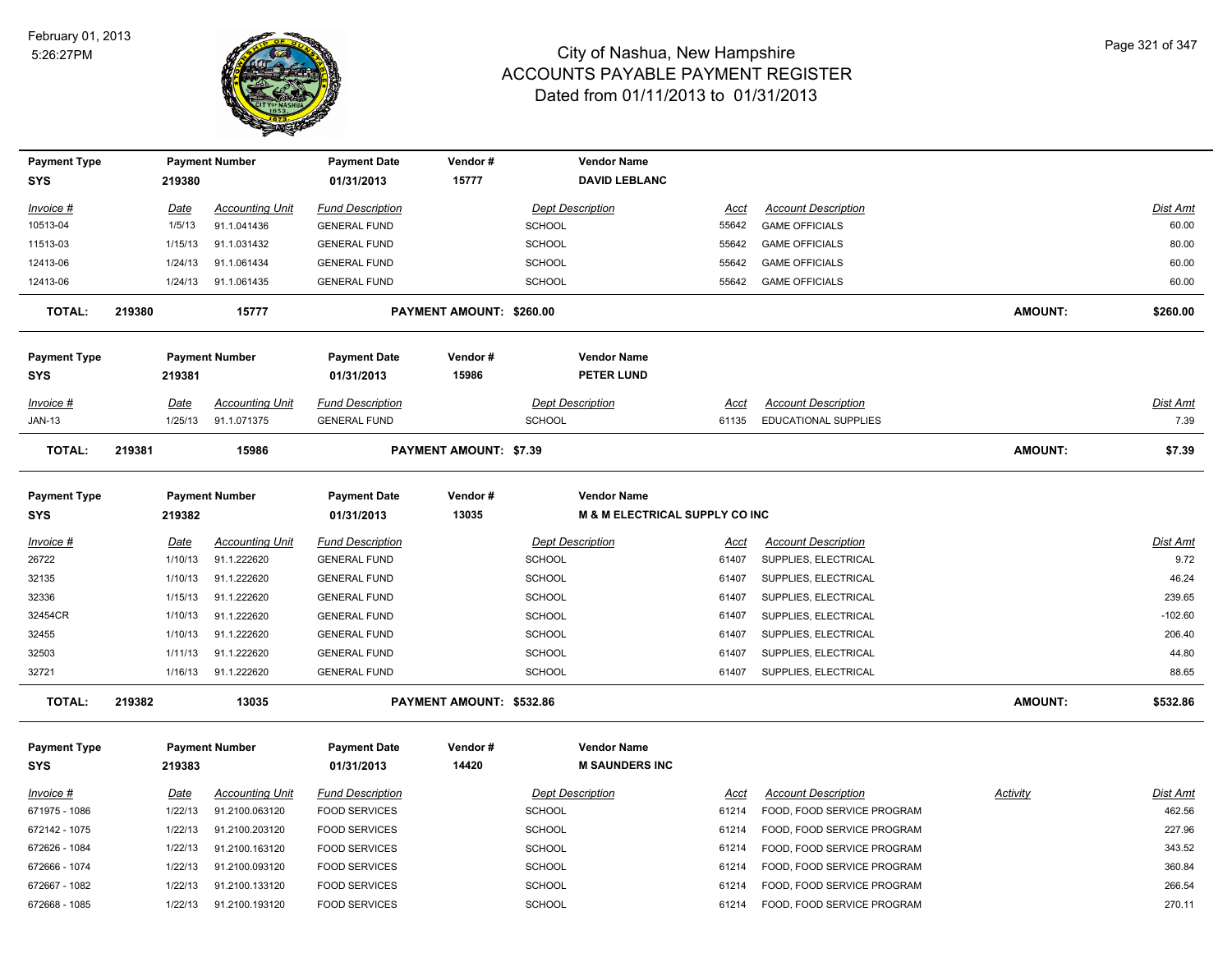

| <b>Payment Type</b>               |        |                 | <b>Payment Number</b>                 | <b>Payment Date</b>                            | Vendor#                       |               | <b>Vendor Name</b>                                   |                      |                             |                 |                 |
|-----------------------------------|--------|-----------------|---------------------------------------|------------------------------------------------|-------------------------------|---------------|------------------------------------------------------|----------------------|-----------------------------|-----------------|-----------------|
| <b>SYS</b>                        |        | 219380          |                                       | 01/31/2013                                     | 15777                         |               | <b>DAVID LEBLANC</b>                                 |                      |                             |                 |                 |
| <b>Invoice #</b>                  |        | Date            | <b>Accounting Unit</b>                | <b>Fund Description</b>                        |                               |               | <b>Dept Description</b>                              | <u>Acct</u>          | <b>Account Description</b>  |                 | <b>Dist Amt</b> |
| 10513-04                          |        | 1/5/13          | 91.1.041436                           | <b>GENERAL FUND</b>                            |                               | <b>SCHOOL</b> |                                                      | 55642                | <b>GAME OFFICIALS</b>       |                 | 60.00           |
| 11513-03                          |        | 1/15/13         | 91.1.031432                           | <b>GENERAL FUND</b>                            |                               | <b>SCHOOL</b> |                                                      | 55642                | <b>GAME OFFICIALS</b>       |                 | 80.00           |
| 12413-06                          |        | 1/24/13         | 91.1.061434                           | <b>GENERAL FUND</b>                            |                               | <b>SCHOOL</b> |                                                      | 55642                | <b>GAME OFFICIALS</b>       |                 | 60.00           |
| 12413-06                          |        | 1/24/13         | 91.1.061435                           | <b>GENERAL FUND</b>                            |                               | <b>SCHOOL</b> |                                                      | 55642                | <b>GAME OFFICIALS</b>       |                 | 60.00           |
| <b>TOTAL:</b>                     | 219380 |                 | 15777                                 |                                                | PAYMENT AMOUNT: \$260.00      |               |                                                      |                      |                             | <b>AMOUNT:</b>  | \$260.00        |
| <b>Payment Type</b><br><b>SYS</b> |        | 219381          | <b>Payment Number</b>                 | <b>Payment Date</b><br>01/31/2013              | Vendor#<br>15986              |               | <b>Vendor Name</b><br><b>PETER LUND</b>              |                      |                             |                 |                 |
| Invoice #                         |        | Date            | <b>Accounting Unit</b>                | <b>Fund Description</b>                        |                               |               | <b>Dept Description</b>                              | Acct                 | <b>Account Description</b>  |                 | <b>Dist Amt</b> |
| <b>JAN-13</b>                     |        | 1/25/13         | 91.1.071375                           | <b>GENERAL FUND</b>                            |                               | <b>SCHOOL</b> |                                                      | 61135                | <b>EDUCATIONAL SUPPLIES</b> |                 | 7.39            |
| <b>TOTAL:</b>                     | 219381 |                 | 15986                                 |                                                | <b>PAYMENT AMOUNT: \$7.39</b> |               |                                                      |                      |                             | <b>AMOUNT:</b>  | \$7.39          |
| <b>Payment Type</b><br><b>SYS</b> |        | 219382          | <b>Payment Number</b>                 | <b>Payment Date</b><br>01/31/2013              | Vendor#<br>13035              |               | <b>Vendor Name</b><br>M & M ELECTRICAL SUPPLY CO INC |                      |                             |                 |                 |
|                                   |        |                 |                                       |                                                |                               |               | <b>Dept Description</b>                              |                      | <b>Account Description</b>  |                 | <b>Dist Amt</b> |
| Invoice #<br>26722                |        | Date<br>1/10/13 | <b>Accounting Unit</b><br>91.1.222620 | <b>Fund Description</b><br><b>GENERAL FUND</b> |                               | SCHOOL        |                                                      | <u>Acct</u><br>61407 | SUPPLIES, ELECTRICAL        |                 | 9.72            |
| 32135                             |        | 1/10/13         | 91.1.222620                           | <b>GENERAL FUND</b>                            |                               | SCHOOL        |                                                      | 61407                | SUPPLIES, ELECTRICAL        |                 | 46.24           |
| 32336                             |        | 1/15/13         | 91.1.222620                           | <b>GENERAL FUND</b>                            |                               | <b>SCHOOL</b> |                                                      | 61407                | SUPPLIES, ELECTRICAL        |                 | 239.65          |
| 32454CR                           |        | 1/10/13         | 91.1.222620                           | <b>GENERAL FUND</b>                            |                               | <b>SCHOOL</b> |                                                      | 61407                | SUPPLIES, ELECTRICAL        |                 | $-102.60$       |
| 32455                             |        | 1/10/13         | 91.1.222620                           | <b>GENERAL FUND</b>                            |                               | <b>SCHOOL</b> |                                                      | 61407                | SUPPLIES, ELECTRICAL        |                 | 206.40          |
| 32503                             |        | 1/11/13         | 91.1.222620                           | <b>GENERAL FUND</b>                            |                               | <b>SCHOOL</b> |                                                      | 61407                | SUPPLIES, ELECTRICAL        |                 | 44.80           |
| 32721                             |        | 1/16/13         | 91.1.222620                           | <b>GENERAL FUND</b>                            |                               | SCHOOL        |                                                      | 61407                | SUPPLIES, ELECTRICAL        |                 | 88.65           |
| <b>TOTAL:</b>                     | 219382 |                 | 13035                                 |                                                | PAYMENT AMOUNT: \$532.86      |               |                                                      |                      |                             | <b>AMOUNT:</b>  | \$532.86        |
| <b>Payment Type</b>               |        |                 | <b>Payment Number</b>                 | <b>Payment Date</b>                            | Vendor#                       |               | <b>Vendor Name</b>                                   |                      |                             |                 |                 |
| <b>SYS</b>                        |        | 219383          |                                       | 01/31/2013                                     | 14420                         |               | <b>M SAUNDERS INC</b>                                |                      |                             |                 |                 |
| <u>Invoice #</u>                  |        | <u>Date</u>     | <b>Accounting Unit</b>                | <b>Fund Description</b>                        |                               |               | <b>Dept Description</b>                              | <u>Acct</u>          | <b>Account Description</b>  | <b>Activity</b> | <b>Dist Amt</b> |
| 671975 - 1086                     |        | 1/22/13         | 91.2100.063120                        | <b>FOOD SERVICES</b>                           |                               | <b>SCHOOL</b> |                                                      | 61214                | FOOD, FOOD SERVICE PROGRAM  |                 | 462.56          |
| 672142 - 1075                     |        | 1/22/13         | 91.2100.203120                        | <b>FOOD SERVICES</b>                           |                               | <b>SCHOOL</b> |                                                      | 61214                | FOOD, FOOD SERVICE PROGRAM  |                 | 227.96          |
| 672626 - 1084                     |        | 1/22/13         | 91.2100.163120                        | <b>FOOD SERVICES</b>                           |                               | <b>SCHOOL</b> |                                                      | 61214                | FOOD, FOOD SERVICE PROGRAM  |                 | 343.52          |
| 672666 - 1074                     |        | 1/22/13         | 91.2100.093120                        | <b>FOOD SERVICES</b>                           |                               | <b>SCHOOL</b> |                                                      | 61214                | FOOD, FOOD SERVICE PROGRAM  |                 | 360.84          |
| 672667 - 1082                     |        | 1/22/13         | 91.2100.133120                        | <b>FOOD SERVICES</b>                           |                               | <b>SCHOOL</b> |                                                      | 61214                | FOOD, FOOD SERVICE PROGRAM  |                 | 266.54          |
| 672668 - 1085                     |        | 1/22/13         | 91.2100.193120                        | <b>FOOD SERVICES</b>                           |                               | <b>SCHOOL</b> |                                                      | 61214                | FOOD, FOOD SERVICE PROGRAM  |                 | 270.11          |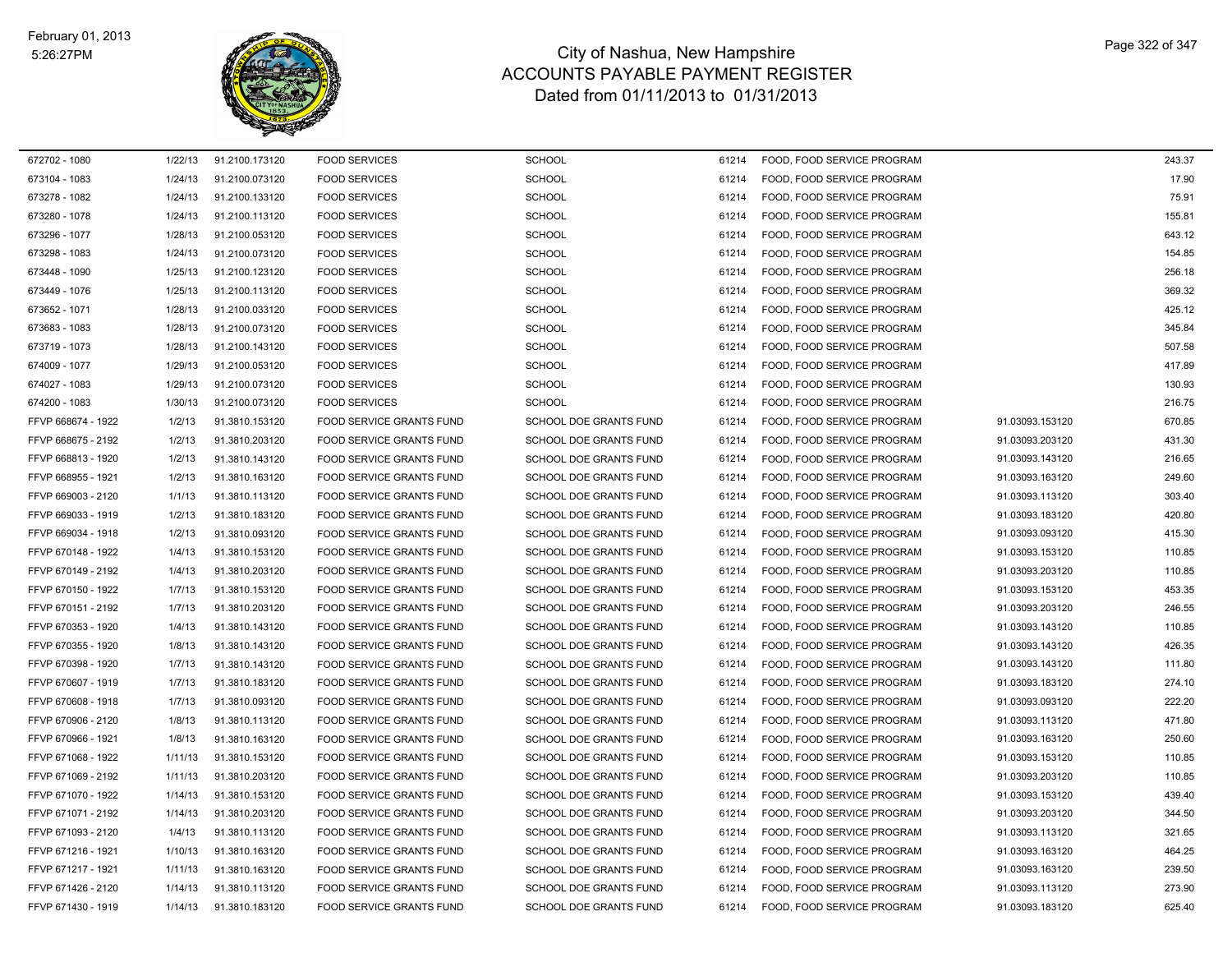

| 672702 - 1080      | 1/22/13 | 91.2100.173120 | <b>FOOD SERVICES</b>            | <b>SCHOOL</b>                 | 61214 | FOOD, FOOD SERVICE PROGRAM |                 | 243.37 |
|--------------------|---------|----------------|---------------------------------|-------------------------------|-------|----------------------------|-----------------|--------|
| 673104 - 1083      | 1/24/13 | 91.2100.073120 | <b>FOOD SERVICES</b>            | <b>SCHOOL</b>                 | 61214 | FOOD, FOOD SERVICE PROGRAM |                 | 17.90  |
| 673278 - 1082      | 1/24/13 | 91.2100.133120 | <b>FOOD SERVICES</b>            | <b>SCHOOL</b>                 | 61214 | FOOD, FOOD SERVICE PROGRAM |                 | 75.91  |
| 673280 - 1078      | 1/24/13 | 91.2100.113120 | <b>FOOD SERVICES</b>            | <b>SCHOOL</b>                 | 61214 | FOOD, FOOD SERVICE PROGRAM |                 | 155.81 |
| 673296 - 1077      | 1/28/13 | 91.2100.053120 | <b>FOOD SERVICES</b>            | <b>SCHOOL</b>                 | 61214 | FOOD, FOOD SERVICE PROGRAM |                 | 643.12 |
| 673298 - 1083      | 1/24/13 | 91.2100.073120 | <b>FOOD SERVICES</b>            | <b>SCHOOL</b>                 | 61214 | FOOD, FOOD SERVICE PROGRAM |                 | 154.85 |
| 673448 - 1090      | 1/25/13 | 91.2100.123120 | <b>FOOD SERVICES</b>            | <b>SCHOOL</b>                 | 61214 | FOOD, FOOD SERVICE PROGRAM |                 | 256.18 |
| 673449 - 1076      | 1/25/13 | 91.2100.113120 | <b>FOOD SERVICES</b>            | <b>SCHOOL</b>                 | 61214 | FOOD, FOOD SERVICE PROGRAM |                 | 369.32 |
| 673652 - 1071      | 1/28/13 | 91.2100.033120 | <b>FOOD SERVICES</b>            | <b>SCHOOL</b>                 | 61214 | FOOD, FOOD SERVICE PROGRAM |                 | 425.12 |
| 673683 - 1083      | 1/28/13 | 91.2100.073120 | <b>FOOD SERVICES</b>            | <b>SCHOOL</b>                 | 61214 | FOOD, FOOD SERVICE PROGRAM |                 | 345.84 |
| 673719 - 1073      | 1/28/13 | 91.2100.143120 | <b>FOOD SERVICES</b>            | <b>SCHOOL</b>                 | 61214 | FOOD, FOOD SERVICE PROGRAM |                 | 507.58 |
| 674009 - 1077      | 1/29/13 | 91.2100.053120 | <b>FOOD SERVICES</b>            | <b>SCHOOL</b>                 | 61214 | FOOD, FOOD SERVICE PROGRAM |                 | 417.89 |
| 674027 - 1083      | 1/29/13 | 91.2100.073120 | <b>FOOD SERVICES</b>            | <b>SCHOOL</b>                 | 61214 | FOOD, FOOD SERVICE PROGRAM |                 | 130.93 |
| 674200 - 1083      | 1/30/13 | 91.2100.073120 | <b>FOOD SERVICES</b>            | <b>SCHOOL</b>                 | 61214 | FOOD, FOOD SERVICE PROGRAM |                 | 216.75 |
| FFVP 668674 - 1922 | 1/2/13  | 91.3810.153120 | FOOD SERVICE GRANTS FUND        | SCHOOL DOE GRANTS FUND        | 61214 | FOOD, FOOD SERVICE PROGRAM | 91.03093.153120 | 670.85 |
| FFVP 668675 - 2192 | 1/2/13  | 91.3810.203120 | FOOD SERVICE GRANTS FUND        | SCHOOL DOE GRANTS FUND        | 61214 | FOOD, FOOD SERVICE PROGRAM | 91.03093.203120 | 431.30 |
| FFVP 668813 - 1920 | 1/2/13  | 91.3810.143120 | FOOD SERVICE GRANTS FUND        | SCHOOL DOE GRANTS FUND        | 61214 | FOOD, FOOD SERVICE PROGRAM | 91.03093.143120 | 216.65 |
| FFVP 668955 - 1921 | 1/2/13  | 91.3810.163120 | FOOD SERVICE GRANTS FUND        | SCHOOL DOE GRANTS FUND        | 61214 | FOOD, FOOD SERVICE PROGRAM | 91.03093.163120 | 249.60 |
| FFVP 669003 - 2120 | 1/1/13  | 91.3810.113120 | FOOD SERVICE GRANTS FUND        | SCHOOL DOE GRANTS FUND        | 61214 | FOOD, FOOD SERVICE PROGRAM | 91.03093.113120 | 303.40 |
| FFVP 669033 - 1919 | 1/2/13  | 91.3810.183120 | FOOD SERVICE GRANTS FUND        | SCHOOL DOE GRANTS FUND        | 61214 | FOOD, FOOD SERVICE PROGRAM | 91.03093.183120 | 420.80 |
| FFVP 669034 - 1918 | 1/2/13  | 91.3810.093120 | FOOD SERVICE GRANTS FUND        | SCHOOL DOE GRANTS FUND        | 61214 | FOOD, FOOD SERVICE PROGRAM | 91.03093.093120 | 415.30 |
| FFVP 670148 - 1922 | 1/4/13  | 91.3810.153120 | <b>FOOD SERVICE GRANTS FUND</b> | <b>SCHOOL DOE GRANTS FUND</b> | 61214 | FOOD, FOOD SERVICE PROGRAM | 91.03093.153120 | 110.85 |
| FFVP 670149 - 2192 | 1/4/13  | 91.3810.203120 | <b>FOOD SERVICE GRANTS FUND</b> | <b>SCHOOL DOE GRANTS FUND</b> | 61214 | FOOD, FOOD SERVICE PROGRAM | 91.03093.203120 | 110.85 |
| FFVP 670150 - 1922 | 1/7/13  | 91.3810.153120 | FOOD SERVICE GRANTS FUND        | SCHOOL DOE GRANTS FUND        | 61214 | FOOD, FOOD SERVICE PROGRAM | 91.03093.153120 | 453.35 |
| FFVP 670151 - 2192 | 1/7/13  | 91.3810.203120 | FOOD SERVICE GRANTS FUND        | SCHOOL DOE GRANTS FUND        | 61214 | FOOD, FOOD SERVICE PROGRAM | 91.03093.203120 | 246.55 |
| FFVP 670353 - 1920 | 1/4/13  | 91.3810.143120 | <b>FOOD SERVICE GRANTS FUND</b> | <b>SCHOOL DOE GRANTS FUND</b> | 61214 | FOOD, FOOD SERVICE PROGRAM | 91.03093.143120 | 110.85 |
| FFVP 670355 - 1920 | 1/8/13  | 91.3810.143120 | FOOD SERVICE GRANTS FUND        | <b>SCHOOL DOE GRANTS FUND</b> | 61214 | FOOD, FOOD SERVICE PROGRAM | 91.03093.143120 | 426.35 |
| FFVP 670398 - 1920 | 1/7/13  | 91.3810.143120 | FOOD SERVICE GRANTS FUND        | SCHOOL DOE GRANTS FUND        | 61214 | FOOD, FOOD SERVICE PROGRAM | 91.03093.143120 | 111.80 |
| FFVP 670607 - 1919 | 1/7/13  | 91.3810.183120 | FOOD SERVICE GRANTS FUND        | SCHOOL DOE GRANTS FUND        | 61214 | FOOD, FOOD SERVICE PROGRAM | 91.03093.183120 | 274.10 |
| FFVP 670608 - 1918 | 1/7/13  | 91.3810.093120 | FOOD SERVICE GRANTS FUND        | SCHOOL DOE GRANTS FUND        | 61214 | FOOD, FOOD SERVICE PROGRAM | 91.03093.093120 | 222.20 |
| FFVP 670906 - 2120 | 1/8/13  | 91.3810.113120 | FOOD SERVICE GRANTS FUND        | SCHOOL DOE GRANTS FUND        | 61214 | FOOD, FOOD SERVICE PROGRAM | 91.03093.113120 | 471.80 |
| FFVP 670966 - 1921 | 1/8/13  | 91.3810.163120 | FOOD SERVICE GRANTS FUND        | SCHOOL DOE GRANTS FUND        | 61214 | FOOD, FOOD SERVICE PROGRAM | 91.03093.163120 | 250.60 |
| FFVP 671068 - 1922 | 1/11/13 | 91.3810.153120 | FOOD SERVICE GRANTS FUND        | SCHOOL DOE GRANTS FUND        | 61214 | FOOD, FOOD SERVICE PROGRAM | 91.03093.153120 | 110.85 |
| FFVP 671069 - 2192 | 1/11/13 | 91.3810.203120 | FOOD SERVICE GRANTS FUND        | SCHOOL DOE GRANTS FUND        | 61214 | FOOD, FOOD SERVICE PROGRAM | 91.03093.203120 | 110.85 |
| FFVP 671070 - 1922 | 1/14/13 | 91.3810.153120 | FOOD SERVICE GRANTS FUND        | SCHOOL DOE GRANTS FUND        | 61214 | FOOD, FOOD SERVICE PROGRAM | 91.03093.153120 | 439.40 |
| FFVP 671071 - 2192 | 1/14/13 | 91.3810.203120 | FOOD SERVICE GRANTS FUND        | SCHOOL DOE GRANTS FUND        | 61214 | FOOD, FOOD SERVICE PROGRAM | 91.03093.203120 | 344.50 |
| FFVP 671093 - 2120 | 1/4/13  | 91.3810.113120 | FOOD SERVICE GRANTS FUND        | SCHOOL DOE GRANTS FUND        | 61214 | FOOD, FOOD SERVICE PROGRAM | 91.03093.113120 | 321.65 |
| FFVP 671216 - 1921 | 1/10/13 | 91.3810.163120 | FOOD SERVICE GRANTS FUND        | SCHOOL DOE GRANTS FUND        | 61214 | FOOD, FOOD SERVICE PROGRAM | 91.03093.163120 | 464.25 |
| FFVP 671217 - 1921 | 1/11/13 | 91.3810.163120 | <b>FOOD SERVICE GRANTS FUND</b> | <b>SCHOOL DOE GRANTS FUND</b> | 61214 | FOOD, FOOD SERVICE PROGRAM | 91.03093.163120 | 239.50 |
| FFVP 671426 - 2120 | 1/14/13 | 91.3810.113120 | <b>FOOD SERVICE GRANTS FUND</b> | SCHOOL DOE GRANTS FUND        | 61214 | FOOD, FOOD SERVICE PROGRAM | 91.03093.113120 | 273.90 |
| FFVP 671430 - 1919 | 1/14/13 | 91.3810.183120 | FOOD SERVICE GRANTS FUND        | SCHOOL DOE GRANTS FUND        | 61214 | FOOD, FOOD SERVICE PROGRAM | 91.03093.183120 | 625.40 |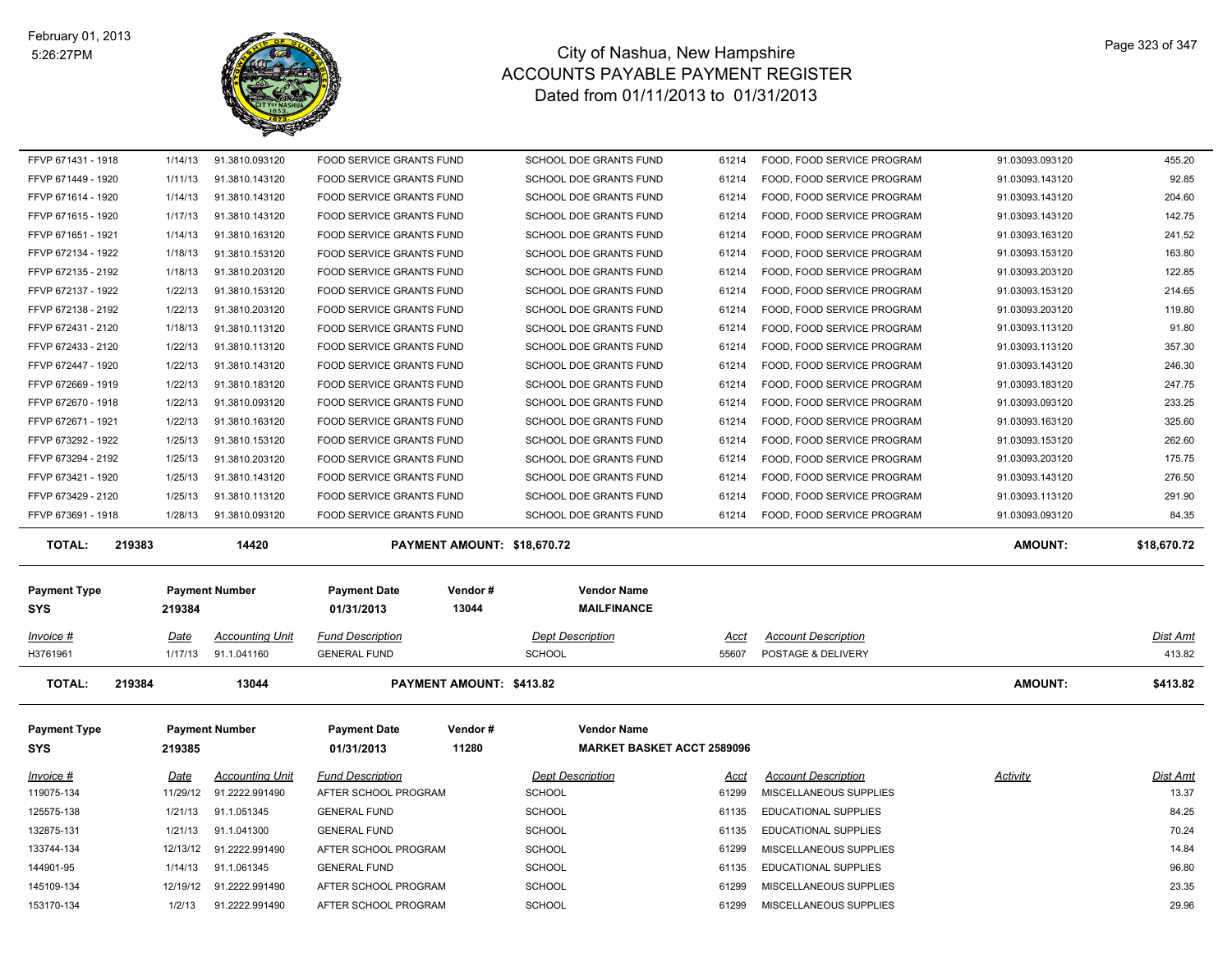

| FFVP 671431 - 1918      | 1/14/13     | 91.3810.093120         | FOOD SERVICE GRANTS FUND        |                                 | SCHOOL DOE GRANTS FUND            | 61214 | FOOD, FOOD SERVICE PROGRAM  | 91.03093.093120 | 455.20      |
|-------------------------|-------------|------------------------|---------------------------------|---------------------------------|-----------------------------------|-------|-----------------------------|-----------------|-------------|
| FFVP 671449 - 1920      | 1/11/13     | 91.3810.143120         | FOOD SERVICE GRANTS FUND        |                                 | SCHOOL DOE GRANTS FUND            | 61214 | FOOD, FOOD SERVICE PROGRAM  | 91.03093.143120 | 92.85       |
| FFVP 671614 - 1920      | 1/14/13     | 91.3810.143120         | FOOD SERVICE GRANTS FUND        |                                 | SCHOOL DOE GRANTS FUND            | 61214 | FOOD, FOOD SERVICE PROGRAM  | 91.03093.143120 | 204.60      |
| FFVP 671615 - 1920      | 1/17/13     | 91.3810.143120         | FOOD SERVICE GRANTS FUND        |                                 | SCHOOL DOE GRANTS FUND            | 61214 | FOOD, FOOD SERVICE PROGRAM  | 91.03093.143120 | 142.75      |
| FFVP 671651 - 1921      | 1/14/13     | 91.3810.163120         | FOOD SERVICE GRANTS FUND        |                                 | SCHOOL DOE GRANTS FUND            | 61214 | FOOD, FOOD SERVICE PROGRAM  | 91.03093.163120 | 241.52      |
| FFVP 672134 - 1922      | 1/18/13     | 91.3810.153120         | FOOD SERVICE GRANTS FUND        |                                 | SCHOOL DOE GRANTS FUND            | 61214 | FOOD, FOOD SERVICE PROGRAM  | 91.03093.153120 | 163.80      |
| FFVP 672135 - 2192      | 1/18/13     | 91.3810.203120         | <b>FOOD SERVICE GRANTS FUND</b> |                                 | <b>SCHOOL DOE GRANTS FUND</b>     | 61214 | FOOD, FOOD SERVICE PROGRAM  | 91.03093.203120 | 122.85      |
| FFVP 672137 - 1922      | 1/22/13     | 91.3810.153120         | FOOD SERVICE GRANTS FUND        |                                 | <b>SCHOOL DOE GRANTS FUND</b>     | 61214 | FOOD, FOOD SERVICE PROGRAM  | 91.03093.153120 | 214.65      |
| FFVP 672138 - 2192      | 1/22/13     | 91.3810.203120         | FOOD SERVICE GRANTS FUND        |                                 | SCHOOL DOE GRANTS FUND            | 61214 | FOOD, FOOD SERVICE PROGRAM  | 91.03093.203120 | 119.80      |
| FFVP 672431 - 2120      | 1/18/13     | 91.3810.113120         | FOOD SERVICE GRANTS FUND        |                                 | SCHOOL DOE GRANTS FUND            | 61214 | FOOD, FOOD SERVICE PROGRAM  | 91.03093.113120 | 91.80       |
| FFVP 672433 - 2120      | 1/22/13     | 91.3810.113120         | FOOD SERVICE GRANTS FUND        |                                 | SCHOOL DOE GRANTS FUND            | 61214 | FOOD, FOOD SERVICE PROGRAM  | 91.03093.113120 | 357.30      |
| FFVP 672447 - 1920      | 1/22/13     | 91.3810.143120         | FOOD SERVICE GRANTS FUND        |                                 | SCHOOL DOE GRANTS FUND            | 61214 | FOOD, FOOD SERVICE PROGRAM  | 91.03093.143120 | 246.30      |
| FFVP 672669 - 1919      | 1/22/13     | 91.3810.183120         | FOOD SERVICE GRANTS FUND        |                                 | SCHOOL DOE GRANTS FUND            | 61214 | FOOD, FOOD SERVICE PROGRAM  | 91.03093.183120 | 247.75      |
| FFVP 672670 - 1918      | 1/22/13     | 91.3810.093120         | FOOD SERVICE GRANTS FUND        |                                 | SCHOOL DOE GRANTS FUND            | 61214 | FOOD, FOOD SERVICE PROGRAM  | 91.03093.093120 | 233.25      |
| FFVP 672671 - 1921      | 1/22/13     | 91.3810.163120         | FOOD SERVICE GRANTS FUND        |                                 | SCHOOL DOE GRANTS FUND            | 61214 | FOOD, FOOD SERVICE PROGRAM  | 91.03093.163120 | 325.60      |
| FFVP 673292 - 1922      | 1/25/13     | 91.3810.153120         | <b>FOOD SERVICE GRANTS FUND</b> |                                 | <b>SCHOOL DOE GRANTS FUND</b>     | 61214 | FOOD, FOOD SERVICE PROGRAM  | 91.03093.153120 | 262.60      |
| FFVP 673294 - 2192      | 1/25/13     | 91.3810.203120         | FOOD SERVICE GRANTS FUND        |                                 | SCHOOL DOE GRANTS FUND            | 61214 | FOOD, FOOD SERVICE PROGRAM  | 91.03093.203120 | 175.75      |
| FFVP 673421 - 1920      | 1/25/13     | 91.3810.143120         | FOOD SERVICE GRANTS FUND        |                                 | SCHOOL DOE GRANTS FUND            | 61214 | FOOD, FOOD SERVICE PROGRAM  | 91.03093.143120 | 276.50      |
| FFVP 673429 - 2120      | 1/25/13     | 91.3810.113120         | FOOD SERVICE GRANTS FUND        |                                 | SCHOOL DOE GRANTS FUND            | 61214 | FOOD, FOOD SERVICE PROGRAM  | 91.03093.113120 | 291.90      |
|                         | 1/28/13     | 91.3810.093120         | FOOD SERVICE GRANTS FUND        |                                 | SCHOOL DOE GRANTS FUND            | 61214 | FOOD, FOOD SERVICE PROGRAM  | 91.03093.093120 | 84.35       |
| FFVP 673691 - 1918      |             |                        |                                 |                                 |                                   |       |                             |                 |             |
|                         |             |                        |                                 |                                 |                                   |       |                             |                 |             |
| <b>TOTAL:</b><br>219383 |             | 14420                  |                                 | PAYMENT AMOUNT: \$18,670.72     |                                   |       |                             | <b>AMOUNT:</b>  | \$18,670.72 |
|                         |             |                        |                                 |                                 |                                   |       |                             |                 |             |
| <b>Payment Type</b>     |             | <b>Payment Number</b>  | <b>Payment Date</b>             | Vendor#                         | <b>Vendor Name</b>                |       |                             |                 |             |
| SYS                     | 219384      |                        | 01/31/2013                      | 13044                           | <b>MAILFINANCE</b>                |       |                             |                 |             |
| Invoice #               | <u>Date</u> | <b>Accounting Unit</b> | <b>Fund Description</b>         |                                 | <b>Dept Description</b>           | Acct  | <b>Account Description</b>  |                 | Dist Amt    |
| H3761961                | 1/17/13     | 91.1.041160            | <b>GENERAL FUND</b>             |                                 | <b>SCHOOL</b>                     | 55607 | POSTAGE & DELIVERY          |                 | 413.82      |
|                         |             |                        |                                 |                                 |                                   |       |                             |                 |             |
| <b>TOTAL:</b><br>219384 |             | 13044                  |                                 | <b>PAYMENT AMOUNT: \$413.82</b> |                                   |       |                             | <b>AMOUNT:</b>  | \$413.82    |
|                         |             |                        |                                 |                                 |                                   |       |                             |                 |             |
| <b>Payment Type</b>     |             | <b>Payment Number</b>  | <b>Payment Date</b>             | Vendor#                         | <b>Vendor Name</b>                |       |                             |                 |             |
| SYS                     | 219385      |                        | 01/31/2013                      | 11280                           | <b>MARKET BASKET ACCT 2589096</b> |       |                             |                 |             |
|                         | Date        | <b>Accounting Unit</b> | <b>Fund Description</b>         |                                 | <b>Dept Description</b>           | Acct  | <b>Account Description</b>  | Activity        | Dist Amt    |
| Invoice #<br>119075-134 | 11/29/12    | 91.2222.991490         | AFTER SCHOOL PROGRAM            |                                 | <b>SCHOOL</b>                     | 61299 | MISCELLANEOUS SUPPLIES      |                 | 13.37       |
| 125575-138              | 1/21/13     | 91.1.051345            | <b>GENERAL FUND</b>             |                                 | SCHOOL                            | 61135 | <b>EDUCATIONAL SUPPLIES</b> |                 | 84.25       |
| 132875-131              | 1/21/13     | 91.1.041300            | <b>GENERAL FUND</b>             |                                 | <b>SCHOOL</b>                     | 61135 | <b>EDUCATIONAL SUPPLIES</b> |                 | 70.24       |
| 133744-134              | 12/13/12    | 91.2222.991490         | AFTER SCHOOL PROGRAM            |                                 | <b>SCHOOL</b>                     | 61299 | MISCELLANEOUS SUPPLIES      |                 | 14.84       |
| 144901-95               | 1/14/13     | 91.1.061345            | <b>GENERAL FUND</b>             |                                 | <b>SCHOOL</b>                     | 61135 | EDUCATIONAL SUPPLIES        |                 | 96.80       |
| 145109-134              | 12/19/12    | 91.2222.991490         | AFTER SCHOOL PROGRAM            |                                 | <b>SCHOOL</b>                     | 61299 | MISCELLANEOUS SUPPLIES      |                 | 23.35       |
| 153170-134              | 1/2/13      | 91.2222.991490         | AFTER SCHOOL PROGRAM            |                                 | SCHOOL                            | 61299 | MISCELLANEOUS SUPPLIES      |                 | 29.96       |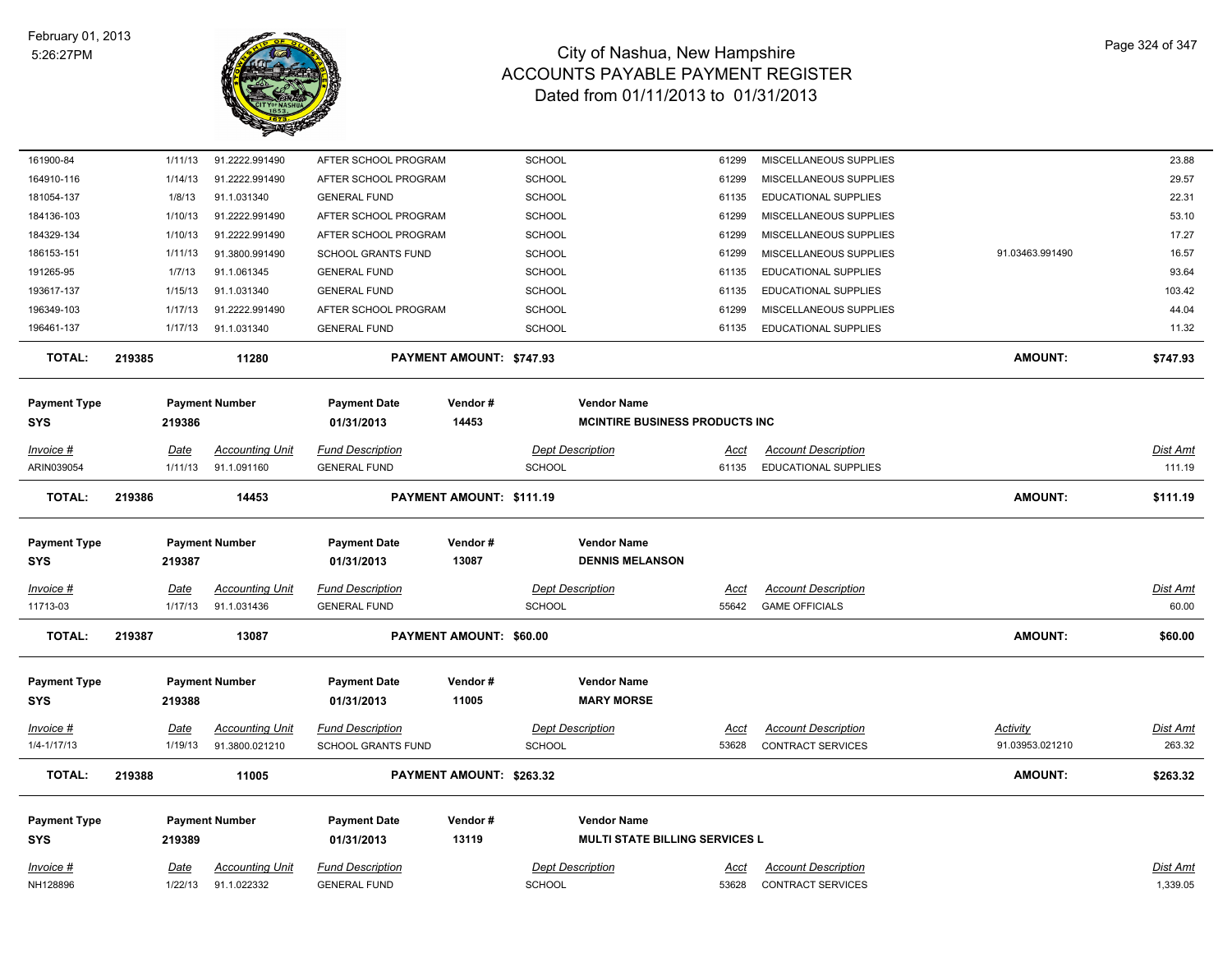

| 161900-84           | 1/11/13                                     | 91.2222.991490         | AFTER SCHOOL PROGRAM      | <b>SCHOOL</b>            |                                        | 61299       | MISCELLANEOUS SUPPLIES      |                 | 23.88           |
|---------------------|---------------------------------------------|------------------------|---------------------------|--------------------------|----------------------------------------|-------------|-----------------------------|-----------------|-----------------|
| 164910-116          | 1/14/13                                     | 91.2222.991490         | AFTER SCHOOL PROGRAM      | <b>SCHOOL</b>            |                                        | 61299       | MISCELLANEOUS SUPPLIES      |                 | 29.57           |
| 181054-137          | 1/8/13                                      | 91.1.031340            | <b>GENERAL FUND</b>       | <b>SCHOOL</b>            |                                        | 61135       | EDUCATIONAL SUPPLIES        |                 | 22.31           |
| 184136-103          | 1/10/13                                     | 91.2222.991490         | AFTER SCHOOL PROGRAM      | SCHOOL                   |                                        | 61299       | MISCELLANEOUS SUPPLIES      |                 | 53.10           |
| 184329-134          | 1/10/13                                     | 91.2222.991490         | AFTER SCHOOL PROGRAM      | SCHOOL                   |                                        | 61299       | MISCELLANEOUS SUPPLIES      |                 | 17.27           |
| 186153-151          | 1/11/13                                     | 91.3800.991490         | <b>SCHOOL GRANTS FUND</b> | <b>SCHOOL</b>            |                                        | 61299       | MISCELLANEOUS SUPPLIES      | 91.03463.991490 | 16.57           |
| 191265-95           | 1/7/13                                      | 91.1.061345            | <b>GENERAL FUND</b>       | SCHOOL                   |                                        | 61135       | EDUCATIONAL SUPPLIES        |                 | 93.64           |
| 193617-137          | 1/15/13                                     | 91.1.031340            | <b>GENERAL FUND</b>       | <b>SCHOOL</b>            |                                        | 61135       | <b>EDUCATIONAL SUPPLIES</b> |                 | 103.42          |
| 196349-103          | 1/17/13                                     | 91.2222.991490         | AFTER SCHOOL PROGRAM      | <b>SCHOOL</b>            |                                        | 61299       | MISCELLANEOUS SUPPLIES      |                 | 44.04           |
| 196461-137          | 1/17/13                                     | 91.1.031340            | <b>GENERAL FUND</b>       | <b>SCHOOL</b>            |                                        | 61135       | <b>EDUCATIONAL SUPPLIES</b> |                 | 11.32           |
| <b>TOTAL:</b>       | 219385                                      | 11280                  | PAYMENT AMOUNT: \$747.93  |                          |                                        |             |                             | <b>AMOUNT:</b>  | \$747.93        |
| <b>Payment Type</b> |                                             | <b>Payment Number</b>  | <b>Payment Date</b>       | Vendor#                  | <b>Vendor Name</b>                     |             |                             |                 |                 |
| <b>SYS</b>          | 219386                                      |                        | 01/31/2013                | 14453                    | <b>MCINTIRE BUSINESS PRODUCTS INC.</b> |             |                             |                 |                 |
| Invoice #           | <b>Date</b>                                 | <b>Accounting Unit</b> | <b>Fund Description</b>   |                          | <b>Dept Description</b>                | Acct        | <b>Account Description</b>  |                 | <b>Dist Amt</b> |
| ARIN039054          | 1/11/13                                     | 91.1.091160            | <b>GENERAL FUND</b>       | <b>SCHOOL</b>            |                                        | 61135       | EDUCATIONAL SUPPLIES        |                 | 111.19          |
| <b>TOTAL:</b>       | 219386                                      | 14453                  |                           | PAYMENT AMOUNT: \$111.19 |                                        |             |                             | <b>AMOUNT:</b>  | \$111.19        |
| <b>Payment Type</b> |                                             | <b>Payment Number</b>  | <b>Payment Date</b>       | Vendor#                  | <b>Vendor Name</b>                     |             |                             |                 |                 |
| <b>SYS</b>          | 219387                                      |                        | 01/31/2013                | 13087                    | <b>DENNIS MELANSON</b>                 |             |                             |                 |                 |
| Invoice #           | <b>Date</b>                                 | <b>Accounting Unit</b> | <b>Fund Description</b>   |                          | <b>Dept Description</b>                | Acct        | <b>Account Description</b>  |                 | Dist Amt        |
| 11713-03            | 1/17/13                                     | 91.1.031436            | <b>GENERAL FUND</b>       | <b>SCHOOL</b>            |                                        | 55642       | <b>GAME OFFICIALS</b>       |                 | 60.00           |
| <b>TOTAL:</b>       | 219387<br>13087                             |                        | PAYMENT AMOUNT: \$60.00   |                          |                                        |             |                             | <b>AMOUNT:</b>  | \$60.00         |
| <b>Payment Type</b> |                                             | <b>Payment Number</b>  | <b>Payment Date</b>       | Vendor#                  | <b>Vendor Name</b>                     |             |                             |                 |                 |
| <b>SYS</b>          | 219388                                      |                        | 01/31/2013                | 11005                    | <b>MARY MORSE</b>                      |             |                             |                 |                 |
| $Invoice$ #         | <u>Date</u>                                 | <b>Accounting Unit</b> | <b>Fund Description</b>   |                          | <b>Dept Description</b>                | <u>Acct</u> | <b>Account Description</b>  | Activity        | Dist Amt        |
| 1/4-1/17/13         | 1/19/13                                     | 91.3800.021210         | <b>SCHOOL GRANTS FUND</b> | <b>SCHOOL</b>            |                                        | 53628       | <b>CONTRACT SERVICES</b>    | 91.03953.021210 | 263.32          |
| <b>TOTAL:</b>       | 219388<br>11005<br>PAYMENT AMOUNT: \$263.32 |                        |                           |                          |                                        |             |                             | <b>AMOUNT:</b>  | \$263.32        |
| <b>Payment Type</b> |                                             | <b>Payment Number</b>  | <b>Payment Date</b>       | Vendor#                  | <b>Vendor Name</b>                     |             |                             |                 |                 |
| <b>SYS</b>          | 219389                                      |                        | 01/31/2013                | 13119                    | <b>MULTI STATE BILLING SERVICES L</b>  |             |                             |                 |                 |
| Invoice #           | Date                                        | <b>Accounting Unit</b> | <b>Fund Description</b>   |                          | <b>Dept Description</b>                | Acct        | <b>Account Description</b>  |                 | Dist Amt        |
| NH128896            | 1/22/13                                     | 91.1.022332            | <b>GENERAL FUND</b>       | <b>SCHOOL</b>            |                                        | 53628       | <b>CONTRACT SERVICES</b>    |                 | 1,339.05        |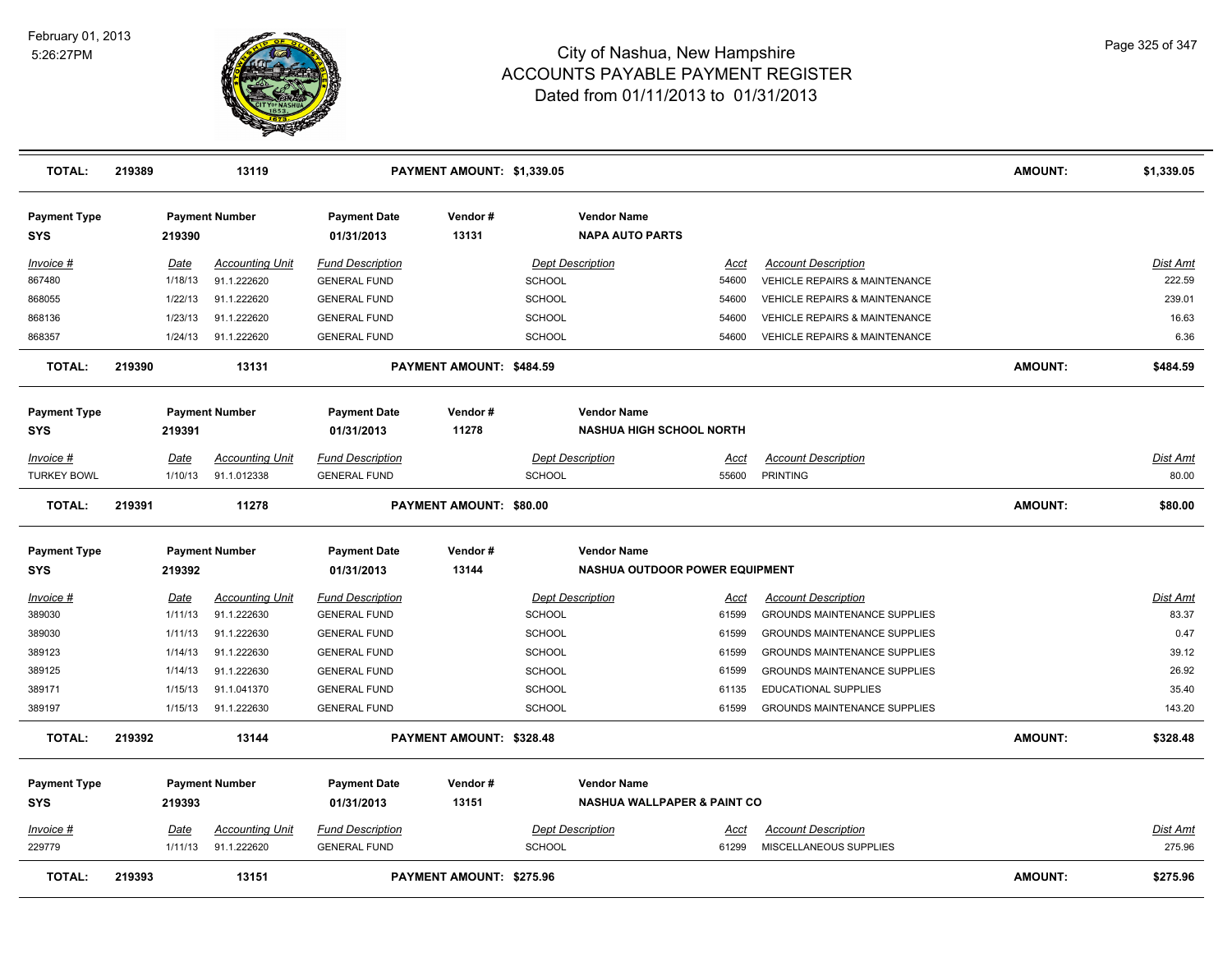

| <b>TOTAL:</b>                     | 219389      | 13119                  |                                   | PAYMENT AMOUNT: \$1,339.05 |                         |                                                              |             |                                          | <b>AMOUNT:</b> | \$1,339.05      |
|-----------------------------------|-------------|------------------------|-----------------------------------|----------------------------|-------------------------|--------------------------------------------------------------|-------------|------------------------------------------|----------------|-----------------|
| <b>Payment Type</b><br>SYS        | 219390      | <b>Payment Number</b>  | <b>Payment Date</b><br>01/31/2013 | Vendor#<br>13131           |                         | <b>Vendor Name</b><br><b>NAPA AUTO PARTS</b>                 |             |                                          |                |                 |
| Invoice #                         | Date        | <b>Accounting Unit</b> | <b>Fund Description</b>           |                            | <b>Dept Description</b> |                                                              | Acct        | <b>Account Description</b>               |                | <b>Dist Amt</b> |
| 867480                            | 1/18/13     | 91.1.222620            | <b>GENERAL FUND</b>               |                            | <b>SCHOOL</b>           |                                                              | 54600       | VEHICLE REPAIRS & MAINTENANCE            |                | 222.59          |
| 868055                            | 1/22/13     | 91.1.222620            | <b>GENERAL FUND</b>               |                            | <b>SCHOOL</b>           |                                                              | 54600       | <b>VEHICLE REPAIRS &amp; MAINTENANCE</b> |                | 239.01          |
| 868136                            | 1/23/13     | 91.1.222620            | <b>GENERAL FUND</b>               |                            | <b>SCHOOL</b>           |                                                              | 54600       | <b>VEHICLE REPAIRS &amp; MAINTENANCE</b> |                | 16.63           |
| 868357                            | 1/24/13     | 91.1.222620            | <b>GENERAL FUND</b>               |                            | <b>SCHOOL</b>           |                                                              | 54600       | VEHICLE REPAIRS & MAINTENANCE            |                | 6.36            |
| <b>TOTAL:</b>                     | 219390      | 13131                  |                                   | PAYMENT AMOUNT: \$484.59   |                         |                                                              |             |                                          | <b>AMOUNT:</b> | \$484.59        |
| <b>Payment Type</b>               |             | <b>Payment Number</b>  | <b>Payment Date</b>               | Vendor#                    |                         | <b>Vendor Name</b>                                           |             |                                          |                |                 |
| <b>SYS</b>                        | 219391      |                        | 01/31/2013                        | 11278                      |                         | <b>NASHUA HIGH SCHOOL NORTH</b>                              |             |                                          |                |                 |
| Invoice #                         | Date        | <b>Accounting Unit</b> | <b>Fund Description</b>           |                            | <b>Dept Description</b> |                                                              | Acct        | <b>Account Description</b>               |                | Dist Amt        |
| <b>TURKEY BOWL</b>                | 1/10/13     | 91.1.012338            | <b>GENERAL FUND</b>               |                            | <b>SCHOOL</b>           |                                                              | 55600       | PRINTING                                 |                | 80.00           |
| <b>TOTAL:</b>                     | 219391      | 11278                  |                                   | PAYMENT AMOUNT: \$80.00    |                         |                                                              |             |                                          | <b>AMOUNT:</b> | \$80.00         |
| <b>Payment Type</b>               |             | <b>Payment Number</b>  | <b>Payment Date</b>               | Vendor#                    |                         | <b>Vendor Name</b>                                           |             |                                          |                |                 |
| SYS                               | 219392      |                        | 01/31/2013                        | 13144                      |                         | NASHUA OUTDOOR POWER EQUIPMENT                               |             |                                          |                |                 |
| Invoice #                         | Date        | <b>Accounting Unit</b> | <b>Fund Description</b>           |                            | <b>Dept Description</b> |                                                              | <u>Acct</u> | <b>Account Description</b>               |                | <b>Dist Amt</b> |
| 389030                            | 1/11/13     | 91.1.222630            | <b>GENERAL FUND</b>               |                            | <b>SCHOOL</b>           |                                                              | 61599       | <b>GROUNDS MAINTENANCE SUPPLIES</b>      |                | 83.37           |
| 389030                            | 1/11/13     | 91.1.222630            | <b>GENERAL FUND</b>               |                            | <b>SCHOOL</b>           |                                                              | 61599       | <b>GROUNDS MAINTENANCE SUPPLIES</b>      |                | 0.47            |
| 389123                            | 1/14/13     | 91.1.222630            | <b>GENERAL FUND</b>               |                            | <b>SCHOOL</b>           |                                                              | 61599       | <b>GROUNDS MAINTENANCE SUPPLIES</b>      |                | 39.12           |
| 389125                            | 1/14/13     | 91.1.222630            | <b>GENERAL FUND</b>               |                            | <b>SCHOOL</b>           |                                                              | 61599       | <b>GROUNDS MAINTENANCE SUPPLIES</b>      |                | 26.92           |
| 389171                            | 1/15/13     | 91.1.041370            | <b>GENERAL FUND</b>               |                            | <b>SCHOOL</b>           |                                                              | 61135       | <b>EDUCATIONAL SUPPLIES</b>              |                | 35.40           |
| 389197                            | 1/15/13     | 91.1.222630            | <b>GENERAL FUND</b>               |                            | <b>SCHOOL</b>           |                                                              | 61599       | <b>GROUNDS MAINTENANCE SUPPLIES</b>      |                | 143.20          |
| <b>TOTAL:</b>                     | 219392      | 13144                  |                                   | PAYMENT AMOUNT: \$328.48   |                         |                                                              |             |                                          | <b>AMOUNT:</b> | \$328.48        |
| <b>Payment Type</b><br><b>SYS</b> | 219393      | <b>Payment Number</b>  | <b>Payment Date</b><br>01/31/2013 | Vendor#<br>13151           |                         | <b>Vendor Name</b><br><b>NASHUA WALLPAPER &amp; PAINT CO</b> |             |                                          |                |                 |
| Invoice #                         | <b>Date</b> | <b>Accounting Unit</b> | <b>Fund Description</b>           |                            | <b>Dept Description</b> |                                                              | Acct        | <b>Account Description</b>               |                | Dist Amt        |
| 229779                            | 1/11/13     | 91.1.222620            | <b>GENERAL FUND</b>               |                            | <b>SCHOOL</b>           |                                                              | 61299       | MISCELLANEOUS SUPPLIES                   |                | 275.96          |
| <b>TOTAL:</b>                     | 219393      | 13151                  |                                   | PAYMENT AMOUNT: \$275.96   |                         |                                                              |             |                                          | <b>AMOUNT:</b> | \$275.96        |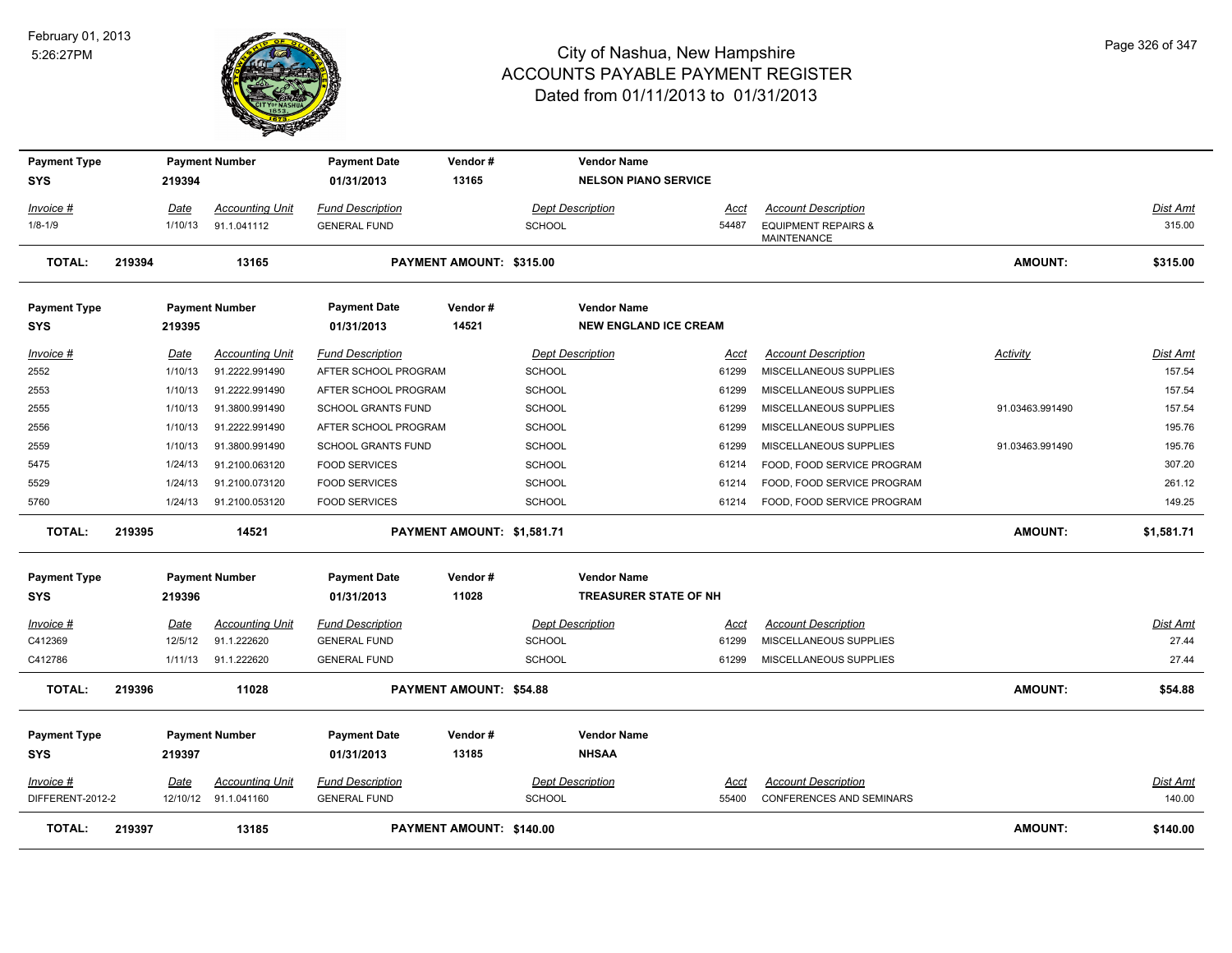

| <b>Payment Type</b> |        |             | <b>Payment Number</b>  | <b>Payment Date</b>       | Vendor#                        |               | <b>Vendor Name</b>           |       |                                 |                 |                 |
|---------------------|--------|-------------|------------------------|---------------------------|--------------------------------|---------------|------------------------------|-------|---------------------------------|-----------------|-----------------|
| <b>SYS</b>          |        | 219394      |                        | 01/31/2013                | 13165                          |               | <b>NELSON PIANO SERVICE</b>  |       |                                 |                 |                 |
| Invoice #           |        | Date        | <b>Accounting Unit</b> | <b>Fund Description</b>   |                                |               | <b>Dept Description</b>      | Acct  | <b>Account Description</b>      |                 | Dist Amt        |
| $1/8 - 1/9$         |        | 1/10/13     | 91.1.041112            | <b>GENERAL FUND</b>       |                                | <b>SCHOOL</b> |                              | 54487 | <b>EQUIPMENT REPAIRS &amp;</b>  |                 | 315.00          |
|                     |        |             |                        |                           |                                |               |                              |       | MAINTENANCE                     |                 |                 |
| <b>TOTAL:</b>       | 219394 |             | 13165                  |                           | PAYMENT AMOUNT: \$315.00       |               |                              |       |                                 | <b>AMOUNT:</b>  | \$315.00        |
| <b>Payment Type</b> |        |             | <b>Payment Number</b>  | <b>Payment Date</b>       | Vendor#                        |               | <b>Vendor Name</b>           |       |                                 |                 |                 |
| <b>SYS</b>          |        | 219395      |                        | 01/31/2013                | 14521                          |               | <b>NEW ENGLAND ICE CREAM</b> |       |                                 |                 |                 |
| Invoice #           |        | Date        | <b>Accounting Unit</b> | <b>Fund Description</b>   |                                |               | <b>Dept Description</b>      | Acct  | <b>Account Description</b>      | <b>Activity</b> | <b>Dist Amt</b> |
| 2552                |        | 1/10/13     | 91.2222.991490         | AFTER SCHOOL PROGRAM      |                                | <b>SCHOOL</b> |                              | 61299 | MISCELLANEOUS SUPPLIES          |                 | 157.54          |
| 2553                |        | 1/10/13     | 91.2222.991490         | AFTER SCHOOL PROGRAM      |                                | <b>SCHOOL</b> |                              | 61299 | MISCELLANEOUS SUPPLIES          |                 | 157.54          |
| 2555                |        | 1/10/13     | 91.3800.991490         | <b>SCHOOL GRANTS FUND</b> |                                | <b>SCHOOL</b> |                              | 61299 | MISCELLANEOUS SUPPLIES          | 91.03463.991490 | 157.54          |
| 2556                |        | 1/10/13     | 91.2222.991490         | AFTER SCHOOL PROGRAM      |                                | <b>SCHOOL</b> |                              | 61299 | MISCELLANEOUS SUPPLIES          |                 | 195.76          |
| 2559                |        | 1/10/13     | 91.3800.991490         | SCHOOL GRANTS FUND        |                                | <b>SCHOOL</b> |                              | 61299 | MISCELLANEOUS SUPPLIES          | 91.03463.991490 | 195.76          |
| 5475                |        | 1/24/13     | 91.2100.063120         | <b>FOOD SERVICES</b>      |                                | <b>SCHOOL</b> |                              | 61214 | FOOD, FOOD SERVICE PROGRAM      |                 | 307.20          |
| 5529                |        | 1/24/13     | 91.2100.073120         | <b>FOOD SERVICES</b>      |                                | <b>SCHOOL</b> |                              | 61214 | FOOD, FOOD SERVICE PROGRAM      |                 | 261.12          |
| 5760                |        | 1/24/13     | 91.2100.053120         | <b>FOOD SERVICES</b>      |                                | <b>SCHOOL</b> |                              | 61214 | FOOD, FOOD SERVICE PROGRAM      |                 | 149.25          |
| TOTAL:              | 219395 |             | 14521                  |                           | PAYMENT AMOUNT: \$1,581.71     |               |                              |       |                                 | <b>AMOUNT:</b>  | \$1,581.71      |
| <b>Payment Type</b> |        |             | <b>Payment Number</b>  | <b>Payment Date</b>       | Vendor#                        |               | <b>Vendor Name</b>           |       |                                 |                 |                 |
| <b>SYS</b>          |        | 219396      |                        | 01/31/2013                | 11028                          |               | <b>TREASURER STATE OF NH</b> |       |                                 |                 |                 |
| <u> Invoice #</u>   |        | <u>Date</u> | <b>Accounting Unit</b> | <b>Fund Description</b>   |                                |               | <b>Dept Description</b>      | Acct  | <b>Account Description</b>      |                 | <b>Dist Amt</b> |
| C412369             |        | 12/5/12     | 91.1.222620            | <b>GENERAL FUND</b>       |                                | <b>SCHOOL</b> |                              | 61299 | MISCELLANEOUS SUPPLIES          |                 | 27.44           |
| C412786             |        | 1/11/13     | 91.1.222620            | <b>GENERAL FUND</b>       |                                | <b>SCHOOL</b> |                              | 61299 | MISCELLANEOUS SUPPLIES          |                 | 27.44           |
| <b>TOTAL:</b>       | 219396 |             | 11028                  |                           | <b>PAYMENT AMOUNT: \$54.88</b> |               |                              |       |                                 | AMOUNT:         | \$54.88         |
| <b>Payment Type</b> |        |             | <b>Payment Number</b>  | <b>Payment Date</b>       | Vendor#                        |               | <b>Vendor Name</b>           |       |                                 |                 |                 |
| <b>SYS</b>          |        | 219397      |                        | 01/31/2013                | 13185                          |               | <b>NHSAA</b>                 |       |                                 |                 |                 |
| Invoice #           |        | Date        | <b>Accounting Unit</b> | <b>Fund Description</b>   |                                |               | <b>Dept Description</b>      | Acct  | <b>Account Description</b>      |                 | Dist Amt        |
| DIFFERENT-2012-2    |        |             | 12/10/12 91.1.041160   | <b>GENERAL FUND</b>       |                                | <b>SCHOOL</b> |                              | 55400 | <b>CONFERENCES AND SEMINARS</b> |                 | 140.00          |
| <b>TOTAL:</b>       | 219397 |             | 13185                  |                           | PAYMENT AMOUNT: \$140.00       |               |                              |       |                                 | <b>AMOUNT:</b>  | \$140.00        |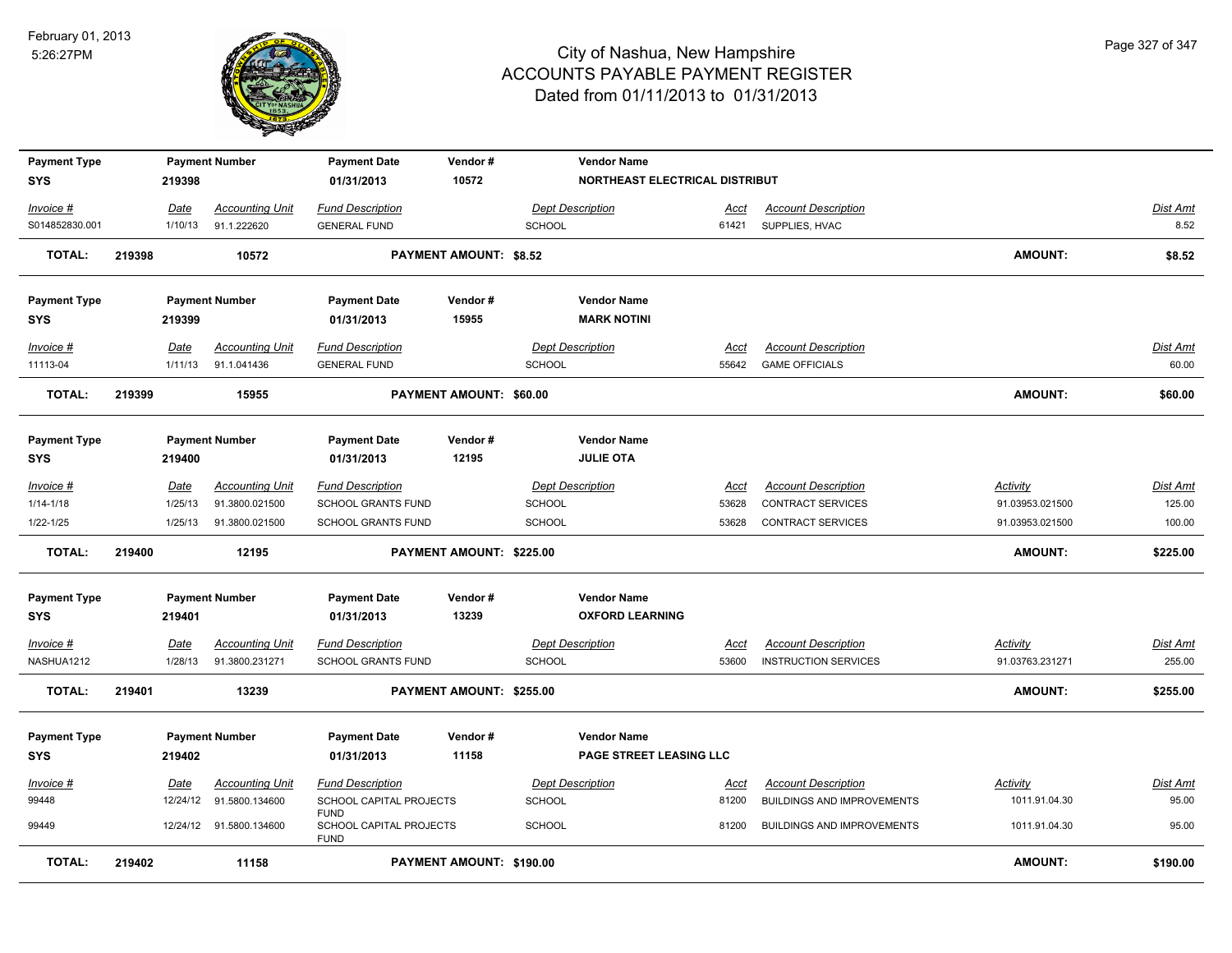

| <b>Payment Type</b> |        |         | <b>Payment Number</b>   | <b>Payment Date</b>                                   | Vendor#<br>10572              |               | <b>Vendor Name</b><br>NORTHEAST ELECTRICAL DISTRIBUT |             |                                   |                 |                 |
|---------------------|--------|---------|-------------------------|-------------------------------------------------------|-------------------------------|---------------|------------------------------------------------------|-------------|-----------------------------------|-----------------|-----------------|
| SYS                 |        | 219398  |                         | 01/31/2013                                            |                               |               |                                                      |             |                                   |                 |                 |
| Invoice #           |        | Date    | <b>Accounting Unit</b>  | <b>Fund Description</b>                               |                               |               | Dept Description                                     | <b>Acct</b> | <b>Account Description</b>        |                 | Dist Amt        |
| S014852830.001      |        | 1/10/13 | 91.1.222620             | <b>GENERAL FUND</b>                                   |                               | SCHOOL        |                                                      | 61421       | SUPPLIES, HVAC                    |                 | 8.52            |
| <b>TOTAL:</b>       | 219398 |         | 10572                   |                                                       | <b>PAYMENT AMOUNT: \$8.52</b> |               |                                                      |             |                                   | <b>AMOUNT:</b>  | \$8.52          |
| <b>Payment Type</b> |        |         | <b>Payment Number</b>   | <b>Payment Date</b>                                   | Vendor#                       |               | <b>Vendor Name</b>                                   |             |                                   |                 |                 |
| SYS                 |        | 219399  |                         | 01/31/2013                                            | 15955                         |               | <b>MARK NOTINI</b>                                   |             |                                   |                 |                 |
| Invoice #           |        | Date    | <b>Accounting Unit</b>  | <b>Fund Description</b>                               |                               |               | <b>Dept Description</b>                              | Acct        | <b>Account Description</b>        |                 | <b>Dist Amt</b> |
| 11113-04            |        | 1/11/13 | 91.1.041436             | <b>GENERAL FUND</b>                                   |                               | <b>SCHOOL</b> |                                                      | 55642       | <b>GAME OFFICIALS</b>             |                 | 60.00           |
| <b>TOTAL:</b>       | 219399 |         | 15955                   |                                                       | PAYMENT AMOUNT: \$60.00       |               |                                                      |             |                                   | <b>AMOUNT:</b>  | \$60.00         |
| <b>Payment Type</b> |        |         | <b>Payment Number</b>   | <b>Payment Date</b>                                   | Vendor#                       |               | <b>Vendor Name</b>                                   |             |                                   |                 |                 |
| <b>SYS</b>          |        | 219400  |                         | 01/31/2013                                            | 12195                         |               | <b>JULIE OTA</b>                                     |             |                                   |                 |                 |
| Invoice #           |        | Date    | <b>Accounting Unit</b>  | <b>Fund Description</b>                               |                               |               | <b>Dept Description</b>                              | Acct        | <b>Account Description</b>        | Activity        | <b>Dist Amt</b> |
| $1/14 - 1/18$       |        | 1/25/13 | 91.3800.021500          | SCHOOL GRANTS FUND                                    |                               | <b>SCHOOL</b> |                                                      | 53628       | CONTRACT SERVICES                 | 91.03953.021500 | 125.00          |
| 1/22-1/25           |        | 1/25/13 | 91.3800.021500          | SCHOOL GRANTS FUND                                    |                               | SCHOOL        |                                                      | 53628       | <b>CONTRACT SERVICES</b>          | 91.03953.021500 | 100.00          |
| <b>TOTAL:</b>       | 219400 |         | 12195                   |                                                       | PAYMENT AMOUNT: \$225.00      |               |                                                      |             |                                   | <b>AMOUNT:</b>  | \$225.00        |
| <b>Payment Type</b> |        |         | <b>Payment Number</b>   | <b>Payment Date</b>                                   | Vendor#                       |               | <b>Vendor Name</b>                                   |             |                                   |                 |                 |
| <b>SYS</b>          |        | 219401  |                         | 01/31/2013                                            | 13239                         |               | <b>OXFORD LEARNING</b>                               |             |                                   |                 |                 |
| <u>Invoice #</u>    |        | Date    | <b>Accounting Unit</b>  | <b>Fund Description</b>                               |                               |               | <b>Dept Description</b>                              | <u>Acct</u> | <b>Account Description</b>        | <b>Activity</b> | <u>Dist Amt</u> |
| NASHUA1212          |        | 1/28/13 | 91.3800.231271          | SCHOOL GRANTS FUND                                    |                               | <b>SCHOOL</b> |                                                      | 53600       | <b>INSTRUCTION SERVICES</b>       | 91.03763.231271 | 255.00          |
| <b>TOTAL:</b>       | 219401 |         | 13239                   |                                                       | PAYMENT AMOUNT: \$255.00      |               |                                                      |             |                                   | <b>AMOUNT:</b>  | \$255.00        |
| <b>Payment Type</b> |        |         | <b>Payment Number</b>   | <b>Payment Date</b>                                   | Vendor#                       |               | <b>Vendor Name</b>                                   |             |                                   |                 |                 |
| <b>SYS</b>          |        | 219402  |                         | 01/31/2013                                            | 11158                         |               | PAGE STREET LEASING LLC                              |             |                                   |                 |                 |
| Invoice #           |        | Date    | <b>Accounting Unit</b>  | <b>Fund Description</b>                               |                               |               | <b>Dept Description</b>                              | Acct        | <b>Account Description</b>        | Activity        | Dist Amt        |
| 99448               |        |         | 12/24/12 91.5800.134600 | SCHOOL CAPITAL PROJECTS                               |                               | <b>SCHOOL</b> |                                                      | 81200       | <b>BUILDINGS AND IMPROVEMENTS</b> | 1011.91.04.30   | 95.00           |
| 99449               |        |         | 12/24/12 91.5800.134600 | <b>FUND</b><br>SCHOOL CAPITAL PROJECTS<br><b>FUND</b> |                               | <b>SCHOOL</b> |                                                      | 81200       | <b>BUILDINGS AND IMPROVEMENTS</b> | 1011.91.04.30   | 95.00           |
| <b>TOTAL:</b>       | 219402 |         | 11158                   |                                                       | PAYMENT AMOUNT: \$190.00      |               |                                                      |             |                                   | <b>AMOUNT:</b>  | \$190.00        |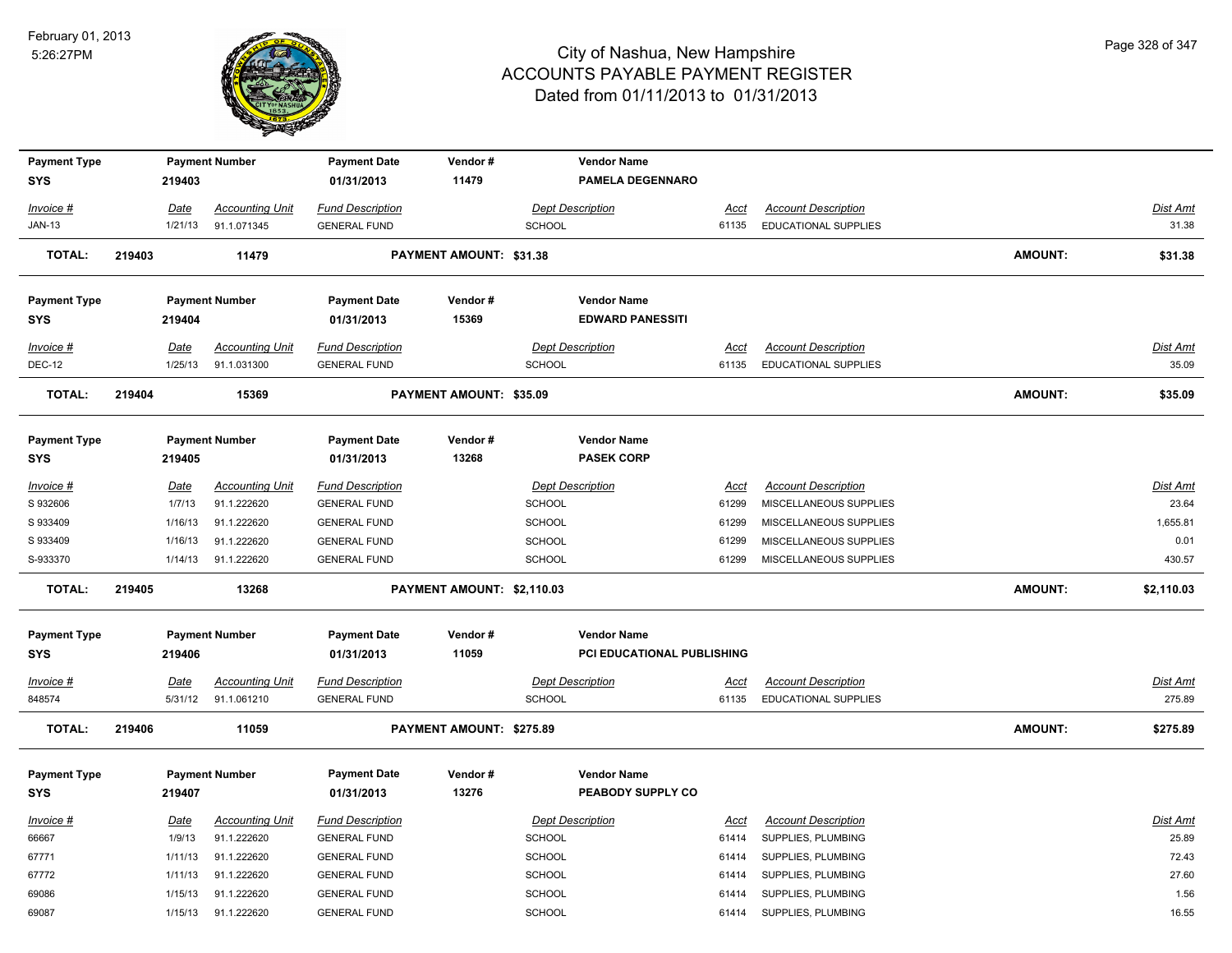

| <b>Payment Type</b>               |        |                        | <b>Payment Number</b>                 | <b>Payment Date</b>                            | Vendor#                    |                                          | <b>Vendor Name</b>                      |                      |                                                           |                |                           |
|-----------------------------------|--------|------------------------|---------------------------------------|------------------------------------------------|----------------------------|------------------------------------------|-----------------------------------------|----------------------|-----------------------------------------------------------|----------------|---------------------------|
| <b>SYS</b>                        |        | 219403                 |                                       | 01/31/2013                                     | 11479                      |                                          | <b>PAMELA DEGENNARO</b>                 |                      |                                                           |                |                           |
| Invoice #                         |        | Date                   | <b>Accounting Unit</b>                | <b>Fund Description</b>                        |                            | <b>Dept Description</b>                  |                                         | <u>Acct</u>          | <b>Account Description</b>                                |                | Dist Amt                  |
| <b>JAN-13</b>                     |        | 1/21/13                | 91.1.071345                           | <b>GENERAL FUND</b>                            |                            | <b>SCHOOL</b>                            |                                         | 61135                | <b>EDUCATIONAL SUPPLIES</b>                               |                | 31.38                     |
| <b>TOTAL:</b>                     | 219403 |                        | 11479                                 |                                                | PAYMENT AMOUNT: \$31.38    |                                          |                                         |                      |                                                           | <b>AMOUNT:</b> | \$31.38                   |
| <b>Payment Type</b>               |        |                        | <b>Payment Number</b>                 | <b>Payment Date</b>                            | Vendor#                    |                                          | <b>Vendor Name</b>                      |                      |                                                           |                |                           |
| <b>SYS</b>                        |        | 219404                 |                                       | 01/31/2013                                     | 15369                      |                                          | <b>EDWARD PANESSITI</b>                 |                      |                                                           |                |                           |
| $Invoice$ #                       |        | Date                   | <b>Accounting Unit</b>                | <b>Fund Description</b>                        |                            | <b>Dept Description</b>                  |                                         | <u>Acct</u>          | <b>Account Description</b>                                |                | Dist Amt                  |
| <b>DEC-12</b>                     |        | 1/25/13                | 91.1.031300                           | <b>GENERAL FUND</b>                            |                            | <b>SCHOOL</b>                            |                                         | 61135                | <b>EDUCATIONAL SUPPLIES</b>                               |                | 35.09                     |
| <b>TOTAL:</b>                     | 219404 |                        | 15369                                 |                                                | PAYMENT AMOUNT: \$35.09    |                                          |                                         |                      |                                                           | AMOUNT:        | \$35.09                   |
| <b>Payment Type</b>               |        |                        | <b>Payment Number</b>                 | <b>Payment Date</b>                            | Vendor#                    |                                          | <b>Vendor Name</b>                      |                      |                                                           |                |                           |
| <b>SYS</b>                        |        | 219405                 |                                       | 01/31/2013                                     | 13268                      |                                          | <b>PASEK CORP</b>                       |                      |                                                           |                |                           |
| Invoice #                         |        | Date                   | <b>Accounting Unit</b>                | <b>Fund Description</b>                        |                            | <b>Dept Description</b>                  |                                         | Acct                 | <b>Account Description</b>                                |                | Dist Amt                  |
| S 932606                          |        | 1/7/13                 | 91.1.222620                           | <b>GENERAL FUND</b>                            |                            | <b>SCHOOL</b>                            |                                         | 61299                | MISCELLANEOUS SUPPLIES                                    |                | 23.64                     |
| S 933409                          |        | 1/16/13                | 91.1.222620                           | <b>GENERAL FUND</b>                            |                            | <b>SCHOOL</b>                            |                                         | 61299                | MISCELLANEOUS SUPPLIES                                    |                | 1,655.81                  |
| S 933409                          |        | 1/16/13                | 91.1.222620                           | <b>GENERAL FUND</b>                            |                            | <b>SCHOOL</b>                            |                                         | 61299                | MISCELLANEOUS SUPPLIES                                    |                | 0.01                      |
| S-933370                          |        | 1/14/13                | 91.1.222620                           | <b>GENERAL FUND</b>                            |                            | SCHOOL                                   |                                         | 61299                | MISCELLANEOUS SUPPLIES                                    |                | 430.57                    |
| <b>TOTAL:</b>                     | 219405 |                        | 13268                                 |                                                | PAYMENT AMOUNT: \$2,110.03 |                                          |                                         |                      |                                                           | <b>AMOUNT:</b> | \$2,110.03                |
| <b>Payment Type</b>               |        |                        | <b>Payment Number</b>                 | <b>Payment Date</b>                            | Vendor#                    |                                          | <b>Vendor Name</b>                      |                      |                                                           |                |                           |
| <b>SYS</b>                        |        | 219406                 |                                       | 01/31/2013                                     | 11059                      |                                          | PCI EDUCATIONAL PUBLISHING              |                      |                                                           |                |                           |
| $Invoice$ #<br>848574             |        | <u>Date</u><br>5/31/12 | <b>Accounting Unit</b><br>91.1.061210 | <b>Fund Description</b><br><b>GENERAL FUND</b> |                            | <b>Dept Description</b><br><b>SCHOOL</b> |                                         | <u>Acct</u><br>61135 | <b>Account Description</b><br><b>EDUCATIONAL SUPPLIES</b> |                | <b>Dist Amt</b><br>275.89 |
| <b>TOTAL:</b>                     | 219406 |                        | 11059                                 |                                                | PAYMENT AMOUNT: \$275.89   |                                          |                                         |                      |                                                           | <b>AMOUNT:</b> | \$275.89                  |
| <b>Payment Type</b><br><b>SYS</b> |        | 219407                 | <b>Payment Number</b>                 | <b>Payment Date</b><br>01/31/2013              | Vendor#<br>13276           |                                          | <b>Vendor Name</b><br>PEABODY SUPPLY CO |                      |                                                           |                |                           |
| Invoice #                         |        | Date                   | <b>Accounting Unit</b>                | <b>Fund Description</b>                        |                            | <b>Dept Description</b>                  |                                         | Acct                 | <b>Account Description</b>                                |                | Dist Amt                  |
| 66667                             |        | 1/9/13                 | 91.1.222620                           | <b>GENERAL FUND</b>                            |                            | <b>SCHOOL</b>                            |                                         | 61414                | SUPPLIES, PLUMBING                                        |                | 25.89                     |
| 67771                             |        | 1/11/13                | 91.1.222620                           | <b>GENERAL FUND</b>                            |                            | SCHOOL                                   |                                         | 61414                | SUPPLIES, PLUMBING                                        |                | 72.43                     |
| 67772                             |        | 1/11/13                | 91.1.222620                           | <b>GENERAL FUND</b>                            |                            | <b>SCHOOL</b>                            |                                         | 61414                | SUPPLIES, PLUMBING                                        |                | 27.60                     |
| 69086                             |        | 1/15/13                | 91.1.222620                           | <b>GENERAL FUND</b>                            |                            | <b>SCHOOL</b>                            |                                         | 61414                | SUPPLIES, PLUMBING                                        |                | 1.56                      |
| 69087                             |        | 1/15/13                | 91.1.222620                           | <b>GENERAL FUND</b>                            |                            | SCHOOL                                   |                                         | 61414                | SUPPLIES, PLUMBING                                        |                | 16.55                     |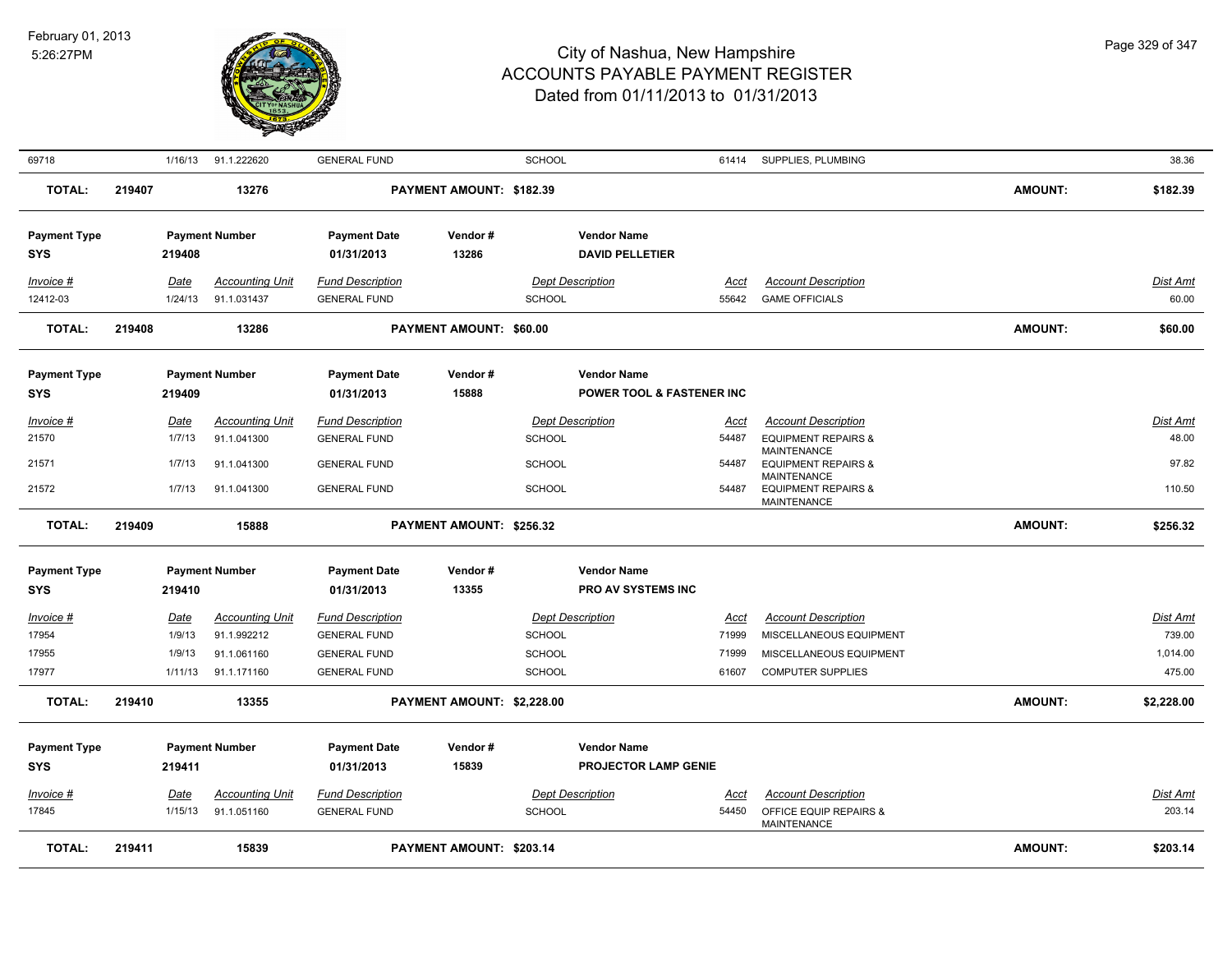

| 69718                             |        | 1/16/13         | 91.1.222620                           | <b>GENERAL FUND</b>                            |                            | <b>SCHOOL</b> |                                                 | 61414         | SUPPLIES, PLUMBING                                                         |                | 38.36             |
|-----------------------------------|--------|-----------------|---------------------------------------|------------------------------------------------|----------------------------|---------------|-------------------------------------------------|---------------|----------------------------------------------------------------------------|----------------|-------------------|
| TOTAL:                            | 219407 |                 | 13276                                 |                                                | PAYMENT AMOUNT: \$182.39   |               |                                                 |               |                                                                            | <b>AMOUNT:</b> | \$182.39          |
| <b>Payment Type</b><br><b>SYS</b> |        | 219408          | <b>Payment Number</b>                 | <b>Payment Date</b><br>01/31/2013              | Vendor#<br>13286           |               | <b>Vendor Name</b><br><b>DAVID PELLETIER</b>    |               |                                                                            |                |                   |
| Invoice #<br>12412-03             |        | Date<br>1/24/13 | <b>Accounting Unit</b><br>91.1.031437 | <b>Fund Description</b><br><b>GENERAL FUND</b> |                            | <b>SCHOOL</b> | <b>Dept Description</b>                         | Acct<br>55642 | <b>Account Description</b><br><b>GAME OFFICIALS</b>                        |                | Dist Amt<br>60.00 |
| <b>TOTAL:</b>                     | 219408 |                 | 13286                                 |                                                | PAYMENT AMOUNT: \$60.00    |               |                                                 |               |                                                                            | <b>AMOUNT:</b> | \$60.00           |
| <b>Payment Type</b><br><b>SYS</b> |        | 219409          | <b>Payment Number</b>                 | <b>Payment Date</b><br>01/31/2013              | Vendor#<br>15888           |               | <b>Vendor Name</b><br>POWER TOOL & FASTENER INC |               |                                                                            |                |                   |
| Invoice #<br>21570                |        | Date<br>1/7/13  | <b>Accounting Unit</b><br>91.1.041300 | <b>Fund Description</b><br><b>GENERAL FUND</b> |                            | <b>SCHOOL</b> | <b>Dept Description</b>                         | Acct<br>54487 | <b>Account Description</b><br><b>EQUIPMENT REPAIRS &amp;</b>               |                | Dist Amt<br>48.00 |
| 21571                             |        | 1/7/13          | 91.1.041300                           | <b>GENERAL FUND</b>                            |                            | <b>SCHOOL</b> |                                                 | 54487         | <b>MAINTENANCE</b><br><b>EQUIPMENT REPAIRS &amp;</b><br><b>MAINTENANCE</b> |                | 97.82             |
| 21572                             |        | 1/7/13          | 91.1.041300                           | <b>GENERAL FUND</b>                            |                            | SCHOOL        |                                                 | 54487         | <b>EQUIPMENT REPAIRS &amp;</b>                                             |                | 110.50            |
|                                   |        |                 |                                       |                                                |                            |               |                                                 |               | <b>MAINTENANCE</b>                                                         |                |                   |
| <b>TOTAL:</b>                     | 219409 |                 | 15888                                 |                                                | PAYMENT AMOUNT: \$256.32   |               |                                                 |               |                                                                            | <b>AMOUNT:</b> | \$256.32          |
| <b>Payment Type</b><br><b>SYS</b> |        | 219410          | <b>Payment Number</b>                 | <b>Payment Date</b><br>01/31/2013              | Vendor#<br>13355           |               | <b>Vendor Name</b><br>PRO AV SYSTEMS INC        |               |                                                                            |                |                   |
| $Invoice$ #                       |        | <u>Date</u>     | <b>Accounting Unit</b>                | <b>Fund Description</b>                        |                            |               | <b>Dept Description</b>                         | Acct          | <b>Account Description</b>                                                 |                | <u>Dist Amt</u>   |
| 17954                             |        | 1/9/13          | 91.1.992212                           | <b>GENERAL FUND</b>                            |                            | <b>SCHOOL</b> |                                                 | 71999         | MISCELLANEOUS EQUIPMENT                                                    |                | 739.00            |
| 17955                             |        | 1/9/13          | 91.1.061160                           | <b>GENERAL FUND</b>                            |                            | <b>SCHOOL</b> |                                                 | 71999         | MISCELLANEOUS EQUIPMENT                                                    |                | 1,014.00          |
| 17977                             |        | 1/11/13         | 91.1.171160                           | <b>GENERAL FUND</b>                            |                            | SCHOOL        |                                                 | 61607         | <b>COMPUTER SUPPLIES</b>                                                   |                | 475.00            |
| <b>TOTAL:</b>                     | 219410 |                 | 13355                                 |                                                | PAYMENT AMOUNT: \$2,228.00 |               |                                                 |               |                                                                            | <b>AMOUNT:</b> | \$2,228.00        |
| <b>Payment Type</b>               |        |                 | <b>Payment Number</b>                 | <b>Payment Date</b>                            | Vendor#                    |               | <b>Vendor Name</b>                              |               |                                                                            |                |                   |
| <b>SYS</b>                        |        | 219411          |                                       | 01/31/2013                                     | 15839                      |               | <b>PROJECTOR LAMP GENIE</b>                     |               |                                                                            |                |                   |
| Invoice #                         |        | <u>Date</u>     | <b>Accounting Unit</b>                | <b>Fund Description</b>                        |                            |               | <b>Dept Description</b>                         | <u>Acct</u>   | <b>Account Description</b>                                                 |                | Dist Amt          |
| 17845                             |        | 1/15/13         | 91.1.051160                           | <b>GENERAL FUND</b>                            |                            | <b>SCHOOL</b> |                                                 | 54450         | OFFICE EQUIP REPAIRS &<br><b>MAINTENANCE</b>                               |                | 203.14            |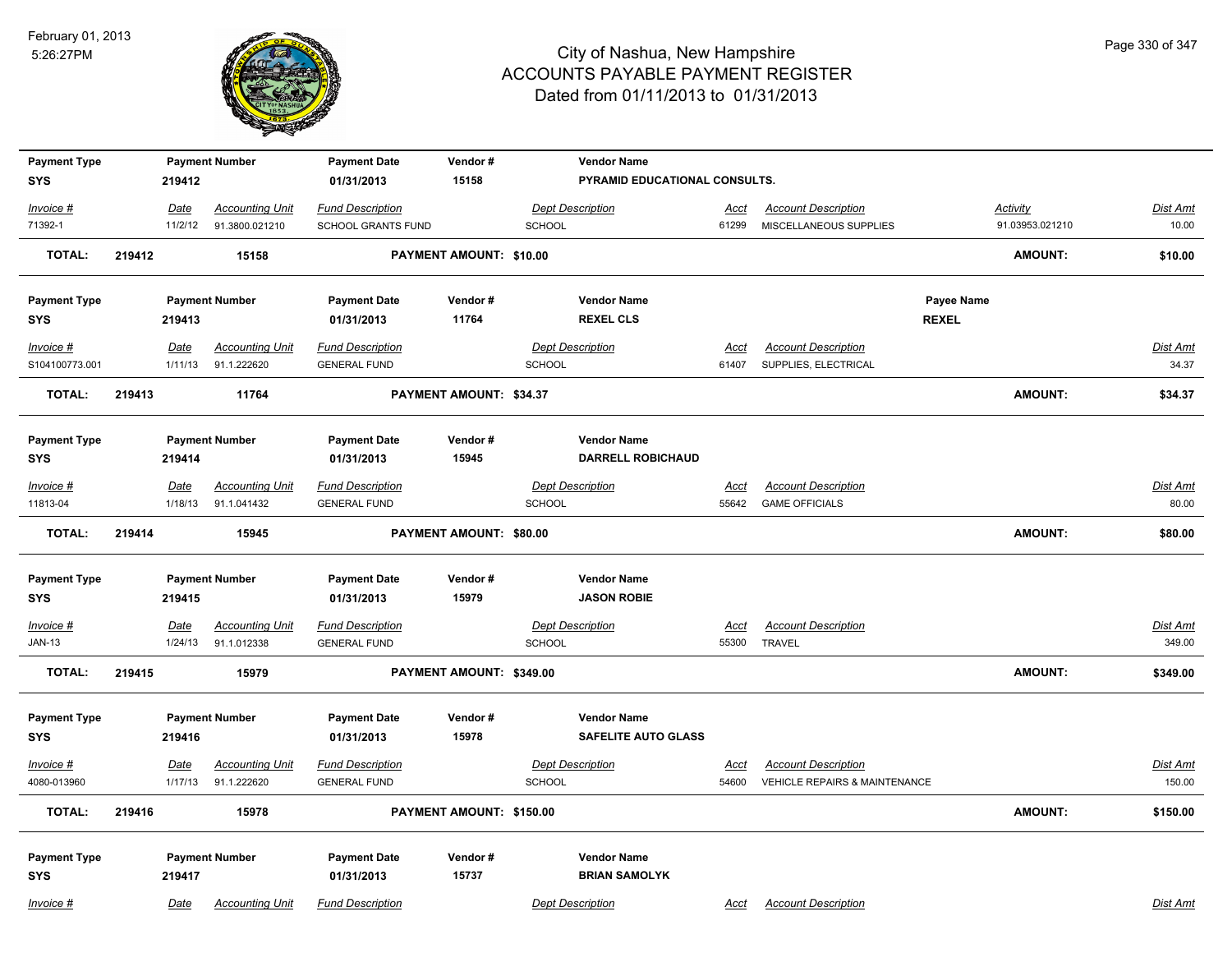

| <b>Payment Type</b><br><b>SYS</b> |        | 219412          | <b>Payment Number</b>                 | <b>Payment Date</b><br>01/31/2013              | Vendor#<br>15158               |               | <b>Vendor Name</b><br>PYRAMID EDUCATIONAL CONSULTS. |               |                                                     |              |                 |                   |
|-----------------------------------|--------|-----------------|---------------------------------------|------------------------------------------------|--------------------------------|---------------|-----------------------------------------------------|---------------|-----------------------------------------------------|--------------|-----------------|-------------------|
| Invoice #                         |        | Date            | <b>Accounting Unit</b>                | <b>Fund Description</b>                        |                                |               | <b>Dept Description</b>                             | Acct          | <b>Account Description</b>                          |              | Activity        | Dist Amt          |
| 71392-1                           |        | 11/2/12         | 91.3800.021210                        | SCHOOL GRANTS FUND                             |                                | <b>SCHOOL</b> |                                                     | 61299         | MISCELLANEOUS SUPPLIES                              |              | 91.03953.021210 | 10.00             |
| <b>TOTAL:</b>                     | 219412 |                 | 15158                                 |                                                | <b>PAYMENT AMOUNT: \$10.00</b> |               |                                                     |               |                                                     |              | <b>AMOUNT:</b>  | \$10.00           |
| <b>Payment Type</b>               |        |                 | <b>Payment Number</b>                 | <b>Payment Date</b>                            | Vendor#                        |               | <b>Vendor Name</b>                                  |               |                                                     | Payee Name   |                 |                   |
| <b>SYS</b>                        |        | 219413          |                                       | 01/31/2013                                     | 11764                          |               | <b>REXEL CLS</b>                                    |               |                                                     | <b>REXEL</b> |                 |                   |
| Invoice #                         |        | Date            | <b>Accounting Unit</b>                | <b>Fund Description</b>                        |                                |               | <b>Dept Description</b>                             | Acct          | <b>Account Description</b>                          |              |                 | <u>Dist Amt</u>   |
| S104100773.001                    |        | 1/11/13         | 91.1.222620                           | <b>GENERAL FUND</b>                            |                                | SCHOOL        |                                                     | 61407         | SUPPLIES, ELECTRICAL                                |              |                 | 34.37             |
| <b>TOTAL:</b>                     | 219413 |                 | 11764                                 |                                                | <b>PAYMENT AMOUNT: \$34.37</b> |               |                                                     |               |                                                     |              | <b>AMOUNT:</b>  | \$34.37           |
| <b>Payment Type</b>               |        |                 | <b>Payment Number</b>                 | <b>Payment Date</b>                            | Vendor#                        |               | <b>Vendor Name</b>                                  |               |                                                     |              |                 |                   |
| <b>SYS</b>                        |        | 219414          |                                       | 01/31/2013                                     | 15945                          |               | <b>DARRELL ROBICHAUD</b>                            |               |                                                     |              |                 |                   |
| Invoice #<br>11813-04             |        | Date<br>1/18/13 | <b>Accounting Unit</b><br>91.1.041432 | <b>Fund Description</b><br><b>GENERAL FUND</b> |                                | SCHOOL        | <b>Dept Description</b>                             | Acct<br>55642 | <b>Account Description</b><br><b>GAME OFFICIALS</b> |              |                 | Dist Amt<br>80.00 |
| <b>TOTAL:</b>                     | 219414 |                 | 15945                                 |                                                | PAYMENT AMOUNT: \$80.00        |               |                                                     |               |                                                     |              | AMOUNT:         | \$80.00           |
| <b>Payment Type</b>               |        |                 | <b>Payment Number</b>                 | <b>Payment Date</b>                            | Vendor#                        |               | <b>Vendor Name</b>                                  |               |                                                     |              |                 |                   |
| <b>SYS</b>                        |        | 219415          |                                       | 01/31/2013                                     | 15979                          |               | <b>JASON ROBIE</b>                                  |               |                                                     |              |                 |                   |
| Invoice #                         |        | <b>Date</b>     | <b>Accounting Unit</b>                | <b>Fund Description</b>                        |                                |               | <b>Dept Description</b>                             | <u>Acct</u>   | <b>Account Description</b>                          |              |                 | <u>Dist Amt</u>   |
| <b>JAN-13</b>                     |        | 1/24/13         | 91.1.012338                           | <b>GENERAL FUND</b>                            |                                | <b>SCHOOL</b> |                                                     | 55300         | <b>TRAVEL</b>                                       |              |                 | 349.00            |
| <b>TOTAL:</b>                     | 219415 |                 | 15979                                 |                                                | PAYMENT AMOUNT: \$349.00       |               |                                                     |               |                                                     |              | AMOUNT:         | \$349.00          |
| <b>Payment Type</b>               |        |                 | <b>Payment Number</b>                 | <b>Payment Date</b>                            | Vendor#                        |               | <b>Vendor Name</b>                                  |               |                                                     |              |                 |                   |
| <b>SYS</b>                        |        | 219416          |                                       | 01/31/2013                                     | 15978                          |               | <b>SAFELITE AUTO GLASS</b>                          |               |                                                     |              |                 |                   |
| Invoice #                         |        | Date            | <b>Accounting Unit</b>                | <b>Fund Description</b>                        |                                |               | <b>Dept Description</b>                             | Acct          | <b>Account Description</b>                          |              |                 | Dist Amt          |
| 4080-013960                       |        | 1/17/13         | 91.1.222620                           | <b>GENERAL FUND</b>                            |                                | <b>SCHOOL</b> |                                                     | 54600         | <b>VEHICLE REPAIRS &amp; MAINTENANCE</b>            |              |                 | 150.00            |
| <b>TOTAL:</b>                     | 219416 |                 | 15978                                 |                                                | PAYMENT AMOUNT: \$150.00       |               |                                                     |               |                                                     |              | AMOUNT:         | \$150.00          |
| <b>Payment Type</b>               |        |                 | <b>Payment Number</b>                 | <b>Payment Date</b>                            | Vendor#                        |               | <b>Vendor Name</b>                                  |               |                                                     |              |                 |                   |
| <b>SYS</b>                        |        | 219417          |                                       | 01/31/2013                                     | 15737                          |               | <b>BRIAN SAMOLYK</b>                                |               |                                                     |              |                 |                   |
| Invoice #                         |        | Date            | <b>Accounting Unit</b>                | <b>Fund Description</b>                        |                                |               | <b>Dept Description</b>                             | Acct          | <b>Account Description</b>                          |              |                 | Dist Amt          |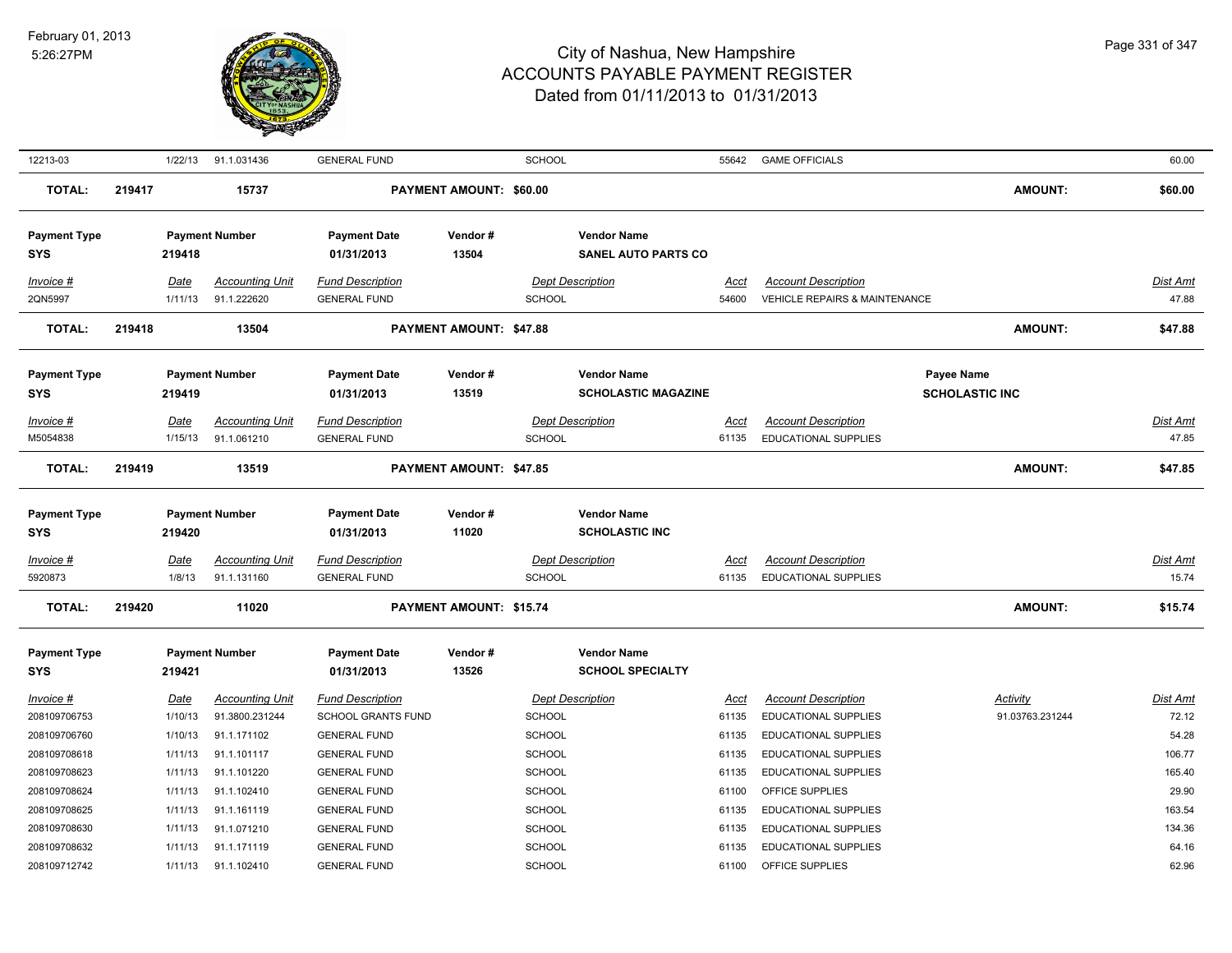

| 12213-03            |        | 1/22/13 | 91.1.031436            | <b>GENERAL FUND</b>       |                                | <b>SCHOOL</b> |                            | 55642 | <b>GAME OFFICIALS</b>         |                       | 60.00           |
|---------------------|--------|---------|------------------------|---------------------------|--------------------------------|---------------|----------------------------|-------|-------------------------------|-----------------------|-----------------|
| <b>TOTAL:</b>       | 219417 |         | 15737                  |                           | PAYMENT AMOUNT: \$60.00        |               |                            |       |                               | <b>AMOUNT:</b>        | \$60.00         |
| <b>Payment Type</b> |        |         | <b>Payment Number</b>  | <b>Payment Date</b>       | Vendor#                        |               | <b>Vendor Name</b>         |       |                               |                       |                 |
| <b>SYS</b>          |        | 219418  |                        | 01/31/2013                | 13504                          |               | <b>SANEL AUTO PARTS CO</b> |       |                               |                       |                 |
| Invoice #           |        | Date    | <b>Accounting Unit</b> | <b>Fund Description</b>   |                                |               | <b>Dept Description</b>    | Acct  | <b>Account Description</b>    |                       | Dist Amt        |
| 2QN5997             |        | 1/11/13 | 91.1.222620            | <b>GENERAL FUND</b>       |                                | SCHOOL        |                            | 54600 | VEHICLE REPAIRS & MAINTENANCE |                       | 47.88           |
| <b>TOTAL:</b>       | 219418 |         | 13504                  |                           | PAYMENT AMOUNT: \$47.88        |               |                            |       |                               | <b>AMOUNT:</b>        | \$47.88         |
| <b>Payment Type</b> |        |         | <b>Payment Number</b>  | <b>Payment Date</b>       | Vendor#                        |               | <b>Vendor Name</b>         |       |                               | Payee Name            |                 |
| <b>SYS</b>          |        | 219419  |                        | 01/31/2013                | 13519                          |               | <b>SCHOLASTIC MAGAZINE</b> |       |                               | <b>SCHOLASTIC INC</b> |                 |
| Invoice #           |        | Date    | <b>Accounting Unit</b> | <b>Fund Description</b>   |                                |               | <b>Dept Description</b>    | Acct  | <b>Account Description</b>    |                       | Dist Amt        |
| M5054838            |        | 1/15/13 | 91.1.061210            | <b>GENERAL FUND</b>       |                                | SCHOOL        |                            | 61135 | <b>EDUCATIONAL SUPPLIES</b>   |                       | 47.85           |
| TOTAL:              | 219419 |         | 13519                  |                           | <b>PAYMENT AMOUNT: \$47.85</b> |               |                            |       |                               | <b>AMOUNT:</b>        | \$47.85         |
|                     |        |         |                        |                           |                                |               |                            |       |                               |                       |                 |
| <b>Payment Type</b> |        |         | <b>Payment Number</b>  | <b>Payment Date</b>       | Vendor#                        |               | <b>Vendor Name</b>         |       |                               |                       |                 |
| <b>SYS</b>          |        | 219420  |                        | 01/31/2013                | 11020                          |               | <b>SCHOLASTIC INC</b>      |       |                               |                       |                 |
| Invoice #           |        | Date    | <b>Accounting Unit</b> | <b>Fund Description</b>   |                                |               | <b>Dept Description</b>    | Acct  | <b>Account Description</b>    |                       | <u>Dist Amt</u> |
| 5920873             |        | 1/8/13  | 91.1.131160            | <b>GENERAL FUND</b>       |                                | <b>SCHOOL</b> |                            | 61135 | <b>EDUCATIONAL SUPPLIES</b>   |                       | 15.74           |
| <b>TOTAL:</b>       | 219420 |         | 11020                  |                           | <b>PAYMENT AMOUNT: \$15.74</b> |               |                            |       |                               | <b>AMOUNT:</b>        | \$15.74         |
| <b>Payment Type</b> |        |         | <b>Payment Number</b>  | <b>Payment Date</b>       | Vendor#                        |               | <b>Vendor Name</b>         |       |                               |                       |                 |
| <b>SYS</b>          |        | 219421  |                        | 01/31/2013                | 13526                          |               | <b>SCHOOL SPECIALTY</b>    |       |                               |                       |                 |
| Invoice #           |        | Date    | <b>Accounting Unit</b> | <b>Fund Description</b>   |                                |               | <b>Dept Description</b>    | Acct  | <b>Account Description</b>    | Activity              | <u>Dist Amt</u> |
| 208109706753        |        | 1/10/13 | 91.3800.231244         | <b>SCHOOL GRANTS FUND</b> |                                | <b>SCHOOL</b> |                            | 61135 | <b>EDUCATIONAL SUPPLIES</b>   | 91.03763.231244       | 72.12           |
| 208109706760        |        | 1/10/13 | 91.1.171102            | <b>GENERAL FUND</b>       |                                | <b>SCHOOL</b> |                            | 61135 | <b>EDUCATIONAL SUPPLIES</b>   |                       | 54.28           |
| 208109708618        |        | 1/11/13 | 91.1.101117            | <b>GENERAL FUND</b>       |                                | <b>SCHOOL</b> |                            | 61135 | <b>EDUCATIONAL SUPPLIES</b>   |                       | 106.77          |
| 208109708623        |        | 1/11/13 | 91.1.101220            | <b>GENERAL FUND</b>       |                                | <b>SCHOOL</b> |                            | 61135 | <b>EDUCATIONAL SUPPLIES</b>   |                       | 165.40          |
| 208109708624        |        | 1/11/13 | 91.1.102410            | <b>GENERAL FUND</b>       |                                | <b>SCHOOL</b> |                            | 61100 | OFFICE SUPPLIES               |                       | 29.90           |
| 208109708625        |        | 1/11/13 | 91.1.161119            | <b>GENERAL FUND</b>       |                                | <b>SCHOOL</b> |                            | 61135 | <b>EDUCATIONAL SUPPLIES</b>   |                       | 163.54          |
| 208109708630        |        | 1/11/13 | 91.1.071210            | <b>GENERAL FUND</b>       |                                | <b>SCHOOL</b> |                            | 61135 | <b>EDUCATIONAL SUPPLIES</b>   |                       | 134.36          |
| 208109708632        |        | 1/11/13 | 91.1.171119            | <b>GENERAL FUND</b>       |                                | <b>SCHOOL</b> |                            | 61135 | <b>EDUCATIONAL SUPPLIES</b>   |                       | 64.16           |
| 208109712742        |        | 1/11/13 | 91.1.102410            | <b>GENERAL FUND</b>       |                                | <b>SCHOOL</b> |                            | 61100 | OFFICE SUPPLIES               |                       | 62.96           |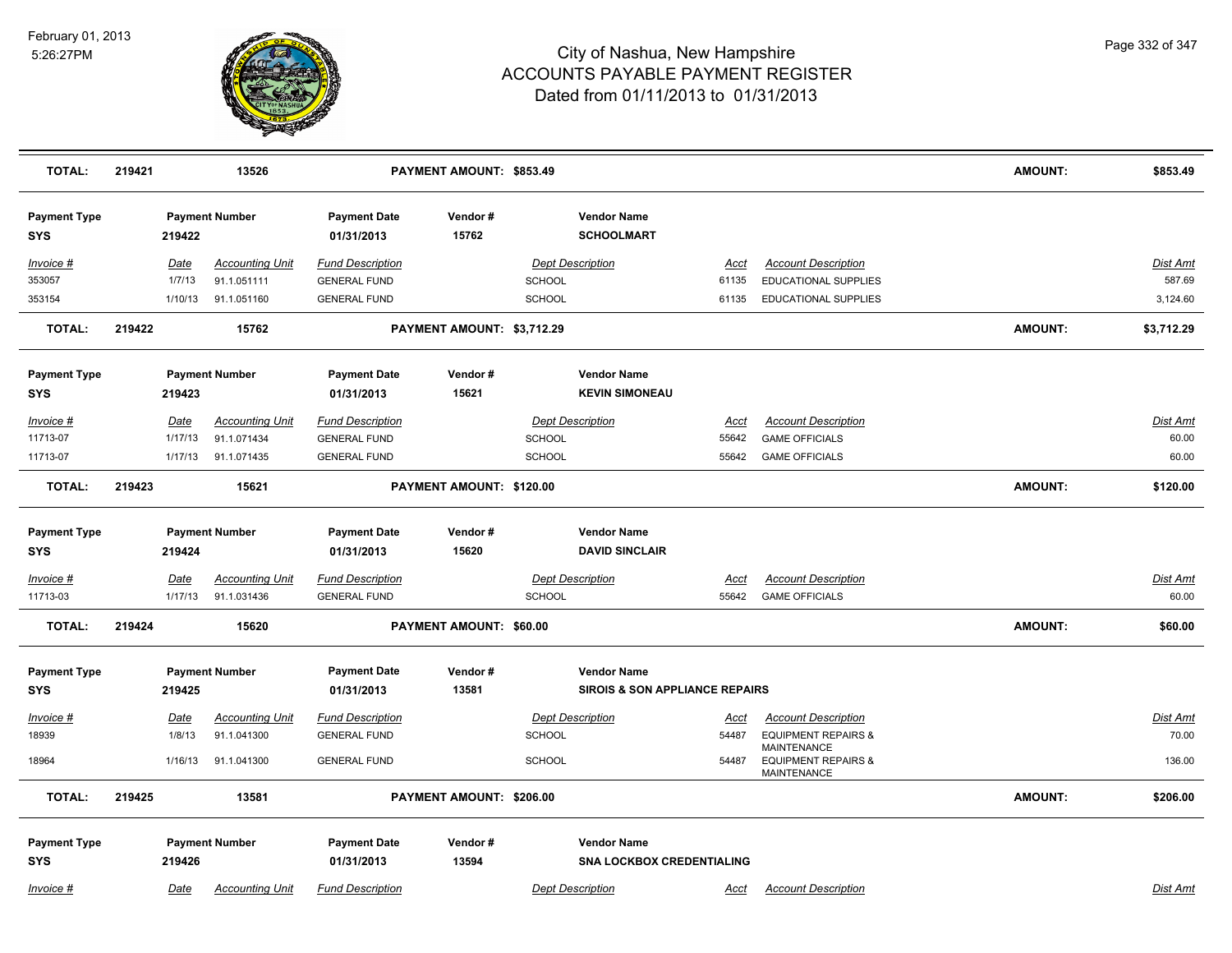

| <b>TOTAL:</b>                     | 219421      | 13526                  |                                   | PAYMENT AMOUNT: \$853.49   |                         |                                           |             |                                                                            | <b>AMOUNT:</b> | \$853.49        |
|-----------------------------------|-------------|------------------------|-----------------------------------|----------------------------|-------------------------|-------------------------------------------|-------------|----------------------------------------------------------------------------|----------------|-----------------|
| <b>Payment Type</b><br><b>SYS</b> | 219422      | <b>Payment Number</b>  | <b>Payment Date</b><br>01/31/2013 | Vendor#<br>15762           |                         | <b>Vendor Name</b><br><b>SCHOOLMART</b>   |             |                                                                            |                |                 |
| Invoice #                         | Date        | <b>Accounting Unit</b> | <b>Fund Description</b>           |                            |                         | <b>Dept Description</b>                   | Acct        | <b>Account Description</b>                                                 |                | Dist Amt        |
| 353057                            | 1/7/13      | 91.1.051111            | <b>GENERAL FUND</b>               |                            | <b>SCHOOL</b>           |                                           | 61135       | EDUCATIONAL SUPPLIES                                                       |                | 587.69          |
| 353154                            | 1/10/13     | 91.1.051160            | <b>GENERAL FUND</b>               |                            | <b>SCHOOL</b>           |                                           | 61135       | EDUCATIONAL SUPPLIES                                                       |                | 3,124.60        |
| <b>TOTAL:</b>                     | 219422      | 15762                  |                                   | PAYMENT AMOUNT: \$3,712.29 |                         |                                           |             |                                                                            | <b>AMOUNT:</b> | \$3,712.29      |
| <b>Payment Type</b>               |             | <b>Payment Number</b>  | <b>Payment Date</b>               | Vendor#                    |                         | <b>Vendor Name</b>                        |             |                                                                            |                |                 |
| <b>SYS</b>                        | 219423      |                        | 01/31/2013                        | 15621                      |                         | <b>KEVIN SIMONEAU</b>                     |             |                                                                            |                |                 |
| Invoice #                         | Date        | <b>Accounting Unit</b> | <b>Fund Description</b>           |                            | <b>Dept Description</b> |                                           | <u>Acct</u> | <b>Account Description</b>                                                 |                | Dist Amt        |
| 11713-07                          | 1/17/13     | 91.1.071434            | <b>GENERAL FUND</b>               |                            | <b>SCHOOL</b>           |                                           | 55642       | <b>GAME OFFICIALS</b>                                                      |                | 60.00           |
| 11713-07                          | 1/17/13     | 91.1.071435            | <b>GENERAL FUND</b>               |                            | <b>SCHOOL</b>           |                                           | 55642       | <b>GAME OFFICIALS</b>                                                      |                | 60.00           |
| <b>TOTAL:</b>                     | 219423      | 15621                  |                                   | PAYMENT AMOUNT: \$120.00   |                         |                                           |             |                                                                            | <b>AMOUNT:</b> | \$120.00        |
| <b>Payment Type</b>               |             | <b>Payment Number</b>  | <b>Payment Date</b>               | Vendor#                    |                         | <b>Vendor Name</b>                        |             |                                                                            |                |                 |
| SYS                               | 219424      |                        | 01/31/2013                        | 15620                      |                         | <b>DAVID SINCLAIR</b>                     |             |                                                                            |                |                 |
| <u>Invoice #</u>                  | <b>Date</b> | <b>Accounting Unit</b> | <b>Fund Description</b>           |                            | <b>Dept Description</b> |                                           | <u>Acct</u> | <b>Account Description</b>                                                 |                | <b>Dist Amt</b> |
| 11713-03                          | 1/17/13     | 91.1.031436            | <b>GENERAL FUND</b>               |                            | <b>SCHOOL</b>           |                                           | 55642       | <b>GAME OFFICIALS</b>                                                      |                | 60.00           |
| <b>TOTAL:</b>                     | 219424      | 15620                  |                                   | PAYMENT AMOUNT: \$60.00    |                         |                                           |             |                                                                            | <b>AMOUNT:</b> | \$60.00         |
| <b>Payment Type</b>               |             | <b>Payment Number</b>  | <b>Payment Date</b>               | Vendor#                    |                         | <b>Vendor Name</b>                        |             |                                                                            |                |                 |
| <b>SYS</b>                        | 219425      |                        | 01/31/2013                        | 13581                      |                         | <b>SIROIS &amp; SON APPLIANCE REPAIRS</b> |             |                                                                            |                |                 |
| Invoice #                         | Date        | <b>Accounting Unit</b> | <b>Fund Description</b>           |                            |                         | <b>Dept Description</b>                   | Acct        | <b>Account Description</b>                                                 |                | Dist Amt        |
| 18939                             | 1/8/13      | 91.1.041300            | <b>GENERAL FUND</b>               |                            | <b>SCHOOL</b>           |                                           | 54487       | <b>EQUIPMENT REPAIRS &amp;</b>                                             |                | 70.00           |
| 18964                             | 1/16/13     | 91.1.041300            | <b>GENERAL FUND</b>               |                            | SCHOOL                  |                                           | 54487       | <b>MAINTENANCE</b><br><b>EQUIPMENT REPAIRS &amp;</b><br><b>MAINTENANCE</b> |                | 136.00          |
| TOTAL:                            | 219425      | 13581                  |                                   | PAYMENT AMOUNT: \$206.00   |                         |                                           |             |                                                                            | <b>AMOUNT:</b> | \$206.00        |
| <b>Payment Type</b>               |             | <b>Payment Number</b>  | <b>Payment Date</b>               | Vendor#                    |                         | <b>Vendor Name</b>                        |             |                                                                            |                |                 |
| <b>SYS</b>                        | 219426      |                        | 01/31/2013                        | 13594                      |                         | <b>SNA LOCKBOX CREDENTIALING</b>          |             |                                                                            |                |                 |
| Invoice #                         | Date        | <b>Accounting Unit</b> | <b>Fund Description</b>           |                            |                         | <b>Dept Description</b>                   | Acct        | <b>Account Description</b>                                                 |                | Dist Amt        |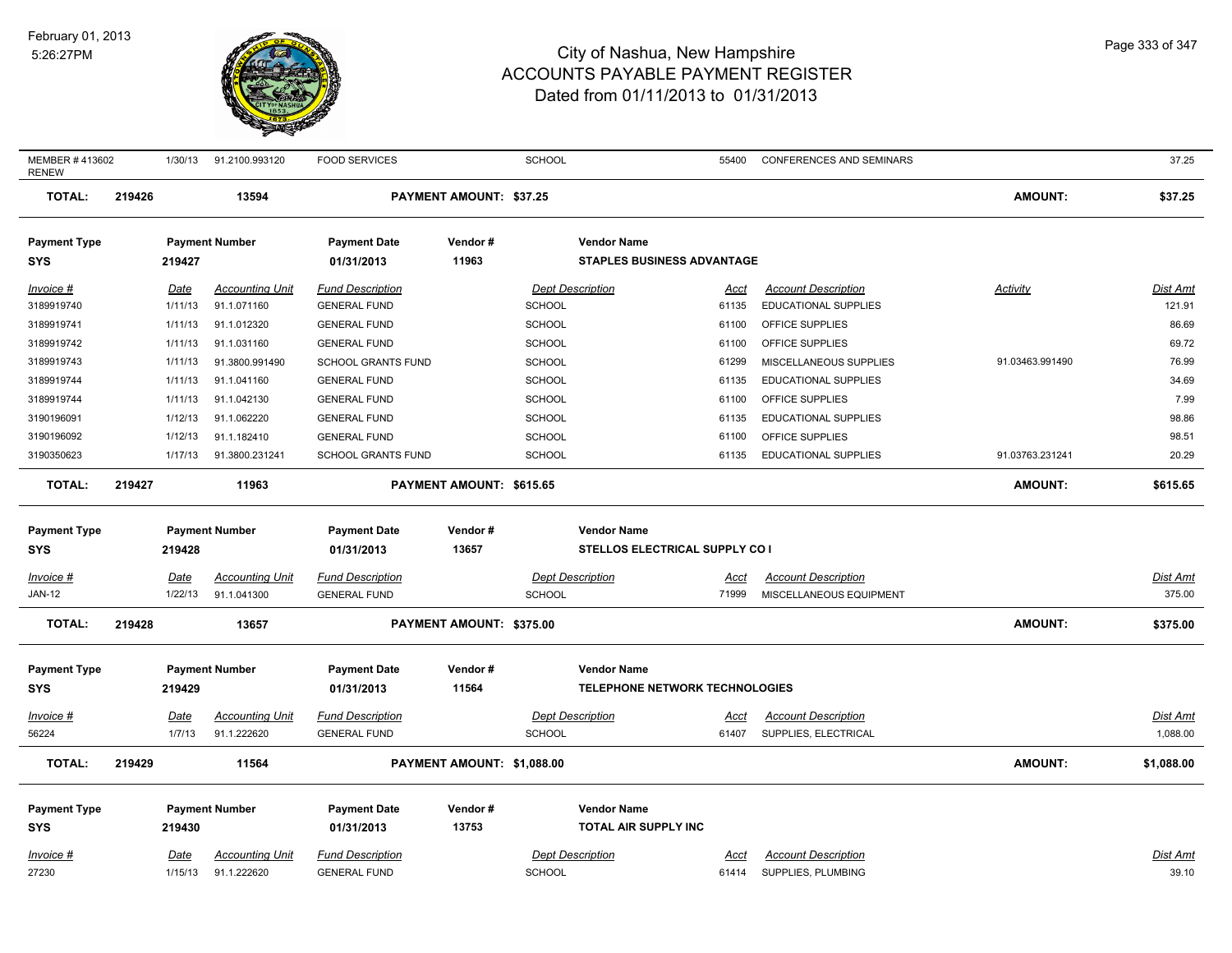

| MEMBER #413602<br><b>RENEW</b> |        | 1/30/13     | 91.2100.993120         | <b>FOOD SERVICES</b>      |                                | SCHOOL                  |                                       | 55400       | CONFERENCES AND SEMINARS    |                 | 37.25           |
|--------------------------------|--------|-------------|------------------------|---------------------------|--------------------------------|-------------------------|---------------------------------------|-------------|-----------------------------|-----------------|-----------------|
| <b>TOTAL:</b>                  | 219426 |             | 13594                  |                           | <b>PAYMENT AMOUNT: \$37.25</b> |                         |                                       |             |                             | <b>AMOUNT:</b>  | \$37.25         |
| <b>Payment Type</b>            |        |             | <b>Payment Number</b>  | <b>Payment Date</b>       | Vendor#                        |                         | <b>Vendor Name</b>                    |             |                             |                 |                 |
| <b>SYS</b>                     |        | 219427      |                        | 01/31/2013                | 11963                          |                         | <b>STAPLES BUSINESS ADVANTAGE</b>     |             |                             |                 |                 |
| Invoice #                      |        | Date        | <b>Accounting Unit</b> | <b>Fund Description</b>   |                                | <b>Dept Description</b> |                                       | Acct        | <b>Account Description</b>  | Activity        | Dist Amt        |
| 3189919740                     |        | 1/11/13     | 91.1.071160            | <b>GENERAL FUND</b>       |                                | <b>SCHOOL</b>           |                                       | 61135       | EDUCATIONAL SUPPLIES        |                 | 121.91          |
| 3189919741                     |        | 1/11/13     | 91.1.012320            | <b>GENERAL FUND</b>       |                                | <b>SCHOOL</b>           |                                       | 61100       | OFFICE SUPPLIES             |                 | 86.69           |
| 3189919742                     |        | 1/11/13     | 91.1.031160            | <b>GENERAL FUND</b>       |                                | <b>SCHOOL</b>           |                                       | 61100       | OFFICE SUPPLIES             |                 | 69.72           |
| 3189919743                     |        | 1/11/13     | 91.3800.991490         | <b>SCHOOL GRANTS FUND</b> |                                | SCHOOL                  |                                       | 61299       | MISCELLANEOUS SUPPLIES      | 91.03463.991490 | 76.99           |
| 3189919744                     |        | 1/11/13     | 91.1.041160            | <b>GENERAL FUND</b>       |                                | <b>SCHOOL</b>           |                                       | 61135       | <b>EDUCATIONAL SUPPLIES</b> |                 | 34.69           |
| 3189919744                     |        | 1/11/13     | 91.1.042130            | <b>GENERAL FUND</b>       |                                | SCHOOL                  |                                       | 61100       | OFFICE SUPPLIES             |                 | 7.99            |
| 3190196091                     |        | 1/12/13     | 91.1.062220            | <b>GENERAL FUND</b>       |                                | SCHOOL                  |                                       | 61135       | EDUCATIONAL SUPPLIES        |                 | 98.86           |
| 3190196092                     |        | 1/12/13     | 91.1.182410            | <b>GENERAL FUND</b>       |                                | <b>SCHOOL</b>           |                                       | 61100       | OFFICE SUPPLIES             |                 | 98.51           |
| 3190350623                     |        | 1/17/13     | 91.3800.231241         | <b>SCHOOL GRANTS FUND</b> |                                | SCHOOL                  |                                       | 61135       | EDUCATIONAL SUPPLIES        | 91.03763.231241 | 20.29           |
| <b>TOTAL:</b>                  | 219427 |             | 11963                  |                           | PAYMENT AMOUNT: \$615.65       |                         |                                       |             |                             | <b>AMOUNT:</b>  | \$615.65        |
| <b>Payment Type</b>            |        |             | <b>Payment Number</b>  | <b>Payment Date</b>       | Vendor#                        |                         | <b>Vendor Name</b>                    |             |                             |                 |                 |
| <b>SYS</b>                     |        | 219428      |                        | 01/31/2013                | 13657                          |                         | STELLOS ELECTRICAL SUPPLY CO I        |             |                             |                 |                 |
| <u>Invoice #</u>               |        | <b>Date</b> | <b>Accounting Unit</b> | <b>Fund Description</b>   |                                | <b>Dept Description</b> |                                       | <u>Acct</u> | <b>Account Description</b>  |                 | <u>Dist Amt</u> |
| <b>JAN-12</b>                  |        | 1/22/13     | 91.1.041300            | <b>GENERAL FUND</b>       |                                | SCHOOL                  |                                       | 71999       | MISCELLANEOUS EQUIPMENT     |                 | 375.00          |
|                                |        |             |                        |                           |                                |                         |                                       |             |                             |                 |                 |
| <b>TOTAL:</b>                  | 219428 |             | 13657                  |                           | PAYMENT AMOUNT: \$375.00       |                         |                                       |             |                             | <b>AMOUNT:</b>  | \$375.00        |
|                                |        |             |                        |                           |                                |                         |                                       |             |                             |                 |                 |
| <b>Payment Type</b>            |        |             | <b>Payment Number</b>  | <b>Payment Date</b>       | Vendor#                        |                         | <b>Vendor Name</b>                    |             |                             |                 |                 |
| <b>SYS</b>                     |        | 219429      |                        | 01/31/2013                | 11564                          |                         | <b>TELEPHONE NETWORK TECHNOLOGIES</b> |             |                             |                 |                 |
| Invoice #                      |        | Date        | <b>Accounting Unit</b> | <b>Fund Description</b>   |                                | <b>Dept Description</b> |                                       | Acct        | <b>Account Description</b>  |                 | Dist Amt        |
| 56224                          |        | 1/7/13      | 91.1.222620            | <b>GENERAL FUND</b>       |                                | <b>SCHOOL</b>           |                                       | 61407       | SUPPLIES, ELECTRICAL        |                 | 1,088.00        |
| <b>TOTAL:</b>                  | 219429 |             | 11564                  |                           | PAYMENT AMOUNT: \$1,088.00     |                         |                                       |             |                             | <b>AMOUNT:</b>  | \$1,088.00      |
|                                |        |             |                        |                           |                                |                         | <b>Vendor Name</b>                    |             |                             |                 |                 |
| <b>Payment Type</b>            |        |             | <b>Payment Number</b>  | <b>Payment Date</b>       | Vendor#                        |                         |                                       |             |                             |                 |                 |
| <b>SYS</b>                     |        | 219430      |                        | 01/31/2013                | 13753                          |                         | TOTAL AIR SUPPLY INC                  |             |                             |                 |                 |
| Invoice #                      |        | Date        | <b>Accounting Unit</b> | <b>Fund Description</b>   |                                | <b>Dept Description</b> |                                       | <u>Acct</u> | <b>Account Description</b>  |                 | <u>Dist Amt</u> |
| 27230                          |        | 1/15/13     | 91.1.222620            | <b>GENERAL FUND</b>       |                                | <b>SCHOOL</b>           |                                       | 61414       | SUPPLIES, PLUMBING          |                 | 39.10           |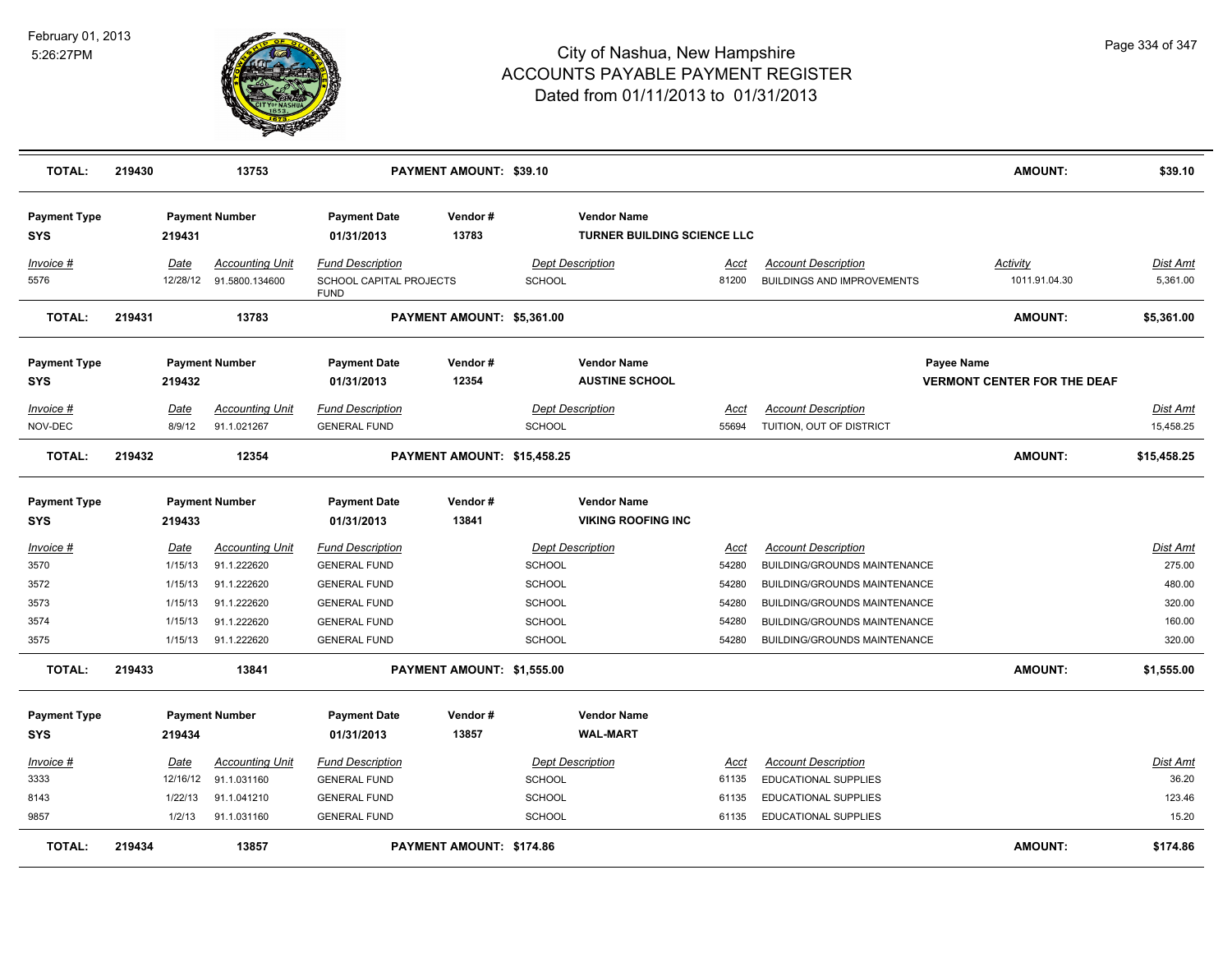

| <b>TOTAL:</b>                       | 219430 |                                              | 13753                                                               |                                                                                              | PAYMENT AMOUNT: \$39.10     |                                          |                                                          |                                        |                                                                                                                            | <b>AMOUNT:</b>                                   | \$39.10                                          |
|-------------------------------------|--------|----------------------------------------------|---------------------------------------------------------------------|----------------------------------------------------------------------------------------------|-----------------------------|------------------------------------------|----------------------------------------------------------|----------------------------------------|----------------------------------------------------------------------------------------------------------------------------|--------------------------------------------------|--------------------------------------------------|
| <b>Payment Type</b><br><b>SYS</b>   |        | 219431                                       | <b>Payment Number</b>                                               | <b>Payment Date</b><br>01/31/2013                                                            | Vendor#<br>13783            |                                          | <b>Vendor Name</b><br><b>TURNER BUILDING SCIENCE LLC</b> |                                        |                                                                                                                            |                                                  |                                                  |
| Invoice #<br>5576                   |        | Date<br>12/28/12                             | <b>Accounting Unit</b><br>91.5800.134600                            | Fund Description<br>SCHOOL CAPITAL PROJECTS                                                  |                             | <b>Dept Description</b><br><b>SCHOOL</b> |                                                          | Acct<br>81200                          | <b>Account Description</b><br><b>BUILDINGS AND IMPROVEMENTS</b>                                                            | <b>Activity</b><br>1011.91.04.30                 | <b>Dist Amt</b><br>5,361.00                      |
| <b>TOTAL:</b>                       | 219431 |                                              | 13783                                                               | <b>FUND</b>                                                                                  | PAYMENT AMOUNT: \$5,361.00  |                                          |                                                          |                                        |                                                                                                                            | <b>AMOUNT:</b>                                   | \$5,361.00                                       |
| <b>Payment Type</b><br><b>SYS</b>   |        | 219432                                       | <b>Payment Number</b>                                               | <b>Payment Date</b><br>01/31/2013                                                            | Vendor#<br>12354            |                                          | <b>Vendor Name</b><br><b>AUSTINE SCHOOL</b>              |                                        |                                                                                                                            | Payee Name<br><b>VERMONT CENTER FOR THE DEAF</b> |                                                  |
| $Invoice$ #<br>NOV-DEC              |        | Date<br>8/9/12                               | <b>Accounting Unit</b><br>91.1.021267                               | <b>Fund Description</b><br><b>GENERAL FUND</b>                                               |                             | <b>SCHOOL</b>                            | <b>Dept Description</b>                                  | <b>Acct</b><br>55694                   | <b>Account Description</b><br>TUITION, OUT OF DISTRICT                                                                     |                                                  | <b>Dist Amt</b><br>15,458.25                     |
| <b>TOTAL:</b>                       | 219432 |                                              | 12354                                                               |                                                                                              | PAYMENT AMOUNT: \$15,458.25 |                                          |                                                          |                                        |                                                                                                                            | <b>AMOUNT:</b>                                   | \$15,458.25                                      |
| <b>Payment Type</b><br><b>SYS</b>   |        | 219433                                       | <b>Payment Number</b>                                               | <b>Payment Date</b><br>01/31/2013                                                            | Vendor#<br>13841            |                                          | <b>Vendor Name</b><br><b>VIKING ROOFING INC</b>          |                                        |                                                                                                                            |                                                  |                                                  |
| Invoice #<br>3570<br>3572<br>3573   |        | <u>Date</u><br>1/15/13<br>1/15/13<br>1/15/13 | <b>Accounting Unit</b><br>91.1.222620<br>91.1.222620<br>91.1.222620 | <b>Fund Description</b><br><b>GENERAL FUND</b><br><b>GENERAL FUND</b><br><b>GENERAL FUND</b> |                             | SCHOOL<br><b>SCHOOL</b><br><b>SCHOOL</b> | <b>Dept Description</b>                                  | Acct<br>54280<br>54280<br>54280        | <b>Account Description</b><br>BUILDING/GROUNDS MAINTENANCE<br>BUILDING/GROUNDS MAINTENANCE<br>BUILDING/GROUNDS MAINTENANCE |                                                  | Dist Amt<br>275.00<br>480.00<br>320.00<br>160.00 |
| 3574<br>3575                        |        | 1/15/13<br>1/15/13                           | 91.1.222620<br>91.1.222620                                          | <b>GENERAL FUND</b><br><b>GENERAL FUND</b>                                                   |                             | <b>SCHOOL</b><br><b>SCHOOL</b>           |                                                          | 54280<br>54280                         | BUILDING/GROUNDS MAINTENANCE<br>BUILDING/GROUNDS MAINTENANCE                                                               |                                                  | 320.00                                           |
| <b>TOTAL:</b>                       | 219433 |                                              | 13841                                                               |                                                                                              | PAYMENT AMOUNT: \$1,555.00  |                                          |                                                          |                                        |                                                                                                                            | <b>AMOUNT:</b>                                   | \$1,555.00                                       |
| <b>Payment Type</b><br><b>SYS</b>   |        | 219434                                       | <b>Payment Number</b>                                               | <b>Payment Date</b><br>01/31/2013                                                            | Vendor#<br>13857            |                                          | <b>Vendor Name</b><br><b>WAL-MART</b>                    |                                        |                                                                                                                            |                                                  |                                                  |
| $Invoice$ #<br>3333<br>8143<br>9857 |        | Date<br>12/16/12<br>1/22/13<br>1/2/13        | <u>Accounting Unit</u><br>91.1.031160<br>91.1.041210<br>91.1.031160 | <b>Fund Description</b><br><b>GENERAL FUND</b><br><b>GENERAL FUND</b><br><b>GENERAL FUND</b> |                             | <b>SCHOOL</b><br>SCHOOL<br><b>SCHOOL</b> | <b>Dept Description</b>                                  | <u>Acct</u><br>61135<br>61135<br>61135 | <b>Account Description</b><br>EDUCATIONAL SUPPLIES<br>EDUCATIONAL SUPPLIES<br><b>EDUCATIONAL SUPPLIES</b>                  |                                                  | Dist Amt<br>36.20<br>123.46<br>15.20             |
| <b>TOTAL:</b>                       | 219434 |                                              | 13857                                                               |                                                                                              | PAYMENT AMOUNT: \$174.86    |                                          |                                                          |                                        |                                                                                                                            | <b>AMOUNT:</b>                                   | \$174.86                                         |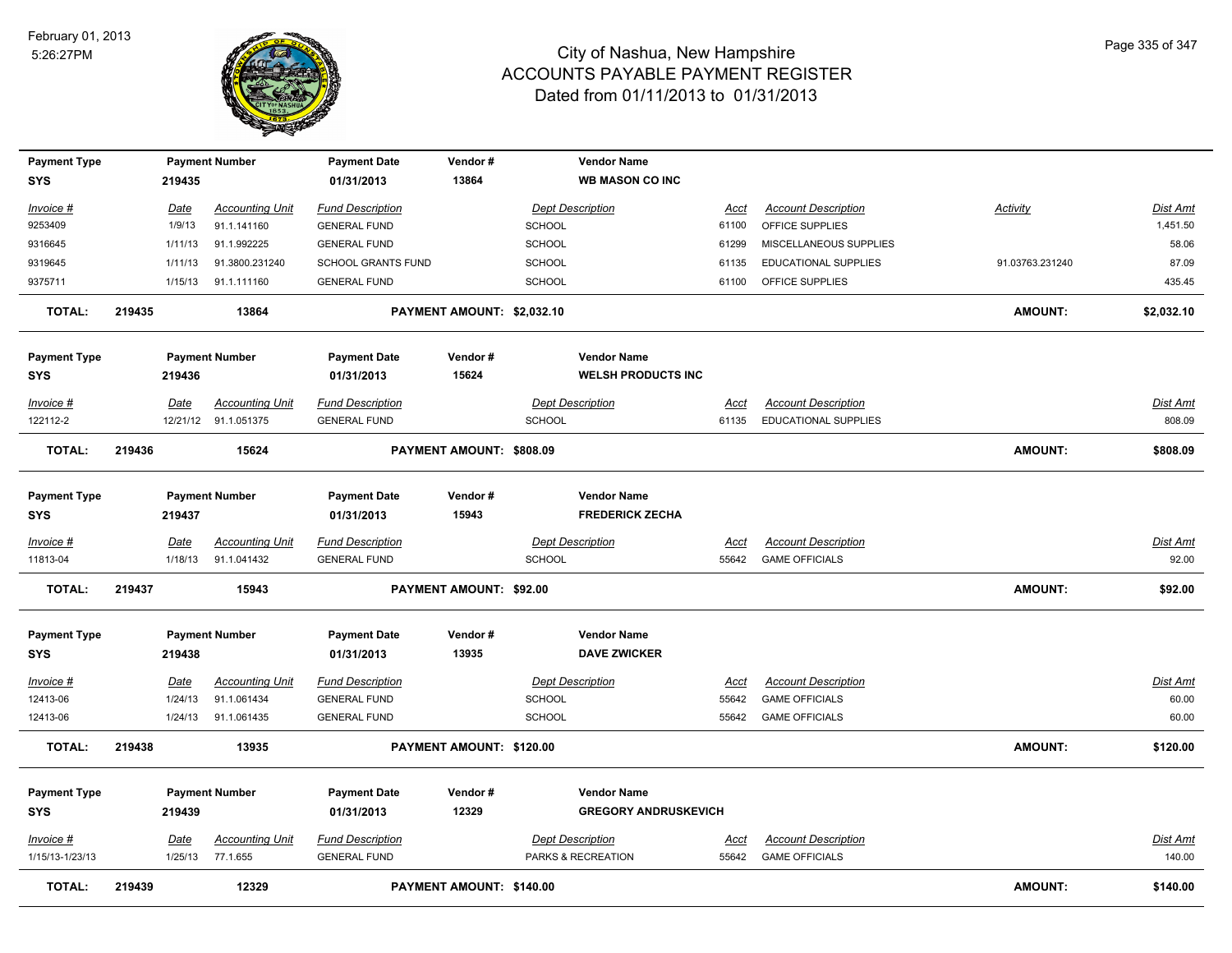

| <b>Payment Type</b><br><b>SYS</b> |        | 219435      | <b>Payment Number</b>  | <b>Payment Date</b><br>01/31/2013 | Vendor#<br>13864           |               | <b>Vendor Name</b><br><b>WB MASON CO INC</b> |             |                            |                 |                 |
|-----------------------------------|--------|-------------|------------------------|-----------------------------------|----------------------------|---------------|----------------------------------------------|-------------|----------------------------|-----------------|-----------------|
| Invoice #                         |        | <u>Date</u> | <b>Accounting Unit</b> | <b>Fund Description</b>           |                            |               | <b>Dept Description</b>                      | Acct        | <b>Account Description</b> | Activity        | <b>Dist Amt</b> |
| 9253409                           |        | 1/9/13      | 91.1.141160            | <b>GENERAL FUND</b>               |                            | <b>SCHOOL</b> |                                              | 61100       | OFFICE SUPPLIES            |                 | 1,451.50        |
| 9316645                           |        | 1/11/13     | 91.1.992225            | <b>GENERAL FUND</b>               |                            | <b>SCHOOL</b> |                                              | 61299       | MISCELLANEOUS SUPPLIES     |                 | 58.06           |
| 9319645                           |        | 1/11/13     | 91.3800.231240         | <b>SCHOOL GRANTS FUND</b>         |                            | <b>SCHOOL</b> |                                              | 61135       | EDUCATIONAL SUPPLIES       | 91.03763.231240 | 87.09           |
| 9375711                           |        | 1/15/13     | 91.1.111160            | <b>GENERAL FUND</b>               |                            | <b>SCHOOL</b> |                                              | 61100       | OFFICE SUPPLIES            |                 | 435.45          |
| <b>TOTAL:</b>                     | 219435 |             | 13864                  |                                   | PAYMENT AMOUNT: \$2,032.10 |               |                                              |             |                            | <b>AMOUNT:</b>  | \$2,032.10      |
| <b>Payment Type</b>               |        |             | <b>Payment Number</b>  | <b>Payment Date</b>               | Vendor#                    |               | <b>Vendor Name</b>                           |             |                            |                 |                 |
| <b>SYS</b>                        |        | 219436      |                        | 01/31/2013                        | 15624                      |               | <b>WELSH PRODUCTS INC</b>                    |             |                            |                 |                 |
| Invoice #                         |        | Date        | <b>Accounting Unit</b> | <b>Fund Description</b>           |                            |               | <b>Dept Description</b>                      | Acct        | <b>Account Description</b> |                 | <b>Dist Amt</b> |
| 122112-2                          |        |             | 12/21/12 91.1.051375   | <b>GENERAL FUND</b>               |                            | SCHOOL        |                                              | 61135       | EDUCATIONAL SUPPLIES       |                 | 808.09          |
| <b>TOTAL:</b>                     | 219436 |             | 15624                  |                                   | PAYMENT AMOUNT: \$808.09   |               |                                              |             |                            | <b>AMOUNT:</b>  | \$808.09        |
| <b>Payment Type</b>               |        |             | <b>Payment Number</b>  | <b>Payment Date</b>               | Vendor#                    |               | <b>Vendor Name</b>                           |             |                            |                 |                 |
| <b>SYS</b>                        |        | 219437      |                        | 01/31/2013                        | 15943                      |               | <b>FREDERICK ZECHA</b>                       |             |                            |                 |                 |
| <u>Invoice #</u>                  |        | Date        | <b>Accounting Unit</b> | <b>Fund Description</b>           |                            |               | <b>Dept Description</b>                      | <u>Acct</u> | <b>Account Description</b> |                 | Dist Amt        |
| 11813-04                          |        | 1/18/13     | 91.1.041432            | <b>GENERAL FUND</b>               |                            | <b>SCHOOL</b> |                                              | 55642       | <b>GAME OFFICIALS</b>      |                 | 92.00           |
| <b>TOTAL:</b>                     | 219437 |             | 15943                  |                                   | PAYMENT AMOUNT: \$92.00    |               |                                              |             |                            | <b>AMOUNT:</b>  | \$92.00         |
| <b>Payment Type</b>               |        |             | <b>Payment Number</b>  | <b>Payment Date</b>               | Vendor#                    |               | <b>Vendor Name</b>                           |             |                            |                 |                 |
| <b>SYS</b>                        |        | 219438      |                        | 01/31/2013                        | 13935                      |               | <b>DAVE ZWICKER</b>                          |             |                            |                 |                 |
| <u>Invoice #</u>                  |        | <b>Date</b> | <b>Accounting Unit</b> | <b>Fund Description</b>           |                            |               | <b>Dept Description</b>                      | <u>Acct</u> | <b>Account Description</b> |                 | <b>Dist Amt</b> |
| 12413-06                          |        | 1/24/13     | 91.1.061434            | <b>GENERAL FUND</b>               |                            | <b>SCHOOL</b> |                                              | 55642       | <b>GAME OFFICIALS</b>      |                 | 60.00           |
| 12413-06                          |        | 1/24/13     | 91.1.061435            | <b>GENERAL FUND</b>               |                            | <b>SCHOOL</b> |                                              | 55642       | <b>GAME OFFICIALS</b>      |                 | 60.00           |
| TOTAL:                            | 219438 |             | 13935                  |                                   | PAYMENT AMOUNT: \$120.00   |               |                                              |             |                            | AMOUNT:         | \$120.00        |
| <b>Payment Type</b>               |        |             | <b>Payment Number</b>  | <b>Payment Date</b>               | Vendor#                    |               | <b>Vendor Name</b>                           |             |                            |                 |                 |
| <b>SYS</b>                        |        | 219439      |                        | 01/31/2013                        | 12329                      |               | <b>GREGORY ANDRUSKEVICH</b>                  |             |                            |                 |                 |
| Invoice #                         |        | Date        | <b>Accounting Unit</b> | <b>Fund Description</b>           |                            |               | <b>Dept Description</b>                      | <u>Acct</u> | <b>Account Description</b> |                 | <b>Dist Amt</b> |
| 1/15/13-1/23/13                   |        | 1/25/13     | 77.1.655               | <b>GENERAL FUND</b>               |                            |               | PARKS & RECREATION                           | 55642       | <b>GAME OFFICIALS</b>      |                 | 140.00          |
| <b>TOTAL:</b>                     | 219439 |             | 12329                  |                                   | PAYMENT AMOUNT: \$140.00   |               |                                              |             |                            | <b>AMOUNT:</b>  | \$140.00        |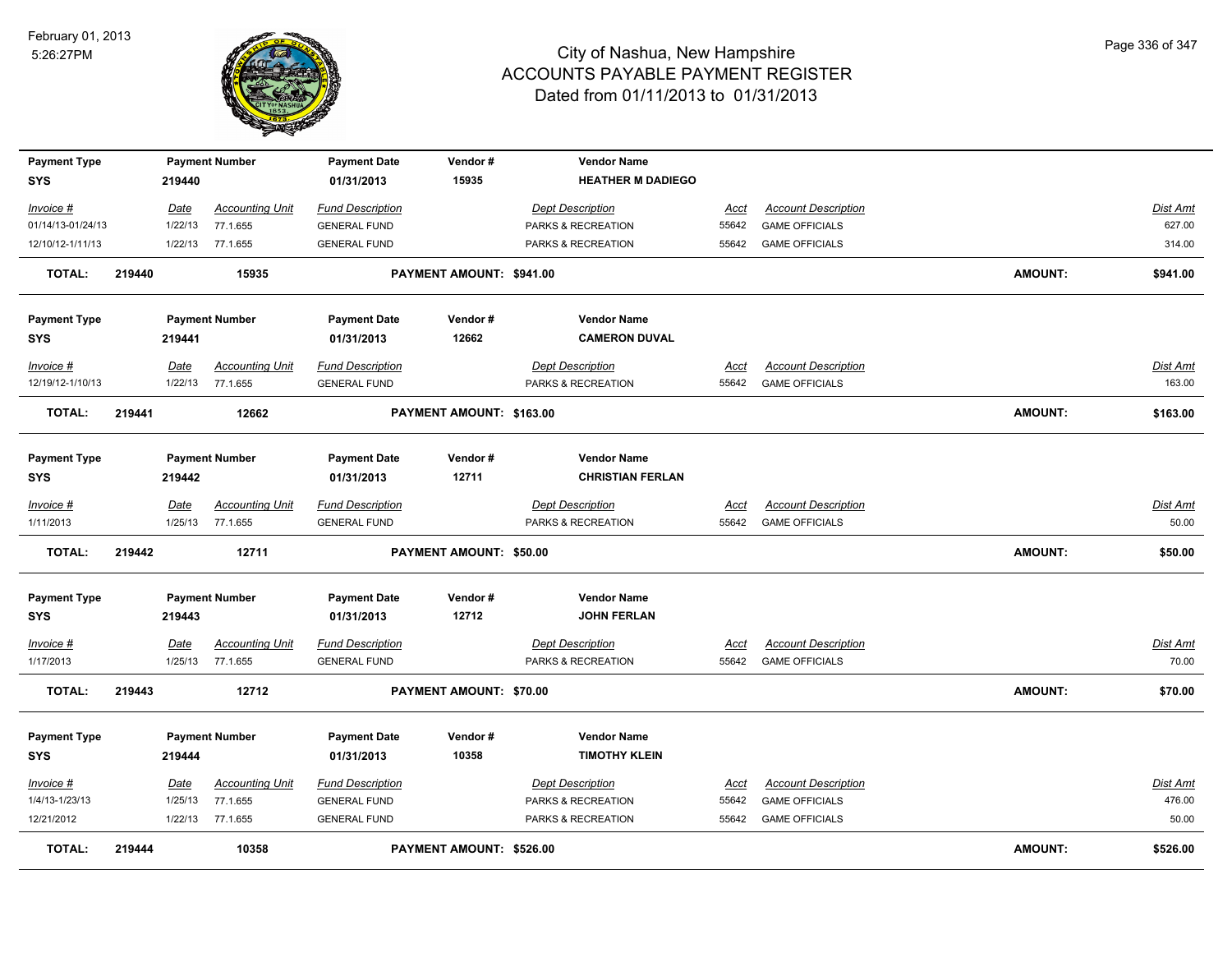

| <b>Payment Type</b><br><b>SYS</b> |        | 219440      | <b>Payment Number</b>  | <b>Payment Date</b><br>01/31/2013 | Vendor#<br>15935               | <b>Vendor Name</b><br><b>HEATHER M DADIEGO</b> |             |                            |                |                 |
|-----------------------------------|--------|-------------|------------------------|-----------------------------------|--------------------------------|------------------------------------------------|-------------|----------------------------|----------------|-----------------|
| Invoice #                         |        | Date        | <b>Accounting Unit</b> | <b>Fund Description</b>           |                                | <b>Dept Description</b>                        | Acct        | <b>Account Description</b> |                | Dist Amt        |
| 01/14/13-01/24/13                 |        | 1/22/13     | 77.1.655               | <b>GENERAL FUND</b>               |                                | PARKS & RECREATION                             | 55642       | <b>GAME OFFICIALS</b>      |                | 627.00          |
| 12/10/12-1/11/13                  |        | 1/22/13     | 77.1.655               | <b>GENERAL FUND</b>               |                                | PARKS & RECREATION                             | 55642       | <b>GAME OFFICIALS</b>      |                | 314.00          |
| <b>TOTAL:</b>                     | 219440 |             | 15935                  |                                   | PAYMENT AMOUNT: \$941.00       |                                                |             |                            | AMOUNT:        | \$941.00        |
| <b>Payment Type</b>               |        |             | <b>Payment Number</b>  | <b>Payment Date</b>               | Vendor#                        | <b>Vendor Name</b>                             |             |                            |                |                 |
| <b>SYS</b>                        |        | 219441      |                        | 01/31/2013                        | 12662                          | <b>CAMERON DUVAL</b>                           |             |                            |                |                 |
| Invoice #                         |        | Date        | <b>Accounting Unit</b> | <b>Fund Description</b>           |                                | <b>Dept Description</b>                        | Acct        | <b>Account Description</b> |                | Dist Amt        |
| 12/19/12-1/10/13                  |        | 1/22/13     | 77.1.655               | <b>GENERAL FUND</b>               |                                | PARKS & RECREATION                             | 55642       | <b>GAME OFFICIALS</b>      |                | 163.00          |
| TOTAL:                            | 219441 |             | 12662                  |                                   | PAYMENT AMOUNT: \$163.00       |                                                |             |                            | <b>AMOUNT:</b> | \$163.00        |
| <b>Payment Type</b><br><b>SYS</b> |        | 219442      | <b>Payment Number</b>  | <b>Payment Date</b><br>01/31/2013 | Vendor#<br>12711               | <b>Vendor Name</b><br><b>CHRISTIAN FERLAN</b>  |             |                            |                |                 |
| Invoice #                         |        | Date        | <b>Accounting Unit</b> | <b>Fund Description</b>           |                                | <b>Dept Description</b>                        | <u>Acct</u> | <b>Account Description</b> |                | Dist Amt        |
| 1/11/2013                         |        | 1/25/13     | 77.1.655               | <b>GENERAL FUND</b>               |                                | PARKS & RECREATION                             | 55642       | <b>GAME OFFICIALS</b>      |                | 50.00           |
| <b>TOTAL:</b>                     | 219442 |             | 12711                  |                                   | <b>PAYMENT AMOUNT: \$50.00</b> |                                                |             |                            | <b>AMOUNT:</b> | \$50.00         |
| <b>Payment Type</b><br>SYS        |        | 219443      | <b>Payment Number</b>  | <b>Payment Date</b><br>01/31/2013 | Vendor#<br>12712               | <b>Vendor Name</b><br><b>JOHN FERLAN</b>       |             |                            |                |                 |
| Invoice #                         |        | Date        | <b>Accounting Unit</b> | <b>Fund Description</b>           |                                | <b>Dept Description</b>                        | Acct        | <b>Account Description</b> |                | <b>Dist Amt</b> |
| 1/17/2013                         |        | 1/25/13     | 77.1.655               | <b>GENERAL FUND</b>               |                                | PARKS & RECREATION                             | 55642       | <b>GAME OFFICIALS</b>      |                | 70.00           |
| <b>TOTAL:</b>                     | 219443 |             | 12712                  |                                   | PAYMENT AMOUNT: \$70.00        |                                                |             |                            | AMOUNT:        | \$70.00         |
| <b>Payment Type</b>               |        |             | <b>Payment Number</b>  | <b>Payment Date</b>               | Vendor#                        | <b>Vendor Name</b>                             |             |                            |                |                 |
| <b>SYS</b>                        |        | 219444      |                        | 01/31/2013                        | 10358                          | <b>TIMOTHY KLEIN</b>                           |             |                            |                |                 |
| Invoice #                         |        | <u>Date</u> | <b>Accounting Unit</b> | <b>Fund Description</b>           |                                | <b>Dept Description</b>                        | Acct        | <b>Account Description</b> |                | Dist Amt        |
| 1/4/13-1/23/13                    |        | 1/25/13     | 77.1.655               | <b>GENERAL FUND</b>               |                                | PARKS & RECREATION                             | 55642       | <b>GAME OFFICIALS</b>      |                | 476.00          |
| 12/21/2012                        |        |             | 1/22/13 77.1.655       | <b>GENERAL FUND</b>               |                                | PARKS & RECREATION                             | 55642       | <b>GAME OFFICIALS</b>      |                | 50.00           |
| <b>TOTAL:</b>                     | 219444 |             | 10358                  |                                   | PAYMENT AMOUNT: \$526.00       |                                                |             |                            | <b>AMOUNT:</b> | \$526.00        |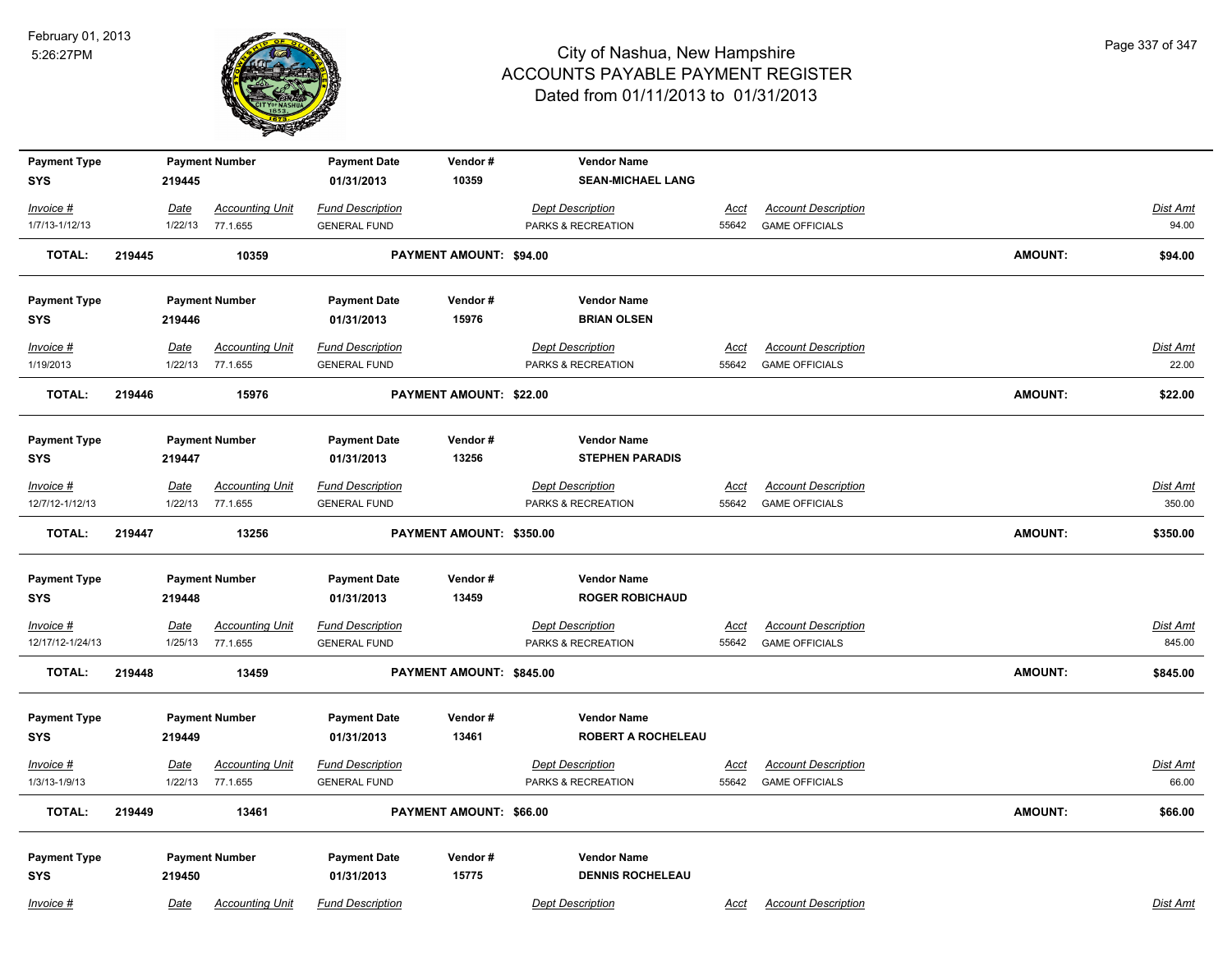

| <b>Payment Type</b><br><b>SYS</b> |        | 219445          | <b>Payment Number</b>              | <b>Payment Date</b><br>01/31/2013              | Vendor#<br>10359               | <b>Vendor Name</b><br><b>SEAN-MICHAEL LANG</b> |               |                                                     |                |                    |
|-----------------------------------|--------|-----------------|------------------------------------|------------------------------------------------|--------------------------------|------------------------------------------------|---------------|-----------------------------------------------------|----------------|--------------------|
| Invoice #                         |        | Date            | <b>Accounting Unit</b>             | <b>Fund Description</b>                        |                                | <b>Dept Description</b>                        | Acct          | <b>Account Description</b>                          |                | Dist Amt           |
| 1/7/13-1/12/13                    |        | 1/22/13         | 77.1.655                           | <b>GENERAL FUND</b>                            |                                | PARKS & RECREATION                             | 55642         | <b>GAME OFFICIALS</b>                               |                | 94.00              |
| <b>TOTAL:</b>                     | 219445 |                 | 10359                              |                                                | <b>PAYMENT AMOUNT: \$94.00</b> |                                                |               |                                                     | AMOUNT:        | \$94.00            |
| <b>Payment Type</b>               |        |                 | <b>Payment Number</b>              | <b>Payment Date</b>                            | Vendor#                        | <b>Vendor Name</b>                             |               |                                                     |                |                    |
| <b>SYS</b>                        |        | 219446          |                                    | 01/31/2013                                     | 15976                          | <b>BRIAN OLSEN</b>                             |               |                                                     |                |                    |
| Invoice #                         |        | Date            | <b>Accounting Unit</b>             | <b>Fund Description</b>                        |                                | <b>Dept Description</b>                        | Acct          | <b>Account Description</b>                          |                | Dist Amt           |
| 1/19/2013                         |        | 1/22/13         | 77.1.655                           | <b>GENERAL FUND</b>                            |                                | PARKS & RECREATION                             |               | 55642 GAME OFFICIALS                                |                | 22.00              |
| <b>TOTAL:</b>                     | 219446 |                 | 15976                              |                                                | PAYMENT AMOUNT: \$22.00        |                                                |               |                                                     | <b>AMOUNT:</b> | \$22.00            |
| <b>Payment Type</b>               |        |                 | <b>Payment Number</b>              | <b>Payment Date</b>                            | Vendor#                        | <b>Vendor Name</b>                             |               |                                                     |                |                    |
| <b>SYS</b>                        |        | 219447          |                                    | 01/31/2013                                     | 13256                          | <b>STEPHEN PARADIS</b>                         |               |                                                     |                |                    |
| Invoice #<br>12/7/12-1/12/13      |        | Date<br>1/22/13 | <b>Accounting Unit</b><br>77.1.655 | <b>Fund Description</b><br><b>GENERAL FUND</b> |                                | <b>Dept Description</b><br>PARKS & RECREATION  | Acct<br>55642 | <b>Account Description</b><br><b>GAME OFFICIALS</b> |                | Dist Amt<br>350.00 |
| <b>TOTAL:</b>                     | 219447 |                 | 13256                              |                                                | PAYMENT AMOUNT: \$350.00       |                                                |               |                                                     | AMOUNT:        | \$350.00           |
| <b>Payment Type</b>               |        |                 | <b>Payment Number</b>              | <b>Payment Date</b>                            | Vendor#                        | <b>Vendor Name</b>                             |               |                                                     |                |                    |
| <b>SYS</b>                        |        | 219448          |                                    | 01/31/2013                                     | 13459                          | <b>ROGER ROBICHAUD</b>                         |               |                                                     |                |                    |
| Invoice #                         |        | <u>Date</u>     | <b>Accounting Unit</b>             | <b>Fund Description</b>                        |                                | <b>Dept Description</b>                        | <u>Acct</u>   | <b>Account Description</b>                          |                | <u>Dist Amt</u>    |
| 12/17/12-1/24/13                  |        | 1/25/13         | 77.1.655                           | <b>GENERAL FUND</b>                            |                                | PARKS & RECREATION                             | 55642         | <b>GAME OFFICIALS</b>                               |                | 845.00             |
| <b>TOTAL:</b>                     | 219448 |                 | 13459                              |                                                | PAYMENT AMOUNT: \$845.00       |                                                |               |                                                     | <b>AMOUNT:</b> | \$845.00           |
| <b>Payment Type</b>               |        |                 | <b>Payment Number</b>              | <b>Payment Date</b>                            | Vendor#                        | <b>Vendor Name</b>                             |               |                                                     |                |                    |
| <b>SYS</b>                        |        | 219449          |                                    | 01/31/2013                                     | 13461                          | <b>ROBERT A ROCHELEAU</b>                      |               |                                                     |                |                    |
| Invoice #                         |        | Date            | <b>Accounting Unit</b>             | <b>Fund Description</b>                        |                                | <b>Dept Description</b>                        | Acct          | <b>Account Description</b>                          |                | Dist Amt           |
| 1/3/13-1/9/13                     |        | 1/22/13         | 77.1.655                           | <b>GENERAL FUND</b>                            |                                | PARKS & RECREATION                             | 55642         | <b>GAME OFFICIALS</b>                               |                | 66.00              |
| <b>TOTAL:</b>                     | 219449 |                 | 13461                              |                                                | PAYMENT AMOUNT: \$66.00        |                                                |               |                                                     | AMOUNT:        | \$66.00            |
| <b>Payment Type</b>               |        |                 | <b>Payment Number</b>              | <b>Payment Date</b>                            | Vendor#                        | <b>Vendor Name</b>                             |               |                                                     |                |                    |
| <b>SYS</b>                        |        | 219450          |                                    | 01/31/2013                                     | 15775                          | <b>DENNIS ROCHELEAU</b>                        |               |                                                     |                |                    |
| Invoice #                         |        | Date            | <b>Accounting Unit</b>             | <b>Fund Description</b>                        |                                | <b>Dept Description</b>                        | Acct          | <b>Account Description</b>                          |                | Dist Amt           |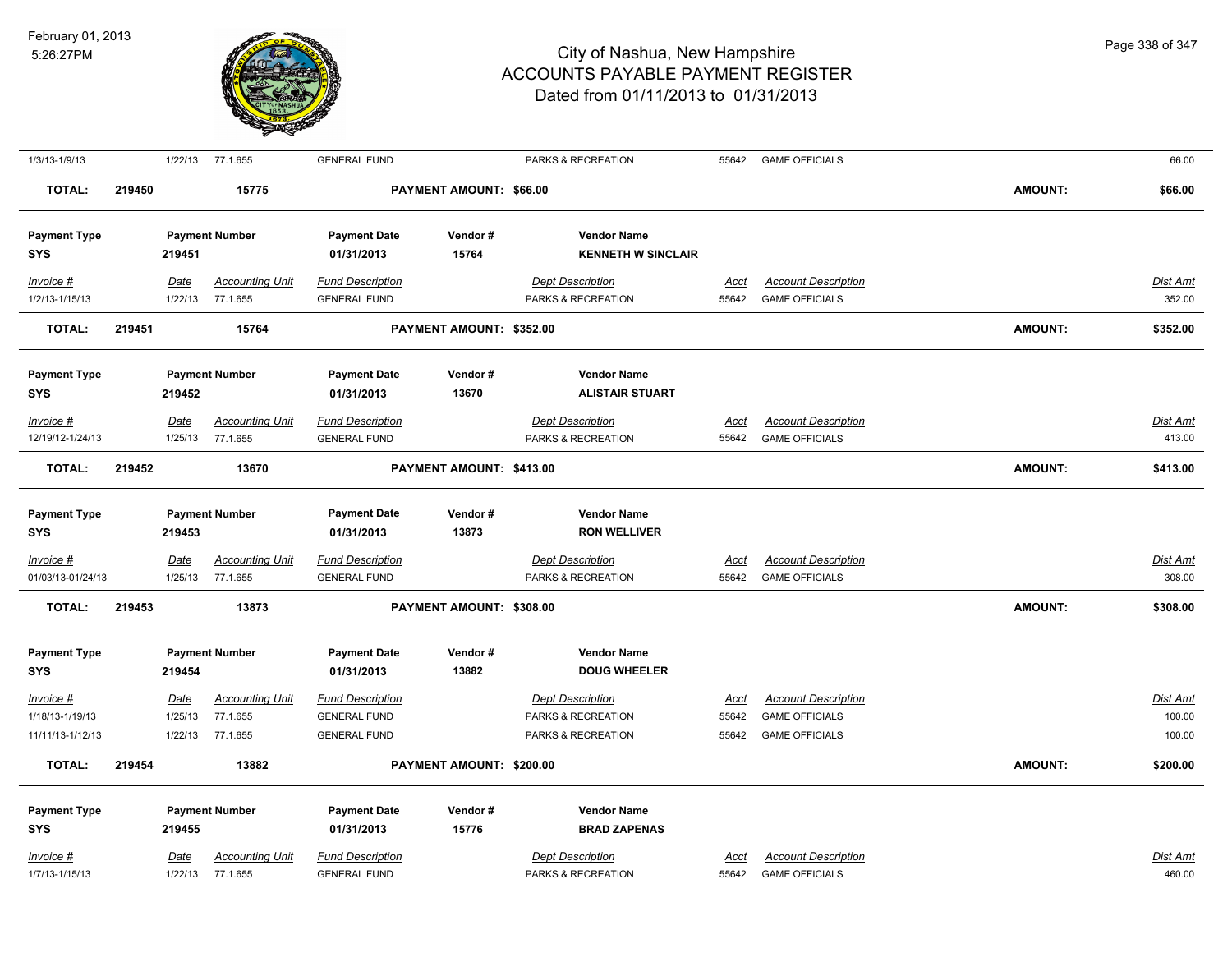

| 1/3/13-1/9/13                     |        |                 | 1/22/13 77.1.655                   | <b>GENERAL FUND</b>                            |                          | PARKS & RECREATION                        | 55642                | <b>GAME OFFICIALS</b>      |                | 66.00              |
|-----------------------------------|--------|-----------------|------------------------------------|------------------------------------------------|--------------------------|-------------------------------------------|----------------------|----------------------------|----------------|--------------------|
| <b>TOTAL:</b>                     | 219450 |                 | 15775                              |                                                | PAYMENT AMOUNT: \$66.00  |                                           |                      |                            | <b>AMOUNT:</b> | \$66.00            |
| <b>Payment Type</b>               |        |                 | <b>Payment Number</b>              | <b>Payment Date</b>                            | Vendor#                  | <b>Vendor Name</b>                        |                      |                            |                |                    |
| <b>SYS</b>                        |        | 219451          |                                    | 01/31/2013                                     | 15764                    | <b>KENNETH W SINCLAIR</b>                 |                      |                            |                |                    |
| Invoice #                         |        | Date            | <b>Accounting Unit</b>             | <b>Fund Description</b>                        |                          | <b>Dept Description</b>                   | Acct                 | <b>Account Description</b> |                | Dist Amt           |
| 1/2/13-1/15/13                    |        | 1/22/13         | 77.1.655                           | <b>GENERAL FUND</b>                            |                          | PARKS & RECREATION                        | 55642                | <b>GAME OFFICIALS</b>      |                | 352.00             |
| <b>TOTAL:</b>                     | 219451 |                 | 15764                              |                                                | PAYMENT AMOUNT: \$352.00 |                                           |                      |                            | <b>AMOUNT:</b> | \$352.00           |
| <b>Payment Type</b>               |        |                 | <b>Payment Number</b>              | <b>Payment Date</b>                            | Vendor#                  | <b>Vendor Name</b>                        |                      |                            |                |                    |
| <b>SYS</b>                        |        | 219452          |                                    | 01/31/2013                                     | 13670                    | <b>ALISTAIR STUART</b>                    |                      |                            |                |                    |
| Invoice #                         |        | Date            | <b>Accounting Unit</b>             | <b>Fund Description</b>                        |                          | <b>Dept Description</b>                   | Acct                 | <b>Account Description</b> |                | Dist Amt           |
| 12/19/12-1/24/13                  |        | 1/25/13         | 77.1.655                           | <b>GENERAL FUND</b>                            |                          | PARKS & RECREATION                        | 55642                | <b>GAME OFFICIALS</b>      |                | 413.00             |
| <b>TOTAL:</b>                     | 219452 |                 | 13670                              |                                                | PAYMENT AMOUNT: \$413.00 |                                           |                      |                            | <b>AMOUNT:</b> | \$413.00           |
|                                   |        |                 |                                    |                                                |                          |                                           |                      |                            |                |                    |
| <b>Payment Type</b><br><b>SYS</b> |        | 219453          | <b>Payment Number</b>              | <b>Payment Date</b><br>01/31/2013              | Vendor#<br>13873         | <b>Vendor Name</b><br><b>RON WELLIVER</b> |                      |                            |                |                    |
|                                   |        |                 |                                    |                                                |                          | <b>Dept Description</b>                   |                      | <b>Account Description</b> |                |                    |
| Invoice #<br>01/03/13-01/24/13    |        | Date<br>1/25/13 | <b>Accounting Unit</b><br>77.1.655 | <b>Fund Description</b><br><b>GENERAL FUND</b> |                          | PARKS & RECREATION                        | <u>Acct</u><br>55642 | <b>GAME OFFICIALS</b>      |                | Dist Amt<br>308.00 |
| <b>TOTAL:</b>                     | 219453 |                 | 13873                              |                                                | PAYMENT AMOUNT: \$308.00 |                                           |                      |                            | <b>AMOUNT:</b> | \$308.00           |
|                                   |        |                 |                                    |                                                |                          |                                           |                      |                            |                |                    |
| <b>Payment Type</b>               |        |                 | <b>Payment Number</b>              | <b>Payment Date</b>                            | Vendor#                  | <b>Vendor Name</b>                        |                      |                            |                |                    |
| <b>SYS</b>                        |        | 219454          |                                    | 01/31/2013                                     | 13882                    | <b>DOUG WHEELER</b>                       |                      |                            |                |                    |
| Invoice #                         |        | Date            | <b>Accounting Unit</b>             | <b>Fund Description</b>                        |                          | <b>Dept Description</b>                   | Acct                 | <b>Account Description</b> |                | Dist Amt           |
| 1/18/13-1/19/13                   |        | 1/25/13         | 77.1.655                           | <b>GENERAL FUND</b>                            |                          | PARKS & RECREATION                        | 55642                | <b>GAME OFFICIALS</b>      |                | 100.00             |
| 11/11/13-1/12/13                  |        | 1/22/13         | 77.1.655                           | <b>GENERAL FUND</b>                            |                          | PARKS & RECREATION                        | 55642                | <b>GAME OFFICIALS</b>      |                | 100.00             |
| TOTAL:                            | 219454 |                 | 13882                              |                                                | PAYMENT AMOUNT: \$200.00 |                                           |                      |                            | <b>AMOUNT:</b> | \$200.00           |
| <b>Payment Type</b>               |        |                 | <b>Payment Number</b>              | <b>Payment Date</b>                            | Vendor#                  | <b>Vendor Name</b>                        |                      |                            |                |                    |
| <b>SYS</b>                        |        | 219455          |                                    | 01/31/2013                                     | 15776                    | <b>BRAD ZAPENAS</b>                       |                      |                            |                |                    |
| Invoice #                         |        | Date            | <b>Accounting Unit</b>             | <b>Fund Description</b>                        |                          | <b>Dept Description</b>                   | Acct                 | <b>Account Description</b> |                | Dist Amt           |
| 1/7/13-1/15/13                    |        | 1/22/13         | 77.1.655                           | <b>GENERAL FUND</b>                            |                          | PARKS & RECREATION                        | 55642                | <b>GAME OFFICIALS</b>      |                | 460.00             |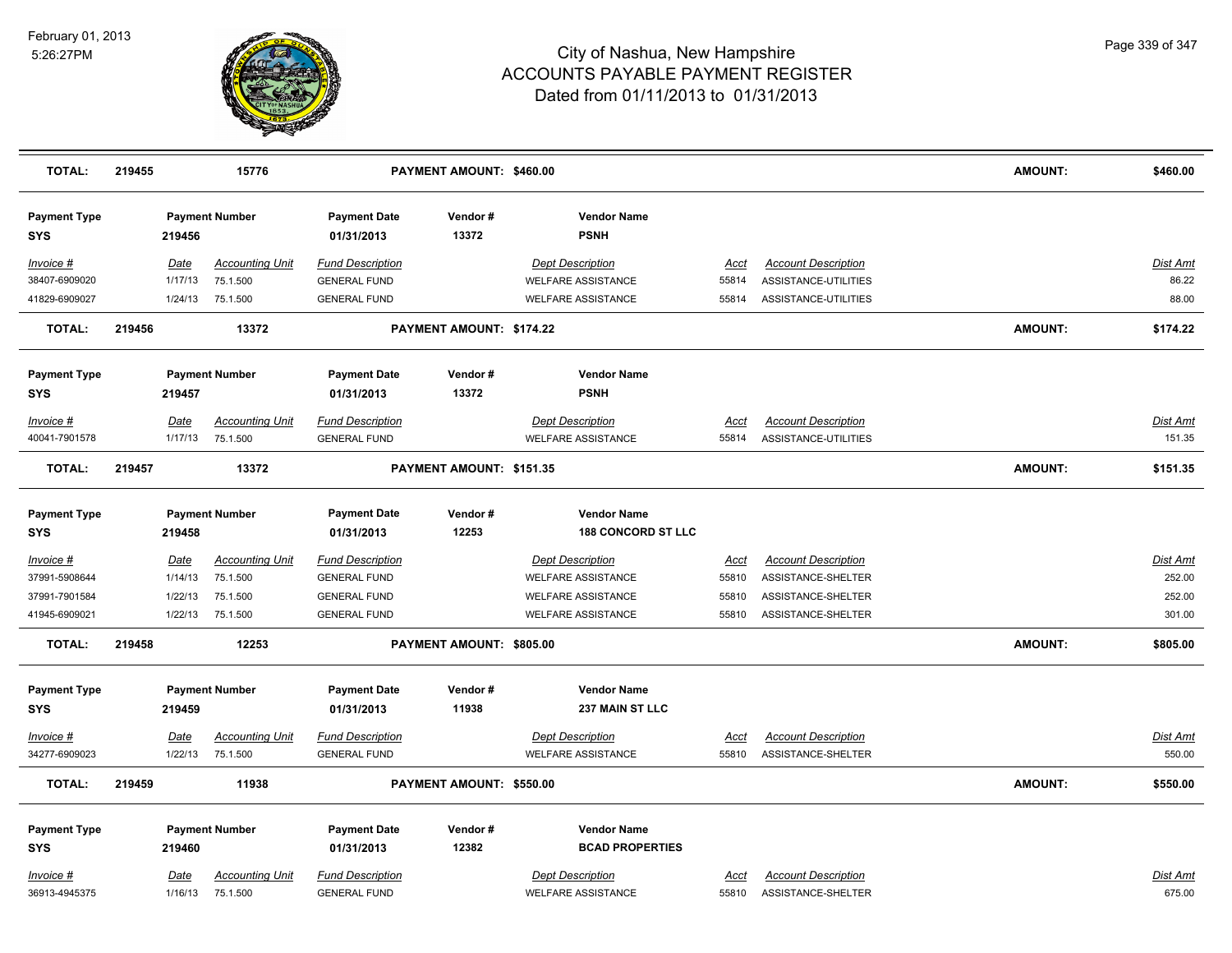

| <b>TOTAL:</b>                     | 219455 |                        | 15776                              |                                                | PAYMENT AMOUNT: \$460.00 |                                                      |                      |                                                  | <b>AMOUNT:</b> | \$460.00           |
|-----------------------------------|--------|------------------------|------------------------------------|------------------------------------------------|--------------------------|------------------------------------------------------|----------------------|--------------------------------------------------|----------------|--------------------|
| <b>Payment Type</b><br><b>SYS</b> |        | 219456                 | <b>Payment Number</b>              | <b>Payment Date</b><br>01/31/2013              | Vendor#<br>13372         | <b>Vendor Name</b><br><b>PSNH</b>                    |                      |                                                  |                |                    |
| Invoice #                         |        | Date                   | <b>Accounting Unit</b>             | <b>Fund Description</b>                        |                          | <b>Dept Description</b>                              | Acct                 | <b>Account Description</b>                       |                | Dist Amt           |
| 38407-6909020                     |        | 1/17/13                | 75.1.500                           | <b>GENERAL FUND</b>                            |                          | <b>WELFARE ASSISTANCE</b>                            | 55814                | ASSISTANCE-UTILITIES                             |                | 86.22              |
| 41829-6909027                     |        | 1/24/13                | 75.1.500                           | <b>GENERAL FUND</b>                            |                          | <b>WELFARE ASSISTANCE</b>                            | 55814                | ASSISTANCE-UTILITIES                             |                | 88.00              |
| <b>TOTAL:</b>                     | 219456 |                        | 13372                              |                                                | PAYMENT AMOUNT: \$174.22 |                                                      |                      |                                                  | <b>AMOUNT:</b> | \$174.22           |
| <b>Payment Type</b>               |        |                        | <b>Payment Number</b>              | <b>Payment Date</b>                            | Vendor#                  | <b>Vendor Name</b>                                   |                      |                                                  |                |                    |
| <b>SYS</b>                        |        | 219457                 |                                    | 01/31/2013                                     | 13372                    | <b>PSNH</b>                                          |                      |                                                  |                |                    |
| Invoice #                         |        | <u>Date</u>            | <b>Accounting Unit</b>             | <b>Fund Description</b>                        |                          | <b>Dept Description</b>                              | <u>Acct</u>          | <b>Account Description</b>                       |                | Dist Amt           |
| 40041-7901578                     |        | 1/17/13                | 75.1.500                           | <b>GENERAL FUND</b>                            |                          | <b>WELFARE ASSISTANCE</b>                            | 55814                | ASSISTANCE-UTILITIES                             |                | 151.35             |
| <b>TOTAL:</b>                     | 219457 |                        | 13372                              |                                                | PAYMENT AMOUNT: \$151.35 |                                                      |                      |                                                  | <b>AMOUNT:</b> | \$151.35           |
| <b>Payment Type</b>               |        |                        | <b>Payment Number</b>              | <b>Payment Date</b>                            | Vendor#                  | <b>Vendor Name</b>                                   |                      |                                                  |                |                    |
| <b>SYS</b>                        |        | 219458                 |                                    | 01/31/2013                                     | 12253                    | <b>188 CONCORD ST LLC</b>                            |                      |                                                  |                |                    |
| <u>Invoice #</u>                  |        | <u>Date</u>            | <b>Accounting Unit</b>             | <b>Fund Description</b>                        |                          | <b>Dept Description</b>                              | <u>Acct</u>          | <b>Account Description</b>                       |                | <b>Dist Amt</b>    |
| 37991-5908644                     |        | 1/14/13                | 75.1.500                           | <b>GENERAL FUND</b>                            |                          | <b>WELFARE ASSISTANCE</b>                            | 55810                | ASSISTANCE-SHELTER                               |                | 252.00             |
| 37991-7901584                     |        | 1/22/13                | 75.1.500                           | <b>GENERAL FUND</b>                            |                          | <b>WELFARE ASSISTANCE</b>                            | 55810                | ASSISTANCE-SHELTER                               |                | 252.00             |
| 41945-6909021                     |        | 1/22/13                | 75.1.500                           | <b>GENERAL FUND</b>                            |                          | <b>WELFARE ASSISTANCE</b>                            | 55810                | ASSISTANCE-SHELTER                               |                | 301.00             |
| <b>TOTAL:</b>                     | 219458 |                        | 12253                              |                                                | PAYMENT AMOUNT: \$805.00 |                                                      |                      |                                                  | <b>AMOUNT:</b> | \$805.00           |
| <b>Payment Type</b>               |        |                        | <b>Payment Number</b>              | <b>Payment Date</b>                            | Vendor#                  | <b>Vendor Name</b>                                   |                      |                                                  |                |                    |
| <b>SYS</b>                        |        | 219459                 |                                    | 01/31/2013                                     | 11938                    | 237 MAIN ST LLC                                      |                      |                                                  |                |                    |
| Invoice #                         |        | Date                   | <b>Accounting Unit</b>             | <b>Fund Description</b>                        |                          | <b>Dept Description</b>                              | Acct                 | <b>Account Description</b>                       |                | Dist Amt           |
| 34277-6909023                     |        | 1/22/13                | 75.1.500                           | <b>GENERAL FUND</b>                            |                          | <b>WELFARE ASSISTANCE</b>                            | 55810                | ASSISTANCE-SHELTER                               |                | 550.00             |
| <b>TOTAL:</b>                     | 219459 |                        | 11938                              |                                                | PAYMENT AMOUNT: \$550.00 |                                                      |                      |                                                  | AMOUNT:        | \$550.00           |
| <b>Payment Type</b>               |        |                        | <b>Payment Number</b>              | <b>Payment Date</b>                            | Vendor#                  | <b>Vendor Name</b>                                   |                      |                                                  |                |                    |
| <b>SYS</b>                        |        | 219460                 |                                    | 01/31/2013                                     | 12382                    | <b>BCAD PROPERTIES</b>                               |                      |                                                  |                |                    |
|                                   |        |                        |                                    |                                                |                          |                                                      |                      |                                                  |                |                    |
| Invoice #<br>36913-4945375        |        | <u>Date</u><br>1/16/13 | <b>Accounting Unit</b><br>75.1.500 | <b>Fund Description</b><br><b>GENERAL FUND</b> |                          | <b>Dept Description</b><br><b>WELFARE ASSISTANCE</b> | <u>Acct</u><br>55810 | <b>Account Description</b><br>ASSISTANCE-SHELTER |                | Dist Amt<br>675.00 |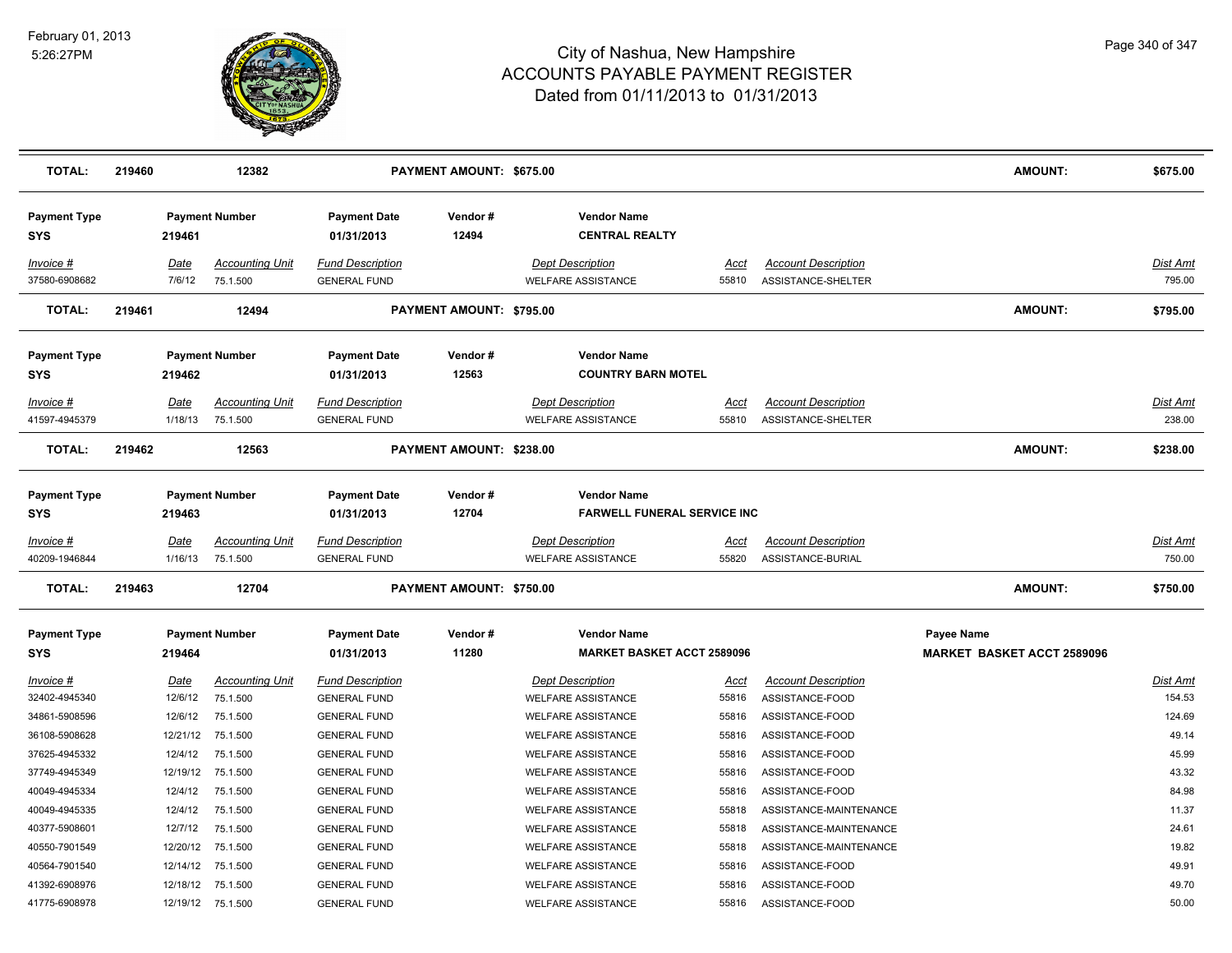

| <b>TOTAL:</b>                     | 219460 |                       | 12382                              |                                                | PAYMENT AMOUNT: \$675.00 |                                                          |                      |                                                  | <b>AMOUNT:</b>                                         | \$675.00                  |
|-----------------------------------|--------|-----------------------|------------------------------------|------------------------------------------------|--------------------------|----------------------------------------------------------|----------------------|--------------------------------------------------|--------------------------------------------------------|---------------------------|
| <b>Payment Type</b><br>SYS        |        | 219461                | <b>Payment Number</b>              | <b>Payment Date</b><br>01/31/2013              | Vendor#<br>12494         | <b>Vendor Name</b><br><b>CENTRAL REALTY</b>              |                      |                                                  |                                                        |                           |
| Invoice #<br>37580-6908682        |        | <b>Date</b><br>7/6/12 | <b>Accounting Unit</b><br>75.1.500 | <b>Fund Description</b><br><b>GENERAL FUND</b> |                          | <b>Dept Description</b><br><b>WELFARE ASSISTANCE</b>     | <b>Acct</b><br>55810 | <b>Account Description</b><br>ASSISTANCE-SHELTER |                                                        | <b>Dist Amt</b><br>795.00 |
| <b>TOTAL:</b>                     | 219461 |                       | 12494                              |                                                | PAYMENT AMOUNT: \$795.00 |                                                          |                      |                                                  | <b>AMOUNT:</b>                                         | \$795.00                  |
| <b>Payment Type</b><br>SYS        |        | 219462                | <b>Payment Number</b>              | <b>Payment Date</b><br>01/31/2013              | Vendor#<br>12563         | <b>Vendor Name</b><br><b>COUNTRY BARN MOTEL</b>          |                      |                                                  |                                                        |                           |
| Invoice #                         |        | <b>Date</b>           | <b>Accounting Unit</b>             | <b>Fund Description</b>                        |                          | <b>Dept Description</b>                                  | <u>Acct</u>          | <b>Account Description</b>                       |                                                        | Dist Amt                  |
| 41597-4945379                     |        | 1/18/13               | 75.1.500                           | <b>GENERAL FUND</b>                            |                          | <b>WELFARE ASSISTANCE</b>                                | 55810                | ASSISTANCE-SHELTER                               |                                                        | 238.00                    |
| <b>TOTAL:</b>                     | 219462 |                       | 12563                              |                                                | PAYMENT AMOUNT: \$238.00 |                                                          |                      |                                                  | <b>AMOUNT:</b>                                         | \$238.00                  |
| <b>Payment Type</b><br>SYS        |        | 219463                | <b>Payment Number</b>              | <b>Payment Date</b><br>01/31/2013              | Vendor#<br>12704         | <b>Vendor Name</b><br><b>FARWELL FUNERAL SERVICE INC</b> |                      |                                                  |                                                        |                           |
| <u>Invoice #</u><br>40209-1946844 |        | Date<br>1/16/13       | <b>Accounting Unit</b><br>75.1.500 | <b>Fund Description</b><br><b>GENERAL FUND</b> |                          | <b>Dept Description</b><br><b>WELFARE ASSISTANCE</b>     | <u>Acct</u><br>55820 | <b>Account Description</b><br>ASSISTANCE-BURIAL  |                                                        | Dist Amt<br>750.00        |
| <b>TOTAL:</b>                     | 219463 |                       | 12704                              |                                                | PAYMENT AMOUNT: \$750.00 |                                                          |                      |                                                  | AMOUNT:                                                | \$750.00                  |
| <b>Payment Type</b><br>SYS        |        | 219464                | <b>Payment Number</b>              | <b>Payment Date</b><br>01/31/2013              | Vendor#<br>11280         | <b>Vendor Name</b><br><b>MARKET BASKET ACCT 2589096</b>  |                      |                                                  | <b>Payee Name</b><br><b>MARKET BASKET ACCT 2589096</b> |                           |
| <u>Invoice #</u>                  |        | <u>Date</u>           | <b>Accounting Unit</b>             | <b>Fund Description</b>                        |                          | <b>Dept Description</b>                                  | <u>Acct</u>          | <b>Account Description</b>                       |                                                        | <b>Dist Amt</b>           |
| 32402-4945340                     |        | 12/6/12               | 75.1.500                           | <b>GENERAL FUND</b>                            |                          | <b>WELFARE ASSISTANCE</b>                                | 55816                | ASSISTANCE-FOOD                                  |                                                        | 154.53                    |
| 34861-5908596                     |        | 12/6/12               | 75.1.500                           | <b>GENERAL FUND</b>                            |                          | <b>WELFARE ASSISTANCE</b>                                | 55816                | ASSISTANCE-FOOD                                  |                                                        | 124.69                    |
| 36108-5908628                     |        | 12/21/12              | 75.1.500                           | <b>GENERAL FUND</b>                            |                          | <b>WELFARE ASSISTANCE</b>                                | 55816                | ASSISTANCE-FOOD                                  |                                                        | 49.14                     |
| 37625-4945332                     |        | 12/4/12               | 75.1.500                           | <b>GENERAL FUND</b>                            |                          | <b>WELFARE ASSISTANCE</b>                                | 55816                | ASSISTANCE-FOOD                                  |                                                        | 45.99                     |
| 37749-4945349                     |        |                       | 12/19/12 75.1.500                  | <b>GENERAL FUND</b>                            |                          | <b>WELFARE ASSISTANCE</b>                                | 55816                | ASSISTANCE-FOOD                                  |                                                        | 43.32                     |
| 40049-4945334                     |        | 12/4/12               | 75.1.500                           | <b>GENERAL FUND</b>                            |                          | <b>WELFARE ASSISTANCE</b>                                | 55816                | ASSISTANCE-FOOD                                  |                                                        | 84.98                     |
| 40049-4945335                     |        | 12/4/12               | 75.1.500                           | <b>GENERAL FUND</b>                            |                          | <b>WELFARE ASSISTANCE</b>                                | 55818                | ASSISTANCE-MAINTENANCE                           |                                                        | 11.37                     |
| 40377-5908601                     |        | 12/7/12               | 75.1.500                           | <b>GENERAL FUND</b>                            |                          | <b>WELFARE ASSISTANCE</b>                                | 55818                | ASSISTANCE-MAINTENANCE                           |                                                        | 24.61                     |
| 40550-7901549                     |        | 12/20/12              | 75.1.500                           | <b>GENERAL FUND</b>                            |                          | <b>WELFARE ASSISTANCE</b>                                | 55818                | ASSISTANCE-MAINTENANCE                           |                                                        | 19.82                     |
| 40564-7901540                     |        |                       | 12/14/12 75.1.500                  | <b>GENERAL FUND</b>                            |                          | <b>WELFARE ASSISTANCE</b>                                | 55816                | ASSISTANCE-FOOD                                  |                                                        | 49.91                     |
| 41392-6908976                     |        |                       | 12/18/12 75.1.500                  | <b>GENERAL FUND</b>                            |                          | <b>WELFARE ASSISTANCE</b>                                | 55816                | ASSISTANCE-FOOD                                  |                                                        | 49.70                     |
| 41775-6908978                     |        |                       | 12/19/12 75.1.500                  | <b>GENERAL FUND</b>                            |                          | <b>WELFARE ASSISTANCE</b>                                | 55816                | ASSISTANCE-FOOD                                  |                                                        | 50.00                     |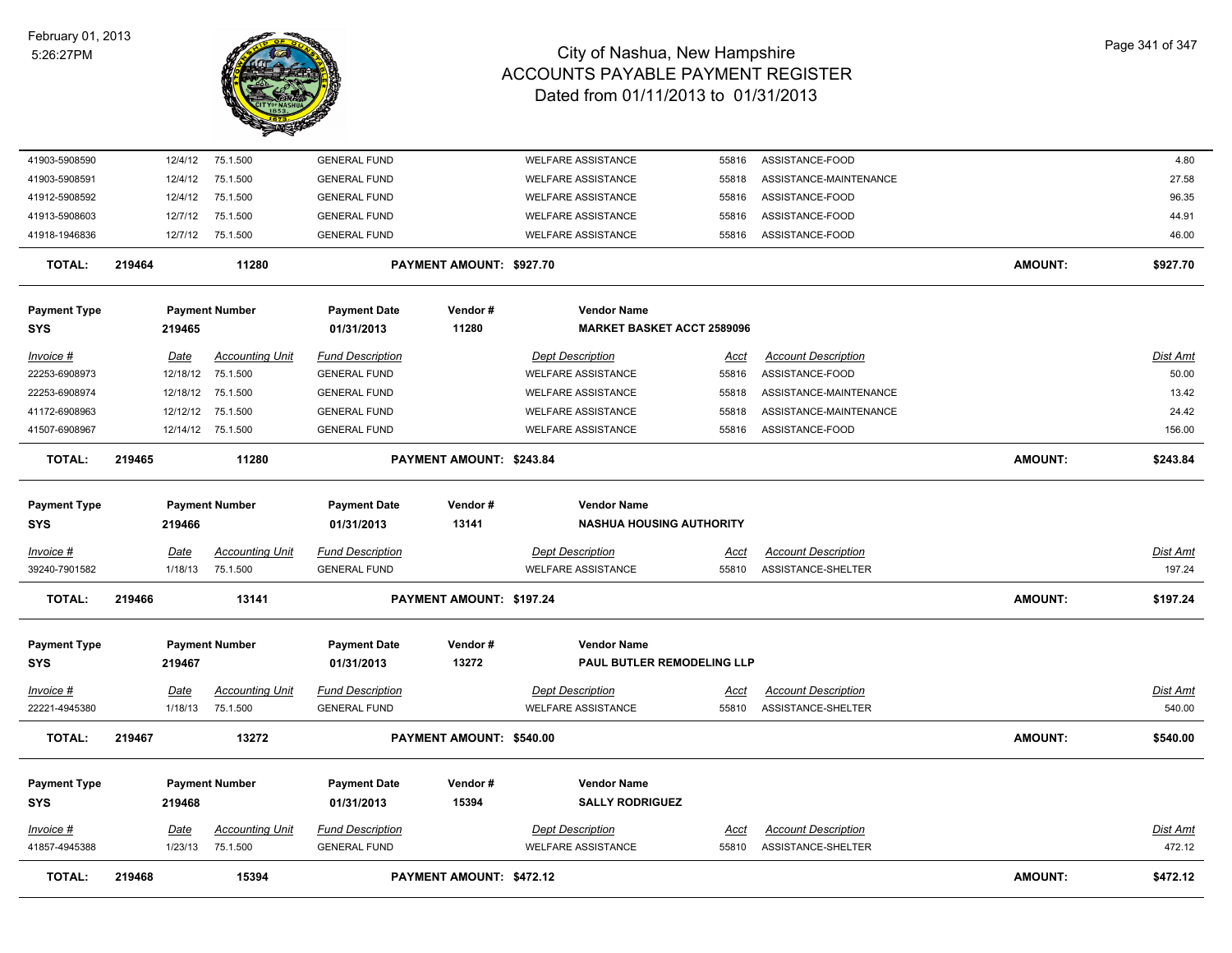

| 41903-5908590       |        | 12/4/12  | 75.1.500               | <b>GENERAL FUND</b>     |                          | <b>WELFARE ASSISTANCE</b>         | 55816       | ASSISTANCE-FOOD            |                | 4.80            |
|---------------------|--------|----------|------------------------|-------------------------|--------------------------|-----------------------------------|-------------|----------------------------|----------------|-----------------|
| 41903-5908591       |        | 12/4/12  | 75.1.500               | <b>GENERAL FUND</b>     |                          | <b>WELFARE ASSISTANCE</b>         | 55818       | ASSISTANCE-MAINTENANCE     |                | 27.58           |
| 41912-5908592       |        | 12/4/12  | 75.1.500               | <b>GENERAL FUND</b>     |                          | <b>WELFARE ASSISTANCE</b>         | 55816       | ASSISTANCE-FOOD            |                | 96.35           |
| 41913-5908603       |        | 12/7/12  | 75.1.500               | <b>GENERAL FUND</b>     |                          | <b>WELFARE ASSISTANCE</b>         | 55816       | ASSISTANCE-FOOD            |                | 44.91           |
| 41918-1946836       |        | 12/7/12  | 75.1.500               | <b>GENERAL FUND</b>     |                          | <b>WELFARE ASSISTANCE</b>         | 55816       | ASSISTANCE-FOOD            |                | 46.00           |
| <b>TOTAL:</b>       | 219464 |          | 11280                  |                         | PAYMENT AMOUNT: \$927.70 |                                   |             |                            | <b>AMOUNT:</b> | \$927.70        |
| <b>Payment Type</b> |        |          | <b>Payment Number</b>  | <b>Payment Date</b>     | Vendor#                  | <b>Vendor Name</b>                |             |                            |                |                 |
| SYS                 |        | 219465   |                        | 01/31/2013              | 11280                    | <b>MARKET BASKET ACCT 2589096</b> |             |                            |                |                 |
| Invoice #           |        | Date     | <b>Accounting Unit</b> | <b>Fund Description</b> |                          | <b>Dept Description</b>           | Acct        | <b>Account Description</b> |                | Dist Amt        |
| 22253-6908973       |        | 12/18/12 | 75.1.500               | <b>GENERAL FUND</b>     |                          | <b>WELFARE ASSISTANCE</b>         | 55816       | ASSISTANCE-FOOD            |                | 50.00           |
| 22253-6908974       |        | 12/18/12 | 75.1.500               | <b>GENERAL FUND</b>     |                          | <b>WELFARE ASSISTANCE</b>         | 55818       | ASSISTANCE-MAINTENANCE     |                | 13.42           |
| 41172-6908963       |        | 12/12/12 | 75.1.500               | <b>GENERAL FUND</b>     |                          | <b>WELFARE ASSISTANCE</b>         | 55818       | ASSISTANCE-MAINTENANCE     |                | 24.42           |
| 41507-6908967       |        |          | 12/14/12 75.1.500      | <b>GENERAL FUND</b>     |                          | <b>WELFARE ASSISTANCE</b>         | 55816       | ASSISTANCE-FOOD            |                | 156.00          |
| <b>TOTAL:</b>       | 219465 |          | 11280                  |                         | PAYMENT AMOUNT: \$243.84 |                                   |             |                            | <b>AMOUNT:</b> | \$243.84        |
| <b>Payment Type</b> |        |          | <b>Payment Number</b>  | <b>Payment Date</b>     | Vendor#                  | <b>Vendor Name</b>                |             |                            |                |                 |
| SYS                 |        | 219466   |                        | 01/31/2013              | 13141                    | <b>NASHUA HOUSING AUTHORITY</b>   |             |                            |                |                 |
| Invoice #           |        | Date     | <b>Accounting Unit</b> | <b>Fund Description</b> |                          | <b>Dept Description</b>           | Acct        | <b>Account Description</b> |                | <b>Dist Amt</b> |
| 39240-7901582       |        | 1/18/13  | 75.1.500               | <b>GENERAL FUND</b>     |                          | <b>WELFARE ASSISTANCE</b>         | 55810       | ASSISTANCE-SHELTER         |                | 197.24          |
| <b>TOTAL:</b>       | 219466 |          | 13141                  |                         | PAYMENT AMOUNT: \$197.24 |                                   |             |                            | <b>AMOUNT:</b> | \$197.24        |
| <b>Payment Type</b> |        |          | <b>Payment Number</b>  | <b>Payment Date</b>     | Vendor#                  | <b>Vendor Name</b>                |             |                            |                |                 |
| SYS                 |        | 219467   |                        | 01/31/2013              | 13272                    | PAUL BUTLER REMODELING LLP        |             |                            |                |                 |
| Invoice #           |        | Date     | <b>Accounting Unit</b> | <b>Fund Description</b> |                          | <b>Dept Description</b>           | <u>Acct</u> | <b>Account Description</b> |                | <b>Dist Amt</b> |
| 22221-4945380       |        | 1/18/13  | 75.1.500               | <b>GENERAL FUND</b>     |                          | <b>WELFARE ASSISTANCE</b>         | 55810       | ASSISTANCE-SHELTER         |                | 540.00          |
| <b>TOTAL:</b>       | 219467 |          | 13272                  |                         | PAYMENT AMOUNT: \$540.00 |                                   |             |                            | <b>AMOUNT:</b> | \$540.00        |
|                     |        |          |                        |                         | Vendor#                  | <b>Vendor Name</b>                |             |                            |                |                 |
| <b>Payment Type</b> |        |          | <b>Payment Number</b>  | <b>Payment Date</b>     | 15394                    | <b>SALLY RODRIGUEZ</b>            |             |                            |                |                 |
| SYS                 |        | 219468   |                        | 01/31/2013              |                          |                                   |             |                            |                |                 |
| <u>Invoice #</u>    |        | Date     | <b>Accounting Unit</b> | <b>Fund Description</b> |                          | <b>Dept Description</b>           | Acct        | <b>Account Description</b> |                | Dist Amt        |
| 41857-4945388       |        | 1/23/13  | 75.1.500               | <b>GENERAL FUND</b>     |                          | <b>WELFARE ASSISTANCE</b>         | 55810       | ASSISTANCE-SHELTER         |                | 472.12          |
| <b>TOTAL:</b>       | 219468 |          | 15394                  |                         | PAYMENT AMOUNT: \$472.12 |                                   |             |                            | <b>AMOUNT:</b> | \$472.12        |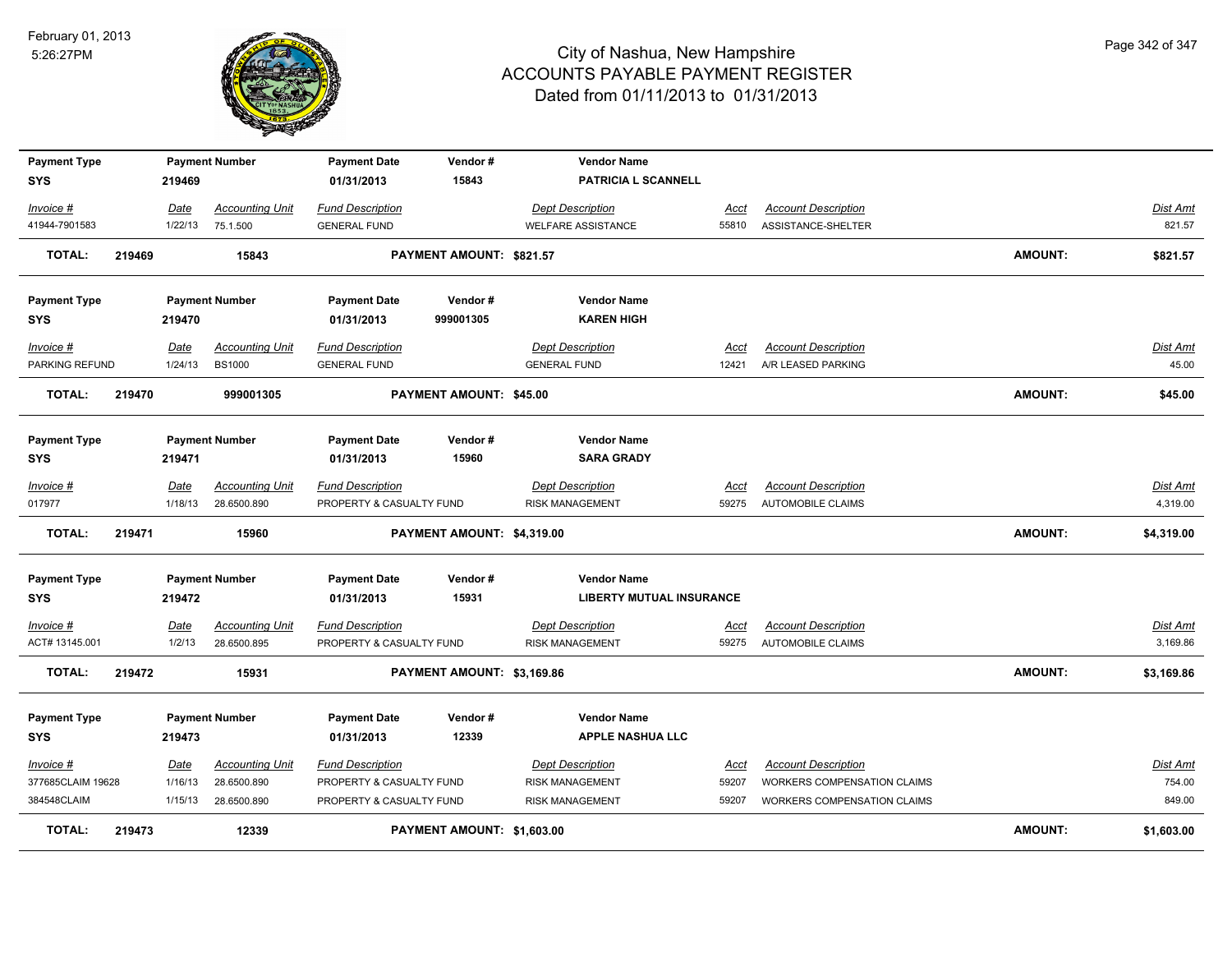

| <b>Payment Type</b>            |        |                 | <b>Payment Number</b>                 | <b>Payment Date</b>                                 | Vendor#                        | <b>Vendor Name</b>                                |                      |                                                           |                |                             |
|--------------------------------|--------|-----------------|---------------------------------------|-----------------------------------------------------|--------------------------------|---------------------------------------------------|----------------------|-----------------------------------------------------------|----------------|-----------------------------|
| <b>SYS</b>                     |        | 219469          |                                       | 01/31/2013                                          | 15843                          | PATRICIA L SCANNELL                               |                      |                                                           |                |                             |
| Invoice #                      |        | Date            | <b>Accounting Unit</b>                | <b>Fund Description</b>                             |                                | <b>Dept Description</b>                           | Acct                 | <b>Account Description</b>                                |                | Dist Amt                    |
| 41944-7901583                  |        | 1/22/13         | 75.1.500                              | <b>GENERAL FUND</b>                                 |                                | <b>WELFARE ASSISTANCE</b>                         | 55810                | ASSISTANCE-SHELTER                                        |                | 821.57                      |
| <b>TOTAL:</b>                  | 219469 |                 | 15843                                 |                                                     | PAYMENT AMOUNT: \$821.57       |                                                   |                      |                                                           | <b>AMOUNT:</b> | \$821.57                    |
|                                |        |                 |                                       |                                                     |                                |                                                   |                      |                                                           |                |                             |
| <b>Payment Type</b>            |        |                 | <b>Payment Number</b>                 | <b>Payment Date</b>                                 | Vendor#                        | <b>Vendor Name</b>                                |                      |                                                           |                |                             |
| <b>SYS</b>                     |        | 219470          |                                       | 01/31/2013                                          | 999001305                      | <b>KAREN HIGH</b>                                 |                      |                                                           |                |                             |
| Invoice #                      |        | Date            | <b>Accounting Unit</b>                | <b>Fund Description</b>                             |                                | <b>Dept Description</b>                           | Acct                 | <b>Account Description</b>                                |                | <b>Dist Amt</b>             |
| PARKING REFUND                 |        | 1/24/13         | <b>BS1000</b>                         | <b>GENERAL FUND</b>                                 |                                | <b>GENERAL FUND</b>                               | 12421                | A/R LEASED PARKING                                        |                | 45.00                       |
| <b>TOTAL:</b>                  | 219470 |                 | 999001305                             |                                                     | <b>PAYMENT AMOUNT: \$45.00</b> |                                                   |                      |                                                           | <b>AMOUNT:</b> | \$45.00                     |
|                                |        |                 |                                       |                                                     |                                |                                                   |                      |                                                           |                |                             |
| <b>Payment Type</b>            |        |                 | <b>Payment Number</b>                 | <b>Payment Date</b>                                 | Vendor#                        | <b>Vendor Name</b>                                |                      |                                                           |                |                             |
| <b>SYS</b>                     |        | 219471          |                                       | 01/31/2013                                          | 15960                          | <b>SARA GRADY</b>                                 |                      |                                                           |                |                             |
|                                |        |                 |                                       |                                                     |                                | <b>Dept Description</b>                           |                      |                                                           |                |                             |
| Invoice #<br>017977            |        | Date<br>1/18/13 | <b>Accounting Unit</b><br>28.6500.890 | <b>Fund Description</b><br>PROPERTY & CASUALTY FUND |                                | <b>RISK MANAGEMENT</b>                            | <u>Acct</u><br>59275 | <b>Account Description</b><br>AUTOMOBILE CLAIMS           |                | <b>Dist Amt</b><br>4,319.00 |
|                                |        |                 |                                       |                                                     |                                |                                                   |                      |                                                           |                |                             |
| <b>TOTAL:</b>                  | 219471 |                 | 15960                                 |                                                     | PAYMENT AMOUNT: \$4,319.00     |                                                   |                      |                                                           | <b>AMOUNT:</b> | \$4,319.00                  |
| <b>Payment Type</b>            |        |                 | <b>Payment Number</b>                 | <b>Payment Date</b>                                 | Vendor#                        | <b>Vendor Name</b>                                |                      |                                                           |                |                             |
| <b>SYS</b>                     |        | 219472          |                                       | 01/31/2013                                          | 15931                          | <b>LIBERTY MUTUAL INSURANCE</b>                   |                      |                                                           |                |                             |
| Invoice #                      |        | <b>Date</b>     | <b>Accounting Unit</b>                | <b>Fund Description</b>                             |                                | <b>Dept Description</b>                           | <u>Acct</u>          | <b>Account Description</b>                                |                | <b>Dist Amt</b>             |
| ACT# 13145.001                 |        | 1/2/13          | 28.6500.895                           | PROPERTY & CASUALTY FUND                            |                                | <b>RISK MANAGEMENT</b>                            | 59275                | <b>AUTOMOBILE CLAIMS</b>                                  |                | 3,169.86                    |
| <b>TOTAL:</b>                  | 219472 |                 | 15931                                 |                                                     | PAYMENT AMOUNT: \$3,169.86     |                                                   |                      |                                                           | <b>AMOUNT:</b> | \$3,169.86                  |
|                                |        |                 |                                       |                                                     |                                |                                                   |                      |                                                           |                |                             |
| <b>Payment Type</b>            |        |                 | <b>Payment Number</b>                 | <b>Payment Date</b>                                 | Vendor#                        | <b>Vendor Name</b>                                |                      |                                                           |                |                             |
| <b>SYS</b>                     |        | 219473          |                                       | 01/31/2013                                          | 12339                          | <b>APPLE NASHUA LLC</b>                           |                      |                                                           |                |                             |
|                                |        |                 |                                       |                                                     |                                |                                                   |                      |                                                           |                |                             |
| Invoice #<br>377685CLAIM 19628 |        | Date<br>1/16/13 | <b>Accounting Unit</b><br>28.6500.890 | <b>Fund Description</b><br>PROPERTY & CASUALTY FUND |                                | <b>Dept Description</b><br><b>RISK MANAGEMENT</b> | Acct<br>59207        | <b>Account Description</b><br>WORKERS COMPENSATION CLAIMS |                | Dist Amt<br>754.00          |
| 384548CLAIM                    |        | 1/15/13         | 28.6500.890                           | PROPERTY & CASUALTY FUND                            |                                | <b>RISK MANAGEMENT</b>                            | 59207                | WORKERS COMPENSATION CLAIMS                               |                | 849.00                      |
|                                |        |                 |                                       |                                                     |                                |                                                   |                      |                                                           |                |                             |
| <b>TOTAL:</b>                  | 219473 |                 | 12339                                 |                                                     | PAYMENT AMOUNT: \$1,603.00     |                                                   |                      |                                                           | <b>AMOUNT:</b> | \$1,603.00                  |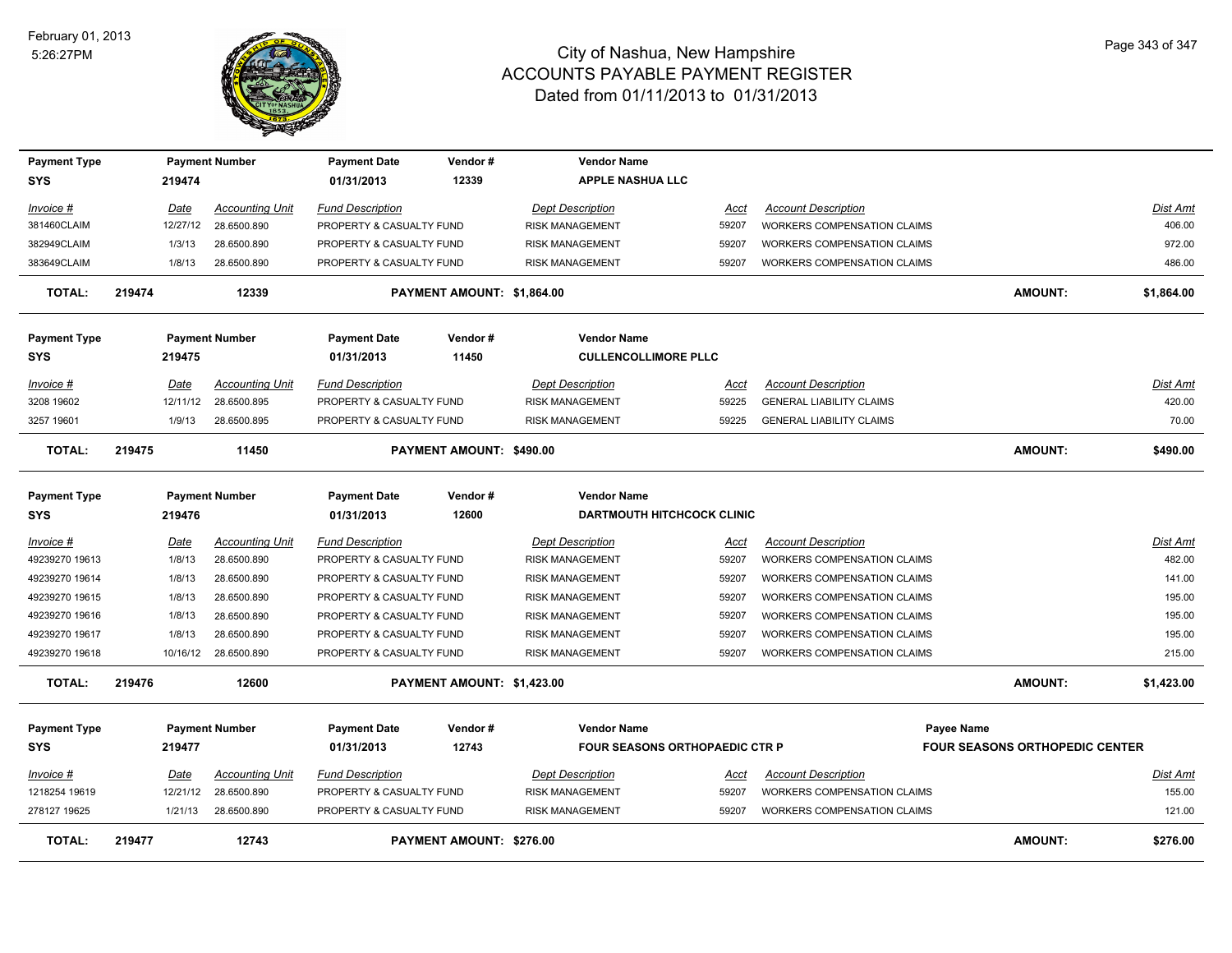

| <b>Payment Type</b> |             | <b>Payment Number</b>  | <b>Payment Date</b>      | Vendor#                    | <b>Vendor Name</b>                    |             |                                    |                                       |                 |
|---------------------|-------------|------------------------|--------------------------|----------------------------|---------------------------------------|-------------|------------------------------------|---------------------------------------|-----------------|
| <b>SYS</b>          | 219474      |                        | 01/31/2013               | 12339                      | <b>APPLE NASHUA LLC</b>               |             |                                    |                                       |                 |
| Invoice #           | <b>Date</b> | <b>Accounting Unit</b> | <b>Fund Description</b>  |                            | <b>Dept Description</b>               | Acct        | <b>Account Description</b>         |                                       | <b>Dist Amt</b> |
| 381460CLAIM         | 12/27/12    | 28.6500.890            | PROPERTY & CASUALTY FUND |                            | <b>RISK MANAGEMENT</b>                | 59207       | WORKERS COMPENSATION CLAIMS        |                                       | 406.00          |
| 382949CLAIM         | 1/3/13      | 28.6500.890            | PROPERTY & CASUALTY FUND |                            | <b>RISK MANAGEMENT</b>                | 59207       | WORKERS COMPENSATION CLAIMS        |                                       | 972.00          |
| 383649CLAIM         | 1/8/13      | 28.6500.890            | PROPERTY & CASUALTY FUND |                            | <b>RISK MANAGEMENT</b>                | 59207       | WORKERS COMPENSATION CLAIMS        |                                       | 486.00          |
| <b>TOTAL:</b>       | 219474      | 12339                  |                          | PAYMENT AMOUNT: \$1,864.00 |                                       |             |                                    | <b>AMOUNT:</b>                        | \$1,864.00      |
| <b>Payment Type</b> |             | <b>Payment Number</b>  | <b>Payment Date</b>      | Vendor#                    | <b>Vendor Name</b>                    |             |                                    |                                       |                 |
| <b>SYS</b>          | 219475      |                        | 01/31/2013               | 11450                      | <b>CULLENCOLLIMORE PLLC</b>           |             |                                    |                                       |                 |
| Invoice #           | Date        | <b>Accounting Unit</b> | <b>Fund Description</b>  |                            | <b>Dept Description</b>               | Acct        | <b>Account Description</b>         |                                       | Dist Amt        |
| 3208 19602          | 12/11/12    | 28.6500.895            | PROPERTY & CASUALTY FUND |                            | <b>RISK MANAGEMENT</b>                | 59225       | <b>GENERAL LIABILITY CLAIMS</b>    |                                       | 420.00          |
| 3257 19601          | 1/9/13      | 28.6500.895            | PROPERTY & CASUALTY FUND |                            | <b>RISK MANAGEMENT</b>                | 59225       | <b>GENERAL LIABILITY CLAIMS</b>    |                                       | 70.00           |
| <b>TOTAL:</b>       | 219475      | 11450                  |                          | PAYMENT AMOUNT: \$490.00   |                                       |             |                                    | <b>AMOUNT:</b>                        | \$490.00        |
| <b>Payment Type</b> |             | <b>Payment Number</b>  | <b>Payment Date</b>      | Vendor#                    | <b>Vendor Name</b>                    |             |                                    |                                       |                 |
| <b>SYS</b>          | 219476      |                        | 01/31/2013               | 12600                      | <b>DARTMOUTH HITCHCOCK CLINIC</b>     |             |                                    |                                       |                 |
| Invoice #           | Date        | <b>Accounting Unit</b> | <b>Fund Description</b>  |                            | <b>Dept Description</b>               | Acct        | <b>Account Description</b>         |                                       | Dist Amt        |
| 49239270 19613      | 1/8/13      | 28.6500.890            | PROPERTY & CASUALTY FUND |                            | <b>RISK MANAGEMENT</b>                | 59207       | WORKERS COMPENSATION CLAIMS        |                                       | 482.00          |
| 49239270 19614      | 1/8/13      | 28.6500.890            | PROPERTY & CASUALTY FUND |                            | <b>RISK MANAGEMENT</b>                | 59207       | WORKERS COMPENSATION CLAIMS        |                                       | 141.00          |
| 49239270 19615      | 1/8/13      | 28.6500.890            | PROPERTY & CASUALTY FUND |                            | <b>RISK MANAGEMENT</b>                | 59207       | WORKERS COMPENSATION CLAIMS        |                                       | 195.00          |
| 49239270 19616      | 1/8/13      | 28.6500.890            | PROPERTY & CASUALTY FUND |                            | <b>RISK MANAGEMENT</b>                | 59207       | <b>WORKERS COMPENSATION CLAIMS</b> |                                       | 195.00          |
| 49239270 19617      | 1/8/13      | 28.6500.890            | PROPERTY & CASUALTY FUND |                            | <b>RISK MANAGEMENT</b>                | 59207       | <b>WORKERS COMPENSATION CLAIMS</b> |                                       | 195.00          |
| 49239270 19618      | 10/16/12    | 28.6500.890            | PROPERTY & CASUALTY FUND |                            | <b>RISK MANAGEMENT</b>                | 59207       | <b>WORKERS COMPENSATION CLAIMS</b> |                                       | 215.00          |
| TOTAL:              | 219476      | 12600                  |                          | PAYMENT AMOUNT: \$1,423.00 |                                       |             |                                    | <b>AMOUNT:</b>                        | \$1,423.00      |
| <b>Payment Type</b> |             | <b>Payment Number</b>  | <b>Payment Date</b>      | Vendor#                    | <b>Vendor Name</b>                    |             |                                    | <b>Payee Name</b>                     |                 |
| <b>SYS</b>          | 219477      |                        | 01/31/2013               | 12743                      | <b>FOUR SEASONS ORTHOPAEDIC CTR P</b> |             |                                    | <b>FOUR SEASONS ORTHOPEDIC CENTER</b> |                 |
| Invoice #           | <b>Date</b> | <b>Accounting Unit</b> | <b>Fund Description</b>  |                            | <b>Dept Description</b>               | <u>Acct</u> | <b>Account Description</b>         |                                       | <b>Dist Amt</b> |
| 1218254 19619       | 12/21/12    | 28.6500.890            | PROPERTY & CASUALTY FUND |                            | <b>RISK MANAGEMENT</b>                | 59207       | <b>WORKERS COMPENSATION CLAIMS</b> |                                       | 155.00          |
| 278127 19625        | 1/21/13     | 28.6500.890            | PROPERTY & CASUALTY FUND |                            | <b>RISK MANAGEMENT</b>                | 59207       | <b>WORKERS COMPENSATION CLAIMS</b> |                                       | 121.00          |
| <b>TOTAL:</b>       | 219477      | 12743                  |                          | PAYMENT AMOUNT: \$276.00   |                                       |             |                                    | <b>AMOUNT:</b>                        | \$276.00        |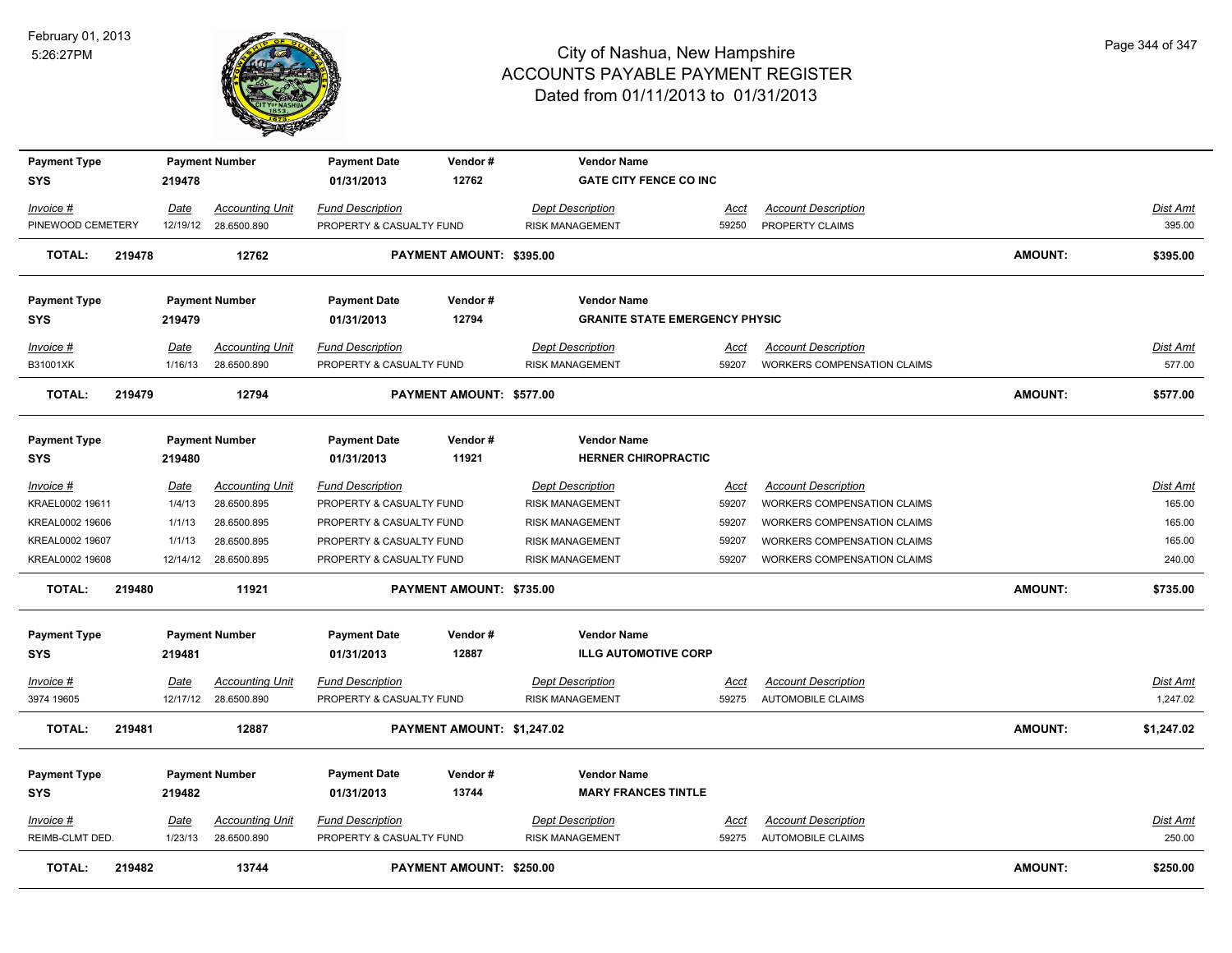

| <b>Payment Type</b> |        |             | <b>Payment Number</b>  | <b>Payment Date</b>      | Vendor#                    | <b>Vendor Name</b>                    |             |                                    |                |                 |
|---------------------|--------|-------------|------------------------|--------------------------|----------------------------|---------------------------------------|-------------|------------------------------------|----------------|-----------------|
| <b>SYS</b>          |        | 219478      |                        | 01/31/2013               | 12762                      | <b>GATE CITY FENCE CO INC</b>         |             |                                    |                |                 |
| Invoice #           |        | Date        | <b>Accounting Unit</b> | <b>Fund Description</b>  |                            | <b>Dept Description</b>               | Acct        | <b>Account Description</b>         |                | Dist Amt        |
| PINEWOOD CEMETERY   |        |             | 12/19/12 28.6500.890   | PROPERTY & CASUALTY FUND |                            | <b>RISK MANAGEMENT</b>                | 59250       | PROPERTY CLAIMS                    |                | 395.00          |
| <b>TOTAL:</b>       | 219478 |             | 12762                  |                          | PAYMENT AMOUNT: \$395.00   |                                       |             |                                    | AMOUNT:        | \$395.00        |
| <b>Payment Type</b> |        |             | <b>Payment Number</b>  | <b>Payment Date</b>      | Vendor#                    | <b>Vendor Name</b>                    |             |                                    |                |                 |
| <b>SYS</b>          |        | 219479      |                        | 01/31/2013               | 12794                      | <b>GRANITE STATE EMERGENCY PHYSIC</b> |             |                                    |                |                 |
| <b>Invoice #</b>    |        | Date        | <b>Accounting Unit</b> | <b>Fund Description</b>  |                            | <b>Dept Description</b>               | <u>Acct</u> | <b>Account Description</b>         |                | Dist Amt        |
| B31001XK            |        | 1/16/13     | 28.6500.890            | PROPERTY & CASUALTY FUND |                            | <b>RISK MANAGEMENT</b>                | 59207       | WORKERS COMPENSATION CLAIMS        |                | 577.00          |
| <b>TOTAL:</b>       | 219479 |             | 12794                  |                          | PAYMENT AMOUNT: \$577.00   |                                       |             |                                    | <b>AMOUNT:</b> | \$577.00        |
| <b>Payment Type</b> |        |             | <b>Payment Number</b>  | <b>Payment Date</b>      | Vendor#                    | <b>Vendor Name</b>                    |             |                                    |                |                 |
| SYS                 |        | 219480      |                        | 01/31/2013               | 11921                      | <b>HERNER CHIROPRACTIC</b>            |             |                                    |                |                 |
| Invoice #           |        | Date        | <b>Accounting Unit</b> | <b>Fund Description</b>  |                            | <b>Dept Description</b>               | Acct        | <b>Account Description</b>         |                | <b>Dist Amt</b> |
| KRAEL0002 19611     |        | 1/4/13      | 28.6500.895            | PROPERTY & CASUALTY FUND |                            | RISK MANAGEMENT                       | 59207       | WORKERS COMPENSATION CLAIMS        |                | 165.00          |
| KREAL0002 19606     |        | 1/1/13      | 28.6500.895            | PROPERTY & CASUALTY FUND |                            | RISK MANAGEMENT                       | 59207       | WORKERS COMPENSATION CLAIMS        |                | 165.00          |
| KREAL0002 19607     |        | 1/1/13      | 28.6500.895            | PROPERTY & CASUALTY FUND |                            | <b>RISK MANAGEMENT</b>                | 59207       | WORKERS COMPENSATION CLAIMS        |                | 165.00          |
| KREAL0002 19608     |        |             | 12/14/12 28.6500.895   | PROPERTY & CASUALTY FUND |                            | <b>RISK MANAGEMENT</b>                | 59207       | <b>WORKERS COMPENSATION CLAIMS</b> |                | 240.00          |
| <b>TOTAL:</b>       | 219480 |             | 11921                  |                          | PAYMENT AMOUNT: \$735.00   |                                       |             |                                    | AMOUNT:        | \$735.00        |
| <b>Payment Type</b> |        |             | <b>Payment Number</b>  | <b>Payment Date</b>      | Vendor#                    | <b>Vendor Name</b>                    |             |                                    |                |                 |
| <b>SYS</b>          |        | 219481      |                        | 01/31/2013               | 12887                      | <b>ILLG AUTOMOTIVE CORP</b>           |             |                                    |                |                 |
| <u>Invoice #</u>    |        | <u>Date</u> | <b>Accounting Unit</b> | <b>Fund Description</b>  |                            | <b>Dept Description</b>               | <u>Acct</u> | <b>Account Description</b>         |                | <b>Dist Amt</b> |
| 3974 19605          |        |             | 12/17/12 28.6500.890   | PROPERTY & CASUALTY FUND |                            | <b>RISK MANAGEMENT</b>                | 59275       | <b>AUTOMOBILE CLAIMS</b>           |                | 1,247.02        |
| <b>TOTAL:</b>       | 219481 |             | 12887                  |                          | PAYMENT AMOUNT: \$1,247.02 |                                       |             |                                    | <b>AMOUNT:</b> | \$1,247.02      |
| <b>Payment Type</b> |        |             | <b>Payment Number</b>  | <b>Payment Date</b>      | Vendor#                    | <b>Vendor Name</b>                    |             |                                    |                |                 |
| SYS                 |        | 219482      |                        | 01/31/2013               | 13744                      | <b>MARY FRANCES TINTLE</b>            |             |                                    |                |                 |
| Invoice #           |        | Date        | <b>Accounting Unit</b> | <b>Fund Description</b>  |                            | <b>Dept Description</b>               | <u>Acct</u> | <b>Account Description</b>         |                | Dist Amt        |
| REIMB-CLMT DED.     |        | 1/23/13     | 28.6500.890            | PROPERTY & CASUALTY FUND |                            | <b>RISK MANAGEMENT</b>                | 59275       | <b>AUTOMOBILE CLAIMS</b>           |                | 250.00          |
| <b>TOTAL:</b>       | 219482 |             | 13744                  |                          | PAYMENT AMOUNT: \$250.00   |                                       |             |                                    | <b>AMOUNT:</b> | \$250.00        |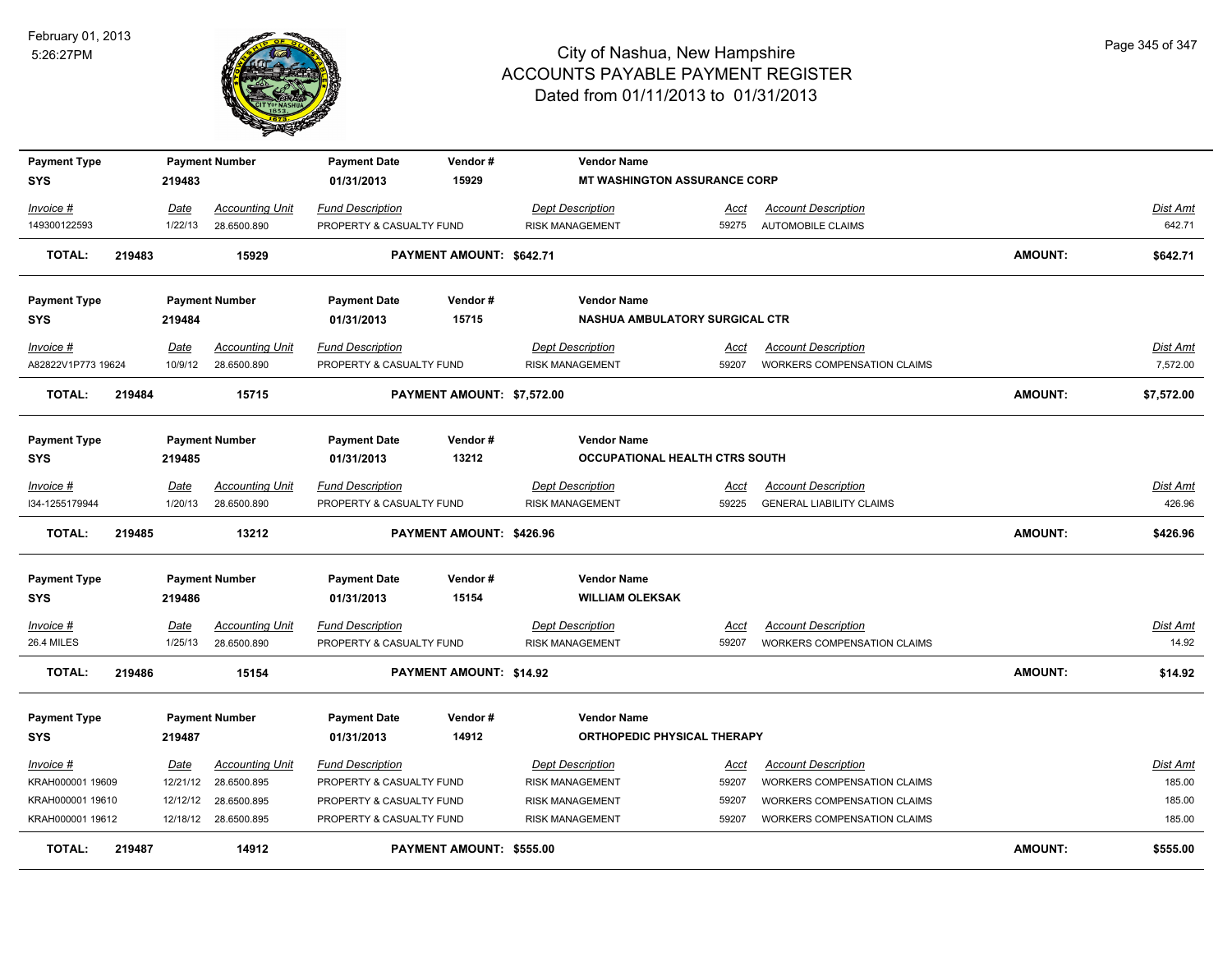

| <b>Payment Type</b><br><b>SYS</b> |        | 219483  | <b>Payment Number</b>  | <b>Payment Date</b><br>01/31/2013 | Vendor#<br>15929               | <b>Vendor Name</b><br><b>MT WASHINGTON ASSURANCE CORP</b> |       |                                    |                |            |
|-----------------------------------|--------|---------|------------------------|-----------------------------------|--------------------------------|-----------------------------------------------------------|-------|------------------------------------|----------------|------------|
| Invoice #                         |        | Date    | <b>Accounting Unit</b> | <b>Fund Description</b>           |                                | <b>Dept Description</b>                                   | Acct  | <b>Account Description</b>         |                | Dist Amt   |
| 149300122593                      |        | 1/22/13 | 28.6500.890            | PROPERTY & CASUALTY FUND          |                                | <b>RISK MANAGEMENT</b>                                    | 59275 | <b>AUTOMOBILE CLAIMS</b>           |                | 642.71     |
| <b>TOTAL:</b>                     | 219483 |         | 15929                  |                                   | PAYMENT AMOUNT: \$642.71       |                                                           |       |                                    | <b>AMOUNT:</b> | \$642.71   |
| <b>Payment Type</b>               |        |         | <b>Payment Number</b>  | <b>Payment Date</b>               | Vendor#                        | <b>Vendor Name</b>                                        |       |                                    |                |            |
| <b>SYS</b>                        |        | 219484  |                        | 01/31/2013                        | 15715                          | <b>NASHUA AMBULATORY SURGICAL CTR</b>                     |       |                                    |                |            |
| Invoice #                         |        | Date    | <b>Accounting Unit</b> | <b>Fund Description</b>           |                                | <b>Dept Description</b>                                   | Acct  | <b>Account Description</b>         |                | Dist Amt   |
| A82822V1P773 19624                |        | 10/9/12 | 28.6500.890            | PROPERTY & CASUALTY FUND          |                                | <b>RISK MANAGEMENT</b>                                    | 59207 | <b>WORKERS COMPENSATION CLAIMS</b> |                | 7,572.00   |
| <b>TOTAL:</b>                     | 219484 |         | 15715                  |                                   | PAYMENT AMOUNT: \$7,572.00     |                                                           |       |                                    | <b>AMOUNT:</b> | \$7,572.00 |
| <b>Payment Type</b>               |        |         | <b>Payment Number</b>  | <b>Payment Date</b>               | Vendor#                        | <b>Vendor Name</b>                                        |       |                                    |                |            |
| <b>SYS</b>                        |        | 219485  |                        | 01/31/2013                        | 13212                          | OCCUPATIONAL HEALTH CTRS SOUTH                            |       |                                    |                |            |
| Invoice #                         |        | Date    | <b>Accounting Unit</b> | <b>Fund Description</b>           |                                | <b>Dept Description</b>                                   | Acct  | <b>Account Description</b>         |                | Dist Amt   |
| I34-1255179944                    |        | 1/20/13 | 28.6500.890            | PROPERTY & CASUALTY FUND          |                                | <b>RISK MANAGEMENT</b>                                    | 59225 | <b>GENERAL LIABILITY CLAIMS</b>    |                | 426.96     |
| <b>TOTAL:</b>                     | 219485 |         | 13212                  |                                   | PAYMENT AMOUNT: \$426.96       |                                                           |       |                                    | <b>AMOUNT:</b> | \$426.96   |
| <b>Payment Type</b>               |        |         | <b>Payment Number</b>  | <b>Payment Date</b>               | Vendor#                        | <b>Vendor Name</b>                                        |       |                                    |                |            |
| <b>SYS</b>                        |        | 219486  |                        | 01/31/2013                        | 15154                          | <b>WILLIAM OLEKSAK</b>                                    |       |                                    |                |            |
| Invoice #                         |        | Date    | <b>Accounting Unit</b> | <b>Fund Description</b>           |                                | <b>Dept Description</b>                                   | Acct  | <b>Account Description</b>         |                | Dist Amt   |
| 26.4 MILES                        |        | 1/25/13 | 28.6500.890            | PROPERTY & CASUALTY FUND          |                                | <b>RISK MANAGEMENT</b>                                    | 59207 | WORKERS COMPENSATION CLAIMS        |                | 14.92      |
| TOTAL:                            | 219486 |         | 15154                  |                                   | <b>PAYMENT AMOUNT: \$14.92</b> |                                                           |       |                                    | <b>AMOUNT:</b> | \$14.92    |
| <b>Payment Type</b>               |        |         | <b>Payment Number</b>  | <b>Payment Date</b>               | Vendor#                        | <b>Vendor Name</b>                                        |       |                                    |                |            |
| <b>SYS</b>                        |        | 219487  |                        | 01/31/2013                        | 14912                          | ORTHOPEDIC PHYSICAL THERAPY                               |       |                                    |                |            |
| Invoice #                         |        | Date    | <b>Accounting Unit</b> | <b>Fund Description</b>           |                                | <b>Dept Description</b>                                   | Acct  | <b>Account Description</b>         |                | Dist Amt   |
| KRAH000001 19609                  |        |         | 12/21/12 28.6500.895   | PROPERTY & CASUALTY FUND          |                                | <b>RISK MANAGEMENT</b>                                    | 59207 | <b>WORKERS COMPENSATION CLAIMS</b> |                | 185.00     |
| KRAH000001 19610                  |        |         | 12/12/12 28.6500.895   | PROPERTY & CASUALTY FUND          |                                | <b>RISK MANAGEMENT</b>                                    | 59207 | <b>WORKERS COMPENSATION CLAIMS</b> |                | 185.00     |
| KRAH000001 19612                  |        |         | 12/18/12 28.6500.895   | PROPERTY & CASUALTY FUND          |                                | <b>RISK MANAGEMENT</b>                                    | 59207 | WORKERS COMPENSATION CLAIMS        |                | 185.00     |
| <b>TOTAL:</b>                     | 219487 |         | 14912                  |                                   | PAYMENT AMOUNT: \$555.00       |                                                           |       |                                    | <b>AMOUNT:</b> | \$555.00   |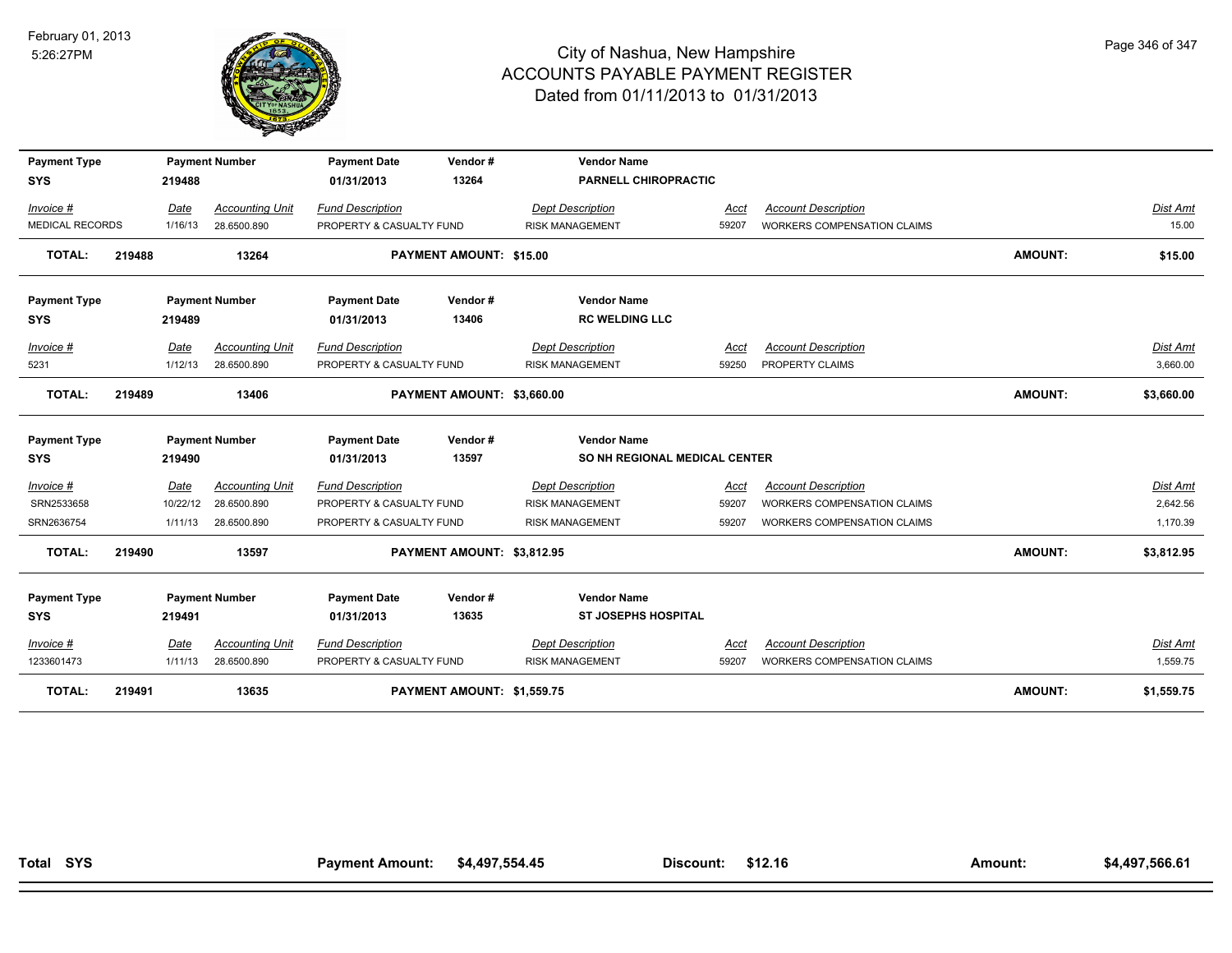

| <b>Payment Type</b><br><b>SYS</b> |        | 219488   | <b>Payment Number</b>  | <b>Payment Date</b><br>01/31/2013 | Vendor#<br>13264           | <b>Vendor Name</b><br><b>PARNELL CHIROPRACTIC</b> |             |                                    |                |                 |
|-----------------------------------|--------|----------|------------------------|-----------------------------------|----------------------------|---------------------------------------------------|-------------|------------------------------------|----------------|-----------------|
| Invoice #                         |        | Date     | <b>Accounting Unit</b> | <b>Fund Description</b>           |                            | <b>Dept Description</b>                           | Acct        | <b>Account Description</b>         |                | <b>Dist Amt</b> |
| MEDICAL RECORDS                   |        | 1/16/13  | 28.6500.890            | PROPERTY & CASUALTY FUND          |                            | <b>RISK MANAGEMENT</b>                            | 59207       | <b>WORKERS COMPENSATION CLAIMS</b> |                | 15.00           |
| <b>TOTAL:</b>                     | 219488 |          | 13264                  |                                   | PAYMENT AMOUNT: \$15.00    |                                                   |             |                                    | <b>AMOUNT:</b> | \$15.00         |
| <b>Payment Type</b><br><b>SYS</b> |        | 219489   | <b>Payment Number</b>  | <b>Payment Date</b><br>01/31/2013 | Vendor#<br>13406           | <b>Vendor Name</b><br><b>RC WELDING LLC</b>       |             |                                    |                |                 |
| Invoice #                         |        | Date     | <b>Accounting Unit</b> | <b>Fund Description</b>           |                            | <b>Dept Description</b>                           | Acct        | <b>Account Description</b>         |                | Dist Amt        |
| 5231                              |        | 1/12/13  | 28.6500.890            | PROPERTY & CASUALTY FUND          |                            | <b>RISK MANAGEMENT</b>                            | 59250       | PROPERTY CLAIMS                    |                | 3,660.00        |
| <b>TOTAL:</b>                     | 219489 |          | 13406                  |                                   | PAYMENT AMOUNT: \$3,660.00 |                                                   |             |                                    | <b>AMOUNT:</b> | \$3,660.00      |
| <b>Payment Type</b>               |        |          | <b>Payment Number</b>  | <b>Payment Date</b>               | Vendor#                    | <b>Vendor Name</b>                                |             |                                    |                |                 |
| <b>SYS</b>                        |        | 219490   |                        | 01/31/2013                        | 13597                      | SO NH REGIONAL MEDICAL CENTER                     |             |                                    |                |                 |
| $Invoice$ #                       |        | Date     | <b>Accounting Unit</b> | <b>Fund Description</b>           |                            | <b>Dept Description</b>                           | Acct        | <b>Account Description</b>         |                | Dist Amt        |
| SRN2533658                        |        | 10/22/12 | 28.6500.890            | PROPERTY & CASUALTY FUND          |                            | <b>RISK MANAGEMENT</b>                            | 59207       | WORKERS COMPENSATION CLAIMS        |                | 2,642.56        |
| SRN2636754                        |        | 1/11/13  | 28.6500.890            | PROPERTY & CASUALTY FUND          |                            | <b>RISK MANAGEMENT</b>                            | 59207       | WORKERS COMPENSATION CLAIMS        |                | 1,170.39        |
| <b>TOTAL:</b>                     | 219490 |          | 13597                  |                                   | PAYMENT AMOUNT: \$3,812.95 |                                                   |             |                                    | <b>AMOUNT:</b> | \$3,812.95      |
| <b>Payment Type</b>               |        |          | <b>Payment Number</b>  | <b>Payment Date</b>               | Vendor#                    | <b>Vendor Name</b>                                |             |                                    |                |                 |
| <b>SYS</b>                        |        | 219491   |                        | 01/31/2013                        | 13635                      | <b>ST JOSEPHS HOSPITAL</b>                        |             |                                    |                |                 |
| $Invoice$ #                       |        | Date     | <b>Accounting Unit</b> | <b>Fund Description</b>           |                            | <b>Dept Description</b>                           | <u>Acct</u> | <b>Account Description</b>         |                | <b>Dist Amt</b> |
| 1233601473                        |        | 1/11/13  | 28.6500.890            | PROPERTY & CASUALTY FUND          |                            | <b>RISK MANAGEMENT</b>                            | 59207       | <b>WORKERS COMPENSATION CLAIMS</b> |                | 1,559.75        |
| <b>TOTAL:</b>                     | 219491 |          | 13635                  |                                   | PAYMENT AMOUNT: \$1,559.75 |                                                   |             |                                    | <b>AMOUNT:</b> | \$1,559.75      |

Page 346 of 347